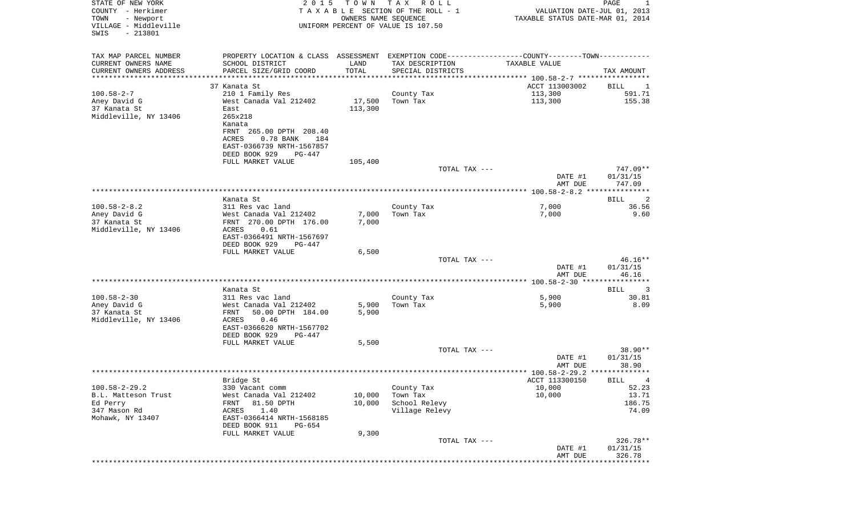| STATE OF NEW YORK<br>COUNTY - Herkimer<br>TOWN<br>- Newport<br>VILLAGE - Middleville<br>SWIS<br>$-213801$ | 2 0 1 5                                                                                       | TAX ROLL<br>T O W N<br>TAXABLE SECTION OF THE ROLL - 1<br>OWNERS NAME SEQUENCE<br>UNIFORM PERCENT OF VALUE IS 107.50 |                   |                              | PAGE<br>1<br>VALUATION DATE-JUL 01, 2013<br>TAXABLE STATUS DATE-MAR 01, 2014 |  |  |
|-----------------------------------------------------------------------------------------------------------|-----------------------------------------------------------------------------------------------|----------------------------------------------------------------------------------------------------------------------|-------------------|------------------------------|------------------------------------------------------------------------------|--|--|
| TAX MAP PARCEL NUMBER                                                                                     | PROPERTY LOCATION & CLASS ASSESSMENT EXEMPTION CODE---------------COUNTY-------TOWN---------- |                                                                                                                      |                   |                              |                                                                              |  |  |
| CURRENT OWNERS NAME                                                                                       | SCHOOL DISTRICT                                                                               | LAND                                                                                                                 | TAX DESCRIPTION   | TAXABLE VALUE                |                                                                              |  |  |
| CURRENT OWNERS ADDRESS                                                                                    | PARCEL SIZE/GRID COORD                                                                        | TOTAL                                                                                                                | SPECIAL DISTRICTS |                              | TAX AMOUNT                                                                   |  |  |
| **********************                                                                                    |                                                                                               |                                                                                                                      |                   |                              |                                                                              |  |  |
|                                                                                                           | 37 Kanata St                                                                                  |                                                                                                                      |                   | ACCT 113003002               | BILL<br>-1                                                                   |  |  |
| $100.58 - 2 - 7$                                                                                          | 210 1 Family Res                                                                              |                                                                                                                      | County Tax        | 113,300                      | 591.71                                                                       |  |  |
| Aney David G                                                                                              | West Canada Val 212402                                                                        | 17,500                                                                                                               | Town Tax          | 113,300                      | 155.38                                                                       |  |  |
| 37 Kanata St                                                                                              | East                                                                                          | 113,300                                                                                                              |                   |                              |                                                                              |  |  |
| Middleville, NY 13406                                                                                     | 265x218                                                                                       |                                                                                                                      |                   |                              |                                                                              |  |  |
|                                                                                                           | Kanata<br>FRNT 265.00 DPTH 208.40                                                             |                                                                                                                      |                   |                              |                                                                              |  |  |
|                                                                                                           | 0.78 BANK<br>ACRES<br>184                                                                     |                                                                                                                      |                   |                              |                                                                              |  |  |
|                                                                                                           | EAST-0366739 NRTH-1567857                                                                     |                                                                                                                      |                   |                              |                                                                              |  |  |
|                                                                                                           | DEED BOOK 929<br>PG-447                                                                       |                                                                                                                      |                   |                              |                                                                              |  |  |
|                                                                                                           | FULL MARKET VALUE                                                                             | 105,400                                                                                                              |                   |                              |                                                                              |  |  |
|                                                                                                           |                                                                                               |                                                                                                                      | TOTAL TAX ---     |                              | 747.09**                                                                     |  |  |
|                                                                                                           |                                                                                               |                                                                                                                      |                   | DATE #1                      | 01/31/15                                                                     |  |  |
|                                                                                                           |                                                                                               |                                                                                                                      |                   | AMT DUE                      | 747.09                                                                       |  |  |
|                                                                                                           |                                                                                               |                                                                                                                      |                   |                              |                                                                              |  |  |
| $100.58 - 2 - 8.2$                                                                                        | Kanata St<br>311 Res vac land                                                                 |                                                                                                                      | County Tax        | 7,000                        | BILL<br>2<br>36.56                                                           |  |  |
| Aney David G                                                                                              | West Canada Val 212402                                                                        | 7,000                                                                                                                | Town Tax          | 7,000                        | 9.60                                                                         |  |  |
| 37 Kanata St                                                                                              | FRNT 270.00 DPTH 176.00                                                                       | 7,000                                                                                                                |                   |                              |                                                                              |  |  |
| Middleville, NY 13406                                                                                     | ACRES<br>0.61                                                                                 |                                                                                                                      |                   |                              |                                                                              |  |  |
|                                                                                                           | EAST-0366491 NRTH-1567697                                                                     |                                                                                                                      |                   |                              |                                                                              |  |  |
|                                                                                                           | DEED BOOK 929<br>PG-447                                                                       |                                                                                                                      |                   |                              |                                                                              |  |  |
|                                                                                                           | FULL MARKET VALUE                                                                             | 6,500                                                                                                                |                   |                              |                                                                              |  |  |
|                                                                                                           |                                                                                               |                                                                                                                      | TOTAL TAX ---     |                              | $46.16**$                                                                    |  |  |
|                                                                                                           |                                                                                               |                                                                                                                      |                   | DATE #1<br>AMT DUE           | 01/31/15<br>46.16                                                            |  |  |
|                                                                                                           |                                                                                               |                                                                                                                      |                   |                              | ***********                                                                  |  |  |
|                                                                                                           | Kanata St                                                                                     |                                                                                                                      |                   |                              | 3<br>BILL                                                                    |  |  |
| $100.58 - 2 - 30$                                                                                         | 311 Res vac land                                                                              |                                                                                                                      | County Tax        | 5,900                        | 30.81                                                                        |  |  |
| Aney David G                                                                                              | West Canada Val 212402                                                                        | 5,900                                                                                                                | Town Tax          | 5,900                        | 8.09                                                                         |  |  |
| 37 Kanata St                                                                                              | 50.00 DPTH 184.00<br>FRNT                                                                     | 5,900                                                                                                                |                   |                              |                                                                              |  |  |
| Middleville, NY 13406                                                                                     | ACRES<br>0.46                                                                                 |                                                                                                                      |                   |                              |                                                                              |  |  |
|                                                                                                           | EAST-0366620 NRTH-1567702                                                                     |                                                                                                                      |                   |                              |                                                                              |  |  |
|                                                                                                           | DEED BOOK 929<br>PG-447                                                                       |                                                                                                                      |                   |                              |                                                                              |  |  |
|                                                                                                           | FULL MARKET VALUE                                                                             | 5,500                                                                                                                |                   |                              |                                                                              |  |  |
|                                                                                                           |                                                                                               |                                                                                                                      | TOTAL TAX ---     | DATE #1                      | $38.90**$<br>01/31/15                                                        |  |  |
|                                                                                                           |                                                                                               |                                                                                                                      |                   | AMT DUE                      | 38.90                                                                        |  |  |
|                                                                                                           |                                                                                               |                                                                                                                      |                   |                              |                                                                              |  |  |
|                                                                                                           | Bridge St                                                                                     |                                                                                                                      |                   | ACCT 113300150               | <b>BILL</b>                                                                  |  |  |
| $100.58 - 2 - 29.2$                                                                                       | 330 Vacant comm                                                                               |                                                                                                                      | County Tax        | 10,000                       | 52.23                                                                        |  |  |
| B.L. Matteson Trust                                                                                       | West Canada Val 212402                                                                        | 10,000                                                                                                               | Town Tax          | 10,000                       | 13.71                                                                        |  |  |
| Ed Perry                                                                                                  | 81.50 DPTH<br>FRNT                                                                            | 10,000                                                                                                               | School Relevy     |                              | 186.75                                                                       |  |  |
| 347 Mason Rd                                                                                              | ACRES<br>1.40                                                                                 |                                                                                                                      | Village Relevy    |                              | 74.09                                                                        |  |  |
| Mohawk, NY 13407                                                                                          | EAST-0366414 NRTH-1568185                                                                     |                                                                                                                      |                   |                              |                                                                              |  |  |
|                                                                                                           | DEED BOOK 911<br>PG-654                                                                       |                                                                                                                      |                   |                              |                                                                              |  |  |
|                                                                                                           | FULL MARKET VALUE                                                                             | 9,300                                                                                                                | TOTAL TAX ---     |                              | $326.78**$                                                                   |  |  |
|                                                                                                           |                                                                                               |                                                                                                                      |                   | DATE #1                      | 01/31/15                                                                     |  |  |
|                                                                                                           |                                                                                               |                                                                                                                      |                   | AMT DUE                      | 326.78                                                                       |  |  |
|                                                                                                           |                                                                                               |                                                                                                                      |                   | **************************** |                                                                              |  |  |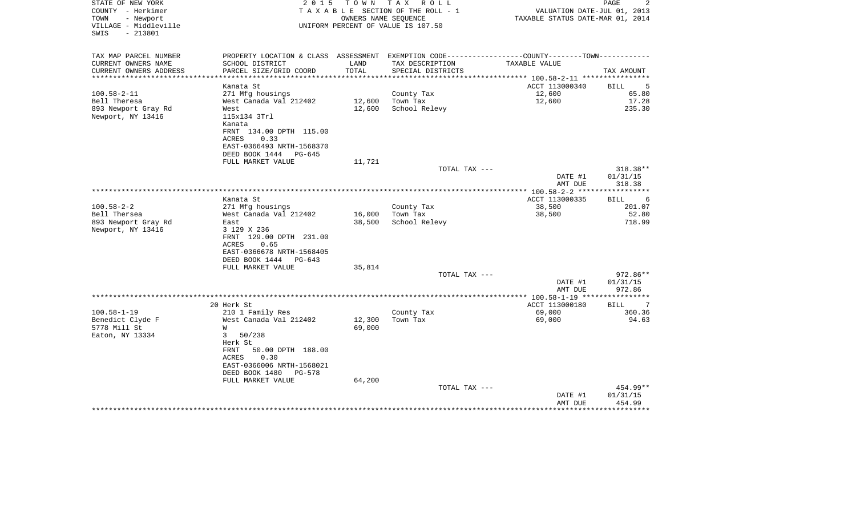| STATE OF NEW YORK<br>COUNTY - Herkimer<br>TOWN<br>- Newport | 2 0 1 5                                         | T O W N<br>OWNERS NAME SEQUENCE | TAX ROLL<br>TAXABLE SECTION OF THE ROLL - 1 | VALUATION DATE-JUL 01, 2013<br>TAXABLE STATUS DATE-MAR 01, 2014                                | PAGE<br>2           |
|-------------------------------------------------------------|-------------------------------------------------|---------------------------------|---------------------------------------------|------------------------------------------------------------------------------------------------|---------------------|
| VILLAGE - Middleville<br>$-213801$<br>SWIS                  |                                                 |                                 | UNIFORM PERCENT OF VALUE IS 107.50          |                                                                                                |                     |
| TAX MAP PARCEL NUMBER                                       |                                                 |                                 |                                             | PROPERTY LOCATION & CLASS ASSESSMENT EXEMPTION CODE----------------COUNTY-------TOWN---------- |                     |
| CURRENT OWNERS NAME                                         | SCHOOL DISTRICT                                 | LAND                            | TAX DESCRIPTION                             | TAXABLE VALUE                                                                                  |                     |
| CURRENT OWNERS ADDRESS<br>***********************           | PARCEL SIZE/GRID COORD                          | TOTAL                           | SPECIAL DISTRICTS                           |                                                                                                | TAX AMOUNT          |
|                                                             |                                                 |                                 |                                             |                                                                                                |                     |
| $100.58 - 2 - 11$                                           | Kanata St                                       |                                 |                                             | ACCT 113000340<br>12,600                                                                       | BILL<br>-5<br>65.80 |
| Bell Theresa                                                | 271 Mfg housings<br>West Canada Val 212402      | 12,600                          | County Tax<br>Town Tax                      | 12,600                                                                                         | 17.28               |
| 893 Newport Gray Rd                                         | West                                            | 12,600                          | School Relevy                               |                                                                                                | 235.30              |
| Newport, NY 13416                                           | 115x134 3Trl<br>Kanata                          |                                 |                                             |                                                                                                |                     |
|                                                             | FRNT 134.00 DPTH 115.00                         |                                 |                                             |                                                                                                |                     |
|                                                             | <b>ACRES</b><br>0.33                            |                                 |                                             |                                                                                                |                     |
|                                                             | EAST-0366493 NRTH-1568370                       |                                 |                                             |                                                                                                |                     |
|                                                             | DEED BOOK 1444 PG-645                           |                                 |                                             |                                                                                                |                     |
|                                                             | FULL MARKET VALUE                               | 11,721                          |                                             |                                                                                                |                     |
|                                                             |                                                 |                                 | TOTAL TAX ---                               |                                                                                                | 318.38**            |
|                                                             |                                                 |                                 |                                             | DATE #1<br>AMT DUE                                                                             | 01/31/15<br>318.38  |
|                                                             |                                                 |                                 |                                             | *************** 100.58-2-2 ******************                                                  |                     |
|                                                             | Kanata St                                       |                                 |                                             | ACCT 113000335                                                                                 | BILL<br>6           |
| $100.58 - 2 - 2$                                            | 271 Mfg housings                                |                                 | County Tax                                  | 38,500                                                                                         | 201.07              |
| Bell Thersea                                                | West Canada Val 212402                          | 16,000                          | Town Tax                                    | 38,500                                                                                         | 52.80               |
| 893 Newport Gray Rd                                         | East                                            | 38,500                          | School Relevy                               |                                                                                                | 718.99              |
| Newport, NY 13416                                           | 3 129 X 236                                     |                                 |                                             |                                                                                                |                     |
|                                                             | FRNT 129.00 DPTH 231.00<br>ACRES<br>0.65        |                                 |                                             |                                                                                                |                     |
|                                                             | EAST-0366678 NRTH-1568405                       |                                 |                                             |                                                                                                |                     |
|                                                             | DEED BOOK 1444<br>$PG-643$<br>FULL MARKET VALUE | 35,814                          |                                             |                                                                                                |                     |
|                                                             |                                                 |                                 | TOTAL TAX ---                               |                                                                                                | 972.86**            |
|                                                             |                                                 |                                 |                                             | DATE #1<br>AMT DUE                                                                             | 01/31/15<br>972.86  |
|                                                             |                                                 |                                 |                                             |                                                                                                |                     |
|                                                             | 20 Herk St                                      |                                 |                                             | ACCT 113000180                                                                                 | BILL<br>7           |
| $100.58 - 1 - 19$                                           | 210 1 Family Res                                |                                 | County Tax<br>Town Tax                      | 69,000                                                                                         | 360.36              |
| Benedict Clyde F<br>5778 Mill St                            | West Canada Val 212402<br>W                     | 12,300<br>69,000                |                                             | 69,000                                                                                         | 94.63               |
| Eaton, NY 13334                                             | $\mathbf{3}$<br>50/238                          |                                 |                                             |                                                                                                |                     |
|                                                             | Herk St                                         |                                 |                                             |                                                                                                |                     |
|                                                             | 50.00 DPTH 188.00<br>FRNT                       |                                 |                                             |                                                                                                |                     |
|                                                             | ACRES<br>0.30                                   |                                 |                                             |                                                                                                |                     |
|                                                             | EAST-0366006 NRTH-1568021                       |                                 |                                             |                                                                                                |                     |
|                                                             | DEED BOOK 1480<br>$PG-578$                      |                                 |                                             |                                                                                                |                     |
|                                                             | FULL MARKET VALUE                               | 64,200                          |                                             |                                                                                                |                     |
|                                                             |                                                 |                                 | TOTAL TAX ---                               |                                                                                                | 454.99**            |
|                                                             |                                                 |                                 |                                             | DATE #1                                                                                        | 01/31/15            |
|                                                             |                                                 |                                 |                                             | AMT DUE                                                                                        | 454.99              |
|                                                             |                                                 |                                 |                                             |                                                                                                |                     |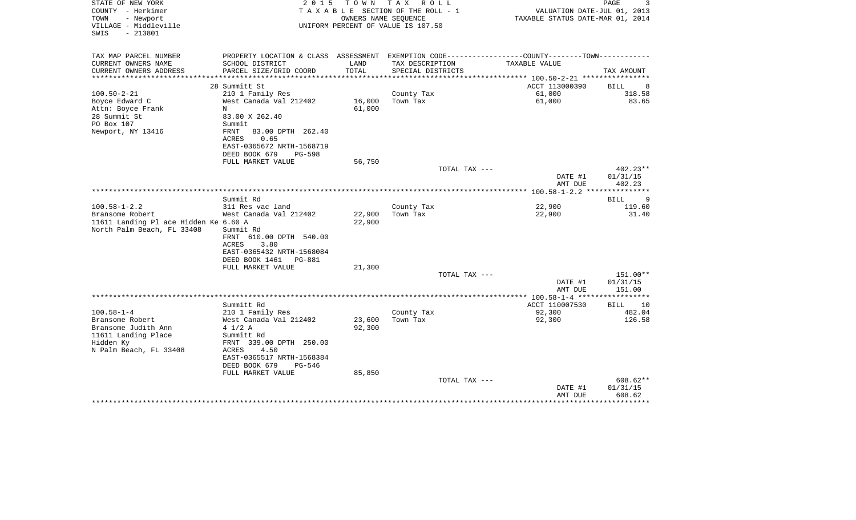| STATE OF NEW YORK<br>COUNTY - Herkimer<br>TOWN<br>- Newport | 2 0 1 5                                              |                  | TOWN TAX ROLL<br>TAXABLE SECTION OF THE ROLL - 1<br>OWNERS NAME SEQUENCE |                                                                                               | PAGE<br>3<br>VALUATION DATE-JUL 01, 2013<br>TAXABLE STATUS DATE-MAR 01, 2014 |  |
|-------------------------------------------------------------|------------------------------------------------------|------------------|--------------------------------------------------------------------------|-----------------------------------------------------------------------------------------------|------------------------------------------------------------------------------|--|
| VILLAGE - Middleville<br>$-213801$<br>SWIS                  |                                                      |                  | UNIFORM PERCENT OF VALUE IS 107.50                                       |                                                                                               |                                                                              |  |
| TAX MAP PARCEL NUMBER                                       |                                                      |                  |                                                                          | PROPERTY LOCATION & CLASS ASSESSMENT EXEMPTION CODE---------------COUNTY-------TOWN---------- |                                                                              |  |
| CURRENT OWNERS NAME                                         | SCHOOL DISTRICT                                      | LAND             | TAX DESCRIPTION                                                          | TAXABLE VALUE                                                                                 |                                                                              |  |
| CURRENT OWNERS ADDRESS                                      | PARCEL SIZE/GRID COORD                               | TOTAL            | SPECIAL DISTRICTS                                                        |                                                                                               | TAX AMOUNT                                                                   |  |
| *********************                                       |                                                      |                  |                                                                          |                                                                                               |                                                                              |  |
| $100.50 - 2 - 21$                                           | 28 Summitt St<br>210 1 Family Res                    |                  | County Tax                                                               | ACCT 113000390<br>61,000                                                                      | BILL<br>8<br>318.58                                                          |  |
| Boyce Edward C                                              | West Canada Val 212402                               | 16,000           | Town Tax                                                                 | 61,000                                                                                        | 83.65                                                                        |  |
| Attn: Boyce Frank                                           | N                                                    | 61,000           |                                                                          |                                                                                               |                                                                              |  |
| 28 Summit St                                                | 83.00 X 262.40                                       |                  |                                                                          |                                                                                               |                                                                              |  |
| PO Box 107                                                  | Summit                                               |                  |                                                                          |                                                                                               |                                                                              |  |
| Newport, NY 13416                                           | 83.00 DPTH 262.40<br>FRNT<br>0.65<br>ACRES           |                  |                                                                          |                                                                                               |                                                                              |  |
|                                                             | EAST-0365672 NRTH-1568719<br>DEED BOOK 679<br>PG-598 |                  |                                                                          |                                                                                               |                                                                              |  |
|                                                             | FULL MARKET VALUE                                    | 56,750           |                                                                          |                                                                                               |                                                                              |  |
|                                                             |                                                      |                  | TOTAL TAX ---                                                            | DATE #1                                                                                       | $402.23**$<br>01/31/15                                                       |  |
|                                                             |                                                      |                  |                                                                          | AMT DUE                                                                                       | 402.23                                                                       |  |
|                                                             |                                                      |                  |                                                                          | ***************** 100.58-1-2.2 ****************                                               |                                                                              |  |
|                                                             | Summit Rd                                            |                  |                                                                          |                                                                                               | BILL<br>9                                                                    |  |
| $100.58 - 1 - 2.2$                                          | 311 Res vac land                                     |                  | County Tax                                                               | 22,900                                                                                        | 119.60                                                                       |  |
| Bransome Robert<br>11611 Landing Pl ace Hidden Ke 6.60 A    | West Canada Val 212402                               | 22,900<br>22,900 | Town Tax                                                                 | 22,900                                                                                        | 31.40                                                                        |  |
| North Palm Beach, FL 33408                                  | Summit Rd                                            |                  |                                                                          |                                                                                               |                                                                              |  |
|                                                             | FRNT 610.00 DPTH 540.00                              |                  |                                                                          |                                                                                               |                                                                              |  |
|                                                             | 3.80<br>ACRES                                        |                  |                                                                          |                                                                                               |                                                                              |  |
|                                                             | EAST-0365432 NRTH-1568084                            |                  |                                                                          |                                                                                               |                                                                              |  |
|                                                             | DEED BOOK 1461<br>PG-881                             |                  |                                                                          |                                                                                               |                                                                              |  |
|                                                             | FULL MARKET VALUE                                    | 21,300           |                                                                          |                                                                                               |                                                                              |  |
|                                                             |                                                      |                  | TOTAL TAX ---                                                            |                                                                                               | 151.00**                                                                     |  |
|                                                             |                                                      |                  |                                                                          | DATE #1                                                                                       | 01/31/15                                                                     |  |
|                                                             |                                                      |                  |                                                                          | AMT DUE<br>**************** 100.58-1-4 ******************                                     | 151.00                                                                       |  |
|                                                             | Summitt Rd                                           |                  |                                                                          | ACCT 110007530                                                                                | BILL 10                                                                      |  |
| $100.58 - 1 - 4$                                            | 210 1 Family Res                                     |                  | County Tax                                                               | 92,300                                                                                        | 482.04                                                                       |  |
| Bransome Robert                                             | West Canada Val 212402                               | 23,600           | Town Tax                                                                 | 92,300                                                                                        | 126.58                                                                       |  |
| Bransome Judith Ann                                         | 4 $1/2$ A                                            | 92,300           |                                                                          |                                                                                               |                                                                              |  |
| 11611 Landing Place                                         | Summitt Rd                                           |                  |                                                                          |                                                                                               |                                                                              |  |
| Hidden Ky                                                   | FRNT 339.00 DPTH 250.00                              |                  |                                                                          |                                                                                               |                                                                              |  |
| N Palm Beach, FL 33408                                      | 4.50<br>ACRES                                        |                  |                                                                          |                                                                                               |                                                                              |  |
|                                                             | EAST-0365517 NRTH-1568384                            |                  |                                                                          |                                                                                               |                                                                              |  |
|                                                             | DEED BOOK 679<br>PG-546                              |                  |                                                                          |                                                                                               |                                                                              |  |
|                                                             | FULL MARKET VALUE                                    | 85,850           |                                                                          |                                                                                               |                                                                              |  |
|                                                             |                                                      |                  | TOTAL TAX ---                                                            | DATE #1                                                                                       | 608.62**<br>01/31/15                                                         |  |
|                                                             |                                                      |                  |                                                                          | AMT DUE                                                                                       | 608.62                                                                       |  |
|                                                             |                                                      |                  |                                                                          |                                                                                               | ********                                                                     |  |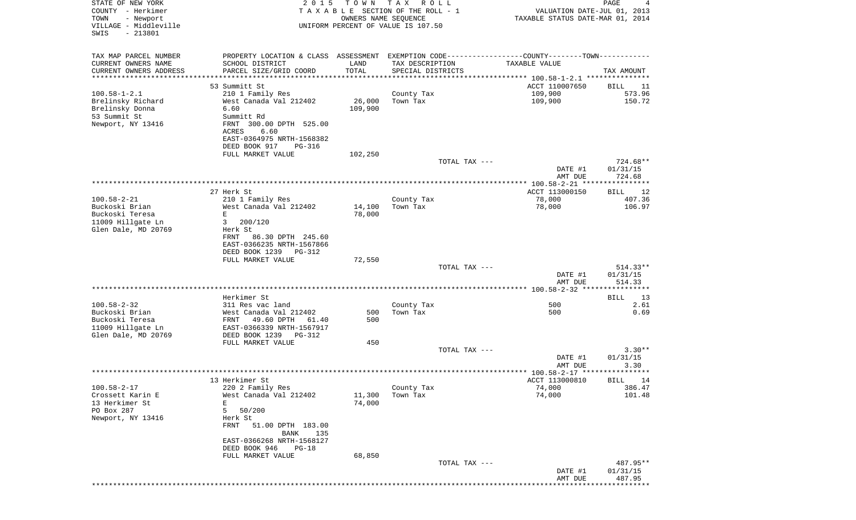| STATE OF NEW YORK<br>COUNTY - Herkimer                          | 2 0 1 5                                                                                       | T O W N              | T A X<br>R O L L<br>TAXABLE SECTION OF THE ROLL - 1 |               | VALUATION DATE-JUL 01, 2013      | PAGE<br>4            |
|-----------------------------------------------------------------|-----------------------------------------------------------------------------------------------|----------------------|-----------------------------------------------------|---------------|----------------------------------|----------------------|
| TOWN<br>- Newport<br>VILLAGE - Middleville<br>$-213801$<br>SWIS |                                                                                               | OWNERS NAME SEQUENCE | UNIFORM PERCENT OF VALUE IS 107.50                  |               | TAXABLE STATUS DATE-MAR 01, 2014 |                      |
| TAX MAP PARCEL NUMBER                                           | PROPERTY LOCATION & CLASS ASSESSMENT EXEMPTION CODE---------------COUNTY-------TOWN---------- |                      |                                                     |               |                                  |                      |
| CURRENT OWNERS NAME                                             | SCHOOL DISTRICT                                                                               | LAND                 | TAX DESCRIPTION                                     |               | TAXABLE VALUE                    |                      |
| CURRENT OWNERS ADDRESS<br>***********************               | PARCEL SIZE/GRID COORD                                                                        | TOTAL                | SPECIAL DISTRICTS                                   |               |                                  | TAX AMOUNT           |
|                                                                 |                                                                                               |                      |                                                     |               |                                  |                      |
| $100.58 - 1 - 2.1$                                              | 53 Summitt St                                                                                 |                      |                                                     |               | ACCT 110007650                   | BILL<br>11<br>573.96 |
| Brelinsky Richard                                               | 210 1 Family Res<br>West Canada Val 212402                                                    | 26,000               | County Tax<br>Town Tax                              |               | 109,900<br>109,900               | 150.72               |
| Brelinsky Donna                                                 | 6.60                                                                                          | 109,900              |                                                     |               |                                  |                      |
| 53 Summit St                                                    | Summitt Rd                                                                                    |                      |                                                     |               |                                  |                      |
| Newport, NY 13416                                               | FRNT 300.00 DPTH 525.00                                                                       |                      |                                                     |               |                                  |                      |
|                                                                 | ACRES<br>6.60                                                                                 |                      |                                                     |               |                                  |                      |
|                                                                 | EAST-0364975 NRTH-1568382                                                                     |                      |                                                     |               |                                  |                      |
|                                                                 | DEED BOOK 917<br>PG-316                                                                       |                      |                                                     |               |                                  |                      |
|                                                                 | FULL MARKET VALUE                                                                             | 102,250              |                                                     |               |                                  |                      |
|                                                                 |                                                                                               |                      |                                                     | TOTAL TAX --- |                                  | 724.68**             |
|                                                                 |                                                                                               |                      |                                                     |               | DATE #1                          | 01/31/15             |
|                                                                 |                                                                                               |                      |                                                     |               | AMT DUE                          | 724.68               |
|                                                                 |                                                                                               |                      |                                                     |               |                                  |                      |
|                                                                 | 27 Herk St                                                                                    |                      |                                                     |               | ACCT 113000150                   | BILL<br>12           |
| $100.58 - 2 - 21$                                               | 210 1 Family Res<br>West Canada Val 212402                                                    |                      | County Tax                                          |               | 78,000                           | 407.36               |
| Buckoski Brian<br>Buckoski Teresa                               | E                                                                                             | 14,100<br>78,000     | Town Tax                                            |               | 78,000                           | 106.97               |
| 11009 Hillgate Ln                                               | 3<br>200/120                                                                                  |                      |                                                     |               |                                  |                      |
| Glen Dale, MD 20769                                             | Herk St                                                                                       |                      |                                                     |               |                                  |                      |
|                                                                 | <b>FRNT</b><br>86.30 DPTH 245.60                                                              |                      |                                                     |               |                                  |                      |
|                                                                 | EAST-0366235 NRTH-1567866                                                                     |                      |                                                     |               |                                  |                      |
|                                                                 | DEED BOOK 1239 PG-312                                                                         |                      |                                                     |               |                                  |                      |
|                                                                 | FULL MARKET VALUE                                                                             | 72,550               |                                                     |               |                                  |                      |
|                                                                 |                                                                                               |                      |                                                     | TOTAL TAX --- |                                  | $514.33**$           |
|                                                                 |                                                                                               |                      |                                                     |               | DATE #1                          | 01/31/15             |
|                                                                 |                                                                                               |                      |                                                     |               | AMT DUE                          | 514.33               |
|                                                                 |                                                                                               |                      |                                                     |               |                                  |                      |
|                                                                 | Herkimer St                                                                                   |                      |                                                     |               |                                  | <b>BILL</b><br>13    |
| $100.58 - 2 - 32$                                               | 311 Res vac land                                                                              |                      | County Tax                                          |               | 500                              | 2.61                 |
| Buckoski Brian<br>Buckoski Teresa                               | West Canada Val 212402<br>49.60 DPTH<br>FRNT<br>61.40                                         | 500<br>500           | Town Tax                                            |               | 500                              | 0.69                 |
| 11009 Hillgate Ln                                               | EAST-0366339 NRTH-1567917                                                                     |                      |                                                     |               |                                  |                      |
| Glen Dale, MD 20769                                             | DEED BOOK 1239<br>PG-312                                                                      |                      |                                                     |               |                                  |                      |
|                                                                 | FULL MARKET VALUE                                                                             | 450                  |                                                     |               |                                  |                      |
|                                                                 |                                                                                               |                      |                                                     | TOTAL TAX --- |                                  | $3.30**$             |
|                                                                 |                                                                                               |                      |                                                     |               | DATE #1                          | 01/31/15             |
|                                                                 |                                                                                               |                      |                                                     |               | AMT DUE                          | 3.30                 |
|                                                                 |                                                                                               |                      |                                                     |               |                                  |                      |
|                                                                 | 13 Herkimer St                                                                                |                      |                                                     |               | ACCT 113000810                   | BILL 14              |
| $100.58 - 2 - 17$                                               | 220 2 Family Res                                                                              |                      | County Tax                                          |               | 74,000                           | 386.47               |
| Crossett Karin E                                                | West Canada Val 212402                                                                        | 11,300               | Town Tax                                            |               | 74,000                           | 101.48               |
| 13 Herkimer St<br>PO Box 287                                    | Е<br>5<br>50/200                                                                              | 74,000               |                                                     |               |                                  |                      |
| Newport, NY 13416                                               | Herk St                                                                                       |                      |                                                     |               |                                  |                      |
|                                                                 | 51.00 DPTH 183.00<br>FRNT                                                                     |                      |                                                     |               |                                  |                      |
|                                                                 | BANK<br>135                                                                                   |                      |                                                     |               |                                  |                      |
|                                                                 | EAST-0366268 NRTH-1568127                                                                     |                      |                                                     |               |                                  |                      |
|                                                                 | DEED BOOK 946<br>$PG-18$                                                                      |                      |                                                     |               |                                  |                      |
|                                                                 | FULL MARKET VALUE                                                                             | 68,850               |                                                     |               |                                  |                      |
|                                                                 |                                                                                               |                      |                                                     | TOTAL TAX --- |                                  | 487.95**             |
|                                                                 |                                                                                               |                      |                                                     |               | DATE #1                          | 01/31/15             |
|                                                                 |                                                                                               |                      |                                                     |               | AMT DUE                          | 487.95               |
|                                                                 |                                                                                               |                      |                                                     |               |                                  |                      |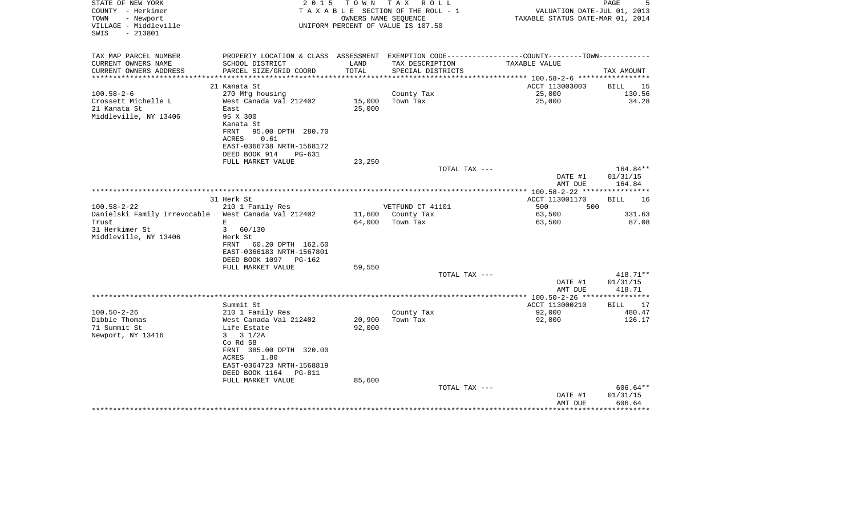| STATE OF NEW YORK<br>COUNTY - Herkimer                          | 2 0 1 5                                    |        | TOWN TAX ROLL<br>TAXABLE SECTION OF THE ROLL - 1           |                                                                                                 | PAGE<br>5<br>VALUATION DATE-JUL 01, 2013 |  |
|-----------------------------------------------------------------|--------------------------------------------|--------|------------------------------------------------------------|-------------------------------------------------------------------------------------------------|------------------------------------------|--|
| TOWN<br>- Newport<br>VILLAGE - Middleville<br>$-213801$<br>SWIS |                                            |        | OWNERS NAME SEQUENCE<br>UNIFORM PERCENT OF VALUE IS 107.50 | TAXABLE STATUS DATE-MAR 01, 2014                                                                |                                          |  |
| TAX MAP PARCEL NUMBER                                           |                                            |        |                                                            | PROPERTY LOCATION & CLASS ASSESSMENT EXEMPTION CODE----------------COUNTY--------TOWN---------- |                                          |  |
| CURRENT OWNERS NAME                                             | SCHOOL DISTRICT                            | LAND   | TAX DESCRIPTION                                            | TAXABLE VALUE                                                                                   |                                          |  |
| CURRENT OWNERS ADDRESS                                          | PARCEL SIZE/GRID COORD                     | TOTAL  | SPECIAL DISTRICTS                                          |                                                                                                 | TAX AMOUNT                               |  |
|                                                                 | 21 Kanata St                               |        |                                                            | ACCT 113003003                                                                                  | BILL<br>15                               |  |
| $100.58 - 2 - 6$                                                | 270 Mfg housing                            |        | County Tax                                                 | 25,000                                                                                          | 130.56                                   |  |
| Crossett Michelle L                                             | West Canada Val 212402                     | 15,000 | Town Tax                                                   | 25,000                                                                                          | 34.28                                    |  |
| 21 Kanata St                                                    | East                                       | 25,000 |                                                            |                                                                                                 |                                          |  |
| Middleville, NY 13406                                           | 95 X 300                                   |        |                                                            |                                                                                                 |                                          |  |
|                                                                 | Kanata St                                  |        |                                                            |                                                                                                 |                                          |  |
|                                                                 | FRNT<br>95.00 DPTH 280.70                  |        |                                                            |                                                                                                 |                                          |  |
|                                                                 | ACRES<br>0.61<br>EAST-0366738 NRTH-1568172 |        |                                                            |                                                                                                 |                                          |  |
|                                                                 | DEED BOOK 914<br>PG-631                    |        |                                                            |                                                                                                 |                                          |  |
|                                                                 | FULL MARKET VALUE                          | 23,250 |                                                            |                                                                                                 |                                          |  |
|                                                                 |                                            |        | TOTAL TAX ---                                              |                                                                                                 | 164.84**                                 |  |
|                                                                 |                                            |        |                                                            | DATE #1                                                                                         | 01/31/15                                 |  |
|                                                                 |                                            |        |                                                            | AMT DUE                                                                                         | 164.84                                   |  |
|                                                                 |                                            |        |                                                            | ************ 100.58-2-22 *****************                                                      |                                          |  |
|                                                                 | 31 Herk St                                 |        |                                                            | ACCT 113001170                                                                                  | 16<br>BILL                               |  |
| $100.58 - 2 - 22$                                               | 210 1 Family Res                           |        | VETFUND CT 41101                                           | 500<br>500                                                                                      |                                          |  |
| Danielski Family Irrevocable                                    | West Canada Val 212402                     |        | 11,600 County Tax                                          | 63,500                                                                                          | 331.63                                   |  |
| Trust<br>31 Herkimer St                                         | Е<br>3<br>60/130                           | 64,000 | Town Tax                                                   | 63,500                                                                                          | 87.08                                    |  |
| Middleville, NY 13406                                           | Herk St                                    |        |                                                            |                                                                                                 |                                          |  |
|                                                                 | 60.20 DPTH 162.60<br>FRNT                  |        |                                                            |                                                                                                 |                                          |  |
|                                                                 | EAST-0366183 NRTH-1567801                  |        |                                                            |                                                                                                 |                                          |  |
|                                                                 | DEED BOOK 1097<br>PG-162                   |        |                                                            |                                                                                                 |                                          |  |
|                                                                 | FULL MARKET VALUE                          | 59,550 |                                                            |                                                                                                 |                                          |  |
|                                                                 |                                            |        | TOTAL TAX ---                                              |                                                                                                 | 418.71**                                 |  |
|                                                                 |                                            |        |                                                            | DATE #1<br>AMT DUE                                                                              | 01/31/15<br>418.71                       |  |
|                                                                 |                                            |        |                                                            |                                                                                                 |                                          |  |
|                                                                 | Summit St                                  |        |                                                            | ACCT 113000210                                                                                  | 17<br>BILL                               |  |
| $100.50 - 2 - 26$                                               | 210 1 Family Res                           |        | County Tax                                                 | 92,000                                                                                          | 480.47                                   |  |
| Dibble Thomas                                                   | West Canada Val 212402                     | 20,900 | Town Tax                                                   | 92,000                                                                                          | 126.17                                   |  |
| 71 Summit St                                                    | Life Estate                                | 92,000 |                                                            |                                                                                                 |                                          |  |
| Newport, NY 13416                                               | $3 \t3 \t1/2A$<br>Co Rd 58                 |        |                                                            |                                                                                                 |                                          |  |
|                                                                 | FRNT 385.00 DPTH 320.00                    |        |                                                            |                                                                                                 |                                          |  |
|                                                                 | 1.80<br>ACRES                              |        |                                                            |                                                                                                 |                                          |  |
|                                                                 | EAST-0364723 NRTH-1568819                  |        |                                                            |                                                                                                 |                                          |  |
|                                                                 | DEED BOOK 1164<br>PG-811                   |        |                                                            |                                                                                                 |                                          |  |
|                                                                 | FULL MARKET VALUE                          | 85,600 |                                                            |                                                                                                 |                                          |  |
|                                                                 |                                            |        | TOTAL TAX ---                                              |                                                                                                 | 606.64**                                 |  |
|                                                                 |                                            |        |                                                            | DATE #1                                                                                         | 01/31/15                                 |  |
|                                                                 |                                            |        |                                                            | AMT DUE                                                                                         | 606.64                                   |  |
|                                                                 |                                            |        |                                                            |                                                                                                 |                                          |  |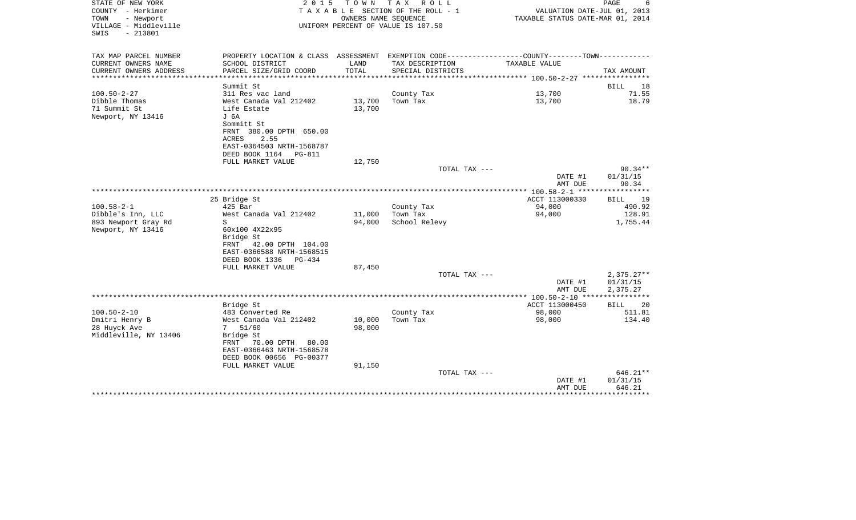| STATE OF NEW YORK<br>COUNTY - Herkimer<br>- Newport<br>TOWN<br>VILLAGE - Middleville<br>$-213801$<br>SWIS | 2 0 1 5                                            | T O W N | TAX ROLL<br>TAXABLE SECTION OF THE ROLL - 1<br>OWNERS NAME SEQUENCE<br>UNIFORM PERCENT OF VALUE IS 107.50 | VALUATION DATE-JUL 01, 2013<br>TAXABLE STATUS DATE-MAR 01, 2014                                | PAGE<br>6                   |
|-----------------------------------------------------------------------------------------------------------|----------------------------------------------------|---------|-----------------------------------------------------------------------------------------------------------|------------------------------------------------------------------------------------------------|-----------------------------|
| TAX MAP PARCEL NUMBER                                                                                     |                                                    |         |                                                                                                           | PROPERTY LOCATION & CLASS ASSESSMENT EXEMPTION CODE----------------COUNTY-------TOWN---------- |                             |
| CURRENT OWNERS NAME                                                                                       | SCHOOL DISTRICT                                    | LAND    | TAX DESCRIPTION                                                                                           | TAXABLE VALUE                                                                                  |                             |
| CURRENT OWNERS ADDRESS<br>****************                                                                | PARCEL SIZE/GRID COORD                             | TOTAL   | SPECIAL DISTRICTS                                                                                         |                                                                                                | TAX AMOUNT                  |
|                                                                                                           | Summit St                                          |         |                                                                                                           |                                                                                                | <b>BILL</b><br>18           |
| $100.50 - 2 - 27$                                                                                         | 311 Res vac land                                   |         | County Tax                                                                                                | 13,700                                                                                         | 71.55                       |
| Dibble Thomas                                                                                             | West Canada Val 212402                             | 13,700  | Town Tax                                                                                                  | 13,700                                                                                         | 18.79                       |
| 71 Summit St                                                                                              | Life Estate                                        | 13,700  |                                                                                                           |                                                                                                |                             |
| Newport, NY 13416                                                                                         | J 6A                                               |         |                                                                                                           |                                                                                                |                             |
|                                                                                                           | Sommitt St                                         |         |                                                                                                           |                                                                                                |                             |
|                                                                                                           | 380.00 DPTH 650.00<br>FRNT<br><b>ACRES</b><br>2.55 |         |                                                                                                           |                                                                                                |                             |
|                                                                                                           | EAST-0364503 NRTH-1568787                          |         |                                                                                                           |                                                                                                |                             |
|                                                                                                           | DEED BOOK 1164<br>PG-811                           |         |                                                                                                           |                                                                                                |                             |
|                                                                                                           | FULL MARKET VALUE                                  | 12,750  |                                                                                                           |                                                                                                |                             |
|                                                                                                           |                                                    |         | TOTAL TAX ---                                                                                             |                                                                                                | $90.34**$                   |
|                                                                                                           |                                                    |         |                                                                                                           | DATE #1                                                                                        | 01/31/15                    |
|                                                                                                           |                                                    |         |                                                                                                           | AMT DUE                                                                                        | 90.34                       |
|                                                                                                           |                                                    |         |                                                                                                           |                                                                                                |                             |
| $100.58 - 2 - 1$                                                                                          | 25 Bridge St<br>425 Bar                            |         |                                                                                                           | ACCT 113000330<br>94,000                                                                       | 19<br><b>BILL</b><br>490.92 |
| Dibble's Inn, LLC                                                                                         | West Canada Val 212402                             | 11,000  | County Tax<br>Town Tax                                                                                    | 94,000                                                                                         | 128.91                      |
| 893 Newport Gray Rd                                                                                       | S                                                  | 94,000  | School Relevy                                                                                             |                                                                                                | 1,755.44                    |
| Newport, NY 13416                                                                                         | 60x100 4X22x95                                     |         |                                                                                                           |                                                                                                |                             |
|                                                                                                           | Bridge St                                          |         |                                                                                                           |                                                                                                |                             |
|                                                                                                           | FRNT<br>42.00 DPTH 104.00                          |         |                                                                                                           |                                                                                                |                             |
|                                                                                                           | EAST-0366588 NRTH-1568515                          |         |                                                                                                           |                                                                                                |                             |
|                                                                                                           | DEED BOOK 1336<br>PG-434                           |         |                                                                                                           |                                                                                                |                             |
|                                                                                                           | FULL MARKET VALUE                                  | 87,450  |                                                                                                           |                                                                                                |                             |
|                                                                                                           |                                                    |         | TOTAL TAX ---                                                                                             |                                                                                                | $2,375.27**$<br>01/31/15    |
|                                                                                                           |                                                    |         |                                                                                                           | DATE #1<br>AMT DUE                                                                             | 2,375.27                    |
|                                                                                                           |                                                    |         |                                                                                                           |                                                                                                |                             |
|                                                                                                           | Bridge St                                          |         |                                                                                                           | ACCT 113000450                                                                                 | 20<br>BILL                  |
| $100.50 - 2 - 10$                                                                                         | 483 Converted Re                                   |         | County Tax                                                                                                | 98,000                                                                                         | 511.81                      |
| Dmitri Henry B                                                                                            | West Canada Val 212402                             | 10,000  | Town Tax                                                                                                  | 98,000                                                                                         | 134.40                      |
| 28 Huyck Ave                                                                                              | 7 51/60                                            | 98,000  |                                                                                                           |                                                                                                |                             |
| Middleville, NY 13406                                                                                     | Bridge St                                          |         |                                                                                                           |                                                                                                |                             |
|                                                                                                           | 70.00 DPTH<br>FRNT<br>80.00                        |         |                                                                                                           |                                                                                                |                             |
|                                                                                                           | EAST-0366463 NRTH-1568578                          |         |                                                                                                           |                                                                                                |                             |
|                                                                                                           | DEED BOOK 00656 PG-00377<br>FULL MARKET VALUE      | 91,150  |                                                                                                           |                                                                                                |                             |
|                                                                                                           |                                                    |         | TOTAL TAX ---                                                                                             |                                                                                                | 646.21**                    |
|                                                                                                           |                                                    |         |                                                                                                           | DATE #1                                                                                        | 01/31/15                    |
|                                                                                                           |                                                    |         |                                                                                                           | AMT DUE                                                                                        | 646.21                      |
|                                                                                                           |                                                    |         |                                                                                                           |                                                                                                |                             |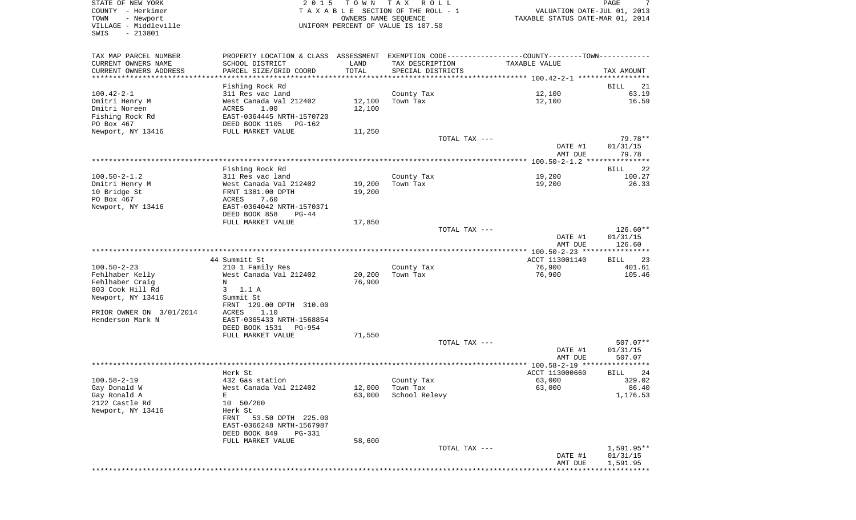| STATE OF NEW YORK<br>COUNTY - Herkimer<br>- Newport<br>TOWN<br>VILLAGE - Middleville<br>SWIS<br>$-213801$ | 2 0 1 5                                                                                                                                    | T O W N<br>OWNERS NAME SEQUENCE | T A X<br>R O L L<br>TAXABLE SECTION OF THE ROLL - 1<br>UNIFORM PERCENT OF VALUE IS 107.50 | VALUATION DATE-JUL 01, 2013<br>TAXABLE STATUS DATE-MAR 01, 2014 | $\mathop{\mathtt{PAGE}}$<br>7             |
|-----------------------------------------------------------------------------------------------------------|--------------------------------------------------------------------------------------------------------------------------------------------|---------------------------------|-------------------------------------------------------------------------------------------|-----------------------------------------------------------------|-------------------------------------------|
| TAX MAP PARCEL NUMBER<br>CURRENT OWNERS NAME<br>CURRENT OWNERS ADDRESS<br>***********************         | PROPERTY LOCATION & CLASS ASSESSMENT EXEMPTION CODE---------------COUNTY-------TOWN----------<br>SCHOOL DISTRICT<br>PARCEL SIZE/GRID COORD | LAND<br>TOTAL                   | TAX DESCRIPTION<br>SPECIAL DISTRICTS                                                      | TAXABLE VALUE                                                   | TAX AMOUNT                                |
| $100.42 - 2 - 1$<br>Dmitri Henry M<br>Dmitri Noreen<br>Fishing Rock Rd<br>PO Box 467                      | Fishing Rock Rd<br>311 Res vac land<br>West Canada Val 212402<br>ACRES<br>1.00<br>EAST-0364445 NRTH-1570720<br>DEED BOOK 1105<br>PG-162    | 12,100<br>12,100                | County Tax<br>Town Tax                                                                    | 12,100<br>12,100                                                | BILL<br>21<br>63.19<br>16.59              |
| Newport, NY 13416                                                                                         | FULL MARKET VALUE                                                                                                                          | 11,250                          | TOTAL TAX ---                                                                             | DATE #1<br>AMT DUE                                              | 79.78**<br>01/31/15<br>79.78              |
|                                                                                                           |                                                                                                                                            |                                 |                                                                                           |                                                                 |                                           |
| $100.50 - 2 - 1.2$<br>Dmitri Henry M<br>10 Bridge St<br>PO Box 467                                        | Fishing Rock Rd<br>311 Res vac land<br>West Canada Val 212402<br>FRNT 1381.00 DPTH<br>ACRES<br>7.60                                        | 19,200<br>19,200                | County Tax<br>Town Tax                                                                    | 19,200<br>19,200                                                | 22<br>BILL<br>100.27<br>26.33             |
| Newport, NY 13416                                                                                         | EAST-0364042 NRTH-1570371<br>DEED BOOK 858<br>$PG-44$<br>FULL MARKET VALUE                                                                 | 17,850                          |                                                                                           |                                                                 |                                           |
|                                                                                                           |                                                                                                                                            |                                 | TOTAL TAX ---                                                                             | DATE #1<br>AMT DUE                                              | $126.60**$<br>01/31/15<br>126.60          |
|                                                                                                           | 44 Summitt St                                                                                                                              |                                 |                                                                                           | ACCT 113001140                                                  | 23<br>BILL                                |
| $100.50 - 2 - 23$<br>Fehlhaber Kelly<br>Fehlhaber Craig<br>803 Cook Hill Rd                               | 210 1 Family Res<br>West Canada Val 212402<br>N<br>3 1.1 A                                                                                 | 20,200<br>76,900                | County Tax<br>Town Tax                                                                    | 76,900<br>76,900                                                | 401.61<br>105.46                          |
| Newport, NY 13416<br>PRIOR OWNER ON 3/01/2014                                                             | Summit St<br>FRNT 129.00 DPTH 310.00<br>ACRES<br>1.10                                                                                      |                                 |                                                                                           |                                                                 |                                           |
| Henderson Mark N                                                                                          | EAST-0365433 NRTH-1568854<br>DEED BOOK 1531<br>PG-954<br>FULL MARKET VALUE                                                                 | 71,550                          |                                                                                           |                                                                 |                                           |
|                                                                                                           |                                                                                                                                            |                                 | TOTAL TAX ---                                                                             | DATE #1<br>AMT DUE                                              | 507.07**<br>01/31/15<br>507.07            |
|                                                                                                           |                                                                                                                                            |                                 |                                                                                           |                                                                 |                                           |
| $100.58 - 2 - 19$<br>Gay Donald W<br>Gay Ronald A<br>2122 Castle Rd<br>Newport, NY 13416                  | Herk St<br>432 Gas station<br>West Canada Val 212402<br>E<br>10 50/260<br>Herk St<br>53.50 DPTH 225.00<br>FRNT                             | 12,000<br>63,000                | County Tax<br>Town Tax<br>School Relevy                                                   | ACCT 113000660<br>63,000<br>63,000                              | BILL<br>24<br>329.02<br>86.40<br>1,176.53 |
|                                                                                                           | EAST-0366248 NRTH-1567987<br>DEED BOOK 849<br>PG-331<br>FULL MARKET VALUE                                                                  | 58,600                          | TOTAL TAX ---                                                                             |                                                                 | 1,591.95**                                |
|                                                                                                           |                                                                                                                                            |                                 |                                                                                           | DATE #1<br>AMT DUE<br>**********************************        | 01/31/15<br>1,591.95                      |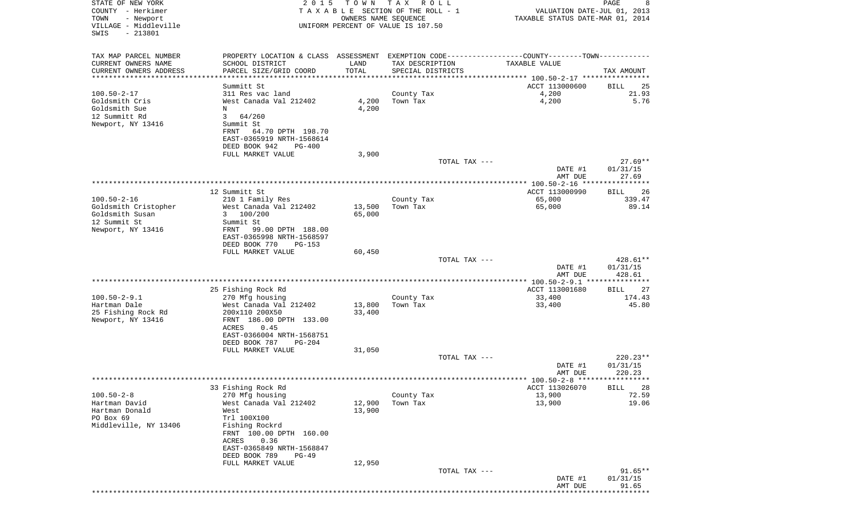| STATE OF NEW YORK<br>COUNTY - Herkimer          | 2 0 1 5                                                                                       | T O W N                        | TAX ROLL<br>TAXABLE SECTION OF THE ROLL - 1 | VALUATION DATE-JUL 01, 2013             | PAGE<br>8          |
|-------------------------------------------------|-----------------------------------------------------------------------------------------------|--------------------------------|---------------------------------------------|-----------------------------------------|--------------------|
| TOWN<br>- Newport                               |                                                                                               | OWNERS NAME SEQUENCE           |                                             | TAXABLE STATUS DATE-MAR 01, 2014        |                    |
| VILLAGE - Middleville                           |                                                                                               |                                | UNIFORM PERCENT OF VALUE IS 107.50          |                                         |                    |
| $-213801$<br>SWIS                               |                                                                                               |                                |                                             |                                         |                    |
|                                                 |                                                                                               |                                |                                             |                                         |                    |
| TAX MAP PARCEL NUMBER                           | PROPERTY LOCATION & CLASS ASSESSMENT EXEMPTION CODE---------------COUNTY-------TOWN---------- |                                |                                             |                                         |                    |
| CURRENT OWNERS NAME                             | SCHOOL DISTRICT                                                                               | LAND                           | TAX DESCRIPTION                             | TAXABLE VALUE                           |                    |
| CURRENT OWNERS ADDRESS<br>********************* | PARCEL SIZE/GRID COORD                                                                        | TOTAL<br>* * * * * * * * * * * | SPECIAL DISTRICTS                           |                                         | TAX AMOUNT         |
|                                                 | Summitt St                                                                                    |                                |                                             |                                         | 25                 |
| $100.50 - 2 - 17$                               | 311 Res vac land                                                                              |                                | County Tax                                  | ACCT 113000600<br>4,200                 | BILL<br>21.93      |
| Goldsmith Cris                                  | West Canada Val 212402                                                                        | 4,200                          | Town Tax                                    | 4,200                                   | 5.76               |
| Goldsmith Sue                                   | N                                                                                             | 4,200                          |                                             |                                         |                    |
| 12 Summitt Rd                                   | 364/260                                                                                       |                                |                                             |                                         |                    |
| Newport, NY 13416                               | Summit St                                                                                     |                                |                                             |                                         |                    |
|                                                 | FRNT<br>64.70 DPTH 198.70                                                                     |                                |                                             |                                         |                    |
|                                                 | EAST-0365919 NRTH-1568614                                                                     |                                |                                             |                                         |                    |
|                                                 | DEED BOOK 942<br><b>PG-400</b>                                                                |                                |                                             |                                         |                    |
|                                                 | FULL MARKET VALUE                                                                             | 3,900                          |                                             |                                         |                    |
|                                                 |                                                                                               |                                | TOTAL TAX ---                               |                                         | $27.69**$          |
|                                                 |                                                                                               |                                |                                             | DATE #1                                 | 01/31/15           |
|                                                 |                                                                                               |                                |                                             | AMT DUE                                 | 27.69              |
|                                                 | 12 Summitt St                                                                                 |                                |                                             | ACCT 113000990                          | 26<br>BILL         |
| $100.50 - 2 - 16$                               | 210 1 Family Res                                                                              |                                | County Tax                                  | 65,000                                  | 339.47             |
| Goldsmith Cristopher                            | West Canada Val 212402                                                                        | 13,500                         | Town Tax                                    | 65,000                                  | 89.14              |
| Goldsmith Susan                                 | 3 100/200                                                                                     | 65,000                         |                                             |                                         |                    |
| 12 Summit St                                    | Summit St                                                                                     |                                |                                             |                                         |                    |
| Newport, NY 13416                               | FRNT<br>99.00 DPTH 188.00                                                                     |                                |                                             |                                         |                    |
|                                                 | EAST-0365998 NRTH-1568597                                                                     |                                |                                             |                                         |                    |
|                                                 | DEED BOOK 770<br>$PG-153$                                                                     |                                |                                             |                                         |                    |
|                                                 | FULL MARKET VALUE                                                                             | 60,450                         |                                             |                                         |                    |
|                                                 |                                                                                               |                                | TOTAL TAX ---                               |                                         | 428.61**           |
|                                                 |                                                                                               |                                |                                             | DATE #1<br>AMT DUE                      | 01/31/15<br>428.61 |
|                                                 |                                                                                               |                                |                                             |                                         |                    |
|                                                 | 25 Fishing Rock Rd                                                                            |                                |                                             | ACCT 113001680                          | <b>BILL</b><br>27  |
| $100.50 - 2 - 9.1$                              | 270 Mfg housing                                                                               |                                | County Tax                                  | 33,400                                  | 174.43             |
| Hartman Dale                                    | West Canada Val 212402                                                                        | 13,800                         | Town Tax                                    | 33,400                                  | 45.80              |
| 25 Fishing Rock Rd                              | 200x110 200X50                                                                                | 33,400                         |                                             |                                         |                    |
| Newport, NY 13416                               | FRNT 186.00 DPTH 133.00                                                                       |                                |                                             |                                         |                    |
|                                                 | ACRES<br>0.45                                                                                 |                                |                                             |                                         |                    |
|                                                 | EAST-0366004 NRTH-1568751                                                                     |                                |                                             |                                         |                    |
|                                                 | DEED BOOK 787<br>PG-204                                                                       |                                |                                             |                                         |                    |
|                                                 | FULL MARKET VALUE                                                                             | 31,050                         | TOTAL TAX ---                               |                                         | $220.23**$         |
|                                                 |                                                                                               |                                |                                             | DATE #1                                 | 01/31/15           |
|                                                 |                                                                                               |                                |                                             | AMT DUE                                 | 220.23             |
|                                                 |                                                                                               |                                |                                             | ********* 100.50-2-8 ****************** |                    |
|                                                 | 33 Fishing Rock Rd                                                                            |                                |                                             | ACCT 113026070                          | <b>BILL</b><br>28  |
| $100.50 - 2 - 8$                                | 270 Mfg housing                                                                               |                                | County Tax                                  | 13,900                                  | 72.59              |
| Hartman David                                   | West Canada Val 212402                                                                        | 12,900                         | Town Tax                                    | 13,900                                  | 19.06              |
| Hartman Donald                                  | West                                                                                          | 13,900                         |                                             |                                         |                    |
| PO Box 69                                       | Trl 100X100                                                                                   |                                |                                             |                                         |                    |
| Middleville, NY 13406                           | Fishing Rockrd                                                                                |                                |                                             |                                         |                    |
|                                                 | FRNT 100.00 DPTH 160.00<br>0.36                                                               |                                |                                             |                                         |                    |
|                                                 | ACRES<br>EAST-0365849 NRTH-1568847                                                            |                                |                                             |                                         |                    |
|                                                 | DEED BOOK 789<br>$PG-49$                                                                      |                                |                                             |                                         |                    |
|                                                 | FULL MARKET VALUE                                                                             | 12,950                         |                                             |                                         |                    |
|                                                 |                                                                                               |                                | TOTAL TAX ---                               |                                         | $91.65**$          |
|                                                 |                                                                                               |                                |                                             | DATE #1                                 | 01/31/15           |
|                                                 |                                                                                               |                                |                                             | AMT DUE                                 | 91.65              |
|                                                 |                                                                                               |                                |                                             |                                         |                    |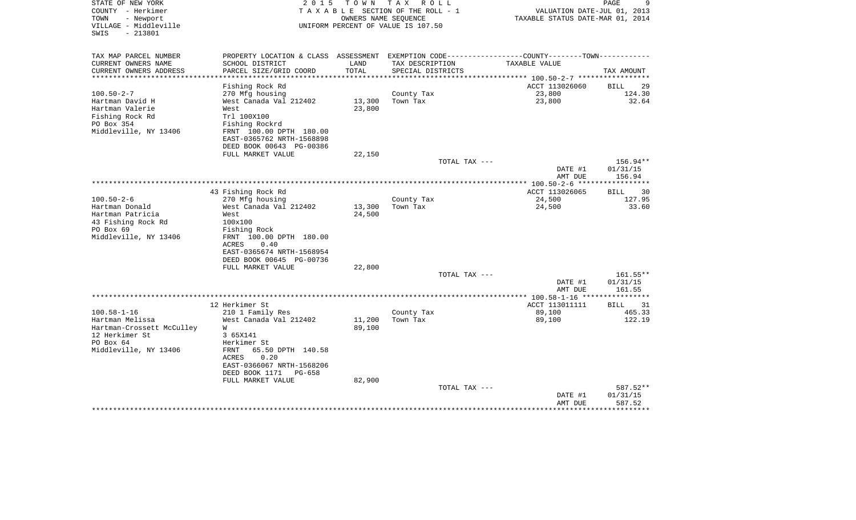| STATE OF NEW YORK<br>COUNTY - Herkimer<br>TOWN<br>- Newport<br>VILLAGE - Middleville<br>$-213801$<br>SWIS                 | 2 0 1 5                                                                                                                                                                                                                      | T O W N<br>OWNERS NAME SEQUENCE | TAX ROLL<br>TAXABLE SECTION OF THE ROLL - 1<br>UNIFORM PERCENT OF VALUE IS 107.50 |               | VALUATION DATE-JUL 01, 2013<br>TAXABLE STATUS DATE-MAR 01, 2014 | PAGE<br>9                            |
|---------------------------------------------------------------------------------------------------------------------------|------------------------------------------------------------------------------------------------------------------------------------------------------------------------------------------------------------------------------|---------------------------------|-----------------------------------------------------------------------------------|---------------|-----------------------------------------------------------------|--------------------------------------|
| TAX MAP PARCEL NUMBER<br>CURRENT OWNERS NAME<br>CURRENT OWNERS ADDRESS                                                    | PROPERTY LOCATION & CLASS ASSESSMENT EXEMPTION CODE----------------COUNTY-------TOWN----------<br>SCHOOL DISTRICT<br>PARCEL SIZE/GRID COORD<br>************************                                                      | LAND<br>TOTAL                   | TAX DESCRIPTION<br>SPECIAL DISTRICTS                                              |               | TAXABLE VALUE                                                   | TAX AMOUNT                           |
| **********************                                                                                                    |                                                                                                                                                                                                                              | ***************                 |                                                                                   |               |                                                                 |                                      |
| $100.50 - 2 - 7$<br>Hartman David H<br>Hartman Valerie<br>Fishing Rock Rd<br>PO Box 354<br>Middleville, NY 13406          | Fishing Rock Rd<br>270 Mfg housing<br>West Canada Val 212402<br>West<br>Trl 100X100<br>Fishing Rockrd<br>FRNT 100.00 DPTH 180.00<br>EAST-0365762 NRTH-1568898                                                                | 13,300<br>23,800                | County Tax<br>Town Tax                                                            |               | ACCT 113026060<br>23,800<br>23,800                              | <b>BILL</b><br>29<br>124.30<br>32.64 |
|                                                                                                                           | DEED BOOK 00643 PG-00386                                                                                                                                                                                                     | 22,150                          |                                                                                   |               |                                                                 |                                      |
|                                                                                                                           | FULL MARKET VALUE                                                                                                                                                                                                            |                                 |                                                                                   | TOTAL TAX --- | DATE #1                                                         | 156.94**<br>01/31/15                 |
|                                                                                                                           |                                                                                                                                                                                                                              |                                 |                                                                                   |               | AMT DUE                                                         | 156.94                               |
|                                                                                                                           |                                                                                                                                                                                                                              |                                 |                                                                                   |               |                                                                 |                                      |
| $100.50 - 2 - 6$<br>Hartman Donald<br>Hartman Patricia<br>43 Fishing Rock Rd<br>PO Box 69<br>Middleville, NY 13406        | 43 Fishing Rock Rd<br>270 Mfg housing<br>West Canada Val 212402<br>West<br>100x100<br>Fishing Rock<br>FRNT 100.00 DPTH 180.00<br>ACRES<br>0.40<br>EAST-0365674 NRTH-1568954<br>DEED BOOK 00645 PG-00736<br>FULL MARKET VALUE | 13,300<br>24,500<br>22,800      | County Tax<br>Town Tax                                                            |               | ACCT 113026065<br>24,500<br>24,500                              | 30<br><b>BILL</b><br>127.95<br>33.60 |
|                                                                                                                           |                                                                                                                                                                                                                              |                                 |                                                                                   | TOTAL TAX --- |                                                                 | $161.55**$                           |
|                                                                                                                           |                                                                                                                                                                                                                              |                                 |                                                                                   |               | DATE #1<br>AMT DUE                                              | 01/31/15<br>161.55                   |
|                                                                                                                           |                                                                                                                                                                                                                              |                                 |                                                                                   |               |                                                                 |                                      |
| $100.58 - 1 - 16$<br>Hartman Melissa<br>Hartman-Crossett McCulley<br>12 Herkimer St<br>PO Box 64<br>Middleville, NY 13406 | 12 Herkimer St<br>210 1 Family Res<br>West Canada Val 212402<br>W<br>3 65X141<br>Herkimer St<br><b>FRNT</b><br>65.50 DPTH 140.58<br>0.20<br>ACRES<br>EAST-0366067 NRTH-1568206<br>DEED BOOK 1171<br>$PG-658$                 | 11,200<br>89,100                | County Tax<br>Town Tax                                                            |               | ACCT 113011111<br>89,100<br>89,100                              | 31<br>BILL<br>465.33<br>122.19       |
|                                                                                                                           | FULL MARKET VALUE                                                                                                                                                                                                            | 82,900                          |                                                                                   | TOTAL TAX --- |                                                                 | 587.52**                             |
|                                                                                                                           |                                                                                                                                                                                                                              |                                 |                                                                                   |               | DATE #1<br>AMT DUE                                              | 01/31/15<br>587.52                   |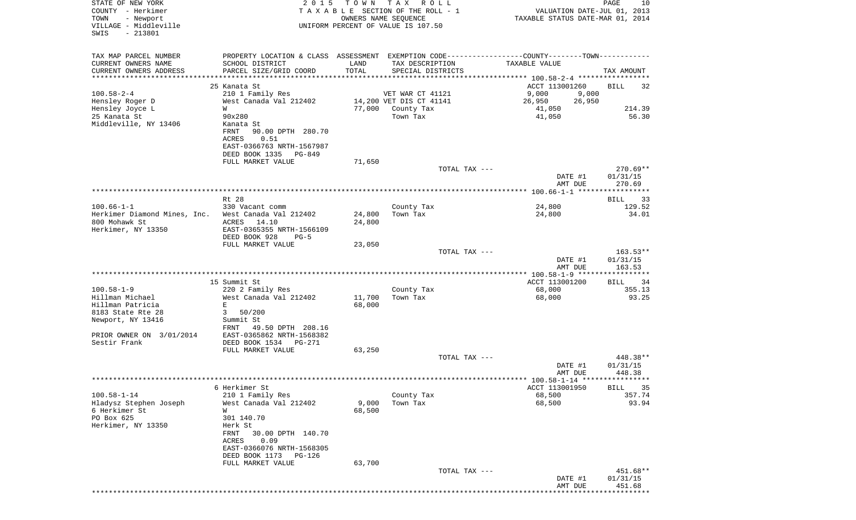|                                         |                                              |                      |                                                                                                | AMT DUE                          | 451.68               |
|-----------------------------------------|----------------------------------------------|----------------------|------------------------------------------------------------------------------------------------|----------------------------------|----------------------|
|                                         |                                              |                      | TOTAL TAX ---                                                                                  | DATE #1                          | 451.68**<br>01/31/15 |
|                                         | FULL MARKET VALUE                            | 63,700               |                                                                                                |                                  |                      |
|                                         | DEED BOOK 1173<br>PG-126                     |                      |                                                                                                |                                  |                      |
|                                         | ACRES<br>0.09<br>EAST-0366076 NRTH-1568305   |                      |                                                                                                |                                  |                      |
|                                         | FRNT<br>30.00 DPTH 140.70                    |                      |                                                                                                |                                  |                      |
| Herkimer, NY 13350                      | Herk St                                      |                      |                                                                                                |                                  |                      |
| PO Box 625                              | 301 140.70                                   |                      |                                                                                                |                                  |                      |
| Hladysz Stephen Joseph<br>6 Herkimer St | West Canada Val 212402<br>W                  | 9,000<br>68,500      | Town Tax                                                                                       | 68,500                           | 93.94                |
| $100.58 - 1 - 14$                       | 210 1 Family Res                             |                      | County Tax                                                                                     | 68,500                           | 357.74               |
|                                         | 6 Herkimer St                                |                      |                                                                                                | ACCT 113001950                   | <b>BILL</b><br>35    |
|                                         |                                              |                      |                                                                                                |                                  |                      |
|                                         |                                              |                      |                                                                                                | AMT DUE                          | 448.38               |
|                                         |                                              |                      | TOTAL TAX ---                                                                                  | DATE #1                          | 01/31/15             |
|                                         | FULL MARKET VALUE                            | 63,250               |                                                                                                |                                  | $448.38**$           |
| Sestir Frank                            | DEED BOOK 1534<br>PG-271                     |                      |                                                                                                |                                  |                      |
| PRIOR OWNER ON 3/01/2014                | EAST-0365862 NRTH-1568382                    |                      |                                                                                                |                                  |                      |
|                                         | FRNT 49.50 DPTH 208.16                       |                      |                                                                                                |                                  |                      |
| Newport, NY 13416                       | Summit St                                    |                      |                                                                                                |                                  |                      |
| 8183 State Rte 28                       | 3<br>50/200                                  |                      |                                                                                                |                                  |                      |
| Hillman Michael<br>Hillman Patricia     | West Canada Val 212402<br>Е                  | 11,700<br>68,000     | Town Tax                                                                                       | 68,000                           | 93.25                |
| $100.58 - 1 - 9$                        | 220 2 Family Res                             |                      | County Tax                                                                                     | 68,000                           | 355.13               |
|                                         | 15 Summit St                                 |                      |                                                                                                | ACCT 113001200                   | 34<br>BILL           |
|                                         |                                              |                      |                                                                                                |                                  |                      |
|                                         |                                              |                      |                                                                                                | AMT DUE                          | 163.53               |
|                                         |                                              |                      |                                                                                                | DATE #1                          | 01/31/15             |
|                                         |                                              |                      | TOTAL TAX ---                                                                                  |                                  | $163.53**$           |
|                                         | DEED BOOK 928<br>$PG-5$<br>FULL MARKET VALUE | 23,050               |                                                                                                |                                  |                      |
| Herkimer, NY 13350                      | EAST-0365355 NRTH-1566109                    |                      |                                                                                                |                                  |                      |
| 800 Mohawk St                           | ACRES<br>14.10                               | 24,800               |                                                                                                |                                  |                      |
| Herkimer Diamond Mines, Inc.            | West Canada Val 212402                       | 24,800               | Town Tax                                                                                       | 24,800                           | 34.01                |
| $100.66 - 1 - 1$                        | 330 Vacant comm                              |                      | County Tax                                                                                     | 24,800                           | 129.52               |
|                                         | Rt 28                                        |                      |                                                                                                |                                  | 33<br>BILL           |
|                                         |                                              |                      |                                                                                                | AMT DUE                          | 270.69               |
|                                         |                                              |                      |                                                                                                | DATE #1                          | 01/31/15             |
|                                         |                                              |                      | TOTAL TAX ---                                                                                  |                                  | $270.69**$           |
|                                         | FULL MARKET VALUE                            | 71,650               |                                                                                                |                                  |                      |
|                                         | DEED BOOK 1335 PG-849                        |                      |                                                                                                |                                  |                      |
|                                         | EAST-0366763 NRTH-1567987                    |                      |                                                                                                |                                  |                      |
|                                         | FRNT<br>90.00 DPTH 280.70<br>ACRES<br>0.51   |                      |                                                                                                |                                  |                      |
| Middleville, NY 13406                   | Kanata St                                    |                      |                                                                                                |                                  |                      |
| 25 Kanata St                            | 90x280                                       |                      | Town Tax                                                                                       | 41,050                           | 56.30                |
| Hensley Joyce L                         | W                                            | 77,000               | County Tax                                                                                     | 41,050                           | 214.39               |
| Hensley Roger D                         | West Canada Val 212402                       |                      | 14,200 VET DIS CT 41141                                                                        | 26,950<br>26,950                 |                      |
| $100.58 - 2 - 4$                        | 210 1 Family Res                             |                      | VET WAR CT 41121                                                                               | 9,000<br>9,000                   |                      |
| **********************                  | 25 Kanata St                                 |                      |                                                                                                | ACCT 113001260                   | <b>BILL</b><br>32    |
| CURRENT OWNERS ADDRESS                  | PARCEL SIZE/GRID COORD                       | TOTAL                | SPECIAL DISTRICTS                                                                              |                                  | TAX AMOUNT           |
| CURRENT OWNERS NAME                     | SCHOOL DISTRICT                              | LAND                 | TAX DESCRIPTION                                                                                | TAXABLE VALUE                    |                      |
| TAX MAP PARCEL NUMBER                   |                                              |                      | PROPERTY LOCATION & CLASS ASSESSMENT EXEMPTION CODE----------------COUNTY-------TOWN---------- |                                  |                      |
|                                         |                                              |                      |                                                                                                |                                  |                      |
| $-213801$<br>SWIS                       |                                              |                      |                                                                                                |                                  |                      |
| VILLAGE - Middleville                   |                                              |                      | UNIFORM PERCENT OF VALUE IS 107.50                                                             |                                  |                      |
| TOWN<br>- Newport                       |                                              | OWNERS NAME SEQUENCE |                                                                                                | TAXABLE STATUS DATE-MAR 01, 2014 |                      |
| COUNTY - Herkimer                       |                                              |                      | TAXABLE SECTION OF THE ROLL - 1                                                                | VALUATION DATE-JUL 01, 2013      |                      |
| STATE OF NEW YORK                       | 2 0 1 5                                      | T O W N              | TAX ROLL                                                                                       |                                  | PAGE<br>10           |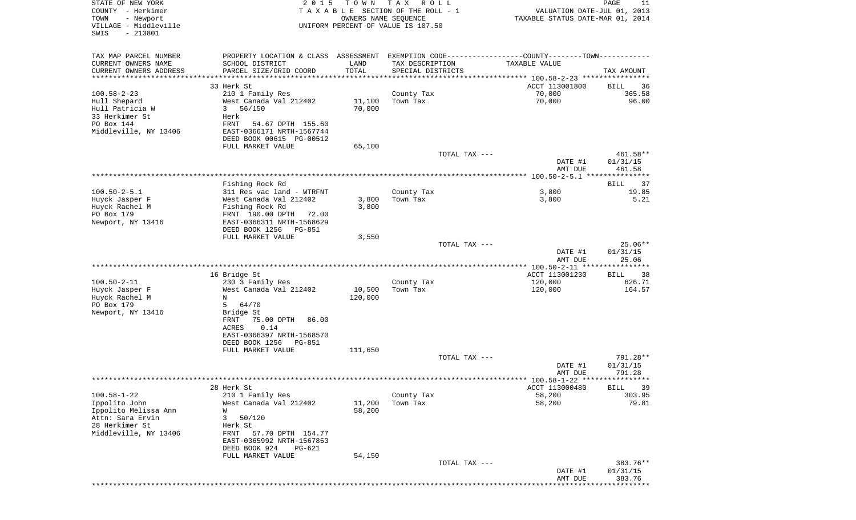| STATE OF NEW YORK<br>COUNTY - Herkimer<br>TOWN<br>- Newport | 2 0 1 5                                                                                                          | T O W N<br>OWNERS NAME SEQUENCE | T A X<br>R O L L<br>TAXABLE SECTION OF THE ROLL - 1 | VALUATION DATE-JUL 01, 2013<br>TAXABLE STATUS DATE-MAR 01, 2014 | PAGE<br>11               |
|-------------------------------------------------------------|------------------------------------------------------------------------------------------------------------------|---------------------------------|-----------------------------------------------------|-----------------------------------------------------------------|--------------------------|
| VILLAGE - Middleville<br>$-213801$<br>SWIS                  |                                                                                                                  |                                 | UNIFORM PERCENT OF VALUE IS 107.50                  |                                                                 |                          |
| TAX MAP PARCEL NUMBER<br>CURRENT OWNERS NAME                | PROPERTY LOCATION & CLASS ASSESSMENT EXEMPTION CODE---------------COUNTY-------TOWN----------<br>SCHOOL DISTRICT | LAND                            | TAX DESCRIPTION                                     | TAXABLE VALUE                                                   |                          |
| CURRENT OWNERS ADDRESS                                      | PARCEL SIZE/GRID COORD                                                                                           | TOTAL                           | SPECIAL DISTRICTS                                   |                                                                 | TAX AMOUNT               |
| **********************                                      | *******************                                                                                              | ***********                     |                                                     |                                                                 |                          |
|                                                             | 33 Herk St                                                                                                       |                                 |                                                     | ACCT 113001800                                                  | BILL<br>36               |
| $100.58 - 2 - 23$<br>Hull Shepard                           | 210 1 Family Res<br>West Canada Val 212402                                                                       | 11,100                          | County Tax<br>Town Tax                              | 70,000<br>70,000                                                | 365.58<br>96.00          |
| Hull Patricia W                                             | 56/150<br>$3^{\circ}$                                                                                            | 70,000                          |                                                     |                                                                 |                          |
| 33 Herkimer St                                              | Herk                                                                                                             |                                 |                                                     |                                                                 |                          |
| PO Box 144                                                  | FRNT<br>54.67 DPTH 155.60                                                                                        |                                 |                                                     |                                                                 |                          |
| Middleville, NY 13406                                       | EAST-0366171 NRTH-1567744                                                                                        |                                 |                                                     |                                                                 |                          |
|                                                             | DEED BOOK 00615 PG-00512                                                                                         |                                 |                                                     |                                                                 |                          |
|                                                             | FULL MARKET VALUE                                                                                                | 65,100                          | TOTAL TAX ---                                       |                                                                 | 461.58**                 |
|                                                             |                                                                                                                  |                                 |                                                     | DATE #1                                                         | 01/31/15                 |
|                                                             |                                                                                                                  |                                 |                                                     | AMT DUE                                                         | 461.58                   |
|                                                             |                                                                                                                  |                                 |                                                     |                                                                 |                          |
|                                                             | Fishing Rock Rd                                                                                                  |                                 |                                                     |                                                                 | 37<br>BILL               |
| $100.50 - 2 - 5.1$                                          | 311 Res vac land - WTRFNT                                                                                        |                                 | County Tax                                          | 3,800                                                           | 19.85                    |
| Huyck Jasper F<br>Huyck Rachel M                            | West Canada Val 212402<br>Fishing Rock Rd                                                                        | 3,800<br>3,800                  | Town Tax                                            | 3,800                                                           | 5.21                     |
| PO Box 179                                                  | FRNT 190.00 DPTH<br>72.00                                                                                        |                                 |                                                     |                                                                 |                          |
| Newport, NY 13416                                           | EAST-0366311 NRTH-1568629                                                                                        |                                 |                                                     |                                                                 |                          |
|                                                             | DEED BOOK 1256<br>PG-851                                                                                         |                                 |                                                     |                                                                 |                          |
|                                                             | FULL MARKET VALUE                                                                                                | 3,550                           |                                                     |                                                                 |                          |
|                                                             |                                                                                                                  |                                 | TOTAL TAX ---                                       |                                                                 | $25.06**$                |
|                                                             |                                                                                                                  |                                 |                                                     | DATE #1                                                         | 01/31/15                 |
|                                                             |                                                                                                                  |                                 |                                                     | AMT DUE<br>************** 100.50-2-11 ****                      | 25.06<br>* * * * * * * * |
|                                                             | 16 Bridge St                                                                                                     |                                 |                                                     | ACCT 113001230                                                  | <b>BILL</b><br>38        |
| $100.50 - 2 - 11$                                           | 230 3 Family Res                                                                                                 |                                 | County Tax                                          | 120,000                                                         | 626.71                   |
| Huyck Jasper F                                              | West Canada Val 212402                                                                                           | 10,500                          | Town Tax                                            | 120,000                                                         | 164.57                   |
| Huyck Rachel M                                              | N                                                                                                                | 120,000                         |                                                     |                                                                 |                          |
| PO Box 179                                                  | 64/70<br>5                                                                                                       |                                 |                                                     |                                                                 |                          |
| Newport, NY 13416                                           | Bridge St<br>FRNT<br>75.00 DPTH<br>86.00                                                                         |                                 |                                                     |                                                                 |                          |
|                                                             | ACRES<br>0.14                                                                                                    |                                 |                                                     |                                                                 |                          |
|                                                             | EAST-0366397 NRTH-1568570                                                                                        |                                 |                                                     |                                                                 |                          |
|                                                             | DEED BOOK 1256<br>PG-851                                                                                         |                                 |                                                     |                                                                 |                          |
|                                                             | FULL MARKET VALUE                                                                                                | 111,650                         |                                                     |                                                                 |                          |
|                                                             |                                                                                                                  |                                 | TOTAL TAX ---                                       | DATE #1                                                         | 791.28**<br>01/31/15     |
|                                                             |                                                                                                                  |                                 |                                                     | AMT DUE                                                         | 791.28                   |
|                                                             |                                                                                                                  |                                 |                                                     |                                                                 |                          |
|                                                             | 28 Herk St                                                                                                       |                                 |                                                     | ACCT 113000480                                                  | 39<br><b>BILL</b>        |
| $100.58 - 1 - 22$                                           | 210 1 Family Res                                                                                                 |                                 | County Tax                                          | 58,200                                                          | 303.95                   |
| Ippolito John                                               | West Canada Val 212402                                                                                           | 11,200                          | Town Tax                                            | 58,200                                                          | 79.81                    |
| Ippolito Melissa Ann<br>Attn: Sara Ervin                    | W<br>3<br>50/120                                                                                                 | 58,200                          |                                                     |                                                                 |                          |
| 28 Herkimer St                                              | Herk St                                                                                                          |                                 |                                                     |                                                                 |                          |
| Middleville, NY 13406                                       | FRNT<br>57.70 DPTH 154.77                                                                                        |                                 |                                                     |                                                                 |                          |
|                                                             | EAST-0365992 NRTH-1567853                                                                                        |                                 |                                                     |                                                                 |                          |
|                                                             | DEED BOOK 924<br>$PG-621$                                                                                        |                                 |                                                     |                                                                 |                          |
|                                                             | FULL MARKET VALUE                                                                                                | 54,150                          |                                                     |                                                                 |                          |
|                                                             |                                                                                                                  |                                 | TOTAL TAX ---                                       |                                                                 | 383.76**                 |
|                                                             |                                                                                                                  |                                 |                                                     | DATE #1<br>AMT DUE                                              | 01/31/15<br>383.76       |
|                                                             |                                                                                                                  |                                 |                                                     |                                                                 |                          |
|                                                             |                                                                                                                  |                                 |                                                     |                                                                 |                          |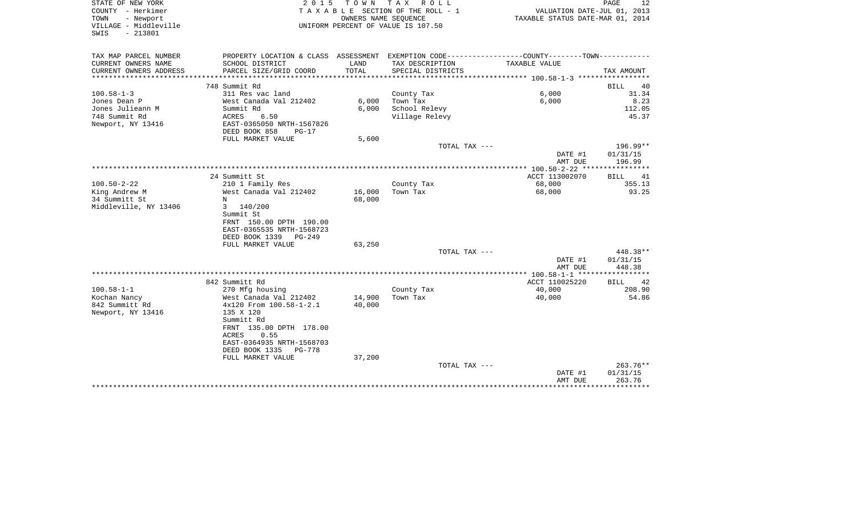| STATE OF NEW YORK<br>COUNTY - Herkimer<br>TOWN<br>- Newport<br>VILLAGE - Middleville<br>$-213801$<br>SWIS | 2 0 1 5                                                          | T O W N<br>OWNERS NAME SEQUENCE | TAX ROLL<br>TAXABLE SECTION OF THE ROLL - 1<br>UNIFORM PERCENT OF VALUE IS 107.50 | VALUATION DATE-JUL 01, 2013<br>TAXABLE STATUS DATE-MAR 01, 2014 | PAGE<br>12        |
|-----------------------------------------------------------------------------------------------------------|------------------------------------------------------------------|---------------------------------|-----------------------------------------------------------------------------------|-----------------------------------------------------------------|-------------------|
| TAX MAP PARCEL NUMBER                                                                                     | PROPERTY LOCATION & CLASS ASSESSMENT                             |                                 | EXEMPTION CODE----------------COUNTY-------TOWN--------                           |                                                                 |                   |
| CURRENT OWNERS NAME<br>CURRENT OWNERS ADDRESS<br>*******************                                      | SCHOOL DISTRICT<br>PARCEL SIZE/GRID COORD<br>******************* | LAND<br>TOTAL<br>**********     | TAX DESCRIPTION<br>SPECIAL DISTRICTS                                              | TAXABLE VALUE                                                   | TAX AMOUNT        |
|                                                                                                           | 748 Summit Rd                                                    |                                 |                                                                                   |                                                                 | <b>BILL</b><br>40 |
| $100.58 - 1 - 3$                                                                                          | 311 Res vac land                                                 |                                 | County Tax                                                                        | 6,000                                                           | 31.34             |
| Jones Dean P                                                                                              | West Canada Val 212402                                           | 6,000                           | Town Tax                                                                          | 6,000                                                           | 8.23              |
| Jones Julieann M                                                                                          | Summit Rd                                                        | 6,000                           | School Relevy                                                                     |                                                                 | 112.05            |
| 748 Summit Rd                                                                                             | <b>ACRES</b><br>6.50                                             |                                 | Village Relevy                                                                    |                                                                 | 45.37             |
| Newport, NY 13416                                                                                         | EAST-0365050 NRTH-1567826                                        |                                 |                                                                                   |                                                                 |                   |
|                                                                                                           | DEED BOOK 858<br>$PG-17$                                         |                                 |                                                                                   |                                                                 |                   |
|                                                                                                           | FULL MARKET VALUE                                                | 5,600                           |                                                                                   |                                                                 | 196.99**          |
|                                                                                                           |                                                                  |                                 | TOTAL TAX ---                                                                     | DATE #1                                                         | 01/31/15          |
|                                                                                                           |                                                                  |                                 |                                                                                   | AMT DUE                                                         | 196.99            |
|                                                                                                           |                                                                  |                                 |                                                                                   | *********** 100.50-2-22 *****************                       |                   |
|                                                                                                           | 24 Summitt St                                                    |                                 |                                                                                   | ACCT 113002070                                                  | <b>BILL</b><br>41 |
| $100.50 - 2 - 22$                                                                                         | 210 1 Family Res                                                 |                                 | County Tax                                                                        | 68,000                                                          | 355.13            |
| King Andrew M                                                                                             | West Canada Val 212402                                           | 16,000                          | Town Tax                                                                          | 68,000                                                          | 93.25             |
| 34 Summitt St                                                                                             | N                                                                | 68,000                          |                                                                                   |                                                                 |                   |
| Middleville, NY 13406                                                                                     | 140/200<br>3                                                     |                                 |                                                                                   |                                                                 |                   |
|                                                                                                           | Summit St                                                        |                                 |                                                                                   |                                                                 |                   |
|                                                                                                           | FRNT 150.00 DPTH 190.00                                          |                                 |                                                                                   |                                                                 |                   |
|                                                                                                           | EAST-0365535 NRTH-1568723<br>DEED BOOK 1339<br>$PG-249$          |                                 |                                                                                   |                                                                 |                   |
|                                                                                                           | FULL MARKET VALUE                                                | 63,250                          |                                                                                   |                                                                 |                   |
|                                                                                                           |                                                                  |                                 | TOTAL TAX ---                                                                     |                                                                 | 448.38**          |
|                                                                                                           |                                                                  |                                 |                                                                                   | DATE #1                                                         | 01/31/15          |
|                                                                                                           |                                                                  |                                 |                                                                                   | AMT DUE                                                         | 448.38            |
|                                                                                                           | *************                                                    | ********************            |                                                                                   | ****** 100.58-1-1 ****                                          |                   |
|                                                                                                           | 842 Summitt Rd                                                   |                                 |                                                                                   | ACCT 110025220                                                  | <b>BILL</b><br>42 |
| $100.58 - 1 - 1$                                                                                          | 270 Mfg housing                                                  |                                 | County Tax                                                                        | 40,000                                                          | 208.90            |
| Kochan Nancy                                                                                              | West Canada Val 212402                                           | 14,900                          | Town Tax                                                                          | 40,000                                                          | 54.86             |
| 842 Summitt Rd                                                                                            | 4x120 From 100.58-1-2.1                                          | 40,000                          |                                                                                   |                                                                 |                   |
| Newport, NY 13416                                                                                         | 135 X 120                                                        |                                 |                                                                                   |                                                                 |                   |
|                                                                                                           | Summitt Rd<br>FRNT 135.00 DPTH 178.00                            |                                 |                                                                                   |                                                                 |                   |
|                                                                                                           | 0.55<br>ACRES                                                    |                                 |                                                                                   |                                                                 |                   |
|                                                                                                           | EAST-0364935 NRTH-1568703                                        |                                 |                                                                                   |                                                                 |                   |
|                                                                                                           | DEED BOOK 1335<br><b>PG-778</b>                                  |                                 |                                                                                   |                                                                 |                   |
|                                                                                                           | FULL MARKET VALUE                                                | 37,200                          |                                                                                   |                                                                 |                   |
|                                                                                                           |                                                                  |                                 | TOTAL TAX ---                                                                     |                                                                 | $263.76**$        |
|                                                                                                           |                                                                  |                                 |                                                                                   | DATE #1                                                         | 01/31/15          |
|                                                                                                           |                                                                  |                                 |                                                                                   | AMT DUE                                                         | 263.76            |
|                                                                                                           |                                                                  |                                 |                                                                                   |                                                                 |                   |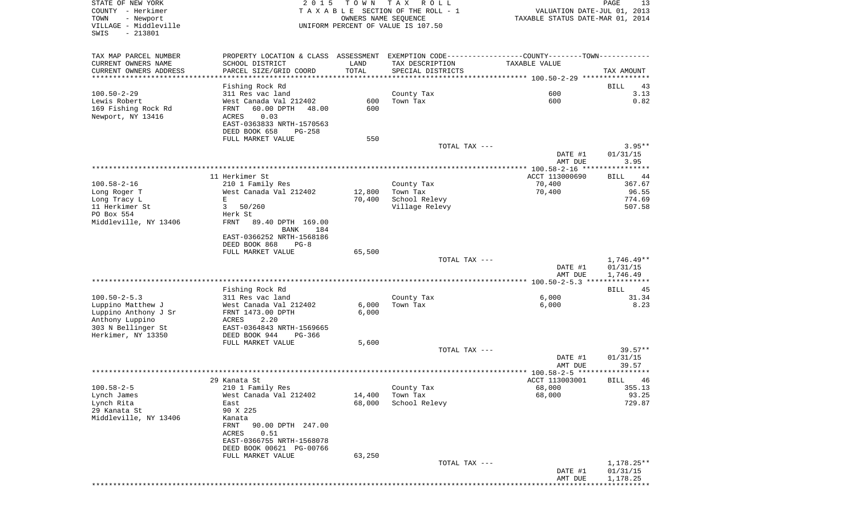| STATE OF NEW YORK<br>COUNTY - Herkimer<br>TOWN<br>- Newport<br>VILLAGE - Middleville<br>SWIS<br>$-213801$ | 2 0 1 5                                                                                       | T O W N          | T A X<br>R O L L<br>TAXABLE SECTION OF THE ROLL - 1<br>OWNERS NAME SEQUENCE<br>UNIFORM PERCENT OF VALUE IS 107.50 | VALUATION DATE-JUL 01, 2013<br>TAXABLE STATUS DATE-MAR 01, 2014 | PAGE<br>13        |
|-----------------------------------------------------------------------------------------------------------|-----------------------------------------------------------------------------------------------|------------------|-------------------------------------------------------------------------------------------------------------------|-----------------------------------------------------------------|-------------------|
|                                                                                                           |                                                                                               |                  |                                                                                                                   |                                                                 |                   |
| TAX MAP PARCEL NUMBER                                                                                     | PROPERTY LOCATION & CLASS ASSESSMENT EXEMPTION CODE---------------COUNTY-------TOWN---------- | LAND             |                                                                                                                   |                                                                 |                   |
| CURRENT OWNERS NAME<br>CURRENT OWNERS ADDRESS                                                             | SCHOOL DISTRICT<br>PARCEL SIZE/GRID COORD                                                     | TOTAL            | TAX DESCRIPTION<br>SPECIAL DISTRICTS                                                                              | TAXABLE VALUE                                                   | TAX AMOUNT        |
| ***********************                                                                                   |                                                                                               |                  |                                                                                                                   |                                                                 |                   |
|                                                                                                           | Fishing Rock Rd                                                                               |                  |                                                                                                                   |                                                                 | BILL<br>43        |
| $100.50 - 2 - 29$                                                                                         | 311 Res vac land                                                                              |                  | County Tax                                                                                                        | 600                                                             | 3.13              |
| Lewis Robert                                                                                              | West Canada Val 212402                                                                        | 600              | Town Tax                                                                                                          | 600                                                             | 0.82              |
| 169 Fishing Rock Rd                                                                                       | FRNT<br>60.00 DPTH<br>48.00                                                                   | 600              |                                                                                                                   |                                                                 |                   |
| Newport, NY 13416                                                                                         | ACRES<br>0.03                                                                                 |                  |                                                                                                                   |                                                                 |                   |
|                                                                                                           | EAST-0363833 NRTH-1570563<br>DEED BOOK 658<br>PG-258                                          |                  |                                                                                                                   |                                                                 |                   |
|                                                                                                           | FULL MARKET VALUE                                                                             | 550              |                                                                                                                   |                                                                 |                   |
|                                                                                                           |                                                                                               |                  | TOTAL TAX ---                                                                                                     |                                                                 | $3.95**$          |
|                                                                                                           |                                                                                               |                  |                                                                                                                   | DATE #1<br>AMT DUE                                              | 01/31/15<br>3.95  |
|                                                                                                           |                                                                                               |                  |                                                                                                                   |                                                                 |                   |
|                                                                                                           | 11 Herkimer St                                                                                |                  |                                                                                                                   | ACCT 113000690                                                  | 44<br>BILL        |
| $100.58 - 2 - 16$                                                                                         | 210 1 Family Res                                                                              |                  | County Tax                                                                                                        | 70,400                                                          | 367.67            |
| Long Roger T<br>Long Tracy L                                                                              | West Canada Val 212402<br>E                                                                   | 12,800<br>70,400 | Town Tax<br>School Relevy                                                                                         | 70,400                                                          | 96.55<br>774.69   |
| 11 Herkimer St                                                                                            | 3<br>50/260                                                                                   |                  | Village Relevy                                                                                                    |                                                                 | 507.58            |
| PO Box 554                                                                                                | Herk St                                                                                       |                  |                                                                                                                   |                                                                 |                   |
| Middleville, NY 13406                                                                                     | FRNT<br>89.40 DPTH 169.00                                                                     |                  |                                                                                                                   |                                                                 |                   |
|                                                                                                           | <b>BANK</b><br>184                                                                            |                  |                                                                                                                   |                                                                 |                   |
|                                                                                                           | EAST-0366252 NRTH-1568186                                                                     |                  |                                                                                                                   |                                                                 |                   |
|                                                                                                           | DEED BOOK 868<br>$PG-8$<br>FULL MARKET VALUE                                                  | 65,500           |                                                                                                                   |                                                                 |                   |
|                                                                                                           |                                                                                               |                  | TOTAL TAX ---                                                                                                     |                                                                 | 1,746.49**        |
|                                                                                                           |                                                                                               |                  |                                                                                                                   | DATE #1                                                         | 01/31/15          |
|                                                                                                           |                                                                                               |                  |                                                                                                                   | AMT DUE                                                         | 1,746.49          |
|                                                                                                           |                                                                                               |                  |                                                                                                                   |                                                                 |                   |
|                                                                                                           | Fishing Rock Rd                                                                               |                  |                                                                                                                   |                                                                 | 45<br>BILL        |
| $100.50 - 2 - 5.3$                                                                                        | 311 Res vac land                                                                              |                  | County Tax                                                                                                        | 6,000                                                           | 31.34             |
| Luppino Matthew J<br>Luppino Anthony J Sr                                                                 | West Canada Val 212402<br>FRNT 1473.00 DPTH                                                   | 6,000<br>6,000   | Town Tax                                                                                                          | 6,000                                                           | 8.23              |
| Anthony Luppino                                                                                           | ACRES<br>2.20                                                                                 |                  |                                                                                                                   |                                                                 |                   |
| 303 N Bellinger St                                                                                        | EAST-0364843 NRTH-1569665                                                                     |                  |                                                                                                                   |                                                                 |                   |
| Herkimer, NY 13350                                                                                        | DEED BOOK 944<br>PG-366                                                                       |                  |                                                                                                                   |                                                                 |                   |
|                                                                                                           | FULL MARKET VALUE                                                                             | 5,600            |                                                                                                                   |                                                                 |                   |
|                                                                                                           |                                                                                               |                  | TOTAL TAX ---                                                                                                     |                                                                 | $39.57**$         |
|                                                                                                           |                                                                                               |                  |                                                                                                                   | DATE #1<br>AMT DUE                                              | 01/31/15<br>39.57 |
|                                                                                                           |                                                                                               |                  |                                                                                                                   |                                                                 |                   |
|                                                                                                           | 29 Kanata St                                                                                  |                  |                                                                                                                   | ACCT 113003001                                                  | BILL 46           |
| $100.58 - 2 - 5$                                                                                          | 210 1 Family Res                                                                              |                  | County Tax                                                                                                        | 68,000                                                          | 355.13            |
| Lynch James                                                                                               | West Canada Val 212402                                                                        | 14,400           | Town Tax                                                                                                          | 68,000                                                          | 93.25             |
| Lynch Rita                                                                                                | East                                                                                          | 68,000           | School Relevy                                                                                                     |                                                                 | 729.87            |
| 29 Kanata St                                                                                              | 90 X 225                                                                                      |                  |                                                                                                                   |                                                                 |                   |
| Middleville, NY 13406                                                                                     | Kanata<br>90.00 DPTH 247.00                                                                   |                  |                                                                                                                   |                                                                 |                   |
|                                                                                                           | FRNT<br>ACRES<br>0.51                                                                         |                  |                                                                                                                   |                                                                 |                   |
|                                                                                                           | EAST-0366755 NRTH-1568078                                                                     |                  |                                                                                                                   |                                                                 |                   |
|                                                                                                           | DEED BOOK 00621 PG-00766                                                                      |                  |                                                                                                                   |                                                                 |                   |
|                                                                                                           | FULL MARKET VALUE                                                                             | 63,250           |                                                                                                                   |                                                                 |                   |
|                                                                                                           |                                                                                               |                  | TOTAL TAX ---                                                                                                     |                                                                 | $1,178.25**$      |
|                                                                                                           |                                                                                               |                  |                                                                                                                   | DATE #1                                                         | 01/31/15          |
|                                                                                                           |                                                                                               |                  |                                                                                                                   | AMT DUE                                                         | 1,178.25          |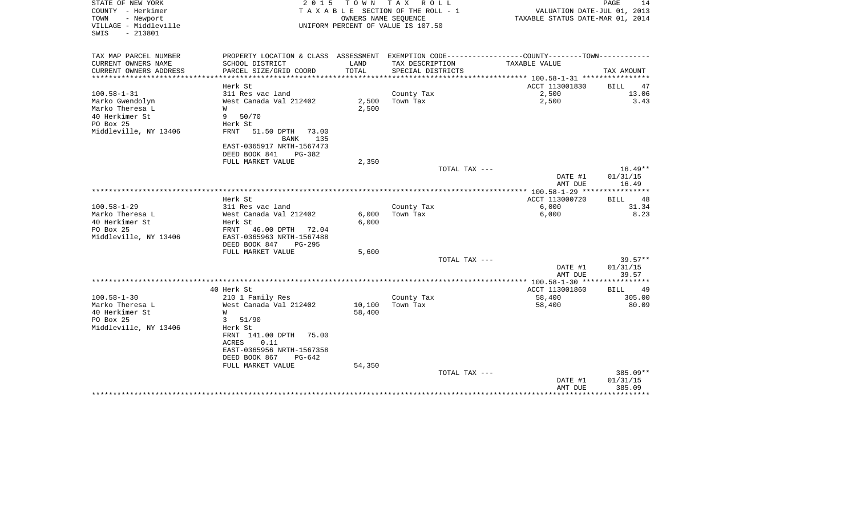| STATE OF NEW YORK<br>COUNTY - Herkimer<br>TOWN<br>- Newport<br>VILLAGE - Middleville<br>$-213801$<br>SWIS | 2 0 1 5                                                                                                          | OWNERS NAME SEQUENCE | TOWN TAX ROLL<br>TAXABLE SECTION OF THE ROLL - 1<br>UNIFORM PERCENT OF VALUE IS 107.50 | VALUATION DATE-JUL 01, 2013<br>TAXABLE STATUS DATE-MAR 01, 2014 | PAGE<br>14            |
|-----------------------------------------------------------------------------------------------------------|------------------------------------------------------------------------------------------------------------------|----------------------|----------------------------------------------------------------------------------------|-----------------------------------------------------------------|-----------------------|
| TAX MAP PARCEL NUMBER<br>CURRENT OWNERS NAME                                                              | PROPERTY LOCATION & CLASS ASSESSMENT EXEMPTION CODE---------------COUNTY-------TOWN----------<br>SCHOOL DISTRICT | LAND                 | TAX DESCRIPTION                                                                        | TAXABLE VALUE                                                   |                       |
| CURRENT OWNERS ADDRESS                                                                                    | PARCEL SIZE/GRID COORD                                                                                           | TOTAL                | SPECIAL DISTRICTS                                                                      |                                                                 | TAX AMOUNT            |
|                                                                                                           |                                                                                                                  | *****************    |                                                                                        | ***************** 100.58-1-31 ***********                       |                       |
|                                                                                                           | Herk St                                                                                                          |                      |                                                                                        | ACCT 113001830                                                  | <b>BILL</b><br>47     |
| $100.58 - 1 - 31$                                                                                         | 311 Res vac land                                                                                                 |                      | County Tax                                                                             | 2,500                                                           | 13.06                 |
| Marko Gwendolyn                                                                                           | West Canada Val 212402                                                                                           | 2,500                | Town Tax                                                                               | 2,500                                                           | 3.43                  |
| Marko Theresa L                                                                                           | W                                                                                                                | 2,500                |                                                                                        |                                                                 |                       |
| 40 Herkimer St<br>PO Box 25                                                                               | 9 50/70                                                                                                          |                      |                                                                                        |                                                                 |                       |
| Middleville, NY 13406                                                                                     | Herk St<br>FRNT<br>51.50 DPTH 73.00                                                                              |                      |                                                                                        |                                                                 |                       |
|                                                                                                           | 135<br>BANK                                                                                                      |                      |                                                                                        |                                                                 |                       |
|                                                                                                           | EAST-0365917 NRTH-1567473                                                                                        |                      |                                                                                        |                                                                 |                       |
|                                                                                                           | DEED BOOK 841<br>PG-382                                                                                          |                      |                                                                                        |                                                                 |                       |
|                                                                                                           | FULL MARKET VALUE                                                                                                | 2,350                |                                                                                        |                                                                 |                       |
|                                                                                                           |                                                                                                                  |                      | TOTAL TAX ---                                                                          |                                                                 | $16.49**$             |
|                                                                                                           |                                                                                                                  |                      |                                                                                        | DATE #1                                                         | 01/31/15              |
|                                                                                                           |                                                                                                                  |                      |                                                                                        | AMT DUE                                                         | 16.49                 |
|                                                                                                           | Herk St                                                                                                          |                      |                                                                                        | ACCT 113000720                                                  | 48<br><b>BILL</b>     |
| $100.58 - 1 - 29$                                                                                         | 311 Res vac land                                                                                                 |                      | County Tax                                                                             | 6,000                                                           | 31.34                 |
| Marko Theresa L                                                                                           | West Canada Val 212402                                                                                           | 6,000                | Town Tax                                                                               | 6,000                                                           | 8.23                  |
| 40 Herkimer St                                                                                            | Herk St                                                                                                          | 6,000                |                                                                                        |                                                                 |                       |
| PO Box 25                                                                                                 | FRNT 46.00 DPTH 72.04                                                                                            |                      |                                                                                        |                                                                 |                       |
| Middleville, NY 13406                                                                                     | EAST-0365963 NRTH-1567488                                                                                        |                      |                                                                                        |                                                                 |                       |
|                                                                                                           | DEED BOOK 847<br>PG-295                                                                                          |                      |                                                                                        |                                                                 |                       |
|                                                                                                           | FULL MARKET VALUE                                                                                                | 5,600                |                                                                                        |                                                                 |                       |
|                                                                                                           |                                                                                                                  |                      | TOTAL TAX ---                                                                          |                                                                 | $39.57**$             |
|                                                                                                           |                                                                                                                  |                      |                                                                                        | DATE #1<br>AMT DUE                                              | 01/31/15<br>39.57     |
|                                                                                                           |                                                                                                                  |                      |                                                                                        |                                                                 |                       |
|                                                                                                           | 40 Herk St                                                                                                       |                      |                                                                                        | ACCT 113001860                                                  | BILL<br>49            |
| $100.58 - 1 - 30$                                                                                         | 210 1 Family Res                                                                                                 |                      | County Tax                                                                             | 58,400                                                          | 305.00                |
| Marko Theresa L                                                                                           | West Canada Val 212402                                                                                           | 10,100               | Town Tax                                                                               | 58,400                                                          | 80.09                 |
| 40 Herkimer St                                                                                            | W                                                                                                                | 58,400               |                                                                                        |                                                                 |                       |
| PO Box 25                                                                                                 | 3, 51/90                                                                                                         |                      |                                                                                        |                                                                 |                       |
| Middleville, NY 13406                                                                                     | Herk St                                                                                                          |                      |                                                                                        |                                                                 |                       |
|                                                                                                           | FRNT 141.00 DPTH<br>75.00                                                                                        |                      |                                                                                        |                                                                 |                       |
|                                                                                                           | 0.11<br>ACRES<br>EAST-0365956 NRTH-1567358                                                                       |                      |                                                                                        |                                                                 |                       |
|                                                                                                           | DEED BOOK 867<br>$PG-642$                                                                                        |                      |                                                                                        |                                                                 |                       |
|                                                                                                           | FULL MARKET VALUE                                                                                                | 54,350               |                                                                                        |                                                                 |                       |
|                                                                                                           |                                                                                                                  |                      | TOTAL TAX ---                                                                          |                                                                 | 385.09**              |
|                                                                                                           |                                                                                                                  |                      |                                                                                        | DATE #1                                                         | 01/31/15              |
|                                                                                                           |                                                                                                                  |                      |                                                                                        | AMT DUE                                                         | 385.09                |
|                                                                                                           |                                                                                                                  |                      |                                                                                        |                                                                 | * * * * * * * * * * * |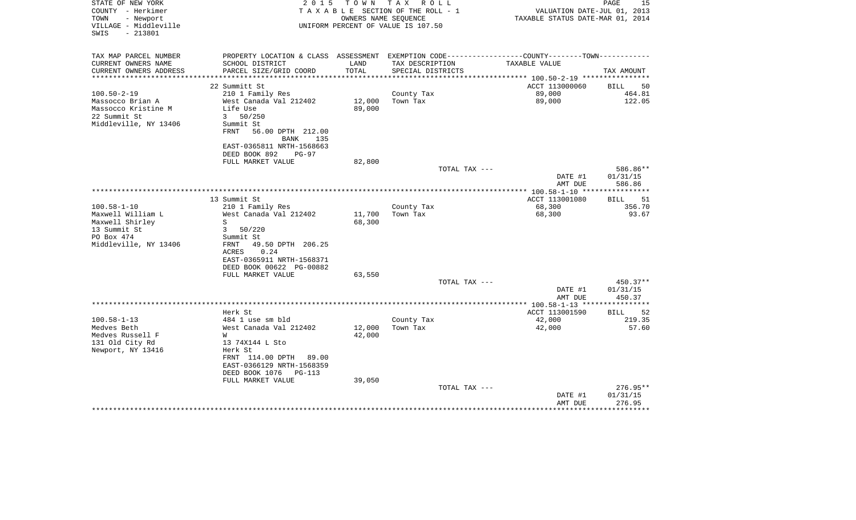| STATE OF NEW YORK<br>COUNTY - Herkimer            | 2 0 1 5                                    | TOWN TAX             | R O L L<br>TAXABLE SECTION OF THE ROLL - 1 | VALUATION DATE-JUL 01, 2013                                                                    | PAGE<br>15        |  |
|---------------------------------------------------|--------------------------------------------|----------------------|--------------------------------------------|------------------------------------------------------------------------------------------------|-------------------|--|
| TOWN<br>- Newport                                 |                                            | OWNERS NAME SEQUENCE |                                            | TAXABLE STATUS DATE-MAR 01, 2014                                                               |                   |  |
| VILLAGE - Middleville<br>$-213801$<br>SWIS        |                                            |                      | UNIFORM PERCENT OF VALUE IS 107.50         |                                                                                                |                   |  |
| TAX MAP PARCEL NUMBER                             |                                            |                      |                                            | PROPERTY LOCATION & CLASS ASSESSMENT EXEMPTION CODE----------------COUNTY-------TOWN---------- |                   |  |
| CURRENT OWNERS NAME                               | SCHOOL DISTRICT                            | LAND                 | TAX DESCRIPTION                            | TAXABLE VALUE                                                                                  |                   |  |
| CURRENT OWNERS ADDRESS<br>*********************** | PARCEL SIZE/GRID COORD                     | TOTAL                | SPECIAL DISTRICTS                          |                                                                                                | TAX AMOUNT        |  |
|                                                   | 22 Summitt St                              |                      |                                            | ACCT 113000060                                                                                 | <b>BILL</b><br>50 |  |
| $100.50 - 2 - 19$                                 | 210 1 Family Res                           |                      | County Tax                                 | 89,000                                                                                         | 464.81            |  |
| Massocco Brian A                                  | West Canada Val 212402                     | 12,000               | Town Tax                                   | 89,000                                                                                         | 122.05            |  |
| Massocco Kristine M                               | Life Use                                   | 89,000               |                                            |                                                                                                |                   |  |
| 22 Summit St                                      | $3\ 50/250$                                |                      |                                            |                                                                                                |                   |  |
| Middleville, NY 13406                             | Summit St                                  |                      |                                            |                                                                                                |                   |  |
|                                                   | FRNT<br>56.00 DPTH 212.00                  |                      |                                            |                                                                                                |                   |  |
|                                                   | 135<br>BANK                                |                      |                                            |                                                                                                |                   |  |
|                                                   | EAST-0365811 NRTH-1568663                  |                      |                                            |                                                                                                |                   |  |
|                                                   | DEED BOOK 892<br>$PG-97$                   |                      |                                            |                                                                                                |                   |  |
|                                                   | FULL MARKET VALUE                          | 82,800               |                                            |                                                                                                |                   |  |
|                                                   |                                            |                      | TOTAL TAX ---                              |                                                                                                | 586.86**          |  |
|                                                   |                                            |                      |                                            | DATE #1                                                                                        | 01/31/15          |  |
|                                                   |                                            |                      |                                            | AMT DUE                                                                                        | 586.86            |  |
|                                                   |                                            |                      |                                            | ***************** 100.58-1-10 *****************                                                |                   |  |
|                                                   | 13 Summit St                               |                      |                                            | ACCT 113001080                                                                                 | <b>BILL</b><br>51 |  |
| $100.58 - 1 - 10$<br>Maxwell William L            | 210 1 Family Res<br>West Canada Val 212402 | 11,700               | County Tax<br>Town Tax                     | 68,300<br>68,300                                                                               | 356.70<br>93.67   |  |
| Maxwell Shirley                                   | S                                          | 68,300               |                                            |                                                                                                |                   |  |
| 13 Summit St                                      | $\mathbf{3}$<br>50/220                     |                      |                                            |                                                                                                |                   |  |
| PO Box 474                                        | Summit St                                  |                      |                                            |                                                                                                |                   |  |
| Middleville, NY 13406                             | 49.50 DPTH 206.25<br>FRNT                  |                      |                                            |                                                                                                |                   |  |
|                                                   | 0.24<br>ACRES                              |                      |                                            |                                                                                                |                   |  |
|                                                   | EAST-0365911 NRTH-1568371                  |                      |                                            |                                                                                                |                   |  |
|                                                   | DEED BOOK 00622 PG-00882                   |                      |                                            |                                                                                                |                   |  |
|                                                   | FULL MARKET VALUE                          | 63,550               |                                            |                                                                                                |                   |  |
|                                                   |                                            |                      | TOTAL TAX ---                              |                                                                                                | $450.37**$        |  |
|                                                   |                                            |                      |                                            | DATE #1                                                                                        | 01/31/15          |  |
|                                                   |                                            |                      |                                            | AMT DUE                                                                                        | 450.37            |  |
|                                                   |                                            |                      |                                            |                                                                                                |                   |  |
|                                                   | Herk St                                    |                      |                                            | ACCT 113001590                                                                                 | 52<br><b>BILL</b> |  |
| $100.58 - 1 - 13$                                 | 484 1 use sm bld                           |                      | County Tax                                 | 42,000                                                                                         | 219.35            |  |
| Medves Beth                                       | West Canada Val 212402<br>W                | 12,000               | Town Tax                                   | 42,000                                                                                         | 57.60             |  |
| Medves Russell F<br>131 Old City Rd               | 13 74X144 L Sto                            | 42,000               |                                            |                                                                                                |                   |  |
| Newport, NY 13416                                 | Herk St                                    |                      |                                            |                                                                                                |                   |  |
|                                                   | FRNT 114.00 DPTH 89.00                     |                      |                                            |                                                                                                |                   |  |
|                                                   | EAST-0366129 NRTH-1568359                  |                      |                                            |                                                                                                |                   |  |
|                                                   | DEED BOOK 1076<br><b>PG-113</b>            |                      |                                            |                                                                                                |                   |  |
|                                                   | FULL MARKET VALUE                          | 39,050               |                                            |                                                                                                |                   |  |
|                                                   |                                            |                      | TOTAL TAX ---                              |                                                                                                | 276.95**          |  |
|                                                   |                                            |                      |                                            | DATE #1                                                                                        | 01/31/15          |  |
|                                                   |                                            |                      |                                            | AMT DUE                                                                                        | 276.95            |  |
|                                                   |                                            |                      |                                            |                                                                                                |                   |  |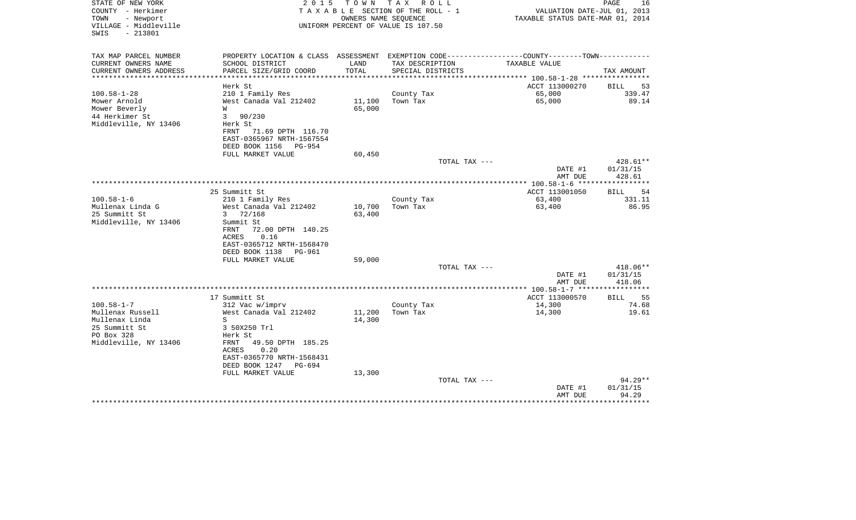| STATE OF NEW YORK<br>COUNTY - Herkimer<br>TOWN<br>- Newport<br>VILLAGE - Middleville<br>$-213801$<br>SWIS | 2 0 1 5                                              | T O W N          | TAX ROLL<br>TAXABLE SECTION OF THE ROLL - 1<br>OWNERS NAME SEQUENCE<br>UNIFORM PERCENT OF VALUE IS 107.50 | VALUATION DATE-JUL 01, 2013<br>TAXABLE STATUS DATE-MAR 01, 2014 | PAGE<br>16           |
|-----------------------------------------------------------------------------------------------------------|------------------------------------------------------|------------------|-----------------------------------------------------------------------------------------------------------|-----------------------------------------------------------------|----------------------|
| TAX MAP PARCEL NUMBER                                                                                     | PROPERTY LOCATION & CLASS ASSESSMENT                 |                  |                                                                                                           | EXEMPTION CODE----------------COUNTY-------TOWN-----------      |                      |
| CURRENT OWNERS NAME                                                                                       | SCHOOL DISTRICT                                      | LAND             | TAX DESCRIPTION                                                                                           | TAXABLE VALUE                                                   |                      |
| CURRENT OWNERS ADDRESS                                                                                    | PARCEL SIZE/GRID COORD                               | TOTAL            | SPECIAL DISTRICTS                                                                                         |                                                                 | TAX AMOUNT           |
| **********************                                                                                    |                                                      |                  |                                                                                                           | ACCT 113000270                                                  |                      |
| $100.58 - 1 - 28$                                                                                         | Herk St<br>210 1 Family Res                          |                  | County Tax                                                                                                | 65,000                                                          | BILL<br>53<br>339.47 |
| Mower Arnold                                                                                              | West Canada Val 212402                               | 11,100           | Town Tax                                                                                                  | 65,000                                                          | 89.14                |
| Mower Beverly                                                                                             | W                                                    | 65,000           |                                                                                                           |                                                                 |                      |
| 44 Herkimer St                                                                                            | 3<br>90/230                                          |                  |                                                                                                           |                                                                 |                      |
| Middleville, NY 13406                                                                                     | Herk St                                              |                  |                                                                                                           |                                                                 |                      |
|                                                                                                           | FRNT 71.69 DPTH 116.70                               |                  |                                                                                                           |                                                                 |                      |
|                                                                                                           | EAST-0365967 NRTH-1567554                            |                  |                                                                                                           |                                                                 |                      |
|                                                                                                           | DEED BOOK 1156<br><b>PG-954</b><br>FULL MARKET VALUE | 60,450           |                                                                                                           |                                                                 |                      |
|                                                                                                           |                                                      |                  | TOTAL TAX ---                                                                                             |                                                                 | 428.61**             |
|                                                                                                           |                                                      |                  |                                                                                                           | DATE #1                                                         | 01/31/15             |
|                                                                                                           |                                                      |                  |                                                                                                           | AMT DUE                                                         | 428.61               |
|                                                                                                           |                                                      |                  |                                                                                                           |                                                                 |                      |
|                                                                                                           | 25 Summitt St                                        |                  |                                                                                                           | ACCT 113001050                                                  | 54<br><b>BILL</b>    |
| $100.58 - 1 - 6$<br>Mullenax Linda G                                                                      | 210 1 Family Res<br>West Canada Val 212402           | 10,700           | County Tax<br>Town Tax                                                                                    | 63,400<br>63,400                                                | 331.11<br>86.95      |
| 25 Summitt St                                                                                             | $3 \frac{72}{168}$                                   | 63,400           |                                                                                                           |                                                                 |                      |
| Middleville, NY 13406                                                                                     | Summit St                                            |                  |                                                                                                           |                                                                 |                      |
|                                                                                                           | FRNT<br>72.00 DPTH 140.25                            |                  |                                                                                                           |                                                                 |                      |
|                                                                                                           | 0.16<br>ACRES                                        |                  |                                                                                                           |                                                                 |                      |
|                                                                                                           | EAST-0365712 NRTH-1568470                            |                  |                                                                                                           |                                                                 |                      |
|                                                                                                           | DEED BOOK 1138<br>PG-961                             |                  |                                                                                                           |                                                                 |                      |
|                                                                                                           | FULL MARKET VALUE                                    | 59,000           | TOTAL TAX ---                                                                                             |                                                                 | 418.06**             |
|                                                                                                           |                                                      |                  |                                                                                                           | DATE #1                                                         | 01/31/15             |
|                                                                                                           |                                                      |                  |                                                                                                           | AMT DUE                                                         | 418.06               |
|                                                                                                           |                                                      |                  |                                                                                                           |                                                                 |                      |
|                                                                                                           | 17 Summitt St                                        |                  |                                                                                                           | ACCT 113000570                                                  | 55<br><b>BILL</b>    |
| $100.58 - 1 - 7$                                                                                          | 312 Vac w/imprv                                      |                  | County Tax                                                                                                | 14,300                                                          | 74.68                |
| Mullenax Russell<br>Mullenax Linda                                                                        | West Canada Val 212402<br>S                          | 11,200<br>14,300 | Town Tax                                                                                                  | 14,300                                                          | 19.61                |
| 25 Summitt St                                                                                             | 3 50X250 Trl                                         |                  |                                                                                                           |                                                                 |                      |
| PO Box 328                                                                                                | Herk St                                              |                  |                                                                                                           |                                                                 |                      |
| Middleville, NY 13406                                                                                     | 49.50 DPTH 185.25<br>FRNT                            |                  |                                                                                                           |                                                                 |                      |
|                                                                                                           | 0.20<br>ACRES                                        |                  |                                                                                                           |                                                                 |                      |
|                                                                                                           | EAST-0365770 NRTH-1568431                            |                  |                                                                                                           |                                                                 |                      |
|                                                                                                           | DEED BOOK 1247<br>PG-694                             |                  |                                                                                                           |                                                                 |                      |
|                                                                                                           | FULL MARKET VALUE                                    | 13,300           | TOTAL TAX ---                                                                                             |                                                                 | $94.29**$            |
|                                                                                                           |                                                      |                  |                                                                                                           | DATE #1                                                         | 01/31/15             |
|                                                                                                           |                                                      |                  |                                                                                                           | AMT DUE                                                         | 94.29                |
|                                                                                                           |                                                      |                  |                                                                                                           |                                                                 |                      |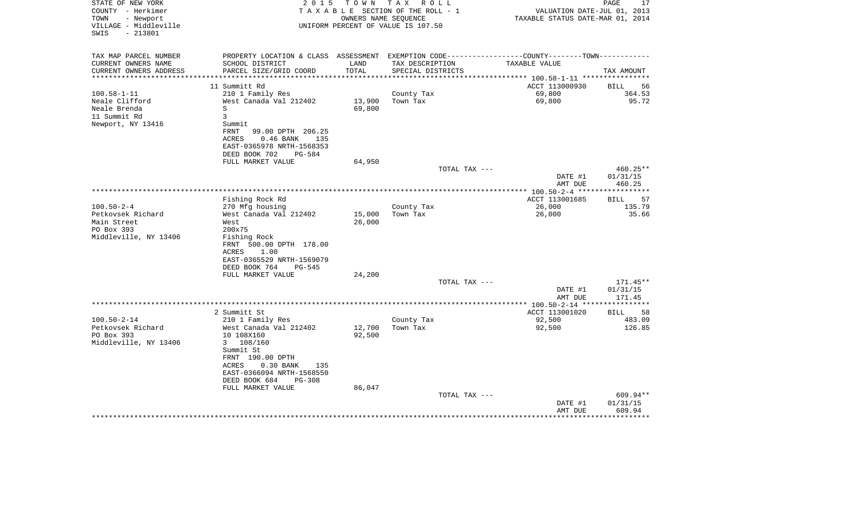| STATE OF NEW YORK<br>COUNTY - Herkimer<br>TOWN<br>- Newport<br>VILLAGE - Middleville<br>$-213801$<br>SWIS | 2 0 1 5                                                                                                                                     | T O W N          | T A X<br>R O L L<br>TAXABLE SECTION OF THE ROLL - 1<br>OWNERS NAME SEQUENCE<br>UNIFORM PERCENT OF VALUE IS 107.50 | VALUATION DATE-JUL 01, 2013<br>TAXABLE STATUS DATE-MAR 01, 2014 | PAGE<br>17                     |
|-----------------------------------------------------------------------------------------------------------|---------------------------------------------------------------------------------------------------------------------------------------------|------------------|-------------------------------------------------------------------------------------------------------------------|-----------------------------------------------------------------|--------------------------------|
| TAX MAP PARCEL NUMBER<br>CURRENT OWNERS NAME                                                              | PROPERTY LOCATION & CLASS ASSESSMENT EXEMPTION CODE----------------COUNTY--------TOWN----------<br>SCHOOL DISTRICT                          | LAND             | TAX DESCRIPTION                                                                                                   | TAXABLE VALUE                                                   |                                |
| CURRENT OWNERS ADDRESS<br>***********************                                                         | PARCEL SIZE/GRID COORD                                                                                                                      | TOTAL            | SPECIAL DISTRICTS                                                                                                 |                                                                 | TAX AMOUNT                     |
|                                                                                                           | 11 Summitt Rd                                                                                                                               |                  |                                                                                                                   | ACCT 113000930                                                  | <b>BILL</b><br>56              |
| $100.58 - 1 - 11$                                                                                         | 210 1 Family Res                                                                                                                            |                  | County Tax                                                                                                        | 69,800                                                          | 364.53                         |
| Neale Clifford                                                                                            | West Canada Val 212402                                                                                                                      | 13,900           | Town Tax                                                                                                          | 69,800                                                          | 95.72                          |
| Neale Brenda                                                                                              | S                                                                                                                                           | 69,800           |                                                                                                                   |                                                                 |                                |
| 11 Summit Rd                                                                                              | $\mathbf{3}$                                                                                                                                |                  |                                                                                                                   |                                                                 |                                |
| Newport, NY 13416                                                                                         | Summit<br><b>FRNT</b><br>99.00 DPTH 206.25<br>0.46 BANK<br>135<br>ACRES<br>EAST-0365978 NRTH-1568353                                        |                  |                                                                                                                   |                                                                 |                                |
|                                                                                                           | DEED BOOK 702<br><b>PG-584</b>                                                                                                              |                  |                                                                                                                   |                                                                 |                                |
|                                                                                                           | FULL MARKET VALUE                                                                                                                           | 64,950           |                                                                                                                   |                                                                 |                                |
|                                                                                                           |                                                                                                                                             |                  | TOTAL TAX ---                                                                                                     | DATE #1<br>AMT DUE                                              | 460.25**<br>01/31/15<br>460.25 |
|                                                                                                           |                                                                                                                                             |                  |                                                                                                                   |                                                                 |                                |
|                                                                                                           | Fishing Rock Rd                                                                                                                             |                  |                                                                                                                   | ACCT 113001685                                                  | 57<br>BILL                     |
| $100.50 - 2 - 4$                                                                                          | 270 Mfg housing<br>West Canada Val 212402                                                                                                   |                  | County Tax                                                                                                        | 26,000                                                          | 135.79                         |
| Petkovsek Richard<br>Main Street<br>PO Box 393<br>Middleville, NY 13406                                   | West<br>200x75<br>Fishing Rock                                                                                                              | 15,000<br>26,000 | Town Tax                                                                                                          | 26,000                                                          | 35.66                          |
|                                                                                                           | FRNT 500.00 DPTH 178.00<br>ACRES<br>1.00<br>EAST-0365529 NRTH-1569079<br>DEED BOOK 764<br><b>PG-545</b>                                     |                  |                                                                                                                   |                                                                 |                                |
|                                                                                                           | FULL MARKET VALUE                                                                                                                           | 24,200           | TOTAL TAX ---                                                                                                     |                                                                 | 171.45**                       |
|                                                                                                           |                                                                                                                                             |                  |                                                                                                                   | DATE #1<br>AMT DUE                                              | 01/31/15<br>171.45             |
|                                                                                                           |                                                                                                                                             |                  |                                                                                                                   |                                                                 |                                |
|                                                                                                           | 2 Summitt St                                                                                                                                |                  |                                                                                                                   | ACCT 113001020                                                  | 58<br><b>BILL</b>              |
| $100.50 - 2 - 14$<br>Petkovsek Richard<br>PO Box 393<br>Middleville, NY 13406                             | 210 1 Family Res<br>West Canada Val 212402<br>10 108X160<br>3<br>108/160                                                                    | 12,700<br>92,500 | County Tax<br>Town Tax                                                                                            | 92,500<br>92,500                                                | 483.09<br>126.85               |
|                                                                                                           | Summit St<br>FRNT 190.00 DPTH<br>ACRES<br>$0.30$ BANK<br>135<br>EAST-0366094 NRTH-1568550<br>DEED BOOK 684<br>$PG-308$<br>FULL MARKET VALUE | 86,047           |                                                                                                                   |                                                                 |                                |
|                                                                                                           |                                                                                                                                             |                  | TOTAL TAX ---                                                                                                     |                                                                 | 609.94**                       |
|                                                                                                           |                                                                                                                                             |                  |                                                                                                                   | DATE #1<br>AMT DUE                                              | 01/31/15<br>609.94             |
|                                                                                                           |                                                                                                                                             |                  |                                                                                                                   |                                                                 |                                |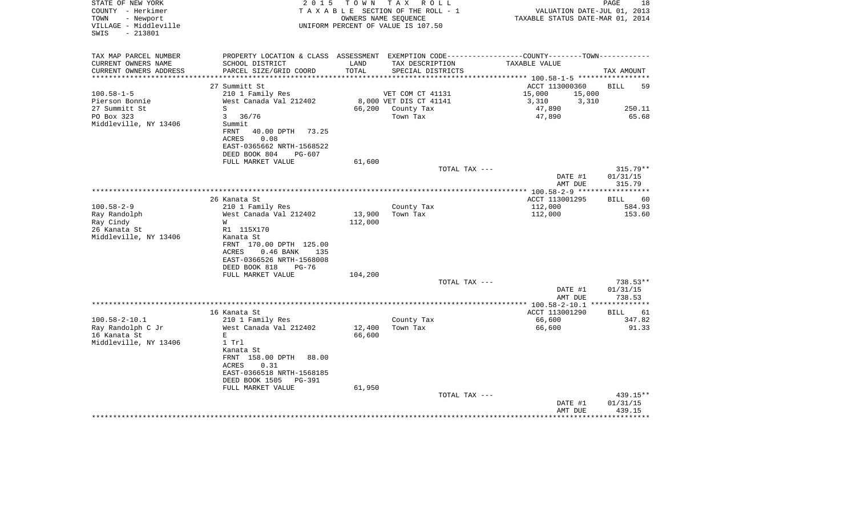| STATE OF NEW YORK<br>COUNTY - Herkimer<br>- Newport<br>TOWN<br>VILLAGE - Middleville<br>SWIS<br>$-213801$ | 2 0 1 5                                              | T O W N          | TAX ROLL<br>TAXABLE SECTION OF THE ROLL - 1<br>OWNERS NAME SEQUENCE<br>UNIFORM PERCENT OF VALUE IS 107.50 | VALUATION DATE-JUL 01, 2013<br>TAXABLE STATUS DATE-MAR 01, 2014                               | PAGE<br>18                        |
|-----------------------------------------------------------------------------------------------------------|------------------------------------------------------|------------------|-----------------------------------------------------------------------------------------------------------|-----------------------------------------------------------------------------------------------|-----------------------------------|
| TAX MAP PARCEL NUMBER                                                                                     |                                                      |                  |                                                                                                           | PROPERTY LOCATION & CLASS ASSESSMENT EXEMPTION CODE---------------COUNTY-------TOWN---------- |                                   |
| CURRENT OWNERS NAME<br>CURRENT OWNERS ADDRESS                                                             | SCHOOL DISTRICT<br>PARCEL SIZE/GRID COORD            | LAND<br>TOTAL    | TAX DESCRIPTION<br>SPECIAL DISTRICTS                                                                      | TAXABLE VALUE                                                                                 | TAX AMOUNT                        |
|                                                                                                           |                                                      |                  |                                                                                                           |                                                                                               |                                   |
|                                                                                                           | 27 Summitt St                                        |                  |                                                                                                           | ACCT 113000360                                                                                | <b>BILL</b><br>59                 |
| $100.58 - 1 - 5$<br>Pierson Bonnie                                                                        | 210 1 Family Res<br>West Canada Val 212402           |                  | VET COM CT 41131                                                                                          | 15,000<br>15,000<br>3,310                                                                     |                                   |
| 27 Summitt St                                                                                             | S                                                    | 66,200           | 8,000 VET DIS CT 41141<br>County Tax                                                                      | 3,310<br>47,890                                                                               | 250.11                            |
| PO Box 323                                                                                                | 3, 36/76                                             |                  | Town Tax                                                                                                  | 47,890                                                                                        | 65.68                             |
| Middleville, NY 13406                                                                                     | Summit                                               |                  |                                                                                                           |                                                                                               |                                   |
|                                                                                                           | FRNT<br>40.00 DPTH 73.25<br><b>ACRES</b><br>0.08     |                  |                                                                                                           |                                                                                               |                                   |
|                                                                                                           | EAST-0365662 NRTH-1568522<br>DEED BOOK 804<br>PG-607 |                  |                                                                                                           |                                                                                               |                                   |
|                                                                                                           | FULL MARKET VALUE                                    | 61,600           |                                                                                                           |                                                                                               |                                   |
|                                                                                                           |                                                      |                  | TOTAL TAX ---                                                                                             |                                                                                               | 315.79**                          |
|                                                                                                           |                                                      |                  |                                                                                                           | DATE #1                                                                                       | 01/31/15                          |
|                                                                                                           |                                                      |                  |                                                                                                           | AMT DUE                                                                                       | 315.79                            |
|                                                                                                           |                                                      |                  |                                                                                                           |                                                                                               |                                   |
|                                                                                                           | 26 Kanata St                                         |                  |                                                                                                           | ACCT 113001295                                                                                | <b>BILL</b><br>60                 |
| $100.58 - 2 - 9$                                                                                          | 210 1 Family Res                                     |                  | County Tax                                                                                                | 112,000                                                                                       | 584.93                            |
| Ray Randolph                                                                                              | West Canada Val 212402                               | 13,900           | Town Tax                                                                                                  | 112,000                                                                                       | 153.60                            |
| Ray Cindy                                                                                                 | W                                                    | 112,000          |                                                                                                           |                                                                                               |                                   |
| 26 Kanata St                                                                                              | R1 115X170                                           |                  |                                                                                                           |                                                                                               |                                   |
| Middleville, NY 13406                                                                                     | Kanata St<br>FRNT 170.00 DPTH 125.00                 |                  |                                                                                                           |                                                                                               |                                   |
|                                                                                                           | $0.46$ BANK<br>ACRES<br>135                          |                  |                                                                                                           |                                                                                               |                                   |
|                                                                                                           | EAST-0366526 NRTH-1568008                            |                  |                                                                                                           |                                                                                               |                                   |
|                                                                                                           | DEED BOOK 818<br>$PG-76$                             |                  |                                                                                                           |                                                                                               |                                   |
|                                                                                                           | FULL MARKET VALUE                                    | 104,200          |                                                                                                           |                                                                                               |                                   |
|                                                                                                           |                                                      |                  | TOTAL TAX ---                                                                                             |                                                                                               | 738.53**                          |
|                                                                                                           |                                                      |                  |                                                                                                           | DATE #1                                                                                       | 01/31/15                          |
|                                                                                                           |                                                      |                  |                                                                                                           | AMT DUE                                                                                       | 738.53                            |
|                                                                                                           |                                                      |                  |                                                                                                           |                                                                                               |                                   |
|                                                                                                           | 16 Kanata St                                         |                  |                                                                                                           | ACCT 113001290                                                                                | 61<br><b>BILL</b>                 |
| $100.58 - 2 - 10.1$                                                                                       | 210 1 Family Res                                     |                  | County Tax                                                                                                | 66,600                                                                                        | 347.82                            |
| Ray Randolph C Jr<br>16 Kanata St                                                                         | West Canada Val 212402<br>E                          | 12,400<br>66,600 | Town Tax                                                                                                  | 66,600                                                                                        | 91.33                             |
| Middleville, NY 13406                                                                                     | 1 Trl                                                |                  |                                                                                                           |                                                                                               |                                   |
|                                                                                                           | Kanata St                                            |                  |                                                                                                           |                                                                                               |                                   |
|                                                                                                           | FRNT 158.00 DPTH<br>88.00                            |                  |                                                                                                           |                                                                                               |                                   |
|                                                                                                           | ACRES<br>0.31                                        |                  |                                                                                                           |                                                                                               |                                   |
|                                                                                                           | EAST-0366518 NRTH-1568185                            |                  |                                                                                                           |                                                                                               |                                   |
|                                                                                                           | DEED BOOK 1505<br><b>PG-391</b>                      |                  |                                                                                                           |                                                                                               |                                   |
|                                                                                                           | FULL MARKET VALUE                                    | 61,950           |                                                                                                           |                                                                                               |                                   |
|                                                                                                           |                                                      |                  | TOTAL TAX ---                                                                                             |                                                                                               | $439.15**$                        |
|                                                                                                           |                                                      |                  |                                                                                                           | DATE #1                                                                                       | 01/31/15                          |
|                                                                                                           |                                                      |                  |                                                                                                           | AMT DUE                                                                                       | 439.15<br>* * * * * * * * * * * * |
|                                                                                                           |                                                      |                  |                                                                                                           |                                                                                               |                                   |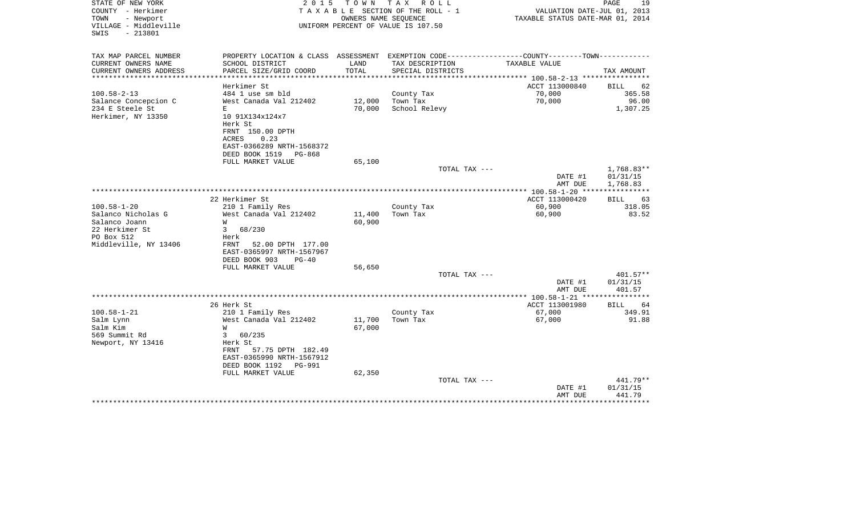| STATE OF NEW YORK<br>COUNTY - Herkimer<br>TOWN<br>- Newport<br>VILLAGE - Middleville<br>$-213801$<br>SWIS | 2 0 1 5                                                | T O W N | TAX ROLL<br>TAXABLE SECTION OF THE ROLL - 1<br>OWNERS NAME SEQUENCE<br>UNIFORM PERCENT OF VALUE IS 107.50 | VALUATION DATE-JUL 01, 2013<br>TAXABLE STATUS DATE-MAR 01, 2014                                | PAGE<br>19           |
|-----------------------------------------------------------------------------------------------------------|--------------------------------------------------------|---------|-----------------------------------------------------------------------------------------------------------|------------------------------------------------------------------------------------------------|----------------------|
| TAX MAP PARCEL NUMBER                                                                                     |                                                        |         |                                                                                                           | PROPERTY LOCATION & CLASS ASSESSMENT EXEMPTION CODE----------------COUNTY-------TOWN---------- |                      |
| CURRENT OWNERS NAME                                                                                       | SCHOOL DISTRICT                                        | LAND    | TAX DESCRIPTION                                                                                           | TAXABLE VALUE                                                                                  |                      |
| CURRENT OWNERS ADDRESS<br>*********************                                                           | PARCEL SIZE/GRID COORD                                 | TOTAL   | SPECIAL DISTRICTS                                                                                         |                                                                                                | TAX AMOUNT           |
|                                                                                                           | Herkimer St                                            |         |                                                                                                           | ACCT 113000840                                                                                 | BILL<br>62           |
| $100.58 - 2 - 13$                                                                                         | 484 1 use sm bld                                       |         | County Tax                                                                                                | 70,000                                                                                         | 365.58               |
| Salance Concepcion C                                                                                      | West Canada Val 212402                                 | 12,000  | Town Tax                                                                                                  | 70,000                                                                                         | 96.00                |
| 234 E Steele St                                                                                           | Е                                                      | 70,000  | School Relevy                                                                                             |                                                                                                | 1,307.25             |
| Herkimer, NY 13350                                                                                        | 10 91X134x124x7                                        |         |                                                                                                           |                                                                                                |                      |
|                                                                                                           | Herk St<br>FRNT 150.00 DPTH                            |         |                                                                                                           |                                                                                                |                      |
|                                                                                                           | 0.23<br>ACRES                                          |         |                                                                                                           |                                                                                                |                      |
|                                                                                                           | EAST-0366289 NRTH-1568372                              |         |                                                                                                           |                                                                                                |                      |
|                                                                                                           | DEED BOOK 1519 PG-868                                  |         |                                                                                                           |                                                                                                |                      |
|                                                                                                           | FULL MARKET VALUE                                      | 65,100  |                                                                                                           |                                                                                                |                      |
|                                                                                                           |                                                        |         | TOTAL TAX ---                                                                                             |                                                                                                | 1,768.83**           |
|                                                                                                           |                                                        |         |                                                                                                           | DATE #1<br>AMT DUE                                                                             | 01/31/15<br>1,768.83 |
|                                                                                                           |                                                        |         |                                                                                                           | ************ 100.58-1-20 *****************                                                     |                      |
|                                                                                                           | 22 Herkimer St                                         |         |                                                                                                           | ACCT 113000420                                                                                 | <b>BILL</b><br>63    |
| $100.58 - 1 - 20$                                                                                         | 210 1 Family Res                                       |         | County Tax                                                                                                | 60,900                                                                                         | 318.05               |
| Salanco Nicholas G                                                                                        | West Canada Val 212402                                 | 11,400  | Town Tax                                                                                                  | 60,900                                                                                         | 83.52                |
| Salanco Joann                                                                                             | W                                                      | 60,900  |                                                                                                           |                                                                                                |                      |
| 22 Herkimer St                                                                                            | 3 68/230                                               |         |                                                                                                           |                                                                                                |                      |
| PO Box 512                                                                                                | Herk                                                   |         |                                                                                                           |                                                                                                |                      |
| Middleville, NY 13406                                                                                     | FRNT<br>52.00 DPTH 177.00<br>EAST-0365997 NRTH-1567967 |         |                                                                                                           |                                                                                                |                      |
|                                                                                                           | DEED BOOK 903<br>$PG-40$                               |         |                                                                                                           |                                                                                                |                      |
|                                                                                                           | FULL MARKET VALUE                                      | 56,650  |                                                                                                           |                                                                                                |                      |
|                                                                                                           |                                                        |         | TOTAL TAX ---                                                                                             |                                                                                                | $401.57**$           |
|                                                                                                           |                                                        |         |                                                                                                           | DATE #1                                                                                        | 01/31/15             |
|                                                                                                           |                                                        |         |                                                                                                           | AMT DUE                                                                                        | 401.57               |
|                                                                                                           | 26 Herk St                                             |         |                                                                                                           | ACCT 113001980                                                                                 | BILL<br>64           |
| $100.58 - 1 - 21$                                                                                         | 210 1 Family Res                                       |         | County Tax                                                                                                | 67,000                                                                                         | 349.91               |
| Salm Lynn                                                                                                 | West Canada Val 212402                                 | 11,700  | Town Tax                                                                                                  | 67,000                                                                                         | 91.88                |
| Salm Kim                                                                                                  | W                                                      | 67,000  |                                                                                                           |                                                                                                |                      |
| 569 Summit Rd                                                                                             | 60/235<br>3                                            |         |                                                                                                           |                                                                                                |                      |
| Newport, NY 13416                                                                                         | Herk St                                                |         |                                                                                                           |                                                                                                |                      |
|                                                                                                           | 57.75 DPTH 182.49<br>FRNT                              |         |                                                                                                           |                                                                                                |                      |
|                                                                                                           | EAST-0365990 NRTH-1567912<br>DEED BOOK 1192<br>PG-991  |         |                                                                                                           |                                                                                                |                      |
|                                                                                                           | FULL MARKET VALUE                                      | 62,350  |                                                                                                           |                                                                                                |                      |
|                                                                                                           |                                                        |         | TOTAL TAX ---                                                                                             |                                                                                                | 441.79**             |
|                                                                                                           |                                                        |         |                                                                                                           | DATE #1                                                                                        | 01/31/15             |
|                                                                                                           |                                                        |         |                                                                                                           | AMT DUE                                                                                        | 441.79               |
|                                                                                                           |                                                        |         |                                                                                                           |                                                                                                |                      |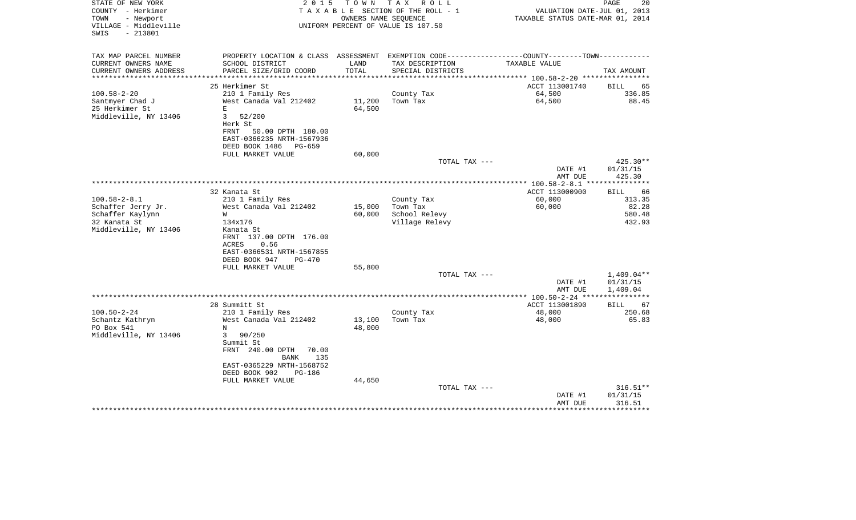| STATE OF NEW YORK<br>COUNTY - Herkimer<br>TOWN<br>- Newport<br>VILLAGE - Middleville<br>$-213801$<br>SWIS | 2 0 1 5                                                                            | T O W N | TAX ROLL<br>TAXABLE SECTION OF THE ROLL - 1<br>OWNERS NAME SEQUENCE<br>UNIFORM PERCENT OF VALUE IS 107.50 | VALUATION DATE-JUL 01, 2013<br>TAXABLE STATUS DATE-MAR 01, 2014                                 | PAGE<br>20                      |
|-----------------------------------------------------------------------------------------------------------|------------------------------------------------------------------------------------|---------|-----------------------------------------------------------------------------------------------------------|-------------------------------------------------------------------------------------------------|---------------------------------|
| TAX MAP PARCEL NUMBER                                                                                     |                                                                                    |         |                                                                                                           | PROPERTY LOCATION & CLASS ASSESSMENT EXEMPTION CODE----------------COUNTY--------TOWN---------- |                                 |
| CURRENT OWNERS NAME                                                                                       | SCHOOL DISTRICT                                                                    | LAND    | TAX DESCRIPTION                                                                                           | TAXABLE VALUE                                                                                   |                                 |
| CURRENT OWNERS ADDRESS                                                                                    | PARCEL SIZE/GRID COORD                                                             | TOTAL   | SPECIAL DISTRICTS                                                                                         |                                                                                                 | TAX AMOUNT                      |
| ***********************                                                                                   | ***************************                                                        |         |                                                                                                           |                                                                                                 |                                 |
|                                                                                                           | 25 Herkimer St                                                                     |         |                                                                                                           | ACCT 113001740                                                                                  | BILL<br>65                      |
| $100.58 - 2 - 20$<br>Santmyer Chad J                                                                      | 210 1 Family Res<br>West Canada Val 212402                                         | 11,200  | County Tax<br>Town Tax                                                                                    | 64,500<br>64,500                                                                                | 336.85<br>88.45                 |
| 25 Herkimer St                                                                                            | E.                                                                                 | 64,500  |                                                                                                           |                                                                                                 |                                 |
| Middleville, NY 13406                                                                                     | 3 52/200                                                                           |         |                                                                                                           |                                                                                                 |                                 |
|                                                                                                           | Herk St                                                                            |         |                                                                                                           |                                                                                                 |                                 |
|                                                                                                           | 50.00 DPTH 180.00<br>FRNT                                                          |         |                                                                                                           |                                                                                                 |                                 |
|                                                                                                           | EAST-0366235 NRTH-1567936                                                          |         |                                                                                                           |                                                                                                 |                                 |
|                                                                                                           | DEED BOOK 1486 PG-659                                                              |         |                                                                                                           |                                                                                                 |                                 |
|                                                                                                           | FULL MARKET VALUE                                                                  | 60,000  |                                                                                                           |                                                                                                 |                                 |
|                                                                                                           |                                                                                    |         | TOTAL TAX ---                                                                                             |                                                                                                 | 425.30**                        |
|                                                                                                           |                                                                                    |         |                                                                                                           | DATE #1                                                                                         | 01/31/15                        |
|                                                                                                           |                                                                                    |         |                                                                                                           | AMT DUE<br>****** 100.58-2-8.1 ****                                                             | 425.30<br>* * * * * * * * * * * |
|                                                                                                           | 32 Kanata St                                                                       |         |                                                                                                           | ACCT 113000900                                                                                  | <b>BILL</b><br>66               |
| $100.58 - 2 - 8.1$                                                                                        | 210 1 Family Res                                                                   |         | County Tax                                                                                                | 60,000                                                                                          | 313.35                          |
| Schaffer Jerry Jr.                                                                                        | West Canada Val 212402                                                             | 15,000  | Town Tax                                                                                                  | 60,000                                                                                          | 82.28                           |
| Schaffer Kaylynn                                                                                          | W                                                                                  | 60,000  | School Relevy                                                                                             |                                                                                                 | 580.48                          |
| 32 Kanata St                                                                                              | 134x176                                                                            |         | Village Relevy                                                                                            |                                                                                                 | 432.93                          |
| Middleville, NY 13406                                                                                     | Kanata St<br>FRNT 137.00 DPTH 176.00<br>ACRES<br>0.56<br>EAST-0366531 NRTH-1567855 |         |                                                                                                           |                                                                                                 |                                 |
|                                                                                                           | DEED BOOK 947<br><b>PG-470</b>                                                     |         |                                                                                                           |                                                                                                 |                                 |
|                                                                                                           | FULL MARKET VALUE                                                                  | 55,800  |                                                                                                           |                                                                                                 |                                 |
|                                                                                                           |                                                                                    |         | TOTAL TAX ---                                                                                             |                                                                                                 | $1,409.04**$                    |
|                                                                                                           |                                                                                    |         |                                                                                                           | DATE #1<br>AMT DUE                                                                              | 01/31/15<br>1,409.04            |
|                                                                                                           |                                                                                    |         |                                                                                                           | ************* 100.50-2-24 ****                                                                  | ***********                     |
|                                                                                                           | 28 Summitt St                                                                      |         |                                                                                                           | ACCT 113001890                                                                                  | 67<br><b>BILL</b>               |
| $100.50 - 2 - 24$                                                                                         | 210 1 Family Res                                                                   |         | County Tax                                                                                                | 48,000                                                                                          | 250.68                          |
| Schantz Kathryn                                                                                           | West Canada Val 212402                                                             | 13,100  | Town Tax                                                                                                  | 48,000                                                                                          | 65.83                           |
| PO Box 541                                                                                                | N                                                                                  | 48,000  |                                                                                                           |                                                                                                 |                                 |
| Middleville, NY 13406                                                                                     | 90/250<br>3                                                                        |         |                                                                                                           |                                                                                                 |                                 |
|                                                                                                           | Summit St                                                                          |         |                                                                                                           |                                                                                                 |                                 |
|                                                                                                           | FRNT 240.00 DPTH<br>70.00<br><b>BANK</b><br>135                                    |         |                                                                                                           |                                                                                                 |                                 |
|                                                                                                           | EAST-0365229 NRTH-1568752                                                          |         |                                                                                                           |                                                                                                 |                                 |
|                                                                                                           | DEED BOOK 902<br><b>PG-186</b>                                                     |         |                                                                                                           |                                                                                                 |                                 |
|                                                                                                           | FULL MARKET VALUE                                                                  | 44,650  | TOTAL TAX ---                                                                                             |                                                                                                 | $316.51**$                      |
|                                                                                                           |                                                                                    |         |                                                                                                           | DATE #1                                                                                         | 01/31/15                        |
|                                                                                                           |                                                                                    |         |                                                                                                           | AMT DUE                                                                                         | 316.51                          |
|                                                                                                           |                                                                                    |         |                                                                                                           |                                                                                                 |                                 |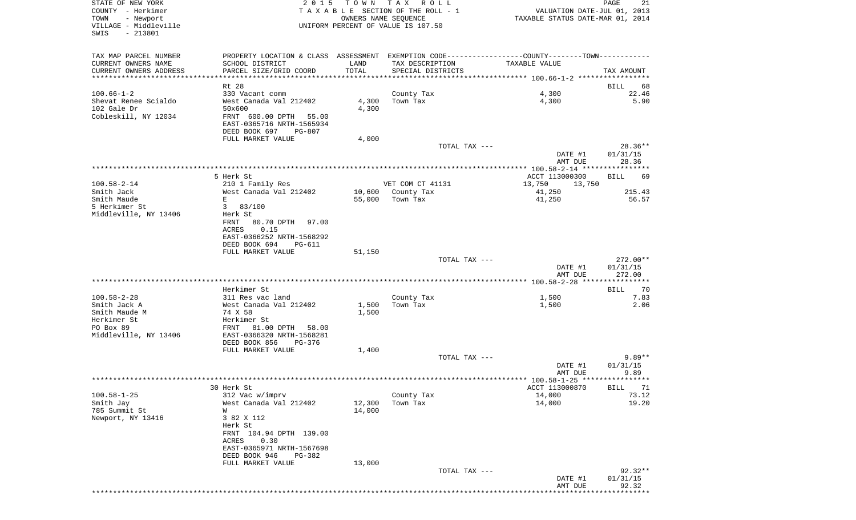| STATE OF NEW YORK<br>COUNTY - Herkimer     |                                                                                               |        | 2015 TOWN TAX ROLL<br>TAXABLE SECTION OF THE ROLL - 1 | VALUATION DATE-JUL 01, 2013      | PAGE<br>21           |
|--------------------------------------------|-----------------------------------------------------------------------------------------------|--------|-------------------------------------------------------|----------------------------------|----------------------|
| TOWN<br>- Newport                          |                                                                                               |        | OWNERS NAME SEQUENCE                                  | TAXABLE STATUS DATE-MAR 01, 2014 |                      |
| VILLAGE - Middleville<br>$-213801$<br>SWIS |                                                                                               |        | UNIFORM PERCENT OF VALUE IS 107.50                    |                                  |                      |
| TAX MAP PARCEL NUMBER                      | PROPERTY LOCATION & CLASS ASSESSMENT EXEMPTION CODE---------------COUNTY-------TOWN---------- |        |                                                       |                                  |                      |
| CURRENT OWNERS NAME                        | SCHOOL DISTRICT                                                                               | LAND   | TAX DESCRIPTION                                       | TAXABLE VALUE                    |                      |
| CURRENT OWNERS ADDRESS                     | PARCEL SIZE/GRID COORD<br>***********************                                             | TOTAL  | SPECIAL DISTRICTS                                     |                                  | TAX AMOUNT           |
| ***********************                    | Rt 28                                                                                         |        |                                                       |                                  | BILL<br>68           |
| $100.66 - 1 - 2$                           | 330 Vacant comm                                                                               |        | County Tax                                            | 4,300                            | 22.46                |
| Shevat Renee Scialdo                       | West Canada Val 212402                                                                        | 4,300  | Town Tax                                              | 4,300                            | 5.90                 |
| 102 Gale Dr                                | 50x600                                                                                        | 4,300  |                                                       |                                  |                      |
| Cobleskill, NY 12034                       | FRNT 600.00 DPTH 55.00<br>EAST-0365716 NRTH-1565934<br>DEED BOOK 697 PG-807                   |        |                                                       |                                  |                      |
|                                            | FULL MARKET VALUE                                                                             | 4,000  |                                                       |                                  |                      |
|                                            |                                                                                               |        | TOTAL TAX ---                                         |                                  | $28.36**$            |
|                                            |                                                                                               |        |                                                       | DATE #1                          | 01/31/15             |
|                                            |                                                                                               |        |                                                       | AMT DUE                          | 28.36                |
|                                            | 5 Herk St                                                                                     |        |                                                       | ACCT 113000300                   | BILL<br>69           |
| $100.58 - 2 - 14$                          | 210 1 Family Res                                                                              |        | VET COM CT 41131                                      | 13,750<br>13,750                 |                      |
| Smith Jack                                 | West Canada Val 212402                                                                        |        | 10,600 County Tax                                     | 41,250                           | 215.43               |
| Smith Maude                                | Е                                                                                             | 55,000 | Town Tax                                              | 41,250                           | 56.57                |
| 5 Herkimer St                              | 83/100<br>$3^{\circ}$                                                                         |        |                                                       |                                  |                      |
| Middleville, NY 13406                      | Herk St<br>FRNT<br>80.70 DPTH<br>97.00                                                        |        |                                                       |                                  |                      |
|                                            | 0.15<br>ACRES                                                                                 |        |                                                       |                                  |                      |
|                                            | EAST-0366252 NRTH-1568292                                                                     |        |                                                       |                                  |                      |
|                                            | DEED BOOK 694<br>PG-611                                                                       |        |                                                       |                                  |                      |
|                                            | FULL MARKET VALUE                                                                             | 51,150 |                                                       |                                  |                      |
|                                            |                                                                                               |        | TOTAL TAX ---                                         | DATE #1                          | 272.00**<br>01/31/15 |
|                                            |                                                                                               |        |                                                       | AMT DUE                          | 272.00               |
|                                            | Herkimer St                                                                                   |        |                                                       |                                  | 70<br>BILL           |
| $100.58 - 2 - 28$                          | 311 Res vac land                                                                              |        | County Tax                                            | 1,500                            | 7.83                 |
| Smith Jack A                               | West Canada Val 212402                                                                        | 1,500  | Town Tax                                              | 1,500                            | 2.06                 |
| Smith Maude M                              | 74 X 58                                                                                       | 1,500  |                                                       |                                  |                      |
| Herkimer St<br>PO Box 89                   | Herkimer St<br>FRNT                                                                           |        |                                                       |                                  |                      |
| Middleville, NY 13406                      | 81.00 DPTH 58.00<br>EAST-0366320 NRTH-1568281                                                 |        |                                                       |                                  |                      |
|                                            | DEED BOOK 856<br>PG-376                                                                       |        |                                                       |                                  |                      |
|                                            | FULL MARKET VALUE                                                                             | 1,400  |                                                       |                                  |                      |
|                                            |                                                                                               |        | TOTAL TAX ---                                         |                                  | $9.89**$             |
|                                            |                                                                                               |        |                                                       | DATE #1                          | 01/31/15             |
|                                            |                                                                                               |        |                                                       | AMT DUE                          | 9.89                 |
|                                            | 30 Herk St                                                                                    |        |                                                       | ACCT 113000870                   | <b>BILL</b><br>71    |
| $100.58 - 1 - 25$                          | 312 Vac w/imprv                                                                               |        | County Tax                                            | 14,000                           | 73.12                |
| Smith Jay                                  | West Canada Val 212402                                                                        | 12,300 | Town Tax                                              | 14,000                           | 19.20                |
| 785 Summit St                              | W                                                                                             | 14,000 |                                                       |                                  |                      |
| Newport, NY 13416                          | 3 82 X 112                                                                                    |        |                                                       |                                  |                      |
|                                            | Herk St<br>FRNT 104.94 DPTH 139.00                                                            |        |                                                       |                                  |                      |
|                                            | 0.30<br>ACRES                                                                                 |        |                                                       |                                  |                      |
|                                            | EAST-0365971 NRTH-1567698                                                                     |        |                                                       |                                  |                      |
|                                            | DEED BOOK 946<br>PG-382                                                                       |        |                                                       |                                  |                      |
|                                            | FULL MARKET VALUE                                                                             | 13,000 |                                                       |                                  |                      |
|                                            |                                                                                               |        | TOTAL TAX ---                                         |                                  | $92.32**$            |
|                                            |                                                                                               |        |                                                       | DATE #1<br>AMT DUE               | 01/31/15<br>92.32    |
|                                            |                                                                                               |        |                                                       |                                  |                      |
|                                            |                                                                                               |        |                                                       |                                  |                      |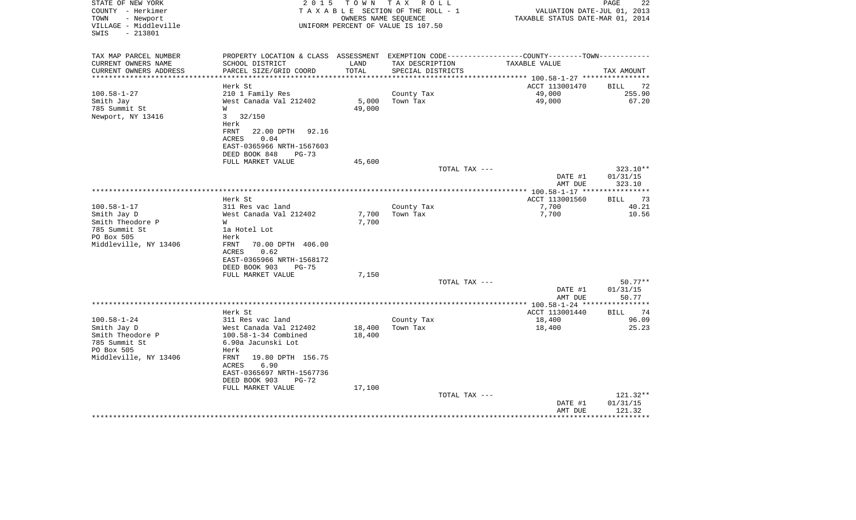| STATE OF NEW YORK<br>COUNTY - Herkimer<br>- Newport<br>TOWN<br>VILLAGE - Middleville<br>SWIS<br>$-213801$ | 2 0 1 5                                               | T O W N        | T A X<br>R O L L<br>TAXABLE SECTION OF THE ROLL - 1<br>OWNERS NAME SEQUENCE<br>UNIFORM PERCENT OF VALUE IS 107.50 | VALUATION DATE-JUL 01, 2013<br>TAXABLE STATUS DATE-MAR 01, 2014                               | PAGE<br>22            |
|-----------------------------------------------------------------------------------------------------------|-------------------------------------------------------|----------------|-------------------------------------------------------------------------------------------------------------------|-----------------------------------------------------------------------------------------------|-----------------------|
| TAX MAP PARCEL NUMBER                                                                                     |                                                       |                |                                                                                                                   | PROPERTY LOCATION & CLASS ASSESSMENT EXEMPTION CODE---------------COUNTY-------TOWN---------- |                       |
| CURRENT OWNERS NAME                                                                                       | SCHOOL DISTRICT                                       | LAND           | TAX DESCRIPTION                                                                                                   | TAXABLE VALUE                                                                                 |                       |
| CURRENT OWNERS ADDRESS<br>***********************                                                         | PARCEL SIZE/GRID COORD                                | TOTAL          | SPECIAL DISTRICTS                                                                                                 |                                                                                               | TAX AMOUNT            |
|                                                                                                           | Herk St                                               |                |                                                                                                                   | ACCT 113001470                                                                                | 72<br>BILL            |
| $100.58 - 1 - 27$                                                                                         | 210 1 Family Res                                      |                | County Tax                                                                                                        | 49,000                                                                                        | 255.90                |
| Smith Jay                                                                                                 | West Canada Val 212402                                | 5,000          | Town Tax                                                                                                          | 49,000                                                                                        | 67.20                 |
| 785 Summit St                                                                                             | W                                                     | 49,000         |                                                                                                                   |                                                                                               |                       |
| Newport, NY 13416                                                                                         | 32/150<br>3                                           |                |                                                                                                                   |                                                                                               |                       |
|                                                                                                           | Herk                                                  |                |                                                                                                                   |                                                                                               |                       |
|                                                                                                           | FRNT<br>22.00 DPTH<br>92.16                           |                |                                                                                                                   |                                                                                               |                       |
|                                                                                                           | 0.04<br>ACRES                                         |                |                                                                                                                   |                                                                                               |                       |
|                                                                                                           | EAST-0365966 NRTH-1567603<br>DEED BOOK 848<br>$PG-73$ |                |                                                                                                                   |                                                                                               |                       |
|                                                                                                           | FULL MARKET VALUE                                     | 45,600         |                                                                                                                   |                                                                                               |                       |
|                                                                                                           |                                                       |                | TOTAL TAX ---                                                                                                     |                                                                                               | 323.10**              |
|                                                                                                           |                                                       |                |                                                                                                                   | DATE #1                                                                                       | 01/31/15              |
|                                                                                                           |                                                       |                |                                                                                                                   | AMT DUE                                                                                       | 323.10                |
|                                                                                                           |                                                       |                |                                                                                                                   | ************* 100.58-1-17 ****                                                                | ********              |
|                                                                                                           | Herk St                                               |                |                                                                                                                   | ACCT 113001560                                                                                | 73<br><b>BILL</b>     |
| $100.58 - 1 - 17$                                                                                         | 311 Res vac land                                      |                | County Tax                                                                                                        | 7,700                                                                                         | 40.21                 |
| Smith Jay D<br>Smith Theodore P                                                                           | West Canada Val 212402<br>W                           | 7,700<br>7,700 | Town Tax                                                                                                          | 7,700                                                                                         | 10.56                 |
| 785 Summit St                                                                                             | la Hotel Lot                                          |                |                                                                                                                   |                                                                                               |                       |
| PO Box 505                                                                                                | Herk                                                  |                |                                                                                                                   |                                                                                               |                       |
| Middleville, NY 13406                                                                                     | <b>FRNT</b><br>70.00 DPTH 406.00                      |                |                                                                                                                   |                                                                                               |                       |
|                                                                                                           | <b>ACRES</b><br>0.62                                  |                |                                                                                                                   |                                                                                               |                       |
|                                                                                                           | EAST-0365966 NRTH-1568172                             |                |                                                                                                                   |                                                                                               |                       |
|                                                                                                           | DEED BOOK 903<br>$PG-75$                              |                |                                                                                                                   |                                                                                               |                       |
|                                                                                                           | FULL MARKET VALUE                                     | 7,150          |                                                                                                                   |                                                                                               |                       |
|                                                                                                           |                                                       |                | TOTAL TAX ---                                                                                                     | DATE #1                                                                                       | $50.77**$<br>01/31/15 |
|                                                                                                           |                                                       |                |                                                                                                                   | AMT DUE                                                                                       | 50.77                 |
|                                                                                                           |                                                       |                |                                                                                                                   |                                                                                               |                       |
|                                                                                                           | Herk St                                               |                |                                                                                                                   | ACCT 113001440                                                                                | 74<br><b>BILL</b>     |
| $100.58 - 1 - 24$                                                                                         | 311 Res vac land                                      |                | County Tax                                                                                                        | 18,400                                                                                        | 96.09                 |
| Smith Jay D                                                                                               | West Canada Val 212402                                | 18,400         | Town Tax                                                                                                          | 18,400                                                                                        | 25.23                 |
| Smith Theodore P                                                                                          | 100.58-1-34 Combined                                  | 18,400         |                                                                                                                   |                                                                                               |                       |
| 785 Summit St<br>PO Box 505                                                                               | 6.90a Jacunski Lot<br>Herk                            |                |                                                                                                                   |                                                                                               |                       |
| Middleville, NY 13406                                                                                     | 19.80 DPTH 156.75<br>FRNT                             |                |                                                                                                                   |                                                                                               |                       |
|                                                                                                           | 6.90<br>ACRES                                         |                |                                                                                                                   |                                                                                               |                       |
|                                                                                                           | EAST-0365697 NRTH-1567736                             |                |                                                                                                                   |                                                                                               |                       |
|                                                                                                           | DEED BOOK 903<br>$PG-72$                              |                |                                                                                                                   |                                                                                               |                       |
|                                                                                                           | FULL MARKET VALUE                                     | 17,100         |                                                                                                                   |                                                                                               |                       |
|                                                                                                           |                                                       |                | TOTAL TAX ---                                                                                                     |                                                                                               | 121.32**              |
|                                                                                                           |                                                       |                |                                                                                                                   | DATE #1<br>AMT DUE                                                                            | 01/31/15<br>121.32    |
|                                                                                                           |                                                       |                |                                                                                                                   |                                                                                               | **********            |
|                                                                                                           |                                                       |                |                                                                                                                   |                                                                                               |                       |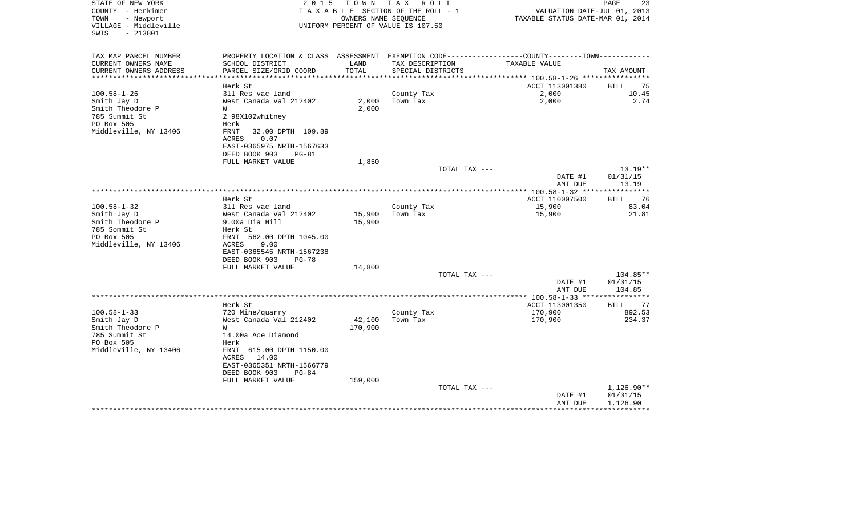| STATE OF NEW YORK<br>COUNTY - Herkimer<br>TOWN<br>- Newport<br>VILLAGE - Middleville<br>$-213801$<br>SWIS | 2 0 1 5                                       | TOWN TAX<br>OWNERS NAME SEQUENCE | R O L L<br>TAXABLE SECTION OF THE ROLL - 1<br>UNIFORM PERCENT OF VALUE IS 107.50 | VALUATION DATE-JUL 01, 2013<br>TAXABLE STATUS DATE-MAR 01, 2014                                | PAGE<br>23             |
|-----------------------------------------------------------------------------------------------------------|-----------------------------------------------|----------------------------------|----------------------------------------------------------------------------------|------------------------------------------------------------------------------------------------|------------------------|
| TAX MAP PARCEL NUMBER                                                                                     |                                               |                                  |                                                                                  | PROPERTY LOCATION & CLASS ASSESSMENT EXEMPTION CODE----------------COUNTY-------TOWN---------- |                        |
| CURRENT OWNERS NAME                                                                                       | SCHOOL DISTRICT                               | LAND                             | TAX DESCRIPTION                                                                  | TAXABLE VALUE                                                                                  |                        |
| CURRENT OWNERS ADDRESS<br>***********************                                                         | PARCEL SIZE/GRID COORD                        | TOTAL                            | SPECIAL DISTRICTS                                                                |                                                                                                | TAX AMOUNT             |
|                                                                                                           | Herk St                                       |                                  |                                                                                  | ACCT 113001380                                                                                 | 75<br><b>BILL</b>      |
| $100.58 - 1 - 26$                                                                                         | 311 Res vac land                              |                                  | County Tax                                                                       | 2,000                                                                                          | 10.45                  |
| Smith Jay D                                                                                               | West Canada Val 212402                        | 2,000                            | Town Tax                                                                         | 2,000                                                                                          | 2.74                   |
| Smith Theodore P<br>785 Summit St                                                                         | W<br>2 98X102whitney                          | 2,000                            |                                                                                  |                                                                                                |                        |
| PO Box 505                                                                                                | Herk                                          |                                  |                                                                                  |                                                                                                |                        |
| Middleville, NY 13406                                                                                     | FRNT<br>32.00 DPTH 109.89                     |                                  |                                                                                  |                                                                                                |                        |
|                                                                                                           | ACRES<br>0.07                                 |                                  |                                                                                  |                                                                                                |                        |
|                                                                                                           | EAST-0365975 NRTH-1567633                     |                                  |                                                                                  |                                                                                                |                        |
|                                                                                                           | DEED BOOK 903<br>$PG-81$<br>FULL MARKET VALUE | 1,850                            |                                                                                  |                                                                                                |                        |
|                                                                                                           |                                               |                                  | TOTAL TAX ---                                                                    |                                                                                                | $13.19**$              |
|                                                                                                           |                                               |                                  |                                                                                  | DATE #1                                                                                        | 01/31/15               |
|                                                                                                           |                                               |                                  |                                                                                  | AMT DUE                                                                                        | 13.19                  |
|                                                                                                           | Herk St                                       |                                  |                                                                                  | *************** 100.58-1-32 **<br>ACCT 110007500                                               | **********<br>76       |
| $100.58 - 1 - 32$                                                                                         | 311 Res vac land                              |                                  | County Tax                                                                       | 15,900                                                                                         | BILL<br>83.04          |
| Smith Jay D                                                                                               | West Canada Val 212402                        | 15,900                           | Town Tax                                                                         | 15,900                                                                                         | 21.81                  |
| Smith Theodore P                                                                                          | 9.00a Dia Hill                                | 15,900                           |                                                                                  |                                                                                                |                        |
| 785 Sommit St                                                                                             | Herk St                                       |                                  |                                                                                  |                                                                                                |                        |
| PO Box 505<br>Middleville, NY 13406                                                                       | FRNT 562.00 DPTH 1045.00<br>9.00<br>ACRES     |                                  |                                                                                  |                                                                                                |                        |
|                                                                                                           | EAST-0365545 NRTH-1567238                     |                                  |                                                                                  |                                                                                                |                        |
|                                                                                                           | DEED BOOK 903<br>$PG-78$                      |                                  |                                                                                  |                                                                                                |                        |
|                                                                                                           | FULL MARKET VALUE                             | 14,800                           |                                                                                  |                                                                                                |                        |
|                                                                                                           |                                               |                                  | TOTAL TAX ---                                                                    |                                                                                                | 104.85**               |
|                                                                                                           |                                               |                                  |                                                                                  | DATE #1<br>AMT DUE                                                                             | 01/31/15<br>104.85     |
|                                                                                                           | Herk St                                       |                                  |                                                                                  | ACCT 113001350                                                                                 | 77                     |
| $100.58 - 1 - 33$                                                                                         | 720 Mine/quarry                               |                                  | County Tax                                                                       | 170,900                                                                                        | BILL<br>892.53         |
| Smith Jay D                                                                                               | West Canada Val 212402                        | 42,100                           | Town Tax                                                                         | 170,900                                                                                        | 234.37                 |
| Smith Theodore P                                                                                          | W                                             | 170,900                          |                                                                                  |                                                                                                |                        |
| 785 Summit St                                                                                             | 14.00a Ace Diamond                            |                                  |                                                                                  |                                                                                                |                        |
| PO Box 505<br>Middleville, NY 13406                                                                       | Herk<br>FRNT 615.00 DPTH 1150.00              |                                  |                                                                                  |                                                                                                |                        |
|                                                                                                           | ACRES<br>14.00                                |                                  |                                                                                  |                                                                                                |                        |
|                                                                                                           | EAST-0365351 NRTH-1566779                     |                                  |                                                                                  |                                                                                                |                        |
|                                                                                                           | DEED BOOK 903<br>$PG-84$                      |                                  |                                                                                  |                                                                                                |                        |
|                                                                                                           | FULL MARKET VALUE                             | 159,000                          |                                                                                  |                                                                                                |                        |
|                                                                                                           |                                               |                                  | TOTAL TAX ---                                                                    |                                                                                                | 1,126.90**<br>01/31/15 |
|                                                                                                           |                                               |                                  |                                                                                  | DATE #1<br>AMT DUE                                                                             | 1,126.90               |
|                                                                                                           |                                               |                                  |                                                                                  |                                                                                                |                        |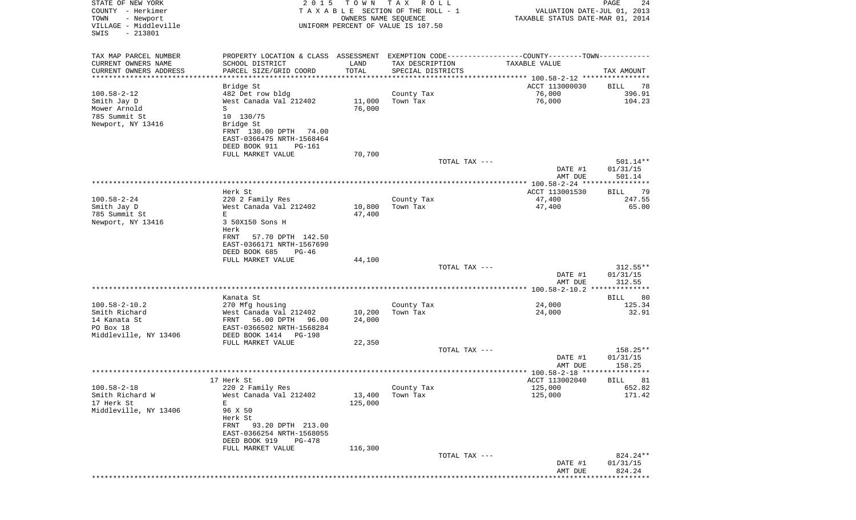| STATE OF NEW YORK<br>COUNTY - Herkimer<br>TOWN<br>- Newport<br>VILLAGE - Middleville<br>$-213801$<br>SWIS | 2 0 1 5                                                                                       | T O W N<br>OWNERS NAME SEQUENCE | T A X<br>R O L L<br>TAXABLE SECTION OF THE ROLL - 1<br>UNIFORM PERCENT OF VALUE IS 107.50 |               | VALUATION DATE-JUL 01, 2013<br>TAXABLE STATUS DATE-MAR 01, 2014 | PAGE<br>24           |
|-----------------------------------------------------------------------------------------------------------|-----------------------------------------------------------------------------------------------|---------------------------------|-------------------------------------------------------------------------------------------|---------------|-----------------------------------------------------------------|----------------------|
| TAX MAP PARCEL NUMBER                                                                                     | PROPERTY LOCATION & CLASS ASSESSMENT EXEMPTION CODE---------------COUNTY-------TOWN---------- |                                 |                                                                                           |               |                                                                 |                      |
| CURRENT OWNERS NAME                                                                                       | SCHOOL DISTRICT                                                                               | LAND                            | TAX DESCRIPTION                                                                           |               | TAXABLE VALUE                                                   |                      |
| CURRENT OWNERS ADDRESS<br>**********************                                                          | PARCEL SIZE/GRID COORD                                                                        | TOTAL                           | SPECIAL DISTRICTS                                                                         |               |                                                                 | TAX AMOUNT           |
|                                                                                                           | Bridge St                                                                                     |                                 |                                                                                           |               | ACCT 113000030                                                  | 78<br>BILL           |
| $100.58 - 2 - 12$                                                                                         | 482 Det row bldg                                                                              |                                 | County Tax                                                                                |               | 76,000                                                          | 396.91               |
| Smith Jay D<br>Mower Arnold                                                                               | West Canada Val 212402<br>S                                                                   | 11,000<br>76,000                | Town Tax                                                                                  |               | 76,000                                                          | 104.23               |
| 785 Summit St                                                                                             | 10 130/75                                                                                     |                                 |                                                                                           |               |                                                                 |                      |
| Newport, NY 13416                                                                                         | Bridge St                                                                                     |                                 |                                                                                           |               |                                                                 |                      |
|                                                                                                           | FRNT 130.00 DPTH 74.00                                                                        |                                 |                                                                                           |               |                                                                 |                      |
|                                                                                                           | EAST-0366475 NRTH-1568464<br>DEED BOOK 911<br><b>PG-161</b>                                   |                                 |                                                                                           |               |                                                                 |                      |
|                                                                                                           | FULL MARKET VALUE                                                                             | 70,700                          |                                                                                           |               |                                                                 |                      |
|                                                                                                           |                                                                                               |                                 |                                                                                           | TOTAL TAX --- |                                                                 | 501.14**             |
|                                                                                                           |                                                                                               |                                 |                                                                                           |               | DATE #1<br>AMT DUE                                              | 01/31/15<br>501.14   |
|                                                                                                           |                                                                                               |                                 |                                                                                           |               |                                                                 |                      |
|                                                                                                           | Herk St                                                                                       |                                 |                                                                                           |               | ACCT 113001530                                                  | 79<br>BILL           |
| $100.58 - 2 - 24$                                                                                         | 220 2 Family Res                                                                              |                                 | County Tax                                                                                |               | 47,400                                                          | 247.55               |
| Smith Jay D<br>785 Summit St                                                                              | West Canada Val 212402<br>E                                                                   | 10,800<br>47,400                | Town Tax                                                                                  |               | 47,400                                                          | 65.00                |
| Newport, NY 13416                                                                                         | 3 50X150 Sons H                                                                               |                                 |                                                                                           |               |                                                                 |                      |
|                                                                                                           | Herk                                                                                          |                                 |                                                                                           |               |                                                                 |                      |
|                                                                                                           | FRNT<br>57.70 DPTH 142.50                                                                     |                                 |                                                                                           |               |                                                                 |                      |
|                                                                                                           | EAST-0366171 NRTH-1567690<br>DEED BOOK 685<br>$PG-46$                                         |                                 |                                                                                           |               |                                                                 |                      |
|                                                                                                           | FULL MARKET VALUE                                                                             | 44,100                          |                                                                                           |               |                                                                 |                      |
|                                                                                                           |                                                                                               |                                 |                                                                                           | TOTAL TAX --- |                                                                 | $312.55**$           |
|                                                                                                           |                                                                                               |                                 |                                                                                           |               | DATE #1<br>AMT DUE                                              | 01/31/15<br>312.55   |
|                                                                                                           |                                                                                               |                                 |                                                                                           |               | ************** 100.58-2-10.2                                    | **************       |
|                                                                                                           | Kanata St                                                                                     |                                 |                                                                                           |               |                                                                 | 80<br>BILL           |
| $100.58 - 2 - 10.2$                                                                                       | 270 Mfg housing                                                                               |                                 | County Tax                                                                                |               | 24,000                                                          | 125.34               |
| Smith Richard<br>14 Kanata St                                                                             | West Canada Val 212402<br>FRNT<br>56.00 DPTH<br>96.00                                         | 10,200<br>24,000                | Town Tax                                                                                  |               | 24,000                                                          | 32.91                |
| PO Box 18                                                                                                 | EAST-0366502 NRTH-1568284                                                                     |                                 |                                                                                           |               |                                                                 |                      |
| Middleville, NY 13406                                                                                     | DEED BOOK 1414<br>PG-198                                                                      |                                 |                                                                                           |               |                                                                 |                      |
|                                                                                                           | FULL MARKET VALUE                                                                             | 22,350                          |                                                                                           | TOTAL TAX --- |                                                                 | 158.25**             |
|                                                                                                           |                                                                                               |                                 |                                                                                           |               | DATE #1                                                         | 01/31/15             |
|                                                                                                           |                                                                                               |                                 |                                                                                           |               | AMT DUE                                                         | 158.25               |
|                                                                                                           |                                                                                               |                                 |                                                                                           |               |                                                                 |                      |
| $100.58 - 2 - 18$                                                                                         | 17 Herk St<br>220 2 Family Res                                                                |                                 | County Tax                                                                                |               | ACCT 113002040<br>125,000                                       | BILL 81<br>652.82    |
| Smith Richard W                                                                                           | West Canada Val 212402                                                                        | 13,400                          | Town Tax                                                                                  |               | 125,000                                                         | 171.42               |
| 17 Herk St                                                                                                | Е                                                                                             | 125,000                         |                                                                                           |               |                                                                 |                      |
| Middleville, NY 13406                                                                                     | 96 X 50                                                                                       |                                 |                                                                                           |               |                                                                 |                      |
|                                                                                                           | Herk St<br>93.20 DPTH 213.00<br>FRNT                                                          |                                 |                                                                                           |               |                                                                 |                      |
|                                                                                                           | EAST-0366254 NRTH-1568055                                                                     |                                 |                                                                                           |               |                                                                 |                      |
|                                                                                                           | DEED BOOK 919<br>PG-478                                                                       |                                 |                                                                                           |               |                                                                 |                      |
|                                                                                                           | FULL MARKET VALUE                                                                             | 116,300                         |                                                                                           | TOTAL TAX --- |                                                                 |                      |
|                                                                                                           |                                                                                               |                                 |                                                                                           |               | DATE #1                                                         | 824.24**<br>01/31/15 |
|                                                                                                           |                                                                                               |                                 |                                                                                           |               | AMT DUE                                                         | 824.24               |
|                                                                                                           |                                                                                               |                                 |                                                                                           |               |                                                                 |                      |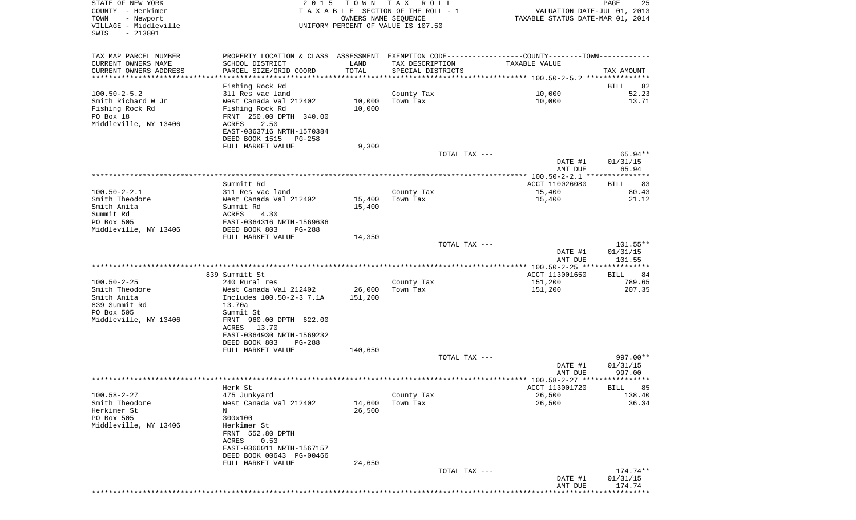| STATE OF NEW YORK<br>COUNTY - Herkimer<br>TOWN<br>- Newport | 2 0 1 5                                                                                       | T O W N                   | TAX ROLL<br>TAXABLE SECTION OF THE ROLL - 1<br>OWNERS NAME SEQUENCE | VALUATION DATE-JUL 01, 2013<br>TAXABLE STATUS DATE-MAR 01, 2014 | PAGE<br>25             |
|-------------------------------------------------------------|-----------------------------------------------------------------------------------------------|---------------------------|---------------------------------------------------------------------|-----------------------------------------------------------------|------------------------|
| VILLAGE - Middleville<br>$-213801$<br>SWIS                  |                                                                                               |                           | UNIFORM PERCENT OF VALUE IS 107.50                                  |                                                                 |                        |
| TAX MAP PARCEL NUMBER                                       | PROPERTY LOCATION & CLASS ASSESSMENT EXEMPTION CODE---------------COUNTY-------TOWN---------- |                           |                                                                     |                                                                 |                        |
| CURRENT OWNERS NAME                                         | SCHOOL DISTRICT                                                                               | LAND                      | TAX DESCRIPTION                                                     | TAXABLE VALUE                                                   |                        |
| CURRENT OWNERS ADDRESS<br>*********************             | PARCEL SIZE/GRID COORD<br>***********************                                             | TOTAL<br>**************** | SPECIAL DISTRICTS                                                   |                                                                 | TAX AMOUNT             |
|                                                             | Fishing Rock Rd                                                                               |                           |                                                                     |                                                                 | 82<br>BILL             |
| $100.50 - 2 - 5.2$                                          | 311 Res vac land                                                                              |                           | County Tax                                                          | 10,000                                                          | 52.23                  |
| Smith Richard W Jr                                          | West Canada Val 212402                                                                        | 10,000                    | Town Tax                                                            | 10,000                                                          | 13.71                  |
| Fishing Rock Rd<br>PO Box 18<br>Middleville, NY 13406       | Fishing Rock Rd<br>FRNT 250.00 DPTH 340.00<br>ACRES<br>2.50                                   | 10,000                    |                                                                     |                                                                 |                        |
|                                                             | EAST-0363716 NRTH-1570384<br>DEED BOOK 1515<br>PG-258                                         |                           |                                                                     |                                                                 |                        |
|                                                             | FULL MARKET VALUE                                                                             | 9,300                     | TOTAL TAX ---                                                       |                                                                 | 65.94**                |
|                                                             |                                                                                               |                           |                                                                     | DATE #1<br>AMT DUE                                              | 01/31/15<br>65.94      |
|                                                             |                                                                                               |                           |                                                                     |                                                                 |                        |
|                                                             | Summitt Rd<br>311 Res vac land                                                                |                           |                                                                     | ACCT 110026080                                                  | BILL<br>83<br>80.43    |
| $100.50 - 2 - 2.1$<br>Smith Theodore                        | West Canada Val 212402                                                                        | 15,400                    | County Tax<br>Town Tax                                              | 15,400<br>15,400                                                | 21.12                  |
| Smith Anita                                                 | Summit Rd                                                                                     | 15,400                    |                                                                     |                                                                 |                        |
| Summit Rd                                                   | ACRES<br>4.30                                                                                 |                           |                                                                     |                                                                 |                        |
| PO Box 505                                                  | EAST-0364316 NRTH-1569636                                                                     |                           |                                                                     |                                                                 |                        |
| Middleville, NY 13406                                       | DEED BOOK 803<br><b>PG-288</b>                                                                |                           |                                                                     |                                                                 |                        |
|                                                             | FULL MARKET VALUE                                                                             | 14,350                    |                                                                     |                                                                 |                        |
|                                                             |                                                                                               |                           | TOTAL TAX ---                                                       | DATE #1                                                         | $101.55**$<br>01/31/15 |
|                                                             |                                                                                               |                           |                                                                     | AMT DUE                                                         | 101.55                 |
|                                                             |                                                                                               |                           |                                                                     |                                                                 |                        |
|                                                             | 839 Summitt St                                                                                |                           |                                                                     | ACCT 113001650                                                  | 84<br>BILL             |
| $100.50 - 2 - 25$                                           | 240 Rural res                                                                                 |                           | County Tax                                                          | 151,200                                                         | 789.65                 |
| Smith Theodore                                              | West Canada Val 212402                                                                        | 26,000                    | Town Tax                                                            | 151,200                                                         | 207.35                 |
| Smith Anita<br>839 Summit Rd                                | Includes 100.50-2-3 7.1A<br>13.70a                                                            | 151,200                   |                                                                     |                                                                 |                        |
| PO Box 505                                                  | Summit St                                                                                     |                           |                                                                     |                                                                 |                        |
| Middleville, NY 13406                                       | FRNT 960.00 DPTH 622.00<br>ACRES 13.70                                                        |                           |                                                                     |                                                                 |                        |
|                                                             | EAST-0364930 NRTH-1569232                                                                     |                           |                                                                     |                                                                 |                        |
|                                                             | DEED BOOK 803<br>PG-288                                                                       |                           |                                                                     |                                                                 |                        |
|                                                             | FULL MARKET VALUE                                                                             | 140,650                   | TOTAL TAX ---                                                       |                                                                 | 997.00**               |
|                                                             |                                                                                               |                           |                                                                     | DATE #1<br>AMT DUE                                              | 01/31/15<br>997.00     |
|                                                             |                                                                                               |                           |                                                                     |                                                                 |                        |
|                                                             | Herk St                                                                                       |                           |                                                                     | ACCT 113001720                                                  | 85<br>BILL             |
| $100.58 - 2 - 27$                                           | 475 Junkyard                                                                                  |                           | County Tax                                                          | 26,500                                                          | 138.40                 |
| Smith Theodore<br>Herkimer St                               | West Canada Val 212402<br>Ν                                                                   | 14,600<br>26,500          | Town Tax                                                            | 26,500                                                          | 36.34                  |
| PO Box 505                                                  | 300x100                                                                                       |                           |                                                                     |                                                                 |                        |
| Middleville, NY 13406                                       | Herkimer St                                                                                   |                           |                                                                     |                                                                 |                        |
|                                                             | FRNT 552.80 DPTH<br>0.53<br>ACRES                                                             |                           |                                                                     |                                                                 |                        |
|                                                             | EAST-0366011 NRTH-1567157<br>DEED BOOK 00643 PG-00466                                         |                           |                                                                     |                                                                 |                        |
|                                                             | FULL MARKET VALUE                                                                             | 24,650                    |                                                                     |                                                                 |                        |
|                                                             |                                                                                               |                           | TOTAL TAX ---                                                       |                                                                 | 174.74**               |
|                                                             |                                                                                               |                           |                                                                     | DATE #1<br>AMT DUE                                              | 01/31/15<br>174.74     |
|                                                             |                                                                                               |                           |                                                                     |                                                                 |                        |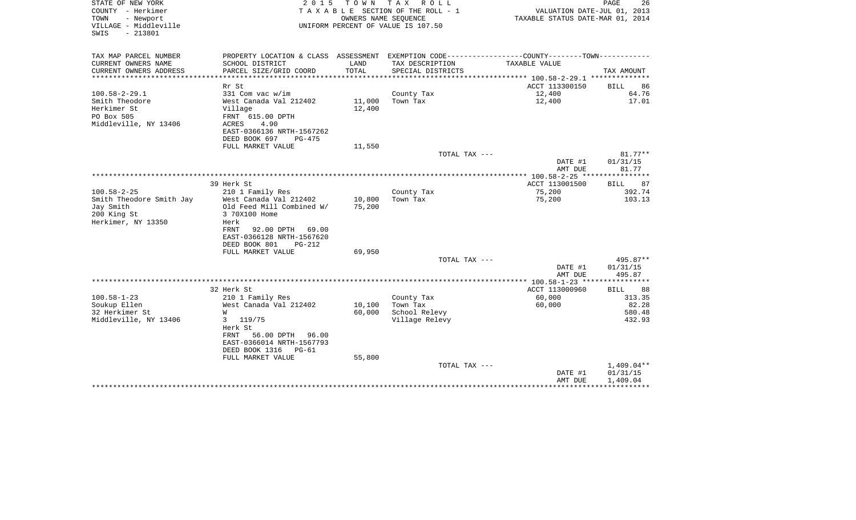| STATE OF NEW YORK<br>COUNTY - Herkimer<br>- Newport<br>TOWN<br>VILLAGE - Middleville<br>$-213801$<br>SWIS                    | 2 0 1 5                                                                                                                                | T O W N<br>OWNERS NAME SEQUENCE | TAX ROLL<br>TAXABLE SECTION OF THE ROLL - 1<br>UNIFORM PERCENT OF VALUE IS 107.50 | VALUATION DATE-JUL 01, 2013<br>TAXABLE STATUS DATE-MAR 01, 2014                                | PAGE<br>26           |
|------------------------------------------------------------------------------------------------------------------------------|----------------------------------------------------------------------------------------------------------------------------------------|---------------------------------|-----------------------------------------------------------------------------------|------------------------------------------------------------------------------------------------|----------------------|
| TAX MAP PARCEL NUMBER                                                                                                        |                                                                                                                                        | LAND                            |                                                                                   | PROPERTY LOCATION & CLASS ASSESSMENT EXEMPTION CODE----------------COUNTY-------TOWN---------- |                      |
| CURRENT OWNERS NAME<br>SCHOOL DISTRICT<br>CURRENT OWNERS ADDRESS<br>*********************                                    | PARCEL SIZE/GRID COORD<br>**********************                                                                                       | <b>TOTAL</b>                    | TAX DESCRIPTION<br>SPECIAL DISTRICTS                                              | TAXABLE VALUE                                                                                  | TAX AMOUNT           |
| Rr St                                                                                                                        |                                                                                                                                        |                                 |                                                                                   | ACCT 113300150                                                                                 | 86<br><b>BILL</b>    |
| $100.58 - 2 - 29.1$<br>331 Com vac w/im                                                                                      |                                                                                                                                        |                                 | County Tax                                                                        | 12,400                                                                                         | 64.76                |
| Smith Theodore<br>Herkimer St<br>Village<br>PO Box 505<br>Middleville, NY 13406<br>ACRES                                     | West Canada Val 212402<br>FRNT 615.00 DPTH<br>4.90<br>EAST-0366136 NRTH-1567262                                                        | 11,000<br>12,400                | Town Tax                                                                          | 12,400                                                                                         | 17.01                |
| DEED BOOK 697                                                                                                                | $PG-475$                                                                                                                               |                                 |                                                                                   |                                                                                                |                      |
|                                                                                                                              | FULL MARKET VALUE                                                                                                                      | 11,550                          | TOTAL TAX ---                                                                     |                                                                                                | $81.77**$            |
|                                                                                                                              |                                                                                                                                        |                                 |                                                                                   | DATE #1<br>AMT DUE                                                                             | 01/31/15<br>81.77    |
|                                                                                                                              |                                                                                                                                        |                                 |                                                                                   |                                                                                                |                      |
| 39 Herk St<br>$100.58 - 2 - 25$<br>210 1 Family Res                                                                          |                                                                                                                                        |                                 | County Tax                                                                        | ACCT 113001500<br>75,200                                                                       | 87<br>BILL<br>392.74 |
| Smith Theodore Smith Jay<br>Jay Smith<br>200 King St<br>3 70X100 Home<br>Herkimer, NY 13350<br>Herk<br>FRNT<br>DEED BOOK 801 | West Canada Val 212402<br>Old Feed Mill Combined W/<br>92.00 DPTH<br>69.00<br>EAST-0366128 NRTH-1567620<br>PG-212<br>FULL MARKET VALUE | 10,800<br>75,200<br>69,950      | Town Tax                                                                          | 75,200                                                                                         | 103.13               |
|                                                                                                                              |                                                                                                                                        |                                 | TOTAL TAX ---                                                                     |                                                                                                | 495.87**             |
|                                                                                                                              |                                                                                                                                        |                                 |                                                                                   | DATE #1<br>AMT DUE                                                                             | 01/31/15<br>495.87   |
|                                                                                                                              |                                                                                                                                        |                                 |                                                                                   |                                                                                                |                      |
| 32 Herk St<br>$100.58 - 1 - 23$<br>210 1 Family Res                                                                          |                                                                                                                                        |                                 | County Tax                                                                        | ACCT 113000960<br>60,000                                                                       | 88<br>BILL<br>313.35 |
| Soukup Ellen                                                                                                                 | West Canada Val 212402                                                                                                                 | 10,100                          | Town Tax                                                                          | 60,000                                                                                         | 82.28                |
| 32 Herkimer St<br>W                                                                                                          |                                                                                                                                        | 60,000                          | School Relevy                                                                     |                                                                                                | 580.48               |
| Middleville, NY 13406<br>119/75<br>3<br>Herk St<br>FRNT<br>DEED BOOK 1316                                                    | 56.00 DPTH<br>96.00<br>EAST-0366014 NRTH-1567793<br>PG-61<br>FULL MARKET VALUE                                                         | 55,800                          | Village Relevy                                                                    |                                                                                                | 432.93               |
|                                                                                                                              |                                                                                                                                        |                                 | TOTAL TAX ---                                                                     |                                                                                                | $1,409.04**$         |
|                                                                                                                              |                                                                                                                                        |                                 |                                                                                   | DATE #1<br>AMT DUE                                                                             | 01/31/15<br>1,409.04 |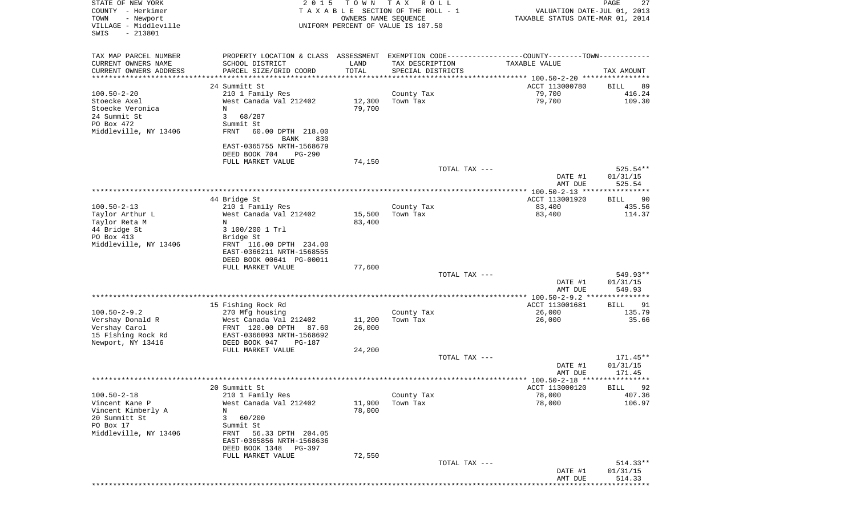| STATE OF NEW YORK                | 2 0 1 5                                                                                       | T O W N       | T A X<br>R O L L                   |                                         | PAGE<br>27         |
|----------------------------------|-----------------------------------------------------------------------------------------------|---------------|------------------------------------|-----------------------------------------|--------------------|
| COUNTY - Herkimer                |                                                                                               |               | TAXABLE SECTION OF THE ROLL - 1    | VALUATION DATE-JUL 01, 2013             |                    |
| TOWN<br>- Newport                |                                                                                               |               | OWNERS NAME SEQUENCE               | TAXABLE STATUS DATE-MAR 01, 2014        |                    |
| VILLAGE - Middleville            |                                                                                               |               | UNIFORM PERCENT OF VALUE IS 107.50 |                                         |                    |
| $-213801$<br>SWIS                |                                                                                               |               |                                    |                                         |                    |
|                                  |                                                                                               |               |                                    |                                         |                    |
| TAX MAP PARCEL NUMBER            | PROPERTY LOCATION & CLASS ASSESSMENT EXEMPTION CODE---------------COUNTY-------TOWN---------- |               |                                    |                                         |                    |
| CURRENT OWNERS NAME              | SCHOOL DISTRICT                                                                               | LAND          | TAX DESCRIPTION                    | TAXABLE VALUE                           |                    |
| CURRENT OWNERS ADDRESS           | PARCEL SIZE/GRID COORD                                                                        | TOTAL         | SPECIAL DISTRICTS                  |                                         | TAX AMOUNT         |
| *********************            |                                                                                               | ************* |                                    |                                         |                    |
|                                  | 24 Summitt St                                                                                 |               |                                    | ACCT 113000780                          | BILL<br>89         |
| $100.50 - 2 - 20$                | 210 1 Family Res                                                                              |               | County Tax                         | 79,700                                  | 416.24             |
| Stoecke Axel                     | West Canada Val 212402                                                                        | 12,300        | Town Tax                           | 79,700                                  | 109.30             |
| Stoecke Veronica<br>24 Summit St | N<br>368/287                                                                                  | 79,700        |                                    |                                         |                    |
| PO Box 472                       | Summit St                                                                                     |               |                                    |                                         |                    |
| Middleville, NY 13406            | FRNT<br>60.00 DPTH 218.00                                                                     |               |                                    |                                         |                    |
|                                  | <b>BANK</b><br>830                                                                            |               |                                    |                                         |                    |
|                                  | EAST-0365755 NRTH-1568679                                                                     |               |                                    |                                         |                    |
|                                  | DEED BOOK 704<br><b>PG-290</b>                                                                |               |                                    |                                         |                    |
|                                  | FULL MARKET VALUE                                                                             | 74,150        |                                    |                                         |                    |
|                                  |                                                                                               |               | TOTAL TAX ---                      |                                         | 525.54**           |
|                                  |                                                                                               |               |                                    | DATE #1                                 | 01/31/15           |
|                                  |                                                                                               |               |                                    | AMT DUE                                 | 525.54             |
|                                  |                                                                                               |               |                                    |                                         |                    |
|                                  | 44 Bridge St                                                                                  |               |                                    | ACCT 113001920                          | 90<br>BILL         |
| $100.50 - 2 - 13$                | 210 1 Family Res                                                                              |               | County Tax                         | 83,400                                  | 435.56             |
| Taylor Arthur L                  | West Canada Val 212402                                                                        | 15,500        | Town Tax                           | 83,400                                  | 114.37             |
| Taylor Reta M                    | N                                                                                             | 83,400        |                                    |                                         |                    |
| 44 Bridge St                     | 3 100/200 1 Trl                                                                               |               |                                    |                                         |                    |
| PO Box 413                       | Bridge St                                                                                     |               |                                    |                                         |                    |
| Middleville, NY 13406            | FRNT 116.00 DPTH 234.00                                                                       |               |                                    |                                         |                    |
|                                  | EAST-0366211 NRTH-1568555                                                                     |               |                                    |                                         |                    |
|                                  | DEED BOOK 00641 PG-00011                                                                      |               |                                    |                                         |                    |
|                                  | FULL MARKET VALUE                                                                             | 77,600        |                                    |                                         |                    |
|                                  |                                                                                               |               | TOTAL TAX ---                      |                                         | 549.93**           |
|                                  |                                                                                               |               |                                    | DATE #1<br>AMT DUE                      | 01/31/15<br>549.93 |
|                                  |                                                                                               |               |                                    | ******* 100.50-2-9.2 ***                |                    |
|                                  | 15 Fishing Rock Rd                                                                            |               |                                    | ACCT 113001681                          | <b>BILL</b><br>91  |
| $100.50 - 2 - 9.2$               | 270 Mfg housing                                                                               |               | County Tax                         | 26,000                                  | 135.79             |
| Vershay Donald R                 | West Canada Val 212402                                                                        | 11,200        | Town Tax                           | 26,000                                  | 35.66              |
| Vershay Carol                    | FRNT 120.00 DPTH 87.60                                                                        | 26,000        |                                    |                                         |                    |
| 15 Fishing Rock Rd               | EAST-0366093 NRTH-1568692                                                                     |               |                                    |                                         |                    |
| Newport, NY 13416                | DEED BOOK 947<br>PG-187                                                                       |               |                                    |                                         |                    |
|                                  | FULL MARKET VALUE                                                                             | 24,200        |                                    |                                         |                    |
|                                  |                                                                                               |               | TOTAL TAX ---                      |                                         | 171.45**           |
|                                  |                                                                                               |               |                                    | DATE #1                                 | 01/31/15           |
|                                  |                                                                                               |               |                                    | AMT DUE                                 | 171.45             |
|                                  |                                                                                               |               |                                    | ********* 100.50-2-18 ***************** |                    |
|                                  | 20 Summitt St                                                                                 |               |                                    | ACCT 113000120                          | 92<br><b>BILL</b>  |
| $100.50 - 2 - 18$                | 210 1 Family Res                                                                              |               | County Tax                         | 78,000                                  | 407.36             |
| Vincent Kane P                   | West Canada Val 212402                                                                        | 11,900        | Town Tax                           | 78,000                                  | 106.97             |
| Vincent Kimberly A               | N                                                                                             | 78,000        |                                    |                                         |                    |
| 20 Summitt St                    | 3<br>60/200                                                                                   |               |                                    |                                         |                    |
| PO Box 17                        | Summit St                                                                                     |               |                                    |                                         |                    |
| Middleville, NY 13406            | FRNT<br>56.33 DPTH 204.05                                                                     |               |                                    |                                         |                    |
|                                  | EAST-0365856 NRTH-1568636                                                                     |               |                                    |                                         |                    |
|                                  | DEED BOOK 1348<br>PG-397<br>FULL MARKET VALUE                                                 |               |                                    |                                         |                    |
|                                  |                                                                                               | 72,550        | TOTAL TAX ---                      |                                         | $514.33**$         |
|                                  |                                                                                               |               |                                    | DATE #1                                 | 01/31/15           |
|                                  |                                                                                               |               |                                    | AMT DUE                                 | 514.33             |
|                                  |                                                                                               |               |                                    |                                         |                    |
|                                  |                                                                                               |               |                                    |                                         |                    |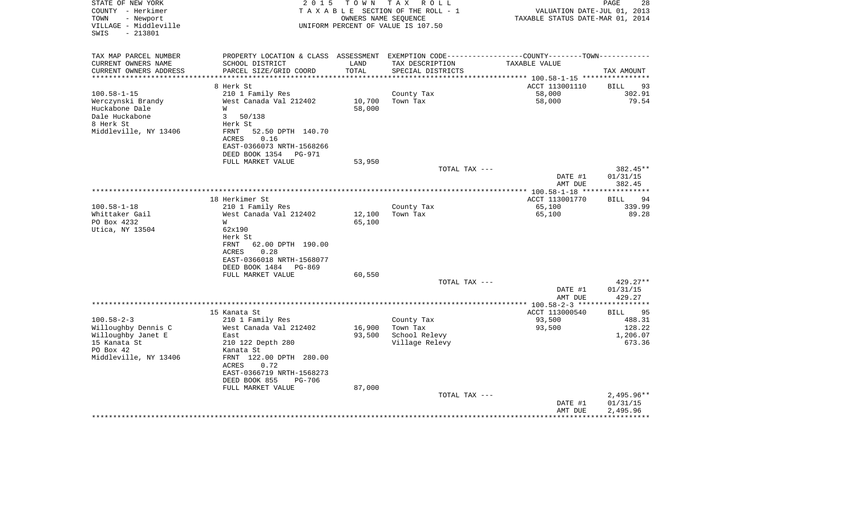| STATE OF NEW YORK<br>COUNTY - Herkimer<br>TOWN<br>- Newport<br>VILLAGE - Middleville<br>$-213801$<br>SWIS | 2 0 1 5                                               | T O W N       | TAX ROLL<br>TAXABLE SECTION OF THE ROLL - 1<br>OWNERS NAME SEQUENCE<br>UNIFORM PERCENT OF VALUE IS 107.50 | VALUATION DATE-JUL 01, 2013<br>TAXABLE STATUS DATE-MAR 01, 2014 | 28<br>PAGE            |
|-----------------------------------------------------------------------------------------------------------|-------------------------------------------------------|---------------|-----------------------------------------------------------------------------------------------------------|-----------------------------------------------------------------|-----------------------|
| TAX MAP PARCEL NUMBER                                                                                     |                                                       |               | PROPERTY LOCATION & CLASS ASSESSMENT EXEMPTION CODE---------------COUNTY-------TOWN----------             |                                                                 |                       |
| CURRENT OWNERS NAME<br>CURRENT OWNERS ADDRESS                                                             | SCHOOL DISTRICT<br>PARCEL SIZE/GRID COORD             | LAND<br>TOTAL | TAX DESCRIPTION<br>SPECIAL DISTRICTS                                                                      | TAXABLE VALUE                                                   | TAX AMOUNT            |
| ***********************                                                                                   |                                                       |               |                                                                                                           |                                                                 |                       |
|                                                                                                           | 8 Herk St                                             |               |                                                                                                           | ACCT 113001110                                                  | <b>BILL</b><br>93     |
| $100.58 - 1 - 15$                                                                                         | 210 1 Family Res                                      |               | County Tax                                                                                                | 58,000                                                          | 302.91                |
| Werczynski Brandy                                                                                         | West Canada Val 212402                                | 10,700        | Town Tax                                                                                                  | 58,000                                                          | 79.54                 |
| Huckabone Dale                                                                                            | W                                                     | 58,000        |                                                                                                           |                                                                 |                       |
| Dale Huckabone                                                                                            | 3<br>50/138                                           |               |                                                                                                           |                                                                 |                       |
| 8 Herk St                                                                                                 | Herk St                                               |               |                                                                                                           |                                                                 |                       |
| Middleville, NY 13406                                                                                     | 52.50 DPTH 140.70<br>FRNT<br>0.16<br><b>ACRES</b>     |               |                                                                                                           |                                                                 |                       |
|                                                                                                           | EAST-0366073 NRTH-1568266                             |               |                                                                                                           |                                                                 |                       |
|                                                                                                           | DEED BOOK 1354<br>PG-971                              |               |                                                                                                           |                                                                 |                       |
|                                                                                                           | FULL MARKET VALUE                                     | 53,950        |                                                                                                           |                                                                 |                       |
|                                                                                                           |                                                       |               | TOTAL TAX ---                                                                                             |                                                                 | 382.45**              |
|                                                                                                           |                                                       |               |                                                                                                           | DATE #1                                                         | 01/31/15              |
|                                                                                                           |                                                       |               |                                                                                                           | AMT DUE                                                         | 382.45                |
|                                                                                                           | 18 Herkimer St                                        |               |                                                                                                           |                                                                 | 94                    |
| $100.58 - 1 - 18$                                                                                         | 210 1 Family Res                                      |               | County Tax                                                                                                | ACCT 113001770<br>65,100                                        | <b>BILL</b><br>339.99 |
| Whittaker Gail                                                                                            | West Canada Val 212402                                | 12,100        | Town Tax                                                                                                  | 65,100                                                          | 89.28                 |
| PO Box 4232                                                                                               | W                                                     | 65,100        |                                                                                                           |                                                                 |                       |
| Utica, NY 13504                                                                                           | 62x190                                                |               |                                                                                                           |                                                                 |                       |
|                                                                                                           | Herk St                                               |               |                                                                                                           |                                                                 |                       |
|                                                                                                           | 62.00 DPTH 190.00<br>FRNT                             |               |                                                                                                           |                                                                 |                       |
|                                                                                                           | 0.28<br>ACRES                                         |               |                                                                                                           |                                                                 |                       |
|                                                                                                           | EAST-0366018 NRTH-1568077<br>DEED BOOK 1484<br>PG-869 |               |                                                                                                           |                                                                 |                       |
|                                                                                                           | FULL MARKET VALUE                                     | 60,550        |                                                                                                           |                                                                 |                       |
|                                                                                                           |                                                       |               | TOTAL TAX ---                                                                                             |                                                                 | 429.27**              |
|                                                                                                           |                                                       |               |                                                                                                           | DATE #1                                                         | 01/31/15              |
|                                                                                                           |                                                       |               |                                                                                                           | AMT DUE                                                         | 429.27                |
|                                                                                                           |                                                       |               |                                                                                                           |                                                                 |                       |
| $100.58 - 2 - 3$                                                                                          | 15 Kanata St                                          |               |                                                                                                           | ACCT 113000540                                                  | 95<br><b>BILL</b>     |
| Willoughby Dennis C                                                                                       | 210 1 Family Res<br>West Canada Val 212402            | 16,900        | County Tax<br>Town Tax                                                                                    | 93,500<br>93,500                                                | 488.31<br>128.22      |
| Willoughby Janet E                                                                                        | East                                                  | 93,500        | School Relevy                                                                                             |                                                                 | 1,206.07              |
| 15 Kanata St                                                                                              | 210 122 Depth 280                                     |               | Village Relevy                                                                                            |                                                                 | 673.36                |
| PO Box 42                                                                                                 | Kanata St                                             |               |                                                                                                           |                                                                 |                       |
| Middleville, NY 13406                                                                                     | FRNT 122.00 DPTH 280.00<br><b>ACRES</b><br>0.72       |               |                                                                                                           |                                                                 |                       |
|                                                                                                           | EAST-0366719 NRTH-1568273                             |               |                                                                                                           |                                                                 |                       |
|                                                                                                           | DEED BOOK 855<br><b>PG-706</b>                        |               |                                                                                                           |                                                                 |                       |
|                                                                                                           | FULL MARKET VALUE                                     | 87,000        |                                                                                                           |                                                                 |                       |
|                                                                                                           |                                                       |               | TOTAL TAX ---                                                                                             |                                                                 | $2,495.96**$          |
|                                                                                                           |                                                       |               |                                                                                                           | DATE #1                                                         | 01/31/15              |
|                                                                                                           |                                                       |               |                                                                                                           | AMT DUE                                                         | 2,495.96              |
|                                                                                                           |                                                       |               |                                                                                                           |                                                                 |                       |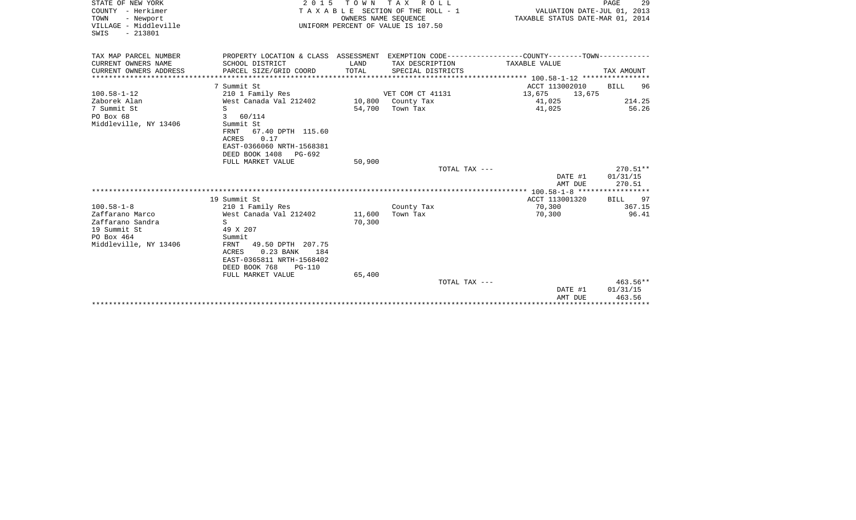| STATE OF NEW YORK<br>COUNTY - Herkimer<br>TOWN<br>- Newport<br>VILLAGE - Middleville<br>SWIS<br>$-213801$ |                                           |               | 2015 TOWN TAX ROLL<br>TAXABLE SECTION OF THE ROLL - 1<br>OWNERS NAME SEQUENCE<br>UNIFORM PERCENT OF VALUE IS 107.50                   | VALUATION DATE-JUL 01, 2013<br>TAXABLE STATUS DATE-MAR 01, 2014 | PAGE<br>29            |
|-----------------------------------------------------------------------------------------------------------|-------------------------------------------|---------------|---------------------------------------------------------------------------------------------------------------------------------------|-----------------------------------------------------------------|-----------------------|
| TAX MAP PARCEL NUMBER<br>CURRENT OWNERS NAME<br>CURRENT OWNERS ADDRESS                                    | SCHOOL DISTRICT<br>PARCEL SIZE/GRID COORD | LAND<br>TOTAL | PROPERTY LOCATION & CLASS ASSESSMENT EXEMPTION CODE---------------COUNTY-------TOWN----------<br>TAX DESCRIPTION<br>SPECIAL DISTRICTS | TAXABLE VALUE                                                   | TAX AMOUNT            |
|                                                                                                           | 7 Summit St                               |               |                                                                                                                                       | ACCT 113002010                                                  | BILL<br>96            |
| $100.58 - 1 - 12$                                                                                         | 210 1 Family Res                          |               | VET COM CT 41131                                                                                                                      | 13,675<br>13,675                                                |                       |
| Zaborek Alan                                                                                              | West Canada Val 212402                    |               | 10,800 County Tax                                                                                                                     | 41,025                                                          | 214.25                |
| 7 Summit St                                                                                               | S                                         |               | 54,700 Town Tax                                                                                                                       | 41,025                                                          | 56.26                 |
| PO Box 68                                                                                                 | 3 60/114                                  |               |                                                                                                                                       |                                                                 |                       |
| Middleville, NY 13406                                                                                     | Summit St                                 |               |                                                                                                                                       |                                                                 |                       |
|                                                                                                           | FRNT 67.40 DPTH 115.60<br>0.17            |               |                                                                                                                                       |                                                                 |                       |
|                                                                                                           | ACRES<br>EAST-0366060 NRTH-1568381        |               |                                                                                                                                       |                                                                 |                       |
|                                                                                                           | DEED BOOK 1408 PG-692                     |               |                                                                                                                                       |                                                                 |                       |
|                                                                                                           | FULL MARKET VALUE                         | 50,900        |                                                                                                                                       |                                                                 |                       |
|                                                                                                           |                                           |               | TOTAL TAX ---                                                                                                                         |                                                                 | $270.51**$            |
|                                                                                                           |                                           |               |                                                                                                                                       | DATE #1                                                         | 01/31/15              |
|                                                                                                           |                                           |               |                                                                                                                                       | AMT DUE                                                         | 270.51                |
|                                                                                                           | 19 Summit St                              |               |                                                                                                                                       |                                                                 | 97                    |
| $100.58 - 1 - 8$                                                                                          | 210 1 Family Res                          |               | County Tax                                                                                                                            | ACCT 113001320<br>70,300                                        | <b>BILL</b><br>367.15 |
| Zaffarano Marco                                                                                           | West Canada Val 212402                    | 11,600        | Town Tax                                                                                                                              | 70,300                                                          | 96.41                 |
| Zaffarano Sandra                                                                                          | S                                         | 70,300        |                                                                                                                                       |                                                                 |                       |
| 19 Summit St                                                                                              | 49 X 207                                  |               |                                                                                                                                       |                                                                 |                       |
| PO Box 464                                                                                                | Summit                                    |               |                                                                                                                                       |                                                                 |                       |
| Middleville, NY 13406                                                                                     | FRNT 49.50 DPTH 207.75                    |               |                                                                                                                                       |                                                                 |                       |
|                                                                                                           | ACRES<br>$0.23$ BANK<br>184               |               |                                                                                                                                       |                                                                 |                       |
|                                                                                                           | EAST-0365811 NRTH-1568402                 |               |                                                                                                                                       |                                                                 |                       |
|                                                                                                           | DEED BOOK 768<br>PG-110                   |               |                                                                                                                                       |                                                                 |                       |
|                                                                                                           | FULL MARKET VALUE                         | 65,400        |                                                                                                                                       |                                                                 |                       |
|                                                                                                           |                                           |               | TOTAL TAX ---                                                                                                                         |                                                                 | $463.56**$            |
|                                                                                                           |                                           |               |                                                                                                                                       | DATE #1                                                         | 01/31/15              |
|                                                                                                           |                                           |               |                                                                                                                                       | AMT DUE                                                         | 463.56                |
|                                                                                                           |                                           |               |                                                                                                                                       |                                                                 |                       |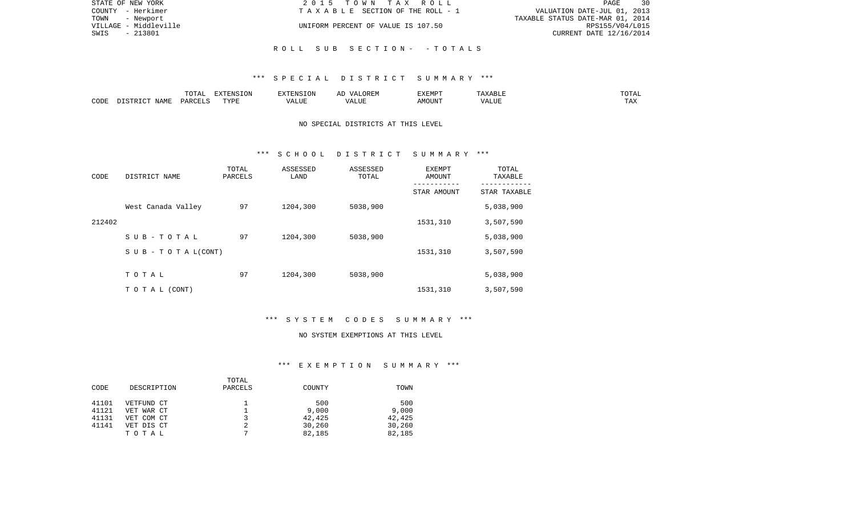| STATE OF NEW YORK     | 2015 TOWN TAX ROLL                 | 30<br>PAGE                       |
|-----------------------|------------------------------------|----------------------------------|
| COUNTY - Herkimer     | TAXABLE SECTION OF THE ROLL - 1    | VALUATION DATE-JUL 01, 2013      |
| TOWN<br>- Newport     |                                    | TAXABLE STATUS DATE-MAR 01, 2014 |
| VILLAGE - Middleville | UNIFORM PERCENT OF VALUE IS 107.50 | RPS155/V04/L015                  |
| - 213801<br>SWIS      |                                    | CURRENT DATE 12/16/2014          |
|                       |                                    |                                  |
|                       | ROLL SUB SECTION- -TOTALS          |                                  |

# \*\*\* S P E C I A L D I S T R I C T S U M M A R Y \*\*\*

|      |             |               | $\Box$<br>11 L<br>$\left( \right)$ |   | HIV | EXEMPT | .<br>n 1                   | $\overline{\phantom{a}}$ |
|------|-------------|---------------|------------------------------------|---|-----|--------|----------------------------|--------------------------|
| CODE | ΝΔМϜ<br>. . | <b>PARCEL</b> | TVDT                               | . | ,,, | AMOUNT | , <del>,</del> , , , , , , | ---<br>.A2               |

### NO SPECIAL DISTRICTS AT THIS LEVEL

### \*\*\* S C H O O L D I S T R I C T S U M M A R Y \*\*\*

| CODE   | DISTRICT NAME                    | TOTAL<br>PARCELS | ASSESSED<br>LAND | ASSESSED<br>TOTAL | EXEMPT<br>AMOUNT | TOTAL<br>TAXABLE<br>----------- |
|--------|----------------------------------|------------------|------------------|-------------------|------------------|---------------------------------|
|        |                                  |                  |                  |                   | STAR AMOUNT      | STAR TAXABLE                    |
|        | West Canada Valley               | 97               | 1204,300         | 5038,900          |                  | 5,038,900                       |
| 212402 |                                  |                  |                  |                   | 1531,310         | 3,507,590                       |
|        | $S$ U B - T O T A L              | 97               | 1204,300         | 5038,900          |                  | 5,038,900                       |
|        | $S \cup B - T \cup T A L (CONT)$ |                  |                  |                   | 1531,310         | 3,507,590                       |
|        |                                  |                  |                  |                   |                  |                                 |
|        | TOTAL                            | 97               | 1204,300         | 5038,900          |                  | 5,038,900                       |
|        | TO TAL (CONT)                    |                  |                  |                   | 1531,310         | 3,507,590                       |

# \*\*\* S Y S T E M C O D E S S U M M A R Y \*\*\*

#### NO SYSTEM EXEMPTIONS AT THIS LEVEL

# \*\*\* E X E M P T I O N S U M M A R Y \*\*\*

|       |             | TOTAL   |        |        |
|-------|-------------|---------|--------|--------|
| CODE  | DESCRIPTION | PARCELS | COUNTY | TOWN   |
|       |             |         |        |        |
| 41101 | VETFUND CT  |         | 500    | 500    |
| 41121 | VET WAR CT  |         | 9,000  | 9,000  |
| 41131 | VET COM CT  |         | 42,425 | 42,425 |
| 41141 | VET DIS CT  |         | 30,260 | 30,260 |
|       | TOTAL       | 7       | 82,185 | 82,185 |
|       |             |         |        |        |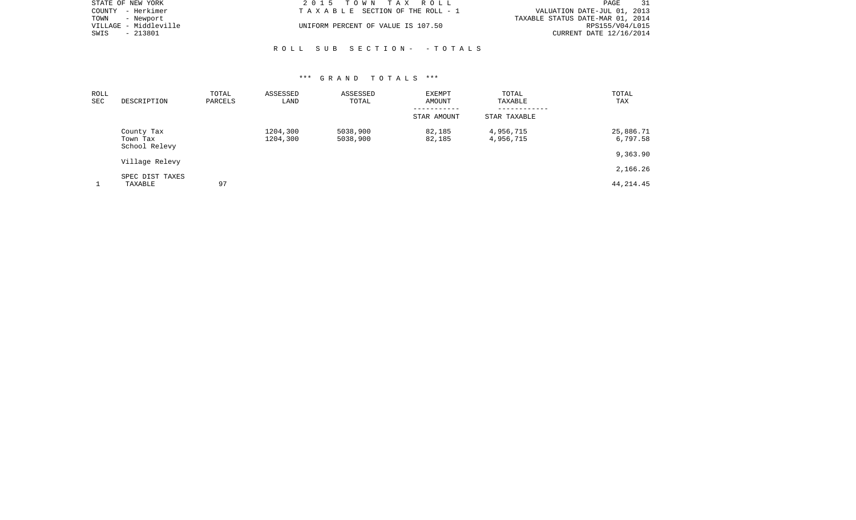| STATE OF NEW YORK     | 2015 TOWN TAX ROLL                 | 31<br>PAGE                       |
|-----------------------|------------------------------------|----------------------------------|
| COUNTY - Herkimer     | TAXABLE SECTION OF THE ROLL - 1    | VALUATION DATE-JUL 01, 2013      |
| TOWN<br>- Newport     |                                    | TAXABLE STATUS DATE-MAR 01, 2014 |
| VILLAGE - Middleville | UNIFORM PERCENT OF VALUE IS 107.50 | RPS155/V04/L015                  |
| SWIS<br>- 213801      |                                    | CURRENT DATE 12/16/2014          |
|                       |                                    |                                  |

### \*\*\* G R A N D T O T A L S \*\*\*

R O L L S U B S E C T I O N - - T O T A L S

| ROLL<br>SEC | DESCRIPTION                             | TOTAL<br>PARCELS | ASSESSED<br>LAND     | ASSESSED<br>TOTAL    | <b>EXEMPT</b><br>AMOUNT | TOTAL<br>TAXABLE       | TOTAL<br>TAX                      |
|-------------|-----------------------------------------|------------------|----------------------|----------------------|-------------------------|------------------------|-----------------------------------|
|             |                                         |                  |                      |                      | STAR AMOUNT             | STAR TAXABLE           |                                   |
|             | County Tax<br>Town Tax<br>School Relevy |                  | 1204,300<br>1204,300 | 5038,900<br>5038,900 | 82,185<br>82,185        | 4,956,715<br>4,956,715 | 25,886.71<br>6,797.58<br>9,363.90 |
|             | Village Relevy                          |                  |                      |                      |                         |                        |                                   |
|             | SPEC DIST TAXES                         |                  |                      |                      |                         |                        | 2,166.26                          |
|             | TAXABLE                                 | 97               |                      |                      |                         |                        | 44, 214.45                        |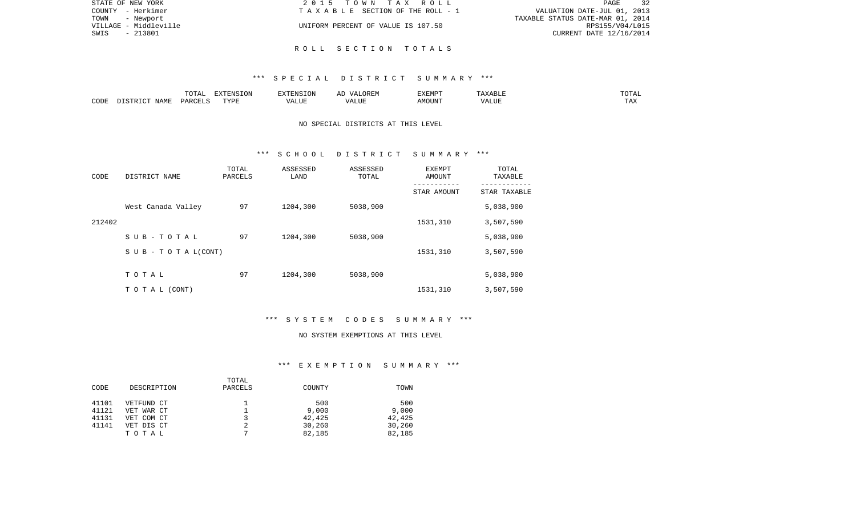| STATE OF NEW YORK     | 2015 TOWN TAX ROLL                 | PAGE                             |
|-----------------------|------------------------------------|----------------------------------|
| COUNTY - Herkimer     | TAXABLE SECTION OF THE ROLL - 1    | VALUATION DATE-JUL 01, 2013      |
| TOWN<br>- Newport     |                                    | TAXABLE STATUS DATE-MAR 01, 2014 |
| VILLAGE - Middleville | UNIFORM PERCENT OF VALUE IS 107.50 | RPS155/V04/L015                  |
| SWIS<br>- 213801      |                                    | CURRENT DATE 12/16/2014          |
|                       |                                    |                                  |

# \*\*\* S P E C I A L D I S T R I C T S U M M A R Y \*\*\*

R O L L S E C T I O N T O T A L S

|      |      | $\overline{\phantom{a}}$<br>$\Delta$<br>∸ ∪ ⊥ ∠ ⊥ | 7. YTENSTON | ▵ | EXEMPT |                                   |     |
|------|------|---------------------------------------------------|-------------|---|--------|-----------------------------------|-----|
| CODE | ТАМЪ | DAR'                                              | TVDF<br>.   |   | MOUN   | T T T<br>$\triangleright$<br>ALUP | FM. |

### NO SPECIAL DISTRICTS AT THIS LEVEL

### \*\*\* S C H O O L D I S T R I C T S U M M A R Y \*\*\*

| CODE   | DISTRICT NAME             | TOTAL<br>PARCELS | ASSESSED<br>LAND | ASSESSED<br>TOTAL | <b>EXEMPT</b><br>AMOUNT | TOTAL<br>TAXABLE<br>-------- |
|--------|---------------------------|------------------|------------------|-------------------|-------------------------|------------------------------|
|        |                           |                  |                  |                   | STAR AMOUNT             | STAR TAXABLE                 |
|        | West Canada Valley        | 97               | 1204,300         | 5038,900          |                         | 5,038,900                    |
| 212402 |                           |                  |                  |                   | 1531,310                | 3,507,590                    |
|        | SUB-TOTAL                 | 97               | 1204,300         | 5038,900          |                         | 5,038,900                    |
|        | S U B - T O T A $L(CONT)$ |                  |                  |                   | 1531,310                | 3,507,590                    |
|        |                           |                  |                  |                   |                         |                              |
|        | TOTAL                     | 97               | 1204,300         | 5038,900          |                         | 5,038,900                    |
|        | T O T A L (CONT)          |                  |                  |                   | 1531,310                | 3,507,590                    |

# \*\*\* S Y S T E M C O D E S S U M M A R Y \*\*\*

#### NO SYSTEM EXEMPTIONS AT THIS LEVEL

# \*\*\* E X E M P T I O N S U M M A R Y \*\*\*

|       |             | TOTAL   |        |        |
|-------|-------------|---------|--------|--------|
| CODE  | DESCRIPTION | PARCELS | COUNTY | TOWN   |
|       |             |         |        |        |
| 41101 | VETFUND CT  |         | 500    | 500    |
| 41121 | VET WAR CT  |         | 9,000  | 9,000  |
| 41131 | VET COM CT  |         | 42,425 | 42,425 |
| 41141 | VET DIS CT  | 2       | 30,260 | 30,260 |
|       | тотаь       | 7       | 82,185 | 82,185 |
|       |             |         |        |        |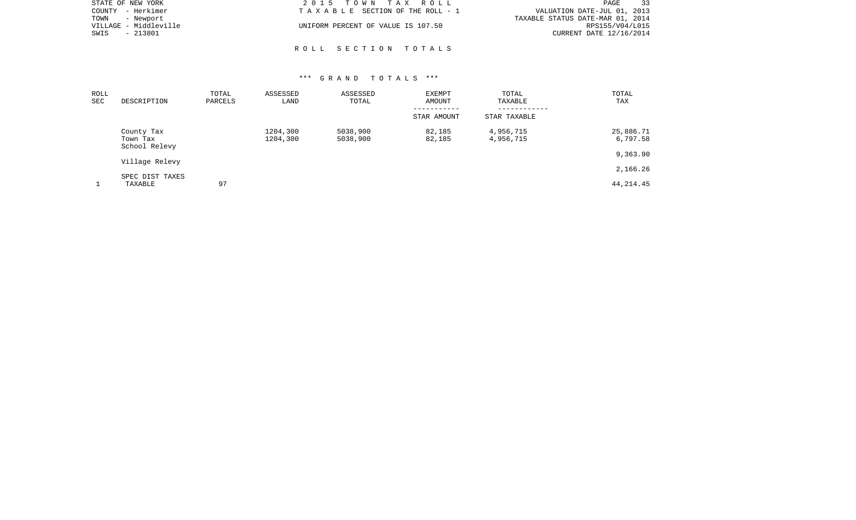| STATE OF NEW YORK     | 2015 TOWN TAX ROLL                 | 33<br>PAGE                       |
|-----------------------|------------------------------------|----------------------------------|
| COUNTY - Herkimer     | TAXABLE SECTION OF THE ROLL - 1    | VALUATION DATE-JUL 01, 2013      |
| TOWN - Newport        |                                    | TAXABLE STATUS DATE-MAR 01, 2014 |
| VILLAGE - Middleville | UNIFORM PERCENT OF VALUE IS 107.50 | RPS155/V04/L015                  |
| SWIS<br>- 213801      |                                    | CURRENT DATE 12/16/2014          |
|                       |                                    |                                  |

### \*\*\* G R A N D T O T A L S \*\*\*

R O L L S E C T I O N T O T A L S

| ROLL<br>SEC | DESCRIPTION                             | TOTAL<br>PARCELS | ASSESSED<br>LAND     | ASSESSED<br>TOTAL    | <b>EXEMPT</b><br>AMOUNT | TOTAL<br>TAXABLE       | TOTAL<br>TAX                      |
|-------------|-----------------------------------------|------------------|----------------------|----------------------|-------------------------|------------------------|-----------------------------------|
|             |                                         |                  |                      |                      | STAR AMOUNT             | STAR TAXABLE           |                                   |
|             | County Tax<br>Town Tax<br>School Relevy |                  | 1204,300<br>1204,300 | 5038,900<br>5038,900 | 82,185<br>82,185        | 4,956,715<br>4,956,715 | 25,886.71<br>6,797.58<br>9,363.90 |
|             | Village Relevy                          |                  |                      |                      |                         |                        |                                   |
|             | SPEC DIST TAXES                         |                  |                      |                      |                         |                        | 2,166.26                          |
|             | TAXABLE                                 | 97               |                      |                      |                         |                        | 44, 214.45                        |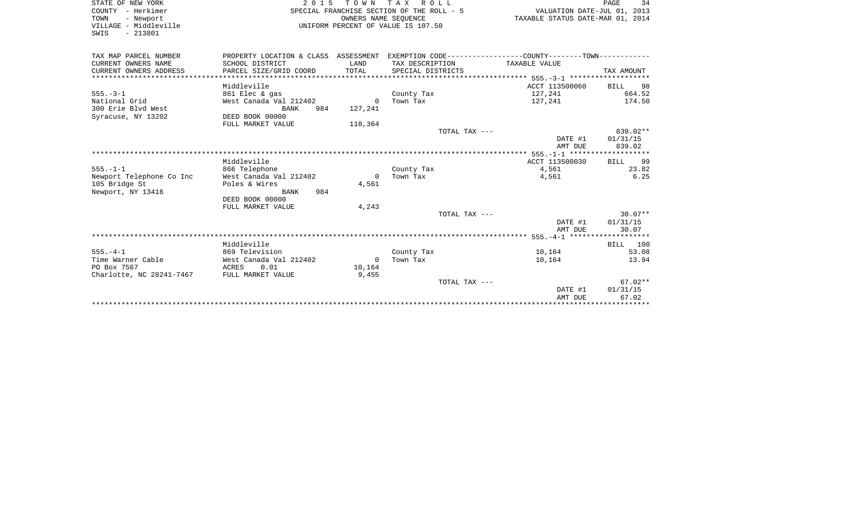| STATE OF NEW YORK                          |                                                                                               |                | 2015 TOWN TAX ROLL                 |                | PAGE<br>34 |  |
|--------------------------------------------|-----------------------------------------------------------------------------------------------|----------------|------------------------------------|----------------|------------|--|
| COUNTY - Herkimer                          | VALUATION DATE-JUL 01, 2013<br>SPECIAL FRANCHISE SECTION OF THE ROLL - 5                      |                |                                    |                |            |  |
| TOWN<br>- Newport                          | OWNERS NAME SEQUENCE<br>TAXABLE STATUS DATE-MAR 01, 2014                                      |                |                                    |                |            |  |
| VILLAGE - Middleville                      |                                                                                               |                | UNIFORM PERCENT OF VALUE IS 107.50 |                |            |  |
| SWIS<br>$-213801$                          |                                                                                               |                |                                    |                |            |  |
|                                            |                                                                                               |                |                                    |                |            |  |
|                                            |                                                                                               |                |                                    |                |            |  |
| TAX MAP PARCEL NUMBER                      | PROPERTY LOCATION & CLASS ASSESSMENT EXEMPTION CODE---------------COUNTY-------TOWN---------- |                |                                    |                |            |  |
| CURRENT OWNERS NAME                        | SCHOOL DISTRICT                                                                               | LAND           | TAX DESCRIPTION                    | TAXABLE VALUE  |            |  |
| CURRENT OWNERS ADDRESS                     | PARCEL SIZE/GRID COORD                                                                        | TOTAL          | SPECIAL DISTRICTS                  |                | TAX AMOUNT |  |
| **************************                 |                                                                                               |                |                                    |                |            |  |
|                                            | Middleville                                                                                   |                |                                    | ACCT 113500060 | BILL 98    |  |
| $555. - 3 - 1$                             | 861 Elec & gas                                                                                |                | County Tax                         | 127,241        | 664.52     |  |
| National Grid                              | West Canada Val 212402                                                                        | $\overline{0}$ | Town Tax                           | 127,241        | 174.50     |  |
| 300 Erie Blvd West                         | 984<br>BANK                                                                                   | 127,241        |                                    |                |            |  |
| Syracuse, NY 13202                         | DEED BOOK 00000                                                                               |                |                                    |                |            |  |
|                                            | FULL MARKET VALUE                                                                             | 118,364        |                                    |                |            |  |
|                                            |                                                                                               |                | TOTAL TAX ---                      |                | 839.02**   |  |
|                                            |                                                                                               |                |                                    | DATE #1        | 01/31/15   |  |
|                                            |                                                                                               |                |                                    | AMT DUE        | 839.02     |  |
|                                            |                                                                                               |                |                                    |                |            |  |
|                                            | Middleville                                                                                   |                |                                    | ACCT 113500030 | BILL 99    |  |
| $555 - 1 - 1$                              | 866 Telephone                                                                                 |                | County Tax                         | 4,561          | 23.82      |  |
| Newport Telephone Co Inc                   | West Canada Val 212402                                                                        | $\Omega$       | Town Tax                           | 4,561          | 6.25       |  |
| 105 Bridge St                              | Poles & Wires                                                                                 | 4,561          |                                    |                |            |  |
| Newport, NY 13416                          | 984<br>BANK                                                                                   |                |                                    |                |            |  |
|                                            | DEED BOOK 00000                                                                               |                |                                    |                |            |  |
|                                            | FULL MARKET VALUE                                                                             | 4,243          |                                    |                |            |  |
|                                            |                                                                                               |                | TOTAL TAX ---                      |                | $30.07**$  |  |
|                                            |                                                                                               |                |                                    | DATE #1        | 01/31/15   |  |
|                                            |                                                                                               |                |                                    | AMT DUE        | 30.07      |  |
|                                            |                                                                                               |                |                                    |                |            |  |
|                                            | Middleville                                                                                   |                |                                    |                | BILL 100   |  |
| $555. - 4 - 1$                             | 869 Television                                                                                |                | County Tax                         | 10,164         | 53.08      |  |
| Time Warner Cable                          | West Canada Val 212402                                                                        | $\overline{0}$ | Town Tax                           | 10,164         | 13.94      |  |
| PO Box 7567                                | ACRES 0.01                                                                                    | 10,164         |                                    |                |            |  |
| Charlotte, NC 28241-7467 FULL MARKET VALUE |                                                                                               | 9,455          |                                    |                |            |  |
|                                            |                                                                                               |                | TOTAL TAX ---                      |                | $67.02**$  |  |
|                                            |                                                                                               |                |                                    | DATE #1        | 01/31/15   |  |
|                                            |                                                                                               |                |                                    | AMT DUE        | 67.02      |  |
|                                            |                                                                                               |                |                                    |                |            |  |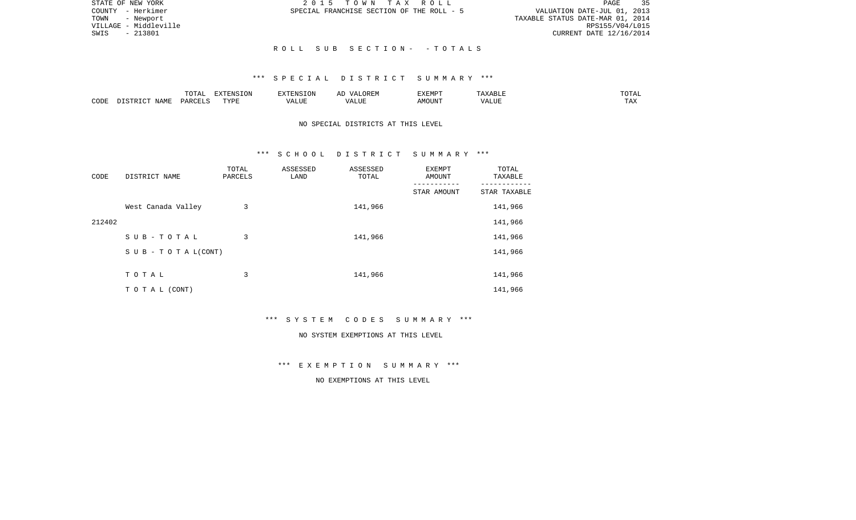| STATE OF NEW YORK     | 2015 TOWN TAX ROLL                        | 35<br>PAGE                       |
|-----------------------|-------------------------------------------|----------------------------------|
| COUNTY - Herkimer     | SPECIAL FRANCHISE SECTION OF THE ROLL - 5 | VALUATION DATE-JUL 01, 2013      |
| TOWN - Newport        |                                           | TAXABLE STATUS DATE-MAR 01, 2014 |
| VILLAGE - Middleville |                                           | RPS155/V04/L015                  |
| - 213801<br>SWIS      |                                           | CURRENT DATE 12/16/2014          |
|                       |                                           |                                  |
|                       | ROLL SUB SECTION- -TOTALS                 |                                  |

### \*\*\* S P E C I A L D I S T R I C T S U M M A R Y \*\*\*

|      |      | ----<br>◡∸⊷       | ־סוותידעים<br>ION |       | 'XEMPT           | $\cdot$ 4511.   | $m \wedge m$<br>. |
|------|------|-------------------|-------------------|-------|------------------|-----------------|-------------------|
| CODE | NAME | $\triangle$ ARCET | <b>TIZE</b>       | - --- | IOUN".<br>⊾ IVI⊦ | $   -$<br>ں سدہ | $- - -$<br>. Ал   |

### NO SPECIAL DISTRICTS AT THIS LEVEL

### \*\*\* S C H O O L D I S T R I C T S U M M A R Y \*\*\*

| CODE   | DISTRICT NAME                    | TOTAL<br>PARCELS | ASSESSED<br>LAND | ASSESSED<br>TOTAL | EXEMPT<br>AMOUNT | TOTAL<br>TAXABLE |
|--------|----------------------------------|------------------|------------------|-------------------|------------------|------------------|
|        |                                  |                  |                  |                   | STAR AMOUNT      | STAR TAXABLE     |
|        | West Canada Valley               | 3                |                  | 141,966           |                  | 141,966          |
| 212402 |                                  |                  |                  |                   |                  | 141,966          |
|        | SUB-TOTAL                        | 3                |                  | 141,966           |                  | 141,966          |
|        | $S \cup B - T \cup T A L (CONT)$ |                  |                  |                   |                  | 141,966          |
|        |                                  |                  |                  |                   |                  |                  |
|        | TOTAL                            | 3                |                  | 141,966           |                  | 141,966          |
|        | T O T A L (CONT)                 |                  |                  |                   |                  | 141,966          |

\*\*\* S Y S T E M C O D E S S U M M A R Y \*\*\*

#### NO SYSTEM EXEMPTIONS AT THIS LEVEL

\*\*\* E X E M P T I O N S U M M A R Y \*\*\*

# NO EXEMPTIONS AT THIS LEVEL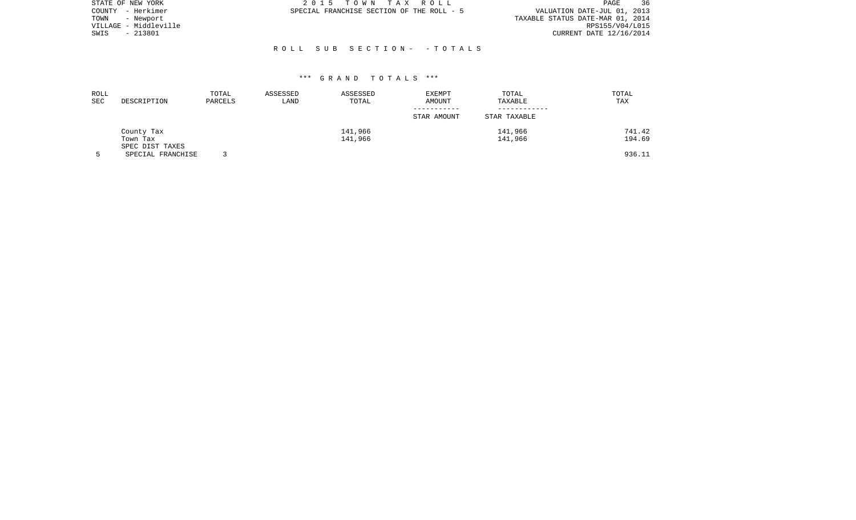| STATE OF NEW YORK     | 2015 TOWN TAX ROLL                        | 36<br>PAGE                       |
|-----------------------|-------------------------------------------|----------------------------------|
| COUNTY - Herkimer     | SPECIAL FRANCHISE SECTION OF THE ROLL - 5 | VALUATION DATE-JUL 01, 2013      |
| TOWN<br>- Newport     |                                           | TAXABLE STATUS DATE-MAR 01, 2014 |
| VILLAGE - Middleville |                                           | RPS155/V04/L015                  |
| - 213801<br>SWIS      |                                           | CURRENT DATE 12/16/2014          |
|                       |                                           |                                  |
|                       | ROLL SUB SECTION- - TOTALS                |                                  |

| ROLL<br><b>SEC</b> | DESCRIPTION       | TOTAL<br>PARCELS | ASSESSED<br>LAND | ASSESSED<br>TOTAL | <b>EXEMPT</b><br><b>AMOUNT</b> | TOTAL<br>TAXABLE | TOTAL<br>TAX |
|--------------------|-------------------|------------------|------------------|-------------------|--------------------------------|------------------|--------------|
|                    |                   |                  |                  |                   | STAR AMOUNT                    | STAR TAXABLE     |              |
|                    | County Tax        |                  |                  | 141,966           |                                | 141,966          | 741.42       |
|                    | Town Tax          |                  |                  | 141,966           |                                | 141,966          | 194.69       |
|                    | SPEC DIST TAXES   |                  |                  |                   |                                |                  |              |
|                    | SPECIAL FRANCHISE |                  |                  |                   |                                |                  | 936.11       |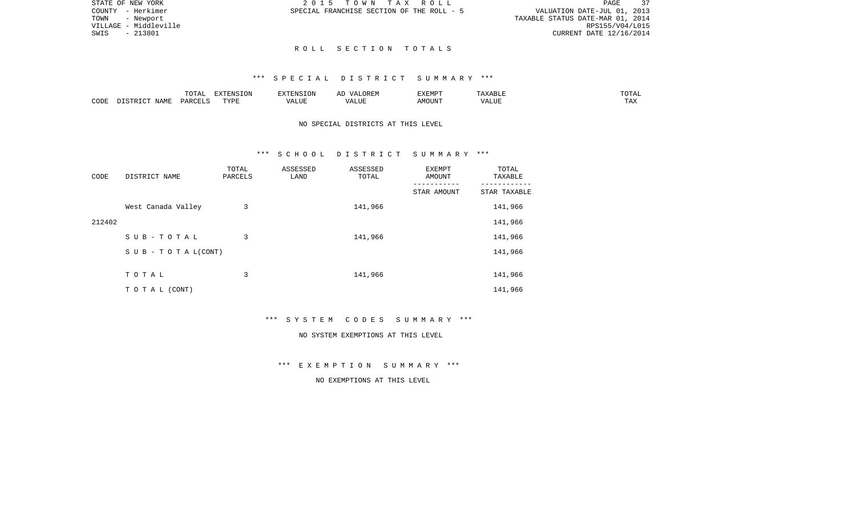PAGE 37 TOWN - Newport TAXABLE STATUS DATE-MAR 01, 2014 CURRENT DATE 12/16/2014

STATE OF NEW YORK **2015 TOWN TAX ROLL** COUNTY - Herkimer SPECIAL FRANCHISE SECTION OF THE ROLL - 5 VALUATION DATE-JUL 01, 2013

VILLAGE - Middleville<br>SWIS - 213801

#### R O L L S E C T I O N T O T A L S

# \*\*\* S P E C I A L D I S T R I C T S U M M A R Y \*\*\*

|      |             | $m \wedge m \wedge n$<br>◡∸∸ | $\Box$<br>LVIN | an Nisi                | . בג | <b>DIEDIS</b><br>r:MP | <b>BII</b> | $n \cap m \geq r$<br>∸∸ |
|------|-------------|------------------------------|----------------|------------------------|------|-----------------------|------------|-------------------------|
| CODE | <b>NAME</b> | D∆F                          | TVDI           | $- - - -$<br>. L I J F |      | MOUN.                 | 77T        | $m \times n$<br>⊥ A∡    |

# NO SPECIAL DISTRICTS AT THIS LEVEL

# \*\*\* S C H O O L D I S T R I C T S U M M A R Y \*\*\*

| CODE   | DISTRICT NAME                    | TOTAL<br>PARCELS | ASSESSED<br>LAND | ASSESSED<br>TOTAL | EXEMPT<br>AMOUNT | TOTAL<br>TAXABLE |
|--------|----------------------------------|------------------|------------------|-------------------|------------------|------------------|
|        |                                  |                  |                  |                   | STAR AMOUNT      | STAR TAXABLE     |
|        | West Canada Valley               | 3                |                  | 141,966           |                  | 141,966          |
| 212402 |                                  |                  |                  |                   |                  | 141,966          |
|        | SUB-TOTAL                        | 3                |                  | 141,966           |                  | 141,966          |
|        | $S \cup B - T \cup T A L (CONT)$ |                  |                  |                   |                  | 141,966          |
|        |                                  |                  |                  |                   |                  |                  |
|        | TOTAL                            | 3                |                  | 141,966           |                  | 141,966          |
|        | TO TAL (CONT)                    |                  |                  |                   |                  | 141,966          |

\*\*\* S Y S T E M C O D E S S U M M A R Y \*\*\*

#### NO SYSTEM EXEMPTIONS AT THIS LEVEL

\*\*\* E X E M P T I O N S U M M A R Y \*\*\*

NO EXEMPTIONS AT THIS LEVEL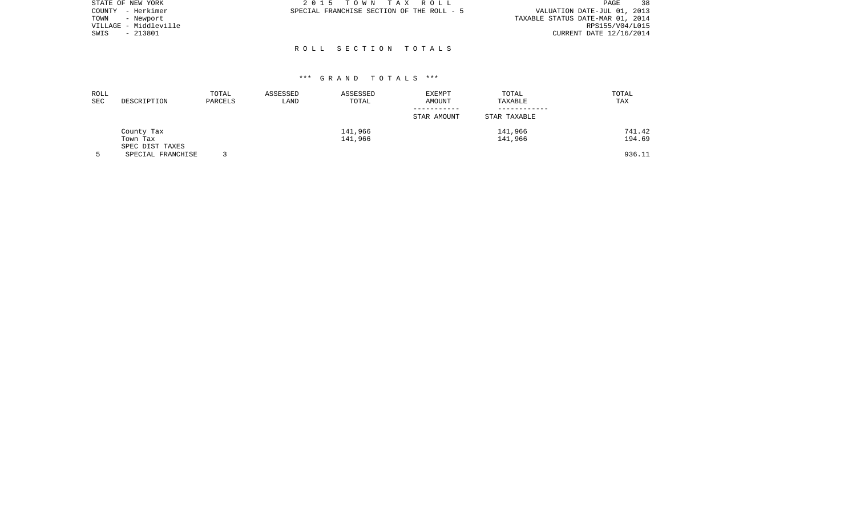| STATE OF NEW YORK     | 2015 TOWN TAX ROLL                        | 38<br>PAGE                       |
|-----------------------|-------------------------------------------|----------------------------------|
| COUNTY - Herkimer     | SPECIAL FRANCHISE SECTION OF THE ROLL - 5 | VALUATION DATE-JUL 01, 2013      |
| TOWN - Newport        |                                           | TAXABLE STATUS DATE-MAR 01, 2014 |
| VILLAGE - Middleville |                                           | RPS155/V04/L015                  |
| SWIS<br>- 213801      |                                           | CURRENT DATE 12/16/2014          |
|                       |                                           |                                  |

R O L L S E C T I O N T O T A L S

## \*\*\* G R A N D T O T A L S \*\*\*

| ROLL<br><b>SEC</b> | DESCRIPTION                 | TOTAL<br>PARCELS | ASSESSED<br>LAND | ASSESSED<br>TOTAL | <b>EXEMPT</b><br>AMOUNT | TOTAL<br>TAXABLE | TOTAL<br>TAX |
|--------------------|-----------------------------|------------------|------------------|-------------------|-------------------------|------------------|--------------|
|                    |                             |                  |                  |                   | STAR AMOUNT             | STAR TAXABLE     |              |
|                    | County Tax                  |                  |                  | 141,966           |                         | 141,966          | 741.42       |
|                    | Town Tax<br>SPEC DIST TAXES |                  |                  | 141,966           |                         | 141,966          | 194.69       |
|                    | SPECIAL FRANCHISE           |                  |                  |                   |                         |                  | 936.11       |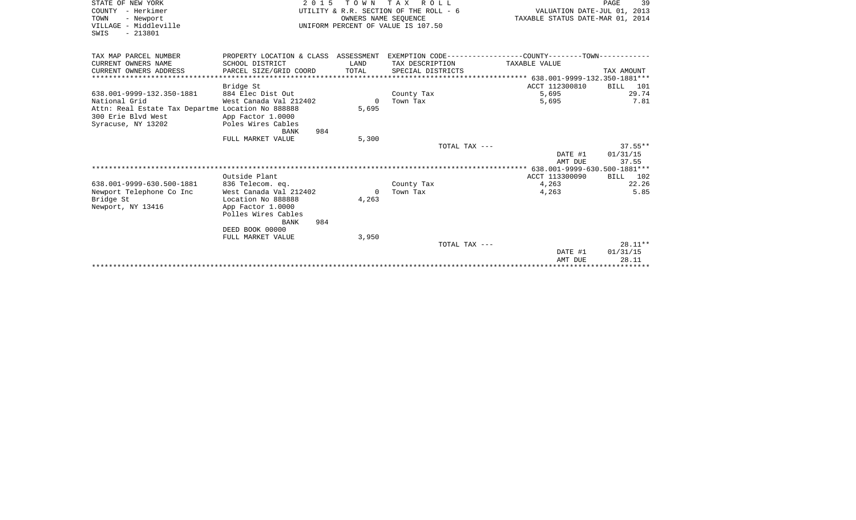| STATE OF NEW YORK                                 | 2015                                                                                            | T O W N              | TAX ROLL                               |               |                                  | 39<br>PAGE |
|---------------------------------------------------|-------------------------------------------------------------------------------------------------|----------------------|----------------------------------------|---------------|----------------------------------|------------|
| - Herkimer<br>COUNTY                              |                                                                                                 |                      | UTILITY & R.R. SECTION OF THE ROLL - 6 |               | VALUATION DATE-JUL 01, 2013      |            |
| TOWN<br>- Newport                                 |                                                                                                 | OWNERS NAME SEQUENCE |                                        |               | TAXABLE STATUS DATE-MAR 01, 2014 |            |
| VILLAGE - Middleville                             |                                                                                                 |                      | UNIFORM PERCENT OF VALUE IS 107.50     |               |                                  |            |
| SWIS<br>$-213801$                                 |                                                                                                 |                      |                                        |               |                                  |            |
|                                                   |                                                                                                 |                      |                                        |               |                                  |            |
| TAX MAP PARCEL NUMBER                             | PROPERTY LOCATION & CLASS ASSESSMENT EXEMPTION CODE----------------COUNTY--------TOWN---------- |                      |                                        |               |                                  |            |
| CURRENT OWNERS NAME                               | SCHOOL DISTRICT                                                                                 | LAND                 | TAX DESCRIPTION                        |               | TAXABLE VALUE                    |            |
| CURRENT OWNERS ADDRESS                            | PARCEL SIZE/GRID COORD                                                                          | TOTAL                | SPECIAL DISTRICTS                      |               |                                  | TAX AMOUNT |
|                                                   |                                                                                                 |                      |                                        |               |                                  |            |
|                                                   | Bridge St                                                                                       |                      |                                        |               | ACCT 112300810                   | BILL 101   |
| 638.001-9999-132.350-1881                         | 884 Elec Dist Out                                                                               |                      | County Tax                             |               | 5,695                            | 29.74      |
| National Grid                                     | West Canada Val 212402                                                                          | $\Omega$             | Town Tax                               |               | 5,695                            | 7.81       |
| Attn: Real Estate Tax Departme Location No 888888 |                                                                                                 | 5,695                |                                        |               |                                  |            |
| 300 Erie Blvd West                                | App Factor 1.0000                                                                               |                      |                                        |               |                                  |            |
| Syracuse, NY 13202                                | Poles Wires Cables                                                                              |                      |                                        |               |                                  |            |
|                                                   | 984<br><b>BANK</b>                                                                              |                      |                                        |               |                                  |            |
|                                                   | FULL MARKET VALUE                                                                               | 5,300                |                                        |               |                                  |            |
|                                                   |                                                                                                 |                      |                                        | TOTAL TAX --- |                                  | $37.55**$  |
|                                                   |                                                                                                 |                      |                                        |               | DATE #1                          | 01/31/15   |
|                                                   |                                                                                                 |                      |                                        |               | AMT DUE                          | 37.55      |
|                                                   |                                                                                                 |                      |                                        |               |                                  |            |
|                                                   | Outside Plant                                                                                   |                      |                                        |               | ACCT 113300090                   | BILL 102   |
| 638.001-9999-630.500-1881                         | 836 Telecom. eq.                                                                                |                      | County Tax                             |               | 4,263                            | 22.26      |
| Newport Telephone Co Inc                          | West Canada Val 212402                                                                          | $\Omega$             | Town Tax                               |               | 4,263                            | 5.85       |
| Bridge St                                         | Location No 888888                                                                              | 4,263                |                                        |               |                                  |            |
| Newport, NY 13416                                 | App Factor 1.0000<br>Polles Wires Cables                                                        |                      |                                        |               |                                  |            |
|                                                   | 984<br>BANK                                                                                     |                      |                                        |               |                                  |            |
|                                                   | DEED BOOK 00000                                                                                 |                      |                                        |               |                                  |            |
|                                                   | FULL MARKET VALUE                                                                               | 3,950                |                                        |               |                                  |            |
|                                                   |                                                                                                 |                      |                                        | TOTAL TAX --- |                                  | $28.11**$  |
|                                                   |                                                                                                 |                      |                                        |               | DATE #1                          | 01/31/15   |
|                                                   |                                                                                                 |                      |                                        |               | AMT DUE                          | 28.11      |
|                                                   |                                                                                                 |                      |                                        |               |                                  |            |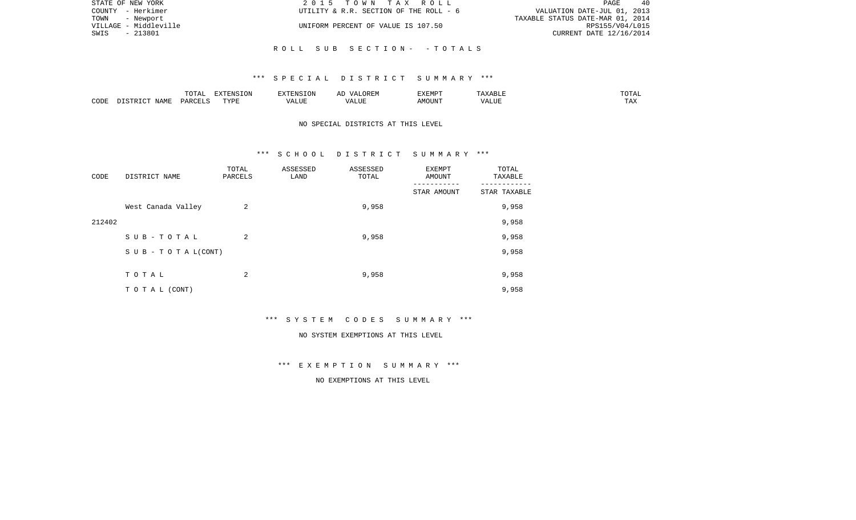| STATE OF NEW YORK     | 2015 TOWN TAX ROLL                     | 40<br>PAGE                       |
|-----------------------|----------------------------------------|----------------------------------|
| COUNTY - Herkimer     | UTILITY & R.R. SECTION OF THE ROLL - 6 | VALUATION DATE-JUL 01, 2013      |
| TOWN<br>- Newport     |                                        | TAXABLE STATUS DATE-MAR 01, 2014 |
| VILLAGE - Middleville | UNIFORM PERCENT OF VALUE IS 107.50     | RPS155/V04/L015                  |
| - 213801<br>SWIS      |                                        | CURRENT DATE 12/16/2014          |
|                       |                                        |                                  |
|                       | ROLL SUB SECTION- -TOTALS              |                                  |

## \*\*\* S P E C I A L D I S T R I C T S U M M A R Y \*\*\*

|      |                            | .∪⊥⊓⊥         | $\blacksquare$<br>11 L<br>LUIN |               |            | EXEMPT       | ABL.                  | $m \wedge m$<br>. |
|------|----------------------------|---------------|--------------------------------|---------------|------------|--------------|-----------------------|-------------------|
| CODE | <b>ABST</b><br>. .<br>NAMP | <b>DARCFT</b> | TVDT                           | $\mathcal{L}$ | ,,,<br>שחד | OUN".<br>۱M۲ | $- - - - - -$<br>ALUI | $- - -$<br>. Ал   |

# NO SPECIAL DISTRICTS AT THIS LEVEL

#### \*\*\* S C H O O L D I S T R I C T S U M M A R Y \*\*\*

| CODE   | DISTRICT NAME                    | TOTAL<br>PARCELS | ASSESSED<br>LAND | ASSESSED<br>TOTAL | EXEMPT<br>AMOUNT | TOTAL<br>TAXABLE |
|--------|----------------------------------|------------------|------------------|-------------------|------------------|------------------|
|        |                                  |                  |                  |                   | STAR AMOUNT      | STAR TAXABLE     |
|        | West Canada Valley               | 2                |                  | 9,958             |                  | 9,958            |
| 212402 |                                  |                  |                  |                   |                  | 9,958            |
|        | SUB-TOTAL                        | 2                |                  | 9,958             |                  | 9,958            |
|        | $S \cup B - T \cup T A L (CONT)$ |                  |                  |                   |                  | 9,958            |
|        |                                  |                  |                  |                   |                  |                  |
|        | TOTAL                            | 2                |                  | 9,958             |                  | 9,958            |
|        | T O T A L (CONT)                 |                  |                  |                   |                  | 9,958            |

\*\*\* S Y S T E M C O D E S S U M M A R Y \*\*\*

#### NO SYSTEM EXEMPTIONS AT THIS LEVEL

\*\*\* E X E M P T I O N S U M M A R Y \*\*\*

NO EXEMPTIONS AT THIS LEVEL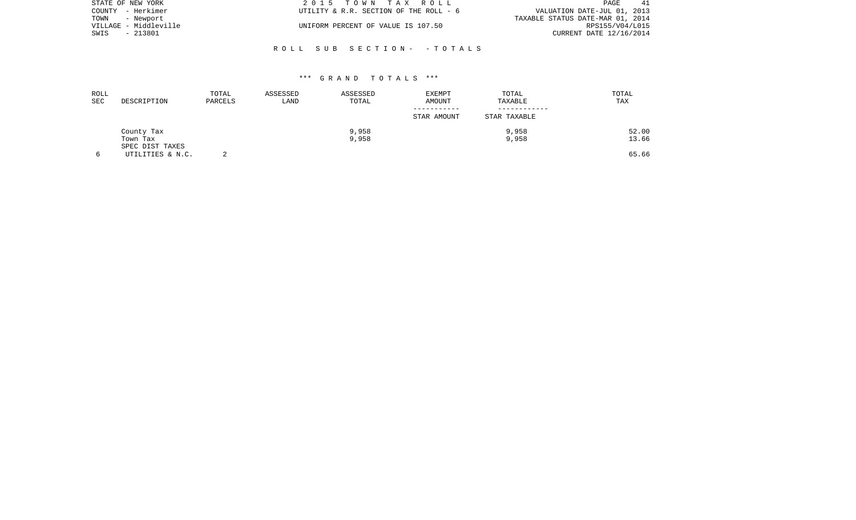| STATE OF NEW YORK     | 2015 TOWN TAX ROLL                     | 41<br>PAGE                       |
|-----------------------|----------------------------------------|----------------------------------|
| COUNTY - Herkimer     | UTILITY & R.R. SECTION OF THE ROLL - 6 | VALUATION DATE-JUL 01, 2013      |
| TOWN<br>- Newport     |                                        | TAXABLE STATUS DATE-MAR 01, 2014 |
| VILLAGE - Middleville | UNIFORM PERCENT OF VALUE IS 107.50     | RPS155/V04/L015                  |
| - 213801<br>SWIS      |                                        | CURRENT DATE 12/16/2014          |
|                       |                                        |                                  |

R O L L S U B S E C T I O N - - T O T A L S

| ROLL<br>SEC | DESCRIPTION                 | TOTAL<br>PARCELS | ASSESSED<br>LAND | ASSESSED<br>TOTAL | <b>EXEMPT</b><br>AMOUNT<br>STAR AMOUNT | TOTAL<br>TAXABLE<br>STAR TAXABLE | TOTAL<br>TAX |
|-------------|-----------------------------|------------------|------------------|-------------------|----------------------------------------|----------------------------------|--------------|
|             | County Tax                  |                  |                  | 9,958             |                                        | 9,958                            | 52.00        |
|             | Town Tax<br>SPEC DIST TAXES |                  |                  | 9,958             |                                        | 9,958                            | 13.66        |
|             | UTILITIES & N.C.            |                  |                  |                   |                                        |                                  | 65.66        |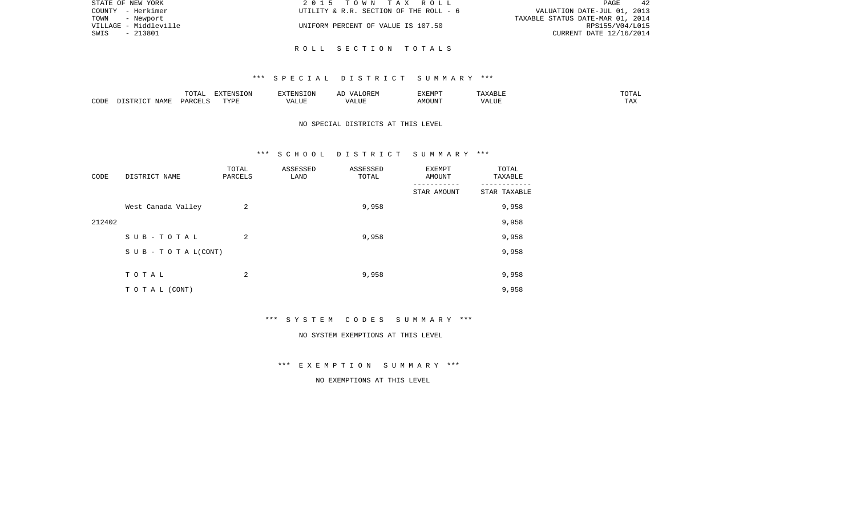| STATE OF NEW YORK     | 2015 TOWN TAX ROLL                     | PAGE                             | 42 |
|-----------------------|----------------------------------------|----------------------------------|----|
| COUNTY - Herkimer     | UTILITY & R.R. SECTION OF THE ROLL - 6 | VALUATION DATE-JUL 01, 2013      |    |
| TOWN<br>- Newport     |                                        | TAXABLE STATUS DATE-MAR 01, 2014 |    |
| VILLAGE - Middleville | UNIFORM PERCENT OF VALUE IS 107.50     | RPS155/V04/L015                  |    |
| SWIS<br>- 213801      |                                        | CURRENT DATE 12/16/2014          |    |
|                       |                                        |                                  |    |

R O L L S E C T I O N T O T A L S

|      |                                                     | TOTAL          | <b>TXTENSION</b> | וא∩ד פזאיםי                           | <b>OREM</b><br><b>ΛΔ</b><br>д | EXEMPT             |       | , , , ,<br>$\sim$ $\sim$ $\sim$ $\sim$ $\sim$ |
|------|-----------------------------------------------------|----------------|------------------|---------------------------------------|-------------------------------|--------------------|-------|-----------------------------------------------|
| CODE | TAME<br>$T$ $T$ $C$ $T$ $D$ $T$ $C$ $T$ $T$ $T$ $T$ | <b>PARCELS</b> | TYPE             | $- - - - -$<br>$\Delta$<br>۳۰ تا سند. | $- - - -$                     | AMOUN <sup>T</sup> | VALUE | $- - -$<br>LAZ                                |

\*\*\* S P E C I A L D I S T R I C T S U M M A R Y \*\*\*

# NO SPECIAL DISTRICTS AT THIS LEVEL

### \*\*\* S C H O O L D I S T R I C T S U M M A R Y \*\*\*

| CODE   | DISTRICT NAME                    | TOTAL<br>PARCELS | ASSESSED<br>LAND | ASSESSED<br>TOTAL | <b>EXEMPT</b><br>AMOUNT | TOTAL<br>TAXABLE |
|--------|----------------------------------|------------------|------------------|-------------------|-------------------------|------------------|
|        |                                  |                  |                  |                   | STAR AMOUNT             | STAR TAXABLE     |
|        | West Canada Valley               | 2                |                  | 9,958             |                         | 9,958            |
| 212402 |                                  |                  |                  |                   |                         | 9,958            |
|        | SUB-TOTAL                        | 2                |                  | 9,958             |                         | 9,958            |
|        | $S \cup B - T \cup T A L (CONT)$ |                  |                  |                   |                         | 9,958            |
|        |                                  |                  |                  |                   |                         |                  |
|        | TOTAL                            | 2                |                  | 9,958             |                         | 9,958            |
|        | T O T A L (CONT)                 |                  |                  |                   |                         | 9,958            |

\*\*\* S Y S T E M C O D E S S U M M A R Y \*\*\*

#### NO SYSTEM EXEMPTIONS AT THIS LEVEL

\*\*\* E X E M P T I O N S U M M A R Y \*\*\*

NO EXEMPTIONS AT THIS LEVEL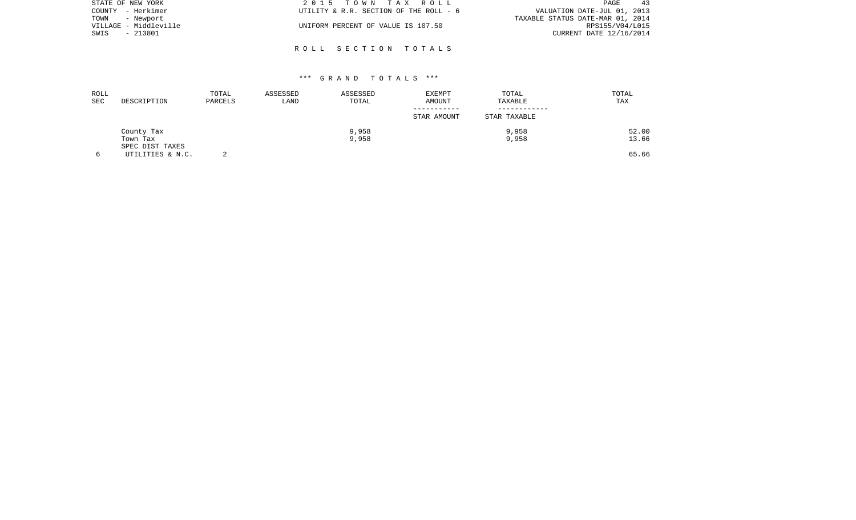| STATE OF NEW YORK     | 2015 TOWN TAX ROLL                     | 43<br>PAGE                       |
|-----------------------|----------------------------------------|----------------------------------|
| COUNTY - Herkimer     | UTILITY & R.R. SECTION OF THE ROLL - 6 | VALUATION DATE-JUL 01, 2013      |
| TOWN<br>- Newport     |                                        | TAXABLE STATUS DATE-MAR 01, 2014 |
| VILLAGE - Middleville | UNIFORM PERCENT OF VALUE IS 107.50     | RPS155/V04/L015                  |
| - 213801<br>SWIS      |                                        | CURRENT DATE 12/16/2014          |
|                       |                                        |                                  |

R O L L S E C T I O N T O T A L S

| ROLL<br>SEC | DESCRIPTION                 | TOTAL<br>PARCELS | ASSESSED<br>LAND | ASSESSED<br>TOTAL | EXEMPT<br>AMOUNT | TOTAL<br>TAXABLE | TOTAL<br>TAX |
|-------------|-----------------------------|------------------|------------------|-------------------|------------------|------------------|--------------|
|             |                             |                  |                  |                   | STAR AMOUNT      | STAR TAXABLE     |              |
|             | County Tax                  |                  |                  | 9,958             |                  | 9,958            | 52.00        |
|             | Town Tax<br>SPEC DIST TAXES |                  |                  | 9,958             |                  | 9,958            | 13.66        |
|             | UTILITIES & N.C.            |                  |                  |                   |                  |                  | 65.66        |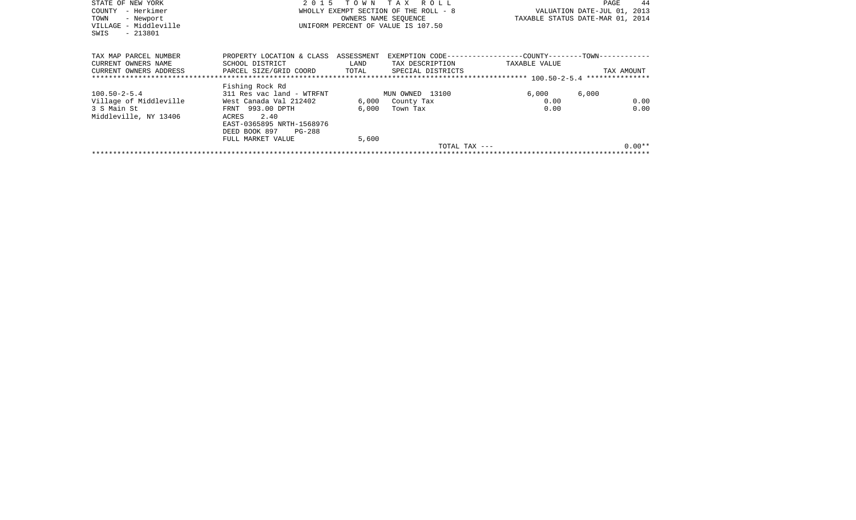| STATE OF NEW YORK<br>COUNTY - Herkimer<br>TOWN<br>- Newport<br>VILLAGE - Middleville<br>$-213801$<br>SWIS | 2015 TOWN TAX ROLL<br>WHOLLY EXEMPT SECTION OF THE ROLL - 8<br>UNIFORM PERCENT OF VALUE IS 107.50           | VALUATION DATE-JUL 01, 2013<br>TAXABLE STATUS DATE-MAR 01, 2014 | 44<br>PAGE                           |                                                                               |            |  |  |  |  |
|-----------------------------------------------------------------------------------------------------------|-------------------------------------------------------------------------------------------------------------|-----------------------------------------------------------------|--------------------------------------|-------------------------------------------------------------------------------|------------|--|--|--|--|
| TAX MAP PARCEL NUMBER<br>CURRENT OWNERS NAME<br>CURRENT OWNERS ADDRESS                                    | PROPERTY LOCATION & CLASS<br>SCHOOL DISTRICT<br>PARCEL SIZE/GRID COORD TOTAL                                | ASSESSMENT<br>LAND                                              | TAX DESCRIPTION<br>SPECIAL DISTRICTS | EXEMPTION CODE-----------------COUNTY-------TOWN------------<br>TAXABLE VALUE | TAX AMOUNT |  |  |  |  |
|                                                                                                           | Fishing Rock Rd                                                                                             |                                                                 |                                      |                                                                               |            |  |  |  |  |
| $100.50 - 2 - 5.4$                                                                                        | 311 Res vac land - WTRFNT                                                                                   |                                                                 | MUN OWNED 13100                      | 6,000                                                                         | 6,000      |  |  |  |  |
| Village of Middleville                                                                                    | West Canada Val 212402                                                                                      | 6,000                                                           | County Tax                           | 0.00                                                                          | 0.00       |  |  |  |  |
| 3 S Main St<br>Middleville, NY 13406                                                                      | FRNT 993.00 DPTH<br>ACRES<br>2.40<br>EAST-0365895 NRTH-1568976<br>DEED BOOK 897 PG-288<br>FULL MARKET VALUE | 6,000<br>5,600                                                  | Town Tax                             | 0.00                                                                          | 0.00       |  |  |  |  |
|                                                                                                           |                                                                                                             |                                                                 | TOTAL TAX ---                        |                                                                               | $0.00**$   |  |  |  |  |
|                                                                                                           |                                                                                                             |                                                                 |                                      |                                                                               |            |  |  |  |  |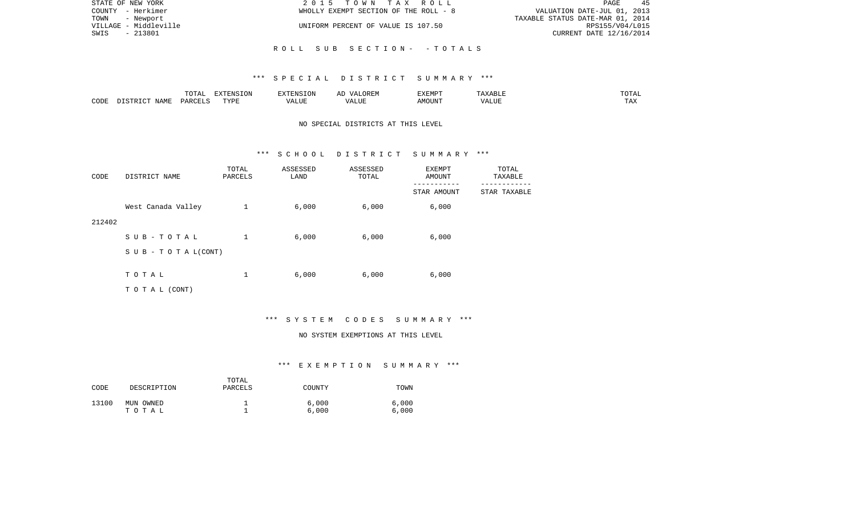| STATE OF NEW YORK     | 2015 TOWN TAX ROLL                    | 45<br>PAGE                       |
|-----------------------|---------------------------------------|----------------------------------|
| COUNTY - Herkimer     | WHOLLY EXEMPT SECTION OF THE ROLL - 8 | VALUATION DATE-JUL 01, 2013      |
| TOWN<br>- Newport     |                                       | TAXABLE STATUS DATE-MAR 01, 2014 |
| VILLAGE - Middleville | UNIFORM PERCENT OF VALUE IS 107.50    | RPS155/V04/L015                  |
| SWIS<br>- 213801      |                                       | CURRENT DATE 12/16/2014          |
|                       |                                       |                                  |
|                       | ROLL SUB SECTION- - TOTALS            |                                  |

|      |      | $m \wedge m \wedge n$              | EXTENSION   |       | $\sim$ | יסאי דצי<br>. |   |                    |
|------|------|------------------------------------|-------------|-------|--------|---------------|---|--------------------|
| CODE | NAMF | $\Box$ $\Box$ $\Box$ $\Box$ $\Box$ | <b>TVDL</b> | נ הבר | .      | <b>MOTTM</b>  | ≏ | $m \times r$<br>∸⊷ |

\*\*\* S P E C I A L D I S T R I C T S U M M A R Y \*\*\*

# NO SPECIAL DISTRICTS AT THIS LEVEL

#### \*\*\* S C H O O L D I S T R I C T S U M M A R Y \*\*\*

| CODE   | DISTRICT NAME             | TOTAL<br>PARCELS | ASSESSED<br>LAND | ASSESSED<br>TOTAL | EXEMPT<br>AMOUNT        | TOTAL<br>TAXABLE        |
|--------|---------------------------|------------------|------------------|-------------------|-------------------------|-------------------------|
|        |                           |                  |                  |                   | --------<br>STAR AMOUNT | -------<br>STAR TAXABLE |
|        | West Canada Valley        | 1                | 6,000            | 6,000             | 6,000                   |                         |
| 212402 |                           |                  |                  |                   |                         |                         |
|        | SUB-TOTAL                 |                  | 6,000            | 6,000             | 6,000                   |                         |
|        | S U B - T O T A $L(CONT)$ |                  |                  |                   |                         |                         |
|        | TOTAL                     |                  |                  |                   |                         |                         |
|        |                           | 1                | 6,000            | 6,000             | 6,000                   |                         |
|        | T O T A L (CONT)          |                  |                  |                   |                         |                         |

# \*\*\* S Y S T E M C O D E S S U M M A R Y \*\*\*

#### NO SYSTEM EXEMPTIONS AT THIS LEVEL

# \*\*\* E X E M P T I O N S U M M A R Y \*\*\*

| CODE  | DESCRIPTION        | TOTAL<br>PARCELS | COUNTY         | TOWN           |
|-------|--------------------|------------------|----------------|----------------|
| 13100 | MUN OWNED<br>тотаь |                  | 6.000<br>6.000 | 6.000<br>6.000 |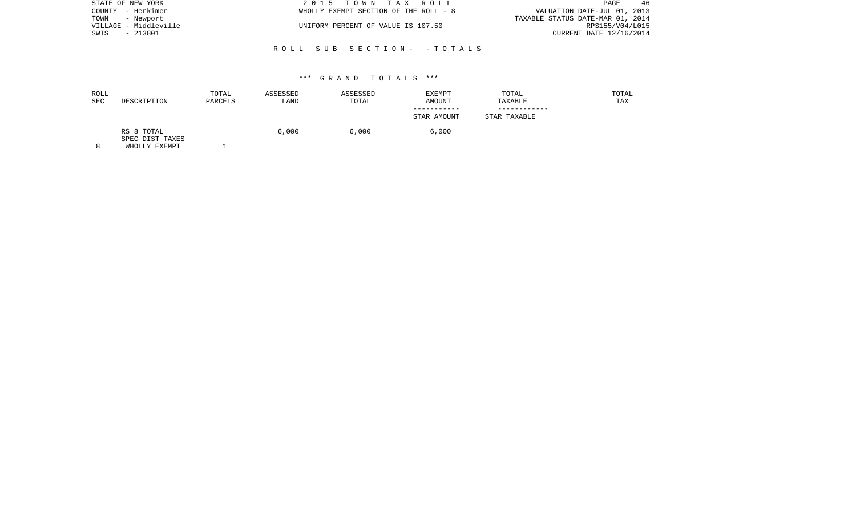| STATE OF NEW YORK     | 2015 TOWN TAX ROLL                    | -46<br>PAGE                      |
|-----------------------|---------------------------------------|----------------------------------|
| COUNTY - Herkimer     | WHOLLY EXEMPT SECTION OF THE ROLL - 8 | VALUATION DATE-JUL 01, 2013      |
| TOWN - Newport        |                                       | TAXABLE STATUS DATE-MAR 01, 2014 |
| VILLAGE - Middleville | UNIFORM PERCENT OF VALUE IS 107.50    | RPS155/V04/L015                  |
| SWIS<br>- 213801      |                                       | CURRENT DATE 12/16/2014          |
|                       |                                       |                                  |

R O L L S U B S E C T I O N - - T O T A L S

| DESCRIPTION                   | TOTAL<br>PARCELS | ASSESSED<br>LAND | ASSESSED<br>TOTAL | EXEMPT<br>AMOUNT | TOTAL<br>TAXABLE | TOTAL<br>TAX |
|-------------------------------|------------------|------------------|-------------------|------------------|------------------|--------------|
|                               |                  |                  |                   |                  |                  |              |
|                               |                  |                  |                   | STAR AMOUNT      | STAR TAXABLE     |              |
| RS 8 TOTAL<br>SPEC DIST TAXES |                  | 6.000            | 6.000             | 6.000            |                  |              |
|                               | ---------------- |                  |                   |                  |                  |              |

8 WHOLLY EXEMPT 1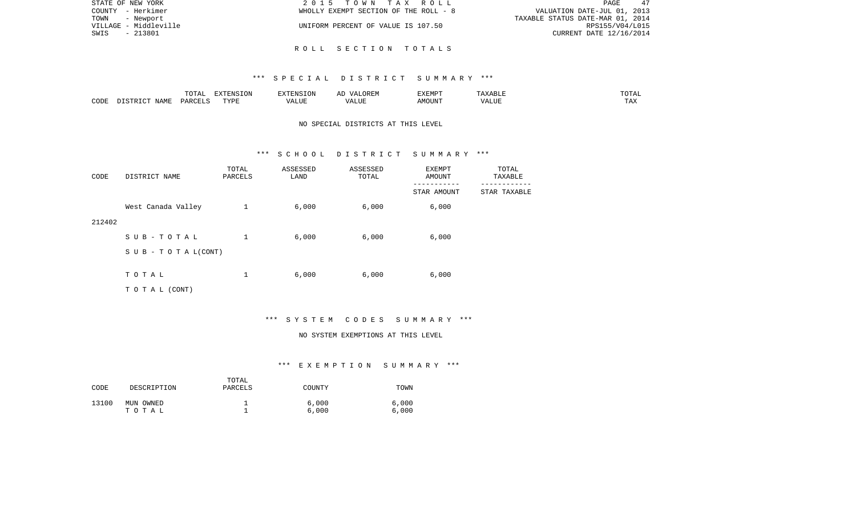| STATE OF NEW YORK     | 2015 TOWN TAX ROLL                    | 47<br>PAGE                       |
|-----------------------|---------------------------------------|----------------------------------|
| COUNTY - Herkimer     | WHOLLY EXEMPT SECTION OF THE ROLL - 8 | VALUATION DATE-JUL 01, 2013      |
| TOWN<br>- Newport     |                                       | TAXABLE STATUS DATE-MAR 01, 2014 |
| VILLAGE - Middleville | UNIFORM PERCENT OF VALUE IS 107.50    | RPS155/V04/L015                  |
| SWIS<br>- 213801      |                                       | CURRENT DATE 12/16/2014          |
|                       |                                       |                                  |

# R O L L S E C T I O N T O T A L S

#### \*\*\* S P E C I A L D I S T R I C T S U M M A R Y \*\*\*

|      |       | $m \wedge m \wedge n$<br>⊥∪⊥⊓⊥ | $\blacksquare$<br>⊥UN |                       | "XFMP. | ---         |
|------|-------|--------------------------------|-----------------------|-----------------------|--------|-------------|
| CODE | ΝТ∆МЋ | DAR <sub>C</sub>               | TVDI<br>.             | $\prime\prime$<br>பபா |        | max<br>∖ n∡ |

# NO SPECIAL DISTRICTS AT THIS LEVEL

#### \*\*\* S C H O O L D I S T R I C T S U M M A R Y \*\*\*

| CODE   | DISTRICT NAME                    | TOTAL<br>PARCELS | ASSESSED<br>LAND | ASSESSED<br>TOTAL | EXEMPT<br>AMOUNT        | TOTAL<br>TAXABLE        |
|--------|----------------------------------|------------------|------------------|-------------------|-------------------------|-------------------------|
|        |                                  |                  |                  |                   | --------<br>STAR AMOUNT | -------<br>STAR TAXABLE |
|        | West Canada Valley               | 1                | 6,000            | 6,000             | 6,000                   |                         |
| 212402 |                                  |                  |                  |                   |                         |                         |
|        | SUB-TOTAL                        |                  | 6,000            | 6,000             | 6,000                   |                         |
|        | $S \cup B - T \cup T A L (CONT)$ |                  |                  |                   |                         |                         |
|        |                                  |                  |                  |                   |                         |                         |
|        | TOTAL                            |                  | 6,000            | 6,000             | 6,000                   |                         |
|        | TO TAL (CONT)                    |                  |                  |                   |                         |                         |

# \*\*\* S Y S T E M C O D E S S U M M A R Y \*\*\*

#### NO SYSTEM EXEMPTIONS AT THIS LEVEL

# \*\*\* E X E M P T I O N S U M M A R Y \*\*\*

| CODE  | DESCRIPTION        | TOTAL<br>PARCELS | COUNTY         | TOWN           |
|-------|--------------------|------------------|----------------|----------------|
| 13100 | MUN OWNED<br>тотаь |                  | 6.000<br>6.000 | 6,000<br>6,000 |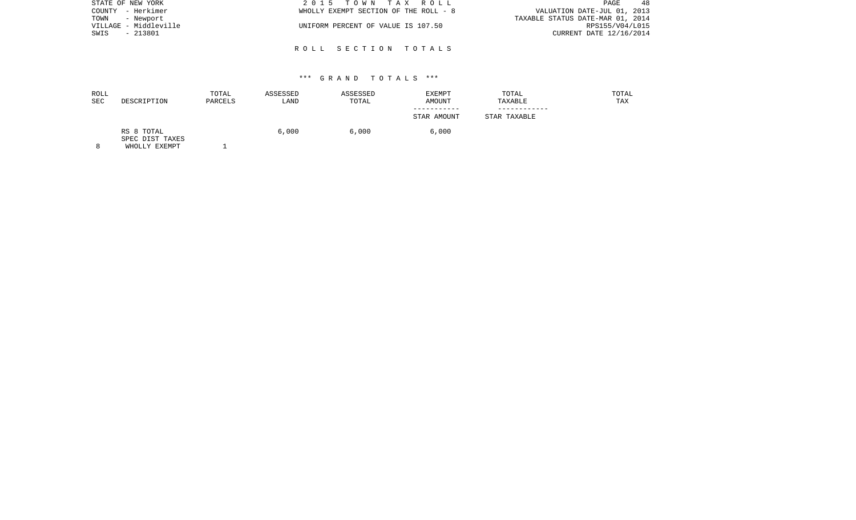| STATE OF NEW YORK     | 2015 TOWN TAX ROLL                    | 48<br>PAGE                       |
|-----------------------|---------------------------------------|----------------------------------|
| COUNTY - Herkimer     | WHOLLY EXEMPT SECTION OF THE ROLL - 8 | VALUATION DATE-JUL 01, 2013      |
| TOWN<br>- Newport     |                                       | TAXABLE STATUS DATE-MAR 01, 2014 |
| VILLAGE - Middleville | UNIFORM PERCENT OF VALUE IS 107.50    | RPS155/V04/L015                  |
| SWIS<br>- 213801      |                                       | CURRENT DATE 12/16/2014          |
|                       |                                       |                                  |

R O L L S E C T I O N T O T A L S

| ROLL<br><b>SEC</b> | DESCRIPTION                   | TOTAL<br>PARCELS | ASSESSED<br>LAND | ASSESSED<br>TOTAL | EXEMPT<br>AMOUNT | TOTAL<br>TAXABLE | TOTAL<br>TAX |
|--------------------|-------------------------------|------------------|------------------|-------------------|------------------|------------------|--------------|
|                    |                               |                  |                  |                   | STAR AMOUNT      | STAR TAXABLE     |              |
|                    | RS 8 TOTAL<br>SPEC DIST TAXES | __               | 6.000            | 6.000             | 6.000            |                  |              |

8 WHOLLY EXEMPT 1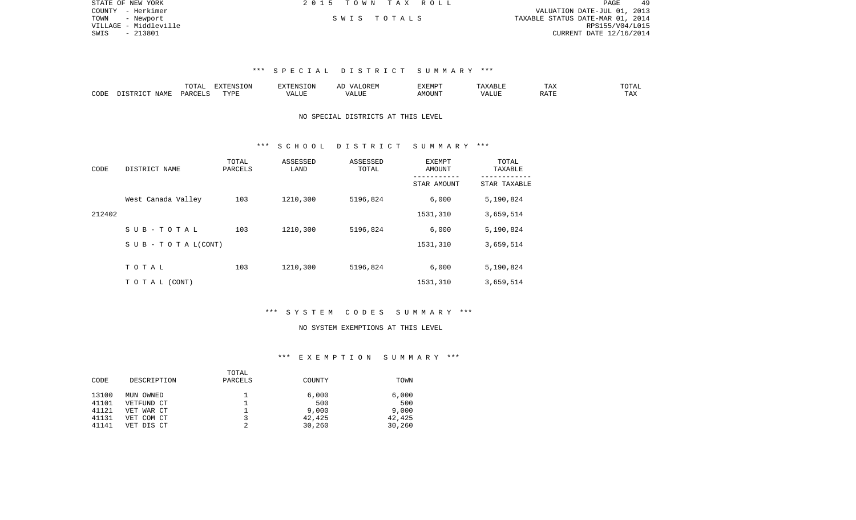| STATE OF NEW YORK     | 2015 TOWN TAX ROLL |                                  | PAGE            | 49 |
|-----------------------|--------------------|----------------------------------|-----------------|----|
| COUNTY - Herkimer     |                    | VALUATION DATE-JUL 01, 2013      |                 |    |
| TOWN - Newport        | SWIS TOTALS        | TAXABLE STATUS DATE-MAR 01, 2014 |                 |    |
| VILLAGE - Middleville |                    |                                  | RPS155/V04/L015 |    |
| SWIS<br>- 213801      |                    | CURRENT DATE 12/16/2014          |                 |    |
|                       |                    |                                  |                 |    |
|                       |                    |                                  |                 |    |

# \*\*\* S P E C I A L D I S T R I C T S U M M A R Y \*\*\*

|      |             | ----     | -------<br>---<br>$\sim$ |         | AL | . U | ∸⊷⊷      | $m \wedge m$        |
|------|-------------|----------|--------------------------|---------|----|-----|----------|---------------------|
| CODE | $ \sim$ $-$ | <u>.</u> | TVDI                     | $- - -$ |    |     | $\cdots$ | <b>TAY</b><br>- ∠∡∡ |

#### NO SPECIAL DISTRICTS AT THIS LEVEL

## \*\*\* S C H O O L D I S T R I C T S U M M A R Y \*\*\*

| CODE   | DISTRICT NAME                    | TOTAL<br>PARCELS | ASSESSED<br>LAND | ASSESSED<br>TOTAL | EXEMPT<br>AMOUNT | TOTAL<br>TAXABLE |
|--------|----------------------------------|------------------|------------------|-------------------|------------------|------------------|
|        |                                  |                  |                  |                   | STAR AMOUNT      | STAR TAXABLE     |
|        | West Canada Valley               | 103              | 1210,300         | 5196,824          | 6,000            | 5,190,824        |
| 212402 |                                  |                  |                  |                   | 1531,310         | 3,659,514        |
|        | $S$ U B - T O T A L              | 103              | 1210,300         | 5196,824          | 6,000            | 5,190,824        |
|        | $S \cup B - T \cup T A L (CONT)$ |                  |                  |                   | 1531,310         | 3,659,514        |
|        |                                  |                  |                  |                   |                  |                  |
|        | TOTAL                            | 103              | 1210,300         | 5196,824          | 6,000            | 5,190,824        |
|        | T O T A L (CONT)                 |                  |                  |                   | 1531,310         | 3,659,514        |

## \*\*\* S Y S T E M C O D E S S U M M A R Y \*\*\*

#### NO SYSTEM EXEMPTIONS AT THIS LEVEL

## \*\*\* E X E M P T I O N S U M M A R Y \*\*\*

|       |             | TOTAL   |        |        |
|-------|-------------|---------|--------|--------|
| CODE  | DESCRIPTION | PARCELS | COUNTY | TOWN   |
|       |             |         |        |        |
| 13100 | MUN OWNED   |         | 6,000  | 6,000  |
| 41101 | VETFUND CT  |         | 500    | 500    |
| 41121 | VET WAR CT  |         | 9,000  | 9,000  |
| 41131 | VET COM CT  |         | 42,425 | 42,425 |
| 41141 | VET DIS CT  |         | 30,260 | 30,260 |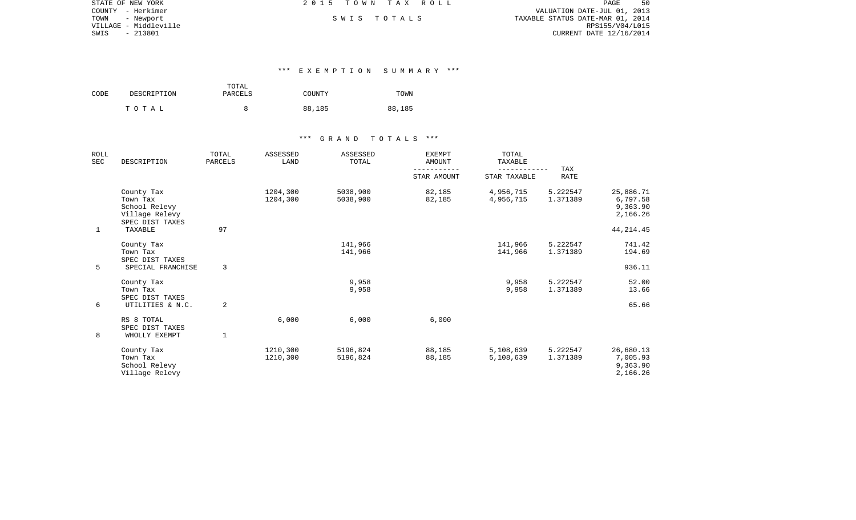|      | STATE OF NEW YORK     | 2015 TOWN TAX ROLL |  |                                  | PAGE            | 50 |
|------|-----------------------|--------------------|--|----------------------------------|-----------------|----|
|      | COUNTY - Herkimer     |                    |  | VALUATION DATE-JUL 01, 2013      |                 |    |
| TOWN | - Newport             | SWIS TOTALS        |  | TAXABLE STATUS DATE-MAR 01, 2014 |                 |    |
|      | VILLAGE - Middleville |                    |  |                                  | RPS155/V04/L015 |    |
| SWIS | - 213801              |                    |  | CURRENT DATE 12/16/2014          |                 |    |

## \*\*\* E X E M P T I O N S U M M A R Y \*\*\*

| CODE | DESCRIPTION | TOTAL<br>PARCELS | COUNTY | TOWN   |
|------|-------------|------------------|--------|--------|
|      | тотаь       | ×                | 88,185 | 88,185 |

#### \*\*\* G R A N D T O T A L S \*\*\*

| ROLL<br><b>SEC</b> | DESCRIPTION                                                                  | TOTAL<br>PARCELS | ASSESSED<br>LAND     | ASSESSED<br>TOTAL    | <b>EXEMPT</b><br><b>AMOUNT</b> | TOTAL<br>TAXABLE             |                      |                                               |
|--------------------|------------------------------------------------------------------------------|------------------|----------------------|----------------------|--------------------------------|------------------------------|----------------------|-----------------------------------------------|
|                    |                                                                              |                  |                      |                      | STAR AMOUNT                    | ------------<br>STAR TAXABLE | TAX<br><b>RATE</b>   |                                               |
|                    | County Tax<br>Town Tax<br>School Relevy<br>Village Relevy<br>SPEC DIST TAXES |                  | 1204,300<br>1204,300 | 5038,900<br>5038,900 | 82,185<br>82,185               | 4,956,715<br>4,956,715       | 5.222547<br>1.371389 | 25,886.71<br>6,797.58<br>9,363.90<br>2,166.26 |
| 1                  | TAXABLE                                                                      | 97               |                      |                      |                                |                              |                      | 44, 214.45                                    |
|                    | County Tax<br>Town Tax<br>SPEC DIST TAXES                                    |                  |                      | 141,966<br>141,966   |                                | 141,966<br>141,966           | 5.222547<br>1.371389 | 741.42<br>194.69                              |
| 5                  | SPECIAL FRANCHISE                                                            | 3                |                      |                      |                                |                              |                      | 936.11                                        |
|                    | County Tax<br>Town Tax<br>SPEC DIST TAXES                                    |                  |                      | 9,958<br>9,958       |                                | 9,958<br>9,958               | 5.222547<br>1.371389 | 52.00<br>13.66                                |
| 6                  | UTILITIES & N.C.                                                             | 2                |                      |                      |                                |                              |                      | 65.66                                         |
| 8                  | RS 8 TOTAL<br>SPEC DIST TAXES<br>WHOLLY EXEMPT                               | 1                | 6,000                | 6,000                | 6,000                          |                              |                      |                                               |
|                    | County Tax<br>Town Tax<br>School Relevy<br>Village Relevy                    |                  | 1210,300<br>1210,300 | 5196,824<br>5196,824 | 88,185<br>88,185               | 5,108,639<br>5,108,639       | 5.222547<br>1.371389 | 26,680.13<br>7,005.93<br>9,363.90<br>2,166.26 |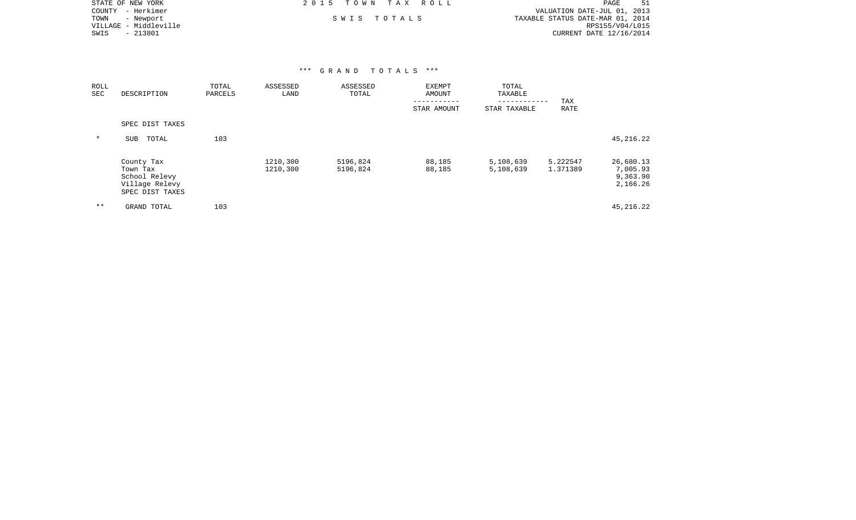| STATE OF NEW YORK     | 2015 TOWN TAX ROLL   | 51<br>PAGE                       |
|-----------------------|----------------------|----------------------------------|
| - Herkimer<br>COUNTY  |                      | VALUATION DATE-JUL 01, 2013      |
| TOWN<br>- Newport     | SWIS TOTALS          | TAXABLE STATUS DATE-MAR 01, 2014 |
| VILLAGE - Middleville |                      | RPS155/V04/L015                  |
| $-213801$<br>SWIS     |                      | CURRENT DATE 12/16/2014          |
|                       |                      |                                  |
|                       |                      |                                  |
|                       |                      |                                  |
|                       |                      |                                  |
|                       | *** GRAND TOTALS *** |                                  |

| ROLL<br>SEC | DESCRIPTION                                                                  | TOTAL<br>PARCELS | ASSESSED<br>LAND     | ASSESSED<br>TOTAL    | <b>EXEMPT</b><br>AMOUNT<br>-----------<br>STAR AMOUNT | TOTAL<br>TAXABLE<br>------------<br>STAR TAXABLE | TAX<br>RATE          |                                               |
|-------------|------------------------------------------------------------------------------|------------------|----------------------|----------------------|-------------------------------------------------------|--------------------------------------------------|----------------------|-----------------------------------------------|
|             | SPEC DIST TAXES                                                              |                  |                      |                      |                                                       |                                                  |                      |                                               |
| $\star$     | TOTAL<br>SUB                                                                 | 103              |                      |                      |                                                       |                                                  |                      | 45, 216. 22                                   |
|             | County Tax<br>Town Tax<br>School Relevy<br>Village Relevy<br>SPEC DIST TAXES |                  | 1210,300<br>1210,300 | 5196,824<br>5196,824 | 88,185<br>88,185                                      | 5,108,639<br>5,108,639                           | 5.222547<br>1.371389 | 26,680.13<br>7,005.93<br>9,363.90<br>2,166.26 |
| $**$        | GRAND TOTAL                                                                  | 103              |                      |                      |                                                       |                                                  |                      | 45, 216. 22                                   |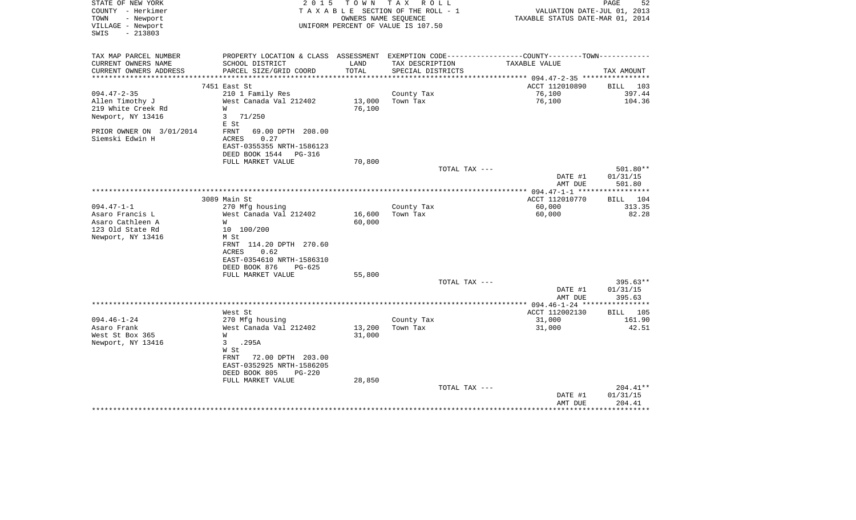| STATE OF NEW YORK<br>COUNTY - Herkimer<br>TOWN<br>- Newport<br>VILLAGE - Newport<br>SWIS<br>$-213803$ | 2 0 1 5                                                                                             | T O W N       | T A X<br>R O L L<br>TAXABLE SECTION OF THE ROLL - 1<br>OWNERS NAME SEOUENCE<br>UNIFORM PERCENT OF VALUE IS 107.50 | VALUATION DATE-JUL 01, 2013<br>TAXABLE STATUS DATE-MAR 01, 2014                                 | PAGE<br>52         |
|-------------------------------------------------------------------------------------------------------|-----------------------------------------------------------------------------------------------------|---------------|-------------------------------------------------------------------------------------------------------------------|-------------------------------------------------------------------------------------------------|--------------------|
| TAX MAP PARCEL NUMBER                                                                                 |                                                                                                     |               |                                                                                                                   | PROPERTY LOCATION & CLASS ASSESSMENT EXEMPTION CODE----------------COUNTY--------TOWN---------- |                    |
| CURRENT OWNERS NAME                                                                                   | SCHOOL DISTRICT                                                                                     | LAND<br>TOTAL | TAX DESCRIPTION                                                                                                   | TAXABLE VALUE                                                                                   |                    |
| CURRENT OWNERS ADDRESS<br>***********************                                                     | PARCEL SIZE/GRID COORD                                                                              |               | SPECIAL DISTRICTS                                                                                                 |                                                                                                 | TAX AMOUNT         |
|                                                                                                       | 7451 East St                                                                                        |               |                                                                                                                   | ACCT 112010890                                                                                  | BILL 103           |
| $094.47 - 2 - 35$                                                                                     | 210 1 Family Res                                                                                    |               | County Tax                                                                                                        | 76,100                                                                                          | 397.44             |
| Allen Timothy J                                                                                       | West Canada Val 212402                                                                              | 13,000        | Town Tax                                                                                                          | 76,100                                                                                          | 104.36             |
| 219 White Creek Rd                                                                                    | W                                                                                                   | 76,100        |                                                                                                                   |                                                                                                 |                    |
| Newport, NY 13416                                                                                     | 71/250<br>$\mathbf{3}$<br>E St                                                                      |               |                                                                                                                   |                                                                                                 |                    |
| PRIOR OWNER ON 3/01/2014<br>Siemski Edwin H                                                           | FRNT<br>69.00 DPTH 208.00<br>0.27<br>ACRES<br>EAST-0355355 NRTH-1586123<br>DEED BOOK 1544<br>PG-316 |               |                                                                                                                   |                                                                                                 |                    |
|                                                                                                       | FULL MARKET VALUE                                                                                   | 70,800        |                                                                                                                   |                                                                                                 |                    |
|                                                                                                       |                                                                                                     |               | TOTAL TAX ---                                                                                                     |                                                                                                 | 501.80**           |
|                                                                                                       |                                                                                                     |               |                                                                                                                   | DATE #1                                                                                         | 01/31/15           |
|                                                                                                       |                                                                                                     |               |                                                                                                                   | AMT DUE                                                                                         | 501.80             |
|                                                                                                       | 3089 Main St                                                                                        |               |                                                                                                                   | ACCT 112010770                                                                                  | BILL 104           |
| $094.47 - 1 - 1$                                                                                      | 270 Mfg housing                                                                                     |               | County Tax                                                                                                        | 60,000                                                                                          | 313.35             |
| Asaro Francis L                                                                                       | West Canada Val 212402                                                                              | 16,600        | Town Tax                                                                                                          | 60,000                                                                                          | 82.28              |
| Asaro Cathleen A                                                                                      | W                                                                                                   | 60,000        |                                                                                                                   |                                                                                                 |                    |
| 123 Old State Rd                                                                                      | 10 100/200                                                                                          |               |                                                                                                                   |                                                                                                 |                    |
| Newport, NY 13416                                                                                     | M St                                                                                                |               |                                                                                                                   |                                                                                                 |                    |
|                                                                                                       | FRNT 114.20 DPTH 270.60                                                                             |               |                                                                                                                   |                                                                                                 |                    |
|                                                                                                       | <b>ACRES</b><br>0.62                                                                                |               |                                                                                                                   |                                                                                                 |                    |
|                                                                                                       | EAST-0354610 NRTH-1586310                                                                           |               |                                                                                                                   |                                                                                                 |                    |
|                                                                                                       | DEED BOOK 876<br>$PG-625$                                                                           |               |                                                                                                                   |                                                                                                 |                    |
|                                                                                                       | FULL MARKET VALUE                                                                                   | 55,800        |                                                                                                                   |                                                                                                 |                    |
|                                                                                                       |                                                                                                     |               | TOTAL TAX ---                                                                                                     |                                                                                                 | $395.63**$         |
|                                                                                                       |                                                                                                     |               |                                                                                                                   | DATE #1                                                                                         | 01/31/15           |
|                                                                                                       |                                                                                                     |               |                                                                                                                   | AMT DUE                                                                                         | 395.63             |
|                                                                                                       |                                                                                                     |               |                                                                                                                   |                                                                                                 |                    |
|                                                                                                       | West St                                                                                             |               |                                                                                                                   | ACCT 112002130                                                                                  | BILL<br>105        |
| $094.46 - 1 - 24$                                                                                     | 270 Mfg housing                                                                                     |               | County Tax                                                                                                        | 31,000                                                                                          | 161.90             |
| Asaro Frank                                                                                           | West Canada Val 212402                                                                              | 13,200        | Town Tax                                                                                                          | 31,000                                                                                          | 42.51              |
| West St Box 365                                                                                       | W                                                                                                   | 31,000        |                                                                                                                   |                                                                                                 |                    |
| Newport, NY 13416                                                                                     | 3<br>.295A                                                                                          |               |                                                                                                                   |                                                                                                 |                    |
|                                                                                                       | W St                                                                                                |               |                                                                                                                   |                                                                                                 |                    |
|                                                                                                       | 72.00 DPTH 203.00<br>FRNT                                                                           |               |                                                                                                                   |                                                                                                 |                    |
|                                                                                                       | EAST-0352925 NRTH-1586205                                                                           |               |                                                                                                                   |                                                                                                 |                    |
|                                                                                                       | DEED BOOK 805<br>$PG-220$                                                                           |               |                                                                                                                   |                                                                                                 |                    |
|                                                                                                       | FULL MARKET VALUE                                                                                   | 28,850        |                                                                                                                   |                                                                                                 |                    |
|                                                                                                       |                                                                                                     |               | TOTAL TAX ---                                                                                                     |                                                                                                 | 204.41**           |
|                                                                                                       |                                                                                                     |               |                                                                                                                   | DATE #1<br>AMT DUE                                                                              | 01/31/15<br>204.41 |
|                                                                                                       |                                                                                                     |               |                                                                                                                   |                                                                                                 | *************      |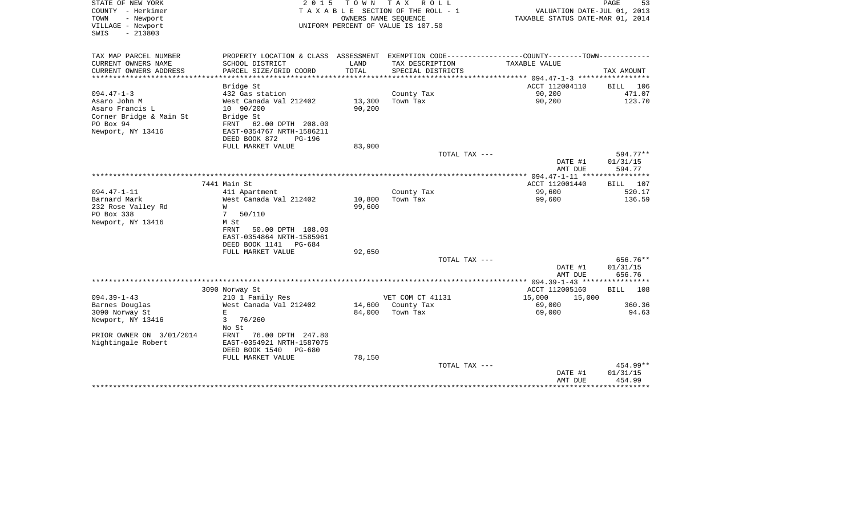| STATE OF NEW YORK<br>COUNTY - Herkimer<br>- Newport<br>TOWN<br>VILLAGE - Newport<br>$-213803$<br>SWIS | 2 0 1 5                                                                                        | T O W N<br>OWNERS NAME SEQUENCE     | T A X<br>R O L L<br>T A X A B L E SECTION OF THE ROLL - 1<br>UNIFORM PERCENT OF VALUE IS 107.50 | VALUATION DATE-JUL 01, 2013<br>TAXABLE STATUS DATE-MAR 01, 2014 | PAGE<br>53         |
|-------------------------------------------------------------------------------------------------------|------------------------------------------------------------------------------------------------|-------------------------------------|-------------------------------------------------------------------------------------------------|-----------------------------------------------------------------|--------------------|
| TAX MAP PARCEL NUMBER                                                                                 | PROPERTY LOCATION & CLASS ASSESSMENT EXEMPTION CODE----------------COUNTY-------TOWN---------- |                                     |                                                                                                 |                                                                 |                    |
| CURRENT OWNERS NAME<br>CURRENT OWNERS ADDRESS<br>********************                                 | SCHOOL DISTRICT<br>PARCEL SIZE/GRID COORD<br>********************                              | LAND<br><b>TOTAL</b><br>*********** | TAX DESCRIPTION<br>SPECIAL DISTRICTS                                                            | TAXABLE VALUE                                                   | TAX AMOUNT         |
|                                                                                                       | Bridge St                                                                                      |                                     |                                                                                                 | ACCT 112004110                                                  | 106<br>BILL        |
| $094.47 - 1 - 3$                                                                                      | 432 Gas station                                                                                |                                     | County Tax                                                                                      | 90,200                                                          | 471.07             |
| Asaro John M                                                                                          | West Canada Val 212402                                                                         | 13,300                              | Town Tax                                                                                        | 90,200                                                          | 123.70             |
| Asaro Francis L                                                                                       | 10 90/200                                                                                      | 90,200                              |                                                                                                 |                                                                 |                    |
| Corner Bridge & Main St                                                                               | Bridge St                                                                                      |                                     |                                                                                                 |                                                                 |                    |
| PO Box 94<br>Newport, NY 13416                                                                        | FRNT<br>62.00 DPTH 208.00<br>EAST-0354767 NRTH-1586211                                         |                                     |                                                                                                 |                                                                 |                    |
|                                                                                                       | DEED BOOK 872<br><b>PG-196</b>                                                                 |                                     |                                                                                                 |                                                                 |                    |
|                                                                                                       | FULL MARKET VALUE                                                                              | 83,900                              |                                                                                                 |                                                                 |                    |
|                                                                                                       |                                                                                                |                                     | TOTAL TAX ---                                                                                   |                                                                 | 594.77**           |
|                                                                                                       |                                                                                                |                                     |                                                                                                 | DATE #1                                                         | 01/31/15           |
|                                                                                                       |                                                                                                |                                     |                                                                                                 | AMT DUE                                                         | 594.77             |
|                                                                                                       |                                                                                                |                                     |                                                                                                 |                                                                 |                    |
|                                                                                                       | 7441 Main St                                                                                   |                                     |                                                                                                 | ACCT 112001440                                                  | 107<br>BILL        |
| $094.47 - 1 - 11$                                                                                     | 411 Apartment                                                                                  |                                     | County Tax                                                                                      | 99,600                                                          | 520.17             |
| Barnard Mark                                                                                          | West Canada Val 212402                                                                         | 10,800                              | Town Tax                                                                                        | 99,600                                                          | 136.59             |
| 232 Rose Valley Rd                                                                                    | W                                                                                              | 99,600                              |                                                                                                 |                                                                 |                    |
| PO Box 338<br>Newport, NY 13416                                                                       | 50/110<br>7<br>M St                                                                            |                                     |                                                                                                 |                                                                 |                    |
|                                                                                                       | FRNT<br>50.00 DPTH 108.00                                                                      |                                     |                                                                                                 |                                                                 |                    |
|                                                                                                       | EAST-0354864 NRTH-1585961                                                                      |                                     |                                                                                                 |                                                                 |                    |
|                                                                                                       | DEED BOOK 1141<br>PG-684                                                                       |                                     |                                                                                                 |                                                                 |                    |
|                                                                                                       | FULL MARKET VALUE                                                                              | 92,650                              |                                                                                                 |                                                                 |                    |
|                                                                                                       |                                                                                                |                                     | TOTAL TAX ---                                                                                   |                                                                 | 656.76**           |
|                                                                                                       |                                                                                                |                                     |                                                                                                 | DATE #1                                                         | 01/31/15           |
|                                                                                                       |                                                                                                |                                     |                                                                                                 | AMT DUE                                                         | 656.76             |
|                                                                                                       |                                                                                                |                                     |                                                                                                 |                                                                 |                    |
|                                                                                                       | 3090 Norway St                                                                                 |                                     |                                                                                                 | ACCT 112005160                                                  | 108<br><b>BILL</b> |
| $094.39 - 1 - 43$                                                                                     | 210 1 Family Res                                                                               |                                     | VET COM CT 41131                                                                                | 15,000<br>15,000                                                |                    |
| Barnes Douglas                                                                                        | West Canada Val 212402                                                                         | 14,600                              | County Tax                                                                                      | 69,000                                                          | 360.36<br>94.63    |
| 3090 Norway St<br>Newport, NY 13416                                                                   | E<br>3<br>76/260                                                                               | 84,000                              | Town Tax                                                                                        | 69,000                                                          |                    |
|                                                                                                       | No St                                                                                          |                                     |                                                                                                 |                                                                 |                    |
| PRIOR OWNER ON 3/01/2014                                                                              | <b>FRNT</b><br>76.00 DPTH 247.80                                                               |                                     |                                                                                                 |                                                                 |                    |
| Nightingale Robert                                                                                    | EAST-0354921 NRTH-1587075                                                                      |                                     |                                                                                                 |                                                                 |                    |
|                                                                                                       | DEED BOOK 1540<br>PG-680                                                                       |                                     |                                                                                                 |                                                                 |                    |
|                                                                                                       | FULL MARKET VALUE                                                                              | 78,150                              |                                                                                                 |                                                                 |                    |
|                                                                                                       |                                                                                                |                                     | TOTAL TAX ---                                                                                   |                                                                 | 454.99**           |
|                                                                                                       |                                                                                                |                                     |                                                                                                 | DATE #1                                                         | 01/31/15           |
|                                                                                                       |                                                                                                |                                     |                                                                                                 | AMT DUE                                                         | 454.99             |
|                                                                                                       |                                                                                                |                                     |                                                                                                 |                                                                 | ********           |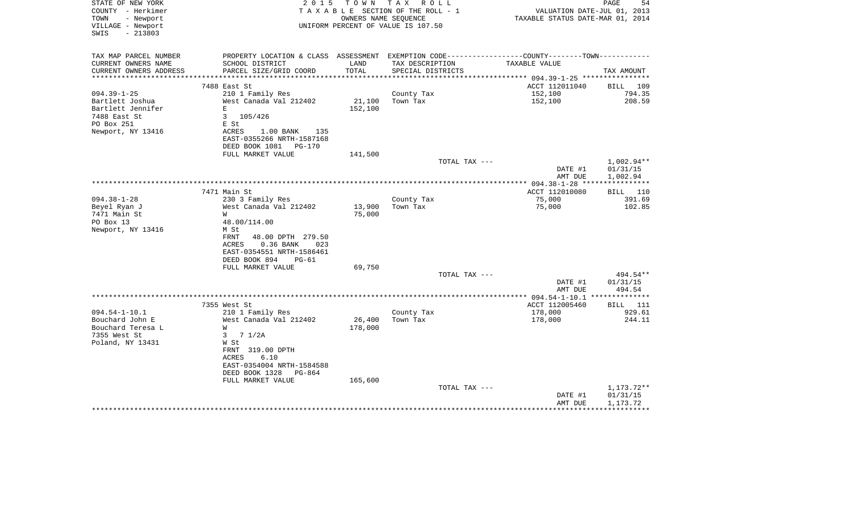| STATE OF NEW YORK<br>COUNTY - Herkimer<br>TOWN<br>- Newport<br>VILLAGE - Newport<br>SWIS<br>$-213803$ | 2 0 1 5                                                  |              | TOWN TAX ROLL<br>TAXABLE SECTION OF THE ROLL - 1<br>OWNERS NAME SEOUENCE<br>UNIFORM PERCENT OF VALUE IS 107.50 | VALUATION DATE-JUL 01, 2013<br>TAXABLE STATUS DATE-MAR 01, 2014                                 | PAGE<br>54   |
|-------------------------------------------------------------------------------------------------------|----------------------------------------------------------|--------------|----------------------------------------------------------------------------------------------------------------|-------------------------------------------------------------------------------------------------|--------------|
| TAX MAP PARCEL NUMBER                                                                                 |                                                          |              |                                                                                                                | PROPERTY LOCATION & CLASS ASSESSMENT EXEMPTION CODE----------------COUNTY--------TOWN---------- |              |
| CURRENT OWNERS NAME                                                                                   | SCHOOL DISTRICT                                          | LAND         | TAX DESCRIPTION                                                                                                | TAXABLE VALUE                                                                                   |              |
| CURRENT OWNERS ADDRESS                                                                                | PARCEL SIZE/GRID COORD                                   | <b>TOTAL</b> | SPECIAL DISTRICTS                                                                                              |                                                                                                 | TAX AMOUNT   |
| ************************                                                                              |                                                          |              |                                                                                                                |                                                                                                 |              |
|                                                                                                       | 7488 East St                                             |              |                                                                                                                | ACCT 112011040                                                                                  | BILL 109     |
| $094.39 - 1 - 25$                                                                                     | 210 1 Family Res                                         |              | County Tax                                                                                                     | 152,100                                                                                         | 794.35       |
| Bartlett Joshua                                                                                       | West Canada Val 212402                                   | 21,100       | Town Tax                                                                                                       | 152,100                                                                                         | 208.59       |
| Bartlett Jennifer                                                                                     | E.                                                       | 152,100      |                                                                                                                |                                                                                                 |              |
| 7488 East St                                                                                          | 3 105/426                                                |              |                                                                                                                |                                                                                                 |              |
| PO Box 251                                                                                            | E St                                                     |              |                                                                                                                |                                                                                                 |              |
| Newport, NY 13416                                                                                     | ACRES<br>1.00 BANK<br>135                                |              |                                                                                                                |                                                                                                 |              |
|                                                                                                       | EAST-0355266 NRTH-1587168                                |              |                                                                                                                |                                                                                                 |              |
|                                                                                                       | DEED BOOK 1081<br>PG-170                                 |              |                                                                                                                |                                                                                                 |              |
|                                                                                                       | FULL MARKET VALUE                                        | 141,500      |                                                                                                                |                                                                                                 |              |
|                                                                                                       |                                                          |              | TOTAL TAX ---                                                                                                  |                                                                                                 | $1,002.94**$ |
|                                                                                                       |                                                          |              |                                                                                                                | DATE #1                                                                                         | 01/31/15     |
|                                                                                                       |                                                          |              |                                                                                                                | AMT DUE                                                                                         | 1,002.94     |
|                                                                                                       |                                                          |              |                                                                                                                |                                                                                                 |              |
|                                                                                                       | 7471 Main St                                             |              |                                                                                                                | ACCT 112010080                                                                                  | BILL 110     |
| $094.38 - 1 - 28$                                                                                     | 230 3 Family Res                                         |              | County Tax                                                                                                     | 75,000                                                                                          | 391.69       |
| Beyel Ryan J                                                                                          | West Canada Val 212402                                   | 13,900       | Town Tax                                                                                                       | 75,000                                                                                          | 102.85       |
| 7471 Main St                                                                                          | W                                                        | 75,000       |                                                                                                                |                                                                                                 |              |
| PO Box 13                                                                                             | 48.00/114.00                                             |              |                                                                                                                |                                                                                                 |              |
| Newport, NY 13416                                                                                     | M St                                                     |              |                                                                                                                |                                                                                                 |              |
|                                                                                                       | 48.00 DPTH 279.50<br>FRNT<br>$0.36$ BANK<br>023<br>ACRES |              |                                                                                                                |                                                                                                 |              |
|                                                                                                       | EAST-0354551 NRTH-1586461                                |              |                                                                                                                |                                                                                                 |              |
|                                                                                                       | DEED BOOK 894<br>$PG-61$                                 |              |                                                                                                                |                                                                                                 |              |
|                                                                                                       | FULL MARKET VALUE                                        | 69,750       |                                                                                                                |                                                                                                 |              |
|                                                                                                       |                                                          |              | TOTAL TAX ---                                                                                                  |                                                                                                 | 494.54**     |
|                                                                                                       |                                                          |              |                                                                                                                | DATE #1                                                                                         | 01/31/15     |
|                                                                                                       |                                                          |              |                                                                                                                | AMT DUE                                                                                         | 494.54       |
|                                                                                                       |                                                          |              |                                                                                                                |                                                                                                 |              |
|                                                                                                       | 7355 West St                                             |              |                                                                                                                | ACCT 112005460                                                                                  | BILL 111     |
| $094.54 - 1 - 10.1$                                                                                   | 210 1 Family Res                                         |              | County Tax                                                                                                     | 178,000                                                                                         | 929.61       |
| Bouchard John E                                                                                       | West Canada Val 212402                                   | 26,400       | Town Tax                                                                                                       | 178,000                                                                                         | 244.11       |
| Bouchard Teresa L                                                                                     | W                                                        | 178,000      |                                                                                                                |                                                                                                 |              |
| 7355 West St                                                                                          | 7 1/2A<br>$\mathbf{3}$                                   |              |                                                                                                                |                                                                                                 |              |
| Poland, NY 13431                                                                                      | W St                                                     |              |                                                                                                                |                                                                                                 |              |
|                                                                                                       | FRNT 319.00 DPTH                                         |              |                                                                                                                |                                                                                                 |              |
|                                                                                                       | ACRES<br>6.10                                            |              |                                                                                                                |                                                                                                 |              |
|                                                                                                       | EAST-0354004 NRTH-1584588                                |              |                                                                                                                |                                                                                                 |              |
|                                                                                                       | DEED BOOK 1328<br>PG-864                                 |              |                                                                                                                |                                                                                                 |              |
|                                                                                                       | FULL MARKET VALUE                                        | 165,600      |                                                                                                                |                                                                                                 |              |
|                                                                                                       |                                                          |              | TOTAL TAX ---                                                                                                  |                                                                                                 | 1,173.72**   |
|                                                                                                       |                                                          |              |                                                                                                                | DATE #1                                                                                         | 01/31/15     |
|                                                                                                       |                                                          |              |                                                                                                                | AMT DUE                                                                                         | 1,173.72     |
|                                                                                                       |                                                          |              |                                                                                                                |                                                                                                 |              |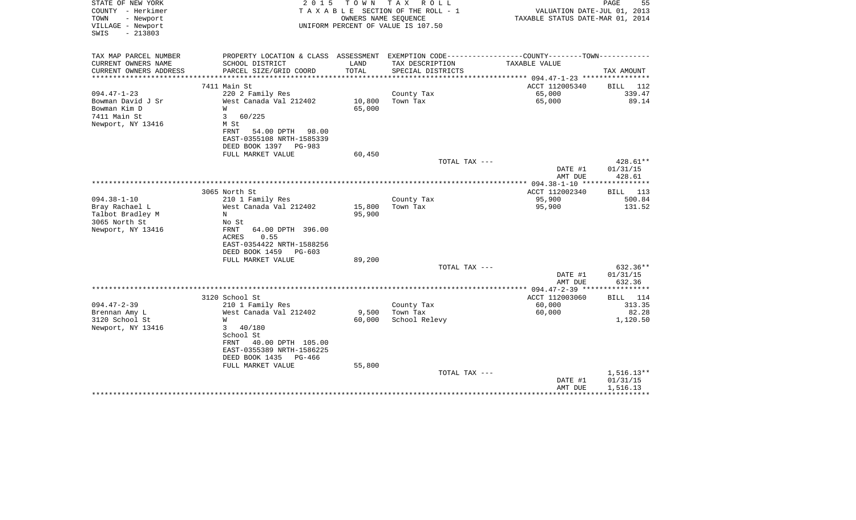| STATE OF NEW YORK<br>COUNTY - Herkimer<br>TOWN<br>- Newport | 2 0 1 5                                                                                         | T O W N          | TAX ROLL<br>TAXABLE SECTION OF THE ROLL - 1<br>OWNERS NAME SEQUENCE | VALUATION DATE-JUL 01, 2013<br>TAXABLE STATUS DATE-MAR 01, 2014 | PAGE<br>55         |
|-------------------------------------------------------------|-------------------------------------------------------------------------------------------------|------------------|---------------------------------------------------------------------|-----------------------------------------------------------------|--------------------|
| VILLAGE - Newport<br>$-213803$<br>SWIS                      |                                                                                                 |                  | UNIFORM PERCENT OF VALUE IS 107.50                                  |                                                                 |                    |
| TAX MAP PARCEL NUMBER                                       | PROPERTY LOCATION & CLASS ASSESSMENT EXEMPTION CODE----------------COUNTY--------TOWN---------- |                  |                                                                     |                                                                 |                    |
| CURRENT OWNERS NAME<br>CURRENT OWNERS ADDRESS               | SCHOOL DISTRICT<br>PARCEL SIZE/GRID COORD                                                       | LAND<br>TOTAL    | TAX DESCRIPTION<br>SPECIAL DISTRICTS                                | TAXABLE VALUE                                                   | TAX AMOUNT         |
| **************                                              |                                                                                                 |                  |                                                                     |                                                                 |                    |
|                                                             | 7411 Main St                                                                                    |                  |                                                                     | ACCT 112005340                                                  | <b>BILL</b><br>112 |
| $094.47 - 1 - 23$                                           | 220 2 Family Res                                                                                |                  | County Tax                                                          | 65,000                                                          | 339.47             |
| Bowman David J Sr<br>Bowman Kim D                           | West Canada Val 212402<br>W                                                                     | 10,800<br>65,000 | Town Tax                                                            | 65,000                                                          | 89.14              |
| 7411 Main St                                                | 3<br>60/225                                                                                     |                  |                                                                     |                                                                 |                    |
| Newport, NY 13416                                           | M St                                                                                            |                  |                                                                     |                                                                 |                    |
|                                                             | 54.00 DPTH 98.00<br>FRNT                                                                        |                  |                                                                     |                                                                 |                    |
|                                                             | EAST-0355108 NRTH-1585339                                                                       |                  |                                                                     |                                                                 |                    |
|                                                             | DEED BOOK 1397<br><b>PG-983</b><br>FULL MARKET VALUE                                            | 60,450           |                                                                     |                                                                 |                    |
|                                                             |                                                                                                 |                  | TOTAL TAX ---                                                       |                                                                 | 428.61**           |
|                                                             |                                                                                                 |                  |                                                                     | DATE #1                                                         | 01/31/15           |
|                                                             |                                                                                                 |                  |                                                                     | AMT DUE                                                         | 428.61             |
|                                                             |                                                                                                 |                  |                                                                     |                                                                 |                    |
| $094.38 - 1 - 10$                                           | 3065 North St<br>210 1 Family Res                                                               |                  | County Tax                                                          | ACCT 112002340<br>95,900                                        | BILL 113<br>500.84 |
| Bray Rachael L                                              | West Canada Val 212402                                                                          | 15,800           | Town Tax                                                            | 95,900                                                          | 131.52             |
| Talbot Bradley M                                            | N                                                                                               | 95,900           |                                                                     |                                                                 |                    |
| 3065 North St                                               | No St                                                                                           |                  |                                                                     |                                                                 |                    |
| Newport, NY 13416                                           | FRNT<br>64.00 DPTH 396.00                                                                       |                  |                                                                     |                                                                 |                    |
|                                                             | 0.55<br>ACRES<br>EAST-0354422 NRTH-1588256                                                      |                  |                                                                     |                                                                 |                    |
|                                                             | DEED BOOK 1459<br>$PG-603$                                                                      |                  |                                                                     |                                                                 |                    |
|                                                             | FULL MARKET VALUE                                                                               | 89,200           |                                                                     |                                                                 |                    |
|                                                             |                                                                                                 |                  | TOTAL TAX ---                                                       |                                                                 | 632.36**           |
|                                                             |                                                                                                 |                  |                                                                     | DATE #1                                                         | 01/31/15           |
|                                                             |                                                                                                 |                  |                                                                     | AMT DUE                                                         | 632.36             |
|                                                             | 3120 School St                                                                                  |                  |                                                                     | ACCT 112003060                                                  | BILL 114           |
| $094.47 - 2 - 39$                                           | 210 1 Family Res                                                                                |                  | County Tax                                                          | 60,000                                                          | 313.35             |
| Brennan Amy L                                               | West Canada Val 212402                                                                          | 9,500            | Town Tax                                                            | 60,000                                                          | 82.28              |
| 3120 School St                                              | W<br>3                                                                                          | 60,000           | School Relevy                                                       |                                                                 | 1,120.50           |
| Newport, NY 13416                                           | 40/180<br>School St                                                                             |                  |                                                                     |                                                                 |                    |
|                                                             | 40.00 DPTH 105.00<br><b>FRNT</b>                                                                |                  |                                                                     |                                                                 |                    |
|                                                             | EAST-0355389 NRTH-1586225                                                                       |                  |                                                                     |                                                                 |                    |
|                                                             | DEED BOOK 1435<br>PG-466                                                                        |                  |                                                                     |                                                                 |                    |
|                                                             | FULL MARKET VALUE                                                                               | 55,800           | TOTAL TAX ---                                                       |                                                                 | $1,516.13**$       |
|                                                             |                                                                                                 |                  |                                                                     | DATE #1                                                         | 01/31/15           |
|                                                             |                                                                                                 |                  |                                                                     | AMT DUE                                                         | 1,516.13           |
|                                                             |                                                                                                 |                  |                                                                     |                                                                 |                    |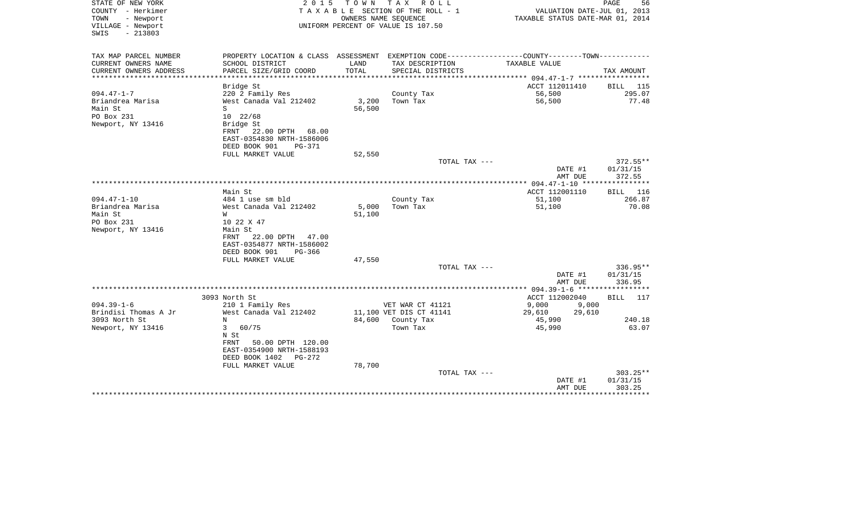| STATE OF NEW YORK<br>COUNTY - Herkimer<br>TOWN<br>- Newport | 2 0 1 5                                       | T O W N           | TAX ROLL<br>TAXABLE SECTION OF THE ROLL - 1<br>OWNERS NAME SEOUENCE | PAGE<br>56<br>VALUATION DATE-JUL 01, 2013<br>TAXABLE STATUS DATE-MAR 01, 2014                                  |            |  |
|-------------------------------------------------------------|-----------------------------------------------|-------------------|---------------------------------------------------------------------|----------------------------------------------------------------------------------------------------------------|------------|--|
| VILLAGE - Newport<br>$-213803$<br>SWIS                      |                                               |                   | UNIFORM PERCENT OF VALUE IS 107.50                                  |                                                                                                                |            |  |
| TAX MAP PARCEL NUMBER<br>CURRENT OWNERS NAME                | SCHOOL DISTRICT                               | LAND              | TAX DESCRIPTION                                                     | PROPERTY LOCATION & CLASS ASSESSMENT EXEMPTION CODE---------------COUNTY-------TOWN----------<br>TAXABLE VALUE |            |  |
| CURRENT OWNERS ADDRESS                                      | PARCEL SIZE/GRID COORD                        | TOTAL             | SPECIAL DISTRICTS                                                   |                                                                                                                | TAX AMOUNT |  |
|                                                             |                                               | ***************** |                                                                     | *************** 094.47-1-7 ******************                                                                  |            |  |
|                                                             | Bridge St                                     |                   |                                                                     | ACCT 112011410                                                                                                 | BILL 115   |  |
| $094.47 - 1 - 7$                                            | 220 2 Family Res                              |                   | County Tax                                                          | 56,500                                                                                                         | 295.07     |  |
| Briandrea Marisa<br>Main St                                 | West Canada Val 212402<br>S.                  | 3,200             | Town Tax                                                            | 56,500                                                                                                         | 77.48      |  |
| PO Box 231                                                  | 10 22/68                                      | 56,500            |                                                                     |                                                                                                                |            |  |
| Newport, NY 13416                                           | Bridge St                                     |                   |                                                                     |                                                                                                                |            |  |
|                                                             | FRNT 22.00 DPTH 68.00                         |                   |                                                                     |                                                                                                                |            |  |
|                                                             | EAST-0354830 NRTH-1586006                     |                   |                                                                     |                                                                                                                |            |  |
|                                                             | DEED BOOK 901<br><b>PG-371</b>                |                   |                                                                     |                                                                                                                |            |  |
|                                                             | FULL MARKET VALUE                             | 52,550            | TOTAL TAX ---                                                       |                                                                                                                | 372.55**   |  |
|                                                             |                                               |                   |                                                                     | DATE #1                                                                                                        | 01/31/15   |  |
|                                                             |                                               |                   |                                                                     | AMT DUE                                                                                                        | 372.55     |  |
|                                                             |                                               |                   |                                                                     |                                                                                                                |            |  |
|                                                             | Main St                                       |                   |                                                                     | ACCT 112001110                                                                                                 | BILL 116   |  |
| $094.47 - 1 - 10$                                           | 484 1 use sm bld                              |                   | County Tax                                                          | 51,100                                                                                                         | 266.87     |  |
| Briandrea Marisa<br>Main St.                                | West Canada Val 212402<br>M                   | 5,000<br>51,100   | Town Tax                                                            | 51,100                                                                                                         | 70.08      |  |
| PO Box 231                                                  | 10 22 X 47                                    |                   |                                                                     |                                                                                                                |            |  |
| Newport, NY 13416                                           | Main St                                       |                   |                                                                     |                                                                                                                |            |  |
|                                                             | 22.00 DPTH 47.00<br><b>FRNT</b>               |                   |                                                                     |                                                                                                                |            |  |
|                                                             | EAST-0354877 NRTH-1586002                     |                   |                                                                     |                                                                                                                |            |  |
|                                                             | DEED BOOK 901<br>PG-366                       |                   |                                                                     |                                                                                                                |            |  |
|                                                             | FULL MARKET VALUE                             | 47,550            | TOTAL TAX ---                                                       |                                                                                                                | 336.95**   |  |
|                                                             |                                               |                   |                                                                     | DATE #1                                                                                                        | 01/31/15   |  |
|                                                             |                                               |                   |                                                                     | AMT DUE                                                                                                        | 336.95     |  |
|                                                             |                                               |                   |                                                                     |                                                                                                                |            |  |
|                                                             | 3093 North St                                 |                   |                                                                     | ACCT 112002040                                                                                                 | BILL 117   |  |
| $094.39 - 1 - 6$                                            | 210 1 Family Res                              |                   | VET WAR CT 41121                                                    | 9,000<br>9,000                                                                                                 |            |  |
| Brindisi Thomas A Jr<br>3093 North St                       | West Canada Val 212402<br>N                   | 84,600            | 11,100 VET DIS CT 41141<br>County Tax                               | 29,610<br>29,610<br>45,990                                                                                     | 240.18     |  |
| Newport, NY 13416                                           | 60/75<br>3                                    |                   | Town Tax                                                            | 45,990                                                                                                         | 63.07      |  |
|                                                             | N St                                          |                   |                                                                     |                                                                                                                |            |  |
|                                                             | <b>FRNT</b><br>50.00 DPTH 120.00              |                   |                                                                     |                                                                                                                |            |  |
|                                                             | EAST-0354900 NRTH-1588193                     |                   |                                                                     |                                                                                                                |            |  |
|                                                             | DEED BOOK 1402<br>PG-272<br>FULL MARKET VALUE | 78,700            |                                                                     |                                                                                                                |            |  |
|                                                             |                                               |                   | TOTAL TAX ---                                                       |                                                                                                                | $303.25**$ |  |
|                                                             |                                               |                   |                                                                     | DATE #1                                                                                                        | 01/31/15   |  |
|                                                             |                                               |                   |                                                                     | AMT DUE                                                                                                        | 303.25     |  |
|                                                             |                                               |                   |                                                                     |                                                                                                                | *********  |  |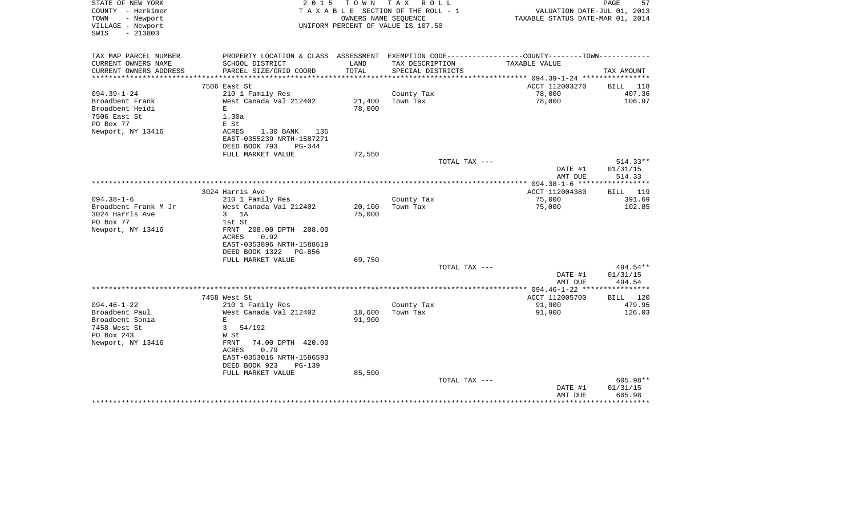| STATE OF NEW YORK<br>COUNTY - Herkimer<br>TOWN<br>- Newport<br>VILLAGE - Newport<br>$-213803$<br>SWIS | 2 0 1 5                                             | T O W N          | TAX ROLL<br>TAXABLE SECTION OF THE ROLL - 1<br>OWNERS NAME SEQUENCE<br>UNIFORM PERCENT OF VALUE IS 107.50 | VALUATION DATE-JUL 01, 2013<br>TAXABLE STATUS DATE-MAR 01, 2014                                 | PAGE<br>57         |
|-------------------------------------------------------------------------------------------------------|-----------------------------------------------------|------------------|-----------------------------------------------------------------------------------------------------------|-------------------------------------------------------------------------------------------------|--------------------|
| TAX MAP PARCEL NUMBER                                                                                 |                                                     |                  |                                                                                                           | PROPERTY LOCATION & CLASS ASSESSMENT EXEMPTION CODE----------------COUNTY--------TOWN---------- |                    |
| CURRENT OWNERS NAME                                                                                   | SCHOOL DISTRICT                                     | LAND             | TAX DESCRIPTION                                                                                           | TAXABLE VALUE                                                                                   |                    |
| CURRENT OWNERS ADDRESS                                                                                | PARCEL SIZE/GRID COORD                              | TOTAL            | SPECIAL DISTRICTS                                                                                         |                                                                                                 | TAX AMOUNT         |
| *********************                                                                                 |                                                     |                  |                                                                                                           |                                                                                                 |                    |
| $094.39 - 1 - 24$                                                                                     | 7506 East St<br>210 1 Family Res                    |                  | County Tax                                                                                                | ACCT 112003270<br>78,000                                                                        | BILL 118<br>407.36 |
| Broadbent Frank                                                                                       | West Canada Val 212402                              | 21,400           | Town Tax                                                                                                  | 78,000                                                                                          | 106.97             |
| Broadbent Heidi                                                                                       | Е                                                   | 78,000           |                                                                                                           |                                                                                                 |                    |
| 7506 East St                                                                                          | 1.30a                                               |                  |                                                                                                           |                                                                                                 |                    |
| PO Box 77                                                                                             | E St                                                |                  |                                                                                                           |                                                                                                 |                    |
| Newport, NY 13416                                                                                     | ACRES<br>1.30 BANK<br>135                           |                  |                                                                                                           |                                                                                                 |                    |
|                                                                                                       | EAST-0355239 NRTH-1587271                           |                  |                                                                                                           |                                                                                                 |                    |
|                                                                                                       | DEED BOOK 793<br><b>PG-344</b><br>FULL MARKET VALUE | 72,550           |                                                                                                           |                                                                                                 |                    |
|                                                                                                       |                                                     |                  | TOTAL TAX ---                                                                                             |                                                                                                 | $514.33**$         |
|                                                                                                       |                                                     |                  |                                                                                                           | DATE #1                                                                                         | 01/31/15           |
|                                                                                                       |                                                     |                  |                                                                                                           | AMT DUE                                                                                         | 514.33             |
|                                                                                                       |                                                     |                  |                                                                                                           |                                                                                                 |                    |
|                                                                                                       | 3024 Harris Ave                                     |                  |                                                                                                           | ACCT 112004380                                                                                  | BILL 119           |
| $094.38 - 1 - 6$                                                                                      | 210 1 Family Res                                    |                  | County Tax                                                                                                | 75,000                                                                                          | 391.69<br>102.85   |
| Broadbent Frank M Jr<br>3024 Harris Ave                                                               | West Canada Val 212402<br>$3$ 1A                    | 20,100<br>75,000 | Town Tax                                                                                                  | 75,000                                                                                          |                    |
| PO Box 77                                                                                             | 1st St                                              |                  |                                                                                                           |                                                                                                 |                    |
| Newport, NY 13416                                                                                     | FRNT 208.00 DPTH 208.00                             |                  |                                                                                                           |                                                                                                 |                    |
|                                                                                                       | 0.92<br>ACRES                                       |                  |                                                                                                           |                                                                                                 |                    |
|                                                                                                       | EAST-0353896 NRTH-1588619                           |                  |                                                                                                           |                                                                                                 |                    |
|                                                                                                       | DEED BOOK 1322 PG-856                               |                  |                                                                                                           |                                                                                                 |                    |
|                                                                                                       | FULL MARKET VALUE                                   | 69,750           | TOTAL TAX ---                                                                                             |                                                                                                 | 494.54**           |
|                                                                                                       |                                                     |                  |                                                                                                           | DATE #1                                                                                         | 01/31/15           |
|                                                                                                       |                                                     |                  |                                                                                                           | AMT DUE                                                                                         | 494.54             |
|                                                                                                       |                                                     |                  |                                                                                                           |                                                                                                 |                    |
|                                                                                                       | 7458 West St                                        |                  |                                                                                                           | ACCT 112005700                                                                                  | BILL 120           |
| $094.46 - 1 - 22$                                                                                     | 210 1 Family Res                                    |                  | County Tax                                                                                                | 91,900                                                                                          | 479.95             |
| Broadbent Paul                                                                                        | West Canada Val 212402                              | 18,600           | Town Tax                                                                                                  | 91,900                                                                                          | 126.03             |
| Broadbent Sonia<br>7458 West St                                                                       | Е<br>3, 54/192                                      | 91,900           |                                                                                                           |                                                                                                 |                    |
| PO Box 243                                                                                            | W St                                                |                  |                                                                                                           |                                                                                                 |                    |
| Newport, NY 13416                                                                                     | 74.00 DPTH 420.00<br>FRNT                           |                  |                                                                                                           |                                                                                                 |                    |
|                                                                                                       | 0.79<br><b>ACRES</b>                                |                  |                                                                                                           |                                                                                                 |                    |
|                                                                                                       | EAST-0353016 NRTH-1586593                           |                  |                                                                                                           |                                                                                                 |                    |
|                                                                                                       | DEED BOOK 923<br><b>PG-139</b>                      |                  |                                                                                                           |                                                                                                 |                    |
|                                                                                                       | FULL MARKET VALUE                                   | 85,500           | TOTAL TAX ---                                                                                             |                                                                                                 | 605.98**           |
|                                                                                                       |                                                     |                  |                                                                                                           | DATE #1                                                                                         | 01/31/15           |
|                                                                                                       |                                                     |                  |                                                                                                           | AMT DUE                                                                                         | 605.98             |
|                                                                                                       |                                                     |                  |                                                                                                           |                                                                                                 |                    |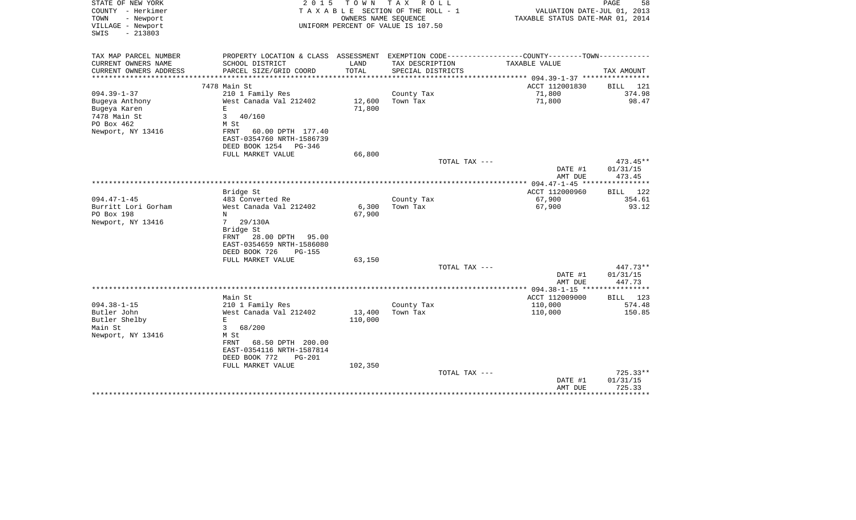| STATE OF NEW YORK<br>COUNTY - Herkimer<br>TOWN<br>- Newport<br>VILLAGE - Newport<br>$-213803$<br>SWIS | 2 0 1 5                                             | T O W N          | TAX ROLL<br>TAXABLE SECTION OF THE ROLL - 1<br>OWNERS NAME SEQUENCE<br>UNIFORM PERCENT OF VALUE IS 107.50 | VALUATION DATE-JUL 01, 2013<br>TAXABLE STATUS DATE-MAR 01, 2014                                | PAGE<br>58       |
|-------------------------------------------------------------------------------------------------------|-----------------------------------------------------|------------------|-----------------------------------------------------------------------------------------------------------|------------------------------------------------------------------------------------------------|------------------|
| TAX MAP PARCEL NUMBER                                                                                 |                                                     |                  |                                                                                                           | PROPERTY LOCATION & CLASS ASSESSMENT EXEMPTION CODE----------------COUNTY-------TOWN---------- |                  |
| CURRENT OWNERS NAME<br>CURRENT OWNERS ADDRESS                                                         | SCHOOL DISTRICT<br>PARCEL SIZE/GRID COORD           | LAND<br>TOTAL    | TAX DESCRIPTION<br>SPECIAL DISTRICTS                                                                      | TAXABLE VALUE                                                                                  | TAX AMOUNT       |
|                                                                                                       |                                                     |                  |                                                                                                           | ********** 094.39-1-37 ****************                                                        |                  |
|                                                                                                       | 7478 Main St                                        |                  |                                                                                                           | ACCT 112001830                                                                                 | BILL 121         |
| $094.39 - 1 - 37$                                                                                     | 210 1 Family Res                                    |                  | County Tax                                                                                                | 71,800                                                                                         | 374.98           |
| Bugeya Anthony<br>Bugeya Karen                                                                        | West Canada Val 212402<br>E                         | 12,600<br>71,800 | Town Tax                                                                                                  | 71,800                                                                                         | 98.47            |
| 7478 Main St                                                                                          | 40/160<br>3                                         |                  |                                                                                                           |                                                                                                |                  |
| PO Box 462                                                                                            | M St                                                |                  |                                                                                                           |                                                                                                |                  |
| Newport, NY 13416                                                                                     | 60.00 DPTH 177.40<br>FRNT                           |                  |                                                                                                           |                                                                                                |                  |
|                                                                                                       | EAST-0354760 NRTH-1586739                           |                  |                                                                                                           |                                                                                                |                  |
|                                                                                                       | DEED BOOK 1254<br>PG-346                            |                  |                                                                                                           |                                                                                                |                  |
|                                                                                                       | FULL MARKET VALUE                                   | 66,800           | TOTAL TAX ---                                                                                             |                                                                                                | 473.45**         |
|                                                                                                       |                                                     |                  |                                                                                                           | DATE #1                                                                                        | 01/31/15         |
|                                                                                                       |                                                     |                  |                                                                                                           | AMT DUE                                                                                        | 473.45           |
|                                                                                                       |                                                     |                  |                                                                                                           | *************** 094.47-1-45 *****************                                                  |                  |
|                                                                                                       | Bridge St                                           |                  |                                                                                                           | ACCT 112000960                                                                                 | BILL 122         |
| $094.47 - 1 - 45$<br>Burritt Lori Gorham                                                              | 483 Converted Re<br>West Canada Val 212402          | 6,300            | County Tax<br>Town Tax                                                                                    | 67,900<br>67,900                                                                               | 354.61<br>93.12  |
| PO Box 198                                                                                            | N                                                   | 67,900           |                                                                                                           |                                                                                                |                  |
| Newport, NY 13416                                                                                     | 29/130A<br>$7\phantom{.}$                           |                  |                                                                                                           |                                                                                                |                  |
|                                                                                                       | Bridge St                                           |                  |                                                                                                           |                                                                                                |                  |
|                                                                                                       | 28.00 DPTH 95.00<br>FRNT                            |                  |                                                                                                           |                                                                                                |                  |
|                                                                                                       | EAST-0354659 NRTH-1586080                           |                  |                                                                                                           |                                                                                                |                  |
|                                                                                                       | DEED BOOK 726<br><b>PG-155</b><br>FULL MARKET VALUE |                  |                                                                                                           |                                                                                                |                  |
|                                                                                                       |                                                     | 63,150           | TOTAL TAX ---                                                                                             |                                                                                                | 447.73**         |
|                                                                                                       |                                                     |                  |                                                                                                           | DATE #1                                                                                        | 01/31/15         |
|                                                                                                       |                                                     |                  |                                                                                                           | AMT DUE                                                                                        | 447.73           |
|                                                                                                       |                                                     |                  |                                                                                                           |                                                                                                |                  |
|                                                                                                       | Main St                                             |                  |                                                                                                           | ACCT 112009000                                                                                 | BILL 123         |
| $094.38 - 1 - 15$<br>Butler John                                                                      | 210 1 Family Res<br>West Canada Val 212402          | 13,400           | County Tax<br>Town Tax                                                                                    | 110,000<br>110,000                                                                             | 574.48<br>150.85 |
| Butler Shelby                                                                                         | E                                                   | 110,000          |                                                                                                           |                                                                                                |                  |
| Main St                                                                                               | 3<br>68/200                                         |                  |                                                                                                           |                                                                                                |                  |
| Newport, NY 13416                                                                                     | M St                                                |                  |                                                                                                           |                                                                                                |                  |
|                                                                                                       | 68.50 DPTH 200.00<br>FRNT                           |                  |                                                                                                           |                                                                                                |                  |
|                                                                                                       | EAST-0354116 NRTH-1587814                           |                  |                                                                                                           |                                                                                                |                  |
|                                                                                                       | DEED BOOK 772<br>$PG-201$<br>FULL MARKET VALUE      | 102,350          |                                                                                                           |                                                                                                |                  |
|                                                                                                       |                                                     |                  | TOTAL TAX ---                                                                                             |                                                                                                | $725.33**$       |
|                                                                                                       |                                                     |                  |                                                                                                           | DATE #1                                                                                        | 01/31/15         |
|                                                                                                       |                                                     |                  |                                                                                                           | AMT DUE                                                                                        | 725.33           |
|                                                                                                       |                                                     |                  |                                                                                                           |                                                                                                | ********         |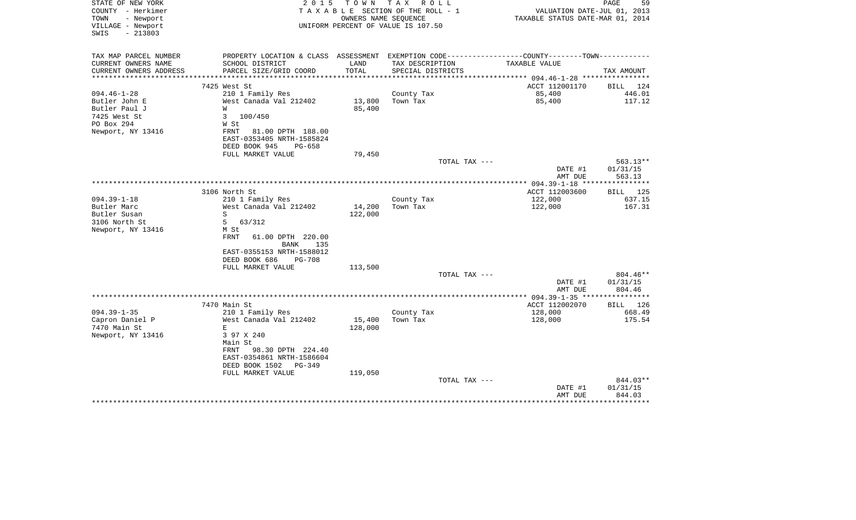| STATE OF NEW YORK<br>COUNTY - Herkimer<br>TOWN<br>- Newport<br>VILLAGE - Newport<br>$-213803$<br>SWIS | 2 0 1 5                                                     | T O W N | T A X<br>R O L L<br>TAXABLE SECTION OF THE ROLL - 1<br>OWNERS NAME SEQUENCE<br>UNIFORM PERCENT OF VALUE IS 107.50 | VALUATION DATE-JUL 01, 2013<br>TAXABLE STATUS DATE-MAR 01, 2014                              | $\mathop{\mathtt{PAGE}}$<br>59 |
|-------------------------------------------------------------------------------------------------------|-------------------------------------------------------------|---------|-------------------------------------------------------------------------------------------------------------------|----------------------------------------------------------------------------------------------|--------------------------------|
| TAX MAP PARCEL NUMBER                                                                                 |                                                             |         |                                                                                                                   | PROPERTY LOCATION & CLASS ASSESSMENT EXEMPTION CODE---------------COUNTY-------TOWN--------- |                                |
| CURRENT OWNERS NAME                                                                                   | SCHOOL DISTRICT                                             | LAND    | TAX DESCRIPTION                                                                                                   | TAXABLE VALUE                                                                                |                                |
| CURRENT OWNERS ADDRESS<br>*********************                                                       | PARCEL SIZE/GRID COORD                                      | TOTAL   | SPECIAL DISTRICTS                                                                                                 |                                                                                              | TAX AMOUNT                     |
|                                                                                                       | 7425 West St                                                |         |                                                                                                                   | ACCT 112001170                                                                               | BILL 124                       |
| $094.46 - 1 - 28$                                                                                     | 210 1 Family Res                                            |         | County Tax                                                                                                        | 85,400                                                                                       | 446.01                         |
| Butler John E                                                                                         | West Canada Val 212402                                      | 13,800  | Town Tax                                                                                                          | 85,400                                                                                       | 117.12                         |
| Butler Paul J                                                                                         | W                                                           | 85,400  |                                                                                                                   |                                                                                              |                                |
| 7425 West St                                                                                          | 3<br>100/450                                                |         |                                                                                                                   |                                                                                              |                                |
| PO Box 294                                                                                            | W St                                                        |         |                                                                                                                   |                                                                                              |                                |
| Newport, NY 13416                                                                                     | 81.00 DPTH 188.00<br>FRNT<br>EAST-0353405 NRTH-1585824      |         |                                                                                                                   |                                                                                              |                                |
|                                                                                                       | DEED BOOK 945<br>PG-658                                     |         |                                                                                                                   |                                                                                              |                                |
|                                                                                                       | FULL MARKET VALUE                                           | 79,450  |                                                                                                                   |                                                                                              |                                |
|                                                                                                       |                                                             |         | TOTAL TAX ---                                                                                                     | DATE #1<br>AMT DUE                                                                           | 563.13**<br>01/31/15<br>563.13 |
|                                                                                                       |                                                             |         |                                                                                                                   |                                                                                              | ************                   |
|                                                                                                       | 3106 North St                                               |         |                                                                                                                   | ACCT 112003600                                                                               | BILL 125                       |
| $094.39 - 1 - 18$                                                                                     | 210 1 Family Res                                            |         | County Tax                                                                                                        | 122,000                                                                                      | 637.15                         |
| Butler Marc                                                                                           | West Canada Val 212402                                      | 14,200  | Town Tax                                                                                                          | 122,000                                                                                      | 167.31                         |
| Butler Susan                                                                                          | S                                                           | 122,000 |                                                                                                                   |                                                                                              |                                |
| 3106 North St                                                                                         | 5<br>63/312                                                 |         |                                                                                                                   |                                                                                              |                                |
| Newport, NY 13416                                                                                     | M St<br>FRNT<br>61.00 DPTH 220.00<br><b>BANK</b><br>135     |         |                                                                                                                   |                                                                                              |                                |
|                                                                                                       | EAST-0355153 NRTH-1588012<br>DEED BOOK 686<br><b>PG-708</b> |         |                                                                                                                   |                                                                                              |                                |
|                                                                                                       | FULL MARKET VALUE                                           | 113,500 |                                                                                                                   |                                                                                              |                                |
|                                                                                                       |                                                             |         | TOTAL TAX ---                                                                                                     |                                                                                              | 804.46**                       |
|                                                                                                       |                                                             |         |                                                                                                                   | DATE #1<br>AMT DUE                                                                           | 01/31/15<br>804.46             |
|                                                                                                       |                                                             |         |                                                                                                                   |                                                                                              |                                |
|                                                                                                       | 7470 Main St                                                |         |                                                                                                                   | ACCT 112002070                                                                               | BILL 126                       |
| $094.39 - 1 - 35$                                                                                     | 210 1 Family Res                                            |         | County Tax                                                                                                        | 128,000                                                                                      | 668.49                         |
| Capron Daniel P                                                                                       | West Canada Val 212402                                      | 15,400  | Town Tax                                                                                                          | 128,000                                                                                      | 175.54                         |
| 7470 Main St                                                                                          | E                                                           | 128,000 |                                                                                                                   |                                                                                              |                                |
| Newport, NY 13416                                                                                     | 3 97 X 240                                                  |         |                                                                                                                   |                                                                                              |                                |
|                                                                                                       | Main St                                                     |         |                                                                                                                   |                                                                                              |                                |
|                                                                                                       | 98.30 DPTH 224.40<br>FRNT                                   |         |                                                                                                                   |                                                                                              |                                |
|                                                                                                       | EAST-0354861 NRTH-1586604<br>DEED BOOK 1502<br>PG-349       |         |                                                                                                                   |                                                                                              |                                |
|                                                                                                       | FULL MARKET VALUE                                           | 119,050 |                                                                                                                   |                                                                                              |                                |
|                                                                                                       |                                                             |         | TOTAL TAX ---                                                                                                     |                                                                                              | 844.03**                       |
|                                                                                                       |                                                             |         |                                                                                                                   | DATE #1<br>AMT DUE                                                                           | 01/31/15<br>844.03             |
|                                                                                                       |                                                             |         |                                                                                                                   |                                                                                              |                                |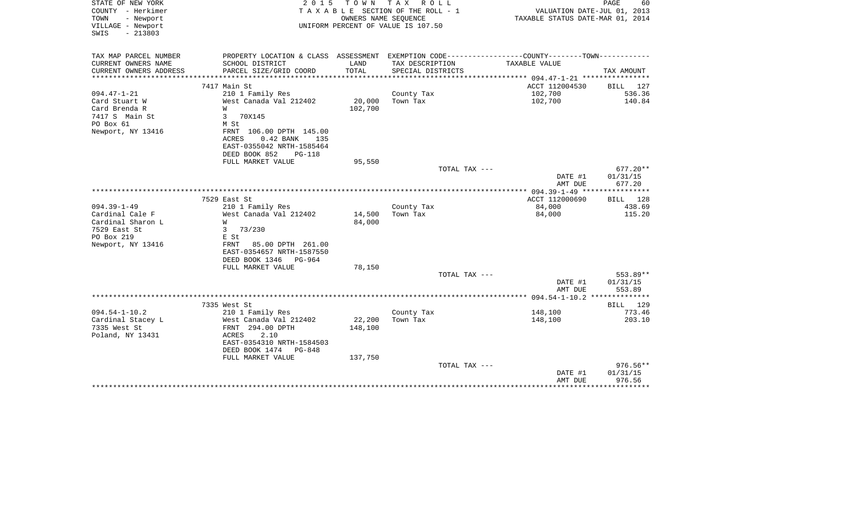| STATE OF NEW YORK<br>COUNTY - Herkimer<br>TOWN<br>- Newport<br>VILLAGE - Newport<br>$-213803$<br>SWIS | 2 0 1 5                                                                                                               | TOWN TAX      | R O L L<br>TAXABLE SECTION OF THE ROLL - 1<br>OWNERS NAME SEQUENCE<br>UNIFORM PERCENT OF VALUE IS 107.50 | VALUATION DATE-JUL 01, 2013<br>TAXABLE STATUS DATE-MAR 01, 2014 | PAGE<br>60         |
|-------------------------------------------------------------------------------------------------------|-----------------------------------------------------------------------------------------------------------------------|---------------|----------------------------------------------------------------------------------------------------------|-----------------------------------------------------------------|--------------------|
| TAX MAP PARCEL NUMBER                                                                                 | PROPERTY LOCATION & CLASS ASSESSMENT EXEMPTION CODE---------------COUNTY-------TOWN----------                         |               |                                                                                                          |                                                                 |                    |
| CURRENT OWNERS NAME<br>CURRENT OWNERS ADDRESS                                                         | SCHOOL DISTRICT<br>PARCEL SIZE/GRID COORD                                                                             | LAND<br>TOTAL | TAX DESCRIPTION<br>SPECIAL DISTRICTS                                                                     | TAXABLE VALUE                                                   | TAX AMOUNT         |
|                                                                                                       | ***************************                                                                                           |               |                                                                                                          |                                                                 |                    |
|                                                                                                       | 7417 Main St                                                                                                          |               |                                                                                                          | ACCT 112004530                                                  | BILL 127           |
| $094.47 - 1 - 21$                                                                                     | 210 1 Family Res                                                                                                      |               | County Tax                                                                                               | 102,700                                                         | 536.36             |
| Card Stuart W                                                                                         | West Canada Val 212402                                                                                                | 20,000        | Town Tax                                                                                                 | 102,700                                                         | 140.84             |
| Card Brenda R                                                                                         | W                                                                                                                     | 102,700       |                                                                                                          |                                                                 |                    |
| 7417 S Main St                                                                                        | 3<br>70X145                                                                                                           |               |                                                                                                          |                                                                 |                    |
| PO Box 61                                                                                             | M St                                                                                                                  |               |                                                                                                          |                                                                 |                    |
| Newport, NY 13416                                                                                     | FRNT 106.00 DPTH 145.00<br>ACRES<br>$0.42$ BANK<br>135<br>EAST-0355042 NRTH-1585464<br>DEED BOOK 852<br><b>PG-118</b> |               |                                                                                                          |                                                                 |                    |
|                                                                                                       | FULL MARKET VALUE                                                                                                     | 95,550        |                                                                                                          |                                                                 |                    |
|                                                                                                       |                                                                                                                       |               | TOTAL TAX ---                                                                                            |                                                                 | $677.20**$         |
|                                                                                                       |                                                                                                                       |               |                                                                                                          | DATE #1                                                         | 01/31/15           |
|                                                                                                       |                                                                                                                       |               |                                                                                                          | AMT DUE                                                         | 677.20             |
|                                                                                                       | 7529 East St                                                                                                          |               |                                                                                                          | ACCT 112000690                                                  | BILL 128           |
| $094.39 - 1 - 49$                                                                                     | 210 1 Family Res                                                                                                      |               | County Tax                                                                                               | 84,000                                                          | 438.69             |
| Cardinal Cale F                                                                                       | West Canada Val 212402                                                                                                | 14,500        | Town Tax                                                                                                 | 84,000                                                          | 115.20             |
| Cardinal Sharon L                                                                                     | W                                                                                                                     | 84,000        |                                                                                                          |                                                                 |                    |
| 7529 East St                                                                                          | 3<br>73/230                                                                                                           |               |                                                                                                          |                                                                 |                    |
| PO Box 219                                                                                            | E St                                                                                                                  |               |                                                                                                          |                                                                 |                    |
| Newport, NY 13416                                                                                     | 85.00 DPTH 261.00<br>FRNT                                                                                             |               |                                                                                                          |                                                                 |                    |
|                                                                                                       | EAST-0354657 NRTH-1587550                                                                                             |               |                                                                                                          |                                                                 |                    |
|                                                                                                       | DEED BOOK 1346<br>PG-964                                                                                              |               |                                                                                                          |                                                                 |                    |
|                                                                                                       | FULL MARKET VALUE                                                                                                     | 78,150        |                                                                                                          |                                                                 |                    |
|                                                                                                       |                                                                                                                       |               | TOTAL TAX ---                                                                                            |                                                                 | 553.89**           |
|                                                                                                       |                                                                                                                       |               |                                                                                                          | DATE #1<br>AMT DUE                                              | 01/31/15<br>553.89 |
|                                                                                                       |                                                                                                                       |               |                                                                                                          |                                                                 |                    |
|                                                                                                       | 7335 West St                                                                                                          |               |                                                                                                          |                                                                 | BILL 129           |
| $094.54 - 1 - 10.2$                                                                                   | 210 1 Family Res                                                                                                      |               | County Tax                                                                                               | 148,100                                                         | 773.46             |
| Cardinal Stacey L                                                                                     | West Canada Val 212402                                                                                                | 22,200        | Town Tax                                                                                                 | 148,100                                                         | 203.10             |
| 7335 West St                                                                                          | FRNT 294.00 DPTH                                                                                                      | 148,100       |                                                                                                          |                                                                 |                    |
| Poland, NY 13431                                                                                      | 2.10<br>ACRES                                                                                                         |               |                                                                                                          |                                                                 |                    |
|                                                                                                       | EAST-0354310 NRTH-1584503                                                                                             |               |                                                                                                          |                                                                 |                    |
|                                                                                                       | DEED BOOK 1474<br>PG-848                                                                                              |               |                                                                                                          |                                                                 |                    |
|                                                                                                       | FULL MARKET VALUE                                                                                                     | 137,750       | TOTAL TAX ---                                                                                            |                                                                 | $976.56**$         |
|                                                                                                       |                                                                                                                       |               |                                                                                                          | DATE #1                                                         | 01/31/15           |
|                                                                                                       |                                                                                                                       |               |                                                                                                          | AMT DUE                                                         | 976.56             |
|                                                                                                       |                                                                                                                       |               |                                                                                                          | *******************************                                 |                    |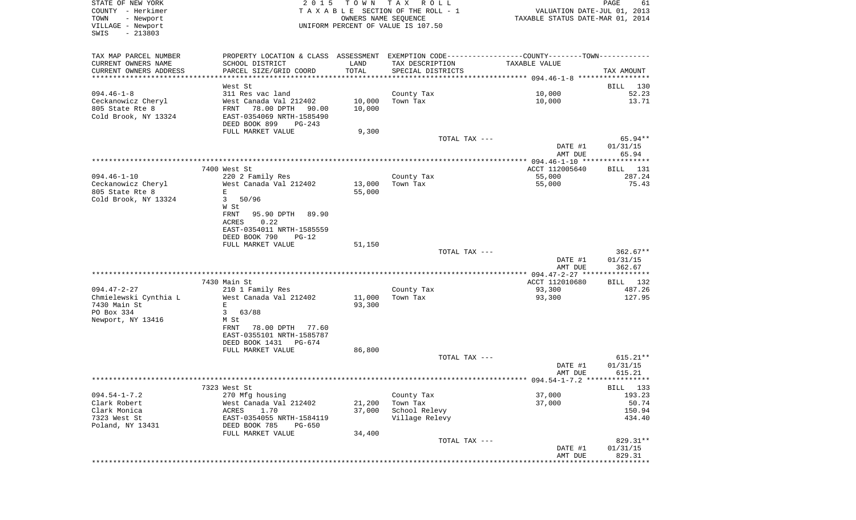| STATE OF NEW YORK<br>COUNTY - Herkimer | 2 0 1 5                                                                                        | T O W N | TAX ROLL                           | VALUATION DATE-JUL 01, 2013 | PAGE<br>61                       |
|----------------------------------------|------------------------------------------------------------------------------------------------|---------|------------------------------------|-----------------------------|----------------------------------|
| TOWN<br>- Newport                      | TAXABLE SECTION OF THE ROLL - 1<br>OWNERS NAME SEQUENCE                                        |         |                                    |                             | TAXABLE STATUS DATE-MAR 01, 2014 |
| VILLAGE - Newport                      |                                                                                                |         | UNIFORM PERCENT OF VALUE IS 107.50 |                             |                                  |
| $-213803$<br>SWIS                      |                                                                                                |         |                                    |                             |                                  |
| TAX MAP PARCEL NUMBER                  | PROPERTY LOCATION & CLASS ASSESSMENT EXEMPTION CODE----------------COUNTY-------TOWN---------- |         |                                    |                             |                                  |
| CURRENT OWNERS NAME                    | SCHOOL DISTRICT                                                                                | LAND    | TAX DESCRIPTION                    | TAXABLE VALUE               |                                  |
| CURRENT OWNERS ADDRESS                 | PARCEL SIZE/GRID COORD                                                                         | TOTAL   | SPECIAL DISTRICTS                  |                             | TAX AMOUNT                       |
| ***********************                | **************************                                                                     |         |                                    |                             |                                  |
|                                        | West St                                                                                        |         |                                    |                             | 130<br>BILL                      |
| $094.46 - 1 - 8$                       | 311 Res vac land                                                                               |         | County Tax                         | 10,000                      | 52.23                            |
| Ceckanowicz Cheryl                     | West Canada Val 212402                                                                         | 10,000  | Town Tax                           | 10,000                      | 13.71                            |
| 805 State Rte 8                        | FRNT<br>78.00 DPTH<br>90.00                                                                    | 10,000  |                                    |                             |                                  |
| Cold Brook, NY 13324                   | EAST-0354069 NRTH-1585490                                                                      |         |                                    |                             |                                  |
|                                        | DEED BOOK 899<br>$PG-243$                                                                      |         |                                    |                             |                                  |
|                                        | FULL MARKET VALUE                                                                              | 9,300   |                                    |                             |                                  |
|                                        |                                                                                                |         | TOTAL TAX ---                      |                             | 65.94**                          |
|                                        |                                                                                                |         |                                    | DATE #1                     | 01/31/15                         |
|                                        |                                                                                                |         |                                    | AMT DUE                     | 65.94                            |
|                                        | 7400 West St                                                                                   |         |                                    | ACCT 112005640              | BILL 131                         |
| $094.46 - 1 - 10$                      | 220 2 Family Res                                                                               |         | County Tax                         | 55,000                      | 287.24                           |
| Ceckanowicz Cheryl                     | West Canada Val 212402                                                                         | 13,000  | Town Tax                           | 55,000                      | 75.43                            |
| 805 State Rte 8                        | E                                                                                              | 55,000  |                                    |                             |                                  |
| Cold Brook, NY 13324                   | 50/96<br>3                                                                                     |         |                                    |                             |                                  |
|                                        | W St                                                                                           |         |                                    |                             |                                  |
|                                        | FRNT<br>95.90 DPTH<br>89.90                                                                    |         |                                    |                             |                                  |
|                                        | 0.22<br>ACRES                                                                                  |         |                                    |                             |                                  |
|                                        | EAST-0354011 NRTH-1585559                                                                      |         |                                    |                             |                                  |
|                                        | DEED BOOK 790<br>$PG-12$                                                                       |         |                                    |                             |                                  |
|                                        | FULL MARKET VALUE                                                                              | 51,150  |                                    |                             |                                  |
|                                        |                                                                                                |         | TOTAL TAX ---                      | DATE #1                     | $362.67**$<br>01/31/15           |
|                                        |                                                                                                |         |                                    | AMT DUE                     | 362.67                           |
|                                        |                                                                                                |         |                                    |                             |                                  |
|                                        | 7430 Main St                                                                                   |         |                                    | ACCT 112010680              | BILL 132                         |
| $094.47 - 2 - 27$                      | 210 1 Family Res                                                                               |         | County Tax                         | 93,300                      | 487.26                           |
| Chmielewski Cynthia L                  | West Canada Val 212402                                                                         | 11,000  | Town Tax                           | 93,300                      | 127.95                           |
| 7430 Main St                           | E                                                                                              | 93,300  |                                    |                             |                                  |
| PO Box 334                             | $\mathbf{3}$<br>63/88                                                                          |         |                                    |                             |                                  |
| Newport, NY 13416                      | M St                                                                                           |         |                                    |                             |                                  |
|                                        | 78.00 DPTH<br>77.60<br>FRNT                                                                    |         |                                    |                             |                                  |
|                                        | EAST-0355101 NRTH-1585787                                                                      |         |                                    |                             |                                  |
|                                        | DEED BOOK 1431<br>PG-674                                                                       | 86,800  |                                    |                             |                                  |
|                                        | FULL MARKET VALUE                                                                              |         | TOTAL TAX ---                      |                             | 615.21**                         |
|                                        |                                                                                                |         |                                    | DATE #1                     | 01/31/15                         |
|                                        |                                                                                                |         |                                    | AMT DUE                     | 615.21                           |
|                                        |                                                                                                |         |                                    |                             |                                  |
|                                        | 7323 West St                                                                                   |         |                                    |                             | 133<br>BILL                      |
| $094.54 - 1 - 7.2$                     | 270 Mfg housing                                                                                |         | County Tax                         | 37,000                      | 193.23                           |
| Clark Robert                           | West Canada Val 212402                                                                         | 21,200  | Town Tax                           | 37,000                      | 50.74                            |
| Clark Monica                           | ACRES<br>1.70                                                                                  | 37,000  | School Relevy                      |                             | 150.94                           |
| 7323 West St                           | EAST-0354055 NRTH-1584119                                                                      |         | Village Relevy                     |                             | 434.40                           |
| Poland, NY 13431                       | DEED BOOK 785<br>PG-650                                                                        |         |                                    |                             |                                  |
|                                        | FULL MARKET VALUE                                                                              | 34,400  |                                    |                             |                                  |
|                                        |                                                                                                |         | TOTAL TAX ---                      |                             | 829.31**                         |
|                                        |                                                                                                |         |                                    | DATE #1<br>AMT DUE          | 01/31/15<br>829.31               |
|                                        |                                                                                                |         |                                    |                             | ********                         |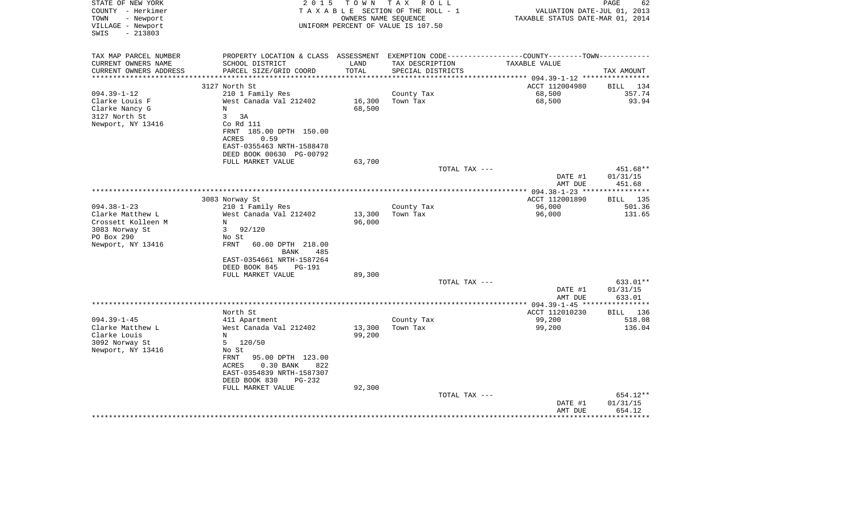| STATE OF NEW YORK<br>COUNTY - Herkimer<br>- Newport<br>TOWN<br>VILLAGE - Newport<br>$-213803$<br>SWIS | 2 0 1 5<br>T O W N<br>T A X<br>R O L L<br>TAXABLE SECTION OF THE ROLL - 1<br>OWNERS NAME SEQUENCE<br>UNIFORM PERCENT OF VALUE IS 107.50 |               | PAGE<br>62<br>VALUATION DATE-JUL 01, 2013<br>TAXABLE STATUS DATE-MAR 01, 2014 |                                                             |                       |
|-------------------------------------------------------------------------------------------------------|-----------------------------------------------------------------------------------------------------------------------------------------|---------------|-------------------------------------------------------------------------------|-------------------------------------------------------------|-----------------------|
| TAX MAP PARCEL NUMBER                                                                                 | PROPERTY LOCATION & CLASS ASSESSMENT                                                                                                    |               |                                                                               | EXEMPTION CODE-----------------COUNTY-------TOWN----------- |                       |
| CURRENT OWNERS NAME                                                                                   | SCHOOL DISTRICT                                                                                                                         | LAND<br>TOTAL | TAX DESCRIPTION                                                               | TAXABLE VALUE                                               |                       |
| CURRENT OWNERS ADDRESS<br>***********************                                                     | PARCEL SIZE/GRID COORD                                                                                                                  |               | SPECIAL DISTRICTS                                                             |                                                             | TAX AMOUNT            |
|                                                                                                       | 3127 North St                                                                                                                           |               |                                                                               | ACCT 112004980                                              | BILL<br>134           |
| $094.39 - 1 - 12$                                                                                     | 210 1 Family Res                                                                                                                        |               | County Tax                                                                    | 68,500                                                      | 357.74                |
| Clarke Louis F                                                                                        | West Canada Val 212402                                                                                                                  | 16,300        | Town Tax                                                                      | 68,500                                                      | 93.94                 |
| Clarke Nancy G                                                                                        | N                                                                                                                                       | 68,500        |                                                                               |                                                             |                       |
| 3127 North St                                                                                         | 3<br>3A                                                                                                                                 |               |                                                                               |                                                             |                       |
| Newport, NY 13416                                                                                     | Co Rd 111                                                                                                                               |               |                                                                               |                                                             |                       |
|                                                                                                       | FRNT 185.00 DPTH 150.00<br><b>ACRES</b><br>0.59                                                                                         |               |                                                                               |                                                             |                       |
|                                                                                                       | EAST-0355463 NRTH-1588478                                                                                                               |               |                                                                               |                                                             |                       |
|                                                                                                       | DEED BOOK 00630 PG-00792                                                                                                                |               |                                                                               |                                                             |                       |
|                                                                                                       | FULL MARKET VALUE                                                                                                                       | 63,700        |                                                                               |                                                             |                       |
|                                                                                                       |                                                                                                                                         |               | TOTAL TAX ---                                                                 |                                                             | 451.68**              |
|                                                                                                       |                                                                                                                                         |               |                                                                               | DATE #1                                                     | 01/31/15              |
|                                                                                                       |                                                                                                                                         |               |                                                                               | AMT DUE                                                     | 451.68                |
|                                                                                                       | 3083 Norway St                                                                                                                          |               |                                                                               | *********** 094.38-1-23 *****************<br>ACCT 112001890 | 135<br>BILL           |
| $094.38 - 1 - 23$                                                                                     | 210 1 Family Res                                                                                                                        |               | County Tax                                                                    | 96,000                                                      | 501.36                |
| Clarke Matthew L                                                                                      | West Canada Val 212402                                                                                                                  | 13,300        | Town Tax                                                                      | 96,000                                                      | 131.65                |
| Crossett Kolleen M                                                                                    | N                                                                                                                                       | 96,000        |                                                                               |                                                             |                       |
| 3083 Norway St                                                                                        | 3<br>92/120                                                                                                                             |               |                                                                               |                                                             |                       |
| PO Box 290                                                                                            | No St                                                                                                                                   |               |                                                                               |                                                             |                       |
| Newport, NY 13416                                                                                     | <b>FRNT</b><br>60.00 DPTH 218.00<br><b>BANK</b><br>485                                                                                  |               |                                                                               |                                                             |                       |
|                                                                                                       | EAST-0354661 NRTH-1587264<br>DEED BOOK 845<br><b>PG-191</b>                                                                             |               |                                                                               |                                                             |                       |
|                                                                                                       | FULL MARKET VALUE                                                                                                                       | 89,300        |                                                                               |                                                             |                       |
|                                                                                                       |                                                                                                                                         |               | TOTAL TAX ---                                                                 |                                                             | 633.01**              |
|                                                                                                       |                                                                                                                                         |               |                                                                               | DATE #1<br>AMT DUE                                          | 01/31/15<br>633.01    |
|                                                                                                       |                                                                                                                                         |               |                                                                               |                                                             |                       |
|                                                                                                       | North St                                                                                                                                |               |                                                                               | ACCT 112010230                                              | <b>BILL</b><br>136    |
| $094.39 - 1 - 45$                                                                                     | 411 Apartment                                                                                                                           |               | County Tax                                                                    | 99,200                                                      | 518.08                |
| Clarke Matthew L                                                                                      | West Canada Val 212402                                                                                                                  | 13,300        | Town Tax                                                                      | 99,200                                                      | 136.04                |
| Clarke Louis                                                                                          | N                                                                                                                                       | 99,200        |                                                                               |                                                             |                       |
| 3092 Norway St                                                                                        | 5<br>120/50                                                                                                                             |               |                                                                               |                                                             |                       |
| Newport, NY 13416                                                                                     | No St<br>95.00 DPTH 123.00<br>FRNT                                                                                                      |               |                                                                               |                                                             |                       |
|                                                                                                       | ACRES<br>$0.30$ BANK<br>822                                                                                                             |               |                                                                               |                                                             |                       |
|                                                                                                       | EAST-0354839 NRTH-1587307                                                                                                               |               |                                                                               |                                                             |                       |
|                                                                                                       | DEED BOOK 830<br>$PG-232$                                                                                                               |               |                                                                               |                                                             |                       |
|                                                                                                       | FULL MARKET VALUE                                                                                                                       | 92,300        |                                                                               |                                                             |                       |
|                                                                                                       |                                                                                                                                         |               | TOTAL TAX ---                                                                 |                                                             | 654.12**              |
|                                                                                                       |                                                                                                                                         |               |                                                                               | DATE #1                                                     | 01/31/15              |
|                                                                                                       |                                                                                                                                         |               |                                                                               | AMT DUE                                                     | 654.12<br>*********** |
|                                                                                                       |                                                                                                                                         |               |                                                                               |                                                             |                       |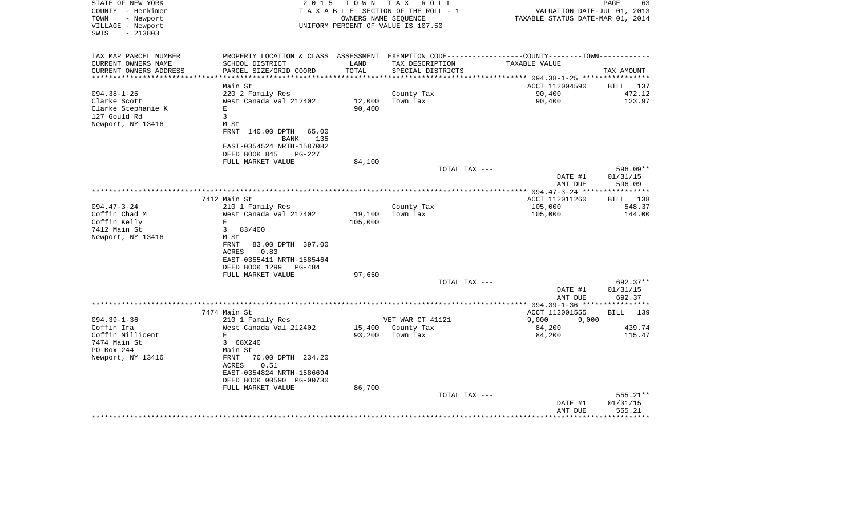| STATE OF NEW YORK<br>COUNTY - Herkimer<br>TOWN<br>- Newport<br>VILLAGE - Newport<br>$-213803$<br>SWIS | 2 0 1 5                                     | T O W N<br>OWNERS NAME SEQUENCE | T A X<br>R O L L<br>TAXABLE SECTION OF THE ROLL - 1<br>UNIFORM PERCENT OF VALUE IS 107.50      | VALUATION DATE-JUL 01, 2013<br>TAXABLE STATUS DATE-MAR 01, 2014 | PAGE<br>63  |
|-------------------------------------------------------------------------------------------------------|---------------------------------------------|---------------------------------|------------------------------------------------------------------------------------------------|-----------------------------------------------------------------|-------------|
| TAX MAP PARCEL NUMBER                                                                                 |                                             |                                 | PROPERTY LOCATION & CLASS ASSESSMENT EXEMPTION CODE----------------COUNTY-------TOWN---------- |                                                                 |             |
| CURRENT OWNERS NAME<br>CURRENT OWNERS ADDRESS                                                         | SCHOOL DISTRICT<br>PARCEL SIZE/GRID COORD   | LAND<br>TOTAL                   | TAX DESCRIPTION<br>SPECIAL DISTRICTS                                                           | TAXABLE VALUE                                                   | TAX AMOUNT  |
| **********************                                                                                |                                             |                                 |                                                                                                |                                                                 |             |
|                                                                                                       | Main St                                     |                                 |                                                                                                | ACCT 112004590                                                  | BILL 137    |
| $094.38 - 1 - 25$                                                                                     | 220 2 Family Res                            |                                 | County Tax                                                                                     | 90,400                                                          | 472.12      |
| Clarke Scott                                                                                          | West Canada Val 212402                      | 12,000                          | Town Tax                                                                                       | 90,400                                                          | 123.97      |
| Clarke Stephanie K                                                                                    | Е.                                          | 90,400                          |                                                                                                |                                                                 |             |
| 127 Gould Rd                                                                                          | $\overline{3}$                              |                                 |                                                                                                |                                                                 |             |
| Newport, NY 13416                                                                                     | M St                                        |                                 |                                                                                                |                                                                 |             |
|                                                                                                       | FRNT<br>140.00 DPTH<br>65.00<br>135<br>BANK |                                 |                                                                                                |                                                                 |             |
|                                                                                                       | EAST-0354524 NRTH-1587082                   |                                 |                                                                                                |                                                                 |             |
|                                                                                                       | DEED BOOK 845<br><b>PG-227</b>              |                                 |                                                                                                |                                                                 |             |
|                                                                                                       | FULL MARKET VALUE                           | 84,100                          | TOTAL TAX ---                                                                                  |                                                                 | 596.09**    |
|                                                                                                       |                                             |                                 |                                                                                                | DATE #1                                                         | 01/31/15    |
|                                                                                                       |                                             |                                 |                                                                                                | AMT DUE                                                         | 596.09      |
|                                                                                                       |                                             |                                 |                                                                                                |                                                                 |             |
|                                                                                                       | 7412 Main St                                |                                 |                                                                                                | ACCT 112011260                                                  | 138<br>BILL |
| $094.47 - 3 - 24$                                                                                     | 210 1 Family Res                            |                                 | County Tax                                                                                     | 105,000                                                         | 548.37      |
| Coffin Chad M                                                                                         | West Canada Val 212402                      | 19,100                          | Town Tax                                                                                       | 105,000                                                         | 144.00      |
| Coffin Kelly                                                                                          | E                                           | 105,000                         |                                                                                                |                                                                 |             |
| 7412 Main St                                                                                          | 3<br>83/400                                 |                                 |                                                                                                |                                                                 |             |
| Newport, NY 13416                                                                                     | M St<br><b>FRNT</b>                         |                                 |                                                                                                |                                                                 |             |
|                                                                                                       | 83.00 DPTH 397.00<br>0.83<br>ACRES          |                                 |                                                                                                |                                                                 |             |
|                                                                                                       | EAST-0355411 NRTH-1585464                   |                                 |                                                                                                |                                                                 |             |
|                                                                                                       | DEED BOOK 1299<br>PG-484                    |                                 |                                                                                                |                                                                 |             |
|                                                                                                       | FULL MARKET VALUE                           | 97,650                          |                                                                                                |                                                                 |             |
|                                                                                                       |                                             |                                 | TOTAL TAX ---                                                                                  |                                                                 | 692.37**    |
|                                                                                                       |                                             |                                 |                                                                                                | DATE #1                                                         | 01/31/15    |
|                                                                                                       |                                             |                                 |                                                                                                | AMT DUE                                                         | 692.37      |
|                                                                                                       |                                             |                                 |                                                                                                |                                                                 |             |
| $094.39 - 1 - 36$                                                                                     | 7474 Main St<br>210 1 Family Res            |                                 | VET WAR CT 41121                                                                               | ACCT 112001555<br>9,000<br>9,000                                | 139<br>BILL |
| Coffin Ira                                                                                            | West Canada Val 212402                      | 15,400                          | County Tax                                                                                     | 84,200                                                          | 439.74      |
| Coffin Millicent                                                                                      | E                                           | 93,200                          | Town Tax                                                                                       | 84,200                                                          | 115.47      |
| 7474 Main St                                                                                          | 3 68X240                                    |                                 |                                                                                                |                                                                 |             |
| PO Box 244                                                                                            | Main St                                     |                                 |                                                                                                |                                                                 |             |
| Newport, NY 13416                                                                                     | 70.00 DPTH 234.20<br>FRNT                   |                                 |                                                                                                |                                                                 |             |
|                                                                                                       | 0.51<br>ACRES                               |                                 |                                                                                                |                                                                 |             |
|                                                                                                       | EAST-0354824 NRTH-1586694                   |                                 |                                                                                                |                                                                 |             |
|                                                                                                       | DEED BOOK 00590 PG-00730                    |                                 |                                                                                                |                                                                 |             |
|                                                                                                       | FULL MARKET VALUE                           | 86,700                          |                                                                                                |                                                                 | 555.21**    |
|                                                                                                       |                                             |                                 | TOTAL TAX ---                                                                                  | DATE #1                                                         | 01/31/15    |
|                                                                                                       |                                             |                                 |                                                                                                | AMT DUE                                                         | 555.21      |
|                                                                                                       |                                             |                                 |                                                                                                |                                                                 |             |
|                                                                                                       |                                             |                                 |                                                                                                |                                                                 |             |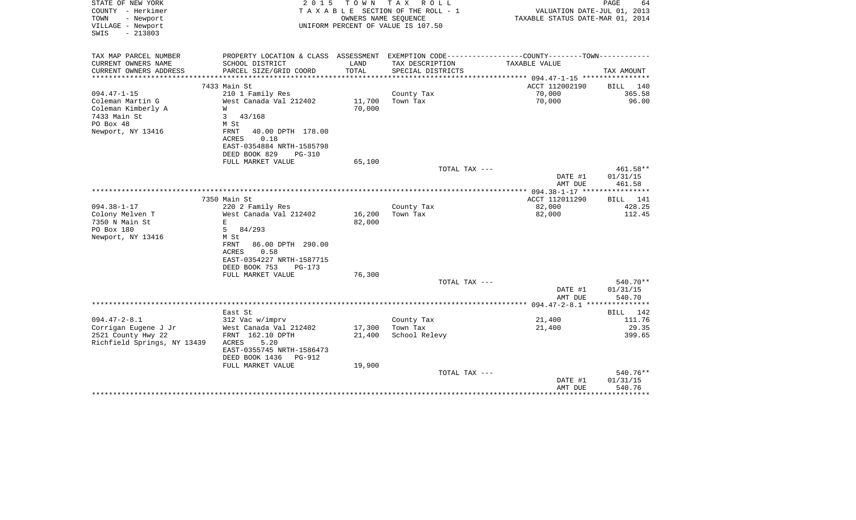| STATE OF NEW YORK<br>COUNTY - Herkimer<br>TOWN<br>- Newport<br>VILLAGE - Newport<br>$-213803$<br>SWIS | 2 0 1 5<br>T O W N<br>T A X<br>R O L L<br>TAXABLE SECTION OF THE ROLL - 1<br>OWNERS NAME SEQUENCE<br>UNIFORM PERCENT OF VALUE IS 107.50 |                                  |                                                                                                 | PAGE<br>64<br>VALUATION DATE-JUL 01, 2013<br>TAXABLE STATUS DATE-MAR 01, 2014 |              |
|-------------------------------------------------------------------------------------------------------|-----------------------------------------------------------------------------------------------------------------------------------------|----------------------------------|-------------------------------------------------------------------------------------------------|-------------------------------------------------------------------------------|--------------|
| TAX MAP PARCEL NUMBER                                                                                 |                                                                                                                                         |                                  | PROPERTY LOCATION & CLASS ASSESSMENT EXEMPTION CODE----------------COUNTY--------TOWN---------- |                                                                               |              |
| CURRENT OWNERS NAME<br>CURRENT OWNERS ADDRESS<br>**************                                       | SCHOOL DISTRICT<br>PARCEL SIZE/GRID COORD<br>********************                                                                       | LAND<br>TOTAL<br>*************** | TAX DESCRIPTION<br>SPECIAL DISTRICTS                                                            | TAXABLE VALUE<br>***************** 094.47-1-15 *****************              | TAX AMOUNT   |
|                                                                                                       | 7433 Main St                                                                                                                            |                                  |                                                                                                 | ACCT 112002190                                                                | BILL 140     |
| $094.47 - 1 - 15$                                                                                     | 210 1 Family Res                                                                                                                        |                                  | County Tax                                                                                      | 70,000                                                                        | 365.58       |
| Coleman Martin G                                                                                      | West Canada Val 212402                                                                                                                  | 11,700                           | Town Tax                                                                                        | 70,000                                                                        | 96.00        |
| Coleman Kimberly A                                                                                    | W                                                                                                                                       | 70,000                           |                                                                                                 |                                                                               |              |
| 7433 Main St                                                                                          | $\mathbf{3}$<br>43/168                                                                                                                  |                                  |                                                                                                 |                                                                               |              |
| PO Box 48                                                                                             | M St                                                                                                                                    |                                  |                                                                                                 |                                                                               |              |
| Newport, NY 13416                                                                                     | 40.00 DPTH 178.00<br>FRNT                                                                                                               |                                  |                                                                                                 |                                                                               |              |
|                                                                                                       | <b>ACRES</b><br>0.18                                                                                                                    |                                  |                                                                                                 |                                                                               |              |
|                                                                                                       | EAST-0354884 NRTH-1585798                                                                                                               |                                  |                                                                                                 |                                                                               |              |
|                                                                                                       | DEED BOOK 829<br>PG-310                                                                                                                 |                                  |                                                                                                 |                                                                               |              |
|                                                                                                       | FULL MARKET VALUE                                                                                                                       | 65,100                           | TOTAL TAX ---                                                                                   |                                                                               | 461.58**     |
|                                                                                                       |                                                                                                                                         |                                  |                                                                                                 | DATE #1                                                                       | 01/31/15     |
|                                                                                                       |                                                                                                                                         |                                  |                                                                                                 | AMT DUE                                                                       | 461.58       |
|                                                                                                       |                                                                                                                                         |                                  |                                                                                                 | ************** 094.38-1-17 *****************                                  |              |
|                                                                                                       | 7350 Main St                                                                                                                            |                                  |                                                                                                 | ACCT 112011290                                                                | 141<br>BILL  |
| $094.38 - 1 - 17$                                                                                     | 220 2 Family Res                                                                                                                        |                                  | County Tax                                                                                      | 82,000                                                                        | 428.25       |
| Colony Melven T                                                                                       | West Canada Val 212402                                                                                                                  | 16,200                           | Town Tax                                                                                        | 82,000                                                                        | 112.45       |
| 7350 N Main St                                                                                        | E                                                                                                                                       | 82,000                           |                                                                                                 |                                                                               |              |
| PO Box 180                                                                                            | 5<br>84/293                                                                                                                             |                                  |                                                                                                 |                                                                               |              |
| Newport, NY 13416                                                                                     | M St                                                                                                                                    |                                  |                                                                                                 |                                                                               |              |
|                                                                                                       | FRNT<br>86.00 DPTH 290.00                                                                                                               |                                  |                                                                                                 |                                                                               |              |
|                                                                                                       | ACRES<br>0.58                                                                                                                           |                                  |                                                                                                 |                                                                               |              |
|                                                                                                       | EAST-0354227 NRTH-1587715<br>DEED BOOK 753<br>PG-173                                                                                    |                                  |                                                                                                 |                                                                               |              |
|                                                                                                       | FULL MARKET VALUE                                                                                                                       | 76,300                           |                                                                                                 |                                                                               |              |
|                                                                                                       |                                                                                                                                         |                                  | TOTAL TAX ---                                                                                   |                                                                               | 540.70**     |
|                                                                                                       |                                                                                                                                         |                                  |                                                                                                 | DATE #1                                                                       | 01/31/15     |
|                                                                                                       |                                                                                                                                         |                                  |                                                                                                 | AMT DUE                                                                       | 540.70       |
|                                                                                                       |                                                                                                                                         |                                  |                                                                                                 |                                                                               |              |
|                                                                                                       | East St                                                                                                                                 |                                  |                                                                                                 |                                                                               | BILL<br>-142 |
| $094.47 - 2 - 8.1$                                                                                    | 312 Vac w/imprv                                                                                                                         |                                  | County Tax                                                                                      | 21,400                                                                        | 111.76       |
| Corrigan Eugene J Jr                                                                                  | West Canada Val 212402                                                                                                                  | 17,300                           | Town Tax                                                                                        | 21,400                                                                        | 29.35        |
| 2521 County Hwy 22                                                                                    | FRNT 162.10 DPTH                                                                                                                        | 21,400                           | School Relevy                                                                                   |                                                                               | 399.65       |
| Richfield Springs, NY 13439                                                                           | 5.20<br>ACRES                                                                                                                           |                                  |                                                                                                 |                                                                               |              |
|                                                                                                       | EAST-0355745 NRTH-1586473                                                                                                               |                                  |                                                                                                 |                                                                               |              |
|                                                                                                       | DEED BOOK 1436<br>PG-912<br>FULL MARKET VALUE                                                                                           | 19,900                           |                                                                                                 |                                                                               |              |
|                                                                                                       |                                                                                                                                         |                                  | TOTAL TAX ---                                                                                   |                                                                               | 540.76**     |
|                                                                                                       |                                                                                                                                         |                                  |                                                                                                 | DATE #1                                                                       | 01/31/15     |
|                                                                                                       |                                                                                                                                         |                                  |                                                                                                 | AMT DUE                                                                       | 540.76       |
|                                                                                                       | **********************                                                                                                                  |                                  |                                                                                                 |                                                                               | ********     |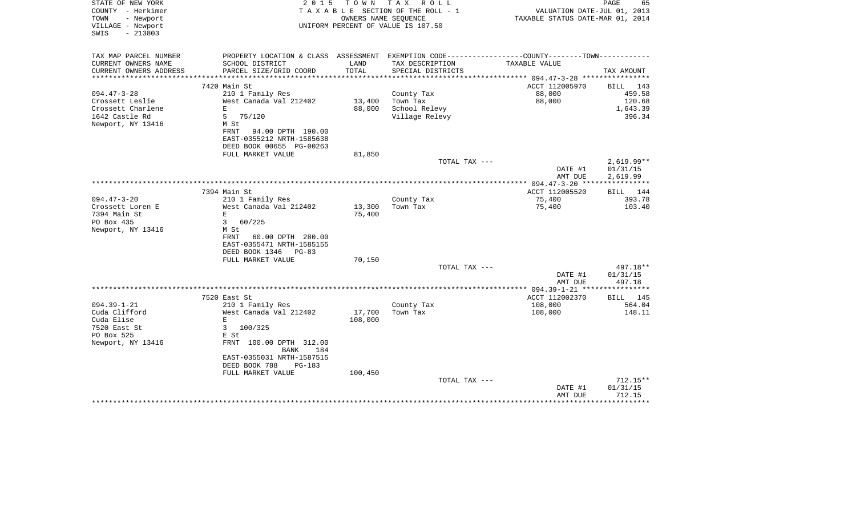| STATE OF NEW YORK<br>COUNTY - Herkimer<br>TOWN<br>- Newport<br>VILLAGE - Newport<br>$-213803$<br>SWIS | 2 0 1 5                                       | T O W N           | TAX ROLL<br>TAXABLE SECTION OF THE ROLL - 1<br>OWNERS NAME SEQUENCE<br>UNIFORM PERCENT OF VALUE IS 107.50 | VALUATION DATE-JUL 01, 2013<br>TAXABLE STATUS DATE-MAR 01, 2014                                 | PAGE<br>65         |
|-------------------------------------------------------------------------------------------------------|-----------------------------------------------|-------------------|-----------------------------------------------------------------------------------------------------------|-------------------------------------------------------------------------------------------------|--------------------|
| TAX MAP PARCEL NUMBER                                                                                 |                                               |                   |                                                                                                           | PROPERTY LOCATION & CLASS ASSESSMENT EXEMPTION CODE----------------COUNTY--------TOWN---------- |                    |
| CURRENT OWNERS NAME                                                                                   | SCHOOL DISTRICT                               | LAND              | TAX DESCRIPTION                                                                                           | TAXABLE VALUE                                                                                   |                    |
| CURRENT OWNERS ADDRESS                                                                                | PARCEL SIZE/GRID COORD                        | TOTAL             | SPECIAL DISTRICTS                                                                                         |                                                                                                 | TAX AMOUNT         |
| **********************                                                                                |                                               |                   |                                                                                                           |                                                                                                 |                    |
| $094.47 - 3 - 28$                                                                                     | 7420 Main St<br>210 1 Family Res              |                   | County Tax                                                                                                | ACCT 112005970<br>88,000                                                                        | BILL 143<br>459.58 |
| Crossett Leslie                                                                                       | West Canada Val 212402                        | 13,400            | Town Tax                                                                                                  | 88,000                                                                                          | 120.68             |
| Crossett Charlene                                                                                     | E                                             | 88,000            | School Relevy                                                                                             |                                                                                                 | 1,643.39           |
| 1642 Castle Rd                                                                                        | 5<br>75/120                                   |                   | Village Relevy                                                                                            |                                                                                                 | 396.34             |
| Newport, NY 13416                                                                                     | M St                                          |                   |                                                                                                           |                                                                                                 |                    |
|                                                                                                       | 94.00 DPTH 190.00<br>FRNT                     |                   |                                                                                                           |                                                                                                 |                    |
|                                                                                                       | EAST-0355212 NRTH-1585638                     |                   |                                                                                                           |                                                                                                 |                    |
|                                                                                                       | DEED BOOK 00655 PG-00263<br>FULL MARKET VALUE | 81,850            |                                                                                                           |                                                                                                 |                    |
|                                                                                                       |                                               |                   | TOTAL TAX ---                                                                                             |                                                                                                 | $2,619.99**$       |
|                                                                                                       |                                               |                   |                                                                                                           | DATE #1                                                                                         | 01/31/15           |
|                                                                                                       |                                               |                   |                                                                                                           | AMT DUE                                                                                         | 2,619.99           |
|                                                                                                       |                                               |                   |                                                                                                           |                                                                                                 |                    |
|                                                                                                       | 7394 Main St                                  |                   |                                                                                                           | ACCT 112005520                                                                                  | BILL 144           |
| $094.47 - 3 - 20$<br>Crossett Loren E                                                                 | 210 1 Family Res<br>West Canada Val 212402    |                   | County Tax<br>Town Tax                                                                                    | 75,400<br>75,400                                                                                | 393.78<br>103.40   |
| 7394 Main St                                                                                          | $\mathbf E$                                   | 13,300<br>75,400  |                                                                                                           |                                                                                                 |                    |
| PO Box 435                                                                                            | 360/225                                       |                   |                                                                                                           |                                                                                                 |                    |
| Newport, NY 13416                                                                                     | M St                                          |                   |                                                                                                           |                                                                                                 |                    |
|                                                                                                       | FRNT<br>60.00 DPTH 280.00                     |                   |                                                                                                           |                                                                                                 |                    |
|                                                                                                       | EAST-0355471 NRTH-1585155                     |                   |                                                                                                           |                                                                                                 |                    |
|                                                                                                       | DEED BOOK 1346<br>$PG-83$                     |                   |                                                                                                           |                                                                                                 |                    |
|                                                                                                       | FULL MARKET VALUE                             | 70,150            | TOTAL TAX ---                                                                                             |                                                                                                 | 497.18**           |
|                                                                                                       |                                               |                   |                                                                                                           | DATE #1                                                                                         | 01/31/15           |
|                                                                                                       |                                               |                   |                                                                                                           | AMT DUE                                                                                         | 497.18             |
|                                                                                                       |                                               |                   |                                                                                                           | **** 094.39-1-21 *****                                                                          | ***********        |
|                                                                                                       | 7520 East St                                  |                   |                                                                                                           | ACCT 112002370                                                                                  | BILL 145           |
| $094.39 - 1 - 21$                                                                                     | 210 1 Family Res                              |                   | County Tax                                                                                                | 108,000                                                                                         | 564.04             |
| Cuda Clifford<br>Cuda Elise                                                                           | West Canada Val 212402<br>$\mathbf{E}$        | 17,700<br>108,000 | Town Tax                                                                                                  | 108,000                                                                                         | 148.11             |
| 7520 East St                                                                                          | 3 100/325                                     |                   |                                                                                                           |                                                                                                 |                    |
| PO Box 525                                                                                            | E St                                          |                   |                                                                                                           |                                                                                                 |                    |
| Newport, NY 13416                                                                                     | FRNT 100.00 DPTH 312.00                       |                   |                                                                                                           |                                                                                                 |                    |
|                                                                                                       | <b>BANK</b><br>184                            |                   |                                                                                                           |                                                                                                 |                    |
|                                                                                                       | EAST-0355031 NRTH-1587515                     |                   |                                                                                                           |                                                                                                 |                    |
|                                                                                                       | DEED BOOK 788<br>PG-183                       |                   |                                                                                                           |                                                                                                 |                    |
|                                                                                                       | FULL MARKET VALUE                             | 100,450           | TOTAL TAX ---                                                                                             |                                                                                                 | $712.15**$         |
|                                                                                                       |                                               |                   |                                                                                                           | DATE #1                                                                                         | 01/31/15           |
|                                                                                                       |                                               |                   |                                                                                                           | AMT DUE                                                                                         | 712.15             |
|                                                                                                       |                                               |                   |                                                                                                           |                                                                                                 | ********           |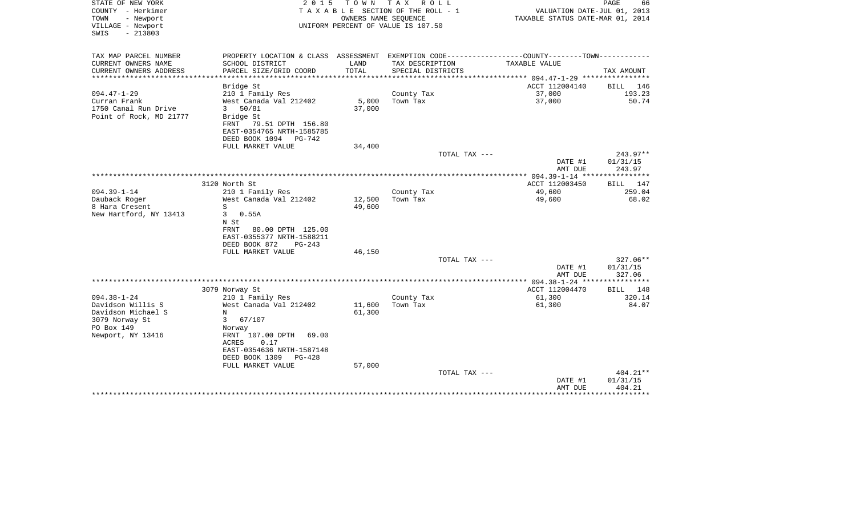| STATE OF NEW YORK<br>COUNTY - Herkimer<br>TOWN<br>- Newport<br>VILLAGE - Newport<br>$-213803$<br>SWIS | 2 0 1 5                                                                                                           | T O W N          | T A X<br>R O L L<br>TAXABLE SECTION OF THE ROLL - 1<br>OWNERS NAME SEQUENCE<br>UNIFORM PERCENT OF VALUE IS 107.50 | VALUATION DATE-JUL 01, 2013<br>TAXABLE STATUS DATE-MAR 01, 2014 | PAGE<br>66                  |
|-------------------------------------------------------------------------------------------------------|-------------------------------------------------------------------------------------------------------------------|------------------|-------------------------------------------------------------------------------------------------------------------|-----------------------------------------------------------------|-----------------------------|
| TAX MAP PARCEL NUMBER<br>CURRENT OWNERS NAME                                                          | PROPERTY LOCATION & CLASS ASSESSMENT EXEMPTION CODE----------------COUNTY-------TOWN----------<br>SCHOOL DISTRICT | LAND             | TAX DESCRIPTION                                                                                                   | TAXABLE VALUE                                                   |                             |
| CURRENT OWNERS ADDRESS                                                                                | PARCEL SIZE/GRID COORD                                                                                            | TOTAL            | SPECIAL DISTRICTS                                                                                                 |                                                                 | TAX AMOUNT                  |
| *********************                                                                                 | *********************                                                                                             |                  | ******************************                                                                                    | ***************** 094.47-1-29 *****************                 |                             |
|                                                                                                       | Bridge St                                                                                                         |                  |                                                                                                                   | ACCT 112004140                                                  | <b>BILL</b> 146             |
| $094.47 - 1 - 29$                                                                                     | 210 1 Family Res                                                                                                  |                  | County Tax                                                                                                        | 37,000                                                          | 193.23                      |
| Curran Frank                                                                                          | West Canada Val 212402<br>3 50/81                                                                                 | 5,000<br>37,000  | Town Tax                                                                                                          | 37,000                                                          | 50.74                       |
| 1750 Canal Run Drive<br>Point of Rock, MD 21777                                                       | Bridge St                                                                                                         |                  |                                                                                                                   |                                                                 |                             |
|                                                                                                       | FRNT<br>79.51 DPTH 156.80                                                                                         |                  |                                                                                                                   |                                                                 |                             |
|                                                                                                       | EAST-0354765 NRTH-1585785                                                                                         |                  |                                                                                                                   |                                                                 |                             |
|                                                                                                       | DEED BOOK 1094 PG-742                                                                                             |                  |                                                                                                                   |                                                                 |                             |
|                                                                                                       | FULL MARKET VALUE                                                                                                 | 34,400           |                                                                                                                   |                                                                 |                             |
|                                                                                                       |                                                                                                                   |                  | TOTAL TAX ---                                                                                                     | DATE #1                                                         | 243.97**<br>01/31/15        |
|                                                                                                       |                                                                                                                   |                  |                                                                                                                   | AMT DUE                                                         | 243.97                      |
|                                                                                                       |                                                                                                                   |                  |                                                                                                                   | ******* 094.39-1-14 ****                                        | ***********                 |
|                                                                                                       | 3120 North St                                                                                                     |                  |                                                                                                                   | ACCT 112003450                                                  | <b>BILL</b> 147             |
| $094.39 - 1 - 14$                                                                                     | 210 1 Family Res                                                                                                  |                  | County Tax                                                                                                        | 49,600                                                          | 259.04                      |
| Dauback Roger<br>8 Hara Cresent                                                                       | West Canada Val 212402<br>S                                                                                       | 12,500<br>49,600 | Town Tax                                                                                                          | 49,600                                                          | 68.02                       |
| New Hartford, NY 13413                                                                                | 0.55A<br>3                                                                                                        |                  |                                                                                                                   |                                                                 |                             |
|                                                                                                       | N St                                                                                                              |                  |                                                                                                                   |                                                                 |                             |
|                                                                                                       | 80.00 DPTH 125.00<br>FRNT                                                                                         |                  |                                                                                                                   |                                                                 |                             |
|                                                                                                       | EAST-0355377 NRTH-1588211                                                                                         |                  |                                                                                                                   |                                                                 |                             |
|                                                                                                       | DEED BOOK 872<br>$PG-243$                                                                                         |                  |                                                                                                                   |                                                                 |                             |
|                                                                                                       | FULL MARKET VALUE                                                                                                 | 46,150           | TOTAL TAX ---                                                                                                     |                                                                 | $327.06**$                  |
|                                                                                                       |                                                                                                                   |                  |                                                                                                                   | DATE #1                                                         | 01/31/15                    |
|                                                                                                       |                                                                                                                   |                  |                                                                                                                   | AMT DUE                                                         | 327.06                      |
|                                                                                                       |                                                                                                                   |                  |                                                                                                                   |                                                                 |                             |
|                                                                                                       | 3079 Norway St                                                                                                    |                  |                                                                                                                   | ACCT 112004470                                                  | BILL 148                    |
| $094.38 - 1 - 24$<br>Davidson Willis S                                                                | 210 1 Family Res<br>West Canada Val 212402                                                                        | 11,600           | County Tax<br>Town Tax                                                                                            | 61,300<br>61,300                                                | 320.14<br>84.07             |
| Davidson Michael S                                                                                    | $_{\rm N}$                                                                                                        | 61,300           |                                                                                                                   |                                                                 |                             |
| 3079 Norway St                                                                                        | 3 67/107                                                                                                          |                  |                                                                                                                   |                                                                 |                             |
| PO Box 149                                                                                            | Norway                                                                                                            |                  |                                                                                                                   |                                                                 |                             |
| Newport, NY 13416                                                                                     | FRNT 107.00 DPTH<br>69.00                                                                                         |                  |                                                                                                                   |                                                                 |                             |
|                                                                                                       | ACRES<br>0.17                                                                                                     |                  |                                                                                                                   |                                                                 |                             |
|                                                                                                       | EAST-0354636 NRTH-1587148<br>DEED BOOK 1309<br>PG-428                                                             |                  |                                                                                                                   |                                                                 |                             |
|                                                                                                       | FULL MARKET VALUE                                                                                                 | 57,000           |                                                                                                                   |                                                                 |                             |
|                                                                                                       |                                                                                                                   |                  | TOTAL TAX ---                                                                                                     |                                                                 | 404.21**                    |
|                                                                                                       |                                                                                                                   |                  |                                                                                                                   | DATE #1                                                         | 01/31/15                    |
|                                                                                                       |                                                                                                                   |                  |                                                                                                                   | AMT DUE                                                         | 404.21<br>* * * * * * * * * |
|                                                                                                       |                                                                                                                   |                  |                                                                                                                   |                                                                 |                             |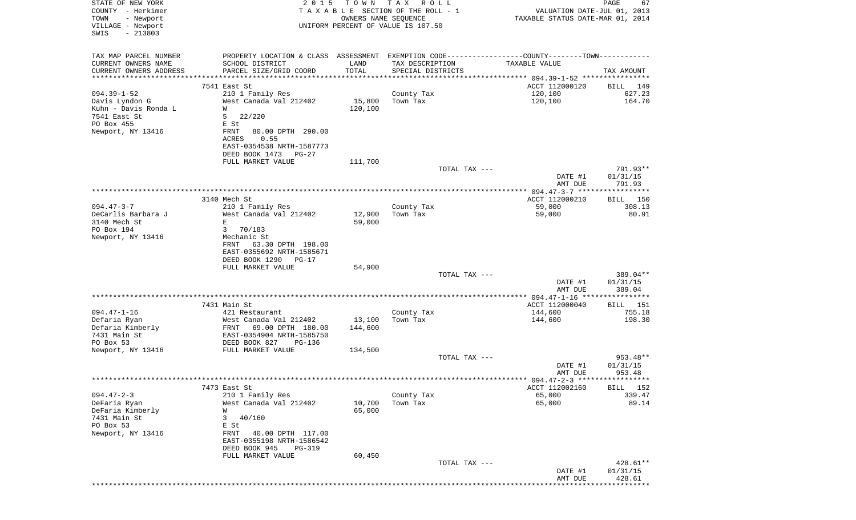| STATE OF NEW YORK<br>COUNTY - Herkimer<br>TOWN<br>- Newport<br>VILLAGE - Newport<br>$-213803$<br>SWIS | 2 0 1 5                                                                                       | T O W N<br>OWNERS NAME SEQUENCE | TAX ROLL<br>TAXABLE SECTION OF THE ROLL - 1<br>UNIFORM PERCENT OF VALUE IS 107.50 | VALUATION DATE-JUL 01, 2013<br>TAXABLE STATUS DATE-MAR 01, 2014 | PAGE<br>67           |
|-------------------------------------------------------------------------------------------------------|-----------------------------------------------------------------------------------------------|---------------------------------|-----------------------------------------------------------------------------------|-----------------------------------------------------------------|----------------------|
|                                                                                                       |                                                                                               |                                 |                                                                                   |                                                                 |                      |
| TAX MAP PARCEL NUMBER                                                                                 | PROPERTY LOCATION & CLASS ASSESSMENT EXEMPTION CODE---------------COUNTY-------TOWN---------- |                                 |                                                                                   |                                                                 |                      |
| CURRENT OWNERS NAME                                                                                   | SCHOOL DISTRICT                                                                               | LAND                            | TAX DESCRIPTION                                                                   | TAXABLE VALUE                                                   |                      |
| CURRENT OWNERS ADDRESS<br>**********************                                                      | PARCEL SIZE/GRID COORD                                                                        | TOTAL                           | SPECIAL DISTRICTS                                                                 |                                                                 | TAX AMOUNT           |
|                                                                                                       | 7541 East St                                                                                  |                                 |                                                                                   | ACCT 112000120                                                  | BILL 149             |
| $094.39 - 1 - 52$                                                                                     | 210 1 Family Res                                                                              |                                 | County Tax                                                                        | 120,100                                                         | 627.23               |
| Davis Lyndon G                                                                                        | West Canada Val 212402                                                                        | 15,800                          | Town Tax                                                                          | 120,100                                                         | 164.70               |
| Kuhn - Davis Ronda L                                                                                  | W                                                                                             | 120,100                         |                                                                                   |                                                                 |                      |
| 7541 East St                                                                                          | 5<br>22/220                                                                                   |                                 |                                                                                   |                                                                 |                      |
| PO Box 455                                                                                            | E St                                                                                          |                                 |                                                                                   |                                                                 |                      |
| Newport, NY 13416                                                                                     | FRNT<br>80.00 DPTH 290.00<br>ACRES<br>0.55                                                    |                                 |                                                                                   |                                                                 |                      |
|                                                                                                       | EAST-0354538 NRTH-1587773                                                                     |                                 |                                                                                   |                                                                 |                      |
|                                                                                                       | DEED BOOK 1473 PG-27                                                                          |                                 |                                                                                   |                                                                 |                      |
|                                                                                                       | FULL MARKET VALUE                                                                             | 111,700                         |                                                                                   |                                                                 |                      |
|                                                                                                       |                                                                                               |                                 | TOTAL TAX ---                                                                     |                                                                 | 791.93**             |
|                                                                                                       |                                                                                               |                                 |                                                                                   | DATE #1<br>AMT DUE                                              | 01/31/15<br>791.93   |
|                                                                                                       |                                                                                               |                                 |                                                                                   |                                                                 |                      |
|                                                                                                       | 3140 Mech St                                                                                  |                                 |                                                                                   | ACCT 112000210                                                  | BILL 150             |
| $094.47 - 3 - 7$                                                                                      | 210 1 Family Res                                                                              |                                 | County Tax                                                                        | 59,000                                                          | 308.13               |
| DeCarlis Barbara J                                                                                    | West Canada Val 212402                                                                        | 12,900                          | Town Tax                                                                          | 59,000                                                          | 80.91                |
| 3140 Mech St                                                                                          | E                                                                                             | 59,000                          |                                                                                   |                                                                 |                      |
| PO Box 194<br>Newport, NY 13416                                                                       | 3<br>70/183<br>Mechanic St                                                                    |                                 |                                                                                   |                                                                 |                      |
|                                                                                                       | FRNT 63.30 DPTH 198.00                                                                        |                                 |                                                                                   |                                                                 |                      |
|                                                                                                       | EAST-0355692 NRTH-1585671                                                                     |                                 |                                                                                   |                                                                 |                      |
|                                                                                                       | DEED BOOK 1290<br>$PG-17$                                                                     |                                 |                                                                                   |                                                                 |                      |
|                                                                                                       | FULL MARKET VALUE                                                                             | 54,900                          |                                                                                   |                                                                 |                      |
|                                                                                                       |                                                                                               |                                 | TOTAL TAX ---                                                                     | DATE #1                                                         | 389.04**<br>01/31/15 |
|                                                                                                       |                                                                                               |                                 |                                                                                   | AMT DUE                                                         | 389.04               |
|                                                                                                       |                                                                                               |                                 |                                                                                   | ************ 094.47-1-16 *****************                      |                      |
|                                                                                                       | 7431 Main St                                                                                  |                                 |                                                                                   | ACCT 112000040                                                  | BILL 151             |
| $094.47 - 1 - 16$                                                                                     | 421 Restaurant                                                                                |                                 | County Tax                                                                        | 144,600                                                         | 755.18               |
| Defaria Ryan                                                                                          | West Canada Val 212402                                                                        | 13,100                          | Town Tax                                                                          | 144,600                                                         | 198.30               |
| Defaria Kimberly<br>7431 Main St                                                                      | 69.00 DPTH 180.00<br>FRNT<br>EAST-0354904 NRTH-1585750                                        | 144,600                         |                                                                                   |                                                                 |                      |
| PO Box 53                                                                                             | DEED BOOK 827<br>$PG-136$                                                                     |                                 |                                                                                   |                                                                 |                      |
| Newport, NY 13416                                                                                     | FULL MARKET VALUE                                                                             | 134,500                         |                                                                                   |                                                                 |                      |
|                                                                                                       |                                                                                               |                                 | TOTAL TAX ---                                                                     |                                                                 | 953.48**             |
|                                                                                                       |                                                                                               |                                 |                                                                                   | DATE #1                                                         | 01/31/15             |
|                                                                                                       |                                                                                               |                                 |                                                                                   | AMT DUE                                                         | 953.48               |
|                                                                                                       | 7473 East St                                                                                  |                                 |                                                                                   | ACCT 112002160                                                  | BILL 152             |
| $094.47 - 2 - 3$                                                                                      | 210 1 Family Res                                                                              |                                 | County Tax                                                                        | 65,000                                                          | 339.47               |
| DeFaria Ryan                                                                                          | West Canada Val 212402                                                                        | 10,700                          | Town Tax                                                                          | 65,000                                                          | 89.14                |
| DeFaria Kimberly                                                                                      | W                                                                                             | 65,000                          |                                                                                   |                                                                 |                      |
| 7431 Main St<br>PO Box 53                                                                             | 3<br>40/160<br>E St                                                                           |                                 |                                                                                   |                                                                 |                      |
| Newport, NY 13416                                                                                     | FRNT<br>40.00 DPTH 117.00                                                                     |                                 |                                                                                   |                                                                 |                      |
|                                                                                                       | EAST-0355198 NRTH-1586542                                                                     |                                 |                                                                                   |                                                                 |                      |
|                                                                                                       | DEED BOOK 945<br>PG-319                                                                       |                                 |                                                                                   |                                                                 |                      |
|                                                                                                       | FULL MARKET VALUE                                                                             | 60,450                          |                                                                                   |                                                                 |                      |
|                                                                                                       |                                                                                               |                                 | TOTAL TAX ---                                                                     | DATE #1                                                         | 428.61**<br>01/31/15 |
|                                                                                                       |                                                                                               |                                 |                                                                                   | AMT DUE                                                         | 428.61               |
|                                                                                                       |                                                                                               |                                 |                                                                                   |                                                                 |                      |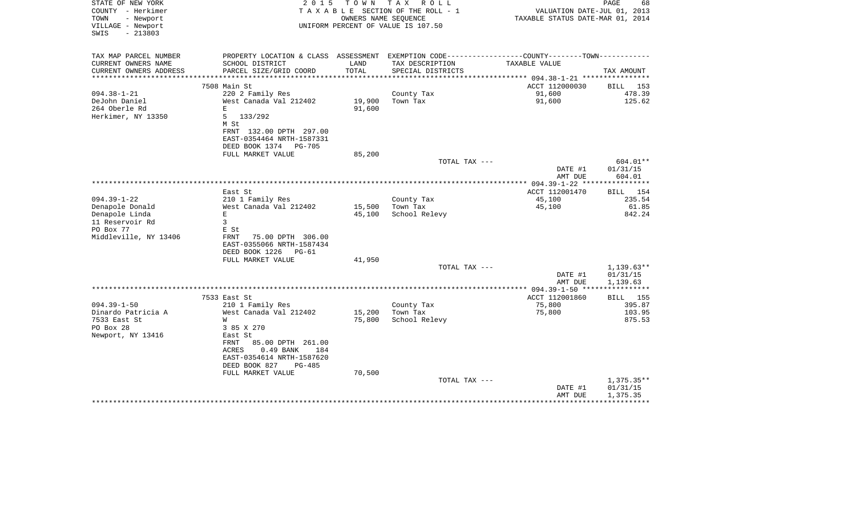| STATE OF NEW YORK<br>COUNTY - Herkimer<br>TOWN<br>- Newport<br>VILLAGE - Newport<br>$-213803$<br>SWIS | 2 0 1 5                                    | T O W N          | TAX ROLL<br>TAXABLE SECTION OF THE ROLL - 1<br>OWNERS NAME SEQUENCE<br>UNIFORM PERCENT OF VALUE IS 107.50 | VALUATION DATE-JUL 01, 2013<br>TAXABLE STATUS DATE-MAR 01, 2014 | PAGE<br>68         |
|-------------------------------------------------------------------------------------------------------|--------------------------------------------|------------------|-----------------------------------------------------------------------------------------------------------|-----------------------------------------------------------------|--------------------|
| TAX MAP PARCEL NUMBER                                                                                 | PROPERTY LOCATION & CLASS ASSESSMENT       |                  |                                                                                                           | EXEMPTION CODE-----------------COUNTY-------TOWN-----------     |                    |
| CURRENT OWNERS NAME                                                                                   | SCHOOL DISTRICT                            | LAND             | TAX DESCRIPTION                                                                                           | TAXABLE VALUE                                                   |                    |
| CURRENT OWNERS ADDRESS                                                                                | PARCEL SIZE/GRID COORD                     | TOTAL            | SPECIAL DISTRICTS                                                                                         |                                                                 | TAX AMOUNT         |
| **********************                                                                                |                                            |                  |                                                                                                           |                                                                 |                    |
| $094.38 - 1 - 21$                                                                                     | 7508 Main St                               |                  |                                                                                                           | ACCT 112000030<br>91,600                                        | BILL 153<br>478.39 |
| DeJohn Daniel                                                                                         | 220 2 Family Res<br>West Canada Val 212402 | 19,900           | County Tax<br>Town Tax                                                                                    | 91,600                                                          | 125.62             |
| 264 Oberle Rd                                                                                         | Е                                          | 91,600           |                                                                                                           |                                                                 |                    |
| Herkimer, NY 13350                                                                                    | 5<br>133/292                               |                  |                                                                                                           |                                                                 |                    |
|                                                                                                       | M St                                       |                  |                                                                                                           |                                                                 |                    |
|                                                                                                       | FRNT 132.00 DPTH 297.00                    |                  |                                                                                                           |                                                                 |                    |
|                                                                                                       | EAST-0354464 NRTH-1587331                  |                  |                                                                                                           |                                                                 |                    |
|                                                                                                       | DEED BOOK 1374 PG-705<br>FULL MARKET VALUE |                  |                                                                                                           |                                                                 |                    |
|                                                                                                       |                                            | 85,200           | TOTAL TAX ---                                                                                             |                                                                 | 604.01**           |
|                                                                                                       |                                            |                  |                                                                                                           | DATE #1                                                         | 01/31/15           |
|                                                                                                       |                                            |                  |                                                                                                           | AMT DUE                                                         | 604.01             |
|                                                                                                       |                                            |                  |                                                                                                           |                                                                 |                    |
|                                                                                                       | East St                                    |                  |                                                                                                           | ACCT 112001470                                                  | BILL 154           |
| $094.39 - 1 - 22$                                                                                     | 210 1 Family Res                           |                  | County Tax                                                                                                | 45,100                                                          | 235.54             |
| Denapole Donald<br>Denapole Linda                                                                     | West Canada Val 212402<br>E                | 15,500<br>45,100 | Town Tax<br>School Relevy                                                                                 | 45,100                                                          | 61.85<br>842.24    |
| 11 Reservoir Rd                                                                                       | 3                                          |                  |                                                                                                           |                                                                 |                    |
| PO Box 77                                                                                             | E St                                       |                  |                                                                                                           |                                                                 |                    |
| Middleville, NY 13406                                                                                 | FRNT<br>75.00 DPTH 306.00                  |                  |                                                                                                           |                                                                 |                    |
|                                                                                                       | EAST-0355066 NRTH-1587434                  |                  |                                                                                                           |                                                                 |                    |
|                                                                                                       | DEED BOOK 1226<br>$PG-61$                  |                  |                                                                                                           |                                                                 |                    |
|                                                                                                       | FULL MARKET VALUE                          | 41,950           | TOTAL TAX ---                                                                                             |                                                                 | $1,139.63**$       |
|                                                                                                       |                                            |                  |                                                                                                           | DATE #1                                                         | 01/31/15           |
|                                                                                                       |                                            |                  |                                                                                                           | AMT DUE                                                         | 1,139.63           |
|                                                                                                       |                                            |                  |                                                                                                           | ******** 094.39-1-50 ****************                           |                    |
|                                                                                                       | 7533 East St                               |                  |                                                                                                           | ACCT 112001860                                                  | BILL 155           |
| $094.39 - 1 - 50$                                                                                     | 210 1 Family Res                           |                  | County Tax                                                                                                | 75,800                                                          | 395.87             |
| Dinardo Patricia A<br>7533 East St                                                                    | West Canada Val 212402<br>W                | 15,200<br>75,800 | Town Tax<br>School Relevy                                                                                 | 75,800                                                          | 103.95<br>875.53   |
| PO Box 28                                                                                             | 3 85 X 270                                 |                  |                                                                                                           |                                                                 |                    |
| Newport, NY 13416                                                                                     | East St                                    |                  |                                                                                                           |                                                                 |                    |
|                                                                                                       | FRNT<br>85.00 DPTH 261.00                  |                  |                                                                                                           |                                                                 |                    |
|                                                                                                       | $0.49$ BANK<br>184<br>ACRES                |                  |                                                                                                           |                                                                 |                    |
|                                                                                                       | EAST-0354614 NRTH-1587620                  |                  |                                                                                                           |                                                                 |                    |
|                                                                                                       | DEED BOOK 827<br>PG-485                    |                  |                                                                                                           |                                                                 |                    |
|                                                                                                       | FULL MARKET VALUE                          | 70,500           | TOTAL TAX ---                                                                                             |                                                                 | $1,375.35**$       |
|                                                                                                       |                                            |                  |                                                                                                           | DATE #1                                                         | 01/31/15           |
|                                                                                                       |                                            |                  |                                                                                                           | AMT DUE                                                         | 1,375.35           |
|                                                                                                       |                                            |                  |                                                                                                           |                                                                 |                    |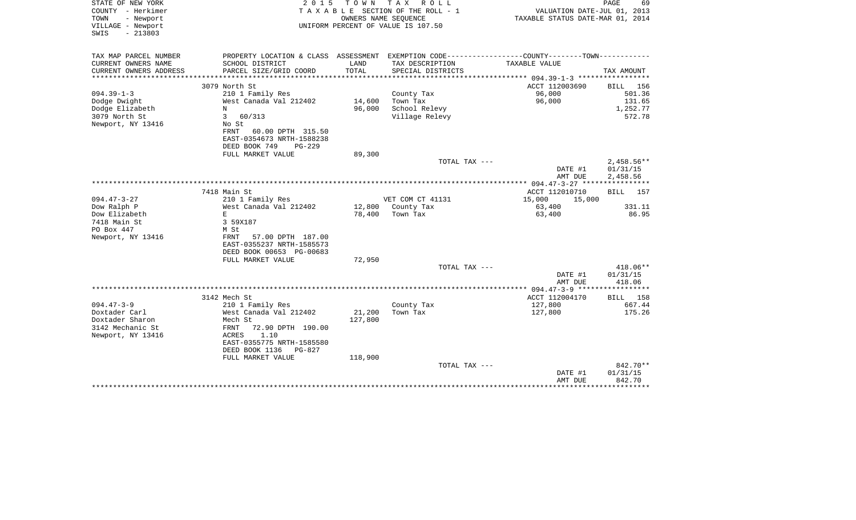| STATE OF NEW YORK<br>COUNTY - Herkimer<br>TOWN<br>- Newport<br>VILLAGE - Newport<br>$-213803$<br>SWIS | 2 0 1 5                                        | T O W N<br>OWNERS NAME SEQUENCE | TAX ROLL<br>TAXABLE SECTION OF THE ROLL - 1<br>UNIFORM PERCENT OF VALUE IS 107.50           | VALUATION DATE-JUL 01, 2013<br>TAXABLE STATUS DATE-MAR 01, 2014 | PAGE<br>69               |
|-------------------------------------------------------------------------------------------------------|------------------------------------------------|---------------------------------|---------------------------------------------------------------------------------------------|-----------------------------------------------------------------|--------------------------|
| TAX MAP PARCEL NUMBER                                                                                 |                                                |                                 | PROPERTY LOCATION & CLASS ASSESSMENT EXEMPTION CODE----------------COUNTY-------TOWN------- |                                                                 |                          |
| CURRENT OWNERS NAME                                                                                   | SCHOOL DISTRICT                                | LAND<br>TOTAL                   | TAX DESCRIPTION                                                                             | TAXABLE VALUE                                                   |                          |
| CURRENT OWNERS ADDRESS<br>*********************                                                       | PARCEL SIZE/GRID COORD<br>******************** | ***********                     | SPECIAL DISTRICTS                                                                           | ********** 094.39-1-3 *****************                         | TAX AMOUNT               |
|                                                                                                       | 3079 North St                                  |                                 |                                                                                             | ACCT 112003690                                                  | <b>BILL</b><br>156       |
| $094.39 - 1 - 3$                                                                                      | 210 1 Family Res                               |                                 | County Tax                                                                                  | 96,000                                                          | 501.36                   |
| Dodge Dwight                                                                                          | West Canada Val 212402                         | 14,600                          | Town Tax                                                                                    | 96,000                                                          | 131.65                   |
| Dodge Elizabeth                                                                                       | N                                              | 96,000                          | School Relevy                                                                               |                                                                 | 1,252.77                 |
| 3079 North St                                                                                         | 3<br>60/313                                    |                                 | Village Relevy                                                                              |                                                                 | 572.78                   |
| Newport, NY 13416                                                                                     | No St                                          |                                 |                                                                                             |                                                                 |                          |
|                                                                                                       | FRNT<br>60.00 DPTH 315.50                      |                                 |                                                                                             |                                                                 |                          |
|                                                                                                       | EAST-0354673 NRTH-1588238                      |                                 |                                                                                             |                                                                 |                          |
|                                                                                                       | DEED BOOK 749<br>PG-229                        |                                 |                                                                                             |                                                                 |                          |
|                                                                                                       | FULL MARKET VALUE                              | 89,300                          |                                                                                             |                                                                 |                          |
|                                                                                                       |                                                |                                 | TOTAL TAX ---                                                                               | DATE #1                                                         | $2,458.56**$<br>01/31/15 |
|                                                                                                       |                                                |                                 |                                                                                             | AMT DUE                                                         | 2,458.56                 |
|                                                                                                       |                                                |                                 |                                                                                             |                                                                 | *****                    |
|                                                                                                       | 7418 Main St                                   |                                 |                                                                                             | ACCT 112010710                                                  | <b>BILL</b><br>157       |
| $094.47 - 3 - 27$                                                                                     | 210 1 Family Res                               |                                 | VET COM CT 41131                                                                            | 15,000<br>15,000                                                |                          |
| Dow Ralph P                                                                                           | West Canada Val 212402                         | 12,800                          | County Tax                                                                                  | 63,400                                                          | 331.11                   |
| Dow Elizabeth                                                                                         | E.                                             | 78,400                          | Town Tax                                                                                    | 63,400                                                          | 86.95                    |
| 7418 Main St                                                                                          | 3 59X187                                       |                                 |                                                                                             |                                                                 |                          |
| PO Box 447                                                                                            | M St                                           |                                 |                                                                                             |                                                                 |                          |
| Newport, NY 13416                                                                                     | FRNT<br>57.00 DPTH 187.00                      |                                 |                                                                                             |                                                                 |                          |
|                                                                                                       | EAST-0355237 NRTH-1585573                      |                                 |                                                                                             |                                                                 |                          |
|                                                                                                       | DEED BOOK 00653 PG-00683                       |                                 |                                                                                             |                                                                 |                          |
|                                                                                                       | FULL MARKET VALUE                              | 72,950                          |                                                                                             |                                                                 | 418.06**                 |
|                                                                                                       |                                                |                                 | TOTAL TAX ---                                                                               | DATE #1                                                         | 01/31/15                 |
|                                                                                                       |                                                |                                 |                                                                                             | AMT DUE                                                         | 418.06                   |
|                                                                                                       |                                                |                                 |                                                                                             |                                                                 |                          |
|                                                                                                       | 3142 Mech St                                   |                                 |                                                                                             | ACCT 112004170                                                  | <b>BILL</b> 158          |
| $094.47 - 3 - 9$                                                                                      | 210 1 Family Res                               |                                 | County Tax                                                                                  | 127,800                                                         | 667.44                   |
| Doxtader Carl                                                                                         | West Canada Val 212402                         | 21,200                          | Town Tax                                                                                    | 127,800                                                         | 175.26                   |
| Doxtader Sharon                                                                                       | Mech St                                        | 127,800                         |                                                                                             |                                                                 |                          |
| 3142 Mechanic St                                                                                      | FRNT<br>72.90 DPTH 190.00                      |                                 |                                                                                             |                                                                 |                          |
| Newport, NY 13416                                                                                     | <b>ACRES</b><br>1.10                           |                                 |                                                                                             |                                                                 |                          |
|                                                                                                       | EAST-0355775 NRTH-1585580                      |                                 |                                                                                             |                                                                 |                          |
|                                                                                                       | DEED BOOK 1136<br>PG-827                       |                                 |                                                                                             |                                                                 |                          |
|                                                                                                       | FULL MARKET VALUE                              | 118,900                         | TOTAL TAX ---                                                                               |                                                                 | 842.70**                 |
|                                                                                                       |                                                |                                 |                                                                                             | DATE #1                                                         | 01/31/15                 |
|                                                                                                       |                                                |                                 |                                                                                             | AMT DUE                                                         | 842.70                   |
|                                                                                                       | ************************                       |                                 |                                                                                             |                                                                 | ********                 |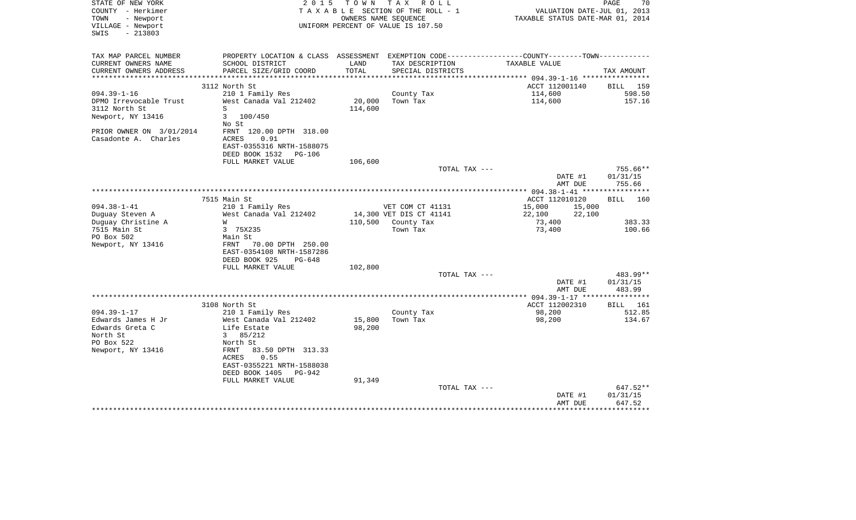| STATE OF NEW YORK<br>COUNTY - Herkimer<br>TOWN<br>- Newport<br>VILLAGE - Newport<br>$-213803$<br>SWIS       | 2 0 1 5<br>T O W N<br>TAXABLE SECTION OF THE ROLL - 1<br>UNIFORM PERCENT OF VALUE IS 107.50 | T A X<br>R O L L<br>OWNERS NAME SEQUENCE    | VALUATION DATE-JUL 01, 2013<br>TAXABLE STATUS DATE-MAR 01, 2014                               | PAGE<br>70 |
|-------------------------------------------------------------------------------------------------------------|---------------------------------------------------------------------------------------------|---------------------------------------------|-----------------------------------------------------------------------------------------------|------------|
| TAX MAP PARCEL NUMBER                                                                                       |                                                                                             |                                             | PROPERTY LOCATION & CLASS ASSESSMENT EXEMPTION CODE---------------COUNTY-------TOWN---------- |            |
| CURRENT OWNERS NAME<br>SCHOOL DISTRICT                                                                      | LAND                                                                                        | TAX DESCRIPTION                             | TAXABLE VALUE                                                                                 |            |
| CURRENT OWNERS ADDRESS<br>PARCEL SIZE/GRID COORD<br>*****************************<br>********************** | TOTAL<br>**************                                                                     | SPECIAL DISTRICTS<br>********************** |                                                                                               | TAX AMOUNT |
| 3112 North St                                                                                               |                                                                                             |                                             | *********** 094.39-1-16 *****************<br>ACCT 112001140                                   | BILL 159   |
| $094.39 - 1 - 16$<br>210 1 Family Res                                                                       |                                                                                             | County Tax                                  | 114,600                                                                                       | 598.50     |
| West Canada Val 212402<br>DPMO Irrevocable Trust                                                            | 20,000                                                                                      | Town Tax                                    | 114,600                                                                                       | 157.16     |
| 3112 North St<br>S                                                                                          | 114,600                                                                                     |                                             |                                                                                               |            |
| 3<br>100/450<br>Newport, NY 13416                                                                           |                                                                                             |                                             |                                                                                               |            |
| No St                                                                                                       |                                                                                             |                                             |                                                                                               |            |
| PRIOR OWNER ON 3/01/2014<br>FRNT 120.00 DPTH 318.00                                                         |                                                                                             |                                             |                                                                                               |            |
| Casadonte A. Charles<br><b>ACRES</b><br>0.91                                                                |                                                                                             |                                             |                                                                                               |            |
| EAST-0355316 NRTH-1588075                                                                                   |                                                                                             |                                             |                                                                                               |            |
| DEED BOOK 1532                                                                                              | PG-106                                                                                      |                                             |                                                                                               |            |
| FULL MARKET VALUE                                                                                           | 106,600                                                                                     |                                             |                                                                                               |            |
|                                                                                                             |                                                                                             | TOTAL TAX ---                               |                                                                                               | 755.66**   |
|                                                                                                             |                                                                                             |                                             | DATE #1                                                                                       | 01/31/15   |
|                                                                                                             |                                                                                             |                                             | AMT DUE                                                                                       | 755.66     |
| 7515 Main St                                                                                                |                                                                                             |                                             | ACCT 112010120                                                                                | BILL 160   |
| $094.38 - 1 - 41$<br>210 1 Family Res                                                                       |                                                                                             | VET COM CT 41131                            | 15,000<br>15,000                                                                              |            |
| Duquay Steven A<br>West Canada Val 212402                                                                   |                                                                                             | 14,300 VET DIS CT 41141                     | 22,100<br>22,100                                                                              |            |
| Duguay Christine A<br>W                                                                                     | 110,500                                                                                     | County Tax                                  | 73,400                                                                                        | 383.33     |
| 7515 Main St<br>3 75X235                                                                                    |                                                                                             | Town Tax                                    | 73,400                                                                                        | 100.66     |
| PO Box 502<br>Main St                                                                                       |                                                                                             |                                             |                                                                                               |            |
| Newport, NY 13416<br>FRNT                                                                                   | 70.00 DPTH 250.00                                                                           |                                             |                                                                                               |            |
| EAST-0354108 NRTH-1587286                                                                                   |                                                                                             |                                             |                                                                                               |            |
| DEED BOOK 925                                                                                               | $PG-648$                                                                                    |                                             |                                                                                               |            |
| FULL MARKET VALUE                                                                                           | 102,800                                                                                     |                                             |                                                                                               |            |
|                                                                                                             |                                                                                             | TOTAL TAX ---                               |                                                                                               | 483.99**   |
|                                                                                                             |                                                                                             |                                             | DATE #1                                                                                       | 01/31/15   |
|                                                                                                             |                                                                                             |                                             | AMT DUE                                                                                       | 483.99     |
| 3108 North St                                                                                               |                                                                                             |                                             | ACCT 112002310                                                                                | BILL 161   |
| $094.39 - 1 - 17$<br>210 1 Family Res                                                                       |                                                                                             | County Tax                                  | 98,200                                                                                        | 512.85     |
| Edwards James H Jr<br>West Canada Val 212402                                                                | 15,800                                                                                      | Town Tax                                    | 98,200                                                                                        | 134.67     |
| Edwards Greta C<br>Life Estate                                                                              | 98,200                                                                                      |                                             |                                                                                               |            |
| North St<br>385/212                                                                                         |                                                                                             |                                             |                                                                                               |            |
| PO Box 522<br>North St                                                                                      |                                                                                             |                                             |                                                                                               |            |
| Newport, NY 13416<br>FRNT                                                                                   | 83.50 DPTH 313.33                                                                           |                                             |                                                                                               |            |
| ACRES<br>0.55                                                                                               |                                                                                             |                                             |                                                                                               |            |
| EAST-0355221 NRTH-1588038                                                                                   |                                                                                             |                                             |                                                                                               |            |
| DEED BOOK 1405                                                                                              | PG-942                                                                                      |                                             |                                                                                               |            |
| FULL MARKET VALUE                                                                                           | 91,349                                                                                      |                                             |                                                                                               |            |
|                                                                                                             |                                                                                             | TOTAL TAX ---                               |                                                                                               | 647.52**   |
|                                                                                                             |                                                                                             |                                             | DATE #1                                                                                       | 01/31/15   |
|                                                                                                             |                                                                                             |                                             | AMT DUE                                                                                       | 647.52     |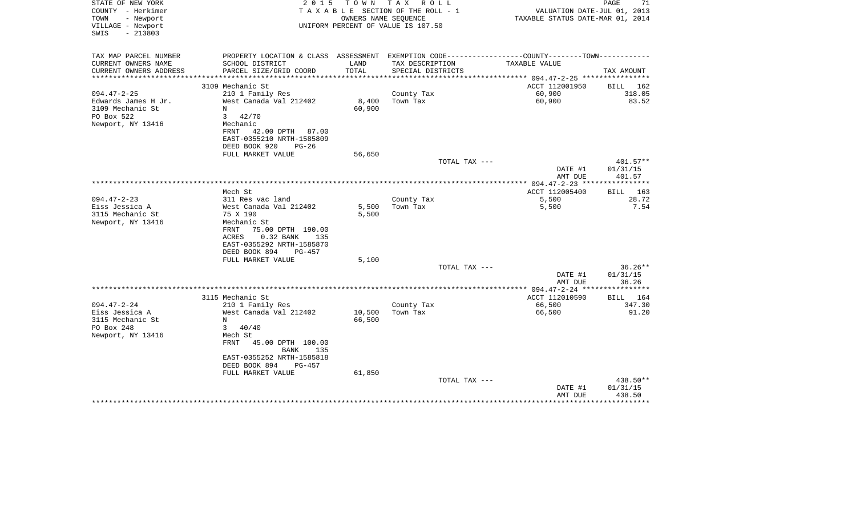| STATE OF NEW YORK<br>COUNTY - Herkimer<br>TOWN<br>- Newport<br>VILLAGE - Newport<br>$-213803$<br>SWIS | 2 0 1 5                                                                                                                                   | T O W N          | TAX ROLL<br>TAXABLE SECTION OF THE ROLL - 1<br>OWNERS NAME SEQUENCE<br>UNIFORM PERCENT OF VALUE IS 107.50 | VALUATION DATE-JUL 01, 2013<br>TAXABLE STATUS DATE-MAR 01, 2014                              | PAGE<br>71                         |
|-------------------------------------------------------------------------------------------------------|-------------------------------------------------------------------------------------------------------------------------------------------|------------------|-----------------------------------------------------------------------------------------------------------|----------------------------------------------------------------------------------------------|------------------------------------|
| TAX MAP PARCEL NUMBER                                                                                 |                                                                                                                                           |                  |                                                                                                           | PROPERTY LOCATION & CLASS ASSESSMENT EXEMPTION CODE---------------COUNTY-------TOWN--------- |                                    |
| CURRENT OWNERS NAME<br>CURRENT OWNERS ADDRESS<br>*********************                                | SCHOOL DISTRICT<br>PARCEL SIZE/GRID COORD                                                                                                 | LAND<br>TOTAL    | TAX DESCRIPTION<br>SPECIAL DISTRICTS                                                                      | TAXABLE VALUE                                                                                | TAX AMOUNT                         |
|                                                                                                       | 3109 Mechanic St                                                                                                                          |                  |                                                                                                           | ACCT 112001950                                                                               | BILL 162                           |
| $094.47 - 2 - 25$                                                                                     | 210 1 Family Res                                                                                                                          |                  | County Tax                                                                                                | 60,900                                                                                       | 318.05                             |
| Edwards James H Jr.<br>3109 Mechanic St                                                               | West Canada Val 212402<br>N                                                                                                               | 8,400<br>60,900  | Town Tax                                                                                                  | 60,900                                                                                       | 83.52                              |
| PO Box 522<br>Newport, NY 13416                                                                       | 3, 42/70<br>Mechanic<br>FRNT<br>42.00 DPTH 87.00<br>EAST-0355210 NRTH-1585809<br>DEED BOOK 920<br>$PG-26$<br>FULL MARKET VALUE            | 56,650           |                                                                                                           |                                                                                              |                                    |
|                                                                                                       |                                                                                                                                           |                  | TOTAL TAX ---                                                                                             |                                                                                              | 401.57**                           |
|                                                                                                       |                                                                                                                                           |                  |                                                                                                           | DATE #1<br>AMT DUE                                                                           | 01/31/15<br>401.57                 |
|                                                                                                       |                                                                                                                                           |                  |                                                                                                           |                                                                                              |                                    |
| $094.47 - 2 - 23$                                                                                     | Mech St<br>311 Res vac land                                                                                                               |                  | County Tax                                                                                                | ACCT 112005400<br>5,500                                                                      | BILL 163<br>28.72                  |
| Eiss Jessica A                                                                                        | West Canada Val 212402                                                                                                                    | 5,500            | Town Tax                                                                                                  | 5,500                                                                                        | 7.54                               |
| 3115 Mechanic St<br>Newport, NY 13416                                                                 | 75 X 190<br>Mechanic St<br>75.00 DPTH 190.00<br>FRNT<br>0.32 BANK<br>ACRES<br>135<br>EAST-0355292 NRTH-1585870<br>DEED BOOK 894<br>PG-457 | 5,500            |                                                                                                           |                                                                                              |                                    |
|                                                                                                       | FULL MARKET VALUE                                                                                                                         | 5,100            | TOTAL TAX ---                                                                                             |                                                                                              | $36.26**$                          |
|                                                                                                       |                                                                                                                                           |                  |                                                                                                           | DATE #1<br>AMT DUE                                                                           | 01/31/15<br>36.26                  |
|                                                                                                       |                                                                                                                                           |                  |                                                                                                           | ******** 094.47-2-24 *****************                                                       |                                    |
|                                                                                                       | 3115 Mechanic St                                                                                                                          |                  |                                                                                                           | ACCT 112010590                                                                               | BILL 164                           |
| $094.47 - 2 - 24$                                                                                     | 210 1 Family Res                                                                                                                          |                  | County Tax                                                                                                | 66,500                                                                                       | 347.30                             |
| Eiss Jessica A<br>3115 Mechanic St                                                                    | West Canada Val 212402<br>N                                                                                                               | 10,500<br>66,500 | Town Tax                                                                                                  | 66,500                                                                                       | 91.20                              |
| PO Box 248                                                                                            | $3^{\circ}$<br>40/40                                                                                                                      |                  |                                                                                                           |                                                                                              |                                    |
| Newport, NY 13416                                                                                     | Mech St<br>FRNT<br>45.00 DPTH 100.00<br><b>BANK</b><br>135<br>EAST-0355252 NRTH-1585818<br>DEED BOOK 894<br>PG-457<br>FULL MARKET VALUE   | 61,850           |                                                                                                           |                                                                                              |                                    |
|                                                                                                       |                                                                                                                                           |                  | TOTAL TAX ---                                                                                             |                                                                                              | 438.50**                           |
|                                                                                                       |                                                                                                                                           |                  |                                                                                                           | DATE #1<br>AMT DUE<br>*********************                                                  | 01/31/15<br>438.50<br>************ |
|                                                                                                       |                                                                                                                                           |                  |                                                                                                           |                                                                                              |                                    |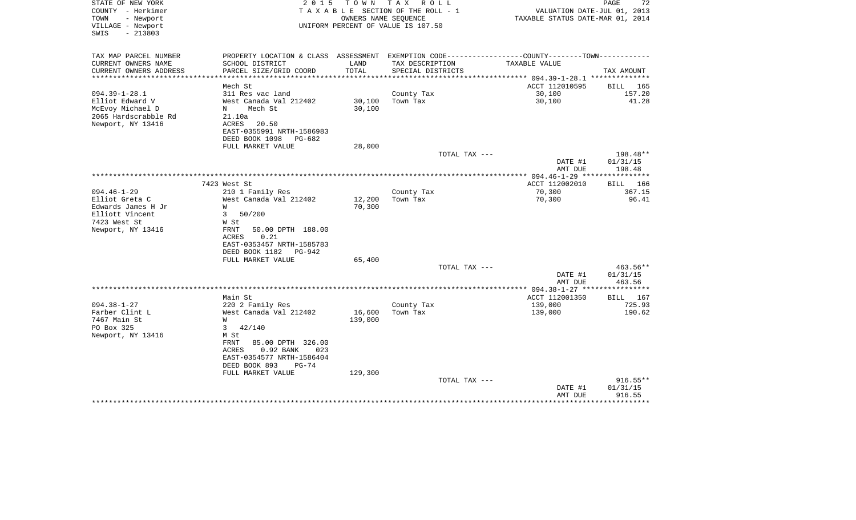| STATE OF NEW YORK<br>COUNTY - Herkimer<br>TOWN<br>- Newport<br>VILLAGE - Newport<br>$-213803$<br>SWIS | 2 0 1 5                                                                                        | T O W N<br>OWNERS NAME SEQUENCE | TAX ROLL<br>TAXABLE SECTION OF THE ROLL - 1<br>UNIFORM PERCENT OF VALUE IS 107.50 |               | VALUATION DATE-JUL 01, 2013<br>TAXABLE STATUS DATE-MAR 01, 2014 | PAGE<br>72           |
|-------------------------------------------------------------------------------------------------------|------------------------------------------------------------------------------------------------|---------------------------------|-----------------------------------------------------------------------------------|---------------|-----------------------------------------------------------------|----------------------|
| TAX MAP PARCEL NUMBER                                                                                 | PROPERTY LOCATION & CLASS ASSESSMENT EXEMPTION CODE----------------COUNTY-------TOWN---------- |                                 |                                                                                   |               |                                                                 |                      |
| CURRENT OWNERS NAME                                                                                   | SCHOOL DISTRICT                                                                                | LAND                            | TAX DESCRIPTION                                                                   | TAXABLE VALUE |                                                                 |                      |
| CURRENT OWNERS ADDRESS<br>*********************                                                       | PARCEL SIZE/GRID COORD<br>***********************                                              | TOTAL<br>****************       | SPECIAL DISTRICTS                                                                 |               |                                                                 | TAX AMOUNT           |
|                                                                                                       | Mech St                                                                                        |                                 |                                                                                   |               | ACCT 112010595                                                  |                      |
| $094.39 - 1 - 28.1$                                                                                   | 311 Res vac land                                                                               |                                 | County Tax                                                                        |               | 30,100                                                          | BILL 165<br>157.20   |
| Elliot Edward V                                                                                       | West Canada Val 212402                                                                         | 30,100                          | Town Tax                                                                          |               | 30,100                                                          | 41.28                |
| McEvoy Michael D                                                                                      | Mech St<br>N                                                                                   | 30,100                          |                                                                                   |               |                                                                 |                      |
| 2065 Hardscrabble Rd                                                                                  | 21.10a                                                                                         |                                 |                                                                                   |               |                                                                 |                      |
| Newport, NY 13416                                                                                     | ACRES<br>20.50                                                                                 |                                 |                                                                                   |               |                                                                 |                      |
|                                                                                                       | EAST-0355991 NRTH-1586983                                                                      |                                 |                                                                                   |               |                                                                 |                      |
|                                                                                                       | DEED BOOK 1098<br>PG-682                                                                       |                                 |                                                                                   |               |                                                                 |                      |
|                                                                                                       | FULL MARKET VALUE                                                                              | 28,000                          |                                                                                   | TOTAL TAX --- |                                                                 | 198.48**             |
|                                                                                                       |                                                                                                |                                 |                                                                                   |               | DATE #1                                                         | 01/31/15             |
|                                                                                                       |                                                                                                |                                 |                                                                                   |               | AMT DUE                                                         | 198.48               |
|                                                                                                       |                                                                                                |                                 |                                                                                   |               |                                                                 |                      |
|                                                                                                       | 7423 West St                                                                                   |                                 |                                                                                   |               | ACCT 112002010                                                  | BILL 166             |
| $094.46 - 1 - 29$                                                                                     | 210 1 Family Res                                                                               |                                 | County Tax                                                                        |               | 70,300                                                          | 367.15               |
| Elliot Greta C                                                                                        | West Canada Val 212402                                                                         | 12,200                          | Town Tax                                                                          |               | 70,300                                                          | 96.41                |
| Edwards James H Jr<br>Elliott Vincent                                                                 | W<br>50/200<br>3                                                                               | 70,300                          |                                                                                   |               |                                                                 |                      |
| 7423 West St                                                                                          | W St                                                                                           |                                 |                                                                                   |               |                                                                 |                      |
| Newport, NY 13416                                                                                     | 50.00 DPTH 188.00<br>FRNT                                                                      |                                 |                                                                                   |               |                                                                 |                      |
|                                                                                                       | 0.21<br>ACRES                                                                                  |                                 |                                                                                   |               |                                                                 |                      |
|                                                                                                       | EAST-0353457 NRTH-1585783                                                                      |                                 |                                                                                   |               |                                                                 |                      |
|                                                                                                       | DEED BOOK 1182<br>PG-942                                                                       |                                 |                                                                                   |               |                                                                 |                      |
|                                                                                                       | FULL MARKET VALUE                                                                              | 65,400                          |                                                                                   |               |                                                                 |                      |
|                                                                                                       |                                                                                                |                                 |                                                                                   | TOTAL TAX --- | DATE #1                                                         | 463.56**<br>01/31/15 |
|                                                                                                       |                                                                                                |                                 |                                                                                   |               | AMT DUE                                                         | 463.56               |
|                                                                                                       |                                                                                                |                                 |                                                                                   |               | *** 094.38-1-27 ***                                             | **********           |
|                                                                                                       | Main St                                                                                        |                                 |                                                                                   |               | ACCT 112001350                                                  | BILL 167             |
| $094.38 - 1 - 27$                                                                                     | 220 2 Family Res                                                                               |                                 | County Tax                                                                        |               | 139,000                                                         | 725.93               |
| Farber Clint L                                                                                        | West Canada Val 212402                                                                         | 16,600                          | Town Tax                                                                          |               | 139,000                                                         | 190.62               |
| 7467 Main St                                                                                          | W                                                                                              | 139,000                         |                                                                                   |               |                                                                 |                      |
| PO Box 325<br>Newport, NY 13416                                                                       | 3<br>42/140<br>M St                                                                            |                                 |                                                                                   |               |                                                                 |                      |
|                                                                                                       | FRNT<br>85.00 DPTH 326.00                                                                      |                                 |                                                                                   |               |                                                                 |                      |
|                                                                                                       | <b>ACRES</b><br>0.92 BANK<br>023                                                               |                                 |                                                                                   |               |                                                                 |                      |
|                                                                                                       | EAST-0354577 NRTH-1586404                                                                      |                                 |                                                                                   |               |                                                                 |                      |
|                                                                                                       | DEED BOOK 893<br>$PG-74$                                                                       |                                 |                                                                                   |               |                                                                 |                      |
|                                                                                                       | FULL MARKET VALUE                                                                              | 129,300                         |                                                                                   |               |                                                                 |                      |
|                                                                                                       |                                                                                                |                                 |                                                                                   | TOTAL TAX --- |                                                                 | $916.55**$           |
|                                                                                                       |                                                                                                |                                 |                                                                                   |               | DATE #1<br>AMT DUE                                              | 01/31/15<br>916.55   |
|                                                                                                       |                                                                                                |                                 |                                                                                   |               |                                                                 | ********             |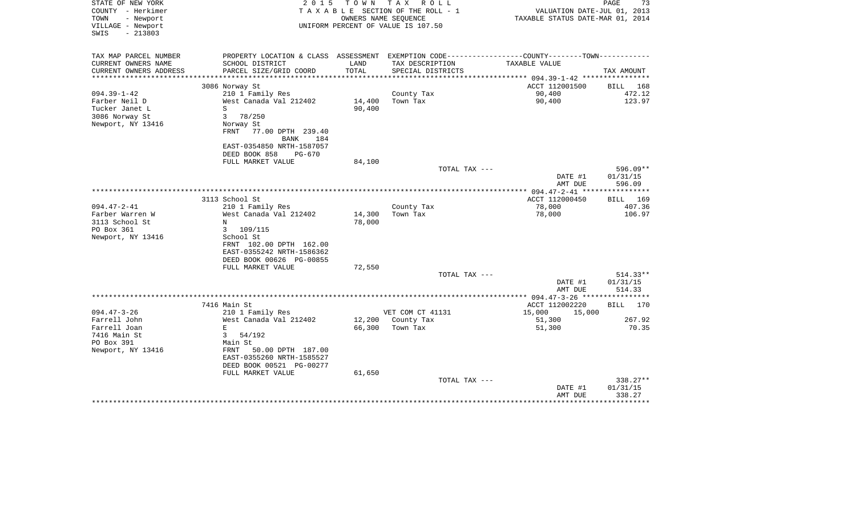| STATE OF NEW YORK<br>COUNTY - Herkimer<br>TOWN<br>- Newport<br>VILLAGE - Newport<br>$-213803$<br>SWIS | 2 0 1 5                   | T O W N<br>OWNERS NAME SEOUENCE | T A X<br>R O L L<br>TAXABLE SECTION OF THE ROLL - 1<br>UNIFORM PERCENT OF VALUE IS 107.50 | VALUATION DATE-JUL 01, 2013<br>TAXABLE STATUS DATE-MAR 01, 2014                               | PAGE<br>73                       |
|-------------------------------------------------------------------------------------------------------|---------------------------|---------------------------------|-------------------------------------------------------------------------------------------|-----------------------------------------------------------------------------------------------|----------------------------------|
| TAX MAP PARCEL NUMBER                                                                                 |                           |                                 |                                                                                           | PROPERTY LOCATION & CLASS ASSESSMENT EXEMPTION CODE---------------COUNTY-------TOWN---------- |                                  |
| CURRENT OWNERS NAME                                                                                   | SCHOOL DISTRICT           | LAND                            | TAX DESCRIPTION                                                                           | TAXABLE VALUE                                                                                 |                                  |
| CURRENT OWNERS ADDRESS<br>*********************                                                       | PARCEL SIZE/GRID COORD    | TOTAL                           | SPECIAL DISTRICTS                                                                         |                                                                                               | TAX AMOUNT                       |
|                                                                                                       | 3086 Norway St            |                                 |                                                                                           | ACCT 112001500                                                                                | BILL<br>168                      |
| $094.39 - 1 - 42$                                                                                     | 210 1 Family Res          |                                 | County Tax                                                                                | 90,400                                                                                        | 472.12                           |
| Farber Neil D                                                                                         | West Canada Val 212402    | 14,400                          | Town Tax                                                                                  | 90,400                                                                                        | 123.97                           |
| Tucker Janet L                                                                                        | S                         | 90,400                          |                                                                                           |                                                                                               |                                  |
| 3086 Norway St                                                                                        | 3<br>78/250               |                                 |                                                                                           |                                                                                               |                                  |
| Newport, NY 13416                                                                                     | Norway St                 |                                 |                                                                                           |                                                                                               |                                  |
|                                                                                                       | FRNT<br>77.00 DPTH 239.40 |                                 |                                                                                           |                                                                                               |                                  |
|                                                                                                       | <b>BANK</b><br>184        |                                 |                                                                                           |                                                                                               |                                  |
|                                                                                                       | EAST-0354850 NRTH-1587057 |                                 |                                                                                           |                                                                                               |                                  |
|                                                                                                       | PG-670<br>DEED BOOK 858   |                                 |                                                                                           |                                                                                               |                                  |
|                                                                                                       | FULL MARKET VALUE         | 84,100                          |                                                                                           |                                                                                               |                                  |
|                                                                                                       |                           |                                 | TOTAL TAX ---                                                                             | DATE #1<br>AMT DUE                                                                            | $596.09**$<br>01/31/15<br>596.09 |
|                                                                                                       |                           |                                 |                                                                                           |                                                                                               |                                  |
|                                                                                                       | 3113 School St            |                                 |                                                                                           | ACCT 112000450                                                                                | 169<br><b>BILL</b>               |
| $094.47 - 2 - 41$                                                                                     | 210 1 Family Res          |                                 | County Tax                                                                                | 78,000                                                                                        | 407.36                           |
| Farber Warren W                                                                                       | West Canada Val 212402    | 14,300                          | Town Tax                                                                                  | 78,000                                                                                        | 106.97                           |
| 3113 School St                                                                                        | N                         | 78,000                          |                                                                                           |                                                                                               |                                  |
| PO Box 361                                                                                            | 109/115<br>3              |                                 |                                                                                           |                                                                                               |                                  |
| Newport, NY 13416                                                                                     | School St                 |                                 |                                                                                           |                                                                                               |                                  |
|                                                                                                       | FRNT 102.00 DPTH 162.00   |                                 |                                                                                           |                                                                                               |                                  |
|                                                                                                       | EAST-0355242 NRTH-1586362 |                                 |                                                                                           |                                                                                               |                                  |
|                                                                                                       | DEED BOOK 00626 PG-00855  |                                 |                                                                                           |                                                                                               |                                  |
|                                                                                                       | FULL MARKET VALUE         | 72,550                          | TOTAL TAX ---                                                                             |                                                                                               | $514.33**$                       |
|                                                                                                       |                           |                                 |                                                                                           | DATE #1                                                                                       | 01/31/15                         |
|                                                                                                       |                           |                                 |                                                                                           | AMT DUE                                                                                       | 514.33                           |
|                                                                                                       |                           |                                 |                                                                                           |                                                                                               |                                  |
|                                                                                                       | 7416 Main St              |                                 |                                                                                           | ACCT 112002220                                                                                | BILL 170                         |
| $094.47 - 3 - 26$                                                                                     | 210 1 Family Res          |                                 | VET COM CT 41131                                                                          | 15,000<br>15,000                                                                              |                                  |
| Farrell John                                                                                          | West Canada Val 212402    |                                 | 12,200 County Tax                                                                         | 51,300                                                                                        | 267.92                           |
| Farrell Joan                                                                                          | $\mathbf E$               | 66,300                          | Town Tax                                                                                  | 51,300                                                                                        | 70.35                            |
| 7416 Main St                                                                                          | 3<br>54/192               |                                 |                                                                                           |                                                                                               |                                  |
| PO Box 391                                                                                            | Main St                   |                                 |                                                                                           |                                                                                               |                                  |
| Newport, NY 13416                                                                                     | FRNT<br>50.00 DPTH 187.00 |                                 |                                                                                           |                                                                                               |                                  |
|                                                                                                       | EAST-0355260 NRTH-1585527 |                                 |                                                                                           |                                                                                               |                                  |
|                                                                                                       | DEED BOOK 00521 PG-00277  |                                 |                                                                                           |                                                                                               |                                  |
|                                                                                                       | FULL MARKET VALUE         | 61,650                          |                                                                                           |                                                                                               |                                  |
|                                                                                                       |                           |                                 | TOTAL TAX ---                                                                             | DATE #1                                                                                       | 338.27**<br>01/31/15             |
|                                                                                                       |                           |                                 |                                                                                           | AMT DUE                                                                                       | 338.27                           |
|                                                                                                       |                           |                                 |                                                                                           |                                                                                               |                                  |
|                                                                                                       |                           |                                 |                                                                                           |                                                                                               |                                  |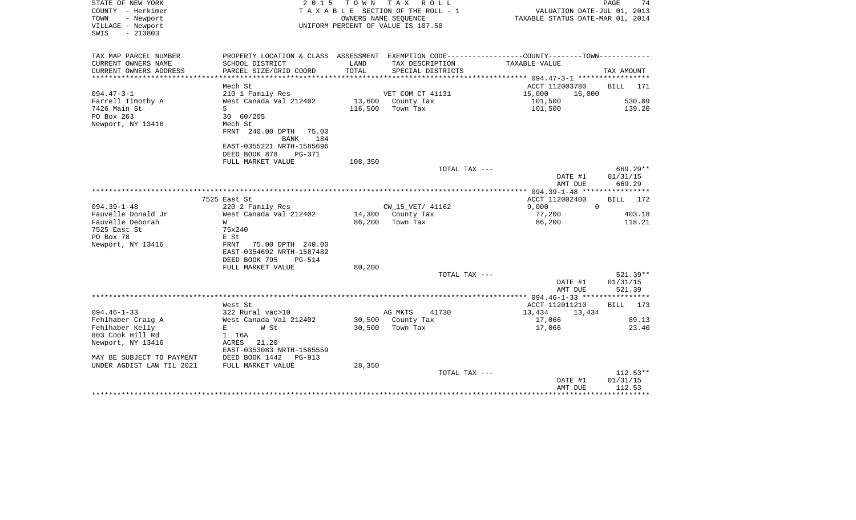| STATE OF NEW YORK<br>COUNTY - Herkimer<br>- Newport<br>TOWN<br>VILLAGE - Newport<br>SWIS<br>$-213803$ | 2 0 1 5                                   | T O W N       | T A X<br>R O L L<br>TAXABLE SECTION OF THE ROLL - 1<br>OWNERS NAME SEQUENCE<br>UNIFORM PERCENT OF VALUE IS 107.50 | VALUATION DATE-JUL 01, 2013<br>TAXABLE STATUS DATE-MAR 01, 2014                                 | PAGE<br>74         |
|-------------------------------------------------------------------------------------------------------|-------------------------------------------|---------------|-------------------------------------------------------------------------------------------------------------------|-------------------------------------------------------------------------------------------------|--------------------|
|                                                                                                       |                                           |               |                                                                                                                   |                                                                                                 |                    |
| TAX MAP PARCEL NUMBER                                                                                 |                                           |               |                                                                                                                   | PROPERTY LOCATION & CLASS ASSESSMENT EXEMPTION CODE----------------COUNTY--------TOWN---------- |                    |
| CURRENT OWNERS NAME<br>CURRENT OWNERS ADDRESS                                                         | SCHOOL DISTRICT<br>PARCEL SIZE/GRID COORD | LAND<br>TOTAL | TAX DESCRIPTION<br>SPECIAL DISTRICTS                                                                              | TAXABLE VALUE                                                                                   | TAX AMOUNT         |
| ****************                                                                                      |                                           |               |                                                                                                                   | ***************** 094.47-3-1 ******************                                                 |                    |
|                                                                                                       | Mech St                                   |               |                                                                                                                   | ACCT 112003780                                                                                  | BILL 171           |
| $094.47 - 3 - 1$                                                                                      | 210 1 Family Res                          |               | VET COM CT 41131                                                                                                  | 15,000<br>15,000                                                                                |                    |
| Farrell Timothy A                                                                                     | West Canada Val 212402                    | 13,600        | County Tax                                                                                                        | 101,500                                                                                         | 530.09             |
| 7426 Main St                                                                                          | S                                         | 116,500       | Town Tax                                                                                                          | 101,500                                                                                         | 139.20             |
| PO Box 263                                                                                            | 30 60/205                                 |               |                                                                                                                   |                                                                                                 |                    |
| Newport, NY 13416                                                                                     | Mech St                                   |               |                                                                                                                   |                                                                                                 |                    |
|                                                                                                       | FRNT 240.00 DPTH<br>75.00                 |               |                                                                                                                   |                                                                                                 |                    |
|                                                                                                       | 184<br>BANK<br>EAST-0355221 NRTH-1585696  |               |                                                                                                                   |                                                                                                 |                    |
|                                                                                                       | DEED BOOK 878<br>$PG-371$                 |               |                                                                                                                   |                                                                                                 |                    |
|                                                                                                       | FULL MARKET VALUE                         | 108,350       |                                                                                                                   |                                                                                                 |                    |
|                                                                                                       |                                           |               | TOTAL TAX ---                                                                                                     |                                                                                                 | $669.29**$         |
|                                                                                                       |                                           |               |                                                                                                                   | DATE #1                                                                                         | 01/31/15           |
|                                                                                                       |                                           |               |                                                                                                                   | AMT DUE                                                                                         | 669.29             |
|                                                                                                       |                                           |               |                                                                                                                   | ***** 094.39-1-48 *****************                                                             |                    |
|                                                                                                       | 7525 East St                              |               |                                                                                                                   | ACCT 112002400                                                                                  | BILL<br>172        |
| $094.39 - 1 - 48$                                                                                     | 220 2 Family Res                          |               | CW_15_VET/ 41162                                                                                                  | 9,000<br>$\Omega$                                                                               |                    |
| Fauvelle Donald Jr                                                                                    | West Canada Val 212402                    | 14,300        | County Tax                                                                                                        | 77,200                                                                                          | 403.18             |
| Fauvelle Deborah                                                                                      | W                                         | 86,200        | Town Tax                                                                                                          | 86,200                                                                                          | 118.21             |
| 7525 East St                                                                                          | 75x240                                    |               |                                                                                                                   |                                                                                                 |                    |
| PO Box 78                                                                                             | E St                                      |               |                                                                                                                   |                                                                                                 |                    |
| Newport, NY 13416                                                                                     | 75.00 DPTH 240.00<br>FRNT                 |               |                                                                                                                   |                                                                                                 |                    |
|                                                                                                       | EAST-0354692 NRTH-1587482                 |               |                                                                                                                   |                                                                                                 |                    |
|                                                                                                       | DEED BOOK 795<br><b>PG-514</b>            |               |                                                                                                                   |                                                                                                 |                    |
|                                                                                                       | FULL MARKET VALUE                         | 80,200        |                                                                                                                   |                                                                                                 |                    |
|                                                                                                       |                                           |               | TOTAL TAX ---                                                                                                     |                                                                                                 | $521.39**$         |
|                                                                                                       |                                           |               |                                                                                                                   | DATE #1<br>AMT DUE                                                                              | 01/31/15<br>521.39 |
|                                                                                                       |                                           |               |                                                                                                                   |                                                                                                 |                    |
|                                                                                                       | West St                                   |               |                                                                                                                   | ACCT 112011210                                                                                  | <b>BILL</b><br>173 |
| $094.46 - 1 - 33$                                                                                     | 322 Rural vac>10                          |               | AG MKTS<br>41730                                                                                                  | 13,434<br>13,434                                                                                |                    |
| Fehlhaber Craig A                                                                                     | West Canada Val 212402                    | 30,500        | County Tax                                                                                                        | 17,066                                                                                          | 89.13              |
| Fehlhaber Kelly                                                                                       | W St<br>Е                                 | 30,500        | Town Tax                                                                                                          | 17,066                                                                                          | 23.40              |
| 803 Cook Hill Rd                                                                                      | 1 16A                                     |               |                                                                                                                   |                                                                                                 |                    |
| Newport, NY 13416                                                                                     | 21.20<br>ACRES                            |               |                                                                                                                   |                                                                                                 |                    |
|                                                                                                       | EAST-0353083 NRTH-1585559                 |               |                                                                                                                   |                                                                                                 |                    |
| MAY BE SUBJECT TO PAYMENT                                                                             | DEED BOOK 1442<br>$PG-913$                |               |                                                                                                                   |                                                                                                 |                    |
| UNDER AGDIST LAW TIL 2021                                                                             | FULL MARKET VALUE                         | 28,350        |                                                                                                                   |                                                                                                 |                    |
|                                                                                                       |                                           |               | TOTAL TAX ---                                                                                                     |                                                                                                 | $112.53**$         |
|                                                                                                       |                                           |               |                                                                                                                   | DATE #1                                                                                         | 01/31/15           |
|                                                                                                       |                                           |               |                                                                                                                   | AMT DUE                                                                                         | 112.53             |
|                                                                                                       |                                           |               |                                                                                                                   |                                                                                                 |                    |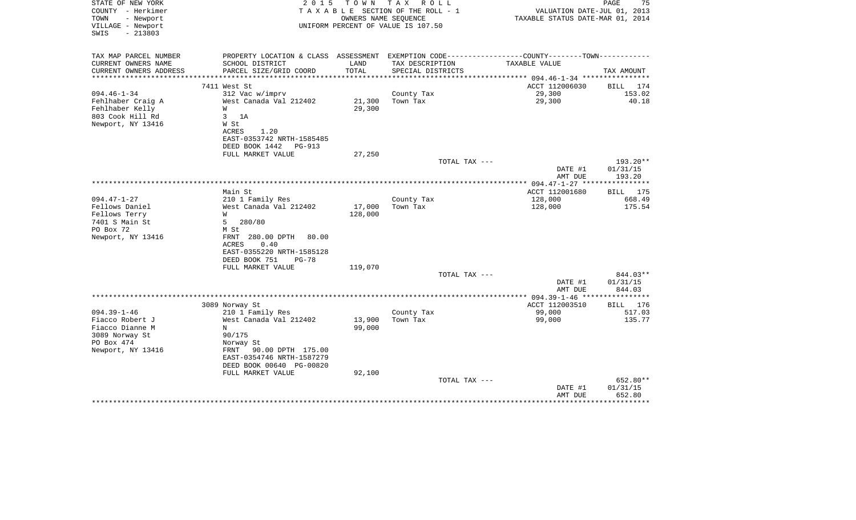| STATE OF NEW YORK<br>COUNTY - Herkimer<br>TOWN<br>- Newport<br>VILLAGE - Newport<br>$-213803$<br>SWIS | 2 0 1 5                                                                                       | T O W N           | T A X<br>R O L L<br>TAXABLE SECTION OF THE ROLL - 1<br>OWNERS NAME SEQUENCE<br>UNIFORM PERCENT OF VALUE IS 107.50 | VALUATION DATE-JUL 01, 2013<br>TAXABLE STATUS DATE-MAR 01, 2014 | PAGE<br>75         |
|-------------------------------------------------------------------------------------------------------|-----------------------------------------------------------------------------------------------|-------------------|-------------------------------------------------------------------------------------------------------------------|-----------------------------------------------------------------|--------------------|
|                                                                                                       |                                                                                               |                   |                                                                                                                   |                                                                 |                    |
| TAX MAP PARCEL NUMBER                                                                                 | PROPERTY LOCATION & CLASS ASSESSMENT EXEMPTION CODE---------------COUNTY-------TOWN---------- |                   |                                                                                                                   |                                                                 |                    |
| CURRENT OWNERS NAME                                                                                   | SCHOOL DISTRICT                                                                               | LAND              | TAX DESCRIPTION                                                                                                   | TAXABLE VALUE                                                   |                    |
| CURRENT OWNERS ADDRESS<br>*********************                                                       | PARCEL SIZE/GRID COORD                                                                        | TOTAL             | SPECIAL DISTRICTS                                                                                                 |                                                                 | TAX AMOUNT         |
|                                                                                                       | 7411 West St                                                                                  |                   |                                                                                                                   | ACCT 112006030                                                  | <b>BILL</b><br>174 |
| $094.46 - 1 - 34$                                                                                     | 312 Vac w/imprv                                                                               |                   | County Tax                                                                                                        | 29,300                                                          | 153.02             |
| Fehlhaber Craig A                                                                                     | West Canada Val 212402                                                                        | 21,300            | Town Tax                                                                                                          | 29,300                                                          | 40.18              |
| Fehlhaber Kelly                                                                                       | W                                                                                             | 29,300            |                                                                                                                   |                                                                 |                    |
| 803 Cook Hill Rd                                                                                      | 3<br>1A                                                                                       |                   |                                                                                                                   |                                                                 |                    |
| Newport, NY 13416                                                                                     | W St                                                                                          |                   |                                                                                                                   |                                                                 |                    |
|                                                                                                       | 1.20<br>ACRES                                                                                 |                   |                                                                                                                   |                                                                 |                    |
|                                                                                                       | EAST-0353742 NRTH-1585485<br>DEED BOOK 1442<br>PG-913                                         |                   |                                                                                                                   |                                                                 |                    |
|                                                                                                       | FULL MARKET VALUE                                                                             | 27,250            |                                                                                                                   |                                                                 |                    |
|                                                                                                       |                                                                                               |                   | TOTAL TAX ---                                                                                                     |                                                                 | 193.20**           |
|                                                                                                       |                                                                                               |                   |                                                                                                                   | DATE #1<br>AMT DUE                                              | 01/31/15<br>193.20 |
|                                                                                                       |                                                                                               |                   |                                                                                                                   |                                                                 |                    |
|                                                                                                       | Main St                                                                                       |                   |                                                                                                                   | ACCT 112001680                                                  | BILL<br>175        |
| $094.47 - 1 - 27$                                                                                     | 210 1 Family Res                                                                              |                   | County Tax                                                                                                        | 128,000                                                         | 668.49             |
| Fellows Daniel                                                                                        | West Canada Val 212402<br>W                                                                   | 17,000<br>128,000 | Town Tax                                                                                                          | 128,000                                                         | 175.54             |
| Fellows Terry<br>7401 S Main St                                                                       | 5<br>280/80                                                                                   |                   |                                                                                                                   |                                                                 |                    |
| PO Box 72                                                                                             | M St                                                                                          |                   |                                                                                                                   |                                                                 |                    |
| Newport, NY 13416                                                                                     | 280.00 DPTH<br>FRNT<br>80.00                                                                  |                   |                                                                                                                   |                                                                 |                    |
|                                                                                                       | ACRES<br>0.40                                                                                 |                   |                                                                                                                   |                                                                 |                    |
|                                                                                                       | EAST-0355220 NRTH-1585128                                                                     |                   |                                                                                                                   |                                                                 |                    |
|                                                                                                       | DEED BOOK 751<br>$PG-78$                                                                      |                   |                                                                                                                   |                                                                 |                    |
|                                                                                                       | FULL MARKET VALUE                                                                             | 119,070           | TOTAL TAX ---                                                                                                     |                                                                 | 844.03**           |
|                                                                                                       |                                                                                               |                   |                                                                                                                   | DATE #1                                                         | 01/31/15           |
|                                                                                                       |                                                                                               |                   |                                                                                                                   | AMT DUE                                                         | 844.03             |
|                                                                                                       |                                                                                               |                   |                                                                                                                   |                                                                 |                    |
|                                                                                                       | 3089 Norway St                                                                                |                   |                                                                                                                   | ACCT 112003510                                                  | BILL 176           |
| $094.39 - 1 - 46$                                                                                     | 210 1 Family Res                                                                              |                   | County Tax                                                                                                        | 99,000                                                          | 517.03             |
| Fiacco Robert J                                                                                       | West Canada Val 212402                                                                        | 13,900            | Town Tax                                                                                                          | 99,000                                                          | 135.77             |
| Fiacco Dianne M<br>3089 Norway St                                                                     | Ν<br>90/175                                                                                   | 99,000            |                                                                                                                   |                                                                 |                    |
| PO Box 474                                                                                            | Norway St                                                                                     |                   |                                                                                                                   |                                                                 |                    |
| Newport, NY 13416                                                                                     | FRNT<br>90.00 DPTH 175.00                                                                     |                   |                                                                                                                   |                                                                 |                    |
|                                                                                                       | EAST-0354746 NRTH-1587279                                                                     |                   |                                                                                                                   |                                                                 |                    |
|                                                                                                       | DEED BOOK 00640 PG-00820                                                                      |                   |                                                                                                                   |                                                                 |                    |
|                                                                                                       | FULL MARKET VALUE                                                                             | 92,100            |                                                                                                                   |                                                                 |                    |
|                                                                                                       |                                                                                               |                   | TOTAL TAX ---                                                                                                     |                                                                 | 652.80**           |
|                                                                                                       |                                                                                               |                   |                                                                                                                   | DATE #1<br>AMT DUE                                              | 01/31/15<br>652.80 |
|                                                                                                       |                                                                                               |                   |                                                                                                                   | ********************************                                |                    |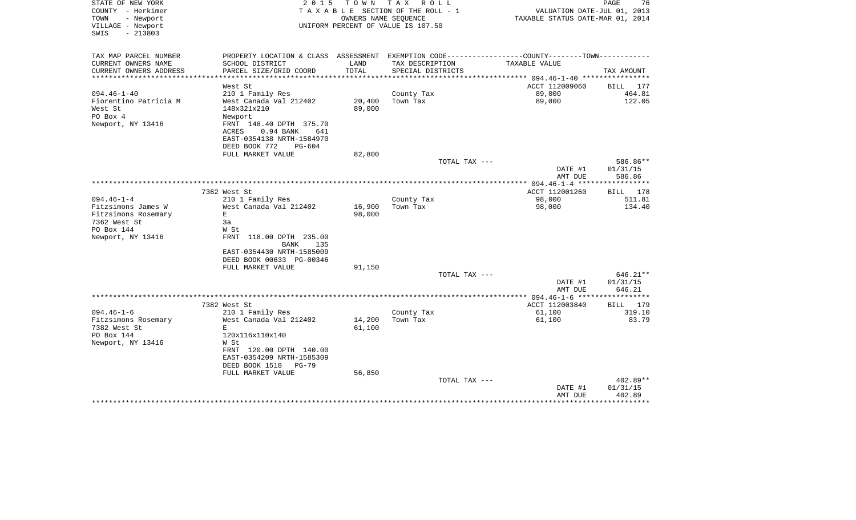| STATE OF NEW YORK<br>COUNTY - Herkimer<br>TOWN<br>- Newport<br>VILLAGE - Newport<br>$-213803$<br>SWIS | 2 0 1 5                                                                                                                   | T O W N          | T A X<br>R O L L<br>TAXABLE SECTION OF THE ROLL - 1<br>OWNERS NAME SEQUENCE<br>UNIFORM PERCENT OF VALUE IS 107.50 | VALUATION DATE-JUL 01, 2013<br>TAXABLE STATUS DATE-MAR 01, 2014                                | PAGE<br>76                     |
|-------------------------------------------------------------------------------------------------------|---------------------------------------------------------------------------------------------------------------------------|------------------|-------------------------------------------------------------------------------------------------------------------|------------------------------------------------------------------------------------------------|--------------------------------|
| TAX MAP PARCEL NUMBER                                                                                 |                                                                                                                           |                  |                                                                                                                   | PROPERTY LOCATION & CLASS ASSESSMENT EXEMPTION CODE----------------COUNTY-------TOWN---------- |                                |
| CURRENT OWNERS NAME<br>CURRENT OWNERS ADDRESS<br>**********************                               | SCHOOL DISTRICT<br>PARCEL SIZE/GRID COORD                                                                                 | LAND<br>TOTAL    | TAX DESCRIPTION<br>SPECIAL DISTRICTS                                                                              | TAXABLE VALUE                                                                                  | TAX AMOUNT                     |
|                                                                                                       | West St                                                                                                                   |                  |                                                                                                                   | ACCT 112009060                                                                                 | BILL<br>177                    |
| $094.46 - 1 - 40$                                                                                     | 210 1 Family Res                                                                                                          |                  | County Tax                                                                                                        | 89,000                                                                                         | 464.81                         |
| Fiorentino Patricia M<br>West St                                                                      | West Canada Val 212402<br>148x321x210                                                                                     | 20,400<br>89,000 | Town Tax                                                                                                          | 89,000                                                                                         | 122.05                         |
| PO Box 4<br>Newport, NY 13416                                                                         | Newport<br>FRNT 148.40 DPTH 375.70<br>ACRES<br>0.94 BANK<br>641<br>EAST-0354138 NRTH-1584970<br>DEED BOOK 772<br>$PG-604$ |                  |                                                                                                                   |                                                                                                |                                |
|                                                                                                       | FULL MARKET VALUE                                                                                                         | 82,800           |                                                                                                                   |                                                                                                |                                |
|                                                                                                       |                                                                                                                           |                  | TOTAL TAX ---                                                                                                     | DATE #1<br>AMT DUE                                                                             | 586.86**<br>01/31/15<br>586.86 |
|                                                                                                       |                                                                                                                           |                  |                                                                                                                   |                                                                                                |                                |
|                                                                                                       | 7362 West St                                                                                                              |                  |                                                                                                                   | ACCT 112001260                                                                                 | BILL 178                       |
| $094.46 - 1 - 4$                                                                                      | 210 1 Family Res                                                                                                          |                  | County Tax                                                                                                        | 98,000                                                                                         | 511.81                         |
| Fitzsimons James W<br>Fitzsimons Rosemary<br>7362 West St                                             | West Canada Val 212402<br>E<br>3a                                                                                         | 16,900<br>98,000 | Town Tax                                                                                                          | 98,000                                                                                         | 134.40                         |
| PO Box 144<br>Newport, NY 13416                                                                       | W St<br>118.00 DPTH 235.00<br>FRNT<br>BANK<br>135<br>EAST-0354430 NRTH-1585009<br>DEED BOOK 00633 PG-00346                |                  |                                                                                                                   |                                                                                                |                                |
|                                                                                                       | FULL MARKET VALUE                                                                                                         | 91,150           |                                                                                                                   |                                                                                                |                                |
|                                                                                                       |                                                                                                                           |                  | TOTAL TAX ---                                                                                                     | DATE #1                                                                                        | 646.21**<br>01/31/15           |
|                                                                                                       |                                                                                                                           |                  |                                                                                                                   | AMT DUE                                                                                        | 646.21                         |
|                                                                                                       | 7382 West St                                                                                                              |                  |                                                                                                                   | ACCT 112003840                                                                                 | BILL 179                       |
| $094.46 - 1 - 6$                                                                                      | 210 1 Family Res                                                                                                          |                  | County Tax                                                                                                        | 61,100                                                                                         | 319.10                         |
| Fitzsimons Rosemary                                                                                   | West Canada Val 212402                                                                                                    | 14,200           | Town Tax                                                                                                          | 61,100                                                                                         | 83.79                          |
| 7382 West St                                                                                          | E.                                                                                                                        | 61,100           |                                                                                                                   |                                                                                                |                                |
| PO Box 144                                                                                            | 120x116x110x140                                                                                                           |                  |                                                                                                                   |                                                                                                |                                |
| Newport, NY 13416                                                                                     | W St<br>FRNT 120.00 DPTH 140.00<br>EAST-0354209 NRTH-1585309<br>DEED BOOK 1518<br>$PG-79$                                 |                  |                                                                                                                   |                                                                                                |                                |
|                                                                                                       | FULL MARKET VALUE                                                                                                         | 56,850           |                                                                                                                   |                                                                                                |                                |
|                                                                                                       |                                                                                                                           |                  | TOTAL TAX ---                                                                                                     | DATE #1<br>AMT DUE                                                                             | 402.89**<br>01/31/15<br>402.89 |
|                                                                                                       |                                                                                                                           |                  |                                                                                                                   |                                                                                                |                                |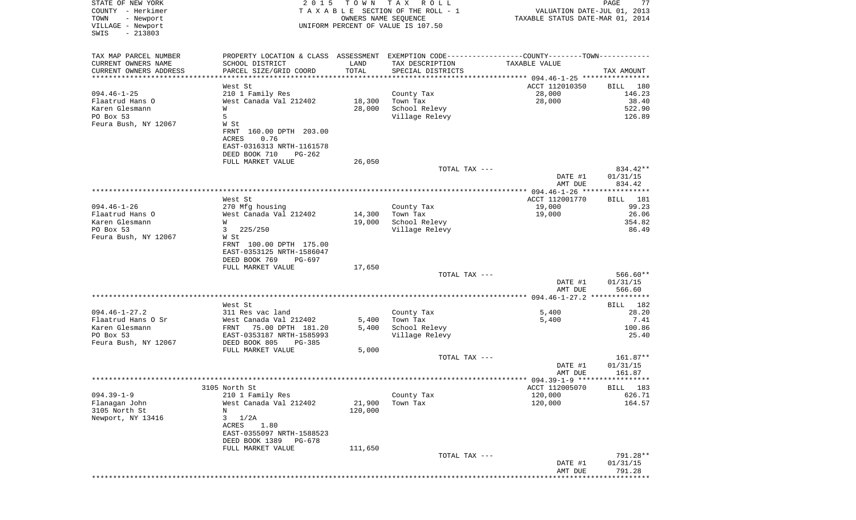| STATE OF NEW YORK<br>COUNTY - Herkimer<br>TOWN<br>- Newport<br>VILLAGE - Newport<br>$-213803$<br>SWIS | 2 0 1 5                                                                                                                                                     | T O W N<br>OWNERS NAME SEQUENCE | TAX ROLL<br>TAXABLE SECTION OF THE ROLL - 1<br>UNIFORM PERCENT OF VALUE IS 107.50                                                       | VALUATION DATE-JUL 01, 2013<br>TAXABLE STATUS DATE-MAR 01, 2014 | PAGE<br>77                                         |
|-------------------------------------------------------------------------------------------------------|-------------------------------------------------------------------------------------------------------------------------------------------------------------|---------------------------------|-----------------------------------------------------------------------------------------------------------------------------------------|-----------------------------------------------------------------|----------------------------------------------------|
| TAX MAP PARCEL NUMBER<br>CURRENT OWNERS NAME<br>CURRENT OWNERS ADDRESS                                | SCHOOL DISTRICT<br>PARCEL SIZE/GRID COORD                                                                                                                   | LAND<br>TOTAL                   | PROPERTY LOCATION & CLASS ASSESSMENT EXEMPTION CODE----------------COUNTY--------TOWN----------<br>TAX DESCRIPTION<br>SPECIAL DISTRICTS | TAXABLE VALUE                                                   | TAX AMOUNT                                         |
| ***********************                                                                               | ***********************                                                                                                                                     | ****************                |                                                                                                                                         |                                                                 |                                                    |
| $094.46 - 1 - 25$<br>Flaatrud Hans O<br>Karen Glesmann<br>PO Box 53<br>Feura Bush, NY 12067           | West St<br>210 1 Family Res<br>West Canada Val 212402<br>W<br>5<br>W St<br>FRNT 160.00 DPTH 203.00<br>0.76<br><b>ACRES</b><br>EAST-0316313 NRTH-1161578     | 18,300<br>28,000                | County Tax<br>Town Tax<br>School Relevy<br>Village Relevy                                                                               | ACCT 112010350<br>28,000<br>28,000                              | 180<br>BILL<br>146.23<br>38.40<br>522.90<br>126.89 |
|                                                                                                       | DEED BOOK 710<br>PG-262                                                                                                                                     |                                 |                                                                                                                                         |                                                                 |                                                    |
|                                                                                                       | FULL MARKET VALUE                                                                                                                                           | 26,050                          | TOTAL TAX ---                                                                                                                           | DATE #1                                                         | 834.42**<br>01/31/15                               |
|                                                                                                       |                                                                                                                                                             |                                 |                                                                                                                                         | AMT DUE                                                         | 834.42                                             |
|                                                                                                       | West St                                                                                                                                                     |                                 |                                                                                                                                         | ACCT 112001770                                                  | BILL 181                                           |
| $094.46 - 1 - 26$<br>Flaatrud Hans O<br>Karen Glesmann<br>PO Box 53                                   | 270 Mfg housing<br>West Canada Val 212402<br>W<br>225/250<br>3                                                                                              | 14,300<br>19,000                | County Tax<br>Town Tax<br>School Relevy<br>Village Relevy                                                                               | 19,000<br>19,000                                                | 99.23<br>26.06<br>354.82<br>86.49                  |
| Feura Bush, NY 12067                                                                                  | W St<br>FRNT 100.00 DPTH 175.00<br>EAST-0353125 NRTH-1586047<br>DEED BOOK 769<br>PG-697<br>FULL MARKET VALUE                                                | 17,650                          |                                                                                                                                         |                                                                 |                                                    |
|                                                                                                       |                                                                                                                                                             |                                 | TOTAL TAX ---                                                                                                                           | DATE #1                                                         | 566.60**<br>01/31/15                               |
|                                                                                                       |                                                                                                                                                             |                                 |                                                                                                                                         | AMT DUE                                                         | 566.60<br>**************                           |
|                                                                                                       | West St                                                                                                                                                     |                                 |                                                                                                                                         |                                                                 | BILL 182                                           |
| $094.46 - 1 - 27.2$                                                                                   | 311 Res vac land                                                                                                                                            |                                 | County Tax                                                                                                                              | 5,400                                                           | 28.20                                              |
| Flaatrud Hans O Sr<br>Karen Glesmann                                                                  | West Canada Val 212402<br>FRNT<br>75.00 DPTH 181.20                                                                                                         | 5,400<br>5,400                  | Town Tax<br>School Relevy                                                                                                               | 5,400                                                           | 7.41<br>100.86                                     |
| PO Box 53<br>Feura Bush, NY 12067                                                                     | EAST-0353187 NRTH-1585993<br>DEED BOOK 805<br>PG-385                                                                                                        |                                 | Village Relevy                                                                                                                          |                                                                 | 25.40                                              |
|                                                                                                       | FULL MARKET VALUE                                                                                                                                           | 5,000                           |                                                                                                                                         |                                                                 |                                                    |
|                                                                                                       |                                                                                                                                                             |                                 | TOTAL TAX ---                                                                                                                           | DATE #1<br>AMT DUE                                              | 161.87**<br>01/31/15<br>161.87                     |
|                                                                                                       |                                                                                                                                                             |                                 |                                                                                                                                         |                                                                 |                                                    |
|                                                                                                       | 3105 North St                                                                                                                                               |                                 |                                                                                                                                         | ACCT 112005070                                                  | BILL 183                                           |
| $094.39 - 1 - 9$<br>Flanagan John<br>3105 North St<br>Newport, NY 13416                               | 210 1 Family Res<br>West Canada Val 212402<br>Ν<br>3<br>1/2A<br>1.80<br>ACRES<br>EAST-0355097 NRTH-1588523<br>DEED BOOK 1389<br>PG-678<br>FULL MARKET VALUE | 21,900<br>120,000<br>111,650    | County Tax<br>Town Tax                                                                                                                  | 120,000<br>120,000                                              | 626.71<br>164.57                                   |
|                                                                                                       |                                                                                                                                                             |                                 | TOTAL TAX ---                                                                                                                           | DATE #1                                                         | 791.28**<br>01/31/15                               |
|                                                                                                       |                                                                                                                                                             |                                 |                                                                                                                                         | AMT DUE                                                         | 791.28<br>* * * * * * * *                          |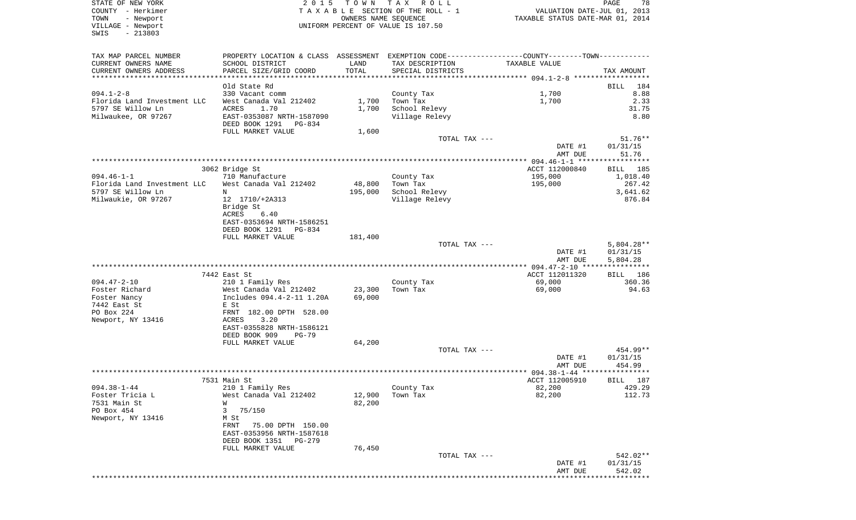STATE OF NEW YORK 2 0 1 5 T O W N T A X R O L L PAGE 78COUNTY - Herkimer T A X A B L E SECTION OF THE ROLL - 1 VALUATION DATE-JUL 01, 2013 TOWN - Newport OWNERS NAME SEQUENCE TAXABLE STATUS DATE-MAR 01, 2014 VILLAGE - Newport UNIFORM PERCENT OF VALUE IS 107.50 SWIS - 213803TAX MAP PARCEL NUMBER PROPERTY LOCATION & CLASS ASSESSMENT EXEMPTION CODE------------------COUNTY--------TOWN------------ CURRENT OWNERS NAME SCHOOL DISTRICT LAND TAX DESCRIPTION TAXABLE VALUECURRENT OWNERS ADDRESS PARCEL SIZE/GRID COORD TOTAL SPECIAL DISTRICTS TAX AMOUNT \*\*\*\*\*\*\*\*\*\*\*\*\*\*\*\*\*\*\*\*\*\*\*\*\*\*\*\*\*\*\*\*\*\*\*\*\*\*\*\*\*\*\*\*\*\*\*\*\*\*\*\*\*\*\*\*\*\*\*\*\*\*\*\*\*\*\*\*\*\*\*\*\*\*\*\*\*\*\*\*\*\*\*\*\*\*\*\*\*\*\*\*\*\*\*\*\*\*\*\*\*\*\* 094.1-2-8 \*\*\*\*\*\*\*\*\*\*\*\*\*\*\*\*\*\*old State Rd BILL 184 8.88 094.1-2-8 330 Vacant comm County Tax 1,700 8.88 Florida Land Investment LLC West Canada Val 212402 1,700 Town Tax 1,700 2.33 5797 SE Willow Ln ACRES 1.70 1,700 School Relevy 31.75 Milwaukee, OR 97267 EAST-0353087 NRTH-1587090 Village Relevy 8.80 DEED BOOK 1291 PG-834FULL MARKET VALUE 1,600 TOTAL TAX --- 51.76\*\* DATE #1 01/31/15 AMT DUE 51.76 \*\*\*\*\*\*\*\*\*\*\*\*\*\*\*\*\*\*\*\*\*\*\*\*\*\*\*\*\*\*\*\*\*\*\*\*\*\*\*\*\*\*\*\*\*\*\*\*\*\*\*\*\*\*\*\*\*\*\*\*\*\*\*\*\*\*\*\*\*\*\*\*\*\*\*\*\*\*\*\*\*\*\*\*\*\*\*\*\*\*\*\*\*\*\*\*\*\*\*\*\*\*\* 094.46-1-1 \*\*\*\*\*\*\*\*\*\*\*\*\*\*\*\*\* 3062 Bridge St ACCT 112000840 BILL 185 094.46-1-1 710 Manufacture County Tax 195,000 1,018.40 Florida Land Investment LLC West Canada Val 212402 48,800 Town Tax 195,000 267.42 5797 SE Willow Ln <sup>N</sup> 195,000 School Relevy 3,641.62 Milwaukie, OR 97267 12 1710/+2A313 Village Relevy 876.84 Bridge St ACRES 6.40 EAST-0353694 NRTH-1586251 DEED BOOK 1291 PG-834 FULL MARKET VALUE 181,400 TOTAL TAX --- 5,804.28\*\* DATE #1 01/31/15 AMT DUE 5,804.28 \*\*\*\*\*\*\*\*\*\*\*\*\*\*\*\*\*\*\*\*\*\*\*\*\*\*\*\*\*\*\*\*\*\*\*\*\*\*\*\*\*\*\*\*\*\*\*\*\*\*\*\*\*\*\*\*\*\*\*\*\*\*\*\*\*\*\*\*\*\*\*\*\*\*\*\*\*\*\*\*\*\*\*\*\*\*\*\*\*\*\*\*\*\*\*\*\*\*\*\*\*\*\* 094.47-2-10 \*\*\*\*\*\*\*\*\*\*\*\*\*\*\*\* 7442 East St ACCT 112011320 BILL 186094.47-2-10 210 1 Family Res County Tax 69,000 360.36 Foster Richard West Canada Val 212402 23,300 Town Tax 69,000 94.63 Foster Nancy Includes 094.4-2-11 1.20A 69,000 7442 East St Est PO Box 224 FRNT 182.00 DPTH 528.00Newport, NY 13416 <br>
ACRES 3.20 EAST-0355828 NRTH-1586121DEED BOOK 909 **PG-79** FULL MARKET VALUE 64,200 TOTAL TAX --- 454.99\*\* DATE #1 01/31/15 AMT DUE 454.99 \*\*\*\*\*\*\*\*\*\*\*\*\*\*\*\*\*\*\*\*\*\*\*\*\*\*\*\*\*\*\*\*\*\*\*\*\*\*\*\*\*\*\*\*\*\*\*\*\*\*\*\*\*\*\*\*\*\*\*\*\*\*\*\*\*\*\*\*\*\*\*\*\*\*\*\*\*\*\*\*\*\*\*\*\*\*\*\*\*\*\*\*\*\*\*\*\*\*\*\*\*\*\* 094.38-1-44 \*\*\*\*\*\*\*\*\*\*\*\*\*\*\*\* 7531 Main St ACCT 112005910 BILL 187094.38-1-44 210 1 Family Res County Tax 82,200 429.29 Foster Tricia L West Canada Val 212402 12,900 Town Tax 82,200 112.73 7531 Main St W 82,200 PO Box 454 3 75/150 Newport, NY 13416 M St FRNT 75.00 DPTH 150.00 EAST-0353956 NRTH-1587618 DEED BOOK 1351 PG-279 FULL MARKET VALUE 76,450 TOTAL TAX --- 542.02\*\*

\*\*\*\*\*\*\*\*\*\*\*\*\*\*\*\*\*\*\*\*\*\*\*\*\*\*\*\*\*\*\*\*\*\*\*\*\*\*\*\*\*\*\*\*\*\*\*\*\*\*\*\*\*\*\*\*\*\*\*\*\*\*\*\*\*\*\*\*\*\*\*\*\*\*\*\*\*\*\*\*\*\*\*\*\*\*\*\*\*\*\*\*\*\*\*\*\*\*\*\*\*\*\*\*\*\*\*\*\*\*\*\*\*\*\*\*\*\*\*\*\*\*\*\*\*\*\*\*\*\*\*\*

 DATE #1 01/31/15 AMT DUE 542.02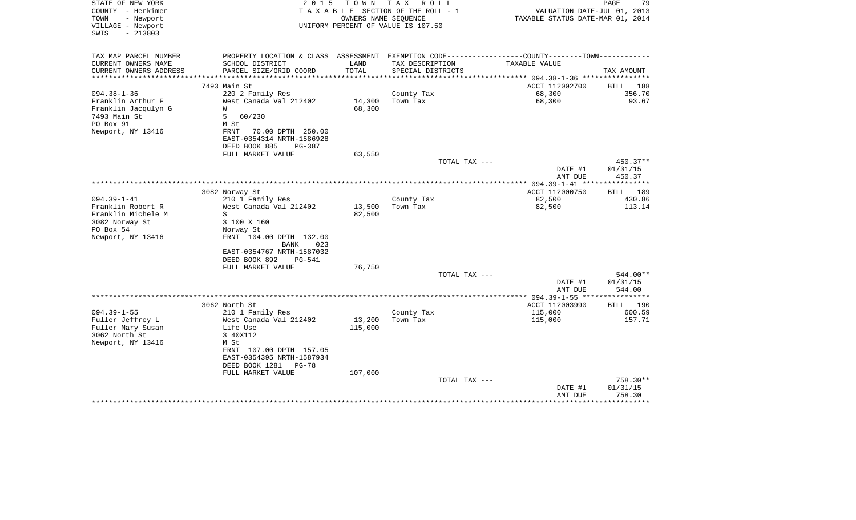| STATE OF NEW YORK<br>COUNTY - Herkimer<br>TOWN<br>- Newport<br>VILLAGE - Newport<br>$-213803$<br>SWIS | 2 0 1 5                                                                                        | T O W N | T A X<br>R O L L<br>TAXABLE SECTION OF THE ROLL - 1<br>OWNERS NAME SEQUENCE<br>UNIFORM PERCENT OF VALUE IS 107.50 | VALUATION DATE-JUL 01, 2013<br>TAXABLE STATUS DATE-MAR 01, 2014 | PAGE<br>79            |
|-------------------------------------------------------------------------------------------------------|------------------------------------------------------------------------------------------------|---------|-------------------------------------------------------------------------------------------------------------------|-----------------------------------------------------------------|-----------------------|
|                                                                                                       |                                                                                                |         |                                                                                                                   |                                                                 |                       |
| TAX MAP PARCEL NUMBER                                                                                 | PROPERTY LOCATION & CLASS ASSESSMENT EXEMPTION CODE----------------COUNTY-------TOWN---------- |         |                                                                                                                   |                                                                 |                       |
| CURRENT OWNERS NAME                                                                                   | SCHOOL DISTRICT                                                                                | LAND    | TAX DESCRIPTION                                                                                                   | TAXABLE VALUE                                                   |                       |
| CURRENT OWNERS ADDRESS<br>*********************                                                       | PARCEL SIZE/GRID COORD                                                                         | TOTAL   | SPECIAL DISTRICTS                                                                                                 |                                                                 | TAX AMOUNT            |
|                                                                                                       | 7493 Main St                                                                                   |         |                                                                                                                   | ACCT 112002700                                                  | BILL 188              |
| $094.38 - 1 - 36$                                                                                     | 220 2 Family Res                                                                               |         | County Tax                                                                                                        | 68,300                                                          | 356.70                |
| Franklin Arthur F                                                                                     | West Canada Val 212402                                                                         | 14,300  | Town Tax                                                                                                          | 68,300                                                          | 93.67                 |
| Franklin Jacqulyn G                                                                                   | W                                                                                              | 68,300  |                                                                                                                   |                                                                 |                       |
| 7493 Main St                                                                                          | 5<br>60/230                                                                                    |         |                                                                                                                   |                                                                 |                       |
| PO Box 91                                                                                             | M St                                                                                           |         |                                                                                                                   |                                                                 |                       |
| Newport, NY 13416                                                                                     | FRNT<br>70.00 DPTH 250.00<br>EAST-0354314 NRTH-1586928                                         |         |                                                                                                                   |                                                                 |                       |
|                                                                                                       | DEED BOOK 885<br>$PG-387$                                                                      |         |                                                                                                                   |                                                                 |                       |
|                                                                                                       | FULL MARKET VALUE                                                                              | 63,550  |                                                                                                                   |                                                                 |                       |
|                                                                                                       |                                                                                                |         | TOTAL TAX ---                                                                                                     |                                                                 | $450.37**$            |
|                                                                                                       |                                                                                                |         |                                                                                                                   | DATE #1                                                         | 01/31/15              |
|                                                                                                       |                                                                                                |         |                                                                                                                   | AMT DUE                                                         | 450.37                |
|                                                                                                       |                                                                                                |         |                                                                                                                   | ************** 094.39-1-41 ***                                  | * * * * * * * * * * * |
|                                                                                                       | 3082 Norway St                                                                                 |         |                                                                                                                   | ACCT 112000750                                                  | BILL 189              |
| $094.39 - 1 - 41$<br>Franklin Robert R                                                                | 210 1 Family Res<br>West Canada Val 212402                                                     | 13,500  | County Tax<br>Town Tax                                                                                            | 82,500<br>82,500                                                | 430.86<br>113.14      |
| Franklin Michele M                                                                                    | S                                                                                              | 82,500  |                                                                                                                   |                                                                 |                       |
| 3082 Norway St                                                                                        | 3 100 X 160                                                                                    |         |                                                                                                                   |                                                                 |                       |
| PO Box 54                                                                                             | Norway St                                                                                      |         |                                                                                                                   |                                                                 |                       |
| Newport, NY 13416                                                                                     | FRNT 104.00 DPTH 132.00<br>BANK<br>023                                                         |         |                                                                                                                   |                                                                 |                       |
|                                                                                                       | EAST-0354767 NRTH-1587032                                                                      |         |                                                                                                                   |                                                                 |                       |
|                                                                                                       | DEED BOOK 892<br>PG-541                                                                        |         |                                                                                                                   |                                                                 |                       |
|                                                                                                       | FULL MARKET VALUE                                                                              | 76,750  |                                                                                                                   |                                                                 |                       |
|                                                                                                       |                                                                                                |         | TOTAL TAX ---                                                                                                     |                                                                 | 544.00**              |
|                                                                                                       |                                                                                                |         |                                                                                                                   | DATE #1<br>AMT DUE                                              | 01/31/15<br>544.00    |
|                                                                                                       |                                                                                                |         |                                                                                                                   |                                                                 |                       |
|                                                                                                       | 3062 North St                                                                                  |         |                                                                                                                   | ACCT 112003990                                                  | BILL 190              |
| $094.39 - 1 - 55$                                                                                     | 210 1 Family Res                                                                               |         | County Tax                                                                                                        | 115,000                                                         | 600.59                |
| Fuller Jeffrey L                                                                                      | West Canada Val 212402                                                                         | 13,200  | Town Tax                                                                                                          | 115,000                                                         | 157.71                |
| Fuller Mary Susan                                                                                     | Life Use                                                                                       | 115,000 |                                                                                                                   |                                                                 |                       |
| 3062 North St                                                                                         | 3 40X112                                                                                       |         |                                                                                                                   |                                                                 |                       |
| Newport, NY 13416                                                                                     | M St                                                                                           |         |                                                                                                                   |                                                                 |                       |
|                                                                                                       | FRNT 107.00 DPTH 157.05<br>EAST-0354395 NRTH-1587934                                           |         |                                                                                                                   |                                                                 |                       |
|                                                                                                       | DEED BOOK 1281<br>$PG-78$                                                                      |         |                                                                                                                   |                                                                 |                       |
|                                                                                                       | FULL MARKET VALUE                                                                              | 107,000 |                                                                                                                   |                                                                 |                       |
|                                                                                                       |                                                                                                |         | TOTAL TAX ---                                                                                                     |                                                                 | 758.30**              |
|                                                                                                       |                                                                                                |         |                                                                                                                   | DATE #1                                                         | 01/31/15              |
|                                                                                                       |                                                                                                |         |                                                                                                                   | AMT DUE                                                         | 758.30                |
|                                                                                                       |                                                                                                |         |                                                                                                                   |                                                                 | *******               |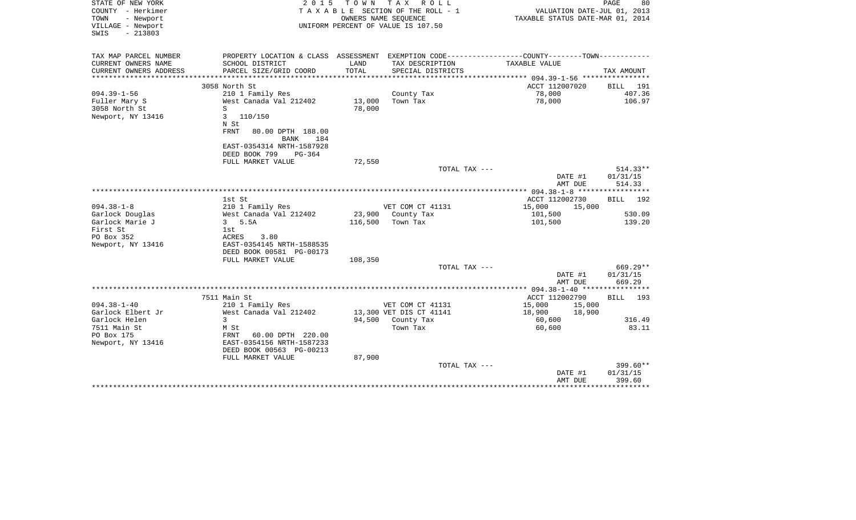| STATE OF NEW YORK<br>COUNTY - Herkimer<br>- Newport<br>TOWN<br>VILLAGE - Newport<br>$-213803$<br>SWIS | 2 0 1 5                                                       | T O W N     | TAX ROLL<br>T A X A B L E SECTION OF THE ROLL - 1<br>OWNERS NAME SEQUENCE<br>UNIFORM PERCENT OF VALUE IS 107.50 | VALUATION DATE-JUL 01, 2013<br>TAXABLE STATUS DATE-MAR 01, 2014                                                  | PAGE<br>80             |
|-------------------------------------------------------------------------------------------------------|---------------------------------------------------------------|-------------|-----------------------------------------------------------------------------------------------------------------|------------------------------------------------------------------------------------------------------------------|------------------------|
| TAX MAP PARCEL NUMBER<br>CURRENT OWNERS NAME                                                          | SCHOOL DISTRICT                                               | LAND        | TAX DESCRIPTION                                                                                                 | PROPERTY LOCATION & CLASS ASSESSMENT EXEMPTION CODE----------------COUNTY-------TOWN-----------<br>TAXABLE VALUE |                        |
| CURRENT OWNERS ADDRESS                                                                                | PARCEL SIZE/GRID COORD                                        | TOTAL       | SPECIAL DISTRICTS                                                                                               |                                                                                                                  | TAX AMOUNT             |
| *******************                                                                                   | ********************                                          | *********** |                                                                                                                 |                                                                                                                  |                        |
|                                                                                                       | 3058 North St                                                 |             |                                                                                                                 | ACCT 112007020                                                                                                   | <b>BILL</b><br>191     |
| $094.39 - 1 - 56$                                                                                     | 210 1 Family Res                                              |             | County Tax                                                                                                      | 78,000                                                                                                           | 407.36                 |
| Fuller Mary S                                                                                         | West Canada Val 212402                                        | 13,000      | Town Tax                                                                                                        | 78,000                                                                                                           | 106.97                 |
| 3058 North St<br>Newport, NY 13416                                                                    | S<br>3<br>110/150                                             | 78,000      |                                                                                                                 |                                                                                                                  |                        |
|                                                                                                       | N St                                                          |             |                                                                                                                 |                                                                                                                  |                        |
|                                                                                                       | <b>FRNT</b><br>80.00 DPTH 188.00                              |             |                                                                                                                 |                                                                                                                  |                        |
|                                                                                                       | 184<br>BANK                                                   |             |                                                                                                                 |                                                                                                                  |                        |
|                                                                                                       | EAST-0354314 NRTH-1587928                                     |             |                                                                                                                 |                                                                                                                  |                        |
|                                                                                                       | DEED BOOK 799<br>$PG-364$                                     |             |                                                                                                                 |                                                                                                                  |                        |
|                                                                                                       | FULL MARKET VALUE                                             | 72,550      |                                                                                                                 |                                                                                                                  |                        |
|                                                                                                       |                                                               |             | TOTAL TAX ---                                                                                                   | DATE #1                                                                                                          | $514.33**$<br>01/31/15 |
|                                                                                                       |                                                               |             |                                                                                                                 | AMT DUE                                                                                                          | 514.33                 |
|                                                                                                       |                                                               |             |                                                                                                                 | ******* 094.38-1-8 ******************                                                                            |                        |
|                                                                                                       | 1st St                                                        |             |                                                                                                                 | ACCT 112002730                                                                                                   | BILL 192               |
| $094.38 - 1 - 8$                                                                                      | 210 1 Family Res                                              |             | VET COM CT 41131                                                                                                | 15,000<br>15,000                                                                                                 |                        |
| Garlock Douglas                                                                                       | West Canada Val 212402                                        | 23,900      | County Tax                                                                                                      | 101,500                                                                                                          | 530.09                 |
| Garlock Marie J<br>First St                                                                           | $3$ 5.5A<br>1st                                               | 116,500     | Town Tax                                                                                                        | 101,500                                                                                                          | 139.20                 |
| PO Box 352                                                                                            | <b>ACRES</b><br>3.80                                          |             |                                                                                                                 |                                                                                                                  |                        |
| Newport, NY 13416                                                                                     | EAST-0354145 NRTH-1588535                                     |             |                                                                                                                 |                                                                                                                  |                        |
|                                                                                                       | DEED BOOK 00581 PG-00173                                      |             |                                                                                                                 |                                                                                                                  |                        |
|                                                                                                       | FULL MARKET VALUE                                             | 108,350     |                                                                                                                 |                                                                                                                  |                        |
|                                                                                                       |                                                               |             | TOTAL TAX ---                                                                                                   |                                                                                                                  | $669.29**$             |
|                                                                                                       |                                                               |             |                                                                                                                 | DATE #1                                                                                                          | 01/31/15               |
|                                                                                                       |                                                               |             |                                                                                                                 | AMT DUE                                                                                                          | 669.29                 |
|                                                                                                       | 7511 Main St                                                  |             |                                                                                                                 | ACCT 112002790                                                                                                   | 193<br>BILL            |
| $094.38 - 1 - 40$                                                                                     | 210 1 Family Res                                              |             | VET COM CT 41131                                                                                                | 15,000<br>15,000                                                                                                 |                        |
| Garlock Elbert Jr                                                                                     | West Canada Val 212402                                        |             | 13,300 VET DIS CT 41141                                                                                         | 18,900<br>18,900                                                                                                 |                        |
| Garlock Helen                                                                                         | 3                                                             | 94,500      | County Tax                                                                                                      | 60,600                                                                                                           | 316.49                 |
| 7511 Main St                                                                                          | M St                                                          |             | Town Tax                                                                                                        | 60,600                                                                                                           | 83.11                  |
| PO Box 175<br>Newport, NY 13416                                                                       | <b>FRNT</b><br>60.00 DPTH 220.00<br>EAST-0354156 NRTH-1587233 |             |                                                                                                                 |                                                                                                                  |                        |
|                                                                                                       | DEED BOOK 00563 PG-00213                                      |             |                                                                                                                 |                                                                                                                  |                        |
|                                                                                                       | FULL MARKET VALUE                                             | 87,900      |                                                                                                                 |                                                                                                                  |                        |
|                                                                                                       |                                                               |             | TOTAL TAX ---                                                                                                   |                                                                                                                  | $399.60**$             |
|                                                                                                       |                                                               |             |                                                                                                                 | DATE #1                                                                                                          | 01/31/15               |
|                                                                                                       |                                                               |             |                                                                                                                 | AMT DUE                                                                                                          | 399.60<br>*********    |
|                                                                                                       |                                                               |             |                                                                                                                 |                                                                                                                  |                        |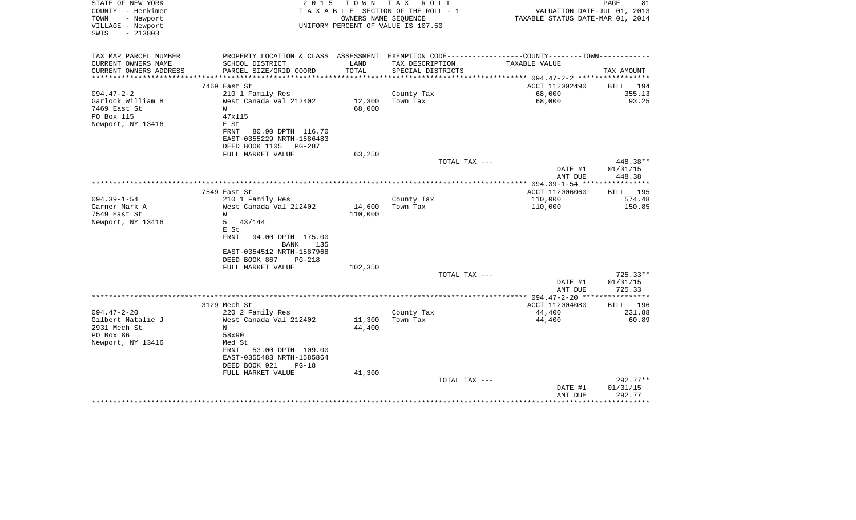| STATE OF NEW YORK<br>COUNTY - Herkimer<br>TOWN<br>- Newport<br>VILLAGE - Newport<br>$-213803$<br>SWIS | 2 0 1 5                                                                                        | T O W N | T A X<br>R O L L<br>TAXABLE SECTION OF THE ROLL - 1<br>OWNERS NAME SEQUENCE<br>UNIFORM PERCENT OF VALUE IS 107.50 | VALUATION DATE-JUL 01, 2013<br>TAXABLE STATUS DATE-MAR 01, 2014 | PAGE<br>81             |
|-------------------------------------------------------------------------------------------------------|------------------------------------------------------------------------------------------------|---------|-------------------------------------------------------------------------------------------------------------------|-----------------------------------------------------------------|------------------------|
|                                                                                                       |                                                                                                |         |                                                                                                                   |                                                                 |                        |
| TAX MAP PARCEL NUMBER                                                                                 | PROPERTY LOCATION & CLASS ASSESSMENT EXEMPTION CODE----------------COUNTY-------TOWN---------- |         |                                                                                                                   |                                                                 |                        |
| CURRENT OWNERS NAME                                                                                   | SCHOOL DISTRICT                                                                                | LAND    | TAX DESCRIPTION                                                                                                   | TAXABLE VALUE                                                   |                        |
| CURRENT OWNERS ADDRESS<br>*********************                                                       | PARCEL SIZE/GRID COORD                                                                         | TOTAL   | SPECIAL DISTRICTS                                                                                                 |                                                                 | TAX AMOUNT             |
|                                                                                                       | 7469 East St                                                                                   |         |                                                                                                                   | ACCT 112002490                                                  | BILL 194               |
| $094.47 - 2 - 2$                                                                                      | 210 1 Family Res                                                                               |         | County Tax                                                                                                        | 68,000                                                          | 355.13                 |
| Garlock William B                                                                                     | West Canada Val 212402                                                                         | 12,300  | Town Tax                                                                                                          | 68,000                                                          | 93.25                  |
| 7469 East St                                                                                          | W                                                                                              | 68,000  |                                                                                                                   |                                                                 |                        |
| PO Box 115                                                                                            | 47x115                                                                                         |         |                                                                                                                   |                                                                 |                        |
| Newport, NY 13416                                                                                     | E St<br>80.90 DPTH 116.70<br>FRNT                                                              |         |                                                                                                                   |                                                                 |                        |
|                                                                                                       | EAST-0355229 NRTH-1586483                                                                      |         |                                                                                                                   |                                                                 |                        |
|                                                                                                       | DEED BOOK 1105<br>PG-287                                                                       |         |                                                                                                                   |                                                                 |                        |
|                                                                                                       | FULL MARKET VALUE                                                                              | 63,250  |                                                                                                                   |                                                                 |                        |
|                                                                                                       |                                                                                                |         | TOTAL TAX ---                                                                                                     |                                                                 | 448.38**               |
|                                                                                                       |                                                                                                |         |                                                                                                                   | DATE #1<br>AMT DUE                                              | 01/31/15<br>448.38     |
|                                                                                                       |                                                                                                |         |                                                                                                                   | ************ 094.39-1-54 ***                                    | * * * * * * * * * * *  |
|                                                                                                       | 7549 East St                                                                                   |         |                                                                                                                   | ACCT 112006060                                                  | <b>BILL</b> 195        |
| $094.39 - 1 - 54$                                                                                     | 210 1 Family Res                                                                               |         | County Tax                                                                                                        | 110,000                                                         | 574.48                 |
| Garner Mark A                                                                                         | West Canada Val 212402                                                                         | 14,600  | Town Tax                                                                                                          | 110,000                                                         | 150.85                 |
| 7549 East St                                                                                          | W                                                                                              | 110,000 |                                                                                                                   |                                                                 |                        |
| Newport, NY 13416                                                                                     | 5<br>43/144                                                                                    |         |                                                                                                                   |                                                                 |                        |
|                                                                                                       | E St<br><b>FRNT</b><br>94.00 DPTH 175.00                                                       |         |                                                                                                                   |                                                                 |                        |
|                                                                                                       | BANK<br>135                                                                                    |         |                                                                                                                   |                                                                 |                        |
|                                                                                                       | EAST-0354512 NRTH-1587968                                                                      |         |                                                                                                                   |                                                                 |                        |
|                                                                                                       | DEED BOOK 867<br><b>PG-218</b>                                                                 |         |                                                                                                                   |                                                                 |                        |
|                                                                                                       | FULL MARKET VALUE                                                                              | 102,350 |                                                                                                                   |                                                                 |                        |
|                                                                                                       |                                                                                                |         | TOTAL TAX ---                                                                                                     | DATE #1                                                         | $725.33**$<br>01/31/15 |
|                                                                                                       |                                                                                                |         |                                                                                                                   | AMT DUE                                                         | 725.33                 |
|                                                                                                       |                                                                                                |         |                                                                                                                   |                                                                 |                        |
|                                                                                                       | 3129 Mech St                                                                                   |         |                                                                                                                   | ACCT 112004080                                                  | BILL 196               |
| $094.47 - 2 - 20$                                                                                     | 220 2 Family Res                                                                               |         | County Tax                                                                                                        | 44,400                                                          | 231.88                 |
| Gilbert Natalie J                                                                                     | West Canada Val 212402                                                                         | 11,300  | Town Tax                                                                                                          | 44,400                                                          | 60.89                  |
| 2931 Mech St                                                                                          | N                                                                                              | 44,400  |                                                                                                                   |                                                                 |                        |
| PO Box 86<br>Newport, NY 13416                                                                        | 58x90<br>Med St                                                                                |         |                                                                                                                   |                                                                 |                        |
|                                                                                                       | FRNT<br>53.00 DPTH 109.00                                                                      |         |                                                                                                                   |                                                                 |                        |
|                                                                                                       | EAST-0355483 NRTH-1585864                                                                      |         |                                                                                                                   |                                                                 |                        |
|                                                                                                       | DEED BOOK 921<br>$PG-18$                                                                       |         |                                                                                                                   |                                                                 |                        |
|                                                                                                       | FULL MARKET VALUE                                                                              | 41,300  |                                                                                                                   |                                                                 |                        |
|                                                                                                       |                                                                                                |         | TOTAL TAX ---                                                                                                     |                                                                 | 292.77**               |
|                                                                                                       |                                                                                                |         |                                                                                                                   | DATE #1<br>AMT DUE                                              | 01/31/15<br>292.77     |
|                                                                                                       |                                                                                                |         |                                                                                                                   |                                                                 |                        |
|                                                                                                       |                                                                                                |         |                                                                                                                   |                                                                 |                        |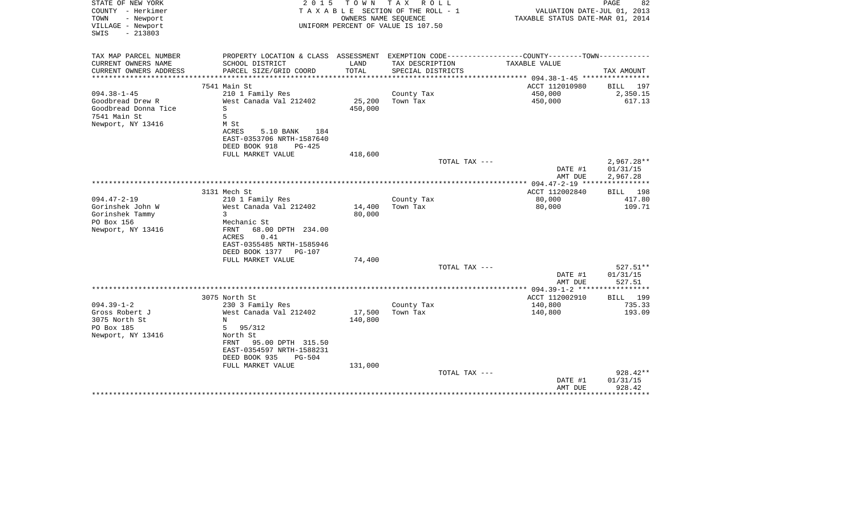| TAX MAP PARCEL NUMBER<br>PROPERTY LOCATION & CLASS ASSESSMENT EXEMPTION CODE----------------COUNTY-------TOWN----------<br>CURRENT OWNERS NAME<br>SCHOOL DISTRICT<br>LAND<br>TAX DESCRIPTION<br>TAXABLE VALUE<br>TOTAL<br>CURRENT OWNERS ADDRESS<br>PARCEL SIZE/GRID COORD<br>SPECIAL DISTRICTS<br>TAX AMOUNT | 197<br>2,350.15  |
|---------------------------------------------------------------------------------------------------------------------------------------------------------------------------------------------------------------------------------------------------------------------------------------------------------------|------------------|
|                                                                                                                                                                                                                                                                                                               |                  |
|                                                                                                                                                                                                                                                                                                               |                  |
| ***********<br>********** 094.38-1-45 *****************                                                                                                                                                                                                                                                       |                  |
| ACCT 112010980<br>7541 Main St<br>BILL                                                                                                                                                                                                                                                                        |                  |
| $094.38 - 1 - 45$<br>210 1 Family Res<br>450,000<br>County Tax<br>West Canada Val 212402<br>25,200<br>Town Tax<br>450,000<br>Goodbread Drew R<br>Goodbread Donna Tice<br>450,000<br>S<br>7541 Main St<br>5<br>Newport, NY 13416<br>M St                                                                       | 617.13           |
| 5.10 BANK<br>184<br>ACRES<br>EAST-0353706 NRTH-1587640<br>DEED BOOK 918<br>$PG-425$                                                                                                                                                                                                                           |                  |
| 418,600<br>FULL MARKET VALUE                                                                                                                                                                                                                                                                                  |                  |
| TOTAL TAX ---<br>$2,967.28**$<br>DATE #1<br>01/31/15<br>AMT DUE<br>2,967.28                                                                                                                                                                                                                                   |                  |
|                                                                                                                                                                                                                                                                                                               |                  |
| 3131 Mech St<br>ACCT 112002840<br>BILL 198<br>$094.47 - 2 - 19$<br>210 1 Family Res<br>County Tax<br>80,000<br>West Canada Val 212402<br>80,000<br>Gorinshek John W<br>14,400<br>Town Tax<br>Gorinshek Tammy<br>3<br>80,000                                                                                   | 417.80<br>109.71 |
| PO Box 156<br>Mechanic St<br>Newport, NY 13416<br>FRNT<br>68.00 DPTH 234.00<br>0.41<br>ACRES<br>EAST-0355485 NRTH-1585946<br>DEED BOOK 1377<br><b>PG-107</b>                                                                                                                                                  |                  |
| FULL MARKET VALUE<br>74,400                                                                                                                                                                                                                                                                                   |                  |
| TOTAL TAX ---<br>$527.51**$<br>DATE #1<br>01/31/15<br>AMT DUE<br>527.51                                                                                                                                                                                                                                       |                  |
|                                                                                                                                                                                                                                                                                                               |                  |
| 3075 North St<br>ACCT 112002910<br>BILL 199                                                                                                                                                                                                                                                                   |                  |
| $094.39 - 1 - 2$<br>230 3 Family Res<br>County Tax<br>140,800<br>Gross Robert J<br>West Canada Val 212402<br>17,500<br>Town Tax<br>140,800<br>3075 North St<br>140,800<br>N<br>PO Box 185<br>95/312<br>5                                                                                                      | 735.33<br>193.09 |
| Newport, NY 13416<br>North St<br>95.00 DPTH 315.50<br>FRNT<br>EAST-0354597 NRTH-1588231<br>DEED BOOK 935<br><b>PG-504</b>                                                                                                                                                                                     |                  |
| FULL MARKET VALUE<br>131,000<br>TOTAL TAX ---<br>928.42**                                                                                                                                                                                                                                                     |                  |
| DATE #1<br>01/31/15<br>928.42<br>AMT DUE                                                                                                                                                                                                                                                                      |                  |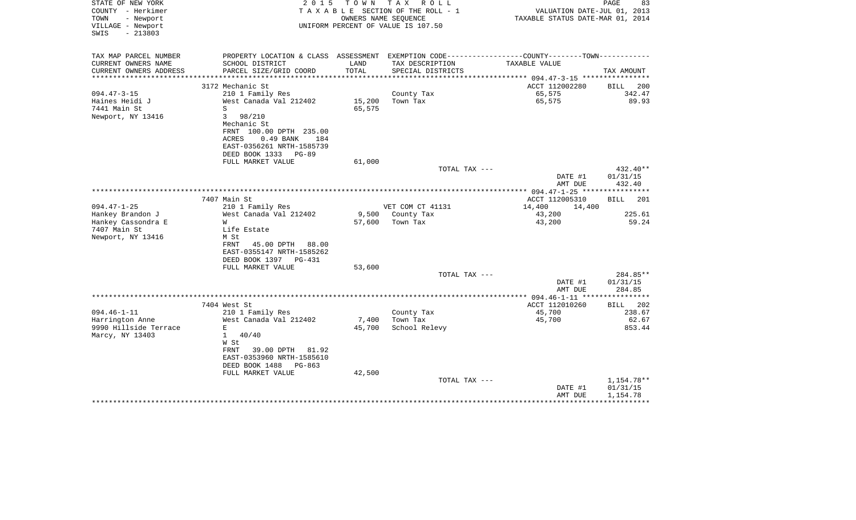| STATE OF NEW YORK<br>COUNTY - Herkimer<br>TOWN<br>- Newport<br>VILLAGE - Newport | 2 0 1 5                                                                                       | TOWN TAX | R O L L<br>TAXABLE SECTION OF THE ROLL - 1<br>OWNERS NAME SEQUENCE<br>UNIFORM PERCENT OF VALUE IS 107.50 | VALUATION DATE-JUL 01, 2013<br>TAXABLE STATUS DATE-MAR 01, 2014 | $\mathop{\mathtt{PAGE}}$<br>83 |
|----------------------------------------------------------------------------------|-----------------------------------------------------------------------------------------------|----------|----------------------------------------------------------------------------------------------------------|-----------------------------------------------------------------|--------------------------------|
| $-213803$<br>SWIS                                                                |                                                                                               |          |                                                                                                          |                                                                 |                                |
| TAX MAP PARCEL NUMBER                                                            | PROPERTY LOCATION & CLASS ASSESSMENT EXEMPTION CODE---------------COUNTY-------TOWN---------- |          |                                                                                                          |                                                                 |                                |
| CURRENT OWNERS NAME                                                              | SCHOOL DISTRICT                                                                               | LAND     | TAX DESCRIPTION                                                                                          | TAXABLE VALUE                                                   |                                |
| CURRENT OWNERS ADDRESS<br>*******************                                    | PARCEL SIZE/GRID COORD                                                                        | TOTAL    | SPECIAL DISTRICTS                                                                                        |                                                                 | TAX AMOUNT                     |
|                                                                                  | 3172 Mechanic St                                                                              |          |                                                                                                          | ACCT 112002280                                                  | 200<br><b>BILL</b>             |
| $094.47 - 3 - 15$                                                                | 210 1 Family Res                                                                              |          | County Tax                                                                                               | 65,575                                                          | 342.47                         |
| Haines Heidi J                                                                   | West Canada Val 212402                                                                        | 15,200   | Town Tax                                                                                                 | 65,575                                                          | 89.93                          |
| 7441 Main St                                                                     | S                                                                                             | 65,575   |                                                                                                          |                                                                 |                                |
| Newport, NY 13416                                                                | 3<br>98/210                                                                                   |          |                                                                                                          |                                                                 |                                |
|                                                                                  | Mechanic St                                                                                   |          |                                                                                                          |                                                                 |                                |
|                                                                                  | FRNT 100.00 DPTH 235.00                                                                       |          |                                                                                                          |                                                                 |                                |
|                                                                                  | $0.49$ BANK<br>ACRES<br>184<br>EAST-0356261 NRTH-1585739                                      |          |                                                                                                          |                                                                 |                                |
|                                                                                  | DEED BOOK 1333 PG-89                                                                          |          |                                                                                                          |                                                                 |                                |
|                                                                                  | FULL MARKET VALUE                                                                             | 61,000   |                                                                                                          |                                                                 |                                |
|                                                                                  |                                                                                               |          | TOTAL TAX ---                                                                                            |                                                                 | 432.40**                       |
|                                                                                  |                                                                                               |          |                                                                                                          | DATE #1<br>AMT DUE                                              | 01/31/15<br>432.40             |
|                                                                                  |                                                                                               |          |                                                                                                          |                                                                 |                                |
|                                                                                  | 7407 Main St                                                                                  |          |                                                                                                          | ACCT 112005310                                                  | <b>BILL</b><br>201             |
| $094.47 - 1 - 25$<br>Hankey Brandon J                                            | 210 1 Family Res<br>West Canada Val 212402                                                    | 9,500    | VET COM CT 41131                                                                                         | 14,400<br>14,400<br>43,200                                      | 225.61                         |
| Hankey Cassondra E                                                               | W                                                                                             | 57,600   | County Tax<br>Town Tax                                                                                   | 43,200                                                          | 59.24                          |
| 7407 Main St                                                                     | Life Estate                                                                                   |          |                                                                                                          |                                                                 |                                |
| Newport, NY 13416                                                                | M St                                                                                          |          |                                                                                                          |                                                                 |                                |
|                                                                                  | FRNT<br>45.00 DPTH 88.00                                                                      |          |                                                                                                          |                                                                 |                                |
|                                                                                  | EAST-0355147 NRTH-1585262                                                                     |          |                                                                                                          |                                                                 |                                |
|                                                                                  | DEED BOOK 1397<br>$PG-431$                                                                    |          |                                                                                                          |                                                                 |                                |
|                                                                                  | FULL MARKET VALUE                                                                             | 53,600   |                                                                                                          |                                                                 |                                |
|                                                                                  |                                                                                               |          | TOTAL TAX ---                                                                                            |                                                                 | 284.85**                       |
|                                                                                  |                                                                                               |          |                                                                                                          | DATE #1<br>AMT DUE                                              | 01/31/15<br>284.85             |
|                                                                                  |                                                                                               |          |                                                                                                          |                                                                 |                                |
|                                                                                  | 7404 West St                                                                                  |          |                                                                                                          | ACCT 112010260                                                  | BILL 202                       |
| $094.46 - 1 - 11$                                                                | 210 1 Family Res                                                                              |          | County Tax                                                                                               | 45,700                                                          | 238.67                         |
| Harrington Anne                                                                  | West Canada Val 212402                                                                        | 7,400    | Town Tax                                                                                                 | 45,700                                                          | 62.67                          |
| 9990 Hillside Terrace                                                            | E                                                                                             | 45,700   | School Relevy                                                                                            |                                                                 | 853.44                         |
| Marcy, NY 13403                                                                  | $\mathbf{1}$<br>40/40                                                                         |          |                                                                                                          |                                                                 |                                |
|                                                                                  | W St<br>39.00 DPTH<br>FRNT<br>81.92                                                           |          |                                                                                                          |                                                                 |                                |
|                                                                                  | EAST-0353960 NRTH-1585610                                                                     |          |                                                                                                          |                                                                 |                                |
|                                                                                  | DEED BOOK 1488<br>PG-863                                                                      |          |                                                                                                          |                                                                 |                                |
|                                                                                  | FULL MARKET VALUE                                                                             | 42,500   |                                                                                                          |                                                                 |                                |
|                                                                                  |                                                                                               |          | TOTAL TAX ---                                                                                            |                                                                 | 1,154.78**                     |
|                                                                                  |                                                                                               |          |                                                                                                          | DATE #1                                                         | 01/31/15                       |
|                                                                                  |                                                                                               |          |                                                                                                          | AMT DUE                                                         | 1,154.78                       |
|                                                                                  |                                                                                               |          |                                                                                                          |                                                                 |                                |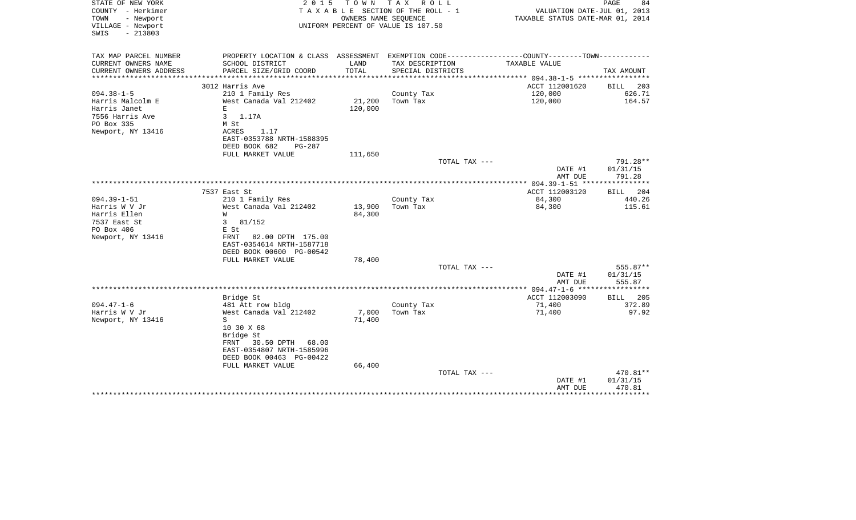| $-213803$<br>PROPERTY LOCATION & CLASS ASSESSMENT EXEMPTION CODE----------------COUNTY--------TOWN----------<br>CURRENT OWNERS NAME<br>SCHOOL DISTRICT<br>LAND<br>TAX DESCRIPTION<br>TAXABLE VALUE<br>TOTAL<br>PARCEL SIZE/GRID COORD<br>SPECIAL DISTRICTS<br>TAX AMOUNT<br>*************<br>***********<br>*************** 094.38-1-5 ******************<br>ACCT 112001620<br>3012 Harris Ave<br><b>BILL</b><br>203<br>$094.38 - 1 - 5$<br>210 1 Family Res<br>120,000<br>626.71<br>County Tax<br>West Canada Val 212402<br>21,200<br>Town Tax<br>120,000<br>164.57<br>Harris Malcolm E<br>Harris Janet<br>120,000<br>E.<br>7556 Harris Ave<br>3<br>1.17A<br>M St<br>ACRES<br>1.17<br>EAST-0353788 NRTH-1588395<br>DEED BOOK 682<br>$PG-287$<br>FULL MARKET VALUE<br>111,650<br>791.28**<br>TOTAL TAX ---<br>DATE #1<br>01/31/15<br>AMT DUE<br>791.28<br>7537 East St<br>ACCT 112003120<br>BILL 204<br>210 1 Family Res<br>84,300<br>440.26<br>County Tax<br>West Canada Val 212402<br>Town Tax<br>84,300<br>115.61<br>13,900<br>84,300<br>W<br>81/152<br>3<br>E St<br>Newport, NY 13416<br>82.00 DPTH 175.00<br>FRNT<br>EAST-0354614 NRTH-1587718<br>DEED BOOK 00600 PG-00542<br>FULL MARKET VALUE<br>78,400<br>TOTAL TAX ---<br>555.87**<br>DATE #1<br>01/31/15<br>AMT DUE<br>555.87<br>************** 094.47-1-6 ******************<br>Bridge St<br>ACCT 112003090<br>BILL 205<br>481 Att row bldg<br>71,400<br>372.89<br>County Tax<br>71,400<br>97.92<br>Harris W V Jr<br>West Canada Val 212402<br>7,000<br>Town Tax<br>71,400<br>Newport, NY 13416<br>S<br>10 30 X 68<br>Bridge St<br>30.50 DPTH<br>68.00<br>FRNT<br>EAST-0354807 NRTH-1585996 | STATE OF NEW YORK<br>COUNTY - Herkimer<br>TOWN<br>- Newport<br>VILLAGE - Newport | 2 0 1 5                  | T O W N | TAX ROLL<br>TAXABLE SECTION OF THE ROLL - 1<br>OWNERS NAME SEQUENCE<br>UNIFORM PERCENT OF VALUE IS 107.50 | VALUATION DATE-JUL 01, 2013<br>TAXABLE STATUS DATE-MAR 01, 2014 | PAGE<br>84 |
|--------------------------------------------------------------------------------------------------------------------------------------------------------------------------------------------------------------------------------------------------------------------------------------------------------------------------------------------------------------------------------------------------------------------------------------------------------------------------------------------------------------------------------------------------------------------------------------------------------------------------------------------------------------------------------------------------------------------------------------------------------------------------------------------------------------------------------------------------------------------------------------------------------------------------------------------------------------------------------------------------------------------------------------------------------------------------------------------------------------------------------------------------------------------------------------------------------------------------------------------------------------------------------------------------------------------------------------------------------------------------------------------------------------------------------------------------------------------------------------------------------------------------------------------------------------------------------------------------------------------------------------------------------|----------------------------------------------------------------------------------|--------------------------|---------|-----------------------------------------------------------------------------------------------------------|-----------------------------------------------------------------|------------|
|                                                                                                                                                                                                                                                                                                                                                                                                                                                                                                                                                                                                                                                                                                                                                                                                                                                                                                                                                                                                                                                                                                                                                                                                                                                                                                                                                                                                                                                                                                                                                                                                                                                        | SWIS                                                                             |                          |         |                                                                                                           |                                                                 |            |
|                                                                                                                                                                                                                                                                                                                                                                                                                                                                                                                                                                                                                                                                                                                                                                                                                                                                                                                                                                                                                                                                                                                                                                                                                                                                                                                                                                                                                                                                                                                                                                                                                                                        | TAX MAP PARCEL NUMBER                                                            |                          |         |                                                                                                           |                                                                 |            |
|                                                                                                                                                                                                                                                                                                                                                                                                                                                                                                                                                                                                                                                                                                                                                                                                                                                                                                                                                                                                                                                                                                                                                                                                                                                                                                                                                                                                                                                                                                                                                                                                                                                        | CURRENT OWNERS ADDRESS                                                           |                          |         |                                                                                                           |                                                                 |            |
|                                                                                                                                                                                                                                                                                                                                                                                                                                                                                                                                                                                                                                                                                                                                                                                                                                                                                                                                                                                                                                                                                                                                                                                                                                                                                                                                                                                                                                                                                                                                                                                                                                                        |                                                                                  |                          |         |                                                                                                           |                                                                 |            |
|                                                                                                                                                                                                                                                                                                                                                                                                                                                                                                                                                                                                                                                                                                                                                                                                                                                                                                                                                                                                                                                                                                                                                                                                                                                                                                                                                                                                                                                                                                                                                                                                                                                        |                                                                                  |                          |         |                                                                                                           |                                                                 |            |
|                                                                                                                                                                                                                                                                                                                                                                                                                                                                                                                                                                                                                                                                                                                                                                                                                                                                                                                                                                                                                                                                                                                                                                                                                                                                                                                                                                                                                                                                                                                                                                                                                                                        |                                                                                  |                          |         |                                                                                                           |                                                                 |            |
|                                                                                                                                                                                                                                                                                                                                                                                                                                                                                                                                                                                                                                                                                                                                                                                                                                                                                                                                                                                                                                                                                                                                                                                                                                                                                                                                                                                                                                                                                                                                                                                                                                                        |                                                                                  |                          |         |                                                                                                           |                                                                 |            |
|                                                                                                                                                                                                                                                                                                                                                                                                                                                                                                                                                                                                                                                                                                                                                                                                                                                                                                                                                                                                                                                                                                                                                                                                                                                                                                                                                                                                                                                                                                                                                                                                                                                        |                                                                                  |                          |         |                                                                                                           |                                                                 |            |
|                                                                                                                                                                                                                                                                                                                                                                                                                                                                                                                                                                                                                                                                                                                                                                                                                                                                                                                                                                                                                                                                                                                                                                                                                                                                                                                                                                                                                                                                                                                                                                                                                                                        | PO Box 335                                                                       |                          |         |                                                                                                           |                                                                 |            |
|                                                                                                                                                                                                                                                                                                                                                                                                                                                                                                                                                                                                                                                                                                                                                                                                                                                                                                                                                                                                                                                                                                                                                                                                                                                                                                                                                                                                                                                                                                                                                                                                                                                        | Newport, NY 13416                                                                |                          |         |                                                                                                           |                                                                 |            |
|                                                                                                                                                                                                                                                                                                                                                                                                                                                                                                                                                                                                                                                                                                                                                                                                                                                                                                                                                                                                                                                                                                                                                                                                                                                                                                                                                                                                                                                                                                                                                                                                                                                        |                                                                                  |                          |         |                                                                                                           |                                                                 |            |
|                                                                                                                                                                                                                                                                                                                                                                                                                                                                                                                                                                                                                                                                                                                                                                                                                                                                                                                                                                                                                                                                                                                                                                                                                                                                                                                                                                                                                                                                                                                                                                                                                                                        |                                                                                  |                          |         |                                                                                                           |                                                                 |            |
|                                                                                                                                                                                                                                                                                                                                                                                                                                                                                                                                                                                                                                                                                                                                                                                                                                                                                                                                                                                                                                                                                                                                                                                                                                                                                                                                                                                                                                                                                                                                                                                                                                                        |                                                                                  |                          |         |                                                                                                           |                                                                 |            |
|                                                                                                                                                                                                                                                                                                                                                                                                                                                                                                                                                                                                                                                                                                                                                                                                                                                                                                                                                                                                                                                                                                                                                                                                                                                                                                                                                                                                                                                                                                                                                                                                                                                        |                                                                                  |                          |         |                                                                                                           |                                                                 |            |
|                                                                                                                                                                                                                                                                                                                                                                                                                                                                                                                                                                                                                                                                                                                                                                                                                                                                                                                                                                                                                                                                                                                                                                                                                                                                                                                                                                                                                                                                                                                                                                                                                                                        |                                                                                  |                          |         |                                                                                                           |                                                                 |            |
|                                                                                                                                                                                                                                                                                                                                                                                                                                                                                                                                                                                                                                                                                                                                                                                                                                                                                                                                                                                                                                                                                                                                                                                                                                                                                                                                                                                                                                                                                                                                                                                                                                                        |                                                                                  |                          |         |                                                                                                           |                                                                 |            |
|                                                                                                                                                                                                                                                                                                                                                                                                                                                                                                                                                                                                                                                                                                                                                                                                                                                                                                                                                                                                                                                                                                                                                                                                                                                                                                                                                                                                                                                                                                                                                                                                                                                        |                                                                                  |                          |         |                                                                                                           |                                                                 |            |
|                                                                                                                                                                                                                                                                                                                                                                                                                                                                                                                                                                                                                                                                                                                                                                                                                                                                                                                                                                                                                                                                                                                                                                                                                                                                                                                                                                                                                                                                                                                                                                                                                                                        | $094.39 - 1 - 51$                                                                |                          |         |                                                                                                           |                                                                 |            |
|                                                                                                                                                                                                                                                                                                                                                                                                                                                                                                                                                                                                                                                                                                                                                                                                                                                                                                                                                                                                                                                                                                                                                                                                                                                                                                                                                                                                                                                                                                                                                                                                                                                        | Harris W V Jr                                                                    |                          |         |                                                                                                           |                                                                 |            |
|                                                                                                                                                                                                                                                                                                                                                                                                                                                                                                                                                                                                                                                                                                                                                                                                                                                                                                                                                                                                                                                                                                                                                                                                                                                                                                                                                                                                                                                                                                                                                                                                                                                        | Harris Ellen                                                                     |                          |         |                                                                                                           |                                                                 |            |
|                                                                                                                                                                                                                                                                                                                                                                                                                                                                                                                                                                                                                                                                                                                                                                                                                                                                                                                                                                                                                                                                                                                                                                                                                                                                                                                                                                                                                                                                                                                                                                                                                                                        | 7537 East St                                                                     |                          |         |                                                                                                           |                                                                 |            |
|                                                                                                                                                                                                                                                                                                                                                                                                                                                                                                                                                                                                                                                                                                                                                                                                                                                                                                                                                                                                                                                                                                                                                                                                                                                                                                                                                                                                                                                                                                                                                                                                                                                        | PO Box 406                                                                       |                          |         |                                                                                                           |                                                                 |            |
|                                                                                                                                                                                                                                                                                                                                                                                                                                                                                                                                                                                                                                                                                                                                                                                                                                                                                                                                                                                                                                                                                                                                                                                                                                                                                                                                                                                                                                                                                                                                                                                                                                                        |                                                                                  |                          |         |                                                                                                           |                                                                 |            |
|                                                                                                                                                                                                                                                                                                                                                                                                                                                                                                                                                                                                                                                                                                                                                                                                                                                                                                                                                                                                                                                                                                                                                                                                                                                                                                                                                                                                                                                                                                                                                                                                                                                        |                                                                                  |                          |         |                                                                                                           |                                                                 |            |
|                                                                                                                                                                                                                                                                                                                                                                                                                                                                                                                                                                                                                                                                                                                                                                                                                                                                                                                                                                                                                                                                                                                                                                                                                                                                                                                                                                                                                                                                                                                                                                                                                                                        |                                                                                  |                          |         |                                                                                                           |                                                                 |            |
|                                                                                                                                                                                                                                                                                                                                                                                                                                                                                                                                                                                                                                                                                                                                                                                                                                                                                                                                                                                                                                                                                                                                                                                                                                                                                                                                                                                                                                                                                                                                                                                                                                                        |                                                                                  |                          |         |                                                                                                           |                                                                 |            |
|                                                                                                                                                                                                                                                                                                                                                                                                                                                                                                                                                                                                                                                                                                                                                                                                                                                                                                                                                                                                                                                                                                                                                                                                                                                                                                                                                                                                                                                                                                                                                                                                                                                        |                                                                                  |                          |         |                                                                                                           |                                                                 |            |
|                                                                                                                                                                                                                                                                                                                                                                                                                                                                                                                                                                                                                                                                                                                                                                                                                                                                                                                                                                                                                                                                                                                                                                                                                                                                                                                                                                                                                                                                                                                                                                                                                                                        |                                                                                  |                          |         |                                                                                                           |                                                                 |            |
|                                                                                                                                                                                                                                                                                                                                                                                                                                                                                                                                                                                                                                                                                                                                                                                                                                                                                                                                                                                                                                                                                                                                                                                                                                                                                                                                                                                                                                                                                                                                                                                                                                                        |                                                                                  |                          |         |                                                                                                           |                                                                 |            |
|                                                                                                                                                                                                                                                                                                                                                                                                                                                                                                                                                                                                                                                                                                                                                                                                                                                                                                                                                                                                                                                                                                                                                                                                                                                                                                                                                                                                                                                                                                                                                                                                                                                        |                                                                                  |                          |         |                                                                                                           |                                                                 |            |
|                                                                                                                                                                                                                                                                                                                                                                                                                                                                                                                                                                                                                                                                                                                                                                                                                                                                                                                                                                                                                                                                                                                                                                                                                                                                                                                                                                                                                                                                                                                                                                                                                                                        | $094.47 - 1 - 6$                                                                 |                          |         |                                                                                                           |                                                                 |            |
|                                                                                                                                                                                                                                                                                                                                                                                                                                                                                                                                                                                                                                                                                                                                                                                                                                                                                                                                                                                                                                                                                                                                                                                                                                                                                                                                                                                                                                                                                                                                                                                                                                                        |                                                                                  |                          |         |                                                                                                           |                                                                 |            |
|                                                                                                                                                                                                                                                                                                                                                                                                                                                                                                                                                                                                                                                                                                                                                                                                                                                                                                                                                                                                                                                                                                                                                                                                                                                                                                                                                                                                                                                                                                                                                                                                                                                        |                                                                                  |                          |         |                                                                                                           |                                                                 |            |
|                                                                                                                                                                                                                                                                                                                                                                                                                                                                                                                                                                                                                                                                                                                                                                                                                                                                                                                                                                                                                                                                                                                                                                                                                                                                                                                                                                                                                                                                                                                                                                                                                                                        |                                                                                  |                          |         |                                                                                                           |                                                                 |            |
|                                                                                                                                                                                                                                                                                                                                                                                                                                                                                                                                                                                                                                                                                                                                                                                                                                                                                                                                                                                                                                                                                                                                                                                                                                                                                                                                                                                                                                                                                                                                                                                                                                                        |                                                                                  |                          |         |                                                                                                           |                                                                 |            |
|                                                                                                                                                                                                                                                                                                                                                                                                                                                                                                                                                                                                                                                                                                                                                                                                                                                                                                                                                                                                                                                                                                                                                                                                                                                                                                                                                                                                                                                                                                                                                                                                                                                        |                                                                                  |                          |         |                                                                                                           |                                                                 |            |
|                                                                                                                                                                                                                                                                                                                                                                                                                                                                                                                                                                                                                                                                                                                                                                                                                                                                                                                                                                                                                                                                                                                                                                                                                                                                                                                                                                                                                                                                                                                                                                                                                                                        |                                                                                  | DEED BOOK 00463 PG-00422 |         |                                                                                                           |                                                                 |            |
| 66,400<br>FULL MARKET VALUE                                                                                                                                                                                                                                                                                                                                                                                                                                                                                                                                                                                                                                                                                                                                                                                                                                                                                                                                                                                                                                                                                                                                                                                                                                                                                                                                                                                                                                                                                                                                                                                                                            |                                                                                  |                          |         |                                                                                                           |                                                                 |            |
| TOTAL TAX ---<br>470.81**                                                                                                                                                                                                                                                                                                                                                                                                                                                                                                                                                                                                                                                                                                                                                                                                                                                                                                                                                                                                                                                                                                                                                                                                                                                                                                                                                                                                                                                                                                                                                                                                                              |                                                                                  |                          |         |                                                                                                           |                                                                 |            |
| 01/31/15<br>DATE #1                                                                                                                                                                                                                                                                                                                                                                                                                                                                                                                                                                                                                                                                                                                                                                                                                                                                                                                                                                                                                                                                                                                                                                                                                                                                                                                                                                                                                                                                                                                                                                                                                                    |                                                                                  |                          |         |                                                                                                           |                                                                 |            |
| 470.81<br>AMT DUE                                                                                                                                                                                                                                                                                                                                                                                                                                                                                                                                                                                                                                                                                                                                                                                                                                                                                                                                                                                                                                                                                                                                                                                                                                                                                                                                                                                                                                                                                                                                                                                                                                      |                                                                                  |                          |         |                                                                                                           |                                                                 |            |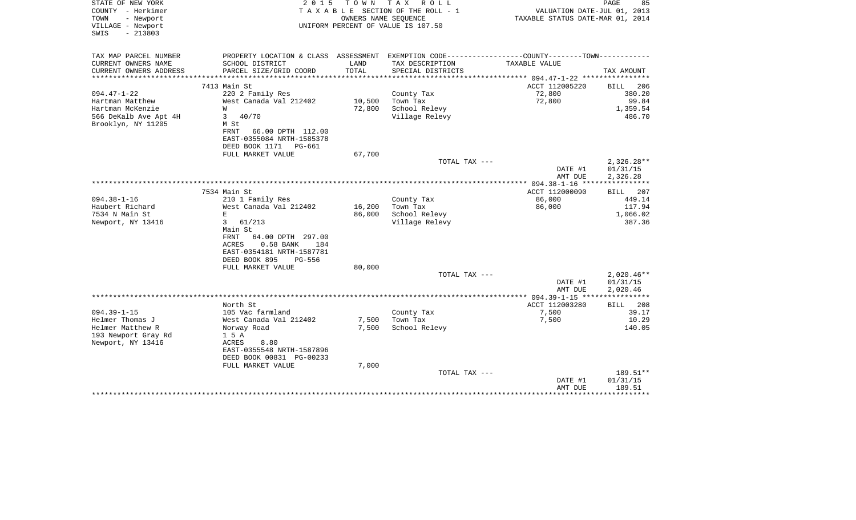| PROPERTY LOCATION & CLASS ASSESSMENT EXEMPTION CODE---------------COUNTY-------TOWN----------<br>CURRENT OWNERS NAME<br>SCHOOL DISTRICT<br>LAND<br>TAX DESCRIPTION<br>TAXABLE VALUE<br>PARCEL SIZE/GRID COORD<br>TOTAL<br>CURRENT OWNERS ADDRESS<br>SPECIAL DISTRICTS<br>TAX AMOUNT<br>*************<br>*************************<br>*********************<br>**************** 094.47-1-22 *****************<br>ACCT 112005220<br>7413 Main St<br><b>BILL</b><br>206<br>$094.47 - 1 - 22$<br>72,800<br>220 2 Family Res<br>380.20<br>County Tax<br>West Canada Val 212402<br>10,500<br>Town Tax<br>72,800<br>99.84<br>Hartman Matthew<br>Hartman McKenzie<br>72,800<br>School Relevy<br>1,359.54<br>W<br>566 DeKalb Ave Apt 4H<br>40/70<br>3<br>Village Relevy<br>486.70<br>M St<br>FRNT<br>66.00 DPTH 112.00<br>EAST-0355084 NRTH-1585378<br>DEED BOOK 1171<br>PG-661<br>FULL MARKET VALUE<br>67,700<br>TOTAL TAX ---<br>$2,326.28**$<br>01/31/15<br>DATE #1<br>AMT DUE<br>2,326.28<br>7534 Main St<br>ACCT 112000090<br>BILL 207<br>$094.38 - 1 - 16$<br>86,000<br>210 1 Family Res<br>County Tax<br>449.14<br>Haubert Richard<br>West Canada Val 212402<br>Town Tax<br>86,000<br>117.94<br>16,200<br>7534 N Main St<br>86,000<br>School Relevy<br>E<br>1,066.02<br>61/213<br>3<br>Village Relevy<br>387.36<br>Main St<br>64.00 DPTH 297.00<br><b>FRNT</b><br><b>ACRES</b><br>0.58 BANK<br>184<br>EAST-0354181 NRTH-1587781<br>DEED BOOK 895<br>$PG - 556$<br>FULL MARKET VALUE<br>80,000<br>$2,020.46**$<br>TOTAL TAX ---<br>01/31/15<br>DATE #1<br>2,020.46<br>AMT DUE<br>North St<br>ACCT 112003280<br><b>BILL</b><br>208<br>$094.39 - 1 - 15$<br>105 Vac farmland<br>7,500<br>39.17<br>County Tax<br>West Canada Val 212402<br>7,500<br>Town Tax<br>7,500<br>10.29<br>Helmer Matthew R<br>140.05<br>Norway Road<br>7,500<br>School Relevy<br>1 5 A<br>Newport, NY 13416<br>ACRES<br>8.80<br>EAST-0355548 NRTH-1587896<br>DEED BOOK 00831 PG-00233<br>FULL MARKET VALUE<br>7,000<br>189.51**<br>TOTAL TAX ---<br>01/31/15<br>DATE #1<br>189.51<br>AMT DUE<br>********* | STATE OF NEW YORK<br>COUNTY - Herkimer<br>TOWN<br>- Newport<br>VILLAGE - Newport<br>$-213803$<br>SWIS | 2 0 1 5 | T O W N | T A X<br>R O L L<br>T A X A B L E SECTION OF THE ROLL - 1<br>OWNERS NAME SEOUENCE<br>UNIFORM PERCENT OF VALUE IS 107.50 | VALUATION DATE-JUL 01, 2013<br>TAXABLE STATUS DATE-MAR 01, 2014 | PAGE<br>85 |
|-----------------------------------------------------------------------------------------------------------------------------------------------------------------------------------------------------------------------------------------------------------------------------------------------------------------------------------------------------------------------------------------------------------------------------------------------------------------------------------------------------------------------------------------------------------------------------------------------------------------------------------------------------------------------------------------------------------------------------------------------------------------------------------------------------------------------------------------------------------------------------------------------------------------------------------------------------------------------------------------------------------------------------------------------------------------------------------------------------------------------------------------------------------------------------------------------------------------------------------------------------------------------------------------------------------------------------------------------------------------------------------------------------------------------------------------------------------------------------------------------------------------------------------------------------------------------------------------------------------------------------------------------------------------------------------------------------------------------------------------------------------------------------------------------------------------------------------------------------------------------------------------------------------------------------------------------------------------------------------------------------------------------------------------------------------------------------|-------------------------------------------------------------------------------------------------------|---------|---------|-------------------------------------------------------------------------------------------------------------------------|-----------------------------------------------------------------|------------|
|                                                                                                                                                                                                                                                                                                                                                                                                                                                                                                                                                                                                                                                                                                                                                                                                                                                                                                                                                                                                                                                                                                                                                                                                                                                                                                                                                                                                                                                                                                                                                                                                                                                                                                                                                                                                                                                                                                                                                                                                                                                                             | TAX MAP PARCEL NUMBER                                                                                 |         |         |                                                                                                                         |                                                                 |            |
|                                                                                                                                                                                                                                                                                                                                                                                                                                                                                                                                                                                                                                                                                                                                                                                                                                                                                                                                                                                                                                                                                                                                                                                                                                                                                                                                                                                                                                                                                                                                                                                                                                                                                                                                                                                                                                                                                                                                                                                                                                                                             |                                                                                                       |         |         |                                                                                                                         |                                                                 |            |
|                                                                                                                                                                                                                                                                                                                                                                                                                                                                                                                                                                                                                                                                                                                                                                                                                                                                                                                                                                                                                                                                                                                                                                                                                                                                                                                                                                                                                                                                                                                                                                                                                                                                                                                                                                                                                                                                                                                                                                                                                                                                             |                                                                                                       |         |         |                                                                                                                         |                                                                 |            |
|                                                                                                                                                                                                                                                                                                                                                                                                                                                                                                                                                                                                                                                                                                                                                                                                                                                                                                                                                                                                                                                                                                                                                                                                                                                                                                                                                                                                                                                                                                                                                                                                                                                                                                                                                                                                                                                                                                                                                                                                                                                                             |                                                                                                       |         |         |                                                                                                                         |                                                                 |            |
|                                                                                                                                                                                                                                                                                                                                                                                                                                                                                                                                                                                                                                                                                                                                                                                                                                                                                                                                                                                                                                                                                                                                                                                                                                                                                                                                                                                                                                                                                                                                                                                                                                                                                                                                                                                                                                                                                                                                                                                                                                                                             |                                                                                                       |         |         |                                                                                                                         |                                                                 |            |
|                                                                                                                                                                                                                                                                                                                                                                                                                                                                                                                                                                                                                                                                                                                                                                                                                                                                                                                                                                                                                                                                                                                                                                                                                                                                                                                                                                                                                                                                                                                                                                                                                                                                                                                                                                                                                                                                                                                                                                                                                                                                             |                                                                                                       |         |         |                                                                                                                         |                                                                 |            |
|                                                                                                                                                                                                                                                                                                                                                                                                                                                                                                                                                                                                                                                                                                                                                                                                                                                                                                                                                                                                                                                                                                                                                                                                                                                                                                                                                                                                                                                                                                                                                                                                                                                                                                                                                                                                                                                                                                                                                                                                                                                                             |                                                                                                       |         |         |                                                                                                                         |                                                                 |            |
|                                                                                                                                                                                                                                                                                                                                                                                                                                                                                                                                                                                                                                                                                                                                                                                                                                                                                                                                                                                                                                                                                                                                                                                                                                                                                                                                                                                                                                                                                                                                                                                                                                                                                                                                                                                                                                                                                                                                                                                                                                                                             | Brooklyn, NY 11205                                                                                    |         |         |                                                                                                                         |                                                                 |            |
|                                                                                                                                                                                                                                                                                                                                                                                                                                                                                                                                                                                                                                                                                                                                                                                                                                                                                                                                                                                                                                                                                                                                                                                                                                                                                                                                                                                                                                                                                                                                                                                                                                                                                                                                                                                                                                                                                                                                                                                                                                                                             |                                                                                                       |         |         |                                                                                                                         |                                                                 |            |
|                                                                                                                                                                                                                                                                                                                                                                                                                                                                                                                                                                                                                                                                                                                                                                                                                                                                                                                                                                                                                                                                                                                                                                                                                                                                                                                                                                                                                                                                                                                                                                                                                                                                                                                                                                                                                                                                                                                                                                                                                                                                             |                                                                                                       |         |         |                                                                                                                         |                                                                 |            |
|                                                                                                                                                                                                                                                                                                                                                                                                                                                                                                                                                                                                                                                                                                                                                                                                                                                                                                                                                                                                                                                                                                                                                                                                                                                                                                                                                                                                                                                                                                                                                                                                                                                                                                                                                                                                                                                                                                                                                                                                                                                                             |                                                                                                       |         |         |                                                                                                                         |                                                                 |            |
|                                                                                                                                                                                                                                                                                                                                                                                                                                                                                                                                                                                                                                                                                                                                                                                                                                                                                                                                                                                                                                                                                                                                                                                                                                                                                                                                                                                                                                                                                                                                                                                                                                                                                                                                                                                                                                                                                                                                                                                                                                                                             |                                                                                                       |         |         |                                                                                                                         |                                                                 |            |
|                                                                                                                                                                                                                                                                                                                                                                                                                                                                                                                                                                                                                                                                                                                                                                                                                                                                                                                                                                                                                                                                                                                                                                                                                                                                                                                                                                                                                                                                                                                                                                                                                                                                                                                                                                                                                                                                                                                                                                                                                                                                             |                                                                                                       |         |         |                                                                                                                         |                                                                 |            |
|                                                                                                                                                                                                                                                                                                                                                                                                                                                                                                                                                                                                                                                                                                                                                                                                                                                                                                                                                                                                                                                                                                                                                                                                                                                                                                                                                                                                                                                                                                                                                                                                                                                                                                                                                                                                                                                                                                                                                                                                                                                                             |                                                                                                       |         |         |                                                                                                                         |                                                                 |            |
|                                                                                                                                                                                                                                                                                                                                                                                                                                                                                                                                                                                                                                                                                                                                                                                                                                                                                                                                                                                                                                                                                                                                                                                                                                                                                                                                                                                                                                                                                                                                                                                                                                                                                                                                                                                                                                                                                                                                                                                                                                                                             |                                                                                                       |         |         |                                                                                                                         |                                                                 |            |
|                                                                                                                                                                                                                                                                                                                                                                                                                                                                                                                                                                                                                                                                                                                                                                                                                                                                                                                                                                                                                                                                                                                                                                                                                                                                                                                                                                                                                                                                                                                                                                                                                                                                                                                                                                                                                                                                                                                                                                                                                                                                             |                                                                                                       |         |         |                                                                                                                         |                                                                 |            |
|                                                                                                                                                                                                                                                                                                                                                                                                                                                                                                                                                                                                                                                                                                                                                                                                                                                                                                                                                                                                                                                                                                                                                                                                                                                                                                                                                                                                                                                                                                                                                                                                                                                                                                                                                                                                                                                                                                                                                                                                                                                                             |                                                                                                       |         |         |                                                                                                                         |                                                                 |            |
|                                                                                                                                                                                                                                                                                                                                                                                                                                                                                                                                                                                                                                                                                                                                                                                                                                                                                                                                                                                                                                                                                                                                                                                                                                                                                                                                                                                                                                                                                                                                                                                                                                                                                                                                                                                                                                                                                                                                                                                                                                                                             |                                                                                                       |         |         |                                                                                                                         |                                                                 |            |
|                                                                                                                                                                                                                                                                                                                                                                                                                                                                                                                                                                                                                                                                                                                                                                                                                                                                                                                                                                                                                                                                                                                                                                                                                                                                                                                                                                                                                                                                                                                                                                                                                                                                                                                                                                                                                                                                                                                                                                                                                                                                             | Newport, NY 13416                                                                                     |         |         |                                                                                                                         |                                                                 |            |
|                                                                                                                                                                                                                                                                                                                                                                                                                                                                                                                                                                                                                                                                                                                                                                                                                                                                                                                                                                                                                                                                                                                                                                                                                                                                                                                                                                                                                                                                                                                                                                                                                                                                                                                                                                                                                                                                                                                                                                                                                                                                             |                                                                                                       |         |         |                                                                                                                         |                                                                 |            |
|                                                                                                                                                                                                                                                                                                                                                                                                                                                                                                                                                                                                                                                                                                                                                                                                                                                                                                                                                                                                                                                                                                                                                                                                                                                                                                                                                                                                                                                                                                                                                                                                                                                                                                                                                                                                                                                                                                                                                                                                                                                                             |                                                                                                       |         |         |                                                                                                                         |                                                                 |            |
|                                                                                                                                                                                                                                                                                                                                                                                                                                                                                                                                                                                                                                                                                                                                                                                                                                                                                                                                                                                                                                                                                                                                                                                                                                                                                                                                                                                                                                                                                                                                                                                                                                                                                                                                                                                                                                                                                                                                                                                                                                                                             |                                                                                                       |         |         |                                                                                                                         |                                                                 |            |
|                                                                                                                                                                                                                                                                                                                                                                                                                                                                                                                                                                                                                                                                                                                                                                                                                                                                                                                                                                                                                                                                                                                                                                                                                                                                                                                                                                                                                                                                                                                                                                                                                                                                                                                                                                                                                                                                                                                                                                                                                                                                             |                                                                                                       |         |         |                                                                                                                         |                                                                 |            |
|                                                                                                                                                                                                                                                                                                                                                                                                                                                                                                                                                                                                                                                                                                                                                                                                                                                                                                                                                                                                                                                                                                                                                                                                                                                                                                                                                                                                                                                                                                                                                                                                                                                                                                                                                                                                                                                                                                                                                                                                                                                                             |                                                                                                       |         |         |                                                                                                                         |                                                                 |            |
|                                                                                                                                                                                                                                                                                                                                                                                                                                                                                                                                                                                                                                                                                                                                                                                                                                                                                                                                                                                                                                                                                                                                                                                                                                                                                                                                                                                                                                                                                                                                                                                                                                                                                                                                                                                                                                                                                                                                                                                                                                                                             |                                                                                                       |         |         |                                                                                                                         |                                                                 |            |
|                                                                                                                                                                                                                                                                                                                                                                                                                                                                                                                                                                                                                                                                                                                                                                                                                                                                                                                                                                                                                                                                                                                                                                                                                                                                                                                                                                                                                                                                                                                                                                                                                                                                                                                                                                                                                                                                                                                                                                                                                                                                             |                                                                                                       |         |         |                                                                                                                         |                                                                 |            |
|                                                                                                                                                                                                                                                                                                                                                                                                                                                                                                                                                                                                                                                                                                                                                                                                                                                                                                                                                                                                                                                                                                                                                                                                                                                                                                                                                                                                                                                                                                                                                                                                                                                                                                                                                                                                                                                                                                                                                                                                                                                                             |                                                                                                       |         |         |                                                                                                                         |                                                                 |            |
|                                                                                                                                                                                                                                                                                                                                                                                                                                                                                                                                                                                                                                                                                                                                                                                                                                                                                                                                                                                                                                                                                                                                                                                                                                                                                                                                                                                                                                                                                                                                                                                                                                                                                                                                                                                                                                                                                                                                                                                                                                                                             |                                                                                                       |         |         |                                                                                                                         |                                                                 |            |
|                                                                                                                                                                                                                                                                                                                                                                                                                                                                                                                                                                                                                                                                                                                                                                                                                                                                                                                                                                                                                                                                                                                                                                                                                                                                                                                                                                                                                                                                                                                                                                                                                                                                                                                                                                                                                                                                                                                                                                                                                                                                             |                                                                                                       |         |         |                                                                                                                         |                                                                 |            |
|                                                                                                                                                                                                                                                                                                                                                                                                                                                                                                                                                                                                                                                                                                                                                                                                                                                                                                                                                                                                                                                                                                                                                                                                                                                                                                                                                                                                                                                                                                                                                                                                                                                                                                                                                                                                                                                                                                                                                                                                                                                                             | Helmer Thomas J                                                                                       |         |         |                                                                                                                         |                                                                 |            |
|                                                                                                                                                                                                                                                                                                                                                                                                                                                                                                                                                                                                                                                                                                                                                                                                                                                                                                                                                                                                                                                                                                                                                                                                                                                                                                                                                                                                                                                                                                                                                                                                                                                                                                                                                                                                                                                                                                                                                                                                                                                                             |                                                                                                       |         |         |                                                                                                                         |                                                                 |            |
|                                                                                                                                                                                                                                                                                                                                                                                                                                                                                                                                                                                                                                                                                                                                                                                                                                                                                                                                                                                                                                                                                                                                                                                                                                                                                                                                                                                                                                                                                                                                                                                                                                                                                                                                                                                                                                                                                                                                                                                                                                                                             | 193 Newport Gray Rd                                                                                   |         |         |                                                                                                                         |                                                                 |            |
|                                                                                                                                                                                                                                                                                                                                                                                                                                                                                                                                                                                                                                                                                                                                                                                                                                                                                                                                                                                                                                                                                                                                                                                                                                                                                                                                                                                                                                                                                                                                                                                                                                                                                                                                                                                                                                                                                                                                                                                                                                                                             |                                                                                                       |         |         |                                                                                                                         |                                                                 |            |
|                                                                                                                                                                                                                                                                                                                                                                                                                                                                                                                                                                                                                                                                                                                                                                                                                                                                                                                                                                                                                                                                                                                                                                                                                                                                                                                                                                                                                                                                                                                                                                                                                                                                                                                                                                                                                                                                                                                                                                                                                                                                             |                                                                                                       |         |         |                                                                                                                         |                                                                 |            |
|                                                                                                                                                                                                                                                                                                                                                                                                                                                                                                                                                                                                                                                                                                                                                                                                                                                                                                                                                                                                                                                                                                                                                                                                                                                                                                                                                                                                                                                                                                                                                                                                                                                                                                                                                                                                                                                                                                                                                                                                                                                                             |                                                                                                       |         |         |                                                                                                                         |                                                                 |            |
|                                                                                                                                                                                                                                                                                                                                                                                                                                                                                                                                                                                                                                                                                                                                                                                                                                                                                                                                                                                                                                                                                                                                                                                                                                                                                                                                                                                                                                                                                                                                                                                                                                                                                                                                                                                                                                                                                                                                                                                                                                                                             |                                                                                                       |         |         |                                                                                                                         |                                                                 |            |
|                                                                                                                                                                                                                                                                                                                                                                                                                                                                                                                                                                                                                                                                                                                                                                                                                                                                                                                                                                                                                                                                                                                                                                                                                                                                                                                                                                                                                                                                                                                                                                                                                                                                                                                                                                                                                                                                                                                                                                                                                                                                             |                                                                                                       |         |         |                                                                                                                         |                                                                 |            |
|                                                                                                                                                                                                                                                                                                                                                                                                                                                                                                                                                                                                                                                                                                                                                                                                                                                                                                                                                                                                                                                                                                                                                                                                                                                                                                                                                                                                                                                                                                                                                                                                                                                                                                                                                                                                                                                                                                                                                                                                                                                                             |                                                                                                       |         |         |                                                                                                                         |                                                                 |            |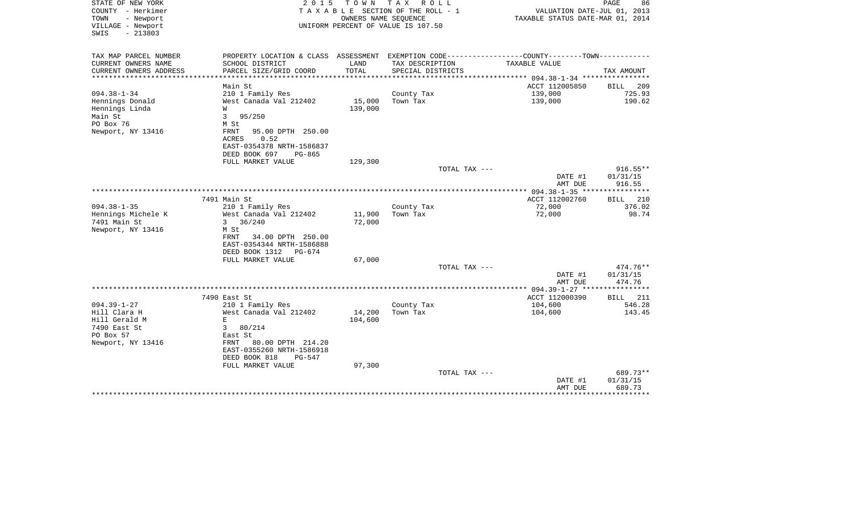| STATE OF NEW YORK<br>COUNTY - Herkimer<br>TOWN<br>- Newport<br>VILLAGE - Newport<br>$-213803$<br>SWIS | 2 0 1 5                                                                                                                                                                                      | OWNERS NAME SEQUENCE       | TOWN TAX ROLL<br>TAXABLE SECTION OF THE ROLL - 1<br>UNIFORM PERCENT OF VALUE IS 107.50 | VALUATION DATE-JUL 01, 2013<br>TAXABLE STATUS DATE-MAR 01, 2014 | PAGE<br>86                                        |
|-------------------------------------------------------------------------------------------------------|----------------------------------------------------------------------------------------------------------------------------------------------------------------------------------------------|----------------------------|----------------------------------------------------------------------------------------|-----------------------------------------------------------------|---------------------------------------------------|
| TAX MAP PARCEL NUMBER<br>CURRENT OWNERS NAME                                                          | PROPERTY LOCATION & CLASS ASSESSMENT EXEMPTION CODE----------------COUNTY--------TOWN----------<br>SCHOOL DISTRICT                                                                           | LAND                       | TAX DESCRIPTION                                                                        | TAXABLE VALUE                                                   |                                                   |
| CURRENT OWNERS ADDRESS                                                                                | PARCEL SIZE/GRID COORD                                                                                                                                                                       | TOTAL                      | SPECIAL DISTRICTS                                                                      |                                                                 | TAX AMOUNT                                        |
|                                                                                                       |                                                                                                                                                                                              |                            |                                                                                        | ************ 094.38-1-34 *****************                      |                                                   |
|                                                                                                       | Main St                                                                                                                                                                                      |                            |                                                                                        | ACCT 112005850                                                  | 209<br>BILL                                       |
| $094.38 - 1 - 34$<br>Hennings Donald<br>Hennings Linda<br>Main St<br>PO Box 76<br>Newport, NY 13416   | 210 1 Family Res<br>West Canada Val 212402<br>W<br>95/250<br>3<br>M St<br>95.00 DPTH 250.00<br>FRNT<br>0.52<br>ACRES<br>EAST-0354378 NRTH-1586837                                            | 15,000<br>139,000          | County Tax<br>Town Tax                                                                 | 139,000<br>139,000                                              | 725.93<br>190.62                                  |
|                                                                                                       | DEED BOOK 697<br>PG-865                                                                                                                                                                      |                            |                                                                                        |                                                                 |                                                   |
|                                                                                                       | FULL MARKET VALUE                                                                                                                                                                            | 129,300                    |                                                                                        |                                                                 |                                                   |
|                                                                                                       |                                                                                                                                                                                              |                            | TOTAL TAX ---                                                                          | DATE #1<br>AMT DUE                                              | $916.55**$<br>01/31/15<br>916.55                  |
| $094.38 - 1 - 35$<br>Hennings Michele K<br>7491 Main St<br>Newport, NY 13416                          | 7491 Main St<br>210 1 Family Res<br>West Canada Val 212402<br>3<br>36/240<br>M St<br>34.00 DPTH 250.00<br>FRNT<br>EAST-0354344 NRTH-1586888<br>DEED BOOK 1312<br>PG-674<br>FULL MARKET VALUE | 11,900<br>72,000<br>67,000 | County Tax<br>Town Tax<br>TOTAL TAX ---                                                | ACCT 112002760<br>72,000<br>72,000                              | 210<br><b>BILL</b><br>376.02<br>98.74<br>474.76** |
|                                                                                                       |                                                                                                                                                                                              |                            |                                                                                        | DATE #1<br>AMT DUE                                              | 01/31/15<br>474.76                                |
|                                                                                                       |                                                                                                                                                                                              |                            |                                                                                        | ***************** 094.39-1-27 ****************                  |                                                   |
| $094.39 - 1 - 27$<br>Hill Clara H<br>Hill Gerald M<br>7490 East St<br>PO Box 57<br>Newport, NY 13416  | 7490 East St<br>210 1 Family Res<br>West Canada Val 212402<br>E<br>$\mathbf{3}$<br>80/214<br>East St<br>80.00 DPTH 214.20<br>FRNT<br>EAST-0355260 NRTH-1586918<br>DEED BOOK 818<br>$PG-547$  | 14,200<br>104,600          | County Tax<br>Town Tax                                                                 | ACCT 112000390<br>104,600<br>104,600                            | <b>BILL</b><br>211<br>546.28<br>143.45            |
|                                                                                                       | FULL MARKET VALUE                                                                                                                                                                            | 97,300                     | TOTAL TAX ---                                                                          | DATE #1<br>AMT DUE                                              | 689.73**<br>01/31/15<br>689.73<br>*********       |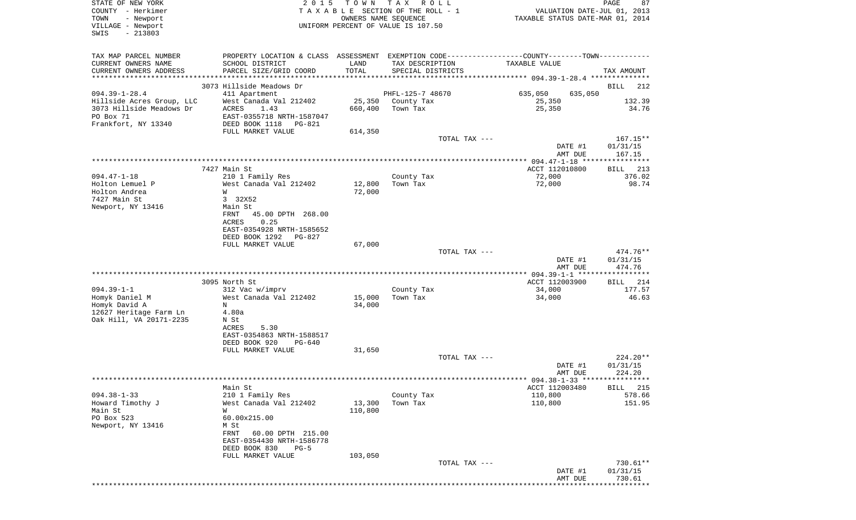| STATE OF NEW YORK<br>COUNTY - Herkimer<br>TOWN<br>- Newport<br>VILLAGE - Newport<br>$-213803$<br>SWIS | 2 0 1 5                                       | T O W N | TAX ROLL<br>TAXABLE SECTION OF THE ROLL - 1<br>OWNERS NAME SEQUENCE<br>UNIFORM PERCENT OF VALUE IS 107.50 | VALUATION DATE-JUL 01, 2013<br>TAXABLE STATUS DATE-MAR 01, 2014                                                 | PAGE<br>87         |
|-------------------------------------------------------------------------------------------------------|-----------------------------------------------|---------|-----------------------------------------------------------------------------------------------------------|-----------------------------------------------------------------------------------------------------------------|--------------------|
|                                                                                                       |                                               |         |                                                                                                           |                                                                                                                 |                    |
| TAX MAP PARCEL NUMBER<br>CURRENT OWNERS NAME                                                          | SCHOOL DISTRICT                               | LAND    | TAX DESCRIPTION                                                                                           | PROPERTY LOCATION & CLASS ASSESSMENT EXEMPTION CODE----------------COUNTY-------TOWN----------<br>TAXABLE VALUE |                    |
| CURRENT OWNERS ADDRESS                                                                                | PARCEL SIZE/GRID COORD                        | TOTAL   | SPECIAL DISTRICTS                                                                                         |                                                                                                                 | TAX AMOUNT         |
| *********************                                                                                 | ********************                          |         |                                                                                                           |                                                                                                                 |                    |
| $094.39 - 1 - 28.4$                                                                                   | 3073 Hillside Meadows Dr<br>411 Apartment     |         | PHFL-125-7 48670                                                                                          | 635,050<br>635,050                                                                                              | <b>BILL</b><br>212 |
| Hillside Acres Group, LLC                                                                             | West Canada Val 212402                        |         | 25,350 County Tax                                                                                         | 25,350                                                                                                          | 132.39             |
| 3073 Hillside Meadows Dr                                                                              | ACRES<br>1.43                                 | 660,400 | Town Tax                                                                                                  | 25,350                                                                                                          | 34.76              |
| PO Box 71                                                                                             | EAST-0355718 NRTH-1587047                     |         |                                                                                                           |                                                                                                                 |                    |
| Frankfort, NY 13340                                                                                   | DEED BOOK 1118 PG-821<br>FULL MARKET VALUE    | 614,350 |                                                                                                           |                                                                                                                 |                    |
|                                                                                                       |                                               |         | TOTAL TAX ---                                                                                             |                                                                                                                 | $167.15**$         |
|                                                                                                       |                                               |         |                                                                                                           | DATE #1                                                                                                         | 01/31/15           |
|                                                                                                       |                                               |         |                                                                                                           | AMT DUE                                                                                                         | 167.15             |
|                                                                                                       | 7427 Main St                                  |         |                                                                                                           | ACCT 112010800                                                                                                  | 213<br>BILL        |
| $094.47 - 1 - 18$                                                                                     | 210 1 Family Res                              |         | County Tax                                                                                                | 72,000                                                                                                          | 376.02             |
| Holton Lemuel P                                                                                       | West Canada Val 212402                        | 12,800  | Town Tax                                                                                                  | 72,000                                                                                                          | 98.74              |
| Holton Andrea                                                                                         | W                                             | 72,000  |                                                                                                           |                                                                                                                 |                    |
| 7427 Main St<br>Newport, NY 13416                                                                     | 3 32X52<br>Main St                            |         |                                                                                                           |                                                                                                                 |                    |
|                                                                                                       | FRNT<br>45.00 DPTH 268.00                     |         |                                                                                                           |                                                                                                                 |                    |
|                                                                                                       | ACRES<br>0.25                                 |         |                                                                                                           |                                                                                                                 |                    |
|                                                                                                       | EAST-0354928 NRTH-1585652                     |         |                                                                                                           |                                                                                                                 |                    |
|                                                                                                       | DEED BOOK 1292<br>PG-827<br>FULL MARKET VALUE | 67,000  |                                                                                                           |                                                                                                                 |                    |
|                                                                                                       |                                               |         | TOTAL TAX ---                                                                                             |                                                                                                                 | 474.76**           |
|                                                                                                       |                                               |         |                                                                                                           | DATE #1<br>AMT DUE                                                                                              | 01/31/15<br>474.76 |
|                                                                                                       | 3095 North St                                 |         |                                                                                                           | ACCT 112003900                                                                                                  | 214<br>BILL        |
| $094.39 - 1 - 1$                                                                                      | 312 Vac w/imprv                               |         | County Tax                                                                                                | 34,000                                                                                                          | 177.57             |
| Homyk Daniel M                                                                                        | West Canada Val 212402                        | 15,000  | Town Tax                                                                                                  | 34,000                                                                                                          | 46.63              |
| Homyk David A                                                                                         | N                                             | 34,000  |                                                                                                           |                                                                                                                 |                    |
| 12627 Heritage Farm Ln<br>Oak Hill, VA 20171-2235                                                     | 4.80a<br>N St                                 |         |                                                                                                           |                                                                                                                 |                    |
|                                                                                                       | ACRES<br>5.30                                 |         |                                                                                                           |                                                                                                                 |                    |
|                                                                                                       | EAST-0354863 NRTH-1588517                     |         |                                                                                                           |                                                                                                                 |                    |
|                                                                                                       | DEED BOOK 920<br>PG-640                       |         |                                                                                                           |                                                                                                                 |                    |
|                                                                                                       | FULL MARKET VALUE                             | 31,650  | TOTAL TAX ---                                                                                             |                                                                                                                 | $224.20**$         |
|                                                                                                       |                                               |         |                                                                                                           | DATE #1                                                                                                         | 01/31/15           |
|                                                                                                       |                                               |         |                                                                                                           | AMT DUE                                                                                                         | 224.20             |
|                                                                                                       | Main St                                       |         |                                                                                                           | ********** 094.38-1-33 *****************<br>ACCT 112003480                                                      | 215<br><b>BILL</b> |
| $094.38 - 1 - 33$                                                                                     | 210 1 Family Res                              |         | County Tax                                                                                                | 110,800                                                                                                         | 578.66             |
| Howard Timothy J                                                                                      | West Canada Val 212402                        | 13,300  | Town Tax                                                                                                  | 110,800                                                                                                         | 151.95             |
| Main St                                                                                               | W                                             | 110,800 |                                                                                                           |                                                                                                                 |                    |
| PO Box 523<br>Newport, NY 13416                                                                       | 60.00x215.00<br>M St                          |         |                                                                                                           |                                                                                                                 |                    |
|                                                                                                       | 60.00 DPTH 215.00<br>FRNT                     |         |                                                                                                           |                                                                                                                 |                    |
|                                                                                                       | EAST-0354430 NRTH-1586778                     |         |                                                                                                           |                                                                                                                 |                    |
|                                                                                                       | DEED BOOK 830<br>$PG-5$                       |         |                                                                                                           |                                                                                                                 |                    |
|                                                                                                       | FULL MARKET VALUE                             | 103,050 | TOTAL TAX ---                                                                                             |                                                                                                                 | 730.61**           |
|                                                                                                       |                                               |         |                                                                                                           | DATE #1                                                                                                         | 01/31/15           |
|                                                                                                       |                                               |         |                                                                                                           | AMT DUE                                                                                                         | 730.61             |
|                                                                                                       |                                               |         |                                                                                                           |                                                                                                                 |                    |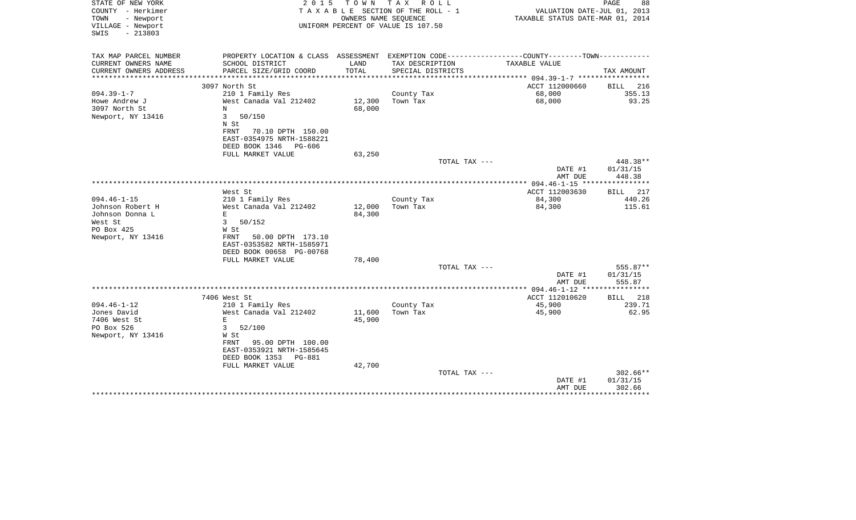| STATE OF NEW YORK<br>COUNTY - Herkimer<br>TOWN<br>- Newport<br>VILLAGE - Newport<br>$-213803$<br>SWIS | 2 0 1 5                                                | T O W N     | TAX ROLL<br>TAXABLE SECTION OF THE ROLL - 1<br>OWNERS NAME SEQUENCE<br>UNIFORM PERCENT OF VALUE IS 107.50 | VALUATION DATE-JUL 01, 2013<br>TAXABLE STATUS DATE-MAR 01, 2014                                                  | PAGE<br>88            |
|-------------------------------------------------------------------------------------------------------|--------------------------------------------------------|-------------|-----------------------------------------------------------------------------------------------------------|------------------------------------------------------------------------------------------------------------------|-----------------------|
| TAX MAP PARCEL NUMBER<br>CURRENT OWNERS NAME                                                          | SCHOOL DISTRICT                                        | LAND        | TAX DESCRIPTION                                                                                           | PROPERTY LOCATION & CLASS ASSESSMENT EXEMPTION CODE----------------COUNTY--------TOWN----------<br>TAXABLE VALUE |                       |
| CURRENT OWNERS ADDRESS                                                                                | PARCEL SIZE/GRID COORD                                 | TOTAL       | SPECIAL DISTRICTS                                                                                         |                                                                                                                  | TAX AMOUNT            |
| **************                                                                                        |                                                        | *********** |                                                                                                           | *************** 094.39-1-7 ******************                                                                    |                       |
|                                                                                                       | 3097 North St                                          |             |                                                                                                           | ACCT 112000660                                                                                                   | BILL<br>216           |
| $094.39 - 1 - 7$<br>Howe Andrew J                                                                     | 210 1 Family Res<br>West Canada Val 212402             | 12,300      | County Tax<br>Town Tax                                                                                    | 68,000<br>68,000                                                                                                 | 355.13<br>93.25       |
| 3097 North St                                                                                         | N                                                      | 68,000      |                                                                                                           |                                                                                                                  |                       |
| Newport, NY 13416                                                                                     | 50/150<br>3                                            |             |                                                                                                           |                                                                                                                  |                       |
|                                                                                                       | N St                                                   |             |                                                                                                           |                                                                                                                  |                       |
|                                                                                                       | 70.10 DPTH 150.00<br>FRNT                              |             |                                                                                                           |                                                                                                                  |                       |
|                                                                                                       | EAST-0354975 NRTH-1588221                              |             |                                                                                                           |                                                                                                                  |                       |
|                                                                                                       | DEED BOOK 1346<br>PG-606<br>FULL MARKET VALUE          | 63,250      |                                                                                                           |                                                                                                                  |                       |
|                                                                                                       |                                                        |             | TOTAL TAX ---                                                                                             |                                                                                                                  | 448.38**              |
|                                                                                                       |                                                        |             |                                                                                                           | DATE #1                                                                                                          | 01/31/15              |
|                                                                                                       |                                                        |             |                                                                                                           | AMT DUE                                                                                                          | 448.38                |
|                                                                                                       | West St                                                |             |                                                                                                           | *************** 094.46-1-15 *****************<br>ACCT 112003630                                                  | 217                   |
| $094.46 - 1 - 15$                                                                                     | 210 1 Family Res                                       |             | County Tax                                                                                                | 84,300                                                                                                           | <b>BILL</b><br>440.26 |
| Johnson Robert H                                                                                      | West Canada Val 212402                                 | 12,000      | Town Tax                                                                                                  | 84,300                                                                                                           | 115.61                |
| Johnson Donna L                                                                                       | E                                                      | 84,300      |                                                                                                           |                                                                                                                  |                       |
| West St                                                                                               | 3<br>50/152                                            |             |                                                                                                           |                                                                                                                  |                       |
| PO Box 425                                                                                            | W St                                                   |             |                                                                                                           |                                                                                                                  |                       |
| Newport, NY 13416                                                                                     | FRNT<br>50.00 DPTH 173.10<br>EAST-0353582 NRTH-1585971 |             |                                                                                                           |                                                                                                                  |                       |
|                                                                                                       | DEED BOOK 00658 PG-00768                               |             |                                                                                                           |                                                                                                                  |                       |
|                                                                                                       | FULL MARKET VALUE                                      | 78,400      |                                                                                                           |                                                                                                                  |                       |
|                                                                                                       |                                                        |             | TOTAL TAX ---                                                                                             |                                                                                                                  | $555.87**$            |
|                                                                                                       |                                                        |             |                                                                                                           | DATE #1                                                                                                          | 01/31/15              |
|                                                                                                       |                                                        |             |                                                                                                           | AMT DUE                                                                                                          | 555.87                |
|                                                                                                       | 7406 West St                                           |             |                                                                                                           | ACCT 112010620                                                                                                   | 218<br><b>BILL</b>    |
| $094.46 - 1 - 12$                                                                                     | 210 1 Family Res                                       |             | County Tax                                                                                                | 45,900                                                                                                           | 239.71                |
| Jones David                                                                                           | West Canada Val 212402                                 | 11,600      | Town Tax                                                                                                  | 45,900                                                                                                           | 62.95                 |
| 7406 West St                                                                                          | E                                                      | 45,900      |                                                                                                           |                                                                                                                  |                       |
| PO Box 526                                                                                            | 3<br>52/100                                            |             |                                                                                                           |                                                                                                                  |                       |
| Newport, NY 13416                                                                                     | W St<br>95.00 DPTH 100.00<br>FRNT                      |             |                                                                                                           |                                                                                                                  |                       |
|                                                                                                       | EAST-0353921 NRTH-1585645                              |             |                                                                                                           |                                                                                                                  |                       |
|                                                                                                       | DEED BOOK 1353<br><b>PG-881</b>                        |             |                                                                                                           |                                                                                                                  |                       |
|                                                                                                       | FULL MARKET VALUE                                      | 42,700      |                                                                                                           |                                                                                                                  |                       |
|                                                                                                       |                                                        |             | TOTAL TAX ---                                                                                             |                                                                                                                  | $302.66**$            |
|                                                                                                       |                                                        |             |                                                                                                           | DATE #1                                                                                                          | 01/31/15              |
|                                                                                                       |                                                        |             |                                                                                                           | AMT DUE                                                                                                          | 302.66                |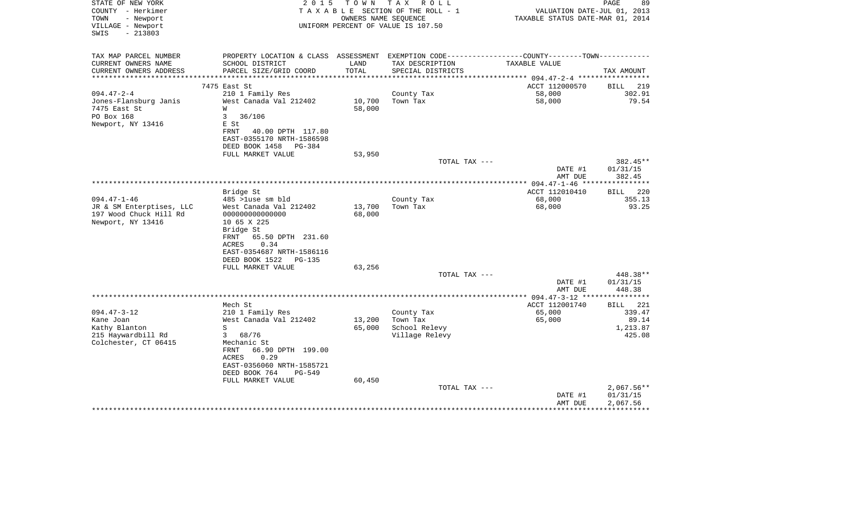| STATE OF NEW YORK                            | 2 0 1 5                                        | T O W N              | T A X<br>R O L L                   |                                                                                                                 | PAGE<br>89           |
|----------------------------------------------|------------------------------------------------|----------------------|------------------------------------|-----------------------------------------------------------------------------------------------------------------|----------------------|
| COUNTY - Herkimer<br>TOWN<br>- Newport       |                                                | OWNERS NAME SEQUENCE | TAXABLE SECTION OF THE ROLL - 1    | VALUATION DATE-JUL 01, 2013<br>TAXABLE STATUS DATE-MAR 01, 2014                                                 |                      |
| VILLAGE - Newport                            |                                                |                      | UNIFORM PERCENT OF VALUE IS 107.50 |                                                                                                                 |                      |
| $-213803$<br>SWIS                            |                                                |                      |                                    |                                                                                                                 |                      |
|                                              |                                                |                      |                                    |                                                                                                                 |                      |
|                                              |                                                |                      |                                    |                                                                                                                 |                      |
| TAX MAP PARCEL NUMBER<br>CURRENT OWNERS NAME | SCHOOL DISTRICT                                | LAND                 | TAX DESCRIPTION                    | PROPERTY LOCATION & CLASS ASSESSMENT EXEMPTION CODE----------------COUNTY-------TOWN----------<br>TAXABLE VALUE |                      |
| CURRENT OWNERS ADDRESS                       | PARCEL SIZE/GRID COORD                         | TOTAL                | SPECIAL DISTRICTS                  |                                                                                                                 | TAX AMOUNT           |
|                                              |                                                |                      |                                    |                                                                                                                 |                      |
|                                              | 7475 East St                                   |                      |                                    | ACCT 112000570                                                                                                  | BILL<br>219          |
| $094.47 - 2 - 4$                             | 210 1 Family Res                               |                      | County Tax                         | 58,000                                                                                                          | 302.91               |
| Jones-Flansburg Janis                        | West Canada Val 212402                         | 10,700               | Town Tax                           | 58,000                                                                                                          | 79.54                |
| 7475 East St                                 | W                                              | 58,000               |                                    |                                                                                                                 |                      |
| PO Box 168                                   | $\mathbf{3}$<br>36/106                         |                      |                                    |                                                                                                                 |                      |
| Newport, NY 13416                            | E St                                           |                      |                                    |                                                                                                                 |                      |
|                                              | 40.00 DPTH 117.80<br>FRNT                      |                      |                                    |                                                                                                                 |                      |
|                                              | EAST-0355170 NRTH-1586598                      |                      |                                    |                                                                                                                 |                      |
|                                              | DEED BOOK 1458<br>$PG-384$                     |                      |                                    |                                                                                                                 |                      |
|                                              | FULL MARKET VALUE                              | 53,950               |                                    |                                                                                                                 |                      |
|                                              |                                                |                      | TOTAL TAX ---                      | DATE #1                                                                                                         | 382.45**<br>01/31/15 |
|                                              |                                                |                      |                                    | AMT DUE                                                                                                         | 382.45               |
|                                              |                                                |                      |                                    |                                                                                                                 |                      |
|                                              | Bridge St                                      |                      |                                    | ACCT 112010410                                                                                                  | BILL<br>220          |
| $094.47 - 1 - 46$                            | 485 >luse sm bld                               |                      | County Tax                         | 68,000                                                                                                          | 355.13               |
| JR & SM Enterptises, LLC                     | West Canada Val 212402                         | 13,700               | Town Tax                           | 68,000                                                                                                          | 93.25                |
| 197 Wood Chuck Hill Rd                       | 000000000000000                                | 68,000               |                                    |                                                                                                                 |                      |
| Newport, NY 13416                            | 10 65 X 225                                    |                      |                                    |                                                                                                                 |                      |
|                                              | Bridge St                                      |                      |                                    |                                                                                                                 |                      |
|                                              | FRNT<br>65.50 DPTH 231.60                      |                      |                                    |                                                                                                                 |                      |
|                                              | ACRES<br>0.34                                  |                      |                                    |                                                                                                                 |                      |
|                                              | EAST-0354687 NRTH-1586116                      |                      |                                    |                                                                                                                 |                      |
|                                              | DEED BOOK 1522<br>$PG-135$                     |                      |                                    |                                                                                                                 |                      |
|                                              | FULL MARKET VALUE                              | 63,256               | TOTAL TAX ---                      |                                                                                                                 | 448.38**             |
|                                              |                                                |                      |                                    | DATE #1                                                                                                         | 01/31/15             |
|                                              |                                                |                      |                                    | AMT DUE                                                                                                         | 448.38               |
|                                              |                                                |                      |                                    |                                                                                                                 |                      |
|                                              | Mech St                                        |                      |                                    | ACCT 112001740                                                                                                  | BILL<br>221          |
| $094.47 - 3 - 12$                            | 210 1 Family Res                               |                      | County Tax                         | 65,000                                                                                                          | 339.47               |
| Kane Joan                                    | West Canada Val 212402                         | 13,200               | Town Tax                           | 65,000                                                                                                          | 89.14                |
| Kathy Blanton                                | S                                              | 65,000               | School Relevy                      |                                                                                                                 | 1,213.87             |
| 215 Haywardbill Rd                           | $\mathbf{3}$<br>68/76                          |                      | Village Relevy                     |                                                                                                                 | 425.08               |
| Colchester, CT 06415                         | Mechanic St                                    |                      |                                    |                                                                                                                 |                      |
|                                              | 66.90 DPTH 199.00<br>FRNT                      |                      |                                    |                                                                                                                 |                      |
|                                              | 0.29<br>ACRES                                  |                      |                                    |                                                                                                                 |                      |
|                                              | EAST-0356060 NRTH-1585721                      |                      |                                    |                                                                                                                 |                      |
|                                              | DEED BOOK 764<br>$PG-549$<br>FULL MARKET VALUE | 60,450               |                                    |                                                                                                                 |                      |
|                                              |                                                |                      | TOTAL TAX ---                      |                                                                                                                 | $2,067.56**$         |
|                                              |                                                |                      |                                    | DATE #1                                                                                                         | 01/31/15             |
|                                              |                                                |                      |                                    | AMT DUE                                                                                                         | 2,067.56             |
|                                              |                                                |                      |                                    |                                                                                                                 |                      |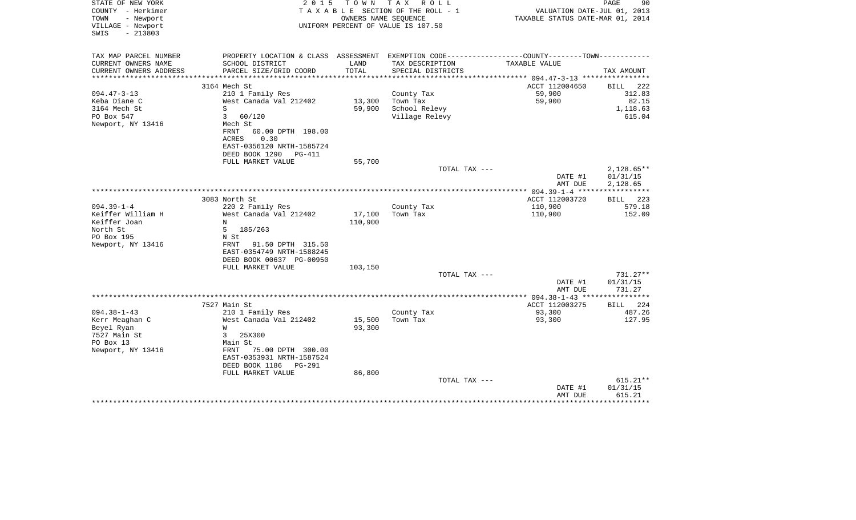| STATE OF NEW YORK<br>COUNTY - Herkimer<br>TOWN<br>- Newport<br>VILLAGE - Newport | 2 0 1 5                                                                                      | T O W N          | T A X<br>R O L L<br>TAXABLE SECTION OF THE ROLL - 1<br>OWNERS NAME SEQUENCE<br>UNIFORM PERCENT OF VALUE IS 107.50 | VALUATION DATE-JUL 01, 2013<br>TAXABLE STATUS DATE-MAR 01, 2014 | $\mathop{\mathtt{PAGE}}$<br>90 |
|----------------------------------------------------------------------------------|----------------------------------------------------------------------------------------------|------------------|-------------------------------------------------------------------------------------------------------------------|-----------------------------------------------------------------|--------------------------------|
| $-213803$<br>SWIS                                                                |                                                                                              |                  |                                                                                                                   |                                                                 |                                |
| TAX MAP PARCEL NUMBER                                                            | PROPERTY LOCATION & CLASS ASSESSMENT EXEMPTION CODE---------------COUNTY-------TOWN--------- |                  |                                                                                                                   |                                                                 |                                |
| CURRENT OWNERS NAME                                                              | SCHOOL DISTRICT                                                                              | LAND             | TAX DESCRIPTION                                                                                                   | TAXABLE VALUE                                                   |                                |
| CURRENT OWNERS ADDRESS<br>*********************                                  | PARCEL SIZE/GRID COORD                                                                       | TOTAL            | SPECIAL DISTRICTS                                                                                                 |                                                                 | TAX AMOUNT                     |
|                                                                                  | 3164 Mech St                                                                                 |                  |                                                                                                                   | ACCT 112004650                                                  | BILL<br>222                    |
| $094.47 - 3 - 13$                                                                | 210 1 Family Res                                                                             |                  | County Tax                                                                                                        | 59,900                                                          | 312.83                         |
| Keba Diane C                                                                     | West Canada Val 212402                                                                       | 13,300           | Town Tax                                                                                                          | 59,900                                                          | 82.15                          |
| 3164 Mech St                                                                     | S                                                                                            | 59,900           | School Relevy                                                                                                     |                                                                 | 1,118.63                       |
| PO Box 547                                                                       | 3<br>60/120                                                                                  |                  | Village Relevy                                                                                                    |                                                                 | 615.04                         |
| Newport, NY 13416                                                                | Mech St                                                                                      |                  |                                                                                                                   |                                                                 |                                |
|                                                                                  | FRNT<br>60.00 DPTH 198.00<br>0.30<br><b>ACRES</b>                                            |                  |                                                                                                                   |                                                                 |                                |
|                                                                                  | EAST-0356120 NRTH-1585724                                                                    |                  |                                                                                                                   |                                                                 |                                |
|                                                                                  | DEED BOOK 1290<br>PG-411                                                                     |                  |                                                                                                                   |                                                                 |                                |
|                                                                                  | FULL MARKET VALUE                                                                            | 55,700           |                                                                                                                   |                                                                 |                                |
|                                                                                  |                                                                                              |                  | TOTAL TAX ---                                                                                                     |                                                                 | $2,128.65**$                   |
|                                                                                  |                                                                                              |                  |                                                                                                                   | DATE #1                                                         | 01/31/15                       |
|                                                                                  |                                                                                              |                  |                                                                                                                   | AMT DUE                                                         | 2,128.65<br>***********        |
|                                                                                  | 3083 North St                                                                                |                  |                                                                                                                   | *************** 094.39-1-4 *****<br>ACCT 112003720              | 223<br>BILL                    |
| $094.39 - 1 - 4$                                                                 | 220 2 Family Res                                                                             |                  | County Tax                                                                                                        | 110,900                                                         | 579.18                         |
| Keiffer William H                                                                | West Canada Val 212402                                                                       | 17,100           | Town Tax                                                                                                          | 110,900                                                         | 152.09                         |
| Keiffer Joan                                                                     | N                                                                                            | 110,900          |                                                                                                                   |                                                                 |                                |
| North St                                                                         | 5<br>185/263                                                                                 |                  |                                                                                                                   |                                                                 |                                |
| PO Box 195                                                                       | N St                                                                                         |                  |                                                                                                                   |                                                                 |                                |
| Newport, NY 13416                                                                | FRNT<br>91.50 DPTH 315.50                                                                    |                  |                                                                                                                   |                                                                 |                                |
|                                                                                  | EAST-0354749 NRTH-1588245                                                                    |                  |                                                                                                                   |                                                                 |                                |
|                                                                                  | DEED BOOK 00637 PG-00950<br>FULL MARKET VALUE                                                |                  |                                                                                                                   |                                                                 |                                |
|                                                                                  |                                                                                              | 103,150          | TOTAL TAX ---                                                                                                     |                                                                 | 731.27**                       |
|                                                                                  |                                                                                              |                  |                                                                                                                   | DATE #1                                                         | 01/31/15                       |
|                                                                                  |                                                                                              |                  |                                                                                                                   | AMT DUE                                                         | 731.27                         |
|                                                                                  |                                                                                              |                  |                                                                                                                   |                                                                 |                                |
|                                                                                  | 7527 Main St                                                                                 |                  |                                                                                                                   | ACCT 112003275                                                  | 224<br>BILL                    |
| $094.38 - 1 - 43$                                                                | 210 1 Family Res                                                                             |                  | County Tax                                                                                                        | 93,300                                                          | 487.26                         |
| Kerr Meaghan C                                                                   | West Canada Val 212402<br>W                                                                  | 15,500<br>93,300 | Town Tax                                                                                                          | 93,300                                                          | 127.95                         |
| Beyel Ryan<br>7527 Main St                                                       | 3<br>25X300                                                                                  |                  |                                                                                                                   |                                                                 |                                |
| PO Box 13                                                                        | Main St                                                                                      |                  |                                                                                                                   |                                                                 |                                |
| Newport, NY 13416                                                                | FRNT<br>75.00 DPTH 300.00                                                                    |                  |                                                                                                                   |                                                                 |                                |
|                                                                                  | EAST-0353931 NRTH-1587524                                                                    |                  |                                                                                                                   |                                                                 |                                |
|                                                                                  | DEED BOOK 1186<br>PG-291                                                                     |                  |                                                                                                                   |                                                                 |                                |
|                                                                                  | FULL MARKET VALUE                                                                            | 86,800           |                                                                                                                   |                                                                 |                                |
|                                                                                  |                                                                                              |                  | TOTAL TAX ---                                                                                                     |                                                                 | $615.21**$                     |
|                                                                                  |                                                                                              |                  |                                                                                                                   | DATE #1<br>AMT DUE                                              | 01/31/15<br>615.21             |
|                                                                                  |                                                                                              |                  |                                                                                                                   |                                                                 |                                |
|                                                                                  |                                                                                              |                  |                                                                                                                   |                                                                 |                                |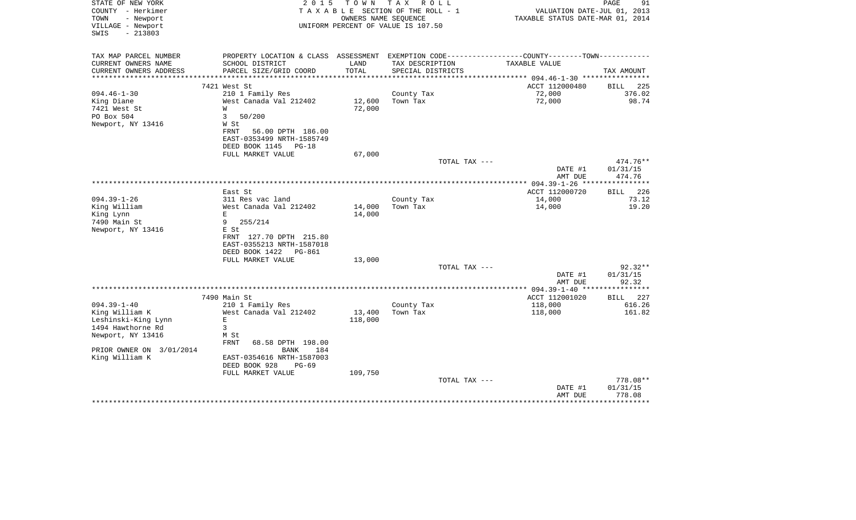| STATE OF NEW YORK<br>COUNTY - Herkimer<br>TOWN<br>- Newport<br>VILLAGE - Newport<br>$-213803$<br>SWIS | 2 0 1 5                                                | T O W N | TAX ROLL<br>TAXABLE SECTION OF THE ROLL - 1<br>OWNERS NAME SEQUENCE<br>UNIFORM PERCENT OF VALUE IS 107.50 | VALUATION DATE-JUL 01, 2013<br>TAXABLE STATUS DATE-MAR 01, 2014                                 | 91<br>PAGE                   |
|-------------------------------------------------------------------------------------------------------|--------------------------------------------------------|---------|-----------------------------------------------------------------------------------------------------------|-------------------------------------------------------------------------------------------------|------------------------------|
| TAX MAP PARCEL NUMBER                                                                                 |                                                        |         |                                                                                                           | PROPERTY LOCATION & CLASS ASSESSMENT EXEMPTION CODE----------------COUNTY--------TOWN---------- |                              |
| CURRENT OWNERS NAME                                                                                   | SCHOOL DISTRICT                                        | LAND    | TAX DESCRIPTION                                                                                           | TAXABLE VALUE                                                                                   |                              |
| CURRENT OWNERS ADDRESS<br>*********************                                                       | PARCEL SIZE/GRID COORD                                 | TOTAL   | SPECIAL DISTRICTS                                                                                         |                                                                                                 | TAX AMOUNT                   |
|                                                                                                       | 7421 West St                                           |         |                                                                                                           | ACCT 112000480                                                                                  | <b>BILL</b><br>225           |
| $094.46 - 1 - 30$                                                                                     | 210 1 Family Res                                       |         | County Tax                                                                                                | 72,000                                                                                          | 376.02                       |
| King Diane                                                                                            | West Canada Val 212402                                 | 12,600  | Town Tax                                                                                                  | 72,000                                                                                          | 98.74                        |
| 7421 West St                                                                                          | W                                                      | 72,000  |                                                                                                           |                                                                                                 |                              |
| PO Box 504                                                                                            | 50/200<br>3                                            |         |                                                                                                           |                                                                                                 |                              |
| Newport, NY 13416                                                                                     | W St<br>FRNT<br>56.00 DPTH 186.00                      |         |                                                                                                           |                                                                                                 |                              |
|                                                                                                       | EAST-0353499 NRTH-1585749                              |         |                                                                                                           |                                                                                                 |                              |
|                                                                                                       | DEED BOOK 1145<br>$PG-18$                              |         |                                                                                                           |                                                                                                 |                              |
|                                                                                                       | FULL MARKET VALUE                                      | 67,000  |                                                                                                           |                                                                                                 |                              |
|                                                                                                       |                                                        |         | TOTAL TAX ---                                                                                             |                                                                                                 | 474.76**                     |
|                                                                                                       |                                                        |         |                                                                                                           | DATE #1<br>AMT DUE                                                                              | 01/31/15<br>474.76           |
|                                                                                                       |                                                        |         |                                                                                                           |                                                                                                 |                              |
|                                                                                                       | East St                                                |         |                                                                                                           | ACCT 112000720                                                                                  | 226<br><b>BILL</b>           |
| $094.39 - 1 - 26$                                                                                     | 311 Res vac land                                       |         | County Tax                                                                                                | 14,000                                                                                          | 73.12                        |
| King William                                                                                          | West Canada Val 212402                                 | 14,000  | Town Tax                                                                                                  | 14,000                                                                                          | 19.20                        |
| King Lynn<br>7490 Main St                                                                             | Е<br>9<br>255/214                                      | 14,000  |                                                                                                           |                                                                                                 |                              |
| Newport, NY 13416                                                                                     | E St                                                   |         |                                                                                                           |                                                                                                 |                              |
|                                                                                                       | FRNT 127.70 DPTH 215.80                                |         |                                                                                                           |                                                                                                 |                              |
|                                                                                                       | EAST-0355213 NRTH-1587018                              |         |                                                                                                           |                                                                                                 |                              |
|                                                                                                       | DEED BOOK 1422<br>PG-861                               |         |                                                                                                           |                                                                                                 |                              |
|                                                                                                       | FULL MARKET VALUE                                      | 13,000  | TOTAL TAX ---                                                                                             |                                                                                                 | $92.32**$                    |
|                                                                                                       |                                                        |         |                                                                                                           | DATE #1                                                                                         | 01/31/15                     |
|                                                                                                       |                                                        |         |                                                                                                           | AMT DUE                                                                                         | 92.32                        |
|                                                                                                       |                                                        |         |                                                                                                           |                                                                                                 |                              |
| $094.39 - 1 - 40$                                                                                     | 7490 Main St<br>210 1 Family Res                       |         | County Tax                                                                                                | ACCT 112001020<br>118,000                                                                       | <b>BILL</b><br>227<br>616.26 |
| King William K                                                                                        | West Canada Val 212402                                 | 13,400  | Town Tax                                                                                                  | 118,000                                                                                         | 161.82                       |
| Leshinski-King Lynn                                                                                   | Е                                                      | 118,000 |                                                                                                           |                                                                                                 |                              |
| 1494 Hawthorne Rd                                                                                     | 3                                                      |         |                                                                                                           |                                                                                                 |                              |
| Newport, NY 13416                                                                                     | M St                                                   |         |                                                                                                           |                                                                                                 |                              |
|                                                                                                       | <b>FRNT</b><br>68.58 DPTH 198.00<br><b>BANK</b><br>184 |         |                                                                                                           |                                                                                                 |                              |
| PRIOR OWNER ON 3/01/2014<br>King William K                                                            | EAST-0354616 NRTH-1587003                              |         |                                                                                                           |                                                                                                 |                              |
|                                                                                                       | DEED BOOK 928<br>$PG-69$                               |         |                                                                                                           |                                                                                                 |                              |
|                                                                                                       | FULL MARKET VALUE                                      | 109,750 |                                                                                                           |                                                                                                 |                              |
|                                                                                                       |                                                        |         | TOTAL TAX ---                                                                                             |                                                                                                 | 778.08**                     |
|                                                                                                       |                                                        |         |                                                                                                           | DATE #1<br>AMT DUE                                                                              | 01/31/15<br>778.08           |
|                                                                                                       |                                                        |         |                                                                                                           |                                                                                                 | *******                      |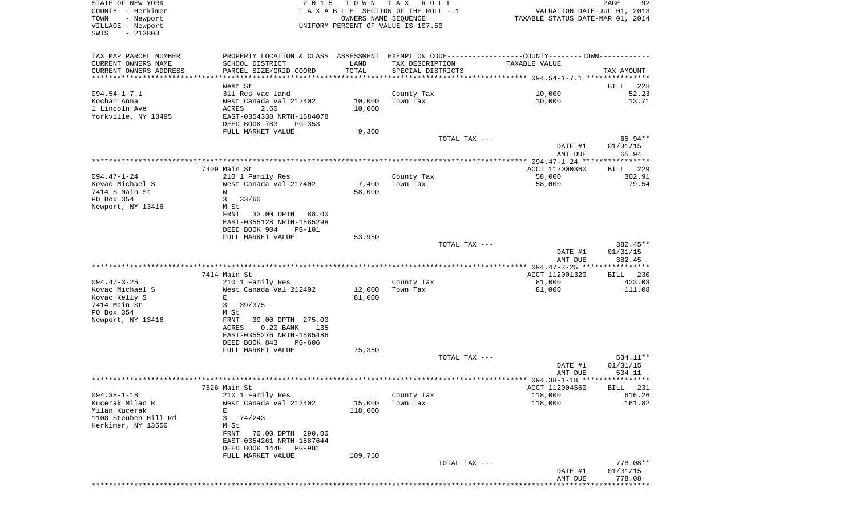| STATE OF NEW YORK<br>COUNTY - Herkimer<br>TOWN<br>- Newport<br>VILLAGE - Newport | 2 0 1 5                                                                                       | T O W N | T A X<br>R O L L<br>TAXABLE SECTION OF THE ROLL - 1<br>OWNERS NAME SEQUENCE<br>UNIFORM PERCENT OF VALUE IS 107.50 | VALUATION DATE-JUL 01, 2013<br>TAXABLE STATUS DATE-MAR 01, 2014 | 92<br>PAGE            |
|----------------------------------------------------------------------------------|-----------------------------------------------------------------------------------------------|---------|-------------------------------------------------------------------------------------------------------------------|-----------------------------------------------------------------|-----------------------|
| $-213803$<br>SWIS                                                                |                                                                                               |         |                                                                                                                   |                                                                 |                       |
| TAX MAP PARCEL NUMBER                                                            | PROPERTY LOCATION & CLASS ASSESSMENT EXEMPTION CODE---------------COUNTY-------TOWN---------- |         |                                                                                                                   |                                                                 |                       |
| CURRENT OWNERS NAME                                                              | SCHOOL DISTRICT                                                                               | LAND    | TAX DESCRIPTION                                                                                                   | TAXABLE VALUE                                                   |                       |
| CURRENT OWNERS ADDRESS                                                           | PARCEL SIZE/GRID COORD                                                                        | TOTAL   | SPECIAL DISTRICTS                                                                                                 |                                                                 | TAX AMOUNT            |
| ***********************                                                          | ************************                                                                      |         |                                                                                                                   |                                                                 |                       |
|                                                                                  | West St                                                                                       |         |                                                                                                                   |                                                                 | 228<br>BILL           |
| $094.54 - 1 - 7.1$<br>Kochan Anna                                                | 311 Res vac land<br>West Canada Val 212402                                                    | 10,000  | County Tax<br>Town Tax                                                                                            | 10,000<br>10,000                                                | 52.23<br>13.71        |
| 1 Lincoln Ave                                                                    | ACRES<br>2.60                                                                                 | 10,000  |                                                                                                                   |                                                                 |                       |
| Yorkville, NY 13495                                                              | EAST-0354338 NRTH-1584078                                                                     |         |                                                                                                                   |                                                                 |                       |
|                                                                                  | DEED BOOK 783<br>PG-353                                                                       |         |                                                                                                                   |                                                                 |                       |
|                                                                                  | FULL MARKET VALUE                                                                             | 9,300   |                                                                                                                   |                                                                 |                       |
|                                                                                  |                                                                                               |         | TOTAL TAX ---                                                                                                     |                                                                 | 65.94**               |
|                                                                                  |                                                                                               |         |                                                                                                                   | DATE #1                                                         | 01/31/15              |
|                                                                                  |                                                                                               |         |                                                                                                                   | AMT DUE                                                         | 65.94                 |
|                                                                                  |                                                                                               |         |                                                                                                                   |                                                                 |                       |
| $094.47 - 1 - 24$                                                                | 7409 Main St                                                                                  |         |                                                                                                                   | ACCT 112000360                                                  | 229<br>BILL<br>302.91 |
| Kovac Michael S                                                                  | 210 1 Family Res<br>West Canada Val 212402                                                    | 7,400   | County Tax<br>Town Tax                                                                                            | 58,000<br>58,000                                                | 79.54                 |
| 7414 S Main St                                                                   | W                                                                                             | 58,000  |                                                                                                                   |                                                                 |                       |
| PO Box 354                                                                       | 33/60<br>3                                                                                    |         |                                                                                                                   |                                                                 |                       |
| Newport, NY 13416                                                                | M St                                                                                          |         |                                                                                                                   |                                                                 |                       |
|                                                                                  | <b>FRNT</b><br>33.00 DPTH<br>88.00                                                            |         |                                                                                                                   |                                                                 |                       |
|                                                                                  | EAST-0355128 NRTH-1585298                                                                     |         |                                                                                                                   |                                                                 |                       |
|                                                                                  | DEED BOOK 904<br>PG-101                                                                       |         |                                                                                                                   |                                                                 |                       |
|                                                                                  | FULL MARKET VALUE                                                                             | 53,950  |                                                                                                                   |                                                                 |                       |
|                                                                                  |                                                                                               |         | TOTAL TAX ---                                                                                                     |                                                                 | 382.45**              |
|                                                                                  |                                                                                               |         |                                                                                                                   | DATE #1<br>AMT DUE                                              | 01/31/15<br>382.45    |
|                                                                                  |                                                                                               |         |                                                                                                                   | ***************** 094.47-3-25 *****************                 |                       |
|                                                                                  | 7414 Main St                                                                                  |         |                                                                                                                   | ACCT 112001320                                                  | 230<br><b>BILL</b>    |
| $094.47 - 3 - 25$                                                                | 210 1 Family Res                                                                              |         | County Tax                                                                                                        | 81,000                                                          | 423.03                |
| Kovac Michael S                                                                  | West Canada Val 212402                                                                        | 12,000  | Town Tax                                                                                                          | 81,000                                                          | 111.08                |
| Kovac Kelly S                                                                    | Е                                                                                             | 81,000  |                                                                                                                   |                                                                 |                       |
| 7414 Main St                                                                     | 3<br>39/375                                                                                   |         |                                                                                                                   |                                                                 |                       |
| PO Box 354                                                                       | M St                                                                                          |         |                                                                                                                   |                                                                 |                       |
| Newport, NY 13416                                                                | FRNT<br>39.00 DPTH 275.00                                                                     |         |                                                                                                                   |                                                                 |                       |
|                                                                                  | ACRES<br>$0.20$ BANK<br>135<br>EAST-0355276 NRTH-1585486                                      |         |                                                                                                                   |                                                                 |                       |
|                                                                                  | DEED BOOK 843<br>PG-606                                                                       |         |                                                                                                                   |                                                                 |                       |
|                                                                                  | FULL MARKET VALUE                                                                             | 75,350  |                                                                                                                   |                                                                 |                       |
|                                                                                  |                                                                                               |         | TOTAL TAX ---                                                                                                     |                                                                 | 534.11**              |
|                                                                                  |                                                                                               |         |                                                                                                                   | DATE #1                                                         | 01/31/15              |
|                                                                                  |                                                                                               |         |                                                                                                                   | AMT DUE                                                         | 534.11                |
|                                                                                  |                                                                                               |         |                                                                                                                   |                                                                 |                       |
| $094.38 - 1 - 18$                                                                | 7526 Main St                                                                                  |         |                                                                                                                   | ACCT 112004560                                                  | 231<br>BILL           |
| Kucerak Milan R                                                                  | 210 1 Family Res<br>West Canada Val 212402                                                    | 15,000  | County Tax<br>Town Tax                                                                                            | 118,000<br>118,000                                              | 616.26<br>161.82      |
| Milan Kucerak                                                                    | Е                                                                                             | 118,000 |                                                                                                                   |                                                                 |                       |
| 1108 Steuben Hill Rd                                                             | 3<br>74/243                                                                                   |         |                                                                                                                   |                                                                 |                       |
| Herkimer, NY 13550                                                               | M St                                                                                          |         |                                                                                                                   |                                                                 |                       |
|                                                                                  | FRNT<br>70.00 DPTH 290.00                                                                     |         |                                                                                                                   |                                                                 |                       |
|                                                                                  | EAST-0354261 NRTH-1587644                                                                     |         |                                                                                                                   |                                                                 |                       |
|                                                                                  | DEED BOOK 1448<br>PG-981                                                                      |         |                                                                                                                   |                                                                 |                       |
|                                                                                  | FULL MARKET VALUE                                                                             | 109,750 |                                                                                                                   |                                                                 |                       |
|                                                                                  |                                                                                               |         | TOTAL TAX ---                                                                                                     |                                                                 | 778.08**              |
|                                                                                  |                                                                                               |         |                                                                                                                   | DATE #1<br>AMT DUE                                              | 01/31/15<br>778.08    |
|                                                                                  |                                                                                               |         |                                                                                                                   |                                                                 |                       |
|                                                                                  |                                                                                               |         |                                                                                                                   |                                                                 |                       |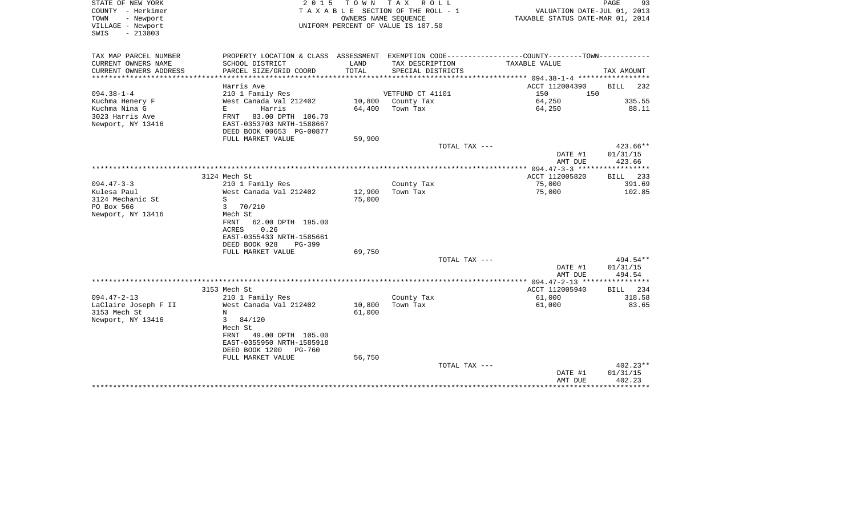| STATE OF NEW YORK<br>COUNTY - Herkimer<br>- Newport<br>TOWN<br>VILLAGE - Newport<br>$-213803$<br>SWIS | 2 0 1 5                                                                                                                                           | T O W N<br>OWNERS NAME SEQUENCE | TAX ROLL<br>T A X A B L E SECTION OF THE ROLL - 1<br>UNIFORM PERCENT OF VALUE IS 107.50        | VALUATION DATE-JUL 01, 2013<br>TAXABLE STATUS DATE-MAR 01, 2014 | PAGE<br>93                     |
|-------------------------------------------------------------------------------------------------------|---------------------------------------------------------------------------------------------------------------------------------------------------|---------------------------------|------------------------------------------------------------------------------------------------|-----------------------------------------------------------------|--------------------------------|
| TAX MAP PARCEL NUMBER                                                                                 |                                                                                                                                                   |                                 | PROPERTY LOCATION & CLASS ASSESSMENT EXEMPTION CODE----------------COUNTY-------TOWN---------- |                                                                 |                                |
| CURRENT OWNERS NAME<br>CURRENT OWNERS ADDRESS<br>*******************                                  | SCHOOL DISTRICT<br>PARCEL SIZE/GRID COORD<br>******************                                                                                   | LAND<br>TOTAL<br>***********    | TAX DESCRIPTION<br>SPECIAL DISTRICTS                                                           | TAXABLE VALUE<br>****** 094.38-1-4 ******************           | TAX AMOUNT                     |
|                                                                                                       | Harris Ave                                                                                                                                        |                                 |                                                                                                | ACCT 112004390                                                  | <b>BILL</b><br>232             |
| $094.38 - 1 - 4$                                                                                      | 210 1 Family Res                                                                                                                                  |                                 | VETFUND CT 41101                                                                               | 150<br>150                                                      |                                |
| Kuchma Henery F                                                                                       | West Canada Val 212402                                                                                                                            | 10,800                          | County Tax                                                                                     | 64,250                                                          | 335.55                         |
| Kuchma Nina G<br>3023 Harris Ave<br>Newport, NY 13416                                                 | Harris<br>E<br><b>FRNT</b><br>83.00 DPTH 106.70<br>EAST-0353703 NRTH-1588667<br>DEED BOOK 00653 PG-00877                                          | 64,400                          | Town Tax                                                                                       | 64,250                                                          | 88.11                          |
|                                                                                                       | FULL MARKET VALUE                                                                                                                                 | 59,900                          |                                                                                                |                                                                 |                                |
|                                                                                                       |                                                                                                                                                   |                                 | TOTAL TAX ---                                                                                  | DATE #1<br>AMT DUE                                              | 423.66**<br>01/31/15<br>423.66 |
|                                                                                                       |                                                                                                                                                   |                                 |                                                                                                | *********** 094.47-3-3 ******************                       |                                |
|                                                                                                       | 3124 Mech St                                                                                                                                      |                                 |                                                                                                | ACCT 112005820                                                  | 233<br>BILL                    |
| $094.47 - 3 - 3$                                                                                      | 210 1 Family Res                                                                                                                                  |                                 | County Tax                                                                                     | 75,000                                                          | 391.69                         |
| Kulesa Paul                                                                                           | West Canada Val 212402                                                                                                                            | 12,900                          | Town Tax                                                                                       | 75,000                                                          | 102.85                         |
| 3124 Mechanic St                                                                                      | S                                                                                                                                                 | 75,000                          |                                                                                                |                                                                 |                                |
| PO Box 566<br>Newport, NY 13416                                                                       | 70/210<br>3<br>Mech St<br>62.00 DPTH 195.00<br>FRNT<br>0.26<br>ACRES<br>EAST-0355433 NRTH-1585661<br>DEED BOOK 928<br>PG-399<br>FULL MARKET VALUE | 69,750                          |                                                                                                |                                                                 |                                |
|                                                                                                       |                                                                                                                                                   |                                 | TOTAL TAX ---                                                                                  |                                                                 | 494.54**                       |
|                                                                                                       |                                                                                                                                                   |                                 |                                                                                                | DATE #1<br>AMT DUE                                              | 01/31/15<br>494.54             |
|                                                                                                       |                                                                                                                                                   |                                 |                                                                                                | $* 094.47 - 2 - 13$ *****                                       |                                |
|                                                                                                       | 3153 Mech St                                                                                                                                      |                                 |                                                                                                | ACCT 112005940                                                  | 234<br><b>BILL</b>             |
| $094.47 - 2 - 13$                                                                                     | 210 1 Family Res                                                                                                                                  |                                 | County Tax                                                                                     | 61,000                                                          | 318.58                         |
| LaClaire Joseph F II                                                                                  | West Canada Val 212402                                                                                                                            | 10,800                          | Town Tax                                                                                       | 61,000                                                          | 83.65                          |
| 3153 Mech St                                                                                          | N<br>3<br>84/120                                                                                                                                  | 61,000                          |                                                                                                |                                                                 |                                |
| Newport, NY 13416                                                                                     | Mech St<br>49.00 DPTH 105.00<br><b>FRNT</b><br>EAST-0355950 NRTH-1585918<br>DEED BOOK 1200<br>PG-760                                              |                                 |                                                                                                |                                                                 |                                |
|                                                                                                       | FULL MARKET VALUE                                                                                                                                 | 56,750                          |                                                                                                |                                                                 |                                |
|                                                                                                       |                                                                                                                                                   |                                 | TOTAL TAX ---                                                                                  | DATE #1                                                         | $402.23**$<br>01/31/15         |
|                                                                                                       |                                                                                                                                                   |                                 |                                                                                                | AMT DUE                                                         | 402.23<br>********             |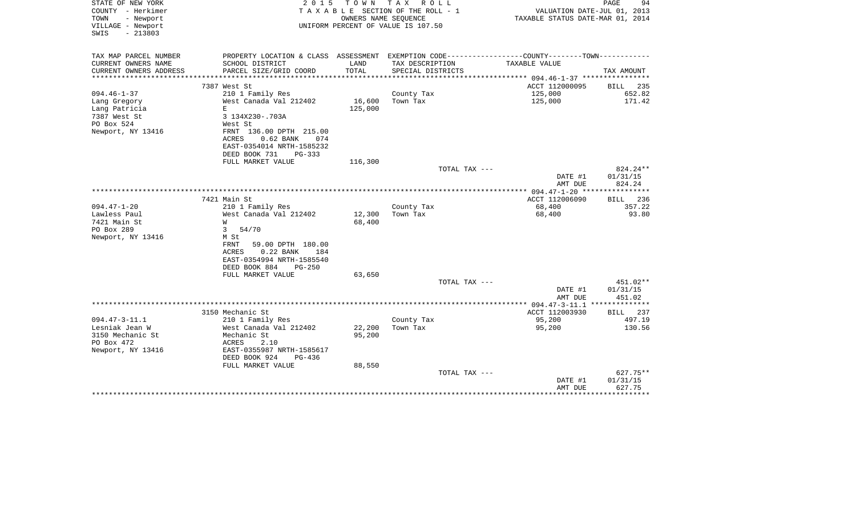| STATE OF NEW YORK<br>COUNTY - Herkimer<br>- Newport<br>TOWN<br>VILLAGE - Newport<br>$-213803$<br>SWIS | 2 0 1 5                                                                                       | TOWN TAX | R O L L<br>TAXABLE SECTION OF THE ROLL - 1<br>OWNERS NAME SEQUENCE<br>UNIFORM PERCENT OF VALUE IS 107.50 | VALUATION DATE-JUL 01, 2013<br>TAXABLE STATUS DATE-MAR 01, 2014 | PAGE<br>94            |
|-------------------------------------------------------------------------------------------------------|-----------------------------------------------------------------------------------------------|----------|----------------------------------------------------------------------------------------------------------|-----------------------------------------------------------------|-----------------------|
| TAX MAP PARCEL NUMBER                                                                                 | PROPERTY LOCATION & CLASS ASSESSMENT EXEMPTION CODE---------------COUNTY-------TOWN---------- |          |                                                                                                          |                                                                 |                       |
| CURRENT OWNERS NAME                                                                                   | SCHOOL DISTRICT                                                                               | LAND     | TAX DESCRIPTION                                                                                          | TAXABLE VALUE                                                   |                       |
| CURRENT OWNERS ADDRESS<br>**********************                                                      | PARCEL SIZE/GRID COORD                                                                        | TOTAL    | SPECIAL DISTRICTS                                                                                        |                                                                 | TAX AMOUNT            |
|                                                                                                       | 7387 West St                                                                                  |          |                                                                                                          | ACCT 112000095                                                  | BILL 235              |
| $094.46 - 1 - 37$                                                                                     | 210 1 Family Res                                                                              |          | County Tax                                                                                               | 125,000                                                         | 652.82                |
| Lang Gregory                                                                                          | West Canada Val 212402                                                                        | 16,600   | Town Tax                                                                                                 | 125,000                                                         | 171.42                |
| Lang Patricia                                                                                         | E                                                                                             | 125,000  |                                                                                                          |                                                                 |                       |
| 7387 West St                                                                                          | 3 134X230-.703A                                                                               |          |                                                                                                          |                                                                 |                       |
| PO Box 524                                                                                            | West St                                                                                       |          |                                                                                                          |                                                                 |                       |
| Newport, NY 13416                                                                                     | FRNT 136.00 DPTH 215.00<br>ACRES<br>$0.62$ BANK<br>074                                        |          |                                                                                                          |                                                                 |                       |
|                                                                                                       | EAST-0354014 NRTH-1585232                                                                     |          |                                                                                                          |                                                                 |                       |
|                                                                                                       | DEED BOOK 731<br>PG-333                                                                       |          |                                                                                                          |                                                                 |                       |
|                                                                                                       | FULL MARKET VALUE                                                                             | 116,300  |                                                                                                          |                                                                 |                       |
|                                                                                                       |                                                                                               |          | TOTAL TAX ---                                                                                            |                                                                 | 824.24**              |
|                                                                                                       |                                                                                               |          |                                                                                                          | DATE #1                                                         | 01/31/15              |
|                                                                                                       |                                                                                               |          |                                                                                                          | AMT DUE                                                         | 824.24                |
|                                                                                                       | 7421 Main St                                                                                  |          |                                                                                                          | ACCT 112006090                                                  | 236<br>BILL           |
| $094.47 - 1 - 20$                                                                                     | 210 1 Family Res                                                                              |          | County Tax                                                                                               | 68,400                                                          | 357.22                |
| Lawless Paul                                                                                          | West Canada Val 212402                                                                        | 12,300   | Town Tax                                                                                                 | 68,400                                                          | 93.80                 |
| 7421 Main St                                                                                          | W                                                                                             | 68,400   |                                                                                                          |                                                                 |                       |
| PO Box 289                                                                                            | 3, 54/70                                                                                      |          |                                                                                                          |                                                                 |                       |
| Newport, NY 13416                                                                                     | M St                                                                                          |          |                                                                                                          |                                                                 |                       |
|                                                                                                       | FRNT<br>59.00 DPTH 180.00<br>0.22 BANK<br>ACRES<br>184                                        |          |                                                                                                          |                                                                 |                       |
|                                                                                                       | EAST-0354994 NRTH-1585540                                                                     |          |                                                                                                          |                                                                 |                       |
|                                                                                                       | DEED BOOK 884<br>$PG-250$                                                                     |          |                                                                                                          |                                                                 |                       |
|                                                                                                       | FULL MARKET VALUE                                                                             | 63,650   |                                                                                                          |                                                                 |                       |
|                                                                                                       |                                                                                               |          | TOTAL TAX ---                                                                                            |                                                                 | 451.02**              |
|                                                                                                       |                                                                                               |          |                                                                                                          | DATE #1                                                         | 01/31/15<br>451.02    |
|                                                                                                       |                                                                                               |          |                                                                                                          | AMT DUE<br>********* 094.47-3-11.1 **************               |                       |
|                                                                                                       | 3150 Mechanic St                                                                              |          |                                                                                                          | ACCT 112003930                                                  | BILL 237              |
| $094.47 - 3 - 11.1$                                                                                   | 210 1 Family Res                                                                              |          | County Tax                                                                                               | 95,200                                                          | 497.19                |
| Lesniak Jean W                                                                                        | West Canada Val 212402                                                                        | 22,200   | Town Tax                                                                                                 | 95,200                                                          | 130.56                |
| 3150 Mechanic St                                                                                      | Mechanic St                                                                                   | 95,200   |                                                                                                          |                                                                 |                       |
| PO Box 472<br>Newport, NY 13416                                                                       | 2.10<br>ACRES<br>EAST-0355987 NRTH-1585617                                                    |          |                                                                                                          |                                                                 |                       |
|                                                                                                       | DEED BOOK 924<br>PG-436                                                                       |          |                                                                                                          |                                                                 |                       |
|                                                                                                       | FULL MARKET VALUE                                                                             | 88,550   |                                                                                                          |                                                                 |                       |
|                                                                                                       |                                                                                               |          | TOTAL TAX ---                                                                                            |                                                                 | $627.75**$            |
|                                                                                                       |                                                                                               |          |                                                                                                          | DATE #1                                                         | 01/31/15              |
|                                                                                                       |                                                                                               |          |                                                                                                          | AMT DUE                                                         | 627.75<br>*********** |
|                                                                                                       |                                                                                               |          |                                                                                                          |                                                                 |                       |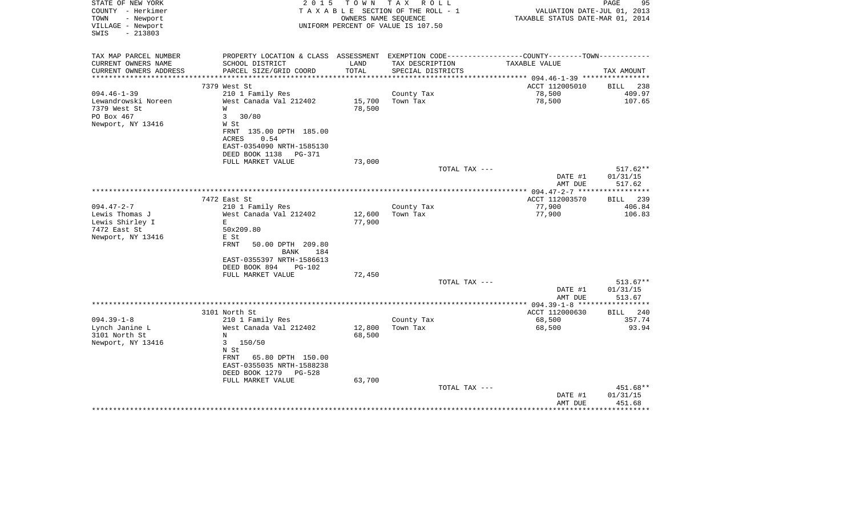| STATE OF NEW YORK<br>COUNTY - Herkimer<br>TOWN<br>- Newport<br>VILLAGE - Newport | 2 0 1 5                                             | T O W N<br>OWNERS NAME SEQUENCE | T A X<br>R O L L<br>TAXABLE SECTION OF THE ROLL - 1<br>UNIFORM PERCENT OF VALUE IS 107.50 | TAXABLE STATUS DATE-MAR 01, 2014                            | PAGE<br>95<br>VALUATION DATE-JUL 01, 2013 |
|----------------------------------------------------------------------------------|-----------------------------------------------------|---------------------------------|-------------------------------------------------------------------------------------------|-------------------------------------------------------------|-------------------------------------------|
| $-213803$<br>SWIS                                                                |                                                     |                                 |                                                                                           |                                                             |                                           |
| TAX MAP PARCEL NUMBER                                                            | PROPERTY LOCATION & CLASS ASSESSMENT                |                                 |                                                                                           | EXEMPTION CODE-----------------COUNTY-------TOWN----------- |                                           |
| CURRENT OWNERS NAME                                                              | SCHOOL DISTRICT                                     | LAND                            | TAX DESCRIPTION                                                                           | TAXABLE VALUE                                               |                                           |
| CURRENT OWNERS ADDRESS                                                           | PARCEL SIZE/GRID COORD                              | TOTAL                           | SPECIAL DISTRICTS                                                                         |                                                             | TAX AMOUNT                                |
|                                                                                  | 7379 West St                                        |                                 |                                                                                           | ACCT 112005010                                              | <b>BILL</b><br>238                        |
| $094.46 - 1 - 39$                                                                | 210 1 Family Res                                    |                                 | County Tax                                                                                | 78,500                                                      | 409.97                                    |
| Lewandrowski Noreen                                                              | West Canada Val 212402                              | 15,700                          | Town Tax                                                                                  | 78,500                                                      | 107.65                                    |
| 7379 West St                                                                     | W                                                   | 78,500                          |                                                                                           |                                                             |                                           |
| PO Box 467                                                                       | 3<br>30/80                                          |                                 |                                                                                           |                                                             |                                           |
| Newport, NY 13416                                                                | W St                                                |                                 |                                                                                           |                                                             |                                           |
|                                                                                  | FRNT 135.00 DPTH 185.00                             |                                 |                                                                                           |                                                             |                                           |
|                                                                                  | <b>ACRES</b><br>0.54<br>EAST-0354090 NRTH-1585130   |                                 |                                                                                           |                                                             |                                           |
|                                                                                  | DEED BOOK 1138<br>PG-371                            |                                 |                                                                                           |                                                             |                                           |
|                                                                                  | FULL MARKET VALUE                                   | 73,000                          |                                                                                           |                                                             |                                           |
|                                                                                  |                                                     |                                 | TOTAL TAX ---                                                                             |                                                             | 517.62**                                  |
|                                                                                  |                                                     |                                 |                                                                                           | DATE #1                                                     | 01/31/15                                  |
|                                                                                  |                                                     |                                 |                                                                                           | AMT DUE                                                     | 517.62                                    |
|                                                                                  |                                                     |                                 |                                                                                           |                                                             |                                           |
| $094.47 - 2 - 7$                                                                 | 7472 East St<br>210 1 Family Res                    |                                 | County Tax                                                                                | ACCT 112003570<br>77,900                                    | BILL 239<br>406.84                        |
| Lewis Thomas J                                                                   | West Canada Val 212402                              | 12,600                          | Town Tax                                                                                  | 77,900                                                      | 106.83                                    |
| Lewis Shirley I                                                                  | E                                                   | 77,900                          |                                                                                           |                                                             |                                           |
| 7472 East St                                                                     | 50x209.80                                           |                                 |                                                                                           |                                                             |                                           |
| Newport, NY 13416                                                                | E St                                                |                                 |                                                                                           |                                                             |                                           |
|                                                                                  | FRNT<br>50.00 DPTH 209.80                           |                                 |                                                                                           |                                                             |                                           |
|                                                                                  | <b>BANK</b><br>184                                  |                                 |                                                                                           |                                                             |                                           |
|                                                                                  | EAST-0355397 NRTH-1586613                           |                                 |                                                                                           |                                                             |                                           |
|                                                                                  | DEED BOOK 894<br><b>PG-102</b><br>FULL MARKET VALUE | 72,450                          |                                                                                           |                                                             |                                           |
|                                                                                  |                                                     |                                 | TOTAL TAX ---                                                                             |                                                             | $513.67**$                                |
|                                                                                  |                                                     |                                 |                                                                                           | DATE #1                                                     | 01/31/15                                  |
|                                                                                  |                                                     |                                 |                                                                                           | AMT DUE                                                     | 513.67                                    |
|                                                                                  |                                                     |                                 |                                                                                           |                                                             |                                           |
|                                                                                  | 3101 North St                                       |                                 |                                                                                           | ACCT 112000630                                              | <b>BILL</b><br>240                        |
| $094.39 - 1 - 8$                                                                 | 210 1 Family Res<br>West Canada Val 212402          |                                 | County Tax<br>Town Tax                                                                    | 68,500                                                      | 357.74                                    |
| Lynch Janine L<br>3101 North St                                                  | $\mathbb N$                                         | 12,800<br>68,500                |                                                                                           | 68,500                                                      | 93.94                                     |
| Newport, NY 13416                                                                | 3<br>150/50                                         |                                 |                                                                                           |                                                             |                                           |
|                                                                                  | N St                                                |                                 |                                                                                           |                                                             |                                           |
|                                                                                  | 65.80 DPTH 150.00<br>FRNT                           |                                 |                                                                                           |                                                             |                                           |
|                                                                                  | EAST-0355035 NRTH-1588238                           |                                 |                                                                                           |                                                             |                                           |
|                                                                                  | DEED BOOK 1279<br><b>PG-528</b>                     |                                 |                                                                                           |                                                             |                                           |
|                                                                                  | FULL MARKET VALUE                                   | 63,700                          |                                                                                           |                                                             |                                           |
|                                                                                  |                                                     |                                 | TOTAL TAX ---                                                                             | DATE #1                                                     | 451.68**<br>01/31/15                      |
|                                                                                  |                                                     |                                 |                                                                                           | AMT DUE                                                     | 451.68                                    |
|                                                                                  |                                                     |                                 |                                                                                           |                                                             |                                           |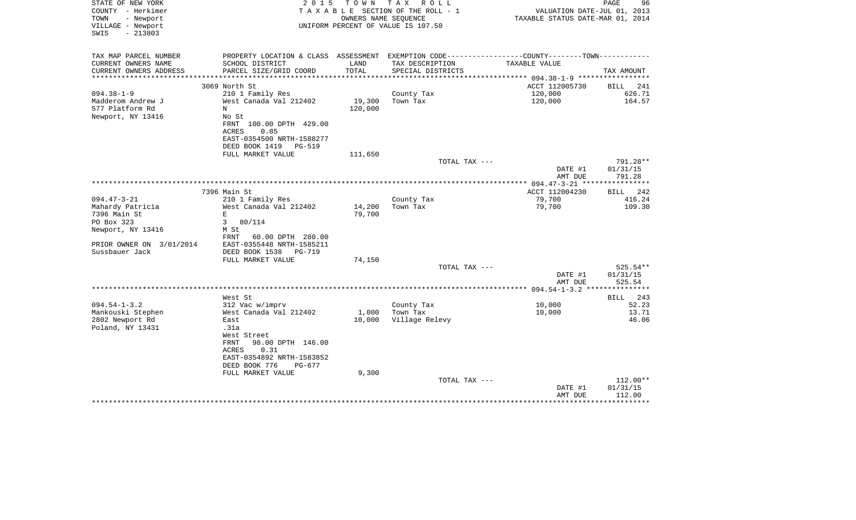| STATE OF NEW YORK<br>COUNTY - Herkimer<br>TOWN<br>- Newport<br>VILLAGE - Newport<br>$-213803$<br>SWIS | 2 0 1 5                    | T O W N | TAX ROLL<br>TAXABLE SECTION OF THE ROLL - 1<br>OWNERS NAME SEQUENCE<br>UNIFORM PERCENT OF VALUE IS 107.50 | VALUATION DATE-JUL 01, 2013<br>TAXABLE STATUS DATE-MAR 01, 2014                                 | PAGE<br>96           |
|-------------------------------------------------------------------------------------------------------|----------------------------|---------|-----------------------------------------------------------------------------------------------------------|-------------------------------------------------------------------------------------------------|----------------------|
| TAX MAP PARCEL NUMBER                                                                                 |                            |         |                                                                                                           | PROPERTY LOCATION & CLASS ASSESSMENT EXEMPTION CODE----------------COUNTY--------TOWN---------- |                      |
| CURRENT OWNERS NAME                                                                                   | SCHOOL DISTRICT            | LAND    | TAX DESCRIPTION                                                                                           | TAXABLE VALUE                                                                                   |                      |
| CURRENT OWNERS ADDRESS<br>**********************                                                      | PARCEL SIZE/GRID COORD     | TOTAL   | SPECIAL DISTRICTS                                                                                         |                                                                                                 | TAX AMOUNT           |
|                                                                                                       | 3069 North St              |         |                                                                                                           | ACCT 112005730                                                                                  | BILL<br>241          |
| $094.38 - 1 - 9$                                                                                      | 210 1 Family Res           |         | County Tax                                                                                                | 120,000                                                                                         | 626.71               |
| Madderom Andrew J                                                                                     | West Canada Val 212402     | 19,300  | Town Tax                                                                                                  | 120,000                                                                                         | 164.57               |
| 577 Platform Rd                                                                                       | N                          | 120,000 |                                                                                                           |                                                                                                 |                      |
| Newport, NY 13416                                                                                     | No St                      |         |                                                                                                           |                                                                                                 |                      |
|                                                                                                       | FRNT 100.00 DPTH 429.00    |         |                                                                                                           |                                                                                                 |                      |
|                                                                                                       | 0.85<br>ACRES              |         |                                                                                                           |                                                                                                 |                      |
|                                                                                                       | EAST-0354500 NRTH-1588277  |         |                                                                                                           |                                                                                                 |                      |
|                                                                                                       | DEED BOOK 1419<br>PG-519   |         |                                                                                                           |                                                                                                 |                      |
|                                                                                                       | FULL MARKET VALUE          | 111,650 |                                                                                                           |                                                                                                 |                      |
|                                                                                                       |                            |         | TOTAL TAX ---                                                                                             |                                                                                                 | 791.28**             |
|                                                                                                       |                            |         |                                                                                                           | DATE #1                                                                                         | 01/31/15             |
|                                                                                                       |                            |         |                                                                                                           | AMT DUE                                                                                         | 791.28               |
|                                                                                                       | 7396 Main St               |         |                                                                                                           | ACCT 112004230                                                                                  |                      |
| $094.47 - 3 - 21$                                                                                     | 210 1 Family Res           |         | County Tax                                                                                                | 79,700                                                                                          | BILL 242<br>416.24   |
| Mahardy Patricia                                                                                      | West Canada Val 212402     | 14,200  | Town Tax                                                                                                  | 79,700                                                                                          | 109.30               |
| 7396 Main St                                                                                          | E                          | 79,700  |                                                                                                           |                                                                                                 |                      |
| PO Box 323                                                                                            | 80/114<br>3                |         |                                                                                                           |                                                                                                 |                      |
| Newport, NY 13416                                                                                     | M St                       |         |                                                                                                           |                                                                                                 |                      |
|                                                                                                       | FRNT<br>60.00 DPTH 280.00  |         |                                                                                                           |                                                                                                 |                      |
| PRIOR OWNER ON 3/01/2014                                                                              | EAST-0355448 NRTH-1585211  |         |                                                                                                           |                                                                                                 |                      |
| Sussbauer Jack                                                                                        | DEED BOOK 1538<br>PG-719   |         |                                                                                                           |                                                                                                 |                      |
|                                                                                                       | FULL MARKET VALUE          | 74,150  |                                                                                                           |                                                                                                 |                      |
|                                                                                                       |                            |         | TOTAL TAX ---                                                                                             |                                                                                                 | 525.54**             |
|                                                                                                       |                            |         |                                                                                                           | DATE #1                                                                                         | 01/31/15             |
|                                                                                                       |                            |         |                                                                                                           | AMT DUE                                                                                         | 525.54<br>********** |
|                                                                                                       |                            |         |                                                                                                           | **************** 094.54-1-3.2 ***                                                               | 243                  |
| $094.54 - 1 - 3.2$                                                                                    | West St<br>312 Vac w/imprv |         | County Tax                                                                                                | 10,000                                                                                          | <b>BILL</b><br>52.23 |
| Mankouski Stephen                                                                                     | West Canada Val 212402     | 1,000   | Town Tax                                                                                                  | 10,000                                                                                          | 13.71                |
| 2802 Newport Rd                                                                                       | East                       | 10,000  | Village Relevy                                                                                            |                                                                                                 | 46.06                |
| Poland, NY 13431                                                                                      | .31a                       |         |                                                                                                           |                                                                                                 |                      |
|                                                                                                       | West Street                |         |                                                                                                           |                                                                                                 |                      |
|                                                                                                       | FRNT<br>98.00 DPTH 146.00  |         |                                                                                                           |                                                                                                 |                      |
|                                                                                                       | 0.31<br>ACRES              |         |                                                                                                           |                                                                                                 |                      |
|                                                                                                       | EAST-0354892 NRTH-1583852  |         |                                                                                                           |                                                                                                 |                      |
|                                                                                                       | DEED BOOK 776<br>PG-677    |         |                                                                                                           |                                                                                                 |                      |
|                                                                                                       | FULL MARKET VALUE          | 9,300   |                                                                                                           |                                                                                                 |                      |
|                                                                                                       |                            |         | TOTAL TAX ---                                                                                             |                                                                                                 | 112.00**             |
|                                                                                                       |                            |         |                                                                                                           | DATE #1                                                                                         | 01/31/15             |
|                                                                                                       |                            |         |                                                                                                           | AMT DUE                                                                                         | 112.00               |
|                                                                                                       |                            |         |                                                                                                           |                                                                                                 |                      |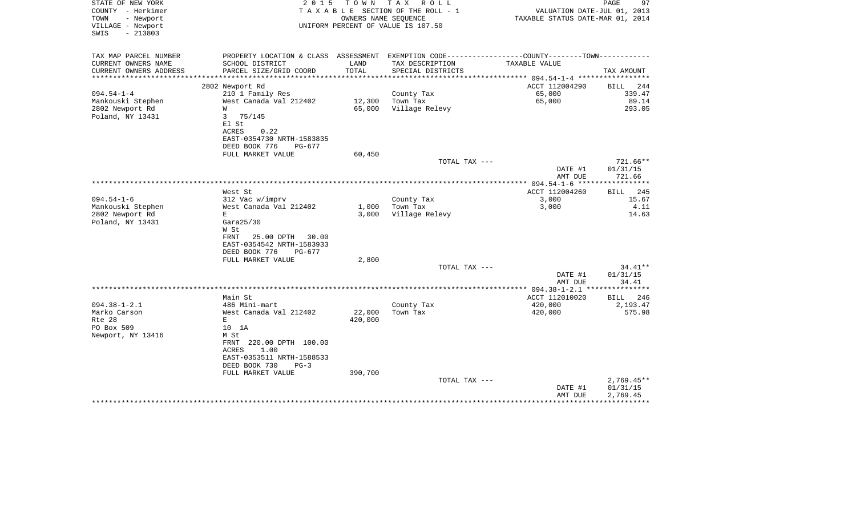| STATE OF NEW YORK<br>COUNTY - Herkimer<br>TOWN<br>- Newport<br>VILLAGE - Newport<br>$-213803$<br>SWIS | 2 0 1 5<br>T O W N<br>TAX ROLL<br>TAXABLE SECTION OF THE ROLL - 1<br>OWNERS NAME SEQUENCE<br>UNIFORM PERCENT OF VALUE IS 107.50 |                |                            | 97<br>PAGE<br>VALUATION DATE-JUL 01, 2013<br>TAXABLE STATUS DATE-MAR 01, 2014                   |                              |
|-------------------------------------------------------------------------------------------------------|---------------------------------------------------------------------------------------------------------------------------------|----------------|----------------------------|-------------------------------------------------------------------------------------------------|------------------------------|
| TAX MAP PARCEL NUMBER                                                                                 |                                                                                                                                 |                |                            | PROPERTY LOCATION & CLASS ASSESSMENT EXEMPTION CODE----------------COUNTY--------TOWN---------- |                              |
| CURRENT OWNERS NAME                                                                                   | SCHOOL DISTRICT                                                                                                                 | LAND           | TAX DESCRIPTION            | TAXABLE VALUE                                                                                   |                              |
| CURRENT OWNERS ADDRESS                                                                                | PARCEL SIZE/GRID COORD                                                                                                          | TOTAL          | SPECIAL DISTRICTS          |                                                                                                 | TAX AMOUNT                   |
| *********************                                                                                 |                                                                                                                                 |                |                            |                                                                                                 |                              |
| $094.54 - 1 - 4$                                                                                      | 2802 Newport Rd<br>210 1 Family Res                                                                                             |                | County Tax                 | ACCT 112004290<br>65,000                                                                        | <b>BILL</b><br>244<br>339.47 |
| Mankouski Stephen                                                                                     | West Canada Val 212402                                                                                                          | 12,300         | Town Tax                   | 65,000                                                                                          | 89.14                        |
| 2802 Newport Rd                                                                                       | W                                                                                                                               | 65,000         | Village Relevy             |                                                                                                 | 293.05                       |
| Poland, NY 13431                                                                                      | 3<br>75/145                                                                                                                     |                |                            |                                                                                                 |                              |
|                                                                                                       | El St                                                                                                                           |                |                            |                                                                                                 |                              |
|                                                                                                       | ACRES<br>0.22                                                                                                                   |                |                            |                                                                                                 |                              |
|                                                                                                       | EAST-0354730 NRTH-1583835                                                                                                       |                |                            |                                                                                                 |                              |
|                                                                                                       | DEED BOOK 776<br>PG-677<br>FULL MARKET VALUE                                                                                    | 60,450         |                            |                                                                                                 |                              |
|                                                                                                       |                                                                                                                                 |                | TOTAL TAX ---              |                                                                                                 | 721.66**                     |
|                                                                                                       |                                                                                                                                 |                |                            | DATE #1                                                                                         | 01/31/15                     |
|                                                                                                       |                                                                                                                                 |                |                            | AMT DUE                                                                                         | 721.66                       |
|                                                                                                       |                                                                                                                                 |                |                            |                                                                                                 |                              |
|                                                                                                       | West St                                                                                                                         |                |                            | ACCT 112004260                                                                                  | 245<br><b>BILL</b>           |
| $094.54 - 1 - 6$                                                                                      | 312 Vac w/imprv                                                                                                                 |                | County Tax                 | 3,000                                                                                           | 15.67<br>4.11                |
| Mankouski Stephen<br>2802 Newport Rd                                                                  | West Canada Val 212402<br>Е                                                                                                     | 1,000<br>3,000 | Town Tax<br>Village Relevy | 3,000                                                                                           | 14.63                        |
| Poland, NY 13431                                                                                      | Gara25/30                                                                                                                       |                |                            |                                                                                                 |                              |
|                                                                                                       | W St                                                                                                                            |                |                            |                                                                                                 |                              |
|                                                                                                       | FRNT<br>25.00 DPTH<br>30.00                                                                                                     |                |                            |                                                                                                 |                              |
|                                                                                                       | EAST-0354542 NRTH-1583933                                                                                                       |                |                            |                                                                                                 |                              |
|                                                                                                       | DEED BOOK 776<br>PG-677                                                                                                         |                |                            |                                                                                                 |                              |
|                                                                                                       | FULL MARKET VALUE                                                                                                               | 2,800          |                            |                                                                                                 |                              |
|                                                                                                       |                                                                                                                                 |                | TOTAL TAX ---              | DATE #1                                                                                         | $34.41**$<br>01/31/15        |
|                                                                                                       |                                                                                                                                 |                |                            | AMT DUE                                                                                         | 34.41                        |
|                                                                                                       |                                                                                                                                 |                |                            |                                                                                                 |                              |
|                                                                                                       | Main St                                                                                                                         |                |                            | ACCT 112010020                                                                                  | <b>BILL</b><br>246           |
| $094.38 - 1 - 2.1$                                                                                    | 486 Mini-mart                                                                                                                   |                | County Tax                 | 420,000                                                                                         | 2,193.47                     |
| Marko Carson                                                                                          | West Canada Val 212402                                                                                                          | 22,000         | Town Tax                   | 420,000                                                                                         | 575.98                       |
| Rte 28<br>PO Box 509                                                                                  | Е<br>10 1A                                                                                                                      | 420,000        |                            |                                                                                                 |                              |
| Newport, NY 13416                                                                                     | M St                                                                                                                            |                |                            |                                                                                                 |                              |
|                                                                                                       | FRNT 220.00 DPTH 100.00                                                                                                         |                |                            |                                                                                                 |                              |
|                                                                                                       | 1.00<br>ACRES                                                                                                                   |                |                            |                                                                                                 |                              |
|                                                                                                       | EAST-0353511 NRTH-1588533                                                                                                       |                |                            |                                                                                                 |                              |
|                                                                                                       | DEED BOOK 730<br>$PG-3$                                                                                                         |                |                            |                                                                                                 |                              |
|                                                                                                       | FULL MARKET VALUE                                                                                                               | 390,700        |                            |                                                                                                 |                              |
|                                                                                                       |                                                                                                                                 |                | TOTAL TAX ---              | DATE #1                                                                                         | $2,769.45**$<br>01/31/15     |
|                                                                                                       |                                                                                                                                 |                |                            | AMT DUE                                                                                         | 2,769.45                     |
|                                                                                                       |                                                                                                                                 |                |                            |                                                                                                 |                              |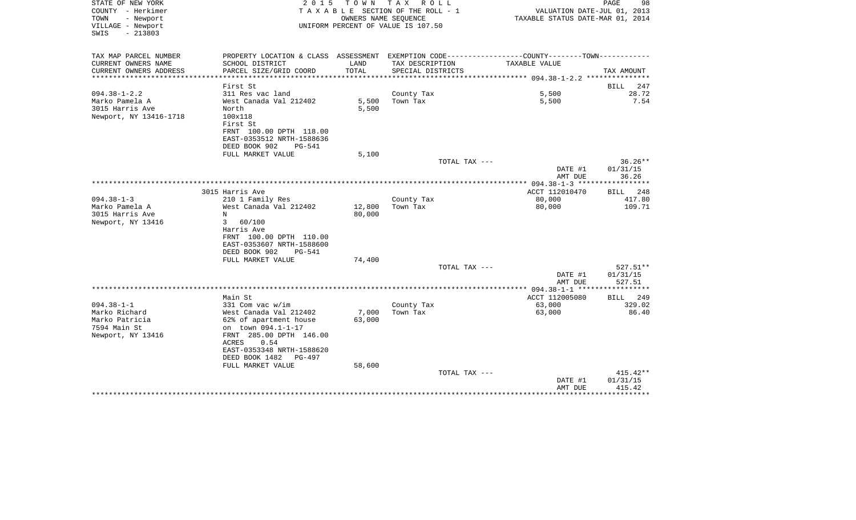| STATE OF NEW YORK<br>COUNTY - Herkimer<br>TOWN<br>- Newport<br>VILLAGE - Newport<br>$-213803$<br>SWIS | 2 0 1 5                                                | T O W N       | TAX ROLL<br>TAXABLE SECTION OF THE ROLL - 1<br>OWNERS NAME SEQUENCE<br>UNIFORM PERCENT OF VALUE IS 107.50 |                                                                                                                  | PAGE<br>98<br>VALUATION DATE-JUL 01, 2013<br>TAXABLE STATUS DATE-MAR 01, 2014 |  |
|-------------------------------------------------------------------------------------------------------|--------------------------------------------------------|---------------|-----------------------------------------------------------------------------------------------------------|------------------------------------------------------------------------------------------------------------------|-------------------------------------------------------------------------------|--|
| TAX MAP PARCEL NUMBER<br>CURRENT OWNERS NAME                                                          | SCHOOL DISTRICT                                        | LAND          | TAX DESCRIPTION                                                                                           | PROPERTY LOCATION & CLASS ASSESSMENT EXEMPTION CODE----------------COUNTY--------TOWN----------<br>TAXABLE VALUE |                                                                               |  |
| CURRENT OWNERS ADDRESS                                                                                | PARCEL SIZE/GRID COORD                                 | TOTAL         | SPECIAL DISTRICTS                                                                                         |                                                                                                                  | TAX AMOUNT                                                                    |  |
| **************                                                                                        |                                                        | ************* |                                                                                                           | ************** 094.38-1-2.2 ***********                                                                          |                                                                               |  |
|                                                                                                       | First St                                               |               |                                                                                                           |                                                                                                                  | 247<br>BILL                                                                   |  |
| $094.38 - 1 - 2.2$<br>Marko Pamela A                                                                  | 311 Res vac land<br>West Canada Val 212402             | 5,500         | County Tax<br>Town Tax                                                                                    | 5,500<br>5,500                                                                                                   | 28.72<br>7.54                                                                 |  |
| 3015 Harris Ave                                                                                       | North                                                  | 5,500         |                                                                                                           |                                                                                                                  |                                                                               |  |
| Newport, NY 13416-1718                                                                                | 100x118                                                |               |                                                                                                           |                                                                                                                  |                                                                               |  |
|                                                                                                       | First St                                               |               |                                                                                                           |                                                                                                                  |                                                                               |  |
|                                                                                                       | FRNT 100.00 DPTH 118.00                                |               |                                                                                                           |                                                                                                                  |                                                                               |  |
|                                                                                                       | EAST-0353512 NRTH-1588636                              |               |                                                                                                           |                                                                                                                  |                                                                               |  |
|                                                                                                       | DEED BOOK 902<br><b>PG-541</b><br>FULL MARKET VALUE    | 5,100         |                                                                                                           |                                                                                                                  |                                                                               |  |
|                                                                                                       |                                                        |               | TOTAL TAX ---                                                                                             |                                                                                                                  | $36.26**$                                                                     |  |
|                                                                                                       |                                                        |               |                                                                                                           | DATE #1                                                                                                          | 01/31/15                                                                      |  |
|                                                                                                       |                                                        |               |                                                                                                           | AMT DUE                                                                                                          | 36.26                                                                         |  |
|                                                                                                       |                                                        |               |                                                                                                           | ***************** 094.38-1-3 *****                                                                               | ***********                                                                   |  |
| $094.38 - 1 - 3$                                                                                      | 3015 Harris Ave<br>210 1 Family Res                    |               | County Tax                                                                                                | ACCT 112010470<br>80,000                                                                                         | 248<br><b>BILL</b><br>417.80                                                  |  |
| Marko Pamela A                                                                                        | West Canada Val 212402                                 | 12,800        | Town Tax                                                                                                  | 80,000                                                                                                           | 109.71                                                                        |  |
| 3015 Harris Ave                                                                                       | N                                                      | 80,000        |                                                                                                           |                                                                                                                  |                                                                               |  |
| Newport, NY 13416                                                                                     | 3<br>60/100                                            |               |                                                                                                           |                                                                                                                  |                                                                               |  |
|                                                                                                       | Harris Ave                                             |               |                                                                                                           |                                                                                                                  |                                                                               |  |
|                                                                                                       | FRNT 100.00 DPTH 110.00                                |               |                                                                                                           |                                                                                                                  |                                                                               |  |
|                                                                                                       | EAST-0353607 NRTH-1588600<br>DEED BOOK 902<br>$PG-541$ |               |                                                                                                           |                                                                                                                  |                                                                               |  |
|                                                                                                       | FULL MARKET VALUE                                      | 74,400        |                                                                                                           |                                                                                                                  |                                                                               |  |
|                                                                                                       |                                                        |               | TOTAL TAX ---                                                                                             |                                                                                                                  | $527.51**$                                                                    |  |
|                                                                                                       |                                                        |               |                                                                                                           | DATE #1                                                                                                          | 01/31/15                                                                      |  |
|                                                                                                       |                                                        |               |                                                                                                           | AMT DUE                                                                                                          | 527.51                                                                        |  |
|                                                                                                       | Main St                                                |               |                                                                                                           | ACCT 112005080                                                                                                   | 249<br><b>BILL</b>                                                            |  |
| $094.38 - 1 - 1$                                                                                      | 331 Com vac w/im                                       |               | County Tax                                                                                                | 63,000                                                                                                           | 329.02                                                                        |  |
| Marko Richard                                                                                         | West Canada Val 212402                                 | 7,000         | Town Tax                                                                                                  | 63,000                                                                                                           | 86.40                                                                         |  |
| Marko Patricia                                                                                        | 62% of apartment house                                 | 63,000        |                                                                                                           |                                                                                                                  |                                                                               |  |
| 7594 Main St                                                                                          | on town 094.1-1-17                                     |               |                                                                                                           |                                                                                                                  |                                                                               |  |
| Newport, NY 13416                                                                                     | FRNT 285.00 DPTH 146.00<br>0.54<br>ACRES               |               |                                                                                                           |                                                                                                                  |                                                                               |  |
|                                                                                                       | EAST-0353348 NRTH-1588620                              |               |                                                                                                           |                                                                                                                  |                                                                               |  |
|                                                                                                       | DEED BOOK 1482<br><b>PG-497</b><br>FULL MARKET VALUE   | 58,600        |                                                                                                           |                                                                                                                  |                                                                               |  |
|                                                                                                       |                                                        |               | TOTAL TAX ---                                                                                             |                                                                                                                  | 415.42**                                                                      |  |
|                                                                                                       |                                                        |               |                                                                                                           | DATE #1                                                                                                          | 01/31/15                                                                      |  |
|                                                                                                       |                                                        |               |                                                                                                           | AMT DUE                                                                                                          | 415.42                                                                        |  |
|                                                                                                       |                                                        |               |                                                                                                           |                                                                                                                  |                                                                               |  |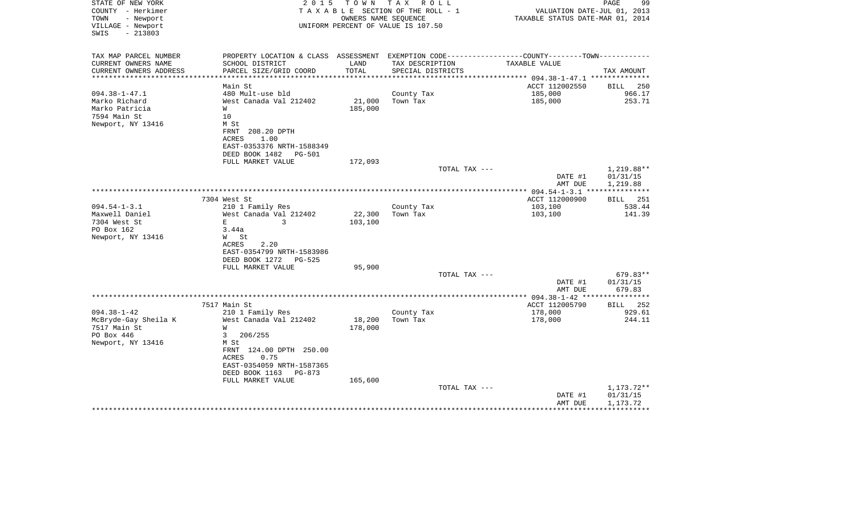| STATE OF NEW YORK      | 2 0 1 5                              | TOWN TAX | R O L L                            |               |                                                             | $\mathop{\mathtt{PAGE}}$<br>99 |
|------------------------|--------------------------------------|----------|------------------------------------|---------------|-------------------------------------------------------------|--------------------------------|
| COUNTY - Herkimer      |                                      |          | TAXABLE SECTION OF THE ROLL - 1    |               | VALUATION DATE-JUL 01, 2013                                 |                                |
| TOWN<br>- Newport      |                                      |          | OWNERS NAME SEQUENCE               |               | TAXABLE STATUS DATE-MAR 01, 2014                            |                                |
| VILLAGE - Newport      |                                      |          | UNIFORM PERCENT OF VALUE IS 107.50 |               |                                                             |                                |
| $-213803$<br>SWIS      |                                      |          |                                    |               |                                                             |                                |
|                        |                                      |          |                                    |               |                                                             |                                |
| TAX MAP PARCEL NUMBER  | PROPERTY LOCATION & CLASS ASSESSMENT |          |                                    |               | EXEMPTION CODE-----------------COUNTY-------TOWN----------- |                                |
| CURRENT OWNERS NAME    | SCHOOL DISTRICT                      | LAND     | TAX DESCRIPTION                    |               | TAXABLE VALUE                                               |                                |
| CURRENT OWNERS ADDRESS | PARCEL SIZE/GRID COORD               | TOTAL    | SPECIAL DISTRICTS                  |               |                                                             | TAX AMOUNT                     |
|                        |                                      |          |                                    |               |                                                             |                                |
|                        | Main St                              |          |                                    |               | ACCT 112002550                                              | BILL<br>250                    |
| $094.38 - 1 - 47.1$    | 480 Mult-use bld                     |          | County Tax                         |               | 185,000                                                     | 966.17                         |
| Marko Richard          | West Canada Val 212402               | 21,000   | Town Tax                           |               | 185,000                                                     | 253.71                         |
| Marko Patricia         | W                                    | 185,000  |                                    |               |                                                             |                                |
| 7594 Main St           | 10                                   |          |                                    |               |                                                             |                                |
| Newport, NY 13416      | M St                                 |          |                                    |               |                                                             |                                |
|                        | FRNT<br>208.20 DPTH                  |          |                                    |               |                                                             |                                |
|                        | ACRES<br>1.00                        |          |                                    |               |                                                             |                                |
|                        | EAST-0353376 NRTH-1588349            |          |                                    |               |                                                             |                                |
|                        | DEED BOOK 1482<br>PG-501             |          |                                    |               |                                                             |                                |
|                        | FULL MARKET VALUE                    | 172,093  |                                    |               |                                                             |                                |
|                        |                                      |          |                                    | TOTAL TAX --- |                                                             | 1,219.88**                     |
|                        |                                      |          |                                    |               | DATE #1                                                     | 01/31/15                       |
|                        |                                      |          |                                    |               | AMT DUE                                                     | 1,219.88<br>************       |
|                        |                                      |          |                                    |               | **************** 094.54-1-3.1 ***                           |                                |
|                        | 7304 West St                         |          |                                    |               | ACCT 112000900                                              | 251<br>BILL                    |
| $094.54 - 1 - 3.1$     | 210 1 Family Res                     |          | County Tax                         |               | 103,100                                                     | 538.44                         |
| Maxwell Daniel         | West Canada Val 212402               | 22,300   | Town Tax                           |               | 103,100                                                     | 141.39                         |
| 7304 West St           | E<br>3                               | 103,100  |                                    |               |                                                             |                                |
| PO Box 162             | 3.44a                                |          |                                    |               |                                                             |                                |
| Newport, NY 13416      | St<br>W<br>ACRES<br>2.20             |          |                                    |               |                                                             |                                |
|                        | EAST-0354799 NRTH-1583986            |          |                                    |               |                                                             |                                |
|                        |                                      |          |                                    |               |                                                             |                                |
|                        | DEED BOOK 1272<br><b>PG-525</b>      |          |                                    |               |                                                             |                                |
|                        | FULL MARKET VALUE                    | 95,900   |                                    | TOTAL TAX --- |                                                             |                                |
|                        |                                      |          |                                    |               | DATE #1                                                     | 679.83**<br>01/31/15           |
|                        |                                      |          |                                    |               | AMT DUE                                                     | 679.83                         |
|                        |                                      |          |                                    |               | *** $094.38 - 1 - 42$ **                                    | ***********                    |
|                        | 7517 Main St                         |          |                                    |               | ACCT 112005790                                              | BILL 252                       |
| $094.38 - 1 - 42$      | 210 1 Family Res                     |          | County Tax                         |               | 178,000                                                     | 929.61                         |
| McBryde-Gay Sheila K   | West Canada Val 212402               | 18,200   | Town Tax                           |               | 178,000                                                     | 244.11                         |
| 7517 Main St           | W                                    | 178,000  |                                    |               |                                                             |                                |
| PO Box 446             | 3<br>206/255                         |          |                                    |               |                                                             |                                |
| Newport, NY 13416      | M St                                 |          |                                    |               |                                                             |                                |
|                        | FRNT 124.00 DPTH 250.00              |          |                                    |               |                                                             |                                |
|                        | ACRES<br>0.75                        |          |                                    |               |                                                             |                                |
|                        | EAST-0354059 NRTH-1587365            |          |                                    |               |                                                             |                                |
|                        | DEED BOOK 1163<br>PG-873             |          |                                    |               |                                                             |                                |
|                        | FULL MARKET VALUE                    | 165,600  |                                    |               |                                                             |                                |
|                        |                                      |          |                                    | TOTAL TAX --- |                                                             | 1,173.72**                     |
|                        |                                      |          |                                    |               | DATE #1                                                     | 01/31/15                       |
|                        |                                      |          |                                    |               | AMT DUE                                                     | 1,173.72                       |
|                        |                                      |          |                                    |               |                                                             |                                |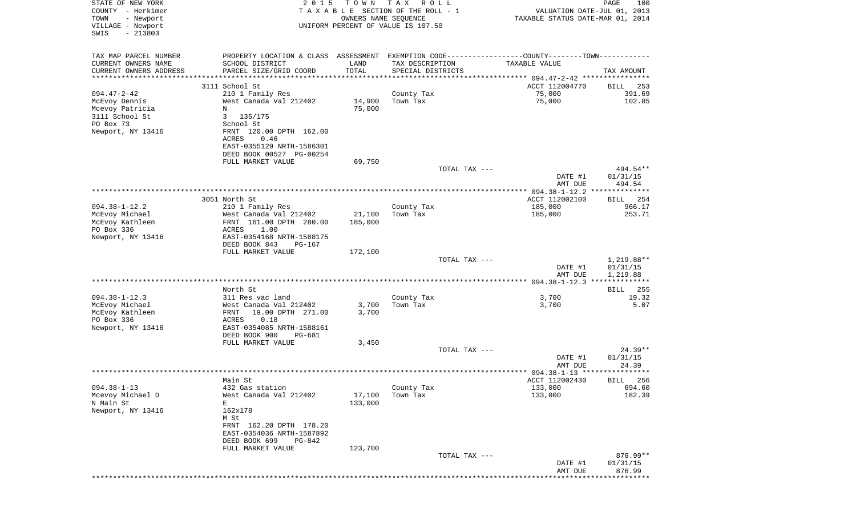| STATE OF NEW YORK<br>COUNTY - Herkimer<br>TOWN<br>- Newport<br>VILLAGE - Newport | 2 0 1 5                                                                                       | T O W N<br>OWNERS NAME SEQUENCE | T A X<br>R O L L<br>TAXABLE SECTION OF THE ROLL - 1<br>UNIFORM PERCENT OF VALUE IS 107.50 | VALUATION DATE-JUL 01, 2013<br>TAXABLE STATUS DATE-MAR 01, 2014 | 100<br>PAGE           |
|----------------------------------------------------------------------------------|-----------------------------------------------------------------------------------------------|---------------------------------|-------------------------------------------------------------------------------------------|-----------------------------------------------------------------|-----------------------|
| SWIS<br>$-213803$                                                                |                                                                                               |                                 |                                                                                           |                                                                 |                       |
| TAX MAP PARCEL NUMBER                                                            | PROPERTY LOCATION & CLASS ASSESSMENT EXEMPTION CODE---------------COUNTY-------TOWN---------- |                                 |                                                                                           |                                                                 |                       |
| CURRENT OWNERS NAME                                                              | SCHOOL DISTRICT                                                                               | LAND                            | TAX DESCRIPTION                                                                           | TAXABLE VALUE                                                   |                       |
| CURRENT OWNERS ADDRESS<br>*************************                              | PARCEL SIZE/GRID COORD                                                                        | TOTAL                           | SPECIAL DISTRICTS                                                                         |                                                                 | TAX AMOUNT            |
|                                                                                  | 3111 School St                                                                                |                                 |                                                                                           | ACCT 112004770                                                  | 253<br>BILL           |
| $094.47 - 2 - 42$                                                                | 210 1 Family Res                                                                              |                                 | County Tax                                                                                | 75,000                                                          | 391.69                |
| McEvoy Dennis                                                                    | West Canada Val 212402                                                                        | 14,900                          | Town Tax                                                                                  | 75,000                                                          | 102.85                |
| Mcevoy Patricia                                                                  | N                                                                                             | 75,000                          |                                                                                           |                                                                 |                       |
| 3111 School St<br>PO Box 73                                                      | 135/175<br>3<br>School St                                                                     |                                 |                                                                                           |                                                                 |                       |
| Newport, NY 13416                                                                | FRNT 120.00 DPTH 162.00                                                                       |                                 |                                                                                           |                                                                 |                       |
|                                                                                  | ACRES<br>0.46                                                                                 |                                 |                                                                                           |                                                                 |                       |
|                                                                                  | EAST-0355129 NRTH-1586301                                                                     |                                 |                                                                                           |                                                                 |                       |
|                                                                                  | DEED BOOK 00527 PG-00254                                                                      |                                 |                                                                                           |                                                                 |                       |
|                                                                                  | FULL MARKET VALUE                                                                             | 69,750                          | TOTAL TAX ---                                                                             |                                                                 | 494.54**              |
|                                                                                  |                                                                                               |                                 |                                                                                           | DATE #1                                                         | 01/31/15              |
|                                                                                  |                                                                                               |                                 |                                                                                           | AMT DUE                                                         | 494.54                |
| $094.38 - 1 - 12.2$                                                              | 3051 North St<br>210 1 Family Res                                                             |                                 | County Tax                                                                                | ACCT 112002100<br>185,000                                       | 254<br>BILL<br>966.17 |
| McEvoy Michael                                                                   | West Canada Val 212402                                                                        | 21,100                          | Town Tax                                                                                  | 185,000                                                         | 253.71                |
| McEvoy Kathleen                                                                  | FRNT 161.00 DPTH 280.00                                                                       | 185,000                         |                                                                                           |                                                                 |                       |
| PO Box 336                                                                       | ACRES<br>1.00                                                                                 |                                 |                                                                                           |                                                                 |                       |
| Newport, NY 13416                                                                | EAST-0354168 NRTH-1588175<br>DEED BOOK 843<br>$PG-167$                                        |                                 |                                                                                           |                                                                 |                       |
|                                                                                  | FULL MARKET VALUE                                                                             | 172,100                         |                                                                                           |                                                                 |                       |
|                                                                                  |                                                                                               |                                 | TOTAL TAX ---                                                                             |                                                                 | 1,219.88**            |
|                                                                                  |                                                                                               |                                 |                                                                                           | DATE #1<br>AMT DUE                                              | 01/31/15<br>1,219.88  |
|                                                                                  |                                                                                               |                                 |                                                                                           |                                                                 |                       |
|                                                                                  | North St                                                                                      |                                 |                                                                                           |                                                                 | 255<br>BILL           |
| $094.38 - 1 - 12.3$                                                              | 311 Res vac land                                                                              |                                 | County Tax                                                                                | 3,700                                                           | 19.32                 |
| McEvoy Michael                                                                   | West Canada Val 212402<br>FRNT                                                                | 3,700                           | Town Tax                                                                                  | 3,700                                                           | 5.07                  |
| McEvoy Kathleen<br>PO Box 336                                                    | 19.00 DPTH 271.00<br>ACRES<br>0.18                                                            | 3,700                           |                                                                                           |                                                                 |                       |
| Newport, NY 13416                                                                | EAST-0354085 NRTH-1588161                                                                     |                                 |                                                                                           |                                                                 |                       |
|                                                                                  | DEED BOOK 900<br>PG-681                                                                       |                                 |                                                                                           |                                                                 |                       |
|                                                                                  | FULL MARKET VALUE                                                                             | 3,450                           |                                                                                           |                                                                 |                       |
|                                                                                  |                                                                                               |                                 | TOTAL TAX ---                                                                             |                                                                 | $24.39**$<br>01/31/15 |
|                                                                                  |                                                                                               |                                 |                                                                                           | DATE #1<br>AMT DUE                                              | 24.39                 |
|                                                                                  |                                                                                               |                                 |                                                                                           |                                                                 |                       |
|                                                                                  | Main St                                                                                       |                                 |                                                                                           | ACCT 112002430                                                  | BILL 256              |
| $094.38 - 1 - 13$                                                                | 432 Gas station                                                                               |                                 | County Tax                                                                                | 133,000                                                         | 694.60                |
| Mcevoy Michael D<br>N Main St                                                    | West Canada Val 212402<br>Е                                                                   | 17,100<br>133,000               | Town Tax                                                                                  | 133,000                                                         | 182.39                |
| Newport, NY 13416                                                                | 162x178                                                                                       |                                 |                                                                                           |                                                                 |                       |
|                                                                                  | M St                                                                                          |                                 |                                                                                           |                                                                 |                       |
|                                                                                  | FRNT 162.20 DPTH 178.20                                                                       |                                 |                                                                                           |                                                                 |                       |
|                                                                                  | EAST-0354036 NRTH-1587892                                                                     |                                 |                                                                                           |                                                                 |                       |
|                                                                                  | DEED BOOK 699<br>PG-842<br>FULL MARKET VALUE                                                  | 123,700                         |                                                                                           |                                                                 |                       |
|                                                                                  |                                                                                               |                                 | TOTAL TAX ---                                                                             |                                                                 | 876.99**              |
|                                                                                  |                                                                                               |                                 |                                                                                           | DATE #1                                                         | 01/31/15              |
|                                                                                  |                                                                                               |                                 |                                                                                           | AMT DUE                                                         | 876.99                |
|                                                                                  |                                                                                               |                                 |                                                                                           |                                                                 |                       |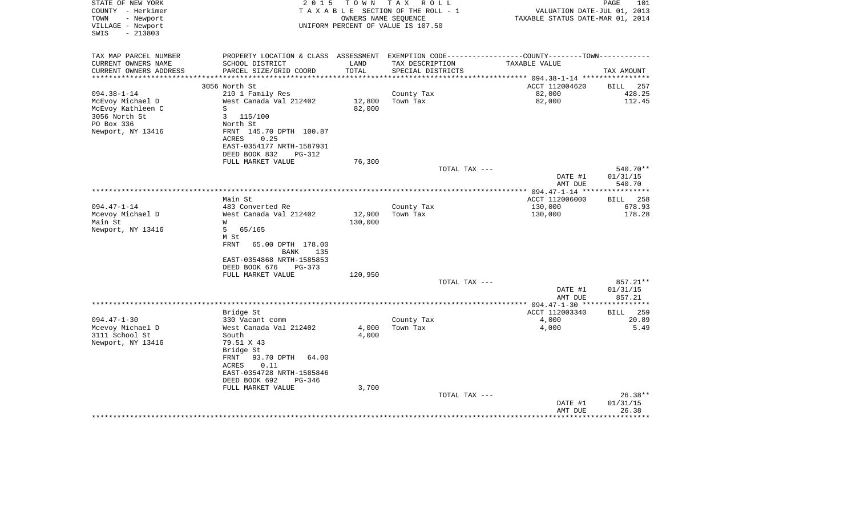| STATE OF NEW YORK<br>COUNTY - Herkimer<br>TOWN<br>- Newport<br>VILLAGE - Newport<br>SWIS<br>$-213803$ | 2 0 1 5<br>T O W N<br>T A X<br>R O L L<br>TAXABLE SECTION OF THE ROLL - 1<br>OWNERS NAME SEQUENCE<br>UNIFORM PERCENT OF VALUE IS 107.50 |                   | VALUATION DATE-JUL 01, 2013<br>TAXABLE STATUS DATE-MAR 01, 2014 | PAGE<br>101                                                                                   |                    |
|-------------------------------------------------------------------------------------------------------|-----------------------------------------------------------------------------------------------------------------------------------------|-------------------|-----------------------------------------------------------------|-----------------------------------------------------------------------------------------------|--------------------|
| TAX MAP PARCEL NUMBER                                                                                 |                                                                                                                                         |                   |                                                                 | PROPERTY LOCATION & CLASS ASSESSMENT EXEMPTION CODE---------------COUNTY-------TOWN---------- |                    |
| CURRENT OWNERS NAME<br>CURRENT OWNERS ADDRESS                                                         | SCHOOL DISTRICT<br>PARCEL SIZE/GRID COORD                                                                                               | LAND<br>TOTAL     | TAX DESCRIPTION<br>SPECIAL DISTRICTS                            | TAXABLE VALUE                                                                                 | TAX AMOUNT         |
|                                                                                                       | 3056 North St                                                                                                                           |                   |                                                                 | ACCT 112004620                                                                                | <b>BILL</b><br>257 |
| $094.38 - 1 - 14$                                                                                     | 210 1 Family Res                                                                                                                        |                   | County Tax                                                      | 82,000                                                                                        | 428.25             |
| McEvoy Michael D                                                                                      | West Canada Val 212402                                                                                                                  | 12,800            | Town Tax                                                        | 82,000                                                                                        | 112.45             |
| McEvoy Kathleen C                                                                                     | S                                                                                                                                       | 82,000            |                                                                 |                                                                                               |                    |
| 3056 North St                                                                                         | 3<br>115/100                                                                                                                            |                   |                                                                 |                                                                                               |                    |
| PO Box 336                                                                                            | North St                                                                                                                                |                   |                                                                 |                                                                                               |                    |
| Newport, NY 13416                                                                                     | FRNT 145.70 DPTH 100.87                                                                                                                 |                   |                                                                 |                                                                                               |                    |
|                                                                                                       | ACRES<br>0.25<br>EAST-0354177 NRTH-1587931                                                                                              |                   |                                                                 |                                                                                               |                    |
|                                                                                                       | DEED BOOK 832<br><b>PG-312</b>                                                                                                          |                   |                                                                 |                                                                                               |                    |
|                                                                                                       | FULL MARKET VALUE                                                                                                                       | 76,300            |                                                                 |                                                                                               |                    |
|                                                                                                       |                                                                                                                                         |                   |                                                                 | TOTAL TAX ---                                                                                 | 540.70**           |
|                                                                                                       |                                                                                                                                         |                   |                                                                 | DATE #1                                                                                       | 01/31/15           |
|                                                                                                       |                                                                                                                                         |                   |                                                                 | AMT DUE                                                                                       | 540.70             |
|                                                                                                       |                                                                                                                                         |                   |                                                                 |                                                                                               |                    |
|                                                                                                       | Main St                                                                                                                                 |                   |                                                                 | ACCT 112006000                                                                                | 258<br>BILL        |
| $094.47 - 1 - 14$                                                                                     | 483 Converted Re                                                                                                                        |                   | County Tax                                                      | 130,000                                                                                       | 678.93             |
| Mcevoy Michael D<br>Main St                                                                           | West Canada Val 212402<br>W                                                                                                             | 12,900<br>130,000 | Town Tax                                                        | 130,000                                                                                       | 178.28             |
| Newport, NY 13416                                                                                     | 5<br>65/165                                                                                                                             |                   |                                                                 |                                                                                               |                    |
|                                                                                                       | M St                                                                                                                                    |                   |                                                                 |                                                                                               |                    |
|                                                                                                       | <b>FRNT</b><br>65.00 DPTH 178.00<br>BANK<br>135                                                                                         |                   |                                                                 |                                                                                               |                    |
|                                                                                                       | EAST-0354868 NRTH-1585853<br>DEED BOOK 676<br>PG-373                                                                                    |                   |                                                                 |                                                                                               |                    |
|                                                                                                       | FULL MARKET VALUE                                                                                                                       | 120,950           |                                                                 |                                                                                               |                    |
|                                                                                                       |                                                                                                                                         |                   |                                                                 | TOTAL TAX ---                                                                                 | 857.21**           |
|                                                                                                       |                                                                                                                                         |                   |                                                                 | DATE #1                                                                                       | 01/31/15           |
|                                                                                                       |                                                                                                                                         |                   |                                                                 | AMT DUE                                                                                       | 857.21             |
|                                                                                                       | Bridge St                                                                                                                               |                   |                                                                 | ACCT 112003340                                                                                | 259<br><b>BILL</b> |
| $094.47 - 1 - 30$                                                                                     | 330 Vacant comm                                                                                                                         |                   | County Tax                                                      | 4,000                                                                                         | 20.89              |
| Mcevoy Michael D                                                                                      | West Canada Val 212402                                                                                                                  | 4,000             | Town Tax                                                        | 4,000                                                                                         | 5.49               |
| 3111 School St                                                                                        | South                                                                                                                                   | 4,000             |                                                                 |                                                                                               |                    |
| Newport, NY 13416                                                                                     | 79.51 X 43                                                                                                                              |                   |                                                                 |                                                                                               |                    |
|                                                                                                       | Bridge St                                                                                                                               |                   |                                                                 |                                                                                               |                    |
|                                                                                                       | FRNT<br>93.70 DPTH<br>64.00                                                                                                             |                   |                                                                 |                                                                                               |                    |
|                                                                                                       | ACRES<br>0.11                                                                                                                           |                   |                                                                 |                                                                                               |                    |
|                                                                                                       | EAST-0354728 NRTH-1585846                                                                                                               |                   |                                                                 |                                                                                               |                    |
|                                                                                                       | DEED BOOK 692<br>PG-346<br>FULL MARKET VALUE                                                                                            | 3,700             |                                                                 |                                                                                               |                    |
|                                                                                                       |                                                                                                                                         |                   |                                                                 | TOTAL TAX ---                                                                                 | $26.38**$          |
|                                                                                                       |                                                                                                                                         |                   |                                                                 | DATE #1<br>AMT DUE                                                                            | 01/31/15<br>26.38  |
|                                                                                                       |                                                                                                                                         |                   |                                                                 |                                                                                               |                    |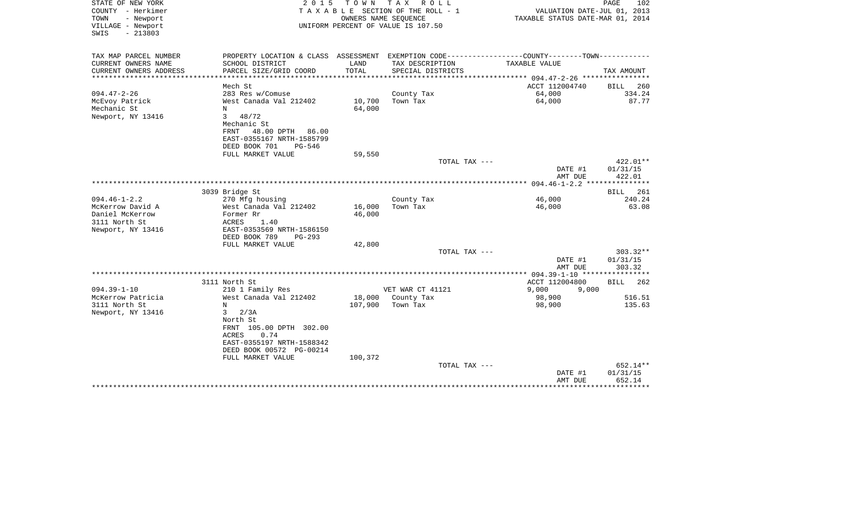| STATE OF NEW YORK<br>COUNTY - Herkimer<br>- Newport<br>TOWN<br>VILLAGE - Newport<br>$-213803$<br>SWIS | 2 0 1 5                                                                                                           | T O W N<br>OWNERS NAME SEQUENCE | TAX ROLL<br>T A X A B L E SECTION OF THE ROLL - 1<br>UNIFORM PERCENT OF VALUE IS 107.50 | VALUATION DATE-JUL 01, 2013<br>TAXABLE STATUS DATE-MAR 01, 2014 | PAGE<br>102        |
|-------------------------------------------------------------------------------------------------------|-------------------------------------------------------------------------------------------------------------------|---------------------------------|-----------------------------------------------------------------------------------------|-----------------------------------------------------------------|--------------------|
| TAX MAP PARCEL NUMBER<br>CURRENT OWNERS NAME                                                          | PROPERTY LOCATION & CLASS ASSESSMENT EXEMPTION CODE----------------COUNTY-------TOWN----------<br>SCHOOL DISTRICT | LAND                            | TAX DESCRIPTION                                                                         | TAXABLE VALUE                                                   |                    |
| CURRENT OWNERS ADDRESS                                                                                | PARCEL SIZE/GRID COORD<br>**************                                                                          | TOTAL<br>***********            | SPECIAL DISTRICTS                                                                       | ********** 094.47-2-26 *****************                        | TAX AMOUNT         |
|                                                                                                       | Mech St                                                                                                           |                                 |                                                                                         | ACCT 112004740                                                  | <b>BILL</b><br>260 |
| $094.47 - 2 - 26$                                                                                     | 283 Res w/Comuse                                                                                                  |                                 | County Tax                                                                              | 64,000                                                          | 334.24             |
| McEvoy Patrick                                                                                        | West Canada Val 212402                                                                                            | 10,700                          | Town Tax                                                                                | 64,000                                                          | 87.77              |
| Mechanic St                                                                                           | N                                                                                                                 | 64,000                          |                                                                                         |                                                                 |                    |
| Newport, NY 13416                                                                                     | 48/72<br>3                                                                                                        |                                 |                                                                                         |                                                                 |                    |
|                                                                                                       | Mechanic St                                                                                                       |                                 |                                                                                         |                                                                 |                    |
|                                                                                                       | 48.00 DPTH 86.00<br>FRNT                                                                                          |                                 |                                                                                         |                                                                 |                    |
|                                                                                                       | EAST-0355167 NRTH-1585799<br>DEED BOOK 701                                                                        |                                 |                                                                                         |                                                                 |                    |
|                                                                                                       | PG-546<br>FULL MARKET VALUE                                                                                       | 59,550                          |                                                                                         |                                                                 |                    |
|                                                                                                       |                                                                                                                   |                                 | TOTAL TAX ---                                                                           |                                                                 | 422.01**           |
|                                                                                                       |                                                                                                                   |                                 |                                                                                         | DATE #1                                                         | 01/31/15           |
|                                                                                                       |                                                                                                                   |                                 |                                                                                         | AMT DUE                                                         | 422.01             |
|                                                                                                       |                                                                                                                   |                                 |                                                                                         |                                                                 | ***********        |
|                                                                                                       | 3039 Bridge St                                                                                                    |                                 |                                                                                         |                                                                 | BILL<br>261        |
| $094.46 - 1 - 2.2$                                                                                    | 270 Mfg housing                                                                                                   |                                 | County Tax                                                                              | 46,000                                                          | 240.24             |
| McKerrow David A                                                                                      | West Canada Val 212402                                                                                            | 16,000                          | Town Tax                                                                                | 46,000                                                          | 63.08              |
| Daniel McKerrow                                                                                       | Former Rr                                                                                                         | 46,000                          |                                                                                         |                                                                 |                    |
| 3111 North St                                                                                         | ACRES<br>1.40                                                                                                     |                                 |                                                                                         |                                                                 |                    |
| Newport, NY 13416                                                                                     | EAST-0353569 NRTH-1586150                                                                                         |                                 |                                                                                         |                                                                 |                    |
|                                                                                                       | DEED BOOK 789<br>$PG-293$<br>FULL MARKET VALUE                                                                    | 42,800                          |                                                                                         |                                                                 |                    |
|                                                                                                       |                                                                                                                   |                                 | TOTAL TAX ---                                                                           |                                                                 | $303.32**$         |
|                                                                                                       |                                                                                                                   |                                 |                                                                                         | DATE #1<br>AMT DUE                                              | 01/31/15<br>303.32 |
|                                                                                                       |                                                                                                                   |                                 |                                                                                         |                                                                 |                    |
|                                                                                                       | 3111 North St                                                                                                     |                                 |                                                                                         | ACCT 112004800                                                  | 262<br>BILL        |
| $094.39 - 1 - 10$                                                                                     | 210 1 Family Res                                                                                                  |                                 | VET WAR CT 41121                                                                        | 9,000<br>9,000                                                  |                    |
| McKerrow Patricia                                                                                     | West Canada Val 212402                                                                                            | 18,000                          | County Tax                                                                              | 98,900                                                          | 516.51             |
| 3111 North St                                                                                         | N                                                                                                                 | 107,900                         | Town Tax                                                                                | 98,900                                                          | 135.63             |
| Newport, NY 13416                                                                                     | 3<br>2/3A                                                                                                         |                                 |                                                                                         |                                                                 |                    |
|                                                                                                       | North St                                                                                                          |                                 |                                                                                         |                                                                 |                    |
|                                                                                                       | FRNT 105.00 DPTH 302.00                                                                                           |                                 |                                                                                         |                                                                 |                    |
|                                                                                                       | <b>ACRES</b><br>0.74<br>EAST-0355197 NRTH-1588342                                                                 |                                 |                                                                                         |                                                                 |                    |
|                                                                                                       | DEED BOOK 00572 PG-00214                                                                                          |                                 |                                                                                         |                                                                 |                    |
|                                                                                                       | FULL MARKET VALUE                                                                                                 | 100,372                         |                                                                                         |                                                                 |                    |
|                                                                                                       |                                                                                                                   |                                 | TOTAL TAX ---                                                                           |                                                                 | 652.14**           |
|                                                                                                       |                                                                                                                   |                                 |                                                                                         | DATE #1                                                         | 01/31/15           |
|                                                                                                       |                                                                                                                   |                                 |                                                                                         | AMT DUE                                                         | 652.14             |
|                                                                                                       |                                                                                                                   |                                 |                                                                                         |                                                                 |                    |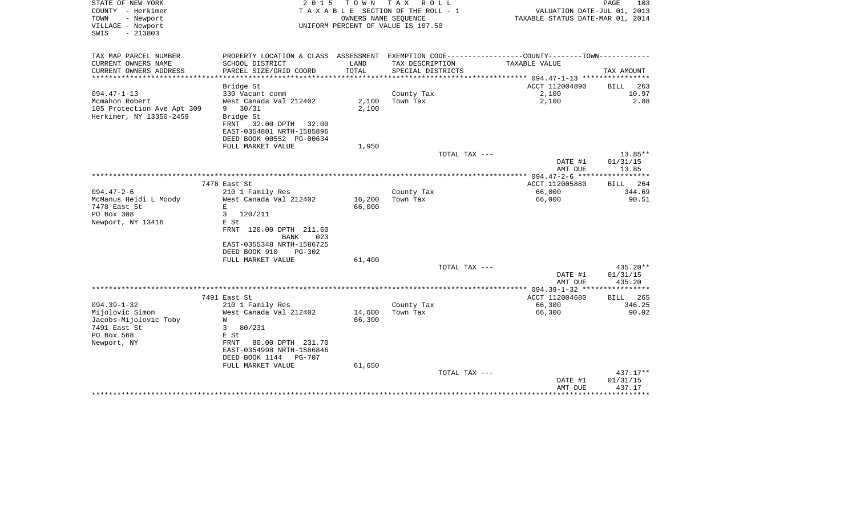| STATE OF NEW YORK<br>COUNTY - Herkimer<br>TOWN<br>- Newport<br>VILLAGE - Newport<br>$-213803$<br>SWIS      | 2 0 1 5                                                                                                                                                                                               | T O W N          | TAX ROLL<br>TAXABLE SECTION OF THE ROLL - 1<br>OWNERS NAME SEQUENCE<br>UNIFORM PERCENT OF VALUE IS 107.50 |                                                                                                                  | PAGE<br>103<br>VALUATION DATE-JUL 01, 2013<br>TAXABLE STATUS DATE-MAR 01, 2014 |  |
|------------------------------------------------------------------------------------------------------------|-------------------------------------------------------------------------------------------------------------------------------------------------------------------------------------------------------|------------------|-----------------------------------------------------------------------------------------------------------|------------------------------------------------------------------------------------------------------------------|--------------------------------------------------------------------------------|--|
| TAX MAP PARCEL NUMBER<br>CURRENT OWNERS NAME                                                               | SCHOOL DISTRICT                                                                                                                                                                                       | LAND             | TAX DESCRIPTION                                                                                           | PROPERTY LOCATION & CLASS ASSESSMENT EXEMPTION CODE----------------COUNTY--------TOWN----------<br>TAXABLE VALUE |                                                                                |  |
| CURRENT OWNERS ADDRESS                                                                                     | PARCEL SIZE/GRID COORD                                                                                                                                                                                | TOTAL            | SPECIAL DISTRICTS                                                                                         |                                                                                                                  | TAX AMOUNT                                                                     |  |
| * * * * * * * * * * * * * * * *                                                                            | *********************                                                                                                                                                                                 |                  | ****************************                                                                              | ·***************** 094.47-1-13 ****************                                                                  |                                                                                |  |
| $094.47 - 1 - 13$                                                                                          | Bridge St                                                                                                                                                                                             |                  |                                                                                                           | ACCT 112004890                                                                                                   | 263<br>BILL<br>10.97                                                           |  |
| Mcmahon Robert<br>105 Protection Ave Apt 309<br>Herkimer, NY 13350-2459                                    | 330 Vacant comm<br>West Canada Val 212402<br>9<br>30/31<br>Bridge St<br>FRNT<br>32.00 DPTH 32.00<br>EAST-0354801 NRTH-1585896<br>DEED BOOK 00552 PG-00634                                             | 2,100<br>2,100   | County Tax<br>Town Tax                                                                                    | 2,100<br>2,100                                                                                                   | 2.88                                                                           |  |
|                                                                                                            | FULL MARKET VALUE                                                                                                                                                                                     | 1,950            |                                                                                                           |                                                                                                                  |                                                                                |  |
|                                                                                                            |                                                                                                                                                                                                       |                  | TOTAL TAX ---                                                                                             | DATE #1<br>AMT DUE                                                                                               | $13.85**$<br>01/31/15<br>13.85                                                 |  |
|                                                                                                            |                                                                                                                                                                                                       |                  |                                                                                                           | ** $094.47 - 2 - 6$ ****                                                                                         | * * * * * * * *                                                                |  |
| $094.47 - 2 - 6$<br>McManus Heidi L Moody<br>7478 East St<br>PO Box 308<br>Newport, NY 13416               | 7478 East St<br>210 1 Family Res<br>West Canada Val 212402<br>$\mathbf E$<br>3<br>120/211<br>E St<br>FRNT 120.00 DPTH 211.60<br>023<br>BANK<br>EAST-0355348 NRTH-1586725<br>DEED BOOK 910<br>$PG-302$ | 16,200<br>66,000 | County Tax<br>Town Tax                                                                                    | ACCT 112005880<br>66,000<br>66,000                                                                               | 264<br>BILL<br>344.69<br>90.51                                                 |  |
|                                                                                                            | FULL MARKET VALUE                                                                                                                                                                                     | 61,400           | TOTAL TAX ---                                                                                             |                                                                                                                  | $435.20**$                                                                     |  |
|                                                                                                            |                                                                                                                                                                                                       |                  |                                                                                                           | DATE #1<br>AMT DUE                                                                                               | 01/31/15<br>435.20                                                             |  |
|                                                                                                            |                                                                                                                                                                                                       |                  |                                                                                                           |                                                                                                                  |                                                                                |  |
| $094.39 - 1 - 32$<br>Mijolovic Simon<br>Jacobs-Mijolovic Toby<br>7491 East St<br>PO Box 568<br>Newport, NY | 7491 East St<br>210 1 Family Res<br>West Canada Val 212402<br>W<br>80/231<br>3<br>E St<br>80.00 DPTH 231.70<br>FRNT<br>EAST-0354998 NRTH-1586846<br>DEED BOOK 1144<br><b>PG-707</b>                   | 14,600<br>66,300 | County Tax<br>Town Tax                                                                                    | ACCT 112004680<br>66,300<br>66,300                                                                               | BILL<br>265<br>346.25<br>90.92                                                 |  |
|                                                                                                            | FULL MARKET VALUE                                                                                                                                                                                     | 61,650           | TOTAL TAX ---                                                                                             | DATE #1<br>AMT DUE                                                                                               | 437.17**<br>01/31/15<br>437.17                                                 |  |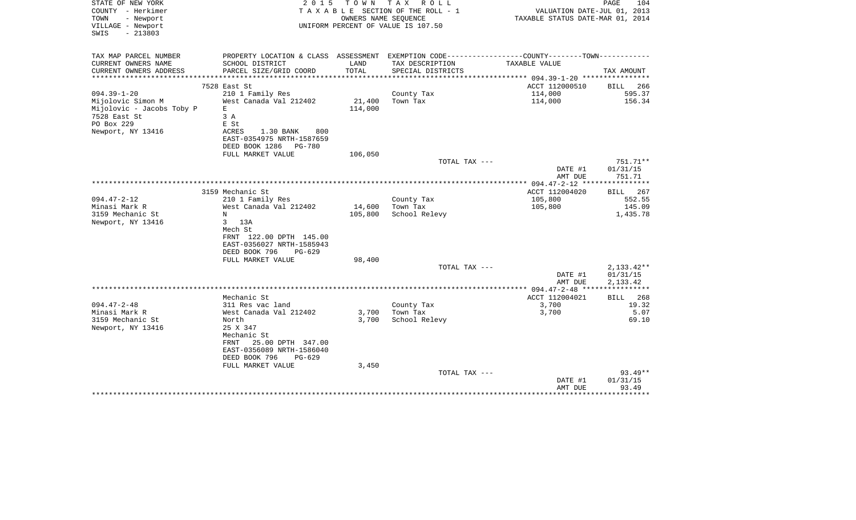| STATE OF NEW YORK<br>COUNTY - Herkimer<br>TOWN<br>- Newport<br>VILLAGE - Newport<br>$-213803$<br>SWIS                  | 2 0 1 5                                                                                                                                                     | T O W N<br>OWNERS NAME SEQUENCE | TAX ROLL<br>TAXABLE SECTION OF THE ROLL - 1<br>UNIFORM PERCENT OF VALUE IS 107.50 | VALUATION DATE-JUL 01, 2013<br>TAXABLE STATUS DATE-MAR 01, 2014 | PAGE<br>104                                |
|------------------------------------------------------------------------------------------------------------------------|-------------------------------------------------------------------------------------------------------------------------------------------------------------|---------------------------------|-----------------------------------------------------------------------------------|-----------------------------------------------------------------|--------------------------------------------|
| TAX MAP PARCEL NUMBER<br>CURRENT OWNERS NAME                                                                           | PROPERTY LOCATION & CLASS ASSESSMENT EXEMPTION CODE----------------COUNTY-------TOWN----------<br>SCHOOL DISTRICT                                           | LAND                            | TAX DESCRIPTION                                                                   | TAXABLE VALUE                                                   |                                            |
| CURRENT OWNERS ADDRESS                                                                                                 | PARCEL SIZE/GRID COORD                                                                                                                                      | TOTAL                           | SPECIAL DISTRICTS                                                                 |                                                                 | TAX AMOUNT                                 |
|                                                                                                                        |                                                                                                                                                             | *************                   |                                                                                   | *********** 094.39-1-20 ***********                             |                                            |
|                                                                                                                        | 7528 East St                                                                                                                                                |                                 |                                                                                   | ACCT 112000510                                                  | <b>BILL</b><br>266                         |
| $094.39 - 1 - 20$<br>Mijolovic Simon M<br>Mijolovic - Jacobs Toby P<br>7528 East St<br>PO Box 229<br>Newport, NY 13416 | 210 1 Family Res<br>West Canada Val 212402<br>E.<br>3A<br>E St<br>ACRES<br>1.30 BANK<br>800<br>EAST-0354975 NRTH-1587659<br>DEED BOOK 1286<br><b>PG-780</b> | 21,400<br>114,000               | County Tax<br>Town Tax                                                            | 114,000<br>114,000                                              | 595.37<br>156.34                           |
|                                                                                                                        | FULL MARKET VALUE                                                                                                                                           | 106,050                         |                                                                                   |                                                                 |                                            |
|                                                                                                                        |                                                                                                                                                             |                                 | TOTAL TAX ---                                                                     | DATE #1<br>AMT DUE                                              | 751.71**<br>01/31/15<br>751.71             |
|                                                                                                                        | 3159 Mechanic St                                                                                                                                            |                                 |                                                                                   | ACCT 112004020                                                  | BILL 267                                   |
| $094.47 - 2 - 12$<br>Minasi Mark R<br>3159 Mechanic St<br>Newport, NY 13416                                            | 210 1 Family Res<br>West Canada Val 212402<br>N<br>3 13A<br>Mech St<br>FRNT 122.00 DPTH 145.00<br>EAST-0356027 NRTH-1585943<br>DEED BOOK 796<br>$PG-629$    | 14,600<br>105,800               | County Tax<br>Town Tax<br>School Relevy                                           | 105,800<br>105,800                                              | 552.55<br>145.09<br>1,435.78               |
|                                                                                                                        | FULL MARKET VALUE                                                                                                                                           | 98,400                          |                                                                                   |                                                                 |                                            |
|                                                                                                                        |                                                                                                                                                             |                                 | TOTAL TAX ---                                                                     | DATE #1<br>AMT DUE                                              | $2,133.42**$<br>01/31/15<br>2,133.42       |
|                                                                                                                        |                                                                                                                                                             |                                 |                                                                                   |                                                                 |                                            |
| $094.47 - 2 - 48$<br>Minasi Mark R<br>3159 Mechanic St<br>Newport, NY 13416                                            | Mechanic St<br>311 Res vac land<br>West Canada Val 212402<br>North<br>25 X 347<br>Mechanic St<br>25.00 DPTH 347.00<br>FRNT<br>EAST-0356089 NRTH-1586040     | 3,700<br>3,700                  | County Tax<br>Town Tax<br>School Relevy                                           | ACCT 112004021<br>3,700<br>3,700                                | BILL 268<br>19.32<br>5.07<br>69.10         |
|                                                                                                                        | DEED BOOK 796<br>$PG-629$                                                                                                                                   |                                 |                                                                                   |                                                                 |                                            |
|                                                                                                                        | FULL MARKET VALUE                                                                                                                                           | 3,450                           |                                                                                   |                                                                 |                                            |
|                                                                                                                        | ***********************                                                                                                                                     |                                 | TOTAL TAX ---                                                                     | DATE #1<br>AMT DUE                                              | 93.49**<br>01/31/15<br>93.49<br>********** |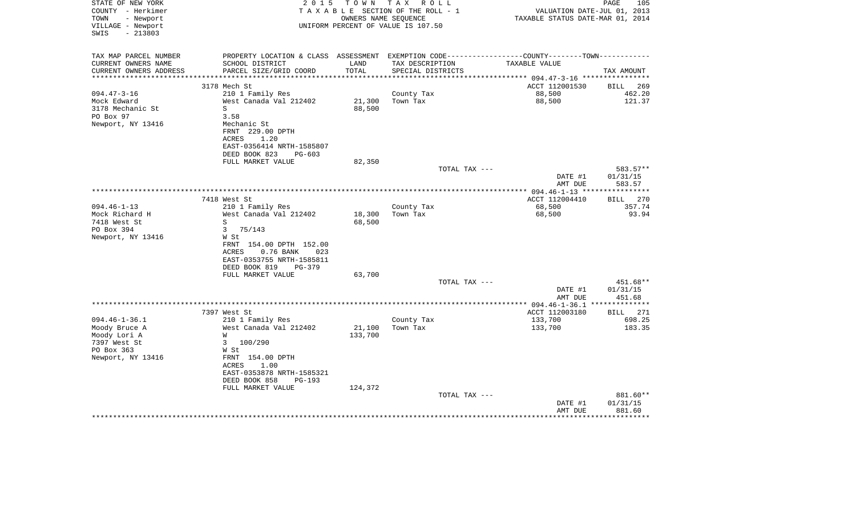| STATE OF NEW YORK<br>COUNTY - Herkimer<br>TOWN<br>- Newport<br>VILLAGE - Newport<br>$-213803$<br>SWIS | 2 0 1 5                                      | T O W N<br>OWNERS NAME SEQUENCE | TAX ROLL<br>TAXABLE SECTION OF THE ROLL - 1<br>UNIFORM PERCENT OF VALUE IS 107.50 | VALUATION DATE-JUL 01, 2013<br>TAXABLE STATUS DATE-MAR 01, 2014                               | PAGE<br>105           |
|-------------------------------------------------------------------------------------------------------|----------------------------------------------|---------------------------------|-----------------------------------------------------------------------------------|-----------------------------------------------------------------------------------------------|-----------------------|
| TAX MAP PARCEL NUMBER                                                                                 |                                              |                                 |                                                                                   | PROPERTY LOCATION & CLASS ASSESSMENT EXEMPTION CODE---------------COUNTY-------TOWN---------- |                       |
| CURRENT OWNERS NAME<br>CURRENT OWNERS ADDRESS                                                         | SCHOOL DISTRICT<br>PARCEL SIZE/GRID COORD    | LAND<br>TOTAL                   | TAX DESCRIPTION<br>SPECIAL DISTRICTS                                              | TAXABLE VALUE                                                                                 | TAX AMOUNT            |
| **********************                                                                                |                                              |                                 |                                                                                   |                                                                                               |                       |
| $094.47 - 3 - 16$                                                                                     | 3178 Mech St                                 |                                 |                                                                                   | ACCT 112001530<br>88,500                                                                      | BILL<br>269<br>462.20 |
| Mock Edward                                                                                           | 210 1 Family Res<br>West Canada Val 212402   | 21,300                          | County Tax<br>Town Tax                                                            | 88,500                                                                                        | 121.37                |
| 3178 Mechanic St                                                                                      | S                                            | 88,500                          |                                                                                   |                                                                                               |                       |
| PO Box 97                                                                                             | 3.58                                         |                                 |                                                                                   |                                                                                               |                       |
| Newport, NY 13416                                                                                     | Mechanic St                                  |                                 |                                                                                   |                                                                                               |                       |
|                                                                                                       | FRNT 229.00 DPTH                             |                                 |                                                                                   |                                                                                               |                       |
|                                                                                                       | <b>ACRES</b><br>1.20                         |                                 |                                                                                   |                                                                                               |                       |
|                                                                                                       | EAST-0356414 NRTH-1585807                    |                                 |                                                                                   |                                                                                               |                       |
|                                                                                                       | DEED BOOK 823<br>PG-603<br>FULL MARKET VALUE | 82,350                          |                                                                                   |                                                                                               |                       |
|                                                                                                       |                                              |                                 | TOTAL TAX ---                                                                     |                                                                                               | 583.57**              |
|                                                                                                       |                                              |                                 |                                                                                   | DATE #1                                                                                       | 01/31/15              |
|                                                                                                       |                                              |                                 |                                                                                   | AMT DUE                                                                                       | 583.57                |
|                                                                                                       |                                              |                                 |                                                                                   |                                                                                               |                       |
|                                                                                                       | 7418 West St                                 |                                 |                                                                                   | ACCT 112004410                                                                                | <b>BILL</b><br>270    |
| $094.46 - 1 - 13$                                                                                     | 210 1 Family Res                             |                                 | County Tax                                                                        | 68,500                                                                                        | 357.74                |
| Mock Richard H                                                                                        | West Canada Val 212402                       | 18,300                          | Town Tax                                                                          | 68,500                                                                                        | 93.94                 |
| 7418 West St<br>PO Box 394                                                                            | S<br>3<br>75/143                             | 68,500                          |                                                                                   |                                                                                               |                       |
| Newport, NY 13416                                                                                     | W St                                         |                                 |                                                                                   |                                                                                               |                       |
|                                                                                                       | FRNT 154.00 DPTH 152.00                      |                                 |                                                                                   |                                                                                               |                       |
|                                                                                                       | <b>ACRES</b><br>0.76 BANK<br>023             |                                 |                                                                                   |                                                                                               |                       |
|                                                                                                       | EAST-0353755 NRTH-1585811                    |                                 |                                                                                   |                                                                                               |                       |
|                                                                                                       | DEED BOOK 819<br>PG-379                      |                                 |                                                                                   |                                                                                               |                       |
|                                                                                                       | FULL MARKET VALUE                            | 63,700                          |                                                                                   |                                                                                               |                       |
|                                                                                                       |                                              |                                 | TOTAL TAX ---                                                                     | DATE #1                                                                                       | 451.68**<br>01/31/15  |
|                                                                                                       |                                              |                                 |                                                                                   | AMT DUE                                                                                       | 451.68                |
|                                                                                                       |                                              |                                 |                                                                                   | *********** 094.46-1-36.1 ***************                                                     |                       |
|                                                                                                       | 7397 West St                                 |                                 |                                                                                   | ACCT 112003180                                                                                | 271<br><b>BILL</b>    |
| $094.46 - 1 - 36.1$                                                                                   | 210 1 Family Res                             |                                 | County Tax                                                                        | 133,700                                                                                       | 698.25                |
| Moody Bruce A                                                                                         | West Canada Val 212402                       | 21,100                          | Town Tax                                                                          | 133,700                                                                                       | 183.35                |
| Moody Lori A                                                                                          | W                                            | 133,700                         |                                                                                   |                                                                                               |                       |
| 7397 West St<br>PO Box 363                                                                            | 100/290<br>3                                 |                                 |                                                                                   |                                                                                               |                       |
| Newport, NY 13416                                                                                     | W St<br>FRNT 154.00 DPTH                     |                                 |                                                                                   |                                                                                               |                       |
|                                                                                                       | ACRES<br>1.00                                |                                 |                                                                                   |                                                                                               |                       |
|                                                                                                       | EAST-0353878 NRTH-1585321                    |                                 |                                                                                   |                                                                                               |                       |
|                                                                                                       | DEED BOOK 858<br>$PG-193$                    |                                 |                                                                                   |                                                                                               |                       |
|                                                                                                       | FULL MARKET VALUE                            | 124,372                         |                                                                                   |                                                                                               |                       |
|                                                                                                       |                                              |                                 | TOTAL TAX ---                                                                     |                                                                                               | 881.60**              |
|                                                                                                       |                                              |                                 |                                                                                   | DATE #1                                                                                       | 01/31/15              |
|                                                                                                       |                                              |                                 |                                                                                   | AMT DUE                                                                                       | 881.60<br>*******     |
|                                                                                                       |                                              |                                 |                                                                                   |                                                                                               |                       |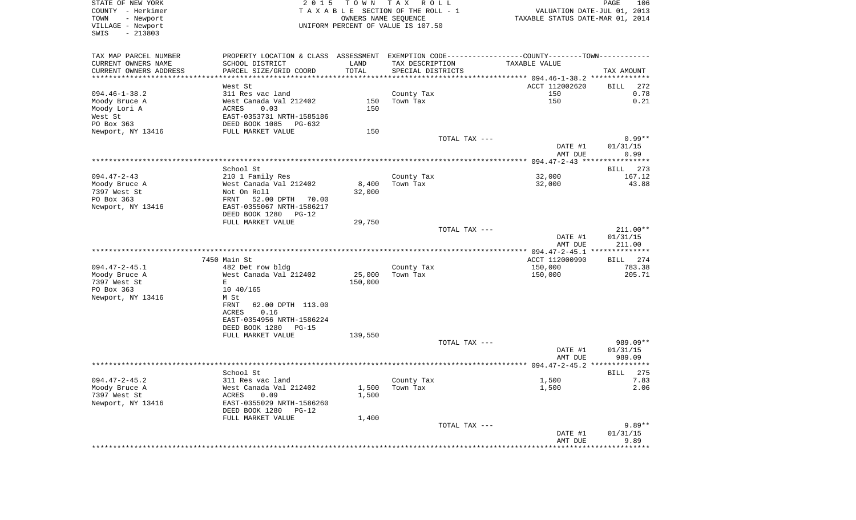| STATE OF NEW YORK      | 2 0 1 5                            |                                  | TOWN TAX ROLL     |                                                                                               | PAGE<br>106      |
|------------------------|------------------------------------|----------------------------------|-------------------|-----------------------------------------------------------------------------------------------|------------------|
| COUNTY - Herkimer      | TAXABLE SECTION OF THE ROLL - 1    | VALUATION DATE-JUL 01, 2013      |                   |                                                                                               |                  |
| - Newport<br>TOWN      |                                    | TAXABLE STATUS DATE-MAR 01, 2014 |                   |                                                                                               |                  |
| VILLAGE - Newport      | UNIFORM PERCENT OF VALUE IS 107.50 |                                  |                   |                                                                                               |                  |
| SWIS<br>$-213803$      |                                    |                                  |                   |                                                                                               |                  |
|                        |                                    |                                  |                   |                                                                                               |                  |
| TAX MAP PARCEL NUMBER  |                                    |                                  |                   | PROPERTY LOCATION & CLASS ASSESSMENT EXEMPTION CODE---------------COUNTY-------TOWN---------- |                  |
| CURRENT OWNERS NAME    | SCHOOL DISTRICT                    | LAND                             | TAX DESCRIPTION   | TAXABLE VALUE                                                                                 |                  |
| CURRENT OWNERS ADDRESS | PARCEL SIZE/GRID COORD             | TOTAL                            | SPECIAL DISTRICTS |                                                                                               | TAX AMOUNT       |
|                        |                                    |                                  |                   |                                                                                               |                  |
|                        | West St                            |                                  |                   | ACCT 112002620                                                                                | BILL<br>272      |
| $094.46 - 1 - 38.2$    | 311 Res vac land                   |                                  | County Tax        | 150                                                                                           | 0.78             |
| Moody Bruce A          | West Canada Val 212402             | 150                              | Town Tax          | 150                                                                                           | 0.21             |
| Moody Lori A           | ACRES<br>0.03                      | 150                              |                   |                                                                                               |                  |
| West St                | EAST-0353731 NRTH-1585186          |                                  |                   |                                                                                               |                  |
| PO Box 363             | DEED BOOK 1085<br>PG-632           |                                  |                   |                                                                                               |                  |
| Newport, NY 13416      | FULL MARKET VALUE                  | 150                              |                   |                                                                                               |                  |
|                        |                                    |                                  | TOTAL TAX ---     |                                                                                               | $0.99**$         |
|                        |                                    |                                  |                   | DATE #1                                                                                       | 01/31/15         |
|                        |                                    |                                  |                   | AMT DUE                                                                                       | 0.99             |
|                        |                                    |                                  |                   |                                                                                               |                  |
|                        | School St                          |                                  |                   |                                                                                               | BILL 273         |
| $094.47 - 2 - 43$      | 210 1 Family Res                   |                                  | County Tax        | 32,000                                                                                        | 167.12           |
| Moody Bruce A          | West Canada Val 212402             | 8,400                            | Town Tax          | 32,000                                                                                        | 43.88            |
| 7397 West St           | Not On Roll                        |                                  |                   |                                                                                               |                  |
|                        |                                    | 32,000                           |                   |                                                                                               |                  |
| PO Box 363             | FRNT<br>52.00 DPTH 70.00           |                                  |                   |                                                                                               |                  |
| Newport, NY 13416      | EAST-0355067 NRTH-1586217          |                                  |                   |                                                                                               |                  |
|                        | DEED BOOK 1280<br>PG-12            |                                  |                   |                                                                                               |                  |
|                        | FULL MARKET VALUE                  | 29,750                           |                   |                                                                                               |                  |
|                        |                                    |                                  | TOTAL TAX ---     |                                                                                               | $211.00**$       |
|                        |                                    |                                  |                   | DATE #1                                                                                       | 01/31/15         |
|                        |                                    |                                  |                   | AMT DUE                                                                                       | 211.00           |
|                        |                                    |                                  |                   |                                                                                               |                  |
|                        | 7450 Main St                       |                                  |                   | ACCT 112000990                                                                                | 274<br>BILL      |
| $094.47 - 2 - 45.1$    | 482 Det row bldg                   |                                  | County Tax        | 150,000                                                                                       | 783.38           |
| Moody Bruce A          | West Canada Val 212402             | 25,000                           | Town Tax          | 150,000                                                                                       | 205.71           |
| 7397 West St           | E                                  | 150,000                          |                   |                                                                                               |                  |
| PO Box 363             | 10 40/165                          |                                  |                   |                                                                                               |                  |
| Newport, NY 13416      | M St                               |                                  |                   |                                                                                               |                  |
|                        | FRNT<br>62.00 DPTH 113.00          |                                  |                   |                                                                                               |                  |
|                        | ACRES<br>0.16                      |                                  |                   |                                                                                               |                  |
|                        | EAST-0354956 NRTH-1586224          |                                  |                   |                                                                                               |                  |
|                        | DEED BOOK 1280<br>PG-15            |                                  |                   |                                                                                               |                  |
|                        | FULL MARKET VALUE                  | 139,550                          |                   |                                                                                               |                  |
|                        |                                    |                                  | TOTAL TAX ---     |                                                                                               | 989.09**         |
|                        |                                    |                                  |                   | DATE #1                                                                                       | 01/31/15         |
|                        |                                    |                                  |                   | AMT DUE                                                                                       | 989.09           |
|                        |                                    |                                  |                   |                                                                                               |                  |
|                        | School St                          |                                  |                   |                                                                                               | BILL<br>275      |
| $094.47 - 2 - 45.2$    | 311 Res vac land                   |                                  | County Tax        | 1,500                                                                                         | 7.83             |
| Moody Bruce A          | West Canada Val 212402             | 1,500                            | Town Tax          | 1,500                                                                                         | 2.06             |
| 7397 West St           | ACRES<br>0.09                      | 1,500                            |                   |                                                                                               |                  |
| Newport, NY 13416      | EAST-0355029 NRTH-1586260          |                                  |                   |                                                                                               |                  |
|                        | DEED BOOK 1280<br>PG-12            |                                  |                   |                                                                                               |                  |
|                        | FULL MARKET VALUE                  | 1,400                            |                   |                                                                                               |                  |
|                        |                                    |                                  |                   |                                                                                               |                  |
|                        |                                    |                                  |                   |                                                                                               |                  |
|                        |                                    |                                  | TOTAL TAX ---     | DATE #1                                                                                       | $9.89**$         |
|                        |                                    |                                  |                   | AMT DUE                                                                                       | 01/31/15<br>9.89 |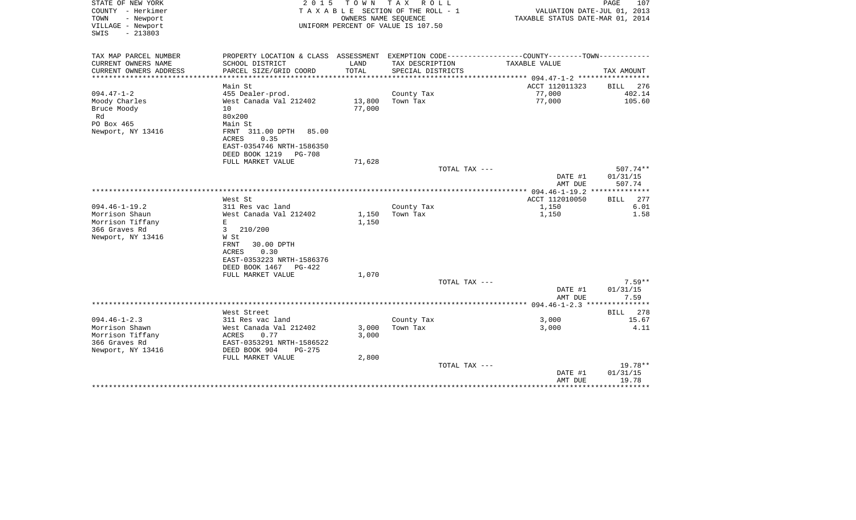| STATE OF NEW YORK<br>COUNTY - Herkimer<br>TOWN<br>- Newport<br>VILLAGE - Newport<br>$-213803$<br>SWIS | 2 0 1 5                                                                                        | T O W N<br>OWNERS NAME SEQUENCE | T A X<br>R O L L<br>TAXABLE SECTION OF THE ROLL - 1<br>UNIFORM PERCENT OF VALUE IS 107.50 | PAGE<br>107<br>VALUATION DATE-JUL 01, 2013<br>TAXABLE STATUS DATE-MAR 01, 2014 |                    |
|-------------------------------------------------------------------------------------------------------|------------------------------------------------------------------------------------------------|---------------------------------|-------------------------------------------------------------------------------------------|--------------------------------------------------------------------------------|--------------------|
| TAX MAP PARCEL NUMBER                                                                                 | PROPERTY LOCATION & CLASS ASSESSMENT EXEMPTION CODE----------------COUNTY-------TOWN---------- |                                 |                                                                                           |                                                                                |                    |
| CURRENT OWNERS NAME<br>CURRENT OWNERS ADDRESS                                                         | SCHOOL DISTRICT<br>PARCEL SIZE/GRID COORD                                                      | LAND<br>TOTAL                   | TAX DESCRIPTION<br>SPECIAL DISTRICTS                                                      | TAXABLE VALUE                                                                  | TAX AMOUNT         |
| ***************                                                                                       | *********************                                                                          | *************                   |                                                                                           |                                                                                |                    |
|                                                                                                       | Main St                                                                                        |                                 |                                                                                           | ACCT 112011323                                                                 | BILL<br>276        |
| $094.47 - 1 - 2$                                                                                      | 455 Dealer-prod.                                                                               |                                 | County Tax                                                                                | 77,000                                                                         | 402.14             |
| Moody Charles                                                                                         | West Canada Val 212402                                                                         | 13,800                          | Town Tax                                                                                  | 77,000                                                                         | 105.60             |
| Bruce Moody                                                                                           | 10                                                                                             | 77,000                          |                                                                                           |                                                                                |                    |
| Rd                                                                                                    | 80x200                                                                                         |                                 |                                                                                           |                                                                                |                    |
| PO Box 465                                                                                            | Main St                                                                                        |                                 |                                                                                           |                                                                                |                    |
| Newport, NY 13416                                                                                     | FRNT 311.00 DPTH<br>85.00<br>ACRES<br>0.35                                                     |                                 |                                                                                           |                                                                                |                    |
|                                                                                                       | EAST-0354746 NRTH-1586350                                                                      |                                 |                                                                                           |                                                                                |                    |
|                                                                                                       | DEED BOOK 1219<br><b>PG-708</b>                                                                |                                 |                                                                                           |                                                                                |                    |
|                                                                                                       | FULL MARKET VALUE                                                                              | 71,628                          |                                                                                           |                                                                                |                    |
|                                                                                                       |                                                                                                |                                 | TOTAL TAX ---                                                                             |                                                                                | 507.74**           |
|                                                                                                       |                                                                                                |                                 |                                                                                           | DATE #1                                                                        | 01/31/15           |
|                                                                                                       |                                                                                                |                                 |                                                                                           | AMT DUE                                                                        | 507.74             |
|                                                                                                       | *************************************                                                          |                                 |                                                                                           | *********** 094.46-1-19.2                                                      | **************     |
|                                                                                                       | West St                                                                                        |                                 |                                                                                           | ACCT 112010050                                                                 | 277<br><b>BILL</b> |
| $094.46 - 1 - 19.2$                                                                                   | 311 Res vac land                                                                               |                                 | County Tax<br>Town Tax                                                                    | 1,150                                                                          | 6.01<br>1.58       |
| Morrison Shaun<br>Morrison Tiffany                                                                    | West Canada Val 212402<br>$\mathbf E$                                                          | 1,150<br>1,150                  |                                                                                           | 1,150                                                                          |                    |
| 366 Graves Rd                                                                                         | 3<br>210/200                                                                                   |                                 |                                                                                           |                                                                                |                    |
| Newport, NY 13416                                                                                     | W St                                                                                           |                                 |                                                                                           |                                                                                |                    |
|                                                                                                       | 30.00 DPTH<br>FRNT                                                                             |                                 |                                                                                           |                                                                                |                    |
|                                                                                                       | 0.30<br>ACRES                                                                                  |                                 |                                                                                           |                                                                                |                    |
|                                                                                                       | EAST-0353223 NRTH-1586376                                                                      |                                 |                                                                                           |                                                                                |                    |
|                                                                                                       | DEED BOOK 1467<br>PG-422                                                                       |                                 |                                                                                           |                                                                                |                    |
|                                                                                                       | FULL MARKET VALUE                                                                              | 1,070                           |                                                                                           |                                                                                |                    |
|                                                                                                       |                                                                                                |                                 | TOTAL TAX ---                                                                             |                                                                                | $7.59**$           |
|                                                                                                       |                                                                                                |                                 |                                                                                           | DATE #1                                                                        | 01/31/15<br>7.59   |
|                                                                                                       |                                                                                                |                                 |                                                                                           | AMT DUE                                                                        |                    |
|                                                                                                       | West Street                                                                                    |                                 |                                                                                           |                                                                                | <b>BILL</b><br>278 |
| $094.46 - 1 - 2.3$                                                                                    | 311 Res vac land                                                                               |                                 | County Tax                                                                                | 3,000                                                                          | 15.67              |
| Morrison Shawn                                                                                        | West Canada Val 212402                                                                         | 3,000                           | Town Tax                                                                                  | 3,000                                                                          | 4.11               |
| Morrison Tiffany                                                                                      | 0.77<br>ACRES                                                                                  | 3,000                           |                                                                                           |                                                                                |                    |
| 366 Graves Rd                                                                                         | EAST-0353291 NRTH-1586522                                                                      |                                 |                                                                                           |                                                                                |                    |
| Newport, NY 13416                                                                                     | DEED BOOK 904<br>$PG-275$                                                                      |                                 |                                                                                           |                                                                                |                    |
|                                                                                                       | FULL MARKET VALUE                                                                              | 2,800                           |                                                                                           |                                                                                |                    |
|                                                                                                       |                                                                                                |                                 | TOTAL TAX ---                                                                             |                                                                                | $19.78**$          |
|                                                                                                       |                                                                                                |                                 |                                                                                           | DATE #1<br>AMT DUE                                                             | 01/31/15<br>19.78  |
|                                                                                                       |                                                                                                |                                 |                                                                                           |                                                                                |                    |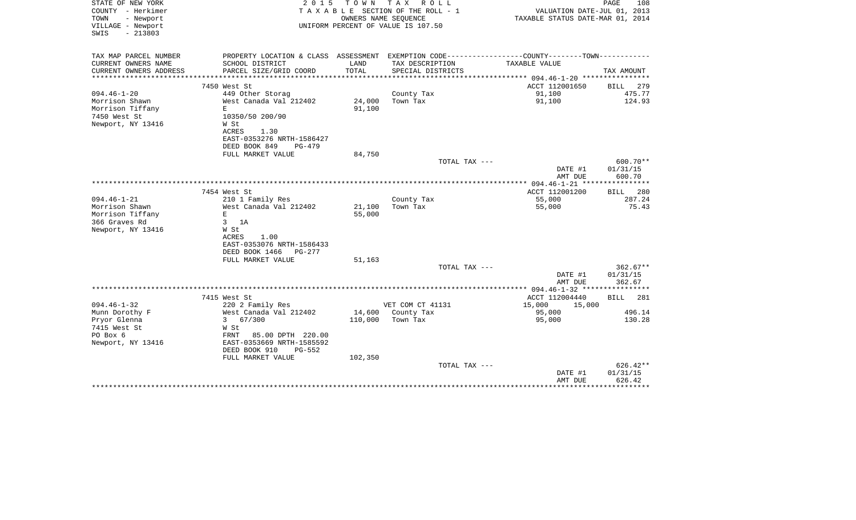| STATE OF NEW YORK<br>COUNTY - Herkimer<br>- Newport<br>TOWN<br>VILLAGE - Newport<br>$-213803$<br>SWIS | 2 0 1 5                                                                                                                                     | T O W N<br>OWNERS NAME SEQUENCE | TAX ROLL<br>TAXABLE SECTION OF THE ROLL - 1<br>UNIFORM PERCENT OF VALUE IS 107.50 | VALUATION DATE-JUL 01, 2013<br>TAXABLE STATUS DATE-MAR 01, 2014 | PAGE<br>108                      |
|-------------------------------------------------------------------------------------------------------|---------------------------------------------------------------------------------------------------------------------------------------------|---------------------------------|-----------------------------------------------------------------------------------|-----------------------------------------------------------------|----------------------------------|
| TAX MAP PARCEL NUMBER<br>CURRENT OWNERS NAME                                                          | PROPERTY LOCATION & CLASS ASSESSMENT EXEMPTION CODE----------------COUNTY-------TOWN----------<br>SCHOOL DISTRICT                           | LAND                            | TAX DESCRIPTION                                                                   | TAXABLE VALUE                                                   |                                  |
| CURRENT OWNERS ADDRESS<br>*********************                                                       | PARCEL SIZE/GRID COORD<br>****************************                                                                                      | TOTAL                           | SPECIAL DISTRICTS                                                                 |                                                                 | TAX AMOUNT                       |
|                                                                                                       | 7450 West St                                                                                                                                |                                 |                                                                                   | ACCT 112001650                                                  | BILL<br>279                      |
| $094.46 - 1 - 20$                                                                                     | 449 Other Storag                                                                                                                            |                                 | County Tax                                                                        | 91,100                                                          | 475.77                           |
| Morrison Shawn<br>Morrison Tiffany<br>7450 West St<br>Newport, NY 13416                               | West Canada Val 212402<br>E<br>10350/50 200/90<br>W St<br>ACRES<br>1.30<br>EAST-0353276 NRTH-1586427                                        | 24,000<br>91,100                | Town Tax                                                                          | 91,100                                                          | 124.93                           |
|                                                                                                       | DEED BOOK 849<br>$PG-479$                                                                                                                   |                                 |                                                                                   |                                                                 |                                  |
|                                                                                                       | FULL MARKET VALUE                                                                                                                           | 84,750                          |                                                                                   |                                                                 |                                  |
|                                                                                                       |                                                                                                                                             |                                 | TOTAL TAX ---                                                                     | DATE #1<br>AMT DUE                                              | 600.70**<br>01/31/15<br>600.70   |
|                                                                                                       |                                                                                                                                             |                                 |                                                                                   | ************ 094.46-1-21 ****                                   | ************                     |
|                                                                                                       | 7454 West St                                                                                                                                |                                 |                                                                                   | ACCT 112001200                                                  | 280<br><b>BILL</b>               |
| $094.46 - 1 - 21$                                                                                     | 210 1 Family Res                                                                                                                            |                                 | County Tax                                                                        | 55,000                                                          | 287.24                           |
| Morrison Shawn<br>Morrison Tiffany<br>366 Graves Rd<br>Newport, NY 13416                              | West Canada Val 212402<br>E.<br>$\mathbf{3}$<br>1A<br>W St<br><b>ACRES</b><br>1.00<br>EAST-0353076 NRTH-1586433<br>DEED BOOK 1466<br>PG-277 | 21,100<br>55,000                | Town Tax                                                                          | 55,000                                                          | 75.43                            |
|                                                                                                       | FULL MARKET VALUE                                                                                                                           | 51,163                          |                                                                                   |                                                                 |                                  |
|                                                                                                       |                                                                                                                                             |                                 | TOTAL TAX ---                                                                     | DATE #1<br>AMT DUE                                              | $362.67**$<br>01/31/15<br>362.67 |
|                                                                                                       |                                                                                                                                             |                                 |                                                                                   |                                                                 |                                  |
|                                                                                                       | 7415 West St                                                                                                                                |                                 |                                                                                   | ACCT 112004440                                                  | 281<br>BILL                      |
| $094.46 - 1 - 32$                                                                                     | 220 2 Family Res                                                                                                                            |                                 | VET COM CT 41131                                                                  | 15,000<br>15,000                                                | 496.14                           |
| Munn Dorothy F<br>Pryor Glenna<br>7415 West St<br>PO Box 6<br>Newport, NY 13416                       | West Canada Val 212402<br>67/300<br>3<br>W St<br>FRNT<br>85.00 DPTH 220.00<br>EAST-0353669 NRTH-1585592<br>DEED BOOK 910<br>$PG-552$        | 14,600<br>110,000               | County Tax<br>Town Tax                                                            | 95,000<br>95,000                                                | 130.28                           |
|                                                                                                       | FULL MARKET VALUE                                                                                                                           | 102,350                         | TOTAL TAX ---                                                                     | DATE #1<br>AMT DUE                                              | $626.42**$<br>01/31/15<br>626.42 |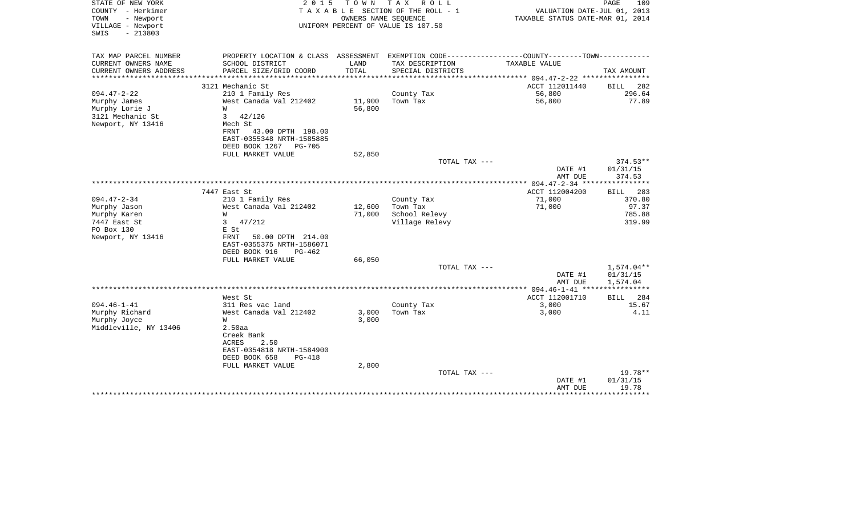| STATE OF NEW YORK<br>COUNTY - Herkimer<br>TOWN<br>- Newport<br>VILLAGE - Newport<br>$-213803$<br>SWIS | 2 0 1 5                                                | T O W N                       | TAX ROLL<br>TAXABLE SECTION OF THE ROLL - 1<br>OWNERS NAME SEOUENCE<br>UNIFORM PERCENT OF VALUE IS 107.50 | VALUATION DATE-JUL 01, 2013<br>TAXABLE STATUS DATE-MAR 01, 2014                                                 | PAGE<br>109        |
|-------------------------------------------------------------------------------------------------------|--------------------------------------------------------|-------------------------------|-----------------------------------------------------------------------------------------------------------|-----------------------------------------------------------------------------------------------------------------|--------------------|
| TAX MAP PARCEL NUMBER<br>CURRENT OWNERS NAME                                                          | SCHOOL DISTRICT                                        | LAND                          | TAX DESCRIPTION                                                                                           | PROPERTY LOCATION & CLASS ASSESSMENT EXEMPTION CODE----------------COUNTY-------TOWN----------<br>TAXABLE VALUE |                    |
| CURRENT OWNERS ADDRESS<br>* * * * * * * * * * * * * *                                                 | PARCEL SIZE/GRID COORD                                 | TOTAL<br>******************** | SPECIAL DISTRICTS                                                                                         | ***************** 094.47-2-22 *****************                                                                 | TAX AMOUNT         |
|                                                                                                       | 3121 Mechanic St                                       |                               |                                                                                                           | ACCT 112011440                                                                                                  | <b>BILL</b><br>282 |
| $094.47 - 2 - 22$                                                                                     | 210 1 Family Res                                       |                               | County Tax                                                                                                | 56,800                                                                                                          | 296.64             |
| Murphy James                                                                                          | West Canada Val 212402                                 | 11,900                        | Town Tax                                                                                                  | 56,800                                                                                                          | 77.89              |
| Murphy Lorie J                                                                                        | W                                                      | 56,800                        |                                                                                                           |                                                                                                                 |                    |
| 3121 Mechanic St                                                                                      | 3<br>42/126                                            |                               |                                                                                                           |                                                                                                                 |                    |
| Newport, NY 13416                                                                                     | Mech St                                                |                               |                                                                                                           |                                                                                                                 |                    |
|                                                                                                       | FRNT<br>43.00 DPTH 198.00                              |                               |                                                                                                           |                                                                                                                 |                    |
|                                                                                                       | EAST-0355348 NRTH-1585885                              |                               |                                                                                                           |                                                                                                                 |                    |
|                                                                                                       | DEED BOOK 1267<br>$PG-705$                             |                               |                                                                                                           |                                                                                                                 |                    |
|                                                                                                       | FULL MARKET VALUE                                      | 52,850                        |                                                                                                           |                                                                                                                 |                    |
|                                                                                                       |                                                        |                               | TOTAL TAX ---                                                                                             |                                                                                                                 | $374.53**$         |
|                                                                                                       |                                                        |                               |                                                                                                           | DATE #1                                                                                                         | 01/31/15           |
|                                                                                                       |                                                        |                               |                                                                                                           | AMT DUE                                                                                                         | 374.53             |
|                                                                                                       | 7447 East St                                           |                               |                                                                                                           | ACCT 112004200                                                                                                  | 283<br>BILL        |
| $094.47 - 2 - 34$                                                                                     | 210 1 Family Res                                       |                               | County Tax                                                                                                | 71,000                                                                                                          | 370.80             |
| Murphy Jason                                                                                          | West Canada Val 212402                                 | 12,600                        | Town Tax                                                                                                  | 71,000                                                                                                          | 97.37              |
| Murphy Karen                                                                                          | W                                                      | 71,000                        | School Relevy                                                                                             |                                                                                                                 | 785.88             |
| 7447 East St                                                                                          | 3<br>47/212                                            |                               | Village Relevy                                                                                            |                                                                                                                 | 319.99             |
| PO Box 130                                                                                            | E St                                                   |                               |                                                                                                           |                                                                                                                 |                    |
| Newport, NY 13416                                                                                     | 50.00 DPTH 214.00<br>FRNT<br>EAST-0355375 NRTH-1586071 |                               |                                                                                                           |                                                                                                                 |                    |
|                                                                                                       | DEED BOOK 916<br>$PG-462$                              |                               |                                                                                                           |                                                                                                                 |                    |
|                                                                                                       | FULL MARKET VALUE                                      | 66,050                        |                                                                                                           |                                                                                                                 |                    |
|                                                                                                       |                                                        |                               | TOTAL TAX ---                                                                                             |                                                                                                                 | 1,574.04**         |
|                                                                                                       |                                                        |                               |                                                                                                           | DATE #1                                                                                                         | 01/31/15           |
|                                                                                                       |                                                        |                               |                                                                                                           | AMT DUE<br>***************** 094.46-1-41 *****************                                                      | 1,574.04           |
|                                                                                                       | West St                                                |                               |                                                                                                           | ACCT 112001710                                                                                                  | BILL<br>284        |
| $094.46 - 1 - 41$                                                                                     | 311 Res vac land                                       |                               | County Tax                                                                                                | 3,000                                                                                                           | 15.67              |
| Murphy Richard                                                                                        | West Canada Val 212402                                 | 3,000                         | Town Tax                                                                                                  | 3,000                                                                                                           | 4.11               |
| Murphy Joyce                                                                                          | W                                                      | 3,000                         |                                                                                                           |                                                                                                                 |                    |
| Middleville, NY 13406                                                                                 | 2.50aa                                                 |                               |                                                                                                           |                                                                                                                 |                    |
|                                                                                                       | Creek Bank<br><b>ACRES</b><br>2.50                     |                               |                                                                                                           |                                                                                                                 |                    |
|                                                                                                       | EAST-0354818 NRTH-1584900                              |                               |                                                                                                           |                                                                                                                 |                    |
|                                                                                                       | DEED BOOK 658<br>$PG-418$                              |                               |                                                                                                           |                                                                                                                 |                    |
|                                                                                                       | FULL MARKET VALUE                                      | 2,800                         |                                                                                                           |                                                                                                                 |                    |
|                                                                                                       |                                                        |                               | TOTAL TAX ---                                                                                             |                                                                                                                 | $19.78**$          |
|                                                                                                       |                                                        |                               |                                                                                                           | DATE #1                                                                                                         | 01/31/15           |
|                                                                                                       |                                                        |                               |                                                                                                           | AMT DUE                                                                                                         | 19.78              |
|                                                                                                       |                                                        |                               |                                                                                                           |                                                                                                                 | **********         |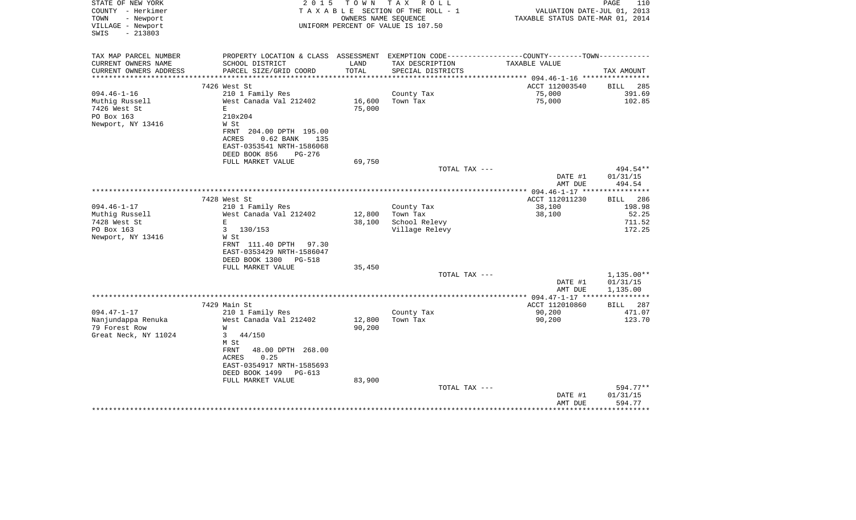| STATE OF NEW YORK<br>COUNTY - Herkimer<br>TOWN<br>- Newport<br>VILLAGE - Newport<br>$-213803$<br>SWIS | 2 0 1 5                               | T O W N          | T A X<br>R O L L<br>TAXABLE SECTION OF THE ROLL - 1<br>OWNERS NAME SEOUENCE<br>UNIFORM PERCENT OF VALUE IS 107.50 | VALUATION DATE-JUL 01, 2013<br>TAXABLE STATUS DATE-MAR 01, 2014                               | PAGE<br>110      |
|-------------------------------------------------------------------------------------------------------|---------------------------------------|------------------|-------------------------------------------------------------------------------------------------------------------|-----------------------------------------------------------------------------------------------|------------------|
| TAX MAP PARCEL NUMBER                                                                                 |                                       |                  |                                                                                                                   | PROPERTY LOCATION & CLASS ASSESSMENT EXEMPTION CODE---------------COUNTY-------TOWN---------- |                  |
| CURRENT OWNERS NAME                                                                                   | SCHOOL DISTRICT                       | LAND             | TAX DESCRIPTION                                                                                                   | TAXABLE VALUE                                                                                 |                  |
| CURRENT OWNERS ADDRESS                                                                                | PARCEL SIZE/GRID COORD                | TOTAL            | SPECIAL DISTRICTS                                                                                                 |                                                                                               | TAX AMOUNT       |
| **********************                                                                                | ******************************        | **************   |                                                                                                                   |                                                                                               |                  |
|                                                                                                       | 7426 West St                          |                  |                                                                                                                   | ACCT 112003540                                                                                | BILL<br>285      |
| $094.46 - 1 - 16$                                                                                     | 210 1 Family Res                      |                  | County Tax                                                                                                        | 75,000                                                                                        | 391.69           |
| Muthig Russell                                                                                        | West Canada Val 212402                | 16,600           | Town Tax                                                                                                          | 75,000                                                                                        | 102.85           |
| 7426 West St<br>PO Box 163                                                                            | Е<br>210x204                          | 75,000           |                                                                                                                   |                                                                                               |                  |
| Newport, NY 13416                                                                                     | W St                                  |                  |                                                                                                                   |                                                                                               |                  |
|                                                                                                       | 204.00 DPTH 195.00<br>FRNT            |                  |                                                                                                                   |                                                                                               |                  |
|                                                                                                       | <b>ACRES</b><br>0.62 BANK<br>135      |                  |                                                                                                                   |                                                                                               |                  |
|                                                                                                       | EAST-0353541 NRTH-1586068             |                  |                                                                                                                   |                                                                                               |                  |
|                                                                                                       | DEED BOOK 856<br>PG-276               |                  |                                                                                                                   |                                                                                               |                  |
|                                                                                                       | FULL MARKET VALUE                     | 69,750           |                                                                                                                   |                                                                                               |                  |
|                                                                                                       |                                       |                  | TOTAL TAX ---                                                                                                     |                                                                                               | 494.54**         |
|                                                                                                       |                                       |                  |                                                                                                                   | DATE #1                                                                                       | 01/31/15         |
|                                                                                                       |                                       |                  |                                                                                                                   | AMT DUE                                                                                       | 494.54           |
|                                                                                                       |                                       |                  |                                                                                                                   |                                                                                               |                  |
|                                                                                                       | 7428 West St                          |                  |                                                                                                                   | ACCT 112011230                                                                                | BILL<br>286      |
| $094.46 - 1 - 17$                                                                                     | 210 1 Family Res                      |                  | County Tax                                                                                                        | 38,100                                                                                        | 198.98           |
| Muthig Russell                                                                                        | West Canada Val 212402<br>$\mathbf E$ | 12,800           | Town Tax                                                                                                          | 38,100                                                                                        | 52.25            |
| 7428 West St<br>PO Box 163                                                                            | 3<br>130/153                          | 38,100           | School Relevy<br>Village Relevy                                                                                   |                                                                                               | 711.52<br>172.25 |
| Newport, NY 13416                                                                                     | W St                                  |                  |                                                                                                                   |                                                                                               |                  |
|                                                                                                       | FRNT 111.40 DPTH<br>97.30             |                  |                                                                                                                   |                                                                                               |                  |
|                                                                                                       | EAST-0353429 NRTH-1586047             |                  |                                                                                                                   |                                                                                               |                  |
|                                                                                                       | DEED BOOK 1300<br><b>PG-518</b>       |                  |                                                                                                                   |                                                                                               |                  |
|                                                                                                       | FULL MARKET VALUE                     | 35,450           |                                                                                                                   |                                                                                               |                  |
|                                                                                                       |                                       |                  | TOTAL TAX ---                                                                                                     |                                                                                               | $1,135.00**$     |
|                                                                                                       |                                       |                  |                                                                                                                   | DATE #1                                                                                       | 01/31/15         |
|                                                                                                       |                                       |                  |                                                                                                                   | AMT DUE                                                                                       | 1,135.00         |
|                                                                                                       |                                       |                  |                                                                                                                   |                                                                                               | ***********      |
|                                                                                                       | 7429 Main St                          |                  |                                                                                                                   | ACCT 112010860                                                                                | BILL 287         |
| $094.47 - 1 - 17$                                                                                     | 210 1 Family Res                      |                  | County Tax<br>Town Tax                                                                                            | 90,200                                                                                        | 471.07           |
| Nanjundappa Renuka<br>79 Forest Row                                                                   | West Canada Val 212402                | 12,800<br>90,200 |                                                                                                                   | 90,200                                                                                        | 123.70           |
| Great Neck, NY 11024                                                                                  | W<br>3<br>44/150                      |                  |                                                                                                                   |                                                                                               |                  |
|                                                                                                       | M St                                  |                  |                                                                                                                   |                                                                                               |                  |
|                                                                                                       | <b>FRNT</b><br>48.00 DPTH 268.00      |                  |                                                                                                                   |                                                                                               |                  |
|                                                                                                       | 0.25<br>ACRES                         |                  |                                                                                                                   |                                                                                               |                  |
|                                                                                                       | EAST-0354917 NRTH-1585693             |                  |                                                                                                                   |                                                                                               |                  |
|                                                                                                       | DEED BOOK 1499<br>PG-613              |                  |                                                                                                                   |                                                                                               |                  |
|                                                                                                       | FULL MARKET VALUE                     | 83,900           |                                                                                                                   |                                                                                               |                  |
|                                                                                                       |                                       |                  | TOTAL TAX ---                                                                                                     |                                                                                               | 594.77**         |
|                                                                                                       |                                       |                  |                                                                                                                   | DATE #1                                                                                       | 01/31/15         |
|                                                                                                       |                                       |                  |                                                                                                                   | AMT DUE                                                                                       | 594.77           |
|                                                                                                       |                                       |                  |                                                                                                                   |                                                                                               |                  |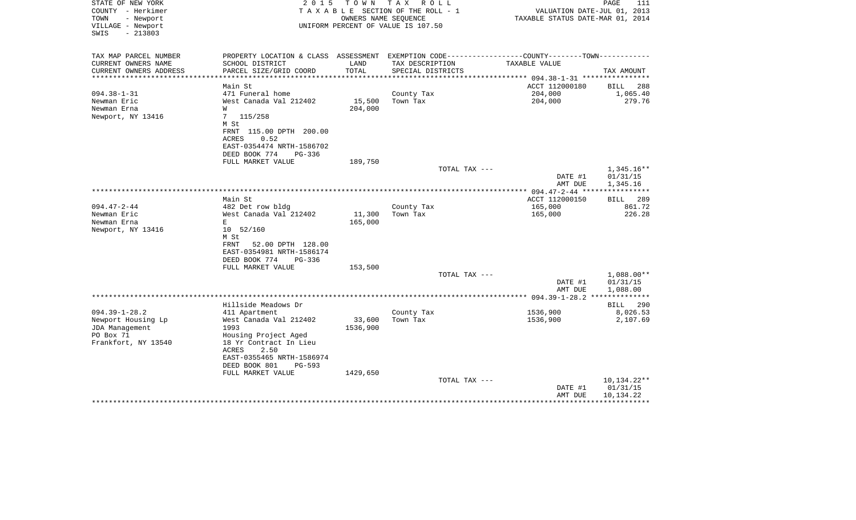| STATE OF NEW YORK<br>COUNTY - Herkimer<br>TOWN<br>- Newport<br>VILLAGE - Newport<br>$-213803$<br>SWIS | 2 0 1 5                                                  | T O W N<br>OWNERS NAME SEOUENCE | T A X<br>R O L L<br>TAXABLE SECTION OF THE ROLL - 1<br>UNIFORM PERCENT OF VALUE IS 107.50 | VALUATION DATE-JUL 01, 2013<br>TAXABLE STATUS DATE-MAR 01, 2014                               | PAGE<br>111        |
|-------------------------------------------------------------------------------------------------------|----------------------------------------------------------|---------------------------------|-------------------------------------------------------------------------------------------|-----------------------------------------------------------------------------------------------|--------------------|
| TAX MAP PARCEL NUMBER                                                                                 |                                                          |                                 |                                                                                           | PROPERTY LOCATION & CLASS ASSESSMENT EXEMPTION CODE---------------COUNTY-------TOWN---------- |                    |
| CURRENT OWNERS NAME                                                                                   | SCHOOL DISTRICT                                          | LAND                            | TAX DESCRIPTION                                                                           | TAXABLE VALUE                                                                                 |                    |
| CURRENT OWNERS ADDRESS<br>**********************                                                      | PARCEL SIZE/GRID COORD                                   | TOTAL                           | SPECIAL DISTRICTS                                                                         |                                                                                               | TAX AMOUNT         |
|                                                                                                       | Main St                                                  |                                 |                                                                                           | ACCT 112000180                                                                                | 288<br>BILL        |
| $094.38 - 1 - 31$                                                                                     | 471 Funeral home                                         |                                 | County Tax                                                                                | 204,000                                                                                       | 1,065.40           |
| Newman Eric                                                                                           | West Canada Val 212402                                   | 15,500                          | Town Tax                                                                                  | 204,000                                                                                       | 279.76             |
| Newman Erna                                                                                           | W                                                        | 204,000                         |                                                                                           |                                                                                               |                    |
| Newport, NY 13416                                                                                     | 7<br>115/258                                             |                                 |                                                                                           |                                                                                               |                    |
|                                                                                                       | M St                                                     |                                 |                                                                                           |                                                                                               |                    |
|                                                                                                       | FRNT 115.00 DPTH 200.00                                  |                                 |                                                                                           |                                                                                               |                    |
|                                                                                                       | <b>ACRES</b><br>0.52                                     |                                 |                                                                                           |                                                                                               |                    |
|                                                                                                       | EAST-0354474 NRTH-1586702                                |                                 |                                                                                           |                                                                                               |                    |
|                                                                                                       | DEED BOOK 774<br>PG-336                                  |                                 |                                                                                           |                                                                                               |                    |
|                                                                                                       | FULL MARKET VALUE                                        | 189,750                         | TOTAL TAX ---                                                                             |                                                                                               | 1,345.16**         |
|                                                                                                       |                                                          |                                 |                                                                                           | DATE #1                                                                                       | 01/31/15           |
|                                                                                                       |                                                          |                                 |                                                                                           | AMT DUE                                                                                       | 1,345.16           |
|                                                                                                       |                                                          |                                 |                                                                                           |                                                                                               |                    |
|                                                                                                       | Main St                                                  |                                 |                                                                                           | ACCT 112000150                                                                                | 289<br><b>BILL</b> |
| $094.47 - 2 - 44$                                                                                     | 482 Det row bldg                                         |                                 | County Tax                                                                                | 165,000                                                                                       | 861.72             |
| Newman Eric                                                                                           | West Canada Val 212402                                   | 11,300                          | Town Tax                                                                                  | 165,000                                                                                       | 226.28             |
| Newman Erna                                                                                           | E                                                        | 165,000                         |                                                                                           |                                                                                               |                    |
| Newport, NY 13416                                                                                     | 10 52/160                                                |                                 |                                                                                           |                                                                                               |                    |
|                                                                                                       | M St                                                     |                                 |                                                                                           |                                                                                               |                    |
|                                                                                                       | FRNT<br>52.00 DPTH 128.00                                |                                 |                                                                                           |                                                                                               |                    |
|                                                                                                       | EAST-0354981 NRTH-1586174<br>DEED BOOK 774<br>$PG - 336$ |                                 |                                                                                           |                                                                                               |                    |
|                                                                                                       | FULL MARKET VALUE                                        | 153,500                         |                                                                                           |                                                                                               |                    |
|                                                                                                       |                                                          |                                 | TOTAL TAX ---                                                                             |                                                                                               | 1,088.00**         |
|                                                                                                       |                                                          |                                 |                                                                                           | DATE #1                                                                                       | 01/31/15           |
|                                                                                                       |                                                          |                                 |                                                                                           | AMT DUE                                                                                       | 1,088.00           |
|                                                                                                       |                                                          |                                 |                                                                                           |                                                                                               |                    |
|                                                                                                       | Hillside Meadows Dr                                      |                                 |                                                                                           |                                                                                               | BILL<br>290        |
| $094.39 - 1 - 28.2$                                                                                   | 411 Apartment                                            |                                 | County Tax                                                                                | 1536,900                                                                                      | 8,026.53           |
| Newport Housing Lp                                                                                    | West Canada Val 212402                                   | 33,600                          | Town Tax                                                                                  | 1536,900                                                                                      | 2,107.69           |
| JDA Management                                                                                        | 1993                                                     | 1536,900                        |                                                                                           |                                                                                               |                    |
| PO Box 71                                                                                             | Housing Project Aged                                     |                                 |                                                                                           |                                                                                               |                    |
| Frankfort, NY 13540                                                                                   | 18 Yr Contract In Lieu<br><b>ACRES</b><br>2.50           |                                 |                                                                                           |                                                                                               |                    |
|                                                                                                       | EAST-0355465 NRTH-1586974                                |                                 |                                                                                           |                                                                                               |                    |
|                                                                                                       | DEED BOOK 801<br>$PG-593$                                |                                 |                                                                                           |                                                                                               |                    |
|                                                                                                       | FULL MARKET VALUE                                        | 1429,650                        |                                                                                           |                                                                                               |                    |
|                                                                                                       |                                                          |                                 | TOTAL TAX ---                                                                             |                                                                                               | 10,134.22**        |
|                                                                                                       |                                                          |                                 |                                                                                           | DATE #1                                                                                       | 01/31/15           |
|                                                                                                       |                                                          |                                 |                                                                                           | AMT DUE                                                                                       | 10,134.22          |
|                                                                                                       |                                                          |                                 |                                                                                           |                                                                                               |                    |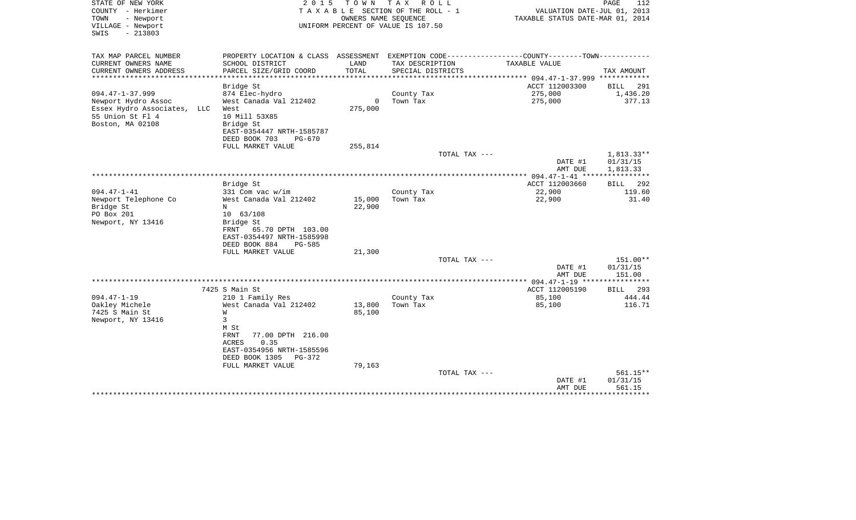| STATE OF NEW YORK<br>COUNTY - Herkimer<br>- Newport<br>TOWN<br>VILLAGE - Newport<br>SWIS<br>$-213803$ | 2 0 1 5                                                                                                          | T O W N          | TAX ROLL<br>TAXABLE SECTION OF THE ROLL - 1<br>OWNERS NAME SEQUENCE<br>UNIFORM PERCENT OF VALUE IS 107.50 | VALUATION DATE-JUL 01, 2013<br>TAXABLE STATUS DATE-MAR 01, 2014 | PAGE<br>112              |
|-------------------------------------------------------------------------------------------------------|------------------------------------------------------------------------------------------------------------------|------------------|-----------------------------------------------------------------------------------------------------------|-----------------------------------------------------------------|--------------------------|
| TAX MAP PARCEL NUMBER<br>CURRENT OWNERS NAME                                                          | PROPERTY LOCATION & CLASS ASSESSMENT EXEMPTION CODE---------------COUNTY-------TOWN----------<br>SCHOOL DISTRICT | LAND             | TAX DESCRIPTION                                                                                           | TAXABLE VALUE                                                   |                          |
| CURRENT OWNERS ADDRESS                                                                                | PARCEL SIZE/GRID COORD                                                                                           | TOTAL            | SPECIAL DISTRICTS                                                                                         |                                                                 | TAX AMOUNT               |
| *******************                                                                                   |                                                                                                                  | **************** |                                                                                                           | ************** 094.47-1-37.999 ************                     |                          |
|                                                                                                       | Bridge St                                                                                                        |                  |                                                                                                           | ACCT 112003300                                                  | 291<br>BILL              |
| $094.47 - 1 - 37.999$                                                                                 | 874 Elec-hydro                                                                                                   |                  | County Tax                                                                                                | 275,000                                                         | 1,436.20                 |
| Newport Hydro Assoc<br>Essex Hydro Associates, LLC                                                    | West Canada Val 212402<br>West                                                                                   | 0<br>275,000     | Town Tax                                                                                                  | 275,000                                                         | 377.13                   |
| 55 Union St Fl 4                                                                                      | 10 Mill 53X85                                                                                                    |                  |                                                                                                           |                                                                 |                          |
| Boston, MA 02108                                                                                      | Bridge St                                                                                                        |                  |                                                                                                           |                                                                 |                          |
|                                                                                                       | EAST-0354447 NRTH-1585787                                                                                        |                  |                                                                                                           |                                                                 |                          |
|                                                                                                       | DEED BOOK 703<br><b>PG-670</b>                                                                                   |                  |                                                                                                           |                                                                 |                          |
|                                                                                                       | FULL MARKET VALUE                                                                                                | 255,814          |                                                                                                           |                                                                 |                          |
|                                                                                                       |                                                                                                                  |                  | TOTAL TAX ---                                                                                             | DATE #1                                                         | $1,813.33**$<br>01/31/15 |
|                                                                                                       |                                                                                                                  |                  |                                                                                                           | AMT DUE                                                         | 1,813.33                 |
|                                                                                                       |                                                                                                                  |                  |                                                                                                           | *************** 094.47-1-41 ****                                | ************             |
|                                                                                                       | Bridge St                                                                                                        |                  |                                                                                                           | ACCT 112003660                                                  | 292<br><b>BILL</b>       |
| $094.47 - 1 - 41$                                                                                     | 331 Com vac w/im                                                                                                 |                  | County Tax                                                                                                | 22,900                                                          | 119.60                   |
| Newport Telephone Co<br>Bridge St                                                                     | West Canada Val 212402<br>N                                                                                      | 15,000<br>22,900 | Town Tax                                                                                                  | 22,900                                                          | 31.40                    |
| PO Box 201                                                                                            | 10 63/108                                                                                                        |                  |                                                                                                           |                                                                 |                          |
| Newport, NY 13416                                                                                     | Bridge St                                                                                                        |                  |                                                                                                           |                                                                 |                          |
|                                                                                                       | FRNT 65.70 DPTH 103.00                                                                                           |                  |                                                                                                           |                                                                 |                          |
|                                                                                                       | EAST-0354497 NRTH-1585998                                                                                        |                  |                                                                                                           |                                                                 |                          |
|                                                                                                       | DEED BOOK 884<br>PG-585                                                                                          |                  |                                                                                                           |                                                                 |                          |
|                                                                                                       | FULL MARKET VALUE                                                                                                | 21,300           |                                                                                                           |                                                                 | 151.00**                 |
|                                                                                                       |                                                                                                                  |                  | TOTAL TAX ---                                                                                             | DATE #1                                                         | 01/31/15                 |
|                                                                                                       |                                                                                                                  |                  |                                                                                                           | AMT DUE                                                         | 151.00                   |
|                                                                                                       |                                                                                                                  |                  |                                                                                                           |                                                                 |                          |
|                                                                                                       | 7425 S Main St                                                                                                   |                  |                                                                                                           | ACCT 112005190                                                  | BILL 293                 |
| $094.47 - 1 - 19$                                                                                     | 210 1 Family Res                                                                                                 |                  | County Tax                                                                                                | 85,100                                                          | 444.44                   |
| Oakley Michele<br>7425 S Main St                                                                      | West Canada Val 212402<br>W                                                                                      | 13,800<br>85,100 | Town Tax                                                                                                  | 85,100                                                          | 116.71                   |
| Newport, NY 13416                                                                                     | 3                                                                                                                |                  |                                                                                                           |                                                                 |                          |
|                                                                                                       | M St                                                                                                             |                  |                                                                                                           |                                                                 |                          |
|                                                                                                       | FRNT<br>77.00 DPTH 216.00<br>0.35<br><b>ACRES</b>                                                                |                  |                                                                                                           |                                                                 |                          |
|                                                                                                       | EAST-0354956 NRTH-1585596                                                                                        |                  |                                                                                                           |                                                                 |                          |
|                                                                                                       | DEED BOOK 1305<br>$PG-372$                                                                                       |                  |                                                                                                           |                                                                 |                          |
|                                                                                                       | FULL MARKET VALUE                                                                                                | 79,163           |                                                                                                           |                                                                 |                          |
|                                                                                                       |                                                                                                                  |                  | TOTAL TAX ---                                                                                             |                                                                 | 561.15**                 |
|                                                                                                       |                                                                                                                  |                  |                                                                                                           | DATE #1<br>AMT DUE                                              | 01/31/15<br>561.15       |
|                                                                                                       | ************************                                                                                         |                  |                                                                                                           |                                                                 | ********                 |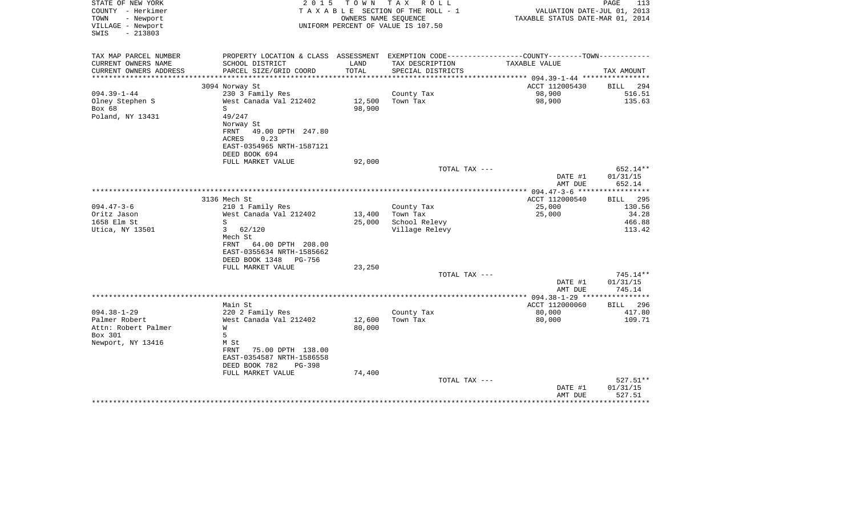| STATE OF NEW YORK<br>COUNTY - Herkimer<br>TOWN<br>- Newport<br>VILLAGE - Newport<br>$-213803$<br>SWIS | 2 0 1 5                                                                                        | T O W N | TAX ROLL<br>TAXABLE SECTION OF THE ROLL - 1<br>OWNERS NAME SEQUENCE<br>UNIFORM PERCENT OF VALUE IS 107.50 | VALUATION DATE-JUL 01, 2013<br>TAXABLE STATUS DATE-MAR 01, 2014 | PAGE<br>113          |
|-------------------------------------------------------------------------------------------------------|------------------------------------------------------------------------------------------------|---------|-----------------------------------------------------------------------------------------------------------|-----------------------------------------------------------------|----------------------|
| TAX MAP PARCEL NUMBER                                                                                 | PROPERTY LOCATION & CLASS ASSESSMENT EXEMPTION CODE----------------COUNTY-------TOWN---------- |         |                                                                                                           |                                                                 |                      |
| CURRENT OWNERS NAME                                                                                   | SCHOOL DISTRICT                                                                                | LAND    | TAX DESCRIPTION                                                                                           | TAXABLE VALUE                                                   |                      |
| CURRENT OWNERS ADDRESS<br>*********************                                                       | PARCEL SIZE/GRID COORD                                                                         | TOTAL   | SPECIAL DISTRICTS                                                                                         |                                                                 | TAX AMOUNT           |
|                                                                                                       | 3094 Norway St                                                                                 |         |                                                                                                           | ACCT 112005430                                                  | <b>BILL</b><br>294   |
| $094.39 - 1 - 44$                                                                                     | 230 3 Family Res                                                                               |         | County Tax                                                                                                | 98,900                                                          | 516.51               |
| Olney Stephen S                                                                                       | West Canada Val 212402                                                                         | 12,500  | Town Tax                                                                                                  | 98,900                                                          | 135.63               |
| Box 68                                                                                                | S                                                                                              | 98,900  |                                                                                                           |                                                                 |                      |
| Poland, NY 13431                                                                                      | 49/247                                                                                         |         |                                                                                                           |                                                                 |                      |
|                                                                                                       | Norway St                                                                                      |         |                                                                                                           |                                                                 |                      |
|                                                                                                       | FRNT<br>49.00 DPTH 247.80<br>0.23<br>ACRES                                                     |         |                                                                                                           |                                                                 |                      |
|                                                                                                       | EAST-0354965 NRTH-1587121                                                                      |         |                                                                                                           |                                                                 |                      |
|                                                                                                       | DEED BOOK 694                                                                                  |         |                                                                                                           |                                                                 |                      |
|                                                                                                       | FULL MARKET VALUE                                                                              | 92,000  |                                                                                                           |                                                                 |                      |
|                                                                                                       |                                                                                                |         | TOTAL TAX ---                                                                                             |                                                                 | 652.14**             |
|                                                                                                       |                                                                                                |         |                                                                                                           | DATE #1                                                         | 01/31/15             |
|                                                                                                       |                                                                                                |         | **************************************                                                                    | AMT DUE                                                         | 652.14<br>********** |
|                                                                                                       | 3136 Mech St                                                                                   |         |                                                                                                           | ******* 094.47-3-6 *****<br>ACCT 112000540                      | 295<br><b>BILL</b>   |
| $094.47 - 3 - 6$                                                                                      | 210 1 Family Res                                                                               |         | County Tax                                                                                                | 25,000                                                          | 130.56               |
| Oritz Jason                                                                                           | West Canada Val 212402                                                                         | 13,400  | Town Tax                                                                                                  | 25,000                                                          | 34.28                |
| 1658 Elm St                                                                                           | S                                                                                              | 25,000  | School Relevy                                                                                             |                                                                 | 466.88               |
| Utica, NY 13501                                                                                       | 3<br>62/120                                                                                    |         | Village Relevy                                                                                            |                                                                 | 113.42               |
|                                                                                                       | Mech St                                                                                        |         |                                                                                                           |                                                                 |                      |
|                                                                                                       | FRNT<br>64.00 DPTH 208.00                                                                      |         |                                                                                                           |                                                                 |                      |
|                                                                                                       | EAST-0355634 NRTH-1585662<br>DEED BOOK 1348<br>PG-756                                          |         |                                                                                                           |                                                                 |                      |
|                                                                                                       | FULL MARKET VALUE                                                                              | 23,250  |                                                                                                           |                                                                 |                      |
|                                                                                                       |                                                                                                |         | TOTAL TAX ---                                                                                             |                                                                 | 745.14**             |
|                                                                                                       |                                                                                                |         |                                                                                                           | DATE #1                                                         | 01/31/15             |
|                                                                                                       |                                                                                                |         |                                                                                                           | AMT DUE                                                         | 745.14               |
|                                                                                                       |                                                                                                |         |                                                                                                           |                                                                 |                      |
| $094.38 - 1 - 29$                                                                                     | Main St<br>220 2 Family Res                                                                    |         | County Tax                                                                                                | ACCT 112000060<br>80,000                                        | BILL 296<br>417.80   |
| Palmer Robert                                                                                         | West Canada Val 212402                                                                         | 12,600  | Town Tax                                                                                                  | 80,000                                                          | 109.71               |
| Attn: Robert Palmer                                                                                   | W                                                                                              | 80,000  |                                                                                                           |                                                                 |                      |
| Box 301                                                                                               | 5                                                                                              |         |                                                                                                           |                                                                 |                      |
| Newport, NY 13416                                                                                     | M St                                                                                           |         |                                                                                                           |                                                                 |                      |
|                                                                                                       | 75.00 DPTH 138.00<br>FRNT                                                                      |         |                                                                                                           |                                                                 |                      |
|                                                                                                       | EAST-0354587 NRTH-1586558                                                                      |         |                                                                                                           |                                                                 |                      |
|                                                                                                       | DEED BOOK 782<br>PG-398<br>FULL MARKET VALUE                                                   | 74,400  |                                                                                                           |                                                                 |                      |
|                                                                                                       |                                                                                                |         | TOTAL TAX ---                                                                                             |                                                                 | $527.51**$           |
|                                                                                                       |                                                                                                |         |                                                                                                           | DATE #1                                                         | 01/31/15             |
|                                                                                                       |                                                                                                |         |                                                                                                           | AMT DUE                                                         | 527.51               |
|                                                                                                       |                                                                                                |         |                                                                                                           |                                                                 |                      |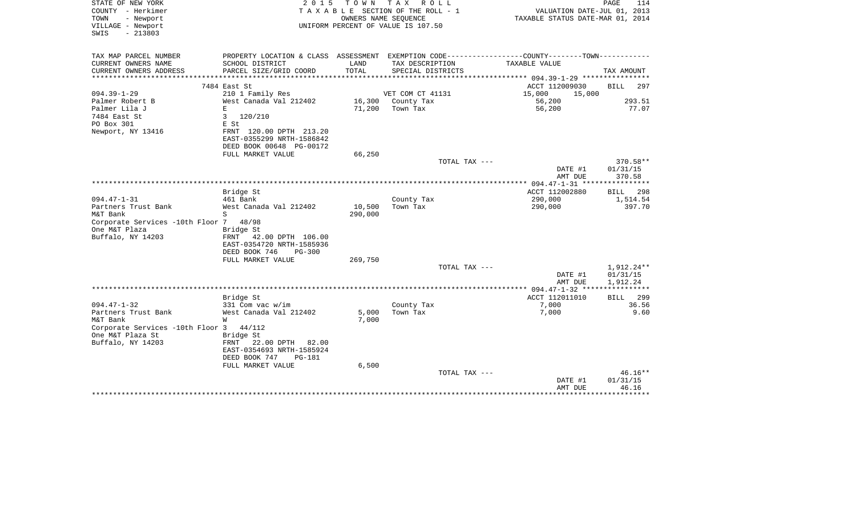| STATE OF NEW YORK                       | 2 0 1 5                   | T O W N              | TAX ROLL                           |                                                                                                 | PAGE<br>114 |
|-----------------------------------------|---------------------------|----------------------|------------------------------------|-------------------------------------------------------------------------------------------------|-------------|
| COUNTY - Herkimer<br>TOWN<br>- Newport  |                           | OWNERS NAME SEQUENCE | TAXABLE SECTION OF THE ROLL - 1    | VALUATION DATE-JUL 01, 2013<br>TAXABLE STATUS DATE-MAR 01, 2014                                 |             |
| VILLAGE - Newport                       |                           |                      | UNIFORM PERCENT OF VALUE IS 107.50 |                                                                                                 |             |
| $-213803$<br>SWIS                       |                           |                      |                                    |                                                                                                 |             |
|                                         |                           |                      |                                    |                                                                                                 |             |
| TAX MAP PARCEL NUMBER                   |                           |                      |                                    | PROPERTY LOCATION & CLASS ASSESSMENT EXEMPTION CODE----------------COUNTY-------TOWN----------- |             |
| CURRENT OWNERS NAME                     | SCHOOL DISTRICT           | LAND                 | TAX DESCRIPTION                    | TAXABLE VALUE                                                                                   |             |
| CURRENT OWNERS ADDRESS<br>************* | PARCEL SIZE/GRID COORD    | TOTAL                | SPECIAL DISTRICTS                  |                                                                                                 | TAX AMOUNT  |
|                                         | 7484 East St              |                      |                                    | ************ 094.39-1-29 ****************<br>ACCT 112009030                                     | BILL<br>297 |
| $094.39 - 1 - 29$                       | 210 1 Family Res          |                      | VET COM CT 41131                   | 15,000<br>15,000                                                                                |             |
| Palmer Robert B                         | West Canada Val 212402    |                      | 16,300 County Tax                  | 56,200                                                                                          | 293.51      |
| Palmer Lila J                           | E                         | 71,200               | Town Tax                           | 56,200                                                                                          | 77.07       |
| 7484 East St                            | 3<br>120/210              |                      |                                    |                                                                                                 |             |
| PO Box 301                              | E St                      |                      |                                    |                                                                                                 |             |
| Newport, NY 13416                       | FRNT 120.00 DPTH 213.20   |                      |                                    |                                                                                                 |             |
|                                         | EAST-0355299 NRTH-1586842 |                      |                                    |                                                                                                 |             |
|                                         | DEED BOOK 00648 PG-00172  |                      |                                    |                                                                                                 |             |
|                                         | FULL MARKET VALUE         | 66,250               |                                    |                                                                                                 |             |
|                                         |                           |                      |                                    | TOTAL TAX ---                                                                                   | 370.58**    |
|                                         |                           |                      |                                    | DATE #1                                                                                         | 01/31/15    |
|                                         | ***********************   |                      |                                    | AMT DUE                                                                                         | 370.58      |
|                                         | Bridge St                 |                      |                                    | *********** 094.47-1-31 *****************<br>ACCT 112002880                                     | BILL 298    |
| $094.47 - 1 - 31$                       | 461 Bank                  |                      | County Tax                         | 290,000                                                                                         | 1,514.54    |
| Partners Trust Bank                     | West Canada Val 212402    | 10,500               | Town Tax                           | 290,000                                                                                         | 397.70      |
| M&T Bank                                | S                         | 290,000              |                                    |                                                                                                 |             |
| Corporate Services -10th Floor 7        | 48/98                     |                      |                                    |                                                                                                 |             |
| One M&T Plaza                           | Bridge St                 |                      |                                    |                                                                                                 |             |
| Buffalo, NY 14203                       | 42.00 DPTH 106.00<br>FRNT |                      |                                    |                                                                                                 |             |
|                                         | EAST-0354720 NRTH-1585936 |                      |                                    |                                                                                                 |             |
|                                         | DEED BOOK 746<br>$PG-300$ |                      |                                    |                                                                                                 |             |
|                                         | FULL MARKET VALUE         | 269,750              |                                    |                                                                                                 |             |
|                                         |                           |                      | TOTAL TAX ---                      |                                                                                                 | 1,912.24**  |
|                                         |                           |                      |                                    | DATE #1                                                                                         | 01/31/15    |
|                                         |                           |                      |                                    | AMT DUE                                                                                         | 1,912.24    |
|                                         | Bridge St                 |                      |                                    | ACCT 112011010                                                                                  | 299<br>BILL |
| $094.47 - 1 - 32$                       | 331 Com vac w/im          |                      | County Tax                         | 7,000                                                                                           | 36.56       |
| Partners Trust Bank                     | West Canada Val 212402    | 5,000                | Town Tax                           | 7,000                                                                                           | 9.60        |
| M&T Bank                                | W                         | 7,000                |                                    |                                                                                                 |             |
| Corporate Services -10th Floor 3        | 44/112                    |                      |                                    |                                                                                                 |             |
| One M&T Plaza St                        | Bridge St                 |                      |                                    |                                                                                                 |             |
| Buffalo, NY 14203                       | FRNT<br>22.00 DPTH 82.00  |                      |                                    |                                                                                                 |             |
|                                         | EAST-0354693 NRTH-1585924 |                      |                                    |                                                                                                 |             |
|                                         | DEED BOOK 747<br>$PG-181$ |                      |                                    |                                                                                                 |             |
|                                         | FULL MARKET VALUE         | 6,500                |                                    |                                                                                                 |             |
|                                         |                           |                      | TOTAL TAX ---                      |                                                                                                 | $46.16**$   |
|                                         |                           |                      |                                    | DATE #1                                                                                         | 01/31/15    |
|                                         |                           |                      |                                    | AMT DUE                                                                                         | 46.16       |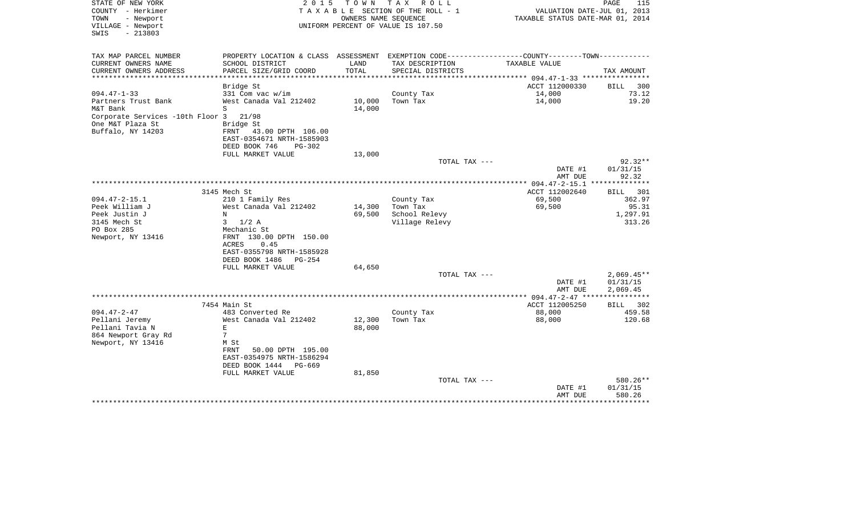| STATE OF NEW YORK<br>COUNTY - Herkimer<br>TOWN<br>- Newport<br>VILLAGE - Newport<br>$-213803$<br>SWIS | 2 0 1 5                                                         | T O W N | TAX ROLL<br>TAXABLE SECTION OF THE ROLL - 1<br>OWNERS NAME SEQUENCE<br>UNIFORM PERCENT OF VALUE IS 107.50 | VALUATION DATE-JUL 01, 2013<br>TAXABLE STATUS DATE-MAR 01, 2014                                | PAGE<br>115        |
|-------------------------------------------------------------------------------------------------------|-----------------------------------------------------------------|---------|-----------------------------------------------------------------------------------------------------------|------------------------------------------------------------------------------------------------|--------------------|
| TAX MAP PARCEL NUMBER                                                                                 |                                                                 |         |                                                                                                           | PROPERTY LOCATION & CLASS ASSESSMENT EXEMPTION CODE----------------COUNTY-------TOWN---------- |                    |
| CURRENT OWNERS NAME                                                                                   | SCHOOL DISTRICT                                                 | LAND    | TAX DESCRIPTION                                                                                           | TAXABLE VALUE                                                                                  |                    |
| CURRENT OWNERS ADDRESS<br>**********************                                                      | PARCEL SIZE/GRID COORD<br>************************************* | TOTAL   | SPECIAL DISTRICTS                                                                                         |                                                                                                | TAX AMOUNT         |
|                                                                                                       | Bridge St                                                       |         |                                                                                                           | ACCT 112000330                                                                                 | BILL<br>300        |
| $094.47 - 1 - 33$                                                                                     | 331 Com vac w/im                                                |         | County Tax                                                                                                | 14,000                                                                                         | 73.12              |
| Partners Trust Bank                                                                                   | West Canada Val 212402                                          | 10,000  | Town Tax                                                                                                  | 14,000                                                                                         | 19.20              |
| M&T Bank                                                                                              | S                                                               | 14,000  |                                                                                                           |                                                                                                |                    |
| Corporate Services -10th Floor 3                                                                      | 21/98                                                           |         |                                                                                                           |                                                                                                |                    |
| One M&T Plaza St                                                                                      | Bridge St                                                       |         |                                                                                                           |                                                                                                |                    |
| Buffalo, NY 14203                                                                                     | FRNT 43.00 DPTH 106.00                                          |         |                                                                                                           |                                                                                                |                    |
|                                                                                                       | EAST-0354671 NRTH-1585903                                       |         |                                                                                                           |                                                                                                |                    |
|                                                                                                       | DEED BOOK 746<br>$PG-302$                                       |         |                                                                                                           |                                                                                                |                    |
|                                                                                                       | FULL MARKET VALUE                                               | 13,000  |                                                                                                           |                                                                                                |                    |
|                                                                                                       |                                                                 |         | TOTAL TAX ---                                                                                             |                                                                                                | $92.32**$          |
|                                                                                                       |                                                                 |         |                                                                                                           | DATE #1<br>AMT DUE                                                                             | 01/31/15<br>92.32  |
|                                                                                                       |                                                                 |         |                                                                                                           | ******** 094.47-2-15.1                                                                         | ***********        |
|                                                                                                       | 3145 Mech St                                                    |         |                                                                                                           | ACCT 112002640                                                                                 | 301<br><b>BILL</b> |
| $094.47 - 2 - 15.1$                                                                                   | 210 1 Family Res                                                |         | County Tax                                                                                                | 69,500                                                                                         | 362.97             |
| Peek William J                                                                                        | West Canada Val 212402                                          | 14,300  | Town Tax                                                                                                  | 69,500                                                                                         | 95.31              |
| Peek Justin J                                                                                         | N                                                               | 69,500  | School Relevy                                                                                             |                                                                                                | 1,297.91           |
| 3145 Mech St                                                                                          | $3 \frac{1}{2}$ A                                               |         | Village Relevy                                                                                            |                                                                                                | 313.26             |
| PO Box 285                                                                                            | Mechanic St                                                     |         |                                                                                                           |                                                                                                |                    |
| Newport, NY 13416                                                                                     | FRNT 130.00 DPTH 150.00                                         |         |                                                                                                           |                                                                                                |                    |
|                                                                                                       | ACRES<br>0.45                                                   |         |                                                                                                           |                                                                                                |                    |
|                                                                                                       | EAST-0355798 NRTH-1585928<br>$PG-254$                           |         |                                                                                                           |                                                                                                |                    |
|                                                                                                       | DEED BOOK 1486<br>FULL MARKET VALUE                             | 64,650  |                                                                                                           |                                                                                                |                    |
|                                                                                                       |                                                                 |         | TOTAL TAX ---                                                                                             |                                                                                                | $2,069.45**$       |
|                                                                                                       |                                                                 |         |                                                                                                           | DATE #1                                                                                        | 01/31/15           |
|                                                                                                       |                                                                 |         |                                                                                                           | AMT DUE                                                                                        | 2,069.45           |
|                                                                                                       |                                                                 |         |                                                                                                           |                                                                                                |                    |
|                                                                                                       | 7454 Main St                                                    |         |                                                                                                           | ACCT 112005250                                                                                 | BILL 302           |
| $094.47 - 2 - 47$                                                                                     | 483 Converted Re                                                |         | County Tax                                                                                                | 88,000                                                                                         | 459.58             |
| Pellani Jeremy                                                                                        | West Canada Val 212402                                          | 12,300  | Town Tax                                                                                                  | 88,000                                                                                         | 120.68             |
| Pellani Tavia N                                                                                       | E                                                               | 88,000  |                                                                                                           |                                                                                                |                    |
| 864 Newport Gray Rd<br>Newport, NY 13416                                                              | $7\phantom{.0}$<br>M St                                         |         |                                                                                                           |                                                                                                |                    |
|                                                                                                       | <b>FRNT</b><br>50.00 DPTH 195.00                                |         |                                                                                                           |                                                                                                |                    |
|                                                                                                       | EAST-0354975 NRTH-1586294                                       |         |                                                                                                           |                                                                                                |                    |
|                                                                                                       | DEED BOOK 1444<br>PG-669                                        |         |                                                                                                           |                                                                                                |                    |
|                                                                                                       | FULL MARKET VALUE                                               | 81,850  |                                                                                                           |                                                                                                |                    |
|                                                                                                       |                                                                 |         | TOTAL TAX ---                                                                                             |                                                                                                | 580.26**           |
|                                                                                                       |                                                                 |         |                                                                                                           | DATE #1                                                                                        | 01/31/15           |
|                                                                                                       |                                                                 |         |                                                                                                           | AMT DUE                                                                                        | 580.26             |
|                                                                                                       |                                                                 |         |                                                                                                           |                                                                                                |                    |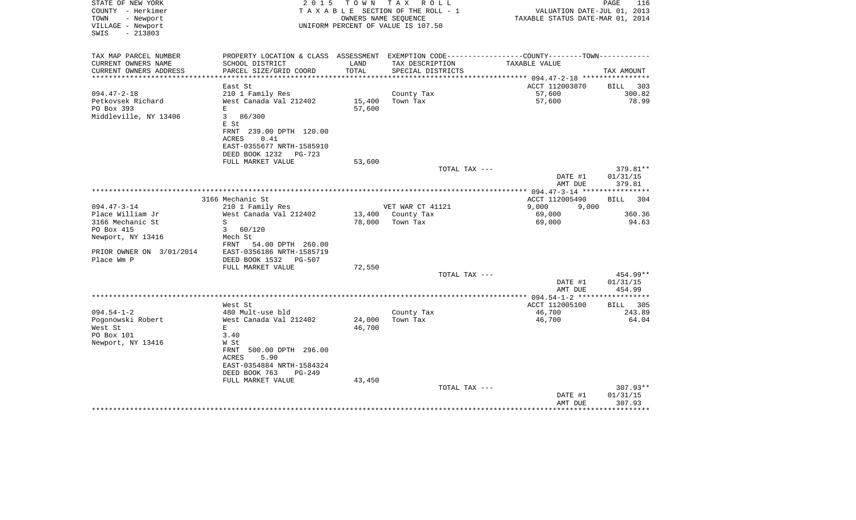| STATE OF NEW YORK                                   | 2 0 1 5                              | TOWN TAX         | R O L L                            |                                                           | PAGE<br>116     |
|-----------------------------------------------------|--------------------------------------|------------------|------------------------------------|-----------------------------------------------------------|-----------------|
| COUNTY - Herkimer                                   |                                      |                  | TAXABLE SECTION OF THE ROLL - 1    | VALUATION DATE-JUL 01, 2013                               |                 |
| TOWN<br>- Newport                                   |                                      |                  | OWNERS NAME SEQUENCE               | TAXABLE STATUS DATE-MAR 01, 2014                          |                 |
| VILLAGE - Newport                                   |                                      |                  | UNIFORM PERCENT OF VALUE IS 107.50 |                                                           |                 |
| $-213803$<br>SWIS                                   |                                      |                  |                                    |                                                           |                 |
|                                                     |                                      |                  |                                    |                                                           |                 |
| TAX MAP PARCEL NUMBER                               | PROPERTY LOCATION & CLASS ASSESSMENT |                  |                                    | EXEMPTION CODE----------------COUNTY-------TOWN---------- |                 |
| CURRENT OWNERS NAME                                 | SCHOOL DISTRICT                      | LAND             | TAX DESCRIPTION                    | TAXABLE VALUE                                             |                 |
| CURRENT OWNERS ADDRESS<br>************************* | PARCEL SIZE/GRID COORD               | TOTAL            | SPECIAL DISTRICTS                  |                                                           | TAX AMOUNT      |
|                                                     |                                      |                  |                                    |                                                           |                 |
|                                                     | East St                              |                  |                                    | ACCT 112003870                                            | BILL<br>303     |
| $094.47 - 2 - 18$                                   | 210 1 Family Res                     |                  | County Tax                         | 57,600                                                    | 300.82          |
| Petkovsek Richard<br>PO Box 393                     | West Canada Val 212402<br>E          | 15,400<br>57,600 | Town Tax                           | 57,600                                                    | 78.99           |
| Middleville, NY 13406                               | $\mathbf{3}$<br>86/300               |                  |                                    |                                                           |                 |
|                                                     | E St                                 |                  |                                    |                                                           |                 |
|                                                     | FRNT 239.00 DPTH 120.00              |                  |                                    |                                                           |                 |
|                                                     | 0.41<br>ACRES                        |                  |                                    |                                                           |                 |
|                                                     | EAST-0355677 NRTH-1585910            |                  |                                    |                                                           |                 |
|                                                     | DEED BOOK 1232<br>PG-723             |                  |                                    |                                                           |                 |
|                                                     | FULL MARKET VALUE                    | 53,600           |                                    |                                                           |                 |
|                                                     |                                      |                  | TOTAL TAX ---                      |                                                           | 379.81**        |
|                                                     |                                      |                  |                                    | DATE #1                                                   | 01/31/15        |
|                                                     |                                      |                  |                                    | AMT DUE                                                   | 379.81          |
|                                                     |                                      |                  |                                    | ************** 094.47-3-14 *****************              |                 |
|                                                     | 3166 Mechanic St                     |                  |                                    | ACCT 112005490                                            | BILL 304        |
| $094.47 - 3 - 14$                                   | 210 1 Family Res                     |                  | VET WAR CT 41121                   | 9,000<br>9,000                                            |                 |
| Place William Jr                                    | West Canada Val 212402               | 13,400           | County Tax                         | 69,000                                                    | 360.36          |
| 3166 Mechanic St                                    | S                                    | 78,000           | Town Tax                           | 69,000                                                    | 94.63           |
| PO Box 415                                          | 3<br>60/120                          |                  |                                    |                                                           |                 |
| Newport, NY 13416                                   | Mech St<br>54.00 DPTH 260.00<br>FRNT |                  |                                    |                                                           |                 |
| PRIOR OWNER ON 3/01/2014                            | EAST-0356186 NRTH-1585719            |                  |                                    |                                                           |                 |
| Place Wm P                                          | DEED BOOK 1532<br><b>PG-507</b>      |                  |                                    |                                                           |                 |
|                                                     | FULL MARKET VALUE                    | 72,550           |                                    |                                                           |                 |
|                                                     |                                      |                  | TOTAL TAX ---                      |                                                           | 454.99**        |
|                                                     |                                      |                  |                                    | DATE #1                                                   | 01/31/15        |
|                                                     |                                      |                  |                                    | AMT DUE                                                   | 454.99          |
|                                                     |                                      |                  | *********************              | *** $094.54 - 1 - 2$ ***                                  | **********      |
|                                                     | West St                              |                  |                                    | ACCT 112005100                                            | <b>BILL</b> 305 |
| $094.54 - 1 - 2$                                    | 480 Mult-use bld                     |                  | County Tax                         | 46,700                                                    | 243.89          |
| Pogonowski Robert                                   | West Canada Val 212402               | 24,000           | Town Tax                           | 46,700                                                    | 64.04           |
| West St                                             | $\mathbf E$                          | 46,700           |                                    |                                                           |                 |
| PO Box 101                                          | 3.40                                 |                  |                                    |                                                           |                 |
| Newport, NY 13416                                   | W St                                 |                  |                                    |                                                           |                 |
|                                                     | FRNT<br>500.00 DPTH 296.00           |                  |                                    |                                                           |                 |
|                                                     | 5.90<br><b>ACRES</b>                 |                  |                                    |                                                           |                 |
|                                                     | EAST-0354884 NRTH-1584324            |                  |                                    |                                                           |                 |
|                                                     | DEED BOOK 763<br>$PG-249$            |                  |                                    |                                                           |                 |
|                                                     | FULL MARKET VALUE                    | 43,450           | TOTAL TAX ---                      |                                                           | 307.93**        |
|                                                     |                                      |                  |                                    | DATE #1                                                   | 01/31/15        |
|                                                     |                                      |                  |                                    | AMT DUE                                                   | 307.93          |
|                                                     |                                      |                  |                                    |                                                           |                 |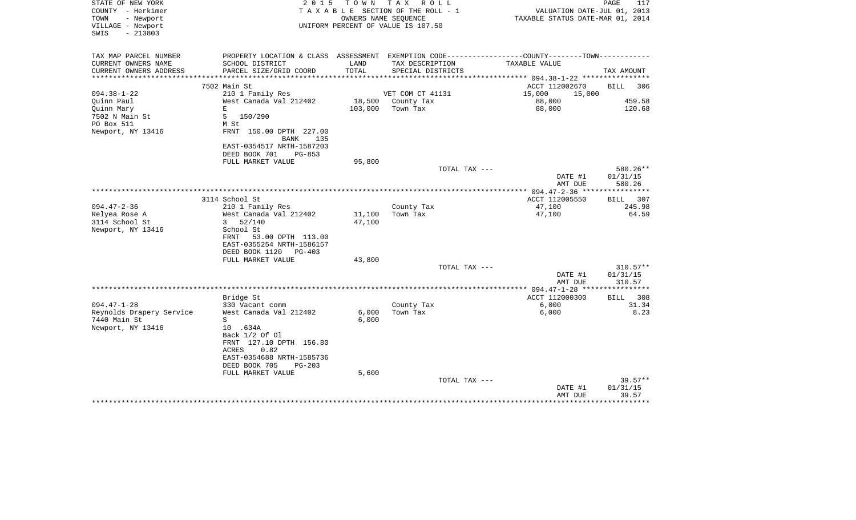| STATE OF NEW YORK<br>COUNTY - Herkimer<br>TOWN<br>- Newport | 2 0 1 5                                              |                | TOWN TAX ROLL<br>TAXABLE SECTION OF THE ROLL - 1<br>OWNERS NAME SEQUENCE | VALUATION DATE-JUL 01, 2013<br>TAXABLE STATUS DATE-MAR 01, 2014 | 117<br>PAGE                    |
|-------------------------------------------------------------|------------------------------------------------------|----------------|--------------------------------------------------------------------------|-----------------------------------------------------------------|--------------------------------|
| VILLAGE - Newport<br>SWIS<br>$-213803$                      |                                                      |                | UNIFORM PERCENT OF VALUE IS 107.50                                       |                                                                 |                                |
| TAX MAP PARCEL NUMBER                                       | PROPERTY LOCATION & CLASS ASSESSMENT                 |                |                                                                          | EXEMPTION CODE----------------COUNTY-------TOWN-----------      |                                |
| CURRENT OWNERS NAME                                         | SCHOOL DISTRICT                                      | LAND           | TAX DESCRIPTION                                                          | TAXABLE VALUE                                                   |                                |
| CURRENT OWNERS ADDRESS                                      | PARCEL SIZE/GRID COORD                               | TOTAL          | SPECIAL DISTRICTS                                                        |                                                                 | TAX AMOUNT                     |
|                                                             |                                                      |                | **********************                                                   | ****************** 094.38-1-22 *****************                |                                |
| $094.38 - 1 - 22$                                           | 7502 Main St<br>210 1 Family Res                     |                | VET COM CT 41131                                                         | ACCT 112002670<br>15,000<br>15,000                              | BILL 306                       |
| Quinn Paul                                                  | West Canada Val 212402                               |                | 18,500 County Tax                                                        | 88,000                                                          | 459.58                         |
| Quinn Mary                                                  | E                                                    | 103,000        | Town Tax                                                                 | 88,000                                                          | 120.68                         |
| 7502 N Main St                                              | 5 150/290                                            |                |                                                                          |                                                                 |                                |
| PO Box 511                                                  | M St                                                 |                |                                                                          |                                                                 |                                |
| Newport, NY 13416                                           | FRNT 150.00 DPTH 227.00<br>BANK<br>135               |                |                                                                          |                                                                 |                                |
|                                                             | EAST-0354517 NRTH-1587203<br>DEED BOOK 701<br>PG-853 |                |                                                                          |                                                                 |                                |
|                                                             | FULL MARKET VALUE                                    | 95,800         |                                                                          |                                                                 |                                |
|                                                             |                                                      |                | TOTAL TAX ---                                                            | DATE #1<br>AMT DUE                                              | 580.26**<br>01/31/15<br>580.26 |
|                                                             |                                                      |                |                                                                          |                                                                 |                                |
|                                                             | 3114 School St                                       |                |                                                                          | ACCT 112005550                                                  | <b>BILL</b><br>307             |
| $094.47 - 2 - 36$                                           | 210 1 Family Res                                     |                | County Tax                                                               | 47,100                                                          | 245.98                         |
| Relyea Rose A                                               | West Canada Val 212402                               | 11,100         | Town Tax                                                                 | 47,100                                                          | 64.59                          |
| 3114 School St                                              | 3 52/140                                             | 47,100         |                                                                          |                                                                 |                                |
| Newport, NY 13416                                           | School St<br>FRNT                                    |                |                                                                          |                                                                 |                                |
|                                                             | 53.00 DPTH 113.00<br>EAST-0355254 NRTH-1586157       |                |                                                                          |                                                                 |                                |
|                                                             | DEED BOOK 1120 PG-403                                |                |                                                                          |                                                                 |                                |
|                                                             | FULL MARKET VALUE                                    | 43,800         |                                                                          |                                                                 |                                |
|                                                             |                                                      |                | TOTAL TAX ---                                                            |                                                                 | $310.57**$                     |
|                                                             |                                                      |                |                                                                          | DATE #1                                                         | 01/31/15                       |
|                                                             |                                                      |                |                                                                          | AMT DUE                                                         | 310.57                         |
|                                                             |                                                      |                |                                                                          | ********** 094.47-1-28 ****                                     |                                |
|                                                             | Bridge St                                            |                |                                                                          | ACCT 112000300                                                  | 308<br><b>BILL</b>             |
| $094.47 - 1 - 28$                                           | 330 Vacant comm                                      |                | County Tax                                                               | 6,000                                                           | 31.34                          |
| Reynolds Drapery Service<br>7440 Main St                    | West Canada Val 212402<br>S.                         | 6,000<br>6,000 | Town Tax                                                                 | 6,000                                                           | 8.23                           |
| Newport, NY 13416                                           | 10 .634A                                             |                |                                                                          |                                                                 |                                |
|                                                             | Back 1/2 Of 01                                       |                |                                                                          |                                                                 |                                |
|                                                             | FRNT 127.10 DPTH 156.80                              |                |                                                                          |                                                                 |                                |
|                                                             | 0.82<br>ACRES                                        |                |                                                                          |                                                                 |                                |
|                                                             | EAST-0354688 NRTH-1585736                            |                |                                                                          |                                                                 |                                |
|                                                             | DEED BOOK 705<br>PG-203                              |                |                                                                          |                                                                 |                                |
|                                                             | FULL MARKET VALUE                                    | 5,600          |                                                                          |                                                                 |                                |
|                                                             |                                                      |                | TOTAL TAX ---                                                            |                                                                 | $39.57**$                      |
|                                                             |                                                      |                |                                                                          | DATE #1<br>AMT DUE                                              | 01/31/15<br>39.57              |
|                                                             |                                                      |                |                                                                          |                                                                 |                                |
|                                                             |                                                      |                |                                                                          |                                                                 |                                |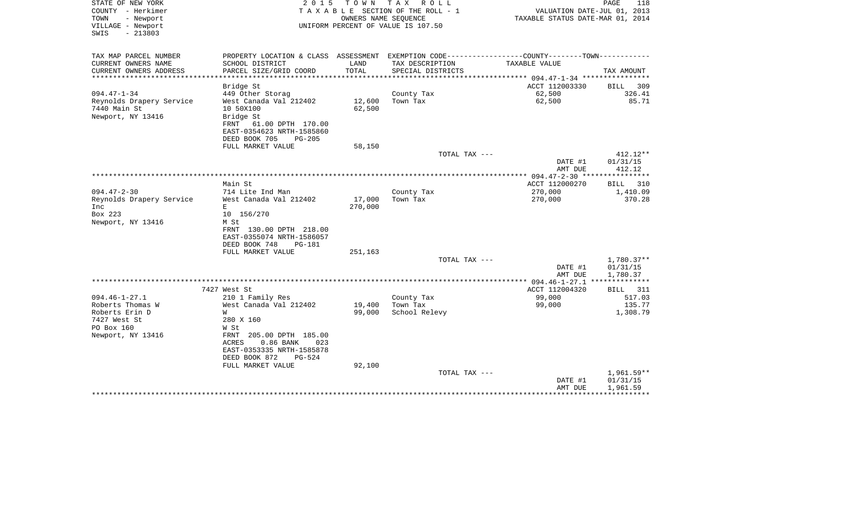| STATE OF NEW YORK<br>COUNTY - Herkimer<br>TOWN<br>- Newport<br>VILLAGE - Newport<br>$-213803$<br>SWIS | 2 0 1 5                                                                                                                     | T O W N<br>OWNERS NAME SEQUENCE | TAX ROLL<br>TAXABLE SECTION OF THE ROLL - 1<br>UNIFORM PERCENT OF VALUE IS 107.50 | VALUATION DATE-JUL 01, 2013<br>TAXABLE STATUS DATE-MAR 01, 2014 | PAGE<br>118           |
|-------------------------------------------------------------------------------------------------------|-----------------------------------------------------------------------------------------------------------------------------|---------------------------------|-----------------------------------------------------------------------------------|-----------------------------------------------------------------|-----------------------|
| TAX MAP PARCEL NUMBER<br>CURRENT OWNERS NAME                                                          | PROPERTY LOCATION & CLASS ASSESSMENT EXEMPTION CODE----------------COUNTY--------TOWN----------<br>SCHOOL DISTRICT          | LAND                            | TAX DESCRIPTION                                                                   | TAXABLE VALUE                                                   |                       |
| CURRENT OWNERS ADDRESS                                                                                | PARCEL SIZE/GRID COORD                                                                                                      | TOTAL                           | SPECIAL DISTRICTS                                                                 |                                                                 | TAX AMOUNT            |
| **********************                                                                                |                                                                                                                             |                                 |                                                                                   |                                                                 |                       |
|                                                                                                       | Bridge St                                                                                                                   |                                 |                                                                                   | ACCT 112003330                                                  | <b>BILL</b><br>309    |
| $094.47 - 1 - 34$<br>Reynolds Drapery Service<br>7440 Main St<br>Newport, NY 13416                    | 449 Other Storag<br>West Canada Val 212402<br>10 50X100<br>Bridge St<br>FRNT 61.00 DPTH 170.00<br>EAST-0354623 NRTH-1585860 | 12,600<br>62,500                | County Tax<br>Town Tax                                                            | 62,500<br>62,500                                                | 326.41<br>85.71       |
|                                                                                                       | DEED BOOK 705<br>$PG-205$<br>FULL MARKET VALUE                                                                              | 58,150                          |                                                                                   |                                                                 |                       |
|                                                                                                       |                                                                                                                             |                                 | TOTAL TAX ---                                                                     |                                                                 | $412.12**$            |
|                                                                                                       |                                                                                                                             |                                 |                                                                                   | DATE #1<br>AMT DUE                                              | 01/31/15<br>412.12    |
|                                                                                                       |                                                                                                                             |                                 |                                                                                   |                                                                 |                       |
| $094.47 - 2 - 30$                                                                                     | Main St<br>714 Lite Ind Man                                                                                                 |                                 | County Tax                                                                        | ACCT 112000270<br>270,000                                       | BILL 310<br>1,410.09  |
| Reynolds Drapery Service<br>Inc.<br>Box 223<br>Newport, NY 13416                                      | West Canada Val 212402<br>E.<br>10 156/270<br>M St                                                                          | 17,000<br>270,000               | Town Tax                                                                          | 270,000                                                         | 370.28                |
|                                                                                                       | FRNT 130.00 DPTH 218.00<br>EAST-0355074 NRTH-1586057<br>DEED BOOK 748<br>PG-181<br>FULL MARKET VALUE                        | 251,163                         |                                                                                   |                                                                 |                       |
|                                                                                                       |                                                                                                                             |                                 | TOTAL TAX ---                                                                     |                                                                 | $1.780.37**$          |
|                                                                                                       |                                                                                                                             |                                 |                                                                                   | DATE #1                                                         | 01/31/15              |
|                                                                                                       |                                                                                                                             |                                 |                                                                                   | AMT DUE                                                         | 1,780.37              |
|                                                                                                       | 7427 West St                                                                                                                |                                 |                                                                                   | ACCT 112004320                                                  | BILL 311              |
| $094.46 - 1 - 27.1$                                                                                   | 210 1 Family Res                                                                                                            |                                 | County Tax                                                                        | 99,000                                                          | 517.03                |
| Roberts Thomas W                                                                                      | West Canada Val 212402                                                                                                      | 19,400                          | Town Tax                                                                          | 99,000                                                          | 135.77                |
| Roberts Erin D                                                                                        | W                                                                                                                           | 99,000                          | School Relevy                                                                     |                                                                 | 1,308.79              |
| 7427 West St                                                                                          | 280 X 160                                                                                                                   |                                 |                                                                                   |                                                                 |                       |
| PO Box 160<br>Newport, NY 13416                                                                       | W St<br>FRNT 205.00 DPTH 185.00<br>ACRES<br>$0.86$ BANK<br>023<br>EAST-0353335 NRTH-1585878<br>DEED BOOK 872<br>$PG-524$    |                                 |                                                                                   |                                                                 |                       |
|                                                                                                       | FULL MARKET VALUE                                                                                                           | 92,100                          | TOTAL TAX ---                                                                     |                                                                 | 1,961.59**            |
|                                                                                                       |                                                                                                                             |                                 |                                                                                   | DATE #1<br>AMT DUE                                              | 01/31/15<br>1,961.59  |
|                                                                                                       |                                                                                                                             |                                 |                                                                                   |                                                                 | * * * * * * * * * * * |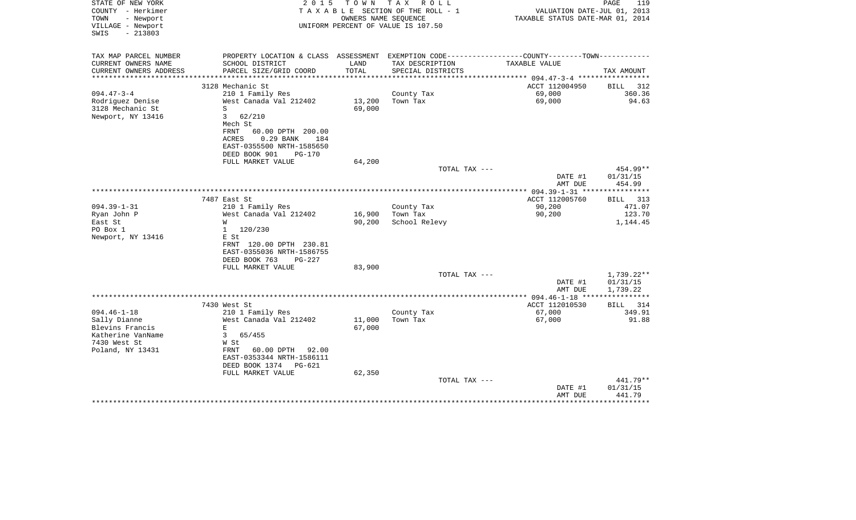| STATE OF NEW YORK<br>COUNTY - Herkimer<br>TOWN<br>- Newport<br>VILLAGE - Newport<br>$-213803$<br>SWIS | 2 0 1 5                                                                                       | T O W N<br>OWNERS NAME SEQUENCE | T A X<br>R O L L<br>TAXABLE SECTION OF THE ROLL - 1<br>UNIFORM PERCENT OF VALUE IS 107.50 | VALUATION DATE-JUL 01, 2013<br>TAXABLE STATUS DATE-MAR 01, 2014 | PAGE<br>119          |
|-------------------------------------------------------------------------------------------------------|-----------------------------------------------------------------------------------------------|---------------------------------|-------------------------------------------------------------------------------------------|-----------------------------------------------------------------|----------------------|
| TAX MAP PARCEL NUMBER                                                                                 | PROPERTY LOCATION & CLASS ASSESSMENT EXEMPTION CODE---------------COUNTY-------TOWN---------- |                                 |                                                                                           |                                                                 |                      |
| CURRENT OWNERS NAME                                                                                   | SCHOOL DISTRICT                                                                               | LAND                            | TAX DESCRIPTION                                                                           | TAXABLE VALUE                                                   |                      |
| CURRENT OWNERS ADDRESS<br>*********************                                                       | PARCEL SIZE/GRID COORD                                                                        | TOTAL                           | SPECIAL DISTRICTS                                                                         | **************************** 094.47-3-4 *****************       | TAX AMOUNT           |
|                                                                                                       | 3128 Mechanic St                                                                              |                                 |                                                                                           | ACCT 112004950                                                  | <b>BILL</b><br>312   |
| $094.47 - 3 - 4$                                                                                      | 210 1 Family Res                                                                              |                                 | County Tax                                                                                | 69,000                                                          | 360.36               |
| Rodriguez Denise                                                                                      | West Canada Val 212402                                                                        | 13,200                          | Town Tax                                                                                  | 69,000                                                          | 94.63                |
| 3128 Mechanic St                                                                                      | S                                                                                             | 69,000                          |                                                                                           |                                                                 |                      |
| Newport, NY 13416                                                                                     | 3<br>62/210                                                                                   |                                 |                                                                                           |                                                                 |                      |
|                                                                                                       | Mech St                                                                                       |                                 |                                                                                           |                                                                 |                      |
|                                                                                                       | FRNT<br>60.00 DPTH 200.00<br>0.29 BANK<br>ACRES<br>184                                        |                                 |                                                                                           |                                                                 |                      |
|                                                                                                       | EAST-0355500 NRTH-1585650                                                                     |                                 |                                                                                           |                                                                 |                      |
|                                                                                                       | DEED BOOK 901<br>$PG-170$                                                                     |                                 |                                                                                           |                                                                 |                      |
|                                                                                                       | FULL MARKET VALUE                                                                             | 64,200                          |                                                                                           |                                                                 |                      |
|                                                                                                       |                                                                                               |                                 | TOTAL TAX ---                                                                             |                                                                 | 454.99**             |
|                                                                                                       |                                                                                               |                                 |                                                                                           | DATE #1<br>AMT DUE                                              | 01/31/15<br>454.99   |
|                                                                                                       | ***************                                                                               |                                 |                                                                                           | *********** 094.39-1-31 ****************                        |                      |
|                                                                                                       | 7487 East St                                                                                  |                                 |                                                                                           | ACCT 112005760                                                  | <b>BILL</b><br>313   |
| $094.39 - 1 - 31$                                                                                     | 210 1 Family Res                                                                              |                                 | County Tax                                                                                | 90,200                                                          | 471.07               |
| Ryan John P                                                                                           | West Canada Val 212402                                                                        | 16,900                          | Town Tax                                                                                  | 90,200                                                          | 123.70               |
| East St                                                                                               | W                                                                                             | 90,200                          | School Relevy                                                                             |                                                                 | 1,144.45             |
| PO Box 1                                                                                              | 120/230<br>$\mathbf{1}$                                                                       |                                 |                                                                                           |                                                                 |                      |
| Newport, NY 13416                                                                                     | E St<br>FRNT 120.00 DPTH 230.81                                                               |                                 |                                                                                           |                                                                 |                      |
|                                                                                                       | EAST-0355036 NRTH-1586755                                                                     |                                 |                                                                                           |                                                                 |                      |
|                                                                                                       | DEED BOOK 763<br>$PG-227$                                                                     |                                 |                                                                                           |                                                                 |                      |
|                                                                                                       | FULL MARKET VALUE                                                                             | 83,900                          |                                                                                           |                                                                 |                      |
|                                                                                                       |                                                                                               |                                 | TOTAL TAX ---                                                                             |                                                                 | 1,739.22**           |
|                                                                                                       |                                                                                               |                                 |                                                                                           | DATE #1<br>AMT DUE                                              | 01/31/15<br>1,739.22 |
|                                                                                                       |                                                                                               |                                 |                                                                                           |                                                                 |                      |
|                                                                                                       | 7430 West St                                                                                  |                                 |                                                                                           | ACCT 112010530                                                  | BILL 314             |
| $094.46 - 1 - 18$                                                                                     | 210 1 Family Res                                                                              |                                 | County Tax                                                                                | 67,000                                                          | 349.91               |
| Sally Dianne                                                                                          | West Canada Val 212402                                                                        | 11,000                          | Town Tax                                                                                  | 67,000                                                          | 91.88                |
| Blevins Francis                                                                                       | E                                                                                             | 67,000                          |                                                                                           |                                                                 |                      |
| Katherine VanName<br>7430 West St                                                                     | 3<br>65/455<br>W St                                                                           |                                 |                                                                                           |                                                                 |                      |
| Poland, NY 13431                                                                                      | FRNT<br>60.00 DPTH<br>92.00                                                                   |                                 |                                                                                           |                                                                 |                      |
|                                                                                                       | EAST-0353344 NRTH-1586111                                                                     |                                 |                                                                                           |                                                                 |                      |
|                                                                                                       | DEED BOOK 1374<br>PG-621                                                                      |                                 |                                                                                           |                                                                 |                      |
|                                                                                                       | FULL MARKET VALUE                                                                             | 62,350                          |                                                                                           |                                                                 |                      |
|                                                                                                       |                                                                                               |                                 | TOTAL TAX ---                                                                             |                                                                 | 441.79**             |
|                                                                                                       |                                                                                               |                                 |                                                                                           | DATE #1<br>AMT DUE                                              | 01/31/15<br>441.79   |
|                                                                                                       |                                                                                               |                                 |                                                                                           |                                                                 | ***********          |
|                                                                                                       |                                                                                               |                                 |                                                                                           |                                                                 |                      |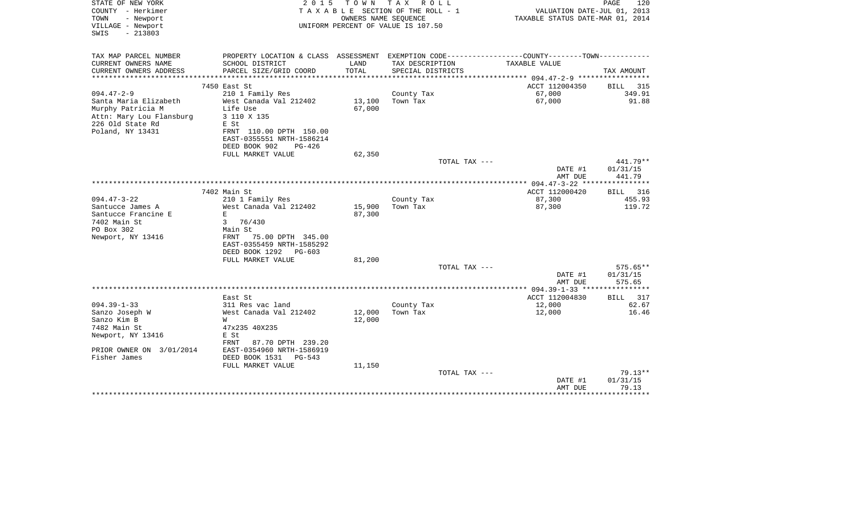| STATE OF NEW YORK<br>COUNTY - Herkimer<br>TOWN<br>- Newport<br>VILLAGE - Newport<br>$-213803$<br>SWIS | 2 0 1 5                                                | T O W N       | TAX ROLL<br>TAXABLE SECTION OF THE ROLL - 1<br>OWNERS NAME SEQUENCE<br>UNIFORM PERCENT OF VALUE IS 107.50 | VALUATION DATE-JUL 01, 2013<br>TAXABLE STATUS DATE-MAR 01, 2014                                | PAGE<br>120        |
|-------------------------------------------------------------------------------------------------------|--------------------------------------------------------|---------------|-----------------------------------------------------------------------------------------------------------|------------------------------------------------------------------------------------------------|--------------------|
| TAX MAP PARCEL NUMBER                                                                                 |                                                        |               |                                                                                                           | PROPERTY LOCATION & CLASS ASSESSMENT EXEMPTION CODE----------------COUNTY-------TOWN---------- |                    |
| CURRENT OWNERS NAME<br>CURRENT OWNERS ADDRESS                                                         | SCHOOL DISTRICT<br>PARCEL SIZE/GRID COORD              | LAND<br>TOTAL | TAX DESCRIPTION<br>SPECIAL DISTRICTS                                                                      | TAXABLE VALUE                                                                                  | TAX AMOUNT         |
|                                                                                                       |                                                        |               |                                                                                                           | *********** 094.47-2-9 ***********                                                             |                    |
|                                                                                                       | 7450 East St                                           |               |                                                                                                           | ACCT 112004350                                                                                 | <b>BILL</b><br>315 |
| $094.47 - 2 - 9$                                                                                      | 210 1 Family Res                                       |               | County Tax                                                                                                | 67,000                                                                                         | 349.91             |
| Santa Maria Elizabeth                                                                                 | West Canada Val 212402                                 | 13,100        | Town Tax                                                                                                  | 67,000                                                                                         | 91.88              |
| Murphy Patricia M                                                                                     | Life Use                                               | 67,000        |                                                                                                           |                                                                                                |                    |
| Attn: Mary Lou Flansburg<br>226 Old State Rd                                                          | 3 110 X 135<br>E St                                    |               |                                                                                                           |                                                                                                |                    |
| Poland, NY 13431                                                                                      | FRNT 110.00 DPTH 150.00                                |               |                                                                                                           |                                                                                                |                    |
|                                                                                                       | EAST-0355551 NRTH-1586214                              |               |                                                                                                           |                                                                                                |                    |
|                                                                                                       | DEED BOOK 902<br>$PG-426$                              |               |                                                                                                           |                                                                                                |                    |
|                                                                                                       | FULL MARKET VALUE                                      | 62,350        |                                                                                                           |                                                                                                |                    |
|                                                                                                       |                                                        |               | TOTAL TAX ---                                                                                             |                                                                                                | 441.79**           |
|                                                                                                       |                                                        |               |                                                                                                           | DATE #1                                                                                        | 01/31/15<br>441.79 |
|                                                                                                       |                                                        |               |                                                                                                           | AMT DUE<br>*********** 094.47-3-22 ****************                                            |                    |
|                                                                                                       | 7402 Main St                                           |               |                                                                                                           | ACCT 112000420                                                                                 | <b>BILL</b><br>316 |
| $094.47 - 3 - 22$                                                                                     | 210 1 Family Res                                       |               | County Tax                                                                                                | 87,300                                                                                         | 455.93             |
| Santucce James A                                                                                      | West Canada Val 212402                                 | 15,900        | Town Tax                                                                                                  | 87,300                                                                                         | 119.72             |
| Santucce Francine E                                                                                   | E                                                      | 87,300        |                                                                                                           |                                                                                                |                    |
| 7402 Main St                                                                                          | 3<br>76/430                                            |               |                                                                                                           |                                                                                                |                    |
| PO Box 302<br>Newport, NY 13416                                                                       | Main St<br>75.00 DPTH 345.00<br>FRNT                   |               |                                                                                                           |                                                                                                |                    |
|                                                                                                       | EAST-0355459 NRTH-1585292                              |               |                                                                                                           |                                                                                                |                    |
|                                                                                                       | DEED BOOK 1292<br>$PG-603$                             |               |                                                                                                           |                                                                                                |                    |
|                                                                                                       | FULL MARKET VALUE                                      | 81,200        |                                                                                                           |                                                                                                |                    |
|                                                                                                       |                                                        |               | TOTAL TAX ---                                                                                             |                                                                                                | $575.65**$         |
|                                                                                                       |                                                        |               |                                                                                                           | DATE #1                                                                                        | 01/31/15           |
|                                                                                                       |                                                        |               |                                                                                                           | AMT DUE                                                                                        | 575.65             |
|                                                                                                       | East St                                                |               |                                                                                                           | ACCT 112004830                                                                                 | <b>BILL</b><br>317 |
| $094.39 - 1 - 33$                                                                                     | 311 Res vac land                                       |               | County Tax                                                                                                | 12,000                                                                                         | 62.67              |
| Sanzo Joseph W                                                                                        | West Canada Val 212402                                 | 12,000        | Town Tax                                                                                                  | 12,000                                                                                         | 16.46              |
| Sanzo Kim B                                                                                           | W                                                      | 12,000        |                                                                                                           |                                                                                                |                    |
| 7482 Main St                                                                                          | 47x235 40X235                                          |               |                                                                                                           |                                                                                                |                    |
| Newport, NY 13416                                                                                     | E St                                                   |               |                                                                                                           |                                                                                                |                    |
| PRIOR OWNER ON 3/01/2014                                                                              | FRNT<br>87.70 DPTH 239.20<br>EAST-0354960 NRTH-1586919 |               |                                                                                                           |                                                                                                |                    |
| Fisher James                                                                                          | DEED BOOK 1531<br>$PG-543$                             |               |                                                                                                           |                                                                                                |                    |
|                                                                                                       | FULL MARKET VALUE                                      | 11,150        |                                                                                                           |                                                                                                |                    |
|                                                                                                       |                                                        |               | TOTAL TAX ---                                                                                             |                                                                                                | $79.13**$          |
|                                                                                                       |                                                        |               |                                                                                                           | DATE #1                                                                                        | 01/31/15           |
|                                                                                                       |                                                        |               |                                                                                                           | AMT DUE                                                                                        | 79.13              |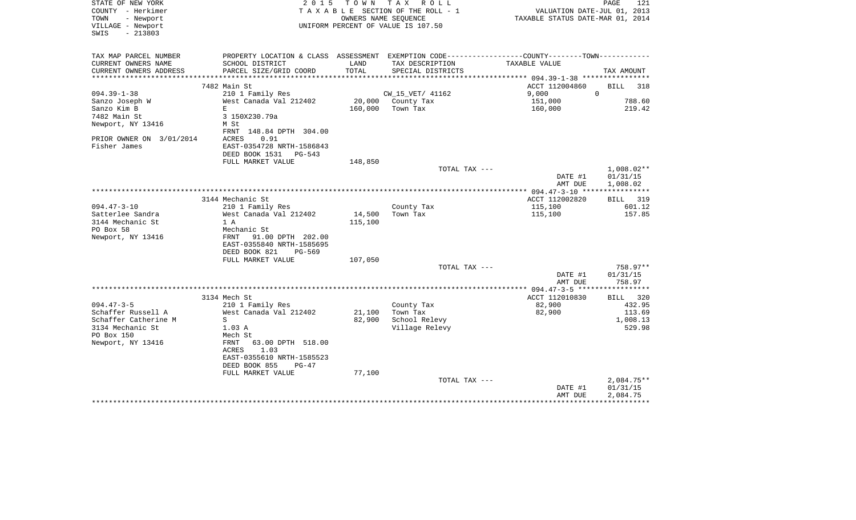| STATE OF NEW YORK<br>COUNTY - Herkimer<br>- Newport<br>TOWN<br>VILLAGE - Newport<br>$-213803$<br>SWIS | 2015                                                    | T O W N | T A X<br>R O L L<br>TAXABLE SECTION OF THE ROLL - 1<br>OWNERS NAME SEOUENCE<br>UNIFORM PERCENT OF VALUE IS 107.50 | VALUATION DATE-JUL 01, 2013<br>TAXABLE STATUS DATE-MAR 01, 2014            | PAGE<br>121                          |
|-------------------------------------------------------------------------------------------------------|---------------------------------------------------------|---------|-------------------------------------------------------------------------------------------------------------------|----------------------------------------------------------------------------|--------------------------------------|
| TAX MAP PARCEL NUMBER<br>CURRENT OWNERS NAME                                                          | PROPERTY LOCATION & CLASS ASSESSMENT<br>SCHOOL DISTRICT | LAND    | TAX DESCRIPTION                                                                                                   | EXEMPTION CODE----------------COUNTY-------TOWN----------<br>TAXABLE VALUE |                                      |
| CURRENT OWNERS ADDRESS<br>**********************                                                      | PARCEL SIZE/GRID COORD                                  | TOTAL   | SPECIAL DISTRICTS                                                                                                 |                                                                            | TAX AMOUNT                           |
|                                                                                                       | 7482 Main St                                            |         |                                                                                                                   | ACCT 112004860                                                             | <b>BILL</b><br>318                   |
| $094.39 - 1 - 38$                                                                                     | 210 1 Family Res                                        |         | CW 15 VET/ 41162                                                                                                  | 9,000                                                                      | $\Omega$                             |
| Sanzo Joseph W                                                                                        | West Canada Val 212402                                  |         | 20,000 County Tax                                                                                                 | 151,000                                                                    | 788.60                               |
| Sanzo Kim B                                                                                           | $\mathbf E$                                             | 160,000 | Town Tax                                                                                                          | 160,000                                                                    | 219.42                               |
| 7482 Main St                                                                                          | 3 150X230.79a                                           |         |                                                                                                                   |                                                                            |                                      |
| Newport, NY 13416                                                                                     | M St<br>FRNT 148.84 DPTH 304.00                         |         |                                                                                                                   |                                                                            |                                      |
| PRIOR OWNER ON 3/01/2014                                                                              | 0.91<br>ACRES                                           |         |                                                                                                                   |                                                                            |                                      |
| Fisher James                                                                                          | EAST-0354728 NRTH-1586843<br>DEED BOOK 1531<br>PG-543   |         |                                                                                                                   |                                                                            |                                      |
|                                                                                                       | FULL MARKET VALUE                                       | 148,850 |                                                                                                                   |                                                                            |                                      |
|                                                                                                       |                                                         |         | TOTAL TAX ---                                                                                                     | DATE #1<br>AMT DUE                                                         | $1,008.02**$<br>01/31/15<br>1,008.02 |
|                                                                                                       |                                                         |         |                                                                                                                   |                                                                            |                                      |
|                                                                                                       | 3144 Mechanic St                                        |         |                                                                                                                   | ACCT 112002820                                                             | <b>BILL</b><br>319                   |
| $094.47 - 3 - 10$                                                                                     | 210 1 Family Res                                        |         | County Tax                                                                                                        | 115,100                                                                    | 601.12                               |
| Satterlee Sandra                                                                                      | West Canada Val 212402                                  | 14,500  | Town Tax                                                                                                          | 115,100                                                                    | 157.85                               |
| 3144 Mechanic St                                                                                      | 1 A                                                     | 115,100 |                                                                                                                   |                                                                            |                                      |
| PO Box 58                                                                                             | Mechanic St                                             |         |                                                                                                                   |                                                                            |                                      |
| Newport, NY 13416                                                                                     | 91.00 DPTH 202.00<br>FRNT                               |         |                                                                                                                   |                                                                            |                                      |
|                                                                                                       | EAST-0355840 NRTH-1585695<br>DEED BOOK 821<br>PG-569    |         |                                                                                                                   |                                                                            |                                      |
|                                                                                                       | FULL MARKET VALUE                                       | 107,050 |                                                                                                                   |                                                                            |                                      |
|                                                                                                       |                                                         |         | TOTAL TAX ---                                                                                                     |                                                                            | 758.97**                             |
|                                                                                                       |                                                         |         |                                                                                                                   | DATE #1                                                                    | 01/31/15                             |
|                                                                                                       |                                                         |         |                                                                                                                   | AMT DUE                                                                    | 758.97                               |
|                                                                                                       |                                                         |         |                                                                                                                   |                                                                            |                                      |
|                                                                                                       | 3134 Mech St                                            |         |                                                                                                                   | ACCT 112010830                                                             | BILL<br>320                          |
| $094.47 - 3 - 5$                                                                                      | 210 1 Family Res                                        |         | County Tax                                                                                                        | 82,900                                                                     | 432.95                               |
| Schaffer Russell A                                                                                    | West Canada Val 212402                                  | 21,100  | Town Tax                                                                                                          | 82,900                                                                     | 113.69                               |
| Schaffer Catherine M                                                                                  | S                                                       | 82,900  | School Relevy                                                                                                     |                                                                            | 1,008.13                             |
| 3134 Mechanic St<br>PO Box 150                                                                        | 1.03 A                                                  |         | Village Relevy                                                                                                    |                                                                            | 529.98                               |
| Newport, NY 13416                                                                                     | Mech St<br>FRNT<br>63.00 DPTH 518.00                    |         |                                                                                                                   |                                                                            |                                      |
|                                                                                                       | <b>ACRES</b><br>1.03                                    |         |                                                                                                                   |                                                                            |                                      |
|                                                                                                       | EAST-0355610 NRTH-1585523                               |         |                                                                                                                   |                                                                            |                                      |
|                                                                                                       | DEED BOOK 855<br>$PG-47$                                |         |                                                                                                                   |                                                                            |                                      |
|                                                                                                       | FULL MARKET VALUE                                       | 77,100  |                                                                                                                   |                                                                            |                                      |
|                                                                                                       |                                                         |         | TOTAL TAX ---                                                                                                     |                                                                            | $2,084.75**$                         |
|                                                                                                       |                                                         |         |                                                                                                                   | DATE #1                                                                    | 01/31/15                             |
|                                                                                                       |                                                         |         |                                                                                                                   | AMT DUE                                                                    | 2,084.75                             |
|                                                                                                       |                                                         |         |                                                                                                                   |                                                                            |                                      |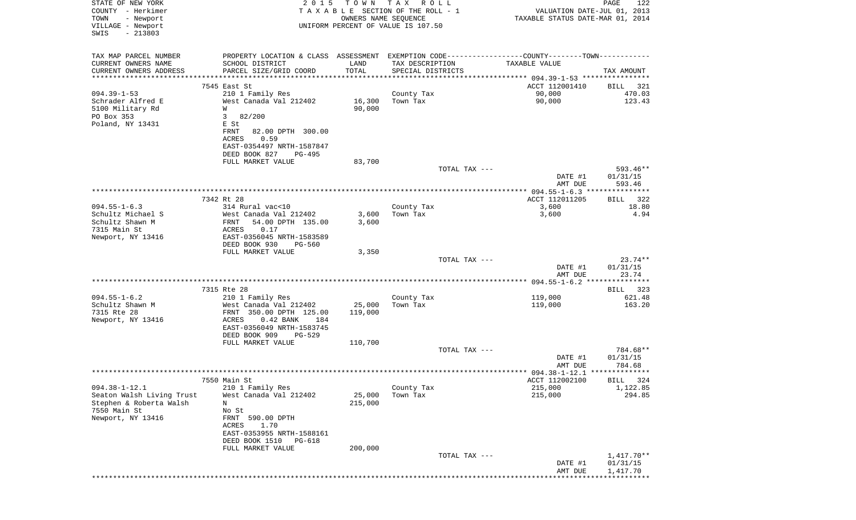| STATE OF NEW YORK<br>COUNTY - Herkimer<br>TOWN<br>- Newport | 2 0 1 5                                                                                       | T O W N<br>OWNERS NAME SEQUENCE | TAX ROLL<br>TAXABLE SECTION OF THE ROLL - 1 |               | VALUATION DATE-JUL 01, 2013<br>TAXABLE STATUS DATE-MAR 01, 2014 | PAGE<br>122              |
|-------------------------------------------------------------|-----------------------------------------------------------------------------------------------|---------------------------------|---------------------------------------------|---------------|-----------------------------------------------------------------|--------------------------|
| VILLAGE - Newport<br>$-213803$<br>SWIS                      |                                                                                               |                                 | UNIFORM PERCENT OF VALUE IS 107.50          |               |                                                                 |                          |
| TAX MAP PARCEL NUMBER                                       | PROPERTY LOCATION & CLASS ASSESSMENT EXEMPTION CODE---------------COUNTY-------TOWN---------- |                                 |                                             |               |                                                                 |                          |
| CURRENT OWNERS NAME<br>CURRENT OWNERS ADDRESS               | SCHOOL DISTRICT<br>PARCEL SIZE/GRID COORD                                                     | LAND<br>TOTAL                   | TAX DESCRIPTION<br>SPECIAL DISTRICTS        |               | TAXABLE VALUE                                                   | TAX AMOUNT               |
| ************************                                    |                                                                                               |                                 |                                             |               |                                                                 |                          |
|                                                             | 7545 East St                                                                                  |                                 |                                             |               | ACCT 112001410                                                  | BILL 321                 |
| $094.39 - 1 - 53$<br>Schrader Alfred E                      | 210 1 Family Res<br>West Canada Val 212402                                                    | 16,300                          | County Tax<br>Town Tax                      |               | 90,000<br>90,000                                                | 470.03<br>123.43         |
| 5100 Military Rd                                            | W                                                                                             | 90,000                          |                                             |               |                                                                 |                          |
| PO Box 353                                                  | 82/200<br>3                                                                                   |                                 |                                             |               |                                                                 |                          |
| Poland, NY 13431                                            | E St                                                                                          |                                 |                                             |               |                                                                 |                          |
|                                                             | FRNT<br>82.00 DPTH 300.00<br>ACRES<br>0.59                                                    |                                 |                                             |               |                                                                 |                          |
|                                                             | EAST-0354497 NRTH-1587847                                                                     |                                 |                                             |               |                                                                 |                          |
|                                                             | DEED BOOK 827<br>PG-495                                                                       |                                 |                                             |               |                                                                 |                          |
|                                                             | FULL MARKET VALUE                                                                             | 83,700                          |                                             |               |                                                                 |                          |
|                                                             |                                                                                               |                                 |                                             | TOTAL TAX --- |                                                                 | 593.46**                 |
|                                                             |                                                                                               |                                 |                                             |               | DATE #1<br>AMT DUE                                              | 01/31/15<br>593.46       |
|                                                             |                                                                                               |                                 |                                             |               |                                                                 |                          |
|                                                             | 7342 Rt 28                                                                                    |                                 |                                             |               | ACCT 112011205                                                  | 322<br>BILL              |
| $094.55 - 1 - 6.3$                                          | 314 Rural vac<10                                                                              |                                 | County Tax                                  |               | 3,600                                                           | 18.80                    |
| Schultz Michael S<br>Schultz Shawn M                        | West Canada Val 212402<br>FRNT<br>54.00 DPTH 135.00                                           | 3,600<br>3,600                  | Town Tax                                    |               | 3,600                                                           | 4.94                     |
| 7315 Main St                                                | ACRES<br>0.17                                                                                 |                                 |                                             |               |                                                                 |                          |
| Newport, NY 13416                                           | EAST-0356045 NRTH-1583589                                                                     |                                 |                                             |               |                                                                 |                          |
|                                                             | DEED BOOK 930<br>PG-560                                                                       |                                 |                                             |               |                                                                 |                          |
|                                                             | FULL MARKET VALUE                                                                             | 3,350                           |                                             |               |                                                                 |                          |
|                                                             |                                                                                               |                                 |                                             | TOTAL TAX --- | DATE #1                                                         | $23.74**$<br>01/31/15    |
|                                                             |                                                                                               |                                 |                                             |               | AMT DUE                                                         | 23.74                    |
|                                                             |                                                                                               |                                 |                                             |               |                                                                 |                          |
|                                                             | 7315 Rte 28                                                                                   |                                 |                                             |               |                                                                 | 323<br>BILL              |
| $094.55 - 1 - 6.2$<br>Schultz Shawn M                       | 210 1 Family Res<br>West Canada Val 212402                                                    | 25,000                          | County Tax<br>Town Tax                      |               | 119,000<br>119,000                                              | 621.48<br>163.20         |
| 7315 Rte 28                                                 | FRNT 350.00 DPTH 125.00                                                                       | 119,000                         |                                             |               |                                                                 |                          |
| Newport, NY 13416                                           | ACRES<br>$0.42$ BANK<br>184                                                                   |                                 |                                             |               |                                                                 |                          |
|                                                             | EAST-0356049 NRTH-1583745                                                                     |                                 |                                             |               |                                                                 |                          |
|                                                             | DEED BOOK 909<br>PG-529<br>FULL MARKET VALUE                                                  | 110,700                         |                                             |               |                                                                 |                          |
|                                                             |                                                                                               |                                 |                                             | TOTAL TAX --- |                                                                 | 784.68**                 |
|                                                             |                                                                                               |                                 |                                             |               | DATE #1                                                         | 01/31/15                 |
|                                                             |                                                                                               |                                 |                                             |               | AMT DUE                                                         | 784.68                   |
|                                                             | 7550 Main St                                                                                  |                                 |                                             |               | ACCT 112002100                                                  | BILL 324                 |
| $094.38 - 1 - 12.1$                                         | 210 1 Family Res                                                                              |                                 | County Tax                                  |               | 215,000                                                         | 1,122.85                 |
| Seaton Walsh Living Trust                                   | West Canada Val 212402                                                                        | 25,000                          | Town Tax                                    |               | 215,000                                                         | 294.85                   |
| Stephen & Roberta Walsh                                     | Ν                                                                                             | 215,000                         |                                             |               |                                                                 |                          |
| 7550 Main St                                                | No St                                                                                         |                                 |                                             |               |                                                                 |                          |
| Newport, NY 13416                                           | FRNT 590.00 DPTH<br>1.70<br>ACRES                                                             |                                 |                                             |               |                                                                 |                          |
|                                                             | EAST-0353955 NRTH-1588161                                                                     |                                 |                                             |               |                                                                 |                          |
|                                                             | DEED BOOK 1510<br>PG-618                                                                      |                                 |                                             |               |                                                                 |                          |
|                                                             | FULL MARKET VALUE                                                                             | 200,000                         |                                             |               |                                                                 |                          |
|                                                             |                                                                                               |                                 |                                             | TOTAL TAX --- | DATE #1                                                         | $1,417.70**$<br>01/31/15 |
|                                                             |                                                                                               |                                 |                                             |               | AMT DUE                                                         | 1,417.70                 |
|                                                             |                                                                                               |                                 |                                             |               |                                                                 |                          |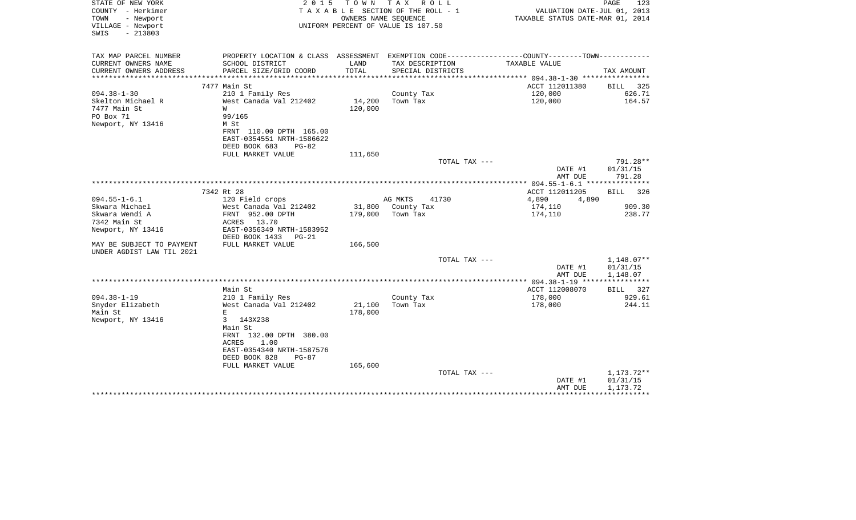| STATE OF NEW YORK<br>COUNTY - Herkimer<br>TOWN<br>- Newport<br>VILLAGE - Newport<br>$-213803$<br>SWIS                               | 2 0 1 5                                                                        |                   | TOWN TAX ROLL<br>TAXABLE SECTION OF THE ROLL - 1<br>OWNERS NAME SEQUENCE<br>UNIFORM PERCENT OF VALUE IS 107.50 | TAXABLE STATUS DATE-MAR 01, 2014                                                                                 | PAGE<br>123<br>VALUATION DATE-JUL 01, 2013 |
|-------------------------------------------------------------------------------------------------------------------------------------|--------------------------------------------------------------------------------|-------------------|----------------------------------------------------------------------------------------------------------------|------------------------------------------------------------------------------------------------------------------|--------------------------------------------|
| TAX MAP PARCEL NUMBER<br>CURRENT OWNERS NAME<br>SCHOOL DISTRICT                                                                     |                                                                                | LAND              | TAX DESCRIPTION                                                                                                | PROPERTY LOCATION & CLASS ASSESSMENT EXEMPTION CODE----------------COUNTY--------TOWN----------<br>TAXABLE VALUE |                                            |
| CURRENT OWNERS ADDRESS                                                                                                              | PARCEL SIZE/GRID COORD                                                         | TOTAL             | SPECIAL DISTRICTS                                                                                              |                                                                                                                  | TAX AMOUNT                                 |
|                                                                                                                                     |                                                                                |                   |                                                                                                                |                                                                                                                  |                                            |
| 7477 Main St                                                                                                                        |                                                                                |                   |                                                                                                                | ACCT 112011380                                                                                                   | <b>BILL</b><br>325                         |
| $094.38 - 1 - 30$<br>210 1 Family Res<br>Skelton Michael R<br>7477 Main St<br>W<br>PO Box 71<br>99/165<br>Newport, NY 13416<br>M St | West Canada Val 212402<br>FRNT 110.00 DPTH 165.00<br>EAST-0354551 NRTH-1586622 | 14,200<br>120,000 | County Tax<br>Town Tax                                                                                         | 120,000<br>120,000                                                                                               | 626.71<br>164.57                           |
| DEED BOOK 683                                                                                                                       | $PG-82$                                                                        |                   |                                                                                                                |                                                                                                                  |                                            |
| FULL MARKET VALUE                                                                                                                   |                                                                                | 111,650           |                                                                                                                |                                                                                                                  |                                            |
|                                                                                                                                     |                                                                                |                   |                                                                                                                | TOTAL TAX ---                                                                                                    | $791.28**$                                 |
|                                                                                                                                     |                                                                                |                   |                                                                                                                | DATE #1<br>AMT DUE                                                                                               | 01/31/15<br>791.28                         |
| 7342 Rt 28                                                                                                                          |                                                                                |                   |                                                                                                                | ACCT 112011205                                                                                                   |                                            |
| $094.55 - 1 - 6.1$<br>120 Field crops                                                                                               |                                                                                |                   | AG MKTS<br>41730                                                                                               | 4,890                                                                                                            | BILL 326<br>4,890                          |
| Skwara Michael                                                                                                                      | West Canada Val 212402                                                         |                   | 31,800 County Tax                                                                                              | 174,110                                                                                                          | 909.30                                     |
| Skwara Wendi A<br>FRNT 952.00 DPTH                                                                                                  |                                                                                | 179,000           | Town Tax                                                                                                       | 174,110                                                                                                          | 238.77                                     |
| 7342 Main St<br>ACRES 13.70                                                                                                         |                                                                                |                   |                                                                                                                |                                                                                                                  |                                            |
| Newport, NY 13416                                                                                                                   | EAST-0356349 NRTH-1583952                                                      |                   |                                                                                                                |                                                                                                                  |                                            |
|                                                                                                                                     | DEED BOOK 1433 PG-21                                                           |                   |                                                                                                                |                                                                                                                  |                                            |
| MAY BE SUBJECT TO PAYMENT<br>FULL MARKET VALUE<br>UNDER AGDIST LAW TIL 2021                                                         |                                                                                | 166,500           |                                                                                                                |                                                                                                                  |                                            |
|                                                                                                                                     |                                                                                |                   |                                                                                                                | TOTAL TAX ---<br>DATE #1                                                                                         | $1.148.07**$<br>01/31/15                   |
|                                                                                                                                     |                                                                                |                   |                                                                                                                | AMT DUE                                                                                                          | 1,148.07                                   |
|                                                                                                                                     |                                                                                |                   |                                                                                                                |                                                                                                                  |                                            |
| Main St                                                                                                                             |                                                                                |                   |                                                                                                                | ACCT 112008070                                                                                                   | BILL 327                                   |
| $094.38 - 1 - 19$<br>210 1 Family Res                                                                                               |                                                                                |                   | County Tax                                                                                                     | 178,000                                                                                                          | 929.61                                     |
| Snyder Elizabeth                                                                                                                    | West Canada Val 212402                                                         | 21,100            | Town Tax                                                                                                       | 178,000                                                                                                          | 244.11                                     |
| Main St<br>E<br>Newport, NY 13416<br>3 143X238                                                                                      |                                                                                | 178,000           |                                                                                                                |                                                                                                                  |                                            |
| Main St<br>ACRES<br>DEED BOOK 828                                                                                                   | FRNT 132.00 DPTH 380.00<br>1.00<br>EAST-0354340 NRTH-1587576<br>$PG-87$        | 165,600           |                                                                                                                |                                                                                                                  |                                            |
| FULL MARKET VALUE                                                                                                                   |                                                                                |                   |                                                                                                                | TOTAL TAX ---                                                                                                    | 1,173.72**                                 |
|                                                                                                                                     |                                                                                |                   |                                                                                                                | DATE #1<br>AMT DUE                                                                                               | 01/31/15<br>1,173.72                       |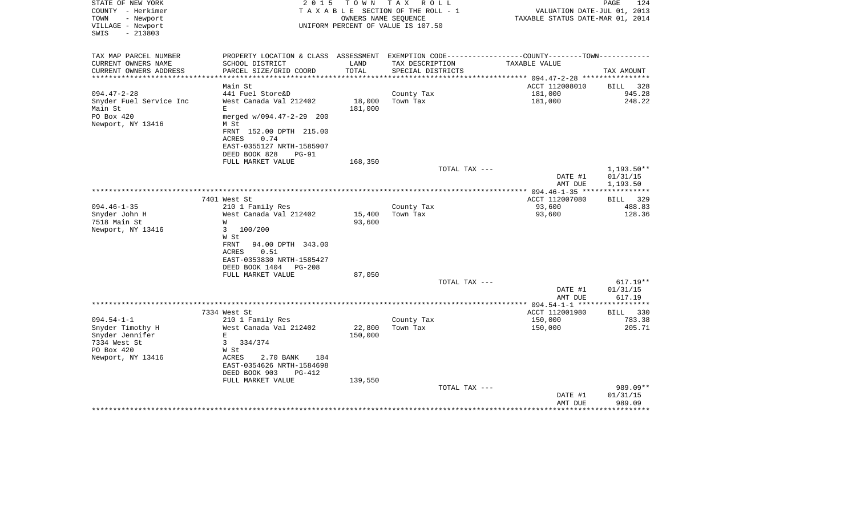| STATE OF NEW YORK<br>COUNTY - Herkimer<br>TOWN<br>- Newport<br>VILLAGE - Newport<br>$-213803$<br>SWIS | 2 0 1 5                                    | T O W N           | T A X<br>R O L L<br>TAXABLE SECTION OF THE ROLL - 1<br>OWNERS NAME SEQUENCE<br>UNIFORM PERCENT OF VALUE IS 107.50 |                                                              | VALUATION DATE-JUL 01, 2013<br>TAXABLE STATUS DATE-MAR 01, 2014 | PAGE<br>124          |
|-------------------------------------------------------------------------------------------------------|--------------------------------------------|-------------------|-------------------------------------------------------------------------------------------------------------------|--------------------------------------------------------------|-----------------------------------------------------------------|----------------------|
| TAX MAP PARCEL NUMBER                                                                                 | PROPERTY LOCATION & CLASS ASSESSMENT       |                   |                                                                                                                   | EXEMPTION CODE-----------------COUNTY--------TOWN----------- |                                                                 |                      |
| CURRENT OWNERS NAME                                                                                   | SCHOOL DISTRICT                            | LAND              | TAX DESCRIPTION                                                                                                   | TAXABLE VALUE                                                |                                                                 |                      |
| CURRENT OWNERS ADDRESS                                                                                | PARCEL SIZE/GRID COORD                     | TOTAL             | SPECIAL DISTRICTS                                                                                                 |                                                              |                                                                 | TAX AMOUNT           |
| ******************************                                                                        |                                            |                   |                                                                                                                   |                                                              |                                                                 |                      |
|                                                                                                       | Main St                                    |                   |                                                                                                                   |                                                              | ACCT 112008010                                                  | BILL 328             |
| $094.47 - 2 - 28$                                                                                     | 441 Fuel Store&D                           |                   | County Tax<br>Town Tax                                                                                            |                                                              | 181,000                                                         | 945.28               |
| Snyder Fuel Service Inc<br>Main St                                                                    | West Canada Val 212402<br>F.               | 18,000<br>181,000 |                                                                                                                   |                                                              | 181,000                                                         | 248.22               |
| PO Box 420                                                                                            | merged w/094.47-2-29 200                   |                   |                                                                                                                   |                                                              |                                                                 |                      |
| Newport, NY 13416                                                                                     | M St                                       |                   |                                                                                                                   |                                                              |                                                                 |                      |
|                                                                                                       | FRNT 152.00 DPTH 215.00                    |                   |                                                                                                                   |                                                              |                                                                 |                      |
|                                                                                                       | ACRES<br>0.74                              |                   |                                                                                                                   |                                                              |                                                                 |                      |
|                                                                                                       | EAST-0355127 NRTH-1585907                  |                   |                                                                                                                   |                                                              |                                                                 |                      |
|                                                                                                       | DEED BOOK 828<br>$PG-91$                   |                   |                                                                                                                   |                                                              |                                                                 |                      |
|                                                                                                       | FULL MARKET VALUE                          | 168,350           |                                                                                                                   |                                                              |                                                                 |                      |
|                                                                                                       |                                            |                   |                                                                                                                   | TOTAL TAX ---                                                |                                                                 | $1,193.50**$         |
|                                                                                                       |                                            |                   |                                                                                                                   |                                                              | DATE #1<br>AMT DUE                                              | 01/31/15<br>1,193.50 |
|                                                                                                       |                                            |                   |                                                                                                                   |                                                              |                                                                 |                      |
|                                                                                                       | 7401 West St                               |                   |                                                                                                                   |                                                              | ACCT 112007080                                                  | BILL 329             |
| $094.46 - 1 - 35$                                                                                     | 210 1 Family Res                           |                   | County Tax                                                                                                        |                                                              | 93,600                                                          | 488.83               |
| Snyder John H                                                                                         | West Canada Val 212402                     | 15,400            | Town Tax                                                                                                          |                                                              | 93,600                                                          | 128.36               |
| 7518 Main St                                                                                          | W                                          | 93,600            |                                                                                                                   |                                                              |                                                                 |                      |
| Newport, NY 13416                                                                                     | $\mathbf{3}$<br>100/200                    |                   |                                                                                                                   |                                                              |                                                                 |                      |
|                                                                                                       | W St                                       |                   |                                                                                                                   |                                                              |                                                                 |                      |
|                                                                                                       | 94.00 DPTH 343.00<br>FRNT<br>0.51<br>ACRES |                   |                                                                                                                   |                                                              |                                                                 |                      |
|                                                                                                       | EAST-0353830 NRTH-1585427                  |                   |                                                                                                                   |                                                              |                                                                 |                      |
|                                                                                                       | DEED BOOK 1404 PG-208                      |                   |                                                                                                                   |                                                              |                                                                 |                      |
|                                                                                                       | FULL MARKET VALUE                          | 87,050            |                                                                                                                   |                                                              |                                                                 |                      |
|                                                                                                       |                                            |                   |                                                                                                                   | TOTAL TAX ---                                                |                                                                 | $617.19**$           |
|                                                                                                       |                                            |                   |                                                                                                                   |                                                              | DATE #1                                                         | 01/31/15             |
|                                                                                                       |                                            |                   |                                                                                                                   |                                                              | AMT DUE                                                         | 617.19               |
|                                                                                                       |                                            |                   |                                                                                                                   |                                                              |                                                                 |                      |
| $094.54 - 1 - 1$                                                                                      | 7334 West St                               |                   |                                                                                                                   |                                                              | ACCT 112001980                                                  | BILL 330             |
| Snyder Timothy H                                                                                      | 210 1 Family Res<br>West Canada Val 212402 | 22,800            | County Tax<br>Town Tax                                                                                            |                                                              | 150,000<br>150,000                                              | 783.38<br>205.71     |
| Snyder Jennifer                                                                                       | E.                                         | 150,000           |                                                                                                                   |                                                              |                                                                 |                      |
| 7334 West St                                                                                          | 3<br>334/374                               |                   |                                                                                                                   |                                                              |                                                                 |                      |
| PO Box 420                                                                                            | W St                                       |                   |                                                                                                                   |                                                              |                                                                 |                      |
| Newport, NY 13416                                                                                     | ACRES<br>2.70 BANK<br>184                  |                   |                                                                                                                   |                                                              |                                                                 |                      |
|                                                                                                       | EAST-0354626 NRTH-1584698                  |                   |                                                                                                                   |                                                              |                                                                 |                      |
|                                                                                                       | DEED BOOK 903<br>PG-412                    |                   |                                                                                                                   |                                                              |                                                                 |                      |
|                                                                                                       | FULL MARKET VALUE                          | 139,550           |                                                                                                                   |                                                              |                                                                 |                      |
|                                                                                                       |                                            |                   |                                                                                                                   | TOTAL TAX ---                                                |                                                                 | 989.09**<br>01/31/15 |
|                                                                                                       |                                            |                   |                                                                                                                   |                                                              | DATE #1<br>AMT DUE                                              | 989.09               |
|                                                                                                       |                                            |                   |                                                                                                                   |                                                              |                                                                 |                      |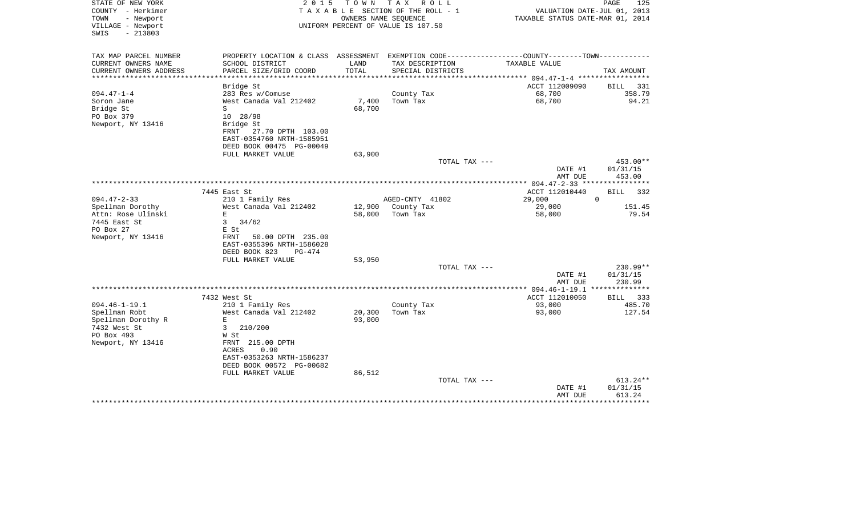| STATE OF NEW YORK<br>COUNTY - Herkimer<br>TOWN<br>- Newport<br>VILLAGE - Newport<br>$-213803$<br>SWIS | 2 0 1 5                              | T O W N | TAX ROLL<br>TAXABLE SECTION OF THE ROLL - 1<br>OWNERS NAME SEOUENCE<br>UNIFORM PERCENT OF VALUE IS 107.50 | TAXABLE STATUS DATE-MAR 01, 2014                            | PAGE<br>125<br>VALUATION DATE-JUL 01, 2013 |
|-------------------------------------------------------------------------------------------------------|--------------------------------------|---------|-----------------------------------------------------------------------------------------------------------|-------------------------------------------------------------|--------------------------------------------|
| TAX MAP PARCEL NUMBER                                                                                 | PROPERTY LOCATION & CLASS ASSESSMENT |         |                                                                                                           | EXEMPTION CODE-----------------COUNTY-------TOWN----------- |                                            |
| CURRENT OWNERS NAME                                                                                   | SCHOOL DISTRICT                      | LAND    | TAX DESCRIPTION                                                                                           | TAXABLE VALUE                                               |                                            |
| CURRENT OWNERS ADDRESS                                                                                | PARCEL SIZE/GRID COORD               | TOTAL   | SPECIAL DISTRICTS                                                                                         |                                                             | TAX AMOUNT                                 |
| ****************                                                                                      |                                      |         |                                                                                                           |                                                             |                                            |
|                                                                                                       | Bridge St                            |         |                                                                                                           | ACCT 112009090                                              | BILL<br>331                                |
| $094.47 - 1 - 4$                                                                                      | 283 Res w/Comuse                     |         | County Tax                                                                                                | 68,700                                                      | 358.79                                     |
| Soron Jane                                                                                            | West Canada Val 212402               | 7,400   | Town Tax                                                                                                  | 68,700                                                      | 94.21                                      |
| Bridge St                                                                                             | S                                    | 68,700  |                                                                                                           |                                                             |                                            |
| PO Box 379                                                                                            | 10 28/98<br>Bridge St                |         |                                                                                                           |                                                             |                                            |
| Newport, NY 13416                                                                                     | FRNT<br>27.70 DPTH 103.00            |         |                                                                                                           |                                                             |                                            |
|                                                                                                       | EAST-0354760 NRTH-1585951            |         |                                                                                                           |                                                             |                                            |
|                                                                                                       | DEED BOOK 00475 PG-00049             |         |                                                                                                           |                                                             |                                            |
|                                                                                                       | FULL MARKET VALUE                    | 63,900  |                                                                                                           |                                                             |                                            |
|                                                                                                       |                                      |         | TOTAL TAX ---                                                                                             |                                                             | 453.00**                                   |
|                                                                                                       |                                      |         |                                                                                                           | DATE #1                                                     | 01/31/15                                   |
|                                                                                                       |                                      |         |                                                                                                           | AMT DUE                                                     | 453.00                                     |
|                                                                                                       |                                      |         |                                                                                                           |                                                             |                                            |
|                                                                                                       | 7445 East St                         |         |                                                                                                           | ACCT 112010440                                              | <b>BILL</b><br>332                         |
| $094.47 - 2 - 33$                                                                                     | 210 1 Family Res                     |         | AGED-CNTY 41802                                                                                           | 29,000                                                      | $\Omega$                                   |
| Spellman Dorothy                                                                                      | West Canada Val 212402               | 12,900  | County Tax                                                                                                | 29,000                                                      | 151.45                                     |
| Attn: Rose Ulinski                                                                                    | $\mathbf E$<br>34/62                 | 58,000  | Town Tax                                                                                                  | 58,000                                                      | 79.54                                      |
| 7445 East St<br>PO Box 27                                                                             | 3<br>E St                            |         |                                                                                                           |                                                             |                                            |
| Newport, NY 13416                                                                                     | <b>FRNT</b><br>50.00 DPTH 235.00     |         |                                                                                                           |                                                             |                                            |
|                                                                                                       | EAST-0355396 NRTH-1586028            |         |                                                                                                           |                                                             |                                            |
|                                                                                                       | DEED BOOK 823<br>$PG-474$            |         |                                                                                                           |                                                             |                                            |
|                                                                                                       | FULL MARKET VALUE                    | 53,950  |                                                                                                           |                                                             |                                            |
|                                                                                                       |                                      |         | TOTAL TAX ---                                                                                             |                                                             | 230.99**                                   |
|                                                                                                       |                                      |         |                                                                                                           | DATE #1                                                     | 01/31/15                                   |
|                                                                                                       |                                      |         |                                                                                                           | AMT DUE                                                     | 230.99                                     |
|                                                                                                       |                                      |         |                                                                                                           |                                                             | **************                             |
|                                                                                                       | 7432 West St                         |         |                                                                                                           | ACCT 112010050                                              | BILL<br>333                                |
| $094.46 - 1 - 19.1$                                                                                   | 210 1 Family Res                     |         | County Tax                                                                                                | 93,000                                                      | 485.70                                     |
| Spellman Robt                                                                                         | West Canada Val 212402<br>E          | 20,300  | Town Tax                                                                                                  | 93,000                                                      | 127.54                                     |
| Spellman Dorothy R<br>7432 West St                                                                    | 3<br>210/200                         | 93,000  |                                                                                                           |                                                             |                                            |
| PO Box 493                                                                                            | W St                                 |         |                                                                                                           |                                                             |                                            |
| Newport, NY 13416                                                                                     | FRNT 215.00 DPTH                     |         |                                                                                                           |                                                             |                                            |
|                                                                                                       | 0.90<br>ACRES                        |         |                                                                                                           |                                                             |                                            |
|                                                                                                       | EAST-0353263 NRTH-1586237            |         |                                                                                                           |                                                             |                                            |
|                                                                                                       | DEED BOOK 00572 PG-00682             |         |                                                                                                           |                                                             |                                            |
|                                                                                                       | FULL MARKET VALUE                    | 86,512  |                                                                                                           |                                                             |                                            |
|                                                                                                       |                                      |         | TOTAL TAX ---                                                                                             |                                                             | 613.24**                                   |
|                                                                                                       |                                      |         |                                                                                                           | DATE #1                                                     | 01/31/15                                   |
|                                                                                                       |                                      |         |                                                                                                           | AMT DUE                                                     | 613.24                                     |
|                                                                                                       |                                      |         |                                                                                                           |                                                             |                                            |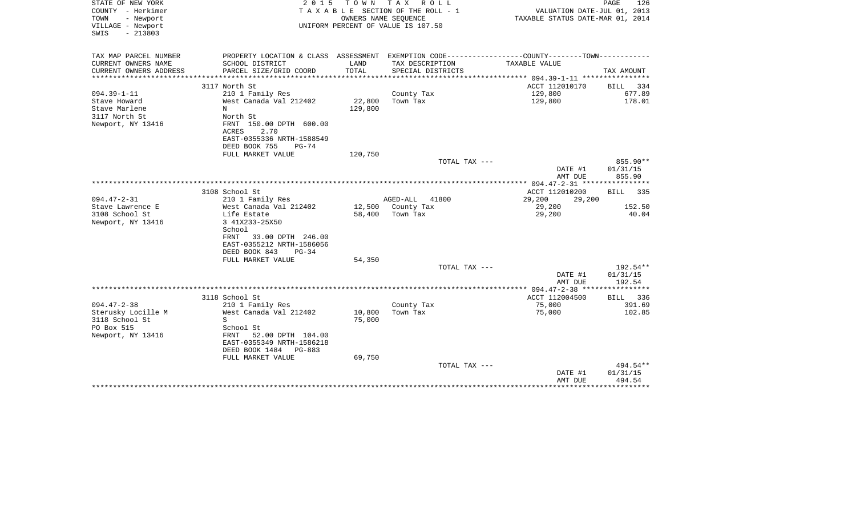| STATE OF NEW YORK<br>COUNTY - Herkimer<br>- Newport<br>TOWN<br>VILLAGE - Newport<br>$-213803$<br>SWIS | 2 0 1 5                                            | T O W N<br>OWNERS NAME SEQUENCE | TAX ROLL<br>T A X A B L E SECTION OF THE ROLL - 1<br>UNIFORM PERCENT OF VALUE IS 107.50 | VALUATION DATE-JUL 01, 2013<br>TAXABLE STATUS DATE-MAR 01, 2014                                                | PAGE<br>126        |
|-------------------------------------------------------------------------------------------------------|----------------------------------------------------|---------------------------------|-----------------------------------------------------------------------------------------|----------------------------------------------------------------------------------------------------------------|--------------------|
| TAX MAP PARCEL NUMBER<br>CURRENT OWNERS NAME                                                          | SCHOOL DISTRICT                                    | LAND                            |                                                                                         | PROPERTY LOCATION & CLASS ASSESSMENT EXEMPTION CODE---------------COUNTY-------TOWN----------<br>TAXABLE VALUE |                    |
| CURRENT OWNERS ADDRESS<br>*******************                                                         | PARCEL SIZE/GRID COORD<br>************************ | TOTAL                           | TAX DESCRIPTION<br>SPECIAL DISTRICTS                                                    |                                                                                                                | TAX AMOUNT         |
|                                                                                                       | 3117 North St                                      |                                 |                                                                                         | ACCT 112010170                                                                                                 | <b>BILL</b><br>334 |
| $094.39 - 1 - 11$                                                                                     | 210 1 Family Res                                   |                                 | County Tax                                                                              | 129,800                                                                                                        | 677.89             |
| Stave Howard                                                                                          | West Canada Val 212402                             | 22,800                          | Town Tax                                                                                | 129,800                                                                                                        | 178.01             |
| Stave Marlene                                                                                         | N                                                  | 129,800                         |                                                                                         |                                                                                                                |                    |
| 3117 North St                                                                                         | North St                                           |                                 |                                                                                         |                                                                                                                |                    |
| Newport, NY 13416                                                                                     | FRNT 150.00 DPTH 600.00<br>2.70<br>ACRES           |                                 |                                                                                         |                                                                                                                |                    |
|                                                                                                       | EAST-0355336 NRTH-1588549                          |                                 |                                                                                         |                                                                                                                |                    |
|                                                                                                       | DEED BOOK 755<br>$PG-74$                           |                                 |                                                                                         |                                                                                                                |                    |
|                                                                                                       | FULL MARKET VALUE                                  | 120,750                         |                                                                                         |                                                                                                                |                    |
|                                                                                                       |                                                    |                                 | TOTAL TAX ---                                                                           |                                                                                                                | 855.90**           |
|                                                                                                       |                                                    |                                 |                                                                                         | DATE #1                                                                                                        | 01/31/15           |
|                                                                                                       |                                                    |                                 |                                                                                         | AMT DUE                                                                                                        | 855.90             |
|                                                                                                       | 3108 School St                                     |                                 |                                                                                         | ******** 094.47-2-31 *****************<br>ACCT 112010200                                                       | <b>BILL</b><br>335 |
| $094.47 - 2 - 31$                                                                                     | 210 1 Family Res                                   |                                 | AGED-ALL<br>41800                                                                       | 29,200<br>29,200                                                                                               |                    |
| Stave Lawrence E                                                                                      | West Canada Val 212402                             | 12,500                          | County Tax                                                                              | 29,200                                                                                                         | 152.50             |
| 3108 School St                                                                                        | Life Estate                                        | 58,400                          | Town Tax                                                                                | 29,200                                                                                                         | 40.04              |
| Newport, NY 13416                                                                                     | 3 41X233-25X50                                     |                                 |                                                                                         |                                                                                                                |                    |
|                                                                                                       | School                                             |                                 |                                                                                         |                                                                                                                |                    |
|                                                                                                       | FRNT<br>33.00 DPTH 246.00                          |                                 |                                                                                         |                                                                                                                |                    |
|                                                                                                       | EAST-0355212 NRTH-1586056                          |                                 |                                                                                         |                                                                                                                |                    |
|                                                                                                       | DEED BOOK 843<br>$PG-34$<br>FULL MARKET VALUE      | 54,350                          |                                                                                         |                                                                                                                |                    |
|                                                                                                       |                                                    |                                 | TOTAL TAX ---                                                                           |                                                                                                                | 192.54**           |
|                                                                                                       |                                                    |                                 |                                                                                         | DATE #1                                                                                                        | 01/31/15           |
|                                                                                                       |                                                    |                                 |                                                                                         | AMT DUE                                                                                                        | 192.54             |
|                                                                                                       |                                                    |                                 |                                                                                         |                                                                                                                |                    |
|                                                                                                       | 3118 School St                                     |                                 |                                                                                         | ACCT 112004500                                                                                                 | BILL 336           |
| $094.47 - 2 - 38$                                                                                     | 210 1 Family Res                                   |                                 | County Tax                                                                              | 75,000                                                                                                         | 391.69             |
| Sterusky Locille M                                                                                    | West Canada Val 212402                             | 10,800                          | Town Tax                                                                                | 75,000                                                                                                         | 102.85             |
| 3118 School St<br>PO Box 515                                                                          | S<br>School St                                     | 75,000                          |                                                                                         |                                                                                                                |                    |
| Newport, NY 13416                                                                                     | 52.00 DPTH 104.00<br>FRNT                          |                                 |                                                                                         |                                                                                                                |                    |
|                                                                                                       | EAST-0355349 NRTH-1586218                          |                                 |                                                                                         |                                                                                                                |                    |
|                                                                                                       | DEED BOOK 1484<br>PG-883                           |                                 |                                                                                         |                                                                                                                |                    |
|                                                                                                       | FULL MARKET VALUE                                  | 69,750                          |                                                                                         |                                                                                                                |                    |
|                                                                                                       |                                                    |                                 | TOTAL TAX ---                                                                           |                                                                                                                | 494.54**           |
|                                                                                                       |                                                    |                                 |                                                                                         | DATE #1                                                                                                        | 01/31/15           |
|                                                                                                       |                                                    |                                 |                                                                                         | AMT DUE                                                                                                        | 494.54             |
|                                                                                                       |                                                    |                                 |                                                                                         |                                                                                                                |                    |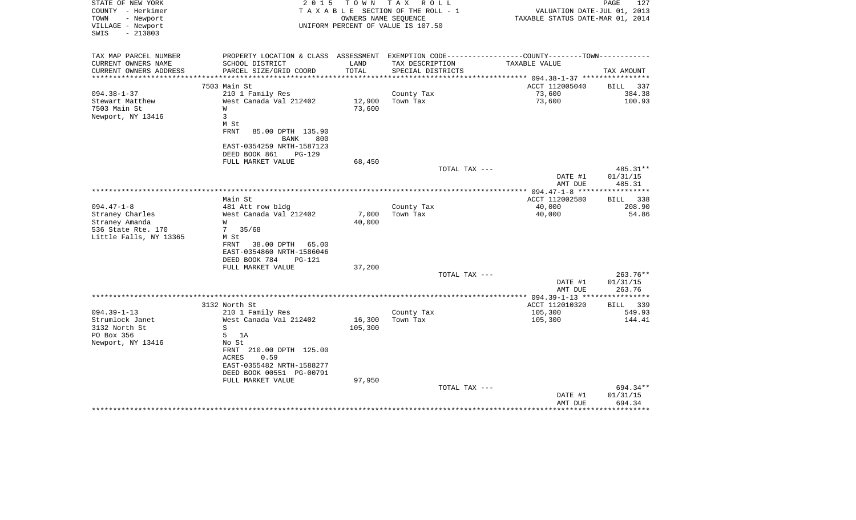| STATE OF NEW YORK<br>COUNTY - Herkimer<br>TOWN<br>- Newport<br>VILLAGE - Newport | 2015                                       | TOWN TAX        | R O L L<br>TAXABLE SECTION OF THE ROLL - 1<br>OWNERS NAME SEOUENCE<br>UNIFORM PERCENT OF VALUE IS 107.50 | VALUATION DATE-JUL 01, 2013<br>TAXABLE STATUS DATE-MAR 01, 2014                                 | PAGE<br>127        |
|----------------------------------------------------------------------------------|--------------------------------------------|-----------------|----------------------------------------------------------------------------------------------------------|-------------------------------------------------------------------------------------------------|--------------------|
| SWIS<br>$-213803$                                                                |                                            |                 |                                                                                                          |                                                                                                 |                    |
| TAX MAP PARCEL NUMBER                                                            |                                            |                 |                                                                                                          | PROPERTY LOCATION & CLASS ASSESSMENT EXEMPTION CODE----------------COUNTY--------TOWN---------- |                    |
| CURRENT OWNERS NAME                                                              | SCHOOL DISTRICT                            | LAND            | TAX DESCRIPTION                                                                                          | TAXABLE VALUE                                                                                   |                    |
| CURRENT OWNERS ADDRESS                                                           | PARCEL SIZE/GRID COORD                     | TOTAL           | SPECIAL DISTRICTS                                                                                        |                                                                                                 | TAX AMOUNT         |
| **********************                                                           |                                            |                 |                                                                                                          |                                                                                                 |                    |
|                                                                                  | 7503 Main St                               |                 |                                                                                                          | ACCT 112005040                                                                                  | BILL<br>337        |
| $094.38 - 1 - 37$                                                                | 210 1 Family Res                           |                 | County Tax                                                                                               | 73,600                                                                                          | 384.38             |
| Stewart Matthew                                                                  | West Canada Val 212402                     | 12,900          | Town Tax                                                                                                 | 73,600                                                                                          | 100.93             |
| 7503 Main St                                                                     | W                                          | 73,600          |                                                                                                          |                                                                                                 |                    |
| Newport, NY 13416                                                                | $\overline{3}$                             |                 |                                                                                                          |                                                                                                 |                    |
|                                                                                  | M St                                       |                 |                                                                                                          |                                                                                                 |                    |
|                                                                                  | <b>FRNT</b><br>85.00 DPTH 135.90           |                 |                                                                                                          |                                                                                                 |                    |
|                                                                                  | <b>BANK</b><br>800                         |                 |                                                                                                          |                                                                                                 |                    |
|                                                                                  | EAST-0354259 NRTH-1587123                  |                 |                                                                                                          |                                                                                                 |                    |
|                                                                                  | DEED BOOK 861<br>PG-129                    |                 |                                                                                                          |                                                                                                 |                    |
|                                                                                  | FULL MARKET VALUE                          | 68,450          |                                                                                                          |                                                                                                 |                    |
|                                                                                  |                                            |                 | TOTAL TAX ---                                                                                            |                                                                                                 | 485.31**           |
|                                                                                  |                                            |                 |                                                                                                          | DATE #1                                                                                         | 01/31/15           |
|                                                                                  |                                            |                 |                                                                                                          | AMT DUE                                                                                         | 485.31             |
|                                                                                  |                                            |                 |                                                                                                          |                                                                                                 |                    |
| $094.47 - 1 - 8$                                                                 | Main St                                    |                 |                                                                                                          | ACCT 112002580<br>40,000                                                                        | BILL 338<br>208.90 |
|                                                                                  | 481 Att row bldg<br>West Canada Val 212402 |                 | County Tax                                                                                               |                                                                                                 |                    |
| Straney Charles<br>Straney Amanda                                                | W                                          | 7,000<br>40,000 | Town Tax                                                                                                 | 40,000                                                                                          | 54.86              |
| 536 State Rte. 170                                                               | 35/68<br>7                                 |                 |                                                                                                          |                                                                                                 |                    |
| Little Falls, NY 13365                                                           | M St                                       |                 |                                                                                                          |                                                                                                 |                    |
|                                                                                  | 38.00 DPTH 65.00<br>FRNT                   |                 |                                                                                                          |                                                                                                 |                    |
|                                                                                  | EAST-0354860 NRTH-1586046                  |                 |                                                                                                          |                                                                                                 |                    |
|                                                                                  | DEED BOOK 784<br><b>PG-121</b>             |                 |                                                                                                          |                                                                                                 |                    |
|                                                                                  | FULL MARKET VALUE                          | 37,200          |                                                                                                          |                                                                                                 |                    |
|                                                                                  |                                            |                 | TOTAL TAX ---                                                                                            |                                                                                                 | 263.76**           |
|                                                                                  |                                            |                 |                                                                                                          | DATE #1                                                                                         | 01/31/15           |
|                                                                                  |                                            |                 |                                                                                                          | AMT DUE                                                                                         | 263.76             |
|                                                                                  |                                            |                 |                                                                                                          | ************* 094.39-1-13 ****************                                                      |                    |
|                                                                                  | 3132 North St                              |                 |                                                                                                          | ACCT 112010320                                                                                  | BILL 339           |
| $094.39 - 1 - 13$                                                                | 210 1 Family Res                           |                 | County Tax                                                                                               | 105,300                                                                                         | 549.93             |
| Strumlock Janet                                                                  | West Canada Val 212402                     | 16,300          | Town Tax                                                                                                 | 105,300                                                                                         | 144.41             |
| 3132 North St                                                                    | S                                          | 105,300         |                                                                                                          |                                                                                                 |                    |
| PO Box 356                                                                       | 5<br>1A                                    |                 |                                                                                                          |                                                                                                 |                    |
| Newport, NY 13416                                                                | No St                                      |                 |                                                                                                          |                                                                                                 |                    |
|                                                                                  | FRNT 210.00 DPTH 125.00                    |                 |                                                                                                          |                                                                                                 |                    |
|                                                                                  | <b>ACRES</b><br>0.59                       |                 |                                                                                                          |                                                                                                 |                    |
|                                                                                  | EAST-0355482 NRTH-1588277                  |                 |                                                                                                          |                                                                                                 |                    |
|                                                                                  | DEED BOOK 00551 PG-00791                   |                 |                                                                                                          |                                                                                                 |                    |
|                                                                                  | FULL MARKET VALUE                          | 97,950          | TOTAL TAX ---                                                                                            |                                                                                                 | 694.34**           |
|                                                                                  |                                            |                 |                                                                                                          | DATE #1                                                                                         | 01/31/15           |
|                                                                                  |                                            |                 |                                                                                                          | AMT DUE                                                                                         | 694.34             |
|                                                                                  |                                            |                 |                                                                                                          |                                                                                                 |                    |
|                                                                                  |                                            |                 |                                                                                                          |                                                                                                 |                    |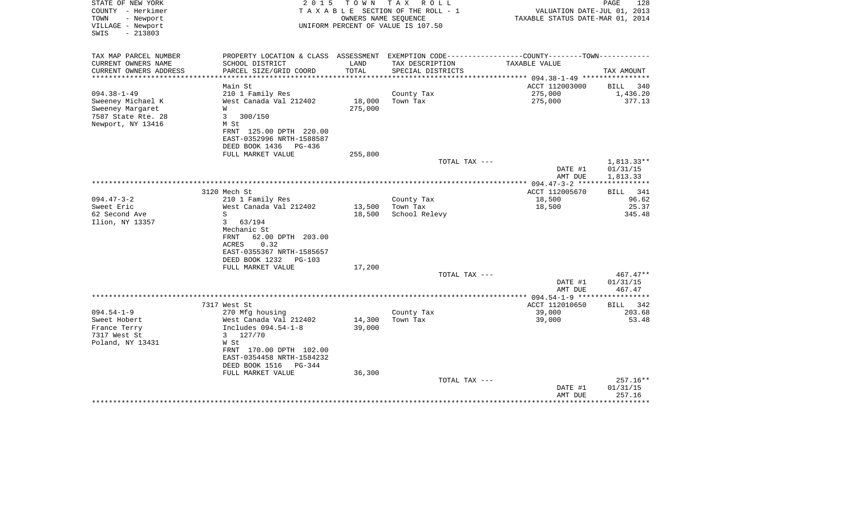| STATE OF NEW YORK<br>COUNTY - Herkimer<br>TOWN<br>- Newport<br>VILLAGE - Newport<br>$-213803$<br>SWIS | 2 0 1 5                                                                                      | T O W N       | T A X<br>R O L L<br>TAXABLE SECTION OF THE ROLL - 1<br>OWNERS NAME SEQUENCE<br>UNIFORM PERCENT OF VALUE IS 107.50 | VALUATION DATE-JUL 01, 2013<br>TAXABLE STATUS DATE-MAR 01, 2014 | PAGE<br>128             |
|-------------------------------------------------------------------------------------------------------|----------------------------------------------------------------------------------------------|---------------|-------------------------------------------------------------------------------------------------------------------|-----------------------------------------------------------------|-------------------------|
| TAX MAP PARCEL NUMBER                                                                                 | PROPERTY LOCATION & CLASS ASSESSMENT EXEMPTION CODE---------------COUNTY-------TOWN--------- |               |                                                                                                                   |                                                                 |                         |
| CURRENT OWNERS NAME<br>CURRENT OWNERS ADDRESS                                                         | SCHOOL DISTRICT<br>PARCEL SIZE/GRID COORD                                                    | LAND<br>TOTAL | TAX DESCRIPTION<br>SPECIAL DISTRICTS                                                                              | TAXABLE VALUE                                                   | TAX AMOUNT              |
| **********************                                                                                |                                                                                              |               |                                                                                                                   |                                                                 |                         |
|                                                                                                       | Main St                                                                                      |               |                                                                                                                   | ACCT 112003000                                                  | BILL<br>340             |
| $094.38 - 1 - 49$                                                                                     | 210 1 Family Res                                                                             |               | County Tax                                                                                                        | 275,000                                                         | 1,436.20                |
| Sweeney Michael K                                                                                     | West Canada Val 212402                                                                       | 18,000        | Town Tax                                                                                                          | 275,000                                                         | 377.13                  |
| Sweeney Margaret                                                                                      | W<br>3                                                                                       | 275,000       |                                                                                                                   |                                                                 |                         |
| 7587 State Rte. 28<br>Newport, NY 13416                                                               | 300/150<br>M St                                                                              |               |                                                                                                                   |                                                                 |                         |
|                                                                                                       | FRNT 125.00 DPTH 220.00                                                                      |               |                                                                                                                   |                                                                 |                         |
|                                                                                                       | EAST-0352996 NRTH-1588587                                                                    |               |                                                                                                                   |                                                                 |                         |
|                                                                                                       | DEED BOOK 1436<br>$PG-436$                                                                   |               |                                                                                                                   |                                                                 |                         |
|                                                                                                       | FULL MARKET VALUE                                                                            | 255,800       |                                                                                                                   |                                                                 |                         |
|                                                                                                       |                                                                                              |               | TOTAL TAX ---                                                                                                     |                                                                 | $1,813.33**$            |
|                                                                                                       |                                                                                              |               |                                                                                                                   | DATE #1                                                         | 01/31/15                |
|                                                                                                       |                                                                                              |               |                                                                                                                   | AMT DUE                                                         | 1,813.33<br>*********** |
|                                                                                                       | 3120 Mech St                                                                                 |               |                                                                                                                   | ACCT 112005670                                                  | 341<br>BILL             |
| $094.47 - 3 - 2$                                                                                      | 210 1 Family Res                                                                             |               | County Tax                                                                                                        | 18,500                                                          | 96.62                   |
| Sweet Eric                                                                                            | West Canada Val 212402                                                                       | 13,500        | Town Tax                                                                                                          | 18,500                                                          | 25.37                   |
| 62 Second Ave                                                                                         | S                                                                                            | 18,500        | School Relevy                                                                                                     |                                                                 | 345.48                  |
| Ilion, NY 13357                                                                                       | 63/194<br>3                                                                                  |               |                                                                                                                   |                                                                 |                         |
|                                                                                                       | Mechanic St                                                                                  |               |                                                                                                                   |                                                                 |                         |
|                                                                                                       | FRNT<br>62.00 DPTH 203.00                                                                    |               |                                                                                                                   |                                                                 |                         |
|                                                                                                       | 0.32<br>ACRES<br>EAST-0355367 NRTH-1585657                                                   |               |                                                                                                                   |                                                                 |                         |
|                                                                                                       | DEED BOOK 1232<br>$PG-103$                                                                   |               |                                                                                                                   |                                                                 |                         |
|                                                                                                       | FULL MARKET VALUE                                                                            | 17,200        |                                                                                                                   |                                                                 |                         |
|                                                                                                       |                                                                                              |               | TOTAL TAX ---                                                                                                     |                                                                 | $467.47**$              |
|                                                                                                       |                                                                                              |               |                                                                                                                   | DATE #1                                                         | 01/31/15                |
|                                                                                                       |                                                                                              |               |                                                                                                                   | AMT DUE                                                         | 467.47                  |
|                                                                                                       |                                                                                              |               |                                                                                                                   |                                                                 |                         |
| $094.54 - 1 - 9$                                                                                      | 7317 West St                                                                                 |               |                                                                                                                   | ACCT 112010650                                                  | BILL 342<br>203.68      |
| Sweet Hobert                                                                                          | 270 Mfg housing<br>West Canada Val 212402                                                    | 14,300        | County Tax<br>Town Tax                                                                                            | 39,000<br>39,000                                                | 53.48                   |
| France Terry                                                                                          | Includes 094.54-1-8                                                                          | 39,000        |                                                                                                                   |                                                                 |                         |
| 7317 West St                                                                                          | $\mathbf{3}$<br>127/70                                                                       |               |                                                                                                                   |                                                                 |                         |
| Poland, NY 13431                                                                                      | W St                                                                                         |               |                                                                                                                   |                                                                 |                         |
|                                                                                                       | FRNT 170.00 DPTH 102.00                                                                      |               |                                                                                                                   |                                                                 |                         |
|                                                                                                       | EAST-0354458 NRTH-1584232                                                                    |               |                                                                                                                   |                                                                 |                         |
|                                                                                                       | DEED BOOK 1516<br>PG-344                                                                     |               |                                                                                                                   |                                                                 |                         |
|                                                                                                       | FULL MARKET VALUE                                                                            | 36,300        |                                                                                                                   |                                                                 | $257.16**$              |
|                                                                                                       |                                                                                              |               | TOTAL TAX ---                                                                                                     | DATE #1                                                         | 01/31/15                |
|                                                                                                       |                                                                                              |               |                                                                                                                   | AMT DUE                                                         | 257.16                  |
|                                                                                                       |                                                                                              |               |                                                                                                                   | **********************************                              |                         |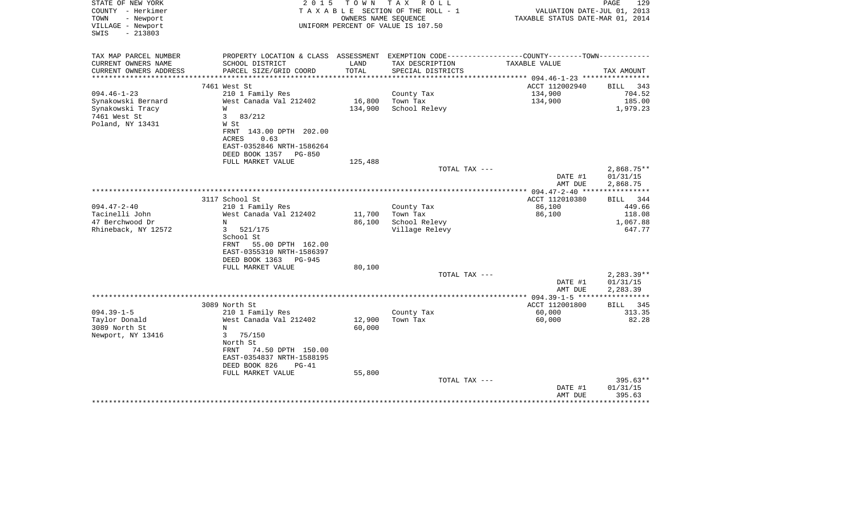| TAX MAP PARCEL NUMBER<br>PROPERTY LOCATION & CLASS ASSESSMENT EXEMPTION CODE---------------COUNTY-------TOWN----------<br>CURRENT OWNERS NAME<br>SCHOOL DISTRICT<br>LAND<br>TAX DESCRIPTION<br>TAXABLE VALUE<br>PARCEL SIZE/GRID COORD<br>CURRENT OWNERS ADDRESS<br>TOTAL<br>SPECIAL DISTRICTS<br>TAX AMOUNT<br>*******************<br>ACCT 112002940<br>7461 West St<br>BILL 343<br>$094.46 - 1 - 23$<br>134,900<br>210 1 Family Res<br>County Tax<br>704.52<br>16,800<br>134,900<br>Synakowski Bernard<br>West Canada Val 212402<br>Town Tax<br>185.00<br>134,900<br>School Relevy<br>1,979.23<br>Synakowski Tracy<br>W<br>7461 West St<br>383/212<br>Poland, NY 13431<br>W St<br>FRNT 143.00 DPTH 202.00<br>0.63<br>ACRES<br>EAST-0352846 NRTH-1586264<br>DEED BOOK 1357 PG-850<br>FULL MARKET VALUE<br>125,488<br>2,868.75**<br>TOTAL TAX ---<br>DATE #1<br>01/31/15<br>AMT DUE<br>2,868.75<br>3117 School St<br>ACCT 112010380<br>BILL 344<br>$094.47 - 2 - 40$<br>210 1 Family Res<br>County Tax<br>86,100<br>449.66<br>Tacinelli John<br>West Canada Val 212402<br>11,700<br>Town Tax<br>86,100<br>118.08<br>47 Berchwood Dr<br>86,100<br>School Relevy<br>1,067.88<br>N<br>Rhineback, NY 12572<br>$3^{\circ}$<br>521/175<br>Village Relevy<br>647.77<br>School St<br>FRNT<br>55.00 DPTH 162.00<br>EAST-0355310 NRTH-1586397<br>DEED BOOK 1363<br>PG-945<br>FULL MARKET VALUE<br>80,100<br>TOTAL TAX ---<br>$2,283.39**$<br>DATE #1<br>01/31/15<br>AMT DUE<br>2,283.39<br>ACCT 112001800<br>3089 North St<br>BILL 345<br>$094.39 - 1 - 5$<br>313.35<br>210 1 Family Res<br>County Tax<br>60,000<br>Taylor Donald<br>West Canada Val 212402<br>12,900<br>60,000<br>82.28<br>Town Tax<br>3089 North St<br>$_{\rm N}$<br>60,000<br>3<br>75/150<br>Newport, NY 13416<br>North St<br>FRNT<br>74.50 DPTH 150.00<br>EAST-0354837 NRTH-1588195<br>DEED BOOK 826<br>$PG-41$<br>55,800<br>FULL MARKET VALUE<br>$395.63**$<br>TOTAL TAX ---<br>01/31/15<br>DATE #1<br>395.63<br>AMT DUE | STATE OF NEW YORK<br>COUNTY - Herkimer<br>TOWN<br>- Newport<br>VILLAGE - Newport<br>$-213803$<br>SWIS | 2 0 1 5 | T O W N | T A X<br>R O L L<br>TAXABLE SECTION OF THE ROLL - 1<br>OWNERS NAME SEQUENCE<br>UNIFORM PERCENT OF VALUE IS 107.50 | VALUATION DATE-JUL 01, 2013<br>TAXABLE STATUS DATE-MAR 01, 2014 | PAGE<br>129 |
|-------------------------------------------------------------------------------------------------------------------------------------------------------------------------------------------------------------------------------------------------------------------------------------------------------------------------------------------------------------------------------------------------------------------------------------------------------------------------------------------------------------------------------------------------------------------------------------------------------------------------------------------------------------------------------------------------------------------------------------------------------------------------------------------------------------------------------------------------------------------------------------------------------------------------------------------------------------------------------------------------------------------------------------------------------------------------------------------------------------------------------------------------------------------------------------------------------------------------------------------------------------------------------------------------------------------------------------------------------------------------------------------------------------------------------------------------------------------------------------------------------------------------------------------------------------------------------------------------------------------------------------------------------------------------------------------------------------------------------------------------------------------------------------------------------------------------------------------------------------------------------------------------------------------------------------------------------------------------------------|-------------------------------------------------------------------------------------------------------|---------|---------|-------------------------------------------------------------------------------------------------------------------|-----------------------------------------------------------------|-------------|
|                                                                                                                                                                                                                                                                                                                                                                                                                                                                                                                                                                                                                                                                                                                                                                                                                                                                                                                                                                                                                                                                                                                                                                                                                                                                                                                                                                                                                                                                                                                                                                                                                                                                                                                                                                                                                                                                                                                                                                                     |                                                                                                       |         |         |                                                                                                                   |                                                                 |             |
|                                                                                                                                                                                                                                                                                                                                                                                                                                                                                                                                                                                                                                                                                                                                                                                                                                                                                                                                                                                                                                                                                                                                                                                                                                                                                                                                                                                                                                                                                                                                                                                                                                                                                                                                                                                                                                                                                                                                                                                     |                                                                                                       |         |         |                                                                                                                   |                                                                 |             |
|                                                                                                                                                                                                                                                                                                                                                                                                                                                                                                                                                                                                                                                                                                                                                                                                                                                                                                                                                                                                                                                                                                                                                                                                                                                                                                                                                                                                                                                                                                                                                                                                                                                                                                                                                                                                                                                                                                                                                                                     |                                                                                                       |         |         |                                                                                                                   |                                                                 |             |
|                                                                                                                                                                                                                                                                                                                                                                                                                                                                                                                                                                                                                                                                                                                                                                                                                                                                                                                                                                                                                                                                                                                                                                                                                                                                                                                                                                                                                                                                                                                                                                                                                                                                                                                                                                                                                                                                                                                                                                                     |                                                                                                       |         |         |                                                                                                                   |                                                                 |             |
|                                                                                                                                                                                                                                                                                                                                                                                                                                                                                                                                                                                                                                                                                                                                                                                                                                                                                                                                                                                                                                                                                                                                                                                                                                                                                                                                                                                                                                                                                                                                                                                                                                                                                                                                                                                                                                                                                                                                                                                     |                                                                                                       |         |         |                                                                                                                   |                                                                 |             |
|                                                                                                                                                                                                                                                                                                                                                                                                                                                                                                                                                                                                                                                                                                                                                                                                                                                                                                                                                                                                                                                                                                                                                                                                                                                                                                                                                                                                                                                                                                                                                                                                                                                                                                                                                                                                                                                                                                                                                                                     |                                                                                                       |         |         |                                                                                                                   |                                                                 |             |
|                                                                                                                                                                                                                                                                                                                                                                                                                                                                                                                                                                                                                                                                                                                                                                                                                                                                                                                                                                                                                                                                                                                                                                                                                                                                                                                                                                                                                                                                                                                                                                                                                                                                                                                                                                                                                                                                                                                                                                                     |                                                                                                       |         |         |                                                                                                                   |                                                                 |             |
|                                                                                                                                                                                                                                                                                                                                                                                                                                                                                                                                                                                                                                                                                                                                                                                                                                                                                                                                                                                                                                                                                                                                                                                                                                                                                                                                                                                                                                                                                                                                                                                                                                                                                                                                                                                                                                                                                                                                                                                     |                                                                                                       |         |         |                                                                                                                   |                                                                 |             |
|                                                                                                                                                                                                                                                                                                                                                                                                                                                                                                                                                                                                                                                                                                                                                                                                                                                                                                                                                                                                                                                                                                                                                                                                                                                                                                                                                                                                                                                                                                                                                                                                                                                                                                                                                                                                                                                                                                                                                                                     |                                                                                                       |         |         |                                                                                                                   |                                                                 |             |
|                                                                                                                                                                                                                                                                                                                                                                                                                                                                                                                                                                                                                                                                                                                                                                                                                                                                                                                                                                                                                                                                                                                                                                                                                                                                                                                                                                                                                                                                                                                                                                                                                                                                                                                                                                                                                                                                                                                                                                                     |                                                                                                       |         |         |                                                                                                                   |                                                                 |             |
|                                                                                                                                                                                                                                                                                                                                                                                                                                                                                                                                                                                                                                                                                                                                                                                                                                                                                                                                                                                                                                                                                                                                                                                                                                                                                                                                                                                                                                                                                                                                                                                                                                                                                                                                                                                                                                                                                                                                                                                     |                                                                                                       |         |         |                                                                                                                   |                                                                 |             |
|                                                                                                                                                                                                                                                                                                                                                                                                                                                                                                                                                                                                                                                                                                                                                                                                                                                                                                                                                                                                                                                                                                                                                                                                                                                                                                                                                                                                                                                                                                                                                                                                                                                                                                                                                                                                                                                                                                                                                                                     |                                                                                                       |         |         |                                                                                                                   |                                                                 |             |
|                                                                                                                                                                                                                                                                                                                                                                                                                                                                                                                                                                                                                                                                                                                                                                                                                                                                                                                                                                                                                                                                                                                                                                                                                                                                                                                                                                                                                                                                                                                                                                                                                                                                                                                                                                                                                                                                                                                                                                                     |                                                                                                       |         |         |                                                                                                                   |                                                                 |             |
|                                                                                                                                                                                                                                                                                                                                                                                                                                                                                                                                                                                                                                                                                                                                                                                                                                                                                                                                                                                                                                                                                                                                                                                                                                                                                                                                                                                                                                                                                                                                                                                                                                                                                                                                                                                                                                                                                                                                                                                     |                                                                                                       |         |         |                                                                                                                   |                                                                 |             |
|                                                                                                                                                                                                                                                                                                                                                                                                                                                                                                                                                                                                                                                                                                                                                                                                                                                                                                                                                                                                                                                                                                                                                                                                                                                                                                                                                                                                                                                                                                                                                                                                                                                                                                                                                                                                                                                                                                                                                                                     |                                                                                                       |         |         |                                                                                                                   |                                                                 |             |
|                                                                                                                                                                                                                                                                                                                                                                                                                                                                                                                                                                                                                                                                                                                                                                                                                                                                                                                                                                                                                                                                                                                                                                                                                                                                                                                                                                                                                                                                                                                                                                                                                                                                                                                                                                                                                                                                                                                                                                                     |                                                                                                       |         |         |                                                                                                                   |                                                                 |             |
|                                                                                                                                                                                                                                                                                                                                                                                                                                                                                                                                                                                                                                                                                                                                                                                                                                                                                                                                                                                                                                                                                                                                                                                                                                                                                                                                                                                                                                                                                                                                                                                                                                                                                                                                                                                                                                                                                                                                                                                     |                                                                                                       |         |         |                                                                                                                   |                                                                 |             |
|                                                                                                                                                                                                                                                                                                                                                                                                                                                                                                                                                                                                                                                                                                                                                                                                                                                                                                                                                                                                                                                                                                                                                                                                                                                                                                                                                                                                                                                                                                                                                                                                                                                                                                                                                                                                                                                                                                                                                                                     |                                                                                                       |         |         |                                                                                                                   |                                                                 |             |
|                                                                                                                                                                                                                                                                                                                                                                                                                                                                                                                                                                                                                                                                                                                                                                                                                                                                                                                                                                                                                                                                                                                                                                                                                                                                                                                                                                                                                                                                                                                                                                                                                                                                                                                                                                                                                                                                                                                                                                                     |                                                                                                       |         |         |                                                                                                                   |                                                                 |             |
|                                                                                                                                                                                                                                                                                                                                                                                                                                                                                                                                                                                                                                                                                                                                                                                                                                                                                                                                                                                                                                                                                                                                                                                                                                                                                                                                                                                                                                                                                                                                                                                                                                                                                                                                                                                                                                                                                                                                                                                     |                                                                                                       |         |         |                                                                                                                   |                                                                 |             |
|                                                                                                                                                                                                                                                                                                                                                                                                                                                                                                                                                                                                                                                                                                                                                                                                                                                                                                                                                                                                                                                                                                                                                                                                                                                                                                                                                                                                                                                                                                                                                                                                                                                                                                                                                                                                                                                                                                                                                                                     |                                                                                                       |         |         |                                                                                                                   |                                                                 |             |
|                                                                                                                                                                                                                                                                                                                                                                                                                                                                                                                                                                                                                                                                                                                                                                                                                                                                                                                                                                                                                                                                                                                                                                                                                                                                                                                                                                                                                                                                                                                                                                                                                                                                                                                                                                                                                                                                                                                                                                                     |                                                                                                       |         |         |                                                                                                                   |                                                                 |             |
|                                                                                                                                                                                                                                                                                                                                                                                                                                                                                                                                                                                                                                                                                                                                                                                                                                                                                                                                                                                                                                                                                                                                                                                                                                                                                                                                                                                                                                                                                                                                                                                                                                                                                                                                                                                                                                                                                                                                                                                     |                                                                                                       |         |         |                                                                                                                   |                                                                 |             |
|                                                                                                                                                                                                                                                                                                                                                                                                                                                                                                                                                                                                                                                                                                                                                                                                                                                                                                                                                                                                                                                                                                                                                                                                                                                                                                                                                                                                                                                                                                                                                                                                                                                                                                                                                                                                                                                                                                                                                                                     |                                                                                                       |         |         |                                                                                                                   |                                                                 |             |
|                                                                                                                                                                                                                                                                                                                                                                                                                                                                                                                                                                                                                                                                                                                                                                                                                                                                                                                                                                                                                                                                                                                                                                                                                                                                                                                                                                                                                                                                                                                                                                                                                                                                                                                                                                                                                                                                                                                                                                                     |                                                                                                       |         |         |                                                                                                                   |                                                                 |             |
|                                                                                                                                                                                                                                                                                                                                                                                                                                                                                                                                                                                                                                                                                                                                                                                                                                                                                                                                                                                                                                                                                                                                                                                                                                                                                                                                                                                                                                                                                                                                                                                                                                                                                                                                                                                                                                                                                                                                                                                     |                                                                                                       |         |         |                                                                                                                   |                                                                 |             |
|                                                                                                                                                                                                                                                                                                                                                                                                                                                                                                                                                                                                                                                                                                                                                                                                                                                                                                                                                                                                                                                                                                                                                                                                                                                                                                                                                                                                                                                                                                                                                                                                                                                                                                                                                                                                                                                                                                                                                                                     |                                                                                                       |         |         |                                                                                                                   |                                                                 |             |
|                                                                                                                                                                                                                                                                                                                                                                                                                                                                                                                                                                                                                                                                                                                                                                                                                                                                                                                                                                                                                                                                                                                                                                                                                                                                                                                                                                                                                                                                                                                                                                                                                                                                                                                                                                                                                                                                                                                                                                                     |                                                                                                       |         |         |                                                                                                                   |                                                                 |             |
|                                                                                                                                                                                                                                                                                                                                                                                                                                                                                                                                                                                                                                                                                                                                                                                                                                                                                                                                                                                                                                                                                                                                                                                                                                                                                                                                                                                                                                                                                                                                                                                                                                                                                                                                                                                                                                                                                                                                                                                     |                                                                                                       |         |         |                                                                                                                   |                                                                 |             |
|                                                                                                                                                                                                                                                                                                                                                                                                                                                                                                                                                                                                                                                                                                                                                                                                                                                                                                                                                                                                                                                                                                                                                                                                                                                                                                                                                                                                                                                                                                                                                                                                                                                                                                                                                                                                                                                                                                                                                                                     |                                                                                                       |         |         |                                                                                                                   |                                                                 |             |
|                                                                                                                                                                                                                                                                                                                                                                                                                                                                                                                                                                                                                                                                                                                                                                                                                                                                                                                                                                                                                                                                                                                                                                                                                                                                                                                                                                                                                                                                                                                                                                                                                                                                                                                                                                                                                                                                                                                                                                                     |                                                                                                       |         |         |                                                                                                                   |                                                                 |             |
|                                                                                                                                                                                                                                                                                                                                                                                                                                                                                                                                                                                                                                                                                                                                                                                                                                                                                                                                                                                                                                                                                                                                                                                                                                                                                                                                                                                                                                                                                                                                                                                                                                                                                                                                                                                                                                                                                                                                                                                     |                                                                                                       |         |         |                                                                                                                   |                                                                 |             |
|                                                                                                                                                                                                                                                                                                                                                                                                                                                                                                                                                                                                                                                                                                                                                                                                                                                                                                                                                                                                                                                                                                                                                                                                                                                                                                                                                                                                                                                                                                                                                                                                                                                                                                                                                                                                                                                                                                                                                                                     |                                                                                                       |         |         |                                                                                                                   |                                                                 |             |
|                                                                                                                                                                                                                                                                                                                                                                                                                                                                                                                                                                                                                                                                                                                                                                                                                                                                                                                                                                                                                                                                                                                                                                                                                                                                                                                                                                                                                                                                                                                                                                                                                                                                                                                                                                                                                                                                                                                                                                                     |                                                                                                       |         |         |                                                                                                                   |                                                                 |             |
|                                                                                                                                                                                                                                                                                                                                                                                                                                                                                                                                                                                                                                                                                                                                                                                                                                                                                                                                                                                                                                                                                                                                                                                                                                                                                                                                                                                                                                                                                                                                                                                                                                                                                                                                                                                                                                                                                                                                                                                     |                                                                                                       |         |         |                                                                                                                   |                                                                 |             |
|                                                                                                                                                                                                                                                                                                                                                                                                                                                                                                                                                                                                                                                                                                                                                                                                                                                                                                                                                                                                                                                                                                                                                                                                                                                                                                                                                                                                                                                                                                                                                                                                                                                                                                                                                                                                                                                                                                                                                                                     |                                                                                                       |         |         |                                                                                                                   |                                                                 |             |
|                                                                                                                                                                                                                                                                                                                                                                                                                                                                                                                                                                                                                                                                                                                                                                                                                                                                                                                                                                                                                                                                                                                                                                                                                                                                                                                                                                                                                                                                                                                                                                                                                                                                                                                                                                                                                                                                                                                                                                                     |                                                                                                       |         |         |                                                                                                                   |                                                                 |             |
|                                                                                                                                                                                                                                                                                                                                                                                                                                                                                                                                                                                                                                                                                                                                                                                                                                                                                                                                                                                                                                                                                                                                                                                                                                                                                                                                                                                                                                                                                                                                                                                                                                                                                                                                                                                                                                                                                                                                                                                     |                                                                                                       |         |         |                                                                                                                   |                                                                 |             |
|                                                                                                                                                                                                                                                                                                                                                                                                                                                                                                                                                                                                                                                                                                                                                                                                                                                                                                                                                                                                                                                                                                                                                                                                                                                                                                                                                                                                                                                                                                                                                                                                                                                                                                                                                                                                                                                                                                                                                                                     |                                                                                                       |         |         |                                                                                                                   |                                                                 |             |
|                                                                                                                                                                                                                                                                                                                                                                                                                                                                                                                                                                                                                                                                                                                                                                                                                                                                                                                                                                                                                                                                                                                                                                                                                                                                                                                                                                                                                                                                                                                                                                                                                                                                                                                                                                                                                                                                                                                                                                                     |                                                                                                       |         |         |                                                                                                                   |                                                                 |             |
|                                                                                                                                                                                                                                                                                                                                                                                                                                                                                                                                                                                                                                                                                                                                                                                                                                                                                                                                                                                                                                                                                                                                                                                                                                                                                                                                                                                                                                                                                                                                                                                                                                                                                                                                                                                                                                                                                                                                                                                     |                                                                                                       |         |         |                                                                                                                   |                                                                 |             |
|                                                                                                                                                                                                                                                                                                                                                                                                                                                                                                                                                                                                                                                                                                                                                                                                                                                                                                                                                                                                                                                                                                                                                                                                                                                                                                                                                                                                                                                                                                                                                                                                                                                                                                                                                                                                                                                                                                                                                                                     |                                                                                                       |         |         |                                                                                                                   |                                                                 |             |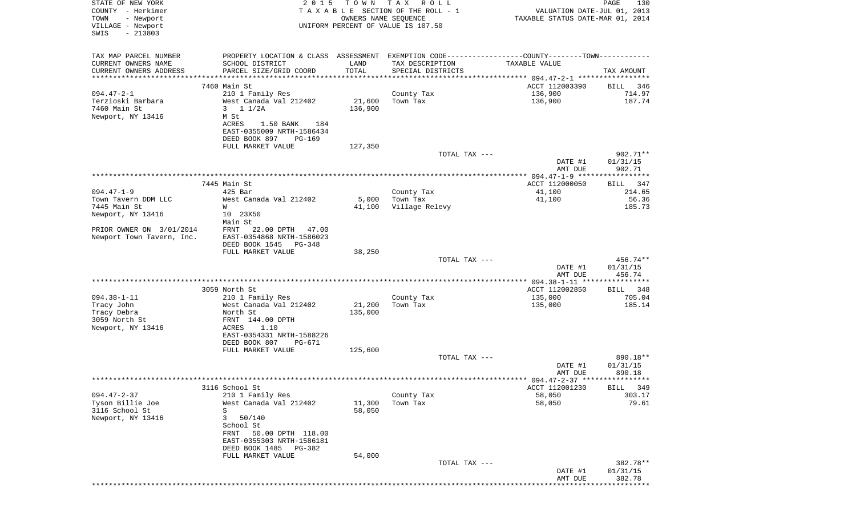| STATE OF NEW YORK                                 | 2 0 1 5                                      | T O W N | TAX ROLL                                                                                      |                                  | PAGE<br>130          |
|---------------------------------------------------|----------------------------------------------|---------|-----------------------------------------------------------------------------------------------|----------------------------------|----------------------|
| COUNTY - Herkimer                                 |                                              |         | TAXABLE SECTION OF THE ROLL - 1                                                               | VALUATION DATE-JUL 01, 2013      |                      |
| TOWN<br>- Newport<br>VILLAGE - Newport            |                                              |         | OWNERS NAME SEQUENCE<br>UNIFORM PERCENT OF VALUE IS 107.50                                    | TAXABLE STATUS DATE-MAR 01, 2014 |                      |
| $-213803$<br>SWIS                                 |                                              |         |                                                                                               |                                  |                      |
|                                                   |                                              |         |                                                                                               |                                  |                      |
|                                                   |                                              |         |                                                                                               |                                  |                      |
| TAX MAP PARCEL NUMBER                             |                                              |         | PROPERTY LOCATION & CLASS ASSESSMENT EXEMPTION CODE---------------COUNTY-------TOWN---------- |                                  |                      |
| CURRENT OWNERS NAME                               | SCHOOL DISTRICT                              | LAND    | TAX DESCRIPTION                                                                               | TAXABLE VALUE                    |                      |
| CURRENT OWNERS ADDRESS<br>*********************** | PARCEL SIZE/GRID COORD                       | TOTAL   | SPECIAL DISTRICTS                                                                             |                                  | TAX AMOUNT           |
|                                                   | 7460 Main St                                 |         |                                                                                               | ACCT 112003390                   | 346<br>BILL          |
| $094.47 - 2 - 1$                                  | 210 1 Family Res                             |         | County Tax                                                                                    | 136,900                          | 714.97               |
| Terzioski Barbara                                 | West Canada Val 212402                       | 21,600  | Town Tax                                                                                      | 136,900                          | 187.74               |
| 7460 Main St                                      | $3 \t11/2A$                                  | 136,900 |                                                                                               |                                  |                      |
| Newport, NY 13416                                 | M St                                         |         |                                                                                               |                                  |                      |
|                                                   | ACRES<br>1.50 BANK<br>184                    |         |                                                                                               |                                  |                      |
|                                                   | EAST-0355009 NRTH-1586434                    |         |                                                                                               |                                  |                      |
|                                                   | DEED BOOK 897<br>PG-169                      |         |                                                                                               |                                  |                      |
|                                                   | FULL MARKET VALUE                            | 127,350 |                                                                                               |                                  |                      |
|                                                   |                                              |         | TOTAL TAX ---                                                                                 |                                  | 902.71**             |
|                                                   |                                              |         |                                                                                               | DATE #1                          | 01/31/15             |
|                                                   |                                              |         |                                                                                               | AMT DUE                          | 902.71               |
|                                                   | 7445 Main St                                 |         |                                                                                               | ACCT 112000050                   | BILL 347             |
| $094.47 - 1 - 9$                                  | $425$ Bar                                    |         | County Tax                                                                                    | 41,100                           | 214.65               |
| Town Tavern DDM LLC                               | West Canada Val 212402                       | 5,000   | Town Tax                                                                                      | 41,100                           | 56.36                |
| 7445 Main St                                      | W                                            | 41,100  | Village Relevy                                                                                |                                  | 185.73               |
| Newport, NY 13416                                 | 10 23X50                                     |         |                                                                                               |                                  |                      |
|                                                   | Main St                                      |         |                                                                                               |                                  |                      |
| PRIOR OWNER ON 3/01/2014                          | FRNT<br>22.00 DPTH 47.00                     |         |                                                                                               |                                  |                      |
| Newport Town Tavern, Inc.                         | EAST-0354868 NRTH-1586023                    |         |                                                                                               |                                  |                      |
|                                                   | DEED BOOK 1545 PG-348                        |         |                                                                                               |                                  |                      |
|                                                   | FULL MARKET VALUE                            | 38,250  |                                                                                               |                                  |                      |
|                                                   |                                              |         | TOTAL TAX ---                                                                                 | DATE #1                          | 456.74**<br>01/31/15 |
|                                                   |                                              |         |                                                                                               | AMT DUE                          | 456.74               |
|                                                   |                                              |         |                                                                                               |                                  |                      |
|                                                   | 3059 North St                                |         |                                                                                               | ACCT 112002850                   | 348<br>BILL          |
| $094.38 - 1 - 11$                                 | 210 1 Family Res                             |         | County Tax                                                                                    | 135,000                          | 705.04               |
| Tracy John                                        | West Canada Val 212402                       | 21,200  | Town Tax                                                                                      | 135,000                          | 185.14               |
| Tracy Debra                                       | North St                                     | 135,000 |                                                                                               |                                  |                      |
| 3059 North St                                     | FRNT 144.00 DPTH                             |         |                                                                                               |                                  |                      |
| Newport, NY 13416                                 | ACRES<br>1.10                                |         |                                                                                               |                                  |                      |
|                                                   | EAST-0354331 NRTH-1588226                    |         |                                                                                               |                                  |                      |
|                                                   | DEED BOOK 807<br>PG-671<br>FULL MARKET VALUE | 125,600 |                                                                                               |                                  |                      |
|                                                   |                                              |         | TOTAL TAX ---                                                                                 |                                  | 890.18**             |
|                                                   |                                              |         |                                                                                               | DATE #1                          | 01/31/15             |
|                                                   |                                              |         |                                                                                               | AMT DUE                          | 890.18               |
|                                                   |                                              |         |                                                                                               |                                  |                      |
|                                                   | 3116 School St                               |         |                                                                                               | ACCT 112001230                   | 349<br>BILL          |
| $094.47 - 2 - 37$                                 | 210 1 Family Res                             |         | County Tax                                                                                    | 58,050                           | 303.17               |
| Tyson Billie Joe                                  | West Canada Val 212402                       | 11,300  | Town Tax                                                                                      | 58,050                           | 79.61                |
| 3116 School St                                    | S                                            | 58,050  |                                                                                               |                                  |                      |
| Newport, NY 13416                                 | 3<br>50/140                                  |         |                                                                                               |                                  |                      |
|                                                   | School St<br>FRNT<br>50.00 DPTH 118.00       |         |                                                                                               |                                  |                      |
|                                                   | EAST-0355303 NRTH-1586181                    |         |                                                                                               |                                  |                      |
|                                                   | DEED BOOK 1485<br>PG-382                     |         |                                                                                               |                                  |                      |
|                                                   | FULL MARKET VALUE                            | 54,000  |                                                                                               |                                  |                      |
|                                                   |                                              |         | TOTAL TAX ---                                                                                 |                                  | 382.78**             |
|                                                   |                                              |         |                                                                                               | DATE #1                          | 01/31/15             |
|                                                   |                                              |         |                                                                                               | AMT DUE                          | 382.78               |
|                                                   |                                              |         |                                                                                               |                                  |                      |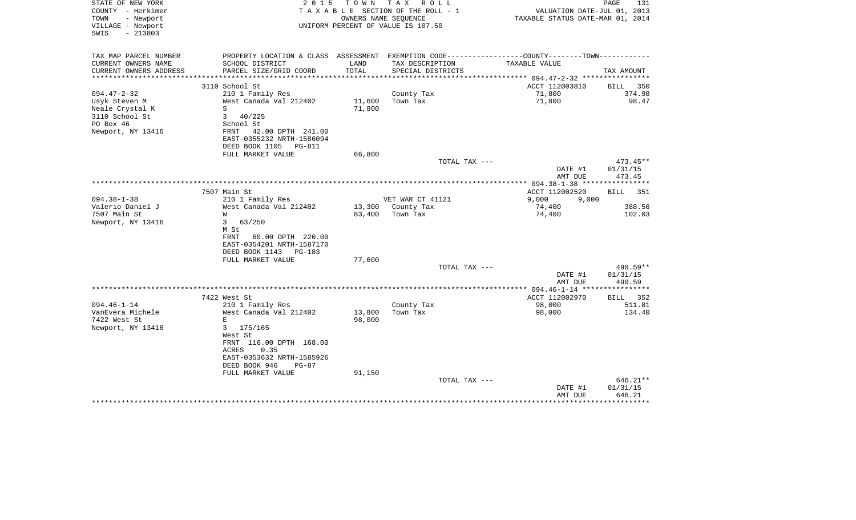| STATE OF NEW YORK<br>COUNTY - Herkimer<br>TOWN<br>- Newport<br>VILLAGE - Newport<br>$-213803$<br>SWIS | 2 0 1 5                                                | T O W N       | TAX ROLL<br>TAXABLE SECTION OF THE ROLL - 1<br>OWNERS NAME SEQUENCE<br>UNIFORM PERCENT OF VALUE IS 107.50 | VALUATION DATE-JUL 01, 2013<br>TAXABLE STATUS DATE-MAR 01, 2014                                | PAGE<br>131                  |
|-------------------------------------------------------------------------------------------------------|--------------------------------------------------------|---------------|-----------------------------------------------------------------------------------------------------------|------------------------------------------------------------------------------------------------|------------------------------|
| TAX MAP PARCEL NUMBER                                                                                 |                                                        |               |                                                                                                           | PROPERTY LOCATION & CLASS ASSESSMENT EXEMPTION CODE----------------COUNTY-------TOWN---------- |                              |
| CURRENT OWNERS NAME<br>CURRENT OWNERS ADDRESS                                                         | SCHOOL DISTRICT<br>PARCEL SIZE/GRID COORD              | LAND<br>TOTAL | TAX DESCRIPTION<br>SPECIAL DISTRICTS                                                                      | TAXABLE VALUE                                                                                  | TAX AMOUNT                   |
| **********************                                                                                |                                                        |               |                                                                                                           |                                                                                                |                              |
|                                                                                                       | 3110 School St                                         |               |                                                                                                           | ACCT 112003810                                                                                 | <b>BILL</b><br>350           |
| $094.47 - 2 - 32$                                                                                     | 210 1 Family Res                                       |               | County Tax                                                                                                | 71,800                                                                                         | 374.98                       |
| Usyk Steven M                                                                                         | West Canada Val 212402                                 | 11,600        | Town Tax                                                                                                  | 71,800                                                                                         | 98.47                        |
| Neale Crystal K<br>3110 School St                                                                     | S<br>$\mathbf{3}$<br>40/225                            | 71,800        |                                                                                                           |                                                                                                |                              |
| PO Box 46                                                                                             | School St                                              |               |                                                                                                           |                                                                                                |                              |
| Newport, NY 13416                                                                                     | FRNT 42.00 DPTH 241.00                                 |               |                                                                                                           |                                                                                                |                              |
|                                                                                                       | EAST-0355232 NRTH-1586094                              |               |                                                                                                           |                                                                                                |                              |
|                                                                                                       | DEED BOOK 1105<br><b>PG-811</b>                        |               |                                                                                                           |                                                                                                |                              |
|                                                                                                       | FULL MARKET VALUE                                      | 66,800        |                                                                                                           |                                                                                                |                              |
|                                                                                                       |                                                        |               | TOTAL TAX ---                                                                                             |                                                                                                | $473.45**$                   |
|                                                                                                       |                                                        |               |                                                                                                           | DATE #1<br>AMT DUE                                                                             | 01/31/15<br>473.45           |
|                                                                                                       |                                                        |               |                                                                                                           |                                                                                                |                              |
|                                                                                                       | 7507 Main St                                           |               |                                                                                                           | ACCT 112002520                                                                                 | <b>BILL</b><br>351           |
| $094.38 - 1 - 38$                                                                                     | 210 1 Family Res                                       |               | VET WAR CT 41121                                                                                          | 9,000<br>9.000                                                                                 |                              |
| Valerio Daniel J                                                                                      | West Canada Val 212402                                 |               | 13,300 County Tax                                                                                         | 74,400                                                                                         | 388.56                       |
| 7507 Main St                                                                                          | W                                                      | 83,400        | Town Tax                                                                                                  | 74,400                                                                                         | 102.03                       |
| Newport, NY 13416                                                                                     | 63/250<br>3                                            |               |                                                                                                           |                                                                                                |                              |
|                                                                                                       | M St                                                   |               |                                                                                                           |                                                                                                |                              |
|                                                                                                       | FRNT<br>60.00 DPTH 220.00<br>EAST-0354201 NRTH-1587170 |               |                                                                                                           |                                                                                                |                              |
|                                                                                                       | DEED BOOK 1143 PG-183                                  |               |                                                                                                           |                                                                                                |                              |
|                                                                                                       | FULL MARKET VALUE                                      | 77,600        |                                                                                                           |                                                                                                |                              |
|                                                                                                       |                                                        |               | TOTAL TAX ---                                                                                             |                                                                                                | 490.59**                     |
|                                                                                                       |                                                        |               |                                                                                                           | DATE #1                                                                                        | 01/31/15                     |
|                                                                                                       |                                                        |               |                                                                                                           | AMT DUE                                                                                        | 490.59                       |
|                                                                                                       |                                                        |               |                                                                                                           |                                                                                                |                              |
| $094.46 - 1 - 14$                                                                                     | 7422 West St<br>210 1 Family Res                       |               | County Tax                                                                                                | ACCT 112002970<br>98,000                                                                       | <b>BILL</b><br>352<br>511.81 |
| VanEvera Michele                                                                                      | West Canada Val 212402                                 | 13,800        | Town Tax                                                                                                  | 98,000                                                                                         | 134.40                       |
| 7422 West St                                                                                          | $\mathbf E$                                            | 98,000        |                                                                                                           |                                                                                                |                              |
| Newport, NY 13416                                                                                     | $3\frac{175}{165}$                                     |               |                                                                                                           |                                                                                                |                              |
|                                                                                                       | West St                                                |               |                                                                                                           |                                                                                                |                              |
|                                                                                                       | FRNT 116.00 DPTH 168.00                                |               |                                                                                                           |                                                                                                |                              |
|                                                                                                       | 0.35<br>ACRES                                          |               |                                                                                                           |                                                                                                |                              |
|                                                                                                       | EAST-0353632 NRTH-1585926<br>DEED BOOK 946<br>PG-87    |               |                                                                                                           |                                                                                                |                              |
|                                                                                                       | FULL MARKET VALUE                                      | 91,150        |                                                                                                           |                                                                                                |                              |
|                                                                                                       |                                                        |               | TOTAL TAX ---                                                                                             |                                                                                                | 646.21**                     |
|                                                                                                       |                                                        |               |                                                                                                           | DATE #1                                                                                        | 01/31/15                     |
|                                                                                                       |                                                        |               |                                                                                                           | AMT DUE                                                                                        | 646.21                       |
|                                                                                                       |                                                        |               |                                                                                                           |                                                                                                | ***********                  |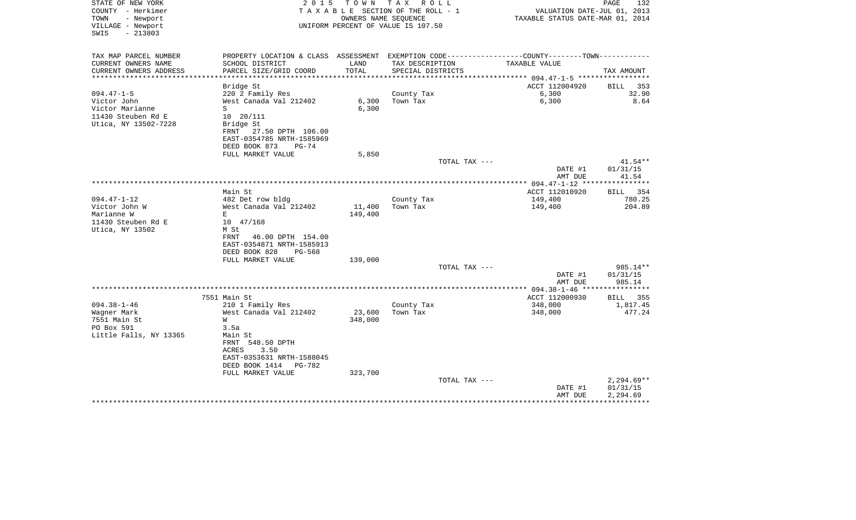| STATE OF NEW YORK<br>COUNTY - Herkimer<br>TOWN<br>- Newport<br>VILLAGE - Newport<br>$-213803$<br>SWIS | 2 0 1 5                                                          | T O W N       | TAX ROLL<br>TAXABLE SECTION OF THE ROLL - 1<br>OWNERS NAME SEQUENCE<br>UNIFORM PERCENT OF VALUE IS 107.50 | VALUATION DATE-JUL 01, 2013<br>TAXABLE STATUS DATE-MAR 01, 2014                                | PAGE<br>132              |
|-------------------------------------------------------------------------------------------------------|------------------------------------------------------------------|---------------|-----------------------------------------------------------------------------------------------------------|------------------------------------------------------------------------------------------------|--------------------------|
| TAX MAP PARCEL NUMBER                                                                                 |                                                                  |               |                                                                                                           | PROPERTY LOCATION & CLASS ASSESSMENT EXEMPTION CODE----------------COUNTY-------TOWN---------- |                          |
| CURRENT OWNERS NAME<br>CURRENT OWNERS ADDRESS                                                         | SCHOOL DISTRICT<br>PARCEL SIZE/GRID COORD                        | LAND<br>TOTAL | TAX DESCRIPTION<br>SPECIAL DISTRICTS                                                                      | TAXABLE VALUE                                                                                  | TAX AMOUNT               |
| **********************                                                                                |                                                                  |               |                                                                                                           |                                                                                                |                          |
|                                                                                                       | Bridge St                                                        |               |                                                                                                           | ACCT 112004920                                                                                 | <b>BILL</b><br>353       |
| $094.47 - 1 - 5$                                                                                      | 220 2 Family Res                                                 |               | County Tax                                                                                                | 6,300                                                                                          | 32.90                    |
| Victor John                                                                                           | West Canada Val 212402                                           | 6,300         | Town Tax                                                                                                  | 6,300                                                                                          | 8.64                     |
| Victor Marianne<br>11430 Steuben Rd E                                                                 | S<br>$10 \t 20/111$                                              | 6,300         |                                                                                                           |                                                                                                |                          |
| Utica, NY 13502-7228                                                                                  | Bridge St<br>FRNT 27.50 DPTH 106.00<br>EAST-0354785 NRTH-1585969 |               |                                                                                                           |                                                                                                |                          |
|                                                                                                       | DEED BOOK 873<br>$PG-74$<br>FULL MARKET VALUE                    | 5,850         |                                                                                                           |                                                                                                |                          |
|                                                                                                       |                                                                  |               | TOTAL TAX ---                                                                                             |                                                                                                | $41.54**$                |
|                                                                                                       |                                                                  |               |                                                                                                           | DATE #1<br>AMT DUE                                                                             | 01/31/15<br>41.54        |
|                                                                                                       |                                                                  |               |                                                                                                           |                                                                                                |                          |
| $094.47 - 1 - 12$                                                                                     | Main St<br>482 Det row bldg                                      |               | County Tax                                                                                                | ACCT 112010920<br>149,400                                                                      | BILL 354<br>780.25       |
| Victor John W                                                                                         | West Canada Val 212402                                           | 11,400        | Town Tax                                                                                                  | 149,400                                                                                        | 204.89                   |
| Marianne W                                                                                            | E                                                                | 149,400       |                                                                                                           |                                                                                                |                          |
| 11430 Steuben Rd E                                                                                    | 10 47/168                                                        |               |                                                                                                           |                                                                                                |                          |
| Utica, NY 13502                                                                                       | M St                                                             |               |                                                                                                           |                                                                                                |                          |
|                                                                                                       | FRNT<br>46.00 DPTH 154.00                                        |               |                                                                                                           |                                                                                                |                          |
|                                                                                                       | EAST-0354871 NRTH-1585913                                        |               |                                                                                                           |                                                                                                |                          |
|                                                                                                       | DEED BOOK 828<br>PG-568                                          |               |                                                                                                           |                                                                                                |                          |
|                                                                                                       | FULL MARKET VALUE                                                | 139,000       | TOTAL TAX ---                                                                                             |                                                                                                | 985.14**                 |
|                                                                                                       |                                                                  |               |                                                                                                           | DATE #1                                                                                        | 01/31/15                 |
|                                                                                                       |                                                                  |               |                                                                                                           | AMT DUE                                                                                        | 985.14                   |
|                                                                                                       | *********                                                        |               |                                                                                                           | $*$ 094.38-1-46 $**$                                                                           | **********               |
|                                                                                                       | 7551 Main St                                                     |               |                                                                                                           | ACCT 112000930                                                                                 | BILL 355                 |
| $094.38 - 1 - 46$                                                                                     | 210 1 Family Res                                                 |               | County Tax                                                                                                | 348,000                                                                                        | 1,817.45                 |
| Wagner Mark                                                                                           | West Canada Val 212402                                           | 23,600        | Town Tax                                                                                                  | 348,000                                                                                        | 477.24                   |
| 7551 Main St<br>PO Box 591                                                                            | W<br>3.5a                                                        | 348,000       |                                                                                                           |                                                                                                |                          |
| Little Falls, NY 13365                                                                                | Main St                                                          |               |                                                                                                           |                                                                                                |                          |
|                                                                                                       | FRNT 548.50 DPTH                                                 |               |                                                                                                           |                                                                                                |                          |
|                                                                                                       | 3.50<br><b>ACRES</b>                                             |               |                                                                                                           |                                                                                                |                          |
|                                                                                                       | EAST-0353631 NRTH-1588045                                        |               |                                                                                                           |                                                                                                |                          |
|                                                                                                       | DEED BOOK 1414<br>PG-782                                         |               |                                                                                                           |                                                                                                |                          |
|                                                                                                       | FULL MARKET VALUE                                                | 323,700       |                                                                                                           |                                                                                                |                          |
|                                                                                                       |                                                                  |               | TOTAL TAX ---                                                                                             | DATE #1                                                                                        | $2,294.69**$<br>01/31/15 |
|                                                                                                       |                                                                  |               |                                                                                                           | AMT DUE                                                                                        | 2,294.69                 |
|                                                                                                       |                                                                  |               |                                                                                                           |                                                                                                |                          |
|                                                                                                       |                                                                  |               |                                                                                                           |                                                                                                |                          |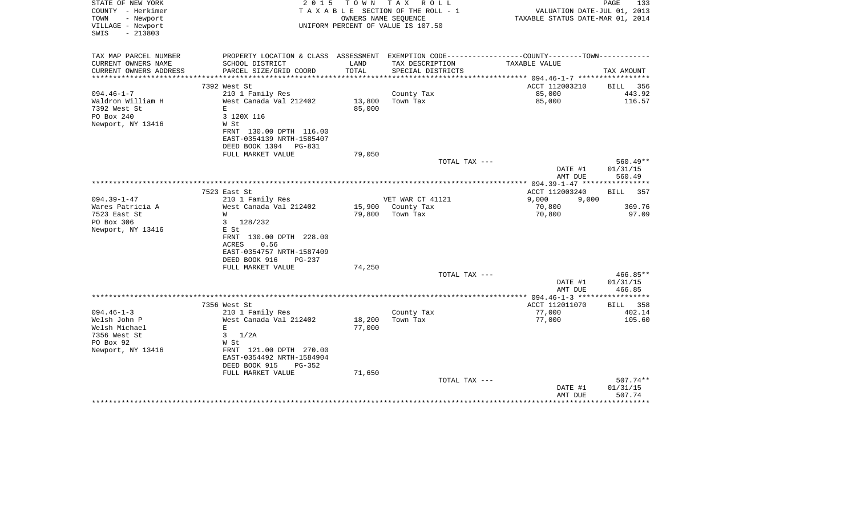| STATE OF NEW YORK<br>COUNTY - Herkimer<br>TOWN<br>- Newport<br>VILLAGE - Newport<br>$-213803$<br>SWIS | 2 0 1 5                                              | T O W N | TAX ROLL<br>TAXABLE SECTION OF THE ROLL - 1<br>OWNERS NAME SEQUENCE<br>UNIFORM PERCENT OF VALUE IS 107.50 | VALUATION DATE-JUL 01, 2013<br>TAXABLE STATUS DATE-MAR 01, 2014                               | PAGE<br>133        |
|-------------------------------------------------------------------------------------------------------|------------------------------------------------------|---------|-----------------------------------------------------------------------------------------------------------|-----------------------------------------------------------------------------------------------|--------------------|
| TAX MAP PARCEL NUMBER                                                                                 |                                                      |         |                                                                                                           | PROPERTY LOCATION & CLASS ASSESSMENT EXEMPTION CODE---------------COUNTY-------TOWN---------- |                    |
| CURRENT OWNERS NAME                                                                                   | SCHOOL DISTRICT                                      | LAND    | TAX DESCRIPTION                                                                                           | TAXABLE VALUE                                                                                 |                    |
| CURRENT OWNERS ADDRESS<br>*********************                                                       | PARCEL SIZE/GRID COORD                               | TOTAL   | SPECIAL DISTRICTS                                                                                         |                                                                                               | TAX AMOUNT         |
|                                                                                                       | 7392 West St                                         |         |                                                                                                           | ACCT 112003210                                                                                | BILL 356           |
| $094.46 - 1 - 7$                                                                                      | 210 1 Family Res                                     |         | County Tax                                                                                                | 85,000                                                                                        | 443.92             |
| Waldron William H                                                                                     | West Canada Val 212402                               | 13,800  | Town Tax                                                                                                  | 85,000                                                                                        | 116.57             |
| 7392 West St                                                                                          | Е                                                    | 85,000  |                                                                                                           |                                                                                               |                    |
| PO Box 240                                                                                            | 3 120X 116                                           |         |                                                                                                           |                                                                                               |                    |
| Newport, NY 13416                                                                                     | W St                                                 |         |                                                                                                           |                                                                                               |                    |
|                                                                                                       | FRNT 130.00 DPTH 116.00<br>EAST-0354139 NRTH-1585407 |         |                                                                                                           |                                                                                               |                    |
|                                                                                                       | DEED BOOK 1394 PG-831                                |         |                                                                                                           |                                                                                               |                    |
|                                                                                                       | FULL MARKET VALUE                                    | 79,050  |                                                                                                           |                                                                                               |                    |
|                                                                                                       |                                                      |         | TOTAL TAX ---                                                                                             |                                                                                               | 560.49**           |
|                                                                                                       |                                                      |         |                                                                                                           | DATE #1                                                                                       | 01/31/15           |
|                                                                                                       |                                                      |         |                                                                                                           | AMT DUE<br>************** 094.39-1-47 *****************                                       | 560.49             |
|                                                                                                       | 7523 East St                                         |         |                                                                                                           | ACCT 112003240                                                                                | BILL 357           |
| $094.39 - 1 - 47$                                                                                     | 210 1 Family Res                                     |         | VET WAR CT 41121                                                                                          | 9,000<br>9,000                                                                                |                    |
| Wares Patricia A                                                                                      | West Canada Val 212402                               |         | 15,900 County Tax                                                                                         | 70,800                                                                                        | 369.76             |
| 7523 East St                                                                                          | W                                                    | 79,800  | Town Tax                                                                                                  | 70,800                                                                                        | 97.09              |
| PO Box 306                                                                                            | $3\quad 128/232$                                     |         |                                                                                                           |                                                                                               |                    |
| Newport, NY 13416                                                                                     | E St                                                 |         |                                                                                                           |                                                                                               |                    |
|                                                                                                       | FRNT 130.00 DPTH 228.00<br><b>ACRES</b><br>0.56      |         |                                                                                                           |                                                                                               |                    |
|                                                                                                       | EAST-0354757 NRTH-1587409                            |         |                                                                                                           |                                                                                               |                    |
|                                                                                                       | DEED BOOK 916<br>PG-237                              |         |                                                                                                           |                                                                                               |                    |
|                                                                                                       | FULL MARKET VALUE                                    | 74,250  |                                                                                                           |                                                                                               |                    |
|                                                                                                       |                                                      |         | TOTAL TAX ---                                                                                             |                                                                                               | 466.85**           |
|                                                                                                       |                                                      |         |                                                                                                           | DATE #1<br>AMT DUE                                                                            | 01/31/15<br>466.85 |
|                                                                                                       |                                                      |         |                                                                                                           |                                                                                               |                    |
|                                                                                                       | 7356 West St                                         |         |                                                                                                           | ACCT 112011070                                                                                | BILL 358           |
| $094.46 - 1 - 3$                                                                                      | 210 1 Family Res                                     |         | County Tax                                                                                                | 77,000                                                                                        | 402.14             |
| Welsh John P                                                                                          | West Canada Val 212402                               | 18,200  | Town Tax                                                                                                  | 77,000                                                                                        | 105.60             |
| Welsh Michael                                                                                         | E                                                    | 77,000  |                                                                                                           |                                                                                               |                    |
| 7356 West St<br>PO Box 92                                                                             | $\mathbf{3}$<br>1/2A                                 |         |                                                                                                           |                                                                                               |                    |
| Newport, NY 13416                                                                                     | W St<br>FRNT 121.00 DPTH 270.00                      |         |                                                                                                           |                                                                                               |                    |
|                                                                                                       | EAST-0354492 NRTH-1584904                            |         |                                                                                                           |                                                                                               |                    |
|                                                                                                       | DEED BOOK 915<br>PG-352                              |         |                                                                                                           |                                                                                               |                    |
|                                                                                                       | FULL MARKET VALUE                                    | 71,650  |                                                                                                           |                                                                                               |                    |
|                                                                                                       |                                                      |         | TOTAL TAX ---                                                                                             |                                                                                               | $507.74**$         |
|                                                                                                       |                                                      |         |                                                                                                           | DATE #1                                                                                       | 01/31/15<br>507.74 |
|                                                                                                       |                                                      |         |                                                                                                           | AMT DUE                                                                                       |                    |
|                                                                                                       |                                                      |         |                                                                                                           |                                                                                               |                    |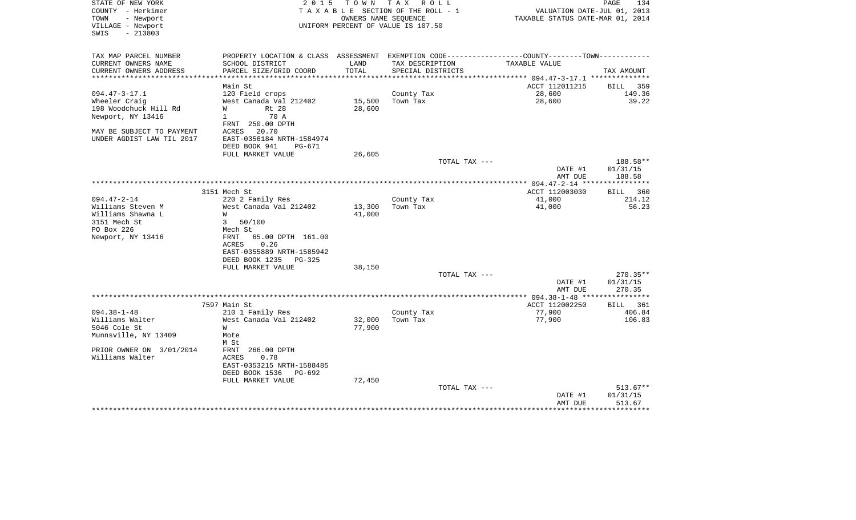| STATE OF NEW YORK         | 2 0 1 5                        | TOWN TAX | R O L L                            |                                                                                               | $\mathop{\mathrm{PAGE}}$<br>134 |
|---------------------------|--------------------------------|----------|------------------------------------|-----------------------------------------------------------------------------------------------|---------------------------------|
| COUNTY - Herkimer         |                                |          | TAXABLE SECTION OF THE ROLL - 1    | VALUATION DATE-JUL 01, 2013                                                                   |                                 |
| TOWN<br>- Newport         |                                |          | OWNERS NAME SEQUENCE               | TAXABLE STATUS DATE-MAR 01, 2014                                                              |                                 |
| VILLAGE - Newport         |                                |          | UNIFORM PERCENT OF VALUE IS 107.50 |                                                                                               |                                 |
| $-213803$<br>SWIS         |                                |          |                                    |                                                                                               |                                 |
|                           |                                |          |                                    |                                                                                               |                                 |
| TAX MAP PARCEL NUMBER     |                                |          |                                    | PROPERTY LOCATION & CLASS ASSESSMENT EXEMPTION CODE---------------COUNTY-------TOWN---------- |                                 |
| CURRENT OWNERS NAME       | SCHOOL DISTRICT                | LAND     | TAX DESCRIPTION                    | TAXABLE VALUE                                                                                 |                                 |
| CURRENT OWNERS ADDRESS    | PARCEL SIZE/GRID COORD         | TOTAL    | SPECIAL DISTRICTS                  |                                                                                               | TAX AMOUNT                      |
| ************************  |                                |          |                                    |                                                                                               |                                 |
|                           | Main St                        |          |                                    | ACCT 112011215                                                                                | BILL<br>359                     |
| $094.47 - 3 - 17.1$       | 120 Field crops                |          | County Tax                         | 28,600                                                                                        | 149.36                          |
| Wheeler Craig             | West Canada Val 212402         | 15,500   | Town Tax                           | 28,600                                                                                        | 39.22                           |
| 198 Woodchuck Hill Rd     | W<br>Rt 28                     | 28,600   |                                    |                                                                                               |                                 |
| Newport, NY 13416         | $\mathbf{1}$<br>70 A           |          |                                    |                                                                                               |                                 |
|                           | FRNT 250.00 DPTH               |          |                                    |                                                                                               |                                 |
| MAY BE SUBJECT TO PAYMENT | ACRES<br>20.70                 |          |                                    |                                                                                               |                                 |
| UNDER AGDIST LAW TIL 2017 | EAST-0356184 NRTH-1584974      |          |                                    |                                                                                               |                                 |
|                           | DEED BOOK 941<br><b>PG-671</b> |          |                                    |                                                                                               |                                 |
|                           | FULL MARKET VALUE              | 26,605   |                                    |                                                                                               |                                 |
|                           |                                |          | TOTAL TAX ---                      |                                                                                               | 188.58**                        |
|                           |                                |          |                                    | DATE #1                                                                                       | 01/31/15                        |
|                           |                                |          |                                    | AMT DUE                                                                                       | 188.58                          |
|                           |                                |          |                                    | ********** 094.47-2-14 ****                                                                   | * * * * * * * * * * * *         |
|                           | 3151 Mech St                   |          |                                    | ACCT 112003030                                                                                | <b>BILL</b><br>360              |
| $094.47 - 2 - 14$         | 220 2 Family Res               |          | County Tax                         | 41,000                                                                                        | 214.12                          |
| Williams Steven M         | West Canada Val 212402         | 13,300   | Town Tax                           | 41,000                                                                                        | 56.23                           |
| Williams Shawna L         | W                              | 41,000   |                                    |                                                                                               |                                 |
| 3151 Mech St              | $\mathbf{3}$<br>50/100         |          |                                    |                                                                                               |                                 |
| PO Box 226                | Mech St                        |          |                                    |                                                                                               |                                 |
| Newport, NY 13416         | FRNT<br>65.00 DPTH 161.00      |          |                                    |                                                                                               |                                 |
|                           | 0.26<br>ACRES                  |          |                                    |                                                                                               |                                 |
|                           | EAST-0355889 NRTH-1585942      |          |                                    |                                                                                               |                                 |
|                           | DEED BOOK 1235<br>$PG-325$     |          |                                    |                                                                                               |                                 |
|                           | FULL MARKET VALUE              | 38,150   |                                    |                                                                                               |                                 |
|                           |                                |          | TOTAL TAX ---                      |                                                                                               | $270.35**$                      |
|                           |                                |          |                                    | DATE #1                                                                                       | 01/31/15                        |
|                           |                                |          |                                    | AMT DUE                                                                                       | 270.35                          |
|                           |                                |          |                                    |                                                                                               | ***********                     |
|                           | 7597 Main St                   |          |                                    | ACCT 112002250                                                                                | BILL 361                        |
| $094.38 - 1 - 48$         | 210 1 Family Res               |          | County Tax                         | 77,900                                                                                        | 406.84                          |
| Williams Walter           | West Canada Val 212402         | 32,000   | Town Tax                           | 77,900                                                                                        | 106.83                          |
| 5046 Cole St              | W                              | 77,900   |                                    |                                                                                               |                                 |
| Munnsville, NY 13409      | Mote                           |          |                                    |                                                                                               |                                 |
|                           | M St                           |          |                                    |                                                                                               |                                 |
| PRIOR OWNER ON 3/01/2014  | FRNT<br>266.00 DPTH            |          |                                    |                                                                                               |                                 |
| Williams Walter           | 0.78<br>ACRES                  |          |                                    |                                                                                               |                                 |
|                           | EAST-0353215 NRTH-1588485      |          |                                    |                                                                                               |                                 |
|                           | DEED BOOK 1536<br>$PG-692$     |          |                                    |                                                                                               |                                 |
|                           | FULL MARKET VALUE              | 72,450   |                                    |                                                                                               |                                 |
|                           |                                |          | TOTAL TAX ---                      |                                                                                               | 513.67**                        |
|                           |                                |          |                                    | DATE #1                                                                                       | 01/31/15                        |
|                           |                                |          |                                    | AMT DUE                                                                                       | 513.67                          |
|                           |                                |          |                                    |                                                                                               |                                 |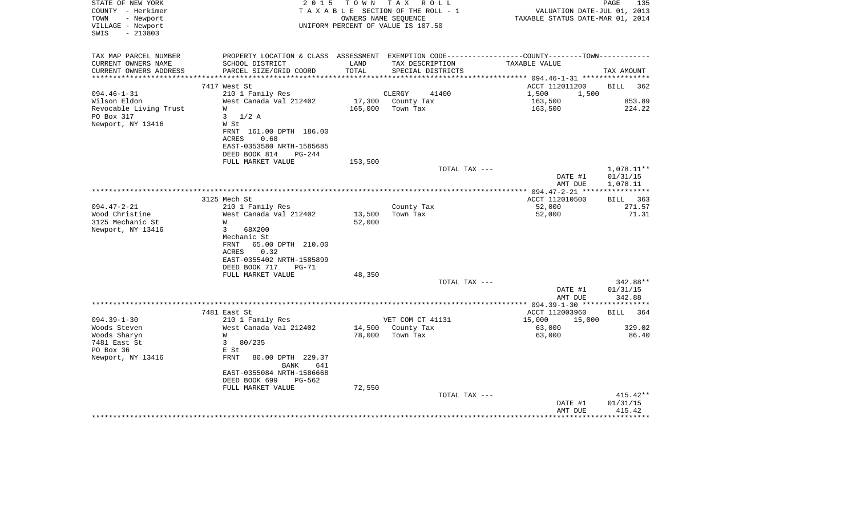| STATE OF NEW YORK<br>COUNTY - Herkimer<br>TOWN<br>- Newport<br>VILLAGE - Newport<br>$-213803$<br>SWIS | 2 0 1 5                                                | T O W N       | TAX ROLL<br>TAXABLE SECTION OF THE ROLL - 1<br>OWNERS NAME SEQUENCE<br>UNIFORM PERCENT OF VALUE IS 107.50                               | VALUATION DATE-JUL 01, 2013<br>TAXABLE STATUS DATE-MAR 01, 2014 | PAGE<br>135        |
|-------------------------------------------------------------------------------------------------------|--------------------------------------------------------|---------------|-----------------------------------------------------------------------------------------------------------------------------------------|-----------------------------------------------------------------|--------------------|
| TAX MAP PARCEL NUMBER<br>CURRENT OWNERS NAME<br>CURRENT OWNERS ADDRESS                                | SCHOOL DISTRICT<br>PARCEL SIZE/GRID COORD              | LAND<br>TOTAL | PROPERTY LOCATION & CLASS ASSESSMENT EXEMPTION CODE----------------COUNTY--------TOWN----------<br>TAX DESCRIPTION<br>SPECIAL DISTRICTS | TAXABLE VALUE                                                   | TAX AMOUNT         |
| ***********************                                                                               |                                                        |               |                                                                                                                                         |                                                                 |                    |
|                                                                                                       | 7417 West St                                           |               |                                                                                                                                         | ACCT 112011200                                                  | <b>BILL</b><br>362 |
| $094.46 - 1 - 31$                                                                                     | 210 1 Family Res                                       |               | CLERGY<br>41400                                                                                                                         | 1,500<br>1,500                                                  |                    |
| Wilson Eldon                                                                                          | West Canada Val 212402                                 | 17,300        | County Tax                                                                                                                              | 163,500                                                         | 853.89             |
| Revocable Living Trust<br>PO Box 317                                                                  | W<br>$1/2$ A<br>3                                      | 165,000       | Town Tax                                                                                                                                | 163,500                                                         | 224.22             |
| Newport, NY 13416                                                                                     | W St                                                   |               |                                                                                                                                         |                                                                 |                    |
|                                                                                                       | FRNT 161.00 DPTH 186.00<br>0.68<br><b>ACRES</b>        |               |                                                                                                                                         |                                                                 |                    |
|                                                                                                       | EAST-0353580 NRTH-1585685                              |               |                                                                                                                                         |                                                                 |                    |
|                                                                                                       | DEED BOOK 814<br>PG-244                                |               |                                                                                                                                         |                                                                 |                    |
|                                                                                                       | FULL MARKET VALUE                                      | 153,500       |                                                                                                                                         |                                                                 |                    |
|                                                                                                       |                                                        |               | TOTAL TAX ---                                                                                                                           |                                                                 | 1,078.11**         |
|                                                                                                       |                                                        |               |                                                                                                                                         | DATE #1                                                         | 01/31/15           |
|                                                                                                       |                                                        |               |                                                                                                                                         | AMT DUE                                                         | 1,078.11           |
|                                                                                                       |                                                        |               |                                                                                                                                         |                                                                 |                    |
|                                                                                                       | 3125 Mech St                                           |               |                                                                                                                                         | ACCT 112010500                                                  | 363<br><b>BILL</b> |
| $094.47 - 2 - 21$                                                                                     | 210 1 Family Res                                       |               | County Tax                                                                                                                              | 52,000                                                          | 271.57             |
| Wood Christine                                                                                        | West Canada Val 212402                                 | 13,500        | Town Tax                                                                                                                                | 52,000                                                          | 71.31              |
| 3125 Mechanic St<br>Newport, NY 13416                                                                 | W<br>3<br>68X200                                       | 52,000        |                                                                                                                                         |                                                                 |                    |
|                                                                                                       | Mechanic St                                            |               |                                                                                                                                         |                                                                 |                    |
|                                                                                                       | 65.00 DPTH 210.00<br>FRNT                              |               |                                                                                                                                         |                                                                 |                    |
|                                                                                                       | 0.32<br>ACRES                                          |               |                                                                                                                                         |                                                                 |                    |
|                                                                                                       | EAST-0355402 NRTH-1585899                              |               |                                                                                                                                         |                                                                 |                    |
|                                                                                                       | DEED BOOK 717<br>$PG-71$                               |               |                                                                                                                                         |                                                                 |                    |
|                                                                                                       | FULL MARKET VALUE                                      | 48,350        |                                                                                                                                         |                                                                 |                    |
|                                                                                                       |                                                        |               | TOTAL TAX ---                                                                                                                           |                                                                 | 342.88**           |
|                                                                                                       |                                                        |               |                                                                                                                                         | DATE #1                                                         | 01/31/15           |
|                                                                                                       |                                                        |               |                                                                                                                                         | AMT DUE                                                         | 342.88             |
|                                                                                                       |                                                        |               |                                                                                                                                         | ********** 094.39-1-30 ****************                         |                    |
| $094.39 - 1 - 30$                                                                                     | 7481 East St<br>210 1 Family Res                       |               | VET COM CT 41131                                                                                                                        | ACCT 112003960<br>15,000<br>15,000                              | <b>BILL</b><br>364 |
| Woods Steven                                                                                          | West Canada Val 212402                                 | 14,500        | County Tax                                                                                                                              | 63,000                                                          | 329.02             |
| Woods Sharyn                                                                                          | W                                                      | 78,000        | Town Tax                                                                                                                                | 63,000                                                          | 86.40              |
| 7481 East St                                                                                          | 3<br>80/235                                            |               |                                                                                                                                         |                                                                 |                    |
| PO Box 36                                                                                             | E St                                                   |               |                                                                                                                                         |                                                                 |                    |
| Newport, NY 13416                                                                                     | 80.00 DPTH 229.37<br><b>FRNT</b><br><b>BANK</b><br>641 |               |                                                                                                                                         |                                                                 |                    |
|                                                                                                       | EAST-0355084 NRTH-1586668                              |               |                                                                                                                                         |                                                                 |                    |
|                                                                                                       | DEED BOOK 699<br>PG-562                                |               |                                                                                                                                         |                                                                 |                    |
|                                                                                                       | FULL MARKET VALUE                                      | 72,550        |                                                                                                                                         |                                                                 |                    |
|                                                                                                       |                                                        |               | TOTAL TAX ---                                                                                                                           |                                                                 | $415.42**$         |
|                                                                                                       |                                                        |               |                                                                                                                                         | DATE #1                                                         | 01/31/15           |
|                                                                                                       |                                                        |               |                                                                                                                                         | AMT DUE                                                         | 415.42             |
|                                                                                                       |                                                        |               |                                                                                                                                         |                                                                 |                    |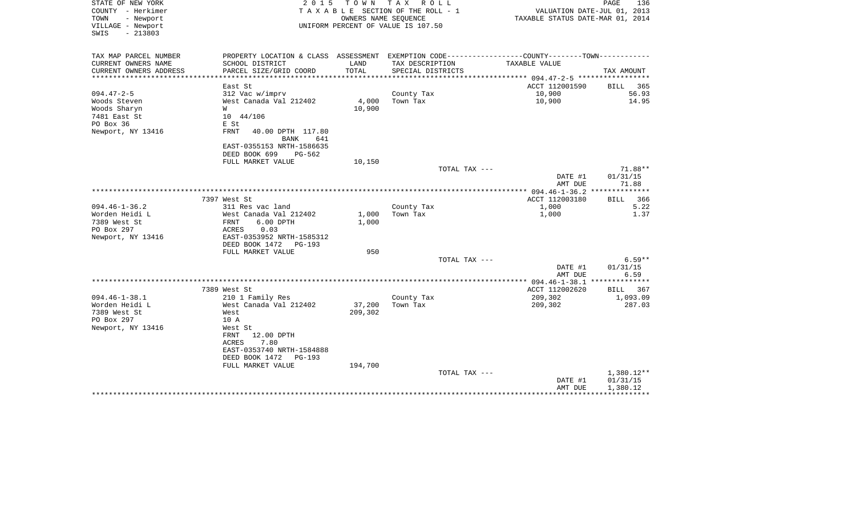| STATE OF NEW YORK<br>COUNTY - Herkimer<br>TOWN<br>- Newport |                                                                                               | 2 0 1 5<br>TOWN TAX<br>R O L L<br>TAXABLE SECTION OF THE ROLL - 1<br>OWNERS NAME SEQUENCE |                                      |               | PAGE<br>136<br>VALUATION DATE-JUL 01, 2013<br>TAXABLE STATUS DATE-MAR 01, 2014 |                    |  |
|-------------------------------------------------------------|-----------------------------------------------------------------------------------------------|-------------------------------------------------------------------------------------------|--------------------------------------|---------------|--------------------------------------------------------------------------------|--------------------|--|
| VILLAGE - Newport<br>$-213803$<br>SWIS                      |                                                                                               |                                                                                           | UNIFORM PERCENT OF VALUE IS 107.50   |               |                                                                                |                    |  |
| TAX MAP PARCEL NUMBER                                       | PROPERTY LOCATION & CLASS ASSESSMENT EXEMPTION CODE---------------COUNTY-------TOWN---------- |                                                                                           |                                      |               |                                                                                |                    |  |
| CURRENT OWNERS NAME<br>CURRENT OWNERS ADDRESS               | SCHOOL DISTRICT                                                                               | LAND<br>TOTAL                                                                             | TAX DESCRIPTION<br>SPECIAL DISTRICTS |               | TAXABLE VALUE                                                                  |                    |  |
| ****************                                            | PARCEL SIZE/GRID COORD                                                                        | ***********************                                                                   |                                      |               | ***************** 094.47-2-5 ************                                      | TAX AMOUNT         |  |
|                                                             | East St                                                                                       |                                                                                           |                                      |               | ACCT 112001590                                                                 | <b>BILL</b><br>365 |  |
| $094.47 - 2 - 5$                                            | 312 Vac w/imprv                                                                               |                                                                                           | County Tax                           |               | 10,900                                                                         | 56.93              |  |
| Woods Steven                                                | West Canada Val 212402                                                                        | 4,000                                                                                     | Town Tax                             |               | 10,900                                                                         | 14.95              |  |
| Woods Sharyn                                                | W                                                                                             | 10,900                                                                                    |                                      |               |                                                                                |                    |  |
| 7481 East St                                                | 10 44/106                                                                                     |                                                                                           |                                      |               |                                                                                |                    |  |
| PO Box 36                                                   | E St                                                                                          |                                                                                           |                                      |               |                                                                                |                    |  |
| Newport, NY 13416                                           | FRNT<br>40.00 DPTH 117.80                                                                     |                                                                                           |                                      |               |                                                                                |                    |  |
|                                                             | 641<br>BANK                                                                                   |                                                                                           |                                      |               |                                                                                |                    |  |
|                                                             | EAST-0355153 NRTH-1586635<br>DEED BOOK 699<br>PG-562                                          |                                                                                           |                                      |               |                                                                                |                    |  |
|                                                             | FULL MARKET VALUE                                                                             | 10,150                                                                                    |                                      |               |                                                                                |                    |  |
|                                                             |                                                                                               |                                                                                           |                                      | TOTAL TAX --- |                                                                                | 71.88**            |  |
|                                                             |                                                                                               |                                                                                           |                                      |               | DATE #1                                                                        | 01/31/15           |  |
|                                                             |                                                                                               |                                                                                           |                                      |               | AMT DUE                                                                        | 71.88              |  |
|                                                             |                                                                                               |                                                                                           |                                      |               |                                                                                |                    |  |
|                                                             | 7397 West St                                                                                  |                                                                                           |                                      |               | ACCT 112003180                                                                 | 366<br><b>BILL</b> |  |
| $094.46 - 1 - 36.2$                                         | 311 Res vac land                                                                              |                                                                                           | County Tax                           |               | 1,000                                                                          | 5.22               |  |
| Worden Heidi L                                              | West Canada Val 212402                                                                        | 1,000                                                                                     | Town Tax                             |               | 1,000                                                                          | 1.37               |  |
| 7389 West St                                                | FRNT<br>$6.00$ DPTH                                                                           | 1,000                                                                                     |                                      |               |                                                                                |                    |  |
| PO Box 297                                                  | ACRES<br>0.03                                                                                 |                                                                                           |                                      |               |                                                                                |                    |  |
| Newport, NY 13416                                           | EAST-0353952 NRTH-1585312<br>DEED BOOK 1472<br>PG-193                                         |                                                                                           |                                      |               |                                                                                |                    |  |
|                                                             | FULL MARKET VALUE                                                                             | 950                                                                                       |                                      |               |                                                                                |                    |  |
|                                                             |                                                                                               |                                                                                           |                                      | TOTAL TAX --- |                                                                                | $6.59**$           |  |
|                                                             |                                                                                               |                                                                                           |                                      |               | DATE #1                                                                        | 01/31/15           |  |
|                                                             |                                                                                               |                                                                                           |                                      |               | AMT DUE                                                                        | 6.59               |  |
|                                                             | 7389 West St                                                                                  |                                                                                           |                                      |               | ACCT 112002620                                                                 | BILL 367           |  |
| $094.46 - 1 - 38.1$                                         | 210 1 Family Res                                                                              |                                                                                           | County Tax                           |               | 209,302                                                                        | 1,093.09           |  |
| Worden Heidi L                                              | West Canada Val 212402                                                                        | 37,200                                                                                    | Town Tax                             |               | 209,302                                                                        | 287.03             |  |
| 7389 West St                                                | West                                                                                          | 209,302                                                                                   |                                      |               |                                                                                |                    |  |
| PO Box 297                                                  | 10 A                                                                                          |                                                                                           |                                      |               |                                                                                |                    |  |
| Newport, NY 13416                                           | West St                                                                                       |                                                                                           |                                      |               |                                                                                |                    |  |
|                                                             | 12.00 DPTH<br>FRNT                                                                            |                                                                                           |                                      |               |                                                                                |                    |  |
|                                                             | 7.80<br>ACRES                                                                                 |                                                                                           |                                      |               |                                                                                |                    |  |
|                                                             | EAST-0353740 NRTH-1584888                                                                     |                                                                                           |                                      |               |                                                                                |                    |  |
|                                                             | DEED BOOK 1472<br>PG-193                                                                      |                                                                                           |                                      |               |                                                                                |                    |  |
|                                                             | FULL MARKET VALUE                                                                             | 194,700                                                                                   |                                      |               |                                                                                |                    |  |
|                                                             |                                                                                               |                                                                                           |                                      | TOTAL TAX --- |                                                                                | $1,380.12**$       |  |
|                                                             |                                                                                               |                                                                                           |                                      |               | DATE #1                                                                        | 01/31/15           |  |
|                                                             |                                                                                               |                                                                                           |                                      |               | AMT DUE                                                                        | 1,380.12           |  |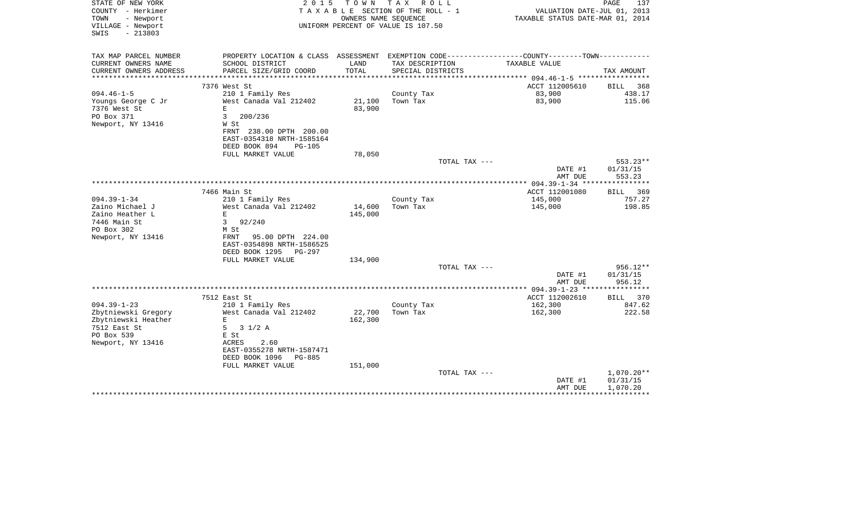| STATE OF NEW YORK<br>COUNTY - Herkimer<br>TOWN<br>- Newport<br>VILLAGE - Newport<br>$-213803$<br>SWIS | 2 0 1 5                                                                           | T O W N                     | TAX ROLL<br>TAXABLE SECTION OF THE ROLL - 1<br>OWNERS NAME SEQUENCE<br>UNIFORM PERCENT OF VALUE IS 107.50 | VALUATION DATE-JUL 01, 2013<br>TAXABLE STATUS DATE-MAR 01, 2014                                                 | PAGE<br>137                    |
|-------------------------------------------------------------------------------------------------------|-----------------------------------------------------------------------------------|-----------------------------|-----------------------------------------------------------------------------------------------------------|-----------------------------------------------------------------------------------------------------------------|--------------------------------|
|                                                                                                       |                                                                                   |                             |                                                                                                           |                                                                                                                 |                                |
| TAX MAP PARCEL NUMBER<br>CURRENT OWNERS NAME                                                          | SCHOOL DISTRICT                                                                   | LAND                        | TAX DESCRIPTION                                                                                           | PROPERTY LOCATION & CLASS ASSESSMENT EXEMPTION CODE----------------COUNTY-------TOWN----------<br>TAXABLE VALUE |                                |
| CURRENT OWNERS ADDRESS<br>******************                                                          | PARCEL SIZE/GRID COORD<br>***********************                                 | TOTAL<br>****************** | SPECIAL DISTRICTS                                                                                         | *************** 094.46-1-5 ************                                                                         | TAX AMOUNT                     |
|                                                                                                       | 7376 West St                                                                      |                             |                                                                                                           | ACCT 112005610                                                                                                  | BILL<br>368                    |
| $094.46 - 1 - 5$                                                                                      | 210 1 Family Res                                                                  |                             | County Tax                                                                                                | 83,900                                                                                                          | 438.17                         |
| Youngs George C Jr<br>7376 West St<br>PO Box 371<br>Newport, NY 13416                                 | West Canada Val 212402<br>E.<br>3<br>200/236<br>W St                              | 21,100<br>83,900            | Town Tax                                                                                                  | 83,900                                                                                                          | 115.06                         |
|                                                                                                       | FRNT 238.00 DPTH 200.00<br>EAST-0354318 NRTH-1585164<br>DEED BOOK 894<br>$PG-105$ |                             |                                                                                                           |                                                                                                                 |                                |
|                                                                                                       | FULL MARKET VALUE                                                                 | 78,050                      |                                                                                                           |                                                                                                                 |                                |
|                                                                                                       |                                                                                   |                             | TOTAL TAX ---                                                                                             | DATE #1<br>AMT DUE                                                                                              | 553.23**<br>01/31/15<br>553.23 |
|                                                                                                       |                                                                                   |                             |                                                                                                           |                                                                                                                 |                                |
|                                                                                                       | 7466 Main St                                                                      |                             |                                                                                                           | ACCT 112001080                                                                                                  | BILL 369                       |
| $094.39 - 1 - 34$                                                                                     | 210 1 Family Res                                                                  |                             | County Tax                                                                                                | 145,000                                                                                                         | 757.27                         |
| Zaino Michael J                                                                                       | West Canada Val 212402                                                            | 14,600                      | Town Tax                                                                                                  | 145,000                                                                                                         | 198.85                         |
| Zaino Heather L                                                                                       | E.                                                                                | 145,000                     |                                                                                                           |                                                                                                                 |                                |
| 7446 Main St                                                                                          | $\mathbf{3}$<br>92/240                                                            |                             |                                                                                                           |                                                                                                                 |                                |
| PO Box 302<br>Newport, NY 13416                                                                       | M St<br>95.00 DPTH 224.00<br>FRNT<br>EAST-0354898 NRTH-1586525                    |                             |                                                                                                           |                                                                                                                 |                                |
|                                                                                                       | DEED BOOK 1295 PG-297                                                             |                             |                                                                                                           |                                                                                                                 |                                |
|                                                                                                       | FULL MARKET VALUE                                                                 | 134,900                     | TOTAL TAX ---                                                                                             |                                                                                                                 | 956.12**                       |
|                                                                                                       |                                                                                   |                             |                                                                                                           | DATE #1<br>AMT DUE                                                                                              | 01/31/15<br>956.12             |
|                                                                                                       |                                                                                   |                             |                                                                                                           | *************** 094.39-1-23 ****************                                                                    |                                |
|                                                                                                       | 7512 East St                                                                      |                             |                                                                                                           | ACCT 112002610                                                                                                  | BILL 370                       |
| $094.39 - 1 - 23$                                                                                     | 210 1 Family Res                                                                  |                             | County Tax                                                                                                | 162,300                                                                                                         | 847.62                         |
| Zbytniewski Gregory                                                                                   | West Canada Val 212402                                                            | 22,700                      | Town Tax                                                                                                  | 162,300                                                                                                         | 222.58                         |
| Zbytniewski Heather                                                                                   | E                                                                                 | 162,300                     |                                                                                                           |                                                                                                                 |                                |
| 7512 East St<br>PO Box 539                                                                            | 3 1/2 A<br>5<br>E St                                                              |                             |                                                                                                           |                                                                                                                 |                                |
| Newport, NY 13416                                                                                     | ACRES<br>2.60                                                                     |                             |                                                                                                           |                                                                                                                 |                                |
|                                                                                                       | EAST-0355278 NRTH-1587471                                                         |                             |                                                                                                           |                                                                                                                 |                                |
|                                                                                                       | DEED BOOK 1096<br>PG-885                                                          |                             |                                                                                                           |                                                                                                                 |                                |
|                                                                                                       | FULL MARKET VALUE                                                                 | 151,000                     |                                                                                                           |                                                                                                                 |                                |
|                                                                                                       |                                                                                   |                             | TOTAL TAX ---                                                                                             |                                                                                                                 | 1,070.20**                     |
|                                                                                                       |                                                                                   |                             |                                                                                                           | DATE #1                                                                                                         | 01/31/15                       |
|                                                                                                       |                                                                                   |                             |                                                                                                           | AMT DUE                                                                                                         | 1,070.20                       |
|                                                                                                       |                                                                                   |                             |                                                                                                           |                                                                                                                 | .                              |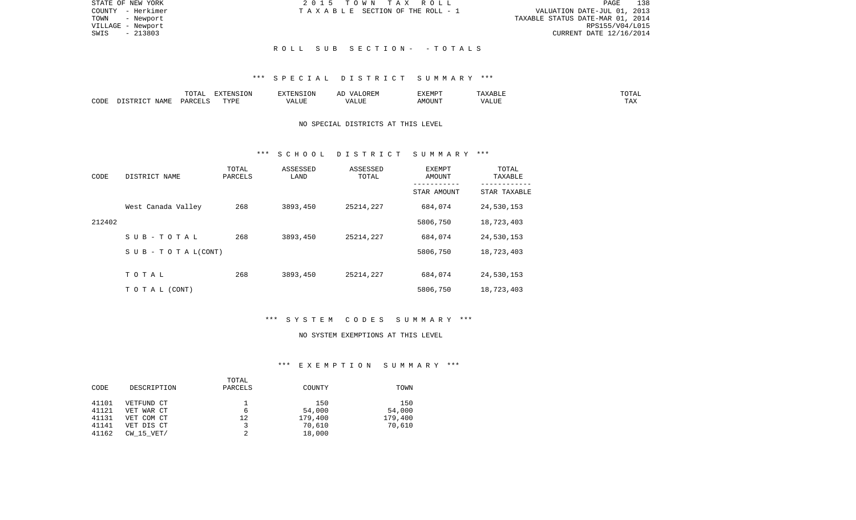| STATE OF NEW YORK | 2015 TOWN TAX ROLL              | 138<br>PAGE                      |
|-------------------|---------------------------------|----------------------------------|
| COUNTY - Herkimer | TAXABLE SECTION OF THE ROLL - 1 | VALUATION DATE-JUL 01, 2013      |
| TOWN<br>- Newport |                                 | TAXABLE STATUS DATE-MAR 01, 2014 |
| VILLAGE - Newport |                                 | RPS155/V04/L015                  |
| - 213803<br>SWIS  |                                 | CURRENT DATE 12/16/2014          |
|                   |                                 |                                  |
|                   | ROLL SUB SECTION- - TOTALS      |                                  |

### \*\*\* S P E C I A L D I S T R I C T S U M M A R Y \*\*\*

|      |                    |                    | <b>TVTTMCTOM</b><br>ιm |  | $\mathbf{z}$<br>ுங்க | $\cdots$ | JIAL |
|------|--------------------|--------------------|------------------------|--|----------------------|----------|------|
| CODE | <b>NAME</b><br>. . | <u>ן</u> די דים המ | TVDI                   |  | .)TIN'               |          |      |

## NO SPECIAL DISTRICTS AT THIS LEVEL

#### \*\*\* S C H O O L D I S T R I C T S U M M A R Y \*\*\*

| CODE   | DISTRICT NAME             | TOTAL<br>PARCELS | ASSESSED<br>LAND | ASSESSED<br>TOTAL | EXEMPT<br>AMOUNT | TOTAL<br>TAXABLE<br>--------- |
|--------|---------------------------|------------------|------------------|-------------------|------------------|-------------------------------|
|        |                           |                  |                  |                   | STAR AMOUNT      | STAR TAXABLE                  |
|        | West Canada Valley        | 268              | 3893,450         | 25214,227         | 684,074          | 24,530,153                    |
| 212402 |                           |                  |                  |                   | 5806,750         | 18,723,403                    |
|        | $S$ U B - T O T A L       | 268              | 3893,450         | 25214,227         | 684,074          | 24,530,153                    |
|        | S U B - T O T A $L(CONT)$ |                  |                  |                   | 5806,750         | 18,723,403                    |
|        |                           |                  |                  |                   |                  |                               |
|        | TOTAL                     | 268              | 3893,450         | 25214,227         | 684,074          | 24,530,153                    |
|        | T O T A L (CONT)          |                  |                  |                   | 5806,750         | 18,723,403                    |

# \*\*\* S Y S T E M C O D E S S U M M A R Y \*\*\*

#### NO SYSTEM EXEMPTIONS AT THIS LEVEL

# \*\*\* E X E M P T I O N S U M M A R Y \*\*\*

|       |             | TOTAL   |         |         |
|-------|-------------|---------|---------|---------|
| CODE  | DESCRIPTION | PARCELS | COUNTY  | TOWN    |
| 41101 | VETFUND CT  |         | 150     | 150     |
| 41121 | VET WAR CT  | 6       | 54,000  | 54,000  |
| 41131 | VET COM CT  | 12      | 179,400 | 179,400 |
| 41141 | VET DIS CT  |         | 70,610  | 70,610  |
| 41162 | CW 15 VET/  | ◠       | 18,000  |         |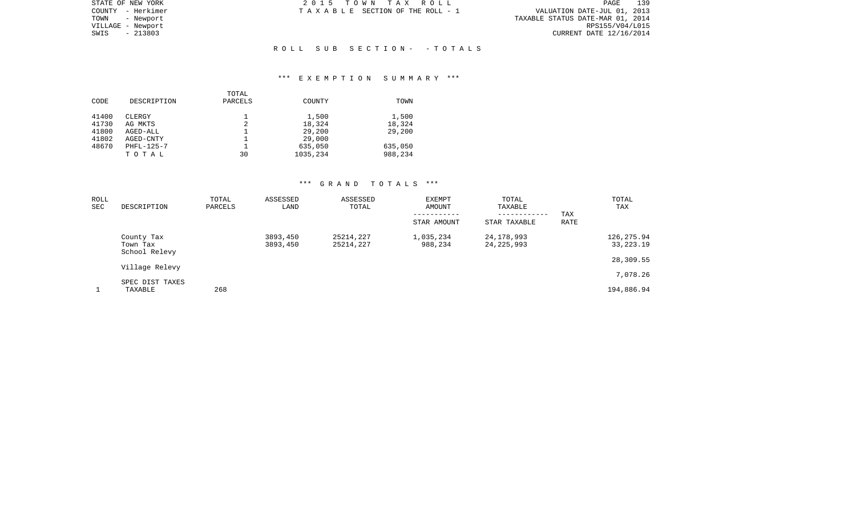| STATE OF NEW YORK | 2015 TOWN TAX ROLL              | 139<br>PAGE                      |
|-------------------|---------------------------------|----------------------------------|
| COUNTY - Herkimer | TAXABLE SECTION OF THE ROLL - 1 | VALUATION DATE-JUL 01, 2013      |
| TOWN<br>- Newport |                                 | TAXABLE STATUS DATE-MAR 01, 2014 |
| VILLAGE - Newport |                                 | RPS155/V04/L015                  |
| - 213803<br>SWIS  |                                 | CURRENT DATE 12/16/2014          |
|                   |                                 |                                  |
|                   | ROLL SUB SECTION- -TOTALS       |                                  |

### \*\*\* E X E M P T I O N S U M M A R Y \*\*\*

|       |             | TOTAL   |          |         |
|-------|-------------|---------|----------|---------|
| CODE  | DESCRIPTION | PARCELS | COUNTY   | TOWN    |
| 41400 | CLERGY      |         | 1,500    | 1,500   |
| 41730 | AG MKTS     | 2       | 18,324   | 18,324  |
| 41800 | AGED-ALL    |         | 29,200   | 29,200  |
| 41802 | AGED-CNTY   |         | 29,000   |         |
| 48670 | PHFL-125-7  |         | 635,050  | 635,050 |
|       | TOTAL       | 30      | 1035,234 | 988,234 |
|       |             |         |          |         |

### \*\*\* G R A N D T O T A L S \*\*\*

| ROLL |                 | TOTAL   | ASSESSED | ASSESSED  | <b>EXEMPT</b> | TOTAL        |      | TOTAL      |
|------|-----------------|---------|----------|-----------|---------------|--------------|------|------------|
| SEC  | DESCRIPTION     | PARCELS | LAND     | TOTAL     | AMOUNT        | TAXABLE      |      | TAX        |
|      |                 |         |          |           |               | ------------ | TAX  |            |
|      |                 |         |          |           | STAR AMOUNT   | STAR TAXABLE | RATE |            |
|      | County Tax      |         | 3893,450 | 25214,227 | 1,035,234     | 24, 178, 993 |      | 126,275.94 |
|      | Town Tax        |         | 3893,450 | 25214,227 | 988,234       | 24, 225, 993 |      | 33,223.19  |
|      | School Relevy   |         |          |           |               |              |      |            |
|      |                 |         |          |           |               |              |      | 28,309.55  |
|      | Village Relevy  |         |          |           |               |              |      | 7,078.26   |
|      | SPEC DIST TAXES |         |          |           |               |              |      |            |
|      | TAXABLE         | 268     |          |           |               |              |      | 194,886.94 |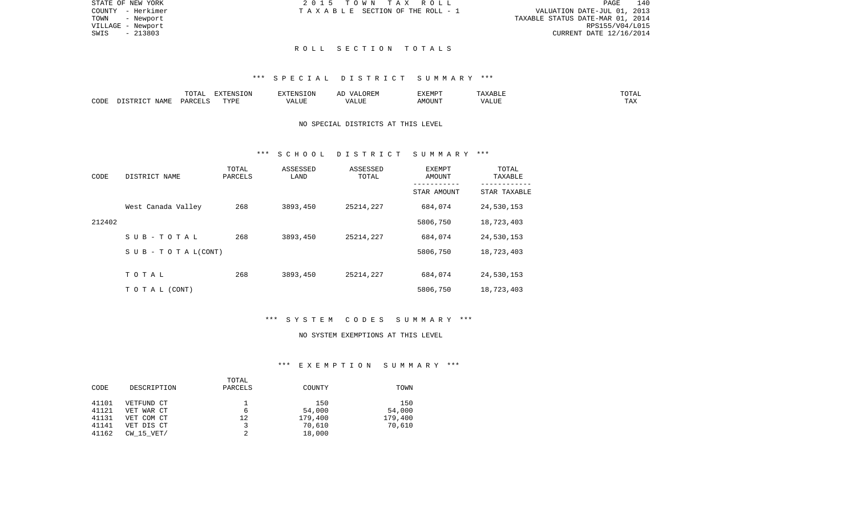| STATE OF NEW YORK | 2015 TOWN TAX ROLL                    | 140<br>PAGE                      |
|-------------------|---------------------------------------|----------------------------------|
| COUNTY - Herkimer | T A X A B L E SECTION OF THE ROLL - 1 | VALUATION DATE-JUL 01, 2013      |
| TOWN - Newport    |                                       | TAXABLE STATUS DATE-MAR 01, 2014 |
| VILLAGE - Newport |                                       | RPS155/V04/L015                  |
| SWIS - 213803     |                                       | CURRENT DATE 12/16/2014          |
|                   |                                       |                                  |

## R O L L S E C T I O N T O T A L S

#### \*\*\* S P E C I A L D I S T R I C T S U M M A R Y \*\*\*

|      |              | $m \wedge m \wedge n$<br>- 777 | <b>FYTFMCTOM</b><br>צו∪⊥ כזצו | <b>ANC</b>        | 17 D<br>▵ | <b>EXEMPT</b> |                  | , 7577                  |
|------|--------------|--------------------------------|-------------------------------|-------------------|-----------|---------------|------------------|-------------------------|
| CODE | NAME.<br>. . | D∆R∩                           | TVDI<br>.                     | $   -$<br>۳ لیانی | 1U.       | R             | $- - - -$<br>ALU | $mn \times$<br><u>.</u> |

## NO SPECIAL DISTRICTS AT THIS LEVEL

#### \*\*\* S C H O O L D I S T R I C T S U M M A R Y \*\*\*

| CODE   | DISTRICT NAME             | TOTAL<br>PARCELS | ASSESSED<br>LAND | ASSESSED<br>TOTAL | EXEMPT<br><b>AMOUNT</b><br>-------- | TOTAL<br>TAXABLE<br>------------ |
|--------|---------------------------|------------------|------------------|-------------------|-------------------------------------|----------------------------------|
|        |                           |                  |                  |                   | STAR AMOUNT                         | STAR TAXABLE                     |
|        | West Canada Valley        | 268              | 3893,450         | 25214,227         | 684,074                             | 24,530,153                       |
| 212402 |                           |                  |                  |                   | 5806,750                            | 18,723,403                       |
|        | $S$ UB-TOTAL              | 268              | 3893,450         | 25214,227         | 684,074                             | 24,530,153                       |
|        | S U B - T O T A $L(CONT)$ |                  |                  |                   | 5806,750                            | 18,723,403                       |
|        |                           |                  |                  |                   |                                     |                                  |
|        | TOTAL                     | 268              | 3893,450         | 25214,227         | 684,074                             | 24,530,153                       |
|        | T O T A L (CONT)          |                  |                  |                   | 5806,750                            | 18,723,403                       |

### \*\*\* S Y S T E M C O D E S S U M M A R Y \*\*\*

#### NO SYSTEM EXEMPTIONS AT THIS LEVEL

# \*\*\* E X E M P T I O N S U M M A R Y \*\*\*

|       |             | TOTAL   |         |         |
|-------|-------------|---------|---------|---------|
| CODE  | DESCRIPTION | PARCELS | COUNTY  | TOWN    |
| 41101 | VETFUND CT  |         | 150     | 150     |
| 41121 | VET WAR CT  | 6       | 54,000  | 54,000  |
| 41131 | VET COM CT  | 12      | 179,400 | 179,400 |
| 41141 | VET DIS CT  |         | 70,610  | 70,610  |
| 41162 | CW 15 VET/  | ◠       | 18,000  |         |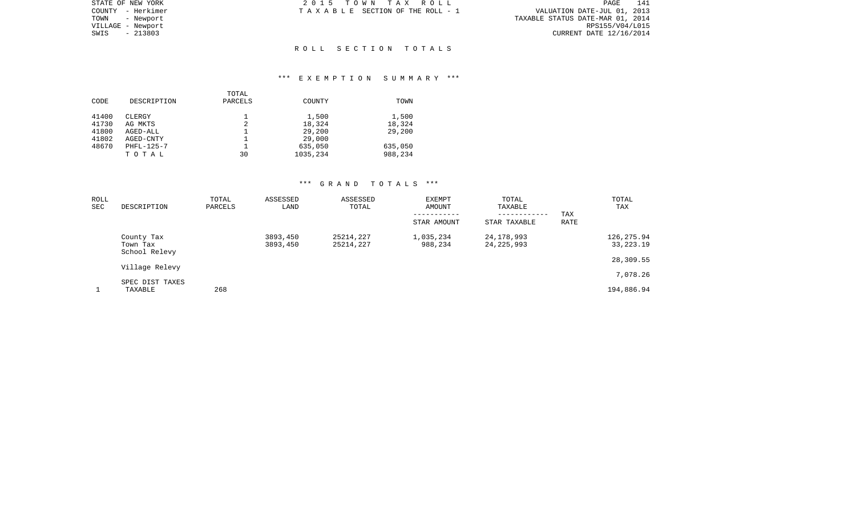| STATE OF NEW YORK | 2015 TOWN TAX ROLL              | - 141<br>PAGE                    |
|-------------------|---------------------------------|----------------------------------|
| COUNTY - Herkimer | TAXABLE SECTION OF THE ROLL - 1 | VALUATION DATE-JUL 01, 2013      |
| TOWN - Newport    |                                 | TAXABLE STATUS DATE-MAR 01, 2014 |
| VILLAGE - Newport |                                 | RPS155/V04/L015                  |
| SWIS<br>- 213803  |                                 | CURRENT DATE 12/16/2014          |
|                   |                                 |                                  |
|                   | ROLL SECTION TOTALS             |                                  |

## \*\*\* E X E M P T I O N S U M M A R Y \*\*\*

|       |             | TOTAL   |          |         |
|-------|-------------|---------|----------|---------|
| CODE  | DESCRIPTION | PARCELS | COUNTY   | TOWN    |
| 41400 | CLERGY      |         | 1,500    | 1,500   |
| 41730 | AG MKTS     | 2       | 18,324   | 18,324  |
| 41800 | AGED-ALL    |         | 29,200   | 29,200  |
| 41802 | AGED-CNTY   |         | 29,000   |         |
| 48670 | PHFL-125-7  |         | 635,050  | 635,050 |
|       | TOTAL       | 30      | 1035,234 | 988,234 |
|       |             |         |          |         |

### \*\*\* G R A N D T O T A L S \*\*\*

| ROLL |                 | TOTAL   | ASSESSED | ASSESSED  | <b>EXEMPT</b> | TOTAL                        |             | TOTAL      |
|------|-----------------|---------|----------|-----------|---------------|------------------------------|-------------|------------|
| SEC  | DESCRIPTION     | PARCELS | LAND     | TOTAL     | AMOUNT        | TAXABLE                      |             | TAX        |
|      |                 |         |          |           | STAR AMOUNT   | ------------<br>STAR TAXABLE | TAX<br>RATE |            |
|      |                 |         |          |           |               |                              |             |            |
|      | County Tax      |         | 3893,450 | 25214,227 | 1,035,234     | 24,178,993                   |             | 126,275.94 |
|      | Town Tax        |         | 3893,450 | 25214,227 | 988,234       | 24,225,993                   |             | 33,223.19  |
|      | School Relevy   |         |          |           |               |                              |             | 28,309.55  |
|      | Village Relevy  |         |          |           |               |                              |             |            |
|      |                 |         |          |           |               |                              |             | 7,078.26   |
|      | SPEC DIST TAXES |         |          |           |               |                              |             |            |
|      | TAXABLE         | 268     |          |           |               |                              |             | 194,886.94 |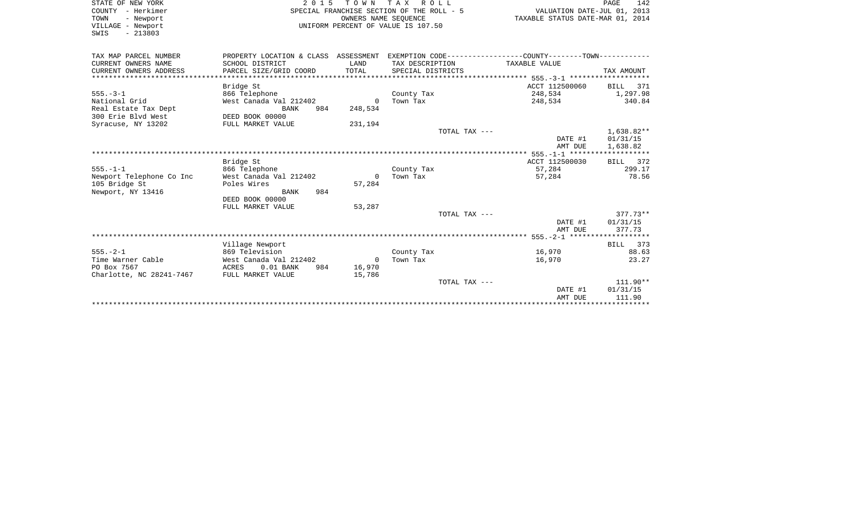| STATE OF NEW YORK        |                                                                                               |                | 2015 TOWN TAX ROLL                        |                             | PAGE<br>142 |  |
|--------------------------|-----------------------------------------------------------------------------------------------|----------------|-------------------------------------------|-----------------------------|-------------|--|
| COUNTY - Herkimer        |                                                                                               |                | SPECIAL FRANCHISE SECTION OF THE ROLL - 5 | VALUATION DATE-JUL 01, 2013 |             |  |
| TOWN<br>- Newport        | OWNERS NAME SEOUENCE<br>TAXABLE STATUS DATE-MAR 01, 2014                                      |                |                                           |                             |             |  |
| VILLAGE - Newport        |                                                                                               |                | UNIFORM PERCENT OF VALUE IS 107.50        |                             |             |  |
| $-213803$<br>SWIS        |                                                                                               |                |                                           |                             |             |  |
|                          |                                                                                               |                |                                           |                             |             |  |
|                          |                                                                                               |                |                                           |                             |             |  |
| TAX MAP PARCEL NUMBER    | PROPERTY LOCATION & CLASS ASSESSMENT EXEMPTION CODE---------------COUNTY-------TOWN---------- |                |                                           |                             |             |  |
| CURRENT OWNERS NAME      | SCHOOL DISTRICT                                                                               | LAND           | TAX DESCRIPTION                           | TAXABLE VALUE               |             |  |
| CURRENT OWNERS ADDRESS   | PARCEL SIZE/GRID COORD                                                                        | TOTAL          | SPECIAL DISTRICTS                         |                             | TAX AMOUNT  |  |
|                          |                                                                                               |                |                                           |                             |             |  |
|                          | Bridge St                                                                                     |                |                                           | ACCT 112500060              | 371<br>BILL |  |
| $555. - 3 - 1$           | 866 Telephone                                                                                 |                | County Tax                                | 248,534                     | 1,297.98    |  |
| National Grid            | West Canada Val 212402                                                                        | $\overline{0}$ | Town Tax                                  | 248,534                     | 340.84      |  |
| Real Estate Tax Dept     | 984<br><b>BANK</b>                                                                            | 248,534        |                                           |                             |             |  |
| 300 Erie Blyd West       | DEED BOOK 00000                                                                               |                |                                           |                             |             |  |
| Syracuse, NY 13202       | FULL MARKET VALUE                                                                             | 231,194        |                                           |                             |             |  |
|                          |                                                                                               |                | TOTAL TAX ---                             |                             | 1,638.82**  |  |
|                          |                                                                                               |                |                                           | DATE #1                     | 01/31/15    |  |
|                          |                                                                                               |                |                                           | AMT DUE                     | 1,638.82    |  |
|                          |                                                                                               |                |                                           |                             |             |  |
|                          | Bridge St                                                                                     |                |                                           | ACCT 112500030              | BILL 372    |  |
| $555. - 1 - 1$           | 866 Telephone                                                                                 |                | County Tax                                | 57,284                      | 299.17      |  |
| Newport Telephone Co Inc | West Canada Val 212402                                                                        | $\Omega$       | Town Tax                                  | 57,284                      | 78.56       |  |
| 105 Bridge St            | Poles Wires                                                                                   | 57,284         |                                           |                             |             |  |
| Newport, NY 13416        | 984<br>BANK                                                                                   |                |                                           |                             |             |  |
|                          | DEED BOOK 00000                                                                               |                |                                           |                             |             |  |
|                          | FULL MARKET VALUE                                                                             | 53,287         |                                           |                             |             |  |
|                          |                                                                                               |                | TOTAL TAX ---                             |                             | $377.73**$  |  |
|                          |                                                                                               |                |                                           | DATE #1                     | 01/31/15    |  |
|                          |                                                                                               |                |                                           | AMT DUE                     | 377.73      |  |
|                          |                                                                                               |                |                                           |                             |             |  |
|                          | Village Newport                                                                               |                |                                           |                             | BILL 373    |  |
| $555. - 2 - 1$           | 869 Television                                                                                |                | County Tax                                | 16,970                      | 88.63       |  |
| Time Warner Cable        | West Canada Val 212402                                                                        | $\Omega$       | Town Tax                                  | 16,970                      | 23.27       |  |
| PO Box 7567              | ACRES<br>$0.01$ BANK<br>984                                                                   | 16,970         |                                           |                             |             |  |
| Charlotte, NC 28241-7467 | FULL MARKET VALUE                                                                             | 15,786         |                                           |                             |             |  |
|                          |                                                                                               |                | TOTAL TAX ---                             |                             | $111.90**$  |  |
|                          |                                                                                               |                |                                           | DATE #1                     | 01/31/15    |  |
|                          |                                                                                               |                |                                           | AMT DUE                     | 111.90      |  |
|                          |                                                                                               |                |                                           |                             |             |  |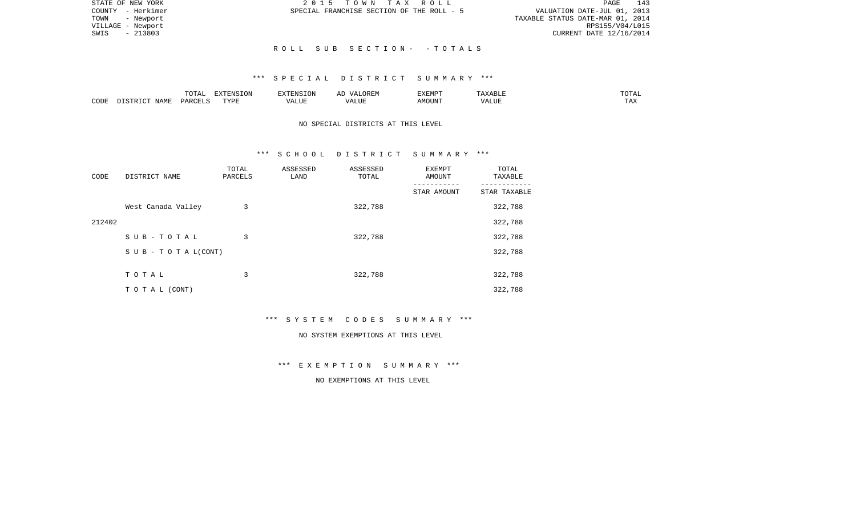| STATE OF NEW YORK |                   | 2015 TOWN TAX ROLL                        | 143<br>PAGE                      |
|-------------------|-------------------|-------------------------------------------|----------------------------------|
|                   | COUNTY - Herkimer | SPECIAL FRANCHISE SECTION OF THE ROLL - 5 | VALUATION DATE-JUL 01, 2013      |
| TOWN - Newport    |                   |                                           | TAXABLE STATUS DATE-MAR 01, 2014 |
| VILLAGE - Newport |                   |                                           | RPS155/V04/L015                  |
| SWIS - 213803     |                   |                                           | CURRENT DATE 12/16/2014          |
|                   |                   |                                           |                                  |
|                   |                   | ROLL SUB SECTION- - TOTALS                |                                  |

## \*\*\* S P E C I A L D I S T R I C T S U M M A R Y \*\*\*

|      |                  | $m \wedge m \wedge n$<br>$\sqrt{11}$ | <b>FYTFMCTOM</b><br>6 Y.N<br>$\pm 11$ |                     |                                              | <b>EXEMPT</b> |                        | - - - - -      |
|------|------------------|--------------------------------------|---------------------------------------|---------------------|----------------------------------------------|---------------|------------------------|----------------|
| CODE | NAME<br>. ו סידי | ם זסמת מ<br>レムト<br>.                 | PVDF                                  | $\cdots$<br>1 U U L | - ---<br>$\prime$ $\Lambda$<br>$\mathcal{L}$ | AMOUN'        | . <del>.</del><br>ALUF | max<br>- - - - |

## NO SPECIAL DISTRICTS AT THIS LEVEL

### \*\*\* S C H O O L D I S T R I C T S U M M A R Y \*\*\*

| CODE   | DISTRICT NAME      | TOTAL<br>PARCELS | ASSESSED<br>LAND | ASSESSED<br>TOTAL | EXEMPT<br>AMOUNT | TOTAL<br>TAXABLE |
|--------|--------------------|------------------|------------------|-------------------|------------------|------------------|
|        |                    |                  |                  |                   | STAR AMOUNT      | STAR TAXABLE     |
|        | West Canada Valley | 3                |                  | 322,788           |                  | 322,788          |
| 212402 |                    |                  |                  |                   |                  | 322,788          |
|        | SUB-TOTAL          | 3                |                  | 322,788           |                  | 322,788          |
|        | SUB - TO TAL(CONT) |                  |                  |                   |                  | 322,788          |
|        |                    |                  |                  |                   |                  |                  |
|        | TOTAL              | 3                |                  | 322,788           |                  | 322,788          |
|        | T O T A L (CONT)   |                  |                  |                   |                  | 322,788          |

\*\*\* S Y S T E M C O D E S S U M M A R Y \*\*\*

#### NO SYSTEM EXEMPTIONS AT THIS LEVEL

\*\*\* E X E M P T I O N S U M M A R Y \*\*\*

NO EXEMPTIONS AT THIS LEVEL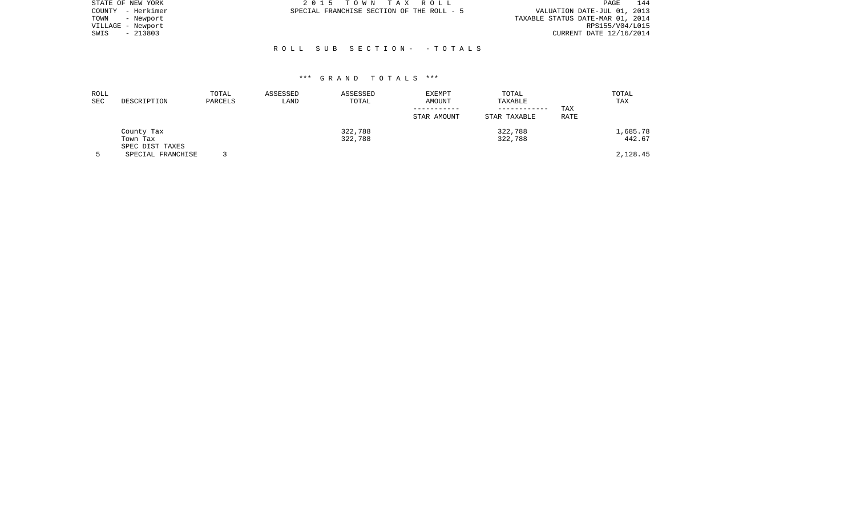|      | STATE OF NEW YORK | 2015 TOWN TAX ROLL                        | 144<br>PAGE                      |
|------|-------------------|-------------------------------------------|----------------------------------|
|      | COUNTY - Herkimer | SPECIAL FRANCHISE SECTION OF THE ROLL - 5 | VALUATION DATE-JUL 01, 2013      |
| TOWN | - Newport         |                                           | TAXABLE STATUS DATE-MAR 01, 2014 |
|      | VILLAGE - Newport |                                           | RPS155/V04/L015                  |
| SWIS | $-213803$         |                                           | CURRENT DATE 12/16/2014          |
|      |                   |                                           |                                  |

# R O L L S U B S E C T I O N - - T O T A L S

| ROLL<br><b>SEC</b> | DESCRIPTION                          | TOTAL<br>PARCELS | ASSESSED<br>LAND | ASSESSED<br>TOTAL  | EXEMPT<br>AMOUNT<br>STAR AMOUNT | TOTAL<br>TAXABLE<br>------------<br>STAR TAXABLE | TAX<br><b>RATE</b> | TOTAL<br>TAX       |
|--------------------|--------------------------------------|------------------|------------------|--------------------|---------------------------------|--------------------------------------------------|--------------------|--------------------|
|                    | County Tax<br>Town Tax               |                  |                  | 322,788<br>322,788 |                                 | 322,788<br>322,788                               |                    | 1,685.78<br>442.67 |
|                    | SPEC DIST TAXES<br>SPECIAL FRANCHISE |                  |                  |                    |                                 |                                                  |                    | 2,128.45           |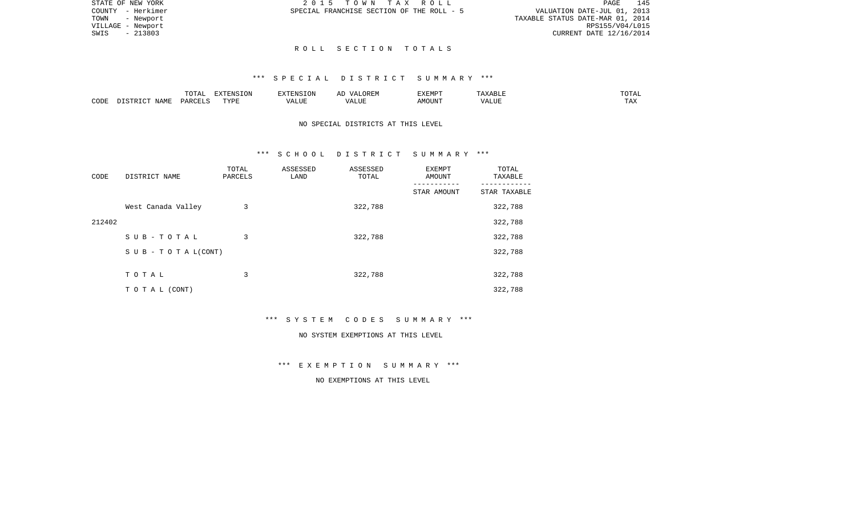|      | STATE OF NEW YORK | 2015 TOWN TAX ROLL                        | 145<br>PAGE                      |
|------|-------------------|-------------------------------------------|----------------------------------|
|      | COUNTY - Herkimer | SPECIAL FRANCHISE SECTION OF THE ROLL - 5 | VALUATION DATE-JUL 01, 2013      |
|      | TOWN - Newport    |                                           | TAXABLE STATUS DATE-MAR 01, 2014 |
|      | VILLAGE - Newport |                                           | RPS155/V04/L015                  |
| SWIS | - 213803          |                                           | CURRENT DATE 12/16/2014          |
|      |                   |                                           |                                  |

# R O L L S E C T I O N T O T A L S

### \*\*\* S P E C I A L D I S T R I C T S U M M A R Y \*\*\*

|      |      | $m \wedge m \wedge n$<br>⊥∪⊥⊓⊥ | $\blacksquare$<br>⊥UN |                   | "XFMP. | ---         |
|------|------|--------------------------------|-----------------------|-------------------|--------|-------------|
| CODE | ΝЪМπ | DAR <sub>C</sub>               | TVDI<br>.             | $\sqrt{ }$<br>பபா |        | max<br>∖ n∡ |

# NO SPECIAL DISTRICTS AT THIS LEVEL

#### \*\*\* S C H O O L D I S T R I C T S U M M A R Y \*\*\*

| CODE   | DISTRICT NAME                    | TOTAL<br>PARCELS | ASSESSED<br>LAND | ASSESSED<br>TOTAL | EXEMPT<br>AMOUNT | TOTAL<br>TAXABLE |
|--------|----------------------------------|------------------|------------------|-------------------|------------------|------------------|
|        |                                  |                  |                  |                   | STAR AMOUNT      | STAR TAXABLE     |
|        | West Canada Valley               | 3                |                  | 322,788           |                  | 322,788          |
| 212402 |                                  |                  |                  |                   |                  | 322,788          |
|        | SUB-TOTAL                        | 3                |                  | 322,788           |                  | 322,788          |
|        | $S \cup B - T \cup T A L (CONT)$ |                  |                  |                   |                  | 322,788          |
|        |                                  |                  |                  |                   |                  |                  |
|        | TOTAL                            | 3                |                  | 322,788           |                  | 322,788          |
|        | T O T A L (CONT)                 |                  |                  |                   |                  | 322,788          |

\*\*\* S Y S T E M C O D E S S U M M A R Y \*\*\*

#### NO SYSTEM EXEMPTIONS AT THIS LEVEL

\*\*\* E X E M P T I O N S U M M A R Y \*\*\*

NO EXEMPTIONS AT THIS LEVEL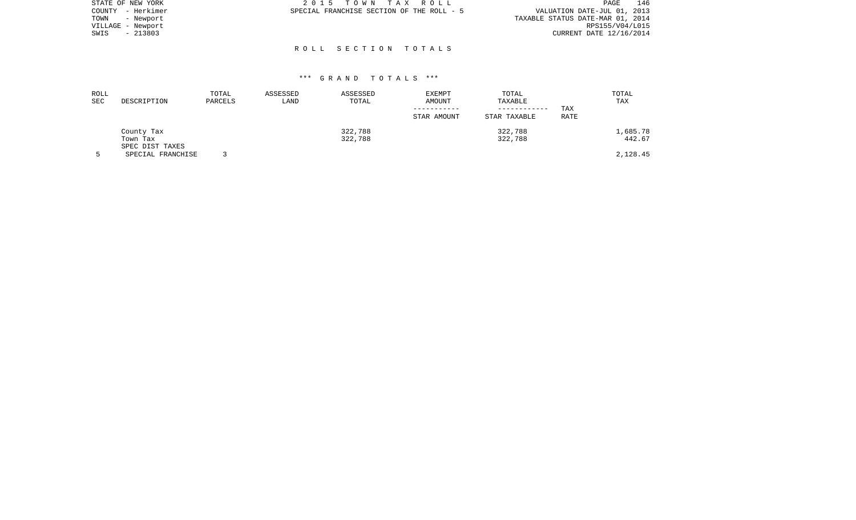|      | STATE OF NEW YORK | 2015 TOWN TAX ROLL                        | PAGE                        | 146 |
|------|-------------------|-------------------------------------------|-----------------------------|-----|
|      | COUNTY - Herkimer | SPECIAL FRANCHISE SECTION OF THE ROLL - 5 | VALUATION DATE-JUL 01, 2013 |     |
| TOWN | - Newport         | TAXABLE STATUS DATE-MAR 01, 2014          |                             |     |
|      | VILLAGE - Newport |                                           | RPS155/V04/L015             |     |
| SWIS | $-213803$         |                                           | CURRENT DATE 12/16/2014     |     |
|      |                   |                                           |                             |     |

# R O L L S E C T I O N T O T A L S

| ROLL<br><b>SEC</b> | DESCRIPTION                          | TOTAL<br>PARCELS | ASSESSED<br>LAND | ASSESSED<br>TOTAL  | EXEMPT<br>AMOUNT<br>STAR AMOUNT | TOTAL<br>TAXABLE<br>------------<br>STAR TAXABLE | TAX<br><b>RATE</b> | TOTAL<br>TAX       |
|--------------------|--------------------------------------|------------------|------------------|--------------------|---------------------------------|--------------------------------------------------|--------------------|--------------------|
|                    | County Tax<br>Town Tax               |                  |                  | 322,788<br>322,788 |                                 | 322,788<br>322,788                               |                    | 1,685.78<br>442.67 |
|                    | SPEC DIST TAXES<br>SPECIAL FRANCHISE |                  |                  |                    |                                 |                                                  |                    | 2,128.45           |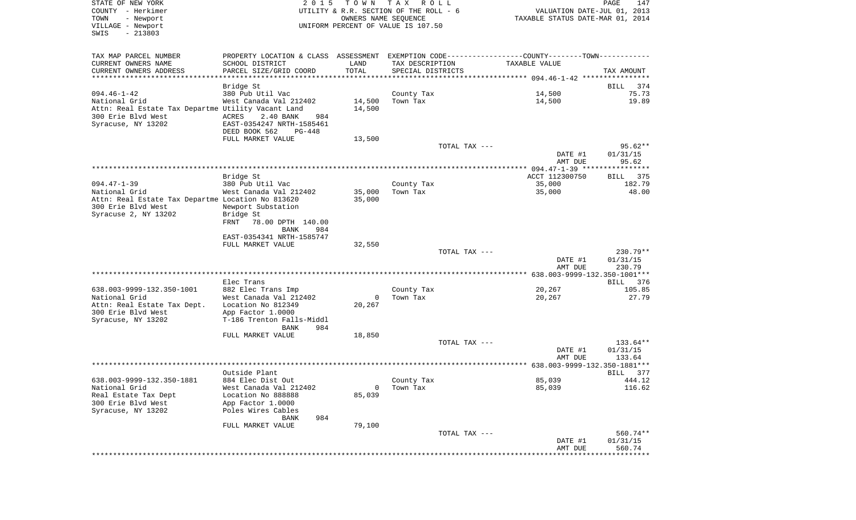| STATE OF NEW YORK<br>COUNTY - Herkimer<br>TOWN<br>- Newport<br>VILLAGE - Newport<br>$-213803$<br>SWIS | 2 0 1 5                                         | T O W N<br>OWNERS NAME SEQUENCE | TAX ROLL<br>UTILITY & R.R. SECTION OF THE ROLL - 6<br>UNIFORM PERCENT OF VALUE IS 107.50 | VALUATION DATE-JUL 01, 2013<br>TAXABLE STATUS DATE-MAR 01, 2014                               | PAGE<br>147        |
|-------------------------------------------------------------------------------------------------------|-------------------------------------------------|---------------------------------|------------------------------------------------------------------------------------------|-----------------------------------------------------------------------------------------------|--------------------|
| TAX MAP PARCEL NUMBER                                                                                 |                                                 |                                 |                                                                                          | PROPERTY LOCATION & CLASS ASSESSMENT EXEMPTION CODE---------------COUNTY-------TOWN---------- |                    |
| CURRENT OWNERS NAME                                                                                   | SCHOOL DISTRICT                                 | LAND                            | TAX DESCRIPTION                                                                          | TAXABLE VALUE                                                                                 |                    |
| CURRENT OWNERS ADDRESS<br>*************************                                                   | PARCEL SIZE/GRID COORD                          | TOTAL                           | SPECIAL DISTRICTS                                                                        |                                                                                               | TAX AMOUNT         |
|                                                                                                       | Bridge St                                       |                                 |                                                                                          |                                                                                               | BILL<br>374        |
| $094.46 - 1 - 42$                                                                                     | 380 Pub Util Vac                                |                                 | County Tax                                                                               | 14,500                                                                                        | 75.73              |
| National Grid                                                                                         | West Canada Val 212402                          | 14,500                          | Town Tax                                                                                 | 14,500                                                                                        | 19.89              |
| Attn: Real Estate Tax Departme Utility Vacant Land                                                    |                                                 | 14,500                          |                                                                                          |                                                                                               |                    |
| 300 Erie Blvd West                                                                                    | ACRES<br>2.40 BANK<br>984                       |                                 |                                                                                          |                                                                                               |                    |
| Syracuse, NY 13202                                                                                    | EAST-0354247 NRTH-1585461                       |                                 |                                                                                          |                                                                                               |                    |
|                                                                                                       | DEED BOOK 562<br>PG-448                         |                                 |                                                                                          |                                                                                               |                    |
|                                                                                                       | FULL MARKET VALUE                               | 13,500                          |                                                                                          |                                                                                               |                    |
|                                                                                                       |                                                 |                                 | TOTAL TAX ---                                                                            |                                                                                               | $95.62**$          |
|                                                                                                       |                                                 |                                 |                                                                                          | DATE #1                                                                                       | 01/31/15<br>95.62  |
|                                                                                                       |                                                 |                                 |                                                                                          | AMT DUE                                                                                       |                    |
|                                                                                                       | Bridge St                                       |                                 |                                                                                          | ACCT 112300750                                                                                | BILL<br>375        |
| $094.47 - 1 - 39$                                                                                     | 380 Pub Util Vac                                |                                 | County Tax                                                                               | 35,000                                                                                        | 182.79             |
| National Grid                                                                                         | West Canada Val 212402                          | 35,000                          | Town Tax                                                                                 | 35,000                                                                                        | 48.00              |
| Attn: Real Estate Tax Departme Location No 813620                                                     |                                                 | 35,000                          |                                                                                          |                                                                                               |                    |
| 300 Erie Blvd West                                                                                    | Newport Substation                              |                                 |                                                                                          |                                                                                               |                    |
| Syracuse 2, NY 13202                                                                                  | Bridge St                                       |                                 |                                                                                          |                                                                                               |                    |
|                                                                                                       | FRNT 78.00 DPTH 140.00                          |                                 |                                                                                          |                                                                                               |                    |
|                                                                                                       | <b>BANK</b><br>984<br>EAST-0354341 NRTH-1585747 |                                 |                                                                                          |                                                                                               |                    |
|                                                                                                       | FULL MARKET VALUE                               | 32,550                          |                                                                                          |                                                                                               |                    |
|                                                                                                       |                                                 |                                 | TOTAL TAX ---                                                                            |                                                                                               | 230.79**           |
|                                                                                                       |                                                 |                                 |                                                                                          | DATE #1                                                                                       | 01/31/15           |
|                                                                                                       |                                                 |                                 |                                                                                          | AMT DUE                                                                                       | 230.79             |
|                                                                                                       |                                                 |                                 |                                                                                          |                                                                                               |                    |
|                                                                                                       | Elec Trans                                      |                                 |                                                                                          |                                                                                               | BILL 376           |
| 638.003-9999-132.350-1001<br>National Grid                                                            | 882 Elec Trans Imp                              | $\mathbf{0}$                    | County Tax<br>Town Tax                                                                   | 20,267<br>20,267                                                                              | 105.85<br>27.79    |
| Attn: Real Estate Tax Dept.                                                                           | West Canada Val 212402<br>Location No 812349    | 20,267                          |                                                                                          |                                                                                               |                    |
| 300 Erie Blvd West                                                                                    | App Factor 1.0000                               |                                 |                                                                                          |                                                                                               |                    |
| Syracuse, NY 13202                                                                                    | T-186 Trenton Falls-Middl                       |                                 |                                                                                          |                                                                                               |                    |
|                                                                                                       | 984<br>BANK                                     |                                 |                                                                                          |                                                                                               |                    |
|                                                                                                       | FULL MARKET VALUE                               | 18,850                          |                                                                                          |                                                                                               |                    |
|                                                                                                       |                                                 |                                 | TOTAL TAX ---                                                                            |                                                                                               | 133.64**           |
|                                                                                                       |                                                 |                                 |                                                                                          | DATE #1                                                                                       | 01/31/15           |
|                                                                                                       |                                                 |                                 |                                                                                          | AMT DUE                                                                                       | 133.64             |
|                                                                                                       | Outside Plant                                   |                                 |                                                                                          |                                                                                               | BILL<br>377        |
| 638.003-9999-132.350-1881                                                                             | 884 Elec Dist Out                               |                                 | County Tax                                                                               | 85,039                                                                                        | 444.12             |
| National Grid                                                                                         | West Canada Val 212402                          | 0                               | Town Tax                                                                                 | 85,039                                                                                        | 116.62             |
| Real Estate Tax Dept                                                                                  | Location No 888888                              | 85,039                          |                                                                                          |                                                                                               |                    |
| 300 Erie Blvd West                                                                                    | App Factor 1.0000                               |                                 |                                                                                          |                                                                                               |                    |
| Syracuse, NY 13202                                                                                    | Poles Wires Cables                              |                                 |                                                                                          |                                                                                               |                    |
|                                                                                                       | 984<br>BANK                                     |                                 |                                                                                          |                                                                                               |                    |
|                                                                                                       | FULL MARKET VALUE                               | 79,100                          |                                                                                          |                                                                                               |                    |
|                                                                                                       |                                                 |                                 | TOTAL TAX ---                                                                            | DATE #1                                                                                       | 560.74**           |
|                                                                                                       |                                                 |                                 |                                                                                          | AMT DUE                                                                                       | 01/31/15<br>560.74 |
|                                                                                                       |                                                 |                                 |                                                                                          | ****************************                                                                  |                    |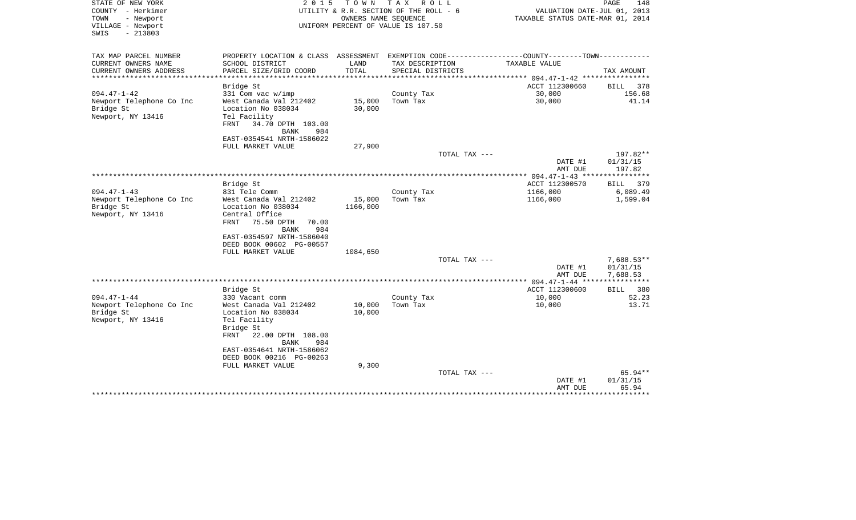| STATE OF NEW YORK<br>COUNTY - Herkimer<br>TOWN<br>- Newport<br>VILLAGE - Newport<br>$-213803$<br>SWIS | 2 0 1 5                                                                                                                       | T O W N            | TAX ROLL<br>UTILITY & R.R. SECTION OF THE ROLL - 6<br>OWNERS NAME SEOUENCE<br>UNIFORM PERCENT OF VALUE IS 107.50 | VALUATION DATE-JUL 01, 2013<br>TAXABLE STATUS DATE-MAR 01, 2014 | PAGE<br>148                  |
|-------------------------------------------------------------------------------------------------------|-------------------------------------------------------------------------------------------------------------------------------|--------------------|------------------------------------------------------------------------------------------------------------------|-----------------------------------------------------------------|------------------------------|
| TAX MAP PARCEL NUMBER<br>CURRENT OWNERS NAME                                                          | PROPERTY LOCATION & CLASS ASSESSMENT EXEMPTION CODE----------------COUNTY--------TOWN-----------<br>SCHOOL DISTRICT           | LAND               | TAX DESCRIPTION                                                                                                  | TAXABLE VALUE                                                   |                              |
| CURRENT OWNERS ADDRESS                                                                                | PARCEL SIZE/GRID COORD                                                                                                        | TOTAL              | SPECIAL DISTRICTS                                                                                                |                                                                 | TAX AMOUNT                   |
| *******************                                                                                   |                                                                                                                               |                    |                                                                                                                  |                                                                 |                              |
| $094.47 - 1 - 42$                                                                                     | Bridge St                                                                                                                     |                    |                                                                                                                  | ACCT 112300660                                                  | <b>BILL</b><br>378           |
| Newport Telephone Co Inc<br>Bridge St<br>Newport, NY 13416                                            | 331 Com vac w/imp<br>West Canada Val 212402<br>Location No 038034<br>Tel Facility<br>34.70 DPTH 103.00<br>FRNT<br>BANK<br>984 | 15,000<br>30,000   | County Tax<br>Town Tax                                                                                           | 30,000<br>30,000                                                | 156.68<br>41.14              |
|                                                                                                       | EAST-0354541 NRTH-1586022                                                                                                     |                    |                                                                                                                  |                                                                 |                              |
|                                                                                                       | FULL MARKET VALUE                                                                                                             | 27,900             | TOTAL TAX ---                                                                                                    |                                                                 | 197.82**                     |
|                                                                                                       |                                                                                                                               |                    |                                                                                                                  | DATE #1<br>AMT DUE                                              | 01/31/15<br>197.82           |
|                                                                                                       |                                                                                                                               |                    |                                                                                                                  | ACCT 112300570                                                  | BILL 379                     |
| $094.47 - 1 - 43$<br>Newport Telephone Co Inc<br>Bridge St<br>Newport, NY 13416                       | Bridge St<br>831 Tele Comm<br>West Canada Val 212402<br>Location No 038034<br>Central Office<br>75.50 DPTH<br>FRNT<br>70.00   | 15,000<br>1166,000 | County Tax<br>Town Tax                                                                                           | 1166,000<br>1166,000                                            | 6,089.49<br>1,599.04         |
|                                                                                                       | 984<br><b>BANK</b><br>EAST-0354597 NRTH-1586040<br>DEED BOOK 00602 PG-00557<br>FULL MARKET VALUE                              | 1084,650           |                                                                                                                  |                                                                 |                              |
|                                                                                                       |                                                                                                                               |                    | TOTAL TAX ---                                                                                                    | DATE #1                                                         | $7.688.53**$<br>01/31/15     |
|                                                                                                       |                                                                                                                               |                    |                                                                                                                  | AMT DUE                                                         | 7,688.53                     |
|                                                                                                       | Bridge St                                                                                                                     |                    |                                                                                                                  | ACCT 112300600                                                  | BILL 380                     |
| $094.47 - 1 - 44$                                                                                     | 330 Vacant comm                                                                                                               |                    | County Tax                                                                                                       | 10,000                                                          | 52.23                        |
| Newport Telephone Co Inc<br>Bridge St<br>Newport, NY 13416                                            | West Canada Val 212402<br>Location No 038034<br>Tel Facility<br>Bridge St<br>FRNT<br>22.00 DPTH 108.00<br><b>BANK</b><br>984  | 10,000<br>10,000   | Town Tax                                                                                                         | 10,000                                                          | 13.71                        |
|                                                                                                       | EAST-0354641 NRTH-1586062<br>DEED BOOK 00216 PG-00263<br>FULL MARKET VALUE                                                    | 9,300              |                                                                                                                  |                                                                 |                              |
|                                                                                                       |                                                                                                                               |                    | TOTAL TAX ---                                                                                                    | DATE #1                                                         | 65.94**<br>01/31/15<br>65.94 |
|                                                                                                       |                                                                                                                               |                    |                                                                                                                  | AMT DUE                                                         | ********                     |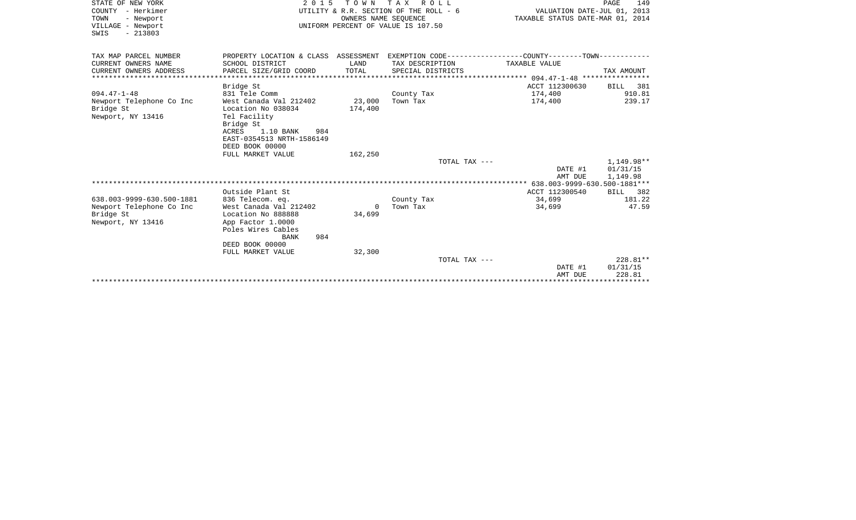| STATE OF NEW YORK         | 2015                               | T O W N              | TAX ROLL                               |                                                                                                | PAGE<br>149 |
|---------------------------|------------------------------------|----------------------|----------------------------------------|------------------------------------------------------------------------------------------------|-------------|
| COUNTY - Herkimer         |                                    |                      | UTILITY & R.R. SECTION OF THE ROLL - 6 | VALUATION DATE-JUL 01, 2013                                                                    |             |
| TOWN<br>- Newport         |                                    | OWNERS NAME SEQUENCE | TAXABLE STATUS DATE-MAR 01, 2014       |                                                                                                |             |
| VILLAGE - Newport         | UNIFORM PERCENT OF VALUE IS 107.50 |                      |                                        |                                                                                                |             |
| SWIS<br>$-213803$         |                                    |                      |                                        |                                                                                                |             |
| TAX MAP PARCEL NUMBER     |                                    |                      |                                        | PROPERTY LOCATION & CLASS ASSESSMENT EXEMPTION CODE----------------COUNTY-------TOWN---------- |             |
| CURRENT OWNERS NAME       | SCHOOL DISTRICT                    | LAND                 | TAX DESCRIPTION                        | TAXABLE VALUE                                                                                  |             |
| CURRENT OWNERS ADDRESS    | PARCEL SIZE/GRID COORD             | TOTAL                | SPECIAL DISTRICTS                      |                                                                                                | TAX AMOUNT  |
|                           |                                    |                      |                                        |                                                                                                |             |
|                           | Bridge St                          |                      |                                        | ACCT 112300630                                                                                 | BILL 381    |
| $094.47 - 1 - 48$         | 831 Tele Comm                      |                      | County Tax                             | 174,400                                                                                        | 910.81      |
| Newport Telephone Co Inc  | West Canada Val 212402             | 23,000               | Town Tax                               | 174,400                                                                                        | 239.17      |
| Bridge St                 | Location No 038034                 | 174,400              |                                        |                                                                                                |             |
| Newport, NY 13416         | Tel Facility                       |                      |                                        |                                                                                                |             |
|                           | Bridge St                          |                      |                                        |                                                                                                |             |
|                           | 1.10 BANK<br>ACRES<br>984          |                      |                                        |                                                                                                |             |
|                           | EAST-0354513 NRTH-1586149          |                      |                                        |                                                                                                |             |
|                           | DEED BOOK 00000                    |                      |                                        |                                                                                                |             |
|                           | FULL MARKET VALUE                  | 162,250              |                                        |                                                                                                |             |
|                           |                                    |                      | TOTAL TAX ---                          |                                                                                                | 1,149.98**  |
|                           |                                    |                      |                                        | DATE #1                                                                                        | 01/31/15    |
|                           |                                    |                      |                                        | AMT DUE                                                                                        | 1,149.98    |
|                           |                                    |                      |                                        |                                                                                                |             |
|                           | Outside Plant St                   |                      |                                        | ACCT 112300540                                                                                 | BILL 382    |
| 638.003-9999-630.500-1881 | 836 Telecom. eq.                   |                      | County Tax                             | 34,699                                                                                         | 181.22      |
| Newport Telephone Co Inc  | West Canada Val 212402             | $\Omega$             | Town Tax                               | 34,699                                                                                         | 47.59       |
| Bridge St                 | Location No 888888                 | 34,699               |                                        |                                                                                                |             |
| Newport, NY 13416         | App Factor 1.0000                  |                      |                                        |                                                                                                |             |
|                           | Poles Wires Cables<br>984          |                      |                                        |                                                                                                |             |
|                           | <b>BANK</b><br>DEED BOOK 00000     |                      |                                        |                                                                                                |             |
|                           | FULL MARKET VALUE                  | 32,300               |                                        |                                                                                                |             |
|                           |                                    |                      | TOTAL TAX ---                          |                                                                                                | $228.81**$  |
|                           |                                    |                      |                                        | DATE #1                                                                                        | 01/31/15    |
|                           |                                    |                      |                                        | AMT DUE                                                                                        | 228.81      |
|                           |                                    |                      |                                        |                                                                                                |             |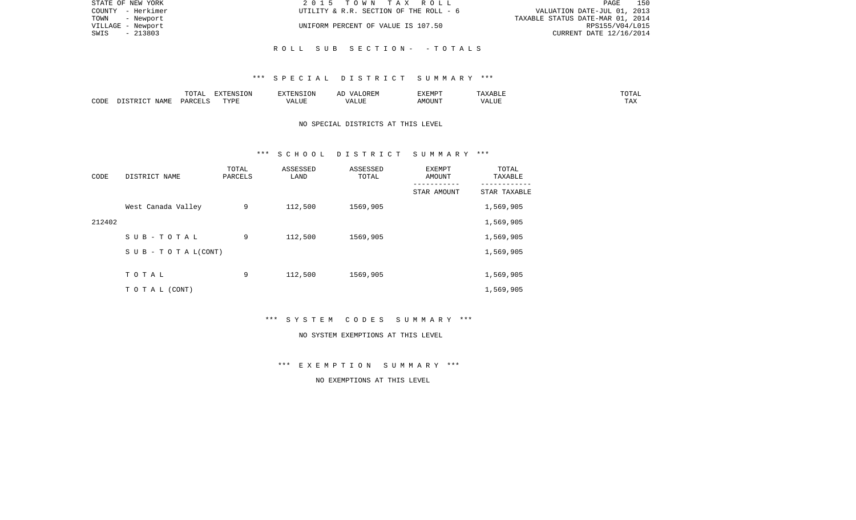| STATE OF NEW YORK | 2015 TOWN TAX ROLL                     | 150<br>PAGE                      |
|-------------------|----------------------------------------|----------------------------------|
| COUNTY - Herkimer | UTILITY & R.R. SECTION OF THE ROLL - 6 | VALUATION DATE-JUL 01, 2013      |
| TOWN - Newport    |                                        | TAXABLE STATUS DATE-MAR 01, 2014 |
| VILLAGE - Newport | UNIFORM PERCENT OF VALUE IS 107.50     | RPS155/V04/L015                  |
| $-213803$<br>SWIS |                                        | CURRENT DATE 12/16/2014          |
|                   |                                        |                                  |
|                   | ROLL SUB SECTION- - TOTALS             |                                  |

|      |                            | .∪⊥⊓⊥         | $\blacksquare$<br>11 L<br>LUIN |               |            | EXEMPT       | ABL.                  | $m \wedge m$<br>. |
|------|----------------------------|---------------|--------------------------------|---------------|------------|--------------|-----------------------|-------------------|
| CODE | <b>ABST</b><br>. .<br>NAMP | <b>DARCFT</b> | TVDT                           | $\mathcal{L}$ | ,,,<br>שחד | OUN".<br>۱M۲ | $- - - - - -$<br>ALUI | $- - -$<br>. Ал   |

## NO SPECIAL DISTRICTS AT THIS LEVEL

### \*\*\* S C H O O L D I S T R I C T S U M M A R Y \*\*\*

| CODE   | DISTRICT NAME                    | TOTAL<br>PARCELS | ASSESSED<br>LAND | ASSESSED<br>TOTAL | EXEMPT<br>AMOUNT<br>--------- | TOTAL<br>TAXABLE |
|--------|----------------------------------|------------------|------------------|-------------------|-------------------------------|------------------|
|        |                                  |                  |                  |                   | STAR AMOUNT                   | STAR TAXABLE     |
|        | West Canada Valley               | 9                | 112,500          | 1569,905          |                               | 1,569,905        |
| 212402 |                                  |                  |                  |                   |                               | 1,569,905        |
|        | SUB-TOTAL                        | 9                | 112,500          | 1569,905          |                               | 1,569,905        |
|        | $S \cup B - T \cup T A L (CONT)$ |                  |                  |                   |                               | 1,569,905        |
|        |                                  |                  |                  |                   |                               |                  |
|        | TOTAL                            | 9                | 112,500          | 1569,905          |                               | 1,569,905        |
|        | T O T A L (CONT)                 |                  |                  |                   |                               | 1,569,905        |

\*\*\* S Y S T E M C O D E S S U M M A R Y \*\*\*

#### NO SYSTEM EXEMPTIONS AT THIS LEVEL

\*\*\* E X E M P T I O N S U M M A R Y \*\*\*

NO EXEMPTIONS AT THIS LEVEL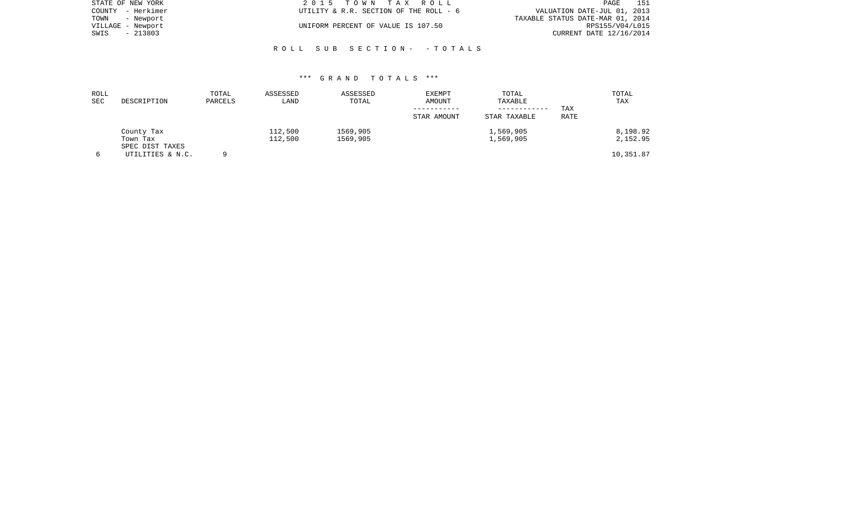| STATE OF NEW YORK | 2015 TOWN TAX ROLL                     | - 151<br>PAGE                    |
|-------------------|----------------------------------------|----------------------------------|
| COUNTY - Herkimer | UTILITY & R.R. SECTION OF THE ROLL - 6 | VALUATION DATE-JUL 01, 2013      |
| TOWN - Newport    |                                        | TAXABLE STATUS DATE-MAR 01, 2014 |
| VILLAGE - Newport | UNIFORM PERCENT OF VALUE IS 107.50     | RPS155/V04/L015                  |
| SWIS<br>- 213803  |                                        | CURRENT DATE 12/16/2014          |
|                   |                                        |                                  |

## R O L L S U B S E C T I O N - - T O T A L S

| ROLL<br><b>SEC</b> | DESCRIPTION                 | TOTAL<br>PARCELS | ASSESSED<br>LAND | ASSESSED<br>TOTAL | EXEMPT<br>AMOUNT | TOTAL<br>TAXABLE<br>------------ | TAX         | TOTAL<br>TAX |
|--------------------|-----------------------------|------------------|------------------|-------------------|------------------|----------------------------------|-------------|--------------|
|                    |                             |                  |                  |                   | STAR AMOUNT      | STAR TAXABLE                     | <b>RATE</b> |              |
|                    | County Tax                  |                  | 112,500          | 1569,905          |                  | 1,569,905                        |             | 8,198.92     |
|                    | Town Tax<br>SPEC DIST TAXES |                  | 112,500          | 1569,905          |                  | 1,569,905                        |             | 2,152.95     |
| 6                  | UTILITIES & N.C.            | Ω                |                  |                   |                  |                                  |             | 10,351.87    |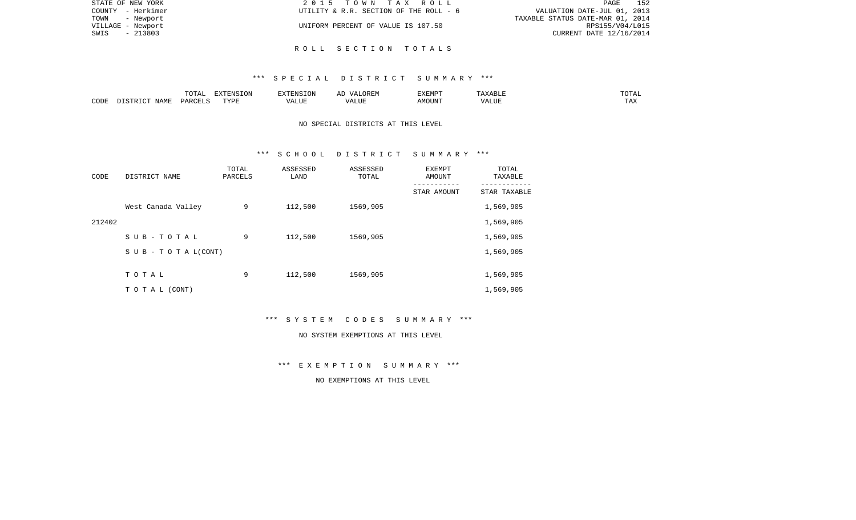| STATE OF NEW YORK | 2015 TOWN TAX ROLL                     | 152<br>PAGE                      |
|-------------------|----------------------------------------|----------------------------------|
| COUNTY - Herkimer | UTILITY & R.R. SECTION OF THE ROLL - 6 | VALUATION DATE-JUL 01, 2013      |
| TOWN<br>- Newport |                                        | TAXABLE STATUS DATE-MAR 01, 2014 |
| VILLAGE - Newport | UNIFORM PERCENT OF VALUE IS 107.50     | RPS155/V04/L015                  |
| $-213803$<br>SWIS |                                        | CURRENT DATE 12/16/2014          |
|                   |                                        |                                  |

R O L L S E C T I O N T O T A L S

|      |                    | $H \cap H$<br>$\cdots$<br>. U 1 1 1 1 | סוותידצים<br><b>ION</b> |      | UKLIY                                  | F.XFMP'<br>∸∡∡⊥ | A           | .              |
|------|--------------------|---------------------------------------|-------------------------|------|----------------------------------------|-----------------|-------------|----------------|
| CODE | JAME<br>$\sqrt{2}$ | $\Box$ $\Box$ $\Box$ $\Box$ $\Box$    | <b>TITZD</b><br>.       | ALUF | " TTT.<br>$\sqrt{2}$<br>. . <i>.</i> . | MC<br>OUN.      | 77T<br>Anur | max<br>د د د . |

## NO SPECIAL DISTRICTS AT THIS LEVEL

### \*\*\* S C H O O L D I S T R I C T S U M M A R Y \*\*\*

| CODE   | DISTRICT NAME                    | TOTAL<br>PARCELS | ASSESSED<br>LAND | ASSESSED<br>TOTAL | EXEMPT<br>AMOUNT | TOTAL<br>TAXABLE |
|--------|----------------------------------|------------------|------------------|-------------------|------------------|------------------|
|        |                                  |                  |                  |                   | STAR AMOUNT      | STAR TAXABLE     |
|        | West Canada Valley               | 9                | 112,500          | 1569,905          |                  | 1,569,905        |
| 212402 |                                  |                  |                  |                   |                  | 1,569,905        |
|        | SUB-TOTAL                        | 9                | 112,500          | 1569,905          |                  | 1,569,905        |
|        | $S \cup B - T \cup T A L (CONT)$ |                  |                  |                   |                  | 1,569,905        |
|        |                                  |                  |                  |                   |                  |                  |
|        | TOTAL                            | 9                | 112,500          | 1569,905          |                  | 1,569,905        |
|        | T O T A L (CONT)                 |                  |                  |                   |                  | 1,569,905        |

\*\*\* S Y S T E M C O D E S S U M M A R Y \*\*\*

#### NO SYSTEM EXEMPTIONS AT THIS LEVEL

\*\*\* E X E M P T I O N S U M M A R Y \*\*\*

NO EXEMPTIONS AT THIS LEVEL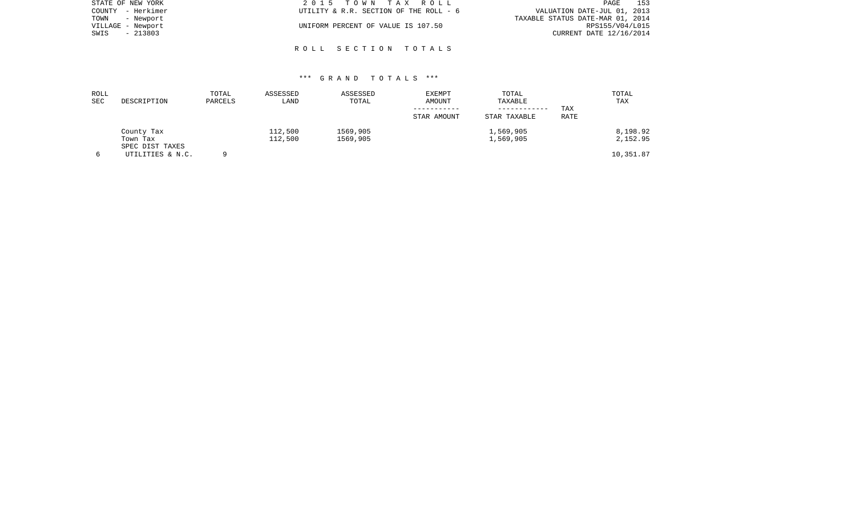| STATE OF NEW YORK | 2015 TOWN TAX ROLL                                                    | PAGE 153        |  |
|-------------------|-----------------------------------------------------------------------|-----------------|--|
| COUNTY - Herkimer | VALUATION DATE-JUL 01, 2013<br>UTILITY & R.R. SECTION OF THE ROLL - 6 |                 |  |
| TOWN<br>- Newport | TAXABLE STATUS DATE-MAR 01, 2014                                      |                 |  |
| VILLAGE - Newport | UNIFORM PERCENT OF VALUE IS 107.50                                    | RPS155/V04/L015 |  |
| - 213803<br>SWIS  | CURRENT DATE 12/16/2014                                               |                 |  |
|                   |                                                                       |                 |  |

## \*\*\* G R A N D T O T A L S \*\*\*

R O L L S E C T I O N T O T A L S

| ROLL<br>SEC | DESCRIPTION                         | TOTAL<br>PARCELS | ASSESSED<br>LAND   | ASSESSED<br>TOTAL    | <b>EXEMPT</b><br>AMOUNT | TOTAL<br>TAXABLE             |             | TOTAL<br>TAX         |
|-------------|-------------------------------------|------------------|--------------------|----------------------|-------------------------|------------------------------|-------------|----------------------|
|             |                                     |                  |                    |                      | STAR AMOUNT             | ------------<br>STAR TAXABLE | TAX<br>RATE |                      |
|             | County Tax<br>Town Tax              |                  | 112,500<br>112,500 | 1569,905<br>1569,905 |                         | 1,569,905<br>1,569,905       |             | 8,198.92<br>2,152.95 |
|             | SPEC DIST TAXES<br>UTILITIES & N.C. |                  |                    |                      |                         |                              |             | 10,351.87            |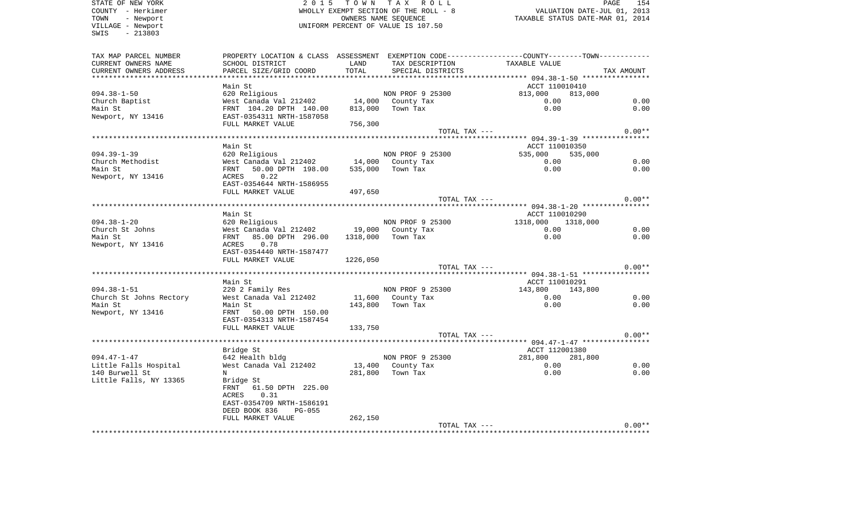| TAX MAP PARCEL NUMBER<br>PROPERTY LOCATION & CLASS ASSESSMENT EXEMPTION CODE----------------COUNTY-------TOWN----------<br>CURRENT OWNERS NAME<br>SCHOOL DISTRICT<br>LAND<br>TAX DESCRIPTION<br>TAXABLE VALUE<br>TOTAL<br>CURRENT OWNERS ADDRESS<br>PARCEL SIZE/GRID COORD<br>SPECIAL DISTRICTS<br>TAX AMOUNT<br>ACCT 110010410<br>Main St<br>620 Religious<br>$094.38 - 1 - 50$<br>NON PROF 9 25300<br>813,000<br>813,000<br>West Canada Val 212402<br>14,000 County Tax<br>0.00<br>0.00<br>Church Baptist<br>Main St<br>FRNT 104.20 DPTH 140.00<br>813,000<br>Town Tax<br>0.00<br>0.00<br>Newport, NY 13416<br>EAST-0354311 NRTH-1587058<br>FULL MARKET VALUE<br>756,300<br>$0.00**$<br>TOTAL TAX ---<br>Main St<br>ACCT 110010350<br>$094.39 - 1 - 39$<br>NON PROF 9 253<br>14,000 County Tax<br>NON PROF 9 25300<br>535,000<br>535,000<br>620 Religious<br>West Canada Val 212402<br>Church Methodist<br>0.00<br>0.00<br>Main St<br>50.00 DPTH 198.00<br>Town Tax<br>0.00<br>0.00<br>FRNT<br>535,000<br>Newport, NY 13416<br>ACRES 0.22<br>EAST-0354644 NRTH-1586955<br>FULL MARKET VALUE<br>497,650<br>$0.00**$<br>TOTAL TAX ---<br>Main St<br>ACCT 110010290<br>$094.38 - 1 - 20$<br>620 Religious<br>NON PROF 9 25300<br>1318,000 1318,000<br>West Canada Val 212402 19,000 County Tax<br>0.00<br>Church St Johns<br>0.00<br>Main St<br>0.00<br>FRNT<br>85.00 DPTH 296.00<br>1318,000<br>Town Tax<br>0.00<br>Newport, NY 13416<br>ACRES 0.78<br>EAST-0354440 NRTH-1587477<br>FULL MARKET VALUE<br>1226,050<br>$0.00**$<br>TOTAL TAX ---<br>Main St<br>ACCT 110010291<br>$094.38 - 1 - 51$<br>220 2 Family Res<br>NON PROF 9 25300<br>143,800 143,800<br>West Canada Val 212402<br>11,600 County Tax<br>0.00<br>Church St Johns Rectory<br>0.00<br>Main St<br>Main St<br>143,800 Town Tax<br>0.00<br>0.00<br>FRNT 50.00 DPTH 150.00<br>Newport, NY 13416<br>EAST-0354313 NRTH-1587454<br>FULL MARKET VALUE<br>133,750<br>$0.00**$<br>TOTAL TAX ---<br>Bridge St<br>ACCT 112001380<br>NON PROF 9 25300<br>281,800<br>$094.47 - 1 - 47$<br>642 Health bldg<br>281,800<br>13,400 County Tax<br>Little Falls Hospital<br>West Canada Val 212402<br>0.00<br>0.00<br>140 Burwell St<br>0.00<br>281,800 Town Tax<br>0.00<br>N<br>Little Falls, NY 13365<br>Bridge St<br>FRNT 61.50 DPTH 225.00<br>ACRES<br>0.31<br>EAST-0354709 NRTH-1586191<br>DEED BOOK 836<br>$PG-055$<br>FULL MARKET VALUE<br>262,150<br>$0.00**$<br>TOTAL TAX --- | STATE OF NEW YORK<br>COUNTY - Herkimer<br>- Newport<br>TOWN<br>VILLAGE - Newport<br>$-213803$<br>SWIS | 2 0 1 5 | TOWN TAX ROLL<br>WHOLLY EXEMPT SECTION OF THE ROLL - 8<br>OWNERS NAME SEQUENCE<br>UNIFORM PERCENT OF VALUE IS 107.50 | VALUATION DATE-JUL 01, 2013<br>TAXABLE STATUS DATE-MAR 01, 2014 | PAGE<br>154 |
|---------------------------------------------------------------------------------------------------------------------------------------------------------------------------------------------------------------------------------------------------------------------------------------------------------------------------------------------------------------------------------------------------------------------------------------------------------------------------------------------------------------------------------------------------------------------------------------------------------------------------------------------------------------------------------------------------------------------------------------------------------------------------------------------------------------------------------------------------------------------------------------------------------------------------------------------------------------------------------------------------------------------------------------------------------------------------------------------------------------------------------------------------------------------------------------------------------------------------------------------------------------------------------------------------------------------------------------------------------------------------------------------------------------------------------------------------------------------------------------------------------------------------------------------------------------------------------------------------------------------------------------------------------------------------------------------------------------------------------------------------------------------------------------------------------------------------------------------------------------------------------------------------------------------------------------------------------------------------------------------------------------------------------------------------------------------------------------------------------------------------------------------------------------------------------------------------------------------------------------------------------------------------------------------------------------------------------------------------------------------------------------------------------------------------------------|-------------------------------------------------------------------------------------------------------|---------|----------------------------------------------------------------------------------------------------------------------|-----------------------------------------------------------------|-------------|
|                                                                                                                                                                                                                                                                                                                                                                                                                                                                                                                                                                                                                                                                                                                                                                                                                                                                                                                                                                                                                                                                                                                                                                                                                                                                                                                                                                                                                                                                                                                                                                                                                                                                                                                                                                                                                                                                                                                                                                                                                                                                                                                                                                                                                                                                                                                                                                                                                                       |                                                                                                       |         |                                                                                                                      |                                                                 |             |
|                                                                                                                                                                                                                                                                                                                                                                                                                                                                                                                                                                                                                                                                                                                                                                                                                                                                                                                                                                                                                                                                                                                                                                                                                                                                                                                                                                                                                                                                                                                                                                                                                                                                                                                                                                                                                                                                                                                                                                                                                                                                                                                                                                                                                                                                                                                                                                                                                                       |                                                                                                       |         |                                                                                                                      |                                                                 |             |
|                                                                                                                                                                                                                                                                                                                                                                                                                                                                                                                                                                                                                                                                                                                                                                                                                                                                                                                                                                                                                                                                                                                                                                                                                                                                                                                                                                                                                                                                                                                                                                                                                                                                                                                                                                                                                                                                                                                                                                                                                                                                                                                                                                                                                                                                                                                                                                                                                                       |                                                                                                       |         |                                                                                                                      |                                                                 |             |
|                                                                                                                                                                                                                                                                                                                                                                                                                                                                                                                                                                                                                                                                                                                                                                                                                                                                                                                                                                                                                                                                                                                                                                                                                                                                                                                                                                                                                                                                                                                                                                                                                                                                                                                                                                                                                                                                                                                                                                                                                                                                                                                                                                                                                                                                                                                                                                                                                                       |                                                                                                       |         |                                                                                                                      |                                                                 |             |
|                                                                                                                                                                                                                                                                                                                                                                                                                                                                                                                                                                                                                                                                                                                                                                                                                                                                                                                                                                                                                                                                                                                                                                                                                                                                                                                                                                                                                                                                                                                                                                                                                                                                                                                                                                                                                                                                                                                                                                                                                                                                                                                                                                                                                                                                                                                                                                                                                                       |                                                                                                       |         |                                                                                                                      |                                                                 |             |
|                                                                                                                                                                                                                                                                                                                                                                                                                                                                                                                                                                                                                                                                                                                                                                                                                                                                                                                                                                                                                                                                                                                                                                                                                                                                                                                                                                                                                                                                                                                                                                                                                                                                                                                                                                                                                                                                                                                                                                                                                                                                                                                                                                                                                                                                                                                                                                                                                                       |                                                                                                       |         |                                                                                                                      |                                                                 |             |
|                                                                                                                                                                                                                                                                                                                                                                                                                                                                                                                                                                                                                                                                                                                                                                                                                                                                                                                                                                                                                                                                                                                                                                                                                                                                                                                                                                                                                                                                                                                                                                                                                                                                                                                                                                                                                                                                                                                                                                                                                                                                                                                                                                                                                                                                                                                                                                                                                                       |                                                                                                       |         |                                                                                                                      |                                                                 |             |
|                                                                                                                                                                                                                                                                                                                                                                                                                                                                                                                                                                                                                                                                                                                                                                                                                                                                                                                                                                                                                                                                                                                                                                                                                                                                                                                                                                                                                                                                                                                                                                                                                                                                                                                                                                                                                                                                                                                                                                                                                                                                                                                                                                                                                                                                                                                                                                                                                                       |                                                                                                       |         |                                                                                                                      |                                                                 |             |
|                                                                                                                                                                                                                                                                                                                                                                                                                                                                                                                                                                                                                                                                                                                                                                                                                                                                                                                                                                                                                                                                                                                                                                                                                                                                                                                                                                                                                                                                                                                                                                                                                                                                                                                                                                                                                                                                                                                                                                                                                                                                                                                                                                                                                                                                                                                                                                                                                                       |                                                                                                       |         |                                                                                                                      |                                                                 |             |
|                                                                                                                                                                                                                                                                                                                                                                                                                                                                                                                                                                                                                                                                                                                                                                                                                                                                                                                                                                                                                                                                                                                                                                                                                                                                                                                                                                                                                                                                                                                                                                                                                                                                                                                                                                                                                                                                                                                                                                                                                                                                                                                                                                                                                                                                                                                                                                                                                                       |                                                                                                       |         |                                                                                                                      |                                                                 |             |
|                                                                                                                                                                                                                                                                                                                                                                                                                                                                                                                                                                                                                                                                                                                                                                                                                                                                                                                                                                                                                                                                                                                                                                                                                                                                                                                                                                                                                                                                                                                                                                                                                                                                                                                                                                                                                                                                                                                                                                                                                                                                                                                                                                                                                                                                                                                                                                                                                                       |                                                                                                       |         |                                                                                                                      |                                                                 |             |
|                                                                                                                                                                                                                                                                                                                                                                                                                                                                                                                                                                                                                                                                                                                                                                                                                                                                                                                                                                                                                                                                                                                                                                                                                                                                                                                                                                                                                                                                                                                                                                                                                                                                                                                                                                                                                                                                                                                                                                                                                                                                                                                                                                                                                                                                                                                                                                                                                                       |                                                                                                       |         |                                                                                                                      |                                                                 |             |
|                                                                                                                                                                                                                                                                                                                                                                                                                                                                                                                                                                                                                                                                                                                                                                                                                                                                                                                                                                                                                                                                                                                                                                                                                                                                                                                                                                                                                                                                                                                                                                                                                                                                                                                                                                                                                                                                                                                                                                                                                                                                                                                                                                                                                                                                                                                                                                                                                                       |                                                                                                       |         |                                                                                                                      |                                                                 |             |
|                                                                                                                                                                                                                                                                                                                                                                                                                                                                                                                                                                                                                                                                                                                                                                                                                                                                                                                                                                                                                                                                                                                                                                                                                                                                                                                                                                                                                                                                                                                                                                                                                                                                                                                                                                                                                                                                                                                                                                                                                                                                                                                                                                                                                                                                                                                                                                                                                                       |                                                                                                       |         |                                                                                                                      |                                                                 |             |
|                                                                                                                                                                                                                                                                                                                                                                                                                                                                                                                                                                                                                                                                                                                                                                                                                                                                                                                                                                                                                                                                                                                                                                                                                                                                                                                                                                                                                                                                                                                                                                                                                                                                                                                                                                                                                                                                                                                                                                                                                                                                                                                                                                                                                                                                                                                                                                                                                                       |                                                                                                       |         |                                                                                                                      |                                                                 |             |
|                                                                                                                                                                                                                                                                                                                                                                                                                                                                                                                                                                                                                                                                                                                                                                                                                                                                                                                                                                                                                                                                                                                                                                                                                                                                                                                                                                                                                                                                                                                                                                                                                                                                                                                                                                                                                                                                                                                                                                                                                                                                                                                                                                                                                                                                                                                                                                                                                                       |                                                                                                       |         |                                                                                                                      |                                                                 |             |
|                                                                                                                                                                                                                                                                                                                                                                                                                                                                                                                                                                                                                                                                                                                                                                                                                                                                                                                                                                                                                                                                                                                                                                                                                                                                                                                                                                                                                                                                                                                                                                                                                                                                                                                                                                                                                                                                                                                                                                                                                                                                                                                                                                                                                                                                                                                                                                                                                                       |                                                                                                       |         |                                                                                                                      |                                                                 |             |
|                                                                                                                                                                                                                                                                                                                                                                                                                                                                                                                                                                                                                                                                                                                                                                                                                                                                                                                                                                                                                                                                                                                                                                                                                                                                                                                                                                                                                                                                                                                                                                                                                                                                                                                                                                                                                                                                                                                                                                                                                                                                                                                                                                                                                                                                                                                                                                                                                                       |                                                                                                       |         |                                                                                                                      |                                                                 |             |
|                                                                                                                                                                                                                                                                                                                                                                                                                                                                                                                                                                                                                                                                                                                                                                                                                                                                                                                                                                                                                                                                                                                                                                                                                                                                                                                                                                                                                                                                                                                                                                                                                                                                                                                                                                                                                                                                                                                                                                                                                                                                                                                                                                                                                                                                                                                                                                                                                                       |                                                                                                       |         |                                                                                                                      |                                                                 |             |
|                                                                                                                                                                                                                                                                                                                                                                                                                                                                                                                                                                                                                                                                                                                                                                                                                                                                                                                                                                                                                                                                                                                                                                                                                                                                                                                                                                                                                                                                                                                                                                                                                                                                                                                                                                                                                                                                                                                                                                                                                                                                                                                                                                                                                                                                                                                                                                                                                                       |                                                                                                       |         |                                                                                                                      |                                                                 |             |
|                                                                                                                                                                                                                                                                                                                                                                                                                                                                                                                                                                                                                                                                                                                                                                                                                                                                                                                                                                                                                                                                                                                                                                                                                                                                                                                                                                                                                                                                                                                                                                                                                                                                                                                                                                                                                                                                                                                                                                                                                                                                                                                                                                                                                                                                                                                                                                                                                                       |                                                                                                       |         |                                                                                                                      |                                                                 |             |
|                                                                                                                                                                                                                                                                                                                                                                                                                                                                                                                                                                                                                                                                                                                                                                                                                                                                                                                                                                                                                                                                                                                                                                                                                                                                                                                                                                                                                                                                                                                                                                                                                                                                                                                                                                                                                                                                                                                                                                                                                                                                                                                                                                                                                                                                                                                                                                                                                                       |                                                                                                       |         |                                                                                                                      |                                                                 |             |
|                                                                                                                                                                                                                                                                                                                                                                                                                                                                                                                                                                                                                                                                                                                                                                                                                                                                                                                                                                                                                                                                                                                                                                                                                                                                                                                                                                                                                                                                                                                                                                                                                                                                                                                                                                                                                                                                                                                                                                                                                                                                                                                                                                                                                                                                                                                                                                                                                                       |                                                                                                       |         |                                                                                                                      |                                                                 |             |
|                                                                                                                                                                                                                                                                                                                                                                                                                                                                                                                                                                                                                                                                                                                                                                                                                                                                                                                                                                                                                                                                                                                                                                                                                                                                                                                                                                                                                                                                                                                                                                                                                                                                                                                                                                                                                                                                                                                                                                                                                                                                                                                                                                                                                                                                                                                                                                                                                                       |                                                                                                       |         |                                                                                                                      |                                                                 |             |
|                                                                                                                                                                                                                                                                                                                                                                                                                                                                                                                                                                                                                                                                                                                                                                                                                                                                                                                                                                                                                                                                                                                                                                                                                                                                                                                                                                                                                                                                                                                                                                                                                                                                                                                                                                                                                                                                                                                                                                                                                                                                                                                                                                                                                                                                                                                                                                                                                                       |                                                                                                       |         |                                                                                                                      |                                                                 |             |
|                                                                                                                                                                                                                                                                                                                                                                                                                                                                                                                                                                                                                                                                                                                                                                                                                                                                                                                                                                                                                                                                                                                                                                                                                                                                                                                                                                                                                                                                                                                                                                                                                                                                                                                                                                                                                                                                                                                                                                                                                                                                                                                                                                                                                                                                                                                                                                                                                                       |                                                                                                       |         |                                                                                                                      |                                                                 |             |
|                                                                                                                                                                                                                                                                                                                                                                                                                                                                                                                                                                                                                                                                                                                                                                                                                                                                                                                                                                                                                                                                                                                                                                                                                                                                                                                                                                                                                                                                                                                                                                                                                                                                                                                                                                                                                                                                                                                                                                                                                                                                                                                                                                                                                                                                                                                                                                                                                                       |                                                                                                       |         |                                                                                                                      |                                                                 |             |
|                                                                                                                                                                                                                                                                                                                                                                                                                                                                                                                                                                                                                                                                                                                                                                                                                                                                                                                                                                                                                                                                                                                                                                                                                                                                                                                                                                                                                                                                                                                                                                                                                                                                                                                                                                                                                                                                                                                                                                                                                                                                                                                                                                                                                                                                                                                                                                                                                                       |                                                                                                       |         |                                                                                                                      |                                                                 |             |
|                                                                                                                                                                                                                                                                                                                                                                                                                                                                                                                                                                                                                                                                                                                                                                                                                                                                                                                                                                                                                                                                                                                                                                                                                                                                                                                                                                                                                                                                                                                                                                                                                                                                                                                                                                                                                                                                                                                                                                                                                                                                                                                                                                                                                                                                                                                                                                                                                                       |                                                                                                       |         |                                                                                                                      |                                                                 |             |
|                                                                                                                                                                                                                                                                                                                                                                                                                                                                                                                                                                                                                                                                                                                                                                                                                                                                                                                                                                                                                                                                                                                                                                                                                                                                                                                                                                                                                                                                                                                                                                                                                                                                                                                                                                                                                                                                                                                                                                                                                                                                                                                                                                                                                                                                                                                                                                                                                                       |                                                                                                       |         |                                                                                                                      |                                                                 |             |
|                                                                                                                                                                                                                                                                                                                                                                                                                                                                                                                                                                                                                                                                                                                                                                                                                                                                                                                                                                                                                                                                                                                                                                                                                                                                                                                                                                                                                                                                                                                                                                                                                                                                                                                                                                                                                                                                                                                                                                                                                                                                                                                                                                                                                                                                                                                                                                                                                                       |                                                                                                       |         |                                                                                                                      |                                                                 |             |
|                                                                                                                                                                                                                                                                                                                                                                                                                                                                                                                                                                                                                                                                                                                                                                                                                                                                                                                                                                                                                                                                                                                                                                                                                                                                                                                                                                                                                                                                                                                                                                                                                                                                                                                                                                                                                                                                                                                                                                                                                                                                                                                                                                                                                                                                                                                                                                                                                                       |                                                                                                       |         |                                                                                                                      |                                                                 |             |
|                                                                                                                                                                                                                                                                                                                                                                                                                                                                                                                                                                                                                                                                                                                                                                                                                                                                                                                                                                                                                                                                                                                                                                                                                                                                                                                                                                                                                                                                                                                                                                                                                                                                                                                                                                                                                                                                                                                                                                                                                                                                                                                                                                                                                                                                                                                                                                                                                                       |                                                                                                       |         |                                                                                                                      |                                                                 |             |
|                                                                                                                                                                                                                                                                                                                                                                                                                                                                                                                                                                                                                                                                                                                                                                                                                                                                                                                                                                                                                                                                                                                                                                                                                                                                                                                                                                                                                                                                                                                                                                                                                                                                                                                                                                                                                                                                                                                                                                                                                                                                                                                                                                                                                                                                                                                                                                                                                                       |                                                                                                       |         |                                                                                                                      |                                                                 |             |
|                                                                                                                                                                                                                                                                                                                                                                                                                                                                                                                                                                                                                                                                                                                                                                                                                                                                                                                                                                                                                                                                                                                                                                                                                                                                                                                                                                                                                                                                                                                                                                                                                                                                                                                                                                                                                                                                                                                                                                                                                                                                                                                                                                                                                                                                                                                                                                                                                                       |                                                                                                       |         |                                                                                                                      |                                                                 |             |
|                                                                                                                                                                                                                                                                                                                                                                                                                                                                                                                                                                                                                                                                                                                                                                                                                                                                                                                                                                                                                                                                                                                                                                                                                                                                                                                                                                                                                                                                                                                                                                                                                                                                                                                                                                                                                                                                                                                                                                                                                                                                                                                                                                                                                                                                                                                                                                                                                                       |                                                                                                       |         |                                                                                                                      |                                                                 |             |
|                                                                                                                                                                                                                                                                                                                                                                                                                                                                                                                                                                                                                                                                                                                                                                                                                                                                                                                                                                                                                                                                                                                                                                                                                                                                                                                                                                                                                                                                                                                                                                                                                                                                                                                                                                                                                                                                                                                                                                                                                                                                                                                                                                                                                                                                                                                                                                                                                                       |                                                                                                       |         |                                                                                                                      |                                                                 |             |
|                                                                                                                                                                                                                                                                                                                                                                                                                                                                                                                                                                                                                                                                                                                                                                                                                                                                                                                                                                                                                                                                                                                                                                                                                                                                                                                                                                                                                                                                                                                                                                                                                                                                                                                                                                                                                                                                                                                                                                                                                                                                                                                                                                                                                                                                                                                                                                                                                                       |                                                                                                       |         |                                                                                                                      |                                                                 |             |
|                                                                                                                                                                                                                                                                                                                                                                                                                                                                                                                                                                                                                                                                                                                                                                                                                                                                                                                                                                                                                                                                                                                                                                                                                                                                                                                                                                                                                                                                                                                                                                                                                                                                                                                                                                                                                                                                                                                                                                                                                                                                                                                                                                                                                                                                                                                                                                                                                                       |                                                                                                       |         |                                                                                                                      |                                                                 |             |
|                                                                                                                                                                                                                                                                                                                                                                                                                                                                                                                                                                                                                                                                                                                                                                                                                                                                                                                                                                                                                                                                                                                                                                                                                                                                                                                                                                                                                                                                                                                                                                                                                                                                                                                                                                                                                                                                                                                                                                                                                                                                                                                                                                                                                                                                                                                                                                                                                                       |                                                                                                       |         |                                                                                                                      |                                                                 |             |
|                                                                                                                                                                                                                                                                                                                                                                                                                                                                                                                                                                                                                                                                                                                                                                                                                                                                                                                                                                                                                                                                                                                                                                                                                                                                                                                                                                                                                                                                                                                                                                                                                                                                                                                                                                                                                                                                                                                                                                                                                                                                                                                                                                                                                                                                                                                                                                                                                                       |                                                                                                       |         |                                                                                                                      |                                                                 |             |
|                                                                                                                                                                                                                                                                                                                                                                                                                                                                                                                                                                                                                                                                                                                                                                                                                                                                                                                                                                                                                                                                                                                                                                                                                                                                                                                                                                                                                                                                                                                                                                                                                                                                                                                                                                                                                                                                                                                                                                                                                                                                                                                                                                                                                                                                                                                                                                                                                                       |                                                                                                       |         |                                                                                                                      |                                                                 |             |
|                                                                                                                                                                                                                                                                                                                                                                                                                                                                                                                                                                                                                                                                                                                                                                                                                                                                                                                                                                                                                                                                                                                                                                                                                                                                                                                                                                                                                                                                                                                                                                                                                                                                                                                                                                                                                                                                                                                                                                                                                                                                                                                                                                                                                                                                                                                                                                                                                                       |                                                                                                       |         |                                                                                                                      |                                                                 |             |
|                                                                                                                                                                                                                                                                                                                                                                                                                                                                                                                                                                                                                                                                                                                                                                                                                                                                                                                                                                                                                                                                                                                                                                                                                                                                                                                                                                                                                                                                                                                                                                                                                                                                                                                                                                                                                                                                                                                                                                                                                                                                                                                                                                                                                                                                                                                                                                                                                                       |                                                                                                       |         |                                                                                                                      |                                                                 |             |
|                                                                                                                                                                                                                                                                                                                                                                                                                                                                                                                                                                                                                                                                                                                                                                                                                                                                                                                                                                                                                                                                                                                                                                                                                                                                                                                                                                                                                                                                                                                                                                                                                                                                                                                                                                                                                                                                                                                                                                                                                                                                                                                                                                                                                                                                                                                                                                                                                                       |                                                                                                       |         |                                                                                                                      |                                                                 |             |
|                                                                                                                                                                                                                                                                                                                                                                                                                                                                                                                                                                                                                                                                                                                                                                                                                                                                                                                                                                                                                                                                                                                                                                                                                                                                                                                                                                                                                                                                                                                                                                                                                                                                                                                                                                                                                                                                                                                                                                                                                                                                                                                                                                                                                                                                                                                                                                                                                                       |                                                                                                       |         |                                                                                                                      |                                                                 |             |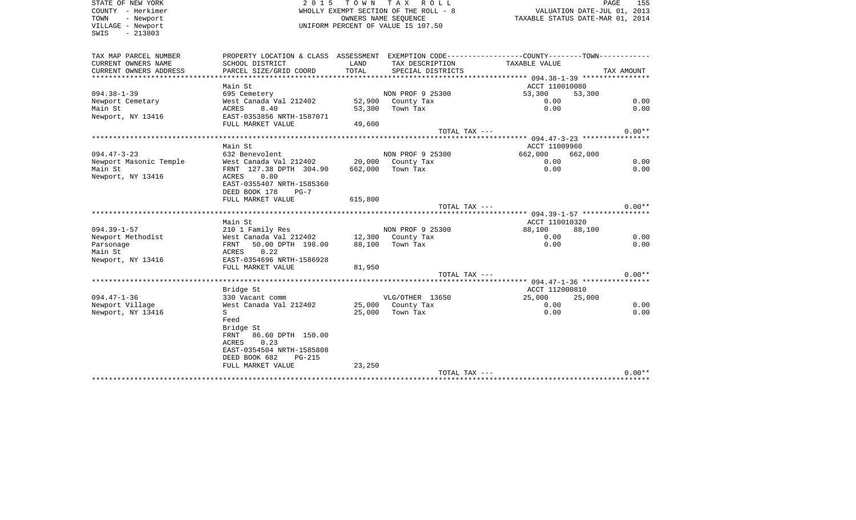| STATE OF NEW YORK<br>COUNTY - Herkimer<br>TOWN<br>- Newport<br>VILLAGE - Newport<br>$-213803$<br>SWIS | 2 0 1 5                                      | TOWN TAX | R O L L<br>WHOLLY EXEMPT SECTION OF THE ROLL - 8<br>OWNERS NAME SEOUENCE<br>UNIFORM PERCENT OF VALUE IS 107.50 | VALUATION DATE-JUL 01, 2013<br>TAXABLE STATUS DATE-MAR 01, 2014                                | PAGE<br>155 |
|-------------------------------------------------------------------------------------------------------|----------------------------------------------|----------|----------------------------------------------------------------------------------------------------------------|------------------------------------------------------------------------------------------------|-------------|
| TAX MAP PARCEL NUMBER                                                                                 |                                              |          |                                                                                                                | PROPERTY LOCATION & CLASS ASSESSMENT EXEMPTION CODE----------------COUNTY-------TOWN---------- |             |
| CURRENT OWNERS NAME                                                                                   | SCHOOL DISTRICT                              | LAND     | TAX DESCRIPTION                                                                                                | TAXABLE VALUE                                                                                  |             |
| CURRENT OWNERS ADDRESS                                                                                | PARCEL SIZE/GRID COORD                       | TOTAL    | SPECIAL DISTRICTS                                                                                              |                                                                                                | TAX AMOUNT  |
| **********************                                                                                | *******************                          |          |                                                                                                                |                                                                                                |             |
|                                                                                                       | Main St                                      |          |                                                                                                                | ACCT 110010080                                                                                 |             |
| $094.38 - 1 - 39$<br>Newport Cemetary                                                                 | 695 Cemetery<br>West Canada Val 212402       | 52,900   | NON PROF 9 25300<br>County Tax                                                                                 | 53,300<br>53,300<br>0.00                                                                       | 0.00        |
| Main St                                                                                               | ACRES<br>8.40                                | 53,300   | Town Tax                                                                                                       | 0.00                                                                                           | 0.00        |
| Newport, NY 13416                                                                                     | EAST-0353856 NRTH-1587071                    |          |                                                                                                                |                                                                                                |             |
|                                                                                                       | FULL MARKET VALUE                            | 49,600   |                                                                                                                |                                                                                                |             |
|                                                                                                       |                                              |          | TOTAL TAX ---                                                                                                  |                                                                                                | $0.00**$    |
|                                                                                                       |                                              |          |                                                                                                                |                                                                                                |             |
|                                                                                                       | Main St                                      |          |                                                                                                                | ACCT 11009960                                                                                  |             |
| $094.47 - 3 - 23$                                                                                     | 632 Benevolent                               |          | NON PROF 9 25300                                                                                               | 662,000<br>662,000                                                                             |             |
| Newport Masonic Temple                                                                                | West Canada Val 212402                       | 20,000   | County Tax                                                                                                     | 0.00                                                                                           | 0.00        |
| Main St                                                                                               | FRNT 127.38 DPTH 304.90                      | 662,000  | Town Tax                                                                                                       | 0.00                                                                                           | 0.00        |
| Newport, NY 13416                                                                                     | 0.80<br>ACRES                                |          |                                                                                                                |                                                                                                |             |
|                                                                                                       | EAST-0355407 NRTH-1585360                    |          |                                                                                                                |                                                                                                |             |
|                                                                                                       | DEED BOOK 178<br>$PG-7$<br>FULL MARKET VALUE | 615,800  |                                                                                                                |                                                                                                |             |
|                                                                                                       |                                              |          | TOTAL TAX ---                                                                                                  |                                                                                                | $0.00**$    |
|                                                                                                       |                                              |          |                                                                                                                |                                                                                                |             |
|                                                                                                       | Main St                                      |          |                                                                                                                | ACCT 110010320                                                                                 |             |
| $094.39 - 1 - 57$                                                                                     | 210 1 Family Res                             |          | NON PROF 9 25300                                                                                               | 88,100<br>88,100                                                                               |             |
| Newport Methodist                                                                                     | West Canada Val 212402                       | 12,300   | County Tax                                                                                                     | 0.00                                                                                           | 0.00        |
| Parsonage                                                                                             | 50.00 DPTH 198.00<br>FRNT                    | 88,100   | Town Tax                                                                                                       | 0.00                                                                                           | 0.00        |
| Main St                                                                                               | 0.22<br>ACRES                                |          |                                                                                                                |                                                                                                |             |
| Newport, NY 13416                                                                                     | EAST-0354696 NRTH-1586928                    |          |                                                                                                                |                                                                                                |             |
|                                                                                                       | FULL MARKET VALUE                            | 81,950   |                                                                                                                |                                                                                                |             |
|                                                                                                       |                                              |          | TOTAL TAX ---<br>*********************                                                                         | ***** 094.47-1-36 *****************                                                            | $0.00**$    |
|                                                                                                       | Bridge St                                    |          |                                                                                                                | ACCT 112000810                                                                                 |             |
| $094.47 - 1 - 36$                                                                                     | 330 Vacant comm                              |          | VLG/OTHER 13650                                                                                                | 25,000<br>25,000                                                                               |             |
| Newport Village                                                                                       | West Canada Val 212402                       | 25,000   | County Tax                                                                                                     | 0.00                                                                                           | 0.00        |
| Newport, NY 13416                                                                                     | S                                            | 25,000   | Town Tax                                                                                                       | 0.00                                                                                           | 0.00        |
|                                                                                                       | Feed                                         |          |                                                                                                                |                                                                                                |             |
|                                                                                                       | Bridge St                                    |          |                                                                                                                |                                                                                                |             |
|                                                                                                       | 86.60 DPTH 150.00<br>FRNT                    |          |                                                                                                                |                                                                                                |             |
|                                                                                                       | ACRES<br>0.23                                |          |                                                                                                                |                                                                                                |             |
|                                                                                                       | EAST-0354504 NRTH-1585808                    |          |                                                                                                                |                                                                                                |             |
|                                                                                                       | DEED BOOK 682<br><b>PG-215</b>               |          |                                                                                                                |                                                                                                |             |
|                                                                                                       | FULL MARKET VALUE                            | 23,250   |                                                                                                                |                                                                                                | $0.00**$    |
|                                                                                                       |                                              |          | TOTAL TAX ---                                                                                                  | **************************************                                                         |             |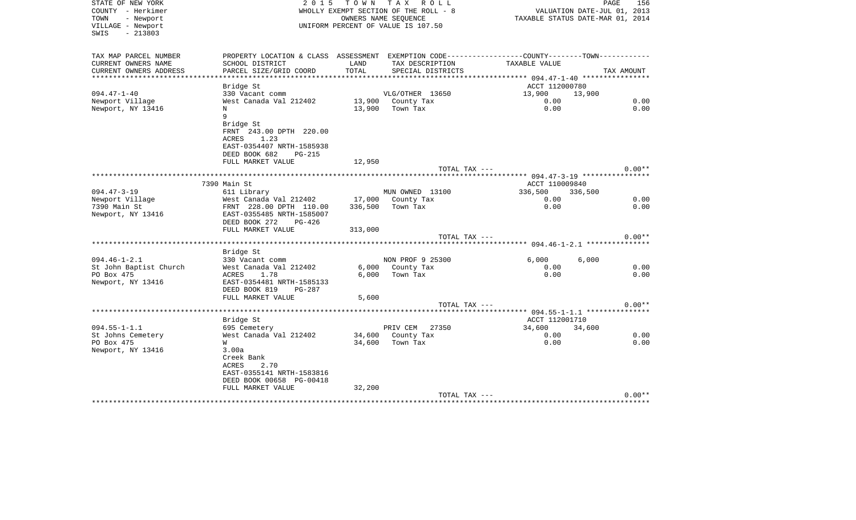| TAX MAP PARCEL NUMBER<br>PROPERTY LOCATION & CLASS ASSESSMENT EXEMPTION CODE----------------COUNTY--------TOWN----------<br>CURRENT OWNERS NAME<br>SCHOOL DISTRICT<br>LAND<br>TAX DESCRIPTION<br>TAXABLE VALUE<br>TOTAL<br>CURRENT OWNERS ADDRESS<br>PARCEL SIZE/GRID COORD<br>SPECIAL DISTRICTS<br>TAX AMOUNT<br>***************** 094.47-1-40 *****************<br>ACCT 112000780<br>Bridge St<br>$094.47 - 1 - 40$<br>VLG/OTHER 13650<br>13,900<br>330 Vacant comm<br>13,900<br>Newport Village<br>13,900 County Tax<br>0.00<br>0.00<br>West Canada Val 212402<br>13,900 Town Tax<br>0.00<br>0.00<br>Newport, NY 13416<br>N<br>9<br>Bridge St<br>FRNT 243.00 DPTH 220.00<br>ACRES<br>1.23<br>EAST-0354407 NRTH-1585938<br>DEED BOOK 682<br>PG-215<br>FULL MARKET VALUE<br>12,950<br>$0.00**$<br>TOTAL TAX ---<br>7390 Main St<br>ACCT 110009840<br>$094.47 - 3 - 19$<br>MUN OWNED 13100<br>611 Library<br>336,500<br>336,500<br>West Canada Val 212402<br>17,000 County Tax<br>0.00<br>0.00<br>Newport Village<br>7390 Main St<br>FRNT 228.00 DPTH 110.00<br>336,500<br>Town Tax<br>0.00<br>0.00<br>Newport, NY 13416<br>EAST-0355485 NRTH-1585007<br>DEED BOOK 272<br>$PG-426$<br>FULL MARKET VALUE<br>313,000<br>$0.00**$<br>TOTAL TAX ---<br>Bridge St<br>$094.46 - 1 - 2.1$<br>NON PROF 9 25300<br>330 Vacant comm<br>6,000<br>6,000<br>6,000 County Tax<br>0.00<br>0.00<br>St John Baptist Church<br>West Canada Val 212402<br>0.00<br>PO Box 475<br>ACRES<br>1.78<br>6,000<br>Town Tax<br>0.00<br>Newport, NY 13416<br>EAST-0354481 NRTH-1585133<br>DEED BOOK 819<br>PG-287<br>FULL MARKET VALUE<br>5,600<br>$0.00**$<br>TOTAL TAX ---<br>Bridge St<br>ACCT 112001710<br>$094.55 - 1 - 1.1$<br>34,600<br>695 Cemetery<br>PRIV CEM 27350<br>34,600<br>St Johns Cemetery<br>West Canada Val 212402<br>34,600 County Tax<br>0.00<br>0.00<br>0.00<br>0.00<br>PO Box 475<br>34,600 Town Tax<br>W<br>Newport, NY 13416<br>3.00a<br>Creek Bank<br>2.70<br>ACRES<br>EAST-0355141 NRTH-1583816<br>DEED BOOK 00658 PG-00418<br>32,200<br>FULL MARKET VALUE | STATE OF NEW YORK<br>COUNTY - Herkimer<br>TOWN<br>- Newport<br>VILLAGE - Newport<br>$-213803$<br>SWIS | 2 0 1 5 | TOWN TAX ROLL<br>WHOLLY EXEMPT SECTION OF THE ROLL - 8<br>OWNERS NAME SEOUENCE<br>UNIFORM PERCENT OF VALUE IS 107.50 | 156<br>PAGE<br>VALUATION DATE-JUL 01, 2013<br>TAXABLE STATUS DATE-MAR 01, 2014 |
|-----------------------------------------------------------------------------------------------------------------------------------------------------------------------------------------------------------------------------------------------------------------------------------------------------------------------------------------------------------------------------------------------------------------------------------------------------------------------------------------------------------------------------------------------------------------------------------------------------------------------------------------------------------------------------------------------------------------------------------------------------------------------------------------------------------------------------------------------------------------------------------------------------------------------------------------------------------------------------------------------------------------------------------------------------------------------------------------------------------------------------------------------------------------------------------------------------------------------------------------------------------------------------------------------------------------------------------------------------------------------------------------------------------------------------------------------------------------------------------------------------------------------------------------------------------------------------------------------------------------------------------------------------------------------------------------------------------------------------------------------------------------------------------------------------------------------------------------------------------------------------------------------------------------------------------------------------------------------------------------------------------------------------------------------------------|-------------------------------------------------------------------------------------------------------|---------|----------------------------------------------------------------------------------------------------------------------|--------------------------------------------------------------------------------|
|                                                                                                                                                                                                                                                                                                                                                                                                                                                                                                                                                                                                                                                                                                                                                                                                                                                                                                                                                                                                                                                                                                                                                                                                                                                                                                                                                                                                                                                                                                                                                                                                                                                                                                                                                                                                                                                                                                                                                                                                                                                           |                                                                                                       |         |                                                                                                                      |                                                                                |
|                                                                                                                                                                                                                                                                                                                                                                                                                                                                                                                                                                                                                                                                                                                                                                                                                                                                                                                                                                                                                                                                                                                                                                                                                                                                                                                                                                                                                                                                                                                                                                                                                                                                                                                                                                                                                                                                                                                                                                                                                                                           |                                                                                                       |         |                                                                                                                      |                                                                                |
|                                                                                                                                                                                                                                                                                                                                                                                                                                                                                                                                                                                                                                                                                                                                                                                                                                                                                                                                                                                                                                                                                                                                                                                                                                                                                                                                                                                                                                                                                                                                                                                                                                                                                                                                                                                                                                                                                                                                                                                                                                                           |                                                                                                       |         |                                                                                                                      |                                                                                |
|                                                                                                                                                                                                                                                                                                                                                                                                                                                                                                                                                                                                                                                                                                                                                                                                                                                                                                                                                                                                                                                                                                                                                                                                                                                                                                                                                                                                                                                                                                                                                                                                                                                                                                                                                                                                                                                                                                                                                                                                                                                           |                                                                                                       |         |                                                                                                                      |                                                                                |
|                                                                                                                                                                                                                                                                                                                                                                                                                                                                                                                                                                                                                                                                                                                                                                                                                                                                                                                                                                                                                                                                                                                                                                                                                                                                                                                                                                                                                                                                                                                                                                                                                                                                                                                                                                                                                                                                                                                                                                                                                                                           |                                                                                                       |         |                                                                                                                      |                                                                                |
|                                                                                                                                                                                                                                                                                                                                                                                                                                                                                                                                                                                                                                                                                                                                                                                                                                                                                                                                                                                                                                                                                                                                                                                                                                                                                                                                                                                                                                                                                                                                                                                                                                                                                                                                                                                                                                                                                                                                                                                                                                                           |                                                                                                       |         |                                                                                                                      |                                                                                |
|                                                                                                                                                                                                                                                                                                                                                                                                                                                                                                                                                                                                                                                                                                                                                                                                                                                                                                                                                                                                                                                                                                                                                                                                                                                                                                                                                                                                                                                                                                                                                                                                                                                                                                                                                                                                                                                                                                                                                                                                                                                           |                                                                                                       |         |                                                                                                                      |                                                                                |
|                                                                                                                                                                                                                                                                                                                                                                                                                                                                                                                                                                                                                                                                                                                                                                                                                                                                                                                                                                                                                                                                                                                                                                                                                                                                                                                                                                                                                                                                                                                                                                                                                                                                                                                                                                                                                                                                                                                                                                                                                                                           |                                                                                                       |         |                                                                                                                      |                                                                                |
|                                                                                                                                                                                                                                                                                                                                                                                                                                                                                                                                                                                                                                                                                                                                                                                                                                                                                                                                                                                                                                                                                                                                                                                                                                                                                                                                                                                                                                                                                                                                                                                                                                                                                                                                                                                                                                                                                                                                                                                                                                                           |                                                                                                       |         |                                                                                                                      |                                                                                |
|                                                                                                                                                                                                                                                                                                                                                                                                                                                                                                                                                                                                                                                                                                                                                                                                                                                                                                                                                                                                                                                                                                                                                                                                                                                                                                                                                                                                                                                                                                                                                                                                                                                                                                                                                                                                                                                                                                                                                                                                                                                           |                                                                                                       |         |                                                                                                                      |                                                                                |
|                                                                                                                                                                                                                                                                                                                                                                                                                                                                                                                                                                                                                                                                                                                                                                                                                                                                                                                                                                                                                                                                                                                                                                                                                                                                                                                                                                                                                                                                                                                                                                                                                                                                                                                                                                                                                                                                                                                                                                                                                                                           |                                                                                                       |         |                                                                                                                      |                                                                                |
|                                                                                                                                                                                                                                                                                                                                                                                                                                                                                                                                                                                                                                                                                                                                                                                                                                                                                                                                                                                                                                                                                                                                                                                                                                                                                                                                                                                                                                                                                                                                                                                                                                                                                                                                                                                                                                                                                                                                                                                                                                                           |                                                                                                       |         |                                                                                                                      |                                                                                |
|                                                                                                                                                                                                                                                                                                                                                                                                                                                                                                                                                                                                                                                                                                                                                                                                                                                                                                                                                                                                                                                                                                                                                                                                                                                                                                                                                                                                                                                                                                                                                                                                                                                                                                                                                                                                                                                                                                                                                                                                                                                           |                                                                                                       |         |                                                                                                                      |                                                                                |
|                                                                                                                                                                                                                                                                                                                                                                                                                                                                                                                                                                                                                                                                                                                                                                                                                                                                                                                                                                                                                                                                                                                                                                                                                                                                                                                                                                                                                                                                                                                                                                                                                                                                                                                                                                                                                                                                                                                                                                                                                                                           |                                                                                                       |         |                                                                                                                      |                                                                                |
|                                                                                                                                                                                                                                                                                                                                                                                                                                                                                                                                                                                                                                                                                                                                                                                                                                                                                                                                                                                                                                                                                                                                                                                                                                                                                                                                                                                                                                                                                                                                                                                                                                                                                                                                                                                                                                                                                                                                                                                                                                                           |                                                                                                       |         |                                                                                                                      |                                                                                |
|                                                                                                                                                                                                                                                                                                                                                                                                                                                                                                                                                                                                                                                                                                                                                                                                                                                                                                                                                                                                                                                                                                                                                                                                                                                                                                                                                                                                                                                                                                                                                                                                                                                                                                                                                                                                                                                                                                                                                                                                                                                           |                                                                                                       |         |                                                                                                                      |                                                                                |
|                                                                                                                                                                                                                                                                                                                                                                                                                                                                                                                                                                                                                                                                                                                                                                                                                                                                                                                                                                                                                                                                                                                                                                                                                                                                                                                                                                                                                                                                                                                                                                                                                                                                                                                                                                                                                                                                                                                                                                                                                                                           |                                                                                                       |         |                                                                                                                      |                                                                                |
|                                                                                                                                                                                                                                                                                                                                                                                                                                                                                                                                                                                                                                                                                                                                                                                                                                                                                                                                                                                                                                                                                                                                                                                                                                                                                                                                                                                                                                                                                                                                                                                                                                                                                                                                                                                                                                                                                                                                                                                                                                                           |                                                                                                       |         |                                                                                                                      |                                                                                |
|                                                                                                                                                                                                                                                                                                                                                                                                                                                                                                                                                                                                                                                                                                                                                                                                                                                                                                                                                                                                                                                                                                                                                                                                                                                                                                                                                                                                                                                                                                                                                                                                                                                                                                                                                                                                                                                                                                                                                                                                                                                           |                                                                                                       |         |                                                                                                                      |                                                                                |
|                                                                                                                                                                                                                                                                                                                                                                                                                                                                                                                                                                                                                                                                                                                                                                                                                                                                                                                                                                                                                                                                                                                                                                                                                                                                                                                                                                                                                                                                                                                                                                                                                                                                                                                                                                                                                                                                                                                                                                                                                                                           |                                                                                                       |         |                                                                                                                      |                                                                                |
|                                                                                                                                                                                                                                                                                                                                                                                                                                                                                                                                                                                                                                                                                                                                                                                                                                                                                                                                                                                                                                                                                                                                                                                                                                                                                                                                                                                                                                                                                                                                                                                                                                                                                                                                                                                                                                                                                                                                                                                                                                                           |                                                                                                       |         |                                                                                                                      |                                                                                |
|                                                                                                                                                                                                                                                                                                                                                                                                                                                                                                                                                                                                                                                                                                                                                                                                                                                                                                                                                                                                                                                                                                                                                                                                                                                                                                                                                                                                                                                                                                                                                                                                                                                                                                                                                                                                                                                                                                                                                                                                                                                           |                                                                                                       |         |                                                                                                                      |                                                                                |
|                                                                                                                                                                                                                                                                                                                                                                                                                                                                                                                                                                                                                                                                                                                                                                                                                                                                                                                                                                                                                                                                                                                                                                                                                                                                                                                                                                                                                                                                                                                                                                                                                                                                                                                                                                                                                                                                                                                                                                                                                                                           |                                                                                                       |         |                                                                                                                      |                                                                                |
|                                                                                                                                                                                                                                                                                                                                                                                                                                                                                                                                                                                                                                                                                                                                                                                                                                                                                                                                                                                                                                                                                                                                                                                                                                                                                                                                                                                                                                                                                                                                                                                                                                                                                                                                                                                                                                                                                                                                                                                                                                                           |                                                                                                       |         |                                                                                                                      |                                                                                |
|                                                                                                                                                                                                                                                                                                                                                                                                                                                                                                                                                                                                                                                                                                                                                                                                                                                                                                                                                                                                                                                                                                                                                                                                                                                                                                                                                                                                                                                                                                                                                                                                                                                                                                                                                                                                                                                                                                                                                                                                                                                           |                                                                                                       |         |                                                                                                                      |                                                                                |
|                                                                                                                                                                                                                                                                                                                                                                                                                                                                                                                                                                                                                                                                                                                                                                                                                                                                                                                                                                                                                                                                                                                                                                                                                                                                                                                                                                                                                                                                                                                                                                                                                                                                                                                                                                                                                                                                                                                                                                                                                                                           |                                                                                                       |         |                                                                                                                      |                                                                                |
|                                                                                                                                                                                                                                                                                                                                                                                                                                                                                                                                                                                                                                                                                                                                                                                                                                                                                                                                                                                                                                                                                                                                                                                                                                                                                                                                                                                                                                                                                                                                                                                                                                                                                                                                                                                                                                                                                                                                                                                                                                                           |                                                                                                       |         |                                                                                                                      |                                                                                |
|                                                                                                                                                                                                                                                                                                                                                                                                                                                                                                                                                                                                                                                                                                                                                                                                                                                                                                                                                                                                                                                                                                                                                                                                                                                                                                                                                                                                                                                                                                                                                                                                                                                                                                                                                                                                                                                                                                                                                                                                                                                           |                                                                                                       |         |                                                                                                                      |                                                                                |
|                                                                                                                                                                                                                                                                                                                                                                                                                                                                                                                                                                                                                                                                                                                                                                                                                                                                                                                                                                                                                                                                                                                                                                                                                                                                                                                                                                                                                                                                                                                                                                                                                                                                                                                                                                                                                                                                                                                                                                                                                                                           |                                                                                                       |         |                                                                                                                      |                                                                                |
|                                                                                                                                                                                                                                                                                                                                                                                                                                                                                                                                                                                                                                                                                                                                                                                                                                                                                                                                                                                                                                                                                                                                                                                                                                                                                                                                                                                                                                                                                                                                                                                                                                                                                                                                                                                                                                                                                                                                                                                                                                                           |                                                                                                       |         |                                                                                                                      |                                                                                |
|                                                                                                                                                                                                                                                                                                                                                                                                                                                                                                                                                                                                                                                                                                                                                                                                                                                                                                                                                                                                                                                                                                                                                                                                                                                                                                                                                                                                                                                                                                                                                                                                                                                                                                                                                                                                                                                                                                                                                                                                                                                           |                                                                                                       |         |                                                                                                                      |                                                                                |
|                                                                                                                                                                                                                                                                                                                                                                                                                                                                                                                                                                                                                                                                                                                                                                                                                                                                                                                                                                                                                                                                                                                                                                                                                                                                                                                                                                                                                                                                                                                                                                                                                                                                                                                                                                                                                                                                                                                                                                                                                                                           |                                                                                                       |         |                                                                                                                      |                                                                                |
|                                                                                                                                                                                                                                                                                                                                                                                                                                                                                                                                                                                                                                                                                                                                                                                                                                                                                                                                                                                                                                                                                                                                                                                                                                                                                                                                                                                                                                                                                                                                                                                                                                                                                                                                                                                                                                                                                                                                                                                                                                                           |                                                                                                       |         |                                                                                                                      |                                                                                |
|                                                                                                                                                                                                                                                                                                                                                                                                                                                                                                                                                                                                                                                                                                                                                                                                                                                                                                                                                                                                                                                                                                                                                                                                                                                                                                                                                                                                                                                                                                                                                                                                                                                                                                                                                                                                                                                                                                                                                                                                                                                           |                                                                                                       |         |                                                                                                                      |                                                                                |
|                                                                                                                                                                                                                                                                                                                                                                                                                                                                                                                                                                                                                                                                                                                                                                                                                                                                                                                                                                                                                                                                                                                                                                                                                                                                                                                                                                                                                                                                                                                                                                                                                                                                                                                                                                                                                                                                                                                                                                                                                                                           |                                                                                                       |         |                                                                                                                      |                                                                                |
|                                                                                                                                                                                                                                                                                                                                                                                                                                                                                                                                                                                                                                                                                                                                                                                                                                                                                                                                                                                                                                                                                                                                                                                                                                                                                                                                                                                                                                                                                                                                                                                                                                                                                                                                                                                                                                                                                                                                                                                                                                                           |                                                                                                       |         |                                                                                                                      |                                                                                |
|                                                                                                                                                                                                                                                                                                                                                                                                                                                                                                                                                                                                                                                                                                                                                                                                                                                                                                                                                                                                                                                                                                                                                                                                                                                                                                                                                                                                                                                                                                                                                                                                                                                                                                                                                                                                                                                                                                                                                                                                                                                           |                                                                                                       |         |                                                                                                                      |                                                                                |
|                                                                                                                                                                                                                                                                                                                                                                                                                                                                                                                                                                                                                                                                                                                                                                                                                                                                                                                                                                                                                                                                                                                                                                                                                                                                                                                                                                                                                                                                                                                                                                                                                                                                                                                                                                                                                                                                                                                                                                                                                                                           |                                                                                                       |         |                                                                                                                      |                                                                                |
|                                                                                                                                                                                                                                                                                                                                                                                                                                                                                                                                                                                                                                                                                                                                                                                                                                                                                                                                                                                                                                                                                                                                                                                                                                                                                                                                                                                                                                                                                                                                                                                                                                                                                                                                                                                                                                                                                                                                                                                                                                                           |                                                                                                       |         |                                                                                                                      |                                                                                |
|                                                                                                                                                                                                                                                                                                                                                                                                                                                                                                                                                                                                                                                                                                                                                                                                                                                                                                                                                                                                                                                                                                                                                                                                                                                                                                                                                                                                                                                                                                                                                                                                                                                                                                                                                                                                                                                                                                                                                                                                                                                           |                                                                                                       |         |                                                                                                                      |                                                                                |
| ********************************                                                                                                                                                                                                                                                                                                                                                                                                                                                                                                                                                                                                                                                                                                                                                                                                                                                                                                                                                                                                                                                                                                                                                                                                                                                                                                                                                                                                                                                                                                                                                                                                                                                                                                                                                                                                                                                                                                                                                                                                                          |                                                                                                       |         | TOTAL TAX ---                                                                                                        | $0.00**$                                                                       |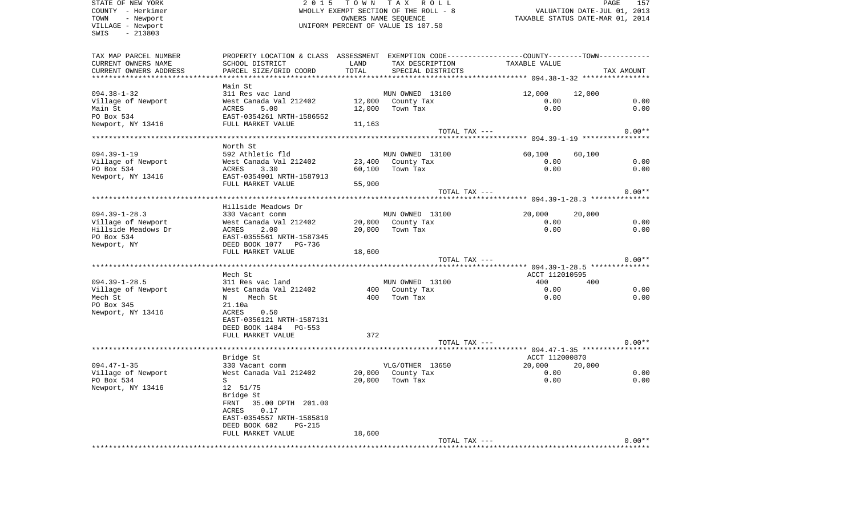| COUNTY - Herkimer                         |                                                                                               |                  | WHOLLY EXEMPT SECTION OF THE ROLL - 8 |                | VALUATION DATE-JUL 01, 2013      |  |  |
|-------------------------------------------|-----------------------------------------------------------------------------------------------|------------------|---------------------------------------|----------------|----------------------------------|--|--|
| TOWN<br>- Newport                         |                                                                                               |                  | OWNERS NAME SEQUENCE                  |                | TAXABLE STATUS DATE-MAR 01, 2014 |  |  |
| VILLAGE - Newport                         |                                                                                               |                  | UNIFORM PERCENT OF VALUE IS 107.50    |                |                                  |  |  |
| $-213803$<br>SWIS                         |                                                                                               |                  |                                       |                |                                  |  |  |
|                                           |                                                                                               |                  |                                       |                |                                  |  |  |
| TAX MAP PARCEL NUMBER                     | PROPERTY LOCATION & CLASS ASSESSMENT EXEMPTION CODE---------------COUNTY-------TOWN---------- |                  |                                       |                |                                  |  |  |
| CURRENT OWNERS NAME                       | SCHOOL DISTRICT                                                                               | LAND             | TAX DESCRIPTION                       | TAXABLE VALUE  |                                  |  |  |
| CURRENT OWNERS ADDRESS                    | PARCEL SIZE/GRID COORD                                                                        | TOTAL            | SPECIAL DISTRICTS                     |                | TAX AMOUNT                       |  |  |
|                                           |                                                                                               |                  |                                       |                |                                  |  |  |
|                                           | Main St                                                                                       |                  |                                       |                |                                  |  |  |
| $094.38 - 1 - 32$                         | 311 Res vac land                                                                              |                  | MUN OWNED 13100                       | 12,000         | 12,000                           |  |  |
| Village of Newport                        | West Canada Val 212402                                                                        |                  | 12,000 County Tax                     | 0.00           | 0.00                             |  |  |
| Main St                                   | ACRES<br>5.00                                                                                 | 12,000           | Town Tax                              | 0.00           | 0.00                             |  |  |
| PO Box 534                                | EAST-0354261 NRTH-1586552                                                                     |                  |                                       |                |                                  |  |  |
| Newport, NY 13416                         | FULL MARKET VALUE                                                                             | 11,163           |                                       |                |                                  |  |  |
|                                           |                                                                                               |                  | TOTAL TAX ---                         |                | $0.00**$                         |  |  |
|                                           |                                                                                               |                  |                                       |                |                                  |  |  |
|                                           | North St                                                                                      |                  |                                       |                |                                  |  |  |
| $094.39 - 1 - 19$                         | 592 Athletic fld                                                                              |                  | MUN OWNED 13100                       | 60,100         | 60,100                           |  |  |
| Village of Newport                        | West Canada Val 212402                                                                        | 23,400           | County Tax                            | 0.00           | 0.00                             |  |  |
| PO Box 534                                | ACRES<br>3.30                                                                                 | 60,100           | Town Tax                              | 0.00           | 0.00                             |  |  |
| Newport, NY 13416                         | EAST-0354901 NRTH-1587913                                                                     |                  |                                       |                |                                  |  |  |
|                                           | FULL MARKET VALUE                                                                             | 55,900           |                                       |                |                                  |  |  |
|                                           |                                                                                               |                  | TOTAL TAX ---                         |                | $0.00**$                         |  |  |
|                                           |                                                                                               |                  |                                       |                |                                  |  |  |
|                                           | Hillside Meadows Dr                                                                           |                  |                                       |                |                                  |  |  |
| $094.39 - 1 - 28.3$                       | 330 Vacant comm                                                                               |                  | MUN OWNED 13100                       | 20,000         | 20,000                           |  |  |
| Village of Newport<br>Hillside Meadows Dr | West Canada Val 212402<br>West (<br>ACRES<br>2.00                                             | 20,000<br>20,000 | County Tax                            | 0.00<br>0.00   | 0.00<br>0.00                     |  |  |
|                                           |                                                                                               |                  | Town Tax                              |                |                                  |  |  |
| PO Box 534                                | EAST-0355561 NRTH-1587345                                                                     |                  |                                       |                |                                  |  |  |
| Newport, NY                               | DEED BOOK 1077 PG-736                                                                         |                  |                                       |                |                                  |  |  |
|                                           | FULL MARKET VALUE                                                                             | 18,600           | TOTAL TAX ---                         |                | $0.00**$                         |  |  |
|                                           |                                                                                               |                  |                                       |                |                                  |  |  |
|                                           | Mech St.                                                                                      |                  |                                       | ACCT 112010595 |                                  |  |  |
| $094.39 - 1 - 28.5$                       | 311 Res vac land                                                                              |                  | MUN OWNED 13100                       | 400            | 400                              |  |  |
| Village of Newport                        | West Canada Val 212402                                                                        |                  | 400 County Tax                        | 0.00           | 0.00                             |  |  |
| Mech St                                   | $\mathbf N$<br>Mech St                                                                        | 400              | Town Tax                              | 0.00           | 0.00                             |  |  |
| PO Box 345                                | 21.10a                                                                                        |                  |                                       |                |                                  |  |  |
| Newport, NY 13416                         | 0.50<br>ACRES                                                                                 |                  |                                       |                |                                  |  |  |
|                                           | EAST-0356121 NRTH-1587131                                                                     |                  |                                       |                |                                  |  |  |
|                                           | DEED BOOK 1484 PG-553                                                                         |                  |                                       |                |                                  |  |  |
|                                           | FULL MARKET VALUE                                                                             | 372              |                                       |                |                                  |  |  |
|                                           |                                                                                               |                  | TOTAL TAX ---                         |                | $0.00**$                         |  |  |
|                                           |                                                                                               |                  |                                       |                |                                  |  |  |
|                                           | Bridge St                                                                                     |                  |                                       | ACCT 112000870 |                                  |  |  |
| $094.47 - 1 - 35$                         | 330 Vacant comm                                                                               |                  | VLG/OTHER 13650                       | 20,000         | 20,000                           |  |  |
| Village of Newport                        | West Canada Val 212402                                                                        |                  | 20,000 County Tax                     | 0.00           | 0.00                             |  |  |
| PO Box 534                                | S                                                                                             | 20,000           | Town Tax                              | 0.00           | 0.00                             |  |  |
| Newport, NY 13416                         | 12 51/75                                                                                      |                  |                                       |                |                                  |  |  |
|                                           | Bridge St                                                                                     |                  |                                       |                |                                  |  |  |
|                                           | FRNT 35.00 DPTH 201.00                                                                        |                  |                                       |                |                                  |  |  |
|                                           | ACRES<br>0.17                                                                                 |                  |                                       |                |                                  |  |  |
|                                           | EAST-0354557 NRTH-1585810                                                                     |                  |                                       |                |                                  |  |  |
|                                           | DEED BOOK 682<br>PG-215                                                                       |                  |                                       |                |                                  |  |  |
|                                           | FULL MARKET VALUE                                                                             | 18,600           |                                       |                |                                  |  |  |
|                                           |                                                                                               |                  | TOTAL TAX ---                         |                | $0.00**$                         |  |  |
|                                           |                                                                                               |                  |                                       |                |                                  |  |  |

PAGE 157

STATE OF NEW YORK **EXECUTE:**  $2015$  TOWN TAX ROLL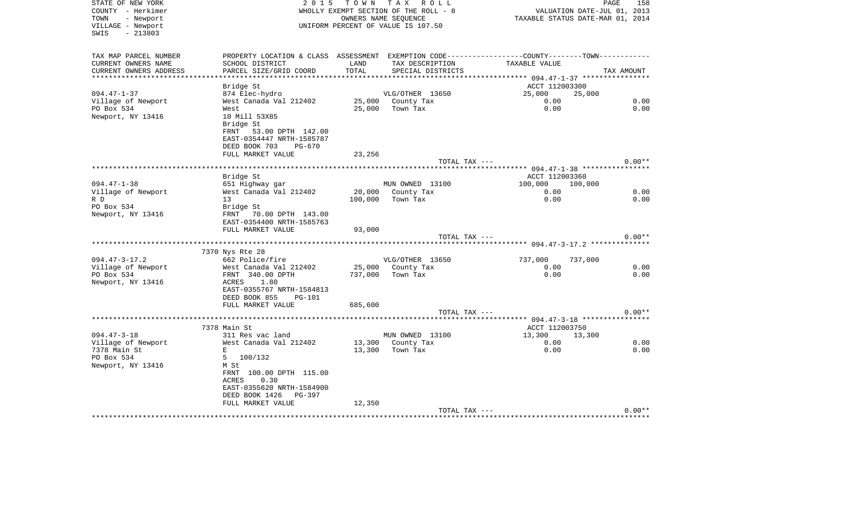| STATE OF NEW YORK<br>COUNTY - Herkimer<br>TOWN<br>- Newport<br>VILLAGE - Newport<br>SWIS<br>$-213803$ | 2 0 1 5                                                                                                        |         | TOWN TAX ROLL<br>WHOLLY EXEMPT SECTION OF THE ROLL - 8<br>OWNERS NAME SEQUENCE<br>UNIFORM PERCENT OF VALUE IS 107.50 | VALUATION DATE-JUL 01, 2013<br>TAXABLE STATUS DATE-MAR 01, 2014                                                 | PAGE<br>158 |
|-------------------------------------------------------------------------------------------------------|----------------------------------------------------------------------------------------------------------------|---------|----------------------------------------------------------------------------------------------------------------------|-----------------------------------------------------------------------------------------------------------------|-------------|
| TAX MAP PARCEL NUMBER<br>CURRENT OWNERS NAME                                                          | SCHOOL DISTRICT                                                                                                | LAND    | TAX DESCRIPTION                                                                                                      | PROPERTY LOCATION & CLASS ASSESSMENT EXEMPTION CODE----------------COUNTY-------TOWN----------<br>TAXABLE VALUE |             |
| CURRENT OWNERS ADDRESS                                                                                | PARCEL SIZE/GRID COORD                                                                                         | TOTAL   | SPECIAL DISTRICTS                                                                                                    |                                                                                                                 | TAX AMOUNT  |
|                                                                                                       | Bridge St                                                                                                      |         |                                                                                                                      | ACCT 112003300                                                                                                  |             |
| $094.47 - 1 - 37$                                                                                     | 874 Elec-hydro                                                                                                 |         | VLG/OTHER 13650                                                                                                      | 25,000<br>25,000                                                                                                |             |
| Village of Newport                                                                                    | West Canada Val 212402                                                                                         |         | 25,000 County Tax                                                                                                    | 0.00                                                                                                            | 0.00        |
| PO Box 534                                                                                            | West                                                                                                           | 25,000  | Town Tax                                                                                                             | 0.00                                                                                                            | 0.00        |
| Newport, NY 13416                                                                                     | 10 Mill 53X85<br>Bridge St<br>FRNT 53.00 DPTH 142.00<br>EAST-0354447 NRTH-1585787<br>DEED BOOK 703<br>$PG-670$ |         |                                                                                                                      |                                                                                                                 |             |
|                                                                                                       | FULL MARKET VALUE                                                                                              | 23,256  |                                                                                                                      |                                                                                                                 |             |
|                                                                                                       |                                                                                                                |         | TOTAL TAX ---                                                                                                        |                                                                                                                 | $0.00**$    |
|                                                                                                       |                                                                                                                |         |                                                                                                                      |                                                                                                                 |             |
|                                                                                                       | Bridge St                                                                                                      |         |                                                                                                                      | ACCT 112003360                                                                                                  |             |
| $094.47 - 1 - 38$                                                                                     | 651 Highway gar                                                                                                |         | MUN OWNED 13100                                                                                                      | 100,000 100,000                                                                                                 |             |
| Village of Newport                                                                                    | West Canada Val 212402<br>13                                                                                   | 20,000  | County Tax                                                                                                           | 0.00                                                                                                            | 0.00        |
| R D<br>PO Box 534                                                                                     | Bridge St                                                                                                      | 100,000 | Town Tax                                                                                                             | 0.00                                                                                                            | 0.00        |
| Newport, NY 13416                                                                                     | FRNT 70.00 DPTH 143.00<br>EAST-0354400 NRTH-1585763<br>FULL MARKET VALUE                                       | 93,000  |                                                                                                                      |                                                                                                                 |             |
|                                                                                                       |                                                                                                                |         | TOTAL TAX ---                                                                                                        |                                                                                                                 | $0.00**$    |
|                                                                                                       |                                                                                                                |         |                                                                                                                      |                                                                                                                 |             |
|                                                                                                       | 7370 Nys Rte 28                                                                                                |         |                                                                                                                      |                                                                                                                 |             |
| $094.47 - 3 - 17.2$                                                                                   | 662 Police/fire                                                                                                |         | VLG/OTHER 13650                                                                                                      | 737,000<br>737,000                                                                                              |             |
| Village of Newport                                                                                    | West Canada Val 212402                                                                                         |         | 25,000 County Tax                                                                                                    | 0.00                                                                                                            | 0.00        |
| PO Box 534                                                                                            | FRNT 340.00 DPTH                                                                                               | 737,000 | Town Tax                                                                                                             | 0.00                                                                                                            | 0.00        |
| Newport, NY 13416                                                                                     | ACRES<br>1.80<br>EAST-0355767 NRTH-1584813                                                                     |         |                                                                                                                      |                                                                                                                 |             |
|                                                                                                       | DEED BOOK 855<br><b>PG-101</b>                                                                                 |         |                                                                                                                      |                                                                                                                 |             |
|                                                                                                       | FULL MARKET VALUE                                                                                              | 685,600 |                                                                                                                      |                                                                                                                 |             |
|                                                                                                       |                                                                                                                |         | TOTAL TAX ---                                                                                                        |                                                                                                                 | $0.00**$    |
|                                                                                                       |                                                                                                                |         |                                                                                                                      |                                                                                                                 |             |
|                                                                                                       | 7378 Main St                                                                                                   |         |                                                                                                                      | ACCT 112003750                                                                                                  |             |
| $094.47 - 3 - 18$                                                                                     | 311 Res vac land                                                                                               |         | MUN OWNED 13100                                                                                                      | 13,300<br>13,300                                                                                                |             |
| Village of Newport                                                                                    | West Canada Val 212402                                                                                         |         | 13,300 County Tax                                                                                                    | 0.00                                                                                                            | 0.00        |
| 7378 Main St                                                                                          | E                                                                                                              | 13,300  | Town Tax                                                                                                             | 0.00                                                                                                            | 0.00        |
| PO Box 534                                                                                            | 5 100/132                                                                                                      |         |                                                                                                                      |                                                                                                                 |             |
| Newport, NY 13416                                                                                     | M St                                                                                                           |         |                                                                                                                      |                                                                                                                 |             |
|                                                                                                       | FRNT 100.00 DPTH 115.00<br>ACRES<br>0.30                                                                       |         |                                                                                                                      |                                                                                                                 |             |
|                                                                                                       | EAST-0355620 NRTH-1584900                                                                                      |         |                                                                                                                      |                                                                                                                 |             |
|                                                                                                       | DEED BOOK 1426 PG-397                                                                                          |         |                                                                                                                      |                                                                                                                 |             |
|                                                                                                       | FULL MARKET VALUE                                                                                              | 12,350  |                                                                                                                      |                                                                                                                 |             |
|                                                                                                       |                                                                                                                |         | TOTAL TAX ---                                                                                                        |                                                                                                                 | $0.00**$    |
|                                                                                                       |                                                                                                                |         |                                                                                                                      |                                                                                                                 |             |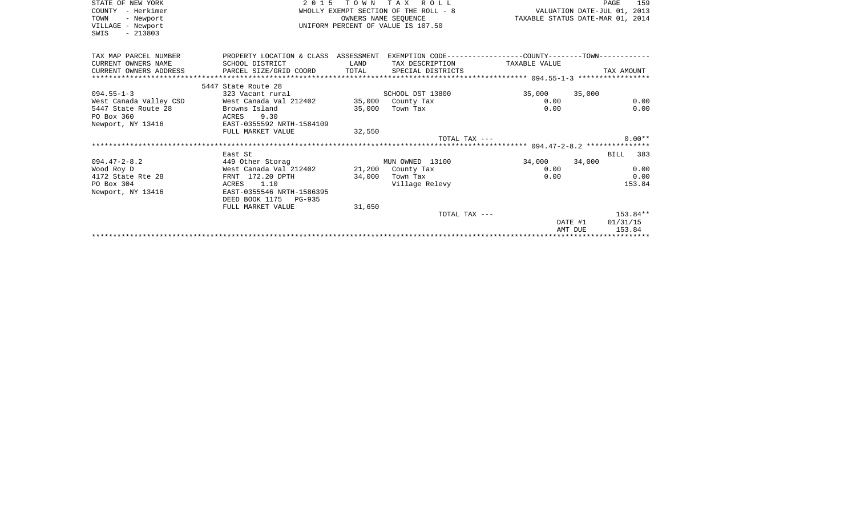| STATE OF NEW YORK<br>- Herkimer<br>COUNTY<br>TOWN<br>- Newport<br>VILLAGE - Newport<br>SWIS<br>$-213803$ | 2 0 1 5                                                                                                           |             | TOWN TAX ROLL<br>WHOLLY EXEMPT SECTION OF THE ROLL - 8<br>OWNERS NAME SEQUENCE<br>UNIFORM PERCENT OF VALUE IS 107.50 | VALUATION DATE-JUL 01, 2013<br>TAXABLE STATUS DATE-MAR 01, 2014 |                    | PAGE               | 159          |
|----------------------------------------------------------------------------------------------------------|-------------------------------------------------------------------------------------------------------------------|-------------|----------------------------------------------------------------------------------------------------------------------|-----------------------------------------------------------------|--------------------|--------------------|--------------|
| TAX MAP PARCEL NUMBER<br>CURRENT OWNERS NAME                                                             | PROPERTY LOCATION & CLASS ASSESSMENT EXEMPTION CODE----------------COUNTY-------TOWN----------<br>SCHOOL DISTRICT | <b>LAND</b> |                                                                                                                      | TAX DESCRIPTION TAXABLE VALUE                                   |                    |                    |              |
| CURRENT OWNERS ADDRESS                                                                                   | PARCEL SIZE/GRID COORD                                                                                            | TOTAL       | SPECIAL DISTRICTS                                                                                                    |                                                                 |                    | TAX AMOUNT         |              |
|                                                                                                          | 5447 State Route 28                                                                                               |             |                                                                                                                      |                                                                 |                    |                    |              |
| $094.55 - 1 - 3$                                                                                         | 323 Vacant rural                                                                                                  |             | SCHOOL DST 13800                                                                                                     | 35,000                                                          | 35,000             |                    |              |
| West Canada Valley CSD<br>5447 State Route 28                                                            | West Canada Val 212402 35,000 County Tax<br>Browns Island                                                         | 35,000      | Town Tax                                                                                                             | 0.00<br>0.00                                                    |                    |                    | 0.00<br>0.00 |
| PO Box 360<br>Newport, NY 13416                                                                          | ACRES 9.30<br>EAST-0355592 NRTH-1584109<br>FULL MARKET VALUE                                                      | 32,550      |                                                                                                                      |                                                                 |                    |                    |              |
|                                                                                                          |                                                                                                                   |             |                                                                                                                      | TOTAL TAX ---                                                   |                    |                    | $0.00**$     |
|                                                                                                          |                                                                                                                   |             |                                                                                                                      |                                                                 |                    |                    |              |
|                                                                                                          | East St                                                                                                           |             |                                                                                                                      |                                                                 |                    | BILL 383           |              |
| $094.47 - 2 - 8.2$                                                                                       | 449 Other Storag                                                                                                  |             | MUN OWNED 13100                                                                                                      | 34,000                                                          | 34,000             |                    |              |
| Wood Roy D<br>4172 State Rte 28                                                                          | West Canada Val 212402 21,200 County Tax<br>FRNT 172.20 DPTH                                                      | 34,000      | Town Tax                                                                                                             | 0.00<br>0.00                                                    |                    |                    | 0.00<br>0.00 |
| PO Box 304                                                                                               | 1.10<br>ACRES                                                                                                     |             | Village Relevy                                                                                                       |                                                                 |                    |                    | 153.84       |
| Newport, NY 13416                                                                                        | EAST-0355546 NRTH-1586395                                                                                         |             |                                                                                                                      |                                                                 |                    |                    |              |
|                                                                                                          | DEED BOOK 1175 PG-935                                                                                             |             |                                                                                                                      |                                                                 |                    |                    |              |
|                                                                                                          | FULL MARKET VALUE                                                                                                 | 31,650      |                                                                                                                      |                                                                 |                    |                    |              |
|                                                                                                          |                                                                                                                   |             | TOTAL TAX ---                                                                                                        |                                                                 |                    |                    | $153.84**$   |
|                                                                                                          |                                                                                                                   |             |                                                                                                                      |                                                                 | DATE #1<br>AMT DUE | 01/31/15<br>153.84 |              |
|                                                                                                          |                                                                                                                   |             |                                                                                                                      |                                                                 |                    |                    |              |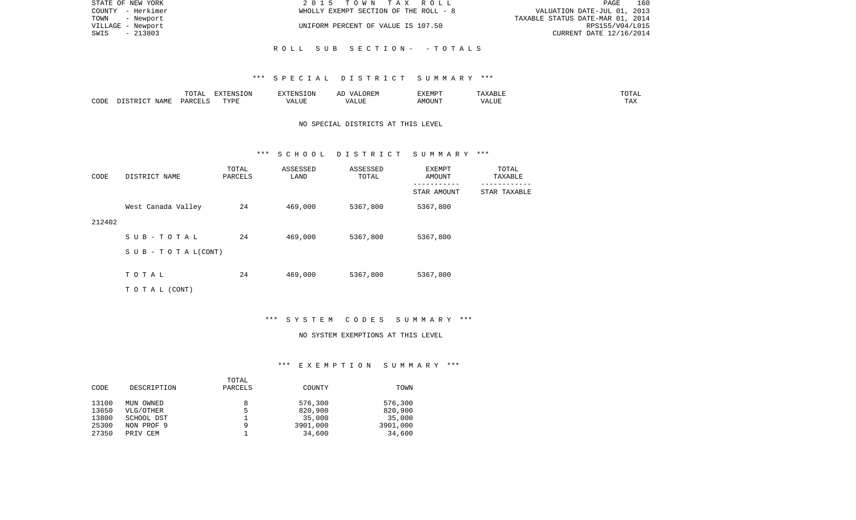| STATE OF NEW YORK | 2015 TOWN TAX ROLL                    | 160<br>PAGE                      |
|-------------------|---------------------------------------|----------------------------------|
| COUNTY - Herkimer | WHOLLY EXEMPT SECTION OF THE ROLL - 8 | VALUATION DATE-JUL 01, 2013      |
| TOWN<br>- Newport |                                       | TAXABLE STATUS DATE-MAR 01, 2014 |
| VILLAGE - Newport | UNIFORM PERCENT OF VALUE IS 107.50    | RPS155/V04/L015                  |
| - 213803<br>SWIS  |                                       | CURRENT DATE 12/16/2014          |
|                   |                                       |                                  |

R O L L S U B S E C T I O N - - T O T A L S

|      |                    |                    | <b>TVTTMCTOM</b><br>ιm |  | $\mathbf{z}$<br>ுங்க | $\cdots$ | JIAL |
|------|--------------------|--------------------|------------------------|--|----------------------|----------|------|
| CODE | <b>NAME</b><br>. . | <u>ן</u> די דים המ | TVDI                   |  | .)TIN'               |          |      |

## NO SPECIAL DISTRICTS AT THIS LEVEL

#### \*\*\* S C H O O L D I S T R I C T S U M M A R Y \*\*\*

| CODE   | DISTRICT NAME                    | TOTAL<br>ASSESSED<br>PARCELS<br>LAND |         | ASSESSED<br>TOTAL | EXEMPT<br>AMOUNT | TOTAL<br>TAXABLE |
|--------|----------------------------------|--------------------------------------|---------|-------------------|------------------|------------------|
|        |                                  |                                      |         |                   | STAR AMOUNT      | STAR TAXABLE     |
|        | West Canada Valley               | 24                                   | 469,000 | 5367,800          | 5367,800         |                  |
| 212402 |                                  |                                      |         |                   |                  |                  |
|        | SUB-TOTAL                        | 24                                   | 469,000 | 5367,800          | 5367,800         |                  |
|        | $S \cup B - T \cup T A L (CONT)$ |                                      |         |                   |                  |                  |
|        |                                  |                                      |         |                   |                  |                  |
|        | TOTAL                            | 24                                   | 469,000 | 5367,800          | 5367,800         |                  |
|        | T O T A L (CONT)                 |                                      |         |                   |                  |                  |

\*\*\* S Y S T E M C O D E S S U M M A R Y \*\*\*

#### NO SYSTEM EXEMPTIONS AT THIS LEVEL

|             | TOTAL   |          |          |
|-------------|---------|----------|----------|
| DESCRIPTION | PARCELS | COUNTY   | TOWN     |
|             |         |          |          |
| MUN OWNED   | 8       | 576,300  | 576,300  |
| VLG/OTHER   | 5       | 820,900  | 820,900  |
| SCHOOL DST  |         | 35,000   | 35,000   |
| NON PROF 9  | 9       | 3901,000 | 3901,000 |
| PRIV CEM    |         | 34,600   | 34,600   |
|             |         |          |          |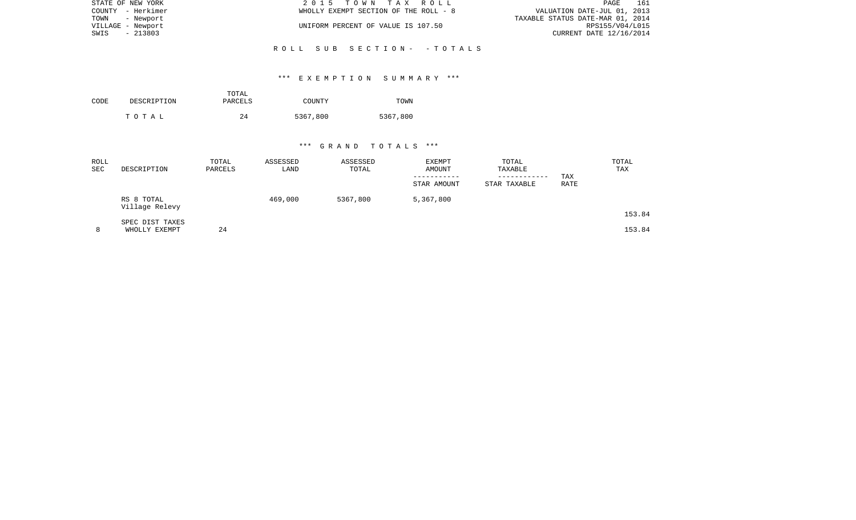| STATE OF NEW YORK | 2015 TOWN TAX ROLL                    | 161<br>PAGE                      |
|-------------------|---------------------------------------|----------------------------------|
| COUNTY - Herkimer | WHOLLY EXEMPT SECTION OF THE ROLL - 8 | VALUATION DATE-JUL 01, 2013      |
| TOWN<br>- Newport |                                       | TAXABLE STATUS DATE-MAR 01, 2014 |
| VILLAGE - Newport | UNIFORM PERCENT OF VALUE IS 107.50    | RPS155/V04/L015                  |
| - 213803<br>SWIS  |                                       | CURRENT DATE 12/16/2014          |
|                   |                                       |                                  |
|                   | ROLL SUB SECTION- - TOTALS            |                                  |

## \*\*\* E X E M P T I O N S U M M A R Y \*\*\*

|      |             | TOTAL   |          |          |
|------|-------------|---------|----------|----------|
| CODE | DESCRIPTION | PARCELS | COUNTY   | TOWN     |
|      |             |         |          |          |
|      | тотаь       | 24      | 5367,800 | 5367,800 |

| ROLL<br>SEC | DESCRIPTION                  | TOTAL<br>PARCELS | ASSESSED<br>LAND | ASSESSED<br>TOTAL | EXEMPT<br>AMOUNT<br>-----------<br>STAR AMOUNT | TOTAL<br>TAXABLE<br>------------<br>STAR TAXABLE | TAX<br>RATE | TOTAL<br>TAX |
|-------------|------------------------------|------------------|------------------|-------------------|------------------------------------------------|--------------------------------------------------|-------------|--------------|
|             | RS 8 TOTAL<br>Village Relevy |                  | 469,000          | 5367,800          | 5,367,800                                      |                                                  |             | 153.84       |
|             | SPEC DIST TAXES              |                  |                  |                   |                                                |                                                  |             |              |
| 8           | WHOLLY EXEMPT                | 24               |                  |                   |                                                |                                                  |             | 153.84       |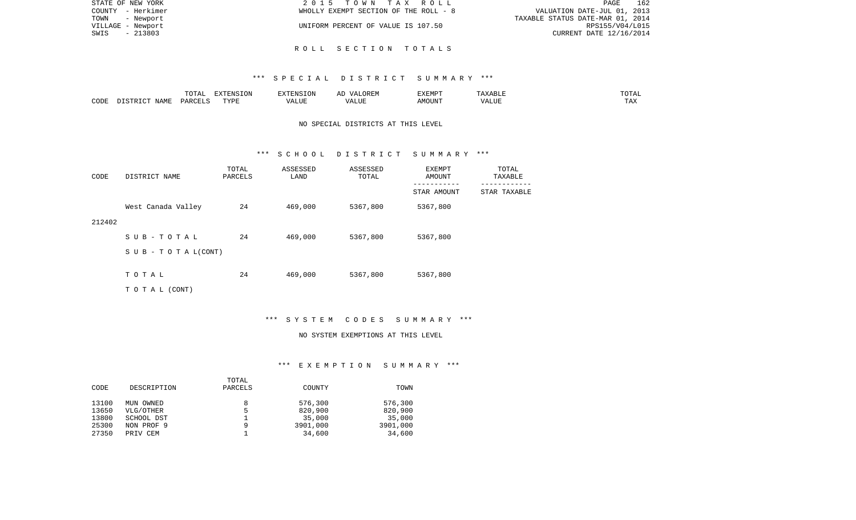| STATE OF NEW YORK | 2015 TOWN TAX ROLL                    | 162<br>PAGE                      |
|-------------------|---------------------------------------|----------------------------------|
| COUNTY - Herkimer | WHOLLY EXEMPT SECTION OF THE ROLL - 8 | VALUATION DATE-JUL 01, 2013      |
| TOWN<br>- Newport |                                       | TAXABLE STATUS DATE-MAR 01, 2014 |
| VILLAGE - Newport | UNIFORM PERCENT OF VALUE IS 107.50    | RPS155/V04/L015                  |
| - 213803<br>SWIS  |                                       | CURRENT DATE 12/16/2014          |
|                   |                                       |                                  |

R O L L S E C T I O N T O T A L S

|      |                    | T<br>$\Delta$<br>10111 | .ON       | $ -$  | $H: \mathbb{R}^n$<br>ΑI | proprac<br>-XEMP |           | ◡∸ェℶ                 |
|------|--------------------|------------------------|-----------|-------|-------------------------|------------------|-----------|----------------------|
| CODE | IAME<br>$\sqrt{2}$ |                        | TVDF<br>. | L.TTF | TTT.                    |                  | $- - - -$ | ᇚᆪ<br>L <i>I</i> 14. |

# NO SPECIAL DISTRICTS AT THIS LEVEL

#### \*\*\* S C H O O L D I S T R I C T S U M M A R Y \*\*\*

| CODE   | DISTRICT NAME                    | TOTAL<br>ASSESSED<br>ASSESSED<br>TOTAL<br>PARCELS<br>LAND |         |          | EXEMPT<br>AMOUNT | TOTAL<br>TAXABLE |  |
|--------|----------------------------------|-----------------------------------------------------------|---------|----------|------------------|------------------|--|
|        |                                  |                                                           |         |          | STAR AMOUNT      | STAR TAXABLE     |  |
|        | West Canada Valley               | 24                                                        | 469,000 | 5367,800 | 5367,800         |                  |  |
| 212402 |                                  |                                                           |         |          |                  |                  |  |
|        | SUB-TOTAL                        | 24                                                        | 469,000 | 5367,800 | 5367,800         |                  |  |
|        | $S \cup B - T \cup T A L (CONT)$ |                                                           |         |          |                  |                  |  |
|        |                                  |                                                           |         |          |                  |                  |  |
|        | TOTAL                            | 24                                                        | 469,000 | 5367,800 | 5367,800         |                  |  |
|        | T O T A L (CONT)                 |                                                           |         |          |                  |                  |  |

\*\*\* S Y S T E M C O D E S S U M M A R Y \*\*\*

#### NO SYSTEM EXEMPTIONS AT THIS LEVEL

|             | TOTAL   |          |          |
|-------------|---------|----------|----------|
| DESCRIPTION | PARCELS | COUNTY   | TOWN     |
|             |         |          |          |
| MUN OWNED   | 8       |          | 576,300  |
| VLG/OTHER   | 5       | 820,900  | 820,900  |
| SCHOOL DST  |         | 35,000   | 35,000   |
| NON PROF 9  | q       | 3901,000 | 3901,000 |
| PRIV CEM    |         | 34,600   | 34,600   |
|             |         |          | 576,300  |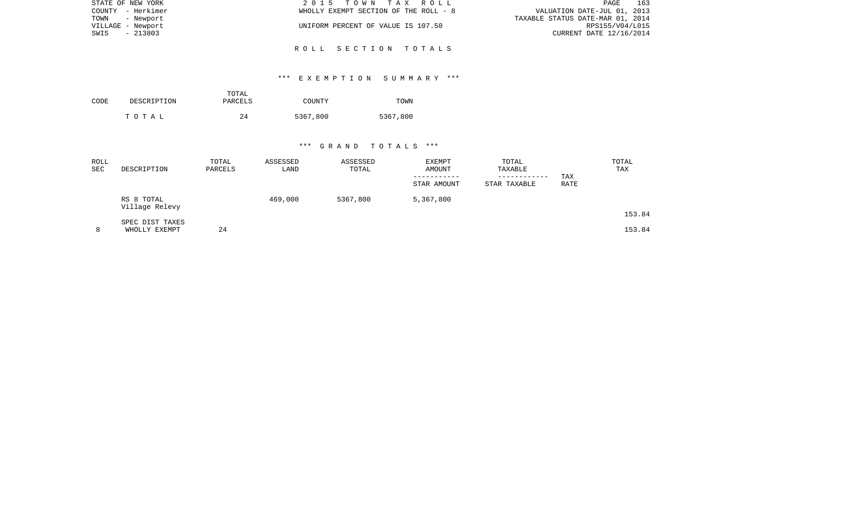| STATE OF NEW YORK | 2015 TOWN TAX ROLL                    | 163<br>PAGE                      |
|-------------------|---------------------------------------|----------------------------------|
| COUNTY - Herkimer | WHOLLY EXEMPT SECTION OF THE ROLL - 8 | VALUATION DATE-JUL 01, 2013      |
| TOWN - Newport    |                                       | TAXABLE STATUS DATE-MAR 01, 2014 |
| VILLAGE - Newport | UNIFORM PERCENT OF VALUE IS 107.50    | RPS155/V04/L015                  |
| SWIS<br>- 213803  |                                       | CURRENT DATE 12/16/2014          |
|                   | ROLL SECTION TOTALS                   |                                  |

## \*\*\* E X E M P T I O N S U M M A R Y \*\*\*

| CODE | DESCRIPTION | TOTAL<br>PARCELS | COUNTY   | TOWN     |
|------|-------------|------------------|----------|----------|
|      | тотаь       | 24               | 5367,800 | 5367,800 |

| ROLL<br>SEC | DESCRIPTION                  | TOTAL<br>PARCELS | ASSESSED<br>LAND | ASSESSED<br>TOTAL | EXEMPT<br>AMOUNT<br>-----------<br>STAR AMOUNT | TOTAL<br>TAXABLE<br>------------<br>STAR TAXABLE | TAX<br>RATE | TOTAL<br>TAX |
|-------------|------------------------------|------------------|------------------|-------------------|------------------------------------------------|--------------------------------------------------|-------------|--------------|
|             | RS 8 TOTAL<br>Village Relevy |                  | 469,000          | 5367,800          | 5,367,800                                      |                                                  |             | 153.84       |
|             | SPEC DIST TAXES              |                  |                  |                   |                                                |                                                  |             |              |
| 8           | WHOLLY EXEMPT                | 24               |                  |                   |                                                |                                                  |             | 153.84       |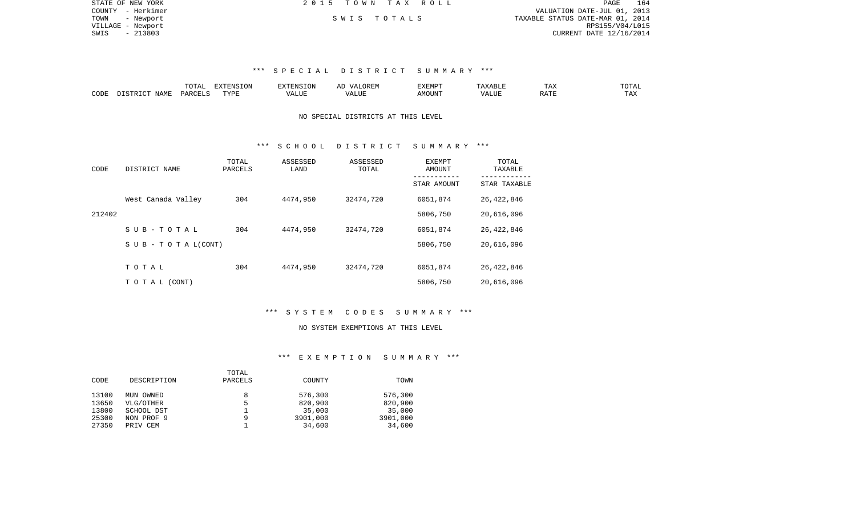| STATE OF NEW YORK | 2015 TOWN TAX ROLL | - 164<br>PAGE                    |
|-------------------|--------------------|----------------------------------|
| COUNTY - Herkimer |                    | VALUATION DATE-JUL 01, 2013      |
| TOWN - Newport    | SWIS TOTALS        | TAXABLE STATUS DATE-MAR 01, 2014 |
| VILLAGE - Newport |                    | RPS155/V04/L015                  |
| - 213803<br>SWIS  |                    | CURRENT DATE 12/16/2014          |

|      |                             | $m \wedge m$<br>◡∸ェ | $- - - -$<br>. | TNS <sub>1</sub><br>ON | ΑL | .XEMP" | --<br>-------- | ∸∸    | $\blacksquare$<br>بد س |
|------|-----------------------------|---------------------|----------------|------------------------|----|--------|----------------|-------|------------------------|
| CODE | <b>NTAMT</b><br>$ \sim$ $-$ | PAR                 | TVDE           |                        |    | M∩T™   | "JTF<br>77.    | n z m | $m \times r$<br>∸∽∽    |

# NO SPECIAL DISTRICTS AT THIS LEVEL

### \*\*\* S C H O O L D I S T R I C T S U M M A R Y \*\*\*

| CODE   | DISTRICT NAME                    | TOTAL<br>PARCELS | ASSESSED<br>LAND | ASSESSED<br>TOTAL | EXEMPT<br>AMOUNT | TOTAL<br>TAXABLE |
|--------|----------------------------------|------------------|------------------|-------------------|------------------|------------------|
|        |                                  |                  |                  |                   | STAR AMOUNT      | STAR TAXABLE     |
|        | West Canada Valley               | 304              | 4474,950         | 32474,720         | 6051,874         | 26,422,846       |
| 212402 |                                  |                  |                  |                   | 5806,750         | 20,616,096       |
|        | SUB-TOTAL                        | 304              | 4474,950         | 32474,720         | 6051,874         | 26,422,846       |
|        | $S \cup B - T \cup T A L (CONT)$ |                  |                  |                   | 5806,750         | 20,616,096       |
|        |                                  |                  |                  |                   |                  |                  |
|        | TOTAL                            | 304              | 4474,950         | 32474,720         | 6051,874         | 26,422,846       |
|        | TO TAL (CONT)                    |                  |                  |                   | 5806,750         | 20,616,096       |

## \*\*\* S Y S T E M C O D E S S U M M A R Y \*\*\*

#### NO SYSTEM EXEMPTIONS AT THIS LEVEL

|       |             | TOTAL   |          |          |
|-------|-------------|---------|----------|----------|
| CODE  | DESCRIPTION | PARCELS | COUNTY   | TOWN     |
|       |             |         |          |          |
| 13100 | MUN OWNED   | 8       | 576,300  | 576,300  |
| 13650 | VLG/OTHER   | 5       | 820,900  | 820,900  |
| 13800 | SCHOOL DST  |         | 35,000   | 35,000   |
| 25300 | NON PROF 9  | q       | 3901,000 | 3901,000 |
| 27350 | PRIV CEM    |         | 34,600   | 34,600   |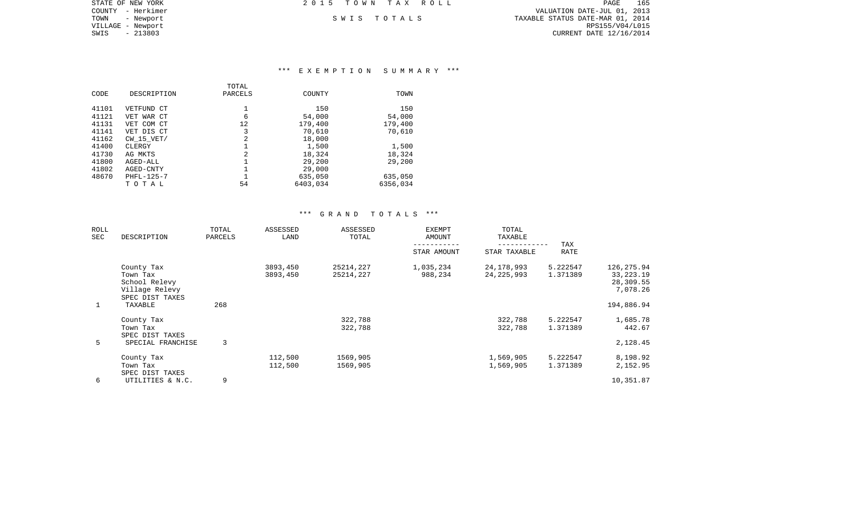| STATE OF NEW YORK | 2015 TOWN TAX ROLL | 165<br><b>PAGE</b>               |
|-------------------|--------------------|----------------------------------|
| COUNTY - Herkimer |                    | VALUATION DATE-JUL 01, 2013      |
| TOWN - Newport    | SWIS TOTALS        | TAXABLE STATUS DATE-MAR 01, 2014 |
| VILLAGE - Newport |                    | RPS155/V04/L015                  |
| SWIS<br>- 213803  |                    | CURRENT DATE 12/16/2014          |
|                   |                    |                                  |

## \*\*\* E X E M P T I O N S U M M A R Y \*\*\*

|       |             | TOTAL   |          |          |
|-------|-------------|---------|----------|----------|
| CODE  | DESCRIPTION | PARCELS | COUNTY   | TOWN     |
|       |             |         |          |          |
| 41101 | VETFUND CT  |         | 150      | 150      |
| 41121 | VET WAR CT  | 6       | 54,000   | 54,000   |
| 41131 | VET COM CT  | 12      | 179,400  | 179,400  |
| 41141 | VET DIS CT  | 3       | 70,610   | 70,610   |
| 41162 | CW 15 VET/  | 2       | 18,000   |          |
| 41400 | CLERGY      |         | 1,500    | 1,500    |
| 41730 | AG MKTS     | 2       | 18,324   | 18,324   |
| 41800 | AGED-ALL    |         | 29,200   | 29,200   |
| 41802 | AGED-CNTY   |         | 29,000   |          |
| 48670 | PHFL-125-7  |         | 635,050  | 635,050  |
|       | TOTAL       | 54      | 6403,034 | 6356,034 |
|       |             |         |          |          |

| ROLL<br>SEC | DESCRIPTION                       | TOTAL<br>PARCELS | ASSESSED<br>LAND | ASSESSED<br>TOTAL | <b>EXEMPT</b><br>AMOUNT | TOTAL<br>TAXABLE |             |             |
|-------------|-----------------------------------|------------------|------------------|-------------------|-------------------------|------------------|-------------|-------------|
|             |                                   |                  |                  |                   |                         |                  | TAX         |             |
|             |                                   |                  |                  |                   | STAR AMOUNT             | STAR TAXABLE     | <b>RATE</b> |             |
|             | County Tax                        |                  | 3893,450         | 25214,227         | 1,035,234               | 24,178,993       | 5.222547    | 126,275.94  |
|             | Town Tax                          |                  | 3893,450         | 25214,227         | 988,234                 | 24, 225, 993     | 1.371389    | 33, 223. 19 |
|             | School Relevy                     |                  |                  |                   |                         |                  |             | 28,309.55   |
|             | Village Relevy<br>SPEC DIST TAXES |                  |                  |                   |                         |                  |             | 7,078.26    |
|             | TAXABLE                           | 268              |                  |                   |                         |                  |             | 194,886.94  |
|             | County Tax                        |                  |                  | 322,788           |                         | 322,788          | 5.222547    | 1,685.78    |
|             | Town Tax<br>SPEC DIST TAXES       |                  |                  | 322,788           |                         | 322,788          | 1.371389    | 442.67      |
| 5.          | SPECIAL FRANCHISE                 | 3                |                  |                   |                         |                  |             | 2,128.45    |
|             | County Tax                        |                  | 112,500          | 1569,905          |                         | 1,569,905        | 5.222547    | 8,198.92    |
|             | Town Tax<br>SPEC DIST TAXES       |                  | 112,500          | 1569,905          |                         | 1,569,905        | 1.371389    | 2,152.95    |
| 6           | UTILITIES & N.C.                  | 9                |                  |                   |                         |                  |             | 10,351.87   |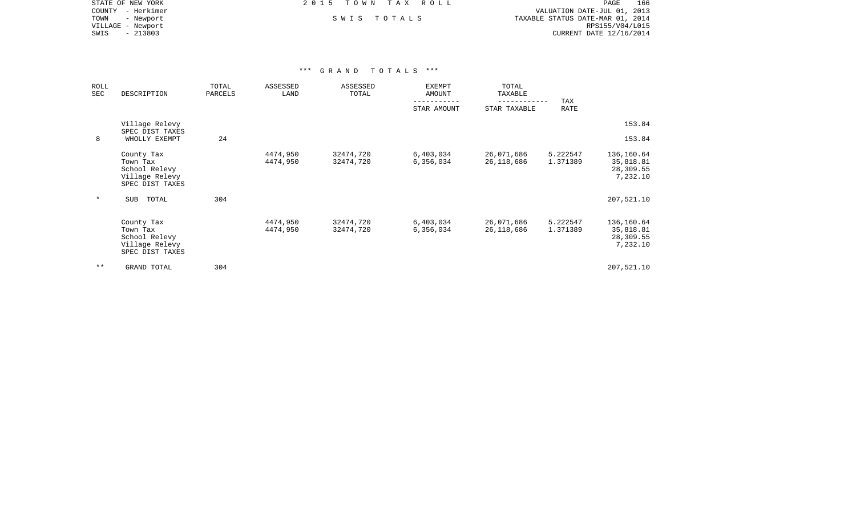| STATE OF NEW YORK | 2015 TOWN TAX ROLL | 166<br>PAGE                      |
|-------------------|--------------------|----------------------------------|
| COUNTY - Herkimer |                    | VALUATION DATE-JUL 01, 2013      |
| TOWN<br>- Newport | SWIS TOTALS        | TAXABLE STATUS DATE-MAR 01, 2014 |
| VILLAGE - Newport |                    | RPS155/V04/L015                  |
| - 213803<br>SWIS  |                    | CURRENT DATE 12/16/2014          |
|                   |                    |                                  |

| <b>ROLL</b> |                                                                              | TOTAL   | ASSESSED             | ASSESSED               | <b>EXEMPT</b>          | TOTAL                    |                      |                                                  |
|-------------|------------------------------------------------------------------------------|---------|----------------------|------------------------|------------------------|--------------------------|----------------------|--------------------------------------------------|
| SEC         | DESCRIPTION                                                                  | PARCELS | LAND                 | TOTAL                  | AMOUNT                 | TAXABLE                  |                      |                                                  |
|             |                                                                              |         |                      |                        |                        | STAR TAXABLE             | TAX<br><b>RATE</b>   |                                                  |
|             |                                                                              |         |                      |                        | STAR AMOUNT            |                          |                      |                                                  |
|             | Village Relevy<br>SPEC DIST TAXES                                            |         |                      |                        |                        |                          |                      | 153.84                                           |
| 8           | WHOLLY EXEMPT                                                                | 24      |                      |                        |                        |                          |                      | 153.84                                           |
|             | County Tax<br>Town Tax<br>School Relevy<br>Village Relevy<br>SPEC DIST TAXES |         | 4474,950<br>4474,950 | 32474,720<br>32474,720 | 6,403,034<br>6,356,034 | 26,071,686<br>26,118,686 | 5.222547<br>1.371389 | 136,160.64<br>35,818.81<br>28,309.55<br>7,232.10 |
| $\star$     | TOTAL<br><b>SUB</b>                                                          | 304     |                      |                        |                        |                          |                      | 207,521.10                                       |
|             | County Tax<br>Town Tax<br>School Relevy<br>Village Relevy<br>SPEC DIST TAXES |         | 4474,950<br>4474,950 | 32474,720<br>32474,720 | 6,403,034<br>6,356,034 | 26,071,686<br>26,118,686 | 5.222547<br>1.371389 | 136,160.64<br>35,818.81<br>28,309.55<br>7,232.10 |
| $***$       | GRAND TOTAL                                                                  | 304     |                      |                        |                        |                          |                      | 207,521.10                                       |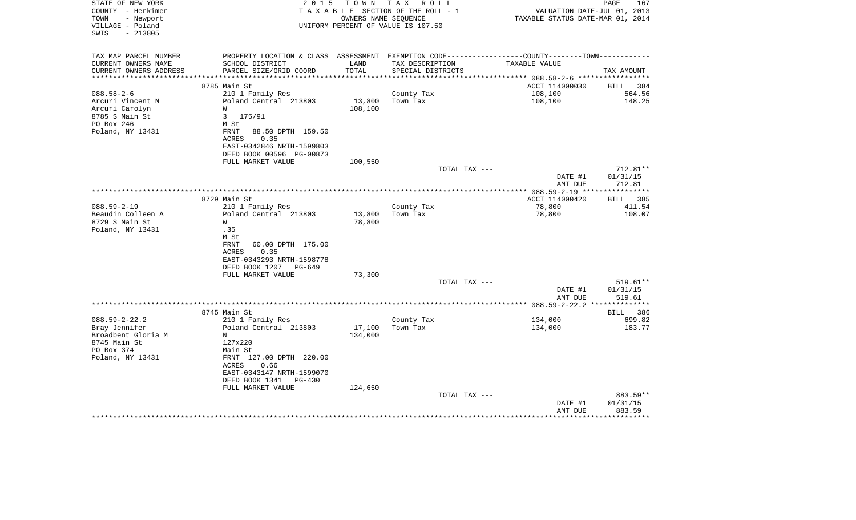| STATE OF NEW YORK<br>COUNTY - Herkimer<br>- Newport<br>TOWN<br>VILLAGE - Poland<br>SWIS<br>$-213805$ | 2 0 1 5                                    | T O W N           | T A X<br>R O L L<br>TAXABLE SECTION OF THE ROLL - 1<br>OWNERS NAME SEQUENCE<br>UNIFORM PERCENT OF VALUE IS 107.50 | VALUATION DATE-JUL 01, 2013<br>TAXABLE STATUS DATE-MAR 01, 2014                                                | PAGE<br>167        |
|------------------------------------------------------------------------------------------------------|--------------------------------------------|-------------------|-------------------------------------------------------------------------------------------------------------------|----------------------------------------------------------------------------------------------------------------|--------------------|
| TAX MAP PARCEL NUMBER<br>CURRENT OWNERS NAME                                                         | SCHOOL DISTRICT                            | LAND              | TAX DESCRIPTION                                                                                                   | PROPERTY LOCATION & CLASS ASSESSMENT EXEMPTION CODE---------------COUNTY-------TOWN----------<br>TAXABLE VALUE |                    |
| CURRENT OWNERS ADDRESS<br>***********************                                                    | PARCEL SIZE/GRID COORD                     | TOTAL             | SPECIAL DISTRICTS                                                                                                 |                                                                                                                | TAX AMOUNT         |
|                                                                                                      | 8785 Main St                               |                   |                                                                                                                   | ACCT 114000030                                                                                                 | <b>BILL</b><br>384 |
| $088.58 - 2 - 6$                                                                                     | 210 1 Family Res                           |                   | County Tax                                                                                                        | 108,100                                                                                                        | 564.56             |
| Arcuri Vincent N                                                                                     | Poland Central 213803                      | 13,800            | Town Tax                                                                                                          | 108,100                                                                                                        | 148.25             |
| Arcuri Carolyn                                                                                       | W                                          | 108,100           |                                                                                                                   |                                                                                                                |                    |
| 8785 S Main St<br>PO Box 246                                                                         | 3<br>175/91<br>M St                        |                   |                                                                                                                   |                                                                                                                |                    |
| Poland, NY 13431                                                                                     | FRNT<br>88.50 DPTH 159.50<br>ACRES<br>0.35 |                   |                                                                                                                   |                                                                                                                |                    |
|                                                                                                      | EAST-0342846 NRTH-1599803                  |                   |                                                                                                                   |                                                                                                                |                    |
|                                                                                                      | DEED BOOK 00596 PG-00873                   |                   |                                                                                                                   |                                                                                                                |                    |
|                                                                                                      | FULL MARKET VALUE                          | 100,550           | TOTAL TAX ---                                                                                                     |                                                                                                                | 712.81**           |
|                                                                                                      |                                            |                   |                                                                                                                   | DATE #1<br>AMT DUE                                                                                             | 01/31/15<br>712.81 |
|                                                                                                      |                                            |                   |                                                                                                                   |                                                                                                                |                    |
|                                                                                                      | 8729 Main St                               |                   |                                                                                                                   | ACCT 114000420                                                                                                 | 385<br>BILL        |
| $088.59 - 2 - 19$                                                                                    | 210 1 Family Res                           |                   | County Tax                                                                                                        | 78,800                                                                                                         | 411.54             |
| Beaudin Colleen A<br>8729 S Main St                                                                  | Poland Central 213803<br>W                 | 13,800<br>78,800  | Town Tax                                                                                                          | 78,800                                                                                                         | 108.07             |
| Poland, NY 13431                                                                                     | .35                                        |                   |                                                                                                                   |                                                                                                                |                    |
|                                                                                                      | M St                                       |                   |                                                                                                                   |                                                                                                                |                    |
|                                                                                                      | FRNT<br>60.00 DPTH 175.00                  |                   |                                                                                                                   |                                                                                                                |                    |
|                                                                                                      | ACRES<br>0.35                              |                   |                                                                                                                   |                                                                                                                |                    |
|                                                                                                      | EAST-0343293 NRTH-1598778                  |                   |                                                                                                                   |                                                                                                                |                    |
|                                                                                                      | DEED BOOK 1207<br>PG-649                   |                   |                                                                                                                   |                                                                                                                |                    |
|                                                                                                      | FULL MARKET VALUE                          | 73,300            | TOTAL TAX ---                                                                                                     |                                                                                                                | $519.61**$         |
|                                                                                                      |                                            |                   |                                                                                                                   | DATE #1                                                                                                        | 01/31/15           |
|                                                                                                      |                                            |                   |                                                                                                                   | AMT DUE                                                                                                        | 519.61             |
|                                                                                                      |                                            |                   |                                                                                                                   |                                                                                                                |                    |
|                                                                                                      | 8745 Main St                               |                   |                                                                                                                   |                                                                                                                | 386<br>BILL        |
| $088.59 - 2 - 22.2$                                                                                  | 210 1 Family Res                           |                   | County Tax                                                                                                        | 134,000                                                                                                        | 699.82             |
| Bray Jennifer<br>Broadbent Gloria M                                                                  | Poland Central 213803<br>$_{\rm N}$        | 17,100<br>134,000 | Town Tax                                                                                                          | 134,000                                                                                                        | 183.77             |
| 8745 Main St                                                                                         | 127x220                                    |                   |                                                                                                                   |                                                                                                                |                    |
| PO Box 374                                                                                           | Main St                                    |                   |                                                                                                                   |                                                                                                                |                    |
| Poland, NY 13431                                                                                     | FRNT 127.00 DPTH 220.00                    |                   |                                                                                                                   |                                                                                                                |                    |
|                                                                                                      | 0.66<br>ACRES                              |                   |                                                                                                                   |                                                                                                                |                    |
|                                                                                                      | EAST-0343147 NRTH-1599070                  |                   |                                                                                                                   |                                                                                                                |                    |
|                                                                                                      | DEED BOOK 1341<br>$PG-430$                 |                   |                                                                                                                   |                                                                                                                |                    |
|                                                                                                      | FULL MARKET VALUE                          | 124,650           | TOTAL TAX ---                                                                                                     |                                                                                                                | 883.59**           |
|                                                                                                      |                                            |                   |                                                                                                                   | DATE #1                                                                                                        | 01/31/15           |
|                                                                                                      |                                            |                   |                                                                                                                   | AMT DUE                                                                                                        | 883.59             |
|                                                                                                      |                                            |                   |                                                                                                                   |                                                                                                                |                    |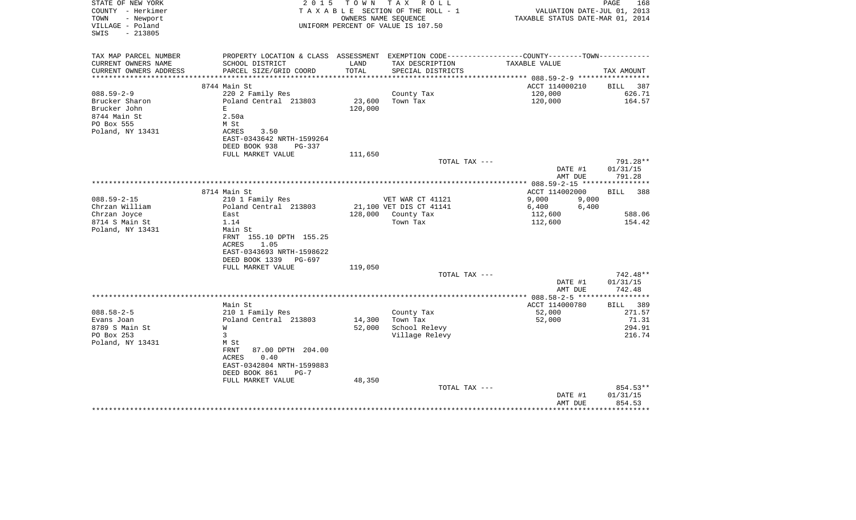| TAXABLE STATUS DATE-MAR 01, 2014<br>TOWN<br>- Newport<br>OWNERS NAME SEQUENCE<br>VILLAGE - Poland<br>UNIFORM PERCENT OF VALUE IS 107.50<br>$-213805$<br>SWIS<br>PROPERTY LOCATION & CLASS ASSESSMENT EXEMPTION CODE---------------COUNTY-------TOWN----------<br>TAX MAP PARCEL NUMBER<br>CURRENT OWNERS NAME<br>SCHOOL DISTRICT<br>LAND<br>TAX DESCRIPTION<br>TAXABLE VALUE<br>CURRENT OWNERS ADDRESS<br>PARCEL SIZE/GRID COORD<br>TOTAL<br>SPECIAL DISTRICTS<br>TAX AMOUNT<br>**********************<br>ACCT 114000210<br>8744 Main St<br><b>BILL</b><br>387<br>120,000<br>$088.59 - 2 - 9$<br>220 2 Family Res<br>626.71<br>County Tax<br>Poland Central 213803<br>23,600<br>Town Tax<br>120,000<br>164.57<br>Brucker Sharon<br>120,000<br>Brucker John<br>E<br>8744 Main St<br>2.50a<br>PO Box 555<br>M St<br>Poland, NY 13431<br>3.50<br>ACRES<br>EAST-0343642 NRTH-1599264<br>DEED BOOK 938<br>PG-337<br>FULL MARKET VALUE<br>111,650<br>791.28**<br>TOTAL TAX ---<br>DATE #1<br>01/31/15<br>AMT DUE<br>791.28<br>*********************************<br>******* 088.59-2-15 *****<br>**********<br>8714 Main St<br>ACCT 114002000<br>BILL<br>388<br>$088.59 - 2 - 15$<br>210 1 Family Res<br>VET WAR CT 41121<br>9,000<br>9,000<br>Chrzan William<br>Poland Central 213803<br>21,100 VET DIS CT 41141<br>6,400<br>6,400<br>Chrzan Joyce<br>128,000 County Tax<br>112,600<br>588.06<br>East<br>8714 S Main St<br>1.14<br>Town Tax<br>112,600<br>154.42<br>Poland, NY 13431<br>Main St<br>FRNT 155.10 DPTH 155.25<br>1.05<br>ACRES<br>EAST-0343693 NRTH-1598622<br>DEED BOOK 1339<br>PG-697<br>FULL MARKET VALUE<br>119,050<br>TOTAL TAX ---<br>742.48**<br>DATE #1<br>01/31/15<br>742.48<br>AMT DUE<br>***********<br>************** 088.58-2-5 ****:<br>Main St<br>ACCT 114000780<br>BILL 389<br>52,000<br>$088.58 - 2 - 5$<br>210 1 Family Res<br>271.57<br>County Tax<br>71.31<br>Evans Joan<br>Poland Central 213803<br>14,300<br>Town Tax<br>52,000<br>8789 S Main St<br>294.91<br>W<br>52,000<br>School Relevy<br>$\overline{3}$<br>PO Box 253<br>Village Relevy<br>216.74<br>Poland, NY 13431<br>M St<br>FRNT<br>87.00 DPTH 204.00<br>0.40<br>ACRES<br>EAST-0342804 NRTH-1599883<br>DEED BOOK 861<br>$PG-7$<br>FULL MARKET VALUE<br>48,350<br>854.53**<br>TOTAL TAX ---<br>01/31/15<br>DATE #1<br>AMT DUE<br>854.53 | STATE OF NEW YORK<br>COUNTY - Herkimer | 2 0 1 5 | T O W N | TAX ROLL<br>TAXABLE SECTION OF THE ROLL - 1 | VALUATION DATE-JUL 01, 2013 | PAGE<br>168 |
|--------------------------------------------------------------------------------------------------------------------------------------------------------------------------------------------------------------------------------------------------------------------------------------------------------------------------------------------------------------------------------------------------------------------------------------------------------------------------------------------------------------------------------------------------------------------------------------------------------------------------------------------------------------------------------------------------------------------------------------------------------------------------------------------------------------------------------------------------------------------------------------------------------------------------------------------------------------------------------------------------------------------------------------------------------------------------------------------------------------------------------------------------------------------------------------------------------------------------------------------------------------------------------------------------------------------------------------------------------------------------------------------------------------------------------------------------------------------------------------------------------------------------------------------------------------------------------------------------------------------------------------------------------------------------------------------------------------------------------------------------------------------------------------------------------------------------------------------------------------------------------------------------------------------------------------------------------------------------------------------------------------------------------------------------------------------------------------------------------------------------------------------------------------------------------------------------------------------------------------------------------------------------------------------------------------------------------|----------------------------------------|---------|---------|---------------------------------------------|-----------------------------|-------------|
|                                                                                                                                                                                                                                                                                                                                                                                                                                                                                                                                                                                                                                                                                                                                                                                                                                                                                                                                                                                                                                                                                                                                                                                                                                                                                                                                                                                                                                                                                                                                                                                                                                                                                                                                                                                                                                                                                                                                                                                                                                                                                                                                                                                                                                                                                                                                |                                        |         |         |                                             |                             |             |
|                                                                                                                                                                                                                                                                                                                                                                                                                                                                                                                                                                                                                                                                                                                                                                                                                                                                                                                                                                                                                                                                                                                                                                                                                                                                                                                                                                                                                                                                                                                                                                                                                                                                                                                                                                                                                                                                                                                                                                                                                                                                                                                                                                                                                                                                                                                                |                                        |         |         |                                             |                             |             |
|                                                                                                                                                                                                                                                                                                                                                                                                                                                                                                                                                                                                                                                                                                                                                                                                                                                                                                                                                                                                                                                                                                                                                                                                                                                                                                                                                                                                                                                                                                                                                                                                                                                                                                                                                                                                                                                                                                                                                                                                                                                                                                                                                                                                                                                                                                                                |                                        |         |         |                                             |                             |             |
|                                                                                                                                                                                                                                                                                                                                                                                                                                                                                                                                                                                                                                                                                                                                                                                                                                                                                                                                                                                                                                                                                                                                                                                                                                                                                                                                                                                                                                                                                                                                                                                                                                                                                                                                                                                                                                                                                                                                                                                                                                                                                                                                                                                                                                                                                                                                |                                        |         |         |                                             |                             |             |
|                                                                                                                                                                                                                                                                                                                                                                                                                                                                                                                                                                                                                                                                                                                                                                                                                                                                                                                                                                                                                                                                                                                                                                                                                                                                                                                                                                                                                                                                                                                                                                                                                                                                                                                                                                                                                                                                                                                                                                                                                                                                                                                                                                                                                                                                                                                                |                                        |         |         |                                             |                             |             |
|                                                                                                                                                                                                                                                                                                                                                                                                                                                                                                                                                                                                                                                                                                                                                                                                                                                                                                                                                                                                                                                                                                                                                                                                                                                                                                                                                                                                                                                                                                                                                                                                                                                                                                                                                                                                                                                                                                                                                                                                                                                                                                                                                                                                                                                                                                                                |                                        |         |         |                                             |                             |             |
|                                                                                                                                                                                                                                                                                                                                                                                                                                                                                                                                                                                                                                                                                                                                                                                                                                                                                                                                                                                                                                                                                                                                                                                                                                                                                                                                                                                                                                                                                                                                                                                                                                                                                                                                                                                                                                                                                                                                                                                                                                                                                                                                                                                                                                                                                                                                |                                        |         |         |                                             |                             |             |
|                                                                                                                                                                                                                                                                                                                                                                                                                                                                                                                                                                                                                                                                                                                                                                                                                                                                                                                                                                                                                                                                                                                                                                                                                                                                                                                                                                                                                                                                                                                                                                                                                                                                                                                                                                                                                                                                                                                                                                                                                                                                                                                                                                                                                                                                                                                                |                                        |         |         |                                             |                             |             |
|                                                                                                                                                                                                                                                                                                                                                                                                                                                                                                                                                                                                                                                                                                                                                                                                                                                                                                                                                                                                                                                                                                                                                                                                                                                                                                                                                                                                                                                                                                                                                                                                                                                                                                                                                                                                                                                                                                                                                                                                                                                                                                                                                                                                                                                                                                                                |                                        |         |         |                                             |                             |             |
|                                                                                                                                                                                                                                                                                                                                                                                                                                                                                                                                                                                                                                                                                                                                                                                                                                                                                                                                                                                                                                                                                                                                                                                                                                                                                                                                                                                                                                                                                                                                                                                                                                                                                                                                                                                                                                                                                                                                                                                                                                                                                                                                                                                                                                                                                                                                |                                        |         |         |                                             |                             |             |
|                                                                                                                                                                                                                                                                                                                                                                                                                                                                                                                                                                                                                                                                                                                                                                                                                                                                                                                                                                                                                                                                                                                                                                                                                                                                                                                                                                                                                                                                                                                                                                                                                                                                                                                                                                                                                                                                                                                                                                                                                                                                                                                                                                                                                                                                                                                                |                                        |         |         |                                             |                             |             |
|                                                                                                                                                                                                                                                                                                                                                                                                                                                                                                                                                                                                                                                                                                                                                                                                                                                                                                                                                                                                                                                                                                                                                                                                                                                                                                                                                                                                                                                                                                                                                                                                                                                                                                                                                                                                                                                                                                                                                                                                                                                                                                                                                                                                                                                                                                                                |                                        |         |         |                                             |                             |             |
|                                                                                                                                                                                                                                                                                                                                                                                                                                                                                                                                                                                                                                                                                                                                                                                                                                                                                                                                                                                                                                                                                                                                                                                                                                                                                                                                                                                                                                                                                                                                                                                                                                                                                                                                                                                                                                                                                                                                                                                                                                                                                                                                                                                                                                                                                                                                |                                        |         |         |                                             |                             |             |
|                                                                                                                                                                                                                                                                                                                                                                                                                                                                                                                                                                                                                                                                                                                                                                                                                                                                                                                                                                                                                                                                                                                                                                                                                                                                                                                                                                                                                                                                                                                                                                                                                                                                                                                                                                                                                                                                                                                                                                                                                                                                                                                                                                                                                                                                                                                                |                                        |         |         |                                             |                             |             |
|                                                                                                                                                                                                                                                                                                                                                                                                                                                                                                                                                                                                                                                                                                                                                                                                                                                                                                                                                                                                                                                                                                                                                                                                                                                                                                                                                                                                                                                                                                                                                                                                                                                                                                                                                                                                                                                                                                                                                                                                                                                                                                                                                                                                                                                                                                                                |                                        |         |         |                                             |                             |             |
|                                                                                                                                                                                                                                                                                                                                                                                                                                                                                                                                                                                                                                                                                                                                                                                                                                                                                                                                                                                                                                                                                                                                                                                                                                                                                                                                                                                                                                                                                                                                                                                                                                                                                                                                                                                                                                                                                                                                                                                                                                                                                                                                                                                                                                                                                                                                |                                        |         |         |                                             |                             |             |
|                                                                                                                                                                                                                                                                                                                                                                                                                                                                                                                                                                                                                                                                                                                                                                                                                                                                                                                                                                                                                                                                                                                                                                                                                                                                                                                                                                                                                                                                                                                                                                                                                                                                                                                                                                                                                                                                                                                                                                                                                                                                                                                                                                                                                                                                                                                                |                                        |         |         |                                             |                             |             |
|                                                                                                                                                                                                                                                                                                                                                                                                                                                                                                                                                                                                                                                                                                                                                                                                                                                                                                                                                                                                                                                                                                                                                                                                                                                                                                                                                                                                                                                                                                                                                                                                                                                                                                                                                                                                                                                                                                                                                                                                                                                                                                                                                                                                                                                                                                                                |                                        |         |         |                                             |                             |             |
|                                                                                                                                                                                                                                                                                                                                                                                                                                                                                                                                                                                                                                                                                                                                                                                                                                                                                                                                                                                                                                                                                                                                                                                                                                                                                                                                                                                                                                                                                                                                                                                                                                                                                                                                                                                                                                                                                                                                                                                                                                                                                                                                                                                                                                                                                                                                |                                        |         |         |                                             |                             |             |
|                                                                                                                                                                                                                                                                                                                                                                                                                                                                                                                                                                                                                                                                                                                                                                                                                                                                                                                                                                                                                                                                                                                                                                                                                                                                                                                                                                                                                                                                                                                                                                                                                                                                                                                                                                                                                                                                                                                                                                                                                                                                                                                                                                                                                                                                                                                                |                                        |         |         |                                             |                             |             |
|                                                                                                                                                                                                                                                                                                                                                                                                                                                                                                                                                                                                                                                                                                                                                                                                                                                                                                                                                                                                                                                                                                                                                                                                                                                                                                                                                                                                                                                                                                                                                                                                                                                                                                                                                                                                                                                                                                                                                                                                                                                                                                                                                                                                                                                                                                                                |                                        |         |         |                                             |                             |             |
|                                                                                                                                                                                                                                                                                                                                                                                                                                                                                                                                                                                                                                                                                                                                                                                                                                                                                                                                                                                                                                                                                                                                                                                                                                                                                                                                                                                                                                                                                                                                                                                                                                                                                                                                                                                                                                                                                                                                                                                                                                                                                                                                                                                                                                                                                                                                |                                        |         |         |                                             |                             |             |
|                                                                                                                                                                                                                                                                                                                                                                                                                                                                                                                                                                                                                                                                                                                                                                                                                                                                                                                                                                                                                                                                                                                                                                                                                                                                                                                                                                                                                                                                                                                                                                                                                                                                                                                                                                                                                                                                                                                                                                                                                                                                                                                                                                                                                                                                                                                                |                                        |         |         |                                             |                             |             |
|                                                                                                                                                                                                                                                                                                                                                                                                                                                                                                                                                                                                                                                                                                                                                                                                                                                                                                                                                                                                                                                                                                                                                                                                                                                                                                                                                                                                                                                                                                                                                                                                                                                                                                                                                                                                                                                                                                                                                                                                                                                                                                                                                                                                                                                                                                                                |                                        |         |         |                                             |                             |             |
|                                                                                                                                                                                                                                                                                                                                                                                                                                                                                                                                                                                                                                                                                                                                                                                                                                                                                                                                                                                                                                                                                                                                                                                                                                                                                                                                                                                                                                                                                                                                                                                                                                                                                                                                                                                                                                                                                                                                                                                                                                                                                                                                                                                                                                                                                                                                |                                        |         |         |                                             |                             |             |
|                                                                                                                                                                                                                                                                                                                                                                                                                                                                                                                                                                                                                                                                                                                                                                                                                                                                                                                                                                                                                                                                                                                                                                                                                                                                                                                                                                                                                                                                                                                                                                                                                                                                                                                                                                                                                                                                                                                                                                                                                                                                                                                                                                                                                                                                                                                                |                                        |         |         |                                             |                             |             |
|                                                                                                                                                                                                                                                                                                                                                                                                                                                                                                                                                                                                                                                                                                                                                                                                                                                                                                                                                                                                                                                                                                                                                                                                                                                                                                                                                                                                                                                                                                                                                                                                                                                                                                                                                                                                                                                                                                                                                                                                                                                                                                                                                                                                                                                                                                                                |                                        |         |         |                                             |                             |             |
|                                                                                                                                                                                                                                                                                                                                                                                                                                                                                                                                                                                                                                                                                                                                                                                                                                                                                                                                                                                                                                                                                                                                                                                                                                                                                                                                                                                                                                                                                                                                                                                                                                                                                                                                                                                                                                                                                                                                                                                                                                                                                                                                                                                                                                                                                                                                |                                        |         |         |                                             |                             |             |
|                                                                                                                                                                                                                                                                                                                                                                                                                                                                                                                                                                                                                                                                                                                                                                                                                                                                                                                                                                                                                                                                                                                                                                                                                                                                                                                                                                                                                                                                                                                                                                                                                                                                                                                                                                                                                                                                                                                                                                                                                                                                                                                                                                                                                                                                                                                                |                                        |         |         |                                             |                             |             |
|                                                                                                                                                                                                                                                                                                                                                                                                                                                                                                                                                                                                                                                                                                                                                                                                                                                                                                                                                                                                                                                                                                                                                                                                                                                                                                                                                                                                                                                                                                                                                                                                                                                                                                                                                                                                                                                                                                                                                                                                                                                                                                                                                                                                                                                                                                                                |                                        |         |         |                                             |                             |             |
|                                                                                                                                                                                                                                                                                                                                                                                                                                                                                                                                                                                                                                                                                                                                                                                                                                                                                                                                                                                                                                                                                                                                                                                                                                                                                                                                                                                                                                                                                                                                                                                                                                                                                                                                                                                                                                                                                                                                                                                                                                                                                                                                                                                                                                                                                                                                |                                        |         |         |                                             |                             |             |
|                                                                                                                                                                                                                                                                                                                                                                                                                                                                                                                                                                                                                                                                                                                                                                                                                                                                                                                                                                                                                                                                                                                                                                                                                                                                                                                                                                                                                                                                                                                                                                                                                                                                                                                                                                                                                                                                                                                                                                                                                                                                                                                                                                                                                                                                                                                                |                                        |         |         |                                             |                             |             |
|                                                                                                                                                                                                                                                                                                                                                                                                                                                                                                                                                                                                                                                                                                                                                                                                                                                                                                                                                                                                                                                                                                                                                                                                                                                                                                                                                                                                                                                                                                                                                                                                                                                                                                                                                                                                                                                                                                                                                                                                                                                                                                                                                                                                                                                                                                                                |                                        |         |         |                                             |                             |             |
|                                                                                                                                                                                                                                                                                                                                                                                                                                                                                                                                                                                                                                                                                                                                                                                                                                                                                                                                                                                                                                                                                                                                                                                                                                                                                                                                                                                                                                                                                                                                                                                                                                                                                                                                                                                                                                                                                                                                                                                                                                                                                                                                                                                                                                                                                                                                |                                        |         |         |                                             |                             |             |
|                                                                                                                                                                                                                                                                                                                                                                                                                                                                                                                                                                                                                                                                                                                                                                                                                                                                                                                                                                                                                                                                                                                                                                                                                                                                                                                                                                                                                                                                                                                                                                                                                                                                                                                                                                                                                                                                                                                                                                                                                                                                                                                                                                                                                                                                                                                                |                                        |         |         |                                             |                             |             |
|                                                                                                                                                                                                                                                                                                                                                                                                                                                                                                                                                                                                                                                                                                                                                                                                                                                                                                                                                                                                                                                                                                                                                                                                                                                                                                                                                                                                                                                                                                                                                                                                                                                                                                                                                                                                                                                                                                                                                                                                                                                                                                                                                                                                                                                                                                                                |                                        |         |         |                                             |                             |             |
|                                                                                                                                                                                                                                                                                                                                                                                                                                                                                                                                                                                                                                                                                                                                                                                                                                                                                                                                                                                                                                                                                                                                                                                                                                                                                                                                                                                                                                                                                                                                                                                                                                                                                                                                                                                                                                                                                                                                                                                                                                                                                                                                                                                                                                                                                                                                |                                        |         |         |                                             |                             |             |
|                                                                                                                                                                                                                                                                                                                                                                                                                                                                                                                                                                                                                                                                                                                                                                                                                                                                                                                                                                                                                                                                                                                                                                                                                                                                                                                                                                                                                                                                                                                                                                                                                                                                                                                                                                                                                                                                                                                                                                                                                                                                                                                                                                                                                                                                                                                                |                                        |         |         |                                             |                             |             |
|                                                                                                                                                                                                                                                                                                                                                                                                                                                                                                                                                                                                                                                                                                                                                                                                                                                                                                                                                                                                                                                                                                                                                                                                                                                                                                                                                                                                                                                                                                                                                                                                                                                                                                                                                                                                                                                                                                                                                                                                                                                                                                                                                                                                                                                                                                                                |                                        |         |         |                                             |                             |             |
|                                                                                                                                                                                                                                                                                                                                                                                                                                                                                                                                                                                                                                                                                                                                                                                                                                                                                                                                                                                                                                                                                                                                                                                                                                                                                                                                                                                                                                                                                                                                                                                                                                                                                                                                                                                                                                                                                                                                                                                                                                                                                                                                                                                                                                                                                                                                |                                        |         |         |                                             |                             |             |
|                                                                                                                                                                                                                                                                                                                                                                                                                                                                                                                                                                                                                                                                                                                                                                                                                                                                                                                                                                                                                                                                                                                                                                                                                                                                                                                                                                                                                                                                                                                                                                                                                                                                                                                                                                                                                                                                                                                                                                                                                                                                                                                                                                                                                                                                                                                                |                                        |         |         |                                             |                             |             |
|                                                                                                                                                                                                                                                                                                                                                                                                                                                                                                                                                                                                                                                                                                                                                                                                                                                                                                                                                                                                                                                                                                                                                                                                                                                                                                                                                                                                                                                                                                                                                                                                                                                                                                                                                                                                                                                                                                                                                                                                                                                                                                                                                                                                                                                                                                                                |                                        |         |         |                                             |                             |             |
|                                                                                                                                                                                                                                                                                                                                                                                                                                                                                                                                                                                                                                                                                                                                                                                                                                                                                                                                                                                                                                                                                                                                                                                                                                                                                                                                                                                                                                                                                                                                                                                                                                                                                                                                                                                                                                                                                                                                                                                                                                                                                                                                                                                                                                                                                                                                |                                        |         |         |                                             |                             |             |
|                                                                                                                                                                                                                                                                                                                                                                                                                                                                                                                                                                                                                                                                                                                                                                                                                                                                                                                                                                                                                                                                                                                                                                                                                                                                                                                                                                                                                                                                                                                                                                                                                                                                                                                                                                                                                                                                                                                                                                                                                                                                                                                                                                                                                                                                                                                                |                                        |         |         |                                             |                             |             |
|                                                                                                                                                                                                                                                                                                                                                                                                                                                                                                                                                                                                                                                                                                                                                                                                                                                                                                                                                                                                                                                                                                                                                                                                                                                                                                                                                                                                                                                                                                                                                                                                                                                                                                                                                                                                                                                                                                                                                                                                                                                                                                                                                                                                                                                                                                                                |                                        |         |         |                                             |                             |             |
|                                                                                                                                                                                                                                                                                                                                                                                                                                                                                                                                                                                                                                                                                                                                                                                                                                                                                                                                                                                                                                                                                                                                                                                                                                                                                                                                                                                                                                                                                                                                                                                                                                                                                                                                                                                                                                                                                                                                                                                                                                                                                                                                                                                                                                                                                                                                |                                        |         |         |                                             |                             |             |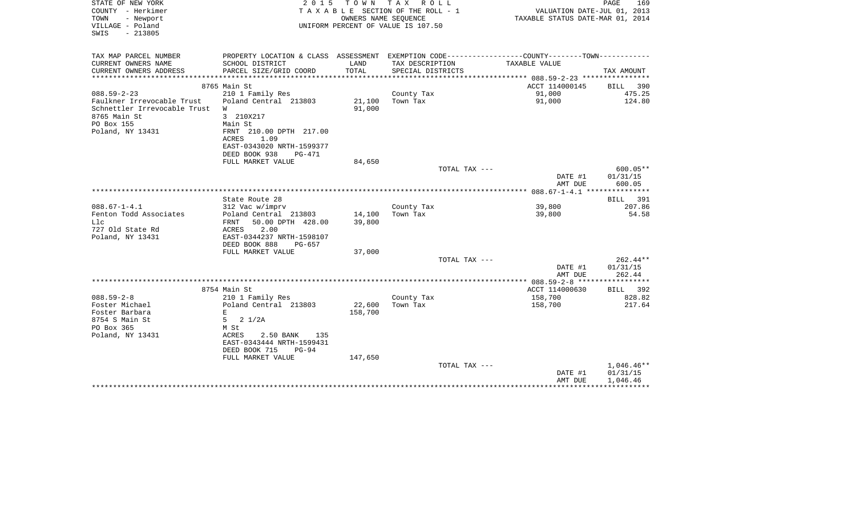| STATE OF NEW YORK<br>COUNTY - Herkimer<br>TOWN<br>- Newport<br>VILLAGE - Poland<br>$-213805$<br>SWIS         | 2 0 1 5                                                                                    | OWNERS NAME SEQUENCE | TOWN TAX ROLL<br>TAXABLE SECTION OF THE ROLL - 1<br>UNIFORM PERCENT OF VALUE IS 107.50        | VALUATION DATE-JUL 01, 2013<br>TAXABLE STATUS DATE-MAR 01, 2014 | PAGE<br>169                  |
|--------------------------------------------------------------------------------------------------------------|--------------------------------------------------------------------------------------------|----------------------|-----------------------------------------------------------------------------------------------|-----------------------------------------------------------------|------------------------------|
| TAX MAP PARCEL NUMBER<br>CURRENT OWNERS NAME                                                                 | SCHOOL DISTRICT                                                                            | LAND                 | PROPERTY LOCATION & CLASS ASSESSMENT EXEMPTION CODE---------------COUNTY-------TOWN---------- | TAXABLE VALUE                                                   |                              |
| CURRENT OWNERS ADDRESS                                                                                       | PARCEL SIZE/GRID COORD                                                                     | <b>TOTAL</b>         | TAX DESCRIPTION<br>SPECIAL DISTRICTS                                                          |                                                                 | TAX AMOUNT                   |
| **********************                                                                                       | **************************                                                                 |                      |                                                                                               |                                                                 |                              |
| $088.59 - 2 - 23$                                                                                            | 8765 Main St<br>210 1 Family Res                                                           |                      | County Tax                                                                                    | ACCT 114000145<br>91,000                                        | <b>BILL</b><br>390<br>475.25 |
| Faulkner Irrevocable Trust<br>Schnettler Irrevocable Trust<br>8765 Main St<br>PO Box 155<br>Poland, NY 13431 | Poland Central 213803<br>W<br>3 210X217<br>Main St<br>FRNT 210.00 DPTH 217.00              | 21,100<br>91,000     | Town Tax                                                                                      | 91,000                                                          | 124.80                       |
|                                                                                                              | 1.09<br>ACRES<br>EAST-0343020 NRTH-1599377<br>DEED BOOK 938<br>PG-471<br>FULL MARKET VALUE | 84,650               |                                                                                               |                                                                 |                              |
|                                                                                                              |                                                                                            |                      | TOTAL TAX ---                                                                                 |                                                                 | $600.05**$                   |
|                                                                                                              |                                                                                            |                      |                                                                                               | DATE #1                                                         | 01/31/15                     |
|                                                                                                              |                                                                                            |                      |                                                                                               | AMT DUE<br>*************** 088.67-1-4.1 ****************        | 600.05                       |
|                                                                                                              | State Route 28                                                                             |                      |                                                                                               |                                                                 | BILL 391                     |
| $088.67 - 1 - 4.1$                                                                                           | 312 Vac w/imprv                                                                            |                      | County Tax                                                                                    | 39,800                                                          | 207.86                       |
| Fenton Todd Associates<br>Llc                                                                                | Poland Central 213803<br>50.00 DPTH 428.00<br>FRNT                                         | 14,100<br>39,800     | Town Tax                                                                                      | 39,800                                                          | 54.58                        |
| 727 Old State Rd<br>Poland, NY 13431                                                                         | 2.00<br>ACRES<br>EAST-0344237 NRTH-1598107<br>DEED BOOK 888<br>PG-657                      |                      |                                                                                               |                                                                 |                              |
|                                                                                                              | FULL MARKET VALUE                                                                          | 37,000               |                                                                                               |                                                                 |                              |
|                                                                                                              |                                                                                            |                      | TOTAL TAX ---                                                                                 |                                                                 | $262.44**$                   |
|                                                                                                              |                                                                                            |                      |                                                                                               | DATE #1<br>AMT DUE                                              | 01/31/15<br>262.44           |
|                                                                                                              |                                                                                            |                      |                                                                                               |                                                                 |                              |
| $088.59 - 2 - 8$                                                                                             | 8754 Main St<br>210 1 Family Res                                                           |                      | County Tax                                                                                    | ACCT 114000630<br>158,700                                       | 392<br><b>BILL</b><br>828.82 |
| Foster Michael                                                                                               | Poland Central 213803                                                                      | 22,600               | Town Tax                                                                                      | 158,700                                                         | 217.64                       |
| Foster Barbara                                                                                               | E                                                                                          | 158,700              |                                                                                               |                                                                 |                              |
| 8754 S Main St                                                                                               | 5<br>$2 \frac{1}{2A}$                                                                      |                      |                                                                                               |                                                                 |                              |
| PO Box 365                                                                                                   | M St                                                                                       |                      |                                                                                               |                                                                 |                              |
| Poland, NY 13431                                                                                             | 2.50 BANK<br>ACRES<br>135<br>EAST-0343444 NRTH-1599431<br>DEED BOOK 715<br>$PG-94$         |                      |                                                                                               |                                                                 |                              |
|                                                                                                              | FULL MARKET VALUE                                                                          | 147,650              |                                                                                               |                                                                 |                              |
|                                                                                                              |                                                                                            |                      | TOTAL TAX ---                                                                                 |                                                                 | $1,046.46**$                 |
|                                                                                                              |                                                                                            |                      |                                                                                               | DATE #1                                                         | 01/31/15                     |
|                                                                                                              |                                                                                            |                      |                                                                                               | AMT DUE                                                         | 1,046.46                     |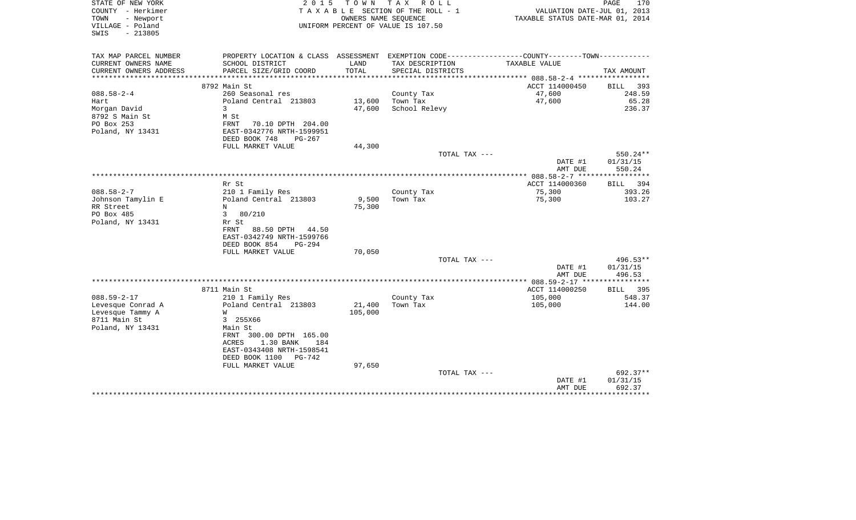| STATE OF NEW YORK<br>COUNTY - Herkimer<br>TOWN<br>- Newport | 2 0 1 5                                                                                       |                  | TOWN TAX ROLL<br>TAXABLE SECTION OF THE ROLL - 1<br>OWNERS NAME SEOUENCE | PAGE<br>170<br>VALUATION DATE-JUL 01, 2013<br>TAXABLE STATUS DATE-MAR 01, 2014 |                             |
|-------------------------------------------------------------|-----------------------------------------------------------------------------------------------|------------------|--------------------------------------------------------------------------|--------------------------------------------------------------------------------|-----------------------------|
| VILLAGE - Poland<br>SWIS<br>$-213805$                       |                                                                                               |                  | UNIFORM PERCENT OF VALUE IS 107.50                                       |                                                                                |                             |
| TAX MAP PARCEL NUMBER<br>CURRENT OWNERS NAME                | PROPERTY LOCATION & CLASS ASSESSMENT EXEMPTION CODE---------------COUNTY-------TOWN---------- | LAND             |                                                                          | TAXABLE VALUE                                                                  |                             |
| CURRENT OWNERS ADDRESS                                      | SCHOOL DISTRICT<br>PARCEL SIZE/GRID COORD                                                     | TOTAL            | TAX DESCRIPTION<br>SPECIAL DISTRICTS                                     |                                                                                | TAX AMOUNT                  |
| ********************                                        | *************************                                                                     |                  |                                                                          |                                                                                |                             |
|                                                             | 8792 Main St                                                                                  |                  |                                                                          | ACCT 114000450                                                                 | BILL 393                    |
| $088.58 - 2 - 4$                                            | 260 Seasonal res                                                                              |                  | County Tax                                                               | 47,600                                                                         | 248.59                      |
| Hart<br>Morgan David                                        | Poland Central 213803<br>3                                                                    | 13,600<br>47,600 | Town Tax<br>School Relevy                                                | 47,600                                                                         | 65.28<br>236.37             |
| 8792 S Main St                                              | M St                                                                                          |                  |                                                                          |                                                                                |                             |
| PO Box 253                                                  | FRNT<br>70.10 DPTH 204.00                                                                     |                  |                                                                          |                                                                                |                             |
| Poland, NY 13431                                            | EAST-0342776 NRTH-1599951                                                                     |                  |                                                                          |                                                                                |                             |
|                                                             | DEED BOOK 748<br>PG-267                                                                       |                  |                                                                          |                                                                                |                             |
|                                                             | FULL MARKET VALUE                                                                             | 44,300           |                                                                          |                                                                                |                             |
|                                                             |                                                                                               |                  | TOTAL TAX ---                                                            | DATE #1                                                                        | 550.24**<br>01/31/15        |
|                                                             |                                                                                               |                  |                                                                          | AMT DUE                                                                        | 550.24                      |
|                                                             |                                                                                               |                  |                                                                          |                                                                                |                             |
|                                                             | Rr St                                                                                         |                  |                                                                          | ACCT 114000360                                                                 | <b>BILL</b><br>394          |
| $088.58 - 2 - 7$                                            | 210 1 Family Res                                                                              |                  | County Tax                                                               | 75,300                                                                         | 393.26                      |
| Johnson Tamylin E<br>RR Street                              | Poland Central 213803<br>$_{\rm N}$                                                           | 9,500<br>75,300  | Town Tax                                                                 | 75,300                                                                         | 103.27                      |
| PO Box 485                                                  | 3<br>80/210                                                                                   |                  |                                                                          |                                                                                |                             |
| Poland, NY 13431                                            | Rr St                                                                                         |                  |                                                                          |                                                                                |                             |
|                                                             | FRNT 88.50 DPTH 44.50                                                                         |                  |                                                                          |                                                                                |                             |
|                                                             | EAST-0342749 NRTH-1599766                                                                     |                  |                                                                          |                                                                                |                             |
|                                                             | DEED BOOK 854<br>$PG-294$                                                                     |                  |                                                                          |                                                                                |                             |
|                                                             | FULL MARKET VALUE                                                                             | 70,050           | TOTAL TAX ---                                                            |                                                                                | 496.53**                    |
|                                                             |                                                                                               |                  |                                                                          | DATE #1                                                                        | 01/31/15                    |
|                                                             |                                                                                               |                  |                                                                          | AMT DUE                                                                        | 496.53                      |
|                                                             |                                                                                               |                  |                                                                          |                                                                                |                             |
|                                                             | 8711 Main St                                                                                  |                  |                                                                          | ACCT 114000250                                                                 | 395<br><b>BILL</b>          |
| $088.59 - 2 - 17$<br>Levesque Conrad A                      | 210 1 Family Res<br>Poland Central 213803                                                     | 21,400           | County Tax<br>Town Tax                                                   | 105,000<br>105,000                                                             | 548.37<br>144.00            |
| Levesque Tammy A                                            | W                                                                                             | 105,000          |                                                                          |                                                                                |                             |
| 8711 Main St                                                | 3 255X66                                                                                      |                  |                                                                          |                                                                                |                             |
| Poland, NY 13431                                            | Main St                                                                                       |                  |                                                                          |                                                                                |                             |
|                                                             | FRNT 300.00 DPTH 165.00                                                                       |                  |                                                                          |                                                                                |                             |
|                                                             | <b>ACRES</b><br>1.30 BANK<br>184<br>EAST-0343408 NRTH-1598541                                 |                  |                                                                          |                                                                                |                             |
|                                                             | DEED BOOK 1100<br>PG-742                                                                      |                  |                                                                          |                                                                                |                             |
|                                                             | FULL MARKET VALUE                                                                             | 97,650           |                                                                          |                                                                                |                             |
|                                                             |                                                                                               |                  | TOTAL TAX ---                                                            |                                                                                | 692.37**                    |
|                                                             |                                                                                               |                  |                                                                          | DATE #1                                                                        | 01/31/15                    |
|                                                             |                                                                                               |                  |                                                                          | AMT DUE                                                                        | 692.37<br>* * * * * * * * * |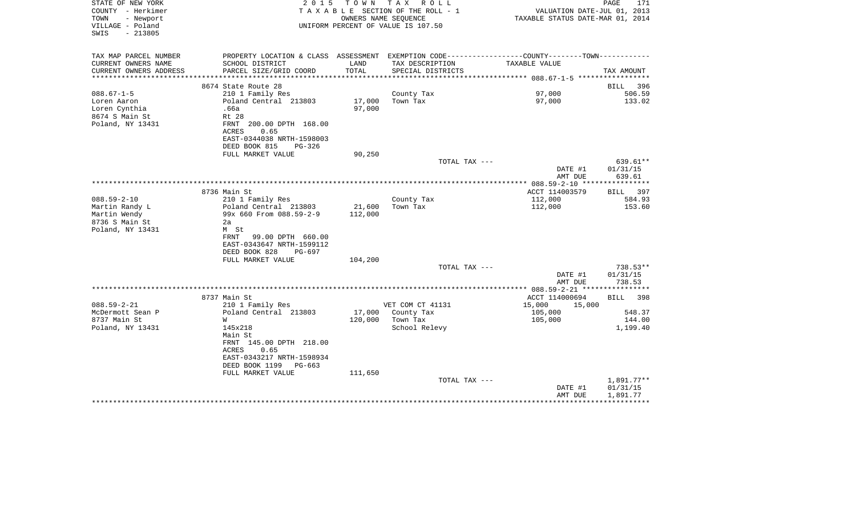| STATE OF NEW YORK<br>COUNTY - Herkimer<br>TOWN<br>- Newport<br>VILLAGE - Poland<br>$-213805$<br>SWIS | 2 0 1 5                                                                                     | T O W N          | TAX ROLL<br>TAXABLE SECTION OF THE ROLL - 1<br>OWNERS NAME SEQUENCE<br>UNIFORM PERCENT OF VALUE IS 107.50 | VALUATION DATE-JUL 01, 2013<br>TAXABLE STATUS DATE-MAR 01, 2014                                | PAGE<br>171                        |
|------------------------------------------------------------------------------------------------------|---------------------------------------------------------------------------------------------|------------------|-----------------------------------------------------------------------------------------------------------|------------------------------------------------------------------------------------------------|------------------------------------|
| TAX MAP PARCEL NUMBER                                                                                |                                                                                             |                  |                                                                                                           | PROPERTY LOCATION & CLASS ASSESSMENT EXEMPTION CODE---------------COUNTY--------TOWN---------- |                                    |
| CURRENT OWNERS NAME<br>CURRENT OWNERS ADDRESS                                                        | SCHOOL DISTRICT<br>PARCEL SIZE/GRID COORD                                                   | LAND<br>TOTAL    | TAX DESCRIPTION<br>SPECIAL DISTRICTS                                                                      | TAXABLE VALUE                                                                                  | TAX AMOUNT                         |
| **********************                                                                               | 8674 State Route 28                                                                         |                  |                                                                                                           |                                                                                                | BILL 396                           |
| $088.67 - 1 - 5$                                                                                     | 210 1 Family Res                                                                            |                  | County Tax                                                                                                | 97,000                                                                                         | 506.59                             |
| Loren Aaron<br>Loren Cynthia<br>8674 S Main St                                                       | Poland Central 213803<br>.66a<br>Rt 28                                                      | 17,000<br>97,000 | Town Tax                                                                                                  | 97,000                                                                                         | 133.02                             |
| Poland, NY 13431                                                                                     | FRNT 200.00 DPTH 168.00<br>ACRES<br>0.65<br>EAST-0344038 NRTH-1598003                       |                  |                                                                                                           |                                                                                                |                                    |
|                                                                                                      | DEED BOOK 815<br>PG-326<br>FULL MARKET VALUE                                                | 90,250           |                                                                                                           |                                                                                                |                                    |
|                                                                                                      |                                                                                             |                  | TOTAL TAX ---                                                                                             |                                                                                                | 639.61**                           |
|                                                                                                      |                                                                                             |                  |                                                                                                           | DATE #1<br>AMT DUE                                                                             | 01/31/15<br>639.61                 |
|                                                                                                      | 8736 Main St                                                                                |                  |                                                                                                           | ACCT 114003579                                                                                 | BILL 397                           |
| $088.59 - 2 - 10$                                                                                    | 210 1 Family Res                                                                            |                  | County Tax                                                                                                | 112,000                                                                                        | 584.93                             |
| Martin Randy L                                                                                       | Poland Central 213803                                                                       | 21,600           | Town Tax                                                                                                  | 112,000                                                                                        | 153.60                             |
| Martin Wendy                                                                                         | 99x 660 From 088.59-2-9                                                                     | 112,000          |                                                                                                           |                                                                                                |                                    |
| 8736 S Main St                                                                                       | 2a                                                                                          |                  |                                                                                                           |                                                                                                |                                    |
| Poland, NY 13431                                                                                     | M St<br>FRNT<br>99.00 DPTH 660.00<br>EAST-0343647 NRTH-1599112                              |                  |                                                                                                           |                                                                                                |                                    |
|                                                                                                      | DEED BOOK 828<br>PG-697                                                                     |                  |                                                                                                           |                                                                                                |                                    |
|                                                                                                      | FULL MARKET VALUE                                                                           | 104,200          | TOTAL TAX ---                                                                                             |                                                                                                | 738.53**                           |
|                                                                                                      |                                                                                             |                  |                                                                                                           | DATE #1<br>AMT DUE                                                                             | 01/31/15<br>738.53                 |
|                                                                                                      |                                                                                             |                  |                                                                                                           | ** 088.59-2-21 *****************                                                               |                                    |
|                                                                                                      | 8737 Main St                                                                                |                  |                                                                                                           | ACCT 114000694                                                                                 | <b>BILL</b><br>398                 |
| $088.59 - 2 - 21$<br>McDermott Sean P                                                                | 210 1 Family Res<br>Poland Central 213803                                                   | 17,000           | VET COM CT 41131<br>County Tax                                                                            | 15,000<br>15,000<br>105,000                                                                    | 548.37                             |
| 8737 Main St                                                                                         | W                                                                                           | 120,000          | Town Tax                                                                                                  | 105,000                                                                                        | 144.00                             |
| Poland, NY 13431                                                                                     | 145x218<br>Main St<br>FRNT 145.00 DPTH 218.00                                               |                  | School Relevy                                                                                             |                                                                                                | 1,199.40                           |
|                                                                                                      | 0.65<br>ACRES<br>EAST-0343217 NRTH-1598934<br>DEED BOOK 1199<br>PG-663<br>FULL MARKET VALUE | 111,650          |                                                                                                           |                                                                                                |                                    |
|                                                                                                      |                                                                                             |                  | TOTAL TAX ---                                                                                             | DATE #1<br>AMT DUE                                                                             | 1,891.77**<br>01/31/15<br>1,891.77 |
|                                                                                                      |                                                                                             |                  |                                                                                                           |                                                                                                |                                    |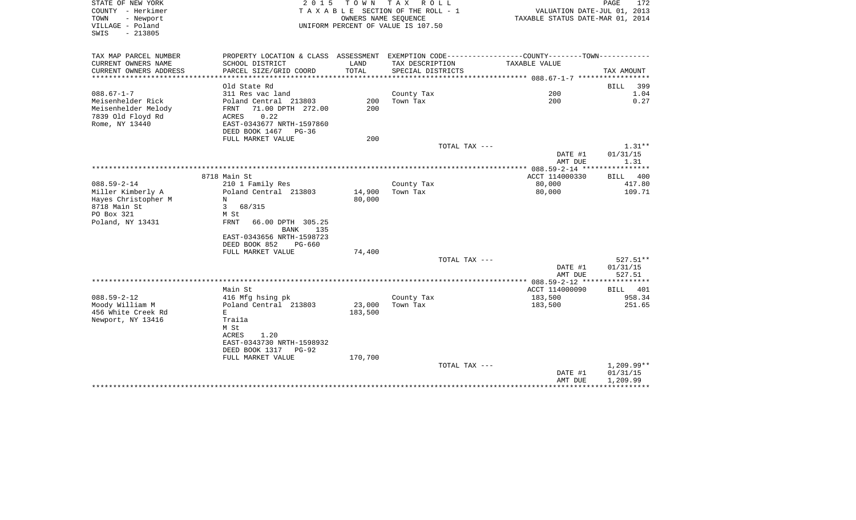| 2 0 1 5                                                                                                                             | TOWN TAX                                                                                                                                   | R O L L           | VALUATION DATE-JUL 01, 2013<br>TAXABLE STATUS DATE-MAR 01, 2014                                                                             | PAGE<br>172                                                                                                                                                                                                                |
|-------------------------------------------------------------------------------------------------------------------------------------|--------------------------------------------------------------------------------------------------------------------------------------------|-------------------|---------------------------------------------------------------------------------------------------------------------------------------------|----------------------------------------------------------------------------------------------------------------------------------------------------------------------------------------------------------------------------|
| SCHOOL DISTRICT                                                                                                                     | LAND                                                                                                                                       | TAX DESCRIPTION   | TAXABLE VALUE                                                                                                                               |                                                                                                                                                                                                                            |
| PARCEL SIZE/GRID COORD<br>**********************                                                                                    | TOTAL                                                                                                                                      | SPECIAL DISTRICTS |                                                                                                                                             | TAX AMOUNT                                                                                                                                                                                                                 |
| Old State Rd                                                                                                                        |                                                                                                                                            |                   |                                                                                                                                             | <b>BILL</b><br>399                                                                                                                                                                                                         |
| 311 Res vac land                                                                                                                    |                                                                                                                                            | County Tax        | 200                                                                                                                                         | 1.04                                                                                                                                                                                                                       |
| Poland Central 213803<br>71.00 DPTH 272.00<br>FRNT<br>0.22<br>ACRES<br>EAST-0343677 NRTH-1597860<br>DEED BOOK 1467<br>PG-36         | 200<br>200                                                                                                                                 | Town Tax          |                                                                                                                                             | 0.27                                                                                                                                                                                                                       |
| FULL MARKET VALUE                                                                                                                   | 200                                                                                                                                        |                   |                                                                                                                                             |                                                                                                                                                                                                                            |
|                                                                                                                                     |                                                                                                                                            |                   | DATE #1<br>AMT DUE                                                                                                                          | $1.31**$<br>01/31/15<br>1.31                                                                                                                                                                                               |
|                                                                                                                                     |                                                                                                                                            |                   |                                                                                                                                             |                                                                                                                                                                                                                            |
|                                                                                                                                     |                                                                                                                                            |                   |                                                                                                                                             | BILL<br>400                                                                                                                                                                                                                |
|                                                                                                                                     |                                                                                                                                            |                   |                                                                                                                                             | 417.80<br>109.71                                                                                                                                                                                                           |
| N<br>3<br>68/315<br>M St<br><b>FRNT</b><br>66.00 DPTH 305.25<br>BANK<br>135<br>EAST-0343656 NRTH-1598723<br>DEED BOOK 852<br>PG-660 | 80,000                                                                                                                                     |                   |                                                                                                                                             |                                                                                                                                                                                                                            |
|                                                                                                                                     |                                                                                                                                            |                   |                                                                                                                                             | $527.51**$                                                                                                                                                                                                                 |
|                                                                                                                                     |                                                                                                                                            |                   | DATE #1<br>AMT DUE                                                                                                                          | 01/31/15<br>527.51                                                                                                                                                                                                         |
|                                                                                                                                     |                                                                                                                                            |                   |                                                                                                                                             |                                                                                                                                                                                                                            |
|                                                                                                                                     |                                                                                                                                            |                   |                                                                                                                                             | 401<br>BILL<br>958.34                                                                                                                                                                                                      |
| Poland Central 213803<br>Е<br>Traila<br>M St<br><b>ACRES</b><br>1.20                                                                | 23,000<br>183,500                                                                                                                          | Town Tax          | 183,500                                                                                                                                     | 251.65                                                                                                                                                                                                                     |
| DEED BOOK 1317<br>PG-92                                                                                                             |                                                                                                                                            |                   |                                                                                                                                             |                                                                                                                                                                                                                            |
| FULL MARKET VALUE                                                                                                                   | 170,700                                                                                                                                    |                   | DATE #1<br>AMT DUE                                                                                                                          | 1,209.99**<br>01/31/15<br>1,209.99                                                                                                                                                                                         |
|                                                                                                                                     | 8718 Main St<br>210 1 Family Res<br>Poland Central 213803<br>FULL MARKET VALUE<br>Main St<br>416 Mfg hsing pk<br>EAST-0343730 NRTH-1598932 | 14,900<br>74,400  | T A X A B L E SECTION OF THE ROLL - 1<br>OWNERS NAME SEQUENCE<br>UNIFORM PERCENT OF VALUE IS 107.50<br>County Tax<br>Town Tax<br>County Tax | PROPERTY LOCATION & CLASS ASSESSMENT EXEMPTION CODE---------------COUNTY-------TOWN----------<br>200<br>TOTAL TAX ---<br>ACCT 114000330<br>80,000<br>80,000<br>TOTAL TAX ---<br>ACCT 114000090<br>183,500<br>TOTAL TAX --- |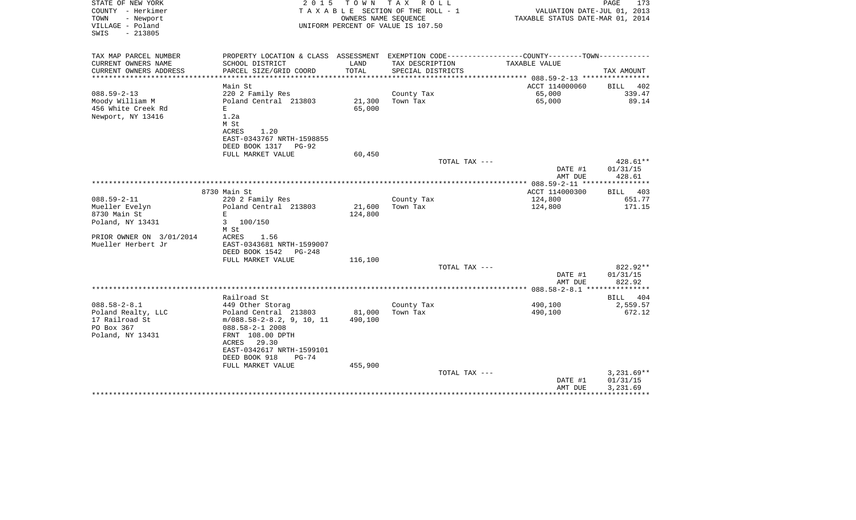| STATE OF NEW YORK<br>COUNTY - Herkimer<br>TOWN<br>- Newport<br>VILLAGE - Poland<br>$-213805$<br>SWIS | 2 0 1 5                                        |                  | TOWN TAX ROLL<br>TAXABLE SECTION OF THE ROLL - 1<br>OWNERS NAME SEQUENCE<br>UNIFORM PERCENT OF VALUE IS 107.50 | VALUATION DATE-JUL 01, 2013<br>TAXABLE STATUS DATE-MAR 01, 2014                                                  | PAGE<br>173              |
|------------------------------------------------------------------------------------------------------|------------------------------------------------|------------------|----------------------------------------------------------------------------------------------------------------|------------------------------------------------------------------------------------------------------------------|--------------------------|
| TAX MAP PARCEL NUMBER<br>CURRENT OWNERS NAME                                                         | SCHOOL DISTRICT                                | LAND             | TAX DESCRIPTION                                                                                                | PROPERTY LOCATION & CLASS ASSESSMENT EXEMPTION CODE----------------COUNTY--------TOWN----------<br>TAXABLE VALUE |                          |
| CURRENT OWNERS ADDRESS                                                                               | PARCEL SIZE/GRID COORD                         | TOTAL            | SPECIAL DISTRICTS                                                                                              |                                                                                                                  | TAX AMOUNT               |
| ***************                                                                                      |                                                |                  |                                                                                                                |                                                                                                                  |                          |
|                                                                                                      | Main St                                        |                  |                                                                                                                | ACCT 114000060                                                                                                   | BILL<br>402              |
| $088.59 - 2 - 13$                                                                                    | 220 2 Family Res                               |                  | County Tax                                                                                                     | 65,000                                                                                                           | 339.47                   |
| Moody William M<br>456 White Creek Rd                                                                | Poland Central 213803<br>E                     | 21,300<br>65,000 | Town Tax                                                                                                       | 65,000                                                                                                           | 89.14                    |
| Newport, NY 13416                                                                                    | 1.2a                                           |                  |                                                                                                                |                                                                                                                  |                          |
|                                                                                                      | M St                                           |                  |                                                                                                                |                                                                                                                  |                          |
|                                                                                                      | ACRES<br>1.20                                  |                  |                                                                                                                |                                                                                                                  |                          |
|                                                                                                      | EAST-0343767 NRTH-1598855                      |                  |                                                                                                                |                                                                                                                  |                          |
|                                                                                                      | DEED BOOK 1317<br>$PG-92$<br>FULL MARKET VALUE | 60,450           |                                                                                                                |                                                                                                                  |                          |
|                                                                                                      |                                                |                  | TOTAL TAX ---                                                                                                  |                                                                                                                  | 428.61**                 |
|                                                                                                      |                                                |                  |                                                                                                                | DATE #1                                                                                                          | 01/31/15                 |
|                                                                                                      |                                                |                  |                                                                                                                | AMT DUE                                                                                                          | 428.61                   |
|                                                                                                      |                                                |                  |                                                                                                                |                                                                                                                  |                          |
| $088.59 - 2 - 11$                                                                                    | 8730 Main St<br>220 2 Family Res               |                  | County Tax                                                                                                     | ACCT 114000300<br>124,800                                                                                        | BILL 403<br>651.77       |
| Mueller Evelyn                                                                                       | Poland Central 213803                          | 21,600           | Town Tax                                                                                                       | 124,800                                                                                                          | 171.15                   |
| 8730 Main St                                                                                         | E                                              | 124,800          |                                                                                                                |                                                                                                                  |                          |
| Poland, NY 13431                                                                                     | $\mathbf{3}$<br>100/150                        |                  |                                                                                                                |                                                                                                                  |                          |
|                                                                                                      | M St                                           |                  |                                                                                                                |                                                                                                                  |                          |
| PRIOR OWNER ON 3/01/2014<br>Mueller Herbert Jr                                                       | ACRES<br>1.56<br>EAST-0343681 NRTH-1599007     |                  |                                                                                                                |                                                                                                                  |                          |
|                                                                                                      | DEED BOOK 1542<br>$PG-248$                     |                  |                                                                                                                |                                                                                                                  |                          |
|                                                                                                      | FULL MARKET VALUE                              | 116,100          |                                                                                                                |                                                                                                                  |                          |
|                                                                                                      |                                                |                  | TOTAL TAX ---                                                                                                  |                                                                                                                  | 822.92**                 |
|                                                                                                      |                                                |                  |                                                                                                                | DATE #1                                                                                                          | 01/31/15                 |
|                                                                                                      |                                                |                  |                                                                                                                | AMT DUE                                                                                                          | 822.92                   |
|                                                                                                      | Railroad St                                    |                  |                                                                                                                |                                                                                                                  | BILL 404                 |
| $088.58 - 2 - 8.1$                                                                                   | 449 Other Storag                               |                  | County Tax                                                                                                     | 490,100                                                                                                          | 2,559.57                 |
| Poland Realty, LLC                                                                                   | Poland Central 213803                          | 81,000           | Town Tax                                                                                                       | 490,100                                                                                                          | 672.12                   |
| 17 Railroad St<br>PO Box 367                                                                         | $m/088.58 - 2 - 8.2, 9, 10, 11$                | 490,100          |                                                                                                                |                                                                                                                  |                          |
| Poland, NY 13431                                                                                     | $088.58 - 2 - 1$ 2008<br>FRNT 108.00 DPTH      |                  |                                                                                                                |                                                                                                                  |                          |
|                                                                                                      | 29.30<br>ACRES                                 |                  |                                                                                                                |                                                                                                                  |                          |
|                                                                                                      | EAST-0342617 NRTH-1599101                      |                  |                                                                                                                |                                                                                                                  |                          |
|                                                                                                      | DEED BOOK 918<br>$PG-74$                       |                  |                                                                                                                |                                                                                                                  |                          |
|                                                                                                      | FULL MARKET VALUE                              | 455,900          |                                                                                                                |                                                                                                                  |                          |
|                                                                                                      |                                                |                  | TOTAL TAX ---                                                                                                  | DATE #1                                                                                                          | $3,231.69**$<br>01/31/15 |
|                                                                                                      |                                                |                  |                                                                                                                | AMT DUE                                                                                                          | 3,231.69                 |
|                                                                                                      |                                                |                  |                                                                                                                |                                                                                                                  |                          |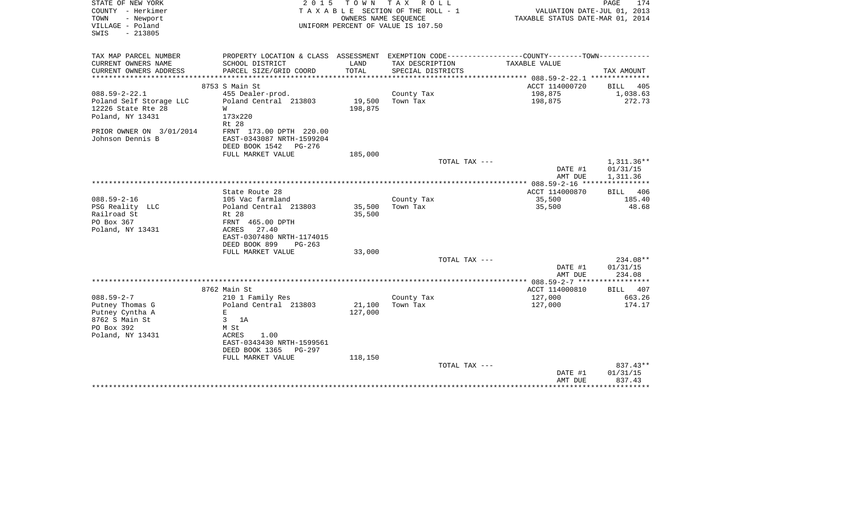| STATE OF NEW YORK<br>COUNTY - Herkimer<br>TOWN<br>- Newport<br>VILLAGE - Poland<br>$-213805$<br>SWIS | 2 0 1 5                                                                                                          | T O W N<br>OWNERS NAME SEQUENCE | TAX ROLL<br>T A X A B L E SECTION OF THE ROLL - 1<br>UNIFORM PERCENT OF VALUE IS 107.50 | VALUATION DATE-JUL 01, 2013<br>TAXABLE STATUS DATE-MAR 01, 2014 | PAGE<br>174          |
|------------------------------------------------------------------------------------------------------|------------------------------------------------------------------------------------------------------------------|---------------------------------|-----------------------------------------------------------------------------------------|-----------------------------------------------------------------|----------------------|
| TAX MAP PARCEL NUMBER<br>CURRENT OWNERS NAME                                                         | PROPERTY LOCATION & CLASS ASSESSMENT EXEMPTION CODE---------------COUNTY-------TOWN----------<br>SCHOOL DISTRICT | LAND                            | TAX DESCRIPTION                                                                         | TAXABLE VALUE                                                   |                      |
| CURRENT OWNERS ADDRESS<br>**********************                                                     | PARCEL SIZE/GRID COORD<br>*************************                                                              | TOTAL                           | SPECIAL DISTRICTS                                                                       |                                                                 | TAX AMOUNT           |
|                                                                                                      | 8753 S Main St                                                                                                   |                                 |                                                                                         | ACCT 114000720                                                  | <b>BILL</b><br>405   |
| $088.59 - 2 - 22.1$                                                                                  | 455 Dealer-prod.                                                                                                 |                                 | County Tax                                                                              | 198,875                                                         | 1,038.63             |
| Poland Self Storage LLC<br>12226 State Rte 28<br>Poland, NY 13431                                    | Poland Central 213803<br>W<br>173x220<br>Rt 28                                                                   | 19,500<br>198,875               | Town Tax                                                                                | 198,875                                                         | 272.73               |
| PRIOR OWNER ON 3/01/2014<br>Johnson Dennis B                                                         | FRNT 173.00 DPTH 220.00<br>EAST-0343087 NRTH-1599204<br>DEED BOOK 1542<br>PG-276                                 |                                 |                                                                                         |                                                                 |                      |
|                                                                                                      | FULL MARKET VALUE                                                                                                | 185,000                         | TOTAL TAX ---                                                                           |                                                                 | 1,311.36**           |
|                                                                                                      |                                                                                                                  |                                 |                                                                                         | DATE #1<br>AMT DUE                                              | 01/31/15<br>1,311.36 |
|                                                                                                      |                                                                                                                  |                                 |                                                                                         | *********** 088.59-2-16 *****************                       |                      |
|                                                                                                      | State Route 28                                                                                                   |                                 |                                                                                         | ACCT 114000870                                                  | <b>BILL</b><br>406   |
| $088.59 - 2 - 16$                                                                                    | 105 Vac farmland                                                                                                 |                                 | County Tax                                                                              | 35,500                                                          | 185.40               |
| PSG Reality LLC<br>Railroad St                                                                       | Poland Central 213803<br>Rt 28                                                                                   | 35,500<br>35,500                | Town Tax                                                                                | 35,500                                                          | 48.68                |
| PO Box 367                                                                                           | FRNT 465.00 DPTH                                                                                                 |                                 |                                                                                         |                                                                 |                      |
| Poland, NY 13431                                                                                     | 27.40<br>ACRES                                                                                                   |                                 |                                                                                         |                                                                 |                      |
|                                                                                                      | EAST-0307480 NRTH-1174015                                                                                        |                                 |                                                                                         |                                                                 |                      |
|                                                                                                      | DEED BOOK 899<br>$PG-263$                                                                                        |                                 |                                                                                         |                                                                 |                      |
|                                                                                                      | FULL MARKET VALUE                                                                                                | 33,000                          |                                                                                         |                                                                 |                      |
|                                                                                                      |                                                                                                                  |                                 | TOTAL TAX ---                                                                           |                                                                 | 234.08**             |
|                                                                                                      |                                                                                                                  |                                 |                                                                                         | DATE #1<br>AMT DUE                                              | 01/31/15<br>234.08   |
|                                                                                                      | 8762 Main St                                                                                                     |                                 |                                                                                         | ACCT 114000810                                                  | 407<br>BILL          |
| $088.59 - 2 - 7$                                                                                     | 210 1 Family Res                                                                                                 |                                 | County Tax                                                                              | 127,000                                                         | 663.26               |
| Putney Thomas G                                                                                      | Poland Central 213803                                                                                            | 21,100                          | Town Tax                                                                                | 127,000                                                         | 174.17               |
| Putney Cyntha A                                                                                      | E                                                                                                                | 127,000                         |                                                                                         |                                                                 |                      |
| 8762 S Main St                                                                                       | 3<br>1A                                                                                                          |                                 |                                                                                         |                                                                 |                      |
| PO Box 392                                                                                           | M St                                                                                                             |                                 |                                                                                         |                                                                 |                      |
| Poland, NY 13431                                                                                     | ACRES<br>1.00                                                                                                    |                                 |                                                                                         |                                                                 |                      |
|                                                                                                      | EAST-0343430 NRTH-1599561                                                                                        |                                 |                                                                                         |                                                                 |                      |
|                                                                                                      | DEED BOOK 1365<br>PG-297                                                                                         |                                 |                                                                                         |                                                                 |                      |
|                                                                                                      | FULL MARKET VALUE                                                                                                | 118,150                         | TOTAL TAX ---                                                                           |                                                                 | $837.43**$           |
|                                                                                                      |                                                                                                                  |                                 |                                                                                         | DATE #1                                                         | 01/31/15             |
|                                                                                                      |                                                                                                                  |                                 |                                                                                         | AMT DUE                                                         | 837.43               |
|                                                                                                      |                                                                                                                  |                                 |                                                                                         |                                                                 | *********            |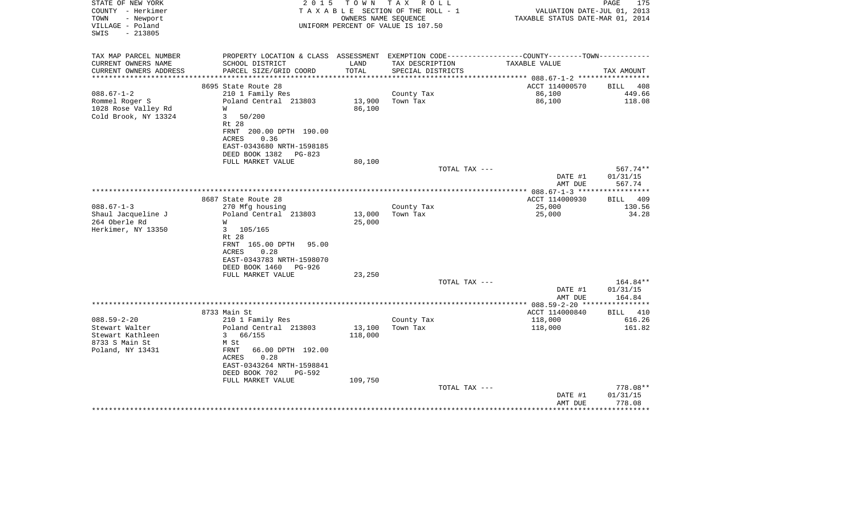| STATE OF NEW YORK<br>COUNTY - Herkimer<br>TOWN<br>- Newport<br>VILLAGE - Poland<br>$-213805$<br>SWIS | 2 0 1 5                                       | T O W N | TAX ROLL<br>TAXABLE SECTION OF THE ROLL - 1<br>OWNERS NAME SEQUENCE<br>UNIFORM PERCENT OF VALUE IS 107.50 | TAXABLE STATUS DATE-MAR 01, 2014                                                                | PAGE<br>175<br>VALUATION DATE-JUL 01, 2013 |
|------------------------------------------------------------------------------------------------------|-----------------------------------------------|---------|-----------------------------------------------------------------------------------------------------------|-------------------------------------------------------------------------------------------------|--------------------------------------------|
| TAX MAP PARCEL NUMBER                                                                                |                                               |         |                                                                                                           | PROPERTY LOCATION & CLASS ASSESSMENT EXEMPTION CODE----------------COUNTY--------TOWN---------- |                                            |
| CURRENT OWNERS NAME                                                                                  | SCHOOL DISTRICT                               | LAND    | TAX DESCRIPTION                                                                                           | TAXABLE VALUE                                                                                   |                                            |
| CURRENT OWNERS ADDRESS                                                                               | PARCEL SIZE/GRID COORD                        | TOTAL   | SPECIAL DISTRICTS                                                                                         |                                                                                                 | TAX AMOUNT                                 |
| ***********************                                                                              |                                               |         |                                                                                                           |                                                                                                 |                                            |
|                                                                                                      | 8695 State Route 28                           |         |                                                                                                           | ACCT 114000570<br>86,100                                                                        | BILL 408<br>449.66                         |
| $088.67 - 1 - 2$<br>Rommel Roger S                                                                   | 210 1 Family Res<br>Poland Central 213803     | 13,900  | County Tax<br>Town Tax                                                                                    | 86,100                                                                                          | 118.08                                     |
| 1028 Rose Valley Rd                                                                                  | W                                             | 86,100  |                                                                                                           |                                                                                                 |                                            |
| Cold Brook, NY 13324                                                                                 | 50/200<br>$\mathbf{3}$                        |         |                                                                                                           |                                                                                                 |                                            |
|                                                                                                      | Rt 28                                         |         |                                                                                                           |                                                                                                 |                                            |
|                                                                                                      | FRNT 200.00 DPTH 190.00                       |         |                                                                                                           |                                                                                                 |                                            |
|                                                                                                      | 0.36<br>ACRES                                 |         |                                                                                                           |                                                                                                 |                                            |
|                                                                                                      | EAST-0343680 NRTH-1598185                     |         |                                                                                                           |                                                                                                 |                                            |
|                                                                                                      | DEED BOOK 1382<br>PG-823<br>FULL MARKET VALUE | 80,100  |                                                                                                           |                                                                                                 |                                            |
|                                                                                                      |                                               |         |                                                                                                           | TOTAL TAX ---                                                                                   | 567.74**                                   |
|                                                                                                      |                                               |         |                                                                                                           | DATE #1                                                                                         | 01/31/15                                   |
|                                                                                                      |                                               |         |                                                                                                           | AMT DUE                                                                                         | 567.74                                     |
|                                                                                                      |                                               |         |                                                                                                           |                                                                                                 |                                            |
|                                                                                                      | 8687 State Route 28                           |         |                                                                                                           | ACCT 114000930                                                                                  | BILL 409                                   |
| $088.67 - 1 - 3$<br>Shaul Jacqueline J                                                               | 270 Mfg housing<br>Poland Central 213803      | 13,000  | County Tax<br>Town Tax                                                                                    | 25,000<br>25,000                                                                                | 130.56<br>34.28                            |
| 264 Oberle Rd                                                                                        | W                                             | 25,000  |                                                                                                           |                                                                                                 |                                            |
| Herkimer, NY 13350                                                                                   | 105/165<br>3                                  |         |                                                                                                           |                                                                                                 |                                            |
|                                                                                                      | Rt. 28                                        |         |                                                                                                           |                                                                                                 |                                            |
|                                                                                                      | FRNT 165.00 DPTH<br>95.00                     |         |                                                                                                           |                                                                                                 |                                            |
|                                                                                                      | 0.28<br>ACRES                                 |         |                                                                                                           |                                                                                                 |                                            |
|                                                                                                      | EAST-0343783 NRTH-1598070                     |         |                                                                                                           |                                                                                                 |                                            |
|                                                                                                      | DEED BOOK 1460<br>PG-926<br>FULL MARKET VALUE | 23,250  |                                                                                                           |                                                                                                 |                                            |
|                                                                                                      |                                               |         | TOTAL TAX ---                                                                                             |                                                                                                 | 164.84**                                   |
|                                                                                                      |                                               |         |                                                                                                           | DATE #1                                                                                         | 01/31/15                                   |
|                                                                                                      |                                               |         |                                                                                                           | AMT DUE                                                                                         | 164.84                                     |
|                                                                                                      |                                               |         |                                                                                                           |                                                                                                 |                                            |
|                                                                                                      | 8733 Main St                                  |         |                                                                                                           | ACCT 114000840                                                                                  | 410<br><b>BILL</b>                         |
| $088.59 - 2 - 20$<br>Stewart Walter                                                                  | 210 1 Family Res<br>Poland Central 213803     | 13,100  | County Tax<br>Town Tax                                                                                    | 118,000                                                                                         | 616.26<br>161.82                           |
| Stewart Kathleen                                                                                     | 366/155                                       | 118,000 |                                                                                                           | 118,000                                                                                         |                                            |
| 8733 S Main St                                                                                       | M St                                          |         |                                                                                                           |                                                                                                 |                                            |
| Poland, NY 13431                                                                                     | FRNT<br>66.00 DPTH 192.00                     |         |                                                                                                           |                                                                                                 |                                            |
|                                                                                                      | 0.28<br>ACRES                                 |         |                                                                                                           |                                                                                                 |                                            |
|                                                                                                      | EAST-0343264 NRTH-1598841                     |         |                                                                                                           |                                                                                                 |                                            |
|                                                                                                      | DEED BOOK 702<br>$PG-592$                     |         |                                                                                                           |                                                                                                 |                                            |
|                                                                                                      | FULL MARKET VALUE                             | 109,750 |                                                                                                           | TOTAL TAX ---                                                                                   | 778.08**                                   |
|                                                                                                      |                                               |         |                                                                                                           | DATE #1                                                                                         | 01/31/15                                   |
|                                                                                                      |                                               |         |                                                                                                           | AMT DUE                                                                                         | 778.08                                     |
|                                                                                                      |                                               |         |                                                                                                           |                                                                                                 |                                            |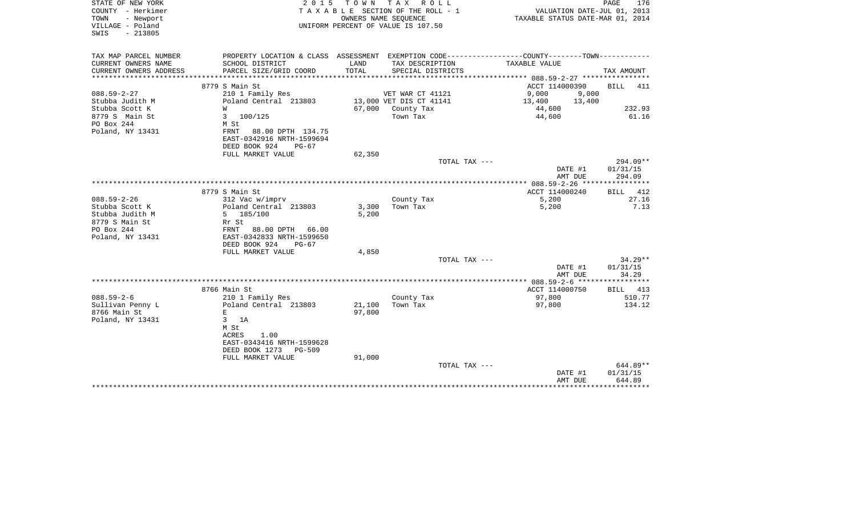| STATE OF NEW YORK<br>COUNTY - Herkimer<br>- Newport<br>TOWN<br>VILLAGE - Poland<br>SWIS<br>$-213805$ | 2 0 1 5                                                                                         | T O W N<br>OWNERS NAME SEQUENCE | TAX ROLL<br>T A X A B L E SECTION OF THE ROLL - 1<br>UNIFORM PERCENT OF VALUE IS 107.50 | VALUATION DATE-JUL 01, 2013<br>TAXABLE STATUS DATE-MAR 01, 2014 | PAGE<br>176        |
|------------------------------------------------------------------------------------------------------|-------------------------------------------------------------------------------------------------|---------------------------------|-----------------------------------------------------------------------------------------|-----------------------------------------------------------------|--------------------|
| TAX MAP PARCEL NUMBER                                                                                | PROPERTY LOCATION & CLASS ASSESSMENT EXEMPTION CODE----------------COUNTY--------TOWN---------- |                                 |                                                                                         |                                                                 |                    |
| CURRENT OWNERS NAME<br>CURRENT OWNERS ADDRESS                                                        | SCHOOL DISTRICT<br>PARCEL SIZE/GRID COORD                                                       | LAND<br>TOTAL                   | TAX DESCRIPTION<br>SPECIAL DISTRICTS                                                    | TAXABLE VALUE                                                   | TAX AMOUNT         |
| *******************                                                                                  | ********************                                                                            |                                 |                                                                                         |                                                                 |                    |
|                                                                                                      | 8779 S Main St                                                                                  |                                 |                                                                                         | ACCT 114000390                                                  | <b>BILL</b><br>411 |
| $088.59 - 2 - 27$                                                                                    | 210 1 Family Res                                                                                |                                 | VET WAR CT 41121                                                                        | 9,000<br>9,000                                                  |                    |
| Stubba Judith M                                                                                      | Poland Central 213803                                                                           |                                 | 13,000 VET DIS CT 41141                                                                 | 13,400<br>13,400                                                |                    |
| Stubba Scott K                                                                                       | M                                                                                               | 67,000                          | County Tax                                                                              | 44,600                                                          | 232.93             |
| 8779 S Main St                                                                                       | 3<br>100/125                                                                                    |                                 | Town Tax                                                                                | 44,600                                                          | 61.16              |
| PO Box 244                                                                                           | M St                                                                                            |                                 |                                                                                         |                                                                 |                    |
| Poland, NY 13431                                                                                     | FRNT<br>88.00 DPTH 134.75                                                                       |                                 |                                                                                         |                                                                 |                    |
|                                                                                                      | EAST-0342916 NRTH-1599694<br>DEED BOOK 924<br>$PG-67$                                           |                                 |                                                                                         |                                                                 |                    |
|                                                                                                      | FULL MARKET VALUE                                                                               | 62,350                          |                                                                                         |                                                                 |                    |
|                                                                                                      |                                                                                                 |                                 | TOTAL TAX ---                                                                           |                                                                 | 294.09**           |
|                                                                                                      |                                                                                                 |                                 |                                                                                         | DATE #1                                                         | 01/31/15           |
|                                                                                                      |                                                                                                 |                                 |                                                                                         | AMT DUE                                                         | 294.09             |
|                                                                                                      |                                                                                                 |                                 |                                                                                         | $***$ 088.59-2-26 ***                                           | **********         |
|                                                                                                      | 8779 S Main St                                                                                  |                                 |                                                                                         | ACCT 114000240                                                  | <b>BILL</b><br>412 |
| $088.59 - 2 - 26$                                                                                    | 312 Vac w/imprv                                                                                 |                                 | County Tax                                                                              | 5,200                                                           | 27.16              |
| Stubba Scott K                                                                                       | Poland Central 213803                                                                           | 3,300                           | Town Tax                                                                                | 5,200                                                           | 7.13               |
| Stubba Judith M                                                                                      | 5 185/100                                                                                       | 5,200                           |                                                                                         |                                                                 |                    |
| 8779 S Main St                                                                                       | Rr St                                                                                           |                                 |                                                                                         |                                                                 |                    |
| PO Box 244<br>Poland, NY 13431                                                                       | FRNT<br>88.00 DPTH<br>66.00<br>EAST-0342833 NRTH-1599650                                        |                                 |                                                                                         |                                                                 |                    |
|                                                                                                      | DEED BOOK 924<br>$PG-67$                                                                        |                                 |                                                                                         |                                                                 |                    |
|                                                                                                      | FULL MARKET VALUE                                                                               | 4,850                           |                                                                                         |                                                                 |                    |
|                                                                                                      |                                                                                                 |                                 | TOTAL TAX ---                                                                           |                                                                 | $34.29**$          |
|                                                                                                      |                                                                                                 |                                 |                                                                                         | DATE #1                                                         | 01/31/15           |
|                                                                                                      |                                                                                                 |                                 |                                                                                         | AMT DUE                                                         | 34.29              |
|                                                                                                      |                                                                                                 |                                 |                                                                                         |                                                                 |                    |
|                                                                                                      | 8766 Main St                                                                                    |                                 |                                                                                         | ACCT 114000750                                                  | 413<br><b>BILL</b> |
| $088.59 - 2 - 6$                                                                                     | 210 1 Family Res                                                                                |                                 | County Tax                                                                              | 97,800                                                          | 510.77             |
| Sullivan Penny L                                                                                     | Poland Central 213803                                                                           | 21,100                          | Town Tax                                                                                | 97,800                                                          | 134.12             |
| 8766 Main St                                                                                         | E<br>$\mathbf{3}$<br>1A                                                                         | 97,800                          |                                                                                         |                                                                 |                    |
| Poland, NY 13431                                                                                     | M St                                                                                            |                                 |                                                                                         |                                                                 |                    |
|                                                                                                      | ACRES<br>1.00                                                                                   |                                 |                                                                                         |                                                                 |                    |
|                                                                                                      | EAST-0343416 NRTH-1599628                                                                       |                                 |                                                                                         |                                                                 |                    |
|                                                                                                      | DEED BOOK 1273<br>PG-509                                                                        |                                 |                                                                                         |                                                                 |                    |
|                                                                                                      | FULL MARKET VALUE                                                                               | 91,000                          |                                                                                         |                                                                 |                    |
|                                                                                                      |                                                                                                 |                                 | TOTAL TAX ---                                                                           |                                                                 | 644.89**           |
|                                                                                                      |                                                                                                 |                                 |                                                                                         | DATE #1                                                         | 01/31/15           |
|                                                                                                      |                                                                                                 |                                 |                                                                                         | AMT DUE                                                         | 644.89             |
|                                                                                                      |                                                                                                 |                                 |                                                                                         |                                                                 |                    |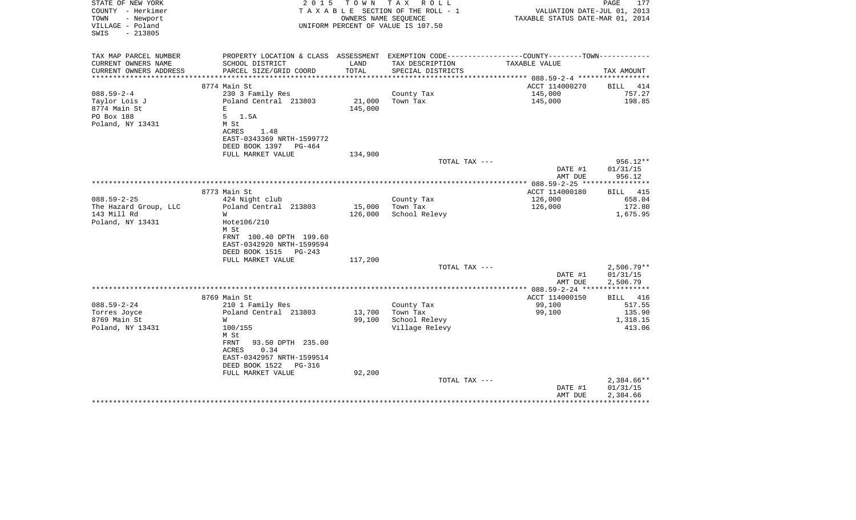| STATE OF NEW YORK<br>COUNTY - Herkimer<br>TOWN<br>- Newport<br>VILLAGE - Poland<br>$-213805$<br>SWIS | 2 0 1 5                                            |                   | TOWN TAX ROLL<br>TAXABLE SECTION OF THE ROLL - 1<br>OWNERS NAME SEQUENCE<br>UNIFORM PERCENT OF VALUE IS 107.50 | VALUATION DATE-JUL 01, 2013<br>TAXABLE STATUS DATE-MAR 01, 2014                                | PAGE<br>177          |
|------------------------------------------------------------------------------------------------------|----------------------------------------------------|-------------------|----------------------------------------------------------------------------------------------------------------|------------------------------------------------------------------------------------------------|----------------------|
| TAX MAP PARCEL NUMBER                                                                                |                                                    |                   |                                                                                                                | PROPERTY LOCATION & CLASS ASSESSMENT EXEMPTION CODE----------------COUNTY-------TOWN---------- |                      |
| CURRENT OWNERS NAME                                                                                  | SCHOOL DISTRICT                                    | LAND<br>TOTAL     | TAX DESCRIPTION                                                                                                | TAXABLE VALUE                                                                                  |                      |
| CURRENT OWNERS ADDRESS<br>*********************                                                      | PARCEL SIZE/GRID COORD                             |                   | SPECIAL DISTRICTS                                                                                              |                                                                                                | TAX AMOUNT           |
|                                                                                                      | 8774 Main St                                       |                   |                                                                                                                | ACCT 114000270                                                                                 | <b>BILL</b><br>414   |
| $088.59 - 2 - 4$                                                                                     | 230 3 Family Res                                   |                   | County Tax                                                                                                     | 145,000                                                                                        | 757.27               |
| Taylor Lois J                                                                                        | Poland Central 213803                              | 21,000            | Town Tax                                                                                                       | 145,000                                                                                        | 198.85               |
| 8774 Main St                                                                                         | Е                                                  | 145,000           |                                                                                                                |                                                                                                |                      |
| PO Box 188<br>Poland, NY 13431                                                                       | 5<br>1.5A<br>M St                                  |                   |                                                                                                                |                                                                                                |                      |
|                                                                                                      | ACRES<br>1.48                                      |                   |                                                                                                                |                                                                                                |                      |
|                                                                                                      | EAST-0343369 NRTH-1599772                          |                   |                                                                                                                |                                                                                                |                      |
|                                                                                                      | DEED BOOK 1397 PG-464                              |                   |                                                                                                                |                                                                                                |                      |
|                                                                                                      | FULL MARKET VALUE                                  | 134,900           |                                                                                                                |                                                                                                |                      |
|                                                                                                      |                                                    |                   | TOTAL TAX ---                                                                                                  | DATE #1                                                                                        | 956.12**<br>01/31/15 |
|                                                                                                      |                                                    |                   |                                                                                                                | AMT DUE                                                                                        | 956.12               |
|                                                                                                      |                                                    |                   |                                                                                                                | ************ 088.59-2-25 *****************                                                     |                      |
|                                                                                                      | 8773 Main St                                       |                   |                                                                                                                | ACCT 114000180                                                                                 | BILL 415             |
| $088.59 - 2 - 25$                                                                                    | 424 Night club                                     |                   | County Tax                                                                                                     | 126,000                                                                                        | 658.04               |
| The Hazard Group, LLC<br>143 Mill Rd                                                                 | Poland Central 213803<br>W                         | 15,000<br>126,000 | Town Tax<br>School Relevy                                                                                      | 126,000                                                                                        | 172.80<br>1,675.95   |
| Poland, NY 13431                                                                                     | Hote106/210                                        |                   |                                                                                                                |                                                                                                |                      |
|                                                                                                      | M St                                               |                   |                                                                                                                |                                                                                                |                      |
|                                                                                                      | FRNT 100.40 DPTH 199.60                            |                   |                                                                                                                |                                                                                                |                      |
|                                                                                                      | EAST-0342920 NRTH-1599594<br>DEED BOOK 1515 PG-243 |                   |                                                                                                                |                                                                                                |                      |
|                                                                                                      | FULL MARKET VALUE                                  | 117,200           |                                                                                                                |                                                                                                |                      |
|                                                                                                      |                                                    |                   | TOTAL TAX ---                                                                                                  |                                                                                                | $2,506.79**$         |
|                                                                                                      |                                                    |                   |                                                                                                                | DATE #1                                                                                        | 01/31/15             |
|                                                                                                      |                                                    |                   |                                                                                                                | AMT DUE                                                                                        | 2,506.79             |
|                                                                                                      | 8769 Main St                                       |                   |                                                                                                                | ACCT 114000150                                                                                 | BILL 416             |
| $088.59 - 2 - 24$                                                                                    | 210 1 Family Res                                   |                   | County Tax                                                                                                     | 99,100                                                                                         | 517.55               |
| Torres Joyce                                                                                         | Poland Central 213803                              | 13,700            | Town Tax                                                                                                       | 99,100                                                                                         | 135.90               |
| 8769 Main St                                                                                         | W                                                  | 99,100            | School Relevy                                                                                                  |                                                                                                | 1,318.15             |
| Poland, NY 13431                                                                                     | 100/155                                            |                   | Village Relevy                                                                                                 |                                                                                                | 413.06               |
|                                                                                                      | M St                                               |                   |                                                                                                                |                                                                                                |                      |
|                                                                                                      | 93.50 DPTH 235.00<br>FRNT<br>0.34<br>ACRES         |                   |                                                                                                                |                                                                                                |                      |
|                                                                                                      | EAST-0342957 NRTH-1599514                          |                   |                                                                                                                |                                                                                                |                      |
|                                                                                                      | DEED BOOK 1522<br>PG-316                           |                   |                                                                                                                |                                                                                                |                      |
|                                                                                                      | FULL MARKET VALUE                                  | 92,200            |                                                                                                                |                                                                                                |                      |
|                                                                                                      |                                                    |                   | TOTAL TAX ---                                                                                                  |                                                                                                | $2,384.66**$         |
|                                                                                                      |                                                    |                   |                                                                                                                | DATE #1<br>AMT DUE                                                                             | 01/31/15<br>2,384.66 |
|                                                                                                      |                                                    |                   |                                                                                                                |                                                                                                |                      |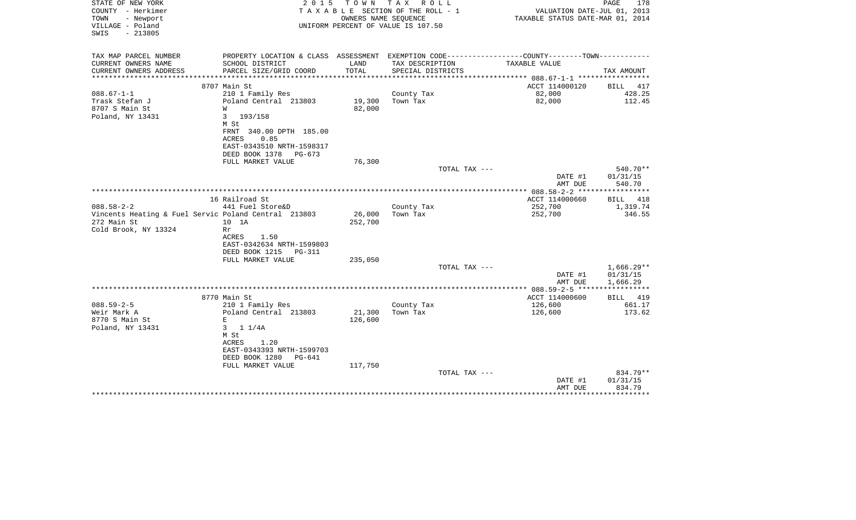| STATE OF NEW YORK<br>COUNTY - Herkimer<br>TOWN<br>- Newport<br>VILLAGE - Poland<br>SWIS<br>$-213805$ | 2 0 1 5                                    | OWNERS NAME SEQUENCE | TOWN TAX ROLL<br>TAXABLE SECTION OF THE ROLL - 1<br>UNIFORM PERCENT OF VALUE IS 107.50        | PAGE<br>178<br>VALUATION DATE-JUL 01, 2013<br>TAXABLE STATUS DATE-MAR 01, 2014 |                    |
|------------------------------------------------------------------------------------------------------|--------------------------------------------|----------------------|-----------------------------------------------------------------------------------------------|--------------------------------------------------------------------------------|--------------------|
| TAX MAP PARCEL NUMBER                                                                                |                                            |                      | PROPERTY LOCATION & CLASS ASSESSMENT EXEMPTION CODE---------------COUNTY-------TOWN---------- |                                                                                |                    |
| CURRENT OWNERS NAME<br>CURRENT OWNERS ADDRESS                                                        | SCHOOL DISTRICT<br>PARCEL SIZE/GRID COORD  | LAND<br>TOTAL        | TAX DESCRIPTION                                                                               | TAXABLE VALUE                                                                  |                    |
| **********************                                                                               |                                            |                      | SPECIAL DISTRICTS                                                                             |                                                                                | TAX AMOUNT         |
|                                                                                                      | 8707 Main St                               |                      |                                                                                               | ACCT 114000120                                                                 | BILL 417           |
| $088.67 - 1 - 1$                                                                                     | 210 1 Family Res                           |                      | County Tax                                                                                    | 82,000                                                                         | 428.25             |
| Trask Stefan J                                                                                       | Poland Central 213803                      | 19,300               | Town Tax                                                                                      | 82,000                                                                         | 112.45             |
| 8707 S Main St                                                                                       | W                                          | 82,000               |                                                                                               |                                                                                |                    |
| Poland, NY 13431                                                                                     | 3<br>193/158                               |                      |                                                                                               |                                                                                |                    |
|                                                                                                      | M St<br>FRNT 340.00 DPTH 185.00            |                      |                                                                                               |                                                                                |                    |
|                                                                                                      | 0.85<br>ACRES                              |                      |                                                                                               |                                                                                |                    |
|                                                                                                      | EAST-0343510 NRTH-1598317                  |                      |                                                                                               |                                                                                |                    |
|                                                                                                      | DEED BOOK 1378<br>PG-673                   |                      |                                                                                               |                                                                                |                    |
|                                                                                                      | FULL MARKET VALUE                          | 76,300               |                                                                                               |                                                                                |                    |
|                                                                                                      |                                            |                      | TOTAL TAX ---                                                                                 |                                                                                | 540.70**           |
|                                                                                                      |                                            |                      |                                                                                               | DATE #1<br>AMT DUE                                                             | 01/31/15<br>540.70 |
|                                                                                                      |                                            |                      |                                                                                               |                                                                                |                    |
|                                                                                                      | 16 Railroad St                             |                      |                                                                                               | ACCT 114000660                                                                 | BILL<br>418        |
| $088.58 - 2 - 2$                                                                                     | 441 Fuel Store&D                           |                      | County Tax                                                                                    | 252,700                                                                        | 1,319.74           |
| Vincents Heating & Fuel Servic Poland Central 213803                                                 |                                            | 26,000               | Town Tax                                                                                      | 252,700                                                                        | 346.55             |
| 272 Main St                                                                                          | 10 1A                                      | 252,700              |                                                                                               |                                                                                |                    |
| Cold Brook, NY 13324                                                                                 | Rr                                         |                      |                                                                                               |                                                                                |                    |
|                                                                                                      | 1.50<br>ACRES<br>EAST-0342634 NRTH-1599803 |                      |                                                                                               |                                                                                |                    |
|                                                                                                      | DEED BOOK 1215<br>PG-311                   |                      |                                                                                               |                                                                                |                    |
|                                                                                                      | FULL MARKET VALUE                          | 235,050              |                                                                                               |                                                                                |                    |
|                                                                                                      |                                            |                      | TOTAL TAX ---                                                                                 |                                                                                | $1,666.29**$       |
|                                                                                                      |                                            |                      |                                                                                               | DATE #1                                                                        | 01/31/15           |
|                                                                                                      |                                            |                      |                                                                                               | AMT DUE                                                                        | 1,666.29           |
|                                                                                                      |                                            |                      |                                                                                               |                                                                                | BILL 419           |
| $088.59 - 2 - 5$                                                                                     | 8770 Main St<br>210 1 Family Res           |                      | County Tax                                                                                    | ACCT 114000600<br>126,600                                                      | 661.17             |
| Weir Mark A                                                                                          | Poland Central 213803                      | 21,300               | Town Tax                                                                                      | 126,600                                                                        | 173.62             |
| 8770 S Main St                                                                                       | E                                          | 126,600              |                                                                                               |                                                                                |                    |
| Poland, NY 13431                                                                                     | $\mathbf{3}$<br>$1 \t1/4A$                 |                      |                                                                                               |                                                                                |                    |
|                                                                                                      | M St                                       |                      |                                                                                               |                                                                                |                    |
|                                                                                                      | ACRES<br>1.20                              |                      |                                                                                               |                                                                                |                    |
|                                                                                                      | EAST-0343393 NRTH-1599703                  |                      |                                                                                               |                                                                                |                    |
|                                                                                                      | DEED BOOK 1280<br>PG-641                   | 117,750              |                                                                                               |                                                                                |                    |
|                                                                                                      | FULL MARKET VALUE                          |                      | TOTAL TAX ---                                                                                 |                                                                                | 834.79**           |
|                                                                                                      |                                            |                      |                                                                                               | DATE #1                                                                        | 01/31/15           |
|                                                                                                      |                                            |                      |                                                                                               | AMT DUE                                                                        | 834.79             |
|                                                                                                      |                                            |                      |                                                                                               |                                                                                | **********         |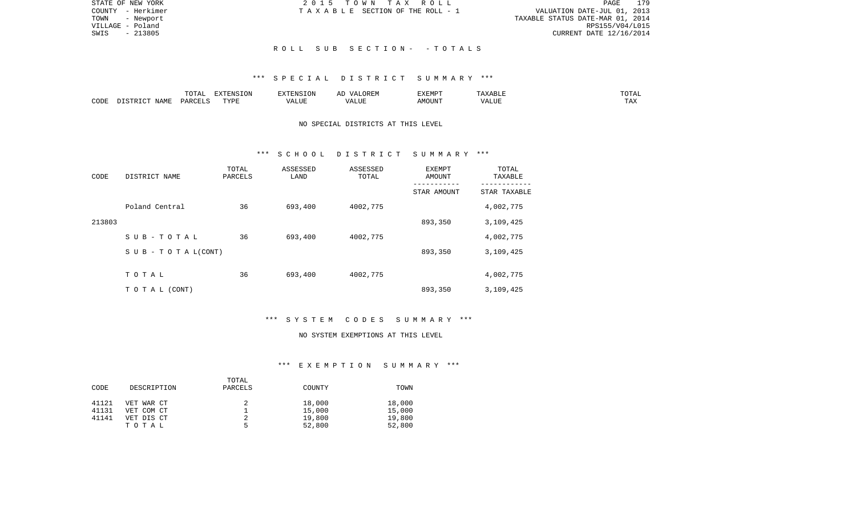| STATE OF NEW YORK | 2015 TOWN TAX ROLL              | 179<br>PAGE                      |
|-------------------|---------------------------------|----------------------------------|
| COUNTY - Herkimer | TAXABLE SECTION OF THE ROLL - 1 | VALUATION DATE-JUL 01, 2013      |
| TOWN<br>- Newport |                                 | TAXABLE STATUS DATE-MAR 01, 2014 |
| VILLAGE - Poland  |                                 | RPS155/V04/L015                  |
| $-213805$<br>SWIS |                                 | CURRENT DATE 12/16/2014          |
|                   |                                 |                                  |
|                   | ROLL SUB SECTION- -TOTALS       |                                  |

|      |             |               | $\Box$<br>11 L<br>$\left( \right)$ |   | HIV | EXEMPT | .<br>n 1                   | $\overline{\phantom{a}}$ |
|------|-------------|---------------|------------------------------------|---|-----|--------|----------------------------|--------------------------|
| CODE | ΝΔМϜ<br>. . | <b>PARCEL</b> | TVDT                               | . | ,,, | AMOUNT | , <del>,</del> , , , , , , | ---<br>.A2               |

## NO SPECIAL DISTRICTS AT THIS LEVEL

### \*\*\* S C H O O L D I S T R I C T S U M M A R Y \*\*\*

| CODE   | DISTRICT NAME                    | TOTAL<br>PARCELS | ASSESSED<br>LAND | ASSESSED<br>TOTAL | <b>EXEMPT</b><br>AMOUNT | TOTAL<br>TAXABLE<br>--------- |
|--------|----------------------------------|------------------|------------------|-------------------|-------------------------|-------------------------------|
|        |                                  |                  |                  |                   | STAR AMOUNT             | STAR TAXABLE                  |
|        | Poland Central                   | 36               | 693,400          | 4002,775          |                         | 4,002,775                     |
| 213803 |                                  |                  |                  |                   | 893,350                 | 3,109,425                     |
|        | $S$ U B - T O T A L              | 36               | 693,400          | 4002,775          |                         | 4,002,775                     |
|        | $S \cup B - T \cup T A L (CONT)$ |                  |                  |                   | 893,350                 | 3,109,425                     |
|        |                                  |                  |                  |                   |                         |                               |
|        | TOTAL                            | 36               | 693,400          | 4002,775          |                         | 4,002,775                     |
|        | TO TAL (CONT)                    |                  |                  |                   | 893,350                 | 3,109,425                     |

# \*\*\* S Y S T E M C O D E S S U M M A R Y \*\*\*

#### NO SYSTEM EXEMPTIONS AT THIS LEVEL

|       |             | TOTAL   |        |        |
|-------|-------------|---------|--------|--------|
| CODE  | DESCRIPTION | PARCELS | COUNTY | TOWN   |
|       |             |         |        |        |
| 41121 | VET WAR CT  |         | 18,000 | 18,000 |
| 41131 | VET COM CT  |         | 15,000 | 15,000 |
| 41141 | VET DIS CT  |         | 19,800 | 19,800 |
|       | TOTAL       |         | 52,800 | 52,800 |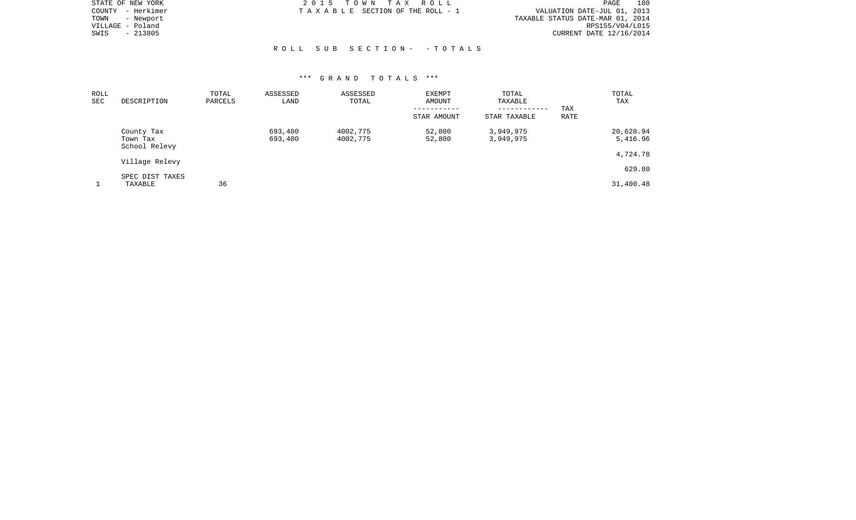| STATE OF NEW YORK<br>- Herkimer<br>COUNTY<br>TOWN<br>- Newport<br>VILLAGE - Poland<br>$-213805$<br>SWIS |       | 2 0 1 5  | TAX ROLL<br>T O W N<br>TAXABLE SECTION OF THE ROLL - 1 |        | TAXABLE STATUS DATE-MAR 01, 2014 | 180<br>PAGE<br>VALUATION DATE-JUL 01, 2013<br>RPS155/V04/L015<br>CURRENT DATE 12/16/2014 |
|---------------------------------------------------------------------------------------------------------|-------|----------|--------------------------------------------------------|--------|----------------------------------|------------------------------------------------------------------------------------------|
|                                                                                                         |       |          | ROLL SUB SECTION- - TOTALS                             |        |                                  |                                                                                          |
|                                                                                                         |       |          | *** GRAND TOTALS ***                                   |        |                                  |                                                                                          |
| ROLL                                                                                                    | TOTAL | ASSESSED | ASSESSED                                               | EXEMPT | TOTAL                            | TOTAL                                                                                    |

| SEC | DESCRIPTION                             | PARCELS | LAND               | TOTAL                | AMOUNT<br>STAR AMOUNT | TAXABLE<br>------------<br>STAR TAXABLE | TAX<br>RATE | TAX                   |
|-----|-----------------------------------------|---------|--------------------|----------------------|-----------------------|-----------------------------------------|-------------|-----------------------|
|     | County Tax<br>Town Tax<br>School Relevy |         | 693,400<br>693,400 | 4002,775<br>4002,775 | 52,800<br>52,800      | 3,949,975<br>3,949,975                  |             | 20,628.94<br>5,416.96 |
|     | Village Relevy                          |         |                    |                      |                       |                                         |             | 4,724.78              |
|     | SPEC DIST TAXES                         |         |                    |                      |                       |                                         |             | 629.80                |
|     | TAXABLE                                 | 36      |                    |                      |                       |                                         |             | 31,400.48             |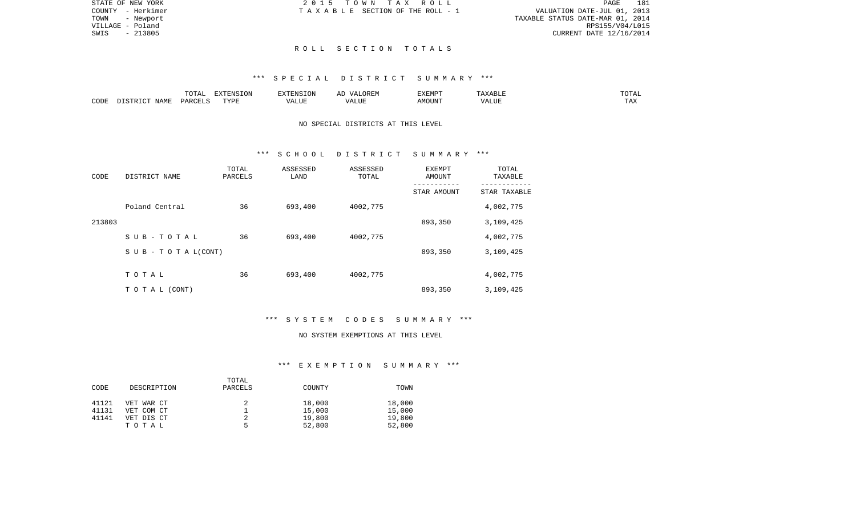| 2015 TOWN TAX ROLL              | 181<br>PAGE                      |
|---------------------------------|----------------------------------|
| TAXABLE SECTION OF THE ROLL - 1 | VALUATION DATE-JUL 01, 2013      |
|                                 | TAXABLE STATUS DATE-MAR 01, 2014 |
|                                 | RPS155/V04/L015                  |
|                                 | CURRENT DATE 12/16/2014          |
|                                 |                                  |
|                                 |                                  |

### R O L L S E C T I O N T O T A L S

#### \*\*\* S P E C I A L D I S T R I C T S U M M A R Y \*\*\*

|      |       | $m \wedge m \wedge n$<br>⊥∪⊥⊓⊥ | $\blacksquare$<br>⊥UN |                   | "XFMP. | ---         |
|------|-------|--------------------------------|-----------------------|-------------------|--------|-------------|
| CODE | ΝТ∆МЋ | DAR <sub>C</sub>               | TVDI<br>.             | $\sqrt{ }$<br>பபா |        | max<br>∖ n∡ |

### NO SPECIAL DISTRICTS AT THIS LEVEL

#### \*\*\* S C H O O L D I S T R I C T S U M M A R Y \*\*\*

| CODE   | DISTRICT NAME                    | TOTAL<br>PARCELS | ASSESSED<br>LAND | ASSESSED<br>TOTAL | <b>EXEMPT</b><br>AMOUNT | TOTAL<br>TAXABLE<br>-------- |
|--------|----------------------------------|------------------|------------------|-------------------|-------------------------|------------------------------|
|        |                                  |                  |                  |                   | STAR AMOUNT             | STAR TAXABLE                 |
|        | Poland Central                   | 36               | 693,400          | 4002,775          |                         | 4,002,775                    |
| 213803 |                                  |                  |                  |                   | 893,350                 | 3,109,425                    |
|        | SUB-TOTAL                        | 36               | 693,400          | 4002,775          |                         | 4,002,775                    |
|        | $S \cup B - T \cup T A L (CONT)$ |                  |                  |                   | 893,350                 | 3,109,425                    |
|        |                                  |                  |                  |                   |                         |                              |
|        | TOTAL                            | 36               | 693,400          | 4002,775          |                         | 4,002,775                    |
|        | TO TAL (CONT)                    |                  |                  |                   | 893,350                 | 3,109,425                    |

### \*\*\* S Y S T E M C O D E S S U M M A R Y \*\*\*

#### NO SYSTEM EXEMPTIONS AT THIS LEVEL

|       |             | TOTAL   |        |        |
|-------|-------------|---------|--------|--------|
| CODE  | DESCRIPTION | PARCELS | COUNTY | TOWN   |
|       |             |         |        |        |
| 41121 | VET WAR CT  |         | 18,000 | 18,000 |
| 41131 | VET COM CT  |         | 15,000 | 15,000 |
| 41141 | VET DIS CT  |         | 19,800 | 19,800 |
|       | TOTAL       |         | 52,800 | 52,800 |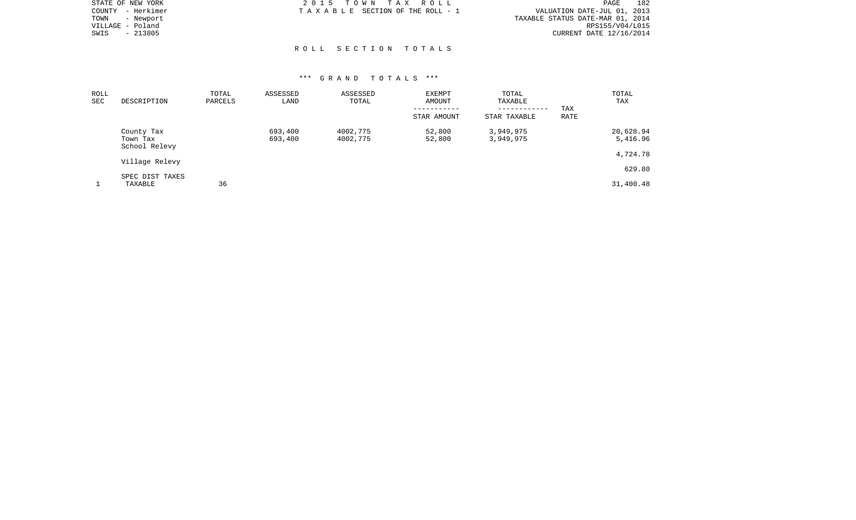| STATE OF NEW YORK    | 2015 TOWN TAX ROLL              | 182<br>PAGE                      |
|----------------------|---------------------------------|----------------------------------|
| - Herkimer<br>COUNTY | TAXABLE SECTION OF THE ROLL - 1 | VALUATION DATE-JUL 01, 2013      |
| TOWN<br>- Newport    |                                 | TAXABLE STATUS DATE-MAR 01, 2014 |
| VILLAGE - Poland     |                                 | RPS155/V04/L015                  |
| $-213805$<br>SWIS    |                                 | CURRENT DATE 12/16/2014          |
|                      |                                 |                                  |
|                      | ROLL SECTION TOTALS             |                                  |
|                      |                                 |                                  |

| ROLL<br>SEC | DESCRIPTION               | TOTAL<br>PARCELS | ASSESSED<br>LAND | ASSESSED<br>TOTAL | EXEMPT<br>AMOUNT | TOTAL<br>TAXABLE |      | TOTAL<br>TAX |
|-------------|---------------------------|------------------|------------------|-------------------|------------------|------------------|------|--------------|
|             |                           |                  |                  |                   |                  | -----------      | TAX  |              |
|             |                           |                  |                  |                   | STAR AMOUNT      | STAR TAXABLE     | RATE |              |
|             | County Tax                |                  | 693,400          | 4002,775          | 52,800           | 3,949,975        |      | 20,628.94    |
|             | Town Tax<br>School Relevy |                  | 693,400          | 4002,775          | 52,800           | 3,949,975        |      | 5,416.96     |
|             |                           |                  |                  |                   |                  |                  |      | 4,724.78     |
|             | Village Relevy            |                  |                  |                   |                  |                  |      | 629.80       |
|             | SPEC DIST TAXES           |                  |                  |                   |                  |                  |      |              |
|             | TAXABLE                   | 36               |                  |                   |                  |                  |      | 31,400.48    |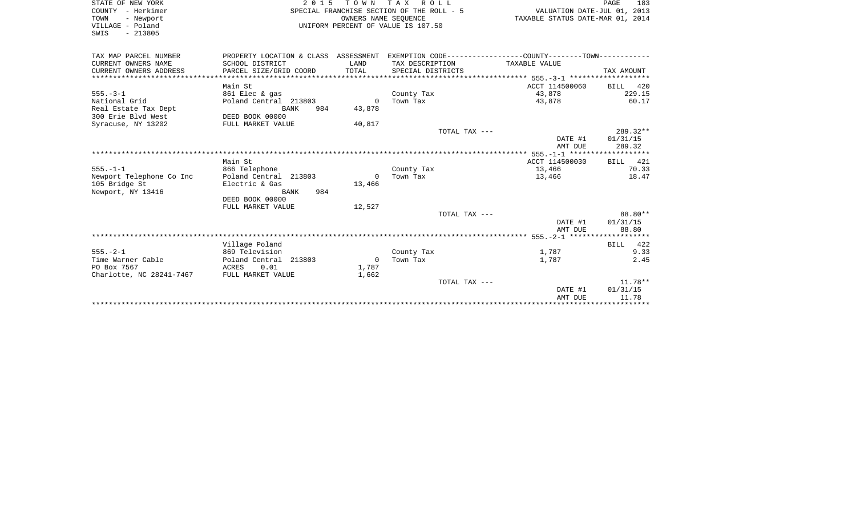|                                                          |                                                                                                                                                                                                                                                                                       |                                                                       |                                                                                                                                                             | PAGE<br>183                                                                                                                                                                                                                                                                                                            |  |
|----------------------------------------------------------|---------------------------------------------------------------------------------------------------------------------------------------------------------------------------------------------------------------------------------------------------------------------------------------|-----------------------------------------------------------------------|-------------------------------------------------------------------------------------------------------------------------------------------------------------|------------------------------------------------------------------------------------------------------------------------------------------------------------------------------------------------------------------------------------------------------------------------------------------------------------------------|--|
|                                                          |                                                                                                                                                                                                                                                                                       |                                                                       |                                                                                                                                                             |                                                                                                                                                                                                                                                                                                                        |  |
| OWNERS NAME SEOUENCE<br>TAXABLE STATUS DATE-MAR 01, 2014 |                                                                                                                                                                                                                                                                                       |                                                                       |                                                                                                                                                             |                                                                                                                                                                                                                                                                                                                        |  |
|                                                          | UNIFORM PERCENT OF VALUE IS 107.50                                                                                                                                                                                                                                                    |                                                                       |                                                                                                                                                             |                                                                                                                                                                                                                                                                                                                        |  |
|                                                          |                                                                                                                                                                                                                                                                                       |                                                                       |                                                                                                                                                             |                                                                                                                                                                                                                                                                                                                        |  |
|                                                          |                                                                                                                                                                                                                                                                                       |                                                                       |                                                                                                                                                             |                                                                                                                                                                                                                                                                                                                        |  |
|                                                          |                                                                                                                                                                                                                                                                                       |                                                                       |                                                                                                                                                             |                                                                                                                                                                                                                                                                                                                        |  |
|                                                          |                                                                                                                                                                                                                                                                                       |                                                                       |                                                                                                                                                             |                                                                                                                                                                                                                                                                                                                        |  |
|                                                          |                                                                                                                                                                                                                                                                                       |                                                                       |                                                                                                                                                             |                                                                                                                                                                                                                                                                                                                        |  |
|                                                          |                                                                                                                                                                                                                                                                                       |                                                                       |                                                                                                                                                             | TAX AMOUNT                                                                                                                                                                                                                                                                                                             |  |
|                                                          |                                                                                                                                                                                                                                                                                       |                                                                       |                                                                                                                                                             |                                                                                                                                                                                                                                                                                                                        |  |
|                                                          |                                                                                                                                                                                                                                                                                       |                                                                       |                                                                                                                                                             | BILL 420                                                                                                                                                                                                                                                                                                               |  |
| 861 Elec & gas                                           |                                                                                                                                                                                                                                                                                       | County Tax                                                            | 43,878                                                                                                                                                      | 229.15                                                                                                                                                                                                                                                                                                                 |  |
| Poland Central 213803                                    | $\Omega$                                                                                                                                                                                                                                                                              | Town Tax                                                              | 43,878                                                                                                                                                      | 60.17                                                                                                                                                                                                                                                                                                                  |  |
| <b>BANK</b><br>984                                       | 43,878                                                                                                                                                                                                                                                                                |                                                                       |                                                                                                                                                             |                                                                                                                                                                                                                                                                                                                        |  |
| DEED BOOK 00000                                          |                                                                                                                                                                                                                                                                                       |                                                                       |                                                                                                                                                             |                                                                                                                                                                                                                                                                                                                        |  |
| FULL MARKET VALUE                                        | 40,817                                                                                                                                                                                                                                                                                |                                                                       |                                                                                                                                                             |                                                                                                                                                                                                                                                                                                                        |  |
|                                                          |                                                                                                                                                                                                                                                                                       |                                                                       |                                                                                                                                                             | 289.32**                                                                                                                                                                                                                                                                                                               |  |
|                                                          |                                                                                                                                                                                                                                                                                       |                                                                       | DATE #1                                                                                                                                                     | 01/31/15                                                                                                                                                                                                                                                                                                               |  |
|                                                          |                                                                                                                                                                                                                                                                                       |                                                                       | AMT DUE                                                                                                                                                     | 289.32                                                                                                                                                                                                                                                                                                                 |  |
|                                                          |                                                                                                                                                                                                                                                                                       |                                                                       |                                                                                                                                                             |                                                                                                                                                                                                                                                                                                                        |  |
|                                                          |                                                                                                                                                                                                                                                                                       |                                                                       |                                                                                                                                                             | BILL 421                                                                                                                                                                                                                                                                                                               |  |
|                                                          |                                                                                                                                                                                                                                                                                       |                                                                       |                                                                                                                                                             | 70.33                                                                                                                                                                                                                                                                                                                  |  |
|                                                          | $\Omega$                                                                                                                                                                                                                                                                              |                                                                       |                                                                                                                                                             | 18.47                                                                                                                                                                                                                                                                                                                  |  |
|                                                          |                                                                                                                                                                                                                                                                                       |                                                                       |                                                                                                                                                             |                                                                                                                                                                                                                                                                                                                        |  |
|                                                          |                                                                                                                                                                                                                                                                                       |                                                                       |                                                                                                                                                             |                                                                                                                                                                                                                                                                                                                        |  |
|                                                          |                                                                                                                                                                                                                                                                                       |                                                                       |                                                                                                                                                             |                                                                                                                                                                                                                                                                                                                        |  |
|                                                          |                                                                                                                                                                                                                                                                                       |                                                                       |                                                                                                                                                             |                                                                                                                                                                                                                                                                                                                        |  |
|                                                          |                                                                                                                                                                                                                                                                                       |                                                                       |                                                                                                                                                             | 88.80**                                                                                                                                                                                                                                                                                                                |  |
|                                                          |                                                                                                                                                                                                                                                                                       |                                                                       |                                                                                                                                                             | 01/31/15                                                                                                                                                                                                                                                                                                               |  |
|                                                          |                                                                                                                                                                                                                                                                                       |                                                                       |                                                                                                                                                             | 88.80                                                                                                                                                                                                                                                                                                                  |  |
|                                                          |                                                                                                                                                                                                                                                                                       |                                                                       |                                                                                                                                                             |                                                                                                                                                                                                                                                                                                                        |  |
|                                                          |                                                                                                                                                                                                                                                                                       |                                                                       |                                                                                                                                                             | BILL 422                                                                                                                                                                                                                                                                                                               |  |
|                                                          |                                                                                                                                                                                                                                                                                       |                                                                       |                                                                                                                                                             | 9.33                                                                                                                                                                                                                                                                                                                   |  |
|                                                          |                                                                                                                                                                                                                                                                                       |                                                                       |                                                                                                                                                             | 2.45                                                                                                                                                                                                                                                                                                                   |  |
|                                                          |                                                                                                                                                                                                                                                                                       |                                                                       |                                                                                                                                                             |                                                                                                                                                                                                                                                                                                                        |  |
|                                                          |                                                                                                                                                                                                                                                                                       |                                                                       |                                                                                                                                                             |                                                                                                                                                                                                                                                                                                                        |  |
|                                                          |                                                                                                                                                                                                                                                                                       |                                                                       |                                                                                                                                                             | $11.78**$                                                                                                                                                                                                                                                                                                              |  |
|                                                          |                                                                                                                                                                                                                                                                                       |                                                                       |                                                                                                                                                             | 01/31/15                                                                                                                                                                                                                                                                                                               |  |
|                                                          |                                                                                                                                                                                                                                                                                       |                                                                       |                                                                                                                                                             | 11.78                                                                                                                                                                                                                                                                                                                  |  |
|                                                          |                                                                                                                                                                                                                                                                                       |                                                                       |                                                                                                                                                             |                                                                                                                                                                                                                                                                                                                        |  |
|                                                          | SCHOOL DISTRICT<br>PARCEL SIZE/GRID COORD<br>Main St<br>Main St<br>866 Telephone<br>Poland Central 213803<br>Electric & Gas<br>984<br>BANK<br>DEED BOOK 00000<br>FULL MARKET VALUE<br>Village Poland<br>869 Television<br>Poland Central 213803<br>ACRES<br>0.01<br>FULL MARKET VALUE | LAND<br>TOTAL<br>13,466<br>12,527<br>$\overline{0}$<br>1,787<br>1,662 | 2015 TOWN TAX ROLL<br>SPECIAL FRANCHISE SECTION OF THE ROLL - 5<br>TAX DESCRIPTION<br>SPECIAL DISTRICTS<br>County Tax<br>Town Tax<br>County Tax<br>Town Tax | VALUATION DATE-JUL 01, 2013<br>PROPERTY LOCATION & CLASS ASSESSMENT EXEMPTION CODE---------------COUNTY-------TOWN----------<br>TAXABLE VALUE<br>ACCT 114500060<br>TOTAL TAX ---<br>ACCT 114500030<br>13,466<br>13,466<br>TOTAL TAX ---<br>DATE #1<br>AMT DUE<br>1,787<br>1,787<br>TOTAL TAX ---<br>DATE #1<br>AMT DUE |  |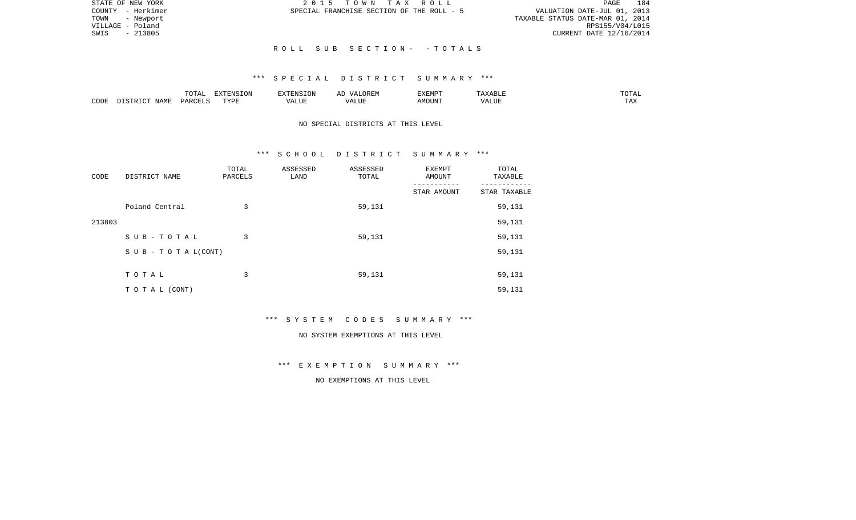| STATE OF NEW YORK | 2015 TOWN TAX ROLL                        |  | PAGE                             | 184 |
|-------------------|-------------------------------------------|--|----------------------------------|-----|
| COUNTY - Herkimer | SPECIAL FRANCHISE SECTION OF THE ROLL - 5 |  | VALUATION DATE-JUL 01, 2013      |     |
| TOWN - Newport    |                                           |  | TAXABLE STATUS DATE-MAR 01, 2014 |     |
| VILLAGE - Poland  |                                           |  | RPS155/V04/L015                  |     |
| $-213805$<br>SWIS |                                           |  | CURRENT DATE 12/16/2014          |     |
|                   |                                           |  |                                  |     |
|                   | ROLL SUB SECTION- - TOTALS                |  |                                  |     |

|      |                            | .∪⊥⊓⊥         | $\blacksquare$<br>11 L<br>LUIN |               |            | EXEMPT       | ABL.                  | $m \wedge m$<br>. |
|------|----------------------------|---------------|--------------------------------|---------------|------------|--------------|-----------------------|-------------------|
| CODE | <b>ABST</b><br>. .<br>NAMP | <b>DARCFT</b> | TVDT                           | $\mathcal{L}$ | ,,,<br>שחד | OUN".<br>۱M۲ | $- - - - - -$<br>ALUI | $- - -$<br>. Ал   |

### NO SPECIAL DISTRICTS AT THIS LEVEL

#### \*\*\* S C H O O L D I S T R I C T S U M M A R Y \*\*\*

| CODE   | DISTRICT NAME                    | TOTAL<br>PARCELS | ASSESSED<br>LAND | ASSESSED<br>TOTAL | <b>EXEMPT</b><br>AMOUNT | TOTAL<br>TAXABLE |
|--------|----------------------------------|------------------|------------------|-------------------|-------------------------|------------------|
|        |                                  |                  |                  |                   | STAR AMOUNT             | STAR TAXABLE     |
|        | Poland Central                   | 3                |                  | 59,131            |                         | 59,131           |
| 213803 |                                  |                  |                  |                   |                         | 59,131           |
|        | SUB-TOTAL                        | 3                |                  | 59,131            |                         | 59,131           |
|        | $S \cup B - T \cup T A L (CONT)$ |                  |                  |                   |                         | 59,131           |
|        |                                  |                  |                  |                   |                         |                  |
|        | TOTAL                            | 3                |                  | 59,131            |                         | 59,131           |
|        | TO TAL (CONT)                    |                  |                  |                   |                         | 59,131           |

\*\*\* S Y S T E M C O D E S S U M M A R Y \*\*\*

#### NO SYSTEM EXEMPTIONS AT THIS LEVEL

\*\*\* E X E M P T I O N S U M M A R Y \*\*\*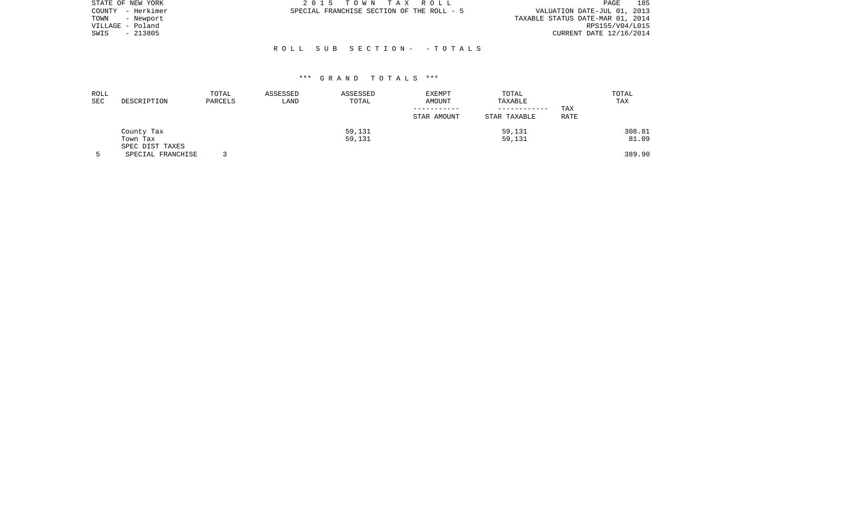| STATE OF NEW YORK |           | 2015 TOWN TAX ROLL                        | 185<br>PAGE                      |
|-------------------|-----------|-------------------------------------------|----------------------------------|
| COUNTY - Herkimer |           | SPECIAL FRANCHISE SECTION OF THE ROLL - 5 | VALUATION DATE-JUL 01, 2013      |
| TOWN              | - Newport |                                           | TAXABLE STATUS DATE-MAR 01, 2014 |
| VILLAGE - Poland  |           |                                           | RPS155/V04/L015                  |
| SWIS              | $-213805$ |                                           | CURRENT DATE 12/16/2014          |
|                   |           |                                           |                                  |

R O L L S U B S E C T I O N - - T O T A L S

| ROLL<br>SEC | DESCRIPTION                          | TOTAL<br>PARCELS | ASSESSED<br>LAND | ASSESSED<br>TOTAL | <b>EXEMPT</b><br>AMOUNT<br>STAR AMOUNT | TOTAL<br>TAXABLE<br>STAR TAXABLE | <b>TAX</b><br>RATE | TOTAL<br>TAX    |
|-------------|--------------------------------------|------------------|------------------|-------------------|----------------------------------------|----------------------------------|--------------------|-----------------|
|             | County Tax<br>Town Tax               |                  |                  | 59,131<br>59,131  |                                        | 59,131<br>59,131                 |                    | 308.81<br>81.09 |
|             | SPEC DIST TAXES<br>SPECIAL FRANCHISE |                  |                  |                   |                                        |                                  |                    | 389.90          |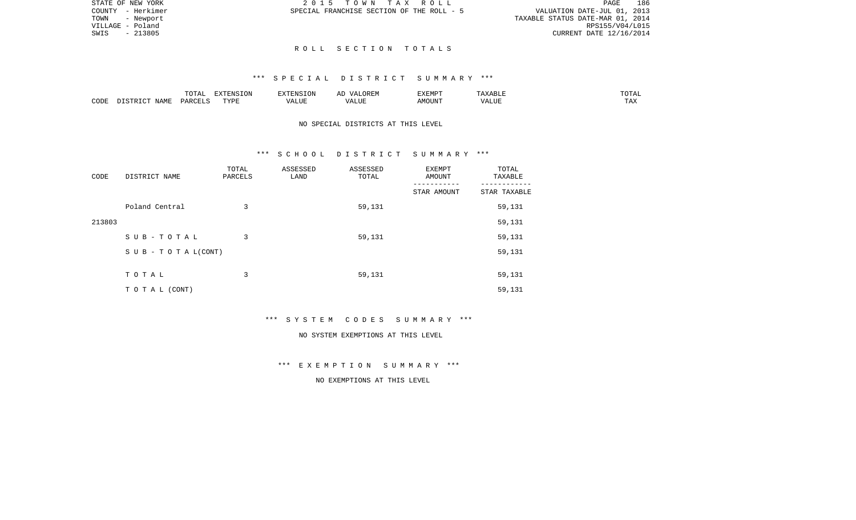| STATE OF NEW YORK | 2015 TOWN TAX ROLL                        | 186<br>PAGE                      |
|-------------------|-------------------------------------------|----------------------------------|
| COUNTY - Herkimer | SPECIAL FRANCHISE SECTION OF THE ROLL - 5 | VALUATION DATE-JUL 01, 2013      |
| TOWN<br>- Newport |                                           | TAXABLE STATUS DATE-MAR 01, 2014 |
| VILLAGE – Poland  |                                           | RPS155/V04/L015                  |
| SWIS<br>- 213805  |                                           | CURRENT DATE 12/16/2014          |
|                   |                                           |                                  |
|                   |                                           |                                  |

R O L L S E C T I O N T O T A L S

#### \*\*\* S P E C I A L D I S T R I C T S U M M A R Y \*\*\*

|      |       | ◡∸⊷           | $\Box$<br>LUIN |                          | <b>maso</b> r<br>$-1$<br>SXEMP | . .<br><b>ABLI</b> | 10 <sub>m</sub><br><b>+1+</b> |
|------|-------|---------------|----------------|--------------------------|--------------------------------|--------------------|-------------------------------|
| CODE | NAME. | <b>DARCET</b> | TVDF           | . <del>.</del><br>. LIUP |                                | 77T<br>יש בבא      | $m \times n$<br>T W           |

### NO SPECIAL DISTRICTS AT THIS LEVEL

#### \*\*\* S C H O O L D I S T R I C T S U M M A R Y \*\*\*

| CODE   | DISTRICT NAME             | TOTAL<br>PARCELS | ASSESSED<br>LAND | ASSESSED<br>TOTAL | <b>EXEMPT</b><br>AMOUNT | TOTAL<br>TAXABLE |
|--------|---------------------------|------------------|------------------|-------------------|-------------------------|------------------|
|        |                           |                  |                  |                   | STAR AMOUNT             | STAR TAXABLE     |
|        | Poland Central            | 3                |                  | 59,131            |                         | 59,131           |
| 213803 |                           |                  |                  |                   |                         | 59,131           |
|        | SUB-TOTAL                 | 3                |                  | 59,131            |                         | 59,131           |
|        | S U B - T O T A $L(CONT)$ |                  |                  |                   |                         | 59,131           |
|        |                           |                  |                  |                   |                         |                  |
|        | TOTAL                     | 3                |                  | 59,131            |                         | 59,131           |
|        | T O T A L (CONT)          |                  |                  |                   |                         | 59,131           |

\*\*\* S Y S T E M C O D E S S U M M A R Y \*\*\*

#### NO SYSTEM EXEMPTIONS AT THIS LEVEL

\*\*\* E X E M P T I O N S U M M A R Y \*\*\*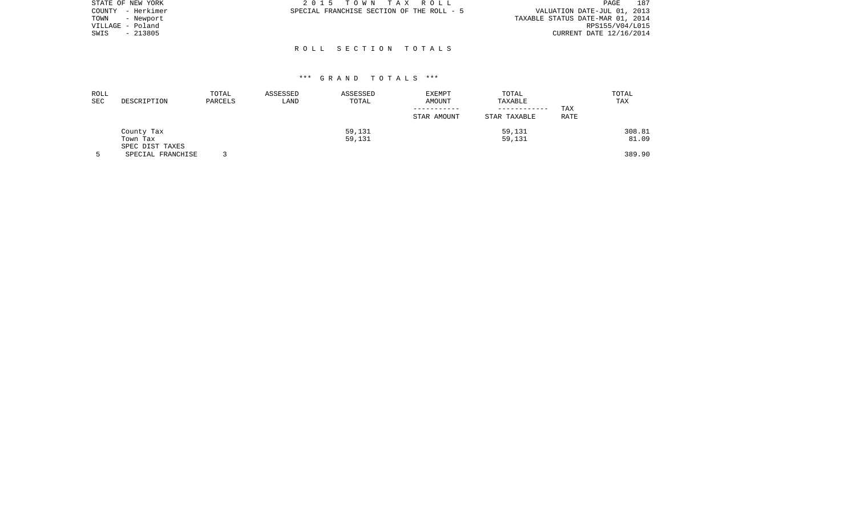|      | STATE OF NEW YORK | 2015 TOWN TAX ROLL                        | 187<br>PAGE                      |
|------|-------------------|-------------------------------------------|----------------------------------|
|      | COUNTY - Herkimer | SPECIAL FRANCHISE SECTION OF THE ROLL - 5 | VALUATION DATE-JUL 01, 2013      |
| TOWN | - Newport         |                                           | TAXABLE STATUS DATE-MAR 01, 2014 |
|      | VILLAGE - Poland  |                                           | RPS155/V04/L015                  |
| SWIS | $-213805$         |                                           | CURRENT DATE 12/16/2014          |
|      |                   |                                           |                                  |

### R O L L S E C T I O N T O T A L S

| ROLL       |                   | TOTAL   | ASSESSED | ASSESSED | <b>EXEMPT</b> | TOTAL        |      | TOTAL  |
|------------|-------------------|---------|----------|----------|---------------|--------------|------|--------|
| <b>SEC</b> | DESCRIPTION       | PARCELS | LAND     | TOTAL    | AMOUNT        | TAXABLE      |      | TAX    |
|            |                   |         |          |          |               | ------------ | TAX  |        |
|            |                   |         |          |          | STAR AMOUNT   | STAR TAXABLE | RATE |        |
|            | County Tax        |         |          | 59,131   |               | 59,131       |      | 308.81 |
|            | Town Tax          |         |          | 59,131   |               | 59,131       |      | 81.09  |
|            | SPEC DIST TAXES   |         |          |          |               |              |      |        |
|            | SPECIAL FRANCHISE |         |          |          |               |              |      | 389.90 |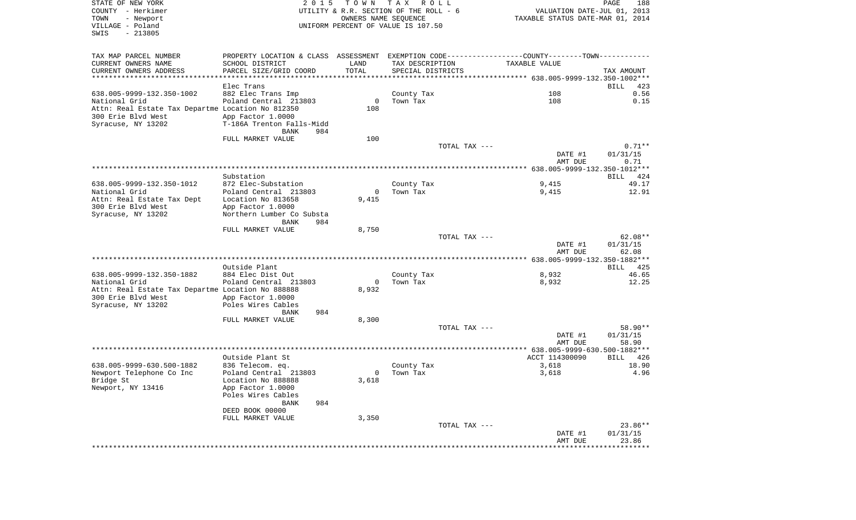| STATE OF NEW YORK<br>COUNTY - Herkimer<br>TOWN<br>- Newport | 2 0 1 5                                         | TOWN TAX<br>OWNERS NAME SEQUENCE | R O L L<br>UTILITY & R.R. SECTION OF THE ROLL - 6 | VALUATION DATE-JUL 01, 2013<br>TAXABLE STATUS DATE-MAR 01, 2014                               | PAGE<br>188             |
|-------------------------------------------------------------|-------------------------------------------------|----------------------------------|---------------------------------------------------|-----------------------------------------------------------------------------------------------|-------------------------|
| VILLAGE - Poland<br>$-213805$<br>SWIS                       |                                                 |                                  | UNIFORM PERCENT OF VALUE IS 107.50                |                                                                                               |                         |
| TAX MAP PARCEL NUMBER                                       |                                                 |                                  |                                                   | PROPERTY LOCATION & CLASS ASSESSMENT EXEMPTION CODE---------------COUNTY-------TOWN---------- |                         |
| CURRENT OWNERS NAME                                         | SCHOOL DISTRICT                                 | LAND                             | TAX DESCRIPTION                                   | TAXABLE VALUE                                                                                 |                         |
| CURRENT OWNERS ADDRESS<br>************************          | PARCEL SIZE/GRID COORD                          | TOTAL                            | SPECIAL DISTRICTS                                 |                                                                                               | TAX AMOUNT              |
|                                                             | Elec Trans                                      |                                  |                                                   |                                                                                               | BILL<br>- 423           |
| 638.005-9999-132.350-1002                                   | 882 Elec Trans Imp                              |                                  | County Tax                                        | 108                                                                                           | 0.56                    |
| National Grid                                               | Poland Central 213803                           | $\mathbf 0$                      | Town Tax                                          | 108                                                                                           | 0.15                    |
| Attn: Real Estate Tax Departme Location No 812350           |                                                 | 108                              |                                                   |                                                                                               |                         |
| 300 Erie Blvd West<br>Syracuse, NY 13202                    | App Factor 1.0000<br>T-186A Trenton Falls-Midd  |                                  |                                                   |                                                                                               |                         |
|                                                             | 984<br>BANK                                     |                                  |                                                   |                                                                                               |                         |
|                                                             | FULL MARKET VALUE                               | 100                              |                                                   |                                                                                               |                         |
|                                                             |                                                 |                                  | TOTAL TAX ---                                     | DATE #1                                                                                       | $0.71**$<br>01/31/15    |
|                                                             |                                                 |                                  |                                                   | AMT DUE                                                                                       | 0.71                    |
|                                                             | Substation                                      |                                  |                                                   |                                                                                               | 424<br>BILL             |
| 638.005-9999-132.350-1012                                   | 872 Elec-Substation                             |                                  | County Tax                                        | 9,415                                                                                         | 49.17                   |
| National Grid                                               | Poland Central 213803                           | $\Omega$                         | Town Tax                                          | 9,415                                                                                         | 12.91                   |
| Attn: Real Estate Tax Dept                                  | Location No 813658                              | 9,415                            |                                                   |                                                                                               |                         |
| 300 Erie Blvd West                                          | App Factor 1.0000                               |                                  |                                                   |                                                                                               |                         |
| Syracuse, NY 13202                                          | Northern Lumber Co Substa<br><b>BANK</b><br>984 |                                  |                                                   |                                                                                               |                         |
|                                                             | FULL MARKET VALUE                               | 8,750                            |                                                   |                                                                                               |                         |
|                                                             |                                                 |                                  | TOTAL TAX ---                                     |                                                                                               | $62.08**$               |
|                                                             |                                                 |                                  |                                                   | DATE #1<br>AMT DUE                                                                            | 01/31/15<br>62.08       |
|                                                             |                                                 |                                  |                                                   |                                                                                               |                         |
|                                                             | Outside Plant                                   |                                  |                                                   |                                                                                               | BILL 425                |
| 638.005-9999-132.350-1882                                   | 884 Elec Dist Out                               |                                  | County Tax                                        | 8,932                                                                                         | 46.65                   |
| National Grid                                               | Poland Central 213803                           | 0                                | Town Tax                                          | 8,932                                                                                         | 12.25                   |
| Attn: Real Estate Tax Departme Location No 888888           |                                                 | 8,932                            |                                                   |                                                                                               |                         |
| 300 Erie Blvd West                                          | App Factor 1.0000                               |                                  |                                                   |                                                                                               |                         |
| Syracuse, NY 13202                                          | Poles Wires Cables                              |                                  |                                                   |                                                                                               |                         |
|                                                             | 984<br>BANK                                     |                                  |                                                   |                                                                                               |                         |
|                                                             | FULL MARKET VALUE                               | 8,300                            |                                                   |                                                                                               |                         |
|                                                             |                                                 |                                  | TOTAL TAX ---                                     |                                                                                               | 58.90**                 |
|                                                             |                                                 |                                  |                                                   | DATE #1<br>AMT DUE                                                                            | 01/31/15<br>58.90       |
|                                                             |                                                 |                                  |                                                   |                                                                                               |                         |
|                                                             | Outside Plant St                                |                                  |                                                   | ACCT 114300090                                                                                | BILL<br>426             |
| 638.005-9999-630.500-1882                                   | 836 Telecom. eq.                                |                                  | County Tax                                        | 3,618                                                                                         | 18.90                   |
| Newport Telephone Co Inc                                    | Poland Central 213803                           | $\circ$                          | Town Tax                                          | 3,618                                                                                         | 4.96                    |
| Bridge St                                                   | Location No 888888                              | 3,618                            |                                                   |                                                                                               |                         |
| Newport, NY 13416                                           | App Factor 1.0000                               |                                  |                                                   |                                                                                               |                         |
|                                                             | Poles Wires Cables                              |                                  |                                                   |                                                                                               |                         |
|                                                             | 984<br>BANK                                     |                                  |                                                   |                                                                                               |                         |
|                                                             | DEED BOOK 00000                                 |                                  |                                                   |                                                                                               |                         |
|                                                             | FULL MARKET VALUE                               | 3,350                            |                                                   |                                                                                               |                         |
|                                                             |                                                 |                                  | TOTAL TAX ---                                     |                                                                                               | 23.86**                 |
|                                                             |                                                 |                                  |                                                   | DATE #1<br>AMT DUE                                                                            | 01/31/15<br>23.86       |
|                                                             |                                                 |                                  |                                                   | *******************                                                                           | * * * * * * * * * * * * |
|                                                             |                                                 |                                  |                                                   |                                                                                               |                         |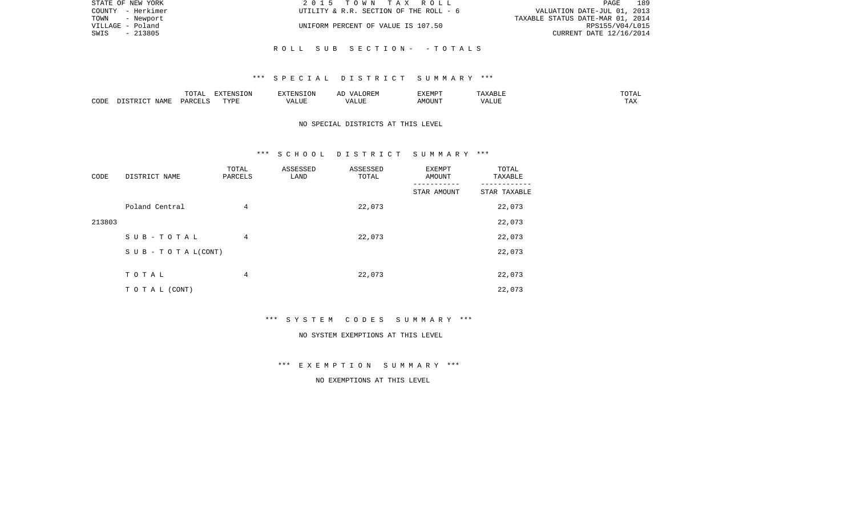| STATE OF NEW YORK | 2015 TOWN TAX ROLL                     | 189<br>PAGE                      |
|-------------------|----------------------------------------|----------------------------------|
| COUNTY - Herkimer | UTILITY & R.R. SECTION OF THE ROLL - 6 | VALUATION DATE-JUL 01, 2013      |
| TOWN - Newport    |                                        | TAXABLE STATUS DATE-MAR 01, 2014 |
| VILLAGE - Poland  | UNIFORM PERCENT OF VALUE IS 107.50     | RPS155/V04/L015                  |
| - 213805<br>SWIS  |                                        | CURRENT DATE 12/16/2014          |
|                   |                                        |                                  |
|                   | ROLL SUB SECTION- -TOTALS              |                                  |

|      |                            | .∪⊥⊓⊥         | $\blacksquare$<br>11 L<br>LUIN |               |            | EXEMPT       | ABL.                  | $m \wedge m$<br>. |
|------|----------------------------|---------------|--------------------------------|---------------|------------|--------------|-----------------------|-------------------|
| CODE | <b>ABST</b><br>. .<br>NAMP | <b>DARCFT</b> | TVDT                           | $\mathcal{L}$ | ,,,<br>שחד | OUN".<br>۱M۲ | $- - - - - -$<br>ALUI | $- - -$<br>. Ал   |

### NO SPECIAL DISTRICTS AT THIS LEVEL

#### \*\*\* S C H O O L D I S T R I C T S U M M A R Y \*\*\*

| CODE   | DISTRICT NAME                    | TOTAL<br>PARCELS | ASSESSED<br>LAND | ASSESSED<br>TOTAL | EXEMPT<br>AMOUNT | TOTAL<br>TAXABLE |
|--------|----------------------------------|------------------|------------------|-------------------|------------------|------------------|
|        |                                  |                  |                  |                   | STAR AMOUNT      | STAR TAXABLE     |
|        | Poland Central                   | 4                |                  | 22,073            |                  | 22,073           |
| 213803 |                                  |                  |                  |                   |                  | 22,073           |
|        | SUB-TOTAL                        | $\overline{4}$   |                  | 22,073            |                  | 22,073           |
|        | $S \cup B - T \cup T A L (CONT)$ |                  |                  |                   |                  | 22,073           |
|        |                                  |                  |                  |                   |                  |                  |
|        | TOTAL                            | 4                |                  | 22,073            |                  | 22,073           |
|        | T O T A L (CONT)                 |                  |                  |                   |                  | 22,073           |

\*\*\* S Y S T E M C O D E S S U M M A R Y \*\*\*

#### NO SYSTEM EXEMPTIONS AT THIS LEVEL

\*\*\* E X E M P T I O N S U M M A R Y \*\*\*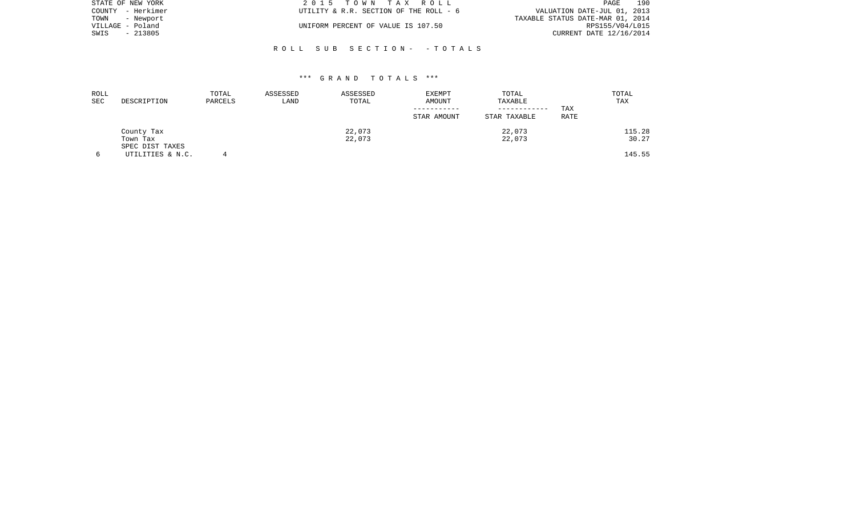| STATE OF NEW YORK | 2015 TOWN TAX ROLL                     | 190<br>PAGE                      |
|-------------------|----------------------------------------|----------------------------------|
| COUNTY - Herkimer | UTILITY & R.R. SECTION OF THE ROLL - 6 | VALUATION DATE-JUL 01, 2013      |
| TOWN<br>- Newport |                                        | TAXABLE STATUS DATE-MAR 01, 2014 |
| VILLAGE - Poland  | UNIFORM PERCENT OF VALUE IS 107.50     | RPS155/V04/L015                  |
| - 213805<br>SWIS  |                                        | CURRENT DATE 12/16/2014          |
|                   |                                        |                                  |

R O L L S U B S E C T I O N - - T O T A L S

| ROLL<br>SEC | DESCRIPTION                         | TOTAL<br>PARCELS | ASSESSED<br>LAND | ASSESSED<br>TOTAL | EXEMPT<br>AMOUNT<br>STAR AMOUNT | TOTAL<br>TAXABLE<br>STAR TAXABLE | TAX<br>RATE | TOTAL<br>TAX    |
|-------------|-------------------------------------|------------------|------------------|-------------------|---------------------------------|----------------------------------|-------------|-----------------|
|             | County Tax<br>Town Tax              |                  |                  | 22,073<br>22,073  |                                 | 22,073<br>22,073                 |             | 115.28<br>30.27 |
|             | SPEC DIST TAXES<br>UTILITIES & N.C. |                  |                  |                   |                                 |                                  |             | 145.55          |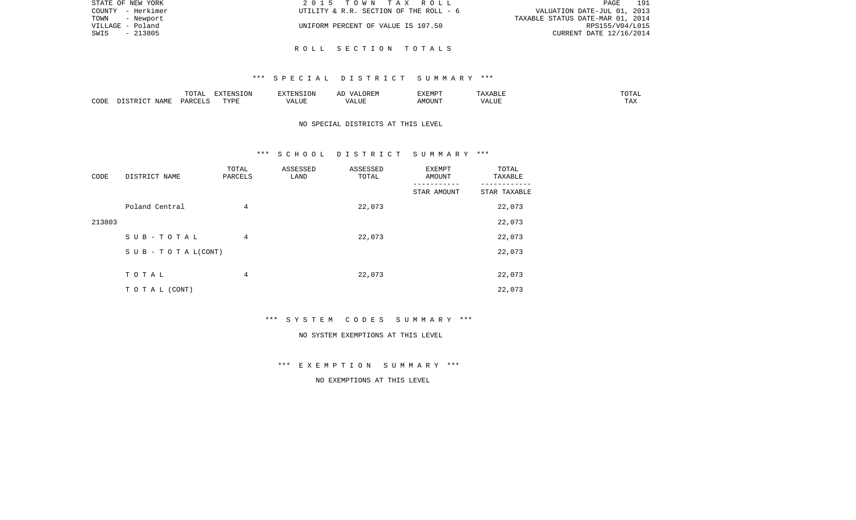| STATE OF NEW YORK | 2015 TOWN TAX ROLL                     | PAGE 191                         |
|-------------------|----------------------------------------|----------------------------------|
| COUNTY - Herkimer | UTILITY & R.R. SECTION OF THE ROLL - 6 | VALUATION DATE-JUL 01, 2013      |
| TOWN - Newport    |                                        | TAXABLE STATUS DATE-MAR 01, 2014 |
| VILLAGE - Poland  | UNIFORM PERCENT OF VALUE IS 107.50     | RPS155/V04/L015                  |
| SWIS<br>- 213805  |                                        | CURRENT DATE 12/16/2014          |
|                   |                                        |                                  |
|                   | ROLL SECTION TOTALS                    |                                  |

|      |      | $m \wedge m \neq$<br>$\Delta$<br>10111        | FYTFNC<br>'ON    |      | ORE.<br>$\sqrt{4}$ | .XEMP <sup>-</sup> | சபா   | ------<br>TU TAL    |
|------|------|-----------------------------------------------|------------------|------|--------------------|--------------------|-------|---------------------|
| CODE | JAMF | $L$ $\mu$ $\Delta$ R $\mu$ $\mu$ <sup>T</sup> | <b>TRAT</b><br>. | ،LUE | LUI<br>$\cdots$    | <b>MOUN'L</b>      | T T T | <b>TITLE</b><br>ŦΨV |

### NO SPECIAL DISTRICTS AT THIS LEVEL

#### \*\*\* S C H O O L D I S T R I C T S U M M A R Y \*\*\*

| CODE   | DISTRICT NAME      | TOTAL<br>PARCELS | ASSESSED<br>LAND | ASSESSED<br>TOTAL | EXEMPT<br>AMOUNT<br>--------- | TOTAL<br>TAXABLE<br>------- |
|--------|--------------------|------------------|------------------|-------------------|-------------------------------|-----------------------------|
|        |                    |                  |                  |                   | STAR AMOUNT                   | STAR TAXABLE                |
|        | Poland Central     | 4                |                  | 22,073            |                               | 22,073                      |
| 213803 |                    |                  |                  |                   |                               | 22,073                      |
|        | SUB-TOTAL          | 4                |                  | 22,073            |                               | 22,073                      |
|        | SUB - TO TAL(CONT) |                  |                  |                   |                               | 22,073                      |
|        |                    |                  |                  |                   |                               |                             |
|        | TOTAL              | 4                |                  | 22,073            |                               | 22,073                      |
|        | T O T A L (CONT)   |                  |                  |                   |                               | 22,073                      |

\*\*\* S Y S T E M C O D E S S U M M A R Y \*\*\*

#### NO SYSTEM EXEMPTIONS AT THIS LEVEL

\*\*\* E X E M P T I O N S U M M A R Y \*\*\*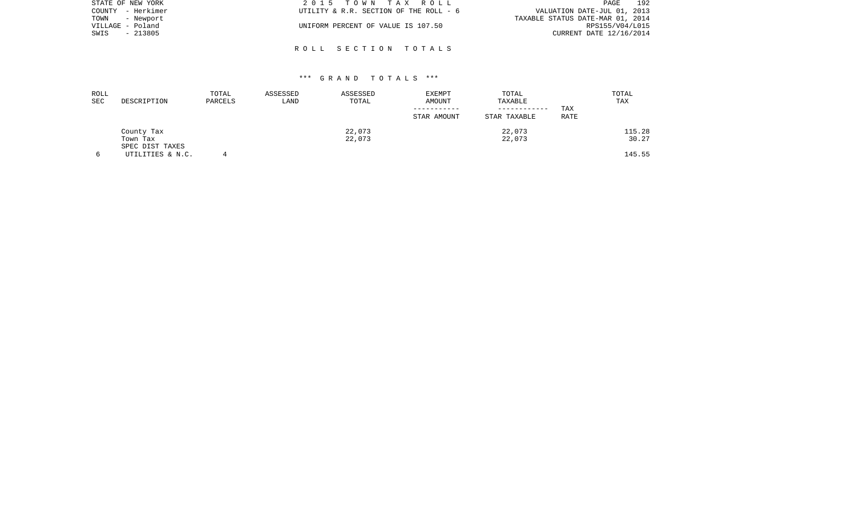| STATE OF NEW YORK | 2015 TOWN TAX ROLL                     | 192<br>PAGE                      |
|-------------------|----------------------------------------|----------------------------------|
| COUNTY - Herkimer | UTILITY & R.R. SECTION OF THE ROLL - 6 | VALUATION DATE-JUL 01, 2013      |
| TOWN<br>- Newport |                                        | TAXABLE STATUS DATE-MAR 01, 2014 |
| VILLAGE - Poland  | UNIFORM PERCENT OF VALUE IS 107.50     | RPS155/V04/L015                  |
| $-213805$<br>SWIS |                                        | CURRENT DATE 12/16/2014          |
|                   |                                        |                                  |

R O L L S E C T I O N T O T A L S

| ROLL<br><b>SEC</b> | DESCRIPTION                         | TOTAL<br>PARCELS | ASSESSED<br>LAND | ASSESSED<br>TOTAL | EXEMPT<br>AMOUNT | TOTAL<br>TAXABLE             |             | TOTAL<br>TAX    |
|--------------------|-------------------------------------|------------------|------------------|-------------------|------------------|------------------------------|-------------|-----------------|
|                    |                                     |                  |                  |                   | STAR AMOUNT      | ------------<br>STAR TAXABLE | TAX<br>RATE |                 |
|                    | County Tax<br>Town Tax              |                  |                  | 22,073<br>22,073  |                  | 22,073<br>22,073             |             | 115.28<br>30.27 |
|                    | SPEC DIST TAXES<br>UTILITIES & N.C. |                  |                  |                   |                  |                              |             | 145.55          |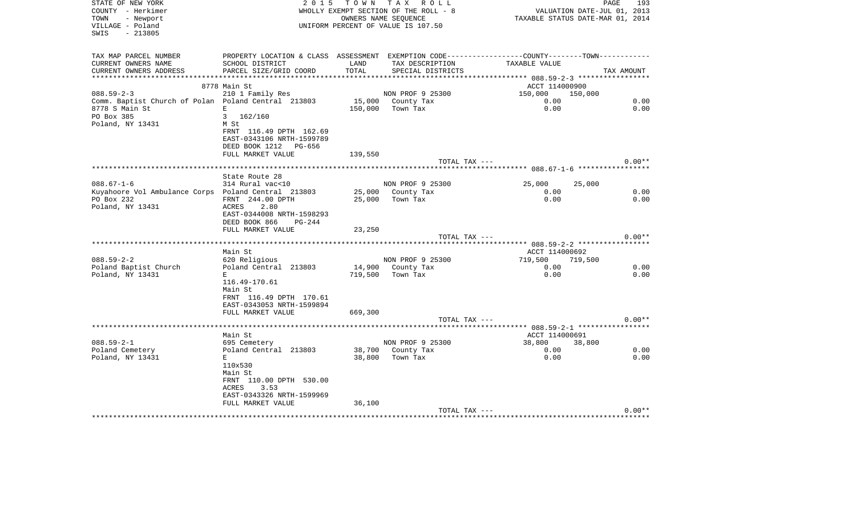| STATE OF NEW YORK<br>COUNTY - Herkimer<br>TOWN<br>- Newport<br>VILLAGE - Poland<br>$-213805$<br>SWIS | 2 0 1 5                           |               | TOWN TAX ROLL<br>WHOLLY EXEMPT SECTION OF THE ROLL - 8<br>OWNERS NAME SEQUENCE<br>UNIFORM PERCENT OF VALUE IS 107.50 | PAGE 193<br>VALUATION DATE-JUL 01, 2013<br>TAXABLE STATUS DATE-MAR 01, 2014                                     |              |
|------------------------------------------------------------------------------------------------------|-----------------------------------|---------------|----------------------------------------------------------------------------------------------------------------------|-----------------------------------------------------------------------------------------------------------------|--------------|
| TAX MAP PARCEL NUMBER<br>CURRENT OWNERS NAME                                                         | SCHOOL DISTRICT                   | LAND<br>TOTAL | TAX DESCRIPTION                                                                                                      | PROPERTY LOCATION & CLASS ASSESSMENT EXEMPTION CODE---------------COUNTY--------TOWN----------<br>TAXABLE VALUE |              |
| CURRENT OWNERS ADDRESS                                                                               | PARCEL SIZE/GRID COORD            |               | SPECIAL DISTRICTS                                                                                                    |                                                                                                                 | TAX AMOUNT   |
|                                                                                                      | 8778 Main St                      |               |                                                                                                                      | ACCT 114000900                                                                                                  |              |
| $088.59 - 2 - 3$                                                                                     | 210 1 Family Res NON PROF 9 25300 |               |                                                                                                                      | 150,000<br>150,000                                                                                              |              |
| Comm. Baptist Church of Polan Poland Central 213803                                                  |                                   |               | 15,000 County Tax                                                                                                    | 0.00                                                                                                            | 0.00         |
| 8778 S Main St                                                                                       | E                                 |               | 150,000 Town Tax                                                                                                     | 0.00                                                                                                            | 0.00         |
| PO Box 385                                                                                           | $3\frac{162}{160}$                |               |                                                                                                                      |                                                                                                                 |              |
| Poland, NY 13431                                                                                     | M St                              |               |                                                                                                                      |                                                                                                                 |              |
|                                                                                                      | FRNT 116.49 DPTH 162.69           |               |                                                                                                                      |                                                                                                                 |              |
|                                                                                                      | EAST-0343106 NRTH-1599789         |               |                                                                                                                      |                                                                                                                 |              |
|                                                                                                      | DEED BOOK 1212 PG-656             |               |                                                                                                                      |                                                                                                                 |              |
|                                                                                                      | FULL MARKET VALUE                 | 139,550       |                                                                                                                      |                                                                                                                 |              |
|                                                                                                      |                                   |               | TOTAL TAX ---                                                                                                        |                                                                                                                 | $0.00**$     |
|                                                                                                      |                                   |               |                                                                                                                      |                                                                                                                 |              |
|                                                                                                      | State Route 28                    |               |                                                                                                                      |                                                                                                                 |              |
| $088.67 - 1 - 6$                                                                                     | 314 Rural vac<10                  |               | NON PROF 9 25300                                                                                                     | 25,000<br>25,000                                                                                                |              |
| Kuyahoore Vol Ambulance Corps Poland Central 213803<br>PO Box 232                                    |                                   | 25,000        | County Tax                                                                                                           | 0.00<br>0.00                                                                                                    | 0.00<br>0.00 |
| Poland, NY 13431                                                                                     | FRNT 244.00 DPTH<br>ACRES<br>2.80 |               | 25,000 Town Tax                                                                                                      |                                                                                                                 |              |
|                                                                                                      | EAST-0344008 NRTH-1598293         |               |                                                                                                                      |                                                                                                                 |              |
|                                                                                                      | DEED BOOK 866<br>PG-244           |               |                                                                                                                      |                                                                                                                 |              |
|                                                                                                      | FULL MARKET VALUE                 | 23,250        |                                                                                                                      |                                                                                                                 |              |
|                                                                                                      |                                   |               | TOTAL TAX ---                                                                                                        |                                                                                                                 | $0.00**$     |
|                                                                                                      | Main St                           |               |                                                                                                                      | ACCT 114000692                                                                                                  |              |
| $088.59 - 2 - 2$                                                                                     | 620 Religious                     |               | NON PROF 9 25300                                                                                                     | 719,500 719,500                                                                                                 |              |
| Poland Baptist Church                                                                                | Poland Central 213803             |               | 14,900 County Tax                                                                                                    | 0.00                                                                                                            | 0.00         |
| Poland, NY 13431                                                                                     | E.                                | 719,500       | Town Tax                                                                                                             | 0.00                                                                                                            | 0.00         |
|                                                                                                      | 116.49-170.61                     |               |                                                                                                                      |                                                                                                                 |              |
|                                                                                                      | Main St                           |               |                                                                                                                      |                                                                                                                 |              |
|                                                                                                      | FRNT 116.49 DPTH 170.61           |               |                                                                                                                      |                                                                                                                 |              |
|                                                                                                      | EAST-0343053 NRTH-1599894         |               |                                                                                                                      |                                                                                                                 |              |
|                                                                                                      | FULL MARKET VALUE                 | 669,300       |                                                                                                                      |                                                                                                                 |              |
|                                                                                                      |                                   |               | TOTAL TAX ---                                                                                                        |                                                                                                                 | $0.00**$     |
|                                                                                                      |                                   |               |                                                                                                                      |                                                                                                                 |              |
| $088.59 - 2 - 1$                                                                                     | Main St<br>695 Cemetery           |               | NON PROF 9 25300                                                                                                     | ACCT 114000691<br>38,800<br>38,800                                                                              |              |
| Poland Cemetery                                                                                      | Poland Central 213803             |               | 38,700 County Tax                                                                                                    | 0.00                                                                                                            | 0.00         |
| Poland, NY 13431                                                                                     | E                                 |               | 38,800 Town Tax                                                                                                      | 0.00                                                                                                            | 0.00         |
|                                                                                                      | 110x530                           |               |                                                                                                                      |                                                                                                                 |              |
|                                                                                                      | Main St                           |               |                                                                                                                      |                                                                                                                 |              |
|                                                                                                      | FRNT 110.00 DPTH 530.00           |               |                                                                                                                      |                                                                                                                 |              |
|                                                                                                      | 3.53<br>ACRES                     |               |                                                                                                                      |                                                                                                                 |              |
|                                                                                                      | EAST-0343326 NRTH-1599969         |               |                                                                                                                      |                                                                                                                 |              |
|                                                                                                      | FULL MARKET VALUE                 | 36,100        |                                                                                                                      |                                                                                                                 |              |
|                                                                                                      |                                   |               | TOTAL TAX ---                                                                                                        |                                                                                                                 | $0.00**$     |
|                                                                                                      |                                   |               |                                                                                                                      | **************************************                                                                          |              |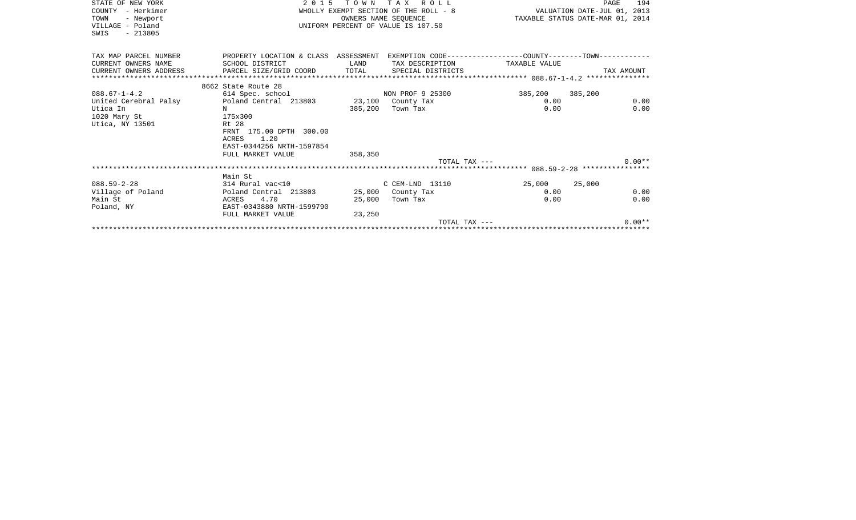| STATE OF NEW YORK<br>COUNTY - Herkimer<br>TOWN<br>- Newport<br>VILLAGE - Poland<br>SWIS<br>- 213805 |                                                                                                 |         | 2015 TOWN TAX ROLL<br>WHOLLY EXEMPT SECTION OF THE ROLL - 8<br>OWNERS NAME SEOUENCE<br>UNIFORM PERCENT OF VALUE IS 107.50 | TAXABLE STATUS DATE-MAR 01, 2014 | 194<br>PAGE<br>VALUATION DATE-JUL 01, 2013 |
|-----------------------------------------------------------------------------------------------------|-------------------------------------------------------------------------------------------------|---------|---------------------------------------------------------------------------------------------------------------------------|----------------------------------|--------------------------------------------|
| TAX MAP PARCEL NUMBER                                                                               | PROPERTY LOCATION & CLASS ASSESSMENT EXEMPTION CODE----------------COUNTY--------TOWN---------- |         |                                                                                                                           |                                  |                                            |
| CURRENT OWNERS NAME                                                                                 | SCHOOL DISTRICT LAND                                                                            |         | TAX DESCRIPTION TAXABLE VALUE                                                                                             |                                  |                                            |
|                                                                                                     | CURRENT OWNERS ADDRESS <b>DARCEL SIZE/GRID COORD</b> TOTAL SPECIAL DISTRICTS                    |         |                                                                                                                           |                                  | TAX AMOUNT                                 |
|                                                                                                     | 8662 State Route 28                                                                             |         |                                                                                                                           |                                  |                                            |
| $088.67 - 1 - 4.2$                                                                                  | 614 Spec. school NON PROF 9 25300                                                               |         |                                                                                                                           | 385,200                          | 385,200                                    |
|                                                                                                     | United Cerebral Palsy <b>Doland Central</b> 213803 23,100 County Tax                            |         |                                                                                                                           | 0.00                             | 0.00                                       |
| Utica In                                                                                            | N                                                                                               |         | 385,200 Town Tax                                                                                                          | 0.00                             | 0.00                                       |
| 1020 Mary St                                                                                        | 175x300                                                                                         |         |                                                                                                                           |                                  |                                            |
| Utica, NY 13501                                                                                     | Rt 28                                                                                           |         |                                                                                                                           |                                  |                                            |
|                                                                                                     | FRNT 175.00 DPTH 300.00                                                                         |         |                                                                                                                           |                                  |                                            |
|                                                                                                     | 1.20<br>ACRES                                                                                   |         |                                                                                                                           |                                  |                                            |
|                                                                                                     | EAST-0344256 NRTH-1597854                                                                       |         |                                                                                                                           |                                  |                                            |
|                                                                                                     | FULL MARKET VALUE                                                                               | 358,350 |                                                                                                                           |                                  | $0.00**$                                   |
|                                                                                                     |                                                                                                 |         |                                                                                                                           | TOTAL TAX ---                    |                                            |
|                                                                                                     | Main St                                                                                         |         |                                                                                                                           |                                  |                                            |
| $088.59 - 2 - 28$                                                                                   |                                                                                                 |         |                                                                                                                           | 25,000 25,000                    |                                            |
| Village of Poland                                                                                   | Poland Central 213803 25,000 County Tax                                                         |         |                                                                                                                           | 0.00                             | 0.00                                       |
| Main St                                                                                             | ACRES 4.70                                                                                      | 25,000  | Town Tax                                                                                                                  | 0.00                             | 0.00                                       |
| Poland, NY                                                                                          | EAST-0343880 NRTH-1599790                                                                       |         |                                                                                                                           |                                  |                                            |
|                                                                                                     | FULL MARKET VALUE                                                                               | 23,250  |                                                                                                                           |                                  |                                            |
|                                                                                                     |                                                                                                 |         |                                                                                                                           | TOTAL TAX ---                    | $0.00**$                                   |
|                                                                                                     |                                                                                                 |         |                                                                                                                           |                                  |                                            |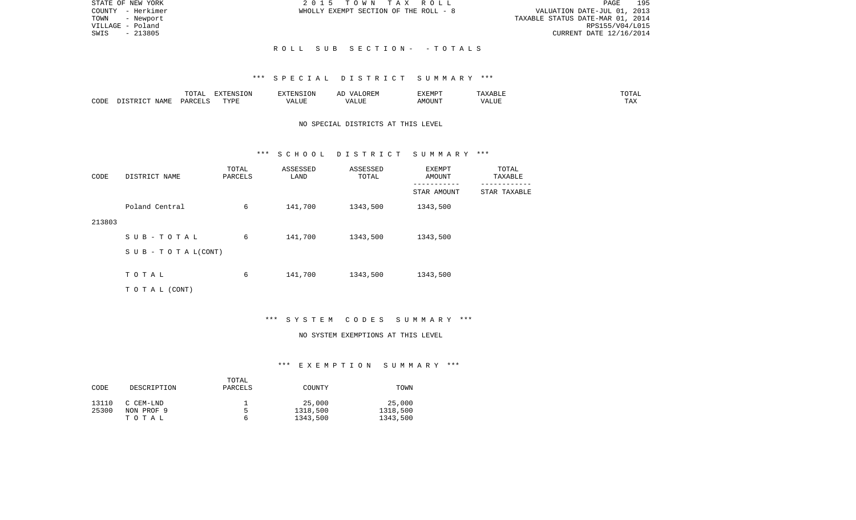| STATE OF NEW YORK | 2015 TOWN TAX ROLL                    | 195<br>PAGE                      |
|-------------------|---------------------------------------|----------------------------------|
| COUNTY - Herkimer | WHOLLY EXEMPT SECTION OF THE ROLL - 8 | VALUATION DATE-JUL 01, 2013      |
| TOWN<br>- Newport |                                       | TAXABLE STATUS DATE-MAR 01, 2014 |
| VILLAGE - Poland  |                                       | RPS155/V04/L015                  |
| SWIS<br>- 213805  |                                       | CURRENT DATE 12/16/2014          |
|                   |                                       |                                  |
|                   | ROLL SUB SECTION- -TOTALS             |                                  |

|      |       | <b>momm</b><br>◡∸⊷                | EXTENSION   | $7 - 21$       | $\cdots$ | 57735705<br>. .<br>7 YEN A |                              | ۰д<br>- - - - -        |
|------|-------|-----------------------------------|-------------|----------------|----------|----------------------------|------------------------------|------------------------|
| CODE | NAME. | $\alpha$ DORT $\tau$<br><b>DA</b> | <b>TITE</b> | T T T<br>/ALUE |          | MOUN.                      | $-77$<br>$\lambda$<br>٬ اسد. | $m \times n$<br>⊥ டு∡: |

### NO SPECIAL DISTRICTS AT THIS LEVEL

#### \*\*\* S C H O O L D I S T R I C T S U M M A R Y \*\*\*

| CODE   | DISTRICT NAME      | TOTAL<br>PARCELS | ASSESSED<br>LAND | ASSESSED<br>TOTAL | EXEMPT<br>AMOUNT | TOTAL<br>TAXABLE |
|--------|--------------------|------------------|------------------|-------------------|------------------|------------------|
|        |                    |                  |                  |                   | STAR AMOUNT      | STAR TAXABLE     |
|        | Poland Central     | 6                | 141,700          | 1343,500          | 1343,500         |                  |
| 213803 |                    |                  |                  |                   |                  |                  |
|        | SUB-TOTAL          | 6                | 141,700          | 1343,500          | 1343,500         |                  |
|        | SUB - TO TAL(CONT) |                  |                  |                   |                  |                  |
|        |                    |                  |                  |                   |                  |                  |
|        | TOTAL              | 6                | 141,700          | 1343,500          | 1343,500         |                  |
|        | TO TAL (CONT)      |                  |                  |                   |                  |                  |

\*\*\* S Y S T E M C O D E S S U M M A R Y \*\*\*

#### NO SYSTEM EXEMPTIONS AT THIS LEVEL

|       |             | TOTAL   |          |          |
|-------|-------------|---------|----------|----------|
| CODE  | DESCRIPTION | PARCELS | COUNTY   | TOWN     |
| 13110 | C CEM-LND   |         | 25,000   | 25,000   |
| 25300 | NON PROF 9  | .5      | 1318,500 | 1318,500 |
|       | TOTAL       | b       | 1343,500 | 1343,500 |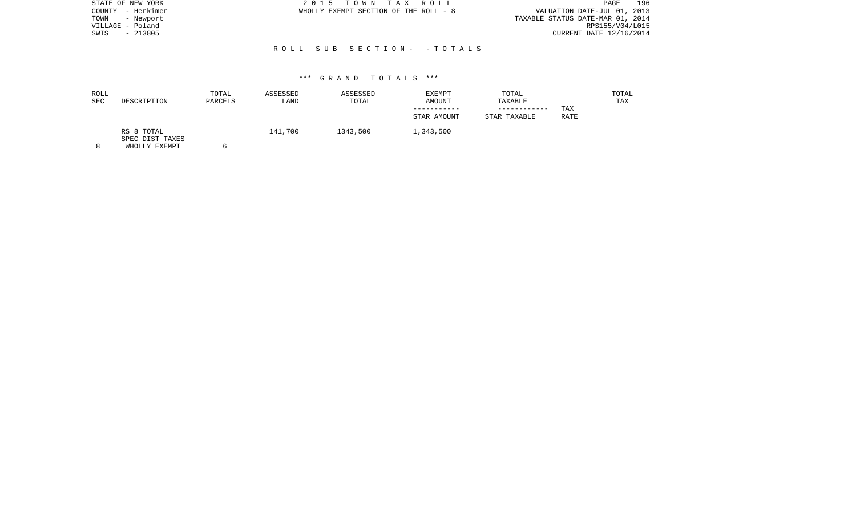| STATE OF NEW YORK | 2015 TOWN TAX ROLL                    | 196<br>PAGE                      |
|-------------------|---------------------------------------|----------------------------------|
| COUNTY - Herkimer | WHOLLY EXEMPT SECTION OF THE ROLL - 8 | VALUATION DATE-JUL 01, 2013      |
| TOWN<br>- Newport |                                       | TAXABLE STATUS DATE-MAR 01, 2014 |
| VILLAGE - Poland  |                                       | RPS155/V04/L015                  |
| $-213805$<br>SWIS |                                       | CURRENT DATE 12/16/2014          |
|                   |                                       |                                  |
|                   | ROLL SUB SECTION- -TOTALS             |                                  |

| ROLL<br>SEC | DESCRIPTION                   | TOTAL<br>PARCELS | ASSESSED<br>LAND | ASSESSED<br>TOTAL | EXEMPT<br>AMOUNT | TOTAL<br>TAXABLE |             | TOTAL<br>TAX |
|-------------|-------------------------------|------------------|------------------|-------------------|------------------|------------------|-------------|--------------|
|             |                               |                  |                  |                   |                  |                  | TAX         |              |
|             |                               |                  |                  |                   | STAR AMOUNT      | STAR TAXABLE     | <b>RATE</b> |              |
|             | RS 8 TOTAL<br>SPEC DIST TAXES |                  | 141,700          | 1343,500          | 1,343,500        |                  |             |              |

8 WHOLLY EXEMPT 6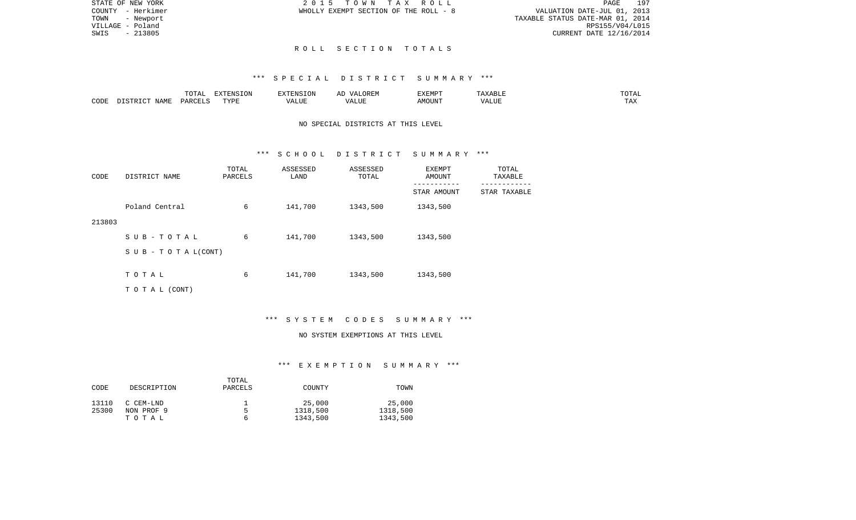| . L  |                                  | PAGE.                       | 197 |
|------|----------------------------------|-----------------------------|-----|
| $-8$ |                                  | VALUATION DATE-JUL 01, 2013 |     |
|      | TAXABLE STATUS DATE-MAR 01, 2014 |                             |     |
|      |                                  | RPS155/V04/L015             |     |
|      |                                  | CURRENT DATE 12/16/2014     |     |

STATE OF NEW YORK **2015 TOWN TAX ROL** COUNTY - Herkimer WHOLLY EXEMPT SECTION OF THE ROLL

TOWN - Newport VILLAGE - Poland SWIS - 213805

#### R O L L S E C T I O N T O T A L S

#### \*\*\* S P E C I A L D I S T R I C T S U M M A R Y \*\*\*

|      |                          | $m \wedge m \wedge n$<br>◡∸⊷     | $\Box$<br>NS<br>LON | יי סאקייצ <sub>א</sub>                            | 17 D<br>▵   | <b>EXEMP1</b>                 |   | ∸∸                |
|------|--------------------------|----------------------------------|---------------------|---------------------------------------------------|-------------|-------------------------------|---|-------------------|
| CODE | NAME.<br>. ו סיד<br>ד כי | $\ldots$ DORT $\subset$<br>− ⊃∆⊾ | TVDT                | $- - - - -$<br>$\overline{\phantom{a}}$<br>ALIU P | ----<br>1U. | $1.55$ $\cap$ $T$ $T$ $T$ $T$ | ິ | <b>TRV</b><br>⊥⊷∆ |

### NO SPECIAL DISTRICTS AT THIS LEVEL

#### \*\*\* S C H O O L D I S T R I C T S U M M A R Y \*\*\*

| CODE   | DISTRICT NAME                    | TOTAL<br>PARCELS | ASSESSED<br>LAND | ASSESSED<br>TOTAL | EXEMPT<br>AMOUNT | TOTAL<br>TAXABLE |
|--------|----------------------------------|------------------|------------------|-------------------|------------------|------------------|
|        |                                  |                  |                  |                   | STAR AMOUNT      | STAR TAXABLE     |
|        | Poland Central                   | 6                | 141,700          | 1343,500          | 1343,500         |                  |
| 213803 |                                  |                  |                  |                   |                  |                  |
|        | SUB-TOTAL                        | 6                | 141,700          | 1343,500          | 1343,500         |                  |
|        | $S \cup B - T \cup T A L (CONT)$ |                  |                  |                   |                  |                  |
|        |                                  |                  |                  |                   |                  |                  |
|        | TOTAL                            | 6                | 141,700          | 1343,500          | 1343,500         |                  |
|        | T O T A L (CONT)                 |                  |                  |                   |                  |                  |

\*\*\* S Y S T E M C O D E S S U M M A R Y \*\*\*

NO SYSTEM EXEMPTIONS AT THIS LEVEL

|       |             | TOTAL        |          |          |
|-------|-------------|--------------|----------|----------|
| CODE  | DESCRIPTION | PARCELS      | COUNTY   | TOWN     |
|       |             |              |          |          |
| 13110 | C CEM-LND   |              | 25,000   | 25,000   |
| 25300 | NON PROF 9  | $\mathbf{r}$ | 1318,500 | 1318,500 |
|       | TOTAL       |              | 1343,500 | 1343,500 |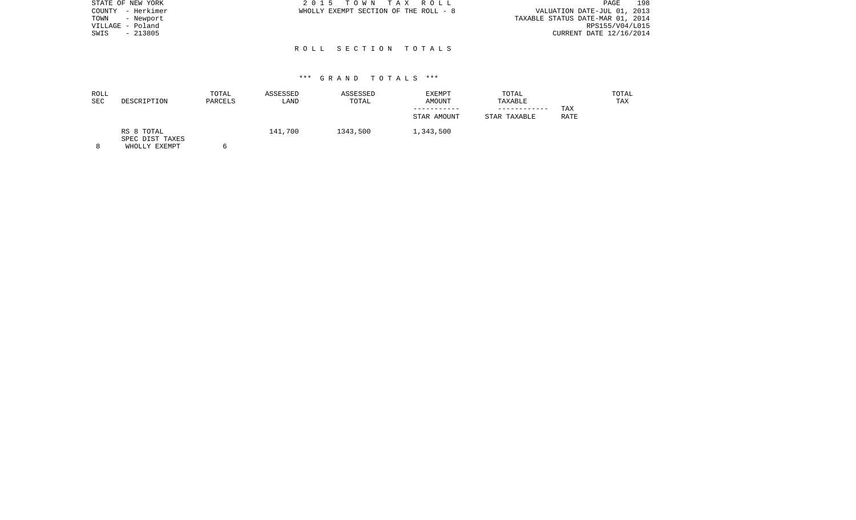| STATE OF NEW YORK | 2015 TOWN TAX ROLL                    | 198<br>PAGE                      |
|-------------------|---------------------------------------|----------------------------------|
| COUNTY - Herkimer | WHOLLY EXEMPT SECTION OF THE ROLL - 8 | VALUATION DATE-JUL 01, 2013      |
| TOWN<br>- Newport |                                       | TAXABLE STATUS DATE-MAR 01, 2014 |
| VILLAGE - Poland  |                                       | RPS155/V04/L015                  |
| $-213805$<br>SWIS |                                       | CURRENT DATE 12/16/2014          |
|                   |                                       |                                  |
|                   | ROLL SECTION TOTALS                   |                                  |

| ROLL<br><b>SEC</b> | DESCRIPTION                   | TOTAL<br>PARCELS | ASSESSED<br>LAND | ASSESSED<br>TOTAL | EXEMPT<br>AMOUNT | TOTAL<br>TAXABLE |             | TOTAL<br>TAX |
|--------------------|-------------------------------|------------------|------------------|-------------------|------------------|------------------|-------------|--------------|
|                    |                               |                  |                  |                   |                  | ------------     | TAX         |              |
|                    |                               |                  |                  |                   | STAR AMOUNT      | STAR TAXABLE     | <b>RATE</b> |              |
|                    | RS 8 TOTAL<br>SPEC DIST TAXES |                  | 141,700          | 1343,500          | 1,343,500        |                  |             |              |

8 WHOLLY EXEMPT 6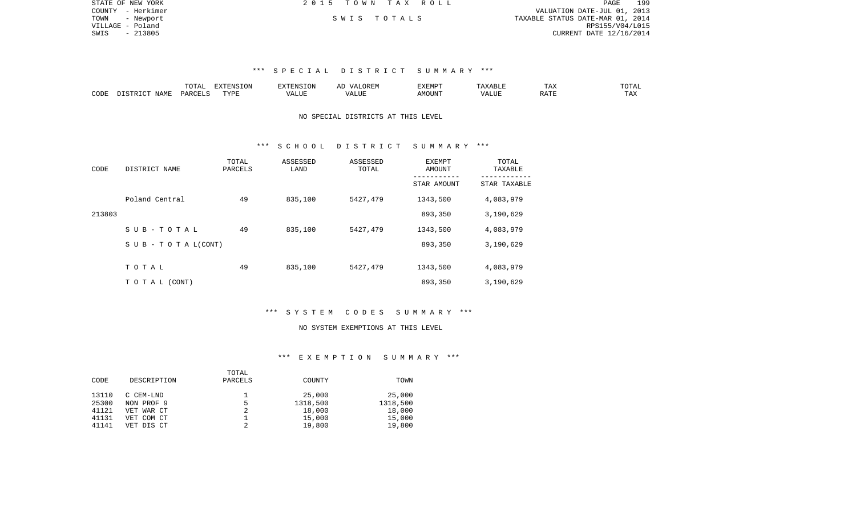| STATE OF NEW YORK | 2015 TOWN TAX ROLL | 199<br>PAGE                      |
|-------------------|--------------------|----------------------------------|
| COUNTY - Herkimer |                    | VALUATION DATE-JUL 01, 2013      |
| TOWN<br>- Newport | SWIS TOTALS        | TAXABLE STATUS DATE-MAR 01, 2014 |
| VILLAGE - Poland  |                    | RPS155/V04/L015                  |
| SWIS<br>- 213805  |                    | CURRENT DATE 12/16/2014          |

|      |              | $m \wedge m \wedge n$<br>TATATI | $\blacksquare$<br>$-1$<br>'EN.<br>∸∽ | ENSION                  | ΑL             | ־ש ועו | 1 A A    | $T \cap T \cap T$<br>'UIAL |
|------|--------------|---------------------------------|--------------------------------------|-------------------------|----------------|--------|----------|----------------------------|
| CODE | $ -$<br>NAMF | ≀⊬ ∆ ∪                          | TVDT                                 | 7777<br>--<br>الالالدين | . <del>.</del> | TUJIN. | $\cdots$ | TAX                        |

### NO SPECIAL DISTRICTS AT THIS LEVEL

#### \*\*\* S C H O O L D I S T R I C T S U M M A R Y \*\*\*

| CODE   | DISTRICT NAME                    | TOTAL<br>PARCELS | ASSESSED<br>LAND | ASSESSED<br>TOTAL | EXEMPT<br>AMOUNT | TOTAL<br>TAXABLE |
|--------|----------------------------------|------------------|------------------|-------------------|------------------|------------------|
|        |                                  |                  |                  |                   | STAR AMOUNT      | STAR TAXABLE     |
|        | Poland Central                   | 49               | 835,100          | 5427,479          | 1343,500         | 4,083,979        |
| 213803 |                                  |                  |                  |                   | 893,350          | 3,190,629        |
|        | SUB-TOTAL                        | 49               | 835,100          | 5427,479          | 1343,500         | 4,083,979        |
|        | $S \cup B - T \cup T A L (CONT)$ |                  |                  |                   | 893,350          | 3,190,629        |
|        |                                  |                  |                  |                   |                  |                  |
|        | TOTAL                            | 49               | 835,100          | 5427,479          | 1343,500         | 4,083,979        |
|        | TO TAL (CONT)                    |                  |                  |                   | 893,350          | 3,190,629        |

#### \*\*\* S Y S T E M C O D E S S U M M A R Y \*\*\*

#### NO SYSTEM EXEMPTIONS AT THIS LEVEL

|       |             | TOTAL   |          |          |
|-------|-------------|---------|----------|----------|
| CODE  | DESCRIPTION | PARCELS | COUNTY   | TOWN     |
|       |             |         |          |          |
| 13110 | C CEM-LND   |         | 25,000   | 25,000   |
| 25300 | NON PROF 9  | 5       | 1318,500 | 1318,500 |
| 41121 | VET WAR CT  |         | 18,000   | 18,000   |
| 41131 | VET COM CT  |         | 15,000   | 15,000   |
| 41141 | VET DIS CT  |         | 19,800   | 19,800   |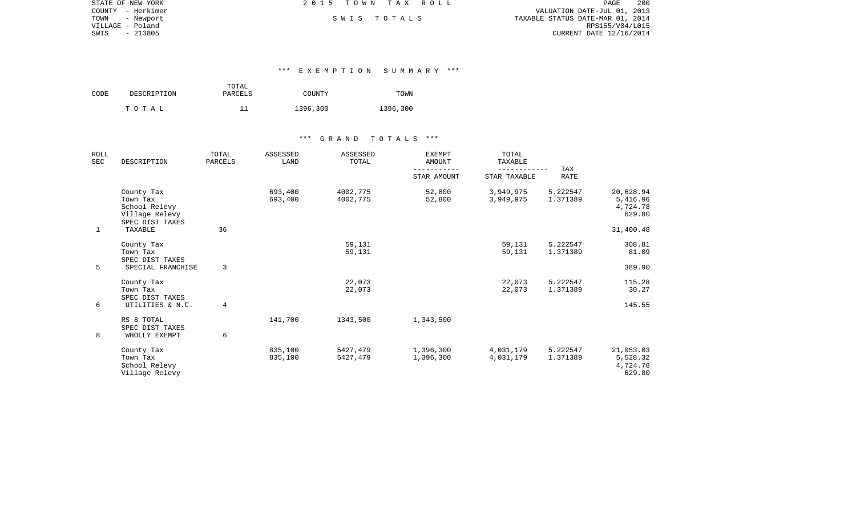| STATE OF NEW YORK | 2015 TOWN TAX ROLL | 200<br>PAGE                      |
|-------------------|--------------------|----------------------------------|
| COUNTY - Herkimer |                    | VALUATION DATE-JUL 01, 2013      |
| TOWN<br>- Newport | SWIS TOTALS        | TAXABLE STATUS DATE-MAR 01, 2014 |
| VILLAGE - Poland  |                    | RPS155/V04/L015                  |
| SWIS<br>- 213805  |                    | CURRENT DATE 12/16/2014          |

### \*\*\* E X E M P T I O N S U M M A R Y \*\*\*

| CODE | DESCRIPTION | TOTAL<br>PARCELS | COUNTY   | TOWN     |
|------|-------------|------------------|----------|----------|
|      | тотаь       | 11               | 1396,300 | 1396,300 |

| <b>ROLL</b><br>SEC | DESCRIPTION                                                                  | TOTAL<br>PARCELS | ASSESSED<br>LAND   | ASSESSED<br>TOTAL    | <b>EXEMPT</b><br>AMOUNT | TOTAL<br>TAXABLE       |                      |                                             |
|--------------------|------------------------------------------------------------------------------|------------------|--------------------|----------------------|-------------------------|------------------------|----------------------|---------------------------------------------|
|                    |                                                                              |                  |                    |                      |                         |                        | TAX                  |                                             |
|                    |                                                                              |                  |                    |                      | STAR AMOUNT             | STAR TAXABLE           | <b>RATE</b>          |                                             |
|                    | County Tax<br>Town Tax<br>School Relevy<br>Village Relevy<br>SPEC DIST TAXES |                  | 693,400<br>693,400 | 4002,775<br>4002,775 | 52,800<br>52,800        | 3,949,975<br>3,949,975 | 5.222547<br>1.371389 | 20,628.94<br>5,416.96<br>4,724.78<br>629.80 |
| $\mathbf 1$        | TAXABLE                                                                      | 36               |                    |                      |                         |                        |                      | 31,400.48                                   |
|                    | County Tax<br>Town Tax<br>SPEC DIST TAXES                                    |                  |                    | 59,131<br>59,131     |                         | 59,131<br>59,131       | 5.222547<br>1.371389 | 308.81<br>81.09                             |
| 5                  | SPECIAL FRANCHISE                                                            | 3                |                    |                      |                         |                        |                      | 389.90                                      |
|                    | County Tax<br>Town Tax<br>SPEC DIST TAXES                                    |                  |                    | 22,073<br>22,073     |                         | 22,073<br>22,073       | 5.222547<br>1.371389 | 115.28<br>30.27                             |
| 6                  | UTILITIES & N.C.                                                             | 4                |                    |                      |                         |                        |                      | 145.55                                      |
|                    | RS 8 TOTAL<br>SPEC DIST TAXES                                                |                  | 141,700            | 1343,500             | 1,343,500               |                        |                      |                                             |
| 8                  | WHOLLY EXEMPT                                                                | 6                |                    |                      |                         |                        |                      |                                             |
|                    | County Tax<br>Town Tax<br>School Relevy<br>Village Relevy                    |                  | 835,100<br>835,100 | 5427,479<br>5427,479 | 1,396,300<br>1,396,300  | 4,031,179<br>4,031,179 | 5.222547<br>1.371389 | 21,053.03<br>5,528.32<br>4,724.78<br>629.80 |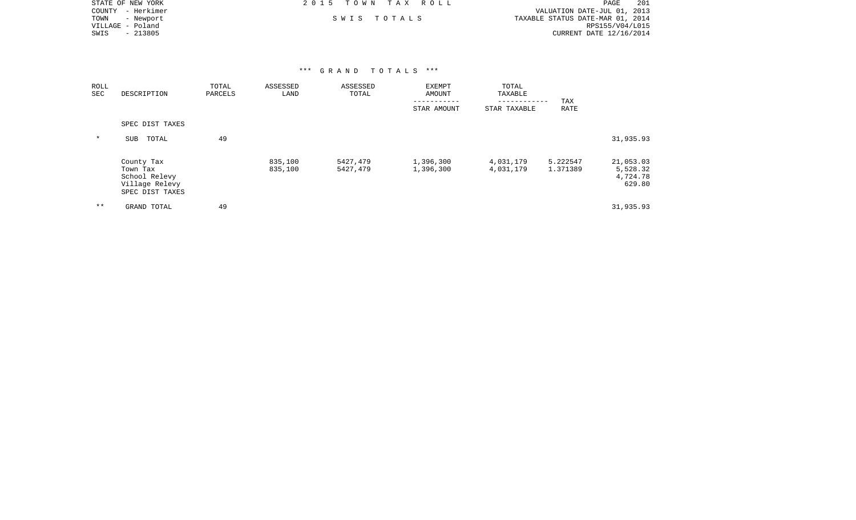| STATE OF NEW YORK | 2015 TOWN TAX ROLL | -201<br>PAGE                     |
|-------------------|--------------------|----------------------------------|
| COUNTY - Herkimer |                    | VALUATION DATE-JUL 01, 2013      |
| TOWN<br>- Newport | SWIS TOTALS        | TAXABLE STATUS DATE-MAR 01, 2014 |
| VILLAGE - Poland  |                    | RPS155/V04/L015                  |
| $-213805$<br>SWIS |                    | CURRENT DATE 12/16/2014          |
|                   |                    |                                  |

| <b>ROLL</b><br>SEC | DESCRIPTION                                                                  | TOTAL<br>ASSESSED<br>ASSESSED<br>PARCELS<br>LAND<br>TOTAL |                    |                      | EXEMPT<br>AMOUNT       | TOTAL<br>TAXABLE<br>------------ |                      |                                             |
|--------------------|------------------------------------------------------------------------------|-----------------------------------------------------------|--------------------|----------------------|------------------------|----------------------------------|----------------------|---------------------------------------------|
|                    |                                                                              |                                                           |                    |                      | STAR AMOUNT            | STAR TAXABLE                     | TAX<br>RATE          |                                             |
|                    | SPEC DIST TAXES                                                              |                                                           |                    |                      |                        |                                  |                      |                                             |
| $\star$            | TOTAL<br><b>SUB</b>                                                          | 49                                                        |                    |                      |                        |                                  |                      | 31,935.93                                   |
|                    | County Tax<br>Town Tax<br>School Relevy<br>Village Relevy<br>SPEC DIST TAXES |                                                           | 835,100<br>835,100 | 5427,479<br>5427,479 | 1,396,300<br>1,396,300 | 4,031,179<br>4,031,179           | 5.222547<br>1.371389 | 21,053.03<br>5,528.32<br>4,724.78<br>629.80 |
| $* *$              | GRAND TOTAL                                                                  | 49                                                        |                    |                      |                        |                                  |                      | 31,935.93                                   |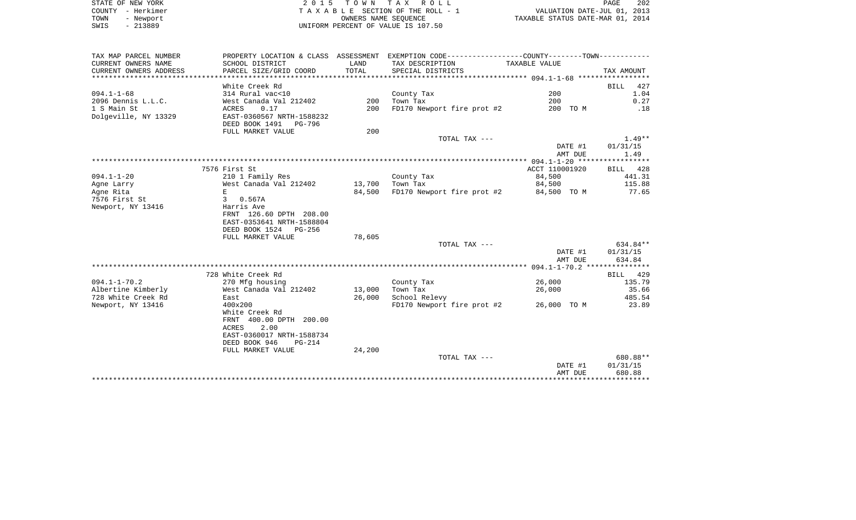| STATE OF NEW YORK | 2015 TOWN TAX ROLL                 | 202<br><b>PAGE</b>               |
|-------------------|------------------------------------|----------------------------------|
| COUNTY - Herkimer | TAXABLE SECTION OF THE ROLL - 1    | VALUATION DATE-JUL 01, 2013      |
| TOWN<br>- Newport | OWNERS NAME SEOUENCE               | TAXABLE STATUS DATE-MAR 01, 2014 |
| - 213889<br>SWIS  | UNIFORM PERCENT OF VALUE IS 107.50 |                                  |

| TAX MAP PARCEL NUMBER  |                                |        | PROPERTY LOCATION & CLASS ASSESSMENT EXEMPTION CODE----------------COUNTY--------TOWN---------- |                    |                    |
|------------------------|--------------------------------|--------|-------------------------------------------------------------------------------------------------|--------------------|--------------------|
| CURRENT OWNERS NAME    | SCHOOL DISTRICT                | LAND   | TAX DESCRIPTION                                                                                 | TAXABLE VALUE      |                    |
| CURRENT OWNERS ADDRESS | PARCEL SIZE/GRID COORD         | TOTAL  | SPECIAL DISTRICTS                                                                               |                    | TAX AMOUNT         |
|                        |                                |        |                                                                                                 |                    |                    |
|                        | White Creek Rd                 |        |                                                                                                 |                    | BILL<br>427        |
| $094.1 - 1 - 68$       | 314 Rural vac<10               |        | County Tax                                                                                      | 200                | 1.04               |
| 2096 Dennis L.L.C.     | West Canada Val 212402         | 200    | Town Tax                                                                                        | 200                | 0.27               |
| 1 S Main St            | 0.17<br>ACRES                  | 200    | FD170 Newport fire prot #2                                                                      | 200 TO M           | .18                |
| Dolgeville, NY 13329   | EAST-0360567 NRTH-1588232      |        |                                                                                                 |                    |                    |
|                        | DEED BOOK 1491 PG-796          |        |                                                                                                 |                    |                    |
|                        | FULL MARKET VALUE              | 200    |                                                                                                 |                    |                    |
|                        |                                |        | TOTAL TAX ---                                                                                   |                    | $1.49**$           |
|                        |                                |        |                                                                                                 | DATE #1            | 01/31/15           |
|                        |                                |        |                                                                                                 | AMT DUE            | 1.49               |
| ****************       |                                |        |                                                                                                 |                    |                    |
|                        | 7576 First St                  |        |                                                                                                 | ACCT 110001920     | BILL 428           |
| $094.1 - 1 - 20$       | 210 1 Family Res               |        | County Tax                                                                                      | 84,500             | 441.31             |
| Agne Larry             | West Canada Val 212402         | 13,700 | Town Tax                                                                                        | 84,500             | 115.88             |
| Agne Rita<br>E         |                                | 84,500 | FD170 Newport fire prot #2 84,500 TO M                                                          |                    | 77.65              |
| 7576 First St          | $3^{\circ}$<br>0.567A          |        |                                                                                                 |                    |                    |
| Newport, NY 13416      | Harris Ave                     |        |                                                                                                 |                    |                    |
|                        | FRNT 126.60 DPTH 208.00        |        |                                                                                                 |                    |                    |
|                        | EAST-0353641 NRTH-1588804      |        |                                                                                                 |                    |                    |
|                        | DEED BOOK 1524<br>PG-256       |        |                                                                                                 |                    |                    |
|                        | FULL MARKET VALUE              | 78,605 |                                                                                                 |                    |                    |
|                        |                                |        | TOTAL TAX ---                                                                                   |                    | 634.84**           |
|                        |                                |        |                                                                                                 | DATE #1            | 01/31/15           |
|                        |                                |        |                                                                                                 | AMT DUE            | 634.84             |
|                        |                                |        |                                                                                                 |                    |                    |
|                        | 728 White Creek Rd             |        |                                                                                                 |                    | BILL 429           |
| $094.1 - 1 - 70.2$     | 270 Mfg housing                |        | County Tax                                                                                      | 26,000             | 135.79             |
| Albertine Kimberly     | West Canada Val 212402         | 13,000 | Town Tax                                                                                        | 26,000             | 35.66              |
| 728 White Creek Rd     | East                           | 26,000 | School Relevy                                                                                   |                    | 485.54             |
| Newport, NY 13416      | 400x200                        |        | FD170 Newport fire prot #2                                                                      | 26,000 TO M        | 23.89              |
|                        | White Creek Rd                 |        |                                                                                                 |                    |                    |
|                        | FRNT 400.00 DPTH 200.00        |        |                                                                                                 |                    |                    |
|                        | 2.00<br><b>ACRES</b>           |        |                                                                                                 |                    |                    |
|                        | EAST-0360017 NRTH-1588734      |        |                                                                                                 |                    |                    |
|                        | DEED BOOK 946<br><b>PG-214</b> |        |                                                                                                 |                    |                    |
|                        | FULL MARKET VALUE              | 24,200 |                                                                                                 |                    |                    |
|                        |                                |        |                                                                                                 |                    |                    |
|                        |                                |        | TOTAL TAX ---                                                                                   |                    | 680.88**           |
|                        |                                |        |                                                                                                 | DATE #1<br>AMT DUE | 01/31/15<br>680.88 |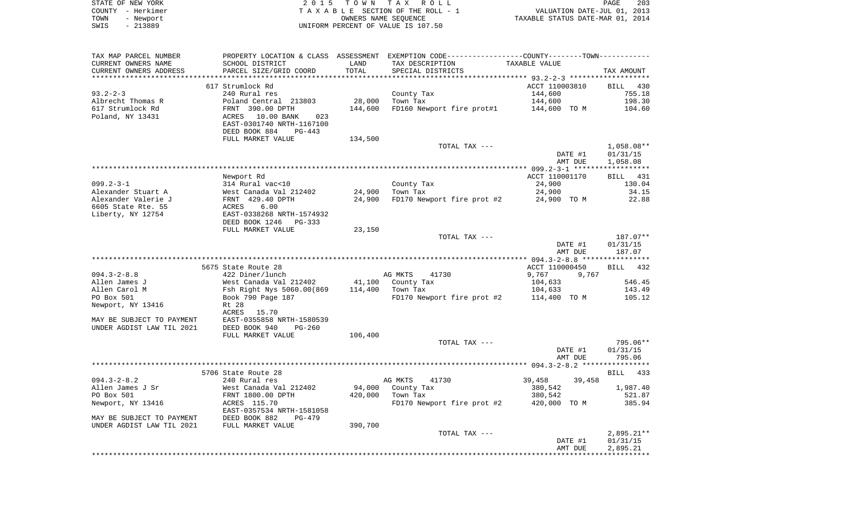|      | STATE OF NEW YORK | 2015 TOWN TAX ROLL                 | PAGE                             | 203 |
|------|-------------------|------------------------------------|----------------------------------|-----|
|      | COUNTY - Herkimer | TAXABLE SECTION OF THE ROLL - 1    | VALUATION DATE-JUL 01, 2013      |     |
| TOWN | - Newport         | OWNERS NAME SEOUENCE               | TAXABLE STATUS DATE-MAR 01, 2014 |     |
| SWIS | - 213889          | UNIFORM PERCENT OF VALUE IS 107.50 |                                  |     |

| TAX MAP PARCEL NUMBER     |                                |         | PROPERTY LOCATION & CLASS ASSESSMENT EXEMPTION CODE----------------COUNTY-------TOWN---------- |                          |                       |
|---------------------------|--------------------------------|---------|------------------------------------------------------------------------------------------------|--------------------------|-----------------------|
| CURRENT OWNERS NAME       | SCHOOL DISTRICT                | LAND    | TAX DESCRIPTION                                                                                | TAXABLE VALUE            |                       |
| CURRENT OWNERS ADDRESS    | PARCEL SIZE/GRID COORD         | TOTAL   | SPECIAL DISTRICTS                                                                              |                          | TAX AMOUNT            |
|                           |                                |         | *************************                                                                      |                          |                       |
|                           | 617 Strumlock Rd               |         |                                                                                                | ACCT 110003810           | BILL 430              |
| $93.2 - 2 - 3$            | 240 Rural res                  |         | County Tax                                                                                     | 144,600                  | 755.18                |
| Albrecht Thomas R         | Poland Central 213803          | 28,000  | Town Tax                                                                                       | 144,600                  | 198.30                |
| 617 Strumlock Rd          | FRNT 390.00 DPTH               | 144,600 | FD160 Newport fire prot#1                                                                      | 144,600 TO M             | 104.60                |
| Poland, NY 13431          | 10.00 BANK<br>ACRES<br>023     |         |                                                                                                |                          |                       |
|                           | EAST-0301740 NRTH-1167100      |         |                                                                                                |                          |                       |
|                           | DEED BOOK 884<br>$PG-443$      |         |                                                                                                |                          |                       |
|                           | FULL MARKET VALUE              | 134,500 |                                                                                                |                          |                       |
|                           |                                |         | TOTAL TAX ---                                                                                  |                          | $1,058.08**$          |
|                           |                                |         |                                                                                                | DATE #1                  | 01/31/15              |
|                           |                                |         |                                                                                                | AMT DUE                  | 1,058.08              |
|                           |                                |         |                                                                                                |                          |                       |
| $099.2 - 3 - 1$           | Newport Rd<br>314 Rural vac<10 |         | County Tax                                                                                     | ACCT 110001170<br>24,900 | 431<br>BILL<br>130.04 |
| Alexander Stuart A        | West Canada Val 212402         | 24,900  | Town Tax                                                                                       | 24,900                   | 34.15                 |
| Alexander Valerie J       | FRNT 429.40 DPTH               | 24,900  | FD170 Newport fire prot #2                                                                     | 24,900 TO M              | 22.88                 |
| 6605 State Rte. 55        | 6.00<br>ACRES                  |         |                                                                                                |                          |                       |
| Liberty, NY 12754         | EAST-0338268 NRTH-1574932      |         |                                                                                                |                          |                       |
|                           | DEED BOOK 1246<br>PG-333       |         |                                                                                                |                          |                       |
|                           | FULL MARKET VALUE              | 23,150  |                                                                                                |                          |                       |
|                           |                                |         | TOTAL TAX ---                                                                                  |                          | $187.07**$            |
|                           |                                |         |                                                                                                | DATE #1                  | 01/31/15              |
|                           |                                |         |                                                                                                | AMT DUE                  | 187.07                |
|                           |                                |         |                                                                                                |                          |                       |
|                           | 5675 State Route 28            |         |                                                                                                | ACCT 110000450           | BILL<br>432           |
| $094.3 - 2 - 8.8$         | 422 Diner/lunch                |         | AG MKTS<br>41730                                                                               | 9,767<br>9,767           |                       |
| Allen James J             | West Canada Val 212402         | 41,100  | County Tax                                                                                     | 104,633                  | 546.45                |
| Allen Carol M             | Fsh Right Nys 5060.00(869      | 114,400 | Town Tax                                                                                       | 104,633                  | 143.49                |
| PO Box 501                | Book 790 Page 187              |         | FD170 Newport fire prot #2 114,400 TO M                                                        |                          | 105.12                |
| Newport, NY 13416         | Rt 28                          |         |                                                                                                |                          |                       |
|                           | ACRES<br>15.70                 |         |                                                                                                |                          |                       |
| MAY BE SUBJECT TO PAYMENT | EAST-0355858 NRTH-1580539      |         |                                                                                                |                          |                       |
| UNDER AGDIST LAW TIL 2021 | DEED BOOK 940<br>$PG-260$      |         |                                                                                                |                          |                       |
|                           | FULL MARKET VALUE              | 106,400 |                                                                                                |                          | 795.06**              |
|                           |                                |         | TOTAL TAX ---                                                                                  | DATE #1                  | 01/31/15              |
|                           |                                |         |                                                                                                | AMT DUE                  | 795.06                |
|                           |                                |         |                                                                                                |                          |                       |
|                           | 5706 State Route 28            |         |                                                                                                |                          | BILL<br>433           |
| $094.3 - 2 - 8.2$         | 240 Rural res                  |         | AG MKTS<br>41730                                                                               | 39,458<br>39,458         |                       |
| Allen James J Sr          | West Canada Val 212402         | 94,000  | County Tax                                                                                     | 380,542                  | 1,987.40              |
| PO Box 501                | FRNT 1800.00 DPTH              | 420,000 | Town Tax                                                                                       | 380,542                  | 521.87                |
| Newport, NY 13416         | ACRES 115.70                   |         | FD170 Newport fire prot #2 420,000 TO M                                                        |                          | 385.94                |
|                           | EAST-0357534 NRTH-1581058      |         |                                                                                                |                          |                       |
| MAY BE SUBJECT TO PAYMENT | DEED BOOK 882<br>PG-479        |         |                                                                                                |                          |                       |
| UNDER AGDIST LAW TIL 2021 | FULL MARKET VALUE              | 390,700 |                                                                                                |                          |                       |
|                           |                                |         | TOTAL TAX ---                                                                                  |                          | $2,895.21**$          |
|                           |                                |         |                                                                                                | DATE #1                  | 01/31/15              |
|                           |                                |         |                                                                                                | AMT DUE                  | 2,895.21              |
|                           |                                |         |                                                                                                |                          |                       |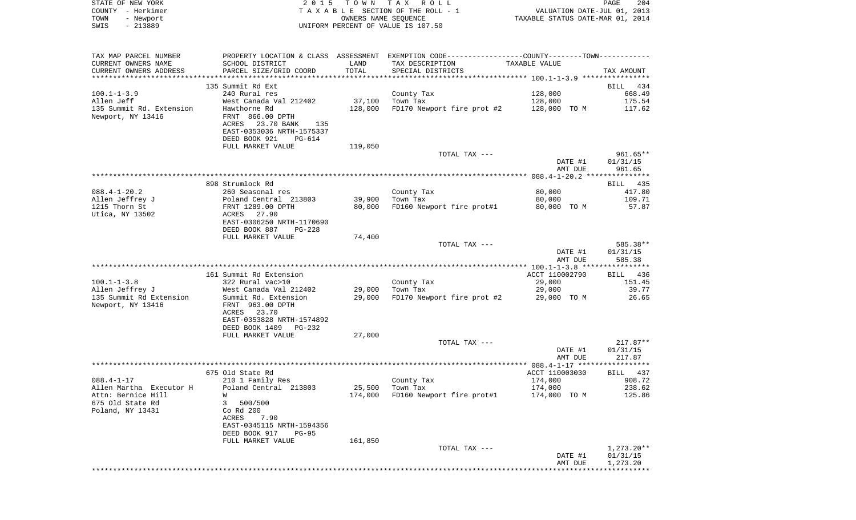|      | STATE OF NEW YORK | 2015 TOWN TAX ROLL                 | 204<br>PAGE                      |
|------|-------------------|------------------------------------|----------------------------------|
|      | COUNTY - Herkimer | TAXABLE SECTION OF THE ROLL - 1    | VALUATION DATE-JUL 01, 2013      |
| TOWN | - Newport         | OWNERS NAME SEOUENCE               | TAXABLE STATUS DATE-MAR 01, 2014 |
| SWIS | - 213889          | UNIFORM PERCENT OF VALUE IS 107.50 |                                  |

| TAX MAP PARCEL NUMBER    |                                |         | PROPERTY LOCATION & CLASS ASSESSMENT EXEMPTION CODE----------------COUNTY-------TOWN----------- |                |              |
|--------------------------|--------------------------------|---------|-------------------------------------------------------------------------------------------------|----------------|--------------|
| CURRENT OWNERS NAME      | SCHOOL DISTRICT                | LAND    | TAX DESCRIPTION                                                                                 | TAXABLE VALUE  |              |
| CURRENT OWNERS ADDRESS   | PARCEL SIZE/GRID COORD         | TOTAL   | SPECIAL DISTRICTS                                                                               |                | TAX AMOUNT   |
|                          | 135 Summit Rd Ext              |         |                                                                                                 |                | BILL 434     |
| $100.1 - 1 - 3.9$        | 240 Rural res                  |         | County Tax                                                                                      | 128,000        | 668.49       |
| Allen Jeff               | West Canada Val 212402         | 37,100  | Town Tax                                                                                        | 128,000        | 175.54       |
| 135 Summit Rd. Extension | Hawthorne Rd                   | 128,000 | FD170 Newport fire prot #2                                                                      | 128,000 TO M   | 117.62       |
| Newport, NY 13416        | FRNT 866.00 DPTH               |         |                                                                                                 |                |              |
|                          | ACRES<br>23.70 BANK<br>135     |         |                                                                                                 |                |              |
|                          | EAST-0353036 NRTH-1575337      |         |                                                                                                 |                |              |
|                          | DEED BOOK 921<br>PG-614        |         |                                                                                                 |                |              |
|                          | FULL MARKET VALUE              | 119,050 |                                                                                                 |                |              |
|                          |                                |         | TOTAL TAX ---                                                                                   |                | $961.65**$   |
|                          |                                |         |                                                                                                 | DATE #1        | 01/31/15     |
|                          |                                |         |                                                                                                 | AMT DUE        | 961.65       |
|                          |                                |         |                                                                                                 |                |              |
|                          | 898 Strumlock Rd               |         |                                                                                                 |                | BILL 435     |
| $088.4 - 1 - 20.2$       | 260 Seasonal res               |         | County Tax                                                                                      | 80,000         | 417.80       |
| Allen Jeffrey J          | Poland Central 213803          | 39,900  | Town Tax                                                                                        | 80,000         | 109.71       |
| 1215 Thorn St            | FRNT 1289.00 DPTH              | 80,000  | FD160 Newport fire prot#1                                                                       | 80,000 TO M    | 57.87        |
| Utica, NY 13502          | ACRES<br>27.90                 |         |                                                                                                 |                |              |
|                          | EAST-0306250 NRTH-1170690      |         |                                                                                                 |                |              |
|                          | DEED BOOK 887<br><b>PG-228</b> |         |                                                                                                 |                |              |
|                          | FULL MARKET VALUE              | 74,400  |                                                                                                 |                |              |
|                          |                                |         | TOTAL TAX ---                                                                                   |                | 585.38**     |
|                          |                                |         |                                                                                                 | DATE #1        | 01/31/15     |
|                          |                                |         |                                                                                                 | AMT DUE        | 585.38       |
|                          |                                |         |                                                                                                 |                |              |
|                          | 161 Summit Rd Extension        |         |                                                                                                 | ACCT 110002790 | BILL 436     |
| $100.1 - 1 - 3.8$        | 322 Rural vac>10               |         | County Tax                                                                                      | 29,000         | 151.45       |
| Allen Jeffrey J          | West Canada Val 212402         | 29,000  | Town Tax                                                                                        | 29,000         | 39.77        |
| 135 Summit Rd Extension  | Summit Rd. Extension           | 29,000  | FD170 Newport fire prot #2                                                                      | 29,000 TO M    | 26.65        |
| Newport, NY 13416        | FRNT 963.00 DPTH               |         |                                                                                                 |                |              |
|                          | 23.70<br>ACRES                 |         |                                                                                                 |                |              |
|                          | EAST-0353828 NRTH-1574892      |         |                                                                                                 |                |              |
|                          | DEED BOOK 1409<br>PG-232       | 27,000  |                                                                                                 |                |              |
|                          | FULL MARKET VALUE              |         | TOTAL TAX ---                                                                                   |                | $217.87**$   |
|                          |                                |         |                                                                                                 | DATE #1        | 01/31/15     |
|                          |                                |         |                                                                                                 | AMT DUE        | 217.87       |
|                          |                                |         |                                                                                                 |                |              |
|                          | 675 Old State Rd               |         |                                                                                                 | ACCT 110003030 | BILL 437     |
| $088.4 - 1 - 17$         | 210 1 Family Res               |         | County Tax                                                                                      | 174,000        | 908.72       |
| Allen Martha Executor H  | Poland Central 213803          | 25,500  | Town Tax                                                                                        | 174,000        | 238.62       |
| Attn: Bernice Hill       | W                              | 174,000 | FD160 Newport fire prot#1                                                                       | 174,000 TO M   | 125.86       |
| 675 Old State Rd         | 500/500<br>3                   |         |                                                                                                 |                |              |
| Poland, NY 13431         | Co Rd 200                      |         |                                                                                                 |                |              |
|                          | ACRES<br>7.90                  |         |                                                                                                 |                |              |
|                          | EAST-0345115 NRTH-1594356      |         |                                                                                                 |                |              |
|                          | DEED BOOK 917<br>$PG-95$       |         |                                                                                                 |                |              |
|                          | FULL MARKET VALUE              | 161,850 |                                                                                                 |                |              |
|                          |                                |         | TOTAL TAX ---                                                                                   |                | $1,273.20**$ |
|                          |                                |         |                                                                                                 | DATE #1        | 01/31/15     |
|                          |                                |         |                                                                                                 | AMT DUE        | 1,273.20     |
|                          |                                |         |                                                                                                 |                |              |
|                          |                                |         |                                                                                                 |                |              |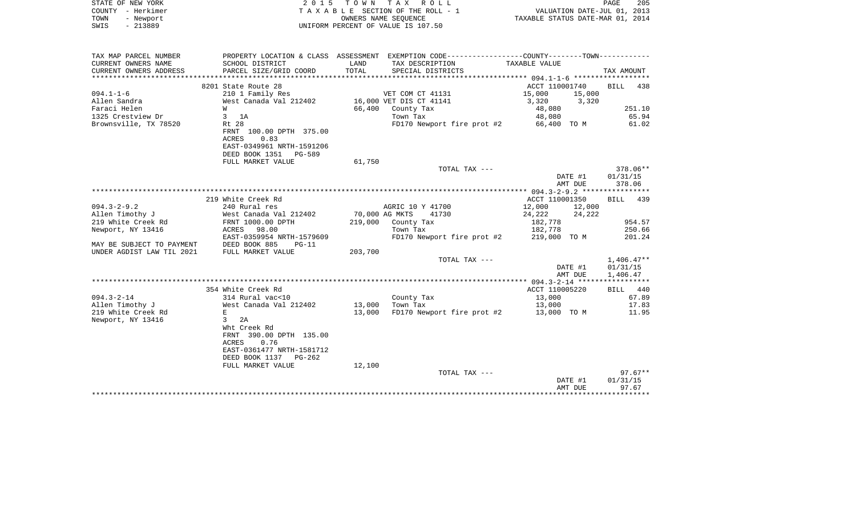| STATE OF NEW YORK                                      |                                                       |                | 2015 TOWN TAX ROLL                                                                             |                                                                 |         | PAGE        | 205       |
|--------------------------------------------------------|-------------------------------------------------------|----------------|------------------------------------------------------------------------------------------------|-----------------------------------------------------------------|---------|-------------|-----------|
| COUNTY - Herkimer                                      |                                                       |                | TAXABLE SECTION OF THE ROLL - 1                                                                | VALUATION DATE-JUL 01, 2013<br>TAXABLE STATUS DATE-MAR 01, 2014 |         |             |           |
| TOWN<br>- Newport                                      |                                                       |                | OWNERS NAME SEOUENCE                                                                           |                                                                 |         |             |           |
| SWIS<br>$-213889$                                      |                                                       |                | UNIFORM PERCENT OF VALUE IS 107.50                                                             |                                                                 |         |             |           |
| TAX MAP PARCEL NUMBER                                  |                                                       |                | PROPERTY LOCATION & CLASS ASSESSMENT EXEMPTION CODE----------------COUNTY-------TOWN---------- |                                                                 |         |             |           |
| CURRENT OWNERS NAME                                    | SCHOOL DISTRICT                                       | LAND           | TAX DESCRIPTION                                                                                | TAXABLE VALUE                                                   |         |             |           |
| CURRENT OWNERS ADDRESS                                 | PARCEL SIZE/GRID COORD                                | TOTAL          | SPECIAL DISTRICTS                                                                              |                                                                 |         | TAX AMOUNT  |           |
|                                                        |                                                       |                |                                                                                                |                                                                 |         |             |           |
|                                                        | 8201 State Route 28                                   |                |                                                                                                | ACCT 110001740                                                  |         | BILL        | 438       |
| $094.1 - 1 - 6$                                        | 210 1 Family Res                                      |                | VET COM CT 41131                                                                               | 15,000                                                          | 15,000  |             |           |
| Allen Sandra                                           | West Canada Val 212402                                |                | 16,000 VET DIS CT 41141                                                                        | 3,320                                                           | 3,320   |             |           |
| Faraci Helen                                           | W                                                     |                | 66,400 County Tax                                                                              | 48,080                                                          |         |             | 251.10    |
| 1325 Crestview Dr                                      | $3$ 1A                                                |                | Town Tax                                                                                       | 48,080                                                          |         |             | 65.94     |
| Brownsville, TX 78520                                  | Rt 28                                                 |                | FD170 Newport fire prot #2 66,400 TO M                                                         |                                                                 |         |             | 61.02     |
|                                                        | FRNT 100.00 DPTH 375.00                               |                |                                                                                                |                                                                 |         |             |           |
|                                                        | ACRES<br>0.83<br>EAST-0349961 NRTH-1591206            |                |                                                                                                |                                                                 |         |             |           |
|                                                        | DEED BOOK 1351 PG-589                                 |                |                                                                                                |                                                                 |         |             |           |
|                                                        | FULL MARKET VALUE                                     | 61,750         |                                                                                                |                                                                 |         |             |           |
|                                                        |                                                       |                | TOTAL TAX ---                                                                                  |                                                                 |         |             | 378.06**  |
|                                                        |                                                       |                |                                                                                                |                                                                 | DATE #1 | 01/31/15    |           |
|                                                        |                                                       |                |                                                                                                |                                                                 | AMT DUE | 378.06      |           |
|                                                        |                                                       |                |                                                                                                |                                                                 |         |             |           |
|                                                        | 219 White Creek Rd                                    |                |                                                                                                | ACCT 110001350                                                  |         | <b>BILL</b> | 439       |
| $094.3 - 2 - 9.2$                                      | 240 Rural res                                         |                | AGRIC 10 Y 41700                                                                               | 12,000                                                          | 12,000  |             |           |
| Allen Timothy J                                        | West Canada Val 212402                                | 70,000 AG MKTS | 41730                                                                                          | 24,222                                                          | 24,222  |             |           |
| 219 White Creek Rd                                     | West Canaua<br>FRNT 1000.00 DPTH<br>-- 98.00          |                | 219,000 County Tax                                                                             | 182,778                                                         |         |             | 954.57    |
| Newport, NY 13416                                      |                                                       |                | Town Tax                                                                                       | 182,778                                                         |         |             | 250.66    |
|                                                        | EAST-0359954 NRTH-1579609                             |                | FD170 Newport fire prot #2 219,000 TO M                                                        |                                                                 |         |             | 201.24    |
| MAY BE SUBJECT TO PAYMENT<br>UNDER AGDIST LAW TIL 2021 | DEED BOOK 885<br>$PG-11$<br>FULL MARKET VALUE         | 203,700        |                                                                                                |                                                                 |         |             |           |
|                                                        |                                                       |                | TOTAL TAX ---                                                                                  |                                                                 |         | 1,406.47**  |           |
|                                                        |                                                       |                |                                                                                                |                                                                 | DATE #1 | 01/31/15    |           |
|                                                        |                                                       |                |                                                                                                |                                                                 | AMT DUE | 1,406.47    |           |
|                                                        |                                                       |                |                                                                                                |                                                                 |         |             |           |
|                                                        | 354 White Creek Rd                                    |                |                                                                                                | ACCT 110005220                                                  |         | BILL 440    |           |
| 094.3-2-14                                             | 314 Rural vac<10                                      |                | County Tax                                                                                     | 13,000                                                          |         |             | 67.89     |
| Allen Timothy J                                        | West Canada Val 212402                                | 13,000         | Town Tax                                                                                       | 13,000                                                          |         |             | 17.83     |
| 219 White Creek Rd                                     | E                                                     | 13,000         | FD170 Newport fire prot #2                                                                     | 13,000 TO M                                                     |         |             | 11.95     |
| Newport, NY 13416                                      | $3^{\circ}$<br>2A                                     |                |                                                                                                |                                                                 |         |             |           |
|                                                        | Wht Creek Rd                                          |                |                                                                                                |                                                                 |         |             |           |
|                                                        | FRNT 390.00 DPTH 135.00                               |                |                                                                                                |                                                                 |         |             |           |
|                                                        | 0.76<br>ACRES                                         |                |                                                                                                |                                                                 |         |             |           |
|                                                        | EAST-0361477 NRTH-1581712<br>DEED BOOK 1137<br>PG-262 |                |                                                                                                |                                                                 |         |             |           |
|                                                        | FULL MARKET VALUE                                     | 12,100         |                                                                                                |                                                                 |         |             |           |
|                                                        |                                                       |                | TOTAL TAX ---                                                                                  |                                                                 |         |             | $97.67**$ |
|                                                        |                                                       |                |                                                                                                |                                                                 |         |             |           |

TOTAL TAX --- DATE #1 01/31/15 AMT DUE 97.67 \*\*\*\*\*\*\*\*\*\*\*\*\*\*\*\*\*\*\*\*\*\*\*\*\*\*\*\*\*\*\*\*\*\*\*\*\*\*\*\*\*\*\*\*\*\*\*\*\*\*\*\*\*\*\*\*\*\*\*\*\*\*\*\*\*\*\*\*\*\*\*\*\*\*\*\*\*\*\*\*\*\*\*\*\*\*\*\*\*\*\*\*\*\*\*\*\*\*\*\*\*\*\*\*\*\*\*\*\*\*\*\*\*\*\*\*\*\*\*\*\*\*\*\*\*\*\*\*\*\*\*\*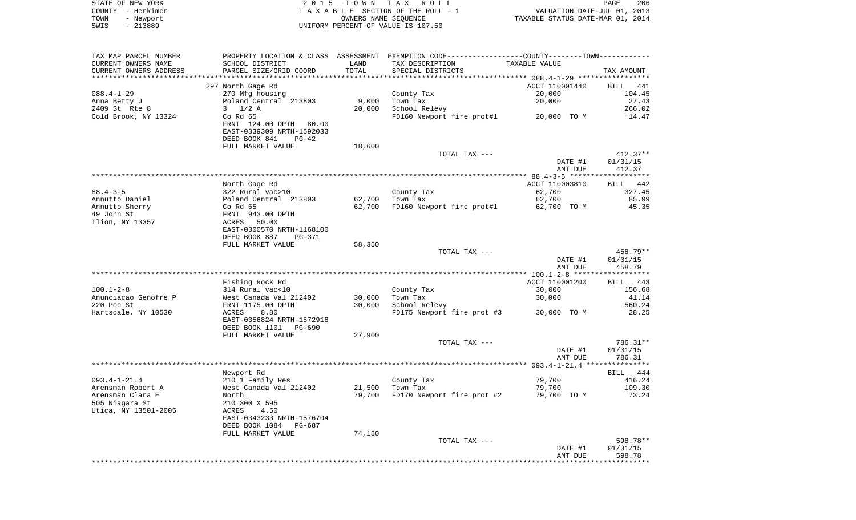| STATE OF NEW YORK | 2015 TOWN TAX ROLL                 | 206<br>PAGE                      |
|-------------------|------------------------------------|----------------------------------|
| COUNTY - Herkimer | TAXABLE SECTION OF THE ROLL - 1    | VALUATION DATE-JUL 01, 2013      |
| TOWN<br>- Newport | OWNERS NAME SEOUENCE               | TAXABLE STATUS DATE-MAR 01, 2014 |
| SWIS<br>- 213889  | UNIFORM PERCENT OF VALUE IS 107.50 |                                  |

| TAX MAP PARCEL NUMBER  |                                |        | PROPERTY LOCATION & CLASS ASSESSMENT EXEMPTION CODE---------------COUNTY-------TOWN---------- |                    |                    |
|------------------------|--------------------------------|--------|-----------------------------------------------------------------------------------------------|--------------------|--------------------|
| CURRENT OWNERS NAME    | SCHOOL DISTRICT                | LAND   | TAX DESCRIPTION                                                                               | TAXABLE VALUE      |                    |
| CURRENT OWNERS ADDRESS | PARCEL SIZE/GRID COORD         | TOTAL  | SPECIAL DISTRICTS                                                                             |                    | TAX AMOUNT         |
|                        |                                |        |                                                                                               |                    |                    |
|                        | 297 North Gage Rd              |        |                                                                                               | ACCT 110001440     | <b>BILL</b><br>441 |
| $088.4 - 1 - 29$       | 270 Mfg housing                |        | County Tax                                                                                    | 20,000             | 104.45             |
| Anna Betty J           | Poland Central 213803          | 9,000  | Town Tax                                                                                      | 20,000             | 27.43              |
| 2409 St Rte 8          | $3 \frac{1}{2}$ A              | 20,000 | School Relevy                                                                                 |                    | 266.02             |
| Cold Brook, NY 13324   | Co Rd 65                       |        | FD160 Newport fire prot#1                                                                     | 20,000 TO M        | 14.47              |
|                        | FRNT 124.00 DPTH 80.00         |        |                                                                                               |                    |                    |
|                        | EAST-0339309 NRTH-1592033      |        |                                                                                               |                    |                    |
|                        | DEED BOOK 841<br>$PG-42$       |        |                                                                                               |                    |                    |
|                        | FULL MARKET VALUE              | 18,600 |                                                                                               |                    |                    |
|                        |                                |        | TOTAL TAX ---                                                                                 |                    | $412.37**$         |
|                        |                                |        |                                                                                               | DATE #1            | 01/31/15           |
|                        |                                |        |                                                                                               | AMT DUE            | 412.37             |
|                        |                                |        |                                                                                               |                    |                    |
|                        | North Gage Rd                  |        |                                                                                               | ACCT 110003810     | BILL<br>442        |
| $88.4 - 3 - 5$         | 322 Rural vac>10               |        | County Tax                                                                                    | 62,700             | 327.45             |
| Annutto Daniel         | Poland Central 213803          | 62,700 | Town Tax                                                                                      | 62,700             | 85.99              |
| Annutto Sherry         | $Co$ Rd $65$                   | 62,700 | FD160 Newport fire prot#1                                                                     | 62,700 TO M        | 45.35              |
| 49 John St             | FRNT 943.00 DPTH               |        |                                                                                               |                    |                    |
| Ilion, NY 13357        | 50.00<br>ACRES                 |        |                                                                                               |                    |                    |
|                        | EAST-0300570 NRTH-1168100      |        |                                                                                               |                    |                    |
|                        | DEED BOOK 887<br><b>PG-371</b> |        |                                                                                               |                    |                    |
|                        | FULL MARKET VALUE              | 58,350 |                                                                                               |                    |                    |
|                        |                                |        | TOTAL TAX ---                                                                                 |                    | 458.79**           |
|                        |                                |        |                                                                                               | DATE #1<br>AMT DUE | 01/31/15<br>458.79 |
|                        |                                |        |                                                                                               |                    |                    |
|                        | Fishing Rock Rd                |        |                                                                                               | ACCT 110001200     | 443<br><b>BILL</b> |
| $100.1 - 2 - 8$        | 314 Rural vac<10               |        | County Tax                                                                                    | 30,000             | 156.68             |
| Anunciacao Genofre P   | West Canada Val 212402         | 30,000 | Town Tax                                                                                      | 30,000             | 41.14              |
| 220 Poe St             | FRNT 1175.00 DPTH              | 30,000 | School Relevy                                                                                 |                    | 560.24             |
| Hartsdale, NY 10530    | ACRES<br>8.80                  |        | FD175 Newport fire prot #3                                                                    | 30,000 TO M        | 28.25              |
|                        | EAST-0356824 NRTH-1572918      |        |                                                                                               |                    |                    |
|                        | DEED BOOK 1101<br>PG-690       |        |                                                                                               |                    |                    |
|                        | FULL MARKET VALUE              | 27,900 |                                                                                               |                    |                    |
|                        |                                |        | TOTAL TAX ---                                                                                 |                    | 786.31**           |
|                        |                                |        |                                                                                               | DATE #1            | 01/31/15           |
|                        |                                |        |                                                                                               | AMT DUE            | 786.31             |
|                        |                                |        |                                                                                               |                    |                    |
|                        | Newport Rd                     |        |                                                                                               |                    | BILL 444           |
| $093.4 - 1 - 21.4$     | 210 1 Family Res               |        | County Tax                                                                                    | 79,700             | 416.24             |
| Arensman Robert A      | West Canada Val 212402         | 21,500 | Town Tax                                                                                      | 79,700             | 109.30             |
| Arensman Clara E       | North                          | 79,700 | FD170 Newport fire prot #2                                                                    | 79,700 TO M        | 73.24              |
| 505 Niagara St         | 210 300 X 595                  |        |                                                                                               |                    |                    |
| Utica, NY 13501-2005   | ACRES<br>4.50                  |        |                                                                                               |                    |                    |
|                        | EAST-0343233 NRTH-1576704      |        |                                                                                               |                    |                    |
|                        | DEED BOOK 1084<br>PG-687       |        |                                                                                               |                    |                    |
|                        | FULL MARKET VALUE              | 74,150 |                                                                                               |                    |                    |
|                        |                                |        | TOTAL TAX ---                                                                                 |                    | 598.78**           |
|                        |                                |        |                                                                                               | DATE #1            | 01/31/15           |
|                        |                                |        |                                                                                               | AMT DUE            | 598.78             |
|                        |                                |        |                                                                                               |                    |                    |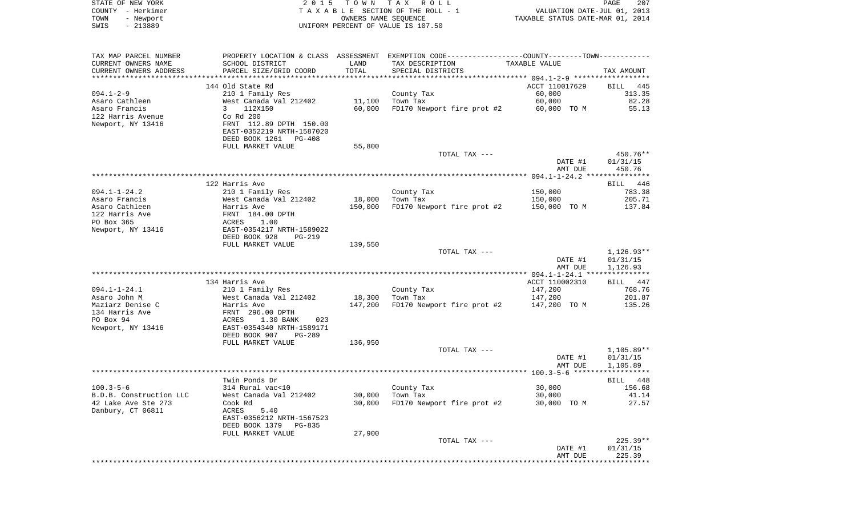| STATE OF NEW YORK<br>COUNTY - Herkimer | 2 0 1 5                                                                                    | T O W N | T A X<br>R O L L<br>TAXABLE SECTION OF THE ROLL - 1                                           | VALUATION DATE-JUL 01, 2013      | 207<br>PAGE                        |
|----------------------------------------|--------------------------------------------------------------------------------------------|---------|-----------------------------------------------------------------------------------------------|----------------------------------|------------------------------------|
| - Newport<br>TOWN                      |                                                                                            |         | OWNERS NAME SEQUENCE                                                                          | TAXABLE STATUS DATE-MAR 01, 2014 |                                    |
| $-213889$<br>SWIS                      |                                                                                            |         | UNIFORM PERCENT OF VALUE IS 107.50                                                            |                                  |                                    |
| TAX MAP PARCEL NUMBER                  |                                                                                            |         | PROPERTY LOCATION & CLASS ASSESSMENT EXEMPTION CODE---------------COUNTY-------TOWN---------- |                                  |                                    |
| CURRENT OWNERS NAME                    | SCHOOL DISTRICT                                                                            | LAND    | TAX DESCRIPTION                                                                               | TAXABLE VALUE                    |                                    |
| CURRENT OWNERS ADDRESS                 | PARCEL SIZE/GRID COORD                                                                     | TOTAL   | SPECIAL DISTRICTS                                                                             |                                  | TAX AMOUNT                         |
| ************************               |                                                                                            |         |                                                                                               |                                  |                                    |
|                                        | 144 Old State Rd                                                                           |         |                                                                                               | ACCT 110017629                   | BILL<br>445                        |
| $094.1 - 2 - 9$<br>Asaro Cathleen      | 210 1 Family Res<br>West Canada Val 212402                                                 | 11,100  | County Tax<br>Town Tax                                                                        | 60,000<br>60,000                 | 313.35<br>82.28                    |
| Asaro Francis                          | 112X150<br>$\overline{3}$                                                                  | 60,000  | FD170 Newport fire prot #2                                                                    | 60,000 TO M                      | 55.13                              |
| 122 Harris Avenue<br>Newport, NY 13416 | Co Rd 200<br>FRNT 112.89 DPTH 150.00<br>EAST-0352219 NRTH-1587020<br>DEED BOOK 1261 PG-408 |         |                                                                                               |                                  |                                    |
|                                        | FULL MARKET VALUE                                                                          | 55,800  |                                                                                               |                                  |                                    |
|                                        |                                                                                            |         | TOTAL TAX ---                                                                                 |                                  | 450.76**                           |
|                                        |                                                                                            |         |                                                                                               | DATE #1<br>AMT DUE               | 01/31/15<br>450.76                 |
|                                        | 122 Harris Ave                                                                             |         |                                                                                               |                                  | BILL 446                           |
| $094.1 - 1 - 24.2$                     | 210 1 Family Res                                                                           |         | County Tax                                                                                    | 150,000                          | 783.38                             |
| Asaro Francis                          | West Canada Val 212402                                                                     | 18,000  | Town Tax                                                                                      | 150,000                          | 205.71                             |
| Asaro Cathleen                         | Harris Ave                                                                                 | 150,000 | FD170 Newport fire prot #2                                                                    | 150,000 TO M                     | 137.84                             |
| 122 Harris Ave                         | FRNT 184.00 DPTH                                                                           |         |                                                                                               |                                  |                                    |
| PO Box 365                             | 1.00<br>ACRES                                                                              |         |                                                                                               |                                  |                                    |
| Newport, NY 13416                      | EAST-0354217 NRTH-1589022                                                                  |         |                                                                                               |                                  |                                    |
|                                        | DEED BOOK 928<br>$PG-219$                                                                  |         |                                                                                               |                                  |                                    |
|                                        | FULL MARKET VALUE                                                                          | 139,550 |                                                                                               |                                  |                                    |
|                                        |                                                                                            |         | TOTAL TAX ---                                                                                 | DATE #1<br>AMT DUE               | 1,126.93**<br>01/31/15<br>1,126.93 |
|                                        |                                                                                            |         |                                                                                               |                                  |                                    |
|                                        | 134 Harris Ave                                                                             |         |                                                                                               | ACCT 110002310                   | 447<br>BILL                        |
| $094.1 - 1 - 24.1$                     | 210 1 Family Res                                                                           |         | County Tax                                                                                    | 147,200                          | 768.76                             |
| Asaro John M                           | West Canada Val 212402                                                                     | 18,300  | Town Tax                                                                                      | 147,200                          | 201.87                             |
| Maziarz Denise C<br>134 Harris Ave     | Harris Ave<br>FRNT 296.00 DPTH                                                             | 147,200 | FD170 Newport fire prot #2                                                                    | 147,200 TO M                     | 135.26                             |
| PO Box 94                              | ACRES<br>1.30 BANK<br>023                                                                  |         |                                                                                               |                                  |                                    |
| Newport, NY 13416                      | EAST-0354340 NRTH-1589171                                                                  |         |                                                                                               |                                  |                                    |
|                                        | DEED BOOK 907<br><b>PG-289</b>                                                             |         |                                                                                               |                                  |                                    |
|                                        | FULL MARKET VALUE                                                                          | 136,950 |                                                                                               |                                  |                                    |
|                                        |                                                                                            |         | TOTAL TAX ---                                                                                 |                                  | 1,105.89**                         |
|                                        |                                                                                            |         |                                                                                               | DATE #1                          | 01/31/15                           |
|                                        |                                                                                            |         |                                                                                               | AMT DUE                          | 1,105.89                           |
|                                        | Twin Ponds Dr                                                                              |         |                                                                                               |                                  | BILL 448                           |
| $100.3 - 5 - 6$                        | 314 Rural vac<10                                                                           |         | County Tax                                                                                    | 30,000                           | 156.68                             |
| B.D.B. Construction LLC                | West Canada Val 212402                                                                     | 30,000  | Town Tax                                                                                      | 30,000                           | 41.14                              |
| 42 Lake Ave Ste 273                    | Cook Rd                                                                                    | 30,000  | FD170 Newport fire prot #2                                                                    | 30,000 TO M                      | 27.57                              |
| Danbury, CT 06811                      | ACRES<br>5.40                                                                              |         |                                                                                               |                                  |                                    |
|                                        | EAST-0356212 NRTH-1567523                                                                  |         |                                                                                               |                                  |                                    |
|                                        | DEED BOOK 1379<br>PG-835                                                                   |         |                                                                                               |                                  |                                    |
|                                        | FULL MARKET VALUE                                                                          | 27,900  |                                                                                               |                                  | $225.39**$                         |
|                                        |                                                                                            |         | TOTAL TAX ---                                                                                 | DATE #1                          | 01/31/15                           |
|                                        |                                                                                            |         |                                                                                               | AMT DUE                          | 225.39                             |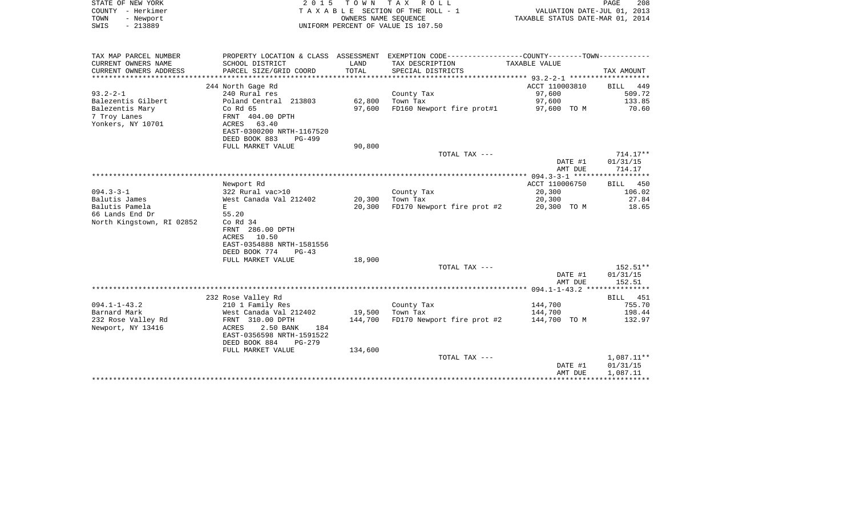| STATE OF NEW YORK         |                                              |                   | 2015 TOWN TAX ROLL                                                                            |                                  | 208<br>PAGE           |
|---------------------------|----------------------------------------------|-------------------|-----------------------------------------------------------------------------------------------|----------------------------------|-----------------------|
| COUNTY - Herkimer         |                                              |                   | TAXABLE SECTION OF THE ROLL - 1                                                               | VALUATION DATE-JUL 01, 2013      |                       |
| TOWN<br>- Newport         |                                              |                   | OWNERS NAME SEQUENCE                                                                          | TAXABLE STATUS DATE-MAR 01, 2014 |                       |
| $-213889$<br>SWIS         |                                              |                   | UNIFORM PERCENT OF VALUE IS 107.50                                                            |                                  |                       |
|                           |                                              |                   |                                                                                               |                                  |                       |
|                           |                                              |                   |                                                                                               |                                  |                       |
| TAX MAP PARCEL NUMBER     |                                              |                   | PROPERTY LOCATION & CLASS ASSESSMENT EXEMPTION CODE---------------COUNTY-------TOWN---------- |                                  |                       |
| CURRENT OWNERS NAME       | SCHOOL DISTRICT                              | LAND              | TAX DESCRIPTION                                                                               | TAXABLE VALUE                    |                       |
| CURRENT OWNERS ADDRESS    | PARCEL SIZE/GRID COORD                       | TOTAL             | SPECIAL DISTRICTS                                                                             |                                  | TAX AMOUNT            |
|                           |                                              |                   |                                                                                               |                                  |                       |
|                           | 244 North Gage Rd                            |                   |                                                                                               | ACCT 110003810                   | BILL 449              |
| $93.2 - 2 - 1$            | 240 Rural res                                |                   | County Tax                                                                                    | 97,600                           | 509.72                |
| Balezentis Gilbert        | Poland Central 213803                        | 62,800            | Town Tax                                                                                      | 97,600                           | 133.85                |
| Balezentis Mary           | Co Rd 65                                     | 97,600            | FD160 Newport fire prot#1                                                                     | 97,600 TO M                      | 70.60                 |
| 7 Troy Lanes              | FRNT 404.00 DPTH                             |                   |                                                                                               |                                  |                       |
| Yonkers, NY 10701         | ACRES<br>63.40                               |                   |                                                                                               |                                  |                       |
|                           | EAST-0300200 NRTH-1167520                    |                   |                                                                                               |                                  |                       |
|                           | DEED BOOK 883<br>PG-499<br>FULL MARKET VALUE | 90,800            |                                                                                               |                                  |                       |
|                           |                                              |                   | TOTAL TAX ---                                                                                 |                                  | $714.17**$            |
|                           |                                              |                   |                                                                                               | DATE #1                          | 01/31/15              |
|                           |                                              |                   |                                                                                               | AMT DUE                          | 714.17                |
|                           |                                              |                   |                                                                                               |                                  |                       |
|                           | Newport Rd                                   |                   |                                                                                               | ACCT 110006750                   | BILL<br>450           |
| $094.3 - 3 - 1$           | 322 Rural vac>10                             |                   | County Tax                                                                                    | 20,300                           | 106.02                |
| Balutis James             | West Canada Val 212402                       | 20,300            | Town Tax                                                                                      | 20,300                           | 27.84                 |
| Balutis Pamela            | E                                            | 20,300            | FD170 Newport fire prot #2                                                                    | 20,300 TO M                      | 18.65                 |
| 66 Lands End Dr           | 55.20                                        |                   |                                                                                               |                                  |                       |
| North Kingstown, RI 02852 | Co $Rd$ 34                                   |                   |                                                                                               |                                  |                       |
|                           | FRNT 286.00 DPTH                             |                   |                                                                                               |                                  |                       |
|                           | 10.50<br>ACRES                               |                   |                                                                                               |                                  |                       |
|                           | EAST-0354888 NRTH-1581556                    |                   |                                                                                               |                                  |                       |
|                           | DEED BOOK 774<br>$PG-43$                     |                   |                                                                                               |                                  |                       |
|                           | FULL MARKET VALUE                            | 18,900            |                                                                                               |                                  |                       |
|                           |                                              |                   | TOTAL TAX ---                                                                                 |                                  | $152.51**$            |
|                           |                                              |                   |                                                                                               | DATE #1                          | 01/31/15              |
|                           |                                              |                   |                                                                                               | AMT DUE                          | 152.51                |
|                           |                                              |                   |                                                                                               |                                  |                       |
| $094.1 - 1 - 43.2$        | 232 Rose Valley Rd                           |                   |                                                                                               |                                  | BILL<br>451<br>755.70 |
| Barnard Mark              | 210 1 Family Res<br>West Canada Val 212402   |                   | County Tax<br>Town Tax                                                                        | 144,700                          | 198.44                |
| 232 Rose Valley Rd        | FRNT 310.00 DPTH                             | 19,500<br>144,700 | FD170 Newport fire prot #2                                                                    | 144,700<br>144,700 TO M          | 132.97                |
| Newport, NY 13416         | 2.50 BANK<br>184<br>ACRES                    |                   |                                                                                               |                                  |                       |
|                           | EAST-0356598 NRTH-1591522                    |                   |                                                                                               |                                  |                       |
|                           | DEED BOOK 884<br>$PG-279$                    |                   |                                                                                               |                                  |                       |
|                           | FULL MARKET VALUE                            | 134,600           |                                                                                               |                                  |                       |
|                           |                                              |                   | TOTAL TAX ---                                                                                 |                                  | 1,087.11**            |
|                           |                                              |                   |                                                                                               | DATE #1                          | 01/31/15              |
|                           |                                              |                   |                                                                                               | AMT DUE                          | 1,087.11              |
|                           |                                              |                   |                                                                                               |                                  |                       |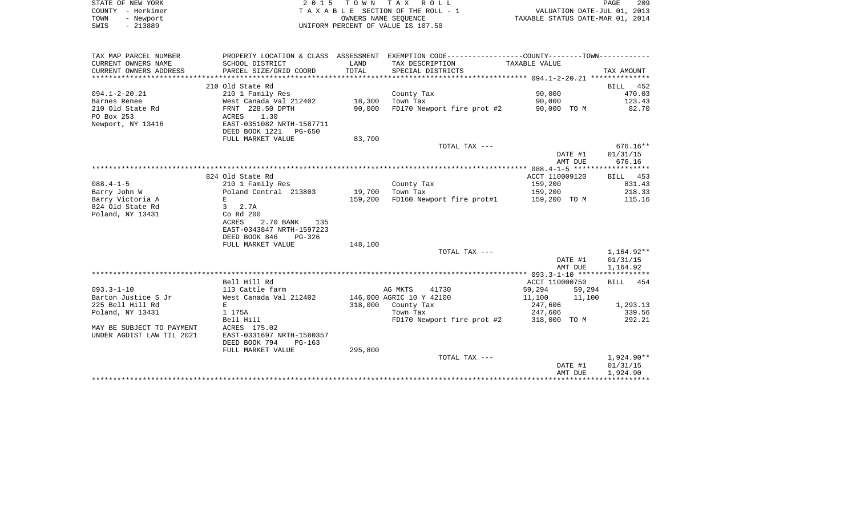| STATE OF NEW YORK |           | 2015 TOWN TAX ROLL                 | 209<br>PAGE                      |
|-------------------|-----------|------------------------------------|----------------------------------|
| COUNTY - Herkimer |           | TAXABLE SECTION OF THE ROLL - 1    | VALUATION DATE-JUL 01, 2013      |
| TOWN              | - Newport | OWNERS NAME SEOUENCE               | TAXABLE STATUS DATE-MAR 01, 2014 |
| SWIS              | - 213889  | UNIFORM PERCENT OF VALUE IS 107.50 |                                  |

| TAX MAP PARCEL NUMBER     |                           |         | PROPERTY LOCATION & CLASS ASSESSMENT EXEMPTION CODE----------------COUNTY--------TOWN---------- |                  |            |
|---------------------------|---------------------------|---------|-------------------------------------------------------------------------------------------------|------------------|------------|
| CURRENT OWNERS NAME       | SCHOOL DISTRICT           | LAND    | TAX DESCRIPTION                                                                                 | TAXABLE VALUE    |            |
| CURRENT OWNERS ADDRESS    | PARCEL SIZE/GRID COORD    | TOTAL   | SPECIAL DISTRICTS                                                                               |                  | TAX AMOUNT |
|                           |                           |         |                                                                                                 |                  |            |
|                           | 210 Old State Rd          |         |                                                                                                 |                  | BILL 452   |
| $094.1 - 2 - 20.21$       | 210 1 Family Res          |         | County Tax                                                                                      | 90,000           | 470.03     |
| Barnes Renee              | West Canada Val 212402    | 18,300  | Town Tax                                                                                        | 90,000           | 123.43     |
| 210 Old State Rd          | FRNT 228.50 DPTH          | 90,000  | FD170 Newport fire prot #2                                                                      | 90,000 TO M      | 82.70      |
| PO Box 253                | 1.30<br>ACRES             |         |                                                                                                 |                  |            |
| Newport, NY 13416         | EAST-0351082 NRTH-1587711 |         |                                                                                                 |                  |            |
|                           | DEED BOOK 1221 PG-650     |         |                                                                                                 |                  |            |
|                           | FULL MARKET VALUE         | 83,700  |                                                                                                 |                  |            |
|                           |                           |         | TOTAL TAX ---                                                                                   |                  | $676.16**$ |
|                           |                           |         |                                                                                                 | DATE #1          | 01/31/15   |
|                           |                           |         |                                                                                                 | AMT DUE          | 676.16     |
|                           |                           |         |                                                                                                 |                  |            |
|                           | 824 Old State Rd          |         |                                                                                                 | ACCT 110009120   | BILL 453   |
| $088.4 - 1 - 5$           | 210 1 Family Res          |         | County Tax                                                                                      | 159,200          | 831.43     |
| Barry John W              | Poland Central 213803     | 19,700  | Town Tax                                                                                        | 159,200          | 218.33     |
| Barry Victoria A          | Е                         | 159,200 | FD160 Newport fire prot#1                                                                       | 159,200 TO M     | 115.16     |
| 824 Old State Rd          | $3 \t 2.7A$               |         |                                                                                                 |                  |            |
| Poland, NY 13431          | Co Rd 200                 |         |                                                                                                 |                  |            |
|                           | 2.70 BANK<br>ACRES<br>135 |         |                                                                                                 |                  |            |
|                           | EAST-0343847 NRTH-1597223 |         |                                                                                                 |                  |            |
|                           | DEED BOOK 846<br>$PG-326$ |         |                                                                                                 |                  |            |
|                           | FULL MARKET VALUE         | 148,100 |                                                                                                 |                  |            |
|                           |                           |         | TOTAL TAX ---                                                                                   |                  | 1,164.92** |
|                           |                           |         |                                                                                                 | DATE #1          | 01/31/15   |
|                           |                           |         |                                                                                                 | AMT DUE          | 1,164.92   |
|                           |                           |         |                                                                                                 |                  |            |
|                           | Bell Hill Rd              |         |                                                                                                 | ACCT 110000750   | BILL 454   |
| $093.3 - 1 - 10$          | 113 Cattle farm           |         | AG MKTS<br>41730                                                                                | 59,294<br>59,294 |            |
| Barton Justice S Jr       | West Canada Val 212402    |         | 146,000 AGRIC 10 Y 42100                                                                        | 11,100<br>11,100 |            |
| 225 Bell Hill Rd          | E                         |         | 318,000 County Tax                                                                              | 247,606          | 1,293.13   |
| Poland, NY 13431          | 1 175A                    |         | Town Tax                                                                                        | 247,606          | 339.56     |
|                           | Bell Hill                 |         | FD170 Newport fire prot #2                                                                      | 318,000 TO M     | 292.21     |
| MAY BE SUBJECT TO PAYMENT | ACRES 175.02              |         |                                                                                                 |                  |            |
| UNDER AGDIST LAW TIL 2021 | EAST-0331697 NRTH-1580357 |         |                                                                                                 |                  |            |
|                           | DEED BOOK 794<br>$PG-163$ |         |                                                                                                 |                  |            |
|                           | FULL MARKET VALUE         | 295,800 |                                                                                                 |                  |            |
|                           |                           |         | TOTAL TAX ---                                                                                   |                  | 1,924.90** |
|                           |                           |         |                                                                                                 | DATE #1          | 01/31/15   |
|                           |                           |         |                                                                                                 | AMT DUE          | 1,924.90   |
|                           |                           |         |                                                                                                 |                  |            |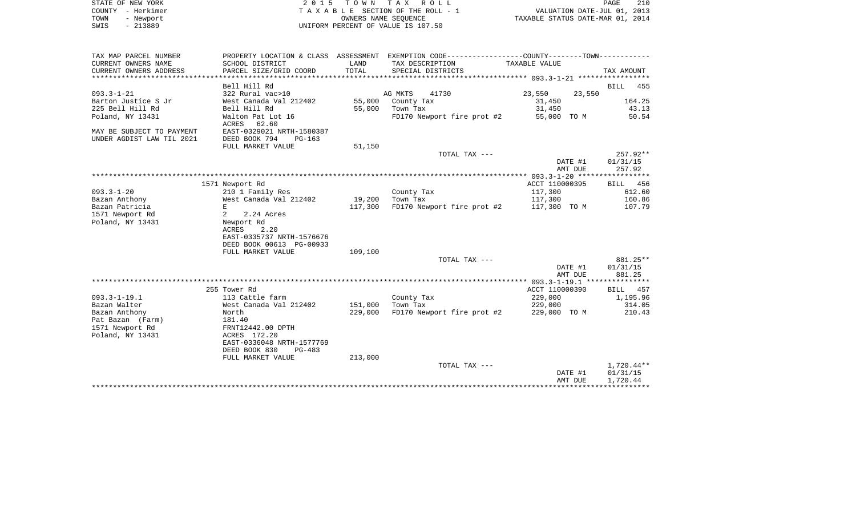|      | STATE OF NEW YORK | 2015 TOWN TAX ROLL                 |                                  | PAGE | 210 |
|------|-------------------|------------------------------------|----------------------------------|------|-----|
|      | COUNTY - Herkimer | TAXABLE SECTION OF THE ROLL - 1    | VALUATION DATE-JUL 01, 2013      |      |     |
| TOWN | - Newport         | OWNERS NAME SEOUENCE               | TAXABLE STATUS DATE-MAR 01, 2014 |      |     |
| SWIS | - 213889          | UNIFORM PERCENT OF VALUE IS 107.50 |                                  |      |     |
|      |                   |                                    |                                  |      |     |
|      |                   |                                    |                                  |      |     |

| CURRENT OWNERS NAME<br>SCHOOL DISTRICT<br>LAND<br>TAX DESCRIPTION<br>TAXABLE VALUE<br>TOTAL<br>CURRENT OWNERS ADDRESS<br>PARCEL SIZE/GRID COORD<br>SPECIAL DISTRICTS<br>TAX AMOUNT<br>Bell Hill Rd<br>BILL 455<br>322 Rural vac>10<br>AG MKTS<br>$093.3 - 1 - 21$<br>41730<br>23,550<br>23,550<br>Barton Justice S Jr<br>West Canada Val 212402<br>55,000 County Tax<br>31,450<br>164.25<br>225 Bell Hill Rd<br>Bell Hill Rd<br>55,000<br>Town Tax<br>31,450<br>43.13<br>Poland, NY 13431<br>Walton Pat Lot 16<br>FD170 Newport fire prot #2<br>55,000 TO M<br>50.54<br>ACRES 62.60<br>EAST-0329021 NRTH-1580387<br>MAY BE SUBJECT TO PAYMENT<br>UNDER AGDIST LAW TIL 2021<br>DEED BOOK 794<br>PG-163<br>FULL MARKET VALUE<br>51,150<br>TOTAL TAX ---<br>257.92**<br>DATE #1<br>01/31/15<br>AMT DUE<br>257.92<br>1571 Newport Rd<br>ACCT 110000395<br>BILL 456<br>$093.3 - 1 - 20$<br>117,300<br>210 1 Family Res<br>612.60<br>County Tax<br>Bazan Anthony<br>West Canada Val 212402<br>19,200<br>Town Tax<br>117,300<br>160.86<br>FD170 Newport fire prot #2 117,300 TO M<br>Bazan Patricia<br>107.79<br>E<br>117,300<br>$2 \left( \frac{1}{2} \right)$<br>1571 Newport Rd<br>2.24 Acres<br>Poland, NY 13431<br>Newport Rd<br>ACRES<br>2.20<br>EAST-0335737 NRTH-1576676<br>DEED BOOK 00613 PG-00933<br>109,100<br>FULL MARKET VALUE<br>881.25**<br>TOTAL TAX ---<br>01/31/15<br>DATE #1<br>881.25<br>AMT DUE<br>255 Tower Rd<br>ACCT 110000390<br>BILL 457<br>$093.3 - 1 - 19.1$<br>113 Cattle farm<br>County Tax<br>229,000<br>1,195.96<br>Bazan Walter<br>West Canada Val 212402<br>151,000<br>Town Tax<br>229,000<br>314.05<br>FD170 Newport fire prot #2 229,000 TO M<br>Bazan Anthony<br>229,000<br>210.43<br>North<br>Pat Bazan (Farm)<br>181.40<br>1571 Newport Rd<br>FRNT12442.00 DPTH<br>Poland, NY 13431<br>ACRES 172.20<br>EAST-0336048 NRTH-1577769<br>DEED BOOK 830<br>PG-483<br>213,000<br>FULL MARKET VALUE<br>1,720.44**<br>TOTAL TAX ---<br>DATE #1<br>01/31/15<br>1,720.44<br>AMT DUE | TAX MAP PARCEL NUMBER |  | PROPERTY LOCATION & CLASS ASSESSMENT EXEMPTION CODE----------------COUNTY--------TOWN----------- |  |
|-----------------------------------------------------------------------------------------------------------------------------------------------------------------------------------------------------------------------------------------------------------------------------------------------------------------------------------------------------------------------------------------------------------------------------------------------------------------------------------------------------------------------------------------------------------------------------------------------------------------------------------------------------------------------------------------------------------------------------------------------------------------------------------------------------------------------------------------------------------------------------------------------------------------------------------------------------------------------------------------------------------------------------------------------------------------------------------------------------------------------------------------------------------------------------------------------------------------------------------------------------------------------------------------------------------------------------------------------------------------------------------------------------------------------------------------------------------------------------------------------------------------------------------------------------------------------------------------------------------------------------------------------------------------------------------------------------------------------------------------------------------------------------------------------------------------------------------------------------------------------------------------------------------------------------------------------------------------------------------------------------------|-----------------------|--|--------------------------------------------------------------------------------------------------|--|
|                                                                                                                                                                                                                                                                                                                                                                                                                                                                                                                                                                                                                                                                                                                                                                                                                                                                                                                                                                                                                                                                                                                                                                                                                                                                                                                                                                                                                                                                                                                                                                                                                                                                                                                                                                                                                                                                                                                                                                                                           |                       |  |                                                                                                  |  |
|                                                                                                                                                                                                                                                                                                                                                                                                                                                                                                                                                                                                                                                                                                                                                                                                                                                                                                                                                                                                                                                                                                                                                                                                                                                                                                                                                                                                                                                                                                                                                                                                                                                                                                                                                                                                                                                                                                                                                                                                           |                       |  |                                                                                                  |  |
|                                                                                                                                                                                                                                                                                                                                                                                                                                                                                                                                                                                                                                                                                                                                                                                                                                                                                                                                                                                                                                                                                                                                                                                                                                                                                                                                                                                                                                                                                                                                                                                                                                                                                                                                                                                                                                                                                                                                                                                                           |                       |  |                                                                                                  |  |
|                                                                                                                                                                                                                                                                                                                                                                                                                                                                                                                                                                                                                                                                                                                                                                                                                                                                                                                                                                                                                                                                                                                                                                                                                                                                                                                                                                                                                                                                                                                                                                                                                                                                                                                                                                                                                                                                                                                                                                                                           |                       |  |                                                                                                  |  |
|                                                                                                                                                                                                                                                                                                                                                                                                                                                                                                                                                                                                                                                                                                                                                                                                                                                                                                                                                                                                                                                                                                                                                                                                                                                                                                                                                                                                                                                                                                                                                                                                                                                                                                                                                                                                                                                                                                                                                                                                           |                       |  |                                                                                                  |  |
|                                                                                                                                                                                                                                                                                                                                                                                                                                                                                                                                                                                                                                                                                                                                                                                                                                                                                                                                                                                                                                                                                                                                                                                                                                                                                                                                                                                                                                                                                                                                                                                                                                                                                                                                                                                                                                                                                                                                                                                                           |                       |  |                                                                                                  |  |
|                                                                                                                                                                                                                                                                                                                                                                                                                                                                                                                                                                                                                                                                                                                                                                                                                                                                                                                                                                                                                                                                                                                                                                                                                                                                                                                                                                                                                                                                                                                                                                                                                                                                                                                                                                                                                                                                                                                                                                                                           |                       |  |                                                                                                  |  |
|                                                                                                                                                                                                                                                                                                                                                                                                                                                                                                                                                                                                                                                                                                                                                                                                                                                                                                                                                                                                                                                                                                                                                                                                                                                                                                                                                                                                                                                                                                                                                                                                                                                                                                                                                                                                                                                                                                                                                                                                           |                       |  |                                                                                                  |  |
|                                                                                                                                                                                                                                                                                                                                                                                                                                                                                                                                                                                                                                                                                                                                                                                                                                                                                                                                                                                                                                                                                                                                                                                                                                                                                                                                                                                                                                                                                                                                                                                                                                                                                                                                                                                                                                                                                                                                                                                                           |                       |  |                                                                                                  |  |
|                                                                                                                                                                                                                                                                                                                                                                                                                                                                                                                                                                                                                                                                                                                                                                                                                                                                                                                                                                                                                                                                                                                                                                                                                                                                                                                                                                                                                                                                                                                                                                                                                                                                                                                                                                                                                                                                                                                                                                                                           |                       |  |                                                                                                  |  |
|                                                                                                                                                                                                                                                                                                                                                                                                                                                                                                                                                                                                                                                                                                                                                                                                                                                                                                                                                                                                                                                                                                                                                                                                                                                                                                                                                                                                                                                                                                                                                                                                                                                                                                                                                                                                                                                                                                                                                                                                           |                       |  |                                                                                                  |  |
|                                                                                                                                                                                                                                                                                                                                                                                                                                                                                                                                                                                                                                                                                                                                                                                                                                                                                                                                                                                                                                                                                                                                                                                                                                                                                                                                                                                                                                                                                                                                                                                                                                                                                                                                                                                                                                                                                                                                                                                                           |                       |  |                                                                                                  |  |
|                                                                                                                                                                                                                                                                                                                                                                                                                                                                                                                                                                                                                                                                                                                                                                                                                                                                                                                                                                                                                                                                                                                                                                                                                                                                                                                                                                                                                                                                                                                                                                                                                                                                                                                                                                                                                                                                                                                                                                                                           |                       |  |                                                                                                  |  |
|                                                                                                                                                                                                                                                                                                                                                                                                                                                                                                                                                                                                                                                                                                                                                                                                                                                                                                                                                                                                                                                                                                                                                                                                                                                                                                                                                                                                                                                                                                                                                                                                                                                                                                                                                                                                                                                                                                                                                                                                           |                       |  |                                                                                                  |  |
|                                                                                                                                                                                                                                                                                                                                                                                                                                                                                                                                                                                                                                                                                                                                                                                                                                                                                                                                                                                                                                                                                                                                                                                                                                                                                                                                                                                                                                                                                                                                                                                                                                                                                                                                                                                                                                                                                                                                                                                                           |                       |  |                                                                                                  |  |
|                                                                                                                                                                                                                                                                                                                                                                                                                                                                                                                                                                                                                                                                                                                                                                                                                                                                                                                                                                                                                                                                                                                                                                                                                                                                                                                                                                                                                                                                                                                                                                                                                                                                                                                                                                                                                                                                                                                                                                                                           |                       |  |                                                                                                  |  |
|                                                                                                                                                                                                                                                                                                                                                                                                                                                                                                                                                                                                                                                                                                                                                                                                                                                                                                                                                                                                                                                                                                                                                                                                                                                                                                                                                                                                                                                                                                                                                                                                                                                                                                                                                                                                                                                                                                                                                                                                           |                       |  |                                                                                                  |  |
|                                                                                                                                                                                                                                                                                                                                                                                                                                                                                                                                                                                                                                                                                                                                                                                                                                                                                                                                                                                                                                                                                                                                                                                                                                                                                                                                                                                                                                                                                                                                                                                                                                                                                                                                                                                                                                                                                                                                                                                                           |                       |  |                                                                                                  |  |
|                                                                                                                                                                                                                                                                                                                                                                                                                                                                                                                                                                                                                                                                                                                                                                                                                                                                                                                                                                                                                                                                                                                                                                                                                                                                                                                                                                                                                                                                                                                                                                                                                                                                                                                                                                                                                                                                                                                                                                                                           |                       |  |                                                                                                  |  |
|                                                                                                                                                                                                                                                                                                                                                                                                                                                                                                                                                                                                                                                                                                                                                                                                                                                                                                                                                                                                                                                                                                                                                                                                                                                                                                                                                                                                                                                                                                                                                                                                                                                                                                                                                                                                                                                                                                                                                                                                           |                       |  |                                                                                                  |  |
|                                                                                                                                                                                                                                                                                                                                                                                                                                                                                                                                                                                                                                                                                                                                                                                                                                                                                                                                                                                                                                                                                                                                                                                                                                                                                                                                                                                                                                                                                                                                                                                                                                                                                                                                                                                                                                                                                                                                                                                                           |                       |  |                                                                                                  |  |
|                                                                                                                                                                                                                                                                                                                                                                                                                                                                                                                                                                                                                                                                                                                                                                                                                                                                                                                                                                                                                                                                                                                                                                                                                                                                                                                                                                                                                                                                                                                                                                                                                                                                                                                                                                                                                                                                                                                                                                                                           |                       |  |                                                                                                  |  |
|                                                                                                                                                                                                                                                                                                                                                                                                                                                                                                                                                                                                                                                                                                                                                                                                                                                                                                                                                                                                                                                                                                                                                                                                                                                                                                                                                                                                                                                                                                                                                                                                                                                                                                                                                                                                                                                                                                                                                                                                           |                       |  |                                                                                                  |  |
|                                                                                                                                                                                                                                                                                                                                                                                                                                                                                                                                                                                                                                                                                                                                                                                                                                                                                                                                                                                                                                                                                                                                                                                                                                                                                                                                                                                                                                                                                                                                                                                                                                                                                                                                                                                                                                                                                                                                                                                                           |                       |  |                                                                                                  |  |
|                                                                                                                                                                                                                                                                                                                                                                                                                                                                                                                                                                                                                                                                                                                                                                                                                                                                                                                                                                                                                                                                                                                                                                                                                                                                                                                                                                                                                                                                                                                                                                                                                                                                                                                                                                                                                                                                                                                                                                                                           |                       |  |                                                                                                  |  |
|                                                                                                                                                                                                                                                                                                                                                                                                                                                                                                                                                                                                                                                                                                                                                                                                                                                                                                                                                                                                                                                                                                                                                                                                                                                                                                                                                                                                                                                                                                                                                                                                                                                                                                                                                                                                                                                                                                                                                                                                           |                       |  |                                                                                                  |  |
|                                                                                                                                                                                                                                                                                                                                                                                                                                                                                                                                                                                                                                                                                                                                                                                                                                                                                                                                                                                                                                                                                                                                                                                                                                                                                                                                                                                                                                                                                                                                                                                                                                                                                                                                                                                                                                                                                                                                                                                                           |                       |  |                                                                                                  |  |
|                                                                                                                                                                                                                                                                                                                                                                                                                                                                                                                                                                                                                                                                                                                                                                                                                                                                                                                                                                                                                                                                                                                                                                                                                                                                                                                                                                                                                                                                                                                                                                                                                                                                                                                                                                                                                                                                                                                                                                                                           |                       |  |                                                                                                  |  |
|                                                                                                                                                                                                                                                                                                                                                                                                                                                                                                                                                                                                                                                                                                                                                                                                                                                                                                                                                                                                                                                                                                                                                                                                                                                                                                                                                                                                                                                                                                                                                                                                                                                                                                                                                                                                                                                                                                                                                                                                           |                       |  |                                                                                                  |  |
|                                                                                                                                                                                                                                                                                                                                                                                                                                                                                                                                                                                                                                                                                                                                                                                                                                                                                                                                                                                                                                                                                                                                                                                                                                                                                                                                                                                                                                                                                                                                                                                                                                                                                                                                                                                                                                                                                                                                                                                                           |                       |  |                                                                                                  |  |
|                                                                                                                                                                                                                                                                                                                                                                                                                                                                                                                                                                                                                                                                                                                                                                                                                                                                                                                                                                                                                                                                                                                                                                                                                                                                                                                                                                                                                                                                                                                                                                                                                                                                                                                                                                                                                                                                                                                                                                                                           |                       |  |                                                                                                  |  |
|                                                                                                                                                                                                                                                                                                                                                                                                                                                                                                                                                                                                                                                                                                                                                                                                                                                                                                                                                                                                                                                                                                                                                                                                                                                                                                                                                                                                                                                                                                                                                                                                                                                                                                                                                                                                                                                                                                                                                                                                           |                       |  |                                                                                                  |  |
|                                                                                                                                                                                                                                                                                                                                                                                                                                                                                                                                                                                                                                                                                                                                                                                                                                                                                                                                                                                                                                                                                                                                                                                                                                                                                                                                                                                                                                                                                                                                                                                                                                                                                                                                                                                                                                                                                                                                                                                                           |                       |  |                                                                                                  |  |
|                                                                                                                                                                                                                                                                                                                                                                                                                                                                                                                                                                                                                                                                                                                                                                                                                                                                                                                                                                                                                                                                                                                                                                                                                                                                                                                                                                                                                                                                                                                                                                                                                                                                                                                                                                                                                                                                                                                                                                                                           |                       |  |                                                                                                  |  |
|                                                                                                                                                                                                                                                                                                                                                                                                                                                                                                                                                                                                                                                                                                                                                                                                                                                                                                                                                                                                                                                                                                                                                                                                                                                                                                                                                                                                                                                                                                                                                                                                                                                                                                                                                                                                                                                                                                                                                                                                           |                       |  |                                                                                                  |  |
|                                                                                                                                                                                                                                                                                                                                                                                                                                                                                                                                                                                                                                                                                                                                                                                                                                                                                                                                                                                                                                                                                                                                                                                                                                                                                                                                                                                                                                                                                                                                                                                                                                                                                                                                                                                                                                                                                                                                                                                                           |                       |  |                                                                                                  |  |
|                                                                                                                                                                                                                                                                                                                                                                                                                                                                                                                                                                                                                                                                                                                                                                                                                                                                                                                                                                                                                                                                                                                                                                                                                                                                                                                                                                                                                                                                                                                                                                                                                                                                                                                                                                                                                                                                                                                                                                                                           |                       |  |                                                                                                  |  |
|                                                                                                                                                                                                                                                                                                                                                                                                                                                                                                                                                                                                                                                                                                                                                                                                                                                                                                                                                                                                                                                                                                                                                                                                                                                                                                                                                                                                                                                                                                                                                                                                                                                                                                                                                                                                                                                                                                                                                                                                           |                       |  |                                                                                                  |  |
|                                                                                                                                                                                                                                                                                                                                                                                                                                                                                                                                                                                                                                                                                                                                                                                                                                                                                                                                                                                                                                                                                                                                                                                                                                                                                                                                                                                                                                                                                                                                                                                                                                                                                                                                                                                                                                                                                                                                                                                                           |                       |  |                                                                                                  |  |
|                                                                                                                                                                                                                                                                                                                                                                                                                                                                                                                                                                                                                                                                                                                                                                                                                                                                                                                                                                                                                                                                                                                                                                                                                                                                                                                                                                                                                                                                                                                                                                                                                                                                                                                                                                                                                                                                                                                                                                                                           |                       |  |                                                                                                  |  |
|                                                                                                                                                                                                                                                                                                                                                                                                                                                                                                                                                                                                                                                                                                                                                                                                                                                                                                                                                                                                                                                                                                                                                                                                                                                                                                                                                                                                                                                                                                                                                                                                                                                                                                                                                                                                                                                                                                                                                                                                           |                       |  |                                                                                                  |  |
|                                                                                                                                                                                                                                                                                                                                                                                                                                                                                                                                                                                                                                                                                                                                                                                                                                                                                                                                                                                                                                                                                                                                                                                                                                                                                                                                                                                                                                                                                                                                                                                                                                                                                                                                                                                                                                                                                                                                                                                                           |                       |  |                                                                                                  |  |
|                                                                                                                                                                                                                                                                                                                                                                                                                                                                                                                                                                                                                                                                                                                                                                                                                                                                                                                                                                                                                                                                                                                                                                                                                                                                                                                                                                                                                                                                                                                                                                                                                                                                                                                                                                                                                                                                                                                                                                                                           |                       |  |                                                                                                  |  |
|                                                                                                                                                                                                                                                                                                                                                                                                                                                                                                                                                                                                                                                                                                                                                                                                                                                                                                                                                                                                                                                                                                                                                                                                                                                                                                                                                                                                                                                                                                                                                                                                                                                                                                                                                                                                                                                                                                                                                                                                           |                       |  |                                                                                                  |  |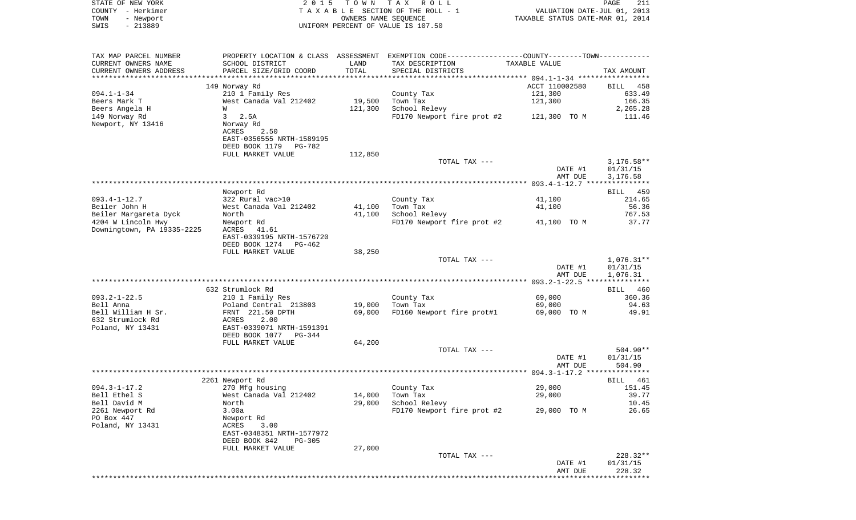|      | STATE OF NEW YORK | 2015 TOWN TAX ROLL                 | 211<br>PAGE                      |
|------|-------------------|------------------------------------|----------------------------------|
|      | COUNTY - Herkimer | TAXABLE SECTION OF THE ROLL - 1    | VALUATION DATE-JUL 01, 2013      |
| TOWN | - Newport         | OWNERS NAME SEOUENCE               | TAXABLE STATUS DATE-MAR 01, 2014 |
| SWIS | $-213889$         | UNIFORM PERCENT OF VALUE IS 107.50 |                                  |

| TAX MAP PARCEL NUMBER                            |                                            |             | PROPERTY LOCATION & CLASS ASSESSMENT EXEMPTION CODE----------------COUNTY-------TOWN---------- |                                          |                 |
|--------------------------------------------------|--------------------------------------------|-------------|------------------------------------------------------------------------------------------------|------------------------------------------|-----------------|
| CURRENT OWNERS NAME                              | SCHOOL DISTRICT                            | LAND        | TAX DESCRIPTION                                                                                | TAXABLE VALUE                            |                 |
| CURRENT OWNERS ADDRESS                           | PARCEL SIZE/GRID COORD                     | TOTAL       | SPECIAL DISTRICTS                                                                              |                                          | TAX AMOUNT      |
|                                                  |                                            | *********** |                                                                                                | ****************** 094.1-1-34 ********** |                 |
|                                                  | 149 Norway Rd                              |             |                                                                                                | ACCT 110002580                           | BILL<br>458     |
| $094.1 - 1 - 34$                                 | 210 1 Family Res                           |             | County Tax                                                                                     | 121,300                                  | 633.49          |
| Beers Mark T                                     | West Canada Val 212402                     | 19,500      | Town Tax                                                                                       | 121,300                                  | 166.35          |
| Beers Angela H                                   | W                                          | 121,300     | School Relevy                                                                                  |                                          | 2,265.28        |
| 149 Norway Rd                                    | $\overline{3}$<br>2.5A                     |             | FD170 Newport fire prot #2                                                                     | 121,300 TO M                             | 111.46          |
| Newport, NY 13416                                | Norway Rd                                  |             |                                                                                                |                                          |                 |
|                                                  | 2.50<br>ACRES                              |             |                                                                                                |                                          |                 |
|                                                  | EAST-0356555 NRTH-1589195                  |             |                                                                                                |                                          |                 |
|                                                  | DEED BOOK 1179<br>PG-782                   |             |                                                                                                |                                          |                 |
|                                                  | FULL MARKET VALUE                          | 112,850     |                                                                                                |                                          |                 |
|                                                  |                                            |             | TOTAL TAX ---                                                                                  |                                          | $3,176.58**$    |
|                                                  |                                            |             |                                                                                                | DATE #1                                  | 01/31/15        |
|                                                  |                                            |             |                                                                                                | AMT DUE                                  | 3,176.58        |
|                                                  |                                            |             |                                                                                                |                                          |                 |
| $093.4 - 1 - 12.7$                               | Newport Rd                                 |             |                                                                                                |                                          | BILL 459        |
| Beiler John H                                    | 322 Rural vac>10<br>West Canada Val 212402 |             | County Tax                                                                                     | 41,100                                   | 214.65          |
|                                                  |                                            | 41,100      | Town Tax                                                                                       | 41,100                                   | 56.36           |
| Beiler Margareta Dyck                            | North                                      | 41,100      | School Relevy                                                                                  |                                          | 767.53<br>37.77 |
| 4204 W Lincoln Hwy<br>Downingtown, PA 19335-2225 | Newport Rd<br>ACRES<br>41.61               |             | FD170 Newport fire prot #2                                                                     | 41,100 TO M                              |                 |
|                                                  | EAST-0339195 NRTH-1576720                  |             |                                                                                                |                                          |                 |
|                                                  | DEED BOOK 1274<br>PG-462                   |             |                                                                                                |                                          |                 |
|                                                  | FULL MARKET VALUE                          | 38,250      |                                                                                                |                                          |                 |
|                                                  |                                            |             | TOTAL TAX ---                                                                                  |                                          | $1,076.31**$    |
|                                                  |                                            |             |                                                                                                | DATE #1                                  | 01/31/15        |
|                                                  |                                            |             |                                                                                                | AMT DUE                                  | 1,076.31        |
|                                                  |                                            |             |                                                                                                |                                          |                 |
|                                                  | 632 Strumlock Rd                           |             |                                                                                                |                                          | BILL 460        |
| $093.2 - 1 - 22.5$                               | 210 1 Family Res                           |             | County Tax                                                                                     | 69,000                                   | 360.36          |
| Bell Anna                                        | Poland Central 213803                      | 19,000      | Town Tax                                                                                       | 69,000                                   | 94.63           |
| Bell William H Sr.                               | FRNT 221.50 DPTH                           | 69,000      | FD160 Newport fire prot#1                                                                      | 69,000 TO M                              | 49.91           |
| 632 Strumlock Rd                                 | ACRES<br>2.00                              |             |                                                                                                |                                          |                 |
| Poland, NY 13431                                 | EAST-0339071 NRTH-1591391                  |             |                                                                                                |                                          |                 |
|                                                  | DEED BOOK 1077<br>PG-344                   |             |                                                                                                |                                          |                 |
|                                                  | FULL MARKET VALUE                          | 64,200      |                                                                                                |                                          |                 |
|                                                  |                                            |             | TOTAL TAX ---                                                                                  |                                          | $504.90**$      |
|                                                  |                                            |             |                                                                                                | DATE #1                                  | 01/31/15        |
|                                                  |                                            |             |                                                                                                | AMT DUE                                  | 504.90          |
|                                                  |                                            |             |                                                                                                |                                          |                 |
|                                                  | 2261 Newport Rd                            |             |                                                                                                |                                          | BILL 461        |
| $094.3 - 1 - 17.2$                               | 270 Mfg housing                            |             | County Tax                                                                                     | 29,000                                   | 151.45          |
| Bell Ethel S                                     | West Canada Val 212402                     | 14,000      | Town Tax                                                                                       | 29,000                                   | 39.77           |
| Bell David M                                     | North                                      | 29,000      | School Relevy                                                                                  |                                          | 10.45           |
| 2261 Newport Rd                                  | 3.00a                                      |             | FD170 Newport fire prot #2                                                                     | 29,000 TO M                              | 26.65           |
| PO Box 447                                       | Newport Rd                                 |             |                                                                                                |                                          |                 |
| Poland, NY 13431                                 | ACRES<br>3.00                              |             |                                                                                                |                                          |                 |
|                                                  | EAST-0348351 NRTH-1577972                  |             |                                                                                                |                                          |                 |
|                                                  | DEED BOOK 842<br>$PG-305$                  |             |                                                                                                |                                          |                 |
|                                                  | FULL MARKET VALUE                          | 27,000      |                                                                                                |                                          |                 |
|                                                  |                                            |             | TOTAL TAX ---                                                                                  |                                          | 228.32**        |
|                                                  |                                            |             |                                                                                                | DATE #1                                  | 01/31/15        |
|                                                  |                                            |             |                                                                                                | AMT DUE                                  | 228.32          |
|                                                  |                                            |             |                                                                                                |                                          |                 |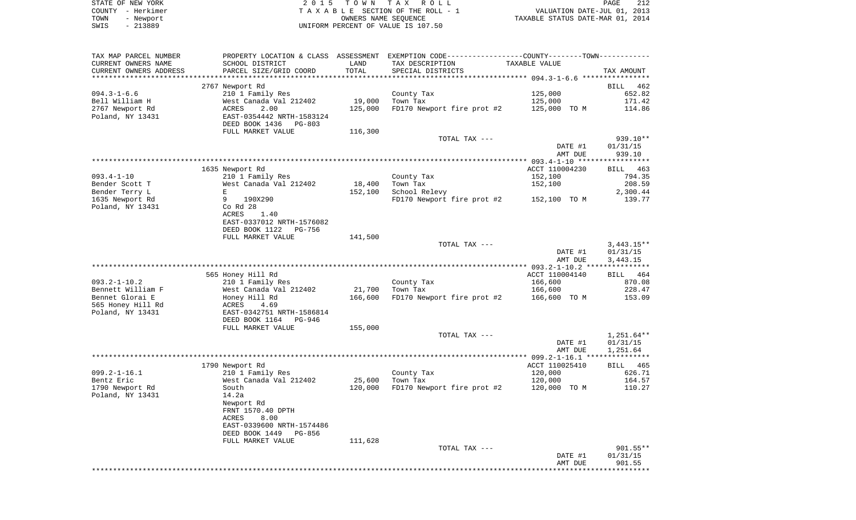|      | STATE OF NEW YORK | 2015 TOWN TAX ROLL                    | PAGE                             | 212 |
|------|-------------------|---------------------------------------|----------------------------------|-----|
|      | COUNTY – Herkimer | T A X A B L E SECTION OF THE ROLL - 1 | VALUATION DATE-JUL 01, 2013      |     |
| TOWN | - Newport         | OWNERS NAME SEOUENCE                  | TAXABLE STATUS DATE-MAR 01, 2014 |     |
| SWIS | $-213889$         | UNIFORM PERCENT OF VALUE IS 107.50    |                                  |     |

| SCHOOL DISTRICT<br>PARCEL SIZE/GRID COORD                                                                                | LAND<br>TOTAL                                                                                                                                                                                            | TAX DESCRIPTION<br>SPECIAL DISTRICTS | TAXABLE VALUE                                                                                                                       | TAX AMOUNT                                                                                                                                                                                                                                                                                                          |
|--------------------------------------------------------------------------------------------------------------------------|----------------------------------------------------------------------------------------------------------------------------------------------------------------------------------------------------------|--------------------------------------|-------------------------------------------------------------------------------------------------------------------------------------|---------------------------------------------------------------------------------------------------------------------------------------------------------------------------------------------------------------------------------------------------------------------------------------------------------------------|
|                                                                                                                          |                                                                                                                                                                                                          |                                      |                                                                                                                                     |                                                                                                                                                                                                                                                                                                                     |
| 210 1 Family Res<br>West Canada Val 212402<br><b>ACRES</b><br>2.00<br>EAST-0354442 NRTH-1583124<br>DEED BOOK 1436 PG-803 |                                                                                                                                                                                                          | County Tax                           | 125,000<br>125,000<br>125,000 TO M                                                                                                  | BILL 462<br>652.82<br>171.42<br>114.86                                                                                                                                                                                                                                                                              |
| FULL MARKET VALUE                                                                                                        | 116,300                                                                                                                                                                                                  |                                      |                                                                                                                                     |                                                                                                                                                                                                                                                                                                                     |
|                                                                                                                          |                                                                                                                                                                                                          |                                      | DATE #1<br>AMT DUE                                                                                                                  | 939.10**<br>01/31/15<br>939.10                                                                                                                                                                                                                                                                                      |
|                                                                                                                          |                                                                                                                                                                                                          |                                      |                                                                                                                                     |                                                                                                                                                                                                                                                                                                                     |
| 210 1 Family Res<br>West Canada Val 212402<br>$\mathbf{E}$                                                               |                                                                                                                                                                                                          | County Tax                           | 152,100<br>152,100                                                                                                                  | BILL 463<br>794.35<br>208.59<br>2,300.44<br>139.77                                                                                                                                                                                                                                                                  |
| Co Rd 28<br>ACRES 1.40<br>EAST-0337012 NRTH-1576082<br>DEED BOOK 1122 PG-756                                             |                                                                                                                                                                                                          |                                      |                                                                                                                                     |                                                                                                                                                                                                                                                                                                                     |
|                                                                                                                          |                                                                                                                                                                                                          |                                      |                                                                                                                                     | $3,443.15**$                                                                                                                                                                                                                                                                                                        |
|                                                                                                                          |                                                                                                                                                                                                          |                                      | DATE #1<br>AMT DUE                                                                                                                  | 01/31/15<br>3,443.15                                                                                                                                                                                                                                                                                                |
|                                                                                                                          |                                                                                                                                                                                                          |                                      |                                                                                                                                     | BILL 464                                                                                                                                                                                                                                                                                                            |
| 210 1 Family Res<br>West Canada Val 212402<br>Honey Hill Rd<br>ACRES 4.69                                                |                                                                                                                                                                                                          | County Tax                           | 166,600<br>166,600<br>166,600 TO M                                                                                                  | 870.08<br>228.47<br>153.09                                                                                                                                                                                                                                                                                          |
| DEED BOOK 1164 PG-946                                                                                                    |                                                                                                                                                                                                          |                                      |                                                                                                                                     |                                                                                                                                                                                                                                                                                                                     |
|                                                                                                                          |                                                                                                                                                                                                          | TOTAL TAX ---                        | DATE #1<br>AMT DUE                                                                                                                  | $1,251.64**$<br>01/31/15<br>1,251.64                                                                                                                                                                                                                                                                                |
|                                                                                                                          |                                                                                                                                                                                                          |                                      |                                                                                                                                     |                                                                                                                                                                                                                                                                                                                     |
| 210 1 Family Res<br>West Canada Val 212402<br>South<br>14.2a<br>Newport Rd                                               |                                                                                                                                                                                                          | County Tax                           | 120,000<br>120,000<br>120,000 TO M                                                                                                  | <b>BILL</b> 465<br>626.71<br>164.57<br>110.27                                                                                                                                                                                                                                                                       |
| ACRES<br>8.00<br>EAST-0339600 NRTH-1574486<br>DEED BOOK 1449 PG-856                                                      |                                                                                                                                                                                                          |                                      |                                                                                                                                     |                                                                                                                                                                                                                                                                                                                     |
|                                                                                                                          |                                                                                                                                                                                                          | TOTAL TAX ---                        | DATE #1                                                                                                                             | 901.55**<br>01/31/15                                                                                                                                                                                                                                                                                                |
|                                                                                                                          | 2767 Newport Rd<br>1635 Newport Rd<br>9 190X290<br>FULL MARKET VALUE<br>565 Honey Hill Rd<br>EAST-0342751 NRTH-1586814<br>FULL MARKET VALUE<br>1790 Newport Rd<br>FRNT 1570.40 DPTH<br>FULL MARKET VALUE | 141,500<br>155,000<br>111,628        | 19,000 Town Tax<br>TOTAL TAX ---<br>18,400 Town Tax<br>152,100 School Relevy<br>TOTAL TAX ---<br>21,700 Town Tax<br>25,600 Town Tax | PROPERTY LOCATION & CLASS ASSESSMENT EXEMPTION CODE----------------COUNTY--------TOWN-----------<br>125,000 FD170 Newport fire prot #2<br>ACCT 110004230<br>FD170 Newport fire prot #2 152,100 TO M<br>ACCT 110004140<br>166,600 FD170 Newport fire prot #2<br>ACCT 110025410<br>120,000 FD170 Newport fire prot #2 |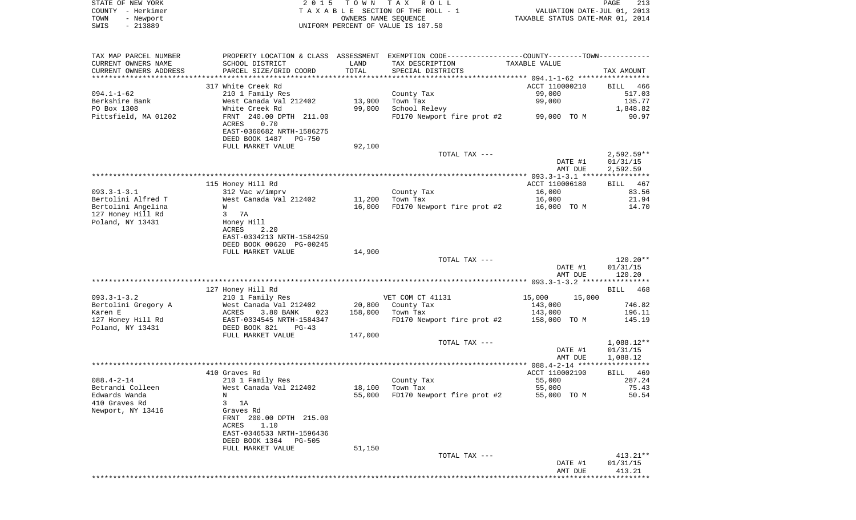|      | STATE OF NEW YORK | 2015 TOWN TAX ROLL                 | 213<br>PAGE                      |
|------|-------------------|------------------------------------|----------------------------------|
|      | COUNTY - Herkimer | TAXABLE SECTION OF THE ROLL - 1    | VALUATION DATE-JUL 01, 2013      |
| TOWN | - Newport         | OWNERS NAME SEOUENCE               | TAXABLE STATUS DATE-MAR 01, 2014 |
| SWIS | - 213889          | UNIFORM PERCENT OF VALUE IS 107.50 |                                  |

| TAX MAP PARCEL NUMBER  |                                           |               | PROPERTY LOCATION & CLASS ASSESSMENT EXEMPTION CODE----------------COUNTY-------TOWN---------- |                  |                      |
|------------------------|-------------------------------------------|---------------|------------------------------------------------------------------------------------------------|------------------|----------------------|
| CURRENT OWNERS NAME    | SCHOOL DISTRICT<br>PARCEL SIZE/GRID COORD | LAND<br>TOTAL | TAX DESCRIPTION                                                                                | TAXABLE VALUE    |                      |
| CURRENT OWNERS ADDRESS |                                           |               | SPECIAL DISTRICTS                                                                              |                  | TAX AMOUNT           |
|                        | 317 White Creek Rd                        |               |                                                                                                | ACCT 110000210   | <b>BILL</b><br>466   |
| $094.1 - 1 - 62$       | 210 1 Family Res                          |               | County Tax                                                                                     | 99,000           | 517.03               |
| Berkshire Bank         | West Canada Val 212402                    | 13,900        | Town Tax                                                                                       | 99,000           | 135.77               |
| PO Box 1308            | White Creek Rd                            | 99,000        | School Relevy                                                                                  |                  | 1,848.82             |
| Pittsfield, MA 01202   | FRNT 240.00 DPTH 211.00                   |               | FD170 Newport fire prot #2                                                                     | 99,000 TO M      | 90.97                |
|                        | 0.70<br>ACRES                             |               |                                                                                                |                  |                      |
|                        | EAST-0360682 NRTH-1586275                 |               |                                                                                                |                  |                      |
|                        | DEED BOOK 1487<br>PG-750                  |               |                                                                                                |                  |                      |
|                        | FULL MARKET VALUE                         | 92,100        |                                                                                                |                  |                      |
|                        |                                           |               | TOTAL TAX ---                                                                                  |                  | $2,592.59**$         |
|                        |                                           |               |                                                                                                | DATE #1          | 01/31/15             |
|                        |                                           |               |                                                                                                | AMT DUE          | 2,592.59             |
|                        |                                           |               |                                                                                                |                  |                      |
|                        | 115 Honey Hill Rd                         |               |                                                                                                | ACCT 110006180   | BILL 467             |
| $093.3 - 1 - 3.1$      | 312 Vac w/imprv                           |               | County Tax                                                                                     | 16,000           | 83.56                |
| Bertolini Alfred T     | West Canada Val 212402                    | 11,200        | Town Tax                                                                                       | 16,000           | 21.94                |
| Bertolini Angelina     | W                                         | 16,000        | FD170 Newport fire prot #2                                                                     | 16,000 TO M      | 14.70                |
| 127 Honey Hill Rd      | 7A<br>3                                   |               |                                                                                                |                  |                      |
| Poland, NY 13431       | Honey Hill                                |               |                                                                                                |                  |                      |
|                        | ACRES<br>2.20                             |               |                                                                                                |                  |                      |
|                        | EAST-0334213 NRTH-1584259                 |               |                                                                                                |                  |                      |
|                        | DEED BOOK 00620 PG-00245                  |               |                                                                                                |                  |                      |
|                        | FULL MARKET VALUE                         | 14,900        |                                                                                                |                  |                      |
|                        |                                           |               | TOTAL TAX ---                                                                                  |                  | 120.20**             |
|                        |                                           |               |                                                                                                | DATE #1          | 01/31/15             |
|                        |                                           |               |                                                                                                | AMT DUE          | 120.20               |
|                        |                                           |               |                                                                                                |                  | ***********          |
|                        | 127 Honey Hill Rd                         |               |                                                                                                |                  | <b>BILL</b><br>468   |
| $093.3 - 1 - 3.2$      | 210 1 Family Res                          |               | VET COM CT 41131                                                                               | 15,000<br>15,000 |                      |
| Bertolini Gregory A    | West Canada Val 212402                    | 20,800        | County Tax                                                                                     | 143,000          | 746.82               |
| Karen E                | ACRES<br>3.80 BANK<br>023                 | 158,000       | Town Tax                                                                                       | 143,000          | 196.11               |
| 127 Honey Hill Rd      | EAST-0334545 NRTH-1584347                 |               | FD170 Newport fire prot #2                                                                     | 158,000 TO M     | 145.19               |
| Poland, NY 13431       | DEED BOOK 821<br>$PG-43$                  |               |                                                                                                |                  |                      |
|                        | FULL MARKET VALUE                         | 147,000       |                                                                                                |                  |                      |
|                        |                                           |               | TOTAL TAX ---                                                                                  |                  | $1,088.12**$         |
|                        |                                           |               |                                                                                                | DATE #1          | 01/31/15<br>1,088.12 |
|                        |                                           |               |                                                                                                | AMT DUE          |                      |
|                        | 410 Graves Rd                             |               |                                                                                                | ACCT 110002190   | BILL 469             |
| $088.4 - 2 - 14$       | 210 1 Family Res                          |               | County Tax                                                                                     | 55,000           | 287.24               |
| Betrandi Colleen       | West Canada Val 212402                    | 18,100        | Town Tax                                                                                       | 55,000           | 75.43                |
| Edwards Wanda          | N                                         | 55,000        | FD170 Newport fire prot #2                                                                     | 55,000 TO M      | 50.54                |
| 410 Graves Rd          | $\overline{3}$<br>1A                      |               |                                                                                                |                  |                      |
| Newport, NY 13416      | Graves Rd                                 |               |                                                                                                |                  |                      |
|                        | FRNT 200.00 DPTH 215.00                   |               |                                                                                                |                  |                      |
|                        | ACRES<br>1.10                             |               |                                                                                                |                  |                      |
|                        | EAST-0346533 NRTH-1596436                 |               |                                                                                                |                  |                      |
|                        | DEED BOOK 1364<br>PG-505                  |               |                                                                                                |                  |                      |
|                        | FULL MARKET VALUE                         | 51,150        |                                                                                                |                  |                      |
|                        |                                           |               | TOTAL TAX ---                                                                                  |                  | $413.21**$           |
|                        |                                           |               |                                                                                                | DATE #1          | 01/31/15             |
|                        |                                           |               |                                                                                                | AMT DUE          | 413.21               |
|                        |                                           |               |                                                                                                |                  |                      |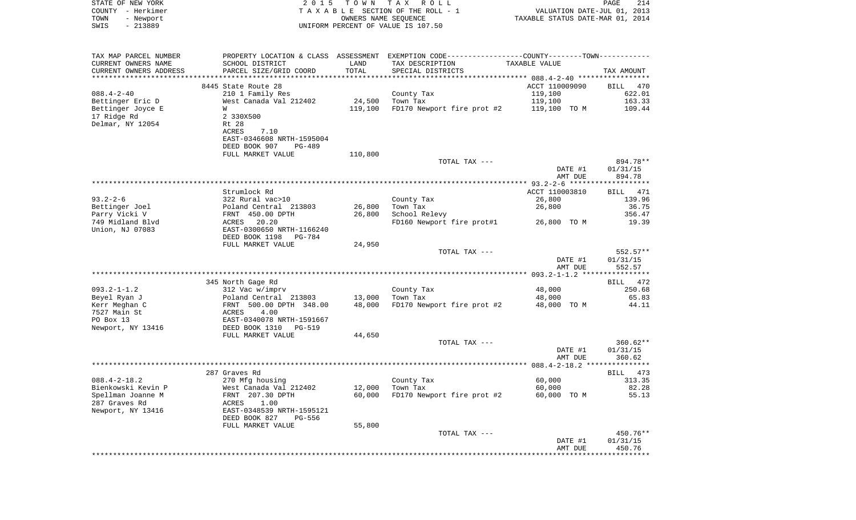| STATE OF NEW YORK<br>COUNTY - Herkimer | 2015 TOWN<br>T A X<br>R O L L<br>TAXABLE SECTION OF THE ROLL - 1 |                      | PAGE<br>214<br>VALUATION DATE-JUL 01, 2013                  |                                  |                        |
|----------------------------------------|------------------------------------------------------------------|----------------------|-------------------------------------------------------------|----------------------------------|------------------------|
| TOWN<br>- Newport                      |                                                                  | OWNERS NAME SEOUENCE |                                                             | TAXABLE STATUS DATE-MAR 01, 2014 |                        |
| $-213889$<br>SWIS                      |                                                                  |                      | UNIFORM PERCENT OF VALUE IS 107.50                          |                                  |                        |
|                                        |                                                                  |                      |                                                             |                                  |                        |
| TAX MAP PARCEL NUMBER                  | PROPERTY LOCATION & CLASS ASSESSMENT                             |                      | EXEMPTION CODE-----------------COUNTY-------TOWN----------- |                                  |                        |
| CURRENT OWNERS NAME                    | SCHOOL DISTRICT                                                  | LAND                 | TAX DESCRIPTION                                             | TAXABLE VALUE                    |                        |
| CURRENT OWNERS ADDRESS                 | PARCEL SIZE/GRID COORD                                           | TOTAL                | SPECIAL DISTRICTS                                           |                                  | TAX AMOUNT             |
|                                        |                                                                  |                      |                                                             |                                  |                        |
|                                        | 8445 State Route 28                                              |                      |                                                             | ACCT 110009090                   | BILL 470               |
| $088.4 - 2 - 40$                       | 210 1 Family Res                                                 |                      | County Tax                                                  | 119,100                          | 622.01                 |
| Bettinger Eric D                       | West Canada Val 212402                                           | 24,500               | Town Tax                                                    | 119,100                          | 163.33                 |
| Bettinger Joyce E                      | W                                                                | 119,100              | FD170 Newport fire prot #2                                  | 119,100 TO M                     | 109.44                 |
| 17 Ridge Rd                            | 2 330X500                                                        |                      |                                                             |                                  |                        |
| Delmar, NY 12054                       | Rt 28                                                            |                      |                                                             |                                  |                        |
|                                        | <b>ACRES</b><br>7.10                                             |                      |                                                             |                                  |                        |
|                                        | EAST-0346608 NRTH-1595004                                        |                      |                                                             |                                  |                        |
|                                        | DEED BOOK 907<br>$PG-489$                                        |                      |                                                             |                                  |                        |
|                                        | FULL MARKET VALUE                                                | 110,800              | TOTAL TAX ---                                               |                                  | 894.78**               |
|                                        |                                                                  |                      |                                                             | DATE #1                          | 01/31/15               |
|                                        |                                                                  |                      |                                                             | AMT DUE                          | 894.78                 |
|                                        |                                                                  |                      |                                                             |                                  |                        |
|                                        | Strumlock Rd                                                     |                      |                                                             | ACCT 110003810                   | BILL<br>471            |
| $93.2 - 2 - 6$                         | 322 Rural vac>10                                                 |                      | County Tax                                                  | 26,800                           | 139.96                 |
| Bettinger Joel                         | Poland Central 213803                                            | 26,800               | Town Tax                                                    | 26,800                           | 36.75                  |
| Parry Vicki V                          | FRNT 450.00 DPTH                                                 | 26,800               | School Relevy                                               |                                  | 356.47                 |
| 749 Midland Blvd                       | 20.20<br>ACRES                                                   |                      | FD160 Newport fire prot#1                                   | 26,800 TO M                      | 19.39                  |
| Union, NJ 07083                        | EAST-0300650 NRTH-1166240                                        |                      |                                                             |                                  |                        |
|                                        | DEED BOOK 1198<br>PG-784                                         |                      |                                                             |                                  |                        |
|                                        | FULL MARKET VALUE                                                | 24,950               |                                                             |                                  |                        |
|                                        |                                                                  |                      | TOTAL TAX ---                                               |                                  | $552.57**$             |
|                                        |                                                                  |                      |                                                             | DATE #1                          | 01/31/15               |
|                                        |                                                                  |                      |                                                             | AMT DUE                          | 552.57                 |
|                                        |                                                                  |                      |                                                             |                                  |                        |
| $093.2 - 1 - 1.2$                      | 345 North Gage Rd                                                |                      |                                                             |                                  | BILL<br>472            |
| Boyal Pyran J                          | 312 Vac w/imprv<br>Doland Central 213803                         |                      | County Tax<br>$13,000$ Town Tay                             | 48,000<br>48 000                 | 250.68<br><b>65 83</b> |

| $093.2 - 1 - 1.2$  | 312 Vac w/imprv           |        | County Tax                 | 48,000                             | 250.68      |
|--------------------|---------------------------|--------|----------------------------|------------------------------------|-------------|
| Beyel Ryan J       | Poland Central 213803     | 13,000 | Town Tax                   | 48,000                             | 65.83       |
| Kerr Meghan C      | FRNT 500.00 DPTH 348.00   | 48,000 | FD170 Newport fire prot #2 | 48,000<br>TO M                     | 44.11       |
| 7527 Main St       | 4.00<br>ACRES             |        |                            |                                    |             |
| PO Box 13          | EAST-0340078 NRTH-1591667 |        |                            |                                    |             |
| Newport, NY 13416  | DEED BOOK 1310<br>PG-519  |        |                            |                                    |             |
|                    | FULL MARKET VALUE         | 44,650 |                            |                                    |             |
|                    |                           |        | TOTAL TAX ---              |                                    | $360.62**$  |
|                    |                           |        |                            | DATE #1                            | 01/31/15    |
|                    |                           |        |                            | AMT DUE                            | 360.62      |
|                    |                           |        |                            | $088.4 - 2 - 18.2$ *************** |             |
|                    | 287 Graves Rd             |        |                            |                                    | 473<br>BILL |
| $088.4 - 2 - 18.2$ | 270 Mfg housing           |        | County Tax                 | 60,000                             | 313.35      |
| Bienkowski Kevin P | West Canada Val 212402    | 12,000 | Town Tax                   | 60,000                             | 82.28       |
| Spellman Joanne M  | FRNT 207.30 DPTH          | 60,000 | FD170 Newport fire prot #2 | 60,000<br>TO M                     | 55.13       |
| 287 Graves Rd      | 1.00<br>ACRES             |        |                            |                                    |             |
| Newport, NY 13416  | EAST-0348539 NRTH-1595121 |        |                            |                                    |             |
|                    | DEED BOOK 827<br>PG-556   |        |                            |                                    |             |
|                    | FULL MARKET VALUE         | 55,800 |                            |                                    |             |
|                    |                           |        | TOTAL TAX ---              |                                    | 450.76**    |
|                    |                           |        |                            | DATE #1                            | 01/31/15    |
|                    |                           |        |                            | AMT DUE                            | 450.76      |
|                    |                           |        |                            |                                    |             |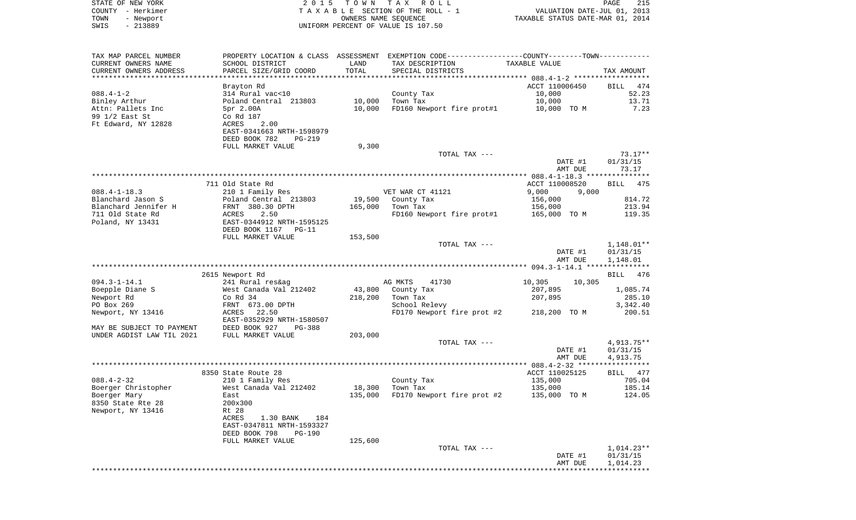| STATE OF NEW YORK      | 2015                      | T O W N    | тах<br>R O L L                     |                                                              | 215<br>PAGE                      |  |
|------------------------|---------------------------|------------|------------------------------------|--------------------------------------------------------------|----------------------------------|--|
| – Herkimer<br>COUNTY   |                           |            | TAXABLE SECTION OF THE ROLL - 1    |                                                              | VALUATION DATE-JUL 01, 2013      |  |
| TOWN<br>- Newport      |                           |            | OWNERS NAME SEOUENCE               |                                                              | TAXABLE STATUS DATE-MAR 01, 2014 |  |
| $-213889$<br>SWIS      |                           |            | UNIFORM PERCENT OF VALUE IS 107.50 |                                                              |                                  |  |
|                        |                           |            |                                    |                                                              |                                  |  |
|                        |                           |            |                                    |                                                              |                                  |  |
| TAX MAP PARCEL NUMBER  | PROPERTY LOCATION & CLASS | ASSESSMENT |                                    | EXEMPTION CODE-----------------COUNTY-------TOWN------------ |                                  |  |
| CURRENT OWNERS NAME    | SCHOOL DISTRICT           | LAND       | TAX DESCRIPTION                    | TAXABLE VALUE                                                |                                  |  |
|                        |                           |            |                                    |                                                              |                                  |  |
| CURRENT OWNERS ADDRESS | PARCEL SIZE/GRID COORD    | TOTAL      | SPECIAL DISTRICTS                  |                                                              | TAX AMOUNT                       |  |
|                        |                           |            |                                    |                                                              |                                  |  |
|                        | Brayton Rd                |            |                                    | ACCT 110006450                                               | 474<br>BILL                      |  |
| $088.4 - 1 - 2$        | 314 Rural vac<10          |            | County Tax                         | 10,000                                                       | 52.23                            |  |
| Binley Arthur          | Poland Central 213803     | 10,000     | Town Tax                           | 10,000                                                       | 13.71                            |  |
|                        |                           |            |                                    |                                                              |                                  |  |

| Attn: Pallets Inc<br>99 1/2 East St<br>Ft Edward, NY 12828 | 5pr 2.00A<br>Co Rd 187<br>ACRES<br>2.00<br>EAST-0341663 NRTH-1598979 | 10,000  | FD160 Newport fire prot#1  | 10,000 TO M    | 7.23                  |
|------------------------------------------------------------|----------------------------------------------------------------------|---------|----------------------------|----------------|-----------------------|
|                                                            | DEED BOOK 782<br>$PG-219$                                            |         |                            |                |                       |
|                                                            | FULL MARKET VALUE                                                    | 9,300   |                            |                |                       |
|                                                            |                                                                      |         | TOTAL TAX ---              | DATE #1        | $73.17**$<br>01/31/15 |
|                                                            |                                                                      |         |                            | AMT DUE        | 73.17                 |
|                                                            | 711 Old State Rd                                                     |         |                            | ACCT 110008520 | <b>BILL</b><br>475    |
| $088.4 - 1 - 18.3$                                         | 210 1 Family Res                                                     |         | VET WAR CT 41121           | 9,000          | 9,000                 |
| Blanchard Jason S                                          | Poland Central 213803                                                | 19,500  | County Tax                 | 156,000        | 814.72                |
| Blanchard Jennifer H                                       | FRNT 380.30 DPTH                                                     | 165,000 | Town Tax                   | 156,000        | 213.94                |
| 711 Old State Rd                                           | 2.50<br>ACRES                                                        |         | FD160 Newport fire prot#1  | 165,000 TO M   | 119.35                |
| Poland, NY 13431                                           | EAST-0344912 NRTH-1595125                                            |         |                            |                |                       |
|                                                            | DEED BOOK 1167<br>$PG-11$                                            |         |                            |                |                       |
|                                                            | FULL MARKET VALUE                                                    | 153,500 |                            |                |                       |
|                                                            |                                                                      |         | TOTAL TAX ---              |                | 1,148.01**            |
|                                                            |                                                                      |         |                            | DATE #1        | 01/31/15              |
|                                                            |                                                                      |         |                            | AMT DUE        | 1,148.01              |
|                                                            |                                                                      |         |                            |                |                       |
|                                                            | 2615 Newport Rd                                                      |         |                            |                | BILL<br>476           |
| $094.3 - 1 - 14.1$                                         | 241 Rural res&ag                                                     |         | AG MKTS<br>41730           | 10,305         | 10,305                |
| Boepple Diane S                                            | West Canada Val 212402                                               | 43,800  | County Tax                 | 207,895        | 1,085.74              |
| Newport Rd                                                 | Co Rd 34                                                             | 218,200 | Town Tax                   | 207,895        | 285.10                |
| PO Box 269                                                 | FRNT 673.00 DPTH                                                     |         | School Relevy              |                | 3,342.40              |
| Newport, NY 13416                                          | 22.50<br>ACRES                                                       |         | FD170 Newport fire prot #2 | 218,200 TO M   | 200.51                |
|                                                            | EAST-0352929 NRTH-1580507                                            |         |                            |                |                       |
| MAY BE SUBJECT TO PAYMENT                                  | DEED BOOK 927<br>$PG-388$                                            |         |                            |                |                       |
| UNDER AGDIST LAW TIL 2021                                  | FULL MARKET VALUE                                                    | 203,000 |                            |                |                       |
|                                                            |                                                                      |         | TOTAL TAX ---              |                | 4,913.75**            |
|                                                            |                                                                      |         |                            | DATE #1        | 01/31/15              |
|                                                            |                                                                      |         |                            | AMT DUE        | 4,913.75              |
|                                                            |                                                                      |         |                            |                |                       |
|                                                            | 8350 State Route 28                                                  |         |                            | ACCT 110025125 | BILL 477              |
| $088.4 - 2 - 32$                                           | 210 1 Family Res                                                     |         | County Tax                 | 135,000        | 705.04                |
| Boerger Christopher                                        | West Canada Val 212402                                               | 18,300  | Town Tax                   | 135,000        | 185.14                |
| Boerger Mary                                               | East                                                                 | 135,000 | FD170 Newport fire prot #2 | 135,000 TO M   | 124.05                |
| 8350 State Rte 28                                          | 200x300                                                              |         |                            |                |                       |
| Newport, NY 13416                                          | Rt 28                                                                |         |                            |                |                       |
|                                                            | ACRES<br>1.30 BANK<br>184                                            |         |                            |                |                       |
|                                                            | EAST-0347811 NRTH-1593327<br>DEED BOOK 798<br>$PG-190$               |         |                            |                |                       |
|                                                            |                                                                      |         |                            |                |                       |
|                                                            | FULL MARKET VALUE                                                    | 125,600 |                            |                | $1,014.23**$          |
|                                                            |                                                                      |         | TOTAL TAX ---              | DATE #1        | 01/31/15              |
|                                                            |                                                                      |         |                            |                |                       |

AMT DUE 1,014.23 \*\*\*\*\*\*\*\*\*\*\*\*\*\*\*\*\*\*\*\*\*\*\*\*\*\*\*\*\*\*\*\*\*\*\*\*\*\*\*\*\*\*\*\*\*\*\*\*\*\*\*\*\*\*\*\*\*\*\*\*\*\*\*\*\*\*\*\*\*\*\*\*\*\*\*\*\*\*\*\*\*\*\*\*\*\*\*\*\*\*\*\*\*\*\*\*\*\*\*\*\*\*\*\*\*\*\*\*\*\*\*\*\*\*\*\*\*\*\*\*\*\*\*\*\*\*\*\*\*\*\*\*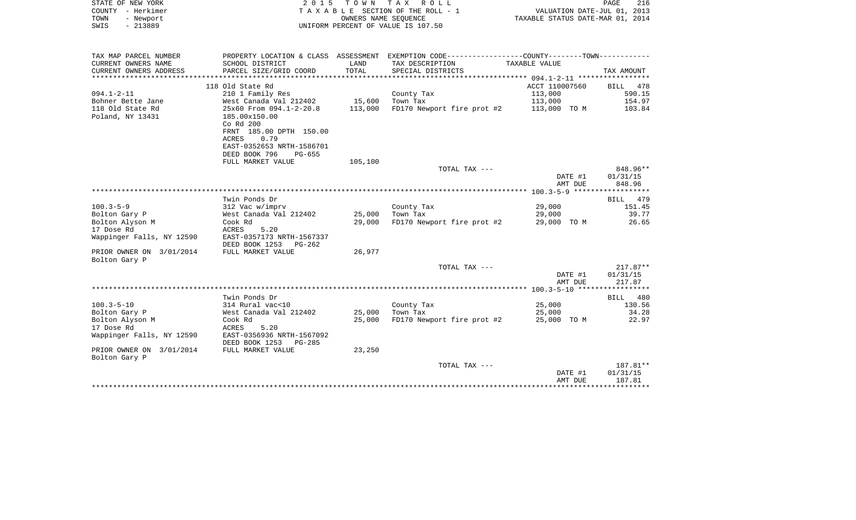|      | STATE OF NEW YORK | 2015 TOWN TAX ROLL                 |                                  | PAGE | 216 |
|------|-------------------|------------------------------------|----------------------------------|------|-----|
|      | COUNTY - Herkimer | TAXABLE SECTION OF THE ROLL - 1    | VALUATION DATE-JUL 01, 2013      |      |     |
| TOWN | - Newport         | OWNERS NAME SEOUENCE               | TAXABLE STATUS DATE-MAR 01, 2014 |      |     |
| SWIS | - 213889          | UNIFORM PERCENT OF VALUE IS 107.50 |                                  |      |     |
|      |                   |                                    |                                  |      |     |
|      |                   |                                    |                                  |      |     |

| TAX MAP PARCEL NUMBER     |                           |         | PROPERTY LOCATION & CLASS ASSESSMENT EXEMPTION CODE----------------COUNTY--------TOWN----------- |                |            |
|---------------------------|---------------------------|---------|--------------------------------------------------------------------------------------------------|----------------|------------|
| CURRENT OWNERS NAME       | SCHOOL DISTRICT           | LAND    | TAX DESCRIPTION                                                                                  | TAXABLE VALUE  |            |
| CURRENT OWNERS ADDRESS    | PARCEL SIZE/GRID COORD    | TOTAL   | SPECIAL DISTRICTS                                                                                |                | TAX AMOUNT |
|                           |                           |         |                                                                                                  |                |            |
|                           | 118 Old State Rd          |         |                                                                                                  | ACCT 110007560 | BILL 478   |
| $094.1 - 2 - 11$          | 210 1 Family Res          |         | County Tax                                                                                       | 113,000        | 590.15     |
| Bohner Bette Jane         | West Canada Val 212402    | 15,600  | Town Tax                                                                                         | 113,000        | 154.97     |
| 118 Old State Rd          | 25x60 From 094.1-2-20.8   | 113,000 | FD170 Newport fire prot #2 113,000 TO M                                                          |                | 103.84     |
| Poland, NY 13431          | 185.00x150.00             |         |                                                                                                  |                |            |
|                           | Co Rd 200                 |         |                                                                                                  |                |            |
|                           | FRNT 185.00 DPTH 150.00   |         |                                                                                                  |                |            |
|                           |                           |         |                                                                                                  |                |            |
|                           | ACRES<br>0.79             |         |                                                                                                  |                |            |
|                           | EAST-0352653 NRTH-1586701 |         |                                                                                                  |                |            |
|                           | DEED BOOK 796<br>PG-655   |         |                                                                                                  |                |            |
|                           | FULL MARKET VALUE         | 105,100 |                                                                                                  |                |            |
|                           |                           |         | TOTAL TAX ---                                                                                    |                | 848.96**   |
|                           |                           |         |                                                                                                  | DATE #1        | 01/31/15   |
|                           |                           |         |                                                                                                  | AMT DUE        | 848.96     |
|                           |                           |         |                                                                                                  |                |            |
|                           | Twin Ponds Dr             |         |                                                                                                  |                | BILL 479   |
| $100.3 - 5 - 9$           | 312 Vac w/imprv           |         | County Tax                                                                                       | 29,000         | 151.45     |
| Bolton Gary P             | West Canada Val 212402    | 25,000  | Town Tax                                                                                         | 29,000         | 39.77      |
| Bolton Alyson M           | Cook Rd                   | 29,000  | FD170 Newport fire prot #2                                                                       | 29,000 TO M    | 26.65      |
| 17 Dose Rd                | ACRES<br>5.20             |         |                                                                                                  |                |            |
| Wappinger Falls, NY 12590 | EAST-0357173 NRTH-1567337 |         |                                                                                                  |                |            |
|                           | DEED BOOK 1253 PG-262     |         |                                                                                                  |                |            |
| PRIOR OWNER ON 3/01/2014  | FULL MARKET VALUE         | 26,977  |                                                                                                  |                |            |
| Bolton Gary P             |                           |         |                                                                                                  |                |            |
|                           |                           |         | TOTAL TAX ---                                                                                    |                | $217.87**$ |
|                           |                           |         |                                                                                                  | DATE #1        | 01/31/15   |
|                           |                           |         |                                                                                                  | AMT DUE        |            |
|                           |                           |         |                                                                                                  |                | 217.87     |
|                           |                           |         |                                                                                                  |                |            |
|                           | Twin Ponds Dr             |         |                                                                                                  |                | BILL 480   |
| $100.3 - 5 - 10$          | 314 Rural vac<10          |         | County Tax                                                                                       | 25,000         | 130.56     |
| Bolton Gary P             | West Canada Val 212402    | 25,000  | Town Tax                                                                                         | 25,000         | 34.28      |
| Bolton Alyson M           | Cook Rd                   | 25,000  | FD170 Newport fire prot #2                                                                       | 25,000 TO M    | 22.97      |
| 17 Dose Rd                | ACRES<br>5.20             |         |                                                                                                  |                |            |
| Wappinger Falls, NY 12590 | EAST-0356936 NRTH-1567092 |         |                                                                                                  |                |            |
|                           | DEED BOOK 1253 PG-285     |         |                                                                                                  |                |            |
| PRIOR OWNER ON 3/01/2014  | FULL MARKET VALUE         | 23,250  |                                                                                                  |                |            |
| Bolton Gary P             |                           |         |                                                                                                  |                |            |
|                           |                           |         | TOTAL TAX ---                                                                                    |                | 187.81**   |
|                           |                           |         |                                                                                                  | DATE #1        | 01/31/15   |
|                           |                           |         |                                                                                                  | AMT DUE        | 187.81     |
|                           |                           |         |                                                                                                  |                |            |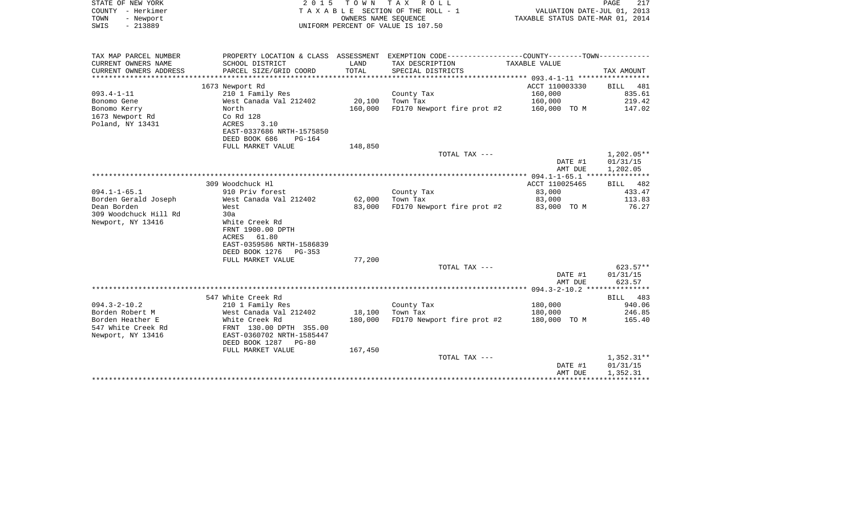| STATE OF NEW YORK<br>COUNTY - Herkimer<br>TOWN<br>- Newport<br>$-213889$<br>SWIS | 2 0 1 5                                                | T O W N | T A X<br>R O L L<br>TAXABLE SECTION OF THE ROLL - 1<br>OWNERS NAME SEOUENCE<br>UNIFORM PERCENT OF VALUE IS 107.50 | VALUATION DATE-JUL 01, 2013<br>TAXABLE STATUS DATE-MAR 01, 2014 | PAGE<br>217              |
|----------------------------------------------------------------------------------|--------------------------------------------------------|---------|-------------------------------------------------------------------------------------------------------------------|-----------------------------------------------------------------|--------------------------|
|                                                                                  |                                                        |         |                                                                                                                   |                                                                 |                          |
| TAX MAP PARCEL NUMBER                                                            |                                                        |         | PROPERTY LOCATION & CLASS ASSESSMENT EXEMPTION CODE---------------COUNTY-------TOWN----------                     |                                                                 |                          |
| CURRENT OWNERS NAME                                                              | SCHOOL DISTRICT                                        | LAND    | TAX DESCRIPTION                                                                                                   | TAXABLE VALUE                                                   |                          |
| CURRENT OWNERS ADDRESS                                                           | PARCEL SIZE/GRID COORD                                 | TOTAL   | SPECIAL DISTRICTS                                                                                                 |                                                                 | TAX AMOUNT               |
|                                                                                  | 1673 Newport Rd                                        |         |                                                                                                                   | ACCT 110003330                                                  | BILL<br>481              |
| $093.4 - 1 - 11$                                                                 | 210 1 Family Res                                       |         | County Tax                                                                                                        | 160,000                                                         | 835.61                   |
| Bonomo Gene                                                                      | West Canada Val 212402                                 | 20,100  | Town Tax                                                                                                          | 160,000                                                         | 219.42                   |
| Bonomo Kerry                                                                     | North                                                  | 160,000 | FD170 Newport fire prot #2                                                                                        | 160,000 TO M                                                    | 147.02                   |
| 1673 Newport Rd                                                                  | Co Rd 128                                              |         |                                                                                                                   |                                                                 |                          |
| Poland, NY 13431                                                                 | 3.10<br>ACRES                                          |         |                                                                                                                   |                                                                 |                          |
|                                                                                  | EAST-0337686 NRTH-1575850                              |         |                                                                                                                   |                                                                 |                          |
|                                                                                  | DEED BOOK 686<br>$PG-164$                              |         |                                                                                                                   |                                                                 |                          |
|                                                                                  | FULL MARKET VALUE                                      | 148,850 |                                                                                                                   |                                                                 |                          |
|                                                                                  |                                                        |         | TOTAL TAX ---                                                                                                     |                                                                 | $1,202.05**$             |
|                                                                                  |                                                        |         |                                                                                                                   | DATE #1<br>AMT DUE                                              | 01/31/15<br>1,202.05     |
|                                                                                  |                                                        |         |                                                                                                                   |                                                                 |                          |
|                                                                                  | 309 Woodchuck Hl                                       |         |                                                                                                                   | ACCT 110025465                                                  | BILL 482                 |
| $094.1 - 1 - 65.1$                                                               | 910 Priv forest                                        |         | County Tax                                                                                                        | 83,000                                                          | 433.47                   |
| Borden Gerald Joseph                                                             | West Canada Val 212402                                 | 62,000  | Town Tax                                                                                                          | 83,000                                                          | 113.83                   |
| Dean Borden                                                                      | West                                                   | 83,000  | FD170 Newport fire prot #2                                                                                        | 83,000 TO M                                                     | 76.27                    |
| 309 Woodchuck Hill Rd                                                            | 30a                                                    |         |                                                                                                                   |                                                                 |                          |
| Newport, NY 13416                                                                | White Creek Rd                                         |         |                                                                                                                   |                                                                 |                          |
|                                                                                  | FRNT 1900.00 DPTH                                      |         |                                                                                                                   |                                                                 |                          |
|                                                                                  | 61.80<br>ACRES                                         |         |                                                                                                                   |                                                                 |                          |
|                                                                                  | EAST-0359586 NRTH-1586839<br>DEED BOOK 1276<br>PG-353  |         |                                                                                                                   |                                                                 |                          |
|                                                                                  | FULL MARKET VALUE                                      | 77,200  |                                                                                                                   |                                                                 |                          |
|                                                                                  |                                                        |         | TOTAL TAX ---                                                                                                     |                                                                 | 623.57**                 |
|                                                                                  |                                                        |         |                                                                                                                   | DATE #1                                                         | 01/31/15                 |
|                                                                                  |                                                        |         |                                                                                                                   | AMT DUE                                                         | 623.57                   |
|                                                                                  |                                                        |         |                                                                                                                   |                                                                 |                          |
|                                                                                  | 547 White Creek Rd                                     |         |                                                                                                                   |                                                                 | BILL 483                 |
| $094.3 - 2 - 10.2$                                                               | 210 1 Family Res                                       |         | County Tax                                                                                                        | 180,000                                                         | 940.06                   |
| Borden Robert M                                                                  | West Canada Val 212402                                 | 18,100  | Town Tax                                                                                                          | 180,000                                                         | 246.85                   |
| Borden Heather E                                                                 | White Creek Rd                                         | 180,000 | FD170 Newport fire prot #2                                                                                        | 180,000 TO M                                                    | 165.40                   |
| 547 White Creek Rd                                                               | FRNT 130.00 DPTH 355.00                                |         |                                                                                                                   |                                                                 |                          |
| Newport, NY 13416                                                                | EAST-0360702 NRTH-1585447<br>DEED BOOK 1287<br>$PG-80$ |         |                                                                                                                   |                                                                 |                          |
|                                                                                  | FULL MARKET VALUE                                      | 167,450 |                                                                                                                   |                                                                 |                          |
|                                                                                  |                                                        |         |                                                                                                                   |                                                                 |                          |
|                                                                                  |                                                        |         |                                                                                                                   |                                                                 |                          |
|                                                                                  |                                                        |         | TOTAL TAX ---                                                                                                     | DATE #1                                                         | $1,352.31**$<br>01/31/15 |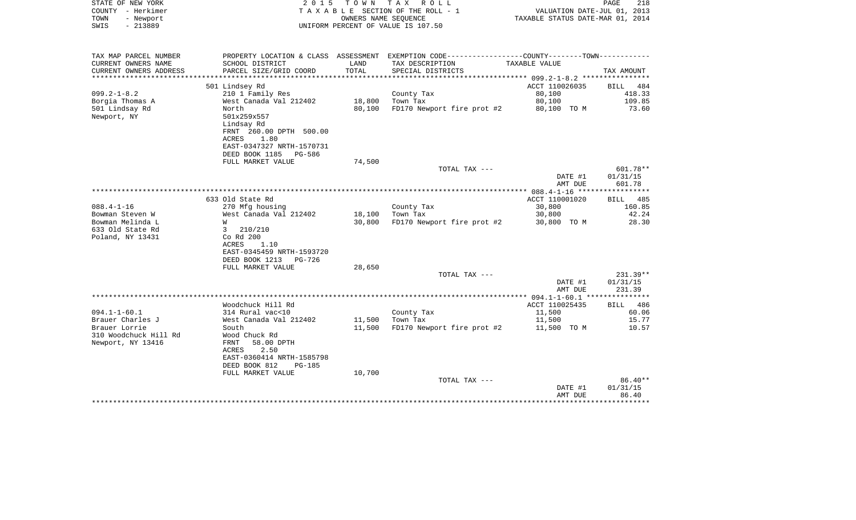| STATE OF NEW YORK<br>COUNTY - Herkimer<br>TOWN<br>- Newport |                                |        | 2015 TOWN TAX ROLL<br>TAXABLE SECTION OF THE ROLL - 1<br>OWNERS NAME SEOUENCE                  | VALUATION DATE-JUL 01, 2013<br>TAXABLE STATUS DATE-MAR 01, 2014 | PAGE                   |
|-------------------------------------------------------------|--------------------------------|--------|------------------------------------------------------------------------------------------------|-----------------------------------------------------------------|------------------------|
| $-213889$<br>SWIS                                           |                                |        | UNIFORM PERCENT OF VALUE IS 107.50                                                             |                                                                 |                        |
| TAX MAP PARCEL NUMBER                                       |                                |        | PROPERTY LOCATION & CLASS ASSESSMENT EXEMPTION CODE----------------COUNTY-------TOWN---------- |                                                                 |                        |
| CURRENT OWNERS NAME                                         | SCHOOL DISTRICT                | LAND   | TAX DESCRIPTION                                                                                | TAXABLE VALUE                                                   |                        |
| CURRENT OWNERS ADDRESS                                      | PARCEL SIZE/GRID COORD         | TOTAL  | SPECIAL DISTRICTS                                                                              |                                                                 | TAX AMOUNT             |
| **********************                                      |                                |        |                                                                                                |                                                                 |                        |
|                                                             | 501 Lindsey Rd                 |        |                                                                                                | ACCT 110026035                                                  | BILL 484               |
| $099.2 - 1 - 8.2$                                           | 210 1 Family Res               |        | County Tax                                                                                     | 80,100                                                          | 418.33                 |
| Borgia Thomas A                                             | West Canada Val 212402         | 18,800 | Town Tax                                                                                       | 80,100                                                          | 109.85                 |
| 501 Lindsay Rd                                              | North                          | 80,100 | FD170 Newport fire prot #2                                                                     | 80,100 TO M                                                     | 73.60                  |
| Newport, NY                                                 | 501x259x557                    |        |                                                                                                |                                                                 |                        |
|                                                             | Lindsay Rd                     |        |                                                                                                |                                                                 |                        |
|                                                             | FRNT 260.00 DPTH 500.00        |        |                                                                                                |                                                                 |                        |
|                                                             | 1.80<br>ACRES                  |        |                                                                                                |                                                                 |                        |
|                                                             | EAST-0347327 NRTH-1570731      |        |                                                                                                |                                                                 |                        |
|                                                             | DEED BOOK 1185 PG-586          |        |                                                                                                |                                                                 |                        |
|                                                             | FULL MARKET VALUE              | 74,500 |                                                                                                |                                                                 |                        |
|                                                             |                                |        | TOTAL TAX ---                                                                                  | DATE #1                                                         | $601.78**$<br>01/31/15 |
|                                                             |                                |        |                                                                                                | AMT DUE                                                         | 601.78                 |
|                                                             |                                |        |                                                                                                |                                                                 |                        |
|                                                             | 633 Old State Rd               |        |                                                                                                | ACCT 110001020                                                  | BILL 485               |
| $088.4 - 1 - 16$                                            | 270 Mfg housing                |        | County Tax                                                                                     | 30,800                                                          | 160.85                 |
| Bowman Steven W                                             | West Canada Val 212402         | 18,100 | Town Tax                                                                                       | 30,800                                                          | 42.24                  |
| Bowman Melinda L                                            | W                              | 30,800 | FD170 Newport fire prot #2                                                                     | 30,800 TO M                                                     | 28.30                  |
| 633 Old State Rd                                            | 3 210/210                      |        |                                                                                                |                                                                 |                        |
| Poland, NY 13431                                            | Co Rd 200                      |        |                                                                                                |                                                                 |                        |
|                                                             | ACRES<br>1.10                  |        |                                                                                                |                                                                 |                        |
|                                                             | EAST-0345459 NRTH-1593720      |        |                                                                                                |                                                                 |                        |
|                                                             | DEED BOOK 1213<br>PG-726       |        |                                                                                                |                                                                 |                        |
|                                                             | FULL MARKET VALUE              | 28,650 |                                                                                                |                                                                 |                        |
|                                                             |                                |        | TOTAL TAX ---                                                                                  |                                                                 | $231.39**$             |
|                                                             |                                |        |                                                                                                | DATE #1<br>AMT DUE                                              | 01/31/15<br>231.39     |
|                                                             |                                |        |                                                                                                |                                                                 |                        |
|                                                             | Woodchuck Hill Rd              |        |                                                                                                | ACCT 110025435                                                  | BILL 486               |
|                                                             |                                |        |                                                                                                | 11,500                                                          | 60.06                  |
|                                                             |                                |        |                                                                                                |                                                                 |                        |
| $094.1 - 1 - 60.1$<br>Brauer Charles J                      | 314 Rural vac<10               |        | County Tax                                                                                     |                                                                 |                        |
|                                                             | West Canada Val 212402         | 11,500 | Town Tax                                                                                       | 11,500                                                          |                        |
| Brauer Lorrie<br>310 Woodchuck Hill Rd                      | South<br>Wood Chuck Rd         | 11,500 | FD170 Newport fire prot #2                                                                     | 11,500 TO M                                                     |                        |
| Newport, NY 13416                                           | 58.00 DPTH<br>FRNT             |        |                                                                                                |                                                                 |                        |
|                                                             | 2.50<br>ACRES                  |        |                                                                                                |                                                                 |                        |
|                                                             | EAST-0360414 NRTH-1585798      |        |                                                                                                |                                                                 |                        |
|                                                             | DEED BOOK 812<br><b>PG-185</b> |        |                                                                                                |                                                                 | 15.77<br>10.57         |
|                                                             | FULL MARKET VALUE              | 10,700 |                                                                                                |                                                                 |                        |
|                                                             |                                |        | TOTAL TAX ---                                                                                  |                                                                 | $86.40**$              |
|                                                             |                                |        |                                                                                                | DATE #1<br>AMT DUE                                              | 01/31/15<br>86.40      |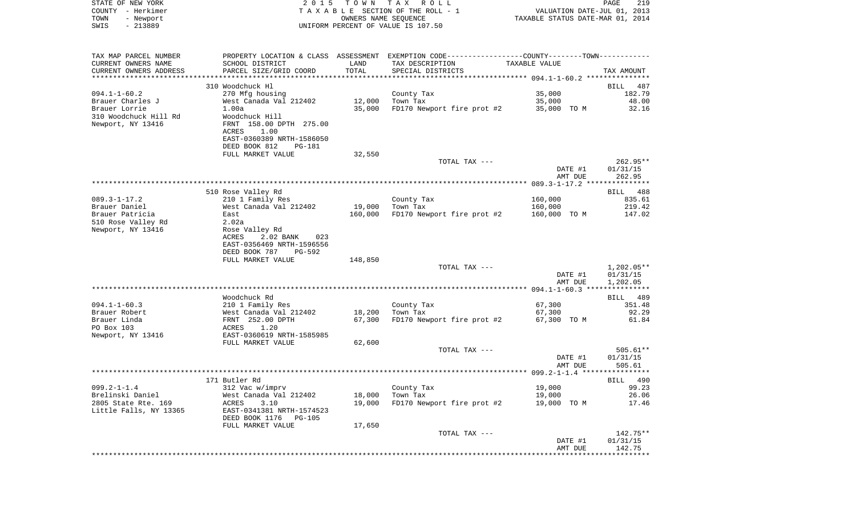| - Newport<br>TOWN                                                 |                                                             | OWNERS NAME SEOUENCE | T A X A B L E SECTION OF THE ROLL - 1                                                         | VALUATION DATE-JUL 01, 2013<br>TAXABLE STATUS DATE-MAR 01, 2014 |                        |
|-------------------------------------------------------------------|-------------------------------------------------------------|----------------------|-----------------------------------------------------------------------------------------------|-----------------------------------------------------------------|------------------------|
| $-213889$<br>SWIS                                                 |                                                             |                      | UNIFORM PERCENT OF VALUE IS 107.50                                                            |                                                                 |                        |
| TAX MAP PARCEL NUMBER                                             |                                                             |                      | PROPERTY LOCATION & CLASS ASSESSMENT EXEMPTION CODE---------------COUNTY-------TOWN---------- |                                                                 |                        |
| CURRENT OWNERS NAME                                               | SCHOOL DISTRICT                                             | LAND                 | TAX DESCRIPTION                                                                               | TAXABLE VALUE                                                   |                        |
| CURRENT OWNERS ADDRESS                                            | PARCEL SIZE/GRID COORD                                      | TOTAL                | SPECIAL DISTRICTS                                                                             |                                                                 | TAX AMOUNT             |
| *************************                                         |                                                             |                      |                                                                                               |                                                                 |                        |
|                                                                   | 310 Woodchuck Hl                                            |                      |                                                                                               |                                                                 | 487<br><b>BILL</b>     |
| $094.1 - 1 - 60.2$                                                | 270 Mfg housing                                             |                      | County Tax                                                                                    | 35,000                                                          | 182.79                 |
| Brauer Charles J                                                  | West Canada Val 212402                                      | 12,000               | Town Tax                                                                                      | 35,000                                                          | 48.00                  |
| Brauer Lorrie<br>310 Woodchuck Hill Rd                            | 1.00a<br>Woodchuck Hill                                     | 35,000               | FD170 Newport fire prot #2                                                                    | 35,000 TO M                                                     | 32.16                  |
| Newport, NY 13416                                                 | FRNT 158.00 DPTH 275.00                                     |                      |                                                                                               |                                                                 |                        |
|                                                                   | 1.00<br>ACRES                                               |                      |                                                                                               |                                                                 |                        |
|                                                                   | EAST-0360389 NRTH-1586050<br>DEED BOOK 812<br><b>PG-181</b> |                      |                                                                                               |                                                                 |                        |
|                                                                   | FULL MARKET VALUE                                           | 32,550               |                                                                                               |                                                                 |                        |
|                                                                   |                                                             |                      | TOTAL TAX ---                                                                                 |                                                                 | $262.95**$             |
|                                                                   |                                                             |                      |                                                                                               | DATE #1                                                         | 01/31/15               |
|                                                                   |                                                             |                      |                                                                                               | AMT DUE                                                         | 262.95                 |
|                                                                   |                                                             |                      |                                                                                               |                                                                 |                        |
| $089.3 - 1 - 17.2$                                                | 510 Rose Valley Rd<br>210 1 Family Res                      |                      | County Tax                                                                                    | 160,000                                                         | 488<br>BILL<br>835.61  |
| Brauer Daniel                                                     | West Canada Val 212402                                      | 19,000               | Town Tax                                                                                      | 160,000                                                         | 219.42                 |
| Brauer Patricia                                                   | East                                                        | 160,000              | FD170 Newport fire prot #2                                                                    | 160,000 TO M                                                    | 147.02                 |
| 510 Rose Valley Rd                                                | 2.02a                                                       |                      |                                                                                               |                                                                 |                        |
| Newport, NY 13416                                                 | Rose Valley Rd                                              |                      |                                                                                               |                                                                 |                        |
|                                                                   | ACRES<br>2.02 BANK<br>023                                   |                      |                                                                                               |                                                                 |                        |
|                                                                   | EAST-0356469 NRTH-1596556                                   |                      |                                                                                               |                                                                 |                        |
|                                                                   | DEED BOOK 787<br>PG-592                                     |                      |                                                                                               |                                                                 |                        |
|                                                                   | FULL MARKET VALUE                                           | 148,850              | TOTAL TAX ---                                                                                 |                                                                 | $1,202.05**$           |
|                                                                   |                                                             |                      |                                                                                               | DATE #1                                                         | 01/31/15               |
|                                                                   |                                                             |                      |                                                                                               |                                                                 | 1,202.05               |
|                                                                   |                                                             |                      |                                                                                               |                                                                 |                        |
|                                                                   |                                                             |                      |                                                                                               | AMT DUE                                                         |                        |
|                                                                   | Woodchuck Rd                                                |                      |                                                                                               |                                                                 | <b>BILL</b><br>489     |
|                                                                   | 210 1 Family Res                                            |                      | County Tax                                                                                    | 67,300                                                          | 351.48                 |
|                                                                   | West Canada Val 212402                                      | 18,200               | Town Tax                                                                                      | 67,300                                                          |                        |
| $094.1 - 1 - 60.3$                                                | FRNT 252.00 DPTH                                            | 67,300               | FD170 Newport fire prot #2                                                                    | 67,300 TO M                                                     |                        |
|                                                                   | 1.20<br>ACRES                                               |                      |                                                                                               |                                                                 |                        |
|                                                                   | EAST-0360619 NRTH-1585985                                   |                      |                                                                                               |                                                                 |                        |
| Brauer Robert<br>Brauer Linda<br>PO Box 103<br>Newport, NY 13416  | FULL MARKET VALUE                                           | 62,600               |                                                                                               |                                                                 | 92.29<br>61.84         |
|                                                                   |                                                             |                      | TOTAL TAX ---                                                                                 | DATE #1                                                         | $505.61**$<br>01/31/15 |
|                                                                   |                                                             |                      |                                                                                               | AMT DUE                                                         | 505.61                 |
|                                                                   |                                                             |                      |                                                                                               |                                                                 |                        |
|                                                                   | 171 Butler Rd                                               |                      |                                                                                               |                                                                 |                        |
| $099.2 - 1 - 1.4$                                                 | 312 Vac w/imprv                                             |                      | County Tax                                                                                    | 19,000                                                          | BILL 490<br>99.23      |
|                                                                   | West Canada Val 212402                                      | 18,000               | Town Tax                                                                                      | 19,000                                                          |                        |
|                                                                   | ACRES<br>3.10                                               | 19,000               | FD170 Newport fire prot #2                                                                    | 19,000 TO M                                                     |                        |
|                                                                   | EAST-0341381 NRTH-1574523                                   |                      |                                                                                               |                                                                 |                        |
|                                                                   | DEED BOOK 1176<br>PG-105                                    |                      |                                                                                               |                                                                 | 26.06<br>17.46         |
| Brelinski Daniel<br>2805 State Rte. 169<br>Little Falls, NY 13365 | FULL MARKET VALUE                                           | 17,650               | TOTAL TAX ---                                                                                 |                                                                 | $142.75**$             |
|                                                                   |                                                             |                      |                                                                                               | DATE #1                                                         | 01/31/15               |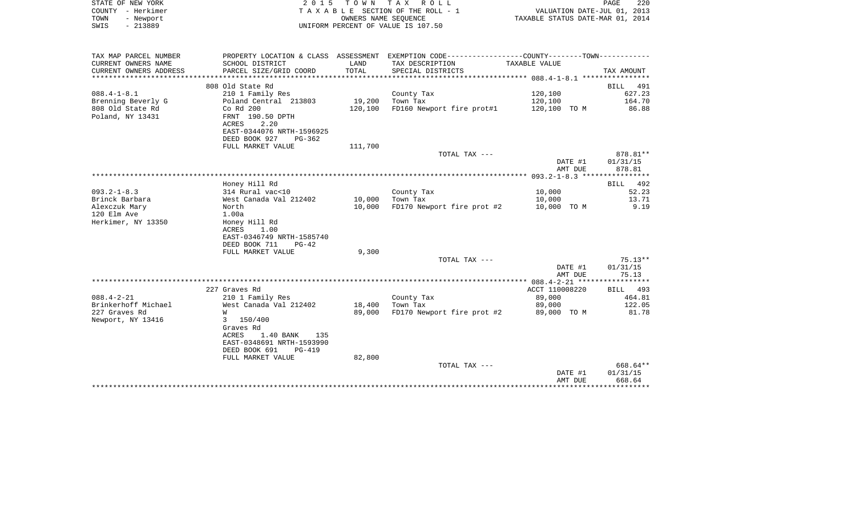| STATE OF NEW YORK | 2015 TOWN TAX ROLL                 | 220<br>PAGE                      |
|-------------------|------------------------------------|----------------------------------|
| COUNTY - Herkimer | TAXABLE SECTION OF THE ROLL - 1    | VALUATION DATE-JUL 01, 2013      |
| TOWN<br>- Newport | OWNERS NAME SEOUENCE               | TAXABLE STATUS DATE-MAR 01, 2014 |
| $-213889$<br>SWIS | UNIFORM PERCENT OF VALUE IS 107.50 |                                  |

| TOTAL<br>CURRENT OWNERS ADDRESS<br>PARCEL SIZE/GRID COORD<br>SPECIAL DISTRICTS<br>TAX AMOUNT<br>**********<br>808 Old State Rd<br>491<br>BILL<br>627.23<br>$088.4 - 1 - 8.1$<br>210 1 Family Res<br>120,100<br>County Tax<br>19,200<br>Town Tax<br>164.70<br>Brenning Beverly G<br>Poland Central 213803<br>120,100<br>808 Old State Rd<br>FD160 Newport fire prot#1<br>86.88<br>Co Rd 200<br>120,100<br>120,100 TO M<br>FRNT 190.50 DPTH<br>Poland, NY 13431<br>2.20<br>ACRES<br>EAST-0344076 NRTH-1596925<br>DEED BOOK 927<br>$PG-362$<br>FULL MARKET VALUE<br>111,700<br>TOTAL TAX ---<br>878.81**<br>DATE #1<br>01/31/15<br>878.81<br>AMT DUE<br>Honey Hill Rd<br>BILL<br>492<br>52.23<br>$093.2 - 1 - 8.3$<br>314 Rural vac<10<br>10,000<br>County Tax<br>Brinck Barbara<br>10,000<br>Town Tax<br>13.71<br>West Canada Val 212402<br>10,000<br>Alexczuk Mary<br>10,000<br>FD170 Newport fire prot #2<br>9.19<br>10,000 TO M<br>North<br>120 Elm Ave<br>1.00a<br>Herkimer, NY 13350<br>Honey Hill Rd<br>ACRES<br>1.00<br>EAST-0346749 NRTH-1585740<br>DEED BOOK 711<br>$PG-42$<br>9,300<br>FULL MARKET VALUE<br>TOTAL TAX ---<br>01/31/15<br>DATE #1<br>75.13<br>AMT DUE<br>227 Graves Rd<br>ACCT 110008220<br>BILL 493<br>$088.4 - 2 - 21$<br>89,000<br>464.81<br>210 1 Family Res<br>County Tax<br>West Canada Val 212402<br>122.05<br>Brinkerhoff Michael<br>18,400<br>Town Tax<br>89,000<br>227 Graves Rd<br>89,000<br>FD170 Newport fire prot #2<br>81.78<br>W<br>89,000 TO M<br>150/400<br>Newport, NY 13416<br>3<br>Graves Rd<br>1.40 BANK<br>ACRES<br>135<br>EAST-0348691 NRTH-1593990<br>DEED BOOK 691<br><b>PG-419</b><br>FULL MARKET VALUE<br>82,800<br>668.64**<br>TOTAL TAX ---<br>01/31/15<br>DATE #1<br>AMT DUE<br>668.64<br>*********** | TAX MAP PARCEL NUMBER<br>CURRENT OWNERS NAME | PROPERTY LOCATION & CLASS ASSESSMENT<br>SCHOOL DISTRICT | LAND | EXEMPTION CODE-----------------COUNTY-------TOWN---------<br>TAX DESCRIPTION | TAXABLE VALUE |  |
|-------------------------------------------------------------------------------------------------------------------------------------------------------------------------------------------------------------------------------------------------------------------------------------------------------------------------------------------------------------------------------------------------------------------------------------------------------------------------------------------------------------------------------------------------------------------------------------------------------------------------------------------------------------------------------------------------------------------------------------------------------------------------------------------------------------------------------------------------------------------------------------------------------------------------------------------------------------------------------------------------------------------------------------------------------------------------------------------------------------------------------------------------------------------------------------------------------------------------------------------------------------------------------------------------------------------------------------------------------------------------------------------------------------------------------------------------------------------------------------------------------------------------------------------------------------------------------------------------------------------------------------------------------------------------------------------------------------------------------------------------------------|----------------------------------------------|---------------------------------------------------------|------|------------------------------------------------------------------------------|---------------|--|
| $75.13**$                                                                                                                                                                                                                                                                                                                                                                                                                                                                                                                                                                                                                                                                                                                                                                                                                                                                                                                                                                                                                                                                                                                                                                                                                                                                                                                                                                                                                                                                                                                                                                                                                                                                                                                                                   |                                              |                                                         |      |                                                                              |               |  |
|                                                                                                                                                                                                                                                                                                                                                                                                                                                                                                                                                                                                                                                                                                                                                                                                                                                                                                                                                                                                                                                                                                                                                                                                                                                                                                                                                                                                                                                                                                                                                                                                                                                                                                                                                             |                                              |                                                         |      |                                                                              |               |  |
|                                                                                                                                                                                                                                                                                                                                                                                                                                                                                                                                                                                                                                                                                                                                                                                                                                                                                                                                                                                                                                                                                                                                                                                                                                                                                                                                                                                                                                                                                                                                                                                                                                                                                                                                                             |                                              |                                                         |      |                                                                              |               |  |
|                                                                                                                                                                                                                                                                                                                                                                                                                                                                                                                                                                                                                                                                                                                                                                                                                                                                                                                                                                                                                                                                                                                                                                                                                                                                                                                                                                                                                                                                                                                                                                                                                                                                                                                                                             |                                              |                                                         |      |                                                                              |               |  |
|                                                                                                                                                                                                                                                                                                                                                                                                                                                                                                                                                                                                                                                                                                                                                                                                                                                                                                                                                                                                                                                                                                                                                                                                                                                                                                                                                                                                                                                                                                                                                                                                                                                                                                                                                             |                                              |                                                         |      |                                                                              |               |  |
|                                                                                                                                                                                                                                                                                                                                                                                                                                                                                                                                                                                                                                                                                                                                                                                                                                                                                                                                                                                                                                                                                                                                                                                                                                                                                                                                                                                                                                                                                                                                                                                                                                                                                                                                                             |                                              |                                                         |      |                                                                              |               |  |
|                                                                                                                                                                                                                                                                                                                                                                                                                                                                                                                                                                                                                                                                                                                                                                                                                                                                                                                                                                                                                                                                                                                                                                                                                                                                                                                                                                                                                                                                                                                                                                                                                                                                                                                                                             |                                              |                                                         |      |                                                                              |               |  |
|                                                                                                                                                                                                                                                                                                                                                                                                                                                                                                                                                                                                                                                                                                                                                                                                                                                                                                                                                                                                                                                                                                                                                                                                                                                                                                                                                                                                                                                                                                                                                                                                                                                                                                                                                             |                                              |                                                         |      |                                                                              |               |  |
|                                                                                                                                                                                                                                                                                                                                                                                                                                                                                                                                                                                                                                                                                                                                                                                                                                                                                                                                                                                                                                                                                                                                                                                                                                                                                                                                                                                                                                                                                                                                                                                                                                                                                                                                                             |                                              |                                                         |      |                                                                              |               |  |
|                                                                                                                                                                                                                                                                                                                                                                                                                                                                                                                                                                                                                                                                                                                                                                                                                                                                                                                                                                                                                                                                                                                                                                                                                                                                                                                                                                                                                                                                                                                                                                                                                                                                                                                                                             |                                              |                                                         |      |                                                                              |               |  |
|                                                                                                                                                                                                                                                                                                                                                                                                                                                                                                                                                                                                                                                                                                                                                                                                                                                                                                                                                                                                                                                                                                                                                                                                                                                                                                                                                                                                                                                                                                                                                                                                                                                                                                                                                             |                                              |                                                         |      |                                                                              |               |  |
|                                                                                                                                                                                                                                                                                                                                                                                                                                                                                                                                                                                                                                                                                                                                                                                                                                                                                                                                                                                                                                                                                                                                                                                                                                                                                                                                                                                                                                                                                                                                                                                                                                                                                                                                                             |                                              |                                                         |      |                                                                              |               |  |
|                                                                                                                                                                                                                                                                                                                                                                                                                                                                                                                                                                                                                                                                                                                                                                                                                                                                                                                                                                                                                                                                                                                                                                                                                                                                                                                                                                                                                                                                                                                                                                                                                                                                                                                                                             |                                              |                                                         |      |                                                                              |               |  |
|                                                                                                                                                                                                                                                                                                                                                                                                                                                                                                                                                                                                                                                                                                                                                                                                                                                                                                                                                                                                                                                                                                                                                                                                                                                                                                                                                                                                                                                                                                                                                                                                                                                                                                                                                             |                                              |                                                         |      |                                                                              |               |  |
|                                                                                                                                                                                                                                                                                                                                                                                                                                                                                                                                                                                                                                                                                                                                                                                                                                                                                                                                                                                                                                                                                                                                                                                                                                                                                                                                                                                                                                                                                                                                                                                                                                                                                                                                                             |                                              |                                                         |      |                                                                              |               |  |
|                                                                                                                                                                                                                                                                                                                                                                                                                                                                                                                                                                                                                                                                                                                                                                                                                                                                                                                                                                                                                                                                                                                                                                                                                                                                                                                                                                                                                                                                                                                                                                                                                                                                                                                                                             |                                              |                                                         |      |                                                                              |               |  |
|                                                                                                                                                                                                                                                                                                                                                                                                                                                                                                                                                                                                                                                                                                                                                                                                                                                                                                                                                                                                                                                                                                                                                                                                                                                                                                                                                                                                                                                                                                                                                                                                                                                                                                                                                             |                                              |                                                         |      |                                                                              |               |  |
|                                                                                                                                                                                                                                                                                                                                                                                                                                                                                                                                                                                                                                                                                                                                                                                                                                                                                                                                                                                                                                                                                                                                                                                                                                                                                                                                                                                                                                                                                                                                                                                                                                                                                                                                                             |                                              |                                                         |      |                                                                              |               |  |
|                                                                                                                                                                                                                                                                                                                                                                                                                                                                                                                                                                                                                                                                                                                                                                                                                                                                                                                                                                                                                                                                                                                                                                                                                                                                                                                                                                                                                                                                                                                                                                                                                                                                                                                                                             |                                              |                                                         |      |                                                                              |               |  |
|                                                                                                                                                                                                                                                                                                                                                                                                                                                                                                                                                                                                                                                                                                                                                                                                                                                                                                                                                                                                                                                                                                                                                                                                                                                                                                                                                                                                                                                                                                                                                                                                                                                                                                                                                             |                                              |                                                         |      |                                                                              |               |  |
|                                                                                                                                                                                                                                                                                                                                                                                                                                                                                                                                                                                                                                                                                                                                                                                                                                                                                                                                                                                                                                                                                                                                                                                                                                                                                                                                                                                                                                                                                                                                                                                                                                                                                                                                                             |                                              |                                                         |      |                                                                              |               |  |
|                                                                                                                                                                                                                                                                                                                                                                                                                                                                                                                                                                                                                                                                                                                                                                                                                                                                                                                                                                                                                                                                                                                                                                                                                                                                                                                                                                                                                                                                                                                                                                                                                                                                                                                                                             |                                              |                                                         |      |                                                                              |               |  |
|                                                                                                                                                                                                                                                                                                                                                                                                                                                                                                                                                                                                                                                                                                                                                                                                                                                                                                                                                                                                                                                                                                                                                                                                                                                                                                                                                                                                                                                                                                                                                                                                                                                                                                                                                             |                                              |                                                         |      |                                                                              |               |  |
|                                                                                                                                                                                                                                                                                                                                                                                                                                                                                                                                                                                                                                                                                                                                                                                                                                                                                                                                                                                                                                                                                                                                                                                                                                                                                                                                                                                                                                                                                                                                                                                                                                                                                                                                                             |                                              |                                                         |      |                                                                              |               |  |
|                                                                                                                                                                                                                                                                                                                                                                                                                                                                                                                                                                                                                                                                                                                                                                                                                                                                                                                                                                                                                                                                                                                                                                                                                                                                                                                                                                                                                                                                                                                                                                                                                                                                                                                                                             |                                              |                                                         |      |                                                                              |               |  |
|                                                                                                                                                                                                                                                                                                                                                                                                                                                                                                                                                                                                                                                                                                                                                                                                                                                                                                                                                                                                                                                                                                                                                                                                                                                                                                                                                                                                                                                                                                                                                                                                                                                                                                                                                             |                                              |                                                         |      |                                                                              |               |  |
|                                                                                                                                                                                                                                                                                                                                                                                                                                                                                                                                                                                                                                                                                                                                                                                                                                                                                                                                                                                                                                                                                                                                                                                                                                                                                                                                                                                                                                                                                                                                                                                                                                                                                                                                                             |                                              |                                                         |      |                                                                              |               |  |
|                                                                                                                                                                                                                                                                                                                                                                                                                                                                                                                                                                                                                                                                                                                                                                                                                                                                                                                                                                                                                                                                                                                                                                                                                                                                                                                                                                                                                                                                                                                                                                                                                                                                                                                                                             |                                              |                                                         |      |                                                                              |               |  |
|                                                                                                                                                                                                                                                                                                                                                                                                                                                                                                                                                                                                                                                                                                                                                                                                                                                                                                                                                                                                                                                                                                                                                                                                                                                                                                                                                                                                                                                                                                                                                                                                                                                                                                                                                             |                                              |                                                         |      |                                                                              |               |  |
|                                                                                                                                                                                                                                                                                                                                                                                                                                                                                                                                                                                                                                                                                                                                                                                                                                                                                                                                                                                                                                                                                                                                                                                                                                                                                                                                                                                                                                                                                                                                                                                                                                                                                                                                                             |                                              |                                                         |      |                                                                              |               |  |
|                                                                                                                                                                                                                                                                                                                                                                                                                                                                                                                                                                                                                                                                                                                                                                                                                                                                                                                                                                                                                                                                                                                                                                                                                                                                                                                                                                                                                                                                                                                                                                                                                                                                                                                                                             |                                              |                                                         |      |                                                                              |               |  |
|                                                                                                                                                                                                                                                                                                                                                                                                                                                                                                                                                                                                                                                                                                                                                                                                                                                                                                                                                                                                                                                                                                                                                                                                                                                                                                                                                                                                                                                                                                                                                                                                                                                                                                                                                             |                                              |                                                         |      |                                                                              |               |  |
|                                                                                                                                                                                                                                                                                                                                                                                                                                                                                                                                                                                                                                                                                                                                                                                                                                                                                                                                                                                                                                                                                                                                                                                                                                                                                                                                                                                                                                                                                                                                                                                                                                                                                                                                                             |                                              |                                                         |      |                                                                              |               |  |
|                                                                                                                                                                                                                                                                                                                                                                                                                                                                                                                                                                                                                                                                                                                                                                                                                                                                                                                                                                                                                                                                                                                                                                                                                                                                                                                                                                                                                                                                                                                                                                                                                                                                                                                                                             |                                              |                                                         |      |                                                                              |               |  |
|                                                                                                                                                                                                                                                                                                                                                                                                                                                                                                                                                                                                                                                                                                                                                                                                                                                                                                                                                                                                                                                                                                                                                                                                                                                                                                                                                                                                                                                                                                                                                                                                                                                                                                                                                             |                                              |                                                         |      |                                                                              |               |  |
|                                                                                                                                                                                                                                                                                                                                                                                                                                                                                                                                                                                                                                                                                                                                                                                                                                                                                                                                                                                                                                                                                                                                                                                                                                                                                                                                                                                                                                                                                                                                                                                                                                                                                                                                                             |                                              |                                                         |      |                                                                              |               |  |
|                                                                                                                                                                                                                                                                                                                                                                                                                                                                                                                                                                                                                                                                                                                                                                                                                                                                                                                                                                                                                                                                                                                                                                                                                                                                                                                                                                                                                                                                                                                                                                                                                                                                                                                                                             |                                              |                                                         |      |                                                                              |               |  |
|                                                                                                                                                                                                                                                                                                                                                                                                                                                                                                                                                                                                                                                                                                                                                                                                                                                                                                                                                                                                                                                                                                                                                                                                                                                                                                                                                                                                                                                                                                                                                                                                                                                                                                                                                             |                                              |                                                         |      |                                                                              |               |  |
|                                                                                                                                                                                                                                                                                                                                                                                                                                                                                                                                                                                                                                                                                                                                                                                                                                                                                                                                                                                                                                                                                                                                                                                                                                                                                                                                                                                                                                                                                                                                                                                                                                                                                                                                                             |                                              |                                                         |      |                                                                              |               |  |
|                                                                                                                                                                                                                                                                                                                                                                                                                                                                                                                                                                                                                                                                                                                                                                                                                                                                                                                                                                                                                                                                                                                                                                                                                                                                                                                                                                                                                                                                                                                                                                                                                                                                                                                                                             |                                              |                                                         |      |                                                                              |               |  |
|                                                                                                                                                                                                                                                                                                                                                                                                                                                                                                                                                                                                                                                                                                                                                                                                                                                                                                                                                                                                                                                                                                                                                                                                                                                                                                                                                                                                                                                                                                                                                                                                                                                                                                                                                             |                                              |                                                         |      |                                                                              |               |  |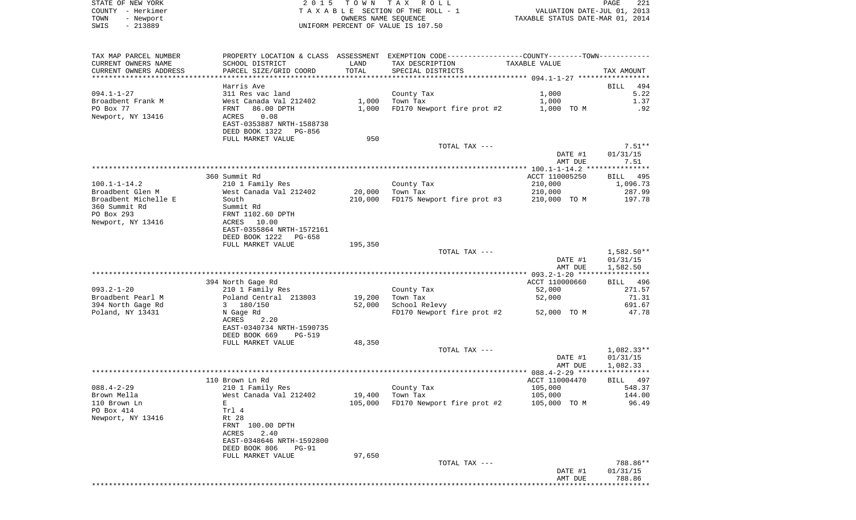| STATE OF NEW YORK | 2015 TOWN TAX ROLL                 | 221<br>PAGE                      |
|-------------------|------------------------------------|----------------------------------|
| COUNTY - Herkimer | TAXABLE SECTION OF THE ROLL - 1    | VALUATION DATE-JUL 01, 2013      |
| TOWN<br>- Newport | OWNERS NAME SEOUENCE               | TAXABLE STATUS DATE-MAR 01, 2014 |
| SWIS<br>- 213889  | UNIFORM PERCENT OF VALUE IS 107.50 |                                  |

| TAX MAP PARCEL NUMBER           |                                    |               | PROPERTY LOCATION & CLASS ASSESSMENT EXEMPTION CODE----------------COUNTY-------TOWN---------- |                    |                       |
|---------------------------------|------------------------------------|---------------|------------------------------------------------------------------------------------------------|--------------------|-----------------------|
| CURRENT OWNERS NAME             | SCHOOL DISTRICT                    | LAND<br>TOTAL | TAX DESCRIPTION                                                                                | TAXABLE VALUE      |                       |
| CURRENT OWNERS ADDRESS          | PARCEL SIZE/GRID COORD             |               | SPECIAL DISTRICTS                                                                              |                    | TAX AMOUNT            |
|                                 | Harris Ave                         |               |                                                                                                |                    | BILL<br>494           |
| $094.1 - 1 - 27$                | 311 Res vac land                   |               | County Tax                                                                                     | 1,000              | 5.22                  |
| Broadbent Frank M               | West Canada Val 212402             | 1,000         | Town Tax                                                                                       | 1,000              | 1.37                  |
| PO Box 77                       | 86.00 DPTH<br>FRNT                 | 1,000         | FD170 Newport fire prot #2                                                                     | 1,000 TO M         | .92                   |
| Newport, NY 13416               | ACRES<br>0.08                      |               |                                                                                                |                    |                       |
|                                 | EAST-0353887 NRTH-1588738          |               |                                                                                                |                    |                       |
|                                 | DEED BOOK 1322<br>PG-856           |               |                                                                                                |                    |                       |
|                                 | FULL MARKET VALUE                  | 950           |                                                                                                |                    |                       |
|                                 |                                    |               | TOTAL TAX ---                                                                                  |                    | $7.51**$              |
|                                 |                                    |               |                                                                                                | DATE #1            | 01/31/15              |
|                                 |                                    |               |                                                                                                | AMT DUE            | 7.51                  |
|                                 |                                    |               |                                                                                                |                    | ***********           |
|                                 | 360 Summit Rd                      |               |                                                                                                | ACCT 110005250     | 495<br>BILL           |
| $100.1 - 1 - 14.2$              | 210 1 Family Res                   |               | County Tax                                                                                     | 210,000            | 1,096.73              |
| Broadbent Glen M                | West Canada Val 212402             | 20,000        | Town Tax                                                                                       | 210,000            | 287.99                |
| Broadbent Michelle E            | South                              | 210,000       | FD175 Newport fire prot #3                                                                     | 210,000 TO M       | 197.78                |
| 360 Summit Rd                   | Summit Rd                          |               |                                                                                                |                    |                       |
| PO Box 293<br>Newport, NY 13416 | FRNT 1102.60 DPTH<br>10.00         |               |                                                                                                |                    |                       |
|                                 | ACRES<br>EAST-0355864 NRTH-1572161 |               |                                                                                                |                    |                       |
|                                 | DEED BOOK 1222<br>PG-658           |               |                                                                                                |                    |                       |
|                                 | FULL MARKET VALUE                  | 195,350       |                                                                                                |                    |                       |
|                                 |                                    |               | TOTAL TAX ---                                                                                  |                    | 1,582.50**            |
|                                 |                                    |               |                                                                                                | DATE #1            | 01/31/15              |
|                                 |                                    |               |                                                                                                | AMT DUE            | 1,582.50              |
|                                 |                                    |               |                                                                                                |                    | * * * * * * * * * * * |
|                                 | 394 North Gage Rd                  |               |                                                                                                | ACCT 110000660     | BILL 496              |
| $093.2 - 1 - 20$                | 210 1 Family Res                   |               | County Tax                                                                                     | 52,000             | 271.57                |
| Broadbent Pearl M               | Poland Central 213803              | 19,200        | Town Tax                                                                                       | 52,000             | 71.31                 |
| 394 North Gage Rd               | 3<br>180/150                       | 52,000        | School Relevy                                                                                  |                    | 691.67                |
| Poland, NY 13431                | N Gage Rd                          |               | FD170 Newport fire prot #2                                                                     | 52,000 TO M        | 47.78                 |
|                                 | 2.20<br>ACRES                      |               |                                                                                                |                    |                       |
|                                 | EAST-0340734 NRTH-1590735          |               |                                                                                                |                    |                       |
|                                 | DEED BOOK 669<br>PG-519            |               |                                                                                                |                    |                       |
|                                 | FULL MARKET VALUE                  | 48,350        |                                                                                                |                    |                       |
|                                 |                                    |               | TOTAL TAX ---                                                                                  |                    | $1,082.33**$          |
|                                 |                                    |               |                                                                                                | DATE #1<br>AMT DUE | 01/31/15<br>1,082.33  |
|                                 |                                    |               |                                                                                                |                    | ***********           |
|                                 | 110 Brown Ln Rd                    |               |                                                                                                | ACCT 110004470     | 497<br>BILL           |
| $088.4 - 2 - 29$                | 210 1 Family Res                   |               | County Tax                                                                                     | 105,000            | 548.37                |
| Brown Mella                     | West Canada Val 212402             | 19,400        | Town Tax                                                                                       | 105,000            | 144.00                |
| 110 Brown Ln                    | E                                  | 105,000       | FD170 Newport fire prot #2                                                                     | 105,000 TO M       | 96.49                 |
| PO Box 414                      | Trl 4                              |               |                                                                                                |                    |                       |
| Newport, NY 13416               | Rt 28                              |               |                                                                                                |                    |                       |
|                                 | FRNT 100.00 DPTH                   |               |                                                                                                |                    |                       |
|                                 | 2.40<br>ACRES                      |               |                                                                                                |                    |                       |
|                                 | EAST-0348646 NRTH-1592800          |               |                                                                                                |                    |                       |
|                                 | DEED BOOK 806<br>$PG-91$           |               |                                                                                                |                    |                       |
|                                 | FULL MARKET VALUE                  | 97,650        |                                                                                                |                    |                       |
|                                 |                                    |               | TOTAL TAX ---                                                                                  |                    | 788.86**              |
|                                 |                                    |               |                                                                                                | DATE #1            | 01/31/15              |
|                                 |                                    |               |                                                                                                | AMT DUE            | 788.86                |
|                                 |                                    |               |                                                                                                |                    |                       |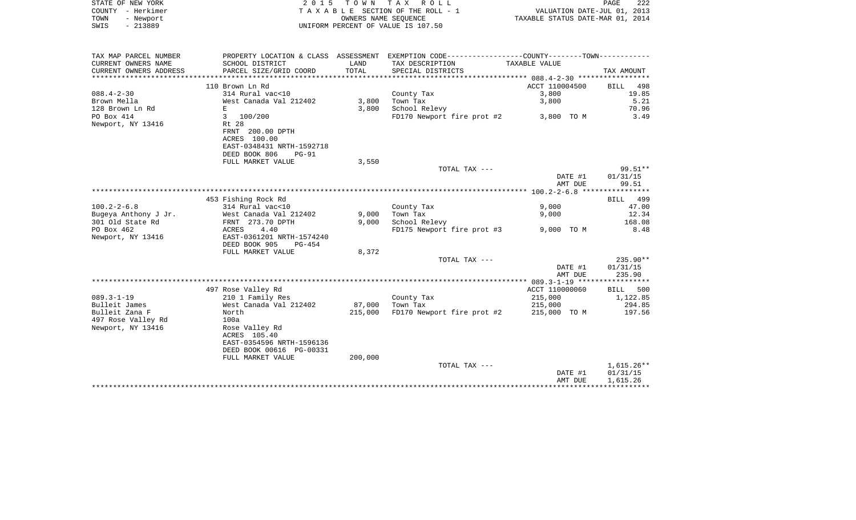|      | STATE OF NEW YORK | 2015 TOWN TAX ROLL                 | 222<br>PAGE                      |
|------|-------------------|------------------------------------|----------------------------------|
|      | COUNTY - Herkimer | TAXABLE SECTION OF THE ROLL - 1    | VALUATION DATE-JUL 01, 2013      |
| TOWN | - Newport         | OWNERS NAME SEOUENCE               | TAXABLE STATUS DATE-MAR 01, 2014 |
| SWIS | $-213889$         | UNIFORM PERCENT OF VALUE IS 107.50 |                                  |

| TAX MAP PARCEL NUMBER  |                           |         | PROPERTY LOCATION & CLASS ASSESSMENT EXEMPTION CODE---------------COUNTY--------TOWN--------- |                |                    |
|------------------------|---------------------------|---------|-----------------------------------------------------------------------------------------------|----------------|--------------------|
| CURRENT OWNERS NAME    | SCHOOL DISTRICT           | LAND    | TAX DESCRIPTION                                                                               | TAXABLE VALUE  |                    |
| CURRENT OWNERS ADDRESS | PARCEL SIZE/GRID COORD    | TOTAL   | SPECIAL DISTRICTS                                                                             |                | TAX AMOUNT         |
|                        |                           |         |                                                                                               |                |                    |
|                        | 110 Brown Ln Rd           |         |                                                                                               | ACCT 110004500 | <b>BILL</b><br>498 |
| $088.4 - 2 - 30$       | 314 Rural vac<10          |         | County Tax                                                                                    | 3,800          | 19.85              |
| Brown Mella            | West Canada Val 212402    | 3,800   | Town Tax                                                                                      | 3,800          | 5.21               |
| 128 Brown Ln Rd        | E                         | 3,800   | School Relevy                                                                                 |                | 70.96              |
| PO Box 414             | 3 100/200                 |         | FD170 Newport fire prot #2                                                                    | 3,800 TO M     | 3.49               |
| Newport, NY 13416      | Rt 28                     |         |                                                                                               |                |                    |
|                        | FRNT 200.00 DPTH          |         |                                                                                               |                |                    |
|                        | ACRES 100.00              |         |                                                                                               |                |                    |
|                        | EAST-0348431 NRTH-1592718 |         |                                                                                               |                |                    |
|                        | DEED BOOK 806<br>$PG-91$  |         |                                                                                               |                |                    |
|                        | FULL MARKET VALUE         | 3,550   |                                                                                               |                |                    |
|                        |                           |         | TOTAL TAX ---                                                                                 |                | 99.51**            |
|                        |                           |         |                                                                                               | DATE #1        | 01/31/15           |
|                        |                           |         |                                                                                               | AMT DUE        | 99.51              |
|                        |                           |         |                                                                                               |                |                    |
|                        | 453 Fishing Rock Rd       |         |                                                                                               |                | BILL 499           |
| $100.2 - 2 - 6.8$      | 314 Rural vac<10          |         | County Tax                                                                                    | 9,000          | 47.00              |
| Bugeya Anthony J Jr.   | West Canada Val 212402    | 9,000   | Town Tax                                                                                      | 9,000          | 12.34              |
| 301 Old State Rd       | FRNT 273.70 DPTH          | 9,000   | School Relevy                                                                                 |                | 168.08             |
| PO Box 462             | ACRES<br>4.40             |         | FD175 Newport fire prot #3                                                                    | 9,000 TO M     | 8.48               |
| Newport, NY 13416      | EAST-0361201 NRTH-1574240 |         |                                                                                               |                |                    |
|                        | DEED BOOK 905<br>$PG-454$ |         |                                                                                               |                |                    |
|                        | FULL MARKET VALUE         | 8,372   |                                                                                               |                |                    |
|                        |                           |         | TOTAL TAX ---                                                                                 |                | $235.90**$         |
|                        |                           |         |                                                                                               | DATE #1        | 01/31/15           |
|                        |                           |         |                                                                                               | AMT DUE        | 235.90             |
|                        |                           |         |                                                                                               |                |                    |
|                        | 497 Rose Valley Rd        |         |                                                                                               | ACCT 110000060 | BILL 500           |
| $089.3 - 1 - 19$       | 210 1 Family Res          |         | County Tax                                                                                    | 215,000        | 1,122.85           |
| Bulleit James          | West Canada Val 212402    |         | 87,000 Town Tax                                                                               | 215,000        | 294.85             |
| Bulleit Zana F         | North                     | 215,000 | FD170 Newport fire prot #2                                                                    | 215,000 TO M   | 197.56             |
| 497 Rose Valley Rd     | 100a                      |         |                                                                                               |                |                    |
| Newport, NY 13416      | Rose Valley Rd            |         |                                                                                               |                |                    |
|                        | ACRES 105.40              |         |                                                                                               |                |                    |
|                        | EAST-0354596 NRTH-1596136 |         |                                                                                               |                |                    |
|                        | DEED BOOK 00616 PG-00331  |         |                                                                                               |                |                    |
|                        | FULL MARKET VALUE         | 200,000 |                                                                                               |                |                    |
|                        |                           |         | TOTAL TAX ---                                                                                 |                | 1,615.26**         |
|                        |                           |         |                                                                                               | DATE #1        | 01/31/15           |
|                        |                           |         |                                                                                               | AMT DUE        | 1,615.26           |
|                        |                           |         |                                                                                               |                |                    |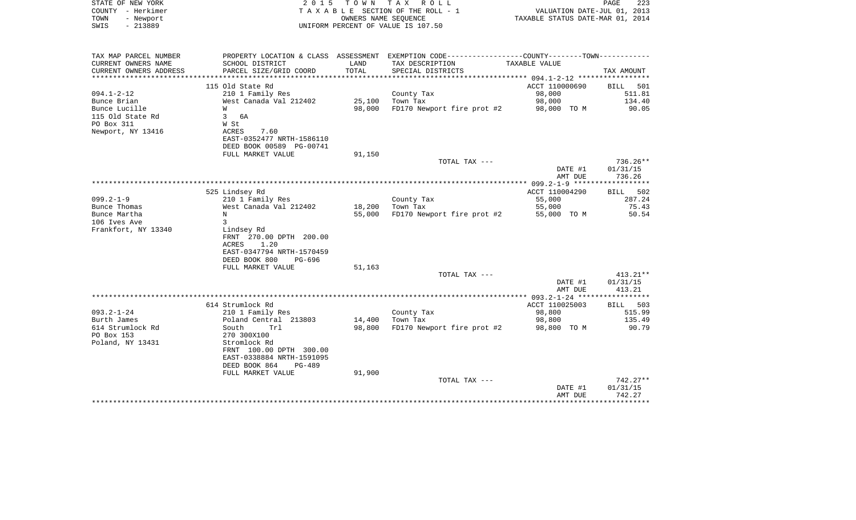| STATE OF NEW YORK      |                           |        | 2015 TOWN TAX ROLL                                                                             |                                  | PAGE<br>223 |
|------------------------|---------------------------|--------|------------------------------------------------------------------------------------------------|----------------------------------|-------------|
| COUNTY - Herkimer      |                           |        | TAXABLE SECTION OF THE ROLL - 1                                                                | VALUATION DATE-JUL 01, 2013      |             |
| TOWN<br>- Newport      |                           |        | OWNERS NAME SEQUENCE                                                                           | TAXABLE STATUS DATE-MAR 01, 2014 |             |
| $-213889$<br>SWIS      |                           |        | UNIFORM PERCENT OF VALUE IS 107.50                                                             |                                  |             |
|                        |                           |        |                                                                                                |                                  |             |
| TAX MAP PARCEL NUMBER  |                           |        | PROPERTY LOCATION & CLASS ASSESSMENT EXEMPTION CODE----------------COUNTY-------TOWN---------- |                                  |             |
| CURRENT OWNERS NAME    | SCHOOL DISTRICT           | LAND   | TAX DESCRIPTION                                                                                | TAXABLE VALUE                    |             |
| CURRENT OWNERS ADDRESS | PARCEL SIZE/GRID COORD    | TOTAL  | SPECIAL DISTRICTS                                                                              |                                  | TAX AMOUNT  |
|                        | 115 Old State Rd          |        |                                                                                                | ACCT 110000690                   | BILL<br>501 |
| $094.1 - 2 - 12$       | 210 1 Family Res          |        | County Tax                                                                                     | 98,000                           | 511.81      |
| Bunce Brian            | West Canada Val 212402    | 25,100 | Town Tax                                                                                       | 98,000                           | 134.40      |
| Bunce Lucille          | W                         | 98,000 | FD170 Newport fire prot #2                                                                     | 98,000 TO M                      | 90.05       |
| 115 Old State Rd       | 3 6A                      |        |                                                                                                |                                  |             |
| PO Box 311             | W St                      |        |                                                                                                |                                  |             |
| Newport, NY 13416      | 7.60<br>ACRES             |        |                                                                                                |                                  |             |
|                        | EAST-0352477 NRTH-1586110 |        |                                                                                                |                                  |             |
|                        | DEED BOOK 00589 PG-00741  |        |                                                                                                |                                  |             |
|                        | FULL MARKET VALUE         | 91,150 |                                                                                                |                                  |             |
|                        |                           |        | TOTAL TAX ---                                                                                  |                                  | 736.26**    |
|                        |                           |        |                                                                                                | DATE #1                          | 01/31/15    |
|                        |                           |        |                                                                                                | AMT DUE                          | 736.26      |
|                        |                           |        |                                                                                                |                                  |             |
|                        | 525 Lindsey Rd            |        |                                                                                                | ACCT 110004290                   | BILL 502    |
| $099.2 - 1 - 9$        | 210 1 Family Res          |        | County Tax                                                                                     | 55,000                           | 287.24      |
| Bunce Thomas           | West Canada Val 212402    | 18,200 | Town Tax                                                                                       | 55,000                           | 75.43       |
| Bunce Martha           | N                         | 55,000 | FD170 Newport fire prot #2                                                                     | 55,000 TO M                      | 50.54       |
| 106 Ives Ave           | 3                         |        |                                                                                                |                                  |             |
| Frankfort, NY 13340    | Lindsey Rd                |        |                                                                                                |                                  |             |
|                        | FRNT 270.00 DPTH 200.00   |        |                                                                                                |                                  |             |
|                        | ACRES<br>1.20             |        |                                                                                                |                                  |             |
|                        | EAST-0347794 NRTH-1570459 |        |                                                                                                |                                  |             |
|                        | DEED BOOK 800<br>PG-696   |        |                                                                                                |                                  |             |
|                        | FULL MARKET VALUE         | 51,163 |                                                                                                |                                  |             |
|                        |                           |        | TOTAL TAX ---                                                                                  |                                  | $413.21**$  |
|                        |                           |        |                                                                                                | DATE #1                          | 01/31/15    |
|                        |                           |        |                                                                                                | AMT DUE                          | 413.21      |
|                        |                           |        |                                                                                                |                                  |             |
|                        | 614 Strumlock Rd          |        |                                                                                                | ACCT 110025003                   | BILL<br>503 |
| $093.2 - 1 - 24$       | 210 1 Family Res          |        | County Tax                                                                                     | 98,800                           | 515.99      |
| Burth James            | Poland Central 213803     | 14,400 | Town Tax                                                                                       | 98,800                           | 135.49      |
| 614 Strumlock Rd       | South<br>Trl              | 98,800 | FD170 Newport fire prot #2                                                                     | 98,800 TO M                      | 90.79       |
| PO Box 153             | 270 300X100               |        |                                                                                                |                                  |             |
| Poland, NY 13431       | Stromlock Rd              |        |                                                                                                |                                  |             |
|                        | FRNT 100.00 DPTH 300.00   |        |                                                                                                |                                  |             |
|                        | EAST-0338884 NRTH-1591095 |        |                                                                                                |                                  |             |
|                        | DEED BOOK 864<br>PG-489   |        |                                                                                                |                                  |             |
|                        | FULL MARKET VALUE         | 91,900 |                                                                                                |                                  |             |
|                        |                           |        | TOTAL TAX ---                                                                                  |                                  | $742.27**$  |
|                        |                           |        |                                                                                                | DATE #1                          | 01/31/15    |
|                        |                           |        |                                                                                                | AMT DUE                          | 742.27      |
|                        |                           |        |                                                                                                |                                  | *********** |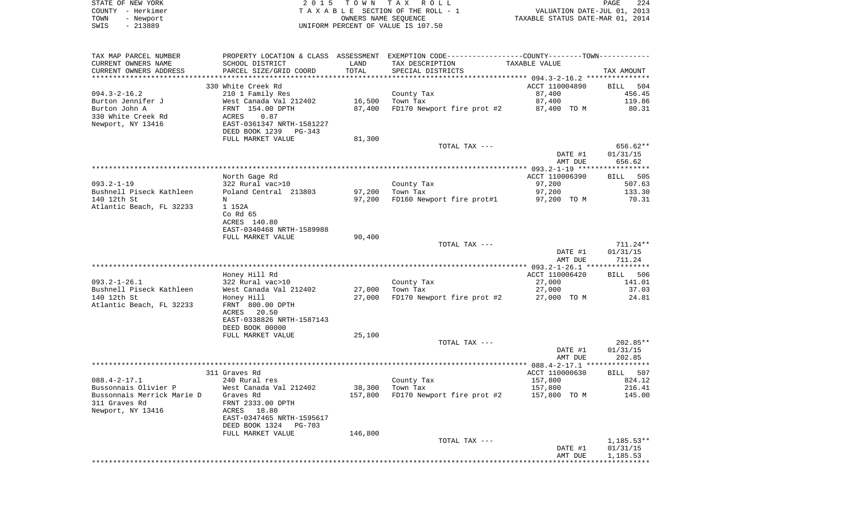|      | STATE OF NEW YORK | 2015 TOWN TAX ROLL                 | 224<br>PAGE                      |
|------|-------------------|------------------------------------|----------------------------------|
|      | COUNTY - Herkimer | TAXABLE SECTION OF THE ROLL - 1    | VALUATION DATE-JUL 01, 2013      |
| TOWN | - Newport         | OWNERS NAME SEOUENCE               | TAXABLE STATUS DATE-MAR 01, 2014 |
| SWIS | $-213889$         | UNIFORM PERCENT OF VALUE IS 107.50 |                                  |

| SCHOOL DISTRICT<br>LAND<br>TAX DESCRIPTION<br>TAXABLE VALUE<br>PARCEL SIZE/GRID COORD<br>TOTAL<br>SPECIAL DISTRICTS<br>TAX AMOUNT<br>ACCT 110004890<br>330 White Creek Rd<br>BILL 504<br>$094.3 - 2 - 16.2$<br>210 1 Family Res<br>County Tax<br>87,400<br>456.45<br>16,500<br>Town Tax<br>Burton Jennifer J<br>West Canada Val 212402<br>87,400<br>119.86<br>FRNT 154.00 DPTH<br>87,400<br>FD170 Newport fire prot #2<br>87,400 TO M<br>80.31<br>Burton John A<br>330 White Creek Rd<br>ACRES<br>0.87<br>Newport, NY 13416<br>EAST-0361347 NRTH-1581227<br>DEED BOOK 1239<br>PG-343<br>81,300<br>FULL MARKET VALUE<br>656.62**<br>TOTAL TAX ---<br>DATE #1<br>01/31/15<br>AMT DUE<br>656.62<br>North Gage Rd<br>ACCT 110006390<br>BILL 505<br>$093.2 - 1 - 19$<br>322 Rural vac>10<br>County Tax<br>97,200<br>507.63<br>97,200<br>97,200<br>133.30<br>Bushnell Piseck Kathleen<br>Poland Central 213803<br>Town Tax<br>140 12th St<br>97,200<br>FD160 Newport fire prot#1<br>70.31<br>N<br>97,200 TO M<br>Atlantic Beach, FL 32233<br>1 152A<br>$Co$ $Rd$ $65$<br>ACRES 140.80<br>EAST-0340468 NRTH-1589988<br>FULL MARKET VALUE<br>90,400<br>$711.24**$<br>TOTAL TAX ---<br>DATE #1<br>01/31/15<br>711.24<br>AMT DUE<br>Honey Hill Rd<br>ACCT 110006420<br>BILL 506<br>$093.2 - 1 - 26.1$<br>27,000<br>141.01<br>322 Rural vac>10<br>County Tax<br>27,000<br>27,000<br>37.03<br>Bushnell Piseck Kathleen<br>West Canada Val 212402<br>Town Tax<br>140 12th St<br>27,000<br>FD170 Newport fire prot #2<br>Honey Hill<br>27,000 TO M<br>24.81<br>Atlantic Beach, FL 32233<br>FRNT 800.00 DPTH<br>20.50<br>ACRES<br>EAST-0338826 NRTH-1587143<br>DEED BOOK 00000<br>FULL MARKET VALUE<br>25,100<br>TOTAL TAX ---<br>202.85**<br>DATE #1<br>01/31/15<br>202.85<br>AMT DUE<br>311 Graves Rd<br>ACCT 110000630<br>BILL 507<br>$088.4 - 2 - 17.1$<br>240 Rural res<br>County Tax<br>157,800<br>824.12<br>Bussonnais Olivier P<br>38,300<br>157,800<br>216.41<br>West Canada Val 212402<br>Town Tax<br>Bussonnais Merrick Marie D<br>157,800<br>FD170 Newport fire prot #2<br>157,800 TO M<br>145.00<br>Graves Rd<br>311 Graves Rd<br>FRNT 2333.00 DPTH<br>Newport, NY 13416<br>ACRES<br>18.80<br>EAST-0347465 NRTH-1595617<br>DEED BOOK 1324<br>PG-703<br>146,800<br>FULL MARKET VALUE<br>1,185.53**<br>TOTAL TAX ---<br>01/31/15<br>DATE #1<br>AMT DUE<br>1,185.53 | TAX MAP PARCEL NUMBER  |  | PROPERTY LOCATION & CLASS ASSESSMENT EXEMPTION CODE---------------COUNTY-------TOWN---------- |  |
|----------------------------------------------------------------------------------------------------------------------------------------------------------------------------------------------------------------------------------------------------------------------------------------------------------------------------------------------------------------------------------------------------------------------------------------------------------------------------------------------------------------------------------------------------------------------------------------------------------------------------------------------------------------------------------------------------------------------------------------------------------------------------------------------------------------------------------------------------------------------------------------------------------------------------------------------------------------------------------------------------------------------------------------------------------------------------------------------------------------------------------------------------------------------------------------------------------------------------------------------------------------------------------------------------------------------------------------------------------------------------------------------------------------------------------------------------------------------------------------------------------------------------------------------------------------------------------------------------------------------------------------------------------------------------------------------------------------------------------------------------------------------------------------------------------------------------------------------------------------------------------------------------------------------------------------------------------------------------------------------------------------------------------------------------------------------------------------------------------------------------------------------------------------------------------------------------------------------------------------------------------------------------------------------------------------------------------------------------------------|------------------------|--|-----------------------------------------------------------------------------------------------|--|
|                                                                                                                                                                                                                                                                                                                                                                                                                                                                                                                                                                                                                                                                                                                                                                                                                                                                                                                                                                                                                                                                                                                                                                                                                                                                                                                                                                                                                                                                                                                                                                                                                                                                                                                                                                                                                                                                                                                                                                                                                                                                                                                                                                                                                                                                                                                                                                | CURRENT OWNERS NAME    |  |                                                                                               |  |
|                                                                                                                                                                                                                                                                                                                                                                                                                                                                                                                                                                                                                                                                                                                                                                                                                                                                                                                                                                                                                                                                                                                                                                                                                                                                                                                                                                                                                                                                                                                                                                                                                                                                                                                                                                                                                                                                                                                                                                                                                                                                                                                                                                                                                                                                                                                                                                | CURRENT OWNERS ADDRESS |  |                                                                                               |  |
|                                                                                                                                                                                                                                                                                                                                                                                                                                                                                                                                                                                                                                                                                                                                                                                                                                                                                                                                                                                                                                                                                                                                                                                                                                                                                                                                                                                                                                                                                                                                                                                                                                                                                                                                                                                                                                                                                                                                                                                                                                                                                                                                                                                                                                                                                                                                                                |                        |  |                                                                                               |  |
|                                                                                                                                                                                                                                                                                                                                                                                                                                                                                                                                                                                                                                                                                                                                                                                                                                                                                                                                                                                                                                                                                                                                                                                                                                                                                                                                                                                                                                                                                                                                                                                                                                                                                                                                                                                                                                                                                                                                                                                                                                                                                                                                                                                                                                                                                                                                                                |                        |  |                                                                                               |  |
|                                                                                                                                                                                                                                                                                                                                                                                                                                                                                                                                                                                                                                                                                                                                                                                                                                                                                                                                                                                                                                                                                                                                                                                                                                                                                                                                                                                                                                                                                                                                                                                                                                                                                                                                                                                                                                                                                                                                                                                                                                                                                                                                                                                                                                                                                                                                                                |                        |  |                                                                                               |  |
|                                                                                                                                                                                                                                                                                                                                                                                                                                                                                                                                                                                                                                                                                                                                                                                                                                                                                                                                                                                                                                                                                                                                                                                                                                                                                                                                                                                                                                                                                                                                                                                                                                                                                                                                                                                                                                                                                                                                                                                                                                                                                                                                                                                                                                                                                                                                                                |                        |  |                                                                                               |  |
|                                                                                                                                                                                                                                                                                                                                                                                                                                                                                                                                                                                                                                                                                                                                                                                                                                                                                                                                                                                                                                                                                                                                                                                                                                                                                                                                                                                                                                                                                                                                                                                                                                                                                                                                                                                                                                                                                                                                                                                                                                                                                                                                                                                                                                                                                                                                                                |                        |  |                                                                                               |  |
|                                                                                                                                                                                                                                                                                                                                                                                                                                                                                                                                                                                                                                                                                                                                                                                                                                                                                                                                                                                                                                                                                                                                                                                                                                                                                                                                                                                                                                                                                                                                                                                                                                                                                                                                                                                                                                                                                                                                                                                                                                                                                                                                                                                                                                                                                                                                                                |                        |  |                                                                                               |  |
|                                                                                                                                                                                                                                                                                                                                                                                                                                                                                                                                                                                                                                                                                                                                                                                                                                                                                                                                                                                                                                                                                                                                                                                                                                                                                                                                                                                                                                                                                                                                                                                                                                                                                                                                                                                                                                                                                                                                                                                                                                                                                                                                                                                                                                                                                                                                                                |                        |  |                                                                                               |  |
|                                                                                                                                                                                                                                                                                                                                                                                                                                                                                                                                                                                                                                                                                                                                                                                                                                                                                                                                                                                                                                                                                                                                                                                                                                                                                                                                                                                                                                                                                                                                                                                                                                                                                                                                                                                                                                                                                                                                                                                                                                                                                                                                                                                                                                                                                                                                                                |                        |  |                                                                                               |  |
|                                                                                                                                                                                                                                                                                                                                                                                                                                                                                                                                                                                                                                                                                                                                                                                                                                                                                                                                                                                                                                                                                                                                                                                                                                                                                                                                                                                                                                                                                                                                                                                                                                                                                                                                                                                                                                                                                                                                                                                                                                                                                                                                                                                                                                                                                                                                                                |                        |  |                                                                                               |  |
|                                                                                                                                                                                                                                                                                                                                                                                                                                                                                                                                                                                                                                                                                                                                                                                                                                                                                                                                                                                                                                                                                                                                                                                                                                                                                                                                                                                                                                                                                                                                                                                                                                                                                                                                                                                                                                                                                                                                                                                                                                                                                                                                                                                                                                                                                                                                                                |                        |  |                                                                                               |  |
|                                                                                                                                                                                                                                                                                                                                                                                                                                                                                                                                                                                                                                                                                                                                                                                                                                                                                                                                                                                                                                                                                                                                                                                                                                                                                                                                                                                                                                                                                                                                                                                                                                                                                                                                                                                                                                                                                                                                                                                                                                                                                                                                                                                                                                                                                                                                                                |                        |  |                                                                                               |  |
|                                                                                                                                                                                                                                                                                                                                                                                                                                                                                                                                                                                                                                                                                                                                                                                                                                                                                                                                                                                                                                                                                                                                                                                                                                                                                                                                                                                                                                                                                                                                                                                                                                                                                                                                                                                                                                                                                                                                                                                                                                                                                                                                                                                                                                                                                                                                                                |                        |  |                                                                                               |  |
|                                                                                                                                                                                                                                                                                                                                                                                                                                                                                                                                                                                                                                                                                                                                                                                                                                                                                                                                                                                                                                                                                                                                                                                                                                                                                                                                                                                                                                                                                                                                                                                                                                                                                                                                                                                                                                                                                                                                                                                                                                                                                                                                                                                                                                                                                                                                                                |                        |  |                                                                                               |  |
|                                                                                                                                                                                                                                                                                                                                                                                                                                                                                                                                                                                                                                                                                                                                                                                                                                                                                                                                                                                                                                                                                                                                                                                                                                                                                                                                                                                                                                                                                                                                                                                                                                                                                                                                                                                                                                                                                                                                                                                                                                                                                                                                                                                                                                                                                                                                                                |                        |  |                                                                                               |  |
|                                                                                                                                                                                                                                                                                                                                                                                                                                                                                                                                                                                                                                                                                                                                                                                                                                                                                                                                                                                                                                                                                                                                                                                                                                                                                                                                                                                                                                                                                                                                                                                                                                                                                                                                                                                                                                                                                                                                                                                                                                                                                                                                                                                                                                                                                                                                                                |                        |  |                                                                                               |  |
|                                                                                                                                                                                                                                                                                                                                                                                                                                                                                                                                                                                                                                                                                                                                                                                                                                                                                                                                                                                                                                                                                                                                                                                                                                                                                                                                                                                                                                                                                                                                                                                                                                                                                                                                                                                                                                                                                                                                                                                                                                                                                                                                                                                                                                                                                                                                                                |                        |  |                                                                                               |  |
|                                                                                                                                                                                                                                                                                                                                                                                                                                                                                                                                                                                                                                                                                                                                                                                                                                                                                                                                                                                                                                                                                                                                                                                                                                                                                                                                                                                                                                                                                                                                                                                                                                                                                                                                                                                                                                                                                                                                                                                                                                                                                                                                                                                                                                                                                                                                                                |                        |  |                                                                                               |  |
|                                                                                                                                                                                                                                                                                                                                                                                                                                                                                                                                                                                                                                                                                                                                                                                                                                                                                                                                                                                                                                                                                                                                                                                                                                                                                                                                                                                                                                                                                                                                                                                                                                                                                                                                                                                                                                                                                                                                                                                                                                                                                                                                                                                                                                                                                                                                                                |                        |  |                                                                                               |  |
|                                                                                                                                                                                                                                                                                                                                                                                                                                                                                                                                                                                                                                                                                                                                                                                                                                                                                                                                                                                                                                                                                                                                                                                                                                                                                                                                                                                                                                                                                                                                                                                                                                                                                                                                                                                                                                                                                                                                                                                                                                                                                                                                                                                                                                                                                                                                                                |                        |  |                                                                                               |  |
|                                                                                                                                                                                                                                                                                                                                                                                                                                                                                                                                                                                                                                                                                                                                                                                                                                                                                                                                                                                                                                                                                                                                                                                                                                                                                                                                                                                                                                                                                                                                                                                                                                                                                                                                                                                                                                                                                                                                                                                                                                                                                                                                                                                                                                                                                                                                                                |                        |  |                                                                                               |  |
|                                                                                                                                                                                                                                                                                                                                                                                                                                                                                                                                                                                                                                                                                                                                                                                                                                                                                                                                                                                                                                                                                                                                                                                                                                                                                                                                                                                                                                                                                                                                                                                                                                                                                                                                                                                                                                                                                                                                                                                                                                                                                                                                                                                                                                                                                                                                                                |                        |  |                                                                                               |  |
|                                                                                                                                                                                                                                                                                                                                                                                                                                                                                                                                                                                                                                                                                                                                                                                                                                                                                                                                                                                                                                                                                                                                                                                                                                                                                                                                                                                                                                                                                                                                                                                                                                                                                                                                                                                                                                                                                                                                                                                                                                                                                                                                                                                                                                                                                                                                                                |                        |  |                                                                                               |  |
|                                                                                                                                                                                                                                                                                                                                                                                                                                                                                                                                                                                                                                                                                                                                                                                                                                                                                                                                                                                                                                                                                                                                                                                                                                                                                                                                                                                                                                                                                                                                                                                                                                                                                                                                                                                                                                                                                                                                                                                                                                                                                                                                                                                                                                                                                                                                                                |                        |  |                                                                                               |  |
|                                                                                                                                                                                                                                                                                                                                                                                                                                                                                                                                                                                                                                                                                                                                                                                                                                                                                                                                                                                                                                                                                                                                                                                                                                                                                                                                                                                                                                                                                                                                                                                                                                                                                                                                                                                                                                                                                                                                                                                                                                                                                                                                                                                                                                                                                                                                                                |                        |  |                                                                                               |  |
|                                                                                                                                                                                                                                                                                                                                                                                                                                                                                                                                                                                                                                                                                                                                                                                                                                                                                                                                                                                                                                                                                                                                                                                                                                                                                                                                                                                                                                                                                                                                                                                                                                                                                                                                                                                                                                                                                                                                                                                                                                                                                                                                                                                                                                                                                                                                                                |                        |  |                                                                                               |  |
|                                                                                                                                                                                                                                                                                                                                                                                                                                                                                                                                                                                                                                                                                                                                                                                                                                                                                                                                                                                                                                                                                                                                                                                                                                                                                                                                                                                                                                                                                                                                                                                                                                                                                                                                                                                                                                                                                                                                                                                                                                                                                                                                                                                                                                                                                                                                                                |                        |  |                                                                                               |  |
|                                                                                                                                                                                                                                                                                                                                                                                                                                                                                                                                                                                                                                                                                                                                                                                                                                                                                                                                                                                                                                                                                                                                                                                                                                                                                                                                                                                                                                                                                                                                                                                                                                                                                                                                                                                                                                                                                                                                                                                                                                                                                                                                                                                                                                                                                                                                                                |                        |  |                                                                                               |  |
|                                                                                                                                                                                                                                                                                                                                                                                                                                                                                                                                                                                                                                                                                                                                                                                                                                                                                                                                                                                                                                                                                                                                                                                                                                                                                                                                                                                                                                                                                                                                                                                                                                                                                                                                                                                                                                                                                                                                                                                                                                                                                                                                                                                                                                                                                                                                                                |                        |  |                                                                                               |  |
|                                                                                                                                                                                                                                                                                                                                                                                                                                                                                                                                                                                                                                                                                                                                                                                                                                                                                                                                                                                                                                                                                                                                                                                                                                                                                                                                                                                                                                                                                                                                                                                                                                                                                                                                                                                                                                                                                                                                                                                                                                                                                                                                                                                                                                                                                                                                                                |                        |  |                                                                                               |  |
|                                                                                                                                                                                                                                                                                                                                                                                                                                                                                                                                                                                                                                                                                                                                                                                                                                                                                                                                                                                                                                                                                                                                                                                                                                                                                                                                                                                                                                                                                                                                                                                                                                                                                                                                                                                                                                                                                                                                                                                                                                                                                                                                                                                                                                                                                                                                                                |                        |  |                                                                                               |  |
|                                                                                                                                                                                                                                                                                                                                                                                                                                                                                                                                                                                                                                                                                                                                                                                                                                                                                                                                                                                                                                                                                                                                                                                                                                                                                                                                                                                                                                                                                                                                                                                                                                                                                                                                                                                                                                                                                                                                                                                                                                                                                                                                                                                                                                                                                                                                                                |                        |  |                                                                                               |  |
|                                                                                                                                                                                                                                                                                                                                                                                                                                                                                                                                                                                                                                                                                                                                                                                                                                                                                                                                                                                                                                                                                                                                                                                                                                                                                                                                                                                                                                                                                                                                                                                                                                                                                                                                                                                                                                                                                                                                                                                                                                                                                                                                                                                                                                                                                                                                                                |                        |  |                                                                                               |  |
|                                                                                                                                                                                                                                                                                                                                                                                                                                                                                                                                                                                                                                                                                                                                                                                                                                                                                                                                                                                                                                                                                                                                                                                                                                                                                                                                                                                                                                                                                                                                                                                                                                                                                                                                                                                                                                                                                                                                                                                                                                                                                                                                                                                                                                                                                                                                                                |                        |  |                                                                                               |  |
|                                                                                                                                                                                                                                                                                                                                                                                                                                                                                                                                                                                                                                                                                                                                                                                                                                                                                                                                                                                                                                                                                                                                                                                                                                                                                                                                                                                                                                                                                                                                                                                                                                                                                                                                                                                                                                                                                                                                                                                                                                                                                                                                                                                                                                                                                                                                                                |                        |  |                                                                                               |  |
|                                                                                                                                                                                                                                                                                                                                                                                                                                                                                                                                                                                                                                                                                                                                                                                                                                                                                                                                                                                                                                                                                                                                                                                                                                                                                                                                                                                                                                                                                                                                                                                                                                                                                                                                                                                                                                                                                                                                                                                                                                                                                                                                                                                                                                                                                                                                                                |                        |  |                                                                                               |  |
|                                                                                                                                                                                                                                                                                                                                                                                                                                                                                                                                                                                                                                                                                                                                                                                                                                                                                                                                                                                                                                                                                                                                                                                                                                                                                                                                                                                                                                                                                                                                                                                                                                                                                                                                                                                                                                                                                                                                                                                                                                                                                                                                                                                                                                                                                                                                                                |                        |  |                                                                                               |  |
|                                                                                                                                                                                                                                                                                                                                                                                                                                                                                                                                                                                                                                                                                                                                                                                                                                                                                                                                                                                                                                                                                                                                                                                                                                                                                                                                                                                                                                                                                                                                                                                                                                                                                                                                                                                                                                                                                                                                                                                                                                                                                                                                                                                                                                                                                                                                                                |                        |  |                                                                                               |  |
|                                                                                                                                                                                                                                                                                                                                                                                                                                                                                                                                                                                                                                                                                                                                                                                                                                                                                                                                                                                                                                                                                                                                                                                                                                                                                                                                                                                                                                                                                                                                                                                                                                                                                                                                                                                                                                                                                                                                                                                                                                                                                                                                                                                                                                                                                                                                                                |                        |  |                                                                                               |  |
|                                                                                                                                                                                                                                                                                                                                                                                                                                                                                                                                                                                                                                                                                                                                                                                                                                                                                                                                                                                                                                                                                                                                                                                                                                                                                                                                                                                                                                                                                                                                                                                                                                                                                                                                                                                                                                                                                                                                                                                                                                                                                                                                                                                                                                                                                                                                                                |                        |  |                                                                                               |  |
|                                                                                                                                                                                                                                                                                                                                                                                                                                                                                                                                                                                                                                                                                                                                                                                                                                                                                                                                                                                                                                                                                                                                                                                                                                                                                                                                                                                                                                                                                                                                                                                                                                                                                                                                                                                                                                                                                                                                                                                                                                                                                                                                                                                                                                                                                                                                                                |                        |  |                                                                                               |  |
|                                                                                                                                                                                                                                                                                                                                                                                                                                                                                                                                                                                                                                                                                                                                                                                                                                                                                                                                                                                                                                                                                                                                                                                                                                                                                                                                                                                                                                                                                                                                                                                                                                                                                                                                                                                                                                                                                                                                                                                                                                                                                                                                                                                                                                                                                                                                                                |                        |  |                                                                                               |  |
|                                                                                                                                                                                                                                                                                                                                                                                                                                                                                                                                                                                                                                                                                                                                                                                                                                                                                                                                                                                                                                                                                                                                                                                                                                                                                                                                                                                                                                                                                                                                                                                                                                                                                                                                                                                                                                                                                                                                                                                                                                                                                                                                                                                                                                                                                                                                                                |                        |  |                                                                                               |  |
|                                                                                                                                                                                                                                                                                                                                                                                                                                                                                                                                                                                                                                                                                                                                                                                                                                                                                                                                                                                                                                                                                                                                                                                                                                                                                                                                                                                                                                                                                                                                                                                                                                                                                                                                                                                                                                                                                                                                                                                                                                                                                                                                                                                                                                                                                                                                                                |                        |  |                                                                                               |  |
|                                                                                                                                                                                                                                                                                                                                                                                                                                                                                                                                                                                                                                                                                                                                                                                                                                                                                                                                                                                                                                                                                                                                                                                                                                                                                                                                                                                                                                                                                                                                                                                                                                                                                                                                                                                                                                                                                                                                                                                                                                                                                                                                                                                                                                                                                                                                                                |                        |  |                                                                                               |  |
|                                                                                                                                                                                                                                                                                                                                                                                                                                                                                                                                                                                                                                                                                                                                                                                                                                                                                                                                                                                                                                                                                                                                                                                                                                                                                                                                                                                                                                                                                                                                                                                                                                                                                                                                                                                                                                                                                                                                                                                                                                                                                                                                                                                                                                                                                                                                                                |                        |  |                                                                                               |  |
|                                                                                                                                                                                                                                                                                                                                                                                                                                                                                                                                                                                                                                                                                                                                                                                                                                                                                                                                                                                                                                                                                                                                                                                                                                                                                                                                                                                                                                                                                                                                                                                                                                                                                                                                                                                                                                                                                                                                                                                                                                                                                                                                                                                                                                                                                                                                                                |                        |  |                                                                                               |  |
|                                                                                                                                                                                                                                                                                                                                                                                                                                                                                                                                                                                                                                                                                                                                                                                                                                                                                                                                                                                                                                                                                                                                                                                                                                                                                                                                                                                                                                                                                                                                                                                                                                                                                                                                                                                                                                                                                                                                                                                                                                                                                                                                                                                                                                                                                                                                                                |                        |  |                                                                                               |  |
|                                                                                                                                                                                                                                                                                                                                                                                                                                                                                                                                                                                                                                                                                                                                                                                                                                                                                                                                                                                                                                                                                                                                                                                                                                                                                                                                                                                                                                                                                                                                                                                                                                                                                                                                                                                                                                                                                                                                                                                                                                                                                                                                                                                                                                                                                                                                                                |                        |  |                                                                                               |  |
|                                                                                                                                                                                                                                                                                                                                                                                                                                                                                                                                                                                                                                                                                                                                                                                                                                                                                                                                                                                                                                                                                                                                                                                                                                                                                                                                                                                                                                                                                                                                                                                                                                                                                                                                                                                                                                                                                                                                                                                                                                                                                                                                                                                                                                                                                                                                                                |                        |  |                                                                                               |  |
|                                                                                                                                                                                                                                                                                                                                                                                                                                                                                                                                                                                                                                                                                                                                                                                                                                                                                                                                                                                                                                                                                                                                                                                                                                                                                                                                                                                                                                                                                                                                                                                                                                                                                                                                                                                                                                                                                                                                                                                                                                                                                                                                                                                                                                                                                                                                                                |                        |  |                                                                                               |  |
|                                                                                                                                                                                                                                                                                                                                                                                                                                                                                                                                                                                                                                                                                                                                                                                                                                                                                                                                                                                                                                                                                                                                                                                                                                                                                                                                                                                                                                                                                                                                                                                                                                                                                                                                                                                                                                                                                                                                                                                                                                                                                                                                                                                                                                                                                                                                                                |                        |  |                                                                                               |  |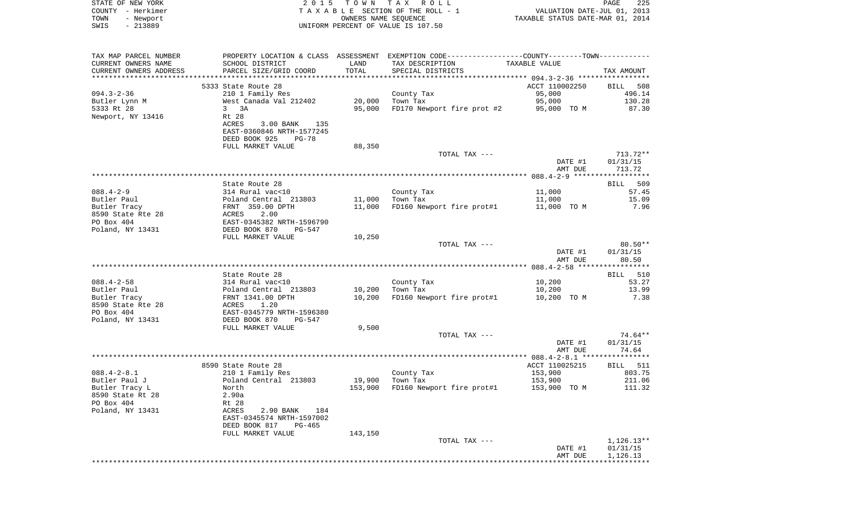|      | STATE OF NEW YORK | 2015 TOWN TAX ROLL                 | <b>PAGE</b>                      | 225 |
|------|-------------------|------------------------------------|----------------------------------|-----|
|      | COUNTY - Herkimer | TAXABLE SECTION OF THE ROLL - 1    | VALUATION DATE-JUL 01, 2013      |     |
| TOWN | - Newport         | OWNERS NAME SEOUENCE               | TAXABLE STATUS DATE-MAR 01, 2014 |     |
| SWIS | $-213889$         | UNIFORM PERCENT OF VALUE IS 107.50 |                                  |     |

| TAX MAP PARCEL NUMBER  |                                            |         | PROPERTY LOCATION & CLASS ASSESSMENT EXEMPTION CODE---------------COUNTY-------TOWN---------- |                |                 |
|------------------------|--------------------------------------------|---------|-----------------------------------------------------------------------------------------------|----------------|-----------------|
| CURRENT OWNERS NAME    | SCHOOL DISTRICT                            | LAND    | TAX DESCRIPTION                                                                               | TAXABLE VALUE  |                 |
| CURRENT OWNERS ADDRESS | PARCEL SIZE/GRID COORD                     | TOTAL   | SPECIAL DISTRICTS                                                                             |                | TAX AMOUNT      |
|                        |                                            |         |                                                                                               |                |                 |
|                        | 5333 State Route 28                        |         |                                                                                               | ACCT 110002250 | BILL 508        |
| $094.3 - 2 - 36$       | 210 1 Family Res                           |         | County Tax                                                                                    | 95,000         | 496.14          |
| Butler Lynn M          | West Canada Val 212402                     | 20,000  | Town Tax                                                                                      | 95,000         | 130.28          |
| 5333 Rt 28             | $3 \overline{\smash)3A}$                   | 95,000  | FD170 Newport fire prot #2                                                                    | 95,000 TO M    | 87.30           |
| Newport, NY 13416      | Rt 28                                      |         |                                                                                               |                |                 |
|                        | 3.00 BANK 135<br>ACRES                     |         |                                                                                               |                |                 |
|                        | EAST-0360846 NRTH-1577245                  |         |                                                                                               |                |                 |
|                        | DEED BOOK 925<br>$PG-78$                   |         |                                                                                               |                |                 |
|                        | FULL MARKET VALUE                          | 88,350  |                                                                                               |                |                 |
|                        |                                            |         | TOTAL TAX ---                                                                                 |                | 713.72**        |
|                        |                                            |         |                                                                                               | DATE #1        | 01/31/15        |
|                        |                                            |         |                                                                                               | AMT DUE        | 713.72          |
|                        | State Route 28                             |         |                                                                                               |                | BILL 509        |
| $088.4 - 2 - 9$        | 314 Rural vac<10                           |         | County Tax                                                                                    | 11,000         | 57.45           |
| Butler Paul            | Poland Central 213803                      | 11,000  | Town Tax                                                                                      | 11,000         | 15.09           |
| Butler Tracy           | FRNT 359.00 DPTH                           | 11,000  | FD160 Newport fire prot#1                                                                     | 11,000 TO M    | 7.96            |
| 8590 State Rte 28      |                                            |         |                                                                                               |                |                 |
| PO Box 404             | ACRES 2.00<br>EAST-0345382 NRTH-1596790    |         |                                                                                               |                |                 |
| Poland, NY 13431       | DEED BOOK 870<br>PG-547                    |         |                                                                                               |                |                 |
|                        | FULL MARKET VALUE                          | 10,250  |                                                                                               |                |                 |
|                        |                                            |         | TOTAL TAX ---                                                                                 |                | $80.50**$       |
|                        |                                            |         |                                                                                               | DATE #1        | 01/31/15        |
|                        |                                            |         |                                                                                               | AMT DUE        | 80.50           |
|                        |                                            |         |                                                                                               |                |                 |
|                        | State Route 28                             |         |                                                                                               |                | BILL 510        |
| $088.4 - 2 - 58$       | 314 Rural vac<10                           |         | County Tax                                                                                    | 10,200         | 53.27           |
| Butler Paul            |                                            | 10,200  | Town Tax                                                                                      | 10,200         | 13.99           |
| Butler Tracy           | Poland Central 213803<br>FRNT 1341.00 DPTH | 10,200  | FD160 Newport fire prot#1                                                                     | 10,200 TO M    | 7.38            |
| 8590 State Rte 28      | ACRES 1.20<br>EAST-0345779 NRTH-1596380    |         |                                                                                               |                |                 |
| PO Box 404             |                                            |         |                                                                                               |                |                 |
| Poland, NY 13431       | DEED BOOK 870<br>$PG-547$                  |         |                                                                                               |                |                 |
|                        | FULL MARKET VALUE                          | 9,500   |                                                                                               |                |                 |
|                        |                                            |         | TOTAL TAX ---                                                                                 |                | 74.64**         |
|                        |                                            |         |                                                                                               | DATE #1        | 01/31/15        |
|                        |                                            |         |                                                                                               | AMT DUE        | 74.64           |
|                        |                                            |         |                                                                                               |                |                 |
|                        | 8590 State Route 28                        |         |                                                                                               | ACCT 110025215 | <b>BILL</b> 511 |
| $088.4 - 2 - 8.1$      | 210 1 Family Res                           |         | County Tax                                                                                    | 153,900        | 803.75          |
| Butler Paul J          | Poland Central 213803                      | 19,900  | Town Tax                                                                                      | 153,900        | 211.06          |
| Butler Tracy L         | North                                      | 153,900 | FD160 Newport fire prot#1 153,900 TO M                                                        |                | 111.32          |
| 8590 State Rt 28       | 2.90a                                      |         |                                                                                               |                |                 |
| PO Box 404             | Rt 28                                      |         |                                                                                               |                |                 |
| Poland, NY 13431       | ACRES<br>2.90 BANK<br>184                  |         |                                                                                               |                |                 |
|                        | EAST-0345574 NRTH-1597002                  |         |                                                                                               |                |                 |
|                        | DEED BOOK 817<br>PG-465                    |         |                                                                                               |                |                 |
|                        | FULL MARKET VALUE                          | 143,150 |                                                                                               |                |                 |
|                        |                                            |         | TOTAL TAX ---                                                                                 |                | $1,126.13**$    |
|                        |                                            |         |                                                                                               | DATE #1        | 01/31/15        |
|                        |                                            |         |                                                                                               | AMT DUE        | 1,126.13        |
|                        |                                            |         |                                                                                               |                |                 |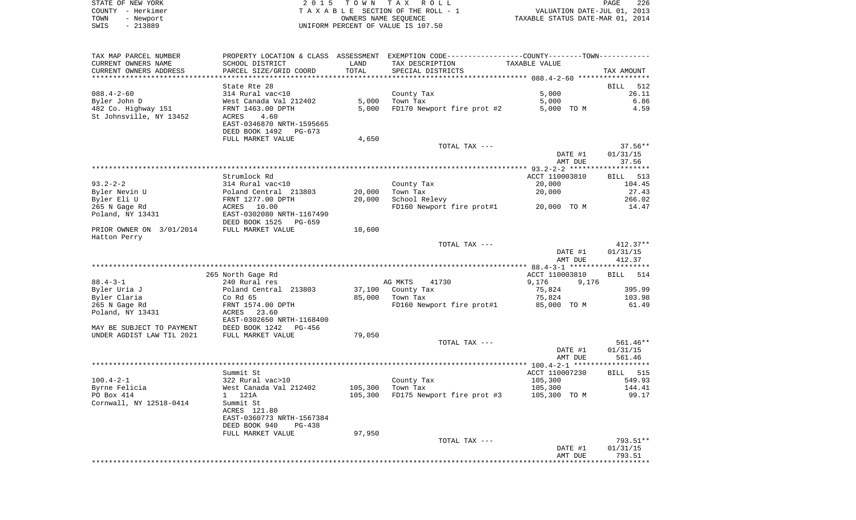| STATE OF NEW YORK | 2015 TOWN TAX ROLL<br>PAGE                                     | 226 |
|-------------------|----------------------------------------------------------------|-----|
| COUNTY – Herkimer | VALUATION DATE-JUL 01, 2013<br>TAXABLE SECTION OF THE ROLL - 1 |     |
| TOWN<br>- Newport | TAXABLE STATUS DATE-MAR 01, 2014<br>OWNERS NAME SEOUENCE       |     |
| $-213889$<br>SWIS | UNIFORM PERCENT OF VALUE IS 107.50                             |     |

| TAX MAP PARCEL NUMBER<br>CURRENT OWNERS NAME<br>CURRENT OWNERS ADDRESS | SCHOOL DISTRICT<br>PARCEL SIZE/GRID COORD               | LAND<br>TOTAL | PROPERTY LOCATION & CLASS ASSESSMENT EXEMPTION CODE---------------COUNTY-------TOWN----------<br>TAX DESCRIPTION<br>SPECIAL DISTRICTS | TAXABLE VALUE      | TAX AMOUNT                     |
|------------------------------------------------------------------------|---------------------------------------------------------|---------------|---------------------------------------------------------------------------------------------------------------------------------------|--------------------|--------------------------------|
| **********************                                                 |                                                         |               |                                                                                                                                       |                    |                                |
|                                                                        | State Rte 28                                            |               |                                                                                                                                       |                    | <b>BILL</b><br>512             |
| $088.4 - 2 - 60$                                                       | 314 Rural vac<10                                        |               | County Tax                                                                                                                            | 5,000              | 26.11                          |
| Byler John D                                                           | West Canada Val 212402                                  | 5,000         | Town Tax                                                                                                                              | 5,000              | 6.86                           |
| 482 Co. Highway 151<br>St Johnsville, NY 13452                         | FRNT 1463.00 DPTH<br>ACRES<br>4.60                      | 5,000         | FD170 Newport fire prot #2                                                                                                            | 5,000 TO M         | 4.59                           |
|                                                                        | EAST-0346870 NRTH-1595665<br>DEED BOOK 1492<br>$PG-673$ |               |                                                                                                                                       |                    |                                |
|                                                                        | FULL MARKET VALUE                                       | 4,650         |                                                                                                                                       |                    |                                |
|                                                                        |                                                         |               | TOTAL TAX ---                                                                                                                         | DATE #1<br>AMT DUE | $37.56**$<br>01/31/15<br>37.56 |
|                                                                        |                                                         |               |                                                                                                                                       |                    |                                |
|                                                                        | Strumlock Rd                                            |               |                                                                                                                                       | ACCT 110003810     | BILL 513                       |
| $93.2 - 2 - 2$                                                         | 314 Rural vac<10                                        |               | County Tax                                                                                                                            | 20,000             | 104.45                         |
| Byler Nevin U                                                          | Poland Central 213803                                   | 20,000        | Town Tax                                                                                                                              | 20,000             | 27.43                          |
| Byler Eli U                                                            | FRNT 1277.00 DPTH                                       | 20,000        | School Relevy                                                                                                                         |                    | 266.02                         |
| 265 N Gage Rd                                                          | ACRES 10.00                                             |               | FD160 Newport fire prot#1                                                                                                             | 20,000 TO M        | 14.47                          |
| Poland, NY 13431                                                       | EAST-0302080 NRTH-1167490<br>DEED BOOK 1525<br>PG-659   |               |                                                                                                                                       |                    |                                |
| PRIOR OWNER ON 3/01/2014<br>Hatton Perry                               | FULL MARKET VALUE                                       | 18,600        |                                                                                                                                       |                    |                                |
|                                                                        |                                                         |               | TOTAL TAX ---                                                                                                                         |                    | $412.37**$                     |
|                                                                        |                                                         |               |                                                                                                                                       | DATE #1            | 01/31/15                       |
|                                                                        |                                                         |               |                                                                                                                                       | AMT DUE            | 412.37                         |
|                                                                        | 265 North Gage Rd                                       |               |                                                                                                                                       | ACCT 110003810     | BILL 514                       |
| 88.4-3-1                                                               | 240 Rural res                                           |               | AG MKTS<br>41730                                                                                                                      | 9,176<br>9,176     |                                |
| Byler Uria J                                                           | Poland Central 213803                                   | 37,100        | County Tax                                                                                                                            | 75,824             | 395.99                         |
| Byler Claria                                                           | Co Rd 65                                                | 85,000        | Town Tax                                                                                                                              | 75,824             | 103.98                         |
| 265 N Gage Rd                                                          | FRNT 1574.00 DPTH                                       |               | FD160 Newport fire prot#1                                                                                                             | 85,000 TO M        | 61.49                          |
| Poland, NY 13431                                                       | ACRES 23.60                                             |               |                                                                                                                                       |                    |                                |
|                                                                        | EAST-0302650 NRTH-1168400                               |               |                                                                                                                                       |                    |                                |
| MAY BE SUBJECT TO PAYMENT                                              | DEED BOOK 1242<br>PG-456                                |               |                                                                                                                                       |                    |                                |
| UNDER AGDIST LAW TIL 2021                                              | FULL MARKET VALUE                                       | 79,050        |                                                                                                                                       |                    |                                |
|                                                                        |                                                         |               | TOTAL TAX ---                                                                                                                         |                    | 561.46**                       |
|                                                                        |                                                         |               |                                                                                                                                       | DATE #1            | 01/31/15                       |
|                                                                        |                                                         |               |                                                                                                                                       | AMT DUE            | 561.46                         |
|                                                                        | Summit St                                               |               |                                                                                                                                       | ACCT 110007230     | <b>BILL</b> 515                |
| $100.4 - 2 - 1$                                                        | 322 Rural vac>10                                        |               | County Tax                                                                                                                            | 105,300            | 549.93                         |
| Byrne Felicia                                                          | West Canada Val 212402                                  | 105,300       | Town Tax                                                                                                                              | 105,300            | 144.41                         |
| PO Box 414                                                             | 1 121A                                                  | 105,300       | FD175 Newport fire prot #3 105,300 TO M                                                                                               |                    | 99.17                          |
| Cornwall, NY 12518-0414                                                | Summit St<br>ACRES 121.80                               |               |                                                                                                                                       |                    |                                |
|                                                                        | EAST-0360773 NRTH-1567384                               |               |                                                                                                                                       |                    |                                |
|                                                                        | DEED BOOK 940<br>PG-438                                 |               |                                                                                                                                       |                    |                                |
|                                                                        | FULL MARKET VALUE                                       | 97,950        |                                                                                                                                       |                    |                                |
|                                                                        |                                                         |               | TOTAL TAX ---                                                                                                                         |                    | 793.51**                       |
|                                                                        |                                                         |               |                                                                                                                                       | DATE #1            | 01/31/15                       |
|                                                                        |                                                         |               |                                                                                                                                       | AMT DUE            | 793.51                         |
|                                                                        |                                                         |               |                                                                                                                                       |                    |                                |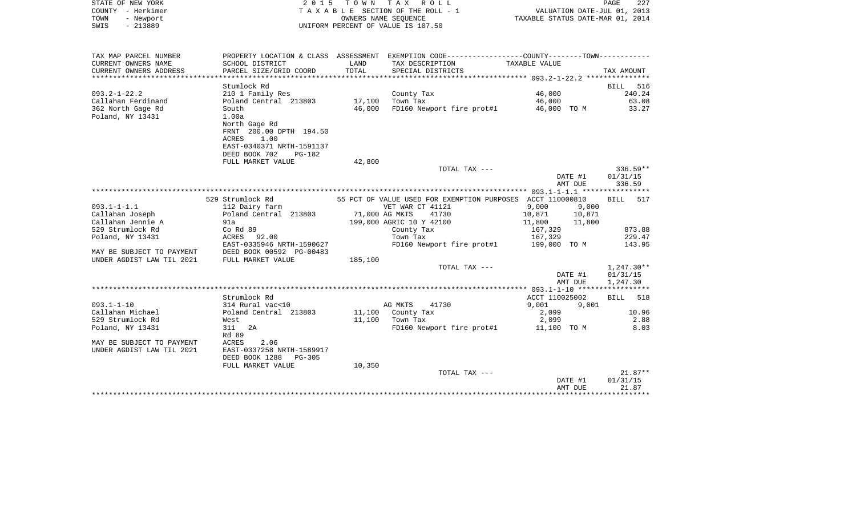| STATE OF NEW YORK<br>COUNTY - Herkimer                                     |                                                                          |                | 2015 TOWN TAX ROLL<br>TAXABLE SECTION OF THE ROLL - 1                                         | VALUATION DATE-JUL 01, 2013            | PAGE              | 227                   |
|----------------------------------------------------------------------------|--------------------------------------------------------------------------|----------------|-----------------------------------------------------------------------------------------------|----------------------------------------|-------------------|-----------------------|
| TOWN<br>- Newport                                                          |                                                                          |                | OWNERS NAME SEQUENCE                                                                          | TAXABLE STATUS DATE-MAR 01, 2014       |                   |                       |
| $-213889$<br>SWIS                                                          |                                                                          |                | UNIFORM PERCENT OF VALUE IS 107.50                                                            |                                        |                   |                       |
| TAX MAP PARCEL NUMBER                                                      |                                                                          |                | PROPERTY LOCATION & CLASS ASSESSMENT EXEMPTION CODE---------------COUNTY-------TOWN---------- |                                        |                   |                       |
| CURRENT OWNERS NAME                                                        | SCHOOL DISTRICT                                                          | LAND           | TAX DESCRIPTION                                                                               | TAXABLE VALUE                          |                   |                       |
| CURRENT OWNERS ADDRESS<br>**************************                       | PARCEL SIZE/GRID COORD                                                   | TOTAL          | SPECIAL DISTRICTS                                                                             |                                        | TAX AMOUNT        |                       |
|                                                                            | Stumlock Rd                                                              |                |                                                                                               |                                        | BILL 516          |                       |
| $093.2 - 1 - 22.2$                                                         | 210 1 Family Res                                                         |                | County Tax                                                                                    | 46,000                                 |                   | 240.24                |
| Callahan Ferdinand                                                         | Poland Central 213803                                                    |                | 17,100 Town Tax                                                                               | 46,000                                 |                   | 63.08                 |
| 362 North Gage Rd                                                          | South                                                                    |                | 46,000 FD160 Newport fire prot#1                                                              | 46,000 TO M                            |                   | 33.27                 |
| Poland, NY 13431                                                           | 1.00a                                                                    |                |                                                                                               |                                        |                   |                       |
|                                                                            | North Gage Rd                                                            |                |                                                                                               |                                        |                   |                       |
|                                                                            | FRNT 200.00 DPTH 194.50                                                  |                |                                                                                               |                                        |                   |                       |
|                                                                            | ACRES 1.00                                                               |                |                                                                                               |                                        |                   |                       |
|                                                                            | EAST-0340371 NRTH-1591137<br>DEED BOOK 702<br>PG-182                     |                |                                                                                               |                                        |                   |                       |
|                                                                            | FULL MARKET VALUE                                                        | 42,800         |                                                                                               |                                        |                   |                       |
|                                                                            |                                                                          |                | TOTAL TAX ---                                                                                 |                                        | 336.59**          |                       |
|                                                                            |                                                                          |                |                                                                                               | DATE #1                                | 01/31/15          |                       |
|                                                                            |                                                                          |                |                                                                                               | AMT DUE                                | 336.59            |                       |
|                                                                            |                                                                          |                |                                                                                               |                                        |                   |                       |
|                                                                            | 529 Strumlock Rd<br>112 Dairy farm                                       |                | 55 PCT OF VALUE USED FOR EXEMPTION PURPOSES ACCT 110000810                                    |                                        | BILL 517          |                       |
| $093.1 - 1 - 1.1$                                                          |                                                                          |                | VET WAR CT 41121                                                                              | 9,000                                  | 9.000             |                       |
| Callahan Joseph<br>Callahan Jennie A                                       | Poland Central 213803                                                    | 71,000 AG MKTS | 41730                                                                                         | $10,871$<br>10,871<br>11,800<br>11,800 |                   |                       |
| 529 Strumlock Rd                                                           | 91a                                                                      |                | 199,000 AGRIC 10 Y 42100<br>County Tax                                                        | 167,329                                |                   | 873.88                |
| Poland, NY 13431                                                           | Co Rd 89<br>ACRES 92.00                                                  |                | Town Tax                                                                                      | 167,329                                |                   | 229.47                |
|                                                                            | EAST-0335946 NRTH-1590627                                                |                | FD160 Newport fire prot#1 199,000 TO M                                                        |                                        |                   | 143.95                |
|                                                                            | MAY BE SUBJECT TO PAYMENT<br>UNDER AGDIST LAW TIL 2021 FULL MARKET VALUE |                |                                                                                               |                                        |                   |                       |
|                                                                            |                                                                          | 185,100        |                                                                                               |                                        |                   |                       |
|                                                                            |                                                                          |                | TOTAL TAX ---                                                                                 |                                        | 1,247.30**        |                       |
|                                                                            |                                                                          |                |                                                                                               |                                        |                   |                       |
|                                                                            |                                                                          |                |                                                                                               | DATE #1                                | 01/31/15          |                       |
|                                                                            |                                                                          |                |                                                                                               | AMT DUE                                | 1,247.30          |                       |
|                                                                            |                                                                          |                |                                                                                               |                                        |                   |                       |
|                                                                            | Strumlock Rd                                                             |                |                                                                                               | ACCT 110025002                         | BILL 518          |                       |
| $093.1 - 1 - 10$                                                           | 314 Rural vac<10                                                         |                | AG MKTS<br>41730                                                                              | 9,001                                  | 9,001             |                       |
| Callahan Michael                                                           | Poland Central 213803                                                    |                | 11,100 County Tax                                                                             | 2,099                                  |                   |                       |
| 529 Strumlock Rd                                                           | West                                                                     |                | 11,100 Town Tax                                                                               | 2,099                                  |                   |                       |
|                                                                            | 311 2A                                                                   |                | FD160 Newport fire prot#1 11,100 TO M                                                         |                                        |                   |                       |
|                                                                            | Rd 89<br>ACRES 2.06                                                      |                |                                                                                               |                                        |                   |                       |
|                                                                            | EAST-0337258 NRTH-1589917                                                |                |                                                                                               |                                        |                   |                       |
|                                                                            | DEED BOOK 1288 PG-305                                                    |                |                                                                                               |                                        |                   |                       |
| Poland, NY 13431<br>MAY BE SUBJECT TO PAYMENT<br>UNDER AGDIST LAW TIL 2021 | FULL MARKET VALUE                                                        | 10,350         |                                                                                               |                                        |                   | 10.96<br>2.88<br>8.03 |
|                                                                            |                                                                          |                | TOTAL TAX ---                                                                                 |                                        | $21.87**$         |                       |
|                                                                            |                                                                          |                |                                                                                               | DATE #1<br>AMT DUE                     | 01/31/15<br>21.87 |                       |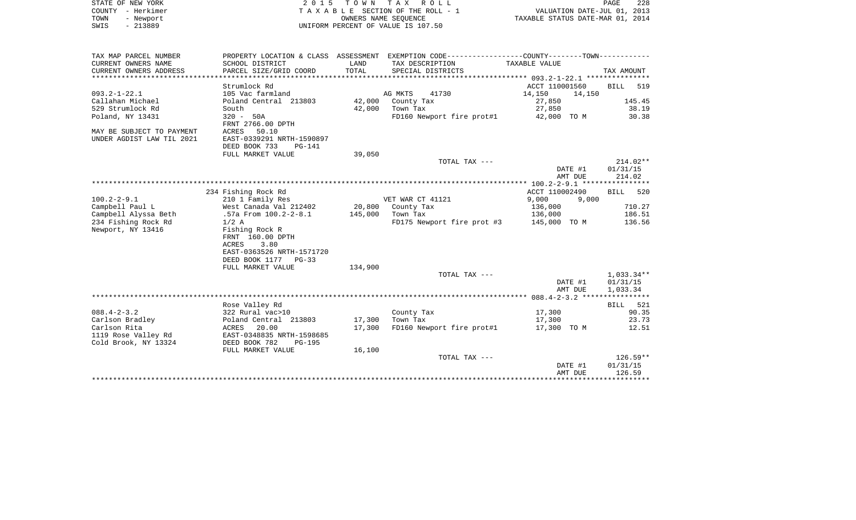| STATE OF NEW YORK                                           |                                        |         | 2015 TOWN TAX ROLL                                                                            |                                                                 | PAGE<br>228  |
|-------------------------------------------------------------|----------------------------------------|---------|-----------------------------------------------------------------------------------------------|-----------------------------------------------------------------|--------------|
| COUNTY - Herkimer<br>- Newport<br>TOWN<br>$-213889$<br>SWIS |                                        |         | TAXABLE SECTION OF THE ROLL - 1<br>OWNERS NAME SEQUENCE<br>UNIFORM PERCENT OF VALUE IS 107.50 | VALUATION DATE-JUL 01, 2013<br>TAXABLE STATUS DATE-MAR 01, 2014 |              |
|                                                             |                                        |         |                                                                                               |                                                                 |              |
| TAX MAP PARCEL NUMBER                                       |                                        |         | PROPERTY LOCATION & CLASS ASSESSMENT EXEMPTION CODE---------------COUNTY-------TOWN---------- |                                                                 |              |
| CURRENT OWNERS NAME                                         | SCHOOL DISTRICT                        | LAND    | TAX DESCRIPTION                                                                               | TAXABLE VALUE                                                   |              |
| CURRENT OWNERS ADDRESS                                      | PARCEL SIZE/GRID COORD                 | TOTAL   | SPECIAL DISTRICTS                                                                             |                                                                 | TAX AMOUNT   |
|                                                             |                                        |         |                                                                                               |                                                                 |              |
| $093.2 - 1 - 22.1$                                          | Strumlock Rd<br>105 Vac farmland       |         | AG MKTS<br>41730                                                                              | ACCT 110001560<br>14,150<br>14,150                              | BILL 519     |
| Callahan Michael                                            | Poland Central 213803                  |         | 42,000 County Tax                                                                             | 27,850                                                          | 145.45       |
| 529 Strumlock Rd                                            | South                                  |         | 42,000 Town Tax                                                                               | 27,850                                                          | 38.19        |
| Poland, NY 13431                                            | $320 - 50A$                            |         | FD160 Newport fire prot#1                                                                     | 42,000 TO M                                                     | 30.38        |
|                                                             | FRNT 2766.00 DPTH                      |         |                                                                                               |                                                                 |              |
| MAY BE SUBJECT TO PAYMENT                                   | ACRES 50.10                            |         |                                                                                               |                                                                 |              |
| UNDER AGDIST LAW TIL 2021                                   | EAST-0339291 NRTH-1590897              |         |                                                                                               |                                                                 |              |
|                                                             | DEED BOOK 733<br>PG-141                |         |                                                                                               |                                                                 |              |
|                                                             | FULL MARKET VALUE                      | 39,050  |                                                                                               |                                                                 |              |
|                                                             |                                        |         | TOTAL TAX ---                                                                                 |                                                                 | $214.02**$   |
|                                                             |                                        |         |                                                                                               | DATE #1                                                         | 01/31/15     |
|                                                             |                                        |         |                                                                                               | AMT DUE                                                         | 214.02       |
|                                                             | 234 Fishing Rock Rd                    |         |                                                                                               | ACCT 110002490                                                  | BILL 520     |
| $100.2 - 2 - 9.1$                                           | 210 1 Family Res                       |         | VET WAR CT 41121                                                                              | 9,000<br>9,000                                                  |              |
| Campbell Paul L                                             | West Canada Val 212402                 |         | 20,800 County Tax                                                                             | 136,000                                                         | 710.27       |
| Campbell Alyssa Beth                                        | .57a From 100.2-2-8.1 145,000 Town Tax |         |                                                                                               | 136,000                                                         | 186.51       |
| 234 Fishing Rock Rd                                         | $1/2$ A                                |         | FD175 Newport fire prot #3 $145,000$ TO M                                                     |                                                                 | 136.56       |
| Newport, NY 13416                                           | Fishing Rock R                         |         |                                                                                               |                                                                 |              |
|                                                             | FRNT 160.00 DPTH                       |         |                                                                                               |                                                                 |              |
|                                                             | ACRES<br>3.80                          |         |                                                                                               |                                                                 |              |
|                                                             | EAST-0363526 NRTH-1571720              |         |                                                                                               |                                                                 |              |
|                                                             | DEED BOOK 1177 PG-33                   |         |                                                                                               |                                                                 |              |
|                                                             | FULL MARKET VALUE                      | 134,900 |                                                                                               |                                                                 |              |
|                                                             |                                        |         | TOTAL TAX ---                                                                                 |                                                                 | $1,033.34**$ |
|                                                             |                                        |         |                                                                                               | DATE #1                                                         | 01/31/15     |
|                                                             |                                        |         |                                                                                               | AMT DUE                                                         | 1,033.34     |
|                                                             | Rose Valley Rd                         |         |                                                                                               |                                                                 | BILL 521     |
| $088.4 - 2 - 3.2$                                           | 322 Rural vac>10                       |         | County Tax                                                                                    | 17,300                                                          | 90.35        |
| Carlson Bradley                                             | Poland Central 213803                  |         | 17,300 Town Tax                                                                               | 17,300                                                          | 23.73        |
| Carlson Rita                                                | ACRES 20.00                            |         | 17,300 FD160 Newport fire prot#1                                                              | 17,300 TO M                                                     | 12.51        |
| 1119 Rose Valley Rd                                         |                                        |         |                                                                                               |                                                                 |              |
| Cold Brook, NY 13324                                        |                                        |         |                                                                                               |                                                                 |              |
|                                                             | FULL MARKET VALUE                      | 16,100  |                                                                                               |                                                                 |              |
|                                                             |                                        |         | TOTAL TAX ---                                                                                 |                                                                 | $126.59**$   |
|                                                             |                                        |         |                                                                                               | DATE #1                                                         | 01/31/15     |
|                                                             |                                        |         |                                                                                               | AMT DUE                                                         | 126.59       |

\*\*\*\*\*\*\*\*\*\*\*\*\*\*\*\*\*\*\*\*\*\*\*\*\*\*\*\*\*\*\*\*\*\*\*\*\*\*\*\*\*\*\*\*\*\*\*\*\*\*\*\*\*\*\*\*\*\*\*\*\*\*\*\*\*\*\*\*\*\*\*\*\*\*\*\*\*\*\*\*\*\*\*\*\*\*\*\*\*\*\*\*\*\*\*\*\*\*\*\*\*\*\*\*\*\*\*\*\*\*\*\*\*\*\*\*\*\*\*\*\*\*\*\*\*\*\*\*\*\*\*\*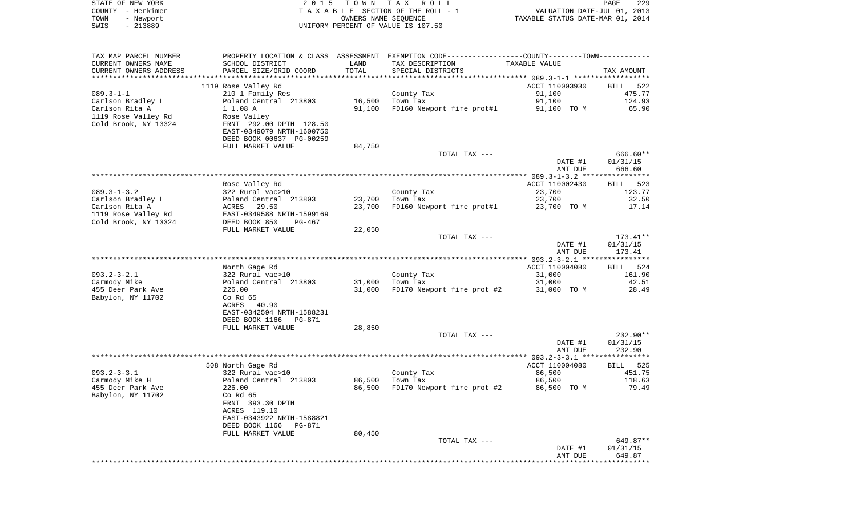|      | STATE OF NEW YORK | 2015 TOWN TAX ROLL                 | PAGE                             | 229 |
|------|-------------------|------------------------------------|----------------------------------|-----|
|      | COUNTY - Herkimer | TAXABLE SECTION OF THE ROLL - 1    | VALUATION DATE-JUL 01, 2013      |     |
| TOWN | - Newport         | OWNERS NAME SEOUENCE               | TAXABLE STATUS DATE-MAR 01, 2014 |     |
| SWIS | - 213889          | UNIFORM PERCENT OF VALUE IS 107.50 |                                  |     |

| TAX MAP PARCEL NUMBER  |                           |        | PROPERTY LOCATION & CLASS ASSESSMENT EXEMPTION CODE----------------COUNTY-------TOWN---------- |                |                    |
|------------------------|---------------------------|--------|------------------------------------------------------------------------------------------------|----------------|--------------------|
| CURRENT OWNERS NAME    | SCHOOL DISTRICT           | LAND   | TAX DESCRIPTION                                                                                | TAXABLE VALUE  |                    |
| CURRENT OWNERS ADDRESS | PARCEL SIZE/GRID COORD    | TOTAL  | SPECIAL DISTRICTS                                                                              |                | TAX AMOUNT         |
|                        |                           |        |                                                                                                |                |                    |
|                        | 1119 Rose Valley Rd       |        |                                                                                                | ACCT 110003930 | BILL 522           |
| $089.3 - 1 - 1$        | 210 1 Family Res          |        | County Tax                                                                                     | 91,100         | 475.77             |
| Carlson Bradley L      | Poland Central 213803     | 16,500 | Town Tax                                                                                       | 91,100         | 124.93             |
| Carlson Rita A         | 1 1.08 A                  | 91,100 | FD160 Newport fire prot#1                                                                      | 91,100 TO M    | 65.90              |
| 1119 Rose Valley Rd    | Rose Valley               |        |                                                                                                |                |                    |
| Cold Brook, NY 13324   | FRNT 292.00 DPTH 128.50   |        |                                                                                                |                |                    |
|                        | EAST-0349079 NRTH-1600750 |        |                                                                                                |                |                    |
|                        | DEED BOOK 00637 PG-00259  |        |                                                                                                |                |                    |
|                        | FULL MARKET VALUE         | 84,750 |                                                                                                |                |                    |
|                        |                           |        | TOTAL TAX ---                                                                                  |                | 666.60**           |
|                        |                           |        |                                                                                                | DATE #1        | 01/31/15           |
|                        |                           |        |                                                                                                | AMT DUE        | 666.60             |
|                        |                           |        |                                                                                                |                |                    |
|                        | Rose Valley Rd            |        |                                                                                                | ACCT 110002430 | BILL<br>523        |
|                        |                           |        |                                                                                                |                |                    |
| $089.3 - 1 - 3.2$      | 322 Rural vac>10          |        | County Tax                                                                                     | 23,700         | 123.77             |
| Carlson Bradley L      | Poland Central 213803     | 23,700 | Town Tax                                                                                       | 23,700         | 32.50              |
| Carlson Rita A         | ACRES<br>29.50            | 23,700 | FD160 Newport fire prot#1                                                                      | 23,700 TO M    | 17.14              |
| 1119 Rose Valley Rd    | EAST-0349588 NRTH-1599169 |        |                                                                                                |                |                    |
| Cold Brook, NY 13324   | DEED BOOK 850<br>PG-467   |        |                                                                                                |                |                    |
|                        | FULL MARKET VALUE         | 22,050 |                                                                                                |                |                    |
|                        |                           |        | TOTAL TAX ---                                                                                  |                | $173.41**$         |
|                        |                           |        |                                                                                                | DATE #1        | 01/31/15           |
|                        |                           |        |                                                                                                | AMT DUE        | 173.41             |
|                        |                           |        |                                                                                                |                |                    |
|                        | North Gage Rd             |        |                                                                                                | ACCT 110004080 | <b>BILL</b><br>524 |
| $093.2 - 3 - 2.1$      | 322 Rural vac>10          |        | County Tax                                                                                     | 31,000         | 161.90             |
| Carmody Mike           | Poland Central 213803     | 31,000 | Town Tax                                                                                       | 31,000         | 42.51              |
| 455 Deer Park Ave      | 226.00                    | 31,000 | FD170 Newport fire prot #2                                                                     | 31,000 TO M    | 28.49              |
| Babylon, NY 11702      | Co Rd 65                  |        |                                                                                                |                |                    |
|                        | ACRES<br>40.90            |        |                                                                                                |                |                    |
|                        | EAST-0342594 NRTH-1588231 |        |                                                                                                |                |                    |
|                        | DEED BOOK 1166<br>PG-871  |        |                                                                                                |                |                    |
|                        | FULL MARKET VALUE         | 28,850 |                                                                                                |                |                    |
|                        |                           |        | TOTAL TAX ---                                                                                  |                | 232.90**           |
|                        |                           |        |                                                                                                | DATE #1        | 01/31/15           |
|                        |                           |        |                                                                                                | AMT DUE        | 232.90             |
|                        |                           |        |                                                                                                |                |                    |
|                        | 508 North Gage Rd         |        |                                                                                                | ACCT 110004080 | <b>BILL</b> 525    |
| $093.2 - 3 - 3.1$      | 322 Rural vac>10          |        | County Tax                                                                                     | 86,500         | 451.75             |
| Carmody Mike H         | Poland Central 213803     | 86,500 | Town Tax                                                                                       | 86,500         | 118.63             |
| 455 Deer Park Ave      | 226.00                    | 86,500 | FD170 Newport fire prot #2                                                                     | 86,500 TO M    | 79.49              |
| Babylon, NY 11702      | Co Rd 65                  |        |                                                                                                |                |                    |
|                        | FRNT 393.30 DPTH          |        |                                                                                                |                |                    |
|                        | ACRES 119.10              |        |                                                                                                |                |                    |
|                        | EAST-0343922 NRTH-1588821 |        |                                                                                                |                |                    |
|                        | DEED BOOK 1166<br>PG-871  |        |                                                                                                |                |                    |
|                        | FULL MARKET VALUE         | 80,450 |                                                                                                |                |                    |
|                        |                           |        | TOTAL TAX ---                                                                                  |                | 649.87**           |
|                        |                           |        |                                                                                                | DATE #1        | 01/31/15           |
|                        |                           |        |                                                                                                | AMT DUE        | 649.87             |
|                        |                           |        |                                                                                                |                |                    |
|                        |                           |        |                                                                                                |                |                    |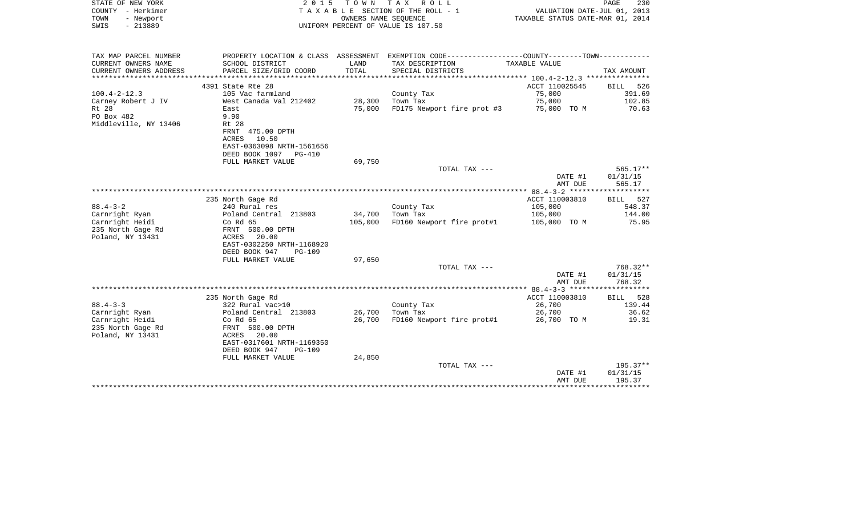| STATE OF NEW YORK<br>COUNTY - Herkimer<br>TOWN<br>- Newport<br>$-213889$<br>SWIS | 2 0 1 5                                                | T O W N                  | TAX ROLL<br>TAXABLE SECTION OF THE ROLL - 1<br>OWNERS NAME SEQUENCE<br>UNIFORM PERCENT OF VALUE IS 107.50 | VALUATION DATE-JUL 01, 2013<br>TAXABLE STATUS DATE-MAR 01, 2014 | PAGE<br>230            |
|----------------------------------------------------------------------------------|--------------------------------------------------------|--------------------------|-----------------------------------------------------------------------------------------------------------|-----------------------------------------------------------------|------------------------|
| TAX MAP PARCEL NUMBER                                                            |                                                        |                          | PROPERTY LOCATION & CLASS ASSESSMENT EXEMPTION CODE---------------COUNTY-------TOWN----------             |                                                                 |                        |
| CURRENT OWNERS NAME                                                              | SCHOOL DISTRICT                                        | LAND                     | TAX DESCRIPTION                                                                                           | <b>TAXABLE VALUE</b>                                            |                        |
| CURRENT OWNERS ADDRESS<br>*********************                                  | PARCEL SIZE/GRID COORD<br>**************************** | TOTAL<br>*************** | SPECIAL DISTRICTS                                                                                         |                                                                 | TAX AMOUNT             |
|                                                                                  | 4391 State Rte 28                                      |                          |                                                                                                           | ACCT 110025545                                                  | <b>BILL</b><br>526     |
| $100.4 - 2 - 12.3$                                                               | 105 Vac farmland                                       |                          | County Tax                                                                                                | 75,000                                                          | 391.69                 |
| Carney Robert J IV                                                               | West Canada Val 212402                                 | 28,300                   | Town Tax                                                                                                  | 75,000                                                          | 102.85                 |
| Rt 28                                                                            | East                                                   | 75,000                   | FD175 Newport fire prot #3                                                                                | 75,000 TO M                                                     | 70.63                  |
| PO Box 482                                                                       | 9.90                                                   |                          |                                                                                                           |                                                                 |                        |
| Middleville, NY 13406                                                            | Rt 28                                                  |                          |                                                                                                           |                                                                 |                        |
|                                                                                  | FRNT 475.00 DPTH                                       |                          |                                                                                                           |                                                                 |                        |
|                                                                                  | ACRES<br>10.50<br>EAST-0363098 NRTH-1561656            |                          |                                                                                                           |                                                                 |                        |
|                                                                                  | DEED BOOK 1097<br>$PG-410$                             |                          |                                                                                                           |                                                                 |                        |
|                                                                                  | FULL MARKET VALUE                                      | 69,750                   |                                                                                                           |                                                                 |                        |
|                                                                                  |                                                        |                          | TOTAL TAX ---                                                                                             |                                                                 | $565.17**$             |
|                                                                                  |                                                        |                          |                                                                                                           | DATE #1                                                         | 01/31/15               |
|                                                                                  |                                                        |                          |                                                                                                           | AMT DUE                                                         | 565.17                 |
|                                                                                  | 235 North Gage Rd                                      |                          |                                                                                                           | ACCT 110003810                                                  | BILL<br>527            |
| $88.4 - 3 - 2$                                                                   | 240 Rural res                                          |                          | County Tax                                                                                                | 105,000                                                         | 548.37                 |
| Carnright Ryan                                                                   | Poland Central 213803                                  | 34,700                   | Town Tax                                                                                                  | 105,000                                                         | 144.00                 |
| Carnright Heidi                                                                  | Co Rd 65                                               | 105,000                  | FD160 Newport fire prot#1                                                                                 | 105,000 TO M                                                    | 75.95                  |
| 235 North Gage Rd                                                                | FRNT 500.00 DPTH                                       |                          |                                                                                                           |                                                                 |                        |
| Poland, NY 13431                                                                 | 20.00<br>ACRES                                         |                          |                                                                                                           |                                                                 |                        |
|                                                                                  | EAST-0302250 NRTH-1168920                              |                          |                                                                                                           |                                                                 |                        |
|                                                                                  | DEED BOOK 947<br>$PG-109$<br>FULL MARKET VALUE         | 97,650                   |                                                                                                           |                                                                 |                        |
|                                                                                  |                                                        |                          | TOTAL TAX ---                                                                                             |                                                                 | 768.32**               |
|                                                                                  |                                                        |                          |                                                                                                           | DATE #1                                                         | 01/31/15               |
|                                                                                  |                                                        |                          |                                                                                                           | AMT DUE                                                         | 768.32                 |
|                                                                                  |                                                        |                          | *************************************                                                                     | * $88.4 - 3 - 3$ ******                                         | ***********            |
|                                                                                  | 235 North Gage Rd                                      |                          |                                                                                                           | ACCT 110003810                                                  | 528<br>BILL            |
| $88.4 - 3 - 3$<br>Carnright Ryan                                                 | 322 Rural vac>10<br>Poland Central 213803              | 26,700                   | County Tax<br>Town Tax                                                                                    | 26,700<br>26,700                                                | 139.44<br>36.62        |
| Carnright Heidi                                                                  | $Co$ $Rd$ $65$                                         | 26,700                   | FD160 Newport fire prot#1                                                                                 | 26,700 TO M                                                     | 19.31                  |
| 235 North Gage Rd                                                                | FRNT 500.00 DPTH                                       |                          |                                                                                                           |                                                                 |                        |
| Poland, NY 13431                                                                 | 20.00<br>ACRES                                         |                          |                                                                                                           |                                                                 |                        |
|                                                                                  | EAST-0317601 NRTH-1169350                              |                          |                                                                                                           |                                                                 |                        |
|                                                                                  | DEED BOOK 947<br>$PG-109$                              |                          |                                                                                                           |                                                                 |                        |
|                                                                                  | FULL MARKET VALUE                                      | 24,850                   |                                                                                                           |                                                                 |                        |
|                                                                                  |                                                        |                          | TOTAL TAX ---                                                                                             | DATE #1                                                         | $195.37**$<br>01/31/15 |
|                                                                                  |                                                        |                          |                                                                                                           | AMT DUE                                                         | 195.37                 |
|                                                                                  |                                                        |                          |                                                                                                           |                                                                 |                        |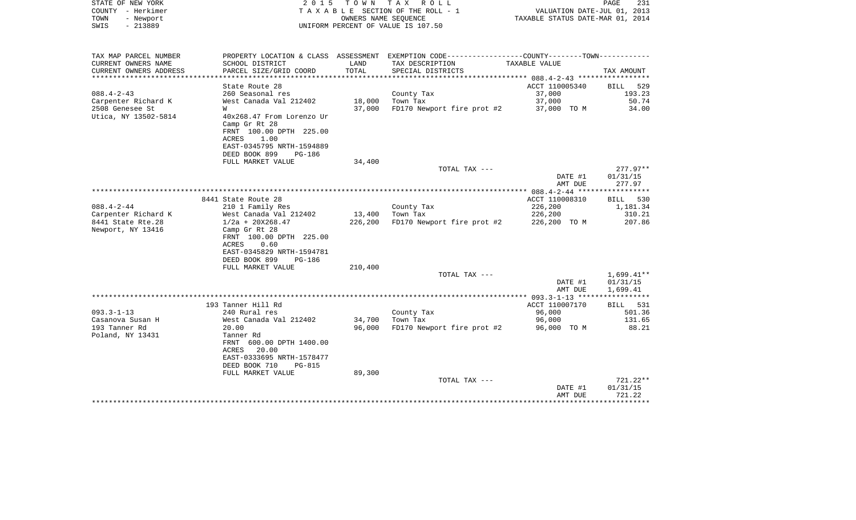| STATE OF NEW YORK      |                                      |       | 2015 TOWN TAX ROLL                                           |                                  | PAGE                   | 231              |
|------------------------|--------------------------------------|-------|--------------------------------------------------------------|----------------------------------|------------------------|------------------|
| – Herkimer<br>COUNTY   |                                      |       | TAXABLE SECTION OF THE ROLL - 1                              |                                  | VALUATION DATE-JUL 01, | 2013             |
| - Newport<br>TOWN      |                                      |       | OWNERS NAME SEOUENCE                                         | TAXABLE STATUS DATE-MAR 01, 2014 |                        |                  |
| - 213889<br>SWIS       |                                      |       | UNIFORM PERCENT OF VALUE IS 107.50                           |                                  |                        |                  |
|                        |                                      |       |                                                              |                                  |                        |                  |
|                        |                                      |       |                                                              |                                  |                        |                  |
| TAX MAP PARCEL NUMBER  | PROPERTY LOCATION & CLASS ASSESSMENT |       | EXEMPTION CODE-----------------COUNTY--------TOWN----------- |                                  |                        |                  |
| CURRENT OWNERS NAME    | SCHOOL DISTRICT                      | LAND  | TAX DESCRIPTION                                              | TAXABLE VALUE                    |                        |                  |
| CURRENT OWNERS ADDRESS | PARCEL SIZE/GRID COORD               | TOTAL | SPECIAL DISTRICTS                                            |                                  |                        | TAX AMOUNT       |
|                        |                                      |       |                                                              |                                  |                        |                  |
|                        | $C+ata$ $D$ <sub>O</sub> $ata$ $28$  |       |                                                              | 3 CCT 110005340                  |                        | <b>DTTT.</b> 500 |

|                      | State Route 28            |         |                            | ACCT 110005340                                 | 529<br>BILL        |
|----------------------|---------------------------|---------|----------------------------|------------------------------------------------|--------------------|
| $088.4 - 2 - 43$     | 260 Seasonal res          |         | County Tax                 | 37,000                                         | 193.23             |
| Carpenter Richard K  | West Canada Val 212402    | 18,000  | Town Tax                   | 37,000                                         | 50.74              |
| 2508 Genesee St      | W                         | 37,000  | FD170 Newport fire prot #2 | 37,000 TO M                                    | 34.00              |
| Utica, NY 13502-5814 | 40x268.47 From Lorenzo Ur |         |                            |                                                |                    |
|                      | Camp Gr Rt 28             |         |                            |                                                |                    |
|                      | FRNT 100.00 DPTH 225.00   |         |                            |                                                |                    |
|                      | 1.00<br><b>ACRES</b>      |         |                            |                                                |                    |
|                      | EAST-0345795 NRTH-1594889 |         |                            |                                                |                    |
|                      | DEED BOOK 899<br>PG-186   |         |                            |                                                |                    |
|                      | FULL MARKET VALUE         | 34,400  |                            |                                                |                    |
|                      |                           |         | TOTAL TAX ---              |                                                | $277.97**$         |
|                      |                           |         |                            | DATE #1                                        | 01/31/15           |
|                      |                           |         |                            | AMT DUE                                        | 277.97             |
|                      |                           |         |                            |                                                |                    |
|                      | 8441 State Route 28       |         |                            | ACCT 110008310                                 | 530<br>BILL        |
| $088.4 - 2 - 44$     | 210 1 Family Res          |         | County Tax                 | 226,200                                        | 1,181.34           |
| Carpenter Richard K  | West Canada Val 212402    | 13,400  | Town Tax                   | 226,200                                        | 310.21             |
| 8441 State Rte.28    | $1/2a + 20X268.47$        | 226,200 | FD170 Newport fire prot #2 | 226,200 TO M                                   | 207.86             |
| Newport, NY 13416    | Camp Gr Rt 28             |         |                            |                                                |                    |
|                      | FRNT 100.00 DPTH 225.00   |         |                            |                                                |                    |
|                      | 0.60<br>ACRES             |         |                            |                                                |                    |
|                      | EAST-0345829 NRTH-1594781 |         |                            |                                                |                    |
|                      | DEED BOOK 899<br>PG-186   |         |                            |                                                |                    |
|                      | FULL MARKET VALUE         | 210,400 |                            |                                                |                    |
|                      |                           |         | TOTAL TAX ---              |                                                | $1,699.41**$       |
|                      |                           |         |                            | DATE #1                                        | 01/31/15           |
|                      |                           |         |                            | AMT DUE                                        | 1,699.41           |
|                      |                           |         |                            | **************** 093.3-1-13 ****************** |                    |
|                      | 193 Tanner Hill Rd        |         |                            | ACCT 110007170                                 | <b>BILL</b><br>531 |
| $093.3 - 1 - 13$     | 240 Rural res             |         | County Tax                 | 96,000                                         | 501.36             |
| Casanova Susan H     | West Canada Val 212402    | 34,700  | Town Tax                   | 96,000                                         | 131.65             |
| 193 Tanner Rd        | 20.00                     | 96,000  | FD170 Newport fire prot #2 | 96,000 TO M                                    | 88.21              |
| Poland, NY 13431     | Tanner Rd                 |         |                            |                                                |                    |
|                      | FRNT 600.00 DPTH 1400.00  |         |                            |                                                |                    |
|                      | 20.00<br>ACRES            |         |                            |                                                |                    |
|                      | EAST-0333695 NRTH-1578477 |         |                            |                                                |                    |
|                      | DEED BOOK 710<br>PG-815   |         |                            |                                                |                    |
|                      | FULL MARKET VALUE         | 89,300  |                            |                                                |                    |
|                      |                           |         | TOTAL TAX ---              |                                                | $721.22**$         |
|                      |                           |         |                            | DATE #1                                        | 01/31/15<br>721.22 |
|                      |                           |         |                            | AMT DUE<br>*********************************   |                    |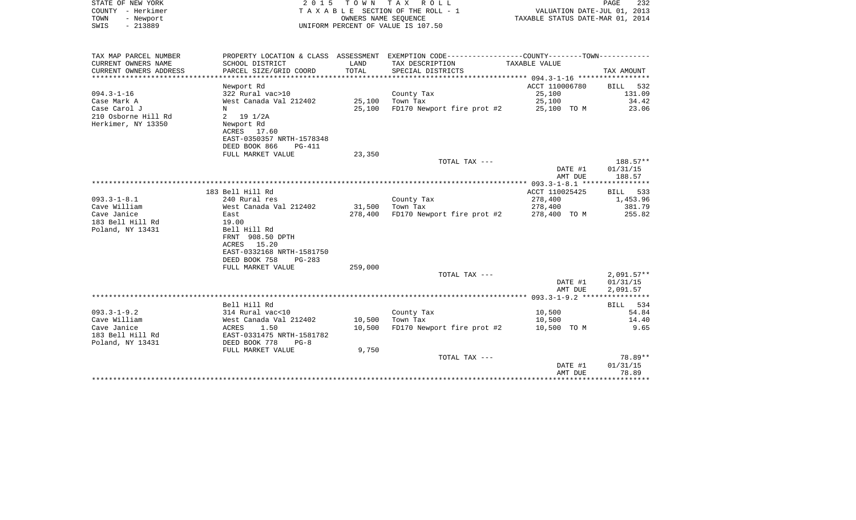| COUNTY - Herkimer<br>TOWN<br>- Newport<br>SWIS<br>$-213889$                               |                                                     | OWNERS NAME SEOUENCE | 2015 TOWN TAX ROLL<br>TAXABLE SECTION OF THE ROLL - 1<br>UNIFORM PERCENT OF VALUE IS 107.50   | VALUATION DATE-JUL 01, 2013<br>TAXABLE STATUS DATE-MAR 01, 2014 | 232<br>PAGE                        |
|-------------------------------------------------------------------------------------------|-----------------------------------------------------|----------------------|-----------------------------------------------------------------------------------------------|-----------------------------------------------------------------|------------------------------------|
| TAX MAP PARCEL NUMBER                                                                     |                                                     |                      | PROPERTY LOCATION & CLASS ASSESSMENT EXEMPTION CODE---------------COUNTY-------TOWN---------- |                                                                 |                                    |
| CURRENT OWNERS NAME                                                                       | SCHOOL DISTRICT                                     | LAND                 | TAX DESCRIPTION                                                                               | TAXABLE VALUE                                                   |                                    |
| CURRENT OWNERS ADDRESS                                                                    | PARCEL SIZE/GRID COORD                              | TOTAL                | SPECIAL DISTRICTS                                                                             |                                                                 | TAX AMOUNT                         |
| *************************                                                                 |                                                     |                      |                                                                                               |                                                                 |                                    |
| $094.3 - 1 - 16$                                                                          | Newport Rd<br>322 Rural vac>10                      |                      | County Tax                                                                                    | ACCT 110006780<br>25,100                                        | <b>BILL</b><br>532<br>131.09       |
| Case Mark A                                                                               | West Canada Val 212402                              | 25,100               | Town Tax                                                                                      | 25,100                                                          | 34.42                              |
| Case Carol J                                                                              | N                                                   | 25,100               | FD170 Newport fire prot #2                                                                    | 25,100 TO M                                                     | 23.06                              |
| 210 Osborne Hill Rd                                                                       | $2 \t19 \t1/2A$                                     |                      |                                                                                               |                                                                 |                                    |
| Herkimer, NY 13350                                                                        | Newport Rd                                          |                      |                                                                                               |                                                                 |                                    |
|                                                                                           | ACRES 17.60                                         |                      |                                                                                               |                                                                 |                                    |
|                                                                                           | EAST-0350357 NRTH-1578348                           |                      |                                                                                               |                                                                 |                                    |
|                                                                                           | DEED BOOK 866<br><b>PG-411</b><br>FULL MARKET VALUE | 23,350               |                                                                                               |                                                                 |                                    |
|                                                                                           |                                                     |                      | TOTAL TAX ---                                                                                 |                                                                 | 188.57**                           |
|                                                                                           |                                                     |                      |                                                                                               | DATE #1                                                         | 01/31/15                           |
|                                                                                           |                                                     |                      |                                                                                               | AMT DUE                                                         | 188.57                             |
|                                                                                           |                                                     |                      |                                                                                               |                                                                 |                                    |
|                                                                                           |                                                     |                      |                                                                                               |                                                                 |                                    |
|                                                                                           | 183 Bell Hill Rd                                    |                      |                                                                                               | ACCT 110025425                                                  | BILL 533                           |
|                                                                                           | 240 Rural res                                       |                      | County Tax                                                                                    | 278,400                                                         |                                    |
|                                                                                           | West Canada Val 212402                              | 31,500               | Town Tax                                                                                      | 278,400                                                         |                                    |
|                                                                                           | East                                                | 278,400              | FD170 Newport fire prot #2                                                                    | 278,400 TO M                                                    |                                    |
|                                                                                           | 19.00                                               |                      |                                                                                               |                                                                 |                                    |
|                                                                                           | Bell Hill Rd                                        |                      |                                                                                               |                                                                 |                                    |
|                                                                                           | FRNT 908.50 DPTH<br>ACRES 15.20                     |                      |                                                                                               |                                                                 |                                    |
|                                                                                           | EAST-0332168 NRTH-1581750                           |                      |                                                                                               |                                                                 | 1,453.96<br>381.79<br>255.82       |
|                                                                                           | DEED BOOK 758<br>$PG-283$                           |                      |                                                                                               |                                                                 |                                    |
|                                                                                           | FULL MARKET VALUE                                   | 259,000              |                                                                                               |                                                                 |                                    |
|                                                                                           |                                                     |                      | TOTAL TAX ---                                                                                 |                                                                 | $2,091.57**$                       |
|                                                                                           |                                                     |                      |                                                                                               | DATE #1                                                         | 01/31/15                           |
|                                                                                           |                                                     |                      |                                                                                               | AMT DUE                                                         | 2,091.57                           |
| Poland, NY 13431                                                                          |                                                     |                      |                                                                                               |                                                                 |                                    |
| $093.3 - 1 - 8.1$<br>Cave William<br>Cave Janice<br>183 Bell Hill Rd<br>$093.3 - 1 - 9.2$ | Bell Hill Rd<br>314 Rural vac<10                    |                      | County Tax                                                                                    | 10,500                                                          |                                    |
|                                                                                           | West Canada Val 212402                              | 10,500               | Town Tax                                                                                      | 10,500                                                          |                                    |
|                                                                                           | ACRES<br>1.50                                       | 10,500               | FD170 Newport fire prot #2                                                                    | 10,500 TO M                                                     |                                    |
|                                                                                           | EAST-0331475 NRTH-1581782                           |                      |                                                                                               |                                                                 | BILL 534<br>54.84<br>14.40<br>9.65 |
|                                                                                           | DEED BOOK 778<br>PG-8                               |                      |                                                                                               |                                                                 |                                    |
|                                                                                           | FULL MARKET VALUE                                   | 9,750                |                                                                                               |                                                                 |                                    |
| Cave William<br>Cave Janice<br>183 Bell Hill Rd<br>Poland, NY 13431                       |                                                     |                      | TOTAL TAX ---                                                                                 | DATE #1                                                         | 78.89**<br>01/31/15                |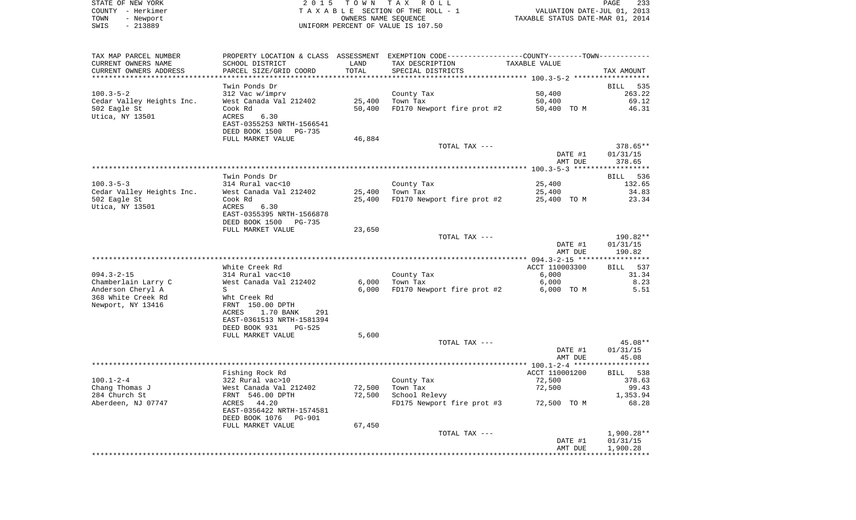|      | STATE OF NEW YORK | 2015 TOWN TAX ROLL                 | PAGE                             | 233 |
|------|-------------------|------------------------------------|----------------------------------|-----|
|      | COUNTY - Herkimer | TAXABLE SECTION OF THE ROLL - 1    | VALUATION DATE-JUL 01, 2013      |     |
| TOWN | - Newport         | OWNERS NAME SEOUENCE               | TAXABLE STATUS DATE-MAR 01, 2014 |     |
| SWIS | - 213889          | UNIFORM PERCENT OF VALUE IS 107.50 |                                  |     |

| TAX MAP PARCEL NUMBER<br>CURRENT OWNERS NAME     | SCHOOL DISTRICT                                                                                         | LAND   | PROPERTY LOCATION & CLASS ASSESSMENT EXEMPTION CODE----------------COUNTY-------TOWN----------<br>TAX DESCRIPTION | TAXABLE VALUE      |                    |
|--------------------------------------------------|---------------------------------------------------------------------------------------------------------|--------|-------------------------------------------------------------------------------------------------------------------|--------------------|--------------------|
| CURRENT OWNERS ADDRESS<br>********************** | PARCEL SIZE/GRID COORD                                                                                  | TOTAL  | SPECIAL DISTRICTS                                                                                                 |                    | TAX AMOUNT         |
|                                                  | Twin Ponds Dr                                                                                           |        |                                                                                                                   |                    | BILL<br>535        |
| $100.3 - 5 - 2$                                  | 312 Vac w/imprv                                                                                         |        | County Tax                                                                                                        | 50,400             | 263.22             |
| Cedar Valley Heights Inc.                        | West Canada Val 212402                                                                                  | 25,400 | Town Tax                                                                                                          | 50,400             | 69.12              |
| 502 Eagle St                                     | Cook Rd                                                                                                 | 50,400 | FD170 Newport fire prot #2                                                                                        | 50,400 TO M        | 46.31              |
| Utica, NY 13501                                  | ACRES<br>6.30<br>EAST-0355253 NRTH-1566541<br>DEED BOOK 1500<br>PG-735                                  |        |                                                                                                                   |                    |                    |
|                                                  | FULL MARKET VALUE                                                                                       | 46,884 | TOTAL TAX ---                                                                                                     |                    | $378.65**$         |
|                                                  |                                                                                                         |        |                                                                                                                   | DATE #1<br>AMT DUE | 01/31/15<br>378.65 |
|                                                  |                                                                                                         |        |                                                                                                                   |                    |                    |
|                                                  | Twin Ponds Dr                                                                                           |        |                                                                                                                   |                    | BILL<br>536        |
| $100.3 - 5 - 3$                                  | 314 Rural vac<10                                                                                        |        | County Tax                                                                                                        | 25,400             | 132.65             |
| Cedar Valley Heights Inc.                        | West Canada Val 212402                                                                                  | 25,400 | Town Tax                                                                                                          | 25,400             | 34.83              |
| 502 Eagle St<br>Utica, NY 13501                  | Cook Rd<br>ACRES<br>6.30<br>EAST-0355395 NRTH-1566878<br>DEED BOOK 1500<br><b>PG-735</b>                | 25,400 | FD170 Newport fire prot #2                                                                                        | 25,400 TO M        | 23.34              |
|                                                  | FULL MARKET VALUE                                                                                       | 23,650 |                                                                                                                   |                    |                    |
|                                                  |                                                                                                         |        | TOTAL TAX ---                                                                                                     |                    | 190.82**           |
|                                                  |                                                                                                         |        |                                                                                                                   | DATE #1            | 01/31/15           |
|                                                  |                                                                                                         |        |                                                                                                                   | AMT DUE            | 190.82             |
|                                                  | White Creek Rd                                                                                          |        |                                                                                                                   | ACCT 110003300     | 537<br><b>BILL</b> |
| $094.3 - 2 - 15$                                 | 314 Rural vac<10                                                                                        |        | County Tax                                                                                                        | 6,000              | 31.34              |
| Chamberlain Larry C                              | West Canada Val 212402                                                                                  | 6,000  | Town Tax                                                                                                          | 6,000              | 8.23               |
| Anderson Cheryl A                                | S                                                                                                       | 6,000  | FD170 Newport fire prot #2                                                                                        | 6,000 TO M         | 5.51               |
| 368 White Creek Rd                               | Wht Creek Rd                                                                                            |        |                                                                                                                   |                    |                    |
| Newport, NY 13416                                | FRNT 150.00 DPTH<br>ACRES<br>1.70 BANK<br>291<br>EAST-0361513 NRTH-1581394<br>DEED BOOK 931<br>$PG-525$ |        |                                                                                                                   |                    |                    |
|                                                  | FULL MARKET VALUE                                                                                       | 5,600  | TOTAL TAX ---                                                                                                     |                    | $45.08**$          |
|                                                  |                                                                                                         |        |                                                                                                                   | DATE #1            | 01/31/15           |
|                                                  |                                                                                                         |        |                                                                                                                   | AMT DUE            | 45.08              |
|                                                  |                                                                                                         |        |                                                                                                                   |                    | **********         |
|                                                  | Fishing Rock Rd                                                                                         |        |                                                                                                                   | ACCT 110001200     | <b>BILL</b><br>538 |
| $100.1 - 2 - 4$                                  | 322 Rural vac>10                                                                                        |        | County Tax                                                                                                        | 72,500             | 378.63             |
| Chang Thomas J                                   | West Canada Val 212402                                                                                  | 72,500 | Town Tax                                                                                                          | 72,500             | 99.43              |
| 284 Church St                                    | FRNT 546.00 DPTH                                                                                        | 72,500 | School Relevy                                                                                                     |                    | 1,353.94           |
| Aberdeen, NJ 07747                               | 44.20<br>ACRES<br>EAST-0356422 NRTH-1574581<br>DEED BOOK 1076<br><b>PG-901</b>                          |        | FD175 Newport fire prot #3 72,500 TO M                                                                            |                    | 68.28              |
|                                                  | FULL MARKET VALUE                                                                                       | 67,450 |                                                                                                                   |                    |                    |
|                                                  |                                                                                                         |        | TOTAL TAX ---                                                                                                     |                    | $1,900.28**$       |
|                                                  |                                                                                                         |        |                                                                                                                   | DATE #1            | 01/31/15           |
|                                                  |                                                                                                         |        |                                                                                                                   | AMT DUE            | 1,900.28           |
|                                                  |                                                                                                         |        |                                                                                                                   |                    |                    |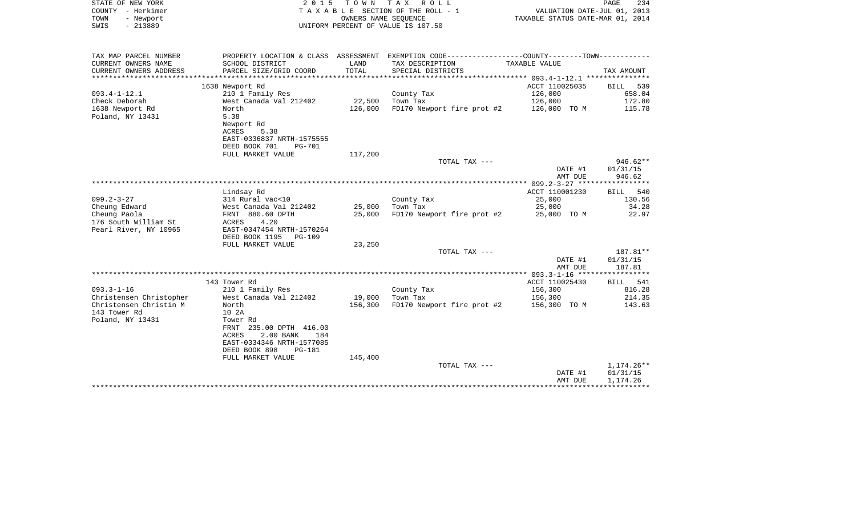| STATE OF NEW YORK<br>COUNTY - Herkimer<br>- Newport<br>TOWN<br>$-213889$<br>SWIS | 2 0 1 5                                                |         | TOWN TAX ROLL<br>T A X A B L E SECTION OF THE ROLL - 1<br>OWNERS NAME SEQUENCE<br>UNIFORM PERCENT OF VALUE IS 107.50 | VALUATION DATE-JUL 01, 2013<br>TAXABLE STATUS DATE-MAR 01, 2014 | PAGE<br>234            |
|----------------------------------------------------------------------------------|--------------------------------------------------------|---------|----------------------------------------------------------------------------------------------------------------------|-----------------------------------------------------------------|------------------------|
|                                                                                  |                                                        |         |                                                                                                                      |                                                                 |                        |
| TAX MAP PARCEL NUMBER                                                            |                                                        |         | PROPERTY LOCATION & CLASS ASSESSMENT EXEMPTION CODE----------------COUNTY-------TOWN----------                       |                                                                 |                        |
| CURRENT OWNERS NAME                                                              | SCHOOL DISTRICT                                        | LAND    | TAX DESCRIPTION                                                                                                      | TAXABLE VALUE                                                   |                        |
| CURRENT OWNERS ADDRESS<br>***********************                                | PARCEL SIZE/GRID COORD                                 | TOTAL   | SPECIAL DISTRICTS                                                                                                    |                                                                 | TAX AMOUNT             |
|                                                                                  | 1638 Newport Rd                                        |         |                                                                                                                      | ACCT 110025035                                                  | BILL<br>539            |
| $093.4 - 1 - 12.1$                                                               | 210 1 Family Res                                       |         | County Tax                                                                                                           | 126,000                                                         | 658.04                 |
| Check Deborah                                                                    | West Canada Val 212402                                 | 22,500  | Town Tax                                                                                                             | 126,000                                                         | 172.80                 |
| 1638 Newport Rd                                                                  | North                                                  | 126,000 | FD170 Newport fire prot #2                                                                                           | 126,000 TO M                                                    | 115.78                 |
| Poland, NY 13431                                                                 | 5.38                                                   |         |                                                                                                                      |                                                                 |                        |
|                                                                                  | Newport Rd                                             |         |                                                                                                                      |                                                                 |                        |
|                                                                                  | ACRES<br>5.38                                          |         |                                                                                                                      |                                                                 |                        |
|                                                                                  | EAST-0336837 NRTH-1575555                              |         |                                                                                                                      |                                                                 |                        |
|                                                                                  | DEED BOOK 701<br>PG-701                                |         |                                                                                                                      |                                                                 |                        |
|                                                                                  | FULL MARKET VALUE                                      | 117,200 |                                                                                                                      |                                                                 | $946.62**$             |
|                                                                                  |                                                        |         | TOTAL TAX ---                                                                                                        | DATE #1                                                         | 01/31/15               |
|                                                                                  |                                                        |         |                                                                                                                      | AMT DUE                                                         | 946.62                 |
|                                                                                  |                                                        |         |                                                                                                                      |                                                                 |                        |
|                                                                                  | Lindsay Rd                                             |         |                                                                                                                      | ACCT 110001230                                                  | 540<br>BILL            |
| $099.2 - 3 - 27$                                                                 | 314 Rural vac<10                                       |         | County Tax                                                                                                           | 25,000                                                          | 130.56                 |
| Cheung Edward                                                                    | West Canada Val 212402                                 | 25,000  | Town Tax                                                                                                             | 25,000                                                          | 34.28                  |
| Cheung Paola                                                                     | FRNT 880.60 DPTH                                       | 25,000  | FD170 Newport fire prot #2                                                                                           | 25,000 TO M                                                     | 22.97                  |
| 176 South William St                                                             | ACRES<br>4.20                                          |         |                                                                                                                      |                                                                 |                        |
| Pearl River, NY 10965                                                            | EAST-0347454 NRTH-1570264                              |         |                                                                                                                      |                                                                 |                        |
|                                                                                  | DEED BOOK 1195 PG-109                                  |         |                                                                                                                      |                                                                 |                        |
|                                                                                  | FULL MARKET VALUE                                      | 23,250  | TOTAL TAX ---                                                                                                        |                                                                 | 187.81**               |
|                                                                                  |                                                        |         |                                                                                                                      | DATE #1                                                         | 01/31/15               |
|                                                                                  |                                                        |         |                                                                                                                      | AMT DUE                                                         | 187.81                 |
|                                                                                  |                                                        |         |                                                                                                                      |                                                                 |                        |
|                                                                                  | 143 Tower Rd                                           |         |                                                                                                                      | ACCT 110025430                                                  | 541<br><b>BILL</b>     |
| $093.3 - 1 - 16$                                                                 | 210 1 Family Res                                       |         | County Tax                                                                                                           | 156,300                                                         | 816.28                 |
| Christensen Christopher                                                          | West Canada Val 212402                                 | 19,000  | Town Tax                                                                                                             | 156,300                                                         | 214.35                 |
| Christensen Christin M                                                           | North                                                  |         | 156,300 FD170 Newport fire prot #2                                                                                   | 156,300 TO M                                                    | 143.63                 |
| 143 Tower Rd                                                                     | 10 2A                                                  |         |                                                                                                                      |                                                                 |                        |
| Poland, NY 13431                                                                 | Tower Rd                                               |         |                                                                                                                      |                                                                 |                        |
|                                                                                  | FRNT 235.00 DPTH 416.00                                |         |                                                                                                                      |                                                                 |                        |
|                                                                                  | 2.00 BANK<br>ACRES<br>184<br>EAST-0334346 NRTH-1577085 |         |                                                                                                                      |                                                                 |                        |
|                                                                                  | DEED BOOK 898<br>PG-181                                |         |                                                                                                                      |                                                                 |                        |
|                                                                                  | FULL MARKET VALUE                                      | 145,400 |                                                                                                                      |                                                                 |                        |
|                                                                                  |                                                        |         |                                                                                                                      |                                                                 |                        |
|                                                                                  |                                                        |         | TOTAL TAX ---                                                                                                        |                                                                 |                        |
|                                                                                  |                                                        |         |                                                                                                                      | DATE #1                                                         | 1,174.26**<br>01/31/15 |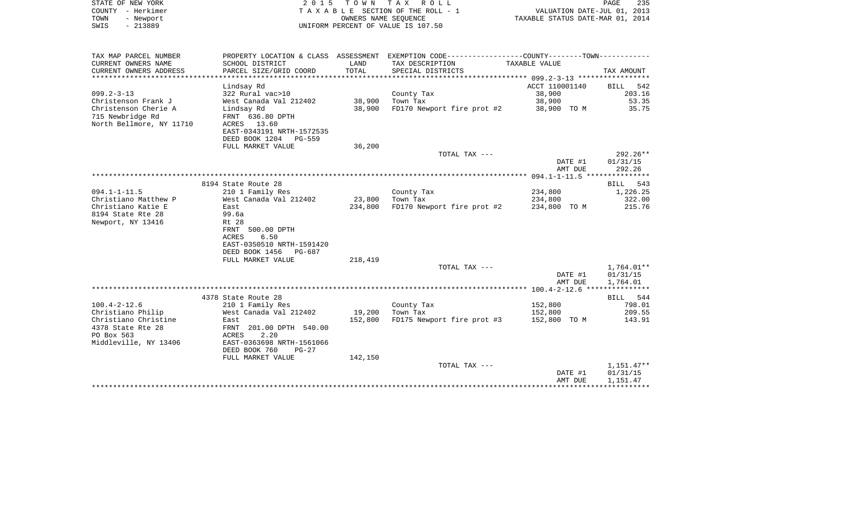| STATE OF NEW YORK<br>COUNTY - Herkimer<br>- Newport<br>TOWN<br>$-213889$<br>SWIS | 2 0 1 5                                                                                                                     | T O W N<br>OWNERS NAME SEQUENCE | TAX ROLL<br>TAXABLE SECTION OF THE ROLL - 1<br>UNIFORM PERCENT OF VALUE IS 107.50                                 | VALUATION DATE-JUL 01, 2013<br>TAXABLE STATUS DATE-MAR 01, 2014 | PAGE<br>235                          |
|----------------------------------------------------------------------------------|-----------------------------------------------------------------------------------------------------------------------------|---------------------------------|-------------------------------------------------------------------------------------------------------------------|-----------------------------------------------------------------|--------------------------------------|
| TAX MAP PARCEL NUMBER<br>CURRENT OWNERS NAME                                     | SCHOOL DISTRICT                                                                                                             | LAND                            | PROPERTY LOCATION & CLASS ASSESSMENT EXEMPTION CODE----------------COUNTY-------TOWN----------<br>TAX DESCRIPTION | TAXABLE VALUE                                                   |                                      |
| CURRENT OWNERS ADDRESS<br>**********************                                 | PARCEL SIZE/GRID COORD<br>***********************                                                                           | TOTAL<br>***************        | SPECIAL DISTRICTS                                                                                                 |                                                                 | TAX AMOUNT                           |
|                                                                                  | Lindsay Rd                                                                                                                  |                                 |                                                                                                                   | ACCT 110001140                                                  | <b>BILL</b><br>542                   |
| $099.2 - 3 - 13$                                                                 | 322 Rural vac>10                                                                                                            |                                 | County Tax                                                                                                        | 38,900                                                          | 203.16                               |
| Christenson Frank J                                                              | West Canada Val 212402                                                                                                      | 38,900                          | Town Tax                                                                                                          | 38,900                                                          | 53.35                                |
| Christenson Cherie A<br>715 Newbridge Rd<br>North Bellmore, NY 11710             | Lindsay Rd<br>FRNT 636.80 DPTH<br>ACRES 13.60<br>EAST-0343191 NRTH-1572535<br>DEED BOOK 1204<br><b>PG-559</b>               | 38,900                          | FD170 Newport fire prot #2                                                                                        | 38,900 TO M                                                     | 35.75                                |
|                                                                                  | FULL MARKET VALUE                                                                                                           | 36,200                          |                                                                                                                   |                                                                 |                                      |
|                                                                                  |                                                                                                                             |                                 | TOTAL TAX ---                                                                                                     | DATE #1<br>AMT DUE                                              | 292.26**<br>01/31/15<br>292.26       |
|                                                                                  |                                                                                                                             |                                 |                                                                                                                   |                                                                 |                                      |
|                                                                                  | 8194 State Route 28                                                                                                         |                                 |                                                                                                                   |                                                                 | 543<br>BILL                          |
| $094.1 - 1 - 11.5$<br>Christiano Matthew P                                       | 210 1 Family Res<br>West Canada Val 212402                                                                                  | 23,800                          | County Tax<br>Town Tax                                                                                            | 234,800<br>234,800                                              | 1,226.25<br>322.00                   |
| Christiano Katie E<br>8194 State Rte 28<br>Newport, NY 13416                     | East<br>99.6a<br>Rt 28<br>FRNT 500.00 DPTH<br>6.50<br><b>ACRES</b><br>EAST-0350510 NRTH-1591420<br>DEED BOOK 1456<br>PG-687 | 234,800                         | FD170 Newport fire prot #2                                                                                        | 234,800 TO M                                                    | 215.76                               |
|                                                                                  | FULL MARKET VALUE                                                                                                           | 218,419                         |                                                                                                                   |                                                                 |                                      |
|                                                                                  |                                                                                                                             |                                 | TOTAL TAX ---                                                                                                     | DATE #1<br>AMT DUE                                              | $1,764.01**$<br>01/31/15<br>1,764.01 |
|                                                                                  |                                                                                                                             |                                 |                                                                                                                   |                                                                 |                                      |
|                                                                                  | 4378 State Route 28                                                                                                         |                                 |                                                                                                                   |                                                                 | 544<br>BILL                          |
| $100.4 - 2 - 12.6$<br>Christiano Philip                                          | 210 1 Family Res<br>West Canada Val 212402                                                                                  | 19,200                          | County Tax<br>Town Tax                                                                                            | 152,800<br>152,800                                              | 798.01<br>209.55                     |
| Christiano Christine<br>4378 State Rte 28<br>PO Box 563<br>Middleville, NY 13406 | East<br>FRNT 201.00 DPTH 540.00<br><b>ACRES</b><br>2.20<br>EAST-0363698 NRTH-1561066<br>DEED BOOK 760<br>$PG-27$            | 152,800                         | FD175 Newport fire prot #3                                                                                        | 152,800 TO M                                                    | 143.91                               |
|                                                                                  | FULL MARKET VALUE                                                                                                           | 142,150                         |                                                                                                                   |                                                                 |                                      |
|                                                                                  |                                                                                                                             |                                 | TOTAL TAX ---                                                                                                     | DATE #1<br>AMT DUE                                              | $1,151.47**$<br>01/31/15<br>1,151.47 |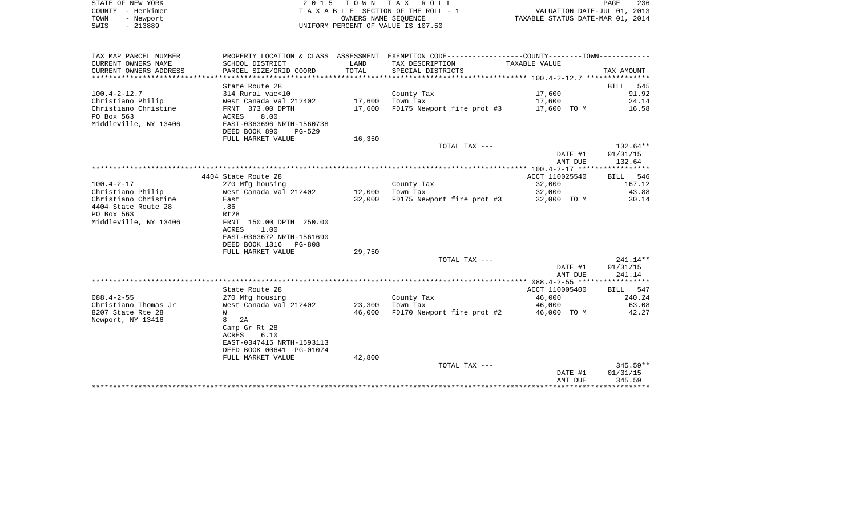| STATE OF NEW YORK |           | 2015 TOWN TAX ROLL                 | PAGE                             | 236 |
|-------------------|-----------|------------------------------------|----------------------------------|-----|
| COUNTY - Herkimer |           | TAXABLE SECTION OF THE ROLL - 1    | VALUATION DATE-JUL 01, 2013      |     |
| TOWN              | - Newport | OWNERS NAME SEOUENCE               | TAXABLE STATUS DATE-MAR 01, 2014 |     |
| SWIS              | - 213889  | UNIFORM PERCENT OF VALUE IS 107.50 |                                  |     |

| TAX MAP PARCEL NUMBER  |                           |        | PROPERTY LOCATION & CLASS ASSESSMENT EXEMPTION CODE----------------COUNTY--------TOWN---------- |                |            |
|------------------------|---------------------------|--------|-------------------------------------------------------------------------------------------------|----------------|------------|
| CURRENT OWNERS NAME    | SCHOOL DISTRICT           | LAND   | TAX DESCRIPTION                                                                                 | TAXABLE VALUE  |            |
| CURRENT OWNERS ADDRESS | PARCEL SIZE/GRID COORD    | TOTAL  | SPECIAL DISTRICTS                                                                               |                | TAX AMOUNT |
|                        |                           |        |                                                                                                 |                |            |
|                        | State Route 28            |        |                                                                                                 |                | BILL 545   |
| $100.4 - 2 - 12.7$     | 314 Rural vac<10          |        | County Tax                                                                                      | 17,600         | 91.92      |
| Christiano Philip      | West Canada Val 212402    | 17,600 | Town Tax                                                                                        | 17,600         | 24.14      |
| Christiano Christine   | FRNT 373.00 DPTH          | 17,600 | FD175 Newport fire prot #3                                                                      | 17,600 TO M    | 16.58      |
| PO Box 563             | 8.00<br>ACRES             |        |                                                                                                 |                |            |
| Middleville, NY 13406  | EAST-0363696 NRTH-1560738 |        |                                                                                                 |                |            |
|                        | DEED BOOK 890<br>PG-529   |        |                                                                                                 |                |            |
|                        | FULL MARKET VALUE         | 16,350 |                                                                                                 |                |            |
|                        |                           |        | TOTAL TAX ---                                                                                   |                | 132.64**   |
|                        |                           |        |                                                                                                 | DATE #1        | 01/31/15   |
|                        |                           |        |                                                                                                 | AMT DUE        | 132.64     |
|                        |                           |        |                                                                                                 |                |            |
|                        | 4404 State Route 28       |        |                                                                                                 | ACCT 110025540 | BILL 546   |
| $100.4 - 2 - 17$       | 270 Mfg housing           |        | County Tax                                                                                      | 32,000         | 167.12     |
| Christiano Philip      | West Canada Val 212402    | 12,000 | Town Tax                                                                                        | 32,000         | 43.88      |
| Christiano Christine   | East                      | 32,000 | FD175 Newport fire prot #3 32,000 TO M                                                          |                | 30.14      |
| 4404 State Route 28    | .86                       |        |                                                                                                 |                |            |
| PO Box 563             | Rt28                      |        |                                                                                                 |                |            |
| Middleville, NY 13406  | FRNT 150.00 DPTH 250.00   |        |                                                                                                 |                |            |
|                        | 1.00<br>ACRES             |        |                                                                                                 |                |            |
|                        | EAST-0363672 NRTH-1561690 |        |                                                                                                 |                |            |
|                        | DEED BOOK 1316<br>PG-808  |        |                                                                                                 |                |            |
|                        | FULL MARKET VALUE         | 29,750 |                                                                                                 |                |            |
|                        |                           |        | TOTAL TAX ---                                                                                   |                | 241.14**   |
|                        |                           |        |                                                                                                 | DATE #1        | 01/31/15   |
|                        |                           |        |                                                                                                 | AMT DUE        | 241.14     |
|                        |                           |        |                                                                                                 |                |            |
|                        | State Route 28            |        |                                                                                                 | ACCT 110005400 | BILL 547   |
| $088.4 - 2 - 55$       | 270 Mfg housing           |        | County Tax                                                                                      | 46,000         | 240.24     |
| Christiano Thomas Jr   | West Canada Val 212402    | 23,300 | Town Tax                                                                                        | 46,000         | 63.08      |
| 8207 State Rte 28      | W                         | 46,000 | FD170 Newport fire prot #2                                                                      | 46,000 TO M    | 42.27      |
| Newport, NY 13416      | 2A<br>8                   |        |                                                                                                 |                |            |
|                        | Camp Gr Rt 28             |        |                                                                                                 |                |            |
|                        | ACRES<br>6.10             |        |                                                                                                 |                |            |
|                        | EAST-0347415 NRTH-1593113 |        |                                                                                                 |                |            |
|                        | DEED BOOK 00641 PG-01074  |        |                                                                                                 |                |            |
|                        | FULL MARKET VALUE         | 42,800 |                                                                                                 |                |            |
|                        |                           |        | TOTAL TAX ---                                                                                   |                | $345.59**$ |
|                        |                           |        |                                                                                                 | DATE #1        | 01/31/15   |
|                        |                           |        |                                                                                                 | AMT DUE        | 345.59     |
|                        |                           |        |                                                                                                 |                |            |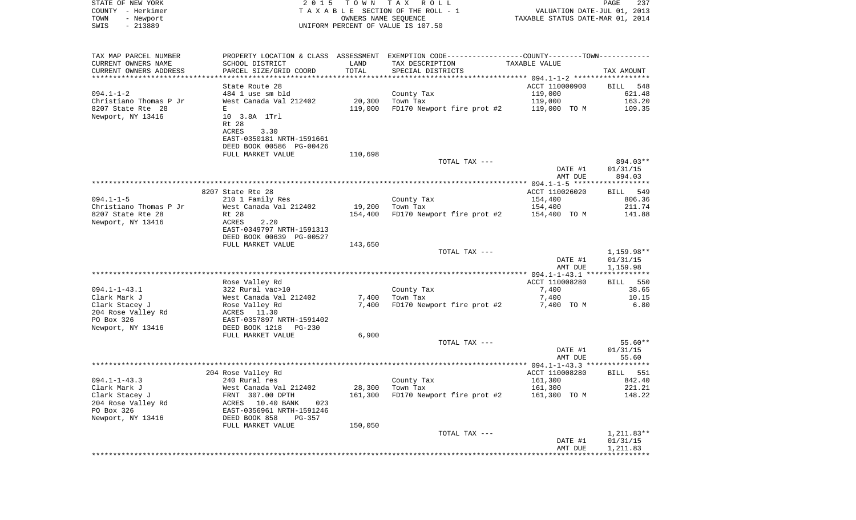| STATE OF NEW YORK<br>COUNTY - Herkimer<br>- Newport<br>TOWN | 2 0 1 5                                                 | T O W N<br>OWNERS NAME SEQUENCE | T A X<br>R O L L<br>TAXABLE SECTION OF THE ROLL - 1                                           | VALUATION DATE-JUL 01, 2013<br>TAXABLE STATUS DATE-MAR 01, 2014 | PAGE<br>237           |
|-------------------------------------------------------------|---------------------------------------------------------|---------------------------------|-----------------------------------------------------------------------------------------------|-----------------------------------------------------------------|-----------------------|
| $-213889$<br>SWIS                                           |                                                         |                                 | UNIFORM PERCENT OF VALUE IS 107.50                                                            |                                                                 |                       |
| TAX MAP PARCEL NUMBER                                       |                                                         |                                 | PROPERTY LOCATION & CLASS ASSESSMENT EXEMPTION CODE---------------COUNTY-------TOWN---------- |                                                                 |                       |
| CURRENT OWNERS NAME                                         | SCHOOL DISTRICT                                         | LAND                            | TAX DESCRIPTION                                                                               | TAXABLE VALUE                                                   |                       |
| CURRENT OWNERS ADDRESS<br>***********************           | PARCEL SIZE/GRID COORD<br>***************************** | TOTAL<br>***********            | SPECIAL DISTRICTS                                                                             |                                                                 | TAX AMOUNT            |
|                                                             | State Route 28                                          |                                 |                                                                                               | ACCT 110000900                                                  | BILL<br>548           |
| $094.1 - 1 - 2$                                             | 484 1 use sm bld                                        |                                 | County Tax                                                                                    | 119,000                                                         | 621.48                |
| Christiano Thomas P Jr                                      | West Canada Val 212402                                  | 20,300                          | Town Tax                                                                                      | 119,000                                                         | 163.20                |
| 8207 State Rte 28                                           | Е                                                       | 119,000                         | FD170 Newport fire prot #2                                                                    | 119,000 TO M                                                    | 109.35                |
| Newport, NY 13416                                           | 10 3.8A 1Trl                                            |                                 |                                                                                               |                                                                 |                       |
|                                                             | Rt 28<br>ACRES<br>3.30                                  |                                 |                                                                                               |                                                                 |                       |
|                                                             | EAST-0350181 NRTH-1591661                               |                                 |                                                                                               |                                                                 |                       |
|                                                             | DEED BOOK 00586 PG-00426                                |                                 |                                                                                               |                                                                 |                       |
|                                                             | FULL MARKET VALUE                                       | 110,698                         |                                                                                               |                                                                 |                       |
|                                                             |                                                         |                                 | TOTAL TAX ---                                                                                 |                                                                 | 894.03**              |
|                                                             |                                                         |                                 |                                                                                               | DATE #1                                                         | 01/31/15              |
|                                                             |                                                         |                                 |                                                                                               | AMT DUE                                                         | 894.03                |
|                                                             | 8207 State Rte 28                                       |                                 |                                                                                               | ACCT 110026020                                                  | BILL<br>549           |
| $094.1 - 1 - 5$                                             | 210 1 Family Res                                        |                                 | County Tax                                                                                    | 154,400                                                         | 806.36                |
| Christiano Thomas P Jr                                      | West Canada Val 212402                                  | 19,200                          | Town Tax                                                                                      | 154,400                                                         | 211.74                |
| 8207 State Rte 28                                           | Rt 28                                                   | 154,400                         | FD170 Newport fire prot #2                                                                    | 154,400 TO M                                                    | 141.88                |
| Newport, NY 13416                                           | ACRES<br>2.20                                           |                                 |                                                                                               |                                                                 |                       |
|                                                             | EAST-0349797 NRTH-1591313                               |                                 |                                                                                               |                                                                 |                       |
|                                                             | DEED BOOK 00639 PG-00527<br>FULL MARKET VALUE           | 143,650                         |                                                                                               |                                                                 |                       |
|                                                             |                                                         |                                 | TOTAL TAX ---                                                                                 |                                                                 | 1,159.98**            |
|                                                             |                                                         |                                 |                                                                                               | DATE #1<br>AMT DUE                                              | 01/31/15<br>1,159.98  |
|                                                             |                                                         |                                 |                                                                                               |                                                                 |                       |
|                                                             | Rose Valley Rd                                          |                                 |                                                                                               | ACCT 110008280                                                  | BILL<br>550           |
| $094.1 - 1 - 43.1$<br>Clark Mark J                          | 322 Rural vac>10<br>West Canada Val 212402              | 7,400                           | County Tax<br>Town Tax                                                                        | 7,400<br>7,400                                                  | 38.65<br>10.15        |
| Clark Stacey J                                              | Rose Valley Rd                                          | 7,400                           | FD170 Newport fire prot #2                                                                    | 7,400 TO M                                                      | 6.80                  |
| 204 Rose Valley Rd                                          | ACRES<br>11.30                                          |                                 |                                                                                               |                                                                 |                       |
| PO Box 326                                                  | EAST-0357897 NRTH-1591402                               |                                 |                                                                                               |                                                                 |                       |
| Newport, NY 13416                                           | DEED BOOK 1218<br>PG-230                                |                                 |                                                                                               |                                                                 |                       |
|                                                             | FULL MARKET VALUE                                       | 6,900                           |                                                                                               |                                                                 |                       |
|                                                             |                                                         |                                 | TOTAL TAX ---                                                                                 | DATE #1                                                         | $55.60**$<br>01/31/15 |
|                                                             |                                                         |                                 |                                                                                               | AMT DUE                                                         | 55.60                 |
|                                                             |                                                         |                                 |                                                                                               |                                                                 |                       |
|                                                             | 204 Rose Valley Rd                                      |                                 |                                                                                               | ACCT 110008280                                                  | 551<br>BILL           |
| $094.1 - 1 - 43.3$                                          | 240 Rural res                                           |                                 | County Tax                                                                                    | 161,300                                                         | 842.40                |
| Clark Mark J                                                | West Canada Val 212402                                  | 28,300                          | Town Tax                                                                                      | 161,300                                                         | 221.21                |
| Clark Stacey J<br>204 Rose Valley Rd                        | FRNT 307.00 DPTH<br>10.40 BANK<br>ACRES<br>023          | 161,300                         | FD170 Newport fire prot #2                                                                    | 161,300 TO M                                                    | 148.22                |
| PO Box 326                                                  | EAST-0356961 NRTH-1591246                               |                                 |                                                                                               |                                                                 |                       |
| Newport, NY 13416                                           | DEED BOOK 858<br>$PG-357$                               |                                 |                                                                                               |                                                                 |                       |
|                                                             | FULL MARKET VALUE                                       | 150,050                         |                                                                                               |                                                                 |                       |
|                                                             |                                                         |                                 | TOTAL TAX ---                                                                                 |                                                                 | 1,211.83**            |
|                                                             |                                                         |                                 |                                                                                               | DATE #1                                                         | 01/31/15              |
|                                                             |                                                         |                                 |                                                                                               | AMT DUE<br>***********************************                  | 1,211.83              |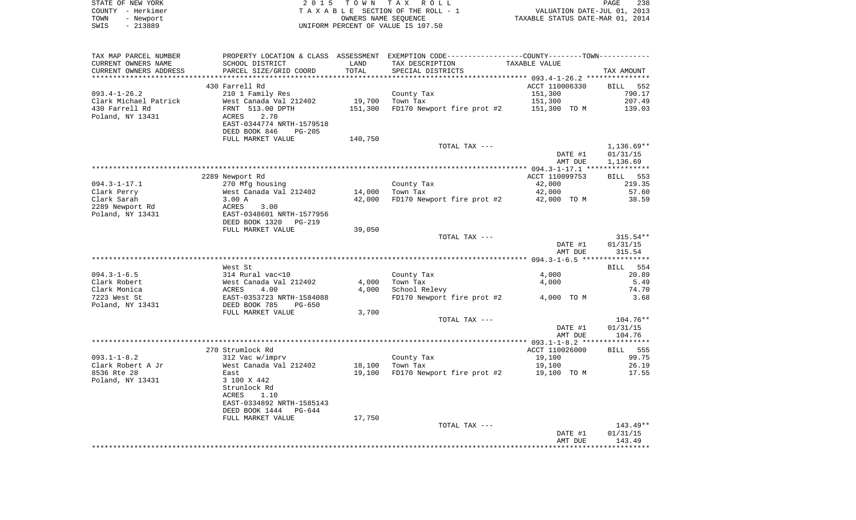|      | STATE OF NEW YORK | 2015 TOWN TAX ROLL                 | <b>PAGE</b>                      | 238 |
|------|-------------------|------------------------------------|----------------------------------|-----|
|      | COUNTY - Herkimer | TAXABLE SECTION OF THE ROLL - 1    | VALUATION DATE-JUL 01, 2013      |     |
| TOWN | - Newport         | OWNERS NAME SEOUENCE               | TAXABLE STATUS DATE-MAR 01, 2014 |     |
| SWIS | - 213889          | UNIFORM PERCENT OF VALUE IS 107.50 |                                  |     |

| TAX MAP PARCEL NUMBER  |                           |         | PROPERTY LOCATION & CLASS ASSESSMENT EXEMPTION CODE----------------COUNTY-------TOWN---------- |                |              |
|------------------------|---------------------------|---------|------------------------------------------------------------------------------------------------|----------------|--------------|
| CURRENT OWNERS NAME    | SCHOOL DISTRICT           | LAND    | TAX DESCRIPTION                                                                                | TAXABLE VALUE  |              |
| CURRENT OWNERS ADDRESS | PARCEL SIZE/GRID COORD    | TOTAL   | SPECIAL DISTRICTS                                                                              |                | TAX AMOUNT   |
|                        |                           |         |                                                                                                |                |              |
|                        | 430 Farrell Rd            |         |                                                                                                | ACCT 110006330 | BILL 552     |
| $093.4 - 1 - 26.2$     | 210 1 Family Res          |         | County Tax                                                                                     | 151,300        | 790.17       |
| Clark Michael Patrick  | West Canada Val 212402    | 19,700  | Town Tax                                                                                       | 151,300        | 207.49       |
| 430 Farrell Rd         | FRNT 513.00 DPTH          | 151,300 | FD170 Newport fire prot #2                                                                     | 151,300 TO M   | 139.03       |
| Poland, NY 13431       | 2.70<br>ACRES             |         |                                                                                                |                |              |
|                        | EAST-0344774 NRTH-1579518 |         |                                                                                                |                |              |
|                        | DEED BOOK 846<br>$PG-205$ |         |                                                                                                |                |              |
|                        | FULL MARKET VALUE         | 140,750 |                                                                                                |                |              |
|                        |                           |         | TOTAL TAX ---                                                                                  |                | $1,136.69**$ |
|                        |                           |         |                                                                                                | DATE #1        | 01/31/15     |
|                        |                           |         |                                                                                                |                |              |
|                        |                           |         |                                                                                                | AMT DUE        | 1,136.69     |
|                        |                           |         |                                                                                                |                |              |
|                        | 2289 Newport Rd           |         |                                                                                                | ACCT 110099753 | BILL 553     |
| $094.3 - 1 - 17.1$     | 270 Mfg housing           |         | County Tax                                                                                     | 42,000         | 219.35       |
| Clark Perry            | West Canada Val 212402    | 14,000  | Town Tax                                                                                       | 42,000         | 57.60        |
| Clark Sarah            | 3.00 A                    | 42,000  | FD170 Newport fire prot #2                                                                     | 42,000 TO M    | 38.59        |
| 2289 Newport Rd        | ACRES<br>3.00             |         |                                                                                                |                |              |
| Poland, NY 13431       | EAST-0348601 NRTH-1577956 |         |                                                                                                |                |              |
|                        | DEED BOOK 1320<br>PG-219  |         |                                                                                                |                |              |
|                        | FULL MARKET VALUE         | 39,050  |                                                                                                |                |              |
|                        |                           |         | TOTAL TAX ---                                                                                  |                | $315.54**$   |
|                        |                           |         |                                                                                                | DATE #1        | 01/31/15     |
|                        |                           |         |                                                                                                | AMT DUE        | 315.54       |
|                        |                           |         |                                                                                                |                |              |
|                        | West St                   |         |                                                                                                |                | 554<br>BILL  |
| $094.3 - 1 - 6.5$      | 314 Rural vac<10          |         | County Tax                                                                                     | 4,000          | 20.89        |
| Clark Robert           | West Canada Val 212402    | 4,000   | Town Tax                                                                                       | 4,000          | 5.49         |
| Clark Monica           | ACRES<br>4.00             | 4,000   | School Relevy                                                                                  |                | 74.70        |
| 7223 West St           | EAST-0353723 NRTH-1584088 |         | FD170 Newport fire prot #2                                                                     | 4,000 TO M     | 3.68         |
| Poland, NY 13431       | DEED BOOK 785<br>$PG-650$ |         |                                                                                                |                |              |
|                        | FULL MARKET VALUE         | 3,700   |                                                                                                |                |              |
|                        |                           |         | TOTAL TAX ---                                                                                  |                | 104.76**     |
|                        |                           |         |                                                                                                | DATE #1        | 01/31/15     |
|                        |                           |         |                                                                                                | AMT DUE        | 104.76       |
|                        |                           |         |                                                                                                |                |              |
|                        | 270 Strumlock Rd          |         |                                                                                                | ACCT 110026000 | BILL 555     |
| $093.1 - 1 - 8.2$      | 312 Vac w/imprv           |         | County Tax                                                                                     | 19,100         | 99.75        |
| Clark Robert A Jr      | West Canada Val 212402    | 18,100  | Town Tax                                                                                       | 19,100         | 26.19        |
| 8536 Rte 28            | East                      | 19,100  | FD170 Newport fire prot #2                                                                     | 19,100 TO M    | 17.55        |
|                        |                           |         |                                                                                                |                |              |
| Poland, NY 13431       | 3 100 X 442               |         |                                                                                                |                |              |
|                        | Strunlock Rd              |         |                                                                                                |                |              |
|                        | 1.10<br>ACRES             |         |                                                                                                |                |              |
|                        | EAST-0334892 NRTH-1585143 |         |                                                                                                |                |              |
|                        | DEED BOOK 1444<br>PG-644  |         |                                                                                                |                |              |
|                        | FULL MARKET VALUE         | 17,750  |                                                                                                |                |              |
|                        |                           |         | TOTAL TAX ---                                                                                  |                | $143.49**$   |
|                        |                           |         |                                                                                                | DATE #1        | 01/31/15     |
|                        |                           |         |                                                                                                | AMT DUE        | 143.49       |
|                        |                           |         |                                                                                                |                |              |
|                        |                           |         |                                                                                                |                |              |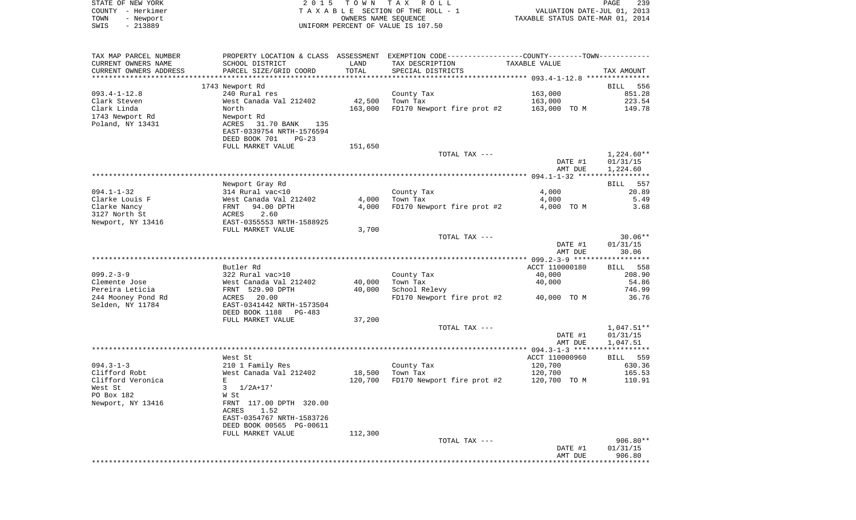|      | STATE OF NEW YORK | 2015 TOWN TAX ROLL                 | 239<br>PAGE                      |  |
|------|-------------------|------------------------------------|----------------------------------|--|
|      | COUNTY - Herkimer | TAXABLE SECTION OF THE ROLL - 1    | VALUATION DATE-JUL 01, 2013      |  |
| TOWN | - Newport         | OWNERS NAME SEOUENCE               | TAXABLE STATUS DATE-MAR 01, 2014 |  |
| SWIS | - 213889          | UNIFORM PERCENT OF VALUE IS 107.50 |                                  |  |

| TAX MAP PARCEL NUMBER  |                             |         | PROPERTY LOCATION & CLASS ASSESSMENT EXEMPTION CODE---------------COUNTY-------TOWN---------- |                |              |
|------------------------|-----------------------------|---------|-----------------------------------------------------------------------------------------------|----------------|--------------|
| CURRENT OWNERS NAME    | SCHOOL DISTRICT             | LAND    | TAX DESCRIPTION                                                                               | TAXABLE VALUE  |              |
| CURRENT OWNERS ADDRESS | PARCEL SIZE/GRID COORD      | TOTAL   | SPECIAL DISTRICTS                                                                             |                | TAX AMOUNT   |
|                        |                             |         |                                                                                               |                |              |
|                        | 1743 Newport Rd             |         |                                                                                               |                | BILL<br>556  |
| $093.4 - 1 - 12.8$     | 240 Rural res               |         | County Tax                                                                                    | 163,000        | 851.28       |
| Clark Steven           | West Canada Val 212402      | 42,500  | Town Tax                                                                                      | 163,000        | 223.54       |
| Clark Linda            | North                       | 163,000 | FD170 Newport fire prot #2                                                                    | 163,000 TO M   | 149.78       |
| 1743 Newport Rd        | Newport Rd                  |         |                                                                                               |                |              |
| Poland, NY 13431       | 31.70 BANK<br>ACRES<br>135  |         |                                                                                               |                |              |
|                        | EAST-0339754 NRTH-1576594   |         |                                                                                               |                |              |
|                        | DEED BOOK 701<br>$PG-23$    |         |                                                                                               |                |              |
|                        |                             |         |                                                                                               |                |              |
|                        | FULL MARKET VALUE           | 151,650 |                                                                                               |                |              |
|                        |                             |         | TOTAL TAX ---                                                                                 |                | $1,224.60**$ |
|                        |                             |         |                                                                                               | DATE #1        | 01/31/15     |
|                        |                             |         |                                                                                               | AMT DUE        | 1,224.60     |
|                        |                             |         |                                                                                               |                | ************ |
|                        | Newport Gray Rd             |         |                                                                                               |                | BILL<br>557  |
| $094.1 - 1 - 32$       | 314 Rural vac<10            |         | County Tax                                                                                    | 4,000          | 20.89        |
| Clarke Louis F         | West Canada Val 212402      | 4,000   | Town Tax                                                                                      | 4,000          | 5.49         |
| Clarke Nancy           | 94.00 DPTH<br>FRNT          | 4,000   | FD170 Newport fire prot #2                                                                    | 4,000 TO M     | 3.68         |
| 3127 North St          | ACRES<br>2.60               |         |                                                                                               |                |              |
| Newport, NY 13416      | EAST-0355553 NRTH-1588925   |         |                                                                                               |                |              |
|                        | FULL MARKET VALUE           | 3,700   |                                                                                               |                |              |
|                        |                             |         | TOTAL TAX ---                                                                                 |                | $30.06**$    |
|                        |                             |         |                                                                                               | DATE #1        | 01/31/15     |
|                        |                             |         |                                                                                               | AMT DUE        | 30.06        |
|                        |                             |         |                                                                                               |                | ***********  |
|                        | Butler Rd                   |         |                                                                                               | ACCT 110000180 | BILL<br>558  |
| $099.2 - 3 - 9$        | 322 Rural vac>10            |         | County Tax                                                                                    | 40,000         | 208.90       |
| Clemente Jose          | West Canada Val 212402      | 40,000  | Town Tax                                                                                      | 40,000         | 54.86        |
| Pereira Leticia        | FRNT 529.90 DPTH            | 40,000  | School Relevy                                                                                 |                | 746.99       |
| 244 Mooney Pond Rd     | 20.00<br>ACRES              |         | FD170 Newport fire prot #2                                                                    | 40,000 TO M    | 36.76        |
| Selden, NY 11784       | EAST-0341442 NRTH-1573504   |         |                                                                                               |                |              |
|                        | DEED BOOK 1188<br>PG-483    |         |                                                                                               |                |              |
|                        | FULL MARKET VALUE           | 37,200  |                                                                                               |                |              |
|                        |                             |         | TOTAL TAX ---                                                                                 |                | 1,047.51**   |
|                        |                             |         |                                                                                               | DATE #1        | 01/31/15     |
|                        |                             |         |                                                                                               | AMT DUE        | 1,047.51     |
|                        |                             |         |                                                                                               |                |              |
|                        | West St                     |         |                                                                                               | ACCT 110000960 | BILL 559     |
| $094.3 - 1 - 3$        | 210 1 Family Res            |         | County Tax                                                                                    | 120,700        | 630.36       |
| Clifford Robt          | West Canada Val 212402      | 18,500  | Town Tax                                                                                      | 120,700        | 165.53       |
|                        |                             |         |                                                                                               |                |              |
| Clifford Veronica      | $\mathbf E$                 | 120,700 | FD170 Newport fire prot #2                                                                    | 120,700 TO M   | 110.91       |
| West St                | $\mathbf{3}$<br>$1/2A+17$ ' |         |                                                                                               |                |              |
| PO Box 182             | W St                        |         |                                                                                               |                |              |
| Newport, NY 13416      | FRNT 117.00 DPTH 320.00     |         |                                                                                               |                |              |
|                        | 1.52<br>ACRES               |         |                                                                                               |                |              |
|                        | EAST-0354767 NRTH-1583726   |         |                                                                                               |                |              |
|                        | DEED BOOK 00565 PG-00611    |         |                                                                                               |                |              |
|                        | FULL MARKET VALUE           | 112,300 |                                                                                               |                |              |
|                        |                             |         | TOTAL TAX ---                                                                                 |                | 906.80**     |
|                        |                             |         |                                                                                               | DATE #1        | 01/31/15     |
|                        |                             |         |                                                                                               | AMT DUE        | 906.80       |
|                        |                             |         |                                                                                               |                |              |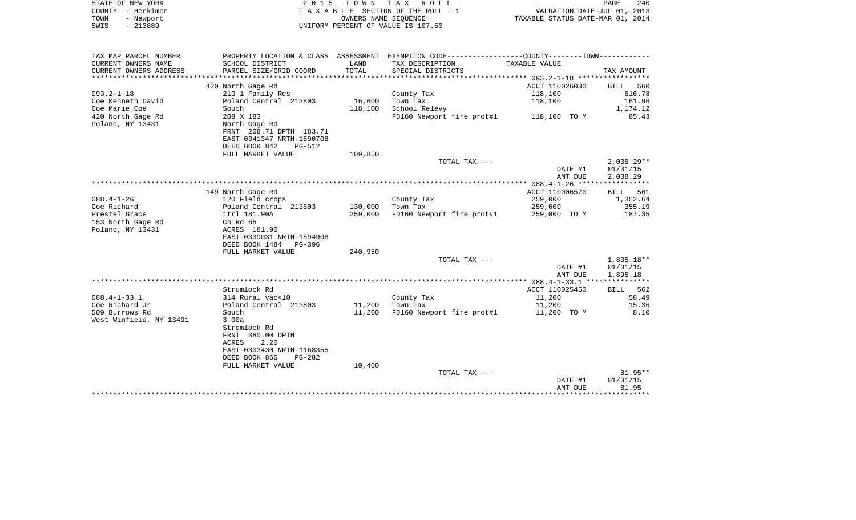|      | STATE OF NEW YORK | 2015 TOWN TAX ROLL                 | 240<br><b>PAGE</b>               |
|------|-------------------|------------------------------------|----------------------------------|
|      | COUNTY - Herkimer | TAXABLE SECTION OF THE ROLL - 1    | VALUATION DATE-JUL 01, 2013      |
| TOWN | - Newport         | OWNERS NAME SEOUENCE               | TAXABLE STATUS DATE-MAR 01, 2014 |
| SWIS | - 213889          | UNIFORM PERCENT OF VALUE IS 107.50 |                                  |

| TAX MAP PARCEL NUMBER     |                           |         | PROPERTY LOCATION & CLASS ASSESSMENT EXEMPTION CODE----------------COUNTY-------TOWN---------- |                |              |
|---------------------------|---------------------------|---------|------------------------------------------------------------------------------------------------|----------------|--------------|
| CURRENT OWNERS NAME       | SCHOOL DISTRICT           | LAND    | TAX DESCRIPTION                                                                                | TAXABLE VALUE  |              |
| CURRENT OWNERS ADDRESS    | PARCEL SIZE/GRID COORD    | TOTAL   | SPECIAL DISTRICTS                                                                              |                | TAX AMOUNT   |
| ************************* |                           |         |                                                                                                |                |              |
|                           | 420 North Gage Rd         |         |                                                                                                | ACCT 110026030 | 560<br>BILL  |
| $093.2 - 1 - 18$          | 210 1 Family Res          |         | County Tax                                                                                     | 118,100        | 616.78       |
| Coe Kenneth David         | Poland Central 213803     | 16,600  | Town Tax                                                                                       | 118,100        | 161.96       |
| Coe Marie Coe             | South                     | 118,100 | School Relevy                                                                                  |                | 1,174.12     |
| 420 North Gage Rd         | 208 X 183                 |         | FD160 Newport fire prot#1 118,100 TO M                                                         |                | 85.43        |
| Poland, NY 13431          | North Gage Rd             |         |                                                                                                |                |              |
|                           | FRNT 208.71 DPTH 183.71   |         |                                                                                                |                |              |
|                           | EAST-0341347 NRTH-1590708 |         |                                                                                                |                |              |
|                           | DEED BOOK 842<br>PG-512   |         |                                                                                                |                |              |
|                           | FULL MARKET VALUE         | 109,850 |                                                                                                |                |              |
|                           |                           |         | TOTAL TAX ---                                                                                  |                | $2,038.29**$ |
|                           |                           |         |                                                                                                | DATE #1        | 01/31/15     |
|                           |                           |         |                                                                                                | AMT DUE        | 2,038.29     |
|                           |                           |         |                                                                                                |                |              |
|                           | 149 North Gage Rd         |         |                                                                                                | ACCT 110006570 | BILL 561     |
| $088.4 - 1 - 26$          | 120 Field crops           |         | County Tax                                                                                     | 259,000        | 1,352.64     |
| Coe Richard               | Poland Central 213803     | 130,000 | Town Tax                                                                                       | 259,000        | 355.19       |
| Prestel Grace             | 1trl 181.90A              | 259,000 | FD160 Newport fire prot#1                                                                      | 259,000 TO M   | 187.35       |
| 153 North Gage Rd         | Co Rd 65                  |         |                                                                                                |                |              |
| Poland, NY 13431          | ACRES 181.90              |         |                                                                                                |                |              |
|                           | EAST-0339031 NRTH-1594908 |         |                                                                                                |                |              |
|                           | DEED BOOK 1484 PG-396     |         |                                                                                                |                |              |
|                           | FULL MARKET VALUE         | 240,950 |                                                                                                |                |              |
|                           |                           |         | TOTAL TAX ---                                                                                  |                | 1,895.18**   |
|                           |                           |         |                                                                                                | DATE #1        | 01/31/15     |
|                           |                           |         |                                                                                                | AMT DUE        | 1,895.18     |
|                           |                           |         |                                                                                                |                |              |
|                           | Strumlock Rd              |         |                                                                                                | ACCT 110025450 | BILL 562     |
| $088.4 - 1 - 33.1$        | 314 Rural vac<10          |         | County Tax                                                                                     | 11,200         | 58.49        |
| Coe Richard Jr            | Poland Central 213803     | 11,200  | Town Tax                                                                                       | 11,200         | 15.36        |
| 509 Burrows Rd            | South                     | 11,200  | FD160 Newport fire prot#1 11,200 TO M                                                          |                | 8.10         |
| West Winfield, NY 13491   | 3.00a                     |         |                                                                                                |                |              |
|                           | Stromlock Rd              |         |                                                                                                |                |              |
|                           | FRNT 380.00 DPTH          |         |                                                                                                |                |              |
|                           | ACRES<br>2.20             |         |                                                                                                |                |              |
|                           | EAST-0303430 NRTH-1168355 |         |                                                                                                |                |              |
|                           | DEED BOOK 866<br>PG-282   |         |                                                                                                |                |              |
|                           | FULL MARKET VALUE         | 10,400  |                                                                                                |                |              |
|                           |                           |         | TOTAL TAX ---                                                                                  |                | $81.95**$    |
|                           |                           |         |                                                                                                | DATE #1        | 01/31/15     |
|                           |                           |         |                                                                                                | AMT DUE        | 81.95        |
|                           |                           |         |                                                                                                |                |              |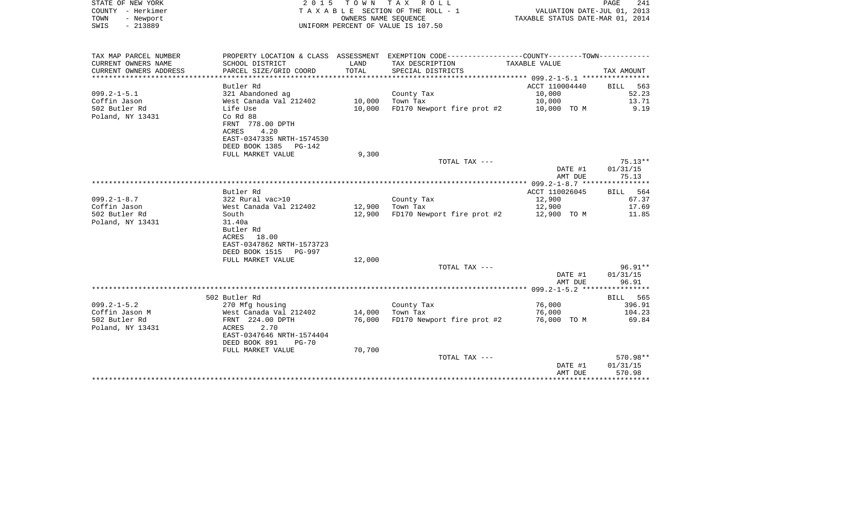| STATE OF NEW YORK | 2015 TOWN TAX ROLL                 |                                  | PAGE | 241 |
|-------------------|------------------------------------|----------------------------------|------|-----|
| COUNTY - Herkimer | TAXABLE SECTION OF THE ROLL - 1    | VALUATION DATE-JUL 01, 2013      |      |     |
| TOWN<br>- Newport | OWNERS NAME SEOUENCE               | TAXABLE STATUS DATE-MAR 01, 2014 |      |     |
| $-213889$<br>SWIS | UNIFORM PERCENT OF VALUE IS 107.50 |                                  |      |     |

| TAX MAP PARCEL NUMBER  | PROPERTY LOCATION & CLASS ASSESSMENT |        |                            |                              |                    |
|------------------------|--------------------------------------|--------|----------------------------|------------------------------|--------------------|
| CURRENT OWNERS NAME    | SCHOOL DISTRICT                      | LAND   | TAX DESCRIPTION            | TAXABLE VALUE                |                    |
| CURRENT OWNERS ADDRESS | PARCEL SIZE/GRID COORD               | TOTAL  | SPECIAL DISTRICTS          |                              | TAX AMOUNT         |
|                        |                                      |        |                            |                              |                    |
|                        | Butler Rd                            |        |                            | ACCT 110004440               | 563<br>BILL        |
| $099.2 - 1 - 5.1$      | 321 Abandoned ag                     |        | County Tax                 | 10,000                       | 52.23              |
| Coffin Jason           | West Canada Val 212402               | 10,000 | Town Tax                   | 10,000                       | 13.71              |
| 502 Butler Rd          | Life Use                             | 10,000 | FD170 Newport fire prot #2 | 10,000 TO M                  | 9.19               |
| Poland, NY 13431       | Co Rd 88                             |        |                            |                              |                    |
|                        | FRNT 778.00 DPTH                     |        |                            |                              |                    |
|                        | 4.20<br>ACRES                        |        |                            |                              |                    |
|                        | EAST-0347335 NRTH-1574530            |        |                            |                              |                    |
|                        | DEED BOOK 1385<br>PG-142             |        |                            |                              |                    |
|                        | FULL MARKET VALUE                    | 9,300  |                            |                              |                    |
|                        |                                      |        | TOTAL TAX ---              |                              | $75.13**$          |
|                        |                                      |        |                            | DATE #1                      | 01/31/15           |
|                        |                                      |        |                            | AMT DUE                      | 75.13              |
|                        |                                      |        |                            |                              |                    |
|                        | Butler Rd                            |        |                            | ACCT 110026045               | BILL 564           |
| $099.2 - 1 - 8.7$      | 322 Rural vac>10                     |        | County Tax                 | 12,900                       | 67.37              |
| Coffin Jason           | West Canada Val 212402               | 12,900 | Town Tax                   | 12,900                       | 17.69              |
| 502 Butler Rd          | South                                | 12,900 | FD170 Newport fire prot #2 | 12,900 TO M                  | 11.85              |
| Poland, NY 13431       | 31.40a                               |        |                            |                              |                    |
|                        | Butler Rd                            |        |                            |                              |                    |
|                        | ACRES<br>18.00                       |        |                            |                              |                    |
|                        | EAST-0347862 NRTH-1573723            |        |                            |                              |                    |
|                        | DEED BOOK 1515<br>PG-997             |        |                            |                              |                    |
|                        | FULL MARKET VALUE                    | 12,000 |                            |                              |                    |
|                        |                                      |        | TOTAL TAX ---              |                              | $96.91**$          |
|                        |                                      |        |                            | DATE #1                      | 01/31/15           |
|                        |                                      |        |                            |                              |                    |
|                        |                                      |        |                            | AMT DUE                      | 96.91              |
|                        | 502 Butler Rd                        |        |                            |                              |                    |
| $099.2 - 1 - 5.2$      | 270 Mfg housing                      |        | County Tax                 | 76,000                       | BILL 565<br>396.91 |
|                        |                                      |        |                            |                              |                    |
| Coffin Jason M         | West Canada Val 212402               | 14,000 | Town Tax                   | 76,000                       | 104.23             |
| 502 Butler Rd          | FRNT 224.00 DPTH                     | 76,000 | FD170 Newport fire prot #2 | 76,000 TO M                  | 69.84              |
| Poland, NY 13431       | 2.70<br>ACRES                        |        |                            |                              |                    |
|                        | EAST-0347646 NRTH-1574404            |        |                            |                              |                    |
|                        | DEED BOOK 891<br>PG-70               |        |                            |                              |                    |
|                        | FULL MARKET VALUE                    | 70,700 |                            |                              |                    |
|                        |                                      |        | TOTAL TAX ---              |                              | 570.98**           |
|                        |                                      |        |                            | DATE #1                      | 01/31/15           |
|                        |                                      |        |                            | AMT DUE                      | 570.98             |
|                        |                                      |        |                            | **************************** |                    |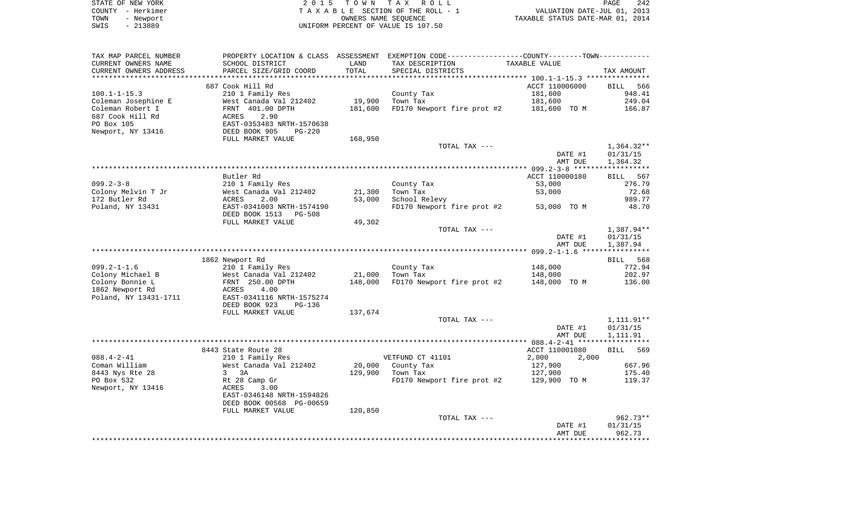| STATE OF NEW YORK | 2015 TOWN TAX ROLL<br>PAGE                                     | 242 |
|-------------------|----------------------------------------------------------------|-----|
| COUNTY - Herkimer | VALUATION DATE-JUL 01, 2013<br>TAXABLE SECTION OF THE ROLL - 1 |     |
| TOWN<br>- Newport | TAXABLE STATUS DATE-MAR 01, 2014<br>OWNERS NAME SEOUENCE       |     |
| $-213889$<br>SWIS | UNIFORM PERCENT OF VALUE IS 107.50                             |     |

| TAX MAP PARCEL NUMBER  |                                 |              | PROPERTY LOCATION & CLASS ASSESSMENT EXEMPTION CODE---------------COUNTY-------TOWN---------- |                                                   |              |
|------------------------|---------------------------------|--------------|-----------------------------------------------------------------------------------------------|---------------------------------------------------|--------------|
| CURRENT OWNERS NAME    | SCHOOL DISTRICT                 | LAND         | TAX DESCRIPTION                                                                               | TAXABLE VALUE                                     |              |
| CURRENT OWNERS ADDRESS | PARCEL SIZE/GRID COORD          | <b>TOTAL</b> | SPECIAL DISTRICTS                                                                             |                                                   | TAX AMOUNT   |
|                        |                                 |              | *******************************                                                               | ******************** 100.1-1-15.3 *************** |              |
|                        | 687 Cook Hill Rd                |              |                                                                                               | ACCT 110006000                                    | BILL 566     |
| $100.1 - 1 - 15.3$     | 210 1 Family Res                |              | County Tax                                                                                    | 181,600                                           | 948.41       |
| Coleman Josephine E    | West Canada Val 212402          | 19,900       | Town Tax                                                                                      | 181,600                                           | 249.04       |
| Coleman Robert I       | FRNT 401.00 DPTH                | 181,600      | FD170 Newport fire prot #2                                                                    | 181,600 TO M                                      | 166.87       |
| 687 Cook Hill Rd       | 2.90<br>ACRES                   |              |                                                                                               |                                                   |              |
| PO Box 105             | EAST-0353483 NRTH-1570638       |              |                                                                                               |                                                   |              |
|                        |                                 |              |                                                                                               |                                                   |              |
| Newport, NY 13416      | DEED BOOK 905<br>$PG-220$       |              |                                                                                               |                                                   |              |
|                        | FULL MARKET VALUE               | 168,950      |                                                                                               |                                                   |              |
|                        |                                 |              | TOTAL TAX ---                                                                                 |                                                   | $1,364.32**$ |
|                        |                                 |              |                                                                                               | DATE #1                                           | 01/31/15     |
|                        |                                 |              |                                                                                               | AMT DUE                                           | 1,364.32     |
|                        |                                 |              |                                                                                               |                                                   |              |
|                        | Butler Rd                       |              |                                                                                               | ACCT 110000180                                    | BILL 567     |
| $099.2 - 3 - 8$        | 210 1 Family Res                |              | County Tax                                                                                    | 53,000                                            | 276.79       |
| Colony Melvin T Jr     | West Canada Val 212402          | 21,300       | Town Tax                                                                                      | 53,000                                            | 72.68        |
| 172 Butler Rd          | 2.00<br>ACRES                   | 53,000       | School Relevy                                                                                 |                                                   | 989.77       |
| Poland, NY 13431       | EAST-0341003 NRTH-1574190       |              | FD170 Newport fire prot #2                                                                    | 53,000 TO M                                       | 48.70        |
|                        | DEED BOOK 1513<br><b>PG-508</b> |              |                                                                                               |                                                   |              |
|                        | FULL MARKET VALUE               | 49,302       |                                                                                               |                                                   |              |
|                        |                                 |              | TOTAL TAX ---                                                                                 |                                                   | 1,387.94**   |
|                        |                                 |              |                                                                                               |                                                   |              |
|                        |                                 |              |                                                                                               | DATE #1                                           | 01/31/15     |
|                        |                                 |              |                                                                                               | AMT DUE                                           | 1,387.94     |
|                        |                                 |              |                                                                                               |                                                   |              |
|                        | 1862 Newport Rd                 |              |                                                                                               |                                                   | BILL 568     |
| $099.2 - 1 - 1.6$      | 210 1 Family Res                |              | County Tax                                                                                    | 148,000                                           | 772.94       |
| Colony Michael B       | West Canada Val 212402          | 21,000       | Town Tax                                                                                      | 148,000                                           | 202.97       |
| Colony Bonnie L        | FRNT 250.00 DPTH                | 148,000      | FD170 Newport fire prot #2                                                                    | 148,000 TO M                                      | 136.00       |
| 1862 Newport Rd        | 4.00<br>ACRES                   |              |                                                                                               |                                                   |              |
| Poland, NY 13431-1711  | EAST-0341116 NRTH-1575274       |              |                                                                                               |                                                   |              |
|                        | DEED BOOK 923<br>PG-136         |              |                                                                                               |                                                   |              |
|                        | FULL MARKET VALUE               | 137,674      |                                                                                               |                                                   |              |
|                        |                                 |              | TOTAL TAX ---                                                                                 |                                                   | $1,111.91**$ |
|                        |                                 |              |                                                                                               | DATE #1                                           | 01/31/15     |
|                        |                                 |              |                                                                                               | AMT DUE                                           | 1,111.91     |
|                        |                                 |              |                                                                                               |                                                   |              |
|                        | 8443 State Route 28             |              |                                                                                               | ACCT 110001080                                    | BILL<br>569  |
| $088.4 - 2 - 41$       | 210 1 Family Res                |              | VETFUND CT 41101                                                                              | 2,000<br>2,000                                    |              |
| Coman William          | West Canada Val 212402          | 20,000       | County Tax                                                                                    | 127,900                                           | 667.96       |
|                        |                                 |              |                                                                                               |                                                   |              |
| 8443 Nys Rte 28        | $\mathbf{3}$<br>3A              | 129,900      | Town Tax                                                                                      | 127,900                                           | 175.40       |
| PO Box 532             | Rt 28 Camp Gr                   |              | FD170 Newport fire prot #2 129,900 TO M                                                       |                                                   | 119.37       |
| Newport, NY 13416      | 3.00<br>ACRES                   |              |                                                                                               |                                                   |              |
|                        | EAST-0346148 NRTH-1594826       |              |                                                                                               |                                                   |              |
|                        | DEED BOOK 00568 PG-00659        |              |                                                                                               |                                                   |              |
|                        | FULL MARKET VALUE               | 120,850      |                                                                                               |                                                   |              |
|                        |                                 |              | TOTAL TAX ---                                                                                 |                                                   | $962.73**$   |
|                        |                                 |              |                                                                                               | DATE #1                                           | 01/31/15     |
|                        |                                 |              |                                                                                               | AMT DUE                                           | 962.73       |
|                        |                                 |              |                                                                                               |                                                   |              |
|                        |                                 |              |                                                                                               |                                                   |              |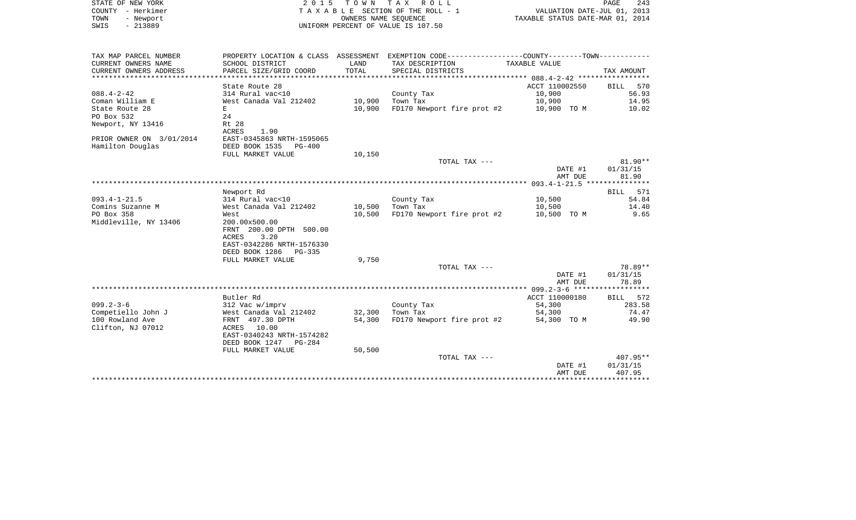| STATE OF NEW YORK<br>COUNTY - Herkimer<br>TOWN<br>- Newport | 2 0 1 5                                                                                                                    |                  | TOWN TAX ROLL<br>TAXABLE SECTION OF THE ROLL - 1<br>OWNERS NAME SEQUENCE                      | VALUATION DATE-JUL 01, 2013<br>TAXABLE STATUS DATE-MAR 01, 2014 | PAGE<br>243                         |
|-------------------------------------------------------------|----------------------------------------------------------------------------------------------------------------------------|------------------|-----------------------------------------------------------------------------------------------|-----------------------------------------------------------------|-------------------------------------|
| $-213889$<br>SWIS                                           |                                                                                                                            |                  | UNIFORM PERCENT OF VALUE IS 107.50                                                            |                                                                 |                                     |
| TAX MAP PARCEL NUMBER                                       |                                                                                                                            |                  | PROPERTY LOCATION & CLASS ASSESSMENT EXEMPTION CODE---------------COUNTY-------TOWN---------- |                                                                 |                                     |
| CURRENT OWNERS NAME<br>CURRENT OWNERS ADDRESS               | SCHOOL DISTRICT<br>PARCEL SIZE/GRID COORD                                                                                  | LAND<br>TOTAL    | TAX DESCRIPTION<br>SPECIAL DISTRICTS                                                          | TAXABLE VALUE                                                   | TAX AMOUNT                          |
| *************************                                   |                                                                                                                            |                  |                                                                                               |                                                                 |                                     |
| $088.4 - 2 - 42$<br>Coman William E<br>State Route 28       | State Route 28<br>314 Rural vac<10<br>West Canada Val 212402<br>Е                                                          | 10,900<br>10,900 | County Tax<br>Town Tax<br>FD170 Newport fire prot #2                                          | ACCT 110002550<br>10,900<br>10,900<br>10,900 TO M               | BILL 570<br>56.93<br>14.95<br>10.02 |
| PO Box 532<br>Newport, NY 13416                             | 24<br>Rt 28<br>ACRES<br>1.90                                                                                               |                  |                                                                                               |                                                                 |                                     |
| PRIOR OWNER ON 3/01/2014<br>Hamilton Douglas                | EAST-0345863 NRTH-1595065<br>DEED BOOK 1535<br>PG-400<br>FULL MARKET VALUE                                                 | 10,150           |                                                                                               |                                                                 |                                     |
|                                                             |                                                                                                                            |                  | TOTAL TAX ---                                                                                 | DATE #1<br>AMT DUE                                              | $81.90**$<br>01/31/15<br>81.90      |
|                                                             |                                                                                                                            |                  |                                                                                               |                                                                 |                                     |
| $093.4 - 1 - 21.5$<br>Comins Suzanne M                      | Newport Rd<br>314 Rural vac<10<br>West Canada Val 212402                                                                   | 10,500           | County Tax<br>Town Tax                                                                        | 10,500<br>10,500                                                | <b>BILL</b> 571<br>54.84<br>14.40   |
| PO Box 358<br>Middleville, NY 13406                         | West<br>200.00x500.00<br>FRNT 200.00 DPTH 500.00<br>3.20<br>ACRES<br>EAST-0342286 NRTH-1576330<br>DEED BOOK 1286<br>PG-335 | 10,500           | FD170 Newport fire prot #2                                                                    | 10,500 TO M                                                     | 9.65                                |
|                                                             | FULL MARKET VALUE                                                                                                          | 9,750            |                                                                                               |                                                                 |                                     |
|                                                             |                                                                                                                            |                  | TOTAL TAX ---                                                                                 | DATE #1<br>AMT DUE                                              | 78.89**<br>01/31/15<br>78.89        |
|                                                             |                                                                                                                            |                  |                                                                                               |                                                                 |                                     |
| $099.2 - 3 - 6$                                             | Butler Rd<br>312 Vac w/imprv                                                                                               |                  | County Tax                                                                                    | ACCT 110000180<br>54,300                                        | BILL 572<br>283.58                  |
| Competiello John J<br>100 Rowland Ave<br>Clifton, NJ 07012  | West Canada Val 212402<br>FRNT 497.30 DPTH<br>ACRES<br>10.00<br>EAST-0340243 NRTH-1574282                                  | 32,300<br>54,300 | Town Tax<br>FD170 Newport fire prot #2                                                        | 54,300<br>54,300 TO M                                           | 74.47<br>49.90                      |

| EAST-0340243 NRTH-1574282 |        |               |         |            |
|---------------------------|--------|---------------|---------|------------|
| DEED BOOK 1247<br>PG-284  |        |               |         |            |
| FULL MARKET VALUE         | 50,500 |               |         |            |
|                           |        | TOTAL TAX --- |         | $407.95**$ |
|                           |        |               | DATE #1 | 01/31/15   |
|                           |        |               | AMT DUE | 407.95     |
|                           |        |               |         |            |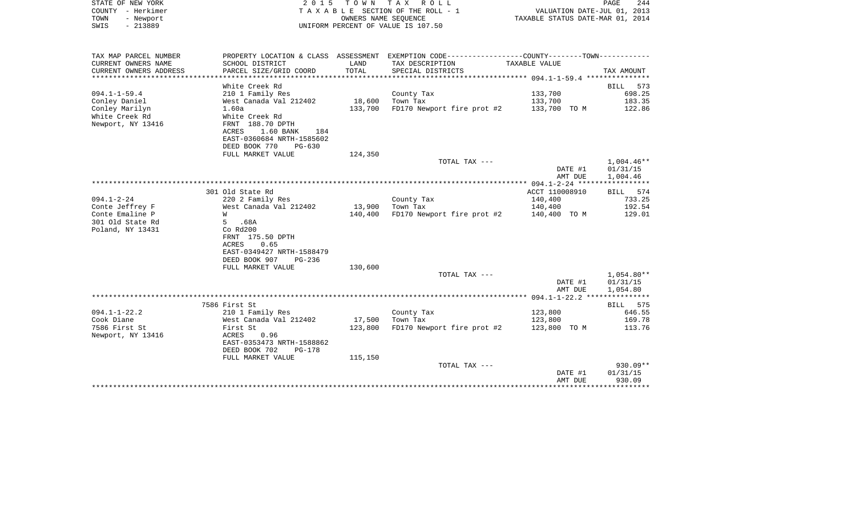|      | STATE OF NEW YORK | 2015 TOWN TAX ROLL                 | PAGE                             | 244 |
|------|-------------------|------------------------------------|----------------------------------|-----|
|      | COUNTY - Herkimer | TAXABLE SECTION OF THE ROLL - 1    | VALUATION DATE-JUL 01, 2013      |     |
| TOWN | - Newport         | OWNERS NAME SEOUENCE               | TAXABLE STATUS DATE-MAR 01, 2014 |     |
| SWIS | - 213889          | UNIFORM PERCENT OF VALUE IS 107.50 |                                  |     |

| CURRENT OWNERS NAME<br>SCHOOL DISTRICT<br>LAND<br>TAX DESCRIPTION<br>TAXABLE VALUE<br>CURRENT OWNERS ADDRESS<br>TOTAL<br>PARCEL SIZE/GRID COORD<br>SPECIAL DISTRICTS<br>TAX AMOUNT<br>**************************<br>White Creek Rd<br>573<br>BILL<br>$094.1 - 1 - 59.4$<br>210 1 Family Res<br>133,700<br>698.25<br>County Tax<br>18,600<br>183.35<br>Conley Daniel<br>West Canada Val 212402<br>Town Tax<br>133,700<br>FD170 Newport fire prot #2<br>Conley Marilyn<br>1.60a<br>133,700<br>133,700 TO M<br>122.86<br>White Creek Rd<br>White Creek Rd<br>Newport, NY 13416<br>FRNT 188.70 DPTH<br>ACRES<br>1.60 BANK<br>184<br>EAST-0360684 NRTH-1585602<br>DEED BOOK 770<br>$PG-630$<br>FULL MARKET VALUE<br>124,350<br>$1,004.46**$<br>TOTAL TAX ---<br>01/31/15<br>DATE #1<br>1,004.46<br>AMT DUE<br>301 Old State Rd<br>ACCT 110008910<br>BILL 574<br>$094.1 - 2 - 24$<br>220 2 Family Res<br>County Tax<br>140,400<br>733.25<br>192.54<br>Conte Jeffrey F<br>West Canada Val 212402<br>13,900<br>Town Tax<br>140,400<br>Conte Emaline P<br>140,400<br>FD170 Newport fire prot #2<br>129.01<br>W<br>140,400 TO M<br>301 Old State Rd<br>5<br>.68A<br>Poland, NY 13431<br>Co Rd200<br>FRNT 175.50 DPTH<br>ACRES<br>0.65<br>EAST-0349427 NRTH-1588479<br>DEED BOOK 907<br>$PG-236$<br>FULL MARKET VALUE<br>130,600<br>TOTAL TAX ---<br>$1,054.80**$<br>DATE #1<br>01/31/15<br>1,054.80<br>AMT DUE<br>7586 First St<br>BILL 575<br>646.55<br>$094.1 - 1 - 22.2$<br>210 1 Family Res<br>County Tax<br>123,800<br>West Canada Val 212402<br>17,500<br>169.78<br>Cook Diane<br>Town Tax<br>123,800<br>7586 First St<br>First St<br>123,800<br>FD170 Newport fire prot #2<br>123,800 TO M<br>113.76<br>Newport, NY 13416<br>ACRES<br>0.96<br>EAST-0353473 NRTH-1588862<br>DEED BOOK 702<br>$PG-178$<br>FULL MARKET VALUE<br>115,150<br>$930.09**$<br>TOTAL TAX ---<br>01/31/15<br>DATE #1<br>930.09<br>AMT DUE | TAX MAP PARCEL NUMBER | PROPERTY LOCATION & CLASS | ASSESSMENT |  |  |
|--------------------------------------------------------------------------------------------------------------------------------------------------------------------------------------------------------------------------------------------------------------------------------------------------------------------------------------------------------------------------------------------------------------------------------------------------------------------------------------------------------------------------------------------------------------------------------------------------------------------------------------------------------------------------------------------------------------------------------------------------------------------------------------------------------------------------------------------------------------------------------------------------------------------------------------------------------------------------------------------------------------------------------------------------------------------------------------------------------------------------------------------------------------------------------------------------------------------------------------------------------------------------------------------------------------------------------------------------------------------------------------------------------------------------------------------------------------------------------------------------------------------------------------------------------------------------------------------------------------------------------------------------------------------------------------------------------------------------------------------------------------------------------------------------------------------------------------------------------------------------------------------------------------|-----------------------|---------------------------|------------|--|--|
|                                                                                                                                                                                                                                                                                                                                                                                                                                                                                                                                                                                                                                                                                                                                                                                                                                                                                                                                                                                                                                                                                                                                                                                                                                                                                                                                                                                                                                                                                                                                                                                                                                                                                                                                                                                                                                                                                                              |                       |                           |            |  |  |
|                                                                                                                                                                                                                                                                                                                                                                                                                                                                                                                                                                                                                                                                                                                                                                                                                                                                                                                                                                                                                                                                                                                                                                                                                                                                                                                                                                                                                                                                                                                                                                                                                                                                                                                                                                                                                                                                                                              |                       |                           |            |  |  |
|                                                                                                                                                                                                                                                                                                                                                                                                                                                                                                                                                                                                                                                                                                                                                                                                                                                                                                                                                                                                                                                                                                                                                                                                                                                                                                                                                                                                                                                                                                                                                                                                                                                                                                                                                                                                                                                                                                              |                       |                           |            |  |  |
|                                                                                                                                                                                                                                                                                                                                                                                                                                                                                                                                                                                                                                                                                                                                                                                                                                                                                                                                                                                                                                                                                                                                                                                                                                                                                                                                                                                                                                                                                                                                                                                                                                                                                                                                                                                                                                                                                                              |                       |                           |            |  |  |
|                                                                                                                                                                                                                                                                                                                                                                                                                                                                                                                                                                                                                                                                                                                                                                                                                                                                                                                                                                                                                                                                                                                                                                                                                                                                                                                                                                                                                                                                                                                                                                                                                                                                                                                                                                                                                                                                                                              |                       |                           |            |  |  |
|                                                                                                                                                                                                                                                                                                                                                                                                                                                                                                                                                                                                                                                                                                                                                                                                                                                                                                                                                                                                                                                                                                                                                                                                                                                                                                                                                                                                                                                                                                                                                                                                                                                                                                                                                                                                                                                                                                              |                       |                           |            |  |  |
|                                                                                                                                                                                                                                                                                                                                                                                                                                                                                                                                                                                                                                                                                                                                                                                                                                                                                                                                                                                                                                                                                                                                                                                                                                                                                                                                                                                                                                                                                                                                                                                                                                                                                                                                                                                                                                                                                                              |                       |                           |            |  |  |
|                                                                                                                                                                                                                                                                                                                                                                                                                                                                                                                                                                                                                                                                                                                                                                                                                                                                                                                                                                                                                                                                                                                                                                                                                                                                                                                                                                                                                                                                                                                                                                                                                                                                                                                                                                                                                                                                                                              |                       |                           |            |  |  |
|                                                                                                                                                                                                                                                                                                                                                                                                                                                                                                                                                                                                                                                                                                                                                                                                                                                                                                                                                                                                                                                                                                                                                                                                                                                                                                                                                                                                                                                                                                                                                                                                                                                                                                                                                                                                                                                                                                              |                       |                           |            |  |  |
|                                                                                                                                                                                                                                                                                                                                                                                                                                                                                                                                                                                                                                                                                                                                                                                                                                                                                                                                                                                                                                                                                                                                                                                                                                                                                                                                                                                                                                                                                                                                                                                                                                                                                                                                                                                                                                                                                                              |                       |                           |            |  |  |
|                                                                                                                                                                                                                                                                                                                                                                                                                                                                                                                                                                                                                                                                                                                                                                                                                                                                                                                                                                                                                                                                                                                                                                                                                                                                                                                                                                                                                                                                                                                                                                                                                                                                                                                                                                                                                                                                                                              |                       |                           |            |  |  |
|                                                                                                                                                                                                                                                                                                                                                                                                                                                                                                                                                                                                                                                                                                                                                                                                                                                                                                                                                                                                                                                                                                                                                                                                                                                                                                                                                                                                                                                                                                                                                                                                                                                                                                                                                                                                                                                                                                              |                       |                           |            |  |  |
|                                                                                                                                                                                                                                                                                                                                                                                                                                                                                                                                                                                                                                                                                                                                                                                                                                                                                                                                                                                                                                                                                                                                                                                                                                                                                                                                                                                                                                                                                                                                                                                                                                                                                                                                                                                                                                                                                                              |                       |                           |            |  |  |
|                                                                                                                                                                                                                                                                                                                                                                                                                                                                                                                                                                                                                                                                                                                                                                                                                                                                                                                                                                                                                                                                                                                                                                                                                                                                                                                                                                                                                                                                                                                                                                                                                                                                                                                                                                                                                                                                                                              |                       |                           |            |  |  |
|                                                                                                                                                                                                                                                                                                                                                                                                                                                                                                                                                                                                                                                                                                                                                                                                                                                                                                                                                                                                                                                                                                                                                                                                                                                                                                                                                                                                                                                                                                                                                                                                                                                                                                                                                                                                                                                                                                              |                       |                           |            |  |  |
|                                                                                                                                                                                                                                                                                                                                                                                                                                                                                                                                                                                                                                                                                                                                                                                                                                                                                                                                                                                                                                                                                                                                                                                                                                                                                                                                                                                                                                                                                                                                                                                                                                                                                                                                                                                                                                                                                                              |                       |                           |            |  |  |
|                                                                                                                                                                                                                                                                                                                                                                                                                                                                                                                                                                                                                                                                                                                                                                                                                                                                                                                                                                                                                                                                                                                                                                                                                                                                                                                                                                                                                                                                                                                                                                                                                                                                                                                                                                                                                                                                                                              |                       |                           |            |  |  |
|                                                                                                                                                                                                                                                                                                                                                                                                                                                                                                                                                                                                                                                                                                                                                                                                                                                                                                                                                                                                                                                                                                                                                                                                                                                                                                                                                                                                                                                                                                                                                                                                                                                                                                                                                                                                                                                                                                              |                       |                           |            |  |  |
|                                                                                                                                                                                                                                                                                                                                                                                                                                                                                                                                                                                                                                                                                                                                                                                                                                                                                                                                                                                                                                                                                                                                                                                                                                                                                                                                                                                                                                                                                                                                                                                                                                                                                                                                                                                                                                                                                                              |                       |                           |            |  |  |
|                                                                                                                                                                                                                                                                                                                                                                                                                                                                                                                                                                                                                                                                                                                                                                                                                                                                                                                                                                                                                                                                                                                                                                                                                                                                                                                                                                                                                                                                                                                                                                                                                                                                                                                                                                                                                                                                                                              |                       |                           |            |  |  |
|                                                                                                                                                                                                                                                                                                                                                                                                                                                                                                                                                                                                                                                                                                                                                                                                                                                                                                                                                                                                                                                                                                                                                                                                                                                                                                                                                                                                                                                                                                                                                                                                                                                                                                                                                                                                                                                                                                              |                       |                           |            |  |  |
|                                                                                                                                                                                                                                                                                                                                                                                                                                                                                                                                                                                                                                                                                                                                                                                                                                                                                                                                                                                                                                                                                                                                                                                                                                                                                                                                                                                                                                                                                                                                                                                                                                                                                                                                                                                                                                                                                                              |                       |                           |            |  |  |
|                                                                                                                                                                                                                                                                                                                                                                                                                                                                                                                                                                                                                                                                                                                                                                                                                                                                                                                                                                                                                                                                                                                                                                                                                                                                                                                                                                                                                                                                                                                                                                                                                                                                                                                                                                                                                                                                                                              |                       |                           |            |  |  |
|                                                                                                                                                                                                                                                                                                                                                                                                                                                                                                                                                                                                                                                                                                                                                                                                                                                                                                                                                                                                                                                                                                                                                                                                                                                                                                                                                                                                                                                                                                                                                                                                                                                                                                                                                                                                                                                                                                              |                       |                           |            |  |  |
|                                                                                                                                                                                                                                                                                                                                                                                                                                                                                                                                                                                                                                                                                                                                                                                                                                                                                                                                                                                                                                                                                                                                                                                                                                                                                                                                                                                                                                                                                                                                                                                                                                                                                                                                                                                                                                                                                                              |                       |                           |            |  |  |
|                                                                                                                                                                                                                                                                                                                                                                                                                                                                                                                                                                                                                                                                                                                                                                                                                                                                                                                                                                                                                                                                                                                                                                                                                                                                                                                                                                                                                                                                                                                                                                                                                                                                                                                                                                                                                                                                                                              |                       |                           |            |  |  |
|                                                                                                                                                                                                                                                                                                                                                                                                                                                                                                                                                                                                                                                                                                                                                                                                                                                                                                                                                                                                                                                                                                                                                                                                                                                                                                                                                                                                                                                                                                                                                                                                                                                                                                                                                                                                                                                                                                              |                       |                           |            |  |  |
|                                                                                                                                                                                                                                                                                                                                                                                                                                                                                                                                                                                                                                                                                                                                                                                                                                                                                                                                                                                                                                                                                                                                                                                                                                                                                                                                                                                                                                                                                                                                                                                                                                                                                                                                                                                                                                                                                                              |                       |                           |            |  |  |
|                                                                                                                                                                                                                                                                                                                                                                                                                                                                                                                                                                                                                                                                                                                                                                                                                                                                                                                                                                                                                                                                                                                                                                                                                                                                                                                                                                                                                                                                                                                                                                                                                                                                                                                                                                                                                                                                                                              |                       |                           |            |  |  |
|                                                                                                                                                                                                                                                                                                                                                                                                                                                                                                                                                                                                                                                                                                                                                                                                                                                                                                                                                                                                                                                                                                                                                                                                                                                                                                                                                                                                                                                                                                                                                                                                                                                                                                                                                                                                                                                                                                              |                       |                           |            |  |  |
|                                                                                                                                                                                                                                                                                                                                                                                                                                                                                                                                                                                                                                                                                                                                                                                                                                                                                                                                                                                                                                                                                                                                                                                                                                                                                                                                                                                                                                                                                                                                                                                                                                                                                                                                                                                                                                                                                                              |                       |                           |            |  |  |
|                                                                                                                                                                                                                                                                                                                                                                                                                                                                                                                                                                                                                                                                                                                                                                                                                                                                                                                                                                                                                                                                                                                                                                                                                                                                                                                                                                                                                                                                                                                                                                                                                                                                                                                                                                                                                                                                                                              |                       |                           |            |  |  |
|                                                                                                                                                                                                                                                                                                                                                                                                                                                                                                                                                                                                                                                                                                                                                                                                                                                                                                                                                                                                                                                                                                                                                                                                                                                                                                                                                                                                                                                                                                                                                                                                                                                                                                                                                                                                                                                                                                              |                       |                           |            |  |  |
|                                                                                                                                                                                                                                                                                                                                                                                                                                                                                                                                                                                                                                                                                                                                                                                                                                                                                                                                                                                                                                                                                                                                                                                                                                                                                                                                                                                                                                                                                                                                                                                                                                                                                                                                                                                                                                                                                                              |                       |                           |            |  |  |
|                                                                                                                                                                                                                                                                                                                                                                                                                                                                                                                                                                                                                                                                                                                                                                                                                                                                                                                                                                                                                                                                                                                                                                                                                                                                                                                                                                                                                                                                                                                                                                                                                                                                                                                                                                                                                                                                                                              |                       |                           |            |  |  |
|                                                                                                                                                                                                                                                                                                                                                                                                                                                                                                                                                                                                                                                                                                                                                                                                                                                                                                                                                                                                                                                                                                                                                                                                                                                                                                                                                                                                                                                                                                                                                                                                                                                                                                                                                                                                                                                                                                              |                       |                           |            |  |  |
|                                                                                                                                                                                                                                                                                                                                                                                                                                                                                                                                                                                                                                                                                                                                                                                                                                                                                                                                                                                                                                                                                                                                                                                                                                                                                                                                                                                                                                                                                                                                                                                                                                                                                                                                                                                                                                                                                                              |                       |                           |            |  |  |
|                                                                                                                                                                                                                                                                                                                                                                                                                                                                                                                                                                                                                                                                                                                                                                                                                                                                                                                                                                                                                                                                                                                                                                                                                                                                                                                                                                                                                                                                                                                                                                                                                                                                                                                                                                                                                                                                                                              |                       |                           |            |  |  |
|                                                                                                                                                                                                                                                                                                                                                                                                                                                                                                                                                                                                                                                                                                                                                                                                                                                                                                                                                                                                                                                                                                                                                                                                                                                                                                                                                                                                                                                                                                                                                                                                                                                                                                                                                                                                                                                                                                              |                       |                           |            |  |  |
|                                                                                                                                                                                                                                                                                                                                                                                                                                                                                                                                                                                                                                                                                                                                                                                                                                                                                                                                                                                                                                                                                                                                                                                                                                                                                                                                                                                                                                                                                                                                                                                                                                                                                                                                                                                                                                                                                                              |                       |                           |            |  |  |
|                                                                                                                                                                                                                                                                                                                                                                                                                                                                                                                                                                                                                                                                                                                                                                                                                                                                                                                                                                                                                                                                                                                                                                                                                                                                                                                                                                                                                                                                                                                                                                                                                                                                                                                                                                                                                                                                                                              |                       |                           |            |  |  |
|                                                                                                                                                                                                                                                                                                                                                                                                                                                                                                                                                                                                                                                                                                                                                                                                                                                                                                                                                                                                                                                                                                                                                                                                                                                                                                                                                                                                                                                                                                                                                                                                                                                                                                                                                                                                                                                                                                              |                       |                           |            |  |  |
|                                                                                                                                                                                                                                                                                                                                                                                                                                                                                                                                                                                                                                                                                                                                                                                                                                                                                                                                                                                                                                                                                                                                                                                                                                                                                                                                                                                                                                                                                                                                                                                                                                                                                                                                                                                                                                                                                                              |                       |                           |            |  |  |
|                                                                                                                                                                                                                                                                                                                                                                                                                                                                                                                                                                                                                                                                                                                                                                                                                                                                                                                                                                                                                                                                                                                                                                                                                                                                                                                                                                                                                                                                                                                                                                                                                                                                                                                                                                                                                                                                                                              |                       |                           |            |  |  |
|                                                                                                                                                                                                                                                                                                                                                                                                                                                                                                                                                                                                                                                                                                                                                                                                                                                                                                                                                                                                                                                                                                                                                                                                                                                                                                                                                                                                                                                                                                                                                                                                                                                                                                                                                                                                                                                                                                              |                       |                           |            |  |  |
|                                                                                                                                                                                                                                                                                                                                                                                                                                                                                                                                                                                                                                                                                                                                                                                                                                                                                                                                                                                                                                                                                                                                                                                                                                                                                                                                                                                                                                                                                                                                                                                                                                                                                                                                                                                                                                                                                                              |                       |                           |            |  |  |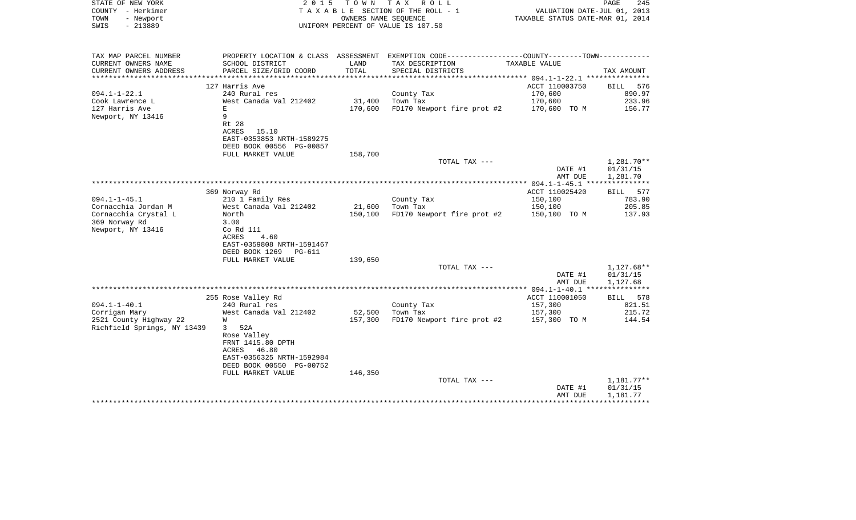| STATE OF NEW YORK<br>COUNTY - Herkimer<br>TOWN<br>- Newport<br>$-213889$ | 2 0 1 5                                               | T O W N | TAX ROLL<br>TAXABLE SECTION OF THE ROLL - 1<br>OWNERS NAME SEOUENCE                                                | VALUATION DATE-JUL 01, 2013<br>TAXABLE STATUS DATE-MAR 01, 2014 | PAGE<br>245  |
|--------------------------------------------------------------------------|-------------------------------------------------------|---------|--------------------------------------------------------------------------------------------------------------------|-----------------------------------------------------------------|--------------|
| SWIS                                                                     |                                                       |         | UNIFORM PERCENT OF VALUE IS 107.50                                                                                 |                                                                 |              |
|                                                                          |                                                       |         |                                                                                                                    |                                                                 |              |
| TAX MAP PARCEL NUMBER<br>CURRENT OWNERS NAME                             | SCHOOL DISTRICT                                       | LAND    | PROPERTY LOCATION & CLASS ASSESSMENT EXEMPTION CODE----------------COUNTY--------TOWN----------<br>TAX DESCRIPTION | TAXABLE VALUE                                                   |              |
| CURRENT OWNERS ADDRESS                                                   | PARCEL SIZE/GRID COORD                                | TOTAL   | SPECIAL DISTRICTS                                                                                                  |                                                                 | TAX AMOUNT   |
| **********************                                                   |                                                       |         |                                                                                                                    |                                                                 |              |
|                                                                          | 127 Harris Ave                                        |         |                                                                                                                    | ACCT 110003750                                                  | BILL<br>576  |
| $094.1 - 1 - 22.1$                                                       | 240 Rural res                                         |         | County Tax                                                                                                         | 170,600                                                         | 890.97       |
| Cook Lawrence L                                                          | West Canada Val 212402                                | 31,400  | Town Tax                                                                                                           | 170,600                                                         | 233.96       |
| 127 Harris Ave                                                           | E                                                     | 170,600 | FD170 Newport fire prot #2                                                                                         | 170,600 TO M                                                    | 156.77       |
| Newport, NY 13416                                                        | $\circ$                                               |         |                                                                                                                    |                                                                 |              |
|                                                                          | Rt 28                                                 |         |                                                                                                                    |                                                                 |              |
|                                                                          | ACRES<br>15.10                                        |         |                                                                                                                    |                                                                 |              |
|                                                                          | EAST-0353853 NRTH-1589275                             |         |                                                                                                                    |                                                                 |              |
|                                                                          | DEED BOOK 00556 PG-00857                              |         |                                                                                                                    |                                                                 |              |
|                                                                          | FULL MARKET VALUE                                     | 158,700 | TOTAL TAX ---                                                                                                      |                                                                 | 1,281.70**   |
|                                                                          |                                                       |         |                                                                                                                    | DATE #1                                                         | 01/31/15     |
|                                                                          |                                                       |         |                                                                                                                    | AMT DUE                                                         | 1,281.70     |
|                                                                          |                                                       |         |                                                                                                                    |                                                                 |              |
|                                                                          | 369 Norway Rd                                         |         |                                                                                                                    | ACCT 110025420                                                  | BILL 577     |
| $094.1 - 1 - 45.1$                                                       | 210 1 Family Res                                      |         | County Tax                                                                                                         | 150,100                                                         | 783.90       |
| Cornacchia Jordan M                                                      | West Canada Val 212402                                | 21,600  | Town Tax                                                                                                           | 150,100                                                         | 205.85       |
| Cornacchia Crystal L                                                     | North                                                 | 150,100 | FD170 Newport fire prot #2                                                                                         | 150,100 TO M                                                    | 137.93       |
| 369 Norway Rd                                                            | 3.00                                                  |         |                                                                                                                    |                                                                 |              |
| Newport, NY 13416                                                        | Co Rd 111                                             |         |                                                                                                                    |                                                                 |              |
|                                                                          | ACRES<br>4.60                                         |         |                                                                                                                    |                                                                 |              |
|                                                                          | EAST-0359808 NRTH-1591467                             |         |                                                                                                                    |                                                                 |              |
|                                                                          | DEED BOOK 1269<br>PG-611<br>FULL MARKET VALUE         |         |                                                                                                                    |                                                                 |              |
|                                                                          |                                                       | 139,650 | TOTAL TAX ---                                                                                                      |                                                                 | $1,127.68**$ |
|                                                                          |                                                       |         |                                                                                                                    | DATE #1                                                         | 01/31/15     |
|                                                                          |                                                       |         |                                                                                                                    | AMT DUE                                                         | 1,127.68     |
|                                                                          |                                                       |         |                                                                                                                    |                                                                 |              |
|                                                                          | 255 Rose Valley Rd                                    |         |                                                                                                                    | ACCT 110001050                                                  | BILL 578     |
| $094.1 - 1 - 40.1$                                                       | 240 Rural res                                         |         | County Tax                                                                                                         | 157,300                                                         | 821.51       |
| Corrigan Mary                                                            | West Canada Val 212402                                | 52,500  | Town Tax                                                                                                           | 157,300                                                         | 215.72       |
| 2521 County Highway 22                                                   | W                                                     | 157,300 | FD170 Newport fire prot #2                                                                                         | 157,300 TO M                                                    | 144.54       |
| Richfield Springs, NY 13439                                              | $3^{\circ}$<br>52A                                    |         |                                                                                                                    |                                                                 |              |
|                                                                          | Rose Valley                                           |         |                                                                                                                    |                                                                 |              |
|                                                                          | FRNT 1415.80 DPTH                                     |         |                                                                                                                    |                                                                 |              |
|                                                                          | 46.80<br>ACRES                                        |         |                                                                                                                    |                                                                 |              |
|                                                                          | EAST-0356325 NRTH-1592984<br>DEED BOOK 00550 PG-00752 |         |                                                                                                                    |                                                                 |              |
|                                                                          | FULL MARKET VALUE                                     | 146,350 |                                                                                                                    |                                                                 |              |
|                                                                          |                                                       |         | TOTAL TAX ---                                                                                                      |                                                                 | $1,181.77**$ |
|                                                                          |                                                       |         |                                                                                                                    | DATE #1                                                         | 01/31/15     |
|                                                                          |                                                       |         |                                                                                                                    | AMT DUE                                                         | 1,181.77     |
|                                                                          |                                                       |         |                                                                                                                    |                                                                 |              |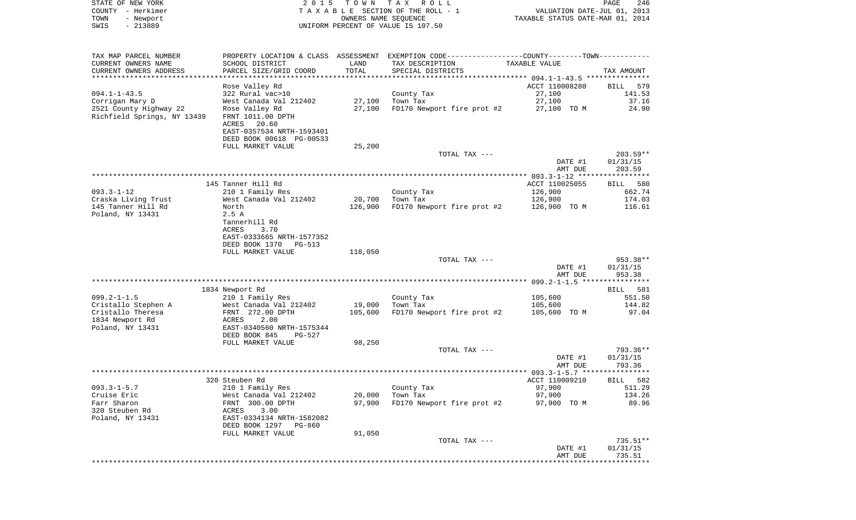| STATE OF NEW YORK                                 | 2 0 1 5                                        | T O W N                        | T A X<br>R O L L                                                                              |                                  | PAGE<br>246                          |
|---------------------------------------------------|------------------------------------------------|--------------------------------|-----------------------------------------------------------------------------------------------|----------------------------------|--------------------------------------|
| COUNTY - Herkimer                                 |                                                |                                | TAXABLE SECTION OF THE ROLL - 1                                                               | VALUATION DATE-JUL 01, 2013      |                                      |
| TOWN<br>- Newport                                 |                                                | OWNERS NAME SEQUENCE           |                                                                                               | TAXABLE STATUS DATE-MAR 01, 2014 |                                      |
| $-213889$<br>SWIS                                 |                                                |                                | UNIFORM PERCENT OF VALUE IS 107.50                                                            |                                  |                                      |
|                                                   |                                                |                                |                                                                                               |                                  |                                      |
|                                                   |                                                |                                |                                                                                               |                                  |                                      |
| TAX MAP PARCEL NUMBER                             |                                                |                                | PROPERTY LOCATION & CLASS ASSESSMENT EXEMPTION CODE---------------COUNTY-------TOWN---------- |                                  |                                      |
| CURRENT OWNERS NAME                               | SCHOOL DISTRICT                                | LAND                           | TAX DESCRIPTION                                                                               | TAXABLE VALUE                    |                                      |
| CURRENT OWNERS ADDRESS<br>*********************** | PARCEL SIZE/GRID COORD<br>******************** | TOTAL<br>* * * * * * * * * * * | SPECIAL DISTRICTS                                                                             |                                  | TAX AMOUNT                           |
|                                                   | Rose Valley Rd                                 |                                |                                                                                               | ACCT 110008280                   | BILL<br>579                          |
| $094.1 - 1 - 43.5$                                | 322 Rural vac>10                               |                                | County Tax                                                                                    | 27,100                           | 141.53                               |
| Corrigan Mary D                                   | West Canada Val 212402                         | 27,100                         | Town Tax                                                                                      | 27,100                           | 37.16                                |
| 2521 County Highway 22                            | Rose Valley Rd                                 | 27,100                         | FD170 Newport fire prot #2                                                                    | 27,100 TO M                      | 24.90                                |
| Richfield Springs, NY 13439                       | FRNT 1011.00 DPTH                              |                                |                                                                                               |                                  |                                      |
|                                                   | ACRES<br>20.60                                 |                                |                                                                                               |                                  |                                      |
|                                                   | EAST-0357534 NRTH-1593401                      |                                |                                                                                               |                                  |                                      |
|                                                   | DEED BOOK 00618 PG-00533                       |                                |                                                                                               |                                  |                                      |
|                                                   | FULL MARKET VALUE                              | 25,200                         |                                                                                               |                                  |                                      |
|                                                   |                                                |                                | TOTAL TAX ---                                                                                 |                                  | $203.59**$                           |
|                                                   |                                                |                                |                                                                                               | DATE #1                          | 01/31/15                             |
|                                                   |                                                |                                |                                                                                               | AMT DUE                          | 203.59                               |
|                                                   |                                                |                                |                                                                                               |                                  |                                      |
| $093.3 - 1 - 12$                                  | 145 Tanner Hill Rd                             |                                |                                                                                               | ACCT 110025055                   | 580<br>BILL<br>662.74                |
| Craska Living Trust                               | 210 1 Family Res<br>West Canada Val 212402     | 20,700                         | County Tax<br>Town Tax                                                                        | 126,900<br>126,900               | 174.03                               |
| 145 Tanner Hill Rd                                | North                                          | 126,900                        | FD170 Newport fire prot #2                                                                    | 126,900 TO M                     | 116.61                               |
| Poland, NY 13431                                  | 2.5A                                           |                                |                                                                                               |                                  |                                      |
|                                                   | Tannerhill Rd                                  |                                |                                                                                               |                                  |                                      |
|                                                   | 3.70<br>ACRES                                  |                                |                                                                                               |                                  |                                      |
|                                                   | EAST-0333665 NRTH-1577352                      |                                |                                                                                               |                                  |                                      |
|                                                   | DEED BOOK 1370<br>PG-513                       |                                |                                                                                               |                                  |                                      |
|                                                   | FULL MARKET VALUE                              | 118,050                        |                                                                                               |                                  |                                      |
|                                                   |                                                |                                | TOTAL TAX ---                                                                                 |                                  | 953.38**                             |
|                                                   |                                                |                                |                                                                                               | DATE #1                          | 01/31/15                             |
|                                                   |                                                |                                |                                                                                               | AMT DUE                          | 953.38                               |
|                                                   | 1834 Newport Rd                                |                                |                                                                                               |                                  | 581<br>BILL                          |
| $099.2 - 1 - 1.5$                                 | 210 1 Family Res                               |                                | County Tax                                                                                    | 105,600                          | 551.50                               |
| Cristallo Stephen A                               | West Canada Val 212402                         | 19,000                         | Town Tax                                                                                      | 105,600                          | 144.82                               |
| Cristallo Theresa                                 | FRNT 272.00 DPTH                               | 105,600                        | FD170 Newport fire prot #2                                                                    | 105,600 TO M                     | 97.04                                |
| 1834 Newport Rd                                   | ACRES<br>2.00                                  |                                |                                                                                               |                                  |                                      |
| Poland, NY 13431                                  | EAST-0340560 NRTH-1575344                      |                                |                                                                                               |                                  |                                      |
|                                                   | DEED BOOK 845<br>PG-527                        |                                |                                                                                               |                                  |                                      |
|                                                   | FULL MARKET VALUE                              | 98,250                         |                                                                                               |                                  |                                      |
|                                                   |                                                |                                | TOTAL TAX ---                                                                                 |                                  | 793.36**                             |
|                                                   |                                                |                                |                                                                                               | DATE #1                          | 01/31/15                             |
|                                                   |                                                |                                |                                                                                               | AMT DUE                          | 793.36                               |
|                                                   |                                                |                                |                                                                                               |                                  | <b>BILL</b>                          |
| $093.3 - 1 - 5.7$                                 | 320 Steuben Rd<br>210 1 Family Res             |                                | County Tax                                                                                    | ACCT 110009210<br>97,900         | 582<br>511.29                        |
| Cruise Eric                                       | West Canada Val 212402                         | 20,000                         | Town Tax                                                                                      | 97,900                           | 134.26                               |
| Farr Sharon                                       | FRNT 300.00 DPTH                               | 97,900                         | FD170 Newport fire prot #2                                                                    | 97,900 TO M                      | 89.96                                |
| 320 Steuben Rd                                    | 3.00<br>ACRES                                  |                                |                                                                                               |                                  |                                      |
| Poland, NY 13431                                  | EAST-0334134 NRTH-1582082                      |                                |                                                                                               |                                  |                                      |
|                                                   | DEED BOOK 1297<br>PG-860                       |                                |                                                                                               |                                  |                                      |
|                                                   | FULL MARKET VALUE                              | 91,050                         |                                                                                               |                                  |                                      |
|                                                   |                                                |                                | TOTAL TAX ---                                                                                 |                                  | 735.51**                             |
|                                                   |                                                |                                |                                                                                               | DATE #1                          | 01/31/15                             |
|                                                   |                                                |                                |                                                                                               | AMT DUE                          | 735.51<br>************************** |
|                                                   |                                                |                                |                                                                                               |                                  |                                      |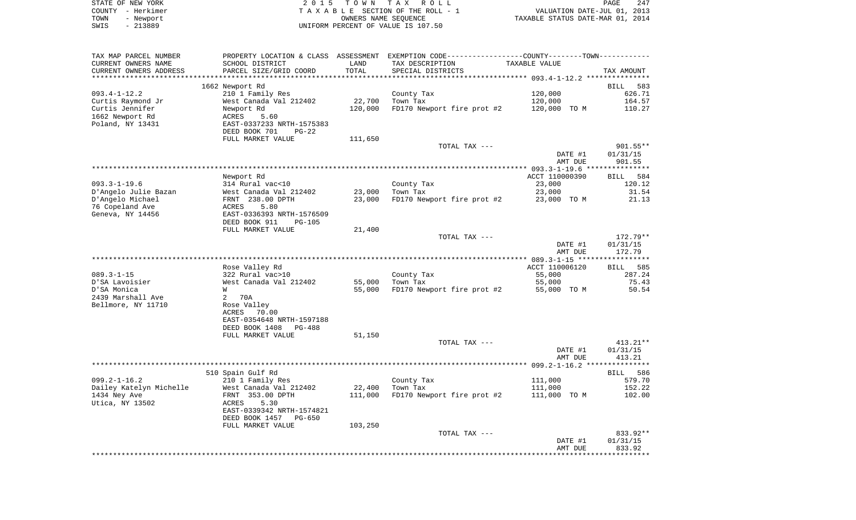|      | STATE OF NEW YORK | 2015 TOWN TAX ROLL                 | PAGE                             | 247 |
|------|-------------------|------------------------------------|----------------------------------|-----|
|      | COUNTY - Herkimer | TAXABLE SECTION OF THE ROLL - 1    | VALUATION DATE-JUL 01, 2013      |     |
| TOWN | - Newport         | OWNERS NAME SEOUENCE               | TAXABLE STATUS DATE-MAR 01, 2014 |     |
|      | SWIS - 213889     | UNIFORM PERCENT OF VALUE IS 107.50 |                                  |     |

| TAX MAP PARCEL NUMBER              |                                               |         | PROPERTY LOCATION & CLASS ASSESSMENT EXEMPTION CODE---------------COUNTY-------TOWN---------- |                  |                    |
|------------------------------------|-----------------------------------------------|---------|-----------------------------------------------------------------------------------------------|------------------|--------------------|
| CURRENT OWNERS NAME                | SCHOOL DISTRICT                               | LAND    | TAX DESCRIPTION                                                                               | TAXABLE VALUE    |                    |
| CURRENT OWNERS ADDRESS             | PARCEL SIZE/GRID COORD                        | TOTAL   | SPECIAL DISTRICTS                                                                             |                  | TAX AMOUNT         |
| ***********************            |                                               |         |                                                                                               |                  |                    |
|                                    | 1662 Newport Rd                               |         |                                                                                               |                  | <b>BILL</b><br>583 |
| $093.4 - 1 - 12.2$                 | 210 1 Family Res                              |         | County Tax                                                                                    | 120,000          | 626.71             |
| Curtis Raymond Jr                  | West Canada Val 212402                        | 22,700  | Town Tax                                                                                      | 120,000          | 164.57             |
| Curtis Jennifer                    | Newport Rd                                    | 120,000 | FD170 Newport fire prot #2                                                                    | 120,000 TO M     | 110.27             |
| 1662 Newport Rd                    | ACRES<br>5.60                                 |         |                                                                                               |                  |                    |
| Poland, NY 13431                   | EAST-0337233 NRTH-1575383                     |         |                                                                                               |                  |                    |
|                                    | DEED BOOK 701<br>$PG-22$                      |         |                                                                                               |                  |                    |
|                                    | FULL MARKET VALUE                             | 111,650 | TOTAL TAX ---                                                                                 |                  | $901.55**$         |
|                                    |                                               |         |                                                                                               | DATE #1          | 01/31/15           |
|                                    |                                               |         |                                                                                               | AMT DUE          | 901.55             |
|                                    |                                               |         |                                                                                               |                  |                    |
|                                    | Newport Rd                                    |         |                                                                                               | ACCT 110000390   | 584<br>BILL        |
| $093.3 - 1 - 19.6$                 | 314 Rural vac<10                              |         | County Tax                                                                                    | 23,000           | 120.12             |
| D'Angelo Julie Bazan               | West Canada Val 212402                        | 23,000  | Town Tax                                                                                      | 23,000           | 31.54              |
| D'Angelo Michael                   | FRNT 238.00 DPTH                              | 23,000  | FD170 Newport fire prot #2                                                                    | 23,000 TO M      | 21.13              |
| 76 Copeland Ave                    | 5.80<br>ACRES                                 |         |                                                                                               |                  |                    |
| Geneva, NY 14456                   | EAST-0336393 NRTH-1576509                     |         |                                                                                               |                  |                    |
|                                    | DEED BOOK 911<br><b>PG-105</b>                |         |                                                                                               |                  |                    |
|                                    | FULL MARKET VALUE                             | 21,400  |                                                                                               |                  |                    |
|                                    |                                               |         | TOTAL TAX ---                                                                                 |                  | 172.79**           |
|                                    |                                               |         |                                                                                               | DATE #1          | 01/31/15           |
|                                    |                                               |         |                                                                                               | AMT DUE          | 172.79             |
|                                    |                                               |         |                                                                                               |                  |                    |
|                                    | Rose Valley Rd                                |         |                                                                                               | ACCT 110006120   | 585<br>BILL        |
| $089.3 - 1 - 15$<br>D'SA Lavoisier | 322 Rural vac>10<br>West Canada Val 212402    | 55,000  | County Tax<br>Town Tax                                                                        | 55,000<br>55,000 | 287.24<br>75.43    |
| D'SA Monica                        | W                                             | 55,000  | FD170 Newport fire prot #2                                                                    | 55,000 TO M      | 50.54              |
| 2439 Marshall Ave                  | 70A<br>2                                      |         |                                                                                               |                  |                    |
| Bellmore, NY 11710                 | Rose Valley                                   |         |                                                                                               |                  |                    |
|                                    | ACRES<br>70.00                                |         |                                                                                               |                  |                    |
|                                    | EAST-0354648 NRTH-1597188                     |         |                                                                                               |                  |                    |
|                                    | DEED BOOK 1408<br>PG-488                      |         |                                                                                               |                  |                    |
|                                    | FULL MARKET VALUE                             | 51,150  |                                                                                               |                  |                    |
|                                    |                                               |         | TOTAL TAX ---                                                                                 |                  | $413.21**$         |
|                                    |                                               |         |                                                                                               | DATE #1          | 01/31/15           |
|                                    |                                               |         |                                                                                               | AMT DUE          | 413.21             |
|                                    |                                               |         |                                                                                               |                  |                    |
|                                    | 510 Spain Gulf Rd                             |         |                                                                                               |                  | 586<br>BILL        |
| $099.2 - 1 - 16.2$                 | 210 1 Family Res                              |         | County Tax                                                                                    | 111,000          | 579.70             |
| Dailey Katelyn Michelle            | West Canada Val 212402                        | 22,400  | Town Tax                                                                                      | 111,000          | 152.22             |
| 1434 Ney Ave                       | FRNT 353.00 DPTH                              | 111,000 | FD170 Newport fire prot #2                                                                    | 111,000 TO M     | 102.00             |
| Utica, NY 13502                    | ACRES<br>5.30                                 |         |                                                                                               |                  |                    |
|                                    | EAST-0339342 NRTH-1574821                     |         |                                                                                               |                  |                    |
|                                    | DEED BOOK 1457<br>PG-650<br>FULL MARKET VALUE | 103,250 |                                                                                               |                  |                    |
|                                    |                                               |         | TOTAL TAX ---                                                                                 |                  | 833.92**           |
|                                    |                                               |         |                                                                                               | DATE #1          | 01/31/15           |
|                                    |                                               |         |                                                                                               | AMT DUE          | 833.92             |
|                                    |                                               |         |                                                                                               |                  |                    |
|                                    |                                               |         |                                                                                               |                  |                    |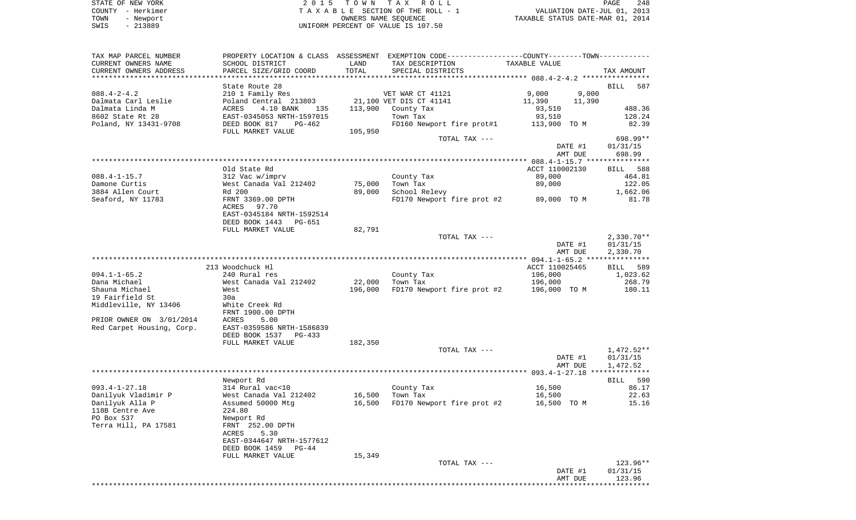| STATE OF NEW YORK | 2015 TOWN TAX ROLL                 | 248<br>PAGE                      |
|-------------------|------------------------------------|----------------------------------|
| COUNTY - Herkimer | TAXABLE SECTION OF THE ROLL - 1    | VALUATION DATE-JUL 01, 2013      |
| TOWN<br>- Newport | OWNERS NAME SEOUENCE               | TAXABLE STATUS DATE-MAR 01, 2014 |
| $-213889$<br>SWIS | UNIFORM PERCENT OF VALUE IS 107.50 |                                  |

| TAX MAP PARCEL NUMBER                         | PROPERTY LOCATION & CLASS ASSESSMENT EXEMPTION CODE---------------COUNTY-------TOWN---------- |               |                                             |                  |                                   |
|-----------------------------------------------|-----------------------------------------------------------------------------------------------|---------------|---------------------------------------------|------------------|-----------------------------------|
| CURRENT OWNERS NAME<br>CURRENT OWNERS ADDRESS | SCHOOL DISTRICT<br>PARCEL SIZE/GRID COORD                                                     | LAND<br>TOTAL | TAX DESCRIPTION<br>SPECIAL DISTRICTS        | TAXABLE VALUE    | TAX AMOUNT                        |
| *************************                     |                                                                                               |               |                                             |                  |                                   |
|                                               | State Route 28                                                                                |               |                                             |                  | BILL<br>587                       |
| $088.4 - 2 - 4.2$                             | 210 1 Family Res                                                                              |               | VET WAR CT 41121                            | 9,000<br>9,000   |                                   |
| Dalmata Carl Leslie                           | Poland Central 213803                                                                         |               | 21,100 VET DIS CT 41141                     | 11,390<br>11,390 |                                   |
| Dalmata Linda M                               | ACRES<br>4.10 BANK<br>135                                                                     | 113,900       | County Tax                                  | 93,510           | 488.36                            |
| 8602 State Rt 28                              | EAST-0345053 NRTH-1597015                                                                     |               | Town Tax                                    | 93,510           | 128.24                            |
| Poland, NY 13431-9708                         | DEED BOOK 817<br>PG-462                                                                       |               | FD160 Newport fire prot#1                   | 113,900 TO M     | 82.39                             |
|                                               | FULL MARKET VALUE                                                                             | 105,950       |                                             |                  |                                   |
|                                               |                                                                                               |               | TOTAL TAX ---                               |                  | 698.99**                          |
|                                               |                                                                                               |               |                                             | DATE #1          | 01/31/15                          |
|                                               |                                                                                               |               |                                             | AMT DUE          | 698.99<br>* * * * * * * * * * * * |
|                                               |                                                                                               |               |                                             |                  |                                   |
|                                               | Old State Rd                                                                                  |               |                                             | ACCT 110002130   | BILL 588                          |
| $088.4 - 1 - 15.7$                            | 312 Vac w/imprv                                                                               |               | County Tax                                  | 89,000           | 464.81                            |
| Damone Curtis                                 | West Canada Val 212402<br>Rd 200                                                              | 75,000        | Town Tax                                    | 89,000           | 122.05<br>1,662.06                |
| 3884 Allen Court<br>Seaford, NY 11783         | FRNT 3369.00 DPTH                                                                             | 89,000        | School Relevy<br>FD170 Newport fire prot #2 | 89,000 TO M      | 81.78                             |
|                                               | ACRES<br>97.70                                                                                |               |                                             |                  |                                   |
|                                               | EAST-0345184 NRTH-1592514                                                                     |               |                                             |                  |                                   |
|                                               | DEED BOOK 1443<br>PG-651                                                                      |               |                                             |                  |                                   |
|                                               | FULL MARKET VALUE                                                                             | 82,791        |                                             |                  |                                   |
|                                               |                                                                                               |               | TOTAL TAX ---                               |                  | $2,330.70**$                      |
|                                               |                                                                                               |               |                                             | DATE #1          | 01/31/15                          |
|                                               |                                                                                               |               |                                             | AMT DUE          | 2,330.70                          |
|                                               |                                                                                               |               |                                             |                  |                                   |
|                                               | 213 Woodchuck Hl                                                                              |               |                                             | ACCT 110025465   | BILL 589                          |
| $094.1 - 1 - 65.2$                            | 240 Rural res                                                                                 |               | County Tax                                  | 196,000          | 1,023.62                          |
| Dana Michael                                  | West Canada Val 212402                                                                        | 22,000        | Town Tax                                    | 196,000          | 268.79                            |
| Shauna Michael                                | West                                                                                          | 196,000       | FD170 Newport fire prot #2                  | 196,000 TO M     | 180.11                            |
| 19 Fairfield St                               | 30a                                                                                           |               |                                             |                  |                                   |
| Middleville, NY 13406                         | White Creek Rd                                                                                |               |                                             |                  |                                   |
|                                               | FRNT 1900.00 DPTH                                                                             |               |                                             |                  |                                   |
| PRIOR OWNER ON 3/01/2014                      | ACRES<br>5.00                                                                                 |               |                                             |                  |                                   |
| Red Carpet Housing, Corp.                     | EAST-0359586 NRTH-1586839                                                                     |               |                                             |                  |                                   |
|                                               | DEED BOOK 1537<br>PG-433                                                                      |               |                                             |                  |                                   |
|                                               | FULL MARKET VALUE                                                                             | 182,350       |                                             |                  |                                   |
|                                               |                                                                                               |               | TOTAL TAX ---                               |                  | 1,472.52**                        |
|                                               |                                                                                               |               |                                             | DATE #1          | 01/31/15                          |
|                                               |                                                                                               |               |                                             | AMT DUE          | 1,472.52                          |
|                                               |                                                                                               |               |                                             |                  | **************                    |
|                                               | Newport Rd                                                                                    |               |                                             |                  | BILL 590                          |
| $093.4 - 1 - 27.18$                           | 314 Rural vac<10                                                                              |               | County Tax                                  | 16,500           | 86.17                             |
| Danilyuk Vladimir P                           | West Canada Val 212402                                                                        | 16,500        | Town Tax                                    | 16,500           | 22.63                             |
| Danilyuk Alla P<br>118B Centre Ave            | Assumed 50000 Mtg<br>224.80                                                                   | 16,500        | FD170 Newport fire prot #2                  | 16,500 TO M      | 15.16                             |
| PO Box 537                                    |                                                                                               |               |                                             |                  |                                   |
|                                               | Newport Rd<br>FRNT 252.00 DPTH                                                                |               |                                             |                  |                                   |
| Terra Hill, PA 17581                          | ACRES<br>5.30                                                                                 |               |                                             |                  |                                   |
|                                               | EAST-0344647 NRTH-1577612                                                                     |               |                                             |                  |                                   |
|                                               | DEED BOOK 1459<br>PG-44                                                                       |               |                                             |                  |                                   |
|                                               | FULL MARKET VALUE                                                                             | 15,349        |                                             |                  |                                   |
|                                               |                                                                                               |               | TOTAL TAX ---                               |                  | 123.96**                          |
|                                               |                                                                                               |               |                                             | DATE #1          | 01/31/15                          |
|                                               |                                                                                               |               |                                             | AMT DUE          | 123.96                            |
|                                               |                                                                                               |               |                                             |                  |                                   |
|                                               |                                                                                               |               |                                             |                  |                                   |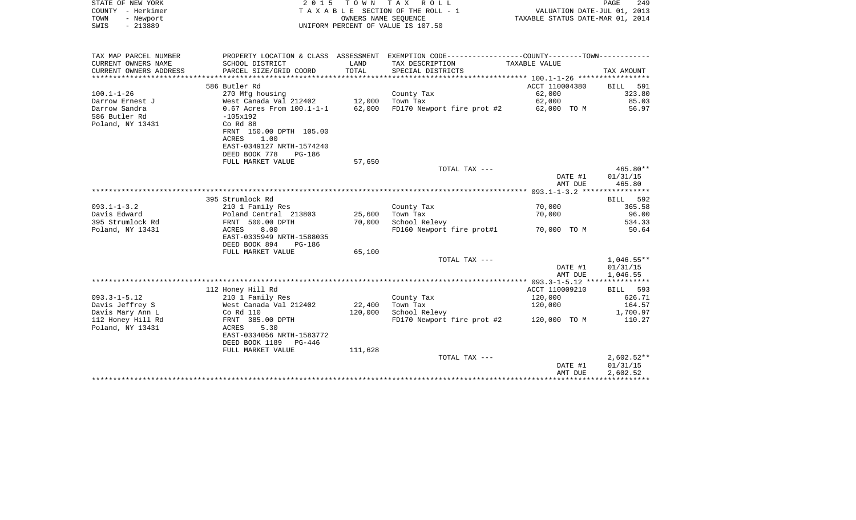| STATE OF NEW YORK                                           |                                                                                                  |                      | 2015 TOWN TAX ROLL                                                                            |                                  | PAGE<br>249                          |
|-------------------------------------------------------------|--------------------------------------------------------------------------------------------------|----------------------|-----------------------------------------------------------------------------------------------|----------------------------------|--------------------------------------|
| COUNTY - Herkimer<br>TOWN<br>- Newport<br>$-213889$<br>SWIS |                                                                                                  | OWNERS NAME SEQUENCE | TAXABLE SECTION OF THE ROLL - 1<br>UNIFORM PERCENT OF VALUE IS 107.50                         | TAXABLE STATUS DATE-MAR 01, 2014 | VALUATION DATE-JUL 01, 2013          |
|                                                             |                                                                                                  |                      |                                                                                               |                                  |                                      |
| TAX MAP PARCEL NUMBER                                       |                                                                                                  |                      | PROPERTY LOCATION & CLASS ASSESSMENT EXEMPTION CODE---------------COUNTY-------TOWN---------- |                                  |                                      |
| CURRENT OWNERS NAME                                         | SCHOOL DISTRICT                                                                                  | LAND<br>TOTAL        | TAX DESCRIPTION                                                                               | TAXABLE VALUE                    |                                      |
| CURRENT OWNERS ADDRESS<br>*************************         | PARCEL SIZE/GRID COORD                                                                           |                      | SPECIAL DISTRICTS                                                                             |                                  | TAX AMOUNT                           |
|                                                             | 586 Butler Rd                                                                                    |                      |                                                                                               | ACCT 110004380                   | BILL 591                             |
| 100.1-1-26                                                  | 270 Mfg housing                                                                                  |                      | County Tax                                                                                    | 62,000                           | 323.80                               |
| Darrow Ernest J                                             | West Canada Val 212402                                                                           | 12,000               | Town Tax                                                                                      | 62,000                           | 85.03                                |
| Darrow Sandra<br>586 Butler Rd<br>Poland, NY 13431          | $0.67$ Acres From $100.1 - 1 - 1$<br>-105x192<br>Co Rd 88                                        | 62,000               | FD170 Newport fire prot #2 62,000 TO M                                                        |                                  | 56.97                                |
|                                                             | FRNT 150.00 DPTH 105.00<br>ACRES<br>1.00<br>EAST-0349127 NRTH-1574240<br>DEED BOOK 778<br>PG-186 |                      |                                                                                               |                                  |                                      |
|                                                             | FULL MARKET VALUE                                                                                | 57,650               |                                                                                               |                                  |                                      |
|                                                             |                                                                                                  |                      | TOTAL TAX ---                                                                                 |                                  | 465.80**                             |
|                                                             |                                                                                                  |                      |                                                                                               | DATE #1                          | 01/31/15                             |
|                                                             |                                                                                                  |                      |                                                                                               | AMT DUE                          | 465.80                               |
|                                                             |                                                                                                  |                      |                                                                                               |                                  |                                      |
|                                                             | 395 Strumlock Rd                                                                                 |                      |                                                                                               |                                  | BILL 592                             |
| $093.1 - 1 - 3.2$<br>Davis Edward                           | 210 1 Family Res<br>210 1 Family Res<br>Poland Central 213803                                    |                      | County Tax<br>Town Tax                                                                        | 70,000                           | 365.58<br>96.00                      |
| 395 Strumlock Rd                                            | FRNT 500.00 DPTH                                                                                 | 25,600<br>70,000     | School Relevy                                                                                 | 70,000                           | 534.33                               |
| Poland, NY 13431                                            | 8.00<br>ACRES                                                                                    |                      | FD160 Newport fire prot#1                                                                     | 70,000 TO M                      | 50.64                                |
|                                                             | EAST-0335949 NRTH-1588035<br>DEED BOOK 894<br>PG-186                                             |                      |                                                                                               |                                  |                                      |
|                                                             | FULL MARKET VALUE                                                                                | 65,100               |                                                                                               |                                  |                                      |
|                                                             |                                                                                                  |                      | TOTAL TAX ---                                                                                 | DATE #1<br>AMT DUE               | $1,046.55**$<br>01/31/15<br>1,046.55 |
|                                                             |                                                                                                  |                      |                                                                                               |                                  |                                      |
|                                                             | 112 Honey Hill Rd                                                                                |                      |                                                                                               | ACCT 110009210                   | BILL 593                             |
| 093.3-1-5.12                                                | 210 1 Family Res                                                                                 |                      | County Tax                                                                                    | 120,000                          | 626.71                               |
| Davis Jeffrey S                                             | West Canada Val 212402                                                                           | 22,400               | Town Tax                                                                                      | 120,000                          | 164.57                               |
| Davis Mary Ann L                                            | Co Rd 110                                                                                        | 120,000              | School Relevy<br>FD170 Newport fire prot #2 120,000 TO M                                      |                                  | 1,700.97                             |
| 112 Honey Hill Rd<br>Poland, NY 13431                       | FRNT 385.00 DPTH<br>5.30<br>ACRES<br>EAST-0334056 NRTH-1583772<br>DEED BOOK 1189<br>PG-446       |                      |                                                                                               |                                  | 110.27                               |
|                                                             | FULL MARKET VALUE                                                                                | 111,628              |                                                                                               |                                  |                                      |
|                                                             |                                                                                                  |                      | TOTAL TAX ---                                                                                 | DATE #1                          | $2,602.52**$<br>01/31/15             |
|                                                             |                                                                                                  |                      |                                                                                               | AMT DUE                          | 2,602.52                             |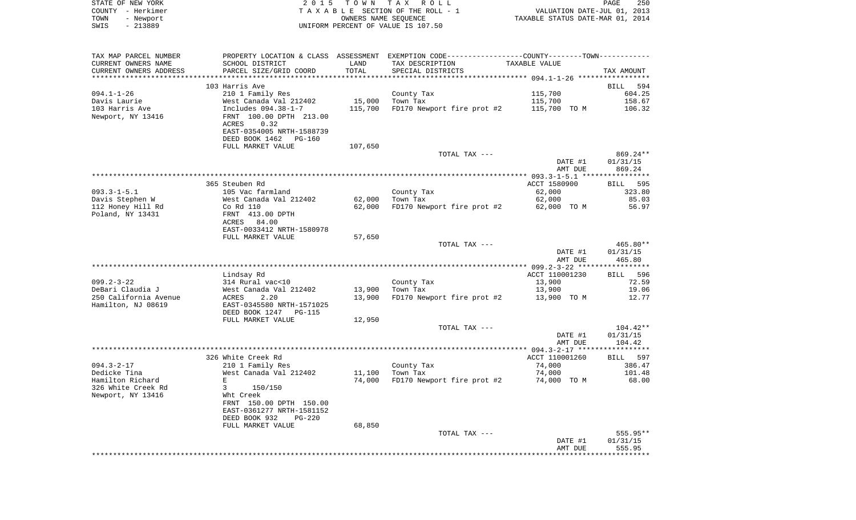|      | STATE OF NEW YORK | 2015 TOWN TAX ROLL                 | PAGE                             | 250 |
|------|-------------------|------------------------------------|----------------------------------|-----|
|      | COUNTY - Herkimer | TAXABLE SECTION OF THE ROLL - 1    | VALUATION DATE-JUL 01, 2013      |     |
| TOWN | - Newport         | OWNERS NAME SEOUENCE               | TAXABLE STATUS DATE-MAR 01, 2014 |     |
| SWIS | - 213889          | UNIFORM PERCENT OF VALUE IS 107.50 |                                  |     |

| TAX MAP PARCEL NUMBER  |                                    |         | PROPERTY LOCATION & CLASS ASSESSMENT EXEMPTION CODE---------------COUNTY-------TOWN---------- |                |                 |
|------------------------|------------------------------------|---------|-----------------------------------------------------------------------------------------------|----------------|-----------------|
| CURRENT OWNERS NAME    | SCHOOL DISTRICT                    | LAND    | TAX DESCRIPTION                                                                               | TAXABLE VALUE  |                 |
| CURRENT OWNERS ADDRESS | PARCEL SIZE/GRID COORD             | TOTAL   | SPECIAL DISTRICTS                                                                             |                | TAX AMOUNT      |
|                        |                                    |         |                                                                                               |                |                 |
|                        | 103 Harris Ave                     |         |                                                                                               |                | BILL 594        |
| $094.1 - 1 - 26$       | 210 1 Family Res                   |         | County Tax                                                                                    | 115,700        | 604.25          |
| Davis Laurie           | West Canada Val 212402             | 15,000  | Town Tax                                                                                      | 115,700        | 158.67          |
| 103 Harris Ave         | Includes 094.38-1-7                | 115,700 | FD170 Newport fire prot #2                                                                    | 115,700 TO M   | 106.32          |
| Newport, NY 13416      | FRNT 100.00 DPTH 213.00            |         |                                                                                               |                |                 |
|                        | ACRES<br>0.32                      |         |                                                                                               |                |                 |
|                        | EAST-0354005 NRTH-1588739          |         |                                                                                               |                |                 |
|                        | DEED BOOK 1462<br>PG-160           |         |                                                                                               |                |                 |
|                        | FULL MARKET VALUE                  | 107,650 |                                                                                               |                |                 |
|                        |                                    |         | TOTAL TAX ---                                                                                 |                | 869.24**        |
|                        |                                    |         |                                                                                               | DATE #1        | 01/31/15        |
|                        |                                    |         |                                                                                               | AMT DUE        | 869.24          |
|                        | 365 Steuben Rd                     |         |                                                                                               | ACCT 1580900   | <b>BILL</b> 595 |
| $093.3 - 1 - 5.1$      | 105 Vac farmland                   |         | County Tax                                                                                    | 62,000         | 323.80          |
|                        | West Canada Val 212402             | 62,000  | Town Tax                                                                                      | 62,000         | 85.03           |
| Davis Stephen W        | Co Rd 110                          | 62,000  | FD170 Newport fire prot #2                                                                    |                | 56.97           |
| 112 Honey Hill Rd      |                                    |         |                                                                                               | 62,000 TO M    |                 |
| Poland, NY 13431       | FRNT 413.00 DPTH<br>ACRES<br>84.00 |         |                                                                                               |                |                 |
|                        |                                    |         |                                                                                               |                |                 |
|                        | EAST-0033412 NRTH-1580978          |         |                                                                                               |                |                 |
|                        | FULL MARKET VALUE                  | 57,650  | TOTAL TAX ---                                                                                 |                | $465.80**$      |
|                        |                                    |         |                                                                                               | DATE #1        | 01/31/15        |
|                        |                                    |         |                                                                                               | AMT DUE        | 465.80          |
|                        |                                    |         |                                                                                               |                |                 |
|                        | Lindsay Rd                         |         |                                                                                               | ACCT 110001230 | BILL 596        |
| $099.2 - 3 - 22$       | 314 Rural vac<10                   |         | County Tax                                                                                    | 13,900         | 72.59           |
| DeBari Claudia J       | West Canada Val 212402             | 13,900  | Town Tax                                                                                      | 13,900         | 19.06           |
| 250 California Avenue  | ACRES<br>2.20                      | 13,900  | FD170 Newport fire prot #2                                                                    | 13,900 TO M    | 12.77           |
| Hamilton, NJ 08619     | EAST-0345580 NRTH-1571025          |         |                                                                                               |                |                 |
|                        | DEED BOOK 1247<br><b>PG-115</b>    |         |                                                                                               |                |                 |
|                        | FULL MARKET VALUE                  | 12,950  |                                                                                               |                |                 |
|                        |                                    |         | TOTAL TAX ---                                                                                 |                | 104.42**        |
|                        |                                    |         |                                                                                               | DATE #1        | 01/31/15        |
|                        |                                    |         |                                                                                               | AMT DUE        | 104.42          |
|                        |                                    |         |                                                                                               |                |                 |
|                        | 326 White Creek Rd                 |         |                                                                                               | ACCT 110001260 | BILL 597        |
| $094.3 - 2 - 17$       | 210 1 Family Res                   |         | County Tax                                                                                    | 74,000         | 386.47          |
| Dedicke Tina           | West Canada Val 212402             | 11,100  | Town Tax                                                                                      | 74,000         | 101.48          |
| Hamilton Richard       | E                                  | 74,000  | FD170 Newport fire prot #2                                                                    | 74,000 TO M    | 68.00           |
| 326 White Creek Rd     | 3<br>150/150                       |         |                                                                                               |                |                 |
| Newport, NY 13416      | Wht Creek                          |         |                                                                                               |                |                 |
|                        | FRNT 150.00 DPTH 150.00            |         |                                                                                               |                |                 |
|                        | EAST-0361277 NRTH-1581152          |         |                                                                                               |                |                 |
|                        | DEED BOOK 932<br>$PG-220$          |         |                                                                                               |                |                 |
|                        | FULL MARKET VALUE                  | 68,850  |                                                                                               |                |                 |
|                        |                                    |         | TOTAL TAX ---                                                                                 |                | 555.95**        |
|                        |                                    |         |                                                                                               | DATE #1        | 01/31/15        |
|                        |                                    |         |                                                                                               |                |                 |
|                        |                                    |         |                                                                                               | AMT DUE        | 555.95          |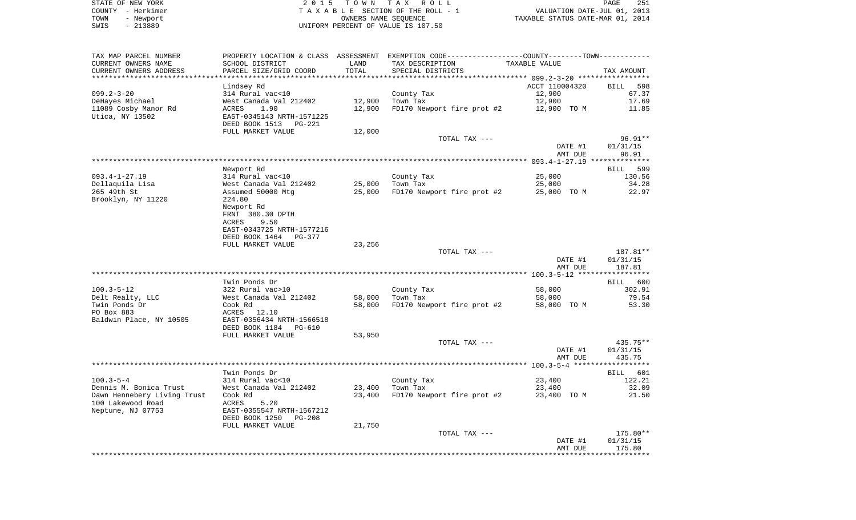|      | STATE OF NEW YORK | 2015 TOWN TAX ROLL                 | 251<br>PAGE                      |
|------|-------------------|------------------------------------|----------------------------------|
|      | COUNTY - Herkimer | TAXABLE SECTION OF THE ROLL - 1    | VALUATION DATE-JUL 01, 2013      |
| TOWN | - Newport         | OWNERS NAME SEOUENCE               | TAXABLE STATUS DATE-MAR 01, 2014 |
| SWIS | - 213889          | UNIFORM PERCENT OF VALUE IS 107.50 |                                  |

| TAX MAP PARCEL NUMBER<br>CURRENT OWNERS NAME | SCHOOL DISTRICT                                                     | LAND   | PROPERTY LOCATION & CLASS ASSESSMENT EXEMPTION CODE---------------COUNTY-------TOWN----------<br>TAX DESCRIPTION | TAXABLE VALUE      |                   |
|----------------------------------------------|---------------------------------------------------------------------|--------|------------------------------------------------------------------------------------------------------------------|--------------------|-------------------|
| CURRENT OWNERS ADDRESS                       | PARCEL SIZE/GRID COORD                                              | TOTAL  | SPECIAL DISTRICTS                                                                                                |                    | TAX AMOUNT        |
|                                              |                                                                     |        |                                                                                                                  |                    |                   |
|                                              | Lindsey Rd                                                          |        |                                                                                                                  | ACCT 110004320     | BILL 598          |
| $099.2 - 3 - 20$                             | 314 Rural vac<10                                                    |        | County Tax                                                                                                       | 12,900             | 67.37             |
| DeHayes Michael                              | West Canada Val 212402                                              | 12,900 | Town Tax                                                                                                         | 12,900             | 17.69             |
| 11089 Cosby Manor Rd<br>Utica, NY 13502      | ACRES<br>1.90<br>EAST-0345143 NRTH-1571225<br>DEED BOOK 1513 PG-221 | 12,900 | FD170 Newport fire prot #2                                                                                       | 12,900 TO M        | 11.85             |
|                                              | FULL MARKET VALUE                                                   | 12,000 |                                                                                                                  |                    |                   |
|                                              |                                                                     |        | TOTAL TAX ---                                                                                                    |                    | $96.91**$         |
|                                              |                                                                     |        |                                                                                                                  | DATE #1<br>AMT DUE | 01/31/15<br>96.91 |
|                                              |                                                                     |        |                                                                                                                  |                    |                   |
|                                              | Newport Rd                                                          |        |                                                                                                                  |                    | BILL 599          |
| $093.4 - 1 - 27.19$                          | 314 Rural vac<10                                                    |        | County Tax                                                                                                       | 25,000             | 130.56            |
| Dellaquila Lisa                              | West Canada Val 212402                                              | 25,000 | Town Tax                                                                                                         | 25,000             | 34.28             |
| 265 49th St<br>Brooklyn, NY 11220            | Assumed 50000 Mtg<br>224.80<br>Newport Rd                           | 25,000 | FD170 Newport fire prot #2                                                                                       | 25,000 TO M        | 22.97             |
|                                              | FRNT 380.30 DPTH<br>9.50<br>ACRES                                   |        |                                                                                                                  |                    |                   |
|                                              | EAST-0343725 NRTH-1577216                                           |        |                                                                                                                  |                    |                   |
|                                              | DEED BOOK 1464<br>PG-377                                            |        |                                                                                                                  |                    |                   |
|                                              | FULL MARKET VALUE                                                   | 23,256 | TOTAL TAX ---                                                                                                    |                    | 187.81**          |
|                                              |                                                                     |        |                                                                                                                  | DATE #1            | 01/31/15          |
|                                              |                                                                     |        |                                                                                                                  | AMT DUE            | 187.81            |
|                                              |                                                                     |        |                                                                                                                  |                    |                   |
|                                              | Twin Ponds Dr                                                       |        |                                                                                                                  |                    | BILL 600          |
| 100.3-5-12                                   | 322 Rural vac>10                                                    |        | County Tax                                                                                                       | 58,000             | 302.91            |
| Delt Realty, LLC                             | West Canada Val 212402                                              | 58,000 | Town Tax                                                                                                         | 58,000             | 79.54             |
| Twin Ponds Dr                                | Cook Rd                                                             | 58,000 | FD170 Newport fire prot #2                                                                                       | 58,000 TO M        | 53.30             |
| PO Box 883                                   | ACRES 12.10                                                         |        |                                                                                                                  |                    |                   |
| Baldwin Place, NY 10505                      | EAST-0356434 NRTH-1566518                                           |        |                                                                                                                  |                    |                   |
|                                              | DEED BOOK 1184 PG-610<br>FULL MARKET VALUE                          | 53,950 |                                                                                                                  |                    |                   |
|                                              |                                                                     |        | TOTAL TAX ---                                                                                                    |                    | 435.75**          |
|                                              |                                                                     |        |                                                                                                                  | DATE #1            | 01/31/15          |
|                                              |                                                                     |        |                                                                                                                  | AMT DUE            | 435.75            |
|                                              |                                                                     |        |                                                                                                                  |                    |                   |
|                                              | Twin Ponds Dr                                                       |        |                                                                                                                  |                    | BILL 601          |
| $100.3 - 5 - 4$                              | 314 Rural vac<10                                                    |        | County Tax                                                                                                       | 23,400             | 122.21            |
| Dennis M. Bonica Trust                       | West Canada Val 212402                                              | 23,400 | Town Tax                                                                                                         | 23,400             | 32.09             |
| Dawn Hennebery Living Trust Cook Rd          |                                                                     | 23,400 | FD170 Newport fire prot #2                                                                                       | 23,400 TO M        | 21.50             |
| 100 Lakewood Road                            | ACRES<br>5.20<br>EAST-0355547 NRTH-1567212                          |        |                                                                                                                  |                    |                   |
| Neptune, NJ 07753                            | DEED BOOK 1250<br>PG-208                                            |        |                                                                                                                  |                    |                   |
|                                              | FULL MARKET VALUE                                                   | 21,750 |                                                                                                                  |                    |                   |
|                                              |                                                                     |        | TOTAL TAX ---                                                                                                    |                    | 175.80**          |
|                                              |                                                                     |        |                                                                                                                  | DATE #1            | 01/31/15          |
|                                              |                                                                     |        |                                                                                                                  | AMT DUE            | 175.80            |
|                                              |                                                                     |        |                                                                                                                  |                    |                   |
|                                              |                                                                     |        |                                                                                                                  |                    |                   |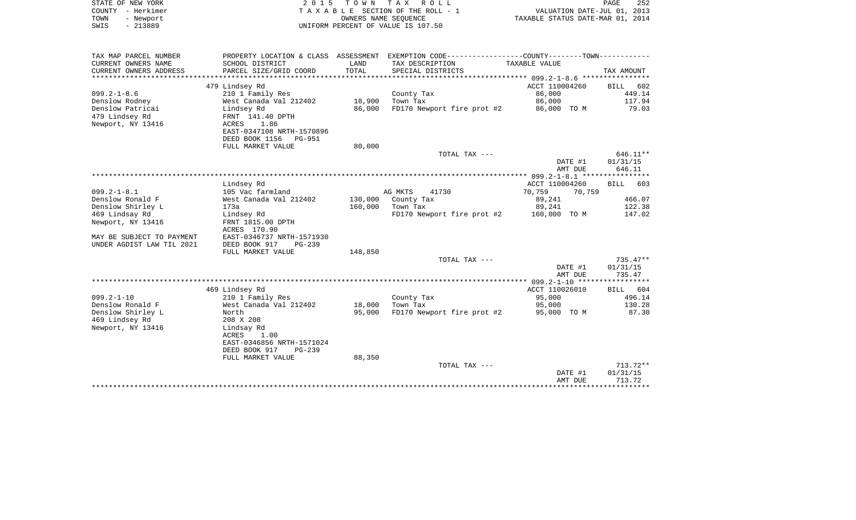| STATE OF NEW YORK         |                           | 2015 TOWN | T A X<br>R O L L                                                                              |                                  | PAGE<br>252 |
|---------------------------|---------------------------|-----------|-----------------------------------------------------------------------------------------------|----------------------------------|-------------|
| COUNTY - Herkimer         |                           |           | TAXABLE SECTION OF THE ROLL - 1                                                               | VALUATION DATE-JUL 01, 2013      |             |
| TOWN<br>- Newport         |                           |           | OWNERS NAME SEOUENCE                                                                          | TAXABLE STATUS DATE-MAR 01, 2014 |             |
| SWIS<br>$-213889$         |                           |           | UNIFORM PERCENT OF VALUE IS 107.50                                                            |                                  |             |
|                           |                           |           |                                                                                               |                                  |             |
| TAX MAP PARCEL NUMBER     |                           |           | PROPERTY LOCATION & CLASS ASSESSMENT EXEMPTION CODE---------------COUNTY-------TOWN---------- |                                  |             |
| CURRENT OWNERS NAME       | SCHOOL DISTRICT           | LAND      | TAX DESCRIPTION                                                                               | TAXABLE VALUE                    |             |
| CURRENT OWNERS ADDRESS    | PARCEL SIZE/GRID COORD    | TOTAL     | SPECIAL DISTRICTS                                                                             |                                  | TAX AMOUNT  |
| ***********************   |                           |           |                                                                                               |                                  |             |
|                           | 479 Lindsey Rd            |           |                                                                                               | ACCT 110004260                   | BILL<br>602 |
| $099.2 - 1 - 8.6$         | 210 1 Family Res          |           | County Tax                                                                                    | 86,000                           | 449.14      |
| Denslow Rodney            | West Canada Val 212402    | 18,900    | Town Tax                                                                                      | 86,000                           | 117.94      |
| Denslow Patricai          | Lindsey Rd                | 86,000    | FD170 Newport fire prot #2                                                                    | 86,000 TO M                      | 79.03       |
| 479 Lindsey Rd            | FRNT 141.40 DPTH          |           |                                                                                               |                                  |             |
| Newport, NY 13416         | 1.86<br>ACRES             |           |                                                                                               |                                  |             |
|                           | EAST-0347108 NRTH-1570896 |           |                                                                                               |                                  |             |
|                           | DEED BOOK 1156<br>PG-951  |           |                                                                                               |                                  |             |
|                           | FULL MARKET VALUE         | 80,000    |                                                                                               |                                  |             |
|                           |                           |           | TOTAL TAX ---                                                                                 |                                  | 646.11**    |
|                           |                           |           |                                                                                               | DATE #1                          | 01/31/15    |
|                           |                           |           |                                                                                               | AMT DUE                          | 646.11      |
|                           |                           |           |                                                                                               |                                  |             |
|                           | Lindsey Rd                |           |                                                                                               | ACCT 110004260                   | BILL 603    |
| $099.2 - 1 - 8.1$         | 105 Vac farmland          |           | AG MKTS<br>41730                                                                              | 70,759<br>70,759                 |             |
| Denslow Ronald F          | West Canada Val 212402    | 130,000   | County Tax                                                                                    | 89,241                           | 466.07      |
| Denslow Shirley L         | 173a                      | 160,000   | Town Tax                                                                                      | 89,241                           | 122.38      |
| 469 Lindsay Rd            | Lindsey Rd                |           | FD170 Newport fire prot #2                                                                    | 160,000 TO M                     | 147.02      |
| Newport, NY 13416         | FRNT 1815.00 DPTH         |           |                                                                                               |                                  |             |
|                           | ACRES 170.90              |           |                                                                                               |                                  |             |
| MAY BE SUBJECT TO PAYMENT | EAST-0346737 NRTH-1571930 |           |                                                                                               |                                  |             |
| UNDER AGDIST LAW TIL 2021 | DEED BOOK 917<br>PG-239   |           |                                                                                               |                                  |             |
|                           | FULL MARKET VALUE         | 148,850   |                                                                                               |                                  |             |
|                           |                           |           | TOTAL TAX ---                                                                                 |                                  | $735.47**$  |
|                           |                           |           |                                                                                               | DATE #1                          | 01/31/15    |
|                           |                           |           |                                                                                               | AMT DUE                          | 735.47      |
|                           |                           |           |                                                                                               |                                  |             |
|                           | 469 Lindsey Rd            |           |                                                                                               | ACCT 110026010                   | BILL 604    |
| $099.2 - 1 - 10$          | 210 1 Family Res          |           | County Tax                                                                                    | 95,000                           | 496.14      |
| Denslow Ronald F          | West Canada Val 212402    | 18,000    | Town Tax                                                                                      | 95,000                           | 130.28      |
| Denslow Shirley L         | North                     | 95,000    | FD170 Newport fire prot #2                                                                    | 95,000 TO M                      | 87.30       |
| 469 Lindsey Rd            | 208 X 208                 |           |                                                                                               |                                  |             |
| Newport, NY 13416         | Lindsay Rd                |           |                                                                                               |                                  |             |
|                           | ACRES<br>1.00             |           |                                                                                               |                                  |             |
|                           | EAST-0346856 NRTH-1571024 |           |                                                                                               |                                  |             |
|                           | DEED BOOK 917<br>$PG-239$ |           |                                                                                               |                                  |             |
|                           | FULL MARKET VALUE         | 88,350    |                                                                                               |                                  |             |
|                           |                           |           | TOTAL TAX ---                                                                                 |                                  | 713.72**    |
|                           |                           |           |                                                                                               | DATE #1                          | 01/31/15    |
|                           |                           |           |                                                                                               | AMT DUE                          | 713.72      |
|                           |                           |           |                                                                                               |                                  |             |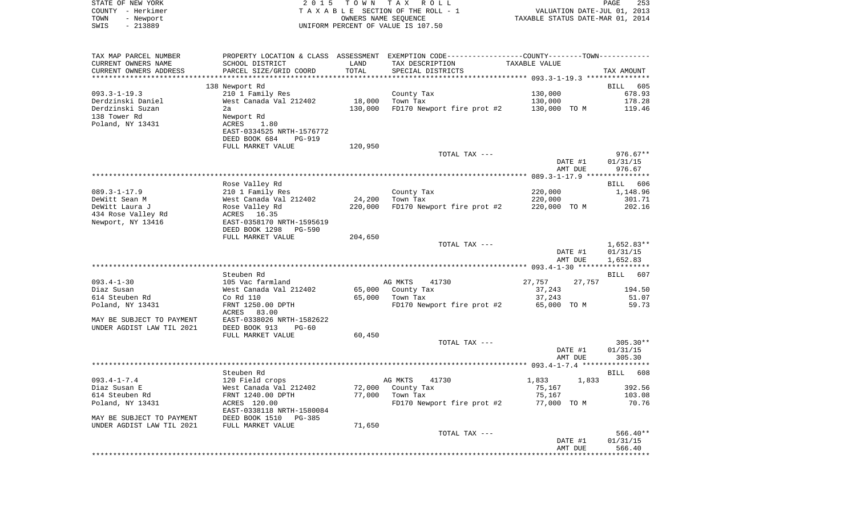| STATE OF NEW YORK<br>COUNTY - Herkimer<br>TOWN<br>- Newport |                                            | 2015 TOWN | TAX ROLL<br>TAXABLE SECTION OF THE ROLL - 1<br>OWNERS NAME SEQUENCE                           | TAXABLE STATUS DATE-MAR 01, 2014 |         | PAGE<br>253<br>VALUATION DATE-JUL 01, 2013 |
|-------------------------------------------------------------|--------------------------------------------|-----------|-----------------------------------------------------------------------------------------------|----------------------------------|---------|--------------------------------------------|
| $-213889$<br>SWIS                                           |                                            |           | UNIFORM PERCENT OF VALUE IS 107.50                                                            |                                  |         |                                            |
| TAX MAP PARCEL NUMBER                                       |                                            |           | PROPERTY LOCATION & CLASS ASSESSMENT EXEMPTION CODE---------------COUNTY-------TOWN---------- |                                  |         |                                            |
| CURRENT OWNERS NAME                                         | SCHOOL DISTRICT                            | LAND      | TAX DESCRIPTION                                                                               | TAXABLE VALUE                    |         |                                            |
| CURRENT OWNERS ADDRESS                                      | PARCEL SIZE/GRID COORD                     | TOTAL     | SPECIAL DISTRICTS                                                                             |                                  |         | TAX AMOUNT                                 |
|                                                             |                                            |           |                                                                                               |                                  |         |                                            |
|                                                             | 138 Newport Rd                             |           |                                                                                               |                                  |         | BILL 605                                   |
| $093.3 - 1 - 19.3$                                          | 210 1 Family Res                           |           | County Tax                                                                                    | 130,000                          |         | 678.93                                     |
| Derdzinski Daniel                                           | West Canada Val 212402                     |           | 18,000 Town Tax                                                                               | 130,000                          |         | 178.28                                     |
| Derdzinski Suzan                                            | 2a                                         |           | 130,000 FD170 Newport fire prot #2 130,000 TO M                                               |                                  |         | 119.46                                     |
| 138 Tower Rd                                                | Newport Rd                                 |           |                                                                                               |                                  |         |                                            |
| Poland, NY 13431                                            | ACRES<br>1.80<br>EAST-0334525 NRTH-1576772 |           |                                                                                               |                                  |         |                                            |
|                                                             | DEED BOOK 684<br>PG-919                    |           |                                                                                               |                                  |         |                                            |
|                                                             | FULL MARKET VALUE                          | 120,950   |                                                                                               |                                  |         |                                            |
|                                                             |                                            |           | TOTAL TAX ---                                                                                 |                                  |         | $976.67**$                                 |
|                                                             |                                            |           |                                                                                               |                                  | DATE #1 | 01/31/15                                   |
|                                                             |                                            |           |                                                                                               |                                  | AMT DUE | 976.67                                     |
|                                                             |                                            |           |                                                                                               |                                  |         |                                            |
|                                                             | Rose Valley Rd                             |           |                                                                                               |                                  |         | BILL 606                                   |
| $089.3 - 1 - 17.9$                                          | 210 1 Family Res                           |           | County Tax                                                                                    | 220,000                          |         | 1,148.96                                   |
| DeWitt Sean M                                               | West Canada Val 212402                     |           | 24,200 Town Tax                                                                               | 220,000                          |         | 301.71                                     |
| DeWitt Laura J                                              | Rose Valley Rd                             |           | 220,000 FD170 Newport fire prot #2 220,000 TO M                                               |                                  |         | 202.16                                     |
| 434 Rose Valley Rd                                          | ACRES 16.35                                |           |                                                                                               |                                  |         |                                            |
| Newport, NY 13416                                           | EAST-0358170 NRTH-1595619                  |           |                                                                                               |                                  |         |                                            |
|                                                             | DEED BOOK 1298 PG-590                      |           |                                                                                               |                                  |         |                                            |
|                                                             | FULL MARKET VALUE                          | 204,650   | TOTAL TAX ---                                                                                 |                                  |         | $1,652.83**$                               |
|                                                             |                                            |           |                                                                                               |                                  | DATE #1 | 01/31/15                                   |
|                                                             |                                            |           |                                                                                               |                                  | AMT DUE | 1,652.83                                   |
|                                                             |                                            |           |                                                                                               |                                  |         |                                            |
|                                                             | Steuben Rd                                 |           |                                                                                               |                                  |         | BILL 607                                   |
| $093.4 - 1 - 30$                                            | 105 Vac farmland                           |           | AG MKTS<br>41730                                                                              | 27,757                           | 27,757  |                                            |
| Diaz Susan                                                  | West Canada Val 212402                     |           | 65,000 County Tax                                                                             | 37,243                           |         | 194.50                                     |
| 614 Steuben Rd                                              | Co Rd 110                                  |           | 65,000 Town Tax                                                                               | 37,243                           |         | 51.07                                      |
| Poland, NY 13431                                            | FRNT 1250.00 DPTH                          |           | FD170 Newport fire prot #2                                                                    | 65,000 TO M                      |         | 59.73                                      |
|                                                             | ACRES 83.00                                |           |                                                                                               |                                  |         |                                            |
| MAY BE SUBJECT TO PAYMENT                                   | EAST-0338026 NRTH-1582622                  |           |                                                                                               |                                  |         |                                            |
| UNDER AGDIST LAW TIL 2021                                   | DEED BOOK 913<br>PG-60                     |           |                                                                                               |                                  |         |                                            |
|                                                             | FULL MARKET VALUE                          | 60,450    | TOTAL TAX ---                                                                                 |                                  |         | $305.30**$                                 |
|                                                             |                                            |           |                                                                                               |                                  | DATE #1 | 01/31/15                                   |
|                                                             |                                            |           |                                                                                               |                                  | AMT DUE | 305.30                                     |
|                                                             |                                            |           |                                                                                               |                                  |         |                                            |
|                                                             | Steuben Rd                                 |           |                                                                                               |                                  |         | 608<br>BILL                                |
| $093.4 - 1 - 7.4$                                           | 120 Field crops                            |           | AG MKTS<br>41730                                                                              | 1,833                            | 1,833   |                                            |
| Diaz Susan E                                                | West Canada Val 212402                     | 72,000    | County Tax                                                                                    | 75,167                           |         | 392.56                                     |
| 614 Steuben Rd                                              | FRNT 1240.00 DPTH                          | 77,000    | Town Tax                                                                                      | 75,167                           |         | 103.08                                     |
| Poland, NY 13431                                            | ACRES 120.00                               |           | FD170 Newport fire prot #2                                                                    | 77,000                           | TO M    | 70.76                                      |
|                                                             | EAST-0338118 NRTH-1580084                  |           |                                                                                               |                                  |         |                                            |
| MAY BE SUBJECT TO PAYMENT                                   | DEED BOOK 1510<br>PG-385                   |           |                                                                                               |                                  |         |                                            |
| UNDER AGDIST LAW TIL 2021                                   | FULL MARKET VALUE                          | 71,650    |                                                                                               |                                  |         |                                            |
|                                                             |                                            |           | TOTAL TAX ---                                                                                 |                                  |         | 566.40**                                   |
|                                                             |                                            |           |                                                                                               |                                  | DATE #1 | 01/31/15                                   |
|                                                             |                                            |           |                                                                                               |                                  | AMT DUE | 566.40                                     |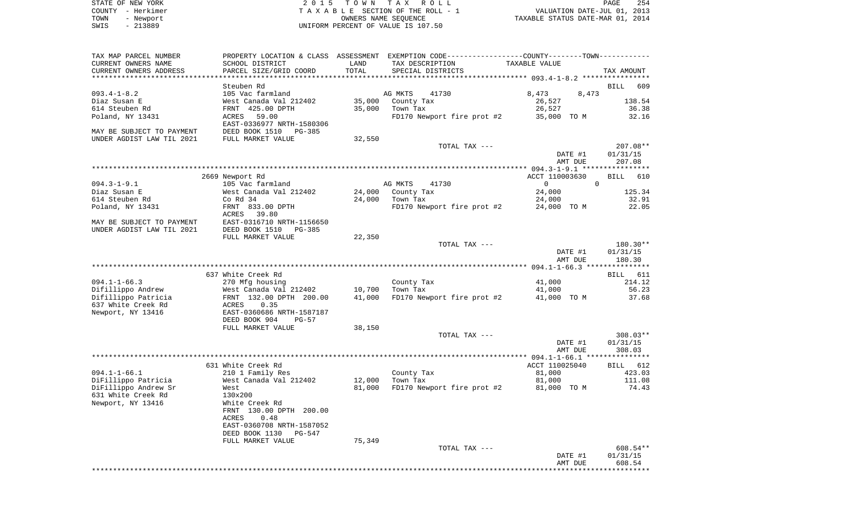|      | STATE OF NEW YORK | 2015 TOWN TAX ROLL                 | PAGE                             | 254 |
|------|-------------------|------------------------------------|----------------------------------|-----|
|      | COUNTY - Herkimer | TAXABLE SECTION OF THE ROLL - 1    | VALUATION DATE-JUL 01, 2013      |     |
| TOWN | - Newport         | OWNERS NAME SEOUENCE               | TAXABLE STATUS DATE-MAR 01, 2014 |     |
| SWIS | - 213889          | UNIFORM PERCENT OF VALUE IS 107.50 |                                  |     |

| TAX MAP PARCEL NUMBER     |                           |        | PROPERTY LOCATION & CLASS ASSESSMENT EXEMPTION CODE----------------COUNTY-------TOWN---------- |                      |                    |
|---------------------------|---------------------------|--------|------------------------------------------------------------------------------------------------|----------------------|--------------------|
| CURRENT OWNERS NAME       | SCHOOL DISTRICT           | LAND   | TAX DESCRIPTION                                                                                | TAXABLE VALUE        |                    |
| CURRENT OWNERS ADDRESS    | PARCEL SIZE/GRID COORD    | TOTAL  | SPECIAL DISTRICTS                                                                              |                      | TAX AMOUNT         |
|                           |                           |        |                                                                                                |                      |                    |
|                           | Steuben Rd                |        |                                                                                                |                      | BILL<br>609        |
| $093.4 - 1 - 8.2$         | 105 Vac farmland          |        | AG MKTS<br>41730                                                                               | 8,473<br>8,473       |                    |
| Diaz Susan E              | West Canada Val 212402    | 35,000 | County Tax                                                                                     | 26,527               | 138.54             |
| 614 Steuben Rd            | FRNT 425.00 DPTH          | 35,000 | Town Tax                                                                                       | 26,527               | 36.38              |
| Poland, NY 13431          | 59.00<br>ACRES            |        | FD170 Newport fire prot #2                                                                     | 35,000 TO M          | 32.16              |
|                           | EAST-0336977 NRTH-1580306 |        |                                                                                                |                      |                    |
| MAY BE SUBJECT TO PAYMENT | DEED BOOK 1510<br>PG-385  |        |                                                                                                |                      |                    |
| UNDER AGDIST LAW TIL 2021 | FULL MARKET VALUE         | 32,550 |                                                                                                |                      |                    |
|                           |                           |        | TOTAL TAX ---                                                                                  |                      | 207.08**           |
|                           |                           |        |                                                                                                | DATE #1              | 01/31/15           |
|                           |                           |        |                                                                                                | AMT DUE              | 207.08             |
|                           |                           |        |                                                                                                |                      |                    |
|                           | 2669 Newport Rd           |        |                                                                                                | ACCT 110003630       | <b>BILL</b><br>610 |
| $094.3 - 1 - 9.1$         | 105 Vac farmland          |        | AG MKTS<br>41730                                                                               | $\Omega$<br>$\Omega$ |                    |
| Diaz Susan E              | West Canada Val 212402    | 24,000 | County Tax                                                                                     | 24,000               | 125.34             |
| 614 Steuben Rd            | Co Rd 34                  | 24,000 | Town Tax                                                                                       | 24,000               | 32.91              |
| Poland, NY 13431          | FRNT 833.00 DPTH          |        | FD170 Newport fire prot #2                                                                     | 24,000 TO M          | 22.05              |
|                           | 39.80<br>ACRES            |        |                                                                                                |                      |                    |
| MAY BE SUBJECT TO PAYMENT | EAST-0316710 NRTH-1156650 |        |                                                                                                |                      |                    |
| UNDER AGDIST LAW TIL 2021 | DEED BOOK 1510<br>PG-385  |        |                                                                                                |                      |                    |
|                           | FULL MARKET VALUE         | 22,350 |                                                                                                |                      |                    |
|                           |                           |        | TOTAL TAX ---                                                                                  |                      | 180.30**           |
|                           |                           |        |                                                                                                | DATE #1              | 01/31/15           |
|                           |                           |        |                                                                                                | AMT DUE              | 180.30             |
|                           |                           |        |                                                                                                |                      | ***********        |
|                           | 637 White Creek Rd        |        |                                                                                                |                      | BILL 611           |
| $094.1 - 1 - 66.3$        | 270 Mfg housing           |        | County Tax                                                                                     | 41,000               | 214.12             |
| Difillippo Andrew         | West Canada Val 212402    | 10,700 | Town Tax                                                                                       | 41,000               | 56.23              |
| Difillippo Patricia       | FRNT 132.00 DPTH 200.00   | 41,000 | FD170 Newport fire prot #2                                                                     | 41,000 TO M          | 37.68              |
| 637 White Creek Rd        | ACRES<br>0.35             |        |                                                                                                |                      |                    |
| Newport, NY 13416         | EAST-0360686 NRTH-1587187 |        |                                                                                                |                      |                    |
|                           | DEED BOOK 904<br>$PG-57$  |        |                                                                                                |                      |                    |
|                           | FULL MARKET VALUE         | 38,150 |                                                                                                |                      |                    |
|                           |                           |        | TOTAL TAX ---                                                                                  |                      | 308.03**           |
|                           |                           |        |                                                                                                | DATE #1              | 01/31/15           |
|                           |                           |        |                                                                                                | AMT DUE              | 308.03             |
|                           |                           |        |                                                                                                |                      |                    |
|                           | 631 White Creek Rd        |        |                                                                                                | ACCT 110025040       | BILL 612           |
| $094.1 - 1 - 66.1$        | 210 1 Family Res          |        | County Tax                                                                                     | 81,000               | 423.03             |
| DiFillippo Patricia       | West Canada Val 212402    | 12,000 | Town Tax                                                                                       | 81,000               | 111.08             |
| DiFillippo Andrew Sr      | West                      | 81,000 | FD170 Newport fire prot #2                                                                     | 81,000 TO M          | 74.43              |
| 631 White Creek Rd        | 130x200                   |        |                                                                                                |                      |                    |
| Newport, NY 13416         | White Creek Rd            |        |                                                                                                |                      |                    |
|                           | FRNT 130.00 DPTH 200.00   |        |                                                                                                |                      |                    |
|                           | 0.48<br>ACRES             |        |                                                                                                |                      |                    |
|                           | EAST-0360708 NRTH-1587052 |        |                                                                                                |                      |                    |
|                           | DEED BOOK 1130<br>PG-547  |        |                                                                                                |                      |                    |
|                           |                           | 75,349 |                                                                                                |                      |                    |
|                           | FULL MARKET VALUE         |        |                                                                                                |                      |                    |
|                           |                           |        | TOTAL TAX ---                                                                                  |                      | 608.54**           |
|                           |                           |        |                                                                                                | DATE #1              | 01/31/15           |
|                           |                           |        |                                                                                                | AMT DUE              | 608.54             |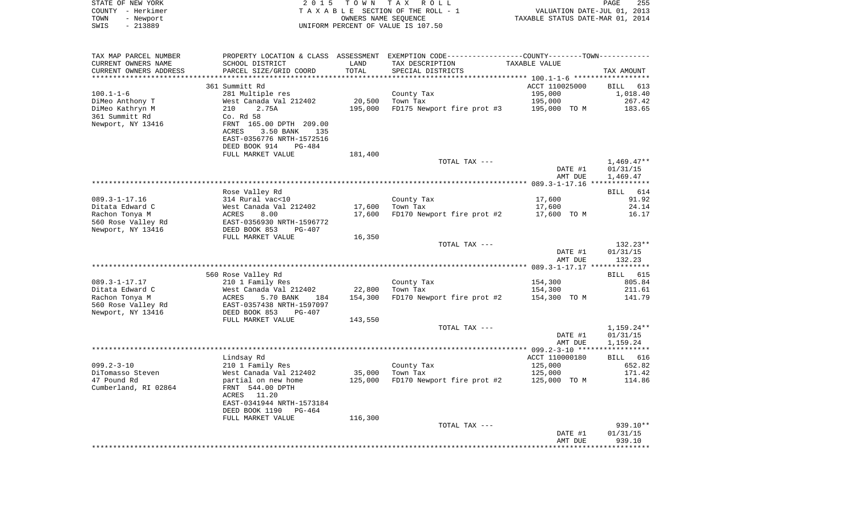|      | STATE OF NEW YORK | 2015 TOWN TAX ROLL                 | 255<br>PAGE                      |  |
|------|-------------------|------------------------------------|----------------------------------|--|
|      | COUNTY - Herkimer | TAXABLE SECTION OF THE ROLL - 1    | VALUATION DATE-JUL 01, 2013      |  |
| TOWN | - Newport         | OWNERS NAME SEOUENCE               | TAXABLE STATUS DATE-MAR 01, 2014 |  |
| SWIS | - 213889          | UNIFORM PERCENT OF VALUE IS 107.50 |                                  |  |

| TAX MAP PARCEL NUMBER  |                                  |         | PROPERTY LOCATION & CLASS ASSESSMENT EXEMPTION CODE---------------COUNTY-------TOWN--------- |                |                      |
|------------------------|----------------------------------|---------|----------------------------------------------------------------------------------------------|----------------|----------------------|
| CURRENT OWNERS NAME    | SCHOOL DISTRICT                  | LAND    | TAX DESCRIPTION                                                                              | TAXABLE VALUE  |                      |
| CURRENT OWNERS ADDRESS | PARCEL SIZE/GRID COORD           | TOTAL   | SPECIAL DISTRICTS                                                                            |                | TAX AMOUNT           |
|                        |                                  |         |                                                                                              |                |                      |
|                        | 361 Summitt Rd                   |         |                                                                                              | ACCT 110025000 | <b>BILL</b><br>613   |
| $100.1 - 1 - 6$        | 281 Multiple res                 |         | County Tax                                                                                   | 195,000        | 1,018.40             |
| DiMeo Anthony T        | West Canada Val 212402           | 20,500  | Town Tax                                                                                     | 195,000        | 267.42               |
| DiMeo Kathryn M        | 210<br>2.75A                     | 195,000 | FD175 Newport fire prot #3                                                                   | 195,000 TO M   | 183.65               |
| 361 Summitt Rd         | Co. Rd 58                        |         |                                                                                              |                |                      |
| Newport, NY 13416      | FRNT 165.00 DPTH 209.00          |         |                                                                                              |                |                      |
|                        | <b>ACRES</b><br>3.50 BANK<br>135 |         |                                                                                              |                |                      |
|                        | EAST-0356776 NRTH-1572516        |         |                                                                                              |                |                      |
|                        | DEED BOOK 914<br>PG-484          |         |                                                                                              |                |                      |
|                        | FULL MARKET VALUE                | 181,400 |                                                                                              |                |                      |
|                        |                                  |         | TOTAL TAX ---                                                                                |                | $1,469.47**$         |
|                        |                                  |         |                                                                                              | DATE #1        | 01/31/15             |
|                        |                                  |         |                                                                                              | AMT DUE        | 1,469.47             |
|                        |                                  |         |                                                                                              |                |                      |
|                        | Rose Valley Rd                   |         |                                                                                              |                | 614<br>BILL          |
| $089.3 - 1 - 17.16$    | 314 Rural vac<10                 |         | County Tax                                                                                   | 17,600         | 91.92                |
| Ditata Edward C        | West Canada Val 212402           | 17,600  | Town Tax                                                                                     | 17,600         | 24.14                |
| Rachon Tonya M         | 8.00<br>ACRES                    | 17,600  | FD170 Newport fire prot #2                                                                   | 17,600 TO M    | 16.17                |
| 560 Rose Valley Rd     | EAST-0356930 NRTH-1596772        |         |                                                                                              |                |                      |
| Newport, NY 13416      | DEED BOOK 853<br>$PG-407$        |         |                                                                                              |                |                      |
|                        | FULL MARKET VALUE                | 16,350  |                                                                                              |                |                      |
|                        |                                  |         | TOTAL TAX ---                                                                                |                | 132.23**             |
|                        |                                  |         |                                                                                              | DATE #1        | 01/31/15             |
|                        |                                  |         |                                                                                              | AMT DUE        | 132.23               |
|                        |                                  |         |                                                                                              |                |                      |
|                        | 560 Rose Valley Rd               |         |                                                                                              |                | BILL 615             |
| $089.3 - 1 - 17.17$    | 210 1 Family Res                 |         | County Tax                                                                                   | 154,300        | 805.84               |
| Ditata Edward C        | West Canada Val 212402           | 22,800  | Town Tax                                                                                     | 154,300        | 211.61               |
| Rachon Tonya M         | 5.70 BANK<br>ACRES<br>184        | 154,300 | FD170 Newport fire prot #2                                                                   | 154,300 TO M   | 141.79               |
| 560 Rose Valley Rd     | EAST-0357438 NRTH-1597097        |         |                                                                                              |                |                      |
| Newport, NY 13416      | DEED BOOK 853<br>$PG-407$        |         |                                                                                              |                |                      |
|                        | FULL MARKET VALUE                | 143,550 |                                                                                              |                |                      |
|                        |                                  |         | TOTAL TAX ---                                                                                | DATE #1        | $1,159.24**$         |
|                        |                                  |         |                                                                                              | AMT DUE        | 01/31/15<br>1,159.24 |
|                        |                                  |         |                                                                                              |                |                      |
|                        | Lindsay Rd                       |         |                                                                                              | ACCT 110000180 | BILL 616             |
| $099.2 - 3 - 10$       | 210 1 Family Res                 |         | County Tax                                                                                   | 125,000        | 652.82               |
| DiTomasso Steven       | West Canada Val 212402           | 35,000  | Town Tax                                                                                     | 125,000        | 171.42               |
| 47 Pound Rd            | partial on new home              | 125,000 | FD170 Newport fire prot #2                                                                   | 125,000 TO M   | 114.86               |
| Cumberland, RI 02864   | FRNT 544.00 DPTH                 |         |                                                                                              |                |                      |
|                        | 11.20<br>ACRES                   |         |                                                                                              |                |                      |
|                        | EAST-0341944 NRTH-1573184        |         |                                                                                              |                |                      |
|                        | DEED BOOK 1190<br>PG-464         |         |                                                                                              |                |                      |
|                        | FULL MARKET VALUE                | 116,300 |                                                                                              |                |                      |
|                        |                                  |         | TOTAL TAX ---                                                                                |                | 939.10**             |
|                        |                                  |         |                                                                                              | DATE #1        | 01/31/15             |
|                        |                                  |         |                                                                                              | AMT DUE        | 939.10               |
|                        |                                  |         |                                                                                              |                | *************        |
|                        |                                  |         |                                                                                              |                |                      |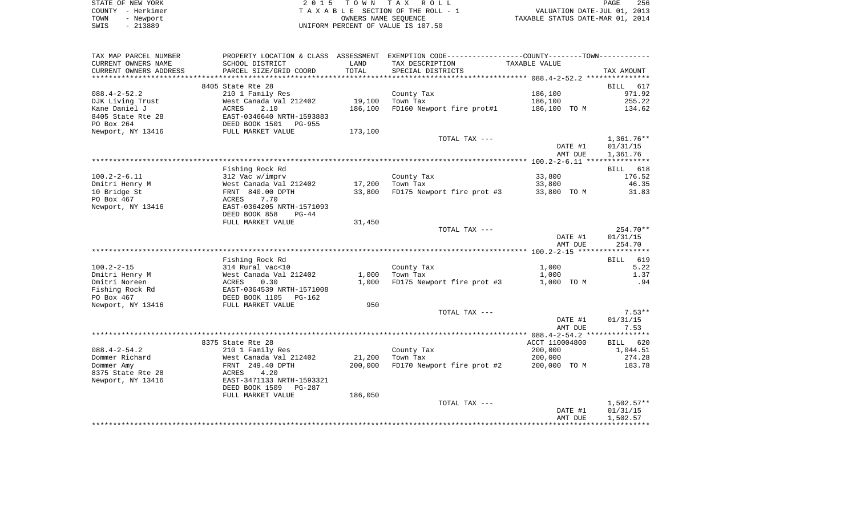| STATE OF NEW YORK | 2015 TOWN TAX ROLL                 | 256<br>PAGE                      |
|-------------------|------------------------------------|----------------------------------|
| COUNTY – Herkimer | TAXABLE SECTION OF THE ROLL - 1    | VALUATION DATE-JUL 01, 2013      |
| TOWN<br>- Newport | OWNERS NAME SEOUENCE               | TAXABLE STATUS DATE-MAR 01, 2014 |
| SWIS<br>- 213889  | UNIFORM PERCENT OF VALUE IS 107.50 |                                  |

| TAX MAP PARCEL NUMBER  | PROPERTY LOCATION & CLASS       | ASSESSMENT | EXEMPTION CODE-----------------COUNTY-------TOWN----------- |                |                |
|------------------------|---------------------------------|------------|-------------------------------------------------------------|----------------|----------------|
| CURRENT OWNERS NAME    | SCHOOL DISTRICT                 | LAND       | TAX DESCRIPTION                                             | TAXABLE VALUE  |                |
| CURRENT OWNERS ADDRESS | PARCEL SIZE/GRID COORD          | TOTAL      | SPECIAL DISTRICTS                                           |                | TAX AMOUNT     |
| *****************      |                                 | ********** |                                                             |                |                |
|                        | 8405 State Rte 28               |            |                                                             |                | BILL<br>617    |
| $088.4 - 2 - 52.2$     | 210 1 Family Res                |            | County Tax                                                  | 186,100        | 971.92         |
| DJK Living Trust       | West Canada Val 212402          | 19,100     | Town Tax                                                    | 186,100        | 255.22         |
| Kane Daniel J          | ACRES<br>2.10                   | 186,100    | FD160 Newport fire prot#1                                   | 186,100 TO M   | 134.62         |
| 8405 State Rte 28      | EAST-0346640 NRTH-1593883       |            |                                                             |                |                |
| PO Box 264             | DEED BOOK 1501<br><b>PG-955</b> |            |                                                             |                |                |
| Newport, NY 13416      | FULL MARKET VALUE               | 173,100    |                                                             |                |                |
|                        |                                 |            | TOTAL TAX ---                                               |                | 1,361.76**     |
|                        |                                 |            |                                                             | DATE #1        | 01/31/15       |
|                        |                                 |            |                                                             | AMT DUE        | 1,361.76       |
|                        |                                 |            |                                                             |                |                |
|                        | Fishing Rock Rd                 |            |                                                             |                | 618            |
| $100.2 - 2 - 6.11$     |                                 |            |                                                             |                | BILL<br>176.52 |
|                        | 312 Vac w/imprv                 |            | County Tax                                                  | 33,800         |                |
| Dmitri Henry M         | West Canada Val 212402          | 17,200     | Town Tax                                                    | 33,800         | 46.35          |
| 10 Bridge St           | FRNT 840.00 DPTH                | 33,800     | FD175 Newport fire prot #3                                  | 33,800 TO M    | 31.83          |
| PO Box 467             | ACRES<br>7.70                   |            |                                                             |                |                |
| Newport, NY 13416      | EAST-0364205 NRTH-1571093       |            |                                                             |                |                |
|                        | DEED BOOK 858<br>$PG-44$        |            |                                                             |                |                |
|                        | FULL MARKET VALUE               | 31,450     |                                                             |                |                |
|                        |                                 |            | TOTAL TAX ---                                               |                | $254.70**$     |
|                        |                                 |            |                                                             | DATE #1        | 01/31/15       |
|                        |                                 |            |                                                             | AMT DUE        | 254.70         |
|                        |                                 |            |                                                             |                |                |
|                        | Fishing Rock Rd                 |            |                                                             |                | 619<br>BILL    |
| $100.2 - 2 - 15$       | 314 Rural vac<10                |            | County Tax                                                  | 1,000          | 5.22           |
| Dmitri Henry M         | West Canada Val 212402          | 1,000      | Town Tax                                                    | 1,000          | 1.37           |
| Dmitri Noreen          | 0.30<br>ACRES                   | 1,000      | FD175 Newport fire prot #3                                  | 1,000 TO M     | .94            |
| Fishing Rock Rd        | EAST-0364539 NRTH-1571008       |            |                                                             |                |                |
| PO Box 467             | DEED BOOK 1105<br>$PG-162$      |            |                                                             |                |                |
| Newport, NY 13416      | FULL MARKET VALUE               | 950        |                                                             |                |                |
|                        |                                 |            | TOTAL TAX ---                                               |                | $7.53**$       |
|                        |                                 |            |                                                             | DATE #1        | 01/31/15       |
|                        |                                 |            |                                                             | AMT DUE        | 7.53           |
|                        |                                 |            |                                                             |                |                |
|                        | 8375 State Rte 28               |            |                                                             | ACCT 110004800 | BILL<br>620    |
| $088.4 - 2 - 54.2$     | 210 1 Family Res                |            | County Tax                                                  | 200,000        | 1,044.51       |
| Dommer Richard         | West Canada Val 212402          | 21,200     | Town Tax                                                    | 200,000        | 274.28         |
| Dommer Amy             | FRNT 249.40 DPTH                | 200,000    | FD170 Newport fire prot #2                                  | 200,000 TO M   | 183.78         |
| 8375 State Rte 28      | 4.20<br>ACRES                   |            |                                                             |                |                |
| Newport, NY 13416      | EAST-3471133 NRTH-1593321       |            |                                                             |                |                |
|                        | DEED BOOK 1509<br><b>PG-287</b> |            |                                                             |                |                |
|                        | FULL MARKET VALUE               | 186,050    |                                                             |                |                |
|                        |                                 |            | TOTAL TAX ---                                               |                | $1,502.57**$   |
|                        |                                 |            |                                                             | DATE #1        | 01/31/15       |
|                        |                                 |            |                                                             | AMT DUE        | 1,502.57       |
|                        |                                 |            |                                                             |                |                |
|                        |                                 |            |                                                             |                |                |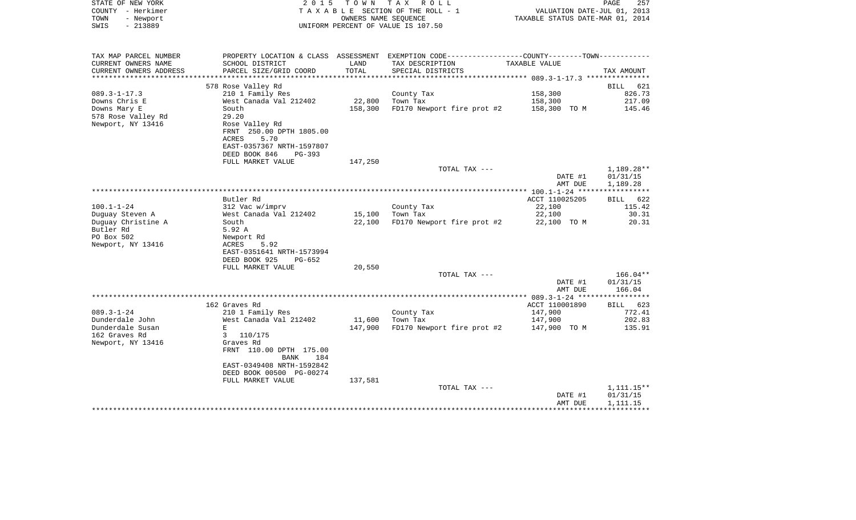| STATE OF NEW YORK      | 2 0 1 5                              | T O W N | T A X<br>R O L L                                            |                                               | PAGE<br>257  |
|------------------------|--------------------------------------|---------|-------------------------------------------------------------|-----------------------------------------------|--------------|
| COUNTY - Herkimer      |                                      |         | TAXABLE SECTION OF THE ROLL - 1                             | VALUATION DATE-JUL 01, 2013                   |              |
| TOWN<br>- Newport      |                                      |         | OWNERS NAME SEQUENCE                                        | TAXABLE STATUS DATE-MAR 01, 2014              |              |
| $-213889$<br>SWIS      |                                      |         | UNIFORM PERCENT OF VALUE IS 107.50                          |                                               |              |
| TAX MAP PARCEL NUMBER  | PROPERTY LOCATION & CLASS ASSESSMENT |         | EXEMPTION CODE-----------------COUNTY-------TOWN----------- |                                               |              |
| CURRENT OWNERS NAME    | SCHOOL DISTRICT                      | LAND    | TAX DESCRIPTION                                             | TAXABLE VALUE                                 |              |
| CURRENT OWNERS ADDRESS | PARCEL SIZE/GRID COORD               | TOTAL   | SPECIAL DISTRICTS                                           |                                               | TAX AMOUNT   |
|                        |                                      |         |                                                             |                                               |              |
|                        | 578 Rose Valley Rd                   |         |                                                             |                                               | BILL 621     |
| $089.3 - 1 - 17.3$     | 210 1 Family Res                     |         | County Tax                                                  | 158,300                                       | 826.73       |
| Downs Chris E          | West Canada Val 212402               | 22,800  | Town Tax                                                    | 158,300                                       | 217.09       |
| Downs Mary E           | South                                | 158,300 | FD170 Newport fire prot #2                                  | 158,300 TO M                                  | 145.46       |
| 578 Rose Valley Rd     | 29.20                                |         |                                                             |                                               |              |
| Newport, NY 13416      | Rose Valley Rd                       |         |                                                             |                                               |              |
|                        | FRNT 250.00 DPTH 1805.00             |         |                                                             |                                               |              |
|                        | <b>ACRES</b><br>5.70                 |         |                                                             |                                               |              |
|                        | EAST-0357367 NRTH-1597807            |         |                                                             |                                               |              |
|                        | DEED BOOK 846<br>$PG-393$            |         |                                                             |                                               |              |
|                        | FULL MARKET VALUE                    | 147,250 | TOTAL TAX ---                                               |                                               | 1,189.28**   |
|                        |                                      |         |                                                             | DATE #1                                       | 01/31/15     |
|                        |                                      |         |                                                             | AMT DUE                                       | 1,189.28     |
|                        |                                      |         |                                                             | *************** 100.1-1-24 ****************** |              |
|                        | Butler Rd                            |         |                                                             | ACCT 110025205                                | BILL 622     |
| $100.1 - 1 - 24$       | 312 Vac w/imprv                      |         | County Tax                                                  | 22,100                                        | 115.42       |
| Duguay Steven A        | West Canada Val 212402               | 15,100  | Town Tax                                                    | 22,100                                        | 30.31        |
| Duguay Christine A     | South                                | 22,100  | FD170 Newport fire prot #2                                  | 22,100 TO M                                   | 20.31        |
| Butler Rd              | 5.92 A                               |         |                                                             |                                               |              |
| PO Box 502             | Newport Rd                           |         |                                                             |                                               |              |
| Newport, NY 13416      | 5.92<br>ACRES                        |         |                                                             |                                               |              |
|                        | EAST-0351641 NRTH-1573994            |         |                                                             |                                               |              |
|                        | DEED BOOK 925<br>$PG-652$            |         |                                                             |                                               |              |
|                        | FULL MARKET VALUE                    | 20,550  |                                                             |                                               |              |
|                        |                                      |         | TOTAL TAX ---                                               |                                               | $166.04**$   |
|                        |                                      |         |                                                             | DATE #1                                       | 01/31/15     |
|                        |                                      |         |                                                             | AMT DUE                                       | 166.04       |
|                        | 162 Graves Rd                        |         |                                                             | ACCT 110001890                                | BILL 623     |
| $089.3 - 1 - 24$       | 210 1 Family Res                     |         | County Tax                                                  | 147,900                                       | 772.41       |
| Dunderdale John        | West Canada Val 212402               | 11,600  | Town Tax                                                    | 147,900                                       | 202.83       |
| Dunderdale Susan       | E                                    | 147,900 | FD170 Newport fire prot #2                                  | 147,900 TO M                                  | 135.91       |
| 162 Graves Rd          | $\mathbf{3}$<br>110/175              |         |                                                             |                                               |              |
| Newport, NY 13416      | Graves Rd                            |         |                                                             |                                               |              |
|                        | FRNT 110.00 DPTH 175.00              |         |                                                             |                                               |              |
|                        | <b>BANK</b><br>184                   |         |                                                             |                                               |              |
|                        | EAST-0349408 NRTH-1592842            |         |                                                             |                                               |              |
|                        | DEED BOOK 00500 PG-00274             |         |                                                             |                                               |              |
|                        | FULL MARKET VALUE                    | 137,581 |                                                             |                                               |              |
|                        |                                      |         | TOTAL TAX ---                                               |                                               | 1, 111. 15** |
|                        |                                      |         |                                                             | DATE #1                                       | 01/31/15     |
|                        |                                      |         |                                                             | AMT DUE                                       | 1,111.15     |
|                        |                                      |         |                                                             |                                               |              |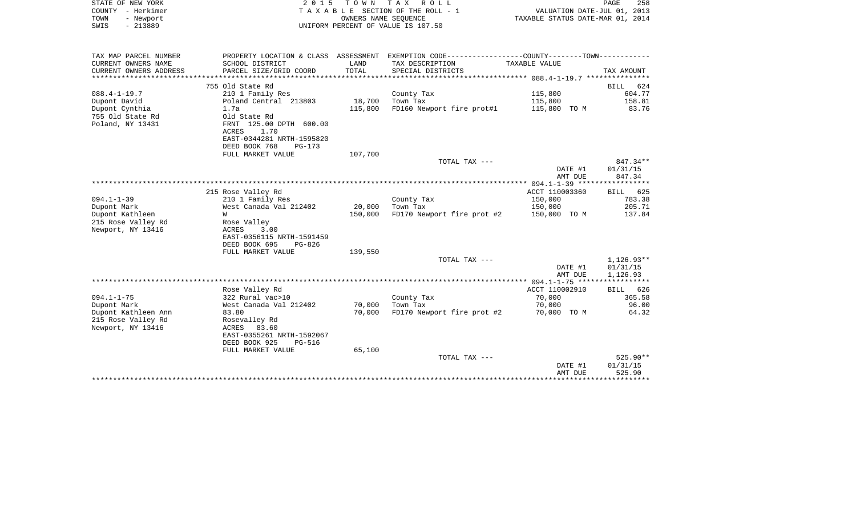| STATE OF NEW YORK          | 2 0 1 5                              | TOWN                 | T A X<br><b>ROLL</b>                                        |                                  | 258<br>PAGE |
|----------------------------|--------------------------------------|----------------------|-------------------------------------------------------------|----------------------------------|-------------|
| COUNTY<br>- Herkimer       |                                      |                      | TAXABLE SECTION OF THE ROLL - 1                             | VALUATION DATE-JUL 01, 2013      |             |
| TOWN<br>- Newport          |                                      | OWNERS NAME SEOUENCE |                                                             | TAXABLE STATUS DATE-MAR 01, 2014 |             |
| $-213889$<br>SWIS          |                                      |                      | UNIFORM PERCENT OF VALUE IS 107.50                          |                                  |             |
|                            |                                      |                      |                                                             |                                  |             |
| TAX MAP PARCEL NUMBER      | PROPERTY LOCATION & CLASS ASSESSMENT |                      | EXEMPTION CODE-----------------COUNTY-------TOWN----------- |                                  |             |
| CURRENT OWNERS NAME        | SCHOOL DISTRICT                      | LAND                 | TAX DESCRIPTION                                             | TAXABLE VALUE                    |             |
| CURRENT OWNERS ADDRESS     | PARCEL SIZE/GRID COORD               | TOTAL                | SPECIAL DISTRICTS                                           |                                  | TAX AMOUNT  |
| ************************** |                                      |                      |                                                             |                                  |             |
|                            | 755 Old State Rd                     |                      |                                                             |                                  | BILL 624    |
| $088.4 - 1 - 19.7$         | 210 1 Family Res                     |                      | County Tax                                                  | 115,800                          | 604.77      |
| Dupont David               | Poland Central 213803 18,700         |                      | Town Tax                                                    | 115,800                          | 158.81      |
| Dupont Cynthia             | 1.7a                                 | 115,800              | FD160 Newport fire prot#1                                   | 115,800 TO M                     | 83.76       |
| 755 Old State Rd           | Old State Rd                         |                      |                                                             |                                  |             |
| Poland, NY 13431           | FRNT 125.00 DPTH 600.00              |                      |                                                             |                                  |             |
|                            | 1.70<br>ACRES                        |                      |                                                             |                                  |             |
|                            | EAST-0344281 NRTH-1595820            |                      |                                                             |                                  |             |
|                            | DEED BOOK 768<br>$PG-173$            |                      |                                                             |                                  |             |
|                            | FULL MARKET VALUE                    | 107,700              |                                                             |                                  |             |
|                            |                                      |                      | TOTAL TAX ---                                               |                                  | 847.34**    |
|                            |                                      |                      |                                                             | DATE #1                          | 01/31/15    |
|                            |                                      |                      |                                                             | AMT DUE                          | 847.34      |
|                            |                                      |                      |                                                             |                                  |             |
|                            | 215 Rose Valley Rd                   |                      |                                                             | ACCT 110003360                   | BILL 625    |
| $094.1 - 1 - 39$           | 210 1 Family Res                     |                      | County Tax                                                  | 150,000                          | 783.38      |
| Dupont Mark                | West Canada Val 212402               | 20,000               | Town Tax                                                    | 150,000                          | 205.71      |
| Dupont Kathleen            | W                                    | 150,000              | FD170 Newport fire prot #2                                  | 150,000 TO M                     | 137.84      |
| 215 Rose Valley Rd         | Rose Valley                          |                      |                                                             |                                  |             |

| Dupont Kathleen     | W                         | 150,000 | FD170 Newport fire prot #2 | 150,000 TO M                        | 137.84      |
|---------------------|---------------------------|---------|----------------------------|-------------------------------------|-------------|
| 215 Rose Valley Rd  | Rose Valley               |         |                            |                                     |             |
| Newport, NY 13416   | 3.00<br>ACRES             |         |                            |                                     |             |
|                     | EAST-0356115 NRTH-1591459 |         |                            |                                     |             |
|                     | DEED BOOK 695<br>PG-826   |         |                            |                                     |             |
|                     | FULL MARKET VALUE         | 139,550 |                            |                                     |             |
|                     |                           |         | TOTAL TAX ---              |                                     | 1,126.93**  |
|                     |                           |         |                            | DATE #1                             | 01/31/15    |
|                     |                           |         |                            | AMT DUE                             | 1,126.93    |
|                     |                           |         |                            | $094.1 - 1 - 75$ ****************** |             |
|                     | Rose Valley Rd            |         |                            | ACCT 110002910                      | BILL<br>626 |
| $094.1 - 1 - 75$    | 322 Rural vac>10          |         | County Tax                 | 70,000                              | 365.58      |
| Dupont Mark         | West Canada Val 212402    | 70,000  | Town Tax                   | 70,000                              | 96.00       |
| Dupont Kathleen Ann | 83.80                     | 70,000  | FD170 Newport fire prot #2 | TO M<br>70,000                      | 64.32       |
| 215 Rose Valley Rd  | Rosevalley Rd             |         |                            |                                     |             |
| Newport, NY 13416   | 83.60<br>ACRES            |         |                            |                                     |             |
|                     | EAST-0355261 NRTH-1592067 |         |                            |                                     |             |
|                     | DEED BOOK 925<br>PG-516   |         |                            |                                     |             |
|                     | FULL MARKET VALUE         | 65,100  |                            |                                     |             |
|                     |                           |         | TOTAL TAX ---              |                                     | $525.90**$  |
|                     |                           |         |                            |                                     |             |
|                     |                           |         |                            | DATE #1                             | 01/31/15    |
|                     |                           |         |                            | AMT DUE                             | 525.90      |
|                     |                           |         |                            |                                     |             |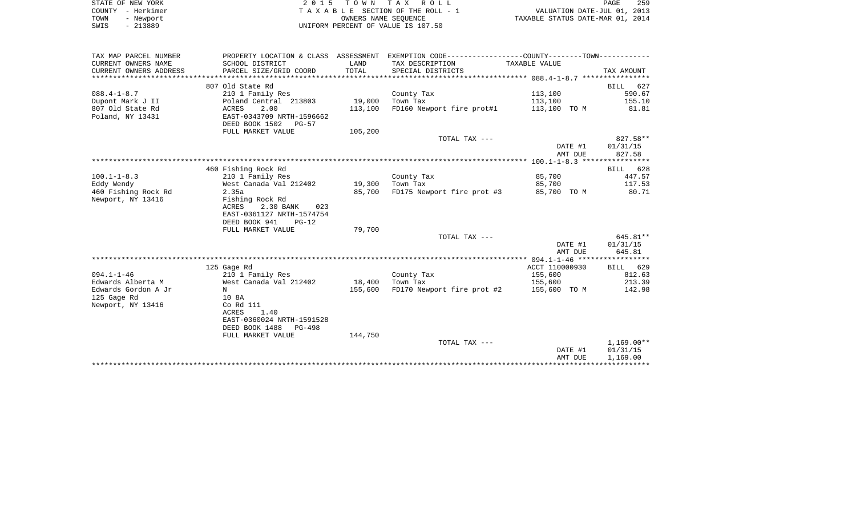|      | STATE OF NEW YORK | 2015 TOWN TAX ROLL                 | PAGE                             | 259 |
|------|-------------------|------------------------------------|----------------------------------|-----|
|      | COUNTY - Herkimer | TAXABLE SECTION OF THE ROLL - 1    | VALUATION DATE-JUL 01, 2013      |     |
| TOWN | - Newport         | OWNERS NAME SEOUENCE               | TAXABLE STATUS DATE-MAR 01, 2014 |     |
| SWIS | - 213889          | UNIFORM PERCENT OF VALUE IS 107.50 |                                  |     |

| TAX MAP PARCEL NUMBER  |                                         |         | PROPERTY LOCATION & CLASS ASSESSMENT EXEMPTION CODE----------------COUNTY-------TOWN---------- |                |                    |
|------------------------|-----------------------------------------|---------|------------------------------------------------------------------------------------------------|----------------|--------------------|
| CURRENT OWNERS NAME    | SCHOOL DISTRICT                         | LAND    | TAX DESCRIPTION                                                                                | TAXABLE VALUE  |                    |
| CURRENT OWNERS ADDRESS | PARCEL SIZE/GRID COORD                  | TOTAL   | SPECIAL DISTRICTS                                                                              |                | TAX AMOUNT         |
|                        |                                         |         |                                                                                                |                |                    |
|                        | 807 Old State Rd                        |         |                                                                                                |                | BILL 627           |
| $088.4 - 1 - 8.7$      | 210 1 Family Res                        |         | County Tax                                                                                     | 113,100        | 590.67             |
| Dupont Mark J II       | Poland Central 213803                   | 19,000  | Town Tax                                                                                       | 113,100        | 155.10             |
| 807 Old State Rd       | 2.00<br>ACRES                           | 113,100 | FD160 Newport fire prot#1                                                                      | 113,100 TO M   | 81.81              |
| Poland, NY 13431       | EAST-0343709 NRTH-1596662               |         |                                                                                                |                |                    |
|                        | DEED BOOK 1502 PG-57                    |         |                                                                                                |                |                    |
|                        | FULL MARKET VALUE                       | 105,200 |                                                                                                |                |                    |
|                        |                                         |         | TOTAL TAX ---                                                                                  |                | $827.58**$         |
|                        |                                         |         |                                                                                                | DATE #1        | 01/31/15           |
|                        |                                         |         |                                                                                                | AMT DUE        | 827.58             |
|                        |                                         |         |                                                                                                |                |                    |
| $100.1 - 1 - 8.3$      | 460 Fishing Rock Rd<br>210 1 Family Res |         | County Tax                                                                                     | 85,700         | BILL 628<br>447.57 |
| Eddy Wendy             | West Canada Val 212402                  | 19,300  | Town Tax                                                                                       | 85,700         | 117.53             |
| 460 Fishing Rock Rd    | 2.35a                                   | 85,700  | FD175 Newport fire prot #3                                                                     | 85,700 TO M    | 80.71              |
| Newport, NY 13416      | Fishing Rock Rd                         |         |                                                                                                |                |                    |
|                        | <b>ACRES</b><br>2.30 BANK<br>023        |         |                                                                                                |                |                    |
|                        | EAST-0361127 NRTH-1574754               |         |                                                                                                |                |                    |
|                        | DEED BOOK 941<br>$PG-12$                |         |                                                                                                |                |                    |
|                        | FULL MARKET VALUE                       | 79,700  |                                                                                                |                |                    |
|                        |                                         |         | TOTAL TAX ---                                                                                  |                | $645.81**$         |
|                        |                                         |         |                                                                                                | DATE #1        | 01/31/15           |
|                        |                                         |         |                                                                                                | AMT DUE        | 645.81             |
|                        |                                         |         |                                                                                                |                |                    |
|                        | 125 Gage Rd                             |         |                                                                                                | ACCT 110000930 | BILL 629           |
| $094.1 - 1 - 46$       | 210 1 Family Res                        |         | County Tax                                                                                     | 155,600        | 812.63             |
| Edwards Alberta M      | West Canada Val 212402                  | 18,400  | Town Tax                                                                                       | 155,600        | 213.39             |
| Edwards Gordon A Jr    | N                                       | 155,600 | FD170 Newport fire prot #2                                                                     | 155,600 TO M   | 142.98             |
| 125 Gage Rd            | 10 8A                                   |         |                                                                                                |                |                    |
| Newport, NY 13416      | Co Rd 111                               |         |                                                                                                |                |                    |
|                        | <b>ACRES</b><br>1.40                    |         |                                                                                                |                |                    |
|                        | EAST-0360024 NRTH-1591528               |         |                                                                                                |                |                    |
|                        | DEED BOOK 1488<br>PG-498                |         |                                                                                                |                |                    |
|                        | FULL MARKET VALUE                       | 144,750 | TOTAL TAX ---                                                                                  |                | $1,169.00**$       |
|                        |                                         |         |                                                                                                | DATE #1        | 01/31/15           |
|                        |                                         |         |                                                                                                | AMT DUE        | 1,169.00           |
|                        |                                         |         |                                                                                                |                |                    |
|                        |                                         |         |                                                                                                |                |                    |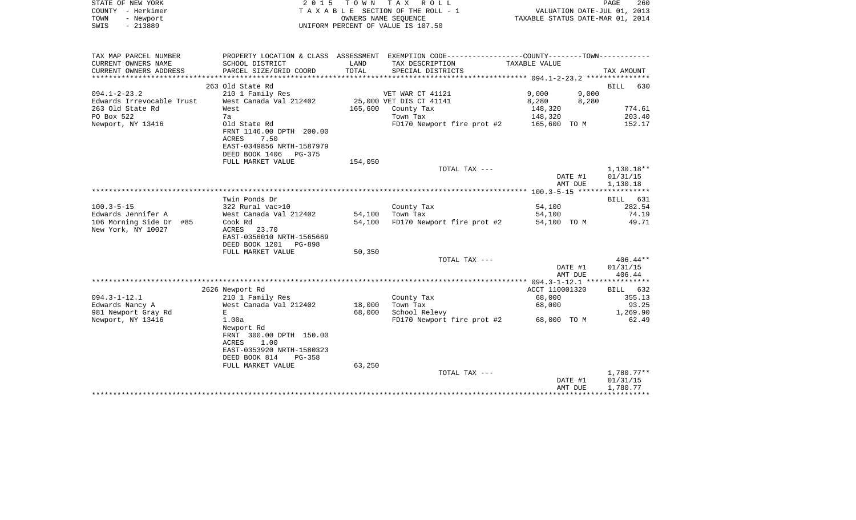| STATE OF NEW YORK<br>COUNTY - Herkimer<br>- Newport<br>TOWN<br>$-213889$<br>SWIS | 2 0 1 5                                    | T O W N | TAX ROLL<br>TAXABLE SECTION OF THE ROLL - 1<br>OWNERS NAME SEQUENCE<br>UNIFORM PERCENT OF VALUE IS 107.50 | VALUATION DATE-JUL 01, 2013<br>TAXABLE STATUS DATE-MAR 01, 2014 | PAGE<br>260              |
|----------------------------------------------------------------------------------|--------------------------------------------|---------|-----------------------------------------------------------------------------------------------------------|-----------------------------------------------------------------|--------------------------|
| TAX MAP PARCEL NUMBER                                                            |                                            |         | PROPERTY LOCATION & CLASS ASSESSMENT EXEMPTION CODE---------------COUNTY-------TOWN---------              |                                                                 |                          |
| CURRENT OWNERS NAME                                                              | SCHOOL DISTRICT                            | LAND    | TAX DESCRIPTION                                                                                           | TAXABLE VALUE                                                   |                          |
| CURRENT OWNERS ADDRESS<br>**********************                                 | PARCEL SIZE/GRID COORD                     | TOTAL   | SPECIAL DISTRICTS<br>****************************                                                         | ******************** 094.1-2-23.2 ***************               | TAX AMOUNT               |
|                                                                                  | 263 Old State Rd                           |         |                                                                                                           |                                                                 | BILL<br>630              |
| $094.1 - 2 - 23.2$                                                               | 210 1 Family Res                           |         | VET WAR CT 41121                                                                                          | 9,000<br>9,000                                                  |                          |
| Edwards Irrevocable Trust                                                        | West Canada Val 212402                     |         | 25,000 VET DIS CT 41141                                                                                   | 8,280<br>8,280                                                  |                          |
| 263 Old State Rd                                                                 | West                                       | 165,600 | County Tax                                                                                                | 148,320                                                         | 774.61                   |
| PO Box 522                                                                       | 7a                                         |         | Town Tax                                                                                                  | 148,320                                                         | 203.40                   |
| Newport, NY 13416                                                                | Old State Rd                               |         | FD170 Newport fire prot #2                                                                                | 165,600 TO M                                                    | 152.17                   |
|                                                                                  | FRNT 1146.00 DPTH 200.00                   |         |                                                                                                           |                                                                 |                          |
|                                                                                  | ACRES<br>7.50                              |         |                                                                                                           |                                                                 |                          |
|                                                                                  | EAST-0349856 NRTH-1587979                  |         |                                                                                                           |                                                                 |                          |
|                                                                                  | DEED BOOK 1406<br>PG-375                   |         |                                                                                                           |                                                                 |                          |
|                                                                                  | FULL MARKET VALUE                          | 154,050 | TOTAL TAX ---                                                                                             |                                                                 | 1,130.18**               |
|                                                                                  |                                            |         |                                                                                                           | DATE #1                                                         | 01/31/15                 |
|                                                                                  |                                            |         |                                                                                                           | AMT DUE                                                         | 1,130.18                 |
|                                                                                  |                                            |         |                                                                                                           |                                                                 | ************             |
|                                                                                  | Twin Ponds Dr                              |         |                                                                                                           |                                                                 | BILL<br>631              |
| $100.3 - 5 - 15$                                                                 | 322 Rural vac>10                           |         | County Tax                                                                                                | 54,100                                                          | 282.54                   |
| Edwards Jennifer A                                                               | West Canada Val 212402                     | 54,100  | Town Tax                                                                                                  | 54,100                                                          | 74.19                    |
| 106 Morning Side Dr #85                                                          | Cook Rd                                    | 54,100  | FD170 Newport fire prot #2                                                                                | 54,100 TO M                                                     | 49.71                    |
| New York, NY 10027                                                               | ACRES<br>23.70                             |         |                                                                                                           |                                                                 |                          |
|                                                                                  | EAST-0356010 NRTH-1565669                  |         |                                                                                                           |                                                                 |                          |
|                                                                                  | DEED BOOK 1201 PG-898<br>FULL MARKET VALUE | 50,350  |                                                                                                           |                                                                 |                          |
|                                                                                  |                                            |         | TOTAL TAX ---                                                                                             |                                                                 | $406.44**$               |
|                                                                                  |                                            |         |                                                                                                           | DATE #1                                                         | 01/31/15                 |
|                                                                                  |                                            |         |                                                                                                           | AMT DUE                                                         | 406.44                   |
|                                                                                  |                                            |         |                                                                                                           |                                                                 |                          |
|                                                                                  | 2626 Newport Rd                            |         |                                                                                                           | ACCT 110001320                                                  | BILL<br>632              |
| $094.3 - 1 - 12.1$                                                               | 210 1 Family Res                           |         | County Tax                                                                                                | 68,000                                                          | 355.13                   |
| Edwards Nancy A                                                                  | West Canada Val 212402                     | 18,000  | Town Tax                                                                                                  | 68,000                                                          | 93.25                    |
| 981 Newport Gray Rd                                                              | E                                          | 68,000  | School Relevy                                                                                             |                                                                 | 1,269.90                 |
| Newport, NY 13416                                                                | 1.00a                                      |         | FD170 Newport fire prot #2                                                                                | 68,000 TO M                                                     | 62.49                    |
|                                                                                  | Newport Rd<br>FRNT 300.00 DPTH 150.00      |         |                                                                                                           |                                                                 |                          |
|                                                                                  | ACRES<br>1.00                              |         |                                                                                                           |                                                                 |                          |
|                                                                                  | EAST-0353920 NRTH-1580323                  |         |                                                                                                           |                                                                 |                          |
|                                                                                  | DEED BOOK 814<br>PG-358                    |         |                                                                                                           |                                                                 |                          |
|                                                                                  | FULL MARKET VALUE                          | 63,250  |                                                                                                           |                                                                 |                          |
|                                                                                  |                                            |         | TOTAL TAX ---                                                                                             |                                                                 | 1,780.77**               |
|                                                                                  |                                            |         |                                                                                                           | DATE #1                                                         | 01/31/15                 |
|                                                                                  |                                            |         |                                                                                                           | AMT DUE<br>***************                                      | 1,780.77<br>************ |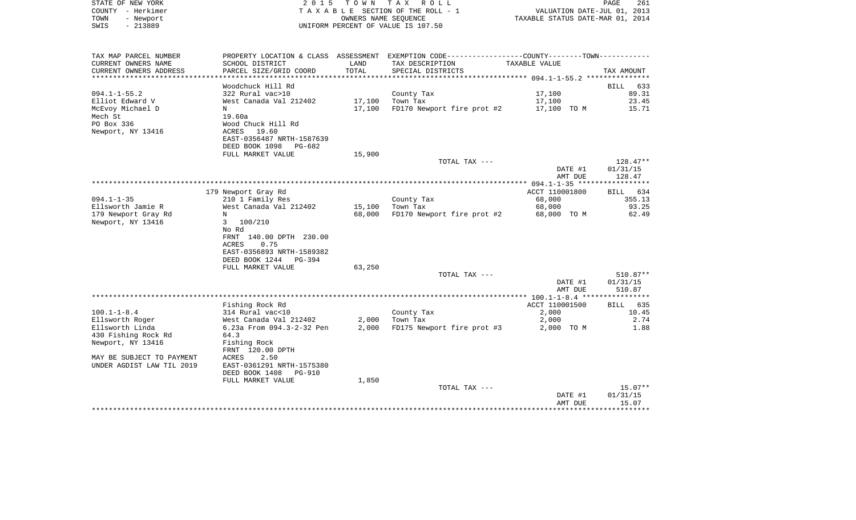| STATE OF NEW YORK | 2015 TOWN TAX ROLL                    | PAGE                             | 261 |
|-------------------|---------------------------------------|----------------------------------|-----|
| COUNTY - Herkimer | T A X A B L E SECTION OF THE ROLL - 1 | VALUATION DATE-JUL 01, 2013      |     |
| TOWN<br>- Newport | OWNERS NAME SEOUENCE                  | TAXABLE STATUS DATE-MAR 01, 2014 |     |
| $-213889$<br>SWIS | UNIFORM PERCENT OF VALUE IS 107.50    |                                  |     |

| CURRENT OWNERS NAME<br>SCHOOL DISTRICT<br>LAND<br>TAX DESCRIPTION<br>TAXABLE VALUE<br>PARCEL SIZE/GRID COORD<br>TOTAL<br>CURRENT OWNERS ADDRESS<br>SPECIAL DISTRICTS |                |                    |
|----------------------------------------------------------------------------------------------------------------------------------------------------------------------|----------------|--------------------|
|                                                                                                                                                                      |                |                    |
|                                                                                                                                                                      |                | TAX AMOUNT         |
| ****************                                                                                                                                                     |                |                    |
| Woodchuck Hill Rd                                                                                                                                                    |                | <b>BILL</b><br>633 |
| $094.1 - 1 - 55.2$<br>322 Rural vac>10<br>17,100<br>County Tax                                                                                                       |                | 89.31              |
| Elliot Edward V<br>West Canada Val 212402<br>17,100<br>Town Tax<br>17,100                                                                                            |                | 23.45              |
| McEvoy Michael D<br>17,100<br>FD170 Newport fire prot #2<br>N                                                                                                        | 17,100 TO M    | 15.71              |
| Mech St<br>19.60a                                                                                                                                                    |                |                    |
| PO Box 336<br>Wood Chuck Hill Rd                                                                                                                                     |                |                    |
| Newport, NY 13416<br>ACRES 19.60                                                                                                                                     |                |                    |
| EAST-0356487 NRTH-1587639                                                                                                                                            |                |                    |
| DEED BOOK 1098<br>$PG-682$                                                                                                                                           |                |                    |
| 15,900                                                                                                                                                               |                |                    |
| FULL MARKET VALUE                                                                                                                                                    |                |                    |
| TOTAL TAX ---                                                                                                                                                        |                | 128.47**           |
|                                                                                                                                                                      | DATE #1        | 01/31/15           |
|                                                                                                                                                                      | AMT DUE        | 128.47             |
|                                                                                                                                                                      |                |                    |
| 179 Newport Gray Rd                                                                                                                                                  | ACCT 110001800 | <b>BILL</b><br>634 |
| $094.1 - 1 - 35$<br>210 1 Family Res<br>County Tax<br>68,000                                                                                                         |                | 355.13             |
| West Canada Val 212402<br>15,100<br>68,000<br>Ellsworth Jamie R<br>Town Tax                                                                                          |                | 93.25              |
| 68,000<br>179 Newport Gray Rd<br>FD170 Newport fire prot #2<br>N                                                                                                     | 68,000 TO M    | 62.49              |
| Newport, NY 13416<br>100/210<br>3                                                                                                                                    |                |                    |
| No Rd                                                                                                                                                                |                |                    |
| FRNT 140.00 DPTH 230.00                                                                                                                                              |                |                    |
| 0.75<br>ACRES                                                                                                                                                        |                |                    |
| EAST-0356893 NRTH-1589382                                                                                                                                            |                |                    |
| DEED BOOK 1244<br>$PG-394$                                                                                                                                           |                |                    |
| 63,250<br>FULL MARKET VALUE                                                                                                                                          |                |                    |
| TOTAL TAX ---                                                                                                                                                        |                | $510.87**$         |
|                                                                                                                                                                      | DATE #1        | 01/31/15           |
|                                                                                                                                                                      | AMT DUE        | 510.87             |
|                                                                                                                                                                      |                |                    |
| Fishing Rock Rd                                                                                                                                                      | ACCT 110001500 | <b>BILL</b><br>635 |
| $100.1 - 1 - 8.4$<br>314 Rural vac<10<br>County Tax<br>2,000                                                                                                         |                | 10.45              |
| Ellsworth Roger<br>West Canada Val 212402<br>2,000<br>Town Tax<br>2,000                                                                                              |                | 2.74               |
| Ellsworth Linda<br>FD175 Newport fire prot #3<br>6.23a From 094.3-2-32 Pen<br>2,000                                                                                  | 2,000 TO M     | 1.88               |
| 430 Fishing Rock Rd<br>64.3                                                                                                                                          |                |                    |
| Fishing Rock<br>Newport, NY 13416                                                                                                                                    |                |                    |
| FRNT 120.00 DPTH                                                                                                                                                     |                |                    |
| 2.50<br>MAY BE SUBJECT TO PAYMENT<br>ACRES                                                                                                                           |                |                    |
| UNDER AGDIST LAW TIL 2019<br>EAST-0361291 NRTH-1575380                                                                                                               |                |                    |
| DEED BOOK 1408<br><b>PG-910</b>                                                                                                                                      |                |                    |
| 1,850<br>FULL MARKET VALUE                                                                                                                                           |                |                    |
| TOTAL TAX ---                                                                                                                                                        |                | $15.07**$          |
|                                                                                                                                                                      | DATE #1        | 01/31/15           |
|                                                                                                                                                                      |                |                    |
|                                                                                                                                                                      | AMT DUE        | 15.07              |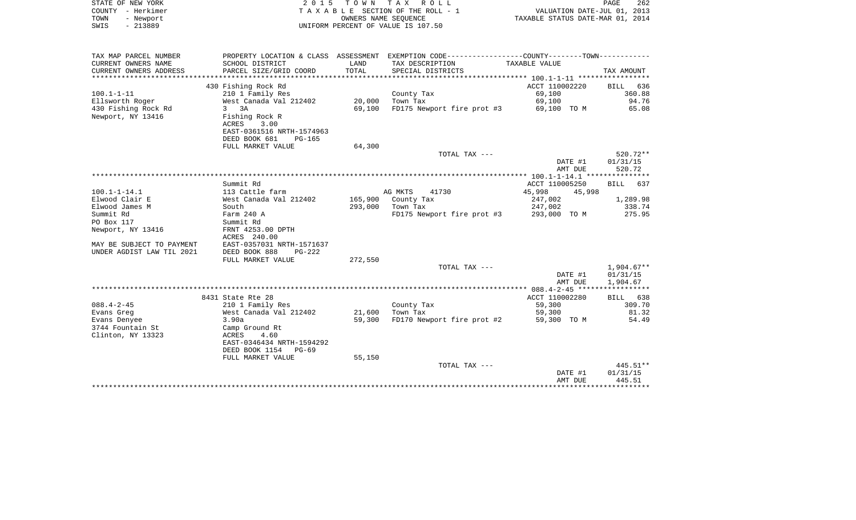| STATE OF NEW YORK | 2015 TOWN TAX ROLL                 | PAGE                             | 262 |
|-------------------|------------------------------------|----------------------------------|-----|
| COUNTY - Herkimer | TAXABLE SECTION OF THE ROLL - 1    | VALUATION DATE-JUL 01, 2013      |     |
| TOWN<br>- Newport | OWNERS NAME SEOUENCE               | TAXABLE STATUS DATE-MAR 01, 2014 |     |
| SWIS<br>- 213889  | UNIFORM PERCENT OF VALUE IS 107.50 |                                  |     |

| TAX MAP PARCEL NUMBER     | PROPERTY LOCATION & CLASS ASSESSMENT |               | EXEMPTION CODE-----------------COUNTY-------TOWN--------- |                  |                    |
|---------------------------|--------------------------------------|---------------|-----------------------------------------------------------|------------------|--------------------|
| CURRENT OWNERS NAME       | SCHOOL DISTRICT                      | LAND          | TAX DESCRIPTION                                           | TAXABLE VALUE    |                    |
| CURRENT OWNERS ADDRESS    | PARCEL SIZE/GRID COORD               | TOTAL         | SPECIAL DISTRICTS                                         |                  | TAX AMOUNT         |
|                           |                                      | ************* |                                                           |                  | ****               |
|                           | 430 Fishing Rock Rd                  |               |                                                           | ACCT 110002220   | 636<br>BILL        |
| $100.1 - 1 - 11$          | 210 1 Family Res                     |               | County Tax                                                | 69,100           | 360.88             |
| Ellsworth Roger           | West Canada Val 212402               | 20,000        | Town Tax                                                  | 69,100           | 94.76              |
| 430 Fishing Rock Rd       | $3 \overline{\smash)3A}$             | 69,100        | FD175 Newport fire prot #3                                | 69,100 TO M      | 65.08              |
| Newport, NY 13416         | Fishing Rock R                       |               |                                                           |                  |                    |
|                           | ACRES<br>3.00                        |               |                                                           |                  |                    |
|                           | EAST-0361516 NRTH-1574963            |               |                                                           |                  |                    |
|                           | DEED BOOK 681                        |               |                                                           |                  |                    |
|                           | PG-165                               |               |                                                           |                  |                    |
|                           | FULL MARKET VALUE                    | 64,300        |                                                           |                  |                    |
|                           |                                      |               | TOTAL TAX ---                                             |                  | $520.72**$         |
|                           |                                      |               |                                                           | DATE #1          | 01/31/15           |
|                           |                                      |               |                                                           | AMT DUE          | 520.72             |
|                           |                                      |               |                                                           |                  |                    |
|                           | Summit Rd                            |               |                                                           | ACCT 110005250   | <b>BILL</b><br>637 |
| $100.1 - 1 - 14.1$        | 113 Cattle farm                      |               | AG MKTS<br>41730                                          | 45,998<br>45,998 |                    |
| Elwood Clair E            | West Canada Val 212402               |               | 165,900 County Tax                                        | 247,002          | 1,289.98           |
| Elwood James M            | South                                |               | 293,000 Town Tax                                          | 247,002          | 338.74             |
| Summit Rd                 | Farm 240 A                           |               | FD175 Newport fire prot #3                                | 293,000 TO M     | 275.95             |
| PO Box 117                | Summit Rd                            |               |                                                           |                  |                    |
| Newport, NY 13416         | FRNT 4253.00 DPTH                    |               |                                                           |                  |                    |
|                           | ACRES 240.00                         |               |                                                           |                  |                    |
| MAY BE SUBJECT TO PAYMENT | EAST-0357031 NRTH-1571637            |               |                                                           |                  |                    |
| UNDER AGDIST LAW TIL 2021 | DEED BOOK 888<br>PG-222              |               |                                                           |                  |                    |
|                           | FULL MARKET VALUE                    | 272,550       |                                                           |                  |                    |
|                           |                                      |               | TOTAL TAX ---                                             |                  | $1,904.67**$       |
|                           |                                      |               |                                                           | DATE #1          | 01/31/15           |
|                           |                                      |               |                                                           | AMT DUE          | 1,904.67           |
|                           |                                      |               |                                                           |                  |                    |
|                           | 8431 State Rte 28                    |               |                                                           | ACCT 110002280   | BILL 638           |
| $088.4 - 2 - 45$          | 210 1 Family Res                     |               | County Tax                                                | 59,300           | 309.70             |
|                           |                                      |               |                                                           |                  |                    |
| Evans Greg                | West Canada Val 212402               | 21,600        | Town Tax                                                  | 59,300           | 81.32              |
| Evans Denyee              | 3.90a                                | 59,300        | FD170 Newport fire prot #2                                | 59,300 TO M      | 54.49              |
| 3744 Fountain St          | Camp Ground Rt                       |               |                                                           |                  |                    |
| Clinton, NY 13323         | 4.60<br>ACRES                        |               |                                                           |                  |                    |
|                           | EAST-0346434 NRTH-1594292            |               |                                                           |                  |                    |
|                           | DEED BOOK 1154 PG-69                 |               |                                                           |                  |                    |
|                           | FULL MARKET VALUE                    | 55,150        |                                                           |                  |                    |
|                           |                                      |               | TOTAL TAX ---                                             |                  | 445.51**           |
|                           |                                      |               |                                                           | DATE #1          | 01/31/15           |
|                           |                                      |               |                                                           | AMT DUE          | 445.51             |
|                           |                                      |               |                                                           |                  |                    |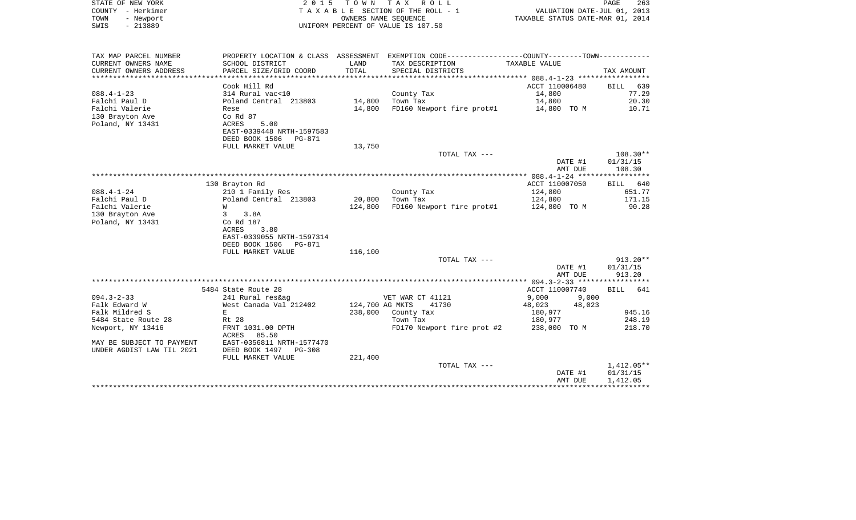| STATE OF NEW YORK                      |                                            | 2015 TOWN                  | TAX ROLL                                                                                      |                                                                 | PAGE<br>263  |
|----------------------------------------|--------------------------------------------|----------------------------|-----------------------------------------------------------------------------------------------|-----------------------------------------------------------------|--------------|
| COUNTY - Herkimer<br>TOWN<br>- Newport |                                            |                            | TAXABLE SECTION OF THE ROLL - 1<br>OWNERS NAME SEQUENCE                                       | VALUATION DATE-JUL 01, 2013<br>TAXABLE STATUS DATE-MAR 01, 2014 |              |
| $-213889$<br>SWIS                      |                                            |                            | UNIFORM PERCENT OF VALUE IS 107.50                                                            |                                                                 |              |
|                                        |                                            |                            |                                                                                               |                                                                 |              |
| TAX MAP PARCEL NUMBER                  |                                            |                            | PROPERTY LOCATION & CLASS ASSESSMENT EXEMPTION CODE---------------COUNTY-------TOWN---------- |                                                                 |              |
| CURRENT OWNERS NAME                    | SCHOOL DISTRICT                            | LAND                       | TAX DESCRIPTION                                                                               | TAXABLE VALUE                                                   |              |
| CURRENT OWNERS ADDRESS                 | PARCEL SIZE/GRID COORD                     | TOTAL                      | SPECIAL DISTRICTS                                                                             |                                                                 | TAX AMOUNT   |
|                                        | Cook Hill Rd                               |                            |                                                                                               | ACCT 110006480                                                  | BILL 639     |
| $088.4 - 1 - 23$                       | 314 Rural vac<10                           |                            | County Tax                                                                                    | 14,800                                                          | 77.29        |
| Falchi Paul D                          | Poland Central 213803                      | 14,800                     | Town Tax                                                                                      | 14,800                                                          | 20.30        |
| Falchi Valerie                         | Rese                                       | 14,800                     | FD160 Newport fire prot#1 14,800 TO M                                                         |                                                                 | 10.71        |
| 130 Brayton Ave                        | Co Rd 87                                   |                            |                                                                                               |                                                                 |              |
| Poland, NY 13431                       | ACRES<br>5.00                              |                            |                                                                                               |                                                                 |              |
|                                        | EAST-0339448 NRTH-1597583                  |                            |                                                                                               |                                                                 |              |
|                                        | DEED BOOK 1506 PG-871                      |                            |                                                                                               |                                                                 |              |
|                                        | FULL MARKET VALUE                          | 13,750                     | TOTAL TAX ---                                                                                 |                                                                 | $108.30**$   |
|                                        |                                            |                            |                                                                                               | DATE #1                                                         | 01/31/15     |
|                                        |                                            |                            |                                                                                               | AMT DUE                                                         | 108.30       |
|                                        |                                            |                            |                                                                                               |                                                                 |              |
|                                        | 130 Brayton Rd                             |                            |                                                                                               | ACCT 110007050                                                  | BILL 640     |
| 088.4-1-24                             | 210 1 Family Res                           |                            | County Tax                                                                                    | 124,800                                                         | 651.77       |
| Falchi Paul D                          | Poland Central 213803                      | 20,800                     | Town Tax                                                                                      | 124,800                                                         | 171.15       |
| Falchi Valerie                         | W                                          | 124,800                    | FD160 Newport fire prot#1                                                                     | 124,800 TO M                                                    | 90.28        |
| 130 Brayton Ave                        | 3.8A<br>3                                  |                            |                                                                                               |                                                                 |              |
| Poland, NY 13431                       | Co Rd 187                                  |                            |                                                                                               |                                                                 |              |
|                                        | ACRES<br>3.80<br>EAST-0339055 NRTH-1597314 |                            |                                                                                               |                                                                 |              |
|                                        | DEED BOOK 1506<br>PG-871                   |                            |                                                                                               |                                                                 |              |
|                                        | FULL MARKET VALUE                          | 116,100                    |                                                                                               |                                                                 |              |
|                                        |                                            |                            | TOTAL TAX ---                                                                                 |                                                                 | $913.20**$   |
|                                        |                                            |                            |                                                                                               | DATE #1                                                         | 01/31/15     |
|                                        |                                            |                            |                                                                                               | AMT DUE                                                         | 913.20       |
|                                        |                                            |                            |                                                                                               |                                                                 |              |
|                                        | 5484 State Route 28                        |                            |                                                                                               | ACCT 110007740                                                  | BILL 641     |
| $094.3 - 2 - 33$                       | 241 Rural res&ag                           |                            | VET WAR CT 41121                                                                              | 9,000<br>9,000                                                  |              |
| Falk Edward W<br>Falk Mildred S        | West Canada Val 212402<br>Е                | 124,700 AG MKTS<br>238,000 | 41730<br>County Tax                                                                           | 48,023<br>48,023<br>180,977                                     | 945.16       |
| 5484 State Route 28                    | Rt 28                                      |                            | Town Tax                                                                                      | 180,977                                                         | 248.19       |
| Newport, NY 13416                      | FRNT 1031.00 DPTH                          |                            | FD170 Newport fire prot #2 238,000 TO M                                                       |                                                                 | 218.70       |
|                                        | 85.50<br>ACRES                             |                            |                                                                                               |                                                                 |              |
| MAY BE SUBJECT TO PAYMENT              | EAST-0356811 NRTH-1577470                  |                            |                                                                                               |                                                                 |              |
| UNDER AGDIST LAW TIL 2021              | DEED BOOK 1497 PG-308                      |                            |                                                                                               |                                                                 |              |
|                                        | FULL MARKET VALUE                          | 221,400                    |                                                                                               |                                                                 |              |
|                                        |                                            |                            | TOTAL TAX ---                                                                                 |                                                                 | $1,412.05**$ |
|                                        |                                            |                            |                                                                                               | DATE #1                                                         | 01/31/15     |
|                                        |                                            |                            |                                                                                               | AMT DUE                                                         | 1,412.05     |

\*\*\*\*\*\*\*\*\*\*\*\*\*\*\*\*\*\*\*\*\*\*\*\*\*\*\*\*\*\*\*\*\*\*\*\*\*\*\*\*\*\*\*\*\*\*\*\*\*\*\*\*\*\*\*\*\*\*\*\*\*\*\*\*\*\*\*\*\*\*\*\*\*\*\*\*\*\*\*\*\*\*\*\*\*\*\*\*\*\*\*\*\*\*\*\*\*\*\*\*\*\*\*\*\*\*\*\*\*\*\*\*\*\*\*\*\*\*\*\*\*\*\*\*\*\*\*\*\*\*\*\*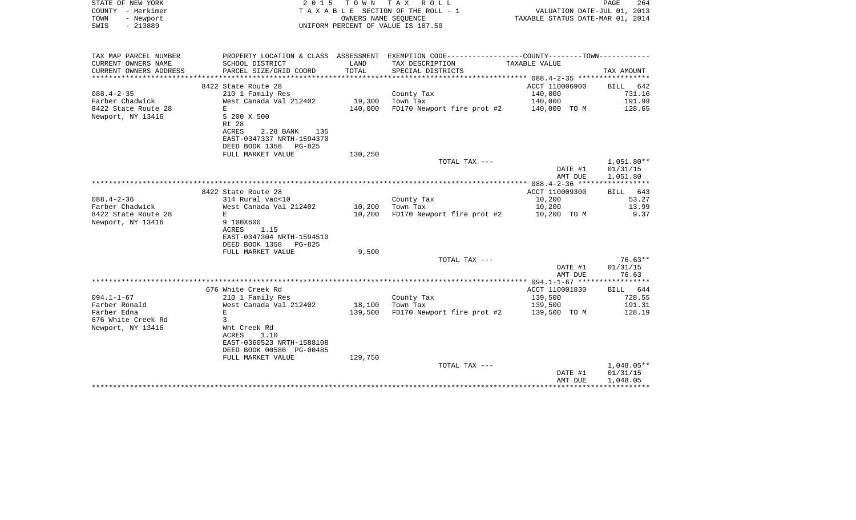| TAX MAP PARCEL NUMBER<br>PROPERTY LOCATION & CLASS ASSESSMENT EXEMPTION CODE---------------COUNTY-------TOWN----------<br>CURRENT OWNERS NAME<br>SCHOOL DISTRICT<br>LAND<br>TAX DESCRIPTION<br>TAXABLE VALUE<br>TOTAL<br>PARCEL SIZE/GRID COORD<br>CURRENT OWNERS ADDRESS<br>SPECIAL DISTRICTS<br>TAX AMOUNT<br>************************<br>*********************<br>8422 State Route 28<br>ACCT 110006900<br><b>BILL</b><br>642<br>$088.4 - 2 - 35$<br>210 1 Family Res<br>County Tax<br>140,000<br>731.16<br>191.99<br>West Canada Val 212402<br>19,300<br>Town Tax<br>140,000<br>Farber Chadwick<br>8422 State Route 28<br>E.<br>128.65<br>140,000<br>FD170 Newport fire prot #2<br>140,000 TO M<br>Newport, NY 13416<br>5 200 X 500<br>Rt 28<br><b>ACRES</b><br>2.28 BANK<br>135<br>EAST-0347337 NRTH-1594370<br>DEED BOOK 1358 PG-825<br>FULL MARKET VALUE<br>130,250<br>1,051.80**<br>TOTAL TAX ---<br>01/31/15<br>DATE #1<br>1,051.80<br>AMT DUE<br>8422 State Route 28<br>ACCT 110009300<br>643<br>BILL<br>$088.4 - 2 - 36$<br>314 Rural vac<10<br>53.27<br>County Tax<br>10,200<br>Farber Chadwick<br>West Canada Val 212402<br>10,200<br>Town Tax<br>10,200<br>13.99<br>8422 State Route 28<br>E<br>10,200<br>FD170 Newport fire prot #2<br>10,200 TO M<br>9.37<br>Newport, NY 13416<br>9 100X600<br>1.15<br>ACRES<br>EAST-0347304 NRTH-1594510<br>DEED BOOK 1358<br>$PG-825$<br>9,500<br>FULL MARKET VALUE<br>$76.63**$<br>TOTAL TAX ---<br>01/31/15<br>DATE #1<br>76.63<br>AMT DUE<br>*************** 094.1-1-67 ******************<br>676 White Creek Rd<br>ACCT 110001830<br>BILL 644<br>$094.1 - 1 - 67$<br>210 1 Family Res<br>County Tax<br>139,500<br>728.55<br>Farber Ronald<br>West Canada Val 212402<br>18,100<br>Town Tax<br>139,500<br>191.31<br>Farber Edna<br>E<br>FD170 Newport fire prot #2<br>139,500<br>139,500 TO M<br>128.19<br>3<br>676 White Creek Rd<br>Newport, NY 13416<br>Wht Creek Rd<br>ACRES<br>1.10<br>EAST-0360523 NRTH-1588108<br>DEED BOOK 00586 PG-00485<br>FULL MARKET VALUE<br>129,750<br>TOTAL TAX ---<br>$1,048.05**$<br>01/31/15<br>DATE #1<br>AMT DUE<br>1,048.05 | STATE OF NEW YORK<br>COUNTY - Herkimer<br>- Newport<br>TOWN<br>$-213889$<br>SWIS | 2 0 1 5 | T O W N<br>OWNERS NAME SEQUENCE | TAX ROLL<br>T A X A B L E SECTION OF THE ROLL - 1<br>UNIFORM PERCENT OF VALUE IS 107.50 | VALUATION DATE-JUL 01, 2013<br>TAXABLE STATUS DATE-MAR 01, 2014 | PAGE<br>264 |
|----------------------------------------------------------------------------------------------------------------------------------------------------------------------------------------------------------------------------------------------------------------------------------------------------------------------------------------------------------------------------------------------------------------------------------------------------------------------------------------------------------------------------------------------------------------------------------------------------------------------------------------------------------------------------------------------------------------------------------------------------------------------------------------------------------------------------------------------------------------------------------------------------------------------------------------------------------------------------------------------------------------------------------------------------------------------------------------------------------------------------------------------------------------------------------------------------------------------------------------------------------------------------------------------------------------------------------------------------------------------------------------------------------------------------------------------------------------------------------------------------------------------------------------------------------------------------------------------------------------------------------------------------------------------------------------------------------------------------------------------------------------------------------------------------------------------------------------------------------------------------------------------------------------------------------------------------------------------------------------------------------------------------------------------------------------------------------------------------------------------|----------------------------------------------------------------------------------|---------|---------------------------------|-----------------------------------------------------------------------------------------|-----------------------------------------------------------------|-------------|
|                                                                                                                                                                                                                                                                                                                                                                                                                                                                                                                                                                                                                                                                                                                                                                                                                                                                                                                                                                                                                                                                                                                                                                                                                                                                                                                                                                                                                                                                                                                                                                                                                                                                                                                                                                                                                                                                                                                                                                                                                                                                                                                      |                                                                                  |         |                                 |                                                                                         |                                                                 |             |
|                                                                                                                                                                                                                                                                                                                                                                                                                                                                                                                                                                                                                                                                                                                                                                                                                                                                                                                                                                                                                                                                                                                                                                                                                                                                                                                                                                                                                                                                                                                                                                                                                                                                                                                                                                                                                                                                                                                                                                                                                                                                                                                      |                                                                                  |         |                                 |                                                                                         |                                                                 |             |
|                                                                                                                                                                                                                                                                                                                                                                                                                                                                                                                                                                                                                                                                                                                                                                                                                                                                                                                                                                                                                                                                                                                                                                                                                                                                                                                                                                                                                                                                                                                                                                                                                                                                                                                                                                                                                                                                                                                                                                                                                                                                                                                      |                                                                                  |         |                                 |                                                                                         |                                                                 |             |
|                                                                                                                                                                                                                                                                                                                                                                                                                                                                                                                                                                                                                                                                                                                                                                                                                                                                                                                                                                                                                                                                                                                                                                                                                                                                                                                                                                                                                                                                                                                                                                                                                                                                                                                                                                                                                                                                                                                                                                                                                                                                                                                      |                                                                                  |         |                                 |                                                                                         |                                                                 |             |
|                                                                                                                                                                                                                                                                                                                                                                                                                                                                                                                                                                                                                                                                                                                                                                                                                                                                                                                                                                                                                                                                                                                                                                                                                                                                                                                                                                                                                                                                                                                                                                                                                                                                                                                                                                                                                                                                                                                                                                                                                                                                                                                      |                                                                                  |         |                                 |                                                                                         |                                                                 |             |
|                                                                                                                                                                                                                                                                                                                                                                                                                                                                                                                                                                                                                                                                                                                                                                                                                                                                                                                                                                                                                                                                                                                                                                                                                                                                                                                                                                                                                                                                                                                                                                                                                                                                                                                                                                                                                                                                                                                                                                                                                                                                                                                      |                                                                                  |         |                                 |                                                                                         |                                                                 |             |
|                                                                                                                                                                                                                                                                                                                                                                                                                                                                                                                                                                                                                                                                                                                                                                                                                                                                                                                                                                                                                                                                                                                                                                                                                                                                                                                                                                                                                                                                                                                                                                                                                                                                                                                                                                                                                                                                                                                                                                                                                                                                                                                      |                                                                                  |         |                                 |                                                                                         |                                                                 |             |
|                                                                                                                                                                                                                                                                                                                                                                                                                                                                                                                                                                                                                                                                                                                                                                                                                                                                                                                                                                                                                                                                                                                                                                                                                                                                                                                                                                                                                                                                                                                                                                                                                                                                                                                                                                                                                                                                                                                                                                                                                                                                                                                      |                                                                                  |         |                                 |                                                                                         |                                                                 |             |
|                                                                                                                                                                                                                                                                                                                                                                                                                                                                                                                                                                                                                                                                                                                                                                                                                                                                                                                                                                                                                                                                                                                                                                                                                                                                                                                                                                                                                                                                                                                                                                                                                                                                                                                                                                                                                                                                                                                                                                                                                                                                                                                      |                                                                                  |         |                                 |                                                                                         |                                                                 |             |
|                                                                                                                                                                                                                                                                                                                                                                                                                                                                                                                                                                                                                                                                                                                                                                                                                                                                                                                                                                                                                                                                                                                                                                                                                                                                                                                                                                                                                                                                                                                                                                                                                                                                                                                                                                                                                                                                                                                                                                                                                                                                                                                      |                                                                                  |         |                                 |                                                                                         |                                                                 |             |
|                                                                                                                                                                                                                                                                                                                                                                                                                                                                                                                                                                                                                                                                                                                                                                                                                                                                                                                                                                                                                                                                                                                                                                                                                                                                                                                                                                                                                                                                                                                                                                                                                                                                                                                                                                                                                                                                                                                                                                                                                                                                                                                      |                                                                                  |         |                                 |                                                                                         |                                                                 |             |
|                                                                                                                                                                                                                                                                                                                                                                                                                                                                                                                                                                                                                                                                                                                                                                                                                                                                                                                                                                                                                                                                                                                                                                                                                                                                                                                                                                                                                                                                                                                                                                                                                                                                                                                                                                                                                                                                                                                                                                                                                                                                                                                      |                                                                                  |         |                                 |                                                                                         |                                                                 |             |
|                                                                                                                                                                                                                                                                                                                                                                                                                                                                                                                                                                                                                                                                                                                                                                                                                                                                                                                                                                                                                                                                                                                                                                                                                                                                                                                                                                                                                                                                                                                                                                                                                                                                                                                                                                                                                                                                                                                                                                                                                                                                                                                      |                                                                                  |         |                                 |                                                                                         |                                                                 |             |
|                                                                                                                                                                                                                                                                                                                                                                                                                                                                                                                                                                                                                                                                                                                                                                                                                                                                                                                                                                                                                                                                                                                                                                                                                                                                                                                                                                                                                                                                                                                                                                                                                                                                                                                                                                                                                                                                                                                                                                                                                                                                                                                      |                                                                                  |         |                                 |                                                                                         |                                                                 |             |
|                                                                                                                                                                                                                                                                                                                                                                                                                                                                                                                                                                                                                                                                                                                                                                                                                                                                                                                                                                                                                                                                                                                                                                                                                                                                                                                                                                                                                                                                                                                                                                                                                                                                                                                                                                                                                                                                                                                                                                                                                                                                                                                      |                                                                                  |         |                                 |                                                                                         |                                                                 |             |
|                                                                                                                                                                                                                                                                                                                                                                                                                                                                                                                                                                                                                                                                                                                                                                                                                                                                                                                                                                                                                                                                                                                                                                                                                                                                                                                                                                                                                                                                                                                                                                                                                                                                                                                                                                                                                                                                                                                                                                                                                                                                                                                      |                                                                                  |         |                                 |                                                                                         |                                                                 |             |
|                                                                                                                                                                                                                                                                                                                                                                                                                                                                                                                                                                                                                                                                                                                                                                                                                                                                                                                                                                                                                                                                                                                                                                                                                                                                                                                                                                                                                                                                                                                                                                                                                                                                                                                                                                                                                                                                                                                                                                                                                                                                                                                      |                                                                                  |         |                                 |                                                                                         |                                                                 |             |
|                                                                                                                                                                                                                                                                                                                                                                                                                                                                                                                                                                                                                                                                                                                                                                                                                                                                                                                                                                                                                                                                                                                                                                                                                                                                                                                                                                                                                                                                                                                                                                                                                                                                                                                                                                                                                                                                                                                                                                                                                                                                                                                      |                                                                                  |         |                                 |                                                                                         |                                                                 |             |
|                                                                                                                                                                                                                                                                                                                                                                                                                                                                                                                                                                                                                                                                                                                                                                                                                                                                                                                                                                                                                                                                                                                                                                                                                                                                                                                                                                                                                                                                                                                                                                                                                                                                                                                                                                                                                                                                                                                                                                                                                                                                                                                      |                                                                                  |         |                                 |                                                                                         |                                                                 |             |
|                                                                                                                                                                                                                                                                                                                                                                                                                                                                                                                                                                                                                                                                                                                                                                                                                                                                                                                                                                                                                                                                                                                                                                                                                                                                                                                                                                                                                                                                                                                                                                                                                                                                                                                                                                                                                                                                                                                                                                                                                                                                                                                      |                                                                                  |         |                                 |                                                                                         |                                                                 |             |
|                                                                                                                                                                                                                                                                                                                                                                                                                                                                                                                                                                                                                                                                                                                                                                                                                                                                                                                                                                                                                                                                                                                                                                                                                                                                                                                                                                                                                                                                                                                                                                                                                                                                                                                                                                                                                                                                                                                                                                                                                                                                                                                      |                                                                                  |         |                                 |                                                                                         |                                                                 |             |
|                                                                                                                                                                                                                                                                                                                                                                                                                                                                                                                                                                                                                                                                                                                                                                                                                                                                                                                                                                                                                                                                                                                                                                                                                                                                                                                                                                                                                                                                                                                                                                                                                                                                                                                                                                                                                                                                                                                                                                                                                                                                                                                      |                                                                                  |         |                                 |                                                                                         |                                                                 |             |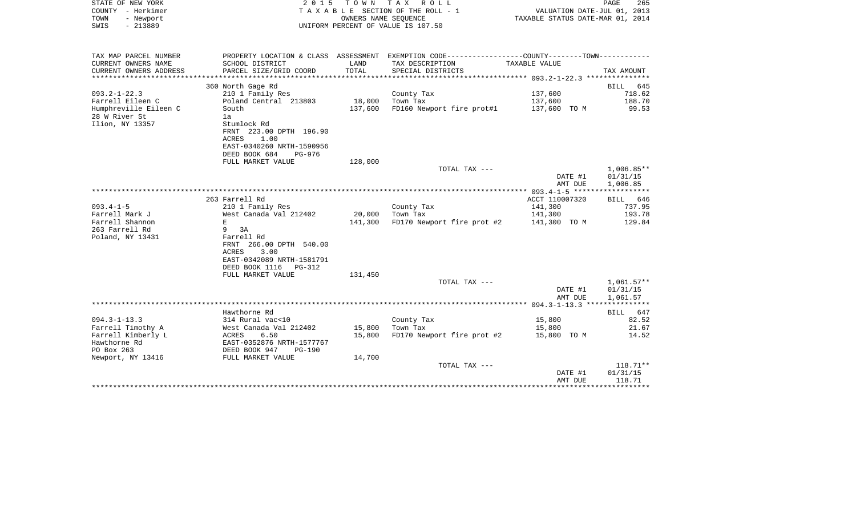| STATE OF NEW YORK<br>COUNTY - Herkimer<br>TOWN<br>- Newport<br>SWIS<br>$-213889$ | 2 0 1 5                                                                                                                        | TOWN TAX      | R O L L<br>TAXABLE SECTION OF THE ROLL - 1<br>OWNERS NAME SEOUENCE<br>UNIFORM PERCENT OF VALUE IS 107.50 | VALUATION DATE-JUL 01, 2013<br>TAXABLE STATUS DATE-MAR 01, 2014 | PAGE<br>265                          |
|----------------------------------------------------------------------------------|--------------------------------------------------------------------------------------------------------------------------------|---------------|----------------------------------------------------------------------------------------------------------|-----------------------------------------------------------------|--------------------------------------|
| TAX MAP PARCEL NUMBER                                                            |                                                                                                                                |               | PROPERTY LOCATION & CLASS ASSESSMENT EXEMPTION CODE---------------COUNTY-------TOWN----------            |                                                                 |                                      |
| CURRENT OWNERS NAME<br>CURRENT OWNERS ADDRESS                                    | SCHOOL DISTRICT<br>PARCEL SIZE/GRID COORD                                                                                      | LAND<br>TOTAL | TAX DESCRIPTION<br>SPECIAL DISTRICTS                                                                     | TAXABLE VALUE                                                   | TAX AMOUNT                           |
|                                                                                  |                                                                                                                                |               |                                                                                                          |                                                                 |                                      |
|                                                                                  | 360 North Gage Rd                                                                                                              |               |                                                                                                          |                                                                 | BILL 645                             |
| $093.2 - 1 - 22.3$                                                               | 210 1 Family Res                                                                                                               |               | County Tax                                                                                               | 137,600                                                         | 718.62                               |
| Farrell Eileen C                                                                 | Poland Central 213803                                                                                                          | 18,000        | Town Tax                                                                                                 | 137,600                                                         | 188.70                               |
| Humphreville Eileen C<br>28 W River St<br>Ilion, NY 13357                        | South<br>la<br>Stumlock Rd<br>FRNT 223.00 DPTH 196.90<br>1.00<br>ACRES<br>EAST-0340260 NRTH-1590956<br>DEED BOOK 684<br>PG-976 | 137,600       | FD160 Newport fire prot#1                                                                                | 137,600 TO M                                                    | 99.53                                |
|                                                                                  | FULL MARKET VALUE                                                                                                              | 128,000       |                                                                                                          |                                                                 |                                      |
|                                                                                  |                                                                                                                                |               | TOTAL TAX ---                                                                                            | DATE #1<br>AMT DUE                                              | $1,006.85**$<br>01/31/15<br>1,006.85 |
|                                                                                  |                                                                                                                                |               |                                                                                                          |                                                                 |                                      |
| 093.4-1-5                                                                        | 263 Farrell Rd<br>210 1 Family Res                                                                                             |               |                                                                                                          | ACCT 110007320<br>141,300                                       | BILL 646<br>737.95                   |
| Farrell Mark J                                                                   | West Canada Val 212402                                                                                                         | 20,000        | County Tax<br>Town Tax                                                                                   | 141,300                                                         | 193.78                               |
| Farrell Shannon                                                                  | E                                                                                                                              | 141,300       | FD170 Newport fire prot #2                                                                               | 141,300 TO M                                                    | 129.84                               |
| 263 Farrell Rd<br>Poland, NY 13431                                               | 9 3A<br>Farrell Rd<br>FRNT 266.00 DPTH 540.00<br>3.00<br>ACRES<br>EAST-0342089 NRTH-1581791<br>DEED BOOK 1116<br>PG-312        |               |                                                                                                          |                                                                 |                                      |
|                                                                                  | FULL MARKET VALUE                                                                                                              | 131,450       |                                                                                                          |                                                                 |                                      |
|                                                                                  |                                                                                                                                |               | TOTAL TAX ---                                                                                            | DATE #1<br>AMT DUE                                              | 1,061.57**<br>01/31/15<br>1,061.57   |
|                                                                                  |                                                                                                                                |               |                                                                                                          |                                                                 |                                      |
|                                                                                  | Hawthorne Rd                                                                                                                   |               |                                                                                                          |                                                                 | BILL 647                             |
| $094.3 - 1 - 13.3$<br>Farrell Timothy A                                          | 314 Rural vac<10<br>West Canada Val 212402                                                                                     | 15,800        | County Tax<br>Town Tax                                                                                   | 15,800<br>15,800                                                | 82.52<br>21.67                       |
| Farrell Kimberly L<br>Hawthorne Rd<br>PO Box 263                                 | 6.50<br>ACRES<br>EAST-0352876 NRTH-1577767<br>DEED BOOK 947<br>$PG-190$                                                        | 15,800        | FD170 Newport fire prot #2                                                                               | 15,800 TO M                                                     | 14.52                                |
| Newport, NY 13416                                                                | FULL MARKET VALUE                                                                                                              | 14,700        | TOTAL TAX ---                                                                                            |                                                                 | $118.71**$                           |
|                                                                                  |                                                                                                                                |               |                                                                                                          | DATE #1<br>AMT DUE                                              | 01/31/15<br>118.71                   |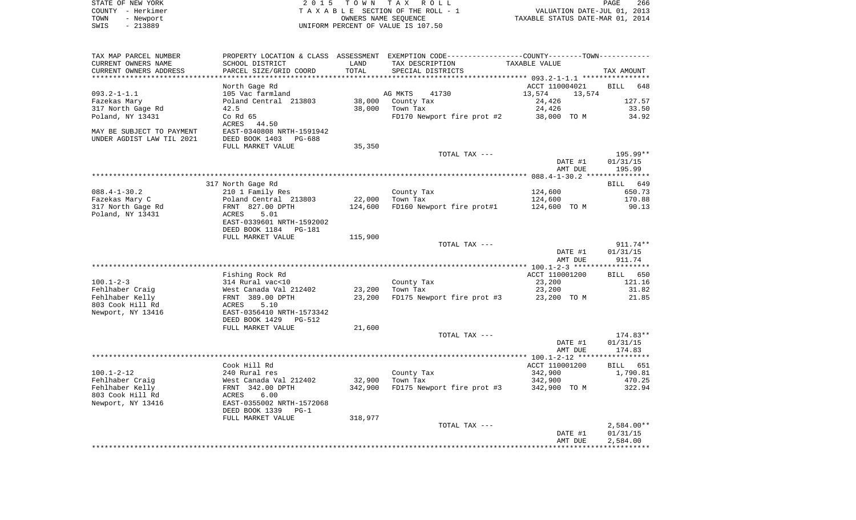|      | STATE OF NEW YORK | 2015 TOWN TAX ROLL                 |                                  | PAGE | 266 |
|------|-------------------|------------------------------------|----------------------------------|------|-----|
|      | COUNTY - Herkimer | TAXABLE SECTION OF THE ROLL - 1    | VALUATION DATE-JUL 01, 2013      |      |     |
| TOWN | - Newport         | OWNERS NAME SEOUENCE               | TAXABLE STATUS DATE-MAR 01, 2014 |      |     |
| SWIS | - 213889          | UNIFORM PERCENT OF VALUE IS 107.50 |                                  |      |     |
|      |                   |                                    |                                  |      |     |

| TAX MAP PARCEL NUMBER     |                           |         | PROPERTY LOCATION & CLASS ASSESSMENT EXEMPTION CODE----------------COUNTY-------TOWN--------- |                  |              |
|---------------------------|---------------------------|---------|-----------------------------------------------------------------------------------------------|------------------|--------------|
| CURRENT OWNERS NAME       | SCHOOL DISTRICT           | LAND    | TAX DESCRIPTION                                                                               | TAXABLE VALUE    |              |
| CURRENT OWNERS ADDRESS    | PARCEL SIZE/GRID COORD    | TOTAL   | SPECIAL DISTRICTS                                                                             |                  | TAX AMOUNT   |
|                           |                           |         |                                                                                               |                  |              |
|                           | North Gage Rd             |         |                                                                                               | ACCT 110004021   | BILL 648     |
| $093.2 - 1 - 1.1$         | 105 Vac farmland          |         | AG MKTS<br>41730                                                                              | 13,574<br>13,574 |              |
| Fazekas Mary              | Poland Central 213803     | 38,000  | County Tax                                                                                    | 24,426           | 127.57       |
| 317 North Gage Rd         | 42.5                      | 38,000  | Town Tax                                                                                      | 24,426           | 33.50        |
| Poland, NY 13431          | Co Rd 65                  |         | FD170 Newport fire prot #2                                                                    | 38,000 TO M      | 34.92        |
|                           | ACRES 44.50               |         |                                                                                               |                  |              |
| MAY BE SUBJECT TO PAYMENT | EAST-0340808 NRTH-1591942 |         |                                                                                               |                  |              |
| UNDER AGDIST LAW TIL 2021 | DEED BOOK 1403<br>PG-688  |         |                                                                                               |                  |              |
|                           | FULL MARKET VALUE         | 35,350  |                                                                                               |                  |              |
|                           |                           |         | TOTAL TAX ---                                                                                 |                  | 195.99**     |
|                           |                           |         |                                                                                               | DATE #1          | 01/31/15     |
|                           |                           |         |                                                                                               | AMT DUE          | 195.99       |
|                           |                           |         |                                                                                               |                  |              |
|                           | 317 North Gage Rd         |         |                                                                                               |                  | BILL 649     |
| $088.4 - 1 - 30.2$        | 210 1 Family Res          |         | County Tax                                                                                    | 124,600          | 650.73       |
| Fazekas Mary C            | Poland Central 213803     | 22,000  | Town Tax                                                                                      | 124,600          | 170.88       |
| 317 North Gage Rd         | FRNT 827.00 DPTH          | 124,600 | FD160 Newport fire prot#1                                                                     | 124,600 TO M     | 90.13        |
| Poland, NY 13431          | 5.01<br>ACRES             |         |                                                                                               |                  |              |
|                           | EAST-0339601 NRTH-1592002 |         |                                                                                               |                  |              |
|                           | DEED BOOK 1184 PG-181     |         |                                                                                               |                  |              |
|                           | FULL MARKET VALUE         | 115,900 |                                                                                               |                  |              |
|                           |                           |         | TOTAL TAX ---                                                                                 |                  | $911.74**$   |
|                           |                           |         |                                                                                               | DATE #1          | 01/31/15     |
|                           |                           |         |                                                                                               | AMT DUE          | 911.74       |
|                           |                           |         |                                                                                               |                  |              |
|                           | Fishing Rock Rd           |         |                                                                                               | ACCT 110001200   | BILL 650     |
| $100.1 - 2 - 3$           | 314 Rural vac<10          |         | County Tax                                                                                    | 23,200           | 121.16       |
| Fehlhaber Craig           | West Canada Val 212402    | 23,200  | Town Tax                                                                                      | 23,200           | 31.82        |
| Fehlhaber Kelly           | FRNT 389.00 DPTH          | 23,200  | FD175 Newport fire prot #3                                                                    | 23,200 TO M      | 21.85        |
| 803 Cook Hill Rd          | ACRES<br>5.10             |         |                                                                                               |                  |              |
| Newport, NY 13416         | EAST-0356410 NRTH-1573342 |         |                                                                                               |                  |              |
|                           | DEED BOOK 1429<br>PG-512  |         |                                                                                               |                  |              |
|                           | FULL MARKET VALUE         | 21,600  |                                                                                               |                  |              |
|                           |                           |         | TOTAL TAX ---                                                                                 |                  | 174.83**     |
|                           |                           |         |                                                                                               | DATE #1          | 01/31/15     |
|                           |                           |         |                                                                                               | AMT DUE          | 174.83       |
|                           |                           |         |                                                                                               |                  |              |
|                           | Cook Hill Rd              |         |                                                                                               | ACCT 110001200   | BILL 651     |
| $100.1 - 2 - 12$          | 240 Rural res             |         | County Tax                                                                                    | 342,900          | 1,790.81     |
| Fehlhaber Craig           | West Canada Val 212402    | 32,900  | Town Tax                                                                                      | 342,900          | 470.25       |
| Fehlhaber Kelly           | FRNT 342.00 DPTH          | 342,900 | FD175 Newport fire prot #3                                                                    | 342,900 TO M     | 322.94       |
| 803 Cook Hill Rd          | ACRES<br>6.00             |         |                                                                                               |                  |              |
| Newport, NY 13416         | EAST-0355002 NRTH-1572068 |         |                                                                                               |                  |              |
|                           | DEED BOOK 1339<br>$PG-1$  |         |                                                                                               |                  |              |
|                           | FULL MARKET VALUE         | 318,977 |                                                                                               |                  |              |
|                           |                           |         | TOTAL TAX ---                                                                                 |                  | $2,584.00**$ |
|                           |                           |         |                                                                                               | DATE #1          | 01/31/15     |
|                           |                           |         |                                                                                               | AMT DUE          | 2,584.00     |
|                           |                           |         |                                                                                               |                  |              |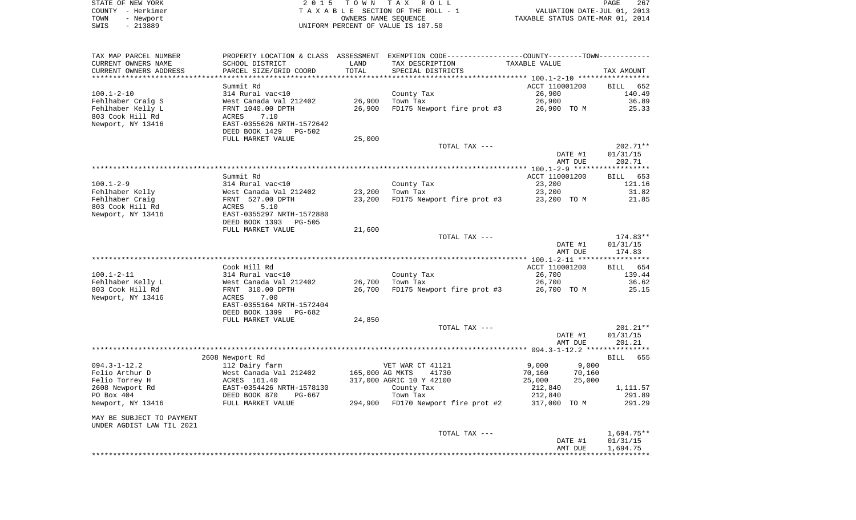| STATE OF NEW YORK | 2015 TOWN TAX ROLL                 | 267<br><b>PAGE</b>               |
|-------------------|------------------------------------|----------------------------------|
| COUNTY - Herkimer | TAXABLE SECTION OF THE ROLL - 1    | VALUATION DATE-JUL 01, 2013      |
| TOWN<br>- Newport | OWNERS NAME SEOUENCE               | TAXABLE STATUS DATE-MAR 01, 2014 |
| - 213889<br>SWIS  | UNIFORM PERCENT OF VALUE IS 107.50 |                                  |

| TAX MAP PARCEL NUMBER      |                                               |                 | PROPERTY LOCATION & CLASS ASSESSMENT EXEMPTION CODE----------------COUNTY--------TOWN---------- |                  |            |
|----------------------------|-----------------------------------------------|-----------------|-------------------------------------------------------------------------------------------------|------------------|------------|
| CURRENT OWNERS NAME        | SCHOOL DISTRICT                               | LAND            | TAX DESCRIPTION                                                                                 | TAXABLE VALUE    |            |
| CURRENT OWNERS ADDRESS     | PARCEL SIZE/GRID COORD                        | TOTAL           | SPECIAL DISTRICTS                                                                               |                  | TAX AMOUNT |
| ************************** |                                               |                 |                                                                                                 |                  |            |
|                            | Summit Rd                                     |                 |                                                                                                 | ACCT 110001200   | BILL 652   |
| $100.1 - 2 - 10$           | 314 Rural vac<10                              |                 | County Tax                                                                                      | 26,900           | 140.49     |
| Fehlhaber Craig S          | West Canada Val 212402                        | 26,900          | Town Tax                                                                                        | 26,900           | 36.89      |
| Fehlhaber Kelly L          | FRNT 1040.00 DPTH                             | 26,900          | FD175 Newport fire prot #3                                                                      | 26,900 TO M      | 25.33      |
| 803 Cook Hill Rd           | ACRES<br>7.10                                 |                 |                                                                                                 |                  |            |
| Newport, NY 13416          | EAST-0355626 NRTH-1572642                     |                 |                                                                                                 |                  |            |
|                            | DEED BOOK 1429<br>PG-502                      |                 |                                                                                                 |                  |            |
|                            | FULL MARKET VALUE                             | 25,000          |                                                                                                 |                  |            |
|                            |                                               |                 | TOTAL TAX ---                                                                                   |                  | $202.71**$ |
|                            |                                               |                 |                                                                                                 | DATE #1          | 01/31/15   |
|                            |                                               |                 |                                                                                                 | AMT DUE          | 202.71     |
|                            | Summit Rd                                     |                 |                                                                                                 | ACCT 110001200   | BILL 653   |
| $100.1 - 2 - 9$            | 314 Rural vac<10                              |                 | County Tax                                                                                      | 23,200           | 121.16     |
| Fehlhaber Kelly            | West Canada Val 212402                        | 23,200          | Town Tax                                                                                        | 23,200           | 31.82      |
| Fehlhaber Craig            | FRNT 527.00 DPTH                              | 23,200          | FD175 Newport fire prot #3                                                                      | 23,200 TO M      | 21.85      |
| 803 Cook Hill Rd           | 5.10<br>ACRES                                 |                 |                                                                                                 |                  |            |
| Newport, NY 13416          | EAST-0355297 NRTH-1572880                     |                 |                                                                                                 |                  |            |
|                            | DEED BOOK 1393<br>PG-505                      |                 |                                                                                                 |                  |            |
|                            | FULL MARKET VALUE                             | 21,600          |                                                                                                 |                  |            |
|                            |                                               |                 | TOTAL TAX ---                                                                                   |                  | 174.83**   |
|                            |                                               |                 |                                                                                                 | DATE #1          | 01/31/15   |
|                            |                                               |                 |                                                                                                 | AMT DUE          | 174.83     |
|                            |                                               |                 |                                                                                                 |                  |            |
|                            | Cook Hill Rd                                  |                 |                                                                                                 | ACCT 110001200   | BILL 654   |
| $100.1 - 2 - 11$           | 314 Rural vac<10                              |                 | County Tax                                                                                      | 26,700           | 139.44     |
| Fehlhaber Kelly L          | West Canada Val 212402                        | 26,700          | Town Tax                                                                                        | 26,700           | 36.62      |
| 803 Cook Hill Rd           | FRNT 310.00 DPTH                              | 26,700          | FD175 Newport fire prot #3                                                                      | 26,700 TO M      | 25.15      |
| Newport, NY 13416          | ACRES<br>7.00                                 |                 |                                                                                                 |                  |            |
|                            | EAST-0355164 NRTH-1572404                     |                 |                                                                                                 |                  |            |
|                            | DEED BOOK 1399<br>PG-682<br>FULL MARKET VALUE | 24,850          |                                                                                                 |                  |            |
|                            |                                               |                 | TOTAL TAX ---                                                                                   |                  | $201.21**$ |
|                            |                                               |                 |                                                                                                 | DATE #1          | 01/31/15   |
|                            |                                               |                 |                                                                                                 | AMT DUE          | 201.21     |
|                            |                                               |                 |                                                                                                 |                  |            |
|                            | 2608 Newport Rd                               |                 |                                                                                                 |                  | BILL 655   |
| $094.3 - 1 - 12.2$         | 112 Dairy farm                                |                 | VET WAR CT 41121                                                                                | 9,000<br>9,000   |            |
| Felio Arthur D             | West Canada Val 212402                        | 165,000 AG MKTS | 41730                                                                                           | 70,160<br>70,160 |            |
| Felio Torrey H             | ACRES 161.40                                  |                 | 317,000 AGRIC 10 Y 42100                                                                        | 25,000<br>25,000 |            |
| 2608 Newport Rd            | EAST-0354426 NRTH-1578130                     |                 | County Tax                                                                                      | 212,840          | 1,111.57   |
| PO Box 404                 | DEED BOOK 870<br>PG-667                       |                 | Town Tax                                                                                        | 212,840          | 291.89     |
| Newport, NY 13416          | FULL MARKET VALUE                             | 294,900         | FD170 Newport fire prot #2                                                                      | 317,000<br>TO M  | 291.29     |
|                            |                                               |                 |                                                                                                 |                  |            |
| MAY BE SUBJECT TO PAYMENT  |                                               |                 |                                                                                                 |                  |            |
| UNDER AGDIST LAW TIL 2021  |                                               |                 |                                                                                                 |                  |            |
|                            |                                               |                 | TOTAL TAX ---                                                                                   |                  | 1,694.75** |
|                            |                                               |                 |                                                                                                 | DATE #1          | 01/31/15   |
|                            |                                               |                 |                                                                                                 | AMT DUE          | 1,694.75   |
|                            |                                               |                 |                                                                                                 |                  |            |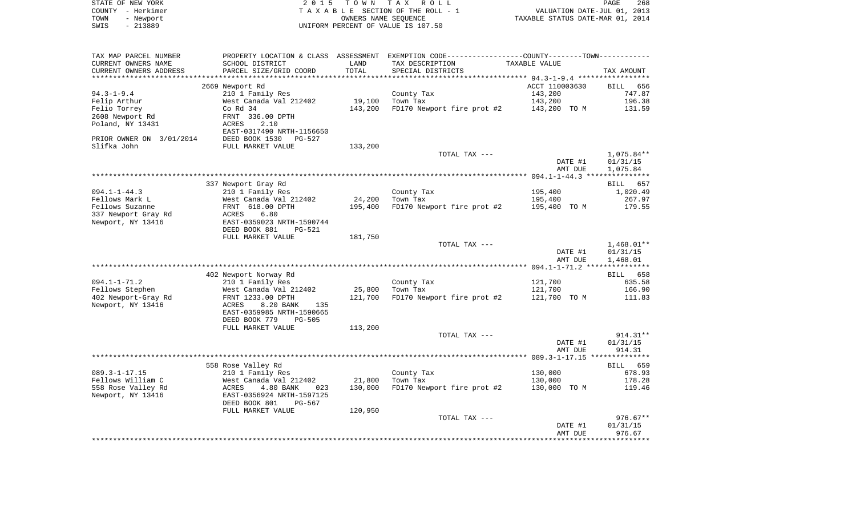| STATE OF NEW YORK        |                                       |                      | 2015 TOWN TAX ROLL                                        |                                  | PAGE<br>268    |
|--------------------------|---------------------------------------|----------------------|-----------------------------------------------------------|----------------------------------|----------------|
| COUNTY - Herkimer        |                                       |                      | TAXABLE SECTION OF THE ROLL - 1                           | VALUATION DATE-JUL 01, 2013      |                |
| TOWN<br>- Newport        |                                       | OWNERS NAME SEQUENCE |                                                           | TAXABLE STATUS DATE-MAR 01, 2014 |                |
| SWIS<br>$-213889$        |                                       |                      | UNIFORM PERCENT OF VALUE IS 107.50                        |                                  |                |
| TAX MAP PARCEL NUMBER    | PROPERTY LOCATION & CLASS ASSESSMENT  |                      | EXEMPTION CODE----------------COUNTY-------TOWN---------- |                                  |                |
| CURRENT OWNERS NAME      | SCHOOL DISTRICT                       | LAND                 | TAX DESCRIPTION                                           | TAXABLE VALUE                    |                |
| CURRENT OWNERS ADDRESS   | PARCEL SIZE/GRID COORD                | TOTAL                | SPECIAL DISTRICTS                                         |                                  | TAX AMOUNT     |
|                          |                                       |                      |                                                           |                                  |                |
|                          | 2669 Newport Rd                       |                      |                                                           | ACCT 110003630                   | BILL 656       |
| $94.3 - 1 - 9.4$         | 210 1 Family Res                      |                      | County Tax                                                | 143,200                          | 747.87         |
| Felip Arthur             | West Canada Val 212402                | 19,100               | Town Tax                                                  | 143,200                          | 196.38         |
| Felio Torrey             | Co $Rd$ 34                            | 143,200              | FD170 Newport fire prot #2                                | 143,200 TO M                     | 131.59         |
| 2608 Newport Rd          | FRNT 336.00 DPTH                      |                      |                                                           |                                  |                |
| Poland, NY 13431         | ACRES<br>2.10                         |                      |                                                           |                                  |                |
|                          | EAST-0317490 NRTH-1156650             |                      |                                                           |                                  |                |
| PRIOR OWNER ON 3/01/2014 | DEED BOOK 1530<br>PG-527              |                      |                                                           |                                  |                |
| Slifka John              | FULL MARKET VALUE                     | 133,200              |                                                           |                                  |                |
|                          |                                       |                      | TOTAL TAX ---                                             |                                  | $1,075.84**$   |
|                          |                                       |                      |                                                           | DATE #1                          | 01/31/15       |
|                          |                                       |                      |                                                           | AMT DUE                          | 1,075.84       |
|                          |                                       |                      |                                                           |                                  |                |
|                          | 337 Newport Gray Rd                   |                      |                                                           |                                  | BILL 657       |
| $094.1 - 1 - 44.3$       | 210 1 Family Res                      |                      | County Tax                                                | 195,400                          | 1,020.49       |
| Fellows Mark L           | West Canada Val 212402                | 24,200               | Town Tax                                                  | 195,400                          | 267.97         |
| Fellows Suzanne          | FRNT 618.00 DPTH                      | 195,400              | FD170 Newport fire prot #2                                | 195,400 TO M                     | 179.55         |
| 337 Newport Gray Rd      | ACRES<br>6.80                         |                      |                                                           |                                  |                |
| Newport, NY 13416        | EAST-0359023 NRTH-1590744<br>$PG-521$ |                      |                                                           |                                  |                |
|                          | DEED BOOK 881<br>FULL MARKET VALUE    | 181,750              |                                                           |                                  |                |
|                          |                                       |                      | TOTAL TAX ---                                             |                                  | $1,468.01**$   |
|                          |                                       |                      |                                                           | DATE #1                          | 01/31/15       |
|                          |                                       |                      |                                                           | AMT DUE                          | 1,468.01       |
|                          |                                       |                      |                                                           |                                  |                |
|                          | 402 Newport Norway Rd                 |                      |                                                           |                                  | BILL 658       |
| $094.1 - 1 - 71.2$       | 210 1 Family Res                      |                      | County Tax                                                | 121,700                          | 635.58         |
| Fellows Stephen          | West Canada Val 212402                | 25,800               | Town Tax                                                  | 121,700                          | 166.90         |
| 402 Newport-Gray Rd      | FRNT 1233.00 DPTH                     | 121,700              | FD170 Newport fire prot #2                                | 121,700 TO M                     | 111.83         |
| Newport, NY 13416        | ACRES<br>8.20 BANK<br>135             |                      |                                                           |                                  |                |
|                          | EAST-0359985 NRTH-1590665             |                      |                                                           |                                  |                |
|                          | DEED BOOK 779<br><b>PG-505</b>        |                      |                                                           |                                  |                |
|                          | FULL MARKET VALUE                     | 113,200              |                                                           |                                  |                |
|                          |                                       |                      | TOTAL TAX ---                                             |                                  | $914.31**$     |
|                          |                                       |                      |                                                           | DATE #1                          | 01/31/15       |
|                          |                                       |                      |                                                           | AMT DUE                          | 914.31         |
|                          |                                       |                      |                                                           | ************** 089.3-1-17.15     | ************** |
|                          | 558 Rose Valley Rd                    |                      |                                                           |                                  | BILL<br>659    |
| $089.3 - 1 - 17.15$      | 210 1 Family Res                      |                      | County Tax                                                | 130,000                          | 678.93         |
| Fellows William C        | West Canada Val 212402                | 21,800               | Town Tax                                                  | 130,000                          | 178.28         |
| 558 Rose Valley Rd       | ACRES<br>4.80 BANK<br>023             | 130,000              | FD170 Newport fire prot #2                                | 130,000 TO M                     | 119.46         |
| Newport, NY 13416        | EAST-0356924 NRTH-1597125             |                      |                                                           |                                  |                |

\*\*\*\*\*\*\*\*\*\*\*\*\*\*\*\*\*\*\*\*\*\*\*\*\*\*\*\*\*\*\*\*\*\*\*\*\*\*\*\*\*\*\*\*\*\*\*\*\*\*\*\*\*\*\*\*\*\*\*\*\*\*\*\*\*\*\*\*\*\*\*\*\*\*\*\*\*\*\*\*\*\*\*\*\*\*\*\*\*\*\*\*\*\*\*\*\*\*\*\*\*\*\*\*\*\*\*\*\*\*\*\*\*\*\*\*\*\*\*\*\*\*\*\*\*\*\*\*\*\*\*\*

TOTAL TAX  $---$ 

 $976.67**$  $01/31/15$ 

976.67

DATE #1<br>AMT DUE

EAST-0356924 NRTH-1597125 DEED BOOK 801 PG-567

FULL MARKET VALUE 120,950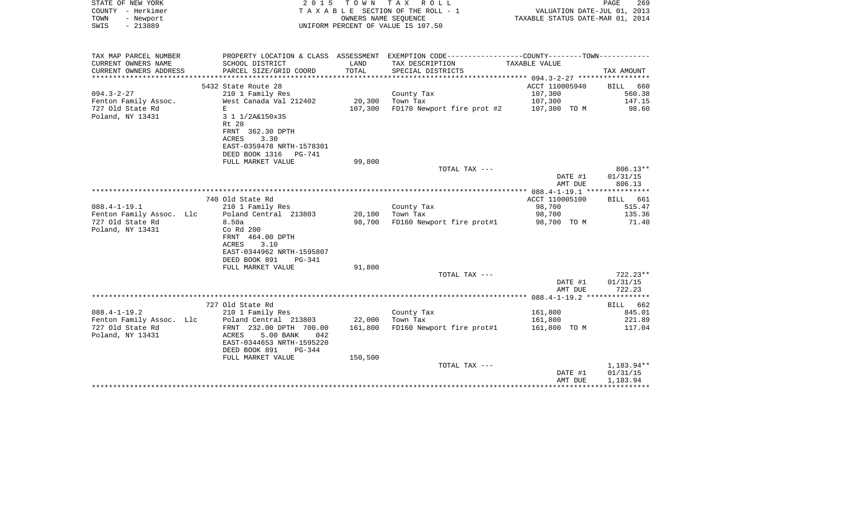| STATE OF NEW YORK<br>COUNTY - Herkimer<br>TOWN<br>- Newport<br>$-213889$<br>SWIS | 2 0 1 5                                                                                                                                     | T O W N<br>OWNERS NAME SEQUENCE | TAX ROLL<br>T A X A B L E SECTION OF THE ROLL - 1<br>UNIFORM PERCENT OF VALUE IS 107.50                          | VALUATION DATE-JUL 01, 2013<br>TAXABLE STATUS DATE-MAR 01, 2014 | PAGE<br>269          |
|----------------------------------------------------------------------------------|---------------------------------------------------------------------------------------------------------------------------------------------|---------------------------------|------------------------------------------------------------------------------------------------------------------|-----------------------------------------------------------------|----------------------|
| TAX MAP PARCEL NUMBER<br>CURRENT OWNERS NAME                                     | SCHOOL DISTRICT                                                                                                                             | LAND<br>TOTAL                   | PROPERTY LOCATION & CLASS ASSESSMENT EXEMPTION CODE---------------COUNTY-------TOWN----------<br>TAX DESCRIPTION | TAXABLE VALUE                                                   |                      |
| CURRENT OWNERS ADDRESS<br>********************                                   | PARCEL SIZE/GRID COORD<br>***************************                                                                                       |                                 | SPECIAL DISTRICTS                                                                                                |                                                                 | TAX AMOUNT           |
|                                                                                  | 5432 State Route 28                                                                                                                         |                                 |                                                                                                                  | ACCT 110005940                                                  | <b>BILL</b><br>660   |
| $094.3 - 2 - 27$                                                                 | 210 1 Family Res                                                                                                                            |                                 | County Tax                                                                                                       | 107,300                                                         | 560.38               |
| Fenton Family Assoc.<br>727 Old State Rd                                         | West Canada Val 212402<br>E.                                                                                                                | 20,300<br>107,300               | Town Tax                                                                                                         | 107,300                                                         | 147.15<br>98.60      |
| Poland, NY 13431                                                                 | 3 1 1/2A&150x35<br>Rt 28<br>FRNT 362.30 DPTH<br>3.30<br>ACRES<br>EAST-0359478 NRTH-1578301<br>DEED BOOK 1316<br>PG-741<br>FULL MARKET VALUE | 99,800                          | FD170 Newport fire prot #2                                                                                       | 107,300 TO M                                                    |                      |
|                                                                                  |                                                                                                                                             |                                 | TOTAL TAX ---                                                                                                    |                                                                 | $806.13**$           |
|                                                                                  |                                                                                                                                             |                                 |                                                                                                                  | DATE #1<br>AMT DUE                                              | 01/31/15<br>806.13   |
|                                                                                  | 740 Old State Rd                                                                                                                            |                                 |                                                                                                                  | ACCT 110005100                                                  | <b>BILL</b><br>661   |
| $088.4 - 1 - 19.1$                                                               | 210 1 Family Res                                                                                                                            |                                 | County Tax                                                                                                       | 98,700                                                          | 515.47               |
| Fenton Family Assoc. Llc                                                         | Poland Central 213803                                                                                                                       | 20,100                          | Town Tax                                                                                                         | 98,700                                                          | 135.36               |
| 727 Old State Rd<br>Poland, NY 13431                                             | 8.50a<br>Co Rd 200<br>FRNT 464.00 DPTH<br>ACRES<br>3.10<br>EAST-0344962 NRTH-1595807<br>DEED BOOK 891<br><b>PG-341</b><br>FULL MARKET VALUE | 98,700<br>91,800                | FD160 Newport fire prot#1                                                                                        | 98,700 TO M                                                     | 71.40                |
|                                                                                  |                                                                                                                                             |                                 | TOTAL TAX ---                                                                                                    |                                                                 | $722.23**$           |
|                                                                                  |                                                                                                                                             |                                 |                                                                                                                  | DATE #1<br>AMT DUE                                              | 01/31/15<br>722.23   |
|                                                                                  | 727 Old State Rd                                                                                                                            |                                 |                                                                                                                  |                                                                 | BILL<br>662          |
| $088.4 - 1 - 19.2$                                                               | 210 1 Family Res                                                                                                                            |                                 | County Tax                                                                                                       | 161,800                                                         | 845.01               |
| Fenton Family Assoc. Llc                                                         | Poland Central 213803                                                                                                                       | 22,000                          | Town Tax                                                                                                         | 161,800                                                         | 221.89               |
| 727 Old State Rd<br>Poland, NY 13431                                             | FRNT 232.00 DPTH 700.00<br>ACRES<br>5.00 BANK<br>042<br>EAST-0344653 NRTH-1595220<br>DEED BOOK 891<br>$PG-344$<br>FULL MARKET VALUE         | 161,800<br>150,500              | FD160 Newport fire prot#1                                                                                        | 161,800 TO M                                                    | 117.04               |
|                                                                                  |                                                                                                                                             |                                 | TOTAL TAX ---                                                                                                    |                                                                 | 1,183.94**           |
|                                                                                  |                                                                                                                                             |                                 |                                                                                                                  | DATE #1<br>AMT DUE                                              | 01/31/15<br>1,183.94 |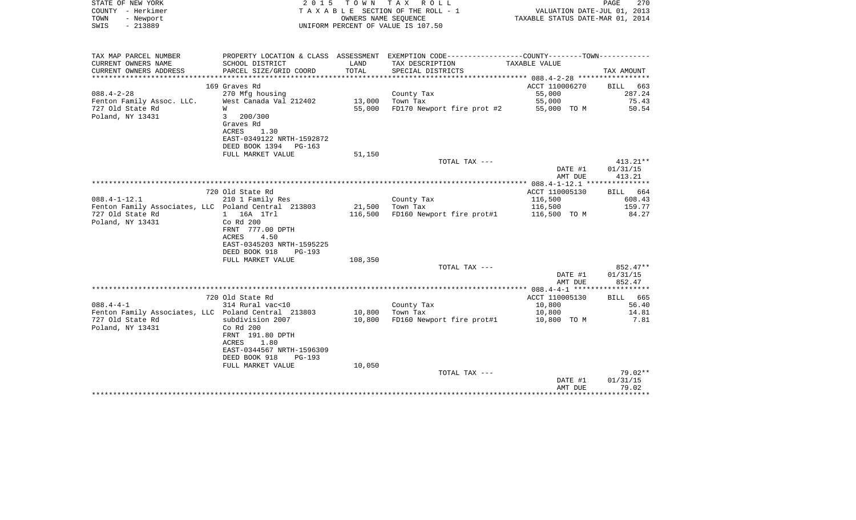| STATE OF NEW YORK<br>COUNTY - Herkimer<br>- Newport<br>TOWN<br>$-213889$<br>SWIS |                                                       |         | 2015 TOWN TAX ROLL<br>TAXABLE SECTION OF THE ROLL - 1<br>OWNERS NAME SEQUENCE<br>UNIFORM PERCENT OF VALUE IS 107.50 | VALUATION DATE-JUL 01, 2013<br>TAXABLE STATUS DATE-MAR 01, 2014 | PAGE<br>270        |
|----------------------------------------------------------------------------------|-------------------------------------------------------|---------|---------------------------------------------------------------------------------------------------------------------|-----------------------------------------------------------------|--------------------|
|                                                                                  |                                                       |         |                                                                                                                     |                                                                 |                    |
| TAX MAP PARCEL NUMBER                                                            |                                                       |         | PROPERTY LOCATION & CLASS ASSESSMENT EXEMPTION CODE---------------COUNTY-------TOWN----------                       |                                                                 |                    |
| CURRENT OWNERS NAME                                                              | SCHOOL DISTRICT                                       | LAND    | TAX DESCRIPTION                                                                                                     | TAXABLE VALUE                                                   |                    |
| CURRENT OWNERS ADDRESS                                                           | PARCEL SIZE/GRID COORD                                | TOTAL   | SPECIAL DISTRICTS                                                                                                   |                                                                 | TAX AMOUNT         |
|                                                                                  | ***************************                           |         | ****************************                                                                                        | ******************** 088.4-2-28 ******************              |                    |
| $088.4 - 2 - 28$                                                                 | 169 Graves Rd                                         |         |                                                                                                                     | ACCT 110006270                                                  | BILL 663           |
| Fenton Family Assoc. LLC.                                                        | 270 Mfg housing<br>West Canada Val 212402             | 13,000  | County Tax<br>Town Tax                                                                                              | 55,000<br>55,000                                                | 287.24<br>75.43    |
| 727 Old State Rd                                                                 | W                                                     | 55,000  | FD170 Newport fire prot #2                                                                                          | 55,000 TO M                                                     | 50.54              |
| Poland, NY 13431                                                                 | $3\ 200/300$                                          |         |                                                                                                                     |                                                                 |                    |
|                                                                                  | Graves Rd                                             |         |                                                                                                                     |                                                                 |                    |
|                                                                                  | ACRES<br>1.30                                         |         |                                                                                                                     |                                                                 |                    |
|                                                                                  | EAST-0349122 NRTH-1592872<br>DEED BOOK 1394<br>PG-163 |         |                                                                                                                     |                                                                 |                    |
|                                                                                  | FULL MARKET VALUE                                     | 51,150  |                                                                                                                     |                                                                 |                    |
|                                                                                  |                                                       |         | TOTAL TAX ---                                                                                                       |                                                                 | $413.21**$         |
|                                                                                  |                                                       |         |                                                                                                                     | DATE #1                                                         | 01/31/15           |
|                                                                                  |                                                       |         |                                                                                                                     | AMT DUE                                                         | 413.21             |
|                                                                                  | 720 Old State Rd                                      |         |                                                                                                                     | ACCT 110005130                                                  | BILL 664           |
| $088.4 - 1 - 12.1$                                                               | 210 1 Family Res                                      |         | County Tax                                                                                                          | 116,500                                                         | 608.43             |
| Fenton Family Associates, LLC Poland Central 213803                              |                                                       | 21,500  | Town Tax                                                                                                            | 116,500                                                         | 159.77             |
| 727 Old State Rd                                                                 | 1 16A 1Trl                                            | 116,500 | FD160 Newport fire prot#1                                                                                           | 116,500 TO M                                                    | 84.27              |
| Poland, NY 13431                                                                 | Co Rd 200                                             |         |                                                                                                                     |                                                                 |                    |
|                                                                                  | FRNT 777.00 DPTH<br>ACRES<br>4.50                     |         |                                                                                                                     |                                                                 |                    |
|                                                                                  | EAST-0345203 NRTH-1595225                             |         |                                                                                                                     |                                                                 |                    |
|                                                                                  | DEED BOOK 918<br>PG-193                               |         |                                                                                                                     |                                                                 |                    |
|                                                                                  | FULL MARKET VALUE                                     | 108,350 |                                                                                                                     |                                                                 |                    |
|                                                                                  |                                                       |         | TOTAL TAX ---                                                                                                       |                                                                 | 852.47**           |
|                                                                                  |                                                       |         |                                                                                                                     | DATE #1<br>AMT DUE                                              | 01/31/15<br>852.47 |
|                                                                                  |                                                       |         |                                                                                                                     |                                                                 |                    |
|                                                                                  | 720 Old State Rd                                      |         |                                                                                                                     | ACCT 110005130                                                  | BILL 665           |
| $088.4 - 4 - 1$                                                                  | 314 Rural vac<10                                      |         | County Tax                                                                                                          | 10,800                                                          | 56.40              |
| Fenton Family Associates, LLC Poland Central 213803                              |                                                       | 10,800  | Town Tax                                                                                                            | 10,800                                                          | 14.81              |
| 727 Old State Rd<br>Poland, NY 13431                                             | subdivision 2007<br>Co Rd 200                         | 10,800  | FD160 Newport fire prot#1                                                                                           | 10,800 TO M                                                     | 7.81               |
|                                                                                  | FRNT 191.80 DPTH                                      |         |                                                                                                                     |                                                                 |                    |
|                                                                                  | ACRES<br>1.80                                         |         |                                                                                                                     |                                                                 |                    |
|                                                                                  | EAST-0344567 NRTH-1596309                             |         |                                                                                                                     |                                                                 |                    |
|                                                                                  | DEED BOOK 918<br>PG-193                               |         |                                                                                                                     |                                                                 |                    |
|                                                                                  | FULL MARKET VALUE                                     | 10,050  | TOTAL TAX ---                                                                                                       |                                                                 | $79.02**$          |
|                                                                                  |                                                       |         |                                                                                                                     | DATE #1                                                         | 01/31/15           |
|                                                                                  |                                                       |         |                                                                                                                     | AMT DUE                                                         | 79.02              |
|                                                                                  |                                                       |         |                                                                                                                     | * * * * * * * * * * * * * * * *                                 | **********         |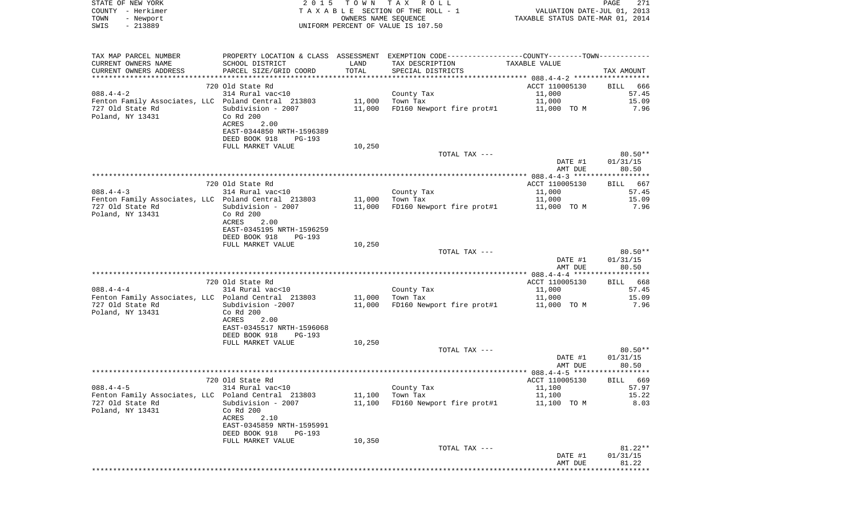| STATE OF NEW YORK                                   |                                      |        | 2015 TOWN TAX ROLL                                                                            |                                  | 271<br>PAGE       |
|-----------------------------------------------------|--------------------------------------|--------|-----------------------------------------------------------------------------------------------|----------------------------------|-------------------|
| COUNTY - Herkimer                                   |                                      |        | TAXABLE SECTION OF THE ROLL - 1                                                               | VALUATION DATE-JUL 01, 2013      |                   |
| TOWN<br>- Newport                                   |                                      |        | OWNERS NAME SEQUENCE                                                                          | TAXABLE STATUS DATE-MAR 01, 2014 |                   |
| $-213889$<br>SWIS                                   |                                      |        | UNIFORM PERCENT OF VALUE IS 107.50                                                            |                                  |                   |
|                                                     |                                      |        |                                                                                               |                                  |                   |
| TAX MAP PARCEL NUMBER                               |                                      |        | PROPERTY LOCATION & CLASS ASSESSMENT EXEMPTION CODE---------------COUNTY-------TOWN---------- |                                  |                   |
| CURRENT OWNERS NAME                                 | SCHOOL DISTRICT                      | LAND   | TAX DESCRIPTION                                                                               | TAXABLE VALUE                    |                   |
| CURRENT OWNERS ADDRESS                              | PARCEL SIZE/GRID COORD               | TOTAL  | SPECIAL DISTRICTS                                                                             |                                  | TAX AMOUNT        |
|                                                     | 720 Old State Rd                     |        |                                                                                               | ACCT 110005130                   | BILL 666          |
| $088.4 - 4 - 2$                                     | 314 Rural vac<10                     |        | County Tax                                                                                    | 11,000                           | 57.45             |
| Fenton Family Associates, LLC Poland Central 213803 |                                      | 11,000 | Town Tax                                                                                      | 11,000                           | 15.09             |
| 727 Old State Rd                                    | Subdivision - 2007                   | 11,000 | FD160 Newport fire prot#1 11,000 TO M                                                         |                                  | 7.96              |
| Poland, NY 13431                                    | Co Rd 200                            |        |                                                                                               |                                  |                   |
|                                                     | ACRES<br>2.00                        |        |                                                                                               |                                  |                   |
|                                                     | EAST-0344850 NRTH-1596389            |        |                                                                                               |                                  |                   |
|                                                     | DEED BOOK 918<br>PG-193              |        |                                                                                               |                                  |                   |
|                                                     | FULL MARKET VALUE                    | 10,250 | TOTAL TAX ---                                                                                 |                                  | $80.50**$         |
|                                                     |                                      |        |                                                                                               | DATE #1                          | 01/31/15          |
|                                                     |                                      |        |                                                                                               | AMT DUE                          | 80.50             |
|                                                     |                                      |        |                                                                                               |                                  |                   |
|                                                     | 720 Old State Rd                     |        |                                                                                               | ACCT 110005130                   | BILL 667          |
| $088.4 - 4 - 3$                                     | 314 Rural vac<10                     |        | County Tax                                                                                    | 11,000                           | 57.45             |
| Fenton Family Associates, LLC Poland Central 213803 |                                      | 11,000 | Town Tax                                                                                      | 11,000                           | 15.09             |
| 727 Old State Rd                                    | Subdivision - 2007                   | 11,000 | FD160 Newport fire prot#1                                                                     | 11,000 TO M                      | 7.96              |
| Poland, NY 13431                                    | Co Rd 200<br>ACRES<br>2.00           |        |                                                                                               |                                  |                   |
|                                                     | EAST-0345195 NRTH-1596259            |        |                                                                                               |                                  |                   |
|                                                     | DEED BOOK 918<br>PG-193              |        |                                                                                               |                                  |                   |
|                                                     | FULL MARKET VALUE                    | 10,250 |                                                                                               |                                  |                   |
|                                                     |                                      |        | TOTAL TAX ---                                                                                 |                                  | $80.50**$         |
|                                                     |                                      |        |                                                                                               | DATE #1                          | 01/31/15          |
|                                                     |                                      |        |                                                                                               | AMT DUE                          | 80.50             |
|                                                     |                                      |        |                                                                                               |                                  |                   |
| $088.4 - 4 - 4$                                     | 720 Old State Rd<br>314 Rural vac<10 |        | County Tax                                                                                    | ACCT 110005130<br>11,000         | BILL 668<br>57.45 |
| Fenton Family Associates, LLC Poland Central 213803 |                                      | 11,000 | Town Tax                                                                                      | 11,000                           | 15.09             |
| 727 Old State Rd                                    | Subdivision -2007                    | 11,000 | FD160 Newport fire prot#1                                                                     | 11,000 TO M                      | 7.96              |
| Poland, NY 13431                                    | Co Rd 200                            |        |                                                                                               |                                  |                   |
|                                                     | 2.00<br>ACRES                        |        |                                                                                               |                                  |                   |
|                                                     | EAST-0345517 NRTH-1596068            |        |                                                                                               |                                  |                   |
|                                                     | DEED BOOK 918<br>PG-193              |        |                                                                                               |                                  |                   |
|                                                     | FULL MARKET VALUE                    | 10,250 |                                                                                               |                                  |                   |
|                                                     |                                      |        | TOTAL TAX ---                                                                                 |                                  | $80.50**$         |
|                                                     |                                      |        |                                                                                               | DATE #1                          | 01/31/15<br>80.50 |
|                                                     |                                      |        |                                                                                               | AMT DUE                          |                   |
|                                                     | 720 Old State Rd                     |        |                                                                                               | ACCT 110005130                   | BILL 669          |
| $088.4 - 4 - 5$                                     | 314 Rural vac<10                     |        | County Tax                                                                                    | 11,100                           | 57.97             |
| Fenton Family Associates, LLC Poland Central 213803 |                                      | 11,100 | Town Tax                                                                                      | 11,100                           | 15.22             |
| 727 Old State Rd                                    | Subdivision - 2007                   | 11,100 | FD160 Newport fire prot#1                                                                     | 11,100 TO M                      | 8.03              |
| Poland, NY 13431                                    | Co Rd 200                            |        |                                                                                               |                                  |                   |
|                                                     | 2.10<br>ACRES                        |        |                                                                                               |                                  |                   |
|                                                     | EAST-0345859 NRTH-1595991            |        |                                                                                               |                                  |                   |
|                                                     | DEED BOOK 918<br>PG-193              |        |                                                                                               |                                  |                   |
|                                                     | FULL MARKET VALUE                    | 10,350 |                                                                                               |                                  |                   |

TOTAL TAX  $-- 81.22**$ DATE #1 01/31/15<br>AMT DUE 81.22 AMT DUE \*\*\*\*\*\*\*\*\*\*\*\*\*\*\*\*\*\*\*\*\*\*\*\*\*\*\*\*\*\*\*\*\*\*\*\*\*\*\*\*\*\*\*\*\*\*\*\*\*\*\*\*\*\*\*\*\*\*\*\*\*\*\*\*\*\*\*\*\*\*\*\*\*\*\*\*\*\*\*\*\*\*\*\*\*\*\*\*\*\*\*\*\*\*\*\*\*\*\*\*\*\*\*\*\*\*\*\*\*\*\*\*\*\*\*\*\*\*\*\*\*\*\*\*\*\*\*\*\*\*\*\*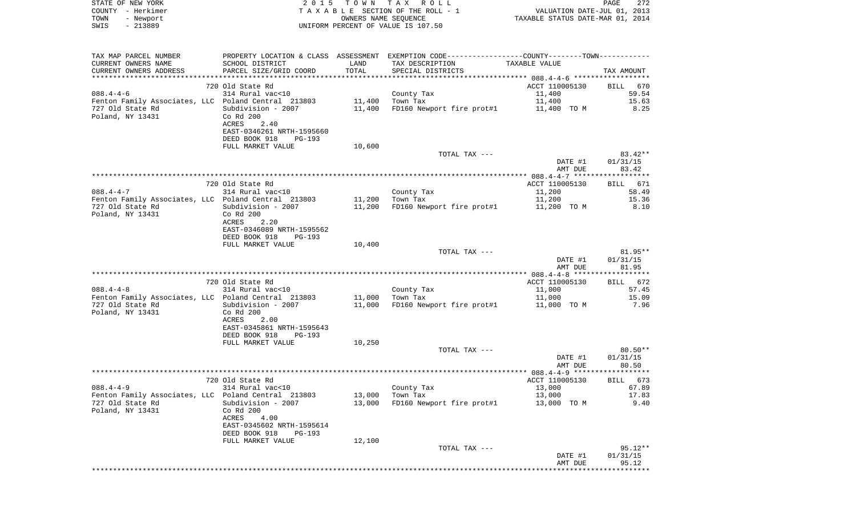| STATE OF NEW YORK                                                      |                                                      |        | 2015 TOWN TAX ROLL                                                                            |                                                                 | PAGE<br>272               |
|------------------------------------------------------------------------|------------------------------------------------------|--------|-----------------------------------------------------------------------------------------------|-----------------------------------------------------------------|---------------------------|
| COUNTY - Herkimer<br>- Newport<br>TOWN                                 |                                                      |        | TAXABLE SECTION OF THE ROLL - 1<br>OWNERS NAME SEQUENCE                                       | VALUATION DATE-JUL 01, 2013<br>TAXABLE STATUS DATE-MAR 01, 2014 |                           |
| $-213889$<br>SWIS                                                      |                                                      |        | UNIFORM PERCENT OF VALUE IS 107.50                                                            |                                                                 |                           |
| TAX MAP PARCEL NUMBER                                                  |                                                      |        | PROPERTY LOCATION & CLASS ASSESSMENT EXEMPTION CODE---------------COUNTY-------TOWN---------- |                                                                 |                           |
| CURRENT OWNERS NAME                                                    | SCHOOL DISTRICT                                      | LAND   | TAX DESCRIPTION                                                                               | TAXABLE VALUE                                                   |                           |
| CURRENT OWNERS ADDRESS                                                 | PARCEL SIZE/GRID COORD<br>************************** | TOTAL  | SPECIAL DISTRICTS                                                                             |                                                                 | TAX AMOUNT                |
| **********************                                                 | 720 Old State Rd                                     |        |                                                                                               | ACCT 110005130                                                  | BILL<br>670               |
| $088.4 - 4 - 6$                                                        | 314 Rural vac<10                                     |        | County Tax                                                                                    | 11,400                                                          | 59.54                     |
| Fenton Family Associates, LLC Poland Central 213803                    |                                                      | 11,400 | Town Tax                                                                                      | 11,400                                                          | 15.63                     |
| 727 Old State Rd                                                       | Subdivision - 2007                                   | 11,400 | FD160 Newport fire prot#1                                                                     | 11,400 TO M                                                     | 8.25                      |
| Poland, NY 13431                                                       | Co Rd 200<br>ACRES<br>2.40                           |        |                                                                                               |                                                                 |                           |
|                                                                        | EAST-0346261 NRTH-1595660                            |        |                                                                                               |                                                                 |                           |
|                                                                        | DEED BOOK 918<br>PG-193                              |        |                                                                                               |                                                                 |                           |
|                                                                        | FULL MARKET VALUE                                    | 10,600 |                                                                                               |                                                                 |                           |
|                                                                        |                                                      |        | TOTAL TAX ---                                                                                 | DATE #1                                                         | $83.42**$<br>01/31/15     |
|                                                                        |                                                      |        |                                                                                               | AMT DUE                                                         | 83.42                     |
|                                                                        |                                                      |        |                                                                                               | ************ 088.4-4-7 *******************                      |                           |
|                                                                        | 720 Old State Rd                                     |        |                                                                                               | ACCT 110005130                                                  | BILL 671                  |
| $088.4 - 4 - 7$<br>Fenton Family Associates, LLC Poland Central 213803 | 314 Rural vac<10                                     | 11,200 | County Tax<br>Town Tax                                                                        | 11,200<br>11,200                                                | 58.49<br>15.36            |
| 727 Old State Rd                                                       | Subdivision - 2007                                   | 11,200 | FD160 Newport fire prot#1                                                                     | 11,200 TO M                                                     | 8.10                      |
| Poland, NY 13431                                                       | Co Rd 200                                            |        |                                                                                               |                                                                 |                           |
|                                                                        | ACRES<br>2.20                                        |        |                                                                                               |                                                                 |                           |
|                                                                        | EAST-0346089 NRTH-1595562<br>DEED BOOK 918<br>PG-193 |        |                                                                                               |                                                                 |                           |
|                                                                        | FULL MARKET VALUE                                    | 10,400 |                                                                                               |                                                                 |                           |
|                                                                        |                                                      |        | TOTAL TAX ---                                                                                 |                                                                 | $81.95**$                 |
|                                                                        |                                                      |        |                                                                                               | DATE #1                                                         | 01/31/15                  |
|                                                                        |                                                      |        |                                                                                               | AMT DUE                                                         | 81.95                     |
|                                                                        | 720 Old State Rd                                     |        |                                                                                               | ACCT 110005130                                                  | BILL 672                  |
| $088.4 - 4 - 8$                                                        | 314 Rural vac<10                                     |        | County Tax                                                                                    | 11,000                                                          | 57.45                     |
| Fenton Family Associates, LLC Poland Central 213803                    |                                                      | 11,000 | Town Tax                                                                                      | 11,000                                                          | 15.09                     |
| 727 Old State Rd<br>Poland, NY 13431                                   | Subdivision - 2007<br>Co Rd 200                      | 11,000 | FD160 Newport fire prot#1                                                                     | 11,000 TO M                                                     | 7.96                      |
|                                                                        | ACRES<br>2.00                                        |        |                                                                                               |                                                                 |                           |
|                                                                        | EAST-0345861 NRTH-1595643                            |        |                                                                                               |                                                                 |                           |
|                                                                        | DEED BOOK 918<br>PG-193<br>FULL MARKET VALUE         |        |                                                                                               |                                                                 |                           |
|                                                                        |                                                      | 10,250 | TOTAL TAX ---                                                                                 |                                                                 | $80.50**$                 |
|                                                                        |                                                      |        |                                                                                               | DATE #1                                                         | 01/31/15                  |
|                                                                        |                                                      |        |                                                                                               | AMT DUE                                                         | 80.50                     |
|                                                                        | 720 Old State Rd                                     |        |                                                                                               | ACCT 110005130                                                  | *************<br>BILL 673 |
| $088.4 - 4 - 9$                                                        | 314 Rural vac<10                                     |        | County Tax                                                                                    | 13,000                                                          | 67.89                     |
| Fenton Family Associates, LLC Poland Central 213803                    |                                                      | 13,000 | Town Tax                                                                                      | 13,000                                                          | 17.83                     |
| 727 Old State Rd                                                       | Subdivision - 2007                                   | 13,000 | FD160 Newport fire prot#1                                                                     | 13,000 TO M                                                     | 9.40                      |
| Poland, NY 13431                                                       | Co Rd 200<br>4.00<br>ACRES                           |        |                                                                                               |                                                                 |                           |
|                                                                        | EAST-0345602 NRTH-1595614                            |        |                                                                                               |                                                                 |                           |
|                                                                        | DEED BOOK 918<br>PG-193                              |        |                                                                                               |                                                                 |                           |
|                                                                        | FULL MARKET VALUE                                    | 12,100 |                                                                                               |                                                                 |                           |
|                                                                        |                                                      |        | TOTAL TAX ---                                                                                 | DATE #1                                                         | $95.12**$<br>01/31/15     |
|                                                                        |                                                      |        |                                                                                               | AMT DUE                                                         | 95.12                     |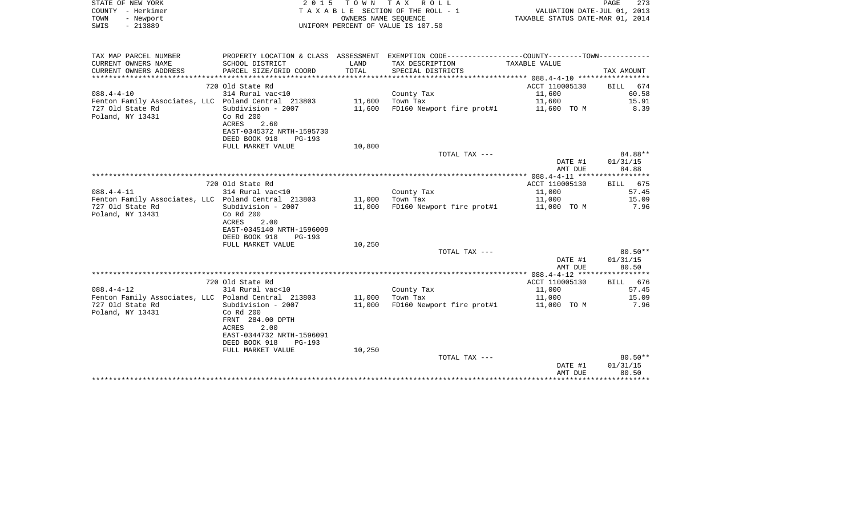| STATE OF NEW YORK                                          |                                                                                                 |                      | 2015 TOWN TAX ROLL                                              |                                                                       | 273<br>PAGE    |
|------------------------------------------------------------|-------------------------------------------------------------------------------------------------|----------------------|-----------------------------------------------------------------|-----------------------------------------------------------------------|----------------|
| COUNTY - Herkimer                                          |                                                                                                 |                      | TAXABLE SECTION OF THE ROLL - 1                                 | צאש<br>VALUATION DATE-JUL 01, 2013<br>עבר בבני השירה הישימים שנתמצמין |                |
| TOWN<br>- Newport                                          |                                                                                                 | OWNERS NAME SEQUENCE |                                                                 | TAXABLE STATUS DATE-MAR 01, 2014                                      |                |
| SWIS<br>$-213889$                                          |                                                                                                 |                      | UNIFORM PERCENT OF VALUE IS 107.50                              |                                                                       |                |
|                                                            |                                                                                                 |                      |                                                                 |                                                                       |                |
| TAX MAP PARCEL NUMBER                                      | PROPERTY LOCATION & CLASS ASSESSMENT EXEMPTION CODE----------------COUNTY--------TOWN---------- |                      |                                                                 |                                                                       |                |
| CURRENT OWNERS NAME                                        | SCHOOL DISTRICT                                                                                 | LAND                 | TAX DESCRIPTION TAXABLE VALUE                                   |                                                                       |                |
| CURRENT OWNERS ADDRESS                                     | PARCEL SIZE/GRID COORD                                                                          | TOTAL                | SPECIAL DISTRICTS                                               |                                                                       | TAX AMOUNT     |
|                                                            | 720 Old State Rd                                                                                |                      |                                                                 | ACCT 110005130                                                        | BILL 674       |
| $088.4 - 4 - 10$                                           | 314 Rural vac<10                                                                                |                      | County Tax                                                      | 11,600                                                                | 60.58          |
| Fenton Family Associates, LLC Poland Central 213803 11,600 |                                                                                                 |                      | Town Tax                                                        | 11,600                                                                | 15.91          |
| 727 Old State Rd                                           |                                                                                                 |                      | Subdivision - 2007 11,600 FD160 Newport fire prot#1 11,600 TO M |                                                                       | 8.39           |
| Poland, NY 13431                                           | Co Rd 200                                                                                       |                      |                                                                 |                                                                       |                |
|                                                            | 2.60<br>ACRES                                                                                   |                      |                                                                 |                                                                       |                |
|                                                            | EAST-0345372 NRTH-1595730                                                                       |                      |                                                                 |                                                                       |                |
|                                                            | DEED BOOK 918<br>PG-193                                                                         |                      |                                                                 |                                                                       |                |
|                                                            | FULL MARKET VALUE                                                                               | 10,800               |                                                                 |                                                                       | 84.88**        |
|                                                            |                                                                                                 |                      | TOTAL TAX ---                                                   | DATE #1                                                               | 01/31/15       |
|                                                            |                                                                                                 |                      |                                                                 | AMT DUE                                                               | 84.88          |
|                                                            |                                                                                                 |                      |                                                                 |                                                                       |                |
|                                                            | 720 Old State Rd                                                                                |                      |                                                                 | ACCT 110005130                                                        | BILL 675       |
| $088.4 - 4 - 11$                                           | 314 Rural vac<10                                                                                |                      | County Tax                                                      | 11,000                                                                | 57.45          |
| Fenton Family Associates, LLC Poland Central 213803 11,000 |                                                                                                 |                      | Town Tax                                                        | 11,000                                                                | 15.09          |
| 727 Old State Rd                                           | Subdivision - 2007                                                                              | 11,000               | FD160 Newport fire prot#1 11,000 TO M                           |                                                                       | 7.96           |
| Poland, NY 13431                                           | Co Rd 200                                                                                       |                      |                                                                 |                                                                       |                |
|                                                            | ACRES<br>2.00<br>EAST-0345140 NRTH-1596009                                                      |                      |                                                                 |                                                                       |                |
|                                                            | DEED BOOK 918<br>PG-193                                                                         |                      |                                                                 |                                                                       |                |
|                                                            | FULL MARKET VALUE                                                                               | 10,250               |                                                                 |                                                                       |                |
|                                                            |                                                                                                 |                      | TOTAL TAX ---                                                   |                                                                       | $80.50**$      |
|                                                            |                                                                                                 |                      |                                                                 | DATE #1                                                               | 01/31/15       |
|                                                            |                                                                                                 |                      |                                                                 | AMT DUE                                                               | 80.50          |
|                                                            |                                                                                                 |                      |                                                                 |                                                                       |                |
| $088.4 - 4 - 12$                                           | 720 Old State Rd                                                                                |                      |                                                                 | ACCT 110005130                                                        | BILL 676       |
| Fenton Family Associates, LLC Poland Central 213803 11,000 | 314 Rural vac<10                                                                                |                      | County Tax<br>Town Tax                                          | 11,000<br>11,000                                                      | 57.45<br>15.09 |
|                                                            |                                                                                                 |                      |                                                                 |                                                                       |                |

727 Old State Rd Subdivision - 2007 11,000 FD160 Newport fire prot#1 11,000 TO M 7.96

\*\*\*\*\*\*\*\*\*\*\*\*\*\*\*\*\*\*\*\*\*\*\*\*\*\*\*\*\*\*\*\*\*\*\*\*\*\*\*\*\*\*\*\*\*\*\*\*\*\*\*\*\*\*\*\*\*\*\*\*\*\*\*\*\*\*\*\*\*\*\*\*\*\*\*\*\*\*\*\*\*\*\*\*\*\*\*\*\*\*\*\*\*\*\*\*\*\*\*\*\*\*\*\*\*\*\*\*\*\*\*\*\*\*\*\*\*\*\*\*\*\*\*\*\*\*\*\*\*\*\*\*

TOTAL TAX  $---$ 

 $80.50**$ 

 DATE #1 01/31/15 AMT DUE 80.50

Poland, NY 13431 Co Rd 200

FRNT 284.00 DPTH

 EAST-0344732 NRTH-1596091 DEED BOOK 918 PG-193

FULL MARKET VALUE 10,250

ACRES 2.00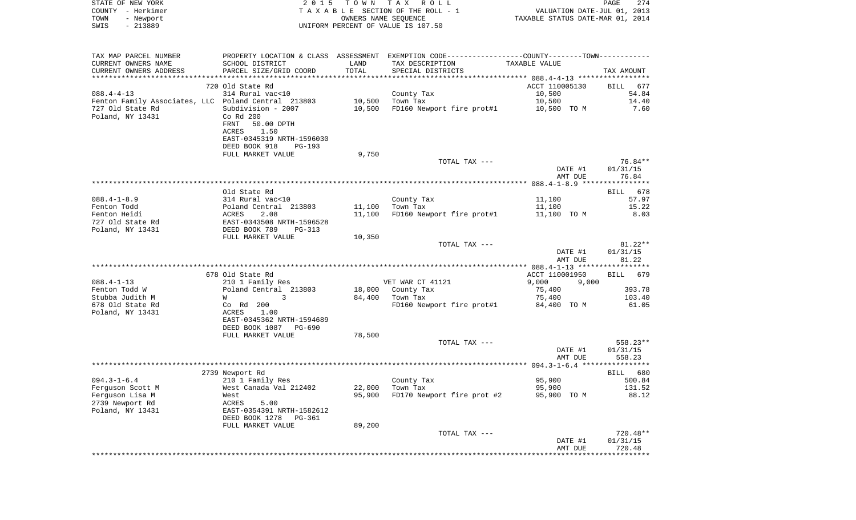|      | STATE OF NEW YORK | 2015 TOWN TAX ROLL                 | 2.74<br>PAGE                     |
|------|-------------------|------------------------------------|----------------------------------|
|      | COUNTY - Herkimer | TAXABLE SECTION OF THE ROLL - 1    | VALUATION DATE-JUL 01, 2013      |
| TOWN | - Newport         | OWNERS NAME SEOUENCE               | TAXABLE STATUS DATE-MAR 01, 2014 |
| SWIS | - 213889          | UNIFORM PERCENT OF VALUE IS 107.50 |                                  |

| TAX MAP PARCEL NUMBER  | PROPERTY LOCATION & CLASS ASSESSMENT                |               | EXEMPTION CODE-----------------COUNTY-------TOWN----------- |                                      |                    |
|------------------------|-----------------------------------------------------|---------------|-------------------------------------------------------------|--------------------------------------|--------------------|
| CURRENT OWNERS NAME    | SCHOOL DISTRICT                                     | LAND          | TAX DESCRIPTION                                             | TAXABLE VALUE                        |                    |
| CURRENT OWNERS ADDRESS | PARCEL SIZE/GRID COORD                              | TOTAL         | SPECIAL DISTRICTS                                           |                                      | TAX AMOUNT         |
|                        |                                                     | ************* |                                                             | ************ 088.4-4-13 ************ |                    |
|                        | 720 Old State Rd                                    |               |                                                             | ACCT 110005130                       | <b>BILL</b><br>677 |
| $088.4 - 4 - 13$       | 314 Rural vac<10                                    |               | County Tax                                                  | 10,500                               | 54.84              |
|                        | Fenton Family Associates, LLC Poland Central 213803 | 10,500        | Town Tax                                                    | 10,500                               | 14.40              |
| 727 Old State Rd       | Subdivision - 2007                                  | 10,500        | FD160 Newport fire prot#1                                   | 10,500 TO M                          | 7.60               |
| Poland, NY 13431       | Co Rd 200                                           |               |                                                             |                                      |                    |
|                        | 50.00 DPTH<br>FRNT                                  |               |                                                             |                                      |                    |
|                        | ACRES<br>1.50                                       |               |                                                             |                                      |                    |
|                        | EAST-0345319 NRTH-1596030                           |               |                                                             |                                      |                    |
|                        | DEED BOOK 918<br>PG-193                             |               |                                                             |                                      |                    |
|                        | FULL MARKET VALUE                                   | 9,750         |                                                             |                                      |                    |
|                        |                                                     |               | TOTAL TAX ---                                               |                                      | 76.84**            |
|                        |                                                     |               |                                                             | DATE #1                              | 01/31/15           |
|                        |                                                     |               |                                                             | AMT DUE                              | 76.84              |
|                        |                                                     |               |                                                             |                                      |                    |
|                        | Old State Rd                                        |               |                                                             |                                      |                    |
|                        |                                                     |               |                                                             |                                      | 678<br>BILL        |
| $088.4 - 1 - 8.9$      | 314 Rural vac<10                                    |               | County Tax                                                  | 11,100                               | 57.97              |
| Fenton Todd            | Poland Central 213803                               | 11,100        | Town Tax                                                    | 11,100                               | 15.22              |
| Fenton Heidi           | 2.08<br>ACRES                                       | 11,100        | FD160 Newport fire prot#1                                   | 11,100 TO M                          | 8.03               |
| 727 Old State Rd       | EAST-0343508 NRTH-1596528                           |               |                                                             |                                      |                    |
| Poland, NY 13431       | DEED BOOK 789<br>PG-313                             |               |                                                             |                                      |                    |
|                        | FULL MARKET VALUE                                   | 10,350        |                                                             |                                      |                    |
|                        |                                                     |               | TOTAL TAX ---                                               |                                      | $81.22**$          |
|                        |                                                     |               |                                                             | DATE #1                              | 01/31/15           |
|                        |                                                     |               |                                                             | AMT DUE                              | 81.22              |
|                        |                                                     |               |                                                             | ************ 088.4-1-13 ******       | ********           |
|                        | 678 Old State Rd                                    |               |                                                             | ACCT 110001950                       | 679<br><b>BILL</b> |
| $088.4 - 1 - 13$       | 210 1 Family Res                                    |               | VET WAR CT 41121                                            | 9,000<br>9.000                       |                    |
| Fenton Todd W          | Poland Central 213803                               | 18,000        | County Tax                                                  | 75,400                               | 393.78             |
| Stubba Judith M        | $\overline{3}$<br>W                                 | 84,400        | Town Tax                                                    | 75,400                               | 103.40             |
| 678 Old State Rd       | Co Rd 200                                           |               | FD160 Newport fire prot#1                                   | 84,400 TO M                          | 61.05              |
| Poland, NY 13431       | ACRES<br>1.00                                       |               |                                                             |                                      |                    |
|                        | EAST-0345362 NRTH-1594689                           |               |                                                             |                                      |                    |
|                        | DEED BOOK 1087<br>$PG-690$                          |               |                                                             |                                      |                    |
|                        | FULL MARKET VALUE                                   | 78,500        |                                                             |                                      |                    |
|                        |                                                     |               | TOTAL TAX ---                                               |                                      | 558.23**           |
|                        |                                                     |               |                                                             | DATE #1                              | 01/31/15           |
|                        |                                                     |               |                                                             | AMT DUE                              | 558.23             |
|                        |                                                     |               |                                                             |                                      | **********         |
|                        | 2739 Newport Rd                                     |               |                                                             |                                      | 680<br>BILL        |
| $094.3 - 1 - 6.4$      | 210 1 Family Res                                    |               | County Tax                                                  | 95,900                               | 500.84             |
| Ferguson Scott M       | West Canada Val 212402                              | 22,000        | Town Tax                                                    | 95,900                               | 131.52             |
| Ferguson Lisa M        | West                                                | 95,900        | FD170 Newport fire prot #2                                  | 95,900 TO M                          | 88.12              |
| 2739 Newport Rd        | ACRES<br>5.00                                       |               |                                                             |                                      |                    |
| Poland, NY 13431       | EAST-0354391 NRTH-1582612                           |               |                                                             |                                      |                    |
|                        | DEED BOOK 1278<br>PG-361                            |               |                                                             |                                      |                    |
|                        | FULL MARKET VALUE                                   | 89,200        |                                                             |                                      |                    |
|                        |                                                     |               | TOTAL TAX ---                                               |                                      | 720.48**           |
|                        |                                                     |               |                                                             | DATE #1                              | 01/31/15           |
|                        |                                                     |               |                                                             | AMT DUE                              | 720.48             |
|                        |                                                     |               |                                                             |                                      |                    |
|                        |                                                     |               |                                                             |                                      |                    |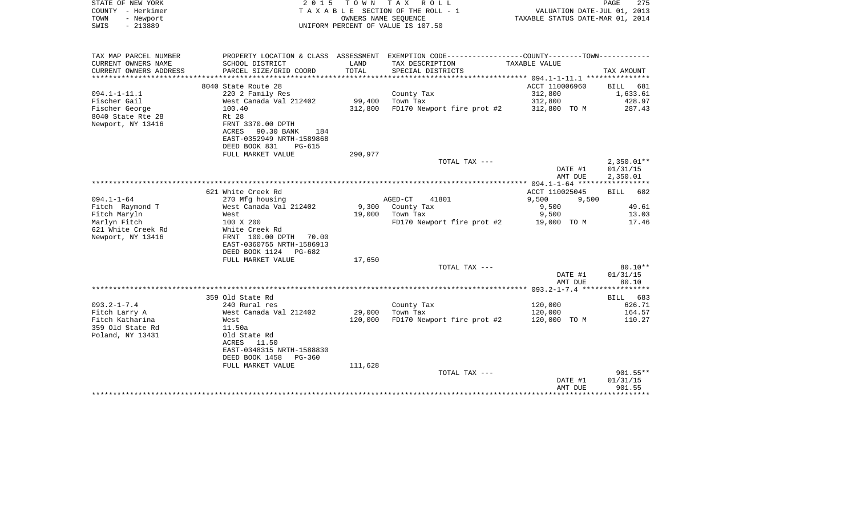|      | STATE OF NEW YORK | 2015 TOWN TAX ROLL                 | PAGE                             | 275 |
|------|-------------------|------------------------------------|----------------------------------|-----|
|      | COUNTY - Herkimer | TAXABLE SECTION OF THE ROLL - 1    | VALUATION DATE-JUL 01, 2013      |     |
| TOWN | - Newport         | OWNERS NAME SEOUENCE               | TAXABLE STATUS DATE-MAR 01, 2014 |     |
| SWIS | - 213889          | UNIFORM PERCENT OF VALUE IS 107.50 |                                  |     |

| TAX MAP PARCEL NUMBER     | PROPERTY LOCATION & CLASS      |         | ASSESSMENT EXEMPTION CODE-----------------COUNTY-------TOWN----------- |                              |              |
|---------------------------|--------------------------------|---------|------------------------------------------------------------------------|------------------------------|--------------|
| CURRENT OWNERS NAME       | SCHOOL DISTRICT                | LAND    | TAX DESCRIPTION                                                        | TAXABLE VALUE                |              |
| CURRENT OWNERS ADDRESS    | PARCEL SIZE/GRID COORD         | TOTAL   | SPECIAL DISTRICTS                                                      |                              | TAX AMOUNT   |
| ************************* |                                |         |                                                                        |                              |              |
|                           | 8040 State Route 28            |         |                                                                        | ACCT 110006960               | 681<br>BILL  |
| $094.1 - 1 - 11.1$        | 220 2 Family Res               |         | County Tax                                                             | 312,800                      | 1,633.61     |
| Fischer Gail              | West Canada Val 212402         | 99,400  | Town Tax                                                               | 312,800                      | 428.97       |
| Fischer George            | 100.40                         | 312,800 | FD170 Newport fire prot #2                                             | 312,800 TO M                 | 287.43       |
| 8040 State Rte 28         | Rt 28                          |         |                                                                        |                              |              |
| Newport, NY 13416         | FRNT 3370.00 DPTH              |         |                                                                        |                              |              |
|                           | 90.30 BANK<br>ACRES<br>184     |         |                                                                        |                              |              |
|                           | EAST-0352949 NRTH-1589868      |         |                                                                        |                              |              |
|                           | DEED BOOK 831<br><b>PG-615</b> |         |                                                                        |                              |              |
|                           |                                | 290,977 |                                                                        |                              |              |
|                           | FULL MARKET VALUE              |         |                                                                        |                              | $2,350.01**$ |
|                           |                                |         | TOTAL TAX ---                                                          |                              |              |
|                           |                                |         |                                                                        | DATE #1                      | 01/31/15     |
|                           |                                |         |                                                                        | AMT DUE                      | 2,350.01     |
|                           |                                |         |                                                                        |                              |              |
|                           | 621 White Creek Rd             |         |                                                                        | ACCT 110025045               | BILL 682     |
| $094.1 - 1 - 64$          | 270 Mfg housing                |         | AGED-CT<br>41801                                                       | 9,500<br>9,500               |              |
| Fitch Raymond T           | West Canada Val 212402         |         | 9,300 County Tax                                                       | 9,500                        | 49.61        |
| Fitch Maryln              | West                           |         | 19,000 Town Tax                                                        | 9,500                        | 13.03        |
| Marlyn Fitch              | 100 X 200                      |         | FD170 Newport fire prot #2                                             | 19,000 TO M                  | 17.46        |
| 621 White Creek Rd        | White Creek Rd                 |         |                                                                        |                              |              |
| Newport, NY 13416         | FRNT 100.00 DPTH 70.00         |         |                                                                        |                              |              |
|                           | EAST-0360755 NRTH-1586913      |         |                                                                        |                              |              |
|                           | DEED BOOK 1124<br>PG-682       |         |                                                                        |                              |              |
|                           | FULL MARKET VALUE              | 17,650  |                                                                        |                              |              |
|                           |                                |         | TOTAL TAX ---                                                          |                              | 80.10**      |
|                           |                                |         |                                                                        | DATE #1                      | 01/31/15     |
|                           |                                |         |                                                                        | AMT DUE                      | 80.10        |
|                           |                                |         |                                                                        |                              |              |
|                           | 359 Old State Rd               |         |                                                                        |                              | BILL 683     |
| $093.2 - 1 - 7.4$         | 240 Rural res                  |         | County Tax                                                             | 120,000                      | 626.71       |
| Fitch Larry A             | West Canada Val 212402         | 29,000  | Town Tax                                                               | 120,000                      | 164.57       |
| Fitch Katharina           | West                           | 120,000 | FD170 Newport fire prot #2                                             | 120,000 TO M                 | 110.27       |
| 359 Old State Rd          | 11.50a                         |         |                                                                        |                              |              |
| Poland, NY 13431          | Old State Rd                   |         |                                                                        |                              |              |
|                           | ACRES 11.50                    |         |                                                                        |                              |              |
|                           | EAST-0348315 NRTH-1588830      |         |                                                                        |                              |              |
|                           | DEED BOOK 1458<br>$PG-360$     |         |                                                                        |                              |              |
|                           | FULL MARKET VALUE              | 111,628 |                                                                        |                              |              |
|                           |                                |         | TOTAL TAX ---                                                          |                              | $901.55**$   |
|                           |                                |         |                                                                        | DATE #1                      | 01/31/15     |
|                           |                                |         |                                                                        | AMT DUE                      | 901.55       |
|                           |                                |         |                                                                        | **************************** |              |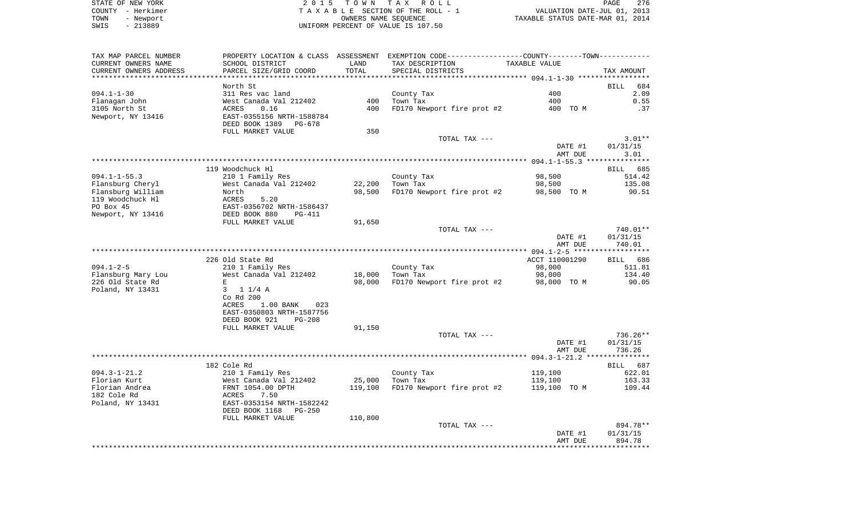| STATE OF NEW YORK | 2015 TOWN TAX ROLL                 | 276<br>PAGE                      |
|-------------------|------------------------------------|----------------------------------|
| COUNTY - Herkimer | TAXABLE SECTION OF THE ROLL - 1    | VALUATION DATE-JUL 01, 2013      |
| TOWN<br>- Newport | OWNERS NAME SEOUENCE               | TAXABLE STATUS DATE-MAR 01, 2014 |
| - 213889<br>SWIS  | UNIFORM PERCENT OF VALUE IS 107.50 |                                  |

| TAX MAP PARCEL NUMBER<br>CURRENT OWNERS NAME | SCHOOL DISTRICT                                    | LAND                 | PROPERTY LOCATION & CLASS ASSESSMENT EXEMPTION CODE---------------COUNTY-------TOWN----------<br>TAX DESCRIPTION | TAXABLE VALUE      |                    |
|----------------------------------------------|----------------------------------------------------|----------------------|------------------------------------------------------------------------------------------------------------------|--------------------|--------------------|
| CURRENT OWNERS ADDRESS                       | PARCEL SIZE/GRID COORD                             | TOTAL<br>*********** | SPECIAL DISTRICTS                                                                                                |                    | TAX AMOUNT         |
|                                              | North St                                           |                      |                                                                                                                  |                    | 684<br><b>BILL</b> |
| 094.1-1-30<br>Flanagan John                  | 311 Res vac land<br>West Canada Val 212402         | 400                  | County Tax<br>Town Tax                                                                                           | 400<br>400         | 2.09<br>0.55       |
| 3105 North St                                | 0.16<br>ACRES                                      | 400                  | FD170 Newport fire prot #2                                                                                       | 400 TO M           | .37                |
| Newport, NY 13416                            | EAST-0355156 NRTH-1588784<br>DEED BOOK 1389 PG-678 |                      |                                                                                                                  |                    |                    |
|                                              | FULL MARKET VALUE                                  | 350                  |                                                                                                                  |                    |                    |
|                                              |                                                    |                      | TOTAL TAX ---                                                                                                    |                    | $3.01**$           |
|                                              |                                                    |                      |                                                                                                                  | DATE #1<br>AMT DUE | 01/31/15<br>3.01   |
|                                              |                                                    |                      |                                                                                                                  |                    |                    |
|                                              | 119 Woodchuck Hl                                   |                      |                                                                                                                  |                    | BILL 685           |
| $094.1 - 1 - 55.3$                           | 210 1 Family Res                                   |                      | County Tax                                                                                                       | 98,500             | 514.42             |
| Flansburg Cheryl                             | West Canada Val 212402                             | 22,200               | Town Tax                                                                                                         | 98,500             | 135.08             |
| Flansburg William                            | North                                              | 98,500               | FD170 Newport fire prot #2                                                                                       | 98,500 TO M        | 90.51              |
| 119 Woodchuck Hl                             | 5.20<br>ACRES                                      |                      |                                                                                                                  |                    |                    |
| PO Box 45                                    | EAST-0356702 NRTH-1586437                          |                      |                                                                                                                  |                    |                    |
| Newport, NY 13416                            | DEED BOOK 880<br>PG-411                            |                      |                                                                                                                  |                    |                    |
|                                              | FULL MARKET VALUE                                  | 91,650               |                                                                                                                  |                    |                    |
|                                              |                                                    |                      | TOTAL TAX ---                                                                                                    |                    | 740.01**           |
|                                              |                                                    |                      |                                                                                                                  | DATE #1            | 01/31/15           |
|                                              |                                                    |                      |                                                                                                                  | AMT DUE            | 740.01             |
|                                              |                                                    |                      |                                                                                                                  |                    |                    |
|                                              | 226 Old State Rd                                   |                      |                                                                                                                  | ACCT 110001290     | BILL 686           |
| 094.1-2-5                                    | 210 1 Family Res                                   |                      | County Tax                                                                                                       | 98,000             | 511.81             |
| Flansburg Mary Lou                           | West Canada Val 212402<br>E                        | 18,000               | Town Tax                                                                                                         | 98,000             | 134.40             |
| 226 Old State Rd<br>Poland, NY 13431         | 3 $11/4$ A                                         | 98,000               | FD170 Newport fire prot #2                                                                                       | 98,000 TO M        | 90.05              |
|                                              | Co Rd 200                                          |                      |                                                                                                                  |                    |                    |
|                                              | ACRES<br>$1.00$ BANK<br>023                        |                      |                                                                                                                  |                    |                    |
|                                              | EAST-0350803 NRTH-1587756                          |                      |                                                                                                                  |                    |                    |
|                                              | DEED BOOK 921<br>PG-208                            |                      |                                                                                                                  |                    |                    |
|                                              | FULL MARKET VALUE                                  | 91,150               |                                                                                                                  |                    |                    |
|                                              |                                                    |                      | TOTAL TAX ---                                                                                                    |                    | 736.26**           |
|                                              |                                                    |                      |                                                                                                                  | DATE #1            | 01/31/15           |
|                                              |                                                    |                      |                                                                                                                  | AMT DUE            | 736.26             |
|                                              |                                                    |                      |                                                                                                                  |                    |                    |
|                                              | 182 Cole Rd                                        |                      |                                                                                                                  |                    | BILL 687           |
| 094.3-1-21.2                                 | 210 1 Family Res                                   |                      | County Tax                                                                                                       | 119,100            | 622.01             |
| Florian Kurt                                 | West Canada Val 212402                             | 25,000               | Town Tax                                                                                                         | 119,100            | 163.33             |
| Florian Andrea                               | FRNT 1054.00 DPTH                                  | 119,100              | FD170 Newport fire prot #2                                                                                       | 119,100 TO M       | 109.44             |
| 182 Cole Rd                                  | 7.50<br>ACRES                                      |                      |                                                                                                                  |                    |                    |
| Poland, NY 13431                             | EAST-0353154 NRTH-1582242                          |                      |                                                                                                                  |                    |                    |
|                                              | DEED BOOK 1168<br>PG-250                           |                      |                                                                                                                  |                    |                    |
|                                              | FULL MARKET VALUE                                  | 110,800              |                                                                                                                  |                    |                    |
|                                              |                                                    |                      | TOTAL TAX ---                                                                                                    |                    | 894.78**           |
|                                              |                                                    |                      |                                                                                                                  | DATE #1            | 01/31/15           |
|                                              |                                                    |                      |                                                                                                                  | AMT DUE            | 894.78             |
|                                              |                                                    |                      |                                                                                                                  |                    |                    |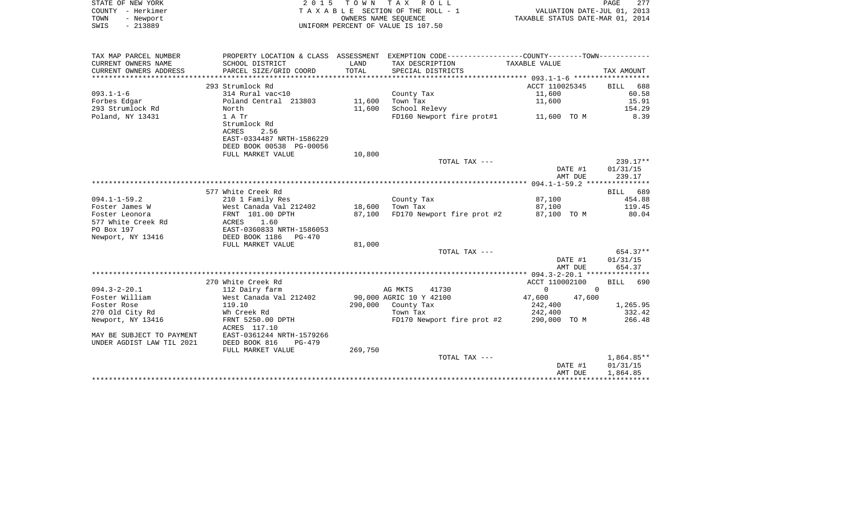|      | STATE OF NEW YORK | 2015 TOWN TAX ROLL                 | 277<br>PAGE                      |
|------|-------------------|------------------------------------|----------------------------------|
|      | COUNTY - Herkimer | TAXABLE SECTION OF THE ROLL - 1    | VALUATION DATE-JUL 01, 2013      |
| TOWN | - Newport         | OWNERS NAME SEOUENCE               | TAXABLE STATUS DATE-MAR 01, 2014 |
| SWIS | - 213889          | UNIFORM PERCENT OF VALUE IS 107.50 |                                  |

| TAX MAP PARCEL NUMBER     |                           |         | PROPERTY LOCATION & CLASS ASSESSMENT EXEMPTION CODE----------------COUNTY--------TOWN---------- |                         |            |
|---------------------------|---------------------------|---------|-------------------------------------------------------------------------------------------------|-------------------------|------------|
| CURRENT OWNERS NAME       | SCHOOL DISTRICT           | LAND    | TAX DESCRIPTION                                                                                 | TAXABLE VALUE           |            |
| CURRENT OWNERS ADDRESS    | PARCEL SIZE/GRID COORD    | TOTAL   | SPECIAL DISTRICTS                                                                               |                         | TAX AMOUNT |
|                           |                           |         |                                                                                                 |                         |            |
|                           | 293 Strumlock Rd          |         |                                                                                                 | ACCT 110025345 BILL 688 |            |
| $093.1 - 1 - 6$           | 314 Rural vac<10          |         | County Tax                                                                                      | 11,600                  | 60.58      |
| Forbes Edgar              | Poland Central 213803     | 11,600  | Town Tax                                                                                        | 11,600                  | 15.91      |
| 293 Strumlock Rd          | North                     | 11,600  | School Relevy                                                                                   |                         | 154.29     |
| Poland, NY 13431          | 1 A Tr                    |         | FD160 Newport fire prot#1 11,600 TO M                                                           |                         | 8.39       |
|                           | Strumlock Rd              |         |                                                                                                 |                         |            |
|                           | 2.56<br>ACRES             |         |                                                                                                 |                         |            |
|                           | EAST-0334487 NRTH-1586229 |         |                                                                                                 |                         |            |
|                           | DEED BOOK 00538 PG-00056  |         |                                                                                                 |                         |            |
|                           | FULL MARKET VALUE         | 10,800  |                                                                                                 |                         |            |
|                           |                           |         | TOTAL TAX ---                                                                                   |                         | $239.17**$ |
|                           |                           |         |                                                                                                 | DATE #1                 | 01/31/15   |
|                           |                           |         |                                                                                                 | AMT DUE                 | 239.17     |
|                           |                           |         |                                                                                                 |                         |            |
|                           | 577 White Creek Rd        |         |                                                                                                 |                         | BILL 689   |
| $094.1 - 1 - 59.2$        | 210 1 Family Res          |         | County Tax                                                                                      | 87,100                  | 454.88     |
| Foster James W            | West Canada Val 212402    | 18,600  | Town Tax                                                                                        | 87,100                  | 119.45     |
| Foster Leonora            | FRNT 101.00 DPTH          | 87,100  | FD170 Newport fire prot #2 87,100 TO M                                                          |                         | 80.04      |
| 577 White Creek Rd        | ACRES 1.60                |         |                                                                                                 |                         |            |
| PO Box 197                | EAST-0360833 NRTH-1586053 |         |                                                                                                 |                         |            |
| Newport, NY 13416         | DEED BOOK 1186 PG-470     |         |                                                                                                 |                         |            |
|                           | FULL MARKET VALUE         | 81,000  |                                                                                                 |                         |            |
|                           |                           |         | TOTAL TAX ---                                                                                   |                         | 654.37**   |
|                           |                           |         |                                                                                                 | DATE #1                 | 01/31/15   |
|                           |                           |         |                                                                                                 | AMT DUE                 | 654.37     |
|                           |                           |         |                                                                                                 |                         |            |
|                           | 270 White Creek Rd        |         |                                                                                                 | ACCT 110002100          | BILL 690   |
| $094.3 - 2 - 20.1$        | 112 Dairy farm            |         | AG MKTS<br>41730                                                                                | $\Omega$                | $\Omega$   |
| Foster William            | West Canada Val 212402    |         | 90,000 AGRIC 10 Y 42100                                                                         | 47,600<br>47,600        |            |
| Foster Rose               | 119.10                    |         | 290,000 County Tax                                                                              | 242,400                 | 1,265.95   |
| 270 Old City Rd           | Wh Creek Rd               |         | Town Tax                                                                                        | 242,400                 | 332.42     |
| Newport, NY 13416         | FRNT 5250.00 DPTH         |         | FD170 Newport fire prot #2 290,000 TO M                                                         |                         | 266.48     |
|                           | ACRES 117.10              |         |                                                                                                 |                         |            |
| MAY BE SUBJECT TO PAYMENT | EAST-0361244 NRTH-1579266 |         |                                                                                                 |                         |            |
| UNDER AGDIST LAW TIL 2021 | DEED BOOK 816<br>PG-479   |         |                                                                                                 |                         |            |
|                           | FULL MARKET VALUE         | 269,750 |                                                                                                 |                         |            |
|                           |                           |         | TOTAL TAX ---                                                                                   |                         | 1,864.85** |
|                           |                           |         |                                                                                                 | DATE #1                 | 01/31/15   |
|                           |                           |         |                                                                                                 | AMT DUE                 | 1,864.85   |
|                           |                           |         |                                                                                                 |                         |            |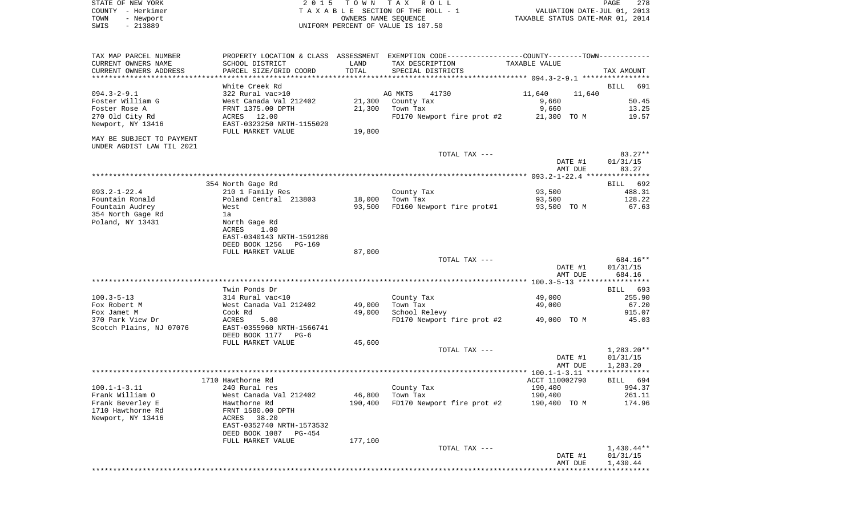|      | STATE OF NEW YORK | 2015 TOWN TAX ROLL                 | PAGE                             | 278 |
|------|-------------------|------------------------------------|----------------------------------|-----|
|      | COUNTY - Herkimer | TAXABLE SECTION OF THE ROLL - 1    | VALUATION DATE-JUL 01, 2013      |     |
| TOWN | - Newport         | OWNERS NAME SEOUENCE               | TAXABLE STATUS DATE-MAR 01, 2014 |     |
| SWIS | $-213889$         | UNIFORM PERCENT OF VALUE IS 107.50 |                                  |     |

| TAX MAP PARCEL NUMBER                |                                          |         | PROPERTY LOCATION & CLASS ASSESSMENT EXEMPTION CODE----------------COUNTY-------TOWN---------- |                  |                    |
|--------------------------------------|------------------------------------------|---------|------------------------------------------------------------------------------------------------|------------------|--------------------|
| CURRENT OWNERS NAME                  | SCHOOL DISTRICT                          | LAND    | TAX DESCRIPTION                                                                                | TAXABLE VALUE    |                    |
| CURRENT OWNERS ADDRESS               | PARCEL SIZE/GRID COORD                   | TOTAL   | SPECIAL DISTRICTS                                                                              |                  | TAX AMOUNT         |
|                                      |                                          |         |                                                                                                |                  |                    |
|                                      | White Creek Rd                           |         |                                                                                                |                  | BILL<br>691        |
| $094.3 - 2 - 9.1$                    | 322 Rural vac>10                         |         | AG MKTS<br>41730                                                                               | 11,640<br>11,640 |                    |
| Foster William G                     | West Canada Val 212402                   | 21,300  | County Tax                                                                                     | 9,660            | 50.45              |
| Foster Rose A                        | FRNT 1375.00 DPTH                        | 21,300  | Town Tax                                                                                       | 9,660            | 13.25              |
| 270 Old City Rd<br>Newport, NY 13416 | ACRES 12.00<br>EAST-0323250 NRTH-1155020 |         | FD170 Newport fire prot #2                                                                     | 21,300 TO M      | 19.57              |
|                                      | FULL MARKET VALUE                        | 19,800  |                                                                                                |                  |                    |
| MAY BE SUBJECT TO PAYMENT            |                                          |         |                                                                                                |                  |                    |
| UNDER AGDIST LAW TIL 2021            |                                          |         |                                                                                                |                  |                    |
|                                      |                                          |         | TOTAL TAX ---                                                                                  |                  | $83.27**$          |
|                                      |                                          |         |                                                                                                | DATE #1          | 01/31/15           |
|                                      |                                          |         |                                                                                                | AMT DUE          | 83.27              |
|                                      |                                          |         |                                                                                                |                  |                    |
|                                      | 354 North Gage Rd                        |         |                                                                                                |                  | BILL 692           |
| $093.2 - 1 - 22.4$                   | 210 1 Family Res                         |         | County Tax                                                                                     | 93,500           | 488.31             |
| Fountain Ronald                      | Poland Central 213803                    | 18,000  | Town Tax                                                                                       | 93,500           | 128.22             |
| Fountain Audrey                      | West                                     | 93,500  | FD160 Newport fire prot#1                                                                      | 93,500 TO M      | 67.63              |
| 354 North Gage Rd                    | la                                       |         |                                                                                                |                  |                    |
| Poland, NY 13431                     | North Gage Rd                            |         |                                                                                                |                  |                    |
|                                      | ACRES<br>1.00                            |         |                                                                                                |                  |                    |
|                                      | EAST-0340143 NRTH-1591286                |         |                                                                                                |                  |                    |
|                                      | DEED BOOK 1256<br>PG-169                 |         |                                                                                                |                  |                    |
|                                      | FULL MARKET VALUE                        | 87,000  |                                                                                                |                  |                    |
|                                      |                                          |         | TOTAL TAX ---                                                                                  |                  | 684.16**           |
|                                      |                                          |         |                                                                                                | DATE #1          | 01/31/15           |
|                                      |                                          |         |                                                                                                | AMT DUE          | 684.16             |
|                                      |                                          |         |                                                                                                |                  |                    |
|                                      | Twin Ponds Dr                            |         |                                                                                                |                  | 693<br>BILL        |
| $100.3 - 5 - 13$                     | 314 Rural vac<10                         |         | County Tax                                                                                     | 49,000           | 255.90             |
| Fox Robert M                         | West Canada Val 212402                   | 49,000  | Town Tax                                                                                       | 49,000           | 67.20              |
| Fox Jamet M<br>370 Park View Dr      | Cook Rd<br>5.00<br>ACRES                 | 49,000  | School Relevy                                                                                  | 49,000 TO M      | 915.07<br>45.03    |
| Scotch Plains, NJ 07076              | EAST-0355960 NRTH-1566741                |         | FD170 Newport fire prot #2                                                                     |                  |                    |
|                                      | DEED BOOK 1177<br>$PG-6$                 |         |                                                                                                |                  |                    |
|                                      | FULL MARKET VALUE                        | 45,600  |                                                                                                |                  |                    |
|                                      |                                          |         | TOTAL TAX ---                                                                                  |                  | $1,283.20**$       |
|                                      |                                          |         |                                                                                                | DATE #1          | 01/31/15           |
|                                      |                                          |         |                                                                                                | AMT DUE          | 1,283.20           |
|                                      |                                          |         |                                                                                                |                  |                    |
|                                      | 1710 Hawthorne Rd                        |         |                                                                                                | ACCT 110002790   | <b>BILL</b><br>694 |
| $100.1 - 1 - 3.11$                   | 240 Rural res                            |         | County Tax                                                                                     | 190,400          | 994.37             |
| Frank William O                      | West Canada Val 212402                   | 46,800  | Town Tax                                                                                       | 190,400          | 261.11             |
| Frank Beverley E                     | Hawthorne Rd                             | 190,400 | FD170 Newport fire prot #2                                                                     | 190,400 TO M     | 174.96             |
| 1710 Hawthorne Rd                    | FRNT 1580.00 DPTH                        |         |                                                                                                |                  |                    |
| Newport, NY 13416                    | ACRES<br>38.20                           |         |                                                                                                |                  |                    |
|                                      | EAST-0352740 NRTH-1573532                |         |                                                                                                |                  |                    |
|                                      | DEED BOOK 1087<br>PG-454                 |         |                                                                                                |                  |                    |
|                                      | FULL MARKET VALUE                        | 177,100 |                                                                                                |                  |                    |
|                                      |                                          |         | TOTAL TAX ---                                                                                  |                  | $1,430.44**$       |
|                                      |                                          |         |                                                                                                | DATE #1          | 01/31/15           |
|                                      |                                          |         |                                                                                                | AMT DUE          | 1,430.44           |
|                                      |                                          |         |                                                                                                |                  |                    |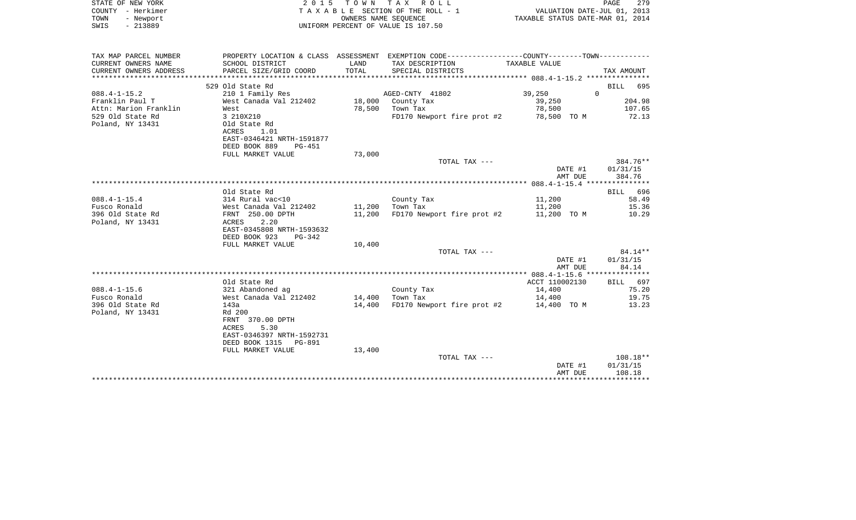|      | STATE OF NEW YORK | 2015 TOWN TAX ROLL                 | PAGE                             | 2.79 |
|------|-------------------|------------------------------------|----------------------------------|------|
|      | COUNTY - Herkimer | TAXABLE SECTION OF THE ROLL - 1    | VALUATION DATE-JUL 01, 2013      |      |
| TOWN | - Newport         | OWNERS NAME SEOUENCE               | TAXABLE STATUS DATE-MAR 01, 2014 |      |
| SWIS | - 213889          | UNIFORM PERCENT OF VALUE IS 107.50 |                                  |      |

| TAX MAP PARCEL NUMBER  |                           |        | PROPERTY LOCATION & CLASS ASSESSMENT EXEMPTION CODE---------------COUNTY-------TOWN---------- |                |             |
|------------------------|---------------------------|--------|-----------------------------------------------------------------------------------------------|----------------|-------------|
| CURRENT OWNERS NAME    | SCHOOL DISTRICT           | LAND   | TAX DESCRIPTION                                                                               | TAXABLE VALUE  |             |
| CURRENT OWNERS ADDRESS | PARCEL SIZE/GRID COORD    | TOTAL  | SPECIAL DISTRICTS                                                                             |                | TAX AMOUNT  |
|                        |                           |        |                                                                                               |                |             |
|                        | 529 Old State Rd          |        |                                                                                               |                | BILL<br>695 |
| $088.4 - 1 - 15.2$     | 210 1 Family Res          |        | AGED-CNTY 41802                                                                               | 39,250         | $\Omega$    |
| Franklin Paul T        | West Canada Val 212402    |        | 18,000 County Tax                                                                             | 39,250         | 204.98      |
| Attn: Marion Franklin  | West                      | 78,500 | Town Tax                                                                                      | 78,500         | 107.65      |
| 529 Old State Rd       | 3 210X210                 |        | FD170 Newport fire prot #2 78,500 TO M                                                        |                | 72.13       |
| Poland, NY 13431       | Old State Rd              |        |                                                                                               |                |             |
|                        | ACRES<br>1.01             |        |                                                                                               |                |             |
|                        | EAST-0346421 NRTH-1591877 |        |                                                                                               |                |             |
|                        | DEED BOOK 889<br>PG-451   |        |                                                                                               |                |             |
|                        | FULL MARKET VALUE         | 73,000 |                                                                                               |                |             |
|                        |                           |        | TOTAL TAX ---                                                                                 |                | 384.76**    |
|                        |                           |        |                                                                                               | DATE #1        | 01/31/15    |
|                        |                           |        |                                                                                               | AMT DUE        | 384.76      |
|                        |                           |        |                                                                                               |                |             |
|                        | Old State Rd              |        |                                                                                               |                | BILL 696    |
| $088.4 - 1 - 15.4$     | 314 Rural vac<10          |        | County Tax                                                                                    | 11,200         | 58.49       |
| Fusco Ronald           | West Canada Val 212402    | 11,200 | Town Tax                                                                                      | 11,200         | 15.36       |
| 396 Old State Rd       | FRNT 250.00 DPTH          | 11,200 | FD170 Newport fire prot #2                                                                    | 11,200 TO M    | 10.29       |
| Poland, NY 13431       | 2.20<br>ACRES             |        |                                                                                               |                |             |
|                        | EAST-0345808 NRTH-1593632 |        |                                                                                               |                |             |
|                        | DEED BOOK 923<br>PG-342   |        |                                                                                               |                |             |
|                        | FULL MARKET VALUE         | 10,400 |                                                                                               |                |             |
|                        |                           |        | TOTAL TAX ---                                                                                 |                | 84.14**     |
|                        |                           |        |                                                                                               | DATE #1        | 01/31/15    |
|                        |                           |        |                                                                                               | AMT DUE        | 84.14       |
|                        |                           |        |                                                                                               |                |             |
|                        | Old State Rd              |        |                                                                                               | ACCT 110002130 | BILL 697    |
| $088.4 - 1 - 15.6$     | 321 Abandoned ag          |        | County Tax                                                                                    | 14,400         | 75.20       |
| Fusco Ronald           | West Canada Val 212402    | 14,400 | Town Tax                                                                                      | 14,400         | 19.75       |
| 396 Old State Rd       | 143a                      | 14,400 | FD170 Newport fire prot #2                                                                    | 14,400 TO M    | 13.23       |
| Poland, NY 13431       | Rd 200                    |        |                                                                                               |                |             |
|                        | FRNT 370.00 DPTH          |        |                                                                                               |                |             |
|                        | 5.30<br>ACRES             |        |                                                                                               |                |             |
|                        | EAST-0346397 NRTH-1592731 |        |                                                                                               |                |             |
|                        | DEED BOOK 1315 PG-891     |        |                                                                                               |                |             |
|                        | FULL MARKET VALUE         | 13,400 |                                                                                               |                |             |
|                        |                           |        | TOTAL TAX ---                                                                                 |                | $108.18**$  |
|                        |                           |        |                                                                                               | DATE #1        | 01/31/15    |
|                        |                           |        |                                                                                               | AMT DUE        | 108.18      |
|                        |                           |        |                                                                                               |                |             |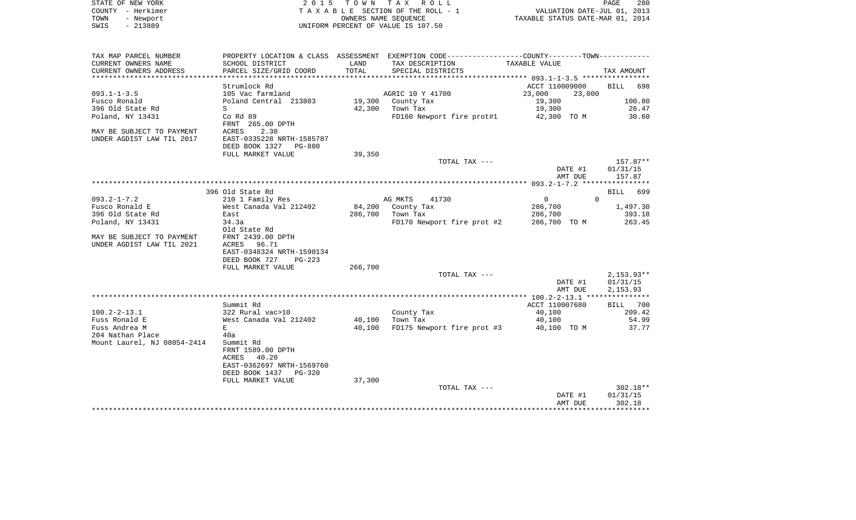| STATE OF NEW YORK<br>COUNTY - Herkimer<br>- Newport<br>TOWN<br>$-213889$<br>SWIS | 2 0 1 5                        | T O W N             | TAX ROLL<br>TAXABLE SECTION OF THE ROLL - 1<br>OWNERS NAME SEOUENCE<br>UNIFORM PERCENT OF VALUE IS 107.50 | VALUATION DATE-JUL 01, 2013<br>TAXABLE STATUS DATE-MAR 01, 2014 | PAGE<br>280              |
|----------------------------------------------------------------------------------|--------------------------------|---------------------|-----------------------------------------------------------------------------------------------------------|-----------------------------------------------------------------|--------------------------|
| TAX MAP PARCEL NUMBER                                                            |                                |                     | PROPERTY LOCATION & CLASS ASSESSMENT EXEMPTION CODE---------------COUNTY-------TOWN----------             |                                                                 |                          |
| CURRENT OWNERS NAME                                                              | SCHOOL DISTRICT                | LAND                | TAX DESCRIPTION                                                                                           | TAXABLE VALUE                                                   |                          |
| CURRENT OWNERS ADDRESS                                                           | PARCEL SIZE/GRID COORD         | TOTAL<br>********** | SPECIAL DISTRICTS                                                                                         | ********* 093.1-1-3.5 **********                                | TAX AMOUNT               |
|                                                                                  | Strumlock Rd                   |                     |                                                                                                           | ACCT 110009000                                                  | <b>BILL</b><br>698       |
| $093.1 - 1 - 3.5$                                                                | 105 Vac farmland               |                     | AGRIC 10 Y 41700                                                                                          | 23,000<br>23,000                                                |                          |
| Fusco Ronald                                                                     | Poland Central 213803          | 19,300              | County Tax                                                                                                | 19,300                                                          | 100.80                   |
| 396 Old State Rd                                                                 | S                              | 42,300              | Town Tax                                                                                                  | 19,300                                                          | 26.47                    |
| Poland, NY 13431                                                                 | Co Rd 89<br>FRNT 265.00 DPTH   |                     | FD160 Newport fire prot#1                                                                                 | 42,300 TO M                                                     | 30.60                    |
| MAY BE SUBJECT TO PAYMENT                                                        | <b>ACRES</b><br>2.30           |                     |                                                                                                           |                                                                 |                          |
| UNDER AGDIST LAW TIL 2017                                                        | EAST-0335228 NRTH-1585787      |                     |                                                                                                           |                                                                 |                          |
|                                                                                  | DEED BOOK 1327 PG-880          |                     |                                                                                                           |                                                                 |                          |
|                                                                                  | FULL MARKET VALUE              | 39,350              | TOTAL TAX ---                                                                                             |                                                                 | $157.87**$               |
|                                                                                  |                                |                     |                                                                                                           | DATE #1                                                         | 01/31/15                 |
|                                                                                  |                                |                     |                                                                                                           | AMT DUE                                                         | 157.87                   |
|                                                                                  |                                |                     |                                                                                                           |                                                                 |                          |
|                                                                                  | 396 Old State Rd               |                     |                                                                                                           |                                                                 | 699<br>BILL              |
| $093.2 - 1 - 7.2$                                                                | 210 1 Family Res               |                     | AG MKTS<br>41730                                                                                          | $\mathbf 0$<br>$\Omega$                                         |                          |
| Fusco Ronald E                                                                   | West Canada Val 212402         | 84,200              | County Tax                                                                                                | 286,700                                                         | 1,497.30<br>393.18       |
| 396 Old State Rd<br>Poland, NY 13431                                             | East<br>34.3a                  | 286,700             | Town Tax<br>FD170 Newport fire prot #2                                                                    | 286,700<br>286,700 TO M                                         | 263.45                   |
|                                                                                  | Old State Rd                   |                     |                                                                                                           |                                                                 |                          |
| MAY BE SUBJECT TO PAYMENT                                                        | FRNT 2439.00 DPTH              |                     |                                                                                                           |                                                                 |                          |
| UNDER AGDIST LAW TIL 2021                                                        | 96.71<br>ACRES                 |                     |                                                                                                           |                                                                 |                          |
|                                                                                  | EAST-0348324 NRTH-1590134      |                     |                                                                                                           |                                                                 |                          |
|                                                                                  | DEED BOOK 727<br><b>PG-223</b> |                     |                                                                                                           |                                                                 |                          |
|                                                                                  | FULL MARKET VALUE              | 266,700             |                                                                                                           |                                                                 |                          |
|                                                                                  |                                |                     | TOTAL TAX ---                                                                                             | DATE #1                                                         | $2,153.93**$<br>01/31/15 |
|                                                                                  |                                |                     |                                                                                                           | AMT DUE                                                         | 2,153.93                 |
|                                                                                  |                                |                     |                                                                                                           |                                                                 | ***********              |
|                                                                                  | Summit Rd                      |                     |                                                                                                           | ACCT 110007680                                                  | BILL 700                 |
| $100.2 - 2 - 13.1$                                                               | 322 Rural vac>10               |                     | County Tax                                                                                                | 40,100                                                          | 209.42                   |
| Fuss Ronald E                                                                    | West Canada Val 212402         | 40,100              | Town Tax                                                                                                  | 40,100                                                          | 54.99                    |
| Fuss Andrea M                                                                    | Е                              | 40,100              | FD175 Newport fire prot #3                                                                                | 40,100 TO M                                                     | 37.77                    |
| 204 Nathan Place<br>Mount Laurel, NJ 08054-2414                                  | 40a<br>Summit Rd               |                     |                                                                                                           |                                                                 |                          |
|                                                                                  | FRNT 1589.00 DPTH              |                     |                                                                                                           |                                                                 |                          |
|                                                                                  | 40.20<br>ACRES                 |                     |                                                                                                           |                                                                 |                          |
|                                                                                  | EAST-0362697 NRTH-1569760      |                     |                                                                                                           |                                                                 |                          |
|                                                                                  | DEED BOOK 1437<br>PG-320       |                     |                                                                                                           |                                                                 |                          |
|                                                                                  | FULL MARKET VALUE              | 37,300              |                                                                                                           |                                                                 |                          |
|                                                                                  |                                |                     | TOTAL TAX ---                                                                                             |                                                                 | 302.18**                 |
|                                                                                  |                                |                     |                                                                                                           | DATE #1<br>AMT DUE                                              | 01/31/15<br>302.18       |
|                                                                                  |                                |                     |                                                                                                           |                                                                 | * * * * * * * * * * *    |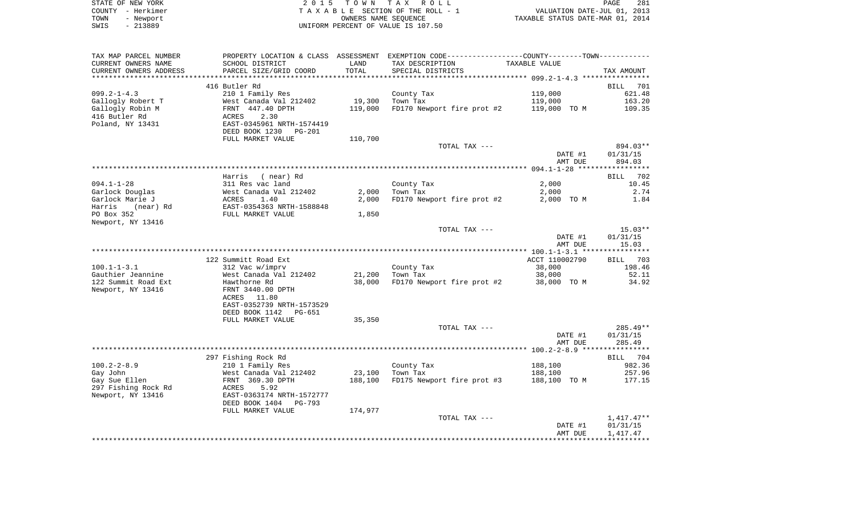| STATE OF NEW YORK |           |                                    | 2015 TOWN TAX ROLL              |                                  | PAGE                        | 281 |
|-------------------|-----------|------------------------------------|---------------------------------|----------------------------------|-----------------------------|-----|
| COUNTY - Herkimer |           |                                    | TAXABLE SECTION OF THE ROLL - 1 |                                  | VALUATION DATE-JUL 01, 2013 |     |
| TOWN              | - Newport |                                    | OWNERS NAME SEOUENCE            | TAXABLE STATUS DATE-MAR 01, 2014 |                             |     |
| SWIS              | - 213889  | UNIFORM PERCENT OF VALUE IS 107.50 |                                 |                                  |                             |     |

| TAX MAP PARCEL NUMBER  |                           |         |                            | PROPERTY LOCATION & CLASS ASSESSMENT EXEMPTION CODE----------------COUNTY-------TOWN---------- |              |
|------------------------|---------------------------|---------|----------------------------|------------------------------------------------------------------------------------------------|--------------|
| CURRENT OWNERS NAME    | SCHOOL DISTRICT           | LAND    | TAX DESCRIPTION            | TAXABLE VALUE                                                                                  |              |
| CURRENT OWNERS ADDRESS | PARCEL SIZE/GRID COORD    | TOTAL   | SPECIAL DISTRICTS          |                                                                                                | TAX AMOUNT   |
|                        |                           |         |                            |                                                                                                |              |
|                        | 416 Butler Rd             |         |                            |                                                                                                | 701<br>BILL  |
| $099.2 - 1 - 4.3$      | 210 1 Family Res          |         | County Tax                 | 119,000                                                                                        | 621.48       |
| Gallogly Robert T      | West Canada Val 212402    | 19,300  | Town Tax                   | 119,000                                                                                        | 163.20       |
|                        |                           |         |                            |                                                                                                |              |
| Gallogly Robin M       | FRNT 447.40 DPTH          | 119,000 | FD170 Newport fire prot #2 | 119,000 TO M                                                                                   | 109.35       |
| 416 Butler Rd          | ACRES<br>2.30             |         |                            |                                                                                                |              |
| Poland, NY 13431       | EAST-0345961 NRTH-1574419 |         |                            |                                                                                                |              |
|                        | DEED BOOK 1230<br>PG-201  |         |                            |                                                                                                |              |
|                        | FULL MARKET VALUE         | 110,700 |                            |                                                                                                |              |
|                        |                           |         | TOTAL TAX ---              |                                                                                                | 894.03**     |
|                        |                           |         |                            | DATE #1                                                                                        | 01/31/15     |
|                        |                           |         |                            | AMT DUE                                                                                        | 894.03       |
|                        |                           |         |                            |                                                                                                |              |
|                        | Harris<br>( near) Rd      |         |                            |                                                                                                | 702<br>BILL  |
| $094.1 - 1 - 28$       | 311 Res vac land          |         | County Tax                 | 2,000                                                                                          | 10.45        |
| Garlock Douglas        | West Canada Val 212402    | 2,000   | Town Tax                   | 2,000                                                                                          | 2.74         |
| Garlock Marie J        | ACRES<br>1.40             | 2,000   | FD170 Newport fire prot #2 | 2,000 TO M                                                                                     | 1.84         |
| Harris<br>(near) Rd    | EAST-0354363 NRTH-1588848 |         |                            |                                                                                                |              |
| PO Box 352             | FULL MARKET VALUE         | 1,850   |                            |                                                                                                |              |
|                        |                           |         |                            |                                                                                                |              |
| Newport, NY 13416      |                           |         |                            |                                                                                                |              |
|                        |                           |         | TOTAL TAX ---              |                                                                                                | $15.03**$    |
|                        |                           |         |                            | DATE #1                                                                                        | 01/31/15     |
|                        |                           |         |                            | AMT DUE                                                                                        | 15.03        |
|                        |                           |         |                            |                                                                                                |              |
|                        | 122 Summitt Road Ext      |         |                            | ACCT 110002790                                                                                 | BILL 703     |
| $100.1 - 1 - 3.1$      | 312 Vac w/imprv           |         | County Tax                 | 38,000                                                                                         | 198.46       |
| Gauthier Jeannine      | West Canada Val 212402    | 21,200  | Town Tax                   | 38,000                                                                                         | 52.11        |
| 122 Summit Road Ext    | Hawthorne Rd              | 38,000  | FD170 Newport fire prot #2 | 38,000 TO M                                                                                    | 34.92        |
| Newport, NY 13416      | FRNT 3440.00 DPTH         |         |                            |                                                                                                |              |
|                        | ACRES<br>11.80            |         |                            |                                                                                                |              |
|                        | EAST-0352739 NRTH-1573529 |         |                            |                                                                                                |              |
|                        | DEED BOOK 1142<br>PG-651  |         |                            |                                                                                                |              |
|                        | FULL MARKET VALUE         | 35,350  |                            |                                                                                                |              |
|                        |                           |         | TOTAL TAX ---              |                                                                                                | 285.49**     |
|                        |                           |         |                            | DATE #1                                                                                        | 01/31/15     |
|                        |                           |         |                            | AMT DUE                                                                                        | 285.49       |
|                        |                           |         |                            |                                                                                                |              |
|                        |                           |         |                            |                                                                                                | 704          |
|                        | 297 Fishing Rock Rd       |         |                            |                                                                                                | BILL         |
| $100.2 - 2 - 8.9$      | 210 1 Family Res          |         | County Tax                 | 188,100                                                                                        | 982.36       |
| Gay John               | West Canada Val 212402    | 23,100  | Town Tax                   | 188,100                                                                                        | 257.96       |
| Gay Sue Ellen          | FRNT 369.30 DPTH          | 188,100 | FD175 Newport fire prot #3 | 188,100 TO M                                                                                   | 177.15       |
| 297 Fishing Rock Rd    | 5.92<br>ACRES             |         |                            |                                                                                                |              |
| Newport, NY 13416      | EAST-0363174 NRTH-1572777 |         |                            |                                                                                                |              |
|                        | DEED BOOK 1404<br>PG-793  |         |                            |                                                                                                |              |
|                        | FULL MARKET VALUE         | 174,977 |                            |                                                                                                |              |
|                        |                           |         | TOTAL TAX ---              |                                                                                                | $1,417.47**$ |
|                        |                           |         |                            | DATE #1                                                                                        | 01/31/15     |
|                        |                           |         |                            | AMT DUE                                                                                        | 1,417.47     |
|                        |                           |         |                            |                                                                                                |              |
|                        |                           |         |                            |                                                                                                |              |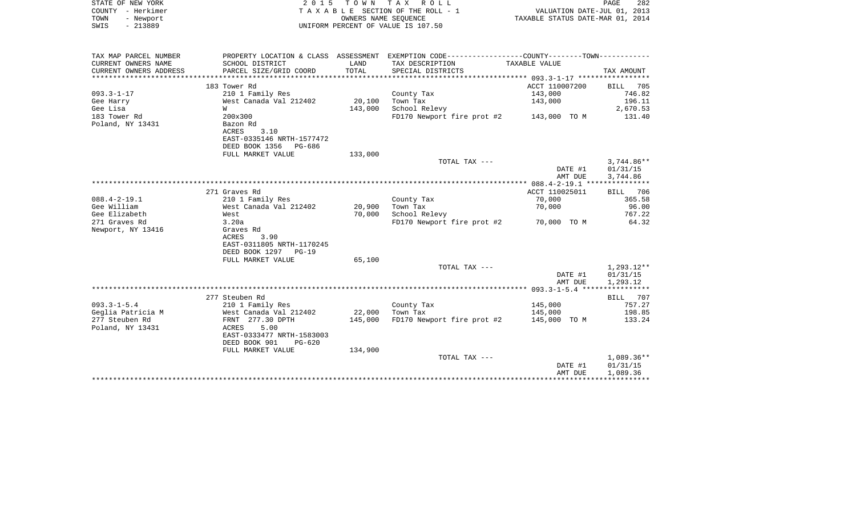|      | STATE OF NEW YORK | 2015 TOWN TAX ROLL                 | PAGE                             | 282 |
|------|-------------------|------------------------------------|----------------------------------|-----|
|      | COUNTY - Herkimer | TAXABLE SECTION OF THE ROLL - 1    | VALUATION DATE-JUL 01, 2013      |     |
| TOWN | - Newport         | OWNERS NAME SEOUENCE               | TAXABLE STATUS DATE-MAR 01, 2014 |     |
| SWIS | - 213889          | UNIFORM PERCENT OF VALUE IS 107.50 |                                  |     |

| TAX MAP PARCEL NUMBER  |                           |         | PROPERTY LOCATION & CLASS ASSESSMENT EXEMPTION CODE---------------COUNTY-------TOWN---------- |                |              |
|------------------------|---------------------------|---------|-----------------------------------------------------------------------------------------------|----------------|--------------|
| CURRENT OWNERS NAME    | SCHOOL DISTRICT           | LAND    | TAX DESCRIPTION                                                                               | TAXABLE VALUE  |              |
| CURRENT OWNERS ADDRESS | PARCEL SIZE/GRID COORD    | TOTAL   | SPECIAL DISTRICTS                                                                             |                | TAX AMOUNT   |
|                        |                           |         |                                                                                               |                |              |
|                        | 183 Tower Rd              |         |                                                                                               | ACCT 110007200 | BILL 705     |
| $093.3 - 1 - 17$       | 210 1 Family Res          |         | County Tax                                                                                    | 143,000        | 746.82       |
| Gee Harry              | West Canada Val 212402    |         | 20,100 Town Tax                                                                               | 143,000        | 196.11       |
| Gee Lisa               | W                         | 143,000 | School Relevy                                                                                 |                | 2,670.53     |
| 183 Tower Rd           | 200x300                   |         | FD170 Newport fire prot #2 143,000 TO M 131.40                                                |                |              |
| Poland, NY 13431       | Bazon Rd                  |         |                                                                                               |                |              |
|                        | ACRES<br>3.10             |         |                                                                                               |                |              |
|                        | EAST-0335146 NRTH-1577472 |         |                                                                                               |                |              |
|                        | DEED BOOK 1356 PG-686     |         |                                                                                               |                |              |
|                        | FULL MARKET VALUE         | 133,000 |                                                                                               |                |              |
|                        |                           |         | TOTAL TAX ---                                                                                 |                | $3,744.86**$ |
|                        |                           |         |                                                                                               | DATE #1        | 01/31/15     |
|                        |                           |         |                                                                                               | AMT DUE        | 3,744.86     |
|                        |                           |         |                                                                                               |                |              |
|                        | 271 Graves Rd             |         |                                                                                               | ACCT 110025011 | BILL 706     |
| $088.4 - 2 - 19.1$     | 210 1 Family Res          |         | County Tax                                                                                    | 70,000         | 365.58       |
| Gee William            | West Canada Val 212402    | 20,900  | Town Tax                                                                                      | 70,000         | 96.00        |
| Gee Elizabeth          | West                      | 70,000  | School Relevy                                                                                 |                | 767.22       |
| 271 Graves Rd          | 3.20a                     |         | FD170 Newport fire prot #2 70,000 TO M                                                        |                | 64.32        |
| Newport, NY 13416      | Graves Rd                 |         |                                                                                               |                |              |
|                        | ACRES<br>3.90             |         |                                                                                               |                |              |
|                        | EAST-0311805 NRTH-1170245 |         |                                                                                               |                |              |
|                        | DEED BOOK 1297 PG-19      |         |                                                                                               |                |              |
|                        | FULL MARKET VALUE         |         |                                                                                               |                |              |
|                        |                           | 65,100  | TOTAL TAX ---                                                                                 |                | 1,293.12**   |
|                        |                           |         |                                                                                               | DATE #1        | 01/31/15     |
|                        |                           |         |                                                                                               |                |              |
|                        |                           |         |                                                                                               | AMT DUE        | 1,293.12     |
|                        | 277 Steuben Rd            |         |                                                                                               |                | BILL 707     |
|                        |                           |         |                                                                                               |                |              |
| $093.3 - 1 - 5.4$      | 210 1 Family Res          |         | County Tax                                                                                    | 145,000        | 757.27       |
| Geglia Patricia M      | West Canada Val 212402    | 22,000  | Town Tax                                                                                      | 145,000        | 198.85       |
| 277 Steuben Rd         | FRNT 277.30 DPTH          | 145,000 | FD170 Newport fire prot #2                                                                    | 145,000 TO M   | 133.24       |
| Poland, NY 13431       | 5.00<br>ACRES             |         |                                                                                               |                |              |
|                        | EAST-0333477 NRTH-1583003 |         |                                                                                               |                |              |
|                        | DEED BOOK 901<br>PG-620   |         |                                                                                               |                |              |
|                        | FULL MARKET VALUE         | 134,900 |                                                                                               |                |              |
|                        |                           |         | TOTAL TAX ---                                                                                 |                | 1,089.36**   |
|                        |                           |         |                                                                                               | DATE #1        | 01/31/15     |
|                        |                           |         |                                                                                               | AMT DUE        | 1,089.36     |
|                        |                           |         |                                                                                               |                |              |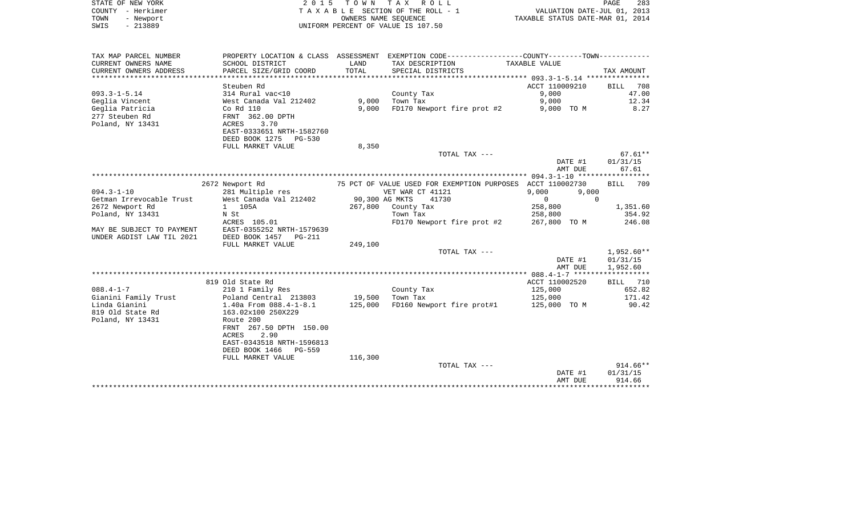| STATE OF NEW YORK                                   |                            |                | 2015 TOWN TAX ROLL                                                                                               |                                  | PAGE<br>283  |
|-----------------------------------------------------|----------------------------|----------------|------------------------------------------------------------------------------------------------------------------|----------------------------------|--------------|
| COUNTY - Herkimer                                   |                            |                | TAXABLE SECTION OF THE ROLL - 1                                                                                  | VALUATION DATE-JUL 01, 2013      |              |
| - Newport<br>TOWN                                   |                            |                | OWNERS NAME SEQUENCE                                                                                             | TAXABLE STATUS DATE-MAR 01, 2014 |              |
| $-213889$<br>SWIS                                   |                            |                | UNIFORM PERCENT OF VALUE IS 107.50                                                                               |                                  |              |
|                                                     |                            |                |                                                                                                                  |                                  |              |
|                                                     |                            |                |                                                                                                                  |                                  |              |
|                                                     |                            |                |                                                                                                                  |                                  |              |
| TAX MAP PARCEL NUMBER<br>CURRENT OWNERS NAME        | SCHOOL DISTRICT            | LAND           | PROPERTY LOCATION & CLASS ASSESSMENT EXEMPTION CODE---------------COUNTY-------TOWN----------<br>TAX DESCRIPTION | TAXABLE VALUE                    |              |
|                                                     | PARCEL SIZE/GRID COORD     | TOTAL          |                                                                                                                  |                                  |              |
| CURRENT OWNERS ADDRESS<br>************************* |                            |                | SPECIAL DISTRICTS                                                                                                |                                  | TAX AMOUNT   |
|                                                     | Steuben Rd                 |                |                                                                                                                  | ACCT 110009210                   | 708<br>BILL  |
| $093.3 - 1 - 5.14$                                  | 314 Rural vac<10           |                | County Tax                                                                                                       | 9,000                            | 47.00        |
| Geglia Vincent                                      | West Canada Val 212402     | 9,000          | Town Tax                                                                                                         | 9,000                            | 12.34        |
| Geglia Patricia                                     | Co Rd 110                  | 9,000          | FD170 Newport fire prot #2                                                                                       | 9,000 TO M                       | 8.27         |
| 277 Steuben Rd                                      | FRNT 362.00 DPTH           |                |                                                                                                                  |                                  |              |
| Poland, NY 13431                                    | ACRES<br>3.70              |                |                                                                                                                  |                                  |              |
|                                                     | EAST-0333651 NRTH-1582760  |                |                                                                                                                  |                                  |              |
|                                                     | DEED BOOK 1275<br>PG-530   |                |                                                                                                                  |                                  |              |
|                                                     | FULL MARKET VALUE          | 8,350          |                                                                                                                  |                                  |              |
|                                                     |                            |                | TOTAL TAX ---                                                                                                    |                                  | $67.61**$    |
|                                                     |                            |                |                                                                                                                  | DATE #1                          | 01/31/15     |
|                                                     |                            |                |                                                                                                                  | AMT DUE                          | 67.61        |
|                                                     |                            |                |                                                                                                                  |                                  |              |
|                                                     | 2672 Newport Rd            |                | 75 PCT OF VALUE USED FOR EXEMPTION PURPOSES ACCT 110002730                                                       |                                  | BILL 709     |
| $094.3 - 1 - 10$                                    | 281 Multiple res           |                | VET WAR CT 41121                                                                                                 | 9,000<br>9,000                   |              |
| Getman Irrevocable Trust                            | West Canada Val 212402     | 90,300 AG MKTS | 41730                                                                                                            | $\mathbf{0}$                     | $\Omega$     |
| 2672 Newport Rd                                     | 1 105A                     | 267,800        | County Tax                                                                                                       | 258,800                          | 1,351.60     |
| Poland, NY 13431                                    | N St                       |                | Town Tax                                                                                                         | 258,800                          | 354.92       |
|                                                     | ACRES 105.01               |                | FD170 Newport fire prot #2                                                                                       | 267,800 TO M                     | 246.08       |
| MAY BE SUBJECT TO PAYMENT                           | EAST-0355252 NRTH-1579639  |                |                                                                                                                  |                                  |              |
| UNDER AGDIST LAW TIL 2021                           | DEED BOOK 1457 PG-211      |                |                                                                                                                  |                                  |              |
|                                                     | FULL MARKET VALUE          | 249,100        |                                                                                                                  |                                  |              |
|                                                     |                            |                | TOTAL TAX ---                                                                                                    |                                  | $1,952.60**$ |
|                                                     |                            |                |                                                                                                                  | DATE #1                          | 01/31/15     |
|                                                     |                            |                |                                                                                                                  | AMT DUE                          | 1,952.60     |
|                                                     |                            |                |                                                                                                                  |                                  |              |
|                                                     | 819 Old State Rd           |                |                                                                                                                  | ACCT 110002520                   | BILL 710     |
| $088.4 - 1 - 7$                                     | 210 1 Family Res           |                | County Tax                                                                                                       | 125,000                          | 652.82       |
| Gianini Family Trust                                | Poland Central 213803      | 19,500         | Town Tax                                                                                                         | 125,000                          | 171.42       |
| Linda Gianini                                       | $1.40a$ From $088.4-1-8.1$ | 125,000        | FD160 Newport fire prot#1                                                                                        | 125,000 TO M                     | 90.42        |
| 819 Old State Rd                                    | 163.02x100 250X229         |                |                                                                                                                  |                                  |              |
| Poland, NY 13431                                    | Route 200                  |                |                                                                                                                  |                                  |              |
|                                                     | FRNT 267.50 DPTH 150.00    |                |                                                                                                                  |                                  |              |
|                                                     | ACRES<br>2.90              |                |                                                                                                                  |                                  |              |
|                                                     | EAST-0343518 NRTH-1596813  |                |                                                                                                                  |                                  |              |
|                                                     | DEED BOOK 1466<br>PG-559   |                |                                                                                                                  |                                  |              |
|                                                     | FULL MARKET VALUE          | 116,300        |                                                                                                                  |                                  |              |
|                                                     |                            |                | TOTAL TAX ---                                                                                                    |                                  | $914.66***$  |
|                                                     |                            |                |                                                                                                                  | DATE #1                          | 01/31/15     |
|                                                     |                            |                |                                                                                                                  | AMT DUE                          | 914.66       |
|                                                     |                            |                |                                                                                                                  |                                  |              |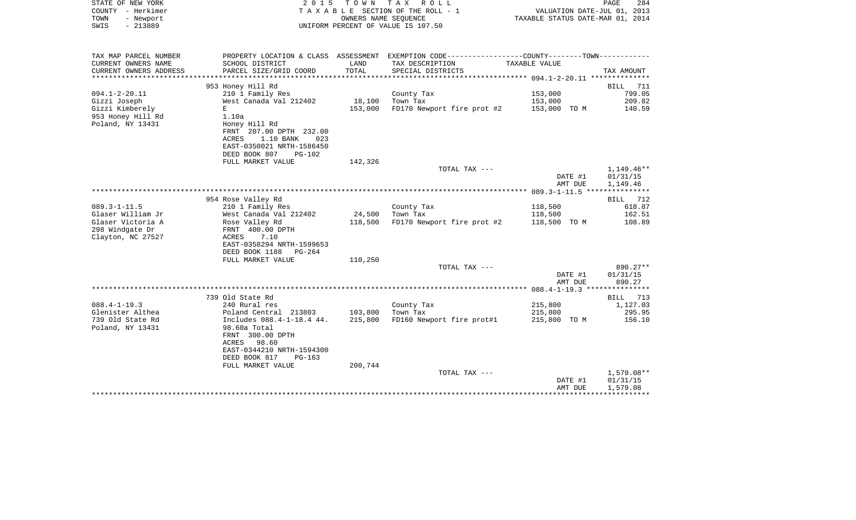| STATE OF NEW YORK<br>COUNTY - Herkimer<br>- Newport<br>TOWN<br>$-213889$<br>SWIS | 2 0 1 5                                                                                                                                       |                    | TOWN TAX ROLL<br>TAXABLE SECTION OF THE ROLL - 1<br>OWNERS NAME SEQUENCE<br>UNIFORM PERCENT OF VALUE IS 107.50   | VALUATION DATE-JUL 01, 2013<br>TAXABLE STATUS DATE-MAR 01, 2014 | PAGE<br>284                          |
|----------------------------------------------------------------------------------|-----------------------------------------------------------------------------------------------------------------------------------------------|--------------------|------------------------------------------------------------------------------------------------------------------|-----------------------------------------------------------------|--------------------------------------|
| TAX MAP PARCEL NUMBER<br>CURRENT OWNERS NAME                                     | SCHOOL DISTRICT                                                                                                                               | LAND               | PROPERTY LOCATION & CLASS ASSESSMENT EXEMPTION CODE---------------COUNTY-------TOWN----------<br>TAX DESCRIPTION | TAXABLE VALUE                                                   |                                      |
| CURRENT OWNERS ADDRESS                                                           | PARCEL SIZE/GRID COORD                                                                                                                        | TOTAL              | SPECIAL DISTRICTS                                                                                                |                                                                 | TAX AMOUNT                           |
| *******************                                                              |                                                                                                                                               |                    |                                                                                                                  | ************ 094.1-2-20.11 ***************                      |                                      |
|                                                                                  | 953 Honey Hill Rd                                                                                                                             |                    |                                                                                                                  |                                                                 | BILL 711                             |
| $094.1 - 2 - 20.11$                                                              | 210 1 Family Res                                                                                                                              |                    | County Tax                                                                                                       | 153,000                                                         | 799.05                               |
| Gizzi Joseph                                                                     | West Canada Val 212402                                                                                                                        | 18,100             | Town Tax                                                                                                         | 153,000                                                         | 209.82                               |
| Gizzi Kimberely<br>953 Honey Hill Rd<br>Poland, NY 13431                         | E<br>1.10a<br>Honey Hill Rd<br>FRNT 207.00 DPTH 232.00<br>ACRES<br>1.10 BANK<br>023<br>EAST-0350021 NRTH-1586450<br>DEED BOOK 807<br>$PG-102$ | 153,000            | FD170 Newport fire prot #2                                                                                       | 153,000 TO M                                                    | 140.59                               |
|                                                                                  | FULL MARKET VALUE                                                                                                                             | 142,326            |                                                                                                                  |                                                                 |                                      |
|                                                                                  |                                                                                                                                               |                    | TOTAL TAX ---                                                                                                    |                                                                 | 1,149.46**                           |
|                                                                                  |                                                                                                                                               |                    |                                                                                                                  | DATE #1<br>AMT DUE                                              | 01/31/15<br>1,149.46                 |
|                                                                                  |                                                                                                                                               |                    |                                                                                                                  |                                                                 |                                      |
|                                                                                  | 954 Rose Valley Rd                                                                                                                            |                    |                                                                                                                  |                                                                 | BILL 712                             |
| $089.3 - 1 - 11.5$                                                               | 210 1 Family Res                                                                                                                              |                    | County Tax                                                                                                       | 118,500                                                         | 618.87                               |
| Glaser William Jr                                                                | West Canada Val 212402                                                                                                                        | 24,500             | Town Tax                                                                                                         | 118,500                                                         | 162.51                               |
| Glaser Victoria A                                                                | Rose Valley Rd                                                                                                                                | 118,500            | FD170 Newport fire prot #2                                                                                       | 118,500 TO M                                                    | 108.89                               |
| 298 Windgate Dr<br>Clayton, NC 27527                                             | FRNT 400.00 DPTH<br>7.10<br>ACRES<br>EAST-0358294 NRTH-1599653<br>DEED BOOK 1188<br>PG-264                                                    |                    |                                                                                                                  |                                                                 |                                      |
|                                                                                  | FULL MARKET VALUE                                                                                                                             | 110,250            | TOTAL TAX ---                                                                                                    |                                                                 | $890.27**$                           |
|                                                                                  |                                                                                                                                               |                    |                                                                                                                  | DATE #1                                                         | 01/31/15                             |
|                                                                                  |                                                                                                                                               |                    |                                                                                                                  | AMT DUE                                                         | 890.27                               |
|                                                                                  |                                                                                                                                               |                    |                                                                                                                  |                                                                 |                                      |
|                                                                                  | 739 Old State Rd                                                                                                                              |                    |                                                                                                                  |                                                                 | BILL 713                             |
| $088.4 - 1 - 19.3$                                                               | 240 Rural res                                                                                                                                 |                    | County Tax                                                                                                       | 215,800                                                         | 1,127.03                             |
| Glenister Althea<br>739 Old State Rd                                             | Poland Central 213803<br>Includes 088.4-1-18.4 44.                                                                                            | 103,800<br>215,800 | Town Tax<br>FD160 Newport fire prot#1                                                                            | 215,800<br>215,800 TO M                                         | 295.95<br>156.10                     |
| Poland, NY 13431                                                                 | 98.60a Total<br>FRNT 300.00 DPTH<br>98.60<br>ACRES<br>EAST-0344210 NRTH-1594300<br>DEED BOOK 817<br>$PG-163$                                  |                    |                                                                                                                  |                                                                 |                                      |
|                                                                                  | FULL MARKET VALUE                                                                                                                             | 200,744            |                                                                                                                  |                                                                 |                                      |
|                                                                                  |                                                                                                                                               |                    | TOTAL TAX ---                                                                                                    | DATE #1<br>AMT DUE                                              | $1,579.08**$<br>01/31/15<br>1,579.08 |
|                                                                                  |                                                                                                                                               |                    |                                                                                                                  |                                                                 |                                      |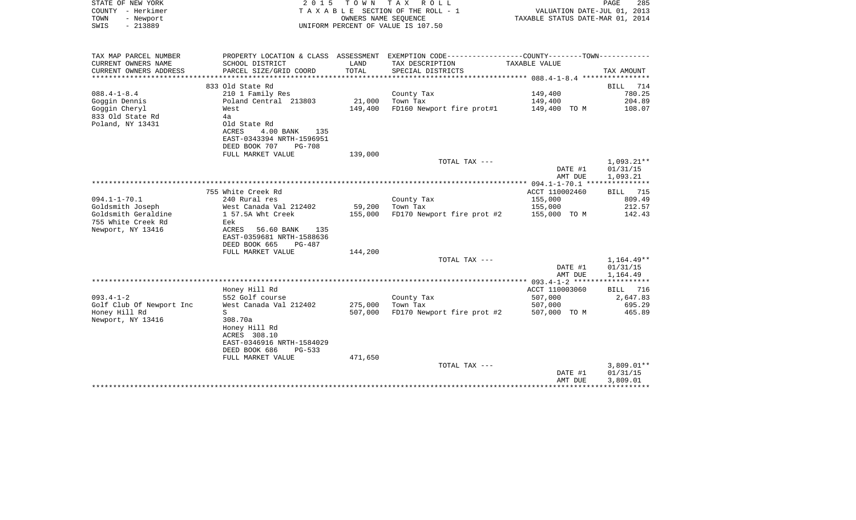| TOWN<br>- Newport<br>$-213889$<br>SWIS | TAXABLE SECTION OF THE ROLL - 1<br>OWNERS NAME SEQUENCE<br>UNIFORM PERCENT OF VALUE IS 107.50 |         |                                                                                              | VALUATION DATE-JUL 01, 2013<br>TAXABLE STATUS DATE-MAR 01, 2014 |                                          |
|----------------------------------------|-----------------------------------------------------------------------------------------------|---------|----------------------------------------------------------------------------------------------|-----------------------------------------------------------------|------------------------------------------|
|                                        |                                                                                               |         |                                                                                              |                                                                 |                                          |
| TAX MAP PARCEL NUMBER                  |                                                                                               |         | PROPERTY LOCATION & CLASS ASSESSMENT EXEMPTION CODE---------------COUNTY-------TOWN--------- |                                                                 |                                          |
| CURRENT OWNERS NAME                    | SCHOOL DISTRICT                                                                               | LAND    | TAX DESCRIPTION                                                                              | TAXABLE VALUE                                                   |                                          |
| CURRENT OWNERS ADDRESS                 | PARCEL SIZE/GRID COORD                                                                        | TOTAL   | SPECIAL DISTRICTS                                                                            |                                                                 | TAX AMOUNT                               |
|                                        | 833 Old State Rd                                                                              |         |                                                                                              |                                                                 | BILL 714                                 |
| $088.4 - 1 - 8.4$                      | 210 1 Family Res                                                                              |         | County Tax                                                                                   | 149,400                                                         |                                          |
| Goggin Dennis                          | Poland Central 213803                                                                         | 21,000  | Town Tax                                                                                     | 149,400                                                         |                                          |
| Goggin Cheryl                          | West                                                                                          | 149,400 | FD160 Newport fire prot#1                                                                    | 149,400 TO M                                                    | 108.07                                   |
| 833 Old State Rd                       | 4a                                                                                            |         |                                                                                              |                                                                 |                                          |
| Poland, NY 13431                       | Old State Rd                                                                                  |         |                                                                                              |                                                                 |                                          |
|                                        | ACRES<br>4.00 BANK<br>135                                                                     |         |                                                                                              |                                                                 |                                          |
|                                        | EAST-0343394 NRTH-1596951                                                                     |         |                                                                                              |                                                                 |                                          |
|                                        | DEED BOOK 707<br><b>PG-708</b>                                                                |         |                                                                                              |                                                                 |                                          |
|                                        | FULL MARKET VALUE                                                                             | 139,000 | TOTAL TAX ---                                                                                |                                                                 | $1,093.21**$                             |
|                                        |                                                                                               |         |                                                                                              | DATE #1                                                         | 01/31/15                                 |
|                                        |                                                                                               |         |                                                                                              | AMT DUE                                                         | 1,093.21                                 |
|                                        |                                                                                               |         |                                                                                              |                                                                 |                                          |
|                                        | 755 White Creek Rd                                                                            |         |                                                                                              | ACCT 110002460                                                  | BILL 715                                 |
| $094.1 - 1 - 70.1$                     | 240 Rural res                                                                                 |         | County Tax                                                                                   | 155,000                                                         | 809.49                                   |
| Goldsmith Joseph                       | West Canada Val 212402                                                                        | 59,200  | Town Tax                                                                                     | 155,000                                                         | 212.57                                   |
| Goldsmith Geraldine                    | 1 57.5A Wht Creek                                                                             | 155,000 | FD170 Newport fire prot #2                                                                   | 155,000 TO M                                                    | 142.43                                   |
| 755 White Creek Rd                     | Eek                                                                                           |         |                                                                                              |                                                                 |                                          |
|                                        | ACRES 56.60 BANK<br>135                                                                       |         |                                                                                              |                                                                 |                                          |
| Newport, NY 13416                      |                                                                                               |         |                                                                                              |                                                                 |                                          |
|                                        | EAST-0359681 NRTH-1588636                                                                     |         |                                                                                              |                                                                 |                                          |
|                                        | DEED BOOK 665<br>PG-487                                                                       |         |                                                                                              |                                                                 |                                          |
|                                        | FULL MARKET VALUE                                                                             | 144,200 |                                                                                              |                                                                 |                                          |
|                                        |                                                                                               |         | TOTAL TAX ---                                                                                |                                                                 | 1,164.49**                               |
|                                        |                                                                                               |         |                                                                                              | DATE #1<br>AMT DUE                                              | 01/31/15<br>1,164.49                     |
|                                        |                                                                                               |         |                                                                                              |                                                                 |                                          |
|                                        | Honey Hill Rd                                                                                 |         |                                                                                              | ACCT 110003060                                                  |                                          |
| $093.4 - 1 - 2$                        | 552 Golf course                                                                               |         | County Tax                                                                                   | 507,000                                                         |                                          |
| Golf Club Of Newport Inc               | West Canada Val 212402                                                                        | 275,000 | Town Tax                                                                                     | 507,000                                                         |                                          |
| Honey Hill Rd                          | S                                                                                             | 507,000 | FD170 Newport fire prot #2                                                                   | 507,000 TO M                                                    |                                          |
| Newport, NY 13416                      | 308.70a                                                                                       |         |                                                                                              |                                                                 |                                          |
|                                        | Honey Hill Rd                                                                                 |         |                                                                                              |                                                                 |                                          |
|                                        | ACRES 308.10                                                                                  |         |                                                                                              |                                                                 |                                          |
|                                        | EAST-0346916 NRTH-1584029                                                                     |         |                                                                                              |                                                                 |                                          |
|                                        | DEED BOOK 686<br>PG-533<br>FULL MARKET VALUE                                                  | 471,650 |                                                                                              |                                                                 | BILL 716<br>2,647.83<br>695.29<br>465.89 |
|                                        |                                                                                               |         | TOTAL TAX ---                                                                                |                                                                 | $3,809.01**$                             |
|                                        |                                                                                               |         |                                                                                              | DATE #1                                                         | 01/31/15                                 |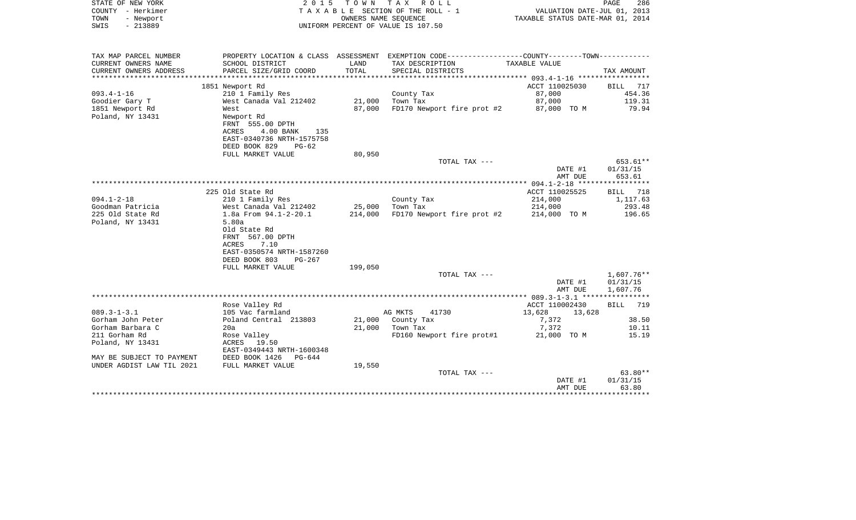|      | STATE OF NEW YORK | 2015 TOWN TAX ROLL                 |                                  | PAGE | 286 |
|------|-------------------|------------------------------------|----------------------------------|------|-----|
|      | COUNTY - Herkimer | TAXABLE SECTION OF THE ROLL - 1    | VALUATION DATE-JUL 01, 2013      |      |     |
| TOWN | - Newport         | OWNERS NAME SEOUENCE               | TAXABLE STATUS DATE-MAR 01, 2014 |      |     |
| SWIS | - 213889          | UNIFORM PERCENT OF VALUE IS 107.50 |                                  |      |     |
|      |                   |                                    |                                  |      |     |
|      |                   |                                    |                                  |      |     |

| TAX MAP PARCEL NUMBER     |                             |         | PROPERTY LOCATION & CLASS ASSESSMENT EXEMPTION CODE----------------COUNTY--------TOWN---------- |                    |                        |
|---------------------------|-----------------------------|---------|-------------------------------------------------------------------------------------------------|--------------------|------------------------|
| CURRENT OWNERS NAME       | SCHOOL DISTRICT             | LAND    | TAX DESCRIPTION                                                                                 | TAXABLE VALUE      |                        |
| CURRENT OWNERS ADDRESS    | PARCEL SIZE/GRID COORD      | TOTAL   | SPECIAL DISTRICTS                                                                               |                    | TAX AMOUNT             |
|                           |                             |         |                                                                                                 |                    |                        |
|                           | 1851 Newport Rd             |         |                                                                                                 | ACCT 110025030     | BILL 717               |
| $093.4 - 1 - 16$          | 210 1 Family Res            |         | County Tax                                                                                      | 87,000             | 454.36                 |
| Goodier Gary T            | West Canada Val 212402      | 21,000  | Town Tax                                                                                        | 87,000             | 119.31                 |
| 1851 Newport Rd           | West                        | 87,000  | FD170 Newport fire prot #2                                                                      | 87,000 TO M        | 79.94                  |
| Poland, NY 13431          | Newport Rd                  |         |                                                                                                 |                    |                        |
|                           | FRNT 555.00 DPTH            |         |                                                                                                 |                    |                        |
|                           | ACRES<br>$4.00$ BANK<br>135 |         |                                                                                                 |                    |                        |
|                           | EAST-0340736 NRTH-1575758   |         |                                                                                                 |                    |                        |
|                           | DEED BOOK 829<br>$PG-62$    |         |                                                                                                 |                    |                        |
|                           | FULL MARKET VALUE           | 80,950  |                                                                                                 |                    |                        |
|                           |                             |         | TOTAL TAX ---                                                                                   |                    | 653.61**               |
|                           |                             |         |                                                                                                 | DATE #1            | 01/31/15               |
|                           |                             |         |                                                                                                 | AMT DUE            | 653.61                 |
|                           |                             |         |                                                                                                 |                    |                        |
|                           | 225 Old State Rd            |         |                                                                                                 | ACCT 110025525     | BILL 718               |
| $094.1 - 2 - 18$          | 210 1 Family Res            |         | County Tax                                                                                      | 214,000            | 1,117.63               |
| Goodman Patricia          | West Canada Val 212402      | 25,000  | Town Tax                                                                                        | 214,000            | 293.48                 |
| 225 Old State Rd          | 1.8a From 94.1-2-20.1       | 214,000 | FD170 Newport fire prot #2 214,000 TO M                                                         |                    | 196.65                 |
| Poland, NY 13431          | 5.80a                       |         |                                                                                                 |                    |                        |
|                           | Old State Rd                |         |                                                                                                 |                    |                        |
|                           | FRNT 567.00 DPTH            |         |                                                                                                 |                    |                        |
|                           | ACRES<br>7.10               |         |                                                                                                 |                    |                        |
|                           | EAST-0350574 NRTH-1587260   |         |                                                                                                 |                    |                        |
|                           | DEED BOOK 803<br>PG-267     |         |                                                                                                 |                    |                        |
|                           | FULL MARKET VALUE           | 199,050 |                                                                                                 |                    |                        |
|                           |                             |         | TOTAL TAX ---                                                                                   |                    | 1,607.76**<br>01/31/15 |
|                           |                             |         |                                                                                                 | DATE #1<br>AMT DUE | 1,607.76               |
|                           |                             |         |                                                                                                 |                    |                        |
|                           | Rose Valley Rd              |         |                                                                                                 | ACCT 110002430     | BILL 719               |
| $089.3 - 1 - 3.1$         | 105 Vac farmland            |         | 41730<br>AG MKTS                                                                                | 13,628<br>13,628   |                        |
| Gorham John Peter         | Poland Central 213803       |         | 21,000 County Tax                                                                               | 7,372              | 38.50                  |
| Gorham Barbara C          | 20a                         |         | 21,000 Town Tax                                                                                 | 7,372              | 10.11                  |
| 211 Gorham Rd             | Rose Valley                 |         | FD160 Newport fire prot#1                                                                       | 21,000 TO M        | 15.19                  |
| Poland, NY 13431          | ACRES 19.50                 |         |                                                                                                 |                    |                        |
|                           | EAST-0349443 NRTH-1600348   |         |                                                                                                 |                    |                        |
| MAY BE SUBJECT TO PAYMENT | DEED BOOK 1426 PG-644       |         |                                                                                                 |                    |                        |
| UNDER AGDIST LAW TIL 2021 | FULL MARKET VALUE           | 19,550  |                                                                                                 |                    |                        |
|                           |                             |         | TOTAL TAX ---                                                                                   |                    | 63.80**                |
|                           |                             |         |                                                                                                 | DATE #1            | 01/31/15               |
|                           |                             |         |                                                                                                 | AMT DUE            | 63.80                  |
|                           |                             |         |                                                                                                 |                    | ***********            |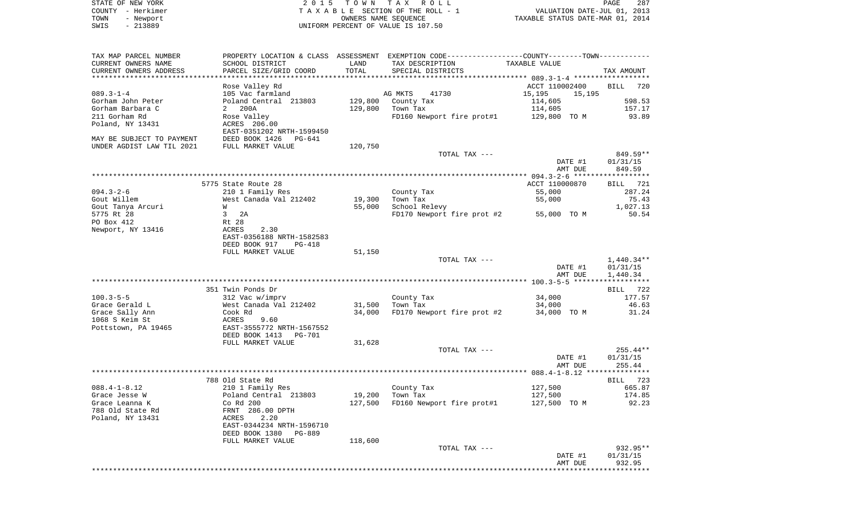|      | STATE OF NEW YORK | 2015 TOWN TAX ROLL                    |                                  | PAGE                        | 287 |
|------|-------------------|---------------------------------------|----------------------------------|-----------------------------|-----|
|      | COUNTY - Herkimer | T A X A B L E SECTION OF THE ROLL - 1 |                                  | VALUATION DATE-JUL 01, 2013 |     |
| TOWN | - Newport         | OWNERS NAME SEOUENCE                  | TAXABLE STATUS DATE-MAR 01, 2014 |                             |     |
| SWIS | - 213889          | UNIFORM PERCENT OF VALUE IS 107.50    |                                  |                             |     |

| TAX MAP PARCEL NUMBER     |                           |         | PROPERTY LOCATION & CLASS ASSESSMENT EXEMPTION CODE---------------COUNTY-------TOWN---------- |                  |                                   |
|---------------------------|---------------------------|---------|-----------------------------------------------------------------------------------------------|------------------|-----------------------------------|
| CURRENT OWNERS NAME       | SCHOOL DISTRICT           | LAND    | TAX DESCRIPTION                                                                               | TAXABLE VALUE    |                                   |
| CURRENT OWNERS ADDRESS    | PARCEL SIZE/GRID COORD    | TOTAL   | SPECIAL DISTRICTS                                                                             |                  | TAX AMOUNT                        |
|                           |                           |         |                                                                                               |                  |                                   |
|                           | Rose Valley Rd            |         |                                                                                               | ACCT 110002400   | BILL 720                          |
| $089.3 - 1 - 4$           | 105 Vac farmland          |         | AG MKTS<br>41730                                                                              | 15,195<br>15,195 |                                   |
| Gorham John Peter         | Poland Central 213803     | 129,800 | County Tax                                                                                    | 114,605          | 598.53                            |
| Gorham Barbara C          | $\mathbf{2}$<br>200A      | 129,800 | Town Tax                                                                                      | 114,605          | 157.17                            |
| 211 Gorham Rd             | Rose Valley               |         | FD160 Newport fire prot#1                                                                     | 129,800 TO M     | 93.89                             |
| Poland, NY 13431          | ACRES 206.00              |         |                                                                                               |                  |                                   |
|                           |                           |         |                                                                                               |                  |                                   |
|                           | EAST-0351202 NRTH-1599450 |         |                                                                                               |                  |                                   |
| MAY BE SUBJECT TO PAYMENT | DEED BOOK 1426<br>PG-641  |         |                                                                                               |                  |                                   |
| UNDER AGDIST LAW TIL 2021 | FULL MARKET VALUE         | 120,750 |                                                                                               |                  |                                   |
|                           |                           |         | TOTAL TAX ---                                                                                 |                  | 849.59**                          |
|                           |                           |         |                                                                                               | DATE #1          | 01/31/15                          |
|                           |                           |         |                                                                                               | AMT DUE          | 849.59                            |
|                           |                           |         |                                                                                               |                  |                                   |
|                           | 5775 State Route 28       |         |                                                                                               | ACCT 110000870   | BILL 721                          |
| $094.3 - 2 - 6$           | 210 1 Family Res          |         | County Tax                                                                                    | 55,000           | 287.24                            |
| Gout Willem               | West Canada Val 212402    | 19,300  | Town Tax                                                                                      | 55,000           | 75.43                             |
| Gout Tanya Arcuri         | W                         | 55,000  | School Relevy                                                                                 |                  | 1,027.13                          |
| 5775 Rt 28                | $\overline{3}$<br>2A      |         | FD170 Newport fire prot #2                                                                    | 55,000 TO M      | 50.54                             |
| PO Box 412                | Rt 28                     |         |                                                                                               |                  |                                   |
| Newport, NY 13416         | ACRES<br>2.30             |         |                                                                                               |                  |                                   |
|                           | EAST-0356188 NRTH-1582583 |         |                                                                                               |                  |                                   |
|                           | DEED BOOK 917<br>PG-418   |         |                                                                                               |                  |                                   |
|                           | FULL MARKET VALUE         | 51,150  |                                                                                               |                  |                                   |
|                           |                           |         | TOTAL TAX ---                                                                                 |                  | $1,440.34**$                      |
|                           |                           |         |                                                                                               | DATE #1          |                                   |
|                           |                           |         |                                                                                               |                  | 01/31/15                          |
|                           |                           |         |                                                                                               | AMT DUE          | 1,440.34<br>* * * * * * * * * * * |
|                           |                           |         |                                                                                               |                  |                                   |
|                           | 351 Twin Ponds Dr         |         |                                                                                               |                  | 722<br>BILL                       |
| $100.3 - 5 - 5$           | 312 Vac w/imprv           |         | County Tax                                                                                    | 34,000           | 177.57                            |
| Grace Gerald L            | West Canada Val 212402    | 31,500  | Town Tax                                                                                      | 34,000           | 46.63                             |
| Grace Sally Ann           | Cook Rd                   | 34,000  | FD170 Newport fire prot #2                                                                    | 34,000 TO M      | 31.24                             |
| 1068 S Keim St            | ACRES<br>9.60             |         |                                                                                               |                  |                                   |
| Pottstown, PA 19465       | EAST-3555772 NRTH-1567552 |         |                                                                                               |                  |                                   |
|                           | DEED BOOK 1413<br>PG-701  |         |                                                                                               |                  |                                   |
|                           | FULL MARKET VALUE         | 31,628  |                                                                                               |                  |                                   |
|                           |                           |         | TOTAL TAX ---                                                                                 |                  | 255.44**                          |
|                           |                           |         |                                                                                               | DATE #1          | 01/31/15                          |
|                           |                           |         |                                                                                               | AMT DUE          | 255.44                            |
|                           |                           |         |                                                                                               |                  |                                   |
|                           | 788 Old State Rd          |         |                                                                                               |                  | BILL 723                          |
| $088.4 - 1 - 8.12$        | 210 1 Family Res          |         | County Tax                                                                                    | 127,500          | 665.87                            |
| Grace Jesse W             | Poland Central 213803     | 19,200  | Town Tax                                                                                      | 127,500          | 174.85                            |
| Grace Leanna K            | Co Rd 200                 | 127,500 | FD160 Newport fire prot#1                                                                     | 127,500 TO M     | 92.23                             |
| 788 Old State Rd          | FRNT 286.00 DPTH          |         |                                                                                               |                  |                                   |
| Poland, NY 13431          | 2.20                      |         |                                                                                               |                  |                                   |
|                           | ACRES                     |         |                                                                                               |                  |                                   |
|                           | EAST-0344234 NRTH-1596710 |         |                                                                                               |                  |                                   |
|                           | DEED BOOK 1380<br>PG-889  |         |                                                                                               |                  |                                   |
|                           | FULL MARKET VALUE         | 118,600 |                                                                                               |                  |                                   |
|                           |                           |         | TOTAL TAX ---                                                                                 |                  | 932.95**                          |
|                           |                           |         |                                                                                               | DATE #1          | 01/31/15                          |
|                           |                           |         |                                                                                               | AMT DUE          | 932.95                            |
|                           |                           |         |                                                                                               |                  |                                   |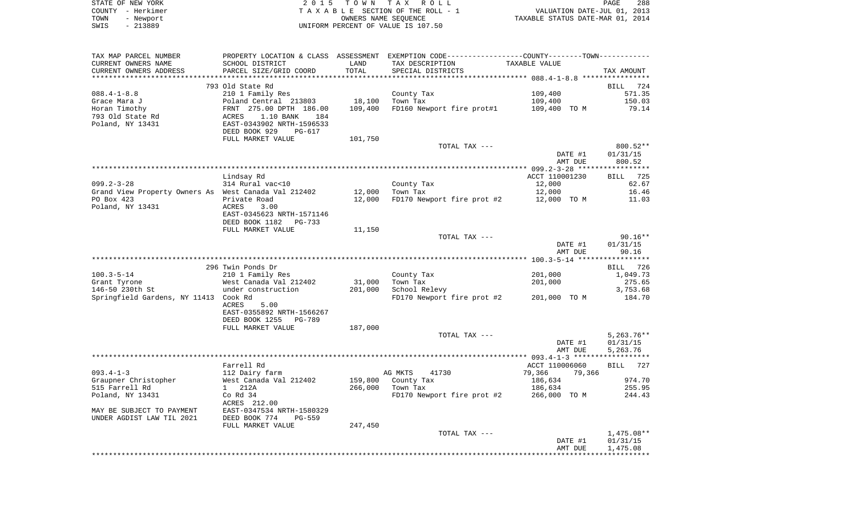| STATE OF NEW YORK | 2015 TOWN TAX ROLL                 | 288<br>PAGE                      |
|-------------------|------------------------------------|----------------------------------|
| COUNTY – Herkimer | TAXABLE SECTION OF THE ROLL - 1    | VALUATION DATE-JUL 01, 2013      |
| TOWN<br>- Newport | OWNERS NAME SEOUENCE               | TAXABLE STATUS DATE-MAR 01, 2014 |
| $-213889$<br>SWIS | UNIFORM PERCENT OF VALUE IS 107.50 |                                  |

| TAX MAP PARCEL NUMBER                                |                                                                                                      |         | PROPERTY LOCATION & CLASS ASSESSMENT EXEMPTION CODE---------------COUNTY-------TOWN---------- |                  |              |
|------------------------------------------------------|------------------------------------------------------------------------------------------------------|---------|-----------------------------------------------------------------------------------------------|------------------|--------------|
| CURRENT OWNERS NAME                                  | SCHOOL DISTRICT                                                                                      | LAND    | TAX DESCRIPTION                                                                               | TAXABLE VALUE    |              |
| CURRENT OWNERS ADDRESS                               | PARCEL SIZE/GRID COORD                                                                               | TOTAL   | SPECIAL DISTRICTS                                                                             |                  | TAX AMOUNT   |
|                                                      | 793 Old State Rd                                                                                     |         |                                                                                               |                  | BILL 724     |
| $088.4 - 1 - 8.8$                                    | 210 1 Family Res                                                                                     |         | County Tax                                                                                    | 109,400          | 571.35       |
| Grace Mara J                                         | Poland Central 213803                                                                                | 18,100  | Town Tax                                                                                      | 109,400          | 150.03       |
| Horan Timothy                                        |                                                                                                      | 109,400 | FD160 Newport fire prot#1 109,400 TO M                                                        |                  | 79.14        |
| 793 Old State Rd                                     |                                                                                                      |         |                                                                                               |                  |              |
| Poland, NY 13431                                     | Poland Central 213803<br>FRNT 275.00 DPTH 186.00<br>ACRES 1.10 BANK 184<br>EAST-0343902 NRTH-1596533 |         |                                                                                               |                  |              |
|                                                      | DEED BOOK 929<br>PG-617                                                                              |         |                                                                                               |                  |              |
|                                                      | FULL MARKET VALUE                                                                                    | 101,750 |                                                                                               |                  |              |
|                                                      |                                                                                                      |         | TOTAL TAX ---                                                                                 |                  | $800.52**$   |
|                                                      |                                                                                                      |         |                                                                                               | DATE #1          | 01/31/15     |
|                                                      |                                                                                                      |         |                                                                                               | AMT DUE          | 800.52       |
|                                                      |                                                                                                      |         |                                                                                               |                  |              |
|                                                      | Lindsay Rd                                                                                           |         |                                                                                               | ACCT 110001230   | 725<br>BILL  |
| 099.2-3-28                                           | 314 Rural vac<10                                                                                     |         | County Tax                                                                                    | 12,000           | 62.67        |
| Grand View Property Owners As West Canada Val 212402 |                                                                                                      | 12,000  | Town Tax                                                                                      | 12,000           | 16.46        |
| PO Box 423                                           | Private Road                                                                                         | 12,000  | FD170 Newport fire prot #2 12,000 TO M                                                        |                  | 11.03        |
| Poland, NY 13431                                     | ACRES<br>3.00                                                                                        |         |                                                                                               |                  |              |
|                                                      | EAST-0345623 NRTH-1571146                                                                            |         |                                                                                               |                  |              |
|                                                      | DEED BOOK 1182<br>PG-733                                                                             |         |                                                                                               |                  |              |
|                                                      | FULL MARKET VALUE                                                                                    | 11,150  | TOTAL TAX ---                                                                                 |                  | $90.16**$    |
|                                                      |                                                                                                      |         |                                                                                               | DATE #1          | 01/31/15     |
|                                                      |                                                                                                      |         |                                                                                               | AMT DUE          | 90.16        |
|                                                      |                                                                                                      |         |                                                                                               |                  |              |
|                                                      | 296 Twin Ponds Dr                                                                                    |         |                                                                                               |                  | BILL 726     |
| $100.3 - 5 - 14$                                     | 210 1 Family Res                                                                                     |         | County Tax                                                                                    | 201,000          | 1,049.73     |
| Grant Tyrone                                         | West Canada Val 212402                                                                               | 31,000  | Town Tax                                                                                      | 201,000          | 275.65       |
| 146-50 230th St                                      | under construction                                                                                   | 201,000 | School Relevy                                                                                 |                  | 3,753.68     |
| Springfield Gardens, NY 11413 Cook Rd                |                                                                                                      |         | FD170 Newport fire prot #2 201,000 TO M                                                       |                  | 184.70       |
|                                                      | ACRES<br>5.00                                                                                        |         |                                                                                               |                  |              |
|                                                      | EAST-0355892 NRTH-1566267                                                                            |         |                                                                                               |                  |              |
|                                                      | DEED BOOK 1255<br>PG-789                                                                             |         |                                                                                               |                  |              |
|                                                      | FULL MARKET VALUE                                                                                    | 187,000 |                                                                                               |                  |              |
|                                                      |                                                                                                      |         | TOTAL TAX ---                                                                                 |                  | $5,263.76**$ |
|                                                      |                                                                                                      |         |                                                                                               | DATE #1          | 01/31/15     |
|                                                      |                                                                                                      |         |                                                                                               | AMT DUE          | 5,263.76     |
|                                                      | Farrell Rd                                                                                           |         |                                                                                               | ACCT 110006060   | BILL 727     |
| $093.4 - 1 - 3$                                      | 112 Dairy farm                                                                                       |         | 41730<br>AG MKTS                                                                              | 79,366<br>79,366 |              |
| Graupner Christopher                                 | West Canada Val 212402                                                                               | 159,800 | County Tax                                                                                    | 186,634          | 974.70       |
| 515 Farrell Rd                                       | 1 212A                                                                                               | 266,000 | Town Tax                                                                                      | 186,634          | 255.95       |
| Poland, NY 13431                                     | Co Rd 34                                                                                             |         | FD170 Newport fire prot #2 266,000 TO M                                                       |                  | 244.43       |
|                                                      | ACRES 212.00                                                                                         |         |                                                                                               |                  |              |
| MAY BE SUBJECT TO PAYMENT                            | EAST-0347534 NRTH-1580329                                                                            |         |                                                                                               |                  |              |
| UNDER AGDIST LAW TIL 2021                            | DEED BOOK 774<br>$PG-559$                                                                            |         |                                                                                               |                  |              |
|                                                      | FULL MARKET VALUE                                                                                    | 247,450 |                                                                                               |                  |              |
|                                                      |                                                                                                      |         | TOTAL TAX ---                                                                                 |                  | $1,475.08**$ |
|                                                      |                                                                                                      |         |                                                                                               | DATE #1          | 01/31/15     |
|                                                      |                                                                                                      |         |                                                                                               | AMT DUE          | 1,475.08     |
|                                                      |                                                                                                      |         |                                                                                               |                  |              |
|                                                      |                                                                                                      |         |                                                                                               |                  |              |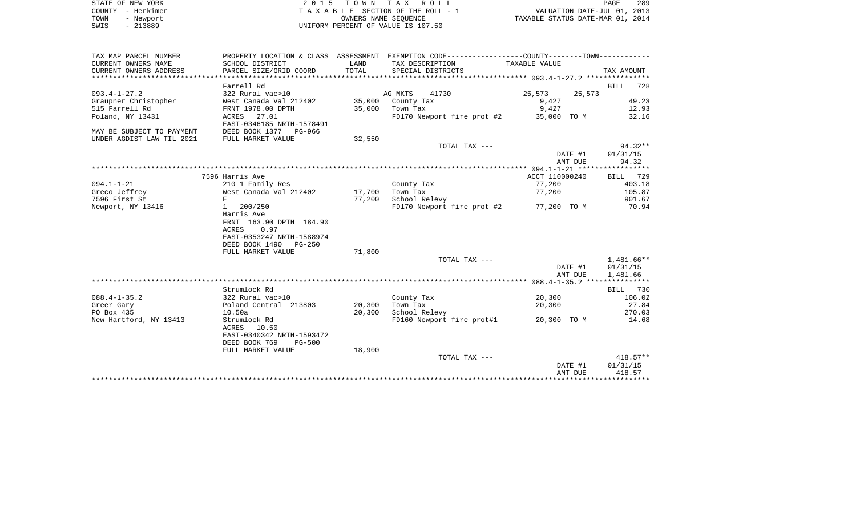|      | STATE OF NEW YORK | 2015 TOWN TAX ROLL                 | 289<br>PAGE                      |  |
|------|-------------------|------------------------------------|----------------------------------|--|
|      | COUNTY - Herkimer | TAXABLE SECTION OF THE ROLL - 1    | VALUATION DATE-JUL 01, 2013      |  |
| TOWN | - Newport         | OWNERS NAME SEOUENCE               | TAXABLE STATUS DATE-MAR 01, 2014 |  |
| SWIS | $-213889$         | UNIFORM PERCENT OF VALUE IS 107.50 |                                  |  |

| TAX MAP PARCEL NUMBER     |                           |        | PROPERTY LOCATION & CLASS ASSESSMENT EXEMPTION CODE---------------COUNTY-------TOWN---------- |                  |            |
|---------------------------|---------------------------|--------|-----------------------------------------------------------------------------------------------|------------------|------------|
| CURRENT OWNERS NAME       | SCHOOL DISTRICT           | LAND   | TAX DESCRIPTION                                                                               | TAXABLE VALUE    |            |
| CURRENT OWNERS ADDRESS    | PARCEL SIZE/GRID COORD    | TOTAL  | SPECIAL DISTRICTS                                                                             |                  | TAX AMOUNT |
|                           |                           |        |                                                                                               |                  |            |
|                           | Farrell Rd                |        |                                                                                               |                  | BILL 728   |
| $093.4 - 1 - 27.2$        | 322 Rural vac>10          |        | AG MKTS<br>41730                                                                              | 25,573<br>25,573 |            |
| Graupner Christopher      | West Canada Val 212402    |        | 35,000 County Tax                                                                             | 9,427            | 49.23      |
| 515 Farrell Rd            | FRNT 1978.00 DPTH         |        | 35,000 Town Tax                                                                               | 9,427            | 12.93      |
| Poland, NY 13431          | ACRES 27.01               |        | FD170 Newport fire prot #2 35,000 TO M                                                        |                  | 32.16      |
|                           | EAST-0346185 NRTH-1578491 |        |                                                                                               |                  |            |
| MAY BE SUBJECT TO PAYMENT | DEED BOOK 1377 PG-966     |        |                                                                                               |                  |            |
| UNDER AGDIST LAW TIL 2021 | FULL MARKET VALUE         | 32,550 |                                                                                               |                  |            |
|                           |                           |        | TOTAL TAX ---                                                                                 |                  | $94.32**$  |
|                           |                           |        |                                                                                               | DATE #1          | 01/31/15   |
|                           |                           |        |                                                                                               |                  | 94.32      |
|                           |                           |        |                                                                                               | AMT DUE          |            |
|                           |                           |        |                                                                                               | ACCT 110000240   |            |
|                           | 7596 Harris Ave           |        |                                                                                               |                  | BILL 729   |
| $094.1 - 1 - 21$          | 210 1 Family Res          |        | County Tax                                                                                    | 77,200           | 403.18     |
| Greco Jeffrey             | West Canada Val 212402    | 17,700 | Town Tax                                                                                      | 77,200           | 105.87     |
| 7596 First St             | E                         | 77,200 | School Relevy                                                                                 |                  | 901.67     |
| Newport, NY 13416         | 200/250<br>1              |        | FD170 Newport fire prot #2 77,200 TO M                                                        |                  | 70.94      |
|                           | Harris Ave                |        |                                                                                               |                  |            |
|                           | FRNT 163.90 DPTH 184.90   |        |                                                                                               |                  |            |
|                           | 0.97<br>ACRES             |        |                                                                                               |                  |            |
|                           | EAST-0353247 NRTH-1588974 |        |                                                                                               |                  |            |
|                           | DEED BOOK 1490 PG-250     |        |                                                                                               |                  |            |
|                           | FULL MARKET VALUE         | 71,800 |                                                                                               |                  |            |
|                           |                           |        | TOTAL TAX ---                                                                                 |                  | 1,481.66** |
|                           |                           |        |                                                                                               | DATE #1          | 01/31/15   |
|                           |                           |        |                                                                                               | AMT DUE          | 1,481.66   |
|                           |                           |        |                                                                                               |                  |            |
|                           | Strumlock Rd              |        |                                                                                               |                  | BILL 730   |
| $088.4 - 1 - 35.2$        | 322 Rural vac>10          |        | County Tax                                                                                    | 20,300           | 106.02     |
| Greer Gary                | Poland Central 213803     | 20,300 | Town Tax                                                                                      | 20,300           | 27.84      |
| PO Box 435                | 10.50a                    | 20,300 | School Relevy                                                                                 |                  | 270.03     |
| New Hartford, NY 13413    | Strumlock Rd              |        | FD160 Newport fire prot#1 20,300 TO M                                                         |                  | 14.68      |
|                           | ACRES 10.50               |        |                                                                                               |                  |            |
|                           | EAST-0340342 NRTH-1593472 |        |                                                                                               |                  |            |
|                           | DEED BOOK 769<br>$PG-500$ |        |                                                                                               |                  |            |
|                           | FULL MARKET VALUE         | 18,900 |                                                                                               |                  |            |
|                           |                           |        | TOTAL TAX ---                                                                                 |                  | $418.57**$ |
|                           |                           |        |                                                                                               | DATE #1          | 01/31/15   |
|                           |                           |        |                                                                                               | AMT DUE          | 418.57     |
|                           |                           |        |                                                                                               |                  |            |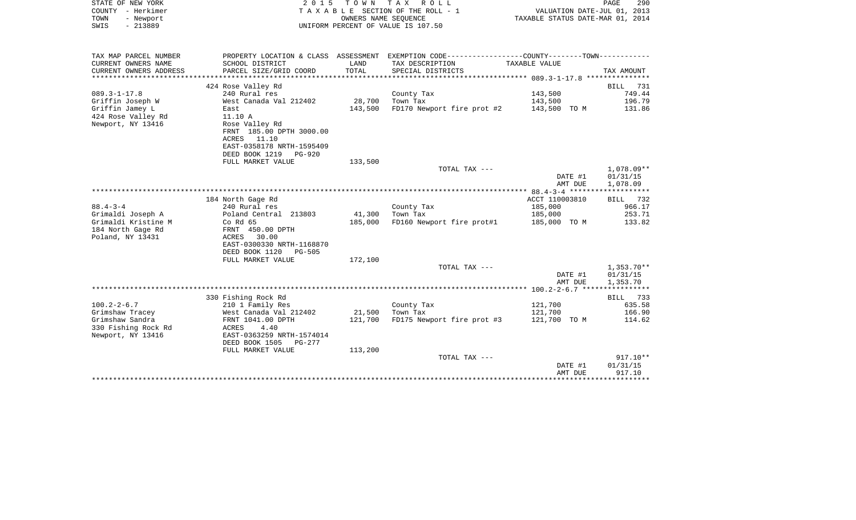| STATE OF NEW YORK<br>COUNTY - Herkimer<br>TOWN<br>- Newport<br>$-213889$<br>SWIS | 2 0 1 5                                     | TOWN TAX          | R O L L<br>TAXABLE SECTION OF THE ROLL - 1<br>OWNERS NAME SEOUENCE<br>UNIFORM PERCENT OF VALUE IS 107.50 | VALUATION DATE-JUL 01, 2013<br>TAXABLE STATUS DATE-MAR 01, 2014 | PAGE<br>290              |
|----------------------------------------------------------------------------------|---------------------------------------------|-------------------|----------------------------------------------------------------------------------------------------------|-----------------------------------------------------------------|--------------------------|
| TAX MAP PARCEL NUMBER                                                            |                                             |                   | PROPERTY LOCATION & CLASS ASSESSMENT EXEMPTION CODE---------------COUNTY-------TOWN----------            |                                                                 |                          |
| CURRENT OWNERS NAME                                                              | SCHOOL DISTRICT                             | LAND              | TAX DESCRIPTION                                                                                          | <b>TAXABLE VALUE</b>                                            |                          |
| CURRENT OWNERS ADDRESS<br>**********************                                 | PARCEL SIZE/GRID COORD                      | TOTAL             | SPECIAL DISTRICTS                                                                                        |                                                                 | TAX AMOUNT               |
|                                                                                  | 424 Rose Valley Rd                          |                   |                                                                                                          |                                                                 | BILL<br>731              |
| $089.3 - 1 - 17.8$                                                               | 240 Rural res                               |                   | County Tax                                                                                               | 143,500                                                         | 749.44                   |
| Griffin Joseph W                                                                 | West Canada Val 212402                      | 28,700            | Town Tax                                                                                                 | 143,500                                                         | 196.79                   |
| Griffin Jamey L                                                                  | East                                        | 143,500           | FD170 Newport fire prot #2                                                                               | 143,500 TO M                                                    | 131.86                   |
| 424 Rose Valley Rd                                                               | 11.10 A                                     |                   |                                                                                                          |                                                                 |                          |
| Newport, NY 13416                                                                | Rose Valley Rd                              |                   |                                                                                                          |                                                                 |                          |
|                                                                                  | FRNT 185.00 DPTH 3000.00<br>ACRES 11.10     |                   |                                                                                                          |                                                                 |                          |
|                                                                                  | EAST-0358178 NRTH-1595409                   |                   |                                                                                                          |                                                                 |                          |
|                                                                                  | DEED BOOK 1219 PG-920                       |                   |                                                                                                          |                                                                 |                          |
|                                                                                  | FULL MARKET VALUE                           | 133,500           |                                                                                                          |                                                                 |                          |
|                                                                                  |                                             |                   | TOTAL TAX ---                                                                                            | DATE #1                                                         | $1,078.09**$<br>01/31/15 |
|                                                                                  |                                             |                   |                                                                                                          | AMT DUE                                                         | 1,078.09                 |
|                                                                                  |                                             |                   |                                                                                                          |                                                                 |                          |
|                                                                                  | 184 North Gage Rd                           |                   |                                                                                                          | ACCT 110003810                                                  | BILL 732                 |
| $88.4 - 3 - 4$                                                                   | 240 Rural res                               |                   | County Tax                                                                                               | 185,000                                                         | 966.17                   |
| Grimaldi Joseph A                                                                | Poland Central 213803                       | 41,300            | Town Tax                                                                                                 | 185,000                                                         | 253.71<br>133.82         |
| Grimaldi Kristine M<br>184 North Gage Rd                                         | Co Rd 65<br>FRNT 450.00 DPTH                | 185,000           | FD160 Newport fire prot#1                                                                                | 185,000 TO M                                                    |                          |
| Poland, NY 13431                                                                 | ACRES<br>30.00                              |                   |                                                                                                          |                                                                 |                          |
|                                                                                  | EAST-0300330 NRTH-1168870                   |                   |                                                                                                          |                                                                 |                          |
|                                                                                  | DEED BOOK 1120<br>PG-505                    |                   |                                                                                                          |                                                                 |                          |
|                                                                                  | FULL MARKET VALUE                           | 172,100           | TOTAL TAX ---                                                                                            |                                                                 |                          |
|                                                                                  |                                             |                   |                                                                                                          | DATE #1                                                         | 1,353.70**<br>01/31/15   |
|                                                                                  |                                             |                   |                                                                                                          | AMT DUE                                                         | 1,353.70                 |
|                                                                                  |                                             |                   |                                                                                                          |                                                                 |                          |
|                                                                                  | 330 Fishing Rock Rd                         |                   |                                                                                                          |                                                                 | BILL 733                 |
| $100.2 - 2 - 6.7$                                                                | 210 1 Family Res                            |                   | County Tax                                                                                               | 121,700                                                         | 635.58                   |
| Grimshaw Tracey<br>Grimshaw Sandra                                               | West Canada Val 212402<br>FRNT 1041.00 DPTH | 21,500<br>121,700 | Town Tax<br>FD175 Newport fire prot #3                                                                   | 121,700<br>121,700 TO M                                         | 166.90<br>114.62         |
| 330 Fishing Rock Rd                                                              | ACRES<br>4.40                               |                   |                                                                                                          |                                                                 |                          |
| Newport, NY 13416                                                                | EAST-0363259 NRTH-1574014                   |                   |                                                                                                          |                                                                 |                          |
|                                                                                  | DEED BOOK 1505<br>PG-277                    |                   |                                                                                                          |                                                                 |                          |
|                                                                                  | FULL MARKET VALUE                           | 113,200           |                                                                                                          |                                                                 |                          |
|                                                                                  |                                             |                   | TOTAL TAX ---                                                                                            | DATE #1                                                         | $917.10**$<br>01/31/15   |
|                                                                                  |                                             |                   |                                                                                                          | AMT DUE                                                         | 917.10                   |
|                                                                                  |                                             |                   |                                                                                                          |                                                                 |                          |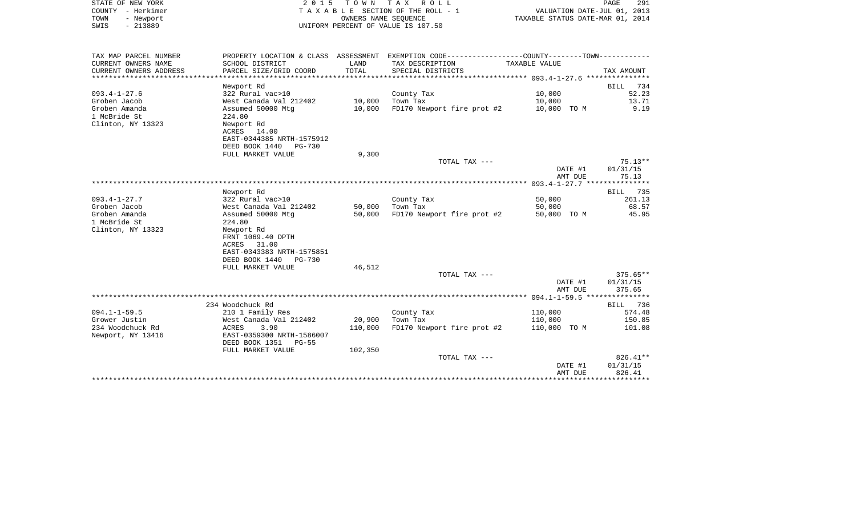|      | STATE OF NEW YORK | 2015 TOWN TAX ROLL                 | 291<br>PAGE                      |
|------|-------------------|------------------------------------|----------------------------------|
|      | COUNTY - Herkimer | TAXABLE SECTION OF THE ROLL - 1    | VALUATION DATE-JUL 01, 2013      |
| TOWN | - Newport         | OWNERS NAME SEOUENCE               | TAXABLE STATUS DATE-MAR 01, 2014 |
| SWIS | - 213889          | UNIFORM PERCENT OF VALUE IS 107.50 |                                  |

| TAX MAP PARCEL NUMBER  | PROPERTY LOCATION & CLASS       | ASSESSMENT |                            |                             |             |
|------------------------|---------------------------------|------------|----------------------------|-----------------------------|-------------|
| CURRENT OWNERS NAME    | SCHOOL DISTRICT                 | LAND       | TAX DESCRIPTION            | TAXABLE VALUE               |             |
| CURRENT OWNERS ADDRESS | PARCEL SIZE/GRID COORD          | TOTAL      | SPECIAL DISTRICTS          |                             | TAX AMOUNT  |
| ********************** |                                 |            |                            |                             |             |
|                        | Newport Rd                      |            |                            |                             | 734<br>BILL |
| $093.4 - 1 - 27.6$     | 322 Rural vac>10                |            | County Tax                 | 10,000                      | 52.23       |
| Groben Jacob           | West Canada Val 212402          | 10,000     | Town Tax                   | 10,000                      | 13.71       |
| Groben Amanda          | Assumed 50000 Mtg               | 10,000     | FD170 Newport fire prot #2 | 10,000 TO M                 | 9.19        |
| 1 McBride St           | 224.80                          |            |                            |                             |             |
| Clinton, NY 13323      | Newport Rd                      |            |                            |                             |             |
|                        | ACRES 14.00                     |            |                            |                             |             |
|                        | EAST-0344385 NRTH-1575912       |            |                            |                             |             |
|                        | DEED BOOK 1440<br>PG-730        |            |                            |                             |             |
|                        | FULL MARKET VALUE               | 9,300      |                            |                             |             |
|                        |                                 |            | TOTAL TAX ---              |                             | $75.13**$   |
|                        |                                 |            |                            | DATE #1                     | 01/31/15    |
|                        |                                 |            |                            | AMT DUE                     | 75.13       |
|                        |                                 |            |                            |                             |             |
|                        | Newport Rd                      |            |                            |                             | BILL 735    |
| $093.4 - 1 - 27.7$     | 322 Rural vac>10                |            | County Tax                 | 50,000                      | 261.13      |
| Groben Jacob           | West Canada Val 212402          | 50,000     | Town Tax                   | 50,000                      | 68.57       |
|                        |                                 |            |                            |                             | 45.95       |
| Groben Amanda          | Assumed 50000 Mtg               | 50,000     | FD170 Newport fire prot #2 | 50,000 TO M                 |             |
| 1 McBride St           | 224.80                          |            |                            |                             |             |
| Clinton, NY 13323      | Newport Rd                      |            |                            |                             |             |
|                        | FRNT 1069.40 DPTH               |            |                            |                             |             |
|                        | ACRES 31.00                     |            |                            |                             |             |
|                        | EAST-0343383 NRTH-1575851       |            |                            |                             |             |
|                        | DEED BOOK 1440<br><b>PG-730</b> |            |                            |                             |             |
|                        | FULL MARKET VALUE               | 46,512     |                            |                             |             |
|                        |                                 |            | TOTAL TAX ---              |                             | 375.65**    |
|                        |                                 |            |                            | DATE #1                     | 01/31/15    |
|                        |                                 |            |                            | AMT DUE                     | 375.65      |
|                        |                                 |            |                            |                             |             |
|                        | 234 Woodchuck Rd                |            |                            |                             | BILL 736    |
| $094.1 - 1 - 59.5$     | 210 1 Family Res                |            | County Tax                 | 110,000                     | 574.48      |
| Grower Justin          | West Canada Val 212402          | 20,900     | Town Tax                   | 110,000                     | 150.85      |
| 234 Woodchuck Rd       | 3.90<br>ACRES                   | 110,000    | FD170 Newport fire prot #2 | 110,000 TO M                | 101.08      |
| Newport, NY 13416      | EAST-0359300 NRTH-1586007       |            |                            |                             |             |
|                        | DEED BOOK 1351<br>PG-55         |            |                            |                             |             |
|                        | FULL MARKET VALUE               | 102,350    |                            |                             |             |
|                        |                                 |            | TOTAL TAX ---              |                             | 826.41**    |
|                        |                                 |            |                            | DATE #1                     | 01/31/15    |
|                        |                                 |            |                            | AMT DUE                     | 826.41      |
|                        |                                 |            |                            | *************************** |             |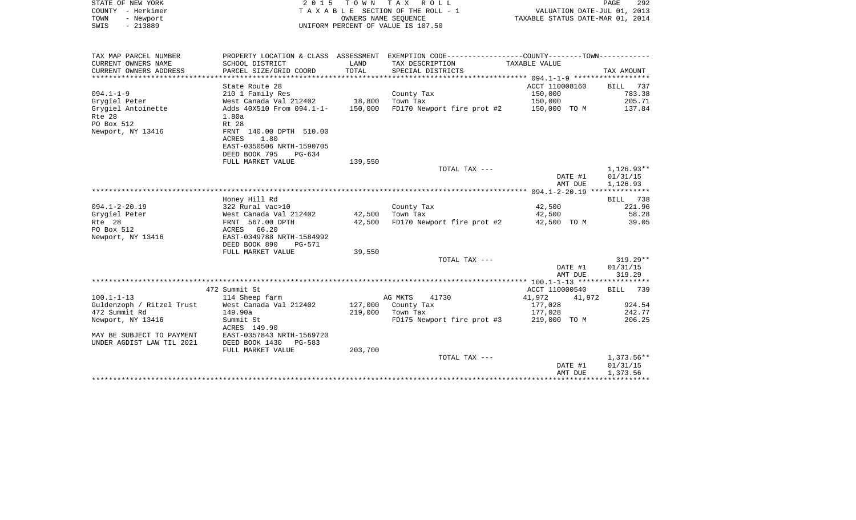| STATE OF NEW YORK<br>COUNTY - Herkimer<br>TOWN<br>- Newport<br>$-213889$<br>SWIS | 2 0 1 5                                                                                                 |                             | TOWN TAX ROLL<br>TAXABLE SECTION OF THE ROLL - 1<br>OWNERS NAME SEQUENCE<br>UNIFORM PERCENT OF VALUE IS 107.50 | VALUATION DATE-JUL 01, 2013<br>TAXABLE STATUS DATE-MAR 01, 2014 | PAGE<br>292                                          |
|----------------------------------------------------------------------------------|---------------------------------------------------------------------------------------------------------|-----------------------------|----------------------------------------------------------------------------------------------------------------|-----------------------------------------------------------------|------------------------------------------------------|
| TAX MAP PARCEL NUMBER                                                            |                                                                                                         |                             | PROPERTY LOCATION & CLASS ASSESSMENT EXEMPTION CODE----------------COUNTY--------TOWN----------                |                                                                 |                                                      |
| CURRENT OWNERS NAME<br>CURRENT OWNERS ADDRESS<br>**********************          | SCHOOL DISTRICT<br>PARCEL SIZE/GRID COORD                                                               | LAND<br>TOTAL<br>********** | TAX DESCRIPTION<br>SPECIAL DISTRICTS                                                                           | TAXABLE VALUE                                                   | TAX AMOUNT                                           |
| $094.1 - 1 - 9$                                                                  | State Route 28<br>210 1 Family Res                                                                      |                             | County Tax                                                                                                     | ACCT 110008160<br>150,000                                       | BILL<br>737<br>783.38                                |
| Grygiel Peter<br>Grygiel Antoinette<br>Rte 28<br>PO Box 512                      | West Canada Val 212402<br>Adds 40X510 From 094.1-1-<br>1.80a<br>Rt 28                                   | 18,800<br>150,000           | Town Tax<br>FD170 Newport fire prot #2                                                                         | 150,000<br>150,000 TO M                                         | 205.71<br>137.84                                     |
| Newport, NY 13416                                                                | FRNT 140.00 DPTH 510.00<br>ACRES<br>1.80<br>EAST-0350506 NRTH-1590705<br>DEED BOOK 795<br>PG-634        |                             |                                                                                                                |                                                                 |                                                      |
|                                                                                  | FULL MARKET VALUE                                                                                       | 139,550                     | TOTAL TAX ---                                                                                                  | DATE #1<br>AMT DUE                                              | $1,126.93**$<br>01/31/15<br>1,126.93                 |
|                                                                                  |                                                                                                         |                             |                                                                                                                |                                                                 |                                                      |
| $094.1 - 2 - 20.19$                                                              | Honey Hill Rd<br>322 Rural vac>10                                                                       |                             | County Tax                                                                                                     | 42,500                                                          | 738<br>BILL<br>221.96                                |
| Grygiel Peter<br>Rte 28<br>PO Box 512<br>Newport, NY 13416                       | West Canada Val 212402<br>FRNT 567.00 DPTH<br>ACRES 66.20<br>EAST-0349788 NRTH-1584992<br>DEED BOOK 890 | 42,500<br>42,500            | Town Tax<br>FD170 Newport fire prot #2                                                                         | 42,500<br>42,500 TO M                                           | 58.28<br>39.05                                       |
|                                                                                  | PG-571<br>FULL MARKET VALUE                                                                             | 39,550                      |                                                                                                                |                                                                 |                                                      |
|                                                                                  |                                                                                                         |                             | TOTAL TAX ---                                                                                                  | DATE #1<br>AMT DUE                                              | $319.29**$<br>01/31/15<br>319.29                     |
|                                                                                  |                                                                                                         |                             |                                                                                                                |                                                                 |                                                      |
| $100.1 - 1 - 13$                                                                 | 472 Summit St<br>114 Sheep farm                                                                         |                             | AG MKTS<br>41730                                                                                               | ACCT 110000540<br>41,972<br>41,972                              | BILL<br>739                                          |
| Guldenzoph / Ritzel Trust<br>472 Summit Rd<br>Newport, NY 13416                  | West Canada Val 212402<br>149.90a<br>Summit St<br>ACRES 149.90                                          | 127,000<br>219,000          | County Tax<br>Town Tax<br>FD175 Newport fire prot #3                                                           | 177,028<br>177,028<br>219,000 TO M                              | 924.54<br>242.77<br>206.25                           |
| MAY BE SUBJECT TO PAYMENT<br>UNDER AGDIST LAW TIL 2021                           | EAST-0357843 NRTH-1569720<br>DEED BOOK 1430<br>PG-583<br>FULL MARKET VALUE                              | 203,700                     |                                                                                                                |                                                                 |                                                      |
|                                                                                  |                                                                                                         |                             | TOTAL TAX ---                                                                                                  | DATE #1<br>AMT DUE                                              | $1,373.56**$<br>01/31/15<br>1,373.56<br>************ |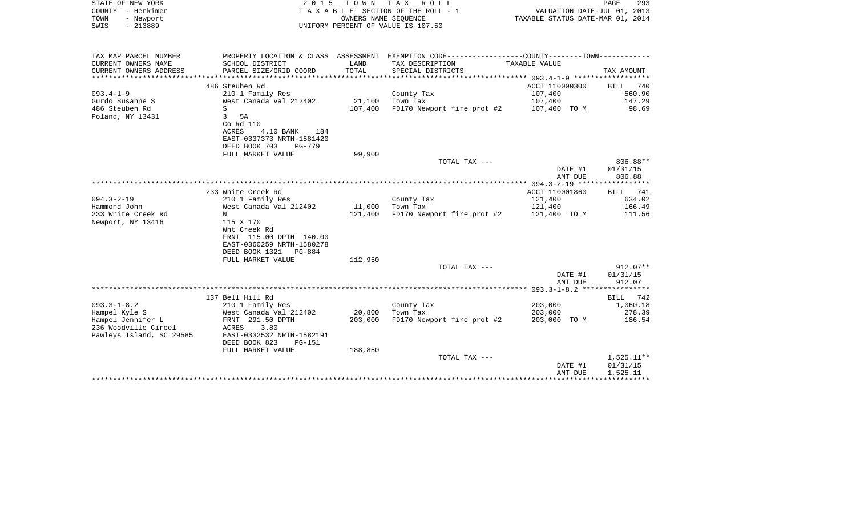| 293                                | PAGE<br>VALUATION DATE-JUL 01, 2013 |                    | TAXABLE STATUS DATE-MAR 01, 2014   |               | TAX ROLL<br>TAXABLE SECTION OF THE ROLL - 1<br>UNIFORM PERCENT OF VALUE IS 107.50 | T O W N<br>OWNERS NAME SEQUENCE | 2 0 1 5                                                                                                         | STATE OF NEW YORK<br>COUNTY - Herkimer<br>- Newport<br>TOWN<br>$-213889$<br>SWIS |
|------------------------------------|-------------------------------------|--------------------|------------------------------------|---------------|-----------------------------------------------------------------------------------|---------------------------------|-----------------------------------------------------------------------------------------------------------------|----------------------------------------------------------------------------------|
|                                    |                                     |                    |                                    |               |                                                                                   |                                 |                                                                                                                 |                                                                                  |
|                                    |                                     |                    |                                    |               |                                                                                   |                                 | PROPERTY LOCATION & CLASS ASSESSMENT EXEMPTION CODE---------------COUNTY-------TOWN----------                   | TAX MAP PARCEL NUMBER                                                            |
| TAX AMOUNT                         |                                     |                    | TAXABLE VALUE                      |               | TAX DESCRIPTION<br>SPECIAL DISTRICTS                                              | LAND<br>TOTAL                   | SCHOOL DISTRICT<br>PARCEL SIZE/GRID COORD                                                                       | CURRENT OWNERS NAME<br>CURRENT OWNERS ADDRESS<br>********************            |
| 740                                | BILL                                |                    | ACCT 110000300                     |               |                                                                                   |                                 | 486 Steuben Rd                                                                                                  |                                                                                  |
| 560.90                             |                                     |                    | 107,400                            |               | County Tax                                                                        |                                 | 210 1 Family Res                                                                                                | $093.4 - 1 - 9$                                                                  |
| 147.29                             |                                     |                    | 107,400                            |               | Town Tax                                                                          | 21,100                          | West Canada Val 212402                                                                                          | Gurdo Susanne S                                                                  |
| 98.69                              |                                     |                    | 107,400 TO M                       |               | FD170 Newport fire prot #2                                                        | 107,400                         | S<br>$3$ 5A<br>Co Rd 110<br>ACRES<br>4.10 BANK<br>184<br>EAST-0337373 NRTH-1581420                              | 486 Steuben Rd<br>Poland, NY 13431                                               |
|                                    |                                     |                    |                                    |               |                                                                                   |                                 | DEED BOOK 703<br>PG-779                                                                                         |                                                                                  |
|                                    |                                     |                    |                                    |               |                                                                                   | 99,900                          | FULL MARKET VALUE                                                                                               |                                                                                  |
| 806.88**<br>01/31/15               |                                     | DATE #1            |                                    | TOTAL TAX --- |                                                                                   |                                 |                                                                                                                 |                                                                                  |
| 806.88                             |                                     | AMT DUE            |                                    |               |                                                                                   |                                 |                                                                                                                 |                                                                                  |
|                                    |                                     |                    |                                    |               |                                                                                   |                                 |                                                                                                                 |                                                                                  |
| 741                                | BILL                                |                    | ACCT 110001860                     |               |                                                                                   |                                 | 233 White Creek Rd                                                                                              |                                                                                  |
| 634.02                             |                                     |                    | 121,400                            |               | County Tax                                                                        |                                 | 210 1 Family Res                                                                                                | $094.3 - 2 - 19$                                                                 |
| 166.49                             |                                     |                    | 121,400                            |               | 11,000 Town Tax                                                                   |                                 | West Canada Val 212402                                                                                          | Hammond John                                                                     |
| 111.56                             |                                     |                    | 121,400 TO M                       |               | FD170 Newport fire prot #2                                                        | 121,400                         | N<br>115 X 170<br>Wht Creek Rd<br>FRNT 115.00 DPTH 140.00<br>EAST-0360259 NRTH-1580278<br>DEED BOOK 1321 PG-884 | 233 White Creek Rd<br>Newport, NY 13416                                          |
|                                    |                                     |                    |                                    |               |                                                                                   | 112,950                         | FULL MARKET VALUE                                                                                               |                                                                                  |
| $912.07**$                         |                                     |                    |                                    | TOTAL TAX --- |                                                                                   |                                 |                                                                                                                 |                                                                                  |
| 01/31/15<br>912.07                 |                                     | DATE #1<br>AMT DUE |                                    |               |                                                                                   |                                 |                                                                                                                 |                                                                                  |
|                                    |                                     |                    |                                    |               |                                                                                   |                                 |                                                                                                                 |                                                                                  |
| 742                                | BILL                                |                    |                                    |               |                                                                                   |                                 | 137 Bell Hill Rd                                                                                                |                                                                                  |
| 1,060.18                           |                                     |                    |                                    |               | County Tax                                                                        |                                 |                                                                                                                 |                                                                                  |
| 278.39<br>186.54                   |                                     |                    |                                    |               |                                                                                   |                                 |                                                                                                                 |                                                                                  |
|                                    |                                     |                    |                                    |               |                                                                                   |                                 | ACRES<br>3.80<br>EAST-0332532 NRTH-1582191<br>DEED BOOK 823<br>PG-151                                           | 236 Woodville Circel<br>Pawleys Island, SC 29585                                 |
|                                    |                                     |                    |                                    |               |                                                                                   | 188,850                         | FULL MARKET VALUE                                                                                               |                                                                                  |
| 1,525.11**<br>01/31/15<br>1,525.11 |                                     | DATE #1            |                                    | TOTAL TAX --- |                                                                                   |                                 |                                                                                                                 |                                                                                  |
|                                    | ***********                         | AMT DUE            | 203,000<br>203,000<br>203,000 TO M |               | Town Tax<br>FD170 Newport fire prot #2                                            | 20,800<br>203,000               | 210 1 Family Res<br>West Canada Val 212402<br>FRNT 291.50 DPTH                                                  | $093.3 - 1 - 8.2$<br>Hampel Kyle S<br>Hampel Jennifer L                          |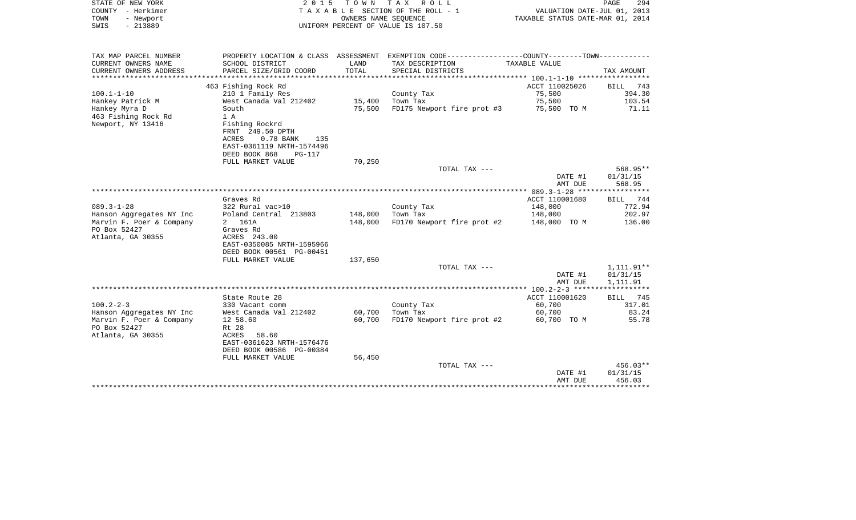| STATE OF NEW YORK<br>COUNTY - Herkimer<br>- Newport<br>TOWN<br>$-213889$<br>SWIS | 2 0 1 5                                                                                                                                        | T O W N<br>OWNERS NAME SEQUENCE | TAX ROLL<br>T A X A B L E SECTION OF THE ROLL - 1<br>UNIFORM PERCENT OF VALUE IS 107.50                          | VALUATION DATE-JUL 01, 2013<br>TAXABLE STATUS DATE-MAR 01, 2014 | PAGE<br>294                        |
|----------------------------------------------------------------------------------|------------------------------------------------------------------------------------------------------------------------------------------------|---------------------------------|------------------------------------------------------------------------------------------------------------------|-----------------------------------------------------------------|------------------------------------|
| TAX MAP PARCEL NUMBER<br>CURRENT OWNERS NAME                                     | SCHOOL DISTRICT                                                                                                                                | LAND                            | PROPERTY LOCATION & CLASS ASSESSMENT EXEMPTION CODE---------------COUNTY-------TOWN----------<br>TAX DESCRIPTION | TAXABLE VALUE                                                   |                                    |
| CURRENT OWNERS ADDRESS<br>*********************                                  | PARCEL SIZE/GRID COORD<br>**************************                                                                                           | TOTAL                           | SPECIAL DISTRICTS                                                                                                |                                                                 | TAX AMOUNT                         |
|                                                                                  | 463 Fishing Rock Rd                                                                                                                            |                                 |                                                                                                                  | ACCT 110025026                                                  | BILL<br>743                        |
| $100.1 - 1 - 10$                                                                 | 210 1 Family Res                                                                                                                               |                                 | County Tax                                                                                                       | 75,500                                                          | 394.30                             |
| Hankey Patrick M                                                                 | West Canada Val 212402                                                                                                                         | 15,400                          | Town Tax                                                                                                         | 75,500                                                          | 103.54                             |
| Hankey Myra D<br>463 Fishing Rock Rd<br>Newport, NY 13416                        | South<br>1 A<br>Fishing Rockrd<br>FRNT 249.50 DPTH<br>0.78 BANK<br>ACRES<br>135<br>EAST-0361119 NRTH-1574496<br>DEED BOOK 868<br><b>PG-117</b> | 75,500                          | FD175 Newport fire prot #3                                                                                       | 75,500 TO M                                                     | 71.11                              |
|                                                                                  | FULL MARKET VALUE                                                                                                                              | 70,250                          |                                                                                                                  |                                                                 |                                    |
|                                                                                  | ***********                                                                                                                                    |                                 | TOTAL TAX ---                                                                                                    | DATE #1<br>AMT DUE                                              | 568.95**<br>01/31/15<br>568.95     |
|                                                                                  | Graves Rd                                                                                                                                      |                                 |                                                                                                                  | ************ 089.3-1-28 *****************<br>ACCT 110001680     | BILL 744                           |
| $089.3 - 1 - 28$                                                                 | 322 Rural vac>10                                                                                                                               |                                 | County Tax                                                                                                       | 148,000                                                         | 772.94                             |
| Hanson Aggregates NY Inc                                                         | Poland Central 213803                                                                                                                          | 148,000                         | Town Tax                                                                                                         | 148,000                                                         | 202.97                             |
| Marvin F. Poer & Company<br>PO Box 52427<br>Atlanta, GA 30355                    | 2 161A<br>Graves Rd<br>ACRES 243.00<br>EAST-0350085 NRTH-1595966<br>DEED BOOK 00561 PG-00451                                                   | 148,000                         | FD170 Newport fire prot #2                                                                                       | 148,000 TO M                                                    | 136.00                             |
|                                                                                  | FULL MARKET VALUE                                                                                                                              | 137,650                         |                                                                                                                  |                                                                 |                                    |
|                                                                                  |                                                                                                                                                |                                 | TOTAL TAX ---                                                                                                    | DATE #1<br>AMT DUE                                              | 1,111.91**<br>01/31/15<br>1,111.91 |
|                                                                                  |                                                                                                                                                |                                 |                                                                                                                  |                                                                 |                                    |
|                                                                                  | State Route 28                                                                                                                                 |                                 |                                                                                                                  | ACCT 110001620                                                  | 745<br>BILL                        |
| $100.2 - 2 - 3$<br>Hanson Aggregates NY Inc                                      | 330 Vacant comm<br>West Canada Val 212402                                                                                                      | 60,700                          | County Tax<br>Town Tax                                                                                           | 60,700<br>60,700                                                | 317.01<br>83.24                    |
| Marvin F. Poer & Company<br>PO Box 52427<br>Atlanta, GA 30355                    | 12 58.60<br>Rt 28<br><b>ACRES</b><br>58.60<br>EAST-0361623 NRTH-1576476<br>DEED BOOK 00586 PG-00384                                            | 60,700                          | FD170 Newport fire prot #2                                                                                       | 60,700 TO M                                                     | 55.78                              |
|                                                                                  | FULL MARKET VALUE                                                                                                                              | 56,450                          | TOTAL TAX ---                                                                                                    |                                                                 | $456.03**$                         |
|                                                                                  |                                                                                                                                                |                                 |                                                                                                                  | DATE #1<br>AMT DUE                                              | 01/31/15<br>456.03<br>********     |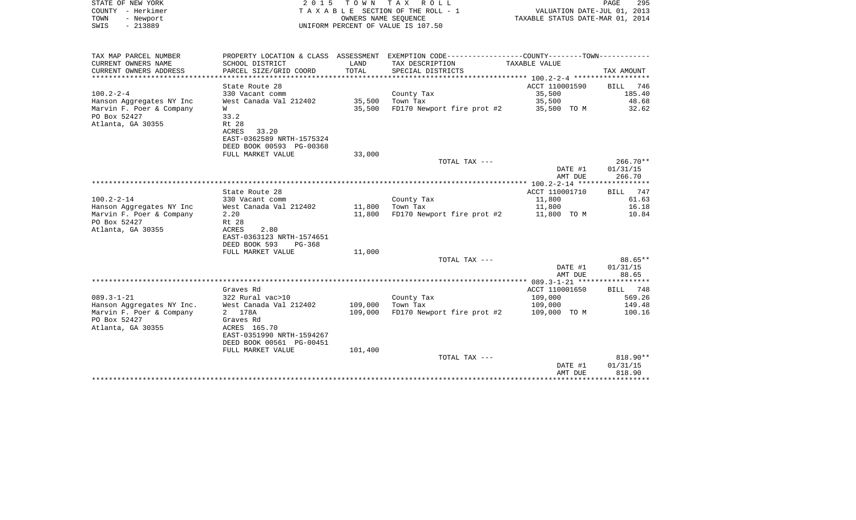|      | STATE OF NEW YORK | 2015 TOWN TAX ROLL                 |                                  | PAGE                        | - 295 |
|------|-------------------|------------------------------------|----------------------------------|-----------------------------|-------|
|      | COUNTY - Herkimer | TAXABLE SECTION OF THE ROLL - 1    |                                  | VALUATION DATE-JUL 01, 2013 |       |
| TOWN | - Newport         | OWNERS NAME SEOUENCE               | TAXABLE STATUS DATE-MAR 01, 2014 |                             |       |
| SWIS | - 213889          | UNIFORM PERCENT OF VALUE IS 107.50 |                                  |                             |       |

| TAX MAP PARCEL NUMBER     | PROPERTY LOCATION & CLASS ASSESSMENT |         | EXEMPTION CODE-----------------COUNTY-------TOWN----------- |                              |             |
|---------------------------|--------------------------------------|---------|-------------------------------------------------------------|------------------------------|-------------|
| CURRENT OWNERS NAME       | SCHOOL DISTRICT                      | LAND    | TAX DESCRIPTION                                             | TAXABLE VALUE                |             |
| CURRENT OWNERS ADDRESS    | PARCEL SIZE/GRID COORD               | TOTAL   | SPECIAL DISTRICTS                                           |                              | TAX AMOUNT  |
|                           |                                      |         |                                                             |                              |             |
|                           | State Route 28                       |         |                                                             | ACCT 110001590               | 746<br>BILL |
| $100.2 - 2 - 4$           | 330 Vacant comm                      |         | County Tax                                                  | 35,500                       | 185.40      |
| Hanson Aggregates NY Inc  | West Canada Val 212402               | 35,500  | Town Tax                                                    | 35,500                       | 48.68       |
| Marvin F. Poer & Company  | W                                    | 35,500  | FD170 Newport fire prot #2 35,500 TO M                      |                              | 32.62       |
| PO Box 52427              | 33.2                                 |         |                                                             |                              |             |
| Atlanta, GA 30355         | Rt 28                                |         |                                                             |                              |             |
|                           | ACRES<br>33.20                       |         |                                                             |                              |             |
|                           | EAST-0362589 NRTH-1575324            |         |                                                             |                              |             |
|                           | DEED BOOK 00593 PG-00368             |         |                                                             |                              |             |
|                           |                                      |         |                                                             |                              |             |
|                           | FULL MARKET VALUE                    | 33,000  |                                                             |                              |             |
|                           |                                      |         | TOTAL TAX ---                                               |                              | $266.70**$  |
|                           |                                      |         |                                                             | DATE #1                      | 01/31/15    |
|                           |                                      |         |                                                             | AMT DUE                      | 266.70      |
|                           |                                      |         |                                                             |                              |             |
|                           | State Route 28                       |         |                                                             | ACCT 110001710               | BILL 747    |
| $100.2 - 2 - 14$          | 330 Vacant comm                      |         | County Tax                                                  | 11,800                       | 61.63       |
| Hanson Aggregates NY Inc  | West Canada Val 212402               | 11,800  | Town Tax                                                    | 11,800                       | 16.18       |
| Marvin F. Poer & Company  | 2.20                                 | 11,800  | FD170 Newport fire prot #2                                  | 11,800 TO M                  | 10.84       |
| PO Box 52427              | Rt 28                                |         |                                                             |                              |             |
| Atlanta, GA 30355         | ACRES<br>2.80                        |         |                                                             |                              |             |
|                           | EAST-0363123 NRTH-1574651            |         |                                                             |                              |             |
|                           | DEED BOOK 593<br>PG-368              |         |                                                             |                              |             |
|                           | FULL MARKET VALUE                    | 11,000  |                                                             |                              |             |
|                           |                                      |         | TOTAL TAX ---                                               |                              | 88.65**     |
|                           |                                      |         |                                                             | DATE #1                      | 01/31/15    |
|                           |                                      |         |                                                             | AMT DUE                      | 88.65       |
|                           |                                      |         |                                                             |                              |             |
|                           | Graves Rd                            |         |                                                             | ACCT 110001650               | BILL 748    |
| $089.3 - 1 - 21$          | 322 Rural vac>10                     |         | County Tax                                                  | 109,000                      | 569.26      |
| Hanson Aggregates NY Inc. | West Canada Val 212402               | 109,000 | Town Tax                                                    | 109,000                      | 149.48      |
| Marvin F. Poer & Company  | 2 178A                               | 109,000 | FD170 Newport fire prot #2                                  | 109,000 TO M                 | 100.16      |
| PO Box 52427              | Graves Rd                            |         |                                                             |                              |             |
| Atlanta, GA 30355         | ACRES 165.70                         |         |                                                             |                              |             |
|                           | EAST-0351990 NRTH-1594267            |         |                                                             |                              |             |
|                           | DEED BOOK 00561 PG-00451             |         |                                                             |                              |             |
|                           | FULL MARKET VALUE                    | 101,400 |                                                             |                              |             |
|                           |                                      |         | TOTAL TAX ---                                               |                              | 818.90**    |
|                           |                                      |         |                                                             | DATE #1                      | 01/31/15    |
|                           |                                      |         |                                                             | AMT DUE                      | 818.90      |
|                           |                                      |         |                                                             | **************************** |             |
|                           |                                      |         |                                                             |                              |             |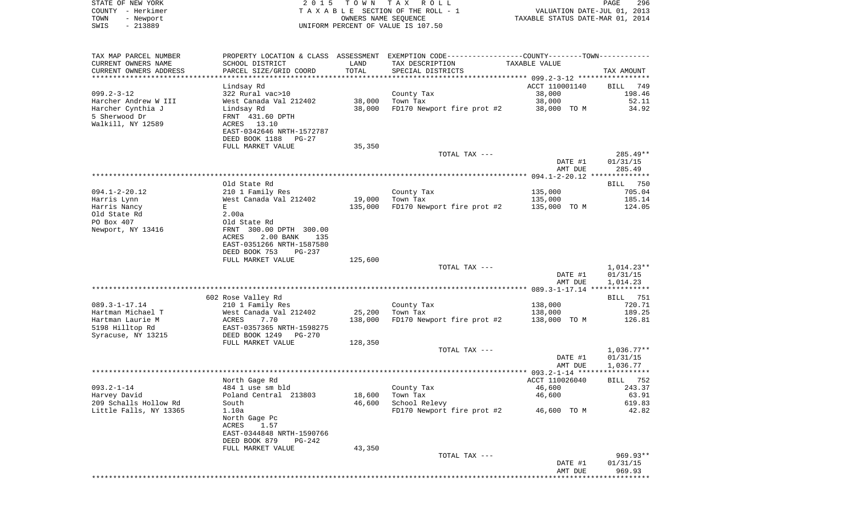| STATE OF NEW YORK<br>COUNTY - Herkimer            | 2 0 1 5                                                | T O W N              | TAX ROLL<br>TAXABLE SECTION OF THE ROLL - 1                                                   | VALUATION DATE-JUL 01,                                  | PAGE<br>296<br>2013   |
|---------------------------------------------------|--------------------------------------------------------|----------------------|-----------------------------------------------------------------------------------------------|---------------------------------------------------------|-----------------------|
| TOWN<br>- Newport                                 |                                                        | OWNERS NAME SEQUENCE |                                                                                               | TAXABLE STATUS DATE-MAR 01, 2014                        |                       |
| SWIS<br>$-213889$                                 |                                                        |                      | UNIFORM PERCENT OF VALUE IS 107.50                                                            |                                                         |                       |
|                                                   |                                                        |                      |                                                                                               |                                                         |                       |
|                                                   |                                                        |                      |                                                                                               |                                                         |                       |
| TAX MAP PARCEL NUMBER                             |                                                        |                      | PROPERTY LOCATION & CLASS ASSESSMENT EXEMPTION CODE---------------COUNTY-------TOWN---------- |                                                         |                       |
| CURRENT OWNERS NAME                               | SCHOOL DISTRICT                                        | LAND                 | TAX DESCRIPTION                                                                               | TAXABLE VALUE                                           |                       |
| CURRENT OWNERS ADDRESS<br>*********************** | PARCEL SIZE/GRID COORD                                 | TOTAL                | SPECIAL DISTRICTS                                                                             |                                                         | TAX AMOUNT            |
|                                                   | Lindsay Rd                                             |                      |                                                                                               | ACCT 110001140                                          | BILL<br>749           |
| $099.2 - 3 - 12$                                  | 322 Rural vac>10                                       |                      | County Tax                                                                                    | 38,000                                                  | 198.46                |
| Harcher Andrew W III                              | West Canada Val 212402                                 | 38,000               | Town Tax                                                                                      | 38,000                                                  | 52.11                 |
| Harcher Cynthia J                                 | Lindsay Rd                                             | 38,000               | FD170 Newport fire prot #2                                                                    | 38,000 TO M                                             | 34.92                 |
| 5 Sherwood Dr                                     | FRNT 431.60 DPTH                                       |                      |                                                                                               |                                                         |                       |
| Walkill, NY 12589                                 | ACRES 13.10                                            |                      |                                                                                               |                                                         |                       |
|                                                   | EAST-0342646 NRTH-1572787<br>DEED BOOK 1188<br>PG-27   |                      |                                                                                               |                                                         |                       |
|                                                   | FULL MARKET VALUE                                      | 35,350               |                                                                                               |                                                         |                       |
|                                                   |                                                        |                      | TOTAL TAX ---                                                                                 |                                                         | $285.49**$            |
|                                                   |                                                        |                      |                                                                                               | DATE #1                                                 | 01/31/15              |
|                                                   |                                                        |                      |                                                                                               | AMT DUE                                                 | 285.49                |
|                                                   |                                                        |                      |                                                                                               |                                                         |                       |
| $094.1 - 2 - 20.12$                               | Old State Rd<br>210 1 Family Res                       |                      | County Tax                                                                                    | 135,000                                                 | 750<br>BILL<br>705.04 |
| Harris Lynn                                       | West Canada Val 212402                                 | 19,000               | Town Tax                                                                                      | 135,000                                                 | 185.14                |
| Harris Nancy                                      | Е                                                      | 135,000              | FD170 Newport fire prot #2                                                                    | 135,000 TO M                                            | 124.05                |
| Old State Rd                                      | 2.00a                                                  |                      |                                                                                               |                                                         |                       |
| PO Box 407                                        | Old State Rd                                           |                      |                                                                                               |                                                         |                       |
| Newport, NY 13416                                 | FRNT 300.00 DPTH 300.00                                |                      |                                                                                               |                                                         |                       |
|                                                   | ACRES<br>2.00 BANK<br>135<br>EAST-0351266 NRTH-1587580 |                      |                                                                                               |                                                         |                       |
|                                                   | DEED BOOK 753<br>PG-237                                |                      |                                                                                               |                                                         |                       |
|                                                   | FULL MARKET VALUE                                      | 125,600              |                                                                                               |                                                         |                       |
|                                                   |                                                        |                      | TOTAL TAX ---                                                                                 |                                                         | $1,014.23**$          |
|                                                   |                                                        |                      |                                                                                               | DATE #1                                                 | 01/31/15              |
|                                                   |                                                        |                      |                                                                                               | AMT DUE<br>************** 089.3-1-17.14 *************** | 1,014.23              |
|                                                   | 602 Rose Valley Rd                                     |                      |                                                                                               |                                                         | 751<br>BILL           |
| $089.3 - 1 - 17.14$                               | 210 1 Family Res                                       |                      | County Tax                                                                                    | 138,000                                                 | 720.71                |
| Hartman Michael T                                 | West Canada Val 212402                                 | 25,200               | Town Tax                                                                                      | 138,000                                                 | 189.25                |
| Hartman Laurie M                                  | ACRES<br>7.70                                          | 138,000              | FD170 Newport fire prot #2                                                                    | 138,000 TO M                                            | 126.81                |
| 5198 Hilltop Rd                                   | EAST-0357365 NRTH-1598275                              |                      |                                                                                               |                                                         |                       |
| Syracuse, NY 13215                                | DEED BOOK 1249<br>PG-270                               |                      |                                                                                               |                                                         |                       |
|                                                   | FULL MARKET VALUE                                      | 128,350              | TOTAL TAX ---                                                                                 |                                                         | $1,036.77**$          |
|                                                   |                                                        |                      |                                                                                               | DATE #1                                                 | 01/31/15              |
|                                                   |                                                        |                      |                                                                                               | AMT DUE                                                 | 1,036.77              |
|                                                   |                                                        |                      |                                                                                               |                                                         |                       |
|                                                   | North Gage Rd                                          |                      |                                                                                               | ACCT 110026040                                          | BILL 752              |
| $093.2 - 1 - 14$                                  | 484 1 use sm bld                                       |                      | County Tax                                                                                    | 46,600<br>46,600                                        | 243.37                |
| Harvey David<br>209 Schalls Hollow Rd             | Poland Central 213803<br>South                         | 18,600<br>46,600     | Town Tax<br>School Relevy                                                                     |                                                         | 63.91<br>619.83       |
| Little Falls, NY 13365                            | 1.10a                                                  |                      | FD170 Newport fire prot #2                                                                    | 46,600 TO M                                             | 42.82                 |
|                                                   | North Gage Pc                                          |                      |                                                                                               |                                                         |                       |
|                                                   | ACRES<br>1.57                                          |                      |                                                                                               |                                                         |                       |
|                                                   | EAST-0344848 NRTH-1590766                              |                      |                                                                                               |                                                         |                       |
|                                                   | DEED BOOK 879<br>PG-242                                |                      |                                                                                               |                                                         |                       |
|                                                   | FULL MARKET VALUE                                      | 43,350               | TOTAL TAX ---                                                                                 |                                                         | 969.93**              |
|                                                   |                                                        |                      |                                                                                               | DATE #1                                                 | 01/31/15              |
|                                                   |                                                        |                      |                                                                                               | AMT DUE                                                 | 969.93                |
|                                                   |                                                        |                      |                                                                                               |                                                         |                       |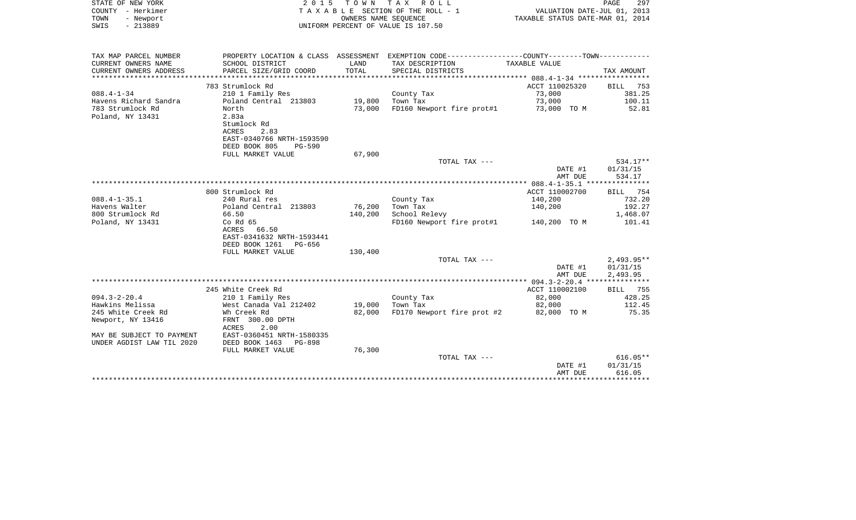| STATE OF NEW YORK         | 2 0 1 5                    | T O W N | T A X<br>R O L L                                                                                |                                          | 297<br>PAGE        |
|---------------------------|----------------------------|---------|-------------------------------------------------------------------------------------------------|------------------------------------------|--------------------|
| COUNTY - Herkimer         |                            |         | TAXABLE SECTION OF THE ROLL - 1                                                                 | VALUATION DATE-JUL 01, 2013              |                    |
| TOWN<br>- Newport         |                            |         | OWNERS NAME SEOUENCE                                                                            | TAXABLE STATUS DATE-MAR 01, 2014         |                    |
| $-213889$<br>SWIS         |                            |         | UNIFORM PERCENT OF VALUE IS 107.50                                                              |                                          |                    |
| TAX MAP PARCEL NUMBER     |                            |         | PROPERTY LOCATION & CLASS ASSESSMENT EXEMPTION CODE----------------COUNTY-------TOWN----------- |                                          |                    |
| CURRENT OWNERS NAME       | SCHOOL DISTRICT            | LAND    | TAX DESCRIPTION                                                                                 | <b>TAXABLE VALUE</b>                     |                    |
| CURRENT OWNERS ADDRESS    | PARCEL SIZE/GRID COORD     | TOTAL   | SPECIAL DISTRICTS                                                                               |                                          | TAX AMOUNT         |
| *********************     | ***********************    |         |                                                                                                 |                                          |                    |
|                           | 783 Strumlock Rd           |         |                                                                                                 | ACCT 110025320                           | <b>BILL</b><br>753 |
| $088.4 - 1 - 34$          | 210 1 Family Res           |         | County Tax                                                                                      | 73,000                                   | 381.25             |
| Havens Richard Sandra     | Poland Central 213803      | 19,800  | Town Tax                                                                                        | 73,000                                   | 100.11             |
| 783 Strumlock Rd          | North                      | 73,000  | FD160 Newport fire prot#1                                                                       | 73,000 TO M                              | 52.81              |
| Poland, NY 13431          | 2.83a                      |         |                                                                                                 |                                          |                    |
|                           | Stumlock Rd                |         |                                                                                                 |                                          |                    |
|                           | <b>ACRES</b><br>2.83       |         |                                                                                                 |                                          |                    |
|                           | EAST-0340766 NRTH-1593590  |         |                                                                                                 |                                          |                    |
|                           | DEED BOOK 805<br>$PG-590$  |         |                                                                                                 |                                          |                    |
|                           | FULL MARKET VALUE          | 67,900  |                                                                                                 |                                          |                    |
|                           |                            |         | TOTAL TAX ---                                                                                   |                                          | $534.17**$         |
|                           |                            |         |                                                                                                 | DATE #1                                  | 01/31/15           |
|                           |                            |         |                                                                                                 | AMT DUE                                  | 534.17             |
|                           |                            |         |                                                                                                 | ********** 088.4-1-35.1 **************** |                    |
|                           | 800 Strumlock Rd           |         |                                                                                                 | ACCT 110002700                           | 754<br>BILL        |
| $088.4 - 1 - 35.1$        | 240 Rural res              |         | County Tax                                                                                      | 140,200                                  | 732.20             |
| Havens Walter             | Poland Central 213803      | 76,200  | Town Tax                                                                                        | 140,200                                  | 192.27             |
| 800 Strumlock Rd          | 66.50                      | 140,200 | School Relevy                                                                                   |                                          | 1,468.07           |
| Poland, NY 13431          | Co Rd $65$                 |         | FD160 Newport fire prot#1                                                                       | 140,200 TO M                             | 101.41             |
|                           | ACRES<br>66.50             |         |                                                                                                 |                                          |                    |
|                           | EAST-0341632 NRTH-1593441  |         |                                                                                                 |                                          |                    |
|                           | DEED BOOK 1261<br>PG-656   |         |                                                                                                 |                                          |                    |
|                           | FULL MARKET VALUE          | 130,400 |                                                                                                 |                                          |                    |
|                           |                            |         | TOTAL TAX ---                                                                                   |                                          | $2,493.95**$       |
|                           |                            |         |                                                                                                 | DATE #1                                  | 01/31/15           |
|                           |                            |         |                                                                                                 | AMT DUE                                  | 2,493.95           |
|                           |                            |         |                                                                                                 |                                          |                    |
|                           | 245 White Creek Rd         |         |                                                                                                 | ACCT 110002100                           | 755<br>BILL        |
| $094.3 - 2 - 20.4$        | 210 1 Family Res           |         | County Tax                                                                                      | 82,000                                   | 428.25             |
| Hawkins Melissa           | West Canada Val 212402     | 19,000  | Town Tax                                                                                        | 82,000                                   | 112.45             |
| 245 White Creek Rd        | Wh Creek Rd                | 82,000  | FD170 Newport fire prot #2                                                                      | 82,000 TO M                              | 75.35              |
| Newport, NY 13416         | FRNT 300.00 DPTH           |         |                                                                                                 |                                          |                    |
|                           | 2.00<br>ACRES              |         |                                                                                                 |                                          |                    |
| MAY BE SUBJECT TO PAYMENT | EAST-0360451 NRTH-1580335  |         |                                                                                                 |                                          |                    |
| UNDER AGDIST LAW TIL 2020 | DEED BOOK 1463<br>$PG-898$ |         |                                                                                                 |                                          |                    |
|                           | FULL MARKET VALUE          | 76,300  |                                                                                                 |                                          |                    |
|                           |                            |         | TOTAL TAX ---                                                                                   |                                          | $616.05**$         |
|                           |                            |         |                                                                                                 | DATE #1                                  | 01/31/15           |

\*\*\*\*\*\*\*\*\*\*\*\*\*\*\*\*\*\*\*\*\*\*\*\*\*\*\*\*\*\*\*\*\*\*\*\*\*\*\*\*\*\*\*\*\*\*\*\*\*\*\*\*\*\*\*\*\*\*\*\*\*\*\*\*\*\*\*\*\*\*\*\*\*\*\*\*\*\*\*\*\*\*\*\*\*\*\*\*\*\*\*\*\*\*\*\*\*\*\*\*\*\*\*\*\*\*\*\*\*\*\*\*\*\*\*\*\*\*\*\*\*\*\*\*\*\*\*\*\*\*\*\*

AMT DUE 616.05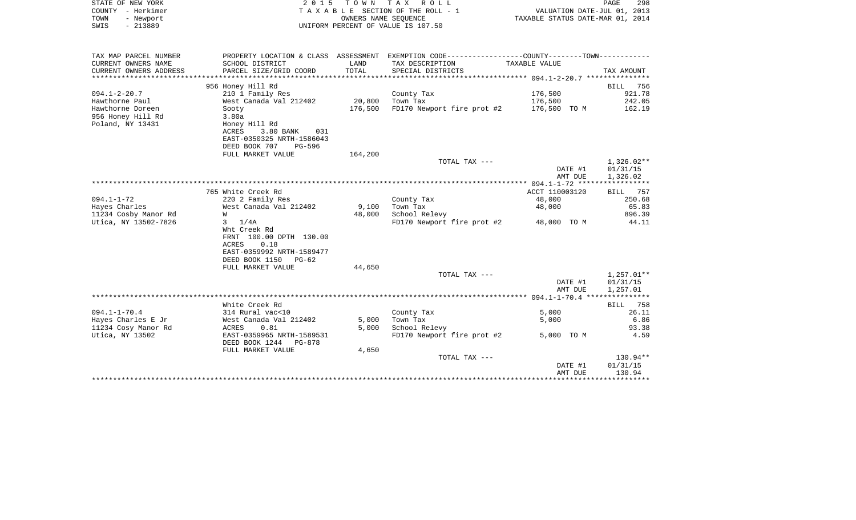| STATE OF NEW YORK |           | 2015 TOWN TAX ROLL                 | 298<br><b>PAGE</b>               |
|-------------------|-----------|------------------------------------|----------------------------------|
| COUNTY - Herkimer |           | TAXABLE SECTION OF THE ROLL - 1    | VALUATION DATE-JUL 01, 2013      |
| TOWN              | - Newport | OWNERS NAME SEOUENCE               | TAXABLE STATUS DATE-MAR 01, 2014 |
| SWIS              | - 213889  | UNIFORM PERCENT OF VALUE IS 107.50 |                                  |

| TAX MAP PARCEL NUMBER     | PROPERTY LOCATION & CLASS ASSESSMENT |         | EXEMPTION CODE-----------------COUNTY-------TOWN----------- |                              |                    |
|---------------------------|--------------------------------------|---------|-------------------------------------------------------------|------------------------------|--------------------|
| CURRENT OWNERS NAME       | SCHOOL DISTRICT                      | LAND    | TAX DESCRIPTION                                             | TAXABLE VALUE                |                    |
| CURRENT OWNERS ADDRESS    | PARCEL SIZE/GRID COORD               | TOTAL   | SPECIAL DISTRICTS                                           |                              | TAX AMOUNT         |
| ************************* |                                      |         |                                                             |                              |                    |
|                           | 956 Honey Hill Rd                    |         |                                                             |                              | BILL 756           |
| $094.1 - 2 - 20.7$        | 210 1 Family Res                     |         | County Tax                                                  | 176,500                      | 921.78             |
| Hawthorne Paul            | West Canada Val 212402               | 20,800  | Town Tax                                                    | 176,500                      | 242.05             |
| Hawthorne Doreen          | Sooty                                | 176,500 | FD170 Newport fire prot #2 176,500 TO M                     |                              | 162.19             |
| 956 Honey Hill Rd         | 3.80a                                |         |                                                             |                              |                    |
| Poland, NY 13431          | Honey Hill Rd                        |         |                                                             |                              |                    |
|                           | ACRES<br>3.80 BANK<br>031            |         |                                                             |                              |                    |
|                           | EAST-0350325 NRTH-1586043            |         |                                                             |                              |                    |
|                           |                                      |         |                                                             |                              |                    |
|                           | DEED BOOK 707<br>PG-596              |         |                                                             |                              |                    |
|                           | FULL MARKET VALUE                    | 164,200 |                                                             |                              |                    |
|                           |                                      |         | TOTAL TAX ---                                               |                              | $1,326.02**$       |
|                           |                                      |         |                                                             | DATE #1                      | 01/31/15           |
|                           |                                      |         |                                                             | AMT DUE                      | 1,326.02           |
|                           |                                      |         |                                                             |                              |                    |
|                           | 765 White Creek Rd                   |         |                                                             | ACCT 110003120               | BILL 757           |
| $094.1 - 1 - 72$          | 220 2 Family Res                     |         | County Tax                                                  | 48,000                       | 250.68             |
| Hayes Charles             | West Canada Val 212402               | 9,100   | Town Tax                                                    | 48,000                       | 65.83              |
| 11234 Cosby Manor Rd      | W                                    | 48,000  | School Relevy                                               |                              | 896.39             |
| Utica, NY 13502-7826      | $3 \frac{1}{4A}$                     |         | FD170 Newport fire prot #2 48,000 TO M                      |                              | 44.11              |
|                           | Wht Creek Rd                         |         |                                                             |                              |                    |
|                           | FRNT 100.00 DPTH 130.00              |         |                                                             |                              |                    |
|                           | 0.18<br>ACRES                        |         |                                                             |                              |                    |
|                           | EAST-0359992 NRTH-1589477            |         |                                                             |                              |                    |
|                           | DEED BOOK 1150 PG-62                 |         |                                                             |                              |                    |
|                           | FULL MARKET VALUE                    | 44,650  |                                                             |                              |                    |
|                           |                                      |         | TOTAL TAX ---                                               |                              | 1,257.01**         |
|                           |                                      |         |                                                             | DATE #1                      | 01/31/15           |
|                           |                                      |         |                                                             | AMT DUE                      | 1,257.01           |
|                           |                                      |         |                                                             |                              |                    |
|                           | White Creek Rd                       |         |                                                             |                              | 758<br><b>BILL</b> |
| $094.1 - 1 - 70.4$        | 314 Rural vac<10                     |         | County Tax                                                  | 5,000                        | 26.11              |
| Hayes Charles E Jr        | West Canada Val 212402               | 5,000   | Town Tax                                                    | 5,000                        | 6.86               |
| 11234 Cosy Manor Rd       | 0.81<br>ACRES                        | 5,000   | School Relevy                                               |                              | 93.38              |
| Utica, NY 13502           | EAST-0359965 NRTH-1589531            |         | FD170 Newport fire prot #2                                  | 5,000 TO M                   | 4.59               |
|                           | DEED BOOK 1244 PG-878                |         |                                                             |                              |                    |
|                           | FULL MARKET VALUE                    | 4,650   |                                                             |                              |                    |
|                           |                                      |         | TOTAL TAX ---                                               |                              | $130.94**$         |
|                           |                                      |         |                                                             | DATE #1                      | 01/31/15           |
|                           |                                      |         |                                                             | AMT DUE                      | 130.94             |
|                           |                                      |         |                                                             | **************************** |                    |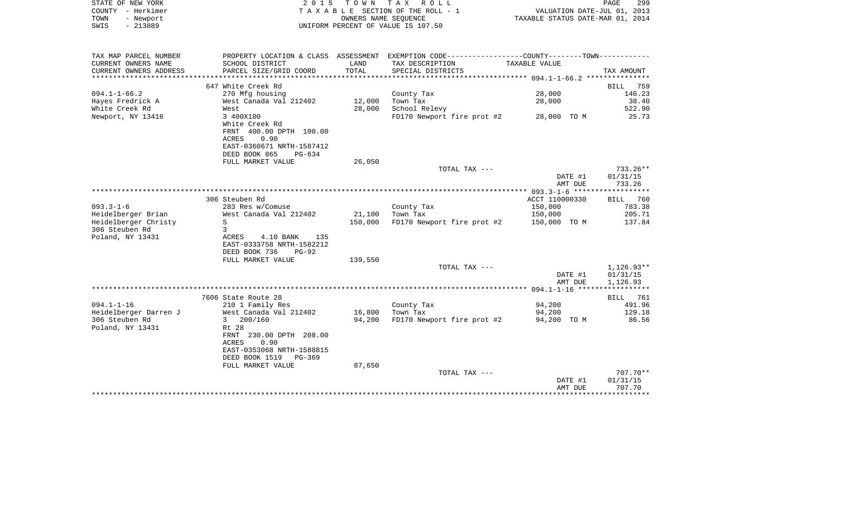|      | STATE OF NEW YORK | 2015 TOWN TAX ROLL                 | PAGE                             | 299 |
|------|-------------------|------------------------------------|----------------------------------|-----|
|      | COUNTY - Herkimer | TAXABLE SECTION OF THE ROLL - 1    | VALUATION DATE-JUL 01, 2013      |     |
| TOWN | - Newport         | OWNERS NAME SEOUENCE               | TAXABLE STATUS DATE-MAR 01, 2014 |     |
| SWIS | - 213889          | UNIFORM PERCENT OF VALUE IS 107.50 |                                  |     |

| SCHOOL DISTRICT<br>LAND<br>TAX DESCRIPTION<br>TAXABLE VALUE<br>TOTAL<br>PARCEL SIZE/GRID COORD<br>SPECIAL DISTRICTS<br>TAX AMOUNT<br>**********************<br>647 White Creek Rd<br>759<br>BILL<br>$094.1 - 1 - 66.2$<br>270 Mfg housing<br>28,000<br>146.23<br>County Tax<br>12,000<br>38.40<br>West Canada Val 212402<br>Town Tax<br>28,000<br>Hayes Fredrick A<br>White Creek Rd<br>28,000<br>School Relevy<br>522.90<br>West<br>Newport, NY 13416<br>3 400X100<br>FD170 Newport fire prot #2<br>28,000 TO M<br>25.73<br>White Creek Rd<br>FRNT 400.00 DPTH 100.00<br>ACRES<br>0.90<br>EAST-0360671 NRTH-1587412<br>DEED BOOK 865<br>PG-634<br>FULL MARKET VALUE<br>26,050<br>TOTAL TAX ---<br>DATE #1<br>01/31/15<br>733.26<br>AMT DUE<br>306 Steuben Rd<br>ACCT 110000330<br>BILL 760<br>$093.3 - 1 - 6$<br>283 Res w/Comuse<br>150,000<br>783.38<br>County Tax<br>Heidelberger Brian<br>West Canada Val 212402<br>21,100<br>Town Tax<br>205.71<br>150,000<br>150,000<br>FD170 Newport fire prot #2<br>137.84<br>Heidelberger Christy<br>S<br>150,000 TO M<br>306 Steuben Rd<br>3<br>Poland, NY 13431<br>ACRES<br>4.10 BANK<br>135<br>EAST-0333758 NRTH-1582212<br>DEED BOOK 736<br>$PG-92$<br>FULL MARKET VALUE<br>139,550<br>1,126.93**<br>TOTAL TAX ---<br>DATE #1<br>01/31/15<br>AMT DUE<br>1,126.93<br>7606 State Route 28<br>BILL 761<br>$094.1 - 1 - 16$<br>94,200<br>491.96<br>210 1 Family Res<br>County Tax<br>Town Tax<br>Heidelberger Darren J<br>West Canada Val 212402<br>16,800<br>94,200<br>129.18<br>FD170 Newport fire prot #2<br>306 Steuben Rd<br>3 200/160<br>94,200<br>94,200 TO M<br>86.56<br>Poland, NY 13431<br>Rt 28<br>FRNT 230.00 DPTH 208.00<br>0.90<br>ACRES<br>EAST-0353068 NRTH-1588815<br>DEED BOOK 1519<br>PG-369<br>FULL MARKET VALUE<br>87,650<br>707.70**<br>TOTAL TAX ---<br>01/31/15<br>DATE #1<br>707.70<br>AMT DUE | TAX MAP PARCEL NUMBER  |  | PROPERTY LOCATION & CLASS ASSESSMENT EXEMPTION CODE---------------COUNTY-------TOWN---------- |  |
|-------------------------------------------------------------------------------------------------------------------------------------------------------------------------------------------------------------------------------------------------------------------------------------------------------------------------------------------------------------------------------------------------------------------------------------------------------------------------------------------------------------------------------------------------------------------------------------------------------------------------------------------------------------------------------------------------------------------------------------------------------------------------------------------------------------------------------------------------------------------------------------------------------------------------------------------------------------------------------------------------------------------------------------------------------------------------------------------------------------------------------------------------------------------------------------------------------------------------------------------------------------------------------------------------------------------------------------------------------------------------------------------------------------------------------------------------------------------------------------------------------------------------------------------------------------------------------------------------------------------------------------------------------------------------------------------------------------------------------------------------------------------------------------------------------------------------------------------------------------------|------------------------|--|-----------------------------------------------------------------------------------------------|--|
|                                                                                                                                                                                                                                                                                                                                                                                                                                                                                                                                                                                                                                                                                                                                                                                                                                                                                                                                                                                                                                                                                                                                                                                                                                                                                                                                                                                                                                                                                                                                                                                                                                                                                                                                                                                                                                                                   | CURRENT OWNERS NAME    |  |                                                                                               |  |
| 733.26**                                                                                                                                                                                                                                                                                                                                                                                                                                                                                                                                                                                                                                                                                                                                                                                                                                                                                                                                                                                                                                                                                                                                                                                                                                                                                                                                                                                                                                                                                                                                                                                                                                                                                                                                                                                                                                                          | CURRENT OWNERS ADDRESS |  |                                                                                               |  |
|                                                                                                                                                                                                                                                                                                                                                                                                                                                                                                                                                                                                                                                                                                                                                                                                                                                                                                                                                                                                                                                                                                                                                                                                                                                                                                                                                                                                                                                                                                                                                                                                                                                                                                                                                                                                                                                                   |                        |  |                                                                                               |  |
|                                                                                                                                                                                                                                                                                                                                                                                                                                                                                                                                                                                                                                                                                                                                                                                                                                                                                                                                                                                                                                                                                                                                                                                                                                                                                                                                                                                                                                                                                                                                                                                                                                                                                                                                                                                                                                                                   |                        |  |                                                                                               |  |
|                                                                                                                                                                                                                                                                                                                                                                                                                                                                                                                                                                                                                                                                                                                                                                                                                                                                                                                                                                                                                                                                                                                                                                                                                                                                                                                                                                                                                                                                                                                                                                                                                                                                                                                                                                                                                                                                   |                        |  |                                                                                               |  |
|                                                                                                                                                                                                                                                                                                                                                                                                                                                                                                                                                                                                                                                                                                                                                                                                                                                                                                                                                                                                                                                                                                                                                                                                                                                                                                                                                                                                                                                                                                                                                                                                                                                                                                                                                                                                                                                                   |                        |  |                                                                                               |  |
|                                                                                                                                                                                                                                                                                                                                                                                                                                                                                                                                                                                                                                                                                                                                                                                                                                                                                                                                                                                                                                                                                                                                                                                                                                                                                                                                                                                                                                                                                                                                                                                                                                                                                                                                                                                                                                                                   |                        |  |                                                                                               |  |
|                                                                                                                                                                                                                                                                                                                                                                                                                                                                                                                                                                                                                                                                                                                                                                                                                                                                                                                                                                                                                                                                                                                                                                                                                                                                                                                                                                                                                                                                                                                                                                                                                                                                                                                                                                                                                                                                   |                        |  |                                                                                               |  |
|                                                                                                                                                                                                                                                                                                                                                                                                                                                                                                                                                                                                                                                                                                                                                                                                                                                                                                                                                                                                                                                                                                                                                                                                                                                                                                                                                                                                                                                                                                                                                                                                                                                                                                                                                                                                                                                                   |                        |  |                                                                                               |  |
|                                                                                                                                                                                                                                                                                                                                                                                                                                                                                                                                                                                                                                                                                                                                                                                                                                                                                                                                                                                                                                                                                                                                                                                                                                                                                                                                                                                                                                                                                                                                                                                                                                                                                                                                                                                                                                                                   |                        |  |                                                                                               |  |
|                                                                                                                                                                                                                                                                                                                                                                                                                                                                                                                                                                                                                                                                                                                                                                                                                                                                                                                                                                                                                                                                                                                                                                                                                                                                                                                                                                                                                                                                                                                                                                                                                                                                                                                                                                                                                                                                   |                        |  |                                                                                               |  |
|                                                                                                                                                                                                                                                                                                                                                                                                                                                                                                                                                                                                                                                                                                                                                                                                                                                                                                                                                                                                                                                                                                                                                                                                                                                                                                                                                                                                                                                                                                                                                                                                                                                                                                                                                                                                                                                                   |                        |  |                                                                                               |  |
|                                                                                                                                                                                                                                                                                                                                                                                                                                                                                                                                                                                                                                                                                                                                                                                                                                                                                                                                                                                                                                                                                                                                                                                                                                                                                                                                                                                                                                                                                                                                                                                                                                                                                                                                                                                                                                                                   |                        |  |                                                                                               |  |
|                                                                                                                                                                                                                                                                                                                                                                                                                                                                                                                                                                                                                                                                                                                                                                                                                                                                                                                                                                                                                                                                                                                                                                                                                                                                                                                                                                                                                                                                                                                                                                                                                                                                                                                                                                                                                                                                   |                        |  |                                                                                               |  |
|                                                                                                                                                                                                                                                                                                                                                                                                                                                                                                                                                                                                                                                                                                                                                                                                                                                                                                                                                                                                                                                                                                                                                                                                                                                                                                                                                                                                                                                                                                                                                                                                                                                                                                                                                                                                                                                                   |                        |  |                                                                                               |  |
|                                                                                                                                                                                                                                                                                                                                                                                                                                                                                                                                                                                                                                                                                                                                                                                                                                                                                                                                                                                                                                                                                                                                                                                                                                                                                                                                                                                                                                                                                                                                                                                                                                                                                                                                                                                                                                                                   |                        |  |                                                                                               |  |
|                                                                                                                                                                                                                                                                                                                                                                                                                                                                                                                                                                                                                                                                                                                                                                                                                                                                                                                                                                                                                                                                                                                                                                                                                                                                                                                                                                                                                                                                                                                                                                                                                                                                                                                                                                                                                                                                   |                        |  |                                                                                               |  |
|                                                                                                                                                                                                                                                                                                                                                                                                                                                                                                                                                                                                                                                                                                                                                                                                                                                                                                                                                                                                                                                                                                                                                                                                                                                                                                                                                                                                                                                                                                                                                                                                                                                                                                                                                                                                                                                                   |                        |  |                                                                                               |  |
|                                                                                                                                                                                                                                                                                                                                                                                                                                                                                                                                                                                                                                                                                                                                                                                                                                                                                                                                                                                                                                                                                                                                                                                                                                                                                                                                                                                                                                                                                                                                                                                                                                                                                                                                                                                                                                                                   |                        |  |                                                                                               |  |
|                                                                                                                                                                                                                                                                                                                                                                                                                                                                                                                                                                                                                                                                                                                                                                                                                                                                                                                                                                                                                                                                                                                                                                                                                                                                                                                                                                                                                                                                                                                                                                                                                                                                                                                                                                                                                                                                   |                        |  |                                                                                               |  |
|                                                                                                                                                                                                                                                                                                                                                                                                                                                                                                                                                                                                                                                                                                                                                                                                                                                                                                                                                                                                                                                                                                                                                                                                                                                                                                                                                                                                                                                                                                                                                                                                                                                                                                                                                                                                                                                                   |                        |  |                                                                                               |  |
|                                                                                                                                                                                                                                                                                                                                                                                                                                                                                                                                                                                                                                                                                                                                                                                                                                                                                                                                                                                                                                                                                                                                                                                                                                                                                                                                                                                                                                                                                                                                                                                                                                                                                                                                                                                                                                                                   |                        |  |                                                                                               |  |
|                                                                                                                                                                                                                                                                                                                                                                                                                                                                                                                                                                                                                                                                                                                                                                                                                                                                                                                                                                                                                                                                                                                                                                                                                                                                                                                                                                                                                                                                                                                                                                                                                                                                                                                                                                                                                                                                   |                        |  |                                                                                               |  |
|                                                                                                                                                                                                                                                                                                                                                                                                                                                                                                                                                                                                                                                                                                                                                                                                                                                                                                                                                                                                                                                                                                                                                                                                                                                                                                                                                                                                                                                                                                                                                                                                                                                                                                                                                                                                                                                                   |                        |  |                                                                                               |  |
|                                                                                                                                                                                                                                                                                                                                                                                                                                                                                                                                                                                                                                                                                                                                                                                                                                                                                                                                                                                                                                                                                                                                                                                                                                                                                                                                                                                                                                                                                                                                                                                                                                                                                                                                                                                                                                                                   |                        |  |                                                                                               |  |
|                                                                                                                                                                                                                                                                                                                                                                                                                                                                                                                                                                                                                                                                                                                                                                                                                                                                                                                                                                                                                                                                                                                                                                                                                                                                                                                                                                                                                                                                                                                                                                                                                                                                                                                                                                                                                                                                   |                        |  |                                                                                               |  |
|                                                                                                                                                                                                                                                                                                                                                                                                                                                                                                                                                                                                                                                                                                                                                                                                                                                                                                                                                                                                                                                                                                                                                                                                                                                                                                                                                                                                                                                                                                                                                                                                                                                                                                                                                                                                                                                                   |                        |  |                                                                                               |  |
|                                                                                                                                                                                                                                                                                                                                                                                                                                                                                                                                                                                                                                                                                                                                                                                                                                                                                                                                                                                                                                                                                                                                                                                                                                                                                                                                                                                                                                                                                                                                                                                                                                                                                                                                                                                                                                                                   |                        |  |                                                                                               |  |
|                                                                                                                                                                                                                                                                                                                                                                                                                                                                                                                                                                                                                                                                                                                                                                                                                                                                                                                                                                                                                                                                                                                                                                                                                                                                                                                                                                                                                                                                                                                                                                                                                                                                                                                                                                                                                                                                   |                        |  |                                                                                               |  |
|                                                                                                                                                                                                                                                                                                                                                                                                                                                                                                                                                                                                                                                                                                                                                                                                                                                                                                                                                                                                                                                                                                                                                                                                                                                                                                                                                                                                                                                                                                                                                                                                                                                                                                                                                                                                                                                                   |                        |  |                                                                                               |  |
|                                                                                                                                                                                                                                                                                                                                                                                                                                                                                                                                                                                                                                                                                                                                                                                                                                                                                                                                                                                                                                                                                                                                                                                                                                                                                                                                                                                                                                                                                                                                                                                                                                                                                                                                                                                                                                                                   |                        |  |                                                                                               |  |
|                                                                                                                                                                                                                                                                                                                                                                                                                                                                                                                                                                                                                                                                                                                                                                                                                                                                                                                                                                                                                                                                                                                                                                                                                                                                                                                                                                                                                                                                                                                                                                                                                                                                                                                                                                                                                                                                   |                        |  |                                                                                               |  |
|                                                                                                                                                                                                                                                                                                                                                                                                                                                                                                                                                                                                                                                                                                                                                                                                                                                                                                                                                                                                                                                                                                                                                                                                                                                                                                                                                                                                                                                                                                                                                                                                                                                                                                                                                                                                                                                                   |                        |  |                                                                                               |  |
|                                                                                                                                                                                                                                                                                                                                                                                                                                                                                                                                                                                                                                                                                                                                                                                                                                                                                                                                                                                                                                                                                                                                                                                                                                                                                                                                                                                                                                                                                                                                                                                                                                                                                                                                                                                                                                                                   |                        |  |                                                                                               |  |
|                                                                                                                                                                                                                                                                                                                                                                                                                                                                                                                                                                                                                                                                                                                                                                                                                                                                                                                                                                                                                                                                                                                                                                                                                                                                                                                                                                                                                                                                                                                                                                                                                                                                                                                                                                                                                                                                   |                        |  |                                                                                               |  |
|                                                                                                                                                                                                                                                                                                                                                                                                                                                                                                                                                                                                                                                                                                                                                                                                                                                                                                                                                                                                                                                                                                                                                                                                                                                                                                                                                                                                                                                                                                                                                                                                                                                                                                                                                                                                                                                                   |                        |  |                                                                                               |  |
|                                                                                                                                                                                                                                                                                                                                                                                                                                                                                                                                                                                                                                                                                                                                                                                                                                                                                                                                                                                                                                                                                                                                                                                                                                                                                                                                                                                                                                                                                                                                                                                                                                                                                                                                                                                                                                                                   |                        |  |                                                                                               |  |
|                                                                                                                                                                                                                                                                                                                                                                                                                                                                                                                                                                                                                                                                                                                                                                                                                                                                                                                                                                                                                                                                                                                                                                                                                                                                                                                                                                                                                                                                                                                                                                                                                                                                                                                                                                                                                                                                   |                        |  |                                                                                               |  |
|                                                                                                                                                                                                                                                                                                                                                                                                                                                                                                                                                                                                                                                                                                                                                                                                                                                                                                                                                                                                                                                                                                                                                                                                                                                                                                                                                                                                                                                                                                                                                                                                                                                                                                                                                                                                                                                                   |                        |  |                                                                                               |  |
|                                                                                                                                                                                                                                                                                                                                                                                                                                                                                                                                                                                                                                                                                                                                                                                                                                                                                                                                                                                                                                                                                                                                                                                                                                                                                                                                                                                                                                                                                                                                                                                                                                                                                                                                                                                                                                                                   |                        |  |                                                                                               |  |
|                                                                                                                                                                                                                                                                                                                                                                                                                                                                                                                                                                                                                                                                                                                                                                                                                                                                                                                                                                                                                                                                                                                                                                                                                                                                                                                                                                                                                                                                                                                                                                                                                                                                                                                                                                                                                                                                   |                        |  |                                                                                               |  |
|                                                                                                                                                                                                                                                                                                                                                                                                                                                                                                                                                                                                                                                                                                                                                                                                                                                                                                                                                                                                                                                                                                                                                                                                                                                                                                                                                                                                                                                                                                                                                                                                                                                                                                                                                                                                                                                                   |                        |  |                                                                                               |  |
|                                                                                                                                                                                                                                                                                                                                                                                                                                                                                                                                                                                                                                                                                                                                                                                                                                                                                                                                                                                                                                                                                                                                                                                                                                                                                                                                                                                                                                                                                                                                                                                                                                                                                                                                                                                                                                                                   |                        |  |                                                                                               |  |
|                                                                                                                                                                                                                                                                                                                                                                                                                                                                                                                                                                                                                                                                                                                                                                                                                                                                                                                                                                                                                                                                                                                                                                                                                                                                                                                                                                                                                                                                                                                                                                                                                                                                                                                                                                                                                                                                   |                        |  |                                                                                               |  |
|                                                                                                                                                                                                                                                                                                                                                                                                                                                                                                                                                                                                                                                                                                                                                                                                                                                                                                                                                                                                                                                                                                                                                                                                                                                                                                                                                                                                                                                                                                                                                                                                                                                                                                                                                                                                                                                                   |                        |  |                                                                                               |  |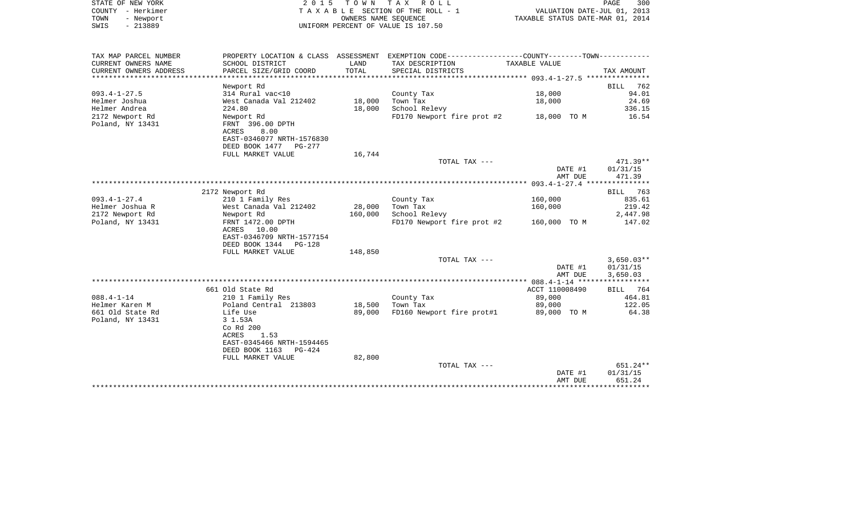|      | STATE OF NEW YORK | 2015 TOWN TAX ROLL                 | 300<br><b>PAGE</b>               |  |
|------|-------------------|------------------------------------|----------------------------------|--|
|      | COUNTY - Herkimer | TAXABLE SECTION OF THE ROLL - 1    | VALUATION DATE-JUL 01, 2013      |  |
| TOWN | - Newport         | OWNERS NAME SEOUENCE               | TAXABLE STATUS DATE-MAR 01, 2014 |  |
| SWIS | - 213889          | UNIFORM PERCENT OF VALUE IS 107.50 |                                  |  |

| TAX MAP PARCEL NUMBER  | PROPERTY LOCATION & CLASS       | ASSESSMENT | EXEMPTION CODE-----------------COUNTY-------TOWN----------- |                |              |
|------------------------|---------------------------------|------------|-------------------------------------------------------------|----------------|--------------|
| CURRENT OWNERS NAME    | SCHOOL DISTRICT                 | LAND       | TAX DESCRIPTION                                             | TAXABLE VALUE  |              |
| CURRENT OWNERS ADDRESS | PARCEL SIZE/GRID COORD          | TOTAL      | SPECIAL DISTRICTS                                           |                | TAX AMOUNT   |
|                        |                                 |            |                                                             |                |              |
|                        | Newport Rd                      |            |                                                             |                | 762<br>BILL  |
| $093.4 - 1 - 27.5$     | 314 Rural vac<10                |            | County Tax                                                  | 18,000         | 94.01        |
| Helmer Joshua          | West Canada Val 212402          | 18,000     | Town Tax                                                    | 18,000         | 24.69        |
| Helmer Andrea          | 224.80                          | 18,000     | School Relevy                                               |                | 336.15       |
| 2172 Newport Rd        | Newport Rd                      |            | FD170 Newport fire prot #2                                  | 18,000 TO M    | 16.54        |
| Poland, NY 13431       | FRNT 396.00 DPTH                |            |                                                             |                |              |
|                        | ACRES<br>8.00                   |            |                                                             |                |              |
|                        | EAST-0346077 NRTH-1576830       |            |                                                             |                |              |
|                        | DEED BOOK 1477<br><b>PG-277</b> |            |                                                             |                |              |
|                        | FULL MARKET VALUE               | 16,744     |                                                             |                |              |
|                        |                                 |            | TOTAL TAX ---                                               |                | $471.39**$   |
|                        |                                 |            |                                                             | DATE #1        | 01/31/15     |
|                        |                                 |            |                                                             | AMT DUE        | 471.39       |
|                        |                                 |            |                                                             |                |              |
|                        | 2172 Newport Rd                 |            |                                                             |                | BILL 763     |
| $093.4 - 1 - 27.4$     | 210 1 Family Res                |            | County Tax                                                  | 160,000        | 835.61       |
| Helmer Joshua R        | West Canada Val 212402          | 28,000     | Town Tax                                                    | 160,000        | 219.42       |
| 2172 Newport Rd        | Newport Rd                      | 160,000    | School Relevy                                               |                | 2,447.98     |
| Poland, NY 13431       | FRNT 1472.00 DPTH               |            | FD170 Newport fire prot #2                                  | 160,000 TO M   | 147.02       |
|                        | ACRES<br>10.00                  |            |                                                             |                |              |
|                        | EAST-0346709 NRTH-1577154       |            |                                                             |                |              |
|                        | DEED BOOK 1344<br>$PG-128$      |            |                                                             |                |              |
|                        | FULL MARKET VALUE               | 148,850    |                                                             |                |              |
|                        |                                 |            | TOTAL TAX ---                                               |                | $3,650.03**$ |
|                        |                                 |            |                                                             | DATE #1        | 01/31/15     |
|                        |                                 |            |                                                             | AMT DUE        | 3,650.03     |
|                        |                                 |            |                                                             |                |              |
|                        | 661 Old State Rd                |            |                                                             | ACCT 110008490 | BILL 764     |
| $088.4 - 1 - 14$       | 210 1 Family Res                |            | County Tax                                                  | 89,000         | 464.81       |
| Helmer Karen M         | Poland Central 213803           | 18,500     | Town Tax                                                    | 89,000         | 122.05       |
| 661 Old State Rd       | Life Use                        | 89,000     | FD160 Newport fire prot#1                                   | 89,000 TO M    | 64.38        |
| Poland, NY 13431       | 3 1.53A                         |            |                                                             |                |              |
|                        | Co Rd 200                       |            |                                                             |                |              |
|                        | ACRES<br>1.53                   |            |                                                             |                |              |
|                        | EAST-0345466 NRTH-1594465       |            |                                                             |                |              |
|                        | DEED BOOK 1163<br>PG-424        |            |                                                             |                |              |
|                        | FULL MARKET VALUE               | 82,800     |                                                             |                |              |
|                        |                                 |            | TOTAL TAX ---                                               |                | 651.24**     |
|                        |                                 |            |                                                             | DATE #1        | 01/31/15     |
|                        |                                 |            |                                                             | AMT DUE        | 651.24       |
|                        |                                 |            |                                                             |                |              |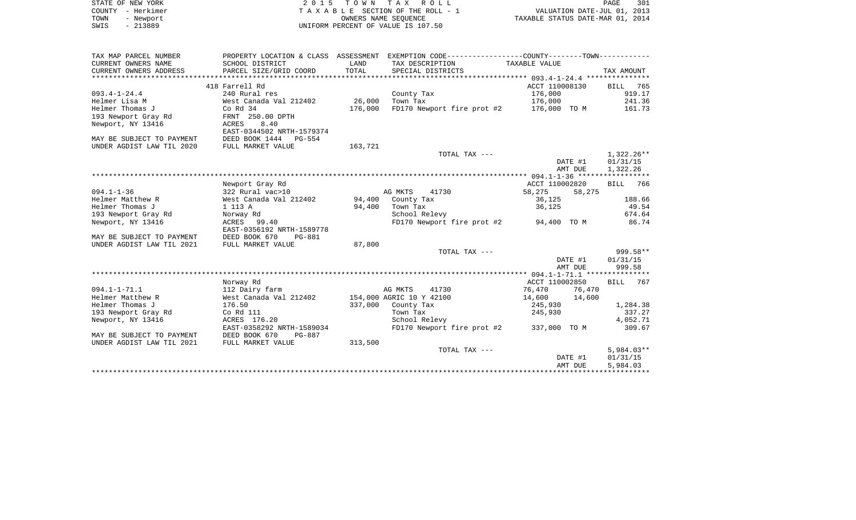|      | STATE OF NEW YORK | 2015 TOWN TAX ROLL                 | PAGE                             | 301 |
|------|-------------------|------------------------------------|----------------------------------|-----|
|      | COUNTY - Herkimer | TAXABLE SECTION OF THE ROLL - 1    | VALUATION DATE-JUL 01, 2013      |     |
| TOWN | - Newport         | OWNERS NAME SEOUENCE               | TAXABLE STATUS DATE-MAR 01, 2014 |     |
| SWIS | - 213889          | UNIFORM PERCENT OF VALUE IS 107.50 |                                  |     |

| TAX MAP PARCEL NUMBER     | PROPERTY LOCATION & CLASS ASSESSMENT |         | EXEMPTION CODE----------------COUNTY-------TOWN---------- |                  |                    |
|---------------------------|--------------------------------------|---------|-----------------------------------------------------------|------------------|--------------------|
| CURRENT OWNERS NAME       | SCHOOL DISTRICT                      | LAND    | TAX DESCRIPTION                                           | TAXABLE VALUE    |                    |
| CURRENT OWNERS ADDRESS    | PARCEL SIZE/GRID COORD               | TOTAL   | SPECIAL DISTRICTS                                         |                  | TAX AMOUNT         |
|                           |                                      |         |                                                           |                  |                    |
|                           | 418 Farrell Rd                       |         |                                                           | ACCT 110008130   | 765<br>BILL        |
| $093.4 - 1 - 24.4$        | 240 Rural res                        |         | County Tax                                                | 176,000          | 919.17             |
| Helmer Lisa M             | West Canada Val 212402               | 26,000  | Town Tax                                                  | 176,000          | 241.36             |
| Helmer Thomas J           | Co Rd 34                             | 176,000 | FD170 Newport fire prot #2 176,000 TO M                   |                  | 161.73             |
| 193 Newport Gray Rd       | FRNT 250.00 DPTH                     |         |                                                           |                  |                    |
| Newport, NY 13416         | 8.40<br>ACRES                        |         |                                                           |                  |                    |
|                           | EAST-0344502 NRTH-1579374            |         |                                                           |                  |                    |
| MAY BE SUBJECT TO PAYMENT | DEED BOOK 1444<br>$PG-554$           |         |                                                           |                  |                    |
| UNDER AGDIST LAW TIL 2020 | FULL MARKET VALUE                    | 163,721 |                                                           |                  |                    |
|                           |                                      |         | TOTAL TAX ---                                             |                  | 1,322.26**         |
|                           |                                      |         |                                                           | DATE #1          | 01/31/15           |
|                           |                                      |         |                                                           | AMT DUE          | 1,322.26           |
|                           |                                      |         |                                                           |                  |                    |
|                           | Newport Gray Rd                      |         |                                                           | ACCT 110002820   | <b>BILL</b><br>766 |
| $094.1 - 1 - 36$          | 322 Rural vac>10                     |         | AG MKTS<br>41730                                          | 58,275<br>58,275 |                    |
| Helmer Matthew R          | West Canada Val 212402               |         | 94,400 County Tax                                         | 36,125           | 188.66             |
| Helmer Thomas J           | 1 113 A                              | 94,400  | Town Tax                                                  | 36,125           | 49.54              |
| 193 Newport Gray Rd       | Norway Rd                            |         | School Relevy                                             |                  | 674.64             |
| Newport, NY 13416         | ACRES 99.40                          |         | FD170 Newport fire prot #2                                | 94,400 TO M      | 86.74              |
|                           | EAST-0356192 NRTH-1589778            |         |                                                           |                  |                    |
| MAY BE SUBJECT TO PAYMENT | DEED BOOK 670<br><b>PG-881</b>       |         |                                                           |                  |                    |
| UNDER AGDIST LAW TIL 2021 | FULL MARKET VALUE                    | 87,800  |                                                           |                  |                    |
|                           |                                      |         | TOTAL TAX ---                                             |                  | 999.58**           |
|                           |                                      |         |                                                           | DATE #1          | 01/31/15           |
|                           |                                      |         |                                                           | AMT DUE          | 999.58             |
|                           |                                      |         |                                                           |                  |                    |
|                           | Norway Rd                            |         |                                                           | ACCT 110002850   | BILL 767           |
| $094.1 - 1 - 71.1$        | 112 Dairy farm                       |         | AG MKTS<br>41730                                          | 76,470<br>76,470 |                    |
| Helmer Matthew R          | West Canada Val 212402               |         | 154,000 AGRIC 10 Y 42100                                  | 14,600<br>14,600 |                    |
| Helmer Thomas J           | 176.50                               | 337,000 | County Tax                                                | 245,930          | 1,284.38           |
| 193 Newport Gray Rd       | Co Rd 111                            |         | Town Tax                                                  | 245,930          | 337.27             |
| Newport, NY 13416         | ACRES 176.20                         |         | School Relevy                                             |                  | 4,052.71           |
|                           | EAST-0358292 NRTH-1589034            |         | FD170 Newport fire prot #2                                | 337,000 TO M     | 309.67             |
| MAY BE SUBJECT TO PAYMENT | DEED BOOK 670<br>PG-887              |         |                                                           |                  |                    |
| UNDER AGDIST LAW TIL 2021 | FULL MARKET VALUE                    | 313,500 |                                                           |                  |                    |
|                           |                                      |         | TOTAL TAX ---                                             |                  | $5,984.03**$       |
|                           |                                      |         |                                                           | DATE #1          | 01/31/15           |
|                           |                                      |         |                                                           | AMT DUE          | 5,984.03           |
|                           |                                      |         |                                                           |                  |                    |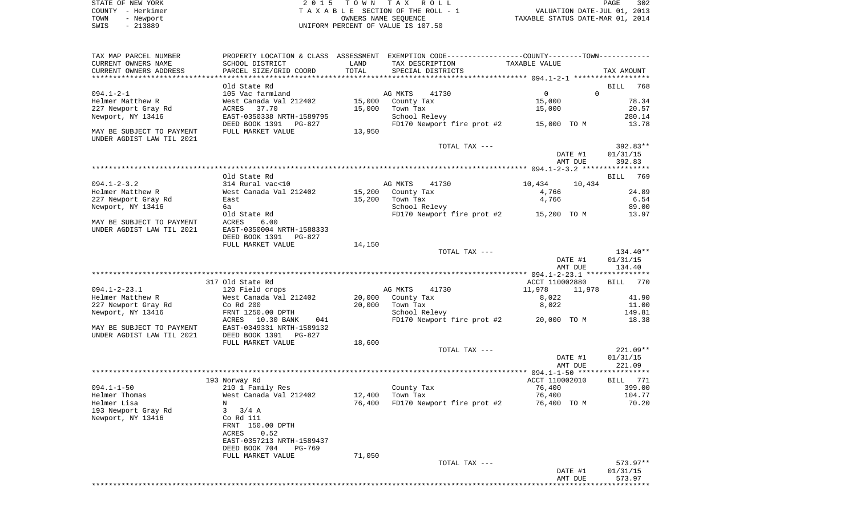|      | STATE OF NEW YORK | 2015 TOWN TAX ROLL                 | PAGE                             | 302 |
|------|-------------------|------------------------------------|----------------------------------|-----|
|      | COUNTY - Herkimer | TAXABLE SECTION OF THE ROLL - 1    | VALUATION DATE-JUL 01, 2013      |     |
| TOWN | - Newport         | OWNERS NAME SEOUENCE               | TAXABLE STATUS DATE-MAR 01, 2014 |     |
| SWIS | - 213889          | UNIFORM PERCENT OF VALUE IS 107.50 |                                  |     |

| TAX MAP PARCEL NUMBER               |                                            |        | PROPERTY LOCATION & CLASS ASSESSMENT EXEMPTION CODE----------------COUNTY-------TOWN---------- |                      |                                |
|-------------------------------------|--------------------------------------------|--------|------------------------------------------------------------------------------------------------|----------------------|--------------------------------|
| CURRENT OWNERS NAME                 | SCHOOL DISTRICT                            | LAND   | TAX DESCRIPTION                                                                                | TAXABLE VALUE        |                                |
| CURRENT OWNERS ADDRESS              | PARCEL SIZE/GRID COORD                     | TOTAL  | SPECIAL DISTRICTS                                                                              |                      | TAX AMOUNT                     |
|                                     |                                            |        |                                                                                                | ********** 094.1-2-1 |                                |
|                                     | Old State Rd                               |        |                                                                                                |                      | <b>BILL</b><br>768<br>$\Omega$ |
| $094.1 - 2 - 1$<br>Helmer Matthew R | 105 Vac farmland<br>West Canada Val 212402 | 15,000 | AG MKTS<br>41730                                                                               | 0<br>15,000          | 78.34                          |
| 227 Newport Gray Rd                 | ACRES<br>37.70                             | 15,000 | County Tax<br>Town Tax                                                                         | 15,000               | 20.57                          |
| Newport, NY 13416                   | EAST-0350338 NRTH-1589795                  |        | School Relevy                                                                                  |                      | 280.14                         |
|                                     | DEED BOOK 1391<br>PG-827                   |        | FD170 Newport fire prot #2                                                                     | 15,000 TO M          | 13.78                          |
| MAY BE SUBJECT TO PAYMENT           | FULL MARKET VALUE                          | 13,950 |                                                                                                |                      |                                |
| UNDER AGDIST LAW TIL 2021           |                                            |        |                                                                                                |                      |                                |
|                                     |                                            |        | TOTAL TAX ---                                                                                  |                      | 392.83**                       |
|                                     |                                            |        |                                                                                                | DATE #1              | 01/31/15                       |
|                                     |                                            |        |                                                                                                | AMT DUE              | 392.83                         |
|                                     |                                            |        |                                                                                                |                      |                                |
|                                     | Old State Rd                               |        |                                                                                                |                      | 769<br><b>BILL</b>             |
| $094.1 - 2 - 3.2$                   | 314 Rural vac<10                           |        | AG MKTS<br>41730                                                                               | 10,434<br>10,434     |                                |
| Helmer Matthew R                    | West Canada Val 212402                     | 15,200 | County Tax                                                                                     | 4,766                | 24.89                          |
| 227 Newport Gray Rd                 | East                                       | 15,200 | Town Tax                                                                                       | 4,766                | 6.54                           |
| Newport, NY 13416                   | ба                                         |        | School Relevy                                                                                  |                      | 89.00                          |
|                                     | Old State Rd                               |        | FD170 Newport fire prot #2                                                                     | 15,200 TO M          | 13.97                          |
| MAY BE SUBJECT TO PAYMENT           | ACRES<br>6.00                              |        |                                                                                                |                      |                                |
| UNDER AGDIST LAW TIL 2021           | EAST-0350004 NRTH-1588333                  |        |                                                                                                |                      |                                |
|                                     | DEED BOOK 1391<br>$PG-827$                 |        |                                                                                                |                      |                                |
|                                     | FULL MARKET VALUE                          | 14,150 |                                                                                                |                      |                                |
|                                     |                                            |        | TOTAL TAX ---                                                                                  |                      | 134.40**                       |
|                                     |                                            |        |                                                                                                | DATE #1<br>AMT DUE   | 01/31/15<br>134.40             |
|                                     |                                            |        |                                                                                                |                      |                                |
|                                     | 317 Old State Rd                           |        |                                                                                                | ACCT 110002880       | 770<br><b>BILL</b>             |
| $094.1 - 2 - 23.1$                  | 120 Field crops                            |        | AG MKTS<br>41730                                                                               | 11,978<br>11,978     |                                |
| Helmer Matthew R                    | West Canada Val 212402                     | 20,000 | County Tax                                                                                     | 8,022                | 41.90                          |
| 227 Newport Gray Rd                 | Co Rd 200                                  | 20,000 | Town Tax                                                                                       | 8,022                | 11.00                          |
| Newport, NY 13416                   | FRNT 1250.00 DPTH                          |        | School Relevy                                                                                  |                      | 149.81                         |
|                                     | ACRES<br>10.30 BANK<br>041                 |        | FD170 Newport fire prot #2                                                                     | 20,000 TO M          | 18.38                          |
| MAY BE SUBJECT TO PAYMENT           | EAST-0349331 NRTH-1589132                  |        |                                                                                                |                      |                                |
| UNDER AGDIST LAW TIL 2021           | DEED BOOK 1391<br>PG-827                   |        |                                                                                                |                      |                                |
|                                     | FULL MARKET VALUE                          | 18,600 |                                                                                                |                      |                                |
|                                     |                                            |        | TOTAL TAX ---                                                                                  |                      | 221.09**                       |
|                                     |                                            |        |                                                                                                | DATE #1              | 01/31/15                       |
|                                     |                                            |        |                                                                                                | AMT DUE              | 221.09                         |
|                                     |                                            |        |                                                                                                |                      |                                |
|                                     | 193 Norway Rd                              |        |                                                                                                | ACCT 110002010       | 771<br>BILL                    |
| $094.1 - 1 - 50$                    | 210 1 Family Res                           |        | County Tax                                                                                     | 76,400               | 399.00                         |
| Helmer Thomas                       | West Canada Val 212402                     | 12,400 | Town Tax                                                                                       | 76,400               | 104.77                         |
| Helmer Lisa                         | N                                          | 76,400 | FD170 Newport fire prot #2                                                                     | 76,400 TO M          | 70.20                          |
| 193 Newport Gray Rd                 | 3<br>$3/4$ A                               |        |                                                                                                |                      |                                |
| Newport, NY 13416                   | Co Rd 111<br>FRNT 150.00 DPTH              |        |                                                                                                |                      |                                |
|                                     | 0.52<br>ACRES                              |        |                                                                                                |                      |                                |
|                                     | EAST-0357213 NRTH-1589437                  |        |                                                                                                |                      |                                |
|                                     | DEED BOOK 704<br>$PG-769$                  |        |                                                                                                |                      |                                |
|                                     | FULL MARKET VALUE                          | 71,050 |                                                                                                |                      |                                |
|                                     |                                            |        | TOTAL TAX ---                                                                                  |                      | 573.97**                       |
|                                     |                                            |        |                                                                                                | DATE #1              | 01/31/15                       |
|                                     |                                            |        |                                                                                                | AMT DUE              | 573.97                         |
|                                     |                                            |        |                                                                                                |                      |                                |
|                                     |                                            |        |                                                                                                |                      |                                |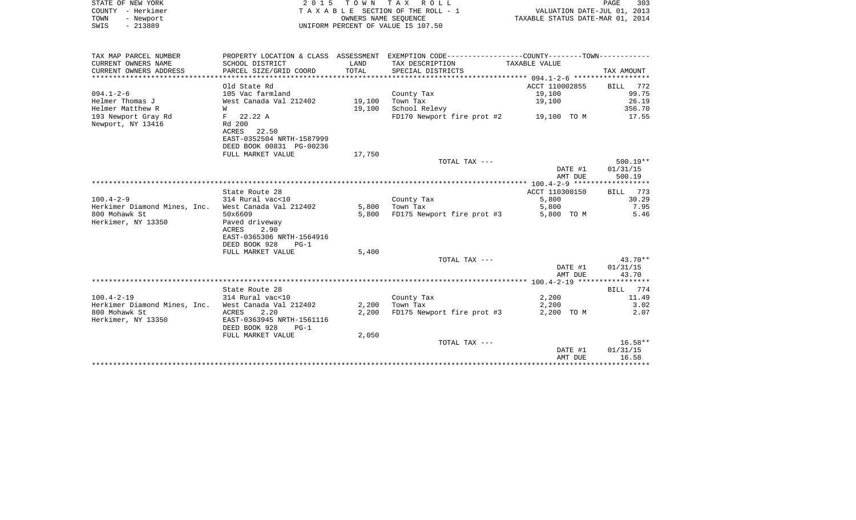|      | STATE OF NEW YORK | 2015 TOWN TAX ROLL                 | 303<br>PAGE                      |
|------|-------------------|------------------------------------|----------------------------------|
|      | COUNTY - Herkimer | TAXABLE SECTION OF THE ROLL - 1    | VALUATION DATE-JUL 01, 2013      |
| TOWN | - Newport         | OWNERS NAME SEOUENCE               | TAXABLE STATUS DATE-MAR 01, 2014 |
| SWIS | - 213889          | UNIFORM PERCENT OF VALUE IS 107.50 |                                  |

| TAX MAP PARCEL NUMBER        |                           |        | PROPERTY LOCATION & CLASS ASSESSMENT EXEMPTION CODE---------------COUNTY-------TOWN---------- |                |                    |
|------------------------------|---------------------------|--------|-----------------------------------------------------------------------------------------------|----------------|--------------------|
| CURRENT OWNERS NAME          | SCHOOL DISTRICT           | LAND   | TAX DESCRIPTION                                                                               | TAXABLE VALUE  |                    |
| CURRENT OWNERS ADDRESS       | PARCEL SIZE/GRID COORD    | TOTAL  | SPECIAL DISTRICTS                                                                             |                | TAX AMOUNT         |
|                              |                           |        |                                                                                               |                |                    |
|                              | Old State Rd              |        |                                                                                               | ACCT 110002855 | BILL 772           |
| $094.1 - 2 - 6$              | 105 Vac farmland          |        | County Tax                                                                                    | 19,100         | 99.75              |
| Helmer Thomas J              | West Canada Val 212402    | 19,100 | Town Tax                                                                                      | 19,100         | 26.19              |
| Helmer Matthew R             | W                         | 19,100 | School Relevy                                                                                 |                | 356.70             |
| 193 Newport Gray Rd          | F 22.22 A                 |        | FD170 Newport fire prot #2 19,100 TO M                                                        |                | 17.55              |
| Newport, NY 13416            | Rd 200                    |        |                                                                                               |                |                    |
|                              | ACRES 22.50               |        |                                                                                               |                |                    |
|                              | EAST-0352504 NRTH-1587999 |        |                                                                                               |                |                    |
|                              | DEED BOOK 00831 PG-00236  |        |                                                                                               |                |                    |
|                              | FULL MARKET VALUE         | 17,750 |                                                                                               |                |                    |
|                              |                           |        | TOTAL TAX ---                                                                                 |                | $500.19**$         |
|                              |                           |        |                                                                                               | DATE #1        | 01/31/15           |
|                              |                           |        |                                                                                               | AMT DUE        | 500.19             |
|                              |                           |        |                                                                                               |                |                    |
|                              | State Route 28            |        |                                                                                               | ACCT 110300150 | 773<br><b>BILL</b> |
| $100.4 - 2 - 9$              | 314 Rural vac<10          |        | County Tax                                                                                    | 5,800          | 30.29              |
| Herkimer Diamond Mines, Inc. | West Canada Val 212402    | 5,800  | Town Tax                                                                                      | 5,800          | 7.95               |
| 800 Mohawk St                | 50x6609                   | 5,800  | FD175 Newport fire prot #3                                                                    | 5,800 TO M     | 5.46               |
| Herkimer, NY 13350           | Paved driveway            |        |                                                                                               |                |                    |
|                              | ACRES<br>2.90             |        |                                                                                               |                |                    |
|                              | EAST-0365306 NRTH-1564916 |        |                                                                                               |                |                    |
|                              | DEED BOOK 928<br>$PG-1$   |        |                                                                                               |                |                    |
|                              | FULL MARKET VALUE         | 5,400  |                                                                                               |                |                    |
|                              |                           |        | TOTAL TAX ---                                                                                 |                | $43.70**$          |
|                              |                           |        |                                                                                               | DATE #1        | 01/31/15           |
|                              |                           |        |                                                                                               | AMT DUE        | 43.70              |
|                              |                           |        |                                                                                               |                |                    |
|                              | State Route 28            |        |                                                                                               |                | 774<br>BILL        |
| $100.4 - 2 - 19$             | 314 Rural vac<10          |        | County Tax                                                                                    | 2,200          | 11.49              |
| Herkimer Diamond Mines, Inc. | West Canada Val 212402    | 2,200  | Town Tax                                                                                      | 2,200          | 3.02               |
| 800 Mohawk St                | 2.20<br>ACRES             | 2,200  | FD175 Newport fire prot #3                                                                    | 2,200 TO M     | 2.07               |
| Herkimer, NY 13350           | EAST-0363945 NRTH-1561116 |        |                                                                                               |                |                    |
|                              | DEED BOOK 928<br>$PG-1$   |        |                                                                                               |                |                    |
|                              | FULL MARKET VALUE         | 2,050  |                                                                                               |                |                    |
|                              |                           |        | TOTAL TAX ---                                                                                 |                | $16.58**$          |
|                              |                           |        |                                                                                               | DATE #1        | 01/31/15           |
|                              |                           |        |                                                                                               | AMT DUE        | 16.58              |
|                              |                           |        |                                                                                               |                |                    |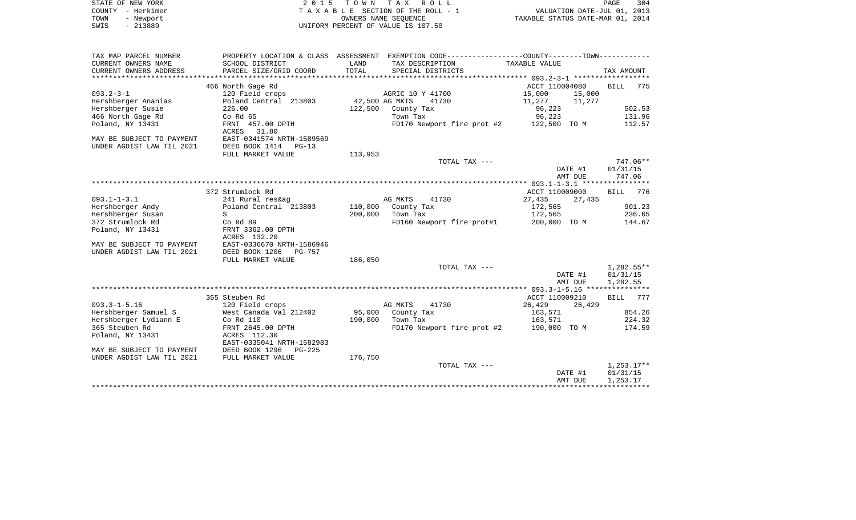|      | STATE OF NEW YORK | 2015 TOWN TAX ROLL                 | 304<br>PAGE                      |
|------|-------------------|------------------------------------|----------------------------------|
|      | COUNTY - Herkimer | TAXABLE SECTION OF THE ROLL - 1    | VALUATION DATE-JUL 01, 2013      |
| TOWN | - Newport         | OWNERS NAME SEOUENCE               | TAXABLE STATUS DATE-MAR 01, 2014 |
| SWIS | - 213889          | UNIFORM PERCENT OF VALUE IS 107.50 |                                  |

| TAX MAP PARCEL NUMBER     |                                           |                | PROPERTY LOCATION & CLASS ASSESSMENT EXEMPTION CODE----------------COUNTY--------TOWN---------- |                  |                    |
|---------------------------|-------------------------------------------|----------------|-------------------------------------------------------------------------------------------------|------------------|--------------------|
| CURRENT OWNERS NAME       | SCHOOL DISTRICT                           | LAND           | TAX DESCRIPTION                                                                                 | TAXABLE VALUE    |                    |
| CURRENT OWNERS ADDRESS    | PARCEL SIZE/GRID COORD                    | TOTAL          | SPECIAL DISTRICTS                                                                               |                  | TAX AMOUNT         |
|                           |                                           |                |                                                                                                 |                  |                    |
|                           | 466 North Gage Rd                         |                |                                                                                                 | ACCT 110004080   | 775<br>BILL        |
| $093.2 - 3 - 1$           | 120 Field crops                           |                | AGRIC 10 Y 41700                                                                                | 15,000<br>15,000 |                    |
| Hershberger Ananias       | Poland Central 213803                     | 42,500 AG MKTS | 41730                                                                                           | 11,277<br>11,277 |                    |
| Hershberger Susie         | 226.00                                    | 122,500        | County Tax                                                                                      | 96,223           | 502.53             |
| 466 North Gage Rd         | Co Rd 65                                  |                | Town Tax                                                                                        | 96,223           | 131.96             |
| Poland, NY 13431          | FRNT 457.00 DPTH                          |                | FD170 Newport fire prot #2 122,500 TO M                                                         |                  | 112.57             |
|                           | ACRES 31.80                               |                |                                                                                                 |                  |                    |
| MAY BE SUBJECT TO PAYMENT | EAST-0341574 NRTH-1589569                 |                |                                                                                                 |                  |                    |
| UNDER AGDIST LAW TIL 2021 | DEED BOOK 1414 PG-13                      |                |                                                                                                 |                  |                    |
|                           | FULL MARKET VALUE                         | 113,953        |                                                                                                 |                  |                    |
|                           |                                           |                | TOTAL TAX ---                                                                                   |                  | 747.06**           |
|                           |                                           |                |                                                                                                 | DATE #1          | 01/31/15           |
|                           |                                           |                |                                                                                                 | AMT DUE          | 747.06             |
|                           |                                           |                |                                                                                                 |                  |                    |
|                           | 372 Strumlock Rd                          |                |                                                                                                 | ACCT 110009000   | <b>BILL</b><br>776 |
| $093.1 - 1 - 3.1$         | 241 Rural res&ag                          |                | AG MKTS<br>41730                                                                                | 27,435<br>27,435 |                    |
| Hershberger Andy          | Poland Central 213803                     |                | 110,000 County Tax                                                                              | 172,565          | 901.23             |
| Hershberger Susan         | S                                         |                | 200,000 Town Tax                                                                                | 172,565          | 236.65             |
| 372 Strumlock Rd          | Co Rd 89                                  |                | FD160 Newport fire prot#1 200,000 TO M                                                          |                  | 144.67             |
| Poland, NY 13431          | FRNT 3362.00 DPTH                         |                |                                                                                                 |                  |                    |
|                           | ACRES 132.20                              |                |                                                                                                 |                  |                    |
| MAY BE SUBJECT TO PAYMENT | EAST-0336670 NRTH-1586946                 |                |                                                                                                 |                  |                    |
| UNDER AGDIST LAW TIL 2021 | DEED BOOK 1206<br>PG-757                  |                |                                                                                                 |                  |                    |
|                           | FULL MARKET VALUE                         | 186,050        |                                                                                                 |                  |                    |
|                           |                                           |                | TOTAL TAX ---                                                                                   |                  | $1,282.55**$       |
|                           |                                           |                |                                                                                                 | DATE #1          | 01/31/15           |
|                           |                                           |                |                                                                                                 | AMT DUE          | 1,282.55           |
|                           |                                           |                |                                                                                                 |                  |                    |
|                           | 365 Steuben Rd                            |                |                                                                                                 | ACCT 110009210   | 777<br>BILL        |
| $093.3 - 1 - 5.16$        | 120 Field crops                           |                | AG MKTS<br>41730                                                                                | 26,429<br>26,429 |                    |
| Hershberger Samuel S      | West Canada Val 212402                    |                | 95,000 County Tax                                                                               | 163,571          | 854.26             |
| Hershberger Lydiann E     | Co Rd 110                                 | 190,000        | Town Tax                                                                                        | 163,571          | 224.32             |
| 365 Steuben Rd            | FRNT 2645.00 DPTH                         |                | FD170 Newport fire prot #2 190,000 TO M                                                         |                  | 174.59             |
|                           |                                           |                |                                                                                                 |                  |                    |
| Poland, NY 13431          | ACRES 112.30<br>EAST-0335041 NRTH-1582983 |                |                                                                                                 |                  |                    |
|                           |                                           |                |                                                                                                 |                  |                    |
| MAY BE SUBJECT TO PAYMENT | DEED BOOK 1296 PG-225                     |                |                                                                                                 |                  |                    |
| UNDER AGDIST LAW TIL 2021 | FULL MARKET VALUE                         | 176,750        |                                                                                                 |                  |                    |
|                           |                                           |                | TOTAL TAX ---                                                                                   |                  | $1,253.17**$       |
|                           |                                           |                |                                                                                                 | DATE #1          | 01/31/15           |
|                           |                                           |                |                                                                                                 | AMT DUE          | 1,253.17           |
|                           |                                           |                |                                                                                                 |                  |                    |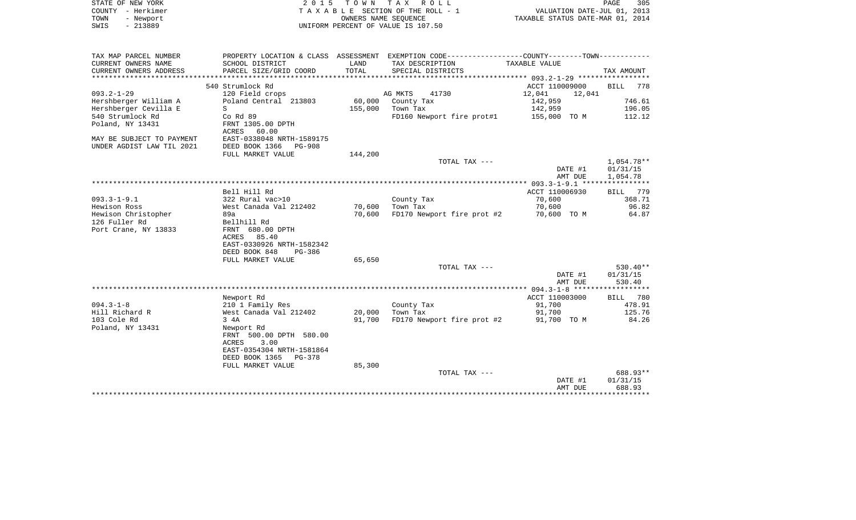| STATE OF NEW YORK             |                                            |         | 2015 TOWN TAX ROLL                                                                            |                                  | PAGE<br>305        |
|-------------------------------|--------------------------------------------|---------|-----------------------------------------------------------------------------------------------|----------------------------------|--------------------|
| COUNTY - Herkimer             | TAXABLE SECTION OF THE ROLL - 1            |         |                                                                                               | VALUATION DATE-JUL 01, 2013      |                    |
| TOWN<br>- Newport             | OWNERS NAME SEQUENCE                       |         |                                                                                               | TAXABLE STATUS DATE-MAR 01, 2014 |                    |
| $-213889$<br>SWIS             | UNIFORM PERCENT OF VALUE IS 107.50         |         |                                                                                               |                                  |                    |
|                               |                                            |         |                                                                                               |                                  |                    |
| TAX MAP PARCEL NUMBER         |                                            |         | PROPERTY LOCATION & CLASS ASSESSMENT EXEMPTION CODE---------------COUNTY-------TOWN---------- |                                  |                    |
| CURRENT OWNERS NAME           | SCHOOL DISTRICT                            | LAND    | TAX DESCRIPTION                                                                               | TAXABLE VALUE                    |                    |
| CURRENT OWNERS ADDRESS        | PARCEL SIZE/GRID COORD                     | TOTAL   | SPECIAL DISTRICTS                                                                             |                                  | TAX AMOUNT         |
| ***********************       |                                            |         |                                                                                               |                                  |                    |
|                               | 540 Strumlock Rd                           |         |                                                                                               | ACCT 110009000                   | 778<br><b>BILL</b> |
| $093.2 - 1 - 29$              | 120 Field crops                            |         | AG MKTS<br>41730                                                                              | 12,041<br>12,041                 |                    |
| Hershberger William A         | Poland Central 213803                      | 60,000  | County Tax                                                                                    | 142,959                          | 746.61             |
| Hershberger Cevilla E         | $S_{\mathcal{L}}$                          | 155,000 | Town Tax                                                                                      | 142,959                          | 196.05             |
| 540 Strumlock Rd              | Co Rd 89                                   |         | FD160 Newport fire prot#1                                                                     | 155,000 TO M                     | 112.12             |
| Poland, NY 13431              | FRNT 1305.00 DPTH                          |         |                                                                                               |                                  |                    |
|                               | ACRES 60.00                                |         |                                                                                               |                                  |                    |
| MAY BE SUBJECT TO PAYMENT     | EAST-0338048 NRTH-1589175                  |         |                                                                                               |                                  |                    |
| UNDER AGDIST LAW TIL 2021     | DEED BOOK 1366 PG-908                      |         |                                                                                               |                                  |                    |
|                               | FULL MARKET VALUE                          | 144,200 |                                                                                               |                                  | $1,054.78**$       |
|                               |                                            |         | TOTAL TAX ---                                                                                 | DATE #1                          | 01/31/15           |
|                               |                                            |         |                                                                                               | AMT DUE                          | 1,054.78           |
|                               |                                            |         |                                                                                               |                                  |                    |
|                               | Bell Hill Rd                               |         |                                                                                               | ACCT 110006930                   | <b>BILL</b><br>779 |
| $093.3 - 1 - 9.1$             | 322 Rural vac>10                           |         | County Tax                                                                                    | 70,600                           | 368.71             |
| Hewison Ross                  | West Canada Val 212402                     |         | 70,600 Town Tax                                                                               | 70,600                           | 96.82              |
| Hewison Christopher           | 89a                                        |         | 70,600 FD170 Newport fire prot #2                                                             | 70,600 TO M                      | 64.87              |
| 126 Fuller Rd                 | Bellhill Rd                                |         |                                                                                               |                                  |                    |
| Port Crane, NY 13833          | FRNT 680.00 DPTH                           |         |                                                                                               |                                  |                    |
|                               | ACRES 85.40                                |         |                                                                                               |                                  |                    |
|                               | EAST-0330926 NRTH-1582342                  |         |                                                                                               |                                  |                    |
|                               | DEED BOOK 848<br>PG-386                    |         |                                                                                               |                                  |                    |
|                               | FULL MARKET VALUE                          | 65,650  |                                                                                               |                                  |                    |
|                               |                                            |         | TOTAL TAX ---                                                                                 |                                  | $530.40**$         |
|                               |                                            |         |                                                                                               | DATE #1                          | 01/31/15           |
|                               |                                            |         |                                                                                               | AMT DUE                          | 530.40             |
|                               |                                            |         |                                                                                               |                                  |                    |
|                               | Newport Rd                                 |         |                                                                                               | ACCT 110003000                   | BILL 780           |
| $094.3 - 1 - 8$               | 210 1 Family Res                           |         | County Tax                                                                                    | 91,700                           | 478.91             |
| Hill Richard R<br>103 Cole Rd | West Canada Val 212402<br>$3 \t4A$         | 91,700  | 20,000 Town Tax                                                                               | 91,700                           | 125.76<br>84.26    |
|                               |                                            |         | FD170 Newport fire prot #2                                                                    | 91,700 TO M                      |                    |
|                               |                                            |         |                                                                                               |                                  |                    |
| Poland, NY 13431              | Newport Rd                                 |         |                                                                                               |                                  |                    |
|                               | FRNT 500.00 DPTH 580.00                    |         |                                                                                               |                                  |                    |
|                               | 3.00<br>ACRES                              |         |                                                                                               |                                  |                    |
|                               | EAST-0354304 NRTH-1581864                  |         |                                                                                               |                                  |                    |
|                               | DEED BOOK 1365 PG-378<br>FULL MARKET VALUE |         |                                                                                               |                                  |                    |
|                               |                                            | 85,300  | TOTAL TAX ---                                                                                 |                                  | 688.93**           |
|                               |                                            |         |                                                                                               | DATE #1                          | 01/31/15           |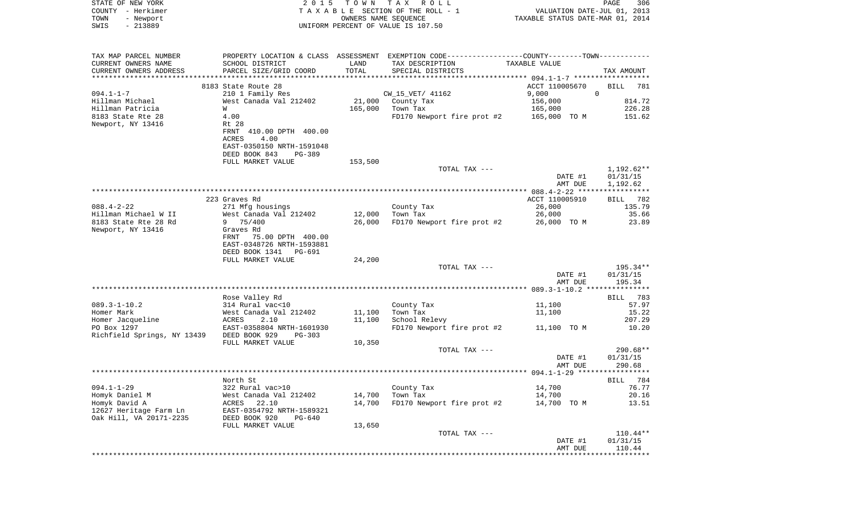| STATE OF NEW YORK<br>COUNTY - Herkimer    |                           |         | 2015 TOWN TAX ROLL<br>TAXABLE SECTION OF THE ROLL - 1<br>VALUATION DATE-JUL 01, 2013<br>TAXABLE STATUS DATE-MAR 01, 2014 |                    | PAGE<br>306        |
|-------------------------------------------|---------------------------|---------|--------------------------------------------------------------------------------------------------------------------------|--------------------|--------------------|
| - Newport<br>TOWN                         |                           |         |                                                                                                                          |                    |                    |
| SWIS<br>$-213889$                         |                           |         | UNIFORM PERCENT OF VALUE IS 107.50                                                                                       |                    |                    |
|                                           |                           |         |                                                                                                                          |                    |                    |
| TAX MAP PARCEL NUMBER                     |                           |         | PROPERTY LOCATION & CLASS ASSESSMENT EXEMPTION CODE---------------COUNTY-------TOWN----------                            |                    |                    |
| CURRENT OWNERS NAME                       | SCHOOL DISTRICT           | LAND    | TAX DESCRIPTION                                                                                                          | TAXABLE VALUE      |                    |
| CURRENT OWNERS ADDRESS                    | PARCEL SIZE/GRID COORD    | TOTAL   | SPECIAL DISTRICTS                                                                                                        |                    | TAX AMOUNT         |
|                                           |                           |         |                                                                                                                          |                    |                    |
|                                           | 8183 State Route 28       |         |                                                                                                                          | ACCT 110005670     | BILL 781           |
| $094.1 - 1 - 7$                           | 210 1 Family Res          |         | CW_15_VET/ 41162                                                                                                         | 9,000              | $\overline{0}$     |
| Hillman Michael                           | West Canada Val 212402    |         | 21,000 County Tax                                                                                                        | 156,000            | 814.72             |
| Hillman Patricia                          | W                         |         | 165,000 Town Tax                                                                                                         | 165,000            | 226.28             |
| 8183 State Rte 28                         | 4.00                      |         | FD170 Newport fire prot #2                                                                                               | 165,000 TO M       | 151.62             |
| Newport, NY 13416                         | Rt 28                     |         |                                                                                                                          |                    |                    |
|                                           |                           |         |                                                                                                                          |                    |                    |
|                                           | FRNT 410.00 DPTH 400.00   |         |                                                                                                                          |                    |                    |
|                                           | 4.00<br>ACRES             |         |                                                                                                                          |                    |                    |
|                                           | EAST-0350150 NRTH-1591048 |         |                                                                                                                          |                    |                    |
|                                           | DEED BOOK 843<br>PG-389   |         |                                                                                                                          |                    |                    |
|                                           | FULL MARKET VALUE         | 153,500 |                                                                                                                          |                    |                    |
|                                           |                           |         | TOTAL TAX ---                                                                                                            |                    | $1,192.62**$       |
|                                           |                           |         |                                                                                                                          | DATE #1            | 01/31/15           |
|                                           |                           |         |                                                                                                                          | AMT DUE            | 1,192.62           |
|                                           |                           |         |                                                                                                                          |                    |                    |
|                                           | 223 Graves Rd             |         |                                                                                                                          | ACCT 110005910     | BILL 782           |
| $088.4 - 2 - 22$                          | 271 Mfg housings          |         | County Tax                                                                                                               | 26,000             | 135.79             |
| Hillman Michael W II                      | West Canada Val 212402    | 12,000  | Town Tax                                                                                                                 | 26,000             | 35.66              |
| 8183 State Rte 28 Rd                      | 9 75/400                  | 26,000  | FD170 Newport fire prot #2                                                                                               | 26,000 TO M        | 23.89              |
| Newport, NY 13416                         |                           |         |                                                                                                                          |                    |                    |
|                                           | Graves Rd                 |         |                                                                                                                          |                    |                    |
|                                           | FRNT 75.00 DPTH 400.00    |         |                                                                                                                          |                    |                    |
|                                           | EAST-0348726 NRTH-1593881 |         |                                                                                                                          |                    |                    |
|                                           | DEED BOOK 1341 PG-691     |         |                                                                                                                          |                    |                    |
|                                           | FULL MARKET VALUE         | 24,200  |                                                                                                                          |                    |                    |
|                                           |                           |         | TOTAL TAX ---                                                                                                            |                    | 195.34**           |
|                                           |                           |         |                                                                                                                          | DATE #1            | 01/31/15           |
|                                           |                           |         |                                                                                                                          | AMT DUE            | 195.34             |
|                                           |                           |         |                                                                                                                          |                    |                    |
|                                           | Rose Valley Rd            |         |                                                                                                                          |                    | BILL 783           |
| $089.3 - 1 - 10.2$                        | 314 Rural vac<10          |         | County Tax                                                                                                               | 11,100             | 57.97              |
| Homer Mark                                | West Canada Val 212402    | 11,100  | Town Tax                                                                                                                 | 11,100             | 15.22              |
| Homer Jacqueline                          | ACRES<br>2.10             | 11,100  | School Relevy                                                                                                            |                    | 207.29             |
| PO Box 1297                               | EAST-0358804 NRTH-1601930 |         | FD170 Newport fire prot #2                                                                                               | 11,100 TO M        | 10.20              |
| Richfield Springs, NY 13439 DEED BOOK 929 | PG-303                    |         |                                                                                                                          |                    |                    |
|                                           |                           |         |                                                                                                                          |                    |                    |
|                                           | FULL MARKET VALUE         | 10,350  |                                                                                                                          |                    |                    |
|                                           |                           |         | TOTAL TAX ---                                                                                                            |                    | $290.68**$         |
|                                           |                           |         |                                                                                                                          | DATE #1            | 01/31/15           |
|                                           |                           |         |                                                                                                                          | AMT DUE            | 290.68             |
|                                           |                           |         |                                                                                                                          |                    |                    |
|                                           | North St                  |         |                                                                                                                          |                    | BILL 784           |
| $094.1 - 1 - 29$                          | 322 Rural vac>10          |         | County Tax                                                                                                               | 14,700             | 76.77              |
| Homyk Daniel M                            | West Canada Val 212402    | 14,700  | Town Tax                                                                                                                 | 14,700             | 20.16              |
|                                           | 22.10<br>ACRES            | 14,700  | FD170 Newport fire prot #2                                                                                               | 14,700 TO M        | 13.51              |
|                                           |                           |         |                                                                                                                          |                    |                    |
| Homyk David A                             |                           |         |                                                                                                                          |                    |                    |
| 12627 Heritage Farm Ln                    | EAST-0354792 NRTH-1589321 |         |                                                                                                                          |                    |                    |
| Oak Hill, VA 20171-2235                   | DEED BOOK 920<br>$PG-640$ |         |                                                                                                                          |                    |                    |
|                                           | FULL MARKET VALUE         | 13,650  |                                                                                                                          |                    |                    |
|                                           |                           |         | TOTAL TAX ---                                                                                                            |                    | $110.44**$         |
|                                           |                           |         |                                                                                                                          | DATE #1<br>AMT DUE | 01/31/15<br>110.44 |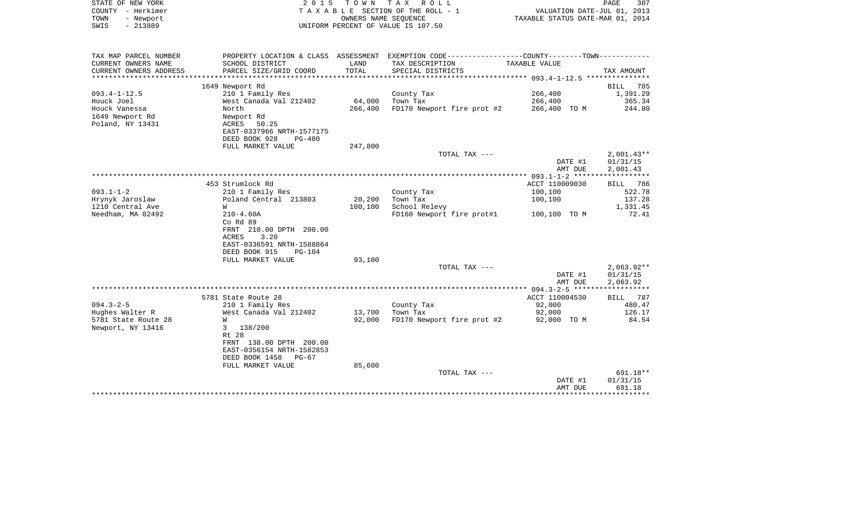| STATE OF NEW YORK | 2015 TOWN TAX ROLL                 | 307<br>PAGE                      |
|-------------------|------------------------------------|----------------------------------|
| COUNTY - Herkimer | TAXABLE SECTION OF THE ROLL - 1    | VALUATION DATE-JUL 01, 2013      |
| TOWN<br>- Newport | OWNERS NAME SEOUENCE               | TAXABLE STATUS DATE-MAR 01, 2014 |
| $-213889$<br>SWIS | UNIFORM PERCENT OF VALUE IS 107.50 |                                  |

| TAX MAP PARCEL NUMBER  |                           |         | PROPERTY LOCATION & CLASS ASSESSMENT EXEMPTION CODE---------------COUNTY-------TOWN---------- |                                     |              |
|------------------------|---------------------------|---------|-----------------------------------------------------------------------------------------------|-------------------------------------|--------------|
| CURRENT OWNERS NAME    | SCHOOL DISTRICT           | LAND    | TAX DESCRIPTION                                                                               | TAXABLE VALUE                       |              |
| CURRENT OWNERS ADDRESS | PARCEL SIZE/GRID COORD    | TOTAL   | SPECIAL DISTRICTS                                                                             |                                     | TAX AMOUNT   |
| ********************** |                           |         |                                                                                               |                                     |              |
|                        | 1649 Newport Rd           |         |                                                                                               |                                     | 785<br>BILL  |
| $093.4 - 1 - 12.5$     | 210 1 Family Res          |         | County Tax                                                                                    | 266,400                             | 1,391.29     |
| Houck Joel             | West Canada Val 212402    | 64,000  | Town Tax                                                                                      | 266,400                             | 365.34       |
| Houck Vanessa          | North                     | 266,400 | FD170 Newport fire prot #2                                                                    | 266,400 TO M                        | 244.80       |
| 1649 Newport Rd        | Newport Rd                |         |                                                                                               |                                     |              |
| Poland, NY 13431       | ACRES<br>50.25            |         |                                                                                               |                                     |              |
|                        | EAST-0337966 NRTH-1577175 |         |                                                                                               |                                     |              |
|                        |                           |         |                                                                                               |                                     |              |
|                        | DEED BOOK 928<br>$PG-480$ |         |                                                                                               |                                     |              |
|                        | FULL MARKET VALUE         | 247,800 |                                                                                               |                                     |              |
|                        |                           |         | TOTAL TAX ---                                                                                 |                                     | $2,001.43**$ |
|                        |                           |         |                                                                                               | DATE #1                             | 01/31/15     |
|                        |                           |         |                                                                                               | AMT DUE                             | 2,001.43     |
|                        |                           |         |                                                                                               |                                     |              |
|                        | 453 Strumlock Rd          |         |                                                                                               | ACCT 110009030                      | BILL 786     |
| $093.1 - 1 - 2$        | 210 1 Family Res          |         | County Tax                                                                                    | 100,100                             | 522.78       |
| Hrynyk Jaroslaw        | Poland Central 213803     | 20,200  | Town Tax                                                                                      | 100,100                             | 137.28       |
| 1210 Central Ave       | W                         | 100,100 | School Relevy                                                                                 |                                     | 1,331.45     |
| Needham, MA 02492      | $210 - 4.60A$             |         | FD160 Newport fire prot#1 100,100 TO M                                                        |                                     | 72.41        |
|                        | Co Rd 89                  |         |                                                                                               |                                     |              |
|                        | FRNT 210.00 DPTH 200.00   |         |                                                                                               |                                     |              |
|                        | 3.20<br>ACRES             |         |                                                                                               |                                     |              |
|                        | EAST-0336591 NRTH-1588864 |         |                                                                                               |                                     |              |
|                        | DEED BOOK 915<br>$PG-104$ |         |                                                                                               |                                     |              |
|                        | FULL MARKET VALUE         | 93,100  |                                                                                               |                                     |              |
|                        |                           |         | TOTAL TAX ---                                                                                 |                                     | $2,063.92**$ |
|                        |                           |         |                                                                                               | DATE #1                             | 01/31/15     |
|                        |                           |         |                                                                                               | AMT DUE                             | 2,063.92     |
|                        |                           |         |                                                                                               |                                     |              |
|                        | 5781 State Route 28       |         |                                                                                               | ACCT 110004530                      | BILL 787     |
| $094.3 - 2 - 5$        | 210 1 Family Res          |         | County Tax                                                                                    | 92,000                              | 480.47       |
| Hughes Walter R        | West Canada Val 212402    | 13,700  | Town Tax                                                                                      | 92,000                              | 126.17       |
| 5781 State Route 28    | W                         | 92,000  | FD170 Newport fire prot #2                                                                    | 92,000 TO M                         | 84.54        |
|                        | $\mathbf{3}$              |         |                                                                                               |                                     |              |
| Newport, NY 13416      | 138/200                   |         |                                                                                               |                                     |              |
|                        | Rt 28                     |         |                                                                                               |                                     |              |
|                        | FRNT 138.00 DPTH 200.00   |         |                                                                                               |                                     |              |
|                        | EAST-0356154 NRTH-1582853 |         |                                                                                               |                                     |              |
|                        | DEED BOOK 1458<br>PG-67   |         |                                                                                               |                                     |              |
|                        | FULL MARKET VALUE         | 85,600  |                                                                                               |                                     |              |
|                        |                           |         | TOTAL TAX ---                                                                                 |                                     | 691.18**     |
|                        |                           |         |                                                                                               | DATE #1                             | 01/31/15     |
|                        |                           |         |                                                                                               | AMT DUE                             | 691.18       |
|                        |                           |         |                                                                                               | *********************************** |              |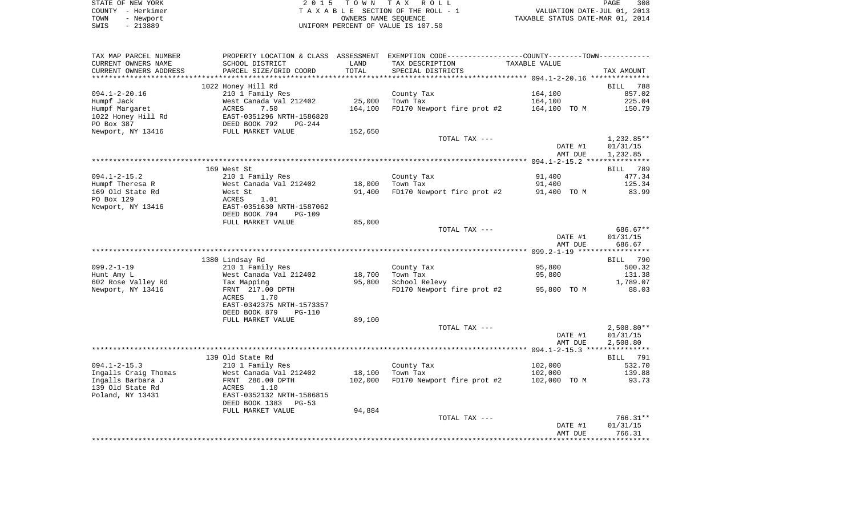| STATE OF NEW YORK | 2015 TOWN TAX ROLL                 | 308<br>PAGE                      |
|-------------------|------------------------------------|----------------------------------|
| COUNTY – Herkimer | TAXABLE SECTION OF THE ROLL - 1    | VALUATION DATE-JUL 01, 2013      |
| TOWN<br>- Newport | OWNERS NAME SEOUENCE               | TAXABLE STATUS DATE-MAR 01, 2014 |
| SWIS<br>- 213889  | UNIFORM PERCENT OF VALUE IS 107.50 |                                  |

| TAX MAP PARCEL NUMBER             |                                            |         | PROPERTY LOCATION & CLASS ASSESSMENT EXEMPTION CODE----------------COUNTY-------TOWN---------- |                    |                    |
|-----------------------------------|--------------------------------------------|---------|------------------------------------------------------------------------------------------------|--------------------|--------------------|
| CURRENT OWNERS NAME               | SCHOOL DISTRICT                            | LAND    | TAX DESCRIPTION                                                                                | TAXABLE VALUE      |                    |
| CURRENT OWNERS ADDRESS            | PARCEL SIZE/GRID COORD                     | TOTAL   | SPECIAL DISTRICTS                                                                              |                    | TAX AMOUNT         |
|                                   |                                            |         |                                                                                                |                    |                    |
|                                   | 1022 Honey Hill Rd                         |         |                                                                                                | 164,100            | 788<br>BILL        |
| $094.1 - 2 - 20.16$<br>Humpf Jack | 210 1 Family Res<br>West Canada Val 212402 | 25,000  | County Tax<br>Town Tax                                                                         | 164,100            | 857.02<br>225.04   |
| Humpf Margaret                    | 7.50<br>ACRES                              | 164,100 | FD170 Newport fire prot #2                                                                     | 164,100 TO M       | 150.79             |
| 1022 Honey Hill Rd                | EAST-0351296 NRTH-1586820                  |         |                                                                                                |                    |                    |
| PO Box 387                        | DEED BOOK 792<br>PG-244                    |         |                                                                                                |                    |                    |
| Newport, NY 13416                 | FULL MARKET VALUE                          | 152,650 |                                                                                                |                    |                    |
|                                   |                                            |         | TOTAL TAX ---                                                                                  |                    | 1,232.85**         |
|                                   |                                            |         |                                                                                                | DATE #1            | 01/31/15           |
|                                   |                                            |         |                                                                                                | AMT DUE            | 1,232.85           |
|                                   |                                            |         |                                                                                                |                    |                    |
|                                   | 169 West St                                |         |                                                                                                |                    | 789<br>BILL        |
| $094.1 - 2 - 15.2$                | 210 1 Family Res                           |         | County Tax                                                                                     | 91,400             | 477.34             |
| Humpf Theresa R                   | West Canada Val 212402                     | 18,000  | Town Tax                                                                                       | 91,400             | 125.34             |
| 169 Old State Rd                  | West St                                    | 91,400  | FD170 Newport fire prot #2                                                                     | 91,400 TO M        | 83.99              |
| PO Box 129                        | ACRES<br>1.01                              |         |                                                                                                |                    |                    |
| Newport, NY 13416                 | EAST-0351630 NRTH-1587062                  |         |                                                                                                |                    |                    |
|                                   | DEED BOOK 794<br>$PG-109$                  |         |                                                                                                |                    |                    |
|                                   | FULL MARKET VALUE                          | 85,000  |                                                                                                |                    |                    |
|                                   |                                            |         | TOTAL TAX ---                                                                                  |                    | 686.67**           |
|                                   |                                            |         |                                                                                                | DATE #1<br>AMT DUE | 01/31/15<br>686.67 |
|                                   |                                            |         |                                                                                                |                    |                    |
|                                   | 1380 Lindsay Rd                            |         |                                                                                                |                    | 790<br>BILL        |
| $099.2 - 1 - 19$                  | 210 1 Family Res                           |         | County Tax                                                                                     | 95,800             | 500.32             |
| Hunt Amy L                        | West Canada Val 212402                     | 18,700  | Town Tax                                                                                       | 95,800             | 131.38             |
| 602 Rose Valley Rd                | Tax Mapping                                | 95,800  | School Relevy                                                                                  |                    | 1,789.07           |
| Newport, NY 13416                 | FRNT 217.00 DPTH                           |         | FD170 Newport fire prot #2                                                                     | 95,800 TO M        | 88.03              |
|                                   | ACRES<br>1.70                              |         |                                                                                                |                    |                    |
|                                   | EAST-0342375 NRTH-1573357                  |         |                                                                                                |                    |                    |
|                                   | DEED BOOK 879<br>$PG-110$                  |         |                                                                                                |                    |                    |
|                                   | FULL MARKET VALUE                          | 89,100  |                                                                                                |                    |                    |
|                                   |                                            |         | TOTAL TAX ---                                                                                  |                    | $2,508.80**$       |
|                                   |                                            |         |                                                                                                | DATE #1            | 01/31/15           |
|                                   |                                            |         |                                                                                                | AMT DUE            | 2,508.80           |
|                                   |                                            |         |                                                                                                |                    |                    |
| $094.1 - 2 - 15.3$                | 139 Old State Rd<br>210 1 Family Res       |         | County Tax                                                                                     | 102,000            | BILL 791<br>532.70 |
| Ingalls Craig Thomas              | West Canada Val 212402                     | 18,100  | Town Tax                                                                                       | 102,000            | 139.88             |
| Ingalls Barbara J                 | FRNT 286.00 DPTH                           | 102,000 | FD170 Newport fire prot #2                                                                     | 102,000 TO M       | 93.73              |
| 139 Old State Rd                  | ACRES<br>1.10                              |         |                                                                                                |                    |                    |
| Poland, NY 13431                  | EAST-0352132 NRTH-1586815                  |         |                                                                                                |                    |                    |
|                                   | DEED BOOK 1383<br>$PG-53$                  |         |                                                                                                |                    |                    |
|                                   | FULL MARKET VALUE                          | 94,884  |                                                                                                |                    |                    |
|                                   |                                            |         | TOTAL TAX ---                                                                                  |                    | $766.31**$         |
|                                   |                                            |         |                                                                                                | DATE #1            | 01/31/15           |
|                                   |                                            |         |                                                                                                | AMT DUE            | 766.31             |
|                                   |                                            |         |                                                                                                |                    |                    |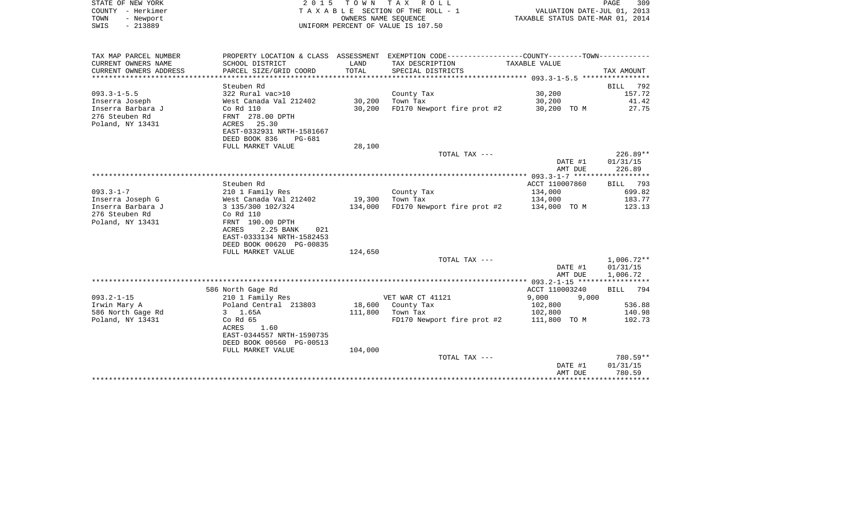| STATE OF NEW YORK | 2015 TOWN TAX ROLL                 | 309<br>PAGE                      |
|-------------------|------------------------------------|----------------------------------|
| COUNTY - Herkimer | TAXABLE SECTION OF THE ROLL - 1    | VALUATION DATE-JUL 01, 2013      |
| TOWN<br>- Newport | OWNERS NAME SEOUENCE               | TAXABLE STATUS DATE-MAR 01, 2014 |
| $-213889$<br>SWIS | UNIFORM PERCENT OF VALUE IS 107.50 |                                  |

| TAX MAP PARCEL NUMBER  |                           |         | PROPERTY LOCATION & CLASS ASSESSMENT EXEMPTION CODE----------------COUNTY--------TOWN---------- |                |            |
|------------------------|---------------------------|---------|-------------------------------------------------------------------------------------------------|----------------|------------|
| CURRENT OWNERS NAME    | SCHOOL DISTRICT           | LAND    | TAX DESCRIPTION                                                                                 | TAXABLE VALUE  |            |
| CURRENT OWNERS ADDRESS | PARCEL SIZE/GRID COORD    | TOTAL   | SPECIAL DISTRICTS                                                                               |                | TAX AMOUNT |
|                        |                           |         |                                                                                                 |                |            |
|                        | Steuben Rd                |         |                                                                                                 |                | BILL 792   |
| $093.3 - 1 - 5.5$      | 322 Rural vac>10          |         | County Tax                                                                                      | 30,200         | 157.72     |
| Inserra Joseph         | West Canada Val 212402    | 30,200  | Town Tax                                                                                        | 30,200         | 41.42      |
| Inserra Barbara J      | Co Rd 110                 | 30,200  | FD170 Newport fire prot #2                                                                      | 30,200 TO M    | 27.75      |
| 276 Steuben Rd         | FRNT 278.00 DPTH          |         |                                                                                                 |                |            |
| Poland, NY 13431       | ACRES 25.30               |         |                                                                                                 |                |            |
|                        | EAST-0332931 NRTH-1581667 |         |                                                                                                 |                |            |
|                        | DEED BOOK 836<br>PG-681   |         |                                                                                                 |                |            |
|                        | FULL MARKET VALUE         | 28,100  |                                                                                                 |                |            |
|                        |                           |         | TOTAL TAX ---                                                                                   |                | $226.89**$ |
|                        |                           |         |                                                                                                 | DATE #1        | 01/31/15   |
|                        |                           |         |                                                                                                 | AMT DUE        | 226.89     |
|                        |                           |         |                                                                                                 |                |            |
|                        | Steuben Rd                |         |                                                                                                 | ACCT 110007860 | BILL 793   |
| $093.3 - 1 - 7$        | 210 1 Family Res          |         | County Tax                                                                                      | 134,000        | 699.82     |
| Inserra Joseph G       | West Canada Val 212402    | 19,300  | Town Tax                                                                                        | 134,000        | 183.77     |
| Inserra Barbara J      | 3 135/300 102/324         | 134,000 | FD170 Newport fire prot #2                                                                      | 134,000 TO M   | 123.13     |
| 276 Steuben Rd         | Co Rd 110                 |         |                                                                                                 |                |            |
| Poland, NY 13431       | FRNT 190.00 DPTH          |         |                                                                                                 |                |            |
|                        | ACRES<br>2.25 BANK<br>021 |         |                                                                                                 |                |            |
|                        | EAST-0333134 NRTH-1582453 |         |                                                                                                 |                |            |
|                        | DEED BOOK 00620 PG-00835  |         |                                                                                                 |                |            |
|                        | FULL MARKET VALUE         | 124,650 |                                                                                                 |                |            |
|                        |                           |         | TOTAL TAX ---                                                                                   |                | 1,006.72** |
|                        |                           |         |                                                                                                 | DATE #1        | 01/31/15   |
|                        |                           |         |                                                                                                 | AMT DUE        | 1,006.72   |
|                        | 586 North Gage Rd         |         |                                                                                                 | ACCT 110003240 | BILL 794   |
| $093.2 - 1 - 15$       | 210 1 Family Res          |         | VET WAR CT 41121                                                                                | 9,000<br>9,000 |            |
| Irwin Mary A           | Poland Central 213803     | 18,600  | County Tax                                                                                      | 102,800        | 536.88     |
| 586 North Gage Rd      | 3 1.65A                   |         | 111,800 Town Tax                                                                                | 102,800        | 140.98     |
| Poland, NY 13431       | Co Rd 65                  |         | FD170 Newport fire prot #2                                                                      | 111,800 TO M   | 102.73     |
|                        | ACRES 1.60                |         |                                                                                                 |                |            |
|                        | EAST-0344557 NRTH-1590735 |         |                                                                                                 |                |            |
|                        | DEED BOOK 00560 PG-00513  |         |                                                                                                 |                |            |
|                        | FULL MARKET VALUE         | 104,000 |                                                                                                 |                |            |
|                        |                           |         | TOTAL TAX ---                                                                                   |                | 780.59**   |
|                        |                           |         |                                                                                                 | DATE #1        | 01/31/15   |
|                        |                           |         |                                                                                                 | AMT DUE        | 780.59     |
|                        |                           |         |                                                                                                 |                |            |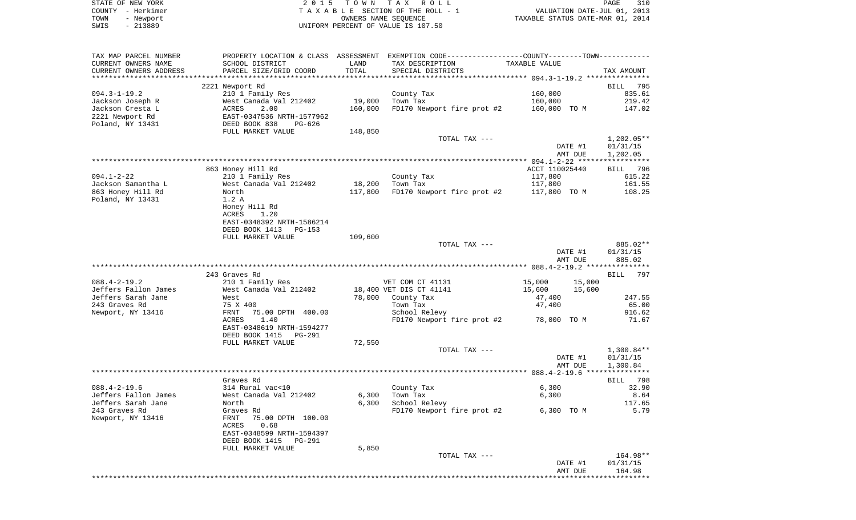|      | STATE OF NEW YORK | 2015 TOWN TAX ROLL                 | 310<br>PAGE                      |
|------|-------------------|------------------------------------|----------------------------------|
|      | COUNTY - Herkimer | TAXABLE SECTION OF THE ROLL - 1    | VALUATION DATE-JUL 01, 2013      |
| TOWN | - Newport         | OWNERS NAME SEOUENCE               | TAXABLE STATUS DATE-MAR 01, 2014 |
| SWIS | - 213889          | UNIFORM PERCENT OF VALUE IS 107.50 |                                  |

| TAX MAP PARCEL NUMBER  |                                       |         | PROPERTY LOCATION & CLASS ASSESSMENT EXEMPTION CODE----------------COUNTY-------TOWN---------- |                           |                                    |
|------------------------|---------------------------------------|---------|------------------------------------------------------------------------------------------------|---------------------------|------------------------------------|
| CURRENT OWNERS NAME    | SCHOOL DISTRICT                       | LAND    | TAX DESCRIPTION                                                                                | TAXABLE VALUE             |                                    |
| CURRENT OWNERS ADDRESS | PARCEL SIZE/GRID COORD                | TOTAL   | SPECIAL DISTRICTS                                                                              |                           | TAX AMOUNT                         |
| ********************** |                                       |         |                                                                                                |                           |                                    |
|                        | 2221 Newport Rd                       |         |                                                                                                |                           | 795<br>BILL                        |
| $094.3 - 1 - 19.2$     | 210 1 Family Res                      |         | County Tax                                                                                     | 160,000                   | 835.61                             |
| Jackson Joseph R       | West Canada Val 212402                | 19,000  | Town Tax                                                                                       | 160,000                   | 219.42                             |
| Jackson Cresta L       | ACRES<br>2.00                         | 160,000 | FD170 Newport fire prot #2                                                                     | 160,000 TO M              | 147.02                             |
| 2221 Newport Rd        | EAST-0347536 NRTH-1577962             |         |                                                                                                |                           |                                    |
| Poland, NY 13431       | DEED BOOK 838<br>PG-626               |         |                                                                                                |                           |                                    |
|                        | FULL MARKET VALUE                     | 148,850 |                                                                                                |                           |                                    |
|                        |                                       |         | TOTAL TAX ---                                                                                  |                           | $1,202.05**$                       |
|                        |                                       |         |                                                                                                | DATE #1                   | 01/31/15                           |
|                        |                                       |         |                                                                                                |                           | AMT DUE<br>1,202.05<br>*********** |
|                        |                                       |         |                                                                                                |                           | BILL 796                           |
| $094.1 - 2 - 22$       | 863 Honey Hill Rd<br>210 1 Family Res |         | County Tax                                                                                     | ACCT 110025440<br>117,800 | 615.22                             |
| Jackson Samantha L     | West Canada Val 212402                | 18,200  | Town Tax                                                                                       | 117,800                   | 161.55                             |
| 863 Honey Hill Rd      | North                                 | 117,800 | FD170 Newport fire prot #2                                                                     | 117,800 TO M              | 108.25                             |
| Poland, NY 13431       | 1.2A                                  |         |                                                                                                |                           |                                    |
|                        | Honey Hill Rd                         |         |                                                                                                |                           |                                    |
|                        | <b>ACRES</b><br>1.20                  |         |                                                                                                |                           |                                    |
|                        | EAST-0348392 NRTH-1586214             |         |                                                                                                |                           |                                    |
|                        | DEED BOOK 1413<br><b>PG-153</b>       |         |                                                                                                |                           |                                    |
|                        | FULL MARKET VALUE                     | 109,600 |                                                                                                |                           |                                    |
|                        |                                       |         | TOTAL TAX ---                                                                                  |                           | 885.02**                           |
|                        |                                       |         |                                                                                                |                           | DATE #1<br>01/31/15                |
|                        |                                       |         |                                                                                                |                           | AMT DUE<br>885.02                  |
|                        |                                       |         |                                                                                                |                           |                                    |
|                        | 243 Graves Rd                         |         |                                                                                                |                           | <b>BILL</b><br>797                 |
| $088.4 - 2 - 19.2$     | 210 1 Family Res                      |         | VET COM CT 41131                                                                               | 15,000                    | 15,000                             |
| Jeffers Fallon James   | West Canada Val 212402                |         | 18,400 VET DIS CT 41141                                                                        | 15,600                    | 15,600                             |
| Jeffers Sarah Jane     | West                                  | 78,000  | County Tax                                                                                     | 47,400                    | 247.55                             |
| 243 Graves Rd          | 75 X 400                              |         | Town Tax                                                                                       | 47,400                    | 65.00                              |
| Newport, NY 13416      | <b>FRNT</b><br>75.00 DPTH 400.00      |         | School Relevy                                                                                  |                           | 916.62                             |
|                        | 1.40<br>ACRES                         |         | FD170 Newport fire prot #2                                                                     | 78,000 TO M               | 71.67                              |
|                        | EAST-0348619 NRTH-1594277             |         |                                                                                                |                           |                                    |
|                        | DEED BOOK 1415<br>PG-291              |         |                                                                                                |                           |                                    |
|                        | FULL MARKET VALUE                     | 72,550  |                                                                                                |                           |                                    |
|                        |                                       |         | TOTAL TAX ---                                                                                  |                           | $1,300.84**$                       |
|                        |                                       |         |                                                                                                | DATE #1                   | 01/31/15                           |
|                        |                                       |         |                                                                                                |                           | AMT DUE<br>1,300.84                |
|                        |                                       |         |                                                                                                |                           | * * * * * * * * * * *              |
|                        | Graves Rd                             |         |                                                                                                |                           | 798<br>BILL                        |
| $088.4 - 2 - 19.6$     | 314 Rural vac<10                      |         | County Tax                                                                                     | 6,300                     | 32.90                              |
| Jeffers Fallon James   | West Canada Val 212402                | 6,300   | Town Tax                                                                                       | 6,300                     | 8.64                               |
| Jeffers Sarah Jane     | North                                 | 6,300   | School Relevy                                                                                  |                           | 117.65                             |
| 243 Graves Rd          | Graves Rd                             |         | FD170 Newport fire prot #2                                                                     | 6,300 TO M                | 5.79                               |
| Newport, NY 13416      | 75.00 DPTH 100.00<br>FRNT             |         |                                                                                                |                           |                                    |
|                        | 0.68<br>ACRES                         |         |                                                                                                |                           |                                    |
|                        | EAST-0348599 NRTH-1594397             |         |                                                                                                |                           |                                    |
|                        | DEED BOOK 1415<br><b>PG-291</b>       |         |                                                                                                |                           |                                    |
|                        | FULL MARKET VALUE                     | 5,850   |                                                                                                |                           |                                    |
|                        |                                       |         | TOTAL TAX ---                                                                                  |                           | 164.98**                           |
|                        |                                       |         |                                                                                                |                           | 01/31/15<br>DATE #1                |
|                        |                                       |         |                                                                                                |                           | AMT DUE<br>164.98                  |
|                        |                                       |         |                                                                                                |                           |                                    |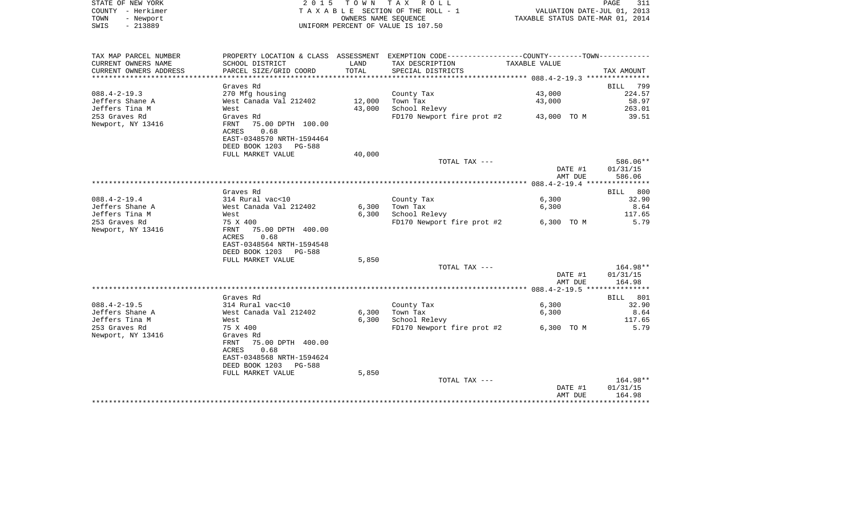|      | STATE OF NEW YORK | 2015 TOWN TAX ROLL                 | PAGE                             | 311 |
|------|-------------------|------------------------------------|----------------------------------|-----|
|      | COUNTY - Herkimer | TAXABLE SECTION OF THE ROLL - 1    | VALUATION DATE-JUL 01, 2013      |     |
| TOWN | - Newport         | OWNERS NAME SEOUENCE               | TAXABLE STATUS DATE-MAR 01, 2014 |     |
| SWIS | - 213889          | UNIFORM PERCENT OF VALUE IS 107.50 |                                  |     |

| TAXABLE VALUE<br>CURRENT OWNERS NAME<br>SCHOOL DISTRICT<br>LAND<br>TAX DESCRIPTION<br>TOTAL<br>CURRENT OWNERS ADDRESS<br>PARCEL SIZE/GRID COORD<br>SPECIAL DISTRICTS<br>TAX AMOUNT<br>Graves Rd<br>BILL 799<br>43,000<br>224.57<br>270 Mfg housing<br>County Tax<br>12,000<br>West Canada Val 212402<br>Town Tax<br>43,000<br>58.97<br>School Relevy<br>263.01<br>43,000<br>West<br>FD170 Newport fire prot #2<br>43,000 TO M<br>39.51<br>Graves Rd<br>Newport, NY 13416<br>75.00 DPTH 100.00<br>FRNT<br>ACRES<br>0.68<br>EAST-0348570 NRTH-1594464<br>DEED BOOK 1203 PG-588<br>FULL MARKET VALUE<br>40,000<br>586.06**<br>TOTAL TAX ---<br>DATE #1<br>01/31/15<br>AMT DUE<br>586.06<br>Graves Rd<br>BILL 800<br>$088.4 - 2 - 19.4$<br>6,300<br>314 Rural vac<10<br>County Tax<br>32.90<br>Jeffers Shane A<br>West Canada Val 212402<br>Town Tax<br>6,300<br>8.64<br>6,300<br>School Relevy<br>Jeffers Tina M<br>6,300<br>117.65<br>West<br>253 Graves Rd<br>75 X 400<br>FD170 Newport fire prot #2<br>6,300 TO M<br>5.79<br>Newport, NY 13416<br>75.00 DPTH 400.00<br>FRNT<br>ACRES<br>0.68<br>EAST-0348564 NRTH-1594548<br>DEED BOOK 1203 PG-588<br>5,850<br>FULL MARKET VALUE<br>164.98**<br>TOTAL TAX ---<br>DATE #1<br>01/31/15<br>AMT DUE<br>164.98<br>Graves Rd<br>BILL 801<br>314 Rural vac<10<br>County Tax<br>6,300<br>32.90<br>West Canada Val 212402<br>6,300<br>Town Tax<br>6,300<br>8.64<br>Jeffers Tina M<br>6,300<br>117.65<br>School Relevy<br>West<br>253 Graves Rd<br>FD170 Newport fire prot #2<br>6,300 TO M<br>5.79<br>75 X 400<br>Newport, NY 13416<br>Graves Rd<br>75.00 DPTH 400.00<br>FRNT<br>0.68<br>ACRES<br>EAST-0348568 NRTH-1594624<br>DEED BOOK 1203 PG-588<br>5,850<br>FULL MARKET VALUE<br>TOTAL TAX ---<br>164.98**<br>DATE #1<br>01/31/15<br>164.98<br>AMT DUE | TAX MAP PARCEL NUMBER |  | PROPERTY LOCATION & CLASS ASSESSMENT EXEMPTION CODE----------------COUNTY--------TOWN----------- |  |
|----------------------------------------------------------------------------------------------------------------------------------------------------------------------------------------------------------------------------------------------------------------------------------------------------------------------------------------------------------------------------------------------------------------------------------------------------------------------------------------------------------------------------------------------------------------------------------------------------------------------------------------------------------------------------------------------------------------------------------------------------------------------------------------------------------------------------------------------------------------------------------------------------------------------------------------------------------------------------------------------------------------------------------------------------------------------------------------------------------------------------------------------------------------------------------------------------------------------------------------------------------------------------------------------------------------------------------------------------------------------------------------------------------------------------------------------------------------------------------------------------------------------------------------------------------------------------------------------------------------------------------------------------------------------------------------------------------------------------------------------------------------------------------------------------|-----------------------|--|--------------------------------------------------------------------------------------------------|--|
|                                                                                                                                                                                                                                                                                                                                                                                                                                                                                                                                                                                                                                                                                                                                                                                                                                                                                                                                                                                                                                                                                                                                                                                                                                                                                                                                                                                                                                                                                                                                                                                                                                                                                                                                                                                                    |                       |  |                                                                                                  |  |
|                                                                                                                                                                                                                                                                                                                                                                                                                                                                                                                                                                                                                                                                                                                                                                                                                                                                                                                                                                                                                                                                                                                                                                                                                                                                                                                                                                                                                                                                                                                                                                                                                                                                                                                                                                                                    |                       |  |                                                                                                  |  |
|                                                                                                                                                                                                                                                                                                                                                                                                                                                                                                                                                                                                                                                                                                                                                                                                                                                                                                                                                                                                                                                                                                                                                                                                                                                                                                                                                                                                                                                                                                                                                                                                                                                                                                                                                                                                    |                       |  |                                                                                                  |  |
|                                                                                                                                                                                                                                                                                                                                                                                                                                                                                                                                                                                                                                                                                                                                                                                                                                                                                                                                                                                                                                                                                                                                                                                                                                                                                                                                                                                                                                                                                                                                                                                                                                                                                                                                                                                                    |                       |  |                                                                                                  |  |
|                                                                                                                                                                                                                                                                                                                                                                                                                                                                                                                                                                                                                                                                                                                                                                                                                                                                                                                                                                                                                                                                                                                                                                                                                                                                                                                                                                                                                                                                                                                                                                                                                                                                                                                                                                                                    | $088.4 - 2 - 19.3$    |  |                                                                                                  |  |
|                                                                                                                                                                                                                                                                                                                                                                                                                                                                                                                                                                                                                                                                                                                                                                                                                                                                                                                                                                                                                                                                                                                                                                                                                                                                                                                                                                                                                                                                                                                                                                                                                                                                                                                                                                                                    | Jeffers Shane A       |  |                                                                                                  |  |
|                                                                                                                                                                                                                                                                                                                                                                                                                                                                                                                                                                                                                                                                                                                                                                                                                                                                                                                                                                                                                                                                                                                                                                                                                                                                                                                                                                                                                                                                                                                                                                                                                                                                                                                                                                                                    | Jeffers Tina M        |  |                                                                                                  |  |
|                                                                                                                                                                                                                                                                                                                                                                                                                                                                                                                                                                                                                                                                                                                                                                                                                                                                                                                                                                                                                                                                                                                                                                                                                                                                                                                                                                                                                                                                                                                                                                                                                                                                                                                                                                                                    | 253 Graves Rd         |  |                                                                                                  |  |
|                                                                                                                                                                                                                                                                                                                                                                                                                                                                                                                                                                                                                                                                                                                                                                                                                                                                                                                                                                                                                                                                                                                                                                                                                                                                                                                                                                                                                                                                                                                                                                                                                                                                                                                                                                                                    |                       |  |                                                                                                  |  |
|                                                                                                                                                                                                                                                                                                                                                                                                                                                                                                                                                                                                                                                                                                                                                                                                                                                                                                                                                                                                                                                                                                                                                                                                                                                                                                                                                                                                                                                                                                                                                                                                                                                                                                                                                                                                    |                       |  |                                                                                                  |  |
|                                                                                                                                                                                                                                                                                                                                                                                                                                                                                                                                                                                                                                                                                                                                                                                                                                                                                                                                                                                                                                                                                                                                                                                                                                                                                                                                                                                                                                                                                                                                                                                                                                                                                                                                                                                                    |                       |  |                                                                                                  |  |
|                                                                                                                                                                                                                                                                                                                                                                                                                                                                                                                                                                                                                                                                                                                                                                                                                                                                                                                                                                                                                                                                                                                                                                                                                                                                                                                                                                                                                                                                                                                                                                                                                                                                                                                                                                                                    |                       |  |                                                                                                  |  |
|                                                                                                                                                                                                                                                                                                                                                                                                                                                                                                                                                                                                                                                                                                                                                                                                                                                                                                                                                                                                                                                                                                                                                                                                                                                                                                                                                                                                                                                                                                                                                                                                                                                                                                                                                                                                    |                       |  |                                                                                                  |  |
|                                                                                                                                                                                                                                                                                                                                                                                                                                                                                                                                                                                                                                                                                                                                                                                                                                                                                                                                                                                                                                                                                                                                                                                                                                                                                                                                                                                                                                                                                                                                                                                                                                                                                                                                                                                                    |                       |  |                                                                                                  |  |
|                                                                                                                                                                                                                                                                                                                                                                                                                                                                                                                                                                                                                                                                                                                                                                                                                                                                                                                                                                                                                                                                                                                                                                                                                                                                                                                                                                                                                                                                                                                                                                                                                                                                                                                                                                                                    |                       |  |                                                                                                  |  |
|                                                                                                                                                                                                                                                                                                                                                                                                                                                                                                                                                                                                                                                                                                                                                                                                                                                                                                                                                                                                                                                                                                                                                                                                                                                                                                                                                                                                                                                                                                                                                                                                                                                                                                                                                                                                    |                       |  |                                                                                                  |  |
|                                                                                                                                                                                                                                                                                                                                                                                                                                                                                                                                                                                                                                                                                                                                                                                                                                                                                                                                                                                                                                                                                                                                                                                                                                                                                                                                                                                                                                                                                                                                                                                                                                                                                                                                                                                                    |                       |  |                                                                                                  |  |
|                                                                                                                                                                                                                                                                                                                                                                                                                                                                                                                                                                                                                                                                                                                                                                                                                                                                                                                                                                                                                                                                                                                                                                                                                                                                                                                                                                                                                                                                                                                                                                                                                                                                                                                                                                                                    |                       |  |                                                                                                  |  |
|                                                                                                                                                                                                                                                                                                                                                                                                                                                                                                                                                                                                                                                                                                                                                                                                                                                                                                                                                                                                                                                                                                                                                                                                                                                                                                                                                                                                                                                                                                                                                                                                                                                                                                                                                                                                    |                       |  |                                                                                                  |  |
|                                                                                                                                                                                                                                                                                                                                                                                                                                                                                                                                                                                                                                                                                                                                                                                                                                                                                                                                                                                                                                                                                                                                                                                                                                                                                                                                                                                                                                                                                                                                                                                                                                                                                                                                                                                                    |                       |  |                                                                                                  |  |
|                                                                                                                                                                                                                                                                                                                                                                                                                                                                                                                                                                                                                                                                                                                                                                                                                                                                                                                                                                                                                                                                                                                                                                                                                                                                                                                                                                                                                                                                                                                                                                                                                                                                                                                                                                                                    |                       |  |                                                                                                  |  |
|                                                                                                                                                                                                                                                                                                                                                                                                                                                                                                                                                                                                                                                                                                                                                                                                                                                                                                                                                                                                                                                                                                                                                                                                                                                                                                                                                                                                                                                                                                                                                                                                                                                                                                                                                                                                    |                       |  |                                                                                                  |  |
|                                                                                                                                                                                                                                                                                                                                                                                                                                                                                                                                                                                                                                                                                                                                                                                                                                                                                                                                                                                                                                                                                                                                                                                                                                                                                                                                                                                                                                                                                                                                                                                                                                                                                                                                                                                                    |                       |  |                                                                                                  |  |
|                                                                                                                                                                                                                                                                                                                                                                                                                                                                                                                                                                                                                                                                                                                                                                                                                                                                                                                                                                                                                                                                                                                                                                                                                                                                                                                                                                                                                                                                                                                                                                                                                                                                                                                                                                                                    |                       |  |                                                                                                  |  |
|                                                                                                                                                                                                                                                                                                                                                                                                                                                                                                                                                                                                                                                                                                                                                                                                                                                                                                                                                                                                                                                                                                                                                                                                                                                                                                                                                                                                                                                                                                                                                                                                                                                                                                                                                                                                    |                       |  |                                                                                                  |  |
|                                                                                                                                                                                                                                                                                                                                                                                                                                                                                                                                                                                                                                                                                                                                                                                                                                                                                                                                                                                                                                                                                                                                                                                                                                                                                                                                                                                                                                                                                                                                                                                                                                                                                                                                                                                                    |                       |  |                                                                                                  |  |
|                                                                                                                                                                                                                                                                                                                                                                                                                                                                                                                                                                                                                                                                                                                                                                                                                                                                                                                                                                                                                                                                                                                                                                                                                                                                                                                                                                                                                                                                                                                                                                                                                                                                                                                                                                                                    |                       |  |                                                                                                  |  |
|                                                                                                                                                                                                                                                                                                                                                                                                                                                                                                                                                                                                                                                                                                                                                                                                                                                                                                                                                                                                                                                                                                                                                                                                                                                                                                                                                                                                                                                                                                                                                                                                                                                                                                                                                                                                    |                       |  |                                                                                                  |  |
|                                                                                                                                                                                                                                                                                                                                                                                                                                                                                                                                                                                                                                                                                                                                                                                                                                                                                                                                                                                                                                                                                                                                                                                                                                                                                                                                                                                                                                                                                                                                                                                                                                                                                                                                                                                                    |                       |  |                                                                                                  |  |
|                                                                                                                                                                                                                                                                                                                                                                                                                                                                                                                                                                                                                                                                                                                                                                                                                                                                                                                                                                                                                                                                                                                                                                                                                                                                                                                                                                                                                                                                                                                                                                                                                                                                                                                                                                                                    |                       |  |                                                                                                  |  |
|                                                                                                                                                                                                                                                                                                                                                                                                                                                                                                                                                                                                                                                                                                                                                                                                                                                                                                                                                                                                                                                                                                                                                                                                                                                                                                                                                                                                                                                                                                                                                                                                                                                                                                                                                                                                    |                       |  |                                                                                                  |  |
|                                                                                                                                                                                                                                                                                                                                                                                                                                                                                                                                                                                                                                                                                                                                                                                                                                                                                                                                                                                                                                                                                                                                                                                                                                                                                                                                                                                                                                                                                                                                                                                                                                                                                                                                                                                                    | $088.4 - 2 - 19.5$    |  |                                                                                                  |  |
|                                                                                                                                                                                                                                                                                                                                                                                                                                                                                                                                                                                                                                                                                                                                                                                                                                                                                                                                                                                                                                                                                                                                                                                                                                                                                                                                                                                                                                                                                                                                                                                                                                                                                                                                                                                                    | Jeffers Shane A       |  |                                                                                                  |  |
|                                                                                                                                                                                                                                                                                                                                                                                                                                                                                                                                                                                                                                                                                                                                                                                                                                                                                                                                                                                                                                                                                                                                                                                                                                                                                                                                                                                                                                                                                                                                                                                                                                                                                                                                                                                                    |                       |  |                                                                                                  |  |
|                                                                                                                                                                                                                                                                                                                                                                                                                                                                                                                                                                                                                                                                                                                                                                                                                                                                                                                                                                                                                                                                                                                                                                                                                                                                                                                                                                                                                                                                                                                                                                                                                                                                                                                                                                                                    |                       |  |                                                                                                  |  |
|                                                                                                                                                                                                                                                                                                                                                                                                                                                                                                                                                                                                                                                                                                                                                                                                                                                                                                                                                                                                                                                                                                                                                                                                                                                                                                                                                                                                                                                                                                                                                                                                                                                                                                                                                                                                    |                       |  |                                                                                                  |  |
|                                                                                                                                                                                                                                                                                                                                                                                                                                                                                                                                                                                                                                                                                                                                                                                                                                                                                                                                                                                                                                                                                                                                                                                                                                                                                                                                                                                                                                                                                                                                                                                                                                                                                                                                                                                                    |                       |  |                                                                                                  |  |
|                                                                                                                                                                                                                                                                                                                                                                                                                                                                                                                                                                                                                                                                                                                                                                                                                                                                                                                                                                                                                                                                                                                                                                                                                                                                                                                                                                                                                                                                                                                                                                                                                                                                                                                                                                                                    |                       |  |                                                                                                  |  |
|                                                                                                                                                                                                                                                                                                                                                                                                                                                                                                                                                                                                                                                                                                                                                                                                                                                                                                                                                                                                                                                                                                                                                                                                                                                                                                                                                                                                                                                                                                                                                                                                                                                                                                                                                                                                    |                       |  |                                                                                                  |  |
|                                                                                                                                                                                                                                                                                                                                                                                                                                                                                                                                                                                                                                                                                                                                                                                                                                                                                                                                                                                                                                                                                                                                                                                                                                                                                                                                                                                                                                                                                                                                                                                                                                                                                                                                                                                                    |                       |  |                                                                                                  |  |
|                                                                                                                                                                                                                                                                                                                                                                                                                                                                                                                                                                                                                                                                                                                                                                                                                                                                                                                                                                                                                                                                                                                                                                                                                                                                                                                                                                                                                                                                                                                                                                                                                                                                                                                                                                                                    |                       |  |                                                                                                  |  |
|                                                                                                                                                                                                                                                                                                                                                                                                                                                                                                                                                                                                                                                                                                                                                                                                                                                                                                                                                                                                                                                                                                                                                                                                                                                                                                                                                                                                                                                                                                                                                                                                                                                                                                                                                                                                    |                       |  |                                                                                                  |  |
|                                                                                                                                                                                                                                                                                                                                                                                                                                                                                                                                                                                                                                                                                                                                                                                                                                                                                                                                                                                                                                                                                                                                                                                                                                                                                                                                                                                                                                                                                                                                                                                                                                                                                                                                                                                                    |                       |  |                                                                                                  |  |
|                                                                                                                                                                                                                                                                                                                                                                                                                                                                                                                                                                                                                                                                                                                                                                                                                                                                                                                                                                                                                                                                                                                                                                                                                                                                                                                                                                                                                                                                                                                                                                                                                                                                                                                                                                                                    |                       |  |                                                                                                  |  |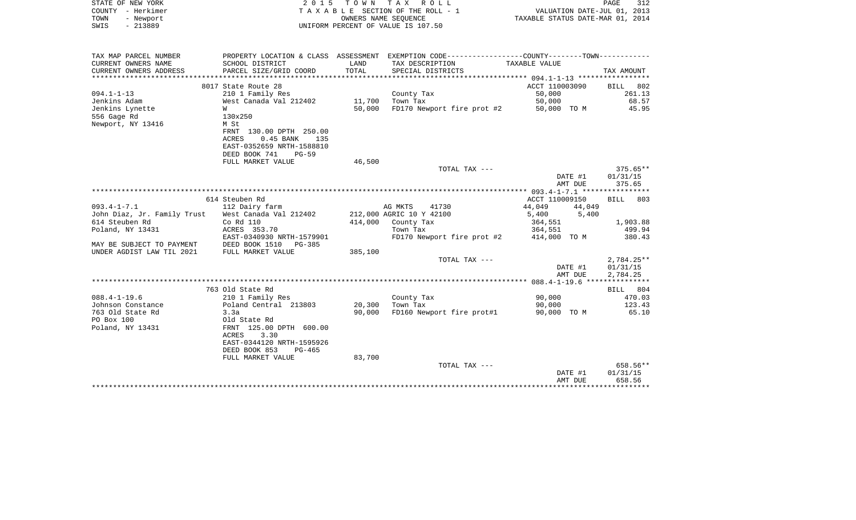| STATE OF NEW YORK<br>COUNTY - Herkimer<br>- Newport<br>TOWN<br>$-213889$<br>SWIS | 2 0 1 5                                                                                                              | T O W N                     | TAX ROLL<br>T A X A B L E SECTION OF THE ROLL - 1<br>OWNERS NAME SEQUENCE<br>UNIFORM PERCENT OF VALUE IS 107.50 | VALUATION DATE-JUL 01, 2013<br>TAXABLE STATUS DATE-MAR 01, 2014 | PAGE<br>312                      |
|----------------------------------------------------------------------------------|----------------------------------------------------------------------------------------------------------------------|-----------------------------|-----------------------------------------------------------------------------------------------------------------|-----------------------------------------------------------------|----------------------------------|
| TAX MAP PARCEL NUMBER                                                            |                                                                                                                      |                             | PROPERTY LOCATION & CLASS ASSESSMENT EXEMPTION CODE----------------COUNTY-------TOWN----------                  |                                                                 |                                  |
| CURRENT OWNERS NAME                                                              | SCHOOL DISTRICT                                                                                                      | LAND                        | TAX DESCRIPTION                                                                                                 | TAXABLE VALUE                                                   |                                  |
| CURRENT OWNERS ADDRESS                                                           | PARCEL SIZE/GRID COORD                                                                                               | TOTAL                       | SPECIAL DISTRICTS                                                                                               |                                                                 | TAX AMOUNT                       |
| ****************                                                                 | **********************                                                                                               | * * * * * * * * * * * * * * |                                                                                                                 |                                                                 |                                  |
|                                                                                  | 8017 State Route 28                                                                                                  |                             |                                                                                                                 | ACCT 110003090                                                  | <b>BILL</b><br>802               |
| $094.1 - 1 - 13$<br>Jenkins Adam                                                 | 210 1 Family Res<br>West Canada Val 212402                                                                           | 11,700                      | County Tax<br>Town Tax                                                                                          | 50,000<br>50,000                                                | 261.13<br>68.57                  |
| Jenkins Lynette                                                                  | W                                                                                                                    | 50,000                      | FD170 Newport fire prot #2                                                                                      | 50,000 TO M                                                     | 45.95                            |
| 556 Gage Rd                                                                      | 130x250                                                                                                              |                             |                                                                                                                 |                                                                 |                                  |
| Newport, NY 13416                                                                | M St                                                                                                                 |                             |                                                                                                                 |                                                                 |                                  |
|                                                                                  | FRNT 130.00 DPTH 250.00<br>0.45 BANK<br><b>ACRES</b><br>135<br>EAST-0352659 NRTH-1588810<br>DEED BOOK 741<br>$PG-59$ |                             |                                                                                                                 |                                                                 |                                  |
|                                                                                  | FULL MARKET VALUE                                                                                                    | 46,500                      |                                                                                                                 |                                                                 |                                  |
|                                                                                  |                                                                                                                      |                             | TOTAL TAX ---                                                                                                   | DATE #1<br>AMT DUE                                              | $375.65**$<br>01/31/15<br>375.65 |
|                                                                                  |                                                                                                                      |                             |                                                                                                                 | ******* 093.4-1-7.1 *****************                           |                                  |
|                                                                                  | 614 Steuben Rd                                                                                                       |                             |                                                                                                                 | ACCT 110009150                                                  | 803<br>BILL                      |
| $093.4 - 1 - 7.1$                                                                | 112 Dairy farm                                                                                                       |                             | AG MKTS<br>41730                                                                                                | 44,049<br>44,049                                                |                                  |
| John Diaz, Jr. Family Trust                                                      | West Canada Val 212402                                                                                               |                             | 212,000 AGRIC 10 Y 42100                                                                                        | 5,400<br>5,400                                                  |                                  |
| 614 Steuben Rd                                                                   | Co Rd 110<br>ACRES 353.70                                                                                            | 414,000                     | County Tax                                                                                                      | 364,551                                                         | 1,903.88<br>499.94               |
| Poland, NY 13431                                                                 | EAST-0340930 NRTH-1579901                                                                                            |                             | Town Tax<br>FD170 Newport fire prot #2                                                                          | 364,551<br>414,000 TO M                                         | 380.43                           |
| MAY BE SUBJECT TO PAYMENT                                                        | DEED BOOK 1510<br>PG-385                                                                                             |                             |                                                                                                                 |                                                                 |                                  |
| UNDER AGDIST LAW TIL 2021                                                        | FULL MARKET VALUE                                                                                                    | 385,100                     |                                                                                                                 |                                                                 |                                  |
|                                                                                  |                                                                                                                      |                             | TOTAL TAX ---                                                                                                   | DATE #1                                                         | $2,784.25**$<br>01/31/15         |
|                                                                                  |                                                                                                                      |                             |                                                                                                                 | AMT DUE                                                         | 2,784.25                         |
|                                                                                  |                                                                                                                      |                             |                                                                                                                 |                                                                 |                                  |
|                                                                                  | 763 Old State Rd                                                                                                     |                             |                                                                                                                 |                                                                 | BILL 804                         |
| $088.4 - 1 - 19.6$                                                               | 210 1 Family Res                                                                                                     |                             | County Tax                                                                                                      | 90,000                                                          | 470.03                           |
| Johnson Constance<br>763 Old State Rd                                            | Poland Central 213803<br>3.3a                                                                                        | 20,300<br>90,000            | Town Tax                                                                                                        | 90,000                                                          | 123.43<br>65.10                  |
| PO Box 100                                                                       | Old State Rd                                                                                                         |                             | FD160 Newport fire prot#1                                                                                       | 90,000 TO M                                                     |                                  |
| Poland, NY 13431                                                                 | FRNT 125.00 DPTH 600.00<br>ACRES<br>3.30<br>EAST-0344120 NRTH-1595926<br>DEED BOOK 853<br>$PG-465$                   |                             |                                                                                                                 |                                                                 |                                  |
|                                                                                  | FULL MARKET VALUE                                                                                                    | 83,700                      |                                                                                                                 |                                                                 |                                  |
|                                                                                  |                                                                                                                      |                             | TOTAL TAX ---                                                                                                   | DATE #1<br>AMT DUE                                              | 658.56**<br>01/31/15<br>658.56   |
|                                                                                  |                                                                                                                      |                             |                                                                                                                 |                                                                 |                                  |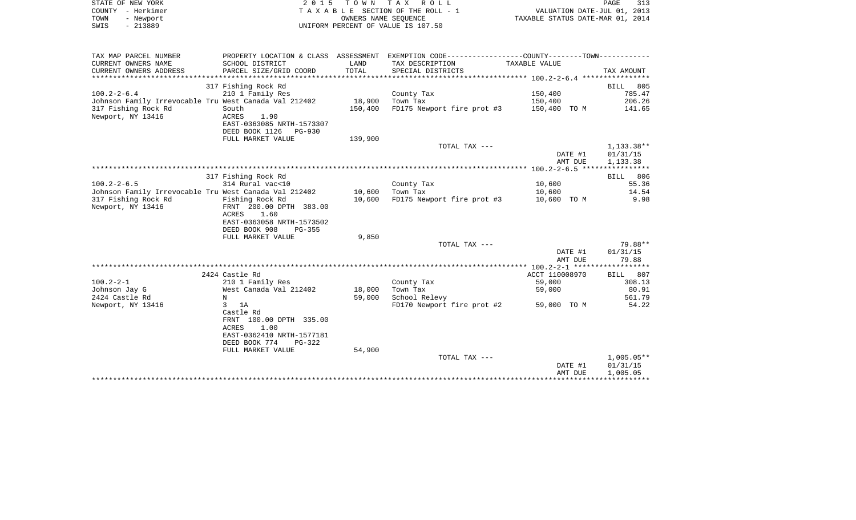|      | STATE OF NEW YORK | 2015 TOWN TAX ROLL                 | PAGE                             | 313 |
|------|-------------------|------------------------------------|----------------------------------|-----|
|      | COUNTY - Herkimer | TAXABLE SECTION OF THE ROLL - 1    | VALUATION DATE-JUL 01, 2013      |     |
| TOWN | - Newport         | OWNERS NAME SEOUENCE               | TAXABLE STATUS DATE-MAR 01, 2014 |     |
| SWIS | - 213889          | UNIFORM PERCENT OF VALUE IS 107.50 |                                  |     |

| TAX MAP PARCEL NUMBER                                 |                                            |         | PROPERTY LOCATION & CLASS ASSESSMENT EXEMPTION CODE--------------COUNTY-------TOWN--------- |                |             |
|-------------------------------------------------------|--------------------------------------------|---------|---------------------------------------------------------------------------------------------|----------------|-------------|
| CURRENT OWNERS NAME                                   | SCHOOL DISTRICT                            | LAND    | TAX DESCRIPTION                                                                             | TAXABLE VALUE  |             |
| CURRENT OWNERS ADDRESS                                | PARCEL SIZE/GRID COORD                     | TOTAL   | SPECIAL DISTRICTS                                                                           |                | TAX AMOUNT  |
|                                                       |                                            |         |                                                                                             |                |             |
|                                                       | 317 Fishing Rock Rd                        |         |                                                                                             |                | BILL<br>805 |
| $100.2 - 2 - 6.4$                                     | 210 1 Family Res                           |         | County Tax                                                                                  | 150,400        | 785.47      |
| Johnson Family Irrevocable Tru West Canada Val 212402 |                                            | 18,900  | Town Tax                                                                                    | 150,400        | 206.26      |
| 317 Fishing Rock Rd                                   | South                                      | 150,400 | FD175 Newport fire prot #3                                                                  | 150,400 TO M   | 141.65      |
| Newport, NY 13416                                     | ACRES<br>1.90                              |         |                                                                                             |                |             |
|                                                       | EAST-0363085 NRTH-1573307                  |         |                                                                                             |                |             |
|                                                       | DEED BOOK 1126<br>PG-930                   |         |                                                                                             |                |             |
|                                                       | FULL MARKET VALUE                          | 139,900 |                                                                                             |                |             |
|                                                       |                                            |         | TOTAL TAX ---                                                                               |                | 1,133.38**  |
|                                                       |                                            |         |                                                                                             | DATE #1        | 01/31/15    |
|                                                       |                                            |         |                                                                                             | AMT DUE        | 1,133.38    |
|                                                       |                                            |         |                                                                                             |                |             |
|                                                       | 317 Fishing Rock Rd                        |         |                                                                                             |                | BILL 806    |
| $100.2 - 2 - 6.5$                                     | 314 Rural vac<10                           |         | County Tax                                                                                  | 10,600         | 55.36       |
| Johnson Family Irrevocable Tru West Canada Val 212402 |                                            | 10,600  | Town Tax                                                                                    | 10,600         | 14.54       |
| 317 Fishing Rock Rd                                   | Fishing Rock Rd                            | 10,600  | FD175 Newport fire prot #3                                                                  | 10,600 TO M    | 9.98        |
| Newport, NY 13416                                     | FRNT 200.00 DPTH 383.00                    |         |                                                                                             |                |             |
|                                                       | 1.60<br>ACRES                              |         |                                                                                             |                |             |
|                                                       | EAST-0363058 NRTH-1573502                  |         |                                                                                             |                |             |
|                                                       | DEED BOOK 908<br>$PG-355$                  |         |                                                                                             |                |             |
|                                                       | FULL MARKET VALUE                          | 9,850   |                                                                                             |                |             |
|                                                       |                                            |         | TOTAL TAX ---                                                                               |                | 79.88**     |
|                                                       |                                            |         |                                                                                             | DATE #1        | 01/31/15    |
|                                                       |                                            |         |                                                                                             | AMT DUE        | 79.88       |
|                                                       | 2424 Castle Rd                             |         |                                                                                             | ACCT 110008970 | BILL 807    |
| $100.2 - 2 - 1$                                       |                                            |         |                                                                                             | 59,000         | 308.13      |
| Johnson Jay G                                         | 210 1 Family Res<br>West Canada Val 212402 | 18,000  | County Tax<br>Town Tax                                                                      | 59,000         | 80.91       |
| 2424 Castle Rd                                        | N                                          | 59,000  | School Relevy                                                                               |                | 561.79      |
| Newport, NY 13416                                     | 1A<br>$\mathbf{3}$                         |         | FD170 Newport fire prot #2                                                                  | 59,000 TO M    | 54.22       |
|                                                       |                                            |         |                                                                                             |                |             |
|                                                       | Castle Rd<br>FRNT 100.00 DPTH 335.00       |         |                                                                                             |                |             |
|                                                       | ACRES<br>1.00                              |         |                                                                                             |                |             |
|                                                       | EAST-0362410 NRTH-1577181                  |         |                                                                                             |                |             |
|                                                       | DEED BOOK 774<br>PG-322                    |         |                                                                                             |                |             |
|                                                       | FULL MARKET VALUE                          | 54,900  |                                                                                             |                |             |
|                                                       |                                            |         | TOTAL TAX ---                                                                               |                | 1,005.05**  |
|                                                       |                                            |         |                                                                                             | DATE #1        | 01/31/15    |
|                                                       |                                            |         |                                                                                             | AMT DUE        | 1,005.05    |
|                                                       |                                            |         |                                                                                             |                |             |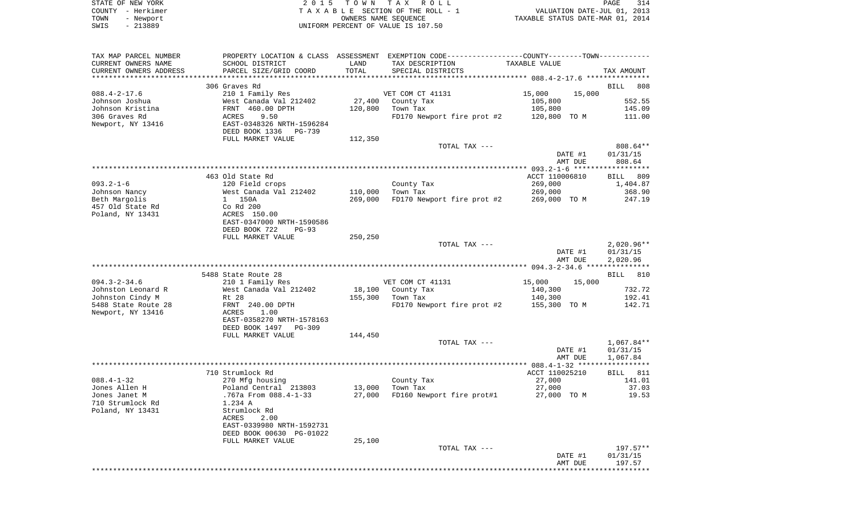| STATE OF NEW YORK | 2015 TOWN TAX ROLL                 | 314<br>PAGE                      |
|-------------------|------------------------------------|----------------------------------|
| COUNTY - Herkimer | TAXABLE SECTION OF THE ROLL - 1    | VALUATION DATE-JUL 01, 2013      |
| TOWN<br>- Newport | OWNERS NAME SEOUENCE               | TAXABLE STATUS DATE-MAR 01, 2014 |
| - 213889<br>SWIS  | UNIFORM PERCENT OF VALUE IS 107.50 |                                  |

| TAX MAP PARCEL NUMBER  |                           |         | PROPERTY LOCATION & CLASS ASSESSMENT EXEMPTION CODE----------------COUNTY--------TOWN---------- |                  |              |
|------------------------|---------------------------|---------|-------------------------------------------------------------------------------------------------|------------------|--------------|
| CURRENT OWNERS NAME    | SCHOOL DISTRICT           | LAND    | TAX DESCRIPTION                                                                                 | TAXABLE VALUE    |              |
| CURRENT OWNERS ADDRESS | PARCEL SIZE/GRID COORD    | TOTAL   | SPECIAL DISTRICTS                                                                               |                  | TAX AMOUNT   |
|                        |                           |         |                                                                                                 |                  |              |
|                        | 306 Graves Rd             |         |                                                                                                 |                  | BILL 808     |
| $088.4 - 2 - 17.6$     | 210 1 Family Res          |         | VET COM CT 41131                                                                                | 15,000<br>15,000 |              |
| Johnson Joshua         | West Canada Val 212402    | 27,400  | County Tax                                                                                      | 105,800          | 552.55       |
| Johnson Kristina       | FRNT 460.00 DPTH          | 120,800 | Town Tax                                                                                        | 105,800          | 145.09       |
| 306 Graves Rd          | ACRES<br>9.50             |         | FD170 Newport fire prot #2                                                                      | 120,800 TO M     | 111.00       |
| Newport, NY 13416      | EAST-0348326 NRTH-1596284 |         |                                                                                                 |                  |              |
|                        | DEED BOOK 1336<br>PG-739  |         |                                                                                                 |                  |              |
|                        | FULL MARKET VALUE         | 112,350 |                                                                                                 |                  |              |
|                        |                           |         | TOTAL TAX ---                                                                                   |                  | 808.64**     |
|                        |                           |         |                                                                                                 | DATE #1          | 01/31/15     |
|                        |                           |         |                                                                                                 | AMT DUE          | 808.64       |
|                        |                           |         |                                                                                                 |                  |              |
|                        | 463 Old State Rd          |         |                                                                                                 | ACCT 110006810   | BILL 809     |
| $093.2 - 1 - 6$        | 120 Field crops           |         | County Tax                                                                                      | 269,000          | 1,404.87     |
| Johnson Nancy          | West Canada Val 212402    | 110,000 | Town Tax                                                                                        | 269,000          | 368.90       |
| Beth Margolis          | 1 150A                    | 269,000 | FD170 Newport fire prot #2                                                                      | 269,000 TO M     | 247.19       |
| 457 Old State Rd       | Co Rd 200                 |         |                                                                                                 |                  |              |
| Poland, NY 13431       | ACRES 150.00              |         |                                                                                                 |                  |              |
|                        | EAST-0347000 NRTH-1590586 |         |                                                                                                 |                  |              |
|                        | DEED BOOK 722<br>$PG-93$  |         |                                                                                                 |                  |              |
|                        | FULL MARKET VALUE         | 250,250 |                                                                                                 |                  |              |
|                        |                           |         | TOTAL TAX ---                                                                                   |                  | $2,020.96**$ |
|                        |                           |         |                                                                                                 | DATE #1          | 01/31/15     |
|                        |                           |         |                                                                                                 | AMT DUE          | 2,020.96     |
|                        |                           |         |                                                                                                 |                  |              |
|                        | 5488 State Route 28       |         |                                                                                                 |                  | BILL 810     |
| $094.3 - 2 - 34.6$     | 210 1 Family Res          |         | VET COM CT 41131                                                                                | 15,000<br>15,000 |              |
| Johnston Leonard R     | West Canada Val 212402    | 18,100  | County Tax                                                                                      | 140,300          | 732.72       |
| Johnston Cindy M       | Rt 28                     | 155,300 | Town Tax                                                                                        | 140,300          | 192.41       |
| 5488 State Route 28    | FRNT 240.00 DPTH          |         | FD170 Newport fire prot #2                                                                      | 155,300 TO M     | 142.71       |
| Newport, NY 13416      | 1.00<br>ACRES             |         |                                                                                                 |                  |              |
|                        |                           |         |                                                                                                 |                  |              |
|                        | EAST-0358270 NRTH-1578163 |         |                                                                                                 |                  |              |
|                        | DEED BOOK 1497<br>PG-309  |         |                                                                                                 |                  |              |
|                        | FULL MARKET VALUE         | 144,450 |                                                                                                 |                  |              |
|                        |                           |         | TOTAL TAX ---                                                                                   |                  | $1,067.84**$ |
|                        |                           |         |                                                                                                 | DATE #1          | 01/31/15     |
|                        |                           |         |                                                                                                 | AMT DUE          | 1,067.84     |
|                        |                           |         |                                                                                                 |                  |              |
|                        | 710 Strumlock Rd          |         |                                                                                                 | ACCT 110025210   | BILL 811     |
| $088.4 - 1 - 32$       | 270 Mfg housing           |         | County Tax                                                                                      | 27,000           | 141.01       |
| Jones Allen H          | Poland Central 213803     | 13,000  | Town Tax                                                                                        | 27,000           | 37.03        |
| Jones Janet M          | .767a From 088.4-1-33     | 27,000  | FD160 Newport fire prot#1                                                                       | 27,000 TO M      | 19.53        |
| 710 Strumlock Rd       | 1.234 A                   |         |                                                                                                 |                  |              |
| Poland, NY 13431       | Strumlock Rd              |         |                                                                                                 |                  |              |
|                        | ACRES<br>2.00             |         |                                                                                                 |                  |              |
|                        | EAST-0339980 NRTH-1592731 |         |                                                                                                 |                  |              |
|                        | DEED BOOK 00630 PG-01022  |         |                                                                                                 |                  |              |
|                        | FULL MARKET VALUE         | 25,100  |                                                                                                 |                  |              |
|                        |                           |         | TOTAL TAX ---                                                                                   |                  | 197.57**     |
|                        |                           |         |                                                                                                 | DATE #1          | 01/31/15     |
|                        |                           |         |                                                                                                 | AMT DUE          | 197.57       |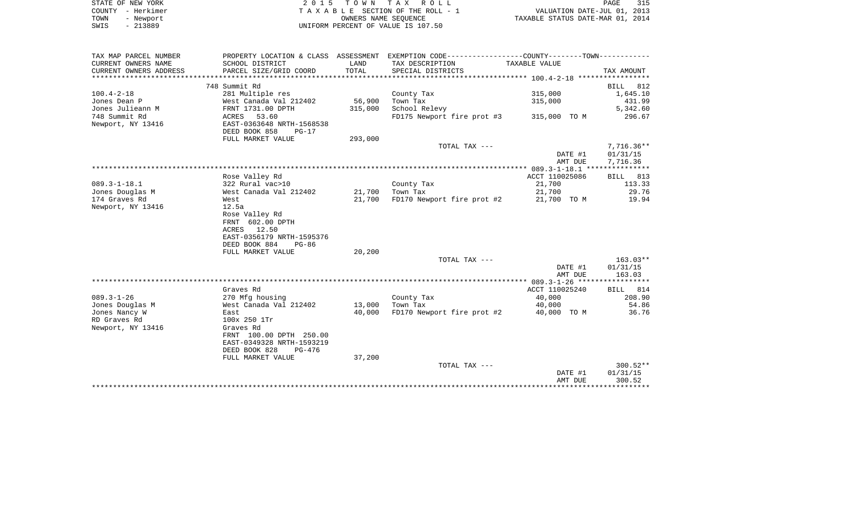|      | STATE OF NEW YORK | 2015 TOWN TAX ROLL                 | PAGE                             | 315 |
|------|-------------------|------------------------------------|----------------------------------|-----|
|      | COUNTY - Herkimer | TAXABLE SECTION OF THE ROLL - 1    | VALUATION DATE-JUL 01, 2013      |     |
| TOWN | - Newport         | OWNERS NAME SEOUENCE               | TAXABLE STATUS DATE-MAR 01, 2014 |     |
| SWIS | - 213889          | INIFORM PERCENT OF VALUE IS 107.50 |                                  |     |

| CURRENT OWNERS NAME<br>SCHOOL DISTRICT<br>LAND<br>TAX DESCRIPTION<br>TAXABLE VALUE<br>CURRENT OWNERS ADDRESS<br>TOTAL<br>PARCEL SIZE/GRID COORD<br>SPECIAL DISTRICTS<br>TAX AMOUNT<br>*******************<br>748 Summit Rd<br>812<br>BILL<br>281 Multiple res<br>315,000<br>1,645.10<br>$100.4 - 2 - 18$<br>County Tax<br>56,900<br>431.99<br>315,000<br>Jones Dean P<br>West Canada Val 212402<br>Town Tax<br>Jones Julieann M<br>FRNT 1731.00 DPTH<br>315,000<br>School Relevy<br>5,342.60<br>FD175 Newport fire prot #3<br>296.67<br>ACRES<br>53.60<br>315,000 TO M<br>EAST-0363648 NRTH-1568538<br>Newport, NY 13416<br>DEED BOOK 858<br>$PG-17$<br>FULL MARKET VALUE<br>293,000<br>TOTAL TAX ---<br>$7,716.36**$<br>DATE #1<br>01/31/15<br>AMT DUE<br>7,716.36<br>Rose Valley Rd<br>ACCT 110025086<br>BILL<br>813<br>21,700<br>113.33<br>$089.3 - 1 - 18.1$<br>322 Rural vac>10<br>County Tax<br>29.76<br>Jones Douglas M<br>West Canada Val 212402<br>21,700<br>Town Tax<br>21,700<br>174 Graves Rd<br>21,700<br>FD170 Newport fire prot #2<br>21,700 TO M<br>19.94<br>West<br>12.5a<br>Newport, NY 13416<br>Rose Valley Rd<br>FRNT 602.00 DPTH<br>ACRES<br>12.50<br>EAST-0356179 NRTH-1595376<br>DEED BOOK 884<br>$PG-86$<br>20,200<br>FULL MARKET VALUE<br>$163.03**$<br>TOTAL TAX ---<br>DATE #1<br>01/31/15<br>163.03<br>AMT DUE<br>Graves Rd<br>ACCT 110025240<br>BILL<br>814<br>$089.3 - 1 - 26$<br>270 Mfg housing<br>40,000<br>208.90<br>County Tax<br>West Canada Val 212402<br>13,000<br>40,000<br>54.86<br>Jones Douglas M<br>Town Tax<br>40,000<br>FD170 Newport fire prot #2<br>36.76<br>Jones Nancy W<br>40,000 TO M<br>East<br>100x 250 1Tr<br>RD Graves Rd<br>Newport, NY 13416<br>Graves Rd<br>FRNT 100.00 DPTH 250.00<br>EAST-0349328 NRTH-1593219<br>DEED BOOK 828<br>PG-476<br>37,200<br>FULL MARKET VALUE<br>TOTAL TAX ---<br>DATE #1<br>01/31/15<br>300.52<br>AMT DUE<br>*********** | TAX MAP PARCEL NUMBER | PROPERTY LOCATION & CLASS | ASSESSMENT | EXEMPTION CODE----------------COUNTY-------TOWN---------- |  |
|------------------------------------------------------------------------------------------------------------------------------------------------------------------------------------------------------------------------------------------------------------------------------------------------------------------------------------------------------------------------------------------------------------------------------------------------------------------------------------------------------------------------------------------------------------------------------------------------------------------------------------------------------------------------------------------------------------------------------------------------------------------------------------------------------------------------------------------------------------------------------------------------------------------------------------------------------------------------------------------------------------------------------------------------------------------------------------------------------------------------------------------------------------------------------------------------------------------------------------------------------------------------------------------------------------------------------------------------------------------------------------------------------------------------------------------------------------------------------------------------------------------------------------------------------------------------------------------------------------------------------------------------------------------------------------------------------------------------------------------------------------------------------------------------------------------------------------------------------------------------------------------------------------------|-----------------------|---------------------------|------------|-----------------------------------------------------------|--|
| $300.52**$                                                                                                                                                                                                                                                                                                                                                                                                                                                                                                                                                                                                                                                                                                                                                                                                                                                                                                                                                                                                                                                                                                                                                                                                                                                                                                                                                                                                                                                                                                                                                                                                                                                                                                                                                                                                                                                                                                       |                       |                           |            |                                                           |  |
|                                                                                                                                                                                                                                                                                                                                                                                                                                                                                                                                                                                                                                                                                                                                                                                                                                                                                                                                                                                                                                                                                                                                                                                                                                                                                                                                                                                                                                                                                                                                                                                                                                                                                                                                                                                                                                                                                                                  |                       |                           |            |                                                           |  |
|                                                                                                                                                                                                                                                                                                                                                                                                                                                                                                                                                                                                                                                                                                                                                                                                                                                                                                                                                                                                                                                                                                                                                                                                                                                                                                                                                                                                                                                                                                                                                                                                                                                                                                                                                                                                                                                                                                                  |                       |                           |            |                                                           |  |
|                                                                                                                                                                                                                                                                                                                                                                                                                                                                                                                                                                                                                                                                                                                                                                                                                                                                                                                                                                                                                                                                                                                                                                                                                                                                                                                                                                                                                                                                                                                                                                                                                                                                                                                                                                                                                                                                                                                  |                       |                           |            |                                                           |  |
|                                                                                                                                                                                                                                                                                                                                                                                                                                                                                                                                                                                                                                                                                                                                                                                                                                                                                                                                                                                                                                                                                                                                                                                                                                                                                                                                                                                                                                                                                                                                                                                                                                                                                                                                                                                                                                                                                                                  |                       |                           |            |                                                           |  |
|                                                                                                                                                                                                                                                                                                                                                                                                                                                                                                                                                                                                                                                                                                                                                                                                                                                                                                                                                                                                                                                                                                                                                                                                                                                                                                                                                                                                                                                                                                                                                                                                                                                                                                                                                                                                                                                                                                                  |                       |                           |            |                                                           |  |
|                                                                                                                                                                                                                                                                                                                                                                                                                                                                                                                                                                                                                                                                                                                                                                                                                                                                                                                                                                                                                                                                                                                                                                                                                                                                                                                                                                                                                                                                                                                                                                                                                                                                                                                                                                                                                                                                                                                  |                       |                           |            |                                                           |  |
|                                                                                                                                                                                                                                                                                                                                                                                                                                                                                                                                                                                                                                                                                                                                                                                                                                                                                                                                                                                                                                                                                                                                                                                                                                                                                                                                                                                                                                                                                                                                                                                                                                                                                                                                                                                                                                                                                                                  | 748 Summit Rd         |                           |            |                                                           |  |
|                                                                                                                                                                                                                                                                                                                                                                                                                                                                                                                                                                                                                                                                                                                                                                                                                                                                                                                                                                                                                                                                                                                                                                                                                                                                                                                                                                                                                                                                                                                                                                                                                                                                                                                                                                                                                                                                                                                  |                       |                           |            |                                                           |  |
|                                                                                                                                                                                                                                                                                                                                                                                                                                                                                                                                                                                                                                                                                                                                                                                                                                                                                                                                                                                                                                                                                                                                                                                                                                                                                                                                                                                                                                                                                                                                                                                                                                                                                                                                                                                                                                                                                                                  |                       |                           |            |                                                           |  |
|                                                                                                                                                                                                                                                                                                                                                                                                                                                                                                                                                                                                                                                                                                                                                                                                                                                                                                                                                                                                                                                                                                                                                                                                                                                                                                                                                                                                                                                                                                                                                                                                                                                                                                                                                                                                                                                                                                                  |                       |                           |            |                                                           |  |
|                                                                                                                                                                                                                                                                                                                                                                                                                                                                                                                                                                                                                                                                                                                                                                                                                                                                                                                                                                                                                                                                                                                                                                                                                                                                                                                                                                                                                                                                                                                                                                                                                                                                                                                                                                                                                                                                                                                  |                       |                           |            |                                                           |  |
|                                                                                                                                                                                                                                                                                                                                                                                                                                                                                                                                                                                                                                                                                                                                                                                                                                                                                                                                                                                                                                                                                                                                                                                                                                                                                                                                                                                                                                                                                                                                                                                                                                                                                                                                                                                                                                                                                                                  |                       |                           |            |                                                           |  |
|                                                                                                                                                                                                                                                                                                                                                                                                                                                                                                                                                                                                                                                                                                                                                                                                                                                                                                                                                                                                                                                                                                                                                                                                                                                                                                                                                                                                                                                                                                                                                                                                                                                                                                                                                                                                                                                                                                                  |                       |                           |            |                                                           |  |
|                                                                                                                                                                                                                                                                                                                                                                                                                                                                                                                                                                                                                                                                                                                                                                                                                                                                                                                                                                                                                                                                                                                                                                                                                                                                                                                                                                                                                                                                                                                                                                                                                                                                                                                                                                                                                                                                                                                  |                       |                           |            |                                                           |  |
|                                                                                                                                                                                                                                                                                                                                                                                                                                                                                                                                                                                                                                                                                                                                                                                                                                                                                                                                                                                                                                                                                                                                                                                                                                                                                                                                                                                                                                                                                                                                                                                                                                                                                                                                                                                                                                                                                                                  |                       |                           |            |                                                           |  |
|                                                                                                                                                                                                                                                                                                                                                                                                                                                                                                                                                                                                                                                                                                                                                                                                                                                                                                                                                                                                                                                                                                                                                                                                                                                                                                                                                                                                                                                                                                                                                                                                                                                                                                                                                                                                                                                                                                                  |                       |                           |            |                                                           |  |
|                                                                                                                                                                                                                                                                                                                                                                                                                                                                                                                                                                                                                                                                                                                                                                                                                                                                                                                                                                                                                                                                                                                                                                                                                                                                                                                                                                                                                                                                                                                                                                                                                                                                                                                                                                                                                                                                                                                  |                       |                           |            |                                                           |  |
|                                                                                                                                                                                                                                                                                                                                                                                                                                                                                                                                                                                                                                                                                                                                                                                                                                                                                                                                                                                                                                                                                                                                                                                                                                                                                                                                                                                                                                                                                                                                                                                                                                                                                                                                                                                                                                                                                                                  |                       |                           |            |                                                           |  |
|                                                                                                                                                                                                                                                                                                                                                                                                                                                                                                                                                                                                                                                                                                                                                                                                                                                                                                                                                                                                                                                                                                                                                                                                                                                                                                                                                                                                                                                                                                                                                                                                                                                                                                                                                                                                                                                                                                                  |                       |                           |            |                                                           |  |
|                                                                                                                                                                                                                                                                                                                                                                                                                                                                                                                                                                                                                                                                                                                                                                                                                                                                                                                                                                                                                                                                                                                                                                                                                                                                                                                                                                                                                                                                                                                                                                                                                                                                                                                                                                                                                                                                                                                  |                       |                           |            |                                                           |  |
|                                                                                                                                                                                                                                                                                                                                                                                                                                                                                                                                                                                                                                                                                                                                                                                                                                                                                                                                                                                                                                                                                                                                                                                                                                                                                                                                                                                                                                                                                                                                                                                                                                                                                                                                                                                                                                                                                                                  |                       |                           |            |                                                           |  |
|                                                                                                                                                                                                                                                                                                                                                                                                                                                                                                                                                                                                                                                                                                                                                                                                                                                                                                                                                                                                                                                                                                                                                                                                                                                                                                                                                                                                                                                                                                                                                                                                                                                                                                                                                                                                                                                                                                                  |                       |                           |            |                                                           |  |
|                                                                                                                                                                                                                                                                                                                                                                                                                                                                                                                                                                                                                                                                                                                                                                                                                                                                                                                                                                                                                                                                                                                                                                                                                                                                                                                                                                                                                                                                                                                                                                                                                                                                                                                                                                                                                                                                                                                  |                       |                           |            |                                                           |  |
|                                                                                                                                                                                                                                                                                                                                                                                                                                                                                                                                                                                                                                                                                                                                                                                                                                                                                                                                                                                                                                                                                                                                                                                                                                                                                                                                                                                                                                                                                                                                                                                                                                                                                                                                                                                                                                                                                                                  |                       |                           |            |                                                           |  |
|                                                                                                                                                                                                                                                                                                                                                                                                                                                                                                                                                                                                                                                                                                                                                                                                                                                                                                                                                                                                                                                                                                                                                                                                                                                                                                                                                                                                                                                                                                                                                                                                                                                                                                                                                                                                                                                                                                                  |                       |                           |            |                                                           |  |
|                                                                                                                                                                                                                                                                                                                                                                                                                                                                                                                                                                                                                                                                                                                                                                                                                                                                                                                                                                                                                                                                                                                                                                                                                                                                                                                                                                                                                                                                                                                                                                                                                                                                                                                                                                                                                                                                                                                  |                       |                           |            |                                                           |  |
|                                                                                                                                                                                                                                                                                                                                                                                                                                                                                                                                                                                                                                                                                                                                                                                                                                                                                                                                                                                                                                                                                                                                                                                                                                                                                                                                                                                                                                                                                                                                                                                                                                                                                                                                                                                                                                                                                                                  |                       |                           |            |                                                           |  |
|                                                                                                                                                                                                                                                                                                                                                                                                                                                                                                                                                                                                                                                                                                                                                                                                                                                                                                                                                                                                                                                                                                                                                                                                                                                                                                                                                                                                                                                                                                                                                                                                                                                                                                                                                                                                                                                                                                                  |                       |                           |            |                                                           |  |
|                                                                                                                                                                                                                                                                                                                                                                                                                                                                                                                                                                                                                                                                                                                                                                                                                                                                                                                                                                                                                                                                                                                                                                                                                                                                                                                                                                                                                                                                                                                                                                                                                                                                                                                                                                                                                                                                                                                  |                       |                           |            |                                                           |  |
|                                                                                                                                                                                                                                                                                                                                                                                                                                                                                                                                                                                                                                                                                                                                                                                                                                                                                                                                                                                                                                                                                                                                                                                                                                                                                                                                                                                                                                                                                                                                                                                                                                                                                                                                                                                                                                                                                                                  |                       |                           |            |                                                           |  |
|                                                                                                                                                                                                                                                                                                                                                                                                                                                                                                                                                                                                                                                                                                                                                                                                                                                                                                                                                                                                                                                                                                                                                                                                                                                                                                                                                                                                                                                                                                                                                                                                                                                                                                                                                                                                                                                                                                                  |                       |                           |            |                                                           |  |
|                                                                                                                                                                                                                                                                                                                                                                                                                                                                                                                                                                                                                                                                                                                                                                                                                                                                                                                                                                                                                                                                                                                                                                                                                                                                                                                                                                                                                                                                                                                                                                                                                                                                                                                                                                                                                                                                                                                  |                       |                           |            |                                                           |  |
|                                                                                                                                                                                                                                                                                                                                                                                                                                                                                                                                                                                                                                                                                                                                                                                                                                                                                                                                                                                                                                                                                                                                                                                                                                                                                                                                                                                                                                                                                                                                                                                                                                                                                                                                                                                                                                                                                                                  |                       |                           |            |                                                           |  |
|                                                                                                                                                                                                                                                                                                                                                                                                                                                                                                                                                                                                                                                                                                                                                                                                                                                                                                                                                                                                                                                                                                                                                                                                                                                                                                                                                                                                                                                                                                                                                                                                                                                                                                                                                                                                                                                                                                                  |                       |                           |            |                                                           |  |
|                                                                                                                                                                                                                                                                                                                                                                                                                                                                                                                                                                                                                                                                                                                                                                                                                                                                                                                                                                                                                                                                                                                                                                                                                                                                                                                                                                                                                                                                                                                                                                                                                                                                                                                                                                                                                                                                                                                  |                       |                           |            |                                                           |  |
|                                                                                                                                                                                                                                                                                                                                                                                                                                                                                                                                                                                                                                                                                                                                                                                                                                                                                                                                                                                                                                                                                                                                                                                                                                                                                                                                                                                                                                                                                                                                                                                                                                                                                                                                                                                                                                                                                                                  |                       |                           |            |                                                           |  |
|                                                                                                                                                                                                                                                                                                                                                                                                                                                                                                                                                                                                                                                                                                                                                                                                                                                                                                                                                                                                                                                                                                                                                                                                                                                                                                                                                                                                                                                                                                                                                                                                                                                                                                                                                                                                                                                                                                                  |                       |                           |            |                                                           |  |
|                                                                                                                                                                                                                                                                                                                                                                                                                                                                                                                                                                                                                                                                                                                                                                                                                                                                                                                                                                                                                                                                                                                                                                                                                                                                                                                                                                                                                                                                                                                                                                                                                                                                                                                                                                                                                                                                                                                  |                       |                           |            |                                                           |  |
|                                                                                                                                                                                                                                                                                                                                                                                                                                                                                                                                                                                                                                                                                                                                                                                                                                                                                                                                                                                                                                                                                                                                                                                                                                                                                                                                                                                                                                                                                                                                                                                                                                                                                                                                                                                                                                                                                                                  |                       |                           |            |                                                           |  |
|                                                                                                                                                                                                                                                                                                                                                                                                                                                                                                                                                                                                                                                                                                                                                                                                                                                                                                                                                                                                                                                                                                                                                                                                                                                                                                                                                                                                                                                                                                                                                                                                                                                                                                                                                                                                                                                                                                                  |                       |                           |            |                                                           |  |
|                                                                                                                                                                                                                                                                                                                                                                                                                                                                                                                                                                                                                                                                                                                                                                                                                                                                                                                                                                                                                                                                                                                                                                                                                                                                                                                                                                                                                                                                                                                                                                                                                                                                                                                                                                                                                                                                                                                  |                       |                           |            |                                                           |  |
|                                                                                                                                                                                                                                                                                                                                                                                                                                                                                                                                                                                                                                                                                                                                                                                                                                                                                                                                                                                                                                                                                                                                                                                                                                                                                                                                                                                                                                                                                                                                                                                                                                                                                                                                                                                                                                                                                                                  |                       |                           |            |                                                           |  |
|                                                                                                                                                                                                                                                                                                                                                                                                                                                                                                                                                                                                                                                                                                                                                                                                                                                                                                                                                                                                                                                                                                                                                                                                                                                                                                                                                                                                                                                                                                                                                                                                                                                                                                                                                                                                                                                                                                                  |                       |                           |            |                                                           |  |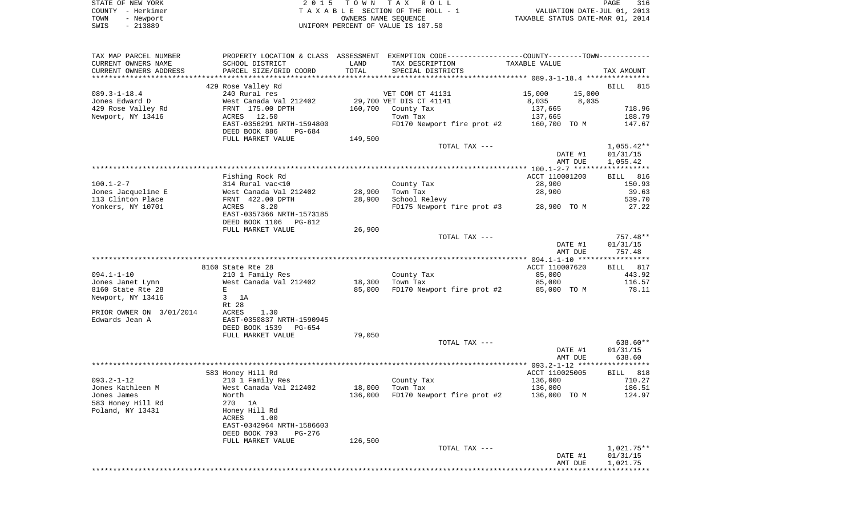|      | STATE OF NEW YORK | 2015 TOWN TAX ROLL                 | PAGE                             | 316 |
|------|-------------------|------------------------------------|----------------------------------|-----|
|      | COUNTY - Herkimer | TAXABLE SECTION OF THE ROLL - 1    | VALUATION DATE-JUL 01, 2013      |     |
| TOWN | - Newport         | OWNERS NAME SEOUENCE               | TAXABLE STATUS DATE-MAR 01, 2014 |     |
| SWIS | - 213889          | INIFORM PERCENT OF VALUE IS 107.50 |                                  |     |

| TAX MAP PARCEL NUMBER    |                           |         | PROPERTY LOCATION & CLASS ASSESSMENT EXEMPTION CODE---------------COUNTY-------TOWN---------- |                                                     |                    |
|--------------------------|---------------------------|---------|-----------------------------------------------------------------------------------------------|-----------------------------------------------------|--------------------|
| CURRENT OWNERS NAME      | SCHOOL DISTRICT           | LAND    | TAX DESCRIPTION                                                                               | TAXABLE VALUE                                       |                    |
| CURRENT OWNERS ADDRESS   | PARCEL SIZE/GRID COORD    | TOTAL   | SPECIAL DISTRICTS                                                                             |                                                     | TAX AMOUNT         |
|                          |                           |         |                                                                                               | ********************* 089.3-1-18.4 **************** |                    |
|                          | 429 Rose Valley Rd        |         |                                                                                               |                                                     | <b>BILL</b><br>815 |
| $089.3 - 1 - 18.4$       | 240 Rural res             |         | VET COM CT 41131                                                                              | 15,000<br>15,000                                    |                    |
| Jones Edward D           | West Canada Val 212402    |         | 29,700 VET DIS CT 41141                                                                       | 8,035<br>8,035                                      |                    |
| 429 Rose Valley Rd       | FRNT 175.00 DPTH          | 160,700 | County Tax                                                                                    | 137,665                                             | 718.96             |
| Newport, NY 13416        | ACRES 12.50               |         | Town Tax                                                                                      | 137,665                                             | 188.79             |
|                          | EAST-0356291 NRTH-1594800 |         | FD170 Newport fire prot #2                                                                    | 160,700 TO M                                        | 147.67             |
|                          | DEED BOOK 886<br>PG-684   |         |                                                                                               |                                                     |                    |
|                          | FULL MARKET VALUE         | 149,500 |                                                                                               |                                                     |                    |
|                          |                           |         | TOTAL TAX ---                                                                                 |                                                     | $1,055.42**$       |
|                          |                           |         |                                                                                               | DATE #1                                             | 01/31/15           |
|                          |                           |         |                                                                                               | AMT DUE                                             | 1,055.42           |
|                          |                           |         |                                                                                               |                                                     |                    |
|                          | Fishing Rock Rd           |         |                                                                                               | ACCT 110001200                                      | BILL 816           |
| $100.1 - 2 - 7$          | 314 Rural vac<10          |         | County Tax                                                                                    | 28,900                                              | 150.93             |
| Jones Jacqueline E       | West Canada Val 212402    | 28,900  | Town Tax                                                                                      | 28,900                                              | 39.63              |
| 113 Clinton Place        | FRNT 422.00 DPTH          | 28,900  | School Relevy                                                                                 |                                                     | 539.70             |
| Yonkers, NY 10701        | ACRES<br>8.20             |         | FD175 Newport fire prot #3 28,900 TO M                                                        |                                                     | 27.22              |
|                          | EAST-0357366 NRTH-1573185 |         |                                                                                               |                                                     |                    |
|                          | DEED BOOK 1106<br>PG-812  |         |                                                                                               |                                                     |                    |
|                          | FULL MARKET VALUE         | 26,900  |                                                                                               |                                                     |                    |
|                          |                           |         | TOTAL TAX ---                                                                                 |                                                     | $757.48**$         |
|                          |                           |         |                                                                                               | DATE #1                                             | 01/31/15           |
|                          |                           |         |                                                                                               | AMT DUE                                             | 757.48             |
|                          |                           |         |                                                                                               |                                                     |                    |
|                          | 8160 State Rte 28         |         |                                                                                               | ACCT 110007620                                      | BILL 817           |
| $094.1 - 1 - 10$         | 210 1 Family Res          |         | County Tax                                                                                    | 85,000                                              | 443.92             |
| Jones Janet Lynn         | West Canada Val 212402    | 18,300  | Town Tax                                                                                      | 85,000                                              | 116.57             |
| 8160 State Rte 28        | E                         | 85,000  | FD170 Newport fire prot #2                                                                    | 85,000 TO M                                         | 78.11              |
| Newport, NY 13416        | $\mathbf{3}$<br>1A        |         |                                                                                               |                                                     |                    |
|                          | Rt 28                     |         |                                                                                               |                                                     |                    |
| PRIOR OWNER ON 3/01/2014 | ACRES<br>1.30             |         |                                                                                               |                                                     |                    |
| Edwards Jean A           | EAST-0350837 NRTH-1590945 |         |                                                                                               |                                                     |                    |
|                          | DEED BOOK 1539<br>PG-654  |         |                                                                                               |                                                     |                    |
|                          | FULL MARKET VALUE         | 79,050  |                                                                                               |                                                     |                    |
|                          |                           |         | TOTAL TAX ---                                                                                 |                                                     | 638.60**           |
|                          |                           |         |                                                                                               | DATE #1                                             | 01/31/15           |
|                          |                           |         |                                                                                               | AMT DUE                                             | 638.60             |
|                          |                           |         |                                                                                               |                                                     |                    |
|                          | 583 Honey Hill Rd         |         |                                                                                               | ACCT 110025005                                      | BILL 818           |
| $093.2 - 1 - 12$         | 210 1 Family Res          |         | County Tax                                                                                    | 136,000                                             | 710.27             |
| Jones Kathleen M         | West Canada Val 212402    | 18,000  | Town Tax                                                                                      | 136,000                                             | 186.51             |
| Jones James              | North                     | 136,000 | FD170 Newport fire prot #2                                                                    | 136,000 TO M                                        | 124.97             |
| 583 Honey Hill Rd        | 270<br>1A                 |         |                                                                                               |                                                     |                    |
| Poland, NY 13431         | Honey Hill Rd             |         |                                                                                               |                                                     |                    |
|                          | ACRES<br>1.00             |         |                                                                                               |                                                     |                    |
|                          | EAST-0342964 NRTH-1586603 |         |                                                                                               |                                                     |                    |
|                          | DEED BOOK 793<br>PG-276   |         |                                                                                               |                                                     |                    |
|                          | FULL MARKET VALUE         | 126,500 |                                                                                               |                                                     |                    |
|                          |                           |         | TOTAL TAX ---                                                                                 |                                                     | $1,021.75**$       |
|                          |                           |         |                                                                                               | DATE #1                                             | 01/31/15           |
|                          |                           |         |                                                                                               | AMT DUE                                             | 1,021.75           |
|                          |                           |         |                                                                                               |                                                     |                    |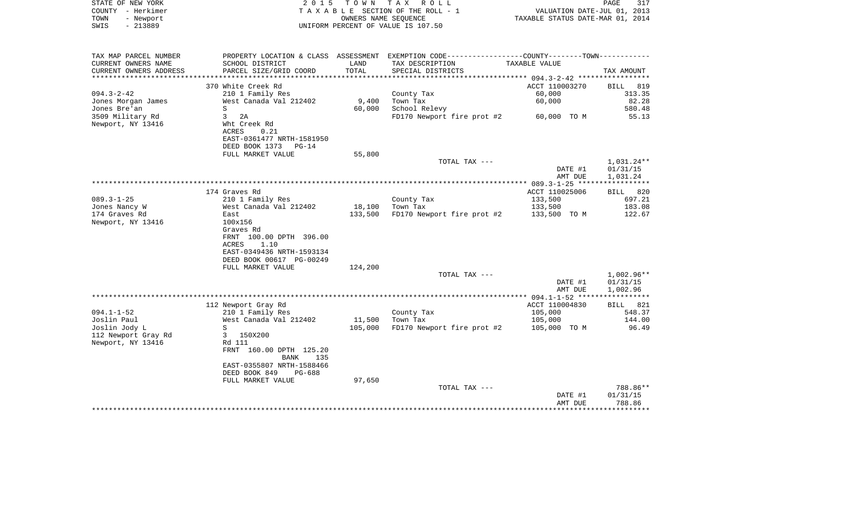|      | STATE OF NEW YORK | 2015 TOWN TAX ROLL                 | PAGE                             | 317 |
|------|-------------------|------------------------------------|----------------------------------|-----|
|      | COUNTY - Herkimer | TAXABLE SECTION OF THE ROLL - 1    | VALUATION DATE-JUL 01, 2013      |     |
| TOWN | - Newport         | OWNERS NAME SEOUENCE               | TAXABLE STATUS DATE-MAR 01, 2014 |     |
| SWIS | - 213889          | UNIFORM PERCENT OF VALUE IS 107.50 |                                  |     |

| TAX MAP PARCEL NUMBER  | PROPERTY LOCATION & CLASS | ASSESSMENT | EXEMPTION CODE------------------COUNTY--------TOWN---------- |                                      |              |
|------------------------|---------------------------|------------|--------------------------------------------------------------|--------------------------------------|--------------|
| CURRENT OWNERS NAME    | SCHOOL DISTRICT           | LAND       | TAX DESCRIPTION                                              | TAXABLE VALUE                        |              |
| CURRENT OWNERS ADDRESS | PARCEL SIZE/GRID COORD    | TOTAL      | SPECIAL DISTRICTS                                            |                                      | TAX AMOUNT   |
|                        |                           |            |                                                              |                                      |              |
|                        | 370 White Creek Rd        |            |                                                              | ACCT 110003270                       | BILL<br>819  |
| $094.3 - 2 - 42$       | 210 1 Family Res          |            | County Tax                                                   | 60,000                               | 313.35       |
| Jones Morgan James     | West Canada Val 212402    | 9,400      | Town Tax                                                     | 60,000                               | 82.28        |
| Jones Bre'an           | S                         | 60,000     | School Relevy                                                |                                      | 580.48       |
| 3509 Military Rd       | 3<br>2A                   |            | FD170 Newport fire prot #2                                   | 60,000 TO M                          | 55.13        |
| Newport, NY 13416      | Wht Creek Rd              |            |                                                              |                                      |              |
|                        | ACRES<br>0.21             |            |                                                              |                                      |              |
|                        | EAST-0361477 NRTH-1581950 |            |                                                              |                                      |              |
|                        | DEED BOOK 1373<br>$PG-14$ |            |                                                              |                                      |              |
|                        | FULL MARKET VALUE         | 55,800     |                                                              |                                      |              |
|                        |                           |            | TOTAL TAX ---                                                |                                      |              |
|                        |                           |            |                                                              |                                      | 1,031.24**   |
|                        |                           |            |                                                              | DATE #1                              | 01/31/15     |
|                        |                           |            |                                                              | AMT DUE                              | 1,031.24     |
|                        |                           |            |                                                              |                                      |              |
|                        | 174 Graves Rd             |            |                                                              | ACCT 110025006                       | 820<br>BILL  |
| $089.3 - 1 - 25$       | 210 1 Family Res          |            | County Tax                                                   | 133,500                              | 697.21       |
| Jones Nancy W          | West Canada Val 212402    | 18,100     | Town Tax                                                     | 133,500                              | 183.08       |
| 174 Graves Rd          | East                      | 133,500    | FD170 Newport fire prot #2                                   | 133,500 TO M                         | 122.67       |
| Newport, NY 13416      | 100x156                   |            |                                                              |                                      |              |
|                        | Graves Rd                 |            |                                                              |                                      |              |
|                        | FRNT 100.00 DPTH 396.00   |            |                                                              |                                      |              |
|                        | 1.10<br>ACRES             |            |                                                              |                                      |              |
|                        | EAST-0349436 NRTH-1593134 |            |                                                              |                                      |              |
|                        | DEED BOOK 00617 PG-00249  |            |                                                              |                                      |              |
|                        | FULL MARKET VALUE         | 124,200    |                                                              |                                      |              |
|                        |                           |            | TOTAL TAX ---                                                |                                      | $1,002.96**$ |
|                        |                           |            |                                                              | DATE #1                              | 01/31/15     |
|                        |                           |            |                                                              | AMT DUE                              | 1,002.96     |
|                        |                           |            |                                                              |                                      |              |
|                        | 112 Newport Gray Rd       |            |                                                              | ACCT 110004830                       | BILL 821     |
| $094.1 - 1 - 52$       | 210 1 Family Res          |            | County Tax                                                   | 105,000                              | 548.37       |
| Joslin Paul            | West Canada Val 212402    | 11,500     | Town Tax                                                     | 105,000                              | 144.00       |
| Joslin Jody L          | S                         | 105,000    | FD170 Newport fire prot #2                                   | 105,000 TO M                         | 96.49        |
| 112 Newport Gray Rd    | 150X200<br>3              |            |                                                              |                                      |              |
| Newport, NY 13416      | Rd 111                    |            |                                                              |                                      |              |
|                        | FRNT 160.00 DPTH 125.20   |            |                                                              |                                      |              |
|                        | <b>BANK</b><br>135        |            |                                                              |                                      |              |
|                        | EAST-0355807 NRTH-1588466 |            |                                                              |                                      |              |
|                        | DEED BOOK 849<br>PG-688   |            |                                                              |                                      |              |
|                        | FULL MARKET VALUE         | 97,650     |                                                              |                                      |              |
|                        |                           |            | TOTAL TAX ---                                                |                                      | 788.86**     |
|                        |                           |            |                                                              | DATE #1                              | 01/31/15     |
|                        |                           |            |                                                              | AMT DUE                              | 788.86       |
|                        |                           |            |                                                              | ************************************ |              |
|                        |                           |            |                                                              |                                      |              |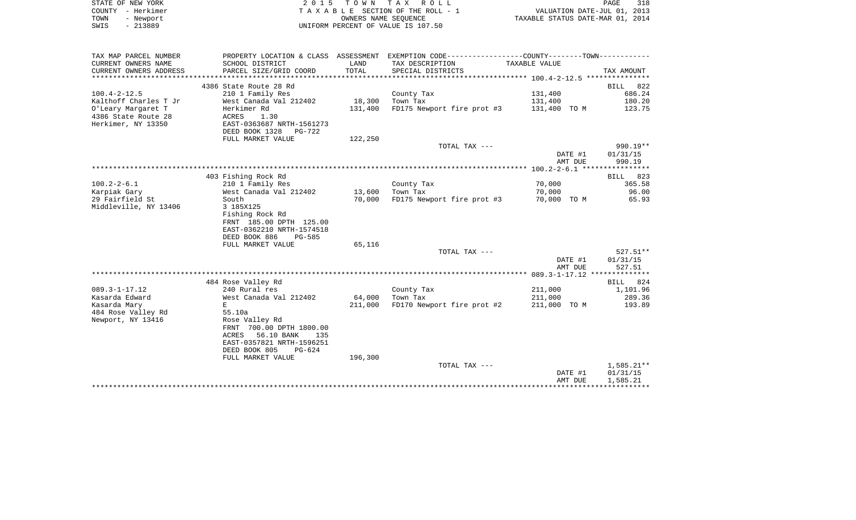|      | STATE OF NEW YORK | 2015 TOWN TAX ROLL                 | PAGE                             | 318 |
|------|-------------------|------------------------------------|----------------------------------|-----|
|      | COUNTY - Herkimer | TAXABLE SECTION OF THE ROLL - 1    | VALUATION DATE-JUL 01, 2013      |     |
| TOWN | - Newport         | OWNERS NAME SEOUENCE               | TAXABLE STATUS DATE-MAR 01, 2014 |     |
| SWIS | - 213889          | UNIFORM PERCENT OF VALUE IS 107.50 |                                  |     |

| TAX MAP PARCEL NUMBER                               | PROPERTY LOCATION & CLASS      | ASSESSMENT |                            |               |                    |
|-----------------------------------------------------|--------------------------------|------------|----------------------------|---------------|--------------------|
| CURRENT OWNERS NAME                                 | SCHOOL DISTRICT                | LAND       | TAX DESCRIPTION            | TAXABLE VALUE |                    |
| CURRENT OWNERS ADDRESS<br>************************* | PARCEL SIZE/GRID COORD         | TOTAL      | SPECIAL DISTRICTS          |               | TAX AMOUNT         |
|                                                     | 4386 State Route 28 Rd         |            |                            |               | 822<br>BILL        |
| $100.4 - 2 - 12.5$                                  | 210 1 Family Res               |            | County Tax                 | 131,400       | 686.24             |
| Kalthoff Charles T Jr                               | West Canada Val 212402         | 18,300     | Town Tax                   | 131,400       | 180.20             |
| O'Leary Margaret T                                  | Herkimer Rd                    | 131,400    | FD175 Newport fire prot #3 | 131,400 TO M  | 123.75             |
| 4386 State Route 28                                 | ACRES<br>1.30                  |            |                            |               |                    |
| Herkimer, NY 13350                                  | EAST-0363687 NRTH-1561273      |            |                            |               |                    |
|                                                     | DEED BOOK 1328<br>PG-722       |            |                            |               |                    |
|                                                     | FULL MARKET VALUE              | 122,250    |                            |               |                    |
|                                                     |                                |            | TOTAL TAX ---              |               | $990.19**$         |
|                                                     |                                |            |                            | DATE #1       | 01/31/15           |
|                                                     |                                |            |                            | AMT DUE       | 990.19             |
|                                                     |                                |            |                            |               |                    |
|                                                     | 403 Fishing Rock Rd            |            |                            |               | BILL 823           |
| $100.2 - 2 - 6.1$                                   | 210 1 Family Res               |            | County Tax                 | 70,000        | 365.58             |
| Karpiak Gary                                        | West Canada Val 212402         | 13,600     | Town Tax                   | 70,000        | 96.00              |
| 29 Fairfield St                                     | South                          | 70,000     | FD175 Newport fire prot #3 | 70,000 TO M   | 65.93              |
| Middleville, NY 13406                               | 3 185X125                      |            |                            |               |                    |
|                                                     | Fishing Rock Rd                |            |                            |               |                    |
|                                                     | FRNT 185.00 DPTH 125.00        |            |                            |               |                    |
|                                                     | EAST-0362210 NRTH-1574518      |            |                            |               |                    |
|                                                     | DEED BOOK 886<br><b>PG-585</b> |            |                            |               |                    |
|                                                     | FULL MARKET VALUE              | 65,116     |                            |               |                    |
|                                                     |                                |            | TOTAL TAX ---              | DATE #1       | $527.51**$         |
|                                                     |                                |            |                            | AMT DUE       | 01/31/15<br>527.51 |
|                                                     |                                |            |                            |               |                    |
|                                                     | 484 Rose Valley Rd             |            |                            |               | BILL 824           |
| $089.3 - 1 - 17.12$                                 | 240 Rural res                  |            | County Tax                 | 211,000       | 1,101.96           |
| Kasarda Edward                                      | West Canada Val 212402         | 64,000     | Town Tax                   | 211,000       | 289.36             |
| Kasarda Mary                                        | E                              | 211,000    | FD170 Newport fire prot #2 | 211,000 TO M  | 193.89             |
| 484 Rose Valley Rd                                  | 55.10a                         |            |                            |               |                    |
| Newport, NY 13416                                   | Rose Valley Rd                 |            |                            |               |                    |
|                                                     | FRNT 700.00 DPTH 1800.00       |            |                            |               |                    |
|                                                     | ACRES<br>56.10 BANK<br>135     |            |                            |               |                    |
|                                                     | EAST-0357821 NRTH-1596251      |            |                            |               |                    |
|                                                     | DEED BOOK 805<br>PG-624        |            |                            |               |                    |
|                                                     | FULL MARKET VALUE              | 196,300    |                            |               |                    |
|                                                     |                                |            | TOTAL TAX ---              |               | 1,585.21**         |
|                                                     |                                |            |                            | DATE #1       | 01/31/15           |
|                                                     |                                |            |                            | AMT DUE       | 1,585.21           |
|                                                     |                                |            |                            | ************* |                    |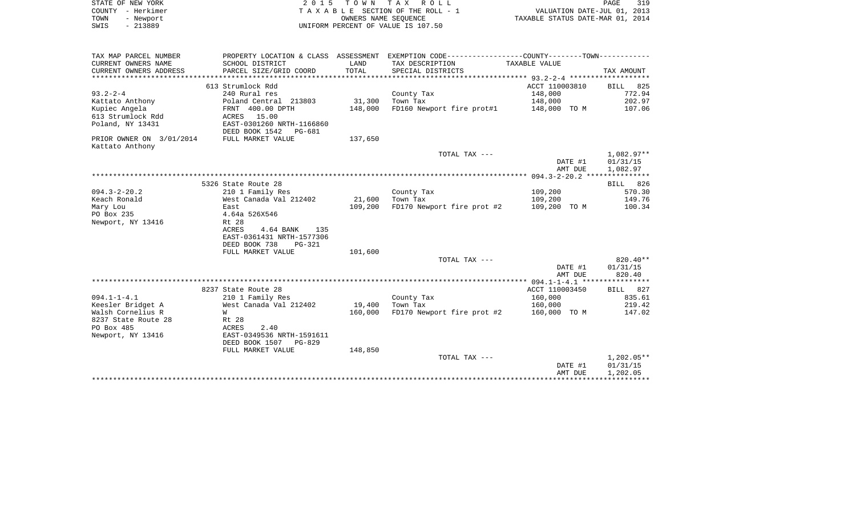|      | STATE OF NEW YORK | 2015 TOWN TAX ROLL                 | PAGE                             | 319 |
|------|-------------------|------------------------------------|----------------------------------|-----|
|      | COUNTY - Herkimer | TAXABLE SECTION OF THE ROLL - 1    | VALUATION DATE-JUL 01, 2013      |     |
| TOWN | - Newport         | OWNERS NAME SEOUENCE               | TAXABLE STATUS DATE-MAR 01, 2014 |     |
| SWIS | $-213889$         | UNIFORM PERCENT OF VALUE IS 107.50 |                                  |     |

| TAX MAP PARCEL NUMBER                            | PROPERTY LOCATION & CLASS ASSESSMENT |         |                            |                           |                       |
|--------------------------------------------------|--------------------------------------|---------|----------------------------|---------------------------|-----------------------|
| CURRENT OWNERS NAME                              | SCHOOL DISTRICT                      | LAND    | TAX DESCRIPTION            | TAXABLE VALUE             |                       |
| CURRENT OWNERS ADDRESS<br>********************** | PARCEL SIZE/GRID COORD               | TOTAL   | SPECIAL DISTRICTS          |                           | TAX AMOUNT            |
|                                                  |                                      |         |                            |                           |                       |
| $93.2 - 2 - 4$                                   | 613 Strumlock Rdd<br>240 Rural res   |         | County Tax                 | ACCT 110003810<br>148,000 | 825<br>BILL<br>772.94 |
| Kattato Anthony                                  | Poland Central 213803                | 31,300  | Town Tax                   | 148,000                   | 202.97                |
| Kupiec Angela                                    | FRNT 400.00 DPTH                     | 148,000 | FD160 Newport fire prot#1  | 148,000 TO M              | 107.06                |
| 613 Strumlock Rdd                                | ACRES 15.00                          |         |                            |                           |                       |
| Poland, NY 13431                                 | EAST-0301260 NRTH-1166860            |         |                            |                           |                       |
|                                                  | DEED BOOK 1542 PG-681                |         |                            |                           |                       |
| PRIOR OWNER ON 3/01/2014                         | FULL MARKET VALUE                    | 137,650 |                            |                           |                       |
| Kattato Anthony                                  |                                      |         |                            |                           |                       |
|                                                  |                                      |         | TOTAL TAX ---              |                           | $1,082.97**$          |
|                                                  |                                      |         |                            | DATE #1                   | 01/31/15              |
|                                                  |                                      |         |                            | AMT DUE                   | 1,082.97              |
|                                                  |                                      |         |                            |                           |                       |
|                                                  | 5326 State Route 28                  |         |                            |                           | BILL 826              |
| $094.3 - 2 - 20.2$                               | 210 1 Family Res                     |         | County Tax                 | 109,200                   | 570.30                |
| Keach Ronald                                     | West Canada Val 212402               | 21,600  | Town Tax                   | 109,200                   | 149.76                |
| Mary Lou                                         | East                                 | 109,200 | FD170 Newport fire prot #2 | 109,200 TO M              | 100.34                |
| PO Box 235                                       | 4.64a 526X546                        |         |                            |                           |                       |
| Newport, NY 13416                                | Rt 28                                |         |                            |                           |                       |
|                                                  | ACRES<br>4.64 BANK<br>135            |         |                            |                           |                       |
|                                                  | EAST-0361431 NRTH-1577306            |         |                            |                           |                       |
|                                                  | DEED BOOK 738<br><b>PG-321</b>       |         |                            |                           |                       |
|                                                  | FULL MARKET VALUE                    | 101,600 |                            |                           | $820.40**$            |
|                                                  |                                      |         | TOTAL TAX ---              | DATE #1                   | 01/31/15              |
|                                                  |                                      |         |                            | AMT DUE                   | 820.40                |
|                                                  |                                      |         |                            |                           |                       |
|                                                  | 8237 State Route 28                  |         |                            | ACCT 110003450            | BILL 827              |
| $094.1 - 1 - 4.1$                                | 210 1 Family Res                     |         | County Tax                 | 160,000                   | 835.61                |
| Keesler Bridget A                                | West Canada Val 212402               | 19,400  | Town Tax                   | 160,000                   | 219.42                |
| Walsh Cornelius R                                | W                                    | 160,000 | FD170 Newport fire prot #2 | 160,000 TO M              | 147.02                |
| 8237 State Route 28                              | Rt 28                                |         |                            |                           |                       |
| PO Box 485                                       | ACRES<br>2.40                        |         |                            |                           |                       |
| Newport, NY 13416                                | EAST-0349536 NRTH-1591611            |         |                            |                           |                       |
|                                                  | DEED BOOK 1507 PG-829                |         |                            |                           |                       |
|                                                  | FULL MARKET VALUE                    | 148,850 |                            |                           |                       |
|                                                  |                                      |         | TOTAL TAX ---              |                           | $1,202.05**$          |
|                                                  |                                      |         |                            | DATE #1                   | 01/31/15              |
|                                                  |                                      |         |                            | AMT DUE                   | 1,202.05              |
|                                                  |                                      |         |                            | **************            | ************          |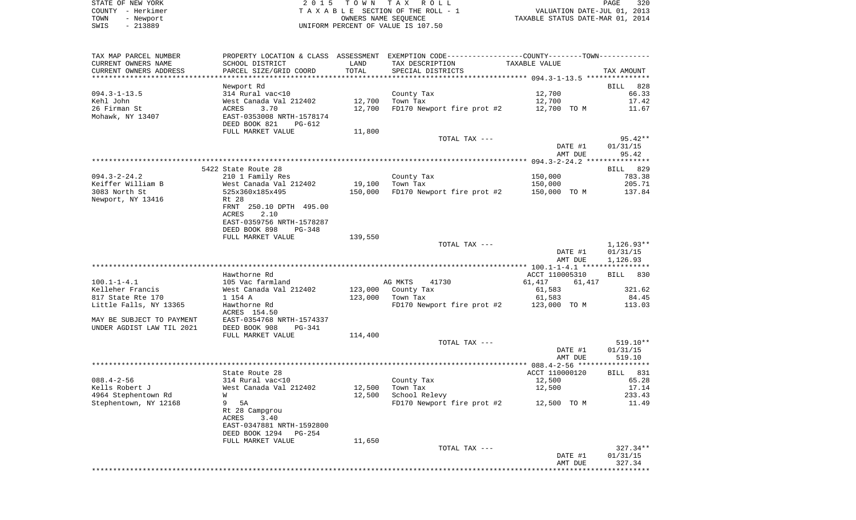|      | STATE OF NEW YORK | 2015 TOWN TAX ROLL                 | PAGE                             | 320 |
|------|-------------------|------------------------------------|----------------------------------|-----|
|      | COUNTY - Herkimer | TAXABLE SECTION OF THE ROLL - 1    | VALUATION DATE-JUL 01, 2013      |     |
| TOWN | - Newport         | OWNERS NAME SEOUENCE               | TAXABLE STATUS DATE-MAR 01, 2014 |     |
| SWIS | - 213889          | UNIFORM PERCENT OF VALUE IS 107.50 |                                  |     |

| TAX MAP PARCEL NUMBER     |                           |         | PROPERTY LOCATION & CLASS ASSESSMENT EXEMPTION CODE---------------COUNTY-------TOWN---------- |                  |                 |
|---------------------------|---------------------------|---------|-----------------------------------------------------------------------------------------------|------------------|-----------------|
| CURRENT OWNERS NAME       | SCHOOL DISTRICT           | LAND    | TAX DESCRIPTION                                                                               | TAXABLE VALUE    |                 |
| CURRENT OWNERS ADDRESS    | PARCEL SIZE/GRID COORD    | TOTAL   | SPECIAL DISTRICTS                                                                             |                  | TAX AMOUNT      |
|                           |                           |         |                                                                                               |                  |                 |
|                           | Newport Rd                |         |                                                                                               |                  | BILL 828        |
| $094.3 - 1 - 13.5$        | 314 Rural vac<10          |         | County Tax                                                                                    | 12,700           | 66.33           |
| Kehl John                 | West Canada Val 212402    | 12,700  | Town Tax                                                                                      | 12,700           | 17.42           |
| 26 Firman St              | ACRES<br>3.70             | 12,700  | FD170 Newport fire prot #2                                                                    | 12,700 TO M      | 11.67           |
| Mohawk, NY 13407          | EAST-0353008 NRTH-1578174 |         |                                                                                               |                  |                 |
|                           | DEED BOOK 821<br>PG-612   |         |                                                                                               |                  |                 |
|                           | FULL MARKET VALUE         | 11,800  |                                                                                               |                  |                 |
|                           |                           |         | TOTAL TAX ---                                                                                 |                  | $95.42**$       |
|                           |                           |         |                                                                                               | DATE #1          | 01/31/15        |
|                           |                           |         |                                                                                               | AMT DUE          | 95.42           |
|                           |                           |         |                                                                                               |                  |                 |
|                           | 5422 State Route 28       |         |                                                                                               |                  | <b>BILL</b> 829 |
| 094.3-2-24.2              | 210 1 Family Res          |         | County Tax                                                                                    | 150,000          | 783.38          |
| Keiffer William B         | West Canada Val 212402    | 19,100  | Town Tax                                                                                      | 150,000          | 205.71          |
| 3083 North St             | 525x360x185x495           | 150,000 | FD170 Newport fire prot #2                                                                    | 150,000 TO M     | 137.84          |
| Newport, NY 13416         | Rt 28                     |         |                                                                                               |                  |                 |
|                           | FRNT 250.10 DPTH 495.00   |         |                                                                                               |                  |                 |
|                           | 2.10<br>ACRES             |         |                                                                                               |                  |                 |
|                           | EAST-0359756 NRTH-1578287 |         |                                                                                               |                  |                 |
|                           |                           |         |                                                                                               |                  |                 |
|                           | DEED BOOK 898<br>PG-348   |         |                                                                                               |                  |                 |
|                           | FULL MARKET VALUE         | 139,550 |                                                                                               |                  |                 |
|                           |                           |         | TOTAL TAX ---                                                                                 |                  | 1,126.93**      |
|                           |                           |         |                                                                                               | DATE #1          | 01/31/15        |
|                           |                           |         |                                                                                               | AMT DUE          | 1,126.93        |
|                           |                           |         |                                                                                               |                  |                 |
|                           | Hawthorne Rd              |         |                                                                                               | ACCT 110005310   | BILL 830        |
| $100.1 - 1 - 4.1$         | 105 Vac farmland          |         | AG MKTS<br>41730                                                                              | 61,417<br>61,417 |                 |
| Kelleher Francis          | West Canada Val 212402    | 123,000 | County Tax                                                                                    | 61,583           | 321.62          |
| 817 State Rte 170         | 1 154 A                   | 123,000 | Town Tax                                                                                      | 61,583           | 84.45           |
| Little Falls, NY 13365    | Hawthorne Rd              |         | FD170 Newport fire prot #2 123,000 TO M                                                       |                  | 113.03          |
|                           | ACRES 154.50              |         |                                                                                               |                  |                 |
| MAY BE SUBJECT TO PAYMENT | EAST-0354768 NRTH-1574337 |         |                                                                                               |                  |                 |
| UNDER AGDIST LAW TIL 2021 | DEED BOOK 908<br>PG-341   |         |                                                                                               |                  |                 |
|                           | FULL MARKET VALUE         | 114,400 |                                                                                               |                  |                 |
|                           |                           |         | TOTAL TAX ---                                                                                 |                  | $519.10**$      |
|                           |                           |         |                                                                                               | DATE #1          | 01/31/15        |
|                           |                           |         |                                                                                               | AMT DUE          | 519.10          |
|                           |                           |         |                                                                                               |                  |                 |
|                           | State Route 28            |         |                                                                                               | ACCT 110000120   | BILL 831        |
| $088.4 - 2 - 56$          | 314 Rural vac<10          |         | County Tax                                                                                    | 12,500           | 65.28           |
| Kells Robert J            | West Canada Val 212402    | 12,500  | Town Tax                                                                                      | 12,500           | 17.14           |
| 4964 Stephentown Rd       | W                         | 12,500  | School Relevy                                                                                 |                  | 233.43          |
| Stephentown, NY 12168     | 9<br>5A                   |         | FD170 Newport fire prot #2 12,500 TO M                                                        |                  | 11.49           |
|                           | Rt 28 Campgrou            |         |                                                                                               |                  |                 |
|                           | ACRES<br>3.40             |         |                                                                                               |                  |                 |
|                           | EAST-0347881 NRTH-1592800 |         |                                                                                               |                  |                 |
|                           | DEED BOOK 1294 PG-254     |         |                                                                                               |                  |                 |
|                           | FULL MARKET VALUE         | 11,650  |                                                                                               |                  |                 |
|                           |                           |         | TOTAL TAX ---                                                                                 |                  | $327.34**$      |
|                           |                           |         |                                                                                               | DATE #1          | 01/31/15        |
|                           |                           |         |                                                                                               | AMT DUE          | 327.34          |
|                           |                           |         |                                                                                               |                  |                 |
|                           |                           |         |                                                                                               |                  |                 |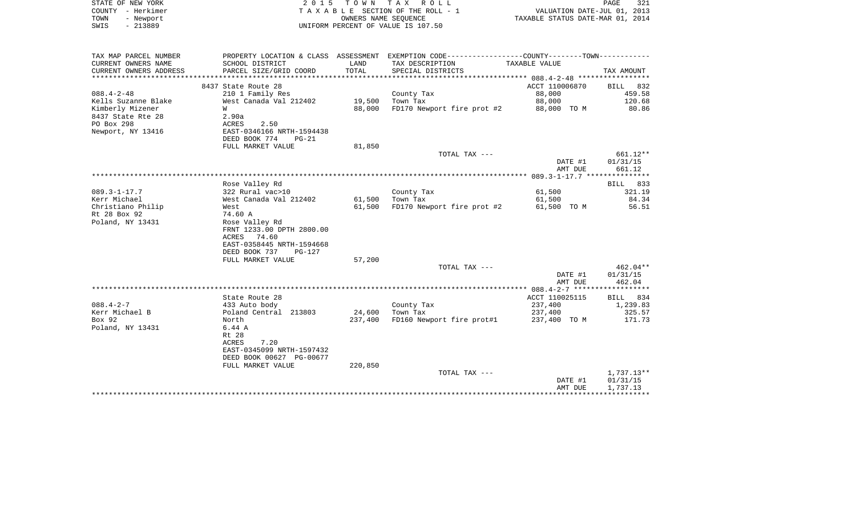| STATE OF NEW YORK<br>COUNTY - Herkimer<br>- Newport<br>TOWN<br>$-213889$<br>SWIS | 2 0 1 5                       | T O W N | TAX ROLL<br>TAXABLE SECTION OF THE ROLL - 1<br>OWNERS NAME SEQUENCE<br>UNIFORM PERCENT OF VALUE IS 107.50 | VALUATION DATE-JUL 01, 2013<br>TAXABLE STATUS DATE-MAR 01, 2014 | PAGE<br>321              |
|----------------------------------------------------------------------------------|-------------------------------|---------|-----------------------------------------------------------------------------------------------------------|-----------------------------------------------------------------|--------------------------|
|                                                                                  |                               |         |                                                                                                           |                                                                 |                          |
| TAX MAP PARCEL NUMBER                                                            |                               |         | PROPERTY LOCATION & CLASS ASSESSMENT EXEMPTION CODE---------------COUNTY-------TOWN----------             |                                                                 |                          |
| CURRENT OWNERS NAME                                                              | SCHOOL DISTRICT               | LAND    | TAX DESCRIPTION                                                                                           | TAXABLE VALUE                                                   |                          |
| CURRENT OWNERS ADDRESS<br>*******************                                    | PARCEL SIZE/GRID COORD        | TOTAL   | SPECIAL DISTRICTS<br>*************************                                                            |                                                                 | TAX AMOUNT               |
|                                                                                  | 8437 State Route 28           |         |                                                                                                           | ACCT 110006870                                                  | BILL 832                 |
| $088.4 - 2 - 48$                                                                 | 210 1 Family Res              |         | County Tax                                                                                                | 88,000                                                          | 459.58                   |
| Kells Suzanne Blake                                                              | West Canada Val 212402        | 19,500  | Town Tax                                                                                                  | 88,000                                                          | 120.68                   |
| Kimberly Mizener                                                                 | W                             | 88,000  | FD170 Newport fire prot #2                                                                                | 88,000 TO M                                                     | 80.86                    |
| 8437 State Rte 28                                                                | 2.90a                         |         |                                                                                                           |                                                                 |                          |
| PO Box 298                                                                       | ACRES<br>2.50                 |         |                                                                                                           |                                                                 |                          |
| Newport, NY 13416                                                                | EAST-0346166 NRTH-1594438     |         |                                                                                                           |                                                                 |                          |
|                                                                                  | DEED BOOK 774<br>$PG-21$      |         |                                                                                                           |                                                                 |                          |
|                                                                                  | FULL MARKET VALUE             | 81,850  | TOTAL TAX ---                                                                                             |                                                                 | 661.12**                 |
|                                                                                  |                               |         |                                                                                                           | DATE #1                                                         | 01/31/15                 |
|                                                                                  |                               |         |                                                                                                           | AMT DUE                                                         | 661.12                   |
|                                                                                  |                               |         |                                                                                                           |                                                                 |                          |
|                                                                                  | Rose Valley Rd                |         |                                                                                                           |                                                                 | <b>BILL</b><br>833       |
| $089.3 - 1 - 17.7$                                                               | 322 Rural vac>10              |         | County Tax                                                                                                | 61,500                                                          | 321.19                   |
| Kerr Michael                                                                     | West Canada Val 212402        | 61,500  | Town Tax                                                                                                  | 61,500                                                          | 84.34                    |
| Christiano Philip<br>Rt 28 Box 92                                                | West<br>74.60 A               | 61,500  | FD170 Newport fire prot #2                                                                                | 61,500 TO M                                                     | 56.51                    |
| Poland, NY 13431                                                                 | Rose Valley Rd                |         |                                                                                                           |                                                                 |                          |
|                                                                                  | FRNT 1233.00 DPTH 2800.00     |         |                                                                                                           |                                                                 |                          |
|                                                                                  | ACRES<br>74.60                |         |                                                                                                           |                                                                 |                          |
|                                                                                  | EAST-0358445 NRTH-1594668     |         |                                                                                                           |                                                                 |                          |
|                                                                                  | DEED BOOK 737<br>PG-127       |         |                                                                                                           |                                                                 |                          |
|                                                                                  | FULL MARKET VALUE             | 57,200  |                                                                                                           |                                                                 |                          |
|                                                                                  |                               |         | TOTAL TAX ---                                                                                             | DATE #1                                                         | 462.04**<br>01/31/15     |
|                                                                                  |                               |         |                                                                                                           | AMT DUE                                                         | 462.04                   |
|                                                                                  |                               |         |                                                                                                           |                                                                 | ************             |
|                                                                                  | State Route 28                |         |                                                                                                           | ACCT 110025115                                                  | BILL 834                 |
| $088.4 - 2 - 7$                                                                  | 433 Auto body                 |         | County Tax                                                                                                | 237,400                                                         | 1,239.83                 |
| Kerr Michael B                                                                   | Poland Central 213803         | 24,600  | Town Tax                                                                                                  | 237,400                                                         | 325.57                   |
| Box 92                                                                           | North                         | 237,400 | FD160 Newport fire prot#1                                                                                 | 237,400 TO M                                                    | 171.73                   |
| Poland, NY 13431                                                                 | 6.44 A                        |         |                                                                                                           |                                                                 |                          |
|                                                                                  | Rt 28<br>7.20<br><b>ACRES</b> |         |                                                                                                           |                                                                 |                          |
|                                                                                  | EAST-0345099 NRTH-1597432     |         |                                                                                                           |                                                                 |                          |
|                                                                                  | DEED BOOK 00627 PG-00677      |         |                                                                                                           |                                                                 |                          |
|                                                                                  | FULL MARKET VALUE             | 220,850 |                                                                                                           |                                                                 |                          |
|                                                                                  |                               |         | TOTAL TAX ---                                                                                             |                                                                 | 1,737.13**               |
|                                                                                  |                               |         |                                                                                                           | DATE #1                                                         | 01/31/15                 |
|                                                                                  |                               |         |                                                                                                           | AMT DUE<br>* * * * * * * * * * * * * *                          | 1,737.13<br>************ |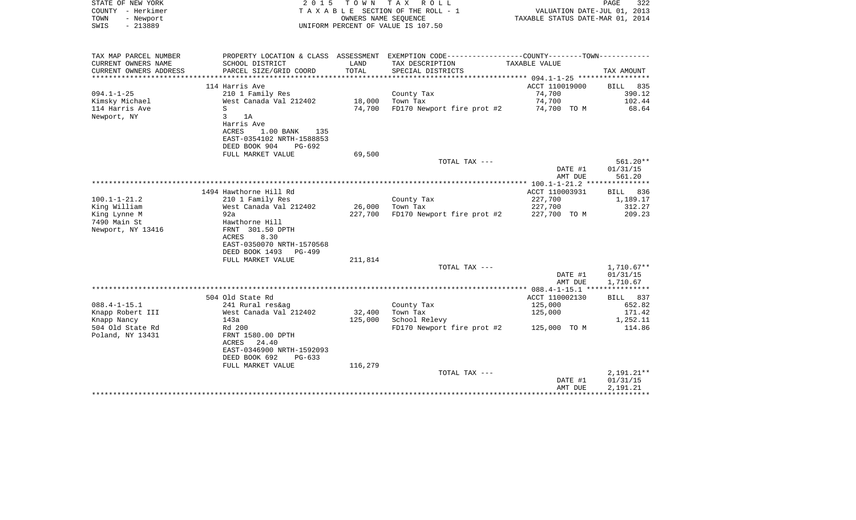| STATE OF NEW YORK      |                             |                      | 2015 TOWN TAX ROLL                                                                            |                                  | PAGE<br>322  |
|------------------------|-----------------------------|----------------------|-----------------------------------------------------------------------------------------------|----------------------------------|--------------|
| COUNTY - Herkimer      |                             |                      | TAXABLE SECTION OF THE ROLL - 1                                                               | VALUATION DATE-JUL 01, 2013      |              |
| TOWN<br>- Newport      |                             | OWNERS NAME SEQUENCE |                                                                                               | TAXABLE STATUS DATE-MAR 01, 2014 |              |
| $-213889$<br>SWIS      |                             |                      | UNIFORM PERCENT OF VALUE IS 107.50                                                            |                                  |              |
|                        |                             |                      |                                                                                               |                                  |              |
| TAX MAP PARCEL NUMBER  |                             |                      | PROPERTY LOCATION & CLASS ASSESSMENT EXEMPTION CODE---------------COUNTY-------TOWN---------- |                                  |              |
| CURRENT OWNERS NAME    | SCHOOL DISTRICT             | LAND                 | TAX DESCRIPTION                                                                               | TAXABLE VALUE                    |              |
| CURRENT OWNERS ADDRESS | PARCEL SIZE/GRID COORD      | TOTAL                | SPECIAL DISTRICTS                                                                             |                                  | TAX AMOUNT   |
|                        |                             |                      |                                                                                               |                                  |              |
|                        | 114 Harris Ave              |                      |                                                                                               | ACCT 110019000                   | BILL<br>835  |
| $094.1 - 1 - 25$       | 210 1 Family Res            |                      | County Tax                                                                                    | 74,700                           | 390.12       |
| Kimsky Michael         | West Canada Val 212402      | 18,000               | Town Tax                                                                                      | 74,700                           | 102.44       |
| 114 Harris Ave         | S                           | 74,700               | FD170 Newport fire prot #2 74,700 TO M                                                        |                                  | 68.64        |
| Newport, NY            | $\mathbf{3}$<br>1A          |                      |                                                                                               |                                  |              |
|                        | Harris Ave                  |                      |                                                                                               |                                  |              |
|                        | ACRES<br>$1.00$ BANK<br>135 |                      |                                                                                               |                                  |              |
|                        | EAST-0354102 NRTH-1588853   |                      |                                                                                               |                                  |              |
|                        | DEED BOOK 904<br>PG-692     |                      |                                                                                               |                                  |              |
|                        | FULL MARKET VALUE           | 69,500               | TOTAL TAX ---                                                                                 |                                  | 561.20**     |
|                        |                             |                      |                                                                                               | DATE #1                          | 01/31/15     |
|                        |                             |                      |                                                                                               | AMT DUE                          | 561.20       |
|                        |                             |                      |                                                                                               |                                  |              |
|                        | 1494 Hawthorne Hill Rd      |                      |                                                                                               | ACCT 110003931                   | 836<br>BILL  |
| 100.1-1-21.2           | 210 1 Family Res            |                      | County Tax                                                                                    | 227,700                          | 1,189.17     |
| King William           | West Canada Val 212402      | 26,000               | Town Tax                                                                                      | 227,700                          | 312.27       |
| King Lynne M           | 92a                         | 227,700              | FD170 Newport fire prot #2                                                                    | 227,700 TO M                     | 209.23       |
| 7490 Main St           | Hawthorne Hill              |                      |                                                                                               |                                  |              |
| Newport, NY 13416      | FRNT 301.50 DPTH            |                      |                                                                                               |                                  |              |
|                        | 8.30<br>ACRES               |                      |                                                                                               |                                  |              |
|                        | EAST-0350070 NRTH-1570568   |                      |                                                                                               |                                  |              |
|                        | DEED BOOK 1493<br>PG-499    |                      |                                                                                               |                                  |              |
|                        | FULL MARKET VALUE           | 211,814              |                                                                                               |                                  |              |
|                        |                             |                      | TOTAL TAX ---                                                                                 |                                  | $1,710.67**$ |
|                        |                             |                      |                                                                                               | DATE #1                          | 01/31/15     |
|                        |                             |                      |                                                                                               | AMT DUE                          | 1,710.67     |
|                        | 504 Old State Rd            |                      |                                                                                               | ACCT 110002130                   | 837<br>BILL  |
| $088.4 - 1 - 15.1$     | 241 Rural res&ag            |                      | County Tax                                                                                    | 125,000                          | 652.82       |
| Knapp Robert III       | West Canada Val 212402      | 32,400               | Town Tax                                                                                      | 125,000                          | 171.42       |
| Knapp Nancy            | 143a                        | 125,000              | School Relevy                                                                                 |                                  | 1,252.11     |
| 504 Old State Rd       | Rd 200                      |                      | FD170 Newport fire prot #2 125,000 TO M                                                       |                                  | 114.86       |
| Poland, NY 13431       | FRNT 1580.00 DPTH           |                      |                                                                                               |                                  |              |
|                        | ACRES<br>24.40              |                      |                                                                                               |                                  |              |
|                        | EAST-0346900 NRTH-1592093   |                      |                                                                                               |                                  |              |
|                        | DEED BOOK 692<br>$PG-633$   |                      |                                                                                               |                                  |              |
|                        | FULL MARKET VALUE           | 116,279              |                                                                                               |                                  |              |
|                        |                             |                      | TOTAL TAX ---                                                                                 |                                  | $2,191.21**$ |
|                        |                             |                      |                                                                                               | DATE #1                          | 01/31/15     |
|                        |                             |                      |                                                                                               | AMT DUE                          | 2,191.21     |
|                        |                             |                      |                                                                                               |                                  |              |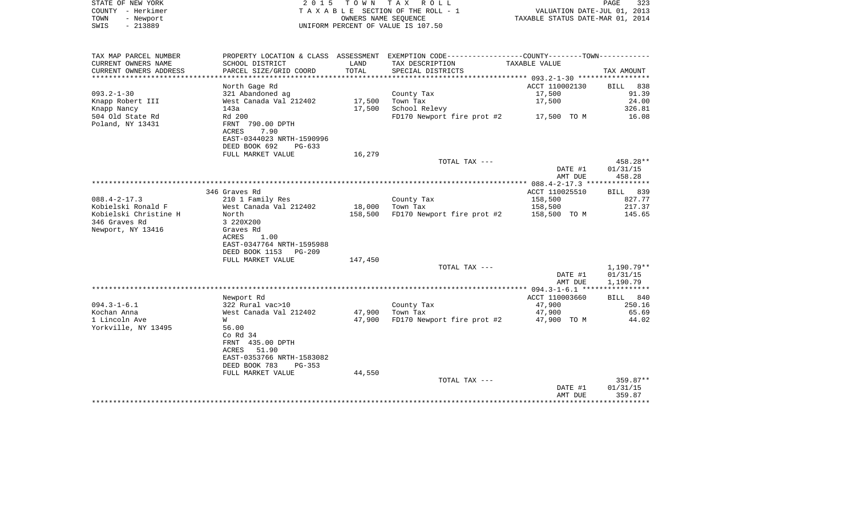|      | STATE OF NEW YORK | 2015 TOWN TAX ROLL                 | PAGE                             | 323 |
|------|-------------------|------------------------------------|----------------------------------|-----|
|      | COUNTY - Herkimer | TAXABLE SECTION OF THE ROLL - 1    | VALUATION DATE-JUL 01, 2013      |     |
| TOWN | - Newport         | OWNERS NAME SEOUENCE               | TAXABLE STATUS DATE-MAR 01, 2014 |     |
| SWIS | - 213889          | UNIFORM PERCENT OF VALUE IS 107.50 |                                  |     |

| TAX MAP PARCEL NUMBER  | PROPERTY LOCATION & CLASS           | ASSESSMENT | EXEMPTION CODE-----------------COUNTY-------TOWN----------- |                                     |             |
|------------------------|-------------------------------------|------------|-------------------------------------------------------------|-------------------------------------|-------------|
| CURRENT OWNERS NAME    | SCHOOL DISTRICT                     | LAND       | TAX DESCRIPTION                                             | TAXABLE VALUE                       |             |
| CURRENT OWNERS ADDRESS | PARCEL SIZE/GRID COORD              | TOTAL      | SPECIAL DISTRICTS                                           |                                     | TAX AMOUNT  |
|                        | * * * * * * * * * * * * * * * * * * | ********** |                                                             | ************ 093.2-1-30 *********** |             |
|                        | North Gage Rd                       |            |                                                             | ACCT 110002130                      | 838<br>BILL |
| $093.2 - 1 - 30$       | 321 Abandoned ag                    |            | County Tax                                                  | 17,500                              | 91.39       |
| Knapp Robert III       | West Canada Val 212402              | 17,500     | Town Tax                                                    | 17,500                              | 24.00       |
| Knapp Nancy            | 143a                                | 17,500     | School Relevy                                               |                                     | 326.81      |
| 504 Old State Rd       | Rd 200                              |            | FD170 Newport fire prot #2                                  | 17,500 TO M                         | 16.08       |
| Poland, NY 13431       | FRNT 790.00 DPTH                    |            |                                                             |                                     |             |
|                        | 7.90                                |            |                                                             |                                     |             |
|                        | ACRES                               |            |                                                             |                                     |             |
|                        | EAST-0344023 NRTH-1590996           |            |                                                             |                                     |             |
|                        | DEED BOOK 692<br>$PG-633$           |            |                                                             |                                     |             |
|                        | FULL MARKET VALUE                   | 16,279     |                                                             |                                     |             |
|                        |                                     |            | TOTAL TAX ---                                               |                                     | 458.28**    |
|                        |                                     |            |                                                             | DATE #1                             | 01/31/15    |
|                        |                                     |            |                                                             | AMT DUE                             | 458.28      |
|                        |                                     |            |                                                             |                                     |             |
|                        | 346 Graves Rd                       |            |                                                             | ACCT 110025510                      | BILL 839    |
| $088.4 - 2 - 17.3$     | 210 1 Family Res                    |            | County Tax                                                  | 158,500                             | 827.77      |
| Kobielski Ronald F     | West Canada Val 212402              | 18,000     | Town Tax                                                    | 158,500                             | 217.37      |
| Kobielski Christine H  | North                               | 158,500    | FD170 Newport fire prot #2                                  | 158,500 TO M                        | 145.65      |
| 346 Graves Rd          | 3 220X200                           |            |                                                             |                                     |             |
| Newport, NY 13416      | Graves Rd                           |            |                                                             |                                     |             |
|                        | ACRES<br>1.00                       |            |                                                             |                                     |             |
|                        | EAST-0347764 NRTH-1595988           |            |                                                             |                                     |             |
|                        | DEED BOOK 1153 PG-209               |            |                                                             |                                     |             |
|                        | FULL MARKET VALUE                   | 147,450    |                                                             |                                     |             |
|                        |                                     |            | TOTAL TAX ---                                               |                                     | 1,190.79**  |
|                        |                                     |            |                                                             | DATE #1                             | 01/31/15    |
|                        |                                     |            |                                                             | AMT DUE                             | 1,190.79    |
|                        |                                     |            |                                                             |                                     |             |
|                        | Newport Rd                          |            |                                                             | ACCT 110003660                      | BILL 840    |
| $094.3 - 1 - 6.1$      | 322 Rural vac>10                    |            | County Tax                                                  | 47,900                              | 250.16      |
| Kochan Anna            | West Canada Val 212402              | 47,900     | Town Tax                                                    | 47,900                              | 65.69       |
| 1 Lincoln Ave          | W                                   | 47,900     | FD170 Newport fire prot #2                                  | 47,900 TO M                         | 44.02       |
| Yorkville, NY 13495    | 56.00                               |            |                                                             |                                     |             |
|                        |                                     |            |                                                             |                                     |             |
|                        | Co $Rd$ 34                          |            |                                                             |                                     |             |
|                        | FRNT 435.00 DPTH                    |            |                                                             |                                     |             |
|                        | 51.90<br>ACRES                      |            |                                                             |                                     |             |
|                        | EAST-0353766 NRTH-1583082           |            |                                                             |                                     |             |
|                        | DEED BOOK 783<br>$PG-353$           |            |                                                             |                                     |             |
|                        | FULL MARKET VALUE                   | 44,550     |                                                             |                                     |             |
|                        |                                     |            | TOTAL TAX ---                                               |                                     | 359.87**    |
|                        |                                     |            |                                                             | DATE #1                             | 01/31/15    |
|                        |                                     |            |                                                             | AMT DUE                             | 359.87      |
|                        |                                     |            |                                                             |                                     |             |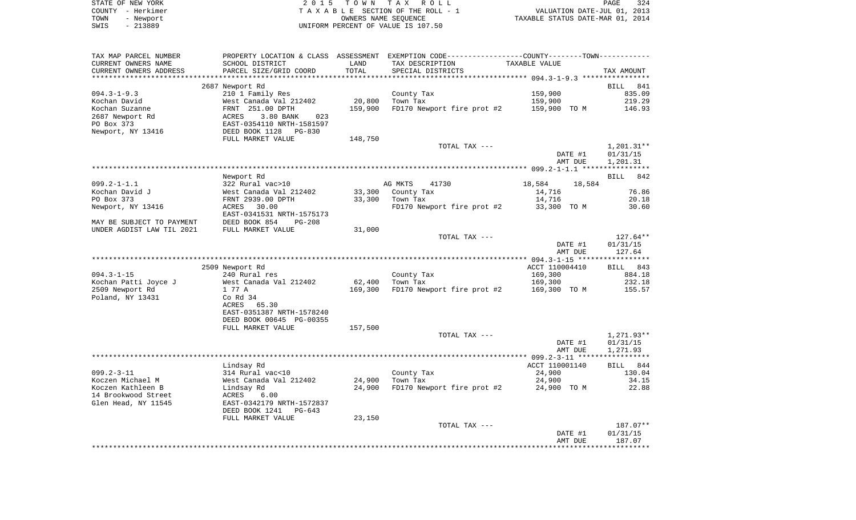| STATE OF NEW YORK | 2015 TOWN TAX ROLL                 | 324<br>PAGE                      |
|-------------------|------------------------------------|----------------------------------|
| COUNTY - Herkimer | TAXABLE SECTION OF THE ROLL - 1    | VALUATION DATE-JUL 01, 2013      |
| TOWN<br>- Newport | OWNERS NAME SEOUENCE               | TAXABLE STATUS DATE-MAR 01, 2014 |
| $-213889$<br>SWIS | UNIFORM PERCENT OF VALUE IS 107.50 |                                  |

| TAX MAP PARCEL NUMBER<br>CURRENT OWNERS NAME | SCHOOL DISTRICT            | LAND    | PROPERTY LOCATION & CLASS ASSESSMENT EXEMPTION CODE---------------COUNTY-------TOWN----------<br>TAX DESCRIPTION | TAXABLE VALUE    |                |
|----------------------------------------------|----------------------------|---------|------------------------------------------------------------------------------------------------------------------|------------------|----------------|
| CURRENT OWNERS ADDRESS                       | PARCEL SIZE/GRID COORD     | TOTAL   | SPECIAL DISTRICTS                                                                                                |                  | TAX AMOUNT     |
|                                              |                            |         |                                                                                                                  |                  |                |
|                                              | 2687 Newport Rd            |         |                                                                                                                  |                  | 841<br>BILL    |
| $094.3 - 1 - 9.3$                            | 210 1 Family Res           |         | County Tax                                                                                                       | 159,900          | 835.09         |
| Kochan David                                 | West Canada Val 212402     | 20,800  | Town Tax                                                                                                         | 159,900          | 219.29         |
| Kochan Suzanne                               | FRNT 251.00 DPTH           | 159,900 | FD170 Newport fire prot #2                                                                                       | 159,900 TO M     | 146.93         |
| 2687 Newport Rd                              | 3.80 BANK<br>ACRES<br>023  |         |                                                                                                                  |                  |                |
| PO Box 373                                   | EAST-0354110 NRTH-1581597  |         |                                                                                                                  |                  |                |
| Newport, NY 13416                            | DEED BOOK 1128<br>PG-830   |         |                                                                                                                  |                  |                |
|                                              | FULL MARKET VALUE          | 148,750 |                                                                                                                  |                  |                |
|                                              |                            |         | TOTAL TAX ---                                                                                                    |                  | $1,201.31**$   |
|                                              |                            |         |                                                                                                                  | DATE #1          | 01/31/15       |
|                                              |                            |         |                                                                                                                  | AMT DUE          | 1,201.31       |
|                                              |                            |         |                                                                                                                  |                  |                |
|                                              | Newport Rd                 |         |                                                                                                                  |                  | 842<br>BILL    |
| $099.2 - 1 - 1.1$                            | 322 Rural vac>10           |         | AG MKTS<br>41730                                                                                                 | 18,584<br>18,584 |                |
| Kochan David J                               | West Canada Val 212402     | 33,300  | County Tax                                                                                                       | 14,716           | 76.86          |
| PO Box 373                                   | FRNT 2939.00 DPTH          | 33,300  | Town Tax                                                                                                         | 14,716           | 20.18          |
| Newport, NY 13416                            | ACRES<br>30.00             |         | FD170 Newport fire prot #2                                                                                       | 33,300 TO M      | 30.60          |
|                                              | EAST-0341531 NRTH-1575173  |         |                                                                                                                  |                  |                |
| MAY BE SUBJECT TO PAYMENT                    | DEED BOOK 854<br>$PG-208$  |         |                                                                                                                  |                  |                |
| UNDER AGDIST LAW TIL 2021                    | FULL MARKET VALUE          | 31,000  |                                                                                                                  |                  |                |
|                                              |                            |         | TOTAL TAX ---                                                                                                    |                  | $127.64**$     |
|                                              |                            |         |                                                                                                                  | DATE #1          | 01/31/15       |
|                                              |                            |         |                                                                                                                  | AMT DUE          | 127.64         |
|                                              |                            |         |                                                                                                                  |                  |                |
|                                              | 2509 Newport Rd            |         |                                                                                                                  | ACCT 110004410   | BILL 843       |
| $094.3 - 1 - 15$                             | 240 Rural res              |         | County Tax                                                                                                       | 169,300          | 884.18         |
| Kochan Patti Joyce J                         | West Canada Val 212402     | 62,400  | Town Tax                                                                                                         | 169,300          | 232.18         |
| 2509 Newport Rd                              | 1 77 A                     | 169,300 | FD170 Newport fire prot #2                                                                                       | 169,300 TO M     | 155.57         |
| Poland, NY 13431                             | Co Rd 34                   |         |                                                                                                                  |                  |                |
|                                              | ACRES<br>65.30             |         |                                                                                                                  |                  |                |
|                                              | EAST-0351387 NRTH-1578240  |         |                                                                                                                  |                  |                |
|                                              | DEED BOOK 00645 PG-00355   |         |                                                                                                                  |                  |                |
|                                              | FULL MARKET VALUE          | 157,500 |                                                                                                                  |                  |                |
|                                              |                            |         | TOTAL TAX ---                                                                                                    |                  | $1,271.93**$   |
|                                              |                            |         |                                                                                                                  | DATE #1          | 01/31/15       |
|                                              |                            |         |                                                                                                                  | AMT DUE          | 1,271.93       |
|                                              | Lindsay Rd                 |         |                                                                                                                  | ACCT 110001140   | 844            |
| $099.2 - 3 - 11$                             | 314 Rural vac<10           |         | County Tax                                                                                                       | 24,900           | BILL<br>130.04 |
| Koczen Michael M                             | West Canada Val 212402     | 24,900  | Town Tax                                                                                                         | 24,900           | 34.15          |
| Koczen Kathleen B                            | Lindsay Rd                 | 24,900  | FD170 Newport fire prot #2                                                                                       | 24,900 TO M      | 22.88          |
| 14 Brookwood Street                          | ACRES<br>6.00              |         |                                                                                                                  |                  |                |
| Glen Head, NY 11545                          | EAST-0342179 NRTH-1572837  |         |                                                                                                                  |                  |                |
|                                              | DEED BOOK 1241<br>$PG-643$ |         |                                                                                                                  |                  |                |
|                                              | FULL MARKET VALUE          | 23,150  |                                                                                                                  |                  |                |
|                                              |                            |         | TOTAL TAX ---                                                                                                    |                  | 187.07**       |
|                                              |                            |         |                                                                                                                  | DATE #1          | 01/31/15       |
|                                              |                            |         |                                                                                                                  | AMT DUE          | 187.07         |
|                                              |                            |         |                                                                                                                  |                  |                |
|                                              |                            |         |                                                                                                                  |                  |                |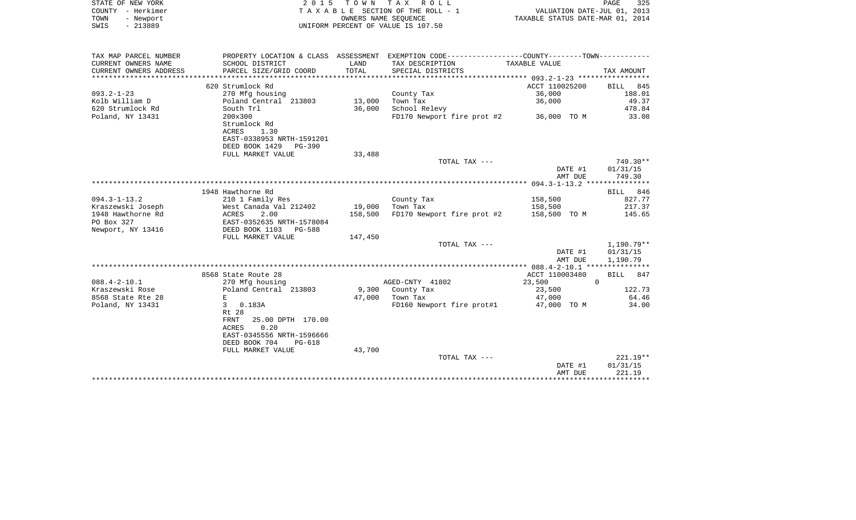|      | STATE OF NEW YORK | 2015 TOWN TAX ROLL                 | <b>PAGE</b>                      | 325 |
|------|-------------------|------------------------------------|----------------------------------|-----|
|      | COUNTY – Herkimer | TAXABLE SECTION OF THE ROLL - 1    | VALUATION DATE-JUL 01, 2013      |     |
| TOWN | - Newport         | OWNERS NAME SEOUENCE               | TAXABLE STATUS DATE-MAR 01, 2014 |     |
| SWIS | - 213889          | UNIFORM PERCENT OF VALUE IS 107.50 |                                  |     |

| TAX MAP PARCEL NUMBER  | PROPERTY LOCATION & CLASS       | ASSESSMENT |                            |                |              |
|------------------------|---------------------------------|------------|----------------------------|----------------|--------------|
| CURRENT OWNERS NAME    | SCHOOL DISTRICT                 | LAND       | TAX DESCRIPTION            | TAXABLE VALUE  |              |
| CURRENT OWNERS ADDRESS | PARCEL SIZE/GRID COORD          | TOTAL      | SPECIAL DISTRICTS          |                | TAX AMOUNT   |
|                        |                                 |            |                            |                |              |
|                        | 620 Strumlock Rd                |            |                            | ACCT 110025200 | 845<br>BILL  |
| $093.2 - 1 - 23$       | 270 Mfg housing                 |            | County Tax                 | 36,000         | 188.01       |
| Kolb William D         | Poland Central 213803           | 13,000     | Town Tax                   | 36,000         | 49.37        |
| 620 Strumlock Rd       | South Trl                       | 36,000     | School Relevy              |                | 478.84       |
| Poland, NY 13431       | 200x300                         |            | FD170 Newport fire prot #2 | 36,000 TO M    | 33.08        |
|                        | Strumlock Rd                    |            |                            |                |              |
|                        | ACRES<br>1.30                   |            |                            |                |              |
|                        | EAST-0338953 NRTH-1591201       |            |                            |                |              |
|                        | DEED BOOK 1429<br><b>PG-390</b> |            |                            |                |              |
|                        | FULL MARKET VALUE               | 33,488     |                            |                |              |
|                        |                                 |            | TOTAL TAX ---              |                | 749.30**     |
|                        |                                 |            |                            | DATE #1        | 01/31/15     |
|                        |                                 |            |                            | AMT DUE        | 749.30       |
|                        |                                 |            |                            |                |              |
|                        | 1948 Hawthorne Rd               |            |                            |                | BILL 846     |
| $094.3 - 1 - 13.2$     | 210 1 Family Res                |            | County Tax                 | 158,500        | 827.77       |
| Kraszewski Joseph      | West Canada Val 212402          | 19,000     | Town Tax                   | 158,500        | 217.37       |
| 1948 Hawthorne Rd      | 2.00<br>ACRES                   | 158,500    | FD170 Newport fire prot #2 | 158,500 TO M   | 145.65       |
| PO Box 327             | EAST-0352635 NRTH-1578084       |            |                            |                |              |
| Newport, NY 13416      | DEED BOOK 1103 PG-588           |            |                            |                |              |
|                        | FULL MARKET VALUE               | 147,450    |                            |                |              |
|                        |                                 |            | TOTAL TAX ---              |                | $1,190.79**$ |
|                        |                                 |            |                            | DATE #1        | 01/31/15     |
|                        |                                 |            |                            | AMT DUE        | 1,190.79     |
|                        |                                 |            |                            |                |              |
|                        | 8568 State Route 28             |            |                            | ACCT 110003480 | BILL<br>847  |
| $088.4 - 2 - 10.1$     | 270 Mfg housing                 |            | AGED-CNTY 41802            | 23,500         | $\mathbf{0}$ |
| Kraszewski Rose        | Poland Central 213803           |            | 9,300 County Tax           | 23,500         | 122.73       |
| 8568 State Rte 28      | E                               | 47,000     | Town Tax                   | 47,000         | 64.46        |
| Poland, NY 13431       | 3 0.183A                        |            | FD160 Newport fire prot#1  | 47,000 TO M    | 34.00        |
|                        | Rt 28                           |            |                            |                |              |
|                        | 25.00 DPTH 170.00<br>FRNT       |            |                            |                |              |
|                        | 0.20<br>ACRES                   |            |                            |                |              |
|                        | EAST-0345556 NRTH-1596666       |            |                            |                |              |
|                        | DEED BOOK 704<br>PG-618         |            |                            |                |              |
|                        | FULL MARKET VALUE               | 43,700     |                            |                |              |
|                        |                                 |            | TOTAL TAX ---              |                | $221.19**$   |
|                        |                                 |            |                            | DATE #1        | 01/31/15     |
|                        |                                 |            |                            | AMT DUE        | 221.19       |
|                        |                                 |            |                            |                |              |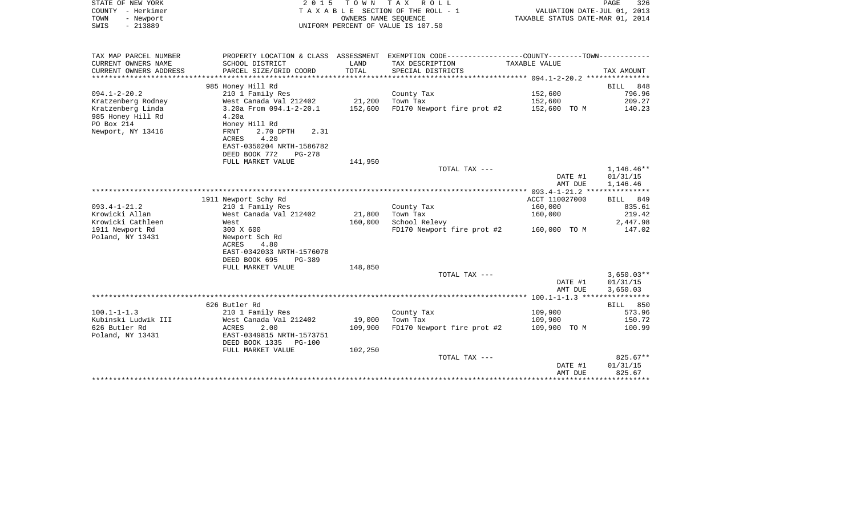| STATE OF NEW YORK<br>COUNTY - Herkimer<br>TOWN<br>- Newport | 2 0 1 5                                        | T O W N | T A X<br>R O L L<br>TAXABLE SECTION OF THE ROLL - 1<br>OWNERS NAME SEOUENCE                    | VALUATION DATE-JUL 01, 2013<br>TAXABLE STATUS DATE-MAR 01, 2014 | PAGE<br>326                 |
|-------------------------------------------------------------|------------------------------------------------|---------|------------------------------------------------------------------------------------------------|-----------------------------------------------------------------|-----------------------------|
| $-213889$<br>SWIS                                           |                                                |         | UNIFORM PERCENT OF VALUE IS 107.50                                                             |                                                                 |                             |
| TAX MAP PARCEL NUMBER                                       |                                                |         | PROPERTY LOCATION & CLASS ASSESSMENT EXEMPTION CODE----------------COUNTY-------TOWN---------- |                                                                 |                             |
| CURRENT OWNERS NAME                                         | SCHOOL DISTRICT                                | LAND    | TAX DESCRIPTION                                                                                | TAXABLE VALUE                                                   |                             |
| CURRENT OWNERS ADDRESS                                      | PARCEL SIZE/GRID COORD                         | TOTAL   | SPECIAL DISTRICTS                                                                              |                                                                 | TAX AMOUNT                  |
|                                                             | 985 Honey Hill Rd                              |         |                                                                                                |                                                                 | BILL                        |
| $094.1 - 2 - 20.2$                                          | 210 1 Family Res                               |         | County Tax                                                                                     | 152,600                                                         | 848<br>796.96               |
| Kratzenberg Rodney                                          | West Canada Val 212402                         | 21,200  | Town Tax                                                                                       | 152,600                                                         | 209.27                      |
| Kratzenberg Linda                                           | 3.20a From 094.1-2-20.1                        | 152,600 | FD170 Newport fire prot #2                                                                     | 152,600 TO M                                                    | 140.23                      |
| 985 Honey Hill Rd                                           | 4.20a                                          |         |                                                                                                |                                                                 |                             |
| PO Box 214                                                  | Honey Hill Rd                                  |         |                                                                                                |                                                                 |                             |
| Newport, NY 13416                                           | <b>FRNT</b><br>2.70 DPTH<br>2.31               |         |                                                                                                |                                                                 |                             |
|                                                             | <b>ACRES</b><br>4.20                           |         |                                                                                                |                                                                 |                             |
|                                                             | EAST-0350204 NRTH-1586782                      |         |                                                                                                |                                                                 |                             |
|                                                             | DEED BOOK 772<br>$PG-278$<br>FULL MARKET VALUE |         |                                                                                                |                                                                 |                             |
|                                                             |                                                | 141,950 | TOTAL TAX ---                                                                                  |                                                                 | $1,146.46**$                |
|                                                             |                                                |         |                                                                                                | DATE #1                                                         | 01/31/15                    |
|                                                             |                                                |         |                                                                                                | AMT DUE                                                         | 1,146.46                    |
|                                                             |                                                |         |                                                                                                |                                                                 | *****                       |
|                                                             | 1911 Newport Schy Rd                           |         |                                                                                                | ACCT 110027000                                                  | 849<br><b>BILL</b>          |
| $093.4 - 1 - 21.2$                                          | 210 1 Family Res                               |         | County Tax                                                                                     | 160,000                                                         | 835.61                      |
| Krowicki Allan                                              | West Canada Val 212402                         | 21,800  | Town Tax                                                                                       | 160,000                                                         | 219.42                      |
| Krowicki Cathleen                                           | West                                           | 160,000 | School Relevy                                                                                  |                                                                 | 2,447.98                    |
| 1911 Newport Rd                                             | 300 X 600                                      |         | FD170 Newport fire prot #2                                                                     | 160,000 TO M                                                    | 147.02                      |
| Poland, NY 13431                                            | Newport Sch Rd<br>ACRES<br>4.80                |         |                                                                                                |                                                                 |                             |
|                                                             | EAST-0342033 NRTH-1576078                      |         |                                                                                                |                                                                 |                             |
|                                                             | DEED BOOK 695<br>$PG-389$                      |         |                                                                                                |                                                                 |                             |
|                                                             | FULL MARKET VALUE                              | 148,850 |                                                                                                |                                                                 |                             |
|                                                             |                                                |         | TOTAL TAX ---                                                                                  |                                                                 | $3,650.03**$                |
|                                                             |                                                |         |                                                                                                | DATE #1                                                         | 01/31/15                    |
|                                                             |                                                |         |                                                                                                | AMT DUE                                                         | 3,650.03                    |
|                                                             |                                                |         |                                                                                                |                                                                 |                             |
|                                                             | 626 Butler Rd                                  |         |                                                                                                |                                                                 | BILL<br>850                 |
| $100.1 - 1 - 1.3$<br>Kubinski Ludwik III                    | 210 1 Family Res<br>West Canada Val 212402     | 19,000  | County Tax<br>Town Tax                                                                         | 109,900<br>109,900                                              | 573.96<br>150.72            |
| 626 Butler Rd                                               | ACRES<br>2.00                                  | 109,900 | FD170 Newport fire prot #2                                                                     | 109,900 TO M                                                    | 100.99                      |
| Poland, NY 13431                                            | EAST-0349815 NRTH-1573751                      |         |                                                                                                |                                                                 |                             |
|                                                             | DEED BOOK 1335<br>$PG-100$                     |         |                                                                                                |                                                                 |                             |
|                                                             | FULL MARKET VALUE                              | 102,250 |                                                                                                |                                                                 |                             |
|                                                             |                                                |         | TOTAL TAX ---                                                                                  |                                                                 | 825.67**                    |
|                                                             |                                                |         |                                                                                                | DATE #1                                                         | 01/31/15                    |
|                                                             | **********************************             |         |                                                                                                | AMT DUE                                                         | 825.67<br>* * * * * * * * * |
|                                                             |                                                |         |                                                                                                |                                                                 |                             |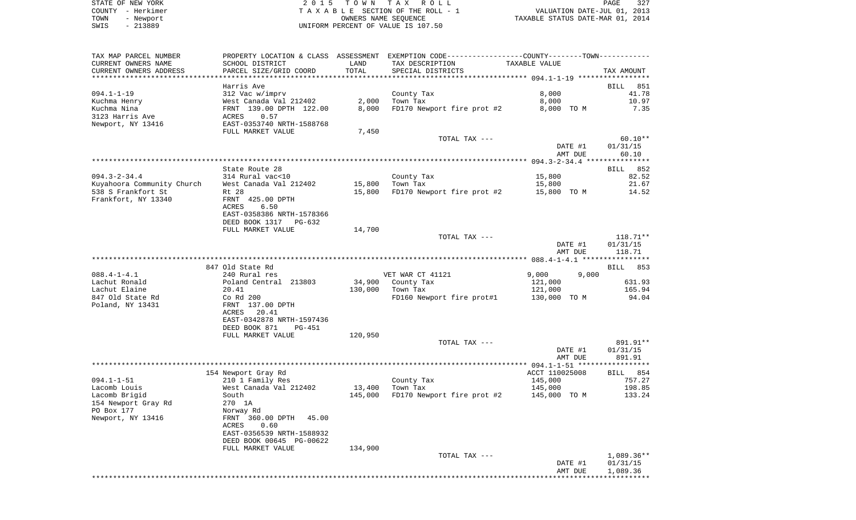|      | STATE OF NEW YORK | 2015 TOWN TAX ROLL                 | 327<br>PAGE                      |
|------|-------------------|------------------------------------|----------------------------------|
|      | COUNTY - Herkimer | TAXABLE SECTION OF THE ROLL - 1    | VALUATION DATE-JUL 01, 2013      |
| TOWN | - Newport         | OWNERS NAME SEOUENCE               | TAXABLE STATUS DATE-MAR 01, 2014 |
| SWIS | - 213889          | UNIFORM PERCENT OF VALUE IS 107.50 |                                  |

| TAX MAP PARCEL NUMBER<br>CURRENT OWNERS NAME | SCHOOL DISTRICT                              | LAND    | PROPERTY LOCATION & CLASS ASSESSMENT EXEMPTION CODE---------------COUNTY-------TOWN----------<br>TAX DESCRIPTION | TAXABLE VALUE  |                        |
|----------------------------------------------|----------------------------------------------|---------|------------------------------------------------------------------------------------------------------------------|----------------|------------------------|
| CURRENT OWNERS ADDRESS                       | PARCEL SIZE/GRID COORD                       | TOTAL   | SPECIAL DISTRICTS                                                                                                |                | TAX AMOUNT             |
|                                              | Harris Ave                                   |         |                                                                                                                  |                | BILL<br>851            |
| $094.1 - 1 - 19$                             | 312 Vac w/imprv                              |         | County Tax                                                                                                       | 8,000          | 41.78                  |
| Kuchma Henry                                 | West Canada Val 212402                       | 2,000   | Town Tax                                                                                                         | 8,000          | 10.97                  |
| Kuchma Nina                                  | FRNT 139.00 DPTH 122.00                      | 8,000   | FD170 Newport fire prot #2                                                                                       | 8,000 TO M     | 7.35                   |
| 3123 Harris Ave                              | ACRES<br>0.57                                |         |                                                                                                                  |                |                        |
| Newport, NY 13416                            | EAST-0353740 NRTH-1588768                    |         |                                                                                                                  |                |                        |
|                                              | FULL MARKET VALUE                            | 7,450   |                                                                                                                  |                |                        |
|                                              |                                              |         | TOTAL TAX ---                                                                                                    | DATE #1        | $60.10**$<br>01/31/15  |
|                                              |                                              |         |                                                                                                                  | AMT DUE        | 60.10                  |
|                                              |                                              |         |                                                                                                                  |                |                        |
|                                              | State Route 28                               |         |                                                                                                                  |                | <b>BILL</b><br>852     |
| $094.3 - 2 - 34.4$                           | 314 Rural vac<10                             |         | County Tax                                                                                                       | 15,800         | 82.52                  |
| Kuyahoora Community Church                   | West Canada Val 212402                       | 15,800  | Town Tax                                                                                                         | 15,800         | 21.67                  |
| 538 S Frankfort St                           | Rt 28                                        | 15,800  | FD170 Newport fire prot #2                                                                                       | 15,800 TO M    | 14.52                  |
| Frankfort, NY 13340                          | FRNT 425.00 DPTH                             |         |                                                                                                                  |                |                        |
|                                              | <b>ACRES</b><br>6.50                         |         |                                                                                                                  |                |                        |
|                                              | EAST-0358386 NRTH-1578366                    |         |                                                                                                                  |                |                        |
|                                              | DEED BOOK 1317 PG-632                        |         |                                                                                                                  |                |                        |
|                                              | FULL MARKET VALUE                            | 14,700  |                                                                                                                  |                |                        |
|                                              |                                              |         | TOTAL TAX ---                                                                                                    | DATE #1        | $118.71**$<br>01/31/15 |
|                                              |                                              |         |                                                                                                                  | AMT DUE        | 118.71                 |
|                                              |                                              |         |                                                                                                                  |                |                        |
|                                              | 847 Old State Rd                             |         |                                                                                                                  |                | BILL 853               |
| $088.4 - 1 - 4.1$                            | 240 Rural res                                |         | VET WAR CT 41121                                                                                                 | 9,000<br>9,000 |                        |
| Lachut Ronald                                | Poland Central 213803                        | 34,900  | County Tax                                                                                                       | 121,000        | 631.93                 |
| Lachut Elaine                                | 20.41                                        | 130,000 | Town Tax                                                                                                         | 121,000        | 165.94                 |
| 847 Old State Rd                             | Co Rd 200                                    |         | FD160 Newport fire prot#1                                                                                        | 130,000 TO M   | 94.04                  |
| Poland, NY 13431                             | FRNT 137.00 DPTH                             |         |                                                                                                                  |                |                        |
|                                              | 20.41<br>ACRES                               |         |                                                                                                                  |                |                        |
|                                              | EAST-0342878 NRTH-1597436                    |         |                                                                                                                  |                |                        |
|                                              | DEED BOOK 871<br>PG-451<br>FULL MARKET VALUE | 120,950 |                                                                                                                  |                |                        |
|                                              |                                              |         | TOTAL TAX ---                                                                                                    |                | 891.91**               |
|                                              |                                              |         |                                                                                                                  | DATE #1        | 01/31/15               |
|                                              |                                              |         |                                                                                                                  | AMT DUE        | 891.91                 |
|                                              |                                              |         |                                                                                                                  |                |                        |
|                                              | 154 Newport Gray Rd                          |         |                                                                                                                  | ACCT 110025008 | BILL 854               |
| $094.1 - 1 - 51$                             | 210 1 Family Res                             |         | County Tax                                                                                                       | 145,000        | 757.27                 |
| Lacomb Louis                                 | West Canada Val 212402                       | 13,400  | Town Tax                                                                                                         | 145,000        | 198.85                 |
| Lacomb Brigid                                | South                                        | 145,000 | FD170 Newport fire prot #2                                                                                       | 145,000 TO M   | 133.24                 |
| 154 Newport Gray Rd                          | 270 1A                                       |         |                                                                                                                  |                |                        |
| PO Box 177                                   | Norway Rd                                    |         |                                                                                                                  |                |                        |
| Newport, NY 13416                            | FRNT 360.00 DPTH<br>45.00                    |         |                                                                                                                  |                |                        |
|                                              | ACRES<br>0.60<br>EAST-0356539 NRTH-1588932   |         |                                                                                                                  |                |                        |
|                                              | DEED BOOK 00645 PG-00622                     |         |                                                                                                                  |                |                        |
|                                              | FULL MARKET VALUE                            | 134,900 |                                                                                                                  |                |                        |
|                                              |                                              |         | TOTAL TAX ---                                                                                                    |                | $1,089.36**$           |
|                                              |                                              |         |                                                                                                                  | DATE #1        | 01/31/15               |
|                                              |                                              |         |                                                                                                                  | AMT DUE        | 1,089.36               |
|                                              |                                              |         |                                                                                                                  |                |                        |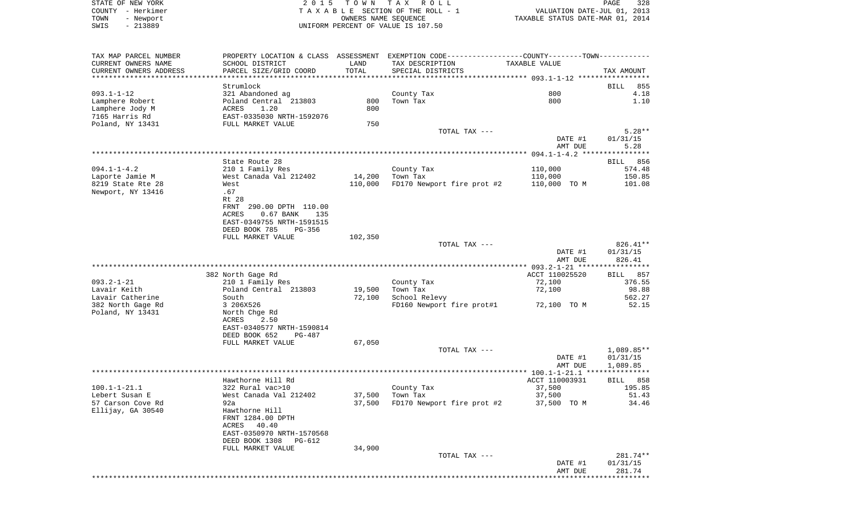| STATE OF NEW YORK | 2015 TOWN TAX ROLL                    | 328<br><b>PAGE</b>               |
|-------------------|---------------------------------------|----------------------------------|
| COUNTY – Herkimer | T A X A B L E SECTION OF THE ROLL - 1 | VALUATION DATE-JUL 01, 2013      |
| TOWN<br>- Newport | OWNERS NAME SEOUENCE                  | TAXABLE STATUS DATE-MAR 01, 2014 |
| - 213889<br>SWIS  | UNIFORM PERCENT OF VALUE IS 107.50    |                                  |

| TAX MAP PARCEL NUMBER  | PROPERTY LOCATION & CLASS ASSESSMENT |         | EXEMPTION CODE----------------COUNTY-------TOWN----------- |                                              |             |
|------------------------|--------------------------------------|---------|------------------------------------------------------------|----------------------------------------------|-------------|
| CURRENT OWNERS NAME    | SCHOOL DISTRICT                      | LAND    | TAX DESCRIPTION                                            | TAXABLE VALUE                                |             |
| CURRENT OWNERS ADDRESS | PARCEL SIZE/GRID COORD               | TOTAL   | SPECIAL DISTRICTS                                          |                                              | TAX AMOUNT  |
|                        | *****************************        |         |                                                            | ******************** 093.1-1-12 ************ |             |
|                        | Strumlock                            |         |                                                            |                                              | BILL<br>855 |
| $093.1 - 1 - 12$       | 321 Abandoned ag                     |         | County Tax                                                 | 800                                          | 4.18        |
| Lamphere Robert        | Poland Central 213803                | 800     | Town Tax                                                   | 800                                          | 1.10        |
| Lamphere Jody M        | 1.20<br>ACRES                        | 800     |                                                            |                                              |             |
| 7165 Harris Rd         | EAST-0335030 NRTH-1592076            |         |                                                            |                                              |             |
| Poland, NY 13431       | FULL MARKET VALUE                    | 750     |                                                            |                                              |             |
|                        |                                      |         |                                                            |                                              |             |
|                        |                                      |         | TOTAL TAX ---                                              |                                              | $5.28**$    |
|                        |                                      |         |                                                            | DATE #1                                      | 01/31/15    |
|                        |                                      |         |                                                            | AMT DUE                                      | 5.28        |
|                        |                                      |         |                                                            |                                              |             |
|                        | State Route 28                       |         |                                                            |                                              | BILL 856    |
| $094.1 - 1 - 4.2$      | 210 1 Family Res                     |         | County Tax                                                 | 110,000                                      | 574.48      |
| Laporte Jamie M        | West Canada Val 212402               | 14,200  | Town Tax                                                   | 110,000                                      | 150.85      |
| 8219 State Rte 28      | West                                 | 110,000 | FD170 Newport fire prot #2                                 | 110,000 TO M                                 | 101.08      |
| Newport, NY 13416      | .67                                  |         |                                                            |                                              |             |
|                        | Rt 28                                |         |                                                            |                                              |             |
|                        | FRNT<br>290.00 DPTH 110.00           |         |                                                            |                                              |             |
|                        | 0.67 BANK<br>135<br>ACRES            |         |                                                            |                                              |             |
|                        | EAST-0349755 NRTH-1591515            |         |                                                            |                                              |             |
|                        | DEED BOOK 785<br>PG-356              |         |                                                            |                                              |             |
|                        |                                      |         |                                                            |                                              |             |
|                        | FULL MARKET VALUE                    | 102,350 |                                                            |                                              |             |
|                        |                                      |         | TOTAL TAX ---                                              |                                              | 826.41**    |
|                        |                                      |         |                                                            | DATE #1                                      | 01/31/15    |
|                        |                                      |         |                                                            | AMT DUE                                      | 826.41      |
|                        |                                      |         | *********************************                          | ************* 093.2-1-21 ***                 | *********   |
|                        | 382 North Gage Rd                    |         |                                                            | ACCT 110025520                               | 857<br>BILL |
| $093.2 - 1 - 21$       | 210 1 Family Res                     |         | County Tax                                                 | 72,100                                       | 376.55      |
| Lavair Keith           | Poland Central 213803                | 19,500  | Town Tax                                                   | 72,100                                       | 98.88       |
| Lavair Catherine       | South                                | 72,100  | School Relevy                                              |                                              | 562.27      |
| 382 North Gage Rd      | 3 206X526                            |         | FD160 Newport fire prot#1                                  | 72,100 TO M                                  | 52.15       |
| Poland, NY 13431       | North Chge Rd                        |         |                                                            |                                              |             |
|                        | 2.50<br>ACRES                        |         |                                                            |                                              |             |
|                        | EAST-0340577 NRTH-1590814            |         |                                                            |                                              |             |
|                        | DEED BOOK 652<br>PG-487              |         |                                                            |                                              |             |
|                        | FULL MARKET VALUE                    | 67,050  |                                                            |                                              |             |
|                        |                                      |         | TOTAL TAX ---                                              |                                              | 1,089.85**  |
|                        |                                      |         |                                                            | DATE #1                                      | 01/31/15    |
|                        |                                      |         |                                                            |                                              |             |
|                        |                                      |         |                                                            | AMT DUE                                      | 1,089.85    |
|                        |                                      |         |                                                            |                                              |             |
|                        | Hawthorne Hill Rd                    |         |                                                            | ACCT 110003931                               | BILL 858    |
| $100.1 - 1 - 21.1$     | 322 Rural vac>10                     |         | County Tax                                                 | 37,500                                       | 195.85      |
| Lebert Susan E         | West Canada Val 212402               | 37,500  | Town Tax                                                   | 37,500                                       | 51.43       |
| 57 Carson Cove Rd      | 92a                                  | 37,500  | FD170 Newport fire prot #2                                 | 37,500 TO M                                  | 34.46       |
| Ellijay, GA 30540      | Hawthorne Hill                       |         |                                                            |                                              |             |
|                        | FRNT 1284.00 DPTH                    |         |                                                            |                                              |             |
|                        | ACRES<br>40.40                       |         |                                                            |                                              |             |
|                        | EAST-0350970 NRTH-1570568            |         |                                                            |                                              |             |
|                        | DEED BOOK 1308<br>PG-612             |         |                                                            |                                              |             |
|                        | FULL MARKET VALUE                    | 34,900  |                                                            |                                              |             |
|                        |                                      |         | TOTAL TAX ---                                              |                                              | 281.74**    |
|                        |                                      |         |                                                            | DATE #1                                      | 01/31/15    |
|                        |                                      |         |                                                            | AMT DUE                                      | 281.74      |
|                        |                                      |         |                                                            |                                              |             |
|                        |                                      |         |                                                            |                                              |             |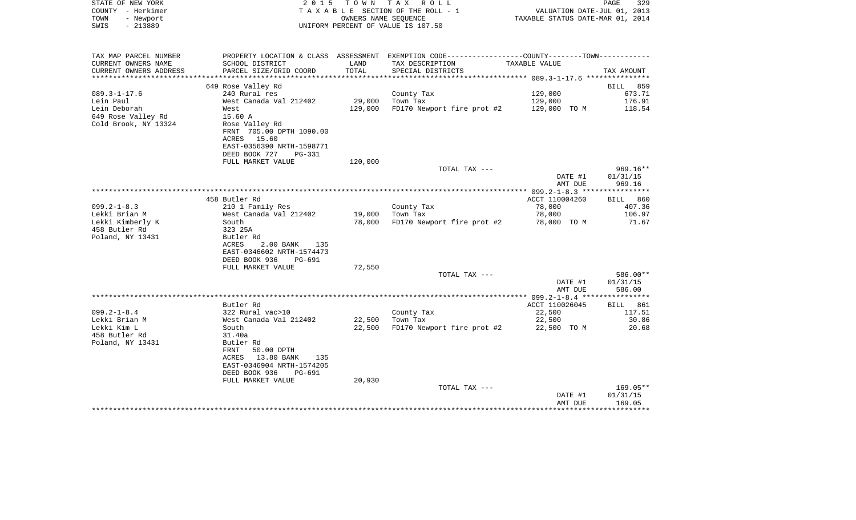| STATE OF NEW YORK      |                                                                                               |         | 2015 TOWN TAX ROLL                      |                                                                 | PAGE<br>329 |
|------------------------|-----------------------------------------------------------------------------------------------|---------|-----------------------------------------|-----------------------------------------------------------------|-------------|
| COUNTY - Herkimer      |                                                                                               |         | TAXABLE SECTION OF THE ROLL - 1         | VALUATION DATE-JUL 01, 2013<br>TAXABLE STATUS DATE-MAR 01, 2014 |             |
| TOWN<br>- Newport      |                                                                                               |         | OWNERS NAME SEQUENCE                    |                                                                 |             |
| $-213889$<br>SWIS      |                                                                                               |         | UNIFORM PERCENT OF VALUE IS 107.50      |                                                                 |             |
| TAX MAP PARCEL NUMBER  | PROPERTY LOCATION & CLASS ASSESSMENT EXEMPTION CODE---------------COUNTY-------TOWN---------- |         |                                         |                                                                 |             |
| CURRENT OWNERS NAME    | SCHOOL DISTRICT                                                                               | LAND    | TAX DESCRIPTION                         | TAXABLE VALUE                                                   |             |
| CURRENT OWNERS ADDRESS | PARCEL SIZE/GRID COORD                                                                        | TOTAL   | SPECIAL DISTRICTS                       |                                                                 | TAX AMOUNT  |
|                        | 649 Rose Valley Rd                                                                            |         |                                         |                                                                 | BILL 859    |
| $089.3 - 1 - 17.6$     | 240 Rural res                                                                                 |         | County Tax                              | 129,000                                                         | 673.71      |
| Lein Paul              | West Canada Val 212402                                                                        |         | 29,000 Town Tax                         | 129,000                                                         | 176.91      |
| Lein Deborah           | West                                                                                          | 129,000 | FD170 Newport fire prot #2 129,000 TO M |                                                                 | 118.54      |
| 649 Rose Valley Rd     | 15.60 A                                                                                       |         |                                         |                                                                 |             |
| Cold Brook, NY 13324   | Rose Valley Rd                                                                                |         |                                         |                                                                 |             |
|                        | FRNT 705.00 DPTH 1090.00<br>ACRES 15.60                                                       |         |                                         |                                                                 |             |
|                        | EAST-0356390 NRTH-1598771                                                                     |         |                                         |                                                                 |             |
|                        | DEED BOOK 727<br>PG-331                                                                       |         |                                         |                                                                 |             |
|                        | FULL MARKET VALUE                                                                             | 120,000 |                                         |                                                                 |             |
|                        |                                                                                               |         | TOTAL TAX ---                           |                                                                 | $969.16**$  |
|                        |                                                                                               |         |                                         | DATE #1                                                         | 01/31/15    |
|                        |                                                                                               |         |                                         | AMT DUE                                                         | 969.16      |
|                        |                                                                                               |         |                                         |                                                                 |             |
|                        | 458 Butler Rd                                                                                 |         |                                         | ACCT 110004260                                                  | BILL 860    |
| 099.2-1-8.3            | 210 1 Family Res                                                                              |         | County Tax                              | 78,000                                                          | 407.36      |
| Lekki Brian M          | West Canada Val 212402                                                                        | 19,000  | Town Tax                                | 78,000                                                          | 106.97      |
| Lekki Kimberly K       | South                                                                                         | 78,000  | FD170 Newport fire prot #2              | 78,000 TO M                                                     | 71.67       |
| 458 Butler Rd          | 323 25A                                                                                       |         |                                         |                                                                 |             |
| Poland, NY 13431       | Butler Rd                                                                                     |         |                                         |                                                                 |             |
|                        | ACRES<br>2.00 BANK 135<br>EAST-0346602 NRTH-1574473                                           |         |                                         |                                                                 |             |
|                        | DEED BOOK 936<br>PG-691                                                                       |         |                                         |                                                                 |             |
|                        | FULL MARKET VALUE                                                                             | 72,550  |                                         |                                                                 |             |
|                        |                                                                                               |         | TOTAL TAX ---                           |                                                                 | 586.00**    |
|                        |                                                                                               |         |                                         | DATE #1                                                         | 01/31/15    |
|                        |                                                                                               |         |                                         | AMT DUE                                                         | 586.00      |
|                        |                                                                                               |         |                                         |                                                                 |             |
|                        | Butler Rd                                                                                     |         |                                         | ACCT 110026045                                                  | BILL 861    |
| $099.2 - 1 - 8.4$      | 322 Rural vac>10                                                                              |         | County Tax                              | 22,500                                                          | 117.51      |
| Lekki Brian M          | West Canada Val 212402                                                                        |         | 22,500 Town Tax                         | 22,500                                                          | 30.86       |
| Lekki Kim L            | South                                                                                         |         | 22,500 FD170 Newport fire prot #2       | 22,500 TO M                                                     | 20.68       |
| 458 Butler Rd          | 31.40a                                                                                        |         |                                         |                                                                 |             |
| Poland, NY 13431       | Butler Rd                                                                                     |         |                                         |                                                                 |             |
|                        | FRNT 50.00 DPTH                                                                               |         |                                         |                                                                 |             |
|                        | ACRES 13.80 BANK 135                                                                          |         |                                         |                                                                 |             |
|                        | EAST-0346904 NRTH-1574205                                                                     |         |                                         |                                                                 |             |
|                        | DEED BOOK 936<br>PG-691<br>FULL MARKET VALUE                                                  | 20,930  |                                         |                                                                 |             |
|                        |                                                                                               |         | TOTAL TAX ---                           |                                                                 | 169.05**    |
|                        |                                                                                               |         |                                         | DATE #1                                                         | 01/31/15    |
|                        |                                                                                               |         |                                         | AMT DUE                                                         | 169.05      |
|                        |                                                                                               |         |                                         |                                                                 |             |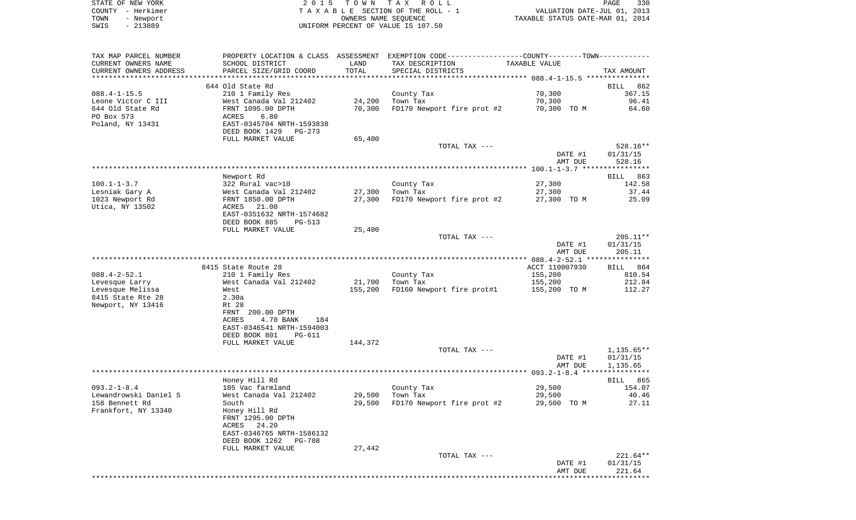|      | STATE OF NEW YORK | 2015 TOWN TAX ROLL                 | 330<br><b>PAGE</b>               |
|------|-------------------|------------------------------------|----------------------------------|
|      | COUNTY - Herkimer | TAXABLE SECTION OF THE ROLL - 1    | VALUATION DATE-JUL 01, 2013      |
| TOWN | - Newport         | OWNERS NAME SEOUENCE               | TAXABLE STATUS DATE-MAR 01, 2014 |
| SWIS | - 213889          | UNIFORM PERCENT OF VALUE IS 107.50 |                                  |

| CURRENT OWNERS NAME<br>SCHOOL DISTRICT<br>LAND<br>TAX DESCRIPTION<br>TAXABLE VALUE<br>TOTAL<br>CURRENT OWNERS ADDRESS<br>PARCEL SIZE/GRID COORD<br>SPECIAL DISTRICTS<br>***************************<br>644 Old State Rd<br>$088.4 - 1 - 15.5$<br>210 1 Family Res<br>County Tax<br>70,300<br>Leone Victor C III<br>West Canada Val 212402<br>24,200<br>Town Tax<br>70,300<br>644 Old State Rd<br>FRNT 1095.00 DPTH<br>70,300<br>FD170 Newport fire prot #2<br>70,300 TO M<br>PO Box 573<br>ACRES<br>6.80<br>Poland, NY 13431<br>EAST-0345704 NRTH-1593838<br>DEED BOOK 1429 PG-273<br>FULL MARKET VALUE<br>65,400<br>TOTAL TAX ---<br>DATE #1<br>AMT DUE<br>Newport Rd<br>$100.1 - 1 - 3.7$<br>322 Rural vac>10<br>County Tax<br>27,300<br>West Canada Val 212402<br>FRNT 1850.00 DPTH<br>27,300<br>Lesniak Gary A<br>Town Tax<br>27,300<br>27,300<br>FD170 Newport fire prot #2<br>27,300 TO M<br>1023 Newport Rd<br>Utica, NY 13502<br>ACRES<br>21.00<br>EAST-0351632 NRTH-1574682<br>DEED BOOK 885<br><b>PG-513</b><br>25,400<br>FULL MARKET VALUE<br>TOTAL TAX ---<br>DATE #1<br>AMT DUE<br>ACCT 110007930<br>8415 State Route 28<br>155,200<br>210 1 Family Res<br>County Tax<br>21,700<br>West Canada Val 212402<br>Town Tax<br>155,200<br>155,200<br>FD160 Newport fire prot#1<br>155,200 TO M<br>West<br>2.30a<br>Rt 28<br>FRNT 200.00 DPTH<br>4.70 BANK<br>184<br>ACRES<br>EAST-0346541 NRTH-1594003<br>DEED BOOK 801<br>PG-611<br>144,372<br>FULL MARKET VALUE<br>TOTAL TAX ---<br>DATE #1<br>AMT DUE<br>Honey Hill Rd<br>29,500<br>105 Vac farmland<br>County Tax<br>West Canada Val 212402<br>29,500<br>Town Tax<br>29,500<br>29,500<br>FD170 Newport fire prot #2<br>29,500 TO M<br>South<br>Honey Hill Rd<br>FRNT 1295.00 DPTH<br>ACRES<br>24.20<br>EAST-0346765 NRTH-1586132<br>DEED BOOK 1262<br>PG-708 | TAX MAP PARCEL NUMBER |  | PROPERTY LOCATION & CLASS ASSESSMENT EXEMPTION CODE----------------COUNTY--------TOWN---------- |                         |
|-------------------------------------------------------------------------------------------------------------------------------------------------------------------------------------------------------------------------------------------------------------------------------------------------------------------------------------------------------------------------------------------------------------------------------------------------------------------------------------------------------------------------------------------------------------------------------------------------------------------------------------------------------------------------------------------------------------------------------------------------------------------------------------------------------------------------------------------------------------------------------------------------------------------------------------------------------------------------------------------------------------------------------------------------------------------------------------------------------------------------------------------------------------------------------------------------------------------------------------------------------------------------------------------------------------------------------------------------------------------------------------------------------------------------------------------------------------------------------------------------------------------------------------------------------------------------------------------------------------------------------------------------------------------------------------------------------------------------------------------------------------------------------------------------------------------------|-----------------------|--|-------------------------------------------------------------------------------------------------|-------------------------|
|                                                                                                                                                                                                                                                                                                                                                                                                                                                                                                                                                                                                                                                                                                                                                                                                                                                                                                                                                                                                                                                                                                                                                                                                                                                                                                                                                                                                                                                                                                                                                                                                                                                                                                                                                                                                                         |                       |  |                                                                                                 |                         |
|                                                                                                                                                                                                                                                                                                                                                                                                                                                                                                                                                                                                                                                                                                                                                                                                                                                                                                                                                                                                                                                                                                                                                                                                                                                                                                                                                                                                                                                                                                                                                                                                                                                                                                                                                                                                                         |                       |  |                                                                                                 | TAX AMOUNT              |
|                                                                                                                                                                                                                                                                                                                                                                                                                                                                                                                                                                                                                                                                                                                                                                                                                                                                                                                                                                                                                                                                                                                                                                                                                                                                                                                                                                                                                                                                                                                                                                                                                                                                                                                                                                                                                         |                       |  |                                                                                                 |                         |
|                                                                                                                                                                                                                                                                                                                                                                                                                                                                                                                                                                                                                                                                                                                                                                                                                                                                                                                                                                                                                                                                                                                                                                                                                                                                                                                                                                                                                                                                                                                                                                                                                                                                                                                                                                                                                         |                       |  |                                                                                                 | BILL 862                |
|                                                                                                                                                                                                                                                                                                                                                                                                                                                                                                                                                                                                                                                                                                                                                                                                                                                                                                                                                                                                                                                                                                                                                                                                                                                                                                                                                                                                                                                                                                                                                                                                                                                                                                                                                                                                                         |                       |  |                                                                                                 | 367.15                  |
|                                                                                                                                                                                                                                                                                                                                                                                                                                                                                                                                                                                                                                                                                                                                                                                                                                                                                                                                                                                                                                                                                                                                                                                                                                                                                                                                                                                                                                                                                                                                                                                                                                                                                                                                                                                                                         |                       |  |                                                                                                 | 96.41                   |
|                                                                                                                                                                                                                                                                                                                                                                                                                                                                                                                                                                                                                                                                                                                                                                                                                                                                                                                                                                                                                                                                                                                                                                                                                                                                                                                                                                                                                                                                                                                                                                                                                                                                                                                                                                                                                         |                       |  |                                                                                                 | 64.60                   |
|                                                                                                                                                                                                                                                                                                                                                                                                                                                                                                                                                                                                                                                                                                                                                                                                                                                                                                                                                                                                                                                                                                                                                                                                                                                                                                                                                                                                                                                                                                                                                                                                                                                                                                                                                                                                                         |                       |  |                                                                                                 |                         |
|                                                                                                                                                                                                                                                                                                                                                                                                                                                                                                                                                                                                                                                                                                                                                                                                                                                                                                                                                                                                                                                                                                                                                                                                                                                                                                                                                                                                                                                                                                                                                                                                                                                                                                                                                                                                                         |                       |  |                                                                                                 |                         |
|                                                                                                                                                                                                                                                                                                                                                                                                                                                                                                                                                                                                                                                                                                                                                                                                                                                                                                                                                                                                                                                                                                                                                                                                                                                                                                                                                                                                                                                                                                                                                                                                                                                                                                                                                                                                                         |                       |  |                                                                                                 |                         |
|                                                                                                                                                                                                                                                                                                                                                                                                                                                                                                                                                                                                                                                                                                                                                                                                                                                                                                                                                                                                                                                                                                                                                                                                                                                                                                                                                                                                                                                                                                                                                                                                                                                                                                                                                                                                                         |                       |  |                                                                                                 |                         |
|                                                                                                                                                                                                                                                                                                                                                                                                                                                                                                                                                                                                                                                                                                                                                                                                                                                                                                                                                                                                                                                                                                                                                                                                                                                                                                                                                                                                                                                                                                                                                                                                                                                                                                                                                                                                                         |                       |  |                                                                                                 | $528.16**$              |
|                                                                                                                                                                                                                                                                                                                                                                                                                                                                                                                                                                                                                                                                                                                                                                                                                                                                                                                                                                                                                                                                                                                                                                                                                                                                                                                                                                                                                                                                                                                                                                                                                                                                                                                                                                                                                         |                       |  |                                                                                                 | 01/31/15                |
|                                                                                                                                                                                                                                                                                                                                                                                                                                                                                                                                                                                                                                                                                                                                                                                                                                                                                                                                                                                                                                                                                                                                                                                                                                                                                                                                                                                                                                                                                                                                                                                                                                                                                                                                                                                                                         |                       |  |                                                                                                 | 528.16                  |
|                                                                                                                                                                                                                                                                                                                                                                                                                                                                                                                                                                                                                                                                                                                                                                                                                                                                                                                                                                                                                                                                                                                                                                                                                                                                                                                                                                                                                                                                                                                                                                                                                                                                                                                                                                                                                         |                       |  |                                                                                                 |                         |
|                                                                                                                                                                                                                                                                                                                                                                                                                                                                                                                                                                                                                                                                                                                                                                                                                                                                                                                                                                                                                                                                                                                                                                                                                                                                                                                                                                                                                                                                                                                                                                                                                                                                                                                                                                                                                         |                       |  |                                                                                                 | BILL 863                |
|                                                                                                                                                                                                                                                                                                                                                                                                                                                                                                                                                                                                                                                                                                                                                                                                                                                                                                                                                                                                                                                                                                                                                                                                                                                                                                                                                                                                                                                                                                                                                                                                                                                                                                                                                                                                                         |                       |  |                                                                                                 | 142.58                  |
|                                                                                                                                                                                                                                                                                                                                                                                                                                                                                                                                                                                                                                                                                                                                                                                                                                                                                                                                                                                                                                                                                                                                                                                                                                                                                                                                                                                                                                                                                                                                                                                                                                                                                                                                                                                                                         |                       |  |                                                                                                 | 37.44                   |
|                                                                                                                                                                                                                                                                                                                                                                                                                                                                                                                                                                                                                                                                                                                                                                                                                                                                                                                                                                                                                                                                                                                                                                                                                                                                                                                                                                                                                                                                                                                                                                                                                                                                                                                                                                                                                         |                       |  |                                                                                                 | 25.09                   |
|                                                                                                                                                                                                                                                                                                                                                                                                                                                                                                                                                                                                                                                                                                                                                                                                                                                                                                                                                                                                                                                                                                                                                                                                                                                                                                                                                                                                                                                                                                                                                                                                                                                                                                                                                                                                                         |                       |  |                                                                                                 |                         |
|                                                                                                                                                                                                                                                                                                                                                                                                                                                                                                                                                                                                                                                                                                                                                                                                                                                                                                                                                                                                                                                                                                                                                                                                                                                                                                                                                                                                                                                                                                                                                                                                                                                                                                                                                                                                                         |                       |  |                                                                                                 |                         |
| $088.4 - 2 - 52.1$<br>Levesque Larry<br>Levesque Melissa<br>8415 State Rte 28<br>Newport, NY 13416<br>$093.2 - 1 - 8.4$<br>Lewandrowski Daniel S<br>158 Bennett Rd<br>Frankfort, NY 13340                                                                                                                                                                                                                                                                                                                                                                                                                                                                                                                                                                                                                                                                                                                                                                                                                                                                                                                                                                                                                                                                                                                                                                                                                                                                                                                                                                                                                                                                                                                                                                                                                               |                       |  |                                                                                                 |                         |
|                                                                                                                                                                                                                                                                                                                                                                                                                                                                                                                                                                                                                                                                                                                                                                                                                                                                                                                                                                                                                                                                                                                                                                                                                                                                                                                                                                                                                                                                                                                                                                                                                                                                                                                                                                                                                         |                       |  |                                                                                                 |                         |
|                                                                                                                                                                                                                                                                                                                                                                                                                                                                                                                                                                                                                                                                                                                                                                                                                                                                                                                                                                                                                                                                                                                                                                                                                                                                                                                                                                                                                                                                                                                                                                                                                                                                                                                                                                                                                         |                       |  |                                                                                                 | 205.11**                |
|                                                                                                                                                                                                                                                                                                                                                                                                                                                                                                                                                                                                                                                                                                                                                                                                                                                                                                                                                                                                                                                                                                                                                                                                                                                                                                                                                                                                                                                                                                                                                                                                                                                                                                                                                                                                                         |                       |  |                                                                                                 | 01/31/15                |
|                                                                                                                                                                                                                                                                                                                                                                                                                                                                                                                                                                                                                                                                                                                                                                                                                                                                                                                                                                                                                                                                                                                                                                                                                                                                                                                                                                                                                                                                                                                                                                                                                                                                                                                                                                                                                         |                       |  |                                                                                                 | 205.11                  |
|                                                                                                                                                                                                                                                                                                                                                                                                                                                                                                                                                                                                                                                                                                                                                                                                                                                                                                                                                                                                                                                                                                                                                                                                                                                                                                                                                                                                                                                                                                                                                                                                                                                                                                                                                                                                                         |                       |  |                                                                                                 |                         |
|                                                                                                                                                                                                                                                                                                                                                                                                                                                                                                                                                                                                                                                                                                                                                                                                                                                                                                                                                                                                                                                                                                                                                                                                                                                                                                                                                                                                                                                                                                                                                                                                                                                                                                                                                                                                                         |                       |  |                                                                                                 | BILL 864                |
|                                                                                                                                                                                                                                                                                                                                                                                                                                                                                                                                                                                                                                                                                                                                                                                                                                                                                                                                                                                                                                                                                                                                                                                                                                                                                                                                                                                                                                                                                                                                                                                                                                                                                                                                                                                                                         |                       |  |                                                                                                 | 810.54                  |
|                                                                                                                                                                                                                                                                                                                                                                                                                                                                                                                                                                                                                                                                                                                                                                                                                                                                                                                                                                                                                                                                                                                                                                                                                                                                                                                                                                                                                                                                                                                                                                                                                                                                                                                                                                                                                         |                       |  |                                                                                                 | 212.84                  |
|                                                                                                                                                                                                                                                                                                                                                                                                                                                                                                                                                                                                                                                                                                                                                                                                                                                                                                                                                                                                                                                                                                                                                                                                                                                                                                                                                                                                                                                                                                                                                                                                                                                                                                                                                                                                                         |                       |  |                                                                                                 | 112.27                  |
|                                                                                                                                                                                                                                                                                                                                                                                                                                                                                                                                                                                                                                                                                                                                                                                                                                                                                                                                                                                                                                                                                                                                                                                                                                                                                                                                                                                                                                                                                                                                                                                                                                                                                                                                                                                                                         |                       |  |                                                                                                 |                         |
|                                                                                                                                                                                                                                                                                                                                                                                                                                                                                                                                                                                                                                                                                                                                                                                                                                                                                                                                                                                                                                                                                                                                                                                                                                                                                                                                                                                                                                                                                                                                                                                                                                                                                                                                                                                                                         |                       |  |                                                                                                 |                         |
|                                                                                                                                                                                                                                                                                                                                                                                                                                                                                                                                                                                                                                                                                                                                                                                                                                                                                                                                                                                                                                                                                                                                                                                                                                                                                                                                                                                                                                                                                                                                                                                                                                                                                                                                                                                                                         |                       |  |                                                                                                 |                         |
|                                                                                                                                                                                                                                                                                                                                                                                                                                                                                                                                                                                                                                                                                                                                                                                                                                                                                                                                                                                                                                                                                                                                                                                                                                                                                                                                                                                                                                                                                                                                                                                                                                                                                                                                                                                                                         |                       |  |                                                                                                 |                         |
|                                                                                                                                                                                                                                                                                                                                                                                                                                                                                                                                                                                                                                                                                                                                                                                                                                                                                                                                                                                                                                                                                                                                                                                                                                                                                                                                                                                                                                                                                                                                                                                                                                                                                                                                                                                                                         |                       |  |                                                                                                 |                         |
|                                                                                                                                                                                                                                                                                                                                                                                                                                                                                                                                                                                                                                                                                                                                                                                                                                                                                                                                                                                                                                                                                                                                                                                                                                                                                                                                                                                                                                                                                                                                                                                                                                                                                                                                                                                                                         |                       |  |                                                                                                 |                         |
|                                                                                                                                                                                                                                                                                                                                                                                                                                                                                                                                                                                                                                                                                                                                                                                                                                                                                                                                                                                                                                                                                                                                                                                                                                                                                                                                                                                                                                                                                                                                                                                                                                                                                                                                                                                                                         |                       |  |                                                                                                 |                         |
|                                                                                                                                                                                                                                                                                                                                                                                                                                                                                                                                                                                                                                                                                                                                                                                                                                                                                                                                                                                                                                                                                                                                                                                                                                                                                                                                                                                                                                                                                                                                                                                                                                                                                                                                                                                                                         |                       |  |                                                                                                 | $1,135.65**$            |
|                                                                                                                                                                                                                                                                                                                                                                                                                                                                                                                                                                                                                                                                                                                                                                                                                                                                                                                                                                                                                                                                                                                                                                                                                                                                                                                                                                                                                                                                                                                                                                                                                                                                                                                                                                                                                         |                       |  |                                                                                                 | 01/31/15                |
|                                                                                                                                                                                                                                                                                                                                                                                                                                                                                                                                                                                                                                                                                                                                                                                                                                                                                                                                                                                                                                                                                                                                                                                                                                                                                                                                                                                                                                                                                                                                                                                                                                                                                                                                                                                                                         |                       |  |                                                                                                 | 1,135.65                |
|                                                                                                                                                                                                                                                                                                                                                                                                                                                                                                                                                                                                                                                                                                                                                                                                                                                                                                                                                                                                                                                                                                                                                                                                                                                                                                                                                                                                                                                                                                                                                                                                                                                                                                                                                                                                                         |                       |  |                                                                                                 | * * * * * * * * * * * * |
|                                                                                                                                                                                                                                                                                                                                                                                                                                                                                                                                                                                                                                                                                                                                                                                                                                                                                                                                                                                                                                                                                                                                                                                                                                                                                                                                                                                                                                                                                                                                                                                                                                                                                                                                                                                                                         |                       |  |                                                                                                 | BILL 865                |
|                                                                                                                                                                                                                                                                                                                                                                                                                                                                                                                                                                                                                                                                                                                                                                                                                                                                                                                                                                                                                                                                                                                                                                                                                                                                                                                                                                                                                                                                                                                                                                                                                                                                                                                                                                                                                         |                       |  |                                                                                                 | 154.07                  |
|                                                                                                                                                                                                                                                                                                                                                                                                                                                                                                                                                                                                                                                                                                                                                                                                                                                                                                                                                                                                                                                                                                                                                                                                                                                                                                                                                                                                                                                                                                                                                                                                                                                                                                                                                                                                                         |                       |  |                                                                                                 | 40.46                   |
|                                                                                                                                                                                                                                                                                                                                                                                                                                                                                                                                                                                                                                                                                                                                                                                                                                                                                                                                                                                                                                                                                                                                                                                                                                                                                                                                                                                                                                                                                                                                                                                                                                                                                                                                                                                                                         |                       |  |                                                                                                 | 27.11                   |
|                                                                                                                                                                                                                                                                                                                                                                                                                                                                                                                                                                                                                                                                                                                                                                                                                                                                                                                                                                                                                                                                                                                                                                                                                                                                                                                                                                                                                                                                                                                                                                                                                                                                                                                                                                                                                         |                       |  |                                                                                                 |                         |
|                                                                                                                                                                                                                                                                                                                                                                                                                                                                                                                                                                                                                                                                                                                                                                                                                                                                                                                                                                                                                                                                                                                                                                                                                                                                                                                                                                                                                                                                                                                                                                                                                                                                                                                                                                                                                         |                       |  |                                                                                                 |                         |
|                                                                                                                                                                                                                                                                                                                                                                                                                                                                                                                                                                                                                                                                                                                                                                                                                                                                                                                                                                                                                                                                                                                                                                                                                                                                                                                                                                                                                                                                                                                                                                                                                                                                                                                                                                                                                         |                       |  |                                                                                                 |                         |
|                                                                                                                                                                                                                                                                                                                                                                                                                                                                                                                                                                                                                                                                                                                                                                                                                                                                                                                                                                                                                                                                                                                                                                                                                                                                                                                                                                                                                                                                                                                                                                                                                                                                                                                                                                                                                         |                       |  |                                                                                                 |                         |
|                                                                                                                                                                                                                                                                                                                                                                                                                                                                                                                                                                                                                                                                                                                                                                                                                                                                                                                                                                                                                                                                                                                                                                                                                                                                                                                                                                                                                                                                                                                                                                                                                                                                                                                                                                                                                         |                       |  |                                                                                                 |                         |
| FULL MARKET VALUE<br>27,442                                                                                                                                                                                                                                                                                                                                                                                                                                                                                                                                                                                                                                                                                                                                                                                                                                                                                                                                                                                                                                                                                                                                                                                                                                                                                                                                                                                                                                                                                                                                                                                                                                                                                                                                                                                             |                       |  |                                                                                                 |                         |
| TOTAL TAX ---                                                                                                                                                                                                                                                                                                                                                                                                                                                                                                                                                                                                                                                                                                                                                                                                                                                                                                                                                                                                                                                                                                                                                                                                                                                                                                                                                                                                                                                                                                                                                                                                                                                                                                                                                                                                           |                       |  |                                                                                                 | 221.64**                |
| DATE #1                                                                                                                                                                                                                                                                                                                                                                                                                                                                                                                                                                                                                                                                                                                                                                                                                                                                                                                                                                                                                                                                                                                                                                                                                                                                                                                                                                                                                                                                                                                                                                                                                                                                                                                                                                                                                 |                       |  |                                                                                                 | 01/31/15                |
| AMT DUE                                                                                                                                                                                                                                                                                                                                                                                                                                                                                                                                                                                                                                                                                                                                                                                                                                                                                                                                                                                                                                                                                                                                                                                                                                                                                                                                                                                                                                                                                                                                                                                                                                                                                                                                                                                                                 |                       |  |                                                                                                 | 221.64                  |
|                                                                                                                                                                                                                                                                                                                                                                                                                                                                                                                                                                                                                                                                                                                                                                                                                                                                                                                                                                                                                                                                                                                                                                                                                                                                                                                                                                                                                                                                                                                                                                                                                                                                                                                                                                                                                         |                       |  |                                                                                                 |                         |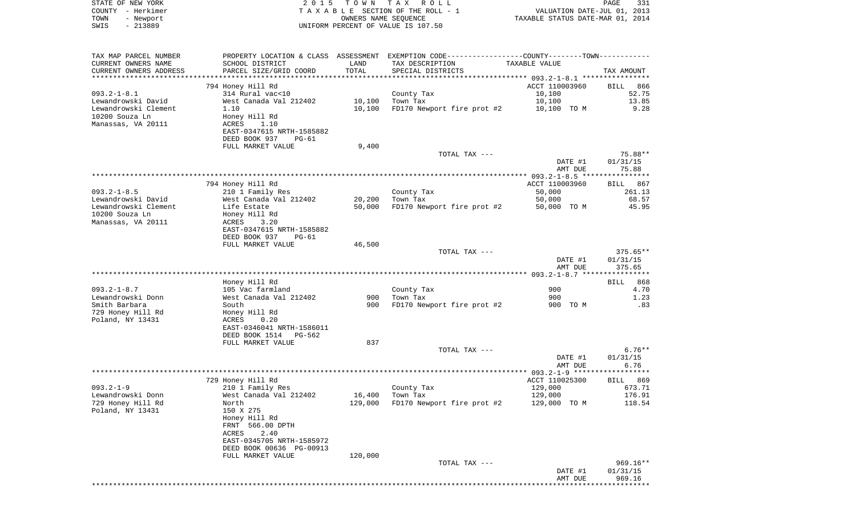| COUNTY<br>– Herkimer                              |                                   |                      | TAXABLE SECTION OF THE ROLL - 1                                                                  | VALUATION DATE-JUL 01, 2013      |                    |
|---------------------------------------------------|-----------------------------------|----------------------|--------------------------------------------------------------------------------------------------|----------------------------------|--------------------|
| TOWN<br>- Newport                                 |                                   | OWNERS NAME SEQUENCE |                                                                                                  | TAXABLE STATUS DATE-MAR 01, 2014 |                    |
| SWIS<br>$-213889$                                 |                                   |                      | UNIFORM PERCENT OF VALUE IS 107.50                                                               |                                  |                    |
|                                                   |                                   |                      |                                                                                                  |                                  |                    |
| TAX MAP PARCEL NUMBER                             |                                   |                      | PROPERTY LOCATION & CLASS ASSESSMENT EXEMPTION CODE----------------COUNTY--------TOWN----------- |                                  |                    |
| CURRENT OWNERS NAME                               | SCHOOL DISTRICT                   | LAND                 | TAX DESCRIPTION                                                                                  | TAXABLE VALUE                    |                    |
| CURRENT OWNERS ADDRESS<br>*********************** | PARCEL SIZE/GRID COORD            | TOTAL                | SPECIAL DISTRICTS                                                                                |                                  | TAX AMOUNT         |
|                                                   | 794 Honey Hill Rd                 |                      |                                                                                                  | ACCT 110003960                   | BILL<br>866        |
| $093.2 - 1 - 8.1$                                 | 314 Rural vac<10                  |                      | County Tax                                                                                       | 10,100                           | 52.75              |
| Lewandrowski David                                | West Canada Val 212402            | 10,100               | Town Tax                                                                                         | 10,100                           | 13.85              |
| Lewandrowski Clement                              | 1.10                              | 10,100               | FD170 Newport fire prot #2                                                                       | 10,100 TO M                      | 9.28               |
| 10200 Souza Ln                                    | Honey Hill Rd                     |                      |                                                                                                  |                                  |                    |
| Manassas, VA 20111                                | ACRES<br>1.10                     |                      |                                                                                                  |                                  |                    |
|                                                   | EAST-0347615 NRTH-1585882         |                      |                                                                                                  |                                  |                    |
|                                                   | DEED BOOK 937<br>PG-61            |                      |                                                                                                  |                                  |                    |
|                                                   | FULL MARKET VALUE                 | 9,400                |                                                                                                  |                                  |                    |
|                                                   |                                   |                      | TOTAL TAX ---                                                                                    |                                  | 75.88**            |
|                                                   |                                   |                      |                                                                                                  | DATE #1                          | 01/31/15           |
|                                                   |                                   |                      |                                                                                                  | AMT DUE                          | 75.88              |
|                                                   | 794 Honey Hill Rd                 |                      |                                                                                                  | ACCT 110003960                   | BILL<br>867        |
| $093.2 - 1 - 8.5$                                 | 210 1 Family Res                  |                      | County Tax                                                                                       | 50,000                           | 261.13             |
| Lewandrowski David                                | West Canada Val 212402            | 20,200               | Town Tax                                                                                         | 50,000                           | 68.57              |
| Lewandrowski Clement                              | Life Estate                       | 50,000               | FD170 Newport fire prot #2                                                                       | 50,000 TO M                      | 45.95              |
| 10200 Souza Ln                                    | Honey Hill Rd                     |                      |                                                                                                  |                                  |                    |
| Manassas, VA 20111                                | ACRES<br>3.20                     |                      |                                                                                                  |                                  |                    |
|                                                   | EAST-0347615 NRTH-1585882         |                      |                                                                                                  |                                  |                    |
|                                                   | DEED BOOK 937<br>$PG-61$          |                      |                                                                                                  |                                  |                    |
|                                                   | FULL MARKET VALUE                 | 46,500               |                                                                                                  |                                  |                    |
|                                                   |                                   |                      | TOTAL TAX ---                                                                                    |                                  | $375.65**$         |
|                                                   |                                   |                      |                                                                                                  | DATE #1<br>AMT DUE               | 01/31/15<br>375.65 |
|                                                   |                                   |                      |                                                                                                  |                                  |                    |
|                                                   | Honey Hill Rd                     |                      |                                                                                                  |                                  | 868<br>BILL        |
| $093.2 - 1 - 8.7$                                 | 105 Vac farmland                  |                      | County Tax                                                                                       | 900                              | 4.70               |
| Lewandrowski Donn                                 | West Canada Val 212402            | 900                  | Town Tax                                                                                         | 900                              | 1.23               |
| Smith Barbara                                     | South                             | 900                  | FD170 Newport fire prot #2                                                                       | 900 TO M                         | .83                |
| 729 Honey Hill Rd                                 | Honey Hill Rd                     |                      |                                                                                                  |                                  |                    |
| Poland, NY 13431                                  | ACRES<br>0.20                     |                      |                                                                                                  |                                  |                    |
|                                                   | EAST-0346041 NRTH-1586011         |                      |                                                                                                  |                                  |                    |
|                                                   | DEED BOOK 1514<br>PG-562          | 837                  |                                                                                                  |                                  |                    |
|                                                   | FULL MARKET VALUE                 |                      | TOTAL TAX ---                                                                                    |                                  | $6.76**$           |
|                                                   |                                   |                      |                                                                                                  | DATE #1                          | 01/31/15           |
|                                                   |                                   |                      |                                                                                                  | AMT DUE                          | 6.76               |
|                                                   |                                   |                      |                                                                                                  |                                  | ***********        |
|                                                   | 729 Honey Hill Rd                 |                      |                                                                                                  | ACCT 110025300                   | 869<br>BILL        |
| $093.2 - 1 - 9$                                   | 210 1 Family Res                  |                      | County Tax                                                                                       | 129,000                          | 673.71             |
| Lewandrowski Donn                                 | West Canada Val 212402            | 16,400               | Town Tax                                                                                         | 129,000                          | 176.91             |
| 729 Honey Hill Rd                                 | North                             | 129,000              | FD170 Newport fire prot #2                                                                       | 129,000 TO M                     | 118.54             |
| Poland, NY 13431                                  | 150 X 275                         |                      |                                                                                                  |                                  |                    |
|                                                   | Honey Hill Rd                     |                      |                                                                                                  |                                  |                    |
|                                                   | FRNT 566.00 DPTH<br>2.40<br>ACRES |                      |                                                                                                  |                                  |                    |
|                                                   | EAST-0345705 NRTH-1585972         |                      |                                                                                                  |                                  |                    |
|                                                   | DEED BOOK 00636 PG-00913          |                      |                                                                                                  |                                  |                    |
|                                                   | FULL MARKET VALUE                 | 120,000              |                                                                                                  |                                  |                    |
|                                                   |                                   |                      | TOTAL TAX ---                                                                                    |                                  |                    |
|                                                   |                                   |                      |                                                                                                  |                                  | 969.16**           |
|                                                   |                                   |                      |                                                                                                  | DATE #1<br>AMT DUE               | 01/31/15<br>969.16 |

PAGE 331

STATE OF NEW YORK **EXECUTE:**  $2015$  TOWN TAX ROLL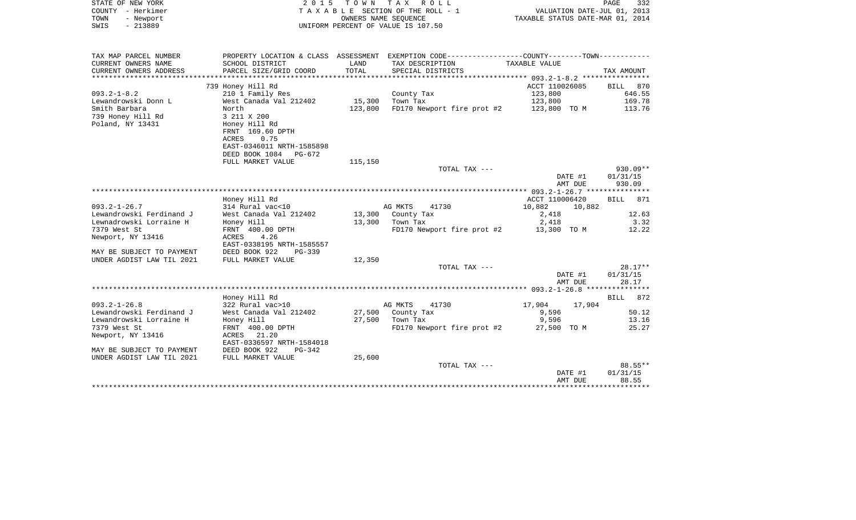| STATE OF NEW YORK<br>COUNTY - Herkimer<br>TOWN<br>- Newport<br>$-213889$<br>SWIS | 2 0 1 5                                        | T O W N          | TAX ROLL<br>T A X A B L E SECTION OF THE ROLL - 1<br>OWNERS NAME SEQUENCE<br>UNIFORM PERCENT OF VALUE IS 107.50 | VALUATION DATE-JUL 01, 2013<br>TAXABLE STATUS DATE-MAR 01, 2014 | PAGE<br>332           |
|----------------------------------------------------------------------------------|------------------------------------------------|------------------|-----------------------------------------------------------------------------------------------------------------|-----------------------------------------------------------------|-----------------------|
|                                                                                  |                                                |                  |                                                                                                                 |                                                                 |                       |
| TAX MAP PARCEL NUMBER                                                            |                                                |                  | PROPERTY LOCATION & CLASS ASSESSMENT EXEMPTION CODE----------------COUNTY-------TOWN----------                  |                                                                 |                       |
| CURRENT OWNERS NAME                                                              | SCHOOL DISTRICT                                | LAND             | TAX DESCRIPTION                                                                                                 | TAXABLE VALUE                                                   |                       |
| CURRENT OWNERS ADDRESS<br>***********************                                | PARCEL SIZE/GRID COORD                         | TOTAL            | SPECIAL DISTRICTS                                                                                               |                                                                 | TAX AMOUNT            |
|                                                                                  | 739 Honey Hill Rd                              |                  |                                                                                                                 | ACCT 110026085                                                  | BILL<br>870           |
| $093.2 - 1 - 8.2$                                                                | 210 1 Family Res                               |                  | County Tax                                                                                                      | 123,800                                                         | 646.55                |
| Lewandrowski Donn L                                                              | West Canada Val 212402                         | 15,300           | Town Tax                                                                                                        | 123,800                                                         | 169.78                |
| Smith Barbara                                                                    | North                                          | 123,800          | FD170 Newport fire prot #2                                                                                      | 123,800 TO M                                                    | 113.76                |
| 739 Honey Hill Rd                                                                | 3 211 X 200                                    |                  |                                                                                                                 |                                                                 |                       |
| Poland, NY 13431                                                                 | Honey Hill Rd                                  |                  |                                                                                                                 |                                                                 |                       |
|                                                                                  | FRNT 169.60 DPTH<br>0.75<br>ACRES              |                  |                                                                                                                 |                                                                 |                       |
|                                                                                  | EAST-0346011 NRTH-1585898                      |                  |                                                                                                                 |                                                                 |                       |
|                                                                                  | DEED BOOK 1084<br>PG-672                       |                  |                                                                                                                 |                                                                 |                       |
|                                                                                  | FULL MARKET VALUE                              | 115,150          |                                                                                                                 |                                                                 |                       |
|                                                                                  |                                                |                  | TOTAL TAX ---                                                                                                   |                                                                 | 930.09**              |
|                                                                                  |                                                |                  |                                                                                                                 | DATE #1                                                         | 01/31/15              |
|                                                                                  |                                                |                  |                                                                                                                 | AMT DUE                                                         | 930.09                |
|                                                                                  | Honey Hill Rd                                  |                  |                                                                                                                 | ACCT 110006420                                                  | 871<br><b>BILL</b>    |
| $093.2 - 1 - 26.7$                                                               | 314 Rural vac<10                               |                  | AG MKTS<br>41730                                                                                                | 10,882<br>10,882                                                |                       |
| Lewandrowski Ferdinand J                                                         | West Canada Val 212402                         | 13,300           | County Tax                                                                                                      | 2,418                                                           | 12.63                 |
| Lewnadrowski Lorraine H                                                          | Honey Hill                                     | 13,300           | Town Tax                                                                                                        | 2,418                                                           | 3.32                  |
| 7379 West St                                                                     | FRNT 400.00 DPTH                               |                  | FD170 Newport fire prot #2                                                                                      | 13,300 TO M                                                     | 12.22                 |
| Newport, NY 13416                                                                | ACRES<br>4.26                                  |                  |                                                                                                                 |                                                                 |                       |
|                                                                                  | EAST-0338195 NRTH-1585557                      |                  |                                                                                                                 |                                                                 |                       |
| MAY BE SUBJECT TO PAYMENT<br>UNDER AGDIST LAW TIL 2021                           | DEED BOOK 922<br>$PG-339$<br>FULL MARKET VALUE | 12,350           |                                                                                                                 |                                                                 |                       |
|                                                                                  |                                                |                  | TOTAL TAX ---                                                                                                   |                                                                 | $28.17**$             |
|                                                                                  |                                                |                  |                                                                                                                 | DATE #1                                                         | 01/31/15              |
|                                                                                  |                                                |                  |                                                                                                                 | AMT DUE                                                         | 28.17                 |
| ****************************                                                     |                                                |                  |                                                                                                                 |                                                                 |                       |
|                                                                                  | Honey Hill Rd                                  |                  |                                                                                                                 |                                                                 | 872<br>BILL           |
| $093.2 - 1 - 26.8$                                                               | 322 Rural vac>10                               |                  | AG MKTS<br>41730                                                                                                | 17,904<br>17,904                                                |                       |
| Lewandrowski Ferdinand J<br>Lewandrowski Lorraine H                              | West Canada Val 212402<br>Honey Hill           | 27,500<br>27,500 | County Tax<br>Town Tax                                                                                          | 9,596<br>9,596                                                  | 50.12<br>13.16        |
| 7379 West St                                                                     | FRNT 400.00 DPTH                               |                  | FD170 Newport fire prot #2                                                                                      | 27,500 TO M                                                     | 25.27                 |
| Newport, NY 13416                                                                | ACRES<br>21.20                                 |                  |                                                                                                                 |                                                                 |                       |
|                                                                                  | EAST-0336597 NRTH-1584018                      |                  |                                                                                                                 |                                                                 |                       |
| MAY BE SUBJECT TO PAYMENT                                                        | DEED BOOK 922<br>$PG-342$                      |                  |                                                                                                                 |                                                                 |                       |
| UNDER AGDIST LAW TIL 2021                                                        | FULL MARKET VALUE                              | 25,600           |                                                                                                                 |                                                                 |                       |
|                                                                                  |                                                |                  | TOTAL TAX ---                                                                                                   |                                                                 | $88.55**$             |
|                                                                                  |                                                |                  |                                                                                                                 | DATE #1                                                         | 01/31/15              |
|                                                                                  |                                                |                  |                                                                                                                 | AMT DUE<br>********************                                 | 88.55<br>************ |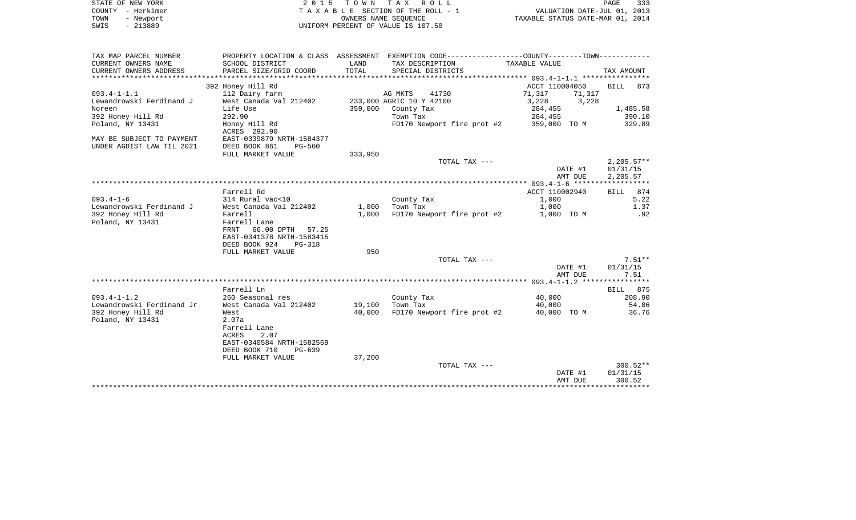| STATE OF NEW YORK<br>COUNTY - Herkimer | 2015 TOWN TAX ROLL<br>TAXABLE SECTION OF THE ROLL - 1 | VALUATION DATE-JUL 01, 2013 | PAGE<br>333                                                                                   |                                  |                    |
|----------------------------------------|-------------------------------------------------------|-----------------------------|-----------------------------------------------------------------------------------------------|----------------------------------|--------------------|
| TOWN<br>- Newport                      |                                                       |                             | OWNERS NAME SEQUENCE                                                                          | TAXABLE STATUS DATE-MAR 01, 2014 |                    |
| $-213889$<br>SWIS                      |                                                       |                             | UNIFORM PERCENT OF VALUE IS 107.50                                                            |                                  |                    |
|                                        |                                                       |                             |                                                                                               |                                  |                    |
| TAX MAP PARCEL NUMBER                  |                                                       |                             | PROPERTY LOCATION & CLASS ASSESSMENT EXEMPTION CODE---------------COUNTY-------TOWN---------- |                                  |                    |
| CURRENT OWNERS NAME                    | SCHOOL DISTRICT                                       | LAND                        | TAX DESCRIPTION                                                                               | TAXABLE VALUE                    |                    |
| CURRENT OWNERS ADDRESS                 | PARCEL SIZE/GRID COORD                                | TOTAL                       | SPECIAL DISTRICTS                                                                             |                                  | TAX AMOUNT         |
|                                        |                                                       |                             |                                                                                               |                                  |                    |
|                                        | 392 Honey Hill Rd                                     |                             |                                                                                               | ACCT 110004050                   | BILL 873           |
| $093.4 - 1 - 1.1$                      | 112 Dairy farm                                        |                             | AG MKTS<br>41730                                                                              | 71,317<br>71,317                 |                    |
| Lewandrowski Ferdinand J               | West Canada Val 212402                                |                             | 233,000 AGRIC 10 Y 42100                                                                      | 3,228<br>3,228                   |                    |
| Noreen                                 | Life Use<br>292.90                                    | 359,000                     | County Tax                                                                                    | 284,455                          | 1,485.58<br>390.10 |
| 392 Honey Hill Rd<br>Poland, NY 13431  | Honey Hill Rd                                         |                             | Town Tax<br>FD170 Newport fire prot #2 359,000 TO M                                           | 284,455                          | 329.89             |
|                                        | ACRES 292.90                                          |                             |                                                                                               |                                  |                    |
| MAY BE SUBJECT TO PAYMENT              | EAST-0339879 NRTH-1584377                             |                             |                                                                                               |                                  |                    |
| UNDER AGDIST LAW TIL 2021              | DEED BOOK 861<br>PG-560                               |                             |                                                                                               |                                  |                    |
|                                        | FULL MARKET VALUE                                     | 333,950                     |                                                                                               |                                  |                    |
|                                        |                                                       |                             | TOTAL TAX ---                                                                                 |                                  | $2,205.57**$       |
|                                        |                                                       |                             |                                                                                               | DATE #1                          | 01/31/15           |
|                                        |                                                       |                             |                                                                                               | AMT DUE                          | 2,205.57           |
|                                        |                                                       |                             |                                                                                               |                                  |                    |
|                                        | Farrell Rd                                            |                             |                                                                                               | ACCT 110002940                   | BILL 874           |
| $093.4 - 1 - 6$                        | 314 Rural vac<10                                      |                             | County Tax                                                                                    | 1,000                            | 5.22               |
| Lewandrowski Ferdinand J               | West Canada Val 212402                                | 1,000                       | Town Tax                                                                                      | 1,000                            | 1.37               |
| 392 Honey Hill Rd                      | Farrell                                               | 1,000                       | FD170 Newport fire prot #2                                                                    | 1,000 TO M                       | .92                |
| Poland, NY 13431                       | Farrell Lane                                          |                             |                                                                                               |                                  |                    |
|                                        | FRNT<br>66.00 DPTH 57.25                              |                             |                                                                                               |                                  |                    |
|                                        | EAST-0341378 NRTH-1583415<br>DEED BOOK 924<br>PG-318  |                             |                                                                                               |                                  |                    |
|                                        | FULL MARKET VALUE                                     | 950                         |                                                                                               |                                  |                    |
|                                        |                                                       |                             | TOTAL TAX ---                                                                                 |                                  | $7.51**$           |
|                                        |                                                       |                             |                                                                                               | DATE #1                          | 01/31/15           |
|                                        |                                                       |                             |                                                                                               | AMT DUE                          | 7.51               |
|                                        |                                                       |                             |                                                                                               |                                  |                    |
|                                        | Farrell Ln                                            |                             |                                                                                               |                                  | 875<br>BILL        |
| $093.4 - 1 - 1.2$                      | 260 Seasonal res                                      |                             | County Tax                                                                                    | 40,000                           | 208.90             |
| Lewandrowski Ferdinand Jr              | West Canada Val 212402                                | 19,100                      | Town Tax                                                                                      | 40,000                           | 54.86              |
| 392 Honey Hill Rd                      | West                                                  | 40,000                      | FD170 Newport fire prot #2                                                                    | 40,000 TO M                      | 36.76              |
| Poland, NY 13431                       | 2.07a                                                 |                             |                                                                                               |                                  |                    |
|                                        | Farrell Lane                                          |                             |                                                                                               |                                  |                    |
|                                        | ACRES<br>2.07                                         |                             |                                                                                               |                                  |                    |
|                                        | EAST-0340584 NRTH-1582569                             |                             |                                                                                               |                                  |                    |
|                                        | DEED BOOK 710<br>$PG-639$                             | 37,200                      |                                                                                               |                                  |                    |
|                                        | FULL MARKET VALUE                                     |                             |                                                                                               |                                  |                    |

| FULL MARKET VALUE | 37,200 |                 |         |            |
|-------------------|--------|-----------------|---------|------------|
|                   |        | TOTAL TAX $---$ |         | $300.52**$ |
|                   |        |                 | DATE #1 | 01/31/15   |
|                   |        |                 | AMT DUE | 300.52     |
|                   |        |                 |         |            |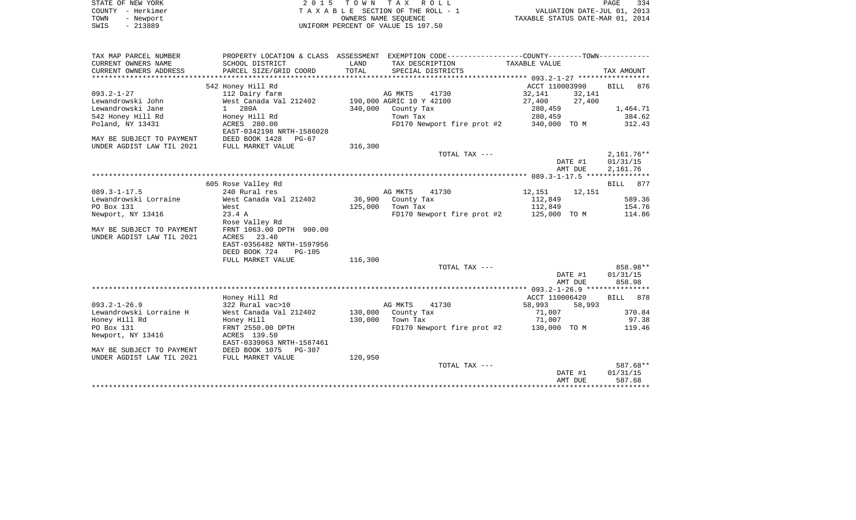|      | STATE OF NEW YORK | 2015 TOWN TAX ROLL                 | PAGE                             | 334 |
|------|-------------------|------------------------------------|----------------------------------|-----|
|      | COUNTY - Herkimer | TAXABLE SECTION OF THE ROLL - 1    | VALUATION DATE-JUL 01, 2013      |     |
| TOWN | - Newport         | OWNERS NAME SEOUENCE               | TAXABLE STATUS DATE-MAR 01, 2014 |     |
| SWIS | - 213889          | UNIFORM PERCENT OF VALUE IS 107.50 |                                  |     |

| TAX MAP PARCEL NUMBER                       | PROPERTY LOCATION & CLASS ASSESSMENT |         | EXEMPTION CODE-----------------COUNTY-------TOWN----------- |                                   |                    |
|---------------------------------------------|--------------------------------------|---------|-------------------------------------------------------------|-----------------------------------|--------------------|
| CURRENT OWNERS NAME                         | SCHOOL DISTRICT                      | LAND    | TAX DESCRIPTION                                             | TAXABLE VALUE                     |                    |
| CURRENT OWNERS ADDRESS                      | PARCEL SIZE/GRID COORD               | TOTAL   | SPECIAL DISTRICTS                                           |                                   | TAX AMOUNT         |
| **************************                  |                                      |         |                                                             |                                   |                    |
|                                             | 542 Honey Hill Rd                    |         |                                                             | ACCT 110003990                    | 876<br>BILL        |
| $093.2 - 1 - 27$                            | 112 Dairy farm                       |         | AG MKTS<br>41730                                            | 32,141<br>32,141                  |                    |
| Lewandrowski John                           | West Canada Val 212402               |         | 190,000 AGRIC 10 Y 42100                                    | 27,400<br>27,400                  |                    |
| Lewandrowski Jane                           | 280A<br>1                            | 340,000 | County Tax                                                  | 280,459                           | 1,464.71           |
| 542 Honey Hill Rd                           | Honey Hill Rd                        |         | Town Tax                                                    | 280,459                           | 384.62             |
| Poland, NY 13431                            | ACRES 280.00                         |         | FD170 Newport fire prot #2                                  | 340,000 TO M                      | 312.43             |
|                                             | EAST-0342198 NRTH-1586028            |         |                                                             |                                   |                    |
| MAY BE SUBJECT TO PAYMENT                   | DEED BOOK 1428<br>$PG-67$            |         |                                                             |                                   |                    |
| UNDER AGDIST LAW TIL 2021                   | FULL MARKET VALUE                    | 316,300 |                                                             |                                   |                    |
|                                             |                                      |         | TOTAL TAX ---                                               |                                   | $2,161.76**$       |
|                                             |                                      |         |                                                             | DATE #1                           | 01/31/15           |
|                                             |                                      |         |                                                             | AMT DUE                           | 2,161.76           |
|                                             |                                      |         |                                                             |                                   |                    |
|                                             | 605 Rose Valley Rd                   |         |                                                             |                                   | 877                |
|                                             | 240 Rural res                        |         |                                                             | 12,151<br>12,151                  | BILL               |
| $089.3 - 1 - 17.5$<br>Lewandrowski Lorraine | West Canada Val 212402               | 36,900  | AG MKTS<br>41730                                            | 112,849                           | 589.36             |
|                                             |                                      |         | County Tax                                                  |                                   |                    |
| PO Box 131                                  | West                                 | 125,000 | Town Tax                                                    | 112,849                           | 154.76             |
| Newport, NY 13416                           | 23.4 A                               |         | FD170 Newport fire prot #2                                  | 125,000 TO M                      | 114.86             |
|                                             | Rose Valley Rd                       |         |                                                             |                                   |                    |
| MAY BE SUBJECT TO PAYMENT                   | FRNT 1063.00 DPTH 900.00             |         |                                                             |                                   |                    |
| UNDER AGDIST LAW TIL 2021                   | 23.40<br>ACRES                       |         |                                                             |                                   |                    |
|                                             | EAST-0356482 NRTH-1597956            |         |                                                             |                                   |                    |
|                                             | DEED BOOK 724<br><b>PG-105</b>       |         |                                                             |                                   |                    |
|                                             | FULL MARKET VALUE                    | 116,300 |                                                             |                                   |                    |
|                                             |                                      |         | TOTAL TAX ---                                               |                                   | 858.98**           |
|                                             |                                      |         |                                                             | DATE #1                           | 01/31/15           |
|                                             |                                      |         |                                                             | AMT DUE                           | 858.98             |
|                                             |                                      |         |                                                             |                                   |                    |
|                                             | Honey Hill Rd                        |         |                                                             | ACCT 110006420                    | 878<br><b>BILL</b> |
| $093.2 - 1 - 26.9$                          | 322 Rural vac>10                     |         | AG MKTS<br>41730                                            | 58,993<br>58,993                  |                    |
| Lewandrowski Lorraine H                     | West Canada Val 212402               | 130,000 | County Tax                                                  | 71,007                            | 370.84             |
| Honey Hill Rd                               | Honey Hill                           | 130,000 | Town Tax                                                    | 71,007                            | 97.38              |
| PO Box 131                                  | FRNT 2550.00 DPTH                    |         | FD170 Newport fire prot #2                                  | 130,000 TO M                      | 119.46             |
| Newport, NY 13416                           | ACRES 139.50                         |         |                                                             |                                   |                    |
|                                             | EAST-0339063 NRTH-1587461            |         |                                                             |                                   |                    |
| MAY BE SUBJECT TO PAYMENT                   | DEED BOOK 1075<br>PG-307             |         |                                                             |                                   |                    |
| UNDER AGDIST LAW TIL 2021                   | FULL MARKET VALUE                    | 120,950 |                                                             |                                   |                    |
|                                             |                                      |         | TOTAL TAX ---                                               |                                   | 587.68**           |
|                                             |                                      |         |                                                             | DATE #1                           | 01/31/15           |
|                                             |                                      |         |                                                             | AMT DUE                           | 587.68             |
|                                             |                                      |         |                                                             | ********************************* |                    |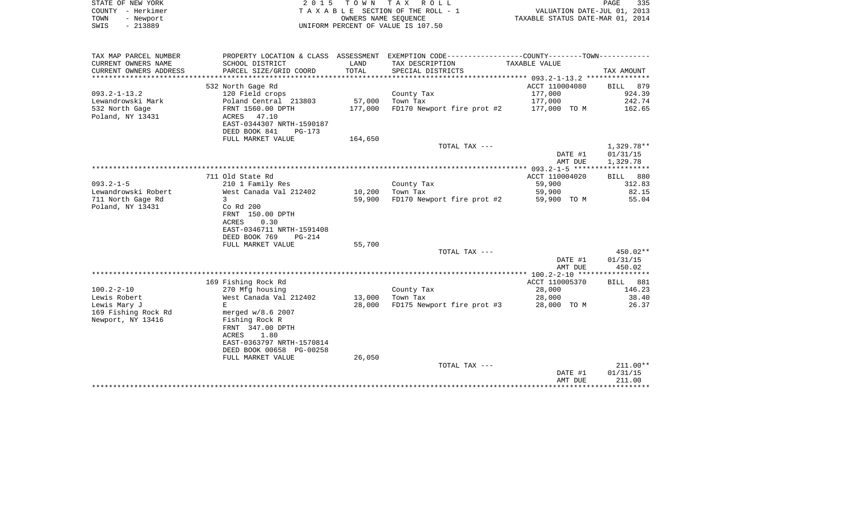| STATE OF NEW YORK | 2015 TOWN TAX ROLL                 | 335<br>PAGE                      |
|-------------------|------------------------------------|----------------------------------|
| COUNTY - Herkimer | TAXABLE SECTION OF THE ROLL - 1    | VALUATION DATE-JUL 01, 2013      |
| TOWN<br>- Newport | OWNERS NAME SEOUENCE               | TAXABLE STATUS DATE-MAR 01, 2014 |
| - 213889<br>SWIS  | UNIFORM PERCENT OF VALUE IS 107.50 |                                  |

| TAX MAP PARCEL NUMBER     | PROPERTY LOCATION & CLASS ASSESSMENT |         |                            |                |              |
|---------------------------|--------------------------------------|---------|----------------------------|----------------|--------------|
| CURRENT OWNERS NAME       | SCHOOL DISTRICT                      | LAND    | TAX DESCRIPTION            | TAXABLE VALUE  |              |
| CURRENT OWNERS ADDRESS    | PARCEL SIZE/GRID COORD               | TOTAL   | SPECIAL DISTRICTS          |                | TAX AMOUNT   |
| ************************* |                                      |         |                            |                |              |
|                           | 532 North Gage Rd                    |         |                            | ACCT 110004080 | 879<br>BILL  |
| $093.2 - 1 - 13.2$        | 120 Field crops                      |         | County Tax                 | 177,000        | 924.39       |
| Lewandrowski Mark         | Poland Central 213803                | 57,000  | Town Tax                   | 177,000        | 242.74       |
| 532 North Gage            | FRNT 1560.00 DPTH                    | 177,000 | FD170 Newport fire prot #2 | 177,000 TO M   | 162.65       |
| Poland, NY 13431          | 47.10<br>ACRES                       |         |                            |                |              |
|                           | EAST-0344307 NRTH-1590187            |         |                            |                |              |
|                           |                                      |         |                            |                |              |
|                           | DEED BOOK 841<br>$PG-173$            |         |                            |                |              |
|                           | FULL MARKET VALUE                    | 164,650 |                            |                |              |
|                           |                                      |         | TOTAL TAX ---              |                | $1,329.78**$ |
|                           |                                      |         |                            | DATE #1        | 01/31/15     |
|                           |                                      |         |                            | AMT DUE        | 1,329.78     |
|                           |                                      |         |                            |                |              |
|                           | 711 Old State Rd                     |         |                            | ACCT 110004020 | 880<br>BILL  |
| $093.2 - 1 - 5$           | 210 1 Family Res                     |         | County Tax                 | 59,900         | 312.83       |
| Lewandrowski Robert       | West Canada Val 212402               | 10,200  | Town Tax                   | 59,900         | 82.15        |
| 711 North Gage Rd         | 3                                    | 59,900  | FD170 Newport fire prot #2 | 59,900 TO M    | 55.04        |
| Poland, NY 13431          | Co Rd 200                            |         |                            |                |              |
|                           | FRNT 150.00 DPTH                     |         |                            |                |              |
|                           | 0.30<br>ACRES                        |         |                            |                |              |
|                           | EAST-0346711 NRTH-1591408            |         |                            |                |              |
|                           | DEED BOOK 769<br>$PG-214$            |         |                            |                |              |
|                           | FULL MARKET VALUE                    | 55,700  |                            |                |              |
|                           |                                      |         | TOTAL TAX ---              |                | 450.02**     |
|                           |                                      |         |                            | DATE #1        | 01/31/15     |
|                           |                                      |         |                            |                |              |
|                           |                                      |         |                            | AMT DUE        | 450.02       |
|                           |                                      |         |                            |                |              |
|                           | 169 Fishing Rock Rd                  |         |                            | ACCT 110005370 | 881<br>BILL  |
| $100.2 - 2 - 10$          | 270 Mfg housing                      |         | County Tax                 | 28,000         | 146.23       |
| Lewis Robert              | West Canada Val 212402               | 13,000  | Town Tax                   | 28,000         | 38.40        |
| Lewis Mary J              | E                                    | 28,000  | FD175 Newport fire prot #3 | 28,000 TO M    | 26.37        |
| 169 Fishing Rock Rd       | merged w/8.6 2007                    |         |                            |                |              |
| Newport, NY 13416         | Fishing Rock R                       |         |                            |                |              |
|                           | FRNT 347.00 DPTH                     |         |                            |                |              |
|                           | ACRES<br>1.80                        |         |                            |                |              |
|                           | EAST-0363797 NRTH-1570814            |         |                            |                |              |
|                           | DEED BOOK 00658 PG-00258             |         |                            |                |              |
|                           | FULL MARKET VALUE                    | 26,050  |                            |                |              |
|                           |                                      |         | TOTAL TAX ---              |                | $211.00**$   |
|                           |                                      |         |                            | DATE #1        | 01/31/15     |
|                           |                                      |         |                            | AMT DUE        | 211.00       |
|                           |                                      |         |                            |                | *********    |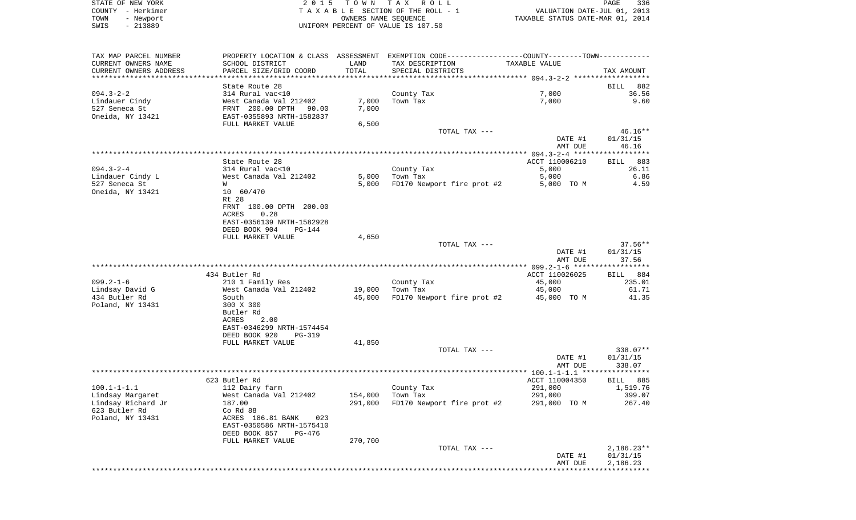| 2015 TOWN TAX ROLL<br>PAGE<br>STATE OF NEW YORK                                     | 336 |
|-------------------------------------------------------------------------------------|-----|
| VALUATION DATE-JUL 01, 2013<br>COUNTY - Herkimer<br>TAXABLE SECTION OF THE ROLL - 1 |     |
| TAXABLE STATUS DATE-MAR 01, 2014<br>TOWN<br>OWNERS NAME SEOUENCE<br>- Newport       |     |
| - 213889<br>UNIFORM PERCENT OF VALUE IS 107.50<br>SWIS                              |     |

| TAX MAP PARCEL NUMBER  |                                |                  | PROPERTY LOCATION & CLASS ASSESSMENT EXEMPTION CODE----------------COUNTY-------TOWN---------- |                |                    |
|------------------------|--------------------------------|------------------|------------------------------------------------------------------------------------------------|----------------|--------------------|
| CURRENT OWNERS NAME    | SCHOOL DISTRICT                | LAND             | TAX DESCRIPTION                                                                                | TAXABLE VALUE  |                    |
| CURRENT OWNERS ADDRESS | PARCEL SIZE/GRID COORD         | TOTAL            | SPECIAL DISTRICTS                                                                              |                | TAX AMOUNT         |
| ********************   |                                |                  |                                                                                                |                |                    |
|                        | State Route 28                 |                  |                                                                                                |                | 882<br>BILL        |
| $094.3 - 2 - 2$        | 314 Rural vac<10               |                  | County Tax                                                                                     | 7,000          | 36.56              |
| Lindauer Cindy         | West Canada Val 212402         | 7,000            | Town Tax                                                                                       | 7,000          | 9.60               |
| 527 Seneca St          | FRNT 200.00 DPTH<br>90.00      | 7,000            |                                                                                                |                |                    |
| Oneida, NY 13421       | EAST-0355893 NRTH-1582837      |                  |                                                                                                |                |                    |
|                        | FULL MARKET VALUE              | 6,500            |                                                                                                |                |                    |
|                        |                                |                  | TOTAL TAX ---                                                                                  |                | $46.16**$          |
|                        |                                |                  |                                                                                                | DATE #1        | 01/31/15           |
|                        |                                |                  |                                                                                                | AMT DUE        | 46.16              |
|                        |                                |                  |                                                                                                |                |                    |
|                        | State Route 28                 |                  |                                                                                                | ACCT 110006210 | 883<br>BILL        |
| $094.3 - 2 - 4$        | 314 Rural vac<10               |                  | County Tax                                                                                     | 5,000          | 26.11              |
| Lindauer Cindy L       | West Canada Val 212402         | 5,000            | Town Tax                                                                                       | 5,000          | 6.86               |
| 527 Seneca St          | W                              | 5,000            | FD170 Newport fire prot #2                                                                     | 5,000 TO M     | 4.59               |
| Oneida, NY 13421       | 10 60/470                      |                  |                                                                                                |                |                    |
|                        | Rt 28                          |                  |                                                                                                |                |                    |
|                        | FRNT 100.00 DPTH 200.00        |                  |                                                                                                |                |                    |
|                        | <b>ACRES</b><br>0.28           |                  |                                                                                                |                |                    |
|                        | EAST-0356139 NRTH-1582928      |                  |                                                                                                |                |                    |
|                        | DEED BOOK 904<br><b>PG-144</b> |                  |                                                                                                |                |                    |
|                        | FULL MARKET VALUE              | 4,650            |                                                                                                |                |                    |
|                        |                                |                  | TOTAL TAX ---                                                                                  |                | $37.56**$          |
|                        |                                |                  |                                                                                                | DATE #1        | 01/31/15           |
|                        |                                |                  |                                                                                                | AMT DUE        | 37.56              |
|                        |                                |                  |                                                                                                |                | **********         |
|                        | 434 Butler Rd                  |                  |                                                                                                | ACCT 110026025 | BILL 884           |
| $099.2 - 1 - 6$        |                                |                  |                                                                                                |                | 235.01             |
|                        | 210 1 Family Res               |                  | County Tax                                                                                     | 45,000         |                    |
| Lindsay David G        | West Canada Val 212402         | 19,000<br>45,000 | Town Tax                                                                                       | 45,000         | 61.71              |
| 434 Butler Rd          | South                          |                  | FD170 Newport fire prot #2                                                                     | 45,000 TO M    | 41.35              |
| Poland, NY 13431       | 300 X 300                      |                  |                                                                                                |                |                    |
|                        | Butler Rd                      |                  |                                                                                                |                |                    |
|                        | ACRES<br>2.00                  |                  |                                                                                                |                |                    |
|                        | EAST-0346299 NRTH-1574454      |                  |                                                                                                |                |                    |
|                        | DEED BOOK 920<br><b>PG-319</b> |                  |                                                                                                |                |                    |
|                        | FULL MARKET VALUE              | 41,850           |                                                                                                |                |                    |
|                        |                                |                  | TOTAL TAX ---                                                                                  |                | 338.07**           |
|                        |                                |                  |                                                                                                | DATE #1        | 01/31/15           |
|                        |                                |                  |                                                                                                | AMT DUE        | 338.07             |
|                        |                                |                  |                                                                                                |                |                    |
|                        | 623 Butler Rd                  |                  |                                                                                                | ACCT 110004350 | 885<br><b>BILL</b> |
| $100.1 - 1 - 1.1$      | 112 Dairy farm                 |                  | County Tax                                                                                     | 291,000        | 1,519.76           |
| Lindsay Margaret       | West Canada Val 212402         | 154,000          | Town Tax                                                                                       | 291,000        | 399.07             |
| Lindsay Richard Jr     | 187.00                         | 291,000          | FD170 Newport fire prot #2                                                                     | 291,000 TO M   | 267.40             |
| 623 Butler Rd          | Co Rd 88                       |                  |                                                                                                |                |                    |
| Poland, NY 13431       | ACRES 186.81 BANK<br>023       |                  |                                                                                                |                |                    |
|                        | EAST-0350586 NRTH-1575410      |                  |                                                                                                |                |                    |
|                        | DEED BOOK 857<br>PG-476        |                  |                                                                                                |                |                    |
|                        | FULL MARKET VALUE              | 270,700          |                                                                                                |                |                    |
|                        |                                |                  | TOTAL TAX ---                                                                                  |                | $2,186.23**$       |
|                        |                                |                  |                                                                                                | DATE #1        | 01/31/15           |
|                        |                                |                  |                                                                                                | AMT DUE        | 2,186.23           |
|                        |                                |                  |                                                                                                |                |                    |
|                        |                                |                  |                                                                                                |                |                    |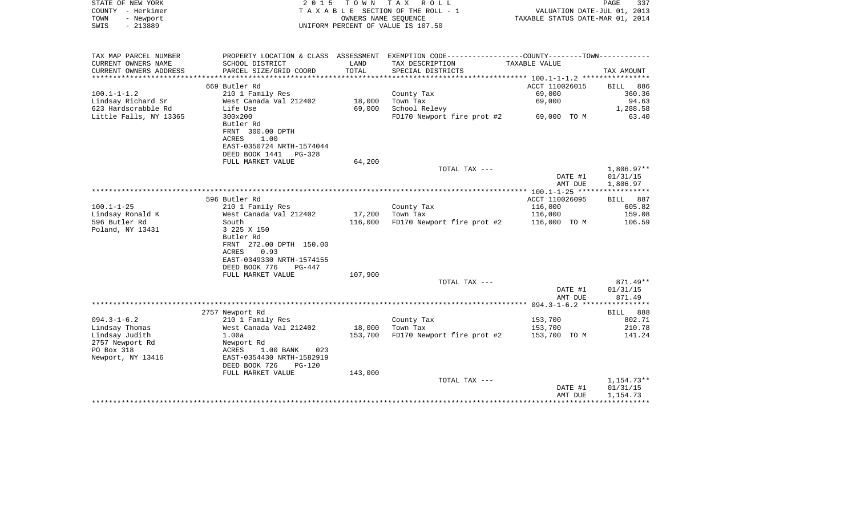| STATE OF NEW YORK<br>COUNTY - Herkimer<br>- Newport<br>TOWN |                                            |         | 2015 TOWN TAX ROLL<br>TAXABLE SECTION OF THE ROLL - 1<br>OWNERS NAME SEQUENCE                    | VALUATION DATE-JUL 01, 2013<br>TAXABLE STATUS DATE-MAR 01, 2014 | PAGE                     |
|-------------------------------------------------------------|--------------------------------------------|---------|--------------------------------------------------------------------------------------------------|-----------------------------------------------------------------|--------------------------|
| $-213889$<br>SWIS                                           |                                            |         | UNIFORM PERCENT OF VALUE IS 107.50                                                               |                                                                 |                          |
| TAX MAP PARCEL NUMBER                                       |                                            |         | PROPERTY LOCATION & CLASS ASSESSMENT EXEMPTION CODE----------------COUNTY--------TOWN----------- |                                                                 |                          |
| CURRENT OWNERS NAME                                         | SCHOOL DISTRICT                            | LAND    | TAX DESCRIPTION                                                                                  | TAXABLE VALUE                                                   |                          |
| CURRENT OWNERS ADDRESS                                      | PARCEL SIZE/GRID COORD                     | TOTAL   | SPECIAL DISTRICTS                                                                                |                                                                 | TAX AMOUNT               |
|                                                             |                                            |         |                                                                                                  |                                                                 |                          |
|                                                             | 669 Butler Rd                              |         |                                                                                                  | ACCT 110026015                                                  | BILL 886                 |
| $100.1 - 1 - 1.2$                                           | 210 1 Family Res                           |         | County Tax                                                                                       | 69,000                                                          | 360.36                   |
| Lindsay Richard Sr                                          | West Canada Val 212402                     | 18,000  | Town Tax                                                                                         | 69,000                                                          | 94.63                    |
| 623 Hardscrabble Rd                                         | Life Use                                   | 69,000  | School Relevy                                                                                    |                                                                 | 1,288.58                 |
| Little Falls, NY 13365                                      | 300x200                                    |         | FD170 Newport fire prot #2                                                                       | 69,000 TO M                                                     | 63.40                    |
|                                                             | Butler Rd                                  |         |                                                                                                  |                                                                 |                          |
|                                                             | FRNT 300.00 DPTH                           |         |                                                                                                  |                                                                 |                          |
|                                                             | ACRES<br>1.00<br>EAST-0350724 NRTH-1574044 |         |                                                                                                  |                                                                 |                          |
|                                                             | DEED BOOK 1441 PG-328                      |         |                                                                                                  |                                                                 |                          |
|                                                             | FULL MARKET VALUE                          | 64,200  |                                                                                                  |                                                                 |                          |
|                                                             |                                            |         | TOTAL TAX ---                                                                                    |                                                                 | $1,806.97**$             |
|                                                             |                                            |         |                                                                                                  | DATE #1                                                         | 01/31/15                 |
|                                                             |                                            |         |                                                                                                  | AMT DUE                                                         | 1,806.97                 |
|                                                             |                                            |         |                                                                                                  |                                                                 |                          |
|                                                             | 596 Butler Rd                              |         |                                                                                                  | ACCT 110026095                                                  | BILL 887                 |
| $100.1 - 1 - 25$                                            | 210 1 Family Res                           |         | County Tax                                                                                       | 116,000                                                         | 605.82                   |
| Lindsay Ronald K                                            | West Canada Val 212402                     | 17,200  | Town Tax                                                                                         | 116,000                                                         | 159.08                   |
| 596 Butler Rd                                               | South                                      | 116,000 | FD170 Newport fire prot #2                                                                       | 116,000 TO M                                                    | 106.59                   |
| Poland, NY 13431                                            | 3 225 X 150                                |         |                                                                                                  |                                                                 |                          |
|                                                             | Butler Rd                                  |         |                                                                                                  |                                                                 |                          |
|                                                             | FRNT 272.00 DPTH 150.00<br>0.93<br>ACRES   |         |                                                                                                  |                                                                 |                          |
|                                                             | EAST-0349330 NRTH-1574155                  |         |                                                                                                  |                                                                 |                          |
|                                                             | DEED BOOK 776<br>PG-447                    |         |                                                                                                  |                                                                 |                          |
|                                                             | FULL MARKET VALUE                          | 107,900 |                                                                                                  |                                                                 |                          |
|                                                             |                                            |         | TOTAL TAX ---                                                                                    |                                                                 | $871.49**$               |
|                                                             |                                            |         |                                                                                                  | DATE #1                                                         | 01/31/15                 |
|                                                             |                                            |         |                                                                                                  | AMT DUE                                                         | 871.49                   |
|                                                             |                                            |         |                                                                                                  |                                                                 |                          |
|                                                             | 2757 Newport Rd                            |         |                                                                                                  |                                                                 | BILL 888                 |
| $094.3 - 1 - 6.2$                                           | 210 1 Family Res                           |         | County Tax                                                                                       | 153,700                                                         | 802.71                   |
| Lindsay Thomas                                              | West Canada Val 212402                     | 18,000  | Town Tax                                                                                         | 153,700                                                         | 210.78                   |
| Lindsay Judith                                              | 1.00a                                      | 153,700 | FD170 Newport fire prot #2                                                                       | 153,700 TO M                                                    | 141.24                   |
| 2757 Newport Rd                                             | Newport Rd                                 |         |                                                                                                  |                                                                 |                          |
| PO Box 318                                                  | ACRES<br>$1.00$ BANK<br>023                |         |                                                                                                  |                                                                 |                          |
| Newport, NY 13416                                           | EAST-0354430 NRTH-1582919                  |         |                                                                                                  |                                                                 |                          |
|                                                             | DEED BOOK 726<br>$PG-120$                  |         |                                                                                                  |                                                                 |                          |
|                                                             | FULL MARKET VALUE                          | 143,000 |                                                                                                  |                                                                 |                          |
|                                                             |                                            |         | TOTAL TAX ---                                                                                    | DATE #1                                                         | $1,154.73**$<br>01/31/15 |
|                                                             |                                            |         |                                                                                                  |                                                                 |                          |
|                                                             |                                            |         |                                                                                                  | AMT DUE                                                         | 1,154.73                 |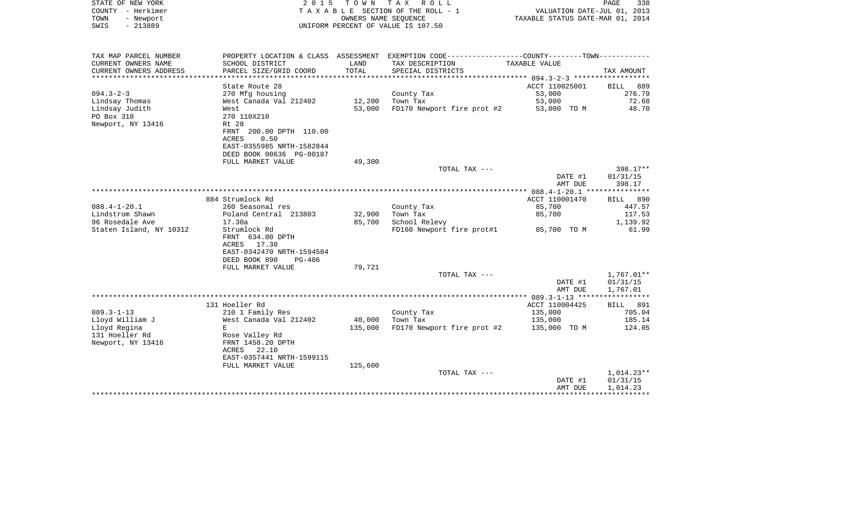| STATE OF NEW YORK                            | 2 0 1 5                                  |         | TOWN TAX ROLL                                                                                 |                                  | 338<br>PAGE     |
|----------------------------------------------|------------------------------------------|---------|-----------------------------------------------------------------------------------------------|----------------------------------|-----------------|
| COUNTY - Herkimer                            |                                          |         | TAXABLE SECTION OF THE ROLL - 1                                                               | VALUATION DATE-JUL 01, 2013      |                 |
| TOWN<br>- Newport                            |                                          |         | OWNERS NAME SEOUENCE                                                                          | TAXABLE STATUS DATE-MAR 01, 2014 |                 |
| $-213889$<br>SWIS                            |                                          |         | UNIFORM PERCENT OF VALUE IS 107.50                                                            |                                  |                 |
|                                              |                                          |         |                                                                                               |                                  |                 |
|                                              |                                          |         | PROPERTY LOCATION & CLASS ASSESSMENT EXEMPTION CODE---------------COUNTY-------TOWN---------- |                                  |                 |
| TAX MAP PARCEL NUMBER<br>CURRENT OWNERS NAME | SCHOOL DISTRICT                          | LAND    | TAX DESCRIPTION                                                                               | TAXABLE VALUE                    |                 |
| CURRENT OWNERS ADDRESS                       | PARCEL SIZE/GRID COORD                   | TOTAL   | SPECIAL DISTRICTS                                                                             |                                  | TAX AMOUNT      |
|                                              |                                          |         |                                                                                               |                                  |                 |
|                                              | State Route 28                           |         |                                                                                               | ACCT 110025001                   | BILL 889        |
| $094.3 - 2 - 3$                              | 270 Mfg housing                          |         | County Tax                                                                                    | 53,000                           | 276.79          |
| Lindsay Thomas                               | West Canada Val 212402                   | 12,200  | Town Tax                                                                                      | 53,000                           | 72.68           |
| Lindsay Judith                               | West                                     | 53,000  | FD170 Newport fire prot #2                                                                    | 53,000 TO M                      | 48.70           |
| PO Box 318                                   | 270 110X210                              |         |                                                                                               |                                  |                 |
| Newport, NY 13416                            | Rt 28                                    |         |                                                                                               |                                  |                 |
|                                              | FRNT 200.00 DPTH 110.00                  |         |                                                                                               |                                  |                 |
|                                              | ACRES<br>0.50                            |         |                                                                                               |                                  |                 |
|                                              | EAST-0355985 NRTH-1582844                |         |                                                                                               |                                  |                 |
|                                              | DEED BOOK 00636 PG-00187                 |         |                                                                                               |                                  |                 |
|                                              | FULL MARKET VALUE                        | 49,300  |                                                                                               |                                  |                 |
|                                              |                                          |         | TOTAL TAX ---                                                                                 |                                  | 398.17**        |
|                                              |                                          |         |                                                                                               | DATE #1                          | 01/31/15        |
|                                              |                                          |         |                                                                                               | AMT DUE                          | 398.17          |
|                                              | 884 Strumlock Rd                         |         |                                                                                               | ACCT 110001470                   | BILL 890        |
| $088.4 - 1 - 20.1$                           | 260 Seasonal res                         |         | County Tax                                                                                    | 85,700                           | 447.57          |
| Lindstrom Shawn                              | Poland Central 213803                    | 32,900  | Town Tax                                                                                      | 85,700                           | 117.53          |
| 96 Rosedale Ave                              | 17.30a                                   | 85,700  | School Relevy                                                                                 |                                  | 1,139.92        |
| Staten Island, NY 10312                      | Strumlock Rd                             |         | FD160 Newport fire prot#1                                                                     | 85,700 TO M                      | 61.99           |
|                                              | FRNT 634.00 DPTH                         |         |                                                                                               |                                  |                 |
|                                              | ACRES 17.30                              |         |                                                                                               |                                  |                 |
|                                              | EAST-0342470 NRTH-1594504                |         |                                                                                               |                                  |                 |
|                                              | DEED BOOK 890<br>$PG-406$                |         |                                                                                               |                                  |                 |
|                                              | FULL MARKET VALUE                        | 79,721  |                                                                                               |                                  |                 |
|                                              |                                          |         | TOTAL TAX ---                                                                                 |                                  | $1,767.01**$    |
|                                              |                                          |         |                                                                                               | DATE #1                          | 01/31/15        |
|                                              |                                          |         |                                                                                               | AMT DUE                          | 1,767.01        |
|                                              |                                          |         |                                                                                               |                                  |                 |
|                                              | 131 Hoeller Rd                           |         |                                                                                               | ACCT 110004425                   | <b>BILL</b> 891 |
| $089.3 - 1 - 13$                             | 210 1 Family Res                         |         | County Tax                                                                                    | 135,000                          | 705.04          |
| Lloyd William J                              | West Canada Val 212402                   | 40,000  | Town Tax                                                                                      | 135,000                          | 185.14          |
| Lloyd Regina                                 | E                                        | 135,000 | FD170 Newport fire prot #2                                                                    | 135,000 TO M                     | 124.05          |
| 131 Hoeller Rd                               | Rose Valley Rd                           |         |                                                                                               |                                  |                 |
| Newport, NY 13416                            | FRNT 1458.20 DPTH                        |         |                                                                                               |                                  |                 |
|                                              | ACRES 22.10<br>EAST-0357441 NRTH-1599115 |         |                                                                                               |                                  |                 |
|                                              | FULL MARKET VALUE                        | 125,600 |                                                                                               |                                  |                 |
|                                              |                                          |         | TOTAL TAX ---                                                                                 |                                  | $1,014.23**$    |
|                                              |                                          |         |                                                                                               | DATE #1                          | 01/31/15        |
|                                              |                                          |         |                                                                                               | AMT DUE                          | 1,014.23        |
|                                              |                                          |         |                                                                                               |                                  |                 |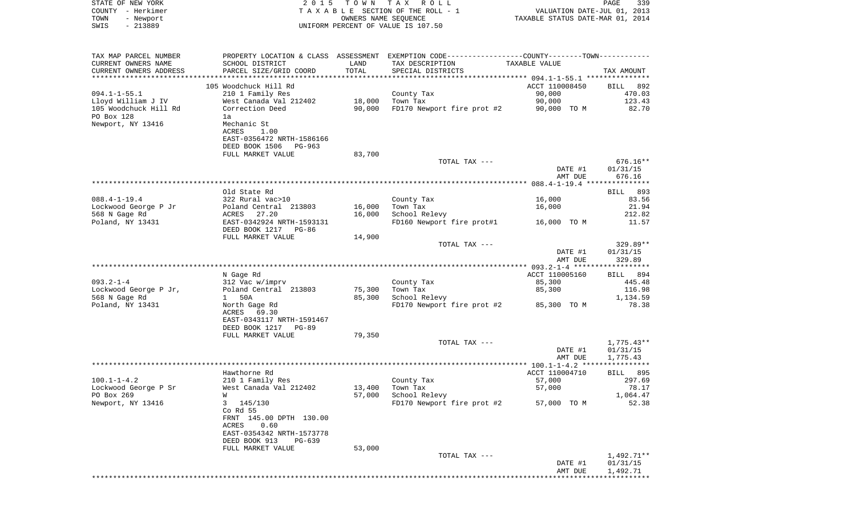| COUNTY<br>– Herkimer                   |                                               |                      | TAXABLE SECTION OF THE ROLL - 1                                                               | VALUATION DATE-JUL 01, 2013      |                        |
|----------------------------------------|-----------------------------------------------|----------------------|-----------------------------------------------------------------------------------------------|----------------------------------|------------------------|
| TOWN<br>- Newport<br>SWIS<br>$-213889$ |                                               | OWNERS NAME SEQUENCE | UNIFORM PERCENT OF VALUE IS 107.50                                                            | TAXABLE STATUS DATE-MAR 01, 2014 |                        |
|                                        |                                               |                      |                                                                                               |                                  |                        |
| TAX MAP PARCEL NUMBER                  |                                               |                      | PROPERTY LOCATION & CLASS ASSESSMENT EXEMPTION CODE---------------COUNTY-------TOWN---------- |                                  |                        |
| CURRENT OWNERS NAME                    | SCHOOL DISTRICT                               | LAND                 | TAX DESCRIPTION                                                                               | TAXABLE VALUE                    |                        |
| CURRENT OWNERS ADDRESS                 | PARCEL SIZE/GRID COORD                        | TOTAL                | SPECIAL DISTRICTS                                                                             |                                  | TAX AMOUNT             |
|                                        | 105 Woodchuck Hill Rd                         |                      |                                                                                               | ACCT 110008450                   | BILL 892               |
| $094.1 - 1 - 55.1$                     | 210 1 Family Res                              |                      | County Tax                                                                                    | 90,000                           | 470.03                 |
| Lloyd William J IV                     | West Canada Val 212402                        | 18,000               | Town Tax                                                                                      | 90,000                           | 123.43                 |
| 105 Woodchuck Hill Rd                  | Correction Deed                               | 90,000               | FD170 Newport fire prot #2                                                                    | 90,000 TO M                      | 82.70                  |
| PO Box 128                             | 1a                                            |                      |                                                                                               |                                  |                        |
| Newport, NY 13416                      | Mechanic St                                   |                      |                                                                                               |                                  |                        |
|                                        | ACRES<br>1.00                                 |                      |                                                                                               |                                  |                        |
|                                        | EAST-0356472 NRTH-1586166                     |                      |                                                                                               |                                  |                        |
|                                        | DEED BOOK 1506<br>PG-963<br>FULL MARKET VALUE | 83,700               |                                                                                               |                                  |                        |
|                                        |                                               |                      | TOTAL TAX ---                                                                                 |                                  | $676.16**$             |
|                                        |                                               |                      |                                                                                               | DATE #1                          | 01/31/15               |
|                                        |                                               |                      |                                                                                               | AMT DUE                          | 676.16                 |
|                                        |                                               |                      |                                                                                               |                                  |                        |
|                                        | Old State Rd                                  |                      |                                                                                               |                                  | BILL 893               |
| $088.4 - 1 - 19.4$                     | 322 Rural vac>10                              |                      | County Tax                                                                                    | 16,000                           | 83.56                  |
| Lockwood George P Jr                   | Poland Central 213803                         | 16,000               | Town Tax                                                                                      | 16,000                           | 21.94                  |
| 568 N Gage Rd<br>Poland, NY 13431      | 27.20<br>ACRES<br>EAST-0342924 NRTH-1593131   | 16,000               | School Relevy<br>FD160 Newport fire prot#1                                                    | 16,000 TO M                      | 212.82<br>11.57        |
|                                        | DEED BOOK 1217<br>PG-86                       |                      |                                                                                               |                                  |                        |
|                                        | FULL MARKET VALUE                             | 14,900               |                                                                                               |                                  |                        |
|                                        |                                               |                      | TOTAL TAX ---                                                                                 |                                  | $329.89**$             |
|                                        |                                               |                      |                                                                                               | DATE #1                          | 01/31/15               |
|                                        |                                               |                      |                                                                                               | AMT DUE                          | 329.89                 |
|                                        |                                               |                      |                                                                                               |                                  |                        |
| $093.2 - 1 - 4$                        | N Gage Rd<br>312 Vac w/imprv                  |                      | County Tax                                                                                    | ACCT 110005160<br>85,300         | BILL 894<br>445.48     |
| Lockwood George P Jr,                  | Poland Central 213803                         | 75,300               | Town Tax                                                                                      | 85,300                           | 116.98                 |
| 568 N Gage Rd                          | 50A<br>$\mathbf{1}$                           | 85,300               | School Relevy                                                                                 |                                  | 1,134.59               |
| Poland, NY 13431                       | North Gage Rd                                 |                      | FD170 Newport fire prot #2                                                                    | 85,300 TO M                      | 78.38                  |
|                                        | 69.30<br>ACRES                                |                      |                                                                                               |                                  |                        |
|                                        | EAST-0343117 NRTH-1591467                     |                      |                                                                                               |                                  |                        |
|                                        | DEED BOOK 1217<br>PG-89                       |                      |                                                                                               |                                  |                        |
|                                        | FULL MARKET VALUE                             | 79,350               | TOTAL TAX ---                                                                                 |                                  |                        |
|                                        |                                               |                      |                                                                                               | DATE #1                          | 1,775.43**<br>01/31/15 |
|                                        |                                               |                      |                                                                                               | AMT DUE                          | 1,775.43               |
|                                        |                                               |                      |                                                                                               |                                  |                        |
|                                        | Hawthorne Rd                                  |                      |                                                                                               | ACCT 110004710                   | BILL 895               |
| $100.1 - 1 - 4.2$                      | 210 1 Family Res                              |                      | County Tax                                                                                    | 57,000                           | 297.69                 |
| Lockwood George P Sr                   | West Canada Val 212402                        | 13,400               | Town Tax                                                                                      | 57,000                           | 78.17                  |
| PO Box 269                             | W                                             | 57,000               | School Relevy                                                                                 |                                  | 1,064.47               |
| Newport, NY 13416                      | 3<br>145/130<br>Co Rd 55                      |                      | FD170 Newport fire prot #2                                                                    | 57,000 TO M                      | 52.38                  |
|                                        | FRNT 145.00 DPTH 130.00                       |                      |                                                                                               |                                  |                        |
|                                        | ACRES<br>0.60                                 |                      |                                                                                               |                                  |                        |
|                                        | EAST-0354342 NRTH-1573778                     |                      |                                                                                               |                                  |                        |
|                                        | DEED BOOK 913<br>PG-639                       |                      |                                                                                               |                                  |                        |
|                                        | FULL MARKET VALUE                             | 53,000               |                                                                                               |                                  |                        |
|                                        |                                               |                      | TOTAL TAX ---                                                                                 |                                  | 1,492.71**             |
|                                        |                                               |                      |                                                                                               | DATE #1<br>AMT DUE               | 01/31/15<br>1,492.71   |
|                                        |                                               |                      |                                                                                               |                                  |                        |

PAGE 339

STATE OF NEW YORK **EXECUTE:**  $2015$  TOWN TAX ROLL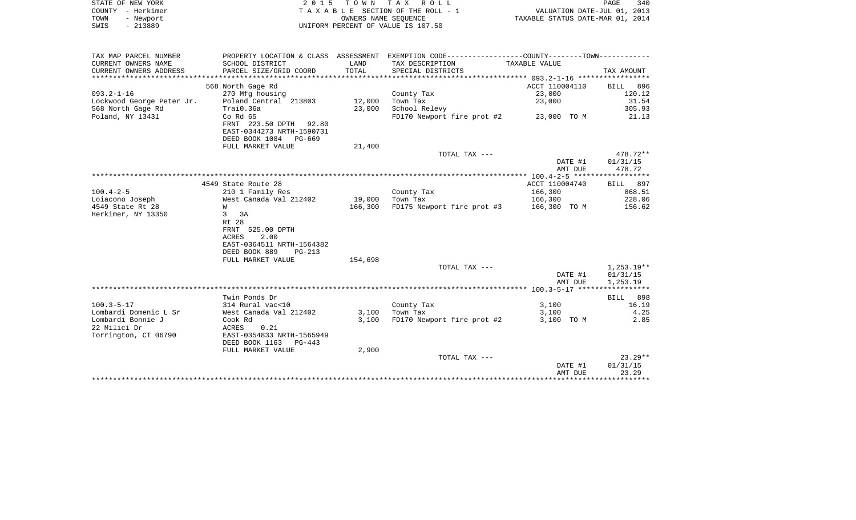|      | STATE OF NEW YORK | 2015 TOWN TAX ROLL                 | PAGE                             | 340 |
|------|-------------------|------------------------------------|----------------------------------|-----|
|      | COUNTY - Herkimer | TAXABLE SECTION OF THE ROLL - 1    | VALUATION DATE-JUL 01, 2013      |     |
| TOWN | - Newport         | OWNERS NAME SEOUENCE               | TAXABLE STATUS DATE-MAR 01, 2014 |     |
| SWIS | - 213889          | UNIFORM PERCENT OF VALUE IS 107.50 |                                  |     |

| TAX MAP PARCEL NUMBER     | PROPERTY LOCATION & CLASS ASSESSMENT |         | EXEMPTION CODE-----------------COUNTY-------TOWN----------- |                                                 |            |
|---------------------------|--------------------------------------|---------|-------------------------------------------------------------|-------------------------------------------------|------------|
| CURRENT OWNERS NAME       | SCHOOL DISTRICT                      | LAND    | TAX DESCRIPTION                                             | TAXABLE VALUE                                   |            |
| CURRENT OWNERS ADDRESS    | PARCEL SIZE/GRID COORD               | TOTAL   | SPECIAL DISTRICTS                                           |                                                 | TAX AMOUNT |
|                           |                                      |         |                                                             |                                                 |            |
|                           | 568 North Gage Rd                    |         |                                                             | ACCT 110004110                                  | BILL 896   |
| $093.2 - 1 - 16$          | 270 Mfg housing                      |         | County Tax                                                  | 23,000                                          | 120.12     |
| Lockwood George Peter Jr. | Poland Central 213803                | 12,000  | Town Tax                                                    | 23,000                                          | 31.54      |
| 568 North Gage Rd         | Trai0.36a                            | 23,000  | School Relevy                                               |                                                 | 305.93     |
| Poland, NY 13431          | Co Rd 65                             |         | FD170 Newport fire prot #2 $23,000$ TO M $21.13$            |                                                 |            |
|                           | FRNT 223.50 DPTH 92.80               |         |                                                             |                                                 |            |
|                           | EAST-0344273 NRTH-1590731            |         |                                                             |                                                 |            |
|                           | DEED BOOK 1084 PG-669                |         |                                                             |                                                 |            |
|                           | FULL MARKET VALUE                    | 21,400  |                                                             |                                                 |            |
|                           |                                      |         | TOTAL TAX ---                                               |                                                 | $478.72**$ |
|                           |                                      |         |                                                             | DATE #1                                         | 01/31/15   |
|                           |                                      |         |                                                             | AMT DUE                                         | 478.72     |
|                           |                                      |         |                                                             |                                                 |            |
|                           | 4549 State Route 28                  |         |                                                             | ACCT 110004740                                  | BILL 897   |
| $100.4 - 2 - 5$           | 210 1 Family Res                     |         | County Tax                                                  | 166,300                                         | 868.51     |
| Loiacono Joseph           | West Canada Val 212402               | 19,000  | Town Tax                                                    | 166,300                                         | 228.06     |
| 4549 State Rt 28          | W                                    | 166,300 | FD175 Newport fire prot #3 166,300 TO M                     |                                                 | 156.62     |
| Herkimer, NY 13350        | $3 \overline{\smash)3A}$             |         |                                                             |                                                 |            |
|                           | Rt 28                                |         |                                                             |                                                 |            |
|                           | FRNT 525.00 DPTH                     |         |                                                             |                                                 |            |
|                           | ACRES<br>2.00                        |         |                                                             |                                                 |            |
|                           | EAST-0364511 NRTH-1564382            |         |                                                             |                                                 |            |
|                           | DEED BOOK 889<br>PG-213              |         |                                                             |                                                 |            |
|                           |                                      |         |                                                             |                                                 |            |
|                           | FULL MARKET VALUE                    | 154,698 | TOTAL TAX ---                                               |                                                 | 1,253.19** |
|                           |                                      |         |                                                             |                                                 | 01/31/15   |
|                           |                                      |         |                                                             | DATE #1                                         | 1,253.19   |
|                           |                                      |         |                                                             | AMT DUE                                         |            |
|                           | Twin Ponds Dr                        |         |                                                             |                                                 | BILL 898   |
| $100.3 - 5 - 17$          | 314 Rural vac<10                     |         | County Tax                                                  | 3,100                                           | 16.19      |
| Lombardi Domenic L Sr     | West Canada Val 212402               | 3,100   | Town Tax                                                    | 3,100                                           | 4.25       |
| Lombardi Bonnie J         |                                      | 3,100   | FD170 Newport fire prot #2                                  |                                                 | 2.85       |
| 22 Milici Dr              | Cook Rd                              |         |                                                             | 3,100 TO M                                      |            |
|                           | ACRES<br>0.21                        |         |                                                             |                                                 |            |
| Torrington, CT 06790      | EAST-0354833 NRTH-1565949            |         |                                                             |                                                 |            |
|                           | DEED BOOK 1163 PG-443                |         |                                                             |                                                 |            |
|                           | FULL MARKET VALUE                    | 2,900   |                                                             |                                                 |            |
|                           |                                      |         | TOTAL TAX ---                                               |                                                 | $23.29**$  |
|                           |                                      |         |                                                             | DATE #1                                         | 01/31/15   |
|                           |                                      |         |                                                             | AMT DUE<br>************************************ | 23.29      |
|                           |                                      |         |                                                             |                                                 |            |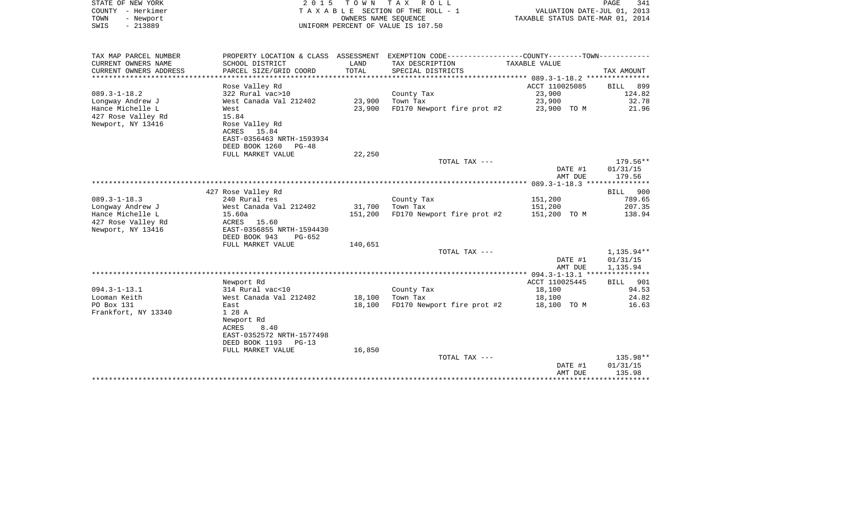| STATE OF NEW YORK      | 2 0 1 5                              |         | TOWN TAX ROLL                                               |                                  | 341<br>PAGE |
|------------------------|--------------------------------------|---------|-------------------------------------------------------------|----------------------------------|-------------|
| COUNTY<br>- Herkimer   |                                      |         | TAXABLE SECTION OF THE ROLL - 1                             | VALUATION DATE-JUL 01, 2013      |             |
| - Newport<br>TOWN      |                                      |         | OWNERS NAME SEOUENCE                                        | TAXABLE STATUS DATE-MAR 01, 2014 |             |
| $-213889$<br>SWIS      |                                      |         | UNIFORM PERCENT OF VALUE IS 107.50                          |                                  |             |
|                        |                                      |         |                                                             |                                  |             |
|                        |                                      |         |                                                             |                                  |             |
| TAX MAP PARCEL NUMBER  | PROPERTY LOCATION & CLASS ASSESSMENT |         | EXEMPTION CODE-----------------COUNTY-------TOWN----------- |                                  |             |
| CURRENT OWNERS NAME    | SCHOOL DISTRICT                      | LAND    | TAX DESCRIPTION                                             | TAXABLE VALUE                    |             |
| CURRENT OWNERS ADDRESS | PARCEL SIZE/GRID COORD               | TOTAL   | SPECIAL DISTRICTS                                           |                                  | TAX AMOUNT  |
|                        |                                      |         |                                                             |                                  |             |
|                        | Rose Valley Rd                       |         |                                                             | ACCT 110025085                   | BILL 899    |
| $089.3 - 1 - 18.2$     | 322 Rural vac>10                     |         | County Tax                                                  | 23,900                           | 124.82      |
| Longway Andrew J       | West Canada Val 212402               | 23,900  | Town Tax                                                    | 23,900                           | 32.78       |
| Hance Michelle L       | West                                 | 23,900  | FD170 Newport fire prot #2                                  | 23,900 TO M                      | 21.96       |
| 427 Rose Valley Rd     | 15.84                                |         |                                                             |                                  |             |
| Newport, NY 13416      | Rose Valley Rd                       |         |                                                             |                                  |             |
|                        | ACRES 15.84                          |         |                                                             |                                  |             |
|                        | EAST-0356463 NRTH-1593934            |         |                                                             |                                  |             |
|                        | DEED BOOK 1260<br>$PG-48$            |         |                                                             |                                  |             |
|                        | FULL MARKET VALUE                    | 22,250  |                                                             |                                  |             |
|                        |                                      |         | TOTAL TAX ---                                               |                                  | $179.56**$  |
|                        |                                      |         |                                                             | DATE #1                          | 01/31/15    |
|                        |                                      |         |                                                             | AMT DUE                          | 179.56      |
|                        |                                      |         |                                                             |                                  |             |
|                        | 427 Rose Valley Rd                   |         |                                                             |                                  | BILL 900    |
| $089.3 - 1 - 18.3$     | 240 Rural res                        |         | County Tax                                                  | 151,200                          | 789.65      |
| Lonqway Andrew J       | West Canada Val 212402               | 31,700  | Town Tax                                                    | 151,200                          | 207.35      |
| Hance Michelle L       | 15.60a                               | 151,200 | FD170 Newport fire prot #2                                  | 151,200 TO M                     | 138.94      |

| Hance Michelle L    | 15.60a                    | 151,200 | FD170 Newport fire prot #2 | 151,200 TO M                     | 138.94      |
|---------------------|---------------------------|---------|----------------------------|----------------------------------|-------------|
| 427 Rose Valley Rd  | 15.60<br>ACRES            |         |                            |                                  |             |
| Newport, NY 13416   | EAST-0356855 NRTH-1594430 |         |                            |                                  |             |
|                     | DEED BOOK 943<br>PG-652   |         |                            |                                  |             |
|                     | FULL MARKET VALUE         | 140,651 |                            |                                  |             |
|                     |                           |         |                            |                                  |             |
|                     |                           |         | TOTAL TAX ---              |                                  | 1,135.94**  |
|                     |                           |         |                            | DATE #1                          | 01/31/15    |
|                     |                           |         |                            | AMT DUE                          | 1,135.94    |
|                     |                           |         |                            |                                  |             |
|                     | Newport Rd                |         |                            | ACCT 110025445                   | 901<br>BILL |
| $094.3 - 1 - 13.1$  | 314 Rural vac<10          |         | County Tax                 | 18,100                           | 94.53       |
| Looman Keith        | West Canada Val 212402    | 18,100  | Town Tax                   | 18,100                           | 24.82       |
| PO Box 131          | East                      | 18,100  | FD170 Newport fire prot #2 | 18,100 TO M                      | 16.63       |
| Frankfort, NY 13340 | 1 28 A                    |         |                            |                                  |             |
|                     | Newport Rd                |         |                            |                                  |             |
|                     | 8.40<br>ACRES             |         |                            |                                  |             |
|                     | EAST-0352572 NRTH-1577498 |         |                            |                                  |             |
|                     |                           |         |                            |                                  |             |
|                     | DEED BOOK 1193<br>$PG-13$ |         |                            |                                  |             |
|                     | FULL MARKET VALUE         | 16,850  |                            |                                  |             |
|                     |                           |         | TOTAL TAX ---              |                                  | 135.98**    |
|                     |                           |         |                            | DATE #1                          | 01/31/15    |
|                     |                           |         |                            | AMT DUE                          | 135.98      |
|                     |                           |         |                            | ******************************** |             |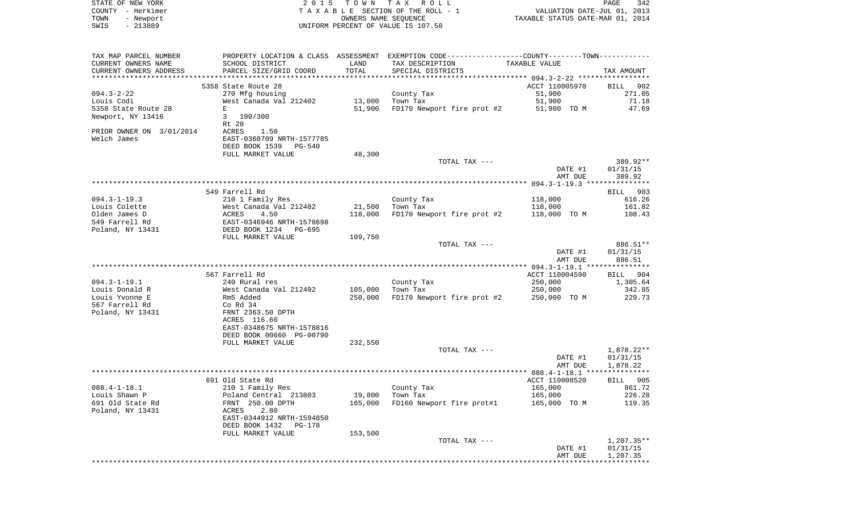| STATE OF NEW YORK                      |                           |                      | 2015 TOWN TAX ROLL                                                                            |                                                                 | 342<br>PAGE          |
|----------------------------------------|---------------------------|----------------------|-----------------------------------------------------------------------------------------------|-----------------------------------------------------------------|----------------------|
| COUNTY - Herkimer<br>TOWN<br>- Newport |                           | OWNERS NAME SEQUENCE | TAXABLE SECTION OF THE ROLL - 1                                                               | VALUATION DATE-JUL 01, 2013<br>TAXABLE STATUS DATE-MAR 01, 2014 |                      |
| $-213889$<br>SWIS                      |                           |                      | UNIFORM PERCENT OF VALUE IS 107.50                                                            |                                                                 |                      |
|                                        |                           |                      |                                                                                               |                                                                 |                      |
|                                        |                           |                      |                                                                                               |                                                                 |                      |
| TAX MAP PARCEL NUMBER                  |                           |                      | PROPERTY LOCATION & CLASS ASSESSMENT EXEMPTION CODE---------------COUNTY-------TOWN---------- |                                                                 |                      |
| CURRENT OWNERS NAME                    | SCHOOL DISTRICT           | LAND                 | TAX DESCRIPTION                                                                               | TAXABLE VALUE                                                   |                      |
| CURRENT OWNERS ADDRESS                 | PARCEL SIZE/GRID COORD    | TOTAL                | SPECIAL DISTRICTS                                                                             |                                                                 | TAX AMOUNT           |
|                                        | 5358 State Route 28       |                      |                                                                                               | ACCT 110005970                                                  | BILL 902             |
| $094.3 - 2 - 22$                       | 270 Mfg housing           |                      | County Tax                                                                                    | 51,900                                                          | 271.05               |
| Louis Codi                             | West Canada Val 212402    | 13,000               | Town Tax                                                                                      | 51,900                                                          | 71.18                |
| 5358 State Route 28                    | Е                         | 51,900               | FD170 Newport fire prot #2                                                                    | 51,900 TO M                                                     | 47.69                |
| Newport, NY 13416                      | 190/300<br>3<br>Rt 28     |                      |                                                                                               |                                                                 |                      |
| PRIOR OWNER ON 3/01/2014               | ACRES<br>1.50             |                      |                                                                                               |                                                                 |                      |
| Welch James                            | EAST-0360709 NRTH-1577785 |                      |                                                                                               |                                                                 |                      |
|                                        | DEED BOOK 1539<br>PG-540  |                      |                                                                                               |                                                                 |                      |
|                                        | FULL MARKET VALUE         | 48,300               | TOTAL TAX ---                                                                                 |                                                                 |                      |
|                                        |                           |                      |                                                                                               |                                                                 | 389.92**             |
|                                        |                           |                      |                                                                                               | DATE #1<br>AMT DUE                                              | 01/31/15<br>389.92   |
|                                        |                           |                      |                                                                                               |                                                                 |                      |
|                                        | 549 Farrell Rd            |                      |                                                                                               |                                                                 | BILL 903             |
| $094.3 - 1 - 19.3$                     | 210 1 Family Res          |                      | County Tax                                                                                    | 118,000                                                         | 616.26               |
| Louis Colette                          | West Canada Val 212402    | 21,500               | Town Tax                                                                                      | 118,000                                                         | 161.82               |
| Olden James D                          | 4.50<br>ACRES             | 118,000              | FD170 Newport fire prot #2                                                                    | 118,000 TO M                                                    | 108.43               |
| 549 Farrell Rd                         | EAST-0346946 NRTH-1578698 |                      |                                                                                               |                                                                 |                      |
| Poland, NY 13431                       | DEED BOOK 1234 PG-695     |                      |                                                                                               |                                                                 |                      |
|                                        | FULL MARKET VALUE         | 109,750              |                                                                                               |                                                                 |                      |
|                                        |                           |                      | TOTAL TAX ---                                                                                 |                                                                 | 886.51**             |
|                                        |                           |                      |                                                                                               | DATE #1                                                         | 01/31/15             |
|                                        |                           |                      |                                                                                               | AMT DUE                                                         | 886.51               |
|                                        | 567 Farrell Rd            |                      |                                                                                               | ACCT 110004590                                                  | BILL 904             |
| $094.3 - 1 - 19.1$                     | 240 Rural res             |                      | County Tax                                                                                    | 250,000                                                         | 1,305.64             |
| Louis Donald R                         | West Canada Val 212402    | 105,000              | Town Tax                                                                                      | 250,000                                                         | 342.85               |
| Louis Yvonne E                         | Rm5 Added                 | 250,000              | FD170 Newport fire prot #2                                                                    | 250,000 TO M                                                    | 229.73               |
| 567 Farrell Rd                         | Co Rd 34                  |                      |                                                                                               |                                                                 |                      |
| Poland, NY 13431                       | FRNT 2363.50 DPTH         |                      |                                                                                               |                                                                 |                      |
|                                        | ACRES 116.60              |                      |                                                                                               |                                                                 |                      |
|                                        | EAST-0348675 NRTH-1578816 |                      |                                                                                               |                                                                 |                      |
|                                        | DEED BOOK 00660 PG-00790  |                      |                                                                                               |                                                                 |                      |
|                                        | FULL MARKET VALUE         | 232,550              |                                                                                               |                                                                 |                      |
|                                        |                           |                      | TOTAL TAX ---                                                                                 |                                                                 | 1,878.22**           |
|                                        |                           |                      |                                                                                               | DATE #1                                                         | 01/31/15<br>1,878.22 |
|                                        |                           |                      |                                                                                               | AMT DUE                                                         |                      |
|                                        | 691 Old State Rd          |                      |                                                                                               | ACCT 110008520                                                  | BILL 905             |
| $088.4 - 1 - 18.1$                     | 210 1 Family Res          |                      | County Tax                                                                                    | 165,000                                                         | 861.72               |
| Louis Shawn P                          | Poland Central 213803     | 19,800               | Town Tax                                                                                      | 165,000                                                         | 226.28               |
| 691 Old State Rd                       | FRNT 250.00 DPTH          | 165,000              | FD160 Newport fire prot#1                                                                     | 165,000 TO M                                                    | 119.35               |
| Poland, NY 13431                       | 2.80<br>ACRES             |                      |                                                                                               |                                                                 |                      |
|                                        | EAST-0344912 NRTH-1594850 |                      |                                                                                               |                                                                 |                      |
|                                        | DEED BOOK 1432 PG-178     |                      |                                                                                               |                                                                 |                      |
|                                        | FULL MARKET VALUE         | 153,500              |                                                                                               |                                                                 |                      |
|                                        |                           |                      | TOTAL TAX ---                                                                                 |                                                                 | $1,207.35**$         |
|                                        |                           |                      |                                                                                               | DATE #1                                                         | 01/31/15             |

AMT DUE 1,207.35 \*\*\*\*\*\*\*\*\*\*\*\*\*\*\*\*\*\*\*\*\*\*\*\*\*\*\*\*\*\*\*\*\*\*\*\*\*\*\*\*\*\*\*\*\*\*\*\*\*\*\*\*\*\*\*\*\*\*\*\*\*\*\*\*\*\*\*\*\*\*\*\*\*\*\*\*\*\*\*\*\*\*\*\*\*\*\*\*\*\*\*\*\*\*\*\*\*\*\*\*\*\*\*\*\*\*\*\*\*\*\*\*\*\*\*\*\*\*\*\*\*\*\*\*\*\*\*\*\*\*\*\*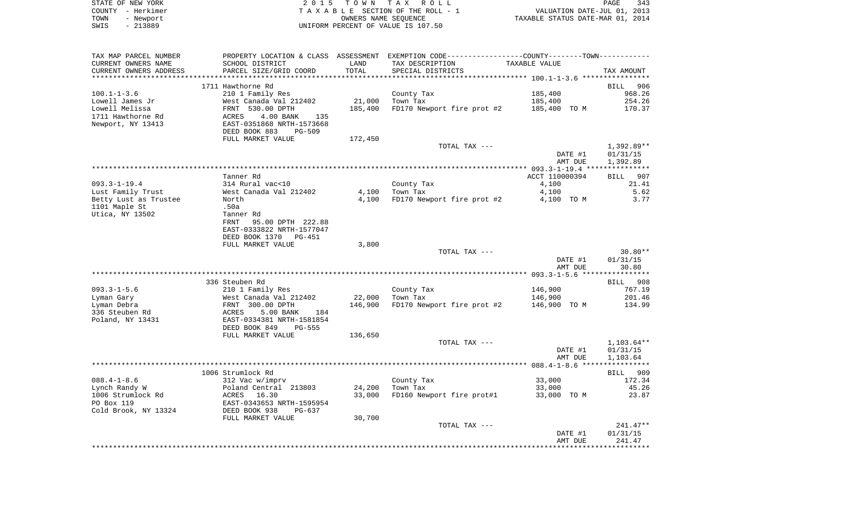|      | STATE OF NEW YORK | 2015 TOWN TAX ROLL                 | PAGE                             | 343 |
|------|-------------------|------------------------------------|----------------------------------|-----|
|      | COUNTY - Herkimer | TAXABLE SECTION OF THE ROLL - 1    | VALUATION DATE-JUL 01, 2013      |     |
| TOWN | - Newport         | OWNERS NAME SEOUENCE               | TAXABLE STATUS DATE-MAR 01, 2014 |     |
|      | SWIS - 213889     | UNIFORM PERCENT OF VALUE IS 107.50 |                                  |     |

| TAX MAP PARCEL NUMBER  | PROPERTY LOCATION & CLASS ASSESSMENT EXEMPTION CODE---------------COUNTY-------TOWN---------- |         |                            |                |              |
|------------------------|-----------------------------------------------------------------------------------------------|---------|----------------------------|----------------|--------------|
| CURRENT OWNERS NAME    | SCHOOL DISTRICT                                                                               | LAND    | TAX DESCRIPTION            | TAXABLE VALUE  |              |
| CURRENT OWNERS ADDRESS | PARCEL SIZE/GRID COORD                                                                        | TOTAL   | SPECIAL DISTRICTS          |                | TAX AMOUNT   |
| *********************  | ******************************                                                                |         |                            |                |              |
|                        | 1711 Hawthorne Rd                                                                             |         |                            |                | BILL 906     |
| $100.1 - 1 - 3.6$      | 210 1 Family Res                                                                              |         | County Tax                 | 185,400        | 968.26       |
| Lowell James Jr        | West Canada Val 212402                                                                        | 21,000  | Town Tax                   | 185,400        | 254.26       |
| Lowell Melissa         | FRNT 530.00 DPTH                                                                              | 185,400 | FD170 Newport fire prot #2 | 185,400 TO M   | 170.37       |
| 1711 Hawthorne Rd      | ACRES<br>4.00 BANK<br>135                                                                     |         |                            |                |              |
| Newport, NY 13413      | EAST-0351868 NRTH-1573668                                                                     |         |                            |                |              |
|                        | DEED BOOK 883<br><b>PG-509</b>                                                                |         |                            |                |              |
|                        | FULL MARKET VALUE                                                                             | 172,450 |                            |                |              |
|                        |                                                                                               |         | TOTAL TAX ---              |                | 1,392.89**   |
|                        |                                                                                               |         |                            | DATE #1        | 01/31/15     |
|                        |                                                                                               |         |                            | AMT DUE        | 1,392.89     |
|                        |                                                                                               |         |                            |                |              |
|                        | Tanner Rd                                                                                     |         |                            | ACCT 110000394 | BILL 907     |
| $093.3 - 1 - 19.4$     | 314 Rural vac<10                                                                              |         | County Tax                 | 4,100          | 21.41        |
| Lust Family Trust      | West Canada Val 212402                                                                        | 4,100   | Town Tax                   | 4,100          | 5.62         |
| Betty Lust as Trustee  | North                                                                                         | 4,100   | FD170 Newport fire prot #2 | 4,100 TO M     | 3.77         |
| 1101 Maple St          | .50a                                                                                          |         |                            |                |              |
| Utica, NY 13502        | Tanner Rd                                                                                     |         |                            |                |              |
|                        | 95.00 DPTH 222.88<br>FRNT                                                                     |         |                            |                |              |
|                        | EAST-0333822 NRTH-1577047                                                                     |         |                            |                |              |
|                        | DEED BOOK 1370<br>PG-451                                                                      |         |                            |                |              |
|                        | FULL MARKET VALUE                                                                             | 3,800   |                            |                |              |
|                        |                                                                                               |         | TOTAL TAX ---              |                | $30.80**$    |
|                        |                                                                                               |         |                            | DATE #1        | 01/31/15     |
|                        |                                                                                               |         |                            | AMT DUE        | 30.80        |
|                        | 336 Steuben Rd                                                                                |         |                            |                | BILL 908     |
| $093.3 - 1 - 5.6$      | 210 1 Family Res                                                                              |         | County Tax                 | 146,900        | 767.19       |
| Lyman Gary             | West Canada Val 212402                                                                        | 22,000  | Town Tax                   | 146,900        | 201.46       |
| Lyman Debra            | FRNT 300.00 DPTH                                                                              | 146,900 | FD170 Newport fire prot #2 | 146,900 TO M   | 134.99       |
| 336 Steuben Rd         | ACRES<br>5.00 BANK<br>184                                                                     |         |                            |                |              |
| Poland, NY 13431       | EAST-0334381 NRTH-1581854                                                                     |         |                            |                |              |
|                        | DEED BOOK 849<br>PG-555                                                                       |         |                            |                |              |
|                        | FULL MARKET VALUE                                                                             | 136,650 |                            |                |              |
|                        |                                                                                               |         | TOTAL TAX ---              |                | $1,103.64**$ |
|                        |                                                                                               |         |                            | DATE #1        | 01/31/15     |
|                        |                                                                                               |         |                            | AMT DUE        | 1,103.64     |
|                        |                                                                                               |         |                            |                |              |
|                        | 1006 Strumlock Rd                                                                             |         |                            |                | BILL 909     |
| $088.4 - 1 - 8.6$      | 312 Vac w/imprv                                                                               |         | County Tax                 | 33,000         | 172.34       |
| Lynch Randy W          | Poland Central 213803                                                                         | 24,200  | Town Tax                   | 33,000         | 45.26        |
| 1006 Strumlock Rd      | ACRES 16.30                                                                                   | 33,000  | FD160 Newport fire prot#1  | 33,000 TO M    | 23.87        |
| PO Box 119             | EAST-0343653 NRTH-1595954                                                                     |         |                            |                |              |
| Cold Brook, NY 13324   | DEED BOOK 938<br>$PG-637$                                                                     |         |                            |                |              |
|                        | FULL MARKET VALUE                                                                             | 30,700  |                            |                |              |
|                        |                                                                                               |         | TOTAL TAX ---              |                | 241.47**     |
|                        |                                                                                               |         |                            | DATE #1        | 01/31/15     |
|                        |                                                                                               |         |                            | AMT DUE        | 241.47       |
|                        |                                                                                               |         |                            |                |              |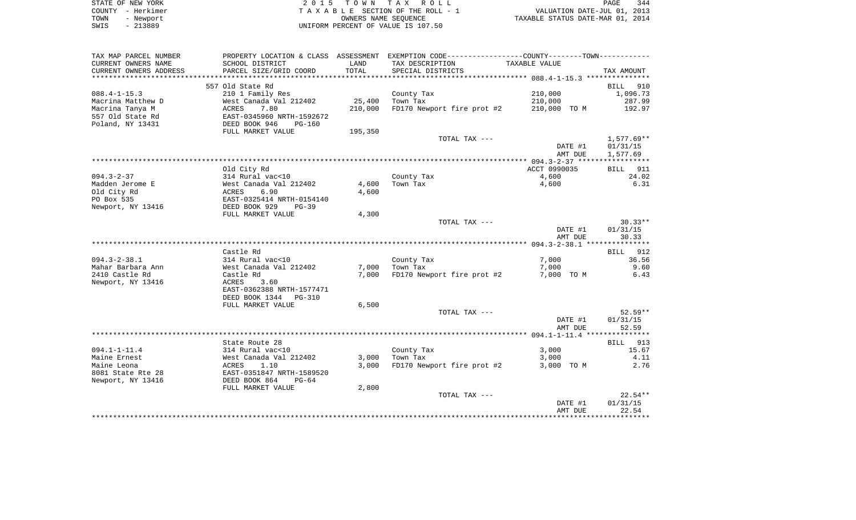| STATE OF NEW YORK | 2015 TOWN TAX ROLL                 | 344<br>PAGE                      |
|-------------------|------------------------------------|----------------------------------|
| COUNTY – Herkimer | TAXABLE SECTION OF THE ROLL - 1    | VALUATION DATE-JUL 01, 2013      |
| TOWN<br>- Newport | OWNERS NAME SEOUENCE               | TAXABLE STATUS DATE-MAR 01, 2014 |
| SWIS<br>- 213889  | UNIFORM PERCENT OF VALUE IS 107.50 |                                  |

| TAX MAP PARCEL NUMBER  | PROPERTY LOCATION & CLASS ASSESSMENT |         | EXEMPTION CODE-----------------COUNTY-------TOWN----------- |               |                        |
|------------------------|--------------------------------------|---------|-------------------------------------------------------------|---------------|------------------------|
| CURRENT OWNERS NAME    | SCHOOL DISTRICT                      | LAND    | TAX DESCRIPTION                                             | TAXABLE VALUE |                        |
| CURRENT OWNERS ADDRESS | PARCEL SIZE/GRID COORD               | TOTAL   | SPECIAL DISTRICTS                                           |               | TAX AMOUNT             |
| *******************    |                                      |         |                                                             |               |                        |
|                        | 557 Old State Rd                     |         |                                                             |               | 910<br>BILL            |
| $088.4 - 1 - 15.3$     | 210 1 Family Res                     |         | County Tax                                                  | 210,000       | 1,096.73               |
| Macrina Matthew D      | West Canada Val 212402               | 25,400  | Town Tax                                                    | 210,000       | 287.99                 |
| Macrina Tanya M        | 7.80<br>ACRES                        | 210,000 | FD170 Newport fire prot #2                                  | 210,000 TO M  | 192.97                 |
| 557 Old State Rd       | EAST-0345960 NRTH-1592672            |         |                                                             |               |                        |
| Poland, NY 13431       | DEED BOOK 946<br>$PG-160$            |         |                                                             |               |                        |
|                        | FULL MARKET VALUE                    | 195,350 |                                                             |               |                        |
|                        |                                      |         | TOTAL TAX ---                                               | DATE #1       | 1,577.69**<br>01/31/15 |
|                        |                                      |         |                                                             | AMT DUE       | 1,577.69               |
|                        |                                      |         |                                                             |               |                        |
|                        | Old City Rd                          |         |                                                             | ACCT 0990035  | BILL 911               |
| $094.3 - 2 - 37$       | 314 Rural vac<10                     |         | County Tax                                                  | 4,600         | 24.02                  |
| Madden Jerome E        | West Canada Val 212402               | 4,600   | Town Tax                                                    | 4,600         | 6.31                   |
| Old City Rd            | 6.90<br>ACRES                        | 4,600   |                                                             |               |                        |
| PO Box 535             | EAST-0325414 NRTH-0154140            |         |                                                             |               |                        |
| Newport, NY 13416      | DEED BOOK 929<br>$PG-39$             |         |                                                             |               |                        |
|                        | FULL MARKET VALUE                    | 4,300   |                                                             |               |                        |
|                        |                                      |         | TOTAL TAX ---                                               |               | $30.33**$              |
|                        |                                      |         |                                                             | DATE #1       | 01/31/15               |
|                        |                                      |         |                                                             | AMT DUE       | 30.33                  |
|                        |                                      |         |                                                             |               |                        |
|                        | Castle Rd                            |         |                                                             |               | <b>BILL</b><br>912     |
| $094.3 - 2 - 38.1$     | 314 Rural vac<10                     |         | County Tax                                                  | 7,000         | 36.56                  |
| Mahar Barbara Ann      | West Canada Val 212402               | 7,000   | Town Tax                                                    | 7,000         | 9.60                   |
| 2410 Castle Rd         | Castle Rd                            | 7,000   | FD170 Newport fire prot #2                                  | 7,000 TO M    | 6.43                   |
| Newport, NY 13416      | ACRES<br>3.60                        |         |                                                             |               |                        |
|                        | EAST-0362388 NRTH-1577471            |         |                                                             |               |                        |
|                        | DEED BOOK 1344<br>PG-310             |         |                                                             |               |                        |
|                        | FULL MARKET VALUE                    | 6,500   | TOTAL TAX ---                                               |               | $52.59**$              |
|                        |                                      |         |                                                             | DATE #1       | 01/31/15               |
|                        |                                      |         |                                                             | AMT DUE       | 52.59                  |
|                        |                                      |         |                                                             |               |                        |
|                        | State Route 28                       |         |                                                             |               | 913<br>BILL            |
| $094.1 - 1 - 11.4$     | 314 Rural vac<10                     |         | County Tax                                                  | 3,000         | 15.67                  |
| Maine Ernest           | West Canada Val 212402               | 3,000   | Town Tax                                                    | 3,000         | 4.11                   |
| Maine Leona            | 1.10<br>ACRES                        | 3,000   | FD170 Newport fire prot #2                                  | 3,000 TO M    | 2.76                   |
| 8081 State Rte 28      | EAST-0351847 NRTH-1589520            |         |                                                             |               |                        |
| Newport, NY 13416      | DEED BOOK 864<br>$PG-64$             |         |                                                             |               |                        |
|                        | FULL MARKET VALUE                    | 2,800   |                                                             |               |                        |
|                        |                                      |         | TOTAL TAX ---                                               |               | $22.54**$              |
|                        |                                      |         |                                                             | DATE #1       | 01/31/15               |
|                        |                                      |         |                                                             | AMT DUE       | 22.54                  |
|                        |                                      |         |                                                             |               | ***********            |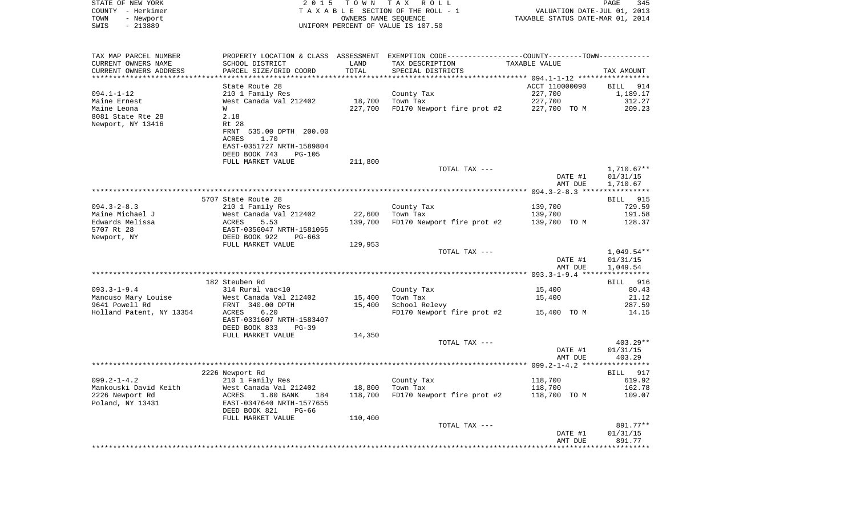| STATE OF NEW YORK<br>COUNTY - Herkimer<br>TOWN<br>- Newport<br>$-213889$<br>SWIS | 2 0 1 5                                        | T O W N<br>OWNERS NAME SEQUENCE | TAX ROLL<br>TAXABLE SECTION OF THE ROLL - 1<br>UNIFORM PERCENT OF VALUE IS 107.50                                | VALUATION DATE-JUL 01, 2013<br>TAXABLE STATUS DATE-MAR 01, 2014 | PAGE<br>345          |
|----------------------------------------------------------------------------------|------------------------------------------------|---------------------------------|------------------------------------------------------------------------------------------------------------------|-----------------------------------------------------------------|----------------------|
|                                                                                  |                                                |                                 |                                                                                                                  |                                                                 |                      |
| TAX MAP PARCEL NUMBER<br>CURRENT OWNERS NAME                                     | SCHOOL DISTRICT                                | LAND                            | PROPERTY LOCATION & CLASS ASSESSMENT EXEMPTION CODE---------------COUNTY-------TOWN----------<br>TAX DESCRIPTION | TAXABLE VALUE                                                   |                      |
| CURRENT OWNERS ADDRESS                                                           | PARCEL SIZE/GRID COORD                         | TOTAL                           | SPECIAL DISTRICTS                                                                                                |                                                                 | TAX AMOUNT           |
| **********************                                                           |                                                |                                 |                                                                                                                  |                                                                 |                      |
|                                                                                  | State Route 28                                 |                                 |                                                                                                                  | ACCT 110000090                                                  | BILL<br>914          |
| $094.1 - 1 - 12$                                                                 | 210 1 Family Res                               |                                 | County Tax                                                                                                       | 227,700                                                         | 1,189.17             |
| Maine Ernest<br>Maine Leona                                                      | West Canada Val 212402<br>W                    | 18,700                          | Town Tax<br>FD170 Newport fire prot #2                                                                           | 227,700<br>227,700 TO M                                         | 312.27<br>209.23     |
| 8081 State Rte 28                                                                | 2.18                                           | 227,700                         |                                                                                                                  |                                                                 |                      |
| Newport, NY 13416                                                                | Rt 28                                          |                                 |                                                                                                                  |                                                                 |                      |
|                                                                                  | FRNT 535.00 DPTH 200.00                        |                                 |                                                                                                                  |                                                                 |                      |
|                                                                                  | ACRES<br>1.70                                  |                                 |                                                                                                                  |                                                                 |                      |
|                                                                                  | EAST-0351727 NRTH-1589804                      |                                 |                                                                                                                  |                                                                 |                      |
|                                                                                  | DEED BOOK 743<br>PG-105                        |                                 |                                                                                                                  |                                                                 |                      |
|                                                                                  | FULL MARKET VALUE                              | 211,800                         | TOTAL TAX ---                                                                                                    |                                                                 | $1,710.67**$         |
|                                                                                  |                                                |                                 |                                                                                                                  | DATE #1                                                         | 01/31/15             |
|                                                                                  |                                                |                                 |                                                                                                                  | AMT DUE                                                         | 1,710.67             |
|                                                                                  |                                                |                                 |                                                                                                                  |                                                                 |                      |
|                                                                                  | 5707 State Route 28                            |                                 |                                                                                                                  |                                                                 | 915<br>BILL          |
| $094.3 - 2 - 8.3$<br>Maine Michael J                                             | 210 1 Family Res                               |                                 | County Tax<br>Town Tax                                                                                           | 139,700                                                         | 729.59<br>191.58     |
| Edwards Melissa                                                                  | West Canada Val 212402<br><b>ACRES</b><br>5.53 | 22,600<br>139,700               | FD170 Newport fire prot #2                                                                                       | 139,700<br>139,700 TO M                                         | 128.37               |
| 5707 Rt 28                                                                       | EAST-0356047 NRTH-1581055                      |                                 |                                                                                                                  |                                                                 |                      |
| Newport, NY                                                                      | DEED BOOK 922<br>$PG-663$                      |                                 |                                                                                                                  |                                                                 |                      |
|                                                                                  | FULL MARKET VALUE                              | 129,953                         |                                                                                                                  |                                                                 |                      |
|                                                                                  |                                                |                                 | TOTAL TAX ---                                                                                                    |                                                                 | 1,049.54**           |
|                                                                                  |                                                |                                 |                                                                                                                  | DATE #1<br>AMT DUE                                              | 01/31/15<br>1,049.54 |
|                                                                                  |                                                |                                 |                                                                                                                  |                                                                 |                      |
|                                                                                  | 182 Steuben Rd                                 |                                 |                                                                                                                  |                                                                 | 916<br>BILL          |
| $093.3 - 1 - 9.4$                                                                | 314 Rural vac<10                               |                                 | County Tax                                                                                                       | 15,400                                                          | 80.43                |
| Mancuso Mary Louise                                                              | West Canada Val 212402                         | 15,400                          | Town Tax                                                                                                         | 15,400                                                          | 21.12                |
| 9641 Powell Rd<br>Holland Patent, NY 13354                                       | FRNT 340.00 DPTH<br>ACRES<br>6.20              | 15,400                          | School Relevy<br>FD170 Newport fire prot #2                                                                      | 15,400 TO M                                                     | 287.59<br>14.15      |
|                                                                                  | EAST-0331607 NRTH-1583407                      |                                 |                                                                                                                  |                                                                 |                      |
|                                                                                  | DEED BOOK 833<br>$PG-39$                       |                                 |                                                                                                                  |                                                                 |                      |
|                                                                                  | FULL MARKET VALUE                              | 14,350                          |                                                                                                                  |                                                                 |                      |
|                                                                                  |                                                |                                 | TOTAL TAX ---                                                                                                    |                                                                 | $403.29**$           |
|                                                                                  |                                                |                                 |                                                                                                                  | DATE #1                                                         | 01/31/15             |
|                                                                                  |                                                |                                 |                                                                                                                  | AMT DUE                                                         | 403.29               |
|                                                                                  | 2226 Newport Rd                                |                                 |                                                                                                                  |                                                                 | 917<br>BILL          |
| $099.2 - 1 - 4.2$                                                                | 210 1 Family Res                               |                                 | County Tax                                                                                                       | 118,700                                                         | 619.92               |
| Mankouski David Keith                                                            | West Canada Val 212402                         | 18,800                          | Town Tax                                                                                                         | 118,700                                                         | 162.78               |
| 2226 Newport Rd                                                                  | 1.80 BANK<br>ACRES<br>184                      | 118,700                         | FD170 Newport fire prot #2                                                                                       | 118,700 TO M                                                    | 109.07               |
| Poland, NY 13431                                                                 | EAST-0347640 NRTH-1577655                      |                                 |                                                                                                                  |                                                                 |                      |
|                                                                                  | DEED BOOK 821<br>PG-66                         |                                 |                                                                                                                  |                                                                 |                      |
|                                                                                  | FULL MARKET VALUE                              | 110,400                         | TOTAL TAX ---                                                                                                    |                                                                 | 891.77**             |
|                                                                                  |                                                |                                 |                                                                                                                  | DATE #1                                                         | 01/31/15             |
|                                                                                  |                                                |                                 |                                                                                                                  | AMT DUE                                                         | 891.77               |
|                                                                                  |                                                |                                 |                                                                                                                  |                                                                 |                      |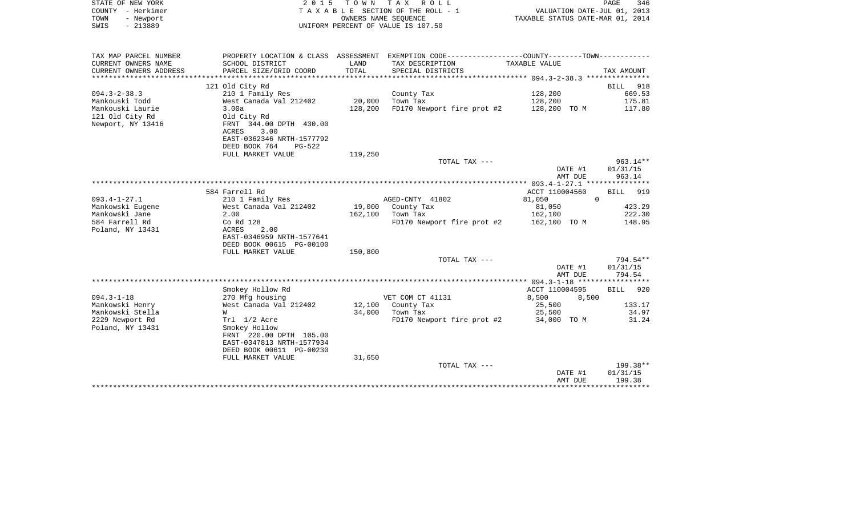|        | STATE OF NEW YORK      |                           |            | 2015 TOWN TAX ROLL                 |                                                             | PAGE |            | 346  |
|--------|------------------------|---------------------------|------------|------------------------------------|-------------------------------------------------------------|------|------------|------|
| COUNTY | – Herkimer             |                           |            | TAXABLE SECTION OF THE ROLL - 1    | VALUATION DATE-JUL 01,                                      |      |            | 2013 |
| TOWN   | - Newport              |                           |            | OWNERS NAME SEOUENCE               | TAXABLE STATUS DATE-MAR 01, 2014                            |      |            |      |
| SWIS   | - 213889               |                           |            | UNIFORM PERCENT OF VALUE IS 107.50 |                                                             |      |            |      |
|        |                        |                           |            |                                    |                                                             |      |            |      |
|        |                        |                           |            |                                    |                                                             |      |            |      |
|        | TAX MAP PARCEL NUMBER  | PROPERTY LOCATION & CLASS | ASSESSMENT |                                    | EXEMPTION CODE-----------------COUNTY-------TOWN----------- |      |            |      |
|        | CURRENT OWNERS NAME    | SCHOOL DISTRICT           | LAND       | TAX DESCRIPTION                    | TAXABLE VALUE                                               |      |            |      |
|        | CURRENT OWNERS ADDRESS | PARCEL SIZE/GRID COORD    | TOTAL      | SPECIAL DISTRICTS                  |                                                             |      | TAX AMOUNT |      |

|                    | 121 Old City Rd           |         |                                         |                | <b>BILL</b><br>918 |
|--------------------|---------------------------|---------|-----------------------------------------|----------------|--------------------|
| $094.3 - 2 - 38.3$ | 210 1 Family Res          |         | County Tax                              | 128,200        | 669.53             |
| Mankouski Todd     | West Canada Val 212402    | 20,000  | Town Tax                                | 128,200        | 175.81             |
| Mankouski Laurie   | 3.00a                     | 128,200 | FD170 Newport fire prot #2              | 128,200 TO M   | 117.80             |
| 121 Old City Rd    | Old City Rd               |         |                                         |                |                    |
| Newport, NY 13416  | FRNT 344.00 DPTH 430.00   |         |                                         |                |                    |
|                    | 3.00<br>ACRES             |         |                                         |                |                    |
|                    | EAST-0362346 NRTH-1577792 |         |                                         |                |                    |
|                    | DEED BOOK 764<br>PG-522   |         |                                         |                |                    |
|                    |                           |         |                                         |                |                    |
|                    | FULL MARKET VALUE         | 119,250 |                                         |                |                    |
|                    |                           |         | TOTAL TAX ---                           |                | $963.14**$         |
|                    |                           |         |                                         | DATE #1        | 01/31/15           |
|                    |                           |         |                                         | AMT DUE        | 963.14             |
|                    |                           |         |                                         |                |                    |
|                    | 584 Farrell Rd            |         |                                         | ACCT 110004560 | BILL 919           |
| $093.4 - 1 - 27.1$ | 210 1 Family Res          |         | AGED-CNTY 41802                         | 81,050         | $\Omega$           |
| Mankowski Eugene   | West Canada Val 212402    |         | 19,000 County Tax                       | 81,050         | 423.29             |
| Mankowski Jane     | 2.00                      | 162,100 | Town Tax                                | 162,100        | 222.30             |
| 584 Farrell Rd     | Co Rd 128                 |         | FD170 Newport fire prot #2 162,100 TO M |                | 148.95             |
| Poland, NY 13431   | <b>ACRES</b><br>2.00      |         |                                         |                |                    |
|                    | EAST-0346959 NRTH-1577641 |         |                                         |                |                    |
|                    | DEED BOOK 00615 PG-00100  |         |                                         |                |                    |
|                    | FULL MARKET VALUE         | 150,800 |                                         |                |                    |
|                    |                           |         | TOTAL TAX ---                           |                | 794.54**           |
|                    |                           |         |                                         | DATE #1        | 01/31/15           |
|                    |                           |         |                                         | AMT DUE        | 794.54             |
|                    |                           |         |                                         |                |                    |
|                    | Smokey Hollow Rd          |         |                                         | ACCT 110004595 | 920<br>BILL        |
| $094.3 - 1 - 18$   | 270 Mfg housing           |         | VET COM CT 41131                        | 8,500<br>8,500 |                    |
| Mankowski Henry    | West Canada Val 212402    |         | 12,100 County Tax                       | 25,500         | 133.17             |
| Mankowski Stella   | W                         | 34,000  | Town Tax                                | 25,500         | 34.97              |
| 2229 Newport Rd    | Trl 1/2 Acre              |         | FD170 Newport fire prot #2              | 34,000 TO M    | 31.24              |
| Poland, NY 13431   | Smokey Hollow             |         |                                         |                |                    |
|                    | FRNT 220.00 DPTH 105.00   |         |                                         |                |                    |
|                    | EAST-0347813 NRTH-1577934 |         |                                         |                |                    |
|                    | DEED BOOK 00611 PG-00230  |         |                                         |                |                    |
|                    | FULL MARKET VALUE         | 31,650  |                                         |                |                    |
|                    |                           |         | TOTAL TAX ---                           |                | 199.38**           |
|                    |                           |         |                                         | DATE #1        | 01/31/15           |
|                    |                           |         |                                         | AMT DUE        | 199.38             |
|                    |                           |         |                                         |                |                    |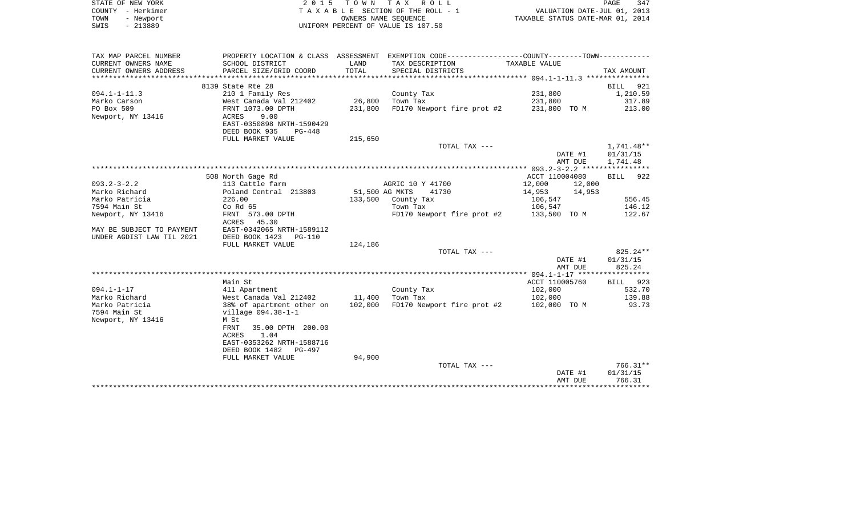| STATE OF NEW YORK | 2015 TOWN TAX ROLL                 | 347<br>PAGE                      |
|-------------------|------------------------------------|----------------------------------|
| COUNTY - Herkimer | TAXABLE SECTION OF THE ROLL - 1    | VALUATION DATE-JUL 01, 2013      |
| TOWN<br>- Newport | OWNERS NAME SEOUENCE               | TAXABLE STATUS DATE-MAR 01, 2014 |
| - 213889<br>SWIS  | UNIFORM PERCENT OF VALUE IS 107.50 |                                  |

| TAX MAP PARCEL NUMBER     |                           |                | PROPERTY LOCATION & CLASS ASSESSMENT EXEMPTION CODE---------------COUNTY--------TOWN---------- |                  |                       |
|---------------------------|---------------------------|----------------|------------------------------------------------------------------------------------------------|------------------|-----------------------|
| CURRENT OWNERS NAME       | SCHOOL DISTRICT           | LAND           | TAX DESCRIPTION                                                                                | TAXABLE VALUE    |                       |
| CURRENT OWNERS ADDRESS    | PARCEL SIZE/GRID COORD    | TOTAL          | SPECIAL DISTRICTS                                                                              |                  | TAX AMOUNT            |
| ************************* |                           |                |                                                                                                |                  |                       |
|                           | 8139 State Rte 28         |                |                                                                                                |                  | BILL 921              |
| $094.1 - 1 - 11.3$        | 210 1 Family Res          |                | County Tax                                                                                     | 231,800          | 1,210.59              |
| Marko Carson              | West Canada Val 212402    | 26,800         | Town Tax                                                                                       | 231,800          | 317.89                |
| PO Box 509                | FRNT 1073.00 DPTH         | 231,800        | FD170 Newport fire prot #2                                                                     | 231,800 TO M     | 213.00                |
| Newport, NY 13416         | 9.00<br>ACRES             |                |                                                                                                |                  |                       |
|                           | EAST-0350898 NRTH-1590429 |                |                                                                                                |                  |                       |
|                           | DEED BOOK 935<br>$PG-448$ |                |                                                                                                |                  |                       |
|                           | FULL MARKET VALUE         | 215,650        |                                                                                                |                  |                       |
|                           |                           |                | TOTAL TAX ---                                                                                  |                  | 1,741.48**            |
|                           |                           |                |                                                                                                | DATE #1          | 01/31/15              |
|                           |                           |                |                                                                                                | AMT DUE          | 1,741.48              |
|                           |                           |                |                                                                                                |                  |                       |
|                           | 508 North Gage Rd         |                |                                                                                                | ACCT 110004080   | BILL 922              |
| $093.2 - 3 - 2.2$         | 113 Cattle farm           |                | AGRIC 10 Y 41700                                                                               | 12,000<br>12,000 |                       |
| Marko Richard             | Poland Central 213803     | 51,500 AG MKTS | 41730                                                                                          | 14,953<br>14,953 |                       |
| Marko Patricia            | 226.00                    | 133,500        | County Tax                                                                                     | 106,547          | 556.45                |
| 7594 Main St              | Co Rd 65                  |                | Town Tax                                                                                       | 106,547          | 146.12                |
| Newport, NY 13416         | FRNT 573.00 DPTH          |                | FD170 Newport fire prot #2 133,500 TO M                                                        |                  | 122.67                |
|                           | 45.30<br>ACRES            |                |                                                                                                |                  |                       |
| MAY BE SUBJECT TO PAYMENT | EAST-0342065 NRTH-1589112 |                |                                                                                                |                  |                       |
| UNDER AGDIST LAW TIL 2021 | DEED BOOK 1423<br>PG-110  |                |                                                                                                |                  |                       |
|                           | FULL MARKET VALUE         | 124,186        |                                                                                                |                  |                       |
|                           |                           |                | TOTAL TAX ---                                                                                  |                  | $825.24**$            |
|                           |                           |                |                                                                                                | DATE #1          | 01/31/15              |
|                           |                           |                |                                                                                                | AMT DUE          | 825.24                |
|                           |                           |                |                                                                                                |                  |                       |
|                           | Main St                   |                |                                                                                                | ACCT 110005760   | BILL 923              |
| $094.1 - 1 - 17$          | 411 Apartment             |                | County Tax                                                                                     | 102,000          | 532.70                |
| Marko Richard             | West Canada Val 212402    | 11,400         | Town Tax                                                                                       | 102,000          | 139.88                |
| Marko Patricia            | 38% of apartment other on | 102,000        | FD170 Newport fire prot #2                                                                     | 102,000 TO M     | 93.73                 |
| 7594 Main St              | village 094.38-1-1        |                |                                                                                                |                  |                       |
| Newport, NY 13416         | M St                      |                |                                                                                                |                  |                       |
|                           | FRNT<br>35.00 DPTH 200.00 |                |                                                                                                |                  |                       |
|                           | 1.04<br>ACRES             |                |                                                                                                |                  |                       |
|                           | EAST-0353262 NRTH-1588716 |                |                                                                                                |                  |                       |
|                           | DEED BOOK 1482 PG-497     |                |                                                                                                |                  |                       |
|                           | FULL MARKET VALUE         | 94,900         |                                                                                                |                  |                       |
|                           |                           |                | TOTAL TAX ---                                                                                  |                  | 766.31**              |
|                           |                           |                |                                                                                                | DATE #1          | 01/31/15              |
|                           |                           |                |                                                                                                | AMT DUE          | 766.31                |
|                           |                           |                |                                                                                                |                  | * * * * * * * * * * * |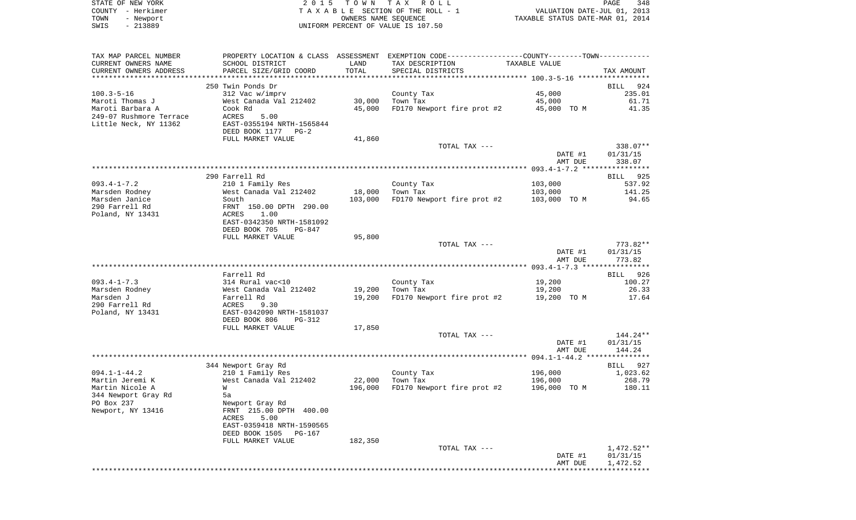| STATE OF NEW YORK | 2015 TOWN TAX ROLL                 | 348<br>PAGE                      |
|-------------------|------------------------------------|----------------------------------|
| COUNTY - Herkimer | TAXABLE SECTION OF THE ROLL - 1    | VALUATION DATE-JUL 01, 2013      |
| TOWN<br>- Newport | OWNERS NAME SEOUENCE               | TAXABLE STATUS DATE-MAR 01, 2014 |
| - 213889<br>SWIS  | UNIFORM PERCENT OF VALUE IS 107.50 |                                  |

| TAX MAP PARCEL NUMBER   |                           |         |                            | PROPERTY LOCATION & CLASS ASSESSMENT EXEMPTION CODE-----------------COUNTY-------TOWN----------- |            |
|-------------------------|---------------------------|---------|----------------------------|--------------------------------------------------------------------------------------------------|------------|
| CURRENT OWNERS NAME     | SCHOOL DISTRICT           | LAND    | TAX DESCRIPTION            | TAXABLE VALUE                                                                                    |            |
| CURRENT OWNERS ADDRESS  | PARCEL SIZE/GRID COORD    | TOTAL   | SPECIAL DISTRICTS          |                                                                                                  | TAX AMOUNT |
|                         |                           |         |                            |                                                                                                  |            |
|                         | 250 Twin Ponds Dr         |         |                            |                                                                                                  | BILL 924   |
| $100.3 - 5 - 16$        | 312 Vac w/imprv           |         | County Tax                 | 45,000                                                                                           | 235.01     |
| Maroti Thomas J         | West Canada Val 212402    | 30,000  | Town Tax                   | 45,000                                                                                           | 61.71      |
| Maroti Barbara A        | Cook Rd                   | 45,000  | FD170 Newport fire prot #2 | 45,000 TO M                                                                                      | 41.35      |
| 249-07 Rushmore Terrace | ACRES<br>5.00             |         |                            |                                                                                                  |            |
| Little Neck, NY 11362   | EAST-0355194 NRTH-1565844 |         |                            |                                                                                                  |            |
|                         |                           |         |                            |                                                                                                  |            |
|                         | DEED BOOK 1177 PG-2       |         |                            |                                                                                                  |            |
|                         | FULL MARKET VALUE         | 41,860  |                            |                                                                                                  |            |
|                         |                           |         | TOTAL TAX ---              |                                                                                                  | 338.07**   |
|                         |                           |         |                            | DATE #1                                                                                          | 01/31/15   |
|                         |                           |         |                            | AMT DUE                                                                                          | 338.07     |
|                         |                           |         |                            |                                                                                                  |            |
|                         | 290 Farrell Rd            |         |                            |                                                                                                  | BILL 925   |
| $093.4 - 1 - 7.2$       | 210 1 Family Res          |         | County Tax                 | 103,000                                                                                          | 537.92     |
| Marsden Rodney          | West Canada Val 212402    | 18,000  | Town Tax                   | 103,000                                                                                          | 141.25     |
| Marsden Janice          | South                     | 103,000 | FD170 Newport fire prot #2 | 103,000 TO M                                                                                     | 94.65      |
| 290 Farrell Rd          | FRNT 150.00 DPTH 290.00   |         |                            |                                                                                                  |            |
| Poland, NY 13431        | ACRES<br>1.00             |         |                            |                                                                                                  |            |
|                         | EAST-0342350 NRTH-1581092 |         |                            |                                                                                                  |            |
|                         | DEED BOOK 705<br>PG-847   |         |                            |                                                                                                  |            |
|                         | FULL MARKET VALUE         | 95,800  |                            |                                                                                                  |            |
|                         |                           |         | TOTAL TAX ---              |                                                                                                  | $773.82**$ |
|                         |                           |         |                            | DATE #1                                                                                          | 01/31/15   |
|                         |                           |         |                            | AMT DUE                                                                                          | 773.82     |
|                         |                           |         |                            |                                                                                                  |            |
|                         | Farrell Rd                |         |                            |                                                                                                  | BILL 926   |
| $093.4 - 1 - 7.3$       |                           |         |                            | 19,200                                                                                           |            |
|                         | 314 Rural vac<10          |         | County Tax                 |                                                                                                  | 100.27     |
| Marsden Rodney          | West Canada Val 212402    | 19,200  | Town Tax                   | 19,200                                                                                           | 26.33      |
| Marsden J               | Farrell Rd                | 19,200  | FD170 Newport fire prot #2 | 19,200 TO M                                                                                      | 17.64      |
| 290 Farrell Rd          | ACRES<br>9.30             |         |                            |                                                                                                  |            |
| Poland, NY 13431        | EAST-0342090 NRTH-1581037 |         |                            |                                                                                                  |            |
|                         | DEED BOOK 806<br>PG-312   |         |                            |                                                                                                  |            |
|                         | FULL MARKET VALUE         | 17,850  |                            |                                                                                                  |            |
|                         |                           |         | TOTAL TAX ---              |                                                                                                  | 144.24**   |
|                         |                           |         |                            | DATE #1                                                                                          | 01/31/15   |
|                         |                           |         |                            | AMT DUE                                                                                          | 144.24     |
|                         |                           |         |                            |                                                                                                  |            |
|                         |                           |         |                            |                                                                                                  | BILL 927   |
|                         | 344 Newport Gray Rd       |         |                            |                                                                                                  |            |
| $094.1 - 1 - 44.2$      | 210 1 Family Res          |         | County Tax                 | 196,000                                                                                          | 1,023.62   |
| Martin Jeremi K         | West Canada Val 212402    | 22,000  | Town Tax                   | 196,000                                                                                          | 268.79     |
|                         | W                         |         |                            |                                                                                                  |            |
| Martin Nicole A         |                           | 196,000 | FD170 Newport fire prot #2 | 196,000 TO M                                                                                     | 180.11     |
| 344 Newport Gray Rd     | 5а                        |         |                            |                                                                                                  |            |
| PO Box 237              | Newport Gray Rd           |         |                            |                                                                                                  |            |
| Newport, NY 13416       | FRNT 215.00 DPTH 400.00   |         |                            |                                                                                                  |            |
|                         | ACRES<br>5.00             |         |                            |                                                                                                  |            |
|                         | EAST-0359418 NRTH-1590565 |         |                            |                                                                                                  |            |
|                         | DEED BOOK 1505<br>PG-167  |         |                            |                                                                                                  |            |
|                         | FULL MARKET VALUE         | 182,350 |                            |                                                                                                  |            |
|                         |                           |         | TOTAL TAX ---              |                                                                                                  | 1,472.52** |
|                         |                           |         |                            | DATE #1                                                                                          | 01/31/15   |
|                         |                           |         |                            | AMT DUE                                                                                          | 1,472.52   |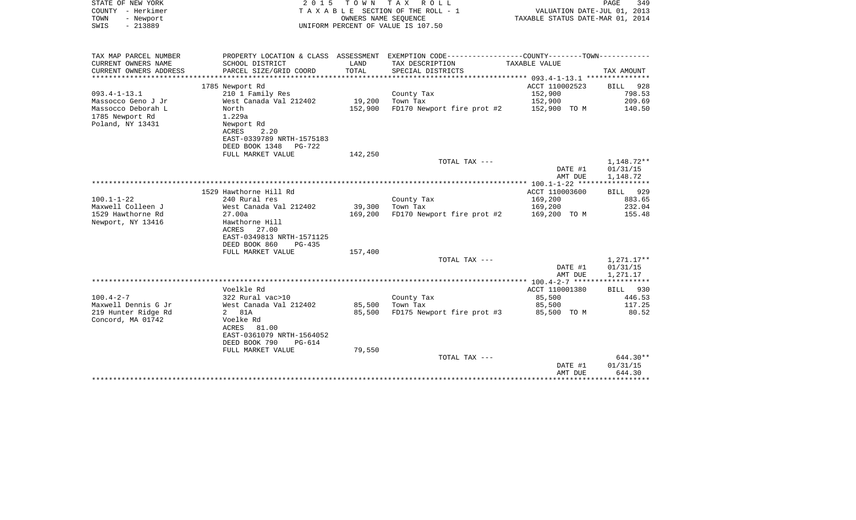| - Newport<br>TOWN                                               | 2 0 1 5                   |         | TOWN TAX ROLL<br>TAXABLE SECTION OF THE ROLL - 1<br>OWNERS NAME SEOUENCE                       | VALUATION DATE-JUL 01, 2013<br>TAXABLE STATUS DATE-MAR 01, 2014 | PAGE<br>349                           |
|-----------------------------------------------------------------|---------------------------|---------|------------------------------------------------------------------------------------------------|-----------------------------------------------------------------|---------------------------------------|
| $-213889$<br>SWIS                                               |                           |         | UNIFORM PERCENT OF VALUE IS 107.50                                                             |                                                                 |                                       |
| TAX MAP PARCEL NUMBER                                           |                           |         | PROPERTY LOCATION & CLASS ASSESSMENT EXEMPTION CODE---------------COUNTY--------TOWN---------- |                                                                 |                                       |
| CURRENT OWNERS NAME                                             | SCHOOL DISTRICT           | LAND    | TAX DESCRIPTION                                                                                | TAXABLE VALUE                                                   |                                       |
| CURRENT OWNERS ADDRESS                                          | PARCEL SIZE/GRID COORD    | TOTAL   | SPECIAL DISTRICTS                                                                              |                                                                 | TAX AMOUNT                            |
| *********************                                           |                           |         |                                                                                                |                                                                 |                                       |
|                                                                 | 1785 Newport Rd           |         |                                                                                                | ACCT 110002523                                                  | 928<br><b>BILL</b>                    |
| $093.4 - 1 - 13.1$                                              | 210 1 Family Res          |         | County Tax                                                                                     | 152,900                                                         | 798.53                                |
| Massocco Geno J Jr                                              | West Canada Val 212402    | 19,200  | Town Tax                                                                                       | 152,900                                                         | 209.69                                |
| Massocco Deborah L                                              | North                     | 152,900 | FD170 Newport fire prot #2                                                                     | 152,900 TO M                                                    | 140.50                                |
| 1785 Newport Rd                                                 | 1.229a                    |         |                                                                                                |                                                                 |                                       |
| Poland, NY 13431                                                | Newport Rd                |         |                                                                                                |                                                                 |                                       |
|                                                                 | <b>ACRES</b><br>2.20      |         |                                                                                                |                                                                 |                                       |
|                                                                 | EAST-0339789 NRTH-1575183 |         |                                                                                                |                                                                 |                                       |
|                                                                 | DEED BOOK 1348<br>PG-722  |         |                                                                                                |                                                                 |                                       |
|                                                                 | FULL MARKET VALUE         | 142,250 |                                                                                                |                                                                 |                                       |
|                                                                 |                           |         | TOTAL TAX ---                                                                                  |                                                                 | 1,148.72**                            |
|                                                                 |                           |         |                                                                                                | DATE #1                                                         | 01/31/15                              |
|                                                                 |                           |         |                                                                                                | AMT DUE                                                         | 1,148.72                              |
|                                                                 |                           |         |                                                                                                |                                                                 |                                       |
|                                                                 | 1529 Hawthorne Hill Rd    |         |                                                                                                | ACCT 110003600                                                  | BILL 929                              |
| $100.1 - 1 - 22$                                                | 240 Rural res             |         | County Tax                                                                                     | 169,200                                                         | 883.65                                |
| Maxwell Colleen J                                               | West Canada Val 212402    | 39,300  | Town Tax                                                                                       | 169,200                                                         | 232.04                                |
| 1529 Hawthorne Rd                                               | 27.00a                    | 169,200 | FD170 Newport fire prot #2                                                                     | 169,200 TO M                                                    | 155.48                                |
| Newport, NY 13416                                               | Hawthorne Hill<br>ACRES   |         |                                                                                                |                                                                 |                                       |
|                                                                 | 27.00                     |         |                                                                                                |                                                                 |                                       |
|                                                                 |                           |         |                                                                                                |                                                                 |                                       |
|                                                                 | EAST-0349813 NRTH-1571125 |         |                                                                                                |                                                                 |                                       |
|                                                                 | DEED BOOK 860<br>PG-435   |         |                                                                                                |                                                                 |                                       |
|                                                                 | FULL MARKET VALUE         | 157,400 |                                                                                                |                                                                 |                                       |
|                                                                 |                           |         | TOTAL TAX ---                                                                                  |                                                                 |                                       |
|                                                                 |                           |         |                                                                                                | DATE #1                                                         | 1,271.17**<br>01/31/15                |
|                                                                 |                           |         |                                                                                                | AMT DUE                                                         | 1,271.17                              |
|                                                                 |                           |         |                                                                                                |                                                                 |                                       |
|                                                                 | Voelkle Rd                |         |                                                                                                | ACCT 110001380                                                  |                                       |
| $100.4 - 2 - 7$                                                 | 322 Rural vac>10          |         | County Tax                                                                                     | 85,500                                                          |                                       |
|                                                                 | West Canada Val 212402    | 85,500  | Town Tax                                                                                       | 85,500                                                          |                                       |
|                                                                 | 2 81A                     | 85,500  | FD175 Newport fire prot #3                                                                     | 85,500 TO M                                                     |                                       |
|                                                                 | Voelke Rd                 |         |                                                                                                |                                                                 |                                       |
| Maxwell Dennis G Jr<br>219 Hunter Ridge Rd<br>Concord, MA 01742 | ACRES<br>81.00            |         |                                                                                                |                                                                 |                                       |
|                                                                 | EAST-0361079 NRTH-1564052 |         |                                                                                                |                                                                 |                                       |
|                                                                 | DEED BOOK 790<br>PG-614   |         |                                                                                                |                                                                 | BILL 930<br>446.53<br>117.25<br>80.52 |
|                                                                 | FULL MARKET VALUE         | 79,550  | TOTAL TAX ---                                                                                  |                                                                 | 644.30**                              |
|                                                                 |                           |         |                                                                                                | DATE #1                                                         | 01/31/15                              |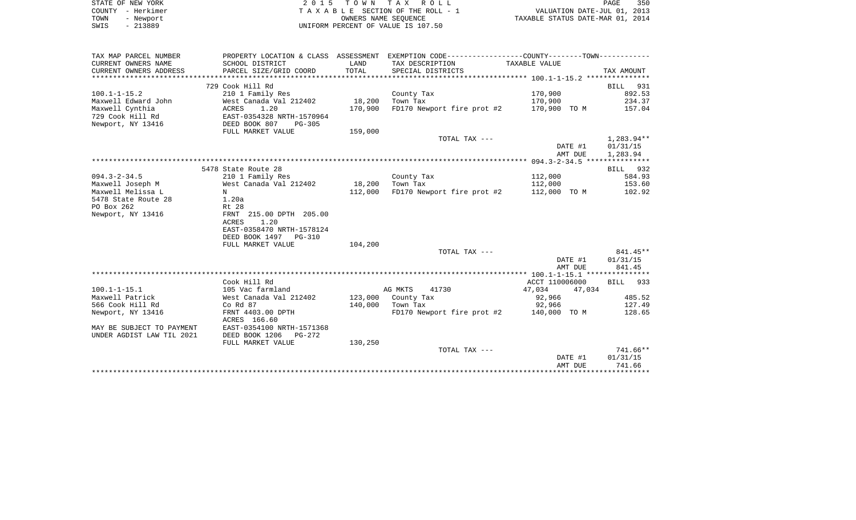|      | STATE OF NEW YORK | 2015 TOWN TAX ROLL                 | PAGE                             | 350 |
|------|-------------------|------------------------------------|----------------------------------|-----|
|      | COUNTY - Herkimer | TAXABLE SECTION OF THE ROLL - 1    | VALUATION DATE-JUL 01, 2013      |     |
| TOWN | - Newport         | OWNERS NAME SEOUENCE               | TAXABLE STATUS DATE-MAR 01, 2014 |     |
| SWIS | - 213889          | UNIFORM PERCENT OF VALUE IS 107.50 |                                  |     |

| TAX MAP PARCEL NUMBER     | PROPERTY LOCATION & CLASS ASSESSMENT |         | EXEMPTION CODE-----------------COUNTY-------TOWN----------- |                  |            |
|---------------------------|--------------------------------------|---------|-------------------------------------------------------------|------------------|------------|
| CURRENT OWNERS NAME       | SCHOOL DISTRICT                      | LAND    | TAX DESCRIPTION                                             | TAXABLE VALUE    |            |
| CURRENT OWNERS ADDRESS    | PARCEL SIZE/GRID COORD               | TOTAL   | SPECIAL DISTRICTS                                           |                  | TAX AMOUNT |
|                           |                                      |         |                                                             |                  |            |
|                           | 729 Cook Hill Rd                     |         |                                                             |                  | BILL 931   |
| $100.1 - 1 - 15.2$        | 210 1 Family Res                     |         | County Tax                                                  | 170,900          | 892.53     |
| Maxwell Edward John       | West Canada Val 212402               | 18,200  | Town Tax                                                    | 170,900          | 234.37     |
| Maxwell Cynthia           | ACRES 1.20                           | 170,900 | FD170 Newport fire prot #2 170,900 TO M                     |                  | 157.04     |
| 729 Cook Hill Rd          | EAST-0354328 NRTH-1570964            |         |                                                             |                  |            |
| Newport, NY 13416         | DEED BOOK 807<br>PG-305              |         |                                                             |                  |            |
|                           | FULL MARKET VALUE                    | 159,000 |                                                             |                  |            |
|                           |                                      |         | TOTAL TAX ---                                               |                  | 1,283.94** |
|                           |                                      |         |                                                             | DATE #1          | 01/31/15   |
|                           |                                      |         |                                                             | AMT DUE          | 1,283.94   |
|                           |                                      |         |                                                             |                  |            |
|                           | 5478 State Route 28                  |         |                                                             |                  | BILL 932   |
|                           |                                      |         |                                                             |                  | 584.93     |
| $094.3 - 2 - 34.5$        | 210 1 Family Res                     |         | County Tax                                                  | 112,000          |            |
| Maxwell Joseph M          | West Canada Val 212402 18,200        |         | Town Tax                                                    | 112,000          | 153.60     |
| Maxwell Melissa L         | N                                    | 112,000 | FD170 Newport fire prot #2 112,000 TO M                     |                  | 102.92     |
| 5478 State Route 28       | 1.20a                                |         |                                                             |                  |            |
| PO Box 262                | Rt 28                                |         |                                                             |                  |            |
| Newport, NY 13416         | FRNT 215.00 DPTH 205.00              |         |                                                             |                  |            |
|                           | 1.20<br>ACRES                        |         |                                                             |                  |            |
|                           | EAST-0358470 NRTH-1578124            |         |                                                             |                  |            |
|                           | DEED BOOK 1497 PG-310                |         |                                                             |                  |            |
|                           | FULL MARKET VALUE                    | 104,200 |                                                             |                  |            |
|                           |                                      |         | TOTAL TAX ---                                               |                  | $841.45**$ |
|                           |                                      |         |                                                             | DATE #1          | 01/31/15   |
|                           |                                      |         |                                                             | AMT DUE          | 841.45     |
|                           |                                      |         |                                                             |                  |            |
|                           | Cook Hill Rd                         |         |                                                             | ACCT 110006000   | BILL 933   |
| $100.1 - 1 - 15.1$        | 105 Vac farmland                     |         | AG MKTS<br>41730                                            | 47,034<br>47,034 |            |
| Maxwell Patrick           | West Canada Val 212402               |         | 123,000 County Tax                                          | 92,966           | 485.52     |
| 566 Cook Hill Rd          | Co Rd 87                             |         | 140,000 Town Tax                                            | 92,966           | 127.49     |
| Newport, NY 13416         | FRNT 4403.00 DPTH                    |         | FD170 Newport fire prot #2 140,000 TO M                     |                  | 128.65     |
|                           | ACRES 166.60                         |         |                                                             |                  |            |
| MAY BE SUBJECT TO PAYMENT | EAST-0354100 NRTH-1571368            |         |                                                             |                  |            |
| UNDER AGDIST LAW TIL 2021 | DEED BOOK 1206 PG-272                |         |                                                             |                  |            |
|                           | FULL MARKET VALUE                    | 130,250 |                                                             |                  |            |
|                           |                                      |         | TOTAL TAX ---                                               |                  | 741.66**   |
|                           |                                      |         |                                                             | DATE #1          | 01/31/15   |
|                           |                                      |         |                                                             | AMT DUE          | 741.66     |
|                           |                                      |         |                                                             |                  |            |
|                           |                                      |         |                                                             |                  |            |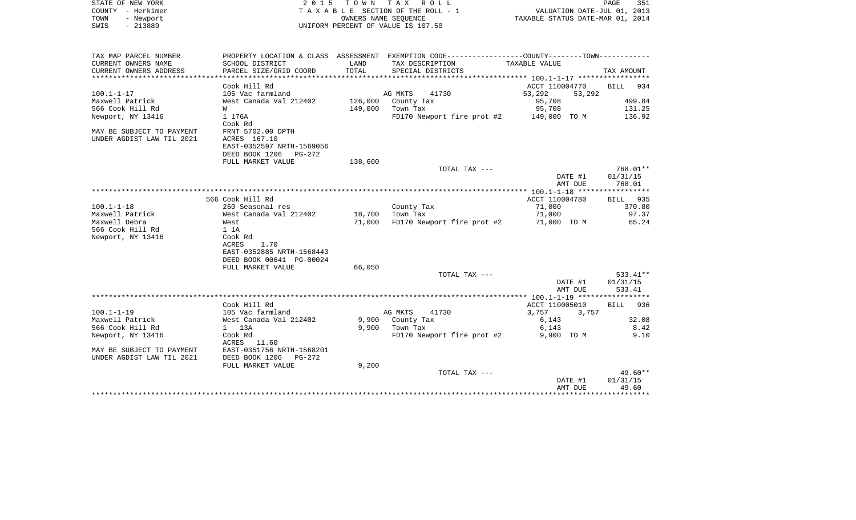| STATE OF NEW YORK<br>COUNTY - Herkimer<br>- Newport<br>TOWN<br>$-213889$<br>SWIS | 2 0 1 5                                               | T O W N          | TAX ROLL<br>TAXABLE SECTION OF THE ROLL - 1<br>OWNERS NAME SEQUENCE<br>UNIFORM PERCENT OF VALUE IS 107.50 | VALUATION DATE-JUL 01, 2013<br>TAXABLE STATUS DATE-MAR 01, 2014 | PAGE<br>351           |
|----------------------------------------------------------------------------------|-------------------------------------------------------|------------------|-----------------------------------------------------------------------------------------------------------|-----------------------------------------------------------------|-----------------------|
| TAX MAP PARCEL NUMBER                                                            |                                                       |                  | PROPERTY LOCATION & CLASS ASSESSMENT EXEMPTION CODE----------------COUNTY-------TOWN----------            |                                                                 |                       |
| CURRENT OWNERS NAME                                                              | SCHOOL DISTRICT                                       | LAND             | TAX DESCRIPTION                                                                                           | TAXABLE VALUE                                                   |                       |
| CURRENT OWNERS ADDRESS                                                           | PARCEL SIZE/GRID COORD                                | TOTAL            | SPECIAL DISTRICTS                                                                                         | ************ 100.1-1-17 ***********                             | TAX AMOUNT            |
|                                                                                  | Cook Hill Rd                                          |                  |                                                                                                           | ACCT 110004770                                                  | BILL<br>934           |
| $100.1 - 1 - 17$                                                                 | 105 Vac farmland                                      |                  | AG MKTS<br>41730                                                                                          | 53,292<br>53,292                                                |                       |
| Maxwell Patrick                                                                  | West Canada Val 212402                                | 126,000          | County Tax                                                                                                | 95,708                                                          | 499.84                |
| 566 Cook Hill Rd                                                                 | W                                                     | 149,000          | Town Tax                                                                                                  | 95,708                                                          | 131.25                |
| Newport, NY 13416                                                                | 1 176A                                                |                  | FD170 Newport fire prot #2                                                                                | 149,000 TO M                                                    | 136.92                |
|                                                                                  | Cook Rd                                               |                  |                                                                                                           |                                                                 |                       |
| MAY BE SUBJECT TO PAYMENT                                                        | FRNT 5702.00 DPTH                                     |                  |                                                                                                           |                                                                 |                       |
| UNDER AGDIST LAW TIL 2021                                                        | ACRES 167.10                                          |                  |                                                                                                           |                                                                 |                       |
|                                                                                  | EAST-0352597 NRTH-1569056<br>DEED BOOK 1206<br>PG-272 |                  |                                                                                                           |                                                                 |                       |
|                                                                                  | FULL MARKET VALUE                                     | 138,600          |                                                                                                           |                                                                 |                       |
|                                                                                  |                                                       |                  | TOTAL TAX ---                                                                                             |                                                                 | 768.01**              |
|                                                                                  |                                                       |                  |                                                                                                           | DATE #1                                                         | 01/31/15              |
|                                                                                  |                                                       |                  |                                                                                                           | AMT DUE                                                         | 768.01                |
|                                                                                  |                                                       |                  |                                                                                                           |                                                                 |                       |
|                                                                                  | 566 Cook Hill Rd                                      |                  |                                                                                                           | ACCT 110004780                                                  | 935<br><b>BILL</b>    |
| $100.1 - 1 - 18$                                                                 | 260 Seasonal res                                      |                  | County Tax                                                                                                | 71,000                                                          | 370.80<br>97.37       |
| Maxwell Patrick<br>Maxwell Debra                                                 | West Canada Val 212402<br>West                        | 18,700<br>71,000 | Town Tax<br>FD170 Newport fire prot #2                                                                    | 71,000<br>71,000 TO M                                           | 65.24                 |
| 566 Cook Hill Rd                                                                 | 1 1 A                                                 |                  |                                                                                                           |                                                                 |                       |
| Newport, NY 13416                                                                | Cook Rd                                               |                  |                                                                                                           |                                                                 |                       |
|                                                                                  | ACRES<br>1.70                                         |                  |                                                                                                           |                                                                 |                       |
|                                                                                  | EAST-0352885 NRTH-1568443                             |                  |                                                                                                           |                                                                 |                       |
|                                                                                  | DEED BOOK 00641 PG-00024                              |                  |                                                                                                           |                                                                 |                       |
|                                                                                  | FULL MARKET VALUE                                     | 66,050           |                                                                                                           |                                                                 |                       |
|                                                                                  |                                                       |                  | TOTAL TAX ---                                                                                             |                                                                 | 533.41**              |
|                                                                                  |                                                       |                  |                                                                                                           | DATE #1<br>AMT DUE                                              | 01/31/15<br>533.41    |
|                                                                                  |                                                       |                  |                                                                                                           |                                                                 |                       |
|                                                                                  | Cook Hill Rd                                          |                  |                                                                                                           | ACCT 110005010                                                  | 936<br><b>BILL</b>    |
| $100.1 - 1 - 19$                                                                 | 105 Vac farmland                                      |                  | AG MKTS<br>41730                                                                                          | 3,757<br>3,757                                                  |                       |
| Maxwell Patrick                                                                  | West Canada Val 212402                                | 9,900            | County Tax                                                                                                | 6,143                                                           | 32.08                 |
| 566 Cook Hill Rd                                                                 | 1 13A                                                 | 9,900            | Town Tax                                                                                                  | 6,143                                                           | 8.42                  |
| Newport, NY 13416                                                                | Cook Rd<br>ACRES 11.60                                |                  | FD170 Newport fire prot #2                                                                                | 9,900 TO M                                                      | 9.10                  |
| MAY BE SUBJECT TO PAYMENT                                                        | EAST-0351756 NRTH-1568201                             |                  |                                                                                                           |                                                                 |                       |
| UNDER AGDIST LAW TIL 2021                                                        | DEED BOOK 1206<br>$PG-272$                            |                  |                                                                                                           |                                                                 |                       |
|                                                                                  | FULL MARKET VALUE                                     | 9,200            |                                                                                                           |                                                                 |                       |
|                                                                                  |                                                       |                  | TOTAL TAX ---                                                                                             | DATE #1                                                         | $49.60**$<br>01/31/15 |
|                                                                                  |                                                       |                  |                                                                                                           | AMT DUE                                                         | 49.60                 |
|                                                                                  |                                                       |                  |                                                                                                           |                                                                 | ************          |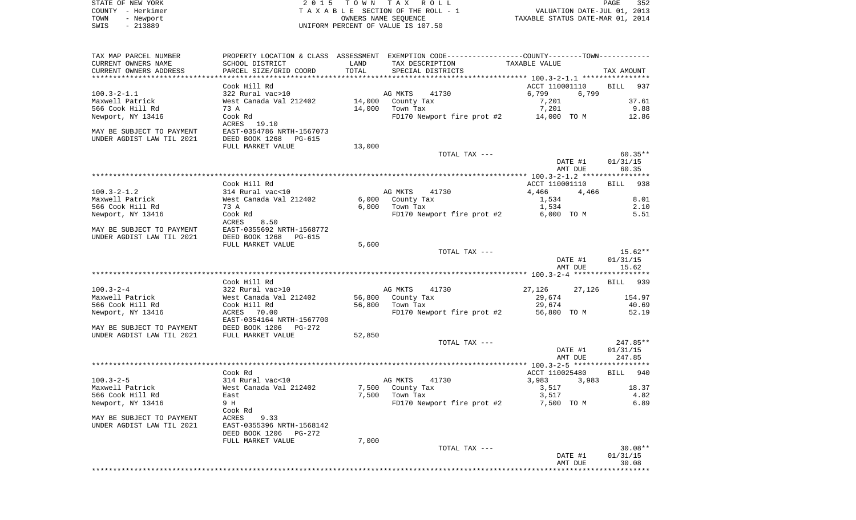| STATE OF NEW YORK<br>COUNTY - Herkimer                 |                                            |        | 2015 TOWN TAX ROLL<br>TAXABLE SECTION OF THE ROLL - 1                                         | VALUATION DATE-JUL 01, 2013      | PAGE<br>352        |
|--------------------------------------------------------|--------------------------------------------|--------|-----------------------------------------------------------------------------------------------|----------------------------------|--------------------|
| TOWN<br>- Newport                                      |                                            |        | OWNERS NAME SEQUENCE                                                                          | TAXABLE STATUS DATE-MAR 01, 2014 |                    |
| $-213889$<br>SWIS                                      |                                            |        | UNIFORM PERCENT OF VALUE IS 107.50                                                            |                                  |                    |
|                                                        |                                            |        |                                                                                               |                                  |                    |
| TAX MAP PARCEL NUMBER                                  |                                            |        | PROPERTY LOCATION & CLASS ASSESSMENT EXEMPTION CODE---------------COUNTY-------TOWN---------- |                                  |                    |
| CURRENT OWNERS NAME                                    | SCHOOL DISTRICT                            | LAND   | TAX DESCRIPTION                                                                               | TAXABLE VALUE                    |                    |
| CURRENT OWNERS ADDRESS                                 | PARCEL SIZE/GRID COORD                     | TOTAL  | SPECIAL DISTRICTS                                                                             |                                  | TAX AMOUNT         |
|                                                        |                                            |        |                                                                                               |                                  |                    |
|                                                        | Cook Hill Rd                               |        |                                                                                               | ACCT 110001110                   | <b>BILL</b><br>937 |
| $100.3 - 2 - 1.1$<br>Maxwell Patrick                   | 322 Rural vac>10<br>West Canada Val 212402 | 14,000 | AG MKTS<br>41730<br>County Tax                                                                | 6,799<br>6,799<br>7,201          | 37.61              |
| 566 Cook Hill Rd                                       | 73 A                                       | 14,000 | Town Tax                                                                                      | 7,201                            | 9.88               |
| Newport, NY 13416                                      | Cook Rd                                    |        | FD170 Newport fire prot #2 14,000 TO M                                                        |                                  | 12.86              |
|                                                        | ACRES 19.10                                |        |                                                                                               |                                  |                    |
| MAY BE SUBJECT TO PAYMENT                              | EAST-0354786 NRTH-1567073                  |        |                                                                                               |                                  |                    |
| UNDER AGDIST LAW TIL 2021                              | DEED BOOK 1268<br>PG-615                   |        |                                                                                               |                                  |                    |
|                                                        | FULL MARKET VALUE                          | 13,000 |                                                                                               |                                  |                    |
|                                                        |                                            |        | TOTAL TAX ---                                                                                 |                                  | $60.35**$          |
|                                                        |                                            |        |                                                                                               | DATE #1                          | 01/31/15           |
|                                                        |                                            |        |                                                                                               | AMT DUE                          | 60.35              |
|                                                        |                                            |        |                                                                                               |                                  |                    |
|                                                        | Cook Hill Rd                               |        |                                                                                               | ACCT 110001110                   | 938<br>BILL        |
| $100.3 - 2 - 1.2$                                      | 314 Rural vac<10                           |        | AG MKTS<br>41730                                                                              | 4,466<br>4,466                   |                    |
| Maxwell Patrick                                        | West Canada Val 212402                     |        | 6,000 County Tax                                                                              | 1,534                            | 8.01               |
| 566 Cook Hill Rd                                       | 73 A                                       |        | $6,000$ Town Tax                                                                              | 1,534                            | 2.10               |
| Newport, NY 13416                                      | Cook Rd<br>ACRES<br>8.50                   |        | FD170 Newport fire prot #2                                                                    | 6,000 TO M                       | 5.51               |
| MAY BE SUBJECT TO PAYMENT                              | EAST-0355692 NRTH-1568772                  |        |                                                                                               |                                  |                    |
| UNDER AGDIST LAW TIL 2021                              | DEED BOOK 1268<br>PG-615                   |        |                                                                                               |                                  |                    |
|                                                        | FULL MARKET VALUE                          | 5,600  |                                                                                               |                                  |                    |
|                                                        |                                            |        | TOTAL TAX ---                                                                                 |                                  | 15.62**            |
|                                                        |                                            |        |                                                                                               | DATE #1                          | 01/31/15           |
|                                                        |                                            |        |                                                                                               | AMT DUE                          | 15.62              |
|                                                        |                                            |        |                                                                                               |                                  |                    |
|                                                        | Cook Hill Rd                               |        |                                                                                               |                                  | 939<br>BILL        |
| 100.3-2-4                                              | 322 Rural vac>10                           |        | AG MKTS<br>41730                                                                              | 27,126<br>27,126                 |                    |
| Maxwell Patrick                                        | West Canada Val 212402                     |        | 56,800 County Tax                                                                             | 29,674                           | 154.97             |
| 566 Cook Hill Rd                                       | Cook Hill Rd                               | 56,800 | Town Tax                                                                                      | 29,674                           | 40.69              |
| Newport, NY 13416                                      | ACRES 70.00<br>EAST-0354164 NRTH-1567700   |        | FD170 Newport fire prot #2                                                                    | 56,800 TO M                      | 52.19              |
| MAY BE SUBJECT TO PAYMENT                              | DEED BOOK 1206<br>PG-272                   |        |                                                                                               |                                  |                    |
| UNDER AGDIST LAW TIL 2021                              | FULL MARKET VALUE                          | 52,850 |                                                                                               |                                  |                    |
|                                                        |                                            |        | TOTAL TAX ---                                                                                 |                                  | 247.85**           |
|                                                        |                                            |        |                                                                                               | DATE #1                          | 01/31/15           |
|                                                        |                                            |        |                                                                                               | AMT DUE                          | 247.85             |
|                                                        |                                            |        |                                                                                               |                                  |                    |
|                                                        | Cook Rd                                    |        |                                                                                               | ACCT 110025480 BILL 940          |                    |
| $100.3 - 2 - 5$                                        | 314 Rural vac<10                           |        | AG MKTS<br>41730                                                                              | 3,983<br>3,983                   |                    |
| Maxwell Patrick                                        | West Canada Val 212402                     | 7,500  | County Tax                                                                                    | 3,517                            | 18.37              |
| 566 Cook Hill Rd                                       | East                                       | 7,500  | Town Tax                                                                                      | 3,517                            | 4.82               |
| Newport, NY 13416                                      | 9 H                                        |        | FD170 Newport fire prot #2                                                                    | 7,500 TO M                       | 6.89               |
|                                                        | Cook Rd                                    |        |                                                                                               |                                  |                    |
| MAY BE SUBJECT TO PAYMENT<br>UNDER AGDIST LAW TIL 2021 | 9.33<br>ACRES<br>EAST-0355396 NRTH-1568142 |        |                                                                                               |                                  |                    |
|                                                        | DEED BOOK 1206<br>PG-272                   |        |                                                                                               |                                  |                    |
|                                                        | FULL MARKET VALUE                          | 7,000  |                                                                                               |                                  |                    |
|                                                        |                                            |        | TOTAL TAX ---                                                                                 |                                  | $30.08**$          |
|                                                        |                                            |        |                                                                                               | DATE #1                          | 01/31/15           |

\*\*\*\*\*\*\*\*\*\*\*\*\*\*\*\*\*\*\*\*\*\*\*\*\*\*\*\*\*\*\*\*\*\*\*\*\*\*\*\*\*\*\*\*\*\*\*\*\*\*\*\*\*\*\*\*\*\*\*\*\*\*\*\*\*\*\*\*\*\*\*\*\*\*\*\*\*\*\*\*\*\*\*\*\*\*\*\*\*\*\*\*\*\*\*\*\*\*\*\*\*\*\*\*\*\*\*\*\*\*\*\*\*\*\*\*\*\*\*\*\*\*\*\*\*\*\*\*\*\*\*\*

AMT DUE 30.08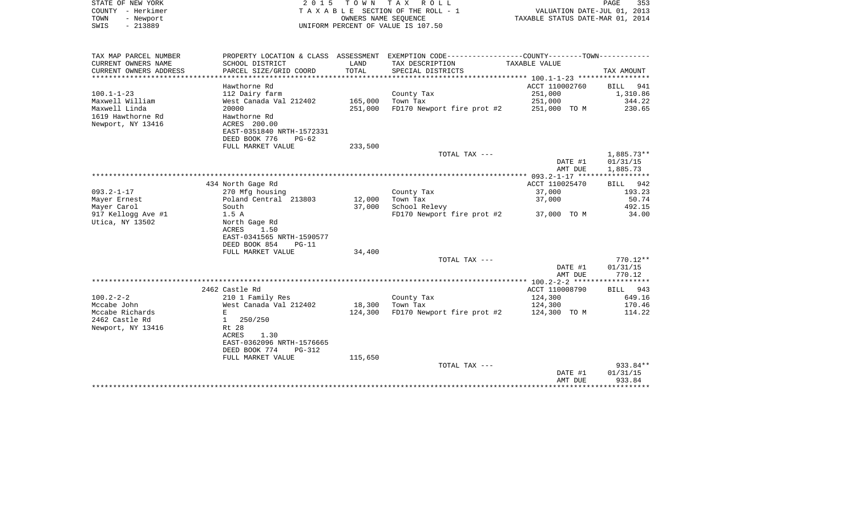| STATE OF NEW YORK      | 2 0 1 5                   | TOWN TAX | R O L L                                                                                        |                                  | PAGE<br>353  |
|------------------------|---------------------------|----------|------------------------------------------------------------------------------------------------|----------------------------------|--------------|
| COUNTY - Herkimer      |                           |          | T A X A B L E SECTION OF THE ROLL - 1                                                          | VALUATION DATE-JUL 01, 2013      |              |
| TOWN<br>- Newport      |                           |          | OWNERS NAME SEQUENCE                                                                           | TAXABLE STATUS DATE-MAR 01, 2014 |              |
| SWIS<br>$-213889$      |                           |          | UNIFORM PERCENT OF VALUE IS 107.50                                                             |                                  |              |
|                        |                           |          |                                                                                                |                                  |              |
| TAX MAP PARCEL NUMBER  |                           |          | PROPERTY LOCATION & CLASS ASSESSMENT EXEMPTION CODE---------------COUNTY--------TOWN---------- |                                  |              |
| CURRENT OWNERS NAME    | SCHOOL DISTRICT           | LAND     | TAX DESCRIPTION                                                                                | TAXABLE VALUE                    |              |
| CURRENT OWNERS ADDRESS | PARCEL SIZE/GRID COORD    | TOTAL    | SPECIAL DISTRICTS                                                                              |                                  | TAX AMOUNT   |
|                        | Hawthorne Rd              |          |                                                                                                | ACCT 110002760                   | BILL<br>941  |
| $100.1 - 1 - 23$       | 112 Dairy farm            |          | County Tax                                                                                     | 251,000                          | 1,310.86     |
| Maxwell William        | West Canada Val 212402    | 165,000  | Town Tax                                                                                       | 251,000                          | 344.22       |
| Maxwell Linda          | 20000                     | 251,000  | FD170 Newport fire prot #2                                                                     | 251,000 TO M                     | 230.65       |
| 1619 Hawthorne Rd      | Hawthorne Rd              |          |                                                                                                |                                  |              |
| Newport, NY 13416      | ACRES 200.00              |          |                                                                                                |                                  |              |
|                        | EAST-0351840 NRTH-1572331 |          |                                                                                                |                                  |              |
|                        | DEED BOOK 776<br>$PG-62$  |          |                                                                                                |                                  |              |
|                        | FULL MARKET VALUE         | 233,500  |                                                                                                |                                  |              |
|                        |                           |          | TOTAL TAX ---                                                                                  |                                  | $1,885.73**$ |
|                        |                           |          |                                                                                                | DATE #1                          | 01/31/15     |
|                        |                           |          |                                                                                                | AMT DUE                          | 1,885.73     |
|                        |                           |          |                                                                                                |                                  |              |
|                        | 434 North Gage Rd         |          |                                                                                                | ACCT 110025470                   | BILL 942     |
| $093.2 - 1 - 17$       | 270 Mfg housing           |          | County Tax                                                                                     | 37,000                           | 193.23       |
| Mayer Ernest           | Poland Central 213803     | 12,000   | Town Tax                                                                                       | 37,000                           | 50.74        |
| Mayer Carol            | South                     | 37,000   | School Relevy                                                                                  |                                  | 492.15       |
| 917 Kellogg Ave #1     | 1.5 A                     |          | FD170 Newport fire prot #2                                                                     | 37,000 TO M                      | 34.00        |
| Utica, NY 13502        | North Gage Rd             |          |                                                                                                |                                  |              |
|                        | ACRES<br>1.50             |          |                                                                                                |                                  |              |
|                        | EAST-0341565 NRTH-1590577 |          |                                                                                                |                                  |              |
|                        | DEED BOOK 854<br>$PG-11$  |          |                                                                                                |                                  |              |
|                        | FULL MARKET VALUE         | 34,400   |                                                                                                |                                  |              |
|                        |                           |          | TOTAL TAX ---                                                                                  |                                  | 770.12**     |
|                        |                           |          |                                                                                                | DATE #1                          | 01/31/15     |
|                        |                           |          |                                                                                                | AMT DUE                          | 770.12       |
|                        |                           |          |                                                                                                |                                  |              |
|                        | 2462 Castle Rd            |          |                                                                                                | ACCT 110008790                   | BILL 943     |
| $100.2 - 2 - 2$        | 210 1 Family Res          |          | County Tax                                                                                     | 124,300                          | 649.16       |
| Mccabe John            | West Canada Val 212402    | 18,300   | Town Tax                                                                                       | 124,300                          | 170.46       |
| Mccabe Richards        | E                         | 124,300  | FD170 Newport fire prot #2                                                                     | 124,300 TO M                     | 114.22       |
| 2462 Castle Rd         | 250/250<br>$\mathbf{1}$   |          |                                                                                                |                                  |              |
| Newport, NY 13416      | Rt 28                     |          |                                                                                                |                                  |              |
|                        | ACRES<br>1.30             |          |                                                                                                |                                  |              |
|                        | EAST-0362096 NRTH-1576665 |          |                                                                                                |                                  |              |
|                        | DEED BOOK 774<br>$PG-312$ |          |                                                                                                |                                  |              |
|                        | FULL MARKET VALUE         | 115,650  |                                                                                                |                                  |              |
|                        |                           |          | TOTAL TAX ---                                                                                  |                                  | 933.84**     |
|                        |                           |          |                                                                                                | DATE #1                          | 01/31/15     |
|                        |                           |          |                                                                                                | AMT DUE                          | 933.84       |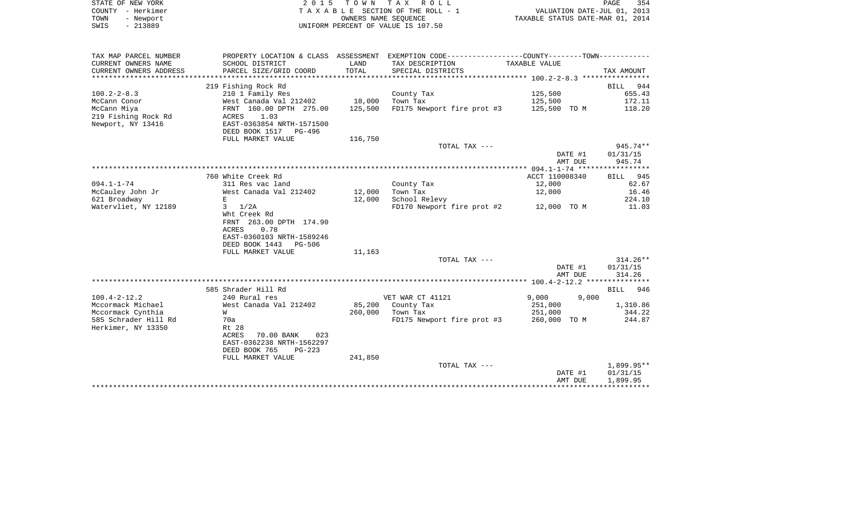| STATE OF NEW YORK | 2015 TOWN TAX ROLL                 | 354<br>PAGE                      |
|-------------------|------------------------------------|----------------------------------|
| COUNTY - Herkimer | TAXABLE SECTION OF THE ROLL - 1    | VALUATION DATE-JUL 01, 2013      |
| TOWN<br>- Newport | OWNERS NAME SEOUENCE               | TAXABLE STATUS DATE-MAR 01, 2014 |
| - 213889<br>SWIS  | UNIFORM PERCENT OF VALUE IS 107.50 |                                  |

| TAX MAP PARCEL NUMBER     |                            |         | PROPERTY LOCATION & CLASS ASSESSMENT EXEMPTION CODE---------------COUNTY-------TOWN---------- |                |            |
|---------------------------|----------------------------|---------|-----------------------------------------------------------------------------------------------|----------------|------------|
| CURRENT OWNERS NAME       | SCHOOL DISTRICT            | LAND    | TAX DESCRIPTION                                                                               | TAXABLE VALUE  |            |
| CURRENT OWNERS ADDRESS    | PARCEL SIZE/GRID COORD     | TOTAL   | SPECIAL DISTRICTS                                                                             |                | TAX AMOUNT |
| ************************* |                            |         |                                                                                               |                |            |
|                           | 219 Fishing Rock Rd        |         |                                                                                               |                | BILL 944   |
| $100.2 - 2 - 8.3$         | 210 1 Family Res           |         | County Tax                                                                                    | 125,500        | 655.43     |
| McCann Conor              | West Canada Val 212402     | 18,000  | Town Tax                                                                                      | 125,500        | 172.11     |
| McCann Miya               | FRNT 160.00 DPTH 275.00    | 125,500 | FD175 Newport fire prot #3 125,500 TO M                                                       |                | 118.20     |
| 219 Fishing Rock Rd       | ACRES<br>1.03              |         |                                                                                               |                |            |
| Newport, NY 13416         | EAST-0363854 NRTH-1571500  |         |                                                                                               |                |            |
|                           | DEED BOOK 1517 PG-496      |         |                                                                                               |                |            |
|                           | FULL MARKET VALUE          | 116,750 |                                                                                               |                |            |
|                           |                            |         | TOTAL TAX ---                                                                                 |                | $945.74**$ |
|                           |                            |         |                                                                                               | DATE #1        | 01/31/15   |
|                           |                            |         |                                                                                               | AMT DUE        | 945.74     |
|                           |                            |         |                                                                                               |                |            |
|                           | 760 White Creek Rd         |         |                                                                                               | ACCT 110008340 | BILL 945   |
| $094.1 - 1 - 74$          | 311 Res vac land           |         | County Tax                                                                                    | 12,000         | 62.67      |
| McCauley John Jr          | West Canada Val 212402     | 12,000  | Town Tax                                                                                      | 12,000         | 16.46      |
| 621 Broadway              | Е                          | 12,000  | School Relevy                                                                                 |                | 224.10     |
| Watervliet, NY 12189      | $3 \frac{1}{2A}$           |         | FD170 Newport fire prot #2 12,000 TO M                                                        |                | 11.03      |
|                           | Wht Creek Rd               |         |                                                                                               |                |            |
|                           | FRNT 263.00 DPTH 174.90    |         |                                                                                               |                |            |
|                           | ACRES<br>0.78              |         |                                                                                               |                |            |
|                           | EAST-0360103 NRTH-1589246  |         |                                                                                               |                |            |
|                           | DEED BOOK 1443<br>PG-506   |         |                                                                                               |                |            |
|                           | FULL MARKET VALUE          | 11,163  |                                                                                               |                |            |
|                           |                            |         | TOTAL TAX ---                                                                                 |                | $314.26**$ |
|                           |                            |         |                                                                                               | DATE #1        | 01/31/15   |
|                           |                            |         |                                                                                               | AMT DUE        | 314.26     |
|                           |                            |         |                                                                                               |                |            |
|                           | 585 Shrader Hill Rd        |         |                                                                                               |                | BILL 946   |
| $100.4 - 2 - 12.2$        | 240 Rural res              |         | VET WAR CT 41121                                                                              | 9,000<br>9,000 |            |
| Mccormack Michael         | West Canada Val 212402     |         | 85,200 County Tax                                                                             | 251,000        | 1,310.86   |
| Mccormack Cynthia         | W                          | 260,000 | Town Tax                                                                                      | 251,000        | 344.22     |
| 585 Schrader Hill Rd      | 70a                        |         | FD175 Newport fire prot #3 260,000 TO M                                                       |                | 244.87     |
| Herkimer, NY 13350        | Rt 28                      |         |                                                                                               |                |            |
|                           | ACRES<br>70.00 BANK<br>023 |         |                                                                                               |                |            |
|                           | EAST-0362238 NRTH-1562297  |         |                                                                                               |                |            |
|                           | DEED BOOK 765<br>PG-223    |         |                                                                                               |                |            |
|                           | FULL MARKET VALUE          | 241,850 |                                                                                               |                |            |
|                           |                            |         | TOTAL TAX ---                                                                                 |                | 1,899.95** |
|                           |                            |         |                                                                                               | DATE #1        | 01/31/15   |
|                           |                            |         |                                                                                               | AMT DUE        | 1,899.95   |
|                           |                            |         |                                                                                               |                |            |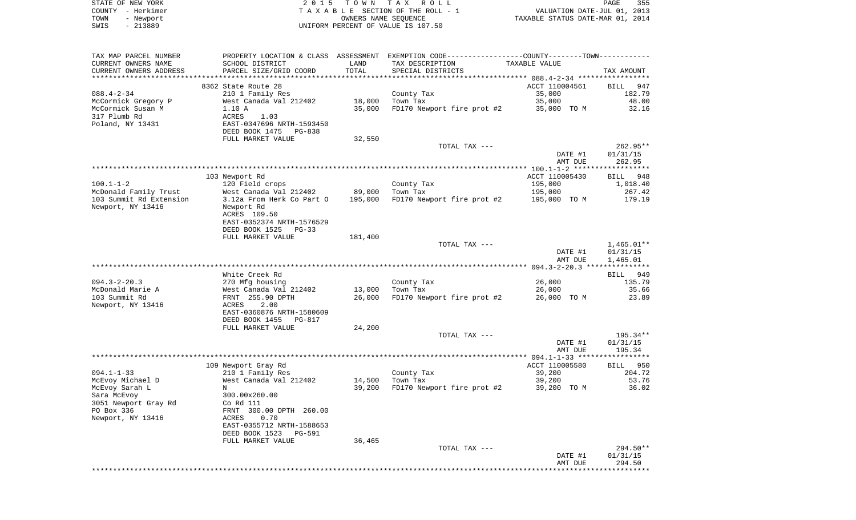|      | STATE OF NEW YORK | 2015 TOWN TAX ROLL                 | 355<br>PAGE                      |
|------|-------------------|------------------------------------|----------------------------------|
|      | COUNTY - Herkimer | TAXABLE SECTION OF THE ROLL - 1    | VALUATION DATE-JUL 01, 2013      |
| TOWN | - Newport         | OWNERS NAME SEOUENCE               | TAXABLE STATUS DATE-MAR 01, 2014 |
| SWIS | - 213889          | UNIFORM PERCENT OF VALUE IS 107.50 |                                  |

| TAX MAP PARCEL NUMBER             | PROPERTY LOCATION & CLASS ASSESSMENT EXEMPTION CODE----------------COUNTY--------TOWN---------- |         |                            |                    |                    |
|-----------------------------------|-------------------------------------------------------------------------------------------------|---------|----------------------------|--------------------|--------------------|
| CURRENT OWNERS NAME               | SCHOOL DISTRICT                                                                                 | LAND    | TAX DESCRIPTION            | TAXABLE VALUE      |                    |
| CURRENT OWNERS ADDRESS            | PARCEL SIZE/GRID COORD                                                                          | TOTAL   | SPECIAL DISTRICTS          |                    | TAX AMOUNT         |
|                                   |                                                                                                 |         |                            |                    |                    |
|                                   | 8362 State Route 28                                                                             |         |                            | ACCT 110004561     | BILL 947           |
| $088.4 - 2 - 34$                  | 210 1 Family Res                                                                                |         | County Tax<br>Town Tax     | 35,000             | 182.79<br>48.00    |
| McCormick Gregory P               | West Canada Val 212402                                                                          | 18,000  |                            | 35,000             |                    |
| McCormick Susan M<br>317 Plumb Rd | 1.10 A<br>ACRES                                                                                 | 35,000  | FD170 Newport fire prot #2 | 35,000 TO M        | 32.16              |
| Poland, NY 13431                  | 1.03<br>EAST-0347696 NRTH-1593450                                                               |         |                            |                    |                    |
|                                   | DEED BOOK 1475<br>PG-838                                                                        |         |                            |                    |                    |
|                                   | FULL MARKET VALUE                                                                               | 32,550  |                            |                    |                    |
|                                   |                                                                                                 |         | TOTAL TAX ---              |                    | $262.95**$         |
|                                   |                                                                                                 |         |                            | DATE #1            | 01/31/15           |
|                                   |                                                                                                 |         |                            | AMT DUE            | 262.95             |
|                                   |                                                                                                 |         |                            |                    |                    |
|                                   | 103 Newport Rd                                                                                  |         |                            | ACCT 110005430     | BILL 948           |
| $100.1 - 1 - 2$                   | 120 Field crops                                                                                 |         | County Tax                 | 195,000            | 1,018.40           |
| McDonald Family Trust             | West Canada Val 212402                                                                          | 89,000  | Town Tax                   | 195,000            | 267.42             |
| 103 Summit Rd Extension           | 3.12a From Herk Co Part O                                                                       | 195,000 | FD170 Newport fire prot #2 | 195,000 TO M       | 179.19             |
| Newport, NY 13416                 | Newport Rd                                                                                      |         |                            |                    |                    |
|                                   | ACRES 109.50                                                                                    |         |                            |                    |                    |
|                                   | EAST-0352374 NRTH-1576529                                                                       |         |                            |                    |                    |
|                                   | DEED BOOK 1525<br>$PG-33$                                                                       |         |                            |                    |                    |
|                                   | FULL MARKET VALUE                                                                               | 181,400 |                            |                    |                    |
|                                   |                                                                                                 |         | TOTAL TAX ---              |                    | $1,465.01**$       |
|                                   |                                                                                                 |         |                            | DATE #1            | 01/31/15           |
|                                   |                                                                                                 |         |                            | AMT DUE            | 1,465.01           |
|                                   |                                                                                                 |         |                            |                    |                    |
| $094.3 - 2 - 20.3$                | White Creek Rd                                                                                  |         | County Tax                 | 26,000             | BILL 949<br>135.79 |
| McDonald Marie A                  | 270 Mfg housing<br>West Canada Val 212402                                                       | 13,000  | Town Tax                   | 26,000             | 35.66              |
| 103 Summit Rd                     | FRNT 255.90 DPTH                                                                                | 26,000  | FD170 Newport fire prot #2 | 26,000 TO M        | 23.89              |
| Newport, NY 13416                 | 2.00<br>ACRES                                                                                   |         |                            |                    |                    |
|                                   | EAST-0360876 NRTH-1580609                                                                       |         |                            |                    |                    |
|                                   | DEED BOOK 1455<br>PG-817                                                                        |         |                            |                    |                    |
|                                   | FULL MARKET VALUE                                                                               | 24,200  |                            |                    |                    |
|                                   |                                                                                                 |         | TOTAL TAX ---              |                    | 195.34**           |
|                                   |                                                                                                 |         |                            | DATE #1            | 01/31/15           |
|                                   |                                                                                                 |         |                            | AMT DUE            | 195.34             |
|                                   |                                                                                                 |         |                            |                    |                    |
|                                   | 109 Newport Gray Rd                                                                             |         |                            | ACCT 110005580     | BILL 950           |
| $094.1 - 1 - 33$                  | 210 1 Family Res                                                                                |         | County Tax                 | 39,200             | 204.72             |
| McEvoy Michael D                  | West Canada Val 212402                                                                          | 14,500  | Town Tax                   | 39,200             | 53.76              |
| McEvoy Sarah L                    | N                                                                                               | 39,200  | FD170 Newport fire prot #2 | 39,200 TO M        | 36.02              |
| Sara McEvoy                       | 300.00x260.00                                                                                   |         |                            |                    |                    |
| 3051 Newport Gray Rd              | Co Rd 111                                                                                       |         |                            |                    |                    |
| PO Box 336                        | FRNT 300.00 DPTH 260.00                                                                         |         |                            |                    |                    |
| Newport, NY 13416                 | ACRES<br>0.70                                                                                   |         |                            |                    |                    |
|                                   | EAST-0355712 NRTH-1588653                                                                       |         |                            |                    |                    |
|                                   | DEED BOOK 1523<br>PG-591                                                                        |         |                            |                    |                    |
|                                   | FULL MARKET VALUE                                                                               | 36,465  |                            |                    |                    |
|                                   |                                                                                                 |         | TOTAL TAX ---              |                    | 294.50**           |
|                                   |                                                                                                 |         |                            |                    |                    |
|                                   |                                                                                                 |         |                            | DATE #1<br>AMT DUE | 01/31/15<br>294.50 |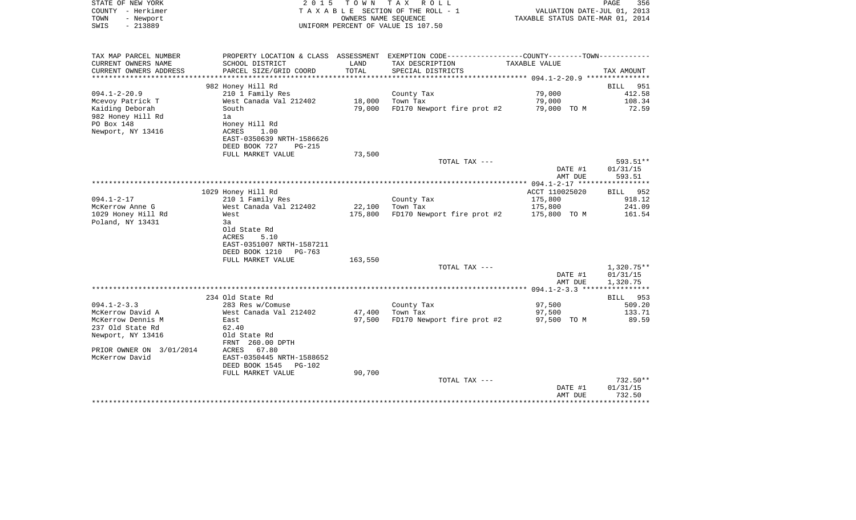| STATE OF NEW YORK<br>COUNTY - Herkimer<br>- Newport<br>TOWN<br>$-213889$<br>SWIS |                           |         | 2015 TOWN TAX ROLL<br>TAXABLE SECTION OF THE ROLL - 1<br>OWNERS NAME SEOUENCE<br>UNIFORM PERCENT OF VALUE IS 107.50 | VALUATION DATE-JUL 01, 2013<br>TAXABLE STATUS DATE-MAR 01, 2014 | PAGE<br>356          |
|----------------------------------------------------------------------------------|---------------------------|---------|---------------------------------------------------------------------------------------------------------------------|-----------------------------------------------------------------|----------------------|
|                                                                                  |                           |         |                                                                                                                     |                                                                 |                      |
| TAX MAP PARCEL NUMBER<br>CURRENT OWNERS NAME                                     | SCHOOL DISTRICT           | LAND    | PROPERTY LOCATION & CLASS ASSESSMENT EXEMPTION CODE---------------COUNTY-------TOWN----------<br>TAX DESCRIPTION    | TAXABLE VALUE                                                   |                      |
| CURRENT OWNERS ADDRESS                                                           | PARCEL SIZE/GRID COORD    | TOTAL   | SPECIAL DISTRICTS                                                                                                   |                                                                 | TAX AMOUNT           |
|                                                                                  |                           |         |                                                                                                                     |                                                                 |                      |
|                                                                                  | 982 Honey Hill Rd         |         |                                                                                                                     |                                                                 | BILL 951             |
| $094.1 - 2 - 20.9$                                                               | 210 1 Family Res          |         | County Tax                                                                                                          | 79,000                                                          | 412.58               |
| Mcevoy Patrick T                                                                 | West Canada Val 212402    |         | 18,000 Town Tax                                                                                                     | 79,000                                                          | 108.34               |
| Kaiding Deborah                                                                  | South                     | 79,000  | FD170 Newport fire prot #2                                                                                          | 79,000 TO M                                                     | 72.59                |
| 982 Honey Hill Rd                                                                | 1a                        |         |                                                                                                                     |                                                                 |                      |
| PO Box 148                                                                       | Honey Hill Rd             |         |                                                                                                                     |                                                                 |                      |
| Newport, NY 13416                                                                | ACRES<br>1.00             |         |                                                                                                                     |                                                                 |                      |
|                                                                                  | EAST-0350639 NRTH-1586626 |         |                                                                                                                     |                                                                 |                      |
|                                                                                  | DEED BOOK 727<br>$PG-215$ |         |                                                                                                                     |                                                                 |                      |
|                                                                                  | FULL MARKET VALUE         | 73,500  |                                                                                                                     |                                                                 |                      |
|                                                                                  |                           |         | TOTAL TAX ---                                                                                                       | DATE #1                                                         | 593.51**<br>01/31/15 |
|                                                                                  |                           |         |                                                                                                                     | AMT DUE                                                         | 593.51               |
|                                                                                  |                           |         |                                                                                                                     |                                                                 |                      |
|                                                                                  | 1029 Honey Hill Rd        |         |                                                                                                                     | ACCT 110025020                                                  | BILL 952             |
| $094.1 - 2 - 17$                                                                 | 210 1 Family Res          |         | County Tax                                                                                                          | 175,800                                                         | 918.12               |
| McKerrow Anne G                                                                  | West Canada Val 212402    |         | 22,100 Town Tax                                                                                                     | 175,800                                                         | 241.09               |
| 1029 Honey Hill Rd                                                               | West                      |         | 175,800 FD170 Newport fire prot #2                                                                                  | 175,800 TO M                                                    | 161.54               |
| Poland, NY 13431                                                                 | 3a                        |         |                                                                                                                     |                                                                 |                      |
|                                                                                  | Old State Rd              |         |                                                                                                                     |                                                                 |                      |
|                                                                                  | ACRES<br>5.10             |         |                                                                                                                     |                                                                 |                      |
|                                                                                  | EAST-0351007 NRTH-1587211 |         |                                                                                                                     |                                                                 |                      |
|                                                                                  | DEED BOOK 1210 PG-763     |         |                                                                                                                     |                                                                 |                      |
|                                                                                  | FULL MARKET VALUE         | 163,550 | TOTAL TAX ---                                                                                                       |                                                                 | 1,320.75**           |
|                                                                                  |                           |         |                                                                                                                     | DATE #1                                                         | 01/31/15             |
|                                                                                  |                           |         |                                                                                                                     | AMT DUE                                                         | 1,320.75             |
|                                                                                  |                           |         |                                                                                                                     |                                                                 |                      |
|                                                                                  | 234 Old State Rd          |         |                                                                                                                     |                                                                 | BILL 953             |
| $094.1 - 2 - 3.3$                                                                | 283 Res w/Comuse          |         | County Tax                                                                                                          | 97,500                                                          | 509.20               |
| McKerrow David A                                                                 | West Canada Val 212402    |         | 47,400 Town Tax                                                                                                     | 97,500                                                          | 133.71               |
| McKerrow Dennis M                                                                | East                      |         | 97,500 FD170 Newport fire prot #2                                                                                   | 97,500 TO M                                                     | 89.59                |
| 237 Old State Rd                                                                 | 62.40                     |         |                                                                                                                     |                                                                 |                      |
| Newport, NY 13416                                                                | Old State Rd              |         |                                                                                                                     |                                                                 |                      |
|                                                                                  | FRNT 260.00 DPTH          |         |                                                                                                                     |                                                                 |                      |
| PRIOR OWNER ON 3/01/2014                                                         | ACRES 67.80               |         |                                                                                                                     |                                                                 |                      |
| McKerrow David                                                                   | EAST-0350445 NRTH-1588652 |         |                                                                                                                     |                                                                 |                      |
|                                                                                  | DEED BOOK 1545 PG-102     |         |                                                                                                                     |                                                                 |                      |
|                                                                                  | FULL MARKET VALUE         | 90,700  |                                                                                                                     |                                                                 |                      |
|                                                                                  |                           |         | TOTAL TAX ---                                                                                                       |                                                                 | 732.50**             |
|                                                                                  |                           |         |                                                                                                                     | DATE #1                                                         | 01/31/15             |
|                                                                                  |                           |         |                                                                                                                     | AMT DUE                                                         | 732.50               |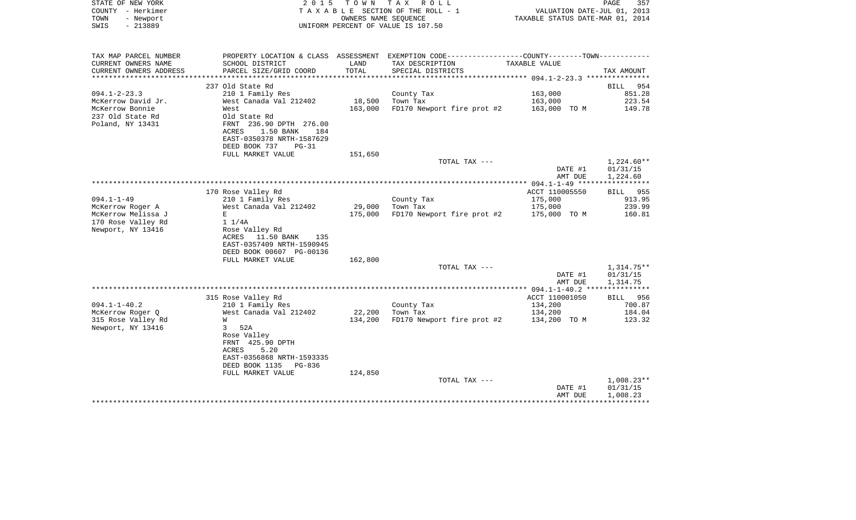| STATE OF NEW YORK<br>COUNTY - Herkimer   |                                            |         | 2015 TOWN TAX ROLL<br>TAXABLE SECTION OF THE ROLL - 1                                         | VALUATION DATE-JUL 01, 2013      | 357<br>PAGE            |
|------------------------------------------|--------------------------------------------|---------|-----------------------------------------------------------------------------------------------|----------------------------------|------------------------|
| TOWN<br>- Newport                        |                                            |         | OWNERS NAME SEOUENCE                                                                          | TAXABLE STATUS DATE-MAR 01, 2014 |                        |
| $-213889$<br>SWIS                        |                                            |         | UNIFORM PERCENT OF VALUE IS 107.50                                                            |                                  |                        |
|                                          |                                            |         |                                                                                               |                                  |                        |
| TAX MAP PARCEL NUMBER                    |                                            |         | PROPERTY LOCATION & CLASS ASSESSMENT EXEMPTION CODE---------------COUNTY-------TOWN---------- |                                  |                        |
| CURRENT OWNERS NAME                      | SCHOOL DISTRICT                            | LAND    | TAX DESCRIPTION                                                                               | TAXABLE VALUE                    |                        |
| CURRENT OWNERS ADDRESS                   | PARCEL SIZE/GRID COORD                     | TOTAL   | SPECIAL DISTRICTS                                                                             |                                  | TAX AMOUNT             |
| ***********************                  |                                            |         |                                                                                               |                                  |                        |
|                                          | 237 Old State Rd                           |         |                                                                                               |                                  | BILL 954               |
| $094.1 - 2 - 23.3$<br>McKerrow David Jr. | 210 1 Family Res<br>West Canada Val 212402 | 18,500  | County Tax<br>Town Tax                                                                        | 163,000<br>163,000               | 851.28<br>223.54       |
| McKerrow Bonnie                          | West                                       | 163,000 | FD170 Newport fire prot #2 163,000 TO M                                                       |                                  | 149.78                 |
| 237 Old State Rd                         | Old State Rd                               |         |                                                                                               |                                  |                        |
| Poland, NY 13431                         | FRNT 236.90 DPTH 276.00                    |         |                                                                                               |                                  |                        |
|                                          | ACRES<br>1.50 BANK<br>184                  |         |                                                                                               |                                  |                        |
|                                          | EAST-0350378 NRTH-1587629                  |         |                                                                                               |                                  |                        |
|                                          | DEED BOOK 737<br>PG-31                     |         |                                                                                               |                                  |                        |
|                                          | FULL MARKET VALUE                          | 151,650 | TOTAL TAX ---                                                                                 |                                  |                        |
|                                          |                                            |         |                                                                                               | DATE #1                          | 1,224.60**<br>01/31/15 |
|                                          |                                            |         |                                                                                               | AMT DUE                          | 1,224.60               |
|                                          |                                            |         |                                                                                               |                                  |                        |
|                                          | 170 Rose Valley Rd                         |         |                                                                                               | ACCT 110005550                   | BILL 955               |
| 094.1-1-49                               | 210 1 Family Res                           |         | County Tax                                                                                    | 175,000                          | 913.95                 |
| McKerrow Roger A                         | West Canada Val 212402                     | 29,000  | Town Tax                                                                                      | 175,000                          | 239.99                 |
| McKerrow Melissa J                       | Е                                          | 175,000 | FD170 Newport fire prot #2 175,000 TO M                                                       |                                  | 160.81                 |
| 170 Rose Valley Rd<br>Newport, NY 13416  | $1 \t1/4A$<br>Rose Valley Rd               |         |                                                                                               |                                  |                        |
|                                          | ACRES<br>11.50 BANK<br>135                 |         |                                                                                               |                                  |                        |
|                                          | EAST-0357409 NRTH-1590945                  |         |                                                                                               |                                  |                        |
|                                          | DEED BOOK 00607 PG-00136                   |         |                                                                                               |                                  |                        |
|                                          | FULL MARKET VALUE                          | 162,800 |                                                                                               |                                  |                        |
|                                          |                                            |         | TOTAL TAX ---                                                                                 |                                  | 1,314.75**             |
|                                          |                                            |         |                                                                                               | DATE #1                          | 01/31/15               |
|                                          |                                            |         |                                                                                               | AMT DUE                          | 1,314.75               |
|                                          | 315 Rose Valley Rd                         |         |                                                                                               | ACCT 110001050                   | BILL 956               |
| 094.1-1-40.2                             | 210 1 Family Res                           |         | County Tax                                                                                    | 134,200                          | 700.87                 |
| McKerrow Roger O                         | West Canada Val 212402                     | 22,200  | Town Tax                                                                                      | 134,200                          | 184.04                 |
| 315 Rose Valley Rd                       | W                                          | 134,200 | FD170 Newport fire prot #2                                                                    | 134,200 TO M                     | 123.32                 |
| Newport, NY 13416                        | $3^{\circ}$<br>52A                         |         |                                                                                               |                                  |                        |
|                                          | Rose Valley                                |         |                                                                                               |                                  |                        |
|                                          | FRNT 425.90 DPTH                           |         |                                                                                               |                                  |                        |
|                                          | 5.20<br>ACRES<br>EAST-0356868 NRTH-1593335 |         |                                                                                               |                                  |                        |
|                                          | DEED BOOK 1135<br>PG-836                   |         |                                                                                               |                                  |                        |
|                                          | FULL MARKET VALUE                          | 124,850 |                                                                                               |                                  |                        |
|                                          |                                            |         | TOTAL TAX ---                                                                                 |                                  | $1,008.23**$           |
|                                          |                                            |         |                                                                                               | DATE #1                          | 01/31/15               |

\*\*\*\*\*\*\*\*\*\*\*\*\*\*\*\*\*\*\*\*\*\*\*\*\*\*\*\*\*\*\*\*\*\*\*\*\*\*\*\*\*\*\*\*\*\*\*\*\*\*\*\*\*\*\*\*\*\*\*\*\*\*\*\*\*\*\*\*\*\*\*\*\*\*\*\*\*\*\*\*\*\*\*\*\*\*\*\*\*\*\*\*\*\*\*\*\*\*\*\*\*\*\*\*\*\*\*\*\*\*\*\*\*\*\*\*\*\*\*\*\*\*\*\*\*\*\*\*\*\*\*\*

AMT DUE 1,008.23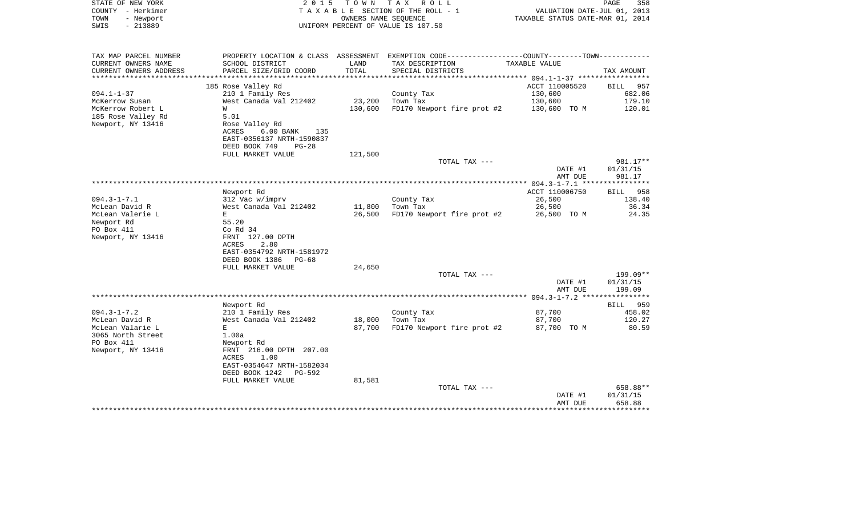| STATE OF NEW YORK<br>COUNTY - Herkimer<br>- Newport<br>TOWN<br>$-213889$<br>SWIS | 2 0 1 5                                                                                                        | T O W N                     | T A X<br>R O L L<br>TAXABLE SECTION OF THE ROLL - 1<br>OWNERS NAME SEOUENCE<br>UNIFORM PERCENT OF VALUE IS 107.50 | VALUATION DATE-JUL 01,<br>TAXABLE STATUS DATE-MAR 01, 2014 | 358<br>PAGE<br>2013 |
|----------------------------------------------------------------------------------|----------------------------------------------------------------------------------------------------------------|-----------------------------|-------------------------------------------------------------------------------------------------------------------|------------------------------------------------------------|---------------------|
| TAX MAP PARCEL NUMBER                                                            | PROPERTY LOCATION & CLASS ASSESSMENT                                                                           |                             | EXEMPTION CODE-----------------COUNTY-------TOWN-----------                                                       |                                                            |                     |
| CURRENT OWNERS NAME<br>CURRENT OWNERS ADDRESS<br>*******************             | SCHOOL DISTRICT<br>PARCEL SIZE/GRID COORD                                                                      | LAND<br>TOTAL<br>********** | TAX DESCRIPTION<br>SPECIAL DISTRICTS                                                                              | TAXABLE VALUE<br>********** 094.1-1-37 ************        | TAX AMOUNT          |
|                                                                                  | 185 Rose Valley Rd                                                                                             |                             |                                                                                                                   | ACCT 110005520                                             | BILL<br>957         |
| $094.1 - 1 - 37$                                                                 | 210 1 Family Res                                                                                               |                             | County Tax                                                                                                        | 130,600                                                    | 682.06              |
| McKerrow Susan                                                                   | West Canada Val 212402                                                                                         | 23,200                      | Town Tax                                                                                                          | 130,600                                                    | 179.10              |
| McKerrow Robert L                                                                | W                                                                                                              | 130,600                     | FD170 Newport fire prot #2                                                                                        | 130,600 TO M                                               | 120.01              |
| 185 Rose Valley Rd<br>Newport, NY 13416                                          | 5.01<br>Rose Valley Rd<br>ACRES<br>6.00 BANK<br>135<br>EAST-0356137 NRTH-1590837<br>DEED BOOK 749<br>$PG-28$   |                             |                                                                                                                   |                                                            |                     |
|                                                                                  | FULL MARKET VALUE                                                                                              | 121,500                     |                                                                                                                   |                                                            | 981.17**            |
|                                                                                  |                                                                                                                |                             | TOTAL TAX ---                                                                                                     | DATE #1<br>AMT DUE                                         | 01/31/15<br>981.17  |
|                                                                                  |                                                                                                                |                             |                                                                                                                   |                                                            |                     |
|                                                                                  | Newport Rd                                                                                                     |                             |                                                                                                                   | ACCT 110006750                                             | 958<br>BILL         |
| $094.3 - 1 - 7.1$<br>McLean David R                                              | 312 Vac w/imprv<br>West Canada Val 212402                                                                      |                             | County Tax<br>Town Tax                                                                                            | 26,500<br>26,500                                           | 138.40<br>36.34     |
| McLean Valerie L                                                                 | E                                                                                                              | 11,800<br>26,500            | FD170 Newport fire prot #2                                                                                        | 26,500 TO M                                                | 24.35               |
| Newport Rd                                                                       | 55.20                                                                                                          |                             |                                                                                                                   |                                                            |                     |
| PO Box 411                                                                       | Co Rd 34                                                                                                       |                             |                                                                                                                   |                                                            |                     |
| Newport, NY 13416                                                                | FRNT 127.00 DPTH<br>ACRES<br>2.80<br>EAST-0354792 NRTH-1581972<br>DEED BOOK 1386<br>PG-68<br>FULL MARKET VALUE | 24,650                      |                                                                                                                   |                                                            |                     |
|                                                                                  |                                                                                                                |                             | TOTAL TAX ---                                                                                                     |                                                            | 199.09**            |
|                                                                                  |                                                                                                                |                             |                                                                                                                   | DATE #1<br>AMT DUE                                         | 01/31/15<br>199.09  |
|                                                                                  |                                                                                                                |                             |                                                                                                                   |                                                            |                     |
|                                                                                  | Newport Rd                                                                                                     |                             |                                                                                                                   |                                                            | 959<br>BILL         |
| $094.3 - 1 - 7.2$                                                                | 210 1 Family Res                                                                                               |                             | County Tax                                                                                                        | 87,700                                                     | 458.02              |
| McLean David R                                                                   | West Canada Val 212402<br>E                                                                                    | 18,000                      | Town Tax                                                                                                          | 87,700                                                     | 120.27<br>80.59     |
| McLean Valarie L<br>3065 North Street                                            | 1.00a                                                                                                          | 87,700                      | FD170 Newport fire prot #2                                                                                        | 87,700 TO M                                                |                     |
| PO Box 411                                                                       | Newport Rd                                                                                                     |                             |                                                                                                                   |                                                            |                     |
| Newport, NY 13416                                                                | FRNT 216.00 DPTH 207.00<br>1.00<br>ACRES<br>EAST-0354647 NRTH-1582034                                          |                             |                                                                                                                   |                                                            |                     |
|                                                                                  | DEED BOOK 1242<br>PG-592                                                                                       |                             |                                                                                                                   |                                                            |                     |
|                                                                                  | FULL MARKET VALUE                                                                                              | 81,581                      |                                                                                                                   |                                                            |                     |
|                                                                                  |                                                                                                                |                             | TOTAL TAX ---                                                                                                     |                                                            | 658.88**            |
|                                                                                  |                                                                                                                |                             |                                                                                                                   | DATE #1<br>AMT DUE                                         | 01/31/15<br>658.88  |
|                                                                                  |                                                                                                                |                             |                                                                                                                   | **************                                             | ***********         |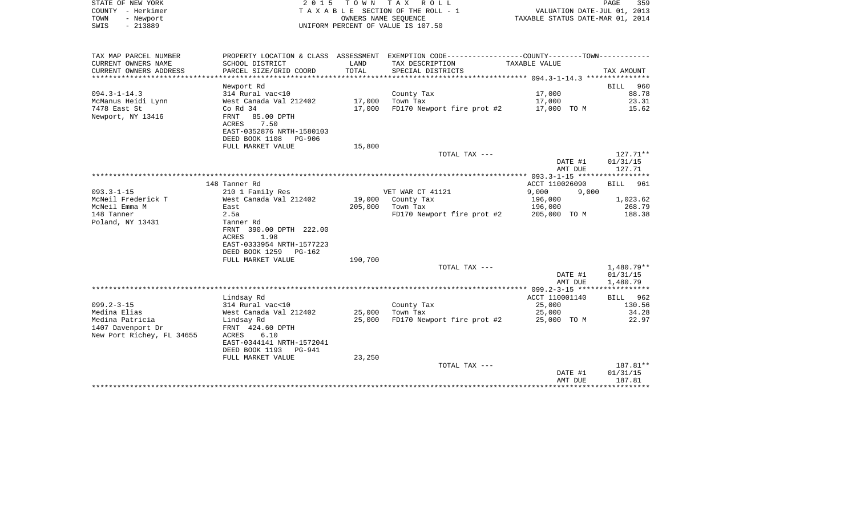| PROPERTY LOCATION & CLASS ASSESSMENT EXEMPTION CODE---------------COUNTY-------TOWN----------<br>TAX AMOUNT<br>BILL<br>960<br>88.78<br>23.31<br>15.62 |
|-------------------------------------------------------------------------------------------------------------------------------------------------------|
|                                                                                                                                                       |
|                                                                                                                                                       |
|                                                                                                                                                       |
|                                                                                                                                                       |
|                                                                                                                                                       |
| $127.71**$<br>01/31/15<br>127.71                                                                                                                      |
|                                                                                                                                                       |
| BILL 961                                                                                                                                              |
| 1,023.62                                                                                                                                              |
| 268.79<br>188.38                                                                                                                                      |
| 1,480.79**<br>01/31/15<br>1,480.79                                                                                                                    |
|                                                                                                                                                       |
| BILL 962<br>130.56<br>34.28<br>22.97                                                                                                                  |
|                                                                                                                                                       |
| 187.81**<br>01/31/15<br>187.81                                                                                                                        |
|                                                                                                                                                       |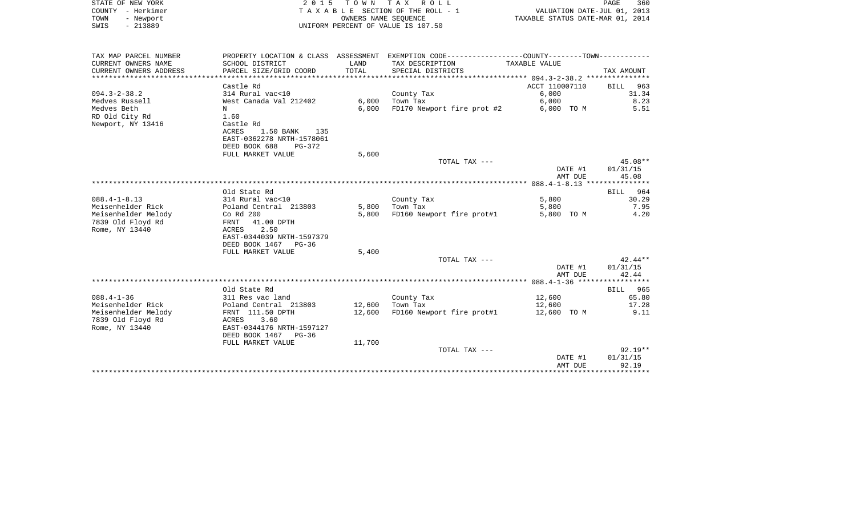|      | STATE OF NEW YORK | 2015 TOWN TAX ROLL                 | 360<br>PAGE                      |
|------|-------------------|------------------------------------|----------------------------------|
|      | COUNTY - Herkimer | TAXABLE SECTION OF THE ROLL - 1    | VALUATION DATE-JUL 01, 2013      |
| TOWN | - Newport         | OWNERS NAME SEOUENCE               | TAXABLE STATUS DATE-MAR 01, 2014 |
| SWIS | - 213889          | UNIFORM PERCENT OF VALUE IS 107.50 |                                  |
|      |                   |                                    |                                  |
|      |                   |                                    |                                  |

| TAX MAP PARCEL NUMBER  |                           |        | PROPERTY LOCATION & CLASS ASSESSMENT EXEMPTION CODE----------------COUNTY--------TOWN---------- |                |            |
|------------------------|---------------------------|--------|-------------------------------------------------------------------------------------------------|----------------|------------|
| CURRENT OWNERS NAME    | SCHOOL DISTRICT           | LAND   | TAX DESCRIPTION                                                                                 | TAXABLE VALUE  |            |
| CURRENT OWNERS ADDRESS | PARCEL SIZE/GRID COORD    | TOTAL  | SPECIAL DISTRICTS                                                                               |                | TAX AMOUNT |
|                        |                           |        |                                                                                                 |                |            |
|                        | Castle Rd                 |        |                                                                                                 | ACCT 110007110 | BILL 963   |
| $094.3 - 2 - 38.2$     | 314 Rural vac<10          |        | County Tax                                                                                      | 6,000          | 31.34      |
| Medves Russell         | West Canada Val 212402    |        | $6.000$ Town Tax                                                                                | 6,000          | 8.23       |
| Medves Beth            | N                         | 6.000  | FD170 Newport fire prot #2                                                                      | 6,000 TO M     | 5.51       |
| RD Old City Rd         | 1.60                      |        |                                                                                                 |                |            |
| Newport, NY 13416      | Castle Rd                 |        |                                                                                                 |                |            |
|                        | ACRES<br>1.50 BANK 135    |        |                                                                                                 |                |            |
|                        | EAST-0362278 NRTH-1578061 |        |                                                                                                 |                |            |
|                        | DEED BOOK 688<br>PG-372   |        |                                                                                                 |                |            |
|                        | FULL MARKET VALUE         | 5,600  |                                                                                                 |                |            |
|                        |                           |        | TOTAL TAX ---                                                                                   |                | $45.08**$  |
|                        |                           |        |                                                                                                 | DATE #1        | 01/31/15   |
|                        |                           |        |                                                                                                 | AMT DUE        | 45.08      |
|                        |                           |        |                                                                                                 |                |            |
|                        | Old State Rd              |        |                                                                                                 |                | BILL 964   |
| $088.4 - 1 - 8.13$     | 314 Rural vac<10          |        | County Tax                                                                                      | 5,800          | 30.29      |
| Meisenhelder Rick      | Poland Central 213803     |        | $5,800$ Town Tax                                                                                | 5,800          | 7.95       |
| Meisenhelder Melody    | Co Rd 200                 | 5,800  | FD160 Newport fire prot#1                                                                       | 5,800 TO M     | 4.20       |
| 7839 Old Floyd Rd      | FRNT 41.00 DPTH           |        |                                                                                                 |                |            |
| Rome, NY 13440         | 2.50<br>ACRES             |        |                                                                                                 |                |            |
|                        | EAST-0344039 NRTH-1597379 |        |                                                                                                 |                |            |
|                        | DEED BOOK 1467 PG-36      |        |                                                                                                 |                |            |
|                        | FULL MARKET VALUE         | 5.400  |                                                                                                 |                |            |
|                        |                           |        | TOTAL TAX ---                                                                                   |                | $42.44**$  |
|                        |                           |        |                                                                                                 | DATE #1        | 01/31/15   |
|                        |                           |        |                                                                                                 | AMT DUE        | 42.44      |
|                        |                           |        |                                                                                                 |                |            |
|                        | Old State Rd              |        |                                                                                                 |                | BILL 965   |
| $088.4 - 1 - 36$       | 311 Res vac land          |        | County Tax                                                                                      | 12,600         | 65.80      |
| Meisenhelder Rick      | Poland Central 213803     |        | 12,600 Town Tax                                                                                 | 12,600         | 17.28      |
| Meisenhelder Melody    | FRNT 111.50 DPTH          | 12,600 | FD160 Newport fire prot#1                                                                       | 12,600 TO M    | 9.11       |
| 7839 Old Floyd Rd      | 3.60<br>ACRES             |        |                                                                                                 |                |            |
| Rome, NY 13440         | EAST-0344176 NRTH-1597127 |        |                                                                                                 |                |            |
|                        | DEED BOOK 1467 PG-36      |        |                                                                                                 |                |            |
|                        | FULL MARKET VALUE         | 11,700 |                                                                                                 |                |            |
|                        |                           |        | TOTAL TAX ---                                                                                   |                | $92.19**$  |
|                        |                           |        |                                                                                                 | DATE #1        | 01/31/15   |
|                        |                           |        |                                                                                                 | AMT DUE        | 92.19      |
|                        |                           |        |                                                                                                 |                |            |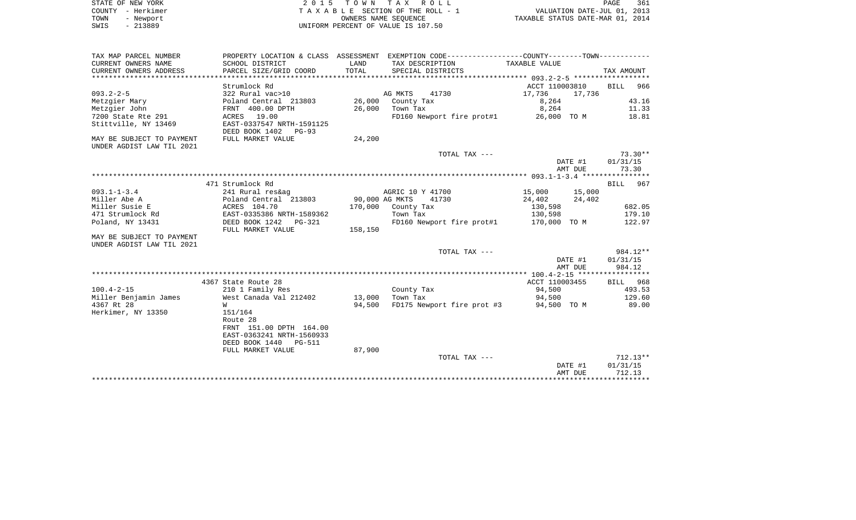|      | STATE OF NEW YORK | 2015 TOWN TAX ROLL                 | PAGE                             | 361 |
|------|-------------------|------------------------------------|----------------------------------|-----|
|      | COUNTY - Herkimer | TAXABLE SECTION OF THE ROLL - 1    | VALUATION DATE-JUL 01, 2013      |     |
| TOWN | - Newport         | OWNERS NAME SEOUENCE               | TAXABLE STATUS DATE-MAR 01, 2014 |     |
| SWIS | - 213889          | UNIFORM PERCENT OF VALUE IS 107.50 |                                  |     |

| TAX MAP PARCEL NUMBER     |                               |                | PROPERTY LOCATION & CLASS ASSESSMENT EXEMPTION CODE---------------COUNTY-------TOWN---------- |                |         |             |
|---------------------------|-------------------------------|----------------|-----------------------------------------------------------------------------------------------|----------------|---------|-------------|
| CURRENT OWNERS NAME       | SCHOOL DISTRICT               | LAND           | TAX DESCRIPTION                                                                               | TAXABLE VALUE  |         |             |
| CURRENT OWNERS ADDRESS    | PARCEL SIZE/GRID COORD        | TOTAL          | SPECIAL DISTRICTS                                                                             |                |         | TAX AMOUNT  |
|                           |                               |                |                                                                                               |                |         |             |
|                           | Strumlock Rd                  |                |                                                                                               | ACCT 110003810 |         | 966<br>BILL |
| $093.2 - 2 - 5$           | 322 Rural vac>10              |                | AG MKTS<br>41730                                                                              | 17,736         | 17,736  |             |
| Metzgier Mary             | Poland Central 213803         |                | 26,000 County Tax                                                                             | 8,264          |         | 43.16       |
| Metzgier John             | FRNT 400.00 DPTH              | 26,000         | Town Tax                                                                                      | 8,264          |         | 11.33       |
| 7200 State Rte 291        | ACRES 19.00                   |                | FD160 Newport fire prot#1 26,000 TO M                                                         |                |         | 18.81       |
| Stittville, NY 13469      | EAST-0337547 NRTH-1591125     |                |                                                                                               |                |         |             |
|                           | DEED BOOK 1402 PG-93          |                |                                                                                               |                |         |             |
| MAY BE SUBJECT TO PAYMENT | FULL MARKET VALUE             | 24,200         |                                                                                               |                |         |             |
| UNDER AGDIST LAW TIL 2021 |                               |                |                                                                                               |                |         |             |
|                           |                               |                | TOTAL TAX ---                                                                                 |                |         | $73.30**$   |
|                           |                               |                |                                                                                               |                | DATE #1 | 01/31/15    |
|                           |                               |                |                                                                                               |                | AMT DUE | 73.30       |
|                           |                               |                |                                                                                               |                |         |             |
|                           | 471 Strumlock Rd              |                |                                                                                               |                |         | BILL 967    |
| $093.1 - 1 - 3.4$         | 241 Rural res&ag              |                | AGRIC 10 Y 41700                                                                              | 15,000 15,000  |         |             |
| Miller Abe A              | Poland Central 213803         | 90,000 AG MKTS | 41730                                                                                         | 24,402         | 24,402  |             |
| Miller Susie E            | ACRES 104.70                  |                | 170,000 County Tax                                                                            | 130,598        |         | 682.05      |
| 471 Strumlock Rd          | EAST-0335386 NRTH-1589362     |                | Town Tax                                                                                      | 130,598        |         | 179.10      |
| Poland, NY 13431          | DEED BOOK 1242 PG-321         |                | FD160 Newport fire prot#1 170,000 TO M                                                        |                |         | 122.97      |
|                           | FULL MARKET VALUE             | 158,150        |                                                                                               |                |         |             |
| MAY BE SUBJECT TO PAYMENT |                               |                |                                                                                               |                |         |             |
| UNDER AGDIST LAW TIL 2021 |                               |                |                                                                                               |                |         |             |
|                           |                               |                | TOTAL TAX ---                                                                                 |                |         | 984.12**    |
|                           |                               |                |                                                                                               |                | DATE #1 | 01/31/15    |
|                           |                               |                |                                                                                               |                | AMT DUE | 984.12      |
|                           |                               |                |                                                                                               |                |         |             |
|                           | 4367 State Route 28           |                |                                                                                               | ACCT 110003455 |         | BILL 968    |
| $100.4 - 2 - 15$          | 210 1 Family Res              |                | County Tax                                                                                    | 94,500         |         | 493.53      |
| Miller Benjamin James     | West Canada Val 212402 13,000 |                | Town Tax                                                                                      | 94,500         |         | 129.60      |
| 4367 Rt 28                | W                             | 94,500         | FD175 Newport fire prot #3 94,500 TO M                                                        |                |         | 89.00       |
| Herkimer, NY 13350        | 151/164                       |                |                                                                                               |                |         |             |
|                           | Route 28                      |                |                                                                                               |                |         |             |
|                           | FRNT 151.00 DPTH 164.00       |                |                                                                                               |                |         |             |
|                           | EAST-0363241 NRTH-1560933     |                |                                                                                               |                |         |             |
|                           | DEED BOOK 1440 PG-511         |                |                                                                                               |                |         |             |
|                           | FULL MARKET VALUE             | 87,900         |                                                                                               |                |         |             |
|                           |                               |                | TOTAL TAX ---                                                                                 |                |         | $712.13**$  |
|                           |                               |                |                                                                                               |                | DATE #1 | 01/31/15    |
|                           |                               |                |                                                                                               |                | AMT DUE | 712.13      |
|                           |                               |                |                                                                                               |                |         |             |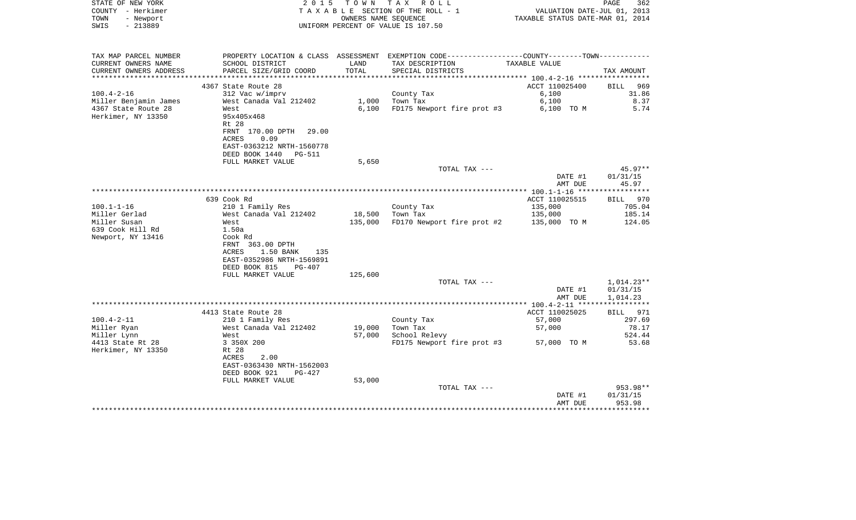| STATE OF NEW YORK<br>COUNTY - Herkimer<br>- Newport<br>TOWN<br>$-213889$<br>SWIS                  | 2 0 1 5                                                                                                            |               | TOWN TAX ROLL<br>TAXABLE SECTION OF THE ROLL - 1<br>OWNERS NAME SEQUENCE<br>UNIFORM PERCENT OF VALUE IS 107.50                         | VALUATION DATE-JUL 01, 2013<br>TAXABLE STATUS DATE-MAR 01, 2014 | PAGE<br>362                          |
|---------------------------------------------------------------------------------------------------|--------------------------------------------------------------------------------------------------------------------|---------------|----------------------------------------------------------------------------------------------------------------------------------------|-----------------------------------------------------------------|--------------------------------------|
| TAX MAP PARCEL NUMBER<br>CURRENT OWNERS NAME<br>CURRENT OWNERS ADDRESS<br>*********************** | SCHOOL DISTRICT<br>PARCEL SIZE/GRID COORD                                                                          | LAND<br>TOTAL | PROPERTY LOCATION & CLASS ASSESSMENT EXEMPTION CODE----------------COUNTY-------TOWN----------<br>TAX DESCRIPTION<br>SPECIAL DISTRICTS | TAXABLE VALUE                                                   | TAX AMOUNT                           |
|                                                                                                   | 4367 State Route 28                                                                                                |               |                                                                                                                                        | ACCT 110025400                                                  | <b>BILL</b><br>969                   |
| $100.4 - 2 - 16$<br>Miller Benjamin James                                                         | 312 Vac w/imprv<br>West Canada Val 212402                                                                          | 1,000         | County Tax<br>Town Tax                                                                                                                 | 6,100<br>6,100                                                  | 31.86<br>8.37                        |
| 4367 State Route 28                                                                               | West                                                                                                               | 6,100         | FD175 Newport fire prot #3                                                                                                             | 6,100 TO M                                                      | 5.74                                 |
| Herkimer, NY 13350                                                                                | 95x405x468<br>Rt 28<br>FRNT 170.00 DPTH 29.00<br>ACRES<br>0.09<br>EAST-0363212 NRTH-1560778                        |               |                                                                                                                                        |                                                                 |                                      |
|                                                                                                   | DEED BOOK 1440 PG-511                                                                                              |               |                                                                                                                                        |                                                                 |                                      |
|                                                                                                   | FULL MARKET VALUE                                                                                                  | 5,650         |                                                                                                                                        |                                                                 |                                      |
|                                                                                                   |                                                                                                                    |               | TOTAL TAX ---                                                                                                                          | DATE #1<br>AMT DUE                                              | $45.97**$<br>01/31/15<br>45.97       |
|                                                                                                   | ****************                                                                                                   |               |                                                                                                                                        |                                                                 |                                      |
|                                                                                                   | 639 Cook Rd                                                                                                        |               |                                                                                                                                        | ACCT 110025515                                                  | BILL 970                             |
| $100.1 - 1 - 16$<br>Miller Gerlad                                                                 | 210 1 Family Res<br>West Canada Val 212402                                                                         | 18,500        | County Tax<br>Town Tax                                                                                                                 | 135,000<br>135,000                                              | 705.04<br>185.14                     |
| Miller Susan                                                                                      | West                                                                                                               | 135,000       | FD170 Newport fire prot #2                                                                                                             | 135,000 TO M                                                    | 124.05                               |
| 639 Cook Hill Rd                                                                                  | 1.50a                                                                                                              |               |                                                                                                                                        |                                                                 |                                      |
| Newport, NY 13416                                                                                 | Cook Rd<br>FRNT 363.00 DPTH<br>ACRES<br>1.50 BANK<br>135<br>EAST-0352986 NRTH-1569891<br>DEED BOOK 815<br>$PG-407$ |               |                                                                                                                                        |                                                                 |                                      |
|                                                                                                   | FULL MARKET VALUE                                                                                                  | 125,600       |                                                                                                                                        |                                                                 |                                      |
|                                                                                                   |                                                                                                                    |               | TOTAL TAX ---                                                                                                                          | DATE #1                                                         | $1,014.23**$<br>01/31/15<br>1,014.23 |
|                                                                                                   |                                                                                                                    |               |                                                                                                                                        | AMT DUE                                                         |                                      |
|                                                                                                   | 4413 State Route 28                                                                                                |               |                                                                                                                                        | ACCT 110025025                                                  | BILL 971                             |
| $100.4 - 2 - 11$                                                                                  | 210 1 Family Res                                                                                                   |               | County Tax                                                                                                                             | 57,000                                                          | 297.69                               |
| Miller Ryan                                                                                       | West Canada Val 212402                                                                                             | 19,000        | Town Tax                                                                                                                               | 57,000                                                          | 78.17                                |
| Miller Lynn                                                                                       | West                                                                                                               | 57,000        | School Relevy                                                                                                                          |                                                                 | 524.44<br>53.68                      |
| 4413 State Rt 28<br>Herkimer, NY 13350                                                            | 3 350X 200<br>Rt 28<br>ACRES<br>2.00<br>EAST-0363430 NRTH-1562003<br>DEED BOOK 921<br>PG-427                       |               | FD175 Newport fire prot #3 57,000 TO M                                                                                                 |                                                                 |                                      |
|                                                                                                   | FULL MARKET VALUE                                                                                                  | 53,000        |                                                                                                                                        |                                                                 |                                      |
|                                                                                                   |                                                                                                                    |               | TOTAL TAX ---                                                                                                                          | DATE #1                                                         | 953.98**<br>01/31/15                 |
|                                                                                                   |                                                                                                                    |               |                                                                                                                                        | AMT DUE                                                         | 953.98                               |
|                                                                                                   |                                                                                                                    |               |                                                                                                                                        |                                                                 |                                      |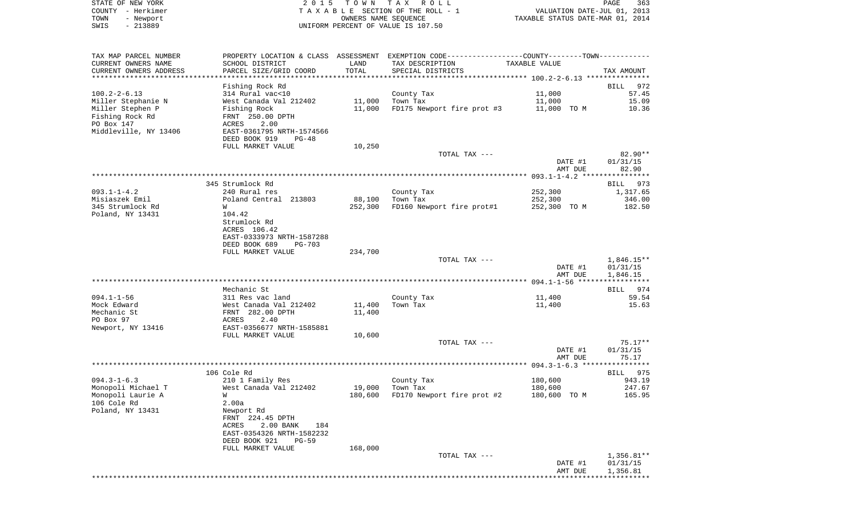| STATE OF NEW YORK                      | 2 0 1 5                                    |                  | TOWN TAX ROLL                                                                                 |                                  | PAGE<br>363              |
|----------------------------------------|--------------------------------------------|------------------|-----------------------------------------------------------------------------------------------|----------------------------------|--------------------------|
| COUNTY - Herkimer                      |                                            |                  | TAXABLE SECTION OF THE ROLL - 1                                                               | VALUATION DATE-JUL 01, 2013      |                          |
| TOWN<br>- Newport                      |                                            |                  | OWNERS NAME SEQUENCE                                                                          | TAXABLE STATUS DATE-MAR 01, 2014 |                          |
| $-213889$<br>SWIS                      |                                            |                  | UNIFORM PERCENT OF VALUE IS 107.50                                                            |                                  |                          |
|                                        |                                            |                  |                                                                                               |                                  |                          |
|                                        |                                            |                  |                                                                                               |                                  |                          |
| TAX MAP PARCEL NUMBER                  |                                            |                  | PROPERTY LOCATION & CLASS ASSESSMENT EXEMPTION CODE---------------COUNTY-------TOWN---------- |                                  |                          |
| CURRENT OWNERS NAME                    | SCHOOL DISTRICT                            | LAND             | TAX DESCRIPTION                                                                               | TAXABLE VALUE                    |                          |
| CURRENT OWNERS ADDRESS                 | PARCEL SIZE/GRID COORD                     | TOTAL            | SPECIAL DISTRICTS                                                                             |                                  | TAX AMOUNT               |
| ****************************           |                                            |                  |                                                                                               |                                  |                          |
|                                        | Fishing Rock Rd                            |                  |                                                                                               |                                  | BILL 972                 |
| $100.2 - 2 - 6.13$                     | 314 Rural vac<10<br>West Canada Val 212402 |                  | County Tax                                                                                    | 11,000                           | 57.45<br>15.09           |
| Miller Stephanie N<br>Miller Stephen P | Fishing Rock                               | 11,000<br>11,000 | Town Tax<br>FD175 Newport fire prot #3 11,000 TO M                                            | 11,000                           | 10.36                    |
| Fishing Rock Rd                        | FRNT 250.00 DPTH                           |                  |                                                                                               |                                  |                          |
| PO Box 147                             | ACRES<br>2.00                              |                  |                                                                                               |                                  |                          |
| Middleville, NY 13406                  | EAST-0361795 NRTH-1574566                  |                  |                                                                                               |                                  |                          |
|                                        | DEED BOOK 919<br>PG-48                     |                  |                                                                                               |                                  |                          |
|                                        | FULL MARKET VALUE                          | 10,250           |                                                                                               |                                  |                          |
|                                        |                                            |                  | TOTAL TAX ---                                                                                 |                                  | $82.90**$                |
|                                        |                                            |                  |                                                                                               | DATE #1                          | 01/31/15                 |
|                                        |                                            |                  |                                                                                               | AMT DUE                          | 82.90                    |
|                                        |                                            |                  |                                                                                               |                                  |                          |
|                                        | 345 Strumlock Rd                           |                  |                                                                                               |                                  | BILL 973                 |
| $093.1 - 1 - 4.2$                      | 240 Rural res                              |                  | County Tax                                                                                    | 252,300                          | 1,317.65                 |
| Misiaszek Emil                         | Poland Central 213803                      | 88,100           | Town Tax                                                                                      | 252,300                          | 346.00                   |
| 345 Strumlock Rd                       | W                                          | 252,300          | FD160 Newport fire prot#1                                                                     | 252,300 TO M                     | 182.50                   |
| Poland, NY 13431                       | 104.42                                     |                  |                                                                                               |                                  |                          |
|                                        | Strumlock Rd                               |                  |                                                                                               |                                  |                          |
|                                        | ACRES 106.42<br>EAST-0333973 NRTH-1587288  |                  |                                                                                               |                                  |                          |
|                                        | DEED BOOK 689<br><b>PG-703</b>             |                  |                                                                                               |                                  |                          |
|                                        | FULL MARKET VALUE                          | 234,700          |                                                                                               |                                  |                          |
|                                        |                                            |                  | TOTAL TAX ---                                                                                 |                                  | $1,846.15**$             |
|                                        |                                            |                  |                                                                                               | DATE #1                          | 01/31/15                 |
|                                        |                                            |                  |                                                                                               | AMT DUE                          | 1,846.15                 |
|                                        |                                            |                  |                                                                                               |                                  |                          |
|                                        | Mechanic St                                |                  |                                                                                               |                                  | BILL 974                 |
| $094.1 - 1 - 56$                       | 311 Res vac land                           |                  | County Tax                                                                                    | 11,400                           | 59.54                    |
| Mock Edward                            | West Canada Val 212402                     | 11,400           | Town Tax                                                                                      | 11,400                           | 15.63                    |
| Mechanic St                            | FRNT 282.00 DPTH                           | 11,400           |                                                                                               |                                  |                          |
| PO Box 97                              | 2.40<br>ACRES                              |                  |                                                                                               |                                  |                          |
| Newport, NY 13416                      | EAST-0356677 NRTH-1585881                  |                  |                                                                                               |                                  |                          |
|                                        | FULL MARKET VALUE                          | 10,600           | TOTAL TAX ---                                                                                 |                                  | $75.17**$                |
|                                        |                                            |                  |                                                                                               | DATE #1                          | 01/31/15                 |
|                                        |                                            |                  |                                                                                               | AMT DUE                          | 75.17                    |
|                                        |                                            |                  |                                                                                               |                                  |                          |
|                                        | 106 Cole Rd                                |                  |                                                                                               |                                  | 975<br>BILL              |
| $094.3 - 1 - 6.3$                      | 210 1 Family Res                           |                  | County Tax                                                                                    | 180,600                          | 943.19                   |
| Monopoli Michael T                     | West Canada Val 212402                     | 19,000           | Town Tax                                                                                      | 180,600                          | 247.67                   |
| Monopoli Laurie A                      | W                                          | 180,600          | FD170 Newport fire prot #2                                                                    | 180,600 TO M                     | 165.95                   |
| 106 Cole Rd                            | 2.00a                                      |                  |                                                                                               |                                  |                          |
| Poland, NY 13431                       | Newport Rd                                 |                  |                                                                                               |                                  |                          |
|                                        | FRNT 224.45 DPTH                           |                  |                                                                                               |                                  |                          |
|                                        | ACRES<br>2.00 BANK<br>184                  |                  |                                                                                               |                                  |                          |
|                                        | EAST-0354326 NRTH-1582232                  |                  |                                                                                               |                                  |                          |
|                                        | DEED BOOK 921<br>$PG-59$                   |                  |                                                                                               |                                  |                          |
|                                        | FULL MARKET VALUE                          | 168,000          |                                                                                               |                                  |                          |
|                                        |                                            |                  | TOTAL TAX ---                                                                                 | DATE #1                          | $1,356.81**$<br>01/31/15 |
|                                        |                                            |                  |                                                                                               | AMT DUE                          | 1,356.81                 |
|                                        |                                            |                  |                                                                                               |                                  |                          |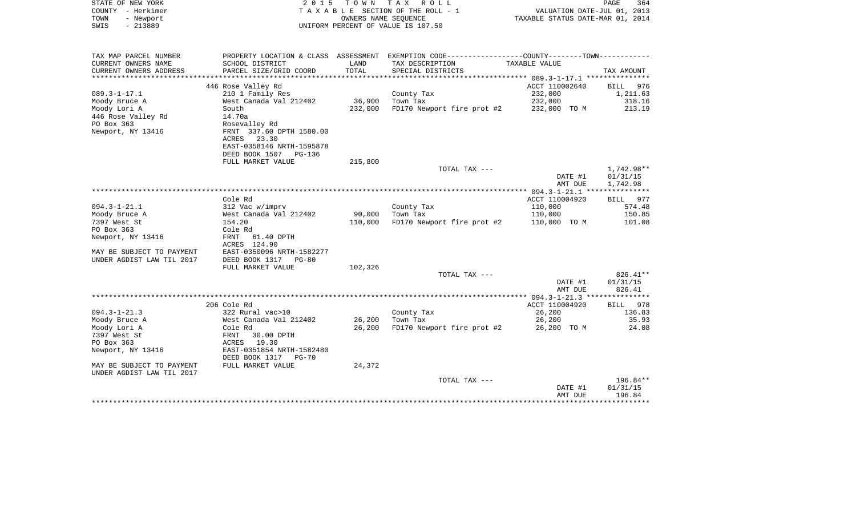| COUNTY - Herkimer                                                                         |                                           |         | TAXABLE SECTION OF THE ROLL - 1                                                                                 | VALUATION DATE-JUL 01, 2013<br>TAXABLE STATUS DATE-MAR 01, 2014 |                                                                                                        |
|-------------------------------------------------------------------------------------------|-------------------------------------------|---------|-----------------------------------------------------------------------------------------------------------------|-----------------------------------------------------------------|--------------------------------------------------------------------------------------------------------|
| TOWN<br>- Newport<br>SWIS<br>$-213889$                                                    |                                           |         | OWNERS NAME SEQUENCE<br>UNIFORM PERCENT OF VALUE IS 107.50                                                      |                                                                 |                                                                                                        |
|                                                                                           |                                           |         |                                                                                                                 |                                                                 |                                                                                                        |
| TAX MAP PARCEL NUMBER<br>CURRENT OWNERS NAME                                              | SCHOOL DISTRICT                           | LAND    | PROPERTY LOCATION & CLASS ASSESSMENT EXEMPTION CODE---------------COUNTY-------TOWN---------<br>TAX DESCRIPTION | TAXABLE VALUE                                                   |                                                                                                        |
| CURRENT OWNERS ADDRESS                                                                    | PARCEL SIZE/GRID COORD                    | TOTAL   | SPECIAL DISTRICTS                                                                                               |                                                                 | TAX AMOUNT                                                                                             |
| ***********************                                                                   | 446 Rose Valley Rd                        |         |                                                                                                                 | ACCT 110002640                                                  | BILL 976                                                                                               |
| $089.3 - 1 - 17.1$                                                                        | 210 1 Family Res                          |         | County Tax                                                                                                      | 232,000                                                         | 1,211.63                                                                                               |
| Moody Bruce A                                                                             | West Canada Val 212402                    |         | $36,900$ Town Tax                                                                                               | 232,000                                                         | 318.16                                                                                                 |
| Moody Lori A                                                                              | South                                     |         | 232,000 FD170 Newport fire prot #2 232,000 TO M                                                                 |                                                                 | 213.19                                                                                                 |
| 446 Rose Valley Rd                                                                        | 14.70a                                    |         |                                                                                                                 |                                                                 |                                                                                                        |
| PO Box 363                                                                                | Rosevalley Rd                             |         |                                                                                                                 |                                                                 |                                                                                                        |
| Newport, NY 13416                                                                         | FRNT 337.60 DPTH 1580.00                  |         |                                                                                                                 |                                                                 |                                                                                                        |
|                                                                                           | ACRES 23.30                               |         |                                                                                                                 |                                                                 |                                                                                                        |
|                                                                                           | EAST-0358146 NRTH-1595878                 |         |                                                                                                                 |                                                                 |                                                                                                        |
|                                                                                           | DEED BOOK 1507 PG-136                     |         |                                                                                                                 |                                                                 |                                                                                                        |
|                                                                                           | FULL MARKET VALUE                         | 215,800 |                                                                                                                 |                                                                 |                                                                                                        |
|                                                                                           |                                           |         | TOTAL TAX ---                                                                                                   |                                                                 | 1,742.98**                                                                                             |
|                                                                                           |                                           |         |                                                                                                                 | DATE #1                                                         | 01/31/15                                                                                               |
|                                                                                           |                                           |         |                                                                                                                 | AMT DUE                                                         | 1,742.98                                                                                               |
|                                                                                           |                                           |         |                                                                                                                 |                                                                 |                                                                                                        |
|                                                                                           |                                           |         |                                                                                                                 |                                                                 |                                                                                                        |
|                                                                                           | Cole Rd                                   |         |                                                                                                                 | ACCT 110004920                                                  |                                                                                                        |
| $094.3 - 1 - 21.1$                                                                        |                                           |         |                                                                                                                 |                                                                 |                                                                                                        |
| Moody Bruce A                                                                             | 312 Vac w/imprv<br>West Canada Val 212402 |         | County Tax<br>90,000 Town Tax                                                                                   | 110,000<br>110,000                                              |                                                                                                        |
| 7397 West St                                                                              | 154.20                                    |         | 110,000 FD170 Newport fire prot #2 110,000 TO M                                                                 |                                                                 |                                                                                                        |
|                                                                                           | Cole Rd                                   |         |                                                                                                                 |                                                                 |                                                                                                        |
|                                                                                           | FRNT 61.40 DPTH<br>ACRES 124.90           |         |                                                                                                                 |                                                                 |                                                                                                        |
| PO Box 363<br>Newport, NY 13416<br>MAY BE SUBJECT TO PAYMENT                              | EAST-0350096 NRTH-1582277                 |         |                                                                                                                 |                                                                 |                                                                                                        |
| UNDER AGDIST LAW TIL 2017                                                                 | DEED BOOK 1317 PG-80                      |         |                                                                                                                 |                                                                 |                                                                                                        |
|                                                                                           | FULL MARKET VALUE                         | 102,326 |                                                                                                                 |                                                                 |                                                                                                        |
|                                                                                           |                                           |         | TOTAL TAX ---                                                                                                   |                                                                 |                                                                                                        |
|                                                                                           |                                           |         |                                                                                                                 | DATE #1                                                         |                                                                                                        |
|                                                                                           |                                           |         |                                                                                                                 | AMT DUE                                                         | 826.41                                                                                                 |
|                                                                                           |                                           |         |                                                                                                                 |                                                                 |                                                                                                        |
|                                                                                           | 206 Cole Rd                               |         |                                                                                                                 | ACCT 110004920                                                  |                                                                                                        |
| $094.3 - 1 - 21.3$                                                                        | 322 Rural vac>10                          |         |                                                                                                                 | 26,200                                                          |                                                                                                        |
|                                                                                           | West Canada Val 212402                    |         | County Tax<br>26,200 Town Tax                                                                                   | 26,200                                                          |                                                                                                        |
| Moody Bruce A<br>Moody Lori A                                                             | Cole Rd                                   |         | 26,200 FD170 Newport fire prot #2                                                                               | 26,200 TO M                                                     |                                                                                                        |
| 7397 West St                                                                              | FRNT 30.00 DPTH                           |         |                                                                                                                 |                                                                 |                                                                                                        |
|                                                                                           | ACRES 19.30                               |         |                                                                                                                 |                                                                 |                                                                                                        |
|                                                                                           | EAST-0351854 NRTH-1582480                 |         |                                                                                                                 |                                                                 |                                                                                                        |
|                                                                                           |                                           |         |                                                                                                                 |                                                                 |                                                                                                        |
|                                                                                           | DEED BOOK 1317 PG-70                      |         |                                                                                                                 |                                                                 |                                                                                                        |
| PO Box 363<br>Newport, NY 13416<br>MAY BE SUBJECT TO PAYMENT<br>UNDER AGDIST LAW TIL 2017 | FULL MARKET VALUE                         | 24,372  |                                                                                                                 |                                                                 | BILL 977<br>574.48<br>150.85<br>101.08<br>826.41**<br>01/31/15<br>BILL 978<br>136.83<br>35.93<br>24.08 |
|                                                                                           |                                           |         | TOTAL TAX ---                                                                                                   |                                                                 | 196.84**                                                                                               |
|                                                                                           |                                           |         |                                                                                                                 | DATE #1                                                         | 01/31/15                                                                                               |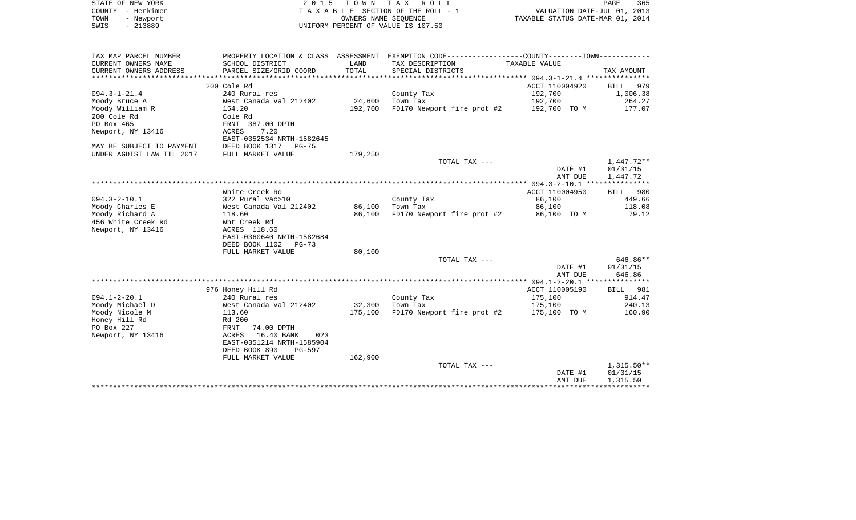|      | STATE OF NEW YORK | 2015 TOWN TAX ROLL                 | PAGE                             | 365 |
|------|-------------------|------------------------------------|----------------------------------|-----|
|      | COUNTY – Herkimer | TAXABLE SECTION OF THE ROLL - 1    | VALUATION DATE-JUL 01, 2013      |     |
| TOWN | - Newport         | OWNERS NAME SEOUENCE               | TAXABLE STATUS DATE-MAR 01, 2014 |     |
| SWIS | - 213889          | UNIFORM PERCENT OF VALUE IS 107.50 |                                  |     |

| TAX MAP PARCEL NUMBER     | PROPERTY LOCATION & CLASS  | ASSESSMENT | EXEMPTION CODE-----------------COUNTY-------TOWN-            |                |              |
|---------------------------|----------------------------|------------|--------------------------------------------------------------|----------------|--------------|
| CURRENT OWNERS NAME       | SCHOOL DISTRICT            | LAND       | TAX DESCRIPTION                                              | TAXABLE VALUE  |              |
| CURRENT OWNERS ADDRESS    | PARCEL SIZE/GRID COORD     | TOTAL      | SPECIAL DISTRICTS                                            |                | TAX AMOUNT   |
|                           |                            |            | ************************************** 094.3-1-21.4 ******** |                |              |
|                           | 200 Cole Rd                |            |                                                              | ACCT 110004920 | 979<br>BILL  |
| $094.3 - 1 - 21.4$        | 240 Rural res              |            | County Tax                                                   | 192,700        | 1,006.38     |
| Moody Bruce A             | West Canada Val 212402     | 24,600     | Town Tax                                                     | 192,700        | 264.27       |
| Moody William R           | 154.20                     | 192,700    | FD170 Newport fire prot #2                                   | 192,700 TO M   | 177.07       |
| 200 Cole Rd               | Cole Rd                    |            |                                                              |                |              |
| PO Box 465                | FRNT 387.00 DPTH           |            |                                                              |                |              |
| Newport, NY 13416         | 7.20<br>ACRES              |            |                                                              |                |              |
|                           | EAST-0352534 NRTH-1582645  |            |                                                              |                |              |
|                           |                            |            |                                                              |                |              |
| MAY BE SUBJECT TO PAYMENT | DEED BOOK 1317 PG-75       |            |                                                              |                |              |
| UNDER AGDIST LAW TIL 2017 | FULL MARKET VALUE          | 179,250    |                                                              |                |              |
|                           |                            |            | TOTAL TAX ---                                                |                | $1,447.72**$ |
|                           |                            |            |                                                              | DATE #1        | 01/31/15     |
|                           |                            |            |                                                              | AMT DUE        | 1,447.72     |
|                           |                            |            |                                                              |                |              |
|                           | White Creek Rd             |            |                                                              | ACCT 110004950 | BILL 980     |
| $094.3 - 2 - 10.1$        | 322 Rural vac>10           |            | County Tax                                                   | 86,100         | 449.66       |
| Moody Charles E           | West Canada Val 212402     | 86,100     | Town Tax                                                     | 86,100         | 118.08       |
| Moody Richard A           | 118.60                     | 86,100     | FD170 Newport fire prot #2                                   | 86,100 TO M    | 79.12        |
| 456 White Creek Rd        | Wht Creek Rd               |            |                                                              |                |              |
| Newport, NY 13416         | ACRES 118.60               |            |                                                              |                |              |
|                           | EAST-0360640 NRTH-1582684  |            |                                                              |                |              |
|                           | DEED BOOK 1102<br>$PG-73$  |            |                                                              |                |              |
|                           | FULL MARKET VALUE          | 80,100     |                                                              |                |              |
|                           |                            |            | TOTAL TAX ---                                                |                | 646.86**     |
|                           |                            |            |                                                              | DATE #1        | 01/31/15     |
|                           |                            |            |                                                              | AMT DUE        | 646.86       |
|                           |                            |            |                                                              |                |              |
|                           | 976 Honey Hill Rd          |            |                                                              | ACCT 110005190 | BILL 981     |
| $094.1 - 2 - 20.1$        | 240 Rural res              |            | County Tax                                                   | 175,100        | 914.47       |
| Moody Michael D           | West Canada Val 212402     | 32,300     | Town Tax                                                     | 175,100        | 240.13       |
| Moody Nicole M            | 113.60                     | 175,100    | FD170 Newport fire prot #2                                   | 175,100 TO M   | 160.90       |
| Honey Hill Rd             |                            |            |                                                              |                |              |
|                           | Rd 200                     |            |                                                              |                |              |
| PO Box 227                | FRNT<br>74.00 DPTH         |            |                                                              |                |              |
| Newport, NY 13416         | 16.40 BANK<br>ACRES<br>023 |            |                                                              |                |              |
|                           | EAST-0351214 NRTH-1585904  |            |                                                              |                |              |
|                           | DEED BOOK 890<br>PG-597    |            |                                                              |                |              |
|                           | FULL MARKET VALUE          | 162,900    |                                                              |                |              |
|                           |                            |            | TOTAL TAX ---                                                |                | $1,315.50**$ |
|                           |                            |            |                                                              | DATE #1        | 01/31/15     |
|                           |                            |            |                                                              | AMT DUE        | 1,315.50     |
|                           |                            |            |                                                              |                |              |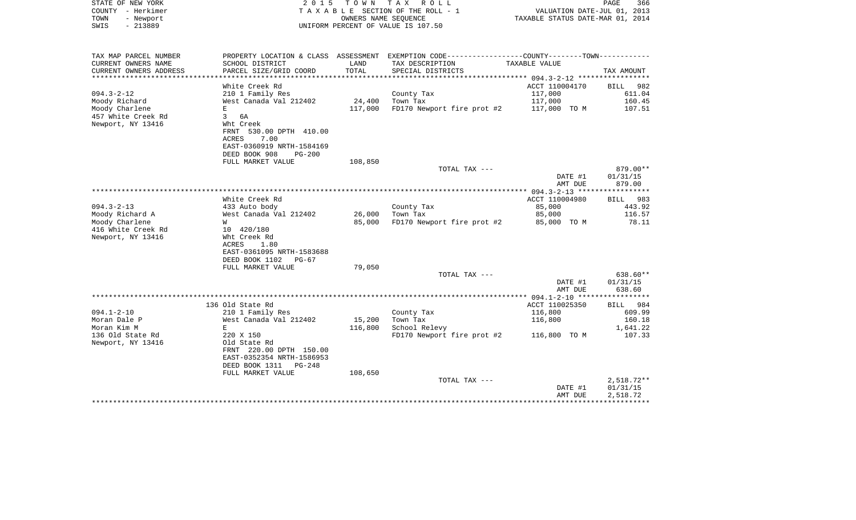| STATE OF NEW YORK<br>COUNTY - Herkimer<br>TOWN<br>- Newport<br>$-213889$<br>SWIS | 2 0 1 5                                        | T O W N | TAX ROLL<br>TAXABLE SECTION OF THE ROLL - 1<br>OWNERS NAME SEQUENCE<br>UNIFORM PERCENT OF VALUE IS 107.50         | VALUATION DATE-JUL 01, 2013<br>TAXABLE STATUS DATE-MAR 01, 2014 | PAGE<br>366     |
|----------------------------------------------------------------------------------|------------------------------------------------|---------|-------------------------------------------------------------------------------------------------------------------|-----------------------------------------------------------------|-----------------|
|                                                                                  |                                                |         |                                                                                                                   |                                                                 |                 |
| TAX MAP PARCEL NUMBER<br>CURRENT OWNERS NAME                                     | SCHOOL DISTRICT                                | LAND    | PROPERTY LOCATION & CLASS ASSESSMENT EXEMPTION CODE----------------COUNTY-------TOWN----------<br>TAX DESCRIPTION | TAXABLE VALUE                                                   |                 |
| CURRENT OWNERS ADDRESS<br>**********************                                 | PARCEL SIZE/GRID COORD                         | TOTAL   | SPECIAL DISTRICTS                                                                                                 |                                                                 | TAX AMOUNT      |
|                                                                                  | White Creek Rd                                 |         |                                                                                                                   | ACCT 110004170                                                  | BILL 982        |
| $094.3 - 2 - 12$                                                                 | 210 1 Family Res                               |         | County Tax                                                                                                        | 117,000                                                         | 611.04          |
| Moody Richard                                                                    | West Canada Val 212402                         | 24,400  | Town Tax                                                                                                          | 117,000                                                         | 160.45          |
| Moody Charlene                                                                   | E                                              | 117,000 | FD170 Newport fire prot #2                                                                                        | 117,000 TO M                                                    | 107.51          |
| 457 White Creek Rd                                                               | $\mathbf{3}$<br>6A                             |         |                                                                                                                   |                                                                 |                 |
| Newport, NY 13416                                                                | Wht Creek                                      |         |                                                                                                                   |                                                                 |                 |
|                                                                                  | FRNT 530.00 DPTH 410.00                        |         |                                                                                                                   |                                                                 |                 |
|                                                                                  | 7.00<br><b>ACRES</b>                           |         |                                                                                                                   |                                                                 |                 |
|                                                                                  | EAST-0360919 NRTH-1584169                      |         |                                                                                                                   |                                                                 |                 |
|                                                                                  | DEED BOOK 908<br>$PG-200$<br>FULL MARKET VALUE | 108,850 |                                                                                                                   |                                                                 |                 |
|                                                                                  |                                                |         | TOTAL TAX ---                                                                                                     |                                                                 | $879.00**$      |
|                                                                                  |                                                |         |                                                                                                                   | DATE #1                                                         | 01/31/15        |
|                                                                                  |                                                |         |                                                                                                                   | AMT DUE                                                         | 879.00          |
|                                                                                  |                                                |         |                                                                                                                   |                                                                 |                 |
|                                                                                  | White Creek Rd                                 |         |                                                                                                                   | ACCT 110004980                                                  | BILL 983        |
| $094.3 - 2 - 13$                                                                 | 433 Auto body                                  |         | County Tax                                                                                                        | 85,000                                                          | 443.92          |
| Moody Richard A                                                                  | West Canada Val 212402                         | 26,000  | Town Tax                                                                                                          | 85,000                                                          | 116.57<br>78.11 |
| Moody Charlene<br>416 White Creek Rd                                             | W<br>10 420/180                                | 85,000  | FD170 Newport fire prot #2                                                                                        | 85,000 TO M                                                     |                 |
| Newport, NY 13416                                                                | Wht Creek Rd                                   |         |                                                                                                                   |                                                                 |                 |
|                                                                                  | ACRES<br>1.80                                  |         |                                                                                                                   |                                                                 |                 |
|                                                                                  | EAST-0361095 NRTH-1583688                      |         |                                                                                                                   |                                                                 |                 |
|                                                                                  | DEED BOOK 1102<br>PG-67                        |         |                                                                                                                   |                                                                 |                 |
|                                                                                  | FULL MARKET VALUE                              | 79,050  |                                                                                                                   |                                                                 |                 |
|                                                                                  |                                                |         | TOTAL TAX ---                                                                                                     |                                                                 | 638.60**        |
|                                                                                  |                                                |         |                                                                                                                   | DATE #1                                                         | 01/31/15        |
|                                                                                  |                                                |         |                                                                                                                   | AMT DUE<br>**************** 094.1-2-10 ******************       | 638.60          |
|                                                                                  | 136 Old State Rd                               |         |                                                                                                                   | ACCT 110025350                                                  | BILL 984        |
| $094.1 - 2 - 10$                                                                 | 210 1 Family Res                               |         | County Tax                                                                                                        | 116,800                                                         | 609.99          |
| Moran Dale P                                                                     | West Canada Val 212402                         | 15,200  | Town Tax                                                                                                          | 116,800                                                         | 160.18          |
| Moran Kim M                                                                      | E                                              | 116,800 | School Relevy                                                                                                     |                                                                 | 1,641.22        |
| 136 Old State Rd                                                                 | 220 X 150                                      |         | FD170 Newport fire prot #2 116,800 TO M                                                                           |                                                                 | 107.33          |
| Newport, NY 13416                                                                | Old State Rd                                   |         |                                                                                                                   |                                                                 |                 |
|                                                                                  | FRNT 220.00 DPTH 150.00                        |         |                                                                                                                   |                                                                 |                 |
|                                                                                  | EAST-0352354 NRTH-1586953                      |         |                                                                                                                   |                                                                 |                 |
|                                                                                  | DEED BOOK 1311 PG-248<br>FULL MARKET VALUE     | 108,650 |                                                                                                                   |                                                                 |                 |
|                                                                                  |                                                |         | TOTAL TAX ---                                                                                                     |                                                                 | $2,518.72**$    |
|                                                                                  |                                                |         |                                                                                                                   | DATE #1                                                         | 01/31/15        |
|                                                                                  |                                                |         |                                                                                                                   | AMT DUE                                                         | 2,518.72        |
|                                                                                  |                                                |         |                                                                                                                   |                                                                 |                 |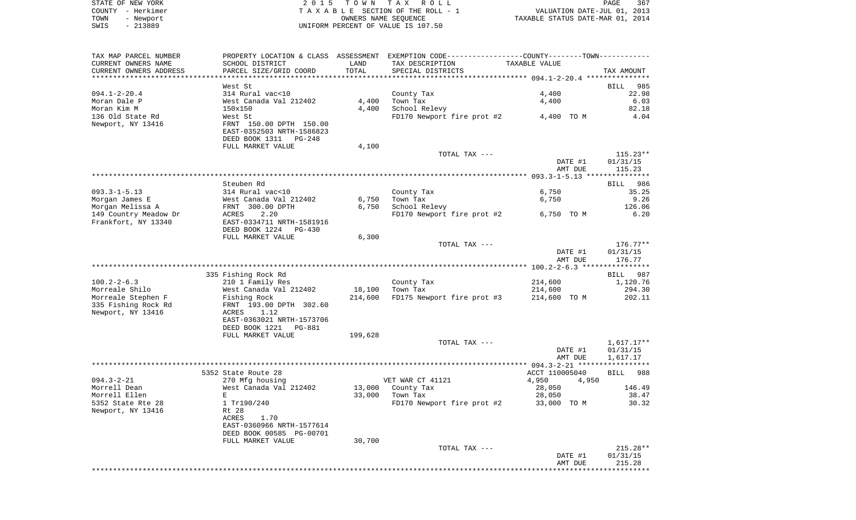|      | STATE OF NEW YORK | 2015 TOWN TAX ROLL                 | 367<br>PAGE                      |  |
|------|-------------------|------------------------------------|----------------------------------|--|
|      | COUNTY – Herkimer | TAXABLE SECTION OF THE ROLL - 1    | VALUATION DATE-JUL 01, 2013      |  |
| TOWN | - Newport         | OWNERS NAME SEOUENCE               | TAXABLE STATUS DATE-MAR 01, 2014 |  |
| SWIS | - 213889          | UNIFORM PERCENT OF VALUE IS 107.50 |                                  |  |

| TAX MAP PARCEL NUMBER  |                                                                                  |         | PROPERTY LOCATION & CLASS ASSESSMENT EXEMPTION CODE---------------COUNTY-------TOWN---------- |                |                       |
|------------------------|----------------------------------------------------------------------------------|---------|-----------------------------------------------------------------------------------------------|----------------|-----------------------|
| CURRENT OWNERS NAME    | SCHOOL DISTRICT                                                                  | LAND    | TAX DESCRIPTION                                                                               | TAXABLE VALUE  |                       |
| CURRENT OWNERS ADDRESS | PARCEL SIZE/GRID COORD                                                           | TOTAL   | SPECIAL DISTRICTS                                                                             |                | TAX AMOUNT            |
|                        |                                                                                  |         |                                                                                               |                |                       |
|                        | West St                                                                          |         |                                                                                               |                | 985<br>BILL           |
| $094.1 - 2 - 20.4$     | 314 Rural vac<10                                                                 |         | County Tax                                                                                    | 4,400          | 22.98                 |
| Moran Dale P           | West Canada Val 212402                                                           | 4,400   | Town Tax                                                                                      | 4,400          | 6.03                  |
| Moran Kim M            | 150x150                                                                          | 4,400   | School Relevy                                                                                 |                | 82.18                 |
| 136 Old State Rd       | West St                                                                          |         | FD170 Newport fire prot #2                                                                    | 4,400 TO M     | 4.04                  |
| Newport, NY 13416      | FRNT 150.00 DPTH 150.00<br>EAST-0352503 NRTH-1586823<br>DEED BOOK 1311<br>PG-248 |         |                                                                                               |                |                       |
|                        | FULL MARKET VALUE                                                                | 4,100   |                                                                                               |                |                       |
|                        |                                                                                  |         | TOTAL TAX ---                                                                                 |                | $115.23**$            |
|                        |                                                                                  |         |                                                                                               | DATE #1        | 01/31/15              |
|                        |                                                                                  |         |                                                                                               | AMT DUE        | 115.23                |
|                        |                                                                                  |         |                                                                                               |                |                       |
|                        | Steuben Rd                                                                       |         |                                                                                               |                | 986<br>BILL           |
| $093.3 - 1 - 5.13$     | 314 Rural vac<10                                                                 |         | County Tax                                                                                    | 6,750          | 35.25                 |
| Morgan James E         | West Canada Val 212402                                                           | 6,750   | Town Tax                                                                                      | 6,750          | 9.26                  |
| Morgan Melissa A       | FRNT 300.00 DPTH                                                                 | 6,750   | School Relevy                                                                                 |                | 126.06                |
| 149 Country Meadow Dr  | 2.20<br>ACRES                                                                    |         | FD170 Newport fire prot #2                                                                    | 6,750 TO M     | 6.20                  |
| Frankfort, NY 13340    | EAST-0334711 NRTH-1581916                                                        |         |                                                                                               |                |                       |
|                        | DEED BOOK 1224<br>PG-430                                                         |         |                                                                                               |                |                       |
|                        | FULL MARKET VALUE                                                                | 6,300   |                                                                                               |                |                       |
|                        |                                                                                  |         | TOTAL TAX ---                                                                                 |                | $176.77**$            |
|                        |                                                                                  |         |                                                                                               | DATE #1        | 01/31/15              |
|                        |                                                                                  |         |                                                                                               | AMT DUE        | 176.77                |
|                        |                                                                                  |         |                                                                                               |                | * * * * * * * * * * * |
|                        | 335 Fishing Rock Rd                                                              |         |                                                                                               |                | 987<br>BILL           |
| $100.2 - 2 - 6.3$      | 210 1 Family Res                                                                 |         | County Tax                                                                                    | 214,600        | 1,120.76              |
| Morreale Shilo         | West Canada Val 212402                                                           | 18,100  | Town Tax                                                                                      | 214,600        | 294.30                |
| Morreale Stephen F     | Fishing Rock                                                                     | 214,600 | FD175 Newport fire prot #3                                                                    | 214,600 TO M   | 202.11                |
| 335 Fishing Rock Rd    | FRNT 193.00 DPTH 302.60                                                          |         |                                                                                               |                |                       |
| Newport, NY 13416      | 1.12<br>ACRES                                                                    |         |                                                                                               |                |                       |
|                        | EAST-0363021 NRTH-1573706                                                        |         |                                                                                               |                |                       |
|                        | DEED BOOK 1221<br><b>PG-881</b>                                                  |         |                                                                                               |                |                       |
|                        | FULL MARKET VALUE                                                                | 199,628 |                                                                                               |                |                       |
|                        |                                                                                  |         | TOTAL TAX ---                                                                                 |                | $1,617.17**$          |
|                        |                                                                                  |         |                                                                                               | DATE #1        | 01/31/15              |
|                        |                                                                                  |         |                                                                                               | AMT DUE        | 1,617.17              |
|                        |                                                                                  |         |                                                                                               |                |                       |
|                        | 5352 State Route 28                                                              |         |                                                                                               | ACCT 110005040 | <b>BILL</b><br>988    |
| $094.3 - 2 - 21$       | 270 Mfg housing                                                                  |         | VET WAR CT 41121                                                                              | 4,950<br>4,950 |                       |
| Morrell Dean           | West Canada Val 212402                                                           | 13,000  | County Tax                                                                                    | 28,050         | 146.49                |
| Morrell Ellen          | Е                                                                                | 33,000  | Town Tax                                                                                      | 28,050         | 38.47                 |
| 5352 State Rte 28      | 1 Tr190/240                                                                      |         | FD170 Newport fire prot #2                                                                    | 33,000 TO M    | 30.32                 |
| Newport, NY 13416      | Rt 28                                                                            |         |                                                                                               |                |                       |
|                        | ACRES<br>1.70                                                                    |         |                                                                                               |                |                       |
|                        | EAST-0360966 NRTH-1577614                                                        |         |                                                                                               |                |                       |
|                        | DEED BOOK 00585 PG-00701                                                         |         |                                                                                               |                |                       |
|                        | FULL MARKET VALUE                                                                | 30,700  |                                                                                               |                |                       |
|                        |                                                                                  |         | TOTAL TAX ---                                                                                 |                | 215.28**              |
|                        |                                                                                  |         |                                                                                               | DATE #1        | 01/31/15              |
|                        |                                                                                  |         |                                                                                               | AMT DUE        | 215.28                |
|                        |                                                                                  |         |                                                                                               |                |                       |
|                        |                                                                                  |         |                                                                                               |                |                       |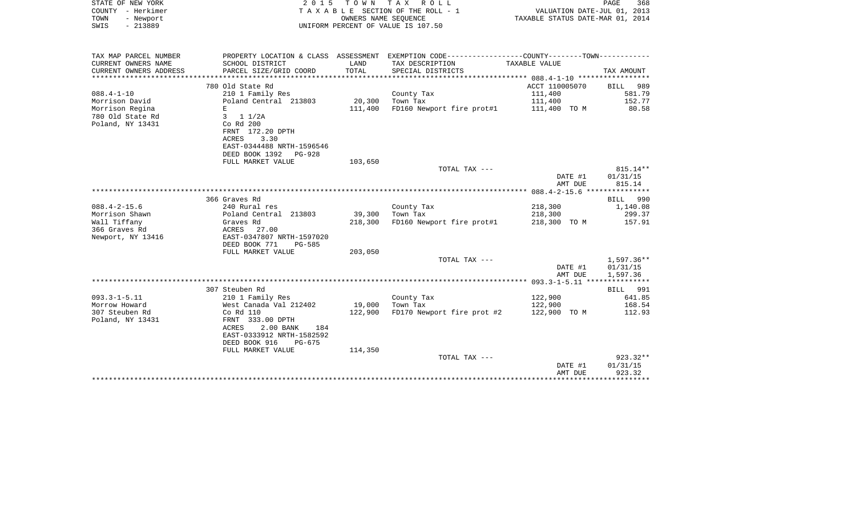| STATE OF NEW YORK<br>COUNTY - Herkimer<br>TOWN<br>- Newport<br>$-213889$<br>SWIS | 2 0 1 5                                                                                                                                     | TOWN TAX | R O L L<br>TAXABLE SECTION OF THE ROLL - 1<br>OWNERS NAME SEQUENCE<br>UNIFORM PERCENT OF VALUE IS 107.50 | VALUATION DATE-JUL 01, 2013<br>TAXABLE STATUS DATE-MAR 01, 2014 | PAGE<br>368        |
|----------------------------------------------------------------------------------|---------------------------------------------------------------------------------------------------------------------------------------------|----------|----------------------------------------------------------------------------------------------------------|-----------------------------------------------------------------|--------------------|
| TAX MAP PARCEL NUMBER                                                            |                                                                                                                                             |          | PROPERTY LOCATION & CLASS ASSESSMENT EXEMPTION CODE---------------COUNTY-------TOWN----------            |                                                                 |                    |
| CURRENT OWNERS NAME                                                              | SCHOOL DISTRICT                                                                                                                             | LAND     | TAX DESCRIPTION                                                                                          | TAXABLE VALUE                                                   |                    |
| CURRENT OWNERS ADDRESS<br>*********************                                  | PARCEL SIZE/GRID COORD<br>***************************                                                                                       | TOTAL    | SPECIAL DISTRICTS                                                                                        |                                                                 | TAX AMOUNT         |
|                                                                                  | 780 Old State Rd                                                                                                                            |          |                                                                                                          | ACCT 110005070                                                  | BILL 989           |
| $088.4 - 1 - 10$                                                                 | 210 1 Family Res                                                                                                                            |          | County Tax                                                                                               | 111,400                                                         | 581.79             |
| Morrison David                                                                   | Poland Central 213803                                                                                                                       | 20,300   | Town Tax                                                                                                 | 111,400                                                         | 152.77             |
| Morrison Regina                                                                  | $\mathbf E$                                                                                                                                 | 111,400  | FD160 Newport fire prot#1                                                                                | 111,400 TO M                                                    | 80.58              |
| 780 Old State Rd<br>Poland, NY 13431                                             | $3 \t11/2A$<br>Co Rd 200<br>FRNT 172.20 DPTH<br>ACRES<br>3.30<br>EAST-0344488 NRTH-1596546<br>DEED BOOK 1392<br>PG-928<br>FULL MARKET VALUE | 103,650  |                                                                                                          |                                                                 |                    |
|                                                                                  |                                                                                                                                             |          | TOTAL TAX ---                                                                                            |                                                                 | $815.14**$         |
|                                                                                  |                                                                                                                                             |          |                                                                                                          | DATE #1                                                         | 01/31/15           |
|                                                                                  |                                                                                                                                             |          |                                                                                                          | AMT DUE                                                         | 815.14             |
|                                                                                  |                                                                                                                                             |          |                                                                                                          |                                                                 |                    |
|                                                                                  | 366 Graves Rd                                                                                                                               |          |                                                                                                          |                                                                 | 990<br>BILL        |
| $088.4 - 2 - 15.6$                                                               | 240 Rural res                                                                                                                               |          | County Tax                                                                                               | 218,300                                                         | 1,140.08           |
| Morrison Shawn                                                                   | Poland Central 213803                                                                                                                       | 39,300   | Town Tax                                                                                                 | 218,300                                                         | 299.37<br>157.91   |
| Wall Tiffany<br>366 Graves Rd                                                    | Graves Rd<br>ACRES<br>27.00                                                                                                                 | 218,300  | FD160 Newport fire prot#1                                                                                | 218,300 TO M                                                    |                    |
| Newport, NY 13416                                                                | EAST-0347807 NRTH-1597020<br>DEED BOOK 771<br>$PG-585$                                                                                      |          |                                                                                                          |                                                                 |                    |
|                                                                                  | FULL MARKET VALUE                                                                                                                           | 203,050  |                                                                                                          |                                                                 |                    |
|                                                                                  |                                                                                                                                             |          | TOTAL TAX ---                                                                                            |                                                                 | $1,597.36**$       |
|                                                                                  |                                                                                                                                             |          |                                                                                                          | DATE #1                                                         | 01/31/15           |
|                                                                                  |                                                                                                                                             |          |                                                                                                          | AMT DUE                                                         | 1,597.36           |
|                                                                                  | 307 Steuben Rd                                                                                                                              |          |                                                                                                          |                                                                 | 991<br>BILL        |
| $093.3 - 1 - 5.11$                                                               | 210 1 Family Res                                                                                                                            |          | County Tax                                                                                               | 122,900                                                         | 641.85             |
| Morrow Howard                                                                    | West Canada Val 212402                                                                                                                      | 19,000   | Town Tax                                                                                                 | 122,900                                                         | 168.54             |
| 307 Steuben Rd                                                                   | Co Rd 110                                                                                                                                   | 122,900  | FD170 Newport fire prot #2                                                                               | 122,900 TO M                                                    | 112.93             |
| Poland, NY 13431                                                                 | FRNT 333.00 DPTH<br>ACRES<br>2.00 BANK<br>184<br>EAST-0333912 NRTH-1582592<br>DEED BOOK 916<br>PG-675<br>FULL MARKET VALUE                  | 114,350  |                                                                                                          |                                                                 |                    |
|                                                                                  |                                                                                                                                             |          | TOTAL TAX ---                                                                                            |                                                                 | $923.32**$         |
|                                                                                  |                                                                                                                                             |          |                                                                                                          | DATE #1<br>AMT DUE                                              | 01/31/15<br>923.32 |
|                                                                                  |                                                                                                                                             |          |                                                                                                          |                                                                 |                    |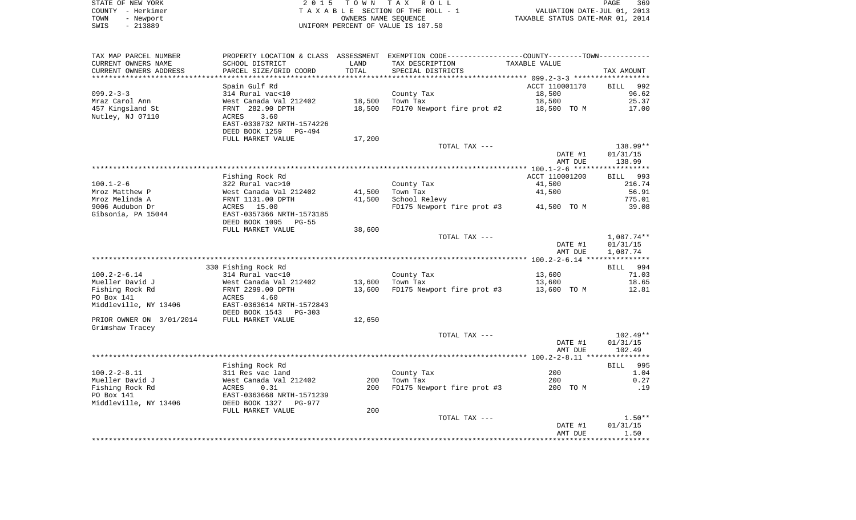| STATE OF NEW YORK | 2015 TOWN TAX ROLL                 | 369<br>PAGE                      |
|-------------------|------------------------------------|----------------------------------|
| COUNTY - Herkimer | TAXABLE SECTION OF THE ROLL - 1    | VALUATION DATE-JUL 01, 2013      |
| TOWN<br>- Newport | OWNERS NAME SEOUENCE               | TAXABLE STATUS DATE-MAR 01, 2014 |
| SWIS<br>- 213889  | UNIFORM PERCENT OF VALUE IS 107.50 |                                  |

| CURRENT OWNERS NAME<br>SCHOOL DISTRICT<br>LAND<br>TAX DESCRIPTION<br>TAXABLE VALUE<br>PARCEL SIZE/GRID COORD<br>TOTAL<br>SPECIAL DISTRICTS | PROPERTY LOCATION & CLASS ASSESSMENT EXEMPTION CODE---------------COUNTY-------TOWN---------- |
|--------------------------------------------------------------------------------------------------------------------------------------------|-----------------------------------------------------------------------------------------------|
| CURRENT OWNERS ADDRESS                                                                                                                     |                                                                                               |
|                                                                                                                                            | TAX AMOUNT                                                                                    |
| *********************<br>********************<br>**************                                                                            |                                                                                               |
| Spain Gulf Rd<br>ACCT 110001170                                                                                                            | <b>BILL</b><br>992                                                                            |
| $099.2 - 3 - 3$<br>314 Rural vac<10<br>County Tax<br>18,500                                                                                | 96.62                                                                                         |
| Mraz Carol Ann<br>West Canada Val 212402<br>18,500<br>Town Tax<br>18,500                                                                   | 25.37                                                                                         |
| 457 Kingsland St<br>FRNT 282.90 DPTH<br>18,500<br>FD170 Newport fire prot #2<br>18,500 TO M                                                | 17.00                                                                                         |
| Nutley, NJ 07110<br>3.60<br>ACRES                                                                                                          |                                                                                               |
| EAST-0338732 NRTH-1574226                                                                                                                  |                                                                                               |
| DEED BOOK 1259<br>PG-494                                                                                                                   |                                                                                               |
| FULL MARKET VALUE<br>17,200                                                                                                                |                                                                                               |
| TOTAL TAX ---                                                                                                                              | 138.99**                                                                                      |
| DATE #1                                                                                                                                    | 01/31/15                                                                                      |
| AMT DUE                                                                                                                                    | 138.99                                                                                        |
|                                                                                                                                            |                                                                                               |
| ACCT 110001200<br>Fishing Rock Rd                                                                                                          | BILL 993                                                                                      |
| $100.1 - 2 - 6$<br>322 Rural vac>10<br>County Tax<br>41,500                                                                                | 216.74                                                                                        |
| Town Tax<br>Mroz Matthew P<br>West Canada Val 212402<br>41,500<br>41,500                                                                   | 56.91                                                                                         |
| Mroz Melinda A<br>School Relevy<br>FRNT 1131.00 DPTH<br>41,500                                                                             | 775.01                                                                                        |
| 9006 Audubon Dr<br>FD175 Newport fire prot #3 41,500 TO M<br>ACRES 15.00                                                                   | 39.08                                                                                         |
| Gibsonia, PA 15044<br>EAST-0357366 NRTH-1573185                                                                                            |                                                                                               |
| DEED BOOK 1095<br>$PG-55$                                                                                                                  |                                                                                               |
| FULL MARKET VALUE<br>38,600                                                                                                                |                                                                                               |
| TOTAL TAX ---                                                                                                                              | 1,087.74**                                                                                    |
| DATE #1                                                                                                                                    | 01/31/15                                                                                      |
| AMT DUE                                                                                                                                    | 1,087.74                                                                                      |
|                                                                                                                                            |                                                                                               |
| 330 Fishing Rock Rd                                                                                                                        | BILL 994                                                                                      |
| $100.2 - 2 - 6.14$<br>314 Rural vac<10<br>County Tax<br>13,600                                                                             | 71.03                                                                                         |
| Mueller David J<br>West Canada Val 212402<br>13,600<br>Town Tax<br>13,600<br>FD175 Newport fire prot #3                                    | 18.65                                                                                         |
| Fishing Rock Rd<br>FRNT 2299.00 DPTH<br>13,600 TO M<br>13,600                                                                              | 12.81                                                                                         |
| PO Box 141<br>ACRES<br>4.60<br>Middleville, NY 13406                                                                                       |                                                                                               |
| EAST-0363614 NRTH-1572843                                                                                                                  |                                                                                               |
| DEED BOOK 1543<br>PG-303<br>PRIOR OWNER ON 3/01/2014<br>FULL MARKET VALUE<br>12,650                                                        |                                                                                               |
| Grimshaw Tracey                                                                                                                            |                                                                                               |
| TOTAL TAX ---                                                                                                                              | $102.49**$                                                                                    |
| DATE #1                                                                                                                                    | 01/31/15                                                                                      |
| AMT DUE                                                                                                                                    | 102.49                                                                                        |
|                                                                                                                                            |                                                                                               |
| Fishing Rock Rd                                                                                                                            | BILL 995                                                                                      |
| $100.2 - 2 - 8.11$<br>311 Res vac land<br>County Tax<br>200                                                                                | 1.04                                                                                          |
| Mueller David J<br>West Canada Val 212402<br>200<br>Town Tax<br>200                                                                        | 0.27                                                                                          |
| FD175 Newport fire prot #3<br>Fishing Rock Rd<br>0.31<br>200<br>200 TO M<br>ACRES                                                          | .19                                                                                           |
|                                                                                                                                            |                                                                                               |
|                                                                                                                                            |                                                                                               |
| EAST-0363668 NRTH-1571239                                                                                                                  |                                                                                               |
| PO Box 141<br>Middleville, NY 13406<br>DEED BOOK 1327<br>PG-977<br>200                                                                     |                                                                                               |
| FULL MARKET VALUE                                                                                                                          |                                                                                               |
| TOTAL TAX ---                                                                                                                              | $1.50**$                                                                                      |
| DATE #1<br>AMT DUE                                                                                                                         | 01/31/15<br>1.50                                                                              |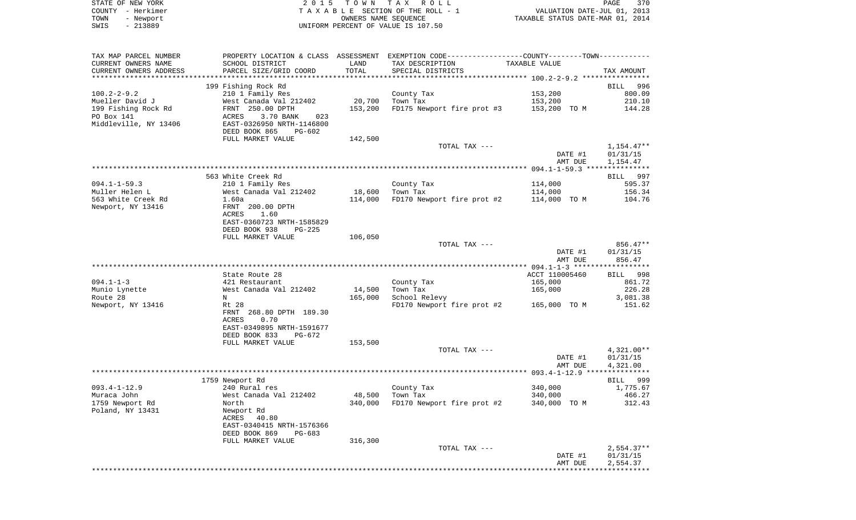|      | STATE OF NEW YORK | 2015 TOWN TAX ROLL                 | PAGE                             | 370 |
|------|-------------------|------------------------------------|----------------------------------|-----|
|      | COUNTY - Herkimer | TAXABLE SECTION OF THE ROLL - 1    | VALUATION DATE-JUL 01, 2013      |     |
| TOWN | - Newport         | OWNERS NAME SEOUENCE               | TAXABLE STATUS DATE-MAR 01, 2014 |     |
| SWIS | - 213889          | UNIFORM PERCENT OF VALUE IS 107.50 |                                  |     |

| CURRENT OWNERS NAME<br>SCHOOL DISTRICT<br>LAND<br>TAX DESCRIPTION<br>TAXABLE VALUE<br>CURRENT OWNERS ADDRESS<br>PARCEL SIZE/GRID COORD<br>TOTAL<br>SPECIAL DISTRICTS<br>199 Fishing Rock Rd<br>$100.2 - 2 - 9.2$<br>210 1 Family Res<br>153,200<br>County Tax<br>Mueller David J<br>20,700<br>Town Tax<br>153,200<br>West Canada Val 212402<br>199 Fishing Rock Rd<br>153,200<br>FD175 Newport fire prot #3<br>153,200 TO M<br>FRNT 250.00 DPTH<br>PO Box 141<br>3.70 BANK<br>023<br>ACRES<br>Middleville, NY 13406<br>EAST-0326950 NRTH-1146800<br>DEED BOOK 865<br>PG-602<br>FULL MARKET VALUE<br>142,500<br>TOTAL TAX ---<br>DATE #1<br>AMT DUE<br>563 White Creek Rd<br>$094.1 - 1 - 59.3$<br>210 1 Family Res<br>114,000<br>County Tax<br>Muller Helen L<br>18,600<br>114,000<br>West Canada Val 212402<br>Town Tax<br>563 White Creek Rd<br>FD170 Newport fire prot #2<br>1.60a<br>114,000<br>114,000 TO M<br>Newport, NY 13416<br>FRNT 200.00 DPTH<br>1.60<br>ACRES<br>EAST-0360723 NRTH-1585829<br>DEED BOOK 938<br>$PG-225$<br>FULL MARKET VALUE<br>106,050<br>TOTAL TAX ---<br>DATE #1<br>01/31/15<br>AMT DUE<br>State Route 28<br>ACCT 110005460<br>165,000<br>$094.1 - 1 - 3$<br>421 Restaurant<br>County Tax<br>14,500<br>165,000<br>Munio Lynette<br>West Canada Val 212402<br>Town Tax<br>Route 28<br>165,000<br>School Relevy<br>N<br>Newport, NY 13416<br>Rt 28<br>FD170 Newport fire prot #2<br>165,000 TO M<br>FRNT 268.80 DPTH 189.30<br>0.70<br>ACRES<br>EAST-0349895 NRTH-1591677<br>DEED BOOK 833<br>PG-672<br>FULL MARKET VALUE<br>153,500<br>TOTAL TAX ---<br>$4,321.00**$<br>DATE #1<br>01/31/15<br>AMT DUE<br>4,321.00<br>1759 Newport Rd<br>$093.4 - 1 - 12.9$<br>240 Rural res<br>County Tax<br>340,000 | TAX MAP PARCEL NUMBER | PROPERTY LOCATION & CLASS ASSESSMENT EXEMPTION CODE---------------COUNTY-------TOWN---------- |        |          |         |                       |
|--------------------------------------------------------------------------------------------------------------------------------------------------------------------------------------------------------------------------------------------------------------------------------------------------------------------------------------------------------------------------------------------------------------------------------------------------------------------------------------------------------------------------------------------------------------------------------------------------------------------------------------------------------------------------------------------------------------------------------------------------------------------------------------------------------------------------------------------------------------------------------------------------------------------------------------------------------------------------------------------------------------------------------------------------------------------------------------------------------------------------------------------------------------------------------------------------------------------------------------------------------------------------------------------------------------------------------------------------------------------------------------------------------------------------------------------------------------------------------------------------------------------------------------------------------------------------------------------------------------------------------------------------------------------------------------------------------------------------------------|-----------------------|-----------------------------------------------------------------------------------------------|--------|----------|---------|-----------------------|
|                                                                                                                                                                                                                                                                                                                                                                                                                                                                                                                                                                                                                                                                                                                                                                                                                                                                                                                                                                                                                                                                                                                                                                                                                                                                                                                                                                                                                                                                                                                                                                                                                                                                                                                                      |                       |                                                                                               |        |          |         |                       |
|                                                                                                                                                                                                                                                                                                                                                                                                                                                                                                                                                                                                                                                                                                                                                                                                                                                                                                                                                                                                                                                                                                                                                                                                                                                                                                                                                                                                                                                                                                                                                                                                                                                                                                                                      |                       |                                                                                               |        |          |         | TAX AMOUNT            |
|                                                                                                                                                                                                                                                                                                                                                                                                                                                                                                                                                                                                                                                                                                                                                                                                                                                                                                                                                                                                                                                                                                                                                                                                                                                                                                                                                                                                                                                                                                                                                                                                                                                                                                                                      |                       |                                                                                               |        |          |         |                       |
|                                                                                                                                                                                                                                                                                                                                                                                                                                                                                                                                                                                                                                                                                                                                                                                                                                                                                                                                                                                                                                                                                                                                                                                                                                                                                                                                                                                                                                                                                                                                                                                                                                                                                                                                      |                       |                                                                                               |        |          |         | BILL 996              |
|                                                                                                                                                                                                                                                                                                                                                                                                                                                                                                                                                                                                                                                                                                                                                                                                                                                                                                                                                                                                                                                                                                                                                                                                                                                                                                                                                                                                                                                                                                                                                                                                                                                                                                                                      |                       |                                                                                               |        |          |         | 800.09                |
|                                                                                                                                                                                                                                                                                                                                                                                                                                                                                                                                                                                                                                                                                                                                                                                                                                                                                                                                                                                                                                                                                                                                                                                                                                                                                                                                                                                                                                                                                                                                                                                                                                                                                                                                      |                       |                                                                                               |        |          |         | 210.10                |
|                                                                                                                                                                                                                                                                                                                                                                                                                                                                                                                                                                                                                                                                                                                                                                                                                                                                                                                                                                                                                                                                                                                                                                                                                                                                                                                                                                                                                                                                                                                                                                                                                                                                                                                                      |                       |                                                                                               |        |          |         | 144.28                |
|                                                                                                                                                                                                                                                                                                                                                                                                                                                                                                                                                                                                                                                                                                                                                                                                                                                                                                                                                                                                                                                                                                                                                                                                                                                                                                                                                                                                                                                                                                                                                                                                                                                                                                                                      |                       |                                                                                               |        |          |         |                       |
|                                                                                                                                                                                                                                                                                                                                                                                                                                                                                                                                                                                                                                                                                                                                                                                                                                                                                                                                                                                                                                                                                                                                                                                                                                                                                                                                                                                                                                                                                                                                                                                                                                                                                                                                      |                       |                                                                                               |        |          |         |                       |
|                                                                                                                                                                                                                                                                                                                                                                                                                                                                                                                                                                                                                                                                                                                                                                                                                                                                                                                                                                                                                                                                                                                                                                                                                                                                                                                                                                                                                                                                                                                                                                                                                                                                                                                                      |                       |                                                                                               |        |          |         |                       |
|                                                                                                                                                                                                                                                                                                                                                                                                                                                                                                                                                                                                                                                                                                                                                                                                                                                                                                                                                                                                                                                                                                                                                                                                                                                                                                                                                                                                                                                                                                                                                                                                                                                                                                                                      |                       |                                                                                               |        |          |         |                       |
|                                                                                                                                                                                                                                                                                                                                                                                                                                                                                                                                                                                                                                                                                                                                                                                                                                                                                                                                                                                                                                                                                                                                                                                                                                                                                                                                                                                                                                                                                                                                                                                                                                                                                                                                      |                       |                                                                                               |        |          |         | $1,154.47**$          |
|                                                                                                                                                                                                                                                                                                                                                                                                                                                                                                                                                                                                                                                                                                                                                                                                                                                                                                                                                                                                                                                                                                                                                                                                                                                                                                                                                                                                                                                                                                                                                                                                                                                                                                                                      |                       |                                                                                               |        |          |         | 01/31/15              |
|                                                                                                                                                                                                                                                                                                                                                                                                                                                                                                                                                                                                                                                                                                                                                                                                                                                                                                                                                                                                                                                                                                                                                                                                                                                                                                                                                                                                                                                                                                                                                                                                                                                                                                                                      |                       |                                                                                               |        |          |         | 1,154.47              |
|                                                                                                                                                                                                                                                                                                                                                                                                                                                                                                                                                                                                                                                                                                                                                                                                                                                                                                                                                                                                                                                                                                                                                                                                                                                                                                                                                                                                                                                                                                                                                                                                                                                                                                                                      |                       |                                                                                               |        |          |         |                       |
|                                                                                                                                                                                                                                                                                                                                                                                                                                                                                                                                                                                                                                                                                                                                                                                                                                                                                                                                                                                                                                                                                                                                                                                                                                                                                                                                                                                                                                                                                                                                                                                                                                                                                                                                      |                       |                                                                                               |        |          |         | BILL 997              |
|                                                                                                                                                                                                                                                                                                                                                                                                                                                                                                                                                                                                                                                                                                                                                                                                                                                                                                                                                                                                                                                                                                                                                                                                                                                                                                                                                                                                                                                                                                                                                                                                                                                                                                                                      |                       |                                                                                               |        |          |         | 595.37                |
|                                                                                                                                                                                                                                                                                                                                                                                                                                                                                                                                                                                                                                                                                                                                                                                                                                                                                                                                                                                                                                                                                                                                                                                                                                                                                                                                                                                                                                                                                                                                                                                                                                                                                                                                      |                       |                                                                                               |        |          |         | 156.34                |
|                                                                                                                                                                                                                                                                                                                                                                                                                                                                                                                                                                                                                                                                                                                                                                                                                                                                                                                                                                                                                                                                                                                                                                                                                                                                                                                                                                                                                                                                                                                                                                                                                                                                                                                                      |                       |                                                                                               |        |          |         | 104.76                |
|                                                                                                                                                                                                                                                                                                                                                                                                                                                                                                                                                                                                                                                                                                                                                                                                                                                                                                                                                                                                                                                                                                                                                                                                                                                                                                                                                                                                                                                                                                                                                                                                                                                                                                                                      |                       |                                                                                               |        |          |         |                       |
|                                                                                                                                                                                                                                                                                                                                                                                                                                                                                                                                                                                                                                                                                                                                                                                                                                                                                                                                                                                                                                                                                                                                                                                                                                                                                                                                                                                                                                                                                                                                                                                                                                                                                                                                      |                       |                                                                                               |        |          |         |                       |
|                                                                                                                                                                                                                                                                                                                                                                                                                                                                                                                                                                                                                                                                                                                                                                                                                                                                                                                                                                                                                                                                                                                                                                                                                                                                                                                                                                                                                                                                                                                                                                                                                                                                                                                                      |                       |                                                                                               |        |          |         |                       |
|                                                                                                                                                                                                                                                                                                                                                                                                                                                                                                                                                                                                                                                                                                                                                                                                                                                                                                                                                                                                                                                                                                                                                                                                                                                                                                                                                                                                                                                                                                                                                                                                                                                                                                                                      |                       |                                                                                               |        |          |         |                       |
|                                                                                                                                                                                                                                                                                                                                                                                                                                                                                                                                                                                                                                                                                                                                                                                                                                                                                                                                                                                                                                                                                                                                                                                                                                                                                                                                                                                                                                                                                                                                                                                                                                                                                                                                      |                       |                                                                                               |        |          |         |                       |
|                                                                                                                                                                                                                                                                                                                                                                                                                                                                                                                                                                                                                                                                                                                                                                                                                                                                                                                                                                                                                                                                                                                                                                                                                                                                                                                                                                                                                                                                                                                                                                                                                                                                                                                                      |                       |                                                                                               |        |          |         | 856.47**              |
|                                                                                                                                                                                                                                                                                                                                                                                                                                                                                                                                                                                                                                                                                                                                                                                                                                                                                                                                                                                                                                                                                                                                                                                                                                                                                                                                                                                                                                                                                                                                                                                                                                                                                                                                      |                       |                                                                                               |        |          |         |                       |
|                                                                                                                                                                                                                                                                                                                                                                                                                                                                                                                                                                                                                                                                                                                                                                                                                                                                                                                                                                                                                                                                                                                                                                                                                                                                                                                                                                                                                                                                                                                                                                                                                                                                                                                                      |                       |                                                                                               |        |          |         | 856.47                |
|                                                                                                                                                                                                                                                                                                                                                                                                                                                                                                                                                                                                                                                                                                                                                                                                                                                                                                                                                                                                                                                                                                                                                                                                                                                                                                                                                                                                                                                                                                                                                                                                                                                                                                                                      |                       |                                                                                               |        |          |         | * * * * * * * * * * * |
|                                                                                                                                                                                                                                                                                                                                                                                                                                                                                                                                                                                                                                                                                                                                                                                                                                                                                                                                                                                                                                                                                                                                                                                                                                                                                                                                                                                                                                                                                                                                                                                                                                                                                                                                      |                       |                                                                                               |        |          |         | BILL 998              |
|                                                                                                                                                                                                                                                                                                                                                                                                                                                                                                                                                                                                                                                                                                                                                                                                                                                                                                                                                                                                                                                                                                                                                                                                                                                                                                                                                                                                                                                                                                                                                                                                                                                                                                                                      |                       |                                                                                               |        |          |         | 861.72                |
|                                                                                                                                                                                                                                                                                                                                                                                                                                                                                                                                                                                                                                                                                                                                                                                                                                                                                                                                                                                                                                                                                                                                                                                                                                                                                                                                                                                                                                                                                                                                                                                                                                                                                                                                      |                       |                                                                                               |        |          |         | 226.28                |
|                                                                                                                                                                                                                                                                                                                                                                                                                                                                                                                                                                                                                                                                                                                                                                                                                                                                                                                                                                                                                                                                                                                                                                                                                                                                                                                                                                                                                                                                                                                                                                                                                                                                                                                                      |                       |                                                                                               |        |          |         | 3,081.38              |
|                                                                                                                                                                                                                                                                                                                                                                                                                                                                                                                                                                                                                                                                                                                                                                                                                                                                                                                                                                                                                                                                                                                                                                                                                                                                                                                                                                                                                                                                                                                                                                                                                                                                                                                                      |                       |                                                                                               |        |          |         | 151.62                |
|                                                                                                                                                                                                                                                                                                                                                                                                                                                                                                                                                                                                                                                                                                                                                                                                                                                                                                                                                                                                                                                                                                                                                                                                                                                                                                                                                                                                                                                                                                                                                                                                                                                                                                                                      |                       |                                                                                               |        |          |         |                       |
|                                                                                                                                                                                                                                                                                                                                                                                                                                                                                                                                                                                                                                                                                                                                                                                                                                                                                                                                                                                                                                                                                                                                                                                                                                                                                                                                                                                                                                                                                                                                                                                                                                                                                                                                      |                       |                                                                                               |        |          |         |                       |
|                                                                                                                                                                                                                                                                                                                                                                                                                                                                                                                                                                                                                                                                                                                                                                                                                                                                                                                                                                                                                                                                                                                                                                                                                                                                                                                                                                                                                                                                                                                                                                                                                                                                                                                                      |                       |                                                                                               |        |          |         |                       |
|                                                                                                                                                                                                                                                                                                                                                                                                                                                                                                                                                                                                                                                                                                                                                                                                                                                                                                                                                                                                                                                                                                                                                                                                                                                                                                                                                                                                                                                                                                                                                                                                                                                                                                                                      |                       |                                                                                               |        |          |         |                       |
|                                                                                                                                                                                                                                                                                                                                                                                                                                                                                                                                                                                                                                                                                                                                                                                                                                                                                                                                                                                                                                                                                                                                                                                                                                                                                                                                                                                                                                                                                                                                                                                                                                                                                                                                      |                       |                                                                                               |        |          |         |                       |
|                                                                                                                                                                                                                                                                                                                                                                                                                                                                                                                                                                                                                                                                                                                                                                                                                                                                                                                                                                                                                                                                                                                                                                                                                                                                                                                                                                                                                                                                                                                                                                                                                                                                                                                                      |                       |                                                                                               |        |          |         |                       |
|                                                                                                                                                                                                                                                                                                                                                                                                                                                                                                                                                                                                                                                                                                                                                                                                                                                                                                                                                                                                                                                                                                                                                                                                                                                                                                                                                                                                                                                                                                                                                                                                                                                                                                                                      |                       |                                                                                               |        |          |         |                       |
|                                                                                                                                                                                                                                                                                                                                                                                                                                                                                                                                                                                                                                                                                                                                                                                                                                                                                                                                                                                                                                                                                                                                                                                                                                                                                                                                                                                                                                                                                                                                                                                                                                                                                                                                      |                       |                                                                                               |        |          |         |                       |
|                                                                                                                                                                                                                                                                                                                                                                                                                                                                                                                                                                                                                                                                                                                                                                                                                                                                                                                                                                                                                                                                                                                                                                                                                                                                                                                                                                                                                                                                                                                                                                                                                                                                                                                                      |                       |                                                                                               |        |          |         | ************          |
|                                                                                                                                                                                                                                                                                                                                                                                                                                                                                                                                                                                                                                                                                                                                                                                                                                                                                                                                                                                                                                                                                                                                                                                                                                                                                                                                                                                                                                                                                                                                                                                                                                                                                                                                      |                       |                                                                                               |        |          |         | BILL 999              |
|                                                                                                                                                                                                                                                                                                                                                                                                                                                                                                                                                                                                                                                                                                                                                                                                                                                                                                                                                                                                                                                                                                                                                                                                                                                                                                                                                                                                                                                                                                                                                                                                                                                                                                                                      |                       |                                                                                               |        |          |         | 1,775.67              |
|                                                                                                                                                                                                                                                                                                                                                                                                                                                                                                                                                                                                                                                                                                                                                                                                                                                                                                                                                                                                                                                                                                                                                                                                                                                                                                                                                                                                                                                                                                                                                                                                                                                                                                                                      | Muraca John           | West Canada Val 212402                                                                        | 48,500 | Town Tax | 340,000 | 466.27                |
| 1759 Newport Rd                                                                                                                                                                                                                                                                                                                                                                                                                                                                                                                                                                                                                                                                                                                                                                                                                                                                                                                                                                                                                                                                                                                                                                                                                                                                                                                                                                                                                                                                                                                                                                                                                                                                                                                      |                       |                                                                                               |        |          |         |                       |
| 340,000<br>FD170 Newport fire prot #2<br>340,000 TO M<br>North                                                                                                                                                                                                                                                                                                                                                                                                                                                                                                                                                                                                                                                                                                                                                                                                                                                                                                                                                                                                                                                                                                                                                                                                                                                                                                                                                                                                                                                                                                                                                                                                                                                                       |                       |                                                                                               |        |          |         | 312.43                |
| Poland, NY 13431<br>Newport Rd                                                                                                                                                                                                                                                                                                                                                                                                                                                                                                                                                                                                                                                                                                                                                                                                                                                                                                                                                                                                                                                                                                                                                                                                                                                                                                                                                                                                                                                                                                                                                                                                                                                                                                       |                       |                                                                                               |        |          |         |                       |
| ACRES<br>40.80                                                                                                                                                                                                                                                                                                                                                                                                                                                                                                                                                                                                                                                                                                                                                                                                                                                                                                                                                                                                                                                                                                                                                                                                                                                                                                                                                                                                                                                                                                                                                                                                                                                                                                                       |                       |                                                                                               |        |          |         |                       |
| EAST-0340415 NRTH-1576366                                                                                                                                                                                                                                                                                                                                                                                                                                                                                                                                                                                                                                                                                                                                                                                                                                                                                                                                                                                                                                                                                                                                                                                                                                                                                                                                                                                                                                                                                                                                                                                                                                                                                                            |                       |                                                                                               |        |          |         |                       |
| DEED BOOK 869<br>PG-683                                                                                                                                                                                                                                                                                                                                                                                                                                                                                                                                                                                                                                                                                                                                                                                                                                                                                                                                                                                                                                                                                                                                                                                                                                                                                                                                                                                                                                                                                                                                                                                                                                                                                                              |                       |                                                                                               |        |          |         |                       |
| 316,300<br>FULL MARKET VALUE                                                                                                                                                                                                                                                                                                                                                                                                                                                                                                                                                                                                                                                                                                                                                                                                                                                                                                                                                                                                                                                                                                                                                                                                                                                                                                                                                                                                                                                                                                                                                                                                                                                                                                         |                       |                                                                                               |        |          |         |                       |
| TOTAL TAX ---                                                                                                                                                                                                                                                                                                                                                                                                                                                                                                                                                                                                                                                                                                                                                                                                                                                                                                                                                                                                                                                                                                                                                                                                                                                                                                                                                                                                                                                                                                                                                                                                                                                                                                                        |                       |                                                                                               |        |          |         | $2,554.37**$          |
| DATE #1                                                                                                                                                                                                                                                                                                                                                                                                                                                                                                                                                                                                                                                                                                                                                                                                                                                                                                                                                                                                                                                                                                                                                                                                                                                                                                                                                                                                                                                                                                                                                                                                                                                                                                                              |                       |                                                                                               |        |          |         | 01/31/15              |
| AMT DUE                                                                                                                                                                                                                                                                                                                                                                                                                                                                                                                                                                                                                                                                                                                                                                                                                                                                                                                                                                                                                                                                                                                                                                                                                                                                                                                                                                                                                                                                                                                                                                                                                                                                                                                              |                       |                                                                                               |        |          |         | 2,554.37              |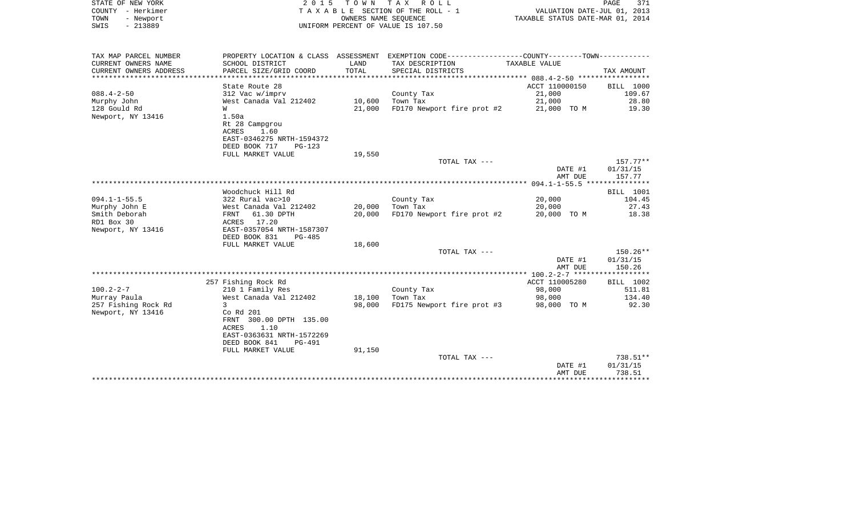|      | STATE OF NEW YORK | 2015 TOWN TAX ROLL                 |                                  | PAGE | 371 |
|------|-------------------|------------------------------------|----------------------------------|------|-----|
|      | COUNTY - Herkimer | TAXABLE SECTION OF THE ROLL - 1    | VALUATION DATE-JUL 01, 2013      |      |     |
| TOWN | - Newport         | OWNERS NAME SEOUENCE               | TAXABLE STATUS DATE-MAR 01, 2014 |      |     |
| SWIS | - 213889          | UNIFORM PERCENT OF VALUE IS 107.50 |                                  |      |     |
|      |                   |                                    |                                  |      |     |
|      |                   |                                    |                                  |      |     |

| TAX MAP PARCEL NUMBER          | PROPERTY LOCATION & CLASS      | ASSESSMENT | EXEMPTION CODE-----------------COUNTY-------TOWN------- |                |                  |
|--------------------------------|--------------------------------|------------|---------------------------------------------------------|----------------|------------------|
| CURRENT OWNERS NAME            | SCHOOL DISTRICT                | LAND       | TAX DESCRIPTION                                         | TAXABLE VALUE  |                  |
| CURRENT OWNERS ADDRESS         | PARCEL SIZE/GRID COORD         | TOTAL      | SPECIAL DISTRICTS                                       |                | TAX AMOUNT       |
| ****************************** |                                |            |                                                         |                |                  |
|                                | State Route 28                 |            |                                                         | ACCT 110000150 | <b>BILL</b> 1000 |
| $088.4 - 2 - 50$               | 312 Vac w/imprv                |            | County Tax                                              | 21,000         | 109.67           |
| Murphy John                    | West Canada Val 212402         | 10,600     | Town Tax                                                | 21,000         | 28.80            |
| 128 Gould Rd                   | W                              | 21,000     | FD170 Newport fire prot #2                              | 21,000 TO M    | 19.30            |
| Newport, NY 13416              | 1.50a                          |            |                                                         |                |                  |
|                                | Rt 28 Campgrou                 |            |                                                         |                |                  |
|                                | 1.60<br>ACRES                  |            |                                                         |                |                  |
|                                | EAST-0346275 NRTH-1594372      |            |                                                         |                |                  |
|                                | DEED BOOK 717<br><b>PG-123</b> |            |                                                         |                |                  |
|                                | FULL MARKET VALUE              | 19,550     |                                                         |                |                  |
|                                |                                |            | TOTAL TAX ---                                           |                | $157.77**$       |
|                                |                                |            |                                                         | DATE #1        | 01/31/15         |
|                                |                                |            |                                                         | AMT DUE        | 157.77           |
|                                |                                |            |                                                         |                |                  |
|                                | Woodchuck Hill Rd              |            |                                                         |                | BILL 1001        |
| $094.1 - 1 - 55.5$             | 322 Rural vac>10               |            | County Tax                                              | 20,000         | 104.45           |
| Murphy John E                  | West Canada Val 212402         | 20,000     | Town Tax                                                | 20,000         | 27.43            |
| Smith Deborah                  | 61.30 DPTH<br>FRNT             | 20,000     | FD170 Newport fire prot #2                              | 20,000 TO M    | 18.38            |
| RD1 Box 30                     | ACRES 17.20                    |            |                                                         |                |                  |
| Newport, NY 13416              | EAST-0357054 NRTH-1587307      |            |                                                         |                |                  |
|                                | DEED BOOK 831<br>PG-485        |            |                                                         |                |                  |
|                                | FULL MARKET VALUE              | 18,600     |                                                         |                |                  |
|                                |                                |            | TOTAL TAX ---                                           |                | $150.26**$       |
|                                |                                |            |                                                         | DATE #1        | 01/31/15         |
|                                |                                |            |                                                         | AMT DUE        | 150.26           |
|                                |                                |            |                                                         |                |                  |
|                                | 257 Fishing Rock Rd            |            |                                                         | ACCT 110005280 | BILL 1002        |
| $100.2 - 2 - 7$                | 210 1 Family Res               |            | County Tax                                              | 98,000         | 511.81           |
| Murray Paula                   | West Canada Val 212402         | 18,100     | Town Tax                                                | 98,000         | 134.40           |
| 257 Fishing Rock Rd            | 3                              | 98,000     | FD175 Newport fire prot #3                              | 98,000 TO M    | 92.30            |
| Newport, NY 13416              | Co Rd 201                      |            |                                                         |                |                  |
|                                | FRNT 300.00 DPTH 135.00        |            |                                                         |                |                  |
|                                | <b>ACRES</b><br>1.10           |            |                                                         |                |                  |
|                                | EAST-0363631 NRTH-1572269      |            |                                                         |                |                  |
|                                | DEED BOOK 841<br>PG-491        |            |                                                         |                |                  |
|                                | FULL MARKET VALUE              | 91,150     |                                                         |                |                  |
|                                |                                |            | TOTAL TAX ---                                           |                | 738.51**         |
|                                |                                |            |                                                         | DATE #1        | 01/31/15         |
|                                |                                |            |                                                         | AMT DUE        | 738.51           |
|                                |                                |            |                                                         |                |                  |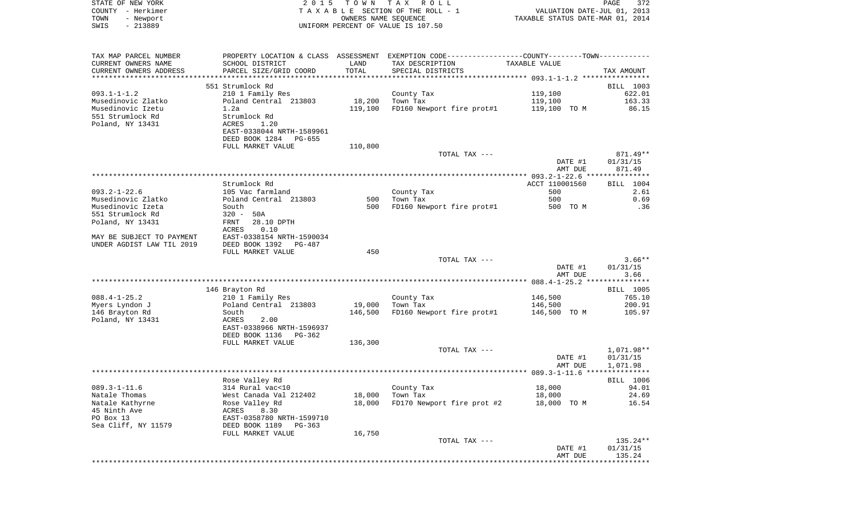| STATE OF NEW YORK                            |                                                         | 2015 TOWN            | TAX ROLL                                                                        |                                  | 372<br>PAGE      |
|----------------------------------------------|---------------------------------------------------------|----------------------|---------------------------------------------------------------------------------|----------------------------------|------------------|
| COUNTY - Herkimer                            |                                                         |                      | TAXABLE SECTION OF THE ROLL - 1                                                 | VALUATION DATE-JUL 01, 2013      |                  |
| - Newport<br>TOWN<br>$-213889$               |                                                         | OWNERS NAME SEQUENCE |                                                                                 | TAXABLE STATUS DATE-MAR 01, 2014 |                  |
| SWIS                                         |                                                         |                      | UNIFORM PERCENT OF VALUE IS 107.50                                              |                                  |                  |
|                                              |                                                         |                      |                                                                                 |                                  |                  |
|                                              |                                                         |                      |                                                                                 |                                  |                  |
| TAX MAP PARCEL NUMBER<br>CURRENT OWNERS NAME | PROPERTY LOCATION & CLASS ASSESSMENT<br>SCHOOL DISTRICT | LAND                 | EXEMPTION CODE-----------------COUNTY--------TOWN-----------<br>TAX DESCRIPTION | TAXABLE VALUE                    |                  |
| CURRENT OWNERS ADDRESS                       | PARCEL SIZE/GRID COORD                                  | TOTAL                | SPECIAL DISTRICTS                                                               |                                  | TAX AMOUNT       |
| **********************                       |                                                         |                      |                                                                                 |                                  |                  |
|                                              | 551 Strumlock Rd                                        |                      |                                                                                 |                                  | BILL 1003        |
| $093.1 - 1 - 1.2$                            | 210 1 Family Res                                        |                      | County Tax                                                                      | 119,100                          | 622.01           |
| Musedinovic Zlatko                           | Poland Central 213803                                   | 18,200               | Town Tax                                                                        | 119,100                          | 163.33           |
| Musedinovic Izetu                            | 1.2a                                                    | 119,100              | FD160 Newport fire prot#1                                                       | 119,100 TO M                     | 86.15            |
| 551 Strumlock Rd<br>Poland, NY 13431         | Strumlock Rd<br>ACRES<br>1.20                           |                      |                                                                                 |                                  |                  |
|                                              | EAST-0338044 NRTH-1589961                               |                      |                                                                                 |                                  |                  |
|                                              | DEED BOOK 1284<br>PG-655                                |                      |                                                                                 |                                  |                  |
|                                              | FULL MARKET VALUE                                       | 110,800              |                                                                                 |                                  |                  |
|                                              |                                                         |                      | TOTAL TAX ---                                                                   |                                  | 871.49**         |
|                                              |                                                         |                      |                                                                                 | DATE #1                          | 01/31/15         |
|                                              |                                                         |                      |                                                                                 | AMT DUE                          | 871.49           |
|                                              | Strumlock Rd                                            |                      |                                                                                 | ACCT 110001560                   | BILL 1004        |
| $093.2 - 1 - 22.6$                           | 105 Vac farmland                                        |                      | County Tax                                                                      | 500                              | 2.61             |
| Musedinovic Zlatko                           | Poland Central 213803                                   | 500                  | Town Tax                                                                        | 500                              | 0.69             |
| Musedinovic Izeta                            | South                                                   | 500                  | FD160 Newport fire prot#1                                                       | 500 TO M                         | .36              |
| 551 Strumlock Rd                             | $320 - 50A$                                             |                      |                                                                                 |                                  |                  |
| Poland, NY 13431                             | FRNT<br>28.10 DPTH                                      |                      |                                                                                 |                                  |                  |
|                                              | 0.10<br>ACRES                                           |                      |                                                                                 |                                  |                  |
| MAY BE SUBJECT TO PAYMENT                    | EAST-0338154 NRTH-1590034                               |                      |                                                                                 |                                  |                  |
| UNDER AGDIST LAW TIL 2019                    | DEED BOOK 1392<br>PG-487<br>FULL MARKET VALUE           | 450                  |                                                                                 |                                  |                  |
|                                              |                                                         |                      | TOTAL TAX ---                                                                   |                                  | $3.66**$         |
|                                              |                                                         |                      |                                                                                 | DATE #1                          | 01/31/15         |
|                                              |                                                         |                      |                                                                                 | AMT DUE                          | 3.66             |
|                                              |                                                         |                      |                                                                                 |                                  |                  |
|                                              | 146 Brayton Rd                                          |                      |                                                                                 |                                  | BILL 1005        |
| $088.4 - 1 - 25.2$                           | 210 1 Family Res                                        |                      | County Tax                                                                      | 146,500                          | 765.10           |
| Myers Lyndon J<br>146 Brayton Rd             | Poland Central 213803<br>South                          | 19,000<br>146,500    | Town Tax<br>FD160 Newport fire prot#1                                           | 146,500<br>146,500 TO M          | 200.91<br>105.97 |
| Poland, NY 13431                             | ACRES<br>2.00                                           |                      |                                                                                 |                                  |                  |
|                                              | EAST-0338966 NRTH-1596937                               |                      |                                                                                 |                                  |                  |
|                                              | DEED BOOK 1136<br>PG-362                                |                      |                                                                                 |                                  |                  |
|                                              | FULL MARKET VALUE                                       | 136,300              |                                                                                 |                                  |                  |
|                                              |                                                         |                      | TOTAL TAX ---                                                                   |                                  | 1,071.98**       |
|                                              |                                                         |                      |                                                                                 | DATE #1                          | 01/31/15         |
|                                              |                                                         |                      |                                                                                 | AMT DUE                          | 1,071.98         |
|                                              | Rose Valley Rd                                          |                      |                                                                                 |                                  | BILL 1006        |
| $089.3 - 1 - 11.6$                           | 314 Rural vac<10                                        |                      | County Tax                                                                      | 18,000                           | 94.01            |
| Natale Thomas                                | West Canada Val 212402                                  | 18,000               | Town Tax                                                                        | 18,000                           | 24.69            |
| Natale Kathyrne                              | Rose Valley Rd                                          | 18,000               | FD170 Newport fire prot #2                                                      | 18,000 TO M                      | 16.54            |
| 45 Ninth Ave                                 | ACRES<br>8.30                                           |                      |                                                                                 |                                  |                  |
| PO Box 13                                    | EAST-0358780 NRTH-1599710                               |                      |                                                                                 |                                  |                  |
| Sea Cliff, NY 11579                          | DEED BOOK 1189<br>PG-363<br>FULL MARKET VALUE           | 16,750               |                                                                                 |                                  |                  |
|                                              |                                                         |                      | TOTAL TAX ---                                                                   |                                  | $135.24**$       |
|                                              |                                                         |                      |                                                                                 | DATE #1                          | 01/31/15         |
|                                              |                                                         |                      |                                                                                 | AMT DUE                          | 135.24           |
|                                              |                                                         |                      |                                                                                 |                                  |                  |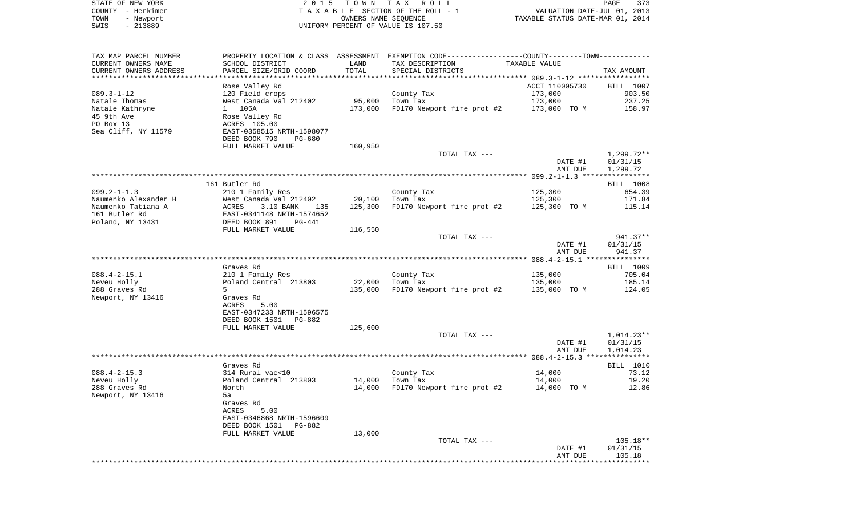|      | STATE OF NEW YORK | 2015 TOWN TAX ROLL                 |                                  | PAGE | 373 |
|------|-------------------|------------------------------------|----------------------------------|------|-----|
|      | COUNTY - Herkimer | TAXABLE SECTION OF THE ROLL - 1    | VALUATION DATE-JUL 01, 2013      |      |     |
| TOWN | - Newport         | OWNERS NAME SEOUENCE               | TAXABLE STATUS DATE-MAR 01, 2014 |      |     |
| SWIS | - 213889          | UNIFORM PERCENT OF VALUE IS 107.50 |                                  |      |     |

| TAX MAP PARCEL NUMBER  |                           |         | PROPERTY LOCATION & CLASS ASSESSMENT EXEMPTION CODE----------------COUNTY-------TOWN---------- |                |                  |
|------------------------|---------------------------|---------|------------------------------------------------------------------------------------------------|----------------|------------------|
| CURRENT OWNERS NAME    | SCHOOL DISTRICT           | LAND    | TAX DESCRIPTION                                                                                | TAXABLE VALUE  |                  |
| CURRENT OWNERS ADDRESS | PARCEL SIZE/GRID COORD    | TOTAL   | SPECIAL DISTRICTS                                                                              |                | TAX AMOUNT       |
|                        |                           |         |                                                                                                |                |                  |
|                        | Rose Valley Rd            |         |                                                                                                | ACCT 110005730 | <b>BILL</b> 1007 |
| $089.3 - 1 - 12$       | 120 Field crops           |         | County Tax                                                                                     | 173,000        | 903.50           |
| Natale Thomas          | West Canada Val 212402    | 95,000  | Town Tax                                                                                       | 173,000        | 237.25           |
| Natale Kathryne        | 1 105A                    | 173,000 | FD170 Newport fire prot #2 173,000 TO M                                                        |                | 158.97           |
| 45 9th Ave             | Rose Valley Rd            |         |                                                                                                |                |                  |
| PO Box 13              | ACRES 105.00              |         |                                                                                                |                |                  |
| Sea Cliff, NY 11579    | EAST-0358515 NRTH-1598077 |         |                                                                                                |                |                  |
|                        | DEED BOOK 790<br>PG-680   |         |                                                                                                |                |                  |
|                        | FULL MARKET VALUE         | 160,950 |                                                                                                |                |                  |
|                        |                           |         | TOTAL TAX ---                                                                                  |                | $1,299.72**$     |
|                        |                           |         |                                                                                                | DATE #1        | 01/31/15         |
|                        |                           |         |                                                                                                | AMT DUE        | 1,299.72         |
|                        |                           |         |                                                                                                |                |                  |
|                        | 161 Butler Rd             |         |                                                                                                |                | <b>BILL</b> 1008 |
| $099.2 - 1 - 1.3$      | 210 1 Family Res          |         | County Tax                                                                                     | 125,300        | 654.39           |
| Naumenko Alexander H   | West Canada Val 212402    | 20,100  | Town Tax                                                                                       | 125,300        | 171.84           |
| Naumenko Tatiana A     | ACRES<br>3.10 BANK<br>135 | 125,300 | FD170 Newport fire prot #2                                                                     | 125,300 TO M   | 115.14           |
| 161 Butler Rd          | EAST-0341148 NRTH-1574652 |         |                                                                                                |                |                  |
| Poland, NY 13431       | DEED BOOK 891<br>PG-441   |         |                                                                                                |                |                  |
|                        | FULL MARKET VALUE         | 116,550 |                                                                                                |                |                  |
|                        |                           |         | TOTAL TAX ---                                                                                  |                | $941.37**$       |
|                        |                           |         |                                                                                                | DATE #1        | 01/31/15         |
|                        |                           |         |                                                                                                | AMT DUE        | 941.37           |
|                        |                           |         |                                                                                                |                |                  |
|                        | Graves Rd                 |         |                                                                                                |                | BILL 1009        |
| $088.4 - 2 - 15.1$     | 210 1 Family Res          |         | County Tax                                                                                     | 135,000        | 705.04           |
| Neveu Holly            | Poland Central 213803     | 22,000  | Town Tax                                                                                       | 135,000        | 185.14           |
| 288 Graves Rd          | $5^{\circ}$               | 135,000 | FD170 Newport fire prot #2                                                                     | 135,000 TO M   | 124.05           |
| Newport, NY 13416      | Graves Rd                 |         |                                                                                                |                |                  |
|                        | ACRES<br>5.00             |         |                                                                                                |                |                  |
|                        | EAST-0347233 NRTH-1596575 |         |                                                                                                |                |                  |
|                        | DEED BOOK 1501<br>PG-882  |         |                                                                                                |                |                  |
|                        | FULL MARKET VALUE         | 125,600 |                                                                                                |                |                  |
|                        |                           |         | TOTAL TAX ---                                                                                  |                | $1,014.23**$     |
|                        |                           |         |                                                                                                | DATE #1        | 01/31/15         |
|                        |                           |         |                                                                                                | AMT DUE        | 1,014.23         |
|                        |                           |         |                                                                                                |                |                  |
|                        | Graves Rd                 |         |                                                                                                |                | BILL 1010        |
| $088.4 - 2 - 15.3$     | 314 Rural vac<10          |         | County Tax                                                                                     | 14,000         | 73.12            |
| Neveu Holly            | Poland Central 213803     | 14,000  | Town Tax                                                                                       | 14,000         | 19.20            |
| 288 Graves Rd          | North                     | 14,000  | FD170 Newport fire prot #2                                                                     | 14,000 TO M    | 12.86            |
| Newport, NY 13416      | 5а                        |         |                                                                                                |                |                  |
|                        | Graves Rd                 |         |                                                                                                |                |                  |
|                        | 5.00<br>ACRES             |         |                                                                                                |                |                  |
|                        | EAST-0346868 NRTH-1596609 |         |                                                                                                |                |                  |
|                        | DEED BOOK 1501<br>PG-882  |         |                                                                                                |                |                  |
|                        | FULL MARKET VALUE         | 13,000  |                                                                                                |                |                  |
|                        |                           |         | TOTAL TAX ---                                                                                  |                | $105.18**$       |
|                        |                           |         |                                                                                                | DATE #1        | 01/31/15         |
|                        |                           |         |                                                                                                | AMT DUE        | 105.18           |
|                        |                           |         |                                                                                                |                | ***********      |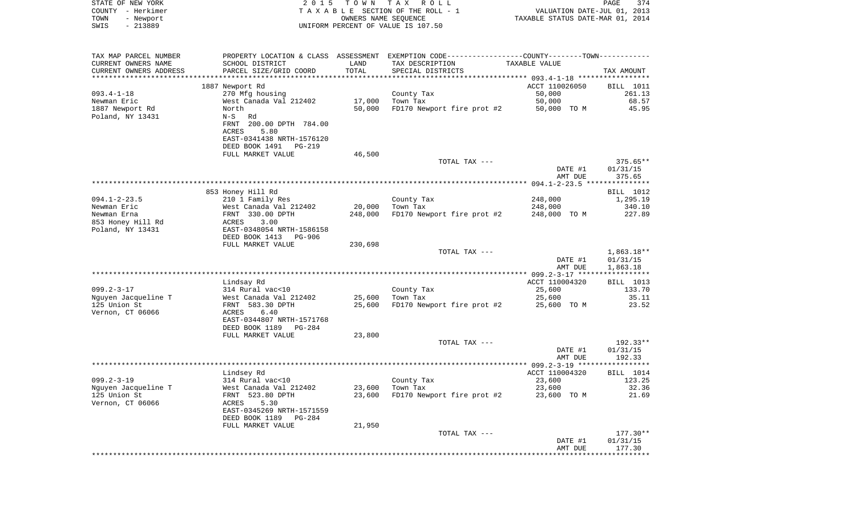|      | STATE OF NEW YORK | 2015 TOWN TAX ROLL                 | PAGE                             | 374 |
|------|-------------------|------------------------------------|----------------------------------|-----|
|      | COUNTY - Herkimer | TAXABLE SECTION OF THE ROLL - 1    | VALUATION DATE-JUL 01, 2013      |     |
| TOWN | - Newport         | OWNERS NAME SEOUENCE               | TAXABLE STATUS DATE-MAR 01, 2014 |     |
| SWIS | - 213889          | UNIFORM PERCENT OF VALUE IS 107.50 |                                  |     |

| TAX MAP PARCEL NUMBER  | PROPERTY LOCATION & CLASS ASSESSMENT |         | EXEMPTION CODE-----------------COUNTY-------TOWN----------- |                |                       |
|------------------------|--------------------------------------|---------|-------------------------------------------------------------|----------------|-----------------------|
| CURRENT OWNERS NAME    | SCHOOL DISTRICT                      | LAND    | TAX DESCRIPTION                                             | TAXABLE VALUE  |                       |
| CURRENT OWNERS ADDRESS | PARCEL SIZE/GRID COORD               | TOTAL   | SPECIAL DISTRICTS                                           |                | TAX AMOUNT            |
|                        |                                      |         |                                                             |                |                       |
|                        | 1887 Newport Rd                      |         |                                                             | ACCT 110026050 | BILL 1011             |
| $093.4 - 1 - 18$       | 270 Mfg housing                      |         | County Tax                                                  | 50,000         | 261.13                |
| Newman Eric            | West Canada Val 212402               | 17,000  | Town Tax                                                    | 50,000         | 68.57                 |
| 1887 Newport Rd        | North                                | 50,000  | FD170 Newport fire prot #2                                  | 50,000 TO M    | 45.95                 |
| Poland, NY 13431       | $N-S$<br>Rd                          |         |                                                             |                |                       |
|                        | FRNT<br>200.00 DPTH 784.00           |         |                                                             |                |                       |
|                        | ACRES<br>5.80                        |         |                                                             |                |                       |
|                        | EAST-0341438 NRTH-1576120            |         |                                                             |                |                       |
|                        | DEED BOOK 1491<br>PG-219             |         |                                                             |                |                       |
|                        | FULL MARKET VALUE                    | 46,500  |                                                             |                |                       |
|                        |                                      |         | TOTAL TAX ---                                               |                | $375.65**$            |
|                        |                                      |         |                                                             | DATE #1        | 01/31/15              |
|                        |                                      |         |                                                             | AMT DUE        | 375.65                |
|                        |                                      |         |                                                             |                |                       |
|                        | 853 Honey Hill Rd                    |         |                                                             |                |                       |
| $094.1 - 2 - 23.5$     | 210 1 Family Res                     |         |                                                             | 248,000        | BILL 1012<br>1,295.19 |
|                        |                                      |         | County Tax                                                  |                |                       |
| Newman Eric            | West Canada Val 212402               | 20,000  | Town Tax                                                    | 248,000        | 340.10                |
| Newman Erna            | FRNT 330.00 DPTH                     | 248,000 | FD170 Newport fire prot #2                                  | 248,000 TO M   | 227.89                |
| 853 Honey Hill Rd      | ACRES<br>3.00                        |         |                                                             |                |                       |
| Poland, NY 13431       | EAST-0348054 NRTH-1586158            |         |                                                             |                |                       |
|                        | DEED BOOK 1413<br>PG-906             |         |                                                             |                |                       |
|                        | FULL MARKET VALUE                    | 230,698 |                                                             |                |                       |
|                        |                                      |         | TOTAL TAX ---                                               |                | 1,863.18**            |
|                        |                                      |         |                                                             | DATE #1        | 01/31/15              |
|                        |                                      |         |                                                             | AMT DUE        | 1,863.18              |
|                        |                                      |         |                                                             |                |                       |
|                        | Lindsay Rd                           |         |                                                             | ACCT 110004320 | BILL 1013             |
| $099.2 - 3 - 17$       | 314 Rural vac<10                     |         | County Tax                                                  | 25,600         | 133.70                |
| Nguyen Jacqueline T    | West Canada Val 212402               | 25,600  | Town Tax                                                    | 25,600         | 35.11                 |
| 125 Union St           | FRNT 583.30 DPTH                     | 25,600  | FD170 Newport fire prot #2                                  | 25,600 TO M    | 23.52                 |
| Vernon, CT 06066       | 6.40<br>ACRES                        |         |                                                             |                |                       |
|                        | EAST-0344807 NRTH-1571768            |         |                                                             |                |                       |
|                        | DEED BOOK 1189<br>$PG-284$           |         |                                                             |                |                       |
|                        | FULL MARKET VALUE                    | 23,800  |                                                             |                |                       |
|                        |                                      |         | TOTAL TAX ---                                               |                | $192.33**$            |
|                        |                                      |         |                                                             | DATE #1        | 01/31/15              |
|                        |                                      |         |                                                             | AMT DUE        | 192.33                |
|                        |                                      |         |                                                             |                |                       |
|                        | Lindsey Rd                           |         |                                                             | ACCT 110004320 | <b>BILL</b> 1014      |
| $099.2 - 3 - 19$       | 314 Rural vac<10                     |         | County Tax                                                  | 23,600         | 123.25                |
| Nguyen Jacqueline T    | West Canada Val 212402               | 23,600  | Town Tax                                                    | 23,600         | 32.36                 |
| 125 Union St           | FRNT 523.80 DPTH                     | 23,600  | FD170 Newport fire prot #2                                  | 23,600 TO M    | 21.69                 |
| Vernon, CT 06066       | ACRES<br>5.30                        |         |                                                             |                |                       |
|                        | EAST-0345269 NRTH-1571559            |         |                                                             |                |                       |
|                        | DEED BOOK 1189<br><b>PG-284</b>      |         |                                                             |                |                       |
|                        | FULL MARKET VALUE                    | 21,950  |                                                             |                |                       |
|                        |                                      |         | TOTAL TAX ---                                               |                | $177.30**$            |
|                        |                                      |         |                                                             | DATE #1        | 01/31/15              |
|                        |                                      |         |                                                             | AMT DUE        | 177.30                |
|                        |                                      |         |                                                             |                |                       |
|                        |                                      |         |                                                             |                |                       |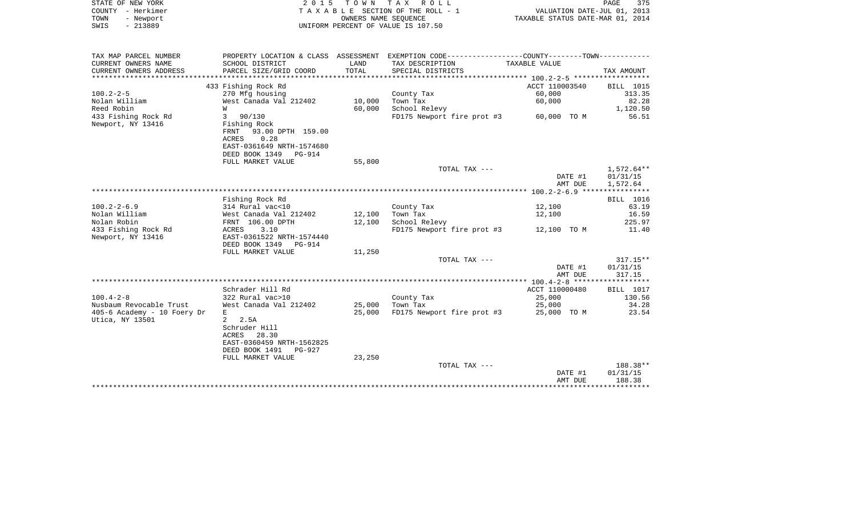|      | STATE OF NEW YORK | 2015 TOWN TAX ROLL                 |                                  | PAGE | 375 |
|------|-------------------|------------------------------------|----------------------------------|------|-----|
|      | COUNTY - Herkimer | TAXABLE SECTION OF THE ROLL - 1    | VALUATION DATE-JUL 01, 2013      |      |     |
| TOWN | - Newport         | OWNERS NAME SEOUENCE               | TAXABLE STATUS DATE-MAR 01, 2014 |      |     |
| SWIS | - 213889          | UNIFORM PERCENT OF VALUE IS 107.50 |                                  |      |     |
|      |                   |                                    |                                  |      |     |
|      |                   |                                    |                                  |      |     |

| TAX MAP PARCEL NUMBER       |                           |        | PROPERTY LOCATION & CLASS ASSESSMENT EXEMPTION CODE----------------COUNTY--------TOWN---------- |                |                  |
|-----------------------------|---------------------------|--------|-------------------------------------------------------------------------------------------------|----------------|------------------|
| CURRENT OWNERS NAME         | SCHOOL DISTRICT           | LAND   | TAX DESCRIPTION                                                                                 | TAXABLE VALUE  |                  |
| CURRENT OWNERS ADDRESS      | PARCEL SIZE/GRID COORD    | TOTAL  | SPECIAL DISTRICTS                                                                               |                | TAX AMOUNT       |
|                             |                           |        |                                                                                                 |                |                  |
|                             | 433 Fishing Rock Rd       |        |                                                                                                 | ACCT 110003540 | BILL 1015        |
| $100.2 - 2 - 5$             | 270 Mfg housing           |        | County Tax                                                                                      | 60,000         | 313.35           |
| Nolan William               | West Canada Val 212402    | 10,000 | Town Tax                                                                                        | 60,000         | 82.28            |
| Reed Robin                  | W                         | 60,000 | School Relevy                                                                                   |                | 1,120.50         |
| 433 Fishing Rock Rd         | $3\ 90/130$               |        | FD175 Newport fire prot #3 60,000 TO M                                                          |                | 56.51            |
| Newport, NY 13416           | Fishing Rock              |        |                                                                                                 |                |                  |
|                             | FRNT<br>93.00 DPTH 159.00 |        |                                                                                                 |                |                  |
|                             | 0.28<br>ACRES             |        |                                                                                                 |                |                  |
|                             | EAST-0361649 NRTH-1574680 |        |                                                                                                 |                |                  |
|                             | DEED BOOK 1349 PG-914     |        |                                                                                                 |                |                  |
|                             | FULL MARKET VALUE         | 55,800 |                                                                                                 |                |                  |
|                             |                           |        | TOTAL TAX ---                                                                                   |                | 1,572.64**       |
|                             |                           |        |                                                                                                 | DATE #1        | 01/31/15         |
|                             |                           |        |                                                                                                 | AMT DUE        | 1,572.64         |
|                             |                           |        |                                                                                                 |                |                  |
|                             | Fishing Rock Rd           |        |                                                                                                 |                | <b>BILL</b> 1016 |
| $100.2 - 2 - 6.9$           | 314 Rural vac<10          |        | County Tax                                                                                      | 12,100         | 63.19            |
| Nolan William               | West Canada Val 212402    | 12,100 | Town Tax                                                                                        | 12,100         | 16.59            |
| Nolan Robin                 | FRNT 106.00 DPTH          | 12,100 | School Relevy                                                                                   |                | 225.97           |
| 433 Fishing Rock Rd         | 3.10<br>ACRES             |        | FD175 Newport fire prot #3                                                                      | 12,100 TO M    | 11.40            |
| Newport, NY 13416           | EAST-0361522 NRTH-1574440 |        |                                                                                                 |                |                  |
|                             | DEED BOOK 1349 PG-914     |        |                                                                                                 |                |                  |
|                             | FULL MARKET VALUE         | 11,250 |                                                                                                 |                |                  |
|                             |                           |        | TOTAL TAX ---                                                                                   |                | $317.15**$       |
|                             |                           |        |                                                                                                 | DATE #1        | 01/31/15         |
|                             |                           |        |                                                                                                 | AMT DUE        | 317.15           |
|                             |                           |        |                                                                                                 |                |                  |
|                             | Schrader Hill Rd          |        |                                                                                                 | ACCT 110000480 | BILL 1017        |
| $100.4 - 2 - 8$             | 322 Rural vac>10          |        | County Tax                                                                                      | 25,000         | 130.56           |
| Nusbaum Revocable Trust     | West Canada Val 212402    | 25,000 | Town Tax                                                                                        | 25,000         | 34.28            |
| 405-6 Academy - 10 Foery Dr | E.                        | 25,000 | FD175 Newport fire prot #3                                                                      | 25,000 TO M    | 23.54            |
| Utica, NY 13501             | 2, 2.5A                   |        |                                                                                                 |                |                  |
|                             | Schruder Hill             |        |                                                                                                 |                |                  |
|                             | ACRES 28.30               |        |                                                                                                 |                |                  |
|                             | EAST-0360459 NRTH-1562825 |        |                                                                                                 |                |                  |
|                             | DEED BOOK 1491 PG-927     |        |                                                                                                 |                |                  |
|                             | FULL MARKET VALUE         | 23,250 |                                                                                                 |                |                  |
|                             |                           |        | TOTAL TAX ---                                                                                   |                | 188.38**         |
|                             |                           |        |                                                                                                 | DATE #1        | 01/31/15         |
|                             |                           |        |                                                                                                 | AMT DUE        | 188.38           |
|                             |                           |        |                                                                                                 |                |                  |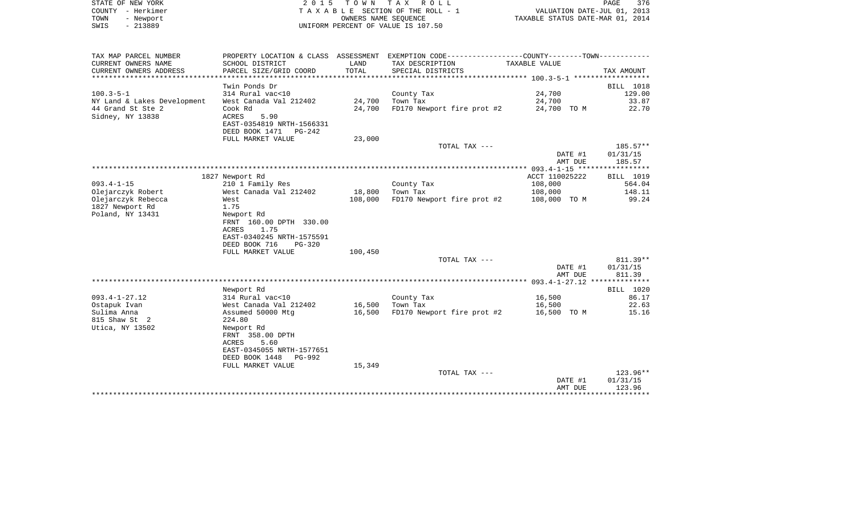|               | STATE OF NEW YORK | 2015 TOWN TAX ROLL                 | PAGE                             | 376 |
|---------------|-------------------|------------------------------------|----------------------------------|-----|
|               | COUNTY - Herkimer | TAXABLE SECTION OF THE ROLL - 1    | VALUATION DATE-JUL 01, 2013      |     |
| TOWN          | - Newport         | OWNERS NAME SEOUENCE               | TAXABLE STATUS DATE-MAR 01, 2014 |     |
| SWIS - 213889 |                   | UNIFORM PERCENT OF VALUE IS 107.50 |                                  |     |

| TAX MAP PARCEL NUMBER       |                           |         | PROPERTY LOCATION & CLASS ASSESSMENT EXEMPTION CODE----------------COUNTY--------TOWN---------- |                |            |
|-----------------------------|---------------------------|---------|-------------------------------------------------------------------------------------------------|----------------|------------|
| CURRENT OWNERS NAME         | SCHOOL DISTRICT           | LAND    | TAX DESCRIPTION                                                                                 | TAXABLE VALUE  |            |
| CURRENT OWNERS ADDRESS      | PARCEL SIZE/GRID COORD    | TOTAL   | SPECIAL DISTRICTS                                                                               |                | TAX AMOUNT |
|                             |                           |         |                                                                                                 |                |            |
|                             | Twin Ponds Dr             |         |                                                                                                 |                | BILL 1018  |
| $100.3 - 5 - 1$             | 314 Rural vac<10          |         | County Tax                                                                                      | 24,700         | 129.00     |
| NY Land & Lakes Development | West Canada Val 212402    | 24,700  | Town Tax                                                                                        | 24,700         | 33.87      |
| 44 Grand St Ste 2           | Cook Rd                   | 24,700  | FD170 Newport fire prot #2                                                                      | 24,700 TO M    | 22.70      |
| Sidney, NY 13838            | ACRES<br>5.90             |         |                                                                                                 |                |            |
|                             | EAST-0354819 NRTH-1566331 |         |                                                                                                 |                |            |
|                             | DEED BOOK 1471<br>PG-242  |         |                                                                                                 |                |            |
|                             | FULL MARKET VALUE         | 23,000  |                                                                                                 |                |            |
|                             |                           |         | TOTAL TAX ---                                                                                   |                | $185.57**$ |
|                             |                           |         |                                                                                                 | DATE #1        | 01/31/15   |
|                             |                           |         |                                                                                                 | AMT DUE        | 185.57     |
|                             |                           |         |                                                                                                 |                |            |
|                             | 1827 Newport Rd           |         |                                                                                                 | ACCT 110025222 | BILL 1019  |
| $093.4 - 1 - 15$            | 210 1 Family Res          |         | County Tax                                                                                      | 108,000        | 564.04     |
| Olejarczyk Robert           | West Canada Val 212402    | 18,800  | Town Tax                                                                                        | 108,000        | 148.11     |
| Olejarczyk Rebecca          | West                      | 108,000 | FD170 Newport fire prot #2                                                                      | 108,000 TO M   | 99.24      |
| 1827 Newport Rd             | 1.75                      |         |                                                                                                 |                |            |
| Poland, NY 13431            | Newport Rd                |         |                                                                                                 |                |            |
|                             | FRNT 160.00 DPTH 330.00   |         |                                                                                                 |                |            |
|                             | 1.75<br>ACRES             |         |                                                                                                 |                |            |
|                             | EAST-0340245 NRTH-1575591 |         |                                                                                                 |                |            |
|                             | DEED BOOK 716<br>PG-320   |         |                                                                                                 |                |            |
|                             | FULL MARKET VALUE         | 100,450 |                                                                                                 |                |            |
|                             |                           |         | TOTAL TAX ---                                                                                   |                | $811.39**$ |
|                             |                           |         |                                                                                                 | DATE #1        | 01/31/15   |
|                             |                           |         |                                                                                                 | AMT DUE        | 811.39     |
|                             |                           |         |                                                                                                 |                |            |
|                             | Newport Rd                |         |                                                                                                 |                | BILL 1020  |
| $093.4 - 1 - 27.12$         | 314 Rural vac<10          |         | County Tax                                                                                      | 16,500         | 86.17      |
| Ostapuk Ivan                | West Canada Val 212402    | 16,500  | Town Tax                                                                                        | 16,500         | 22.63      |
| Sulima Anna                 | Assumed 50000 Mtg         | 16,500  | FD170 Newport fire prot #2                                                                      | 16,500 TO M    | 15.16      |
| 815 Shaw St 2               | 224.80                    |         |                                                                                                 |                |            |
| Utica, NY 13502             | Newport Rd                |         |                                                                                                 |                |            |
|                             | FRNT 358.00 DPTH          |         |                                                                                                 |                |            |
|                             | ACRES<br>5.60             |         |                                                                                                 |                |            |
|                             | EAST-0345055 NRTH-1577651 |         |                                                                                                 |                |            |
|                             | DEED BOOK 1448<br>PG-992  |         |                                                                                                 |                |            |
|                             | FULL MARKET VALUE         | 15,349  |                                                                                                 |                |            |
|                             |                           |         | TOTAL TAX ---                                                                                   |                | 123.96**   |
|                             |                           |         |                                                                                                 | DATE #1        | 01/31/15   |
|                             |                           |         |                                                                                                 | AMT DUE        | 123.96     |
|                             |                           |         |                                                                                                 |                | ********** |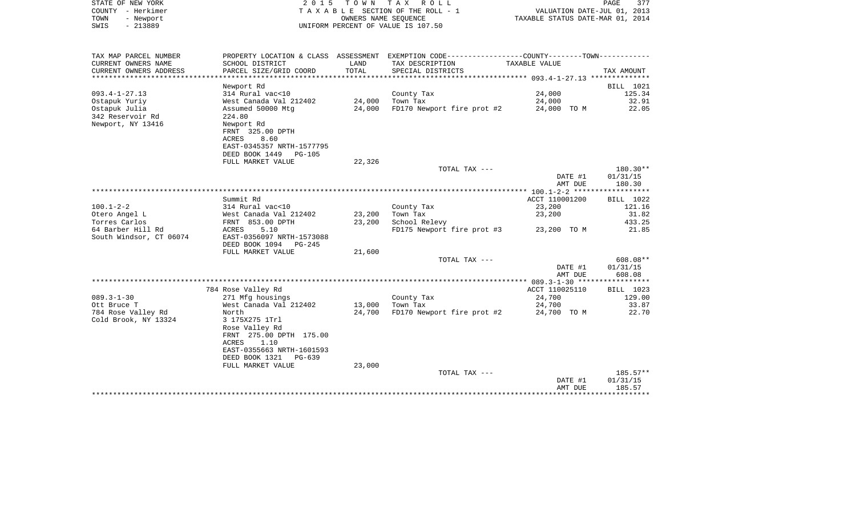|      | STATE OF NEW YORK | 2015 TOWN TAX ROLL                 | 377<br>PAGE                      |
|------|-------------------|------------------------------------|----------------------------------|
|      | COUNTY - Herkimer | TAXABLE SECTION OF THE ROLL - 1    | VALUATION DATE-JUL 01, 2013      |
| TOWN | - Newport         | OWNERS NAME SEOUENCE               | TAXABLE STATUS DATE-MAR 01, 2014 |
| SWIS | - 213889          | UNIFORM PERCENT OF VALUE IS 107.50 |                                  |

| TAX MAP PARCEL NUMBER   | PROPERTY LOCATION & CLASS ASSESSMENT |        | EXEMPTION        CODE-----------------COUNTY-------TOWN----------- |                |            |
|-------------------------|--------------------------------------|--------|--------------------------------------------------------------------|----------------|------------|
| CURRENT OWNERS NAME     | SCHOOL DISTRICT                      | LAND   | TAX DESCRIPTION                                                    | TAXABLE VALUE  |            |
| CURRENT OWNERS ADDRESS  | PARCEL SIZE/GRID COORD               | TOTAL  | SPECIAL DISTRICTS                                                  |                | TAX AMOUNT |
| ********************    |                                      |        |                                                                    |                |            |
|                         | Newport Rd                           |        |                                                                    |                | BILL 1021  |
| $093.4 - 1 - 27.13$     | 314 Rural vac<10                     |        | County Tax                                                         | 24,000         | 125.34     |
| Ostapuk Yuriy           | West Canada Val 212402               | 24,000 | Town Tax                                                           | 24,000         | 32.91      |
| Ostapuk Julia           | Assumed 50000 Mtg                    | 24,000 | FD170 Newport fire prot #2                                         | 24,000 TO M    | 22.05      |
| 342 Reservoir Rd        | 224.80                               |        |                                                                    |                |            |
| Newport, NY 13416       | Newport Rd                           |        |                                                                    |                |            |
|                         | FRNT 325.00 DPTH                     |        |                                                                    |                |            |
|                         | 8.60<br>ACRES                        |        |                                                                    |                |            |
|                         | EAST-0345357 NRTH-1577795            |        |                                                                    |                |            |
|                         | DEED BOOK 1449<br>PG-105             |        |                                                                    |                |            |
|                         |                                      |        |                                                                    |                |            |
|                         | FULL MARKET VALUE                    | 22,326 |                                                                    |                |            |
|                         |                                      |        | TOTAL TAX ---                                                      |                | 180.30**   |
|                         |                                      |        |                                                                    | DATE #1        | 01/31/15   |
|                         |                                      |        |                                                                    | AMT DUE        | 180.30     |
|                         |                                      |        |                                                                    |                |            |
|                         | Summit Rd                            |        |                                                                    | ACCT 110001200 | BILL 1022  |
| $100.1 - 2 - 2$         | 314 Rural vac<10                     |        | County Tax                                                         | 23,200         | 121.16     |
| Otero Angel L           | West Canada Val 212402               | 23,200 | Town Tax                                                           | 23,200         | 31.82      |
| Torres Carlos           | FRNT 853.00 DPTH                     | 23,200 | School Relevy                                                      |                | 433.25     |
| 64 Barber Hill Rd       | ACRES<br>5.10                        |        | FD175 Newport fire prot #3                                         | 23,200 TO M    | 21.85      |
| South Windsor, CT 06074 | EAST-0356097 NRTH-1573088            |        |                                                                    |                |            |
|                         | DEED BOOK 1094 PG-245                |        |                                                                    |                |            |
|                         | FULL MARKET VALUE                    | 21,600 |                                                                    |                |            |
|                         |                                      |        | TOTAL TAX ---                                                      |                | $608.08**$ |
|                         |                                      |        |                                                                    | DATE #1        | 01/31/15   |
|                         |                                      |        |                                                                    | AMT DUE        | 608.08     |
|                         |                                      |        |                                                                    |                |            |
|                         | 784 Rose Valley Rd                   |        |                                                                    | ACCT 110025110 | BILL 1023  |
| $089.3 - 1 - 30$        | 271 Mfg housings                     |        | County Tax                                                         | 24,700         | 129.00     |
| Ott Bruce T             | West Canada Val 212402               | 13,000 | Town Tax                                                           | 24,700         | 33.87      |
| 784 Rose Valley Rd      | North                                | 24,700 | FD170 Newport fire prot #2                                         | 24,700 TO M    | 22.70      |
| Cold Brook, NY 13324    | 3 175X275 1Trl                       |        |                                                                    |                |            |
|                         | Rose Valley Rd                       |        |                                                                    |                |            |
|                         | FRNT 275.00 DPTH 175.00              |        |                                                                    |                |            |
|                         | ACRES<br>1.10                        |        |                                                                    |                |            |
|                         | EAST-0355663 NRTH-1601593            |        |                                                                    |                |            |
|                         | DEED BOOK 1321                       |        |                                                                    |                |            |
|                         | $PG-639$                             |        |                                                                    |                |            |
|                         | FULL MARKET VALUE                    | 23,000 |                                                                    |                |            |
|                         |                                      |        | TOTAL TAX ---                                                      |                | $185.57**$ |
|                         |                                      |        |                                                                    | DATE #1        | 01/31/15   |
|                         |                                      |        |                                                                    | AMT DUE        | 185.57     |
|                         |                                      |        |                                                                    |                |            |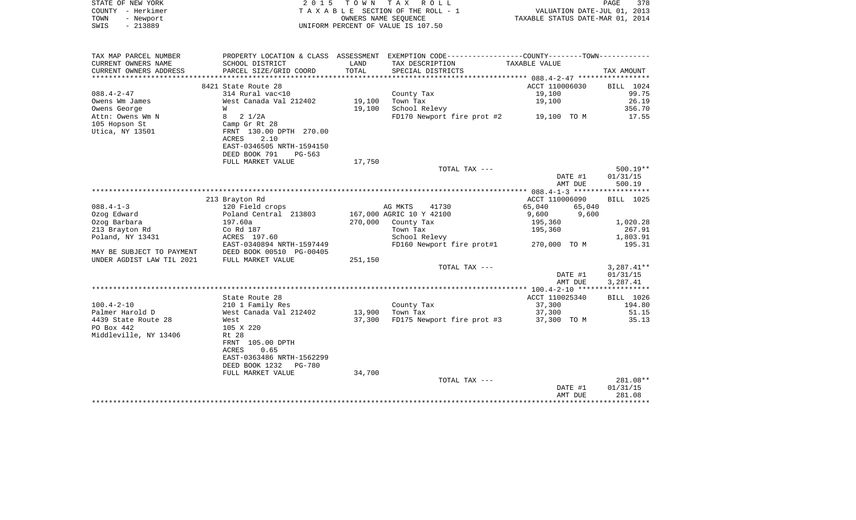|      | STATE OF NEW YORK | 2015 TOWN TAX ROLL                    | 378<br>PAGE                      |
|------|-------------------|---------------------------------------|----------------------------------|
|      | COUNTY - Herkimer | T A X A B L E SECTION OF THE ROLL - 1 | VALUATION DATE-JUL 01, 2013      |
| TOWN | - Newport         | OWNERS NAME SEOUENCE                  | TAXABLE STATUS DATE-MAR 01, 2014 |
| SWIS | - 213889          | UNIFORM PERCENT OF VALUE IS 107.50    |                                  |

| TAX MAP PARCEL NUMBER     |                           |         | PROPERTY LOCATION & CLASS ASSESSMENT EXEMPTION CODE---------------COUNTY-------TOWN---------- |                                               |                    |
|---------------------------|---------------------------|---------|-----------------------------------------------------------------------------------------------|-----------------------------------------------|--------------------|
| CURRENT OWNERS NAME       | SCHOOL DISTRICT           | LAND    | TAX DESCRIPTION                                                                               | TAXABLE VALUE                                 |                    |
| CURRENT OWNERS ADDRESS    | PARCEL SIZE/GRID COORD    | TOTAL   | SPECIAL DISTRICTS                                                                             |                                               | TAX AMOUNT         |
| ********************      |                           |         |                                                                                               |                                               |                    |
|                           | 8421 State Route 28       |         |                                                                                               | ACCT 110006030                                | BILL 1024          |
| $088.4 - 2 - 47$          | 314 Rural vac<10          |         | County Tax                                                                                    | 19,100                                        | 99.75              |
| Owens Wm James            | West Canada Val 212402    | 19,100  | Town Tax                                                                                      | 19,100                                        | 26.19              |
| Owens George              | W                         | 19,100  | School Relevy                                                                                 |                                               | 356.70             |
| Attn: Owens Wm N          | $2 \frac{1}{2A}$<br>8     |         | FD170 Newport fire prot #2                                                                    | 19,100 TO M                                   | 17.55              |
| 105 Hopson St             | Camp Gr Rt 28             |         |                                                                                               |                                               |                    |
| Utica, NY 13501           | FRNT 130.00 DPTH 270.00   |         |                                                                                               |                                               |                    |
|                           | 2.10<br>ACRES             |         |                                                                                               |                                               |                    |
|                           | EAST-0346505 NRTH-1594150 |         |                                                                                               |                                               |                    |
|                           | DEED BOOK 791<br>PG-563   |         |                                                                                               |                                               |                    |
|                           | FULL MARKET VALUE         | 17,750  |                                                                                               |                                               |                    |
|                           |                           |         | TOTAL TAX ---                                                                                 |                                               | $500.19**$         |
|                           |                           |         |                                                                                               | DATE #1                                       | 01/31/15           |
|                           |                           |         |                                                                                               | AMT DUE                                       | 500.19             |
|                           |                           |         |                                                                                               |                                               |                    |
|                           | 213 Brayton Rd            |         |                                                                                               | ACCT 110006090                                | BILL 1025          |
| $088.4 - 1 - 3$           | 120 Field crops           |         | AG MKTS<br>41730                                                                              | 65,040<br>65,040                              |                    |
| Ozog Edward               | Poland Central 213803     |         | 167,000 AGRIC 10 Y 42100                                                                      | $9,600$ $9,600$                               |                    |
| Ozog Barbara              | 197.60a                   |         | 270,000 County Tax                                                                            | 195,360                                       | 1,020.28           |
| 213 Brayton Rd            |                           |         | Town Tax                                                                                      | 195,360                                       | 267.91             |
|                           | Co Rd 187                 |         |                                                                                               |                                               |                    |
| Poland, NY 13431          | ACRES 197.60              |         | School Relevy<br>FD160 Newport fire prot#1 270,000 TO M                                       |                                               | 1,803.91<br>195.31 |
|                           | EAST-0340894 NRTH-1597449 |         |                                                                                               |                                               |                    |
| MAY BE SUBJECT TO PAYMENT | DEED BOOK 00510 PG-00405  |         |                                                                                               |                                               |                    |
| UNDER AGDIST LAW TIL 2021 | FULL MARKET VALUE         | 251,150 |                                                                                               |                                               |                    |
|                           |                           |         | TOTAL TAX ---                                                                                 |                                               | $3,287.41**$       |
|                           |                           |         |                                                                                               | DATE #1                                       | 01/31/15           |
|                           |                           |         |                                                                                               | AMT DUE                                       | 3,287.41           |
|                           |                           |         |                                                                                               |                                               |                    |
|                           | State Route 28            |         |                                                                                               | ACCT 110025340                                | BILL 1026          |
| $100.4 - 2 - 10$          | 210 1 Family Res          |         | County Tax                                                                                    | 37,300                                        | 194.80             |
| Palmer Harold D           | West Canada Val 212402    | 13,900  | Town Tax                                                                                      | 37,300                                        | 51.15              |
| 4439 State Route 28       | West                      | 37,300  | FD175 Newport fire prot #3                                                                    | 37,300 TO M                                   | 35.13              |
| PO Box 442                | 105 X 220                 |         |                                                                                               |                                               |                    |
| Middleville, NY 13406     | Rt 28                     |         |                                                                                               |                                               |                    |
|                           | FRNT 105.00 DPTH          |         |                                                                                               |                                               |                    |
|                           | ACRES<br>0.65             |         |                                                                                               |                                               |                    |
|                           | EAST-0363486 NRTH-1562299 |         |                                                                                               |                                               |                    |
|                           | DEED BOOK 1232 PG-780     |         |                                                                                               |                                               |                    |
|                           | FULL MARKET VALUE         | 34,700  |                                                                                               |                                               |                    |
|                           |                           |         | TOTAL TAX ---                                                                                 |                                               | 281.08**           |
|                           |                           |         |                                                                                               | DATE #1                                       | 01/31/15           |
|                           |                           |         |                                                                                               | AMT DUE<br>********************************** | 281.08             |
|                           |                           |         |                                                                                               |                                               |                    |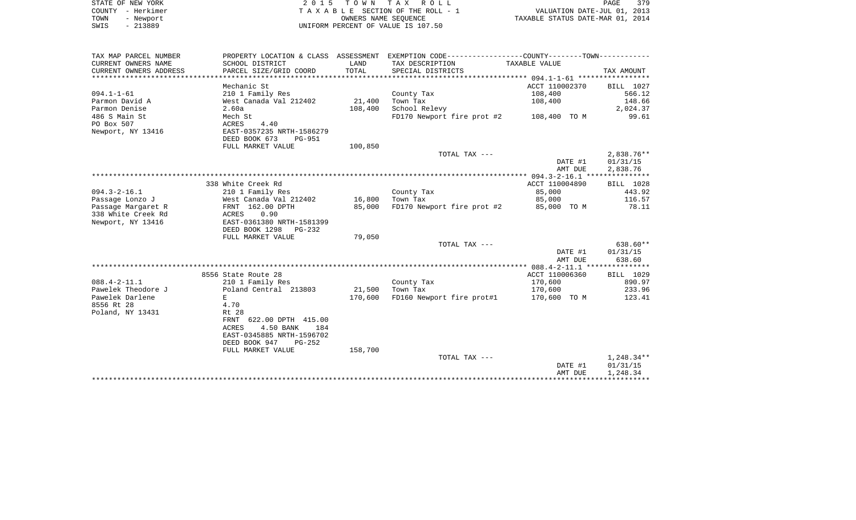|      | STATE OF NEW YORK | 2015 TOWN TAX ROLL                 | PAGE                             | 379 |
|------|-------------------|------------------------------------|----------------------------------|-----|
|      | COUNTY - Herkimer | TAXABLE SECTION OF THE ROLL - 1    | VALUATION DATE-JUL 01, 2013      |     |
| TOWN | - Newport         | OWNERS NAME SEOUENCE               | TAXABLE STATUS DATE-MAR 01, 2014 |     |
| SWIS | - 213889          | UNIFORM PERCENT OF VALUE IS 107.50 |                                  |     |

| TAX MAP PARCEL NUMBER  |                           |         | PROPERTY LOCATION & CLASS ASSESSMENT EXEMPTION CODE---------------COUNTY-------TOWN---------- |                |              |
|------------------------|---------------------------|---------|-----------------------------------------------------------------------------------------------|----------------|--------------|
| CURRENT OWNERS NAME    | SCHOOL DISTRICT           | LAND    | TAX DESCRIPTION                                                                               | TAXABLE VALUE  |              |
| CURRENT OWNERS ADDRESS | PARCEL SIZE/GRID COORD    | TOTAL   | SPECIAL DISTRICTS                                                                             |                | TAX AMOUNT   |
|                        |                           |         |                                                                                               |                |              |
|                        | Mechanic St               |         |                                                                                               | ACCT 110002370 | BILL 1027    |
| $094.1 - 1 - 61$       | 210 1 Family Res          |         | County Tax                                                                                    | 108,400        | 566.12       |
| Parmon David A         | West Canada Val 212402    | 21,400  | Town Tax                                                                                      | 108,400        | 148.66       |
| Parmon Denise          | 2.60a                     | 108,400 | School Relevy                                                                                 |                | 2,024.37     |
| 486 S Main St          | Mech St                   |         | FD170 Newport fire prot #2 108,400 TO M                                                       |                | 99.61        |
| PO Box 507             | ACRES<br>4.40             |         |                                                                                               |                |              |
| Newport, NY 13416      | EAST-0357235 NRTH-1586279 |         |                                                                                               |                |              |
|                        | DEED BOOK 673<br>PG-951   |         |                                                                                               |                |              |
|                        | FULL MARKET VALUE         | 100,850 |                                                                                               |                |              |
|                        |                           |         | TOTAL TAX ---                                                                                 |                | $2,838.76**$ |
|                        |                           |         |                                                                                               | DATE #1        | 01/31/15     |
|                        |                           |         |                                                                                               | AMT DUE        | 2,838.76     |
|                        |                           |         |                                                                                               |                |              |
|                        | 338 White Creek Rd        |         |                                                                                               | ACCT 110004890 | BILL 1028    |
| $094.3 - 2 - 16.1$     | 210 1 Family Res          |         | County Tax                                                                                    | 85,000         | 443.92       |
| Passage Lonzo J        | West Canada Val 212402    | 16,800  | Town Tax                                                                                      | 85,000         | 116.57       |
| Passage Margaret R     | FRNT 162.00 DPTH          | 85,000  | FD170 Newport fire prot #2                                                                    | 85,000 TO M    | 78.11        |
| 338 White Creek Rd     | 0.90<br>ACRES             |         |                                                                                               |                |              |
| Newport, NY 13416      | EAST-0361380 NRTH-1581399 |         |                                                                                               |                |              |
|                        | DEED BOOK 1298<br>PG-232  |         |                                                                                               |                |              |
|                        | FULL MARKET VALUE         | 79,050  |                                                                                               |                |              |
|                        |                           |         | TOTAL TAX ---                                                                                 |                | $638.60**$   |
|                        |                           |         |                                                                                               | DATE #1        | 01/31/15     |
|                        |                           |         |                                                                                               | AMT DUE        | 638.60       |
|                        |                           |         |                                                                                               |                |              |
|                        | 8556 State Route 28       |         |                                                                                               | ACCT 110006360 | BILL 1029    |
| $088.4 - 2 - 11.1$     | 210 1 Family Res          |         | County Tax                                                                                    | 170,600        | 890.97       |
| Pawelek Theodore J     | Poland Central 213803     | 21,500  | Town Tax                                                                                      | 170,600        | 233.96       |
| Pawelek Darlene        | E                         | 170,600 | FD160 Newport fire prot#1                                                                     | 170,600 TO M   | 123.41       |
| 8556 Rt 28             | 4.70                      |         |                                                                                               |                |              |
| Poland, NY 13431       | Rt 28                     |         |                                                                                               |                |              |
|                        | FRNT 622.00 DPTH 415.00   |         |                                                                                               |                |              |
|                        | 4.50 BANK<br>ACRES<br>184 |         |                                                                                               |                |              |
|                        | EAST-0345885 NRTH-1596702 |         |                                                                                               |                |              |
|                        | DEED BOOK 947<br>$PG-252$ |         |                                                                                               |                |              |
|                        | FULL MARKET VALUE         | 158,700 |                                                                                               |                |              |
|                        |                           |         | TOTAL TAX ---                                                                                 |                | $1,248.34**$ |
|                        |                           |         |                                                                                               | DATE #1        | 01/31/15     |
|                        |                           |         |                                                                                               | AMT DUE        | 1,248.34     |
|                        |                           |         |                                                                                               |                |              |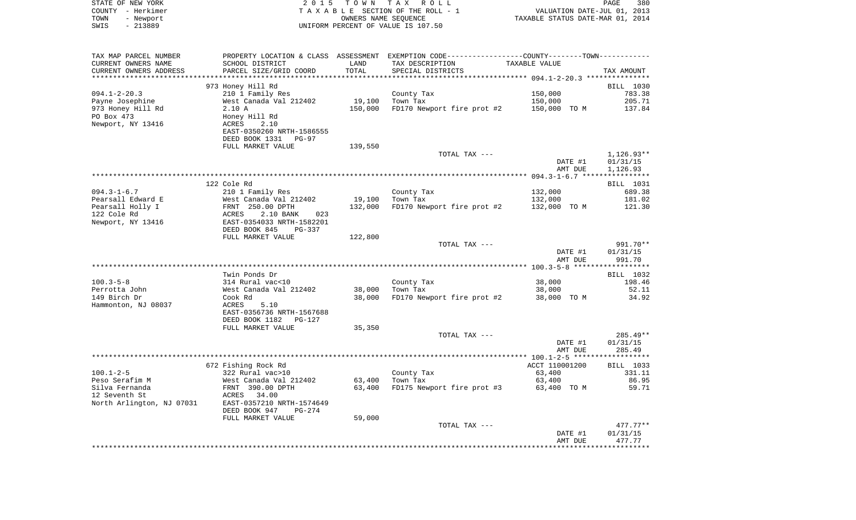| STATE OF NEW YORK      |                           | 2015 TOWN TAX        | R O L L                                                      |                                  |      | PAGE       | 380    |
|------------------------|---------------------------|----------------------|--------------------------------------------------------------|----------------------------------|------|------------|--------|
| – Herkimer<br>COUNTY   |                           |                      | TAXABLE SECTION OF THE ROLL - 1                              | VALUATION DATE-JUL 01, 2013      |      |            |        |
| - Newport<br>TOWN      |                           | OWNERS NAME SEOUENCE |                                                              | TAXABLE STATUS DATE-MAR 01, 2014 |      |            |        |
| SWIS<br>$-213889$      |                           |                      | UNIFORM PERCENT OF VALUE IS 107.50                           |                                  |      |            |        |
|                        |                           |                      |                                                              |                                  |      |            |        |
|                        |                           |                      |                                                              |                                  |      |            |        |
|                        |                           |                      |                                                              |                                  |      |            |        |
|                        |                           |                      |                                                              |                                  |      |            |        |
| TAX MAP PARCEL NUMBER  | PROPERTY LOCATION & CLASS | ASSESSMENT           | EXEMPTION CODE-----------------COUNTY--------TOWN----------- |                                  |      |            |        |
| CURRENT OWNERS NAME    | SCHOOL DISTRICT           | LAND                 | TAX DESCRIPTION                                              | TAXABLE VALUE                    |      |            |        |
| CURRENT OWNERS ADDRESS | PARCEL SIZE/GRID COORD    | TOTAL                | SPECIAL DISTRICTS                                            |                                  |      | TAX AMOUNT |        |
|                        |                           |                      |                                                              |                                  |      |            |        |
|                        | 973 Honey Hill Rd         |                      |                                                              |                                  |      | BILL 1030  |        |
| $094.1 - 2 - 20.3$     | 210 1 Family Res          |                      | County Tax                                                   | 150,000                          |      |            | 783.38 |
| Payne Josephine        | West Canada Val 212402    | 19,100               | Town Tax                                                     | 150,000                          |      |            | 205.71 |
| 973 Honey Hill Rd      | 2.10 A                    | 150,000              | FD170 Newport fire prot #2                                   | 150,000                          | TO M |            | 137.84 |
| DO Devel 172           | Lanovi II. 11 Da          |                      |                                                              |                                  |      |            |        |
|                        |                           |                      |                                                              |                                  |      |            |        |

| 973 Honey Hill Rd<br>PO Box 473<br>Newport, NY 13416 | 2.10 A<br>Honey Hill Rd<br>ACRES<br>2.10<br>EAST-0350260 NRTH-1586555 | 150,000 | FD170 Newport fire prot #2 | 150,000 TO M   | 137.84             |
|------------------------------------------------------|-----------------------------------------------------------------------|---------|----------------------------|----------------|--------------------|
|                                                      | DEED BOOK 1331<br>$PG-97$                                             |         |                            |                |                    |
|                                                      | FULL MARKET VALUE                                                     | 139,550 | TOTAL TAX ---              |                | $1,126.93**$       |
|                                                      |                                                                       |         |                            | DATE #1        | 01/31/15           |
|                                                      |                                                                       |         |                            | AMT DUE        | 1,126.93           |
|                                                      |                                                                       |         |                            |                |                    |
|                                                      | 122 Cole Rd                                                           |         |                            |                | <b>BILL</b> 1031   |
| $094.3 - 1 - 6.7$                                    | 210 1 Family Res                                                      |         | County Tax                 | 132,000        | 689.38             |
| Pearsall Edward E                                    | West Canada Val 212402                                                | 19,100  | Town Tax                   | 132,000        | 181.02             |
| Pearsall Holly I                                     | FRNT 250.00 DPTH                                                      | 132,000 | FD170 Newport fire prot #2 | 132,000 TO M   | 121.30             |
| 122 Cole Rd                                          | 2.10 BANK<br>ACRES<br>023                                             |         |                            |                |                    |
| Newport, NY 13416                                    | EAST-0354033 NRTH-1582201                                             |         |                            |                |                    |
|                                                      | DEED BOOK 845<br>$PG-337$                                             |         |                            |                |                    |
|                                                      | FULL MARKET VALUE                                                     | 122,800 |                            |                |                    |
|                                                      |                                                                       |         | TOTAL TAX ---              |                | 991.70**           |
|                                                      |                                                                       |         |                            | DATE #1        | 01/31/15           |
|                                                      |                                                                       |         |                            | AMT DUE        | 991.70             |
|                                                      |                                                                       |         |                            |                |                    |
|                                                      | Twin Ponds Dr                                                         |         |                            |                | BILL 1032          |
| $100.3 - 5 - 8$                                      | 314 Rural vac<10                                                      |         | County Tax                 | 38,000         | 198.46             |
| Perrotta John                                        | West Canada Val 212402                                                | 38,000  | Town Tax                   | 38,000         | 52.11              |
| 149 Birch Dr                                         | Cook Rd                                                               | 38,000  | FD170 Newport fire prot #2 | 38,000 TO M    | 34.92              |
| Hammonton, NJ 08037                                  | ACRES<br>5.10                                                         |         |                            |                |                    |
|                                                      | EAST-0356736 NRTH-1567688<br>DEED BOOK 1182<br>$PG-127$               |         |                            |                |                    |
|                                                      | FULL MARKET VALUE                                                     | 35,350  |                            |                |                    |
|                                                      |                                                                       |         | TOTAL TAX ---              |                | 285.49**           |
|                                                      |                                                                       |         |                            | DATE #1        | 01/31/15           |
|                                                      |                                                                       |         |                            | AMT DUE        | 285.49             |
|                                                      |                                                                       |         |                            |                | ****************** |
|                                                      | 672 Fishing Rock Rd                                                   |         |                            | ACCT 110001200 | BILL 1033          |
| $100.1 - 2 - 5$                                      | 322 Rural vac>10                                                      |         | County Tax                 | 63,400         | 331.11             |
| Peso Serafim M                                       | West Canada Val 212402                                                | 63,400  | Town Tax                   | 63,400         | 86.95              |
| Silva Fernanda                                       | FRNT 390.00 DPTH                                                      | 63,400  | FD175 Newport fire prot #3 | 63,400 TO M    | 59.71              |
| 12 Seventh St                                        | ACRES<br>34.00                                                        |         |                            |                |                    |
| North Arlington, NJ 07031                            | EAST-0357210 NRTH-1574649                                             |         |                            |                |                    |
|                                                      | DEED BOOK 947<br>PG-274                                               |         |                            |                |                    |
|                                                      | FULL MARKET VALUE                                                     | 59,000  |                            |                |                    |
|                                                      |                                                                       |         | TOTAL TAX ---              |                | $477.77**$         |
|                                                      |                                                                       |         |                            | DATE #1        | 01/31/15           |
|                                                      |                                                                       |         |                            | AMT DUE        | 477.77             |
|                                                      |                                                                       |         |                            |                |                    |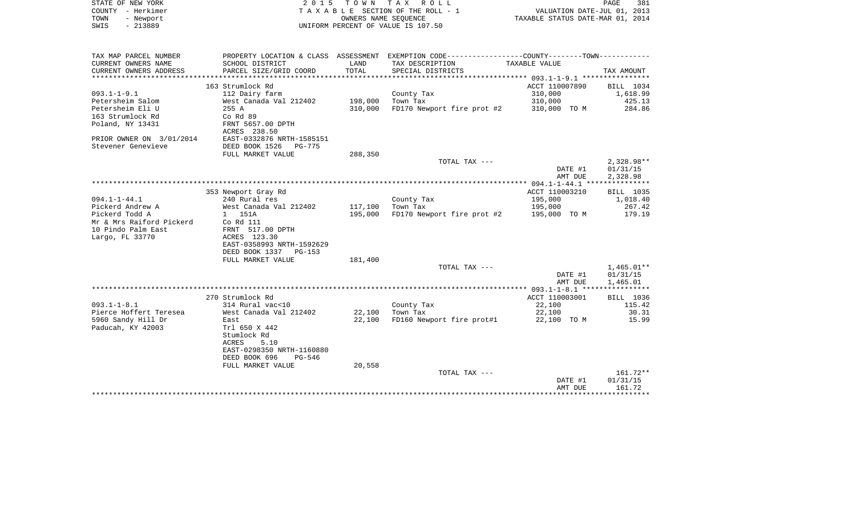| STATE OF NEW YORK              | 2 0 1 5                     | T O W N | TAX ROLL                                                                                      |                                  | PAGE<br>381  |
|--------------------------------|-----------------------------|---------|-----------------------------------------------------------------------------------------------|----------------------------------|--------------|
| COUNTY - Herkimer              |                             |         | TAXABLE SECTION OF THE ROLL - 1                                                               | VALUATION DATE-JUL 01, 2013      |              |
| - Newport<br>TOWN<br>$-213889$ |                             |         | OWNERS NAME SEOUENCE                                                                          | TAXABLE STATUS DATE-MAR 01, 2014 |              |
| SWIS                           |                             |         | UNIFORM PERCENT OF VALUE IS 107.50                                                            |                                  |              |
| TAX MAP PARCEL NUMBER          |                             |         | PROPERTY LOCATION & CLASS ASSESSMENT EXEMPTION CODE---------------COUNTY-------TOWN---------- |                                  |              |
| CURRENT OWNERS NAME            | SCHOOL DISTRICT             | LAND    | TAX DESCRIPTION                                                                               | TAXABLE VALUE                    |              |
| CURRENT OWNERS ADDRESS         | PARCEL SIZE/GRID COORD      | TOTAL   | SPECIAL DISTRICTS                                                                             |                                  | TAX AMOUNT   |
| ************************       |                             |         |                                                                                               |                                  |              |
|                                | 163 Strumlock Rd            |         |                                                                                               | ACCT 110007890                   | BILL 1034    |
| $093.1 - 1 - 9.1$              | 112 Dairy farm              |         | County Tax                                                                                    | 310,000                          | 1,618.99     |
| Petersheim Salom               | West Canada Val 212402      | 198,000 | Town Tax                                                                                      | 310,000                          | 425.13       |
| Petersheim Eli U               | 255 A                       | 310,000 | FD170 Newport fire prot #2                                                                    | 310,000 TO M                     | 284.86       |
| 163 Strumlock Rd               | Co Rd 89                    |         |                                                                                               |                                  |              |
| Poland, NY 13431               | FRNT 5657.00 DPTH           |         |                                                                                               |                                  |              |
|                                | ACRES 238.50                |         |                                                                                               |                                  |              |
| PRIOR OWNER ON 3/01/2014       | EAST-0332876 NRTH-1585151   |         |                                                                                               |                                  |              |
| Stevener Genevieve             | DEED BOOK 1526<br>PG-775    |         |                                                                                               |                                  |              |
|                                | FULL MARKET VALUE           | 288,350 |                                                                                               |                                  |              |
|                                |                             |         | TOTAL TAX ---                                                                                 |                                  | $2,328.98**$ |
|                                |                             |         |                                                                                               | DATE #1                          | 01/31/15     |
|                                |                             |         |                                                                                               | AMT DUE                          | 2,328.98     |
|                                |                             |         |                                                                                               |                                  |              |
|                                | 353 Newport Gray Rd         |         |                                                                                               | ACCT 110003210                   | BILL 1035    |
| $094.1 - 1 - 44.1$             | 240 Rural res               |         | County Tax                                                                                    | 195,000                          | 1,018.40     |
| Pickerd Andrew A               | West Canada Val 212402      | 117,100 | Town Tax                                                                                      | 195,000                          | 267.42       |
| Pickerd Todd A                 | 1 151A                      | 195,000 | FD170 Newport fire prot #2                                                                    | 195,000 TO M                     | 179.19       |
| Mr & Mrs Raiford Pickerd       | Co Rd 111                   |         |                                                                                               |                                  |              |
| 10 Pindo Palm East             | FRNT 517.00 DPTH            |         |                                                                                               |                                  |              |
| Largo, FL 33770                | ACRES 123.30                |         |                                                                                               |                                  |              |
|                                | EAST-0358993 NRTH-1592629   |         |                                                                                               |                                  |              |
|                                | DEED BOOK 1337<br>PG-153    |         |                                                                                               |                                  |              |
|                                | FULL MARKET VALUE           | 181,400 |                                                                                               |                                  |              |
|                                |                             |         | TOTAL TAX ---                                                                                 |                                  | $1,465.01**$ |
|                                |                             |         |                                                                                               | DATE #1                          | 01/31/15     |
|                                |                             |         |                                                                                               | AMT DUE                          | 1,465.01     |
|                                |                             |         |                                                                                               |                                  |              |
|                                | 270 Strumlock Rd            |         |                                                                                               | ACCT 110003001                   | BILL 1036    |
| $093.1 - 1 - 8.1$              | 314 Rural vac<10            |         | County Tax                                                                                    | 22,100                           | 115.42       |
| Pierce Hoffert Teresea         | West Canada Val 212402      | 22,100  | Town Tax                                                                                      | 22,100                           | 30.31        |
| 5960 Sandy Hill Dr             | East                        | 22,100  | FD160 Newport fire prot#1                                                                     | 22,100 TO M                      | 15.99        |
| Paducah, KY 42003              | Trl 650 X 442               |         |                                                                                               |                                  |              |
|                                | Stumlock Rd                 |         |                                                                                               |                                  |              |
|                                | ACRES<br>5.10               |         |                                                                                               |                                  |              |
|                                | EAST-0298350 NRTH-1160880   |         |                                                                                               |                                  |              |
|                                | DEED BOOK 696<br>$PG - 546$ |         |                                                                                               |                                  |              |
|                                | FULL MARKET VALUE           | 20,558  |                                                                                               |                                  |              |
|                                |                             |         | TOTAL TAX ---                                                                                 |                                  | 161.72**     |
|                                |                             |         |                                                                                               | DATE #1                          | 01/31/15     |
|                                |                             |         |                                                                                               | AMT DUE                          | 161.72       |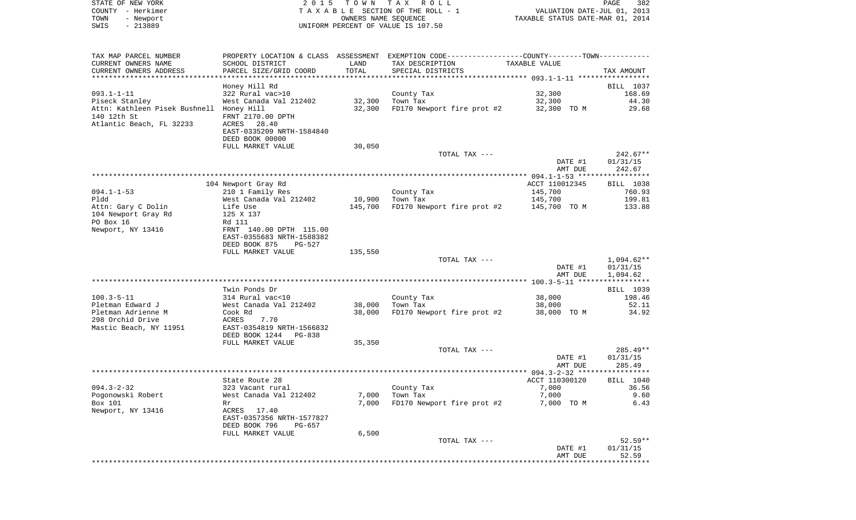| TOWN<br>- Newport<br>SWIS<br>$-213889$   |                                           |         | 2015 TOWN TAX ROLL<br>TAXABLE SECTION OF THE ROLL - 1<br>OWNERS NAME SEQUENCE<br>UNIFORM PERCENT OF VALUE IS 107.50 | VALUATION DATE-JUL 01, 2013<br>TAXABLE STATUS DATE-MAR 01, 2014 | PAGE<br>382            |
|------------------------------------------|-------------------------------------------|---------|---------------------------------------------------------------------------------------------------------------------|-----------------------------------------------------------------|------------------------|
|                                          |                                           |         |                                                                                                                     |                                                                 |                        |
| TAX MAP PARCEL NUMBER                    |                                           |         | PROPERTY LOCATION & CLASS ASSESSMENT EXEMPTION CODE---------------COUNTY-------TOWN----------                       |                                                                 |                        |
| CURRENT OWNERS NAME                      | SCHOOL DISTRICT                           | LAND    | TAX DESCRIPTION                                                                                                     | TAXABLE VALUE                                                   |                        |
| CURRENT OWNERS ADDRESS                   | PARCEL SIZE/GRID COORD                    | TOTAL   | SPECIAL DISTRICTS                                                                                                   |                                                                 | TAX AMOUNT             |
|                                          |                                           |         |                                                                                                                     |                                                                 | BILL 1037              |
| $093.1 - 1 - 11$                         | Honey Hill Rd<br>322 Rural vac>10         |         | County Tax                                                                                                          | 32,300                                                          | 168.69                 |
| Piseck Stanley                           | West Canada Val 212402                    |         | Councy lax<br>32,300 Town Tax                                                                                       | 32,300                                                          | 44.30                  |
| Attn: Kathleen Pisek Bushnell Honey Hill |                                           |         | 32,300 FD170 Newport fire prot #2 32,300 TO M                                                                       |                                                                 | 29.68                  |
| 140 12th St                              | FRNT 2170.00 DPTH                         |         |                                                                                                                     |                                                                 |                        |
| Atlantic Beach, FL 32233                 | ACRES 28.40                               |         |                                                                                                                     |                                                                 |                        |
|                                          | EAST-0335209 NRTH-1584840                 |         |                                                                                                                     |                                                                 |                        |
|                                          | DEED BOOK 00000                           |         |                                                                                                                     |                                                                 |                        |
|                                          | FULL MARKET VALUE                         | 30,050  |                                                                                                                     |                                                                 |                        |
|                                          |                                           |         | TOTAL TAX ---                                                                                                       |                                                                 | $242.67**$             |
|                                          |                                           |         |                                                                                                                     | DATE #1<br>AMT DUE                                              | 01/31/15<br>242.67     |
|                                          |                                           |         |                                                                                                                     |                                                                 |                        |
|                                          | 104 Newport Gray Rd                       |         |                                                                                                                     | ACCT 110012345                                                  | BILL 1038              |
| $094.1 - 1 - 53$                         | 210 1 Family Res                          |         | County Tax                                                                                                          | 145,700                                                         | 760.93                 |
| Pldd                                     | West Canada Val 212402                    | 10,900  | Town Tax                                                                                                            | 145,700                                                         | 199.81                 |
| Attn: Gary C Dolin                       | Life Use                                  | 145,700 | FD170 Newport fire prot #2 145,700 TO M                                                                             |                                                                 | 133.88                 |
| 104 Newport Gray Rd                      | 125 X 137                                 |         |                                                                                                                     |                                                                 |                        |
| PO Box 16                                | Rd 111                                    |         |                                                                                                                     |                                                                 |                        |
| Newport, NY 13416                        | FRNT 140.00 DPTH 115.00                   |         |                                                                                                                     |                                                                 |                        |
|                                          | EAST-0355683 NRTH-1588382                 |         |                                                                                                                     |                                                                 |                        |
|                                          | DEED BOOK 875 PG-527<br>FULL MARKET VALUE | 135,550 |                                                                                                                     |                                                                 |                        |
|                                          |                                           |         | TOTAL TAX ---                                                                                                       |                                                                 | 1,094.62**             |
|                                          |                                           |         |                                                                                                                     | DATE #1                                                         | 01/31/15               |
|                                          |                                           |         |                                                                                                                     | AMT DUE                                                         | 1,094.62               |
|                                          |                                           |         |                                                                                                                     |                                                                 |                        |
|                                          | Twin Ponds Dr                             |         |                                                                                                                     |                                                                 | BILL 1039              |
| $100.3 - 5 - 11$                         | 314 Rural vac<10                          |         | County Tax                                                                                                          | 38,000                                                          | 198.46                 |
| Pletman Edward J                         | West Canada Val 212402                    | 38,000  | Town Tax                                                                                                            | 38,000                                                          | 52.11                  |
|                                          | Cook Rd                                   | 38,000  | FD170 Newport fire prot #2                                                                                          | 38,000 TO M                                                     | 34.92                  |
|                                          |                                           |         |                                                                                                                     |                                                                 |                        |
| Pletman Adrienne M<br>298 Orchid Drive   | ACRES<br>7.70                             |         |                                                                                                                     |                                                                 |                        |
|                                          | EAST-0354819 NRTH-1566832                 |         |                                                                                                                     |                                                                 |                        |
|                                          | DEED BOOK 1244 PG-838                     |         |                                                                                                                     |                                                                 |                        |
|                                          | FULL MARKET VALUE                         | 35,350  |                                                                                                                     |                                                                 |                        |
|                                          |                                           |         | TOTAL TAX ---                                                                                                       | DATE #1                                                         | $285.49**$<br>01/31/15 |
| Mastic Beach, NY 11951                   |                                           |         |                                                                                                                     | AMT DUE                                                         | 285.49                 |
|                                          |                                           |         |                                                                                                                     |                                                                 |                        |
|                                          | State Route 28                            |         |                                                                                                                     | ACCT 110300120                                                  | BILL 1040              |
| $094.3 - 2 - 32$                         | 323 Vacant rural                          |         | County Tax                                                                                                          | 7,000                                                           | 36.56                  |
| Pogonowski Robert                        | West Canada Val 212402                    | 7,000   | Town Tax                                                                                                            | 7,000                                                           | 9.60                   |
| Box 101                                  | Rr                                        | 7,000   | FD170 Newport fire prot #2                                                                                          | 7,000 TO M                                                      | 6.43                   |
|                                          | ACRES 17.40                               |         |                                                                                                                     |                                                                 |                        |
|                                          | EAST-0357356 NRTH-1577827                 |         |                                                                                                                     |                                                                 |                        |
| Newport, NY 13416                        | DEED BOOK 796<br>PG-657                   |         |                                                                                                                     |                                                                 |                        |
|                                          | FULL MARKET VALUE                         | 6,500   | TOTAL TAX ---                                                                                                       |                                                                 | $52.59**$              |
|                                          |                                           |         |                                                                                                                     | DATE #1                                                         | 01/31/15               |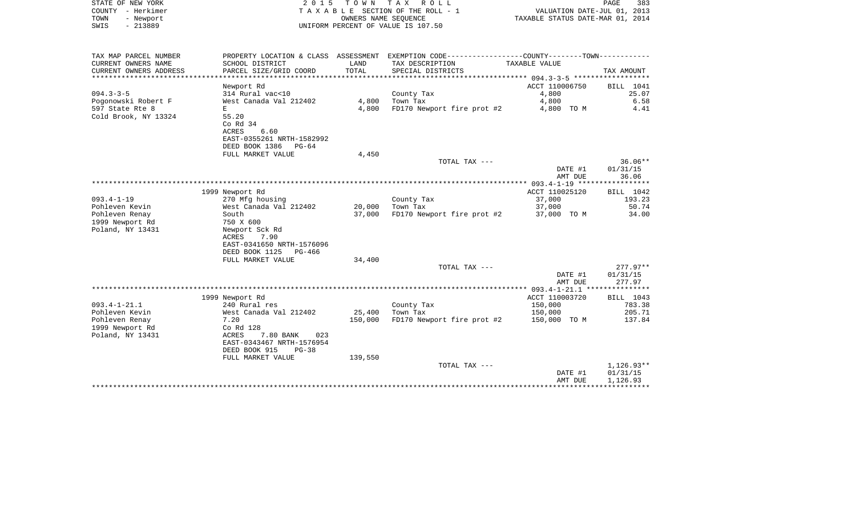| TAX MAP PARCEL NUMBER<br>PROPERTY LOCATION & CLASS ASSESSMENT<br>EXEMPTION CODE-----------------COUNTY-------TOWN-----------<br>CURRENT OWNERS NAME<br>SCHOOL DISTRICT<br>LAND<br>TAX DESCRIPTION<br>TAXABLE VALUE<br>TOTAL<br>CURRENT OWNERS ADDRESS<br>PARCEL SIZE/GRID COORD<br>SPECIAL DISTRICTS<br>**********************<br>Newport Rd<br>ACCT 110006750<br>$094.3 - 3 - 5$<br>314 Rural vac<10<br>County Tax<br>4,800<br>West Canada Val 212402<br>Town Tax<br>4,800<br>Pogonowski Robert F<br>4,800<br>4,800<br>FD170 Newport fire prot #2<br>597 State Rte 8<br>Е<br>4,800 TO M<br>55.20<br>Cold Brook, NY 13324<br>Co $Rd$ 34<br><b>ACRES</b><br>6.60<br>EAST-0355261 NRTH-1582992<br>DEED BOOK 1386<br>PG-64<br>4,450<br>FULL MARKET VALUE<br>TOTAL TAX ---<br>DATE #1<br>01/31/15<br>AMT DUE<br>36.06<br>1999 Newport Rd<br>ACCT 110025120<br>$093.4 - 1 - 19$<br>37,000<br>270 Mfg housing<br>County Tax<br>Pohleven Kevin<br>West Canada Val 212402<br>20,000<br>Town Tax<br>37,000<br>Pohleven Renay<br>FD170 Newport fire prot #2<br>South<br>37,000<br>37,000 TO M<br>1999 Newport Rd<br>750 X 600<br>Poland, NY 13431<br>Newport Sck Rd<br>7.90<br>ACRES<br>EAST-0341650 NRTH-1576096<br>DEED BOOK 1125<br>PG-466<br>FULL MARKET VALUE<br>34,400 | STATE OF NEW YORK<br>COUNTY - Herkimer<br>TOWN<br>- Newport<br>$-213889$<br>SWIS | 2 0 1 5 | T O W N<br>OWNERS NAME SEQUENCE | TAX ROLL<br>TAXABLE SECTION OF THE ROLL - 1<br>UNIFORM PERCENT OF VALUE IS 107.50 | VALUATION DATE-JUL 01,<br>TAXABLE STATUS DATE-MAR 01, 2014 | PAGE<br>383<br>2013   |
|--------------------------------------------------------------------------------------------------------------------------------------------------------------------------------------------------------------------------------------------------------------------------------------------------------------------------------------------------------------------------------------------------------------------------------------------------------------------------------------------------------------------------------------------------------------------------------------------------------------------------------------------------------------------------------------------------------------------------------------------------------------------------------------------------------------------------------------------------------------------------------------------------------------------------------------------------------------------------------------------------------------------------------------------------------------------------------------------------------------------------------------------------------------------------------------------------------------------------------------------------------------------|----------------------------------------------------------------------------------|---------|---------------------------------|-----------------------------------------------------------------------------------|------------------------------------------------------------|-----------------------|
|                                                                                                                                                                                                                                                                                                                                                                                                                                                                                                                                                                                                                                                                                                                                                                                                                                                                                                                                                                                                                                                                                                                                                                                                                                                                    |                                                                                  |         |                                 |                                                                                   |                                                            |                       |
|                                                                                                                                                                                                                                                                                                                                                                                                                                                                                                                                                                                                                                                                                                                                                                                                                                                                                                                                                                                                                                                                                                                                                                                                                                                                    |                                                                                  |         |                                 |                                                                                   |                                                            | TAX AMOUNT            |
|                                                                                                                                                                                                                                                                                                                                                                                                                                                                                                                                                                                                                                                                                                                                                                                                                                                                                                                                                                                                                                                                                                                                                                                                                                                                    |                                                                                  |         |                                 |                                                                                   |                                                            | <b>BILL</b> 1041      |
|                                                                                                                                                                                                                                                                                                                                                                                                                                                                                                                                                                                                                                                                                                                                                                                                                                                                                                                                                                                                                                                                                                                                                                                                                                                                    |                                                                                  |         |                                 |                                                                                   |                                                            | 25.07                 |
|                                                                                                                                                                                                                                                                                                                                                                                                                                                                                                                                                                                                                                                                                                                                                                                                                                                                                                                                                                                                                                                                                                                                                                                                                                                                    |                                                                                  |         |                                 |                                                                                   |                                                            | 6.58                  |
|                                                                                                                                                                                                                                                                                                                                                                                                                                                                                                                                                                                                                                                                                                                                                                                                                                                                                                                                                                                                                                                                                                                                                                                                                                                                    |                                                                                  |         |                                 |                                                                                   |                                                            | 4.41                  |
|                                                                                                                                                                                                                                                                                                                                                                                                                                                                                                                                                                                                                                                                                                                                                                                                                                                                                                                                                                                                                                                                                                                                                                                                                                                                    |                                                                                  |         |                                 |                                                                                   |                                                            |                       |
|                                                                                                                                                                                                                                                                                                                                                                                                                                                                                                                                                                                                                                                                                                                                                                                                                                                                                                                                                                                                                                                                                                                                                                                                                                                                    |                                                                                  |         |                                 |                                                                                   |                                                            | $36.06**$             |
|                                                                                                                                                                                                                                                                                                                                                                                                                                                                                                                                                                                                                                                                                                                                                                                                                                                                                                                                                                                                                                                                                                                                                                                                                                                                    |                                                                                  |         |                                 |                                                                                   |                                                            |                       |
|                                                                                                                                                                                                                                                                                                                                                                                                                                                                                                                                                                                                                                                                                                                                                                                                                                                                                                                                                                                                                                                                                                                                                                                                                                                                    |                                                                                  |         |                                 |                                                                                   |                                                            | BILL 1042             |
|                                                                                                                                                                                                                                                                                                                                                                                                                                                                                                                                                                                                                                                                                                                                                                                                                                                                                                                                                                                                                                                                                                                                                                                                                                                                    |                                                                                  |         |                                 |                                                                                   |                                                            | 193.23                |
|                                                                                                                                                                                                                                                                                                                                                                                                                                                                                                                                                                                                                                                                                                                                                                                                                                                                                                                                                                                                                                                                                                                                                                                                                                                                    |                                                                                  |         |                                 |                                                                                   |                                                            | 50.74                 |
|                                                                                                                                                                                                                                                                                                                                                                                                                                                                                                                                                                                                                                                                                                                                                                                                                                                                                                                                                                                                                                                                                                                                                                                                                                                                    |                                                                                  |         |                                 |                                                                                   |                                                            | 34.00                 |
|                                                                                                                                                                                                                                                                                                                                                                                                                                                                                                                                                                                                                                                                                                                                                                                                                                                                                                                                                                                                                                                                                                                                                                                                                                                                    |                                                                                  |         |                                 |                                                                                   |                                                            |                       |
| TOTAL TAX ---<br>DATE #1<br>01/31/15<br>AMT DUE<br>277.97                                                                                                                                                                                                                                                                                                                                                                                                                                                                                                                                                                                                                                                                                                                                                                                                                                                                                                                                                                                                                                                                                                                                                                                                          |                                                                                  |         |                                 |                                                                                   |                                                            | $277.97**$            |
| $*$ 093.4-1-21.1 ***                                                                                                                                                                                                                                                                                                                                                                                                                                                                                                                                                                                                                                                                                                                                                                                                                                                                                                                                                                                                                                                                                                                                                                                                                                               |                                                                                  |         |                                 |                                                                                   |                                                            | * * * * * * * * * * * |
| 1999 Newport Rd<br>ACCT 110003720                                                                                                                                                                                                                                                                                                                                                                                                                                                                                                                                                                                                                                                                                                                                                                                                                                                                                                                                                                                                                                                                                                                                                                                                                                  |                                                                                  |         |                                 |                                                                                   |                                                            | BILL 1043             |
| $093.4 - 1 - 21.1$<br>150,000<br>240 Rural res<br>County Tax                                                                                                                                                                                                                                                                                                                                                                                                                                                                                                                                                                                                                                                                                                                                                                                                                                                                                                                                                                                                                                                                                                                                                                                                       |                                                                                  |         |                                 |                                                                                   |                                                            | 783.38                |
| Pohleven Kevin<br>West Canada Val 212402<br>25,400<br>Town Tax<br>150,000                                                                                                                                                                                                                                                                                                                                                                                                                                                                                                                                                                                                                                                                                                                                                                                                                                                                                                                                                                                                                                                                                                                                                                                          |                                                                                  |         |                                 |                                                                                   |                                                            | 205.71                |
| Pohleven Renay<br>7.20<br>150,000<br>FD170 Newport fire prot #2<br>150,000 TO M<br>1999 Newport Rd<br>Co Rd 128<br>Poland, NY 13431<br><b>ACRES</b><br>7.80 BANK<br>023<br>EAST-0343467 NRTH-1576954<br>DEED BOOK 915<br>$PG-38$                                                                                                                                                                                                                                                                                                                                                                                                                                                                                                                                                                                                                                                                                                                                                                                                                                                                                                                                                                                                                                   |                                                                                  |         |                                 |                                                                                   |                                                            | 137.84                |
| FULL MARKET VALUE<br>139,550                                                                                                                                                                                                                                                                                                                                                                                                                                                                                                                                                                                                                                                                                                                                                                                                                                                                                                                                                                                                                                                                                                                                                                                                                                       |                                                                                  |         |                                 |                                                                                   |                                                            |                       |
| TOTAL TAX ---<br>DATE #1<br>01/31/15<br>AMT DUE<br>1,126.93                                                                                                                                                                                                                                                                                                                                                                                                                                                                                                                                                                                                                                                                                                                                                                                                                                                                                                                                                                                                                                                                                                                                                                                                        |                                                                                  |         |                                 |                                                                                   |                                                            | 1,126.93**            |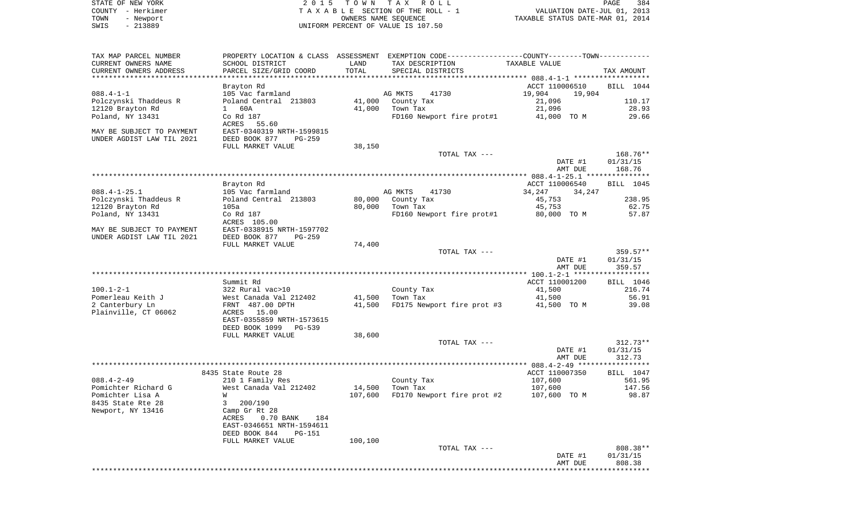| STATE OF NEW YORK                                | 2 0 1 5                                        | T O W N | TAX ROLL                                                                                      |                                  | $\mathop{\mathtt{PAGE}}$<br>384 |
|--------------------------------------------------|------------------------------------------------|---------|-----------------------------------------------------------------------------------------------|----------------------------------|---------------------------------|
| COUNTY - Herkimer                                |                                                |         | TAXABLE SECTION OF THE ROLL - 1                                                               | VALUATION DATE-JUL 01, 2013      |                                 |
| TOWN<br>- Newport                                |                                                |         | OWNERS NAME SEQUENCE                                                                          | TAXABLE STATUS DATE-MAR 01, 2014 |                                 |
| $-213889$<br>SWIS                                |                                                |         | UNIFORM PERCENT OF VALUE IS 107.50                                                            |                                  |                                 |
|                                                  |                                                |         |                                                                                               |                                  |                                 |
|                                                  |                                                |         |                                                                                               |                                  |                                 |
| TAX MAP PARCEL NUMBER                            |                                                |         | PROPERTY LOCATION & CLASS ASSESSMENT EXEMPTION CODE---------------COUNTY-------TOWN---------- |                                  |                                 |
| CURRENT OWNERS NAME                              | SCHOOL DISTRICT                                | LAND    | TAX DESCRIPTION                                                                               | TAXABLE VALUE                    |                                 |
| CURRENT OWNERS ADDRESS<br>********************** | PARCEL SIZE/GRID COORD                         | TOTAL   | SPECIAL DISTRICTS                                                                             |                                  | TAX AMOUNT                      |
|                                                  |                                                |         |                                                                                               |                                  |                                 |
|                                                  | Brayton Rd                                     |         |                                                                                               | ACCT 110006510                   | BILL 1044                       |
| $088.4 - 1 - 1$                                  | 105 Vac farmland                               |         | AG MKTS<br>41730                                                                              | 19,904<br>19,904                 |                                 |
| Polczynski Thaddeus R                            | Poland Central 213803                          | 41,000  | County Tax<br>Town Tax                                                                        | 21,096                           | 110.17                          |
| 12120 Brayton Rd                                 | 60A<br>1                                       | 41,000  |                                                                                               | 21,096                           | 28.93                           |
| Poland, NY 13431                                 | Co Rd 187<br>55.60                             |         | FD160 Newport fire prot#1                                                                     | 41,000 TO M                      | 29.66                           |
|                                                  | ACRES                                          |         |                                                                                               |                                  |                                 |
| MAY BE SUBJECT TO PAYMENT                        | EAST-0340319 NRTH-1599815                      |         |                                                                                               |                                  |                                 |
| UNDER AGDIST LAW TIL 2021                        | DEED BOOK 877<br>$PG-259$                      |         |                                                                                               |                                  |                                 |
|                                                  | FULL MARKET VALUE                              | 38,150  |                                                                                               |                                  |                                 |
|                                                  |                                                |         | TOTAL TAX ---                                                                                 |                                  | 168.76**                        |
|                                                  |                                                |         |                                                                                               | DATE #1                          | 01/31/15                        |
|                                                  |                                                |         |                                                                                               | AMT DUE                          | 168.76                          |
|                                                  |                                                |         |                                                                                               | ACCT 110006540                   |                                 |
|                                                  | Brayton Rd                                     |         |                                                                                               |                                  | BILL 1045                       |
| $088.4 - 1 - 25.1$<br>Polczynski Thaddeus R      | 105 Vac farmland                               |         | AG MKTS<br>41730                                                                              | 34,247<br>34,247                 |                                 |
|                                                  | Poland Central 213803                          | 80,000  | County Tax                                                                                    | 45,753                           | 238.95                          |
| 12120 Brayton Rd                                 | 105a                                           | 80,000  | Town Tax                                                                                      | 45,753                           | 62.75                           |
| Poland, NY 13431                                 | Co Rd 187                                      |         | FD160 Newport fire prot#1                                                                     | 80,000 TO M                      | 57.87                           |
|                                                  | ACRES 105.00                                   |         |                                                                                               |                                  |                                 |
| MAY BE SUBJECT TO PAYMENT                        | EAST-0338915 NRTH-1597702                      |         |                                                                                               |                                  |                                 |
| UNDER AGDIST LAW TIL 2021                        | DEED BOOK 877<br>$PG-259$<br>FULL MARKET VALUE |         |                                                                                               |                                  |                                 |
|                                                  |                                                | 74,400  |                                                                                               |                                  |                                 |
|                                                  |                                                |         | TOTAL TAX ---                                                                                 | DATE #1                          | $359.57**$                      |
|                                                  |                                                |         |                                                                                               | AMT DUE                          | 01/31/15<br>359.57              |
|                                                  |                                                |         |                                                                                               |                                  |                                 |
|                                                  | Summit Rd                                      |         |                                                                                               | ACCT 110001200                   | BILL 1046                       |
| $100.1 - 2 - 1$                                  | 322 Rural vac>10                               |         | County Tax                                                                                    | 41,500                           | 216.74                          |
| Pomerleau Keith J                                | West Canada Val 212402                         | 41,500  | Town Tax                                                                                      | 41,500                           | 56.91                           |
| 2 Canterbury Ln                                  | FRNT 487.00 DPTH                               | 41,500  | FD175 Newport fire prot #3                                                                    | 41,500 TO M                      | 39.08                           |
| Plainville, CT 06062                             | ACRES 15.00                                    |         |                                                                                               |                                  |                                 |
|                                                  | EAST-0355859 NRTH-1573615                      |         |                                                                                               |                                  |                                 |
|                                                  | DEED BOOK 1099<br>PG-539                       |         |                                                                                               |                                  |                                 |
|                                                  | FULL MARKET VALUE                              | 38,600  |                                                                                               |                                  |                                 |
|                                                  |                                                |         | TOTAL TAX ---                                                                                 |                                  | $312.73**$                      |
|                                                  |                                                |         |                                                                                               | DATE #1                          | 01/31/15                        |
|                                                  |                                                |         |                                                                                               | AMT DUE                          | 312.73                          |
|                                                  |                                                |         |                                                                                               |                                  |                                 |
|                                                  | 8435 State Route 28                            |         |                                                                                               | ACCT 110007350                   | BILL 1047                       |
| $088.4 - 2 - 49$                                 | 210 1 Family Res                               |         | County Tax                                                                                    | 107,600                          | 561.95                          |
| Pomichter Richard G                              | West Canada Val 212402                         | 14,500  | Town Tax                                                                                      | 107,600                          | 147.56                          |
| Pomichter Lisa A                                 | W                                              | 107,600 | FD170 Newport fire prot #2                                                                    | 107,600 TO M                     | 98.87                           |
| 8435 State Rte 28                                | 3<br>200/190                                   |         |                                                                                               |                                  |                                 |
| Newport, NY 13416                                | Camp Gr Rt 28                                  |         |                                                                                               |                                  |                                 |
|                                                  | ACRES<br>$0.70$ BANK<br>184                    |         |                                                                                               |                                  |                                 |
|                                                  | EAST-0346651 NRTH-1594611                      |         |                                                                                               |                                  |                                 |
|                                                  | DEED BOOK 844<br>PG-151                        |         |                                                                                               |                                  |                                 |
|                                                  | FULL MARKET VALUE                              | 100,100 |                                                                                               |                                  |                                 |
|                                                  |                                                |         | TOTAL TAX ---                                                                                 |                                  | 808.38**                        |
|                                                  |                                                |         |                                                                                               | DATE #1                          | 01/31/15                        |
|                                                  |                                                |         |                                                                                               | AMT DUE                          | 808.38                          |
|                                                  |                                                |         |                                                                                               |                                  |                                 |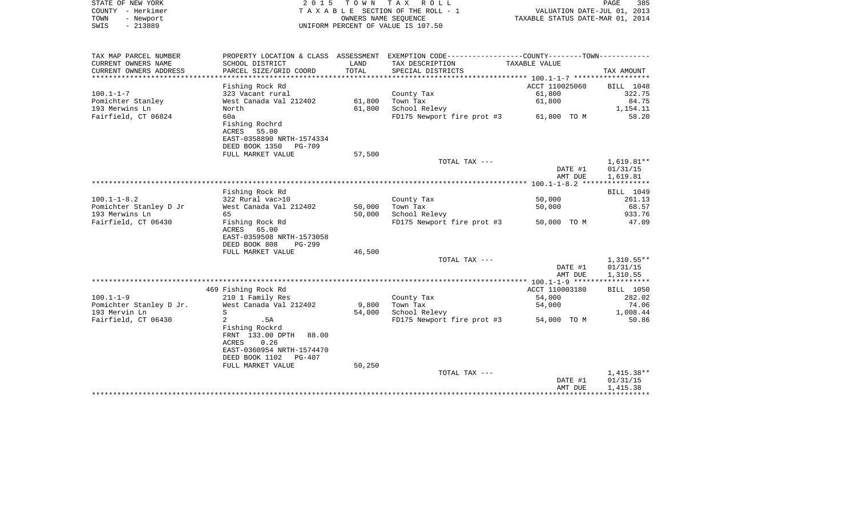|      | STATE OF NEW YORK | 2015 TOWN TAX ROLL                 | <b>PAGE</b>                      | 385 |
|------|-------------------|------------------------------------|----------------------------------|-----|
|      | COUNTY – Herkimer | TAXABLE SECTION OF THE ROLL - 1    | VALUATION DATE-JUL 01, 2013      |     |
| TOWN | - Newport         | OWNERS NAME SEOUENCE               | TAXABLE STATUS DATE-MAR 01, 2014 |     |
| SWIS | - 213889          | UNIFORM PERCENT OF VALUE IS 107.50 |                                  |     |

| TAX DESCRIPTION<br>SCHOOL DISTRICT<br>LAND<br>TAXABLE VALUE<br>PARCEL SIZE/GRID COORD<br>TOTAL<br>SPECIAL DISTRICTS<br>TAX AMOUNT<br>Fishing Rock Rd<br>ACCT 110025060<br>BILL 1048<br>322.75<br>323 Vacant rural<br>61,800<br>County Tax<br>61,800<br>61,800<br>84.75<br>West Canada Val 212402<br>Town Tax<br>61,800<br>School Relevy<br>1,154.11<br>North<br>FD175 Newport fire prot #3 61,800 TO M<br>58.20<br>60a<br>Fishing Rochrd<br>ACRES 55.00<br>EAST-0358890 NRTH-1574334<br>DEED BOOK 1350 PG-709<br>57,500<br>FULL MARKET VALUE<br>TOTAL TAX ---<br>1,619.81**<br>01/31/15<br>DATE #1<br>1,619.81<br>AMT DUE<br>Fishing Rock Rd<br>BILL 1049<br>$100.1 - 1 - 8.2$<br>50,000<br>322 Rural vac>10<br>County Tax<br>261.13<br>Pomichter Stanley D Jr<br>West Canada Val 212402<br>50,000<br>Town Tax<br>50,000<br>68.57<br>50,000<br>School Relevy<br>933.76<br>65<br>FD175 Newport fire prot #3<br>Fairfield, CT 06430<br>Fishing Rock Rd<br>47.09<br>50,000 TO M<br>ACRES 65.00<br>EAST-0359508 NRTH-1573058<br>DEED BOOK 808<br>PG-299<br>46,500<br>FULL MARKET VALUE<br>TOTAL TAX ---<br>$1,310.55**$<br>DATE #1<br>01/31/15<br>1,310.55<br>AMT DUE<br>469 Fishing Rock Rd<br>ACCT 110003180<br>BILL 1050<br>$100.1 - 1 - 9$<br>County Tax<br>54,000<br>282.02<br>210 1 Family Res<br>74.06<br>Pomichter Stanley D Jr.<br>West Canada Val 212402<br>Town Tax<br>54,000<br>9,800<br>193 Mervin Ln<br>54,000<br>School Relevy<br>1,008.44<br>S.<br>FD175 Newport fire prot #3 54,000 TO M<br>50.86<br>Fairfield, CT 06430<br>2 .5A<br>Fishing Rockrd<br>FRNT 133.00 DPTH<br>88.00<br>ACRES<br>0.26<br>EAST-0360954 NRTH-1574470<br>DEED BOOK 1102 PG-407<br>50,250<br>FULL MARKET VALUE<br>1,415.38**<br>TOTAL TAX ---<br>01/31/15<br>DATE #1<br>AMT DUE<br>1,415.38 | TAX MAP PARCEL NUMBER  |  | PROPERTY LOCATION & CLASS ASSESSMENT EXEMPTION CODE----------------COUNTY--------TOWN---------- |  |
|----------------------------------------------------------------------------------------------------------------------------------------------------------------------------------------------------------------------------------------------------------------------------------------------------------------------------------------------------------------------------------------------------------------------------------------------------------------------------------------------------------------------------------------------------------------------------------------------------------------------------------------------------------------------------------------------------------------------------------------------------------------------------------------------------------------------------------------------------------------------------------------------------------------------------------------------------------------------------------------------------------------------------------------------------------------------------------------------------------------------------------------------------------------------------------------------------------------------------------------------------------------------------------------------------------------------------------------------------------------------------------------------------------------------------------------------------------------------------------------------------------------------------------------------------------------------------------------------------------------------------------------------------------------------------------------------------------------------------------------------------------------------------------|------------------------|--|-------------------------------------------------------------------------------------------------|--|
|                                                                                                                                                                                                                                                                                                                                                                                                                                                                                                                                                                                                                                                                                                                                                                                                                                                                                                                                                                                                                                                                                                                                                                                                                                                                                                                                                                                                                                                                                                                                                                                                                                                                                                                                                                                  | CURRENT OWNERS NAME    |  |                                                                                                 |  |
|                                                                                                                                                                                                                                                                                                                                                                                                                                                                                                                                                                                                                                                                                                                                                                                                                                                                                                                                                                                                                                                                                                                                                                                                                                                                                                                                                                                                                                                                                                                                                                                                                                                                                                                                                                                  | CURRENT OWNERS ADDRESS |  |                                                                                                 |  |
|                                                                                                                                                                                                                                                                                                                                                                                                                                                                                                                                                                                                                                                                                                                                                                                                                                                                                                                                                                                                                                                                                                                                                                                                                                                                                                                                                                                                                                                                                                                                                                                                                                                                                                                                                                                  |                        |  |                                                                                                 |  |
|                                                                                                                                                                                                                                                                                                                                                                                                                                                                                                                                                                                                                                                                                                                                                                                                                                                                                                                                                                                                                                                                                                                                                                                                                                                                                                                                                                                                                                                                                                                                                                                                                                                                                                                                                                                  |                        |  |                                                                                                 |  |
|                                                                                                                                                                                                                                                                                                                                                                                                                                                                                                                                                                                                                                                                                                                                                                                                                                                                                                                                                                                                                                                                                                                                                                                                                                                                                                                                                                                                                                                                                                                                                                                                                                                                                                                                                                                  | $100.1 - 1 - 7$        |  |                                                                                                 |  |
|                                                                                                                                                                                                                                                                                                                                                                                                                                                                                                                                                                                                                                                                                                                                                                                                                                                                                                                                                                                                                                                                                                                                                                                                                                                                                                                                                                                                                                                                                                                                                                                                                                                                                                                                                                                  | Pomichter Stanley      |  |                                                                                                 |  |
|                                                                                                                                                                                                                                                                                                                                                                                                                                                                                                                                                                                                                                                                                                                                                                                                                                                                                                                                                                                                                                                                                                                                                                                                                                                                                                                                                                                                                                                                                                                                                                                                                                                                                                                                                                                  | 193 Merwins Ln         |  |                                                                                                 |  |
|                                                                                                                                                                                                                                                                                                                                                                                                                                                                                                                                                                                                                                                                                                                                                                                                                                                                                                                                                                                                                                                                                                                                                                                                                                                                                                                                                                                                                                                                                                                                                                                                                                                                                                                                                                                  | Fairfield, CT 06824    |  |                                                                                                 |  |
|                                                                                                                                                                                                                                                                                                                                                                                                                                                                                                                                                                                                                                                                                                                                                                                                                                                                                                                                                                                                                                                                                                                                                                                                                                                                                                                                                                                                                                                                                                                                                                                                                                                                                                                                                                                  |                        |  |                                                                                                 |  |
|                                                                                                                                                                                                                                                                                                                                                                                                                                                                                                                                                                                                                                                                                                                                                                                                                                                                                                                                                                                                                                                                                                                                                                                                                                                                                                                                                                                                                                                                                                                                                                                                                                                                                                                                                                                  |                        |  |                                                                                                 |  |
|                                                                                                                                                                                                                                                                                                                                                                                                                                                                                                                                                                                                                                                                                                                                                                                                                                                                                                                                                                                                                                                                                                                                                                                                                                                                                                                                                                                                                                                                                                                                                                                                                                                                                                                                                                                  |                        |  |                                                                                                 |  |
|                                                                                                                                                                                                                                                                                                                                                                                                                                                                                                                                                                                                                                                                                                                                                                                                                                                                                                                                                                                                                                                                                                                                                                                                                                                                                                                                                                                                                                                                                                                                                                                                                                                                                                                                                                                  |                        |  |                                                                                                 |  |
|                                                                                                                                                                                                                                                                                                                                                                                                                                                                                                                                                                                                                                                                                                                                                                                                                                                                                                                                                                                                                                                                                                                                                                                                                                                                                                                                                                                                                                                                                                                                                                                                                                                                                                                                                                                  |                        |  |                                                                                                 |  |
|                                                                                                                                                                                                                                                                                                                                                                                                                                                                                                                                                                                                                                                                                                                                                                                                                                                                                                                                                                                                                                                                                                                                                                                                                                                                                                                                                                                                                                                                                                                                                                                                                                                                                                                                                                                  |                        |  |                                                                                                 |  |
|                                                                                                                                                                                                                                                                                                                                                                                                                                                                                                                                                                                                                                                                                                                                                                                                                                                                                                                                                                                                                                                                                                                                                                                                                                                                                                                                                                                                                                                                                                                                                                                                                                                                                                                                                                                  |                        |  |                                                                                                 |  |
|                                                                                                                                                                                                                                                                                                                                                                                                                                                                                                                                                                                                                                                                                                                                                                                                                                                                                                                                                                                                                                                                                                                                                                                                                                                                                                                                                                                                                                                                                                                                                                                                                                                                                                                                                                                  |                        |  |                                                                                                 |  |
|                                                                                                                                                                                                                                                                                                                                                                                                                                                                                                                                                                                                                                                                                                                                                                                                                                                                                                                                                                                                                                                                                                                                                                                                                                                                                                                                                                                                                                                                                                                                                                                                                                                                                                                                                                                  |                        |  |                                                                                                 |  |
|                                                                                                                                                                                                                                                                                                                                                                                                                                                                                                                                                                                                                                                                                                                                                                                                                                                                                                                                                                                                                                                                                                                                                                                                                                                                                                                                                                                                                                                                                                                                                                                                                                                                                                                                                                                  |                        |  |                                                                                                 |  |
|                                                                                                                                                                                                                                                                                                                                                                                                                                                                                                                                                                                                                                                                                                                                                                                                                                                                                                                                                                                                                                                                                                                                                                                                                                                                                                                                                                                                                                                                                                                                                                                                                                                                                                                                                                                  |                        |  |                                                                                                 |  |
|                                                                                                                                                                                                                                                                                                                                                                                                                                                                                                                                                                                                                                                                                                                                                                                                                                                                                                                                                                                                                                                                                                                                                                                                                                                                                                                                                                                                                                                                                                                                                                                                                                                                                                                                                                                  |                        |  |                                                                                                 |  |
|                                                                                                                                                                                                                                                                                                                                                                                                                                                                                                                                                                                                                                                                                                                                                                                                                                                                                                                                                                                                                                                                                                                                                                                                                                                                                                                                                                                                                                                                                                                                                                                                                                                                                                                                                                                  | 193 Merwins Ln         |  |                                                                                                 |  |
|                                                                                                                                                                                                                                                                                                                                                                                                                                                                                                                                                                                                                                                                                                                                                                                                                                                                                                                                                                                                                                                                                                                                                                                                                                                                                                                                                                                                                                                                                                                                                                                                                                                                                                                                                                                  |                        |  |                                                                                                 |  |
|                                                                                                                                                                                                                                                                                                                                                                                                                                                                                                                                                                                                                                                                                                                                                                                                                                                                                                                                                                                                                                                                                                                                                                                                                                                                                                                                                                                                                                                                                                                                                                                                                                                                                                                                                                                  |                        |  |                                                                                                 |  |
|                                                                                                                                                                                                                                                                                                                                                                                                                                                                                                                                                                                                                                                                                                                                                                                                                                                                                                                                                                                                                                                                                                                                                                                                                                                                                                                                                                                                                                                                                                                                                                                                                                                                                                                                                                                  |                        |  |                                                                                                 |  |
|                                                                                                                                                                                                                                                                                                                                                                                                                                                                                                                                                                                                                                                                                                                                                                                                                                                                                                                                                                                                                                                                                                                                                                                                                                                                                                                                                                                                                                                                                                                                                                                                                                                                                                                                                                                  |                        |  |                                                                                                 |  |
|                                                                                                                                                                                                                                                                                                                                                                                                                                                                                                                                                                                                                                                                                                                                                                                                                                                                                                                                                                                                                                                                                                                                                                                                                                                                                                                                                                                                                                                                                                                                                                                                                                                                                                                                                                                  |                        |  |                                                                                                 |  |
|                                                                                                                                                                                                                                                                                                                                                                                                                                                                                                                                                                                                                                                                                                                                                                                                                                                                                                                                                                                                                                                                                                                                                                                                                                                                                                                                                                                                                                                                                                                                                                                                                                                                                                                                                                                  |                        |  |                                                                                                 |  |
|                                                                                                                                                                                                                                                                                                                                                                                                                                                                                                                                                                                                                                                                                                                                                                                                                                                                                                                                                                                                                                                                                                                                                                                                                                                                                                                                                                                                                                                                                                                                                                                                                                                                                                                                                                                  |                        |  |                                                                                                 |  |
|                                                                                                                                                                                                                                                                                                                                                                                                                                                                                                                                                                                                                                                                                                                                                                                                                                                                                                                                                                                                                                                                                                                                                                                                                                                                                                                                                                                                                                                                                                                                                                                                                                                                                                                                                                                  |                        |  |                                                                                                 |  |
|                                                                                                                                                                                                                                                                                                                                                                                                                                                                                                                                                                                                                                                                                                                                                                                                                                                                                                                                                                                                                                                                                                                                                                                                                                                                                                                                                                                                                                                                                                                                                                                                                                                                                                                                                                                  |                        |  |                                                                                                 |  |
|                                                                                                                                                                                                                                                                                                                                                                                                                                                                                                                                                                                                                                                                                                                                                                                                                                                                                                                                                                                                                                                                                                                                                                                                                                                                                                                                                                                                                                                                                                                                                                                                                                                                                                                                                                                  |                        |  |                                                                                                 |  |
|                                                                                                                                                                                                                                                                                                                                                                                                                                                                                                                                                                                                                                                                                                                                                                                                                                                                                                                                                                                                                                                                                                                                                                                                                                                                                                                                                                                                                                                                                                                                                                                                                                                                                                                                                                                  |                        |  |                                                                                                 |  |
|                                                                                                                                                                                                                                                                                                                                                                                                                                                                                                                                                                                                                                                                                                                                                                                                                                                                                                                                                                                                                                                                                                                                                                                                                                                                                                                                                                                                                                                                                                                                                                                                                                                                                                                                                                                  |                        |  |                                                                                                 |  |
|                                                                                                                                                                                                                                                                                                                                                                                                                                                                                                                                                                                                                                                                                                                                                                                                                                                                                                                                                                                                                                                                                                                                                                                                                                                                                                                                                                                                                                                                                                                                                                                                                                                                                                                                                                                  |                        |  |                                                                                                 |  |
|                                                                                                                                                                                                                                                                                                                                                                                                                                                                                                                                                                                                                                                                                                                                                                                                                                                                                                                                                                                                                                                                                                                                                                                                                                                                                                                                                                                                                                                                                                                                                                                                                                                                                                                                                                                  |                        |  |                                                                                                 |  |
|                                                                                                                                                                                                                                                                                                                                                                                                                                                                                                                                                                                                                                                                                                                                                                                                                                                                                                                                                                                                                                                                                                                                                                                                                                                                                                                                                                                                                                                                                                                                                                                                                                                                                                                                                                                  |                        |  |                                                                                                 |  |
|                                                                                                                                                                                                                                                                                                                                                                                                                                                                                                                                                                                                                                                                                                                                                                                                                                                                                                                                                                                                                                                                                                                                                                                                                                                                                                                                                                                                                                                                                                                                                                                                                                                                                                                                                                                  |                        |  |                                                                                                 |  |
|                                                                                                                                                                                                                                                                                                                                                                                                                                                                                                                                                                                                                                                                                                                                                                                                                                                                                                                                                                                                                                                                                                                                                                                                                                                                                                                                                                                                                                                                                                                                                                                                                                                                                                                                                                                  |                        |  |                                                                                                 |  |
|                                                                                                                                                                                                                                                                                                                                                                                                                                                                                                                                                                                                                                                                                                                                                                                                                                                                                                                                                                                                                                                                                                                                                                                                                                                                                                                                                                                                                                                                                                                                                                                                                                                                                                                                                                                  |                        |  |                                                                                                 |  |
|                                                                                                                                                                                                                                                                                                                                                                                                                                                                                                                                                                                                                                                                                                                                                                                                                                                                                                                                                                                                                                                                                                                                                                                                                                                                                                                                                                                                                                                                                                                                                                                                                                                                                                                                                                                  |                        |  |                                                                                                 |  |
|                                                                                                                                                                                                                                                                                                                                                                                                                                                                                                                                                                                                                                                                                                                                                                                                                                                                                                                                                                                                                                                                                                                                                                                                                                                                                                                                                                                                                                                                                                                                                                                                                                                                                                                                                                                  |                        |  |                                                                                                 |  |
|                                                                                                                                                                                                                                                                                                                                                                                                                                                                                                                                                                                                                                                                                                                                                                                                                                                                                                                                                                                                                                                                                                                                                                                                                                                                                                                                                                                                                                                                                                                                                                                                                                                                                                                                                                                  |                        |  |                                                                                                 |  |
|                                                                                                                                                                                                                                                                                                                                                                                                                                                                                                                                                                                                                                                                                                                                                                                                                                                                                                                                                                                                                                                                                                                                                                                                                                                                                                                                                                                                                                                                                                                                                                                                                                                                                                                                                                                  |                        |  |                                                                                                 |  |
|                                                                                                                                                                                                                                                                                                                                                                                                                                                                                                                                                                                                                                                                                                                                                                                                                                                                                                                                                                                                                                                                                                                                                                                                                                                                                                                                                                                                                                                                                                                                                                                                                                                                                                                                                                                  |                        |  |                                                                                                 |  |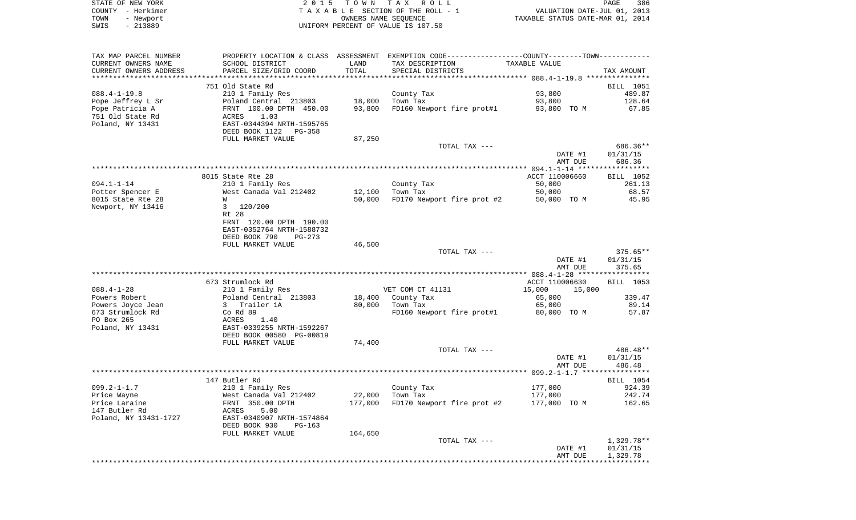|      | STATE OF NEW YORK | 2015 TOWN TAX ROLL                 | 386<br>PAGE                      |
|------|-------------------|------------------------------------|----------------------------------|
|      | COUNTY - Herkimer | TAXABLE SECTION OF THE ROLL - 1    | VALUATION DATE-JUL 01, 2013      |
| TOWN | - Newport         | OWNERS NAME SEOUENCE               | TAXABLE STATUS DATE-MAR 01, 2014 |
|      | SWIS - 213889     | UNIFORM PERCENT OF VALUE IS 107.50 |                                  |

| TAX MAP PARCEL NUMBER   |                           |         | PROPERTY LOCATION & CLASS ASSESSMENT EXEMPTION CODE---------------COUNTY--------TOWN---------- |                  |            |
|-------------------------|---------------------------|---------|------------------------------------------------------------------------------------------------|------------------|------------|
| CURRENT OWNERS NAME     | SCHOOL DISTRICT           | LAND    | TAX DESCRIPTION                                                                                | TAXABLE VALUE    |            |
| CURRENT OWNERS ADDRESS  | PARCEL SIZE/GRID COORD    | TOTAL   | SPECIAL DISTRICTS                                                                              |                  | TAX AMOUNT |
| *********************** |                           |         |                                                                                                |                  |            |
|                         | 751 Old State Rd          |         |                                                                                                |                  | BILL 1051  |
| $088.4 - 1 - 19.8$      | 210 1 Family Res          |         | County Tax                                                                                     | 93,800           | 489.87     |
| Pope Jeffrey L Sr       | Poland Central 213803     | 18,000  | Town Tax                                                                                       | 93,800           | 128.64     |
| Pope Patricia A         | FRNT 100.00 DPTH 450.00   | 93,800  | FD160 Newport fire prot#1                                                                      | 93,800 TO M      | 67.85      |
| 751 Old State Rd        | 1.03<br>ACRES             |         |                                                                                                |                  |            |
| Poland, NY 13431        | EAST-0344394 NRTH-1595765 |         |                                                                                                |                  |            |
|                         | DEED BOOK 1122<br>PG-358  |         |                                                                                                |                  |            |
|                         | FULL MARKET VALUE         | 87,250  |                                                                                                |                  |            |
|                         |                           |         | TOTAL TAX ---                                                                                  |                  | 686.36**   |
|                         |                           |         |                                                                                                | DATE #1          | 01/31/15   |
|                         |                           |         |                                                                                                | AMT DUE          | 686.36     |
|                         |                           |         |                                                                                                |                  |            |
|                         | 8015 State Rte 28         |         |                                                                                                | ACCT 110006660   | BILL 1052  |
| 094.1-1-14              | 210 1 Family Res          |         | County Tax                                                                                     | 50,000           | 261.13     |
| Potter Spencer E        | West Canada Val 212402    | 12,100  | Town Tax                                                                                       | 50,000           | 68.57      |
| 8015 State Rte 28       | W                         | 50,000  | FD170 Newport fire prot #2                                                                     | 50,000 TO M      | 45.95      |
| Newport, NY 13416       | 120/200<br>3 <sup>7</sup> |         |                                                                                                |                  |            |
|                         | Rt 28                     |         |                                                                                                |                  |            |
|                         | FRNT 120.00 DPTH 190.00   |         |                                                                                                |                  |            |
|                         | EAST-0352764 NRTH-1588732 |         |                                                                                                |                  |            |
|                         | DEED BOOK 790<br>PG-273   |         |                                                                                                |                  |            |
|                         | FULL MARKET VALUE         | 46,500  |                                                                                                |                  |            |
|                         |                           |         | TOTAL TAX ---                                                                                  |                  | $375.65**$ |
|                         |                           |         |                                                                                                | DATE #1          | 01/31/15   |
|                         |                           |         |                                                                                                | AMT DUE          | 375.65     |
|                         |                           |         |                                                                                                |                  |            |
|                         | 673 Strumlock Rd          |         |                                                                                                | ACCT 110006630   | BILL 1053  |
| $088.4 - 1 - 28$        | 210 1 Family Res          |         | VET COM CT 41131                                                                               | 15,000<br>15,000 |            |
| Powers Robert           | Poland Central 213803     | 18,400  | County Tax                                                                                     | 65,000           | 339.47     |
| Powers Joyce Jean       | 3 Trailer 1A              | 80,000  | Town Tax                                                                                       | 65,000           | 89.14      |
| 673 Strumlock Rd        | Co Rd 89                  |         | FD160 Newport fire prot#1                                                                      | 80,000 TO M      | 57.87      |
| PO Box 265              | ACRES<br>1.40             |         |                                                                                                |                  |            |
| Poland, NY 13431        | EAST-0339255 NRTH-1592267 |         |                                                                                                |                  |            |
|                         | DEED BOOK 00580 PG-00819  |         |                                                                                                |                  |            |
|                         | FULL MARKET VALUE         | 74,400  |                                                                                                |                  |            |
|                         |                           |         | TOTAL TAX ---                                                                                  |                  | 486.48**   |
|                         |                           |         |                                                                                                | DATE #1          | 01/31/15   |
|                         |                           |         |                                                                                                | AMT DUE          | 486.48     |
|                         |                           |         |                                                                                                |                  |            |
|                         | 147 Butler Rd             |         |                                                                                                |                  | BILL 1054  |
| $099.2 - 1 - 1.7$       | 210 1 Family Res          |         | County Tax                                                                                     | 177,000          | 924.39     |
| Price Wayne             | West Canada Val 212402    | 22,000  | Town Tax                                                                                       | 177,000          | 242.74     |
| Price Laraine           | FRNT 350.00 DPTH          | 177,000 | FD170 Newport fire prot #2                                                                     | 177,000 TO M     | 162.65     |
| 147 Butler Rd           | 5.00<br>ACRES             |         |                                                                                                |                  |            |
| Poland, NY 13431-1727   | EAST-0340907 NRTH-1574864 |         |                                                                                                |                  |            |
|                         | DEED BOOK 930<br>$PG-163$ |         |                                                                                                |                  |            |
|                         | FULL MARKET VALUE         | 164,650 |                                                                                                |                  |            |
|                         |                           |         | TOTAL TAX ---                                                                                  |                  | 1,329.78** |
|                         |                           |         |                                                                                                | DATE #1          | 01/31/15   |
|                         |                           |         |                                                                                                | AMT DUE          | 1,329.78   |
|                         |                           |         |                                                                                                |                  |            |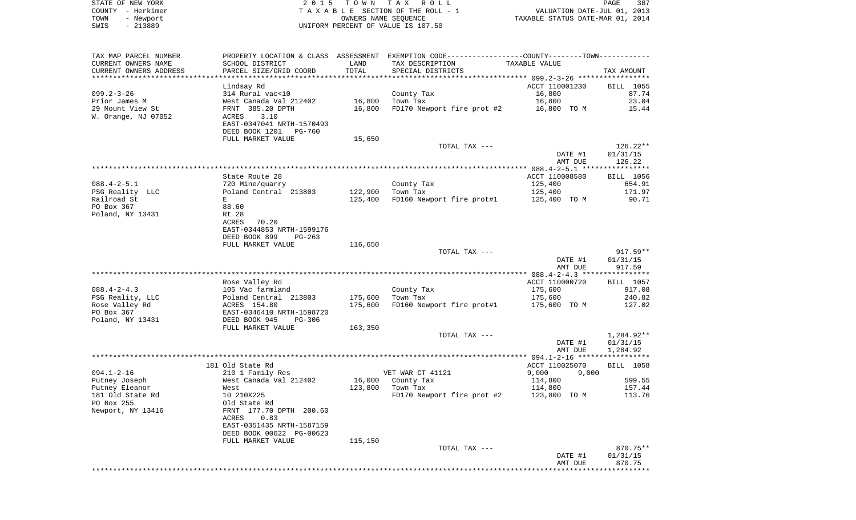| STATE OF NEW YORK | 2015 TOWN TAX ROLL                 |                      |                                  | PAGE | 387 |
|-------------------|------------------------------------|----------------------|----------------------------------|------|-----|
| COUNTY – Herkimer | TAXABLE SECTION OF THE ROLL - 1    |                      | VALUATION DATE-JUL 01, 2013      |      |     |
| TOWN<br>- Newport |                                    | OWNERS NAME SEOUENCE | TAXABLE STATUS DATE-MAR 01, 2014 |      |     |
| $-213889$<br>SWIS | UNIFORM PERCENT OF VALUE IS 107.50 |                      |                                  |      |     |

| TAX MAP PARCEL NUMBER                            |                           |         | PROPERTY LOCATION & CLASS ASSESSMENT EXEMPTION CODE---------------COUNTY-------TOWN---------- |                |            |
|--------------------------------------------------|---------------------------|---------|-----------------------------------------------------------------------------------------------|----------------|------------|
| CURRENT OWNERS NAME                              | SCHOOL DISTRICT           | LAND    | TAX DESCRIPTION                                                                               | TAXABLE VALUE  |            |
| CURRENT OWNERS ADDRESS<br>********************** | PARCEL SIZE/GRID COORD    | TOTAL   | SPECIAL DISTRICTS                                                                             |                | TAX AMOUNT |
|                                                  |                           |         |                                                                                               |                |            |
|                                                  | Lindsay Rd                |         |                                                                                               | ACCT 110001230 | BILL 1055  |
| $099.2 - 3 - 26$                                 | 314 Rural vac<10          |         | County Tax                                                                                    | 16,800         | 87.74      |
| Prior James M                                    | West Canada Val 212402    | 16,800  | Town Tax                                                                                      | 16,800         | 23.04      |
| 29 Mount View St                                 | FRNT 385.20 DPTH          | 16,800  | FD170 Newport fire prot #2                                                                    | 16,800 TO M    | 15.44      |
| W. Orange, NJ 07052                              | 3.10<br>ACRES             |         |                                                                                               |                |            |
|                                                  | EAST-0347041 NRTH-1570493 |         |                                                                                               |                |            |
|                                                  | DEED BOOK 1201<br>PG-760  |         |                                                                                               |                |            |
|                                                  | FULL MARKET VALUE         | 15,650  |                                                                                               |                |            |
|                                                  |                           |         | TOTAL TAX ---                                                                                 |                | 126.22**   |
|                                                  |                           |         |                                                                                               | DATE #1        | 01/31/15   |
|                                                  |                           |         |                                                                                               | AMT DUE        | 126.22     |
|                                                  |                           |         |                                                                                               |                |            |
|                                                  | State Route 28            |         |                                                                                               | ACCT 110008580 | BILL 1056  |
| $088.4 - 2 - 5.1$                                | 720 Mine/quarry           |         | County Tax                                                                                    | 125,400        | 654.91     |
| PSG Reality LLC                                  | Poland Central 213803     | 122,900 | Town Tax                                                                                      | 125,400        | 171.97     |
| Railroad St                                      | Е                         | 125,400 | FD160 Newport fire prot#1                                                                     | 125,400 TO M   | 90.71      |
| PO Box 367                                       | 88.60                     |         |                                                                                               |                |            |
| Poland, NY 13431                                 | Rt 28                     |         |                                                                                               |                |            |
|                                                  | ACRES<br>70.20            |         |                                                                                               |                |            |
|                                                  | EAST-0344853 NRTH-1599176 |         |                                                                                               |                |            |
|                                                  | DEED BOOK 899<br>$PG-263$ |         |                                                                                               |                |            |
|                                                  | FULL MARKET VALUE         | 116,650 |                                                                                               |                |            |
|                                                  |                           |         | TOTAL TAX ---                                                                                 |                | $917.59**$ |
|                                                  |                           |         |                                                                                               | DATE #1        | 01/31/15   |
|                                                  |                           |         |                                                                                               | AMT DUE        | 917.59     |
|                                                  |                           |         |                                                                                               |                |            |
|                                                  | Rose Valley Rd            |         |                                                                                               | ACCT 110000720 | BILL 1057  |
| $088.4 - 2 - 4.3$                                | 105 Vac farmland          |         | County Tax                                                                                    | 175,600        | 917.08     |
| PSG Reality, LLC                                 | Poland Central 213803     | 175,600 | Town Tax                                                                                      | 175,600        | 240.82     |
| Rose Valley Rd                                   | ACRES 154.80              | 175,600 | FD160 Newport fire prot#1                                                                     | 175,600 TO M   | 127.02     |
| PO Box 367                                       | EAST-0346410 NRTH-1598720 |         |                                                                                               |                |            |
| Poland, NY 13431                                 | DEED BOOK 945<br>PG-306   |         |                                                                                               |                |            |
|                                                  | FULL MARKET VALUE         | 163,350 |                                                                                               |                |            |
|                                                  |                           |         | TOTAL TAX ---                                                                                 |                | 1,284.92** |
|                                                  |                           |         |                                                                                               | DATE #1        | 01/31/15   |
|                                                  |                           |         |                                                                                               | AMT DUE        | 1,284.92   |
|                                                  |                           |         |                                                                                               |                |            |
|                                                  | 181 Old State Rd          |         |                                                                                               | ACCT 110025070 | BILL 1058  |
| $094.1 - 2 - 16$                                 | 210 1 Family Res          |         | VET WAR CT 41121                                                                              | 9,000<br>9,000 |            |
|                                                  |                           |         |                                                                                               |                | 599.55     |
| Putney Joseph                                    | West Canada Val 212402    | 16,000  | County Tax                                                                                    | 114,800        |            |
| Putney Eleanor                                   | West                      | 123,800 | Town Tax                                                                                      | 114,800        | 157.44     |
| 181 Old State Rd                                 | 10 210X225                |         | FD170 Newport fire prot #2                                                                    | 123,800 TO M   | 113.76     |
| PO Box 255                                       | Old State Rd              |         |                                                                                               |                |            |
| Newport, NY 13416                                | FRNT 177.70 DPTH 200.60   |         |                                                                                               |                |            |
|                                                  | ACRES<br>0.83             |         |                                                                                               |                |            |
|                                                  | EAST-0351435 NRTH-1587159 |         |                                                                                               |                |            |
|                                                  | DEED BOOK 00622 PG-00623  |         |                                                                                               |                |            |
|                                                  | FULL MARKET VALUE         | 115,150 |                                                                                               |                |            |
|                                                  |                           |         | TOTAL TAX ---                                                                                 |                | 870.75**   |
|                                                  |                           |         |                                                                                               | DATE #1        | 01/31/15   |
|                                                  |                           |         |                                                                                               | AMT DUE        | 870.75     |
|                                                  |                           |         |                                                                                               |                |            |
|                                                  |                           |         |                                                                                               |                |            |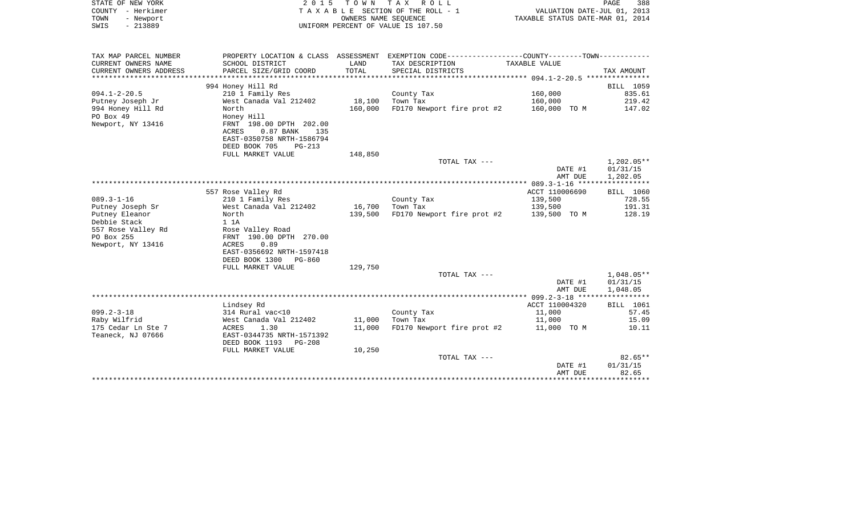| STATE OF NEW YORK      |                                                          |                      | 2015 TOWN TAX ROLL                                          |                                  | 388<br>PAGE  |
|------------------------|----------------------------------------------------------|----------------------|-------------------------------------------------------------|----------------------------------|--------------|
| - Herkimer<br>COUNTY   |                                                          |                      | TAXABLE SECTION OF THE ROLL - 1                             | VALUATION DATE-JUL 01, 2013      |              |
| TOWN<br>- Newport      |                                                          | OWNERS NAME SEOUENCE |                                                             | TAXABLE STATUS DATE-MAR 01, 2014 |              |
| SWIS<br>$-213889$      |                                                          |                      | UNIFORM PERCENT OF VALUE IS 107.50                          |                                  |              |
|                        |                                                          |                      |                                                             |                                  |              |
| TAX MAP PARCEL NUMBER  | PROPERTY LOCATION & CLASS ASSESSMENT                     |                      | EXEMPTION CODE-----------------COUNTY-------TOWN----------- |                                  |              |
| CURRENT OWNERS NAME    | SCHOOL DISTRICT                                          | LAND                 | TAX DESCRIPTION                                             | TAXABLE VALUE                    |              |
| CURRENT OWNERS ADDRESS | PARCEL SIZE/GRID COORD                                   | TOTAL                | SPECIAL DISTRICTS                                           |                                  | TAX AMOUNT   |
|                        |                                                          |                      |                                                             |                                  |              |
|                        | 994 Honey Hill Rd                                        |                      |                                                             |                                  | BILL 1059    |
| $094.1 - 2 - 20.5$     | 210 1 Family Res                                         |                      | County Tax                                                  | 160,000                          | 835.61       |
| Putney Joseph Jr       | West Canada Val 212402                                   | 18,100               | Town Tax                                                    | 160,000                          | 219.42       |
| 994 Honey Hill Rd      | North                                                    | 160,000              | FD170 Newport fire prot #2                                  | 160,000 TO M                     | 147.02       |
| PO Box 49              | Honey Hill                                               |                      |                                                             |                                  |              |
| Newport, NY 13416      | FRNT 198.00 DPTH 202.00<br>135                           |                      |                                                             |                                  |              |
|                        | $0.87$ BANK<br><b>ACRES</b><br>EAST-0350758 NRTH-1586794 |                      |                                                             |                                  |              |
|                        | DEED BOOK 705<br>$PG-213$                                |                      |                                                             |                                  |              |
|                        | FULL MARKET VALUE                                        | 148,850              |                                                             |                                  |              |
|                        |                                                          |                      | TOTAL TAX ---                                               |                                  | $1,202.05**$ |
|                        |                                                          |                      |                                                             | DATE #1                          | 01/31/15     |
|                        |                                                          |                      |                                                             | AMT DUE                          | 1,202.05     |
|                        |                                                          |                      |                                                             |                                  |              |
|                        | 557 Rose Valley Rd                                       |                      |                                                             | ACCT 110006690                   | BILL 1060    |
| $089.3 - 1 - 16$       | 210 1 Family Res                                         |                      | County Tax                                                  | 139,500                          | 728.55       |
| Putney Joseph Sr       | West Canada Val 212402                                   | 16,700               | Town Tax                                                    | 139,500                          | 191.31       |
| Putney Eleanor         | North                                                    | 139,500              | FD170 Newport fire prot #2                                  | 139,500 TO M                     | 128.19       |
| Debbie Stack           | 1 1 A                                                    |                      |                                                             |                                  |              |
| 557 Rose Valley Rd     | Rose Valley Road                                         |                      |                                                             |                                  |              |
| PO Box 255             | FRNT 190.00 DPTH 270.00                                  |                      |                                                             |                                  |              |
| Newport, NY 13416      | ACRES<br>0.89                                            |                      |                                                             |                                  |              |
|                        | EAST-0356692 NRTH-1597418                                |                      |                                                             |                                  |              |
|                        | DEED BOOK 1300<br>$PG-860$                               |                      |                                                             |                                  |              |
|                        | FULL MARKET VALUE                                        | 129,750              |                                                             |                                  |              |
|                        |                                                          |                      | TOTAL TAX ---                                               |                                  | 1,048.05**   |
|                        |                                                          |                      |                                                             | DATE #1                          | 01/31/15     |
|                        |                                                          |                      |                                                             | AMT DUE                          | 1,048.05     |

\*\*\*\*\*\*\*\*\*\*\*\*\*\*\*\*\*\*\*\*\*\*\*\*\*\*\*\*\*\*\*\*\*\*\*\*\*\*\*\*\*\*\*\*\*\*\*\*\*\*\*\*\*\*\*\*\*\*\*\*\*\*\*\*\*\*\*\*\*\*\*\*\*\*\*\*\*\*\*\*\*\*\*\*\*\*\*\*\*\*\*\*\*\*\*\*\*\*\*\*\*\*\* 099.2-3-18 \*\*\*\*\*\*\*\*\*\*\*\*\*\*\*\*\*

Raby Wilfrid West Canada Val 212402 11,000 Town Tax 11,000 15.09 175 Cedar Ln Ste 7 ACRES 1.30 11,000 FD170 Newport fire prot #2 11,000 TO M 10.11

\*\*\*\*\*\*\*\*\*\*\*\*\*\*\*\*\*\*\*\*\*\*\*\*\*\*\*\*\*\*\*\*\*\*\*\*\*\*\*\*\*\*\*\*\*\*\*\*\*\*\*\*\*\*\*\*\*\*\*\*\*\*\*\*\*\*\*\*\*\*\*\*\*\*\*\*\*\*\*\*\*\*\*\*\*\*\*\*\*\*\*\*\*\*\*\*\*\*\*\*\*\*\*\*\*\*\*\*\*\*\*\*\*\*\*\*\*\*\*\*\*\*\*\*\*\*\*\*\*\*\*\*

099.2-3-18 314 Rural vac<10 County Tax 11,000 57.45

EAST-0344735 NRTH-1571392

FULL MARKET VALUE 10,250

DEED BOOK 1193 PG-208

Lindsey Rd ACCT 110004320 BILL 1061

BILL 1061

 DATE #1 01/31/15 AMT DUE 82.65

TOTAL TAX  $---$  82.65\*\*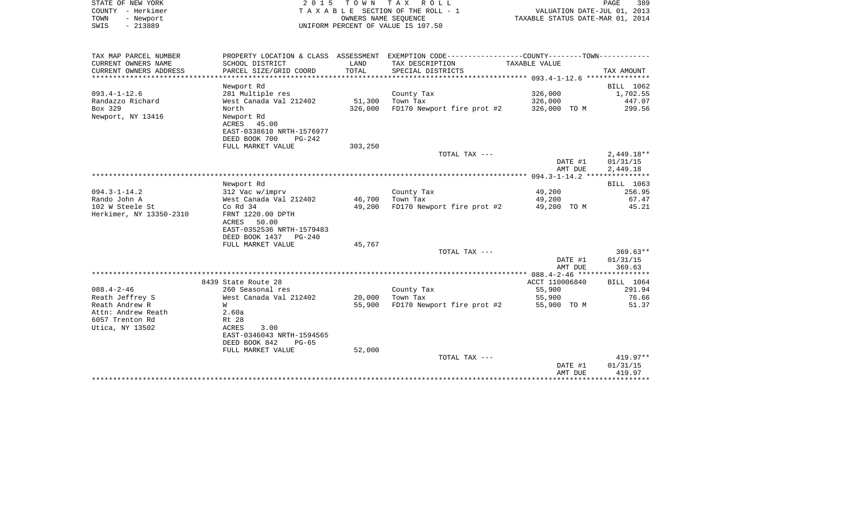| STATE OF NEW YORK      |                                      |       | 2015 TOWN TAX ROLL                 |                                                              | PAGE                        | 389 |
|------------------------|--------------------------------------|-------|------------------------------------|--------------------------------------------------------------|-----------------------------|-----|
| – Herkimer<br>COUNTY   |                                      |       | TAXABLE SECTION OF THE ROLL - 1    |                                                              | VALUATION DATE-JUL 01, 2013 |     |
| TOWN<br>- Newport      |                                      |       | OWNERS NAME SEOUENCE               | TAXABLE STATUS DATE-MAR 01, 2014                             |                             |     |
| SWIS<br>$-213889$      |                                      |       | UNIFORM PERCENT OF VALUE IS 107.50 |                                                              |                             |     |
|                        |                                      |       |                                    |                                                              |                             |     |
|                        |                                      |       |                                    |                                                              |                             |     |
| TAX MAP PARCEL NUMBER  | PROPERTY LOCATION & CLASS ASSESSMENT |       |                                    | EXEMPTION CODE-----------------COUNTY-------TOWN------------ |                             |     |
| CURRENT OWNERS NAME    | SCHOOL DISTRICT                      | LAND  | TAX DESCRIPTION                    | TAXABLE VALUE                                                |                             |     |
|                        |                                      |       |                                    |                                                              |                             |     |
| CURRENT OWNERS ADDRESS | PARCEL SIZE/GRID COORD               | TOTAL | SPECIAL DISTRICTS                  |                                                              | TAX AMOUNT                  |     |
|                        |                                      |       |                                    |                                                              |                             |     |
|                        |                                      |       |                                    |                                                              |                             |     |

|                         | Newport Rd                             |         |                            |                                     | BILL 1062    |
|-------------------------|----------------------------------------|---------|----------------------------|-------------------------------------|--------------|
| $093.4 - 1 - 12.6$      | 281 Multiple res                       |         | County Tax                 | 326,000                             | 1,702.55     |
| Randazzo Richard        | West Canada Val 212402                 | 51,300  | Town Tax                   | 326,000                             | 447.07       |
| Box 329                 | North                                  | 326,000 | FD170 Newport fire prot #2 | 326,000 TO M                        | 299.56       |
| Newport, NY 13416       | Newport Rd                             |         |                            |                                     |              |
|                         | ACRES<br>45.00                         |         |                            |                                     |              |
|                         | EAST-0338610 NRTH-1576977              |         |                            |                                     |              |
|                         | DEED BOOK 700<br>$PG-242$              |         |                            |                                     |              |
|                         | FULL MARKET VALUE                      | 303,250 |                            |                                     |              |
|                         |                                        |         | TOTAL TAX ---              |                                     | $2,449.18**$ |
|                         |                                        |         |                            | DATE #1                             | 01/31/15     |
|                         |                                        |         |                            | AMT DUE                             | 2,449.18     |
|                         |                                        |         |                            |                                     |              |
|                         | Newport Rd                             |         |                            |                                     | BILL 1063    |
| $094.3 - 1 - 14.2$      | 312 Vac w/imprv                        |         | County Tax                 | 49,200                              | 256.95       |
| Rando John A            | West Canada Val 212402                 | 46,700  | Town Tax                   | 49,200                              | 67.47        |
| 102 W Steele St         | Co Rd 34                               | 49,200  | FD170 Newport fire prot #2 | 49,200 TO M                         | 45.21        |
| Herkimer, NY 13350-2310 | FRNT 1220.00 DPTH                      |         |                            |                                     |              |
|                         | ACRES<br>50.00                         |         |                            |                                     |              |
|                         | EAST-0352536 NRTH-1579483              |         |                            |                                     |              |
|                         |                                        |         |                            |                                     |              |
|                         | DEED BOOK 1437 PG-240                  |         |                            |                                     |              |
|                         | FULL MARKET VALUE                      | 45,767  |                            |                                     |              |
|                         |                                        |         | TOTAL TAX ---              |                                     | $369.63**$   |
|                         |                                        |         |                            | DATE #1                             | 01/31/15     |
|                         | ************************************** |         |                            | AMT DUE                             | 369.63       |
|                         |                                        |         |                            | $088.4 - 2 - 46$ ****************** |              |
|                         | 8439 State Route 28                    |         |                            | ACCT 110006840                      | BILL 1064    |
| $088.4 - 2 - 46$        | 260 Seasonal res                       |         | County Tax                 | 55,900                              | 291.94       |
| Reath Jeffrey S         | West Canada Val 212402                 | 20,000  | Town Tax                   | 55,900                              | 76.66        |
| Reath Andrew R          | W                                      | 55,900  | FD170 Newport fire prot #2 | 55,900 TO M                         | 51.37        |
| Attn: Andrew Reath      | 2.60a                                  |         |                            |                                     |              |
| 6057 Trenton Rd         | Rt 28                                  |         |                            |                                     |              |
| Utica, NY 13502         | <b>ACRES</b><br>3.00                   |         |                            |                                     |              |
|                         | EAST-0346043 NRTH-1594565              |         |                            |                                     |              |
|                         | DEED BOOK 842<br>$PG-65$               |         |                            |                                     |              |
|                         | FULL MARKET VALUE                      | 52,000  |                            |                                     |              |
|                         |                                        |         | TOTAL TAX ---              |                                     | $419.97**$   |
|                         |                                        |         |                            | DATE #1                             | 01/31/15     |
|                         |                                        |         |                            | AMT DUE                             | 419.97       |
|                         |                                        |         |                            |                                     |              |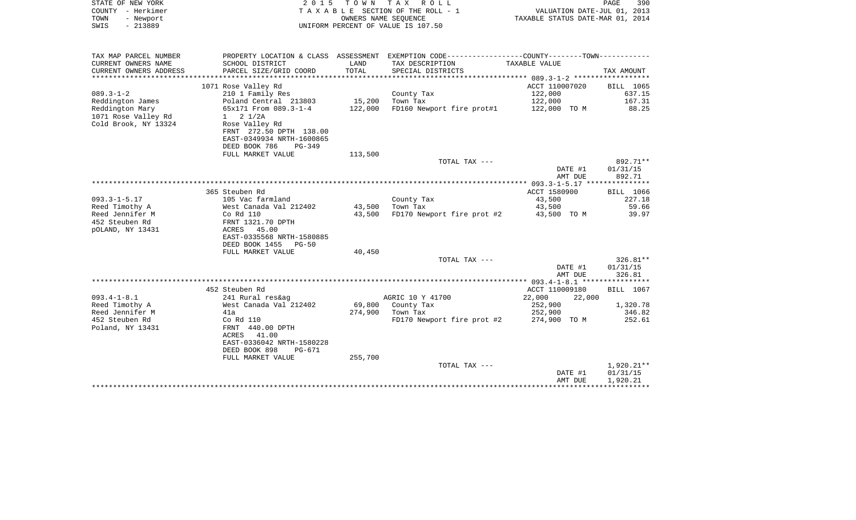|      | STATE OF NEW YORK | 2015 TOWN TAX ROLL                 |                                  | PAGE                        | 390 |
|------|-------------------|------------------------------------|----------------------------------|-----------------------------|-----|
|      | COUNTY - Herkimer | TAXABLE SECTION OF THE ROLL - 1    |                                  | VALUATION DATE-JUL 01, 2013 |     |
| TOWN | - Newport         | OWNERS NAME SEOUENCE               | TAXABLE STATUS DATE-MAR 01, 2014 |                             |     |
| SWIS | - 213889          | UNIFORM PERCENT OF VALUE IS 107.50 |                                  |                             |     |

| TAX MAP PARCEL NUMBER  |                           |         | PROPERTY LOCATION & CLASS ASSESSMENT EXEMPTION CODE---------------COUNTY-------TOWN---------- |                  |            |
|------------------------|---------------------------|---------|-----------------------------------------------------------------------------------------------|------------------|------------|
| CURRENT OWNERS NAME    | SCHOOL DISTRICT           | LAND    | TAX DESCRIPTION                                                                               | TAXABLE VALUE    |            |
| CURRENT OWNERS ADDRESS | PARCEL SIZE/GRID COORD    | TOTAL   | SPECIAL DISTRICTS                                                                             |                  | TAX AMOUNT |
|                        |                           |         |                                                                                               |                  |            |
|                        | 1071 Rose Valley Rd       |         |                                                                                               | ACCT 110007020   | BILL 1065  |
| $089.3 - 1 - 2$        | 210 1 Family Res          |         | County Tax                                                                                    | 122,000          | 637.15     |
| Reddington James       | Poland Central 213803     | 15,200  | Town Tax                                                                                      | 122,000          | 167.31     |
| Reddington Mary        | 65x171 From 089.3-1-4     | 122,000 | FD160 Newport fire prot#1 122,000 TO M                                                        |                  | 88.25      |
| 1071 Rose Valley Rd    | $1 \t2 \t1/2A$            |         |                                                                                               |                  |            |
| Cold Brook, NY 13324   | Rose Valley Rd            |         |                                                                                               |                  |            |
|                        | FRNT 272.50 DPTH 138.00   |         |                                                                                               |                  |            |
|                        |                           |         |                                                                                               |                  |            |
|                        | EAST-0349934 NRTH-1600865 |         |                                                                                               |                  |            |
|                        | DEED BOOK 786<br>$PG-349$ |         |                                                                                               |                  |            |
|                        | FULL MARKET VALUE         | 113,500 |                                                                                               |                  |            |
|                        |                           |         | TOTAL TAX ---                                                                                 |                  | 892.71**   |
|                        |                           |         |                                                                                               | DATE #1          | 01/31/15   |
|                        |                           |         |                                                                                               | AMT DUE          | 892.71     |
|                        |                           |         |                                                                                               |                  |            |
|                        | 365 Steuben Rd            |         |                                                                                               | ACCT 1580900     | BILL 1066  |
| $093.3 - 1 - 5.17$     | 105 Vac farmland          |         | County Tax                                                                                    | 43,500           | 227.18     |
| Reed Timothy A         | West Canada Val 212402    | 43,500  | Town Tax                                                                                      | 43,500           | 59.66      |
| Reed Jennifer M        | Co Rd 110                 | 43,500  | FD170 Newport fire prot #2                                                                    | 43,500 TO M      | 39.97      |
| 452 Steuben Rd         | FRNT 1321.70 DPTH         |         |                                                                                               |                  |            |
| pOLAND, NY 13431       | ACRES 45.00               |         |                                                                                               |                  |            |
|                        | EAST-0335568 NRTH-1580885 |         |                                                                                               |                  |            |
|                        | DEED BOOK 1455 PG-50      |         |                                                                                               |                  |            |
|                        | FULL MARKET VALUE         | 40,450  |                                                                                               |                  |            |
|                        |                           |         | TOTAL TAX ---                                                                                 |                  | $326.81**$ |
|                        |                           |         |                                                                                               | DATE #1          | 01/31/15   |
|                        |                           |         |                                                                                               | AMT DUE          | 326.81     |
|                        |                           |         |                                                                                               |                  |            |
|                        | 452 Steuben Rd            |         |                                                                                               | ACCT 110009180   | BILL 1067  |
| $093.4 - 1 - 8.1$      | 241 Rural res&ag          |         | AGRIC 10 Y 41700                                                                              | 22,000<br>22,000 |            |
| Reed Timothy A         | West Canada Val 212402    |         | 69,800 County Tax                                                                             | 252,900          | 1,320.78   |
| Reed Jennifer M        | 41a                       | 274,900 | Town Tax                                                                                      | 252,900          | 346.82     |
| 452 Steuben Rd         | Co Rd 110                 |         | FD170 Newport fire prot #2 274,900 TO M                                                       |                  | 252.61     |
|                        | FRNT 440.00 DPTH          |         |                                                                                               |                  |            |
| Poland, NY 13431       |                           |         |                                                                                               |                  |            |
|                        | 41.00<br>ACRES            |         |                                                                                               |                  |            |
|                        | EAST-0336042 NRTH-1580228 |         |                                                                                               |                  |            |
|                        | DEED BOOK 898<br>PG-671   |         |                                                                                               |                  |            |
|                        | FULL MARKET VALUE         | 255,700 |                                                                                               |                  |            |
|                        |                           |         | TOTAL TAX ---                                                                                 |                  | 1,920.21** |
|                        |                           |         |                                                                                               | DATE #1          | 01/31/15   |
|                        |                           |         |                                                                                               | AMT DUE          | 1,920.21   |
|                        |                           |         |                                                                                               |                  |            |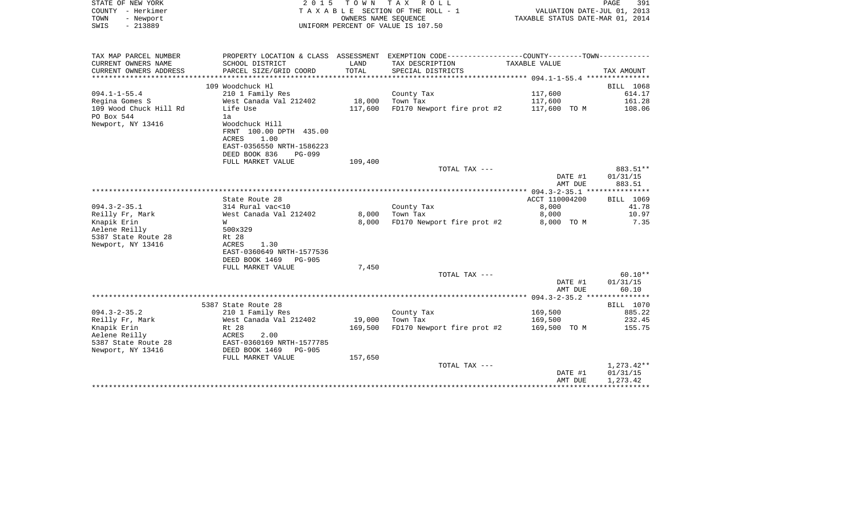| COUNTY - Herkimer<br>- Newport<br>TOWN<br>$-213889$<br>SWIS |                                           |         | TOWN TAX ROLL<br>TAXABLE SECTION OF THE ROLL - 1<br>OWNERS NAME SEQUENCE<br>UNIFORM PERCENT OF VALUE IS 107.50 | VALUATION DATE-JUL 01, 2013<br>TAXABLE STATUS DATE-MAR 01, 2014 |                                                                                                                                                  |
|-------------------------------------------------------------|-------------------------------------------|---------|----------------------------------------------------------------------------------------------------------------|-----------------------------------------------------------------|--------------------------------------------------------------------------------------------------------------------------------------------------|
|                                                             |                                           |         |                                                                                                                |                                                                 |                                                                                                                                                  |
| TAX MAP PARCEL NUMBER                                       |                                           |         | PROPERTY LOCATION & CLASS ASSESSMENT EXEMPTION CODE---------------COUNTY-------TOWN----------                  |                                                                 |                                                                                                                                                  |
| CURRENT OWNERS NAME                                         | SCHOOL DISTRICT                           | LAND    | TAX DESCRIPTION                                                                                                | TAXABLE VALUE                                                   |                                                                                                                                                  |
| CURRENT OWNERS ADDRESS                                      | PARCEL SIZE/GRID COORD                    | TOTAL   | SPECIAL DISTRICTS                                                                                              |                                                                 | TAX AMOUNT                                                                                                                                       |
| ***********************                                     |                                           |         |                                                                                                                |                                                                 |                                                                                                                                                  |
|                                                             | 109 Woodchuck Hl                          |         |                                                                                                                |                                                                 | BILL 1068                                                                                                                                        |
| $094.1 - 1 - 55.4$                                          | 210 1 Family Res                          |         | County Tax                                                                                                     | 117,600                                                         | 614.17                                                                                                                                           |
| Regina Gomes S                                              | West Canada Val 212402                    | 18,000  | Town Tax                                                                                                       | 117,600                                                         | 161.28                                                                                                                                           |
| 109 Wood Chuck Hill Rd                                      | Life Use                                  | 117,600 | FD170 Newport fire prot #2                                                                                     | 117,600 TO M                                                    | 108.06                                                                                                                                           |
| PO Box 544                                                  | la                                        |         |                                                                                                                |                                                                 |                                                                                                                                                  |
| Newport, NY 13416                                           | Woodchuck Hill<br>FRNT 100.00 DPTH 435.00 |         |                                                                                                                |                                                                 |                                                                                                                                                  |
|                                                             | 1.00<br>ACRES                             |         |                                                                                                                |                                                                 |                                                                                                                                                  |
|                                                             | EAST-0356550 NRTH-1586223                 |         |                                                                                                                |                                                                 |                                                                                                                                                  |
|                                                             | DEED BOOK 836<br>$PG-099$                 |         |                                                                                                                |                                                                 |                                                                                                                                                  |
|                                                             | FULL MARKET VALUE                         | 109,400 |                                                                                                                |                                                                 |                                                                                                                                                  |
|                                                             |                                           |         | TOTAL TAX ---                                                                                                  |                                                                 | 883.51**                                                                                                                                         |
|                                                             |                                           |         |                                                                                                                | DATE #1                                                         | 01/31/15                                                                                                                                         |
|                                                             |                                           |         |                                                                                                                | AMT DUE                                                         | 883.51                                                                                                                                           |
|                                                             |                                           |         |                                                                                                                |                                                                 |                                                                                                                                                  |
|                                                             |                                           |         |                                                                                                                |                                                                 |                                                                                                                                                  |
|                                                             | State Route 28                            |         |                                                                                                                | ACCT 110004200                                                  |                                                                                                                                                  |
| $094.3 - 2 - 35.1$                                          | 314 Rural vac<10                          |         | County Tax                                                                                                     | 8,000                                                           |                                                                                                                                                  |
| Reilly Fr, Mark                                             | West Canada Val 212402                    | 8,000   | Town Tax                                                                                                       | 8,000                                                           |                                                                                                                                                  |
| Knapik Erin                                                 | W                                         | 8,000   | FD170 Newport fire prot #2                                                                                     | 8,000 TO M                                                      |                                                                                                                                                  |
| Aelene Reilly                                               | 500x329                                   |         |                                                                                                                |                                                                 |                                                                                                                                                  |
| 5387 State Route 28                                         | Rt 28                                     |         |                                                                                                                |                                                                 |                                                                                                                                                  |
| Newport, NY 13416                                           | ACRES<br>1.30                             |         |                                                                                                                |                                                                 |                                                                                                                                                  |
|                                                             | EAST-0360649 NRTH-1577536                 |         |                                                                                                                |                                                                 |                                                                                                                                                  |
|                                                             | DEED BOOK 1469<br><b>PG-905</b>           |         |                                                                                                                |                                                                 |                                                                                                                                                  |
|                                                             | FULL MARKET VALUE                         | 7,450   |                                                                                                                |                                                                 |                                                                                                                                                  |
|                                                             |                                           |         | TOTAL TAX ---                                                                                                  |                                                                 |                                                                                                                                                  |
|                                                             |                                           |         |                                                                                                                | DATE #1                                                         |                                                                                                                                                  |
|                                                             |                                           |         |                                                                                                                | AMT DUE                                                         |                                                                                                                                                  |
|                                                             | 5387 State Route 28                       |         |                                                                                                                |                                                                 |                                                                                                                                                  |
| $094.3 - 2 - 35.2$                                          | 210 1 Family Res                          |         | County Tax                                                                                                     | 169,500                                                         |                                                                                                                                                  |
| Reilly Fr, Mark                                             | West Canada Val 212402                    | 19,000  | Town Tax                                                                                                       | 169,500                                                         |                                                                                                                                                  |
| Knapik Erin                                                 | Rt 28                                     | 169,500 | FD170 Newport fire prot #2                                                                                     | 169,500 TO M                                                    |                                                                                                                                                  |
| Aelene Reilly                                               | ACRES<br>2.00                             |         |                                                                                                                |                                                                 |                                                                                                                                                  |
| 5387 State Route 28                                         | EAST-0360169 NRTH-1577785                 |         |                                                                                                                |                                                                 |                                                                                                                                                  |
| Newport, NY 13416                                           | DEED BOOK 1469<br>PG-905                  |         |                                                                                                                |                                                                 |                                                                                                                                                  |
|                                                             | FULL MARKET VALUE                         | 157,650 |                                                                                                                |                                                                 |                                                                                                                                                  |
|                                                             |                                           |         | TOTAL TAX ---                                                                                                  |                                                                 |                                                                                                                                                  |
|                                                             |                                           |         |                                                                                                                | DATE #1<br>AMT DUE                                              | BILL 1069<br>41.78<br>10.97<br>$60.10**$<br>01/31/15<br>60.10<br>BILL 1070<br>885.22<br>232.45<br>155.75<br>$1,273.42**$<br>01/31/15<br>1,273.42 |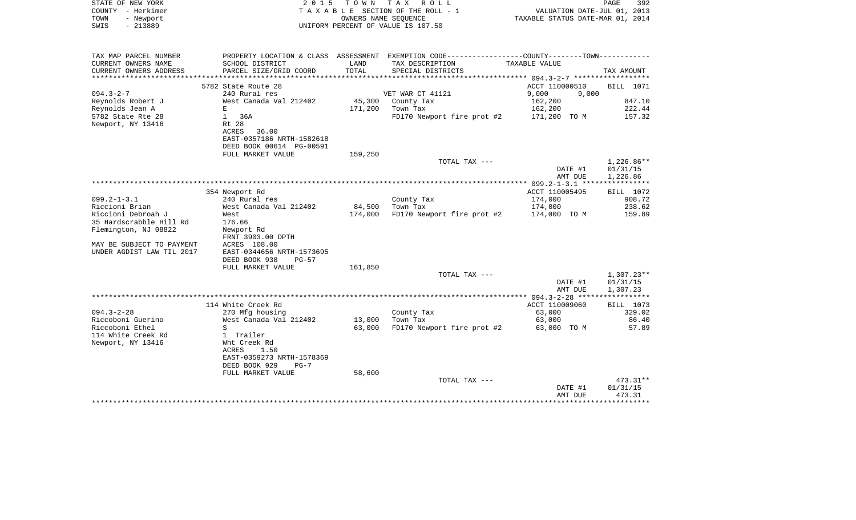|      | STATE OF NEW YORK | 2015 TOWN TAX ROLL                 | 392<br>PAGE                      |
|------|-------------------|------------------------------------|----------------------------------|
|      | COUNTY - Herkimer | TAXABLE SECTION OF THE ROLL - 1    | VALUATION DATE-JUL 01, 2013      |
| TOWN | - Newport         | OWNERS NAME SEOUENCE               | TAXABLE STATUS DATE-MAR 01, 2014 |
| SWIS | - 213889          | UNIFORM PERCENT OF VALUE IS 107.50 |                                  |

| TAX MAP PARCEL NUMBER     |                              |         | PROPERTY LOCATION & CLASS ASSESSMENT EXEMPTION CODE----------------COUNTY-------TOWN--------- |                |              |
|---------------------------|------------------------------|---------|-----------------------------------------------------------------------------------------------|----------------|--------------|
| CURRENT OWNERS NAME       | SCHOOL DISTRICT              | LAND    | TAX DESCRIPTION                                                                               | TAXABLE VALUE  |              |
| CURRENT OWNERS ADDRESS    | PARCEL SIZE/GRID COORD       | TOTAL   | SPECIAL DISTRICTS                                                                             |                | TAX AMOUNT   |
| ************************* | **************************** |         |                                                                                               |                |              |
|                           | 5782 State Route 28          |         |                                                                                               | ACCT 110000510 | BILL 1071    |
| $094.3 - 2 - 7$           | 240 Rural res                |         | VET WAR CT 41121                                                                              | 9,000<br>9,000 |              |
| Reynolds Robert J         | West Canada Val 212402       |         | 45,300 County Tax                                                                             | 162,200        | 847.10       |
| Reynolds Jean A           | E                            | 171,200 | Town Tax                                                                                      | 162,200        | 222.44       |
| 5782 State Rte 28         | 1 36A                        |         |                                                                                               |                | 157.32       |
| Newport, NY 13416         | Rt 28                        |         | FD170 Newport fire prot #2                                                                    | 171,200 TO M   |              |
|                           |                              |         |                                                                                               |                |              |
|                           | ACRES<br>36.00               |         |                                                                                               |                |              |
|                           | EAST-0357186 NRTH-1582618    |         |                                                                                               |                |              |
|                           | DEED BOOK 00614 PG-00591     |         |                                                                                               |                |              |
|                           | FULL MARKET VALUE            | 159,250 |                                                                                               |                |              |
|                           |                              |         | TOTAL TAX ---                                                                                 |                | $1,226.86**$ |
|                           |                              |         |                                                                                               | DATE #1        | 01/31/15     |
|                           |                              |         |                                                                                               | AMT DUE        | 1,226.86     |
|                           |                              |         |                                                                                               |                |              |
|                           | 354 Newport Rd               |         |                                                                                               | ACCT 110005495 | BILL 1072    |
| $099.2 - 1 - 3.1$         | 240 Rural res                |         | County Tax                                                                                    | 174,000        | 908.72       |
| Riccioni Brian            | West Canada Val 212402       | 84,500  | Town Tax                                                                                      | 174,000        | 238.62       |
| Riccioni Debroah J        | West                         | 174,000 | FD170 Newport fire prot #2                                                                    | 174,000 TO M   | 159.89       |
| 35 Hardscrabble Hill Rd   | 176.66                       |         |                                                                                               |                |              |
| Flemington, NJ 08822      | Newport Rd                   |         |                                                                                               |                |              |
|                           | FRNT 3903.00 DPTH            |         |                                                                                               |                |              |
| MAY BE SUBJECT TO PAYMENT | ACRES 108.00                 |         |                                                                                               |                |              |
| UNDER AGDIST LAW TIL 2017 | EAST-0344656 NRTH-1573695    |         |                                                                                               |                |              |
|                           | DEED BOOK 938                |         |                                                                                               |                |              |
|                           | $PG-57$                      |         |                                                                                               |                |              |
|                           | FULL MARKET VALUE            | 161,850 |                                                                                               |                |              |
|                           |                              |         | TOTAL TAX ---                                                                                 |                | $1,307.23**$ |
|                           |                              |         |                                                                                               | DATE #1        | 01/31/15     |
|                           |                              |         |                                                                                               | AMT DUE        | 1,307.23     |
|                           |                              |         |                                                                                               |                |              |
|                           | 114 White Creek Rd           |         |                                                                                               | ACCT 110009060 | BILL 1073    |
| $094.3 - 2 - 28$          | 270 Mfg housing              |         | County Tax                                                                                    | 63,000         | 329.02       |
| Riccoboni Guerino         | West Canada Val 212402       | 13,000  | Town Tax                                                                                      | 63,000         | 86.40        |
| Riccoboni Ethel           | S                            | 63,000  | FD170 Newport fire prot #2                                                                    | 63,000 TO M    | 57.89        |
| 114 White Creek Rd        | 1 Trailer                    |         |                                                                                               |                |              |
| Newport, NY 13416         | Wht Creek Rd                 |         |                                                                                               |                |              |
|                           | ACRES<br>1.50                |         |                                                                                               |                |              |
|                           | EAST-0359273 NRTH-1578369    |         |                                                                                               |                |              |
|                           | DEED BOOK 929<br>$PG-7$      |         |                                                                                               |                |              |
|                           | FULL MARKET VALUE            | 58,600  |                                                                                               |                |              |
|                           |                              |         | TOTAL TAX ---                                                                                 |                | 473.31**     |
|                           |                              |         |                                                                                               | DATE #1        | 01/31/15     |
|                           |                              |         |                                                                                               | AMT DUE        | 473.31       |
|                           |                              |         |                                                                                               |                |              |
|                           |                              |         |                                                                                               |                |              |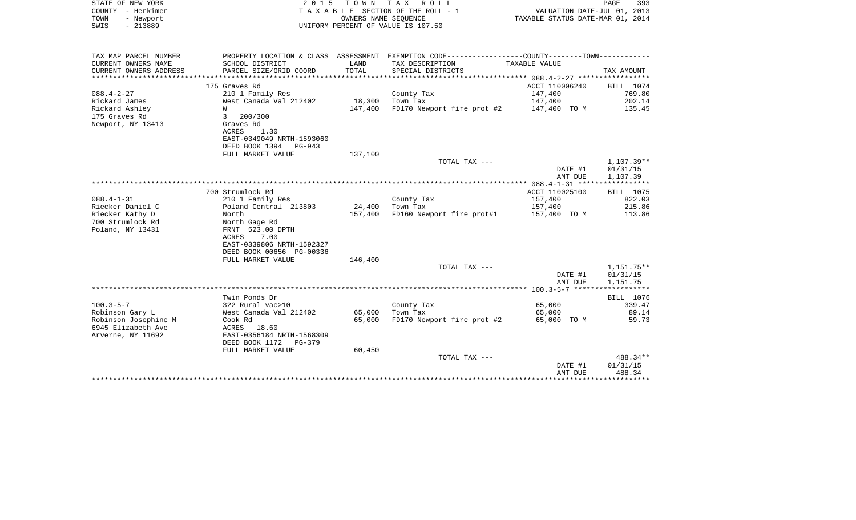| STATE OF NEW YORK<br>COUNTY - Herkimer<br>TOWN<br>- Newport<br>$-213889$<br>SWIS | 2 0 1 5                                                                                               | T O W N                            | TAX ROLL<br>TAXABLE SECTION OF THE ROLL - 1<br>OWNERS NAME SEQUENCE<br>UNIFORM PERCENT OF VALUE IS 107.50 | VALUATION DATE-JUL 01, 2013<br>TAXABLE STATUS DATE-MAR 01, 2014 | PAGE<br>393        |
|----------------------------------------------------------------------------------|-------------------------------------------------------------------------------------------------------|------------------------------------|-----------------------------------------------------------------------------------------------------------|-----------------------------------------------------------------|--------------------|
| TAX MAP PARCEL NUMBER                                                            |                                                                                                       |                                    | PROPERTY LOCATION & CLASS ASSESSMENT EXEMPTION CODE---------------COUNTY-------TOWN----------             |                                                                 |                    |
| CURRENT OWNERS NAME<br>CURRENT OWNERS ADDRESS<br>********************            | SCHOOL DISTRICT<br>PARCEL SIZE/GRID COORD<br>*********************                                    | LAND<br>TOTAL<br>* * * * * * * * * | TAX DESCRIPTION<br>SPECIAL DISTRICTS                                                                      | TAXABLE VALUE                                                   | TAX AMOUNT         |
|                                                                                  | 175 Graves Rd                                                                                         |                                    |                                                                                                           | ACCT 110006240                                                  | BILL 1074          |
| $088.4 - 2 - 27$                                                                 | 210 1 Family Res                                                                                      |                                    | County Tax                                                                                                | 147,400                                                         | 769.80             |
| Rickard James                                                                    | West Canada Val 212402                                                                                | 18,300                             | Town Tax                                                                                                  | 147,400                                                         | 202.14             |
| Rickard Ashley                                                                   | W                                                                                                     | 147,400                            | FD170 Newport fire prot #2                                                                                | 147,400 TO M                                                    | 135.45             |
| 175 Graves Rd<br>Newport, NY 13413                                               | 200/300<br>3<br>Graves Rd<br>ACRES<br>1.30<br>EAST-0349049 NRTH-1593060<br>DEED BOOK 1394<br>$PG-943$ |                                    |                                                                                                           |                                                                 |                    |
|                                                                                  | FULL MARKET VALUE                                                                                     | 137,100                            |                                                                                                           |                                                                 |                    |
|                                                                                  |                                                                                                       |                                    | TOTAL TAX ---                                                                                             |                                                                 | $1,107.39**$       |
|                                                                                  |                                                                                                       |                                    |                                                                                                           | DATE #1                                                         | 01/31/15           |
|                                                                                  |                                                                                                       |                                    |                                                                                                           | AMT DUE                                                         | 1,107.39           |
|                                                                                  |                                                                                                       |                                    |                                                                                                           |                                                                 |                    |
| $088.4 - 1 - 31$                                                                 | 700 Strumlock Rd                                                                                      |                                    |                                                                                                           | ACCT 110025100                                                  | BILL 1075          |
| Riecker Daniel C                                                                 | 210 1 Family Res<br>Poland Central 213803                                                             | 24,400                             | County Tax<br>Town Tax                                                                                    | 157,400<br>157,400                                              | 822.03<br>215.86   |
| Riecker Kathy D                                                                  | North                                                                                                 | 157,400                            | FD160 Newport fire prot#1                                                                                 | 157,400 TO M                                                    | 113.86             |
| 700 Strumlock Rd                                                                 | North Gage Rd                                                                                         |                                    |                                                                                                           |                                                                 |                    |
| Poland, NY 13431                                                                 | FRNT 523.00 DPTH                                                                                      |                                    |                                                                                                           |                                                                 |                    |
|                                                                                  | <b>ACRES</b><br>7.00                                                                                  |                                    |                                                                                                           |                                                                 |                    |
|                                                                                  | EAST-0339806 NRTH-1592327                                                                             |                                    |                                                                                                           |                                                                 |                    |
|                                                                                  | DEED BOOK 00656 PG-00336                                                                              |                                    |                                                                                                           |                                                                 |                    |
|                                                                                  | FULL MARKET VALUE                                                                                     | 146,400                            |                                                                                                           |                                                                 |                    |
|                                                                                  |                                                                                                       |                                    | TOTAL TAX ---                                                                                             |                                                                 | $1,151.75**$       |
|                                                                                  |                                                                                                       |                                    |                                                                                                           | DATE #1                                                         | 01/31/15           |
|                                                                                  |                                                                                                       |                                    |                                                                                                           | AMT DUE                                                         | 1,151.75           |
|                                                                                  | Twin Ponds Dr                                                                                         |                                    |                                                                                                           |                                                                 | BILL 1076          |
| $100.3 - 5 - 7$                                                                  | 322 Rural vac>10                                                                                      |                                    | County Tax                                                                                                | 65,000                                                          | 339.47             |
| Robinson Gary L                                                                  | West Canada Val 212402                                                                                | 65,000                             | Town Tax                                                                                                  | 65,000                                                          | 89.14              |
| Robinson Josephine M                                                             | Cook Rd                                                                                               | 65,000                             | FD170 Newport fire prot #2                                                                                | 65,000 TO M                                                     | 59.73              |
| 6945 Elizabeth Ave                                                               | ACRES 18.60                                                                                           |                                    |                                                                                                           |                                                                 |                    |
| Arverne, NY 11692                                                                | EAST-0356184 NRTH-1568309                                                                             |                                    |                                                                                                           |                                                                 |                    |
|                                                                                  | DEED BOOK 1172<br>$PG-379$                                                                            |                                    |                                                                                                           |                                                                 |                    |
|                                                                                  | FULL MARKET VALUE                                                                                     | 60,450                             |                                                                                                           |                                                                 |                    |
|                                                                                  |                                                                                                       |                                    | TOTAL TAX ---                                                                                             |                                                                 | 488.34**           |
|                                                                                  |                                                                                                       |                                    |                                                                                                           | DATE #1                                                         | 01/31/15           |
|                                                                                  |                                                                                                       |                                    |                                                                                                           | AMT DUE                                                         | 488.34<br>******** |
|                                                                                  |                                                                                                       |                                    |                                                                                                           |                                                                 |                    |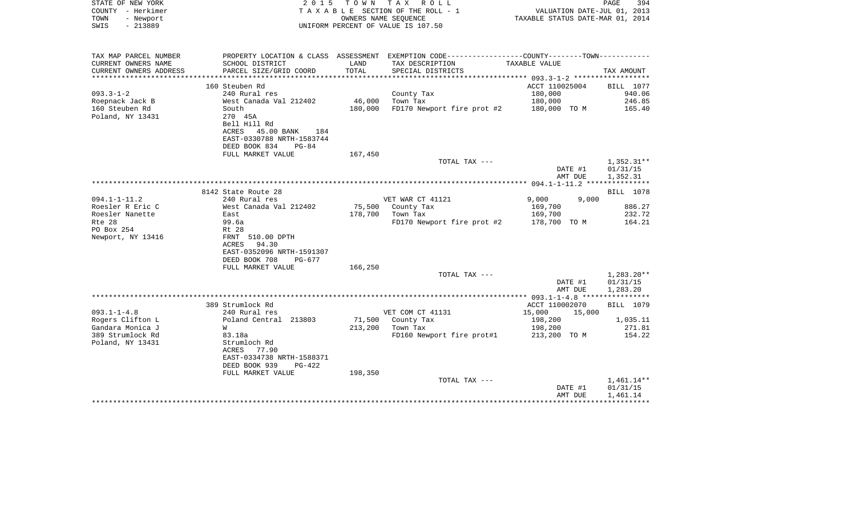| STATE OF NEW YORK<br>COUNTY - Herkimer<br>TOWN<br>- Newport<br>$-213889$<br>SWIS |                                            | OWNERS NAME SEQUENCE | 2015 TOWN TAX ROLL<br>TAXABLE SECTION OF THE ROLL - 1<br>UNIFORM PERCENT OF VALUE IS 107.50   | VALUATION DATE-JUL 01, 2013<br>TAXABLE STATUS DATE-MAR 01, 2014 | <b>PAGE</b><br>394 |
|----------------------------------------------------------------------------------|--------------------------------------------|----------------------|-----------------------------------------------------------------------------------------------|-----------------------------------------------------------------|--------------------|
|                                                                                  |                                            |                      |                                                                                               |                                                                 |                    |
| TAX MAP PARCEL NUMBER                                                            |                                            |                      | PROPERTY LOCATION & CLASS ASSESSMENT EXEMPTION CODE---------------COUNTY-------TOWN---------- |                                                                 |                    |
| CURRENT OWNERS NAME<br>CURRENT OWNERS ADDRESS                                    | SCHOOL DISTRICT<br>PARCEL SIZE/GRID COORD  | LAND<br>TOTAL        | TAX DESCRIPTION<br>SPECIAL DISTRICTS                                                          | TAXABLE VALUE                                                   | TAX AMOUNT         |
|                                                                                  | 160 Steuben Rd                             |                      |                                                                                               | ACCT 110025004                                                  | BILL 1077          |
| $093.3 - 1 - 2$                                                                  | 240 Rural res                              |                      | County Tax                                                                                    | 180,000                                                         | 940.06             |
| Roepnack Jack B                                                                  | West Canada Val 212402                     | 46,000               | Town Tax                                                                                      | 180,000                                                         | 246.85             |
| 160 Steuben Rd                                                                   | South                                      | 180,000              | FD170 Newport fire prot #2 180,000 TO M                                                       |                                                                 | 165.40             |
| Poland, NY 13431                                                                 | 270 45A                                    |                      |                                                                                               |                                                                 |                    |
|                                                                                  | Bell Hill Rd                               |                      |                                                                                               |                                                                 |                    |
|                                                                                  | ACRES 45.00 BANK<br>184                    |                      |                                                                                               |                                                                 |                    |
|                                                                                  | EAST-0330788 NRTH-1583744<br>DEED BOOK 834 |                      |                                                                                               |                                                                 |                    |
|                                                                                  | PG-84<br>FULL MARKET VALUE                 | 167,450              |                                                                                               |                                                                 |                    |
|                                                                                  |                                            |                      | TOTAL TAX ---                                                                                 |                                                                 | 1,352.31**         |
|                                                                                  |                                            |                      |                                                                                               | DATE #1                                                         | 01/31/15           |
|                                                                                  |                                            |                      |                                                                                               | AMT DUE                                                         | 1,352.31           |
|                                                                                  |                                            |                      |                                                                                               |                                                                 |                    |
|                                                                                  | 8142 State Route 28                        |                      |                                                                                               |                                                                 | <b>BILL</b> 1078   |
| $094.1 - 1 - 11.2$                                                               | 240 Rural res                              |                      | VET WAR CT 41121                                                                              | $9,000$ $9,000$                                                 |                    |
| Roesler R Eric C                                                                 | West Canada Val 212402                     |                      | 75,500 County Tax                                                                             | 169,700                                                         | 886.27             |
| Roesler Nanette                                                                  | East                                       | 178,700              | Town Tax<br>FD170 Newport fire prot #2 178,700 TO M                                           | 169,700                                                         | 232.72             |
| Rte 28<br>PO Box 254                                                             | 99.6a<br>Rt 28                             |                      |                                                                                               |                                                                 | 164.21             |
| Newport, NY 13416                                                                | FRNT 510.00 DPTH                           |                      |                                                                                               |                                                                 |                    |
|                                                                                  | 94.30<br>ACRES                             |                      |                                                                                               |                                                                 |                    |
|                                                                                  | EAST-0352096 NRTH-1591307                  |                      |                                                                                               |                                                                 |                    |
|                                                                                  | DEED BOOK 708<br>PG-677                    |                      |                                                                                               |                                                                 |                    |
|                                                                                  | FULL MARKET VALUE                          | 166,250              |                                                                                               |                                                                 |                    |
|                                                                                  |                                            |                      | TOTAL TAX ---                                                                                 |                                                                 | $1,283.20**$       |
|                                                                                  |                                            |                      |                                                                                               | DATE #1                                                         | 01/31/15           |
|                                                                                  |                                            |                      |                                                                                               | AMT DUE                                                         | 1,283.20           |

|                   | 389 Strumlock Rd          |         |                           | ACCT 110002070   | BILL 1079    |
|-------------------|---------------------------|---------|---------------------------|------------------|--------------|
| $093.1 - 1 - 4.8$ | 240 Rural res             |         | VET COM CT 41131          | 15,000<br>15,000 |              |
| Rogers Clifton L  | Poland Central<br>213803  | 71,500  | County Tax                | 198,200          | 1,035.11     |
| Gandara Monica J  | W                         | 213,200 | Town Tax                  | 198,200          | 271.81       |
| 389 Strumlock Rd  | 83.18a                    |         | FD160 Newport fire prot#1 | 213,200<br>TO M  | 154.22       |
| Poland, NY 13431  | Strumloch Rd              |         |                           |                  |              |
|                   | 77.90<br>ACRES            |         |                           |                  |              |
|                   | EAST-0334738 NRTH-1588371 |         |                           |                  |              |
|                   | DEED BOOK 939<br>PG-422   |         |                           |                  |              |
|                   | FULL MARKET VALUE         | 198,350 |                           |                  |              |
|                   |                           |         | TOTAL TAX ---             |                  | $1.461.14**$ |
|                   |                           |         |                           | DATE #1          | 01/31/15     |
|                   |                           |         |                           | AMT DUE          | 1,461.14     |
|                   |                           |         |                           |                  |              |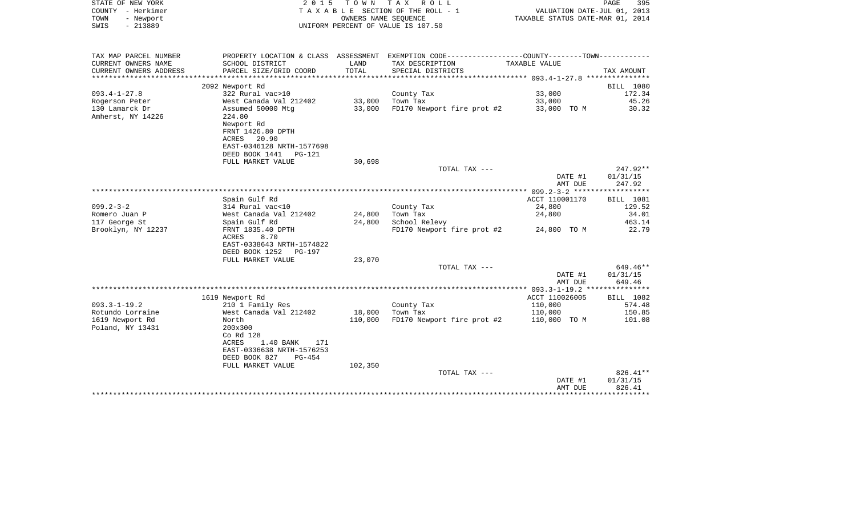|      | STATE OF NEW YORK | 2015 TOWN TAX ROLL                 | 395<br>PAGE                      |
|------|-------------------|------------------------------------|----------------------------------|
|      | COUNTY - Herkimer | TAXABLE SECTION OF THE ROLL - 1    | VALUATION DATE-JUL 01, 2013      |
| TOWN | - Newport         | OWNERS NAME SEOUENCE               | TAXABLE STATUS DATE-MAR 01, 2014 |
| SWIS | $-213889$         | UNIFORM PERCENT OF VALUE IS 107.50 |                                  |

| TAX MAP PARCEL NUMBER  | PROPERTY LOCATION & CLASS ASSESSMENT |         |                            |                              |                  |
|------------------------|--------------------------------------|---------|----------------------------|------------------------------|------------------|
| CURRENT OWNERS NAME    | SCHOOL DISTRICT                      | LAND    | TAX DESCRIPTION            | TAXABLE VALUE                |                  |
| CURRENT OWNERS ADDRESS | PARCEL SIZE/GRID COORD               | TOTAL   | SPECIAL DISTRICTS          |                              | TAX AMOUNT       |
| *******************    | ************************             |         |                            |                              |                  |
|                        | 2092 Newport Rd                      |         |                            |                              | <b>BILL 1080</b> |
| $093.4 - 1 - 27.8$     | 322 Rural vac>10                     |         | County Tax                 | 33,000                       | 172.34           |
| Rogerson Peter         | West Canada Val 212402               | 33,000  | Town Tax                   | 33,000                       | 45.26            |
| 130 Lamarck Dr         | Assumed 50000 Mtg                    | 33,000  | FD170 Newport fire prot #2 | 33,000 TO M                  | 30.32            |
| Amherst, NY 14226      | 224.80                               |         |                            |                              |                  |
|                        | Newport Rd                           |         |                            |                              |                  |
|                        | FRNT 1426.80 DPTH                    |         |                            |                              |                  |
|                        | ACRES 20.90                          |         |                            |                              |                  |
|                        | EAST-0346128 NRTH-1577698            |         |                            |                              |                  |
|                        | DEED BOOK 1441<br>PG-121             |         |                            |                              |                  |
|                        |                                      |         |                            |                              |                  |
|                        | FULL MARKET VALUE                    | 30,698  |                            |                              |                  |
|                        |                                      |         | TOTAL TAX ---              |                              | 247.92**         |
|                        |                                      |         |                            | DATE #1                      | 01/31/15         |
|                        |                                      |         |                            | AMT DUE                      | 247.92           |
|                        |                                      |         |                            |                              |                  |
|                        | Spain Gulf Rd                        |         |                            | ACCT 110001170               | BILL 1081        |
| $099.2 - 3 - 2$        | 314 Rural vac<10                     |         | County Tax                 | 24,800                       | 129.52           |
| Romero Juan P          | West Canada Val 212402               | 24,800  | Town Tax                   | 24,800                       | 34.01            |
| 117 George St          | Spain Gulf Rd                        | 24,800  | School Relevy              |                              | 463.14           |
| Brooklyn, NY 12237     | FRNT 1835.40 DPTH                    |         | FD170 Newport fire prot #2 | 24,800 TO M                  | 22.79            |
|                        | ACRES<br>8.70                        |         |                            |                              |                  |
|                        | EAST-0338643 NRTH-1574822            |         |                            |                              |                  |
|                        | DEED BOOK 1252<br>PG-197             |         |                            |                              |                  |
|                        | FULL MARKET VALUE                    | 23,070  |                            |                              |                  |
|                        |                                      |         | TOTAL TAX ---              |                              | 649.46**         |
|                        |                                      |         |                            | DATE #1                      | 01/31/15         |
|                        |                                      |         |                            | AMT DUE                      | 649.46           |
|                        |                                      |         |                            |                              |                  |
|                        | 1619 Newport Rd                      |         |                            | ACCT 110026005               | BILL 1082        |
| $093.3 - 1 - 19.2$     | 210 1 Family Res                     |         | County Tax                 | 110,000                      | 574.48           |
| Rotundo Lorraine       | West Canada Val 212402               | 18,000  | Town Tax                   | 110,000                      | 150.85           |
| 1619 Newport Rd        | North                                | 110,000 | FD170 Newport fire prot #2 | 110,000 TO M                 | 101.08           |
| Poland, NY 13431       | 200x300                              |         |                            |                              |                  |
|                        | Co Rd 128                            |         |                            |                              |                  |
|                        | ACRES<br>1.40 BANK<br>171            |         |                            |                              |                  |
|                        | EAST-0336638 NRTH-1576253            |         |                            |                              |                  |
|                        | DEED BOOK 827<br>$PG-454$            |         |                            |                              |                  |
|                        | FULL MARKET VALUE                    | 102,350 |                            |                              |                  |
|                        |                                      |         | TOTAL TAX ---              |                              | $826.41**$       |
|                        |                                      |         |                            | DATE #1                      | 01/31/15         |
|                        |                                      |         |                            | AMT DUE                      | 826.41           |
|                        |                                      |         |                            | **************************** |                  |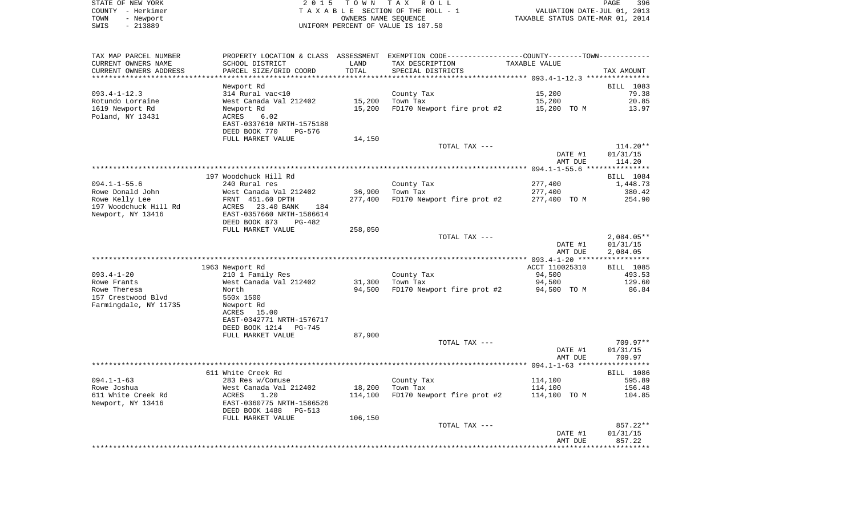| STATE OF NEW YORK | 2015 TOWN TAX ROLL                 | 396<br>PAGE                      |
|-------------------|------------------------------------|----------------------------------|
| COUNTY - Herkimer | TAXABLE SECTION OF THE ROLL - 1    | VALUATION DATE-JUL 01, 2013      |
| TOWN<br>- Newport | OWNERS NAME SEOUENCE               | TAXABLE STATUS DATE-MAR 01, 2014 |
| $-213889$<br>SWIS | UNIFORM PERCENT OF VALUE IS 107.50 |                                  |

| TAX MAP PARCEL NUMBER              |                                                  |                   | PROPERTY LOCATION & CLASS ASSESSMENT EXEMPTION CODE----------------COUNTY-------TOWN---------- |                         |                  |
|------------------------------------|--------------------------------------------------|-------------------|------------------------------------------------------------------------------------------------|-------------------------|------------------|
| CURRENT OWNERS NAME                | SCHOOL DISTRICT                                  | LAND              | TAX DESCRIPTION                                                                                | TAXABLE VALUE           |                  |
| CURRENT OWNERS ADDRESS             | PARCEL SIZE/GRID COORD                           | TOTAL             | SPECIAL DISTRICTS                                                                              |                         | TAX AMOUNT       |
|                                    |                                                  |                   |                                                                                                |                         |                  |
|                                    | Newport Rd                                       |                   |                                                                                                |                         | BILL 1083        |
| $093.4 - 1 - 12.3$                 | 314 Rural vac<10                                 |                   | County Tax                                                                                     | 15,200                  | 79.38            |
| Rotundo Lorraine                   | West Canada Val 212402                           | 15,200            | Town Tax                                                                                       | 15,200                  | 20.85            |
| 1619 Newport Rd                    | Newport Rd                                       | 15,200            | FD170 Newport fire prot #2                                                                     | 15,200 TO M             | 13.97            |
| Poland, NY 13431                   | ACRES<br>6.02                                    |                   |                                                                                                |                         |                  |
|                                    | EAST-0337610 NRTH-1575188                        |                   |                                                                                                |                         |                  |
|                                    | DEED BOOK 770<br>PG-576                          |                   |                                                                                                |                         |                  |
|                                    | FULL MARKET VALUE                                | 14,150            |                                                                                                |                         |                  |
|                                    |                                                  |                   | TOTAL TAX ---                                                                                  |                         | 114.20**         |
|                                    |                                                  |                   |                                                                                                | DATE #1                 | 01/31/15         |
|                                    |                                                  |                   |                                                                                                | AMT DUE                 | 114.20           |
|                                    |                                                  |                   |                                                                                                |                         |                  |
|                                    | 197 Woodchuck Hill Rd                            |                   |                                                                                                |                         | BILL 1084        |
| $094.1 - 1 - 55.6$                 | 240 Rural res                                    |                   | County Tax                                                                                     | 277,400                 | 1,448.73         |
| Rowe Donald John<br>Rowe Kelly Lee | West Canada Val 212402<br>FRNT 451.60 DPTH       | 36,900<br>277,400 | Town Tax<br>FD170 Newport fire prot #2                                                         | 277,400<br>277,400 TO M | 380.42<br>254.90 |
| 197 Woodchuck Hill Rd              | 184                                              |                   |                                                                                                |                         |                  |
| Newport, NY 13416                  | ACRES<br>23.40 BANK<br>EAST-0357660 NRTH-1586614 |                   |                                                                                                |                         |                  |
|                                    | DEED BOOK 873<br>$PG-482$                        |                   |                                                                                                |                         |                  |
|                                    | FULL MARKET VALUE                                | 258,050           |                                                                                                |                         |                  |
|                                    |                                                  |                   | TOTAL TAX ---                                                                                  |                         | $2,084.05**$     |
|                                    |                                                  |                   |                                                                                                | DATE #1                 | 01/31/15         |
|                                    |                                                  |                   |                                                                                                | AMT DUE                 | 2,084.05         |
|                                    |                                                  |                   |                                                                                                |                         |                  |
|                                    | 1963 Newport Rd                                  |                   |                                                                                                | ACCT 110025310          | BILL 1085        |
| $093.4 - 1 - 20$                   | 210 1 Family Res                                 |                   | County Tax                                                                                     | 94,500                  | 493.53           |
| Rowe Frants                        | West Canada Val 212402                           | 31,300            | Town Tax                                                                                       | 94,500                  | 129.60           |
| Rowe Theresa                       | North                                            | 94,500            | FD170 Newport fire prot #2                                                                     | 94,500 TO M             | 86.84            |
| 157 Crestwood Blvd                 | 550x 1500                                        |                   |                                                                                                |                         |                  |
| Farmingdale, NY 11735              | Newport Rd                                       |                   |                                                                                                |                         |                  |
|                                    | 15.00<br>ACRES                                   |                   |                                                                                                |                         |                  |
|                                    | EAST-0342771 NRTH-1576717                        |                   |                                                                                                |                         |                  |
|                                    | DEED BOOK 1214<br>PG-745                         |                   |                                                                                                |                         |                  |
|                                    | FULL MARKET VALUE                                | 87,900            |                                                                                                |                         |                  |
|                                    |                                                  |                   | TOTAL TAX ---                                                                                  |                         | 709.97**         |
|                                    |                                                  |                   |                                                                                                | DATE #1                 | 01/31/15         |
|                                    |                                                  |                   |                                                                                                | AMT DUE                 | 709.97           |
|                                    |                                                  |                   |                                                                                                |                         |                  |
|                                    | 611 White Creek Rd                               |                   |                                                                                                |                         | BILL 1086        |
| $094.1 - 1 - 63$<br>Rowe Joshua    | 283 Res w/Comuse                                 | 18,200            | County Tax<br>Town Tax                                                                         | 114,100<br>114,100      | 595.89<br>156.48 |
| 611 White Creek Rd                 | West Canada Val 212402<br>1.20<br>ACRES          | 114,100           | FD170 Newport fire prot #2                                                                     | 114,100 TO M            | 104.85           |
| Newport, NY 13416                  | EAST-0360775 NRTH-1586526                        |                   |                                                                                                |                         |                  |
|                                    | DEED BOOK 1488<br>PG-513                         |                   |                                                                                                |                         |                  |
|                                    | FULL MARKET VALUE                                | 106,150           |                                                                                                |                         |                  |
|                                    |                                                  |                   | TOTAL TAX ---                                                                                  |                         | 857.22**         |
|                                    |                                                  |                   |                                                                                                | DATE #1                 | 01/31/15         |
|                                    |                                                  |                   |                                                                                                | AMT DUE                 | 857.22           |
|                                    |                                                  |                   |                                                                                                |                         |                  |
|                                    |                                                  |                   |                                                                                                |                         |                  |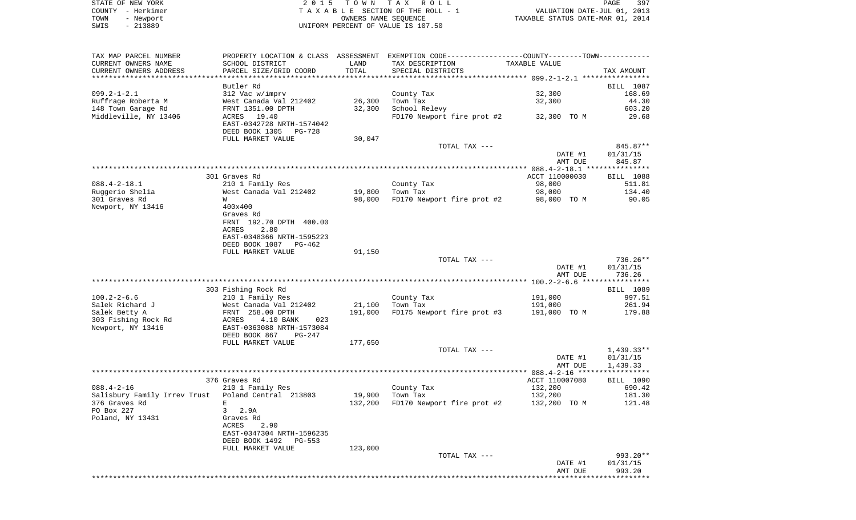| STATE OF NEW YORK |                   | 2015 TOWN TAX ROLL                 | 397<br>PAGE                      |
|-------------------|-------------------|------------------------------------|----------------------------------|
|                   | COUNTY - Herkimer | TAXABLE SECTION OF THE ROLL - 1    | VALUATION DATE-JUL 01, 2013      |
| TOWN              | - Newport         | OWNERS NAME SEOUENCE               | TAXABLE STATUS DATE-MAR 01, 2014 |
| SWIS              | - 213889          | UNIFORM PERCENT OF VALUE IS 107.50 |                                  |

| TAX MAP PARCEL NUMBER<br>CURRENT OWNERS NAME | PROPERTY LOCATION & CLASS ASSESSMENT EXEMPTION CODE----------------COUNTY--------TOWN----------<br>SCHOOL DISTRICT | LAND             | TAX DESCRIPTION            | TAXABLE VALUE  |                  |
|----------------------------------------------|--------------------------------------------------------------------------------------------------------------------|------------------|----------------------------|----------------|------------------|
| CURRENT OWNERS ADDRESS                       | PARCEL SIZE/GRID COORD                                                                                             | TOTAL            | SPECIAL DISTRICTS          |                | TAX AMOUNT       |
|                                              | Butler Rd                                                                                                          |                  |                            |                | BILL 1087        |
| $099.2 - 1 - 2.1$                            | 312 Vac w/imprv                                                                                                    |                  | County Tax                 | 32,300         | 168.69           |
| Ruffrage Roberta M                           | West Canada Val 212402                                                                                             | 26,300           | Town Tax                   | 32,300         | 44.30            |
| 148 Town Garage Rd                           | FRNT 1351.00 DPTH                                                                                                  | 32,300           | School Relevy              |                | 603.20           |
| Middleville, NY 13406                        | ACRES<br>19.40                                                                                                     |                  | FD170 Newport fire prot #2 | 32,300 TO M    | 29.68            |
|                                              | EAST-0342728 NRTH-1574042                                                                                          |                  |                            |                |                  |
|                                              | DEED BOOK 1305<br>PG-728                                                                                           |                  |                            |                |                  |
|                                              | FULL MARKET VALUE                                                                                                  | 30,047           |                            |                |                  |
|                                              |                                                                                                                    |                  | TOTAL TAX ---              |                | 845.87**         |
|                                              |                                                                                                                    |                  |                            | DATE #1        | 01/31/15         |
|                                              |                                                                                                                    |                  |                            | AMT DUE        | 845.87           |
|                                              |                                                                                                                    |                  |                            |                |                  |
|                                              | 301 Graves Rd                                                                                                      |                  |                            | ACCT 110000030 | BILL 1088        |
| $088.4 - 2 - 18.1$                           | 210 1 Family Res                                                                                                   |                  | County Tax<br>Town Tax     | 98,000         | 511.81<br>134.40 |
| Ruggerio Shelia<br>301 Graves Rd             | West Canada Val 212402<br>W                                                                                        | 19,800<br>98,000 | FD170 Newport fire prot #2 | 98,000         | 90.05            |
| Newport, NY 13416                            | 400x400                                                                                                            |                  |                            | 98,000 TO M    |                  |
|                                              | Graves Rd                                                                                                          |                  |                            |                |                  |
|                                              | FRNT 192.70 DPTH 400.00                                                                                            |                  |                            |                |                  |
|                                              | ACRES<br>2.80                                                                                                      |                  |                            |                |                  |
|                                              | EAST-0348366 NRTH-1595223                                                                                          |                  |                            |                |                  |
|                                              | DEED BOOK 1087<br>PG-462                                                                                           |                  |                            |                |                  |
|                                              | FULL MARKET VALUE                                                                                                  | 91,150           |                            |                |                  |
|                                              |                                                                                                                    |                  | TOTAL TAX ---              |                | 736.26**         |
|                                              |                                                                                                                    |                  |                            | DATE #1        | 01/31/15         |
|                                              |                                                                                                                    |                  |                            | AMT DUE        | 736.26           |
|                                              |                                                                                                                    |                  |                            |                |                  |
|                                              | 303 Fishing Rock Rd                                                                                                |                  |                            |                | BILL 1089        |
| $100.2 - 2 - 6.6$                            | 210 1 Family Res                                                                                                   |                  | County Tax                 | 191,000        | 997.51           |
| Salek Richard J                              | West Canada Val 212402                                                                                             | 21,100           | Town Tax                   | 191,000        | 261.94           |
| Salek Betty A                                | FRNT 258.00 DPTH                                                                                                   | 191,000          | FD175 Newport fire prot #3 | 191,000 TO M   | 179.88           |
| 303 Fishing Rock Rd                          | ACRES<br>4.10 BANK<br>023                                                                                          |                  |                            |                |                  |
| Newport, NY 13416                            | EAST-0363088 NRTH-1573084                                                                                          |                  |                            |                |                  |
|                                              | DEED BOOK 867<br>PG-247                                                                                            |                  |                            |                |                  |
|                                              | FULL MARKET VALUE                                                                                                  | 177,650          |                            |                |                  |
|                                              |                                                                                                                    |                  | TOTAL TAX ---              |                | $1,439.33**$     |
|                                              |                                                                                                                    |                  |                            | DATE #1        | 01/31/15         |
|                                              |                                                                                                                    |                  |                            | AMT DUE        | 1,439.33         |
|                                              |                                                                                                                    |                  |                            |                | ***********      |
|                                              | 376 Graves Rd                                                                                                      |                  |                            | ACCT 110007080 | BILL 1090        |
| $088.4 - 2 - 16$                             | 210 1 Family Res                                                                                                   |                  | County Tax                 | 132,200        | 690.42           |
| Salisbury Family Irrev Trust                 | Poland Central 213803                                                                                              | 19,900           | Town Tax                   | 132,200        | 181.30           |
| 376 Graves Rd                                | $\mathbf E$                                                                                                        | 132,200          | FD170 Newport fire prot #2 | 132,200 TO M   | 121.48           |
| PO Box 227                                   | $\mathbf{3}$<br>2.9A                                                                                               |                  |                            |                |                  |
| Poland, NY 13431                             | Graves Rd<br>2.90<br>ACRES                                                                                         |                  |                            |                |                  |
|                                              | EAST-0347304 NRTH-1596235                                                                                          |                  |                            |                |                  |
|                                              | DEED BOOK 1492<br>PG-553                                                                                           |                  |                            |                |                  |
|                                              | FULL MARKET VALUE                                                                                                  | 123,000          |                            |                |                  |
|                                              |                                                                                                                    |                  | TOTAL TAX ---              |                | 993.20**         |
|                                              |                                                                                                                    |                  |                            | DATE #1        | 01/31/15         |
|                                              |                                                                                                                    |                  |                            | AMT DUE        | 993.20           |
|                                              |                                                                                                                    |                  |                            |                |                  |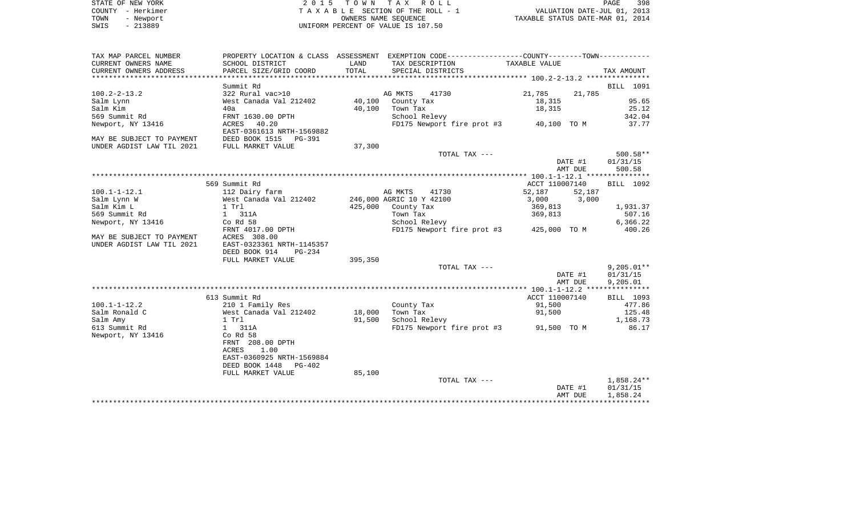| STATE OF NEW YORK |           | 2015 TOWN TAX ROLL                 | PAGE                             | 398 |
|-------------------|-----------|------------------------------------|----------------------------------|-----|
| COUNTY - Herkimer |           | TAXABLE SECTION OF THE ROLL - 1    | VALUATION DATE-JUL 01, 2013      |     |
| TOWN              | - Newport | OWNERS NAME SEOUENCE               | TAXABLE STATUS DATE-MAR 01, 2014 |     |
| SWIS              | - 213889  | UNIFORM PERCENT OF VALUE IS 107.50 |                                  |     |

| TAX MAP PARCEL NUMBER     |                                   |                  | PROPERTY LOCATION & CLASS ASSESSMENT EXEMPTION CODE---------------COUNTY-------TOWN--------- |                  |                  |
|---------------------------|-----------------------------------|------------------|----------------------------------------------------------------------------------------------|------------------|------------------|
| CURRENT OWNERS NAME       | SCHOOL DISTRICT                   | LAND             | TAX DESCRIPTION                                                                              | TAXABLE VALUE    |                  |
| CURRENT OWNERS ADDRESS    | PARCEL SIZE/GRID COORD            | TOTAL            | SPECIAL DISTRICTS                                                                            |                  | TAX AMOUNT       |
| ******************        |                                   |                  |                                                                                              |                  |                  |
|                           | Summit Rd                         |                  |                                                                                              |                  | BILL 1091        |
| $100.2 - 2 - 13.2$        | 322 Rural vac>10                  |                  | AG MKTS<br>41730                                                                             | 21,785<br>21,785 |                  |
| Salm Lynn                 | West Canada Val 212402            | 40,100           | County Tax                                                                                   | 18,315           | 95.65            |
| Salm Kim                  | 40a                               | 40,100           | Town Tax                                                                                     | 18,315           | 25.12            |
| 569 Summit Rd             | FRNT 1630.00 DPTH                 |                  | School Relevy                                                                                |                  | 342.04           |
| Newport, NY 13416         | ACRES<br>40.20                    |                  | FD175 Newport fire prot #3                                                                   | 40,100 TO M      | 37.77            |
|                           | EAST-0361613 NRTH-1569882         |                  |                                                                                              |                  |                  |
| MAY BE SUBJECT TO PAYMENT | DEED BOOK 1515<br>PG-391          |                  |                                                                                              |                  |                  |
| UNDER AGDIST LAW TIL 2021 | FULL MARKET VALUE                 | 37,300           |                                                                                              |                  |                  |
|                           |                                   |                  | TOTAL TAX ---                                                                                |                  | 500.58**         |
|                           |                                   |                  |                                                                                              | DATE #1          | 01/31/15         |
|                           |                                   |                  |                                                                                              | AMT DUE          | 500.58           |
|                           |                                   |                  |                                                                                              |                  |                  |
|                           | 569 Summit Rd                     |                  |                                                                                              | ACCT 110007140   | BILL 1092        |
| $100.1 - 1 - 12.1$        | 112 Dairy farm                    |                  | AG MKTS<br>41730                                                                             | 52,187<br>52,187 |                  |
| Salm Lynn W               | West Canada Val 212402            |                  | 246,000 AGRIC 10 Y 42100                                                                     | 3,000<br>3,000   |                  |
| Salm Kim L                | $1$ Trl                           | 425,000          | County Tax                                                                                   | 369,813          | 1,931.37         |
| 569 Summit Rd             | 1 311A                            |                  | Town Tax                                                                                     | 369,813          | 507.16           |
| Newport, NY 13416         | Co Rd 58                          |                  | School Relevy                                                                                |                  | 6,366.22         |
|                           | FRNT 4017.00 DPTH                 |                  | FD175 Newport fire prot #3                                                                   | 425,000 TO M     | 400.26           |
| MAY BE SUBJECT TO PAYMENT | ACRES 308.00                      |                  |                                                                                              |                  |                  |
| UNDER AGDIST LAW TIL 2021 | EAST-0323361 NRTH-1145357         |                  |                                                                                              |                  |                  |
|                           | DEED BOOK 914<br>PG-234           |                  |                                                                                              |                  |                  |
|                           | FULL MARKET VALUE                 | 395,350          |                                                                                              |                  |                  |
|                           |                                   |                  | TOTAL TAX ---                                                                                |                  | $9,205.01**$     |
|                           |                                   |                  |                                                                                              | DATE #1          | 01/31/15         |
|                           |                                   |                  |                                                                                              | AMT DUE          | 9,205.01         |
|                           | 613 Summit Rd                     |                  |                                                                                              |                  |                  |
|                           |                                   |                  |                                                                                              | ACCT 110007140   | BILL 1093        |
| $100.1 - 1 - 12.2$        | 210 1 Family Res                  |                  | County Tax<br>Town Tax                                                                       | 91,500           | 477.86<br>125.48 |
| Salm Ronald C<br>Salm Amy | West Canada Val 212402<br>$1$ Trl | 18,000<br>91,500 | School Relevy                                                                                | 91,500           | 1,168.73         |
|                           |                                   |                  |                                                                                              |                  |                  |
| 613 Summit Rd             | 1 311A                            |                  | FD175 Newport fire prot #3 91,500 TO M                                                       |                  | 86.17            |
| Newport, NY 13416         | Co Rd 58<br>FRNT 208.00 DPTH      |                  |                                                                                              |                  |                  |
|                           | 1.00<br>ACRES                     |                  |                                                                                              |                  |                  |
|                           |                                   |                  |                                                                                              |                  |                  |
|                           | EAST-0360925 NRTH-1569884         |                  |                                                                                              |                  |                  |
|                           | DEED BOOK 1448<br>PG-402          |                  |                                                                                              |                  |                  |
|                           | FULL MARKET VALUE                 | 85,100           |                                                                                              |                  |                  |
|                           |                                   |                  | TOTAL TAX ---                                                                                |                  | 1,858.24**       |
|                           |                                   |                  |                                                                                              | DATE #1          | 01/31/15         |
|                           |                                   |                  |                                                                                              | AMT DUE          | 1,858.24         |
|                           |                                   |                  |                                                                                              |                  |                  |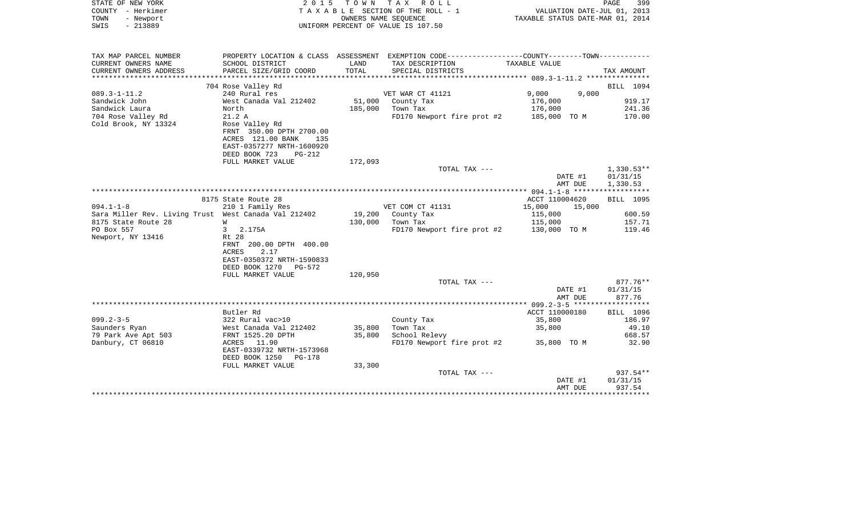| STATE OF NEW YORK<br>COUNTY - Herkimer               | 2 0 1 5                                               |         | TOWN TAX ROLL<br>TAXABLE SECTION OF THE ROLL - 1                                              |                                  | 399<br>PAGE<br>VALUATION DATE-JUL 01, 2013 |
|------------------------------------------------------|-------------------------------------------------------|---------|-----------------------------------------------------------------------------------------------|----------------------------------|--------------------------------------------|
| TOWN<br>- Newport                                    |                                                       |         | OWNERS NAME SEOUENCE                                                                          | TAXABLE STATUS DATE-MAR 01, 2014 |                                            |
| $-213889$<br>SWIS                                    |                                                       |         | UNIFORM PERCENT OF VALUE IS 107.50                                                            |                                  |                                            |
|                                                      |                                                       |         |                                                                                               |                                  |                                            |
|                                                      |                                                       |         |                                                                                               |                                  |                                            |
| TAX MAP PARCEL NUMBER                                |                                                       |         | PROPERTY LOCATION & CLASS ASSESSMENT EXEMPTION CODE---------------COUNTY-------TOWN---------- |                                  |                                            |
| CURRENT OWNERS NAME                                  | SCHOOL DISTRICT                                       | LAND    | TAX DESCRIPTION                                                                               | TAXABLE VALUE                    |                                            |
| CURRENT OWNERS ADDRESS                               | PARCEL SIZE/GRID COORD                                | TOTAL   | SPECIAL DISTRICTS                                                                             |                                  | TAX AMOUNT                                 |
|                                                      | 704 Rose Valley Rd                                    |         |                                                                                               |                                  | BILL 1094                                  |
| $089.3 - 1 - 11.2$                                   | 240 Rural res                                         |         | VET WAR CT 41121                                                                              | 9,000                            | 9,000                                      |
| Sandwick John                                        | West Canada Val 212402                                | 51,000  | County Tax                                                                                    | 176,000                          | 919.17                                     |
| Sandwick Laura                                       | North                                                 | 185,000 | Town Tax                                                                                      | 176,000                          | 241.36                                     |
| 704 Rose Valley Rd                                   | 21.2A                                                 |         | FD170 Newport fire prot #2                                                                    | 185,000 TO M                     | 170.00                                     |
| Cold Brook, NY 13324                                 | Rose Valley Rd                                        |         |                                                                                               |                                  |                                            |
|                                                      | FRNT 350.00 DPTH 2700.00                              |         |                                                                                               |                                  |                                            |
|                                                      | ACRES 121.00 BANK<br>135                              |         |                                                                                               |                                  |                                            |
|                                                      | EAST-0357277 NRTH-1600920                             |         |                                                                                               |                                  |                                            |
|                                                      | DEED BOOK 723<br>PG-212                               |         |                                                                                               |                                  |                                            |
|                                                      | FULL MARKET VALUE                                     | 172,093 |                                                                                               |                                  |                                            |
|                                                      |                                                       |         | TOTAL TAX ---                                                                                 |                                  | $1,330.53**$                               |
|                                                      |                                                       |         |                                                                                               | DATE #1                          | 01/31/15                                   |
|                                                      |                                                       |         |                                                                                               | AMT DUE                          | 1,330.53<br>******************             |
|                                                      | 8175 State Route 28                                   |         |                                                                                               | ACCT 110004620                   | BILL 1095                                  |
| $094.1 - 1 - 8$                                      | 210 1 Family Res                                      |         | VET COM CT 41131                                                                              | 15,000<br>15,000                 |                                            |
| Sara Miller Rev. Living Trust West Canada Val 212402 |                                                       | 19,200  | County Tax                                                                                    | 115,000                          | 600.59                                     |
| 8175 State Route 28                                  | W                                                     | 130,000 | Town Tax                                                                                      | 115,000                          | 157.71                                     |
| PO Box 557                                           | 3<br>2.175A                                           |         | FD170 Newport fire prot #2                                                                    | 130,000 TO M                     | 119.46                                     |
| Newport, NY 13416                                    | Rt 28                                                 |         |                                                                                               |                                  |                                            |
|                                                      | FRNT 200.00 DPTH 400.00                               |         |                                                                                               |                                  |                                            |
|                                                      | 2.17<br>ACRES                                         |         |                                                                                               |                                  |                                            |
|                                                      | EAST-0350372 NRTH-1590833                             |         |                                                                                               |                                  |                                            |
|                                                      | DEED BOOK 1270<br>PG-572                              |         |                                                                                               |                                  |                                            |
|                                                      | FULL MARKET VALUE                                     | 120,950 |                                                                                               |                                  |                                            |
|                                                      |                                                       |         | TOTAL TAX ---                                                                                 |                                  | $877.76**$                                 |
|                                                      |                                                       |         |                                                                                               | DATE #1                          | 01/31/15                                   |
|                                                      |                                                       |         |                                                                                               | AMT DUE                          | 877.76                                     |
|                                                      |                                                       |         |                                                                                               |                                  |                                            |
|                                                      | Butler Rd                                             |         |                                                                                               | ACCT 110000180                   | BILL 1096                                  |
| $099.2 - 3 - 5$                                      | 322 Rural vac>10                                      |         | County Tax                                                                                    | 35,800                           | 186.97                                     |
| Saunders Ryan                                        | West Canada Val 212402                                | 35,800  | Town Tax                                                                                      | 35,800                           | 49.10                                      |
| 79 Park Ave Apt 503                                  | FRNT 1525.20 DPTH<br>ACRES 11.90                      | 35,800  | School Relevy                                                                                 |                                  | 668.57<br>32.90                            |
| Danbury, CT 06810                                    |                                                       |         | FD170 Newport fire prot #2                                                                    | 35,800 TO M                      |                                            |
|                                                      | EAST-0339732 NRTH-1573968<br>DEED BOOK 1250<br>PG-178 |         |                                                                                               |                                  |                                            |
|                                                      | FULL MARKET VALUE                                     | 33,300  |                                                                                               |                                  |                                            |
|                                                      |                                                       |         | TOTAL TAX ---                                                                                 |                                  | $937.54**$                                 |
|                                                      |                                                       |         |                                                                                               | DATE #1                          | 01/31/15                                   |
|                                                      |                                                       |         |                                                                                               | AMT DUE                          | 937.54                                     |
|                                                      |                                                       |         |                                                                                               |                                  | *************                              |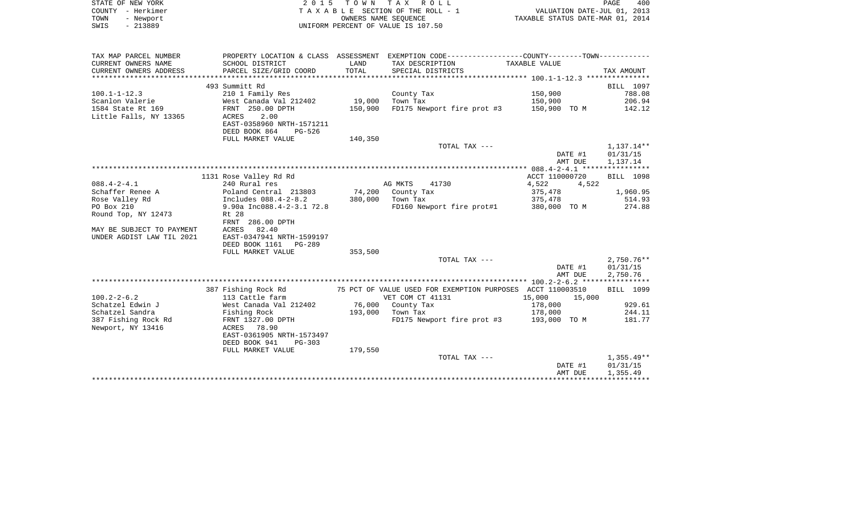|      | STATE OF NEW YORK | 2015 TOWN TAX ROLL                 | 400<br>PAGE                      |
|------|-------------------|------------------------------------|----------------------------------|
|      | COUNTY - Herkimer | TAXABLE SECTION OF THE ROLL - 1    | VALUATION DATE-JUL 01, 2013      |
| TOWN | - Newport         | OWNERS NAME SEOUENCE               | TAXABLE STATUS DATE-MAR 01, 2014 |
| SWIS | - 213889          | UNIFORM PERCENT OF VALUE IS 107.50 |                                  |

| CURRENT OWNERS NAME<br>SCHOOL DISTRICT<br>TAX DESCRIPTION TAXABLE VALUE<br>LAND<br>TOTAL<br>CURRENT OWNERS ADDRESS<br>PARCEL SIZE/GRID COORD<br>SPECIAL DISTRICTS<br>TAX AMOUNT               |  |
|-----------------------------------------------------------------------------------------------------------------------------------------------------------------------------------------------|--|
|                                                                                                                                                                                               |  |
|                                                                                                                                                                                               |  |
|                                                                                                                                                                                               |  |
| 493 Summitt Rd<br>BILL 1097                                                                                                                                                                   |  |
| 150,900<br>$100.1 - 1 - 12.3$<br>210 1 Family Res<br>788.08<br>County Tax                                                                                                                     |  |
| 19,000<br>West Canada Val 212402<br>Town Tax<br>150,900<br>206.94<br>Scanlon Valerie                                                                                                          |  |
| FD175 Newport fire prot #3 150,900 TO M 142.12<br>1584 State Rt 169<br>FRNT 250.00 DPTH<br>150,900                                                                                            |  |
| 2.00<br>Little Falls, NY 13365<br>ACRES                                                                                                                                                       |  |
| EAST-0358960 NRTH-1571211                                                                                                                                                                     |  |
| DEED BOOK 864<br>PG-526                                                                                                                                                                       |  |
| FULL MARKET VALUE<br>140,350                                                                                                                                                                  |  |
| TOTAL TAX ---<br>1,137.14**                                                                                                                                                                   |  |
| 01/31/15<br>DATE #1                                                                                                                                                                           |  |
| AMT DUE<br>1,137.14                                                                                                                                                                           |  |
|                                                                                                                                                                                               |  |
| 1131 Rose Valley Rd Rd<br>BILL 1098<br>ACCT 110000720                                                                                                                                         |  |
| $088.4 - 2 - 4.1$<br>240 Rural res<br>AG MKTS<br>41730<br>4,522 4,522                                                                                                                         |  |
| Poland Central 213803 74,200 County Tax<br>375,478<br>1,960.95<br>Schaffer Renee A                                                                                                            |  |
| Rose Valley Rd<br>375,478<br>514.93                                                                                                                                                           |  |
| سے ہے۔<br>12.2 1000 1000 1000 1000 1000 1000 1000<br>+0.90a 100088.4-2-3.1 72.8 1000 1000 1000<br>274.88<br>PO Box 210<br>9.90a Inc088.4-2-3.1 72.8<br>FD160 Newport fire prot#1 380,000 TO M |  |
| Round Top, NY 12473<br>Rt 28                                                                                                                                                                  |  |
| FRNT 286.00 DPTH                                                                                                                                                                              |  |
| ACRES 82.40<br>MAY BE SUBJECT TO PAYMENT                                                                                                                                                      |  |
| UNDER AGDIST LAW TIL 2021<br>EAST-0347941 NRTH-1599197                                                                                                                                        |  |
| DEED BOOK 1161 PG-289                                                                                                                                                                         |  |
| FULL MARKET VALUE<br>353,500                                                                                                                                                                  |  |
| 2,750.76**<br>TOTAL TAX ---                                                                                                                                                                   |  |
| DATE #1<br>01/31/15                                                                                                                                                                           |  |
| 2,750.76<br>AMT DUE                                                                                                                                                                           |  |
|                                                                                                                                                                                               |  |
| 387 Fishing Rock Rd 75 PCT OF VALUE USED FOR EXEMPTION PURPOSES ACCT 110003510<br>BILL 1099                                                                                                   |  |
| VET COM CT 41131<br>$15,000$ $15,000$<br>$100.2 - 2 - 6.2$<br>113 Cattle farm                                                                                                                 |  |
| Schatzel Edwin J<br>West Canada Val 212402 76,000 County Tax<br>929.61<br>178,000                                                                                                             |  |
| 244.11<br>Schatzel Sandra<br>Fishing Rock<br>193,000 Town Tax<br>178,000                                                                                                                      |  |
| FD175 Newport fire prot #3 193,000 TO M<br>387 Fishing Rock Rd<br>FRNT 1327.00 DPTH<br>181.77                                                                                                 |  |
| Newport, NY 13416<br>ACRES 78.90                                                                                                                                                              |  |
| EAST-0361905 NRTH-1573497                                                                                                                                                                     |  |
| DEED BOOK 941<br>$PG-303$                                                                                                                                                                     |  |
| FULL MARKET VALUE<br>179,550                                                                                                                                                                  |  |
| 1,355.49**<br>TOTAL TAX ---                                                                                                                                                                   |  |
| DATE #1<br>01/31/15                                                                                                                                                                           |  |
| AMT DUE<br>1,355.49                                                                                                                                                                           |  |
|                                                                                                                                                                                               |  |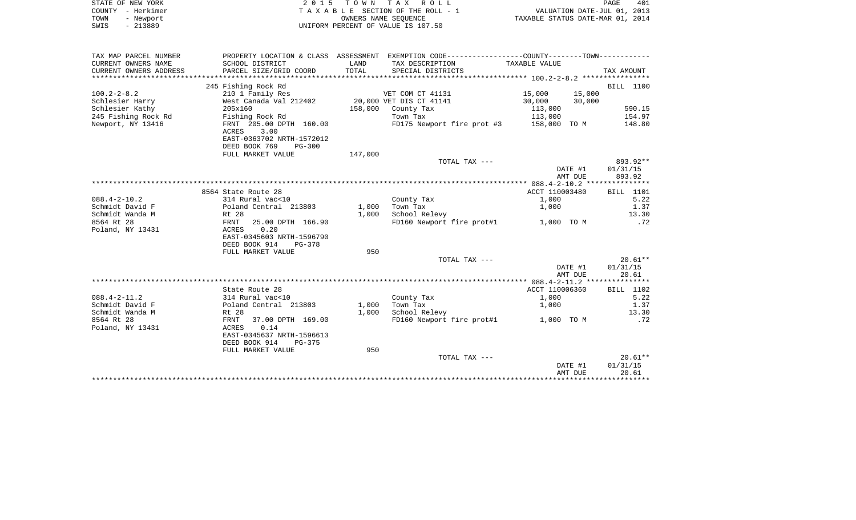|      | STATE OF NEW YORK | 2015 TOWN TAX ROLL                 | PAGE                             | 401 |
|------|-------------------|------------------------------------|----------------------------------|-----|
|      | COUNTY - Herkimer | TAXABLE SECTION OF THE ROLL - 1    | VALUATION DATE-JUL 01, 2013      |     |
| TOWN | - Newport         | OWNERS NAME SEOUENCE               | TAXABLE STATUS DATE-MAR 01, 2014 |     |
| SWIS | - 213889          | UNIFORM PERCENT OF VALUE IS 107.50 |                                  |     |

| TAX MAP PARCEL NUMBER  |                           |         | PROPERTY LOCATION & CLASS ASSESSMENT EXEMPTION CODE---------------COUNTY-------TOWN---------- |                  |            |
|------------------------|---------------------------|---------|-----------------------------------------------------------------------------------------------|------------------|------------|
| CURRENT OWNERS NAME    | SCHOOL DISTRICT           | LAND    | TAX DESCRIPTION                                                                               | TAXABLE VALUE    |            |
| CURRENT OWNERS ADDRESS | PARCEL SIZE/GRID COORD    | TOTAL   | SPECIAL DISTRICTS                                                                             |                  | TAX AMOUNT |
|                        |                           |         |                                                                                               |                  |            |
|                        | 245 Fishing Rock Rd       |         |                                                                                               |                  | BILL 1100  |
| $100.2 - 2 - 8.2$      | 210 1 Family Res          |         | VET COM CT 41131                                                                              | 15,000<br>15,000 |            |
| Schlesier Harry        | West Canada Val 212402    |         | 20,000 VET DIS CT 41141                                                                       | 30,000<br>30,000 |            |
| Schlesier Kathy        | 205x160                   | 158,000 | County Tax                                                                                    | 113,000          | 590.15     |
| 245 Fishing Rock Rd    | Fishing Rock Rd           |         | Town Tax                                                                                      | 113,000          | 154.97     |
| Newport, NY 13416      | FRNT 205.00 DPTH 160.00   |         | FD175 Newport fire prot #3 158,000 TO M                                                       |                  | 148.80     |
|                        | 3.00<br>ACRES             |         |                                                                                               |                  |            |
|                        | EAST-0363702 NRTH-1572012 |         |                                                                                               |                  |            |
|                        | DEED BOOK 769<br>$PG-300$ |         |                                                                                               |                  |            |
|                        | FULL MARKET VALUE         | 147,000 |                                                                                               |                  |            |
|                        |                           |         | TOTAL TAX ---                                                                                 |                  | 893.92**   |
|                        |                           |         |                                                                                               | DATE #1          | 01/31/15   |
|                        |                           |         |                                                                                               | AMT DUE          | 893.92     |
|                        |                           |         |                                                                                               |                  |            |
|                        | 8564 State Route 28       |         |                                                                                               | ACCT 110003480   | BILL 1101  |
| $088.4 - 2 - 10.2$     | 314 Rural vac<10          |         | County Tax                                                                                    | 1,000            | 5.22       |
| Schmidt David F        | Poland Central 213803     | 1,000   | Town Tax                                                                                      | 1,000            | 1.37       |
| Schmidt Wanda M        | Rt 28                     | 1,000   | School Relevy                                                                                 |                  | 13.30      |
| 8564 Rt 28             | 25.00 DPTH 166.90<br>FRNT |         | FD160 Newport fire prot#1                                                                     | 1,000 TO M       | .72        |
| Poland, NY 13431       | 0.20<br>ACRES             |         |                                                                                               |                  |            |
|                        | EAST-0345603 NRTH-1596790 |         |                                                                                               |                  |            |
|                        | DEED BOOK 914<br>$PG-378$ |         |                                                                                               |                  |            |
|                        | FULL MARKET VALUE         | 950     |                                                                                               |                  |            |
|                        |                           |         | TOTAL TAX ---                                                                                 |                  | $20.61**$  |
|                        |                           |         |                                                                                               | DATE #1          | 01/31/15   |
|                        |                           |         |                                                                                               | AMT DUE          | 20.61      |
|                        |                           |         |                                                                                               |                  |            |
|                        | State Route 28            |         |                                                                                               | ACCT 110006360   | BILL 1102  |
| $088.4 - 2 - 11.2$     | 314 Rural vac<10          |         | County Tax                                                                                    | 1,000            | 5.22       |
| Schmidt David F        | Poland Central 213803     | 1,000   | Town Tax                                                                                      | 1,000            | 1.37       |
| Schmidt Wanda M        | Rt 28                     | 1,000   | School Relevy                                                                                 |                  | 13.30      |
| 8564 Rt 28             | 37.00 DPTH 169.00<br>FRNT |         | FD160 Newport fire prot#1                                                                     | 1,000 TO M       | .72        |
| Poland, NY 13431       | 0.14<br>ACRES             |         |                                                                                               |                  |            |
|                        | EAST-0345637 NRTH-1596613 |         |                                                                                               |                  |            |
|                        | DEED BOOK 914<br>$PG-375$ |         |                                                                                               |                  |            |
|                        | FULL MARKET VALUE         | 950     |                                                                                               |                  |            |
|                        |                           |         | TOTAL TAX ---                                                                                 |                  | $20.61**$  |
|                        |                           |         |                                                                                               | DATE #1          | 01/31/15   |
|                        |                           |         |                                                                                               | AMT DUE          | 20.61      |
|                        |                           |         |                                                                                               |                  |            |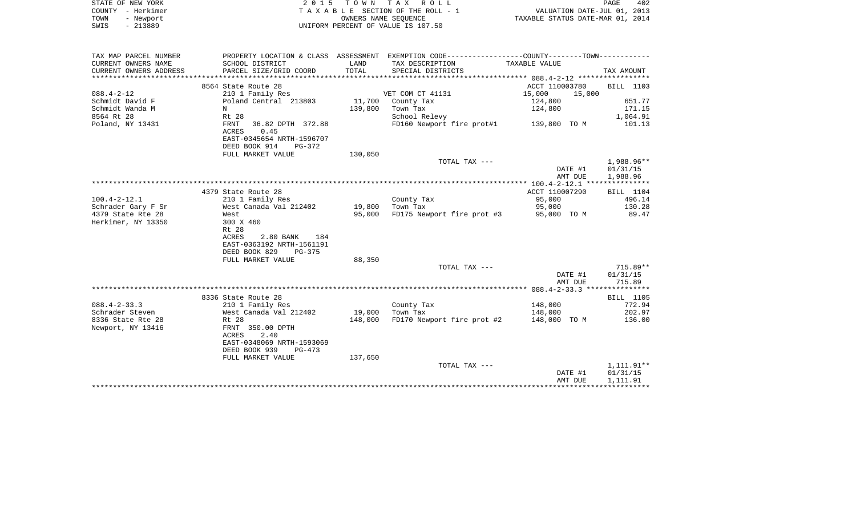|      | STATE OF NEW YORK | 2015 TOWN TAX ROLL                 |                                  | PAGE | 402 |
|------|-------------------|------------------------------------|----------------------------------|------|-----|
|      | COUNTY - Herkimer | TAXABLE SECTION OF THE ROLL - 1    | VALUATION DATE-JUL 01, 2013      |      |     |
| TOWN | - Newport         | OWNERS NAME SEOUENCE               | TAXABLE STATUS DATE-MAR 01, 2014 |      |     |
| SWIS | - 213889          | UNIFORM PERCENT OF VALUE IS 107.50 |                                  |      |     |
|      |                   |                                    |                                  |      |     |
|      |                   |                                    |                                  |      |     |

| TAX MAP PARCEL NUMBER  |                               |         | PROPERTY LOCATION & CLASS ASSESSMENT EXEMPTION CODE----------------COUNTY-------TOWN---------- |                  |                  |
|------------------------|-------------------------------|---------|------------------------------------------------------------------------------------------------|------------------|------------------|
| CURRENT OWNERS NAME    | SCHOOL DISTRICT               | LAND    | TAX DESCRIPTION                                                                                | TAXABLE VALUE    |                  |
| CURRENT OWNERS ADDRESS | PARCEL SIZE/GRID COORD        | TOTAL   | SPECIAL DISTRICTS                                                                              |                  | TAX AMOUNT       |
|                        |                               |         |                                                                                                |                  |                  |
|                        | 8564 State Route 28           |         |                                                                                                | ACCT 110003780   | BILL 1103        |
| $088.4 - 2 - 12$       | 210 1 Family Res              |         | VET COM CT 41131                                                                               | 15,000<br>15,000 |                  |
| Schmidt David F        | Poland Central 213803         |         | 11,700 County Tax                                                                              | 124,800          | 651.77           |
| Schmidt Wanda M        | N                             | 139,800 | Town Tax                                                                                       | 124,800          | 171.15           |
| 8564 Rt 28             | Rt 28                         |         | School Relevy                                                                                  |                  | 1,064.91         |
| Poland, NY 13431       | FRNT<br>36.82 DPTH 372.88     |         | FD160 Newport fire prot#1 139,800 TO M                                                         |                  | 101.13           |
|                        | 0.45<br>ACRES                 |         |                                                                                                |                  |                  |
|                        | EAST-0345654 NRTH-1596707     |         |                                                                                                |                  |                  |
|                        | DEED BOOK 914<br>PG-372       |         |                                                                                                |                  |                  |
|                        | FULL MARKET VALUE             | 130,050 |                                                                                                |                  |                  |
|                        |                               |         | TOTAL TAX ---                                                                                  |                  | 1,988.96**       |
|                        |                               |         |                                                                                                |                  |                  |
|                        |                               |         |                                                                                                | DATE #1          | 01/31/15         |
|                        |                               |         |                                                                                                | AMT DUE          | 1,988.96         |
|                        |                               |         |                                                                                                |                  |                  |
|                        | 4379 State Route 28           |         |                                                                                                | ACCT 110007290   | BILL 1104        |
| $100.4 - 2 - 12.1$     | 210 1 Family Res              |         | County Tax                                                                                     | 95,000           | 496.14           |
| Schrader Gary F Sr     | West Canada Val 212402        |         | 19,800 Town Tax                                                                                | 95,000           | 130.28           |
| 4379 State Rte 28      | West                          | 95,000  | FD175 Newport fire prot #3                                                                     | 95,000 TO M      | 89.47            |
| Herkimer, NY 13350     | 300 X 460                     |         |                                                                                                |                  |                  |
|                        | Rt 28                         |         |                                                                                                |                  |                  |
|                        | <b>ACRES</b><br>2.80 BANK 184 |         |                                                                                                |                  |                  |
|                        | EAST-0363192 NRTH-1561191     |         |                                                                                                |                  |                  |
|                        | DEED BOOK 829<br>PG-375       |         |                                                                                                |                  |                  |
|                        | FULL MARKET VALUE             | 88,350  |                                                                                                |                  |                  |
|                        |                               |         | TOTAL TAX ---                                                                                  |                  | 715.89**         |
|                        |                               |         |                                                                                                | DATE #1          | 01/31/15         |
|                        |                               |         |                                                                                                | AMT DUE          | 715.89           |
|                        |                               |         |                                                                                                |                  |                  |
|                        | 8336 State Route 28           |         |                                                                                                |                  | <b>BILL</b> 1105 |
| $088.4 - 2 - 33.3$     | 210 1 Family Res              |         | County Tax                                                                                     | 148,000          | 772.94           |
| Schrader Steven        | West Canada Val 212402        | 19,000  | Town Tax                                                                                       | 148,000          | 202.97           |
| 8336 State Rte 28      | Rt 28                         | 148,000 | FD170 Newport fire prot #2                                                                     | 148,000 TO M     | 136.00           |
| Newport, NY 13416      | FRNT 350.00 DPTH              |         |                                                                                                |                  |                  |
|                        | 2.40<br>ACRES                 |         |                                                                                                |                  |                  |
|                        | EAST-0348069 NRTH-1593069     |         |                                                                                                |                  |                  |
|                        | DEED BOOK 939                 |         |                                                                                                |                  |                  |
|                        | PG-473                        |         |                                                                                                |                  |                  |
|                        | FULL MARKET VALUE             | 137,650 |                                                                                                |                  |                  |
|                        |                               |         | TOTAL TAX ---                                                                                  |                  | 1,111.91**       |
|                        |                               |         |                                                                                                | DATE #1          | 01/31/15         |
|                        |                               |         |                                                                                                | AMT DUE          | 1,111.91         |
|                        |                               |         |                                                                                                |                  |                  |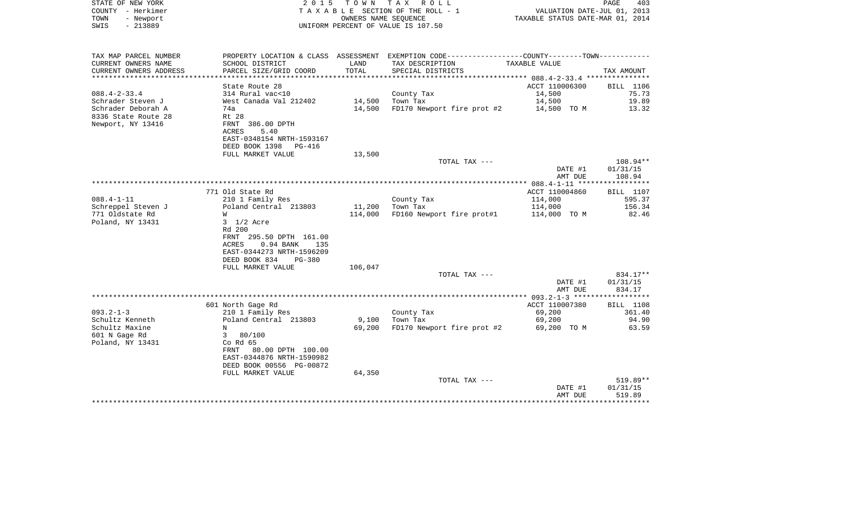| STATE OF NEW YORK<br>COUNTY - Herkimer<br>TOWN<br>- Newport<br>$-213889$<br>SWIS               | 2 0 1 5<br>UNIFORM PERCENT OF VALUE IS 107.50 | TOWN TAX ROLL<br>TAXABLE SECTION OF THE ROLL - 1<br>OWNERS NAME SEQUENCE                       | VALUATION DATE-JUL 01, 2013<br>TAXABLE STATUS DATE-MAR 01, 2014     | PAGE<br>403                   |
|------------------------------------------------------------------------------------------------|-----------------------------------------------|------------------------------------------------------------------------------------------------|---------------------------------------------------------------------|-------------------------------|
|                                                                                                |                                               |                                                                                                |                                                                     |                               |
| TAX MAP PARCEL NUMBER                                                                          |                                               | PROPERTY LOCATION & CLASS ASSESSMENT EXEMPTION CODE----------------COUNTY-------TOWN---------- |                                                                     |                               |
| CURRENT OWNERS NAME<br>SCHOOL DISTRICT                                                         | LAND                                          | TAX DESCRIPTION                                                                                | TAXABLE VALUE                                                       |                               |
| PARCEL SIZE/GRID COORD<br>CURRENT OWNERS ADDRESS<br>**************<br>************************ | TOTAL<br>***************                      | SPECIAL DISTRICTS                                                                              |                                                                     | TAX AMOUNT                    |
| State Route 28                                                                                 |                                               |                                                                                                | ******************* 088.4-2-33.4 ****************<br>ACCT 110006300 | BILL 1106                     |
| $088.4 - 2 - 33.4$<br>314 Rural vac<10                                                         |                                               | County Tax                                                                                     | 14,500                                                              | 75.73                         |
| Schrader Steven J<br>West Canada Val 212402                                                    | 14,500                                        | Town Tax                                                                                       | 14,500                                                              | 19.89                         |
| Schrader Deborah A<br>74a                                                                      | 14,500                                        | FD170 Newport fire prot #2                                                                     | 14,500 TO M                                                         | 13.32                         |
| 8336 State Route 28<br>Rt 28                                                                   |                                               |                                                                                                |                                                                     |                               |
| Newport, NY 13416<br>FRNT 386.00 DPTH                                                          |                                               |                                                                                                |                                                                     |                               |
| 5.40<br>ACRES                                                                                  |                                               |                                                                                                |                                                                     |                               |
| EAST-0348154 NRTH-1593167                                                                      |                                               |                                                                                                |                                                                     |                               |
| DEED BOOK 1398<br>FULL MARKET VALUE                                                            | PG-416<br>13,500                              |                                                                                                |                                                                     |                               |
|                                                                                                |                                               | TOTAL TAX ---                                                                                  |                                                                     | 108.94**                      |
|                                                                                                |                                               |                                                                                                | DATE #1                                                             | 01/31/15                      |
|                                                                                                |                                               |                                                                                                | AMT DUE                                                             | 108.94                        |
|                                                                                                |                                               |                                                                                                |                                                                     |                               |
| 771 Old State Rd                                                                               |                                               |                                                                                                | ACCT 110004860                                                      | BILL 1107                     |
| $088.4 - 1 - 11$<br>210 1 Family Res                                                           |                                               | County Tax                                                                                     | 114,000                                                             | 595.37                        |
| Schreppel Steven J<br>Poland Central 213803                                                    | 11,200                                        | Town Tax                                                                                       | 114,000                                                             | 156.34                        |
| 771 Oldstate Rd<br>W<br>Poland, NY 13431<br>3 1/2 Acre                                         | 114,000                                       | FD160 Newport fire prot#1                                                                      | 114,000 TO M                                                        | 82.46                         |
| Rd 200                                                                                         |                                               |                                                                                                |                                                                     |                               |
| FRNT 295.50 DPTH 161.00                                                                        |                                               |                                                                                                |                                                                     |                               |
| ACRES<br>0.94 BANK                                                                             | 135                                           |                                                                                                |                                                                     |                               |
| EAST-0344273 NRTH-1596209                                                                      |                                               |                                                                                                |                                                                     |                               |
| DEED BOOK 834                                                                                  | <b>PG-380</b>                                 |                                                                                                |                                                                     |                               |
| FULL MARKET VALUE                                                                              | 106,047                                       |                                                                                                |                                                                     |                               |
|                                                                                                |                                               | TOTAL TAX ---                                                                                  |                                                                     | 834.17**                      |
|                                                                                                |                                               |                                                                                                | DATE #1<br>AMT DUE                                                  | 01/31/15<br>834.17            |
|                                                                                                |                                               |                                                                                                |                                                                     |                               |
| 601 North Gage Rd                                                                              |                                               |                                                                                                | ACCT 110007380                                                      | BILL 1108                     |
| $093.2 - 1 - 3$<br>210 1 Family Res                                                            |                                               | County Tax                                                                                     | 69,200                                                              | 361.40                        |
| Schultz Kenneth<br>Poland Central 213803                                                       | 9,100                                         | Town Tax                                                                                       | 69,200                                                              | 94.90                         |
| Schultz Maxine<br>N                                                                            | 69,200                                        | FD170 Newport fire prot #2                                                                     | 69,200 TO M                                                         | 63.59                         |
| 601 N Gage Rd<br>3<br>80/100                                                                   |                                               |                                                                                                |                                                                     |                               |
| Poland, NY 13431<br>Co Rd $65$                                                                 |                                               |                                                                                                |                                                                     |                               |
| FRNT<br>80.00 DPTH 100.00<br>EAST-0344876 NRTH-1590982                                         |                                               |                                                                                                |                                                                     |                               |
| DEED BOOK 00556 PG-00872                                                                       |                                               |                                                                                                |                                                                     |                               |
| FULL MARKET VALUE                                                                              | 64,350                                        |                                                                                                |                                                                     |                               |
|                                                                                                |                                               | TOTAL TAX ---                                                                                  |                                                                     | 519.89**                      |
|                                                                                                |                                               |                                                                                                | DATE #1                                                             | 01/31/15                      |
|                                                                                                |                                               |                                                                                                | AMT DUE<br>***********                                              | 519.89<br>* * * * * * * * * * |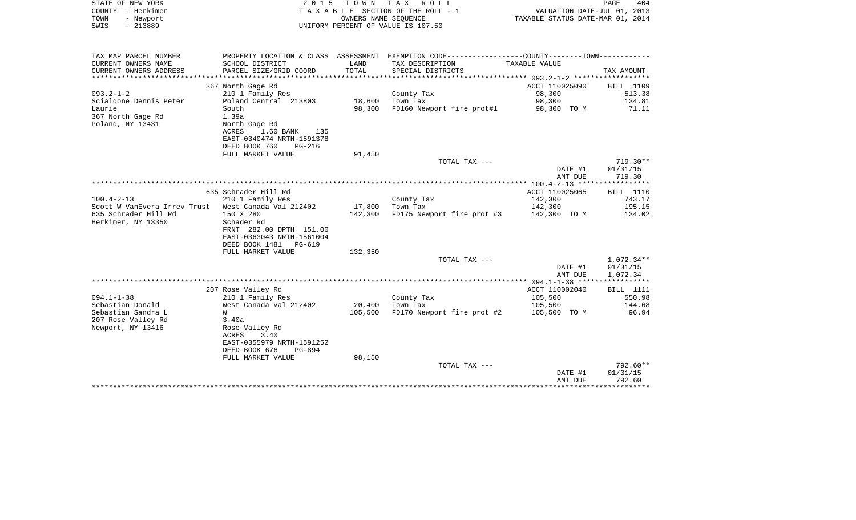| STATE OF NEW YORK                            |                           | 2015 TOWN | TAX ROLL                                                                                                          |                                  | PAGE<br>404      |
|----------------------------------------------|---------------------------|-----------|-------------------------------------------------------------------------------------------------------------------|----------------------------------|------------------|
| COUNTY - Herkimer                            |                           |           | T A X A B L E SECTION OF THE ROLL - 1                                                                             | VALUATION DATE-JUL 01, 2013      |                  |
| TOWN<br>- Newport                            |                           |           | OWNERS NAME SEOUENCE                                                                                              | TAXABLE STATUS DATE-MAR 01, 2014 |                  |
| $-213889$<br>SWIS                            |                           |           | UNIFORM PERCENT OF VALUE IS 107.50                                                                                |                                  |                  |
|                                              |                           |           |                                                                                                                   |                                  |                  |
| TAX MAP PARCEL NUMBER<br>CURRENT OWNERS NAME | SCHOOL DISTRICT           | LAND      | PROPERTY LOCATION & CLASS ASSESSMENT EXEMPTION CODE---------------COUNTY--------TOWN----------<br>TAX DESCRIPTION | TAXABLE VALUE                    |                  |
| CURRENT OWNERS ADDRESS                       | PARCEL SIZE/GRID COORD    | TOTAL     | SPECIAL DISTRICTS                                                                                                 |                                  | TAX AMOUNT       |
| ***********************                      |                           |           |                                                                                                                   |                                  |                  |
|                                              | 367 North Gage Rd         |           |                                                                                                                   | ACCT 110025090                   | BILL 1109        |
| $093.2 - 1 - 2$                              | 210 1 Family Res          |           | County Tax                                                                                                        | 98,300                           | 513.38           |
| Scialdone Dennis Peter                       | Poland Central 213803     | 18,600    | Town Tax                                                                                                          | 98,300                           | 134.81           |
| Laurie                                       | South                     | 98,300    | FD160 Newport fire prot#1                                                                                         | 98,300 TO M                      | 71.11            |
| 367 North Gage Rd                            | 1.39a                     |           |                                                                                                                   |                                  |                  |
| Poland, NY 13431                             | North Gage Rd             |           |                                                                                                                   |                                  |                  |
|                                              | ACRES<br>1.60 BANK<br>135 |           |                                                                                                                   |                                  |                  |
|                                              | EAST-0340474 NRTH-1591378 |           |                                                                                                                   |                                  |                  |
|                                              | DEED BOOK 760<br>$PG-216$ |           |                                                                                                                   |                                  |                  |
|                                              | FULL MARKET VALUE         | 91,450    |                                                                                                                   |                                  |                  |
|                                              |                           |           | TOTAL TAX ---                                                                                                     |                                  | $719.30**$       |
|                                              |                           |           |                                                                                                                   | DATE #1                          | 01/31/15         |
|                                              |                           |           |                                                                                                                   | AMT DUE                          | 719.30           |
|                                              |                           |           |                                                                                                                   | *** 100.4-2-13 ******            | ***********      |
|                                              | 635 Schrader Hill Rd      |           |                                                                                                                   | ACCT 110025065                   | BILL 1110        |
| $100.4 - 2 - 13$                             | 210 1 Family Res          |           | County Tax                                                                                                        | 142,300                          | 743.17           |
| Scott W VanEvera Irrev Trust                 | West Canada Val 212402    | 17,800    | Town Tax                                                                                                          | 142,300                          | 195.15           |
| 635 Schrader Hill Rd                         | 150 X 280                 | 142,300   | FD175 Newport fire prot #3                                                                                        | 142,300 TO M                     | 134.02           |
| Herkimer, NY 13350                           | Schader Rd                |           |                                                                                                                   |                                  |                  |
|                                              | FRNT 282.00 DPTH 151.00   |           |                                                                                                                   |                                  |                  |
|                                              | EAST-0363043 NRTH-1561004 |           |                                                                                                                   |                                  |                  |
|                                              | DEED BOOK 1481<br>PG-619  |           |                                                                                                                   |                                  |                  |
|                                              | FULL MARKET VALUE         | 132,350   |                                                                                                                   |                                  |                  |
|                                              |                           |           | TOTAL TAX ---                                                                                                     |                                  | $1,072.34**$     |
|                                              |                           |           |                                                                                                                   | DATE #1                          | 01/31/15         |
|                                              |                           |           |                                                                                                                   | AMT DUE                          | 1,072.34         |
|                                              |                           |           |                                                                                                                   |                                  |                  |
|                                              | 207 Rose Valley Rd        |           |                                                                                                                   | ACCT 110002040                   | <b>BILL</b> 1111 |
| $094.1 - 1 - 38$                             | 210 1 Family Res          |           | County Tax                                                                                                        | 105,500                          | 550.98           |
| Sebastian Donald                             | West Canada Val 212402    | 20,400    | Town Tax                                                                                                          | 105,500                          | 144.68           |
| Sebastian Sandra L                           | W<br>3.40a                | 105,500   | FD170 Newport fire prot #2                                                                                        | 105,500 TO M                     | 96.94            |
| 207 Rose Valley Rd<br>Newport, NY 13416      | Rose Valley Rd            |           |                                                                                                                   |                                  |                  |
|                                              | 3.40<br>ACRES             |           |                                                                                                                   |                                  |                  |
|                                              | EAST-0355979 NRTH-1591252 |           |                                                                                                                   |                                  |                  |
|                                              | DEED BOOK 676<br>PG-894   |           |                                                                                                                   |                                  |                  |
|                                              | FULL MARKET VALUE         | 98,150    |                                                                                                                   |                                  |                  |
|                                              |                           |           | TOTAL TAX ---                                                                                                     |                                  | 792.60**         |
|                                              |                           |           |                                                                                                                   | DATE #1                          | 01/31/15         |
|                                              |                           |           |                                                                                                                   | AMT DUE                          | 792.60           |
|                                              |                           |           |                                                                                                                   | ******************               | ************     |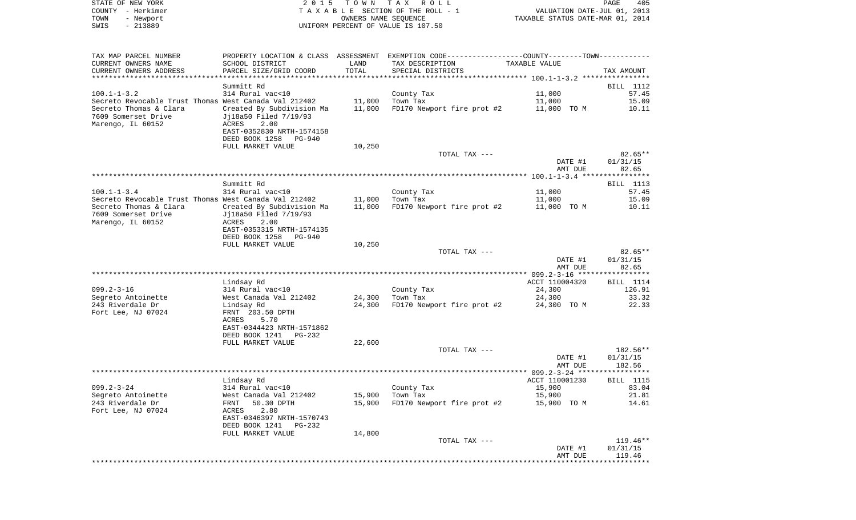|      | STATE OF NEW YORK | 2015 TOWN TAX ROLL                 | 405<br>PAGE                      |  |
|------|-------------------|------------------------------------|----------------------------------|--|
|      | COUNTY - Herkimer | TAXABLE SECTION OF THE ROLL - 1    | VALUATION DATE-JUL 01, 2013      |  |
| TOWN | - Newport         | OWNERS NAME SEOUENCE               | TAXABLE STATUS DATE-MAR 01, 2014 |  |
| SWIS | - 213889          | UNIFORM PERCENT OF VALUE IS 107.50 |                                  |  |

| TAX MAP PARCEL NUMBER<br>CURRENT OWNERS NAME<br>CURRENT OWNERS ADDRESS | SCHOOL DISTRICT<br>PARCEL SIZE/GRID COORD                                                                                                         | LAND<br>TOTAL | PROPERTY LOCATION & CLASS ASSESSMENT EXEMPTION CODE---------------COUNTY-------TOWN----------<br>TAX DESCRIPTION<br>SPECIAL DISTRICTS | TAXABLE VALUE            | TAX AMOUNT                     |
|------------------------------------------------------------------------|---------------------------------------------------------------------------------------------------------------------------------------------------|---------------|---------------------------------------------------------------------------------------------------------------------------------------|--------------------------|--------------------------------|
| ************************                                               |                                                                                                                                                   |               |                                                                                                                                       |                          |                                |
| $100.1 - 1 - 3.2$                                                      | Summitt Rd<br>314 Rural vac<10                                                                                                                    |               | County Tax                                                                                                                            | 11,000                   | BILL 1112<br>57.45             |
| Secreto Revocable Trust Thomas West Canada Val 212402                  |                                                                                                                                                   | 11,000        | Town Tax                                                                                                                              | 11,000                   | 15.09                          |
| Secreto Thomas & Clara<br>7609 Somerset Drive<br>Marengo, IL 60152     | Created By Subdivision Ma<br>Ji18a50 Filed 7/19/93<br>2.00<br>ACRES<br>EAST-0352830 NRTH-1574158<br>DEED BOOK 1258<br>PG-940<br>FULL MARKET VALUE | 11,000        | FD170 Newport fire prot #2                                                                                                            | 11,000 TO M              | 10.11                          |
|                                                                        |                                                                                                                                                   | 10,250        | TOTAL TAX ---                                                                                                                         |                          | $82.65**$                      |
|                                                                        |                                                                                                                                                   |               |                                                                                                                                       | DATE #1                  | 01/31/15                       |
|                                                                        |                                                                                                                                                   |               |                                                                                                                                       | AMT DUE                  | 82.65                          |
|                                                                        |                                                                                                                                                   |               |                                                                                                                                       |                          |                                |
|                                                                        | Summitt Rd                                                                                                                                        |               |                                                                                                                                       |                          | BILL 1113                      |
| $100.1 - 1 - 3.4$                                                      | 314 Rural vac<10                                                                                                                                  |               | County Tax                                                                                                                            | 11,000                   | 57.45                          |
| Secreto Revocable Trust Thomas West Canada Val 212402                  |                                                                                                                                                   | 11,000        | Town Tax                                                                                                                              | 11,000                   | 15.09                          |
| Secreto Thomas & Clara<br>7609 Somerset Drive<br>Marengo, IL 60152     | Created By Subdivision Ma<br>Jj18a50 Filed 7/19/93<br>2.00<br>ACRES<br>EAST-0353315 NRTH-1574135                                                  | 11,000        | FD170 Newport fire prot #2                                                                                                            | 11,000 TO M              | 10.11                          |
|                                                                        | DEED BOOK 1258<br>PG-940                                                                                                                          |               |                                                                                                                                       |                          |                                |
|                                                                        | FULL MARKET VALUE                                                                                                                                 | 10,250        |                                                                                                                                       |                          |                                |
|                                                                        |                                                                                                                                                   |               | TOTAL TAX ---                                                                                                                         | DATE #1<br>AMT DUE       | $82.65**$<br>01/31/15<br>82.65 |
|                                                                        |                                                                                                                                                   |               |                                                                                                                                       |                          |                                |
| $099.2 - 3 - 16$                                                       | Lindsay Rd<br>314 Rural vac<10                                                                                                                    |               | County Tax                                                                                                                            | ACCT 110004320<br>24,300 | BILL 1114<br>126.91            |
| Segreto Antoinette                                                     | West Canada Val 212402                                                                                                                            | 24,300        | Town Tax                                                                                                                              | 24,300                   | 33.32                          |
| 243 Riverdale Dr                                                       | Lindsay Rd                                                                                                                                        | 24,300        | FD170 Newport fire prot #2                                                                                                            | 24,300 TO M              | 22.33                          |
| Fort Lee, NJ 07024                                                     | FRNT 203.50 DPTH<br>5.70<br>ACRES<br>EAST-0344423 NRTH-1571862<br>DEED BOOK 1241<br>PG-232                                                        |               |                                                                                                                                       |                          |                                |
|                                                                        | FULL MARKET VALUE                                                                                                                                 | 22,600        |                                                                                                                                       |                          |                                |
|                                                                        |                                                                                                                                                   |               | TOTAL TAX ---                                                                                                                         |                          | 182.56**                       |
|                                                                        |                                                                                                                                                   |               |                                                                                                                                       | DATE #1<br>AMT DUE       | 01/31/15<br>182.56             |
|                                                                        |                                                                                                                                                   |               |                                                                                                                                       |                          |                                |
|                                                                        | Lindsay Rd                                                                                                                                        |               |                                                                                                                                       | ACCT 110001230           | BILL 1115                      |
| $099.2 - 3 - 24$                                                       | 314 Rural vac<10                                                                                                                                  |               | County Tax                                                                                                                            | 15,900                   | 83.04                          |
| Segreto Antoinette                                                     | West Canada Val 212402                                                                                                                            | 15,900        | Town Tax                                                                                                                              | 15,900                   | 21.81                          |
| 243 Riverdale Dr<br>Fort Lee, NJ 07024                                 | FRNT<br>50.30 DPTH<br>ACRES<br>2.80<br>EAST-0346397 NRTH-1570743<br>DEED BOOK 1241<br>$PG-232$                                                    | 15,900        | FD170 Newport fire prot #2                                                                                                            | 15,900 TO M              | 14.61                          |
|                                                                        | FULL MARKET VALUE                                                                                                                                 | 14,800        |                                                                                                                                       |                          |                                |
|                                                                        |                                                                                                                                                   |               | TOTAL TAX ---                                                                                                                         |                          | $119.46**$                     |
|                                                                        |                                                                                                                                                   |               |                                                                                                                                       | DATE #1<br>AMT DUE       | 01/31/15<br>119.46             |
|                                                                        |                                                                                                                                                   |               |                                                                                                                                       |                          |                                |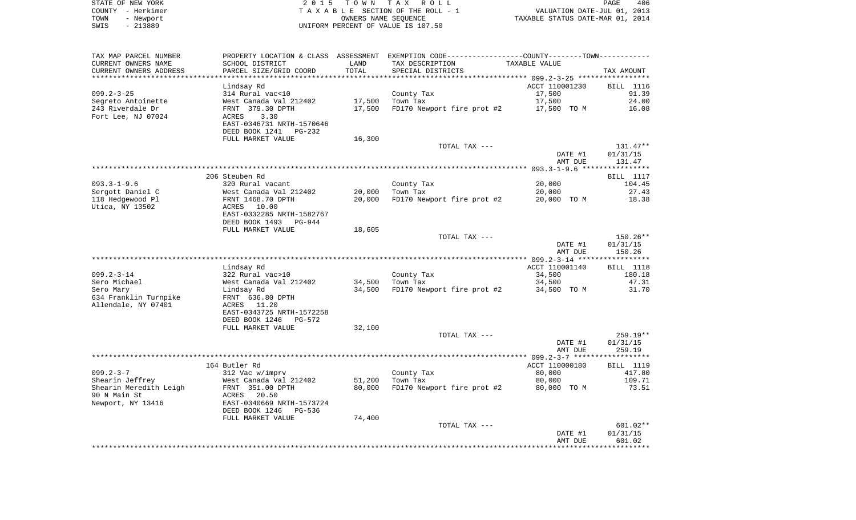| STATE OF NEW YORK | 2015 TOWN TAX ROLL                 | 406<br>PAGE                      |
|-------------------|------------------------------------|----------------------------------|
| COUNTY - Herkimer | TAXABLE SECTION OF THE ROLL - 1    | VALUATION DATE-JUL 01, 2013      |
| TOWN<br>- Newport | OWNERS NAME SEOUENCE               | TAXABLE STATUS DATE-MAR 01, 2014 |
| - 213889<br>SWIS  | UNIFORM PERCENT OF VALUE IS 107.50 |                                  |

| TAX MAP PARCEL NUMBER  |                                             |        | PROPERTY LOCATION & CLASS ASSESSMENT EXEMPTION CODE---------------COUNTY-------TOWN---------- |                |                  |
|------------------------|---------------------------------------------|--------|-----------------------------------------------------------------------------------------------|----------------|------------------|
| CURRENT OWNERS NAME    | SCHOOL DISTRICT                             | LAND   | TAX DESCRIPTION                                                                               | TAXABLE VALUE  |                  |
| CURRENT OWNERS ADDRESS | PARCEL SIZE/GRID COORD                      | TOTAL  | SPECIAL DISTRICTS                                                                             |                | TAX AMOUNT       |
| ********************** |                                             |        |                                                                                               |                |                  |
|                        | Lindsay Rd                                  |        |                                                                                               | ACCT 110001230 | <b>BILL</b> 1116 |
| $099.2 - 3 - 25$       | 314 Rural vac<10                            |        | County Tax                                                                                    | 17,500         | 91.39            |
| Segreto Antoinette     | West Canada Val 212402                      | 17,500 | Town Tax                                                                                      | 17,500         | 24.00            |
| 243 Riverdale Dr       | FRNT 379.30 DPTH                            | 17,500 | FD170 Newport fire prot #2                                                                    | 17,500 TO M    | 16.08            |
| Fort Lee, NJ 07024     | ACRES<br>3.30                               |        |                                                                                               |                |                  |
|                        | EAST-0346731 NRTH-1570646                   |        |                                                                                               |                |                  |
|                        | DEED BOOK 1241 PG-232                       |        |                                                                                               |                |                  |
|                        | FULL MARKET VALUE                           | 16,300 |                                                                                               |                |                  |
|                        |                                             |        | TOTAL TAX ---                                                                                 |                | 131.47**         |
|                        |                                             |        |                                                                                               | DATE #1        | 01/31/15         |
|                        |                                             |        |                                                                                               | AMT DUE        | 131.47           |
|                        |                                             |        |                                                                                               |                |                  |
|                        | 206 Steuben Rd                              |        |                                                                                               |                | BILL 1117        |
| $093.3 - 1 - 9.6$      | 320 Rural vacant                            |        | County Tax                                                                                    | 20,000         | 104.45           |
| Sergott Daniel C       |                                             | 20,000 | Town Tax                                                                                      | 20,000         | 27.43            |
| 118 Hedgewood Pl       | West Canada Val 212402<br>FRNT 1468.70 DPTH | 20,000 | FD170 Newport fire prot #2                                                                    | 20,000 TO M    | 18.38            |
| Utica, NY 13502        | ACRES 10.00                                 |        |                                                                                               |                |                  |
|                        | EAST-0332285 NRTH-1582767                   |        |                                                                                               |                |                  |
|                        | DEED BOOK 1493 PG-944                       |        |                                                                                               |                |                  |
|                        | FULL MARKET VALUE                           | 18,605 |                                                                                               |                |                  |
|                        |                                             |        | TOTAL TAX ---                                                                                 |                | 150.26**         |
|                        |                                             |        |                                                                                               | DATE #1        | 01/31/15         |
|                        |                                             |        |                                                                                               | AMT DUE        | 150.26           |
|                        |                                             |        |                                                                                               |                |                  |
|                        | Lindsay Rd                                  |        |                                                                                               | ACCT 110001140 | BILL 1118        |
| $099.2 - 3 - 14$       | 322 Rural vac>10                            |        | County Tax                                                                                    | 34,500         | 180.18           |
| Sero Michael           | West Canada Val 212402                      | 34,500 | Town Tax                                                                                      | 34,500         | 47.31            |
| Sero Mary              | Lindsay Rd                                  | 34,500 | FD170 Newport fire prot #2 34,500 TO M                                                        |                | 31.70            |
| 634 Franklin Turnpike  | FRNT 636.80 DPTH                            |        |                                                                                               |                |                  |
| Allendale, NY 07401    | ACRES 11.20                                 |        |                                                                                               |                |                  |
|                        | EAST-0343725 NRTH-1572258                   |        |                                                                                               |                |                  |
|                        | DEED BOOK 1246 PG-572                       |        |                                                                                               |                |                  |
|                        | FULL MARKET VALUE                           | 32,100 |                                                                                               |                |                  |
|                        |                                             |        | TOTAL TAX ---                                                                                 |                | 259.19**         |
|                        |                                             |        |                                                                                               | DATE #1        | 01/31/15         |
|                        |                                             |        |                                                                                               | AMT DUE        | 259.19           |
|                        |                                             |        |                                                                                               |                |                  |
|                        | 164 Butler Rd                               |        |                                                                                               | ACCT 110000180 | BILL 1119        |
| $099.2 - 3 - 7$        | 312 Vac w/imprv                             |        | County Tax                                                                                    | 80,000         | 417.80           |
| Shearin Jeffrey        | West Canada Val 212402                      | 51,200 | Town Tax                                                                                      | 80,000         | 109.71           |
| Shearin Meredith Leigh | FRNT 351.00 DPTH                            | 80,000 | FD170 Newport fire prot #2                                                                    | 80,000 TO M    | 73.51            |
| 90 N Main St           | ACRES 20.50                                 |        |                                                                                               |                |                  |
|                        |                                             |        |                                                                                               |                |                  |
| Newport, NY 13416      | EAST-0340669 NRTH-1573724<br>DEED BOOK 1246 |        |                                                                                               |                |                  |
|                        | PG-536                                      |        |                                                                                               |                |                  |
|                        | FULL MARKET VALUE                           | 74,400 |                                                                                               |                |                  |
|                        |                                             |        | TOTAL TAX ---                                                                                 |                | 601.02**         |
|                        |                                             |        |                                                                                               | DATE #1        | 01/31/15         |
|                        |                                             |        |                                                                                               | AMT DUE        | 601.02           |
|                        |                                             |        |                                                                                               |                |                  |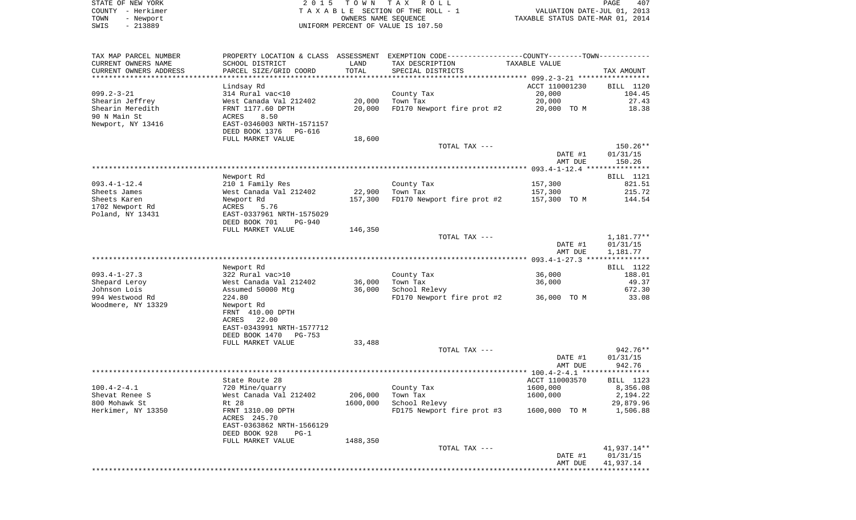|      | STATE OF NEW YORK | 2015 TOWN TAX ROLL                 | 407<br>PAGE                      |
|------|-------------------|------------------------------------|----------------------------------|
|      | COUNTY - Herkimer | TAXABLE SECTION OF THE ROLL - 1    | VALUATION DATE-JUL 01, 2013      |
| TOWN | - Newport         | OWNERS NAME SEOUENCE               | TAXABLE STATUS DATE-MAR 01, 2014 |
| SWIS | - 213889          | UNIFORM PERCENT OF VALUE IS 107.50 |                                  |

| TAX MAP PARCEL NUMBER<br>CURRENT OWNERS NAME | PROPERTY LOCATION & CLASS ASSESSMENT EXEMPTION CODE----------------COUNTY--------TOWN----------<br>SCHOOL DISTRICT | LAND     | TAX DESCRIPTION            | TAXABLE VALUE  |              |
|----------------------------------------------|--------------------------------------------------------------------------------------------------------------------|----------|----------------------------|----------------|--------------|
| CURRENT OWNERS ADDRESS                       | PARCEL SIZE/GRID COORD                                                                                             | TOTAL    | SPECIAL DISTRICTS          |                | TAX AMOUNT   |
|                                              |                                                                                                                    |          |                            |                |              |
|                                              | Lindsay Rd                                                                                                         |          |                            | ACCT 110001230 | BILL 1120    |
| $099.2 - 3 - 21$                             | 314 Rural vac<10                                                                                                   |          | County Tax                 | 20,000         | 104.45       |
| Shearin Jeffrey                              | West Canada Val 212402                                                                                             | 20,000   | Town Tax                   | 20,000         | 27.43        |
| Shearin Meredith                             | FRNT 1177.60 DPTH                                                                                                  | 20,000   | FD170 Newport fire prot #2 | 20,000 TO M    | 18.38        |
| 90 N Main St                                 | ACRES<br>8.50                                                                                                      |          |                            |                |              |
| Newport, NY 13416                            | EAST-0346003 NRTH-1571157                                                                                          |          |                            |                |              |
|                                              | DEED BOOK 1376<br>PG-616                                                                                           |          |                            |                |              |
|                                              | FULL MARKET VALUE                                                                                                  | 18,600   |                            |                |              |
|                                              |                                                                                                                    |          | TOTAL TAX ---              |                | $150.26**$   |
|                                              |                                                                                                                    |          |                            | DATE #1        | 01/31/15     |
|                                              |                                                                                                                    |          |                            | AMT DUE        | 150.26       |
|                                              |                                                                                                                    |          |                            |                |              |
|                                              | Newport Rd                                                                                                         |          |                            |                | BILL 1121    |
| $093.4 - 1 - 12.4$                           | 210 1 Family Res                                                                                                   |          | County Tax                 | 157,300        | 821.51       |
| Sheets James                                 | West Canada Val 212402                                                                                             | 22,900   | Town Tax                   | 157,300        | 215.72       |
| Sheets Karen                                 | Newport Rd                                                                                                         | 157,300  | FD170 Newport fire prot #2 | 157,300 TO M   | 144.54       |
| 1702 Newport Rd                              | ACRES<br>5.76                                                                                                      |          |                            |                |              |
| Poland, NY 13431                             | EAST-0337961 NRTH-1575029                                                                                          |          |                            |                |              |
|                                              | DEED BOOK 701<br><b>PG-940</b>                                                                                     |          |                            |                |              |
|                                              | FULL MARKET VALUE                                                                                                  | 146,350  |                            |                |              |
|                                              |                                                                                                                    |          | TOTAL TAX ---              |                | $1,181.77**$ |
|                                              |                                                                                                                    |          |                            | DATE #1        | 01/31/15     |
|                                              |                                                                                                                    |          |                            | AMT DUE        | 1,181.77     |
|                                              |                                                                                                                    |          |                            |                |              |
|                                              | Newport Rd                                                                                                         |          |                            |                | BILL 1122    |
| $093.4 - 1 - 27.3$                           | 322 Rural vac>10                                                                                                   |          | County Tax                 | 36,000         | 188.01       |
| Shepard Leroy                                | West Canada Val 212402                                                                                             | 36,000   | Town Tax                   | 36,000         | 49.37        |
| Johnson Lois                                 | Assumed 50000 Mtg                                                                                                  | 36,000   | School Relevy              |                | 672.30       |
| 994 Westwood Rd                              | 224.80                                                                                                             |          | FD170 Newport fire prot #2 | 36,000 TO M    | 33.08        |
| Woodmere, NY 13329                           | Newport Rd                                                                                                         |          |                            |                |              |
|                                              | FRNT 410.00 DPTH                                                                                                   |          |                            |                |              |
|                                              | ACRES<br>22.00                                                                                                     |          |                            |                |              |
|                                              | EAST-0343991 NRTH-1577712                                                                                          |          |                            |                |              |
|                                              | DEED BOOK 1470<br>PG-753                                                                                           |          |                            |                |              |
|                                              | FULL MARKET VALUE                                                                                                  | 33,488   |                            |                |              |
|                                              |                                                                                                                    |          | TOTAL TAX ---              |                | 942.76**     |
|                                              |                                                                                                                    |          |                            | DATE #1        | 01/31/15     |
|                                              |                                                                                                                    |          |                            | AMT DUE        | 942.76       |
|                                              |                                                                                                                    |          |                            |                |              |
|                                              | State Route 28                                                                                                     |          |                            | ACCT 110003570 | BILL 1123    |
| $100.4 - 2 - 4.1$                            | 720 Mine/quarry                                                                                                    |          | County Tax                 | 1600,000       | 8,356.08     |
| Shevat Renee S                               | West Canada Val 212402                                                                                             | 206,000  | Town Tax                   | 1600,000       | 2,194.22     |
| 800 Mohawk St                                | Rt 28                                                                                                              | 1600,000 | School Relevy              |                | 29,879.96    |
| Herkimer, NY 13350                           | FRNT 1310.00 DPTH                                                                                                  |          | FD175 Newport fire prot #3 | 1600,000 TO M  | 1,506.88     |
|                                              | ACRES 245.70                                                                                                       |          |                            |                |              |
|                                              | EAST-0363862 NRTH-1566129                                                                                          |          |                            |                |              |
|                                              | DEED BOOK 928<br>$PG-1$                                                                                            |          |                            |                |              |
|                                              | FULL MARKET VALUE                                                                                                  | 1488,350 |                            |                |              |
|                                              |                                                                                                                    |          | TOTAL TAX ---              |                | 41,937.14**  |
|                                              |                                                                                                                    |          |                            | DATE #1        | 01/31/15     |
|                                              |                                                                                                                    |          |                            | AMT DUE        | 41,937.14    |
|                                              |                                                                                                                    |          |                            |                |              |
|                                              |                                                                                                                    |          |                            |                |              |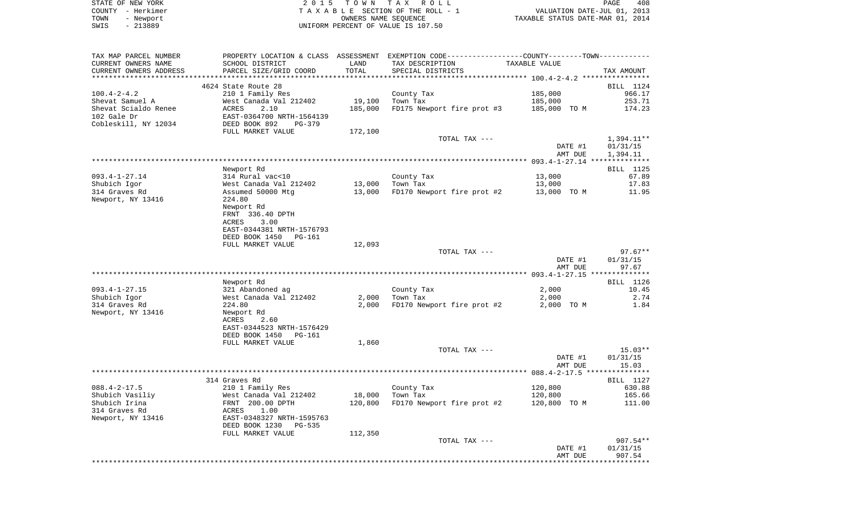| STATE OF NEW YORK |           | 2015 TOWN TAX ROLL                 | PAGE                             | 408 |
|-------------------|-----------|------------------------------------|----------------------------------|-----|
| COUNTY – Herkimer |           | TAXABLE SECTION OF THE ROLL - 1    | VALUATION DATE-JUL 01, 2013      |     |
| TOWN              | - Newport | OWNERS NAME SEOUENCE               | TAXABLE STATUS DATE-MAR 01, 2014 |     |
| SWIS              | - 213889  | UNIFORM PERCENT OF VALUE IS 107.50 |                                  |     |

| TAX MAP PARCEL NUMBER<br>CURRENT OWNERS NAME                | PROPERTY LOCATION & CLASS ASSESSMENT EXEMPTION CODE----------------COUNTY--------TOWN-----------<br>SCHOOL DISTRICT | LAND                                 | TAX DESCRIPTION                        | TAXABLE VALUE           |                                      |
|-------------------------------------------------------------|---------------------------------------------------------------------------------------------------------------------|--------------------------------------|----------------------------------------|-------------------------|--------------------------------------|
| CURRENT OWNERS ADDRESS<br>*********************             | PARCEL SIZE/GRID COORD<br>***************************                                                               | TOTAL<br>* * * * * * * * * * * * * * | SPECIAL DISTRICTS                      |                         | TAX AMOUNT                           |
|                                                             | 4624 State Route 28                                                                                                 |                                      |                                        |                         | BILL 1124                            |
| $100.4 - 2 - 4.2$<br>Shevat Samuel A                        | 210 1 Family Res<br>West Canada Val 212402                                                                          | 19,100                               | County Tax<br>Town Tax                 | 185,000<br>185,000      | 966.17<br>253.71                     |
| Shevat Scialdo Renee<br>102 Gale Dr<br>Cobleskill, NY 12034 | ACRES<br>2.10<br>EAST-0364700 NRTH-1564139<br>DEED BOOK 892<br>PG-379                                               | 185,000                              | FD175 Newport fire prot #3             | 185,000 TO M            | 174.23                               |
|                                                             | FULL MARKET VALUE                                                                                                   | 172,100                              |                                        |                         |                                      |
|                                                             |                                                                                                                     |                                      | TOTAL TAX ---                          | DATE #1<br>AMT DUE      | $1,394.11**$<br>01/31/15<br>1,394.11 |
|                                                             |                                                                                                                     |                                      |                                        |                         |                                      |
|                                                             | Newport Rd                                                                                                          |                                      |                                        |                         | BILL 1125                            |
| $093.4 - 1 - 27.14$                                         | 314 Rural vac<10                                                                                                    | 13,000                               | County Tax<br>Town Tax                 | 13,000<br>13,000        | 67.89<br>17.83                       |
| Shubich Igor<br>314 Graves Rd                               | West Canada Val 212402<br>Assumed 50000 Mtg                                                                         | 13,000                               | FD170 Newport fire prot #2             | 13,000 TO M             | 11.95                                |
| Newport, NY 13416                                           | 224.80<br>Newport Rd<br>FRNT 336.40 DPTH<br>3.00<br>ACRES<br>EAST-0344381 NRTH-1576793                              |                                      |                                        |                         |                                      |
|                                                             | DEED BOOK 1450<br>PG-161<br>FULL MARKET VALUE                                                                       | 12,093                               |                                        |                         |                                      |
|                                                             |                                                                                                                     |                                      | TOTAL TAX ---                          |                         | $97.67**$                            |
|                                                             |                                                                                                                     |                                      |                                        | DATE #1<br>AMT DUE      | 01/31/15<br>97.67                    |
|                                                             |                                                                                                                     |                                      |                                        |                         |                                      |
| $093.4 - 1 - 27.15$                                         | Newport Rd<br>321 Abandoned ag                                                                                      |                                      | County Tax                             | 2,000                   | BILL 1126<br>10.45                   |
| Shubich Igor                                                | West Canada Val 212402                                                                                              | 2,000                                | Town Tax                               | 2,000                   | 2.74                                 |
| 314 Graves Rd<br>Newport, NY 13416                          | 224.80<br>Newport Rd<br>ACRES<br>2.60<br>EAST-0344523 NRTH-1576429                                                  | 2,000                                | FD170 Newport fire prot #2             | 2,000 TO M              | 1.84                                 |
|                                                             | DEED BOOK 1450<br>PG-161                                                                                            |                                      |                                        |                         |                                      |
|                                                             | FULL MARKET VALUE                                                                                                   | 1,860                                | TOTAL TAX ---                          |                         | $15.03**$                            |
|                                                             |                                                                                                                     |                                      |                                        | DATE #1<br>AMT DUE      | 01/31/15<br>15.03                    |
|                                                             |                                                                                                                     |                                      |                                        |                         |                                      |
|                                                             | 314 Graves Rd                                                                                                       |                                      |                                        |                         | BILL 1127                            |
| $088.4 - 2 - 17.5$                                          | 210 1 Family Res                                                                                                    |                                      | County Tax                             | 120,800                 | 630.88                               |
| Shubich Vasiliy<br>Shubich Irina                            | West Canada Val 212402<br>FRNT 200.00 DPTH                                                                          | 18,000<br>120,800                    | Town Tax<br>FD170 Newport fire prot #2 | 120,800<br>120,800 TO M | 165.66<br>111.00                     |
| 314 Graves Rd                                               | ACRES<br>1.00                                                                                                       |                                      |                                        |                         |                                      |
| Newport, NY 13416                                           | EAST-0348327 NRTH-1595763<br>DEED BOOK 1230<br><b>PG-535</b>                                                        |                                      |                                        |                         |                                      |
|                                                             | FULL MARKET VALUE                                                                                                   | 112,350                              |                                        |                         |                                      |
|                                                             |                                                                                                                     |                                      | TOTAL TAX ---                          |                         | $907.54**$                           |
|                                                             |                                                                                                                     |                                      |                                        | DATE #1<br>AMT DUE      | 01/31/15<br>907.54                   |
|                                                             |                                                                                                                     |                                      |                                        |                         |                                      |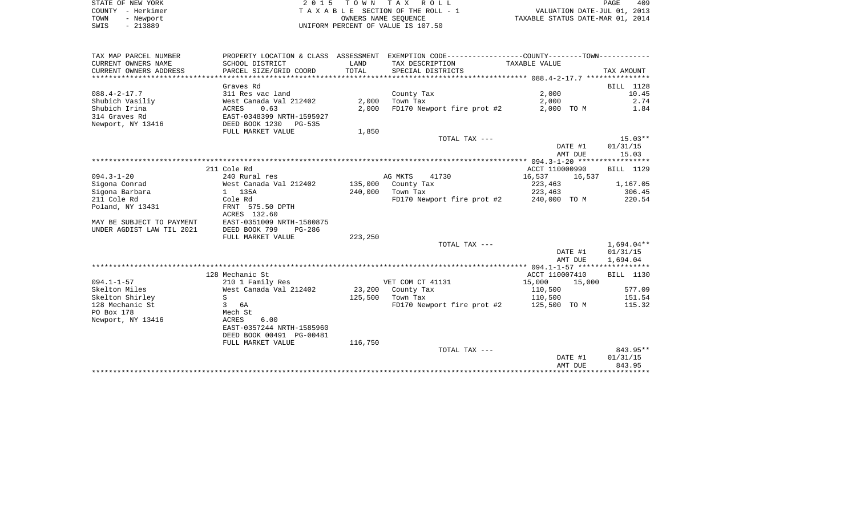| STATE OF NEW YORK |           | 2015 TOWN TAX ROLL                 | 409<br>PAGE                      |
|-------------------|-----------|------------------------------------|----------------------------------|
| COUNTY - Herkimer |           | TAXABLE SECTION OF THE ROLL - 1    | VALUATION DATE-JUL 01, 2013      |
| TOWN              | - Newport | OWNERS NAME SEOUENCE               | TAXABLE STATUS DATE-MAR 01, 2014 |
| SWIS              | $-213889$ | UNIFORM PERCENT OF VALUE IS 107.50 |                                  |

| TAX MAP PARCEL NUMBER     |                           |         | PROPERTY LOCATION & CLASS ASSESSMENT EXEMPTION CODE---------------COUNTY-------TOWN---------- |                  |            |
|---------------------------|---------------------------|---------|-----------------------------------------------------------------------------------------------|------------------|------------|
| CURRENT OWNERS NAME       | SCHOOL DISTRICT           | LAND    | TAX DESCRIPTION                                                                               | TAXABLE VALUE    |            |
| CURRENT OWNERS ADDRESS    | PARCEL SIZE/GRID COORD    | TOTAL   | SPECIAL DISTRICTS                                                                             |                  | TAX AMOUNT |
|                           |                           |         |                                                                                               |                  |            |
|                           | Graves Rd                 |         |                                                                                               |                  | BILL 1128  |
| $088.4 - 2 - 17.7$        | 311 Res vac land          |         | County Tax                                                                                    | 2,000            | 10.45      |
| Shubich Vasiliy           | West Canada Val 212402    | 2,000   | Town Tax                                                                                      | 2,000            | 2.74       |
| Shubich Irina             | ACRES<br>0.63             | 2,000   | FD170 Newport fire prot #2                                                                    | 2,000 TO M       | 1.84       |
| 314 Graves Rd             | EAST-0348399 NRTH-1595927 |         |                                                                                               |                  |            |
| Newport, NY 13416         | DEED BOOK 1230 PG-535     |         |                                                                                               |                  |            |
|                           | FULL MARKET VALUE         | 1,850   |                                                                                               |                  |            |
|                           |                           |         | TOTAL TAX ---                                                                                 |                  | $15.03**$  |
|                           |                           |         |                                                                                               | DATE #1          | 01/31/15   |
|                           |                           |         |                                                                                               | AMT DUE          | 15.03      |
|                           |                           |         |                                                                                               |                  |            |
|                           | 211 Cole Rd               |         |                                                                                               | ACCT 110000990   | BILL 1129  |
| $094.3 - 1 - 20$          | 240 Rural res             |         | AG MKTS<br>41730                                                                              | 16,537<br>16,537 |            |
| Sigona Conrad             | West Canada Val 212402    |         | 135,000 County Tax                                                                            | 223,463          | 1,167.05   |
| Sigona Barbara            | 1 135A                    |         | 240,000 Town Tax                                                                              | 223,463          | 306.45     |
| 211 Cole Rd               | Cole Rd                   |         | FD170 Newport fire prot #2 240,000 TO M                                                       |                  | 220.54     |
| Poland, NY 13431          | FRNT 575.50 DPTH          |         |                                                                                               |                  |            |
|                           | ACRES 132.60              |         |                                                                                               |                  |            |
| MAY BE SUBJECT TO PAYMENT | EAST-0351009 NRTH-1580875 |         |                                                                                               |                  |            |
| UNDER AGDIST LAW TIL 2021 | DEED BOOK 799<br>PG-286   |         |                                                                                               |                  |            |
|                           | FULL MARKET VALUE         | 223,250 |                                                                                               |                  |            |
|                           |                           |         | TOTAL TAX ---                                                                                 |                  | 1,694.04** |
|                           |                           |         |                                                                                               | DATE #1          | 01/31/15   |
|                           |                           |         |                                                                                               | AMT DUE          | 1,694.04   |
|                           |                           |         |                                                                                               |                  |            |
|                           | 128 Mechanic St           |         |                                                                                               | ACCT 110007410   | BILL 1130  |
| $094.1 - 1 - 57$          | 210 1 Family Res          |         | VET COM CT 41131                                                                              | 15,000<br>15,000 |            |
| Skelton Miles             | West Canada Val 212402    |         | 23,200 County Tax                                                                             | 110,500          | 577.09     |
| Skelton Shirley           | S                         | 125,500 | Town Tax                                                                                      | 110,500          | 151.54     |
| 128 Mechanic St           | 3 6A                      |         | FD170 Newport fire prot #2 125,500 TO M                                                       |                  | 115.32     |
| PO Box 178                | Mech St                   |         |                                                                                               |                  |            |
| Newport, NY 13416         | 6.00<br>ACRES             |         |                                                                                               |                  |            |
|                           | EAST-0357244 NRTH-1585960 |         |                                                                                               |                  |            |
|                           | DEED BOOK 00491 PG-00481  |         |                                                                                               |                  |            |
|                           | FULL MARKET VALUE         | 116,750 |                                                                                               |                  |            |
|                           |                           |         | TOTAL TAX ---                                                                                 |                  | 843.95**   |
|                           |                           |         |                                                                                               | DATE #1          | 01/31/15   |
|                           |                           |         |                                                                                               | AMT DUE          | 843.95     |
|                           |                           |         |                                                                                               |                  |            |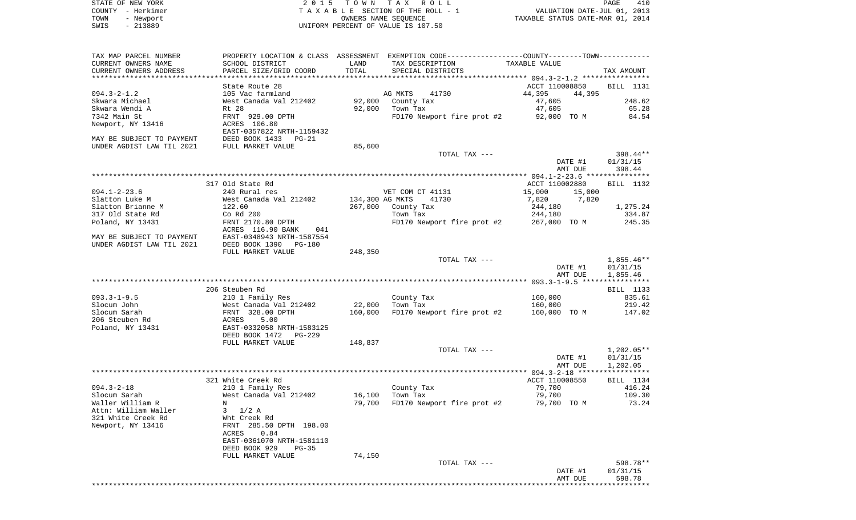| STATE OF NEW YORK      |                           |            | 2015 TOWN TAX ROLL                 |                                                              | 410<br>PAGE                      |
|------------------------|---------------------------|------------|------------------------------------|--------------------------------------------------------------|----------------------------------|
| - Herkimer<br>COUNTY   |                           |            | TAXABLE SECTION OF THE ROLL - 1    |                                                              | VALUATION DATE-JUL 01, 2013      |
| TOWN<br>- Newport      |                           |            | OWNERS NAME SEOUENCE               |                                                              | TAXABLE STATUS DATE-MAR 01, 2014 |
| $-213889$<br>SWIS      |                           |            | UNIFORM PERCENT OF VALUE IS 107.50 |                                                              |                                  |
|                        |                           |            |                                    |                                                              |                                  |
|                        |                           |            |                                    |                                                              |                                  |
| TAX MAP PARCEL NUMBER  | PROPERTY LOCATION & CLASS | ASSESSMENT |                                    | EXEMPTION CODE-----------------COUNTY-------TOWN------------ |                                  |
| CURRENT OWNERS NAME    | SCHOOL DISTRICT           | LAND       | TAX DESCRIPTION                    | TAXABLE VALUE                                                |                                  |
| CURRENT OWNERS ADDRESS | PARCEL SIZE/GRID COORD    | TOTAL      | SPECIAL DISTRICTS                  |                                                              | TAX AMOUNT                       |
|                        |                           |            |                                    |                                                              |                                  |
|                        | $C+$ $D+$ $2Q$            |            |                                    | 3 CCT 11000050                                               | 1121 דזדם                        |

|                           | State Route 28            |                 |                            | ACCT 110008850   | <b>BILL</b> 1131 |
|---------------------------|---------------------------|-----------------|----------------------------|------------------|------------------|
| $094.3 - 2 - 1.2$         | 105 Vac farmland          |                 | AG MKTS<br>41730           | 44,395<br>44,395 |                  |
| Skwara Michael            | West Canada Val 212402    | 92,000          | County Tax                 | 47,605           | 248.62           |
| Skwara Wendi A            | Rt 28                     | 92,000          | Town Tax                   | 47,605           | 65.28            |
| 7342 Main St              | FRNT 929.00 DPTH          |                 | FD170 Newport fire prot #2 | 92,000 TO M      | 84.54            |
| Newport, NY 13416         | ACRES 106.80              |                 |                            |                  |                  |
|                           | EAST-0357822 NRTH-1159432 |                 |                            |                  |                  |
| MAY BE SUBJECT TO PAYMENT | DEED BOOK 1433<br>$PG-21$ |                 |                            |                  |                  |
| UNDER AGDIST LAW TIL 2021 | FULL MARKET VALUE         | 85,600          |                            |                  |                  |
|                           |                           |                 | TOTAL TAX ---              |                  | 398.44**         |
|                           |                           |                 |                            | DATE #1          | 01/31/15         |
|                           |                           |                 |                            | AMT DUE          | 398.44           |
|                           |                           |                 |                            |                  |                  |
|                           | 317 Old State Rd          |                 |                            | ACCT 110002880   | BILL 1132        |
| $094.1 - 2 - 23.6$        | 240 Rural res             |                 | VET COM CT 41131           | 15,000<br>15,000 |                  |
|                           |                           |                 |                            |                  |                  |
| Slatton Luke M            | West Canada Val 212402    | 134,300 AG MKTS | 41730                      | 7,820<br>7,820   |                  |
| Slatton Brianne M         | 122.60                    | 267,000         | County Tax                 | 244,180          | 1,275.24         |
| 317 Old State Rd          | Co Rd 200                 |                 | Town Tax                   | 244,180          | 334.87           |
| Poland, NY 13431          | FRNT 2170.80 DPTH         |                 | FD170 Newport fire prot #2 | 267,000 TO M     | 245.35           |
|                           | ACRES 116.90 BANK<br>041  |                 |                            |                  |                  |
| MAY BE SUBJECT TO PAYMENT | EAST-0348943 NRTH-1587554 |                 |                            |                  |                  |
| UNDER AGDIST LAW TIL 2021 | DEED BOOK 1390<br>PG-180  |                 |                            |                  |                  |
|                           | FULL MARKET VALUE         | 248,350         |                            |                  |                  |
|                           |                           |                 | TOTAL TAX ---              |                  | $1,855.46**$     |
|                           |                           |                 |                            | DATE #1          | 01/31/15         |
|                           |                           |                 |                            | AMT DUE          | 1,855.46         |
|                           |                           |                 |                            |                  |                  |
|                           | 206 Steuben Rd            |                 |                            |                  | BILL 1133        |
| $093.3 - 1 - 9.5$         | 210 1 Family Res          |                 | County Tax                 | 160,000          | 835.61           |
| Slocum John               | West Canada Val 212402    | 22,000          | Town Tax                   | 160,000          | 219.42           |
| Slocum Sarah              | FRNT 328.00 DPTH          | 160,000         | FD170 Newport fire prot #2 | 160,000 TO M     | 147.02           |
| 206 Steuben Rd            | ACRES<br>5.00             |                 |                            |                  |                  |
| Poland, NY 13431          | EAST-0332058 NRTH-1583125 |                 |                            |                  |                  |
|                           | DEED BOOK 1472<br>PG-229  |                 |                            |                  |                  |
|                           | FULL MARKET VALUE         | 148,837         |                            |                  |                  |
|                           |                           |                 | TOTAL TAX ---              |                  | 1,202.05**       |
|                           |                           |                 |                            | DATE #1          | 01/31/15         |
|                           |                           |                 |                            | AMT DUE          | 1,202.05         |
|                           |                           |                 |                            |                  |                  |
|                           | 321 White Creek Rd        |                 |                            | ACCT 110008550   | BILL 1134        |
| $094.3 - 2 - 18$          | 210 1 Family Res          |                 | County Tax                 | 79,700           | 416.24           |
| Slocum Sarah              | West Canada Val 212402    | 16,100          | Town Tax                   | 79,700           | 109.30           |
| Waller William R          | N                         | 79,700          | FD170 Newport fire prot #2 | 79,700 TO M      | 73.24            |
| Attn: William Waller      | $1/2$ A<br>$3^{\circ}$    |                 |                            |                  |                  |
| 321 White Creek Rd        | Wht Creek Rd              |                 |                            |                  |                  |
| Newport, NY 13416         | FRNT 285.50 DPTH 198.00   |                 |                            |                  |                  |
|                           | 0.84<br>ACRES             |                 |                            |                  |                  |
|                           | EAST-0361070 NRTH-1581110 |                 |                            |                  |                  |
|                           |                           |                 |                            |                  |                  |

| FULL MARKET VALUE | 74,150 |               |         |          |
|-------------------|--------|---------------|---------|----------|
|                   |        | TOTAL TAX --- |         | 598.78** |
|                   |        |               | DATE #1 | 01/31/15 |
|                   |        |               | AMT DUE | 598.78   |
|                   |        |               |         |          |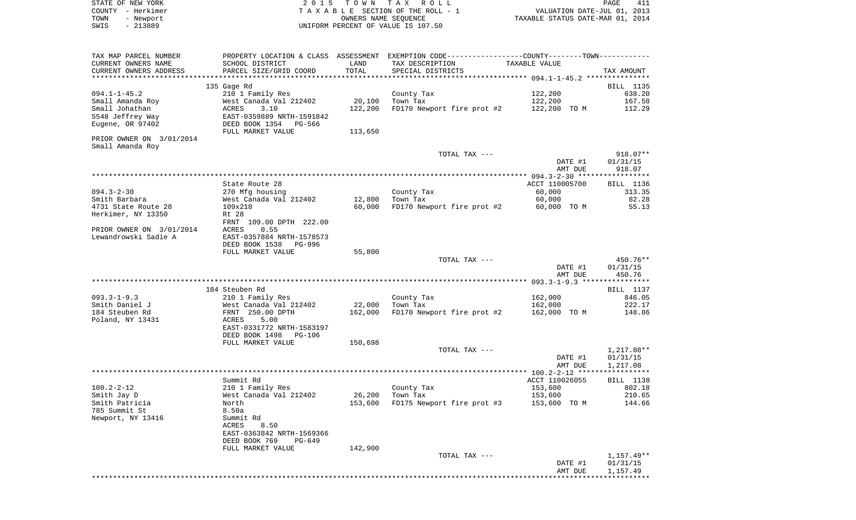| STATE OF NEW YORK                            |                                 |                      | 2015 TOWN TAX ROLL                                                                            |                                  | PAGE<br>411      |
|----------------------------------------------|---------------------------------|----------------------|-----------------------------------------------------------------------------------------------|----------------------------------|------------------|
| COUNTY - Herkimer                            |                                 |                      | TAXABLE SECTION OF THE ROLL - 1                                                               | VALUATION DATE-JUL 01, 2013      |                  |
| TOWN<br>- Newport                            |                                 | OWNERS NAME SEOUENCE |                                                                                               | TAXABLE STATUS DATE-MAR 01, 2014 |                  |
| $-213889$<br>SWIS                            |                                 |                      | UNIFORM PERCENT OF VALUE IS 107.50                                                            |                                  |                  |
|                                              |                                 |                      |                                                                                               |                                  |                  |
| TAX MAP PARCEL NUMBER                        |                                 |                      | PROPERTY LOCATION & CLASS ASSESSMENT EXEMPTION CODE---------------COUNTY-------TOWN---------- |                                  |                  |
| CURRENT OWNERS NAME                          | SCHOOL DISTRICT                 | LAND                 | TAX DESCRIPTION                                                                               | TAXABLE VALUE                    |                  |
| CURRENT OWNERS ADDRESS                       | PARCEL SIZE/GRID COORD          | TOTAL                | SPECIAL DISTRICTS                                                                             |                                  | TAX AMOUNT       |
|                                              |                                 |                      |                                                                                               |                                  |                  |
|                                              | 135 Gage Rd                     |                      |                                                                                               |                                  | BILL 1135        |
| $094.1 - 1 - 45.2$                           | 210 1 Family Res                |                      | County Tax                                                                                    | 122,200                          | 638.20           |
| Small Amanda Roy                             | West Canada Val 212402          | 20,100               | Town Tax                                                                                      | 122,200                          | 167.58           |
| Small Johathan                               | 3.10<br>ACRES                   | 122,200              | FD170 Newport fire prot #2                                                                    | 122,200 TO M                     | 112.29           |
| 5548 Jeffrey Way                             | EAST-0359889 NRTH-1591842       |                      |                                                                                               |                                  |                  |
| Eugene, OR 97402                             | DEED BOOK 1354 PG-566           |                      |                                                                                               |                                  |                  |
|                                              | FULL MARKET VALUE               | 113,650              |                                                                                               |                                  |                  |
| PRIOR OWNER ON 3/01/2014<br>Small Amanda Roy |                                 |                      |                                                                                               |                                  |                  |
|                                              |                                 |                      | TOTAL TAX ---                                                                                 |                                  | 918.07**         |
|                                              |                                 |                      |                                                                                               | DATE #1                          | 01/31/15         |
|                                              |                                 |                      |                                                                                               | AMT DUE                          | 918.07           |
|                                              |                                 |                      |                                                                                               |                                  |                  |
|                                              | State Route 28                  |                      |                                                                                               | ACCT 110005700                   | BILL 1136        |
| $094.3 - 2 - 30$                             | 270 Mfg housing                 |                      | County Tax                                                                                    | 60,000                           | 313.35           |
| Smith Barbara                                | West Canada Val 212402          | 12,800               | Town Tax                                                                                      | 60,000                           | 82.28            |
| 4731 State Route 28                          | 109x218<br>Rt 28                | 60,000               | FD170 Newport fire prot #2                                                                    | 60,000 TO M                      | 55.13            |
| Herkimer, NY 13350                           | FRNT 109.00 DPTH 222.00         |                      |                                                                                               |                                  |                  |
| PRIOR OWNER ON 3/01/2014                     | 0.55<br><b>ACRES</b>            |                      |                                                                                               |                                  |                  |
| Lewandrowski Sadie A                         | EAST-0357884 NRTH-1578573       |                      |                                                                                               |                                  |                  |
|                                              | DEED BOOK 1538<br>PG-996        |                      |                                                                                               |                                  |                  |
|                                              | FULL MARKET VALUE               | 55,800               |                                                                                               |                                  |                  |
|                                              |                                 |                      | TOTAL TAX ---                                                                                 |                                  | 450.76**         |
|                                              |                                 |                      |                                                                                               | DATE #1                          | 01/31/15         |
|                                              |                                 |                      |                                                                                               | AMT DUE                          | 450.76           |
|                                              |                                 |                      |                                                                                               |                                  |                  |
|                                              | 184 Steuben Rd                  |                      |                                                                                               |                                  | <b>BILL</b> 1137 |
| $093.3 - 1 - 9.3$                            | 210 1 Family Res                |                      | County Tax                                                                                    | 162,000                          | 846.05           |
| Smith Daniel J                               | West Canada Val 212402          | 22,000               | Town Tax                                                                                      | 162,000                          | 222.17           |
| 184 Steuben Rd                               | FRNT 250.00 DPTH                | 162,000              | FD170 Newport fire prot #2                                                                    | 162,000 TO M                     | 148.86           |
| Poland, NY 13431                             | ACRES<br>5.00                   |                      |                                                                                               |                                  |                  |
|                                              | EAST-0331772 NRTH-1583197       |                      |                                                                                               |                                  |                  |
|                                              | DEED BOOK 1498<br><b>PG-106</b> |                      |                                                                                               |                                  |                  |
|                                              | FULL MARKET VALUE               | 150,698              |                                                                                               |                                  |                  |
|                                              |                                 |                      | TOTAL TAX ---                                                                                 |                                  | 1,217.08**       |
|                                              |                                 |                      |                                                                                               | DATE #1                          | 01/31/15         |

North 153,600 FD175 Newport fire prot #3<br>8.50a 785 Summit St Summit Rd Newport, NY 13416 ACRES 8.50 EAST-0363842 NRTH-1569366 DEED BOOK 769  $PG-649$ FULL MARKET VALUE 142,900 TOTAL TAX  $---$  1,157.49\*\* DATE #1 01/31/15 AMT DUE 1,157.49 \*\*\*\*\*\*\*\*\*\*\*\*\*\*\*\*\*\*\*\*\*\*\*\*\*\*\*\*\*\*\*\*\*\*\*\*\*\*\*\*\*\*\*\*\*\*\*\*\*\*\*\*\*\*\*\*\*\*\*\*\*\*\*\*\*\*\*\*\*\*\*\*\*\*\*\*\*\*\*\*\*\*\*\*\*\*\*\*\*\*\*\*\*\*\*\*\*\*\*\*\*\*\*\*\*\*\*\*\*\*\*\*\*\*\*\*\*\*\*\*\*\*\*\*\*\*\*\*\*\*\*\*

\*\*\*\*\*\*\*\*\*\*\*\*\*\*\*\*\*\*\*\*\*\*\*\*\*\*\*\*\*\*\*\*\*\*\*\*\*\*\*\*\*\*\*\*\*\*\*\*\*\*\*\*\*\*\*\*\*\*\*\*\*\*\*\*\*\*\*\*\*\*\*\*\*\*\*\*\*\*\*\*\*\*\*\*\*\*\*\*\*\*\*\*\*\*\*\*\*\*\*\*\*\*\* 100.2-2-12 \*\*\*\*\*\*\*\*\*\*\*\*\*\*\*\*\*

100.2-2-12 210 1 Family Res County Tax 153,600 802.18 Smith Jay D West Canada Val 212402 26,200 Town Tax 153,600 210.65

Summit Rd **ACCT** 110026055 BILL 1138

AMT DUE 1,217.08

802.18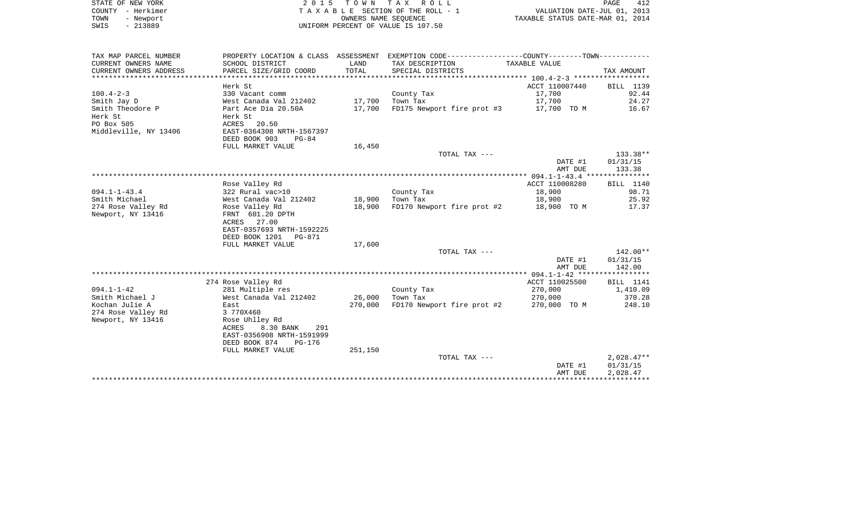| STATE OF NEW YORK      |                                      |        | 2015 TOWN TAX ROLL                                          |                                  | PAGE<br>412 |
|------------------------|--------------------------------------|--------|-------------------------------------------------------------|----------------------------------|-------------|
| COUNTY - Herkimer      |                                      |        | TAXABLE SECTION OF THE ROLL - 1                             | VALUATION DATE-JUL 01, 2013      |             |
| - Newport<br>TOWN      |                                      |        | OWNERS NAME SEQUENCE                                        | TAXABLE STATUS DATE-MAR 01, 2014 |             |
| $-213889$<br>SWIS      |                                      |        | UNIFORM PERCENT OF VALUE IS 107.50                          |                                  |             |
|                        |                                      |        |                                                             |                                  |             |
| TAX MAP PARCEL NUMBER  | PROPERTY LOCATION & CLASS ASSESSMENT |        | EXEMPTION CODE-----------------COUNTY-------TOWN----------- |                                  |             |
| CURRENT OWNERS NAME    | SCHOOL DISTRICT                      | LAND   | TAX DESCRIPTION                                             | TAXABLE VALUE                    |             |
| CURRENT OWNERS ADDRESS | PARCEL SIZE/GRID COORD               | TOTAL  | SPECIAL DISTRICTS                                           |                                  | TAX AMOUNT  |
|                        |                                      |        |                                                             |                                  |             |
|                        | Herk St                              |        |                                                             | ACCT 110007440                   | BILL 1139   |
| $100.4 - 2 - 3$        | 330 Vacant comm                      |        | County Tax                                                  | 17,700                           | 92.44       |
| Smith Jay D            | West Canada Val 212402               | 17,700 | Town Tax                                                    | 17,700                           | 24.27       |
| Smith Theodore P       | Part Ace Dia 20.50A                  | 17,700 | FD175 Newport fire prot #3                                  | 17,700 TO M                      | 16.67       |
| Herk St                | Herk St                              |        |                                                             |                                  |             |
| PO Box 505             | ACRES<br>20.50                       |        |                                                             |                                  |             |
| Middleville, NY 13406  | EAST-0364308 NRTH-1567397            |        |                                                             |                                  |             |
|                        | DEED BOOK 903<br>$PG-84$             |        |                                                             |                                  |             |
|                        | FULL MARKET VALUE                    | 16,450 |                                                             |                                  |             |
|                        |                                      |        | TOTAL TAX ---                                               |                                  | 133.38**    |
|                        |                                      |        |                                                             | DATE #1                          | 01/31/15    |
|                        |                                      |        |                                                             | AMT DUE                          | 133.38      |
|                        |                                      |        |                                                             |                                  |             |
|                        | Rose Valley Rd                       |        |                                                             | ACCT 110008280                   | BILL 1140   |
| $094.1 - 1 - 43.4$     | 322 Rural vac>10                     |        | County Tax                                                  | 18,900                           | 98.71       |
| Smith Michael          | West Canada Val 212402               | 18,900 | Town Tax                                                    | 18,900                           | 25.92       |
| 274 Rose Valley Rd     | Rose Valley Rd                       | 18,900 | FD170 Newport fire prot #2                                  | 18,900 TO M                      | 17.37       |
| Newport, NY 13416      | FRNT 601.20 DPTH<br>ACRES 27.00      |        |                                                             |                                  |             |
|                        |                                      |        |                                                             |                                  |             |
|                        | EAST-0357693 NRTH-1592225            |        |                                                             |                                  |             |
|                        | DEED BOOK 1201<br>PG-871             |        |                                                             |                                  |             |
|                        | FULL MARKET VALUE                    | 17,600 |                                                             |                                  |             |
|                        |                                      |        | TOTAL TAX ---                                               |                                  | 142.00**    |
|                        |                                      |        |                                                             | DATE #1                          | 01/31/15    |
|                        |                                      |        |                                                             | AMT DUE                          | 142.00      |
|                        | 274 Rose Valley Rd                   |        |                                                             | ACCT 110025500                   | BILL 1141   |
| $094.1 - 1 - 42$       | 281 Multiple res                     |        | County Tax                                                  | 270,000                          | 1,410.09    |
| Smith Michael J        | West Canada Val 212402               | 26,000 | Town Tax                                                    | 270,000                          | 370.28      |
|                        |                                      |        |                                                             |                                  |             |

\*\*\*\*\*\*\*\*\*\*\*\*\*\*\*\*\*\*\*\*\*\*\*\*\*\*\*\*\*\*\*\*\*\*\*\*\*\*\*\*\*\*\*\*\*\*\*\*\*\*\*\*\*\*\*\*\*\*\*\*\*\*\*\*\*\*\*\*\*\*\*\*\*\*\*\*\*\*\*\*\*\*\*\*\*\*\*\*\*\*\*\*\*\*\*\*\*\*\*\*\*\*\*\*\*\*\*\*\*\*\*\*\*\*\*\*\*\*\*\*\*\*\*\*\*\*\*\*\*\*\*\*

Kochan Julie A East East 270,000 FD170 Newport fire prot #2<br>274 Rose Valley Rd 3 770X460

FULL MARKET VALUE 251,150

 ACRES 8.30 BANK 291 EAST-0356908 NRTH-1591999 DEED BOOK 874 PG-176

274 Rose Valley Rd

Newport, NY 13416 Rose Uhlley Rd

Nest Canada Val 212402 26,000 Town Tax 270,000 270,000 270,000 2370.28<br>East 270,000 270,000 FD170 Newport fire prot #2 270,000 TO M 248.10

TOTAL TAX  $---$  2,028.47\*\*

 DATE #1 01/31/15 AMT DUE 2,028.47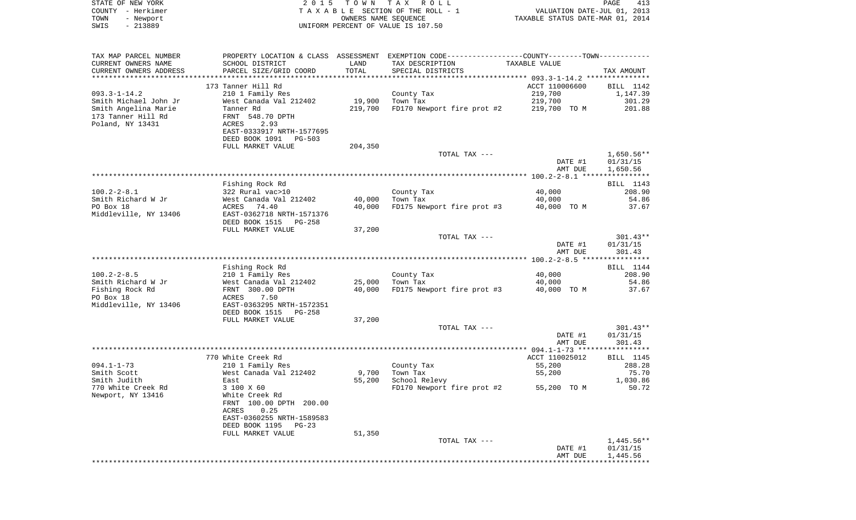|      | STATE OF NEW YORK | 2015 TOWN TAX ROLL                 |                                  | PAGE | 413 |
|------|-------------------|------------------------------------|----------------------------------|------|-----|
|      | COUNTY - Herkimer | TAXABLE SECTION OF THE ROLL - 1    | VALUATION DATE-JUL 01, 2013      |      |     |
| TOWN | - Newport         | OWNERS NAME SEOUENCE               | TAXABLE STATUS DATE-MAR 01, 2014 |      |     |
| SWIS | - 213889          | UNIFORM PERCENT OF VALUE IS 107.50 |                                  |      |     |
|      |                   |                                    |                                  |      |     |

| TAX MAP PARCEL NUMBER  | PROPERTY LOCATION & CLASS ASSESSMENT |         | EXEMPTION CODE----------------COUNTY-------TOWN----------- |                |                    |
|------------------------|--------------------------------------|---------|------------------------------------------------------------|----------------|--------------------|
| CURRENT OWNERS NAME    | SCHOOL DISTRICT                      | LAND    | TAX DESCRIPTION                                            | TAXABLE VALUE  |                    |
| CURRENT OWNERS ADDRESS | PARCEL SIZE/GRID COORD               | TOTAL   | SPECIAL DISTRICTS                                          |                | TAX AMOUNT         |
|                        |                                      |         |                                                            |                |                    |
|                        | 173 Tanner Hill Rd                   |         |                                                            | ACCT 110006600 | BILL 1142          |
| $093.3 - 1 - 14.2$     | 210 1 Family Res                     |         | County Tax                                                 | 219,700        | 1,147.39           |
| Smith Michael John Jr  | West Canada Val 212402               | 19,900  | Town Tax                                                   | 219,700        | 301.29             |
| Smith Angelina Marie   | Tanner Rd                            | 219,700 | FD170 Newport fire prot #2 219,700 TO M                    |                | 201.88             |
| 173 Tanner Hill Rd     | FRNT 548.70 DPTH                     |         |                                                            |                |                    |
| Poland, NY 13431       | 2.93<br>ACRES                        |         |                                                            |                |                    |
|                        | EAST-0333917 NRTH-1577695            |         |                                                            |                |                    |
|                        | DEED BOOK 1091<br><b>PG-503</b>      |         |                                                            |                |                    |
|                        | FULL MARKET VALUE                    | 204,350 |                                                            |                |                    |
|                        |                                      |         | TOTAL TAX ---                                              |                | $1,650.56**$       |
|                        |                                      |         |                                                            | DATE #1        | 01/31/15           |
|                        |                                      |         |                                                            | AMT DUE        | 1,650.56           |
|                        |                                      |         |                                                            |                |                    |
|                        | Fishing Rock Rd                      |         |                                                            |                | BILL 1143          |
| $100.2 - 2 - 8.1$      | 322 Rural vac>10                     |         | County Tax                                                 | 40,000         | 208.90             |
| Smith Richard W Jr     | West Canada Val 212402               | 40,000  | Town Tax                                                   | 40,000         | 54.86              |
| PO Box 18              | 74.40<br>ACRES                       | 40,000  | FD175 Newport fire prot #3                                 | 40,000 TO M    | 37.67              |
| Middleville, NY 13406  | EAST-0362718 NRTH-1571376            |         |                                                            |                |                    |
|                        | DEED BOOK 1515<br>PG-258             |         |                                                            |                |                    |
|                        | FULL MARKET VALUE                    | 37,200  |                                                            |                |                    |
|                        |                                      |         | TOTAL TAX ---                                              |                | $301.43**$         |
|                        |                                      |         |                                                            | DATE #1        | 01/31/15           |
|                        |                                      |         |                                                            | AMT DUE        | 301.43             |
|                        |                                      |         |                                                            |                |                    |
|                        | Fishing Rock Rd                      |         |                                                            |                | BILL 1144          |
| $100.2 - 2 - 8.5$      | 210 1 Family Res                     |         | County Tax                                                 | 40,000         | 208.90             |
| Smith Richard W Jr     | West Canada Val 212402               | 25,000  | Town Tax                                                   | 40,000         | 54.86              |
| Fishing Rock Rd        | FRNT 300.00 DPTH                     | 40,000  | FD175 Newport fire prot #3                                 | 40,000 TO M    | 37.67              |
| PO Box 18              | ACRES<br>7.50                        |         |                                                            |                |                    |
| Middleville, NY 13406  | EAST-0363295 NRTH-1572351            |         |                                                            |                |                    |
|                        | DEED BOOK 1515<br>PG-258             |         |                                                            |                |                    |
|                        | FULL MARKET VALUE                    | 37,200  |                                                            |                |                    |
|                        |                                      |         | TOTAL TAX ---                                              |                | 301.43**           |
|                        |                                      |         |                                                            | DATE #1        |                    |
|                        |                                      |         |                                                            | AMT DUE        | 01/31/15<br>301.43 |
|                        |                                      |         |                                                            |                |                    |
|                        | 770 White Creek Rd                   |         |                                                            | ACCT 110025012 | BILL 1145          |
| $094.1 - 1 - 73$       | 210 1 Family Res                     |         | County Tax                                                 | 55,200         | 288.28             |
| Smith Scott            | West Canada Val 212402               | 9,700   | Town Tax                                                   | 55,200         | 75.70              |
| Smith Judith           | East                                 | 55,200  | School Relevy                                              |                | 1,030.86           |
| 770 White Creek Rd     |                                      |         | FD170 Newport fire prot #2                                 | 55,200 TO M    | 50.72              |
|                        | 3 100 X 60                           |         |                                                            |                |                    |
| Newport, NY 13416      | White Creek Rd                       |         |                                                            |                |                    |
|                        | FRNT 100.00 DPTH 200.00              |         |                                                            |                |                    |
|                        | 0.25<br>ACRES                        |         |                                                            |                |                    |
|                        | EAST-0360255 NRTH-1589583            |         |                                                            |                |                    |
|                        | DEED BOOK 1195<br>$PG-23$            |         |                                                            |                |                    |
|                        | FULL MARKET VALUE                    | 51,350  |                                                            |                |                    |
|                        |                                      |         | TOTAL TAX ---                                              |                | 1,445.56**         |
|                        |                                      |         |                                                            | DATE #1        | 01/31/15           |
|                        |                                      |         |                                                            | AMT DUE        | 1,445.56           |
|                        |                                      |         |                                                            |                |                    |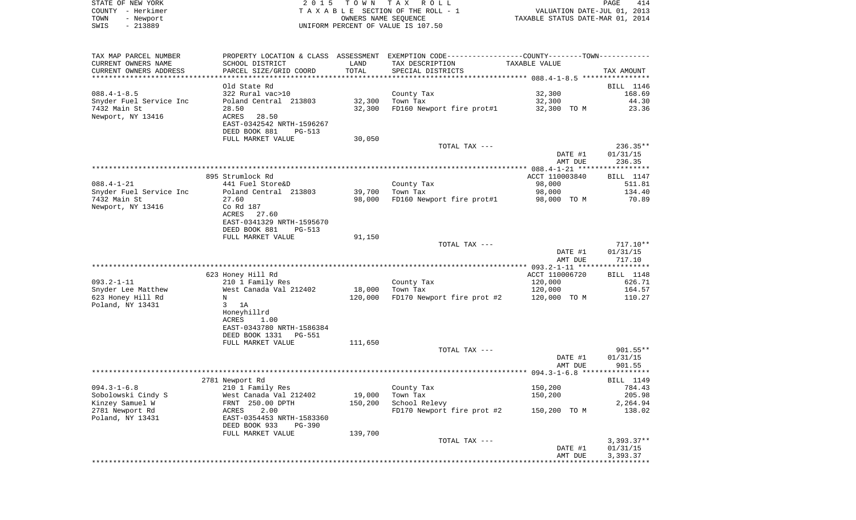|      | STATE OF NEW YORK | 2015 TOWN TAX ROLL                 | 414<br>PAGE                      |
|------|-------------------|------------------------------------|----------------------------------|
|      | COUNTY - Herkimer | TAXABLE SECTION OF THE ROLL - 1    | VALUATION DATE-JUL 01, 2013      |
| TOWN | - Newport         | OWNERS NAME SEOUENCE               | TAXABLE STATUS DATE-MAR 01, 2014 |
| SWIS | - 213889          | UNIFORM PERCENT OF VALUE IS 107.50 |                                  |

| TAX MAP PARCEL NUMBER   |                                |                | PROPERTY LOCATION & CLASS ASSESSMENT EXEMPTION CODE----------------COUNTY--------TOWN----------- |                                                  |              |
|-------------------------|--------------------------------|----------------|--------------------------------------------------------------------------------------------------|--------------------------------------------------|--------------|
| CURRENT OWNERS NAME     | SCHOOL DISTRICT                | LAND           | TAX DESCRIPTION                                                                                  | TAXABLE VALUE                                    |              |
| CURRENT OWNERS ADDRESS  | PARCEL SIZE/GRID COORD         | TOTAL          | SPECIAL DISTRICTS                                                                                |                                                  | TAX AMOUNT   |
|                         |                                | ************** |                                                                                                  | ****************** 088.4-1-8.5 ***************** |              |
|                         | Old State Rd                   |                |                                                                                                  |                                                  | BILL 1146    |
| $088.4 - 1 - 8.5$       | 322 Rural vac>10               |                | County Tax                                                                                       | 32,300                                           | 168.69       |
| Snyder Fuel Service Inc | Poland Central 213803          | 32,300         | Town Tax                                                                                         | 32,300                                           | 44.30        |
| 7432 Main St            | 28.50                          | 32,300         | FD160 Newport fire prot#1                                                                        | 32,300 TO M                                      | 23.36        |
| Newport, NY 13416       | 28.50<br><b>ACRES</b>          |                |                                                                                                  |                                                  |              |
|                         | EAST-0342542 NRTH-1596267      |                |                                                                                                  |                                                  |              |
|                         | DEED BOOK 881<br>$PG-513$      |                |                                                                                                  |                                                  |              |
|                         | FULL MARKET VALUE              | 30,050         |                                                                                                  |                                                  |              |
|                         |                                |                | TOTAL TAX ---                                                                                    |                                                  | 236.35**     |
|                         |                                |                |                                                                                                  | DATE #1                                          | 01/31/15     |
|                         |                                |                |                                                                                                  | AMT DUE                                          | 236.35       |
|                         |                                |                |                                                                                                  |                                                  |              |
|                         | 895 Strumlock Rd               |                |                                                                                                  | ACCT 110003840                                   | BILL 1147    |
| $088.4 - 1 - 21$        | 441 Fuel Store&D               |                | County Tax                                                                                       | 98,000                                           | 511.81       |
| Snyder Fuel Service Inc | Poland Central 213803          | 39,700         | Town Tax                                                                                         | 98,000                                           | 134.40       |
| 7432 Main St            | 27.60                          | 98,000         | FD160 Newport fire prot#1                                                                        | 98,000 TO M                                      | 70.89        |
| Newport, NY 13416       | Co Rd 187                      |                |                                                                                                  |                                                  |              |
|                         | ACRES<br>27.60                 |                |                                                                                                  |                                                  |              |
|                         | EAST-0341329 NRTH-1595670      |                |                                                                                                  |                                                  |              |
|                         | DEED BOOK 881<br><b>PG-513</b> |                |                                                                                                  |                                                  |              |
|                         | FULL MARKET VALUE              | 91,150         | TOTAL TAX ---                                                                                    |                                                  | $717.10**$   |
|                         |                                |                |                                                                                                  | DATE #1                                          | 01/31/15     |
|                         |                                |                |                                                                                                  | AMT DUE                                          | 717.10       |
|                         |                                |                |                                                                                                  |                                                  |              |
|                         | 623 Honey Hill Rd              |                |                                                                                                  | ACCT 110006720                                   | BILL 1148    |
| $093.2 - 1 - 11$        | 210 1 Family Res               |                | County Tax                                                                                       | 120,000                                          | 626.71       |
| Snyder Lee Matthew      | West Canada Val 212402         | 18,000         | Town Tax                                                                                         | 120,000                                          | 164.57       |
| 623 Honey Hill Rd       | $\, {\rm N}$                   | 120,000        | FD170 Newport fire prot #2                                                                       | 120,000 TO M                                     | 110.27       |
| Poland, NY 13431        | 1A<br>3                        |                |                                                                                                  |                                                  |              |
|                         | Honeyhillrd                    |                |                                                                                                  |                                                  |              |
|                         | ACRES<br>1.00                  |                |                                                                                                  |                                                  |              |
|                         | EAST-0343780 NRTH-1586384      |                |                                                                                                  |                                                  |              |
|                         | DEED BOOK 1331<br>PG-551       |                |                                                                                                  |                                                  |              |
|                         | FULL MARKET VALUE              | 111,650        |                                                                                                  |                                                  |              |
|                         |                                |                | TOTAL TAX ---                                                                                    |                                                  | 901.55**     |
|                         |                                |                |                                                                                                  | DATE #1                                          | 01/31/15     |
|                         |                                |                |                                                                                                  | AMT DUE                                          | 901.55       |
|                         |                                |                |                                                                                                  |                                                  |              |
|                         | 2781 Newport Rd                |                |                                                                                                  |                                                  | BILL 1149    |
| $094.3 - 1 - 6.8$       | 210 1 Family Res               |                | County Tax                                                                                       | 150,200                                          | 784.43       |
| Sobolowski Cindy S      | West Canada Val 212402         | 19,000         | Town Tax                                                                                         | 150,200                                          | 205.98       |
| Kinzey Samuel W         | FRNT 250.00 DPTH               | 150,200        | School Relevy                                                                                    |                                                  | 2,264.94     |
| 2781 Newport Rd         | 2.00<br>ACRES                  |                | FD170 Newport fire prot #2                                                                       | 150,200 TO M                                     | 138.02       |
| Poland, NY 13431        | EAST-0354453 NRTH-1583360      |                |                                                                                                  |                                                  |              |
|                         | DEED BOOK 933<br>PG-390        |                |                                                                                                  |                                                  |              |
|                         | FULL MARKET VALUE              | 139,700        |                                                                                                  |                                                  |              |
|                         |                                |                | TOTAL TAX ---                                                                                    |                                                  | $3,393.37**$ |
|                         |                                |                |                                                                                                  |                                                  |              |
|                         |                                |                |                                                                                                  | DATE #1                                          | 01/31/15     |
|                         |                                |                |                                                                                                  | AMT DUE                                          | 3,393.37     |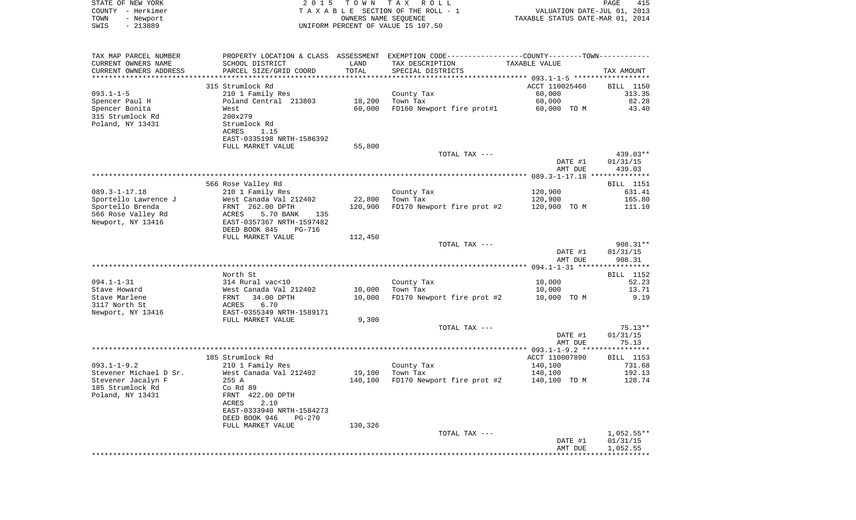| STATE OF NEW YORK                      | 2 0 1 5                          | TOWN TAX | R O L L                                                                                       |                                  | PAGE<br>415          |
|----------------------------------------|----------------------------------|----------|-----------------------------------------------------------------------------------------------|----------------------------------|----------------------|
| COUNTY - Herkimer                      |                                  |          | TAXABLE SECTION OF THE ROLL - 1                                                               | VALUATION DATE-JUL 01, 2013      |                      |
| TOWN<br>- Newport<br>$-213889$<br>SWIS |                                  |          | OWNERS NAME SEQUENCE<br>UNIFORM PERCENT OF VALUE IS 107.50                                    | TAXABLE STATUS DATE-MAR 01, 2014 |                      |
|                                        |                                  |          |                                                                                               |                                  |                      |
| TAX MAP PARCEL NUMBER                  |                                  |          | PROPERTY LOCATION & CLASS ASSESSMENT EXEMPTION CODE---------------COUNTY-------TOWN---------- |                                  |                      |
| CURRENT OWNERS NAME                    | SCHOOL DISTRICT                  | LAND     | TAX DESCRIPTION                                                                               | TAXABLE VALUE                    |                      |
| CURRENT OWNERS ADDRESS                 | PARCEL SIZE/GRID COORD           | TOTAL    | SPECIAL DISTRICTS                                                                             |                                  | TAX AMOUNT           |
| **********************                 |                                  |          |                                                                                               |                                  |                      |
|                                        | 315 Strumlock Rd                 |          |                                                                                               | ACCT 110025460                   | BILL 1150            |
| $093.1 - 1 - 5$                        | 210 1 Family Res                 |          | County Tax                                                                                    | 60,000                           | 313.35               |
| Spencer Paul H                         | Poland Central 213803            | 18,200   | Town Tax                                                                                      | 60,000                           | 82.28                |
| Spencer Bonita                         | West                             | 60,000   | FD160 Newport fire prot#1                                                                     | 60,000 TO M                      | 43.40                |
| 315 Strumlock Rd                       | 200x279                          |          |                                                                                               |                                  |                      |
| Poland, NY 13431                       | Strumlock Rd                     |          |                                                                                               |                                  |                      |
|                                        | ACRES<br>1.15                    |          |                                                                                               |                                  |                      |
|                                        | EAST-0335198 NRTH-1586392        |          |                                                                                               |                                  |                      |
|                                        | FULL MARKET VALUE                | 55,800   | TOTAL TAX ---                                                                                 |                                  | 439.03**             |
|                                        |                                  |          |                                                                                               | DATE #1                          | 01/31/15             |
|                                        |                                  |          |                                                                                               | AMT DUE                          | 439.03               |
|                                        |                                  |          |                                                                                               |                                  |                      |
|                                        | 566 Rose Valley Rd               |          |                                                                                               |                                  | BILL 1151            |
| $089.3 - 1 - 17.18$                    | 210 1 Family Res                 |          | County Tax                                                                                    | 120,900                          | 631.41               |
| Sportello Lawrence J                   | West Canada Val 212402           | 22,800   | Town Tax                                                                                      | 120,900                          | 165.80               |
| Sportello Brenda                       | FRNT 262.00 DPTH                 | 120,900  | FD170 Newport fire prot #2                                                                    | 120,900 TO M                     | 111.10               |
| 566 Rose Valley Rd                     | ACRES<br>5.70 BANK<br>135        |          |                                                                                               |                                  |                      |
| Newport, NY 13416                      | EAST-0357367 NRTH-1597482        |          |                                                                                               |                                  |                      |
|                                        | DEED BOOK 845<br><b>PG-716</b>   |          |                                                                                               |                                  |                      |
|                                        | FULL MARKET VALUE                | 112,450  |                                                                                               |                                  |                      |
|                                        |                                  |          | TOTAL TAX ---                                                                                 |                                  | $908.31**$           |
|                                        |                                  |          |                                                                                               | DATE #1                          | 01/31/15             |
|                                        |                                  |          |                                                                                               | AMT DUE                          | 908.31<br>********** |
|                                        | North St                         |          |                                                                                               |                                  | BILL 1152            |
| $094.1 - 1 - 31$                       | 314 Rural vac<10                 |          | County Tax                                                                                    | 10,000                           | 52.23                |
| Stave Howard                           | West Canada Val 212402           | 10,000   | Town Tax                                                                                      | 10,000                           | 13.71                |
| Stave Marlene                          | 34.00 DPTH<br>FRNT               | 10,000   | FD170 Newport fire prot #2                                                                    | 10,000 TO M                      | 9.19                 |
| 3117 North St                          | ACRES<br>6.70                    |          |                                                                                               |                                  |                      |
| Newport, NY 13416                      | EAST-0355349 NRTH-1589171        |          |                                                                                               |                                  |                      |
|                                        | FULL MARKET VALUE                | 9,300    |                                                                                               |                                  |                      |
|                                        |                                  |          | TOTAL TAX ---                                                                                 |                                  | $75.13**$            |
|                                        |                                  |          |                                                                                               | DATE #1                          | 01/31/15             |
|                                        |                                  |          |                                                                                               | AMT DUE                          | 75.13                |
| ********************                   |                                  |          |                                                                                               |                                  |                      |
|                                        | 185 Strumlock Rd                 |          |                                                                                               | ACCT 110007890                   | <b>BILL</b> 1153     |
| $093.1 - 1 - 9.2$                      | 210 1 Family Res                 |          | County Tax                                                                                    | 140,100                          | 731.68               |
| Stevener Michael D Sr.                 | West Canada Val 212402           | 19,100   | Town Tax                                                                                      | 140,100                          | 192.13               |
| Stevener Jacalyn F                     | 255 A                            | 140,100  | FD170 Newport fire prot #2                                                                    | 140,100 TO M                     | 128.74               |
| 185 Strumlock Rd<br>Poland, NY 13431   | $Co$ $Rd$ 89<br>FRNT 422.00 DPTH |          |                                                                                               |                                  |                      |
|                                        | 2.10<br>ACRES                    |          |                                                                                               |                                  |                      |

FULL MARKET VALUE 130,326 TOTAL TAX ---  $1,052.55**$  DATE #1 01/31/15 AMT DUE 1,052.55 \*\*\*\*\*\*\*\*\*\*\*\*\*\*\*\*\*\*\*\*\*\*\*\*\*\*\*\*\*\*\*\*\*\*\*\*\*\*\*\*\*\*\*\*\*\*\*\*\*\*\*\*\*\*\*\*\*\*\*\*\*\*\*\*\*\*\*\*\*\*\*\*\*\*\*\*\*\*\*\*\*\*\*\*\*\*\*\*\*\*\*\*\*\*\*\*\*\*\*\*\*\*\*\*\*\*\*\*\*\*\*\*\*\*\*\*\*\*\*\*\*\*\*\*\*\*\*\*\*\*\*\*

 EAST-0333940 NRTH-1584273 DEED BOOK 946 PG-270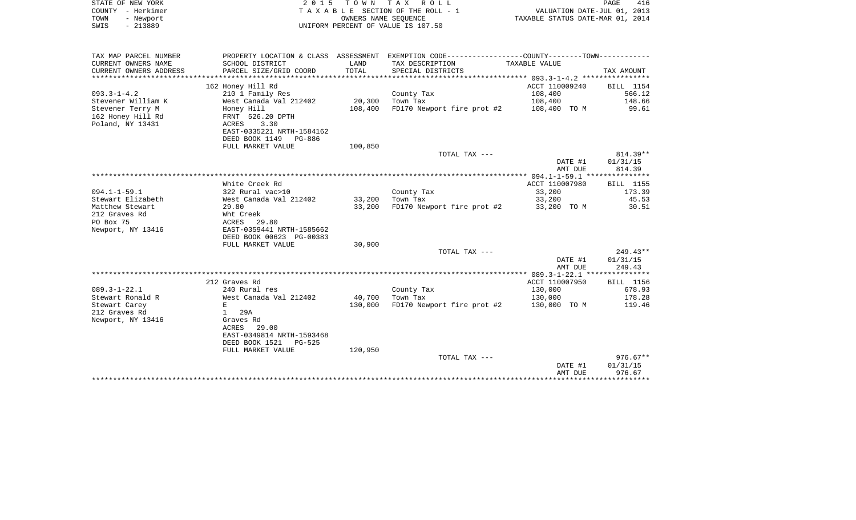| STATE OF NEW YORK<br>COUNTY - Herkimer<br>TOWN<br>- Newport<br>$-213889$<br>SWIS | 2 0 1 5                                                                             | TOWN<br>OWNERS NAME SEOUENCE | TAX ROLL<br>T A X A B L E SECTION OF THE ROLL - 1<br>UNIFORM PERCENT OF VALUE IS 107.50       | VALUATION DATE-JUL 01, 2013<br>TAXABLE STATUS DATE-MAR 01, 2014 | PAGE<br>416             |
|----------------------------------------------------------------------------------|-------------------------------------------------------------------------------------|------------------------------|-----------------------------------------------------------------------------------------------|-----------------------------------------------------------------|-------------------------|
| TAX MAP PARCEL NUMBER                                                            |                                                                                     |                              | PROPERTY LOCATION & CLASS ASSESSMENT EXEMPTION CODE---------------COUNTY-------TOWN---------- |                                                                 |                         |
| CURRENT OWNERS NAME<br>CURRENT OWNERS ADDRESS                                    | SCHOOL DISTRICT<br>PARCEL SIZE/GRID COORD                                           | LAND<br>TOTAL                | TAX DESCRIPTION<br>SPECIAL DISTRICTS                                                          | TAXABLE VALUE                                                   | TAX AMOUNT              |
| *********************                                                            |                                                                                     |                              |                                                                                               |                                                                 |                         |
|                                                                                  | 162 Honey Hill Rd                                                                   |                              |                                                                                               | ACCT 110009240                                                  | BILL 1154               |
| $093.3 - 1 - 4.2$                                                                | 210 1 Family Res                                                                    |                              | County Tax                                                                                    | 108,400                                                         | 566.12                  |
| Stevener William K                                                               | West Canada Val 212402                                                              | 20,300                       | Town Tax                                                                                      | 108,400                                                         | 148.66                  |
| Stevener Terry M<br>162 Honey Hill Rd<br>Poland, NY 13431                        | Honey Hill<br>FRNT 526.20 DPTH<br><b>ACRES</b><br>3.30<br>EAST-0335221 NRTH-1584162 | 108,400                      | FD170 Newport fire prot #2                                                                    | 108,400 TO M                                                    | 99.61                   |
|                                                                                  | DEED BOOK 1149<br>PG-886                                                            |                              |                                                                                               |                                                                 |                         |
|                                                                                  | FULL MARKET VALUE                                                                   | 100,850                      |                                                                                               |                                                                 |                         |
|                                                                                  |                                                                                     |                              | TOTAL TAX ---                                                                                 |                                                                 | 814.39**                |
|                                                                                  |                                                                                     |                              |                                                                                               | DATE #1<br>AMT DUE                                              | 01/31/15<br>814.39      |
|                                                                                  |                                                                                     |                              |                                                                                               | ***************** 094.1-1-59.1 ***************                  |                         |
|                                                                                  | White Creek Rd                                                                      |                              |                                                                                               | ACCT 110007980                                                  | BILL 1155               |
| $094.1 - 1 - 59.1$                                                               | 322 Rural vac>10                                                                    |                              | County Tax                                                                                    | 33,200                                                          | 173.39                  |
| Stewart Elizabeth                                                                | West Canada Val 212402                                                              | 33,200                       | Town Tax                                                                                      | 33,200                                                          | 45.53                   |
| Matthew Stewart                                                                  | 29.80                                                                               | 33,200                       | FD170 Newport fire prot #2                                                                    | 33,200 TO M                                                     | 30.51                   |
| 212 Graves Rd<br>PO Box 75                                                       | Wht Creek<br>29.80<br>ACRES                                                         |                              |                                                                                               |                                                                 |                         |
| Newport, NY 13416                                                                | EAST-0359441 NRTH-1585662                                                           |                              |                                                                                               |                                                                 |                         |
|                                                                                  | DEED BOOK 00623 PG-00383                                                            |                              |                                                                                               |                                                                 |                         |
|                                                                                  | FULL MARKET VALUE                                                                   | 30,900                       |                                                                                               |                                                                 |                         |
|                                                                                  |                                                                                     |                              | TOTAL TAX ---                                                                                 |                                                                 | 249.43**                |
|                                                                                  |                                                                                     |                              |                                                                                               | DATE #1<br>AMT DUE                                              | 01/31/15<br>249.43      |
|                                                                                  |                                                                                     |                              |                                                                                               | *** 089.3-1-22.1 ***************                                |                         |
|                                                                                  | 212 Graves Rd                                                                       |                              |                                                                                               | ACCT 110007950                                                  | BILL 1156               |
| $089.3 - 1 - 22.1$                                                               | 240 Rural res                                                                       |                              | County Tax                                                                                    | 130,000                                                         | 678.93                  |
| Stewart Ronald R                                                                 | West Canada Val 212402                                                              | 40,700                       | Town Tax                                                                                      | 130,000                                                         | 178.28                  |
| Stewart Carey                                                                    | E                                                                                   | 130,000                      | FD170 Newport fire prot #2                                                                    | 130,000 TO M                                                    | 119.46                  |
| 212 Graves Rd                                                                    | 29A<br>$\mathbf{1}$                                                                 |                              |                                                                                               |                                                                 |                         |
| Newport, NY 13416                                                                | Graves Rd<br>29.00<br>ACRES                                                         |                              |                                                                                               |                                                                 |                         |
|                                                                                  | EAST-0349814 NRTH-1593468<br>DEED BOOK 1521<br>$PG-525$                             |                              |                                                                                               |                                                                 |                         |
|                                                                                  | FULL MARKET VALUE                                                                   | 120,950                      |                                                                                               |                                                                 |                         |
|                                                                                  |                                                                                     |                              | TOTAL TAX ---                                                                                 |                                                                 | $976.67**$              |
|                                                                                  |                                                                                     |                              |                                                                                               | DATE #1                                                         | 01/31/15                |
|                                                                                  |                                                                                     |                              |                                                                                               | AMT DUE<br>* * * * * * * * * * * * * * *                        | 976.67<br>************* |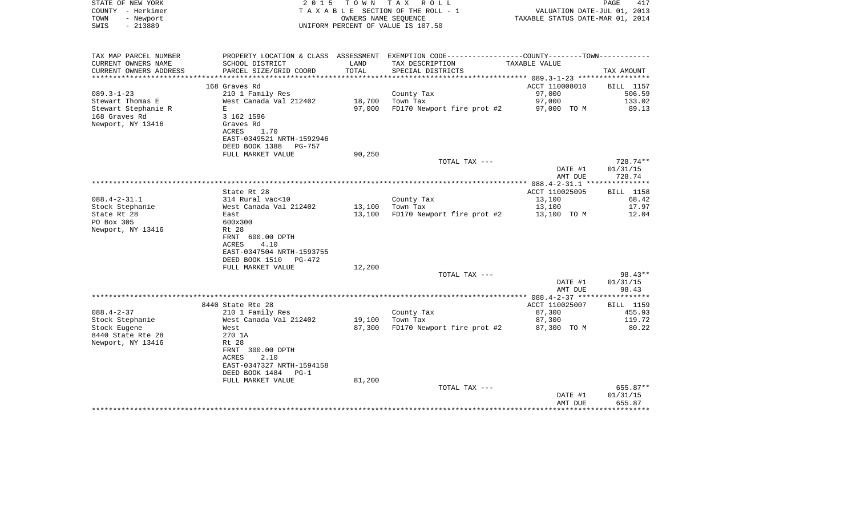| STATE OF NEW YORK<br>COUNTY - Herkimer<br>- Newport<br>TOWN<br>$-213889$<br>SWIS | 2 0 1 5                                                                                                                       | T O W N | TAX ROLL<br>TAXABLE SECTION OF THE ROLL - 1<br>OWNERS NAME SEOUENCE<br>UNIFORM PERCENT OF VALUE IS 107.50        | VALUATION DATE-JUL 01, 2013<br>TAXABLE STATUS DATE-MAR 01, 2014 | PAGE<br>417       |
|----------------------------------------------------------------------------------|-------------------------------------------------------------------------------------------------------------------------------|---------|------------------------------------------------------------------------------------------------------------------|-----------------------------------------------------------------|-------------------|
|                                                                                  |                                                                                                                               |         |                                                                                                                  |                                                                 |                   |
| TAX MAP PARCEL NUMBER<br>CURRENT OWNERS NAME                                     | SCHOOL DISTRICT                                                                                                               | LAND    | PROPERTY LOCATION & CLASS ASSESSMENT EXEMPTION CODE---------------COUNTY-------TOWN----------<br>TAX DESCRIPTION | TAXABLE VALUE                                                   |                   |
| CURRENT OWNERS ADDRESS<br>**********************                                 | PARCEL SIZE/GRID COORD                                                                                                        | TOTAL   | SPECIAL DISTRICTS                                                                                                |                                                                 | TAX AMOUNT        |
|                                                                                  | 168 Graves Rd                                                                                                                 |         |                                                                                                                  | ACCT 110008010                                                  | BILL 1157         |
| $089.3 - 1 - 23$                                                                 | 210 1 Family Res                                                                                                              |         | County Tax                                                                                                       | 97,000                                                          | 506.59            |
| Stewart Thomas E                                                                 | West Canada Val 212402                                                                                                        | 18,700  | Town Tax                                                                                                         | 97,000                                                          | 133.02            |
| Stewart Stephanie R                                                              | Е                                                                                                                             | 97,000  | FD170 Newport fire prot #2                                                                                       | 97,000 TO M                                                     | 89.13             |
| 168 Graves Rd<br>Newport, NY 13416                                               | 3 162 1596<br>Graves Rd<br>ACRES<br>1.70<br>EAST-0349521 NRTH-1592946<br>DEED BOOK 1388<br><b>PG-757</b><br>FULL MARKET VALUE | 90,250  |                                                                                                                  |                                                                 |                   |
|                                                                                  |                                                                                                                               |         | TOTAL TAX ---                                                                                                    |                                                                 | 728.74**          |
|                                                                                  |                                                                                                                               |         |                                                                                                                  | DATE #1                                                         | 01/31/15          |
|                                                                                  |                                                                                                                               |         |                                                                                                                  | AMT DUE                                                         | 728.74            |
|                                                                                  |                                                                                                                               |         |                                                                                                                  |                                                                 |                   |
|                                                                                  | State Rt 28                                                                                                                   |         |                                                                                                                  | ACCT 110025095                                                  | BILL 1158         |
| $088.4 - 2 - 31.1$                                                               | 314 Rural vac<10                                                                                                              |         | County Tax                                                                                                       | 13,100                                                          | 68.42             |
| Stock Stephanie                                                                  | West Canada Val 212402                                                                                                        | 13,100  | Town Tax                                                                                                         | 13,100                                                          | 17.97             |
| State Rt 28<br>PO Box 305                                                        | East<br>600x300                                                                                                               | 13,100  | FD170 Newport fire prot #2                                                                                       | 13,100 TO M                                                     | 12.04             |
| Newport, NY 13416                                                                | Rt 28                                                                                                                         |         |                                                                                                                  |                                                                 |                   |
|                                                                                  | FRNT 600.00 DPTH                                                                                                              |         |                                                                                                                  |                                                                 |                   |
|                                                                                  | <b>ACRES</b><br>4.10                                                                                                          |         |                                                                                                                  |                                                                 |                   |
|                                                                                  | EAST-0347504 NRTH-1593755                                                                                                     |         |                                                                                                                  |                                                                 |                   |
|                                                                                  | DEED BOOK 1510 PG-472                                                                                                         |         |                                                                                                                  |                                                                 |                   |
|                                                                                  | FULL MARKET VALUE                                                                                                             | 12,200  |                                                                                                                  |                                                                 |                   |
|                                                                                  |                                                                                                                               |         | TOTAL TAX ---                                                                                                    |                                                                 | $98.43**$         |
|                                                                                  |                                                                                                                               |         |                                                                                                                  | DATE #1<br>AMT DUE                                              | 01/31/15<br>98.43 |
|                                                                                  |                                                                                                                               |         |                                                                                                                  |                                                                 |                   |
|                                                                                  | 8440 State Rte 28                                                                                                             |         |                                                                                                                  | ACCT 110025007                                                  | BILL 1159         |
| $088.4 - 2 - 37$                                                                 | 210 1 Family Res                                                                                                              |         | County Tax                                                                                                       | 87,300                                                          | 455.93            |
| Stock Stephanie                                                                  | West Canada Val 212402                                                                                                        | 19,100  | Town Tax                                                                                                         | 87,300                                                          | 119.72            |
| Stock Eugene                                                                     | West                                                                                                                          | 87,300  | FD170 Newport fire prot #2                                                                                       | 87,300 TO M                                                     | 80.22             |
| 8440 State Rte 28                                                                | 270 1A                                                                                                                        |         |                                                                                                                  |                                                                 |                   |
| Newport, NY 13416                                                                | Rt 28<br>FRNT 300.00 DPTH                                                                                                     |         |                                                                                                                  |                                                                 |                   |
|                                                                                  | <b>ACRES</b><br>2.10                                                                                                          |         |                                                                                                                  |                                                                 |                   |
|                                                                                  | EAST-0347327 NRTH-1594158                                                                                                     |         |                                                                                                                  |                                                                 |                   |
|                                                                                  | DEED BOOK 1484<br>$PG-1$                                                                                                      |         |                                                                                                                  |                                                                 |                   |
|                                                                                  | FULL MARKET VALUE                                                                                                             | 81,200  |                                                                                                                  |                                                                 |                   |
|                                                                                  |                                                                                                                               |         | TOTAL TAX ---                                                                                                    |                                                                 | 655.87**          |
|                                                                                  |                                                                                                                               |         |                                                                                                                  | DATE #1                                                         | 01/31/15          |
|                                                                                  |                                                                                                                               |         |                                                                                                                  | AMT DUE                                                         | 655.87            |
|                                                                                  |                                                                                                                               |         |                                                                                                                  |                                                                 |                   |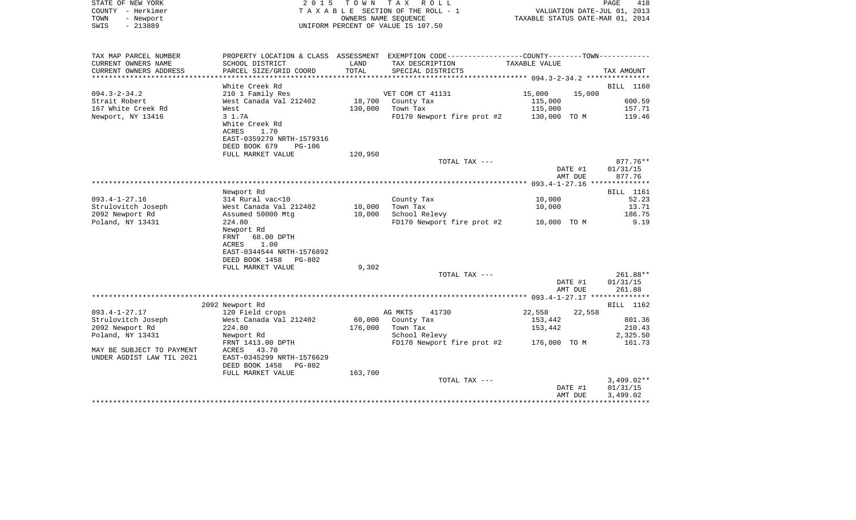|      | STATE OF NEW YORK | 2015 TOWN TAX ROLL                 | PAGE                             | 418 |
|------|-------------------|------------------------------------|----------------------------------|-----|
|      | COUNTY - Herkimer | TAXABLE SECTION OF THE ROLL - 1    | VALUATION DATE-JUL 01, 2013      |     |
| TOWN | - Newport         | OWNERS NAME SEOUENCE               | TAXABLE STATUS DATE-MAR 01, 2014 |     |
| SWIS | $-213889$         | UNIFORM PERCENT OF VALUE IS 107.50 |                                  |     |

| TAX MAP PARCEL NUMBER     |                                                                                       |         | PROPERTY LOCATION & CLASS ASSESSMENT EXEMPTION CODE----------------COUNTY-------TOWN---------- |                  |              |
|---------------------------|---------------------------------------------------------------------------------------|---------|------------------------------------------------------------------------------------------------|------------------|--------------|
| CURRENT OWNERS NAME       | SCHOOL DISTRICT                                                                       | LAND    | TAX DESCRIPTION                                                                                | TAXABLE VALUE    |              |
| CURRENT OWNERS ADDRESS    | PARCEL SIZE/GRID COORD                                                                | TOTAL   | SPECIAL DISTRICTS                                                                              |                  | TAX AMOUNT   |
|                           |                                                                                       |         |                                                                                                |                  |              |
|                           | White Creek Rd                                                                        |         |                                                                                                |                  | BILL 1160    |
| $094.3 - 2 - 34.2$        | 210 1 Family Res                                                                      |         | VET COM CT 41131                                                                               | 15,000<br>15,000 |              |
| Strait Robert             | West Canada Val 212402                                                                |         | 18,700 County Tax                                                                              | 115,000          | 600.59       |
| 167 White Creek Rd        | West                                                                                  | 130,000 | Town Tax                                                                                       | 115,000          | 157.71       |
| Newport, NY 13416         | 3 1.7A<br>White Creek Rd<br><b>ACRES</b><br>1.70<br>EAST-0359279 NRTH-1579316         |         | FD170 Newport fire prot #2                                                                     | 130,000 TO M     | 119.46       |
|                           | DEED BOOK 679<br>$PG-106$                                                             |         |                                                                                                |                  |              |
|                           | FULL MARKET VALUE                                                                     | 120,950 |                                                                                                |                  |              |
|                           |                                                                                       |         | TOTAL TAX ---                                                                                  |                  | $877.76**$   |
|                           |                                                                                       |         |                                                                                                | DATE #1          | 01/31/15     |
|                           |                                                                                       |         |                                                                                                | AMT DUE          | 877.76       |
|                           |                                                                                       |         |                                                                                                |                  |              |
|                           | Newport Rd                                                                            |         |                                                                                                |                  | BILL 1161    |
| $093.4 - 1 - 27.16$       | 314 Rural vac<10                                                                      |         | County Tax                                                                                     | 10,000           | 52.23        |
| Strulovitch Joseph        | West Canada Val 212402                                                                | 10,000  | Town Tax                                                                                       | 10,000           | 13.71        |
| 2092 Newport Rd           | Assumed 50000 Mtg                                                                     | 10,000  | School Relevy                                                                                  |                  | 186.75       |
| Poland, NY 13431          | 224.80                                                                                |         | FD170 Newport fire prot #2                                                                     | 10,000 TO M      | 9.19         |
|                           | Newport Rd<br><b>FRNT</b><br>68.00 DPTH<br>ACRES<br>1.00<br>EAST-0344544 NRTH-1576892 |         |                                                                                                |                  |              |
|                           | DEED BOOK 1458<br>PG-802                                                              |         |                                                                                                |                  |              |
|                           | FULL MARKET VALUE                                                                     | 9,302   |                                                                                                |                  |              |
|                           |                                                                                       |         | TOTAL TAX ---                                                                                  |                  | 261.88**     |
|                           |                                                                                       |         |                                                                                                | DATE #1          | 01/31/15     |
|                           |                                                                                       |         |                                                                                                | AMT DUE          | 261.88       |
|                           | 2092 Newport Rd                                                                       |         |                                                                                                |                  | BILL 1162    |
| $093.4 - 1 - 27.17$       | 120 Field crops                                                                       |         | AG MKTS<br>41730                                                                               | 22,558<br>22,558 |              |
| Strulovitch Joseph        | West Canada Val 212402                                                                | 60,000  | County Tax                                                                                     | 153,442          | 801.36       |
| 2092 Newport Rd           | 224.80                                                                                | 176,000 | Town Tax                                                                                       | 153,442          | 210.43       |
| Poland, NY 13431          | Newport Rd                                                                            |         | School Relevy                                                                                  |                  | 2,325.50     |
|                           | FRNT 1413.00 DPTH                                                                     |         | FD170 Newport fire prot #2                                                                     | 176,000 TO M     | 161.73       |
| MAY BE SUBJECT TO PAYMENT | ACRES 43.70                                                                           |         |                                                                                                |                  |              |
| UNDER AGDIST LAW TIL 2021 | EAST-0345299 NRTH-1576629                                                             |         |                                                                                                |                  |              |
|                           | DEED BOOK 1458<br>PG-802                                                              |         |                                                                                                |                  |              |
|                           | FULL MARKET VALUE                                                                     | 163,700 |                                                                                                |                  |              |
|                           |                                                                                       |         | TOTAL TAX ---                                                                                  |                  | $3,499.02**$ |
|                           |                                                                                       |         |                                                                                                | DATE #1          | 01/31/15     |
|                           |                                                                                       |         |                                                                                                | AMT DUE          | 3,499.02     |
|                           |                                                                                       |         |                                                                                                |                  |              |
|                           |                                                                                       |         |                                                                                                |                  |              |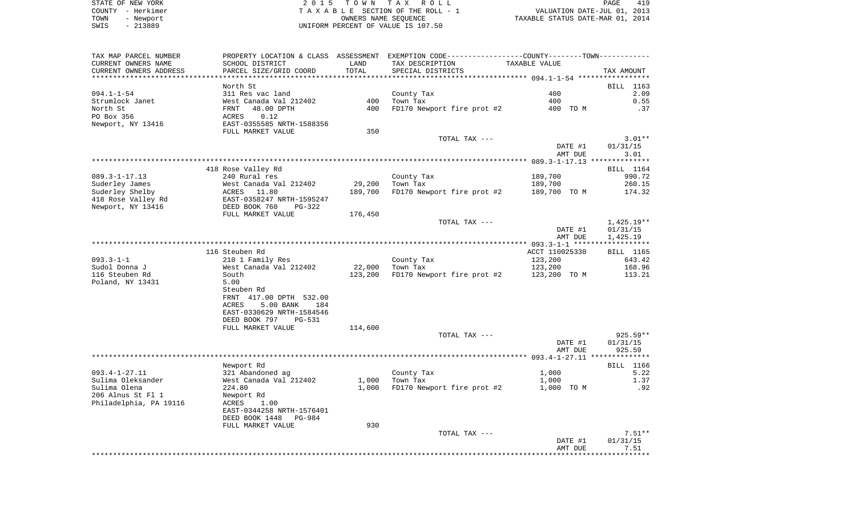| STATE OF NEW YORK | 2015 TOWN TAX ROLL                 | 419<br>PAGE                      |
|-------------------|------------------------------------|----------------------------------|
| COUNTY - Herkimer | TAXABLE SECTION OF THE ROLL - 1    | VALUATION DATE-JUL 01, 2013      |
| TOWN<br>- Newport | OWNERS NAME SEOUENCE               | TAXABLE STATUS DATE-MAR 01, 2014 |
| - 213889<br>SWIS  | UNIFORM PERCENT OF VALUE IS 107.50 |                                  |

| TAX MAP PARCEL NUMBER<br>CURRENT OWNERS NAME | SCHOOL DISTRICT                            | LAND    | PROPERTY LOCATION & CLASS ASSESSMENT EXEMPTION CODE---------------COUNTY-------TOWN---------<br>TAX DESCRIPTION | TAXABLE VALUE      |                        |
|----------------------------------------------|--------------------------------------------|---------|-----------------------------------------------------------------------------------------------------------------|--------------------|------------------------|
| CURRENT OWNERS ADDRESS                       | PARCEL SIZE/GRID COORD                     | TOTAL   | SPECIAL DISTRICTS                                                                                               |                    | TAX AMOUNT             |
|                                              |                                            |         |                                                                                                                 |                    |                        |
|                                              | North St                                   |         |                                                                                                                 |                    | BILL 1163              |
| 094.1-1-54                                   | 311 Res vac land                           |         | County Tax                                                                                                      | 400                | 2.09                   |
| Strumlock Janet                              | West Canada Val 212402                     | 400     | Town Tax                                                                                                        | 400                | 0.55                   |
| North St                                     | 48.00 DPTH<br>FRNT                         | 400     | FD170 Newport fire prot #2                                                                                      | 400 TO M           | .37                    |
| PO Box 356                                   | ACRES<br>0.12<br>EAST-0355585 NRTH-1588356 |         |                                                                                                                 |                    |                        |
| Newport, NY 13416                            | FULL MARKET VALUE                          | 350     |                                                                                                                 |                    |                        |
|                                              |                                            |         | TOTAL TAX ---                                                                                                   |                    | $3.01**$               |
|                                              |                                            |         |                                                                                                                 | DATE #1            | 01/31/15               |
|                                              |                                            |         |                                                                                                                 | AMT DUE            | 3.01                   |
|                                              |                                            |         |                                                                                                                 |                    |                        |
|                                              | 418 Rose Valley Rd                         |         |                                                                                                                 |                    | BILL 1164              |
| $089.3 - 1 - 17.13$                          | 240 Rural res                              |         | County Tax                                                                                                      | 189,700            | 990.72                 |
| Suderley James                               | West Canada Val 212402                     | 29,200  | Town Tax                                                                                                        | 189,700            | 260.15                 |
| Suderley Shelby                              | ACRES<br>11.80                             | 189,700 | FD170 Newport fire prot #2                                                                                      | 189,700 TO M       | 174.32                 |
| 418 Rose Valley Rd                           | EAST-0358247 NRTH-1595247                  |         |                                                                                                                 |                    |                        |
| Newport, NY 13416                            | DEED BOOK 760<br>$PG-322$                  |         |                                                                                                                 |                    |                        |
|                                              | FULL MARKET VALUE                          | 176,450 |                                                                                                                 |                    |                        |
|                                              |                                            |         | TOTAL TAX ---                                                                                                   |                    | 1,425.19**             |
|                                              |                                            |         |                                                                                                                 | DATE #1<br>AMT DUE | 01/31/15<br>1,425.19   |
|                                              |                                            |         |                                                                                                                 |                    |                        |
|                                              | 116 Steuben Rd                             |         |                                                                                                                 | ACCT 110025330     | BILL 1165              |
| $093.3 - 1 - 1$                              | 210 1 Family Res                           |         | County Tax                                                                                                      | 123,200            | 643.42                 |
| Sudol Donna J                                | West Canada Val 212402                     | 22,000  | Town Tax                                                                                                        | 123,200            | 168.96                 |
| 116 Steuben Rd                               | South                                      | 123,200 | FD170 Newport fire prot #2                                                                                      | 123,200 TO M       | 113.21                 |
| Poland, NY 13431                             | 5.00                                       |         |                                                                                                                 |                    |                        |
|                                              | Steuben Rd                                 |         |                                                                                                                 |                    |                        |
|                                              | FRNT 417.00 DPTH 532.00                    |         |                                                                                                                 |                    |                        |
|                                              | ACRES<br>5.00 BANK<br>184                  |         |                                                                                                                 |                    |                        |
|                                              | EAST-0330629 NRTH-1584546                  |         |                                                                                                                 |                    |                        |
|                                              | DEED BOOK 797<br>PG-531                    |         |                                                                                                                 |                    |                        |
|                                              | FULL MARKET VALUE                          | 114,600 |                                                                                                                 |                    |                        |
|                                              |                                            |         | TOTAL TAX ---                                                                                                   | DATE #1            | $925.59**$<br>01/31/15 |
|                                              |                                            |         |                                                                                                                 | AMT DUE            | 925.59                 |
|                                              |                                            |         |                                                                                                                 |                    |                        |
|                                              | Newport Rd                                 |         |                                                                                                                 |                    | BILL 1166              |
| $093.4 - 1 - 27.11$                          | 321 Abandoned ag                           |         | County Tax                                                                                                      | 1,000              | 5.22                   |
| Sulima Oleksander                            | West Canada Val 212402                     | 1,000   | Town Tax                                                                                                        | 1,000              | 1.37                   |
| Sulima Olena                                 | 224.80                                     | 1,000   | FD170 Newport fire prot #2                                                                                      | 1,000 TO M         | .92                    |
| 206 Alnus St Fl 1                            | Newport Rd                                 |         |                                                                                                                 |                    |                        |
| Philadelphia, PA 19116                       | ACRES<br>1.00                              |         |                                                                                                                 |                    |                        |
|                                              | EAST-0344258 NRTH-1576401                  |         |                                                                                                                 |                    |                        |
|                                              | DEED BOOK 1448<br>PG-984                   |         |                                                                                                                 |                    |                        |
|                                              | FULL MARKET VALUE                          | 930     |                                                                                                                 |                    |                        |
|                                              |                                            |         | TOTAL TAX ---                                                                                                   |                    | $7.51**$               |
|                                              |                                            |         |                                                                                                                 | DATE #1<br>AMT DUE | 01/31/15<br>7.51       |
|                                              |                                            |         |                                                                                                                 |                    |                        |
|                                              |                                            |         |                                                                                                                 |                    |                        |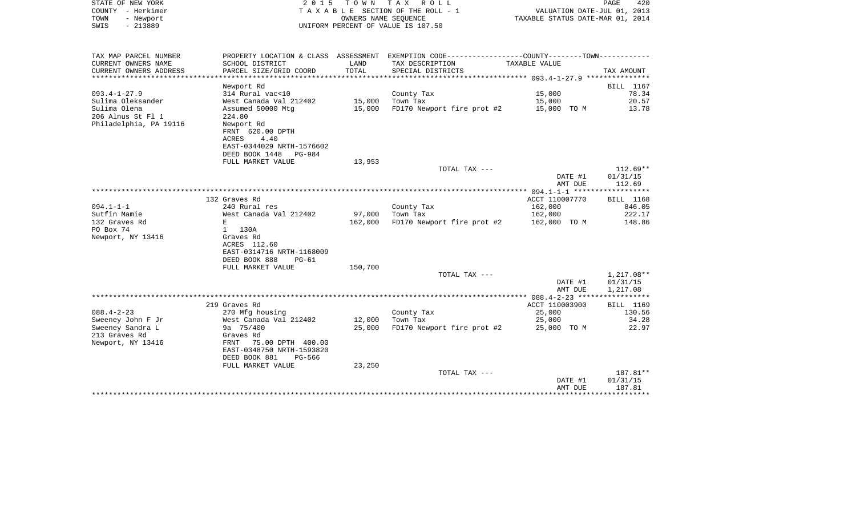| STATE OF NEW YORK<br>COUNTY - Herkimer<br>- Newport<br>TOWN                                                                                                                           | 2 0 1 5                                                             | T O W N<br>OWNERS NAME SEOUENCE | T A X<br>R O L L<br>TAXABLE SECTION OF THE ROLL - 1                                           | VALUATION DATE-JUL 01, 2013<br>TAXABLE STATUS DATE-MAR 01, 2014 | PAGE<br>420                                                                                    |
|---------------------------------------------------------------------------------------------------------------------------------------------------------------------------------------|---------------------------------------------------------------------|---------------------------------|-----------------------------------------------------------------------------------------------|-----------------------------------------------------------------|------------------------------------------------------------------------------------------------|
| $-213889$<br>SWIS                                                                                                                                                                     |                                                                     |                                 | UNIFORM PERCENT OF VALUE IS 107.50                                                            |                                                                 |                                                                                                |
| TAX MAP PARCEL NUMBER                                                                                                                                                                 |                                                                     |                                 | PROPERTY LOCATION & CLASS ASSESSMENT EXEMPTION CODE---------------COUNTY-------TOWN---------- |                                                                 |                                                                                                |
| CURRENT OWNERS NAME                                                                                                                                                                   | SCHOOL DISTRICT                                                     | LAND                            | TAX DESCRIPTION                                                                               | TAXABLE VALUE                                                   |                                                                                                |
| CURRENT OWNERS ADDRESS<br>*****************                                                                                                                                           | PARCEL SIZE/GRID COORD                                              | TOTAL                           | SPECIAL DISTRICTS                                                                             |                                                                 | TAX AMOUNT                                                                                     |
|                                                                                                                                                                                       | Newport Rd                                                          |                                 |                                                                                               | *********** 093.4-1-27.9 ***************                        | BILL 1167                                                                                      |
| $093.4 - 1 - 27.9$                                                                                                                                                                    | 314 Rural vac<10                                                    |                                 | County Tax                                                                                    | 15,000                                                          | 78.34                                                                                          |
| Sulima Oleksander                                                                                                                                                                     | West Canada Val 212402                                              | 15,000                          | Town Tax                                                                                      | 15,000                                                          | 20.57                                                                                          |
| Sulima Olena<br>206 Alnus St Fl 1<br>Philadelphia, PA 19116                                                                                                                           | Assumed 50000 Mtg<br>224.80<br>Newport Rd                           | 15,000                          | FD170 Newport fire prot #2                                                                    | 15,000 TO M                                                     | 13.78                                                                                          |
|                                                                                                                                                                                       | FRNT 620.00 DPTH<br>ACRES<br>4.40<br>EAST-0344029 NRTH-1576602      |                                 |                                                                                               |                                                                 |                                                                                                |
|                                                                                                                                                                                       | DEED BOOK 1448<br>PG-984                                            |                                 |                                                                                               |                                                                 |                                                                                                |
|                                                                                                                                                                                       | FULL MARKET VALUE                                                   | 13,953                          |                                                                                               |                                                                 |                                                                                                |
|                                                                                                                                                                                       |                                                                     |                                 | TOTAL TAX ---                                                                                 | DATE #1                                                         | $112.69**$<br>01/31/15                                                                         |
|                                                                                                                                                                                       |                                                                     |                                 |                                                                                               | AMT DUE                                                         | 112.69                                                                                         |
|                                                                                                                                                                                       |                                                                     |                                 |                                                                                               |                                                                 |                                                                                                |
|                                                                                                                                                                                       |                                                                     |                                 |                                                                                               |                                                                 |                                                                                                |
|                                                                                                                                                                                       | 132 Graves Rd                                                       |                                 |                                                                                               | ACCT 110007770                                                  |                                                                                                |
|                                                                                                                                                                                       | 240 Rural res                                                       |                                 | County Tax                                                                                    | 162,000                                                         |                                                                                                |
|                                                                                                                                                                                       | West Canada Val 212402                                              | 97,000                          | Town Tax                                                                                      | 162,000                                                         |                                                                                                |
|                                                                                                                                                                                       | E.                                                                  | 162,000                         | FD170 Newport fire prot #2                                                                    | 162,000 TO M                                                    |                                                                                                |
|                                                                                                                                                                                       | 1 130A                                                              |                                 |                                                                                               |                                                                 |                                                                                                |
|                                                                                                                                                                                       | Graves Rd                                                           |                                 |                                                                                               |                                                                 |                                                                                                |
|                                                                                                                                                                                       | ACRES 112.60<br>EAST-0314716 NRTH-1168009                           |                                 |                                                                                               |                                                                 |                                                                                                |
|                                                                                                                                                                                       | DEED BOOK 888<br>$PG-61$                                            |                                 |                                                                                               |                                                                 |                                                                                                |
|                                                                                                                                                                                       | FULL MARKET VALUE                                                   | 150,700                         |                                                                                               |                                                                 |                                                                                                |
|                                                                                                                                                                                       |                                                                     |                                 | TOTAL TAX ---                                                                                 |                                                                 |                                                                                                |
|                                                                                                                                                                                       |                                                                     |                                 |                                                                                               | DATE #1                                                         | 01/31/15                                                                                       |
|                                                                                                                                                                                       |                                                                     |                                 |                                                                                               | AMT DUE                                                         | 1,217.08                                                                                       |
|                                                                                                                                                                                       | 219 Graves Rd                                                       |                                 |                                                                                               | ACCT 110003900                                                  |                                                                                                |
|                                                                                                                                                                                       | 270 Mfg housing                                                     |                                 | County Tax                                                                                    | 25,000                                                          |                                                                                                |
|                                                                                                                                                                                       | West Canada Val 212402                                              | 12,000                          | Town Tax                                                                                      | 25,000                                                          |                                                                                                |
|                                                                                                                                                                                       | 9a 75/400                                                           | 25,000                          | FD170 Newport fire prot #2                                                                    | 25,000 TO M                                                     |                                                                                                |
|                                                                                                                                                                                       | Graves Rd<br>75.00 DPTH 400.00<br>FRNT<br>EAST-0348750 NRTH-1593820 |                                 |                                                                                               |                                                                 |                                                                                                |
|                                                                                                                                                                                       | DEED BOOK 881<br>PG-566                                             |                                 |                                                                                               |                                                                 |                                                                                                |
|                                                                                                                                                                                       | FULL MARKET VALUE                                                   | 23,250                          |                                                                                               |                                                                 | BILL 1168<br>846.05<br>222.17<br>148.86<br>1,217.08**<br>BILL 1169<br>130.56<br>34.28<br>22.97 |
| $094.1 - 1 - 1$<br>Sutfin Mamie<br>132 Graves Rd<br>PO Box 74<br>Newport, NY 13416<br>$088.4 - 2 - 23$<br>Sweeney John F Jr<br>Sweeney Sandra L<br>213 Graves Rd<br>Newport, NY 13416 |                                                                     |                                 | TOTAL TAX ---                                                                                 | DATE #1                                                         | 187.81**<br>01/31/15                                                                           |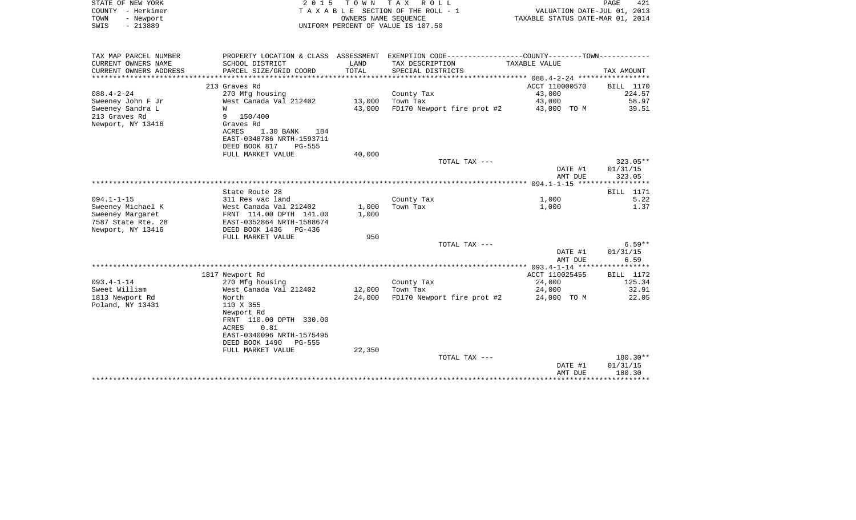| STATE OF NEW YORK      | 2 0 1 5                              | T O W N                     | T A X<br>R O L L                                            |                                  | 421<br>PAGE |
|------------------------|--------------------------------------|-----------------------------|-------------------------------------------------------------|----------------------------------|-------------|
| - Herkimer<br>COUNTY   | TAXABLE SECTION OF THE ROLL - 1      | VALUATION DATE-JUL 01, 2013 |                                                             |                                  |             |
| TOWN<br>- Newport      |                                      | OWNERS NAME SEOUENCE        |                                                             | TAXABLE STATUS DATE-MAR 01, 2014 |             |
| $-213889$<br>SWIS      |                                      |                             | UNIFORM PERCENT OF VALUE IS 107.50                          |                                  |             |
|                        |                                      |                             |                                                             |                                  |             |
| TAX MAP PARCEL NUMBER  | PROPERTY LOCATION & CLASS ASSESSMENT |                             | EXEMPTION CODE-----------------COUNTY-------TOWN----------- |                                  |             |
| CURRENT OWNERS NAME    | SCHOOL DISTRICT                      | LAND                        | TAX DESCRIPTION                                             | TAXABLE VALUE                    |             |
| CURRENT OWNERS ADDRESS | PARCEL SIZE/GRID COORD               | TOTAL                       | SPECIAL DISTRICTS                                           |                                  | TAX AMOUNT  |
|                        |                                      |                             |                                                             |                                  |             |
|                        | 213 Graves Rd                        |                             |                                                             | ACCT 110000570                   | BILL 1170   |
| $088.4 - 2 - 24$       | 270 Mfg housing                      |                             | County Tax                                                  | 43,000                           | 224.57      |
| Sweeney John F Jr      | West Canada Val 212402               | 13,000                      | Town Tax                                                    | 43,000                           | 58.97       |
| Sweeney Sandra L       | W                                    | 43,000                      | FD170 Newport fire prot #2                                  | 43,000 TO M                      | 39.51       |
| 213 Graves Rd          | 9 150/400                            |                             |                                                             |                                  |             |
| Newport, NY 13416      | Graves Rd                            |                             |                                                             |                                  |             |
|                        | 1.30 BANK<br>ACRES<br>184            |                             |                                                             |                                  |             |
|                        | EAST-0348786 NRTH-1593711            |                             |                                                             |                                  |             |
|                        | DEED BOOK 817<br>PG-555              |                             |                                                             |                                  |             |
|                        | FULL MARKET VALUE                    | 40,000                      |                                                             |                                  |             |
|                        |                                      |                             | TOTAL TAX ---                                               |                                  | $323.05**$  |
|                        |                                      |                             |                                                             | DATE #1                          | 01/31/15    |
|                        |                                      |                             |                                                             | AMT DUE                          | 323.05      |
|                        |                                      |                             |                                                             |                                  |             |
|                        | State Route 28                       |                             |                                                             |                                  | BILL 1171   |
| $094.1 - 1 - 15$       | 311 Res vac land                     |                             | County Tax                                                  | 1,000                            | 5.22        |
| Sweeney Michael K      | West Canada Val 212402               | 1,000                       | Town Tax                                                    | 1,000                            | 1.37        |
| Sweeney Margaret       | FRNT 114.00 DPTH 141.00              | 1,000                       |                                                             |                                  |             |
| $7587$ State Rte $28$  | EAST-0352864 NRTH-1588674            |                             |                                                             |                                  |             |

| 213 Graves Rd<br>Newport, NY 13416                          | $9$ 150/400<br>Graves Rd<br>ACRES<br>1.30 BANK<br>184<br>EAST-0348786 NRTH-1593711<br>DEED BOOK 817<br><b>PG-555</b><br>FULL MARKET VALUE | 40,000         | TOTAL TAX ---              | DATE #1<br>AMT DUE | $323.05**$<br>01/31/15<br>323.05 |
|-------------------------------------------------------------|-------------------------------------------------------------------------------------------------------------------------------------------|----------------|----------------------------|--------------------|----------------------------------|
|                                                             | State Route 28                                                                                                                            |                |                            |                    | <b>BILL</b> 1171                 |
| $094.1 - 1 - 15$                                            | 311 Res vac land                                                                                                                          |                | County Tax                 | 1,000              | 5.22                             |
| Sweeney Michael K<br>Sweeney Margaret<br>7587 State Rte. 28 | West Canada Val 212402<br>FRNT 114.00 DPTH 141.00<br>EAST-0352864 NRTH-1588674                                                            | 1,000<br>1,000 | Town Tax                   | 1,000              | 1.37                             |
| Newport, NY 13416                                           | DEED BOOK 1436<br>PG-436                                                                                                                  | 950            |                            |                    |                                  |
|                                                             | FULL MARKET VALUE                                                                                                                         |                | TOTAL TAX ---              |                    | $6.59**$                         |
|                                                             |                                                                                                                                           |                |                            | DATE #1<br>AMT DUE | 01/31/15<br>6.59                 |
|                                                             |                                                                                                                                           |                |                            |                    |                                  |
|                                                             | 1817 Newport Rd                                                                                                                           |                |                            | ACCT 110025455     | <b>BILL</b> 1172                 |
| $093.4 - 1 - 14$                                            | 270 Mfg housing                                                                                                                           |                | County Tax                 | 24,000             | 125.34                           |
| Sweet William                                               | West Canada Val 212402                                                                                                                    | 12,000         | Town Tax                   | 24,000             | 32.91                            |
| 1813 Newport Rd<br>Poland, NY 13431                         | North<br>110 X 355<br>Newport Rd<br>FRNT 110.00 DPTH 330.00<br>0.81<br>ACRES<br>EAST-0340096 NRTH-1575495<br>DEED BOOK 1490 PG-555        | 24,000         | FD170 Newport fire prot #2 | 24,000 TO M        | 22.05                            |
|                                                             | FULL MARKET VALUE                                                                                                                         | 22,350         |                            |                    |                                  |
|                                                             |                                                                                                                                           |                | TOTAL TAX ---              | DATE #1<br>AMT DUE | $180.30**$<br>01/31/15<br>180.30 |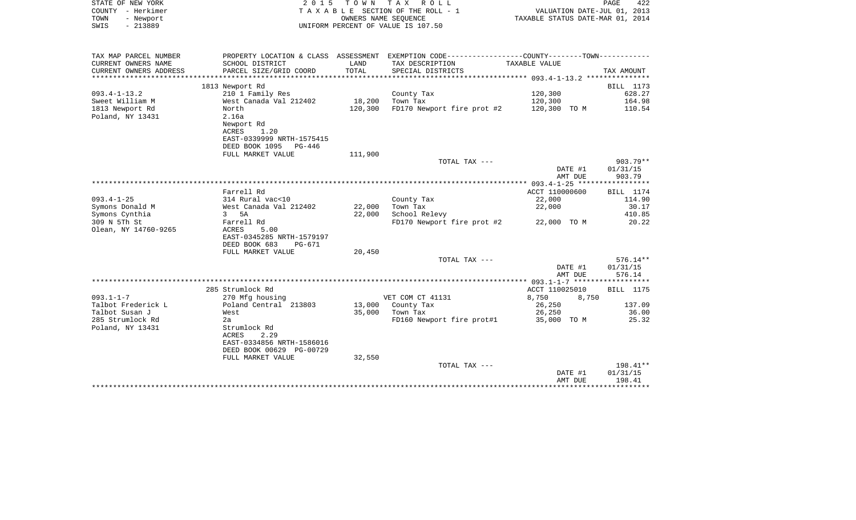|      | STATE OF NEW YORK | 2015 TOWN TAX ROLL                 | PAGE                             | 422 |
|------|-------------------|------------------------------------|----------------------------------|-----|
|      | COUNTY - Herkimer | TAXABLE SECTION OF THE ROLL - 1    | VALUATION DATE-JUL 01, 2013      |     |
| TOWN | - Newport         | OWNERS NAME SEOUENCE               | TAXABLE STATUS DATE-MAR 01, 2014 |     |
| SWIS | - 213889          | UNIFORM PERCENT OF VALUE IS 107.50 |                                  |     |

| TAX MAP PARCEL NUMBER   | PROPERTY LOCATION & CLASS ASSESSMENT |         | EXEMPTION CODE----------------COUNTY-------TOWN----------- |                    |                    |
|-------------------------|--------------------------------------|---------|------------------------------------------------------------|--------------------|--------------------|
| CURRENT OWNERS NAME     | SCHOOL DISTRICT                      | LAND    | TAX DESCRIPTION                                            | TAXABLE VALUE      |                    |
| CURRENT OWNERS ADDRESS  | PARCEL SIZE/GRID COORD               | TOTAL   | SPECIAL DISTRICTS                                          |                    | TAX AMOUNT         |
| *********************** |                                      |         |                                                            |                    |                    |
|                         | 1813 Newport Rd                      |         |                                                            |                    | BILL 1173          |
| $093.4 - 1 - 13.2$      | 210 1 Family Res                     |         | County Tax                                                 | 120,300            | 628.27             |
| Sweet William M         | West Canada Val 212402               | 18,200  | Town Tax                                                   | 120,300            | 164.98             |
| 1813 Newport Rd         | North                                | 120,300 | FD170 Newport fire prot #2 120,300 TO M                    |                    | 110.54             |
| Poland, NY 13431        | 2.16a                                |         |                                                            |                    |                    |
|                         | Newport Rd                           |         |                                                            |                    |                    |
|                         | ACRES<br>1.20                        |         |                                                            |                    |                    |
|                         | EAST-0339999 NRTH-1575415            |         |                                                            |                    |                    |
|                         | DEED BOOK 1095<br>PG-446             |         |                                                            |                    |                    |
|                         | FULL MARKET VALUE                    | 111,900 |                                                            |                    |                    |
|                         |                                      |         | TOTAL TAX ---                                              |                    | $903.79**$         |
|                         |                                      |         |                                                            |                    |                    |
|                         |                                      |         |                                                            | DATE #1<br>AMT DUE | 01/31/15<br>903.79 |
|                         |                                      |         |                                                            |                    |                    |
|                         |                                      |         |                                                            |                    |                    |
| $093.4 - 1 - 25$        | Farrell Rd                           |         |                                                            | ACCT 110000600     | BILL 1174          |
|                         | 314 Rural vac<10                     |         | County Tax                                                 | 22,000             | 114.90             |
| Symons Donald M         | West Canada Val 212402               | 22,000  | Town Tax                                                   | 22,000             | 30.17              |
| Symons Cynthia          | 3 5A                                 | 22,000  | School Relevy                                              |                    | 410.85             |
| 309 N 5Th St            | Farrell Rd                           |         | FD170 Newport fire prot #2                                 | 22,000 TO M        | 20.22              |
| Olean, NY 14760-9265    | ACRES<br>5.00                        |         |                                                            |                    |                    |
|                         | EAST-0345285 NRTH-1579197            |         |                                                            |                    |                    |
|                         | DEED BOOK 683<br><b>PG-671</b>       |         |                                                            |                    |                    |
|                         | FULL MARKET VALUE                    | 20,450  |                                                            |                    |                    |
|                         |                                      |         | TOTAL TAX ---                                              |                    | $576.14**$         |
|                         |                                      |         |                                                            | DATE #1            | 01/31/15           |
|                         |                                      |         |                                                            | AMT DUE            | 576.14             |
|                         |                                      |         |                                                            |                    |                    |
|                         | 285 Strumlock Rd                     |         |                                                            | ACCT 110025010     | BILL 1175          |
| $093.1 - 1 - 7$         | 270 Mfg housing                      |         | VET COM CT 41131                                           | 8,750<br>8,750     |                    |
| Talbot Frederick L      | Poland Central 213803                |         | 13,000 County Tax                                          | 26,250             | 137.09             |
| Talbot Susan J          | West                                 | 35,000  | Town Tax                                                   | 26,250             | 36.00              |
| 285 Strumlock Rd        | 2a                                   |         | FD160 Newport fire prot#1                                  | 35,000 TO M        | 25.32              |
| Poland, NY 13431        | Strumlock Rd                         |         |                                                            |                    |                    |
|                         | 2.29<br>ACRES                        |         |                                                            |                    |                    |
|                         | EAST-0334856 NRTH-1586016            |         |                                                            |                    |                    |
|                         | DEED BOOK 00629 PG-00729             |         |                                                            |                    |                    |
|                         | FULL MARKET VALUE                    | 32,550  |                                                            |                    |                    |
|                         |                                      |         | TOTAL TAX ---                                              |                    | $198.41**$         |
|                         |                                      |         |                                                            | DATE #1            | 01/31/15           |
|                         |                                      |         |                                                            | AMT DUE            | 198.41             |
|                         |                                      |         |                                                            |                    | **********         |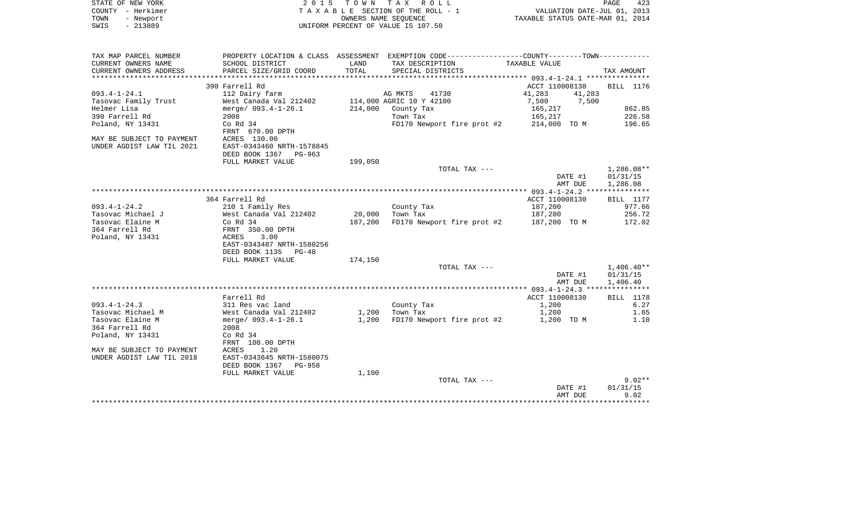| COUNTY - Herkimer<br>TOWN<br>- Newport |                                                   |         | 2015 TOWN TAX ROLL<br>TAXABLE SECTION OF THE ROLL - 1<br>OWNERS NAME SEOUENCE                  | VALUATION DATE-JUL 01, 2013<br>TAXABLE STATUS DATE-MAR 01, 2014 | PAGE                                                                  |
|----------------------------------------|---------------------------------------------------|---------|------------------------------------------------------------------------------------------------|-----------------------------------------------------------------|-----------------------------------------------------------------------|
| $-213889$<br>SWIS                      |                                                   |         | UNIFORM PERCENT OF VALUE IS 107.50                                                             |                                                                 |                                                                       |
| TAX MAP PARCEL NUMBER                  |                                                   |         | PROPERTY LOCATION & CLASS ASSESSMENT EXEMPTION CODE----------------COUNTY-------TOWN---------- |                                                                 |                                                                       |
| CURRENT OWNERS NAME                    | SCHOOL DISTRICT                                   | LAND    | TAX DESCRIPTION                                                                                | TAXABLE VALUE                                                   |                                                                       |
| CURRENT OWNERS ADDRESS                 | PARCEL SIZE/GRID COORD                            | TOTAL   | SPECIAL DISTRICTS                                                                              |                                                                 | TAX AMOUNT                                                            |
|                                        |                                                   |         |                                                                                                |                                                                 |                                                                       |
|                                        | 390 Farrell Rd                                    |         |                                                                                                | ACCT 110008130                                                  | BILL 1176                                                             |
| $093.4 - 1 - 24.1$                     | 112 Dairy farm                                    |         | AG MKTS<br>41730                                                                               | 41,283<br>41,283                                                |                                                                       |
| Tasovac Family Trust                   | West Canada Val 212402                            |         | 114,000 AGRIC 10 Y 42100                                                                       | 7,500<br>7,500                                                  |                                                                       |
| Helmer Lisa                            | merge/ 093.4-1-26.1                               |         | 214,000 County Tax                                                                             | 165,217                                                         | 862.85                                                                |
| 390 Farrell Rd                         | 2008                                              |         | Town Tax                                                                                       | 165, 217                                                        | 226.58                                                                |
| Poland, NY 13431                       | Co Rd 34                                          |         | FD170 Newport fire prot #2 214,000 TO M                                                        |                                                                 | 196.65                                                                |
|                                        | FRNT 670.00 DPTH                                  |         |                                                                                                |                                                                 |                                                                       |
| MAY BE SUBJECT TO PAYMENT              | ACRES 130.00                                      |         |                                                                                                |                                                                 |                                                                       |
| UNDER AGDIST LAW TIL 2021              | EAST-0343460 NRTH-1578845                         |         |                                                                                                |                                                                 |                                                                       |
|                                        | DEED BOOK 1367 PG-963                             |         |                                                                                                |                                                                 |                                                                       |
|                                        | FULL MARKET VALUE                                 | 199,050 |                                                                                                |                                                                 |                                                                       |
|                                        |                                                   |         | TOTAL TAX ---                                                                                  |                                                                 | 1,286.08**                                                            |
|                                        |                                                   |         |                                                                                                | DATE #1                                                         | 01/31/15                                                              |
|                                        |                                                   |         |                                                                                                | AMT DUE                                                         | 1,286.08                                                              |
|                                        | 364 Farrell Rd                                    |         |                                                                                                | ACCT 110008130                                                  | BILL 1177                                                             |
| $093.4 - 1 - 24.2$                     | 210 1 Family Res                                  |         | County Tax                                                                                     | 187,200                                                         | 977.66                                                                |
|                                        |                                                   |         |                                                                                                |                                                                 |                                                                       |
|                                        |                                                   |         |                                                                                                |                                                                 |                                                                       |
| Tasovac Michael J                      | West Canada Val 212402                            | 20,000  | Town Tax                                                                                       | 187,200                                                         |                                                                       |
| Tasovac Elaine M                       | Co Rd 34                                          | 187,200 | FD170 Newport fire prot #2                                                                     | 187,200 TO M                                                    |                                                                       |
| 364 Farrell Rd                         | FRNT 350.00 DPTH                                  |         |                                                                                                |                                                                 |                                                                       |
| Poland, NY 13431                       | 3.00<br>ACRES                                     |         |                                                                                                |                                                                 |                                                                       |
|                                        | EAST-0343487 NRTH-1580256<br>DEED BOOK 1135 PG-48 |         |                                                                                                |                                                                 |                                                                       |
|                                        | FULL MARKET VALUE                                 | 174,150 |                                                                                                |                                                                 |                                                                       |
|                                        |                                                   |         | TOTAL TAX ---                                                                                  |                                                                 |                                                                       |
|                                        |                                                   |         |                                                                                                | DATE #1                                                         |                                                                       |
|                                        |                                                   |         |                                                                                                | AMT DUE                                                         |                                                                       |
|                                        |                                                   |         |                                                                                                |                                                                 |                                                                       |
|                                        | Farrell Rd                                        |         |                                                                                                | ACCT 110008130                                                  |                                                                       |
| $093.4 - 1 - 24.3$                     | 311 Res vac land                                  |         | County Tax                                                                                     | 1,200                                                           |                                                                       |
| Tasovac Michael M                      | West Canada Val 212402                            |         | $1,200$ Town Tax                                                                               | 1,200                                                           |                                                                       |
| Tasovac Elaine M                       | merge/ 093.4-1-26.1                               |         | 1,200 FD170 Newport fire prot #2                                                               | 1,200 TO M                                                      |                                                                       |
| 364 Farrell Rd                         | 2008                                              |         |                                                                                                |                                                                 |                                                                       |
| Poland, NY 13431                       | Co Rd 34                                          |         |                                                                                                |                                                                 |                                                                       |
|                                        | FRNT 108.00 DPTH                                  |         |                                                                                                |                                                                 |                                                                       |
| MAY BE SUBJECT TO PAYMENT              | ACRES 1.20                                        |         |                                                                                                |                                                                 |                                                                       |
| UNDER AGDIST LAW TIL 2018              | EAST-0343645 NRTH-1580075                         |         |                                                                                                |                                                                 |                                                                       |
|                                        | DEED BOOK 1367 PG-958                             |         |                                                                                                |                                                                 |                                                                       |
|                                        | FULL MARKET VALUE                                 | 1,100   |                                                                                                |                                                                 | 256.72<br>172.02<br>$1,406.40**$<br>01/31/15<br>1,406.40<br>BILL 1178 |
|                                        |                                                   |         | TOTAL TAX ---                                                                                  | DATE #1                                                         | $9.02**$<br>01/31/15                                                  |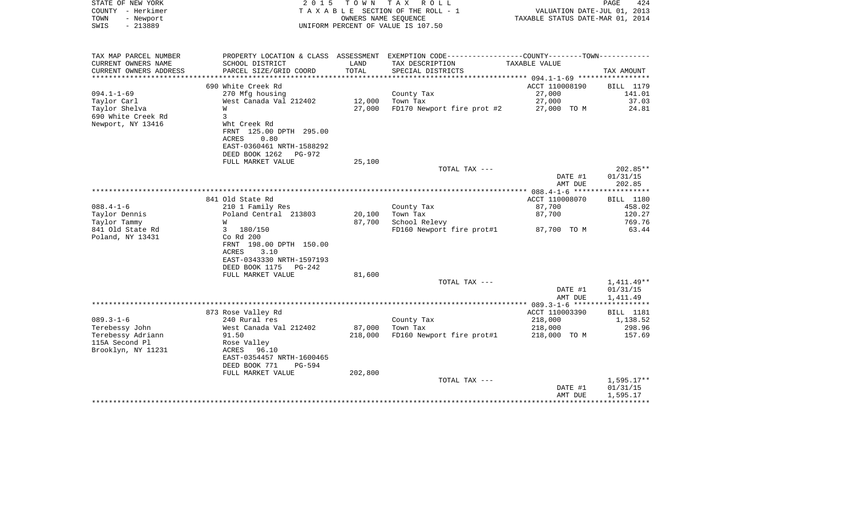| STATE OF NEW YORK<br>COUNTY - Herkimer        | 2 0 1 5                                     | T O W N       | TAX ROLL<br>TAXABLE SECTION OF THE ROLL - 1                                                   | VALUATION DATE-JUL 01, 2013      | PAGE<br>424          |
|-----------------------------------------------|---------------------------------------------|---------------|-----------------------------------------------------------------------------------------------|----------------------------------|----------------------|
| TOWN<br>- Newport                             |                                             |               | OWNERS NAME SEQUENCE                                                                          | TAXABLE STATUS DATE-MAR 01, 2014 |                      |
| $-213889$<br>SWIS                             |                                             |               | UNIFORM PERCENT OF VALUE IS 107.50                                                            |                                  |                      |
|                                               |                                             |               |                                                                                               |                                  |                      |
| TAX MAP PARCEL NUMBER                         |                                             |               | PROPERTY LOCATION & CLASS ASSESSMENT EXEMPTION CODE---------------COUNTY-------TOWN---------- |                                  |                      |
| CURRENT OWNERS NAME<br>CURRENT OWNERS ADDRESS | SCHOOL DISTRICT<br>PARCEL SIZE/GRID COORD   | LAND<br>TOTAL | TAX DESCRIPTION<br>SPECIAL DISTRICTS                                                          | TAXABLE VALUE                    | TAX AMOUNT           |
| **********************                        |                                             |               |                                                                                               |                                  |                      |
|                                               | 690 White Creek Rd                          |               |                                                                                               | ACCT 110008190                   | BILL 1179            |
| $094.1 - 1 - 69$                              | 270 Mfg housing                             |               | County Tax                                                                                    | 27,000                           | 141.01               |
| Taylor Carl                                   | West Canada Val 212402                      | 12,000        | Town Tax                                                                                      | 27,000                           | 37.03                |
| Taylor Shelva                                 | W                                           | 27,000        | FD170 Newport fire prot #2                                                                    | 27,000 TO M                      | 24.81                |
| 690 White Creek Rd<br>Newport, NY 13416       | 3<br>Wht Creek Rd                           |               |                                                                                               |                                  |                      |
|                                               | FRNT 125.00 DPTH 295.00                     |               |                                                                                               |                                  |                      |
|                                               | 0.80<br><b>ACRES</b>                        |               |                                                                                               |                                  |                      |
|                                               | EAST-0360461 NRTH-1588292                   |               |                                                                                               |                                  |                      |
|                                               | DEED BOOK 1262<br>PG-972                    |               |                                                                                               |                                  |                      |
|                                               | FULL MARKET VALUE                           | 25,100        |                                                                                               |                                  |                      |
|                                               |                                             |               | TOTAL TAX ---                                                                                 |                                  | 202.85**             |
|                                               |                                             |               |                                                                                               | DATE #1<br>AMT DUE               | 01/31/15<br>202.85   |
|                                               |                                             |               |                                                                                               |                                  |                      |
|                                               | 841 Old State Rd                            |               |                                                                                               | ACCT 110008070                   | BILL 1180            |
| $088.4 - 1 - 6$                               | 210 1 Family Res                            |               | County Tax                                                                                    | 87,700                           | 458.02               |
| Taylor Dennis                                 | Poland Central 213803                       | 20,100        | Town Tax                                                                                      | 87,700                           | 120.27               |
| Taylor Tammy                                  | W                                           | 87,700        | School Relevy                                                                                 |                                  | 769.76               |
| 841 Old State Rd                              | 3 180/150                                   |               | FD160 Newport fire prot#1                                                                     | 87,700 TO M                      | 63.44                |
| Poland, NY 13431                              | Co Rd 200<br>FRNT 198.00 DPTH 150.00        |               |                                                                                               |                                  |                      |
|                                               | 3.10<br>ACRES                               |               |                                                                                               |                                  |                      |
|                                               | EAST-0343330 NRTH-1597193                   |               |                                                                                               |                                  |                      |
|                                               | DEED BOOK 1175<br>PG-242                    |               |                                                                                               |                                  |                      |
|                                               | FULL MARKET VALUE                           | 81,600        |                                                                                               |                                  |                      |
|                                               |                                             |               | TOTAL TAX ---                                                                                 |                                  | $1,411.49**$         |
|                                               |                                             |               |                                                                                               | DATE #1<br>AMT DUE               | 01/31/15<br>1,411.49 |
|                                               |                                             |               |                                                                                               |                                  |                      |
|                                               | 873 Rose Valley Rd                          |               |                                                                                               | ACCT 110003390                   | <b>BILL</b> 1181     |
| $089.3 - 1 - 6$                               | 240 Rural res                               |               | County Tax                                                                                    | 218,000                          | 1,138.52             |
| Terebessy John                                | West Canada Val 212402                      | 87,000        | Town Tax                                                                                      | 218,000                          | 298.96               |
| Terebessy Adriann                             | 91.50                                       | 218,000       | FD160 Newport fire prot#1                                                                     | 218,000 TO M                     | 157.69               |
| 115A Second Pl                                | Rose Valley                                 |               |                                                                                               |                                  |                      |
| Brooklyn, NY 11231                            | ACRES<br>96.10<br>EAST-0354457 NRTH-1600465 |               |                                                                                               |                                  |                      |
|                                               | DEED BOOK 771<br>PG-594                     |               |                                                                                               |                                  |                      |
|                                               | FULL MARKET VALUE                           | 202,800       |                                                                                               |                                  |                      |
|                                               |                                             |               | TOTAL TAX ---                                                                                 |                                  | $1,595.17**$         |
|                                               |                                             |               |                                                                                               |                                  |                      |
|                                               |                                             |               |                                                                                               | DATE #1<br>AMT DUE               | 01/31/15<br>1,595.17 |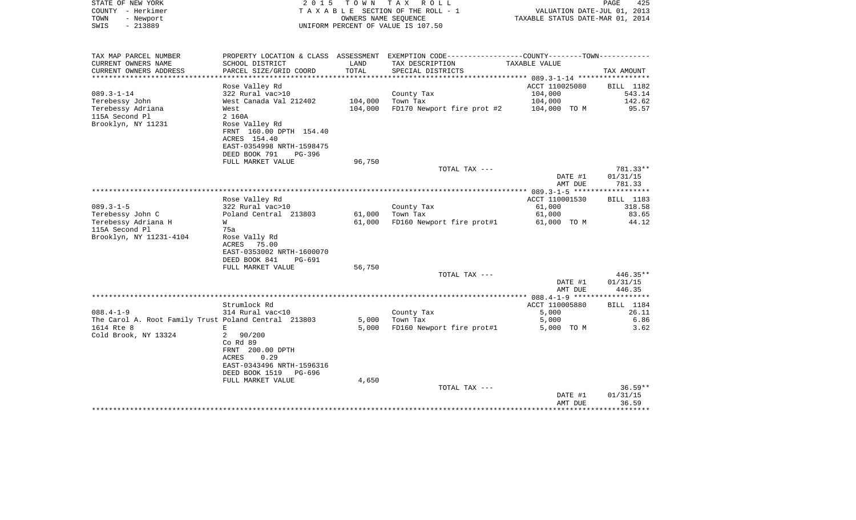| STATE OF NEW YORK<br>COUNTY - Herkimer<br>TOWN<br>- Newport        | 2 0 1 5                                       | T O W N              | TAX ROLL<br>TAXABLE SECTION OF THE ROLL - 1<br>OWNERS NAME SEOUENCE                            | VALUATION DATE-JUL 01, 2013<br>TAXABLE STATUS DATE-MAR 01, 2014 | PAGE<br>425           |
|--------------------------------------------------------------------|-----------------------------------------------|----------------------|------------------------------------------------------------------------------------------------|-----------------------------------------------------------------|-----------------------|
| $-213889$<br>SWIS                                                  |                                               |                      | UNIFORM PERCENT OF VALUE IS 107.50                                                             |                                                                 |                       |
| TAX MAP PARCEL NUMBER                                              |                                               |                      | PROPERTY LOCATION & CLASS ASSESSMENT EXEMPTION CODE----------------COUNTY-------TOWN---------- |                                                                 |                       |
| CURRENT OWNERS NAME                                                | SCHOOL DISTRICT                               | LAND                 | TAX DESCRIPTION                                                                                | TAXABLE VALUE                                                   |                       |
| CURRENT OWNERS ADDRESS<br>*********************                    | PARCEL SIZE/GRID COORD                        | TOTAL<br>*********** | SPECIAL DISTRICTS                                                                              |                                                                 | TAX AMOUNT            |
|                                                                    | Rose Valley Rd                                |                      |                                                                                                | ACCT 110025080                                                  | BILL 1182             |
| $089.3 - 1 - 14$                                                   | 322 Rural vac>10                              |                      | County Tax                                                                                     | 104,000                                                         | 543.14                |
| Terebessy John                                                     | West Canada Val 212402                        | 104,000              | Town Tax                                                                                       | 104,000                                                         | 142.62                |
| Terebessy Adriana                                                  | West                                          | 104,000              | FD170 Newport fire prot #2                                                                     | 104,000 TO M                                                    | 95.57                 |
| 115A Second Pl                                                     | 2 160A                                        |                      |                                                                                                |                                                                 |                       |
| Brooklyn, NY 11231                                                 | Rose Valley Rd                                |                      |                                                                                                |                                                                 |                       |
|                                                                    | FRNT 160.00 DPTH 154.40<br>ACRES 154.40       |                      |                                                                                                |                                                                 |                       |
|                                                                    | EAST-0354998 NRTH-1598475                     |                      |                                                                                                |                                                                 |                       |
|                                                                    | DEED BOOK 791<br>PG-396                       |                      |                                                                                                |                                                                 |                       |
|                                                                    | FULL MARKET VALUE                             | 96,750               |                                                                                                |                                                                 |                       |
|                                                                    |                                               |                      | TOTAL TAX ---                                                                                  |                                                                 | 781.33**              |
|                                                                    |                                               |                      |                                                                                                | DATE #1<br>AMT DUE                                              | 01/31/15<br>781.33    |
|                                                                    |                                               |                      |                                                                                                |                                                                 |                       |
|                                                                    | Rose Valley Rd                                |                      |                                                                                                | ACCT 110001530                                                  | BILL 1183             |
| $089.3 - 1 - 5$                                                    | 322 Rural vac>10                              |                      | County Tax                                                                                     | 61,000                                                          | 318.58                |
| Terebessy John C                                                   | Poland Central 213803                         | 61,000               | Town Tax                                                                                       | 61,000                                                          | 83.65                 |
| Terebessy Adriana H                                                | W                                             | 61,000               | FD160 Newport fire prot#1                                                                      | 61,000 TO M                                                     | 44.12                 |
| 115A Second Pl<br>Brooklyn, NY 11231-4104                          | 75a<br>Rose Vally Rd                          |                      |                                                                                                |                                                                 |                       |
|                                                                    | 75.00<br>ACRES                                |                      |                                                                                                |                                                                 |                       |
|                                                                    | EAST-0353002 NRTH-1600070                     |                      |                                                                                                |                                                                 |                       |
|                                                                    | DEED BOOK 841<br>PG-691                       |                      |                                                                                                |                                                                 |                       |
|                                                                    | FULL MARKET VALUE                             | 56,750               |                                                                                                |                                                                 |                       |
|                                                                    |                                               |                      | TOTAL TAX ---                                                                                  | DATE #1                                                         | 446.35**<br>01/31/15  |
|                                                                    |                                               |                      |                                                                                                | AMT DUE                                                         | 446.35                |
|                                                                    |                                               |                      |                                                                                                |                                                                 |                       |
|                                                                    | Strumlock Rd                                  |                      |                                                                                                | ACCT 110005880                                                  | <b>BILL</b> 1184      |
| $088.4 - 1 - 9$                                                    | 314 Rural vac<10                              |                      | County Tax                                                                                     | 5,000                                                           | 26.11                 |
| The Carol A. Root Family Trust Poland Central 213803<br>1614 Rte 8 |                                               | 5,000                | Town Tax<br>FD160 Newport fire prot#1                                                          | 5,000                                                           | 6.86<br>3.62          |
| Cold Brook, NY 13324                                               | Е<br>2<br>90/200                              | 5,000                |                                                                                                | 5,000 TO M                                                      |                       |
|                                                                    | Co Rd 89                                      |                      |                                                                                                |                                                                 |                       |
|                                                                    | FRNT 200.00 DPTH                              |                      |                                                                                                |                                                                 |                       |
|                                                                    | 0.29<br>ACRES                                 |                      |                                                                                                |                                                                 |                       |
|                                                                    | EAST-0343496 NRTH-1596316                     |                      |                                                                                                |                                                                 |                       |
|                                                                    | DEED BOOK 1519<br>PG-696<br>FULL MARKET VALUE | 4,650                |                                                                                                |                                                                 |                       |
|                                                                    |                                               |                      | TOTAL TAX ---                                                                                  |                                                                 | $36.59**$             |
|                                                                    |                                               |                      |                                                                                                | DATE #1                                                         | 01/31/15              |
|                                                                    |                                               |                      |                                                                                                | AMT DUE                                                         | 36.59                 |
|                                                                    |                                               |                      |                                                                                                | ****************                                                | * * * * * * * * * * * |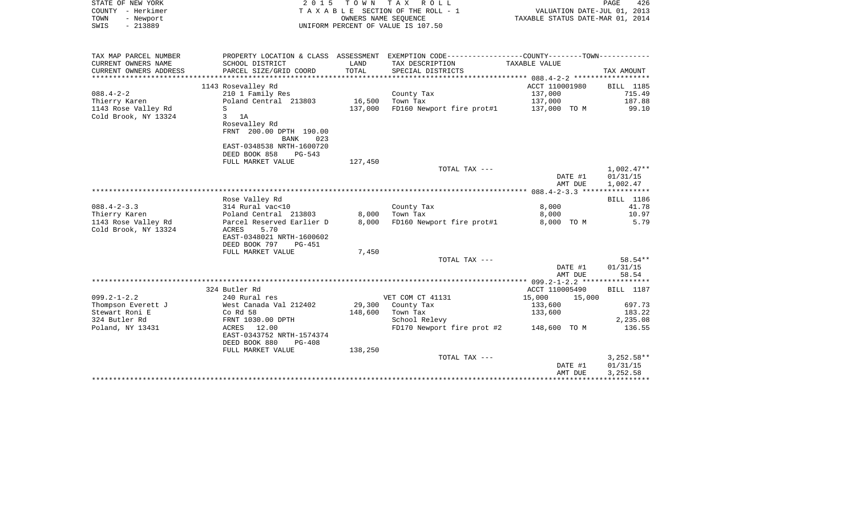| STATE OF NEW YORK<br>COUNTY - Herkimer<br>- Newport<br>TOWN<br>$-213889$<br>SWIS |                                                                                                 | OWNERS NAME SEQUENCE | 2015 TOWN TAX ROLL<br>TAXABLE SECTION OF THE ROLL - 1<br>UNIFORM PERCENT OF VALUE IS 107.50   | VALUATION DATE-JUL 01, 2013<br>TAXABLE STATUS DATE-MAR 01, 2014 | PAGE<br>426              |
|----------------------------------------------------------------------------------|-------------------------------------------------------------------------------------------------|----------------------|-----------------------------------------------------------------------------------------------|-----------------------------------------------------------------|--------------------------|
| TAX MAP PARCEL NUMBER                                                            |                                                                                                 |                      | PROPERTY LOCATION & CLASS ASSESSMENT EXEMPTION CODE---------------COUNTY-------TOWN---------- |                                                                 |                          |
| CURRENT OWNERS NAME                                                              | SCHOOL DISTRICT                                                                                 | LAND                 | TAX DESCRIPTION                                                                               | TAXABLE VALUE                                                   |                          |
| CURRENT OWNERS ADDRESS                                                           | PARCEL SIZE/GRID COORD                                                                          | TOTAL                | SPECIAL DISTRICTS                                                                             |                                                                 | TAX AMOUNT               |
|                                                                                  | 1143 Rosevalley Rd                                                                              |                      |                                                                                               | ACCT 110001980                                                  | BILL 1185                |
| $088.4 - 2 - 2$                                                                  | 210 1 Family Res                                                                                |                      | County Tax                                                                                    | 137,000                                                         | 715.49                   |
| Thierry Karen                                                                    | Poland Central 213803                                                                           |                      | 16,500 Town Tax                                                                               | 137,000                                                         | 187.88                   |
| 1143 Rose Valley Rd                                                              | S                                                                                               | 137,000              | FD160 Newport fire prot#1                                                                     | 137,000 TO M                                                    | 99.10                    |
| Cold Brook, NY 13324                                                             | 3 1A<br>Rosevalley Rd<br>FRNT 200.00 DPTH 190.00<br>BANK<br>023<br>EAST-0348538 NRTH-1600720    |                      |                                                                                               |                                                                 |                          |
|                                                                                  | DEED BOOK 858<br>PG-543                                                                         |                      |                                                                                               |                                                                 |                          |
|                                                                                  | FULL MARKET VALUE                                                                               | 127,450              |                                                                                               |                                                                 |                          |
|                                                                                  |                                                                                                 |                      | TOTAL TAX ---                                                                                 |                                                                 | $1,002.47**$             |
|                                                                                  |                                                                                                 |                      |                                                                                               | DATE #1                                                         | 01/31/15                 |
|                                                                                  |                                                                                                 |                      |                                                                                               | AMT DUE                                                         | 1,002.47                 |
|                                                                                  |                                                                                                 |                      |                                                                                               |                                                                 |                          |
|                                                                                  | Rose Valley Rd                                                                                  |                      |                                                                                               |                                                                 | BILL 1186                |
| $088.4 - 2 - 3.3$                                                                | 314 Rural vac<10                                                                                |                      | County Tax                                                                                    | 8,000                                                           | 41.78                    |
| Thierry Karen                                                                    | Poland Central 213803                                                                           | 8,000                | Town Tax                                                                                      | 8,000                                                           | 10.97                    |
| 1143 Rose Valley Rd<br>Cold Brook, NY 13324                                      | Parcel Reserved Earlier D<br>5.70<br>ACRES<br>EAST-0348021 NRTH-1600602<br>DEED BOOK 797 PG-451 | 8,000                | FD160 Newport fire prot#1                                                                     | 8,000 TO M                                                      | 5.79                     |
|                                                                                  | FULL MARKET VALUE                                                                               | 7,450                |                                                                                               |                                                                 |                          |
|                                                                                  |                                                                                                 |                      | TOTAL TAX ---                                                                                 |                                                                 | 58.54 **                 |
|                                                                                  |                                                                                                 |                      |                                                                                               | DATE #1<br>AMT DUE                                              | 01/31/15<br>58.54        |
|                                                                                  |                                                                                                 |                      |                                                                                               |                                                                 |                          |
|                                                                                  | 324 Butler Rd                                                                                   |                      |                                                                                               | ACCT 110005490                                                  | <b>BILL</b> 1187         |
| $099.2 - 1 - 2.2$                                                                | 240 Rural res                                                                                   |                      | VET COM CT 41131                                                                              | 15,000<br>15,000                                                |                          |
| Thompson Everett J<br>Stewart Roni E                                             | West Canada Val 212402<br>Co Rd 58                                                              | 148,600              | 29,300 County Tax<br>Town Tax                                                                 | 133,600                                                         | 697.73<br>183.22         |
| 324 Butler Rd                                                                    | FRNT 1030.00 DPTH                                                                               |                      | School Relevy                                                                                 | 133,600                                                         | 2,235.08                 |
| Poland, NY 13431                                                                 | ACRES 12.00<br>EAST-0343752 NRTH-1574374<br>DEED BOOK 880<br>PG-408                             |                      | FD170 Newport fire prot #2 148,600 TO M                                                       |                                                                 | 136.55                   |
|                                                                                  | FULL MARKET VALUE                                                                               | 138,250              |                                                                                               |                                                                 |                          |
|                                                                                  |                                                                                                 |                      | TOTAL TAX ---                                                                                 | DATE #1                                                         | $3,252.58**$<br>01/31/15 |
|                                                                                  |                                                                                                 |                      |                                                                                               | AMT DUE                                                         | 3, 252.58                |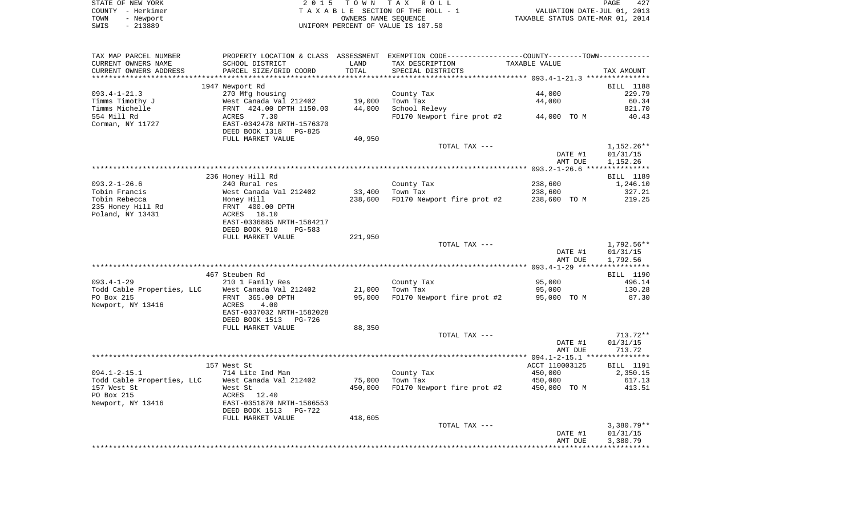| STATE OF NEW YORK | 2015 TOWN TAX ROLL                 | 427<br>PAGE                      |
|-------------------|------------------------------------|----------------------------------|
| COUNTY - Herkimer | TAXABLE SECTION OF THE ROLL - 1    | VALUATION DATE-JUL 01, 2013      |
| TOWN<br>- Newport | OWNERS NAME SEOUENCE               | TAXABLE STATUS DATE-MAR 01, 2014 |
| $-213889$<br>SWIS | UNIFORM PERCENT OF VALUE IS 107.50 |                                  |

| TAX MAP PARCEL NUMBER      | PROPERTY LOCATION & CLASS ASSESSMENT EXEMPTION CODE----------------COUNTY--------TOWN----------- |                   |                                        |                                        |         |                        |
|----------------------------|--------------------------------------------------------------------------------------------------|-------------------|----------------------------------------|----------------------------------------|---------|------------------------|
| CURRENT OWNERS NAME        | SCHOOL DISTRICT                                                                                  | LAND              | TAX DESCRIPTION                        | TAXABLE VALUE                          |         |                        |
| CURRENT OWNERS ADDRESS     | PARCEL SIZE/GRID COORD                                                                           | TOTAL             | SPECIAL DISTRICTS                      |                                        |         | TAX AMOUNT             |
|                            |                                                                                                  |                   |                                        |                                        |         |                        |
|                            | 1947 Newport Rd                                                                                  |                   |                                        |                                        |         | BILL 1188              |
| $093.4 - 1 - 21.3$         | 270 Mfg housing                                                                                  |                   | County Tax                             | 44,000                                 |         | 229.79                 |
| Timms Timothy J            | West Canada Val 212402                                                                           | 19,000            | Town Tax                               | 44,000                                 |         | 60.34                  |
| Timms Michelle             | FRNT 424.00 DPTH 1150.00                                                                         | 44,000            | School Relevy                          |                                        |         | 821.70                 |
| 554 Mill Rd                | ACRES<br>7.30                                                                                    |                   |                                        | FD170 Newport fire prot #2 44,000 TO M |         | 40.43                  |
| Corman, NY 11727           | EAST-0342478 NRTH-1576370                                                                        |                   |                                        |                                        |         |                        |
|                            | DEED BOOK 1318 PG-825                                                                            |                   |                                        |                                        |         |                        |
|                            | FULL MARKET VALUE                                                                                | 40,950            |                                        |                                        |         |                        |
|                            |                                                                                                  |                   | TOTAL TAX ---                          |                                        |         | 1,152.26**             |
|                            |                                                                                                  |                   |                                        |                                        | DATE #1 | 01/31/15               |
|                            |                                                                                                  |                   |                                        |                                        | AMT DUE | 1,152.26               |
|                            |                                                                                                  |                   |                                        |                                        |         |                        |
|                            | 236 Honey Hill Rd                                                                                |                   |                                        |                                        |         | BILL 1189              |
| 093.2-1-26.6               | 240 Rural res                                                                                    |                   | County Tax                             | 238,600                                |         | 1,246.10               |
| Tobin Francis              | West Canada Val 212402                                                                           | 33,400            | Town Tax                               | 238,600                                |         | 327.21                 |
| Tobin Rebecca              | Honey Hill                                                                                       | 238,600           | FD170 Newport fire prot #2             | 238,600 TO M                           |         | 219.25                 |
| 235 Honey Hill Rd          | FRNT 400.00 DPTH                                                                                 |                   |                                        |                                        |         |                        |
| Poland, NY 13431           | ACRES 18.10                                                                                      |                   |                                        |                                        |         |                        |
|                            | EAST-0336885 NRTH-1584217                                                                        |                   |                                        |                                        |         |                        |
|                            | DEED BOOK 910<br>PG-583                                                                          |                   |                                        |                                        |         |                        |
|                            | FULL MARKET VALUE                                                                                | 221,950           |                                        |                                        |         |                        |
|                            |                                                                                                  |                   | TOTAL TAX ---                          |                                        |         | 1,792.56**             |
|                            |                                                                                                  |                   |                                        |                                        | DATE #1 | 01/31/15               |
|                            |                                                                                                  |                   |                                        |                                        | AMT DUE | 1,792.56               |
|                            |                                                                                                  |                   |                                        |                                        |         |                        |
|                            | 467 Steuben Rd                                                                                   |                   |                                        |                                        |         | BILL 1190              |
| $093.4 - 1 - 29$           | 210 1 Family Res                                                                                 |                   | County Tax                             | 95,000                                 |         | 496.14                 |
| Todd Cable Properties, LLC | West Canada Val 212402                                                                           | 21,000            | Town Tax                               | 95,000                                 |         | 130.28                 |
| PO Box 215                 | FRNT 365.00 DPTH                                                                                 | 95,000            | FD170 Newport fire prot #2             | 95,000 TO M                            |         | 87.30                  |
| Newport, NY 13416          | ACRES<br>4.00                                                                                    |                   |                                        |                                        |         |                        |
|                            | EAST-0337032 NRTH-1582028                                                                        |                   |                                        |                                        |         |                        |
|                            | DEED BOOK 1513 PG-726                                                                            |                   |                                        |                                        |         |                        |
|                            | FULL MARKET VALUE                                                                                | 88,350            |                                        |                                        |         |                        |
|                            |                                                                                                  |                   | TOTAL TAX ---                          |                                        |         | 713.72**               |
|                            |                                                                                                  |                   |                                        |                                        | DATE #1 | 01/31/15               |
|                            |                                                                                                  |                   |                                        |                                        | AMT DUE | 713.72                 |
|                            | 157 West St                                                                                      |                   |                                        |                                        |         |                        |
|                            |                                                                                                  |                   |                                        | ACCT 110003125<br>450,000              |         | BILL 1191              |
| 094.1-2-15.1               | 714 Lite Ind Man                                                                                 |                   | County Tax                             |                                        |         | 2,350.15               |
| Todd Cable Properties, LLC | West Canada Val 212402                                                                           | 75,000<br>450,000 | Town Tax<br>FD170 Newport fire prot #2 | 450,000                                |         | 617.13<br>413.51       |
| 157 West St<br>PO Box 215  | West St<br>ACRES 12.40                                                                           |                   |                                        | 450,000 TO M                           |         |                        |
|                            |                                                                                                  |                   |                                        |                                        |         |                        |
| Newport, NY 13416          | EAST-0351870 NRTH-1586553<br>DEED BOOK 1513 PG-722                                               |                   |                                        |                                        |         |                        |
|                            |                                                                                                  |                   |                                        |                                        |         |                        |
|                            | FULL MARKET VALUE                                                                                | 418,605           |                                        |                                        |         |                        |
|                            |                                                                                                  |                   | TOTAL TAX ---                          |                                        | DATE #1 | 3,380.79**<br>01/31/15 |
|                            |                                                                                                  |                   |                                        |                                        | AMT DUE | 3,380.79               |
|                            |                                                                                                  |                   |                                        |                                        |         |                        |
|                            |                                                                                                  |                   |                                        |                                        |         |                        |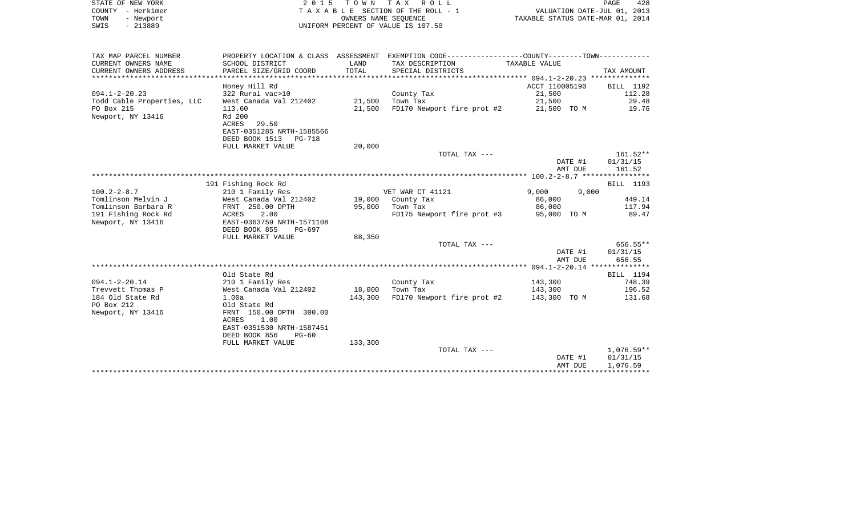| STATE OF NEW YORK          |                           |         | 2015 TOWN TAX ROLL                                                                            |                                  | PAGE<br>428                 |
|----------------------------|---------------------------|---------|-----------------------------------------------------------------------------------------------|----------------------------------|-----------------------------|
| COUNTY - Herkimer          |                           |         | TAXABLE SECTION OF THE ROLL - 1                                                               |                                  | VALUATION DATE-JUL 01, 2013 |
| TOWN<br>- Newport          |                           |         | OWNERS NAME SEOUENCE                                                                          | TAXABLE STATUS DATE-MAR 01, 2014 |                             |
| $-213889$<br>SWIS          |                           |         | UNIFORM PERCENT OF VALUE IS 107.50                                                            |                                  |                             |
|                            |                           |         |                                                                                               |                                  |                             |
| TAX MAP PARCEL NUMBER      |                           |         | PROPERTY LOCATION & CLASS ASSESSMENT EXEMPTION CODE---------------COUNTY-------TOWN---------- |                                  |                             |
| CURRENT OWNERS NAME        | SCHOOL DISTRICT           | LAND    | TAX DESCRIPTION                                                                               | TAXABLE VALUE                    |                             |
| CURRENT OWNERS ADDRESS     | PARCEL SIZE/GRID COORD    | TOTAL   | SPECIAL DISTRICTS                                                                             |                                  | TAX AMOUNT                  |
|                            |                           |         |                                                                                               |                                  |                             |
|                            | Honey Hill Rd             |         |                                                                                               | ACCT 110005190                   | BILL 1192                   |
| $094.1 - 2 - 20.23$        | 322 Rural vac>10          |         | County Tax                                                                                    | 21,500                           | 112.28                      |
| Todd Cable Properties, LLC | West Canada Val 212402    | 21,500  | Town Tax                                                                                      | 21,500                           | 29.48                       |
| PO Box 215                 | 113.60                    | 21,500  | FD170 Newport fire prot #2                                                                    | 21,500 TO M                      | 19.76                       |
| Newport, NY 13416          | Rd 200                    |         |                                                                                               |                                  |                             |
|                            | 29.50<br>ACRES            |         |                                                                                               |                                  |                             |
|                            | EAST-0351285 NRTH-1585566 |         |                                                                                               |                                  |                             |
|                            | DEED BOOK 1513<br>PG-718  |         |                                                                                               |                                  |                             |
|                            | FULL MARKET VALUE         | 20,000  |                                                                                               |                                  |                             |
|                            |                           |         | TOTAL TAX ---                                                                                 |                                  | $161.52**$                  |
|                            |                           |         |                                                                                               | DATE #1                          | 01/31/15                    |
|                            |                           |         |                                                                                               | AMT DUE                          | 161.52                      |
|                            |                           |         |                                                                                               |                                  |                             |
|                            | 191 Fishing Rock Rd       |         |                                                                                               |                                  | BILL 1193                   |
| $100.2 - 2 - 8.7$          | 210 1 Family Res          |         | VET WAR CT 41121                                                                              | 9,000                            | 9.000                       |
| Tomlinson Melvin J         | West Canada Val 212402    | 19,000  | County Tax                                                                                    | 86,000                           | 449.14                      |
| Tomlinson Barbara R        | FRNT 250.00 DPTH          | 95,000  | Town Tax                                                                                      | 86,000                           | 117.94                      |
| 191 Fishing Rock Rd        | 2.00<br>ACRES             |         | FD175 Newport fire prot #3                                                                    | 95,000 TO M                      | 89.47                       |
| Newport, NY 13416          | EAST-0363759 NRTH-1571108 |         |                                                                                               |                                  |                             |
|                            | DEED BOOK 855<br>PG-697   |         |                                                                                               |                                  |                             |
|                            | FULL MARKET VALUE         | 88,350  |                                                                                               |                                  |                             |
|                            |                           |         | TOTAL TAX ---                                                                                 |                                  | 656.55**                    |
|                            |                           |         |                                                                                               | DATE #1                          | 01/31/15                    |
|                            |                           |         |                                                                                               | AMT DUE                          | 656.55                      |
|                            |                           |         |                                                                                               |                                  |                             |
|                            | Old State Rd              |         |                                                                                               |                                  | BILL 1194                   |
| $094.1 - 2 - 20.14$        | 210 1 Family Res          |         | County Tax                                                                                    | 143,300                          | 748.39                      |
| Trevvett Thomas P          | West Canada Val 212402    | 18,000  | Town Tax                                                                                      | 143,300                          | 196.52                      |
| 184 Old State Rd           | 1.00a                     | 143,300 | FD170 Newport fire prot #2                                                                    | 143,300 TO M                     | 131.68                      |
| PO Box 212                 | Old State Rd              |         |                                                                                               |                                  |                             |
| Newport, NY 13416          | FRNT 150.00 DPTH 300.00   |         |                                                                                               |                                  |                             |
|                            | ACRES<br>1.00             |         |                                                                                               |                                  |                             |
|                            | EAST-0351530 NRTH-1587451 |         |                                                                                               |                                  |                             |
|                            | DEED BOOK 856<br>$PG-60$  |         |                                                                                               |                                  |                             |
|                            | FULL MARKET VALUE         | 133,300 |                                                                                               |                                  |                             |
|                            |                           |         | TOTAL TAX ---                                                                                 |                                  | $1,076.59**$                |
|                            |                           |         |                                                                                               | DATE #1                          | 01/31/15                    |
|                            |                           |         |                                                                                               | AMT DUE                          | 1,076.59<br>************    |
|                            |                           |         |                                                                                               |                                  |                             |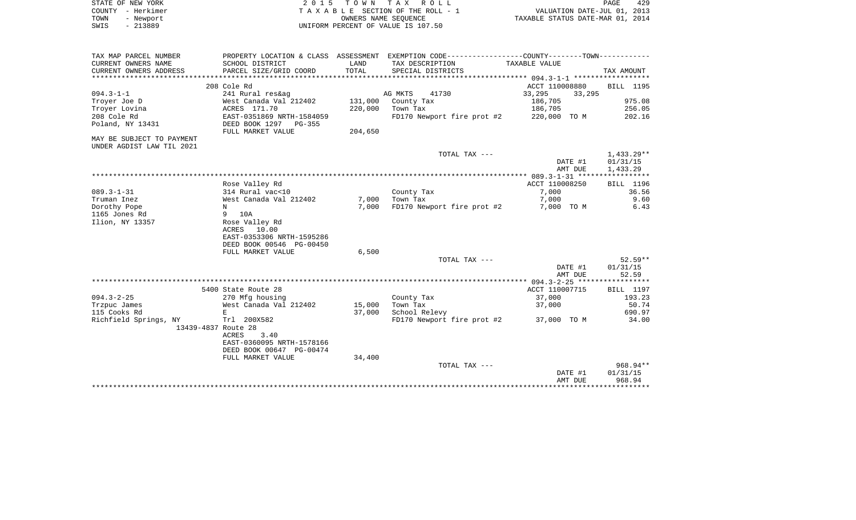| STATE OF NEW YORK<br>COUNTY - Herkimer<br>- Newport<br>TOWN<br>$-213889$<br>SWIS | 2 0 1 5                                    | T O W N          | TAX ROLL<br>T A X A B L E SECTION OF THE ROLL - 1<br>OWNERS NAME SEQUENCE<br>UNIFORM PERCENT OF VALUE IS 107.50 | VALUATION DATE-JUL 01, 2013<br>TAXABLE STATUS DATE-MAR 01, 2014 | PAGE<br>429           |
|----------------------------------------------------------------------------------|--------------------------------------------|------------------|-----------------------------------------------------------------------------------------------------------------|-----------------------------------------------------------------|-----------------------|
|                                                                                  |                                            |                  |                                                                                                                 |                                                                 |                       |
| TAX MAP PARCEL NUMBER                                                            |                                            |                  | PROPERTY LOCATION & CLASS ASSESSMENT EXEMPTION CODE---------------COUNTY-------TOWN----------                   |                                                                 |                       |
| CURRENT OWNERS NAME                                                              | SCHOOL DISTRICT                            | LAND             | TAX DESCRIPTION                                                                                                 | TAXABLE VALUE                                                   |                       |
| CURRENT OWNERS ADDRESS                                                           | PARCEL SIZE/GRID COORD                     | TOTAL            | SPECIAL DISTRICTS                                                                                               |                                                                 | TAX AMOUNT            |
| **********************                                                           | ***************************                |                  |                                                                                                                 |                                                                 |                       |
| $094.3 - 1 - 1$                                                                  | 208 Cole Rd<br>241 Rural res&ag            |                  | AG MKTS<br>41730                                                                                                | ACCT 110008880<br>33,295<br>33,295                              | BILL 1195             |
| Troyer Joe D                                                                     | West Canada Val 212402                     | 131,000          | County Tax                                                                                                      | 186,705                                                         | 975.08                |
| Troyer Lovina                                                                    | ACRES 171.70                               | 220,000          | Town Tax                                                                                                        | 186,705                                                         | 256.05                |
| 208 Cole Rd                                                                      | EAST-0351869 NRTH-1584059                  |                  | FD170 Newport fire prot #2                                                                                      | 220,000 TO M                                                    | 202.16                |
| Poland, NY 13431                                                                 | DEED BOOK 1297 PG-355                      |                  |                                                                                                                 |                                                                 |                       |
|                                                                                  | FULL MARKET VALUE                          | 204,650          |                                                                                                                 |                                                                 |                       |
| MAY BE SUBJECT TO PAYMENT                                                        |                                            |                  |                                                                                                                 |                                                                 |                       |
| UNDER AGDIST LAW TIL 2021                                                        |                                            |                  |                                                                                                                 |                                                                 |                       |
|                                                                                  |                                            |                  | TOTAL TAX ---                                                                                                   |                                                                 | $1,433.29**$          |
|                                                                                  |                                            |                  |                                                                                                                 | DATE #1                                                         | 01/31/15              |
|                                                                                  |                                            |                  |                                                                                                                 | AMT DUE                                                         | 1,433.29              |
|                                                                                  |                                            |                  |                                                                                                                 |                                                                 | * * * * * * * * * * * |
|                                                                                  | Rose Valley Rd                             |                  |                                                                                                                 | ACCT 110008250                                                  | BILL 1196             |
| $089.3 - 1 - 31$<br>Truman Inez                                                  | 314 Rural vac<10<br>West Canada Val 212402 | 7,000            | County Tax<br>Town Tax                                                                                          | 7,000<br>7,000                                                  | 36.56<br>9.60         |
| Dorothy Pope                                                                     | N                                          | 7,000            | FD170 Newport fire prot #2                                                                                      | 7,000 TO M                                                      | 6.43                  |
| 1165 Jones Rd                                                                    | 9 10A                                      |                  |                                                                                                                 |                                                                 |                       |
| Ilion, NY 13357                                                                  | Rose Valley Rd                             |                  |                                                                                                                 |                                                                 |                       |
|                                                                                  | ACRES 10.00                                |                  |                                                                                                                 |                                                                 |                       |
|                                                                                  | EAST-0353306 NRTH-1595286                  |                  |                                                                                                                 |                                                                 |                       |
|                                                                                  | DEED BOOK 00546 PG-00450                   |                  |                                                                                                                 |                                                                 |                       |
|                                                                                  | FULL MARKET VALUE                          | 6,500            |                                                                                                                 |                                                                 |                       |
|                                                                                  |                                            |                  | TOTAL TAX ---                                                                                                   |                                                                 | $52.59**$             |
|                                                                                  |                                            |                  |                                                                                                                 | DATE #1                                                         | 01/31/15              |
|                                                                                  |                                            |                  |                                                                                                                 | AMT DUE                                                         | 52.59                 |
|                                                                                  |                                            |                  |                                                                                                                 | ** $094.3 - 2 - 25$ *****                                       | * * * * * * * *       |
|                                                                                  | 5400 State Route 28                        |                  |                                                                                                                 | ACCT 110007715                                                  | BILL 1197             |
| $094.3 - 2 - 25$                                                                 | 270 Mfg housing<br>West Canada Val 212402  |                  | County Tax<br>Town Tax                                                                                          | 37,000<br>37,000                                                | 193.23<br>50.74       |
| Trzpuc James<br>115 Cooks Rd                                                     | E                                          | 15,000<br>37,000 | School Relevy                                                                                                   |                                                                 | 690.97                |
| Richfield Springs, NY                                                            | Trl 200X582                                |                  | FD170 Newport fire prot #2                                                                                      | 37,000 TO M                                                     | 34.00                 |
|                                                                                  | 13439-4837 Route 28                        |                  |                                                                                                                 |                                                                 |                       |
|                                                                                  | <b>ACRES</b><br>3.40                       |                  |                                                                                                                 |                                                                 |                       |
|                                                                                  | EAST-0360095 NRTH-1578166                  |                  |                                                                                                                 |                                                                 |                       |
|                                                                                  | DEED BOOK 00647 PG-00474                   |                  |                                                                                                                 |                                                                 |                       |
|                                                                                  | FULL MARKET VALUE                          | 34,400           |                                                                                                                 |                                                                 |                       |
|                                                                                  |                                            |                  | TOTAL TAX ---                                                                                                   |                                                                 | 968.94**              |
|                                                                                  |                                            |                  |                                                                                                                 | DATE #1                                                         | 01/31/15              |
|                                                                                  |                                            |                  |                                                                                                                 | AMT DUE                                                         | 968.94                |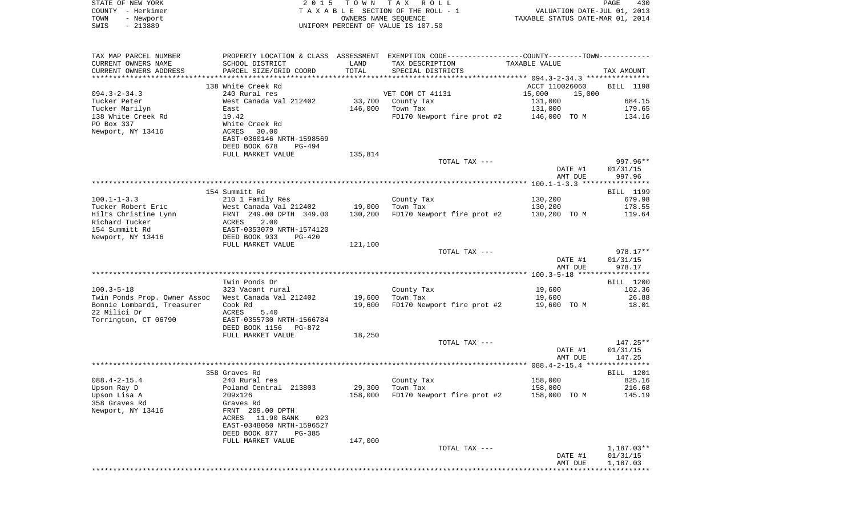| STATE OF NEW YORK<br>- Herkimer<br>COUNTY<br>TOWN<br>- Newport<br>SWIS<br>$-213889$ | 2015                                                                                                      | T O W N       | R O L L<br>T A X<br>TAXABLE SECTION OF THE ROLL - 1<br>OWNERS NAME SEQUENCE<br>UNIFORM PERCENT OF VALUE IS 107.50 | VALUATION DATE-JUL 01, 2013<br>TAXABLE STATUS DATE-MAR 01, 2014 | 430<br>PAGE        |
|-------------------------------------------------------------------------------------|-----------------------------------------------------------------------------------------------------------|---------------|-------------------------------------------------------------------------------------------------------------------|-----------------------------------------------------------------|--------------------|
| TAX MAP PARCEL NUMBER<br>CURRENT OWNERS NAME<br>CURRENT OWNERS ADDRESS              | PROPERTY LOCATION & CLASS ASSESSMENT<br>SCHOOL DISTRICT<br>PARCEL SIZE/GRID COORD                         | LAND<br>TOTAL | EXEMPTION CODE-----------------COUNTY-------TOWN-----------<br>TAX DESCRIPTION<br>SPECIAL DISTRICTS               | TAXABLE VALUE                                                   | TAX AMOUNT         |
| $094.3 - 2 - 34.3$                                                                  | 138 White Creek Rd<br>240 Rural res                                                                       |               | VET COM CT 41131                                                                                                  | ACCT 110026060<br>15,000<br>15,000                              | BILL 1198          |
| Tucker Peter                                                                        | West Canada Val 212402                                                                                    | 33,700        | County Tax                                                                                                        | 131,000                                                         | 684.15             |
| Tucker Marilyn<br>138 White Creek Rd<br>PO Box 337<br>Newport, NY 13416             | East<br>19.42<br>White Creek Rd<br>30.00<br>ACRES<br>EAST-0360146 NRTH-1598569<br>DEED BOOK 678<br>PG-494 | 146,000       | Town Tax<br>FD170 Newport fire prot #2                                                                            | 131,000<br>146,000 TO M                                         | 179.65<br>134.16   |
|                                                                                     | FULL MARKET VALUE                                                                                         | 135,814       | $m \wedge m \wedge r$ $m \wedge r$                                                                                |                                                                 | $0.07 \times 0.44$ |

|                      |                            |         | TOTAL TAX ---              |              | 997.96**  |
|----------------------|----------------------------|---------|----------------------------|--------------|-----------|
|                      |                            |         |                            | DATE #1      | 01/31/15  |
|                      |                            |         |                            | AMT DUE      | 997.96    |
|                      |                            |         |                            |              |           |
|                      | 154 Summitt Rd             |         |                            |              | BILL 1199 |
| $100.1 - 1 - 3.3$    | 210 1 Family Res           |         | County Tax                 | 130,200      | 679.98    |
| Tucker Robert Eric   | West Canada Val 212402     | 19,000  | Town Tax                   | 130,200      | 178.55    |
| Hilts Christine Lynn | 249.00 DPTH 349.00<br>FRNT | 130,200 | FD170 Newport fire prot #2 | 130,200 TO M | 119.64    |
| Richard Tucker       | 2.00<br>ACRES              |         |                            |              |           |
| 154 Summitt Rd       | EAST-0353079 NRTH-1574120  |         |                            |              |           |
| Newport, NY 13416    | DEED BOOK 933<br>PG-420    |         |                            |              |           |
|                      | FULL MARKET VALUE          | 121,100 |                            |              |           |

|                              |                           |        | TOTAL TAX ---              |                                    | 978.17**   |
|------------------------------|---------------------------|--------|----------------------------|------------------------------------|------------|
|                              |                           |        |                            | DATE #1                            | 01/31/15   |
|                              |                           |        |                            | AMT DUE                            | 978.17     |
|                              |                           |        |                            | $100.3 - 5 - 18$ ***************** |            |
|                              | Twin Ponds Dr             |        |                            |                                    | BILL 1200  |
| $100.3 - 5 - 18$             | 323 Vacant rural          |        | County Tax                 | 19,600                             | 102.36     |
| Twin Ponds Prop. Owner Assoc | West Canada Val 212402    | 19,600 | Town Tax                   | 19,600                             | 26.88      |
| Bonnie Lombardi, Treasurer   | Cook Rd                   | 19,600 | FD170 Newport fire prot #2 | 19,600 TO M                        | 18.01      |
| 22 Milici Dr                 | 5.40<br>ACRES             |        |                            |                                    |            |
| Torrington, CT 06790         | EAST-0355730 NRTH-1566784 |        |                            |                                    |            |
|                              | DEED BOOK 1156<br>PG-872  |        |                            |                                    |            |
|                              | FULL MARKET VALUE         | 18,250 |                            |                                    |            |
|                              |                           |        | TOTAL TAX ---              |                                    | $147.25**$ |

|                    |                            |         |                            | DATE #1            | 01/31/15        |
|--------------------|----------------------------|---------|----------------------------|--------------------|-----------------|
|                    |                            |         |                            | AMT DUE            | 147.25          |
|                    |                            |         |                            | $088.4 - 2 - 15.4$ | *************** |
|                    | 358 Graves Rd              |         |                            |                    | BILL 1201       |
| $088.4 - 2 - 15.4$ | 240 Rural res              |         | County Tax                 | 158,000            | 825.16          |
| Upson Ray D        | Poland Central 213803      | 29,300  | Town Tax                   | 158,000            | 216.68          |
| Upson Lisa A       | 209x126                    | 158,000 | FD170 Newport fire prot #2 | 158,000 TO M       | 145.19          |
| 358 Graves Rd      | Graves Rd                  |         |                            |                    |                 |
| Newport, NY 13416  | 209.00 DPTH<br>FRNT        |         |                            |                    |                 |
|                    | 11.90 BANK<br>023<br>ACRES |         |                            |                    |                 |
|                    | EAST-0348050 NRTH-1596527  |         |                            |                    |                 |
|                    | DEED BOOK 877<br>PG-385    |         |                            |                    |                 |
|                    | FULL MARKET VALUE          | 147,000 |                            |                    |                 |
|                    |                            |         | TOTAL TAX ---              |                    | 1,187.03**      |
|                    |                            |         |                            | DATE #1            | 01/31/15        |
|                    |                            |         |                            | $\lambda$          | 1 107 02        |

AMT DUE 1,187.03 \*\*\*\*\*\*\*\*\*\*\*\*\*\*\*\*\*\*\*\*\*\*\*\*\*\*\*\*\*\*\*\*\*\*\*\*\*\*\*\*\*\*\*\*\*\*\*\*\*\*\*\*\*\*\*\*\*\*\*\*\*\*\*\*\*\*\*\*\*\*\*\*\*\*\*\*\*\*\*\*\*\*\*\*\*\*\*\*\*\*\*\*\*\*\*\*\*\*\*\*\*\*\*\*\*\*\*\*\*\*\*\*\*\*\*\*\*\*\*\*\*\*\*\*\*\*\*\*\*\*\*\*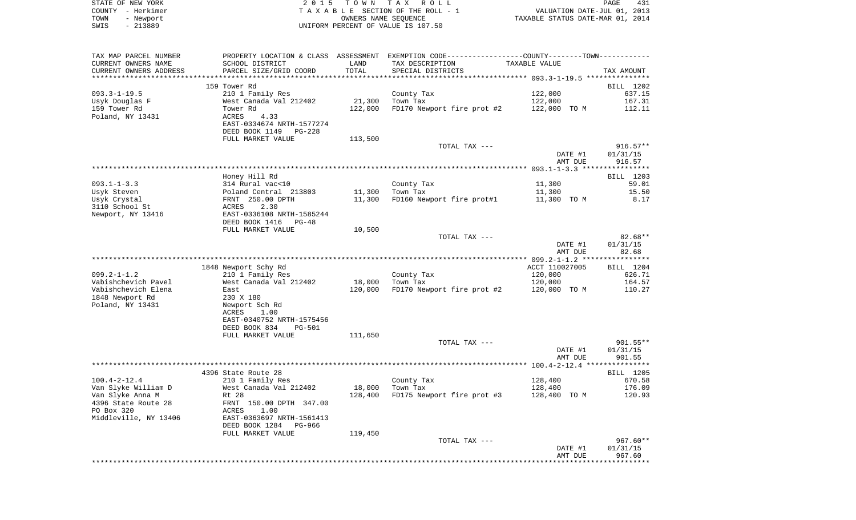| STATE OF NEW YORK | 2015 TOWN TAX ROLL                 | 431<br>PAGE                      |
|-------------------|------------------------------------|----------------------------------|
| COUNTY - Herkimer | TAXABLE SECTION OF THE ROLL - 1    | VALUATION DATE-JUL 01, 2013      |
| TOWN<br>- Newport | OWNERS NAME SEOUENCE               | TAXABLE STATUS DATE-MAR 01, 2014 |
| - 213889<br>SWIS  | UNIFORM PERCENT OF VALUE IS 107.50 |                                  |

| PROPERTY LOCATION & CLASS ASSESSMENT EXEMPTION CODE---------------COUNTY-------TOWN--------- |               |                           | TAX MAP PARCEL NUMBER  |
|----------------------------------------------------------------------------------------------|---------------|---------------------------|------------------------|
| TAX DESCRIPTION<br>TAXABLE VALUE<br>LAND                                                     |               | SCHOOL DISTRICT           | CURRENT OWNERS NAME    |
| TOTAL<br>SPECIAL DISTRICTS<br>TAX AMOUNT                                                     |               | PARCEL SIZE/GRID COORD    | CURRENT OWNERS ADDRESS |
|                                                                                              |               |                           |                        |
| <b>BILL</b> 1202                                                                             |               | 159 Tower Rd              |                        |
| 122,000<br>County Tax                                                                        |               | 210 1 Family Res          | $093.3 - 1 - 19.5$     |
| 21,300<br>Town Tax<br>122,000                                                                |               | West Canada Val 212402    | Usyk Douglas F         |
| 122,000<br>FD170 Newport fire prot #2<br>122,000 TO M                                        |               | Tower Rd                  | 159 Tower Rd           |
| 4.33                                                                                         |               | ACRES                     | Poland, NY 13431       |
|                                                                                              |               | EAST-0334674 NRTH-1577274 |                        |
| PG-228                                                                                       |               | DEED BOOK 1149            |                        |
| 113,500                                                                                      |               | FULL MARKET VALUE         |                        |
| $916.57**$<br>TOTAL TAX ---                                                                  |               |                           |                        |
| DATE #1<br>01/31/15                                                                          |               |                           |                        |
| AMT DUE<br>916.57                                                                            |               |                           |                        |
|                                                                                              |               |                           |                        |
| BILL 1203                                                                                    |               | Honey Hill Rd             |                        |
| County Tax<br>11,300                                                                         |               | 314 Rural vac<10          | $093.1 - 1 - 3.3$      |
| Town Tax<br>11,300<br>11,300                                                                 |               | Poland Central 213803     | Usyk Steven            |
| FD160 Newport fire prot#1<br>11,300<br>11,300 TO M                                           |               | FRNT 250.00 DPTH          | Usyk Crystal           |
| 2.30                                                                                         |               | ACRES                     | 3110 School St         |
|                                                                                              |               | EAST-0336108 NRTH-1585244 | Newport, NY 13416      |
|                                                                                              |               | DEED BOOK 1416 PG-48      |                        |
| 10,500                                                                                       |               | FULL MARKET VALUE         |                        |
| TOTAL TAX ---                                                                                |               |                           |                        |
| 01/31/15<br>DATE #1                                                                          |               |                           |                        |
| AMT DUE                                                                                      |               |                           |                        |
|                                                                                              |               |                           |                        |
| ACCT 110027005<br>BILL 1204                                                                  |               | 1848 Newport Schy Rd      |                        |
| County Tax<br>120,000                                                                        |               | 210 1 Family Res          | $099.2 - 1 - 1.2$      |
| 18,000<br>Town Tax<br>120,000                                                                |               | West Canada Val 212402    | Vabishchevich Pavel    |
| 120,000<br>FD170 Newport fire prot #2<br>120,000 TO M                                        |               | East                      | Vabishchevich Elena    |
|                                                                                              |               | 230 X 180                 | 1848 Newport Rd        |
|                                                                                              |               | Newport Sch Rd            | Poland, NY 13431       |
| 1.00                                                                                         |               | ACRES                     |                        |
|                                                                                              |               | EAST-0340752 NRTH-1575456 |                        |
| <b>PG-501</b>                                                                                |               | DEED BOOK 834             |                        |
| 111,650                                                                                      |               | FULL MARKET VALUE         |                        |
| TOTAL TAX ---<br>901.55**                                                                    |               |                           |                        |
| 01/31/15<br>DATE #1                                                                          |               |                           |                        |
| AMT DUE<br>901.55                                                                            |               |                           |                        |
|                                                                                              |               |                           |                        |
| BILL 1205                                                                                    |               | 4396 State Route 28       |                        |
| County Tax<br>128,400                                                                        |               | 210 1 Family Res          | $100.4 - 2 - 12.4$     |
| 18,000<br>Town Tax<br>128,400                                                                |               | West Canada Val 212402    | Van Slyke William D    |
| 128,400 FD175 Newport fire prot #3<br>128,400 TO M                                           |               | Rt 28                     | Van Slyke Anna M       |
|                                                                                              |               | FRNT 150.00 DPTH 347.00   | 4396 State Route 28    |
| 1.00                                                                                         |               | ACRES                     | PO Box 320             |
|                                                                                              |               | EAST-0363697 NRTH-1561413 | Middleville, NY 13406  |
|                                                                                              |               | DEED BOOK 1284 PG-966     |                        |
| 119,450                                                                                      |               | FULL MARKET VALUE         |                        |
| $967.60**$                                                                                   | TOTAL TAX --- |                           |                        |
|                                                                                              |               |                           |                        |
| 01/31/15<br>DATE #1                                                                          |               |                           |                        |
| 967.60<br>AMT DUE                                                                            |               |                           |                        |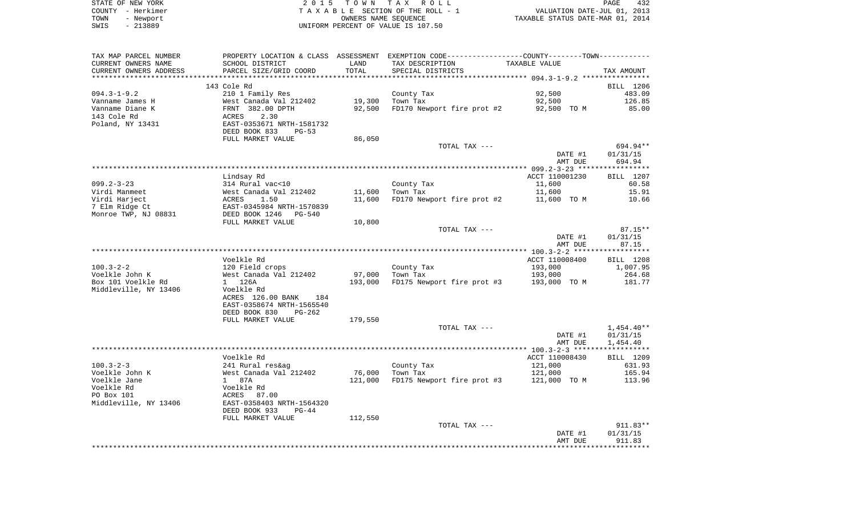| STATE OF NEW YORK | 2015 TOWN TAX ROLL                 | 432<br>PAGE                      |
|-------------------|------------------------------------|----------------------------------|
| COUNTY - Herkimer | TAXABLE SECTION OF THE ROLL - 1    | VALUATION DATE-JUL 01, 2013      |
| TOWN<br>- Newport | OWNERS NAME SEOUENCE               | TAXABLE STATUS DATE-MAR 01, 2014 |
| $-213889$<br>SWIS | UNIFORM PERCENT OF VALUE IS 107.50 |                                  |

| TAX MAP PARCEL NUMBER  |                                                                                            |         | PROPERTY LOCATION & CLASS ASSESSMENT EXEMPTION CODE----------------COUNTY--------TOWN---------- |                |              |
|------------------------|--------------------------------------------------------------------------------------------|---------|-------------------------------------------------------------------------------------------------|----------------|--------------|
| CURRENT OWNERS NAME    | SCHOOL DISTRICT                                                                            | LAND    | TAX DESCRIPTION                                                                                 | TAXABLE VALUE  |              |
| CURRENT OWNERS ADDRESS | PARCEL SIZE/GRID COORD                                                                     | TOTAL   | SPECIAL DISTRICTS                                                                               |                | TAX AMOUNT   |
|                        |                                                                                            |         |                                                                                                 |                |              |
|                        | 143 Cole Rd                                                                                |         |                                                                                                 |                | BILL 1206    |
| $094.3 - 1 - 9.2$      | 210 1 Family Res                                                                           |         | County Tax                                                                                      | 92,500         | 483.09       |
| Vanname James H        | West Canada Val 212402                                                                     | 19,300  | Town Tax                                                                                        | 92,500         | 126.85       |
| Vanname Diane K        | FRNT 382.00 DPTH                                                                           | 92,500  | FD170 Newport fire prot #2 92,500 TO M                                                          |                | 85.00        |
| 143 Cole Rd            | ACRES<br>2.30                                                                              |         |                                                                                                 |                |              |
| Poland, NY 13431       |                                                                                            |         |                                                                                                 |                |              |
|                        | EAST-0353671 NRTH-1581732                                                                  |         |                                                                                                 |                |              |
|                        | DEED BOOK 833<br>$PG-53$                                                                   |         |                                                                                                 |                |              |
|                        | FULL MARKET VALUE                                                                          | 86,050  |                                                                                                 |                |              |
|                        |                                                                                            |         | TOTAL TAX ---                                                                                   |                | 694.94**     |
|                        |                                                                                            |         |                                                                                                 | DATE #1        | 01/31/15     |
|                        |                                                                                            |         |                                                                                                 | AMT DUE        | 694.94       |
|                        |                                                                                            |         |                                                                                                 |                |              |
|                        | Lindsay Rd                                                                                 |         |                                                                                                 | ACCT 110001230 | BILL 1207    |
| $099.2 - 3 - 23$       | 314 Rural vac<10                                                                           |         | County Tax                                                                                      | 11,600         | 60.58        |
| Virdi Manmeet          | West Canada Val 212402<br>ACRES 1.50<br>EAST-0345984 NRTH-1570839<br>DEED BOOK 1246 PG-540 | 11,600  | Town Tax                                                                                        | 11,600         | 15.91        |
| Virdi Harject          |                                                                                            | 11,600  | FD170 Newport fire prot #2 11,600 TO M                                                          |                | 10.66        |
| 7 Elm Ridge Ct         |                                                                                            |         |                                                                                                 |                |              |
| Monroe TWP, NJ 08831   |                                                                                            |         |                                                                                                 |                |              |
|                        | FULL MARKET VALUE                                                                          | 10,800  |                                                                                                 |                |              |
|                        |                                                                                            |         | TOTAL TAX ---                                                                                   |                | $87.15**$    |
|                        |                                                                                            |         |                                                                                                 | DATE #1        | 01/31/15     |
|                        |                                                                                            |         |                                                                                                 | AMT DUE        | 87.15        |
|                        |                                                                                            |         |                                                                                                 |                |              |
|                        |                                                                                            |         |                                                                                                 |                |              |
|                        | Voelkle Rd                                                                                 |         |                                                                                                 | ACCT 110008400 | BILL 1208    |
| $100.3 - 2 - 2$        | 120 Field crops                                                                            |         | County Tax                                                                                      | 193,000        | 1,007.95     |
| Voelkle John K         | -<br>West Canada Val 212402                                                                | 97,000  | Town Tax                                                                                        | 193,000        | 264.68       |
| Box 101 Voelkle Rd     | 1 126A                                                                                     | 193,000 | FD175 Newport fire prot #3 193,000 TO M                                                         |                | 181.77       |
| Middleville, NY 13406  | Voelkle Rd                                                                                 |         |                                                                                                 |                |              |
|                        | ACRES 126.00 BANK 184                                                                      |         |                                                                                                 |                |              |
|                        | EAST-0358674 NRTH-1565540                                                                  |         |                                                                                                 |                |              |
|                        | DEED BOOK 830<br>PG-262                                                                    |         |                                                                                                 |                |              |
|                        | FULL MARKET VALUE                                                                          | 179,550 |                                                                                                 |                |              |
|                        |                                                                                            |         | TOTAL TAX ---                                                                                   |                | $1,454.40**$ |
|                        |                                                                                            |         |                                                                                                 | DATE #1        | 01/31/15     |
|                        |                                                                                            |         |                                                                                                 | AMT DUE        | 1,454.40     |
|                        |                                                                                            |         |                                                                                                 |                |              |
|                        | Voelkle Rd                                                                                 |         |                                                                                                 | ACCT 110008430 | BILL 1209    |
| $100.3 - 2 - 3$        | 241 Rural res&ag                                                                           |         | County Tax                                                                                      | 121,000        | 631.93       |
| Voelkle John K         |                                                                                            | 76,000  | Town Tax                                                                                        | 121,000        | 165.94       |
|                        | West Canada Val 212402                                                                     |         |                                                                                                 |                |              |
| Voelkle Jane           | 1 87A                                                                                      | 121,000 | FD175 Newport fire prot #3                                                                      | 121,000 TO M   | 113.96       |
| Voelkle Rd             | Voelkle Rd                                                                                 |         |                                                                                                 |                |              |
| PO Box 101             | ACRES<br>87.00                                                                             |         |                                                                                                 |                |              |
| Middleville, NY 13406  | EAST-0358403 NRTH-1564320                                                                  |         |                                                                                                 |                |              |
|                        | DEED BOOK 933<br>$PG-44$                                                                   |         |                                                                                                 |                |              |
|                        | FULL MARKET VALUE                                                                          | 112,550 |                                                                                                 |                |              |
|                        |                                                                                            |         | TOTAL TAX ---                                                                                   |                | 911.83**     |
|                        |                                                                                            |         |                                                                                                 | DATE #1        | 01/31/15     |
|                        |                                                                                            |         |                                                                                                 | AMT DUE        | 911.83       |
|                        |                                                                                            |         |                                                                                                 |                |              |
|                        |                                                                                            |         |                                                                                                 |                |              |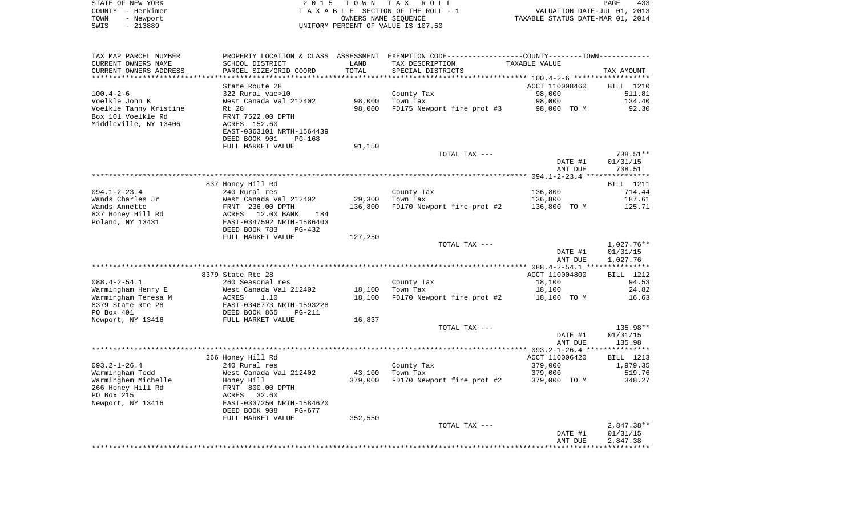| STATE OF NEW YORK<br>COUNTY - Herkimer | 2 0 1 5                                                                              | TOWN    | TAX ROLL<br>TAXABLE SECTION OF THE ROLL - 1                                                     |                                  | PAGE<br>433<br>VALUATION DATE-JUL 01, 2013 |
|----------------------------------------|--------------------------------------------------------------------------------------|---------|-------------------------------------------------------------------------------------------------|----------------------------------|--------------------------------------------|
| - Newport<br>TOWN                      |                                                                                      |         | OWNERS NAME SEQUENCE                                                                            | TAXABLE STATUS DATE-MAR 01, 2014 |                                            |
| $-213889$<br>SWIS                      |                                                                                      |         | UNIFORM PERCENT OF VALUE IS 107.50                                                              |                                  |                                            |
|                                        |                                                                                      |         |                                                                                                 |                                  |                                            |
| TAX MAP PARCEL NUMBER                  |                                                                                      |         | PROPERTY LOCATION & CLASS ASSESSMENT EXEMPTION CODE----------------COUNTY--------TOWN---------- |                                  |                                            |
| CURRENT OWNERS NAME                    | SCHOOL DISTRICT                                                                      | LAND    | TAX DESCRIPTION                                                                                 | TAXABLE VALUE                    |                                            |
| CURRENT OWNERS ADDRESS                 | PARCEL SIZE/GRID COORD                                                               | TOTAL   | SPECIAL DISTRICTS                                                                               |                                  | TAX AMOUNT                                 |
|                                        |                                                                                      |         |                                                                                                 |                                  |                                            |
|                                        | State Route 28                                                                       |         |                                                                                                 | ACCT 110008460                   | BILL 1210                                  |
| $100.4 - 2 - 6$                        | 322 Rural vac>10                                                                     |         | County Tax                                                                                      | 98,000                           | 511.81                                     |
| Voelkle John K                         | West Canada Val 212402                                                               |         | 98,000 Town Tax                                                                                 | 98,000                           | 134.40                                     |
| Voelkle Tanny Kristine                 | Rt 28                                                                                | 98,000  | FD175 Newport fire prot #3                                                                      | 98,000 TO M                      | 92.30                                      |
| Box 101 Voelkle Rd                     | FRNT 7522.00 DPTH                                                                    |         |                                                                                                 |                                  |                                            |
| Middleville, NY 13406                  | ACRES 152.60                                                                         |         |                                                                                                 |                                  |                                            |
|                                        | EAST-0363101 NRTH-1564439                                                            |         |                                                                                                 |                                  |                                            |
|                                        | DEED BOOK 901<br>PG-168                                                              |         |                                                                                                 |                                  |                                            |
|                                        | FULL MARKET VALUE                                                                    | 91,150  |                                                                                                 |                                  |                                            |
|                                        |                                                                                      |         | TOTAL TAX ---                                                                                   |                                  | 738.51**                                   |
|                                        |                                                                                      |         |                                                                                                 | DATE #1                          | 01/31/15                                   |
|                                        |                                                                                      |         |                                                                                                 | AMT DUE                          | 738.51                                     |
|                                        |                                                                                      |         |                                                                                                 |                                  |                                            |
|                                        | 837 Honey Hill Rd                                                                    |         |                                                                                                 |                                  | <b>BILL</b> 1211                           |
| $094.1 - 2 - 23.4$                     | 240 Rural res                                                                        |         | County Tax                                                                                      | 136,800                          | 714.44                                     |
| Wands Charles Jr                       | West Canada Val 212402                                                               | 29,300  | Town Tax                                                                                        | 136,800                          | 187.61                                     |
| Wands Annette                          | FRNT 236.00 DPTH<br>ACRES 12.00 BANK                                                 | 136,800 | FD170 Newport fire prot #2 136,800 TO M                                                         |                                  | 125.71                                     |
| 837 Honey Hill Rd                      | 184                                                                                  |         |                                                                                                 |                                  |                                            |
| Poland, NY 13431                       | EAST-0347592 NRTH-1586403                                                            |         |                                                                                                 |                                  |                                            |
|                                        | DEED BOOK 783<br>$PG-432$                                                            |         |                                                                                                 |                                  |                                            |
|                                        | FULL MARKET VALUE                                                                    | 127,250 | TOTAL TAX ---                                                                                   |                                  | $1,027.76**$                               |
|                                        |                                                                                      |         |                                                                                                 | DATE #1                          | 01/31/15                                   |
|                                        |                                                                                      |         |                                                                                                 | AMT DUE                          | 1,027.76                                   |
|                                        |                                                                                      |         |                                                                                                 |                                  | ***********                                |
|                                        | 8379 State Rte 28                                                                    |         |                                                                                                 | ACCT 110004800                   | BILL 1212                                  |
| $088.4 - 2 - 54.1$                     | 260 Seasonal res                                                                     |         | County Tax                                                                                      | 18,100                           | 94.53                                      |
| Warmingham Henry E                     | West Canada Val 212402                                                               |         | 18,100 Town Tax                                                                                 | 18,100                           | 24.82                                      |
| Warmingham Teresa M                    |                                                                                      |         | 18,100 FD170 Newport fire prot #2                                                               | 18,100 TO M                      | 16.63                                      |
| 8379 State Rte 28                      | ACRES 1.10<br>EAST-0346773 NRTH-1593228<br>DEED BOOK 865 PG-211<br>FULL MARKET VALUE |         |                                                                                                 |                                  |                                            |
| PO Box 491                             |                                                                                      |         |                                                                                                 |                                  |                                            |
| Newport, NY 13416                      |                                                                                      | 16,837  |                                                                                                 |                                  |                                            |
|                                        |                                                                                      |         | TOTAL TAX ---                                                                                   |                                  | 135.98**                                   |
|                                        |                                                                                      |         |                                                                                                 | DATE #1                          | 01/31/15                                   |
|                                        |                                                                                      |         |                                                                                                 | AMT DUE                          | 135.98                                     |
|                                        |                                                                                      |         |                                                                                                 |                                  |                                            |
|                                        | 266 Honey Hill Rd                                                                    |         |                                                                                                 | ACCT 110006420                   | BILL 1213                                  |
| $093.2 - 1 - 26.4$                     | 240 Rural res                                                                        |         | County Tax                                                                                      | 379,000                          | 1,979.35                                   |
| Warmingham Todd                        | West Canada Val 212402                                                               | 43,100  | Town Tax                                                                                        | 379,000                          | 519.76                                     |
| Warminghem Michelle                    | Honey Hill                                                                           | 379,000 | FD170 Newport fire prot #2 379,000 TO M                                                         |                                  | 348.27                                     |
| 266 Honey Hill Rd                      | FRNT 800.00 DPTH                                                                     |         |                                                                                                 |                                  |                                            |
| PO Box 215                             | ACRES 32.60                                                                          |         |                                                                                                 |                                  |                                            |
| Newport, NY 13416                      | EAST-0337250 NRTH-1584620                                                            |         |                                                                                                 |                                  |                                            |
|                                        | $PPTT$ $PQQV$ $QQQ$ $PQZT$                                                           |         |                                                                                                 |                                  |                                            |

| DEED BOOK 908<br>PG-677 |         |               |         |            |
|-------------------------|---------|---------------|---------|------------|
| FULL MARKET VALUE       | 352,550 |               |         |            |
|                         |         | TOTAL TAX --- |         | 2,847.38** |
|                         |         |               | DATE #1 | 01/31/15   |
|                         |         |               | AMT DUE | 2,847.38   |
|                         |         |               |         |            |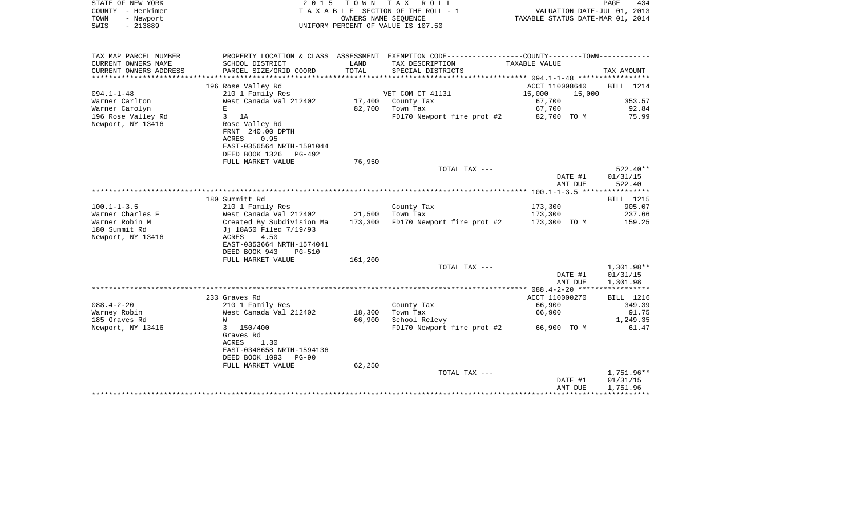| STATE OF NEW YORK<br>COUNTY - Herkimer<br>- Newport<br>TOWN<br>$-213889$<br>SWIS | 2 0 1 5                                    | T O W N | TAX ROLL<br>TAXABLE SECTION OF THE ROLL - 1<br>OWNERS NAME SEQUENCE<br>UNIFORM PERCENT OF VALUE IS 107.50 | PAGE<br>434<br>VALUATION DATE-JUL 01, 2013<br>TAXABLE STATUS DATE-MAR 01, 2014 |                         |  |
|----------------------------------------------------------------------------------|--------------------------------------------|---------|-----------------------------------------------------------------------------------------------------------|--------------------------------------------------------------------------------|-------------------------|--|
|                                                                                  |                                            |         |                                                                                                           |                                                                                |                         |  |
| TAX MAP PARCEL NUMBER                                                            |                                            |         | PROPERTY LOCATION & CLASS ASSESSMENT EXEMPTION CODE---------------COUNTY-------TOWN----------             |                                                                                |                         |  |
| CURRENT OWNERS NAME                                                              | SCHOOL DISTRICT                            | LAND    | TAX DESCRIPTION                                                                                           | TAXABLE VALUE                                                                  |                         |  |
| CURRENT OWNERS ADDRESS                                                           | PARCEL SIZE/GRID COORD                     | TOTAL   | SPECIAL DISTRICTS                                                                                         |                                                                                | TAX AMOUNT              |  |
| *******************                                                              | ****************************               |         | ***************************                                                                               | ***************** 094.1-1-48 ******************                                |                         |  |
|                                                                                  | 196 Rose Valley Rd                         |         |                                                                                                           | ACCT 110008640                                                                 | BILL 1214               |  |
| $094.1 - 1 - 48$<br>Warner Carlton                                               | 210 1 Family Res<br>West Canada Val 212402 | 17,400  | VET COM CT 41131<br>County Tax                                                                            | 15,000<br>15,000<br>67,700                                                     | 353.57                  |  |
| Warner Carolyn                                                                   | E                                          | 82,700  | Town Tax                                                                                                  | 67,700                                                                         | 92.84                   |  |
| 196 Rose Valley Rd                                                               | $3$ 1A                                     |         | FD170 Newport fire prot #2                                                                                | 82,700 TO M                                                                    | 75.99                   |  |
| Newport, NY 13416                                                                | Rose Valley Rd                             |         |                                                                                                           |                                                                                |                         |  |
|                                                                                  | FRNT 240.00 DPTH                           |         |                                                                                                           |                                                                                |                         |  |
|                                                                                  | ACRES<br>0.95                              |         |                                                                                                           |                                                                                |                         |  |
|                                                                                  | EAST-0356564 NRTH-1591044                  |         |                                                                                                           |                                                                                |                         |  |
|                                                                                  | DEED BOOK 1326<br>PG-492                   |         |                                                                                                           |                                                                                |                         |  |
|                                                                                  | FULL MARKET VALUE                          | 76,950  | TOTAL TAX ---                                                                                             |                                                                                | 522.40**                |  |
|                                                                                  |                                            |         |                                                                                                           | DATE #1                                                                        | 01/31/15                |  |
|                                                                                  |                                            |         |                                                                                                           | AMT DUE                                                                        | 522.40                  |  |
|                                                                                  |                                            |         |                                                                                                           |                                                                                |                         |  |
|                                                                                  | 180 Summitt Rd                             |         |                                                                                                           |                                                                                | BILL 1215               |  |
| $100.1 - 1 - 3.5$                                                                | 210 1 Family Res                           |         | County Tax                                                                                                | 173,300                                                                        | 905.07                  |  |
| Warner Charles F                                                                 | West Canada Val 212402                     | 21,500  | Town Tax                                                                                                  | 173,300                                                                        | 237.66                  |  |
| Warner Robin M                                                                   | Created By Subdivision Ma                  | 173,300 | FD170 Newport fire prot #2                                                                                | 173,300 TO M                                                                   | 159.25                  |  |
| 180 Summit Rd                                                                    | Jj 18A50 Filed 7/19/93                     |         |                                                                                                           |                                                                                |                         |  |
| Newport, NY 13416                                                                | ACRES<br>4.50<br>EAST-0353664 NRTH-1574041 |         |                                                                                                           |                                                                                |                         |  |
|                                                                                  | DEED BOOK 943<br>PG-510                    |         |                                                                                                           |                                                                                |                         |  |
|                                                                                  | FULL MARKET VALUE                          | 161,200 |                                                                                                           |                                                                                |                         |  |
|                                                                                  |                                            |         | TOTAL TAX ---                                                                                             |                                                                                | 1,301.98**              |  |
|                                                                                  |                                            |         |                                                                                                           | DATE #1                                                                        | 01/31/15                |  |
|                                                                                  |                                            |         |                                                                                                           | AMT DUE                                                                        | 1,301.98                |  |
|                                                                                  |                                            |         |                                                                                                           |                                                                                | * * * * * * * * * * * * |  |
|                                                                                  | 233 Graves Rd                              |         |                                                                                                           | ACCT 110000270                                                                 | BILL 1216               |  |
| $088.4 - 2 - 20$<br>Warney Robin                                                 | 210 1 Family Res<br>West Canada Val 212402 | 18,300  | County Tax<br>Town Tax                                                                                    | 66,900<br>66,900                                                               | 349.39<br>91.75         |  |
| 185 Graves Rd                                                                    | W                                          | 66,900  | School Relevy                                                                                             |                                                                                | 1,249.35                |  |
| Newport, NY 13416                                                                | $3\quad 150/400$                           |         | FD170 Newport fire prot #2                                                                                | 66,900 TO M                                                                    | 61.47                   |  |
|                                                                                  | Graves Rd                                  |         |                                                                                                           |                                                                                |                         |  |
|                                                                                  | 1.30<br>ACRES                              |         |                                                                                                           |                                                                                |                         |  |
|                                                                                  | EAST-0348658 NRTH-1594136                  |         |                                                                                                           |                                                                                |                         |  |
|                                                                                  | DEED BOOK 1093<br><b>PG-90</b>             |         |                                                                                                           |                                                                                |                         |  |
|                                                                                  | FULL MARKET VALUE                          | 62,250  |                                                                                                           |                                                                                |                         |  |
|                                                                                  |                                            |         | TOTAL TAX ---                                                                                             |                                                                                | 1,751.96**              |  |
|                                                                                  |                                            |         |                                                                                                           | DATE #1<br>AMT DUE                                                             | 01/31/15<br>1,751.96    |  |
|                                                                                  |                                            |         |                                                                                                           | ****************                                                               | ***********             |  |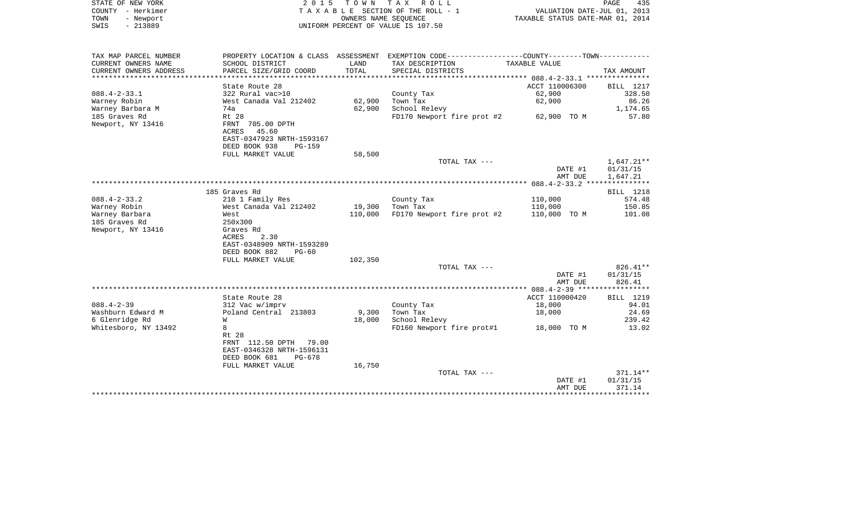|      | STATE OF NEW YORK | 2015 TOWN TAX ROLL                 | 435<br>PAGE                      |
|------|-------------------|------------------------------------|----------------------------------|
|      | COUNTY - Herkimer | TAXABLE SECTION OF THE ROLL - 1    | VALUATION DATE-JUL 01, 2013      |
| TOWN | - Newport         | OWNERS NAME SEOUENCE               | TAXABLE STATUS DATE-MAR 01, 2014 |
| SWIS | - 213889          | UNIFORM PERCENT OF VALUE IS 107.50 |                                  |

| TAX MAP PARCEL NUMBER  |                                |         | PROPERTY LOCATION & CLASS ASSESSMENT EXEMPTION CODE----------------COUNTY-------TOWN---------- |                             |              |
|------------------------|--------------------------------|---------|------------------------------------------------------------------------------------------------|-----------------------------|--------------|
| CURRENT OWNERS NAME    | SCHOOL DISTRICT                | LAND    | TAX DESCRIPTION                                                                                | TAXABLE VALUE               |              |
| CURRENT OWNERS ADDRESS | PARCEL SIZE/GRID COORD         | TOTAL   | SPECIAL DISTRICTS                                                                              |                             | TAX AMOUNT   |
|                        |                                |         |                                                                                                |                             |              |
|                        | State Route 28                 |         |                                                                                                | ACCT 110006300              | BILL 1217    |
| $088.4 - 2 - 33.1$     | 322 Rural vac>10               |         | County Tax                                                                                     | 62,900                      | 328.50       |
| Warney Robin           | West Canada Val 212402         | 62,900  | Town Tax                                                                                       | 62,900                      | 86.26        |
| Warney Barbara M       | 74a                            | 62,900  | School Relevy                                                                                  |                             | 1,174.65     |
| 185 Graves Rd          | Rt 28                          |         | FD170 Newport fire prot #2                                                                     | 62,900 TO M                 | 57.80        |
| Newport, NY 13416      | FRNT 705.00 DPTH               |         |                                                                                                |                             |              |
|                        | 45.60<br>ACRES                 |         |                                                                                                |                             |              |
|                        | EAST-0347923 NRTH-1593167      |         |                                                                                                |                             |              |
|                        |                                |         |                                                                                                |                             |              |
|                        | DEED BOOK 938<br><b>PG-159</b> |         |                                                                                                |                             |              |
|                        | FULL MARKET VALUE              | 58,500  |                                                                                                |                             |              |
|                        |                                |         | TOTAL TAX ---                                                                                  |                             | $1,647.21**$ |
|                        |                                |         |                                                                                                | DATE #1                     | 01/31/15     |
|                        |                                |         |                                                                                                | AMT DUE                     | 1,647.21     |
|                        |                                |         |                                                                                                |                             |              |
|                        | 185 Graves Rd                  |         |                                                                                                |                             | BILL 1218    |
| $088.4 - 2 - 33.2$     | 210 1 Family Res               |         | County Tax                                                                                     | 110,000                     | 574.48       |
| Warney Robin           | West Canada Val 212402         | 19,300  | Town Tax                                                                                       | 110,000                     | 150.85       |
| Warney Barbara         | West                           | 110,000 | FD170 Newport fire prot #2                                                                     | 110,000 TO M                | 101.08       |
| 185 Graves Rd          | 250x300                        |         |                                                                                                |                             |              |
| Newport, NY 13416      | Graves Rd                      |         |                                                                                                |                             |              |
|                        | ACRES<br>2.30                  |         |                                                                                                |                             |              |
|                        | EAST-0348909 NRTH-1593289      |         |                                                                                                |                             |              |
|                        | DEED BOOK 882<br>$PG-60$       |         |                                                                                                |                             |              |
|                        | FULL MARKET VALUE              | 102,350 |                                                                                                |                             |              |
|                        |                                |         | TOTAL TAX ---                                                                                  |                             | 826.41**     |
|                        |                                |         |                                                                                                | DATE #1                     | 01/31/15     |
|                        |                                |         |                                                                                                | AMT DUE                     | 826.41       |
|                        |                                |         |                                                                                                |                             |              |
|                        | State Route 28                 |         |                                                                                                | ACCT 110000420              | BILL 1219    |
| $088.4 - 2 - 39$       |                                |         |                                                                                                | 18,000                      | 94.01        |
|                        | 312 Vac w/imprv                |         | County Tax                                                                                     |                             | 24.69        |
| Washburn Edward M      | Poland Central 213803          | 9,300   | Town Tax                                                                                       | 18,000                      |              |
| 6 Glenridge Rd         | W                              | 18,000  | School Relevy                                                                                  |                             | 239.42       |
| Whitesboro, NY 13492   | 8                              |         | FD160 Newport fire prot#1                                                                      | 18,000 TO M                 | 13.02        |
|                        | Rt 28                          |         |                                                                                                |                             |              |
|                        | FRNT 112.50 DPTH 79.00         |         |                                                                                                |                             |              |
|                        | EAST-0346328 NRTH-1596131      |         |                                                                                                |                             |              |
|                        | DEED BOOK 681<br>PG-678        |         |                                                                                                |                             |              |
|                        | FULL MARKET VALUE              | 16,750  |                                                                                                |                             |              |
|                        |                                |         | TOTAL TAX ---                                                                                  |                             | 371.14**     |
|                        |                                |         |                                                                                                | DATE #1                     | 01/31/15     |
|                        |                                |         |                                                                                                | AMT DUE                     | 371.14       |
|                        |                                |         |                                                                                                | *************************** |              |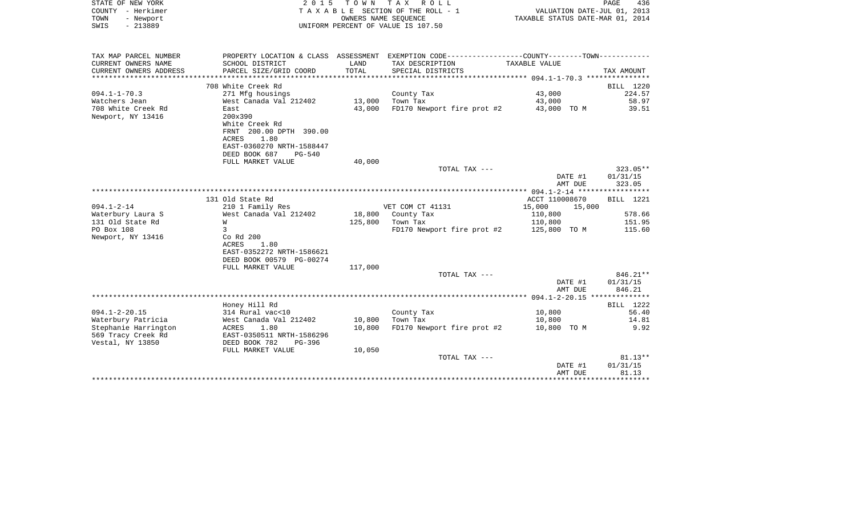| STATE OF NEW YORK<br>COUNTY - Herkimer<br>TOWN<br>- Newport |                                            |               | 2015 TOWN TAX ROLL<br>TAXABLE SECTION OF THE ROLL - 1<br>OWNERS NAME SEQUENCE                  | VALUATION DATE-JUL 01, 2013<br>TAXABLE STATUS DATE-MAR 01, 2014 | PAGE<br>436         |
|-------------------------------------------------------------|--------------------------------------------|---------------|------------------------------------------------------------------------------------------------|-----------------------------------------------------------------|---------------------|
| $-213889$<br>SWIS                                           |                                            |               | UNIFORM PERCENT OF VALUE IS 107.50                                                             |                                                                 |                     |
| TAX MAP PARCEL NUMBER                                       |                                            |               | PROPERTY LOCATION & CLASS ASSESSMENT EXEMPTION CODE----------------COUNTY-------TOWN---------- |                                                                 |                     |
| CURRENT OWNERS NAME<br>CURRENT OWNERS ADDRESS               | SCHOOL DISTRICT<br>PARCEL SIZE/GRID COORD  | LAND<br>TOTAL | TAX DESCRIPTION<br>SPECIAL DISTRICTS                                                           | TAXABLE VALUE                                                   | TAX AMOUNT          |
| ************************                                    |                                            |               |                                                                                                |                                                                 |                     |
| $094.1 - 1 - 70.3$                                          | 708 White Creek Rd<br>271 Mfg housings     |               | County Tax                                                                                     | 43,000                                                          | BILL 1220<br>224.57 |
| Watchers Jean                                               | West Canada Val 212402                     | 13,000        | Town Tax                                                                                       | 43,000                                                          | 58.97               |
| 708 White Creek Rd<br>Newport, NY 13416                     | East<br>200x390                            | 43,000        | FD170 Newport fire prot #2                                                                     | 43,000 TO M                                                     | 39.51               |
|                                                             | White Creek Rd<br>FRNT 200.00 DPTH 390.00  |               |                                                                                                |                                                                 |                     |
|                                                             | 1.80<br>ACRES<br>EAST-0360270 NRTH-1588447 |               |                                                                                                |                                                                 |                     |
|                                                             | DEED BOOK 687<br>PG-540                    |               |                                                                                                |                                                                 |                     |
|                                                             | FULL MARKET VALUE                          | 40,000        |                                                                                                |                                                                 |                     |
|                                                             |                                            |               | TOTAL TAX ---                                                                                  |                                                                 | $323.05**$          |
|                                                             |                                            |               |                                                                                                | DATE #1                                                         | 01/31/15            |
|                                                             |                                            |               |                                                                                                | AMT DUE                                                         | 323.05              |
|                                                             | 131 Old State Rd                           |               |                                                                                                | ACCT 110008670                                                  | <b>BILL</b> 1221    |
| $094.1 - 2 - 14$                                            | 210 1 Family Res                           |               | VET COM CT 41131                                                                               | 15,000<br>15,000                                                |                     |
| Waterbury Laura S                                           | West Canada Val 212402                     |               | 18,800 County Tax                                                                              | 110,800                                                         | 578.66              |
| 131 Old State Rd                                            | W                                          | 125,800       | Town Tax                                                                                       | 110,800                                                         | 151.95              |
| PO Box 108                                                  | 3                                          |               | FD170 Newport fire prot #2                                                                     | 125,800 TO M                                                    | 115.60              |
| Newport, NY 13416                                           | Co Rd 200                                  |               |                                                                                                |                                                                 |                     |
|                                                             | ACRES<br>1.80<br>EAST-0352272 NRTH-1586621 |               |                                                                                                |                                                                 |                     |
|                                                             | DEED BOOK 00579 PG-00274                   |               |                                                                                                |                                                                 |                     |
|                                                             | FULL MARKET VALUE                          | 117,000       |                                                                                                |                                                                 |                     |
|                                                             |                                            |               | TOTAL TAX ---                                                                                  |                                                                 | 846.21**            |
|                                                             |                                            |               |                                                                                                | DATE #1                                                         | 01/31/15            |
|                                                             |                                            |               |                                                                                                | AMT DUE                                                         | 846.21              |
|                                                             |                                            |               |                                                                                                |                                                                 |                     |
| $094.1 - 2 - 20.15$                                         | Honey Hill Rd<br>314 Rural vac<10          |               |                                                                                                | 10,800                                                          | BILL 1222<br>56.40  |
| Waterbury Patricia                                          | West Canada Val 212402                     | 10,800        | County Tax<br>Town Tax                                                                         | 10,800                                                          | 14.81               |
| Stephanie Harrington                                        | ACRES<br>1.80                              | 10,800        | FD170 Newport fire prot #2                                                                     | 10,800 TO M                                                     | 9.92                |
| 569 Tracy Creek Rd                                          | EAST-0350511 NRTH-1586296                  |               |                                                                                                |                                                                 |                     |
| Vestal, NY 13850                                            | DEED BOOK 782<br>PG-396                    |               |                                                                                                |                                                                 |                     |

|  | -----             |        |               |         |           |
|--|-------------------|--------|---------------|---------|-----------|
|  | FULL MARKET VALUE | 10,050 |               |         |           |
|  |                   |        | TOTAL TAX --- |         | $81.13**$ |
|  |                   |        |               | DATE #1 | 01/31/15  |
|  |                   |        |               | AMT DUE | 81.13     |
|  |                   |        |               |         |           |
|  |                   |        |               |         |           |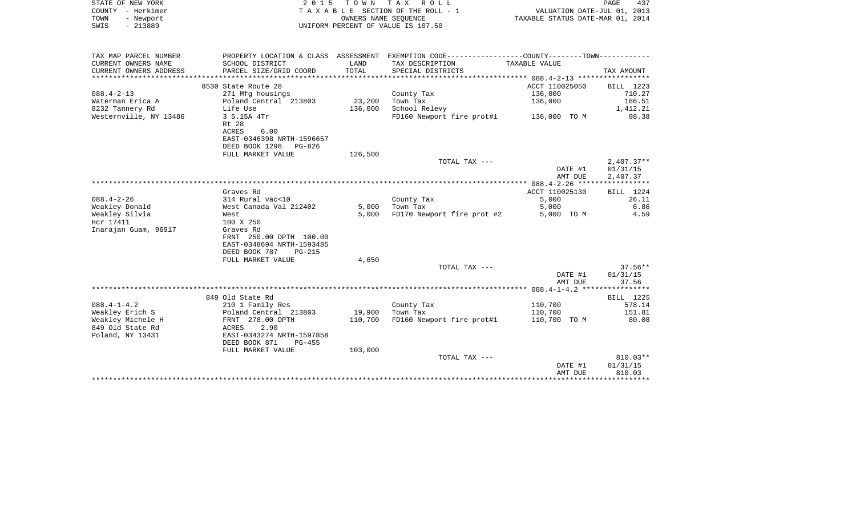|      | STATE OF NEW YORK | 2015 TOWN TAX ROLL                 | PAGE                             | 437 |
|------|-------------------|------------------------------------|----------------------------------|-----|
|      | COUNTY - Herkimer | TAXABLE SECTION OF THE ROLL - 1    | VALUATION DATE-JUL 01, 2013      |     |
| TOWN | - Newport         | OWNERS NAME SEOUENCE               | TAXABLE STATUS DATE-MAR 01, 2014 |     |
| SWIS | - 213889          | UNIFORM PERCENT OF VALUE IS 107.50 |                                  |     |

| TAX MAP PARCEL NUMBER  | PROPERTY LOCATION & CLASS ASSESSMENT |         |                                        |                |              |
|------------------------|--------------------------------------|---------|----------------------------------------|----------------|--------------|
| CURRENT OWNERS NAME    | SCHOOL DISTRICT                      | LAND    | TAX DESCRIPTION                        | TAXABLE VALUE  |              |
| CURRENT OWNERS ADDRESS | PARCEL SIZE/GRID COORD               | TOTAL   | SPECIAL DISTRICTS                      |                | TAX AMOUNT   |
|                        |                                      |         |                                        |                |              |
|                        | 8530 State Route 28                  |         |                                        | ACCT 110025050 | BILL 1223    |
| $088.4 - 2 - 13$       | 271 Mfg housings                     |         | County Tax                             | 136,000        | 710.27       |
| Waterman Erica A       | Poland Central 213803                | 23,200  | Town Tax                               | 136,000        | 186.51       |
| 8232 Tannery Rd        | Life Use                             | 136,000 | School Relevy                          |                | 1,412.21     |
| Westernville, NY 13486 | 3 5.15A 4Tr                          |         | FD160 Newport fire prot#1 136,000 TO M |                | 98.38        |
|                        | Rt 28                                |         |                                        |                |              |
|                        | ACRES<br>6.00                        |         |                                        |                |              |
|                        | EAST-0346398 NRTH-1596657            |         |                                        |                |              |
|                        | DEED BOOK 1298<br>PG-826             |         |                                        |                |              |
|                        | FULL MARKET VALUE                    | 126,500 |                                        |                |              |
|                        |                                      |         | TOTAL TAX ---                          |                | $2,407.37**$ |
|                        |                                      |         |                                        | DATE #1        | 01/31/15     |
|                        |                                      |         |                                        | AMT DUE        | 2,407.37     |
|                        |                                      |         |                                        |                |              |
|                        | Graves Rd                            |         |                                        | ACCT 110025130 | BILL 1224    |
| $088.4 - 2 - 26$       | 314 Rural vac<10                     |         | County Tax                             | 5,000          | 26.11        |
| Weakley Donald         | West Canada Val 212402               | 5,000   | Town Tax                               | 5,000          | 6.86         |
| Weakley Silvia         | West                                 | 5,000   | FD170 Newport fire prot #2             | 5,000 TO M     | 4.59         |
| Hcr 17411              | 100 X 250                            |         |                                        |                |              |
| Inarajan Guam, 96917   | Graves Rd                            |         |                                        |                |              |
|                        | FRNT 250.00 DPTH 100.00              |         |                                        |                |              |
|                        | EAST-0348694 NRTH-1593485            |         |                                        |                |              |
|                        | DEED BOOK 787<br><b>PG-215</b>       |         |                                        |                |              |
|                        | FULL MARKET VALUE                    | 4,650   |                                        |                |              |
|                        |                                      |         | TOTAL TAX ---                          |                | $37.56**$    |
|                        |                                      |         |                                        | DATE #1        | 01/31/15     |
|                        |                                      |         |                                        | AMT DUE        | 37.56        |
|                        |                                      |         |                                        |                |              |
|                        | 849 Old State Rd                     |         |                                        |                | BILL 1225    |
| $088.4 - 1 - 4.2$      | 210 1 Family Res                     |         | County Tax                             | 110,700        | 578.14       |
| Weakley Erich S        | Poland Central 213803                | 19,900  | Town Tax                               | 110,700        | 151.81       |
| Weakley Michele H      | FRNT 278.00 DPTH                     | 110,700 | FD160 Newport fire prot#1              | 110,700 TO M   | 80.08        |
| 849 Old State Rd       | 2.90<br>ACRES                        |         |                                        |                |              |
| Poland, NY 13431       | EAST-0343274 NRTH-1597858            |         |                                        |                |              |
|                        | DEED BOOK 871<br>PG-455              |         |                                        |                |              |
|                        | FULL MARKET VALUE                    | 103,000 |                                        |                |              |
|                        |                                      |         | TOTAL TAX ---                          |                | 810.03**     |
|                        |                                      |         |                                        | DATE #1        | 01/31/15     |
|                        |                                      |         |                                        | AMT DUE        | 810.03       |
|                        |                                      |         |                                        |                |              |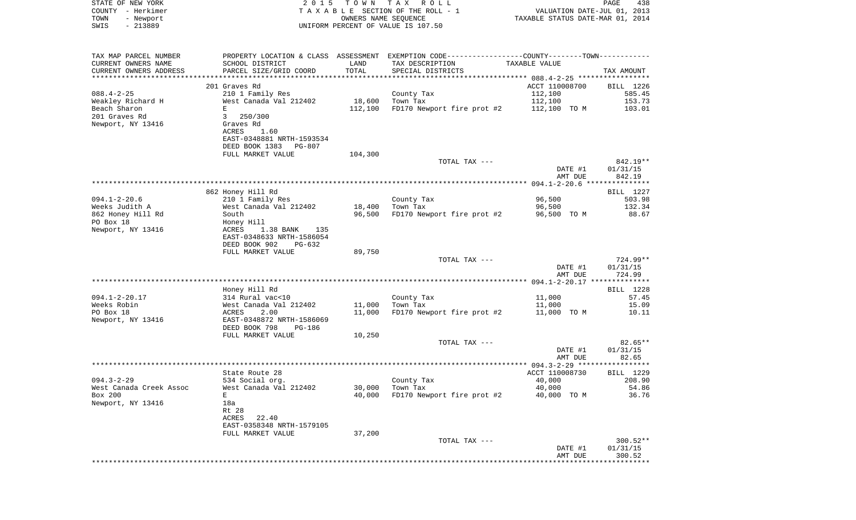| STATE OF NEW YORK<br>COUNTY - Herkimer<br>- Newport<br>TOWN<br>$-213889$<br>SWIS | 2 0 1 5                                       | T O W N<br>OWNERS NAME SEQUENCE | T A X<br>R O L L<br>TAXABLE SECTION OF THE ROLL - 1<br>UNIFORM PERCENT OF VALUE IS 107.50     | VALUATION DATE-JUL 01, 2013<br>TAXABLE STATUS DATE-MAR 01, 2014 | PAGE<br>438         |
|----------------------------------------------------------------------------------|-----------------------------------------------|---------------------------------|-----------------------------------------------------------------------------------------------|-----------------------------------------------------------------|---------------------|
|                                                                                  |                                               |                                 |                                                                                               |                                                                 |                     |
| TAX MAP PARCEL NUMBER                                                            |                                               |                                 | PROPERTY LOCATION & CLASS ASSESSMENT EXEMPTION CODE---------------COUNTY-------TOWN---------- |                                                                 |                     |
| CURRENT OWNERS NAME                                                              | SCHOOL DISTRICT                               | LAND                            | TAX DESCRIPTION                                                                               | TAXABLE VALUE                                                   |                     |
| CURRENT OWNERS ADDRESS                                                           | PARCEL SIZE/GRID COORD                        | TOTAL                           | SPECIAL DISTRICTS                                                                             |                                                                 | TAX AMOUNT          |
| ***********************                                                          | *************************                     | **********                      |                                                                                               |                                                                 |                     |
| $088.4 - 2 - 25$                                                                 | 201 Graves Rd<br>210 1 Family Res             |                                 | County Tax                                                                                    | ACCT 110008700<br>112,100                                       | BILL 1226<br>585.45 |
| Weakley Richard H                                                                | West Canada Val 212402                        | 18,600                          | Town Tax                                                                                      | 112,100                                                         | 153.73              |
| Beach Sharon                                                                     | Е                                             | 112,100                         | FD170 Newport fire prot #2                                                                    | 112,100 TO M                                                    | 103.01              |
| 201 Graves Rd                                                                    | 3<br>250/300                                  |                                 |                                                                                               |                                                                 |                     |
| Newport, NY 13416                                                                | Graves Rd                                     |                                 |                                                                                               |                                                                 |                     |
|                                                                                  | ACRES<br>1.60                                 |                                 |                                                                                               |                                                                 |                     |
|                                                                                  | EAST-0348881 NRTH-1593534                     |                                 |                                                                                               |                                                                 |                     |
|                                                                                  | DEED BOOK 1383<br>PG-807<br>FULL MARKET VALUE |                                 |                                                                                               |                                                                 |                     |
|                                                                                  |                                               | 104,300                         | TOTAL TAX ---                                                                                 |                                                                 | 842.19**            |
|                                                                                  |                                               |                                 |                                                                                               | DATE #1                                                         | 01/31/15            |
|                                                                                  |                                               |                                 |                                                                                               | AMT DUE                                                         | 842.19              |
|                                                                                  |                                               |                                 |                                                                                               |                                                                 |                     |
|                                                                                  | 862 Honey Hill Rd                             |                                 |                                                                                               |                                                                 | BILL 1227           |
| $094.1 - 2 - 20.6$                                                               | 210 1 Family Res                              |                                 | County Tax                                                                                    | 96,500                                                          | 503.98              |
| Weeks Judith A<br>862 Honey Hill Rd                                              | West Canada Val 212402<br>South               | 18,400<br>96,500                | Town Tax<br>FD170 Newport fire prot #2                                                        | 96,500<br>96,500 TO M                                           | 132.34<br>88.67     |
| PO Box 18                                                                        | Honey Hill                                    |                                 |                                                                                               |                                                                 |                     |
| Newport, NY 13416                                                                | ACRES<br>1.38 BANK<br>135                     |                                 |                                                                                               |                                                                 |                     |
|                                                                                  | EAST-0348633 NRTH-1586054                     |                                 |                                                                                               |                                                                 |                     |
|                                                                                  | DEED BOOK 902<br>$PG-632$                     |                                 |                                                                                               |                                                                 |                     |
|                                                                                  | FULL MARKET VALUE                             | 89,750                          |                                                                                               |                                                                 |                     |
|                                                                                  |                                               |                                 | TOTAL TAX ---                                                                                 |                                                                 | 724.99**            |
|                                                                                  |                                               |                                 |                                                                                               | DATE #1<br>AMT DUE                                              | 01/31/15<br>724.99  |
|                                                                                  |                                               |                                 |                                                                                               |                                                                 |                     |
|                                                                                  | Honey Hill Rd                                 |                                 |                                                                                               |                                                                 | BILL 1228           |
| $094.1 - 2 - 20.17$                                                              | 314 Rural vac<10                              |                                 | County Tax                                                                                    | 11,000                                                          | 57.45               |
| Weeks Robin                                                                      | West Canada Val 212402                        | 11,000                          | Town Tax                                                                                      | 11,000                                                          | 15.09               |
| PO Box 18                                                                        | ACRES<br>2.00                                 | 11,000                          | FD170 Newport fire prot #2                                                                    | 11,000 TO M                                                     | 10.11               |
| Newport, NY 13416                                                                | EAST-0348872 NRTH-1586069                     |                                 |                                                                                               |                                                                 |                     |
|                                                                                  | DEED BOOK 798<br>PG-186<br>FULL MARKET VALUE  | 10,250                          |                                                                                               |                                                                 |                     |
|                                                                                  |                                               |                                 | TOTAL TAX ---                                                                                 |                                                                 | $82.65**$           |
|                                                                                  |                                               |                                 |                                                                                               | DATE #1                                                         | 01/31/15            |
|                                                                                  |                                               |                                 |                                                                                               | AMT DUE                                                         | 82.65               |
|                                                                                  |                                               |                                 |                                                                                               |                                                                 |                     |
| $094.3 - 2 - 29$                                                                 | State Route 28                                |                                 |                                                                                               | ACCT 110008730                                                  | BILL 1229<br>208.90 |
| West Canada Creek Assoc                                                          | 534 Social org.<br>West Canada Val 212402     | 30,000                          | County Tax<br>Town Tax                                                                        | 40,000<br>40,000                                                | 54.86               |
| Box 200                                                                          | E                                             | 40,000                          | FD170 Newport fire prot #2                                                                    | 40,000 TO M                                                     | 36.76               |
| Newport, NY 13416                                                                | 18a                                           |                                 |                                                                                               |                                                                 |                     |
|                                                                                  | Rt 28                                         |                                 |                                                                                               |                                                                 |                     |
|                                                                                  | ACRES<br>22.40                                |                                 |                                                                                               |                                                                 |                     |
|                                                                                  | EAST-0358348 NRTH-1579105                     |                                 |                                                                                               |                                                                 |                     |
|                                                                                  | FULL MARKET VALUE                             | 37,200                          | TOTAL TAX ---                                                                                 |                                                                 | $300.52**$          |
|                                                                                  |                                               |                                 |                                                                                               | DATE #1                                                         | 01/31/15            |
|                                                                                  |                                               |                                 |                                                                                               | AMT DUE                                                         | 300.52              |
|                                                                                  |                                               |                                 |                                                                                               |                                                                 |                     |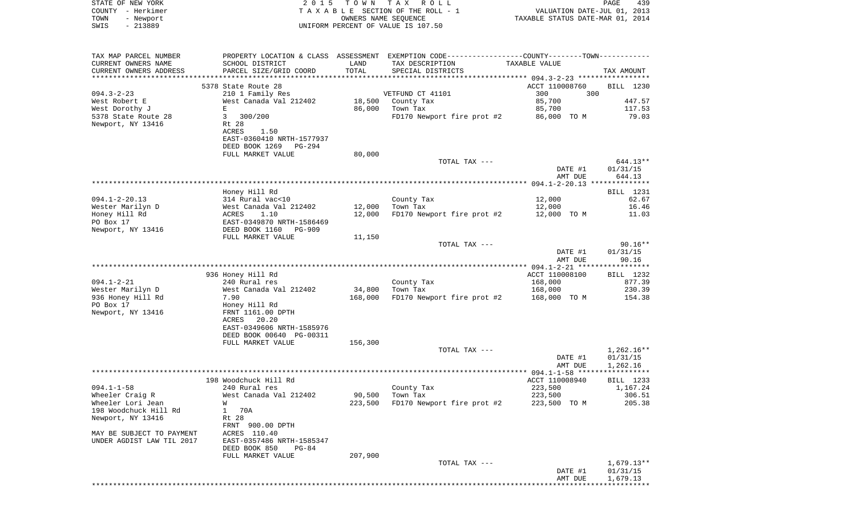| 2015 TOWN TAX ROLL<br>PAGE<br>STATE OF NEW YORK                                     | 439 |
|-------------------------------------------------------------------------------------|-----|
| VALUATION DATE-JUL 01, 2013<br>COUNTY - Herkimer<br>TAXABLE SECTION OF THE ROLL - 1 |     |
| TAXABLE STATUS DATE-MAR 01, 2014<br>TOWN<br>OWNERS NAME SEOUENCE<br>- Newport       |     |
| - 213889<br>UNIFORM PERCENT OF VALUE IS 107.50<br>SWIS                              |     |

| TAX MAP PARCEL NUMBER     |                                         |            | PROPERTY LOCATION & CLASS ASSESSMENT EXEMPTION CODE---------------COUNTY-------TOWN--------- |                                                  |              |
|---------------------------|-----------------------------------------|------------|----------------------------------------------------------------------------------------------|--------------------------------------------------|--------------|
| CURRENT OWNERS NAME       | SCHOOL DISTRICT                         | LAND       | TAX DESCRIPTION                                                                              | TAXABLE VALUE                                    |              |
| CURRENT OWNERS ADDRESS    | PARCEL SIZE/GRID COORD                  | TOTAL      | SPECIAL DISTRICTS                                                                            |                                                  | TAX AMOUNT   |
|                           |                                         | ********** |                                                                                              | ****************** 094.3-2-23 ****************** |              |
|                           | 5378 State Route 28                     |            |                                                                                              | ACCT 110008760                                   | BILL 1230    |
| $094.3 - 2 - 23$          | 210 1 Family Res                        |            | VETFUND CT 41101                                                                             | 300<br>300                                       |              |
| West Robert E             | West Canada Val 212402                  | 18,500     | County Tax                                                                                   | 85,700                                           | 447.57       |
| West Dorothy J            | E                                       | 86,000     | Town Tax                                                                                     | 85,700                                           | 117.53       |
| 5378 State Route 28       | $\overline{3}$<br>300/200               |            | FD170 Newport fire prot #2                                                                   | 86,000 TO M                                      | 79.03        |
| Newport, NY 13416         | Rt 28                                   |            |                                                                                              |                                                  |              |
|                           | ACRES<br>1.50                           |            |                                                                                              |                                                  |              |
|                           |                                         |            |                                                                                              |                                                  |              |
|                           | EAST-0360410 NRTH-1577937               |            |                                                                                              |                                                  |              |
|                           | DEED BOOK 1269<br>PG-294                |            |                                                                                              |                                                  |              |
|                           | FULL MARKET VALUE                       | 80,000     |                                                                                              |                                                  |              |
|                           |                                         |            | TOTAL TAX ---                                                                                |                                                  | $644.13**$   |
|                           |                                         |            |                                                                                              | DATE #1                                          | 01/31/15     |
|                           |                                         |            |                                                                                              | AMT DUE                                          | 644.13       |
|                           |                                         |            |                                                                                              |                                                  |              |
|                           | Honey Hill Rd                           |            |                                                                                              |                                                  | BILL 1231    |
| $094.1 - 2 - 20.13$       | 314 Rural vac<10                        |            | County Tax                                                                                   | 12,000                                           | 62.67        |
| Wester Marilyn D          | West Canada Val 212402                  | 12,000     | Town Tax                                                                                     | 12,000                                           | 16.46        |
| Honey Hill Rd             | ACRES 1.10<br>EAST-0349870 NRTH-1586469 | 12,000     | FD170 Newport fire prot #2                                                                   | 12,000 TO M                                      | 11.03        |
| PO Box 17                 |                                         |            |                                                                                              |                                                  |              |
| Newport, NY 13416         | DEED BOOK 1160<br>PG-909                |            |                                                                                              |                                                  |              |
|                           | FULL MARKET VALUE                       | 11,150     |                                                                                              |                                                  |              |
|                           |                                         |            | TOTAL TAX ---                                                                                |                                                  | $90.16**$    |
|                           |                                         |            |                                                                                              | DATE #1                                          | 01/31/15     |
|                           |                                         |            |                                                                                              | AMT DUE                                          | 90.16        |
|                           |                                         |            |                                                                                              |                                                  |              |
|                           | 936 Honey Hill Rd                       |            |                                                                                              | ACCT 110008100                                   | BILL 1232    |
| $094.1 - 2 - 21$          | 240 Rural res                           |            | County Tax                                                                                   | 168,000                                          | 877.39       |
| Wester Marilyn D          | West Canada Val 212402                  | 34,800     | Town Tax                                                                                     | 168,000                                          | 230.39       |
| 936 Honey Hill Rd         | 7.90                                    | 168,000    | FD170 Newport fire prot #2                                                                   | 168,000 TO M                                     | 154.38       |
| PO Box 17                 | Honey Hill Rd                           |            |                                                                                              |                                                  |              |
| Newport, NY 13416         | FRNT 1161.00 DPTH                       |            |                                                                                              |                                                  |              |
|                           | 20.20<br>ACRES                          |            |                                                                                              |                                                  |              |
|                           | EAST-0349606 NRTH-1585976               |            |                                                                                              |                                                  |              |
|                           | DEED BOOK 00640 PG-00311                |            |                                                                                              |                                                  |              |
|                           | FULL MARKET VALUE                       | 156,300    |                                                                                              |                                                  |              |
|                           |                                         |            | TOTAL TAX ---                                                                                |                                                  | $1,262.16**$ |
|                           |                                         |            |                                                                                              | DATE #1                                          | 01/31/15     |
|                           |                                         |            |                                                                                              | AMT DUE                                          | 1,262.16     |
|                           |                                         |            |                                                                                              |                                                  |              |
|                           | 198 Woodchuck Hill Rd                   |            |                                                                                              | ACCT 110008940                                   | BILL 1233    |
| $094.1 - 1 - 58$          |                                         |            |                                                                                              |                                                  |              |
|                           | 240 Rural res                           |            | County Tax                                                                                   | 223,500                                          | 1,167.24     |
| Wheeler Craig R           | West Canada Val 212402                  | 90,500     | Town Tax                                                                                     | 223,500                                          | 306.51       |
| Wheeler Lori Jean         | W                                       | 223,500    | FD170 Newport fire prot #2                                                                   | 223,500 TO M                                     | 205.38       |
| 198 Woodchuck Hill Rd     | 1 70A                                   |            |                                                                                              |                                                  |              |
| Newport, NY 13416         | Rt 28                                   |            |                                                                                              |                                                  |              |
|                           | FRNT 900.00 DPTH                        |            |                                                                                              |                                                  |              |
| MAY BE SUBJECT TO PAYMENT | ACRES 110.40                            |            |                                                                                              |                                                  |              |
| UNDER AGDIST LAW TIL 2017 | EAST-0357486 NRTH-1585347               |            |                                                                                              |                                                  |              |
|                           | DEED BOOK 850<br>$PG-84$                |            |                                                                                              |                                                  |              |
|                           | FULL MARKET VALUE                       | 207,900    |                                                                                              |                                                  |              |
|                           |                                         |            | TOTAL TAX ---                                                                                |                                                  | $1,679.13**$ |
|                           |                                         |            |                                                                                              | DATE #1                                          | 01/31/15     |
|                           |                                         |            |                                                                                              | AMT DUE                                          | 1,679.13     |
|                           |                                         |            |                                                                                              |                                                  |              |
|                           |                                         |            |                                                                                              |                                                  |              |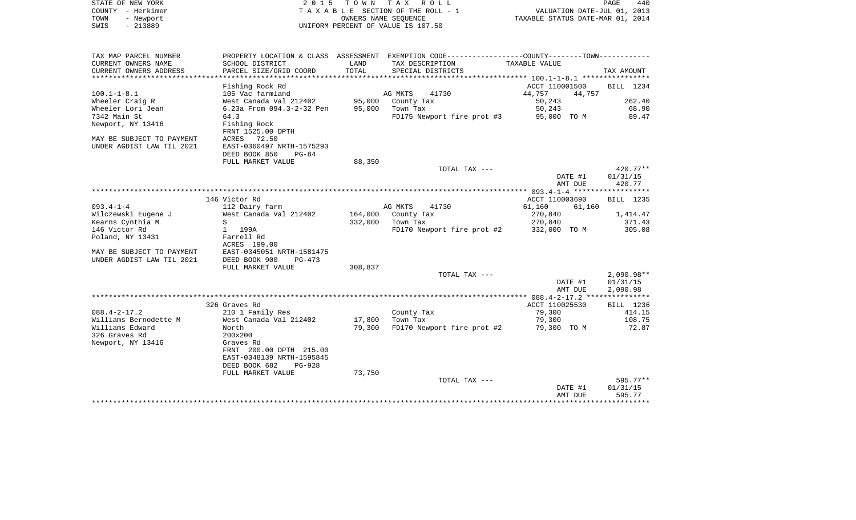| STATE OF NEW YORK         |                                      | 2015 TOWN | TAX ROLL                                                    |                                  | 440<br>PAGE |
|---------------------------|--------------------------------------|-----------|-------------------------------------------------------------|----------------------------------|-------------|
| - Herkimer<br>COUNTY      |                                      |           | TAXABLE SECTION OF THE ROLL - 1                             | VALUATION DATE-JUL 01, 2013      |             |
| - Newport<br>TOWN         |                                      |           | OWNERS NAME SEOUENCE                                        | TAXABLE STATUS DATE-MAR 01, 2014 |             |
| $-213889$<br>SWIS         |                                      |           | UNIFORM PERCENT OF VALUE IS 107.50                          |                                  |             |
|                           |                                      |           |                                                             |                                  |             |
|                           |                                      |           |                                                             |                                  |             |
| TAX MAP PARCEL NUMBER     | PROPERTY LOCATION & CLASS ASSESSMENT |           | EXEMPTION CODE-----------------COUNTY-------TOWN----------- |                                  |             |
| CURRENT OWNERS NAME       | SCHOOL DISTRICT                      | LAND      | TAX DESCRIPTION                                             | TAXABLE VALUE                    |             |
| CURRENT OWNERS ADDRESS    | PARCEL SIZE/GRID COORD               | TOTAL     | SPECIAL DISTRICTS                                           |                                  | TAX AMOUNT  |
|                           |                                      |           |                                                             |                                  |             |
|                           | Fishing Rock Rd                      |           |                                                             | ACCT 110001500                   | BILL 1234   |
| $100.1 - 1 - 8.1$         | 105 Vac farmland                     |           | AG MKTS<br>41730                                            | 44,757<br>44,757                 |             |
| Wheeler Craig R           | West Canada Val 212402               | 95,000    | County Tax                                                  | 50,243                           | 262.40      |
| Wheeler Lori Jean         | 6.23a From 094.3-2-32 Pen            | 95,000    | Town Tax                                                    | 50,243                           | 68.90       |
| 7342 Main St              | 64.3                                 |           | FD175 Newport fire prot #3                                  | 95,000 TO M                      | 89.47       |
| Newport, NY 13416         | Fishing Rock                         |           |                                                             |                                  |             |
|                           | FRNT 1525.00 DPTH                    |           |                                                             |                                  |             |
| MAY BE SUBJECT TO PAYMENT | ACRES 72.50                          |           |                                                             |                                  |             |
| UNDER AGDIST LAW TIL 2021 | EAST-0360497 NRTH-1575293            |           |                                                             |                                  |             |
|                           | DEED BOOK 850<br>$PG-84$             |           |                                                             |                                  |             |
|                           | FULL MARKET VALUE                    | 88,350    |                                                             |                                  |             |
|                           |                                      |           | TOTAL TAX ---                                               |                                  | $420.77**$  |
|                           |                                      |           |                                                             | DATE #1                          | 01/31/15    |
|                           |                                      |           |                                                             | AMT DUE                          | 420.77      |
|                           |                                      |           |                                                             |                                  |             |
|                           | 146 Victor Rd                        |           |                                                             | ACCT 110003690                   | BILL 1235   |
| $093.4 - 1 - 4$           | 112 Dairy farm                       |           | AG MKTS<br>41730                                            | 61,160<br>61,160                 |             |
| Wilczewski Eugene J       | West Canada Val 212402               |           | 164,000 County Tax                                          | 270,840                          | 1,414.47    |
| Kearns Cynthia M          | S                                    | 332,000   | Town Tax                                                    | 270,840                          | 371.43      |
| 146 Victor Rd             | 1 199A                               |           | FD170 Newport fire prot #2                                  | 332,000 TO M                     | 305.08      |
| Poland, NY 13431          | Farrell Rd<br>ACRES 199.00           |           |                                                             |                                  |             |
| MAY BE SUBJECT TO PAYMENT | EAST-0345051 NRTH-1581475            |           |                                                             |                                  |             |
| UNDER AGDIST LAW TIL 2021 | DEED BOOK 900<br>$PG-473$            |           |                                                             |                                  |             |
|                           | FULL MARKET VALUE                    | 308,837   |                                                             |                                  |             |

|                       |                           |        | TOTAL TAX ---              |                | $2,090.98**$ |
|-----------------------|---------------------------|--------|----------------------------|----------------|--------------|
|                       |                           |        |                            | DATE #1        | 01/31/15     |
|                       |                           |        |                            | AMT DUE        | 2,090.98     |
|                       |                           |        |                            |                |              |
|                       | 326 Graves Rd             |        |                            | ACCT 110025530 | BILL 1236    |
| $088.4 - 2 - 17.2$    | 210 1 Family Res          |        | County Tax                 | 79,300         | 414.15       |
| Williams Bernodette M | West Canada Val 212402    | 17,800 | Town Tax                   | 79,300         | 108.75       |
| Williams Edward       | North                     | 79,300 | FD170 Newport fire prot #2 | 79,300<br>TO M | 72.87        |
| 326 Graves Rd         | 200x200                   |        |                            |                |              |
| Newport, NY 13416     | Graves Rd                 |        |                            |                |              |
|                       | FRNT 200.00 DPTH 215.00   |        |                            |                |              |
|                       | EAST-0348139 NRTH-1595845 |        |                            |                |              |
|                       | DEED BOOK 682<br>PG-928   |        |                            |                |              |
|                       | FULL MARKET VALUE         | 73,750 |                            |                |              |
|                       |                           |        | TOTAL TAX ---              |                | $595.77**$   |
|                       |                           |        |                            | DATE #1        | 01/31/15     |
|                       |                           |        |                            | AMT DUE        | 595.77       |
|                       |                           |        |                            |                |              |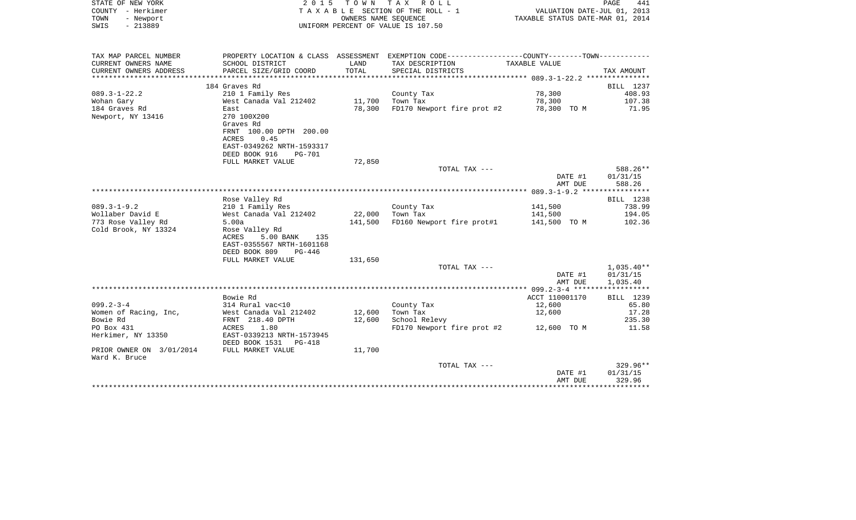| STATE OF NEW YORK<br>COUNTY - Herkimer<br>TOWN<br>- Newport<br>SWIS<br>$-213889$ | 2 0 1 5                                                |         | TOWN TAX ROLL<br>TAXABLE SECTION OF THE ROLL - 1<br>OWNERS NAME SEQUENCE<br>UNIFORM PERCENT OF VALUE IS 107.50 | VALUATION DATE-JUL 01, 2013<br>TAXABLE STATUS DATE-MAR 01, 2014 | PAGE<br>441  |
|----------------------------------------------------------------------------------|--------------------------------------------------------|---------|----------------------------------------------------------------------------------------------------------------|-----------------------------------------------------------------|--------------|
|                                                                                  |                                                        |         |                                                                                                                |                                                                 |              |
| TAX MAP PARCEL NUMBER                                                            |                                                        |         | PROPERTY LOCATION & CLASS ASSESSMENT EXEMPTION CODE----------------COUNTY-------TOWN----------                 |                                                                 |              |
| CURRENT OWNERS NAME                                                              | SCHOOL DISTRICT                                        | LAND    | TAX DESCRIPTION                                                                                                | TAXABLE VALUE                                                   |              |
| CURRENT OWNERS ADDRESS                                                           | PARCEL SIZE/GRID COORD                                 | TOTAL   | SPECIAL DISTRICTS                                                                                              |                                                                 | TAX AMOUNT   |
|                                                                                  | 184 Graves Rd                                          |         |                                                                                                                |                                                                 | BILL 1237    |
| $089.3 - 1 - 22.2$                                                               | 210 1 Family Res                                       |         | County Tax                                                                                                     | 78,300                                                          | 408.93       |
| Wohan Gary                                                                       | West Canada Val 212402                                 | 11,700  | Town Tax                                                                                                       | 78,300                                                          | 107.38       |
| 184 Graves Rd                                                                    | East                                                   | 78,300  | FD170 Newport fire prot #2                                                                                     | 78,300 TO M                                                     | 71.95        |
| Newport, NY 13416                                                                | 270 100X200                                            |         |                                                                                                                |                                                                 |              |
|                                                                                  | Graves Rd                                              |         |                                                                                                                |                                                                 |              |
|                                                                                  | FRNT 100.00 DPTH 200.00                                |         |                                                                                                                |                                                                 |              |
|                                                                                  | ACRES<br>0.45                                          |         |                                                                                                                |                                                                 |              |
|                                                                                  | EAST-0349262 NRTH-1593317<br>DEED BOOK 916<br>PG-701   |         |                                                                                                                |                                                                 |              |
|                                                                                  | FULL MARKET VALUE                                      | 72,850  |                                                                                                                |                                                                 |              |
|                                                                                  |                                                        |         | TOTAL TAX ---                                                                                                  |                                                                 | 588.26**     |
|                                                                                  |                                                        |         |                                                                                                                | DATE #1                                                         | 01/31/15     |
|                                                                                  |                                                        |         |                                                                                                                | AMT DUE                                                         | 588.26       |
|                                                                                  |                                                        |         |                                                                                                                |                                                                 |              |
|                                                                                  | Rose Valley Rd                                         |         |                                                                                                                |                                                                 | BILL 1238    |
| $089.3 - 1 - 9.2$                                                                | 210 1 Family Res                                       |         | County Tax                                                                                                     | 141,500                                                         | 738.99       |
| Wollaber David E                                                                 | West Canada Val 212402                                 | 22,000  | Town Tax                                                                                                       | 141,500                                                         | 194.05       |
| 773 Rose Valley Rd                                                               | 5.00a                                                  | 141,500 | FD160 Newport fire prot#1                                                                                      | 141,500 TO M                                                    | 102.36       |
| Cold Brook, NY 13324                                                             | Rose Valley Rd                                         |         |                                                                                                                |                                                                 |              |
|                                                                                  | ACRES<br>5.00 BANK<br>135<br>EAST-0355567 NRTH-1601168 |         |                                                                                                                |                                                                 |              |
|                                                                                  | DEED BOOK 809<br>$PG-446$                              |         |                                                                                                                |                                                                 |              |
|                                                                                  | FULL MARKET VALUE                                      | 131,650 |                                                                                                                |                                                                 |              |
|                                                                                  |                                                        |         | TOTAL TAX ---                                                                                                  |                                                                 | $1,035.40**$ |
|                                                                                  |                                                        |         |                                                                                                                | DATE #1                                                         | 01/31/15     |
|                                                                                  |                                                        |         |                                                                                                                | AMT DUE                                                         | 1,035.40     |
|                                                                                  |                                                        |         |                                                                                                                |                                                                 |              |
|                                                                                  | Bowie Rd                                               |         |                                                                                                                | ACCT 110001170                                                  | BILL 1239    |
| $099.2 - 3 - 4$                                                                  | 314 Rural vac<10                                       |         | County Tax                                                                                                     | 12,600                                                          | 65.80        |
| Women of Racing, Inc,                                                            | West Canada Val 212402                                 | 12,600  | Town Tax                                                                                                       | 12,600                                                          | 17.28        |
| Bowie Rd                                                                         | FRNT 218.40 DPTH                                       | 12,600  | School Relevy                                                                                                  |                                                                 | 235.30       |
| PO Box 431                                                                       | 1.80<br>ACRES                                          |         | FD170 Newport fire prot #2                                                                                     | 12,600 TO M                                                     | 11.58        |
| Herkimer, NY 13350                                                               | EAST-0339213 NRTH-1573945<br>DEED BOOK 1531<br>PG-418  |         |                                                                                                                |                                                                 |              |
| PRIOR OWNER ON 3/01/2014                                                         | FULL MARKET VALUE                                      | 11,700  |                                                                                                                |                                                                 |              |
| Ward K. Bruce                                                                    |                                                        |         |                                                                                                                |                                                                 |              |
|                                                                                  |                                                        |         | TOTAL TAX ---                                                                                                  |                                                                 | $329.96**$   |
|                                                                                  |                                                        |         |                                                                                                                | DATE #1                                                         | 01/31/15     |
|                                                                                  |                                                        |         |                                                                                                                | AMT DUE                                                         | 329.96       |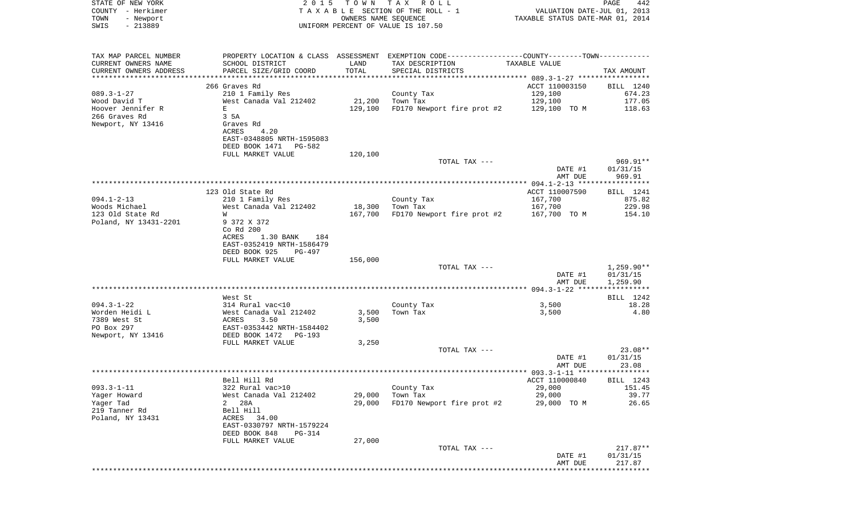| STATE OF NEW YORK<br>COUNTY - Herkimer<br>TOWN<br>- Newport<br>$-213889$<br>SWIS                    | 2 0 1 5                                                                                                                                                                              | T O W N<br>OWNERS NAME SEQUENCE | T A X<br>R O L L<br>TAXABLE SECTION OF THE ROLL - 1<br>UNIFORM PERCENT OF VALUE IS 107.50                                             | VALUATION DATE-JUL 01, 2013<br>TAXABLE STATUS DATE-MAR 01, 2014 | PAGE<br>442                             |
|-----------------------------------------------------------------------------------------------------|--------------------------------------------------------------------------------------------------------------------------------------------------------------------------------------|---------------------------------|---------------------------------------------------------------------------------------------------------------------------------------|-----------------------------------------------------------------|-----------------------------------------|
| TAX MAP PARCEL NUMBER<br>CURRENT OWNERS NAME<br>CURRENT OWNERS ADDRESS<br>************************* | SCHOOL DISTRICT<br>PARCEL SIZE/GRID COORD                                                                                                                                            | LAND<br>TOTAL                   | PROPERTY LOCATION & CLASS ASSESSMENT EXEMPTION CODE---------------COUNTY-------TOWN----------<br>TAX DESCRIPTION<br>SPECIAL DISTRICTS | TAXABLE VALUE                                                   | TAX AMOUNT                              |
| $089.3 - 1 - 27$<br>Wood David T<br>Hoover Jennifer R<br>266 Graves Rd<br>Newport, NY 13416         | 266 Graves Rd<br>210 1 Family Res<br>West Canada Val 212402<br>E<br>3 5A<br>Graves Rd<br>ACRES<br>4.20<br>EAST-0348805 NRTH-1595083                                                  | 21,200<br>129,100               | County Tax<br>Town Tax<br>FD170 Newport fire prot #2                                                                                  | ACCT 110003150<br>129,100<br>129,100<br>129,100 TO M            | BILL 1240<br>674.23<br>177.05<br>118.63 |
|                                                                                                     | DEED BOOK 1471<br>PG-582<br>FULL MARKET VALUE                                                                                                                                        | 120,100                         | TOTAL TAX ---                                                                                                                         | DATE #1<br>AMT DUE                                              | $969.91**$<br>01/31/15<br>969.91        |
|                                                                                                     |                                                                                                                                                                                      |                                 |                                                                                                                                       |                                                                 |                                         |
| $094.1 - 2 - 13$<br>Woods Michael<br>123 Old State Rd<br>Poland, NY 13431-2201                      | 123 Old State Rd<br>210 1 Family Res<br>West Canada Val 212402<br>W<br>9 372 X 372<br>Co Rd 200<br>ACRES<br>1.30 BANK<br>184<br>EAST-0352419 NRTH-1586479<br>DEED BOOK 925<br>PG-497 | 18,300<br>167,700               | County Tax<br>Town Tax<br>FD170 Newport fire prot #2                                                                                  | ACCT 110007590<br>167,700<br>167,700<br>167,700 TO M            | BILL 1241<br>875.82<br>229.98<br>154.10 |
|                                                                                                     | FULL MARKET VALUE                                                                                                                                                                    | 156,000                         | TOTAL TAX ---                                                                                                                         | DATE #1                                                         | $1,259.90**$<br>01/31/15                |
|                                                                                                     |                                                                                                                                                                                      |                                 |                                                                                                                                       | AMT DUE                                                         | 1,259.90                                |
|                                                                                                     | West St                                                                                                                                                                              |                                 |                                                                                                                                       |                                                                 | BILL 1242                               |
| $094.3 - 1 - 22$<br>Worden Heidi L<br>7389 West St<br>PO Box 297<br>Newport, NY 13416               | 314 Rural vac<10<br>West Canada Val 212402<br>ACRES<br>3.50<br>EAST-0353442 NRTH-1584402<br>DEED BOOK 1472<br><b>PG-193</b>                                                          | 3,500<br>3,500                  | County Tax<br>Town Tax                                                                                                                | 3,500<br>3,500                                                  | 18.28<br>4.80                           |
|                                                                                                     | FULL MARKET VALUE                                                                                                                                                                    | 3,250                           | TOTAL TAX ---                                                                                                                         | DATE #1<br>AMT DUE                                              | $23.08**$<br>01/31/15<br>23.08          |
|                                                                                                     |                                                                                                                                                                                      |                                 |                                                                                                                                       |                                                                 |                                         |
| $093.3 - 1 - 11$<br>Yager Howard<br>Yager Tad<br>219 Tanner Rd<br>Poland, NY 13431                  | Bell Hill Rd<br>322 Rural vac>10<br>West Canada Val 212402<br>28A<br>2<br>Bell Hill<br>ACRES<br>34.00<br>EAST-0330797 NRTH-1579224<br>DEED BOOK 848<br>PG-314                        | 29,000<br>29,000                | County Tax<br>Town Tax<br>FD170 Newport fire prot #2                                                                                  | ACCT 110000840<br>29,000<br>29,000<br>29,000 TO M               | BILL 1243<br>151.45<br>39.77<br>26.65   |
|                                                                                                     | FULL MARKET VALUE                                                                                                                                                                    | 27,000                          | TOTAL TAX ---                                                                                                                         | DATE #1<br>AMT DUE                                              | $217.87**$<br>01/31/15<br>217.87        |
|                                                                                                     |                                                                                                                                                                                      |                                 |                                                                                                                                       |                                                                 | *********                               |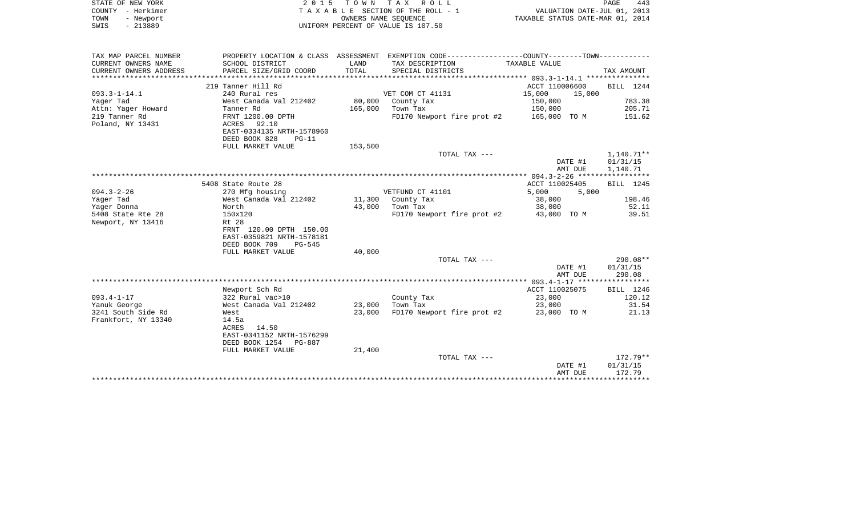| STATE OF NEW YORK      | 2 0 1 5                   | T O W N | TAX ROLL                                                                                      |                                  | PAGE<br>443  |
|------------------------|---------------------------|---------|-----------------------------------------------------------------------------------------------|----------------------------------|--------------|
| COUNTY - Herkimer      |                           |         | TAXABLE SECTION OF THE ROLL - 1                                                               | VALUATION DATE-JUL 01, 2013      |              |
| TOWN<br>- Newport      |                           |         | OWNERS NAME SEOUENCE                                                                          | TAXABLE STATUS DATE-MAR 01, 2014 |              |
| SWIS<br>$-213889$      |                           |         | UNIFORM PERCENT OF VALUE IS 107.50                                                            |                                  |              |
|                        |                           |         |                                                                                               |                                  |              |
| TAX MAP PARCEL NUMBER  |                           |         | PROPERTY LOCATION & CLASS ASSESSMENT EXEMPTION CODE---------------COUNTY-------TOWN---------- |                                  |              |
| CURRENT OWNERS NAME    | SCHOOL DISTRICT           | LAND    | TAX DESCRIPTION                                                                               | TAXABLE VALUE                    |              |
| CURRENT OWNERS ADDRESS | PARCEL SIZE/GRID COORD    | TOTAL   | SPECIAL DISTRICTS                                                                             |                                  | TAX AMOUNT   |
|                        |                           |         |                                                                                               |                                  |              |
|                        | 219 Tanner Hill Rd        |         |                                                                                               | ACCT 110006600                   | BILL 1244    |
| $093.3 - 1 - 14.1$     | 240 Rural res             |         | VET COM CT 41131                                                                              | 15,000<br>15,000                 |              |
| Yager Tad              | West Canada Val 212402    | 80,000  | County Tax                                                                                    | 150,000                          | 783.38       |
| Attn: Yager Howard     | Tanner Rd                 | 165,000 | Town Tax                                                                                      | 150,000                          | 205.71       |
| 219 Tanner Rd          | FRNT 1200.00 DPTH         |         | FD170 Newport fire prot #2                                                                    | 165,000 TO M                     | 151.62       |
| Poland, NY 13431       | 92.10<br>ACRES            |         |                                                                                               |                                  |              |
|                        | EAST-0334135 NRTH-1578960 |         |                                                                                               |                                  |              |
|                        | DEED BOOK 828<br>$PG-11$  |         |                                                                                               |                                  |              |
|                        | FULL MARKET VALUE         | 153,500 |                                                                                               |                                  |              |
|                        |                           |         | TOTAL TAX ---                                                                                 |                                  | $1,140.71**$ |
|                        |                           |         |                                                                                               | DATE #1                          | 01/31/15     |
|                        |                           |         |                                                                                               | AMT DUE                          | 1,140.71     |
|                        |                           |         |                                                                                               |                                  |              |
|                        | 5408 State Route 28       |         |                                                                                               | ACCT 110025405                   | BILL 1245    |
| $094.3 - 2 - 26$       | 270 Mfg housing           |         | VETFUND CT 41101                                                                              | 5,000<br>5,000                   |              |
| Yager Tad              | West Canada Val 212402    | 11,300  | County Tax                                                                                    | 38,000                           | 198.46       |
| Yager Donna            | North                     | 43,000  | Town Tax                                                                                      | 38,000                           | 52.11        |
| 5408 State Rte 28      | 150x120                   |         | FD170 Newport fire prot #2                                                                    | 43,000 TO M                      | 39.51        |
| Newport, NY 13416      | Rt 28                     |         |                                                                                               |                                  |              |
|                        | FRNT 120.00 DPTH 150.00   |         |                                                                                               |                                  |              |
|                        | EAST-0359821 NRTH-1578181 |         |                                                                                               |                                  |              |
|                        | DEED BOOK 709<br>PG-545   |         |                                                                                               |                                  |              |
|                        | FULL MARKET VALUE         | 40,000  |                                                                                               |                                  |              |
|                        |                           |         | TOTAL TAX ---                                                                                 |                                  | $290.08**$   |
|                        |                           |         |                                                                                               | DATE #1                          | 01/31/15     |
|                        |                           |         |                                                                                               | AMT DUE                          | 290.08       |
|                        |                           |         |                                                                                               |                                  |              |
|                        | Newport Sch Rd            |         |                                                                                               | ACCT 110025075                   | BILL 1246    |
| $093.4 - 1 - 17$       | 322 Rural vac>10          |         | County Tax                                                                                    | 23,000                           | 120.12       |
| Yanuk George           | West Canada Val 212402    | 23,000  | Town Tax                                                                                      | 23,000                           | 31.54        |
| 3241 South Side Rd     | West                      | 23,000  | FD170 Newport fire prot #2                                                                    | 23,000 TO M                      | 21.13        |
| Frankfort, NY 13340    | 14.5a                     |         |                                                                                               |                                  |              |
|                        | ACRES<br>14.50            |         |                                                                                               |                                  |              |
|                        | EAST-0341152 NRTH-1576299 |         |                                                                                               |                                  |              |
|                        | DEED BOOK 1254<br>PG-887  |         |                                                                                               |                                  |              |
|                        | FULL MARKET VALUE         | 21,400  |                                                                                               |                                  |              |
|                        |                           |         | TOTAL TAX ---                                                                                 |                                  | 172.79**     |
|                        |                           |         |                                                                                               | DATE #1                          | 01/31/15     |
|                        |                           |         |                                                                                               | AMT DUE                          | 172.79       |

\*\*\*\*\*\*\*\*\*\*\*\*\*\*\*\*\*\*\*\*\*\*\*\*\*\*\*\*\*\*\*\*\*\*\*\*\*\*\*\*\*\*\*\*\*\*\*\*\*\*\*\*\*\*\*\*\*\*\*\*\*\*\*\*\*\*\*\*\*\*\*\*\*\*\*\*\*\*\*\*\*\*\*\*\*\*\*\*\*\*\*\*\*\*\*\*\*\*\*\*\*\*\*\*\*\*\*\*\*\*\*\*\*\*\*\*\*\*\*\*\*\*\*\*\*\*\*\*\*\*\*\*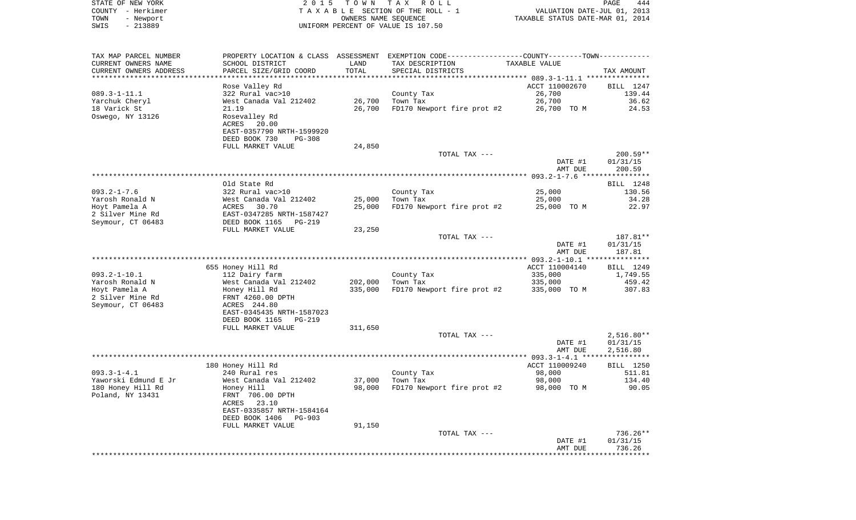| STATE OF NEW YORK |                   | 2015 TOWN TAX ROLL                 | 444<br>PAGE                      |
|-------------------|-------------------|------------------------------------|----------------------------------|
|                   | COUNTY - Herkimer | TAXABLE SECTION OF THE ROLL - 1    | VALUATION DATE-JUL 01, 2013      |
| TOWN              | - Newport         | OWNERS NAME SEOUENCE               | TAXABLE STATUS DATE-MAR 01, 2014 |
| SWIS              | - 213889          | UNIFORM PERCENT OF VALUE IS 107.50 |                                  |

| TAX MAP PARCEL NUMBER  | PROPERTY LOCATION & CLASS ASSESSMENT EXEMPTION CODE----------------COUNTY-------TOWN---------- |         |                            |                |              |
|------------------------|------------------------------------------------------------------------------------------------|---------|----------------------------|----------------|--------------|
| CURRENT OWNERS NAME    | SCHOOL DISTRICT                                                                                | LAND    | TAX DESCRIPTION            | TAXABLE VALUE  |              |
| CURRENT OWNERS ADDRESS | PARCEL SIZE/GRID COORD                                                                         | TOTAL   | SPECIAL DISTRICTS          |                | TAX AMOUNT   |
|                        |                                                                                                |         |                            |                |              |
|                        | Rose Valley Rd                                                                                 |         |                            | ACCT 110002670 | BILL 1247    |
| $089.3 - 1 - 11.1$     | 322 Rural vac>10                                                                               |         | County Tax                 | 26,700         | 139.44       |
| Yarchuk Cheryl         | West Canada Val 212402                                                                         | 26,700  | Town Tax                   | 26,700         | 36.62        |
| 18 Varick St           | 21.19                                                                                          | 26,700  | FD170 Newport fire prot #2 | 26,700 TO M    | 24.53        |
| Oswego, NY 13126       | Rosevalley Rd                                                                                  |         |                            |                |              |
|                        | ACRES<br>20.00                                                                                 |         |                            |                |              |
|                        | EAST-0357790 NRTH-1599920                                                                      |         |                            |                |              |
|                        | DEED BOOK 730<br>$PG-308$                                                                      |         |                            |                |              |
|                        | FULL MARKET VALUE                                                                              | 24,850  |                            |                |              |
|                        |                                                                                                |         | TOTAL TAX ---              |                | $200.59**$   |
|                        |                                                                                                |         |                            | DATE #1        | 01/31/15     |
|                        |                                                                                                |         |                            | AMT DUE        | 200.59       |
|                        |                                                                                                |         |                            |                |              |
|                        | Old State Rd                                                                                   |         |                            |                | BILL 1248    |
| $093.2 - 1 - 7.6$      | 322 Rural vac>10                                                                               |         | County Tax                 | 25,000         | 130.56       |
| Yarosh Ronald N        | West Canada Val 212402                                                                         | 25,000  | Town Tax                   | 25,000         | 34.28        |
| Hoyt Pamela A          | ACRES 30.70                                                                                    | 25,000  | FD170 Newport fire prot #2 | 25,000 TO M    | 22.97        |
| 2 Silver Mine Rd       | EAST-0347285 NRTH-1587427                                                                      |         |                            |                |              |
| Seymour, CT 06483      | DEED BOOK 1165<br>PG-219                                                                       |         |                            |                |              |
|                        | FULL MARKET VALUE                                                                              | 23,250  |                            |                |              |
|                        |                                                                                                |         | TOTAL TAX ---              |                | 187.81**     |
|                        |                                                                                                |         |                            | DATE #1        | 01/31/15     |
|                        |                                                                                                |         |                            | AMT DUE        | 187.81       |
|                        |                                                                                                |         |                            |                |              |
|                        | 655 Honey Hill Rd                                                                              |         |                            | ACCT 110004140 | BILL 1249    |
| $093.2 - 1 - 10.1$     | 112 Dairy farm                                                                                 |         | County Tax                 | 335,000        | 1,749.55     |
| Yarosh Ronald N        | West Canada Val 212402                                                                         | 202,000 | Town Tax                   | 335,000        | 459.42       |
| Hoyt Pamela A          | Honey Hill Rd                                                                                  | 335,000 | FD170 Newport fire prot #2 | 335,000 TO M   | 307.83       |
| 2 Silver Mine Rd       | FRNT 4260.00 DPTH                                                                              |         |                            |                |              |
| Seymour, CT 06483      | ACRES 244.80                                                                                   |         |                            |                |              |
|                        | EAST-0345435 NRTH-1587023                                                                      |         |                            |                |              |
|                        | DEED BOOK 1165<br>PG-219                                                                       |         |                            |                |              |
|                        | FULL MARKET VALUE                                                                              | 311,650 |                            |                |              |
|                        |                                                                                                |         | TOTAL TAX ---              |                | $2,516.80**$ |
|                        |                                                                                                |         |                            | DATE #1        | 01/31/15     |
|                        |                                                                                                |         |                            | AMT DUE        | 2,516.80     |
|                        |                                                                                                |         |                            |                |              |
|                        | 180 Honey Hill Rd                                                                              |         |                            | ACCT 110009240 | BILL 1250    |
| $093.3 - 1 - 4.1$      | 240 Rural res                                                                                  |         | County Tax                 | 98,000         | 511.81       |
| Yaworski Edmund E Jr   | West Canada Val 212402                                                                         | 37,000  | Town Tax                   | 98,000         | 134.40       |
| 180 Honey Hill Rd      | Honey Hill                                                                                     | 98,000  | FD170 Newport fire prot #2 | 98,000 TO M    | 90.05        |
| Poland, NY 13431       | FRNT 706.00 DPTH                                                                               |         |                            |                |              |
|                        | ACRES<br>23.10                                                                                 |         |                            |                |              |
|                        | EAST-0335857 NRTH-1584164                                                                      |         |                            |                |              |
|                        | DEED BOOK 1406<br>$PG-903$                                                                     |         |                            |                |              |
|                        | FULL MARKET VALUE                                                                              | 91,150  |                            |                |              |
|                        |                                                                                                |         | TOTAL TAX ---              |                | 736.26**     |
|                        |                                                                                                |         |                            | DATE #1        | 01/31/15     |
|                        |                                                                                                |         |                            | AMT DUE        | 736.26       |
|                        |                                                                                                |         |                            |                |              |
|                        |                                                                                                |         |                            |                |              |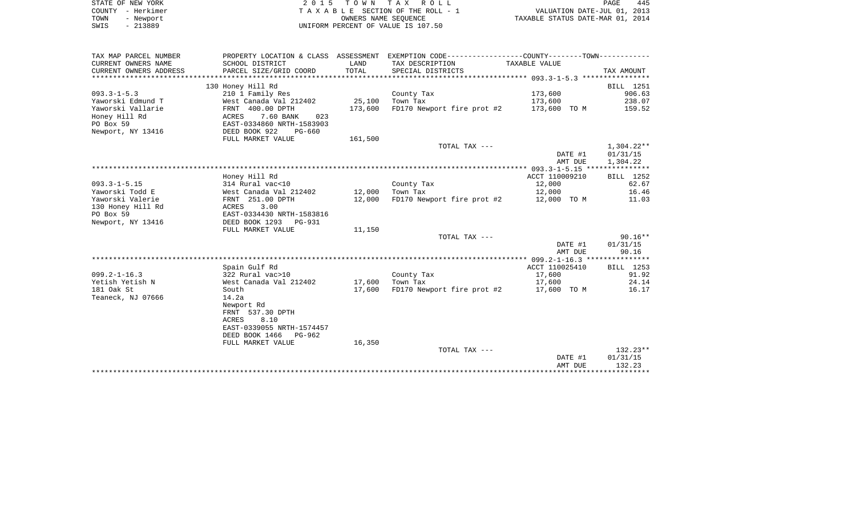| STATE OF NEW YORK | 2015 TOWN TAX ROLL                 | PAGE<br>445                      |
|-------------------|------------------------------------|----------------------------------|
| COUNTY - Herkimer | TAXABLE SECTION OF THE ROLL - 1    | VALUATION DATE-JUL 01, 2013      |
| TOWN<br>- Newport | OWNERS NAME SEOUENCE               | TAXABLE STATUS DATE-MAR 01, 2014 |
| $-213889$<br>SWIS | UNIFORM PERCENT OF VALUE IS 107.50 |                                  |

| TAX MAP PARCEL NUMBER  |                           |         | PROPERTY LOCATION & CLASS ASSESSMENT EXEMPTION CODE---------------COUNTY-------TOWN---------- |                |            |
|------------------------|---------------------------|---------|-----------------------------------------------------------------------------------------------|----------------|------------|
| CURRENT OWNERS NAME    | SCHOOL DISTRICT           | LAND    | TAX DESCRIPTION                                                                               | TAXABLE VALUE  |            |
| CURRENT OWNERS ADDRESS | PARCEL SIZE/GRID COORD    | TOTAL   | SPECIAL DISTRICTS                                                                             |                | TAX AMOUNT |
|                        | 130 Honey Hill Rd         |         |                                                                                               |                | BILL 1251  |
| $093.3 - 1 - 5.3$      | 210 1 Family Res          |         | County Tax                                                                                    | 173,600        | 906.63     |
| Yaworski Edmund T      | West Canada Val 212402    | 25,100  | Town Tax                                                                                      | 173,600        | 238.07     |
| Yaworski Vallarie      | FRNT 400.00 DPTH          | 173,600 | FD170 Newport fire prot #2                                                                    | 173,600 TO M   | 159.52     |
| Honey Hill Rd          | ACRES<br>7.60 BANK<br>023 |         |                                                                                               |                |            |
| PO Box 59              | EAST-0334860 NRTH-1583903 |         |                                                                                               |                |            |
| Newport, NY 13416      | DEED BOOK 922<br>PG-660   |         |                                                                                               |                |            |
|                        | FULL MARKET VALUE         | 161,500 |                                                                                               |                |            |
|                        |                           |         | TOTAL TAX ---                                                                                 |                | 1,304.22** |
|                        |                           |         |                                                                                               | DATE #1        | 01/31/15   |
|                        |                           |         |                                                                                               | AMT DUE        | 1,304.22   |
|                        |                           |         |                                                                                               |                |            |
|                        | Honey Hill Rd             |         |                                                                                               | ACCT 110009210 | BILL 1252  |
| $093.3 - 1 - 5.15$     | 314 Rural vac<10          |         | County Tax                                                                                    | 12,000         | 62.67      |
| Yaworski Todd E        | West Canada Val 212402    |         | 12,000 Town Tax                                                                               | 12,000         | 16.46      |
| Yaworski Valerie       | FRNT 251.00 DPTH          | 12,000  | FD170 Newport fire prot #2 12,000 TO M                                                        |                | 11.03      |
| 130 Honey Hill Rd      | 3.00<br>ACRES             |         |                                                                                               |                |            |
| PO Box 59              | EAST-0334430 NRTH-1583816 |         |                                                                                               |                |            |
| Newport, NY 13416      | DEED BOOK 1293 PG-931     |         |                                                                                               |                |            |
|                        | FULL MARKET VALUE         | 11,150  |                                                                                               |                |            |
|                        |                           |         | TOTAL TAX ---                                                                                 |                | $90.16**$  |
|                        |                           |         |                                                                                               | DATE #1        | 01/31/15   |
|                        |                           |         |                                                                                               | AMT DUE        | 90.16      |
|                        |                           |         |                                                                                               |                |            |
|                        | Spain Gulf Rd             |         |                                                                                               | ACCT 110025410 | BILL 1253  |
| $099.2 - 1 - 16.3$     | 322 Rural vac>10          |         | County Tax                                                                                    | 17,600         | 91.92      |
| Yetish Yetish N        | West Canada Val 212402    | 17,600  | Town Tax                                                                                      | 17,600         | 24.14      |
| 181 Oak St             | South                     | 17,600  | FD170 Newport fire prot #2                                                                    | 17,600 TO M    | 16.17      |
| Teaneck, NJ 07666      | 14.2a                     |         |                                                                                               |                |            |
|                        | Newport Rd                |         |                                                                                               |                |            |
|                        | FRNT 537.30 DPTH          |         |                                                                                               |                |            |
|                        | 8.10<br>ACRES             |         |                                                                                               |                |            |
|                        | EAST-0339055 NRTH-1574457 |         |                                                                                               |                |            |
|                        | DEED BOOK 1466<br>PG-962  |         |                                                                                               |                |            |
|                        | FULL MARKET VALUE         | 16,350  |                                                                                               |                |            |
|                        |                           |         | TOTAL TAX ---                                                                                 |                | $132.23**$ |
|                        |                           |         |                                                                                               | DATE #1        | 01/31/15   |
|                        |                           |         |                                                                                               | AMT DUE        | 132.23     |
|                        |                           |         |                                                                                               |                |            |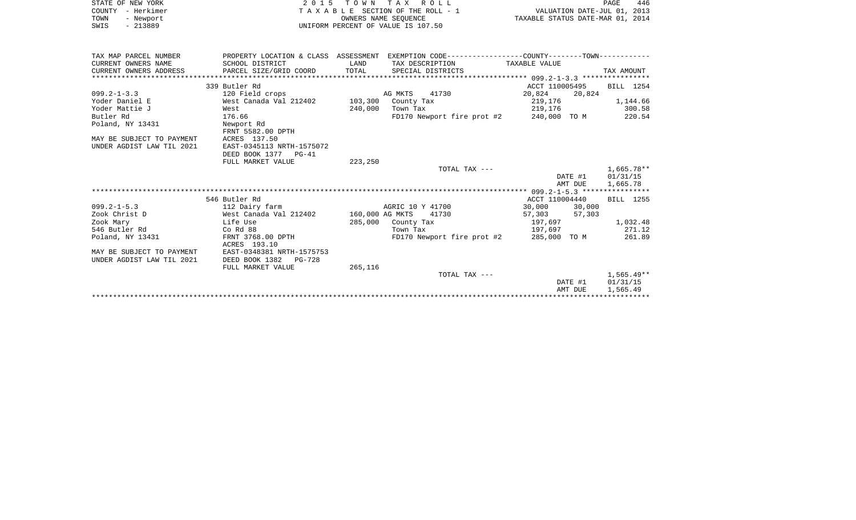| STATE OF NEW YORK                         |                                           |         | 2015 TOWN TAX ROLL                                                                              |                                  | PAGE<br>446 |
|-------------------------------------------|-------------------------------------------|---------|-------------------------------------------------------------------------------------------------|----------------------------------|-------------|
| COUNTY - Herkimer                         |                                           |         | TAXABLE SECTION OF THE ROLL - 1 VALUATION DATE-JUL 01, 2013                                     |                                  |             |
| OWNERS NAME SEQUENCE<br>TOWN<br>- Newport |                                           |         |                                                                                                 | TAXABLE STATUS DATE-MAR 01, 2014 |             |
| $-213889$<br>SWIS                         |                                           |         | UNIFORM PERCENT OF VALUE IS 107.50                                                              |                                  |             |
|                                           |                                           |         |                                                                                                 |                                  |             |
| TAX MAP PARCEL NUMBER                     |                                           |         | PROPERTY LOCATION & CLASS ASSESSMENT EXEMPTION CODE---------------COUNTY-------TOWN----------   |                                  |             |
| CURRENT OWNERS NAME                       | SCHOOL DISTRICT                           | LAND    | TAX DESCRIPTION TAXABLE VALUE                                                                   |                                  |             |
| CURRENT OWNERS ADDRESS                    | PARCEL SIZE/GRID COORD                    | TOTAL   | SPECIAL DISTRICTS                                                                               |                                  | TAX AMOUNT  |
|                                           |                                           |         |                                                                                                 |                                  |             |
|                                           | 339 Butler Rd                             |         |                                                                                                 | ACCT 110005495                   | BILL 1254   |
| $099.2 - 1 - 3.3$                         | 120 Field crops                           |         | AG MKTS<br>41730                                                                                | 20,824<br>20,824                 |             |
| Yoder Daniel E                            | West Canada Val 212402 103,300 County Tax |         |                                                                                                 | 219,176                          | 1,144.66    |
| Yoder Mattie J                            | West                                      |         | 240,000 Town Tax<br>Town Tax $219,176$ 300.58<br>FD170 Newport fire prot #2 240,000 TO M 220.54 |                                  | 300.58      |
| Butler Rd                                 | 176.66                                    |         |                                                                                                 |                                  |             |
| Poland, NY 13431                          | Newport Rd                                |         |                                                                                                 |                                  |             |
|                                           | FRNT 5582.00 DPTH                         |         |                                                                                                 |                                  |             |
| MAY BE SUBJECT TO PAYMENT                 | ACRES 137.50                              |         |                                                                                                 |                                  |             |
| UNDER AGDIST LAW TIL 2021                 | EAST-0345113 NRTH-1575072                 |         |                                                                                                 |                                  |             |
|                                           | DEED BOOK 1377 PG-41                      |         |                                                                                                 |                                  |             |
|                                           | FULL MARKET VALUE                         | 223,250 |                                                                                                 |                                  |             |
|                                           |                                           |         | TOTAL TAX ---                                                                                   |                                  | 1,665.78**  |
|                                           |                                           |         |                                                                                                 | DATE #1                          | 01/31/15    |
|                                           |                                           |         |                                                                                                 | AMT DUE                          | 1,665.78    |
|                                           | 546 Butler Rd                             |         |                                                                                                 | ACCT 110004440                   | BILL 1255   |
| $099.2 - 1 - 5.3$                         | 112 Dairy farm                            |         | AGRIC 10 Y 41700                                                                                | 30,000 30,000                    |             |
| Zook Christ D                             | West Canada Val 212402                    |         | 160,000 AG MKTS 41730                                                                           | 57,303 57,303                    |             |
| Zook Mary                                 | Life Use                                  |         | 285,000 County Tax                                                                              | 197,697                          | 1,032.48    |
| 546 Butler Rd                             | Co Rd 88                                  |         | Town Tax                                                                                        | 197,697                          | 271.12      |
| Poland, NY 13431                          | FRNT 3768.00 DPTH                         |         | FD170 Newport fire prot #2 285,000 TO M                                                         |                                  | 261.89      |
|                                           | ACRES 193.10                              |         |                                                                                                 |                                  |             |
| MAY BE SUBJECT TO PAYMENT                 | EAST-0348381 NRTH-1575753                 |         |                                                                                                 |                                  |             |
| UNDER AGDIST LAW TIL 2021                 | DEED BOOK 1382 PG-728                     |         |                                                                                                 |                                  |             |
|                                           | FULL MARKET VALUE                         | 265,116 |                                                                                                 |                                  |             |
|                                           |                                           |         | TOTAL TAX ---                                                                                   |                                  | 1,565.49**  |
|                                           |                                           |         |                                                                                                 | DATE #1                          | 01/31/15    |
|                                           |                                           |         |                                                                                                 | AMT DUE                          | 1,565.49    |
|                                           |                                           |         |                                                                                                 |                                  |             |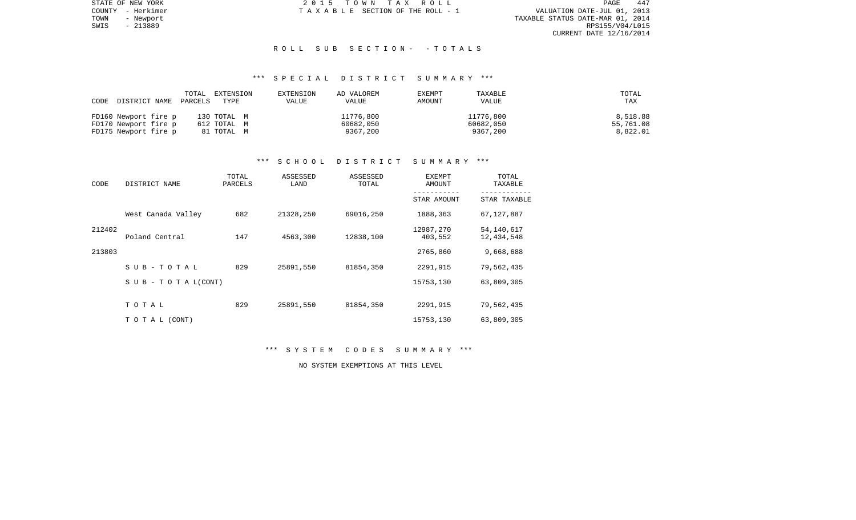STATE OF NEW YORK 2 0 1 5 T O W N T A X R O L L PAGE 447PAGE 447 TAXABLE STATUS DATE-MAR 01, 2014<br>RPS155/V04/L015 CURRENT DATE 12/16/2014

COUNTY - Herkimer  $T A X A B L E$  SECTION OF THE ROLL - 1

TOWN - Newport<br>SWIS - 213889

### R O L L S U B S E C T I O N - - T O T A L S

#### \*\*\* S P E C I A L D I S T R I C T S U M M A R Y \*\*\*

|                               | TOTAL<br>EXTENSION | EXTENSION | AD VALOREM | EXEMPT | TAXABLE   | TOTAL     |
|-------------------------------|--------------------|-----------|------------|--------|-----------|-----------|
| CODE<br>DISTRICT NAME PARCELS | TYPE               | VALUE     | VALUE      | AMOUNT | VALUE     | TAX       |
|                               |                    |           |            |        |           |           |
| FD160 Newport fire p          | 130 TOTAL M        |           | 11776,800  |        | 11776,800 | 8,518.88  |
| FD170 Newport fire p          | 612 TOTAL M        |           | 60682,050  |        | 60682,050 | 55,761.08 |
| FD175 Newport fire p          | 81 TOTAL M         |           | 9367,200   |        | 9367,200  | 8,822.01  |

# \*\*\* S C H O O L D I S T R I C T S U M M A R Y \*\*\*

| CODE   | DISTRICT NAME      | TOTAL<br>PARCELS | ASSESSED<br>LAND | ASSESSED<br>TOTAL | <b>EXEMPT</b><br>AMOUNT | TOTAL<br>TAXABLE           |
|--------|--------------------|------------------|------------------|-------------------|-------------------------|----------------------------|
|        |                    |                  |                  |                   | STAR AMOUNT             | STAR TAXABLE               |
|        | West Canada Valley | 682              | 21328,250        | 69016,250         | 1888, 363               | 67,127,887                 |
| 212402 | Poland Central     | 147              | 4563,300         | 12838,100         | 12987,270<br>403,552    | 54, 140, 617<br>12,434,548 |
| 213803 |                    |                  |                  |                   | 2765,860                | 9,668,688                  |
|        | SUB-TOTAL          | 829              | 25891,550        | 81854,350         | 2291,915                | 79,562,435                 |
|        | SUB - TO TAL(CONT) |                  |                  |                   | 15753,130               | 63,809,305                 |
|        | TOTAL              | 829              | 25891,550        | 81854,350         | 2291,915                | 79,562,435                 |
|        | TO TAL (CONT)      |                  |                  |                   | 15753,130               | 63,809,305                 |

\*\*\* S Y S T E M C O D E S S U M M A R Y \*\*\*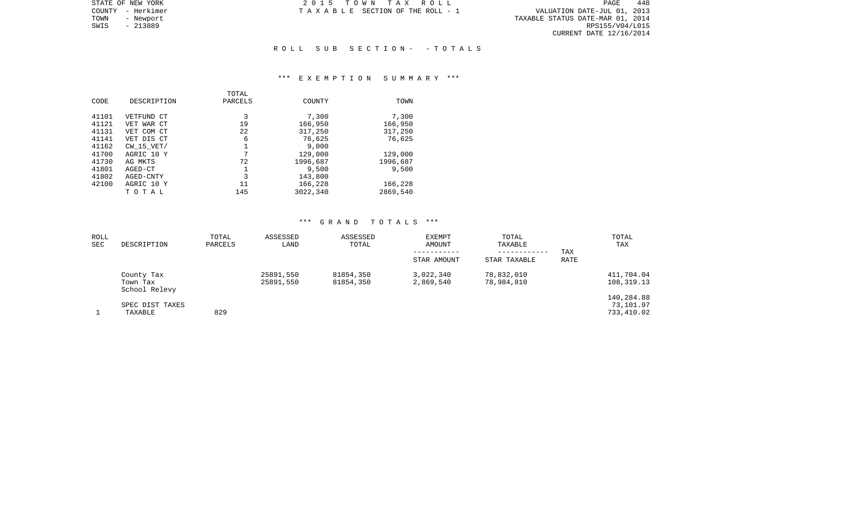| STATE OF NEW YORK |            | 448<br>PAGE<br>2015 TOWN TAX ROLL                              |  |
|-------------------|------------|----------------------------------------------------------------|--|
| COUNTY            | - Herkimer | VALUATION DATE-JUL 01, 2013<br>TAXABLE SECTION OF THE ROLL - 1 |  |
| TOWN              | - Newport  | TAXABLE STATUS DATE-MAR 01, 2014                               |  |
| SWIS              | - 213889   | RPS155/V04/L015                                                |  |
|                   |            | CURRENT DATE 12/16/2014                                        |  |
|                   |            |                                                                |  |
|                   |            | ROLL SUB SECTION- -TOTALS                                      |  |

### \*\*\* E X E M P T I O N S U M M A R Y \*\*\*

|       |             | TOTAL   |          |          |
|-------|-------------|---------|----------|----------|
| CODE  | DESCRIPTION | PARCELS | COUNTY   | TOWN     |
|       |             |         |          |          |
| 41101 | VETFUND CT  | 3       | 7,300    | 7,300    |
| 41121 | VET WAR CT  | 19      | 166,950  | 166,950  |
| 41131 | VET COM CT  | 22      | 317,250  | 317,250  |
| 41141 | VET DIS CT  | 6       | 76,625   | 76,625   |
| 41162 | CW 15 VET/  |         | 9,000    |          |
| 41700 | AGRIC 10 Y  | 7       | 129,000  | 129,000  |
| 41730 | AG MKTS     | 72      | 1996,687 | 1996,687 |
| 41801 | AGED-CT     |         | 9,500    | 9,500    |
| 41802 | AGED-CNTY   | 3       | 143,800  |          |
| 42100 | AGRIC 10 Y  | 11      | 166,228  | 166,228  |
|       | TOTAL       | 145     | 3022,340 | 2869,540 |

| ROLL<br><b>SEC</b> | DESCRIPTION                             | TOTAL<br>PARCELS | ASSESSED<br>LAND       | ASSESSED<br>TOTAL      | EXEMPT<br>AMOUNT       | TOTAL<br>TAXABLE<br>------------ | TAX  | TOTAL<br>TAX                          |
|--------------------|-----------------------------------------|------------------|------------------------|------------------------|------------------------|----------------------------------|------|---------------------------------------|
|                    |                                         |                  |                        |                        | STAR AMOUNT            | STAR TAXABLE                     | RATE |                                       |
|                    | County Tax<br>Town Tax<br>School Relevy |                  | 25891,550<br>25891,550 | 81854,350<br>81854,350 | 3,022,340<br>2,869,540 | 78,832,010<br>78,984,810         |      | 411,704.04<br>108, 319. 13            |
|                    | SPEC DIST TAXES<br>TAXABLE              | 829              |                        |                        |                        |                                  |      | 140,284.88<br>73,101.97<br>733,410.02 |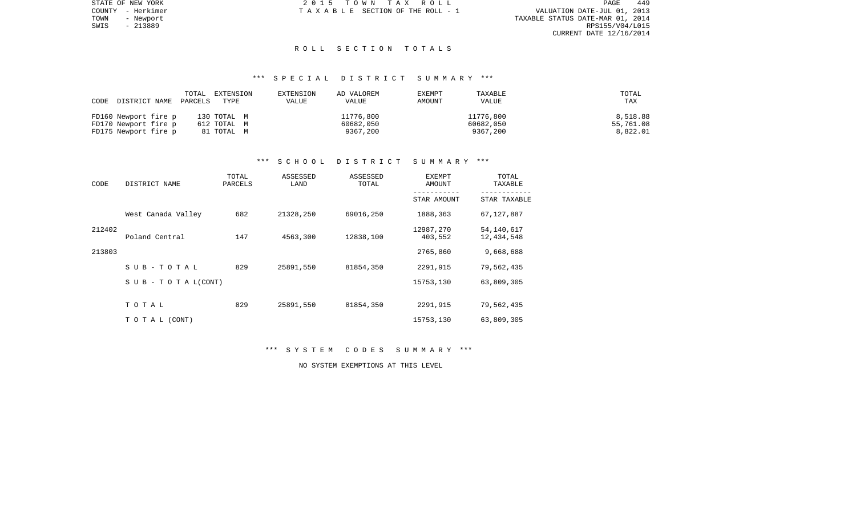PAGE 449 TAXABLE STATUS DATE-MAR 01, 2014<br>RPS155/V04/L015 CURRENT DATE 12/16/2014

STATE OF NEW YORK 2 0 1 5 T O W N T A X R O L L PAGE 449COUNTY - Herkimer  $T A X A B L E$  SECTION OF THE ROLL - 1

TOWN - Newport<br>SWIS - 213889

### R O L L S E C T I O N T O T A L S

### \*\*\* S P E C I A L D I S T R I C T S U M M A R Y \*\*\*

|                               | TOTAL<br>EXTENSION | EXTENSION | AD VALOREM | EXEMPT | TAXABLE   | TOTAL     |
|-------------------------------|--------------------|-----------|------------|--------|-----------|-----------|
| CODE<br>DISTRICT NAME PARCELS | TYPE               | VALUE     | VALUE      | AMOUNT | VALUE     | TAX       |
|                               |                    |           |            |        |           |           |
| FD160 Newport fire p          | 130 TOTAL M        |           | 11776,800  |        | 11776,800 | 8,518.88  |
| FD170 Newport fire p          | 612 TOTAL M        |           | 60682,050  |        | 60682,050 | 55,761.08 |
| FD175 Newport fire p          | 81 TOTAL M         |           | 9367,200   |        | 9367,200  | 8,822.01  |

# \*\*\* S C H O O L D I S T R I C T S U M M A R Y \*\*\*

| CODE   | DISTRICT NAME      | TOTAL<br>PARCELS | ASSESSED<br>LAND | ASSESSED<br>TOTAL | <b>EXEMPT</b><br>AMOUNT | TOTAL<br>TAXABLE           |
|--------|--------------------|------------------|------------------|-------------------|-------------------------|----------------------------|
|        |                    |                  |                  |                   | STAR AMOUNT             | STAR TAXABLE               |
|        | West Canada Valley | 682              | 21328,250        | 69016,250         | 1888,363                | 67,127,887                 |
| 212402 | Poland Central     | 147              | 4563,300         | 12838,100         | 12987,270<br>403,552    | 54, 140, 617<br>12,434,548 |
| 213803 |                    |                  |                  |                   | 2765,860                | 9,668,688                  |
|        | SUB-TOTAL          | 829              | 25891,550        | 81854,350         | 2291,915                | 79,562,435                 |
|        | SUB - TO TAL(CONT) |                  |                  |                   | 15753,130               | 63,809,305                 |
|        | TOTAL              | 829              | 25891,550        | 81854,350         | 2291,915                | 79,562,435                 |
|        | TO TAL (CONT)      |                  |                  |                   | 15753,130               | 63,809,305                 |

\*\*\* S Y S T E M C O D E S S U M M A R Y \*\*\*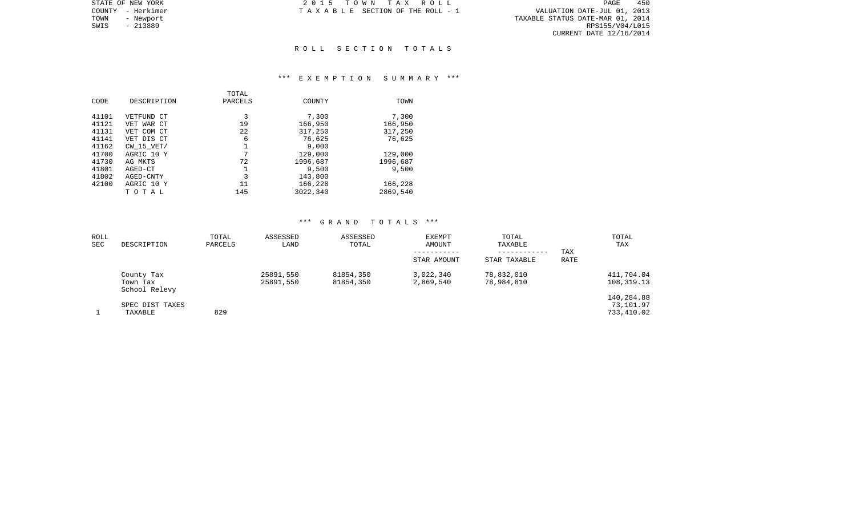| STATE OF NEW YORK | 2015 TOWN TAX ROLL              | 450<br>PAGE                      |
|-------------------|---------------------------------|----------------------------------|
| COUNTY - Herkimer | TAXABLE SECTION OF THE ROLL - 1 | VALUATION DATE-JUL 01, 2013      |
| TOWN<br>- Newport |                                 | TAXABLE STATUS DATE-MAR 01, 2014 |
| SWIS<br>- 213889  |                                 | RPS155/V04/L015                  |
|                   |                                 | CURRENT DATE 12/16/2014          |
|                   |                                 |                                  |
|                   | ROLL SECTION TOTALS             |                                  |

# \*\*\* E X E M P T I O N S U M M A R Y \*\*\*

| TOTAL                                           |        |
|-------------------------------------------------|--------|
| PARCELS<br>CODE<br>DESCRIPTION<br>COUNTY        | TOWN   |
|                                                 |        |
| 3<br>7,300<br>41101<br>VETFUND CT               | 7,300  |
| 19<br>166,950<br>166,950<br>41121<br>VET WAR CT |        |
| 22<br>41131<br>317,250<br>317,250<br>VET COM CT |        |
| 41141<br>6<br>76,625<br>VET DIS CT              | 76,625 |
| 41162<br>CW 15 VET/<br>9,000                    |        |
| 7<br>41700<br>129,000<br>129,000<br>AGRIC 10 Y  |        |
| 72<br>41730<br>1996,687<br>1996,687<br>AG MKTS  |        |
| 41801<br>9,500<br>AGED-CT                       | 9,500  |
| 3<br>143,800<br>41802<br>AGED-CNTY              |        |
| 42100<br>AGRIC 10 Y<br>11<br>166,228<br>166,228 |        |
| 2869,540<br>145<br>3022,340<br>тот<br>AL        |        |

| ROLL<br>SEC | DESCRIPTION                             | TOTAL<br>PARCELS | ASSESSED<br>LAND       | ASSESSED<br>TOTAL      | EXEMPT<br>AMOUNT<br>STAR AMOUNT | TOTAL<br>TAXABLE<br>------------<br>STAR TAXABLE | TAX<br>RATE | TOTAL<br>TAX                          |
|-------------|-----------------------------------------|------------------|------------------------|------------------------|---------------------------------|--------------------------------------------------|-------------|---------------------------------------|
|             | County Tax<br>Town Tax<br>School Relevy |                  | 25891,550<br>25891,550 | 81854,350<br>81854,350 | 3,022,340<br>2,869,540          | 78,832,010<br>78,984,810                         |             | 411,704.04<br>108,319.13              |
|             | SPEC DIST TAXES<br>TAXABLE              | 829              |                        |                        |                                 |                                                  |             | 140,284.88<br>73,101.97<br>733,410.02 |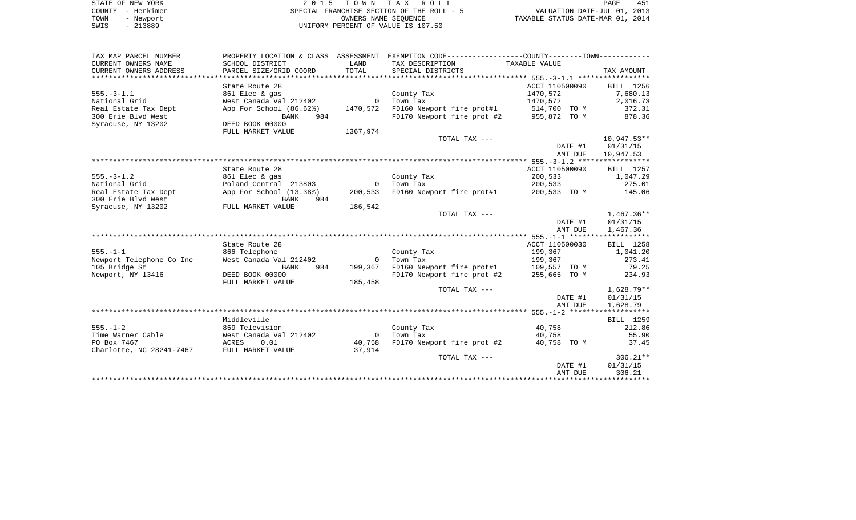| STATE OF NEW YORK | 2015 TOWN TAX ROLL                        | PAGE                             |
|-------------------|-------------------------------------------|----------------------------------|
| COUNTY - Herkimer | SPECIAL FRANCHISE SECTION OF THE ROLL - 5 | VALUATION DATE-JUL 01, 2013      |
| TOWN<br>- Newport | OWNERS NAME SEOUENCE                      | TAXABLE STATUS DATE-MAR 01, 2014 |
| $-213889$<br>SWIS | UNIFORM PERCENT OF VALUE IS 107.50        |                                  |

| TAX MAP PARCEL NUMBER                    |                                |                | PROPERTY LOCATION & CLASS ASSESSMENT EXEMPTION CODE----------------COUNTY--------TOWN---------- |                |                  |
|------------------------------------------|--------------------------------|----------------|-------------------------------------------------------------------------------------------------|----------------|------------------|
| CURRENT OWNERS NAME                      | SCHOOL DISTRICT                | LAND           | TAX DESCRIPTION                                                                                 | TAXABLE VALUE  |                  |
| CURRENT OWNERS ADDRESS                   | PARCEL SIZE/GRID COORD         | TOTAL          | SPECIAL DISTRICTS                                                                               |                | TAX AMOUNT       |
|                                          |                                |                |                                                                                                 |                |                  |
|                                          | State Route 28                 |                |                                                                                                 | ACCT 110500090 | <b>BILL</b> 1256 |
| $555. - 3 - 1.1$                         | 861 Elec & gas                 |                | County Tax                                                                                      | 1470,572       | 7,680.13         |
| National Grid                            | West Canada Val 212402         | $\Omega$       | Town Tax                                                                                        | 1470,572       | 2,016.73         |
| Real Estate Tax Dept                     | App For School (86.62%)        | 1470,572       | FD160 Newport fire prot#1                                                                       | 514,700 TO M   | 372.31           |
| 300 Erie Blyd West                       | 984<br>BANK                    |                | FD170 Newport fire prot #2                                                                      | 955,872 TO M   | 878.36           |
| Syracuse, NY 13202                       | DEED BOOK 00000                |                |                                                                                                 |                |                  |
|                                          | FULL MARKET VALUE              | 1367,974       |                                                                                                 |                |                  |
|                                          |                                |                | TOTAL TAX ---                                                                                   |                | $10,947.53**$    |
|                                          |                                |                |                                                                                                 | DATE #1        | 01/31/15         |
|                                          |                                |                |                                                                                                 | AMT DUE        | 10,947.53        |
|                                          |                                |                |                                                                                                 |                |                  |
|                                          | State Route 28                 |                |                                                                                                 | ACCT 110500090 | BILL 1257        |
| $555. - 3 - 1.2$                         | 861 Elec & gas                 |                | County Tax                                                                                      | 200,533        | 1,047.29         |
| National Grid                            | Poland Central 213803          |                | 0 Town Tax                                                                                      | 200,533        | 275.01           |
| Real Estate Tax Dept                     | App For School (13.38%)<br>984 | 200,533        | FD160 Newport fire prot#1                                                                       | 200,533 TO M   | 145.06           |
| 300 Erie Blyd West<br>Syracuse, NY 13202 | BANK                           |                |                                                                                                 |                |                  |
|                                          | FULL MARKET VALUE              | 186,542        | TOTAL TAX ---                                                                                   |                | $1,467.36**$     |
|                                          |                                |                |                                                                                                 | DATE #1        | 01/31/15         |
|                                          |                                |                |                                                                                                 | AMT DUE        | 1,467.36         |
|                                          |                                |                |                                                                                                 |                |                  |
|                                          | State Route 28                 |                |                                                                                                 | ACCT 110500030 | BILL 1258        |
| $555. - 1 - 1$                           | 866 Telephone                  |                | County Tax                                                                                      | 199,367        | 1,041.20         |
| Newport Telephone Co Inc                 | West Canada Val 212402         | $\Omega$       | Town Tax                                                                                        | 199,367        | 273.41           |
| 105 Bridge St                            | BANK<br>984                    | 199,367        | FD160 Newport fire prot#1                                                                       | 109,557 TO M   | 79.25            |
| Newport, NY 13416                        | DEED BOOK 00000                |                | FD170 Newport fire prot #2                                                                      | 255,665 TO M   | 234.93           |
|                                          | FULL MARKET VALUE              | 185,458        |                                                                                                 |                |                  |
|                                          |                                |                | TOTAL TAX ---                                                                                   |                | $1,628.79**$     |
|                                          |                                |                |                                                                                                 | DATE #1        | 01/31/15         |
|                                          |                                |                |                                                                                                 | AMT DUE        | 1,628.79         |
|                                          |                                |                |                                                                                                 |                |                  |
|                                          | Middleville                    |                |                                                                                                 |                | BILL 1259        |
| $555. - 1 - 2$                           | 869 Television                 |                | County Tax                                                                                      | 40,758         | 212.86           |
| Time Warner Cable                        | West Canada Val 212402         | $\overline{0}$ | Town Tax                                                                                        | 40,758         | 55.90            |
| PO Box 7467                              | ACRES 0.01                     | 40,758         | FD170 Newport fire prot #2                                                                      | 40,758 TO M    | 37.45            |
| Charlotte, NC 28241-7467                 | FULL MARKET VALUE              | 37,914         |                                                                                                 |                |                  |
|                                          |                                |                | TOTAL TAX ---                                                                                   |                | $306.21**$       |
|                                          |                                |                |                                                                                                 | DATE #1        | 01/31/15         |
|                                          |                                |                |                                                                                                 | AMT DUE        | 306.21           |
|                                          |                                |                |                                                                                                 |                |                  |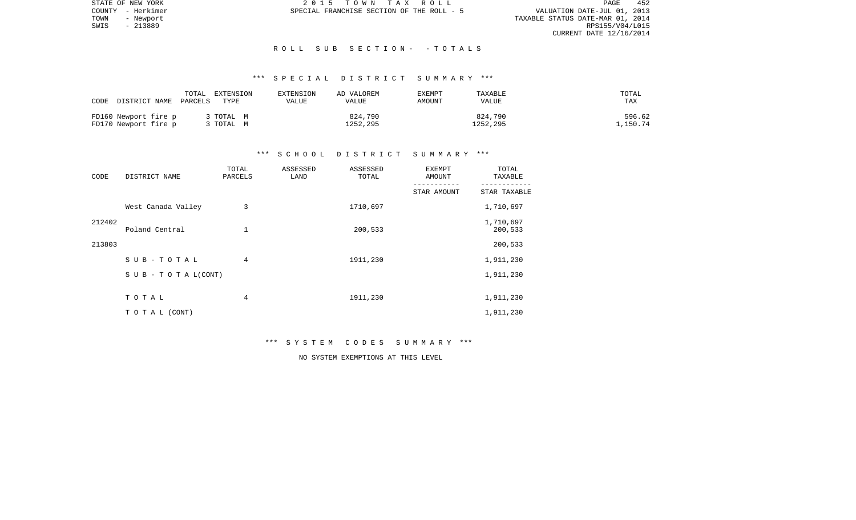STATE OF NEW YORK 2 0 1 5 T O W N T A X R O L L PAGE 452PAGE 452 TAXABLE STATUS DATE-MAR 01, 2014<br>RPS155/V04/L015 CURRENT DATE 12/16/2014

COUNTY - Herkimer SPECIAL FRANCHISE SECTION OF THE ROLL - 5

TOWN - Newport<br>SWIS - 213889

### R O L L S U B S E C T I O N - - T O T A L S

### \*\*\* S P E C I A L D I S T R I C T S U M M A R Y \*\*\*

| CODE<br>DISTRICT NAME                        | TOTAL<br>EXTENSION<br>PARCELS<br>TYPE | EXTENSION<br>VALUE | AD VALOREM<br>VALUE | EXEMPT<br>AMOUNT | TAXABLE<br>VALUE    | TOTAL<br>TAX      |
|----------------------------------------------|---------------------------------------|--------------------|---------------------|------------------|---------------------|-------------------|
| FD160 Newport fire p<br>FD170 Newport fire p | 3 ТОТАL М<br>3 ТОТАL М                |                    | 824,790<br>1252,295 |                  | 824,790<br>1252,295 | 596.62<br>,150.74 |

## \*\*\* S C H O O L D I S T R I C T S U M M A R Y \*\*\*

| CODE   | DISTRICT NAME                | TOTAL<br>PARCELS | ASSESSED<br>LAND | ASSESSED<br>TOTAL | EXEMPT<br>AMOUNT | TOTAL<br>TAXABLE     |
|--------|------------------------------|------------------|------------------|-------------------|------------------|----------------------|
|        |                              |                  |                  |                   | STAR AMOUNT      | STAR TAXABLE         |
|        | West Canada Valley           | 3                |                  | 1710,697          |                  | 1,710,697            |
| 212402 | Poland Central               | 1                |                  | 200,533           |                  | 1,710,697<br>200,533 |
| 213803 |                              |                  |                  |                   |                  | 200,533              |
|        | SUB-TOTAL                    | 4                |                  | 1911,230          |                  | 1,911,230            |
|        | $S \cup B - T O T A L(CONT)$ |                  |                  |                   |                  | 1,911,230            |
|        | TOTAL                        | 4                |                  | 1911,230          |                  | 1,911,230            |
|        | T O T A L (CONT)             |                  |                  |                   |                  | 1,911,230            |

### \*\*\* S Y S T E M C O D E S S U M M A R Y \*\*\*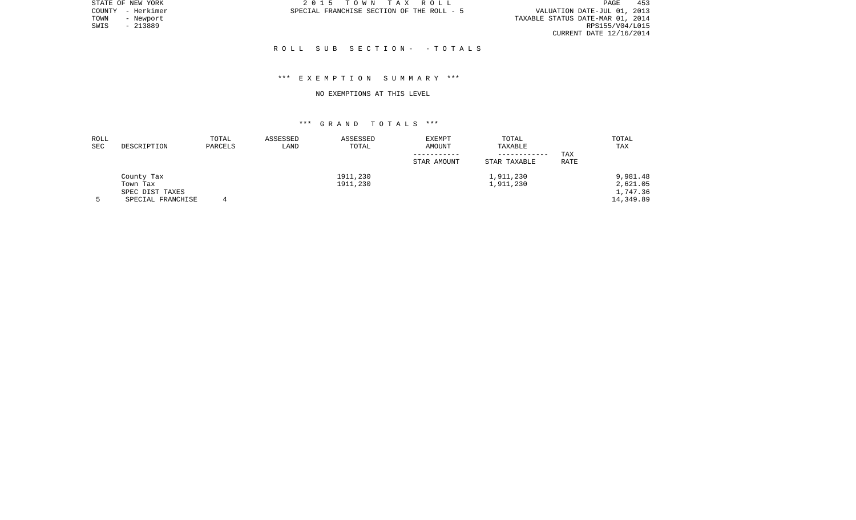STATE OF NEW YORK 2 0 1 5 T O W N T A X R O L L PAGE 453TOWN - Newport TAXABLE STATUS DATE-MAR 01, 2014 TOWN - Newport (1999) - 1999 - 1999 - 1999 - 1999 - 1999 - 1999 - 1999 - 1999 - 1999 - 1999 - 1999 - 1999 - 19<br>SWIS - 213889 - 213889 - 213889 - 213889 - 213889 - 213889 - 213889 - 213889 - 213889 - 213889 - 213889 - 21388 CURRENT DATE 12/16/2014

COUNTY - Herkimer SPECIAL FRANCHISE SECTION OF THE ROLL - 5

### R O L L S U B S E C T I O N - - T O T A L S

### \*\*\* E X E M P T I O N S U M M A R Y \*\*\*

#### NO EXEMPTIONS AT THIS LEVEL

| ROLL       |                   | TOTAL   | ASSESSED | ASSESSED | <b>EXEMPT</b> | TOTAL        |      | TOTAL     |
|------------|-------------------|---------|----------|----------|---------------|--------------|------|-----------|
| <b>SEC</b> | DESCRIPTION       | PARCELS | LAND     | TOTAL    | AMOUNT        | TAXABLE      |      | TAX       |
|            |                   |         |          |          |               |              | TAX  |           |
|            |                   |         |          |          | STAR AMOUNT   | STAR TAXABLE | RATE |           |
|            | County Tax        |         |          | 1911,230 |               | 1,911,230    |      | 9,981.48  |
|            | Town Tax          |         |          | 1911,230 |               | 1,911,230    |      | 2,621.05  |
|            | SPEC DIST TAXES   |         |          |          |               |              |      | 1,747.36  |
|            | SPECIAL FRANCHISE |         |          |          |               |              |      | 14,349.89 |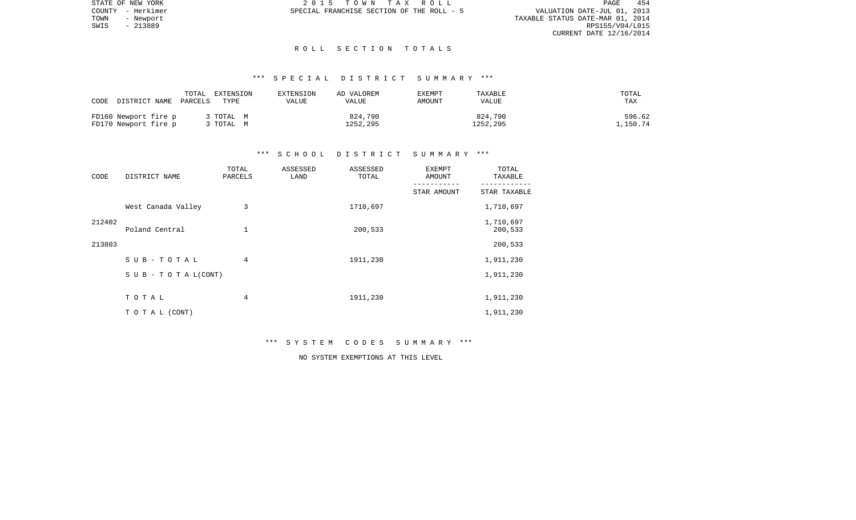PAGE 454 TAXABLE STATUS DATE-MAR 01, 2014<br>RPS155/V04/L015 CURRENT DATE 12/16/2014

STATE OF NEW YORK 2 0 1 5 T O W N T A X R O L L PAGE 454COUNTY - Herkimer SPECIAL FRANCHISE SECTION OF THE ROLL - 5

TOWN - Newport<br>SWIS - 213889

### R O L L S E C T I O N T O T A L S

### \*\*\* S P E C I A L D I S T R I C T S U M M A R Y \*\*\*

| DISTRICT NAME<br>CODE                        | TOTAL<br>EXTENSION<br>PARCELS<br>TYPE | EXTENSION<br>VALUE | AD VALOREM<br><b>VALUE</b> | EXEMPT<br>AMOUNT | TAXABLE<br>VALUE    | TOTAL<br>TAX      |
|----------------------------------------------|---------------------------------------|--------------------|----------------------------|------------------|---------------------|-------------------|
| FD160 Newport fire p<br>FD170 Newport fire p | 3 TOTAL M<br>3 ТОТАL М                |                    | 824,790<br>1252,295        |                  | 824,790<br>1252,295 | 596.62<br>,150.74 |

## \*\*\* S C H O O L D I S T R I C T S U M M A R Y \*\*\*

| CODE   | DISTRICT NAME                    | TOTAL<br>PARCELS | ASSESSED<br>LAND | ASSESSED<br>TOTAL | EXEMPT<br>AMOUNT | TOTAL<br>TAXABLE     |
|--------|----------------------------------|------------------|------------------|-------------------|------------------|----------------------|
|        |                                  |                  |                  |                   | STAR AMOUNT      | STAR TAXABLE         |
|        | West Canada Valley               | 3                |                  | 1710,697          |                  | 1,710,697            |
| 212402 | Poland Central                   | 1                |                  | 200,533           |                  | 1,710,697<br>200,533 |
| 213803 |                                  |                  |                  |                   |                  | 200,533              |
|        | SUB-TOTAL                        | 4                |                  | 1911,230          |                  | 1,911,230            |
|        | $S \cup B - T \cup T A L (CONT)$ |                  |                  |                   |                  | 1,911,230            |
|        | TOTAL                            | 4                |                  | 1911,230          |                  | 1,911,230            |
|        | TO TAL (CONT)                    |                  |                  |                   |                  | 1,911,230            |

### \*\*\* S Y S T E M C O D E S S U M M A R Y \*\*\*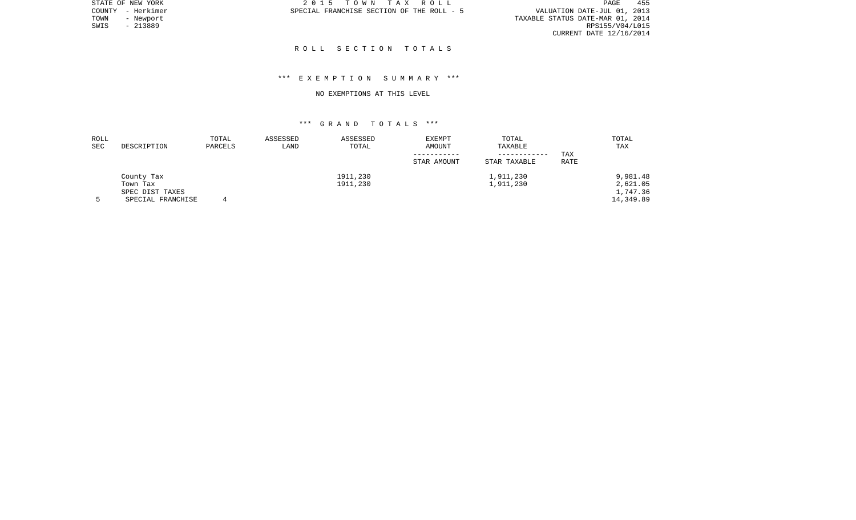STATE OF NEW YORK 2 0 1 5 T O W N T A X R O L L PAGE 455TOWN - Newport TAXABLE STATUS DATE-MAR 01, 2014 TOWN - Newport (1999) - 1999 - 1999 - 1999 - 1999 - 1999 - 1999 - 1999 - 1999 - 1999 - 1999 - 1999 - 1999 - 19<br>SWIS - 213889 - 213889 - 213889 - 213889 - 213889 - 213889 - 213889 - 213889 - 213889 - 213889 - 213889 - 21388 CURRENT DATE 12/16/2014

COUNTY - Herkimer SPECIAL FRANCHISE SECTION OF THE ROLL - 5

### R O L L S E C T I O N T O T A L S

### \*\*\* E X E M P T I O N S U M M A R Y \*\*\*

#### NO EXEMPTIONS AT THIS LEVEL

| ROLL       |                   | TOTAL   | ASSESSED | ASSESSED | EXEMPT      | TOTAL        |      | TOTAL     |
|------------|-------------------|---------|----------|----------|-------------|--------------|------|-----------|
| <b>SEC</b> | DESCRIPTION       | PARCELS | LAND     | TOTAL    | AMOUNT      | TAXABLE      |      | TAX       |
|            |                   |         |          |          |             | ---------    | TAX  |           |
|            |                   |         |          |          | STAR AMOUNT | STAR TAXABLE | RATE |           |
|            | County Tax        |         |          | 1911,230 |             | 1,911,230    |      | 9,981.48  |
|            | Town Tax          |         |          | 1911,230 |             | 1,911,230    |      | 2,621.05  |
|            | SPEC DIST TAXES   |         |          |          |             |              |      | 1,747.36  |
|            | SPECIAL FRANCHISE |         |          |          |             |              |      | 14,349.89 |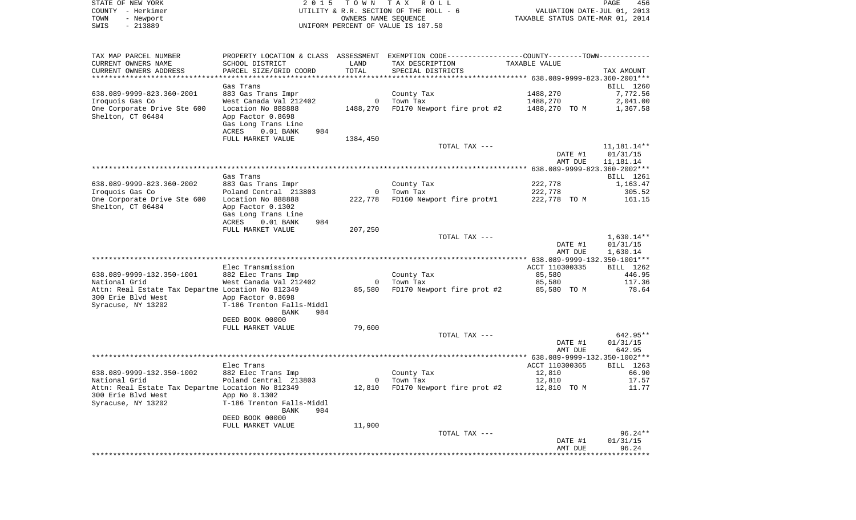|      | STATE OF NEW YORK | 2015 TOWN TAX ROLL                     | PAGE                             | 456 |
|------|-------------------|----------------------------------------|----------------------------------|-----|
|      | COUNTY - Herkimer | UTILITY & R.R. SECTION OF THE ROLL - 6 | VALUATION DATE-JUL 01, 2013      |     |
| TOWN | - Newport         | OWNERS NAME SEOUENCE                   | TAXABLE STATUS DATE-MAR 01, 2014 |     |
| SWIS | - 213889          | UNIFORM PERCENT OF VALUE IS 107.50     |                                  |     |

| TAX MAP PARCEL NUMBER                                              |                                                  |                               | PROPERTY LOCATION & CLASS ASSESSMENT EXEMPTION CODE----------------COUNTY-------TOWN---------- |                       |                 |
|--------------------------------------------------------------------|--------------------------------------------------|-------------------------------|------------------------------------------------------------------------------------------------|-----------------------|-----------------|
| CURRENT OWNERS NAME                                                | SCHOOL DISTRICT                                  | LAND                          | TAX DESCRIPTION                                                                                | TAXABLE VALUE         |                 |
| CURRENT OWNERS ADDRESS                                             | PARCEL SIZE/GRID COORD                           | TOTAL                         | SPECIAL DISTRICTS                                                                              |                       | TAX AMOUNT      |
|                                                                    |                                                  | * * * * * * * * * * * * * * * |                                                                                                |                       |                 |
|                                                                    | Gas Trans                                        |                               |                                                                                                |                       | BILL 1260       |
| 638.089-9999-823.360-2001                                          | 883 Gas Trans Impr                               |                               | County Tax                                                                                     | 1488,270              | 7,772.56        |
| Iroquois Gas Co                                                    | West Canada Val 212402                           | $\mathbf{0}$                  | Town Tax                                                                                       | 1488,270              | 2,041.00        |
| One Corporate Drive Ste 600                                        | Location No 888888                               | 1488,270                      | FD170 Newport fire prot #2                                                                     | 1488,270 TO M         | 1,367.58        |
| Shelton, CT 06484                                                  | App Factor 0.8698                                |                               |                                                                                                |                       |                 |
|                                                                    | Gas Long Trans Line                              |                               |                                                                                                |                       |                 |
|                                                                    | ACRES<br>$0.01$ BANK<br>984<br>FULL MARKET VALUE | 1384,450                      |                                                                                                |                       |                 |
|                                                                    |                                                  |                               | TOTAL TAX ---                                                                                  |                       | $11,181.14**$   |
|                                                                    |                                                  |                               |                                                                                                | DATE #1               | 01/31/15        |
|                                                                    |                                                  |                               |                                                                                                | AMT DUE               | 11,181.14       |
|                                                                    |                                                  |                               |                                                                                                |                       |                 |
|                                                                    | Gas Trans                                        |                               |                                                                                                |                       | BILL 1261       |
| 638.089-9999-823.360-2002                                          | 883 Gas Trans Impr                               |                               | County Tax                                                                                     | 222,778               | 1,163.47        |
| Iroquois Gas Co                                                    | Poland Central 213803                            | $\mathbf{0}$                  | Town Tax                                                                                       | 222,778               | 305.52          |
| One Corporate Drive Ste 600                                        | Location No 888888                               | 222,778                       | FD160 Newport fire prot#1                                                                      | 222,778 TO M          | 161.15          |
| Shelton, CT 06484                                                  | App Factor 0.1302                                |                               |                                                                                                |                       |                 |
|                                                                    | Gas Long Trans Line                              |                               |                                                                                                |                       |                 |
|                                                                    | ACRES<br>$0.01$ BANK<br>984                      |                               |                                                                                                |                       |                 |
|                                                                    | FULL MARKET VALUE                                | 207,250                       |                                                                                                |                       |                 |
|                                                                    |                                                  |                               | TOTAL TAX ---                                                                                  |                       | 1,630.14**      |
|                                                                    |                                                  |                               |                                                                                                | DATE #1               | 01/31/15        |
|                                                                    |                                                  |                               |                                                                                                | AMT DUE               | 1,630.14        |
|                                                                    |                                                  |                               |                                                                                                |                       |                 |
|                                                                    | Elec Transmission                                |                               |                                                                                                | ACCT 110300335        | BILL 1262       |
| 638.089-9999-132.350-1001                                          | 882 Elec Trans Imp                               |                               | County Tax                                                                                     | 85,580                | 446.95          |
| National Grid<br>Attn: Real Estate Tax Departme Location No 812349 | West Canada Val 212402                           | 85,580                        | 0 Town Tax<br>FD170 Newport fire prot #2                                                       | 85,580<br>85,580 TO M | 117.36<br>78.64 |
| 300 Erie Blvd West                                                 | App Factor 0.8698                                |                               |                                                                                                |                       |                 |
| Syracuse, NY 13202                                                 | T-186 Trenton Falls-Middl                        |                               |                                                                                                |                       |                 |
|                                                                    | <b>BANK</b><br>984                               |                               |                                                                                                |                       |                 |
|                                                                    | DEED BOOK 00000                                  |                               |                                                                                                |                       |                 |
|                                                                    | FULL MARKET VALUE                                | 79,600                        |                                                                                                |                       |                 |
|                                                                    |                                                  |                               | TOTAL TAX ---                                                                                  |                       | 642.95**        |
|                                                                    |                                                  |                               |                                                                                                | DATE #1               | 01/31/15        |
|                                                                    |                                                  |                               |                                                                                                | AMT DUE               | 642.95          |
|                                                                    |                                                  |                               |                                                                                                |                       |                 |
|                                                                    | Elec Trans                                       |                               |                                                                                                | ACCT 110300365        | BILL 1263       |
| 638.089-9999-132.350-1002                                          | 882 Elec Trans Imp                               |                               | County Tax                                                                                     | 12,810                | 66.90           |
| National Grid                                                      | Poland Central 213803                            | $\overline{0}$                | Town Tax                                                                                       | 12,810                | 17.57           |
| Attn: Real Estate Tax Departme Location No 812349                  |                                                  | 12,810                        | FD170 Newport fire prot #2                                                                     | 12,810 TO M           | 11.77           |
| 300 Erie Blvd West                                                 | App No 0.1302                                    |                               |                                                                                                |                       |                 |
| Syracuse, NY 13202                                                 | T-186 Trenton Falls-Middl<br>984<br>BANK         |                               |                                                                                                |                       |                 |
|                                                                    | DEED BOOK 00000                                  |                               |                                                                                                |                       |                 |
|                                                                    | FULL MARKET VALUE                                | 11,900                        |                                                                                                |                       |                 |
|                                                                    |                                                  |                               | TOTAL TAX ---                                                                                  |                       | $96.24**$       |
|                                                                    |                                                  |                               |                                                                                                | DATE #1               | 01/31/15        |
|                                                                    |                                                  |                               |                                                                                                | AMT DUE               | 96.24           |
|                                                                    |                                                  |                               |                                                                                                |                       |                 |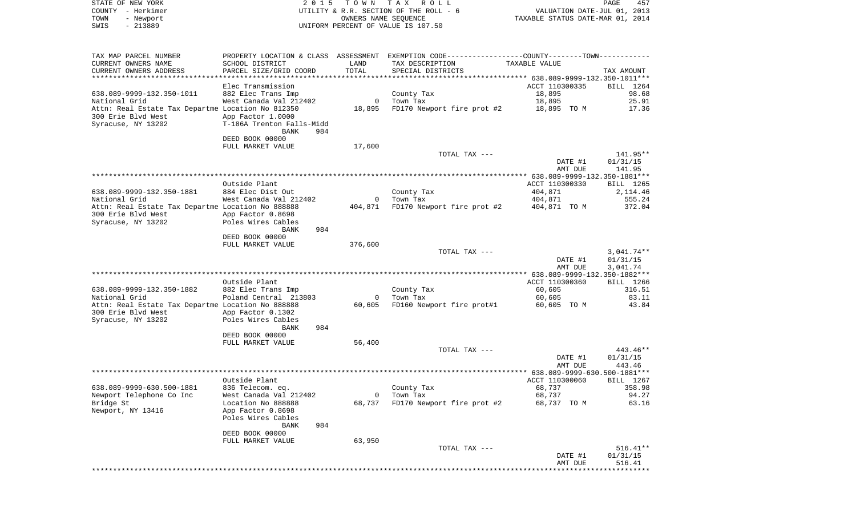|      | STATE OF NEW YORK | 2015 TOWN TAX ROLL                     |                                  | PAGE | 457 |
|------|-------------------|----------------------------------------|----------------------------------|------|-----|
|      | COUNTY - Herkimer | UTILITY & R.R. SECTION OF THE ROLL - 6 | VALUATION DATE-JUL 01, 2013      |      |     |
| TOWN | - Newport         | OWNERS NAME SEOUENCE                   | TAXABLE STATUS DATE-MAR 01, 2014 |      |     |
| SWIS | - 213889          | UNIFORM PERCENT OF VALUE IS 107.50     |                                  |      |     |

| TAX MAP PARCEL NUMBER                             |                           |                | PROPERTY LOCATION & CLASS ASSESSMENT EXEMPTION CODE---------------COUNTY-------TOWN--------- |                |              |
|---------------------------------------------------|---------------------------|----------------|----------------------------------------------------------------------------------------------|----------------|--------------|
| CURRENT OWNERS NAME                               | SCHOOL DISTRICT           | LAND           | TAX DESCRIPTION                                                                              | TAXABLE VALUE  |              |
| CURRENT OWNERS ADDRESS                            | PARCEL SIZE/GRID COORD    | TOTAL          | SPECIAL DISTRICTS                                                                            |                | TAX AMOUNT   |
|                                                   |                           |                |                                                                                              |                |              |
|                                                   | Elec Transmission         |                |                                                                                              | ACCT 110300335 | BILL 1264    |
| 638.089-9999-132.350-1011                         | 882 Elec Trans Imp        |                | County Tax                                                                                   | 18,895         | 98.68        |
| National Grid                                     | West Canada Val 212402    | $\mathbf 0$    | Town Tax                                                                                     | 18,895         | 25.91        |
| Attn: Real Estate Tax Departme Location No 812350 |                           | 18,895         | FD170 Newport fire prot #2                                                                   | 18,895 TO M    | 17.36        |
| 300 Erie Blvd West                                | App Factor 1.0000         |                |                                                                                              |                |              |
| Syracuse, NY 13202                                | T-186A Trenton Falls-Midd |                |                                                                                              |                |              |
|                                                   | BANK<br>984               |                |                                                                                              |                |              |
|                                                   | DEED BOOK 00000           |                |                                                                                              |                |              |
|                                                   | FULL MARKET VALUE         | 17,600         |                                                                                              |                |              |
|                                                   |                           |                | TOTAL TAX ---                                                                                |                | 141.95**     |
|                                                   |                           |                |                                                                                              | DATE #1        | 01/31/15     |
|                                                   |                           |                |                                                                                              | AMT DUE        | 141.95       |
|                                                   |                           |                |                                                                                              |                |              |
|                                                   | Outside Plant             |                |                                                                                              | ACCT 110300330 | BILL 1265    |
| 638.089-9999-132.350-1881                         | 884 Elec Dist Out         |                | County Tax                                                                                   | 404,871        | 2, 114.46    |
| National Grid                                     | West Canada Val 212402    | $\overline{0}$ | Town Tax                                                                                     | 404,871        | 555.24       |
| Attn: Real Estate Tax Departme Location No 888888 |                           | 404,871        | FD170 Newport fire prot #2                                                                   | 404,871 TO M   | 372.04       |
| 300 Erie Blvd West                                | App Factor 0.8698         |                |                                                                                              |                |              |
| Syracuse, NY 13202                                | Poles Wires Cables        |                |                                                                                              |                |              |
|                                                   | 984<br><b>BANK</b>        |                |                                                                                              |                |              |
|                                                   | DEED BOOK 00000           |                |                                                                                              |                |              |
|                                                   | FULL MARKET VALUE         | 376,600        |                                                                                              |                |              |
|                                                   |                           |                | TOTAL TAX ---                                                                                |                | $3,041.74**$ |
|                                                   |                           |                |                                                                                              | DATE #1        | 01/31/15     |
|                                                   |                           |                |                                                                                              | AMT DUE        | 3,041.74     |
| *************************                         |                           |                |                                                                                              |                |              |
|                                                   | Outside Plant             |                |                                                                                              | ACCT 110300360 | BILL 1266    |
| 638.089-9999-132.350-1882                         | 882 Elec Trans Imp        |                | County Tax                                                                                   | 60,605         | 316.51       |
| National Grid                                     | Poland Central 213803     | $\Omega$       | Town Tax                                                                                     | 60,605         | 83.11        |
| Attn: Real Estate Tax Departme Location No 888888 |                           | 60,605         | FD160 Newport fire prot#1                                                                    | 60,605 TO M    | 43.84        |
| 300 Erie Blvd West                                | App Factor 0.1302         |                |                                                                                              |                |              |
| Syracuse, NY 13202                                | Poles Wires Cables        |                |                                                                                              |                |              |
|                                                   | <b>BANK</b><br>984        |                |                                                                                              |                |              |
|                                                   | DEED BOOK 00000           |                |                                                                                              |                |              |
|                                                   | FULL MARKET VALUE         | 56,400         |                                                                                              |                |              |
|                                                   |                           |                | TOTAL TAX ---                                                                                |                | 443.46**     |
|                                                   |                           |                |                                                                                              | DATE #1        | 01/31/15     |
|                                                   |                           |                |                                                                                              | AMT DUE        | 443.46       |
|                                                   |                           |                |                                                                                              |                |              |
|                                                   | Outside Plant             |                |                                                                                              | ACCT 110300060 | BILL 1267    |
| 638.089-9999-630.500-1881                         | 836 Telecom. eq.          |                | County Tax                                                                                   | 68,737         | 358.98       |
| Newport Telephone Co Inc                          | West Canada Val 212402    | $\mathbf{0}$   | Town Tax                                                                                     | 68,737         | 94.27        |
| Bridge St                                         | Location No 888888        | 68,737         |                                                                                              | 68,737 TO M    | 63.16        |
| Newport, NY 13416                                 | App Factor 0.8698         |                | FD170 Newport fire prot #2                                                                   |                |              |
|                                                   | Poles Wires Cables        |                |                                                                                              |                |              |
|                                                   | BANK<br>984               |                |                                                                                              |                |              |
|                                                   | DEED BOOK 00000           |                |                                                                                              |                |              |
|                                                   | FULL MARKET VALUE         | 63,950         |                                                                                              |                |              |
|                                                   |                           |                | TOTAL TAX ---                                                                                |                | $516.41**$   |
|                                                   |                           |                |                                                                                              | DATE #1        | 01/31/15     |
|                                                   |                           |                |                                                                                              | AMT DUE        | 516.41       |
|                                                   |                           |                |                                                                                              |                |              |
|                                                   |                           |                |                                                                                              |                |              |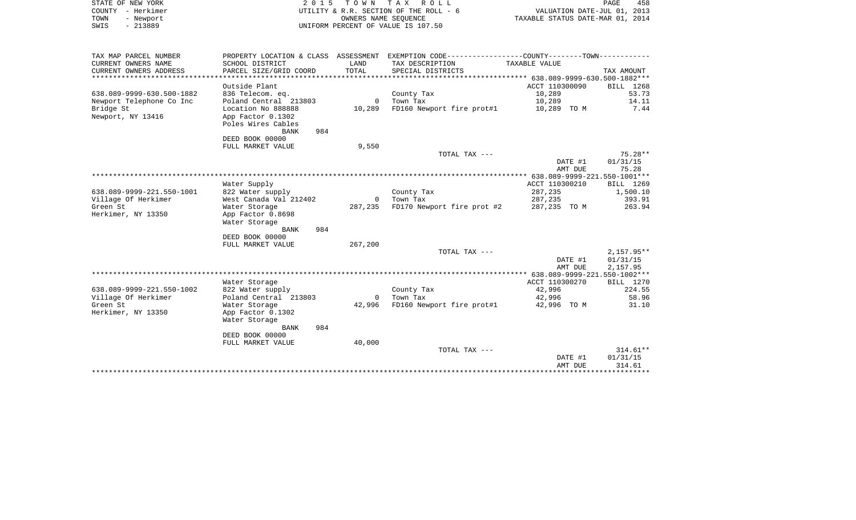| STATE OF NEW YORK<br>COUNTY - Herkimer<br>TOWN<br>- Newport<br>$-213889$<br>SWIS | 2 0 1 5                | TOWN        | T A X<br>R O L L<br>UTILITY & R.R. SECTION OF THE ROLL - 6<br>OWNERS NAME SEOUENCE<br>UNIFORM PERCENT OF VALUE IS 107.50 | PAGE<br>458<br>VALUATION DATE-JUL 01, 2013<br>TAXABLE STATUS DATE-MAR 01, 2014 |              |  |
|----------------------------------------------------------------------------------|------------------------|-------------|--------------------------------------------------------------------------------------------------------------------------|--------------------------------------------------------------------------------|--------------|--|
| TAX MAP PARCEL NUMBER                                                            |                        |             | PROPERTY LOCATION & CLASS ASSESSMENT EXEMPTION CODE---------------COUNTY-------TOWN----------                            |                                                                                |              |  |
| CURRENT OWNERS NAME                                                              | SCHOOL DISTRICT        | LAND        | TAX DESCRIPTION                                                                                                          | TAXABLE VALUE                                                                  |              |  |
| CURRENT OWNERS ADDRESS                                                           | PARCEL SIZE/GRID COORD | TOTAL       | SPECIAL DISTRICTS                                                                                                        |                                                                                | TAX AMOUNT   |  |
| **************************                                                       |                        |             |                                                                                                                          |                                                                                |              |  |
|                                                                                  | Outside Plant          |             |                                                                                                                          | ACCT 110300090                                                                 | BILL 1268    |  |
| 638.089-9999-630.500-1882                                                        | 836 Telecom. eq.       |             | County Tax                                                                                                               | 10,289                                                                         | 53.73        |  |
| Newport Telephone Co Inc                                                         | Poland Central 213803  | $\mathbf 0$ | Town Tax                                                                                                                 | 10,289                                                                         | 14.11        |  |
| Bridge St                                                                        | Location No 888888     | 10,289      | FD160 Newport fire prot#1                                                                                                | 10,289 TO M                                                                    | 7.44         |  |
| Newport, NY 13416                                                                | App Factor 0.1302      |             |                                                                                                                          |                                                                                |              |  |
|                                                                                  | Poles Wires Cables     |             |                                                                                                                          |                                                                                |              |  |
|                                                                                  | <b>BANK</b><br>984     |             |                                                                                                                          |                                                                                |              |  |
|                                                                                  | DEED BOOK 00000        |             |                                                                                                                          |                                                                                |              |  |
|                                                                                  | FULL MARKET VALUE      | 9,550       |                                                                                                                          |                                                                                |              |  |
|                                                                                  |                        |             | TOTAL TAX ---                                                                                                            |                                                                                | $75.28**$    |  |
|                                                                                  |                        |             |                                                                                                                          | DATE #1                                                                        | 01/31/15     |  |
|                                                                                  |                        |             |                                                                                                                          | AMT DUE                                                                        | 75.28        |  |
|                                                                                  |                        |             |                                                                                                                          |                                                                                |              |  |
|                                                                                  | Water Supply           |             |                                                                                                                          | ACCT 110300210                                                                 | BILL 1269    |  |
| 638.089-9999-221.550-1001                                                        | 822 Water supply       |             | County Tax                                                                                                               | 287,235                                                                        | 1,500.10     |  |
| Village Of Herkimer                                                              | West Canada Val 212402 | $\Omega$    | Town Tax                                                                                                                 | 287,235                                                                        | 393.91       |  |
| Green St                                                                         | Water Storage          | 287,235     | FD170 Newport fire prot #2                                                                                               | 287,235 TO M                                                                   | 263.94       |  |
| Herkimer, NY 13350                                                               | App Factor 0.8698      |             |                                                                                                                          |                                                                                |              |  |
|                                                                                  | Water Storage          |             |                                                                                                                          |                                                                                |              |  |
|                                                                                  | 984<br>BANK            |             |                                                                                                                          |                                                                                |              |  |
|                                                                                  | DEED BOOK 00000        |             |                                                                                                                          |                                                                                |              |  |
|                                                                                  | FULL MARKET VALUE      | 267,200     |                                                                                                                          |                                                                                |              |  |
|                                                                                  |                        |             | TOTAL TAX ---                                                                                                            |                                                                                | $2,157.95**$ |  |
|                                                                                  |                        |             |                                                                                                                          | DATE #1                                                                        | 01/31/15     |  |
|                                                                                  |                        |             |                                                                                                                          | AMT DUE                                                                        | 2,157.95     |  |
|                                                                                  |                        |             |                                                                                                                          |                                                                                |              |  |
|                                                                                  | Water Storage          |             |                                                                                                                          | ACCT 110300270                                                                 | BILL 1270    |  |
| 638.089-9999-221.550-1002                                                        | 822 Water supply       |             | County Tax                                                                                                               | 42,996                                                                         | 224.55       |  |
| Village Of Herkimer                                                              | Poland Central 213803  | $\Omega$    | Town Tax                                                                                                                 | 42,996                                                                         | 58.96        |  |
| Green St                                                                         | Water Storage          | 42,996      | FD160 Newport fire prot#1                                                                                                | 42,996 TO M                                                                    | 31.10        |  |
| Herkimer, NY 13350                                                               | App Factor 0.1302      |             |                                                                                                                          |                                                                                |              |  |
|                                                                                  | Water Storage          |             |                                                                                                                          |                                                                                |              |  |
|                                                                                  | 984<br><b>BANK</b>     |             |                                                                                                                          |                                                                                |              |  |
|                                                                                  | DEED BOOK 00000        |             |                                                                                                                          |                                                                                |              |  |
|                                                                                  | FULL MARKET VALUE      | 40,000      |                                                                                                                          |                                                                                |              |  |
|                                                                                  |                        |             | TOTAL TAX ---                                                                                                            |                                                                                | $314.61**$   |  |
|                                                                                  |                        |             |                                                                                                                          | DATE #1                                                                        | 01/31/15     |  |
|                                                                                  |                        |             |                                                                                                                          | AMT DUE                                                                        | 314.61       |  |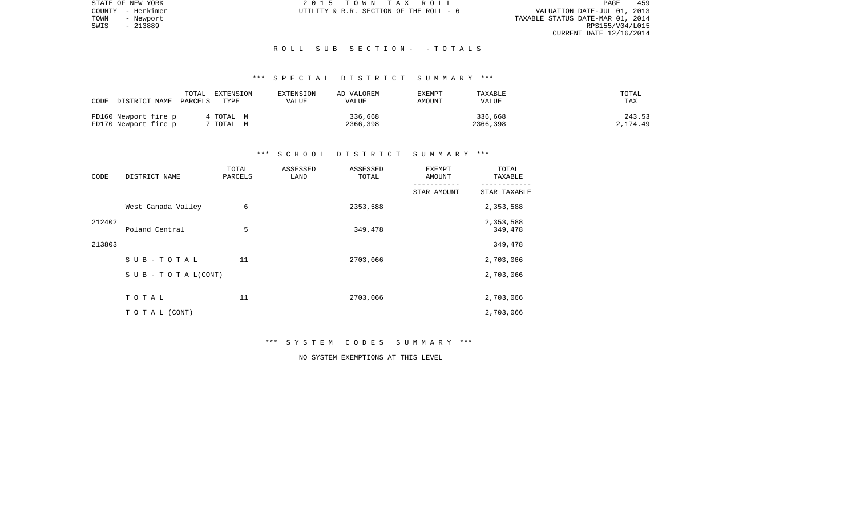STATE OF NEW YORK 2 0 1 5 T O W N T A X R O L L PAGE 459PAGE 459 TAXABLE STATUS DATE-MAR 01, 2014<br>RPS155/V04/L015 CURRENT DATE 12/16/2014

COUNTY - Herkimer  $U$ TILITY & R.R. SECTION OF THE ROLL - 6

TOWN - Newport<br>SWIS - 213889

### R O L L S U B S E C T I O N - - T O T A L S

### \*\*\* S P E C I A L D I S T R I C T S U M M A R Y \*\*\*

| TOTAL<br>CODE<br>DISTRICT NAME PARCELS       | EXTENSION<br>TYPE    | EXTENSION<br>VALUE | AD VALOREM<br>VALUE | EXEMPT<br>AMOUNT | TAXABLE<br>VALUE    | TOTAL<br><b>TAX</b> |
|----------------------------------------------|----------------------|--------------------|---------------------|------------------|---------------------|---------------------|
| FD160 Newport fire p<br>FD170 Newport fire p | 4 TOTAL M<br>TOTAL M |                    | 336,668<br>2366,398 |                  | 336,668<br>2366,398 | 243.53<br>2,174.49  |

## \*\*\* S C H O O L D I S T R I C T S U M M A R Y \*\*\*

| CODE   | DISTRICT NAME                    | TOTAL<br>PARCELS | ASSESSED<br>LAND | ASSESSED<br>TOTAL | EXEMPT<br>AMOUNT | TOTAL<br>TAXABLE     |
|--------|----------------------------------|------------------|------------------|-------------------|------------------|----------------------|
|        |                                  |                  |                  |                   | STAR AMOUNT      | STAR TAXABLE         |
|        | West Canada Valley               | 6                |                  | 2353,588          |                  | 2,353,588            |
| 212402 | Poland Central                   | 5                |                  | 349,478           |                  | 2,353,588<br>349,478 |
| 213803 |                                  |                  |                  |                   |                  | 349,478              |
|        | SUB-TOTAL                        | 11               |                  | 2703,066          |                  | 2,703,066            |
|        | $S \cup B - T \cup T A L (CONT)$ |                  |                  |                   |                  | 2,703,066            |
|        | TOTAL                            | 11               |                  | 2703,066          |                  | 2,703,066            |
|        | T O T A L (CONT)                 |                  |                  |                   |                  | 2,703,066            |

### \*\*\* S Y S T E M C O D E S S U M M A R Y \*\*\*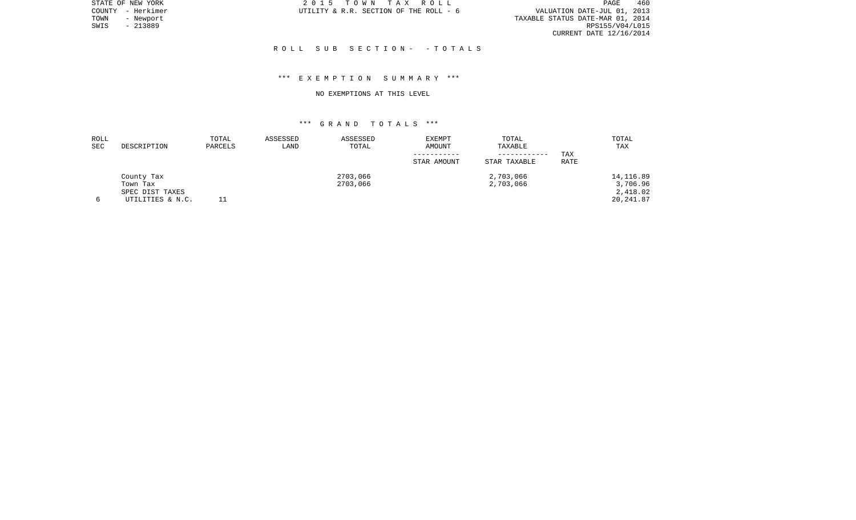STATE OF NEW YORK 2 0 1 5 T O W N T A X R O L L PAGE 460TOWN - Newport TAXABLE STATUS DATE-MAR 01, 2014 TOWN - Newport (1992) - 1992 - 1993 - 1993 - 1993 - 1994 - 1994 - 1994 - 1994 - 1994 - 1994 - 1994 - 1994 - 19<br>SWIS - 213889 - 213889 - 213889 - 213889 - 213889 - 213889 - 213889 - 213889 - 213889 - 213889 - 213889 - 21388 CURRENT DATE 12/16/2014

COUNTY - Herkimer  $U$ TILITY & R.R. SECTION OF THE ROLL - 6

### R O L L S U B S E C T I O N - - T O T A L S

### \*\*\* E X E M P T I O N S U M M A R Y \*\*\*

#### NO EXEMPTIONS AT THIS LEVEL

| ROLL |                  | TOTAL   | ASSESSED | ASSESSED | <b>EXEMPT</b> | TOTAL        |             | TOTAL      |
|------|------------------|---------|----------|----------|---------------|--------------|-------------|------------|
| SEC  | DESCRIPTION      | PARCELS | LAND     | TOTAL    | AMOUNT        | TAXABLE      |             | TAX        |
|      |                  |         |          |          |               | ------------ | TAX         |            |
|      |                  |         |          |          | STAR AMOUNT   | STAR TAXABLE | <b>RATE</b> |            |
|      | County Tax       |         |          | 2703,066 |               | 2,703,066    |             | 14, 116.89 |
|      | Town Tax         |         |          | 2703,066 |               | 2,703,066    |             | 3,706.96   |
|      | SPEC DIST TAXES  |         |          |          |               |              |             | 2,418.02   |
| б.   | UTILITIES & N.C. |         |          |          |               |              |             | 20,241.87  |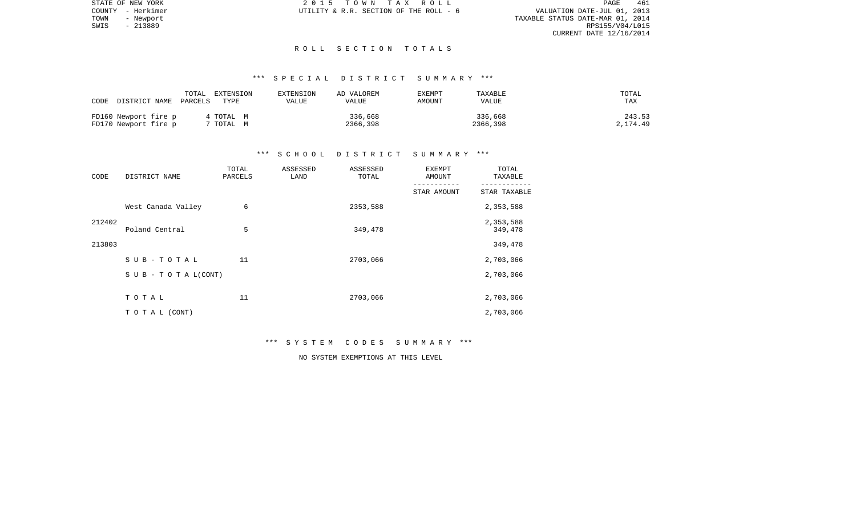STATE OF NEW YORK 2 0 1 5 T O W N T A X R O L L PAGE 461PAGE 461 TAXABLE STATUS DATE-MAR 01, 2014<br>RPS155/V04/L015 CURRENT DATE 12/16/2014

COUNTY - Herkimer  $U$ TILITY & R.R. SECTION OF THE ROLL - 6

TOWN - Newport<br>SWIS - 213889

### R O L L S E C T I O N T O T A L S

### \*\*\* S P E C I A L D I S T R I C T S U M M A R Y \*\*\*

| DISTRICT NAME<br>CODE                        | TOTAL<br>EXTENSION<br>PARCELS<br>TYPE | EXTENSION<br>VALUE | AD VALOREM<br>VALUE | EXEMPT<br>AMOUNT | TAXABLE<br>VALUE    | TOTAL<br>TAX       |
|----------------------------------------------|---------------------------------------|--------------------|---------------------|------------------|---------------------|--------------------|
| FD160 Newport fire p<br>FD170 Newport fire p | 4 TOTAL M<br>TOTAL M                  |                    | 336,668<br>2366,398 |                  | 336,668<br>2366,398 | 243.53<br>2,174.49 |

## \*\*\* S C H O O L D I S T R I C T S U M M A R Y \*\*\*

| CODE   | DISTRICT NAME                    | TOTAL<br>PARCELS | ASSESSED<br>LAND | ASSESSED<br>TOTAL | <b>EXEMPT</b><br>AMOUNT | TOTAL<br>TAXABLE     |
|--------|----------------------------------|------------------|------------------|-------------------|-------------------------|----------------------|
|        |                                  |                  |                  |                   | STAR AMOUNT             | STAR TAXABLE         |
|        | West Canada Valley               | 6                |                  | 2353,588          |                         | 2,353,588            |
| 212402 | Poland Central                   | 5                |                  | 349,478           |                         | 2,353,588<br>349,478 |
| 213803 |                                  |                  |                  |                   |                         | 349,478              |
|        | SUB-TOTAL                        | 11               |                  | 2703,066          |                         | 2,703,066            |
|        | $S \cup B - T \cup T A L (CONT)$ |                  |                  |                   |                         | 2,703,066            |
|        | TOTAL                            | 11               |                  | 2703,066          |                         | 2,703,066            |
|        | TO TAL (CONT)                    |                  |                  |                   |                         | 2,703,066            |

### \*\*\* S Y S T E M C O D E S S U M M A R Y \*\*\*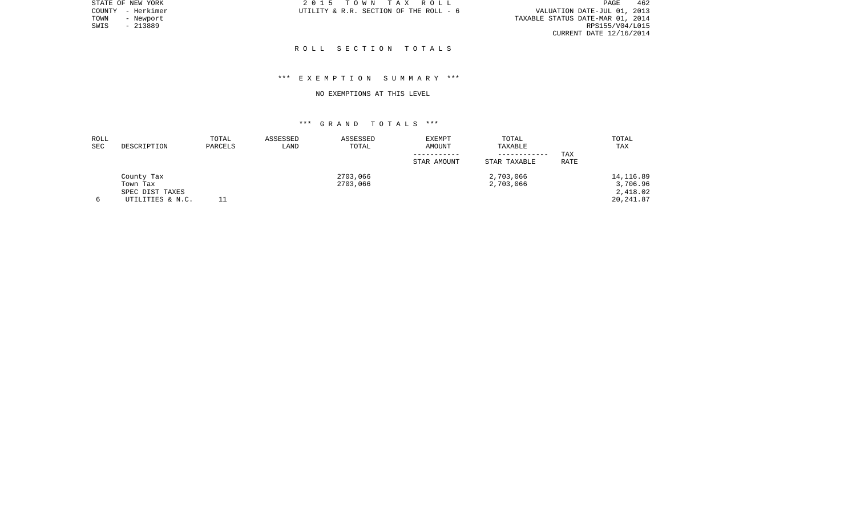STATE OF NEW YORK 2 0 1 5 T O W N T A X R O L L PAGE 462TOWN - Newport TAXABLE STATUS DATE-MAR 01, 2014 TOWN - Newport (1992) - 1992 - 1993 - 1993 - 1993 - 1994 - 1994 - 1994 - 1994 - 1994 - 1994 - 1994 - 1994 - 19<br>SWIS - 213889 - 213889 - 213889 - 213889 - 213889 - 213889 - 213889 - 213889 - 213889 - 213889 - 213889 - 21388 CURRENT DATE 12/16/2014

COUNTY - Herkimer  $U\left(1\right)$  = Herkimer  $U\left(1\right)$  = 10, 2014  $V\left(1\right)$  = 10, 2014  $V\left(1\right)$  = 10, 2014  $V\left(1\right)$  = 10, 2014  $V\left(1\right)$  = 10, 2014  $V\left(1\right)$  = 10, 2014  $V\left(1\right)$  = 10, 2014  $V\left(1\right)$  = 10, 2014  $V\left(1$ 

### R O L L S E C T I O N T O T A L S

### \*\*\* E X E M P T I O N S U M M A R Y \*\*\*

#### NO EXEMPTIONS AT THIS LEVEL

| ROLL       |                  | TOTAL   | ASSESSED | ASSESSED | EXEMPT      | TOTAL        |      | TOTAL      |
|------------|------------------|---------|----------|----------|-------------|--------------|------|------------|
| <b>SEC</b> | DESCRIPTION      | PARCELS | LAND     | TOTAL    | AMOUNT      | TAXABLE      |      | TAX        |
|            |                  |         |          |          |             | ---------    | TAX  |            |
|            |                  |         |          |          | STAR AMOUNT | STAR TAXABLE | RATE |            |
|            | County Tax       |         |          | 2703,066 |             | 2,703,066    |      | 14, 116.89 |
|            | Town Tax         |         |          | 2703,066 |             | 2,703,066    |      | 3,706.96   |
|            | SPEC DIST TAXES  |         |          |          |             |              |      | 2,418.02   |
|            | UTILITIES & N.C. |         |          |          |             |              |      | 20,241.87  |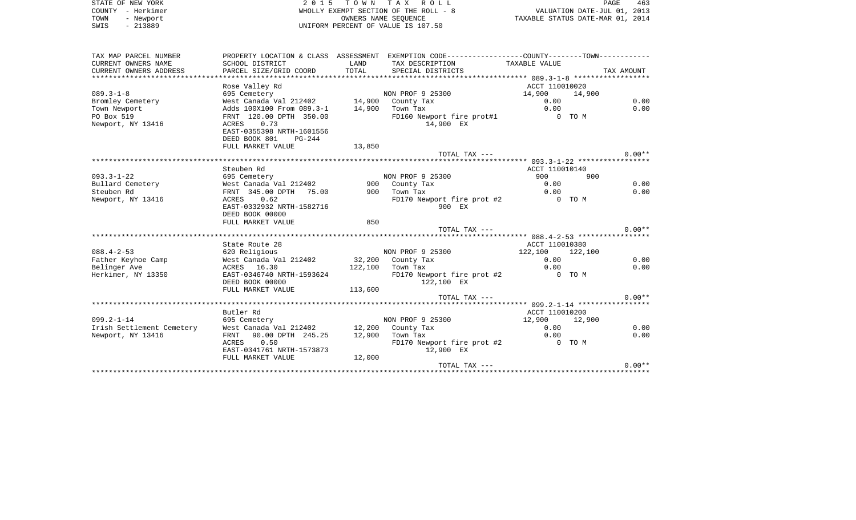| STATE OF NEW YORK | 2015 TOWN TAX ROLL                    | 463<br>PAGE                      |
|-------------------|---------------------------------------|----------------------------------|
| COUNTY - Herkimer | WHOLLY EXEMPT SECTION OF THE ROLL - 8 | VALUATION DATE-JUL 01, 2013      |
| TOWN<br>- Newport | OWNERS NAME SEOUENCE                  | TAXABLE STATUS DATE-MAR 01, 2014 |
| - 213889<br>SWIS  | UNIFORM PERCENT OF VALUE IS 107.50    |                                  |

 $\frac{463}{2013}$ <br>2014

| TAX MAP PARCEL NUMBER  |                                                                    |                 | PROPERTY LOCATION & CLASS ASSESSMENT EXEMPTION CODE---------------COUNTY-------TOWN---------- |                  |            |
|------------------------|--------------------------------------------------------------------|-----------------|-----------------------------------------------------------------------------------------------|------------------|------------|
| CURRENT OWNERS NAME    | SCHOOL DISTRICT                                                    | LAND            | TAX DESCRIPTION                                                                               | TAXABLE VALUE    |            |
| CURRENT OWNERS ADDRESS | PARCEL SIZE/GRID COORD                                             | TOTAL           | SPECIAL DISTRICTS                                                                             |                  | TAX AMOUNT |
|                        |                                                                    |                 |                                                                                               |                  |            |
|                        | Rose Valley Rd                                                     |                 |                                                                                               | ACCT 110010020   |            |
| $089.3 - 1 - 8$        | 695 Cemetery                                                       |                 | NON PROF 9 25300                                                                              | 14,900<br>14,900 |            |
| Bromley Cemetery       | West Canada Val 212402 14,900 County Tax                           |                 |                                                                                               | 0.00             | 0.00       |
| Town Newport           | Adds 100X100 From 089.3-1                                          | 14,900 Town Tax |                                                                                               | 0.00             | 0.00       |
| PO Box 519             | FRNT 120.00 DPTH 350.00                                            |                 | FD160 Newport fire prot#1                                                                     | $0$ TOM          |            |
| Newport, NY 13416      | 0.73<br>ACRES                                                      |                 | 14,900 EX                                                                                     |                  |            |
|                        | EAST-0355398 NRTH-1601556                                          |                 |                                                                                               |                  |            |
|                        | DEED BOOK 801<br>PG-244                                            |                 |                                                                                               |                  |            |
|                        | FULL MARKET VALUE                                                  | 13,850          |                                                                                               |                  |            |
|                        |                                                                    |                 | TOTAL TAX ---                                                                                 |                  | $0.00**$   |
|                        |                                                                    |                 |                                                                                               |                  |            |
|                        | Steuben Rd                                                         |                 |                                                                                               | ACCT 110010140   |            |
| $093.3 - 1 - 22$       | 695 Cemetery                                                       |                 | NON PROF 9 25300                                                                              | 900              | 900        |
| Bullard Cemetery       | West Canada Val 212402                                             |                 | 900 County Tax                                                                                | 0.00             | 0.00       |
| Steuben Rd             | FRNT 345.00 DPTH 75.00                                             |                 | 900 Town Tax                                                                                  | 0.00             | 0.00       |
| Newport, NY 13416      | ACRES 0.62                                                         |                 | FD170 Newport fire prot #2 0 TO M                                                             |                  |            |
|                        | EAST-0332932 NRTH-1582716<br>DEED BOOK 00000                       |                 | 900 EX                                                                                        |                  |            |
|                        | FULL MARKET VALUE                                                  | 850             |                                                                                               |                  |            |
|                        |                                                                    |                 | TOTAL TAX ---                                                                                 |                  | $0.00**$   |
|                        |                                                                    |                 |                                                                                               |                  |            |
|                        | State Route 28                                                     |                 |                                                                                               | ACCT 110010380   |            |
| $088.4 - 2 - 53$       | 620 Religious                                                      |                 | NON PROF 9 25300                                                                              | 122,100 122,100  |            |
| Father Keyhoe Camp     | West Canada Val 212402                                             |                 | 32,200 County Tax                                                                             | 0.00             | 0.00       |
| Belinger Ave           | ACRES 16.30                                                        |                 | 122,100 Town Tax                                                                              | 0.00             | 0.00       |
| Herkimer, NY 13350     | EAST-0346740 NRTH-1593624                                          |                 | FD170 Newport fire prot #2                                                                    | $0$ TOM          |            |
|                        | DEED BOOK 00000                                                    |                 | 122,100 EX                                                                                    |                  |            |
|                        | FULL MARKET VALUE                                                  | 113,600         |                                                                                               |                  |            |
|                        |                                                                    |                 | TOTAL TAX ---                                                                                 |                  | $0.00**$   |
|                        |                                                                    |                 |                                                                                               |                  |            |
|                        | Butler Rd                                                          |                 |                                                                                               | ACCT 110010200   |            |
| $099.2 - 1 - 14$       | 695 Cemetery                                                       |                 | NON PROF 9 25300                                                                              | 12,900 12,900    |            |
|                        | Irish Settlement Cemetery West Canada Val 212402 12,200 County Tax |                 |                                                                                               | 0.00             | 0.00       |
| Newport, NY 13416      | 90.00 DPTH 245.25<br>FRNT                                          | 12,900 Town Tax |                                                                                               | 0.00             | 0.00       |
|                        | 0.50<br>ACRES                                                      |                 | FD170 Newport fire prot #2 0 TO M                                                             |                  |            |
|                        | EAST-0341761 NRTH-1573873                                          |                 | 12,900 EX                                                                                     |                  |            |
|                        | FULL MARKET VALUE                                                  | 12,000          |                                                                                               |                  |            |
|                        |                                                                    |                 | TOTAL TAX ---                                                                                 |                  | $0.00**$   |
|                        |                                                                    |                 |                                                                                               |                  |            |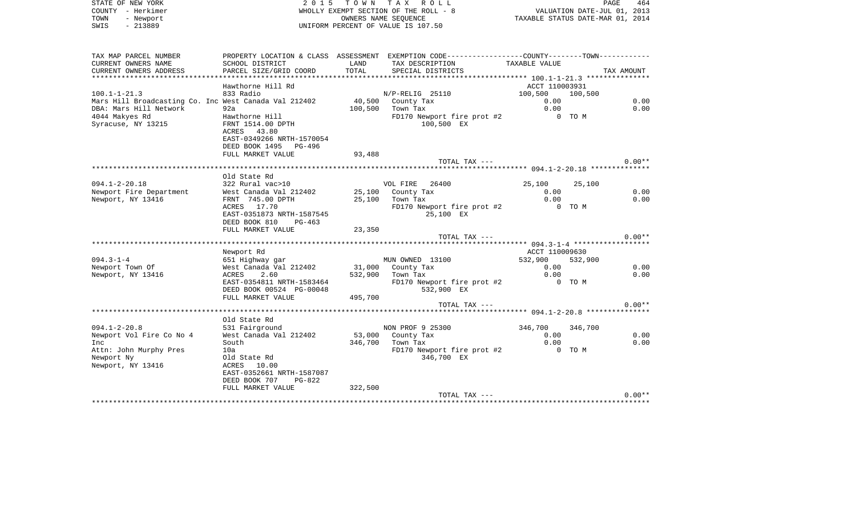| STATE OF NEW YORK | 2015 TOWN TAX ROLL                    | 464<br>PAGE                      |
|-------------------|---------------------------------------|----------------------------------|
| COUNTY - Herkimer | WHOLLY EXEMPT SECTION OF THE ROLL - 8 | VALUATION DATE-JUL 01, 2013      |
| TOWN<br>- Newport | OWNERS NAME SEOUENCE                  | TAXABLE STATUS DATE-MAR 01, 2014 |
| - 213889<br>SWIS  | UNIFORM PERCENT OF VALUE IS 107.50    |                                  |

| TAX MAP PARCEL NUMBER                                 |                           |         | PROPERTY LOCATION & CLASS ASSESSMENT EXEMPTION CODE---------------COUNTY-------TOWN---------- |                |         |            |
|-------------------------------------------------------|---------------------------|---------|-----------------------------------------------------------------------------------------------|----------------|---------|------------|
| CURRENT OWNERS NAME                                   | SCHOOL DISTRICT           | LAND    | TAX DESCRIPTION                                                                               | TAXABLE VALUE  |         |            |
| CURRENT OWNERS ADDRESS                                | PARCEL SIZE/GRID COORD    | TOTAL   | SPECIAL DISTRICTS                                                                             |                |         | TAX AMOUNT |
|                                                       |                           |         |                                                                                               |                |         |            |
|                                                       | Hawthorne Hill Rd         |         |                                                                                               | ACCT 110003931 |         |            |
| $100.1 - 1 - 21.3$                                    | 833 Radio                 |         | N/P-RELIG 25110                                                                               | 100,500        | 100,500 |            |
| Mars Hill Broadcasting Co. Inc West Canada Val 212402 |                           |         | 40,500 County Tax                                                                             | 0.00           |         | 0.00       |
| DBA: Mars Hill Network                                | 92a                       |         | 100,500 Town Tax                                                                              | 0.00           |         | 0.00       |
| 4044 Makyes Rd                                        | Hawthorne Hill            |         | FD170 Newport fire prot #2                                                                    | 0 TO M         |         |            |
| Syracuse, NY 13215                                    | FRNT 1514.00 DPTH         |         | 100,500 EX                                                                                    |                |         |            |
|                                                       | ACRES 43.80               |         |                                                                                               |                |         |            |
|                                                       | EAST-0349266 NRTH-1570054 |         |                                                                                               |                |         |            |
|                                                       | DEED BOOK 1495 PG-496     |         |                                                                                               |                |         |            |
|                                                       | FULL MARKET VALUE         | 93,488  |                                                                                               |                |         |            |
|                                                       |                           |         | TOTAL TAX ---                                                                                 |                |         | $0.00**$   |
|                                                       |                           |         |                                                                                               |                |         |            |
|                                                       | Old State Rd              |         |                                                                                               |                |         |            |
| $094.1 - 2 - 20.18$                                   | 322 Rural vac>10          |         | VOL FIRE 26400                                                                                | 25,100         | 25,100  |            |
| Newport Fire Department                               | West Canada Val 212402    |         | 25,100 County Tax                                                                             | 0.00           |         | 0.00       |
| Newport, NY 13416                                     | FRNT 745.00 DPTH          | 25,100  | Town Tax                                                                                      | 0.00           |         | 0.00       |
|                                                       | ACRES 17.70               |         | FD170 Newport fire prot #2                                                                    | 0 TO M         |         |            |
|                                                       | EAST-0351873 NRTH-1587545 |         | 25,100 EX                                                                                     |                |         |            |
|                                                       | DEED BOOK 810<br>PG-463   |         |                                                                                               |                |         |            |
|                                                       | FULL MARKET VALUE         | 23,350  |                                                                                               |                |         |            |
|                                                       |                           |         | TOTAL TAX ---                                                                                 |                |         | $0.00**$   |
|                                                       |                           |         |                                                                                               |                |         |            |
|                                                       | Newport Rd                |         |                                                                                               | ACCT 110009630 |         |            |
| $094.3 - 1 - 4$                                       | 651 Highway gar           |         | MUN OWNED 13100                                                                               | 532,900        | 532,900 |            |
| Newport Town Of                                       | West Canada Val 212402    |         | 31,000 County Tax                                                                             | 0.00           |         | 0.00       |
| Newport, NY 13416                                     | ACRES<br>2.60             | 532,900 | Town Tax                                                                                      | 0.00           |         | 0.00       |
|                                                       | EAST-0354811 NRTH-1583464 |         | FD170 Newport fire prot #2                                                                    | 0 TO M         |         |            |
|                                                       | DEED BOOK 00524 PG-00048  |         | 532,900 EX                                                                                    |                |         |            |
|                                                       | FULL MARKET VALUE         | 495,700 |                                                                                               |                |         |            |
|                                                       |                           |         | TOTAL TAX ---                                                                                 |                |         | $0.00**$   |
|                                                       |                           |         |                                                                                               |                |         |            |
|                                                       | Old State Rd              |         |                                                                                               |                |         |            |
| $094.1 - 2 - 20.8$                                    | 531 Fairground            |         | NON PROF 9 25300                                                                              | 346,700        | 346,700 |            |
| Newport Vol Fire Co No 4                              | West Canada Val 212402    |         | 53,000 County Tax                                                                             | 0.00           |         | 0.00       |
| Inc.                                                  | South                     | 346,700 | Town Tax                                                                                      | 0.00           |         | 0.00       |
| Attn: John Murphy Pres                                | 10a                       |         | FD170 Newport fire prot #2 0 TO M                                                             |                |         |            |
| Newport Ny                                            | Old State Rd              |         | 346,700 EX                                                                                    |                |         |            |
| Newport, NY 13416                                     | ACRES 10.00               |         |                                                                                               |                |         |            |
|                                                       | EAST-0352661 NRTH-1587087 |         |                                                                                               |                |         |            |
|                                                       | DEED BOOK 707<br>PG-822   |         |                                                                                               |                |         |            |
|                                                       | FULL MARKET VALUE         | 322,500 |                                                                                               |                |         |            |
|                                                       |                           |         | TOTAL TAX $---$                                                                               |                |         | $0.00**$   |
|                                                       |                           |         |                                                                                               |                |         |            |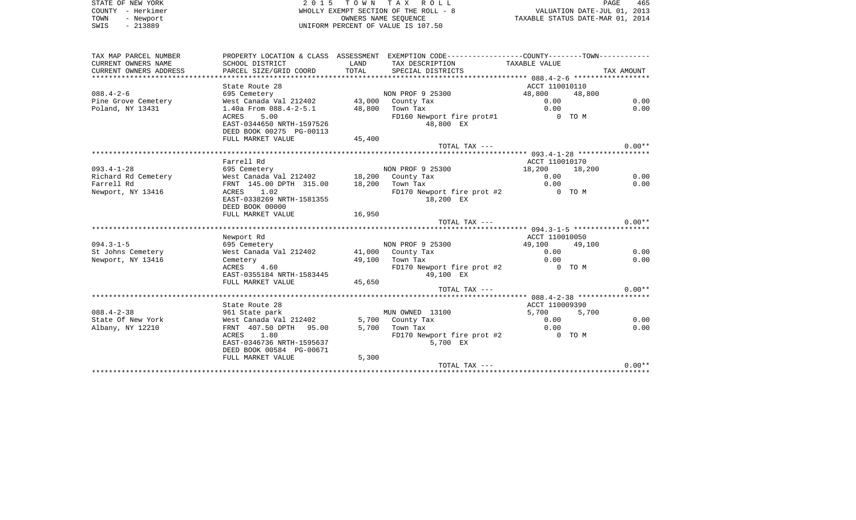| STATE OF NEW YORK | 2015 TOWN TAX ROLL                    | 465<br>PAGE                      |
|-------------------|---------------------------------------|----------------------------------|
| COUNTY - Herkimer | WHOLLY EXEMPT SECTION OF THE ROLL - 8 | VALUATION DATE-JUL 01, 2013      |
| TOWN<br>- Newport | OWNERS NAME SEOUENCE                  | TAXABLE STATUS DATE-MAR 01, 2014 |
| $-213889$<br>SWIS | UNIFORM PERCENT OF VALUE IS 107.50    |                                  |

| TAX MAP PARCEL NUMBER<br>CURRENT OWNERS NAME<br>CURRENT OWNERS ADDRESS | SCHOOL DISTRICT<br>PARCEL SIZE/GRID COORD             | LAND<br>TOTAL | PROPERTY LOCATION & CLASS ASSESSMENT EXEMPTION CODE----------------COUNTY--------TOWN----------<br>TAX DESCRIPTION<br>SPECIAL DISTRICTS | TAXABLE VALUE  |        | TAX AMOUNT |
|------------------------------------------------------------------------|-------------------------------------------------------|---------------|-----------------------------------------------------------------------------------------------------------------------------------------|----------------|--------|------------|
|                                                                        |                                                       |               |                                                                                                                                         |                |        |            |
|                                                                        | State Route 28                                        |               |                                                                                                                                         | ACCT 110010110 |        |            |
| $088.4 - 2 - 6$                                                        | 695 Cemetery                                          |               | NON PROF 9 25300                                                                                                                        | 48,800 48,800  |        |            |
| Pine Grove Cemetery                                                    |                                                       |               |                                                                                                                                         | 0.00           |        | 0.00       |
| Poland, NY 13431                                                       | 1.40a From 088.4-2-5.1 48,800 Town Tax                |               |                                                                                                                                         | 0.00           |        | 0.00       |
|                                                                        | 5.00<br>ACRES                                         |               | FD160 Newport fire prot#1 0 TO M                                                                                                        |                |        |            |
|                                                                        | EAST-0344650 NRTH-1597526<br>DEED BOOK 00275 PG-00113 |               | 48,800 EX                                                                                                                               |                |        |            |
|                                                                        | FULL MARKET VALUE                                     | 45,400        |                                                                                                                                         |                |        |            |
|                                                                        |                                                       |               | TOTAL TAX $---$                                                                                                                         |                |        | $0.00**$   |
|                                                                        |                                                       |               |                                                                                                                                         |                |        |            |
|                                                                        | Farrell Rd                                            |               |                                                                                                                                         | ACCT 110010170 |        |            |
| $093.4 - 1 - 28$                                                       | 695 Cemetery                                          |               | NON PROF 9 25300                                                                                                                        | 18,200         | 18,200 |            |
| Richard Rd Cemetery                                                    | West Canada Val 212402 18,200 County Tax              |               |                                                                                                                                         | 0.00           |        | 0.00       |
| Farrell Rd                                                             | FRNT 145.00 DPTH 315.00                               | 18,200        | Town Tax                                                                                                                                | 0.00           |        | 0.00       |
| Newport, NY 13416                                                      | ACRES 1.02                                            |               | FD170 Newport fire prot #2 0 TO M                                                                                                       |                |        |            |
|                                                                        | EAST-0338269 NRTH-1581355                             |               | 18,200 EX                                                                                                                               |                |        |            |
|                                                                        | DEED BOOK 00000<br>FULL MARKET VALUE                  | 16,950        |                                                                                                                                         |                |        |            |
|                                                                        |                                                       |               | TOTAL TAX ---                                                                                                                           |                |        | $0.00**$   |
|                                                                        |                                                       |               |                                                                                                                                         |                |        |            |
|                                                                        | Newport Rd                                            |               |                                                                                                                                         | ACCT 110010050 |        |            |
| $094.3 - 1 - 5$                                                        | 695 Cemetery                                          |               | NON PROF 9 25300                                                                                                                        | 49,100 49,100  |        |            |
| St Johns Cemetery                                                      | West Canada Val 212402 41,000 County Tax              |               |                                                                                                                                         | 0.00           |        | 0.00       |
| Newport, NY 13416                                                      | Cemetery                                              |               | Town Tax 0.00<br>FD170 Newport fire prot #2 0 0 TO M<br>49,100 Town Tax                                                                 |                |        | 0.00       |
|                                                                        | ACRES 4.60                                            |               |                                                                                                                                         |                |        |            |
|                                                                        | EAST-0355184 NRTH-1583445<br>FULL MARKET VALUE        |               | 49,100 EX                                                                                                                               |                |        |            |
|                                                                        |                                                       | 45,650        | TOTAL TAX ---                                                                                                                           |                |        | $0.00**$   |
|                                                                        |                                                       |               |                                                                                                                                         |                |        |            |
|                                                                        | State Route 28                                        |               |                                                                                                                                         | ACCT 110009390 |        |            |
| $088.4 - 2 - 38$                                                       | 961 State park                                        |               | MUN OWNED 13100                                                                                                                         | 5,700          | 5,700  |            |
| State Of New York                                                      | West Canada Val 212402                                |               | 5,700 County Tax                                                                                                                        | 0.00           |        | 0.00       |
| Albany, NY 12210                                                       | FRNT 407.50 DPTH 95.00                                |               | 5,700 Town Tax                                                                                                                          | 0.00           |        | 0.00       |
|                                                                        | 1.80<br>ACRES                                         |               | FD170 Newport fire prot #2 0 TO M                                                                                                       |                |        |            |
|                                                                        | EAST-0346736 NRTH-1595637                             |               | 5,700 EX                                                                                                                                |                |        |            |
|                                                                        | DEED BOOK 00584 PG-00671<br>FULL MARKET VALUE         | 5,300         |                                                                                                                                         |                |        |            |
|                                                                        |                                                       |               | TOTAL TAX ---                                                                                                                           |                |        | $0.00**$   |
|                                                                        |                                                       |               |                                                                                                                                         |                |        |            |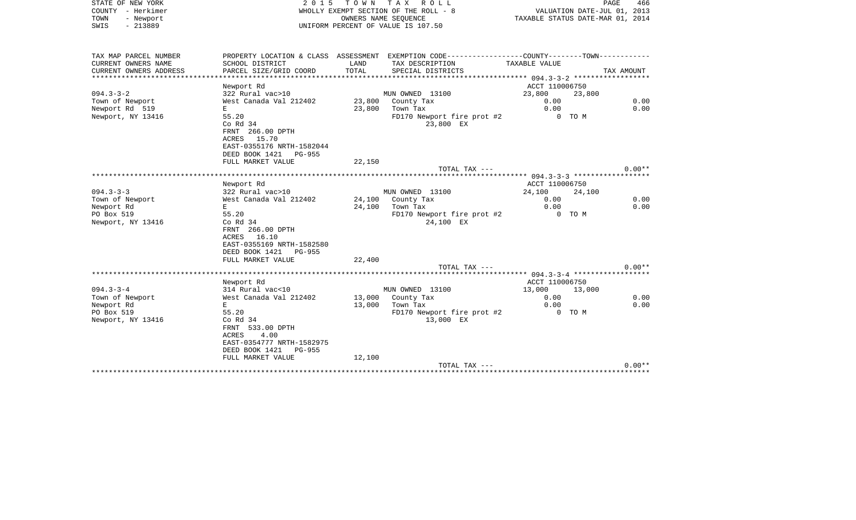| COUNTY<br>- Herkimer<br>TOWN<br>- Newport<br>SWIS<br>$-213889$ |                                               |        | WHOLLY EXEMPT SECTION OF THE ROLL - 8<br>OWNERS NAME SEQUENCE<br>UNIFORM PERCENT OF VALUE IS 107.50 | VALUATION DATE-JUL 01, 2013<br>TAXABLE STATUS DATE-MAR 01, 2014 |        |            |
|----------------------------------------------------------------|-----------------------------------------------|--------|-----------------------------------------------------------------------------------------------------|-----------------------------------------------------------------|--------|------------|
|                                                                |                                               |        |                                                                                                     |                                                                 |        |            |
| TAX MAP PARCEL NUMBER                                          |                                               |        | PROPERTY LOCATION & CLASS ASSESSMENT EXEMPTION CODE----------------COUNTY--------TOWN----------     |                                                                 |        |            |
| CURRENT OWNERS NAME                                            | SCHOOL DISTRICT                               | LAND   | TAX DESCRIPTION                                                                                     | TAXABLE VALUE                                                   |        |            |
| CURRENT OWNERS ADDRESS                                         | PARCEL SIZE/GRID COORD                        | TOTAL  | SPECIAL DISTRICTS                                                                                   |                                                                 |        | TAX AMOUNT |
|                                                                | Newport Rd                                    |        |                                                                                                     | ACCT 110006750                                                  |        |            |
| $094.3 - 3 - 2$                                                | 322 Rural vac>10                              |        | MUN OWNED 13100                                                                                     | 23,800                                                          | 23,800 |            |
| Town of Newport                                                | West Canada Val 212402                        |        | 23,800 County Tax                                                                                   | 0.00                                                            |        | 0.00       |
| Newport Rd 519                                                 | E                                             | 23,800 | Town Tax                                                                                            | 0.00                                                            |        | 0.00       |
| Newport, NY 13416                                              | 55.20                                         |        | FD170 Newport fire prot #2                                                                          | 0 TO M                                                          |        |            |
|                                                                | Co Rd 34                                      |        | 23,800 EX                                                                                           |                                                                 |        |            |
|                                                                | FRNT 266.00 DPTH                              |        |                                                                                                     |                                                                 |        |            |
|                                                                | 15.70<br>ACRES                                |        |                                                                                                     |                                                                 |        |            |
|                                                                | EAST-0355176 NRTH-1582044                     |        |                                                                                                     |                                                                 |        |            |
|                                                                | DEED BOOK 1421<br>PG-955                      |        |                                                                                                     |                                                                 |        |            |
|                                                                | FULL MARKET VALUE                             | 22,150 |                                                                                                     |                                                                 |        |            |
|                                                                |                                               |        | TOTAL TAX ---                                                                                       |                                                                 |        | $0.00**$   |
|                                                                |                                               |        |                                                                                                     |                                                                 |        |            |
|                                                                | Newport Rd                                    |        |                                                                                                     | ACCT 110006750                                                  |        |            |
| $094.3 - 3 - 3$                                                | 322 Rural vac>10                              |        | MUN OWNED 13100                                                                                     | 24,100                                                          | 24,100 |            |
| Town of Newport                                                | West Canada Val 212402                        | 24,100 | County Tax                                                                                          | 0.00                                                            |        | 0.00       |
| Newport Rd<br>PO Box 519                                       | $\mathbf E$                                   | 24,100 | Town Tax                                                                                            | 0.00                                                            |        | 0.00       |
| Newport, NY 13416                                              | 55.20<br>Co Rd 34                             |        | FD170 Newport fire prot #2<br>24,100 EX                                                             |                                                                 | 0 TO M |            |
|                                                                | FRNT 266.00 DPTH                              |        |                                                                                                     |                                                                 |        |            |
|                                                                | 16.10<br>ACRES                                |        |                                                                                                     |                                                                 |        |            |
|                                                                | EAST-0355169 NRTH-1582580                     |        |                                                                                                     |                                                                 |        |            |
|                                                                | DEED BOOK 1421 PG-955                         |        |                                                                                                     |                                                                 |        |            |
|                                                                | FULL MARKET VALUE                             | 22,400 |                                                                                                     |                                                                 |        |            |
|                                                                |                                               |        | TOTAL TAX ---                                                                                       |                                                                 |        | $0.00**$   |
|                                                                |                                               |        |                                                                                                     |                                                                 |        |            |
|                                                                | Newport Rd                                    |        |                                                                                                     | ACCT 110006750                                                  |        |            |
| $094.3 - 3 - 4$                                                | 314 Rural vac<10                              |        | MUN OWNED 13100                                                                                     | 13,000                                                          | 13,000 |            |
| Town of Newport                                                | West Canada Val 212402                        | 13,000 | County Tax                                                                                          | 0.00                                                            |        | 0.00       |
| Newport Rd                                                     | E                                             | 13,000 | Town Tax                                                                                            | 0.00                                                            |        | 0.00       |
| PO Box 519                                                     | 55.20                                         |        | FD170 Newport fire prot #2                                                                          |                                                                 | 0 TO M |            |
| Newport, NY 13416                                              | Co Rd 34                                      |        | 13,000 EX                                                                                           |                                                                 |        |            |
|                                                                | FRNT 533.00 DPTH                              |        |                                                                                                     |                                                                 |        |            |
|                                                                | <b>ACRES</b><br>4.00                          |        |                                                                                                     |                                                                 |        |            |
|                                                                | EAST-0354777 NRTH-1582975                     |        |                                                                                                     |                                                                 |        |            |
|                                                                | DEED BOOK 1421<br>PG-955<br>FULL MARKET VALUE | 12,100 |                                                                                                     |                                                                 |        |            |
|                                                                |                                               |        | TOTAL TAX ---                                                                                       |                                                                 |        | $0.00**$   |
|                                                                |                                               |        |                                                                                                     |                                                                 |        |            |

PAGE 466

STATE OF NEW YORK **EXECUTE:**  $2015$  TOWN TAX ROLL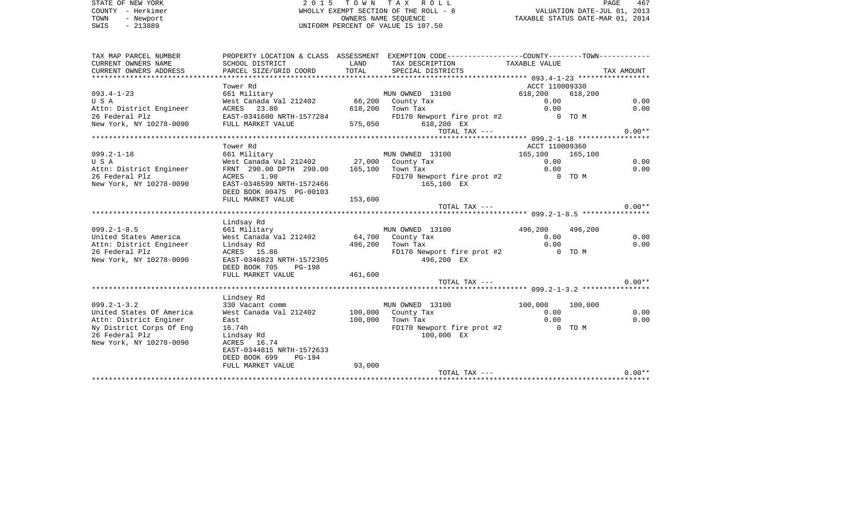| STATE OF NEW YORK                                           |                                          |                                       | 2015 TOWN TAX ROLL                                                                              |                 |         | 467<br>PAGE |
|-------------------------------------------------------------|------------------------------------------|---------------------------------------|-------------------------------------------------------------------------------------------------|-----------------|---------|-------------|
| COUNTY - Herkimer                                           |                                          | WHOLLY EXEMPT SECTION OF THE ROLL - 8 | VALUATION DATE-JUL 01, 2013                                                                     |                 |         |             |
| TOWN<br>- Newport                                           |                                          | OWNERS NAME SEOUENCE                  | TAXABLE STATUS DATE-MAR 01, 2014                                                                |                 |         |             |
| $-213889$<br>SWIS                                           |                                          |                                       | UNIFORM PERCENT OF VALUE IS 107.50                                                              |                 |         |             |
| TAX MAP PARCEL NUMBER                                       |                                          |                                       | PROPERTY LOCATION & CLASS ASSESSMENT EXEMPTION CODE----------------COUNTY--------TOWN---------- |                 |         |             |
| CURRENT OWNERS NAME                                         | SCHOOL DISTRICT                          | LAND                                  | TAX DESCRIPTION                                                                                 | TAXABLE VALUE   |         |             |
| CURRENT OWNERS ADDRESS                                      | PARCEL SIZE/GRID COORD                   | TOTAL                                 | SPECIAL DISTRICTS                                                                               |                 |         | TAX AMOUNT  |
|                                                             |                                          |                                       |                                                                                                 |                 |         |             |
|                                                             | Tower Rd                                 |                                       |                                                                                                 | ACCT 110009330  |         |             |
| $093.4 - 1 - 23$                                            | 661 Military                             |                                       | MUN OWNED 13100                                                                                 | 618,200         | 618,200 |             |
| USA                                                         | West Canada Val 212402 66,200 County Tax |                                       |                                                                                                 | 0.00            |         | 0.00        |
| Attn: District Engineer                                     | ACRES 23.80                              | 618,200                               | Town Tax                                                                                        | 0.00            |         | 0.00        |
| 26 Federal Plz<br>New York, NY 10278-0090 FULL MARKET VALUE | EAST-0341600 NRTH-1577284                | 575,050                               | FD170 Newport fire prot #2<br>618,200 EX                                                        |                 | 0 TO M  |             |
|                                                             |                                          |                                       | TOTAL TAX ---                                                                                   |                 |         | $0.00**$    |
|                                                             |                                          |                                       |                                                                                                 |                 |         |             |
|                                                             | ACCT 110009360                           |                                       |                                                                                                 |                 |         |             |
| $099.2 - 1 - 18$                                            | Tower Rd<br>661 Military                 |                                       | MUN OWNED 13100                                                                                 | 165,100 165,100 |         |             |
| USA                                                         | West Canada Val 212402 27,000 County Tax |                                       |                                                                                                 | 0.00            |         | 0.00        |
| Attn: District Engineer                                     | FRNT 290.00 DPTH 290.00                  | 165,100                               | Town Tax                                                                                        | 0.00            |         | 0.00        |
| 26 Federal Plz                                              | 1.90<br>ACRES                            |                                       | FD170 Newport fire prot #2                                                                      |                 | 0 TO M  |             |
| New York, NY 10278-0090                                     | EAST-0346599 NRTH-1572466                |                                       | 165,100 EX                                                                                      |                 |         |             |
|                                                             | DEED BOOK 00475 PG-00103                 |                                       |                                                                                                 |                 |         |             |
|                                                             | FULL MARKET VALUE                        | 153,600                               |                                                                                                 |                 |         |             |
|                                                             |                                          |                                       | TOTAL TAX ---                                                                                   |                 |         | $0.00**$    |
|                                                             |                                          |                                       |                                                                                                 |                 |         |             |
|                                                             | Lindsay Rd                               |                                       |                                                                                                 |                 |         |             |

| $099.2 - 1 - 8.5$        | 661 Military              |         | MUN OWNED 13100            | 496,200 | 496,200 |          |
|--------------------------|---------------------------|---------|----------------------------|---------|---------|----------|
| United States America    | West Canada Val 212402    | 64,700  | County Tax                 | 0.00    |         | 0.00     |
| Attn: District Engineer  | Lindsay Rd                | 496,200 | Town Tax                   | 0.00    |         | 0.00     |
| 26 Federal Plz           | ACRES 15.86               |         | FD170 Newport fire prot #2 |         | 0 TO M  |          |
| New York, NY 10278-0090  | EAST-0346823 NRTH-1572305 |         | 496,200 EX                 |         |         |          |
|                          | DEED BOOK 705<br>PG-198   |         |                            |         |         |          |
|                          | FULL MARKET VALUE         | 461,600 |                            |         |         |          |
|                          |                           |         | TOTAL TAX $---$            |         |         | $0.00**$ |
|                          |                           |         |                            |         |         |          |
|                          | Lindsey Rd                |         |                            |         |         |          |
| $099.2 - 1 - 3.2$        | 330 Vacant comm           |         | MUN OWNED 13100            | 100,000 | 100,000 |          |
| United States Of America | West Canada Val 212402    | 100,000 | County Tax                 | 0.00    |         | 0.00     |
| Attn: District Enginer   | East                      | 100,000 | Town Tax                   | 0.00    |         | 0.00     |
| Ny District Corps Of Eng | 16.74h                    |         | FD170 Newport fire prot #2 |         | 0 TO M  |          |
| 26 Federal Plz           | Lindsay Rd                |         | 100,000 EX                 |         |         |          |
| New York, NY 10278-0090  | ACRES 16.74               |         |                            |         |         |          |
|                          | EAST-0344815 NRTH-1572633 |         |                            |         |         |          |
|                          | DEED BOOK 699<br>PG-194   |         |                            |         |         |          |
|                          | FULL MARKET VALUE         | 93,000  |                            |         |         |          |
|                          |                           |         | TOTAL TAX $---$            |         |         | $0.00**$ |
|                          |                           |         |                            |         |         |          |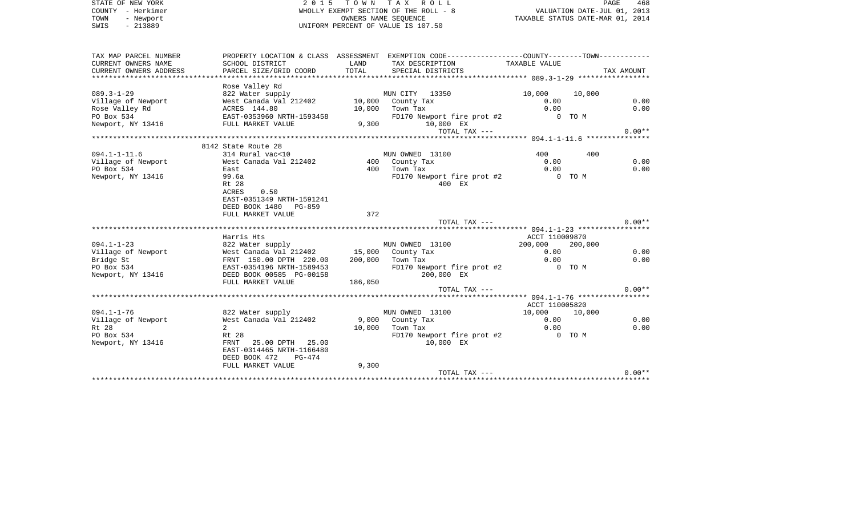| STATE OF NEW YORK      | 2 0 1 5                               |                      | TOWN TAX ROLL                                                                                 |                                                                 |         | 468<br>PAGE |
|------------------------|---------------------------------------|----------------------|-----------------------------------------------------------------------------------------------|-----------------------------------------------------------------|---------|-------------|
| COUNTY - Herkimer      | WHOLLY EXEMPT SECTION OF THE ROLL - 8 |                      |                                                                                               | VALUATION DATE-JUL 01, 2013<br>TAXABLE STATUS DATE-MAR 01, 2014 |         |             |
| TOWN<br>- Newport      |                                       | OWNERS NAME SEOUENCE |                                                                                               |                                                                 |         |             |
| $-213889$<br>SWIS      |                                       |                      | UNIFORM PERCENT OF VALUE IS 107.50                                                            |                                                                 |         |             |
|                        |                                       |                      |                                                                                               |                                                                 |         |             |
| TAX MAP PARCEL NUMBER  |                                       |                      | PROPERTY LOCATION & CLASS ASSESSMENT EXEMPTION CODE---------------COUNTY-------TOWN---------- |                                                                 |         |             |
| CURRENT OWNERS NAME    | SCHOOL DISTRICT                       | LAND                 | TAX DESCRIPTION                                                                               | TAXABLE VALUE                                                   |         |             |
| CURRENT OWNERS ADDRESS | PARCEL SIZE/GRID COORD                | TOTAL                | SPECIAL DISTRICTS                                                                             |                                                                 |         | TAX AMOUNT  |
|                        | Rose Valley Rd                        |                      |                                                                                               |                                                                 |         |             |
| $089.3 - 1 - 29$       | 822 Water supply                      |                      | MUN CITY 13350                                                                                | 10,000                                                          | 10,000  |             |
| Village of Newport     | West Canada Val 212402                |                      | 10,000 County Tax                                                                             | 0.00                                                            |         | 0.00        |
| Rose Valley Rd         | ACRES 144.80                          | 10,000               | Town Tax                                                                                      | 0.00                                                            |         | 0.00        |
| PO Box 534             | EAST-0353960 NRTH-1593458             |                      | FD170 Newport fire prot #2                                                                    | 0 TO M                                                          |         |             |
| Newport, NY 13416      | FULL MARKET VALUE                     | 9,300                | 10,000 EX                                                                                     |                                                                 |         |             |
|                        |                                       |                      | TOTAL TAX ---                                                                                 |                                                                 |         | $0.00**$    |
|                        |                                       |                      |                                                                                               |                                                                 |         |             |
|                        | 8142 State Route 28                   |                      |                                                                                               |                                                                 |         |             |
| $094.1 - 1 - 11.6$     | 314 Rural vac<10                      |                      | MUN OWNED 13100                                                                               | 400                                                             | 400     |             |
| Village of Newport     | West Canada Val 212402                |                      | 400 County Tax                                                                                | 0.00                                                            |         | 0.00        |
| PO Box 534             | East                                  |                      | 400 Town Tax                                                                                  | 0.00                                                            |         | 0.00        |
| Newport, NY 13416      | 99.6a                                 |                      | FD170 Newport fire prot #2                                                                    | 0 TO M                                                          |         |             |
|                        | Rt 28                                 |                      | 400 EX                                                                                        |                                                                 |         |             |
|                        | ACRES<br>0.50                         |                      |                                                                                               |                                                                 |         |             |
|                        | EAST-0351349 NRTH-1591241             |                      |                                                                                               |                                                                 |         |             |
|                        | DEED BOOK 1480 PG-859                 |                      |                                                                                               |                                                                 |         |             |
|                        | FULL MARKET VALUE                     | 372                  |                                                                                               |                                                                 |         |             |
|                        |                                       |                      | TOTAL TAX ---                                                                                 |                                                                 |         | $0.00**$    |
|                        | Harris Hts                            |                      |                                                                                               | ACCT 110009870                                                  |         |             |
| 094.1-1-23             | 822 Water supply                      |                      | MUN OWNED 13100                                                                               | 200,000                                                         | 200,000 |             |
| Village of Newport     | West Canada Val 212402                |                      | 15,000 County Tax                                                                             | 0.00                                                            |         | 0.00        |
| Bridge St              | FRNT 150.00 DPTH 220.00               | 200,000              | Town Tax                                                                                      | 0.00                                                            |         | 0.00        |
| PO Box 534             | EAST-0354196 NRTH-1589453             |                      | FD170 Newport fire prot #2                                                                    |                                                                 | 0 TO M  |             |
| Newport, NY 13416      | DEED BOOK 00585 PG-00158              |                      | 200,000 EX                                                                                    |                                                                 |         |             |
|                        | FULL MARKET VALUE                     | 186,050              |                                                                                               |                                                                 |         |             |
|                        |                                       |                      | TOTAL TAX ---                                                                                 |                                                                 |         | $0.00**$    |
|                        |                                       |                      |                                                                                               |                                                                 |         |             |
|                        |                                       |                      |                                                                                               | ACCT 110005820                                                  |         |             |
| $094.1 - 1 - 76$       | 822 Water supply                      |                      | MUN OWNED 13100                                                                               | 10,000                                                          | 10,000  |             |
| Village of Newport     | West Canada Val 212402                |                      | 9,000 County Tax                                                                              | 0.00                                                            |         | 0.00        |
| Rt 28                  | $\overline{a}$                        | 10,000               | Town Tax                                                                                      | 0.00                                                            |         | 0.00        |
| PO Box 534             | Rt 28                                 |                      | FD170 Newport fire prot #2                                                                    |                                                                 | 0 TO M  |             |
| Newport, NY 13416      | FRNT 25.00 DPTH 25.00                 |                      | 10,000 EX                                                                                     |                                                                 |         |             |
|                        | EAST-0314465 NRTH-1166480             |                      |                                                                                               |                                                                 |         |             |
|                        | DEED BOOK 472<br>PG-474               |                      |                                                                                               |                                                                 |         |             |
|                        | FULL MARKET VALUE                     | 9,300                |                                                                                               |                                                                 |         |             |
|                        |                                       |                      | TOTAL TAX ---                                                                                 |                                                                 |         | $0.00**$    |
|                        |                                       |                      |                                                                                               |                                                                 |         |             |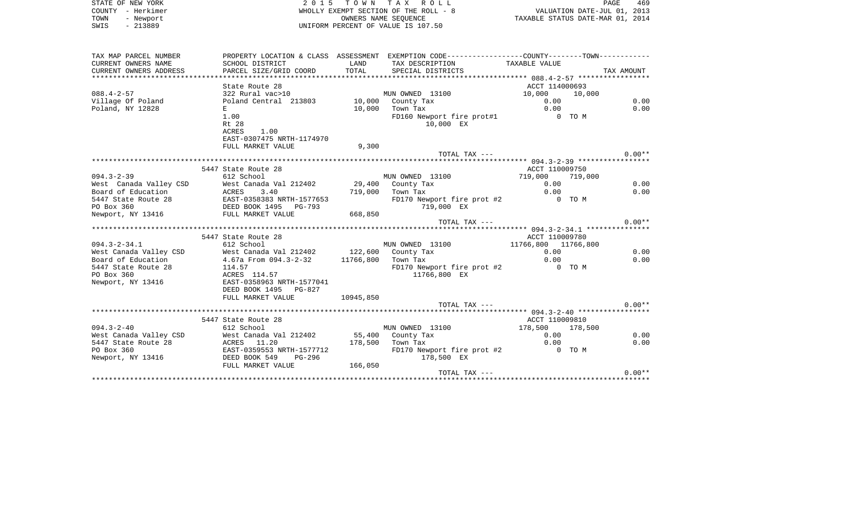| STATE OF NEW YORK | 2015 TOWN TAX ROLL                    | 469<br>PAGE                      |
|-------------------|---------------------------------------|----------------------------------|
| COUNTY - Herkimer | WHOLLY EXEMPT SECTION OF THE ROLL - 8 | VALUATION DATE-JUL 01, 2013      |
| TOWN<br>- Newport | OWNERS NAME SEOUENCE                  | TAXABLE STATUS DATE-MAR 01, 2014 |
| $-213889$<br>SWIS | UNIFORM PERCENT OF VALUE IS 107.50    |                                  |
|                   |                                       |                                  |

| TAX MAP PARCEL NUMBER             |                                                      |           | PROPERTY LOCATION & CLASS ASSESSMENT EXEMPTION CODE---------------COUNTY-------TOWN---------- |                    |            |
|-----------------------------------|------------------------------------------------------|-----------|-----------------------------------------------------------------------------------------------|--------------------|------------|
| CURRENT OWNERS NAME               | SCHOOL DISTRICT                                      | LAND      | TAX DESCRIPTION                                                                               | TAXABLE VALUE      |            |
| CURRENT OWNERS ADDRESS            | PARCEL SIZE/GRID COORD                               | TOTAL     | SPECIAL DISTRICTS                                                                             |                    | TAX AMOUNT |
|                                   |                                                      |           |                                                                                               |                    |            |
|                                   | State Route 28                                       |           |                                                                                               | ACCT 114000693     |            |
| $088.4 - 2 - 57$                  | 322 Rural vac>10                                     |           | MUN OWNED 13100                                                                               | 10,000<br>10,000   |            |
| Village Of Poland                 | Poland Central 213803                                |           | 10,000 County Tax                                                                             | 0.00               | 0.00       |
| Poland, NY 12828                  | E                                                    | 10,000    | Town Tax                                                                                      | 0.00               | 0.00       |
|                                   | 1.00                                                 |           | FD160 Newport fire prot#1 0 TO M                                                              |                    |            |
|                                   | Rt 28                                                |           | 10,000 EX                                                                                     |                    |            |
|                                   | <b>ACRES</b><br>1.00                                 |           |                                                                                               |                    |            |
|                                   | EAST-0307475 NRTH-1174970                            |           |                                                                                               |                    |            |
|                                   | FULL MARKET VALUE                                    | 9,300     |                                                                                               |                    |            |
|                                   |                                                      |           | TOTAL TAX ---                                                                                 |                    | $0.00**$   |
|                                   |                                                      |           |                                                                                               |                    |            |
|                                   | 5447 State Route 28                                  |           |                                                                                               | ACCT 110009750     |            |
| $094.3 - 2 - 39$                  | 612 School                                           |           | MUN OWNED 13100                                                                               | 719,000 719,000    |            |
| West Canada Valley CSD            | West Canada Val 212402 29,400 County Tax             |           |                                                                                               | 0.00               | 0.00       |
| Board of Education                | 3.40<br>ACRES                                        |           | 719,000 Town Tax                                                                              | 0.00               | 0.00       |
| 5447 State Route 28               | EAST-0358383 NRTH-1577653<br>DEED BOOK 1495   PG-793 |           | FD170 Newport fire prot #2 0 TO M                                                             |                    |            |
| PO Box 360                        | DEED BOOK 1495 PG-793                                |           | 719,000 EX                                                                                    |                    |            |
| Newport, NY 13416                 | FULL MARKET VALUE                                    | 668,850   |                                                                                               |                    |            |
|                                   |                                                      |           | TOTAL TAX $---$                                                                               |                    | $0.00**$   |
|                                   |                                                      |           |                                                                                               |                    |            |
|                                   | 5447 State Route 28                                  |           |                                                                                               | ACCT 110009780     |            |
| $094.3 - 2 - 34.1$                | 612 School                                           |           | MUN OWNED 13100 11766,800 11766,800                                                           |                    |            |
| West Canada Valley CSD            | West Canada Val 212402 122,600 County Tax            |           |                                                                                               | 0.00               | 0.00       |
| Board of Education                | 4.67a From 094.3-2-32                                |           | 11766,800 Town Tax                                                                            | 0.00               | 0.00       |
| 5447 State Route 28               | 114.57                                               |           | FD170 Newport fire prot #2                                                                    | 0 TO M             |            |
| PO Box 360                        | ACRES 114.57                                         |           | 11766,800 EX                                                                                  |                    |            |
| Newport, NY 13416                 | EAST-0358963 NRTH-1577041                            |           |                                                                                               |                    |            |
|                                   | DEED BOOK 1495 PG-827                                |           |                                                                                               |                    |            |
|                                   | FULL MARKET VALUE                                    | 10945,850 |                                                                                               |                    |            |
|                                   |                                                      |           | TOTAL TAX ---                                                                                 |                    | $0.00**$   |
|                                   |                                                      |           |                                                                                               |                    |            |
|                                   | 5447 State Route 28                                  |           |                                                                                               | ACCT 110009810     |            |
| $094.3 - 2 - 40$                  | 612 School                                           |           | MUN OWNED 13100                                                                               | 178,500<br>178,500 |            |
| West Canada Valley CSD            | West Canada Val 212402                               |           | $55,400$ County Tax                                                                           | 0.00               | 0.00       |
| 5447 State Route 28<br>PO Box 360 | ACRES 11.20                                          |           | 178,500 Town Tax                                                                              | 0.00               | 0.00       |
|                                   | EAST-0359553 NRTH-1577712                            |           | FD170 Newport fire prot #2 0 TO M                                                             |                    |            |
| Newport, NY 13416                 | DEED BOOK 549<br>PG-296                              |           | 178,500 EX                                                                                    |                    |            |
|                                   | FULL MARKET VALUE                                    | 166,050   |                                                                                               |                    |            |
|                                   |                                                      |           | TOTAL TAX $---$                                                                               |                    | $0.00**$   |
|                                   |                                                      |           |                                                                                               |                    |            |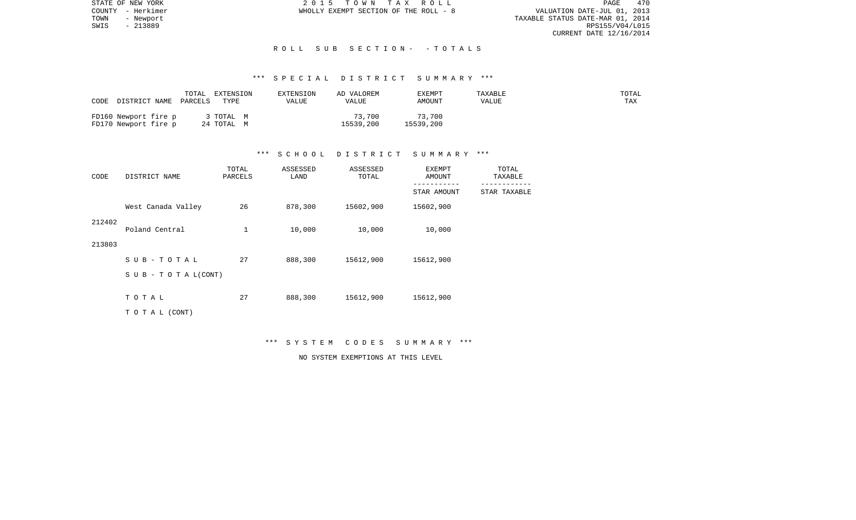STATE OF NEW YORK 2 0 1 5 T O W N T A X R O L L PAGE 470PAGE 470 TAXABLE STATUS DATE-MAR 01, 2014<br>RPS155/V04/L015 CURRENT DATE 12/16/2014

COUNTY - Herkimer **WHOLLY EXEMPT SECTION OF THE ROLL** - 8

TOWN - Newport<br>SWIS - 213889

#### R O L L S U B S E C T I O N - - T O T A L S

# \*\*\* S P E C I A L D I S T R I C T S U M M A R Y \*\*\*

| TOTAL<br>CODE<br>DISTRICT NAME PARCELS       | EXTENSION<br>TYPE     | <b>EXTENSION</b><br>VALUE | AD VALOREM<br>VALUE | EXEMPT<br>AMOUNT    | TAXABLE<br>VALUE | TOTAL<br>TAX |
|----------------------------------------------|-----------------------|---------------------------|---------------------|---------------------|------------------|--------------|
| FD160 Newport fire p<br>FD170 Newport fire p | 3 TOTAL M<br>24 TOTAL |                           | 73,700<br>15539,200 | 73,700<br>15539,200 |                  |              |

#### \*\*\* S C H O O L D I S T R I C T S U M M A R Y \*\*\*

| CODE   | DISTRICT NAME                    | TOTAL<br>PARCELS | ASSESSED<br>LAND | ASSESSED<br>TOTAL | TOTAL<br><b>EXEMPT</b><br>TAXABLE<br>AMOUNT |              |
|--------|----------------------------------|------------------|------------------|-------------------|---------------------------------------------|--------------|
|        |                                  |                  |                  |                   | ---------<br>STAR AMOUNT                    | STAR TAXABLE |
|        | West Canada Valley               | 26               | 878,300          | 15602,900         | 15602,900                                   |              |
| 212402 | Poland Central                   | 1                | 10,000           | 10,000            | 10,000                                      |              |
| 213803 |                                  |                  |                  |                   |                                             |              |
|        | SUB-TOTAL                        | 27               | 888,300          | 15612,900         | 15612,900                                   |              |
|        | $S \cup B - T \cup T A L (CONT)$ |                  |                  |                   |                                             |              |
|        | TOTAL                            | 27               | 888,300          | 15612,900         | 15612,900                                   |              |
|        | TO TAL (CONT)                    |                  |                  |                   |                                             |              |

\*\*\* S Y S T E M C O D E S S U M M A R Y \*\*\*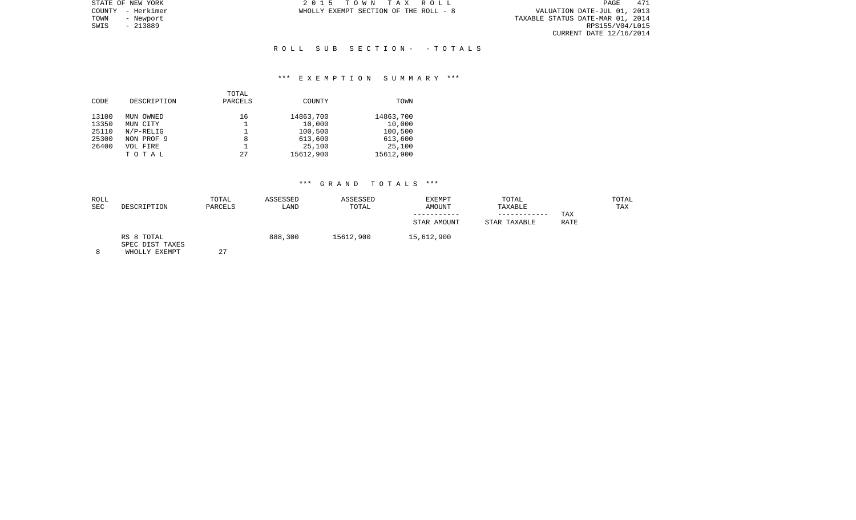|      | STATE OF NEW YORK | 2015 TOWN TAX ROLL                    |  |                                  | PAGE                        | 471 |
|------|-------------------|---------------------------------------|--|----------------------------------|-----------------------------|-----|
|      | COUNTY - Herkimer | WHOLLY EXEMPT SECTION OF THE ROLL - 8 |  |                                  | VALUATION DATE-JUL 01, 2013 |     |
| TOWN | - Newport         |                                       |  | TAXABLE STATUS DATE-MAR 01, 2014 |                             |     |
| SWIS | - 213889          |                                       |  |                                  | RPS155/V04/L015             |     |
|      |                   |                                       |  |                                  | CURRENT DATE 12/16/2014     |     |

### R O L L S U B S E C T I O N - - T O T A L S

#### \*\*\* E X E M P T I O N S U M M A R Y \*\*\*

| CODE           | DESCRIPTION           | TOTAL<br>PARCELS | COUNTY              | TOWN                |
|----------------|-----------------------|------------------|---------------------|---------------------|
| 13100<br>13350 | MUN OWNED<br>MUN CITY | 16               | 14863,700<br>10,000 | 14863,700<br>10,000 |
| 25110          | $N/P-RELLIG$          |                  | 100,500             | 100,500             |
| 25300          | NON PROF 9            | 8                | 613,600             | 613,600             |
| 26400          | VOL FIRE<br>TOTAL     | 27               | 25,100<br>15612,900 | 25,100<br>15612,900 |

#### \*\*\* G R A N D T O T A L S \*\*\*

| ROLL       |                               | TOTAL   | ASSESSED | ASSESSED  | EXEMPT      | TOTAL        |      | TOTAL |
|------------|-------------------------------|---------|----------|-----------|-------------|--------------|------|-------|
| <b>SEC</b> | DESCRIPTION                   | PARCELS | LAND     | TOTAL     | AMOUNT      | TAXABLE      |      | TAX   |
|            |                               |         |          |           |             | ------------ | TAX  |       |
|            |                               |         |          |           | STAR AMOUNT | STAR TAXABLE | RATE |       |
|            | RS 8 TOTAL<br>SPEC DIST TAXES |         | 888,300  | 15612,900 | 15,612,900  |              |      |       |
| $\Omega$   | <b>MILOI IV BYBMDE</b>        | $\cap$  |          |           |             |              |      |       |

8 WHOLLY EXEMPT 27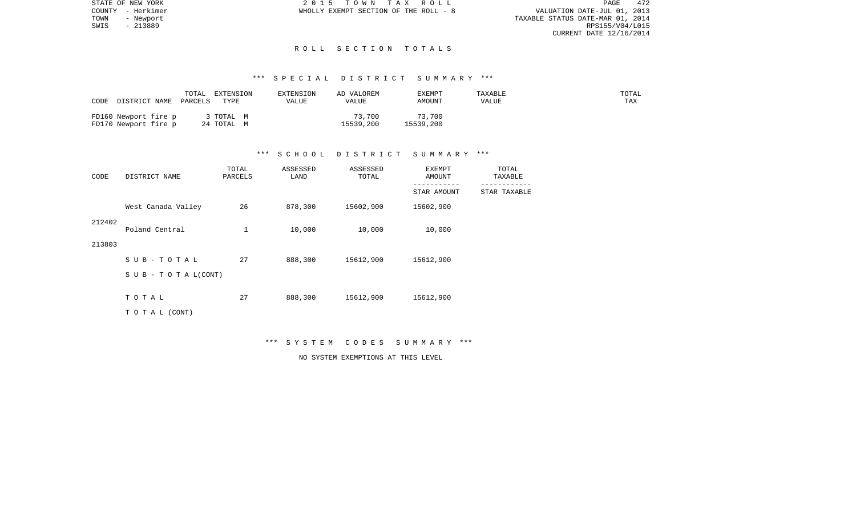PAGE 472 VALUATION DATE-JUL 01, 2013<br>TAXABLE STATUS DATE-MAR 01, 2014<br>RPS155/V04/L015 CURRENT DATE 12/16/2014

STATE OF NEW YORK **2015 TOWN TAX ROLL** COUNTY - Herkimer **WHOLLY EXEMPT SECTION OF THE ROLL** - 8

TOWN - Newport<br>SWIS - 213889

#### R O L L S E C T I O N T O T A L S

## \*\*\* S P E C I A L D I S T R I C T S U M M A R Y \*\*\*

|                       | TOTAL<br>EXTENSION | EXTENSION | AD VALOREM | EXEMPT    | TAXABLE | TOTAL |
|-----------------------|--------------------|-----------|------------|-----------|---------|-------|
| DISTRICT NAME<br>CODE | PARCELS<br>TYPE    | VALUE     | VALUE      | AMOUNT    | VALUE   | TAX   |
| FD160 Newport fire p  | 3 ТОТАЬ М          |           | 73,700     | 73,700    |         |       |
| FD170 Newport fire p  | 24 TOTAL           |           | 15539,200  | 15539,200 |         |       |

#### \*\*\* S C H O O L D I S T R I C T S U M M A R Y \*\*\*

| CODE   | DISTRICT NAME              | TOTAL<br>PARCELS | ASSESSED<br>LAND | ASSESSED<br>TOTAL | <b>EXEMPT</b><br>AMOUNT   | TOTAL<br>TAXABLE          |
|--------|----------------------------|------------------|------------------|-------------------|---------------------------|---------------------------|
|        |                            |                  |                  |                   | ----------<br>STAR AMOUNT | ---------<br>STAR TAXABLE |
|        | West Canada Valley         | 26               | 878,300          | 15602,900         | 15602,900                 |                           |
| 212402 | Poland Central             | 1                | 10,000           | 10,000            | 10,000                    |                           |
| 213803 |                            |                  |                  |                   |                           |                           |
|        | SUB-TOTAL                  | 27               | 888,300          | 15612,900         | 15612,900                 |                           |
|        | S U B - T O T A $L$ (CONT) |                  |                  |                   |                           |                           |
|        | TOTAL                      | 27               | 888,300          | 15612,900         | 15612,900                 |                           |
|        |                            |                  |                  |                   |                           |                           |
|        | TO TAL (CONT)              |                  |                  |                   |                           |                           |

\*\*\* S Y S T E M C O D E S S U M M A R Y \*\*\*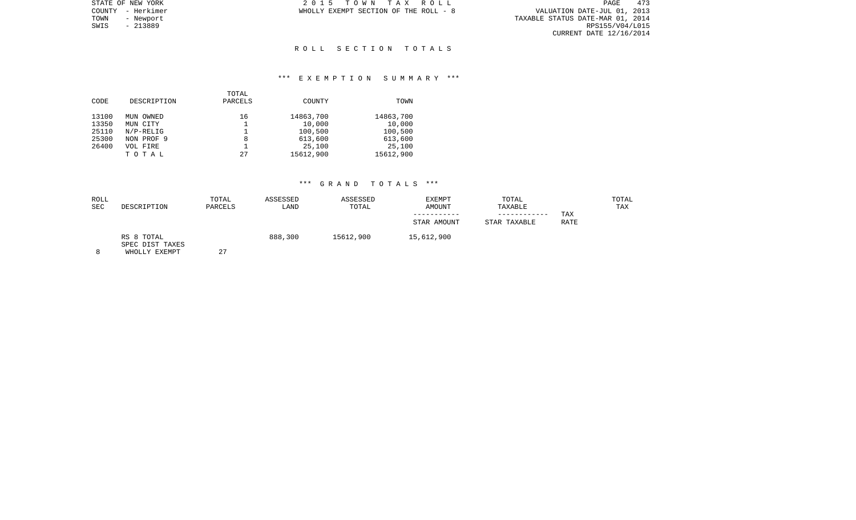| STATE OF NEW YORK | 2015 TOWN TAX ROLL                    |                                  | PAGE | 473 |
|-------------------|---------------------------------------|----------------------------------|------|-----|
| COUNTY - Herkimer | WHOLLY EXEMPT SECTION OF THE ROLL - 8 | VALUATION DATE-JUL 01, 2013      |      |     |
| TOWN<br>- Newport |                                       | TAXABLE STATUS DATE-MAR 01, 2014 |      |     |
| SWIS<br>- 213889  |                                       | RPS155/V04/L015                  |      |     |
|                   |                                       | CURRENT DATE 12/16/2014          |      |     |

### R O L L S E C T I O N T O T A L S

### \*\*\* E X E M P T I O N S U M M A R Y \*\*\*

| CODE           | DESCRIPTION              | TOTAL<br>PARCELS | COUNTY            | TOWN              |
|----------------|--------------------------|------------------|-------------------|-------------------|
| 13100          | MUN OWNED                | 16               | 14863,700         | 14863,700         |
| 13350<br>25110 | MUN CITY<br>$N/P-RELLIG$ |                  | 10,000<br>100,500 | 10,000<br>100,500 |
| 25300          | NON PROF 9               | 8                | 613,600           | 613,600           |
| 26400          | VOL FIRE                 |                  | 25,100            | 25,100            |
|                | TOTAL                    | 27               | 15612,900         | 15612,900         |

| ROLL       |                               | TOTAL   | ASSESSED | ASSESSED  | EXEMPT      | TOTAL        |             | TOTAL |
|------------|-------------------------------|---------|----------|-----------|-------------|--------------|-------------|-------|
| <b>SEC</b> | DESCRIPTION                   | PARCELS | LAND     | TOTAL     | AMOUNT      | TAXABLE      |             | TAX   |
|            |                               |         |          |           |             |              | TAX         |       |
|            |                               |         |          |           | STAR AMOUNT | STAR TAXABLE | <b>RATE</b> |       |
|            | RS 8 TOTAL<br>SPEC DIST TAXES |         | 888,300  | 15612,900 | 15,612,900  |              |             |       |
| 8          | WHOLLY EXEMPT                 | 27      |          |           |             |              |             |       |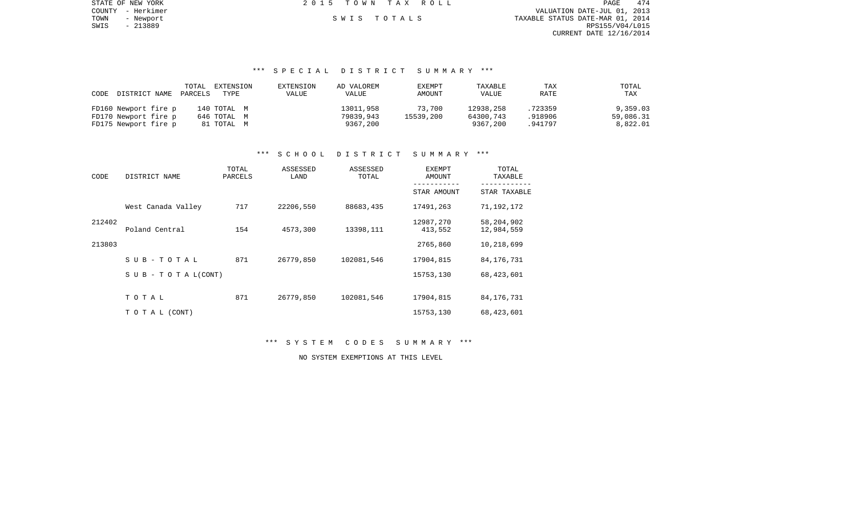| STATE OF NEW YORK | 2015 TOWN TAX ROLL | 474<br>PAGE                      |
|-------------------|--------------------|----------------------------------|
| COUNTY - Herkimer |                    | VALUATION DATE-JUL 01, 2013      |
| TOWN<br>- Newport | SWIS TOTALS        | TAXABLE STATUS DATE-MAR 01, 2014 |
| SWIS<br>$-213889$ |                    | RPS155/V04/L015                  |
|                   |                    | CURRENT DATE 12/16/2014          |
|                   |                    |                                  |
|                   |                    |                                  |

### \*\*\* S P E C I A L D I S T R I C T S U M M A R Y \*\*\*

| CODE | DISTRICT NAME        | TOTAL<br>PARCELS | EXTENSION<br>TYPE | EXTENSION<br>VALUE | AD VALOREM<br>VALUE | EXEMPT<br>AMOUNT | TAXABLE<br>VALUE | TAX<br>RATE | TOTAL<br>TAX |
|------|----------------------|------------------|-------------------|--------------------|---------------------|------------------|------------------|-------------|--------------|
|      | FD160 Newport fire p |                  | 140 TOTAL M       |                    | 13011,958           | 73,700           | 12938,258        | .723359     | 9,359.03     |
|      | FD170 Newport fire p |                  | 646 TOTAL M       |                    | 79839,943           | 15539,200        | 64300,743        | .918906     | 59,086.31    |
|      | FD175 Newport fire p |                  | 81 TOTAL M        |                    | 9367,200            |                  | 9367,200         | .941797     | 8,822.01     |

### \*\*\* S C H O O L D I S T R I C T S U M M A R Y \*\*\*

| CODE   | DISTRICT NAME                    | TOTAL<br>PARCELS | ASSESSED<br>LAND | ASSESSED<br>TOTAL | <b>EXEMPT</b><br>AMOUNT | TOTAL<br>TAXABLE           |
|--------|----------------------------------|------------------|------------------|-------------------|-------------------------|----------------------------|
|        |                                  |                  |                  |                   | STAR AMOUNT             | STAR TAXABLE               |
|        | West Canada Valley               | 717              | 22206,550        | 88683,435         | 17491,263               | 71,192,172                 |
| 212402 | Poland Central                   | 154              | 4573,300         | 13398,111         | 12987,270<br>413,552    | 58, 204, 902<br>12,984,559 |
| 213803 |                                  |                  |                  |                   | 2765,860                | 10,218,699                 |
|        | SUB-TOTAL                        | 871              | 26779,850        | 102081,546        | 17904,815               | 84, 176, 731               |
|        | $S \cup B - T \cup T A L (CONT)$ |                  |                  |                   | 15753,130               | 68,423,601                 |
|        | TOTAL                            | 871              | 26779,850        | 102081,546        | 17904,815               | 84, 176, 731               |
|        | TO TAL (CONT)                    |                  |                  |                   | 15753,130               | 68,423,601                 |

\*\*\* S Y S T E M C O D E S S U M M A R Y \*\*\*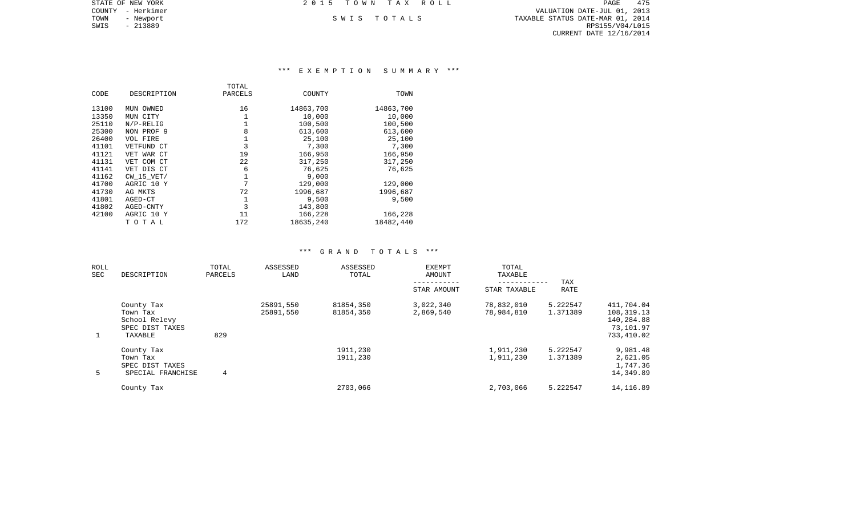|      | STATE OF NEW YORK | 2015 TOWN TAX ROLL |  |                                  | PAGE            | 475 |
|------|-------------------|--------------------|--|----------------------------------|-----------------|-----|
|      | COUNTY - Herkimer |                    |  | VALUATION DATE-JUL 01, 2013      |                 |     |
| TOWN | - Newport         | SWIS TOTALS        |  | TAXABLE STATUS DATE-MAR 01, 2014 |                 |     |
| SWIS | $-213889$         |                    |  |                                  | RPS155/V04/L015 |     |
|      |                   |                    |  | CURRENT DATE 12/16/2014          |                 |     |
|      |                   |                    |  |                                  |                 |     |

## \*\*\* E X E M P T I O N S U M M A R Y \*\*\*

|       |             | TOTAL   |           |           |
|-------|-------------|---------|-----------|-----------|
| CODE  | DESCRIPTION | PARCELS | COUNTY    | TOWN      |
| 13100 | MUN OWNED   | 16      | 14863,700 | 14863,700 |
| 13350 | MUN CITY    |         | 10,000    | 10,000    |
| 25110 | $N/P-RELIG$ |         | 100,500   | 100,500   |
| 25300 | NON PROF 9  | 8       | 613,600   | 613,600   |
| 26400 | VOL FIRE    |         | 25,100    | 25,100    |
| 41101 | VETFUND CT  | 3       | 7,300     | 7,300     |
| 41121 | VET WAR CT  | 19      | 166,950   | 166,950   |
| 41131 | VET COM CT  | 22      | 317,250   | 317,250   |
| 41141 | VET DIS CT  | 6       | 76,625    | 76,625    |
| 41162 | CW 15 VET/  |         | 9,000     |           |
| 41700 | AGRIC 10 Y  | 7       | 129,000   | 129,000   |
| 41730 | AG MKTS     | 72      | 1996,687  | 1996,687  |
| 41801 | AGED-CT     | 1       | 9,500     | 9,500     |
| 41802 | AGED-CNTY   | 3       | 143,800   |           |
| 42100 | AGRIC 10 Y  | 11      | 166,228   | 166,228   |
|       | тотаь       | 172     | 18635,240 | 18482,440 |

| ROLL<br><b>SEC</b> | DESCRIPTION                                                           | TOTAL<br>PARCELS | ASSESSED<br>LAND       | ASSESSED<br>TOTAL      | <b>EXEMPT</b><br>AMOUNT | TOTAL<br>TAXABLE         |                      |                                                                   |
|--------------------|-----------------------------------------------------------------------|------------------|------------------------|------------------------|-------------------------|--------------------------|----------------------|-------------------------------------------------------------------|
|                    |                                                                       |                  |                        |                        | STAR AMOUNT             | STAR TAXABLE             | TAX<br><b>RATE</b>   |                                                                   |
| $\mathbf{1}$       | County Tax<br>Town Tax<br>School Relevy<br>SPEC DIST TAXES<br>TAXABLE | 829              | 25891,550<br>25891,550 | 81854,350<br>81854,350 | 3,022,340<br>2,869,540  | 78,832,010<br>78,984,810 | 5.222547<br>1.371389 | 411,704.04<br>108,319.13<br>140,284.88<br>73,101.97<br>733,410.02 |
| 5                  | County Tax<br>Town Tax<br>SPEC DIST TAXES<br>SPECIAL FRANCHISE        | 4                |                        | 1911,230<br>1911,230   |                         | 1,911,230<br>1,911,230   | 5.222547<br>1.371389 | 9,981.48<br>2,621.05<br>1,747.36<br>14,349.89                     |
|                    | County Tax                                                            |                  |                        | 2703,066               |                         | 2,703,066                | 5.222547             | 14, 116.89                                                        |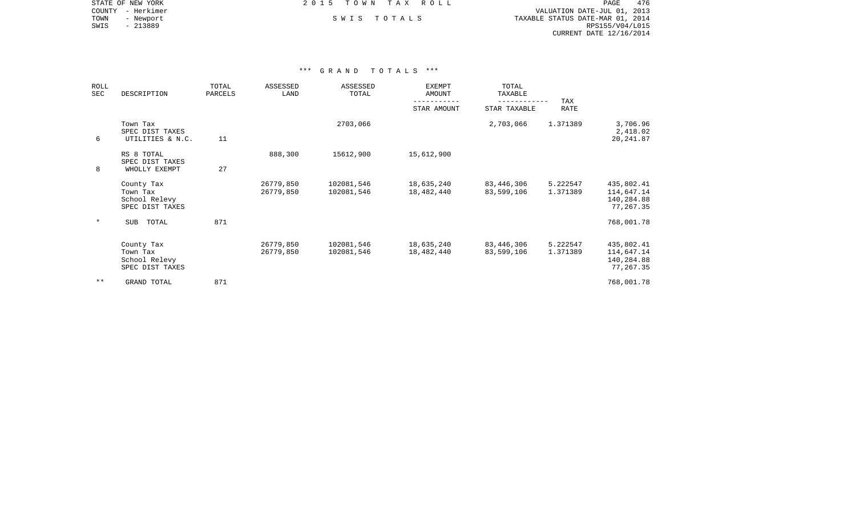|      | STATE OF NEW YORK | 2015 TOWN TAX ROLL |             | PAGE                             | 476 |
|------|-------------------|--------------------|-------------|----------------------------------|-----|
|      | COUNTY - Herkimer |                    |             | VALUATION DATE-JUL 01, 2013      |     |
| TOWN | - Newport         |                    | SWIS TOTALS | TAXABLE STATUS DATE-MAR 01, 2014 |     |
| SWIS | - 213889          |                    |             | RPS155/V04/L015                  |     |
|      |                   |                    |             | CURRENT DATE 12/16/2014          |     |

| <b>ROLL</b><br>SEC | DESCRIPTION                                                | TOTAL<br><b>PARCELS</b> | ASSESSED<br>LAND       | ASSESSED<br>TOTAL        | <b>EXEMPT</b><br>AMOUNT  | TOTAL<br>TAXABLE         | TAX                  |                                                     |  |
|--------------------|------------------------------------------------------------|-------------------------|------------------------|--------------------------|--------------------------|--------------------------|----------------------|-----------------------------------------------------|--|
|                    |                                                            |                         |                        |                          | STAR AMOUNT              | STAR TAXABLE             | RATE                 |                                                     |  |
| 6                  | Town Tax<br>SPEC DIST TAXES<br>UTILITIES & N.C.            | 11                      |                        | 2703,066                 |                          | 2,703,066                | 1.371389             | 3,706.96<br>2,418.02<br>20, 241.87                  |  |
| 8                  | RS 8 TOTAL<br>SPEC DIST TAXES<br>WHOLLY EXEMPT             | 27                      | 888,300                | 15612,900                | 15,612,900               |                          |                      |                                                     |  |
|                    | County Tax<br>Town Tax<br>School Relevy<br>SPEC DIST TAXES |                         | 26779,850<br>26779,850 | 102081,546<br>102081,546 | 18,635,240<br>18,482,440 | 83,446,306<br>83,599,106 | 5.222547<br>1.371389 | 435,802.41<br>114,647.14<br>140,284.88<br>77,267.35 |  |
| $\ast$             | TOTAL<br>SUB                                               | 871                     |                        |                          |                          |                          |                      | 768,001.78                                          |  |
|                    | County Tax<br>Town Tax<br>School Relevy<br>SPEC DIST TAXES |                         | 26779,850<br>26779,850 | 102081,546<br>102081,546 | 18,635,240<br>18,482,440 | 83,446,306<br>83,599,106 | 5.222547<br>1.371389 | 435,802.41<br>114,647.14<br>140,284.88<br>77,267.35 |  |
| $***$              | GRAND TOTAL                                                | 871                     |                        |                          |                          |                          |                      | 768,001.78                                          |  |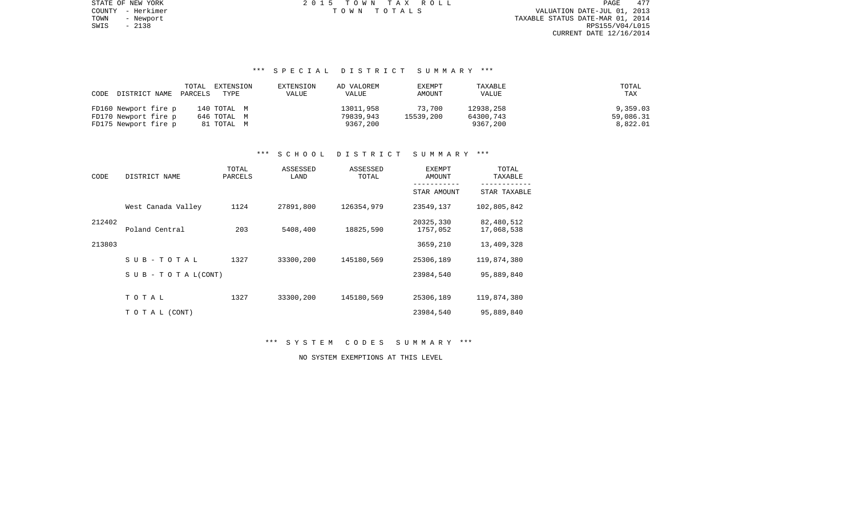PAGE 477 TOWN - Newport TAXABLE STATUS DATE-MAR 01, 2014 SWIS - Newport (1, 2014)<br>SWIS - 2138 RPS155/V04/L015 CURRENT DATE 12/16/2014

STATE OF NEW YORK **EXECUTE:**  $2015$  TOWN TAX ROLL COUNTY - Herkimer T O W N T O T A L S VALUATION DATE-JUL 01, 2013

# \*\*\* S P E C I A L D I S T R I C T S U M M A R Y \*\*\*

| CODE<br>DISTRICT NAME | TOTAL<br>PARCELS | EXTENSION<br>TYPE | EXTENSION<br>VALUE | AD VALOREM<br>VALUE | EXEMPT<br>AMOUNT | TAXABLE<br>VALUE | TOTAL<br>TAX |
|-----------------------|------------------|-------------------|--------------------|---------------------|------------------|------------------|--------------|
| FD160 Newport fire p  |                  | 140 TOTAL M       |                    | 13011,958           | 73,700           | 12938,258        | 9,359.03     |
| FD170 Newport fire p  |                  | 646 TOTAL M       |                    | 79839,943           | 15539,200        | 64300,743        | 59,086.31    |
| FD175 Newport fire p  |                  | 81 TOTAL M        |                    | 9367,200            |                  | 9367,200         | 8,822.01     |

#### \*\*\* S C H O O L D I S T R I C T S U M M A R Y \*\*\*

| CODE   | DISTRICT NAME                    | TOTAL<br>PARCELS | ASSESSED<br>LAND | ASSESSED<br>TOTAL | <b>EXEMPT</b><br><b>AMOUNT</b> | TOTAL<br>TAXABLE         |
|--------|----------------------------------|------------------|------------------|-------------------|--------------------------------|--------------------------|
|        |                                  |                  |                  |                   | STAR AMOUNT                    | STAR TAXABLE             |
|        | West Canada Valley               | 1124             | 27891,800        | 126354,979        | 23549,137                      | 102,805,842              |
| 212402 | Poland Central                   | 203              | 5408,400         | 18825,590         | 20325,330<br>1757,052          | 82,480,512<br>17,068,538 |
| 213803 |                                  |                  |                  |                   | 3659,210                       | 13,409,328               |
|        | SUB-TOTAL                        | 1327             | 33300,200        | 145180,569        | 25306,189                      | 119,874,380              |
|        | $S \cup B - T \cup T A L (CONT)$ |                  |                  |                   | 23984,540                      | 95,889,840               |
|        | TOTAL                            | 1327             | 33300,200        | 145180,569        | 25306,189                      | 119,874,380              |
|        | TO TAL (CONT)                    |                  |                  |                   | 23984,540                      | 95,889,840               |

\*\*\* S Y S T E M C O D E S S U M M A R Y \*\*\*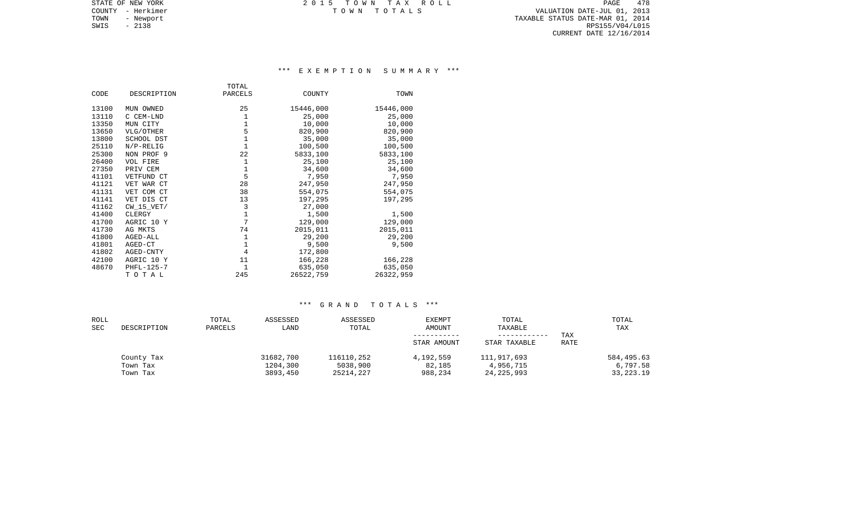TOWN - Newport TAXABLE STATUS DATE-MAR 01, 2014 SWIS - Newport (1, 2014)<br>SWIS - 2138 RPS155/V04/L015 CURRENT DATE 12/16/2014

STATE OF NEW YORK **EXECUTE:** A G ALL TOWN TAX ROLL COUNTY - Herkimer T O W N T O T A L S VALUATION DATE-JUL 01, 2013

## \*\*\* E X E M P T I O N S U M M A R Y \*\*\*

|       |              | TOTAL        |           |           |
|-------|--------------|--------------|-----------|-----------|
| CODE  | DESCRIPTION  | PARCELS      | COUNTY    | TOWN      |
|       |              |              |           |           |
| 13100 | MUN OWNED    | 25           | 15446,000 | 15446,000 |
| 13110 | C CEM-LND    | 1            | 25,000    | 25,000    |
| 13350 | MUN CITY     | 1            | 10,000    | 10,000    |
| 13650 | VLG/OTHER    | 5            | 820,900   | 820,900   |
| 13800 | SCHOOL DST   | $\mathbf 1$  | 35,000    | 35,000    |
| 25110 | $N/P-RELIG$  | $\mathbf{1}$ | 100,500   | 100,500   |
| 25300 | NON PROF 9   | 22           | 5833,100  | 5833,100  |
| 26400 | VOL FIRE     | 1            | 25,100    | 25,100    |
| 27350 | PRIV CEM     | 1            | 34,600    | 34,600    |
| 41101 | VETFUND CT   | 5            | 7,950     | 7,950     |
| 41121 | VET WAR CT   | 28           | 247,950   | 247,950   |
| 41131 | VET COM CT   | 38           | 554,075   | 554,075   |
| 41141 | VET DIS CT   | 13           | 197,295   | 197,295   |
| 41162 | $CW_15_VET/$ | 3            | 27,000    |           |
| 41400 | CLERGY       | 1            | 1,500     | 1,500     |
| 41700 | AGRIC 10 Y   | 7            | 129,000   | 129,000   |
| 41730 | AG MKTS      | 74           | 2015,011  | 2015,011  |
| 41800 | AGED-ALL     | 1            | 29,200    | 29,200    |
| 41801 | AGED-CT      | $\mathbf 1$  | 9,500     | 9,500     |
| 41802 | AGED-CNTY    | 4            | 172,800   |           |
| 42100 | AGRIC 10 Y   | 11           | 166,228   | 166,228   |
| 48670 | PHFL-125-7   | $\mathbf{1}$ | 635,050   | 635,050   |
|       | TOTAL        | 245          | 26522,759 | 26322,959 |

| ROLL<br>SEC | DESCRIPTION                        | TOTAL<br>PARCELS | ASSESSED<br>LAND                  | ASSESSED<br>TOTAL                   | <b>EXEMPT</b><br><b>AMOUNT</b><br>STAR AMOUNT | TOTAL<br>TAXABLE<br>STAR TAXABLE       | TAX<br>RATE | TOTAL<br>TAX                          |
|-------------|------------------------------------|------------------|-----------------------------------|-------------------------------------|-----------------------------------------------|----------------------------------------|-------------|---------------------------------------|
|             | County Tax<br>Town Tax<br>Town Tax |                  | 31682,700<br>1204,300<br>3893,450 | 116110,252<br>5038,900<br>25214,227 | 4,192,559<br>82,185<br>988,234                | 111,917,693<br>4,956,715<br>24,225,993 |             | 584,495.63<br>6,797.58<br>33, 223. 19 |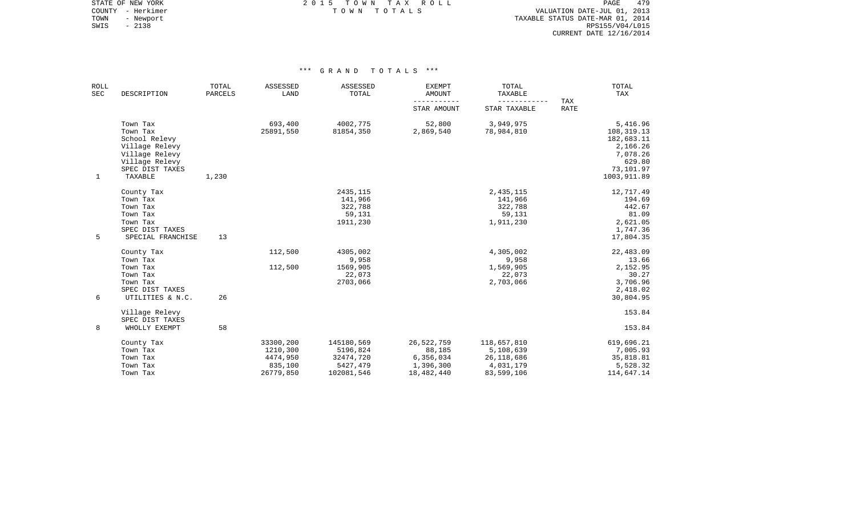STATE OF NEW YORK **EXECUTE:**  $2015$  TOWN TAX ROLL COUNTY - Herkimer T O W N T O T A L S VALUATION DATE-JUL 01, 2013

TOWN - Newport TAXABLE STATUS DATE-MAR 01, 2014 SOUNTY - Herkimer<br>
TOWN - Newport<br>
SWIS - 2138 RPS155/V04/L015 CURRENT DATE 12/16/2014

| <b>ROLL</b><br><b>SEC</b> | DESCRIPTION                      | TOTAL<br><b>PARCELS</b> | ASSESSED<br>LAND | ASSESSED<br>TOTAL | <b>EXEMPT</b><br>AMOUNT | TOTAL<br>TAXABLE | TAX         | TOTAL<br>TAX         |
|---------------------------|----------------------------------|-------------------------|------------------|-------------------|-------------------------|------------------|-------------|----------------------|
|                           |                                  |                         |                  |                   | STAR AMOUNT             | STAR TAXABLE     | <b>RATE</b> |                      |
|                           | Town Tax                         |                         | 693,400          | 4002,775          | 52,800                  | 3,949,975        |             | 5,416.96             |
|                           | Town Tax                         |                         | 25891,550        | 81854,350         | 2,869,540               | 78,984,810       |             | 108, 319. 13         |
|                           | School Relevy                    |                         |                  |                   |                         |                  |             | 182,683.11           |
|                           | Village Relevy<br>Village Relevy |                         |                  |                   |                         |                  |             | 2,166.26<br>7,078.26 |
|                           | Village Relevy                   |                         |                  |                   |                         |                  |             | 629.80               |
|                           | SPEC DIST TAXES                  |                         |                  |                   |                         |                  |             | 73,101.97            |
| $\mathbf{1}$<br>5         | TAXABLE                          | 1,230                   |                  |                   |                         |                  |             | 1003, 911.89         |
|                           | County Tax                       |                         |                  | 2435,115          |                         | 2,435,115        |             | 12,717.49            |
|                           | Town Tax                         |                         |                  | 141,966           |                         | 141,966          |             | 194.69               |
|                           | Town Tax                         |                         |                  | 322,788           |                         | 322,788          |             | 442.67               |
|                           | Town Tax                         |                         |                  | 59,131            |                         | 59,131           |             | 81.09                |
|                           | Town Tax<br>SPEC DIST TAXES      |                         |                  | 1911,230          |                         | 1,911,230        |             | 2,621.05<br>1,747.36 |
|                           | SPECIAL FRANCHISE                | 13                      |                  |                   |                         |                  |             | 17,804.35            |
|                           |                                  |                         |                  |                   |                         |                  |             |                      |
|                           | County Tax                       |                         | 112,500          | 4305,002          |                         | 4,305,002        |             | 22,483.09            |
|                           | Town Tax                         |                         |                  | 9,958             |                         | 9,958            |             | 13.66                |
|                           | Town Tax                         |                         | 112,500          | 1569,905          |                         | 1,569,905        |             | 2,152.95             |
|                           | Town Tax                         |                         |                  | 22,073            |                         | 22,073           |             | 30.27                |
|                           | Town Tax                         |                         |                  | 2703,066          |                         | 2,703,066        |             | 3,706.96             |
|                           | SPEC DIST TAXES                  |                         |                  |                   |                         |                  |             | 2,418.02             |
| 6                         | UTILITIES & N.C.                 | 26                      |                  |                   |                         |                  |             | 30,804.95            |
|                           | Village Relevy                   |                         |                  |                   |                         |                  |             | 153.84               |
|                           | SPEC DIST TAXES                  |                         |                  |                   |                         |                  |             |                      |
| 8                         | WHOLLY EXEMPT                    | 58                      |                  |                   |                         |                  |             | 153.84               |
|                           | County Tax                       |                         | 33300,200        | 145180,569        | 26,522,759              | 118,657,810      |             | 619,696.21           |
|                           | Town Tax                         |                         | 1210,300         | 5196,824          | 88,185                  | 5,108,639        |             | 7,005.93             |
|                           | Town Tax                         |                         | 4474,950         | 32474,720         | 6,356,034               | 26, 118, 686     |             | 35,818.81            |
|                           | Town Tax                         |                         | 835,100          | 5427,479          | 1,396,300               | 4,031,179        |             | 5,528.32             |
|                           | Town Tax                         |                         | 26779,850        | 102081,546        | 18,482,440              | 83,599,106       |             | 114,647.14           |